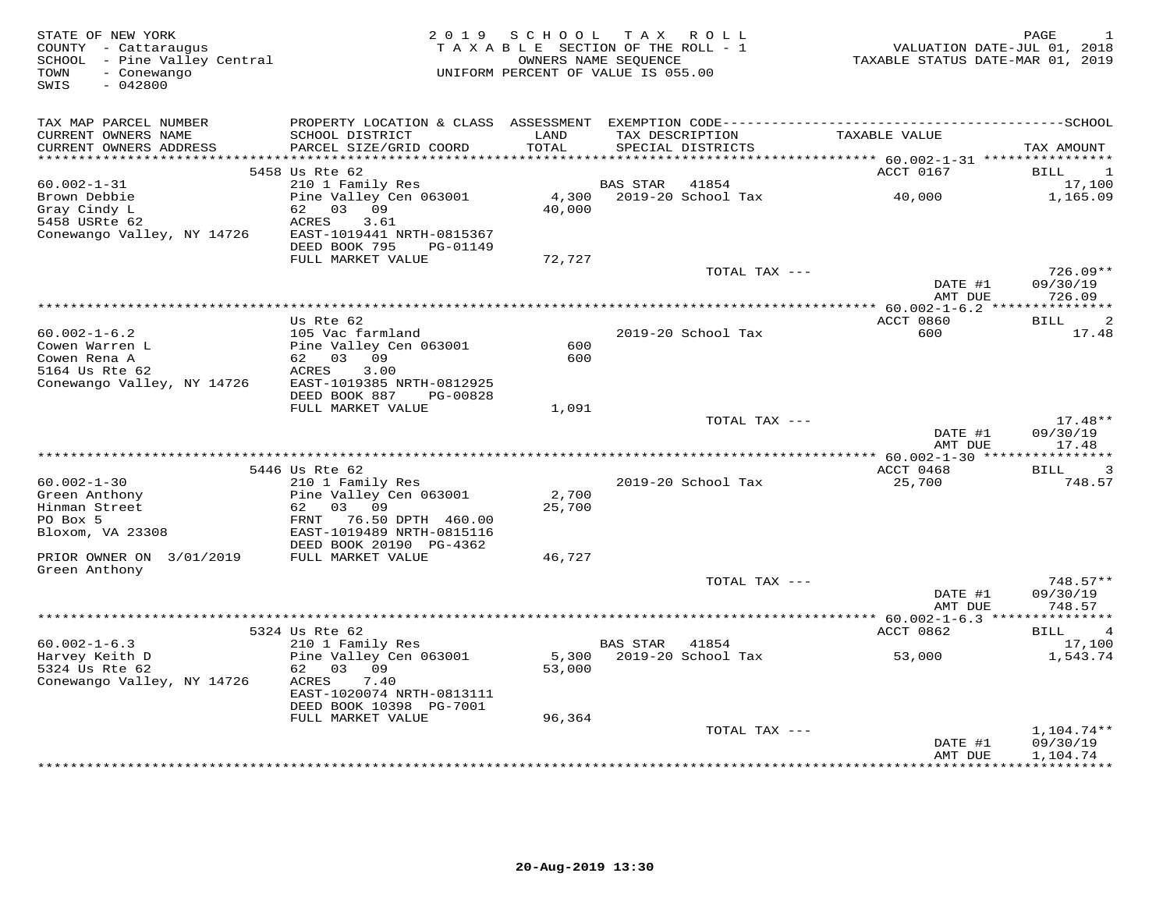| STATE OF NEW YORK<br>COUNTY - Cattaraugus<br>SCHOOL - Pine Valley Central<br>TOWN<br>- Conewango<br>SWIS<br>$-042800$ |                                                        | 2019 SCHOOL<br>TAXABLE SECTION OF THE ROLL - 1<br>OWNERS NAME SEQUENCE<br>UNIFORM PERCENT OF VALUE IS 055.00 |          | TAX ROLL                             | VALUATION DATE-JUL 01, 2018<br>TAXABLE STATUS DATE-MAR 01, 2019 | PAGE<br>1                           |
|-----------------------------------------------------------------------------------------------------------------------|--------------------------------------------------------|--------------------------------------------------------------------------------------------------------------|----------|--------------------------------------|-----------------------------------------------------------------|-------------------------------------|
| TAX MAP PARCEL NUMBER                                                                                                 |                                                        |                                                                                                              |          |                                      |                                                                 |                                     |
| CURRENT OWNERS NAME<br>CURRENT OWNERS ADDRESS                                                                         | SCHOOL DISTRICT<br>PARCEL SIZE/GRID COORD              | LAND<br>TOTAL                                                                                                |          | TAX DESCRIPTION<br>SPECIAL DISTRICTS | TAXABLE VALUE                                                   | TAX AMOUNT                          |
| **********************                                                                                                |                                                        | ************                                                                                                 |          |                                      | ******** 60.002-1-31 *****************                          |                                     |
|                                                                                                                       | 5458 Us Rte 62                                         |                                                                                                              |          |                                      | ACCT 0167                                                       | BILL<br>1                           |
| $60.002 - 1 - 31$                                                                                                     | 210 1 Family Res                                       |                                                                                                              | BAS STAR | 41854                                |                                                                 | 17,100                              |
| Brown Debbie                                                                                                          | Pine Valley Cen 063001                                 |                                                                                                              |          | 4,300    2019-20    School Tax       | 40,000                                                          | 1,165.09                            |
| Gray Cindy L                                                                                                          | 62 03 09                                               | 40,000                                                                                                       |          |                                      |                                                                 |                                     |
| 5458 USRte 62                                                                                                         | ACRES<br>3.61                                          |                                                                                                              |          |                                      |                                                                 |                                     |
| Conewango Valley, NY 14726                                                                                            | EAST-1019441 NRTH-0815367<br>DEED BOOK 795<br>PG-01149 |                                                                                                              |          |                                      |                                                                 |                                     |
|                                                                                                                       | FULL MARKET VALUE                                      | 72,727                                                                                                       |          |                                      |                                                                 |                                     |
|                                                                                                                       |                                                        |                                                                                                              |          | TOTAL TAX ---                        |                                                                 | 726.09**                            |
|                                                                                                                       |                                                        |                                                                                                              |          |                                      | DATE #1                                                         | 09/30/19                            |
|                                                                                                                       |                                                        |                                                                                                              |          |                                      | AMT DUE                                                         | 726.09                              |
|                                                                                                                       |                                                        |                                                                                                              |          |                                      | *** $60.002 - 1 - 6.2$ ***************                          |                                     |
|                                                                                                                       | Us Rte 62                                              |                                                                                                              |          |                                      | ACCT 0860                                                       | 2<br><b>BILL</b>                    |
| $60.002 - 1 - 6.2$                                                                                                    | 105 Vac farmland                                       |                                                                                                              |          | 2019-20 School Tax                   | 600                                                             | 17.48                               |
| Cowen Warren L                                                                                                        | Pine Valley Cen 063001                                 | 600                                                                                                          |          |                                      |                                                                 |                                     |
| Cowen Rena A<br>5164 Us Rte 62                                                                                        | 62 03 09<br>3.00<br>ACRES                              | 600                                                                                                          |          |                                      |                                                                 |                                     |
| Conewango Valley, NY 14726                                                                                            | EAST-1019385 NRTH-0812925                              |                                                                                                              |          |                                      |                                                                 |                                     |
|                                                                                                                       | DEED BOOK 887<br>PG-00828                              |                                                                                                              |          |                                      |                                                                 |                                     |
|                                                                                                                       | FULL MARKET VALUE                                      | 1,091                                                                                                        |          |                                      |                                                                 |                                     |
|                                                                                                                       |                                                        |                                                                                                              |          | TOTAL TAX ---                        |                                                                 | $17.48**$                           |
|                                                                                                                       |                                                        |                                                                                                              |          |                                      | DATE #1                                                         | 09/30/19                            |
|                                                                                                                       |                                                        |                                                                                                              |          |                                      | AMT DUE                                                         | 17.48                               |
|                                                                                                                       |                                                        |                                                                                                              |          |                                      |                                                                 |                                     |
|                                                                                                                       | 5446 Us Rte 62                                         |                                                                                                              |          |                                      | ACCT 0468                                                       | $\overline{3}$<br><b>BILL</b>       |
| $60.002 - 1 - 30$<br>Green Anthony                                                                                    | 210 1 Family Res<br>Pine Valley Cen 063001             | 2,700                                                                                                        |          | 2019-20 School Tax                   | 25,700                                                          | 748.57                              |
| Hinman Street                                                                                                         | 03 09<br>62                                            | 25,700                                                                                                       |          |                                      |                                                                 |                                     |
| PO Box 5                                                                                                              | FRNT<br>76.50 DPTH 460.00                              |                                                                                                              |          |                                      |                                                                 |                                     |
| Bloxom, VA 23308                                                                                                      | EAST-1019489 NRTH-0815116                              |                                                                                                              |          |                                      |                                                                 |                                     |
|                                                                                                                       | DEED BOOK 20190 PG-4362                                |                                                                                                              |          |                                      |                                                                 |                                     |
| PRIOR OWNER ON 3/01/2019                                                                                              | FULL MARKET VALUE                                      | 46,727                                                                                                       |          |                                      |                                                                 |                                     |
| Green Anthony                                                                                                         |                                                        |                                                                                                              |          |                                      |                                                                 |                                     |
|                                                                                                                       |                                                        |                                                                                                              |          | TOTAL TAX ---                        |                                                                 | 748.57**                            |
|                                                                                                                       |                                                        |                                                                                                              |          |                                      | DATE #1                                                         | 09/30/19                            |
|                                                                                                                       |                                                        |                                                                                                              |          |                                      | AMT DUE                                                         | 748.57                              |
|                                                                                                                       | 5324 Us Rte 62                                         |                                                                                                              |          |                                      | ACCT 0862                                                       | BILL<br>$\overline{4}$              |
| $60.002 - 1 - 6.3$                                                                                                    | 210 1 Family Res                                       |                                                                                                              | BAS STAR | 41854                                |                                                                 | 17,100                              |
| Harvey Keith D                                                                                                        | Pine Valley Cen 063001                                 |                                                                                                              |          | 5,300 2019-20 School Tax             | 53,000                                                          | 1,543.74                            |
| 5324 Us Rte 62                                                                                                        | 62 03 09                                               | 53,000                                                                                                       |          |                                      |                                                                 |                                     |
| Conewango Valley, NY 14726                                                                                            | ACRES<br>7.40                                          |                                                                                                              |          |                                      |                                                                 |                                     |
|                                                                                                                       | EAST-1020074 NRTH-0813111                              |                                                                                                              |          |                                      |                                                                 |                                     |
|                                                                                                                       | DEED BOOK 10398 PG-7001                                |                                                                                                              |          |                                      |                                                                 |                                     |
|                                                                                                                       | FULL MARKET VALUE                                      | 96,364                                                                                                       |          |                                      |                                                                 |                                     |
|                                                                                                                       |                                                        |                                                                                                              |          | TOTAL TAX ---                        |                                                                 | 1,104.74**                          |
|                                                                                                                       |                                                        |                                                                                                              |          |                                      | DATE #1                                                         | 09/30/19                            |
|                                                                                                                       |                                                        |                                                                                                              |          |                                      | AMT DUE                                                         | 1,104.74<br>* * * * * * * * * * * * |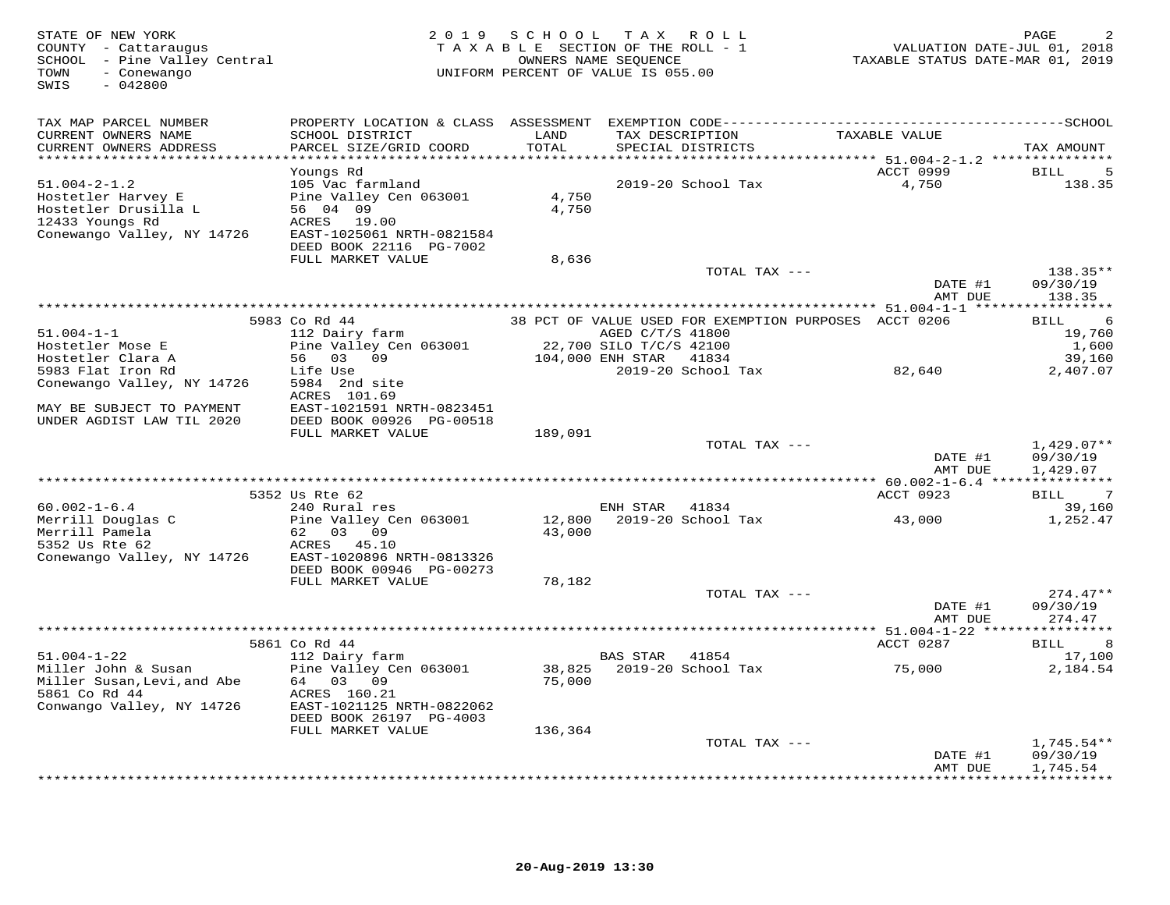| TAX MAP PARCEL NUMBER<br>LAND<br>CURRENT OWNERS NAME<br>SCHOOL DISTRICT<br>TAX DESCRIPTION<br>TAXABLE VALUE<br>TOTAL<br>CURRENT OWNERS ADDRESS<br>PARCEL SIZE/GRID COORD<br>SPECIAL DISTRICTS<br>TAX AMOUNT<br>**********************<br>**********<br>**************************** 51.004-2-1.2 ***************<br>ACCT 0999<br>Youngs Rd<br><b>BILL</b><br>5<br>$51.004 - 2 - 1.2$<br>105 Vac farmland<br>2019-20 School Tax<br>4,750<br>138.35<br>Hostetler Harvey E<br>Pine Valley Cen 063001<br>4,750<br>Hostetler Drusilla L<br>56 04 09<br>4,750<br>12433 Youngs Rd<br>19.00<br>ACRES<br>Conewango Valley, NY 14726<br>EAST-1025061 NRTH-0821584<br>DEED BOOK 22116 PG-7002<br>FULL MARKET VALUE<br>8,636<br>$138.35**$<br>TOTAL TAX ---<br>DATE #1<br>09/30/19<br>138.35<br>AMT DUE<br>5983 Co Rd 44<br>38 PCT OF VALUE USED FOR EXEMPTION PURPOSES ACCT 0206<br>6<br><b>BILL</b><br>$51.004 - 1 - 1$<br>AGED C/T/S 41800<br>19,760<br>112 Dairy farm<br>Hostetler Mose E<br>Pine Valley Cen 063001<br>22,700 SILO T/C/S 42100<br>1,600<br>Hostetler Clara A<br>56 03 09<br>104,000 ENH STAR<br>41834<br>39,160<br>5983 Flat Iron Rd<br>Life Use<br>2019-20 School Tax<br>82,640<br>2,407.07<br>Conewango Valley, NY 14726<br>5984 2nd site<br>ACRES 101.69<br>MAY BE SUBJECT TO PAYMENT<br>EAST-1021591 NRTH-0823451<br>UNDER AGDIST LAW TIL 2020<br>DEED BOOK 00926 PG-00518<br>FULL MARKET VALUE<br>189,091<br>TOTAL TAX ---<br>$1,429.07**$<br>DATE #1<br>09/30/19<br>AMT DUE<br>1,429.07<br>******** 60.002-1-6.4 ***<br>********<br>ACCT 0923<br>5352 Us Rte 62<br><b>BILL</b><br>39,160<br>$60.002 - 1 - 6.4$<br>240 Rural res<br>ENH STAR<br>41834<br>Merrill Douglas C<br>Pine Valley Cen 063001<br>2019-20 School Tax<br>12,800<br>43,000<br>1,252.47<br>Merrill Pamela<br>62<br>03<br>43,000<br>09<br>5352 Us Rte 62<br>ACRES 45.10<br>Conewango Valley, NY 14726<br>EAST-1020896 NRTH-0813326<br>DEED BOOK 00946 PG-00273<br>FULL MARKET VALUE<br>78,182<br>$274.47**$<br>TOTAL TAX ---<br>DATE #1<br>09/30/19<br>274.47<br>AMT DUE<br>ACCT 0287<br>5861 Co Rd 44<br>8<br>BILL<br>$51.004 - 1 - 22$<br>112 Dairy farm<br><b>BAS STAR</b><br>41854<br>17,100<br>2019-20 School Tax<br>Miller John & Susan<br>Pine Valley Cen 063001<br>38,825<br>75,000<br>2,184.54<br>Miller Susan, Levi, and Abe<br>64 03<br>09<br>75,000<br>5861 Co Rd 44<br>ACRES 160.21<br>Conwango Valley, NY 14726<br>EAST-1021125 NRTH-0822062<br>DEED BOOK 26197 PG-4003<br>FULL MARKET VALUE<br>136,364<br>TOTAL TAX ---<br>$1,745.54**$<br>DATE #1<br>09/30/19<br>1,745.54<br>AMT DUE | STATE OF NEW YORK<br>COUNTY - Cattaraugus<br>SCHOOL - Pine Valley Central<br>- Conewango<br>TOWN<br>SWIS<br>$-042800$ | 2 0 1 9 | S C H O O L | T A X<br>ROLL<br>TAXABLE SECTION OF THE ROLL - 1<br>OWNERS NAME SEQUENCE<br>UNIFORM PERCENT OF VALUE IS 055.00 | VALUATION DATE-JUL 01, 2018<br>TAXABLE STATUS DATE-MAR 01, 2019 | PAGE            |
|-------------------------------------------------------------------------------------------------------------------------------------------------------------------------------------------------------------------------------------------------------------------------------------------------------------------------------------------------------------------------------------------------------------------------------------------------------------------------------------------------------------------------------------------------------------------------------------------------------------------------------------------------------------------------------------------------------------------------------------------------------------------------------------------------------------------------------------------------------------------------------------------------------------------------------------------------------------------------------------------------------------------------------------------------------------------------------------------------------------------------------------------------------------------------------------------------------------------------------------------------------------------------------------------------------------------------------------------------------------------------------------------------------------------------------------------------------------------------------------------------------------------------------------------------------------------------------------------------------------------------------------------------------------------------------------------------------------------------------------------------------------------------------------------------------------------------------------------------------------------------------------------------------------------------------------------------------------------------------------------------------------------------------------------------------------------------------------------------------------------------------------------------------------------------------------------------------------------------------------------------------------------------------------------------------------------------------------------------------------------------------------------------------------------------------------------------------------------------------------------------------------------------------------------------------------------------------------|-----------------------------------------------------------------------------------------------------------------------|---------|-------------|----------------------------------------------------------------------------------------------------------------|-----------------------------------------------------------------|-----------------|
|                                                                                                                                                                                                                                                                                                                                                                                                                                                                                                                                                                                                                                                                                                                                                                                                                                                                                                                                                                                                                                                                                                                                                                                                                                                                                                                                                                                                                                                                                                                                                                                                                                                                                                                                                                                                                                                                                                                                                                                                                                                                                                                                                                                                                                                                                                                                                                                                                                                                                                                                                                                     |                                                                                                                       |         |             |                                                                                                                |                                                                 |                 |
|                                                                                                                                                                                                                                                                                                                                                                                                                                                                                                                                                                                                                                                                                                                                                                                                                                                                                                                                                                                                                                                                                                                                                                                                                                                                                                                                                                                                                                                                                                                                                                                                                                                                                                                                                                                                                                                                                                                                                                                                                                                                                                                                                                                                                                                                                                                                                                                                                                                                                                                                                                                     |                                                                                                                       |         |             |                                                                                                                |                                                                 |                 |
|                                                                                                                                                                                                                                                                                                                                                                                                                                                                                                                                                                                                                                                                                                                                                                                                                                                                                                                                                                                                                                                                                                                                                                                                                                                                                                                                                                                                                                                                                                                                                                                                                                                                                                                                                                                                                                                                                                                                                                                                                                                                                                                                                                                                                                                                                                                                                                                                                                                                                                                                                                                     |                                                                                                                       |         |             |                                                                                                                |                                                                 |                 |
|                                                                                                                                                                                                                                                                                                                                                                                                                                                                                                                                                                                                                                                                                                                                                                                                                                                                                                                                                                                                                                                                                                                                                                                                                                                                                                                                                                                                                                                                                                                                                                                                                                                                                                                                                                                                                                                                                                                                                                                                                                                                                                                                                                                                                                                                                                                                                                                                                                                                                                                                                                                     |                                                                                                                       |         |             |                                                                                                                |                                                                 |                 |
|                                                                                                                                                                                                                                                                                                                                                                                                                                                                                                                                                                                                                                                                                                                                                                                                                                                                                                                                                                                                                                                                                                                                                                                                                                                                                                                                                                                                                                                                                                                                                                                                                                                                                                                                                                                                                                                                                                                                                                                                                                                                                                                                                                                                                                                                                                                                                                                                                                                                                                                                                                                     |                                                                                                                       |         |             |                                                                                                                |                                                                 |                 |
|                                                                                                                                                                                                                                                                                                                                                                                                                                                                                                                                                                                                                                                                                                                                                                                                                                                                                                                                                                                                                                                                                                                                                                                                                                                                                                                                                                                                                                                                                                                                                                                                                                                                                                                                                                                                                                                                                                                                                                                                                                                                                                                                                                                                                                                                                                                                                                                                                                                                                                                                                                                     |                                                                                                                       |         |             |                                                                                                                |                                                                 |                 |
|                                                                                                                                                                                                                                                                                                                                                                                                                                                                                                                                                                                                                                                                                                                                                                                                                                                                                                                                                                                                                                                                                                                                                                                                                                                                                                                                                                                                                                                                                                                                                                                                                                                                                                                                                                                                                                                                                                                                                                                                                                                                                                                                                                                                                                                                                                                                                                                                                                                                                                                                                                                     |                                                                                                                       |         |             |                                                                                                                |                                                                 |                 |
|                                                                                                                                                                                                                                                                                                                                                                                                                                                                                                                                                                                                                                                                                                                                                                                                                                                                                                                                                                                                                                                                                                                                                                                                                                                                                                                                                                                                                                                                                                                                                                                                                                                                                                                                                                                                                                                                                                                                                                                                                                                                                                                                                                                                                                                                                                                                                                                                                                                                                                                                                                                     |                                                                                                                       |         |             |                                                                                                                |                                                                 |                 |
|                                                                                                                                                                                                                                                                                                                                                                                                                                                                                                                                                                                                                                                                                                                                                                                                                                                                                                                                                                                                                                                                                                                                                                                                                                                                                                                                                                                                                                                                                                                                                                                                                                                                                                                                                                                                                                                                                                                                                                                                                                                                                                                                                                                                                                                                                                                                                                                                                                                                                                                                                                                     |                                                                                                                       |         |             |                                                                                                                |                                                                 |                 |
|                                                                                                                                                                                                                                                                                                                                                                                                                                                                                                                                                                                                                                                                                                                                                                                                                                                                                                                                                                                                                                                                                                                                                                                                                                                                                                                                                                                                                                                                                                                                                                                                                                                                                                                                                                                                                                                                                                                                                                                                                                                                                                                                                                                                                                                                                                                                                                                                                                                                                                                                                                                     |                                                                                                                       |         |             |                                                                                                                |                                                                 |                 |
|                                                                                                                                                                                                                                                                                                                                                                                                                                                                                                                                                                                                                                                                                                                                                                                                                                                                                                                                                                                                                                                                                                                                                                                                                                                                                                                                                                                                                                                                                                                                                                                                                                                                                                                                                                                                                                                                                                                                                                                                                                                                                                                                                                                                                                                                                                                                                                                                                                                                                                                                                                                     |                                                                                                                       |         |             |                                                                                                                |                                                                 |                 |
|                                                                                                                                                                                                                                                                                                                                                                                                                                                                                                                                                                                                                                                                                                                                                                                                                                                                                                                                                                                                                                                                                                                                                                                                                                                                                                                                                                                                                                                                                                                                                                                                                                                                                                                                                                                                                                                                                                                                                                                                                                                                                                                                                                                                                                                                                                                                                                                                                                                                                                                                                                                     |                                                                                                                       |         |             |                                                                                                                |                                                                 |                 |
|                                                                                                                                                                                                                                                                                                                                                                                                                                                                                                                                                                                                                                                                                                                                                                                                                                                                                                                                                                                                                                                                                                                                                                                                                                                                                                                                                                                                                                                                                                                                                                                                                                                                                                                                                                                                                                                                                                                                                                                                                                                                                                                                                                                                                                                                                                                                                                                                                                                                                                                                                                                     |                                                                                                                       |         |             |                                                                                                                |                                                                 |                 |
|                                                                                                                                                                                                                                                                                                                                                                                                                                                                                                                                                                                                                                                                                                                                                                                                                                                                                                                                                                                                                                                                                                                                                                                                                                                                                                                                                                                                                                                                                                                                                                                                                                                                                                                                                                                                                                                                                                                                                                                                                                                                                                                                                                                                                                                                                                                                                                                                                                                                                                                                                                                     |                                                                                                                       |         |             |                                                                                                                |                                                                 |                 |
|                                                                                                                                                                                                                                                                                                                                                                                                                                                                                                                                                                                                                                                                                                                                                                                                                                                                                                                                                                                                                                                                                                                                                                                                                                                                                                                                                                                                                                                                                                                                                                                                                                                                                                                                                                                                                                                                                                                                                                                                                                                                                                                                                                                                                                                                                                                                                                                                                                                                                                                                                                                     |                                                                                                                       |         |             |                                                                                                                |                                                                 |                 |
|                                                                                                                                                                                                                                                                                                                                                                                                                                                                                                                                                                                                                                                                                                                                                                                                                                                                                                                                                                                                                                                                                                                                                                                                                                                                                                                                                                                                                                                                                                                                                                                                                                                                                                                                                                                                                                                                                                                                                                                                                                                                                                                                                                                                                                                                                                                                                                                                                                                                                                                                                                                     |                                                                                                                       |         |             |                                                                                                                |                                                                 |                 |
|                                                                                                                                                                                                                                                                                                                                                                                                                                                                                                                                                                                                                                                                                                                                                                                                                                                                                                                                                                                                                                                                                                                                                                                                                                                                                                                                                                                                                                                                                                                                                                                                                                                                                                                                                                                                                                                                                                                                                                                                                                                                                                                                                                                                                                                                                                                                                                                                                                                                                                                                                                                     |                                                                                                                       |         |             |                                                                                                                |                                                                 |                 |
|                                                                                                                                                                                                                                                                                                                                                                                                                                                                                                                                                                                                                                                                                                                                                                                                                                                                                                                                                                                                                                                                                                                                                                                                                                                                                                                                                                                                                                                                                                                                                                                                                                                                                                                                                                                                                                                                                                                                                                                                                                                                                                                                                                                                                                                                                                                                                                                                                                                                                                                                                                                     |                                                                                                                       |         |             |                                                                                                                |                                                                 |                 |
|                                                                                                                                                                                                                                                                                                                                                                                                                                                                                                                                                                                                                                                                                                                                                                                                                                                                                                                                                                                                                                                                                                                                                                                                                                                                                                                                                                                                                                                                                                                                                                                                                                                                                                                                                                                                                                                                                                                                                                                                                                                                                                                                                                                                                                                                                                                                                                                                                                                                                                                                                                                     |                                                                                                                       |         |             |                                                                                                                |                                                                 |                 |
|                                                                                                                                                                                                                                                                                                                                                                                                                                                                                                                                                                                                                                                                                                                                                                                                                                                                                                                                                                                                                                                                                                                                                                                                                                                                                                                                                                                                                                                                                                                                                                                                                                                                                                                                                                                                                                                                                                                                                                                                                                                                                                                                                                                                                                                                                                                                                                                                                                                                                                                                                                                     |                                                                                                                       |         |             |                                                                                                                |                                                                 |                 |
|                                                                                                                                                                                                                                                                                                                                                                                                                                                                                                                                                                                                                                                                                                                                                                                                                                                                                                                                                                                                                                                                                                                                                                                                                                                                                                                                                                                                                                                                                                                                                                                                                                                                                                                                                                                                                                                                                                                                                                                                                                                                                                                                                                                                                                                                                                                                                                                                                                                                                                                                                                                     |                                                                                                                       |         |             |                                                                                                                |                                                                 |                 |
|                                                                                                                                                                                                                                                                                                                                                                                                                                                                                                                                                                                                                                                                                                                                                                                                                                                                                                                                                                                                                                                                                                                                                                                                                                                                                                                                                                                                                                                                                                                                                                                                                                                                                                                                                                                                                                                                                                                                                                                                                                                                                                                                                                                                                                                                                                                                                                                                                                                                                                                                                                                     |                                                                                                                       |         |             |                                                                                                                |                                                                 |                 |
|                                                                                                                                                                                                                                                                                                                                                                                                                                                                                                                                                                                                                                                                                                                                                                                                                                                                                                                                                                                                                                                                                                                                                                                                                                                                                                                                                                                                                                                                                                                                                                                                                                                                                                                                                                                                                                                                                                                                                                                                                                                                                                                                                                                                                                                                                                                                                                                                                                                                                                                                                                                     |                                                                                                                       |         |             |                                                                                                                |                                                                 |                 |
|                                                                                                                                                                                                                                                                                                                                                                                                                                                                                                                                                                                                                                                                                                                                                                                                                                                                                                                                                                                                                                                                                                                                                                                                                                                                                                                                                                                                                                                                                                                                                                                                                                                                                                                                                                                                                                                                                                                                                                                                                                                                                                                                                                                                                                                                                                                                                                                                                                                                                                                                                                                     |                                                                                                                       |         |             |                                                                                                                |                                                                 |                 |
|                                                                                                                                                                                                                                                                                                                                                                                                                                                                                                                                                                                                                                                                                                                                                                                                                                                                                                                                                                                                                                                                                                                                                                                                                                                                                                                                                                                                                                                                                                                                                                                                                                                                                                                                                                                                                                                                                                                                                                                                                                                                                                                                                                                                                                                                                                                                                                                                                                                                                                                                                                                     |                                                                                                                       |         |             |                                                                                                                |                                                                 |                 |
|                                                                                                                                                                                                                                                                                                                                                                                                                                                                                                                                                                                                                                                                                                                                                                                                                                                                                                                                                                                                                                                                                                                                                                                                                                                                                                                                                                                                                                                                                                                                                                                                                                                                                                                                                                                                                                                                                                                                                                                                                                                                                                                                                                                                                                                                                                                                                                                                                                                                                                                                                                                     |                                                                                                                       |         |             |                                                                                                                |                                                                 |                 |
|                                                                                                                                                                                                                                                                                                                                                                                                                                                                                                                                                                                                                                                                                                                                                                                                                                                                                                                                                                                                                                                                                                                                                                                                                                                                                                                                                                                                                                                                                                                                                                                                                                                                                                                                                                                                                                                                                                                                                                                                                                                                                                                                                                                                                                                                                                                                                                                                                                                                                                                                                                                     |                                                                                                                       |         |             |                                                                                                                |                                                                 |                 |
|                                                                                                                                                                                                                                                                                                                                                                                                                                                                                                                                                                                                                                                                                                                                                                                                                                                                                                                                                                                                                                                                                                                                                                                                                                                                                                                                                                                                                                                                                                                                                                                                                                                                                                                                                                                                                                                                                                                                                                                                                                                                                                                                                                                                                                                                                                                                                                                                                                                                                                                                                                                     |                                                                                                                       |         |             |                                                                                                                |                                                                 |                 |
|                                                                                                                                                                                                                                                                                                                                                                                                                                                                                                                                                                                                                                                                                                                                                                                                                                                                                                                                                                                                                                                                                                                                                                                                                                                                                                                                                                                                                                                                                                                                                                                                                                                                                                                                                                                                                                                                                                                                                                                                                                                                                                                                                                                                                                                                                                                                                                                                                                                                                                                                                                                     |                                                                                                                       |         |             |                                                                                                                |                                                                 |                 |
|                                                                                                                                                                                                                                                                                                                                                                                                                                                                                                                                                                                                                                                                                                                                                                                                                                                                                                                                                                                                                                                                                                                                                                                                                                                                                                                                                                                                                                                                                                                                                                                                                                                                                                                                                                                                                                                                                                                                                                                                                                                                                                                                                                                                                                                                                                                                                                                                                                                                                                                                                                                     |                                                                                                                       |         |             |                                                                                                                |                                                                 |                 |
|                                                                                                                                                                                                                                                                                                                                                                                                                                                                                                                                                                                                                                                                                                                                                                                                                                                                                                                                                                                                                                                                                                                                                                                                                                                                                                                                                                                                                                                                                                                                                                                                                                                                                                                                                                                                                                                                                                                                                                                                                                                                                                                                                                                                                                                                                                                                                                                                                                                                                                                                                                                     |                                                                                                                       |         |             |                                                                                                                |                                                                 |                 |
|                                                                                                                                                                                                                                                                                                                                                                                                                                                                                                                                                                                                                                                                                                                                                                                                                                                                                                                                                                                                                                                                                                                                                                                                                                                                                                                                                                                                                                                                                                                                                                                                                                                                                                                                                                                                                                                                                                                                                                                                                                                                                                                                                                                                                                                                                                                                                                                                                                                                                                                                                                                     |                                                                                                                       |         |             |                                                                                                                |                                                                 |                 |
|                                                                                                                                                                                                                                                                                                                                                                                                                                                                                                                                                                                                                                                                                                                                                                                                                                                                                                                                                                                                                                                                                                                                                                                                                                                                                                                                                                                                                                                                                                                                                                                                                                                                                                                                                                                                                                                                                                                                                                                                                                                                                                                                                                                                                                                                                                                                                                                                                                                                                                                                                                                     |                                                                                                                       |         |             |                                                                                                                |                                                                 |                 |
|                                                                                                                                                                                                                                                                                                                                                                                                                                                                                                                                                                                                                                                                                                                                                                                                                                                                                                                                                                                                                                                                                                                                                                                                                                                                                                                                                                                                                                                                                                                                                                                                                                                                                                                                                                                                                                                                                                                                                                                                                                                                                                                                                                                                                                                                                                                                                                                                                                                                                                                                                                                     |                                                                                                                       |         |             |                                                                                                                |                                                                 |                 |
|                                                                                                                                                                                                                                                                                                                                                                                                                                                                                                                                                                                                                                                                                                                                                                                                                                                                                                                                                                                                                                                                                                                                                                                                                                                                                                                                                                                                                                                                                                                                                                                                                                                                                                                                                                                                                                                                                                                                                                                                                                                                                                                                                                                                                                                                                                                                                                                                                                                                                                                                                                                     |                                                                                                                       |         |             |                                                                                                                |                                                                 |                 |
|                                                                                                                                                                                                                                                                                                                                                                                                                                                                                                                                                                                                                                                                                                                                                                                                                                                                                                                                                                                                                                                                                                                                                                                                                                                                                                                                                                                                                                                                                                                                                                                                                                                                                                                                                                                                                                                                                                                                                                                                                                                                                                                                                                                                                                                                                                                                                                                                                                                                                                                                                                                     |                                                                                                                       |         |             |                                                                                                                |                                                                 |                 |
|                                                                                                                                                                                                                                                                                                                                                                                                                                                                                                                                                                                                                                                                                                                                                                                                                                                                                                                                                                                                                                                                                                                                                                                                                                                                                                                                                                                                                                                                                                                                                                                                                                                                                                                                                                                                                                                                                                                                                                                                                                                                                                                                                                                                                                                                                                                                                                                                                                                                                                                                                                                     |                                                                                                                       |         |             |                                                                                                                |                                                                 |                 |
|                                                                                                                                                                                                                                                                                                                                                                                                                                                                                                                                                                                                                                                                                                                                                                                                                                                                                                                                                                                                                                                                                                                                                                                                                                                                                                                                                                                                                                                                                                                                                                                                                                                                                                                                                                                                                                                                                                                                                                                                                                                                                                                                                                                                                                                                                                                                                                                                                                                                                                                                                                                     |                                                                                                                       |         |             |                                                                                                                |                                                                 |                 |
|                                                                                                                                                                                                                                                                                                                                                                                                                                                                                                                                                                                                                                                                                                                                                                                                                                                                                                                                                                                                                                                                                                                                                                                                                                                                                                                                                                                                                                                                                                                                                                                                                                                                                                                                                                                                                                                                                                                                                                                                                                                                                                                                                                                                                                                                                                                                                                                                                                                                                                                                                                                     |                                                                                                                       |         |             |                                                                                                                |                                                                 |                 |
|                                                                                                                                                                                                                                                                                                                                                                                                                                                                                                                                                                                                                                                                                                                                                                                                                                                                                                                                                                                                                                                                                                                                                                                                                                                                                                                                                                                                                                                                                                                                                                                                                                                                                                                                                                                                                                                                                                                                                                                                                                                                                                                                                                                                                                                                                                                                                                                                                                                                                                                                                                                     |                                                                                                                       |         |             |                                                                                                                |                                                                 |                 |
|                                                                                                                                                                                                                                                                                                                                                                                                                                                                                                                                                                                                                                                                                                                                                                                                                                                                                                                                                                                                                                                                                                                                                                                                                                                                                                                                                                                                                                                                                                                                                                                                                                                                                                                                                                                                                                                                                                                                                                                                                                                                                                                                                                                                                                                                                                                                                                                                                                                                                                                                                                                     |                                                                                                                       |         |             |                                                                                                                |                                                                 |                 |
|                                                                                                                                                                                                                                                                                                                                                                                                                                                                                                                                                                                                                                                                                                                                                                                                                                                                                                                                                                                                                                                                                                                                                                                                                                                                                                                                                                                                                                                                                                                                                                                                                                                                                                                                                                                                                                                                                                                                                                                                                                                                                                                                                                                                                                                                                                                                                                                                                                                                                                                                                                                     |                                                                                                                       |         |             |                                                                                                                |                                                                 |                 |
|                                                                                                                                                                                                                                                                                                                                                                                                                                                                                                                                                                                                                                                                                                                                                                                                                                                                                                                                                                                                                                                                                                                                                                                                                                                                                                                                                                                                                                                                                                                                                                                                                                                                                                                                                                                                                                                                                                                                                                                                                                                                                                                                                                                                                                                                                                                                                                                                                                                                                                                                                                                     |                                                                                                                       |         |             |                                                                                                                |                                                                 | <b>++++++++</b> |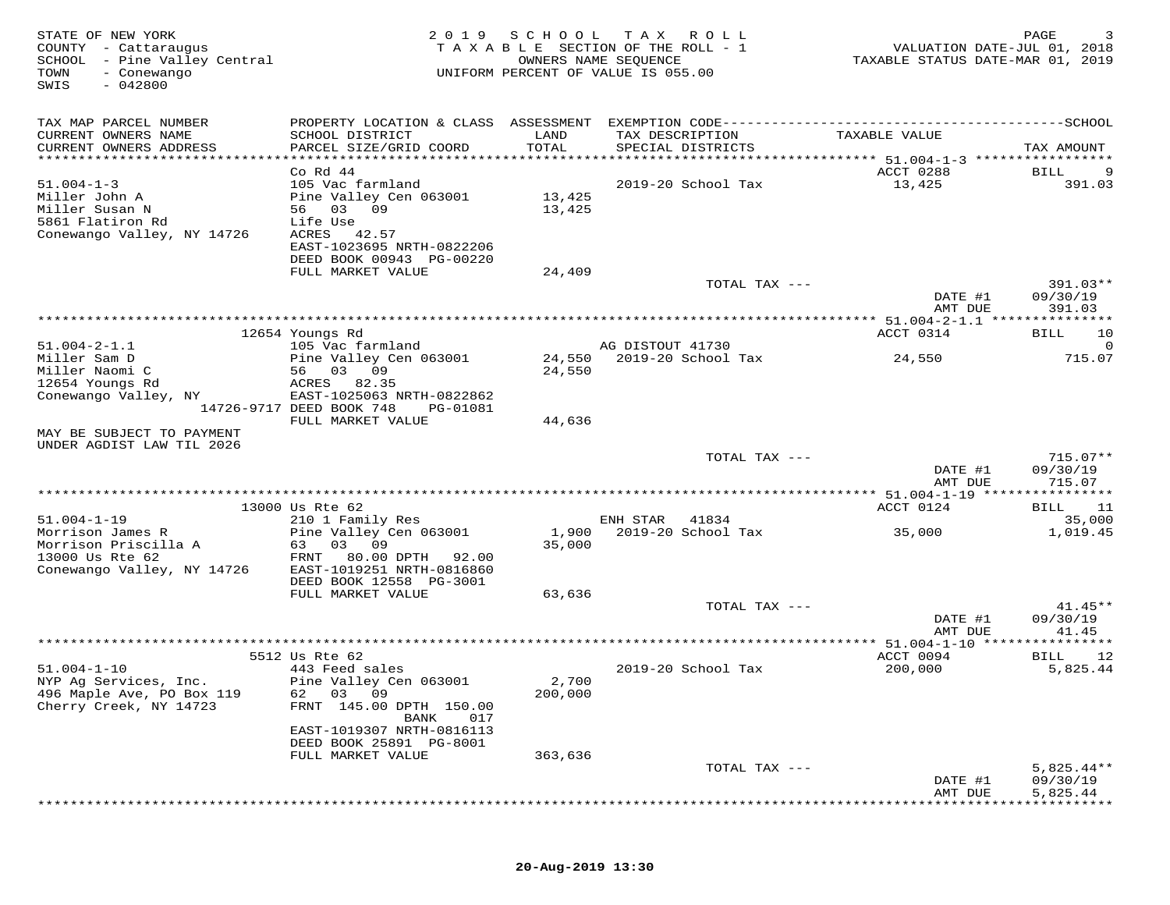| STATE OF NEW YORK<br>COUNTY - Cattaraugus<br>SCHOOL - Pine Valley Central<br>TOWN<br>- Conewango<br>SWIS<br>$-042800$ | 2 0 1 9                                                                     | SCHOOL TAX    | R O L L<br>TAXABLE SECTION OF THE ROLL - 1<br>OWNERS NAME SEQUENCE<br>UNIFORM PERCENT OF VALUE IS 055.00 | VALUATION DATE-JUL 01, 2018<br>TAXABLE STATUS DATE-MAR 01, 2019 | PAGE<br>3           |
|-----------------------------------------------------------------------------------------------------------------------|-----------------------------------------------------------------------------|---------------|----------------------------------------------------------------------------------------------------------|-----------------------------------------------------------------|---------------------|
| TAX MAP PARCEL NUMBER                                                                                                 | PROPERTY LOCATION & CLASS ASSESSMENT EXEMPTION CODE------------------------ |               |                                                                                                          |                                                                 | -------------SCHOOL |
| CURRENT OWNERS NAME<br>CURRENT OWNERS ADDRESS                                                                         | SCHOOL DISTRICT<br>PARCEL SIZE/GRID COORD                                   | LAND<br>TOTAL | TAX DESCRIPTION<br>SPECIAL DISTRICTS                                                                     | TAXABLE VALUE                                                   | TAX AMOUNT          |
| ***********************                                                                                               | Co Rd 44                                                                    |               |                                                                                                          | ACCT 0288                                                       | BILL                |
| $51.004 - 1 - 3$                                                                                                      | 105 Vac farmland                                                            |               | 2019-20 School Tax                                                                                       | 13,425                                                          | 391.03              |
| Miller John A                                                                                                         | Pine Valley Cen 063001                                                      | 13,425        |                                                                                                          |                                                                 |                     |
| Miller Susan N                                                                                                        | 56 03 09                                                                    | 13,425        |                                                                                                          |                                                                 |                     |
| 5861 Flatiron Rd                                                                                                      | Life Use                                                                    |               |                                                                                                          |                                                                 |                     |
| Conewango Valley, NY 14726                                                                                            | ACRES<br>42.57<br>EAST-1023695 NRTH-0822206                                 |               |                                                                                                          |                                                                 |                     |
|                                                                                                                       | DEED BOOK 00943 PG-00220                                                    |               |                                                                                                          |                                                                 |                     |
|                                                                                                                       | FULL MARKET VALUE                                                           | 24,409        |                                                                                                          |                                                                 |                     |
|                                                                                                                       |                                                                             |               | TOTAL TAX ---                                                                                            |                                                                 | 391.03**            |
|                                                                                                                       |                                                                             |               |                                                                                                          | DATE #1<br>AMT DUE                                              | 09/30/19<br>391.03  |
|                                                                                                                       |                                                                             |               |                                                                                                          |                                                                 |                     |
|                                                                                                                       | 12654 Youngs Rd                                                             |               |                                                                                                          | ACCT 0314                                                       | 10<br>BILL          |
| $51.004 - 2 - 1.1$                                                                                                    | 105 Vac farmland                                                            |               | AG DISTOUT 41730                                                                                         |                                                                 |                     |
| Miller Sam D<br>Miller Naomi C                                                                                        | Pine Valley Cen 063001<br>56 03 09                                          | 24,550        | 24,550 2019-20 School Tax                                                                                | 24,550                                                          | 715.07              |
| 12654 Youngs Rd                                                                                                       | 82.35<br>ACRES                                                              |               |                                                                                                          |                                                                 |                     |
| Conewango Valley, NY                                                                                                  | EAST-1025063 NRTH-0822862                                                   |               |                                                                                                          |                                                                 |                     |
|                                                                                                                       | 14726-9717 DEED BOOK 748<br>PG-01081                                        |               |                                                                                                          |                                                                 |                     |
| MAY BE SUBJECT TO PAYMENT                                                                                             | FULL MARKET VALUE                                                           | 44,636        |                                                                                                          |                                                                 |                     |
| UNDER AGDIST LAW TIL 2026                                                                                             |                                                                             |               |                                                                                                          |                                                                 |                     |
|                                                                                                                       |                                                                             |               | TOTAL TAX ---                                                                                            |                                                                 | $715.07**$          |
|                                                                                                                       |                                                                             |               |                                                                                                          | DATE #1                                                         | 09/30/19            |
|                                                                                                                       |                                                                             |               |                                                                                                          | AMT DUE                                                         | 715.07              |
|                                                                                                                       | 13000 Us Rte 62                                                             |               |                                                                                                          | ACCT 0124                                                       | 11<br>BILL          |
| $51.004 - 1 - 19$                                                                                                     | 210 1 Family Res                                                            |               | ENH STAR<br>41834                                                                                        |                                                                 | 35,000              |
| Morrison James R                                                                                                      | Pine Valley Cen 063001                                                      | 1,900         | 2019-20 School Tax                                                                                       | 35,000                                                          | 1,019.45            |
| Morrison Priscilla A<br>13000 Us Rte 62                                                                               | 63 03 09<br>FRNT<br>80.00 DPTH 92.00                                        | 35,000        |                                                                                                          |                                                                 |                     |
| Conewango Valley, NY 14726                                                                                            | EAST-1019251 NRTH-0816860                                                   |               |                                                                                                          |                                                                 |                     |
|                                                                                                                       | DEED BOOK 12558 PG-3001                                                     |               |                                                                                                          |                                                                 |                     |
|                                                                                                                       | FULL MARKET VALUE                                                           | 63,636        |                                                                                                          |                                                                 |                     |
|                                                                                                                       |                                                                             |               | TOTAL TAX ---                                                                                            |                                                                 | $41.45**$           |
|                                                                                                                       |                                                                             |               |                                                                                                          | DATE #1<br>AMT DUE                                              | 09/30/19<br>41.45   |
|                                                                                                                       |                                                                             |               |                                                                                                          | *** 51.004-1-10 ******                                          | * * * * * * * * * * |
|                                                                                                                       | 5512 Us Rte 62                                                              |               |                                                                                                          | ACCT 0094                                                       | 12<br>BILL          |
| $51.004 - 1 - 10$<br>NYP Ag Services, Inc.                                                                            | 443 Feed sales<br>Pine Valley Cen 063001                                    | 2,700         | 2019-20 School Tax                                                                                       | 200,000                                                         | 5,825.44            |
| 496 Maple Ave, PO Box 119                                                                                             | 03<br>09<br>62                                                              | 200,000       |                                                                                                          |                                                                 |                     |
| Cherry Creek, NY 14723                                                                                                | FRNT<br>145.00 DPTH 150.00                                                  |               |                                                                                                          |                                                                 |                     |
|                                                                                                                       | BANK<br>017                                                                 |               |                                                                                                          |                                                                 |                     |
|                                                                                                                       | EAST-1019307 NRTH-0816113                                                   |               |                                                                                                          |                                                                 |                     |
|                                                                                                                       | DEED BOOK 25891 PG-8001<br>FULL MARKET VALUE                                | 363,636       |                                                                                                          |                                                                 |                     |
|                                                                                                                       |                                                                             |               | TOTAL TAX ---                                                                                            |                                                                 | $5,825.44**$        |
|                                                                                                                       |                                                                             |               |                                                                                                          | DATE #1                                                         | 09/30/19            |
|                                                                                                                       |                                                                             |               |                                                                                                          | AMT DUE                                                         | 5,825.44            |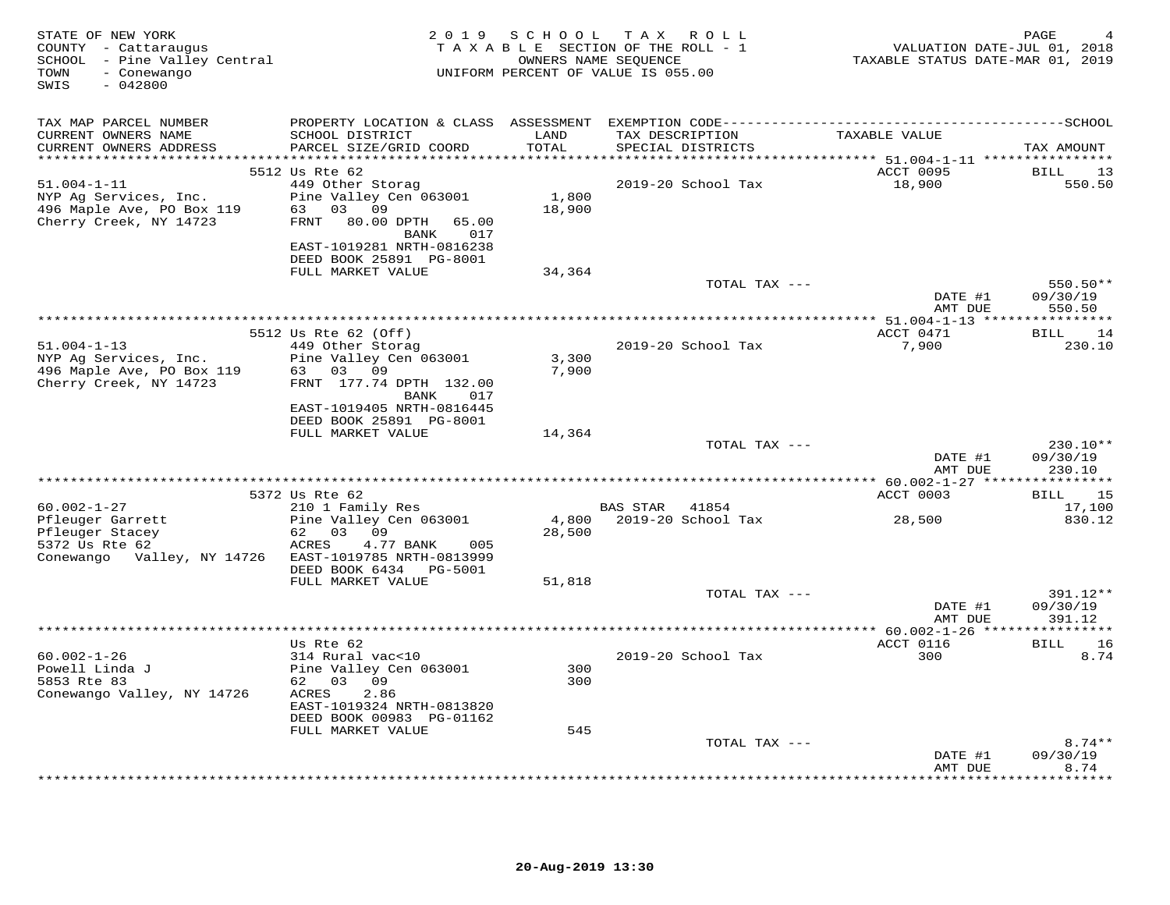| PROPERTY LOCATION & CLASS ASSESSMENT EXEMPTION CODE-----------------------------------SCHOOL<br>TAX MAP PARCEL NUMBER<br>TAX DESCRIPTION<br>TAXABLE VALUE<br>CURRENT OWNERS NAME<br>SCHOOL DISTRICT<br>LAND<br>CURRENT OWNERS ADDRESS<br>PARCEL SIZE/GRID COORD<br>TOTAL<br>SPECIAL DISTRICTS<br>TAX AMOUNT<br>ACCT 0095<br>5512 Us Rte 62<br>BILL<br>13<br>$51.004 - 1 - 11$<br>449 Other Storag<br>2019-20 School Tax<br>18,900<br>550.50<br>1,800<br>Pine Valley Cen 063001<br>NYP Ag Services, Inc.<br>63 03 09<br>18,900<br>496 Maple Ave, PO Box 119<br>Cherry Creek, NY 14723<br>80.00 DPTH<br>FRNT<br>65.00<br><b>BANK</b><br>017<br>EAST-1019281 NRTH-0816238<br>DEED BOOK 25891 PG-8001<br>FULL MARKET VALUE<br>34,364<br>550.50**<br>TOTAL TAX ---<br>DATE #1<br>09/30/19<br>AMT DUE<br>550.50<br>ACCT 0471<br>5512 Us Rte 62 (Off)<br><b>BILL</b><br>14<br>$51.004 - 1 - 13$<br>449 Other Storag<br>2019-20 School Tax<br>7,900<br>230.10<br>NYP Ag Services, Inc.<br>Pine Valley Cen 063001<br>3,300<br>496 Maple Ave, PO Box 119<br>7,900<br>63 03 09<br>Cherry Creek, NY 14723<br>FRNT 177.74 DPTH 132.00<br>BANK<br>017<br>EAST-1019405 NRTH-0816445<br>DEED BOOK 25891 PG-8001<br>FULL MARKET VALUE<br>14,364<br>TOTAL TAX ---<br>230.10**<br>DATE #1<br>09/30/19<br>AMT DUE<br>230.10<br>ACCT 0003<br>5372 Us Rte 62<br>15<br>BILL<br>$60.002 - 1 - 27$<br>210 1 Family Res<br>BAS STAR<br>17,100<br>41854<br>28,500<br>Pfleuger Garrett<br>Pine Valley Cen 063001<br>4,800 2019-20 School Tax<br>830.12<br>Pfleuger Stacey<br>62 03 09<br>28,500<br>5372 Us Rte 62<br>ACRES<br>4.77 BANK<br>005<br>Conewango Valley, NY 14726<br>EAST-1019785 NRTH-0813999<br>DEED BOOK 6434    PG-5001<br>FULL MARKET VALUE<br>51,818<br>TOTAL TAX ---<br>391.12**<br>DATE #1<br>09/30/19<br>AMT DUE<br>391.12<br>ACCT 0116<br>BILL 16<br>Us Rte 62<br>300<br>8.74<br>$60.002 - 1 - 26$<br>314 Rural vac<10<br>2019-20 School Tax<br>Powell Linda J<br>Pine Valley Cen 063001<br>300<br>62 03 09<br>5853 Rte 83<br>300<br>Conewango Valley, NY 14726<br>ACRES<br>2.86<br>EAST-1019324 NRTH-0813820<br>DEED BOOK 00983 PG-01162<br>FULL MARKET VALUE<br>545<br>TOTAL TAX ---<br>$8.74**$<br>09/30/19<br>DATE #1<br>8.74<br>AMT DUE | STATE OF NEW YORK<br>COUNTY - Cattaraugus<br>SCHOOL - Pine Valley Central<br>- Conewango<br>TOWN<br>SWIS<br>$-042800$ | 2 0 1 9 | SCHOOL TAX ROLL<br>TAXABLE SECTION OF THE ROLL - 1<br>UNIFORM PERCENT OF VALUE IS 055.00 | OWNERS NAME SEQUENCE | VALUATION DATE-JUL 01, 2018<br>TAXABLE STATUS DATE-MAR 01, 2019 | PAGE |
|---------------------------------------------------------------------------------------------------------------------------------------------------------------------------------------------------------------------------------------------------------------------------------------------------------------------------------------------------------------------------------------------------------------------------------------------------------------------------------------------------------------------------------------------------------------------------------------------------------------------------------------------------------------------------------------------------------------------------------------------------------------------------------------------------------------------------------------------------------------------------------------------------------------------------------------------------------------------------------------------------------------------------------------------------------------------------------------------------------------------------------------------------------------------------------------------------------------------------------------------------------------------------------------------------------------------------------------------------------------------------------------------------------------------------------------------------------------------------------------------------------------------------------------------------------------------------------------------------------------------------------------------------------------------------------------------------------------------------------------------------------------------------------------------------------------------------------------------------------------------------------------------------------------------------------------------------------------------------------------------------------------------------------------------------------------------------------------------------------------------------------------------------------------------------------------------------------------------------------------|-----------------------------------------------------------------------------------------------------------------------|---------|------------------------------------------------------------------------------------------|----------------------|-----------------------------------------------------------------|------|
|                                                                                                                                                                                                                                                                                                                                                                                                                                                                                                                                                                                                                                                                                                                                                                                                                                                                                                                                                                                                                                                                                                                                                                                                                                                                                                                                                                                                                                                                                                                                                                                                                                                                                                                                                                                                                                                                                                                                                                                                                                                                                                                                                                                                                                       |                                                                                                                       |         |                                                                                          |                      |                                                                 |      |
|                                                                                                                                                                                                                                                                                                                                                                                                                                                                                                                                                                                                                                                                                                                                                                                                                                                                                                                                                                                                                                                                                                                                                                                                                                                                                                                                                                                                                                                                                                                                                                                                                                                                                                                                                                                                                                                                                                                                                                                                                                                                                                                                                                                                                                       |                                                                                                                       |         |                                                                                          |                      |                                                                 |      |
|                                                                                                                                                                                                                                                                                                                                                                                                                                                                                                                                                                                                                                                                                                                                                                                                                                                                                                                                                                                                                                                                                                                                                                                                                                                                                                                                                                                                                                                                                                                                                                                                                                                                                                                                                                                                                                                                                                                                                                                                                                                                                                                                                                                                                                       |                                                                                                                       |         |                                                                                          |                      |                                                                 |      |
|                                                                                                                                                                                                                                                                                                                                                                                                                                                                                                                                                                                                                                                                                                                                                                                                                                                                                                                                                                                                                                                                                                                                                                                                                                                                                                                                                                                                                                                                                                                                                                                                                                                                                                                                                                                                                                                                                                                                                                                                                                                                                                                                                                                                                                       |                                                                                                                       |         |                                                                                          |                      |                                                                 |      |
|                                                                                                                                                                                                                                                                                                                                                                                                                                                                                                                                                                                                                                                                                                                                                                                                                                                                                                                                                                                                                                                                                                                                                                                                                                                                                                                                                                                                                                                                                                                                                                                                                                                                                                                                                                                                                                                                                                                                                                                                                                                                                                                                                                                                                                       |                                                                                                                       |         |                                                                                          |                      |                                                                 |      |
|                                                                                                                                                                                                                                                                                                                                                                                                                                                                                                                                                                                                                                                                                                                                                                                                                                                                                                                                                                                                                                                                                                                                                                                                                                                                                                                                                                                                                                                                                                                                                                                                                                                                                                                                                                                                                                                                                                                                                                                                                                                                                                                                                                                                                                       |                                                                                                                       |         |                                                                                          |                      |                                                                 |      |
|                                                                                                                                                                                                                                                                                                                                                                                                                                                                                                                                                                                                                                                                                                                                                                                                                                                                                                                                                                                                                                                                                                                                                                                                                                                                                                                                                                                                                                                                                                                                                                                                                                                                                                                                                                                                                                                                                                                                                                                                                                                                                                                                                                                                                                       |                                                                                                                       |         |                                                                                          |                      |                                                                 |      |
|                                                                                                                                                                                                                                                                                                                                                                                                                                                                                                                                                                                                                                                                                                                                                                                                                                                                                                                                                                                                                                                                                                                                                                                                                                                                                                                                                                                                                                                                                                                                                                                                                                                                                                                                                                                                                                                                                                                                                                                                                                                                                                                                                                                                                                       |                                                                                                                       |         |                                                                                          |                      |                                                                 |      |
|                                                                                                                                                                                                                                                                                                                                                                                                                                                                                                                                                                                                                                                                                                                                                                                                                                                                                                                                                                                                                                                                                                                                                                                                                                                                                                                                                                                                                                                                                                                                                                                                                                                                                                                                                                                                                                                                                                                                                                                                                                                                                                                                                                                                                                       |                                                                                                                       |         |                                                                                          |                      |                                                                 |      |
|                                                                                                                                                                                                                                                                                                                                                                                                                                                                                                                                                                                                                                                                                                                                                                                                                                                                                                                                                                                                                                                                                                                                                                                                                                                                                                                                                                                                                                                                                                                                                                                                                                                                                                                                                                                                                                                                                                                                                                                                                                                                                                                                                                                                                                       |                                                                                                                       |         |                                                                                          |                      |                                                                 |      |
|                                                                                                                                                                                                                                                                                                                                                                                                                                                                                                                                                                                                                                                                                                                                                                                                                                                                                                                                                                                                                                                                                                                                                                                                                                                                                                                                                                                                                                                                                                                                                                                                                                                                                                                                                                                                                                                                                                                                                                                                                                                                                                                                                                                                                                       |                                                                                                                       |         |                                                                                          |                      |                                                                 |      |
|                                                                                                                                                                                                                                                                                                                                                                                                                                                                                                                                                                                                                                                                                                                                                                                                                                                                                                                                                                                                                                                                                                                                                                                                                                                                                                                                                                                                                                                                                                                                                                                                                                                                                                                                                                                                                                                                                                                                                                                                                                                                                                                                                                                                                                       |                                                                                                                       |         |                                                                                          |                      |                                                                 |      |
|                                                                                                                                                                                                                                                                                                                                                                                                                                                                                                                                                                                                                                                                                                                                                                                                                                                                                                                                                                                                                                                                                                                                                                                                                                                                                                                                                                                                                                                                                                                                                                                                                                                                                                                                                                                                                                                                                                                                                                                                                                                                                                                                                                                                                                       |                                                                                                                       |         |                                                                                          |                      |                                                                 |      |
|                                                                                                                                                                                                                                                                                                                                                                                                                                                                                                                                                                                                                                                                                                                                                                                                                                                                                                                                                                                                                                                                                                                                                                                                                                                                                                                                                                                                                                                                                                                                                                                                                                                                                                                                                                                                                                                                                                                                                                                                                                                                                                                                                                                                                                       |                                                                                                                       |         |                                                                                          |                      |                                                                 |      |
|                                                                                                                                                                                                                                                                                                                                                                                                                                                                                                                                                                                                                                                                                                                                                                                                                                                                                                                                                                                                                                                                                                                                                                                                                                                                                                                                                                                                                                                                                                                                                                                                                                                                                                                                                                                                                                                                                                                                                                                                                                                                                                                                                                                                                                       |                                                                                                                       |         |                                                                                          |                      |                                                                 |      |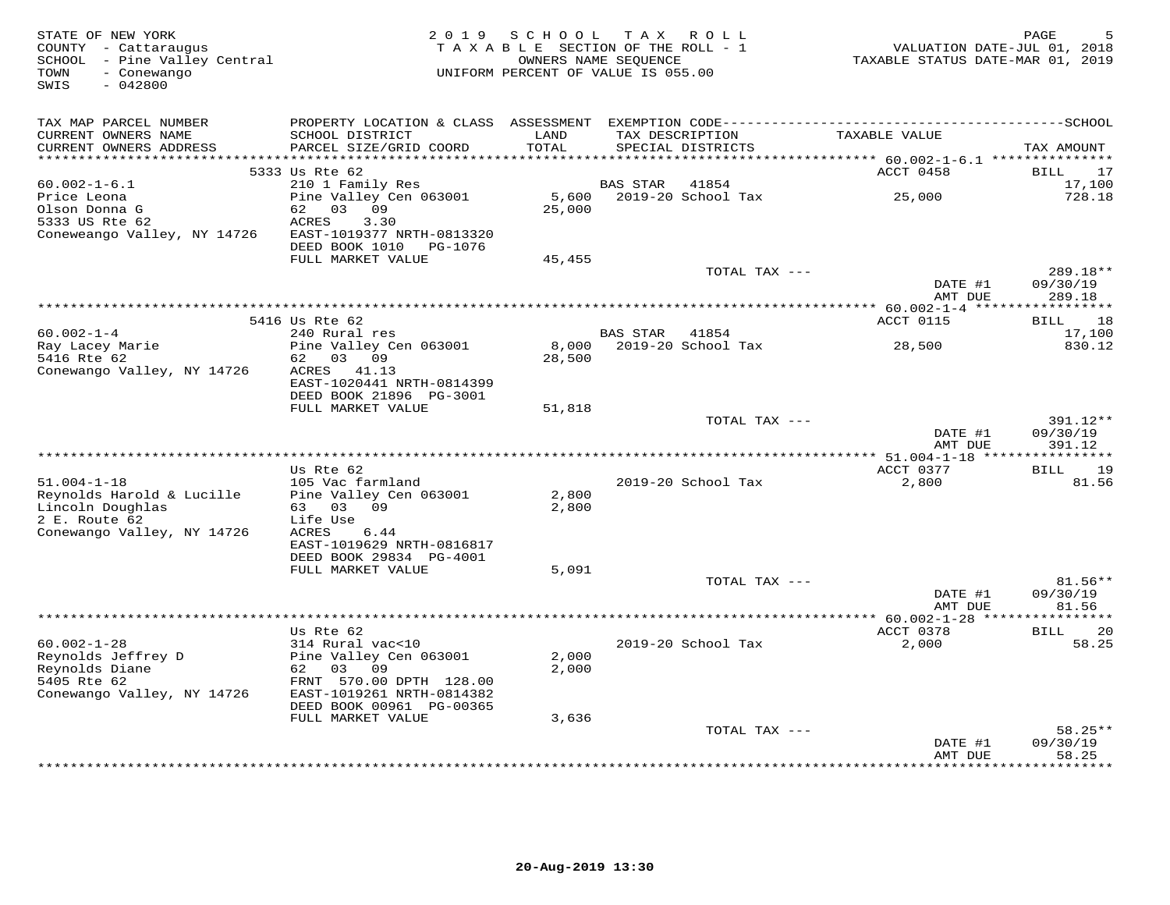| STATE OF NEW YORK<br>COUNTY - Cattaraugus<br>SCHOOL - Pine Valley Central<br>- Conewango<br>TOWN<br>$-042800$<br>SWIS | 2 0 1 9                                                                                                    | SCHOOL TAX ROLL<br>TAXABLE SECTION OF THE ROLL - 1<br>OWNERS NAME SEQUENCE<br>UNIFORM PERCENT OF VALUE IS 055.00 |                 |                                      | VALUATION DATE-JUL 01, 2018<br>TAXABLE STATUS DATE-MAR 01, 2019 | PAGE                 |
|-----------------------------------------------------------------------------------------------------------------------|------------------------------------------------------------------------------------------------------------|------------------------------------------------------------------------------------------------------------------|-----------------|--------------------------------------|-----------------------------------------------------------------|----------------------|
| TAX MAP PARCEL NUMBER                                                                                                 |                                                                                                            |                                                                                                                  |                 |                                      |                                                                 |                      |
| CURRENT OWNERS NAME<br>CURRENT OWNERS ADDRESS<br>***********************                                              | SCHOOL DISTRICT<br>PARCEL SIZE/GRID COORD                                                                  | LAND<br>TOTAL                                                                                                    |                 | TAX DESCRIPTION<br>SPECIAL DISTRICTS | TAXABLE VALUE                                                   | TAX AMOUNT           |
|                                                                                                                       | 5333 Us Rte 62                                                                                             |                                                                                                                  |                 |                                      | ACCT 0458                                                       | 17<br>BILL           |
| $60.002 - 1 - 6.1$                                                                                                    | 210 1 Family Res                                                                                           |                                                                                                                  | <b>BAS STAR</b> | 41854                                |                                                                 | 17,100               |
| Price Leona<br>Olson Donna G<br>5333 US Rte 62<br>Coneweango Valley, NY 14726                                         | Pine Valley Cen 063001<br>62 03 09<br>ACRES<br>3.30<br>EAST-1019377 NRTH-0813320<br>DEED BOOK 1010 PG-1076 | 5,600<br>25,000                                                                                                  |                 | 2019-20 School Tax                   | 25,000                                                          | 728.18               |
|                                                                                                                       | FULL MARKET VALUE                                                                                          | 45,455                                                                                                           |                 |                                      |                                                                 |                      |
|                                                                                                                       |                                                                                                            |                                                                                                                  |                 | TOTAL TAX ---                        | DATE #1                                                         | 289.18**<br>09/30/19 |
|                                                                                                                       |                                                                                                            |                                                                                                                  |                 |                                      | AMT DUE                                                         | 289.18               |
|                                                                                                                       | 5416 Us Rte 62                                                                                             |                                                                                                                  |                 |                                      | <b>ACCT 0115</b>                                                | 18<br>BILL           |
| $60.002 - 1 - 4$                                                                                                      | 240 Rural res                                                                                              |                                                                                                                  | BAS STAR 41854  |                                      |                                                                 | 17,100               |
| Ray Lacey Marie                                                                                                       | Pine Valley Cen 063001                                                                                     | 8,000                                                                                                            |                 | 2019-20 School Tax                   | 28,500                                                          | 830.12               |
| 5416 Rte 62                                                                                                           | 62 03 09<br>ACRES 41.13                                                                                    | 28,500                                                                                                           |                 |                                      |                                                                 |                      |
| Conewango Valley, NY 14726                                                                                            | EAST-1020441 NRTH-0814399<br>DEED BOOK 21896 PG-3001                                                       |                                                                                                                  |                 |                                      |                                                                 |                      |
|                                                                                                                       | FULL MARKET VALUE                                                                                          | 51,818                                                                                                           |                 |                                      |                                                                 |                      |
|                                                                                                                       |                                                                                                            |                                                                                                                  |                 | TOTAL TAX ---                        | DATE #1                                                         | 391.12**<br>09/30/19 |
|                                                                                                                       |                                                                                                            |                                                                                                                  |                 |                                      | AMT DUE                                                         | 391.12               |
|                                                                                                                       | Us Rte 62                                                                                                  |                                                                                                                  |                 |                                      | ACCT 0377                                                       | 19<br>BILL           |
| $51.004 - 1 - 18$                                                                                                     | 105 Vac farmland                                                                                           |                                                                                                                  |                 | 2019-20 School Tax                   | 2,800                                                           | 81.56                |
| Reynolds Harold & Lucille                                                                                             | Pine Valley Cen 063001<br>09                                                                               | 2,800                                                                                                            |                 |                                      |                                                                 |                      |
| Lincoln Doughlas<br>2 E. Route 62                                                                                     | 63 03<br>Life Use                                                                                          | 2,800                                                                                                            |                 |                                      |                                                                 |                      |
| Conewango Valley, NY 14726                                                                                            | ACRES<br>6.44                                                                                              |                                                                                                                  |                 |                                      |                                                                 |                      |
|                                                                                                                       | EAST-1019629 NRTH-0816817                                                                                  |                                                                                                                  |                 |                                      |                                                                 |                      |
|                                                                                                                       | DEED BOOK 29834 PG-4001                                                                                    |                                                                                                                  |                 |                                      |                                                                 |                      |
|                                                                                                                       | FULL MARKET VALUE                                                                                          | 5,091                                                                                                            |                 | TOTAL TAX ---                        |                                                                 | $81.56**$            |
|                                                                                                                       |                                                                                                            |                                                                                                                  |                 |                                      | DATE #1<br>AMT DUE                                              | 09/30/19<br>81.56    |
|                                                                                                                       |                                                                                                            |                                                                                                                  |                 |                                      | ***** 60.002-1-28 ****                                          |                      |
|                                                                                                                       | Us Rte 62                                                                                                  |                                                                                                                  |                 |                                      | ACCT 0378                                                       | BILL<br>20           |
| $60.002 - 1 - 28$                                                                                                     | 314 Rural vac<10                                                                                           |                                                                                                                  |                 | 2019-20 School Tax                   | 2,000                                                           | 58.25                |
| Reynolds Jeffrey D<br>Reynolds Diane                                                                                  | Pine Valley Cen 063001<br>62 03 09                                                                         | 2,000<br>2,000                                                                                                   |                 |                                      |                                                                 |                      |
| 5405 Rte 62                                                                                                           | FRNT 570.00 DPTH 128.00                                                                                    |                                                                                                                  |                 |                                      |                                                                 |                      |
| Conewango Valley, NY 14726                                                                                            | EAST-1019261 NRTH-0814382<br>DEED BOOK 00961 PG-00365                                                      |                                                                                                                  |                 |                                      |                                                                 |                      |
|                                                                                                                       | FULL MARKET VALUE                                                                                          | 3,636                                                                                                            |                 |                                      |                                                                 |                      |
|                                                                                                                       |                                                                                                            |                                                                                                                  |                 | TOTAL TAX ---                        |                                                                 | $58.25**$            |
|                                                                                                                       |                                                                                                            |                                                                                                                  |                 |                                      | DATE #1<br>AMT DUE                                              | 09/30/19<br>58.25    |
|                                                                                                                       |                                                                                                            |                                                                                                                  |                 |                                      |                                                                 | *******              |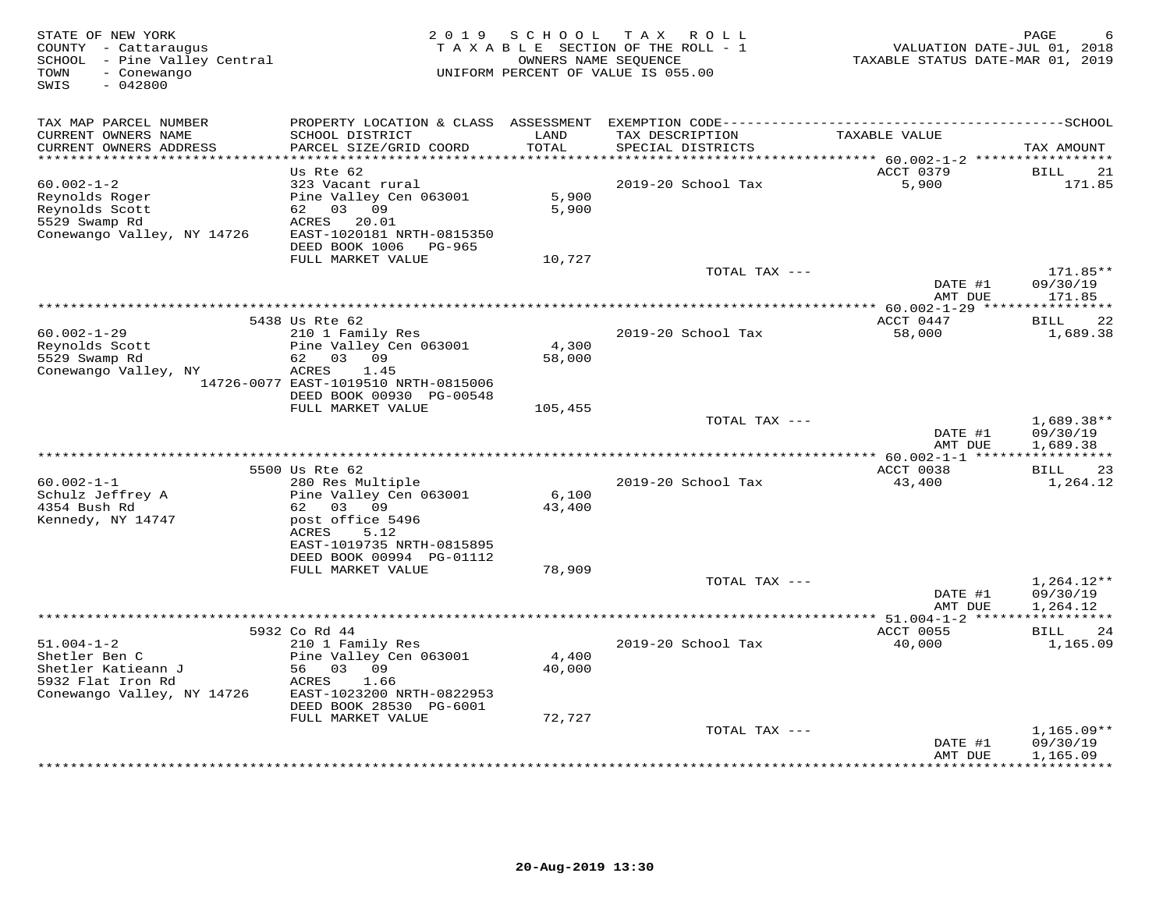| STATE OF NEW YORK<br>COUNTY - Cattaraugus<br>SCHOOL - Pine Valley Central<br>- Conewango<br>TOWN<br>SWIS<br>$-042800$ | 2 0 1 9                                                                                                                                                               | S C H O O L               | T A X<br>R O L L<br>TAXABLE SECTION OF THE ROLL - 1<br>OWNERS NAME SEQUENCE<br>UNIFORM PERCENT OF VALUE IS 055.00 | VALUATION DATE-JUL 01, 2018<br>TAXABLE STATUS DATE-MAR 01, 2019 | PAGE                                        |
|-----------------------------------------------------------------------------------------------------------------------|-----------------------------------------------------------------------------------------------------------------------------------------------------------------------|---------------------------|-------------------------------------------------------------------------------------------------------------------|-----------------------------------------------------------------|---------------------------------------------|
| TAX MAP PARCEL NUMBER<br>CURRENT OWNERS NAME<br>CURRENT OWNERS ADDRESS<br>************************                    | SCHOOL DISTRICT<br>PARCEL SIZE/GRID COORD                                                                                                                             | LAND<br>TOTAL             | TAX DESCRIPTION<br>SPECIAL DISTRICTS                                                                              | TAXABLE VALUE                                                   | TAX AMOUNT                                  |
|                                                                                                                       | Us Rte 62                                                                                                                                                             |                           |                                                                                                                   | ACCT 0379                                                       | <b>BILL</b><br>21                           |
| $60.002 - 1 - 2$<br>Reynolds Roger<br>Reynolds Scott<br>5529 Swamp Rd<br>Conewango Valley, NY 14726                   | 323 Vacant rural<br>Pine Valley Cen 063001<br>62 03 09<br>ACRES<br>20.01<br>EAST-1020181 NRTH-0815350<br>DEED BOOK 1006 PG-965                                        | 5,900<br>5,900            | 2019-20 School Tax                                                                                                | 5,900                                                           | 171.85                                      |
|                                                                                                                       | FULL MARKET VALUE                                                                                                                                                     | 10,727                    | TOTAL TAX ---                                                                                                     |                                                                 | $171.85**$                                  |
|                                                                                                                       |                                                                                                                                                                       |                           |                                                                                                                   | DATE #1<br>AMT DUE                                              | 09/30/19<br>171.85                          |
|                                                                                                                       | 5438 Us Rte 62                                                                                                                                                        |                           |                                                                                                                   | ACCT 0447                                                       | 22<br>BILL                                  |
| $60.002 - 1 - 29$<br>Reynolds Scott<br>5529 Swamp Rd<br>Conewango Valley, NY                                          | 210 1 Family Res<br>Pine Valley Cen 063001<br>62 03 09<br>ACRES<br>1.45<br>14726-0077 EAST-1019510 NRTH-0815006                                                       | 4,300<br>58,000           | 2019-20 School Tax                                                                                                | 58,000                                                          | 1,689.38                                    |
|                                                                                                                       | DEED BOOK 00930 PG-00548                                                                                                                                              |                           |                                                                                                                   |                                                                 |                                             |
|                                                                                                                       | FULL MARKET VALUE                                                                                                                                                     | 105,455                   | TOTAL TAX ---                                                                                                     | DATE #1<br>AMT DUE                                              | $1,689.38**$<br>09/30/19                    |
|                                                                                                                       |                                                                                                                                                                       |                           |                                                                                                                   |                                                                 | 1,689.38                                    |
|                                                                                                                       | 5500 Us Rte 62                                                                                                                                                        |                           |                                                                                                                   | ACCT 0038                                                       | 23<br>BILL                                  |
| $60.002 - 1 - 1$<br>Schulz Jeffrey A<br>4354 Bush Rd<br>Kennedy, NY 14747                                             | 280 Res Multiple<br>Pine Valley Cen 063001<br>62 03 09<br>post office 5496<br>ACRES<br>5.12<br>EAST-1019735 NRTH-0815895<br>DEED BOOK 00994 PG-01112                  | 6,100<br>43,400           | 2019-20 School Tax                                                                                                | 43,400                                                          | 1,264.12                                    |
|                                                                                                                       | FULL MARKET VALUE                                                                                                                                                     | 78,909                    |                                                                                                                   |                                                                 |                                             |
|                                                                                                                       |                                                                                                                                                                       |                           | TOTAL TAX ---                                                                                                     | DATE #1<br>AMT DUE                                              | $1,264.12**$<br>09/30/19<br>1,264.12        |
|                                                                                                                       |                                                                                                                                                                       |                           |                                                                                                                   |                                                                 |                                             |
| $51.004 - 1 - 2$<br>Shetler Ben C<br>Shetler Katieann J<br>5932 Flat Iron Rd<br>Conewango Valley, NY 14726            | 5932 Co Rd 44<br>210 1 Family Res<br>Pine Valley Cen 063001<br>56 03 09<br>ACRES<br>1.66<br>EAST-1023200 NRTH-0822953<br>DEED BOOK 28530 PG-6001<br>FULL MARKET VALUE | 4,400<br>40,000<br>72,727 | 2019-20 School Tax                                                                                                | ACCT 0055<br>40,000                                             | <b>BILL</b><br>24<br>1,165.09               |
|                                                                                                                       |                                                                                                                                                                       |                           | TOTAL TAX ---                                                                                                     |                                                                 | $1,165.09**$                                |
|                                                                                                                       |                                                                                                                                                                       |                           |                                                                                                                   | DATE #1<br>AMT DUE                                              | 09/30/19<br>1,165.09<br>* * * * * * * * * * |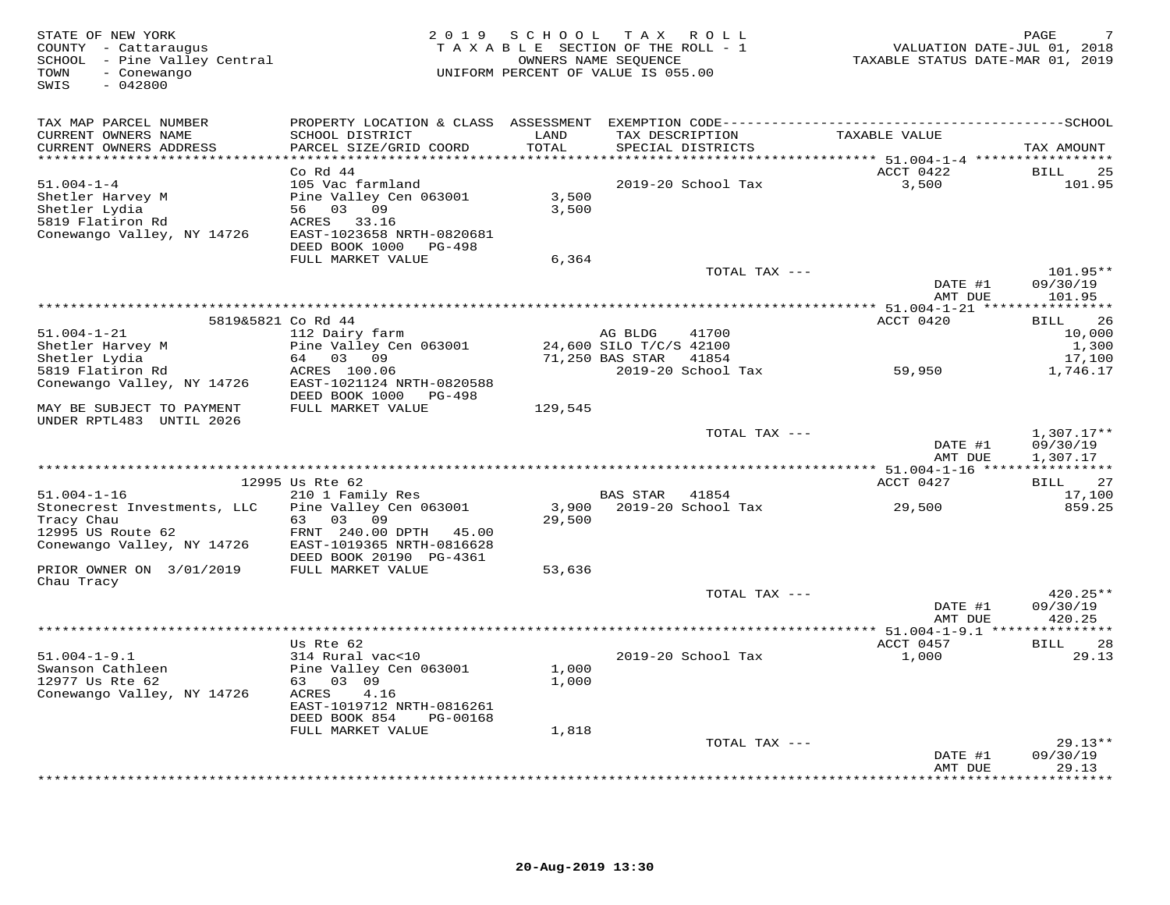| STATE OF NEW YORK<br>COUNTY - Cattaraugus<br>SCHOOL - Pine Valley Central<br>- Conewango<br>TOWN<br>SWIS<br>$-042800$ | 2 0 1 9                                       | S C H O O L<br>TAXABLE SECTION OF THE ROLL - 1<br>UNIFORM PERCENT OF VALUE IS 055.00 | T A X<br>OWNERS NAME SEQUENCE | ROLL                        | VALUATION DATE-JUL 01, 2018<br>TAXABLE STATUS DATE-MAR 01, 2019 | PAGE                  |
|-----------------------------------------------------------------------------------------------------------------------|-----------------------------------------------|--------------------------------------------------------------------------------------|-------------------------------|-----------------------------|-----------------------------------------------------------------|-----------------------|
| TAX MAP PARCEL NUMBER                                                                                                 | PROPERTY LOCATION & CLASS ASSESSMENT          |                                                                                      |                               |                             |                                                                 |                       |
| CURRENT OWNERS NAME<br>CURRENT OWNERS ADDRESS<br>**********************                                               | SCHOOL DISTRICT<br>PARCEL SIZE/GRID COORD     | LAND<br>TOTAL<br>*********                                                           | TAX DESCRIPTION               | SPECIAL DISTRICTS           | TAXABLE VALUE                                                   | TAX AMOUNT            |
|                                                                                                                       | Co Rd 44                                      |                                                                                      |                               |                             | ************ 51.004-1-4 **************<br>ACCT 0422             | <b>BILL</b><br>25     |
| $51.004 - 1 - 4$                                                                                                      | 105 Vac farmland                              |                                                                                      |                               | 2019-20 School Tax          | 3,500                                                           | 101.95                |
| Shetler Harvey M<br>Shetler Lydia                                                                                     | Pine Valley Cen 063001<br>56 03<br>09         | 3,500<br>3,500                                                                       |                               |                             |                                                                 |                       |
| 5819 Flatiron Rd                                                                                                      | 33.16<br>ACRES                                |                                                                                      |                               |                             |                                                                 |                       |
| Conewango Valley, NY 14726                                                                                            | EAST-1023658 NRTH-0820681                     |                                                                                      |                               |                             |                                                                 |                       |
|                                                                                                                       | DEED BOOK 1000<br>PG-498<br>FULL MARKET VALUE | 6,364                                                                                |                               |                             |                                                                 |                       |
|                                                                                                                       |                                               |                                                                                      |                               | TOTAL TAX ---               |                                                                 | $101.95**$            |
|                                                                                                                       |                                               |                                                                                      |                               |                             | DATE #1                                                         | 09/30/19              |
|                                                                                                                       |                                               |                                                                                      |                               |                             | AMT DUE                                                         | 101.95                |
|                                                                                                                       | 5819&5821 Co Rd 44                            |                                                                                      |                               |                             | ACCT 0420                                                       | 26<br>BILL            |
| $51.004 - 1 - 21$                                                                                                     | 112 Dairy farm                                |                                                                                      | AG BLDG                       | 41700                       |                                                                 | 10,000                |
| Shetler Harvey M                                                                                                      | Pine Valley Cen 063001<br>64 03 09            |                                                                                      | 24,600 SILO T/C/S 42100       |                             |                                                                 | 1,300                 |
| Shetler Lydia<br>5819 Flatiron Rd                                                                                     | ACRES 100.06                                  |                                                                                      | 71,250 BAS STAR               | 41854<br>2019-20 School Tax | 59,950                                                          | 17,100<br>1,746.17    |
| Conewango Valley, NY 14726                                                                                            | EAST-1021124 NRTH-0820588                     |                                                                                      |                               |                             |                                                                 |                       |
|                                                                                                                       | DEED BOOK 1000<br>PG-498                      |                                                                                      |                               |                             |                                                                 |                       |
| MAY BE SUBJECT TO PAYMENT<br>UNDER RPTL483 UNTIL 2026                                                                 | FULL MARKET VALUE                             | 129,545                                                                              |                               |                             |                                                                 |                       |
|                                                                                                                       |                                               |                                                                                      |                               | TOTAL TAX ---               |                                                                 | 1,307.17**            |
|                                                                                                                       |                                               |                                                                                      |                               |                             | DATE #1                                                         | 09/30/19              |
|                                                                                                                       |                                               |                                                                                      |                               |                             | AMT DUE                                                         | 1,307.17              |
|                                                                                                                       | 12995 Us Rte 62                               |                                                                                      |                               |                             | ACCT 0427                                                       | 27<br>BILL            |
| $51.004 - 1 - 16$                                                                                                     | 210 1 Family Res                              |                                                                                      | <b>BAS STAR</b>               | 41854                       |                                                                 | 17,100                |
| Stonecrest Investments, LLC                                                                                           | Pine Valley Cen 063001                        | 3,900                                                                                |                               | 2019-20 School Tax          | 29,500                                                          | 859.25                |
| Tracy Chau<br>12995 US Route 62                                                                                       | 63 03<br>09<br>FRNT 240.00 DPTH 45.00         | 29,500                                                                               |                               |                             |                                                                 |                       |
| Conewango Valley, NY 14726                                                                                            | EAST-1019365 NRTH-0816628                     |                                                                                      |                               |                             |                                                                 |                       |
|                                                                                                                       | DEED BOOK 20190 PG-4361                       |                                                                                      |                               |                             |                                                                 |                       |
| PRIOR OWNER ON 3/01/2019<br>Chau Tracy                                                                                | FULL MARKET VALUE                             | 53,636                                                                               |                               |                             |                                                                 |                       |
|                                                                                                                       |                                               |                                                                                      |                               | TOTAL TAX ---               |                                                                 | $420.25**$            |
|                                                                                                                       |                                               |                                                                                      |                               |                             | DATE #1                                                         | 09/30/19              |
|                                                                                                                       |                                               |                                                                                      |                               |                             | AMT DUE                                                         | 420.25                |
|                                                                                                                       | Us Rte 62                                     |                                                                                      |                               |                             | **** 51.004-1-9.1 ***************<br>ACCT 0457                  | 28<br><b>BILL</b>     |
| $51.004 - 1 - 9.1$                                                                                                    | 314 Rural vac<10                              |                                                                                      |                               | 2019-20 School Tax          | 1,000                                                           | 29.13                 |
| Swanson Cathleen                                                                                                      | Pine Valley Cen 063001                        | 1,000                                                                                |                               |                             |                                                                 |                       |
| 12977 Us Rte 62                                                                                                       | 63 03 09<br>4.16                              | 1,000                                                                                |                               |                             |                                                                 |                       |
| Conewango Valley, NY 14726                                                                                            | ACRES<br>EAST-1019712 NRTH-0816261            |                                                                                      |                               |                             |                                                                 |                       |
|                                                                                                                       | DEED BOOK 854<br>PG-00168                     |                                                                                      |                               |                             |                                                                 |                       |
|                                                                                                                       | FULL MARKET VALUE                             | 1,818                                                                                |                               |                             |                                                                 |                       |
|                                                                                                                       |                                               |                                                                                      |                               | TOTAL TAX ---               | DATE #1                                                         | $29.13**$<br>09/30/19 |
|                                                                                                                       |                                               |                                                                                      |                               |                             | AMT DUE                                                         | 29.13                 |
|                                                                                                                       |                                               |                                                                                      |                               |                             |                                                                 | <b>.</b>              |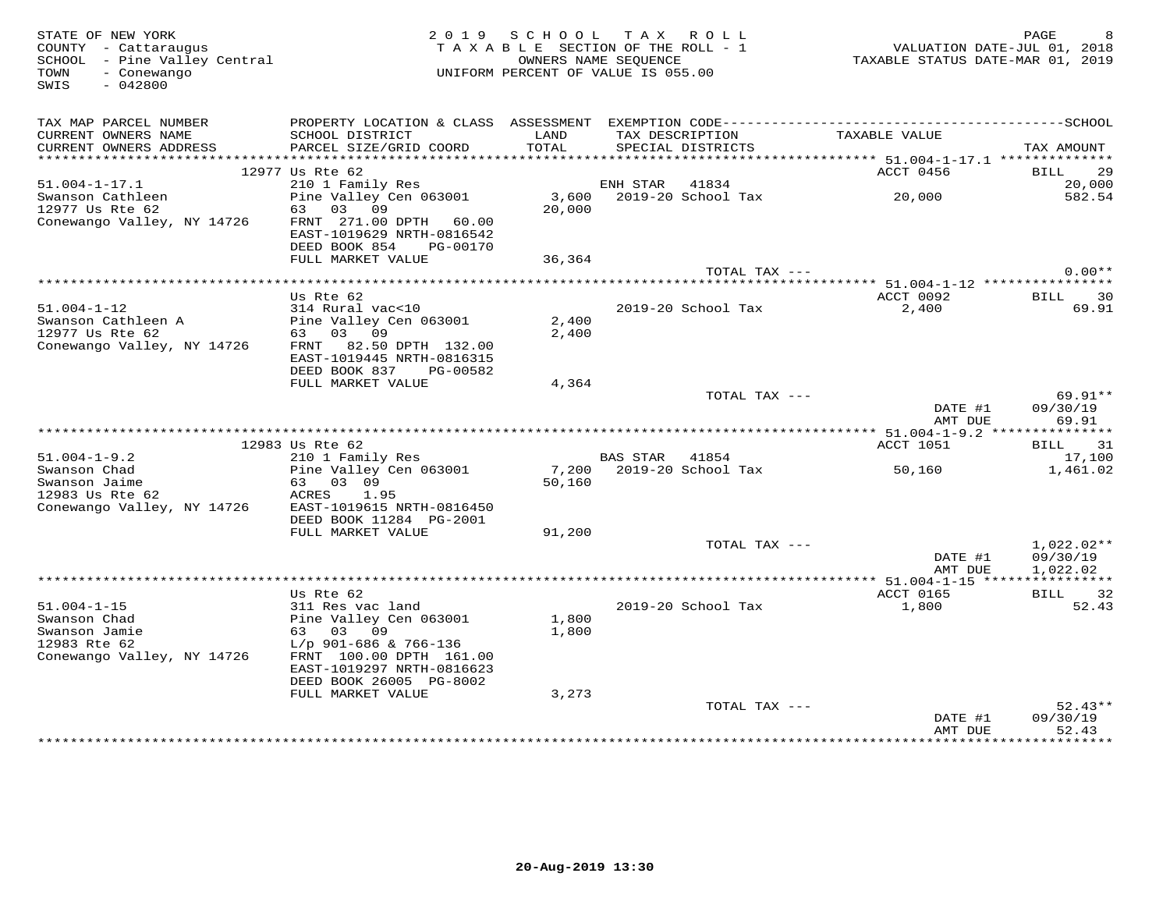| STATE OF NEW YORK<br>COUNTY - Cattaraugus<br>COONII - Cattaraugus<br>SCHOOL - Pine Valley Central<br>TOWN<br>- Conewango<br>$-042800$<br>SWIS |                                                                                           |               | 2019 SCHOOL TAX ROLL<br>TAXABLE SECTION OF THE ROLL - 1<br>OWNERS NAME SEQUENCE<br>UNIFORM PERCENT OF VALUE IS 055.00 | VALUATION DATE-JUL 01, 2018<br>TAXABLE STATUS DATE-MAR 01, 2019 | PAGE                                   |
|-----------------------------------------------------------------------------------------------------------------------------------------------|-------------------------------------------------------------------------------------------|---------------|-----------------------------------------------------------------------------------------------------------------------|-----------------------------------------------------------------|----------------------------------------|
| TAX MAP PARCEL NUMBER<br>CURRENT OWNERS NAME<br>CURRENT OWNERS ADDRESS                                                                        | SCHOOL DISTRICT<br>PARCEL SIZE/GRID COORD                                                 | LAND<br>TOTAL | TAX DESCRIPTION<br>SPECIAL DISTRICTS                                                                                  | TAXABLE VALUE                                                   | TAX AMOUNT                             |
|                                                                                                                                               | 12977 Us Rte 62                                                                           |               |                                                                                                                       | ACCT 0456                                                       | BILL 29                                |
| 51.004-1-17.1                                                                                                                                 |                                                                                           |               |                                                                                                                       |                                                                 | 20,000                                 |
| Swanson Cathleen<br>12977 Us Rte 62                                                                                                           | 210 1 Family Res<br>Pine Valley Cen 063001<br>63 03 09                                    | 20,000        | ENH STAR 41834<br>3,600 2019-20 School Tax 20,000                                                                     |                                                                 | 582.54                                 |
| Conewango Valley, NY 14726                                                                                                                    | FRNT 271.00 DPTH 60.00<br>EAST-1019629 NRTH-0816542<br>DEED BOOK 854<br>PG-00170          |               |                                                                                                                       |                                                                 |                                        |
|                                                                                                                                               | FULL MARKET VALUE                                                                         | 36,364        |                                                                                                                       |                                                                 |                                        |
|                                                                                                                                               |                                                                                           |               | TOTAL TAX ---                                                                                                         |                                                                 | $0.00**$                               |
|                                                                                                                                               | Us Rte 62                                                                                 |               |                                                                                                                       | ACCT 0092                                                       | BILL 30                                |
| $51.004 - 1 - 12$<br>Swanson Cathleen A                                                                                                       | 314 Rural vac<10<br>Pine Valley Cen 063001                                                | 2,400         | 2019-20 School Tax                                                                                                    | 2,400                                                           | 69.91                                  |
| 12977 Us Rte 62<br>Conewango Valley, NY 14726                                                                                                 | 63 03 09<br>FRNT 82.50 DPTH 132.00<br>EAST-1019445 NRTH-0816315<br>DEED BOOK 837 PG-00582 | 2,400         |                                                                                                                       |                                                                 |                                        |
|                                                                                                                                               | FULL MARKET VALUE                                                                         | 4,364         |                                                                                                                       |                                                                 |                                        |
|                                                                                                                                               |                                                                                           |               | TOTAL TAX ---                                                                                                         | DATE #1<br>AMT DUE                                              | 69.91**<br>09/30/19<br>69.91           |
|                                                                                                                                               |                                                                                           |               |                                                                                                                       |                                                                 |                                        |
|                                                                                                                                               | 12983 Us Rte 62                                                                           |               |                                                                                                                       | ACCT 1051                                                       | BILL 31                                |
| $51.004 - 1 - 9.2$                                                                                                                            | 210 1 Family Res                                                                          |               | BAS STAR 41854                                                                                                        |                                                                 | 17,100                                 |
| Swanson Chad<br>Swanson Jaime<br>12983 Us Rte 62                                                                                              | Pine Valley Cen 063001<br>63 03 09<br>ACRES 1.95                                          | 50,160        |                                                                                                                       | 50,160                                                          | 1,461.02                               |
| Conewango Valley, NY 14726                                                                                                                    | EAST-1019615 NRTH-0816450<br>DEED BOOK 11284 PG-2001                                      |               |                                                                                                                       |                                                                 |                                        |
|                                                                                                                                               | FULL MARKET VALUE                                                                         | 91,200        | TOTAL TAX ---                                                                                                         |                                                                 | $1,022.02**$                           |
|                                                                                                                                               |                                                                                           |               |                                                                                                                       | DATE #1<br>AMT DUE                                              | 09/30/19<br>1,022.02                   |
|                                                                                                                                               |                                                                                           |               |                                                                                                                       |                                                                 |                                        |
|                                                                                                                                               | Us Rte 62<br>311 Res vac land                                                             |               |                                                                                                                       | ACCT 0165                                                       | BILL 32                                |
| $51.004 - 1 - 15$<br>Swanson Chad                                                                                                             | Pine Valley Cen 063001                                                                    | 1,800         | 2019-20 School Tax                                                                                                    | 1,800                                                           | 52.43                                  |
| Swanson Jamie                                                                                                                                 | 63 03 09                                                                                  | 1,800         |                                                                                                                       |                                                                 |                                        |
| 12983 Rte 62<br>Conewango Valley, NY 14726                                                                                                    | $L/p$ 901-686 & 766-136<br>FRNT 100.00 DPTH 161.00<br>EAST-1019297 NRTH-0816623           |               |                                                                                                                       |                                                                 |                                        |
|                                                                                                                                               | DEED BOOK 26005 PG-8002                                                                   |               |                                                                                                                       |                                                                 |                                        |
|                                                                                                                                               | FULL MARKET VALUE                                                                         | 3,273         |                                                                                                                       |                                                                 |                                        |
|                                                                                                                                               |                                                                                           |               | TOTAL TAX ---                                                                                                         |                                                                 | $52.43**$                              |
|                                                                                                                                               |                                                                                           |               |                                                                                                                       | DATE #1<br>AMT DUE<br>**************                            | 09/30/19<br>52.43<br>* * * * * * * * * |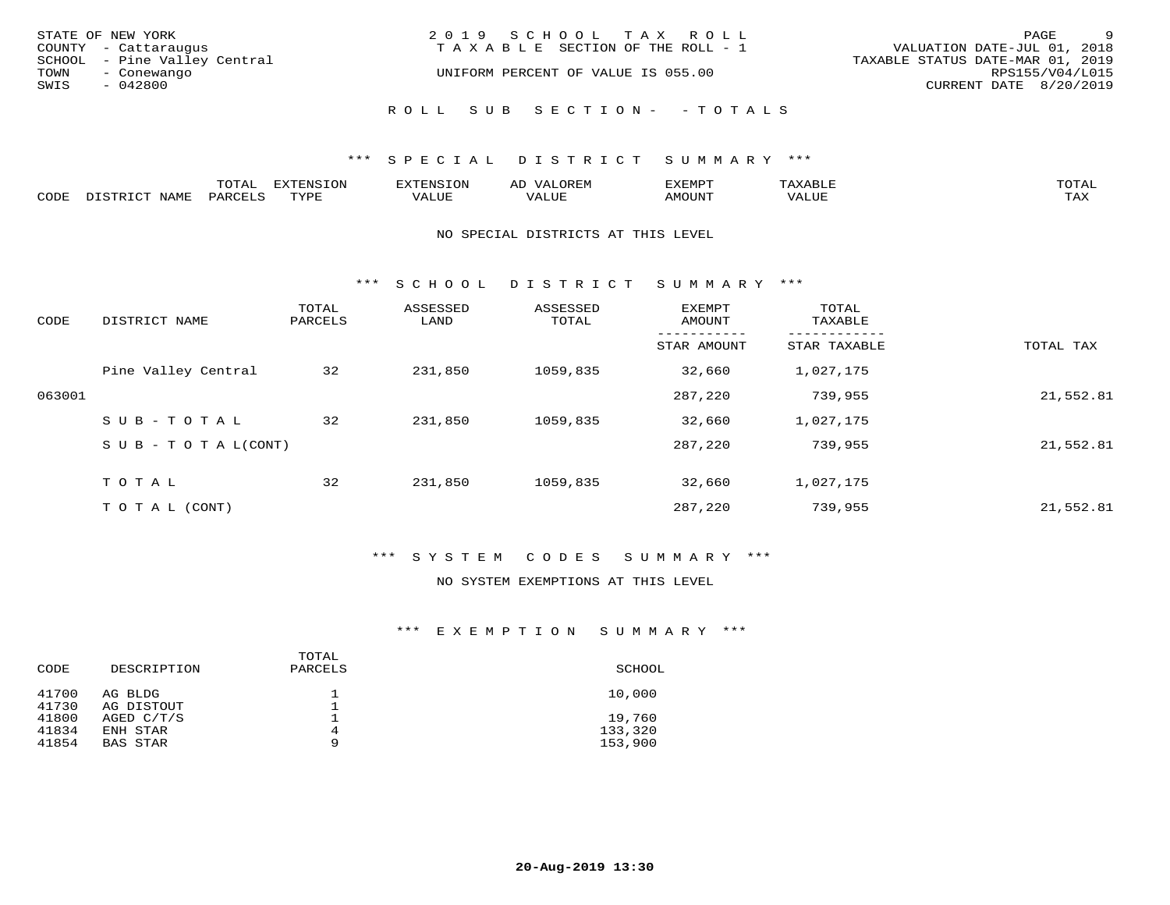| STATE OF NEW YORK<br>COUNTY - Cattaraugus<br>SCHOOL - Pine Valley Central<br>TOWN<br>- Conewango | 2019 SCHOOL TAX ROLL<br>T A X A B L E SECTION OF THE ROLL - 1<br>UNIFORM PERCENT OF VALUE IS 055.00 | <sup>o</sup><br>PAGE<br>VALUATION DATE-JUL 01, 2018<br>TAXABLE STATUS DATE-MAR 01, 2019<br>RPS155/V04/L015 |
|--------------------------------------------------------------------------------------------------|-----------------------------------------------------------------------------------------------------|------------------------------------------------------------------------------------------------------------|
| SWIS<br>- 042800                                                                                 | ROLL SUB SECTION- - TOTALS                                                                          | CURRENT DATE 8/20/2019                                                                                     |

|      |                        | ጥ∩ጥአ<br>- UIAL | <b>DIZMONIC</b><br>ION | AD   | . ت س<br>⊐ויושב∠ |                                        |            |
|------|------------------------|----------------|------------------------|------|------------------|----------------------------------------|------------|
| CODE | <b>NTAMT</b><br>77 O L | PARO           | TVDF                   | ALUE | IMOUNT           | * * * * * * * *<br>$'$ ALUN $_{\rm L}$ | may<br>∸∽∸ |

#### NO SPECIAL DISTRICTS AT THIS LEVEL

\*\*\* S C H O O L D I S T R I C T S U M M A R Y \*\*\*

| CODE   | DISTRICT NAME                    | TOTAL<br>PARCELS | ASSESSED<br>LAND | ASSESSED<br>TOTAL | EXEMPT<br>AMOUNT | TOTAL<br>TAXABLE |           |
|--------|----------------------------------|------------------|------------------|-------------------|------------------|------------------|-----------|
|        |                                  |                  |                  |                   | STAR AMOUNT      | STAR TAXABLE     | TOTAL TAX |
|        | Pine Valley Central              | 32               | 231,850          | 1059,835          | 32,660           | 1,027,175        |           |
| 063001 |                                  |                  |                  |                   | 287,220          | 739,955          | 21,552.81 |
|        | SUB-TOTAL                        | 32               | 231,850          | 1059,835          | 32,660           | 1,027,175        |           |
|        | $S \cup B - T \cup T A L (CONT)$ |                  |                  |                   | 287,220          | 739,955          | 21,552.81 |
|        | TOTAL                            | 32               | 231,850          | 1059,835          | 32,660           | 1,027,175        |           |
|        | TO TAL (CONT)                    |                  |                  |                   | 287,220          | 739,955          | 21,552.81 |

## \*\*\* S Y S T E M C O D E S S U M M A R Y \*\*\*

## NO SYSTEM EXEMPTIONS AT THIS LEVEL

| DESCRIPTION           | TOTAL<br>PARCELS | SCHOOL             |
|-----------------------|------------------|--------------------|
| AG BLDG<br>AG DISTOUT |                  | 10,000             |
| AGED C/T/S            |                  | 19,760             |
| ENH STAR<br>BAS STAR  | 4<br>9           | 133,320<br>153,900 |
|                       |                  |                    |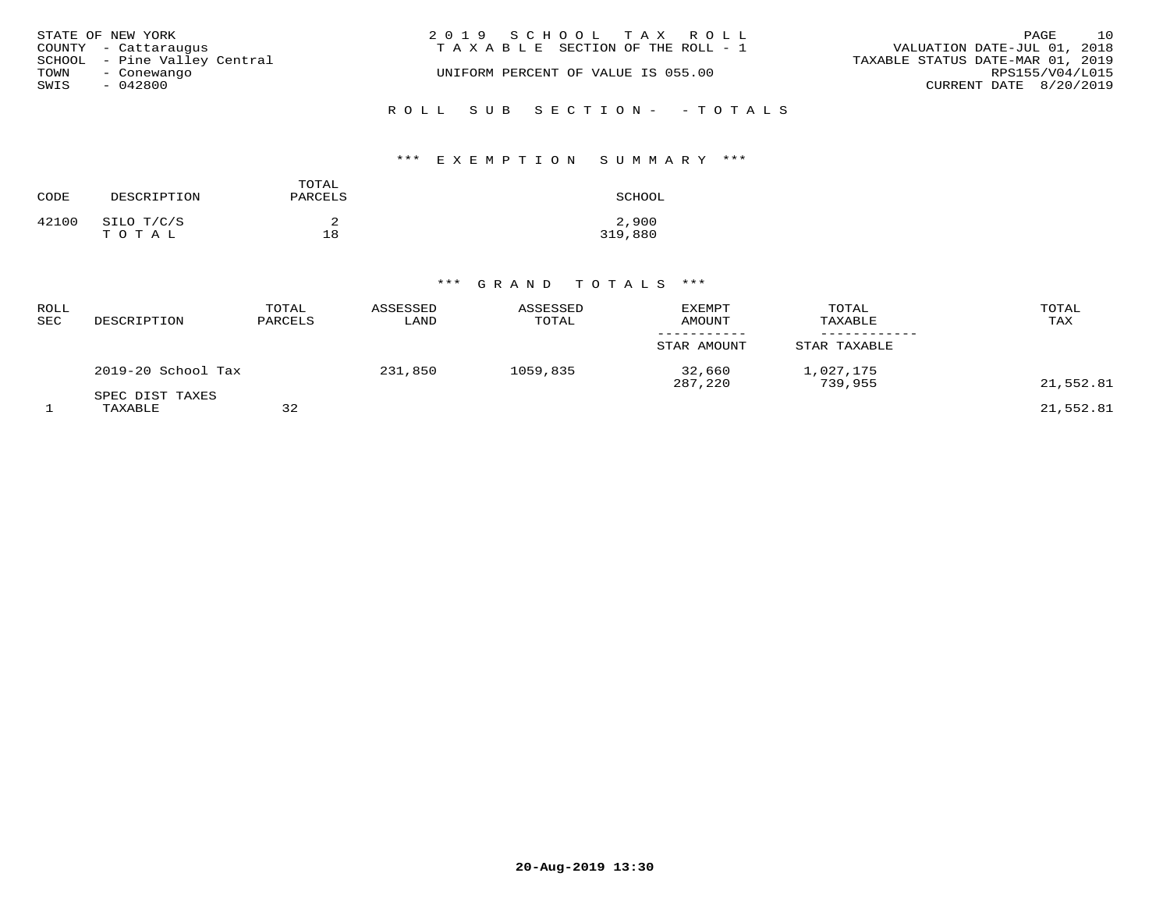| STATE OF NEW YORK<br>COUNTY - Cattaraugus           | 2019 SCHOOL TAX ROLL<br>TAXABLE SECTION OF THE ROLL - 1 | 10<br>PAGE<br>VALUATION DATE-JUL 01, 2018           |
|-----------------------------------------------------|---------------------------------------------------------|-----------------------------------------------------|
| SCHOOL - Pine Valley Central<br>TOWN<br>- Conewango | UNIFORM PERCENT OF VALUE IS 055.00                      | TAXABLE STATUS DATE-MAR 01, 2019<br>RPS155/V04/L015 |
| SWIS<br>- 042800                                    |                                                         | CURRENT DATE 8/20/2019                              |
|                                                     | ROLL SUB SECTION- - TOTALS                              |                                                     |

## \*\*\* E X E M P T I O N S U M M A R Y \*\*\*

| CODE  | DESCRIPTION             | TOTAL<br>PARCELS | SCHOOL           |
|-------|-------------------------|------------------|------------------|
| 42100 | SILO T/C/S<br>T O T A L | 18               | 2,900<br>319,880 |

| ROLL<br>SEC | DESCRIPTION                | TOTAL<br>PARCELS | ASSESSED<br>LAND | ASSESSED<br>TOTAL | <b>EXEMPT</b><br>AMOUNT | TOTAL<br>TAXABLE     | TOTAL<br>TAX |
|-------------|----------------------------|------------------|------------------|-------------------|-------------------------|----------------------|--------------|
|             |                            |                  |                  |                   | STAR AMOUNT             | STAR TAXABLE         |              |
|             | $2019-20$ School Tax       |                  | 231,850          | 1059,835          | 32,660<br>287,220       | 1,027,175<br>739,955 | 21,552.81    |
|             | SPEC DIST TAXES<br>TAXABLE | 32               |                  |                   |                         |                      | 21,552.81    |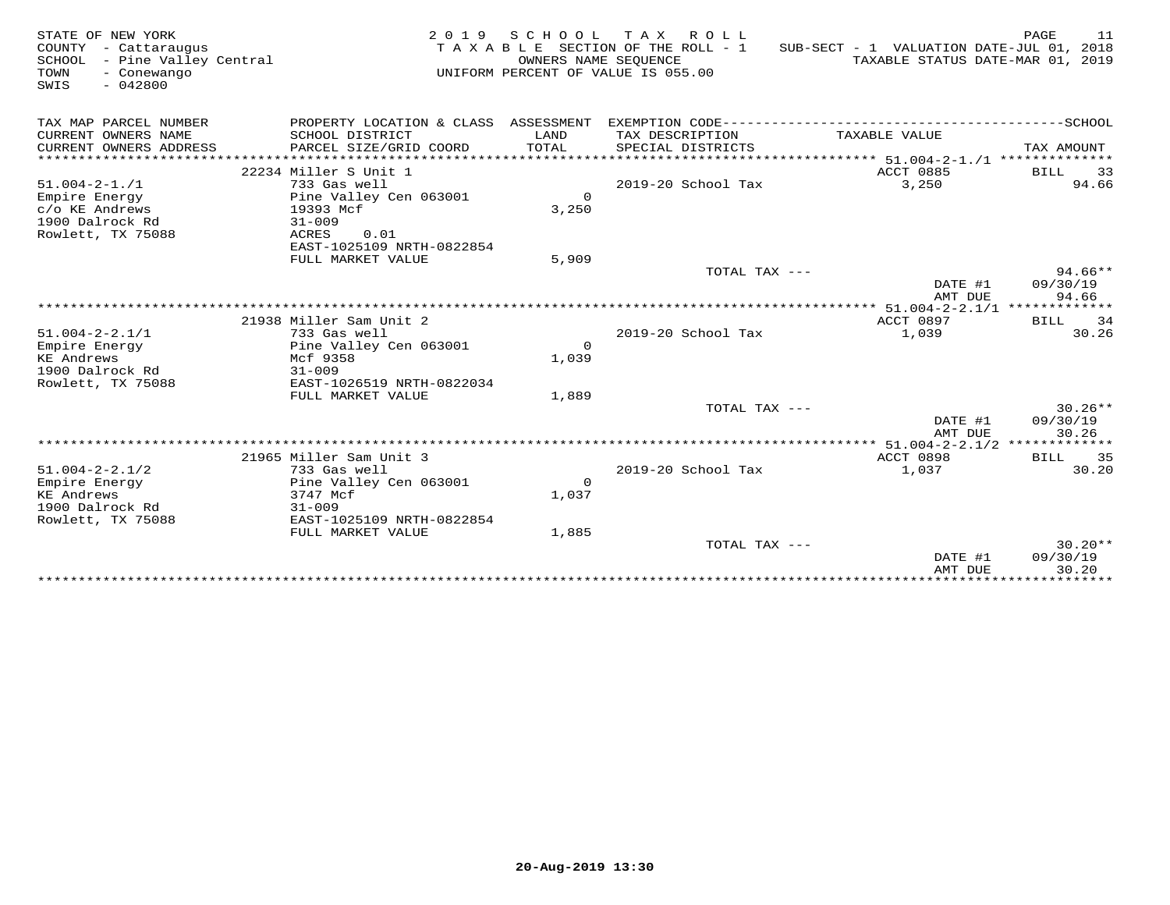| STATE OF NEW YORK<br>COUNTY<br>- Cattaraugus<br>SCHOOL - Pine Valley Central<br>TOWN<br>- Conewango<br>SWIS<br>$-042800$ | 2 0 1 9                                        | OWNERS NAME SEQUENCE | SCHOOL TAX ROLL<br>TAXABLE SECTION OF THE ROLL - 1<br>UNIFORM PERCENT OF VALUE IS 055.00 | SUB-SECT - 1 VALUATION DATE-JUL 01, 2018<br>TAXABLE STATUS DATE-MAR 01, 2019 | PAGE<br>11                   |
|--------------------------------------------------------------------------------------------------------------------------|------------------------------------------------|----------------------|------------------------------------------------------------------------------------------|------------------------------------------------------------------------------|------------------------------|
| TAX MAP PARCEL NUMBER                                                                                                    |                                                |                      |                                                                                          |                                                                              |                              |
| CURRENT OWNERS NAME<br>CURRENT OWNERS ADDRESS                                                                            | SCHOOL DISTRICT<br>PARCEL SIZE/GRID COORD      | LAND<br>TOTAL        | TAX DESCRIPTION<br>SPECIAL DISTRICTS                                                     | TAXABLE VALUE                                                                | TAX AMOUNT                   |
| ***********************                                                                                                  |                                                |                      |                                                                                          |                                                                              |                              |
|                                                                                                                          | 22234 Miller S Unit 1                          |                      |                                                                                          | ACCT 0885                                                                    | <b>BILL</b><br>33            |
| $51.004 - 2 - 1.71$                                                                                                      | 733 Gas well                                   |                      | 2019-20 School Tax                                                                       | 3,250                                                                        | 94.66                        |
| Empire Energy                                                                                                            | Pine Valley Cen 063001                         | $\circ$              |                                                                                          |                                                                              |                              |
| c/o KE Andrews<br>1900 Dalrock Rd                                                                                        | 19393 Mcf                                      | 3,250                |                                                                                          |                                                                              |                              |
| Rowlett, TX 75088                                                                                                        | $31 - 009$<br>ACRES<br>0.01                    |                      |                                                                                          |                                                                              |                              |
|                                                                                                                          | EAST-1025109 NRTH-0822854                      |                      |                                                                                          |                                                                              |                              |
|                                                                                                                          | FULL MARKET VALUE                              | 5,909                |                                                                                          |                                                                              |                              |
|                                                                                                                          |                                                |                      | TOTAL TAX ---                                                                            |                                                                              | $94.66**$                    |
|                                                                                                                          |                                                |                      |                                                                                          | DATE #1                                                                      | 09/30/19                     |
|                                                                                                                          |                                                |                      |                                                                                          | AMT DUE                                                                      | 94.66                        |
|                                                                                                                          |                                                |                      |                                                                                          |                                                                              |                              |
|                                                                                                                          | 21938 Miller Sam Unit 2                        |                      |                                                                                          | <b>ACCT 0897</b>                                                             | BILL<br>34                   |
| $51.004 - 2 - 2.1/1$                                                                                                     | 733 Gas well                                   |                      | 2019-20 School Tax                                                                       | 1,039                                                                        | 30.26                        |
| Empire Energy                                                                                                            | Pine Valley Cen 063001                         | $\Omega$             |                                                                                          |                                                                              |                              |
| KE Andrews                                                                                                               | Mcf 9358                                       | 1,039                |                                                                                          |                                                                              |                              |
| 1900 Dalrock Rd                                                                                                          | $31 - 009$                                     |                      |                                                                                          |                                                                              |                              |
| Rowlett, TX 75088                                                                                                        | EAST-1026519 NRTH-0822034<br>FULL MARKET VALUE | 1,889                |                                                                                          |                                                                              |                              |
|                                                                                                                          |                                                |                      | TOTAL TAX ---                                                                            |                                                                              | $30.26**$                    |
|                                                                                                                          |                                                |                      |                                                                                          | DATE #1<br>AMT DUE                                                           | 09/30/19<br>30.26            |
|                                                                                                                          |                                                |                      |                                                                                          | **** 51.004-2-2.1/2 *************                                            |                              |
|                                                                                                                          | 21965 Miller Sam Unit 3                        |                      |                                                                                          | <b>ACCT 0898</b>                                                             | BILL 35                      |
| $51.004 - 2 - 2.1/2$                                                                                                     | 733 Gas well                                   |                      | 2019-20 School Tax                                                                       | 1,037                                                                        | 30.20                        |
| Empire Energy                                                                                                            | Pine Valley Cen 063001                         | $\Omega$             |                                                                                          |                                                                              |                              |
| KE Andrews                                                                                                               | 3747 Mcf                                       | 1,037                |                                                                                          |                                                                              |                              |
| 1900 Dalrock Rd                                                                                                          | $31 - 009$                                     |                      |                                                                                          |                                                                              |                              |
| Rowlett, TX 75088                                                                                                        | EAST-1025109 NRTH-0822854                      |                      |                                                                                          |                                                                              |                              |
|                                                                                                                          | FULL MARKET VALUE                              | 1,885                |                                                                                          |                                                                              |                              |
|                                                                                                                          |                                                |                      | TOTAL TAX ---                                                                            |                                                                              | $30.20**$                    |
|                                                                                                                          |                                                |                      |                                                                                          | DATE #1                                                                      | 09/30/19                     |
|                                                                                                                          |                                                |                      |                                                                                          | AMT DUE                                                                      | 30.20<br>* * * * * * * * * * |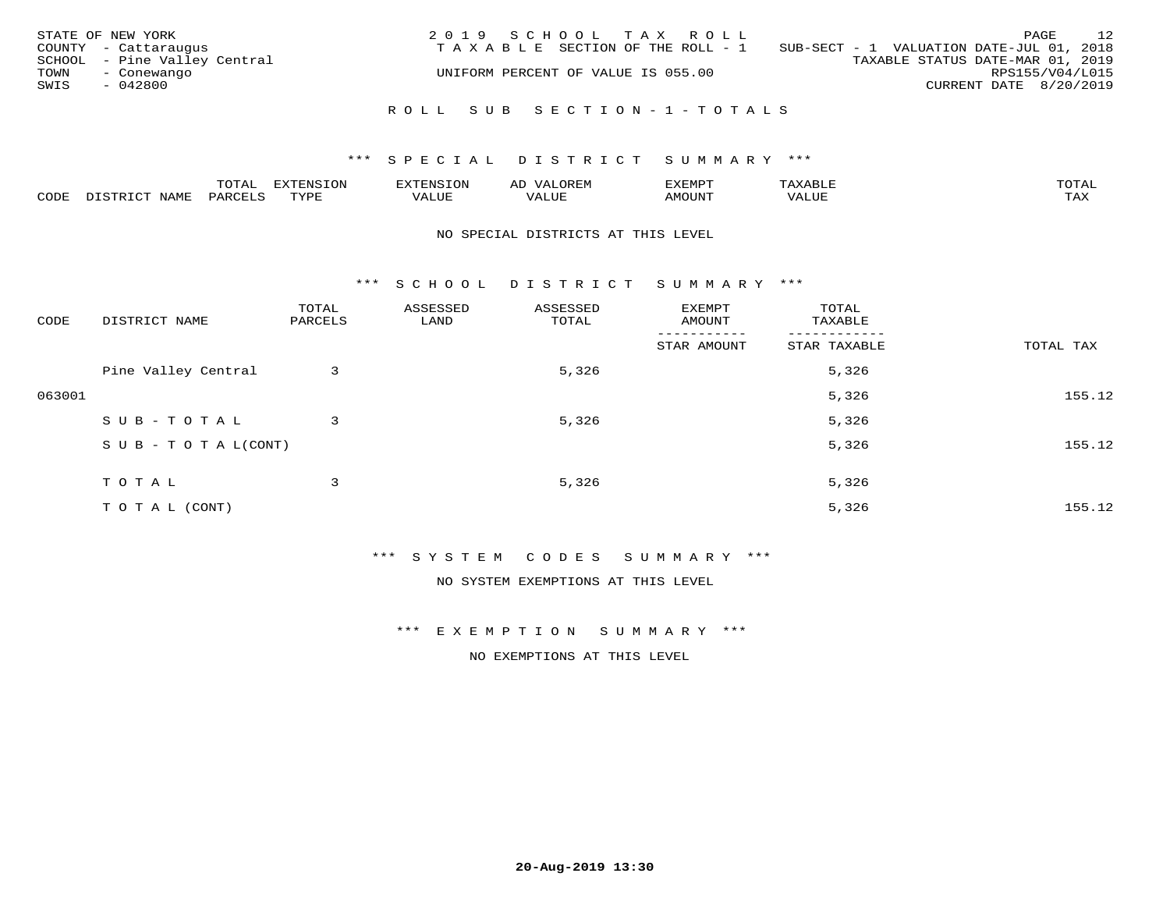| STATE OF NEW YORK<br>COUNTY - Cattaraugus<br>SCHOOL - Pine Valley Central<br>TOWN<br>- Conewango<br>SWIS<br>$-042800$ | 2019 SCHOOL TAX ROLL<br>TAXABLE SECTION OF THE ROLL - 1<br>UNIFORM PERCENT OF VALUE IS 055.00 | 12<br>PAGE<br>SUB-SECT - 1 VALUATION DATE-JUL 01, 2018<br>TAXABLE STATUS DATE-MAR 01, 2019<br>RPS155/V04/L015<br>CURRENT DATE 8/20/2019 |
|-----------------------------------------------------------------------------------------------------------------------|-----------------------------------------------------------------------------------------------|-----------------------------------------------------------------------------------------------------------------------------------------|
|                                                                                                                       | ROLL SUB SECTION-1-TOTALS                                                                     |                                                                                                                                         |

|      |      | $m \wedge m \wedge n$<br>◡∸ғ | TON                              | . HUNY              | AĽ                  | ے ا      |       | $m \wedge m \wedge n$ |
|------|------|------------------------------|----------------------------------|---------------------|---------------------|----------|-------|-----------------------|
| CODE | NAMF | 'AK                          | $m \times r \times r$<br>- - - - | T T T<br>اللالمستحم | - ---<br>اللالمستعم | 57077375 | VALUF | $m \times r$<br>- −-  |

#### NO SPECIAL DISTRICTS AT THIS LEVEL

\*\*\* S C H O O L D I S T R I C T S U M M A R Y \*\*\*

| CODE   | DISTRICT NAME                    | TOTAL<br>PARCELS | ASSESSED<br>LAND | ASSESSED<br>TOTAL | EXEMPT<br>AMOUNT       | TOTAL<br>TAXABLE         |           |
|--------|----------------------------------|------------------|------------------|-------------------|------------------------|--------------------------|-----------|
|        |                                  |                  |                  |                   | -------<br>STAR AMOUNT | --------<br>STAR TAXABLE | TOTAL TAX |
|        | Pine Valley Central              | 3                |                  | 5,326             |                        | 5,326                    |           |
| 063001 |                                  |                  |                  |                   |                        | 5,326                    | 155.12    |
|        | SUB-TOTAL                        | 3                |                  | 5,326             |                        | 5,326                    |           |
|        | $S \cup B - T \cup T A L (CONT)$ |                  |                  |                   |                        | 5,326                    | 155.12    |
|        | TOTAL                            | 3                |                  | 5,326             |                        | 5,326                    |           |
|        |                                  |                  |                  |                   |                        |                          |           |
|        | T O T A L (CONT)                 |                  |                  |                   |                        | 5,326                    | 155.12    |

\*\*\* S Y S T E M C O D E S S U M M A R Y \*\*\*

NO SYSTEM EXEMPTIONS AT THIS LEVEL

\*\*\* E X E M P T I O N S U M M A R Y \*\*\*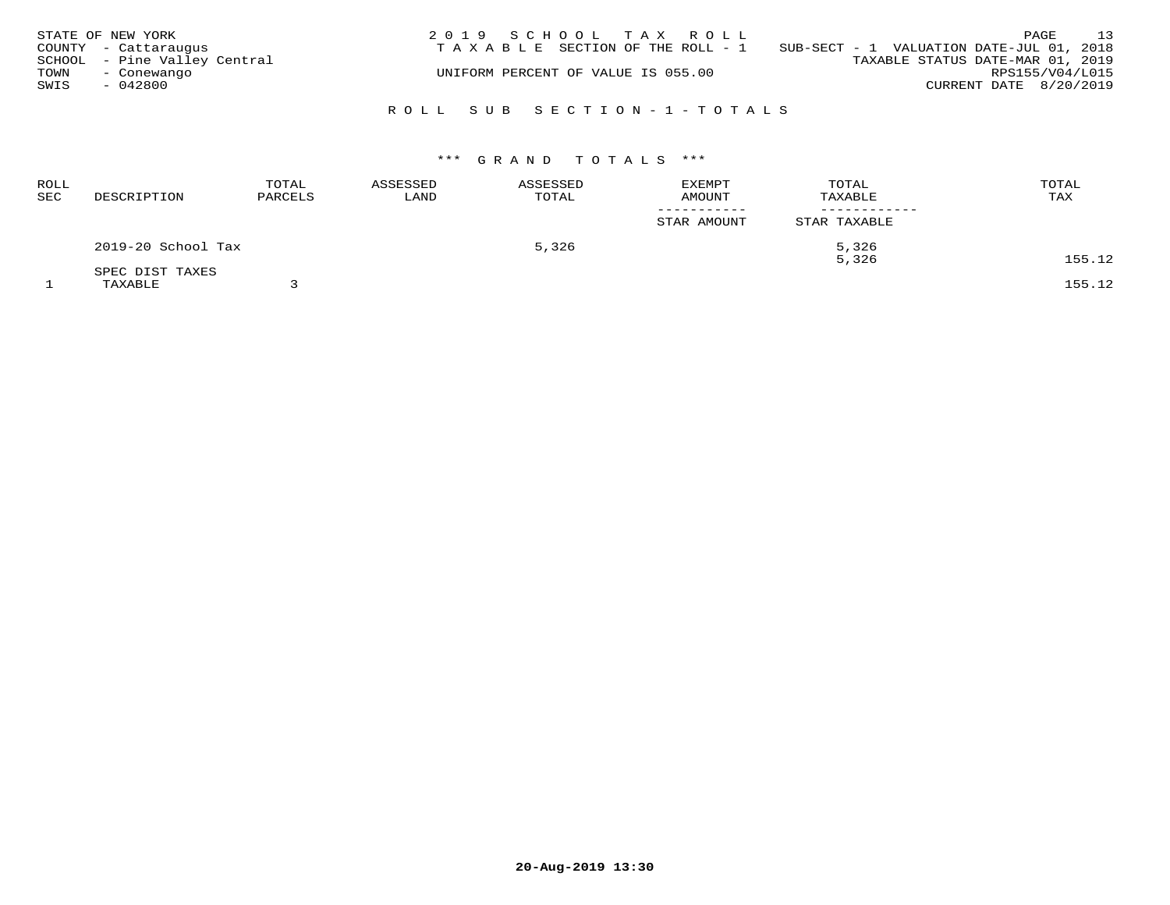|      | STATE OF NEW YORK            | 2019 SCHOOL TAX ROLL                                                           |                        | PAGE | 13 |
|------|------------------------------|--------------------------------------------------------------------------------|------------------------|------|----|
|      | COUNTY - Cattaraugus         | T A X A B L E SECTION OF THE ROLL - 1 SUB-SECT - 1 VALUATION DATE-JUL 01, 2018 |                        |      |    |
|      | SCHOOL - Pine Valley Central | TAXABLE STATUS DATE-MAR 01, 2019                                               |                        |      |    |
| TOWN | - Conewango                  | UNIFORM PERCENT OF VALUE IS 055.00                                             | RPS155/V04/L015        |      |    |
| SWIS | $-042800$                    |                                                                                | CURRENT DATE 8/20/2019 |      |    |
|      |                              |                                                                                |                        |      |    |
|      |                              | ROLL SUB SECTION-1-TOTALS                                                      |                        |      |    |

| <b>ROLL</b><br>SEC | DESCRIPTION        | TOTAL<br>PARCELS | ASSESSED<br>LAND | ASSESSED<br>TOTAL | <b>EXEMPT</b><br><b>AMOUNT</b> | TOTAL<br>TAXABLE | TOTAL<br>TAX |
|--------------------|--------------------|------------------|------------------|-------------------|--------------------------------|------------------|--------------|
|                    |                    |                  |                  |                   | -----------<br>STAR AMOUNT     | STAR TAXABLE     |              |
|                    | 2019-20 School Tax |                  |                  | 5,326             |                                | 5,326            |              |
|                    | SPEC DIST TAXES    |                  |                  |                   |                                | 5,326            | 155.12       |
|                    | TAXABLE            |                  |                  |                   |                                |                  | 155.12       |

**20-Aug-2019 13:30**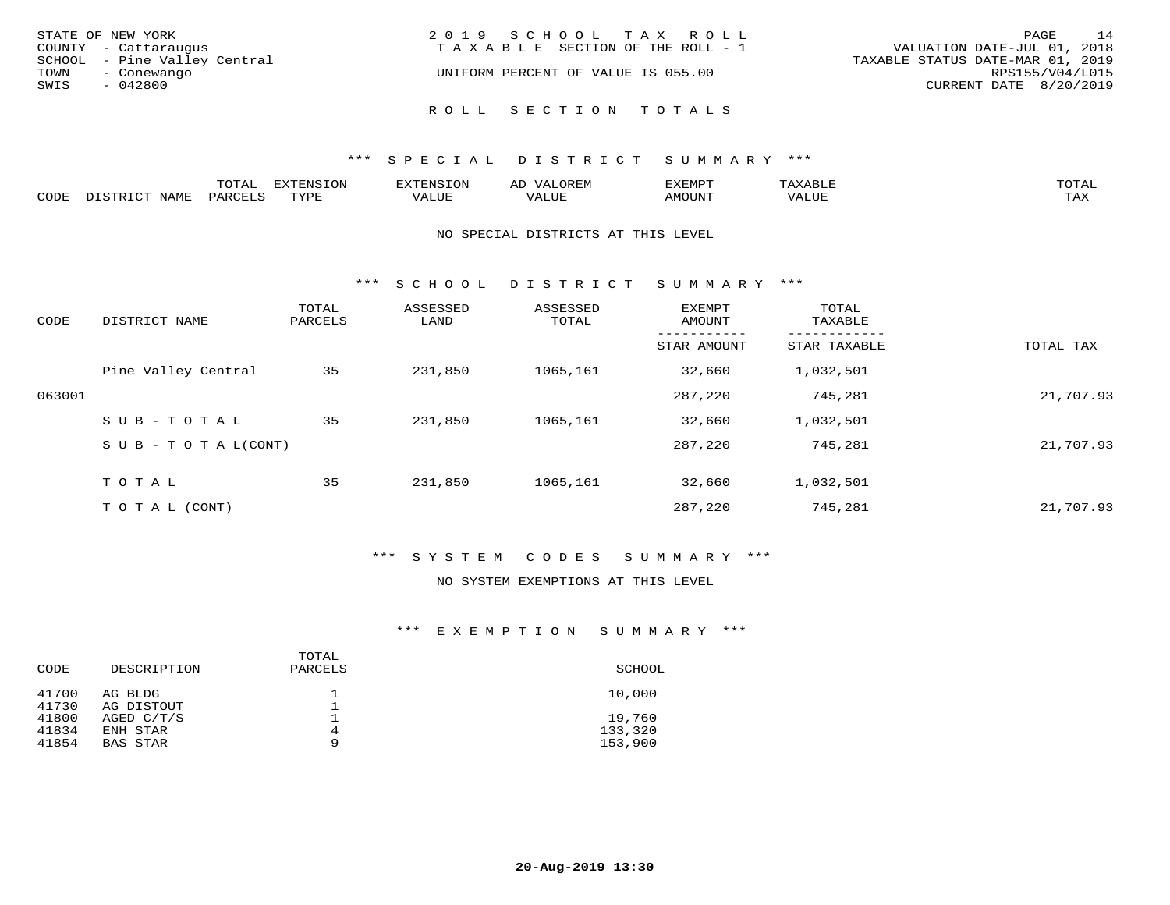| STATE OF NEW YORK            | 2019 SCHOOL TAX ROLL                  | 14<br>PAGE                       |
|------------------------------|---------------------------------------|----------------------------------|
| COUNTY - Cattaraugus         | T A X A B L E SECTION OF THE ROLL - 1 | VALUATION DATE-JUL 01, 2018      |
| SCHOOL - Pine Valley Central |                                       | TAXABLE STATUS DATE-MAR 01, 2019 |
| TOWN<br>- Conewango          | UNIFORM PERCENT OF VALUE IS 055.00    | RPS155/V04/L015                  |
| SWIS<br>- 042800             |                                       | CURRENT DATE 8/20/2019           |
|                              | ROLL SECTION TOTALS                   |                                  |
|                              |                                       |                                  |

|      |      | m^m*<br>⊥∪⊥ ∟ | $T \cap N$<br>$-1$ |           | AL.<br>21 V. PH |                            |           | <b>TOTA</b><br>$\cup$ $\pm$ $\pm$ $\pm$ |
|------|------|---------------|--------------------|-----------|-----------------|----------------------------|-----------|-----------------------------------------|
| CODE | NAME |               | mvnt               | סדד דרכז: |                 | $\triangle M\bigcirc$ tin' | $- - - -$ | $- - - -$<br>1.732                      |

#### NO SPECIAL DISTRICTS AT THIS LEVEL

\*\*\* S C H O O L D I S T R I C T S U M M A R Y \*\*\*

| CODE   | DISTRICT NAME                    | TOTAL<br>PARCELS | ASSESSED<br>LAND | ASSESSED<br>TOTAL | <b>EXEMPT</b><br>AMOUNT | TOTAL<br>TAXABLE |           |
|--------|----------------------------------|------------------|------------------|-------------------|-------------------------|------------------|-----------|
|        |                                  |                  |                  |                   | STAR AMOUNT             | STAR TAXABLE     | TOTAL TAX |
|        | Pine Valley Central              | 35               | 231,850          | 1065,161          | 32,660                  | 1,032,501        |           |
| 063001 |                                  |                  |                  |                   | 287,220                 | 745,281          | 21,707.93 |
|        | SUB-TOTAL                        | 35               | 231,850          | 1065,161          | 32,660                  | 1,032,501        |           |
|        | $S \cup B - T \cup T A L (CONT)$ |                  |                  |                   | 287,220                 | 745,281          | 21,707.93 |
|        | T O T A L                        | 35               | 231,850          | 1065,161          | 32,660                  | 1,032,501        |           |
|        | T O T A L (CONT)                 |                  |                  |                   | 287,220                 | 745,281          | 21,707.93 |

## \*\*\* S Y S T E M C O D E S S U M M A R Y \*\*\*

#### NO SYSTEM EXEMPTIONS AT THIS LEVEL

| DESCRIPTION           | TOTAL<br>PARCELS | SCHOOL             |
|-----------------------|------------------|--------------------|
| AG BLDG<br>AG DISTOUT |                  | 10,000             |
| AGED C/T/S            |                  | 19,760             |
| ENH STAR<br>BAS STAR  | 4<br>9           | 133,320<br>153,900 |
|                       |                  |                    |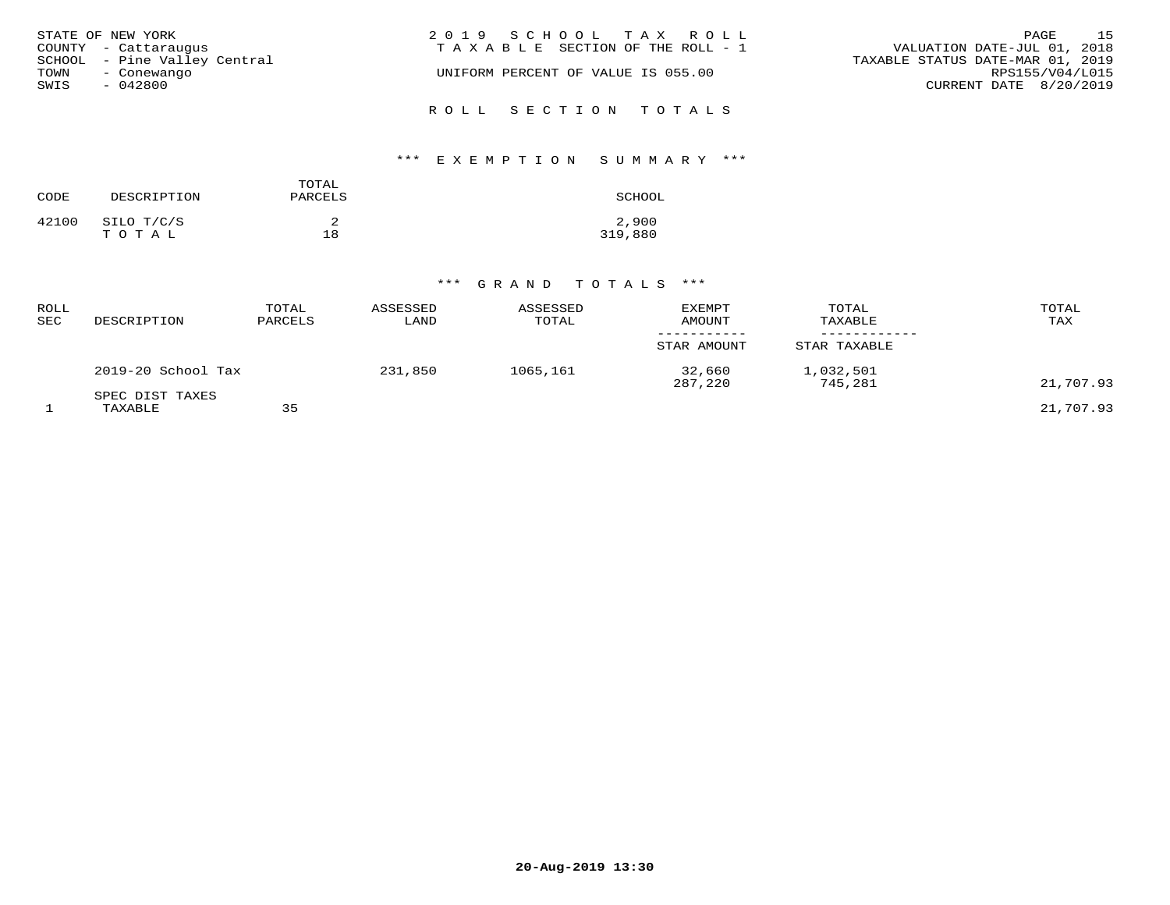| STATE OF NEW YORK            | 2019 SCHOOL TAX ROLL                  | 1.5<br>PAGE                      |
|------------------------------|---------------------------------------|----------------------------------|
| COUNTY - Cattaraugus         | T A X A B L E SECTION OF THE ROLL - 1 | VALUATION DATE-JUL 01, 2018      |
| SCHOOL - Pine Valley Central |                                       | TAXABLE STATUS DATE-MAR 01, 2019 |
| TOWN<br>- Conewango          | UNIFORM PERCENT OF VALUE IS 055.00    | RPS155/V04/L015                  |
| SWIS<br>- 042800             |                                       | CURRENT DATE 8/20/2019           |
|                              | ROLL SECTION TOTALS                   |                                  |

# \*\*\* E X E M P T I O N S U M M A R Y \*\*\*

| CODE  | DESCRIPTION         | TOTAL<br>PARCELS | SCHOOL           |
|-------|---------------------|------------------|------------------|
| 42100 | SILO T/C/S<br>TOTAL | 18               | 2,900<br>319,880 |

| ROLL<br>SEC | DESCRIPTION                | TOTAL<br>PARCELS | ASSESSED<br>LAND | ASSESSED<br>TOTAL | <b>EXEMPT</b><br>AMOUNT | TOTAL<br>TAXABLE     | TOTAL<br>TAX |
|-------------|----------------------------|------------------|------------------|-------------------|-------------------------|----------------------|--------------|
|             |                            |                  |                  |                   | STAR AMOUNT             | STAR TAXABLE         |              |
|             | 2019-20 School Tax         |                  | 231,850          | 1065,161          | 32,660<br>287,220       | 1,032,501<br>745,281 | 21,707.93    |
|             | SPEC DIST TAXES<br>TAXABLE | 35               |                  |                   |                         |                      | 21,707.93    |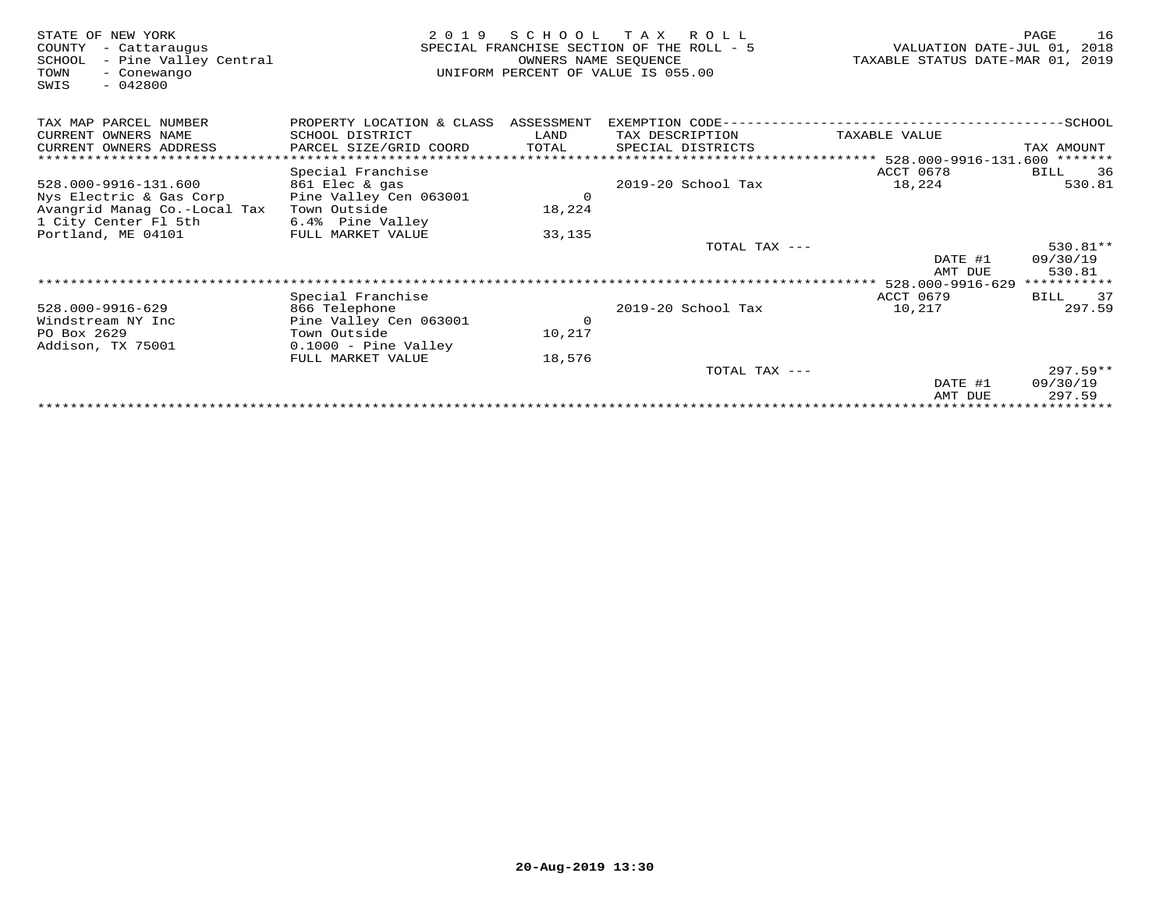| STATE OF NEW YORK<br>COUNTY<br>- Cattaraugus<br>- Pine Valley Central<br>SCHOOL<br>TOWN<br>- Conewango<br>$-042800$<br>SWIS | 2 0 1 9                                | S C H O O L<br>OWNERS NAME SEOUENCE | T A X<br>R O L L<br>SPECIAL FRANCHISE SECTION OF THE ROLL - 5<br>UNIFORM PERCENT OF VALUE IS 055.00 | VALUATION DATE-JUL 01, 2018<br>TAXABLE STATUS DATE-MAR 01, 2019 | PAGE<br>16  |
|-----------------------------------------------------------------------------------------------------------------------------|----------------------------------------|-------------------------------------|-----------------------------------------------------------------------------------------------------|-----------------------------------------------------------------|-------------|
| TAX MAP PARCEL NUMBER                                                                                                       | PROPERTY LOCATION & CLASS              | ASSESSMENT                          | EXEMPTION CODE-------                                                                               |                                                                 | $-$ SCHOOL  |
| CURRENT OWNERS NAME                                                                                                         | SCHOOL DISTRICT                        | LAND                                | TAX DESCRIPTION                                                                                     | TAXABLE VALUE                                                   |             |
| CURRENT OWNERS ADDRESS                                                                                                      | PARCEL SIZE/GRID COORD                 | TOTAL                               | SPECIAL DISTRICTS                                                                                   |                                                                 | TAX AMOUNT  |
|                                                                                                                             |                                        |                                     |                                                                                                     | **************************** 528.000-9916-131.600 *******       |             |
|                                                                                                                             | Special Franchise                      |                                     |                                                                                                     | ACCT 0678                                                       | 36<br>BILL  |
| 528.000-9916-131.600                                                                                                        | 861 Elec & gas                         |                                     | 2019-20 School Tax                                                                                  | 18,224                                                          | 530.81      |
| Nys Electric & Gas Corp                                                                                                     | Pine Valley Cen 063001                 | $\circ$                             |                                                                                                     |                                                                 |             |
| Avangrid Manag Co.-Local Tax                                                                                                | Town Outside                           | 18,224                              |                                                                                                     |                                                                 |             |
| 1 City Center Fl 5th                                                                                                        | 6.4% Pine Valley                       |                                     |                                                                                                     |                                                                 |             |
| Portland, ME 04101                                                                                                          | FULL MARKET VALUE                      | 33,135                              |                                                                                                     |                                                                 |             |
|                                                                                                                             |                                        |                                     | TOTAL TAX ---                                                                                       |                                                                 | $530.81**$  |
|                                                                                                                             |                                        |                                     |                                                                                                     | DATE #1                                                         | 09/30/19    |
|                                                                                                                             |                                        |                                     |                                                                                                     | AMT DUE                                                         | 530.81      |
|                                                                                                                             |                                        |                                     |                                                                                                     | 528.000-9916-629                                                | *********** |
|                                                                                                                             | Special Franchise                      |                                     |                                                                                                     | <b>ACCT 0679</b>                                                | 37<br>BILL  |
| 528.000-9916-629                                                                                                            | 866 Telephone                          |                                     | 2019-20 School Tax                                                                                  | 10,217                                                          | 297.59      |
| Windstream NY Inc<br>PO Box 2629                                                                                            | Pine Valley Cen 063001<br>Town Outside | $\circ$<br>10,217                   |                                                                                                     |                                                                 |             |
| Addison, TX 75001                                                                                                           | $0.1000$ - Pine Valley                 |                                     |                                                                                                     |                                                                 |             |
|                                                                                                                             | FULL MARKET VALUE                      | 18,576                              |                                                                                                     |                                                                 |             |
|                                                                                                                             |                                        |                                     | TOTAL TAX ---                                                                                       |                                                                 | $297.59**$  |
|                                                                                                                             |                                        |                                     |                                                                                                     | DATE #1                                                         | 09/30/19    |
|                                                                                                                             |                                        |                                     |                                                                                                     | AMT DUE                                                         | 297.59      |
|                                                                                                                             |                                        |                                     |                                                                                                     |                                                                 |             |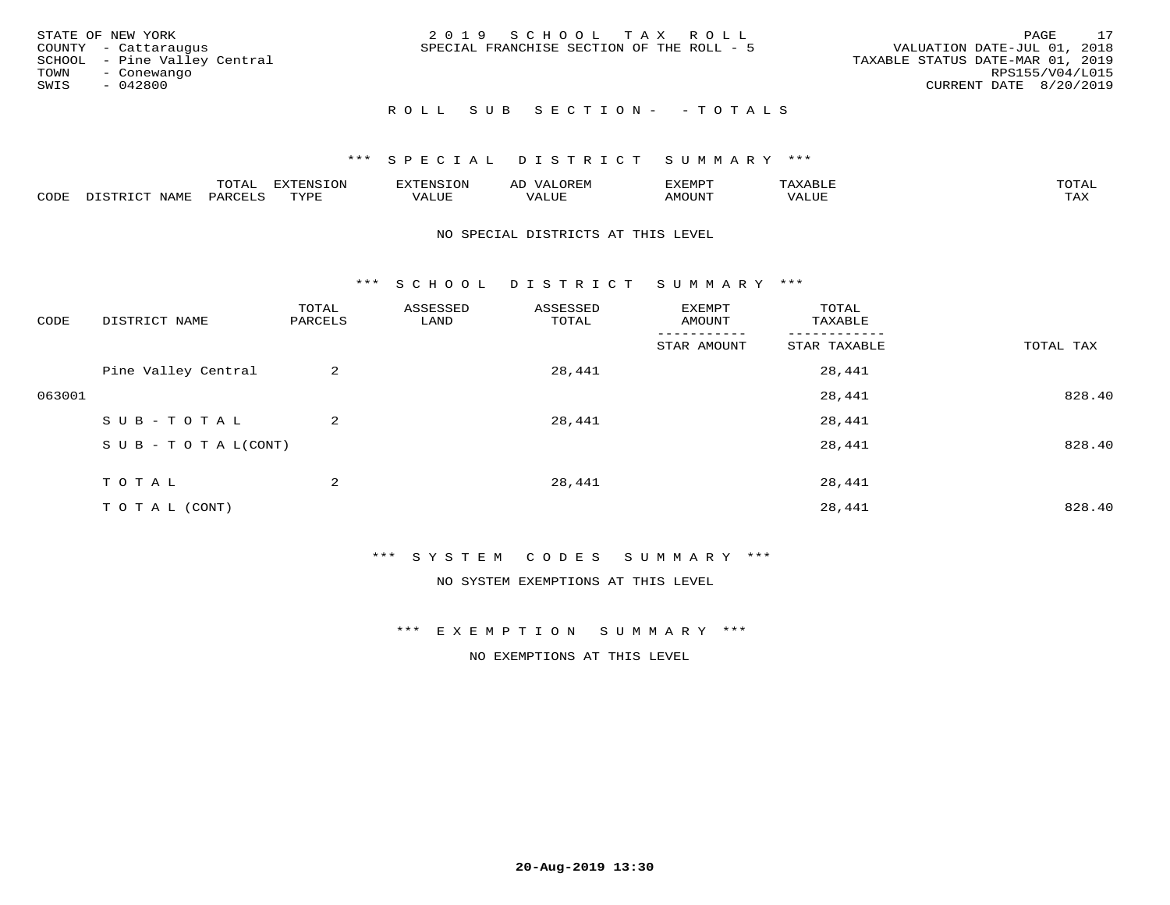| STATE OF NEW YORK<br>COUNTY - Cattaraugus<br>SCHOOL - Pine Valley Central<br>TOWN<br>- Conewango<br>SWIS<br>- 042800 | 2019 SCHOOL TAX ROLL<br>SPECIAL FRANCHISE SECTION OF THE ROLL - 5 | 17<br>PAGE<br>VALUATION DATE-JUL 01, 2018<br>TAXABLE STATUS DATE-MAR 01, 2019<br>RPS155/V04/L015<br>CURRENT DATE 8/20/2019 |
|----------------------------------------------------------------------------------------------------------------------|-------------------------------------------------------------------|----------------------------------------------------------------------------------------------------------------------------|
|                                                                                                                      | ROLL SUB SECTION- - TOTALS                                        |                                                                                                                            |

|      |                      | ----<br><u>UIAI</u> | <b>FYTFNSION</b><br>- 75 | <b>FNC</b>     | ᅺᅜᄓ                      | SXEMPT | $\Delta$<br>.                  | $m \wedge m \wedge n$ |
|------|----------------------|---------------------|--------------------------|----------------|--------------------------|--------|--------------------------------|-----------------------|
| CODE | <b>NTAMT</b><br>⊥∙⊥⊥ | D.ODT.<br>PARL      | $m \tau \tau m$<br>.     | T T T<br>ALUF: | , <del>,</del> , , , , , | MOUN.  | , 77 T TT <del>D</del><br>ALUE | TAX                   |

#### NO SPECIAL DISTRICTS AT THIS LEVEL

\*\*\* S C H O O L D I S T R I C T S U M M A R Y \*\*\*

| CODE   | DISTRICT NAME                    | TOTAL<br>PARCELS | ASSESSED<br>LAND | ASSESSED<br>TOTAL | EXEMPT<br>AMOUNT | TOTAL<br>TAXABLE |           |
|--------|----------------------------------|------------------|------------------|-------------------|------------------|------------------|-----------|
|        |                                  |                  |                  |                   | STAR AMOUNT      | STAR TAXABLE     | TOTAL TAX |
|        | Pine Valley Central              | 2                |                  | 28,441            |                  | 28,441           |           |
| 063001 |                                  |                  |                  |                   |                  | 28,441           | 828.40    |
|        | SUB-TOTAL                        | $\overline{2}$   |                  | 28,441            |                  | 28,441           |           |
|        | $S \cup B - T \cup T A L (CONT)$ |                  |                  |                   |                  | 28,441           | 828.40    |
|        | TOTAL                            | 2                |                  | 28,441            |                  | 28,441           |           |
|        | T O T A L (CONT)                 |                  |                  |                   |                  | 28,441           | 828.40    |

#### \*\*\* S Y S T E M C O D E S S U M M A R Y \*\*\*

NO SYSTEM EXEMPTIONS AT THIS LEVEL

\*\*\* E X E M P T I O N S U M M A R Y \*\*\*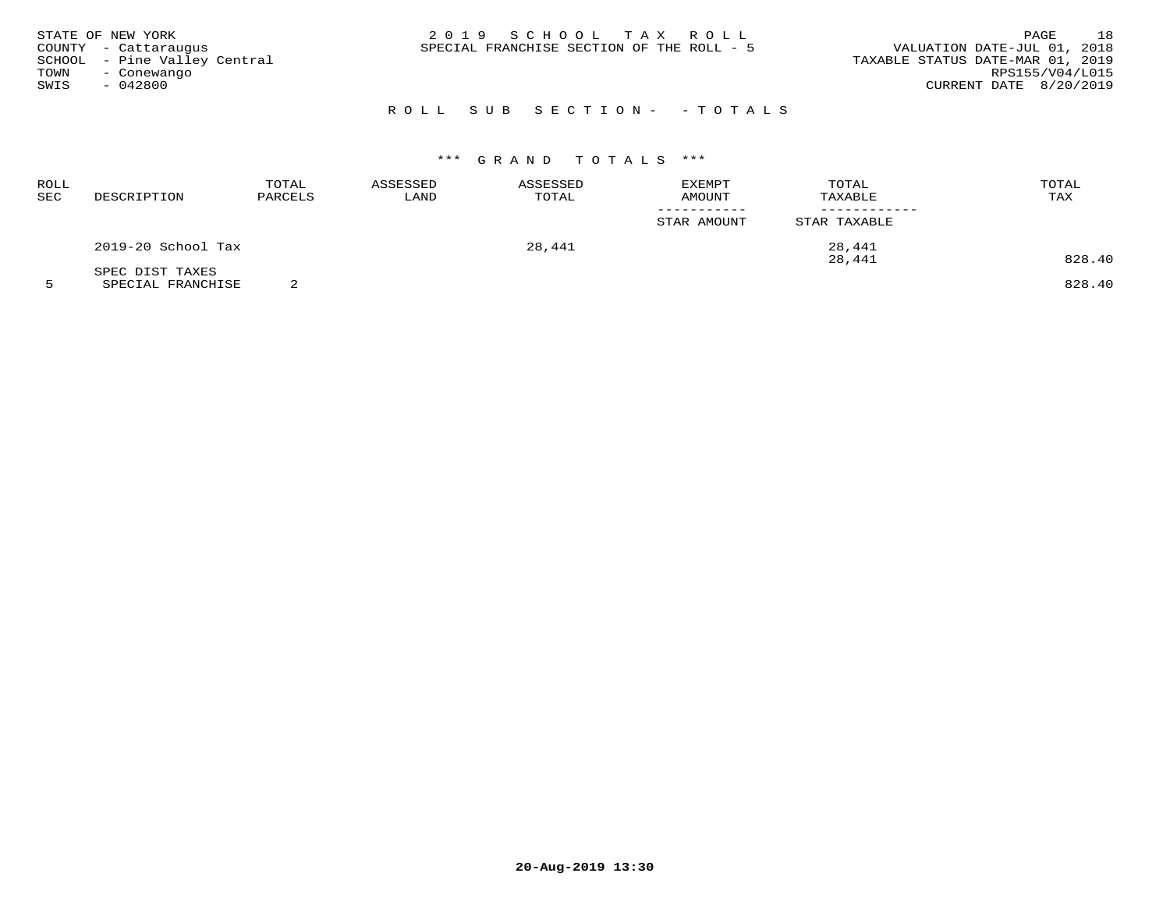| STATE OF NEW YORK<br>COUNTY - Cattaraugus<br>SCHOOL - Pine Valley Central<br>TOWN<br>- Conewango<br>SWIS<br>- 042800 | 2019 SCHOOL TAX ROLL<br>SPECIAL FRANCHISE SECTION OF THE ROLL - 5 | 18<br>PAGE<br>VALUATION DATE-JUL 01, 2018<br>TAXABLE STATUS DATE-MAR 01, 2019<br>RPS155/V04/L015<br>CURRENT DATE 8/20/2019 |
|----------------------------------------------------------------------------------------------------------------------|-------------------------------------------------------------------|----------------------------------------------------------------------------------------------------------------------------|
|                                                                                                                      | ROLL SUB SECTION- - TOTALS                                        |                                                                                                                            |

| ROLL<br>SEC | DESCRIPTION        | TOTAL<br>PARCELS | ASSESSED<br>LAND | ASSESSED<br>TOTAL | EXEMPT<br><b>AMOUNT</b> | TOTAL<br>TAXABLE | TOTAL<br>TAX |
|-------------|--------------------|------------------|------------------|-------------------|-------------------------|------------------|--------------|
|             |                    |                  |                  |                   | STAR AMOUNT             | STAR TAXABLE     |              |
|             | 2019-20 School Tax |                  |                  | 28,441            |                         | 28,441           |              |
|             | SPEC DIST TAXES    |                  |                  |                   |                         | 28,441           | 828.40       |

5 SPECIAL FRANCHISE 2 828.40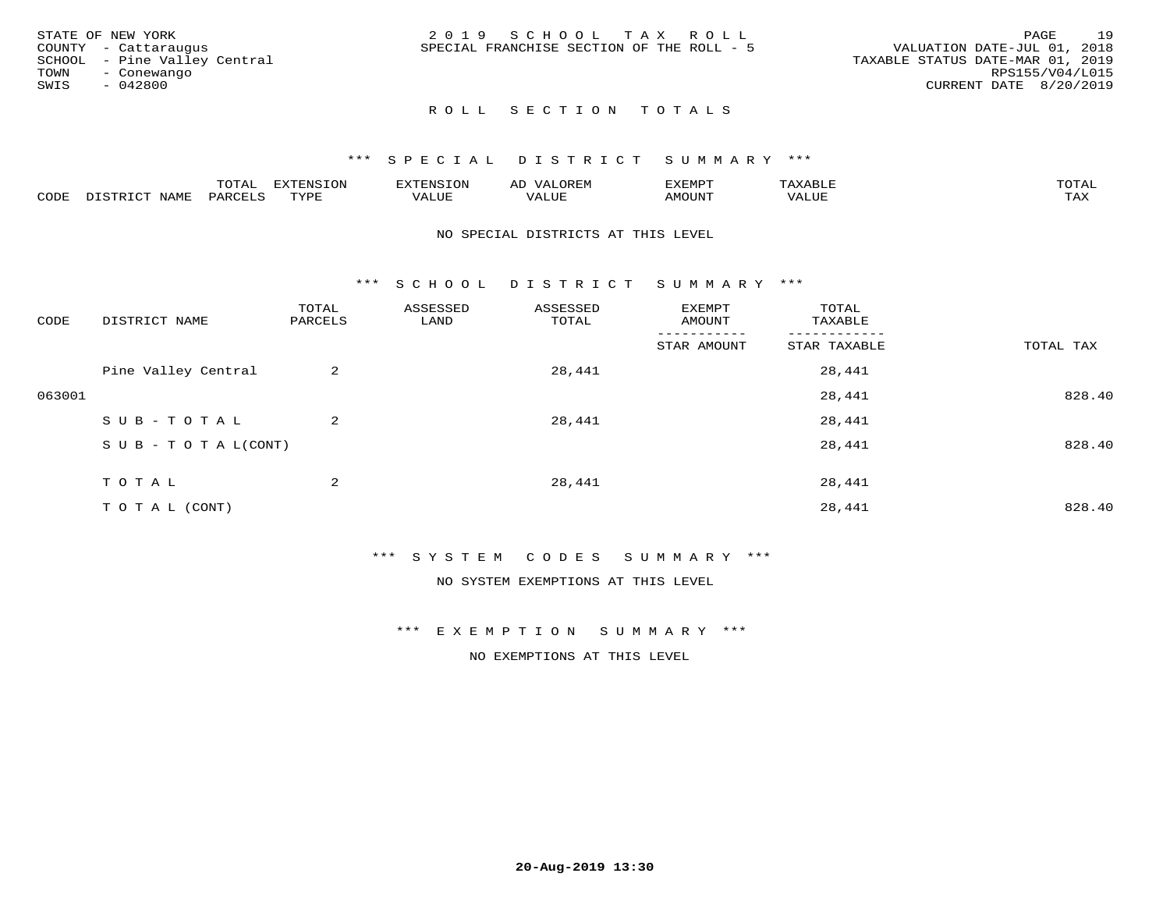|      | STATE OF NEW YORK            | 2019 SCHOOL TAX ROLL                      |  |                                  | PAGE            | 19 |
|------|------------------------------|-------------------------------------------|--|----------------------------------|-----------------|----|
|      | COUNTY - Cattaraugus         | SPECIAL FRANCHISE SECTION OF THE ROLL - 5 |  | VALUATION DATE-JUL 01, 2018      |                 |    |
|      | SCHOOL - Pine Valley Central |                                           |  | TAXABLE STATUS DATE-MAR 01, 2019 |                 |    |
| TOWN | - Conewango                  |                                           |  |                                  | RPS155/V04/L015 |    |
| SWIS | - 042800                     |                                           |  | CURRENT DATE 8/20/2019           |                 |    |
|      |                              |                                           |  |                                  |                 |    |

## ROLL SECTION TOTALS

#### \*\*\* S P E C I A L D I S T R I C T S U M M A R Y \*\*\*

|      |                   | mom n | <b>DIZPOIATO TOM</b><br>.UP |      | AL   | ,,, <del>,</del> ,,,,,<br>. ب |               |                     |
|------|-------------------|-------|-----------------------------|------|------|-------------------------------|---------------|---------------------|
| CODE | NTAM <sup>7</sup> | PARO  | TVDF                        | ALUI | ALUL | IMOUNT                        | ----<br>'ALUL | $m \times r$<br>∸∽∽ |

#### NO SPECIAL DISTRICTS AT THIS LEVEL

\*\*\* S C H O O L D I S T R I C T S U M M A R Y \*\*\*

| CODE   | DISTRICT NAME                    | TOTAL<br>PARCELS | ASSESSED<br>LAND | ASSESSED<br>TOTAL | EXEMPT<br>AMOUNT | TOTAL<br>TAXABLE |           |
|--------|----------------------------------|------------------|------------------|-------------------|------------------|------------------|-----------|
|        |                                  |                  |                  |                   | STAR AMOUNT      | STAR TAXABLE     | TOTAL TAX |
|        | Pine Valley Central              | 2                |                  | 28,441            |                  | 28,441           |           |
| 063001 |                                  |                  |                  |                   |                  | 28,441           | 828.40    |
|        | SUB-TOTAL                        | 2                |                  | 28,441            |                  | 28,441           |           |
|        | $S \cup B - T \cup T A L (CONT)$ |                  |                  |                   |                  | 28,441           | 828.40    |
|        | TOTAL                            | 2                |                  | 28,441            |                  | 28,441           |           |
|        | T O T A L (CONT)                 |                  |                  |                   |                  | 28,441           | 828.40    |

#### \*\*\* S Y S T E M C O D E S S U M M A R Y \*\*\*

NO SYSTEM EXEMPTIONS AT THIS LEVEL

\*\*\* E X E M P T I O N S U M M A R Y \*\*\*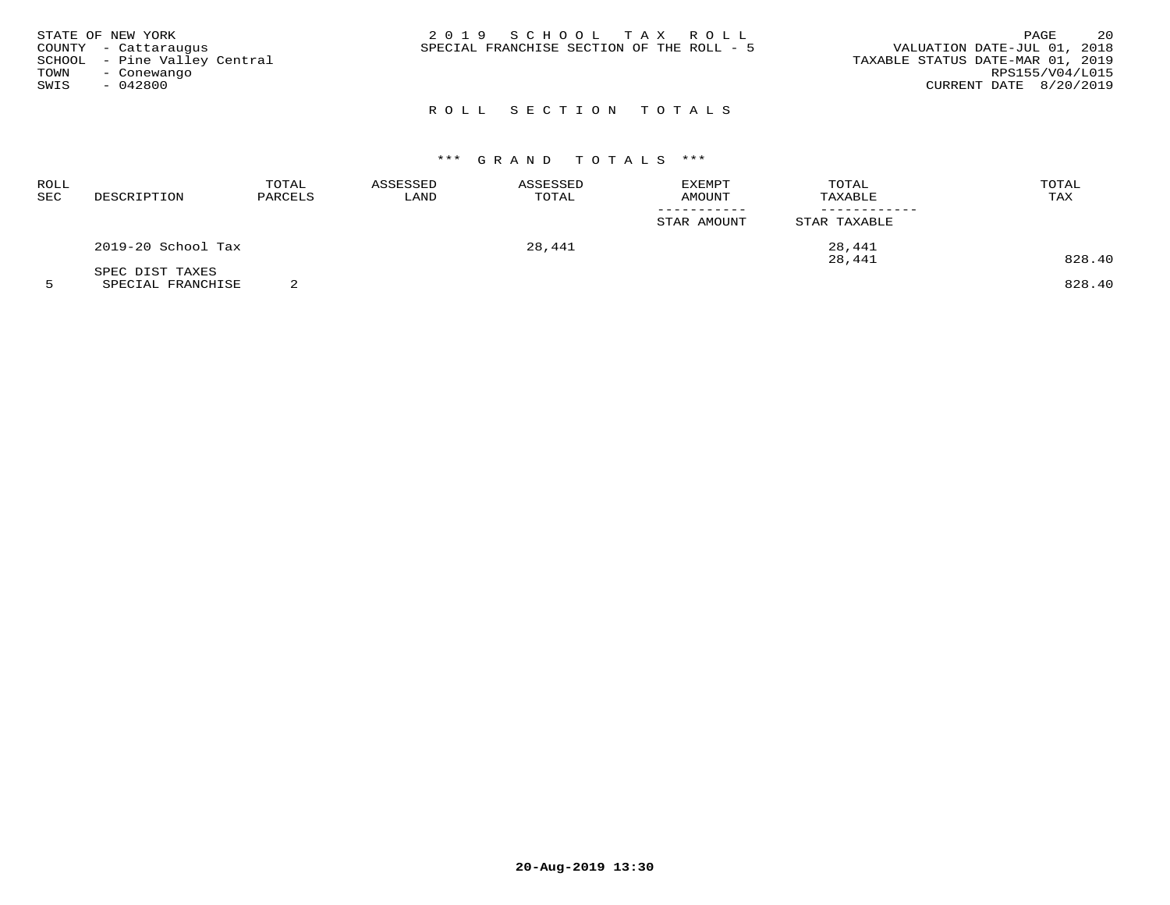|      | STATE OF NEW YORK            | 2019 SCHOOL TAX ROLL                                                     | PAGE            | 20 |
|------|------------------------------|--------------------------------------------------------------------------|-----------------|----|
|      | COUNTY - Cattaraugus         | VALUATION DATE-JUL 01, 2018<br>SPECIAL FRANCHISE SECTION OF THE ROLL - 5 |                 |    |
|      | SCHOOL - Pine Valley Central | TAXABLE STATUS DATE-MAR 01, 2019                                         |                 |    |
| TOWN | - Conewango                  |                                                                          | RPS155/V04/L015 |    |
| SWIS | $-042800$                    | CURRENT DATE 8/20/2019                                                   |                 |    |
|      |                              |                                                                          |                 |    |

# ROLL SECTION TOTALS

# \*\*\* G R A N D T O T A L S \*\*\*

| ROLL<br>SEC | DESCRIPTION        | TOTAL<br>PARCELS | ASSESSED<br>LAND | ASSESSED<br>TOTAL | EXEMPT<br>AMOUNT                     | TOTAL<br>TAXABLE | TOTAL<br>TAX |
|-------------|--------------------|------------------|------------------|-------------------|--------------------------------------|------------------|--------------|
|             |                    |                  |                  |                   | _ _ _ _ _ _ _ _ _ _ _<br>STAR AMOUNT | STAR TAXABLE     |              |
|             | 2019-20 School Tax |                  |                  | 28,441            |                                      | 28,441           |              |
|             | SPEC DIST TAXES    |                  |                  |                   |                                      | 28,441           | 828.40       |

5 SPECIAL FRANCHISE 2 828.40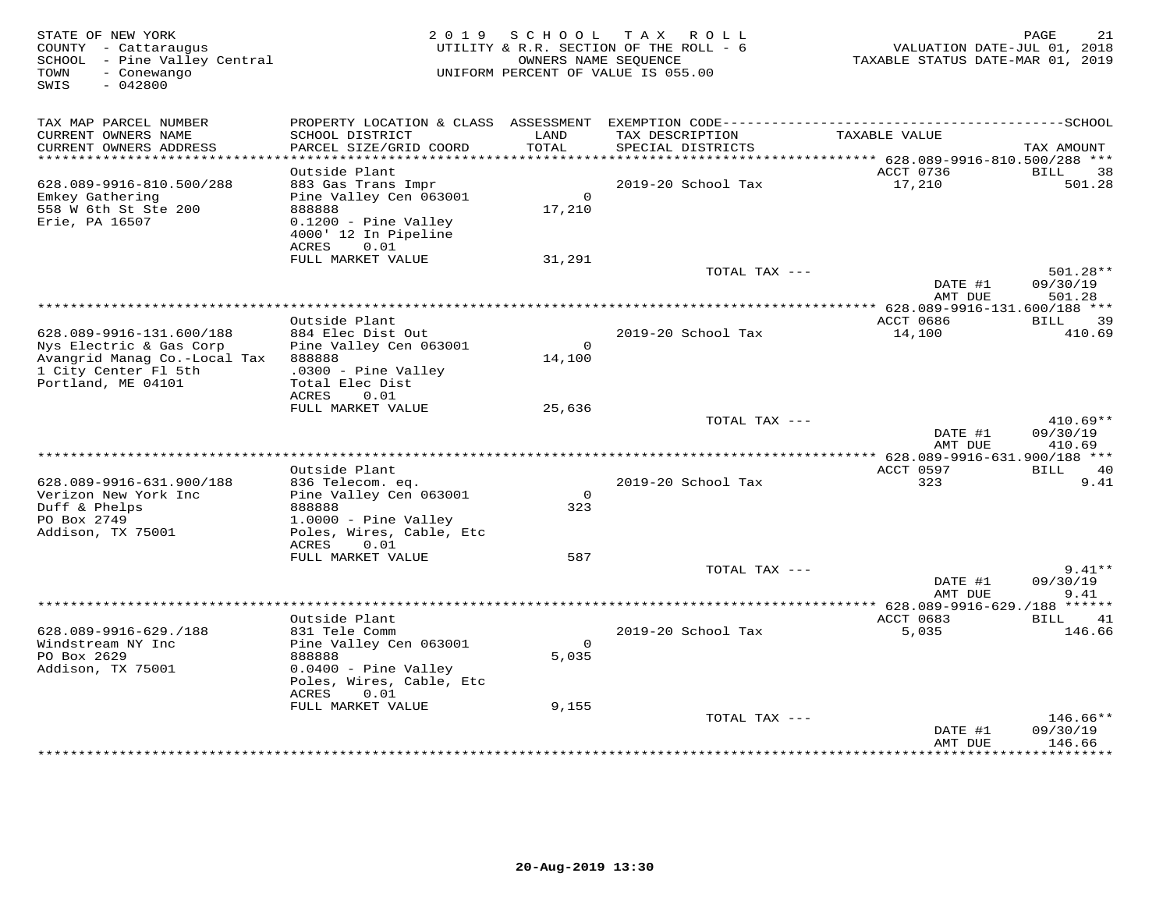| STATE OF NEW YORK<br>COUNTY - Cattaraugus<br>SCHOOL - Pine Valley Central<br>- Conewango<br>TOWN<br>$-042800$<br>SWIS | 2 0 1 9                                                                                                                 |                    | SCHOOL TAX ROLL<br>UTILITY & R.R. SECTION OF THE ROLL - 6<br>OWNERS NAME SEQUENCE<br>UNIFORM PERCENT OF VALUE IS 055.00 | VALUATION DATE-JUL 01, 2018<br>TAXABLE STATUS DATE-MAR 01, 2019 | PAGE<br>21                       |
|-----------------------------------------------------------------------------------------------------------------------|-------------------------------------------------------------------------------------------------------------------------|--------------------|-------------------------------------------------------------------------------------------------------------------------|-----------------------------------------------------------------|----------------------------------|
| TAX MAP PARCEL NUMBER<br>CURRENT OWNERS NAME                                                                          | SCHOOL DISTRICT                                                                                                         | LAND               | TAX DESCRIPTION                                                                                                         | TAXABLE VALUE                                                   |                                  |
| CURRENT OWNERS ADDRESS<br>**************************                                                                  | PARCEL SIZE/GRID COORD                                                                                                  | TOTAL              | SPECIAL DISTRICTS                                                                                                       |                                                                 | TAX AMOUNT                       |
|                                                                                                                       | Outside Plant                                                                                                           |                    |                                                                                                                         | ACCT 0736                                                       | BILL<br>38                       |
| 628.089-9916-810.500/288<br>Emkey Gathering<br>558 W 6th St Ste 200<br>Erie, PA 16507                                 | 883 Gas Trans Impr<br>Pine Valley Cen 063001<br>888888<br>0.1200 - Pine Valley<br>4000' 12 In Pipeline<br>0.01<br>ACRES | $\Omega$<br>17,210 | 2019-20 School Tax                                                                                                      | 17,210                                                          | 501.28                           |
|                                                                                                                       | FULL MARKET VALUE                                                                                                       | 31,291             |                                                                                                                         |                                                                 |                                  |
|                                                                                                                       |                                                                                                                         |                    | TOTAL TAX ---                                                                                                           | DATE #1<br>AMT DUE                                              | 501.28**<br>09/30/19<br>501.28   |
| ******************************                                                                                        |                                                                                                                         |                    |                                                                                                                         |                                                                 |                                  |
| 628.089-9916-131.600/188<br>Nys Electric & Gas Corp                                                                   | Outside Plant<br>884 Elec Dist Out<br>Pine Valley Cen 063001                                                            | $\overline{0}$     | 2019-20 School Tax                                                                                                      | ACCT 0686<br>14,100                                             | 39<br>BILL<br>410.69             |
| Avangrid Manag Co.-Local Tax<br>1 City Center Fl 5th<br>Portland, ME 04101                                            | 888888<br>$.0300 -$ Pine Valley<br>Total Elec Dist<br>ACRES<br>0.01                                                     | 14,100             |                                                                                                                         |                                                                 |                                  |
|                                                                                                                       | FULL MARKET VALUE                                                                                                       | 25,636             |                                                                                                                         |                                                                 |                                  |
|                                                                                                                       |                                                                                                                         |                    | TOTAL TAX ---                                                                                                           | DATE #1<br>AMT DUE                                              | $410.69**$<br>09/30/19<br>410.69 |
|                                                                                                                       |                                                                                                                         |                    |                                                                                                                         | ** 628.089-9916-631.900/188 ***                                 |                                  |
| 628.089-9916-631.900/188                                                                                              | Outside Plant<br>836 Telecom. eq.                                                                                       |                    | 2019-20 School Tax                                                                                                      | ACCT 0597<br>323                                                | BILL 40<br>9.41                  |
| Verizon New York Inc                                                                                                  | Pine Valley Cen 063001                                                                                                  | $\mathsf{O}$       |                                                                                                                         |                                                                 |                                  |
| Duff & Phelps<br>PO Box 2749                                                                                          | 888888<br>$1.0000 -$ Pine Valley                                                                                        | 323                |                                                                                                                         |                                                                 |                                  |
| Addison, TX 75001                                                                                                     | Poles, Wires, Cable, Etc<br>ACRES<br>0.01                                                                               |                    |                                                                                                                         |                                                                 |                                  |
|                                                                                                                       | FULL MARKET VALUE                                                                                                       | 587                |                                                                                                                         |                                                                 |                                  |
|                                                                                                                       |                                                                                                                         |                    | TOTAL TAX ---                                                                                                           | DATE #1<br>AMT DUE                                              | $9.41**$<br>09/30/19<br>9.41     |
|                                                                                                                       |                                                                                                                         |                    |                                                                                                                         |                                                                 |                                  |
|                                                                                                                       | Outside Plant                                                                                                           |                    |                                                                                                                         | ACCT 0683                                                       | 41<br>BILL                       |
| 628.089-9916-629./188                                                                                                 | 831 Tele Comm                                                                                                           | $\Omega$           | 2019-20 School Tax                                                                                                      | 5,035                                                           | 146.66                           |
| Windstream NY Inc<br>PO Box 2629                                                                                      | Pine Valley Cen 063001<br>888888                                                                                        | 5,035              |                                                                                                                         |                                                                 |                                  |
| Addison, TX 75001                                                                                                     | $0.0400$ - Pine Valley<br>Poles, Wires, Cable, Etc                                                                      |                    |                                                                                                                         |                                                                 |                                  |
|                                                                                                                       | <b>ACRES</b><br>0.01                                                                                                    |                    |                                                                                                                         |                                                                 |                                  |
|                                                                                                                       | FULL MARKET VALUE                                                                                                       | 9,155              | TOTAL TAX ---                                                                                                           |                                                                 | 146.66**                         |
|                                                                                                                       |                                                                                                                         |                    |                                                                                                                         | DATE #1<br>AMT DUE                                              | 09/30/19<br>146.66               |
|                                                                                                                       |                                                                                                                         |                    |                                                                                                                         |                                                                 | <b>+++++++++</b>                 |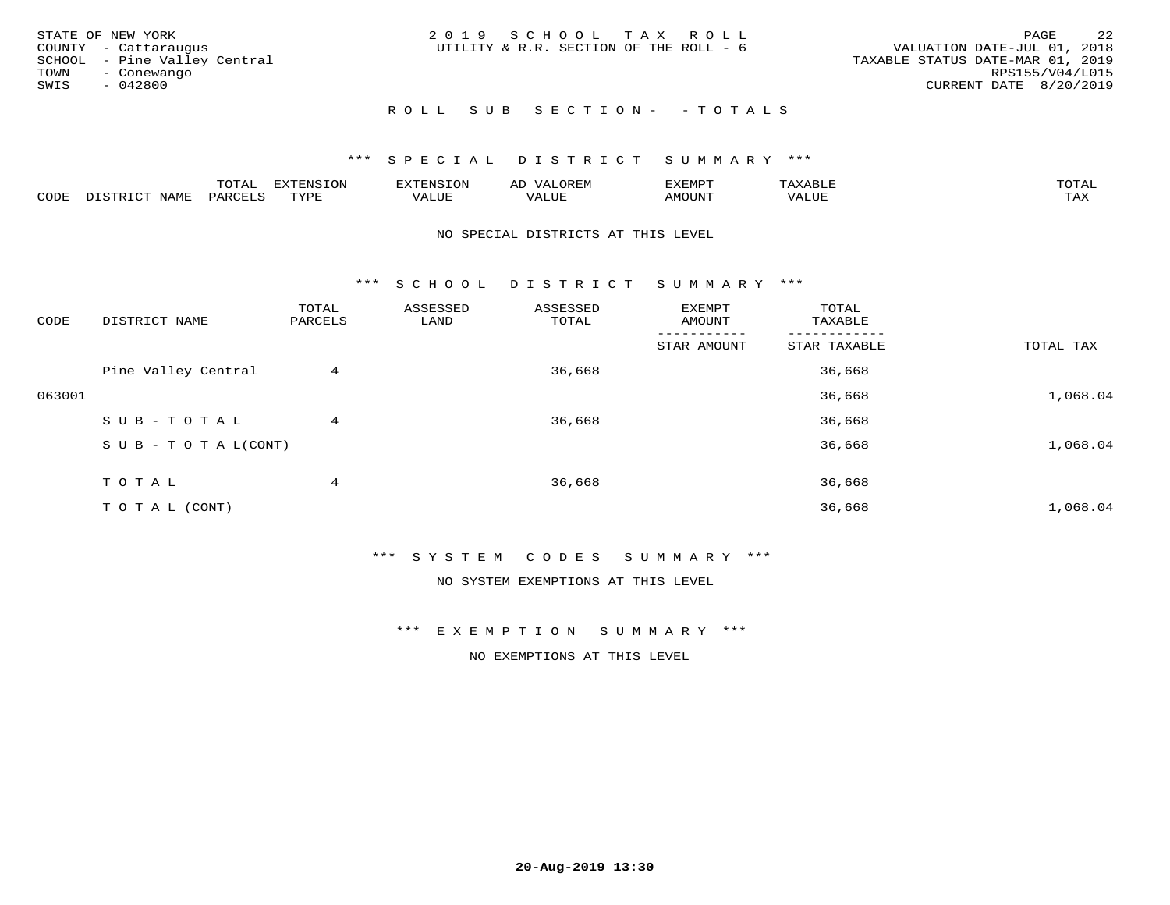| STATE OF NEW YORK<br>COUNTY - Cattaraugus<br>SCHOOL - Pine Valley Central<br>TOWN<br>- Conewango<br>SWIS<br>- 042800 | 2019 SCHOOL TAX ROLL<br>UTILITY & R.R. SECTION OF THE ROLL - 6 | 2.2<br>PAGE<br>VALUATION DATE-JUL 01, 2018<br>TAXABLE STATUS DATE-MAR 01, 2019<br>RPS155/V04/L015<br>CURRENT DATE 8/20/2019 |
|----------------------------------------------------------------------------------------------------------------------|----------------------------------------------------------------|-----------------------------------------------------------------------------------------------------------------------------|
|                                                                                                                      | ROLL SUB SECTION- - TOTALS                                     |                                                                                                                             |

|                         |      | m^m |      | 'NT C     |           | ∟ו∨ו          |              |                        |
|-------------------------|------|-----|------|-----------|-----------|---------------|--------------|------------------------|
| $\bigcap_{\Pi}$<br>◡◡◡ュ | мдмь |     | TVDF | ۳۰ تاللاد | $- - - -$ | 550T<br>IUUN. | ALUE<br>77 T | $m \times r$<br>- − 14 |

#### NO SPECIAL DISTRICTS AT THIS LEVEL

\*\*\* S C H O O L D I S T R I C T S U M M A R Y \*\*\*

| CODE   | DISTRICT NAME                    | TOTAL<br>PARCELS | ASSESSED<br>LAND | ASSESSED<br>TOTAL | EXEMPT<br>AMOUNT | TOTAL<br>TAXABLE |           |
|--------|----------------------------------|------------------|------------------|-------------------|------------------|------------------|-----------|
|        |                                  |                  |                  |                   | STAR AMOUNT      | STAR TAXABLE     | TOTAL TAX |
|        | Pine Valley Central              | 4                |                  | 36,668            |                  | 36,668           |           |
| 063001 |                                  |                  |                  |                   |                  | 36,668           | 1,068.04  |
|        | SUB-TOTAL                        | 4                |                  | 36,668            |                  | 36,668           |           |
|        | $S \cup B - T \cup T A L (CONT)$ |                  |                  |                   |                  | 36,668           | 1,068.04  |
|        | TOTAL                            | 4                |                  | 36,668            |                  | 36,668           |           |
|        | T O T A L (CONT)                 |                  |                  |                   |                  | 36,668           | 1,068.04  |

\*\*\* S Y S T E M C O D E S S U M M A R Y \*\*\*

NO SYSTEM EXEMPTIONS AT THIS LEVEL

\*\*\* E X E M P T I O N S U M M A R Y \*\*\*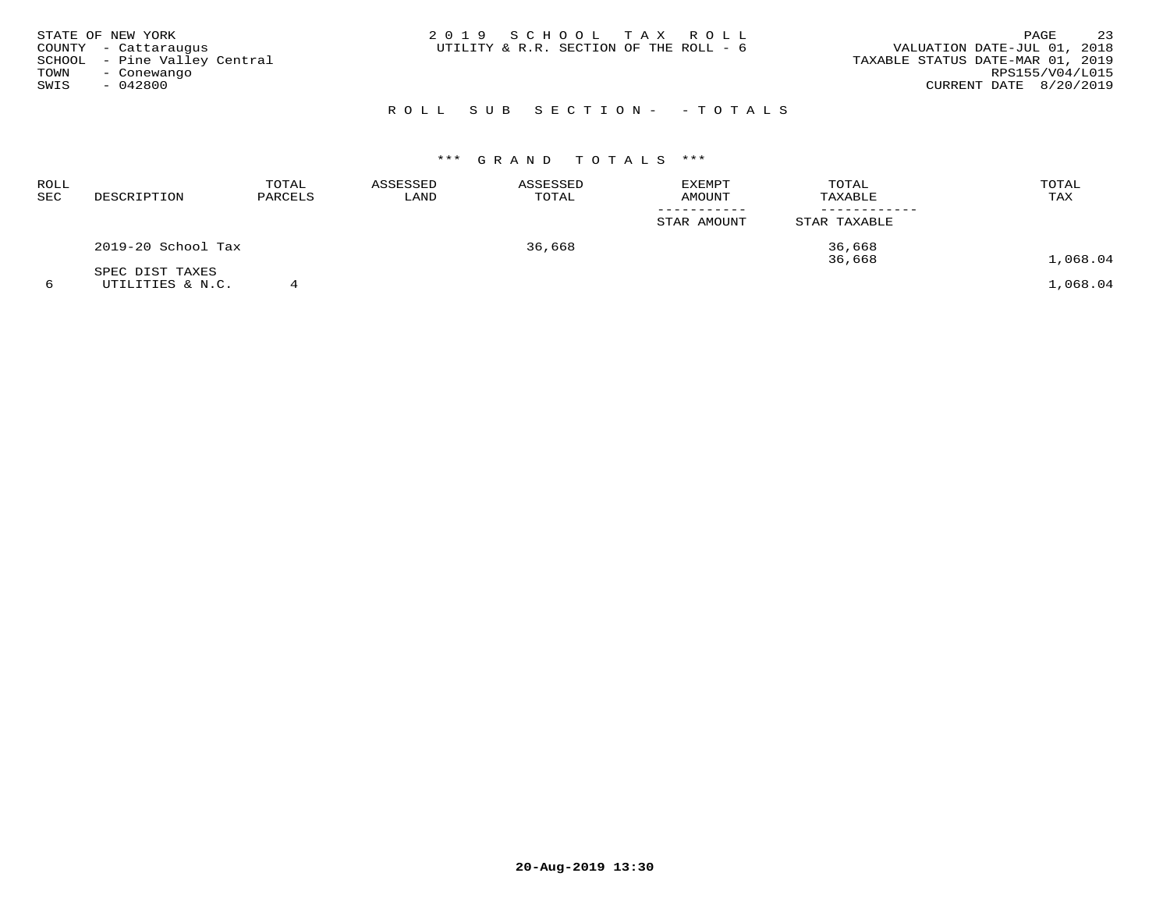| TOWN<br>SWIS | STATE OF NEW YORK<br>COUNTY - Cattaraugus<br>SCHOOL - Pine Valley Central<br>- Conewango<br>$-042800$ | 2019 SCHOOL TAX ROLL<br>VALUATION DATE-JUL 01, 2018<br>UTILITY & R.R. SECTION OF THE ROLL - 6<br>TAXABLE STATUS DATE-MAR 01, 2019<br>CURRENT DATE 8/20/2019 | PAGE<br>RPS155/V04/L015 | 23 |
|--------------|-------------------------------------------------------------------------------------------------------|-------------------------------------------------------------------------------------------------------------------------------------------------------------|-------------------------|----|
|              |                                                                                                       | ROLL SUB SECTION- - TOTALS                                                                                                                                  |                         |    |

| ROLL<br>SEC | DESCRIPTION        | TOTAL<br>PARCELS | ASSESSED<br>LAND | ASSESSED<br>TOTAL | <b>EXEMPT</b><br><b>AMOUNT</b> | TOTAL<br>TAXABLE | TOTAL<br>TAX |
|-------------|--------------------|------------------|------------------|-------------------|--------------------------------|------------------|--------------|
|             |                    |                  |                  |                   | STAR AMOUNT                    | STAR TAXABLE     |              |
|             | 2019-20 School Tax |                  |                  | 36,668            |                                | 36,668           |              |
|             | SPEC DIST TAXES    |                  |                  |                   |                                | 36,668           | 1,068.04     |
|             | UTILITIES & N.C.   |                  |                  |                   |                                |                  | 1,068.04     |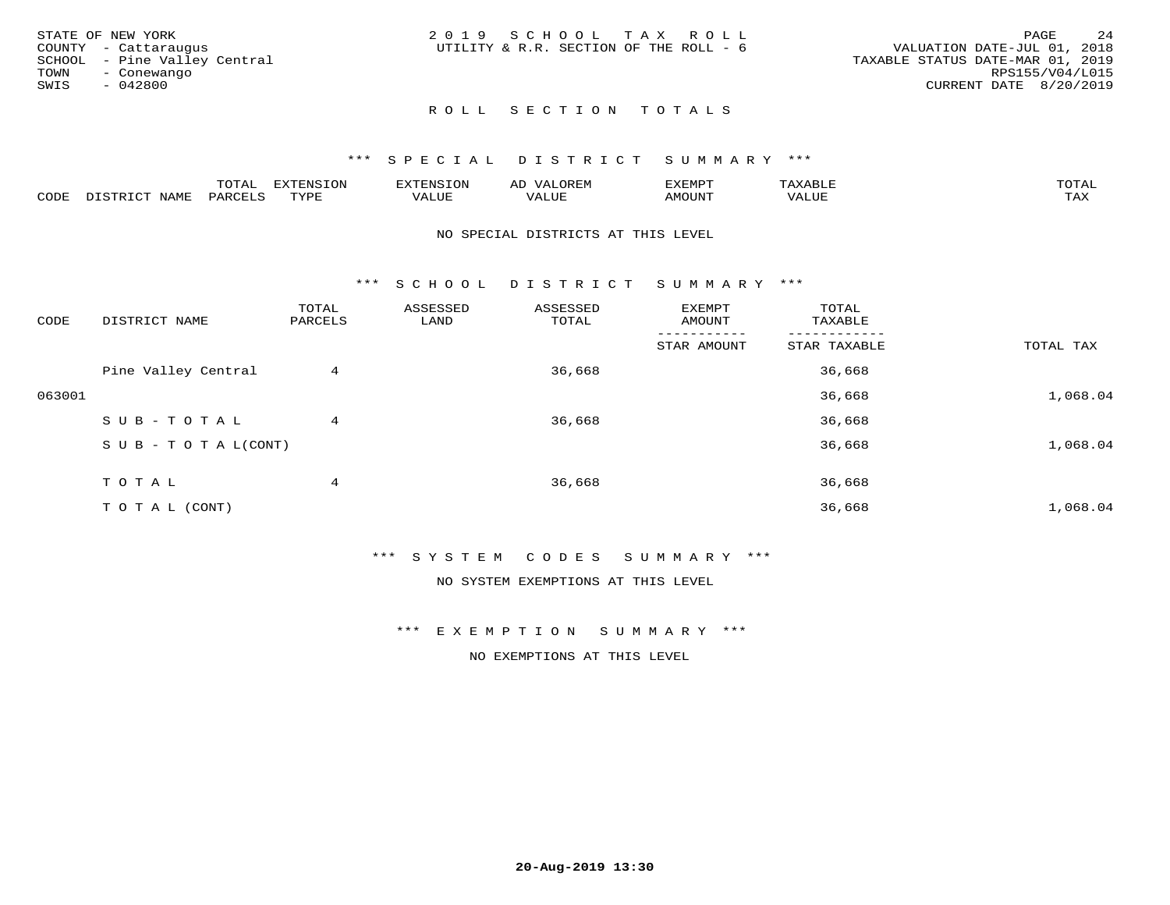|      | STATE OF NEW YORK            | 2019 SCHOOL TAX ROLL                   |  |                                  |                 | PAGE | 24 |
|------|------------------------------|----------------------------------------|--|----------------------------------|-----------------|------|----|
|      | COUNTY - Cattaraugus         | UTILITY & R.R. SECTION OF THE ROLL - 6 |  | VALUATION DATE-JUL 01, 2018      |                 |      |    |
|      | SCHOOL - Pine Valley Central |                                        |  | TAXABLE STATUS DATE-MAR 01, 2019 |                 |      |    |
| TOWN | - Conewango                  |                                        |  |                                  | RPS155/V04/L015 |      |    |
| SWIS | $-042800$                    |                                        |  | CURRENT DATE 8/20/2019           |                 |      |    |
|      |                              |                                        |  |                                  |                 |      |    |

# ROLL SECTION TOTALS

## \*\*\* S P E C I A L D I S T R I C T S U M M A R Y \*\*\*

|      |                          | momn.<br>LUIAL     | <b>EXTENSION</b> | $117$ mm $170707$<br>אי | ΑD<br>.JREN      | 33773850<br>ivi D'<br>ניומיום בי | $max$ and $max$ | $m \wedge m \wedge n$ |
|------|--------------------------|--------------------|------------------|-------------------------|------------------|----------------------------------|-----------------|-----------------------|
| CODE | <b>NAME</b><br>DISTO TOT | PARCE <sup>T</sup> | TVDF             | VALUE                   | -- - ---<br>ALUE | TUUOM4                           | VALUE           | <b>TAY</b><br>⊥⇔∆     |

#### NO SPECIAL DISTRICTS AT THIS LEVEL

\*\*\* S C H O O L D I S T R I C T S U M M A R Y \*\*\*

| CODE   | DISTRICT NAME                    | TOTAL<br>PARCELS | ASSESSED<br>LAND | ASSESSED<br>TOTAL | EXEMPT<br>AMOUNT | TOTAL<br>TAXABLE |           |
|--------|----------------------------------|------------------|------------------|-------------------|------------------|------------------|-----------|
|        |                                  |                  |                  |                   | STAR AMOUNT      | STAR TAXABLE     | TOTAL TAX |
|        | Pine Valley Central              | 4                |                  | 36,668            |                  | 36,668           |           |
| 063001 |                                  |                  |                  |                   |                  | 36,668           | 1,068.04  |
|        | SUB-TOTAL                        | 4                |                  | 36,668            |                  | 36,668           |           |
|        | $S \cup B - T \cup T A L (CONT)$ |                  |                  |                   |                  | 36,668           | 1,068.04  |
|        | TOTAL                            | 4                |                  | 36,668            |                  | 36,668           |           |
|        | T O T A L (CONT)                 |                  |                  |                   |                  | 36,668           | 1,068.04  |

\*\*\* S Y S T E M C O D E S S U M M A R Y \*\*\*

NO SYSTEM EXEMPTIONS AT THIS LEVEL

\*\*\* E X E M P T I O N S U M M A R Y \*\*\*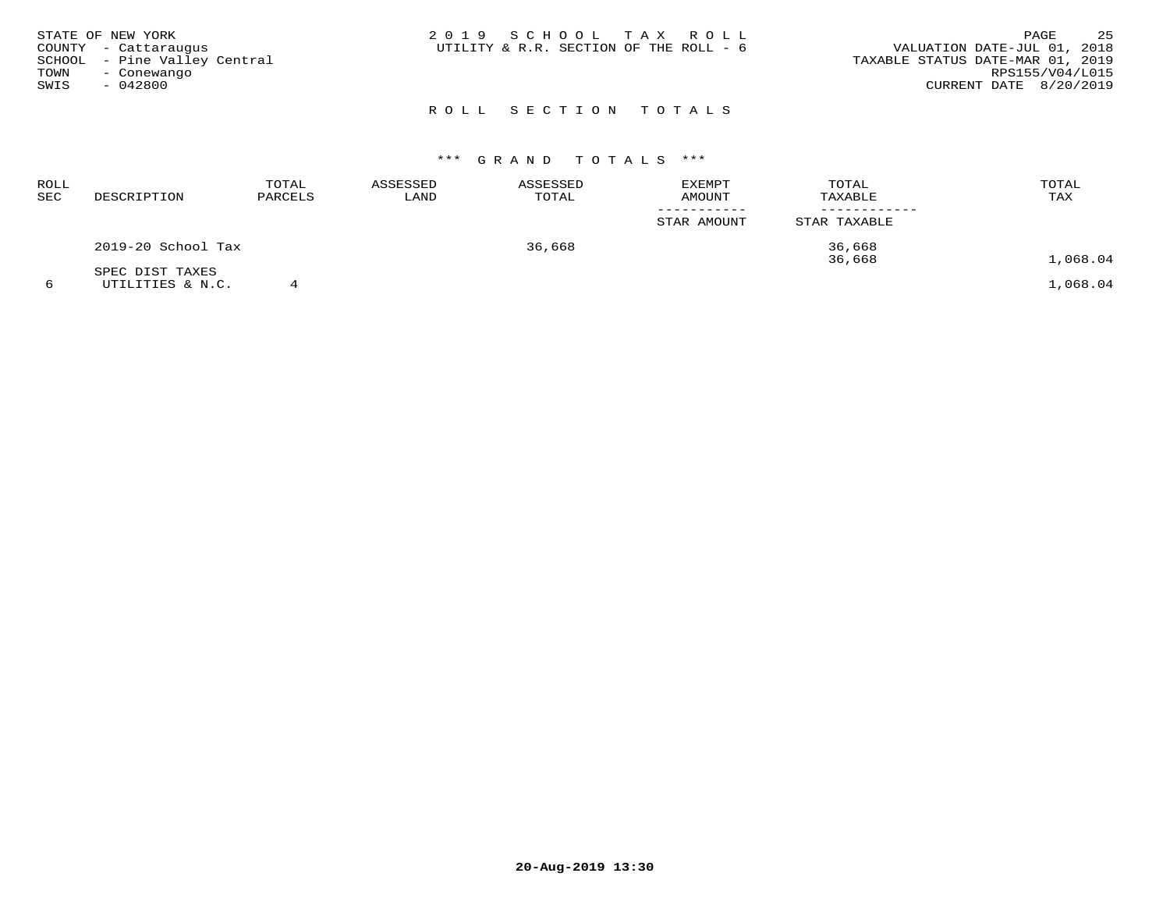| STATE OF NEW YORK<br>COUNTY - Cattaraugus<br>SCHOOL - Pine Valley Central<br>TOWN<br>- Conewango<br>SWIS<br>- 042800 | 2019 SCHOOL TAX ROLL<br>UTILITY & R.R. SECTION OF THE ROLL - 6 | 25<br>PAGE<br>VALUATION DATE-JUL 01, 2018<br>TAXABLE STATUS DATE-MAR 01, 2019<br>RPS155/V04/L015<br>CURRENT DATE 8/20/2019 |
|----------------------------------------------------------------------------------------------------------------------|----------------------------------------------------------------|----------------------------------------------------------------------------------------------------------------------------|
|                                                                                                                      | ROLL SECTION TOTALS                                            |                                                                                                                            |

| ROLL<br>SEC | DESCRIPTION        | TOTAL<br>PARCELS | ASSESSED<br>LAND | ASSESSED<br>TOTAL | EXEMPT<br><b>AMOUNT</b> | TOTAL<br>TAXABLE | TOTAL<br>TAX |
|-------------|--------------------|------------------|------------------|-------------------|-------------------------|------------------|--------------|
|             |                    |                  |                  |                   | STAR AMOUNT             | STAR TAXABLE     |              |
|             | 2019-20 School Tax |                  |                  | 36,668            |                         | 36,668<br>36,668 | 1,068.04     |
|             | SPEC DIST TAXES    |                  |                  |                   |                         |                  |              |
|             | UTILITIES & N.C.   |                  |                  |                   |                         |                  | 1,068.04     |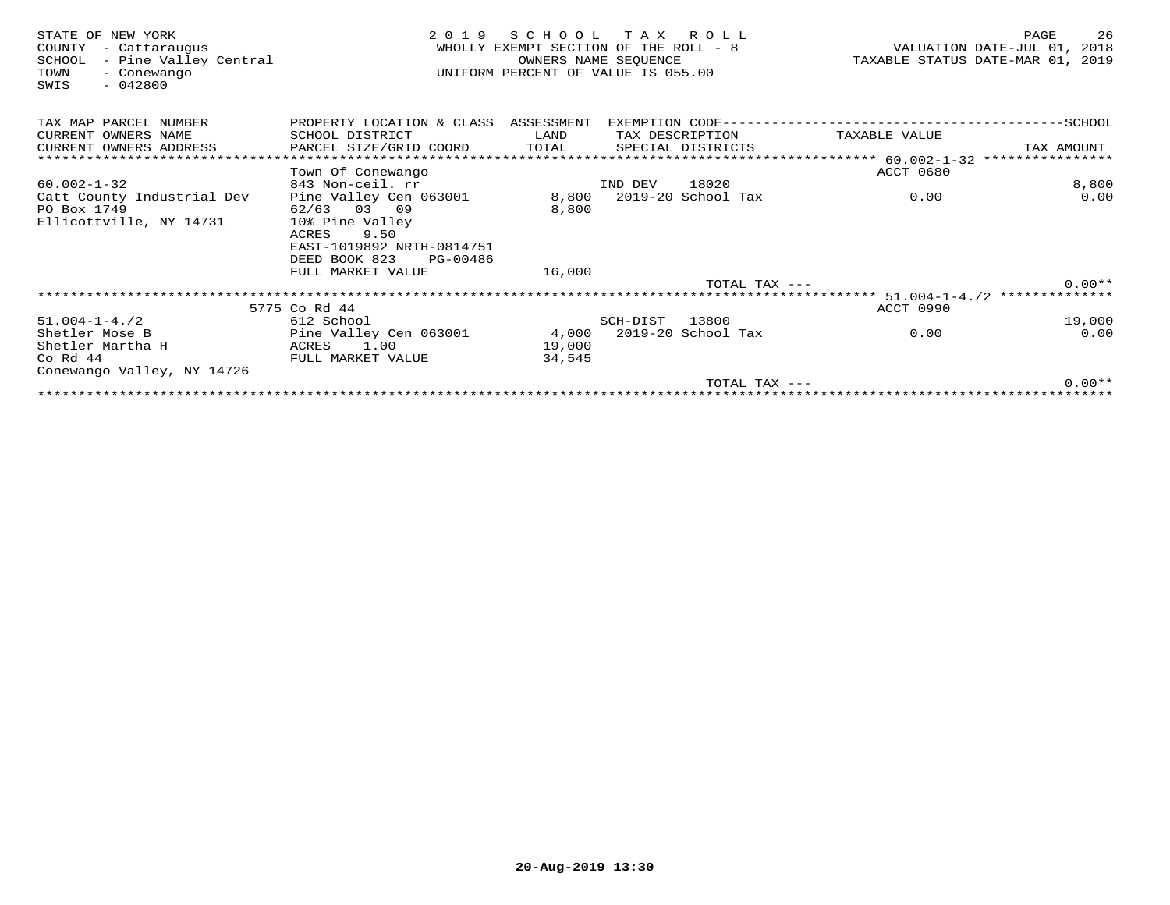| STATE OF NEW YORK<br>COUNTY<br>- Cattaraugus<br>- Pine Valley Central<br>SCHOOL<br>TOWN<br>- Conewango<br>$-042800$<br>SWIS | 2 0 1 9                                                | SCHOOL<br>WHOLLY EXEMPT SECTION OF THE ROLL - 8<br>OWNERS NAME SEQUENCE<br>UNIFORM PERCENT OF VALUE IS 055.00 |          | TAX ROLL           |                                                        | 26<br>PAGE<br>VALUATION DATE-JUL 01, 2018<br>TAXABLE STATUS DATE-MAR 01, 2019 |
|-----------------------------------------------------------------------------------------------------------------------------|--------------------------------------------------------|---------------------------------------------------------------------------------------------------------------|----------|--------------------|--------------------------------------------------------|-------------------------------------------------------------------------------|
| TAX MAP PARCEL NUMBER                                                                                                       | PROPERTY LOCATION & CLASS ASSESSMENT                   |                                                                                                               |          |                    |                                                        |                                                                               |
| CURRENT OWNERS NAME                                                                                                         | SCHOOL DISTRICT                                        | LAND                                                                                                          |          | TAX DESCRIPTION    | TAXABLE VALUE                                          |                                                                               |
| CURRENT OWNERS ADDRESS                                                                                                      | PARCEL SIZE/GRID COORD                                 | TOTAL                                                                                                         |          | SPECIAL DISTRICTS  |                                                        | TAX AMOUNT                                                                    |
|                                                                                                                             |                                                        |                                                                                                               |          |                    | ***************** 60.002-1-32                          | ****************                                                              |
|                                                                                                                             | Town Of Conewango                                      |                                                                                                               |          |                    | ACCT 0680                                              |                                                                               |
| $60.002 - 1 - 32$                                                                                                           | 843 Non-ceil. rr                                       |                                                                                                               | IND DEV  | 18020              |                                                        | 8,800                                                                         |
| Catt County Industrial Dev                                                                                                  | Pine Valley Cen 063001                                 | 8,800                                                                                                         |          | 2019-20 School Tax | 0.00                                                   | 0.00                                                                          |
| PO Box 1749                                                                                                                 | 62/63 03 09                                            | 8,800                                                                                                         |          |                    |                                                        |                                                                               |
| Ellicottville, NY 14731                                                                                                     | 10% Pine Valley                                        |                                                                                                               |          |                    |                                                        |                                                                               |
|                                                                                                                             | 9.50<br>ACRES                                          |                                                                                                               |          |                    |                                                        |                                                                               |
|                                                                                                                             | EAST-1019892 NRTH-0814751<br>DEED BOOK 823<br>PG-00486 |                                                                                                               |          |                    |                                                        |                                                                               |
|                                                                                                                             | FULL MARKET VALUE                                      | 16,000                                                                                                        |          |                    |                                                        |                                                                               |
|                                                                                                                             |                                                        |                                                                                                               |          | TOTAL TAX ---      |                                                        | $0.00**$                                                                      |
|                                                                                                                             |                                                        |                                                                                                               |          |                    | ************************* 51.004-1-4./2 ************** |                                                                               |
|                                                                                                                             | 5775 Co Rd 44                                          |                                                                                                               |          |                    | ACCT 0990                                              |                                                                               |
| $51.004 - 1 - 4.72$                                                                                                         | 612 School                                             |                                                                                                               | SCH-DIST | 13800              |                                                        | 19,000                                                                        |
| Shetler Mose B                                                                                                              | Pine Valley Cen 063001                                 | 4,000                                                                                                         |          | 2019-20 School Tax | 0.00                                                   | 0.00                                                                          |
| Shetler Martha H                                                                                                            | ACRES<br>1.00                                          | 19,000                                                                                                        |          |                    |                                                        |                                                                               |
| $Co$ Rd $44$                                                                                                                | FULL MARKET VALUE                                      | 34,545                                                                                                        |          |                    |                                                        |                                                                               |
| Conewango Valley, NY 14726                                                                                                  |                                                        |                                                                                                               |          |                    |                                                        |                                                                               |
|                                                                                                                             |                                                        |                                                                                                               |          | TOTAL TAX $---$    |                                                        | $0.00**$                                                                      |
|                                                                                                                             |                                                        |                                                                                                               |          |                    |                                                        |                                                                               |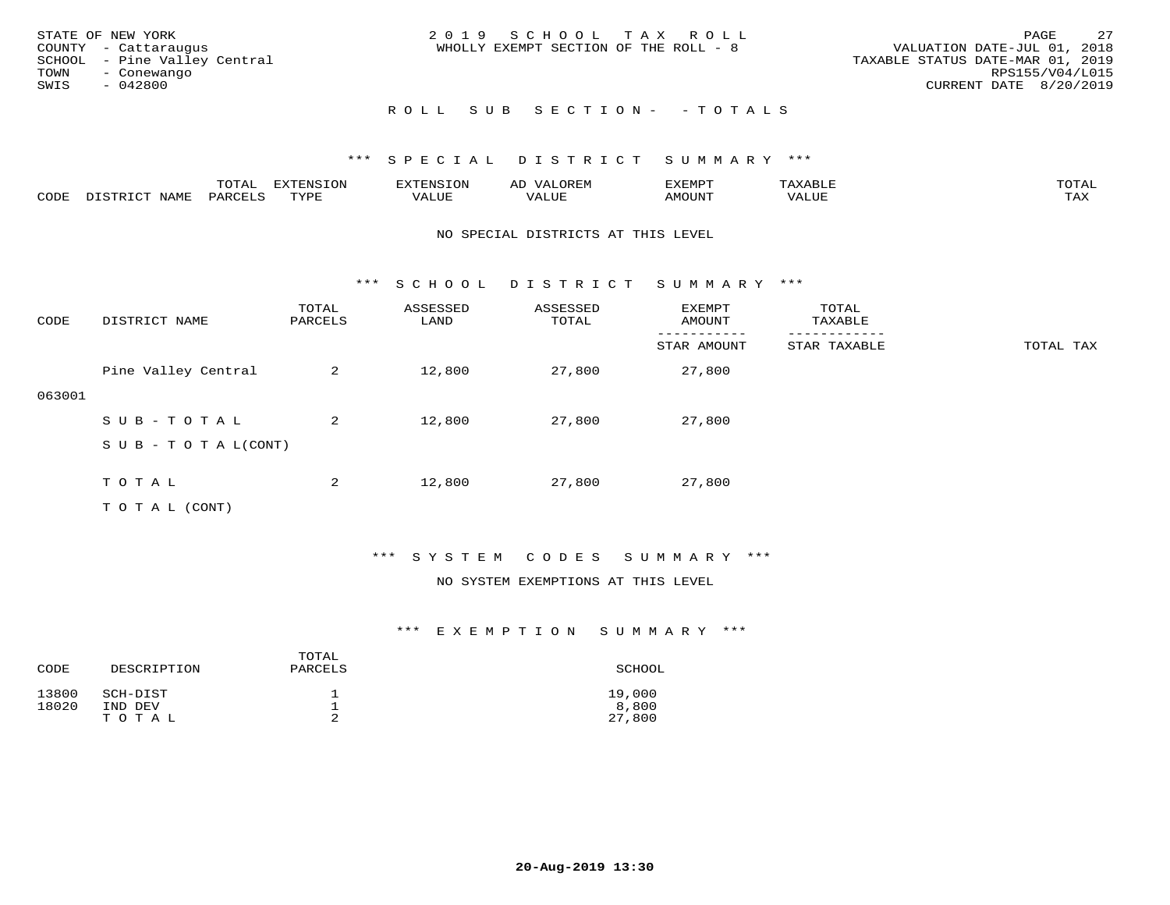| STATE OF NEW YORK<br>COUNTY - Cattaraugus<br>SCHOOL - Pine Valley Central<br>TOWN<br>- Conewango<br>SWIS<br>- 042800 | 2019 SCHOOL TAX ROLL<br>WHOLLY EXEMPT SECTION OF THE ROLL - 8 | 2.7<br>PAGE<br>VALUATION DATE-JUL 01, 2018<br>TAXABLE STATUS DATE-MAR 01, 2019<br>RPS155/V04/L015<br>CURRENT DATE 8/20/2019 |
|----------------------------------------------------------------------------------------------------------------------|---------------------------------------------------------------|-----------------------------------------------------------------------------------------------------------------------------|
|                                                                                                                      | ROLL SUB SECTION- -TOTALS                                     |                                                                                                                             |

|      |                  | TOTAL   | EXTENSION | <b>EXTENSION</b> | OREM<br>ΑD          | <b>EXEMPT</b> |       | TOTAI |
|------|------------------|---------|-----------|------------------|---------------------|---------------|-------|-------|
| CODE | NAMF<br>DISTRICT | PARCELS | TYPE      | 777T<br>VALUE    | <b><i>JALUE</i></b> | AMOUNT        | VALUE | TAX   |

#### NO SPECIAL DISTRICTS AT THIS LEVEL

\*\*\* S C H O O L D I S T R I C T S U M M A R Y \*\*\*

| CODE   | DISTRICT NAME                    | TOTAL<br>PARCELS | ASSESSED<br>LAND | ASSESSED<br>TOTAL | EXEMPT<br>AMOUNT | TOTAL<br>TAXABLE |           |
|--------|----------------------------------|------------------|------------------|-------------------|------------------|------------------|-----------|
|        |                                  |                  |                  |                   | STAR AMOUNT      | STAR TAXABLE     | TOTAL TAX |
|        | Pine Valley Central              | 2                | 12,800           | 27,800            | 27,800           |                  |           |
| 063001 |                                  |                  |                  |                   |                  |                  |           |
|        | SUB-TOTAL                        | 2                | 12,800           | 27,800            | 27,800           |                  |           |
|        | $S \cup B - T \cup T A L (CONT)$ |                  |                  |                   |                  |                  |           |
|        |                                  |                  |                  |                   |                  |                  |           |
|        | TOTAL                            | 2                | 12,800           | 27,800            | 27,800           |                  |           |
|        | T O T A L (CONT)                 |                  |                  |                   |                  |                  |           |

## \*\*\* S Y S T E M C O D E S S U M M A R Y \*\*\*

#### NO SYSTEM EXEMPTIONS AT THIS LEVEL

| CODE           | DESCRIPTION         | TOTAL<br>PARCELS | SCHOOL          |
|----------------|---------------------|------------------|-----------------|
| 13800<br>18020 | SCH-DIST<br>IND DEV |                  | 19,000<br>8,800 |
|                | TOTAL               |                  | 27,800          |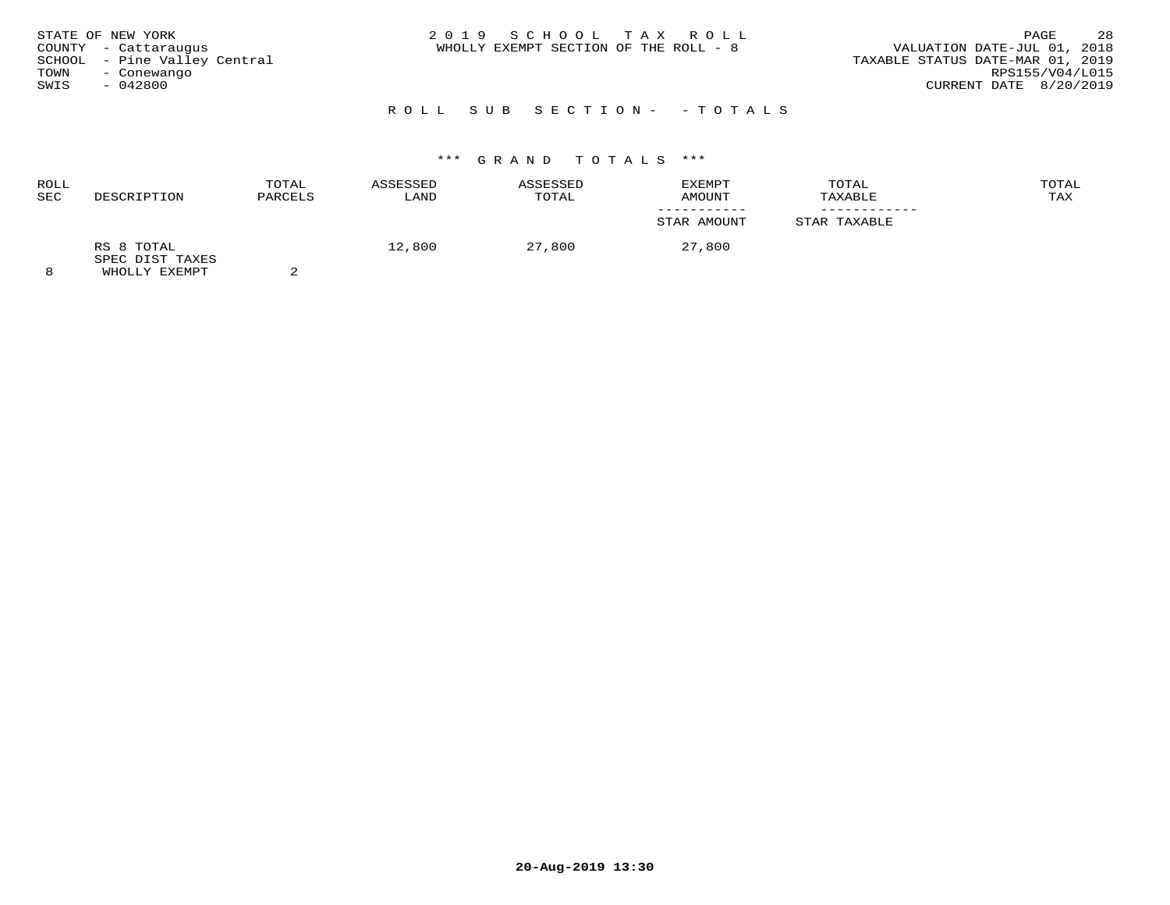| TOWN<br>SWIS | STATE OF NEW YORK<br>COUNTY - Cattaraugus<br>SCHOOL - Pine Valley Central<br>- Conewango<br>$-042800$ | 2019 SCHOOL TAX ROLL<br>WHOLLY EXEMPT SECTION OF THE ROLL - 8 | 28<br>PAGE<br>VALUATION DATE-JUL 01, 2018<br>TAXABLE STATUS DATE-MAR 01, 2019<br>RPS155/V04/L015<br>CURRENT DATE 8/20/2019 |
|--------------|-------------------------------------------------------------------------------------------------------|---------------------------------------------------------------|----------------------------------------------------------------------------------------------------------------------------|
|              |                                                                                                       | ROLL SUB SECTION- - TOTALS                                    |                                                                                                                            |

| <b>ROLL</b><br><b>SEC</b> | DESCRIPTION                                    | TOTAL<br>PARCELS | ASSESSED<br>LAND | ASSESSED<br>TOTAL | EXEMPT<br>AMOUNT | TOTAL<br>TAXABLE | TOTAL<br>TAX |
|---------------------------|------------------------------------------------|------------------|------------------|-------------------|------------------|------------------|--------------|
|                           |                                                |                  |                  |                   | STAR AMOUNT      | STAR TAXABLE     |              |
|                           | RS 8 TOTAL<br>SPEC DIST TAXES<br>WHOLLY EXEMPT |                  | 12,800           | 27,800            | 27,800           |                  |              |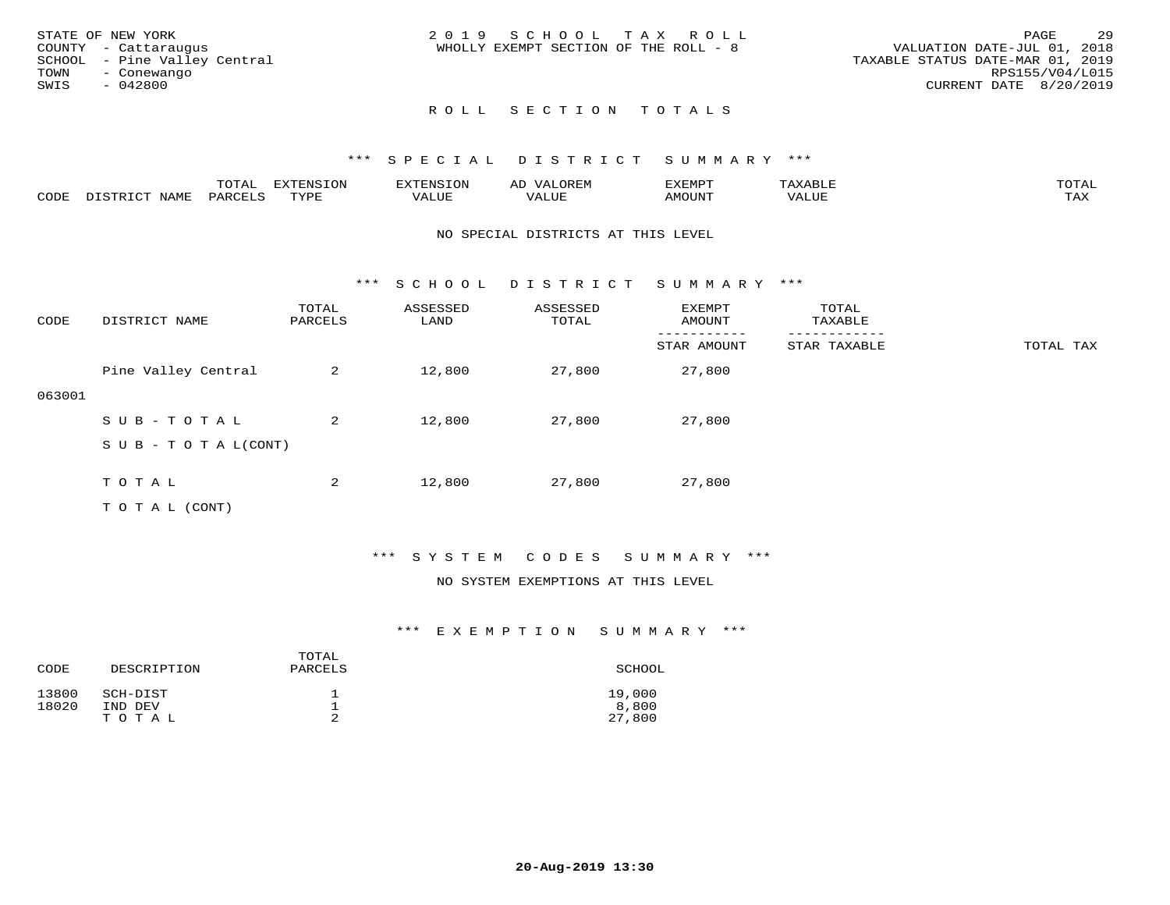|      | STATE OF NEW YORK            | 2019 SCHOOL TAX ROLL                                                 | PAGE            | 29 |
|------|------------------------------|----------------------------------------------------------------------|-----------------|----|
|      | COUNTY - Cattaraugus         | VALUATION DATE-JUL 01, 2018<br>WHOLLY EXEMPT SECTION OF THE ROLL - 8 |                 |    |
|      | SCHOOL - Pine Valley Central | TAXABLE STATUS DATE-MAR 01, 2019                                     |                 |    |
| TOWN | - Conewango                  |                                                                      | RPS155/V04/L015 |    |
| SWIS | - 042800                     | CURRENT DATE 8/20/2019                                               |                 |    |
|      |                              |                                                                      |                 |    |

# ROLL SECTION TOTALS

## \*\*\* S P E C I A L D I S T R I C T S U M M A R Y \*\*\*

|      |                  | TOTAL   | <b>EXTENSION</b> | EXTENSION | <b>OREM</b><br>ΑD | EXEMPT |       | TOTAI |
|------|------------------|---------|------------------|-----------|-------------------|--------|-------|-------|
| CODE | NAME<br>DICTDICT | PARCELS | TYPE             | VALUE     | VALUE             | AMOUNT | VALUE | TAX   |

#### NO SPECIAL DISTRICTS AT THIS LEVEL

\*\*\* S C H O O L D I S T R I C T S U M M A R Y \*\*\*

| CODE   | DISTRICT NAME                    | TOTAL<br>PARCELS | ASSESSED<br>LAND | ASSESSED<br>TOTAL | EXEMPT<br>AMOUNT | TOTAL<br>TAXABLE |           |
|--------|----------------------------------|------------------|------------------|-------------------|------------------|------------------|-----------|
|        |                                  |                  |                  |                   | STAR AMOUNT      | STAR TAXABLE     | TOTAL TAX |
|        | Pine Valley Central              | 2                | 12,800           | 27,800            | 27,800           |                  |           |
| 063001 |                                  |                  |                  |                   |                  |                  |           |
|        | SUB-TOTAL                        | 2                | 12,800           | 27,800            | 27,800           |                  |           |
|        | $S \cup B - T \cup T A L (CONT)$ |                  |                  |                   |                  |                  |           |
|        |                                  |                  |                  |                   |                  |                  |           |
|        | TOTAL                            | 2                | 12,800           | 27,800            | 27,800           |                  |           |
|        | T O T A L (CONT)                 |                  |                  |                   |                  |                  |           |

## \*\*\* S Y S T E M C O D E S S U M M A R Y \*\*\*

#### NO SYSTEM EXEMPTIONS AT THIS LEVEL

| CODE           | DESCRIPTION         | TOTAL<br>PARCELS | SCHOOL          |
|----------------|---------------------|------------------|-----------------|
| 13800<br>18020 | SCH-DIST<br>IND DEV | ᅩ                | 19,000<br>8,800 |
|                | TOTAL               | ∠                | 27,800          |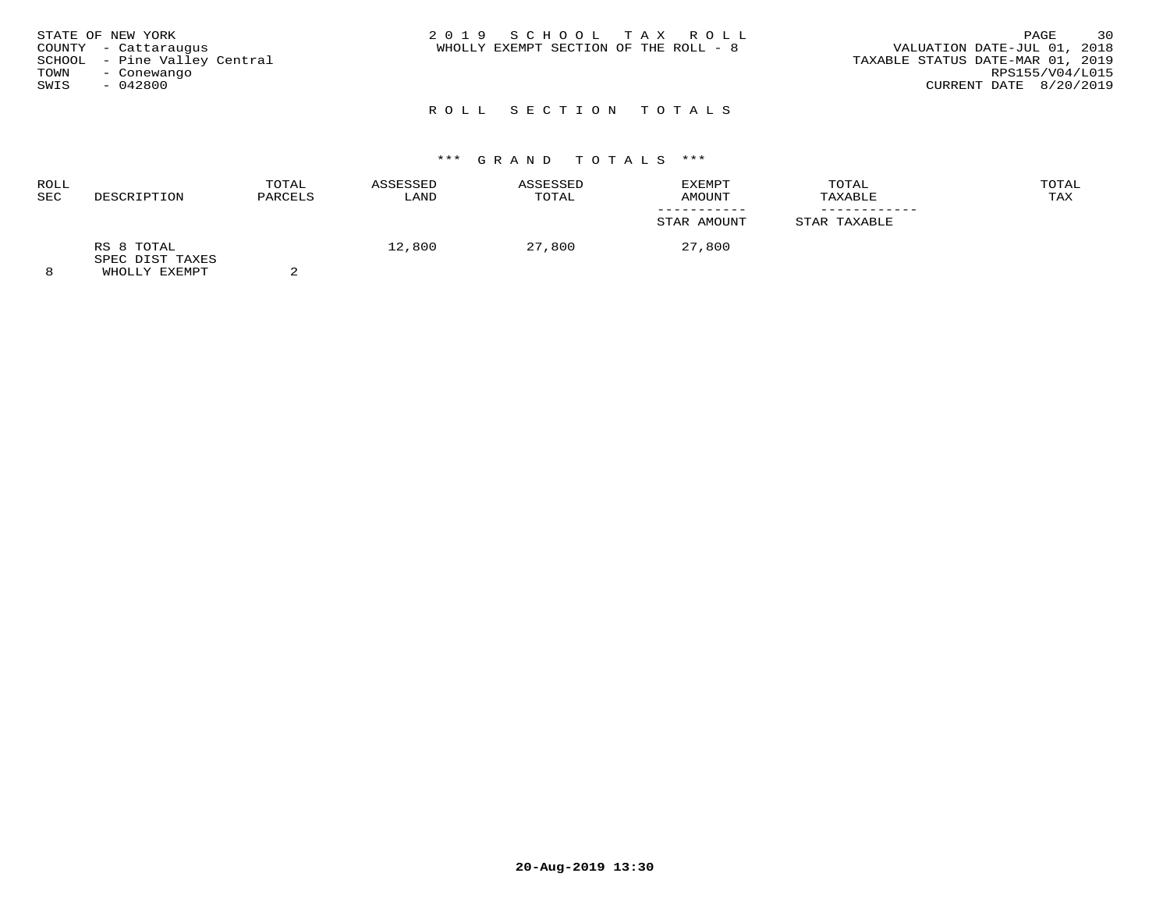| STATE OF NEW YORK<br>COUNTY - Cattaraugus<br>SCHOOL - Pine Valley Central<br>TOWN<br>- Conewango<br>SWIS<br>$-042800$ | 2019 SCHOOL TAX ROLL<br>WHOLLY EXEMPT SECTION OF THE ROLL - 8 | 30<br>PAGE<br>VALUATION DATE-JUL 01, 2018<br>TAXABLE STATUS DATE-MAR 01, 2019<br>RPS155/V04/L015<br>CURRENT DATE 8/20/2019 |
|-----------------------------------------------------------------------------------------------------------------------|---------------------------------------------------------------|----------------------------------------------------------------------------------------------------------------------------|
|                                                                                                                       | ROLL SECTION TOTALS                                           |                                                                                                                            |

| ROLL<br><b>SEC</b> | DESCRIPTION                                    | TOTAL<br>PARCELS | ASSESSED<br>LAND | ASSESSED<br>TOTAL | EXEMPT<br>AMOUNT | TOTAL<br>TAXABLE | TOTAL<br>TAX |
|--------------------|------------------------------------------------|------------------|------------------|-------------------|------------------|------------------|--------------|
|                    |                                                |                  |                  |                   | STAR AMOUNT      | STAR TAXABLE     |              |
| 8                  | RS 8 TOTAL<br>SPEC DIST TAXES<br>WHOLLY EXEMPT |                  | 12,800           | 27,800            | 27,800           |                  |              |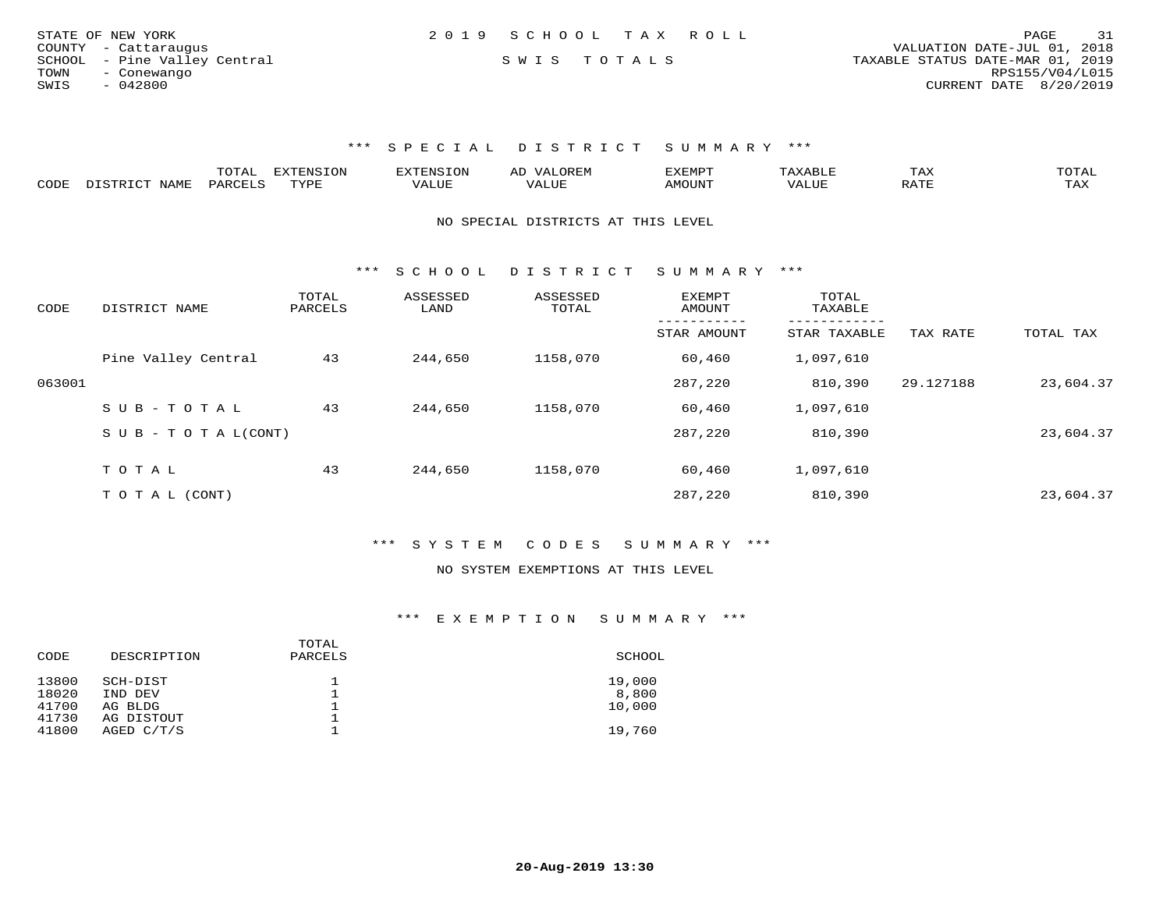| 2019 SCHOOL TAX ROLL<br>STATE OF NEW YORK                                       | 31<br>PAGE      |
|---------------------------------------------------------------------------------|-----------------|
| VALUATION DATE-JUL 01, 2018<br>COUNTY - Cattaraugus                             |                 |
| SCHOOL - Pine Valley Central<br>SWIS TOTALS<br>TAXABLE STATUS DATE-MAR 01, 2019 |                 |
| TOWN<br>- Conewango                                                             | RPS155/V04/L015 |
| SWIS<br>CURRENT DATE 8/20/2019<br>- 042800                                      |                 |

|      |              | .uial    | <b>DYDDNOTON</b><br>t ON<br>.NS. |              | 7 A<br>A <sub>1</sub> | EXEMPT       |       | L A A                 | ◡▴◚ឹ |
|------|--------------|----------|----------------------------------|--------------|-----------------------|--------------|-------|-----------------------|------|
| CODE | <b>NTAME</b> | DARCET - | TVDF                             | <b>* ***</b> | ALUF                  | <b>MOUNT</b> | ′ALUE | $5.7$ m $T$<br>ີ<br>. | TAX  |

NO SPECIAL DISTRICTS AT THIS LEVEL

\*\*\* S C H O O L D I S T R I C T S U M M A R Y \*\*\*

| CODE   | DISTRICT NAME              | TOTAL<br>PARCELS | ASSESSED<br>LAND | ASSESSED<br>TOTAL | <b>EXEMPT</b><br>AMOUNT | TOTAL<br>TAXABLE  |           |           |
|--------|----------------------------|------------------|------------------|-------------------|-------------------------|-------------------|-----------|-----------|
|        |                            |                  |                  |                   | STAR AMOUNT             | .<br>STAR TAXABLE | TAX RATE  | TOTAL TAX |
|        | Pine Valley Central        | 43               | 244,650          | 1158,070          | 60,460                  | 1,097,610         |           |           |
| 063001 |                            |                  |                  |                   | 287,220                 | 810,390           | 29.127188 | 23,604.37 |
|        | SUB-TOTAL                  | 43               | 244,650          | 1158,070          | 60,460                  | 1,097,610         |           |           |
|        | S U B - T O T A $L$ (CONT) |                  |                  |                   | 287,220                 | 810,390           |           | 23,604.37 |
|        | TOTAL                      | 43               | 244,650          | 1158,070          | 60,460                  | 1,097,610         |           |           |
|        |                            |                  |                  |                   |                         |                   |           |           |
|        | TO TAL (CONT)              |                  |                  |                   | 287,220                 | 810,390           |           | 23,604.37 |

\*\*\* S Y S T E M C O D E S S U M M A R Y \*\*\*

#### NO SYSTEM EXEMPTIONS AT THIS LEVEL

| CODE  | DESCRIPTION | TOTAL<br>PARCELS | SCHOOL |
|-------|-------------|------------------|--------|
| 13800 | SCH-DIST    |                  | 19,000 |
| 18020 | IND DEV     |                  | 8,800  |
| 41700 | AG BLDG     |                  | 10,000 |
| 41730 | AG DISTOUT  |                  |        |
| 41800 | AGED C/T/S  |                  | 19,760 |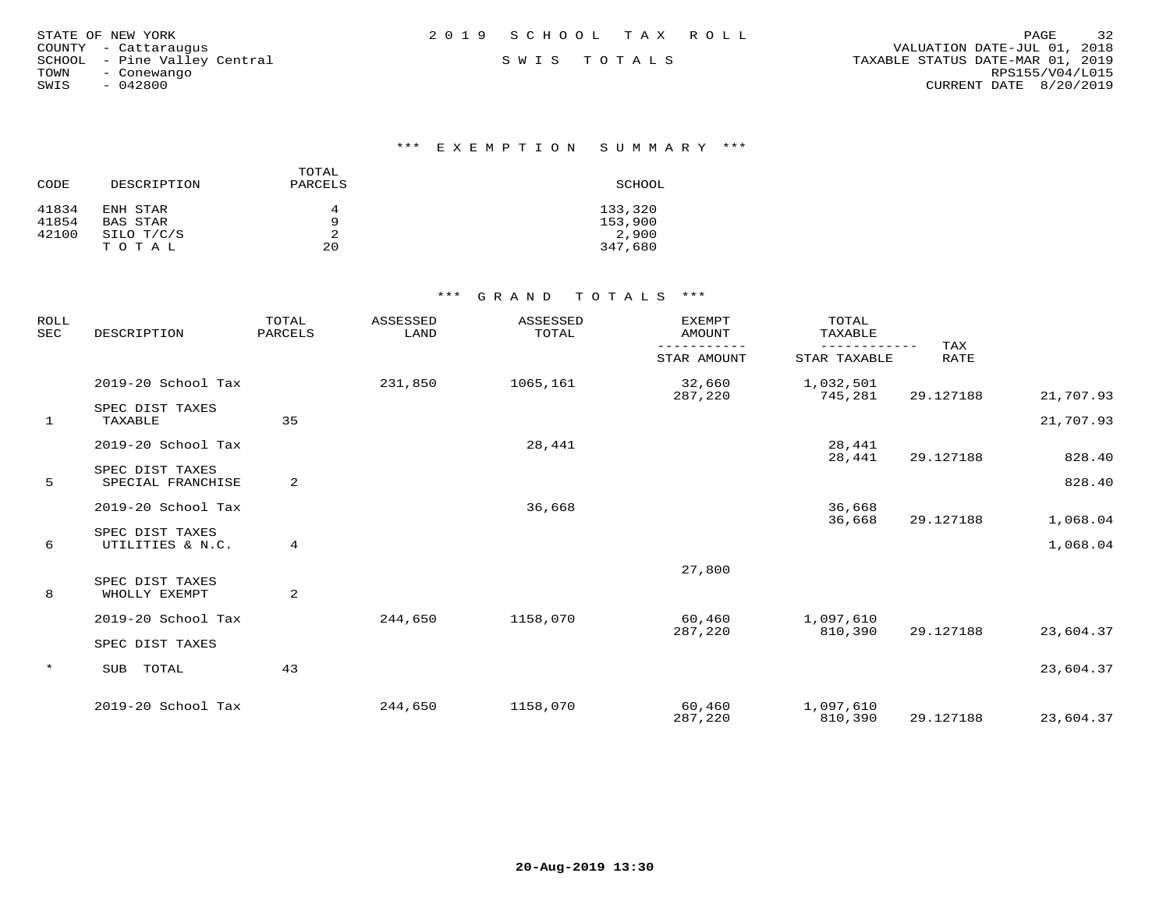| STATE OF NEW YORK            | 2019 SCHOOL TAX ROLL | 32<br>PAGE                       |
|------------------------------|----------------------|----------------------------------|
| COUNTY - Cattaraugus         |                      | VALUATION DATE-JUL 01, 2018      |
| SCHOOL - Pine Valley Central | SWIS TOTALS          | TAXABLE STATUS DATE-MAR 01, 2019 |
| TOWN<br>- Conewango          |                      | RPS155/V04/L015                  |
| $-042800$<br>SWIS            |                      | CURRENT DATE 8/20/2019           |

## \*\*\* E X E M P T I O N S U M M A R Y \*\*\*

| CODE  | DESCRIPTION | TOTAL<br>PARCELS | SCHOOL  |
|-------|-------------|------------------|---------|
| 41834 | ENH STAR    | 4                | 133,320 |
| 41854 | BAS STAR    | q                | 153,900 |
| 42100 | SILO T/C/S  |                  | 2,900   |
|       | TOTAL       | 20               | 347,680 |

| ROLL<br><b>SEC</b> | DESCRIPTION                          | TOTAL<br>PARCELS | ASSESSED<br>LAND | ASSESSED<br>TOTAL | <b>EXEMPT</b><br><b>AMOUNT</b> | TOTAL<br>TAXABLE             |                    |           |
|--------------------|--------------------------------------|------------------|------------------|-------------------|--------------------------------|------------------------------|--------------------|-----------|
|                    |                                      |                  |                  |                   | -----------<br>STAR AMOUNT     | ------------<br>STAR TAXABLE | TAX<br><b>RATE</b> |           |
|                    | 2019-20 School Tax                   |                  | 231,850          | 1065,161          | 32,660<br>287,220              | 1,032,501<br>745,281         | 29.127188          | 21,707.93 |
| 1                  | SPEC DIST TAXES<br>TAXABLE           | 35               |                  |                   |                                |                              |                    | 21,707.93 |
|                    | 2019-20 School Tax                   |                  |                  | 28,441            |                                | 28,441<br>28,441             | 29.127188          | 828.40    |
| 5                  | SPEC DIST TAXES<br>SPECIAL FRANCHISE | 2                |                  |                   |                                |                              |                    | 828.40    |
|                    | 2019-20 School Tax                   |                  |                  | 36,668            |                                | 36,668<br>36,668             | 29.127188          | 1,068.04  |
| 6                  | SPEC DIST TAXES<br>UTILITIES & N.C.  | 4                |                  |                   |                                |                              |                    | 1,068.04  |
|                    | SPEC DIST TAXES                      |                  |                  |                   | 27,800                         |                              |                    |           |
| 8                  | WHOLLY EXEMPT                        | 2                |                  |                   |                                |                              |                    |           |
|                    | 2019-20 School Tax                   |                  | 244,650          | 1158,070          | 60,460<br>287,220              | 1,097,610<br>810,390         | 29.127188          | 23,604.37 |
|                    | SPEC DIST TAXES                      |                  |                  |                   |                                |                              |                    |           |
| $\star$            | TOTAL<br>SUB                         | 43               |                  |                   |                                |                              |                    | 23,604.37 |
|                    | 2019-20 School Tax                   |                  | 244,650          | 1158,070          | 60,460<br>287,220              | 1,097,610<br>810,390         | 29.127188          | 23,604.37 |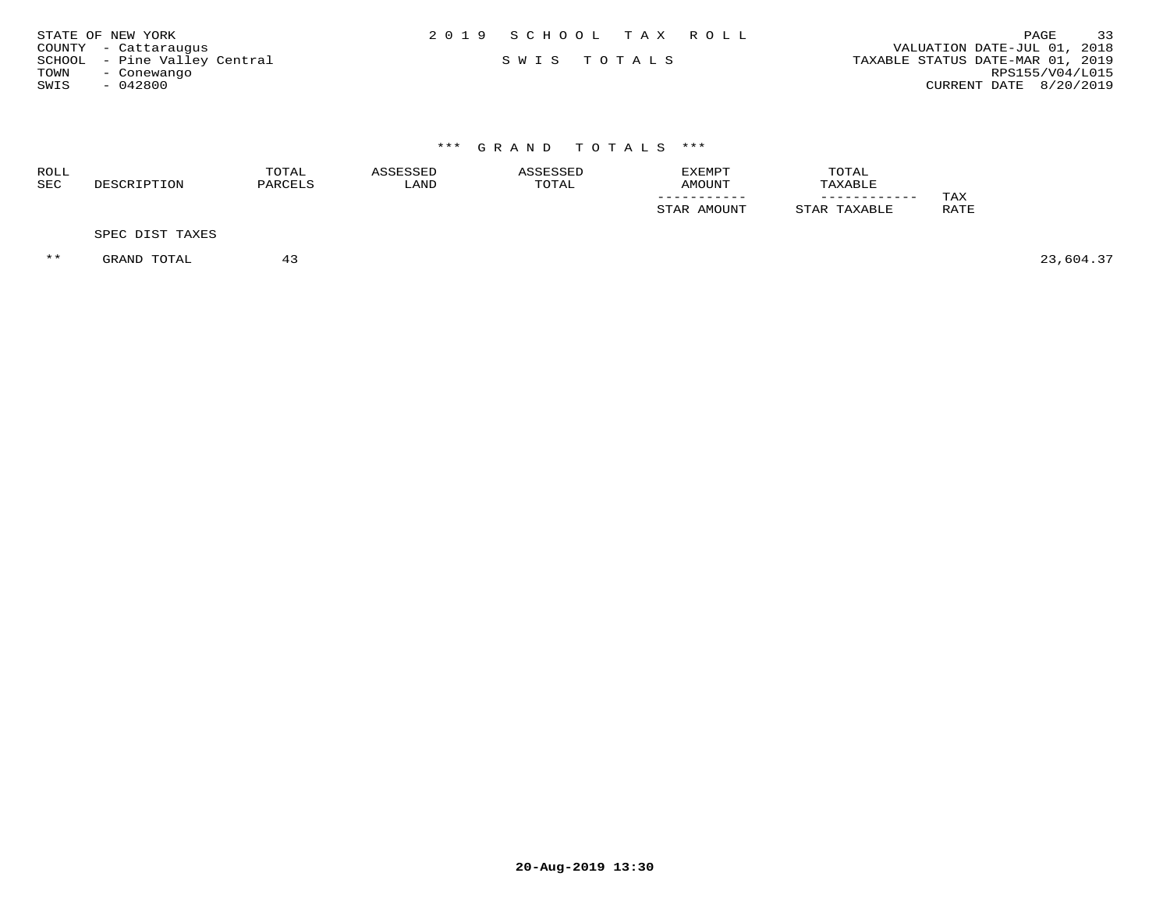| STATE OF NEW YORK            | 2019 SCHOOL TAX ROLL | 33<br>PAGE                       |
|------------------------------|----------------------|----------------------------------|
| COUNTY - Cattaraugus         |                      | VALUATION DATE-JUL 01, 2018      |
| SCHOOL - Pine Valley Central | SWIS TOTALS          | TAXABLE STATUS DATE-MAR 01, 2019 |
| TOWN<br>- Conewango          |                      | RPS155/V04/L015                  |
| $-042800$<br>SWIS            |                      | CURRENT DATE 8/20/2019           |

| ROLL<br><b>SEC</b> | DESCRIPTION     | TOTAL<br>PARCELS | ASSESSED<br>LAND | ASSESSED<br>TOTAL | EXEMPT<br>AMOUNT | TOTAL<br>TAXABLE |             |
|--------------------|-----------------|------------------|------------------|-------------------|------------------|------------------|-------------|
|                    |                 |                  |                  |                   | STAR AMOUNT      | STAR TAXABLE     | TAX<br>RATE |
|                    | SPEC DIST TAXES |                  |                  |                   |                  |                  |             |

\*\* GRAND TOTAL 43 43 43 23,604.37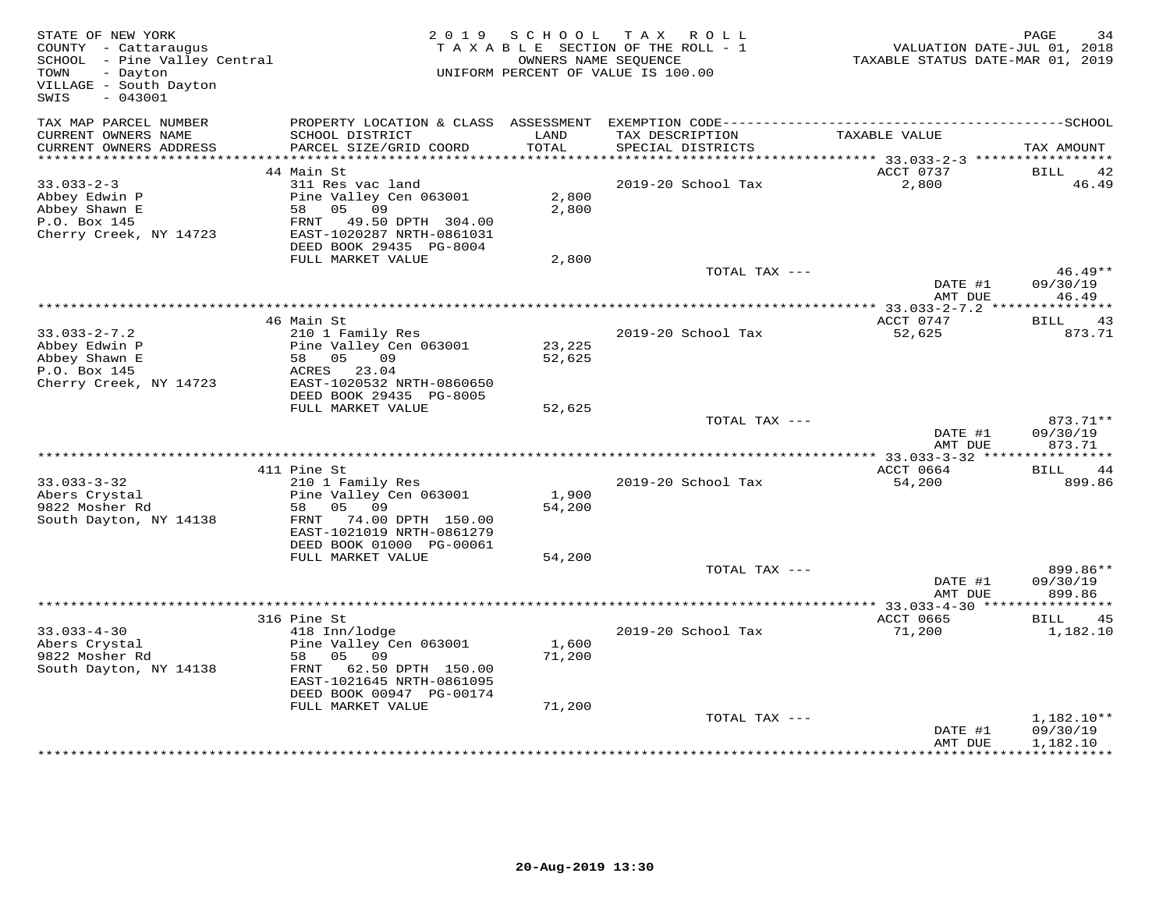| STATE OF NEW YORK<br>COUNTY - Cattaraugus<br>SCHOOL - Pine Valley Central<br>- Dayton<br>TOWN<br>VILLAGE - South Dayton<br>$-043001$<br>SWIS |                                                                                                                                                             |                           | 2019 SCHOOL TAX ROLL<br>TAXABLE SECTION OF THE ROLL - 1<br>OWNERS NAME SEOUENCE<br>UNIFORM PERCENT OF VALUE IS 100.00 | VALUATION DATE-JUL 01, 2018<br>TAXABLE STATUS DATE-MAR 01, 2019 | PAGE<br>34                           |
|----------------------------------------------------------------------------------------------------------------------------------------------|-------------------------------------------------------------------------------------------------------------------------------------------------------------|---------------------------|-----------------------------------------------------------------------------------------------------------------------|-----------------------------------------------------------------|--------------------------------------|
| TAX MAP PARCEL NUMBER<br>CURRENT OWNERS NAME                                                                                                 | PROPERTY LOCATION & CLASS ASSESSMENT EXEMPTION CODE-----------------------------------SCHOOL<br>SCHOOL DISTRICT                                             | LAND                      | TAX DESCRIPTION                                                                                                       | TAXABLE VALUE                                                   |                                      |
| CURRENT OWNERS ADDRESS                                                                                                                       | PARCEL SIZE/GRID COORD                                                                                                                                      | TOTAL                     | SPECIAL DISTRICTS                                                                                                     |                                                                 | TAX AMOUNT                           |
|                                                                                                                                              | 44 Main St                                                                                                                                                  |                           |                                                                                                                       | ACCT 0737                                                       | <b>BILL</b><br>42                    |
| $33.033 - 2 - 3$                                                                                                                             | 311 Res vac land                                                                                                                                            |                           | 2019-20 School Tax                                                                                                    | 2,800                                                           | 46.49                                |
| Abbey Edwin P<br>Abbey Shawn E<br>P.O. Box 145<br>Cherry Creek, NY 14723                                                                     | Pine Valley Cen 063001<br>58 05 09<br>FRNT 49.50 DPTH 304.00<br>EAST-1020287 NRTH-0861031<br>DEED BOOK 29435 PG-8004                                        | 2,800<br>2,800            |                                                                                                                       |                                                                 |                                      |
|                                                                                                                                              | FULL MARKET VALUE                                                                                                                                           | 2,800                     |                                                                                                                       |                                                                 |                                      |
|                                                                                                                                              |                                                                                                                                                             |                           | TOTAL TAX ---                                                                                                         | DATE #1<br>AMT DUE                                              | $46.49**$<br>09/30/19<br>46.49       |
|                                                                                                                                              |                                                                                                                                                             |                           |                                                                                                                       |                                                                 |                                      |
|                                                                                                                                              | 46 Main St                                                                                                                                                  |                           |                                                                                                                       | ACCT 0747                                                       | BILL<br>43                           |
| $33.033 - 2 - 7.2$<br>Abbey Edwin P<br>Abbey Shawn E<br>P.O. Box 145<br>Cherry Creek, NY 14723                                               | 210 1 Family Res<br>Pine Valley Cen 063001<br>58 05 09<br>ACRES 23.04<br>EAST-1020532 NRTH-0860650                                                          | 23,225<br>52,625          | 2019-20 School Tax                                                                                                    | 52,625                                                          | 873.71                               |
|                                                                                                                                              | DEED BOOK 29435 PG-8005<br>FULL MARKET VALUE                                                                                                                | 52,625                    |                                                                                                                       |                                                                 |                                      |
|                                                                                                                                              |                                                                                                                                                             |                           | TOTAL TAX ---                                                                                                         | DATE #1<br>AMT DUE                                              | 873.71**<br>09/30/19<br>873.71       |
|                                                                                                                                              |                                                                                                                                                             |                           |                                                                                                                       |                                                                 |                                      |
|                                                                                                                                              | 411 Pine St                                                                                                                                                 |                           |                                                                                                                       | ACCT 0664                                                       | BILL<br>44                           |
| $33.033 - 3 - 32$                                                                                                                            | 210 1 Family Res                                                                                                                                            |                           | 2019-20 School Tax                                                                                                    | 54,200                                                          | 899.86                               |
| Abers Crystal<br>9822 Mosher Rd<br>South Dayton, NY 14138                                                                                    | Pine Valley Cen 063001<br>05 09<br>58<br>FRNT 74.00 DPTH 150.00<br>EAST-1021019 NRTH-0861279                                                                | 1,900<br>54,200           |                                                                                                                       |                                                                 |                                      |
|                                                                                                                                              | DEED BOOK 01000 PG-00061                                                                                                                                    |                           |                                                                                                                       |                                                                 |                                      |
|                                                                                                                                              | FULL MARKET VALUE                                                                                                                                           | 54,200                    | TOTAL TAX ---                                                                                                         |                                                                 | 899.86**                             |
|                                                                                                                                              |                                                                                                                                                             |                           |                                                                                                                       | DATE #1<br>AMT DUE                                              | 09/30/19<br>899.86                   |
|                                                                                                                                              |                                                                                                                                                             |                           |                                                                                                                       | ************ 33.033-4-30 *****                                  | **********                           |
|                                                                                                                                              | 316 Pine St                                                                                                                                                 |                           |                                                                                                                       | ACCT 0665                                                       | BILL<br>45                           |
| $33.033 - 4 - 30$<br>Abers Crystal<br>9822 Mosher Rd<br>South Dayton, NY 14138                                                               | 418 Inn/lodge<br>Pine Valley Cen 063001<br>58 05 09<br>FRNT 62.50 DPTH 150.00<br>EAST-1021645 NRTH-0861095<br>DEED BOOK 00947 PG-00174<br>FULL MARKET VALUE | 1,600<br>71,200<br>71,200 | 2019-20 School Tax                                                                                                    | 71,200                                                          | 1,182.10                             |
|                                                                                                                                              |                                                                                                                                                             |                           | TOTAL TAX ---                                                                                                         | DATE #1<br>AMT DUE                                              | $1,182.10**$<br>09/30/19<br>1,182.10 |
|                                                                                                                                              |                                                                                                                                                             |                           |                                                                                                                       |                                                                 |                                      |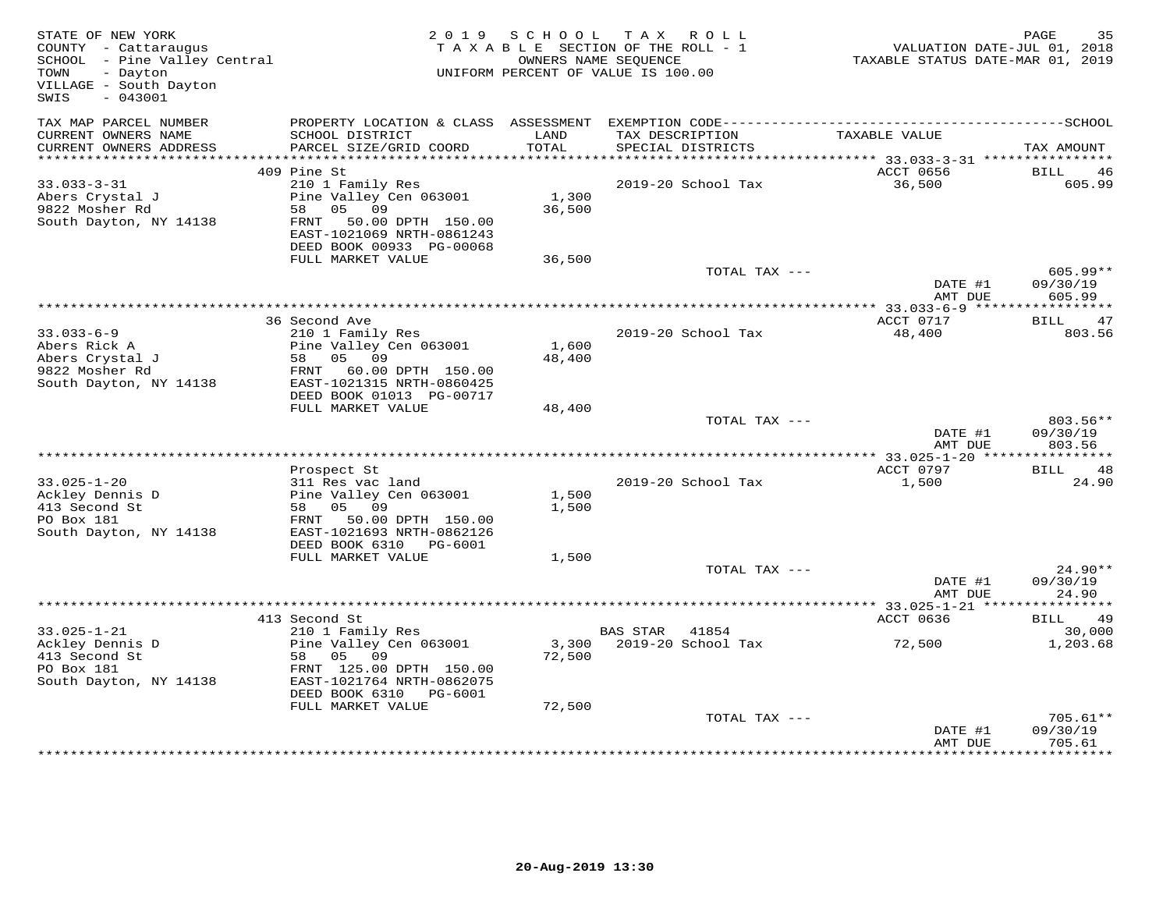| STATE OF NEW YORK<br>COUNTY - Cattaraugus<br>SCHOOL - Pine Valley Central<br>- Dayton<br>TOWN<br>VILLAGE - South Dayton<br>$-043001$<br>SWIS |                                                                                                                                             | 2019 SCHOOL     | TAX ROLL<br>TAXABLE SECTION OF THE ROLL - 1<br>OWNERS NAME SEQUENCE<br>UNIFORM PERCENT OF VALUE IS 100.00 | VALUATION DATE-JUL 01, 2018<br>TAXABLE STATUS DATE-MAR 01, 2019 | PAGE<br>35                       |
|----------------------------------------------------------------------------------------------------------------------------------------------|---------------------------------------------------------------------------------------------------------------------------------------------|-----------------|-----------------------------------------------------------------------------------------------------------|-----------------------------------------------------------------|----------------------------------|
| TAX MAP PARCEL NUMBER<br>CURRENT OWNERS NAME<br>CURRENT OWNERS ADDRESS                                                                       | PROPERTY LOCATION & CLASS ASSESSMENT<br>SCHOOL DISTRICT<br>PARCEL SIZE/GRID COORD                                                           | LAND<br>TOTAL   | TAX DESCRIPTION<br>SPECIAL DISTRICTS                                                                      | TAXABLE VALUE                                                   | TAX AMOUNT                       |
| *************************                                                                                                                    |                                                                                                                                             |                 |                                                                                                           |                                                                 |                                  |
|                                                                                                                                              | 409 Pine St                                                                                                                                 |                 |                                                                                                           | ACCT 0656                                                       | BILL<br>46                       |
| $33.033 - 3 - 31$<br>Abers Crystal J<br>9822 Mosher Rd<br>South Dayton, NY 14138                                                             | 210 1 Family Res<br>Pine Valley Cen 063001<br>58 05 09<br>FRNT 50.00 DPTH 150.00<br>EAST-1021069 NRTH-0861243<br>DEED BOOK 00933 PG-00068   | 1,300<br>36,500 | 2019-20 School Tax                                                                                        | 36,500                                                          | 605.99                           |
|                                                                                                                                              | FULL MARKET VALUE                                                                                                                           | 36,500          |                                                                                                           |                                                                 |                                  |
|                                                                                                                                              |                                                                                                                                             |                 | TOTAL TAX ---                                                                                             | DATE #1<br>AMT DUE                                              | $605.99**$<br>09/30/19<br>605.99 |
|                                                                                                                                              |                                                                                                                                             |                 |                                                                                                           |                                                                 |                                  |
| $33.033 - 6 - 9$<br>Abers Rick A<br>Abers Crystal J<br>9822 Mosher Rd                                                                        | 36 Second Ave<br>210 1 Family Res<br>Pine Valley Cen 063001<br>58 05 09<br>FRNT 60.00 DPTH 150.00                                           | 1,600<br>48,400 | 2019-20 School Tax                                                                                        | ACCT 0717<br>48,400                                             | BILL 47<br>803.56                |
| South Dayton, NY 14138                                                                                                                       | EAST-1021315 NRTH-0860425<br>DEED BOOK 01013 PG-00717                                                                                       |                 |                                                                                                           |                                                                 |                                  |
|                                                                                                                                              | FULL MARKET VALUE                                                                                                                           | 48,400          |                                                                                                           |                                                                 |                                  |
|                                                                                                                                              |                                                                                                                                             |                 | TOTAL TAX ---                                                                                             | DATE #1<br>AMT DUE                                              | 803.56**<br>09/30/19<br>803.56   |
|                                                                                                                                              |                                                                                                                                             |                 |                                                                                                           |                                                                 |                                  |
| $33.025 - 1 - 20$<br>Ackley Dennis D<br>413 Second St<br>PO Box 181<br>South Dayton, NY 14138                                                | Prospect St<br>311 Res vac land<br>Pine Valley Cen 063001<br>58 05 09<br>FRNT 50.00 DPTH 150.00<br>EAST-1021693 NRTH-0862126                | 1,500<br>1,500  | 2019-20 School Tax                                                                                        | ACCT 0797<br>1,500                                              | BILL 48<br>24.90                 |
|                                                                                                                                              | DEED BOOK 6310 PG-6001                                                                                                                      |                 |                                                                                                           |                                                                 |                                  |
|                                                                                                                                              | FULL MARKET VALUE                                                                                                                           | 1,500           | TOTAL TAX ---                                                                                             | DATE #1<br>AMT DUE                                              | 24.90**<br>09/30/19<br>24.90     |
|                                                                                                                                              | ************************************                                                                                                        |                 |                                                                                                           | ******** 33.025-1-21 ***                                        | * * * * * * * * * * *            |
|                                                                                                                                              | 413 Second St                                                                                                                               |                 |                                                                                                           | ACCT 0636                                                       | BILL<br>49                       |
| $33.025 - 1 - 21$<br>Ackley Dennis D<br>413 Second St<br>PO Box 181<br>South Dayton, NY 14138                                                | 210 1 Family Res<br>Pine Valley Cen 063001<br>58 05<br>09<br>FRNT 125.00 DPTH 150.00<br>EAST-1021764 NRTH-0862075<br>DEED BOOK 6310 PG-6001 | 72,500          | BAS STAR 41854<br>3,300 2019-20 School Tax                                                                | 72,500                                                          | 30,000<br>1,203.68               |
|                                                                                                                                              | FULL MARKET VALUE                                                                                                                           | 72,500          | TOTAL TAX ---                                                                                             | DATE #1<br>AMT DUE                                              | $705.61**$<br>09/30/19<br>705.61 |
|                                                                                                                                              |                                                                                                                                             |                 |                                                                                                           |                                                                 | * * * * * * * * ·                |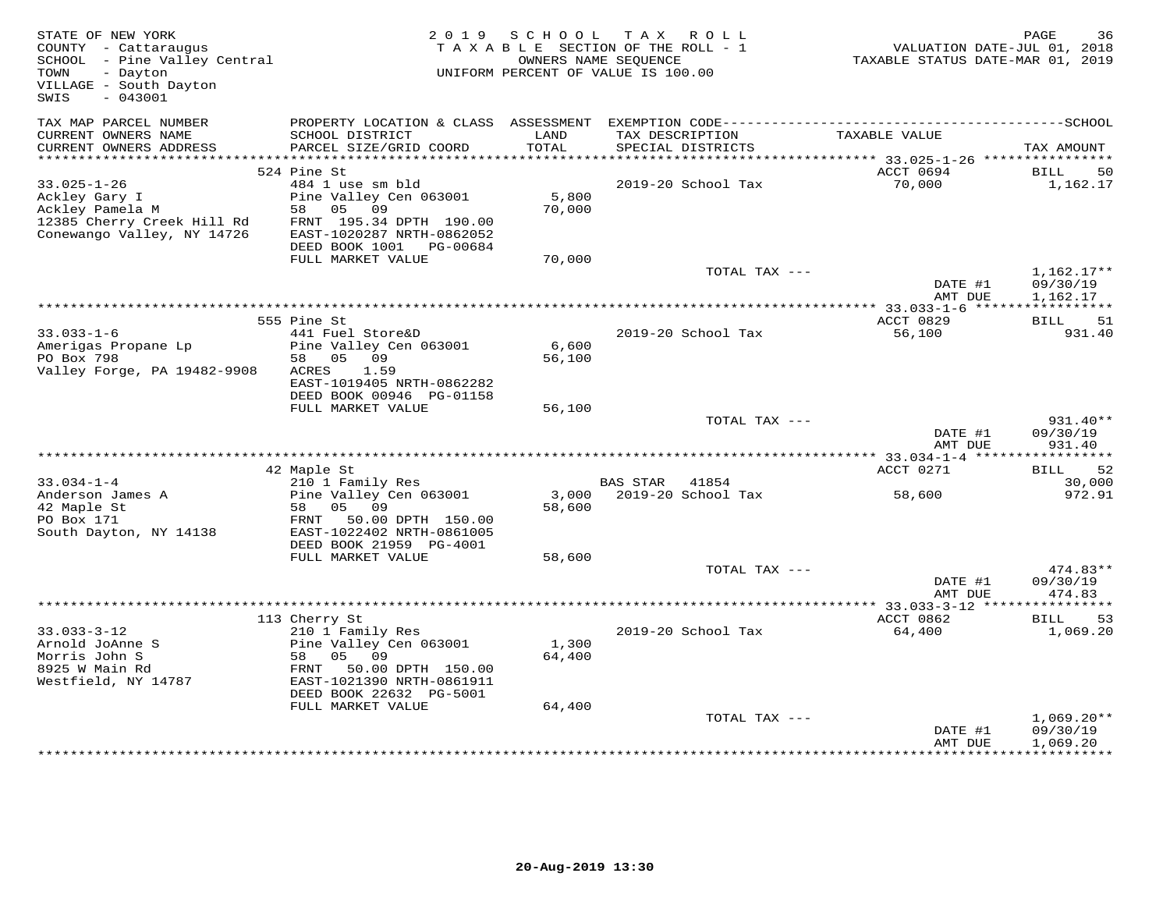| STATE OF NEW YORK<br>COUNTY - Cattaraugus<br>COUNTY - Cattaraugus<br>SCHOOL - Pine Valley Central<br>- Dayton<br>TOWN<br>VILLAGE - South Dayton<br>$-043001$<br>SWIS |                                                                                                                                           | 2019 SCHOOL     | TAX ROLL<br>TAXABLE SECTION OF THE ROLL - 1<br>OWNERS NAME SEQUENCE<br>UNIFORM PERCENT OF VALUE IS 100.00 | VALUATION DATE-JUL 01, 2018<br>TAXABLE STATUS DATE-MAR 01, 2019 | PAGE<br>36                           |
|----------------------------------------------------------------------------------------------------------------------------------------------------------------------|-------------------------------------------------------------------------------------------------------------------------------------------|-----------------|-----------------------------------------------------------------------------------------------------------|-----------------------------------------------------------------|--------------------------------------|
| TAX MAP PARCEL NUMBER<br>CURRENT OWNERS NAME<br>CURRENT OWNERS ADDRESS                                                                                               | SCHOOL DISTRICT<br>PARCEL SIZE/GRID COORD                                                                                                 | LAND<br>TOTAL   | TAX DESCRIPTION<br>SPECIAL DISTRICTS                                                                      | TAXABLE VALUE                                                   | TAX AMOUNT                           |
|                                                                                                                                                                      |                                                                                                                                           |                 |                                                                                                           |                                                                 |                                      |
|                                                                                                                                                                      | 524 Pine St                                                                                                                               |                 |                                                                                                           | ACCT 0694                                                       | BILL 50                              |
| $33.025 - 1 - 26$<br>Ackley Gary I<br>Ackley Pamela M<br>12385 Cherry Creek Hill Rd<br>Conewango Valley, NY 14726                                                    | 484 1 use sm bld<br>Pine Valley Cen 063001<br>58 05 09<br>FRNT 195.34 DPTH 190.00<br>EAST-1020287 NRTH-0862052<br>DEED BOOK 1001 PG-00684 | 5,800<br>70,000 | 2019-20 School Tax                                                                                        | 70,000                                                          | 1,162.17                             |
|                                                                                                                                                                      | FULL MARKET VALUE                                                                                                                         | 70,000          |                                                                                                           |                                                                 |                                      |
|                                                                                                                                                                      |                                                                                                                                           |                 | TOTAL TAX ---                                                                                             | DATE #1<br>AMT DUE                                              | $1,162.17**$<br>09/30/19<br>1,162.17 |
|                                                                                                                                                                      |                                                                                                                                           |                 |                                                                                                           |                                                                 |                                      |
| $33.033 - 1 - 6$                                                                                                                                                     | 555 Pine St<br>441 Fuel Store&D                                                                                                           |                 | 2019-20 School Tax                                                                                        | ACCT 0829<br>56,100                                             | BILL 51<br>931.40                    |
| Amerigas Propane Lp<br>PO Box 798<br>Valley Forge, PA 19482-9908                                                                                                     | Pine Valley Cen 063001<br>58 05 09<br>ACRES 1.59<br>EAST-1019405 NRTH-0862282<br>DEED BOOK 00946 PG-01158                                 | 6,600<br>56,100 |                                                                                                           |                                                                 |                                      |
|                                                                                                                                                                      | FULL MARKET VALUE                                                                                                                         | 56,100          |                                                                                                           |                                                                 |                                      |
|                                                                                                                                                                      |                                                                                                                                           |                 | TOTAL TAX ---                                                                                             | DATE #1<br>AMT DUE                                              | 931.40**<br>09/30/19<br>931.40       |
|                                                                                                                                                                      |                                                                                                                                           |                 |                                                                                                           |                                                                 |                                      |
| $33.034 - 1 - 4$                                                                                                                                                     | 42 Maple St<br>210 1 Family Res                                                                                                           |                 | BAS STAR 41854                                                                                            | ACCT 0271                                                       | 52<br>BILL<br>30,000                 |
| Anderson James A<br>42 Maple St                                                                                                                                      | Pine Valley Cen 063001<br>58 05 09                                                                                                        | 58,600          | 3,000 2019-20 School Tax                                                                                  | 58,600                                                          | 972.91                               |
| PO Box 171<br>South Dayton, NY 14138                                                                                                                                 | FRNT 50.00 DPTH 150.00<br>EAST-1022402 NRTH-0861005<br>DEED BOOK 21959 PG-4001                                                            |                 |                                                                                                           |                                                                 |                                      |
|                                                                                                                                                                      | FULL MARKET VALUE                                                                                                                         | 58,600          |                                                                                                           |                                                                 |                                      |
|                                                                                                                                                                      |                                                                                                                                           |                 | TOTAL TAX ---                                                                                             | DATE #1<br>AMT DUE                                              | $474.83**$<br>09/30/19<br>474.83     |
|                                                                                                                                                                      |                                                                                                                                           |                 |                                                                                                           |                                                                 |                                      |
|                                                                                                                                                                      | 113 Cherry St                                                                                                                             |                 |                                                                                                           | ACCT 0862                                                       | <b>BILL</b><br>53                    |
| $33.033 - 3 - 12$<br>Arnold JoAnne S<br>Morris John S<br>8925 W Main Rd<br>Westfield, NY 14787                                                                       | 210 1 Family Res<br>Pine Valley Cen 063001<br>58 05 09<br>FRNT 50.00 DPTH 150.00<br>EAST-1021390 NRTH-0861911<br>DEED BOOK 22632 PG-5001  | 1,300<br>64,400 | 2019-20 School Tax                                                                                        | 64,400                                                          | 1,069.20                             |
|                                                                                                                                                                      | FULL MARKET VALUE                                                                                                                         | 64,400          | TOTAL TAX ---                                                                                             |                                                                 | $1,069.20**$                         |
|                                                                                                                                                                      |                                                                                                                                           |                 |                                                                                                           | DATE #1<br>AMT DUE                                              | 09/30/19<br>1,069.20<br>***********  |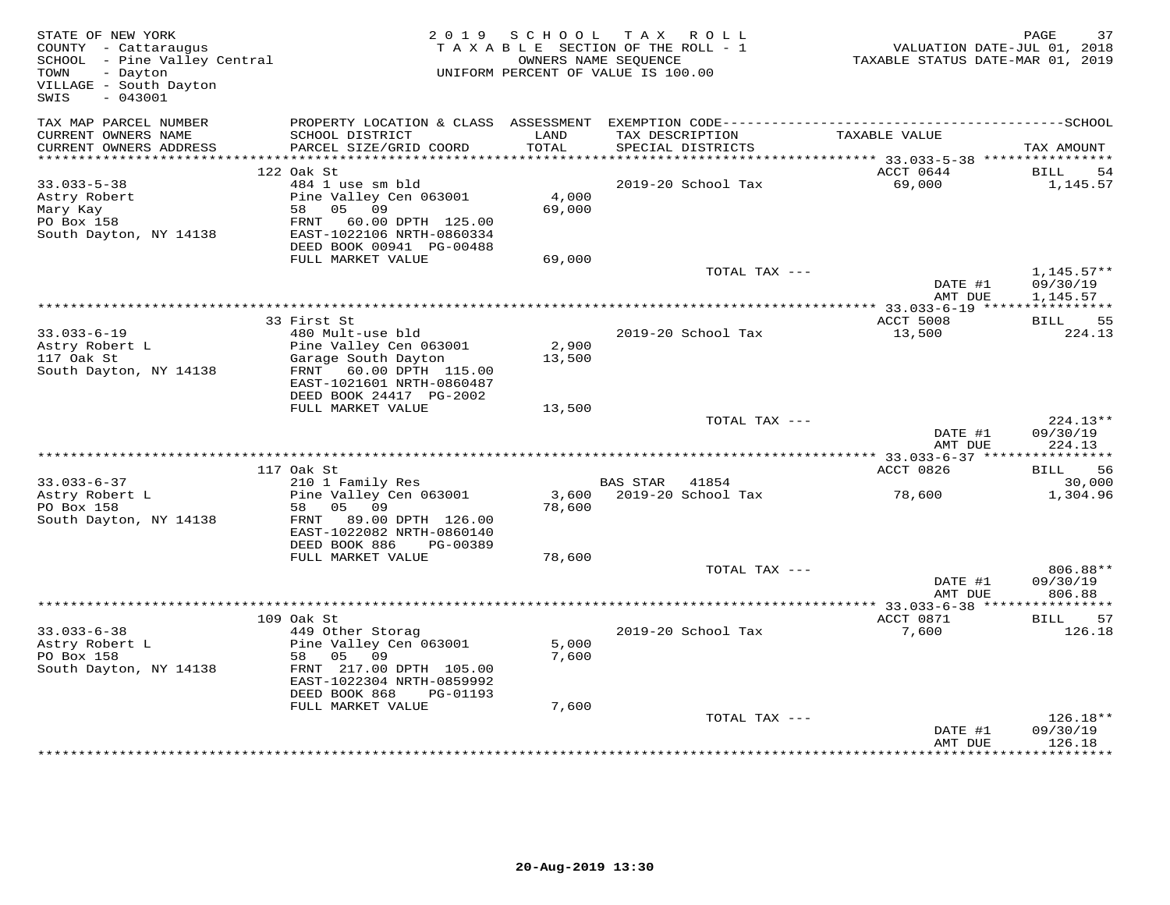| STATE OF NEW YORK<br>COUNTY - Cattaraugus<br>SCHOOL - Pine Valley Central<br>- Dayton<br>TOWN<br>VILLAGE - South Dayton<br>$-043001$<br>SWIS |                                                                                                                                                                        | 2019 SCHOOL             | TAX ROLL<br>TAXABLE SECTION OF THE ROLL - 1<br>OWNERS NAME SEQUENCE<br>UNIFORM PERCENT OF VALUE IS 100.00 | VALUATION DATE-JUL 01, 2018<br>TAXABLE STATUS DATE-MAR 01, 2019 | PAGE<br>37                           |
|----------------------------------------------------------------------------------------------------------------------------------------------|------------------------------------------------------------------------------------------------------------------------------------------------------------------------|-------------------------|-----------------------------------------------------------------------------------------------------------|-----------------------------------------------------------------|--------------------------------------|
| TAX MAP PARCEL NUMBER<br>CURRENT OWNERS NAME<br>CURRENT OWNERS ADDRESS                                                                       | PROPERTY LOCATION & CLASS ASSESSMENT<br>SCHOOL DISTRICT<br>PARCEL SIZE/GRID COORD                                                                                      | LAND<br>TOTAL           | TAX DESCRIPTION<br>SPECIAL DISTRICTS                                                                      | TAXABLE VALUE                                                   | TAX AMOUNT                           |
|                                                                                                                                              |                                                                                                                                                                        |                         |                                                                                                           |                                                                 |                                      |
| $33.033 - 5 - 38$<br>Astry Robert<br>Mary Kay<br>PO Box 158                                                                                  | 122 Oak St<br>484 1 use sm bld<br>Pine Valley Cen 063001<br>58 05 09<br>FRNT 60.00 DPTH 125.00                                                                         | 4,000<br>69,000         | 2019-20 School Tax                                                                                        | ACCT 0644<br>69,000                                             | BILL<br>-54<br>1,145.57              |
| South Dayton, NY 14138                                                                                                                       | EAST-1022106 NRTH-0860334<br>DEED BOOK 00941 PG-00488<br>FULL MARKET VALUE                                                                                             | 69,000                  |                                                                                                           |                                                                 |                                      |
|                                                                                                                                              |                                                                                                                                                                        |                         | TOTAL TAX ---                                                                                             | DATE #1<br>AMT DUE                                              | $1,145.57**$<br>09/30/19<br>1,145.57 |
|                                                                                                                                              |                                                                                                                                                                        |                         |                                                                                                           |                                                                 |                                      |
| $33.033 - 6 - 19$<br>Astry Robert L<br>117 Oak St<br>South Dayton, NY 14138                                                                  | 33 First St<br>480 Mult-use bld<br>Pine Valley Cen 063001<br>Garage South Dayton<br>FRNT 60.00 DPTH 115.00<br>EAST-1021601 NRTH-0860487<br>DEED BOOK 24417 PG-2002     | 2,900<br>13,500         | 2019-20 School Tax                                                                                        | ACCT 5008<br>13,500                                             | BILL 55<br>224.13                    |
|                                                                                                                                              | FULL MARKET VALUE                                                                                                                                                      | 13,500                  |                                                                                                           |                                                                 |                                      |
|                                                                                                                                              |                                                                                                                                                                        |                         | TOTAL TAX ---                                                                                             | DATE #1<br>AMT DUE                                              | $224.13**$<br>09/30/19<br>224.13     |
|                                                                                                                                              | 117 Oak St                                                                                                                                                             |                         |                                                                                                           | ACCT 0826                                                       | <b>BILL</b><br>56                    |
| $33.033 - 6 - 37$                                                                                                                            | 210 1 Family Res                                                                                                                                                       |                         | BAS STAR 41854                                                                                            |                                                                 | 30,000                               |
| Astry Robert L<br>PO Box 158<br>South Dayton, NY 14138                                                                                       | Pine Valley Cen 063001<br>05 09<br>58<br>FRNT 89.00 DPTH 126.00<br>EAST-1022082 NRTH-0860140<br>DEED BOOK 886<br>PG-00389                                              | 78,600                  | 3,600 2019-20 School Tax                                                                                  | 78,600                                                          | 1,304.96                             |
|                                                                                                                                              | FULL MARKET VALUE                                                                                                                                                      | 78,600                  |                                                                                                           |                                                                 |                                      |
|                                                                                                                                              |                                                                                                                                                                        |                         | TOTAL TAX ---                                                                                             | DATE #1<br>AMT DUE                                              | 806.88**<br>09/30/19<br>806.88       |
|                                                                                                                                              |                                                                                                                                                                        |                         |                                                                                                           | ********** 33.033-6-38 ***                                      | ***********                          |
|                                                                                                                                              | 109 Oak St                                                                                                                                                             |                         |                                                                                                           | ACCT 0871                                                       | <b>BILL</b><br>57                    |
| $33.033 - 6 - 38$<br>Astry Robert L<br>PO Box 158<br>South Dayton, NY 14138                                                                  | 449 Other Storag<br>Pine Valley Cen 063001<br>09<br>05<br>58<br>FRNT 217.00 DPTH 105.00<br>EAST-1022304 NRTH-0859992<br>DEED BOOK 868<br>PG-01193<br>FULL MARKET VALUE | 5,000<br>7,600<br>7,600 | 2019-20 School Tax                                                                                        | 7,600                                                           | 126.18                               |
|                                                                                                                                              |                                                                                                                                                                        |                         | TOTAL TAX ---                                                                                             | DATE #1<br>AMT DUE                                              | $126.18**$<br>09/30/19<br>126.18     |
|                                                                                                                                              |                                                                                                                                                                        |                         |                                                                                                           |                                                                 |                                      |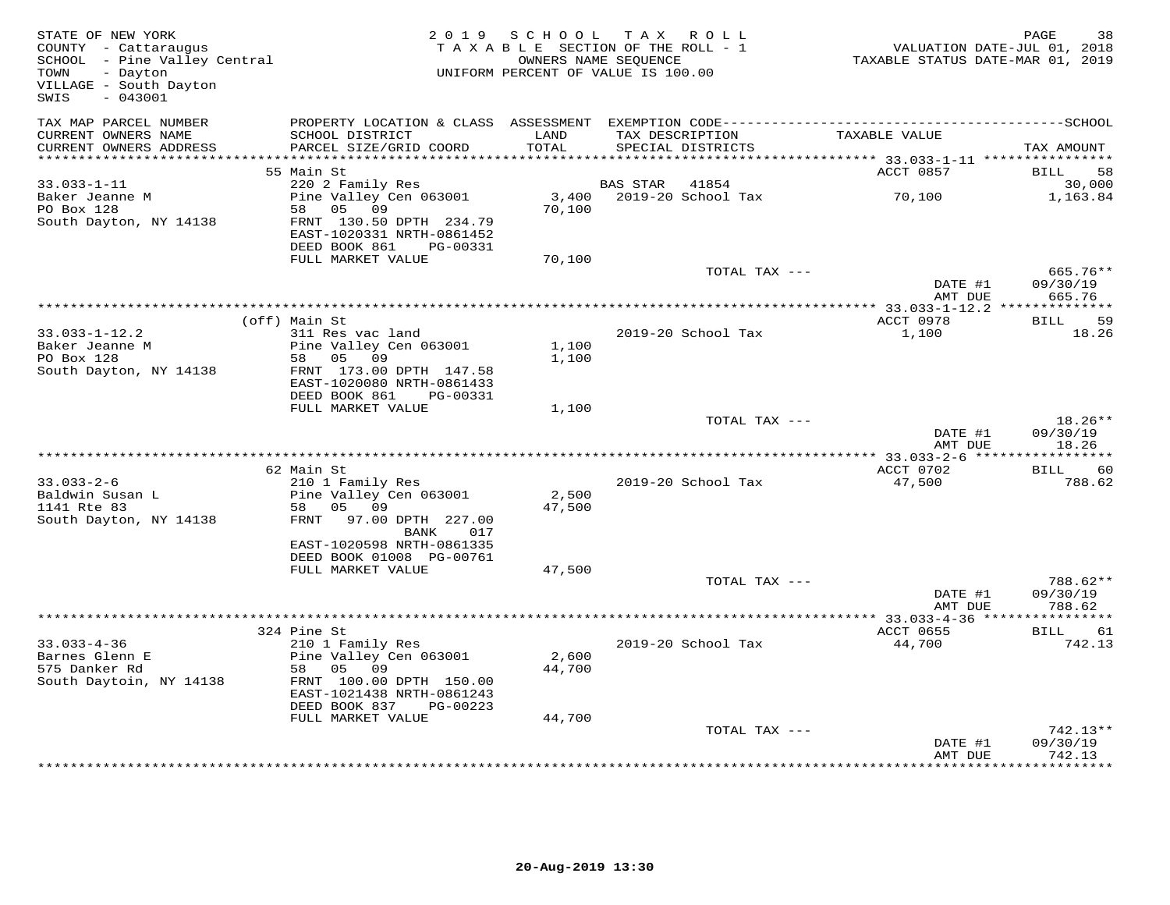| STATE OF NEW YORK<br>COUNTY - Cattaraugus<br>SCHOOL - Pine Valley Central<br>- Dayton<br>TOWN<br>VILLAGE - South Dayton<br>SWIS<br>$-043001$ |                                                                                   |               | 2019 SCHOOL TAX ROLL<br>TAXABLE SECTION OF THE ROLL - 1<br>OWNERS NAME SEQUENCE<br>UNIFORM PERCENT OF VALUE IS 100.00 | VALUATION DATE-JUL 01, 2018<br>TAXABLE STATUS DATE-MAR 01, 2019 | PAGE<br>38           |
|----------------------------------------------------------------------------------------------------------------------------------------------|-----------------------------------------------------------------------------------|---------------|-----------------------------------------------------------------------------------------------------------------------|-----------------------------------------------------------------|----------------------|
| TAX MAP PARCEL NUMBER<br>CURRENT OWNERS NAME<br>CURRENT OWNERS ADDRESS                                                                       | SCHOOL DISTRICT<br>PARCEL SIZE/GRID COORD                                         | LAND<br>TOTAL | TAX DESCRIPTION<br>SPECIAL DISTRICTS                                                                                  | TAXABLE VALUE                                                   | TAX AMOUNT           |
| ************************                                                                                                                     |                                                                                   |               |                                                                                                                       |                                                                 |                      |
| $33.033 - 1 - 11$                                                                                                                            | 55 Main St<br>220 2 Family Res                                                    |               | 41854<br>BAS STAR                                                                                                     | ACCT 0857                                                       | BILL<br>58<br>30,000 |
| Baker Jeanne M                                                                                                                               | Pine Valley Cen 063001                                                            | 3,400         | 2019-20 School Tax                                                                                                    | 70,100                                                          | 1,163.84             |
| PO Box 128                                                                                                                                   | 58 05 09                                                                          | 70,100        |                                                                                                                       |                                                                 |                      |
| South Dayton, NY 14138                                                                                                                       | FRNT 130.50 DPTH 234.79<br>EAST-1020331 NRTH-0861452<br>DEED BOOK 861<br>PG-00331 |               |                                                                                                                       |                                                                 |                      |
|                                                                                                                                              | FULL MARKET VALUE                                                                 | 70,100        |                                                                                                                       |                                                                 |                      |
|                                                                                                                                              |                                                                                   |               | TOTAL TAX ---                                                                                                         |                                                                 | 665.76**             |
|                                                                                                                                              |                                                                                   |               |                                                                                                                       | DATE #1<br>AMT DUE                                              | 09/30/19<br>665.76   |
|                                                                                                                                              | (off) Main St                                                                     |               |                                                                                                                       | ACCT 0978                                                       | BILL 59              |
| $33.033 - 1 - 12.2$                                                                                                                          | 311 Res vac land                                                                  |               | 2019-20 School Tax                                                                                                    | 1,100                                                           | 18.26                |
| Baker Jeanne M                                                                                                                               | Pine Valley Cen 063001                                                            | 1,100         |                                                                                                                       |                                                                 |                      |
| PO Box 128                                                                                                                                   | 09<br>58 05                                                                       | 1,100         |                                                                                                                       |                                                                 |                      |
| South Dayton, NY 14138                                                                                                                       | FRNT 173.00 DPTH 147.58                                                           |               |                                                                                                                       |                                                                 |                      |
|                                                                                                                                              | EAST-1020080 NRTH-0861433                                                         |               |                                                                                                                       |                                                                 |                      |
|                                                                                                                                              | DEED BOOK 861<br>PG-00331                                                         |               |                                                                                                                       |                                                                 |                      |
|                                                                                                                                              | FULL MARKET VALUE                                                                 | 1,100         | TOTAL TAX ---                                                                                                         |                                                                 | $18.26**$            |
|                                                                                                                                              |                                                                                   |               |                                                                                                                       | DATE #1                                                         | 09/30/19             |
|                                                                                                                                              |                                                                                   |               |                                                                                                                       | AMT DUE                                                         | 18.26                |
|                                                                                                                                              |                                                                                   |               |                                                                                                                       |                                                                 |                      |
|                                                                                                                                              | 62 Main St                                                                        |               |                                                                                                                       | ACCT 0702                                                       | <b>BILL</b><br>60    |
| $33.033 - 2 - 6$                                                                                                                             | 210 1 Family Res                                                                  |               | 2019-20 School Tax                                                                                                    | 47,500                                                          | 788.62               |
| Baldwin Susan L                                                                                                                              | Pine Valley Cen 063001                                                            | 2,500         |                                                                                                                       |                                                                 |                      |
| 1141 Rte 83                                                                                                                                  | 58 05 09                                                                          | 47,500        |                                                                                                                       |                                                                 |                      |
| South Dayton, NY 14138                                                                                                                       | FRNT 97.00 DPTH 227.00<br>BANK<br>017                                             |               |                                                                                                                       |                                                                 |                      |
|                                                                                                                                              | EAST-1020598 NRTH-0861335                                                         |               |                                                                                                                       |                                                                 |                      |
|                                                                                                                                              | DEED BOOK 01008 PG-00761                                                          |               |                                                                                                                       |                                                                 |                      |
|                                                                                                                                              | FULL MARKET VALUE                                                                 | 47,500        |                                                                                                                       |                                                                 |                      |
|                                                                                                                                              |                                                                                   |               | TOTAL TAX ---                                                                                                         |                                                                 | 788.62**             |
|                                                                                                                                              |                                                                                   |               |                                                                                                                       | DATE #1                                                         | 09/30/19             |
|                                                                                                                                              |                                                                                   |               |                                                                                                                       | AMT DUE                                                         | 788.62               |
|                                                                                                                                              |                                                                                   |               |                                                                                                                       |                                                                 | BILL 61              |
| $33.033 - 4 - 36$                                                                                                                            | 324 Pine St<br>210 1 Family Res                                                   |               | 2019-20 School Tax                                                                                                    | ACCT 0655<br>44,700                                             | 742.13               |
| Barnes Glenn E                                                                                                                               | Pine Valley Cen 063001                                                            | 2,600         |                                                                                                                       |                                                                 |                      |
| 575 Danker Rd                                                                                                                                | 58 05 09                                                                          | 44,700        |                                                                                                                       |                                                                 |                      |
| South Daytoin, NY 14138                                                                                                                      | FRNT 100.00 DPTH 150.00                                                           |               |                                                                                                                       |                                                                 |                      |
|                                                                                                                                              | EAST-1021438 NRTH-0861243                                                         |               |                                                                                                                       |                                                                 |                      |
|                                                                                                                                              | DEED BOOK 837<br>PG-00223                                                         |               |                                                                                                                       |                                                                 |                      |
|                                                                                                                                              | FULL MARKET VALUE                                                                 | 44,700        |                                                                                                                       |                                                                 |                      |
|                                                                                                                                              |                                                                                   |               | TOTAL TAX ---                                                                                                         |                                                                 | 742.13**             |
|                                                                                                                                              |                                                                                   |               |                                                                                                                       | DATE #1<br>AMT DUE                                              | 09/30/19<br>742.13   |
|                                                                                                                                              |                                                                                   |               |                                                                                                                       |                                                                 |                      |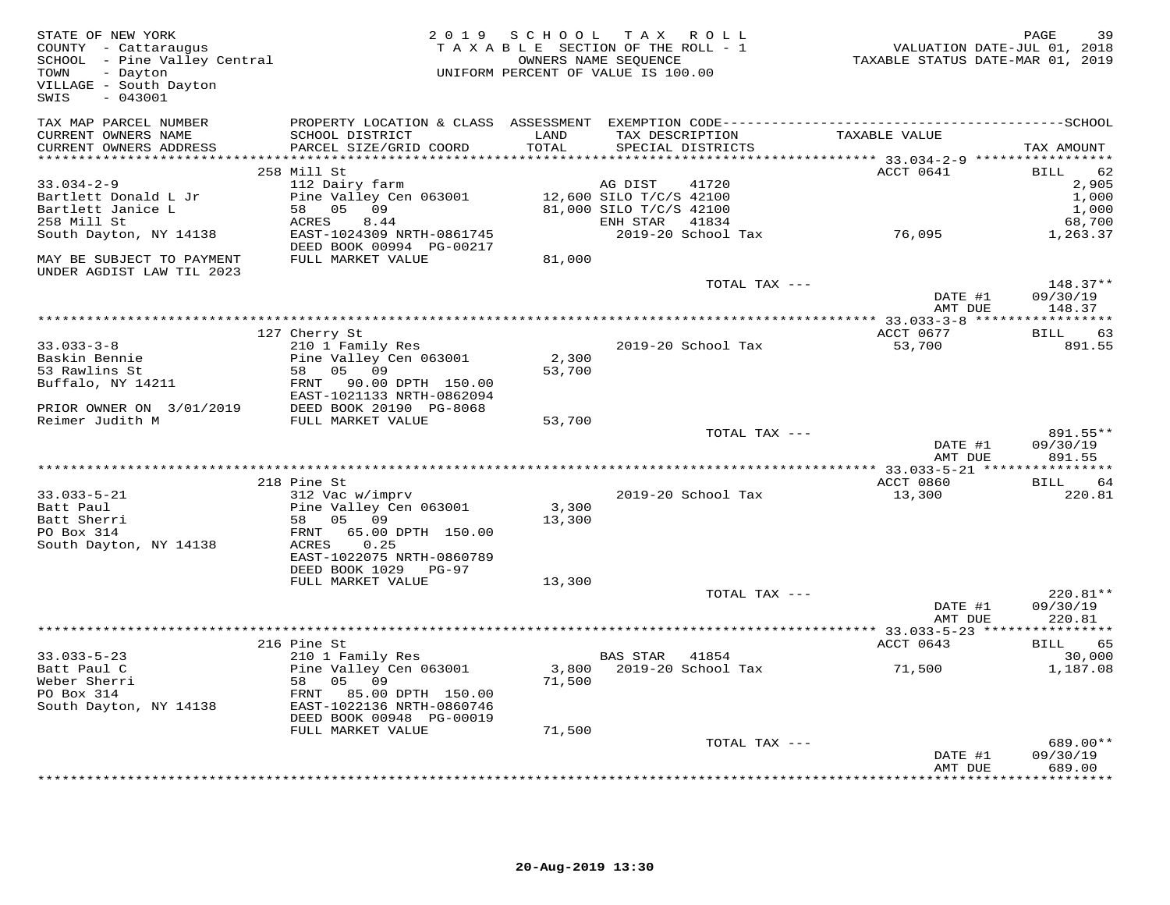| TAX MAP PARCEL NUMBER<br>TAXABLE VALUE<br>CURRENT OWNERS NAME<br>SCHOOL DISTRICT<br>LAND<br>TAX DESCRIPTION<br>TOTAL<br>CURRENT OWNERS ADDRESS<br>PARCEL SIZE/GRID COORD<br>SPECIAL DISTRICTS<br>TAX AMOUNT<br>**********************<br>258 Mill St<br>ACCT 0641<br>BILL<br>62<br>2,905<br>$33.034 - 2 - 9$<br>112 Dairy farm<br>41720<br>AG DIST<br>Pine Valley Cen 063001<br>12,600 SILO T/C/S 42100<br>81,000 SILO T/C/S 42100<br>1,000<br>Bartlett Donald L Jr<br>$58$ 05 09<br>$0.77755$ 8 44<br>1,000<br>Bartlett Janice L<br>258 Mill St<br>ACRES<br>8.44<br>ENH STAR<br>68,700<br>41834<br>76,095<br>South Dayton, NY 14138<br>EAST-1024309 NRTH-0861745<br>2019-20 School Tax<br>1,263.37<br>DEED BOOK 00994 PG-00217<br>FULL MARKET VALUE<br>81,000<br>MAY BE SUBJECT TO PAYMENT<br>UNDER AGDIST LAW TIL 2023<br>TOTAL TAX ---<br>$148.37**$<br>DATE #1<br>09/30/19<br>AMT DUE<br>148.37<br>127 Cherry St<br>ACCT 0677<br><b>BILL</b><br>63<br>210 1 Family Res<br>$33.033 - 3 - 8$<br>2019-20 School Tax<br>53,700<br>891.55<br>2,300<br>Baskin Bennie<br>Pine Valley Cen 063001<br>53,700<br>53 Rawlins St<br>58 05 09<br>Buffalo, NY 14211<br>FRNT 90.00 DPTH 150.00<br>EAST-1021133 NRTH-0862094<br>PRIOR OWNER ON 3/01/2019<br>Reimer Judith M<br>DEED BOOK 20190 PG-8068<br>FULL MARKET VALUE<br>53,700<br>TOTAL TAX ---<br>891.55**<br>09/30/19<br>DATE #1<br>AMT DUE<br>891.55<br>218 Pine St<br>ACCT 0860<br><b>BILL</b><br>64<br>312 Vac w/imprv<br>2019-20 School Tax<br>220.81<br>$33.033 - 5 - 21$<br>13,300<br>Pine Valley Cen 063001<br>3,300<br>Batt Paul<br>58 05 09<br>Batt Sherri<br>13,300<br>PO Box 314<br>65.00 DPTH 150.00<br>FRNT<br>0.25<br>South Dayton, NY 14138<br>ACRES<br>EAST-1022075 NRTH-0860789<br>DEED BOOK 1029 PG-97<br>FULL MARKET VALUE<br>13,300<br>220.81**<br>TOTAL TAX ---<br>DATE #1<br>09/30/19<br>220.81<br>AMT DUE<br>ACCT 0643<br>216 Pine St<br><b>BILL</b><br>65<br>210 1 Family Res<br>$33.033 - 5 - 23$<br>BAS STAR 41854<br>30,000<br>3,800 2019-20 School Tax<br>Pine Valley Cen 063001<br>71,500<br>Batt Paul C<br>1,187.08<br>Weber Sherri<br>58 05 09<br>71,500<br>PO Box 314<br>FRNT 85.00 DPTH 150.00<br>South Dayton, NY 14138<br>EAST-1022136 NRTH-0860746<br>DEED BOOK 00948 PG-00019<br>71,500<br>FULL MARKET VALUE<br>TOTAL TAX ---<br>689.00**<br>09/30/19<br>DATE #1<br>AMT DUE<br>689.00<br>*********** | STATE OF NEW YORK<br>COUNTY - Cattaraugus<br>SCHOOL - Pine Valley Central<br>TOWN - Dayton<br>TOWN - Dayton<br>VILLAGE - South Dayton<br>$-043001$<br>SWIS | 2019 SCHOOL | TAX ROLL<br>TAXABLE SECTION OF THE ROLL - 1<br>TAXABLE SECTION OF THE ROLL - 1<br>OWNERS NAME SEQUENCE TAXABLE STATUS DATE-MAR 01, 2019<br>UNIFORM PERCENT OF VALUE IS 100.00 | PAGE<br>39 |
|---------------------------------------------------------------------------------------------------------------------------------------------------------------------------------------------------------------------------------------------------------------------------------------------------------------------------------------------------------------------------------------------------------------------------------------------------------------------------------------------------------------------------------------------------------------------------------------------------------------------------------------------------------------------------------------------------------------------------------------------------------------------------------------------------------------------------------------------------------------------------------------------------------------------------------------------------------------------------------------------------------------------------------------------------------------------------------------------------------------------------------------------------------------------------------------------------------------------------------------------------------------------------------------------------------------------------------------------------------------------------------------------------------------------------------------------------------------------------------------------------------------------------------------------------------------------------------------------------------------------------------------------------------------------------------------------------------------------------------------------------------------------------------------------------------------------------------------------------------------------------------------------------------------------------------------------------------------------------------------------------------------------------------------------------------------------------------------------------------------------------------------------------------------------------------------------------------------------------------------------------------------------------------------------------------------------------------------------------------------------------------------|------------------------------------------------------------------------------------------------------------------------------------------------------------|-------------|-------------------------------------------------------------------------------------------------------------------------------------------------------------------------------|------------|
|                                                                                                                                                                                                                                                                                                                                                                                                                                                                                                                                                                                                                                                                                                                                                                                                                                                                                                                                                                                                                                                                                                                                                                                                                                                                                                                                                                                                                                                                                                                                                                                                                                                                                                                                                                                                                                                                                                                                                                                                                                                                                                                                                                                                                                                                                                                                                                                       |                                                                                                                                                            |             |                                                                                                                                                                               |            |
|                                                                                                                                                                                                                                                                                                                                                                                                                                                                                                                                                                                                                                                                                                                                                                                                                                                                                                                                                                                                                                                                                                                                                                                                                                                                                                                                                                                                                                                                                                                                                                                                                                                                                                                                                                                                                                                                                                                                                                                                                                                                                                                                                                                                                                                                                                                                                                                       |                                                                                                                                                            |             |                                                                                                                                                                               |            |
|                                                                                                                                                                                                                                                                                                                                                                                                                                                                                                                                                                                                                                                                                                                                                                                                                                                                                                                                                                                                                                                                                                                                                                                                                                                                                                                                                                                                                                                                                                                                                                                                                                                                                                                                                                                                                                                                                                                                                                                                                                                                                                                                                                                                                                                                                                                                                                                       |                                                                                                                                                            |             |                                                                                                                                                                               |            |
|                                                                                                                                                                                                                                                                                                                                                                                                                                                                                                                                                                                                                                                                                                                                                                                                                                                                                                                                                                                                                                                                                                                                                                                                                                                                                                                                                                                                                                                                                                                                                                                                                                                                                                                                                                                                                                                                                                                                                                                                                                                                                                                                                                                                                                                                                                                                                                                       |                                                                                                                                                            |             |                                                                                                                                                                               |            |
|                                                                                                                                                                                                                                                                                                                                                                                                                                                                                                                                                                                                                                                                                                                                                                                                                                                                                                                                                                                                                                                                                                                                                                                                                                                                                                                                                                                                                                                                                                                                                                                                                                                                                                                                                                                                                                                                                                                                                                                                                                                                                                                                                                                                                                                                                                                                                                                       |                                                                                                                                                            |             |                                                                                                                                                                               |            |
|                                                                                                                                                                                                                                                                                                                                                                                                                                                                                                                                                                                                                                                                                                                                                                                                                                                                                                                                                                                                                                                                                                                                                                                                                                                                                                                                                                                                                                                                                                                                                                                                                                                                                                                                                                                                                                                                                                                                                                                                                                                                                                                                                                                                                                                                                                                                                                                       |                                                                                                                                                            |             |                                                                                                                                                                               |            |
|                                                                                                                                                                                                                                                                                                                                                                                                                                                                                                                                                                                                                                                                                                                                                                                                                                                                                                                                                                                                                                                                                                                                                                                                                                                                                                                                                                                                                                                                                                                                                                                                                                                                                                                                                                                                                                                                                                                                                                                                                                                                                                                                                                                                                                                                                                                                                                                       |                                                                                                                                                            |             |                                                                                                                                                                               |            |
|                                                                                                                                                                                                                                                                                                                                                                                                                                                                                                                                                                                                                                                                                                                                                                                                                                                                                                                                                                                                                                                                                                                                                                                                                                                                                                                                                                                                                                                                                                                                                                                                                                                                                                                                                                                                                                                                                                                                                                                                                                                                                                                                                                                                                                                                                                                                                                                       |                                                                                                                                                            |             |                                                                                                                                                                               |            |
|                                                                                                                                                                                                                                                                                                                                                                                                                                                                                                                                                                                                                                                                                                                                                                                                                                                                                                                                                                                                                                                                                                                                                                                                                                                                                                                                                                                                                                                                                                                                                                                                                                                                                                                                                                                                                                                                                                                                                                                                                                                                                                                                                                                                                                                                                                                                                                                       |                                                                                                                                                            |             |                                                                                                                                                                               |            |
|                                                                                                                                                                                                                                                                                                                                                                                                                                                                                                                                                                                                                                                                                                                                                                                                                                                                                                                                                                                                                                                                                                                                                                                                                                                                                                                                                                                                                                                                                                                                                                                                                                                                                                                                                                                                                                                                                                                                                                                                                                                                                                                                                                                                                                                                                                                                                                                       |                                                                                                                                                            |             |                                                                                                                                                                               |            |
|                                                                                                                                                                                                                                                                                                                                                                                                                                                                                                                                                                                                                                                                                                                                                                                                                                                                                                                                                                                                                                                                                                                                                                                                                                                                                                                                                                                                                                                                                                                                                                                                                                                                                                                                                                                                                                                                                                                                                                                                                                                                                                                                                                                                                                                                                                                                                                                       |                                                                                                                                                            |             |                                                                                                                                                                               |            |
|                                                                                                                                                                                                                                                                                                                                                                                                                                                                                                                                                                                                                                                                                                                                                                                                                                                                                                                                                                                                                                                                                                                                                                                                                                                                                                                                                                                                                                                                                                                                                                                                                                                                                                                                                                                                                                                                                                                                                                                                                                                                                                                                                                                                                                                                                                                                                                                       |                                                                                                                                                            |             |                                                                                                                                                                               |            |
|                                                                                                                                                                                                                                                                                                                                                                                                                                                                                                                                                                                                                                                                                                                                                                                                                                                                                                                                                                                                                                                                                                                                                                                                                                                                                                                                                                                                                                                                                                                                                                                                                                                                                                                                                                                                                                                                                                                                                                                                                                                                                                                                                                                                                                                                                                                                                                                       |                                                                                                                                                            |             |                                                                                                                                                                               |            |
|                                                                                                                                                                                                                                                                                                                                                                                                                                                                                                                                                                                                                                                                                                                                                                                                                                                                                                                                                                                                                                                                                                                                                                                                                                                                                                                                                                                                                                                                                                                                                                                                                                                                                                                                                                                                                                                                                                                                                                                                                                                                                                                                                                                                                                                                                                                                                                                       |                                                                                                                                                            |             |                                                                                                                                                                               |            |
|                                                                                                                                                                                                                                                                                                                                                                                                                                                                                                                                                                                                                                                                                                                                                                                                                                                                                                                                                                                                                                                                                                                                                                                                                                                                                                                                                                                                                                                                                                                                                                                                                                                                                                                                                                                                                                                                                                                                                                                                                                                                                                                                                                                                                                                                                                                                                                                       |                                                                                                                                                            |             |                                                                                                                                                                               |            |
|                                                                                                                                                                                                                                                                                                                                                                                                                                                                                                                                                                                                                                                                                                                                                                                                                                                                                                                                                                                                                                                                                                                                                                                                                                                                                                                                                                                                                                                                                                                                                                                                                                                                                                                                                                                                                                                                                                                                                                                                                                                                                                                                                                                                                                                                                                                                                                                       |                                                                                                                                                            |             |                                                                                                                                                                               |            |
|                                                                                                                                                                                                                                                                                                                                                                                                                                                                                                                                                                                                                                                                                                                                                                                                                                                                                                                                                                                                                                                                                                                                                                                                                                                                                                                                                                                                                                                                                                                                                                                                                                                                                                                                                                                                                                                                                                                                                                                                                                                                                                                                                                                                                                                                                                                                                                                       |                                                                                                                                                            |             |                                                                                                                                                                               |            |
|                                                                                                                                                                                                                                                                                                                                                                                                                                                                                                                                                                                                                                                                                                                                                                                                                                                                                                                                                                                                                                                                                                                                                                                                                                                                                                                                                                                                                                                                                                                                                                                                                                                                                                                                                                                                                                                                                                                                                                                                                                                                                                                                                                                                                                                                                                                                                                                       |                                                                                                                                                            |             |                                                                                                                                                                               |            |
|                                                                                                                                                                                                                                                                                                                                                                                                                                                                                                                                                                                                                                                                                                                                                                                                                                                                                                                                                                                                                                                                                                                                                                                                                                                                                                                                                                                                                                                                                                                                                                                                                                                                                                                                                                                                                                                                                                                                                                                                                                                                                                                                                                                                                                                                                                                                                                                       |                                                                                                                                                            |             |                                                                                                                                                                               |            |
|                                                                                                                                                                                                                                                                                                                                                                                                                                                                                                                                                                                                                                                                                                                                                                                                                                                                                                                                                                                                                                                                                                                                                                                                                                                                                                                                                                                                                                                                                                                                                                                                                                                                                                                                                                                                                                                                                                                                                                                                                                                                                                                                                                                                                                                                                                                                                                                       |                                                                                                                                                            |             |                                                                                                                                                                               |            |
|                                                                                                                                                                                                                                                                                                                                                                                                                                                                                                                                                                                                                                                                                                                                                                                                                                                                                                                                                                                                                                                                                                                                                                                                                                                                                                                                                                                                                                                                                                                                                                                                                                                                                                                                                                                                                                                                                                                                                                                                                                                                                                                                                                                                                                                                                                                                                                                       |                                                                                                                                                            |             |                                                                                                                                                                               |            |
|                                                                                                                                                                                                                                                                                                                                                                                                                                                                                                                                                                                                                                                                                                                                                                                                                                                                                                                                                                                                                                                                                                                                                                                                                                                                                                                                                                                                                                                                                                                                                                                                                                                                                                                                                                                                                                                                                                                                                                                                                                                                                                                                                                                                                                                                                                                                                                                       |                                                                                                                                                            |             |                                                                                                                                                                               |            |
|                                                                                                                                                                                                                                                                                                                                                                                                                                                                                                                                                                                                                                                                                                                                                                                                                                                                                                                                                                                                                                                                                                                                                                                                                                                                                                                                                                                                                                                                                                                                                                                                                                                                                                                                                                                                                                                                                                                                                                                                                                                                                                                                                                                                                                                                                                                                                                                       |                                                                                                                                                            |             |                                                                                                                                                                               |            |
|                                                                                                                                                                                                                                                                                                                                                                                                                                                                                                                                                                                                                                                                                                                                                                                                                                                                                                                                                                                                                                                                                                                                                                                                                                                                                                                                                                                                                                                                                                                                                                                                                                                                                                                                                                                                                                                                                                                                                                                                                                                                                                                                                                                                                                                                                                                                                                                       |                                                                                                                                                            |             |                                                                                                                                                                               |            |
|                                                                                                                                                                                                                                                                                                                                                                                                                                                                                                                                                                                                                                                                                                                                                                                                                                                                                                                                                                                                                                                                                                                                                                                                                                                                                                                                                                                                                                                                                                                                                                                                                                                                                                                                                                                                                                                                                                                                                                                                                                                                                                                                                                                                                                                                                                                                                                                       |                                                                                                                                                            |             |                                                                                                                                                                               |            |
|                                                                                                                                                                                                                                                                                                                                                                                                                                                                                                                                                                                                                                                                                                                                                                                                                                                                                                                                                                                                                                                                                                                                                                                                                                                                                                                                                                                                                                                                                                                                                                                                                                                                                                                                                                                                                                                                                                                                                                                                                                                                                                                                                                                                                                                                                                                                                                                       |                                                                                                                                                            |             |                                                                                                                                                                               |            |
|                                                                                                                                                                                                                                                                                                                                                                                                                                                                                                                                                                                                                                                                                                                                                                                                                                                                                                                                                                                                                                                                                                                                                                                                                                                                                                                                                                                                                                                                                                                                                                                                                                                                                                                                                                                                                                                                                                                                                                                                                                                                                                                                                                                                                                                                                                                                                                                       |                                                                                                                                                            |             |                                                                                                                                                                               |            |
|                                                                                                                                                                                                                                                                                                                                                                                                                                                                                                                                                                                                                                                                                                                                                                                                                                                                                                                                                                                                                                                                                                                                                                                                                                                                                                                                                                                                                                                                                                                                                                                                                                                                                                                                                                                                                                                                                                                                                                                                                                                                                                                                                                                                                                                                                                                                                                                       |                                                                                                                                                            |             |                                                                                                                                                                               |            |
|                                                                                                                                                                                                                                                                                                                                                                                                                                                                                                                                                                                                                                                                                                                                                                                                                                                                                                                                                                                                                                                                                                                                                                                                                                                                                                                                                                                                                                                                                                                                                                                                                                                                                                                                                                                                                                                                                                                                                                                                                                                                                                                                                                                                                                                                                                                                                                                       |                                                                                                                                                            |             |                                                                                                                                                                               |            |
|                                                                                                                                                                                                                                                                                                                                                                                                                                                                                                                                                                                                                                                                                                                                                                                                                                                                                                                                                                                                                                                                                                                                                                                                                                                                                                                                                                                                                                                                                                                                                                                                                                                                                                                                                                                                                                                                                                                                                                                                                                                                                                                                                                                                                                                                                                                                                                                       |                                                                                                                                                            |             |                                                                                                                                                                               |            |
|                                                                                                                                                                                                                                                                                                                                                                                                                                                                                                                                                                                                                                                                                                                                                                                                                                                                                                                                                                                                                                                                                                                                                                                                                                                                                                                                                                                                                                                                                                                                                                                                                                                                                                                                                                                                                                                                                                                                                                                                                                                                                                                                                                                                                                                                                                                                                                                       |                                                                                                                                                            |             |                                                                                                                                                                               |            |
|                                                                                                                                                                                                                                                                                                                                                                                                                                                                                                                                                                                                                                                                                                                                                                                                                                                                                                                                                                                                                                                                                                                                                                                                                                                                                                                                                                                                                                                                                                                                                                                                                                                                                                                                                                                                                                                                                                                                                                                                                                                                                                                                                                                                                                                                                                                                                                                       |                                                                                                                                                            |             |                                                                                                                                                                               |            |
|                                                                                                                                                                                                                                                                                                                                                                                                                                                                                                                                                                                                                                                                                                                                                                                                                                                                                                                                                                                                                                                                                                                                                                                                                                                                                                                                                                                                                                                                                                                                                                                                                                                                                                                                                                                                                                                                                                                                                                                                                                                                                                                                                                                                                                                                                                                                                                                       |                                                                                                                                                            |             |                                                                                                                                                                               |            |
|                                                                                                                                                                                                                                                                                                                                                                                                                                                                                                                                                                                                                                                                                                                                                                                                                                                                                                                                                                                                                                                                                                                                                                                                                                                                                                                                                                                                                                                                                                                                                                                                                                                                                                                                                                                                                                                                                                                                                                                                                                                                                                                                                                                                                                                                                                                                                                                       |                                                                                                                                                            |             |                                                                                                                                                                               |            |
|                                                                                                                                                                                                                                                                                                                                                                                                                                                                                                                                                                                                                                                                                                                                                                                                                                                                                                                                                                                                                                                                                                                                                                                                                                                                                                                                                                                                                                                                                                                                                                                                                                                                                                                                                                                                                                                                                                                                                                                                                                                                                                                                                                                                                                                                                                                                                                                       |                                                                                                                                                            |             |                                                                                                                                                                               |            |
|                                                                                                                                                                                                                                                                                                                                                                                                                                                                                                                                                                                                                                                                                                                                                                                                                                                                                                                                                                                                                                                                                                                                                                                                                                                                                                                                                                                                                                                                                                                                                                                                                                                                                                                                                                                                                                                                                                                                                                                                                                                                                                                                                                                                                                                                                                                                                                                       |                                                                                                                                                            |             |                                                                                                                                                                               |            |
|                                                                                                                                                                                                                                                                                                                                                                                                                                                                                                                                                                                                                                                                                                                                                                                                                                                                                                                                                                                                                                                                                                                                                                                                                                                                                                                                                                                                                                                                                                                                                                                                                                                                                                                                                                                                                                                                                                                                                                                                                                                                                                                                                                                                                                                                                                                                                                                       |                                                                                                                                                            |             |                                                                                                                                                                               |            |
|                                                                                                                                                                                                                                                                                                                                                                                                                                                                                                                                                                                                                                                                                                                                                                                                                                                                                                                                                                                                                                                                                                                                                                                                                                                                                                                                                                                                                                                                                                                                                                                                                                                                                                                                                                                                                                                                                                                                                                                                                                                                                                                                                                                                                                                                                                                                                                                       |                                                                                                                                                            |             |                                                                                                                                                                               |            |
|                                                                                                                                                                                                                                                                                                                                                                                                                                                                                                                                                                                                                                                                                                                                                                                                                                                                                                                                                                                                                                                                                                                                                                                                                                                                                                                                                                                                                                                                                                                                                                                                                                                                                                                                                                                                                                                                                                                                                                                                                                                                                                                                                                                                                                                                                                                                                                                       |                                                                                                                                                            |             |                                                                                                                                                                               |            |
|                                                                                                                                                                                                                                                                                                                                                                                                                                                                                                                                                                                                                                                                                                                                                                                                                                                                                                                                                                                                                                                                                                                                                                                                                                                                                                                                                                                                                                                                                                                                                                                                                                                                                                                                                                                                                                                                                                                                                                                                                                                                                                                                                                                                                                                                                                                                                                                       |                                                                                                                                                            |             |                                                                                                                                                                               |            |
|                                                                                                                                                                                                                                                                                                                                                                                                                                                                                                                                                                                                                                                                                                                                                                                                                                                                                                                                                                                                                                                                                                                                                                                                                                                                                                                                                                                                                                                                                                                                                                                                                                                                                                                                                                                                                                                                                                                                                                                                                                                                                                                                                                                                                                                                                                                                                                                       |                                                                                                                                                            |             |                                                                                                                                                                               |            |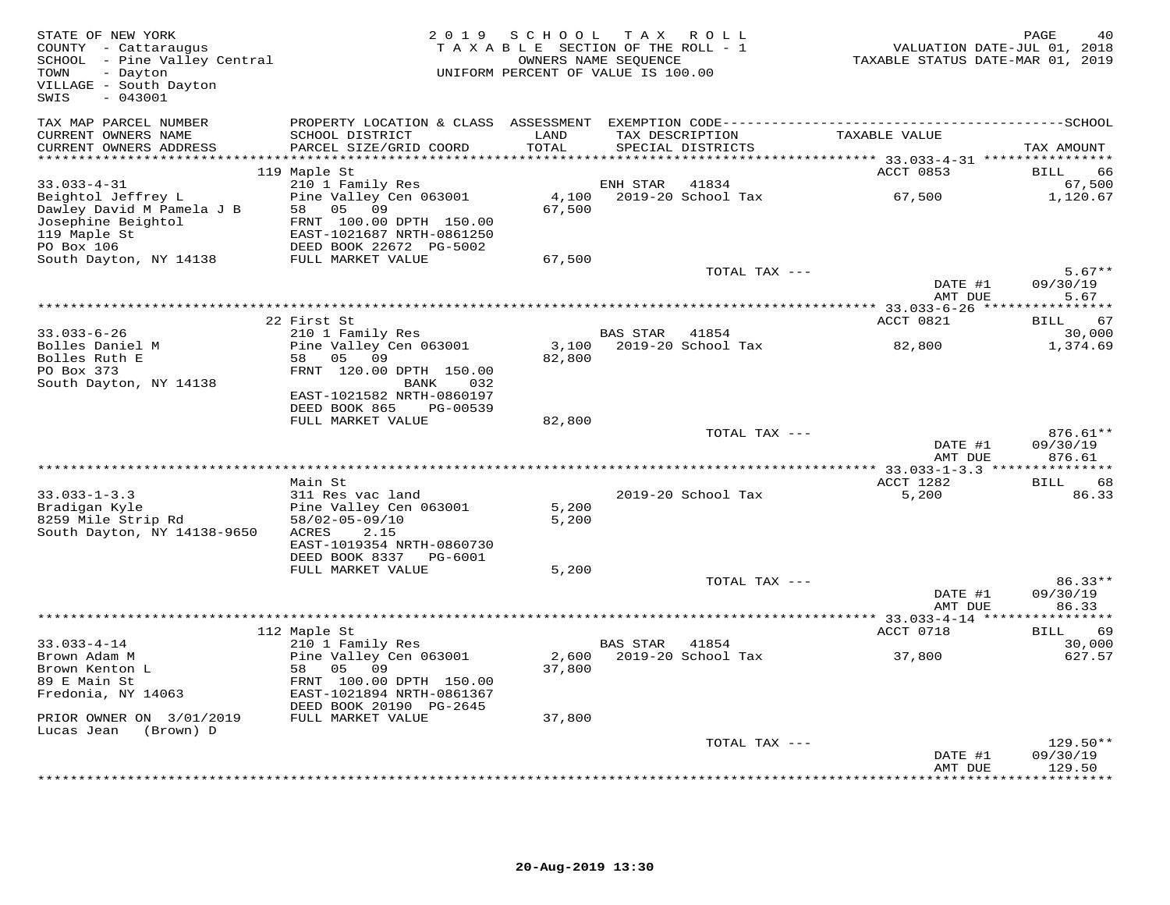| STATE OF NEW YORK<br>COUNTY - Cattaraugus<br>SCHOOL - Pine Valley Central<br>- Dayton<br>TOWN<br>VILLAGE - South Dayton<br>$-043001$<br>SWIS | 2 0 1 9                                                                                        | SCHOOL<br>TAXABLE SECTION OF THE ROLL - 1<br>UNIFORM PERCENT OF VALUE IS 100.00 | T A X<br>OWNERS NAME SEQUENCE | ROLL ROLL                            | TAXABLE STATUS DATE-MAR 01, 2019 | PAGE<br>VALUATION DATE-JUL 01, 2018 |
|----------------------------------------------------------------------------------------------------------------------------------------------|------------------------------------------------------------------------------------------------|---------------------------------------------------------------------------------|-------------------------------|--------------------------------------|----------------------------------|-------------------------------------|
| TAX MAP PARCEL NUMBER<br>CURRENT OWNERS NAME<br>CURRENT OWNERS ADDRESS                                                                       | SCHOOL DISTRICT<br>PARCEL SIZE/GRID COORD                                                      | LAND<br>TOTAL                                                                   |                               | TAX DESCRIPTION<br>SPECIAL DISTRICTS | TAXABLE VALUE                    | TAX AMOUNT                          |
| ************************                                                                                                                     | 119 Maple St                                                                                   |                                                                                 |                               |                                      | ACCT 0853                        | BILL<br>66                          |
| $33.033 - 4 - 31$<br>Beightol Jeffrey L                                                                                                      | 210 1 Family Res<br>Pine Valley Cen 063001                                                     |                                                                                 | ENH STAR                      | 41834<br>4,100 2019-20 School Tax    | 67,500                           | 67,500<br>1,120.67                  |
| Dawley David M Pamela J B<br>Josephine Beightol<br>119 Maple St<br>PO Box 106                                                                | 58<br>05 09<br>FRNT 100.00 DPTH 150.00<br>EAST-1021687 NRTH-0861250<br>DEED BOOK 22672 PG-5002 | 67,500                                                                          |                               |                                      |                                  |                                     |
| South Dayton, NY 14138                                                                                                                       | FULL MARKET VALUE                                                                              | 67,500                                                                          |                               | TOTAL TAX ---                        |                                  | $5.67**$                            |
|                                                                                                                                              |                                                                                                |                                                                                 |                               |                                      | DATE #1<br>AMT DUE               | 09/30/19<br>5.67                    |
|                                                                                                                                              |                                                                                                |                                                                                 |                               |                                      |                                  |                                     |
|                                                                                                                                              | 22 First St                                                                                    |                                                                                 |                               |                                      | ACCT 0821                        | 67<br>BILL                          |
| $33.033 - 6 - 26$<br>Bolles Daniel M                                                                                                         | 210 1 Family Res<br>Pine Valley Cen 063001                                                     |                                                                                 | BAS STAR                      | 41854<br>3,100 2019-20 School Tax    | 82,800                           | 30,000<br>1,374.69                  |
| Bolles Ruth E                                                                                                                                | 58 05 09                                                                                       | 82,800                                                                          |                               |                                      |                                  |                                     |
| PO Box 373                                                                                                                                   | FRNT 120.00 DPTH 150.00                                                                        |                                                                                 |                               |                                      |                                  |                                     |
| South Dayton, NY 14138                                                                                                                       | BANK<br>032<br>EAST-1021582 NRTH-0860197                                                       |                                                                                 |                               |                                      |                                  |                                     |
|                                                                                                                                              | DEED BOOK 865<br>PG-00539                                                                      |                                                                                 |                               |                                      |                                  |                                     |
|                                                                                                                                              | FULL MARKET VALUE                                                                              | 82,800                                                                          |                               |                                      |                                  |                                     |
|                                                                                                                                              |                                                                                                |                                                                                 |                               | TOTAL TAX ---                        |                                  | 876.61**                            |
|                                                                                                                                              |                                                                                                |                                                                                 |                               |                                      | DATE #1<br>AMT DUE               | 09/30/19<br>876.61                  |
|                                                                                                                                              |                                                                                                |                                                                                 |                               |                                      |                                  |                                     |
|                                                                                                                                              | Main St                                                                                        |                                                                                 |                               |                                      | ACCT 1282                        | BILL<br>68                          |
| $33.033 - 1 - 3.3$                                                                                                                           | 311 Res vac land                                                                               |                                                                                 |                               | 2019-20 School Tax                   | 5,200                            | 86.33                               |
| Bradigan Kyle<br>8259 Mile Strip Rd                                                                                                          | Pine Valley Cen 063001<br>58/02-05-09/10                                                       | 5,200<br>5,200                                                                  |                               |                                      |                                  |                                     |
| South Dayton, NY 14138-9650                                                                                                                  | 2.15<br>ACRES                                                                                  |                                                                                 |                               |                                      |                                  |                                     |
|                                                                                                                                              | EAST-1019354 NRTH-0860730                                                                      |                                                                                 |                               |                                      |                                  |                                     |
|                                                                                                                                              | DEED BOOK 8337 PG-6001                                                                         |                                                                                 |                               |                                      |                                  |                                     |
|                                                                                                                                              | FULL MARKET VALUE                                                                              | 5,200                                                                           |                               | TOTAL TAX ---                        |                                  | $86.33**$                           |
|                                                                                                                                              |                                                                                                |                                                                                 |                               |                                      | DATE #1                          | 09/30/19                            |
|                                                                                                                                              |                                                                                                |                                                                                 |                               |                                      | AMT DUE                          | 86.33                               |
|                                                                                                                                              |                                                                                                |                                                                                 |                               |                                      | ACCT 0718                        | 69<br>BILL                          |
| $33.033 - 4 - 14$                                                                                                                            | 112 Maple St<br>210 1 Family Res                                                               |                                                                                 | BAS STAR                      | 41854                                |                                  | 30,000                              |
| Brown Adam M                                                                                                                                 | Pine Valley Cen 063001                                                                         | 2,600                                                                           |                               | 2019-20 School Tax                   | 37,800                           | 627.57                              |
| Brown Kenton L                                                                                                                               | 58 05<br>09                                                                                    | 37,800                                                                          |                               |                                      |                                  |                                     |
| 89 E Main St                                                                                                                                 | FRNT 100.00 DPTH 150.00<br>EAST-1021894 NRTH-0861367                                           |                                                                                 |                               |                                      |                                  |                                     |
| Fredonia, NY 14063                                                                                                                           | DEED BOOK 20190 PG-2645                                                                        |                                                                                 |                               |                                      |                                  |                                     |
| PRIOR OWNER ON 3/01/2019                                                                                                                     | FULL MARKET VALUE                                                                              | 37,800                                                                          |                               |                                      |                                  |                                     |
| Lucas Jean<br>(Brown) D                                                                                                                      |                                                                                                |                                                                                 |                               |                                      |                                  |                                     |
|                                                                                                                                              |                                                                                                |                                                                                 |                               | TOTAL TAX ---                        | DATE #1                          | $129.50**$<br>09/30/19              |
|                                                                                                                                              |                                                                                                |                                                                                 |                               |                                      | AMT DUE                          | 129.50                              |
|                                                                                                                                              |                                                                                                |                                                                                 |                               |                                      |                                  | <b>++++++++</b>                     |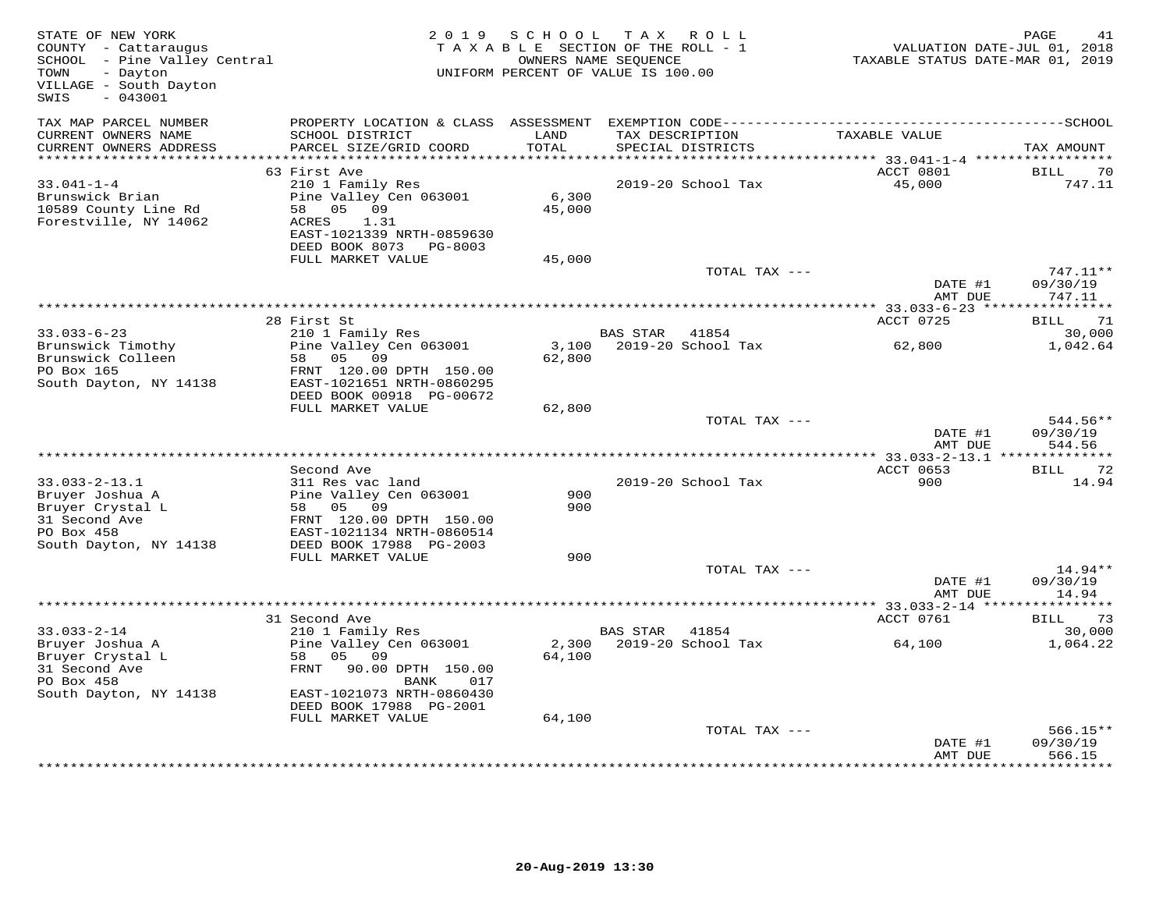| STATE OF NEW YORK<br>COUNTY - Cattaraugus<br>SCHOOL - Pine Valley Central<br>- Dayton<br>TOWN<br>VILLAGE - South Dayton<br>SWIS<br>$-043001$ | 2 0 1 9                                                                                                                                                   | SCHOOL                    | T A X<br>R O L L<br>TAXABLE SECTION OF THE ROLL - 1<br>OWNERS NAME SEQUENCE<br>UNIFORM PERCENT OF VALUE IS 100.00 | VALUATION DATE-JUL 01, 2018<br>TAXABLE STATUS DATE-MAR 01, 2019 | PAGE<br>41                       |
|----------------------------------------------------------------------------------------------------------------------------------------------|-----------------------------------------------------------------------------------------------------------------------------------------------------------|---------------------------|-------------------------------------------------------------------------------------------------------------------|-----------------------------------------------------------------|----------------------------------|
| TAX MAP PARCEL NUMBER<br>CURRENT OWNERS NAME<br>CURRENT OWNERS ADDRESS                                                                       | PROPERTY LOCATION & CLASS ASSESSMENT<br>SCHOOL DISTRICT<br>PARCEL SIZE/GRID COORD                                                                         | LAND<br>TOTAL             | TAX DESCRIPTION<br>SPECIAL DISTRICTS                                                                              | TAXABLE VALUE                                                   | TAX AMOUNT                       |
| *************************                                                                                                                    | ******************************<br>63 First Ave                                                                                                            |                           |                                                                                                                   | ACCT 0801                                                       | <b>BILL</b>                      |
| $33.041 - 1 - 4$<br>Brunswick Brian<br>10589 County Line Rd<br>Forestville, NY 14062                                                         | 210 1 Family Res<br>Pine Valley Cen 063001<br>05<br>09<br>58<br>ACRES<br>1.31<br>EAST-1021339 NRTH-0859630<br>DEED BOOK 8073 PG-8003<br>FULL MARKET VALUE | 6,300<br>45,000<br>45,000 | 2019-20 School Tax                                                                                                | 45,000                                                          | 70<br>747.11                     |
|                                                                                                                                              |                                                                                                                                                           |                           | TOTAL TAX ---                                                                                                     |                                                                 | 747.11**                         |
|                                                                                                                                              |                                                                                                                                                           |                           |                                                                                                                   | DATE #1<br>AMT DUE                                              | 09/30/19<br>747.11               |
|                                                                                                                                              | 28 First St                                                                                                                                               |                           |                                                                                                                   | ************ 33.033-6-23 ****************<br>ACCT 0725          | 71<br>BILL                       |
| $33.033 - 6 - 23$                                                                                                                            | 210 1 Family Res                                                                                                                                          |                           | <b>BAS STAR</b><br>41854                                                                                          |                                                                 | 30,000                           |
| Brunswick Timothy<br>Brunswick Colleen<br>PO Box 165<br>South Dayton, NY 14138                                                               | Pine Valley Cen 063001<br>58<br>05<br>09<br>FRNT 120.00 DPTH 150.00<br>EAST-1021651 NRTH-0860295                                                          | 3,100<br>62,800           | 2019-20 School Tax                                                                                                | 62,800                                                          | 1,042.64                         |
|                                                                                                                                              | DEED BOOK 00918 PG-00672                                                                                                                                  |                           |                                                                                                                   |                                                                 |                                  |
|                                                                                                                                              | FULL MARKET VALUE                                                                                                                                         | 62,800                    | TOTAL TAX ---                                                                                                     | DATE #1                                                         | 544.56**<br>09/30/19             |
|                                                                                                                                              | * * * * * * * * * * * * * * * * *                                                                                                                         |                           |                                                                                                                   | AMT DUE<br>************ 33.033-2-13.1 ***************           | 544.56                           |
|                                                                                                                                              | Second Ave                                                                                                                                                |                           |                                                                                                                   | ACCT 0653                                                       | 72<br>BILL                       |
| $33.033 - 2 - 13.1$<br>Bruyer Joshua A<br>Bruyer Crystal L<br>31 Second Ave<br>PO Box 458<br>South Dayton, NY 14138                          | 311 Res vac land<br>Pine Valley Cen 063001<br>58<br>05<br>09<br>FRNT 120.00 DPTH 150.00<br>EAST-1021134 NRTH-0860514<br>DEED BOOK 17988 PG-2003           | 900<br>900                | 2019-20 School Tax                                                                                                | 900                                                             | 14.94                            |
|                                                                                                                                              | FULL MARKET VALUE                                                                                                                                         | 900                       |                                                                                                                   |                                                                 |                                  |
|                                                                                                                                              |                                                                                                                                                           |                           | TOTAL TAX ---                                                                                                     | DATE #1<br>AMT DUE                                              | 14.94**<br>09/30/19<br>14.94     |
|                                                                                                                                              |                                                                                                                                                           |                           |                                                                                                                   | ******** 33.033-2-14 *****                                      | ***********                      |
| $33.033 - 2 - 14$<br>Bruyer Joshua A<br>Bruyer Crystal L<br>31 Second Ave<br>PO Box 458<br>South Dayton, NY 14138                            | 31 Second Ave<br>210 1 Family Res<br>Pine Valley Cen 063001<br>58<br>05<br>09<br>FRNT<br>90.00 DPTH 150.00<br>BANK<br>017<br>EAST-1021073 NRTH-0860430    | 2,300<br>64,100           | BAS STAR<br>41854<br>2019-20 School Tax                                                                           | ACCT 0761<br>64,100                                             | 73<br>BILL<br>30,000<br>1,064.22 |
|                                                                                                                                              | DEED BOOK 17988 PG-2001                                                                                                                                   |                           |                                                                                                                   |                                                                 |                                  |
|                                                                                                                                              | FULL MARKET VALUE                                                                                                                                         | 64,100                    |                                                                                                                   |                                                                 |                                  |
|                                                                                                                                              |                                                                                                                                                           |                           | TOTAL TAX ---                                                                                                     | DATE #1<br>AMT DUE                                              | $566.15**$<br>09/30/19<br>566.15 |
|                                                                                                                                              |                                                                                                                                                           |                           |                                                                                                                   |                                                                 | *********                        |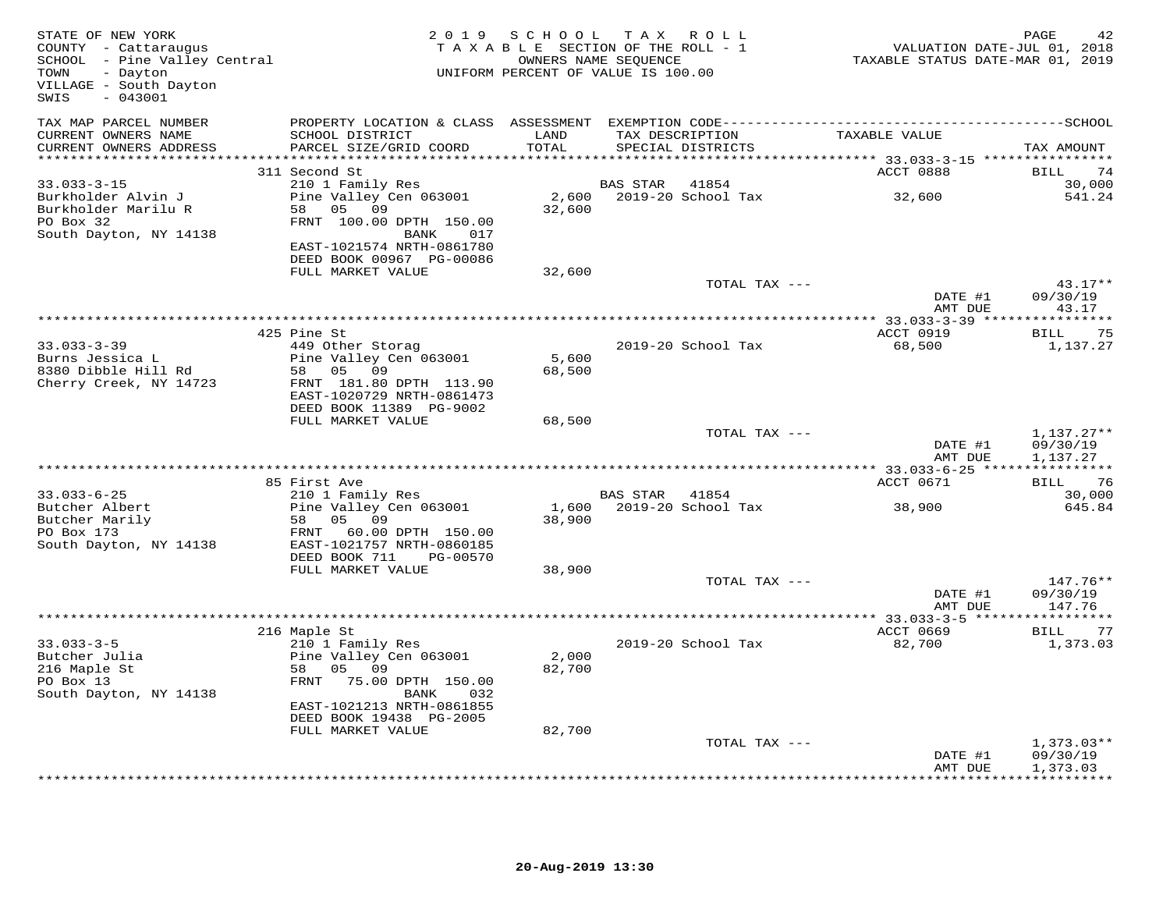| STATE OF NEW YORK<br>COUNTY - Cattaraugus<br>SCHOOL - Pine Valley Central<br>- Dayton<br>TOWN<br>VILLAGE - South Dayton<br>$-043001$<br>SWIS |                                                                                                   | 2019 SCHOOL     | TAX ROLL<br>TAXABLE SECTION OF THE ROLL - 1<br>OWNERS NAME SEQUENCE<br>UNIFORM PERCENT OF VALUE IS 100.00 | VALUATION DATE-JUL 01, 2018<br>TAXABLE STATUS DATE-MAR 01, 2019 | 42<br>PAGE                           |
|----------------------------------------------------------------------------------------------------------------------------------------------|---------------------------------------------------------------------------------------------------|-----------------|-----------------------------------------------------------------------------------------------------------|-----------------------------------------------------------------|--------------------------------------|
| TAX MAP PARCEL NUMBER<br>CURRENT OWNERS NAME<br>CURRENT OWNERS ADDRESS<br>***********************                                            | SCHOOL DISTRICT<br>PARCEL SIZE/GRID COORD                                                         | LAND<br>TOTAL   | TAX DESCRIPTION<br>SPECIAL DISTRICTS                                                                      | TAXABLE VALUE                                                   | TAX AMOUNT                           |
|                                                                                                                                              | 311 Second St                                                                                     |                 |                                                                                                           | ACCT 0888                                                       | BILL<br>74                           |
| $33.033 - 3 - 15$<br>Burkholder Alvin J<br>Burkholder Marilu R<br>PO Box 32                                                                  | 210 1 Family Res<br>Pine Valley Cen 063001<br>58 05 09<br>FRNT 100.00 DPTH 150.00                 | 32,600          | BAS STAR<br>41854<br>2,600 2019-20 School Tax                                                             | 32,600                                                          | 30,000<br>541.24                     |
| South Dayton, NY 14138                                                                                                                       | 017<br>BANK<br>EAST-1021574 NRTH-0861780<br>DEED BOOK 00967 PG-00086                              |                 |                                                                                                           |                                                                 |                                      |
|                                                                                                                                              | FULL MARKET VALUE                                                                                 | 32,600          | TOTAL TAX ---                                                                                             |                                                                 | $43.17**$                            |
|                                                                                                                                              |                                                                                                   |                 |                                                                                                           | DATE #1<br>AMT DUE                                              | 09/30/19<br>43.17                    |
|                                                                                                                                              | 425 Pine St                                                                                       |                 |                                                                                                           | ACCT 0919                                                       | 75<br>BILL                           |
| $33.033 - 3 - 39$<br>Burns Jessica L                                                                                                         | 449 Other Storag<br>Pine Valley Cen 063001                                                        | 5,600           | 2019-20 School Tax                                                                                        | 68,500                                                          | 1,137.27                             |
| 8380 Dibble Hill Rd<br>Cherry Creek, NY 14723                                                                                                | 58<br>05<br>09<br>FRNT 181.80 DPTH 113.90<br>EAST-1020729 NRTH-0861473<br>DEED BOOK 11389 PG-9002 | 68,500          |                                                                                                           |                                                                 |                                      |
|                                                                                                                                              | FULL MARKET VALUE                                                                                 | 68,500          |                                                                                                           |                                                                 |                                      |
|                                                                                                                                              |                                                                                                   |                 | TOTAL TAX ---                                                                                             | DATE #1<br>AMT DUE                                              | $1,137.27**$<br>09/30/19<br>1,137.27 |
|                                                                                                                                              | 85 First Ave                                                                                      |                 |                                                                                                           | ACCT 0671                                                       | BILL<br>76                           |
| $33.033 - 6 - 25$                                                                                                                            | 210 1 Family Res                                                                                  |                 | BAS STAR<br>41854                                                                                         |                                                                 | 30,000                               |
| Butcher Albert<br>Butcher Marily                                                                                                             | Pine Valley Cen 063001<br>58 05<br>09                                                             | 1,600<br>38,900 | 2019-20 School Tax                                                                                        | 38,900                                                          | 645.84                               |
| PO Box 173<br>South Dayton, NY 14138                                                                                                         | FRNT 60.00 DPTH 150.00<br>EAST-1021757 NRTH-0860185<br>DEED BOOK 711<br>PG-00570                  |                 |                                                                                                           |                                                                 |                                      |
|                                                                                                                                              | FULL MARKET VALUE                                                                                 | 38,900          |                                                                                                           |                                                                 |                                      |
|                                                                                                                                              |                                                                                                   |                 | TOTAL TAX ---                                                                                             | DATE #1<br>AMT DUE                                              | 147.76**<br>09/30/19<br>147.76       |
|                                                                                                                                              |                                                                                                   |                 |                                                                                                           |                                                                 |                                      |
| $33.033 - 3 - 5$                                                                                                                             | 216 Maple St<br>210 1 Family Res                                                                  |                 | 2019-20 School Tax                                                                                        | ACCT 0669<br>82,700                                             | 77<br>BILL<br>1,373.03               |
| Butcher Julia<br>216 Maple St<br>PO Box 13<br>South Dayton, NY 14138                                                                         | Pine Valley Cen 063001<br>58<br>05<br>09<br>FRNT 75.00 DPTH 150.00<br>BANK<br>032                 | 2,000<br>82,700 |                                                                                                           |                                                                 |                                      |
|                                                                                                                                              | EAST-1021213 NRTH-0861855<br>DEED BOOK 19438 PG-2005                                              |                 |                                                                                                           |                                                                 |                                      |
|                                                                                                                                              | FULL MARKET VALUE                                                                                 | 82,700          | TOTAL TAX ---                                                                                             |                                                                 | $1,373.03**$                         |
|                                                                                                                                              |                                                                                                   |                 |                                                                                                           | DATE #1<br>AMT DUE                                              | 09/30/19<br>1,373.03                 |
|                                                                                                                                              |                                                                                                   |                 |                                                                                                           |                                                                 | . + + + + + + + + + + .              |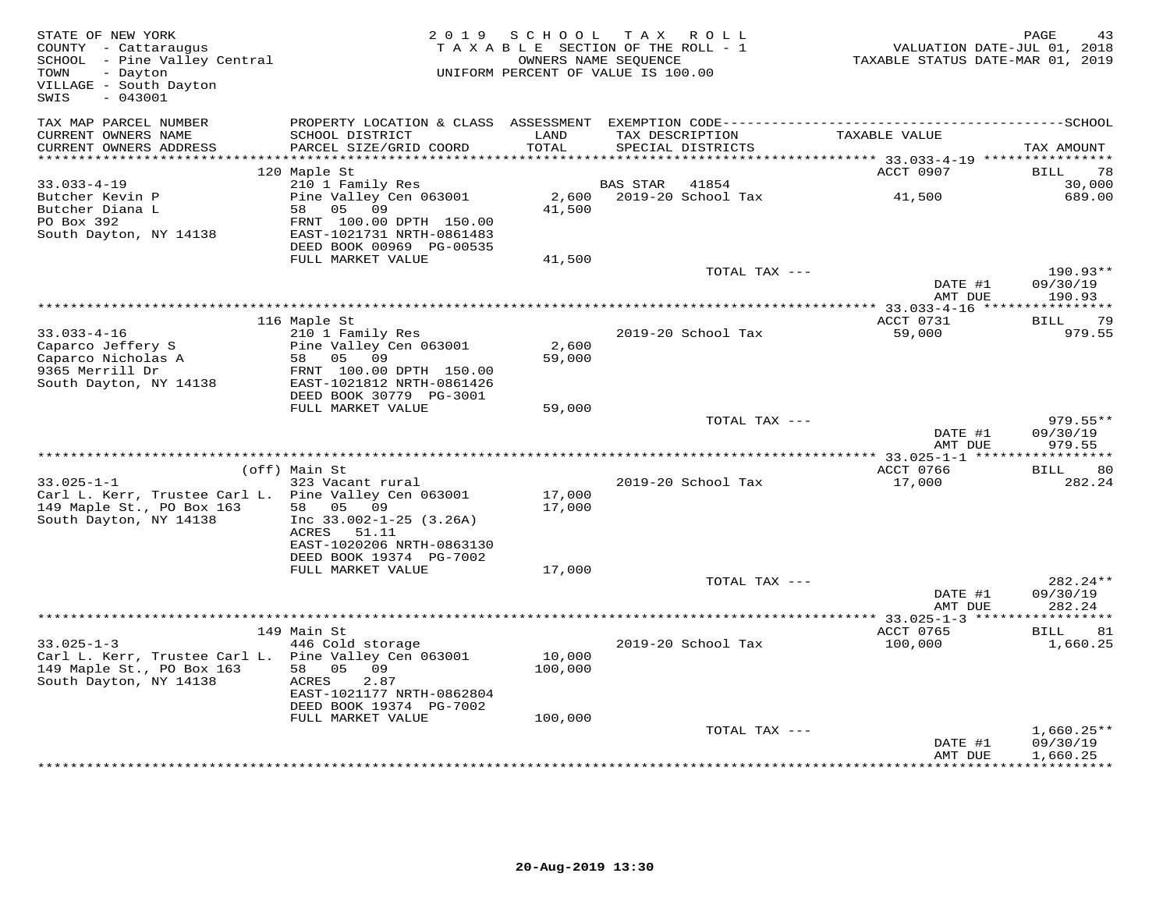| STATE OF NEW YORK<br>COUNTY - Cattaraugus<br>SCHOOL - Pine Valley Central<br>- Dayton<br>TOWN<br>VILLAGE - South Dayton<br>$-043001$<br>SWIS |                                                      | 2019 SCHOOL      | TAX ROLL<br>TAXABLE SECTION OF THE ROLL - 1<br>OWNERS NAME SEQUENCE<br>UNIFORM PERCENT OF VALUE IS 100.00 | VALUATION DATE-JUL 01, 2018<br>TAXABLE STATUS DATE-MAR 01, 2019 | PAGE                        |
|----------------------------------------------------------------------------------------------------------------------------------------------|------------------------------------------------------|------------------|-----------------------------------------------------------------------------------------------------------|-----------------------------------------------------------------|-----------------------------|
| TAX MAP PARCEL NUMBER<br>CURRENT OWNERS NAME<br>CURRENT OWNERS ADDRESS                                                                       | SCHOOL DISTRICT<br>PARCEL SIZE/GRID COORD            | LAND<br>TOTAL    | TAX DESCRIPTION<br>SPECIAL DISTRICTS                                                                      | TAXABLE VALUE                                                   | TAX AMOUNT                  |
| ***********************                                                                                                                      |                                                      |                  |                                                                                                           |                                                                 |                             |
| $33.033 - 4 - 19$                                                                                                                            | 120 Maple St<br>210 1 Family Res                     |                  | BAS STAR<br>41854                                                                                         | ACCT 0907                                                       | 78<br>BILL<br>30,000        |
| Butcher Kevin P<br>Butcher Diana L                                                                                                           | Pine Valley Cen 063001<br>09<br>58 05                | 2,600<br>41,500  | 2019-20 School Tax                                                                                        | 41,500                                                          | 689.00                      |
| PO Box 392<br>South Dayton, NY 14138                                                                                                         | FRNT 100.00 DPTH 150.00<br>EAST-1021731 NRTH-0861483 |                  |                                                                                                           |                                                                 |                             |
|                                                                                                                                              | DEED BOOK 00969 PG-00535<br>FULL MARKET VALUE        | 41,500           |                                                                                                           |                                                                 |                             |
|                                                                                                                                              |                                                      |                  | TOTAL TAX ---                                                                                             |                                                                 | 190.93**                    |
|                                                                                                                                              |                                                      |                  |                                                                                                           | DATE #1<br>AMT DUE                                              | 09/30/19<br>190.93          |
|                                                                                                                                              |                                                      |                  |                                                                                                           |                                                                 |                             |
| $33.033 - 4 - 16$                                                                                                                            | 116 Maple St<br>210 1 Family Res                     |                  | 2019-20 School Tax                                                                                        | ACCT 0731<br>59,000                                             | 79<br><b>BILL</b><br>979.55 |
| Caparco Jeffery S                                                                                                                            | Pine Valley Cen 063001                               | 2,600            |                                                                                                           |                                                                 |                             |
| Caparco Nicholas A                                                                                                                           | 58 05 09                                             | 59,000           |                                                                                                           |                                                                 |                             |
| 9365 Merrill Dr                                                                                                                              | FRNT 100.00 DPTH 150.00                              |                  |                                                                                                           |                                                                 |                             |
| South Dayton, NY 14138                                                                                                                       | EAST-1021812 NRTH-0861426<br>DEED BOOK 30779 PG-3001 |                  |                                                                                                           |                                                                 |                             |
|                                                                                                                                              | FULL MARKET VALUE                                    | 59,000           | TOTAL TAX ---                                                                                             |                                                                 | $979.55**$                  |
|                                                                                                                                              |                                                      |                  |                                                                                                           | DATE #1<br>AMT DUE                                              | 09/30/19<br>979.55          |
|                                                                                                                                              | *****************************                        |                  |                                                                                                           | ************** 33.025-1-1 ****                                  | * * * * * * * * * *         |
|                                                                                                                                              | (off) Main St                                        |                  |                                                                                                           | ACCT 0766                                                       | <b>BILL</b><br>80           |
| $33.025 - 1 - 1$                                                                                                                             | 323 Vacant rural                                     |                  | 2019-20 School Tax                                                                                        | 17,000                                                          | 282.24                      |
| Carl L. Kerr, Trustee Carl L. Pine Valley Cen 063001<br>149 Maple St., PO Box 163                                                            | 58 05 09                                             | 17,000<br>17,000 |                                                                                                           |                                                                 |                             |
| South Dayton, NY 14138                                                                                                                       | Inc $33.002 - 1 - 25$ (3.26A)                        |                  |                                                                                                           |                                                                 |                             |
|                                                                                                                                              | ACRES 51.11                                          |                  |                                                                                                           |                                                                 |                             |
|                                                                                                                                              | EAST-1020206 NRTH-0863130                            |                  |                                                                                                           |                                                                 |                             |
|                                                                                                                                              | DEED BOOK 19374 PG-7002                              |                  |                                                                                                           |                                                                 |                             |
|                                                                                                                                              | FULL MARKET VALUE                                    | 17,000           | TOTAL TAX ---                                                                                             |                                                                 | 282.24**                    |
|                                                                                                                                              |                                                      |                  |                                                                                                           | DATE #1                                                         | 09/30/19                    |
|                                                                                                                                              |                                                      |                  |                                                                                                           | AMT DUE                                                         | 282.24                      |
|                                                                                                                                              |                                                      |                  |                                                                                                           | ***************** 33.025-1-3 ******                             | * * * * * * * * * * *       |
|                                                                                                                                              | 149 Main St                                          |                  |                                                                                                           | ACCT 0765                                                       | <b>BILL</b><br>81           |
| $33.025 - 1 - 3$<br>Carl L. Kerr, Trustee Carl L. Pine Valley Cen 063001                                                                     | 446 Cold storage                                     | 10,000           | 2019-20 School Tax                                                                                        | 100,000                                                         | 1,660.25                    |
| 149 Maple St., PO Box 163                                                                                                                    | 58 05<br>09                                          | 100,000          |                                                                                                           |                                                                 |                             |
| South Dayton, NY 14138                                                                                                                       | ACRES<br>2.87                                        |                  |                                                                                                           |                                                                 |                             |
|                                                                                                                                              | EAST-1021177 NRTH-0862804                            |                  |                                                                                                           |                                                                 |                             |
|                                                                                                                                              | DEED BOOK 19374 PG-7002<br>FULL MARKET VALUE         | 100,000          |                                                                                                           |                                                                 |                             |
|                                                                                                                                              |                                                      |                  | TOTAL TAX ---                                                                                             |                                                                 | $1,660.25**$                |
|                                                                                                                                              |                                                      |                  |                                                                                                           | DATE #1                                                         | 09/30/19                    |
|                                                                                                                                              |                                                      |                  |                                                                                                           | AMT DUE                                                         | 1,660.25                    |
|                                                                                                                                              |                                                      |                  |                                                                                                           |                                                                 | **********                  |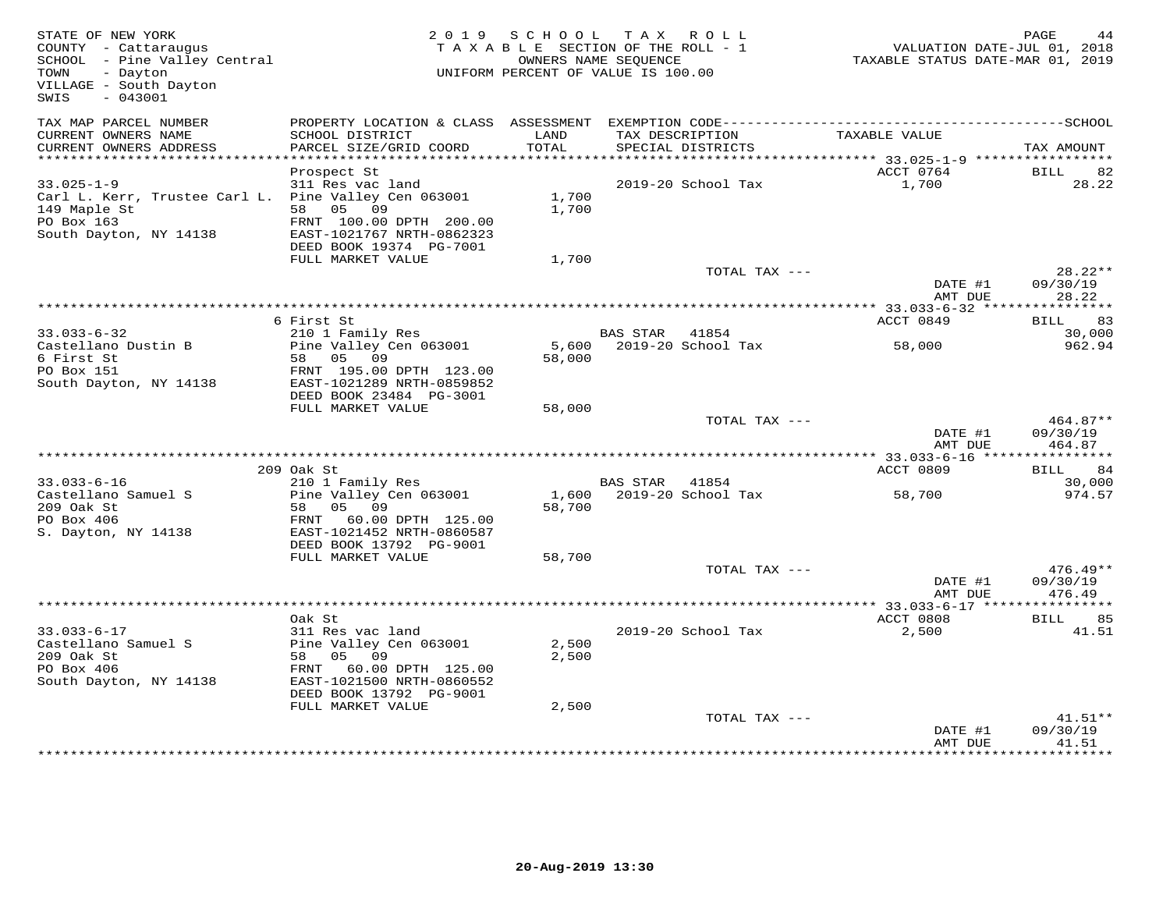| STATE OF NEW YORK<br>COUNTY - Cattaraugus<br>SCHOOL - Pine Valley Central<br>- Dayton<br>TOWN<br>VILLAGE - South Dayton<br>SWIS<br>$-043001$ |                                                                                             |                | 2019 SCHOOL TAX ROLL<br>TAXABLE SECTION OF THE ROLL - 1<br>OWNERS NAME SEQUENCE<br>UNIFORM PERCENT OF VALUE IS 100.00 | VALUATION DATE-JUL 01, 2018<br>TAXABLE STATUS DATE-MAR 01, 2019 | PAGE<br>44                     |
|----------------------------------------------------------------------------------------------------------------------------------------------|---------------------------------------------------------------------------------------------|----------------|-----------------------------------------------------------------------------------------------------------------------|-----------------------------------------------------------------|--------------------------------|
| TAX MAP PARCEL NUMBER<br>CURRENT OWNERS NAME                                                                                                 | SCHOOL DISTRICT                                                                             | LAND           | TAX DESCRIPTION                                                                                                       | TAXABLE VALUE                                                   |                                |
| CURRENT OWNERS ADDRESS<br>**********************                                                                                             | PARCEL SIZE/GRID COORD                                                                      | TOTAL          | SPECIAL DISTRICTS                                                                                                     |                                                                 | TAX AMOUNT                     |
|                                                                                                                                              | Prospect St                                                                                 |                |                                                                                                                       | ACCT 0764                                                       | BILL<br>82                     |
| $33.025 - 1 - 9$                                                                                                                             | 311 Res vac land                                                                            |                | 2019-20 School Tax                                                                                                    | 1,700                                                           | 28.22                          |
| Carl L. Kerr, Trustee Carl L. Pine Valley Cen 063001<br>149 Maple St<br>PO Box 163<br>South Dayton, NY 14138                                 | 58 05 09<br>FRNT 100.00 DPTH 200.00<br>EAST-1021767 NRTH-0862323<br>DEED BOOK 19374 PG-7001 | 1,700<br>1,700 |                                                                                                                       |                                                                 |                                |
|                                                                                                                                              | FULL MARKET VALUE                                                                           | 1,700          |                                                                                                                       |                                                                 |                                |
|                                                                                                                                              |                                                                                             |                | TOTAL TAX ---                                                                                                         |                                                                 | $28.22**$                      |
|                                                                                                                                              |                                                                                             |                |                                                                                                                       | DATE #1<br>AMT DUE                                              | 09/30/19<br>28.22              |
|                                                                                                                                              |                                                                                             |                |                                                                                                                       |                                                                 |                                |
| $33.033 - 6 - 32$                                                                                                                            | 6 First St<br>210 1 Family Res                                                              |                | BAS STAR<br>41854                                                                                                     | ACCT 0849                                                       | BILL<br>83<br>30,000           |
| Castellano Dustin B<br>6 First St                                                                                                            | Pine Valley Cen 063001<br>58 05 09                                                          | 58,000         | 5,600 2019-20 School Tax                                                                                              | 58,000                                                          | 962.94                         |
| PO Box 151<br>South Dayton, NY 14138                                                                                                         | FRNT 195.00 DPTH 123.00<br>EAST-1021289 NRTH-0859852<br>DEED BOOK 23484 PG-3001             |                |                                                                                                                       |                                                                 |                                |
|                                                                                                                                              | FULL MARKET VALUE                                                                           | 58,000         |                                                                                                                       |                                                                 |                                |
|                                                                                                                                              |                                                                                             |                | TOTAL TAX ---                                                                                                         | DATE #1<br>AMT DUE                                              | 464.87**<br>09/30/19<br>464.87 |
|                                                                                                                                              |                                                                                             |                |                                                                                                                       |                                                                 |                                |
| $33.033 - 6 - 16$                                                                                                                            | 209 Oak St<br>210 1 Family Res                                                              |                | BAS STAR 41854                                                                                                        | ACCT 0809                                                       | 84<br>BILL<br>30,000           |
| Castellano Samuel S                                                                                                                          | Pine Valley Cen 063001                                                                      |                | 1,600 2019-20 School Tax                                                                                              | 58,700                                                          | 974.57                         |
| 209 Oak St<br>PO Box 406                                                                                                                     | 58 05 09<br>60.00 DPTH 125.00<br>FRNT                                                       | 58,700         |                                                                                                                       |                                                                 |                                |
| S. Dayton, NY 14138                                                                                                                          | EAST-1021452 NRTH-0860587<br>DEED BOOK 13792 PG-9001                                        |                |                                                                                                                       |                                                                 |                                |
|                                                                                                                                              | FULL MARKET VALUE                                                                           | 58,700         |                                                                                                                       |                                                                 |                                |
|                                                                                                                                              |                                                                                             |                | TOTAL TAX ---                                                                                                         |                                                                 | 476.49**                       |
|                                                                                                                                              |                                                                                             |                |                                                                                                                       | DATE #1<br>AMT DUE                                              | 09/30/19<br>476.49             |
|                                                                                                                                              |                                                                                             |                |                                                                                                                       | ************** 33.033-6-17 ****                                 | * * * * * * * * * * *          |
|                                                                                                                                              | Oak St                                                                                      |                |                                                                                                                       | ACCT 0808                                                       | <b>BILL</b><br>85              |
| $33.033 - 6 - 17$<br>Castellano Samuel S<br>209 Oak St                                                                                       | 311 Res vac land<br>Pine Valley Cen 063001<br>58 05 09                                      | 2,500<br>2,500 | 2019-20 School Tax                                                                                                    | 2,500                                                           | 41.51                          |
| PO Box 406<br>South Dayton, NY 14138                                                                                                         | FRNT 60.00 DPTH 125.00<br>EAST-1021500 NRTH-0860552<br>DEED BOOK 13792 PG-9001              |                |                                                                                                                       |                                                                 |                                |
|                                                                                                                                              | FULL MARKET VALUE                                                                           | 2,500          |                                                                                                                       |                                                                 |                                |
|                                                                                                                                              |                                                                                             |                | TOTAL TAX ---                                                                                                         | DATE #1<br>AMT DUE                                              | $41.51**$<br>09/30/19<br>41.51 |
|                                                                                                                                              |                                                                                             |                |                                                                                                                       |                                                                 |                                |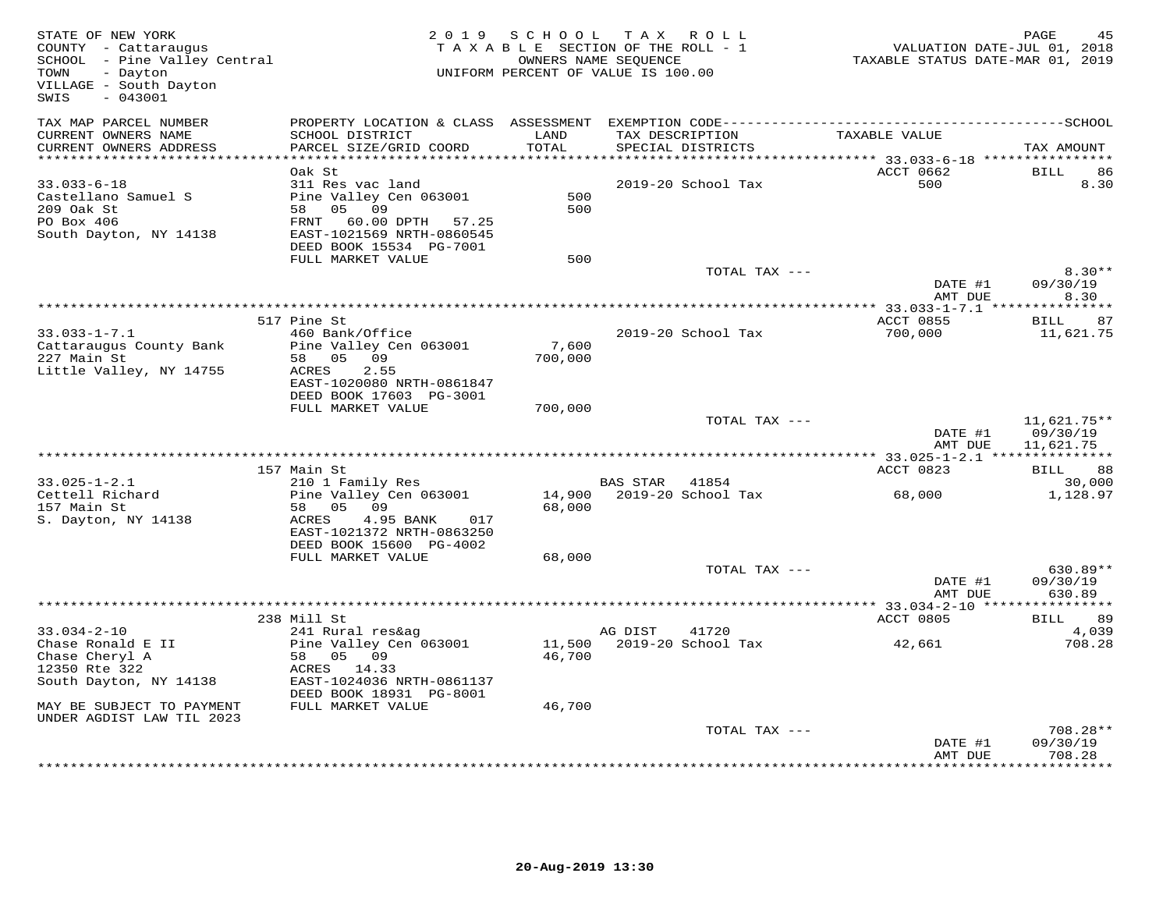| STATE OF NEW YORK<br>COUNTY - Cattaraugus<br>SCHOOL - Pine Valley Central<br>- Dayton<br>TOWN<br>VILLAGE - South Dayton<br>$-043001$<br>SWIS |                                                                                                                                                                        |                   | 2019 SCHOOL TAX ROLL<br>TAXABLE SECTION OF THE ROLL - 1<br>OWNERS NAME SEQUENCE<br>UNIFORM PERCENT OF VALUE IS 100.00 | VALUATION DATE-JUL 01, 2018<br>TAXABLE STATUS DATE-MAR 01, 2019 | PAGE                                   |
|----------------------------------------------------------------------------------------------------------------------------------------------|------------------------------------------------------------------------------------------------------------------------------------------------------------------------|-------------------|-----------------------------------------------------------------------------------------------------------------------|-----------------------------------------------------------------|----------------------------------------|
| TAX MAP PARCEL NUMBER<br>CURRENT OWNERS NAME<br>CURRENT OWNERS ADDRESS                                                                       | SCHOOL DISTRICT<br>PARCEL SIZE/GRID COORD                                                                                                                              | LAND<br>TOTAL     | TAX DESCRIPTION<br>SPECIAL DISTRICTS                                                                                  | TAXABLE VALUE                                                   | TAX AMOUNT                             |
|                                                                                                                                              |                                                                                                                                                                        |                   |                                                                                                                       |                                                                 |                                        |
| $33.033 - 6 - 18$<br>Castellano Samuel S<br>209 Oak St<br>PO Box 406<br>South Dayton, NY 14138                                               | Oak St<br>311 Res vac land<br>Pine Valley Cen 063001<br>58 05 09<br>FRNT 60.00 DPTH 57.25<br>EAST-1021569 NRTH-0860545<br>DEED BOOK 15534 PG-7001<br>FULL MARKET VALUE | 500<br>500<br>500 | 2019-20 School Tax                                                                                                    | ACCT 0662<br>500                                                | <b>BILL</b><br>86<br>8.30              |
|                                                                                                                                              |                                                                                                                                                                        |                   | TOTAL TAX ---                                                                                                         |                                                                 | $8.30**$                               |
|                                                                                                                                              |                                                                                                                                                                        |                   |                                                                                                                       | DATE #1<br>AMT DUE                                              | 09/30/19<br>8.30                       |
|                                                                                                                                              |                                                                                                                                                                        |                   |                                                                                                                       |                                                                 |                                        |
| $33.033 - 1 - 7.1$<br>Cattaraugus County Bank<br>227 Main St<br>Little Valley, NY 14755                                                      | 517 Pine St<br>460 Bank/Office<br>Pine Valley Cen 063001<br>58 05<br>09<br>ACRES<br>2.55<br>EAST-1020080 NRTH-0861847<br>DEED BOOK 17603 PG-3001                       | 7,600<br>700,000  | 2019-20 School Tax                                                                                                    | ACCT 0855<br>700,000                                            | BILL 87<br>11,621.75                   |
|                                                                                                                                              | FULL MARKET VALUE                                                                                                                                                      | 700,000           |                                                                                                                       |                                                                 |                                        |
|                                                                                                                                              |                                                                                                                                                                        |                   | TOTAL TAX ---                                                                                                         | DATE #1<br>AMT DUE                                              | $11,621.75**$<br>09/30/19<br>11,621.75 |
|                                                                                                                                              |                                                                                                                                                                        |                   |                                                                                                                       |                                                                 |                                        |
|                                                                                                                                              | 157 Main St                                                                                                                                                            |                   |                                                                                                                       | ACCT 0823                                                       | BILL 88                                |
| $33.025 - 1 - 2.1$<br>Cettell Richard<br>157 Main St<br>S. Dayton, NY 14138                                                                  | 210 1 Family Res<br>Pine Valley Cen 063001<br>58 05 09<br>ACRES<br>4.95 BANK<br>017<br>EAST-1021372 NRTH-0863250                                                       | 68,000            | <b>BAS STAR</b><br>41854<br>14,900 2019-20 School Tax                                                                 | 68,000                                                          | 30,000<br>1,128.97                     |
|                                                                                                                                              | DEED BOOK 15600 PG-4002<br>FULL MARKET VALUE                                                                                                                           | 68,000            |                                                                                                                       |                                                                 |                                        |
|                                                                                                                                              |                                                                                                                                                                        |                   | TOTAL TAX ---                                                                                                         | DATE #1<br>AMT DUE                                              | 630.89**<br>09/30/19<br>630.89         |
|                                                                                                                                              |                                                                                                                                                                        |                   |                                                                                                                       |                                                                 |                                        |
| $33.034 - 2 - 10$<br>Chase Ronald E II<br>Chase Cheryl A<br>12350 Rte 322<br>South Dayton, NY 14138<br>MAY BE SUBJECT TO PAYMENT             | 238 Mill St<br>241 Rural res&ag<br>Pine Valley Cen 063001<br>58 05 09<br>ACRES 14.33<br>EAST-1024036 NRTH-0861137<br>DEED BOOK 18931 PG-8001<br>FULL MARKET VALUE      | 46,700<br>46,700  | AG DIST<br>41720<br>11,500 2019-20 School Tax                                                                         | ACCT 0805<br>42,661                                             | BILL 89<br>4,039<br>708.28             |
| UNDER AGDIST LAW TIL 2023                                                                                                                    |                                                                                                                                                                        |                   | TOTAL TAX ---                                                                                                         | DATE #1<br>AMT DUE                                              | $708.28**$<br>09/30/19<br>708.28       |
|                                                                                                                                              |                                                                                                                                                                        |                   |                                                                                                                       |                                                                 |                                        |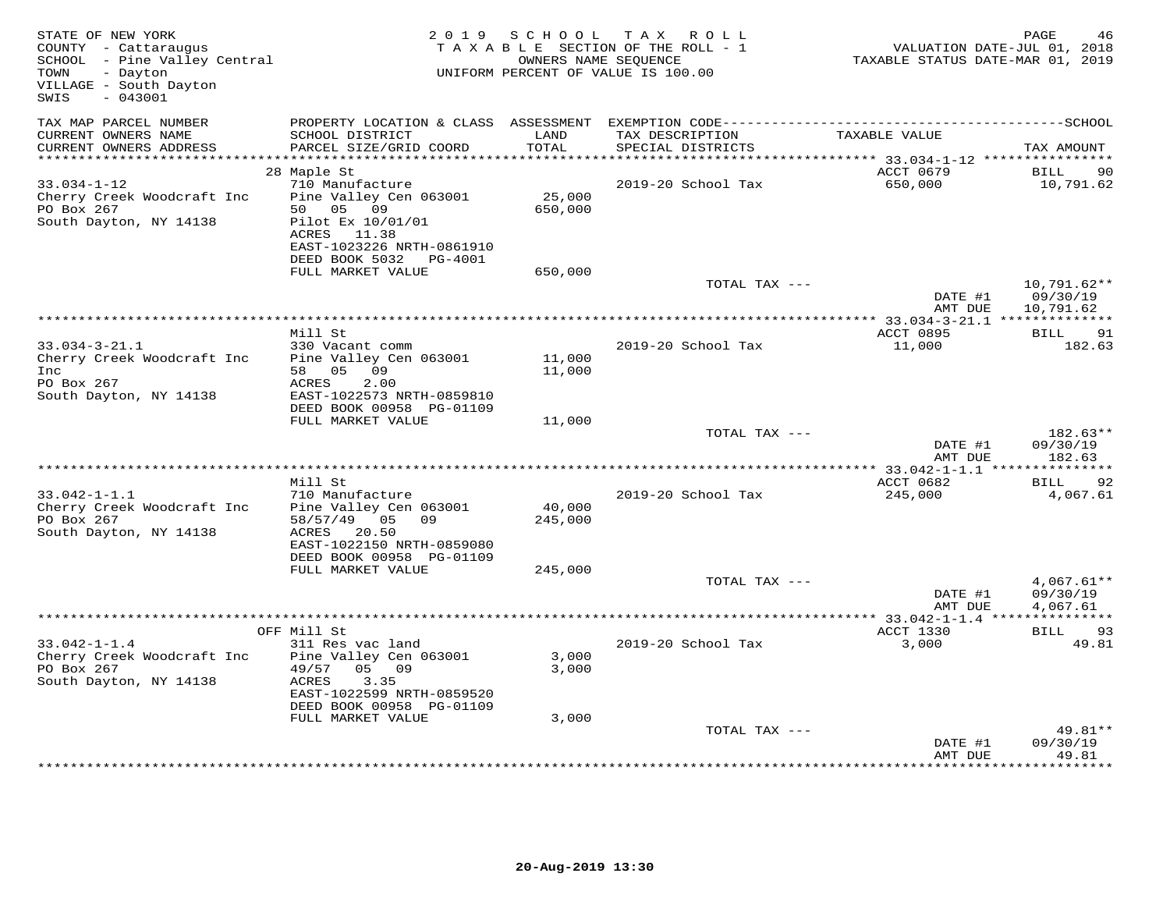| STATE OF NEW YORK<br>COUNTY - Cattaraugus<br>SCHOOL - Pine Valley Central<br>TOWN<br>- Dayton<br>VILLAGE - South Dayton<br>$-043001$<br>SWIS | 2019 SCHOOL<br>TAXABLE SECTION OF THE ROLL - 1<br>UNIFORM PERCENT OF VALUE IS 100.00 | PAGE<br>46<br>VALUATION DATE-JUL 01, 2018<br>TAXABLE STATUS DATE-MAR 01, 2019 |                                      |                      |                               |
|----------------------------------------------------------------------------------------------------------------------------------------------|--------------------------------------------------------------------------------------|-------------------------------------------------------------------------------|--------------------------------------|----------------------|-------------------------------|
| TAX MAP PARCEL NUMBER                                                                                                                        |                                                                                      |                                                                               |                                      |                      |                               |
| CURRENT OWNERS NAME<br>CURRENT OWNERS ADDRESS                                                                                                | SCHOOL DISTRICT<br>PARCEL SIZE/GRID COORD                                            | LAND<br>TOTAL                                                                 | TAX DESCRIPTION<br>SPECIAL DISTRICTS | TAXABLE VALUE        | TAX AMOUNT                    |
|                                                                                                                                              | 28 Maple St                                                                          |                                                                               |                                      | ACCT 0679            | BILL<br>90                    |
| $33.034 - 1 - 12$                                                                                                                            | 710 Manufacture                                                                      |                                                                               | 2019-20 School Tax                   | 650,000              | 10,791.62                     |
| Cherry Creek Woodcraft Inc                                                                                                                   | Pine Valley Cen 063001                                                               | 25,000                                                                        |                                      |                      |                               |
| PO Box 267                                                                                                                                   | 50 05 09                                                                             | 650,000                                                                       |                                      |                      |                               |
| South Dayton, NY 14138                                                                                                                       | Pilot Ex 10/01/01                                                                    |                                                                               |                                      |                      |                               |
|                                                                                                                                              | ACRES 11.38<br>EAST-1023226 NRTH-0861910                                             |                                                                               |                                      |                      |                               |
|                                                                                                                                              | DEED BOOK 5032 PG-4001                                                               |                                                                               |                                      |                      |                               |
|                                                                                                                                              | FULL MARKET VALUE                                                                    | 650,000                                                                       |                                      |                      |                               |
|                                                                                                                                              |                                                                                      |                                                                               | TOTAL TAX ---                        | DATE #1              | $10,791.62**$<br>09/30/19     |
|                                                                                                                                              |                                                                                      |                                                                               |                                      | AMT DUE              | 10,791.62                     |
|                                                                                                                                              | Mill St                                                                              |                                                                               |                                      | ACCT 0895            | <b>BILL</b><br>91             |
| $33.034 - 3 - 21.1$                                                                                                                          | 330 Vacant comm                                                                      |                                                                               | 2019-20 School Tax                   | 11,000               | 182.63                        |
| Cherry Creek Woodcraft Inc                                                                                                                   | Pine Valley Cen 063001                                                               | 11,000                                                                        |                                      |                      |                               |
| Inc                                                                                                                                          | 58 05 09                                                                             | 11,000                                                                        |                                      |                      |                               |
| PO Box 267                                                                                                                                   | ACRES<br>2.00                                                                        |                                                                               |                                      |                      |                               |
| South Dayton, NY 14138                                                                                                                       | EAST-1022573 NRTH-0859810<br>DEED BOOK 00958 PG-01109                                |                                                                               |                                      |                      |                               |
|                                                                                                                                              | FULL MARKET VALUE                                                                    | 11,000                                                                        |                                      |                      |                               |
|                                                                                                                                              |                                                                                      |                                                                               | TOTAL TAX ---                        |                      | 182.63**                      |
|                                                                                                                                              |                                                                                      |                                                                               |                                      | DATE #1<br>AMT DUE   | 09/30/19<br>182.63            |
|                                                                                                                                              |                                                                                      |                                                                               |                                      |                      |                               |
| $33.042 - 1 - 1.1$                                                                                                                           | Mill St<br>710 Manufacture                                                           |                                                                               | 2019-20 School Tax                   | ACCT 0682<br>245,000 | <b>BILL</b><br>92<br>4,067.61 |
| Cherry Creek Woodcraft Inc                                                                                                                   | Pine Valley Cen 063001                                                               | 40,000                                                                        |                                      |                      |                               |
| PO Box 267                                                                                                                                   | 58/57/49 05 09                                                                       | 245,000                                                                       |                                      |                      |                               |
| South Dayton, NY 14138                                                                                                                       | ACRES 20.50                                                                          |                                                                               |                                      |                      |                               |
|                                                                                                                                              | EAST-1022150 NRTH-0859080<br>DEED BOOK 00958 PG-01109                                |                                                                               |                                      |                      |                               |
|                                                                                                                                              | FULL MARKET VALUE                                                                    | 245,000                                                                       |                                      |                      |                               |
|                                                                                                                                              |                                                                                      |                                                                               | TOTAL TAX ---                        |                      | $4,067.61**$                  |
|                                                                                                                                              |                                                                                      |                                                                               |                                      | DATE #1              | 09/30/19                      |
|                                                                                                                                              |                                                                                      |                                                                               |                                      | AMT DUE              | 4,067.61                      |
|                                                                                                                                              | OFF Mill St                                                                          |                                                                               |                                      | ACCT 1330            | 93<br>BILL                    |
| $33.042 - 1 - 1.4$                                                                                                                           | 311 Res vac land                                                                     |                                                                               | 2019-20 School Tax                   | 3,000                | 49.81                         |
| Cherry Creek Woodcraft Inc                                                                                                                   | Pine Valley Cen 063001                                                               | 3,000                                                                         |                                      |                      |                               |
| PO Box 267                                                                                                                                   | 49/57<br>05 09                                                                       | 3,000                                                                         |                                      |                      |                               |
| South Dayton, NY 14138                                                                                                                       | ACRES<br>3.35                                                                        |                                                                               |                                      |                      |                               |
|                                                                                                                                              | EAST-1022599 NRTH-0859520<br>DEED BOOK 00958 PG-01109                                |                                                                               |                                      |                      |                               |
|                                                                                                                                              | FULL MARKET VALUE                                                                    | 3,000                                                                         |                                      |                      |                               |
|                                                                                                                                              |                                                                                      |                                                                               | TOTAL TAX ---                        |                      | 49.81**                       |
|                                                                                                                                              |                                                                                      |                                                                               |                                      | DATE #1              | 09/30/19                      |
|                                                                                                                                              |                                                                                      |                                                                               |                                      | AMT DUE              | 49.81                         |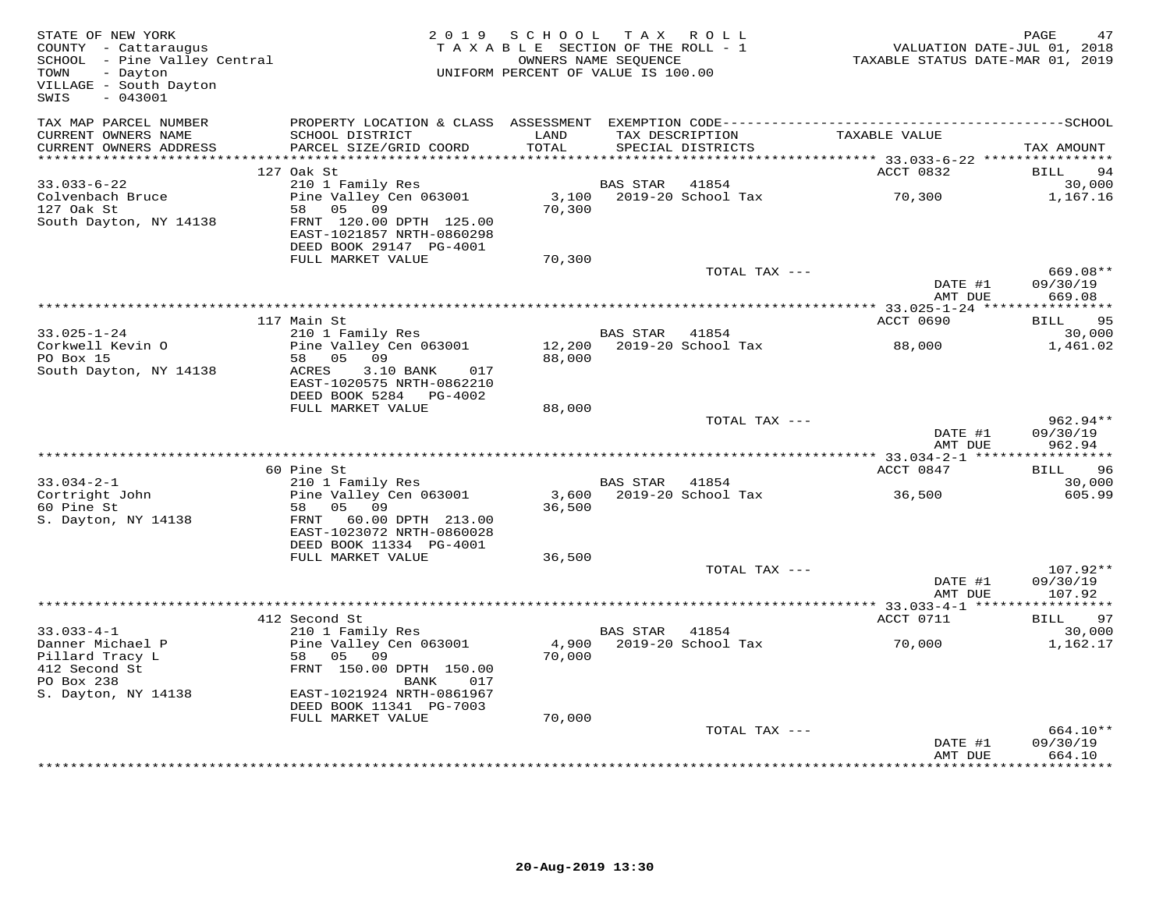| STATE OF NEW YORK<br>COUNTY - Cattaraugus<br>SCHOOL - Pine Valley Central<br>TOWN<br>- Dayton<br>VILLAGE - South Dayton<br>$-043001$<br>SWIS |                                                                                   | 2019 SCHOOL<br>TAXABLE SECTION OF THE ROLL - 1<br>UNIFORM PERCENT OF VALUE IS 100.00 | TAX ROLL<br>OWNERS NAME SEQUENCE |                                      | VALUATION DATE-JUL 01, 2018<br>TAXABLE STATUS DATE-MAR 01, 2019 | PAGE                             | 47     |
|----------------------------------------------------------------------------------------------------------------------------------------------|-----------------------------------------------------------------------------------|--------------------------------------------------------------------------------------|----------------------------------|--------------------------------------|-----------------------------------------------------------------|----------------------------------|--------|
| TAX MAP PARCEL NUMBER<br>CURRENT OWNERS NAME<br>CURRENT OWNERS ADDRESS                                                                       | PROPERTY LOCATION & CLASS ASSESSMENT<br>SCHOOL DISTRICT<br>PARCEL SIZE/GRID COORD | LAND<br>TOTAL                                                                        |                                  | TAX DESCRIPTION<br>SPECIAL DISTRICTS | TAXABLE VALUE                                                   | TAX AMOUNT                       |        |
| *************************                                                                                                                    |                                                                                   |                                                                                      |                                  |                                      |                                                                 |                                  |        |
|                                                                                                                                              | 127 Oak St                                                                        |                                                                                      |                                  |                                      | ACCT 0832                                                       | BILL                             | 94     |
| $33.033 - 6 - 22$<br>Colvenbach Bruce<br>127 Oak St                                                                                          | 210 1 Family Res<br>Pine Valley Cen 063001<br>58<br>05<br>09                      | 3,100<br>70,300                                                                      | <b>BAS STAR</b>                  | 41854<br>2019-20 School Tax          | 70,300                                                          | 1,167.16                         | 30,000 |
| South Dayton, NY 14138                                                                                                                       | FRNT 120.00 DPTH 125.00<br>EAST-1021857 NRTH-0860298<br>DEED BOOK 29147 PG-4001   |                                                                                      |                                  |                                      |                                                                 |                                  |        |
|                                                                                                                                              | FULL MARKET VALUE                                                                 | 70,300                                                                               |                                  |                                      |                                                                 |                                  |        |
|                                                                                                                                              |                                                                                   |                                                                                      |                                  | TOTAL TAX ---                        |                                                                 | 669.08**                         |        |
|                                                                                                                                              |                                                                                   |                                                                                      |                                  |                                      | DATE #1<br>AMT DUE                                              | 09/30/19<br>669.08               |        |
|                                                                                                                                              |                                                                                   |                                                                                      |                                  |                                      |                                                                 |                                  |        |
|                                                                                                                                              | 117 Main St                                                                       |                                                                                      |                                  |                                      | ACCT 0690                                                       | BILL 95                          |        |
| $33.025 - 1 - 24$<br>Corkwell Kevin O                                                                                                        | 210 1 Family Res<br>Pine Valley Cen 063001                                        | 12,200                                                                               | BAS STAR 41854                   | 2019-20 School Tax                   | 88,000                                                          | 1,461.02                         | 30,000 |
| PO Box 15                                                                                                                                    | 58 05<br>09                                                                       | 88,000                                                                               |                                  |                                      |                                                                 |                                  |        |
| South Dayton, NY 14138                                                                                                                       | 3.10 BANK<br>ACRES<br>017<br>EAST-1020575 NRTH-0862210                            |                                                                                      |                                  |                                      |                                                                 |                                  |        |
|                                                                                                                                              | DEED BOOK 5284 PG-4002                                                            |                                                                                      |                                  |                                      |                                                                 |                                  |        |
|                                                                                                                                              | FULL MARKET VALUE                                                                 | 88,000                                                                               |                                  | TOTAL TAX ---                        |                                                                 | $962.94**$                       |        |
|                                                                                                                                              |                                                                                   |                                                                                      |                                  |                                      | DATE #1<br>AMT DUE                                              | 09/30/19<br>962.94               |        |
|                                                                                                                                              |                                                                                   |                                                                                      |                                  |                                      |                                                                 | ***********                      |        |
|                                                                                                                                              | 60 Pine St                                                                        |                                                                                      |                                  |                                      | ACCT 0847                                                       | BILL                             | 96     |
| $33.034 - 2 - 1$                                                                                                                             | 210 1 Family Res                                                                  |                                                                                      | BAS STAR                         | 41854                                |                                                                 |                                  | 30,000 |
| Cortright John<br>60 Pine St<br>S. Dayton, NY 14138                                                                                          | Pine Valley Cen 063001<br>0.5<br>58<br>09<br>FRNT 60.00 DPTH 213.00               | 3,600<br>36,500                                                                      |                                  | 2019-20 School Tax                   | 36,500                                                          |                                  | 605.99 |
|                                                                                                                                              | EAST-1023072 NRTH-0860028<br>DEED BOOK 11334 PG-4001                              |                                                                                      |                                  |                                      |                                                                 |                                  |        |
|                                                                                                                                              | FULL MARKET VALUE                                                                 | 36,500                                                                               |                                  |                                      |                                                                 |                                  |        |
|                                                                                                                                              |                                                                                   |                                                                                      |                                  | TOTAL TAX ---                        | DATE #1<br>AMT DUE                                              | $107.92**$<br>09/30/19<br>107.92 |        |
|                                                                                                                                              |                                                                                   |                                                                                      |                                  |                                      |                                                                 |                                  |        |
|                                                                                                                                              | 412 Second St                                                                     |                                                                                      |                                  |                                      | ACCT 0711                                                       | <b>BILL</b>                      | 97     |
| $33.033 - 4 - 1$                                                                                                                             | 210 1 Family Res                                                                  |                                                                                      | BAS STAR 41854                   |                                      |                                                                 |                                  | 30,000 |
| Danner Michael P<br>Pillard Tracy L                                                                                                          | Pine Valley Cen 063001<br>58 05<br>09                                             | 4,900<br>70,000                                                                      |                                  | 2019-20 School Tax                   | 70,000                                                          | 1,162.17                         |        |
| 412 Second St                                                                                                                                | FRNT 150.00 DPTH 150.00                                                           |                                                                                      |                                  |                                      |                                                                 |                                  |        |
| PO Box 238                                                                                                                                   | BANK<br>017                                                                       |                                                                                      |                                  |                                      |                                                                 |                                  |        |
| S. Dayton, NY 14138                                                                                                                          | EAST-1021924 NRTH-0861967<br>DEED BOOK 11341 PG-7003                              |                                                                                      |                                  |                                      |                                                                 |                                  |        |
|                                                                                                                                              | FULL MARKET VALUE                                                                 | 70,000                                                                               |                                  |                                      |                                                                 |                                  |        |
|                                                                                                                                              |                                                                                   |                                                                                      |                                  | TOTAL TAX ---                        | DATE #1                                                         | 664.10**<br>09/30/19             |        |
|                                                                                                                                              |                                                                                   |                                                                                      |                                  |                                      | AMT DUE                                                         | 664.10                           |        |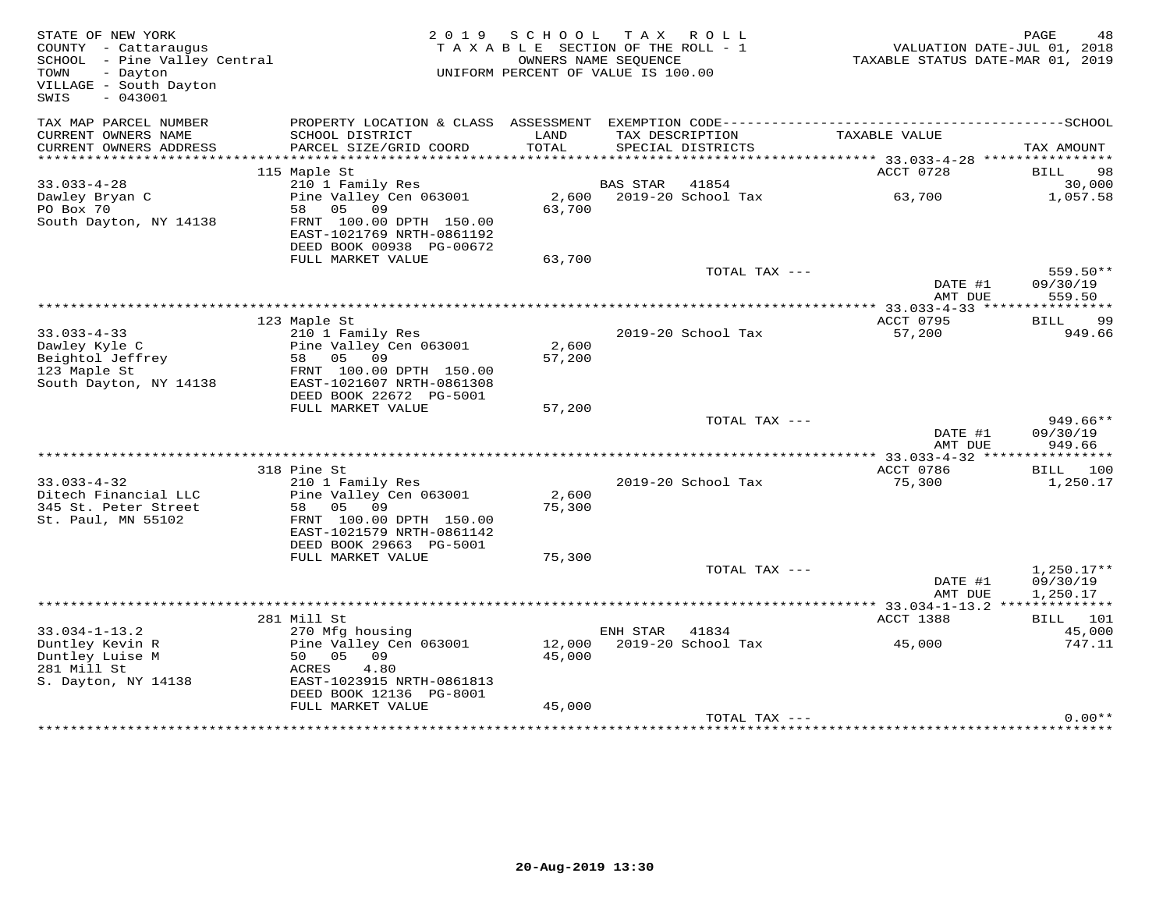| STATE OF NEW YORK<br>COUNTY - Cattaraugus<br>SCHOOL - Pine Valley Central<br>- Dayton<br>TOWN<br>VILLAGE - South Dayton<br>$-043001$<br>SWIS |                                                                                  | 2019 SCHOOL<br>TAXABLE SECTION OF THE ROLL - 1<br>UNIFORM PERCENT OF VALUE IS 100.00 | TAX ROLL<br>OWNERS NAME SEQUENCE |                             |                             | PAGE<br>48<br>VALUATION DATE-JUL 01, 2018<br>TAXABLE STATUS DATE-MAR 01, 2019 |
|----------------------------------------------------------------------------------------------------------------------------------------------|----------------------------------------------------------------------------------|--------------------------------------------------------------------------------------|----------------------------------|-----------------------------|-----------------------------|-------------------------------------------------------------------------------|
| TAX MAP PARCEL NUMBER                                                                                                                        |                                                                                  |                                                                                      |                                  |                             |                             |                                                                               |
| CURRENT OWNERS NAME<br>CURRENT OWNERS ADDRESS                                                                                                | SCHOOL DISTRICT<br>PARCEL SIZE/GRID COORD                                        | LAND<br>TOTAL                                                                        | TAX DESCRIPTION                  | SPECIAL DISTRICTS           | TAXABLE VALUE               | TAX AMOUNT                                                                    |
| **********************                                                                                                                       |                                                                                  |                                                                                      |                                  |                             |                             |                                                                               |
|                                                                                                                                              | 115 Maple St                                                                     |                                                                                      |                                  |                             | ACCT 0728                   | <b>BILL</b><br>98                                                             |
| $33.033 - 4 - 28$                                                                                                                            | 210 1 Family Res                                                                 |                                                                                      | BAS STAR 41854                   |                             |                             | 30,000                                                                        |
| Dawley Bryan C<br>PO Box 70                                                                                                                  | Pine Valley Cen 063001<br>09<br>58 05                                            | 63,700                                                                               | 2,600 2019-20 School Tax         |                             | 63,700                      | 1,057.58                                                                      |
| South Dayton, NY 14138                                                                                                                       | FRNT 100.00 DPTH 150.00<br>EAST-1021769 NRTH-0861192<br>DEED BOOK 00938 PG-00672 |                                                                                      |                                  |                             |                             |                                                                               |
|                                                                                                                                              | FULL MARKET VALUE                                                                | 63,700                                                                               |                                  |                             |                             |                                                                               |
|                                                                                                                                              |                                                                                  |                                                                                      |                                  | TOTAL TAX ---               |                             | 559.50**                                                                      |
|                                                                                                                                              |                                                                                  |                                                                                      |                                  |                             | DATE #1<br>AMT DUE          | 09/30/19<br>559.50                                                            |
|                                                                                                                                              |                                                                                  |                                                                                      |                                  |                             |                             |                                                                               |
|                                                                                                                                              | 123 Maple St                                                                     |                                                                                      |                                  |                             | ACCT 0795                   | BILL<br>- 99                                                                  |
| $33.033 - 4 - 33$                                                                                                                            | 210 1 Family Res                                                                 |                                                                                      |                                  | 2019-20 School Tax          | 57,200                      | 949.66                                                                        |
| Dawley Kyle C                                                                                                                                | Pine Valley Cen 063001                                                           | 2,600                                                                                |                                  |                             |                             |                                                                               |
| Beightol Jeffrey                                                                                                                             | 58 05<br>09                                                                      | 57,200                                                                               |                                  |                             |                             |                                                                               |
| 123 Maple St                                                                                                                                 | FRNT 100.00 DPTH 150.00<br>EAST-1021607 NRTH-0861308                             |                                                                                      |                                  |                             |                             |                                                                               |
| South Dayton, NY 14138                                                                                                                       | DEED BOOK 22672 PG-5001                                                          |                                                                                      |                                  |                             |                             |                                                                               |
|                                                                                                                                              | FULL MARKET VALUE                                                                | 57,200                                                                               |                                  |                             |                             |                                                                               |
|                                                                                                                                              |                                                                                  |                                                                                      |                                  | TOTAL TAX ---               |                             | 949.66**                                                                      |
|                                                                                                                                              |                                                                                  |                                                                                      |                                  |                             | DATE #1                     | 09/30/19                                                                      |
|                                                                                                                                              |                                                                                  |                                                                                      |                                  |                             | AMT DUE                     | 949.66                                                                        |
|                                                                                                                                              |                                                                                  |                                                                                      |                                  |                             |                             |                                                                               |
|                                                                                                                                              | 318 Pine St                                                                      |                                                                                      |                                  |                             | ACCT 0786                   | BILL 100                                                                      |
| $33.033 - 4 - 32$                                                                                                                            | 210 1 Family Res                                                                 |                                                                                      |                                  | 2019-20 School Tax          | 75,300                      | 1,250.17                                                                      |
| Ditech Financial LLC<br>345 St. Peter Street                                                                                                 | Pine Valley Cen 063001<br>58 05 09                                               | 2,600                                                                                |                                  |                             |                             |                                                                               |
| St. Paul, MN 55102                                                                                                                           | FRNT 100.00 DPTH 150.00                                                          | 75,300                                                                               |                                  |                             |                             |                                                                               |
|                                                                                                                                              | EAST-1021579 NRTH-0861142                                                        |                                                                                      |                                  |                             |                             |                                                                               |
|                                                                                                                                              | DEED BOOK 29663 PG-5001                                                          |                                                                                      |                                  |                             |                             |                                                                               |
|                                                                                                                                              | FULL MARKET VALUE                                                                | 75,300                                                                               |                                  |                             |                             |                                                                               |
|                                                                                                                                              |                                                                                  |                                                                                      |                                  | TOTAL TAX ---               |                             | $1,250.17**$                                                                  |
|                                                                                                                                              |                                                                                  |                                                                                      |                                  |                             | DATE #1                     | 09/30/19                                                                      |
|                                                                                                                                              |                                                                                  |                                                                                      |                                  |                             | AMT DUE                     | 1,250.17                                                                      |
|                                                                                                                                              |                                                                                  |                                                                                      |                                  |                             |                             |                                                                               |
| $33.034 - 1 - 13.2$                                                                                                                          | 281 Mill St                                                                      |                                                                                      |                                  |                             | ACCT 1388                   | BILL 101                                                                      |
| Duntley Kevin R                                                                                                                              | 270 Mfg housing<br>Pine Valley Cen 063001                                        | 12,000                                                                               | ENH STAR                         | 41834<br>2019-20 School Tax | 45,000                      | 45,000<br>747.11                                                              |
| Duntley Luise M                                                                                                                              | 50<br>05<br>09                                                                   | 45,000                                                                               |                                  |                             |                             |                                                                               |
| 281 Mill St                                                                                                                                  | 4.80<br>ACRES                                                                    |                                                                                      |                                  |                             |                             |                                                                               |
| S. Dayton, NY 14138                                                                                                                          | EAST-1023915 NRTH-0861813                                                        |                                                                                      |                                  |                             |                             |                                                                               |
|                                                                                                                                              | DEED BOOK 12136 PG-8001                                                          |                                                                                      |                                  |                             |                             |                                                                               |
|                                                                                                                                              | FULL MARKET VALUE                                                                | 45,000                                                                               |                                  |                             |                             |                                                                               |
|                                                                                                                                              |                                                                                  |                                                                                      |                                  | TOTAL TAX ---               |                             | $0.00**$                                                                      |
|                                                                                                                                              |                                                                                  |                                                                                      |                                  |                             | *************************** |                                                                               |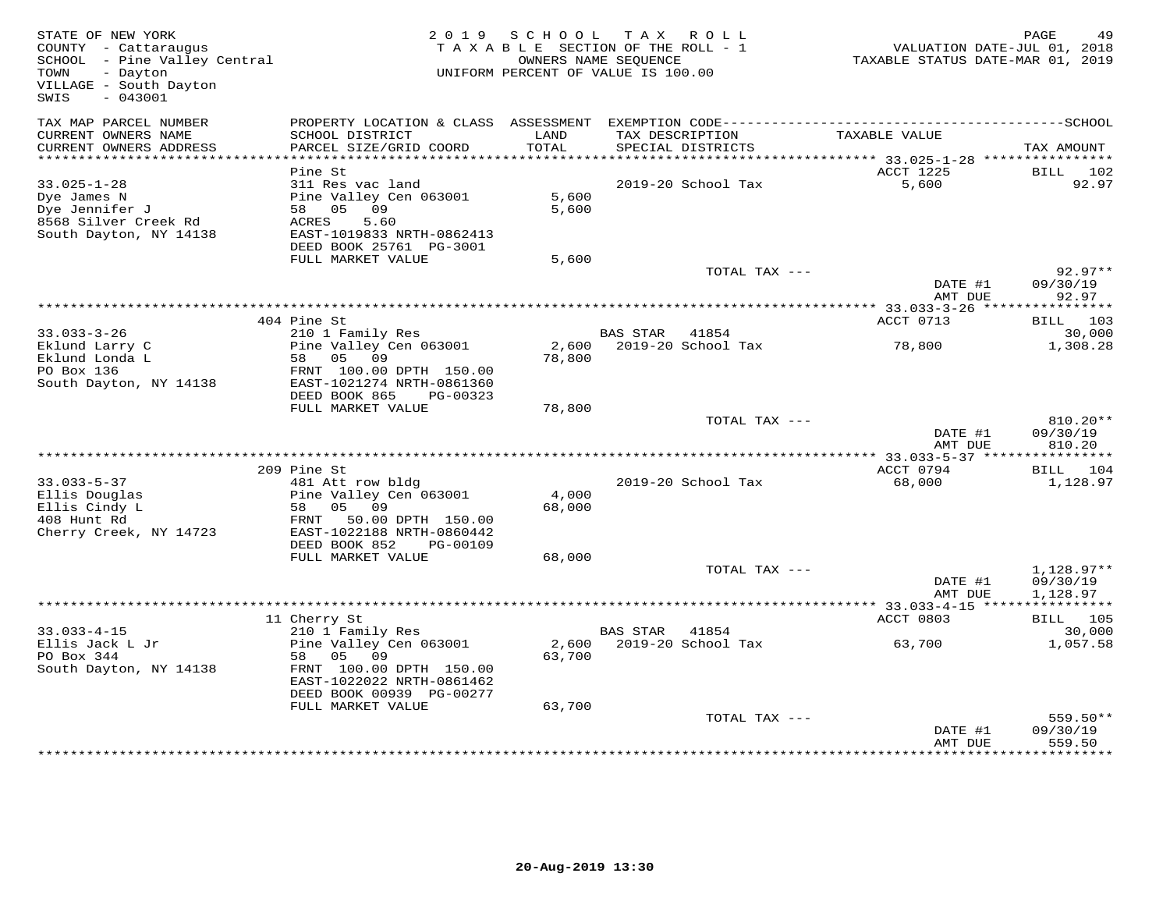| STATE OF NEW YORK<br>COUNTY - Cattaraugus<br>COUNTY - Cattaraugus<br>SCHOOL - Pine Valley Central<br>TOWN - Dayton<br>TOWN<br>- Dayton<br>VILLAGE - South Dayton<br>SWIS<br>$-043001$ |                                                                                                                                            |                 | 2019 SCHOOL TAX ROLL<br>TAXABLE SECTION OF THE ROLL - 1<br>OWNERS NAME SEQUENCE<br>UNIFORM PERCENT OF VALUE IS 100.00 | 71, VALUATION DATE-JUL 01, 2018<br>TAXABLE STATUS DATE-MAR 01, 2019 | PAGE                               |
|---------------------------------------------------------------------------------------------------------------------------------------------------------------------------------------|--------------------------------------------------------------------------------------------------------------------------------------------|-----------------|-----------------------------------------------------------------------------------------------------------------------|---------------------------------------------------------------------|------------------------------------|
| TAX MAP PARCEL NUMBER<br>CURRENT OWNERS NAME<br>CURRENT OWNERS ADDRESS                                                                                                                | SCHOOL DISTRICT<br>PARCEL SIZE/GRID COORD                                                                                                  | LAND<br>TOTAL   | TAX DESCRIPTION<br>SPECIAL DISTRICTS                                                                                  | TAXABLE VALUE                                                       | TAX AMOUNT                         |
|                                                                                                                                                                                       |                                                                                                                                            |                 |                                                                                                                       |                                                                     |                                    |
| $33.025 - 1 - 28$<br>Dye James N<br>Dye Jennifer J<br>8568 Silver Creek Rd                                                                                                            | Pine St<br>311 Res vac land<br>Pine Valley Cen 063001<br>58 05 09<br>ACRES<br>5.60                                                         | 5,600<br>5,600  | 2019-20 School Tax                                                                                                    | ACCT 1225<br>5,600                                                  | BILL 102<br>92.97                  |
| South Dayton, NY 14138                                                                                                                                                                | EAST-1019833 NRTH-0862413<br>DEED BOOK 25761 PG-3001<br>FULL MARKET VALUE                                                                  | 5,600           |                                                                                                                       |                                                                     |                                    |
|                                                                                                                                                                                       |                                                                                                                                            |                 | TOTAL TAX ---                                                                                                         |                                                                     | $92.97**$                          |
|                                                                                                                                                                                       |                                                                                                                                            |                 |                                                                                                                       | DATE #1<br>AMT DUE                                                  | 09/30/19<br>92.97                  |
|                                                                                                                                                                                       |                                                                                                                                            |                 |                                                                                                                       |                                                                     |                                    |
|                                                                                                                                                                                       | 404 Pine St<br>210 1 Family Res                                                                                                            |                 | BAS STAR 41854                                                                                                        | ACCT 0713                                                           | BILL 103<br>30,000                 |
| 33.033-3-26<br>Eklund Larry C<br>Eklund Londa L<br>PO Box 136                                                                                                                         | Pine Valley Cen 063001<br>58 05 09<br>FRNT 100.00 DPTH 150.00                                                                              | 78,800          | 2,600 2019-20 School Tax                                                                                              | 78,800                                                              | 1,308.28                           |
| South Dayton, NY 14138 EAST-1021274 NRTH-0861360                                                                                                                                      |                                                                                                                                            |                 |                                                                                                                       |                                                                     |                                    |
|                                                                                                                                                                                       | DEED BOOK 865<br>PG-00323<br>FULL MARKET VALUE                                                                                             | 78,800          |                                                                                                                       |                                                                     |                                    |
|                                                                                                                                                                                       |                                                                                                                                            |                 | TOTAL TAX ---                                                                                                         | DATE #1<br>AMT DUE                                                  | 810.20**<br>09/30/19<br>810.20     |
|                                                                                                                                                                                       |                                                                                                                                            |                 |                                                                                                                       |                                                                     |                                    |
|                                                                                                                                                                                       | 209 Pine St                                                                                                                                |                 |                                                                                                                       | ACCT 0794                                                           | BILL 104                           |
| $33.033 - 5 - 37$<br>Ellis Douglas<br>Ellis Cindy L<br>408 Hunt Rd                                                                                                                    | 481 Att row bldg<br>Pine Valley Cen 063001<br>58 05 09<br>FRNT 50.00 DPTH 150.00<br>EAST-1022188 NRTH-0860442                              | 4,000<br>68,000 | 2019-20 School Tax                                                                                                    | 68,000                                                              | 1,128.97                           |
| Cherry Creek, NY 14723                                                                                                                                                                | DEED BOOK 852<br>PG-00109                                                                                                                  |                 |                                                                                                                       |                                                                     |                                    |
|                                                                                                                                                                                       | FULL MARKET VALUE                                                                                                                          | 68,000          |                                                                                                                       |                                                                     |                                    |
|                                                                                                                                                                                       |                                                                                                                                            |                 | TOTAL TAX ---                                                                                                         | DATE #1<br>AMT DUE                                                  | 1,128.97**<br>09/30/19<br>1,128.97 |
|                                                                                                                                                                                       |                                                                                                                                            |                 |                                                                                                                       | ******** 33.033-4-15 ****************                               |                                    |
|                                                                                                                                                                                       | 11 Cherry St                                                                                                                               |                 |                                                                                                                       | ACCT 0803                                                           | BILL 105                           |
| $33.033 - 4 - 15$<br>Ellis Jack L Jr<br>PO Box 344<br>South Dayton, NY 14138                                                                                                          | 210 1 Family Res<br>Pine Valley Cen 063001<br>58 05 09<br>FRNT 100.00 DPTH 150.00<br>EAST-1022022 NRTH-0861462<br>DEED BOOK 00939 PG-00277 | 63,700          | BAS STAR 41854<br>2,600 2019-20 School Tax                                                                            | 63,700                                                              | 30,000<br>1,057.58                 |
|                                                                                                                                                                                       | FULL MARKET VALUE                                                                                                                          | 63,700          |                                                                                                                       |                                                                     |                                    |
|                                                                                                                                                                                       |                                                                                                                                            |                 | TOTAL TAX ---                                                                                                         | DATE #1<br>AMT DUE                                                  | 559.50**<br>09/30/19<br>559.50     |
|                                                                                                                                                                                       |                                                                                                                                            |                 |                                                                                                                       |                                                                     |                                    |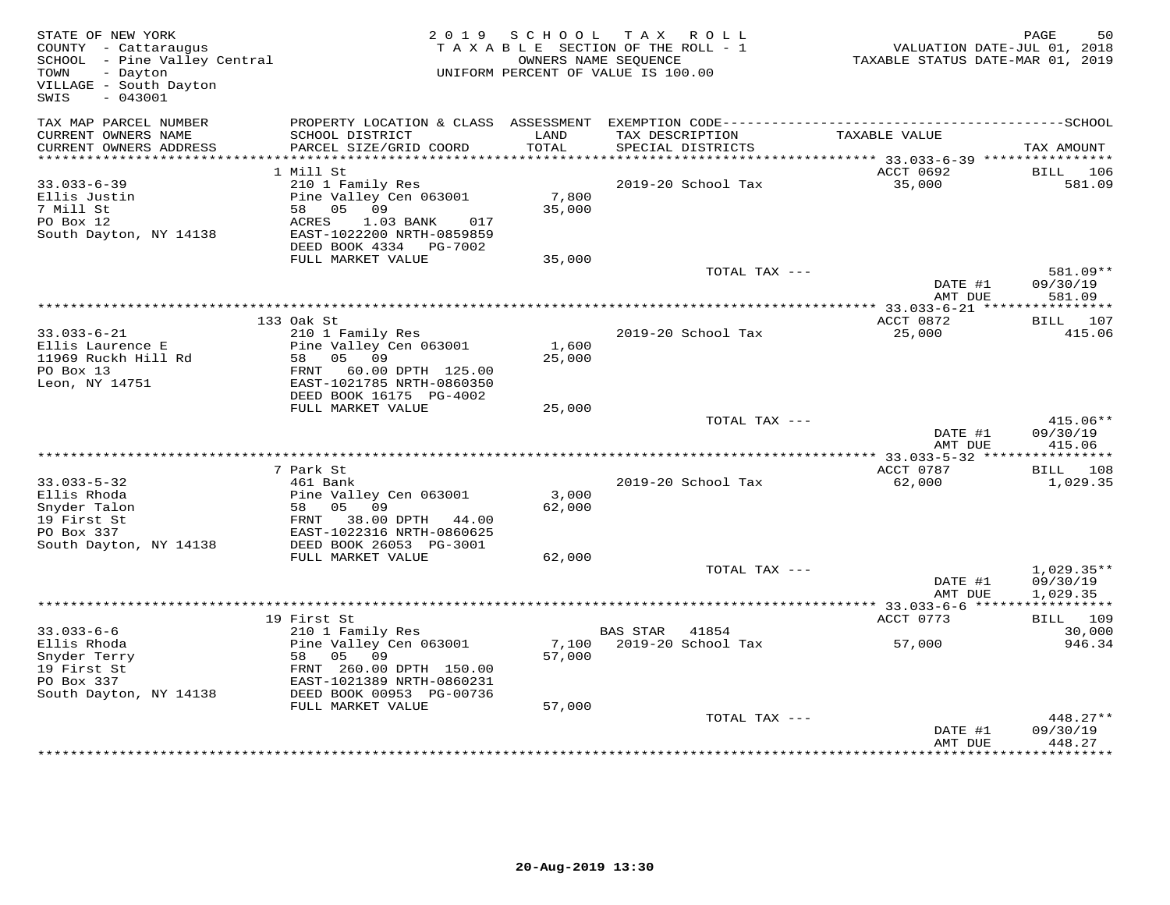| STATE OF NEW YORK<br>COUNTY - Cattaraugus<br>SCHOOL - Pine Valley Central<br>- Dayton<br>TOWN<br>VILLAGE - South Dayton<br>SWIS<br>$-043001$ |                                                                                                                                                                 |                  | 2019 SCHOOL TAX ROLL<br>TAXABLE SECTION OF THE ROLL - 1<br>OWNERS NAME SEOUENCE<br>UNIFORM PERCENT OF VALUE IS 100.00 | VALUATION DATE-JUL 01, 2018<br>TAXABLE STATUS DATE-MAR 01, 2019 | PAGE<br>50                           |
|----------------------------------------------------------------------------------------------------------------------------------------------|-----------------------------------------------------------------------------------------------------------------------------------------------------------------|------------------|-----------------------------------------------------------------------------------------------------------------------|-----------------------------------------------------------------|--------------------------------------|
| TAX MAP PARCEL NUMBER<br>CURRENT OWNERS NAME                                                                                                 | PROPERTY LOCATION & CLASS ASSESSMENT EXEMPTION CODE-----------------------------------SCHOOL<br>SCHOOL DISTRICT                                                 | LAND             | TAX DESCRIPTION                                                                                                       | TAXABLE VALUE                                                   |                                      |
| CURRENT OWNERS ADDRESS<br>************************                                                                                           | PARCEL SIZE/GRID COORD                                                                                                                                          | TOTAL            | SPECIAL DISTRICTS                                                                                                     |                                                                 | TAX AMOUNT                           |
|                                                                                                                                              | 1 Mill St                                                                                                                                                       |                  |                                                                                                                       | ACCT 0692                                                       | BILL<br>106                          |
| $33.033 - 6 - 39$<br>Ellis Justin<br>7 Mill St<br>PO Box 12<br>South Dayton, NY 14138                                                        | 210 1 Family Res<br>Pine Valley Cen 063001<br>58 05 09<br>ACRES<br>1.03 BANK<br>017<br>EAST-1022200 NRTH-0859859<br>DEED BOOK 4334 PG-7002                      | 7,800<br>35,000  | 2019-20 School Tax                                                                                                    | 35,000                                                          | 581.09                               |
|                                                                                                                                              | FULL MARKET VALUE                                                                                                                                               | 35,000           |                                                                                                                       |                                                                 |                                      |
|                                                                                                                                              |                                                                                                                                                                 |                  | TOTAL TAX ---                                                                                                         | DATE #1<br>AMT DUE                                              | 581.09**<br>09/30/19<br>581.09       |
|                                                                                                                                              |                                                                                                                                                                 |                  |                                                                                                                       |                                                                 |                                      |
| $33.033 - 6 - 21$<br>Ellis Laurence E<br>11969 Ruckh Hill Rd<br>PO Box 13                                                                    | 133 Oak St<br>210 1 Family Res<br>Pine Valley Cen 063001<br>58 05 09<br>FRNT 60.00 DPTH 125.00                                                                  | 1,600<br>25,000  | 2019-20 School Tax                                                                                                    | ACCT 0872<br>25,000                                             | BILL 107<br>415.06                   |
| Leon, NY 14751                                                                                                                               | EAST-1021785 NRTH-0860350                                                                                                                                       |                  |                                                                                                                       |                                                                 |                                      |
|                                                                                                                                              | DEED BOOK 16175 PG-4002<br>FULL MARKET VALUE                                                                                                                    | 25,000           |                                                                                                                       |                                                                 |                                      |
|                                                                                                                                              |                                                                                                                                                                 |                  | TOTAL TAX ---                                                                                                         | DATE #1<br>AMT DUE                                              | $415.06**$<br>09/30/19<br>415.06     |
|                                                                                                                                              |                                                                                                                                                                 |                  |                                                                                                                       |                                                                 |                                      |
| $33.033 - 5 - 32$<br>Ellis Rhoda<br>Snyder Talon<br>19 First St<br>PO Box 337                                                                | 7 Park St<br>461 Bank<br>Pine Valley Cen 063001<br>58 05 09<br>FRNT 38.00 DPTH 44.00<br>EAST-1022316 NRTH-0860625                                               | 3,000<br>62,000  | 2019-20 School Tax                                                                                                    | ACCT 0787<br>62,000                                             | BILL 108<br>1,029.35                 |
| South Dayton, NY 14138                                                                                                                       | DEED BOOK 26053 PG-3001<br>FULL MARKET VALUE                                                                                                                    | 62,000           |                                                                                                                       |                                                                 |                                      |
|                                                                                                                                              |                                                                                                                                                                 |                  | TOTAL TAX ---                                                                                                         | DATE #1<br>AMT DUE                                              | $1,029.35**$<br>09/30/19<br>1,029.35 |
|                                                                                                                                              |                                                                                                                                                                 |                  |                                                                                                                       | ***** 33.033-6-6 ****                                           | ***********                          |
|                                                                                                                                              | 19 First St                                                                                                                                                     |                  |                                                                                                                       | ACCT 0773                                                       | BILL 109                             |
| $33.033 - 6 - 6$<br>Ellis Rhoda<br>Snyder Terry<br>19 First St<br>PO Box 337<br>South Dayton, NY 14138                                       | 210 1 Family Res<br>Pine Valley Cen 063001<br>58 05 09<br>FRNT 260.00 DPTH 150.00<br>EAST-1021389 NRTH-0860231<br>DEED BOOK 00953 PG-00736<br>FULL MARKET VALUE | 57,000<br>57,000 | BAS STAR 41854<br>7,100 2019-20 School Tax                                                                            | 57,000                                                          | 30,000<br>946.34                     |
|                                                                                                                                              |                                                                                                                                                                 |                  | TOTAL TAX ---                                                                                                         | DATE #1<br>AMT DUE                                              | 448.27**<br>09/30/19<br>448.27       |
|                                                                                                                                              |                                                                                                                                                                 |                  |                                                                                                                       |                                                                 |                                      |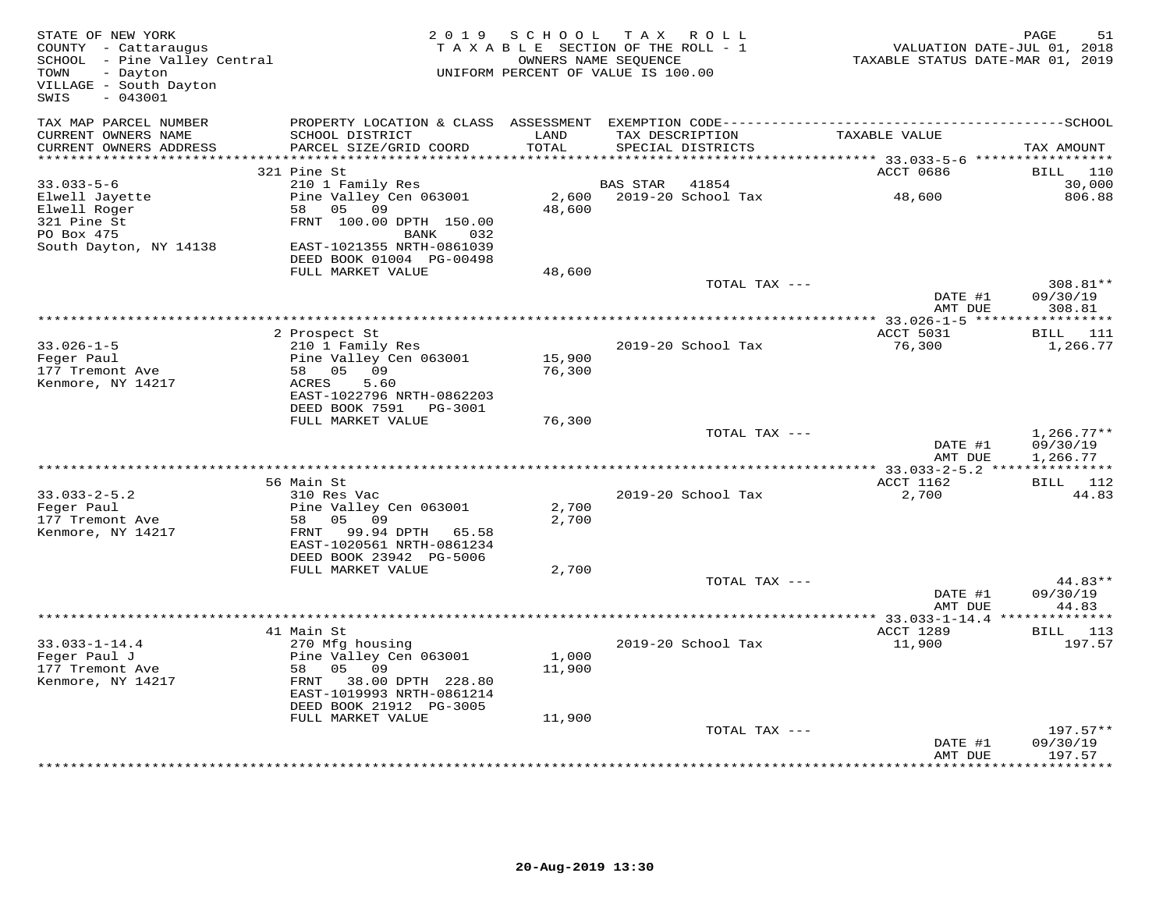| TAX MAP PARCEL NUMBER<br>CURRENT OWNERS NAME<br>SCHOOL DISTRICT<br>LAND<br>TAX DESCRIPTION<br>TAXABLE VALUE<br>CURRENT OWNERS ADDRESS<br>PARCEL SIZE/GRID COORD<br>TOTAL<br>SPECIAL DISTRICTS<br>TAX AMOUNT<br>ACCT 0686<br>321 Pine St<br>110<br>BILL<br>$33.033 - 5 - 6$<br>41854<br>30,000<br>210 1 Family Res<br>BAS STAR<br>2019-20 School Tax<br>806.88<br>Pine Valley Cen 063001<br>2,600<br>48,600<br>Elwell Jayette<br>48,600<br>Elwell Roger<br>58<br>05 09<br>321 Pine St<br>FRNT 100.00 DPTH 150.00<br>PO Box 475<br>BANK<br>032<br>EAST-1021355 NRTH-0861039<br>South Dayton, NY 14138<br>DEED BOOK 01004 PG-00498<br>FULL MARKET VALUE<br>48,600<br>TOTAL TAX ---<br>308.81**<br>DATE #1<br>09/30/19<br>308.81<br>AMT DUE<br>***********<br>2 Prospect St<br>ACCT 5031<br>BILL 111<br>$33.026 - 1 - 5$<br>210 1 Family Res<br>2019-20 School Tax<br>76,300<br>1,266.77<br>Feger Paul<br>Pine Valley Cen 063001<br>15,900<br>58 05 09<br>76,300<br>177 Tremont Ave<br>Kenmore, NY 14217<br>ACRES<br>5.60<br>EAST-1022796 NRTH-0862203<br>DEED BOOK 7591 PG-3001<br>FULL MARKET VALUE<br>76,300<br>TOTAL TAX ---<br>$1,266.77**$<br>DATE #1<br>09/30/19<br>AMT DUE<br>1,266.77<br>**********************************<br>** 33.033-2-5.2 ****************<br>56 Main St<br>ACCT 1162<br><b>BILL</b> 112<br>$33.033 - 2 - 5.2$<br>310 Res Vac<br>2019-20 School Tax<br>2,700<br>44.83<br>Feger Paul<br>Pine Valley Cen 063001<br>2,700<br>177 Tremont Ave<br>2,700<br>58<br>05 09<br>Kenmore, NY 14217<br>FRNT 99.94 DPTH 65.58<br>EAST-1020561 NRTH-0861234<br>DEED BOOK 23942 PG-5006<br>FULL MARKET VALUE<br>2,700<br>TOTAL TAX ---<br>44.83**<br>09/30/19<br>DATE #1<br>AMT DUE<br>44.83<br>********<br>41 Main St<br>ACCT 1289<br>BILL 113<br>$33.033 - 1 - 14.4$<br>270 Mfg housing<br>2019-20 School Tax<br>11,900<br>197.57<br>Feger Paul J<br>Pine Valley Cen 063001<br>1,000<br>177 Tremont Ave<br>58<br>05 09<br>11,900<br>FRNT 38.00 DPTH 228.80<br>Kenmore, NY 14217<br>EAST-1019993 NRTH-0861214<br>DEED BOOK 21912 PG-3005<br>FULL MARKET VALUE<br>11,900<br>TOTAL TAX ---<br>$197.57**$<br>DATE #1<br>09/30/19<br>AMT DUE<br>197.57 | STATE OF NEW YORK<br>COUNTY - Cattaraugus<br>SCHOOL - Pine Valley Central<br>TOWN<br>- Dayton<br>VILLAGE - South Dayton<br>$-043001$<br>SWIS | 2019 SCHOOL<br>TAXABLE SECTION OF THE ROLL - 1<br>UNIFORM PERCENT OF VALUE IS 100.00 | TAX ROLL<br>OWNERS NAME SEQUENCE |  | PAGE<br>VALUATION DATE-JUL 01, 2018<br>TAXABLE STATUS DATE-MAR 01, 2019 | 51 |
|---------------------------------------------------------------------------------------------------------------------------------------------------------------------------------------------------------------------------------------------------------------------------------------------------------------------------------------------------------------------------------------------------------------------------------------------------------------------------------------------------------------------------------------------------------------------------------------------------------------------------------------------------------------------------------------------------------------------------------------------------------------------------------------------------------------------------------------------------------------------------------------------------------------------------------------------------------------------------------------------------------------------------------------------------------------------------------------------------------------------------------------------------------------------------------------------------------------------------------------------------------------------------------------------------------------------------------------------------------------------------------------------------------------------------------------------------------------------------------------------------------------------------------------------------------------------------------------------------------------------------------------------------------------------------------------------------------------------------------------------------------------------------------------------------------------------------------------------------------------------------------------------------------------------------------------------------------------------------------------------------------------------------------------------------------------------------------------------------------------------------------------------------------------|----------------------------------------------------------------------------------------------------------------------------------------------|--------------------------------------------------------------------------------------|----------------------------------|--|-------------------------------------------------------------------------|----|
|                                                                                                                                                                                                                                                                                                                                                                                                                                                                                                                                                                                                                                                                                                                                                                                                                                                                                                                                                                                                                                                                                                                                                                                                                                                                                                                                                                                                                                                                                                                                                                                                                                                                                                                                                                                                                                                                                                                                                                                                                                                                                                                                                               |                                                                                                                                              |                                                                                      |                                  |  |                                                                         |    |
|                                                                                                                                                                                                                                                                                                                                                                                                                                                                                                                                                                                                                                                                                                                                                                                                                                                                                                                                                                                                                                                                                                                                                                                                                                                                                                                                                                                                                                                                                                                                                                                                                                                                                                                                                                                                                                                                                                                                                                                                                                                                                                                                                               |                                                                                                                                              |                                                                                      |                                  |  |                                                                         |    |
|                                                                                                                                                                                                                                                                                                                                                                                                                                                                                                                                                                                                                                                                                                                                                                                                                                                                                                                                                                                                                                                                                                                                                                                                                                                                                                                                                                                                                                                                                                                                                                                                                                                                                                                                                                                                                                                                                                                                                                                                                                                                                                                                                               |                                                                                                                                              |                                                                                      |                                  |  |                                                                         |    |
|                                                                                                                                                                                                                                                                                                                                                                                                                                                                                                                                                                                                                                                                                                                                                                                                                                                                                                                                                                                                                                                                                                                                                                                                                                                                                                                                                                                                                                                                                                                                                                                                                                                                                                                                                                                                                                                                                                                                                                                                                                                                                                                                                               |                                                                                                                                              |                                                                                      |                                  |  |                                                                         |    |
|                                                                                                                                                                                                                                                                                                                                                                                                                                                                                                                                                                                                                                                                                                                                                                                                                                                                                                                                                                                                                                                                                                                                                                                                                                                                                                                                                                                                                                                                                                                                                                                                                                                                                                                                                                                                                                                                                                                                                                                                                                                                                                                                                               |                                                                                                                                              |                                                                                      |                                  |  |                                                                         |    |
|                                                                                                                                                                                                                                                                                                                                                                                                                                                                                                                                                                                                                                                                                                                                                                                                                                                                                                                                                                                                                                                                                                                                                                                                                                                                                                                                                                                                                                                                                                                                                                                                                                                                                                                                                                                                                                                                                                                                                                                                                                                                                                                                                               |                                                                                                                                              |                                                                                      |                                  |  |                                                                         |    |
|                                                                                                                                                                                                                                                                                                                                                                                                                                                                                                                                                                                                                                                                                                                                                                                                                                                                                                                                                                                                                                                                                                                                                                                                                                                                                                                                                                                                                                                                                                                                                                                                                                                                                                                                                                                                                                                                                                                                                                                                                                                                                                                                                               |                                                                                                                                              |                                                                                      |                                  |  |                                                                         |    |
|                                                                                                                                                                                                                                                                                                                                                                                                                                                                                                                                                                                                                                                                                                                                                                                                                                                                                                                                                                                                                                                                                                                                                                                                                                                                                                                                                                                                                                                                                                                                                                                                                                                                                                                                                                                                                                                                                                                                                                                                                                                                                                                                                               |                                                                                                                                              |                                                                                      |                                  |  |                                                                         |    |
|                                                                                                                                                                                                                                                                                                                                                                                                                                                                                                                                                                                                                                                                                                                                                                                                                                                                                                                                                                                                                                                                                                                                                                                                                                                                                                                                                                                                                                                                                                                                                                                                                                                                                                                                                                                                                                                                                                                                                                                                                                                                                                                                                               |                                                                                                                                              |                                                                                      |                                  |  |                                                                         |    |
|                                                                                                                                                                                                                                                                                                                                                                                                                                                                                                                                                                                                                                                                                                                                                                                                                                                                                                                                                                                                                                                                                                                                                                                                                                                                                                                                                                                                                                                                                                                                                                                                                                                                                                                                                                                                                                                                                                                                                                                                                                                                                                                                                               |                                                                                                                                              |                                                                                      |                                  |  |                                                                         |    |
|                                                                                                                                                                                                                                                                                                                                                                                                                                                                                                                                                                                                                                                                                                                                                                                                                                                                                                                                                                                                                                                                                                                                                                                                                                                                                                                                                                                                                                                                                                                                                                                                                                                                                                                                                                                                                                                                                                                                                                                                                                                                                                                                                               |                                                                                                                                              |                                                                                      |                                  |  |                                                                         |    |
|                                                                                                                                                                                                                                                                                                                                                                                                                                                                                                                                                                                                                                                                                                                                                                                                                                                                                                                                                                                                                                                                                                                                                                                                                                                                                                                                                                                                                                                                                                                                                                                                                                                                                                                                                                                                                                                                                                                                                                                                                                                                                                                                                               |                                                                                                                                              |                                                                                      |                                  |  |                                                                         |    |
|                                                                                                                                                                                                                                                                                                                                                                                                                                                                                                                                                                                                                                                                                                                                                                                                                                                                                                                                                                                                                                                                                                                                                                                                                                                                                                                                                                                                                                                                                                                                                                                                                                                                                                                                                                                                                                                                                                                                                                                                                                                                                                                                                               |                                                                                                                                              |                                                                                      |                                  |  |                                                                         |    |
|                                                                                                                                                                                                                                                                                                                                                                                                                                                                                                                                                                                                                                                                                                                                                                                                                                                                                                                                                                                                                                                                                                                                                                                                                                                                                                                                                                                                                                                                                                                                                                                                                                                                                                                                                                                                                                                                                                                                                                                                                                                                                                                                                               |                                                                                                                                              |                                                                                      |                                  |  |                                                                         |    |
|                                                                                                                                                                                                                                                                                                                                                                                                                                                                                                                                                                                                                                                                                                                                                                                                                                                                                                                                                                                                                                                                                                                                                                                                                                                                                                                                                                                                                                                                                                                                                                                                                                                                                                                                                                                                                                                                                                                                                                                                                                                                                                                                                               |                                                                                                                                              |                                                                                      |                                  |  |                                                                         |    |
|                                                                                                                                                                                                                                                                                                                                                                                                                                                                                                                                                                                                                                                                                                                                                                                                                                                                                                                                                                                                                                                                                                                                                                                                                                                                                                                                                                                                                                                                                                                                                                                                                                                                                                                                                                                                                                                                                                                                                                                                                                                                                                                                                               |                                                                                                                                              |                                                                                      |                                  |  |                                                                         |    |
|                                                                                                                                                                                                                                                                                                                                                                                                                                                                                                                                                                                                                                                                                                                                                                                                                                                                                                                                                                                                                                                                                                                                                                                                                                                                                                                                                                                                                                                                                                                                                                                                                                                                                                                                                                                                                                                                                                                                                                                                                                                                                                                                                               |                                                                                                                                              |                                                                                      |                                  |  |                                                                         |    |
|                                                                                                                                                                                                                                                                                                                                                                                                                                                                                                                                                                                                                                                                                                                                                                                                                                                                                                                                                                                                                                                                                                                                                                                                                                                                                                                                                                                                                                                                                                                                                                                                                                                                                                                                                                                                                                                                                                                                                                                                                                                                                                                                                               |                                                                                                                                              |                                                                                      |                                  |  |                                                                         |    |
|                                                                                                                                                                                                                                                                                                                                                                                                                                                                                                                                                                                                                                                                                                                                                                                                                                                                                                                                                                                                                                                                                                                                                                                                                                                                                                                                                                                                                                                                                                                                                                                                                                                                                                                                                                                                                                                                                                                                                                                                                                                                                                                                                               |                                                                                                                                              |                                                                                      |                                  |  |                                                                         |    |
|                                                                                                                                                                                                                                                                                                                                                                                                                                                                                                                                                                                                                                                                                                                                                                                                                                                                                                                                                                                                                                                                                                                                                                                                                                                                                                                                                                                                                                                                                                                                                                                                                                                                                                                                                                                                                                                                                                                                                                                                                                                                                                                                                               |                                                                                                                                              |                                                                                      |                                  |  |                                                                         |    |
|                                                                                                                                                                                                                                                                                                                                                                                                                                                                                                                                                                                                                                                                                                                                                                                                                                                                                                                                                                                                                                                                                                                                                                                                                                                                                                                                                                                                                                                                                                                                                                                                                                                                                                                                                                                                                                                                                                                                                                                                                                                                                                                                                               |                                                                                                                                              |                                                                                      |                                  |  |                                                                         |    |
|                                                                                                                                                                                                                                                                                                                                                                                                                                                                                                                                                                                                                                                                                                                                                                                                                                                                                                                                                                                                                                                                                                                                                                                                                                                                                                                                                                                                                                                                                                                                                                                                                                                                                                                                                                                                                                                                                                                                                                                                                                                                                                                                                               |                                                                                                                                              |                                                                                      |                                  |  |                                                                         |    |
|                                                                                                                                                                                                                                                                                                                                                                                                                                                                                                                                                                                                                                                                                                                                                                                                                                                                                                                                                                                                                                                                                                                                                                                                                                                                                                                                                                                                                                                                                                                                                                                                                                                                                                                                                                                                                                                                                                                                                                                                                                                                                                                                                               |                                                                                                                                              |                                                                                      |                                  |  |                                                                         |    |
|                                                                                                                                                                                                                                                                                                                                                                                                                                                                                                                                                                                                                                                                                                                                                                                                                                                                                                                                                                                                                                                                                                                                                                                                                                                                                                                                                                                                                                                                                                                                                                                                                                                                                                                                                                                                                                                                                                                                                                                                                                                                                                                                                               |                                                                                                                                              |                                                                                      |                                  |  |                                                                         |    |
|                                                                                                                                                                                                                                                                                                                                                                                                                                                                                                                                                                                                                                                                                                                                                                                                                                                                                                                                                                                                                                                                                                                                                                                                                                                                                                                                                                                                                                                                                                                                                                                                                                                                                                                                                                                                                                                                                                                                                                                                                                                                                                                                                               |                                                                                                                                              |                                                                                      |                                  |  |                                                                         |    |
|                                                                                                                                                                                                                                                                                                                                                                                                                                                                                                                                                                                                                                                                                                                                                                                                                                                                                                                                                                                                                                                                                                                                                                                                                                                                                                                                                                                                                                                                                                                                                                                                                                                                                                                                                                                                                                                                                                                                                                                                                                                                                                                                                               |                                                                                                                                              |                                                                                      |                                  |  |                                                                         |    |
|                                                                                                                                                                                                                                                                                                                                                                                                                                                                                                                                                                                                                                                                                                                                                                                                                                                                                                                                                                                                                                                                                                                                                                                                                                                                                                                                                                                                                                                                                                                                                                                                                                                                                                                                                                                                                                                                                                                                                                                                                                                                                                                                                               |                                                                                                                                              |                                                                                      |                                  |  |                                                                         |    |
|                                                                                                                                                                                                                                                                                                                                                                                                                                                                                                                                                                                                                                                                                                                                                                                                                                                                                                                                                                                                                                                                                                                                                                                                                                                                                                                                                                                                                                                                                                                                                                                                                                                                                                                                                                                                                                                                                                                                                                                                                                                                                                                                                               |                                                                                                                                              |                                                                                      |                                  |  |                                                                         |    |
|                                                                                                                                                                                                                                                                                                                                                                                                                                                                                                                                                                                                                                                                                                                                                                                                                                                                                                                                                                                                                                                                                                                                                                                                                                                                                                                                                                                                                                                                                                                                                                                                                                                                                                                                                                                                                                                                                                                                                                                                                                                                                                                                                               |                                                                                                                                              |                                                                                      |                                  |  |                                                                         |    |
|                                                                                                                                                                                                                                                                                                                                                                                                                                                                                                                                                                                                                                                                                                                                                                                                                                                                                                                                                                                                                                                                                                                                                                                                                                                                                                                                                                                                                                                                                                                                                                                                                                                                                                                                                                                                                                                                                                                                                                                                                                                                                                                                                               |                                                                                                                                              |                                                                                      |                                  |  |                                                                         |    |
|                                                                                                                                                                                                                                                                                                                                                                                                                                                                                                                                                                                                                                                                                                                                                                                                                                                                                                                                                                                                                                                                                                                                                                                                                                                                                                                                                                                                                                                                                                                                                                                                                                                                                                                                                                                                                                                                                                                                                                                                                                                                                                                                                               |                                                                                                                                              |                                                                                      |                                  |  |                                                                         |    |
|                                                                                                                                                                                                                                                                                                                                                                                                                                                                                                                                                                                                                                                                                                                                                                                                                                                                                                                                                                                                                                                                                                                                                                                                                                                                                                                                                                                                                                                                                                                                                                                                                                                                                                                                                                                                                                                                                                                                                                                                                                                                                                                                                               |                                                                                                                                              |                                                                                      |                                  |  |                                                                         |    |
|                                                                                                                                                                                                                                                                                                                                                                                                                                                                                                                                                                                                                                                                                                                                                                                                                                                                                                                                                                                                                                                                                                                                                                                                                                                                                                                                                                                                                                                                                                                                                                                                                                                                                                                                                                                                                                                                                                                                                                                                                                                                                                                                                               |                                                                                                                                              |                                                                                      |                                  |  |                                                                         |    |
|                                                                                                                                                                                                                                                                                                                                                                                                                                                                                                                                                                                                                                                                                                                                                                                                                                                                                                                                                                                                                                                                                                                                                                                                                                                                                                                                                                                                                                                                                                                                                                                                                                                                                                                                                                                                                                                                                                                                                                                                                                                                                                                                                               |                                                                                                                                              |                                                                                      |                                  |  |                                                                         |    |
|                                                                                                                                                                                                                                                                                                                                                                                                                                                                                                                                                                                                                                                                                                                                                                                                                                                                                                                                                                                                                                                                                                                                                                                                                                                                                                                                                                                                                                                                                                                                                                                                                                                                                                                                                                                                                                                                                                                                                                                                                                                                                                                                                               |                                                                                                                                              |                                                                                      |                                  |  |                                                                         |    |
|                                                                                                                                                                                                                                                                                                                                                                                                                                                                                                                                                                                                                                                                                                                                                                                                                                                                                                                                                                                                                                                                                                                                                                                                                                                                                                                                                                                                                                                                                                                                                                                                                                                                                                                                                                                                                                                                                                                                                                                                                                                                                                                                                               |                                                                                                                                              |                                                                                      |                                  |  |                                                                         |    |
|                                                                                                                                                                                                                                                                                                                                                                                                                                                                                                                                                                                                                                                                                                                                                                                                                                                                                                                                                                                                                                                                                                                                                                                                                                                                                                                                                                                                                                                                                                                                                                                                                                                                                                                                                                                                                                                                                                                                                                                                                                                                                                                                                               |                                                                                                                                              |                                                                                      |                                  |  |                                                                         |    |
|                                                                                                                                                                                                                                                                                                                                                                                                                                                                                                                                                                                                                                                                                                                                                                                                                                                                                                                                                                                                                                                                                                                                                                                                                                                                                                                                                                                                                                                                                                                                                                                                                                                                                                                                                                                                                                                                                                                                                                                                                                                                                                                                                               |                                                                                                                                              |                                                                                      |                                  |  |                                                                         |    |
|                                                                                                                                                                                                                                                                                                                                                                                                                                                                                                                                                                                                                                                                                                                                                                                                                                                                                                                                                                                                                                                                                                                                                                                                                                                                                                                                                                                                                                                                                                                                                                                                                                                                                                                                                                                                                                                                                                                                                                                                                                                                                                                                                               |                                                                                                                                              |                                                                                      |                                  |  |                                                                         |    |
|                                                                                                                                                                                                                                                                                                                                                                                                                                                                                                                                                                                                                                                                                                                                                                                                                                                                                                                                                                                                                                                                                                                                                                                                                                                                                                                                                                                                                                                                                                                                                                                                                                                                                                                                                                                                                                                                                                                                                                                                                                                                                                                                                               |                                                                                                                                              |                                                                                      |                                  |  |                                                                         |    |
|                                                                                                                                                                                                                                                                                                                                                                                                                                                                                                                                                                                                                                                                                                                                                                                                                                                                                                                                                                                                                                                                                                                                                                                                                                                                                                                                                                                                                                                                                                                                                                                                                                                                                                                                                                                                                                                                                                                                                                                                                                                                                                                                                               |                                                                                                                                              |                                                                                      |                                  |  |                                                                         |    |
|                                                                                                                                                                                                                                                                                                                                                                                                                                                                                                                                                                                                                                                                                                                                                                                                                                                                                                                                                                                                                                                                                                                                                                                                                                                                                                                                                                                                                                                                                                                                                                                                                                                                                                                                                                                                                                                                                                                                                                                                                                                                                                                                                               |                                                                                                                                              |                                                                                      |                                  |  |                                                                         |    |
|                                                                                                                                                                                                                                                                                                                                                                                                                                                                                                                                                                                                                                                                                                                                                                                                                                                                                                                                                                                                                                                                                                                                                                                                                                                                                                                                                                                                                                                                                                                                                                                                                                                                                                                                                                                                                                                                                                                                                                                                                                                                                                                                                               |                                                                                                                                              |                                                                                      |                                  |  |                                                                         |    |
|                                                                                                                                                                                                                                                                                                                                                                                                                                                                                                                                                                                                                                                                                                                                                                                                                                                                                                                                                                                                                                                                                                                                                                                                                                                                                                                                                                                                                                                                                                                                                                                                                                                                                                                                                                                                                                                                                                                                                                                                                                                                                                                                                               |                                                                                                                                              |                                                                                      |                                  |  |                                                                         |    |
|                                                                                                                                                                                                                                                                                                                                                                                                                                                                                                                                                                                                                                                                                                                                                                                                                                                                                                                                                                                                                                                                                                                                                                                                                                                                                                                                                                                                                                                                                                                                                                                                                                                                                                                                                                                                                                                                                                                                                                                                                                                                                                                                                               |                                                                                                                                              |                                                                                      |                                  |  |                                                                         |    |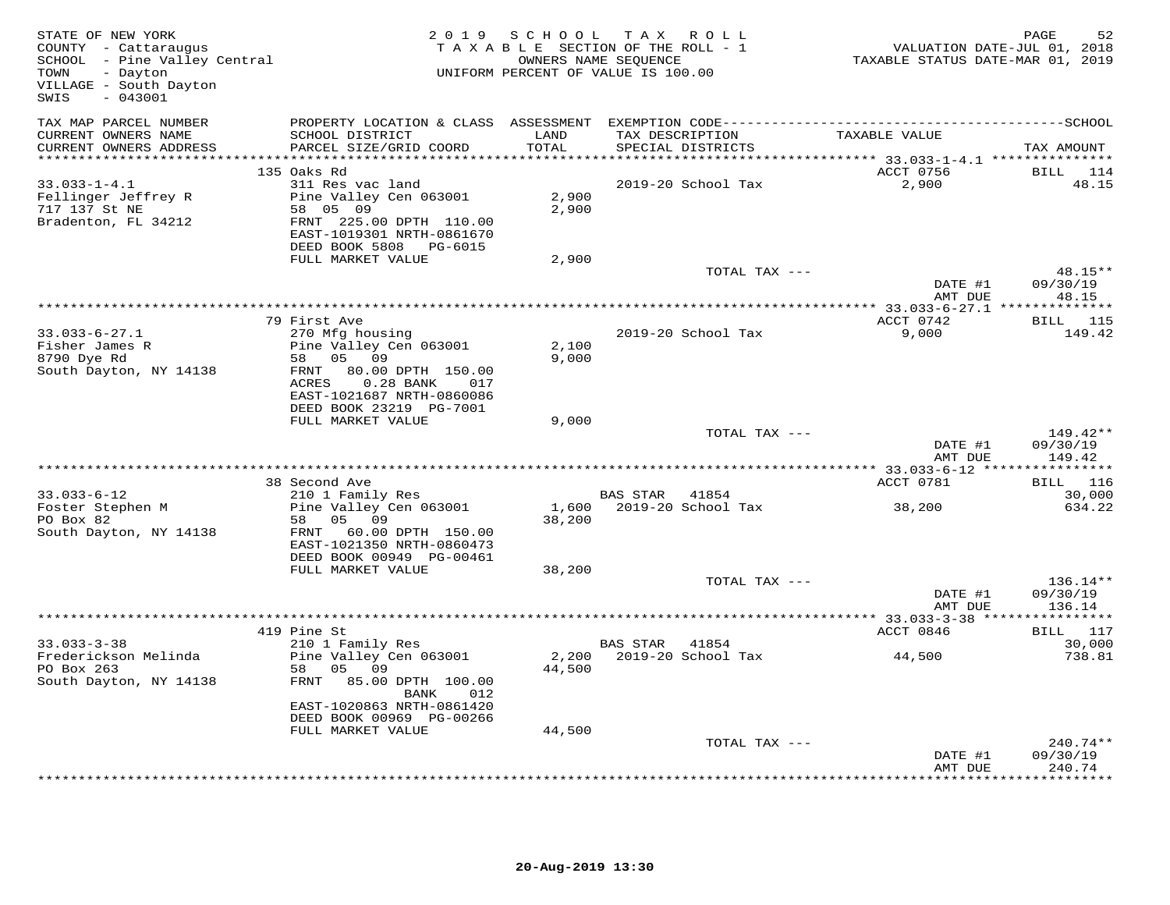| STATE OF NEW YORK<br>COUNTY - Cattaraugus<br>SCHOOL - Pine Valley Central<br>- Dayton<br>TOWN<br>VILLAGE - South Dayton<br>$-043001$<br>SWIS | TAX ROLL<br>2019 SCHOOL<br>TAXABLE SECTION OF THE ROLL - 1<br>OWNERS NAME SEQUENCE<br>UNIFORM PERCENT OF VALUE IS 100.00 |               |                                                                      | PAGE<br>52<br>VALUATION DATE-JUL 01, 2018<br>TAXABLE STATUS DATE-MAR 01, 2019 |                           |  |
|----------------------------------------------------------------------------------------------------------------------------------------------|--------------------------------------------------------------------------------------------------------------------------|---------------|----------------------------------------------------------------------|-------------------------------------------------------------------------------|---------------------------|--|
| TAX MAP PARCEL NUMBER                                                                                                                        |                                                                                                                          |               |                                                                      |                                                                               |                           |  |
| CURRENT OWNERS NAME<br>CURRENT OWNERS ADDRESS                                                                                                | SCHOOL DISTRICT<br>PARCEL SIZE/GRID COORD                                                                                | LAND<br>TOTAL | TAX DESCRIPTION<br>SPECIAL DISTRICTS                                 | TAXABLE VALUE                                                                 | TAX AMOUNT                |  |
| **********************                                                                                                                       | 135 Oaks Rd                                                                                                              | ***********   | ************************************** 33.033-1-4.1 **************** | ACCT 0756                                                                     | <b>BILL</b> 114           |  |
| $33.033 - 1 - 4.1$                                                                                                                           | 311 Res vac land                                                                                                         |               | 2019-20 School Tax                                                   | 2,900                                                                         | 48.15                     |  |
| Fellinger Jeffrey R                                                                                                                          | Pine Valley Cen 063001                                                                                                   | 2,900         |                                                                      |                                                                               |                           |  |
| 717 137 St NE                                                                                                                                | 58 05 09                                                                                                                 | 2,900         |                                                                      |                                                                               |                           |  |
| Bradenton, FL 34212                                                                                                                          | FRNT 225.00 DPTH 110.00                                                                                                  |               |                                                                      |                                                                               |                           |  |
|                                                                                                                                              | EAST-1019301 NRTH-0861670                                                                                                |               |                                                                      |                                                                               |                           |  |
|                                                                                                                                              | DEED BOOK 5808 PG-6015                                                                                                   |               |                                                                      |                                                                               |                           |  |
|                                                                                                                                              | FULL MARKET VALUE                                                                                                        | 2,900         |                                                                      |                                                                               |                           |  |
|                                                                                                                                              |                                                                                                                          |               | TOTAL TAX ---                                                        |                                                                               | $48.15**$                 |  |
|                                                                                                                                              |                                                                                                                          |               |                                                                      | DATE #1                                                                       | 09/30/19                  |  |
|                                                                                                                                              |                                                                                                                          |               |                                                                      | AMT DUE                                                                       | 48.15                     |  |
|                                                                                                                                              |                                                                                                                          |               |                                                                      |                                                                               |                           |  |
| $33.033 - 6 - 27.1$                                                                                                                          | 79 First Ave<br>270 Mfg housing                                                                                          |               | 2019-20 School Tax                                                   | ACCT 0742<br>9,000                                                            | <b>BILL</b> 115<br>149.42 |  |
| Fisher James R                                                                                                                               | Pine Valley Cen 063001                                                                                                   | 2,100         |                                                                      |                                                                               |                           |  |
| 8790 Dye Rd                                                                                                                                  | 58 05 09                                                                                                                 | 9,000         |                                                                      |                                                                               |                           |  |
| South Dayton, NY 14138                                                                                                                       | 80.00 DPTH 150.00<br>FRNT                                                                                                |               |                                                                      |                                                                               |                           |  |
|                                                                                                                                              | $0.28$ BANK<br>ACRES<br>017                                                                                              |               |                                                                      |                                                                               |                           |  |
|                                                                                                                                              | EAST-1021687 NRTH-0860086                                                                                                |               |                                                                      |                                                                               |                           |  |
|                                                                                                                                              | DEED BOOK 23219 PG-7001                                                                                                  |               |                                                                      |                                                                               |                           |  |
|                                                                                                                                              | FULL MARKET VALUE                                                                                                        | 9,000         |                                                                      |                                                                               |                           |  |
|                                                                                                                                              |                                                                                                                          |               | TOTAL TAX ---                                                        |                                                                               | 149.42**                  |  |
|                                                                                                                                              |                                                                                                                          |               |                                                                      | DATE #1                                                                       | 09/30/19                  |  |
|                                                                                                                                              |                                                                                                                          |               |                                                                      | AMT DUE                                                                       | 149.42                    |  |
|                                                                                                                                              | 38 Second Ave                                                                                                            |               |                                                                      | ACCT 0781                                                                     | BILL 116                  |  |
| 33.033-6-12                                                                                                                                  | 210 1 Family Res                                                                                                         |               | BAS STAR 41854                                                       |                                                                               | 30,000                    |  |
| Foster Stephen M                                                                                                                             | Pine Valley Cen 063001                                                                                                   |               | 1,600 2019-20 School Tax                                             | 38,200                                                                        | 634.22                    |  |
| PO Box 82                                                                                                                                    | 58 05 09                                                                                                                 | 38,200        |                                                                      |                                                                               |                           |  |
| South Dayton, NY 14138                                                                                                                       | FRNT 60.00 DPTH 150.00                                                                                                   |               |                                                                      |                                                                               |                           |  |
|                                                                                                                                              | EAST-1021350 NRTH-0860473                                                                                                |               |                                                                      |                                                                               |                           |  |
|                                                                                                                                              | DEED BOOK 00949 PG-00461                                                                                                 |               |                                                                      |                                                                               |                           |  |
|                                                                                                                                              | FULL MARKET VALUE                                                                                                        | 38,200        |                                                                      |                                                                               |                           |  |
|                                                                                                                                              |                                                                                                                          |               | TOTAL TAX ---                                                        |                                                                               | 136.14**                  |  |
|                                                                                                                                              |                                                                                                                          |               |                                                                      | DATE #1<br>AMT DUE                                                            | 09/30/19<br>136.14        |  |
|                                                                                                                                              |                                                                                                                          |               |                                                                      |                                                                               |                           |  |
|                                                                                                                                              | 419 Pine St                                                                                                              |               |                                                                      | ACCT 0846                                                                     | BILL 117                  |  |
| $33.033 - 3 - 38$                                                                                                                            | 210 1 Family Res                                                                                                         |               | BAS STAR<br>41854                                                    |                                                                               | 30,000                    |  |
| Frederickson Melinda                                                                                                                         | Pine Valley Cen 063001                                                                                                   | 2,200         | 2019-20 School Tax                                                   | 44,500                                                                        | 738.81                    |  |
| PO Box 263                                                                                                                                   | 05 09<br>58                                                                                                              | 44,500        |                                                                      |                                                                               |                           |  |
| South Dayton, NY 14138                                                                                                                       | 85.00 DPTH 100.00<br>FRNT<br>BANK<br>012                                                                                 |               |                                                                      |                                                                               |                           |  |
|                                                                                                                                              | EAST-1020863 NRTH-0861420                                                                                                |               |                                                                      |                                                                               |                           |  |
|                                                                                                                                              | DEED BOOK 00969 PG-00266                                                                                                 |               |                                                                      |                                                                               |                           |  |
|                                                                                                                                              | FULL MARKET VALUE                                                                                                        | 44,500        |                                                                      |                                                                               |                           |  |
|                                                                                                                                              |                                                                                                                          |               | TOTAL TAX ---                                                        |                                                                               | $240.74**$                |  |
|                                                                                                                                              |                                                                                                                          |               |                                                                      | DATE #1                                                                       | 09/30/19                  |  |
|                                                                                                                                              |                                                                                                                          |               |                                                                      | AMT DUE                                                                       | 240.74<br>+ + + + + + + + |  |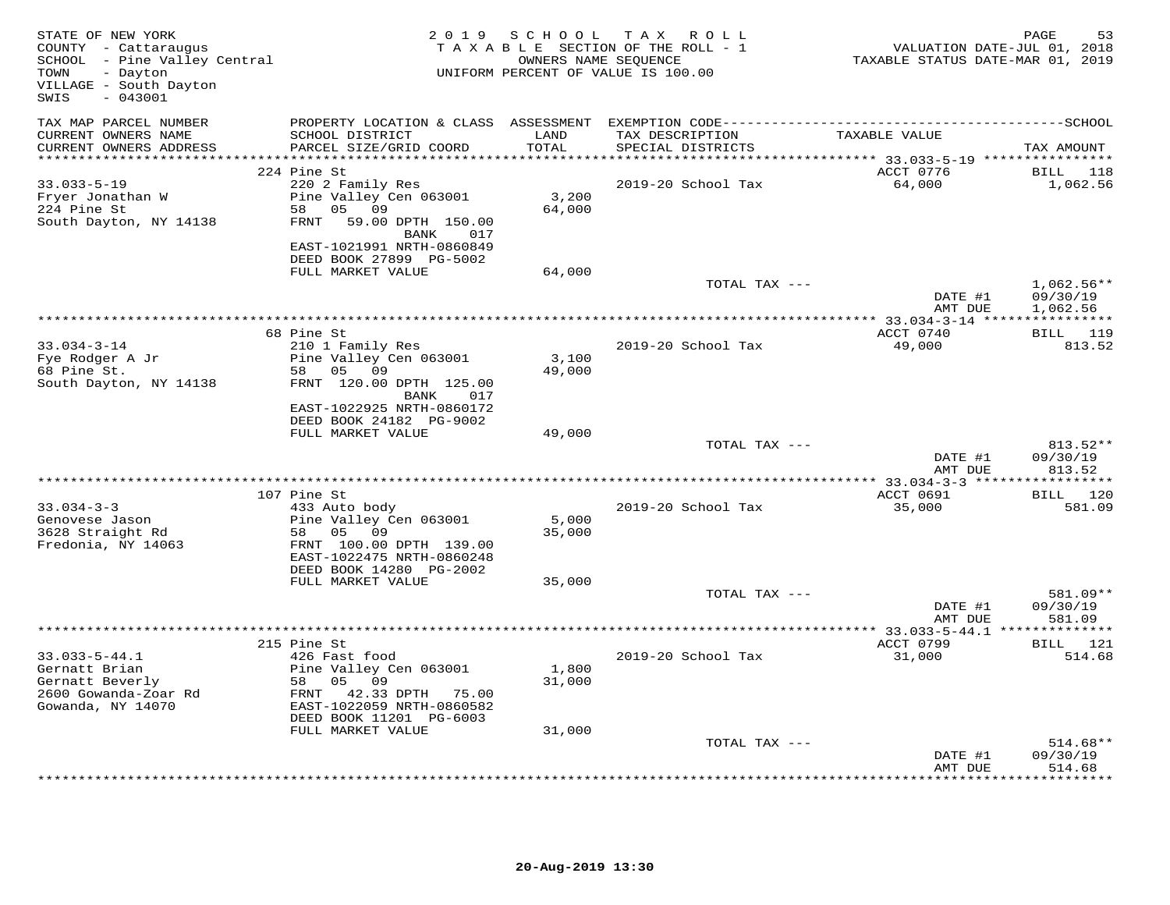| STATE OF NEW YORK<br>COUNTY - Cattaraugus<br>SCHOOL - Pine Valley Central<br>TOWN<br>- Dayton<br>VILLAGE - South Dayton<br>$-043001$<br>SWIS |                                                      | 2019 SCHOOL | TAX ROLL<br>TAXABLE SECTION OF THE ROLL - 1<br>OWNERS NAME SEQUENCE<br>UNIFORM PERCENT OF VALUE IS 100.00 | VALUATION DATE-JUL 01, 2018<br>TAXABLE STATUS DATE-MAR 01, 2019 | PAGE<br>53                |
|----------------------------------------------------------------------------------------------------------------------------------------------|------------------------------------------------------|-------------|-----------------------------------------------------------------------------------------------------------|-----------------------------------------------------------------|---------------------------|
| TAX MAP PARCEL NUMBER<br>CURRENT OWNERS NAME                                                                                                 | SCHOOL DISTRICT                                      | LAND        | TAX DESCRIPTION                                                                                           | TAXABLE VALUE                                                   |                           |
| CURRENT OWNERS ADDRESS                                                                                                                       | PARCEL SIZE/GRID COORD                               | TOTAL       | SPECIAL DISTRICTS                                                                                         |                                                                 | TAX AMOUNT                |
| **********************                                                                                                                       | ****************************                         | **********  |                                                                                                           | ********** 33.033-5-19 *****************                        |                           |
| $33.033 - 5 - 19$                                                                                                                            | 224 Pine St<br>220 2 Family Res                      |             | 2019-20 School Tax                                                                                        | ACCT 0776<br>64,000                                             | BILL 118<br>1,062.56      |
| Fryer Jonathan W                                                                                                                             | Pine Valley Cen 063001                               | 3,200       |                                                                                                           |                                                                 |                           |
| 224 Pine St                                                                                                                                  | 58 05 09                                             | 64,000      |                                                                                                           |                                                                 |                           |
| South Dayton, NY 14138                                                                                                                       | FRNT 59.00 DPTH 150.00<br>BANK<br>017                |             |                                                                                                           |                                                                 |                           |
|                                                                                                                                              | EAST-1021991 NRTH-0860849                            |             |                                                                                                           |                                                                 |                           |
|                                                                                                                                              | DEED BOOK 27899 PG-5002                              |             |                                                                                                           |                                                                 |                           |
|                                                                                                                                              | FULL MARKET VALUE                                    | 64,000      | TOTAL TAX ---                                                                                             |                                                                 | $1,062.56**$              |
|                                                                                                                                              |                                                      |             |                                                                                                           | DATE #1                                                         | 09/30/19                  |
|                                                                                                                                              |                                                      |             |                                                                                                           | AMT DUE                                                         | 1,062.56                  |
|                                                                                                                                              |                                                      |             |                                                                                                           | *************** 33.034-3-14 *****************                   |                           |
|                                                                                                                                              | 68 Pine St                                           |             |                                                                                                           | ACCT 0740                                                       | BILL 119                  |
| $33.034 - 3 - 14$                                                                                                                            | 210 1 Family Res<br>Pine Valley Cen 063001           | 3,100       | 2019-20 School Tax                                                                                        | 49,000                                                          | 813.52                    |
| Fye Rodger A Jr<br>68 Pine St.                                                                                                               | 58 05 09                                             | 49,000      |                                                                                                           |                                                                 |                           |
| South Dayton, NY 14138                                                                                                                       | FRNT 120.00 DPTH 125.00<br>BANK<br>017               |             |                                                                                                           |                                                                 |                           |
|                                                                                                                                              | EAST-1022925 NRTH-0860172<br>DEED BOOK 24182 PG-9002 |             |                                                                                                           |                                                                 |                           |
|                                                                                                                                              | FULL MARKET VALUE                                    | 49,000      |                                                                                                           |                                                                 |                           |
|                                                                                                                                              |                                                      |             | TOTAL TAX ---                                                                                             | DATE #1                                                         | 813.52**<br>09/30/19      |
|                                                                                                                                              |                                                      |             |                                                                                                           | AMT DUE<br>*********** 33.034-3-3 *****                         | 813.52<br>***********     |
|                                                                                                                                              | 107 Pine St                                          |             |                                                                                                           | ACCT 0691                                                       | BILL 120                  |
| $33.034 - 3 - 3$                                                                                                                             | 433 Auto body                                        |             | 2019-20 School Tax                                                                                        | 35,000                                                          | 581.09                    |
| Genovese Jason                                                                                                                               | Pine Valley Cen 063001                               | 5,000       |                                                                                                           |                                                                 |                           |
| 3628 Straight Rd                                                                                                                             | 58 05 09                                             | 35,000      |                                                                                                           |                                                                 |                           |
| Fredonia, NY 14063                                                                                                                           | FRNT 100.00 DPTH 139.00                              |             |                                                                                                           |                                                                 |                           |
|                                                                                                                                              | EAST-1022475 NRTH-0860248<br>DEED BOOK 14280 PG-2002 |             |                                                                                                           |                                                                 |                           |
|                                                                                                                                              | FULL MARKET VALUE                                    | 35,000      |                                                                                                           |                                                                 |                           |
|                                                                                                                                              |                                                      |             | TOTAL TAX ---                                                                                             |                                                                 | 581.09**                  |
|                                                                                                                                              |                                                      |             |                                                                                                           | DATE #1                                                         | 09/30/19                  |
|                                                                                                                                              |                                                      |             |                                                                                                           | AMT DUE                                                         | 581.09                    |
|                                                                                                                                              | 215 Pine St                                          |             |                                                                                                           | ACCT 0799                                                       | BILL 121                  |
| $33.033 - 5 - 44.1$                                                                                                                          | 426 Fast food                                        |             | 2019-20 School Tax                                                                                        | 31,000                                                          | 514.68                    |
| Gernatt Brian                                                                                                                                | Pine Valley Cen 063001                               | 1,800       |                                                                                                           |                                                                 |                           |
| Gernatt Beverly                                                                                                                              | 58 05 09                                             | 31,000      |                                                                                                           |                                                                 |                           |
| 2600 Gowanda-Zoar Rd                                                                                                                         | FRNT 42.33 DPTH 75.00                                |             |                                                                                                           |                                                                 |                           |
| Gowanda, NY 14070                                                                                                                            | EAST-1022059 NRTH-0860582<br>DEED BOOK 11201 PG-6003 |             |                                                                                                           |                                                                 |                           |
|                                                                                                                                              | FULL MARKET VALUE                                    | 31,000      |                                                                                                           |                                                                 |                           |
|                                                                                                                                              |                                                      |             | TOTAL TAX ---                                                                                             |                                                                 | $514.68**$                |
|                                                                                                                                              |                                                      |             |                                                                                                           | DATE #1                                                         | 09/30/19                  |
|                                                                                                                                              |                                                      |             |                                                                                                           | AMT DUE                                                         | 514.68<br>* * * * * * * * |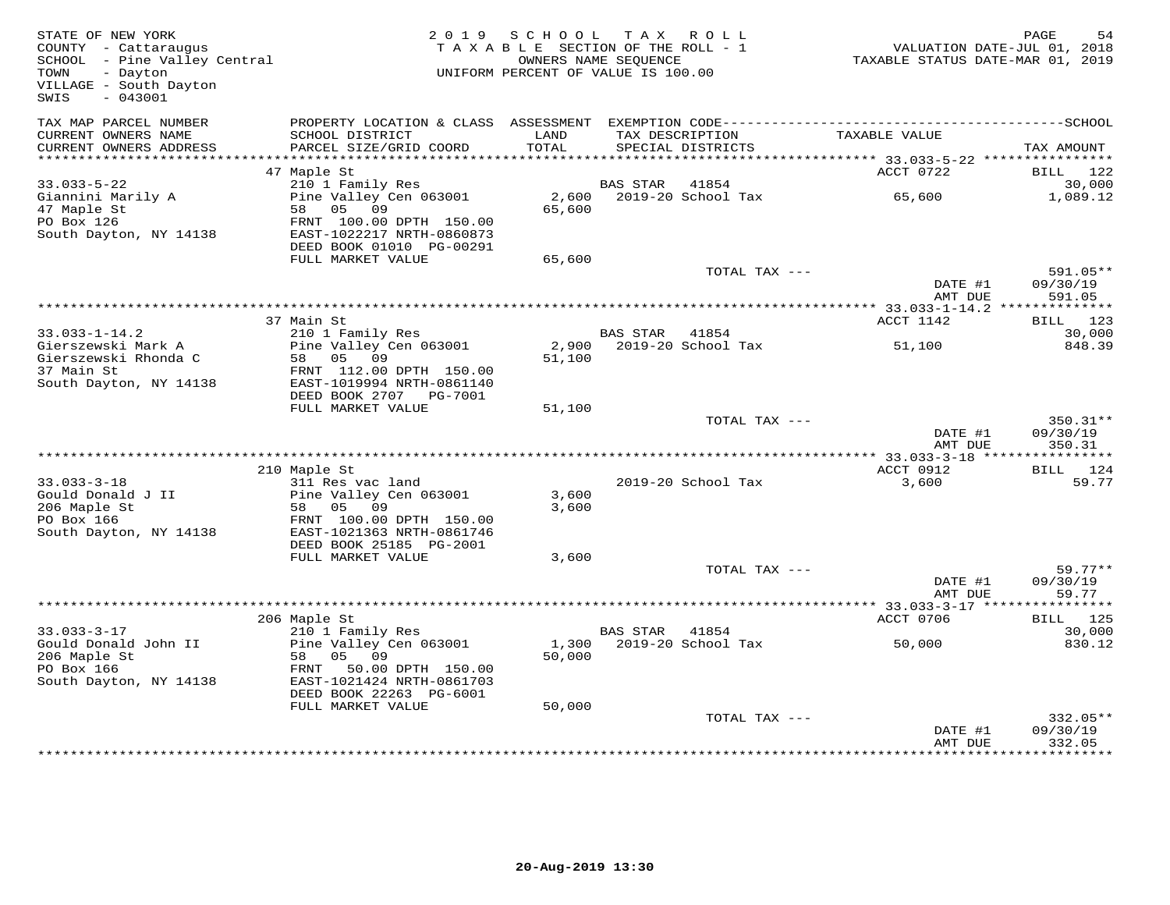| STATE OF NEW YORK<br>COUNTY - Cattaraugus<br>COUNTY - Cattaraugus<br>SCHOOL - Pine Valley Central<br>SCENT<br>TOWN<br>- Dayton<br>VILLAGE - South Dayton<br>$-043001$<br>SWIS |                                                      | 2019 SCHOOL<br>TAXABLE SECTION OF THE ROLL - 1<br>UNIFORM PERCENT OF VALUE IS 100.00 | OWNERS NAME SEQUENCE | TAX ROLL                             | VALUATION DATE-JUL 01, 2018<br>TAXABLE STATUS DATE-MAR 01, 2019 | PAGE<br>54                       |
|-------------------------------------------------------------------------------------------------------------------------------------------------------------------------------|------------------------------------------------------|--------------------------------------------------------------------------------------|----------------------|--------------------------------------|-----------------------------------------------------------------|----------------------------------|
| TAX MAP PARCEL NUMBER<br>CURRENT OWNERS NAME<br>CURRENT OWNERS ADDRESS                                                                                                        | SCHOOL DISTRICT<br>PARCEL SIZE/GRID COORD            | LAND<br>TOTAL                                                                        |                      | TAX DESCRIPTION<br>SPECIAL DISTRICTS | TAXABLE VALUE                                                   | TAX AMOUNT                       |
|                                                                                                                                                                               |                                                      |                                                                                      |                      |                                      | *********** 33.033-5-22 *****************                       |                                  |
|                                                                                                                                                                               | 47 Maple St                                          |                                                                                      |                      |                                      | ACCT 0722                                                       | BILL 122                         |
| $33.033 - 5 - 22$<br>Giannini Marily A                                                                                                                                        | 210 1 Family Res<br>Pine Valley Cen 063001           |                                                                                      | BAS STAR             | 41854<br>2,600 2019-20 School Tax    | 65,600                                                          | 30,000<br>1,089.12               |
| 47 Maple St                                                                                                                                                                   | 58 05 09                                             | 65,600                                                                               |                      |                                      |                                                                 |                                  |
| PO Box 126                                                                                                                                                                    | FRNT 100.00 DPTH 150.00                              |                                                                                      |                      |                                      |                                                                 |                                  |
| South Dayton, NY 14138                                                                                                                                                        | EAST-1022217 NRTH-0860873                            |                                                                                      |                      |                                      |                                                                 |                                  |
|                                                                                                                                                                               | DEED BOOK 01010 PG-00291<br>FULL MARKET VALUE        | 65,600                                                                               |                      |                                      |                                                                 |                                  |
|                                                                                                                                                                               |                                                      |                                                                                      |                      | TOTAL TAX ---                        |                                                                 | $591.05**$                       |
|                                                                                                                                                                               |                                                      |                                                                                      |                      |                                      | DATE #1                                                         | 09/30/19                         |
|                                                                                                                                                                               |                                                      |                                                                                      |                      |                                      | AMT DUE                                                         | 591.05                           |
|                                                                                                                                                                               | 37 Main St                                           |                                                                                      |                      |                                      | ACCT 1142                                                       | BILL 123                         |
| $33.033 - 1 - 14.2$                                                                                                                                                           | 210 1 Family Res                                     |                                                                                      | BAS STAR             | 41854                                |                                                                 | 30,000                           |
| Gierszewski Mark A                                                                                                                                                            | Pine Valley Cen 063001                               |                                                                                      |                      | 2,900 2019-20 School Tax             | 51,100                                                          | 848.39                           |
| Gierszewski Rhonda C                                                                                                                                                          | 58 05 09                                             | 51,100                                                                               |                      |                                      |                                                                 |                                  |
| 37 Main St<br>South Dayton, NY 14138                                                                                                                                          | FRNT 112.00 DPTH 150.00<br>EAST-1019994 NRTH-0861140 |                                                                                      |                      |                                      |                                                                 |                                  |
|                                                                                                                                                                               | DEED BOOK 2707    PG-7001                            |                                                                                      |                      |                                      |                                                                 |                                  |
|                                                                                                                                                                               | FULL MARKET VALUE                                    | 51,100                                                                               |                      |                                      |                                                                 |                                  |
|                                                                                                                                                                               |                                                      |                                                                                      |                      | TOTAL TAX ---                        | DATE #1<br>AMT DUE                                              | $350.31**$<br>09/30/19<br>350.31 |
|                                                                                                                                                                               |                                                      |                                                                                      |                      |                                      |                                                                 |                                  |
|                                                                                                                                                                               | 210 Maple St                                         |                                                                                      |                      |                                      | ACCT 0912                                                       | BILL 124                         |
| $33.033 - 3 - 18$                                                                                                                                                             | 311 Res vac land<br>Pine Valley Cen 063001           | 3,600                                                                                |                      | 2019-20 School Tax                   | 3,600                                                           | 59.77                            |
| Gould Donald J II<br>206 Maple St                                                                                                                                             | 58 05 09                                             | 3,600                                                                                |                      |                                      |                                                                 |                                  |
| PO Box 166                                                                                                                                                                    | FRNT 100.00 DPTH 150.00                              |                                                                                      |                      |                                      |                                                                 |                                  |
| South Dayton, NY 14138                                                                                                                                                        | EAST-1021363 NRTH-0861746                            |                                                                                      |                      |                                      |                                                                 |                                  |
|                                                                                                                                                                               | DEED BOOK 25185 PG-2001                              |                                                                                      |                      |                                      |                                                                 |                                  |
|                                                                                                                                                                               | FULL MARKET VALUE                                    | 3,600                                                                                |                      | TOTAL TAX ---                        |                                                                 | $59.77**$                        |
|                                                                                                                                                                               |                                                      |                                                                                      |                      |                                      | DATE #1                                                         | 09/30/19                         |
|                                                                                                                                                                               |                                                      |                                                                                      |                      |                                      | AMT DUE                                                         | 59.77                            |
|                                                                                                                                                                               |                                                      |                                                                                      |                      |                                      |                                                                 |                                  |
| $33.033 - 3 - 17$                                                                                                                                                             | 206 Maple St<br>210 1 Family Res                     |                                                                                      | BAS STAR 41854       |                                      | ACCT 0706                                                       | BILL 125<br>30,000               |
| Gould Donald John II                                                                                                                                                          | Pine Valley Cen 063001                               |                                                                                      |                      | 1,300 2019-20 School Tax             | 50,000                                                          | 830.12                           |
| 206 Maple St                                                                                                                                                                  | 58<br>05 09                                          | 50,000                                                                               |                      |                                      |                                                                 |                                  |
| PO Box 166                                                                                                                                                                    | FRNT 50.00 DPTH 150.00                               |                                                                                      |                      |                                      |                                                                 |                                  |
| South Dayton, NY 14138                                                                                                                                                        | EAST-1021424 NRTH-0861703<br>DEED BOOK 22263 PG-6001 |                                                                                      |                      |                                      |                                                                 |                                  |
|                                                                                                                                                                               | FULL MARKET VALUE                                    | 50,000                                                                               |                      |                                      |                                                                 |                                  |
|                                                                                                                                                                               |                                                      |                                                                                      |                      | TOTAL TAX ---                        |                                                                 | 332.05**                         |
|                                                                                                                                                                               |                                                      |                                                                                      |                      |                                      | DATE #1                                                         | 09/30/19                         |
|                                                                                                                                                                               |                                                      |                                                                                      |                      |                                      | AMT DUE                                                         | 332.05<br>********               |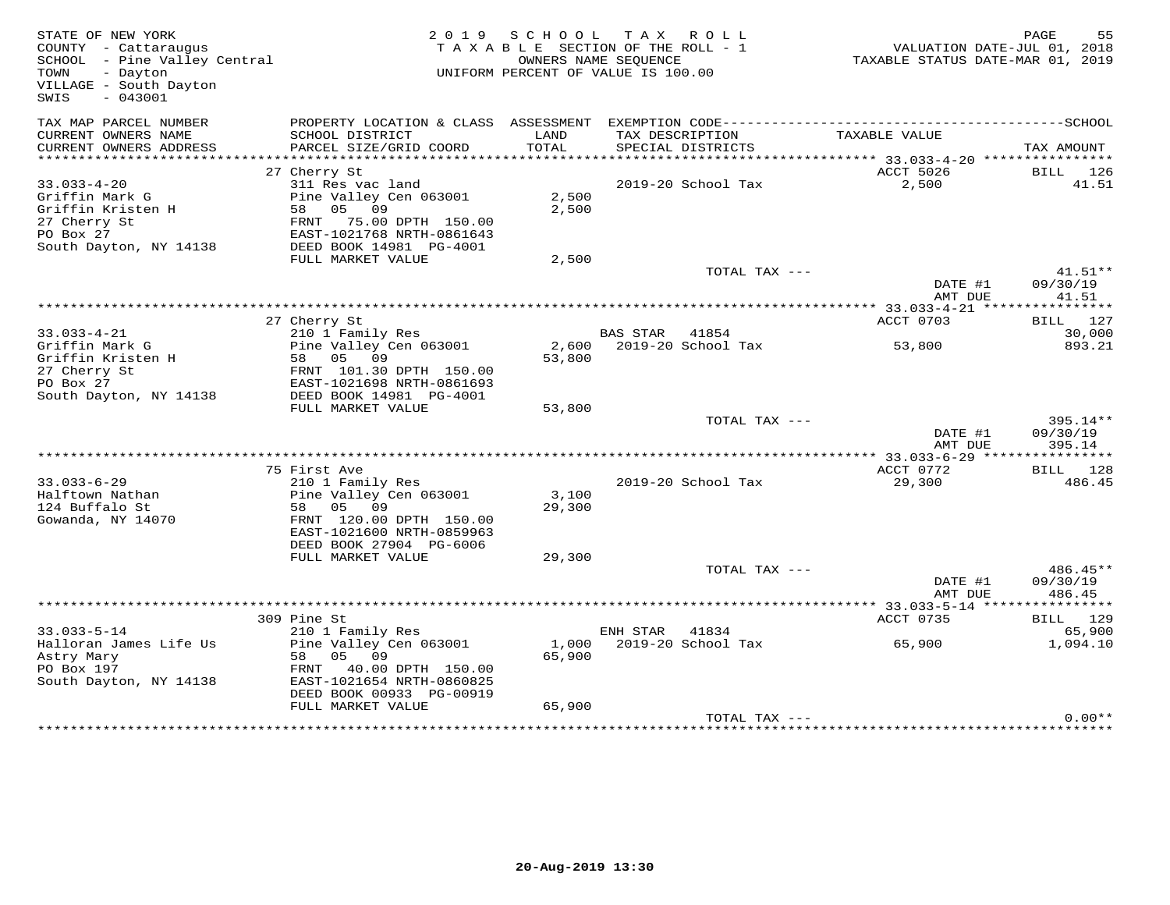| STATE OF NEW YORK<br>COUNTY - Cattaraugus<br>SCHOOL - Pine Valley Central<br>TOWN<br>- Dayton<br>VILLAGE - South Dayton<br>$-043001$<br>SWIS |                                                                                                                                   |                 | 2019 SCHOOL TAX ROLL<br>TAXABLE SECTION OF THE ROLL - 1<br>OWNERS NAME SEOUENCE<br>UNIFORM PERCENT OF VALUE IS 100.00 | TAXABLE STATUS DATE-MAR 01, 2019         | PAGE<br>55<br>VALUATION DATE-JUL 01, 2018 |
|----------------------------------------------------------------------------------------------------------------------------------------------|-----------------------------------------------------------------------------------------------------------------------------------|-----------------|-----------------------------------------------------------------------------------------------------------------------|------------------------------------------|-------------------------------------------|
| TAX MAP PARCEL NUMBER<br>CURRENT OWNERS NAME<br>CURRENT OWNERS ADDRESS                                                                       | PROPERTY LOCATION & CLASS ASSESSMENT<br>SCHOOL DISTRICT<br>PARCEL SIZE/GRID COORD                                                 | LAND<br>TOTAL   | TAX DESCRIPTION                                                                                                       | TAXABLE VALUE                            |                                           |
| *****************                                                                                                                            |                                                                                                                                   |                 | SPECIAL DISTRICTS                                                                                                     | **************** 33.033-4-20 *********** | TAX AMOUNT                                |
| $33.033 - 4 - 20$<br>Griffin Mark G<br>Griffin Kristen H<br>27 Cherry St<br>PO Box 27                                                        | 27 Cherry St<br>311 Res vac land<br>Pine Valley Cen 063001<br>58 05<br>09<br>FRNT 75.00 DPTH 150.00<br>EAST-1021768 NRTH-0861643  | 2,500<br>2,500  | 2019-20 School Tax                                                                                                    | ACCT 5026<br>2,500                       | BILL 126<br>41.51                         |
| South Dayton, NY 14138                                                                                                                       | DEED BOOK 14981 PG-4001                                                                                                           |                 |                                                                                                                       |                                          |                                           |
|                                                                                                                                              | FULL MARKET VALUE                                                                                                                 | 2,500           |                                                                                                                       |                                          |                                           |
|                                                                                                                                              |                                                                                                                                   |                 | TOTAL TAX ---                                                                                                         | DATE #1<br>AMT DUE                       | $41.51**$<br>09/30/19<br>41.51            |
| ***************************                                                                                                                  |                                                                                                                                   |                 |                                                                                                                       |                                          |                                           |
| $33.033 - 4 - 21$                                                                                                                            | 27 Cherry St<br>210 1 Family Res                                                                                                  |                 | BAS STAR 41854                                                                                                        | ACCT 0703                                | BILL 127<br>30,000                        |
| Griffin Mark G<br>Griffin Kristen H<br>27 Cherry St<br>PO Box 27                                                                             | Pine Valley Cen 063001<br>58 05 09<br>FRNT 101.30 DPTH 150.00<br>EAST-1021698 NRTH-0861693                                        | 53,800          | 2,600 2019-20 School Tax                                                                                              | 53,800                                   | 893.21                                    |
| South Dayton, NY 14138                                                                                                                       | DEED BOOK 14981 PG-4001                                                                                                           |                 |                                                                                                                       |                                          |                                           |
|                                                                                                                                              | FULL MARKET VALUE                                                                                                                 | 53,800          | TOTAL TAX ---                                                                                                         | DATE #1                                  | 395.14**                                  |
|                                                                                                                                              |                                                                                                                                   |                 |                                                                                                                       | AMT DUE                                  | 09/30/19<br>395.14                        |
|                                                                                                                                              |                                                                                                                                   |                 |                                                                                                                       |                                          | ***********                               |
| $33.033 - 6 - 29$<br>Halftown Nathan<br>124 Buffalo St<br>Gowanda, NY 14070                                                                  | 75 First Ave<br>210 1 Family Res<br>Pine Valley Cen 063001<br>05 09<br>58<br>FRNT 120.00 DPTH 150.00<br>EAST-1021600 NRTH-0859963 | 3,100<br>29,300 | 2019-20 School Tax                                                                                                    | ACCT 0772<br>29,300                      | BILL 128<br>486.45                        |
|                                                                                                                                              | DEED BOOK 27904 PG-6006                                                                                                           |                 |                                                                                                                       |                                          |                                           |
|                                                                                                                                              | FULL MARKET VALUE                                                                                                                 | 29,300          |                                                                                                                       |                                          |                                           |
|                                                                                                                                              |                                                                                                                                   |                 | TOTAL TAX ---                                                                                                         | DATE #1                                  | 486.45**<br>09/30/19                      |
|                                                                                                                                              |                                                                                                                                   |                 |                                                                                                                       | AMT DUE                                  | 486.45                                    |
|                                                                                                                                              | 309 Pine St                                                                                                                       |                 |                                                                                                                       | ACCT 0735                                | BILL 129                                  |
| $33.033 - 5 - 14$<br>Halloran James Life Us<br>Astry Mary<br>PO Box 197<br>South Dayton, NY 14138                                            | 210 1 Family Res<br>Pine Valley Cen 063001<br>58<br>05 09<br>FRNT 40.00 DPTH 150.00<br>EAST-1021654 NRTH-0860825                  | 1,000<br>65,900 | ENH STAR<br>41834<br>2019-20 School Tax                                                                               | 65,900                                   | 65,900<br>1,094.10                        |
|                                                                                                                                              | DEED BOOK 00933 PG-00919<br>FULL MARKET VALUE                                                                                     | 65,900          |                                                                                                                       |                                          |                                           |
|                                                                                                                                              |                                                                                                                                   |                 | TOTAL TAX ---                                                                                                         | *****************************            | $0.00**$                                  |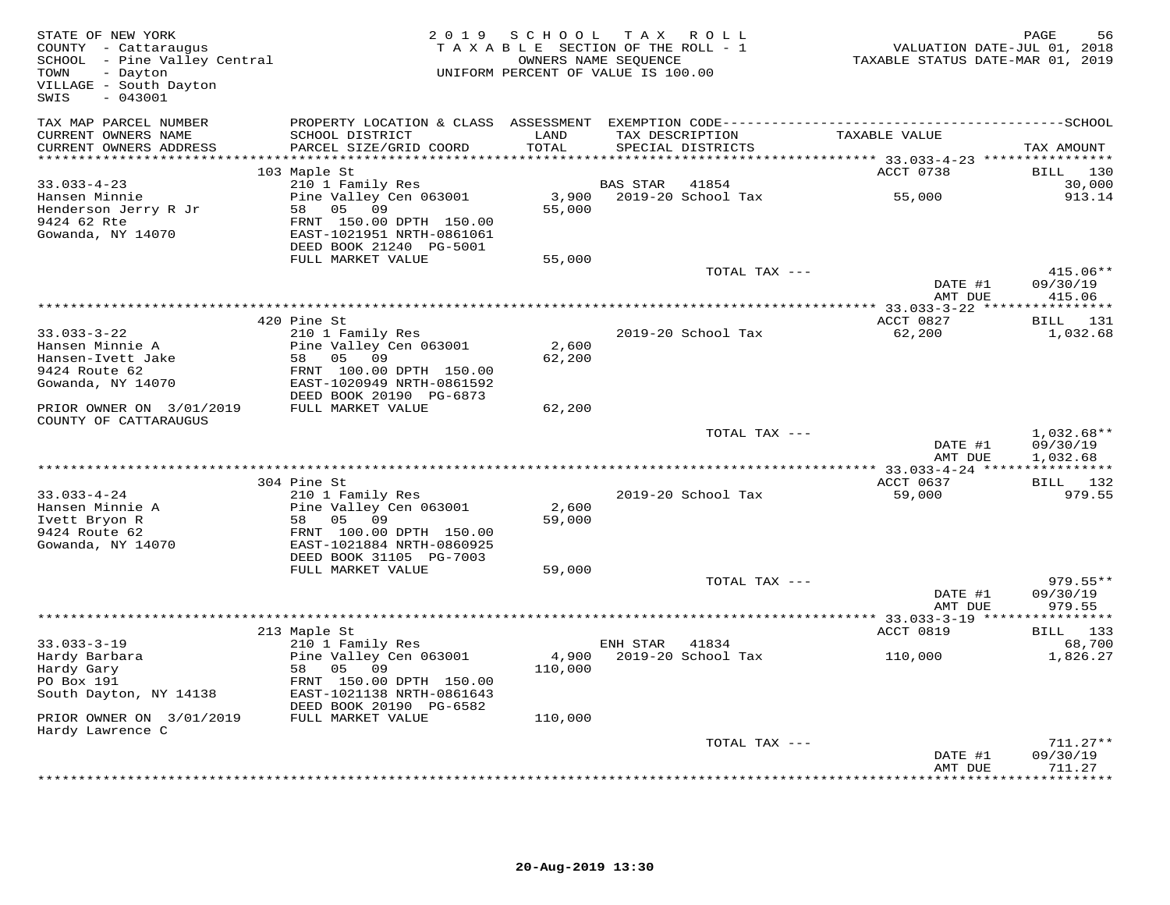| STATE OF NEW YORK<br>COUNTY - Cattaraugus<br>SCHOOL - Pine Valley Central<br>TOWN<br>- Dayton<br>VILLAGE - South Dayton<br>SWIS<br>$-043001$ |                                                      | 2019 SCHOOL      | TAX ROLL<br>TAXABLE SECTION OF THE ROLL - 1<br>OWNERS NAME SEQUENCE<br>UNIFORM PERCENT OF VALUE IS 100.00 | VALUATION DATE-JUL 01, 2018<br>TAXABLE STATUS DATE-MAR 01, 2019 | PAGE<br>56                           |
|----------------------------------------------------------------------------------------------------------------------------------------------|------------------------------------------------------|------------------|-----------------------------------------------------------------------------------------------------------|-----------------------------------------------------------------|--------------------------------------|
| TAX MAP PARCEL NUMBER<br>CURRENT OWNERS NAME<br>CURRENT OWNERS ADDRESS                                                                       | SCHOOL DISTRICT<br>PARCEL SIZE/GRID COORD            | LAND<br>TOTAL    | TAX DESCRIPTION<br>SPECIAL DISTRICTS                                                                      | TAXABLE VALUE                                                   | TAX AMOUNT                           |
| *************************                                                                                                                    |                                                      |                  |                                                                                                           |                                                                 |                                      |
|                                                                                                                                              | 103 Maple St                                         |                  |                                                                                                           | ACCT 0738                                                       | BILL 130                             |
| $33.033 - 4 - 23$<br>Hansen Minnie                                                                                                           | 210 1 Family Res<br>Pine Valley Cen 063001           |                  | BAS STAR<br>41854<br>3,900 2019-20 School Tax                                                             | 55,000                                                          | 30,000<br>913.14                     |
| Henderson Jerry R Jr                                                                                                                         | 58 05 09                                             | 55,000           |                                                                                                           |                                                                 |                                      |
| 9424 62 Rte<br>Gowanda, NY 14070                                                                                                             | FRNT 150.00 DPTH 150.00<br>EAST-1021951 NRTH-0861061 |                  |                                                                                                           |                                                                 |                                      |
|                                                                                                                                              | DEED BOOK 21240 PG-5001                              |                  |                                                                                                           |                                                                 |                                      |
|                                                                                                                                              | FULL MARKET VALUE                                    | 55,000           | TOTAL TAX ---                                                                                             |                                                                 | 415.06**                             |
|                                                                                                                                              |                                                      |                  |                                                                                                           | DATE #1<br>AMT DUE                                              | 09/30/19<br>415.06                   |
|                                                                                                                                              |                                                      |                  |                                                                                                           |                                                                 |                                      |
|                                                                                                                                              | 420 Pine St                                          |                  |                                                                                                           | ACCT 0827                                                       | BILL 131                             |
| $33.033 - 3 - 22$<br>Hansen Minnie A                                                                                                         | 210 1 Family Res<br>Pine Valley Cen 063001           | 2,600            | 2019-20 School Tax                                                                                        | 62,200                                                          | 1,032.68                             |
| Hansen-Ivett Jake                                                                                                                            | 58 05 09                                             | 62,200           |                                                                                                           |                                                                 |                                      |
| 9424 Route 62                                                                                                                                | FRNT 100.00 DPTH 150.00                              |                  |                                                                                                           |                                                                 |                                      |
| Gowanda, NY 14070                                                                                                                            | EAST-1020949 NRTH-0861592<br>DEED BOOK 20190 PG-6873 |                  |                                                                                                           |                                                                 |                                      |
| PRIOR OWNER ON 3/01/2019<br>COUNTY OF CATTARAUGUS                                                                                            | FULL MARKET VALUE                                    | 62,200           |                                                                                                           |                                                                 |                                      |
|                                                                                                                                              |                                                      |                  | TOTAL TAX ---                                                                                             | DATE #1<br>AMT DUE                                              | $1,032.68**$<br>09/30/19<br>1,032.68 |
|                                                                                                                                              |                                                      |                  |                                                                                                           |                                                                 |                                      |
|                                                                                                                                              | 304 Pine St                                          |                  |                                                                                                           | ACCT 0637                                                       | <b>BILL</b> 132                      |
| $33.033 - 4 - 24$                                                                                                                            | 210 1 Family Res                                     |                  | 2019-20 School Tax                                                                                        | 59,000                                                          | 979.55                               |
| Hansen Minnie A<br>Ivett Bryon R                                                                                                             | Pine Valley Cen 063001<br>58 05 09                   | 2,600<br>59,000  |                                                                                                           |                                                                 |                                      |
| 9424 Route 62                                                                                                                                | FRNT 100.00 DPTH 150.00                              |                  |                                                                                                           |                                                                 |                                      |
| Gowanda, NY 14070                                                                                                                            | EAST-1021884 NRTH-0860925                            |                  |                                                                                                           |                                                                 |                                      |
|                                                                                                                                              | DEED BOOK 31105 PG-7003                              |                  |                                                                                                           |                                                                 |                                      |
|                                                                                                                                              | FULL MARKET VALUE                                    | 59,000           |                                                                                                           |                                                                 |                                      |
|                                                                                                                                              |                                                      |                  | TOTAL TAX ---                                                                                             | DATE #1                                                         | $979.55**$<br>09/30/19               |
|                                                                                                                                              |                                                      |                  |                                                                                                           | AMT DUE                                                         | 979.55                               |
|                                                                                                                                              |                                                      |                  |                                                                                                           |                                                                 |                                      |
|                                                                                                                                              | 213 Maple St                                         |                  |                                                                                                           | ACCT 0819                                                       | BILL 133                             |
| $33.033 - 3 - 19$                                                                                                                            | 210 1 Family Res                                     |                  | ENH STAR<br>41834<br>2019-20 School Tax                                                                   |                                                                 | 68,700<br>1,826.27                   |
| Hardy Barbara<br>Hardy Gary                                                                                                                  | Pine Valley Cen 063001<br>58 05 09                   | 4,900<br>110,000 |                                                                                                           | 110,000                                                         |                                      |
| PO Box 191                                                                                                                                   | FRNT 150.00 DPTH 150.00                              |                  |                                                                                                           |                                                                 |                                      |
| South Dayton, NY 14138                                                                                                                       | EAST-1021138 NRTH-0861643                            |                  |                                                                                                           |                                                                 |                                      |
|                                                                                                                                              | DEED BOOK 20190 PG-6582                              |                  |                                                                                                           |                                                                 |                                      |
| PRIOR OWNER ON 3/01/2019<br>Hardy Lawrence C                                                                                                 | FULL MARKET VALUE                                    | 110,000          |                                                                                                           |                                                                 |                                      |
|                                                                                                                                              |                                                      |                  | TOTAL TAX ---                                                                                             |                                                                 | $711.27**$                           |
|                                                                                                                                              |                                                      |                  |                                                                                                           | DATE #1                                                         | 09/30/19                             |
|                                                                                                                                              |                                                      |                  |                                                                                                           | AMT DUE                                                         | 711.27<br><b>++++++++</b>            |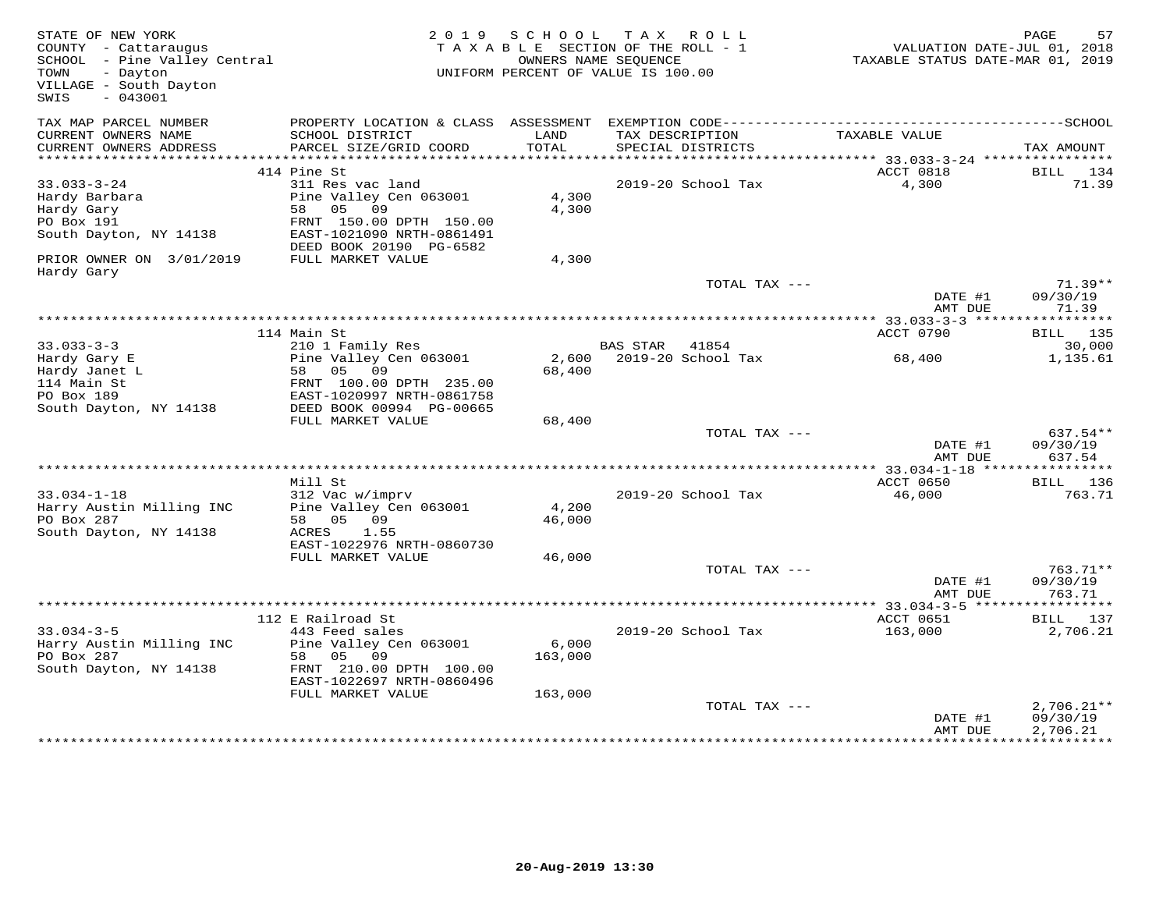| TAX MAP PARCEL NUMBER<br>PROPERTY LOCATION & CLASS ASSESSMENT<br>CURRENT OWNERS NAME<br>SCHOOL DISTRICT<br>LAND<br>TAX DESCRIPTION<br>TAXABLE VALUE<br>PARCEL SIZE/GRID COORD<br>TOTAL<br>CURRENT OWNERS ADDRESS<br>SPECIAL DISTRICTS<br>TAX AMOUNT<br>ACCT 0818<br>414 Pine St<br>$33.033 - 3 - 24$<br>311 Res vac land<br>2019-20 School Tax<br>4,300<br>Pine Valley Cen 063001<br>Hardy Barbara<br>4,300<br>58 05<br>09<br>4,300<br>Hardy Gary<br>FRNT 150.00 DPTH 150.00<br>PO Box 191<br>EAST-1021090 NRTH-0861491<br>South Dayton, NY 14138<br>DEED BOOK 20190 PG-6582<br>PRIOR OWNER ON 3/01/2019<br>FULL MARKET VALUE<br>4,300<br>Hardy Gary<br>TOTAL TAX ---<br>DATE #1<br>AMT DUE<br>ACCT 0790<br>114 Main St<br>$33.033 - 3 - 3$<br>210 1 Family Res<br><b>BAS STAR</b><br>41854<br>Pine Valley Cen 063001<br>2,600<br>2019-20 School Tax<br>68,400<br>Hardy Gary E<br>68,400<br>Hardy Janet L<br>58<br>05 09<br>114 Main St<br>FRNT 100.00 DPTH 235.00<br>EAST-1020997 NRTH-0861758<br>PO Box 189<br>South Dayton, NY 14138<br>DEED BOOK 00994 PG-00665<br>FULL MARKET VALUE<br>68,400<br>TOTAL TAX ---<br>DATE #1<br>AMT DUE<br>ACCT 0650<br>Mill St<br>$33.034 - 1 - 18$<br>312 Vac w/imprv<br>2019-20 School Tax<br>46,000<br>4,200<br>Harry Austin Milling INC<br>Pine Valley Cen 063001<br>PO Box 287<br>46,000<br>58 05 09<br>South Dayton, NY 14138<br>1.55<br>ACRES<br>EAST-1022976 NRTH-0860730<br>FULL MARKET VALUE<br>46,000<br>TOTAL TAX ---<br>DATE #1<br>AMT DUE<br>112 E Railroad St<br>ACCT 0651<br>$33.034 - 3 - 5$<br>443 Feed sales<br>2019-20 School Tax<br>163,000<br>Pine Valley Cen 063001<br>6,000<br>Harry Austin Milling INC<br>PO Box 287<br>05<br>09<br>163,000<br>58<br>FRNT 210.00 DPTH 100.00<br>South Dayton, NY 14138<br>EAST-1022697 NRTH-0860496<br>FULL MARKET VALUE<br>163,000<br>TOTAL TAX --- | STATE OF NEW YORK<br>COUNTY - Cattaraugus<br>SCHOOL - Pine Valley Central<br>- Dayton<br>TOWN<br>VILLAGE - South Dayton<br>$-043001$<br>SWIS | 2 0 1 9 | S C H O O L | TAX ROLL<br>TAXABLE SECTION OF THE ROLL - 1<br>OWNERS NAME SEOUENCE<br>UNIFORM PERCENT OF VALUE IS 100.00 | VALUATION DATE-JUL 01, 2018<br>TAXABLE STATUS DATE-MAR 01, 2019 | PAGE<br>57                           |
|--------------------------------------------------------------------------------------------------------------------------------------------------------------------------------------------------------------------------------------------------------------------------------------------------------------------------------------------------------------------------------------------------------------------------------------------------------------------------------------------------------------------------------------------------------------------------------------------------------------------------------------------------------------------------------------------------------------------------------------------------------------------------------------------------------------------------------------------------------------------------------------------------------------------------------------------------------------------------------------------------------------------------------------------------------------------------------------------------------------------------------------------------------------------------------------------------------------------------------------------------------------------------------------------------------------------------------------------------------------------------------------------------------------------------------------------------------------------------------------------------------------------------------------------------------------------------------------------------------------------------------------------------------------------------------------------------------------------------------------------------------------------------------------------------------------------------------------------------|----------------------------------------------------------------------------------------------------------------------------------------------|---------|-------------|-----------------------------------------------------------------------------------------------------------|-----------------------------------------------------------------|--------------------------------------|
|                                                                                                                                                                                                                                                                                                                                                                                                                                                                                                                                                                                                                                                                                                                                                                                                                                                                                                                                                                                                                                                                                                                                                                                                                                                                                                                                                                                                                                                                                                                                                                                                                                                                                                                                                                                                                                                  |                                                                                                                                              |         |             |                                                                                                           |                                                                 |                                      |
|                                                                                                                                                                                                                                                                                                                                                                                                                                                                                                                                                                                                                                                                                                                                                                                                                                                                                                                                                                                                                                                                                                                                                                                                                                                                                                                                                                                                                                                                                                                                                                                                                                                                                                                                                                                                                                                  |                                                                                                                                              |         |             |                                                                                                           |                                                                 |                                      |
|                                                                                                                                                                                                                                                                                                                                                                                                                                                                                                                                                                                                                                                                                                                                                                                                                                                                                                                                                                                                                                                                                                                                                                                                                                                                                                                                                                                                                                                                                                                                                                                                                                                                                                                                                                                                                                                  |                                                                                                                                              |         |             |                                                                                                           |                                                                 | BILL 134                             |
|                                                                                                                                                                                                                                                                                                                                                                                                                                                                                                                                                                                                                                                                                                                                                                                                                                                                                                                                                                                                                                                                                                                                                                                                                                                                                                                                                                                                                                                                                                                                                                                                                                                                                                                                                                                                                                                  |                                                                                                                                              |         |             |                                                                                                           |                                                                 | 71.39                                |
|                                                                                                                                                                                                                                                                                                                                                                                                                                                                                                                                                                                                                                                                                                                                                                                                                                                                                                                                                                                                                                                                                                                                                                                                                                                                                                                                                                                                                                                                                                                                                                                                                                                                                                                                                                                                                                                  |                                                                                                                                              |         |             |                                                                                                           |                                                                 |                                      |
|                                                                                                                                                                                                                                                                                                                                                                                                                                                                                                                                                                                                                                                                                                                                                                                                                                                                                                                                                                                                                                                                                                                                                                                                                                                                                                                                                                                                                                                                                                                                                                                                                                                                                                                                                                                                                                                  |                                                                                                                                              |         |             |                                                                                                           |                                                                 | $71.39**$<br>09/30/19<br>71.39       |
|                                                                                                                                                                                                                                                                                                                                                                                                                                                                                                                                                                                                                                                                                                                                                                                                                                                                                                                                                                                                                                                                                                                                                                                                                                                                                                                                                                                                                                                                                                                                                                                                                                                                                                                                                                                                                                                  |                                                                                                                                              |         |             |                                                                                                           |                                                                 |                                      |
|                                                                                                                                                                                                                                                                                                                                                                                                                                                                                                                                                                                                                                                                                                                                                                                                                                                                                                                                                                                                                                                                                                                                                                                                                                                                                                                                                                                                                                                                                                                                                                                                                                                                                                                                                                                                                                                  |                                                                                                                                              |         |             |                                                                                                           |                                                                 | BILL 135                             |
|                                                                                                                                                                                                                                                                                                                                                                                                                                                                                                                                                                                                                                                                                                                                                                                                                                                                                                                                                                                                                                                                                                                                                                                                                                                                                                                                                                                                                                                                                                                                                                                                                                                                                                                                                                                                                                                  |                                                                                                                                              |         |             |                                                                                                           |                                                                 | 30,000<br>1,135.61                   |
|                                                                                                                                                                                                                                                                                                                                                                                                                                                                                                                                                                                                                                                                                                                                                                                                                                                                                                                                                                                                                                                                                                                                                                                                                                                                                                                                                                                                                                                                                                                                                                                                                                                                                                                                                                                                                                                  |                                                                                                                                              |         |             |                                                                                                           |                                                                 |                                      |
|                                                                                                                                                                                                                                                                                                                                                                                                                                                                                                                                                                                                                                                                                                                                                                                                                                                                                                                                                                                                                                                                                                                                                                                                                                                                                                                                                                                                                                                                                                                                                                                                                                                                                                                                                                                                                                                  |                                                                                                                                              |         |             |                                                                                                           |                                                                 | 637.54**                             |
|                                                                                                                                                                                                                                                                                                                                                                                                                                                                                                                                                                                                                                                                                                                                                                                                                                                                                                                                                                                                                                                                                                                                                                                                                                                                                                                                                                                                                                                                                                                                                                                                                                                                                                                                                                                                                                                  |                                                                                                                                              |         |             |                                                                                                           |                                                                 | 09/30/19<br>637.54                   |
|                                                                                                                                                                                                                                                                                                                                                                                                                                                                                                                                                                                                                                                                                                                                                                                                                                                                                                                                                                                                                                                                                                                                                                                                                                                                                                                                                                                                                                                                                                                                                                                                                                                                                                                                                                                                                                                  |                                                                                                                                              |         |             |                                                                                                           |                                                                 |                                      |
|                                                                                                                                                                                                                                                                                                                                                                                                                                                                                                                                                                                                                                                                                                                                                                                                                                                                                                                                                                                                                                                                                                                                                                                                                                                                                                                                                                                                                                                                                                                                                                                                                                                                                                                                                                                                                                                  |                                                                                                                                              |         |             |                                                                                                           |                                                                 | BILL 136<br>763.71                   |
|                                                                                                                                                                                                                                                                                                                                                                                                                                                                                                                                                                                                                                                                                                                                                                                                                                                                                                                                                                                                                                                                                                                                                                                                                                                                                                                                                                                                                                                                                                                                                                                                                                                                                                                                                                                                                                                  |                                                                                                                                              |         |             |                                                                                                           |                                                                 |                                      |
|                                                                                                                                                                                                                                                                                                                                                                                                                                                                                                                                                                                                                                                                                                                                                                                                                                                                                                                                                                                                                                                                                                                                                                                                                                                                                                                                                                                                                                                                                                                                                                                                                                                                                                                                                                                                                                                  |                                                                                                                                              |         |             |                                                                                                           |                                                                 |                                      |
|                                                                                                                                                                                                                                                                                                                                                                                                                                                                                                                                                                                                                                                                                                                                                                                                                                                                                                                                                                                                                                                                                                                                                                                                                                                                                                                                                                                                                                                                                                                                                                                                                                                                                                                                                                                                                                                  |                                                                                                                                              |         |             |                                                                                                           |                                                                 | 763.71**<br>09/30/19<br>763.71       |
|                                                                                                                                                                                                                                                                                                                                                                                                                                                                                                                                                                                                                                                                                                                                                                                                                                                                                                                                                                                                                                                                                                                                                                                                                                                                                                                                                                                                                                                                                                                                                                                                                                                                                                                                                                                                                                                  |                                                                                                                                              |         |             |                                                                                                           |                                                                 |                                      |
|                                                                                                                                                                                                                                                                                                                                                                                                                                                                                                                                                                                                                                                                                                                                                                                                                                                                                                                                                                                                                                                                                                                                                                                                                                                                                                                                                                                                                                                                                                                                                                                                                                                                                                                                                                                                                                                  |                                                                                                                                              |         |             |                                                                                                           |                                                                 | BILL 137                             |
|                                                                                                                                                                                                                                                                                                                                                                                                                                                                                                                                                                                                                                                                                                                                                                                                                                                                                                                                                                                                                                                                                                                                                                                                                                                                                                                                                                                                                                                                                                                                                                                                                                                                                                                                                                                                                                                  |                                                                                                                                              |         |             |                                                                                                           |                                                                 | 2,706.21                             |
|                                                                                                                                                                                                                                                                                                                                                                                                                                                                                                                                                                                                                                                                                                                                                                                                                                                                                                                                                                                                                                                                                                                                                                                                                                                                                                                                                                                                                                                                                                                                                                                                                                                                                                                                                                                                                                                  |                                                                                                                                              |         |             |                                                                                                           |                                                                 |                                      |
| AMT DUE                                                                                                                                                                                                                                                                                                                                                                                                                                                                                                                                                                                                                                                                                                                                                                                                                                                                                                                                                                                                                                                                                                                                                                                                                                                                                                                                                                                                                                                                                                                                                                                                                                                                                                                                                                                                                                          |                                                                                                                                              |         |             |                                                                                                           | DATE #1                                                         | $2,706.21**$<br>09/30/19<br>2,706.21 |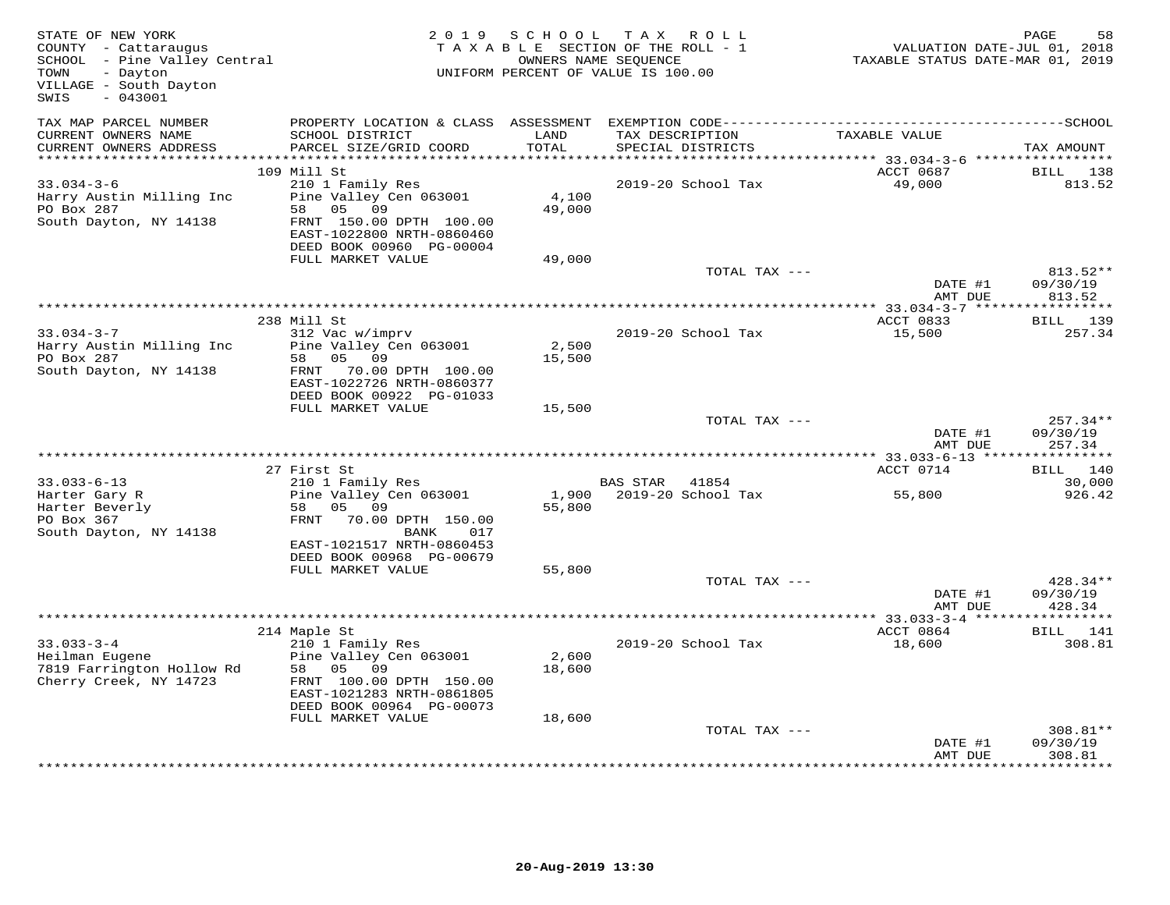| STATE OF NEW YORK<br>COUNTY - Cattaraugus<br>SCHOOL - Pine Valley Central<br>- Dayton<br>TOWN<br>VILLAGE - South Dayton<br>$-043001$<br>SWIS |                                                       | 2019 SCHOOL<br>TAX ROLL<br>PAGE<br>TAXABLE SECTION OF THE ROLL - 1<br>VALUATION DATE-JUL 01, 2018<br>TAXABLE STATUS DATE-MAR 01, 2019<br>OWNERS NAME SEQUENCE<br>UNIFORM PERCENT OF VALUE IS 100.00 |                 |                                      |                     |                    |
|----------------------------------------------------------------------------------------------------------------------------------------------|-------------------------------------------------------|-----------------------------------------------------------------------------------------------------------------------------------------------------------------------------------------------------|-----------------|--------------------------------------|---------------------|--------------------|
| TAX MAP PARCEL NUMBER                                                                                                                        |                                                       |                                                                                                                                                                                                     |                 |                                      |                     |                    |
| CURRENT OWNERS NAME<br>CURRENT OWNERS ADDRESS                                                                                                | SCHOOL DISTRICT<br>PARCEL SIZE/GRID COORD             | LAND<br>TOTAL                                                                                                                                                                                       |                 | TAX DESCRIPTION<br>SPECIAL DISTRICTS | TAXABLE VALUE       | TAX AMOUNT         |
|                                                                                                                                              |                                                       |                                                                                                                                                                                                     |                 |                                      |                     |                    |
| $33.034 - 3 - 6$                                                                                                                             | 109 Mill St<br>210 1 Family Res                       |                                                                                                                                                                                                     |                 | 2019-20 School Tax                   | ACCT 0687<br>49,000 | BILL 138<br>813.52 |
| Harry Austin Milling Inc                                                                                                                     | Pine Valley Cen 063001                                | 4,100                                                                                                                                                                                               |                 |                                      |                     |                    |
| PO Box 287                                                                                                                                   | 58 05 09                                              | 49,000                                                                                                                                                                                              |                 |                                      |                     |                    |
| South Dayton, NY 14138                                                                                                                       | FRNT 150.00 DPTH 100.00                               |                                                                                                                                                                                                     |                 |                                      |                     |                    |
|                                                                                                                                              | EAST-1022800 NRTH-0860460                             |                                                                                                                                                                                                     |                 |                                      |                     |                    |
|                                                                                                                                              | DEED BOOK 00960 PG-00004<br>FULL MARKET VALUE         | 49,000                                                                                                                                                                                              |                 |                                      |                     |                    |
|                                                                                                                                              |                                                       |                                                                                                                                                                                                     |                 | TOTAL TAX ---                        |                     | 813.52**           |
|                                                                                                                                              |                                                       |                                                                                                                                                                                                     |                 |                                      | DATE #1             | 09/30/19           |
|                                                                                                                                              |                                                       |                                                                                                                                                                                                     |                 |                                      | AMT DUE             | 813.52             |
|                                                                                                                                              |                                                       |                                                                                                                                                                                                     |                 |                                      |                     |                    |
| $33.034 - 3 - 7$                                                                                                                             | 238 Mill St<br>312 Vac w/imprv                        |                                                                                                                                                                                                     |                 | 2019-20 School Tax                   | ACCT 0833           | BILL 139<br>257.34 |
| Harry Austin Milling Inc                                                                                                                     | Pine Valley Cen 063001                                | 2,500                                                                                                                                                                                               |                 |                                      | 15,500              |                    |
| PO Box 287                                                                                                                                   | 58 05 09                                              | 15,500                                                                                                                                                                                              |                 |                                      |                     |                    |
| South Dayton, NY 14138                                                                                                                       | FRNT 70.00 DPTH 100.00                                |                                                                                                                                                                                                     |                 |                                      |                     |                    |
|                                                                                                                                              | EAST-1022726 NRTH-0860377                             |                                                                                                                                                                                                     |                 |                                      |                     |                    |
|                                                                                                                                              | DEED BOOK 00922 PG-01033<br>FULL MARKET VALUE         | 15,500                                                                                                                                                                                              |                 |                                      |                     |                    |
|                                                                                                                                              |                                                       |                                                                                                                                                                                                     |                 | TOTAL TAX ---                        |                     | $257.34**$         |
|                                                                                                                                              |                                                       |                                                                                                                                                                                                     |                 |                                      | DATE #1             | 09/30/19           |
|                                                                                                                                              |                                                       |                                                                                                                                                                                                     |                 |                                      | AMT DUE             | 257.34             |
|                                                                                                                                              |                                                       |                                                                                                                                                                                                     |                 |                                      |                     |                    |
| $33.033 - 6 - 13$                                                                                                                            | 27 First St<br>210 1 Family Res                       |                                                                                                                                                                                                     | <b>BAS STAR</b> | 41854                                | ACCT 0714           | BILL 140<br>30,000 |
| Harter Gary R                                                                                                                                | Pine Valley Cen 063001                                |                                                                                                                                                                                                     |                 | 1,900 2019-20 School Tax             | 55,800              | 926.42             |
| Harter Beverly                                                                                                                               | 58 05 09                                              | 55,800                                                                                                                                                                                              |                 |                                      |                     |                    |
| PO Box 367                                                                                                                                   | FRNT 70.00 DPTH 150.00                                |                                                                                                                                                                                                     |                 |                                      |                     |                    |
| South Dayton, NY 14138                                                                                                                       | BANK<br>017                                           |                                                                                                                                                                                                     |                 |                                      |                     |                    |
|                                                                                                                                              | EAST-1021517 NRTH-0860453<br>DEED BOOK 00968 PG-00679 |                                                                                                                                                                                                     |                 |                                      |                     |                    |
|                                                                                                                                              | FULL MARKET VALUE                                     | 55,800                                                                                                                                                                                              |                 |                                      |                     |                    |
|                                                                                                                                              |                                                       |                                                                                                                                                                                                     |                 | TOTAL TAX ---                        |                     | 428.34**           |
|                                                                                                                                              |                                                       |                                                                                                                                                                                                     |                 |                                      | DATE #1             | 09/30/19           |
|                                                                                                                                              |                                                       |                                                                                                                                                                                                     |                 |                                      | AMT DUE             | 428.34             |
|                                                                                                                                              | 214 Maple St                                          |                                                                                                                                                                                                     |                 |                                      | ACCT 0864           | BILL 141           |
| $33.033 - 3 - 4$                                                                                                                             | 210 1 Family Res                                      |                                                                                                                                                                                                     |                 | 2019-20 School Tax                   | 18,600              | 308.81             |
| Heilman Eugene                                                                                                                               | Pine Valley Cen 063001                                | 2,600                                                                                                                                                                                               |                 |                                      |                     |                    |
| 7819 Farrington Hollow Rd                                                                                                                    | 58 05 09                                              | 18,600                                                                                                                                                                                              |                 |                                      |                     |                    |
| Cherry Creek, NY 14723                                                                                                                       | FRNT 100.00 DPTH 150.00                               |                                                                                                                                                                                                     |                 |                                      |                     |                    |
|                                                                                                                                              | EAST-1021283 NRTH-0861805<br>DEED BOOK 00964 PG-00073 |                                                                                                                                                                                                     |                 |                                      |                     |                    |
|                                                                                                                                              | FULL MARKET VALUE                                     | 18,600                                                                                                                                                                                              |                 |                                      |                     |                    |
|                                                                                                                                              |                                                       |                                                                                                                                                                                                     |                 | TOTAL TAX ---                        |                     | 308.81**           |
|                                                                                                                                              |                                                       |                                                                                                                                                                                                     |                 |                                      | DATE #1             | 09/30/19           |
|                                                                                                                                              |                                                       |                                                                                                                                                                                                     |                 |                                      | AMT DUE             | 308.81             |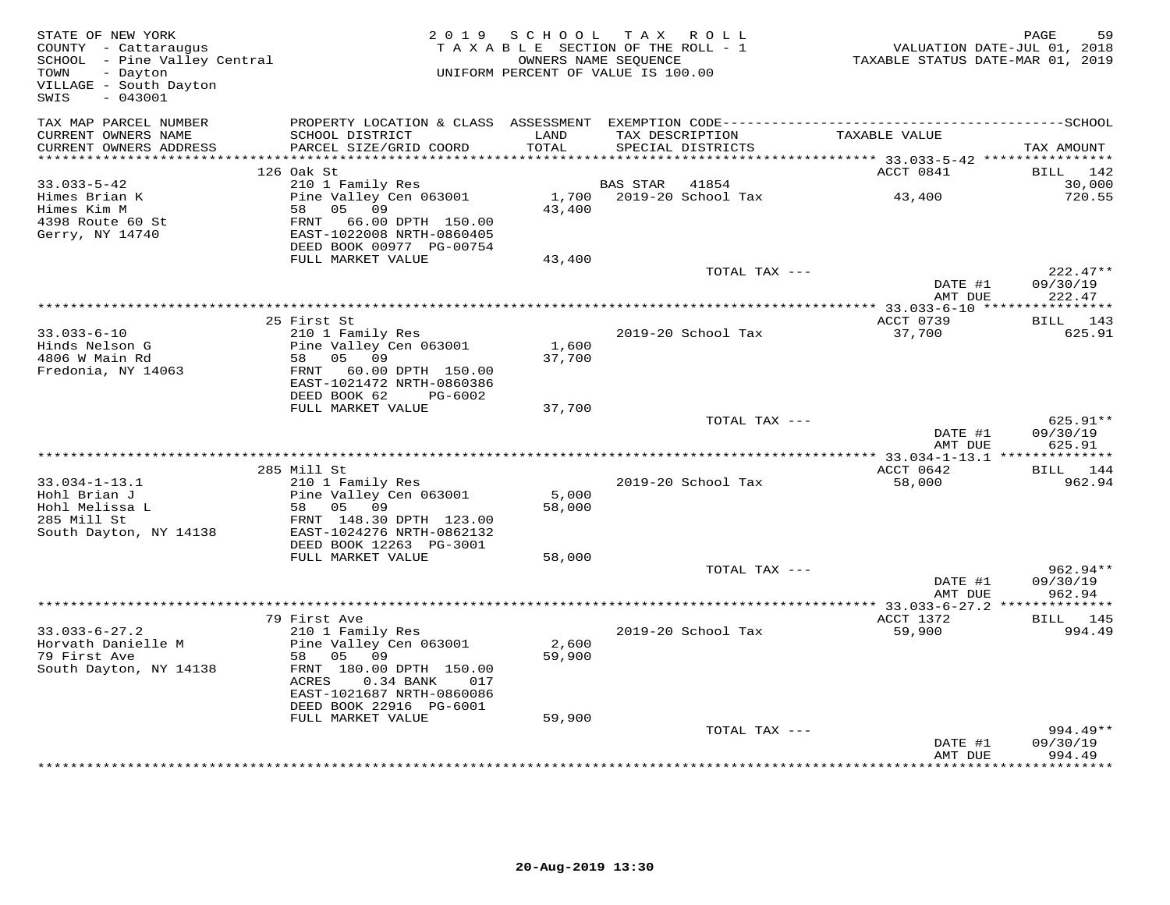| TAX MAP PARCEL NUMBER<br>CURRENT OWNERS NAME<br>SCHOOL DISTRICT<br>LAND<br>TAX DESCRIPTION<br>TAXABLE VALUE<br>TOTAL<br>CURRENT OWNERS ADDRESS<br>PARCEL SIZE/GRID COORD<br>SPECIAL DISTRICTS<br>TAX AMOUNT<br>***********************<br>126 Oak St<br>ACCT 0841<br>BILL 142<br>210 1 Family Res<br>$33.033 - 5 - 42$<br>BAS STAR 41854<br>30,000<br>43,400<br>Pine Valley Cen 063001<br>1,700 2019-20 School Tax<br>Himes Brian K<br>720.55<br>58 05 09<br>43,400<br>Himes Kim M<br>4398 Route 60 St<br>Gerry, NY 14740<br>FRNT 66.00 DPTH 150.00<br>EAST-1022008 NRTH-0860405<br>DEED BOOK 00977 PG-00754<br>FULL MARKET VALUE<br>43,400<br>$222.47**$<br>TOTAL TAX ---<br>DATE #1<br>09/30/19<br>AMT DUE<br>222.47<br>ACCT 0739<br>BILL 143<br>25 First St<br>37,700<br>$33.033 - 6 - 10$<br>210 1 Family Res<br>2019-20 School Tax<br>625.91<br>Pine Valley Cen 063001<br>Hinds Nelson G<br>1906 W Main Rd<br>1,600<br>58 05 09<br>4806 W Main Rd<br>37,700<br>Fredonia, NY 14063<br>FRNT 60.00 DPTH 150.00<br>EAST-1021472 NRTH-0860386<br>DEED BOOK 62<br>PG-6002<br>FULL MARKET VALUE<br>37,700<br>625.91**<br>TOTAL TAX ---<br>DATE #1<br>09/30/19<br>AMT DUE<br>625.91<br>285 Mill St<br>ACCT 0642<br>BILL 144<br>$33.034 - 1 - 13.1$<br>210 1 Family Res<br>2019-20 School Tax<br>58,000<br>962.94<br>5,000<br>Hohl Brian J<br>Pine Valley Cen 063001<br>Hohl Melissa L<br>58 05 09<br>58,000<br>285 Mill St<br>FRNT 148.30 DPTH 123.00<br>South Dayton, NY 14138<br>EAST-1024276 NRTH-0862132<br>DEED BOOK 12263 PG-3001<br>FULL MARKET VALUE<br>58,000<br>$962.94**$<br>TOTAL TAX ---<br>DATE #1<br>09/30/19<br>962.94<br>AMT DUE<br>ACCT 1372<br>BILL 145<br>79 First Ave<br>$33.033 - 6 - 27.2$<br>210 1 Family Res<br>2019-20 School Tax<br>59,900<br>994.49<br>Horvath Danielle M<br>Pine Valley Cen 063001<br>2,600<br>58 05 09<br>79 First Ave<br>59,900<br>South Dayton, NY 14138<br>FRNT 180.00 DPTH 150.00<br>ACRES   0.34 BANK   017<br>EAST-1021687 NRTH-0860086<br>DEED BOOK 22916 PG-6001<br>59,900<br>FULL MARKET VALUE<br>TOTAL TAX ---<br>$994.49**$<br>09/30/19<br>DATE #1<br>AMT DUE<br>994.49 | STATE OF NEW YORK<br>COUNTY - Cattaraugus<br>SCHOOL - Pine Valley Central<br>- Dayton<br>TOWN<br>VILLAGE - South Dayton<br>SWIS<br>$-043001$ | 2019 SCHOOL | TAX ROLL<br>TAXABLE SECTION OF THE ROLL - 1<br>OWNERS NAME SEQUENCE<br>UNIFORM PERCENT OF VALUE IS 100.00 | ر ہے۔۔۔۔<br>7018, VALUATION DATE-JUL 01<br>7019, TAXABLE STATUS DATE-MAR 01 | PAGE<br>59 |
|-------------------------------------------------------------------------------------------------------------------------------------------------------------------------------------------------------------------------------------------------------------------------------------------------------------------------------------------------------------------------------------------------------------------------------------------------------------------------------------------------------------------------------------------------------------------------------------------------------------------------------------------------------------------------------------------------------------------------------------------------------------------------------------------------------------------------------------------------------------------------------------------------------------------------------------------------------------------------------------------------------------------------------------------------------------------------------------------------------------------------------------------------------------------------------------------------------------------------------------------------------------------------------------------------------------------------------------------------------------------------------------------------------------------------------------------------------------------------------------------------------------------------------------------------------------------------------------------------------------------------------------------------------------------------------------------------------------------------------------------------------------------------------------------------------------------------------------------------------------------------------------------------------------------------------------------------------------------------------------------------------------------------------------------------------------------------------------------------------------------------------|----------------------------------------------------------------------------------------------------------------------------------------------|-------------|-----------------------------------------------------------------------------------------------------------|-----------------------------------------------------------------------------|------------|
|                                                                                                                                                                                                                                                                                                                                                                                                                                                                                                                                                                                                                                                                                                                                                                                                                                                                                                                                                                                                                                                                                                                                                                                                                                                                                                                                                                                                                                                                                                                                                                                                                                                                                                                                                                                                                                                                                                                                                                                                                                                                                                                               |                                                                                                                                              |             |                                                                                                           |                                                                             |            |
|                                                                                                                                                                                                                                                                                                                                                                                                                                                                                                                                                                                                                                                                                                                                                                                                                                                                                                                                                                                                                                                                                                                                                                                                                                                                                                                                                                                                                                                                                                                                                                                                                                                                                                                                                                                                                                                                                                                                                                                                                                                                                                                               |                                                                                                                                              |             |                                                                                                           |                                                                             |            |
|                                                                                                                                                                                                                                                                                                                                                                                                                                                                                                                                                                                                                                                                                                                                                                                                                                                                                                                                                                                                                                                                                                                                                                                                                                                                                                                                                                                                                                                                                                                                                                                                                                                                                                                                                                                                                                                                                                                                                                                                                                                                                                                               |                                                                                                                                              |             |                                                                                                           |                                                                             |            |
|                                                                                                                                                                                                                                                                                                                                                                                                                                                                                                                                                                                                                                                                                                                                                                                                                                                                                                                                                                                                                                                                                                                                                                                                                                                                                                                                                                                                                                                                                                                                                                                                                                                                                                                                                                                                                                                                                                                                                                                                                                                                                                                               |                                                                                                                                              |             |                                                                                                           |                                                                             |            |
|                                                                                                                                                                                                                                                                                                                                                                                                                                                                                                                                                                                                                                                                                                                                                                                                                                                                                                                                                                                                                                                                                                                                                                                                                                                                                                                                                                                                                                                                                                                                                                                                                                                                                                                                                                                                                                                                                                                                                                                                                                                                                                                               |                                                                                                                                              |             |                                                                                                           |                                                                             |            |
|                                                                                                                                                                                                                                                                                                                                                                                                                                                                                                                                                                                                                                                                                                                                                                                                                                                                                                                                                                                                                                                                                                                                                                                                                                                                                                                                                                                                                                                                                                                                                                                                                                                                                                                                                                                                                                                                                                                                                                                                                                                                                                                               |                                                                                                                                              |             |                                                                                                           |                                                                             |            |
|                                                                                                                                                                                                                                                                                                                                                                                                                                                                                                                                                                                                                                                                                                                                                                                                                                                                                                                                                                                                                                                                                                                                                                                                                                                                                                                                                                                                                                                                                                                                                                                                                                                                                                                                                                                                                                                                                                                                                                                                                                                                                                                               |                                                                                                                                              |             |                                                                                                           |                                                                             |            |
|                                                                                                                                                                                                                                                                                                                                                                                                                                                                                                                                                                                                                                                                                                                                                                                                                                                                                                                                                                                                                                                                                                                                                                                                                                                                                                                                                                                                                                                                                                                                                                                                                                                                                                                                                                                                                                                                                                                                                                                                                                                                                                                               |                                                                                                                                              |             |                                                                                                           |                                                                             |            |
|                                                                                                                                                                                                                                                                                                                                                                                                                                                                                                                                                                                                                                                                                                                                                                                                                                                                                                                                                                                                                                                                                                                                                                                                                                                                                                                                                                                                                                                                                                                                                                                                                                                                                                                                                                                                                                                                                                                                                                                                                                                                                                                               |                                                                                                                                              |             |                                                                                                           |                                                                             |            |
|                                                                                                                                                                                                                                                                                                                                                                                                                                                                                                                                                                                                                                                                                                                                                                                                                                                                                                                                                                                                                                                                                                                                                                                                                                                                                                                                                                                                                                                                                                                                                                                                                                                                                                                                                                                                                                                                                                                                                                                                                                                                                                                               |                                                                                                                                              |             |                                                                                                           |                                                                             |            |
|                                                                                                                                                                                                                                                                                                                                                                                                                                                                                                                                                                                                                                                                                                                                                                                                                                                                                                                                                                                                                                                                                                                                                                                                                                                                                                                                                                                                                                                                                                                                                                                                                                                                                                                                                                                                                                                                                                                                                                                                                                                                                                                               |                                                                                                                                              |             |                                                                                                           |                                                                             |            |
|                                                                                                                                                                                                                                                                                                                                                                                                                                                                                                                                                                                                                                                                                                                                                                                                                                                                                                                                                                                                                                                                                                                                                                                                                                                                                                                                                                                                                                                                                                                                                                                                                                                                                                                                                                                                                                                                                                                                                                                                                                                                                                                               |                                                                                                                                              |             |                                                                                                           |                                                                             |            |
|                                                                                                                                                                                                                                                                                                                                                                                                                                                                                                                                                                                                                                                                                                                                                                                                                                                                                                                                                                                                                                                                                                                                                                                                                                                                                                                                                                                                                                                                                                                                                                                                                                                                                                                                                                                                                                                                                                                                                                                                                                                                                                                               |                                                                                                                                              |             |                                                                                                           |                                                                             |            |
|                                                                                                                                                                                                                                                                                                                                                                                                                                                                                                                                                                                                                                                                                                                                                                                                                                                                                                                                                                                                                                                                                                                                                                                                                                                                                                                                                                                                                                                                                                                                                                                                                                                                                                                                                                                                                                                                                                                                                                                                                                                                                                                               |                                                                                                                                              |             |                                                                                                           |                                                                             |            |
|                                                                                                                                                                                                                                                                                                                                                                                                                                                                                                                                                                                                                                                                                                                                                                                                                                                                                                                                                                                                                                                                                                                                                                                                                                                                                                                                                                                                                                                                                                                                                                                                                                                                                                                                                                                                                                                                                                                                                                                                                                                                                                                               |                                                                                                                                              |             |                                                                                                           |                                                                             |            |
|                                                                                                                                                                                                                                                                                                                                                                                                                                                                                                                                                                                                                                                                                                                                                                                                                                                                                                                                                                                                                                                                                                                                                                                                                                                                                                                                                                                                                                                                                                                                                                                                                                                                                                                                                                                                                                                                                                                                                                                                                                                                                                                               |                                                                                                                                              |             |                                                                                                           |                                                                             |            |
|                                                                                                                                                                                                                                                                                                                                                                                                                                                                                                                                                                                                                                                                                                                                                                                                                                                                                                                                                                                                                                                                                                                                                                                                                                                                                                                                                                                                                                                                                                                                                                                                                                                                                                                                                                                                                                                                                                                                                                                                                                                                                                                               |                                                                                                                                              |             |                                                                                                           |                                                                             |            |
|                                                                                                                                                                                                                                                                                                                                                                                                                                                                                                                                                                                                                                                                                                                                                                                                                                                                                                                                                                                                                                                                                                                                                                                                                                                                                                                                                                                                                                                                                                                                                                                                                                                                                                                                                                                                                                                                                                                                                                                                                                                                                                                               |                                                                                                                                              |             |                                                                                                           |                                                                             |            |
|                                                                                                                                                                                                                                                                                                                                                                                                                                                                                                                                                                                                                                                                                                                                                                                                                                                                                                                                                                                                                                                                                                                                                                                                                                                                                                                                                                                                                                                                                                                                                                                                                                                                                                                                                                                                                                                                                                                                                                                                                                                                                                                               |                                                                                                                                              |             |                                                                                                           |                                                                             |            |
|                                                                                                                                                                                                                                                                                                                                                                                                                                                                                                                                                                                                                                                                                                                                                                                                                                                                                                                                                                                                                                                                                                                                                                                                                                                                                                                                                                                                                                                                                                                                                                                                                                                                                                                                                                                                                                                                                                                                                                                                                                                                                                                               |                                                                                                                                              |             |                                                                                                           |                                                                             |            |
|                                                                                                                                                                                                                                                                                                                                                                                                                                                                                                                                                                                                                                                                                                                                                                                                                                                                                                                                                                                                                                                                                                                                                                                                                                                                                                                                                                                                                                                                                                                                                                                                                                                                                                                                                                                                                                                                                                                                                                                                                                                                                                                               |                                                                                                                                              |             |                                                                                                           |                                                                             |            |
|                                                                                                                                                                                                                                                                                                                                                                                                                                                                                                                                                                                                                                                                                                                                                                                                                                                                                                                                                                                                                                                                                                                                                                                                                                                                                                                                                                                                                                                                                                                                                                                                                                                                                                                                                                                                                                                                                                                                                                                                                                                                                                                               |                                                                                                                                              |             |                                                                                                           |                                                                             |            |
|                                                                                                                                                                                                                                                                                                                                                                                                                                                                                                                                                                                                                                                                                                                                                                                                                                                                                                                                                                                                                                                                                                                                                                                                                                                                                                                                                                                                                                                                                                                                                                                                                                                                                                                                                                                                                                                                                                                                                                                                                                                                                                                               |                                                                                                                                              |             |                                                                                                           |                                                                             |            |
|                                                                                                                                                                                                                                                                                                                                                                                                                                                                                                                                                                                                                                                                                                                                                                                                                                                                                                                                                                                                                                                                                                                                                                                                                                                                                                                                                                                                                                                                                                                                                                                                                                                                                                                                                                                                                                                                                                                                                                                                                                                                                                                               |                                                                                                                                              |             |                                                                                                           |                                                                             |            |
|                                                                                                                                                                                                                                                                                                                                                                                                                                                                                                                                                                                                                                                                                                                                                                                                                                                                                                                                                                                                                                                                                                                                                                                                                                                                                                                                                                                                                                                                                                                                                                                                                                                                                                                                                                                                                                                                                                                                                                                                                                                                                                                               |                                                                                                                                              |             |                                                                                                           |                                                                             |            |
|                                                                                                                                                                                                                                                                                                                                                                                                                                                                                                                                                                                                                                                                                                                                                                                                                                                                                                                                                                                                                                                                                                                                                                                                                                                                                                                                                                                                                                                                                                                                                                                                                                                                                                                                                                                                                                                                                                                                                                                                                                                                                                                               |                                                                                                                                              |             |                                                                                                           |                                                                             |            |
|                                                                                                                                                                                                                                                                                                                                                                                                                                                                                                                                                                                                                                                                                                                                                                                                                                                                                                                                                                                                                                                                                                                                                                                                                                                                                                                                                                                                                                                                                                                                                                                                                                                                                                                                                                                                                                                                                                                                                                                                                                                                                                                               |                                                                                                                                              |             |                                                                                                           |                                                                             |            |
|                                                                                                                                                                                                                                                                                                                                                                                                                                                                                                                                                                                                                                                                                                                                                                                                                                                                                                                                                                                                                                                                                                                                                                                                                                                                                                                                                                                                                                                                                                                                                                                                                                                                                                                                                                                                                                                                                                                                                                                                                                                                                                                               |                                                                                                                                              |             |                                                                                                           |                                                                             |            |
|                                                                                                                                                                                                                                                                                                                                                                                                                                                                                                                                                                                                                                                                                                                                                                                                                                                                                                                                                                                                                                                                                                                                                                                                                                                                                                                                                                                                                                                                                                                                                                                                                                                                                                                                                                                                                                                                                                                                                                                                                                                                                                                               |                                                                                                                                              |             |                                                                                                           |                                                                             |            |
|                                                                                                                                                                                                                                                                                                                                                                                                                                                                                                                                                                                                                                                                                                                                                                                                                                                                                                                                                                                                                                                                                                                                                                                                                                                                                                                                                                                                                                                                                                                                                                                                                                                                                                                                                                                                                                                                                                                                                                                                                                                                                                                               |                                                                                                                                              |             |                                                                                                           |                                                                             |            |
|                                                                                                                                                                                                                                                                                                                                                                                                                                                                                                                                                                                                                                                                                                                                                                                                                                                                                                                                                                                                                                                                                                                                                                                                                                                                                                                                                                                                                                                                                                                                                                                                                                                                                                                                                                                                                                                                                                                                                                                                                                                                                                                               |                                                                                                                                              |             |                                                                                                           |                                                                             |            |
|                                                                                                                                                                                                                                                                                                                                                                                                                                                                                                                                                                                                                                                                                                                                                                                                                                                                                                                                                                                                                                                                                                                                                                                                                                                                                                                                                                                                                                                                                                                                                                                                                                                                                                                                                                                                                                                                                                                                                                                                                                                                                                                               |                                                                                                                                              |             |                                                                                                           |                                                                             |            |
|                                                                                                                                                                                                                                                                                                                                                                                                                                                                                                                                                                                                                                                                                                                                                                                                                                                                                                                                                                                                                                                                                                                                                                                                                                                                                                                                                                                                                                                                                                                                                                                                                                                                                                                                                                                                                                                                                                                                                                                                                                                                                                                               |                                                                                                                                              |             |                                                                                                           |                                                                             |            |
|                                                                                                                                                                                                                                                                                                                                                                                                                                                                                                                                                                                                                                                                                                                                                                                                                                                                                                                                                                                                                                                                                                                                                                                                                                                                                                                                                                                                                                                                                                                                                                                                                                                                                                                                                                                                                                                                                                                                                                                                                                                                                                                               |                                                                                                                                              |             |                                                                                                           |                                                                             |            |
|                                                                                                                                                                                                                                                                                                                                                                                                                                                                                                                                                                                                                                                                                                                                                                                                                                                                                                                                                                                                                                                                                                                                                                                                                                                                                                                                                                                                                                                                                                                                                                                                                                                                                                                                                                                                                                                                                                                                                                                                                                                                                                                               |                                                                                                                                              |             |                                                                                                           |                                                                             |            |
|                                                                                                                                                                                                                                                                                                                                                                                                                                                                                                                                                                                                                                                                                                                                                                                                                                                                                                                                                                                                                                                                                                                                                                                                                                                                                                                                                                                                                                                                                                                                                                                                                                                                                                                                                                                                                                                                                                                                                                                                                                                                                                                               |                                                                                                                                              |             |                                                                                                           |                                                                             |            |
|                                                                                                                                                                                                                                                                                                                                                                                                                                                                                                                                                                                                                                                                                                                                                                                                                                                                                                                                                                                                                                                                                                                                                                                                                                                                                                                                                                                                                                                                                                                                                                                                                                                                                                                                                                                                                                                                                                                                                                                                                                                                                                                               |                                                                                                                                              |             |                                                                                                           |                                                                             |            |
|                                                                                                                                                                                                                                                                                                                                                                                                                                                                                                                                                                                                                                                                                                                                                                                                                                                                                                                                                                                                                                                                                                                                                                                                                                                                                                                                                                                                                                                                                                                                                                                                                                                                                                                                                                                                                                                                                                                                                                                                                                                                                                                               |                                                                                                                                              |             |                                                                                                           |                                                                             |            |
|                                                                                                                                                                                                                                                                                                                                                                                                                                                                                                                                                                                                                                                                                                                                                                                                                                                                                                                                                                                                                                                                                                                                                                                                                                                                                                                                                                                                                                                                                                                                                                                                                                                                                                                                                                                                                                                                                                                                                                                                                                                                                                                               |                                                                                                                                              |             |                                                                                                           |                                                                             |            |
|                                                                                                                                                                                                                                                                                                                                                                                                                                                                                                                                                                                                                                                                                                                                                                                                                                                                                                                                                                                                                                                                                                                                                                                                                                                                                                                                                                                                                                                                                                                                                                                                                                                                                                                                                                                                                                                                                                                                                                                                                                                                                                                               |                                                                                                                                              |             |                                                                                                           |                                                                             |            |
|                                                                                                                                                                                                                                                                                                                                                                                                                                                                                                                                                                                                                                                                                                                                                                                                                                                                                                                                                                                                                                                                                                                                                                                                                                                                                                                                                                                                                                                                                                                                                                                                                                                                                                                                                                                                                                                                                                                                                                                                                                                                                                                               |                                                                                                                                              |             |                                                                                                           |                                                                             |            |
|                                                                                                                                                                                                                                                                                                                                                                                                                                                                                                                                                                                                                                                                                                                                                                                                                                                                                                                                                                                                                                                                                                                                                                                                                                                                                                                                                                                                                                                                                                                                                                                                                                                                                                                                                                                                                                                                                                                                                                                                                                                                                                                               |                                                                                                                                              |             |                                                                                                           |                                                                             |            |
|                                                                                                                                                                                                                                                                                                                                                                                                                                                                                                                                                                                                                                                                                                                                                                                                                                                                                                                                                                                                                                                                                                                                                                                                                                                                                                                                                                                                                                                                                                                                                                                                                                                                                                                                                                                                                                                                                                                                                                                                                                                                                                                               |                                                                                                                                              |             |                                                                                                           |                                                                             |            |
|                                                                                                                                                                                                                                                                                                                                                                                                                                                                                                                                                                                                                                                                                                                                                                                                                                                                                                                                                                                                                                                                                                                                                                                                                                                                                                                                                                                                                                                                                                                                                                                                                                                                                                                                                                                                                                                                                                                                                                                                                                                                                                                               |                                                                                                                                              |             |                                                                                                           |                                                                             |            |
|                                                                                                                                                                                                                                                                                                                                                                                                                                                                                                                                                                                                                                                                                                                                                                                                                                                                                                                                                                                                                                                                                                                                                                                                                                                                                                                                                                                                                                                                                                                                                                                                                                                                                                                                                                                                                                                                                                                                                                                                                                                                                                                               |                                                                                                                                              |             |                                                                                                           |                                                                             |            |
|                                                                                                                                                                                                                                                                                                                                                                                                                                                                                                                                                                                                                                                                                                                                                                                                                                                                                                                                                                                                                                                                                                                                                                                                                                                                                                                                                                                                                                                                                                                                                                                                                                                                                                                                                                                                                                                                                                                                                                                                                                                                                                                               |                                                                                                                                              |             |                                                                                                           |                                                                             |            |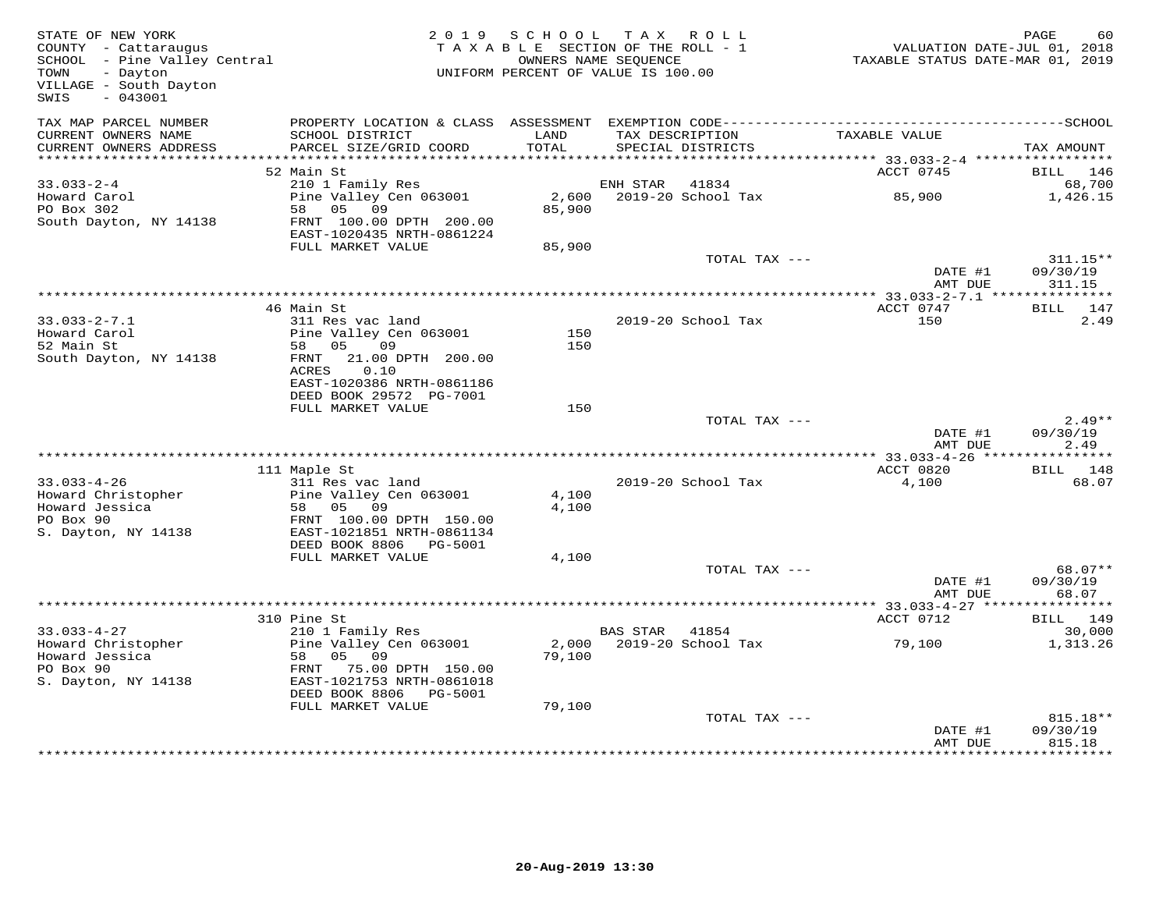| STATE OF NEW YORK<br>SIALE OF NEW LOW:<br>COUNTY - Cattaraugus<br>SCHOOL - Pine Valley Central<br>TOWN<br>- Dayton<br>VILLAGE - South Dayton<br>$-043001$<br>SWIS |                                                                                            | 2019 SCHOOL TAX ROLL<br>TAXABLE SECTION OF THE ROLL - 1<br>OWNERS NAME SEQUENCE<br>UNIFORM PERCENT OF VALUE IS 100.00 |                |                                      | VALUATION DATE-JUL 01, 2018<br>TAXABLE STATUS DATE-MAR 01, 2019 | <b>PAGE</b><br>60                |
|-------------------------------------------------------------------------------------------------------------------------------------------------------------------|--------------------------------------------------------------------------------------------|-----------------------------------------------------------------------------------------------------------------------|----------------|--------------------------------------|-----------------------------------------------------------------|----------------------------------|
| TAX MAP PARCEL NUMBER<br>CURRENT OWNERS NAME<br>CURRENT OWNERS ADDRESS                                                                                            | SCHOOL DISTRICT<br>PARCEL SIZE/GRID COORD                                                  | LAND<br>TOTAL                                                                                                         |                | TAX DESCRIPTION<br>SPECIAL DISTRICTS | TAXABLE VALUE                                                   | TAX AMOUNT                       |
|                                                                                                                                                                   |                                                                                            |                                                                                                                       |                |                                      |                                                                 |                                  |
|                                                                                                                                                                   | 52 Main St                                                                                 |                                                                                                                       |                |                                      | ACCT 0745                                                       | BILL 146                         |
| $33.033 - 2 - 4$                                                                                                                                                  | 210 1 Family Res                                                                           |                                                                                                                       | ENH STAR 41834 |                                      | 85,900                                                          | 68,700                           |
| Howard Carol<br>PO Box 302<br>South Dayton, NY 14138                                                                                                              | Pine Valley Cen 063001<br>58 05 09<br>FRNT 100.00 DPTH 200.00<br>EAST-1020435 NRTH-0861224 | 2,600<br>85,900                                                                                                       |                | 2019-20 School Tax                   |                                                                 | 1,426.15                         |
|                                                                                                                                                                   | FULL MARKET VALUE                                                                          | 85,900                                                                                                                |                |                                      |                                                                 |                                  |
|                                                                                                                                                                   |                                                                                            |                                                                                                                       |                | TOTAL TAX ---                        | DATE #1<br>AMT DUE                                              | $311.15**$<br>09/30/19<br>311.15 |
|                                                                                                                                                                   |                                                                                            |                                                                                                                       |                |                                      |                                                                 |                                  |
|                                                                                                                                                                   | 46 Main St                                                                                 |                                                                                                                       |                |                                      | ACCT 0747                                                       | BILL 147                         |
| $33.033 - 2 - 7.1$                                                                                                                                                | 311 Res vac land                                                                           |                                                                                                                       |                | 2019-20 School Tax                   | 150                                                             | 2.49                             |
| ے ددی.<br>Howard Carol<br>محمد                                                                                                                                    | Pine Valley Cen 063001                                                                     | 150                                                                                                                   |                |                                      |                                                                 |                                  |
| South Dayton, NY 14138                                                                                                                                            | 58 05 09<br>FRNT 21.00 DPTH 200.00<br>0.10<br>ACRES<br>EAST-1020386 NRTH-0861186           | 150                                                                                                                   |                |                                      |                                                                 |                                  |
|                                                                                                                                                                   | DEED BOOK 29572 PG-7001<br>FULL MARKET VALUE                                               | 150                                                                                                                   |                |                                      |                                                                 |                                  |
|                                                                                                                                                                   |                                                                                            |                                                                                                                       |                | TOTAL TAX ---                        | DATE #1                                                         | $2.49**$<br>09/30/19             |
|                                                                                                                                                                   |                                                                                            |                                                                                                                       |                |                                      | AMT DUE                                                         | 2.49                             |
|                                                                                                                                                                   |                                                                                            |                                                                                                                       |                |                                      |                                                                 |                                  |
| $33.033 - 4 - 26$                                                                                                                                                 | 111 Maple St<br>311 Res vac land                                                           |                                                                                                                       |                | 2019-20 School Tax                   | ACCT 0820<br>4,100                                              | BILL 148<br>68.07                |
| Howard Christopher                                                                                                                                                | Pine Valley Cen 063001                                                                     | 4,100                                                                                                                 |                |                                      |                                                                 |                                  |
| Howard Jessica                                                                                                                                                    | 58 05 09                                                                                   | 4,100                                                                                                                 |                |                                      |                                                                 |                                  |
| PO Box 90<br>S. Dayton, NY 14138                                                                                                                                  | FRNT 100.00 DPTH 150.00<br>EAST-1021851 NRTH-0861134                                       |                                                                                                                       |                |                                      |                                                                 |                                  |
|                                                                                                                                                                   | DEED BOOK 8806    PG-5001                                                                  |                                                                                                                       |                |                                      |                                                                 |                                  |
|                                                                                                                                                                   | FULL MARKET VALUE                                                                          | 4,100                                                                                                                 |                | TOTAL TAX ---                        |                                                                 | 68.07**                          |
|                                                                                                                                                                   |                                                                                            |                                                                                                                       |                |                                      | DATE #1<br>AMT DUE                                              | 09/30/19<br>68.07                |
|                                                                                                                                                                   |                                                                                            |                                                                                                                       |                |                                      | *********** 33.033-4-27 ****                                    | * * * * * * * * * * *            |
|                                                                                                                                                                   | 310 Pine St                                                                                |                                                                                                                       |                |                                      | ACCT 0712                                                       | BILL 149                         |
| $33.033 - 4 - 27$<br>Howard Christopher                                                                                                                           | 210 1 Family Res<br>Pine Valley Cen 063001                                                 |                                                                                                                       | BAS STAR 41854 | 2,000 2019-20 School Tax             | 79,100                                                          | 30,000<br>1,313.26               |
| Howard Jessica                                                                                                                                                    | Pine vall.<br>58 05 09<br>75 00                                                            | 79,100                                                                                                                |                |                                      |                                                                 |                                  |
| PO Box 90<br>S. Dayton, NY 14138                                                                                                                                  | FRNT 75.00 DPTH 150.00<br>EAST-1021753 NRTH-0861018                                        |                                                                                                                       |                |                                      |                                                                 |                                  |
|                                                                                                                                                                   | DEED BOOK 8806 PG-5001<br>FULL MARKET VALUE                                                | 79,100                                                                                                                |                |                                      |                                                                 |                                  |
|                                                                                                                                                                   |                                                                                            |                                                                                                                       |                | TOTAL TAX ---                        | DATE #1                                                         | 815.18**<br>09/30/19             |
|                                                                                                                                                                   |                                                                                            |                                                                                                                       |                |                                      | AMT DUE                                                         | 815.18                           |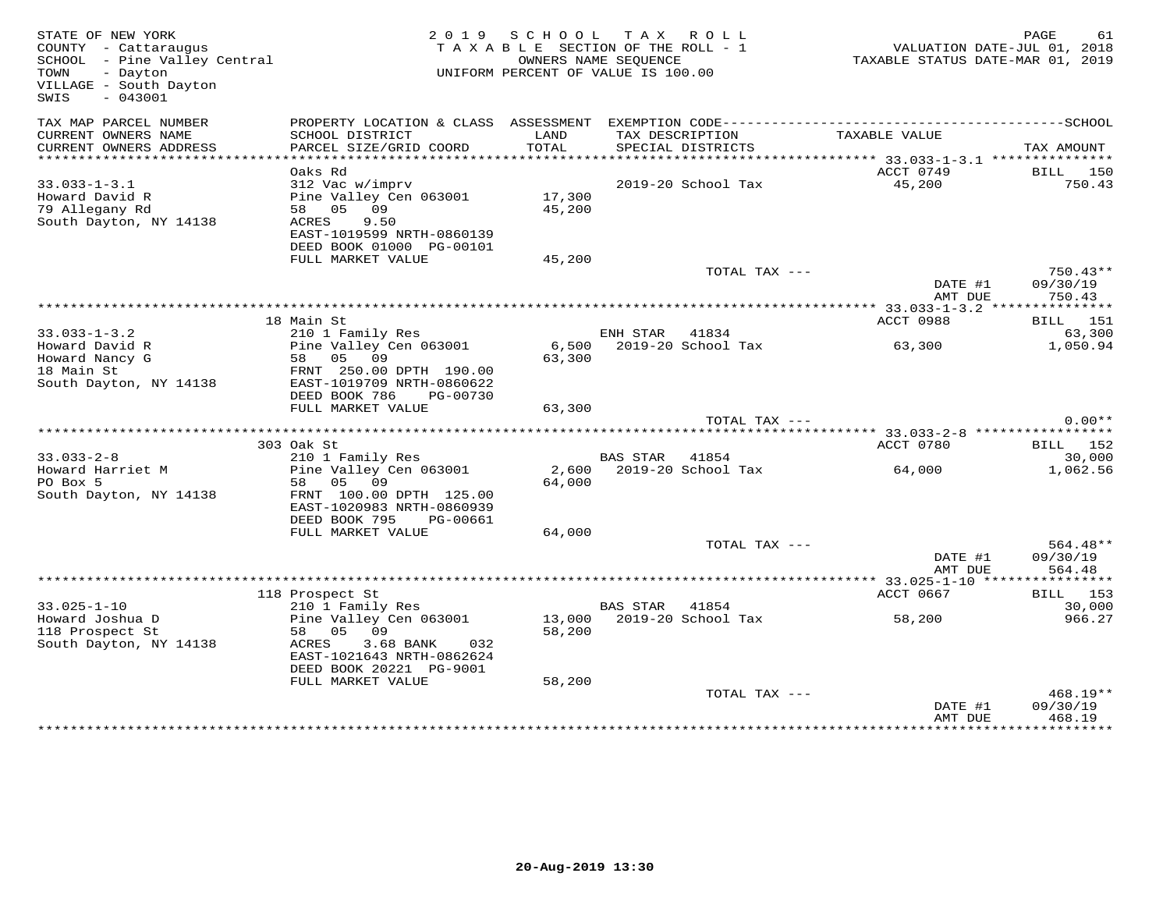| STATE OF NEW YORK<br>COUNTY - Cattaraugus<br>SCHOOL - Pine Valley Central<br>TOWN<br>- Dayton<br>VILLAGE - South Dayton<br>$-043001$<br>SWIS |                                                                                                                                             | 2019 SCHOOL TAX ROLL<br>TAXABLE SECTION OF THE ROLL - 1<br>UNIFORM PERCENT OF VALUE IS 100.00 | OWNERS NAME SEQUENCE                        |                    |                                                     | PAGE<br>61<br>VALUATION DATE-JUL 01, 2018<br>TAXABLE STATUS DATE-MAR 01, 2019 |
|----------------------------------------------------------------------------------------------------------------------------------------------|---------------------------------------------------------------------------------------------------------------------------------------------|-----------------------------------------------------------------------------------------------|---------------------------------------------|--------------------|-----------------------------------------------------|-------------------------------------------------------------------------------|
| TAX MAP PARCEL NUMBER<br>CURRENT OWNERS NAME<br>CURRENT OWNERS ADDRESS                                                                       | SCHOOL DISTRICT<br>PARCEL SIZE/GRID COORD                                                                                                   | LAND<br>TOTAL                                                                                 | TAX DESCRIPTION<br>SPECIAL DISTRICTS        |                    | TAXABLE VALUE                                       | TAX AMOUNT                                                                    |
| *****************                                                                                                                            | ******************************                                                                                                              |                                                                                               |                                             |                    | ********************* 33.033-1-3.1 **************** |                                                                               |
| $33.033 - 1 - 3.1$<br>Howard David R<br>79 Allegany Rd<br>South Dayton, NY 14138                                                             | Oaks Rd<br>312 Vac w/imprv<br>Pine Valley Cen 063001<br>58 05 09<br>9.50<br>ACRES<br>EAST-1019599 NRTH-0860139<br>DEED BOOK 01000 PG-00101  | 17,300<br>45,200                                                                              |                                             | 2019-20 School Tax | ACCT 0749<br>45,200                                 | <b>BILL</b> 150<br>750.43                                                     |
|                                                                                                                                              | FULL MARKET VALUE                                                                                                                           | 45,200                                                                                        |                                             |                    |                                                     | 750.43**                                                                      |
|                                                                                                                                              |                                                                                                                                             |                                                                                               |                                             | TOTAL TAX ---      | DATE #1<br>AMT DUE                                  | 09/30/19<br>750.43                                                            |
|                                                                                                                                              |                                                                                                                                             |                                                                                               |                                             |                    |                                                     |                                                                               |
| $33.033 - 1 - 3.2$                                                                                                                           | 18 Main St<br>210 1 Family Res                                                                                                              |                                                                                               | ENH STAR 41834                              |                    | ACCT 0988                                           | <b>BILL</b> 151<br>63,300                                                     |
| Howard David R<br>Howard Nancy G<br>18 Main St<br>South Dayton, NY 14138                                                                     | Pine Valley Cen 063001<br>58 05 09<br>FRNT 250.00 DPTH 190.00<br>EAST-1019709 NRTH-0860622<br>DEED BOOK 786<br>PG-00730                     | 63,300                                                                                        | 6,500 2019-20 School Tax                    |                    | 63,300                                              | 1,050.94                                                                      |
|                                                                                                                                              | FULL MARKET VALUE                                                                                                                           | 63,300                                                                                        |                                             |                    |                                                     |                                                                               |
|                                                                                                                                              |                                                                                                                                             |                                                                                               |                                             | TOTAL TAX ---      |                                                     | $0.00**$                                                                      |
|                                                                                                                                              |                                                                                                                                             |                                                                                               |                                             |                    |                                                     |                                                                               |
| $33.033 - 2 - 8$                                                                                                                             | 303 Oak St<br>210 1 Family Res                                                                                                              |                                                                                               | <b>BAS STAR</b>                             | 41854              | ACCT 0780                                           | <b>BILL</b> 152<br>30,000                                                     |
| Howard Harriet M<br>PO Box 5<br>South Dayton, NY 14138                                                                                       | Pine Valley Cen 063001<br>58 05 09<br>FRNT 100.00 DPTH 125.00<br>EAST-1020983 NRTH-0860939<br>DEED BOOK 795<br>PG-00661                     | 2,600<br>64,000                                                                               |                                             | 2019-20 School Tax | 64,000                                              | 1,062.56                                                                      |
|                                                                                                                                              | FULL MARKET VALUE                                                                                                                           | 64,000                                                                                        |                                             |                    |                                                     |                                                                               |
|                                                                                                                                              |                                                                                                                                             |                                                                                               |                                             | TOTAL TAX ---      | DATE #1<br>AMT DUE                                  | 564.48**<br>09/30/19<br>564.48                                                |
|                                                                                                                                              |                                                                                                                                             |                                                                                               |                                             |                    |                                                     |                                                                               |
| $33.025 - 1 - 10$                                                                                                                            | 118 Prospect St                                                                                                                             |                                                                                               |                                             |                    | ACCT 0667                                           | <b>BILL</b> 153                                                               |
| Howard Joshua D<br>118 Prospect St<br>South Dayton, NY 14138                                                                                 | 210 1 Family Res<br>Pine Valley Cen 063001<br>58 05 09<br>ACRES<br>3.68 BANK<br>032<br>EAST-1021643 NRTH-0862624<br>DEED BOOK 20221 PG-9001 | 58,200                                                                                        | BAS STAR 41854<br>13,000 2019-20 School Tax |                    | 58,200                                              | 30,000<br>966.27                                                              |
|                                                                                                                                              | FULL MARKET VALUE                                                                                                                           | 58,200                                                                                        |                                             | TOTAL TAX ---      |                                                     | 468.19**                                                                      |
|                                                                                                                                              |                                                                                                                                             |                                                                                               |                                             |                    | DATE #1<br>AMT DUE                                  | 09/30/19<br>468.19                                                            |
|                                                                                                                                              |                                                                                                                                             |                                                                                               |                                             |                    |                                                     |                                                                               |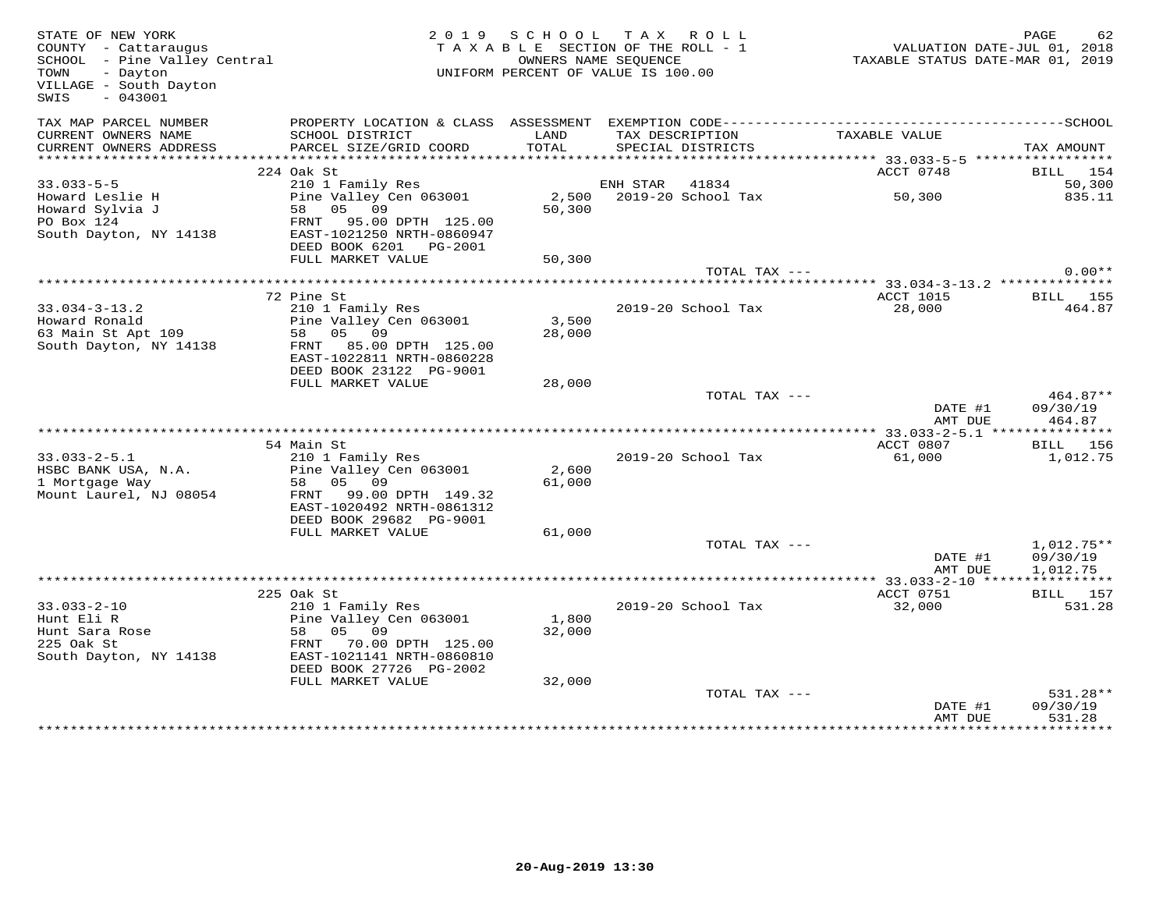| STATE OF NEW YORK<br>COUNTY - Cattaraugus<br>SCHOOL - Pine Valley Central<br>TOWN<br>- Dayton<br>VILLAGE - South Dayton<br>$-043001$<br>SWIS |                                                      | 2019 SCHOOL TAX ROLL<br>TAXABLE SECTION OF THE ROLL - 1<br>UNIFORM PERCENT OF VALUE IS 100.00 | OWNERS NAME SEOUENCE                 |               | TAXABLE STATUS DATE-MAR 01, 2019 | PAGE<br>62<br>VALUATION DATE-JUL 01, 2018 |
|----------------------------------------------------------------------------------------------------------------------------------------------|------------------------------------------------------|-----------------------------------------------------------------------------------------------|--------------------------------------|---------------|----------------------------------|-------------------------------------------|
| TAX MAP PARCEL NUMBER                                                                                                                        |                                                      |                                                                                               |                                      |               |                                  |                                           |
| CURRENT OWNERS NAME<br>CURRENT OWNERS ADDRESS                                                                                                | SCHOOL DISTRICT<br>PARCEL SIZE/GRID COORD            | LAND<br>TOTAL                                                                                 | TAX DESCRIPTION<br>SPECIAL DISTRICTS |               | TAXABLE VALUE                    | TAX AMOUNT                                |
| ***********************                                                                                                                      |                                                      |                                                                                               |                                      |               | ACCT 0748                        |                                           |
| $33.033 - 5 - 5$                                                                                                                             | 224 Oak St<br>210 1 Family Res                       |                                                                                               | ENH STAR 41834                       |               |                                  | BILL 154<br>50,300                        |
|                                                                                                                                              | Pine Valley Cen 063001                               |                                                                                               | 2,500 2019-20 School Tax             |               | 50, 300                          | 835.11                                    |
| Howard Leslie H<br>Howard Sylvia J                                                                                                           | 58 05 09                                             | 50,300                                                                                        |                                      |               |                                  |                                           |
| PO Box 124                                                                                                                                   | FRNT 95.00 DPTH 125.00                               |                                                                                               |                                      |               |                                  |                                           |
| South Dayton, NY 14138                                                                                                                       | EAST-1021250 NRTH-0860947                            |                                                                                               |                                      |               |                                  |                                           |
|                                                                                                                                              | DEED BOOK 6201    PG-2001                            |                                                                                               |                                      |               |                                  |                                           |
|                                                                                                                                              | FULL MARKET VALUE                                    | 50,300                                                                                        |                                      |               |                                  |                                           |
|                                                                                                                                              |                                                      |                                                                                               |                                      | TOTAL TAX --- |                                  | $0.00**$                                  |
|                                                                                                                                              | 72 Pine St                                           |                                                                                               |                                      |               | ACCT 1015                        | <b>BILL</b> 155                           |
| $33.034 - 3 - 13.2$                                                                                                                          | 210 1 Family Res                                     |                                                                                               | 2019-20 School Tax                   |               | 28,000                           | 464.87                                    |
| Howard Ronald                                                                                                                                | Pine Valley Cen 063001                               | 3,500                                                                                         |                                      |               |                                  |                                           |
| 63 Main St Apt 109                                                                                                                           | 58 05 09                                             | 28,000                                                                                        |                                      |               |                                  |                                           |
| South Dayton, NY 14138                                                                                                                       | FRNT 85.00 DPTH 125.00                               |                                                                                               |                                      |               |                                  |                                           |
|                                                                                                                                              | EAST-1022811 NRTH-0860228                            |                                                                                               |                                      |               |                                  |                                           |
|                                                                                                                                              | DEED BOOK 23122 PG-9001                              |                                                                                               |                                      |               |                                  |                                           |
|                                                                                                                                              | FULL MARKET VALUE                                    | 28,000                                                                                        |                                      | TOTAL TAX --- |                                  | 464.87**                                  |
|                                                                                                                                              |                                                      |                                                                                               |                                      |               | DATE #1                          | 09/30/19                                  |
|                                                                                                                                              |                                                      |                                                                                               |                                      |               | AMT DUE                          | 464.87                                    |
|                                                                                                                                              |                                                      |                                                                                               |                                      |               |                                  |                                           |
|                                                                                                                                              | 54 Main St                                           |                                                                                               |                                      |               | ACCT 0807                        | BILL 156                                  |
| $33.033 - 2 - 5.1$                                                                                                                           | 210 1 Family Res                                     |                                                                                               | 2019-20 School Tax                   |               | 61,000                           | 1,012.75                                  |
| HSBC BANK USA, N.A.                                                                                                                          | Pine Valley Cen 063001                               | 2,600                                                                                         |                                      |               |                                  |                                           |
| 1 Mortgage Way                                                                                                                               | 58 05 09                                             | 61,000                                                                                        |                                      |               |                                  |                                           |
| Mount Laurel, NJ 08054                                                                                                                       | FRNT 99.00 DPTH 149.32                               |                                                                                               |                                      |               |                                  |                                           |
|                                                                                                                                              | EAST-1020492 NRTH-0861312<br>DEED BOOK 29682 PG-9001 |                                                                                               |                                      |               |                                  |                                           |
|                                                                                                                                              | FULL MARKET VALUE                                    | 61,000                                                                                        |                                      |               |                                  |                                           |
|                                                                                                                                              |                                                      |                                                                                               |                                      | TOTAL TAX --- |                                  | $1,012.75**$                              |
|                                                                                                                                              |                                                      |                                                                                               |                                      |               | DATE #1                          | 09/30/19                                  |
|                                                                                                                                              |                                                      |                                                                                               |                                      |               | AMT DUE                          | 1,012.75                                  |
|                                                                                                                                              |                                                      |                                                                                               |                                      |               |                                  |                                           |
|                                                                                                                                              | 225 Oak St                                           |                                                                                               |                                      |               | ACCT 0751                        | <b>BILL</b> 157                           |
| $33.033 - 2 - 10$<br>Hunt Eli R                                                                                                              | 210 1 Family Res                                     |                                                                                               | 2019-20 School Tax                   |               | 32,000                           | 531.28                                    |
| Hunt Bara Rose<br>Hunt Sara Rose                                                                                                             | Pine Valley Cen 063001<br>58 05 09                   | 1,800<br>32,000                                                                               |                                      |               |                                  |                                           |
| 225 Oak St                                                                                                                                   | FRNT 70.00 DPTH 125.00                               |                                                                                               |                                      |               |                                  |                                           |
| South Dayton, NY 14138                                                                                                                       | EAST-1021141 NRTH-0860810                            |                                                                                               |                                      |               |                                  |                                           |
|                                                                                                                                              | DEED BOOK 27726 PG-2002                              |                                                                                               |                                      |               |                                  |                                           |
|                                                                                                                                              | FULL MARKET VALUE                                    | 32,000                                                                                        |                                      |               |                                  |                                           |
|                                                                                                                                              |                                                      |                                                                                               |                                      | TOTAL TAX --- |                                  | 531.28**                                  |
|                                                                                                                                              |                                                      |                                                                                               |                                      |               | DATE #1                          | 09/30/19                                  |
|                                                                                                                                              |                                                      |                                                                                               |                                      |               | AMT DUE                          | 531.28                                    |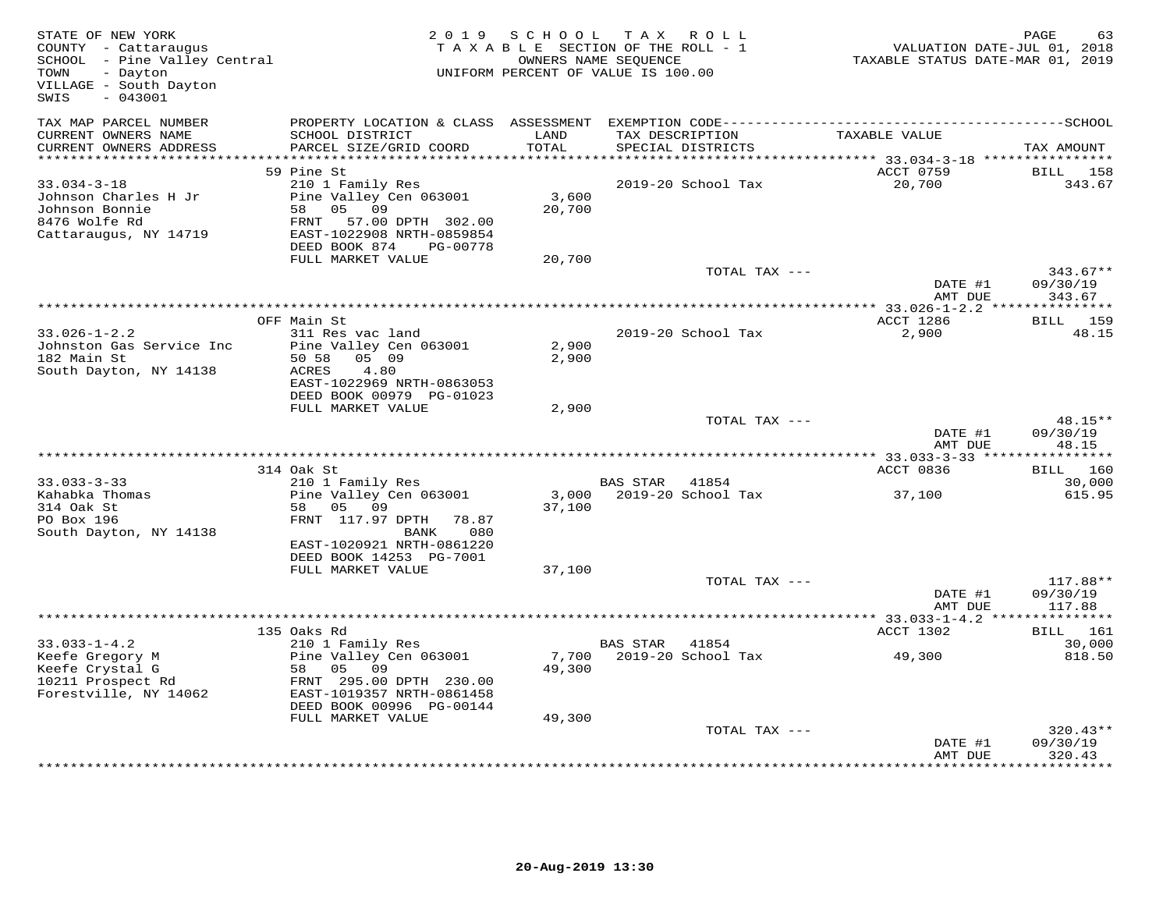| STATE OF NEW YORK<br>COUNTY - Cattaraugus<br>SCHOOL - Pine Valley Central<br>TOWN<br>- Dayton<br>VILLAGE - South Dayton<br>SWIS<br>$-043001$ |                                                       |        | 2019 SCHOOL TAX ROLL<br>TAXABLE SECTION OF THE ROLL - 1<br>OWNERS NAME SEQUENCE<br>UNIFORM PERCENT OF VALUE IS 100.00 |               | VALUATION DATE-JUL 01, 2018<br>TAXABLE STATUS DATE-MAR 01, 2019 | PAGE<br>63           |
|----------------------------------------------------------------------------------------------------------------------------------------------|-------------------------------------------------------|--------|-----------------------------------------------------------------------------------------------------------------------|---------------|-----------------------------------------------------------------|----------------------|
| TAX MAP PARCEL NUMBER<br>CURRENT OWNERS NAME                                                                                                 | SCHOOL DISTRICT                                       | LAND   | TAX DESCRIPTION                                                                                                       |               | TAXABLE VALUE                                                   |                      |
| CURRENT OWNERS ADDRESS                                                                                                                       | PARCEL SIZE/GRID COORD                                | TOTAL  | SPECIAL DISTRICTS                                                                                                     |               |                                                                 | TAX AMOUNT           |
| ***********************                                                                                                                      |                                                       |        |                                                                                                                       |               |                                                                 |                      |
| $33.034 - 3 - 18$                                                                                                                            | 59 Pine St<br>210 1 Family Res                        |        | 2019-20 School Tax                                                                                                    |               | ACCT 0759<br>20,700                                             | BILL 158<br>343.67   |
| Johnson Charles H Jr                                                                                                                         | Pine Valley Cen 063001                                | 3,600  |                                                                                                                       |               |                                                                 |                      |
| Johnson Bonnie                                                                                                                               | 58 05 09                                              | 20,700 |                                                                                                                       |               |                                                                 |                      |
| 8476 Wolfe Rd                                                                                                                                | FRNT 57.00 DPTH 302.00                                |        |                                                                                                                       |               |                                                                 |                      |
| Cattaraugus, NY 14719                                                                                                                        | EAST-1022908 NRTH-0859854                             |        |                                                                                                                       |               |                                                                 |                      |
|                                                                                                                                              | DEED BOOK 874<br>PG-00778                             |        |                                                                                                                       |               |                                                                 |                      |
|                                                                                                                                              | FULL MARKET VALUE                                     | 20,700 |                                                                                                                       |               |                                                                 |                      |
|                                                                                                                                              |                                                       |        |                                                                                                                       | TOTAL TAX --- |                                                                 | $343.67**$           |
|                                                                                                                                              |                                                       |        |                                                                                                                       |               | DATE #1<br>AMT DUE                                              | 09/30/19<br>343.67   |
|                                                                                                                                              |                                                       |        |                                                                                                                       |               |                                                                 |                      |
|                                                                                                                                              | OFF Main St                                           |        |                                                                                                                       |               | ACCT 1286                                                       | BILL 159             |
| $33.026 - 1 - 2.2$                                                                                                                           | 311 Res vac land                                      |        | 2019-20 School Tax                                                                                                    |               | 2,900                                                           | 48.15                |
| Johnston Gas Service Inc                                                                                                                     | Pine Valley Cen 063001                                | 2,900  |                                                                                                                       |               |                                                                 |                      |
| 182 Main St                                                                                                                                  | 50 58 05 09                                           | 2,900  |                                                                                                                       |               |                                                                 |                      |
| South Dayton, NY 14138                                                                                                                       | ACRES<br>4.80                                         |        |                                                                                                                       |               |                                                                 |                      |
|                                                                                                                                              | EAST-1022969 NRTH-0863053<br>DEED BOOK 00979 PG-01023 |        |                                                                                                                       |               |                                                                 |                      |
|                                                                                                                                              | FULL MARKET VALUE                                     | 2,900  |                                                                                                                       |               |                                                                 |                      |
|                                                                                                                                              |                                                       |        |                                                                                                                       | TOTAL TAX --- |                                                                 | 48.15**              |
|                                                                                                                                              |                                                       |        |                                                                                                                       |               | DATE #1                                                         | 09/30/19             |
|                                                                                                                                              |                                                       |        |                                                                                                                       |               | AMT DUE                                                         | 48.15                |
|                                                                                                                                              |                                                       |        |                                                                                                                       |               |                                                                 |                      |
| $33.033 - 3 - 33$                                                                                                                            | 314 Oak St                                            |        |                                                                                                                       |               | ACCT 0836                                                       | <b>BILL</b> 160      |
| Kahabka Thomas                                                                                                                               | 210 1 Family Res<br>Pine Valley Cen 063001            |        | BAS STAR<br>41854<br>3,000 2019-20 School Tax                                                                         |               | 37,100                                                          | 30,000<br>615.95     |
| 314 Oak St                                                                                                                                   | 58 05 09                                              | 37,100 |                                                                                                                       |               |                                                                 |                      |
| PO Box 196                                                                                                                                   | FRNT 117.97 DPTH 78.87                                |        |                                                                                                                       |               |                                                                 |                      |
| South Dayton, NY 14138                                                                                                                       | 080<br>BANK                                           |        |                                                                                                                       |               |                                                                 |                      |
|                                                                                                                                              | EAST-1020921 NRTH-0861220                             |        |                                                                                                                       |               |                                                                 |                      |
|                                                                                                                                              | DEED BOOK 14253 PG-7001                               |        |                                                                                                                       |               |                                                                 |                      |
|                                                                                                                                              | FULL MARKET VALUE                                     | 37,100 |                                                                                                                       |               |                                                                 |                      |
|                                                                                                                                              |                                                       |        |                                                                                                                       | TOTAL TAX --- | DATE #1                                                         | 117.88**<br>09/30/19 |
|                                                                                                                                              |                                                       |        |                                                                                                                       |               | AMT DUE                                                         | 117.88               |
|                                                                                                                                              |                                                       |        |                                                                                                                       |               |                                                                 |                      |
|                                                                                                                                              | 135 Oaks Rd                                           |        |                                                                                                                       |               | ACCT 1302                                                       | BILL 161             |
| $33.033 - 1 - 4.2$                                                                                                                           | 210 1 Family Res                                      |        | BAS STAR 41854                                                                                                        |               |                                                                 | 30,000               |
| Keefe Gregory M                                                                                                                              | Pine Valley Cen 063001                                |        | 7,700 2019-20 School Tax                                                                                              |               | 49,300                                                          | 818.50               |
| Keefe Crystal G                                                                                                                              | 58 05 09                                              | 49,300 |                                                                                                                       |               |                                                                 |                      |
| 10211 Prospect Rd<br>Forestville, NY 14062                                                                                                   | FRNT 295.00 DPTH 230.00<br>EAST-1019357 NRTH-0861458  |        |                                                                                                                       |               |                                                                 |                      |
|                                                                                                                                              | DEED BOOK 00996 PG-00144                              |        |                                                                                                                       |               |                                                                 |                      |
|                                                                                                                                              | FULL MARKET VALUE                                     | 49,300 |                                                                                                                       |               |                                                                 |                      |
|                                                                                                                                              |                                                       |        |                                                                                                                       | TOTAL TAX --- |                                                                 | $320.43**$           |
|                                                                                                                                              |                                                       |        |                                                                                                                       |               | DATE #1                                                         | 09/30/19             |
|                                                                                                                                              |                                                       |        |                                                                                                                       |               | AMT DUE                                                         | 320.43               |
|                                                                                                                                              |                                                       |        |                                                                                                                       |               |                                                                 |                      |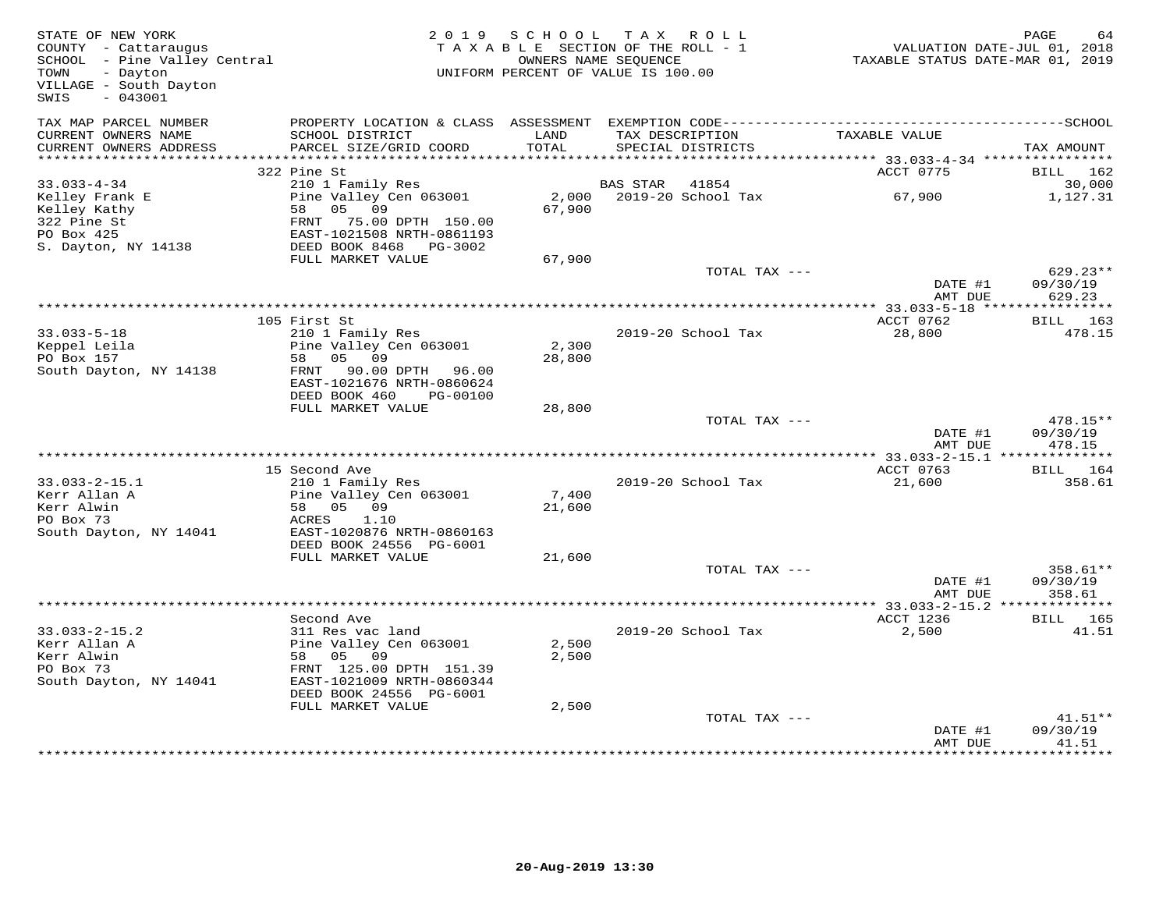| PROPERTY LOCATION & CLASS ASSESSMENT EXEMPTION CODE-----------------------------------SCHOOL<br>TAX MAP PARCEL NUMBER<br>TAX DESCRIPTION<br>CURRENT OWNERS NAME<br>SCHOOL DISTRICT<br>LAND<br>TAXABLE VALUE<br>PARCEL SIZE/GRID COORD<br>TOTAL<br>CURRENT OWNERS ADDRESS<br>SPECIAL DISTRICTS<br>***********************<br>322 Pine St<br>ACCT 0775<br>$33.033 - 4 - 34$<br>210 1 Family Res<br><b>BAS STAR</b><br>41854<br>Pine Valley Cen 063001<br>2019-20 School Tax<br>Kelley Frank E<br>2,000<br>67,900<br>67,900<br>Kelley Kathy<br>58 05 09<br>322 Pine St<br>FRNT 75.00 DPTH 150.00<br>PO Box 425<br>EAST-1021508 NRTH-0861193<br>S. Dayton, NY 14138<br>DEED BOOK 8468 PG-3002 | TAX AMOUNT<br>BILL<br>162<br>30,000<br>1,127.31<br>$629.23**$<br>09/30/19<br>629.23 |
|-------------------------------------------------------------------------------------------------------------------------------------------------------------------------------------------------------------------------------------------------------------------------------------------------------------------------------------------------------------------------------------------------------------------------------------------------------------------------------------------------------------------------------------------------------------------------------------------------------------------------------------------------------------------------------------------|-------------------------------------------------------------------------------------|
|                                                                                                                                                                                                                                                                                                                                                                                                                                                                                                                                                                                                                                                                                           |                                                                                     |
|                                                                                                                                                                                                                                                                                                                                                                                                                                                                                                                                                                                                                                                                                           |                                                                                     |
|                                                                                                                                                                                                                                                                                                                                                                                                                                                                                                                                                                                                                                                                                           |                                                                                     |
|                                                                                                                                                                                                                                                                                                                                                                                                                                                                                                                                                                                                                                                                                           |                                                                                     |
|                                                                                                                                                                                                                                                                                                                                                                                                                                                                                                                                                                                                                                                                                           |                                                                                     |
| FULL MARKET VALUE<br>67,900                                                                                                                                                                                                                                                                                                                                                                                                                                                                                                                                                                                                                                                               |                                                                                     |
| TOTAL TAX ---<br>DATE #1<br>AMT DUE                                                                                                                                                                                                                                                                                                                                                                                                                                                                                                                                                                                                                                                       |                                                                                     |
|                                                                                                                                                                                                                                                                                                                                                                                                                                                                                                                                                                                                                                                                                           |                                                                                     |
| 105 First St<br>ACCT 0762                                                                                                                                                                                                                                                                                                                                                                                                                                                                                                                                                                                                                                                                 | BILL 163                                                                            |
| $33.033 - 5 - 18$<br>$2019-20$ School Tax<br>28,800<br>210 1 Family Res<br>Keppel Leila<br>Pine Valley Cen 063001<br>2,300<br>PO Box 157<br>0.5<br>09<br>28,800<br>58<br>South Dayton, NY 14138<br>90.00 DPTH 96.00<br>FRNT<br>EAST-1021676 NRTH-0860624                                                                                                                                                                                                                                                                                                                                                                                                                                  | 478.15                                                                              |
| DEED BOOK 460<br>PG-00100<br>FULL MARKET VALUE                                                                                                                                                                                                                                                                                                                                                                                                                                                                                                                                                                                                                                            |                                                                                     |
| 28,800<br>TOTAL TAX ---<br>DATE #1<br>AMT DUE                                                                                                                                                                                                                                                                                                                                                                                                                                                                                                                                                                                                                                             | $478.15**$<br>09/30/19<br>478.15                                                    |
|                                                                                                                                                                                                                                                                                                                                                                                                                                                                                                                                                                                                                                                                                           |                                                                                     |
| ACCT 0763<br>15 Second Ave                                                                                                                                                                                                                                                                                                                                                                                                                                                                                                                                                                                                                                                                | BILL 164                                                                            |
| $33.033 - 2 - 15.1$<br>210 1 Family Res<br>2019-20 School Tax<br>21,600<br>Kerr Allan A<br>7,400<br>Pine Valley Cen 063001                                                                                                                                                                                                                                                                                                                                                                                                                                                                                                                                                                | 358.61                                                                              |
| Kerr Alwin<br>58 05 09<br>21,600                                                                                                                                                                                                                                                                                                                                                                                                                                                                                                                                                                                                                                                          |                                                                                     |
| PO Box 73<br>1.10<br>ACRES                                                                                                                                                                                                                                                                                                                                                                                                                                                                                                                                                                                                                                                                |                                                                                     |
| South Dayton, NY 14041<br>EAST-1020876 NRTH-0860163<br>DEED BOOK 24556 PG-6001                                                                                                                                                                                                                                                                                                                                                                                                                                                                                                                                                                                                            |                                                                                     |
| FULL MARKET VALUE<br>21,600                                                                                                                                                                                                                                                                                                                                                                                                                                                                                                                                                                                                                                                               |                                                                                     |
| TOTAL TAX ---<br>DATE #1<br>AMT DUE                                                                                                                                                                                                                                                                                                                                                                                                                                                                                                                                                                                                                                                       | 358.61**<br>09/30/19<br>358.61                                                      |
| **************** 33.033-2-15.2 **                                                                                                                                                                                                                                                                                                                                                                                                                                                                                                                                                                                                                                                         | * * * * * * * * * * *                                                               |
| Second Ave<br><b>ACCT 1236</b>                                                                                                                                                                                                                                                                                                                                                                                                                                                                                                                                                                                                                                                            | BILL<br>165                                                                         |
| $33.033 - 2 - 15.2$<br>311 Res vac land<br>2019-20 School Tax<br>2,500<br>Kerr Allan A<br>Pine Valley Cen 063001<br>2,500<br>Kerr Alwin<br>58 05 09<br>2,500<br>PO Box 73<br>FRNT 125.00 DPTH 151.39<br>South Dayton, NY 14041<br>EAST-1021009 NRTH-0860344<br>DEED BOOK 24556 PG-6001                                                                                                                                                                                                                                                                                                                                                                                                    | 41.51                                                                               |
| FULL MARKET VALUE<br>2,500                                                                                                                                                                                                                                                                                                                                                                                                                                                                                                                                                                                                                                                                | $41.51**$                                                                           |
| TOTAL TAX ---<br>DATE #1<br>AMT DUE                                                                                                                                                                                                                                                                                                                                                                                                                                                                                                                                                                                                                                                       | 09/30/19<br>41.51                                                                   |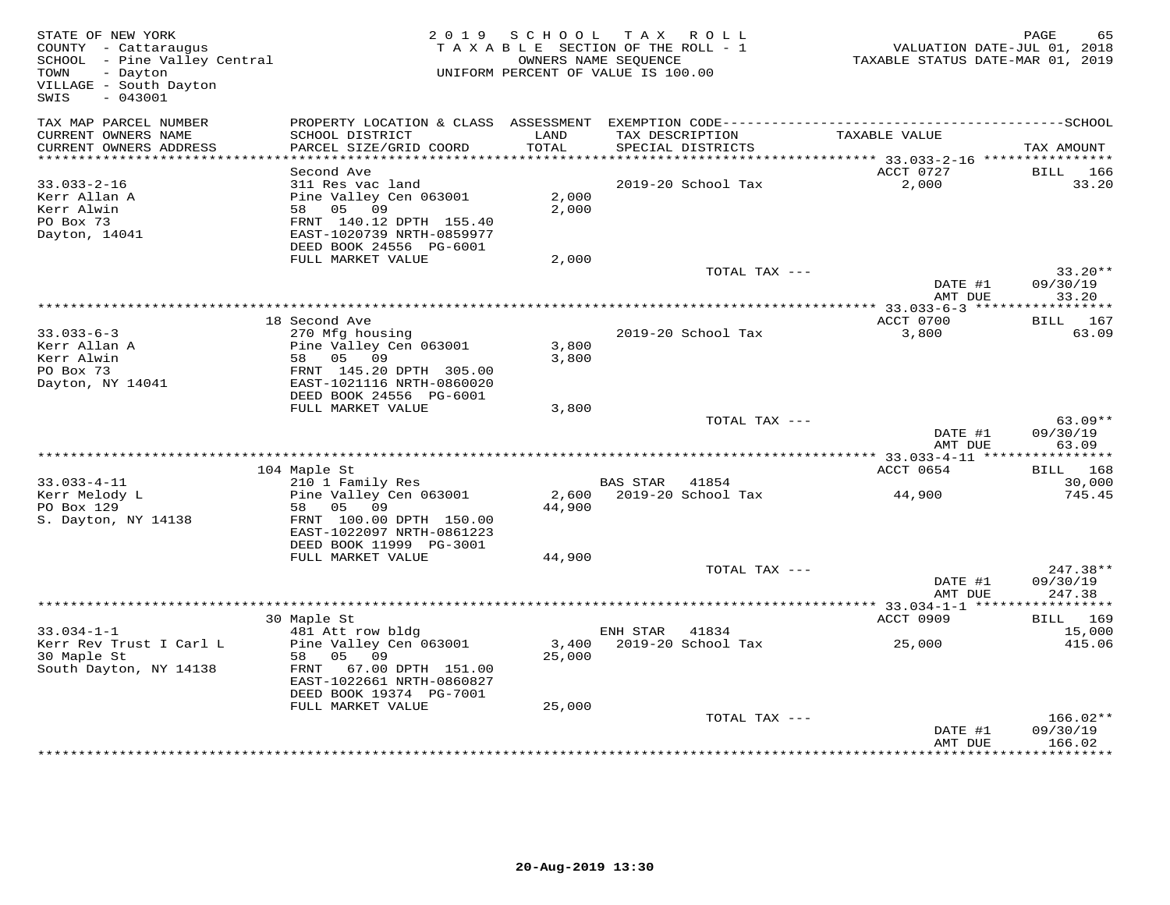| STATE OF NEW YORK<br>COUNTY - Cattaraugus<br>SCHOOL - Pine Valley Central<br>TOWN<br>- Dayton<br>VILLAGE - South Dayton<br>$-043001$<br>SWIS |                                                                                                                                                           | 2019 SCHOOL<br>TAXABLE SECTION OF THE ROLL - 1<br>OWNERS NAME SEQUENCE<br>UNIFORM PERCENT OF VALUE IS 100.00 |                | TAX ROLL                             | VALUATION DATE-JUL 01, 2018<br>TAXABLE STATUS DATE-MAR 01, 2019 | PAGE<br>65                          |
|----------------------------------------------------------------------------------------------------------------------------------------------|-----------------------------------------------------------------------------------------------------------------------------------------------------------|--------------------------------------------------------------------------------------------------------------|----------------|--------------------------------------|-----------------------------------------------------------------|-------------------------------------|
| TAX MAP PARCEL NUMBER<br>CURRENT OWNERS NAME<br>CURRENT OWNERS ADDRESS                                                                       | SCHOOL DISTRICT<br>PARCEL SIZE/GRID COORD                                                                                                                 | LAND<br>TOTAL                                                                                                |                | TAX DESCRIPTION<br>SPECIAL DISTRICTS | TAXABLE VALUE                                                   | TAX AMOUNT                          |
| **********************                                                                                                                       |                                                                                                                                                           |                                                                                                              |                |                                      |                                                                 |                                     |
| $33.033 - 2 - 16$<br>Kerr Allan A<br>Kerr Alwin<br>PO Box 73<br>Dayton, 14041                                                                | Second Ave<br>311 Res vac land<br>Pine Valley Cen 063001<br>58 05 09<br>FRNT 140.12 DPTH 155.40<br>EAST-1020739 NRTH-0859977<br>DEED BOOK 24556 PG-6001   | 2,000<br>2,000                                                                                               |                | 2019-20 School Tax                   | ACCT 0727<br>2,000                                              | BILL 166<br>33.20                   |
|                                                                                                                                              | FULL MARKET VALUE                                                                                                                                         | 2,000                                                                                                        |                |                                      |                                                                 |                                     |
|                                                                                                                                              |                                                                                                                                                           |                                                                                                              |                | TOTAL TAX ---                        | DATE #1<br>AMT DUE                                              | $33.20**$<br>09/30/19<br>33.20      |
|                                                                                                                                              |                                                                                                                                                           |                                                                                                              |                |                                      |                                                                 |                                     |
| $33.033 - 6 - 3$<br>Kerr Allan A<br>Kerr Alwin<br>PO Box 73<br>Dayton, NY 14041                                                              | 18 Second Ave<br>270 Mfg housing<br>Pine Valley Cen 063001<br>58 05 09<br>FRNT 145.20 DPTH 305.00<br>EAST-1021116 NRTH-0860020<br>DEED BOOK 24556 PG-6001 | 3,800<br>3,800                                                                                               |                | 2019-20 School Tax                   | ACCT 0700<br>3,800                                              | BILL 167<br>63.09                   |
|                                                                                                                                              | FULL MARKET VALUE                                                                                                                                         | 3,800                                                                                                        |                |                                      |                                                                 |                                     |
|                                                                                                                                              |                                                                                                                                                           |                                                                                                              |                | TOTAL TAX ---                        | DATE #1<br>AMT DUE                                              | $63.09**$<br>09/30/19<br>63.09      |
|                                                                                                                                              |                                                                                                                                                           |                                                                                                              |                |                                      |                                                                 |                                     |
| $33.033 - 4 - 11$<br>Kerr Melody L                                                                                                           | 104 Maple St<br>210 1 Family Res<br>Pine Valley Cen 063001                                                                                                |                                                                                                              | BAS STAR 41854 | 2,600 2019-20 School Tax             | ACCT 0654<br>44,900                                             | <b>BILL</b> 168<br>30,000<br>745.45 |
| PO Box 129<br>S. Dayton, NY 14138                                                                                                            | 58 05 09<br>FRNT 100.00 DPTH 150.00<br>EAST-1022097 NRTH-0861223<br>DEED BOOK 11999 PG-3001                                                               | 44,900                                                                                                       |                |                                      |                                                                 |                                     |
|                                                                                                                                              | FULL MARKET VALUE                                                                                                                                         | 44,900                                                                                                       |                | TOTAL TAX ---                        |                                                                 | $247.38**$                          |
|                                                                                                                                              |                                                                                                                                                           |                                                                                                              |                |                                      | DATE #1<br>AMT DUE                                              | 09/30/19<br>247.38                  |
|                                                                                                                                              |                                                                                                                                                           |                                                                                                              |                |                                      |                                                                 |                                     |
| $33.034 - 1 - 1$                                                                                                                             | 30 Maple St<br>481 Att row bldg                                                                                                                           |                                                                                                              | ENH STAR       | 41834                                | ACCT 0909                                                       | BILL 169<br>15,000                  |
| Kerr Rev Trust I Carl L<br>30 Maple St<br>South Dayton, NY 14138                                                                             | Pine Valley Cen 063001<br>58 05 09<br>FRNT 67.00 DPTH 151.00<br>EAST-1022661 NRTH-0860827<br>DEED BOOK 19374 PG-7001                                      | 25,000                                                                                                       |                | 3,400 2019-20 School Tax             | 25,000                                                          | 415.06                              |
|                                                                                                                                              | FULL MARKET VALUE                                                                                                                                         | 25,000                                                                                                       |                |                                      |                                                                 |                                     |
|                                                                                                                                              |                                                                                                                                                           |                                                                                                              |                | TOTAL TAX ---                        | DATE #1<br>AMT DUE                                              | 166.02**<br>09/30/19<br>166.02      |
|                                                                                                                                              |                                                                                                                                                           |                                                                                                              |                |                                      |                                                                 | * * * * * * * * * *                 |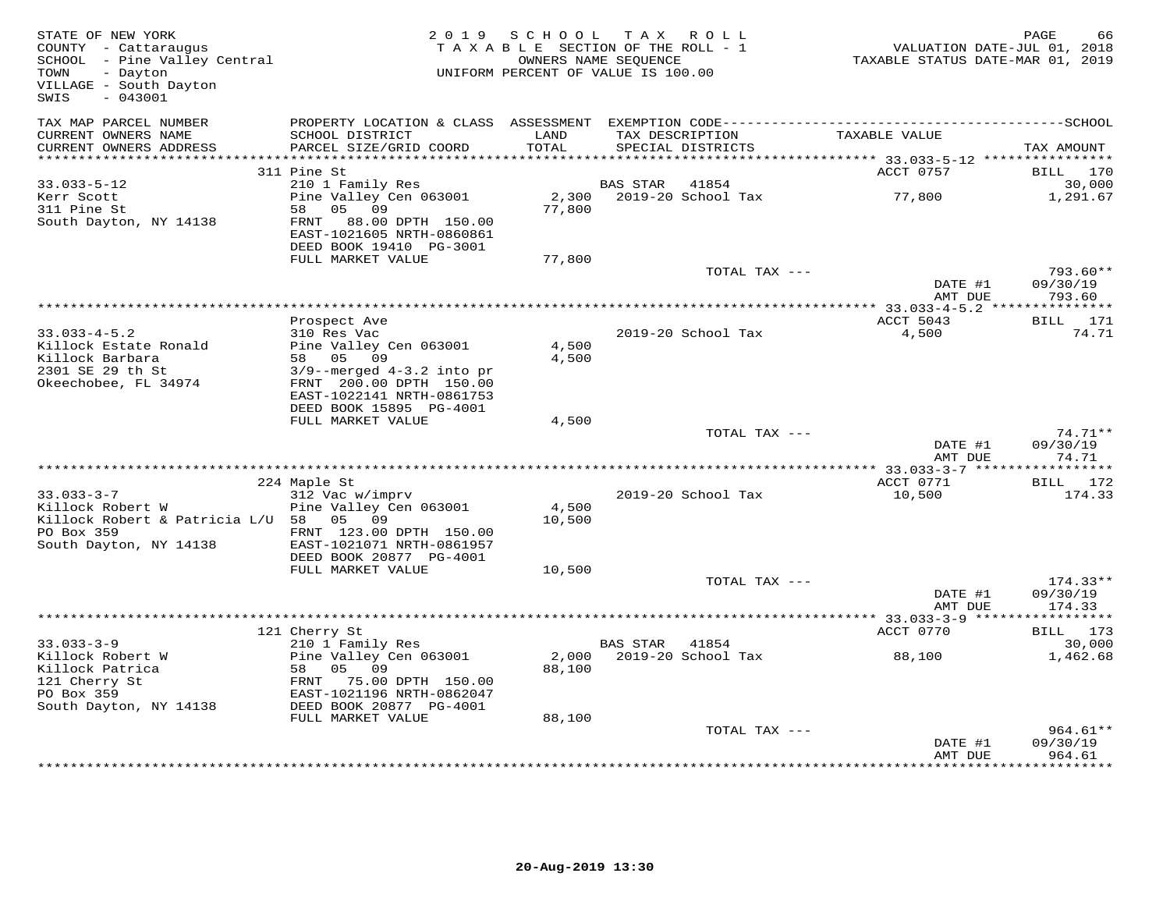| STATE OF NEW YORK<br>COUNTY - Cattaraugus<br>SCHOOL - Pine Valley Central<br>TOWN<br>- Dayton<br>VILLAGE - South Dayton<br>$-043001$<br>SWIS |                                                                                   | 2019 SCHOOL     | TAX ROLL<br>TAXABLE SECTION OF THE ROLL - 1<br>OWNERS NAME SEQUENCE<br>UNIFORM PERCENT OF VALUE IS 100.00 |               | VALUATION DATE-JUL 01, 2018<br>TAXABLE STATUS DATE-MAR 01, 2019 | PAGE<br>66            |
|----------------------------------------------------------------------------------------------------------------------------------------------|-----------------------------------------------------------------------------------|-----------------|-----------------------------------------------------------------------------------------------------------|---------------|-----------------------------------------------------------------|-----------------------|
| TAX MAP PARCEL NUMBER<br>CURRENT OWNERS NAME<br>CURRENT OWNERS ADDRESS                                                                       | SCHOOL DISTRICT<br>PARCEL SIZE/GRID COORD                                         | LAND<br>TOTAL   | TAX DESCRIPTION<br>SPECIAL DISTRICTS                                                                      |               | TAXABLE VALUE                                                   | TAX AMOUNT            |
| *************************                                                                                                                    |                                                                                   |                 |                                                                                                           |               |                                                                 |                       |
| $33.033 - 5 - 12$                                                                                                                            | 311 Pine St<br>210 1 Family Res                                                   |                 | 41854<br>BAS STAR                                                                                         |               | ACCT 0757                                                       | BILL<br>170<br>30,000 |
| Kerr Scott<br>311 Pine St                                                                                                                    | Pine Valley Cen 063001<br>58 05<br>09                                             | 2,300<br>77,800 | 2019-20 School Tax                                                                                        |               | 77,800                                                          | 1,291.67              |
| South Dayton, NY 14138                                                                                                                       | FRNT<br>88.00 DPTH 150.00<br>EAST-1021605 NRTH-0860861<br>DEED BOOK 19410 PG-3001 |                 |                                                                                                           |               |                                                                 |                       |
|                                                                                                                                              | FULL MARKET VALUE                                                                 | 77,800          |                                                                                                           |               |                                                                 |                       |
|                                                                                                                                              |                                                                                   |                 |                                                                                                           | TOTAL TAX --- | DATE #1                                                         | 793.60**<br>09/30/19  |
|                                                                                                                                              |                                                                                   |                 |                                                                                                           |               | AMT DUE                                                         | 793.60                |
|                                                                                                                                              | Prospect Ave                                                                      |                 |                                                                                                           |               | ACCT 5043                                                       | BILL 171              |
| $33.033 - 4 - 5.2$                                                                                                                           | 310 Res Vac                                                                       |                 | 2019-20 School Tax                                                                                        |               | 4,500                                                           | 74.71                 |
| Killock Estate Ronald                                                                                                                        | Pine Valley Cen 063001                                                            | 4,500           |                                                                                                           |               |                                                                 |                       |
| Killock Barbara                                                                                                                              | 58 05<br>09                                                                       | 4,500           |                                                                                                           |               |                                                                 |                       |
| 2301 SE 29 th St                                                                                                                             | $3/9$ --merged $4-3.2$ into pr                                                    |                 |                                                                                                           |               |                                                                 |                       |
| Okeechobee, FL 34974                                                                                                                         | FRNT 200.00 DPTH 150.00<br>EAST-1022141 NRTH-0861753<br>DEED BOOK 15895 PG-4001   |                 |                                                                                                           |               |                                                                 |                       |
|                                                                                                                                              | FULL MARKET VALUE                                                                 | 4,500           |                                                                                                           |               |                                                                 |                       |
|                                                                                                                                              |                                                                                   |                 |                                                                                                           | TOTAL TAX --- |                                                                 | $74.71**$             |
|                                                                                                                                              |                                                                                   |                 |                                                                                                           |               | DATE #1<br>AMT DUE                                              | 09/30/19<br>74.71     |
|                                                                                                                                              |                                                                                   |                 |                                                                                                           |               | ***************** 33.033-3-7 ******************<br>ACCT 0771    | BILL 172              |
| $33.033 - 3 - 7$                                                                                                                             | 224 Maple St<br>312 Vac w/imprv                                                   |                 | 2019-20 School Tax                                                                                        |               | 10,500                                                          | 174.33                |
| Killock Robert W                                                                                                                             | Pine Valley Cen 063001                                                            | 4,500           |                                                                                                           |               |                                                                 |                       |
| Killock Robert & Patricia L/U 58 05 09                                                                                                       |                                                                                   | 10,500          |                                                                                                           |               |                                                                 |                       |
| PO Box 359<br>South Dayton, NY 14138                                                                                                         | FRNT 123.00 DPTH 150.00<br>EAST-1021071 NRTH-0861957                              |                 |                                                                                                           |               |                                                                 |                       |
|                                                                                                                                              | DEED BOOK 20877 PG-4001                                                           |                 |                                                                                                           |               |                                                                 |                       |
|                                                                                                                                              | FULL MARKET VALUE                                                                 | 10,500          |                                                                                                           | TOTAL TAX --- |                                                                 | $174.33**$            |
|                                                                                                                                              |                                                                                   |                 |                                                                                                           |               | DATE #1<br>AMT DUE                                              | 09/30/19<br>174.33    |
|                                                                                                                                              |                                                                                   |                 |                                                                                                           |               |                                                                 | ***********           |
|                                                                                                                                              | 121 Cherry St                                                                     |                 |                                                                                                           |               | ACCT 0770                                                       | BILL 173              |
| $33.033 - 3 - 9$                                                                                                                             | 210 1 Family Res                                                                  |                 | BAS STAR 41854                                                                                            |               |                                                                 | 30,000                |
| Killock Robert W                                                                                                                             | Pine Valley Cen 063001<br>58 05 09                                                | 2,000           | 2019-20 School Tax                                                                                        |               | 88,100                                                          | 1,462.68              |
| Killock Patrica<br>121 Cherry St                                                                                                             | FRNT 75.00 DPTH 150.00                                                            | 88,100          |                                                                                                           |               |                                                                 |                       |
| PO Box 359                                                                                                                                   | EAST-1021196 NRTH-0862047                                                         |                 |                                                                                                           |               |                                                                 |                       |
| South Dayton, NY 14138                                                                                                                       | DEED BOOK 20877 PG-4001                                                           |                 |                                                                                                           |               |                                                                 |                       |
|                                                                                                                                              | FULL MARKET VALUE                                                                 | 88,100          |                                                                                                           |               |                                                                 |                       |
|                                                                                                                                              |                                                                                   |                 |                                                                                                           | TOTAL TAX --- |                                                                 | $964.61**$            |
|                                                                                                                                              |                                                                                   |                 |                                                                                                           |               | DATE #1<br>AMT DUE                                              | 09/30/19<br>964.61    |
|                                                                                                                                              |                                                                                   |                 |                                                                                                           |               |                                                                 |                       |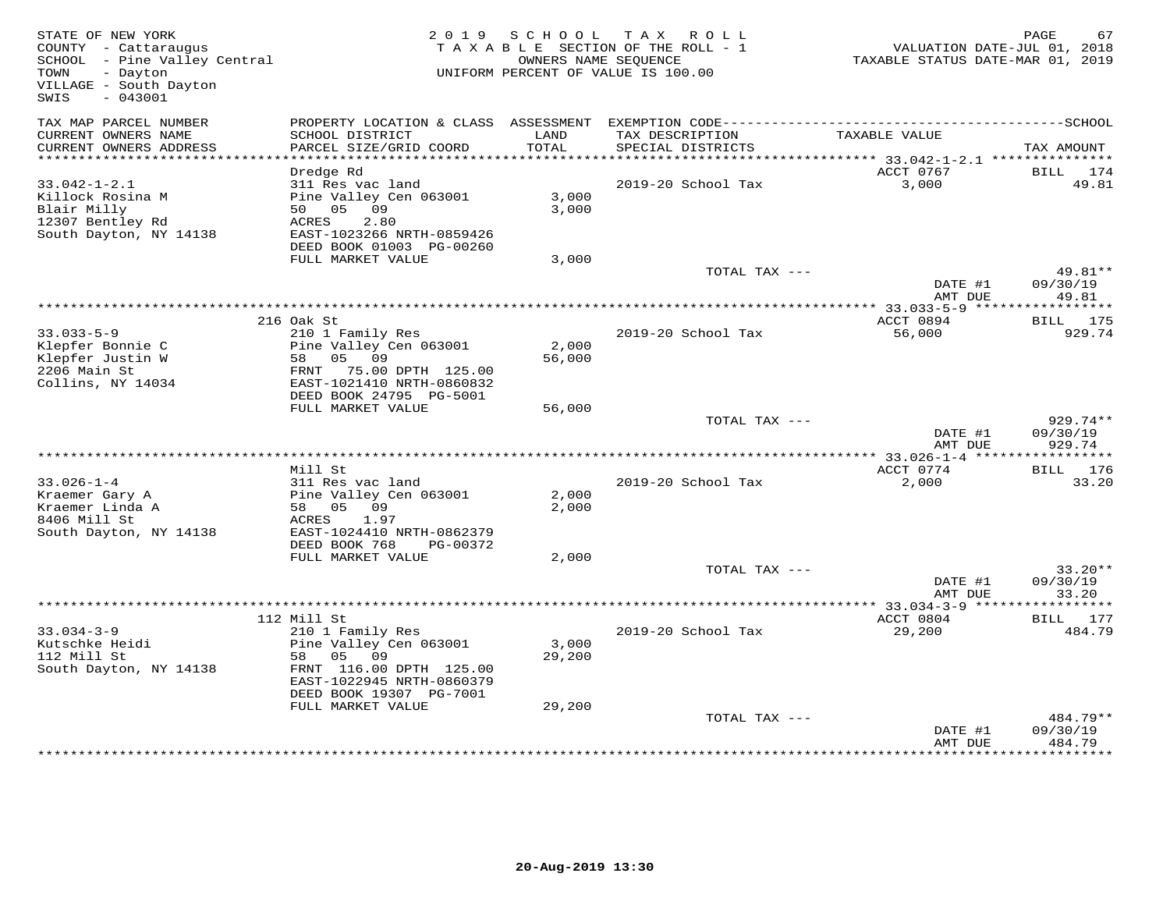| STATE OF NEW YORK<br>COUNTY - Cattaraugus<br>SCHOOL - Pine Valley Central<br>TOWN<br>- Dayton<br>VILLAGE - South Dayton<br>SWIS<br>$-043001$ |                                                                                                                                           | 2019 SCHOOL     | TAX ROLL<br>TAXABLE SECTION OF THE ROLL - 1<br>OWNERS NAME SEQUENCE<br>UNIFORM PERCENT OF VALUE IS 100.00                            | VALUATION DATE-JUL 01, 2018<br>TAXABLE STATUS DATE-MAR 01, 2019 | PAGE<br>67                     |
|----------------------------------------------------------------------------------------------------------------------------------------------|-------------------------------------------------------------------------------------------------------------------------------------------|-----------------|--------------------------------------------------------------------------------------------------------------------------------------|-----------------------------------------------------------------|--------------------------------|
| TAX MAP PARCEL NUMBER<br>CURRENT OWNERS NAME<br>CURRENT OWNERS ADDRESS                                                                       | SCHOOL DISTRICT<br>PARCEL SIZE/GRID COORD                                                                                                 | LAND<br>TOTAL   | PROPERTY LOCATION & CLASS ASSESSMENT EXEMPTION CODE-----------------------------------SCHOOL<br>TAX DESCRIPTION<br>SPECIAL DISTRICTS | TAXABLE VALUE                                                   | TAX AMOUNT                     |
| **********************                                                                                                                       |                                                                                                                                           |                 |                                                                                                                                      |                                                                 |                                |
|                                                                                                                                              | Dredge Rd                                                                                                                                 |                 |                                                                                                                                      | ACCT 0767                                                       | BILL 174                       |
| $33.042 - 1 - 2.1$<br>Killock Rosina M<br>Blair Milly<br>12307 Bentley Rd<br>South Dayton, NY 14138                                          | 311 Res vac land<br>Pine Valley Cen 063001<br>50 05 09<br>2.80<br>ACRES<br>EAST-1023266 NRTH-0859426<br>DEED BOOK 01003 PG-00260          | 3,000<br>3,000  | 2019-20 School Tax                                                                                                                   | 3,000                                                           | 49.81                          |
|                                                                                                                                              | FULL MARKET VALUE                                                                                                                         | 3,000           |                                                                                                                                      |                                                                 |                                |
|                                                                                                                                              |                                                                                                                                           |                 | TOTAL TAX ---                                                                                                                        | DATE #1<br>AMT DUE                                              | $49.81**$<br>09/30/19<br>49.81 |
|                                                                                                                                              |                                                                                                                                           |                 |                                                                                                                                      | ************* 33.033-5-9 ******                                 | ***********                    |
|                                                                                                                                              | 216 Oak St                                                                                                                                |                 |                                                                                                                                      | ACCT 0894                                                       | BILL 175                       |
| $33.033 - 5 - 9$<br>Klepfer Bonnie C<br>Klepfer Justin W<br>2206 Main St<br>Collins, NY 14034                                                | 210 1 Family Res<br>Pine Valley Cen 063001<br>58 05 09<br>FRNT 75.00 DPTH 125.00<br>EAST-1021410 NRTH-0860832<br>DEED BOOK 24795 PG-5001  | 2,000<br>56,000 | 2019-20 School Tax                                                                                                                   | 56,000                                                          | 929.74                         |
|                                                                                                                                              | FULL MARKET VALUE                                                                                                                         | 56,000          |                                                                                                                                      |                                                                 |                                |
|                                                                                                                                              |                                                                                                                                           |                 | TOTAL TAX ---                                                                                                                        | DATE #1<br>AMT DUE                                              | 929.74**<br>09/30/19<br>929.74 |
|                                                                                                                                              |                                                                                                                                           |                 |                                                                                                                                      |                                                                 |                                |
| $33.026 - 1 - 4$<br>Kraemer Gary A<br>Kraemer Linda A<br>8406 Mill St                                                                        | Mill St<br>311 Res vac land<br>Pine Valley Cen 063001<br>58 05 09<br>1.97<br>ACRES                                                        | 2,000<br>2,000  | 2019-20 School Tax                                                                                                                   | ACCT 0774<br>2,000                                              | BILL 176<br>33.20              |
| South Dayton, NY 14138                                                                                                                       | EAST-1024410 NRTH-0862379<br>DEED BOOK 768<br>PG-00372                                                                                    |                 |                                                                                                                                      |                                                                 |                                |
|                                                                                                                                              | FULL MARKET VALUE                                                                                                                         | 2,000           |                                                                                                                                      |                                                                 |                                |
|                                                                                                                                              |                                                                                                                                           |                 | TOTAL TAX ---                                                                                                                        | DATE #1<br>AMT DUE                                              | $33.20**$<br>09/30/19<br>33.20 |
|                                                                                                                                              |                                                                                                                                           |                 |                                                                                                                                      |                                                                 |                                |
|                                                                                                                                              | 112 Mill St                                                                                                                               |                 |                                                                                                                                      | ACCT 0804                                                       | BILL 177                       |
| $33.034 - 3 - 9$<br>Kutschke Heidi<br>112 Mill St<br>South Dayton, NY 14138                                                                  | 210 1 Family Res<br>Pine Valley Cen 063001<br>58 05 09<br>FRNT 116.00 DPTH 125.00<br>EAST-1022945 NRTH-0860379<br>DEED BOOK 19307 PG-7001 | 3,000<br>29,200 | 2019-20 School Tax                                                                                                                   | 29,200                                                          | 484.79                         |
|                                                                                                                                              | FULL MARKET VALUE                                                                                                                         | 29,200          |                                                                                                                                      |                                                                 | 484.79**                       |
|                                                                                                                                              |                                                                                                                                           |                 | TOTAL TAX ---                                                                                                                        | DATE #1<br>AMT DUE                                              | 09/30/19<br>484.79             |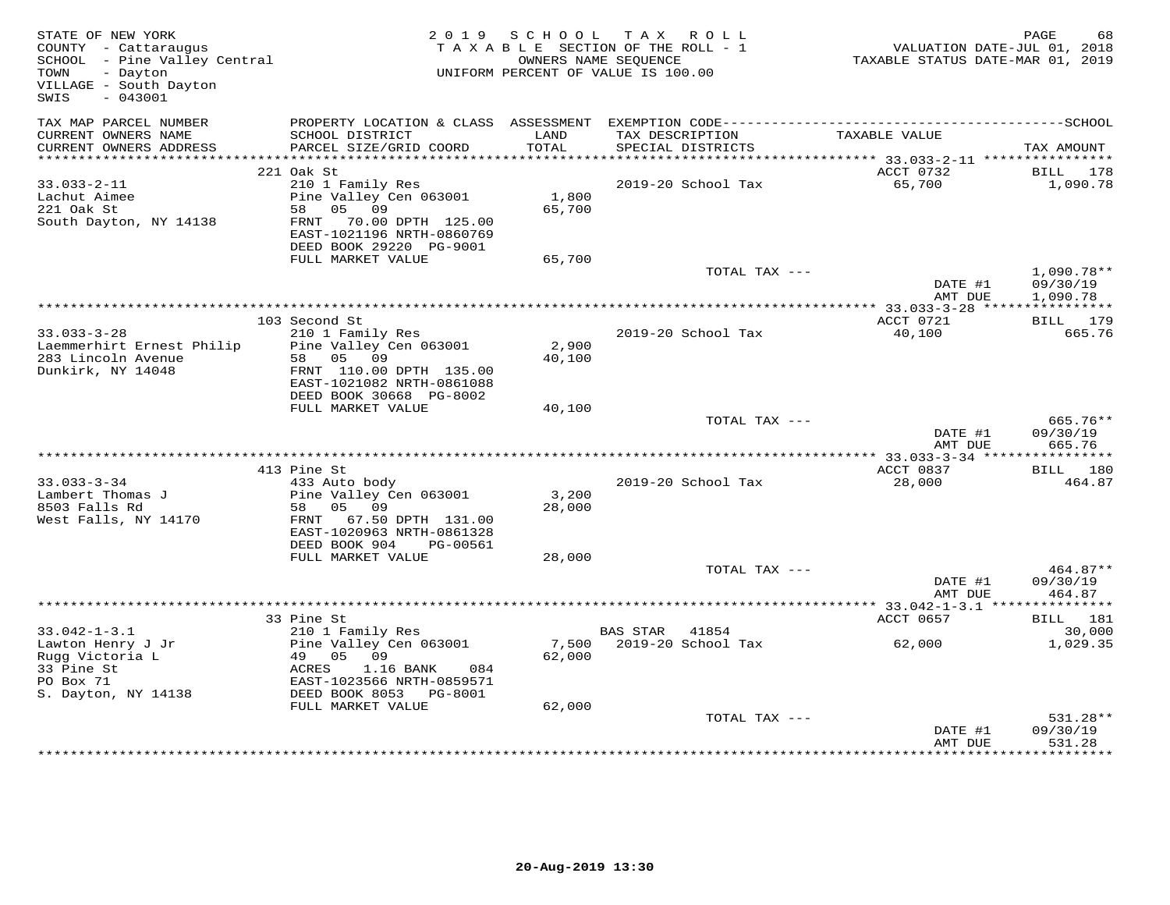| STATE OF NEW YORK<br>COUNTY - Cattaraugus<br>SCHOOL - Pine Valley Central<br>- Dayton<br>TOWN<br>VILLAGE - South Dayton<br>$-043001$<br>SWIS |                                                                                                                                                                 | 2019 SCHOOL     | TAX ROLL<br>TAXABLE SECTION OF THE ROLL - 1<br>OWNERS NAME SEQUENCE<br>UNIFORM PERCENT OF VALUE IS 100.00 | VALUATION DATE-JUL 01, 2018<br>TAXABLE STATUS DATE-MAR 01, 2019 | PAGE<br>68                           |
|----------------------------------------------------------------------------------------------------------------------------------------------|-----------------------------------------------------------------------------------------------------------------------------------------------------------------|-----------------|-----------------------------------------------------------------------------------------------------------|-----------------------------------------------------------------|--------------------------------------|
| TAX MAP PARCEL NUMBER<br>CURRENT OWNERS NAME<br>CURRENT OWNERS ADDRESS                                                                       | PROPERTY LOCATION & CLASS ASSESSMENT<br>SCHOOL DISTRICT<br>PARCEL SIZE/GRID COORD                                                                               | LAND<br>TOTAL   | TAX DESCRIPTION<br>SPECIAL DISTRICTS                                                                      | TAXABLE VALUE                                                   | TAX AMOUNT                           |
|                                                                                                                                              |                                                                                                                                                                 |                 |                                                                                                           |                                                                 |                                      |
| $33.033 - 2 - 11$<br>Lachut Aimee<br>221 Oak St<br>South Dayton, NY 14138                                                                    | 221 Oak St<br>210 1 Family Res<br>Pine Valley Cen 063001<br>58 05 09<br>FRNT 70.00 DPTH 125.00                                                                  | 1,800<br>65,700 | 2019-20 School Tax                                                                                        | ACCT 0732<br>65,700                                             | BILL 178<br>1,090.78                 |
|                                                                                                                                              | EAST-1021196 NRTH-0860769<br>DEED BOOK 29220 PG-9001<br>FULL MARKET VALUE                                                                                       | 65,700          |                                                                                                           |                                                                 |                                      |
|                                                                                                                                              |                                                                                                                                                                 |                 | TOTAL TAX ---                                                                                             | DATE #1<br>AMT DUE                                              | $1,090.78**$<br>09/30/19<br>1,090.78 |
|                                                                                                                                              |                                                                                                                                                                 |                 |                                                                                                           |                                                                 |                                      |
| $33.033 - 3 - 28$<br>Laemmerhirt Ernest Philip<br>283 Lincoln Avenue<br>Dunkirk, NY 14048                                                    | 103 Second St<br>210 1 Family Res<br>Pine Valley Cen 063001<br>58 05 09<br>FRNT 110.00 DPTH 135.00                                                              | 2,900<br>40,100 | 2019-20 School Tax                                                                                        | ACCT 0721<br>40,100                                             | BILL 179<br>665.76                   |
|                                                                                                                                              | EAST-1021082 NRTH-0861088<br>DEED BOOK 30668 PG-8002                                                                                                            |                 |                                                                                                           |                                                                 |                                      |
|                                                                                                                                              | FULL MARKET VALUE                                                                                                                                               | 40,100          |                                                                                                           |                                                                 |                                      |
|                                                                                                                                              |                                                                                                                                                                 |                 | TOTAL TAX ---                                                                                             | DATE #1<br>AMT DUE                                              | 665.76**<br>09/30/19<br>665.76       |
|                                                                                                                                              |                                                                                                                                                                 |                 |                                                                                                           |                                                                 |                                      |
| $33.033 - 3 - 34$<br>Lambert Thomas J<br>8503 Falls Rd<br>West Falls, NY 14170                                                               | 413 Pine St<br>433 Auto body<br>Pine Valley Cen 063001<br>58 05 09<br>FRNT 67.50 DPTH 131.00<br>EAST-1020963 NRTH-0861328                                       | 3,200<br>28,000 | 2019-20 School Tax                                                                                        | ACCT 0837<br>28,000                                             | BILL 180<br>464.87                   |
|                                                                                                                                              | DEED BOOK 904<br>PG-00561                                                                                                                                       |                 |                                                                                                           |                                                                 |                                      |
|                                                                                                                                              | FULL MARKET VALUE                                                                                                                                               | 28,000          | TOTAL TAX ---                                                                                             | DATE #1<br>AMT DUE                                              | 464.87**<br>09/30/19<br>464.87       |
|                                                                                                                                              |                                                                                                                                                                 |                 |                                                                                                           | ******** 33.042-1-3.1 ****************                          |                                      |
|                                                                                                                                              | 33 Pine St                                                                                                                                                      |                 |                                                                                                           | ACCT 0657                                                       | BILL 181                             |
| $33.042 - 1 - 3.1$<br>Lawton Henry J Jr<br>Rugg Victoria L<br>33 Pine St<br>PO Box 71<br>S. Dayton, NY 14138                                 | 210 1 Family Res<br>Pine Valley Cen 063001<br>Pine Valley (<br>49   05   09<br>ACRES<br>1.16 BANK<br>084<br>EAST-1023566 NRTH-0859571<br>DEED BOOK 8053 PG-8001 | 62,000          | BAS STAR 41854<br>7,500 2019-20 School Tax                                                                | 62,000                                                          | 30,000<br>1,029.35                   |
|                                                                                                                                              | FULL MARKET VALUE                                                                                                                                               | 62,000          | TOTAL TAX ---                                                                                             | DATE #1<br>AMT DUE                                              | 531.28**<br>09/30/19<br>531.28       |
|                                                                                                                                              |                                                                                                                                                                 |                 |                                                                                                           |                                                                 | ********                             |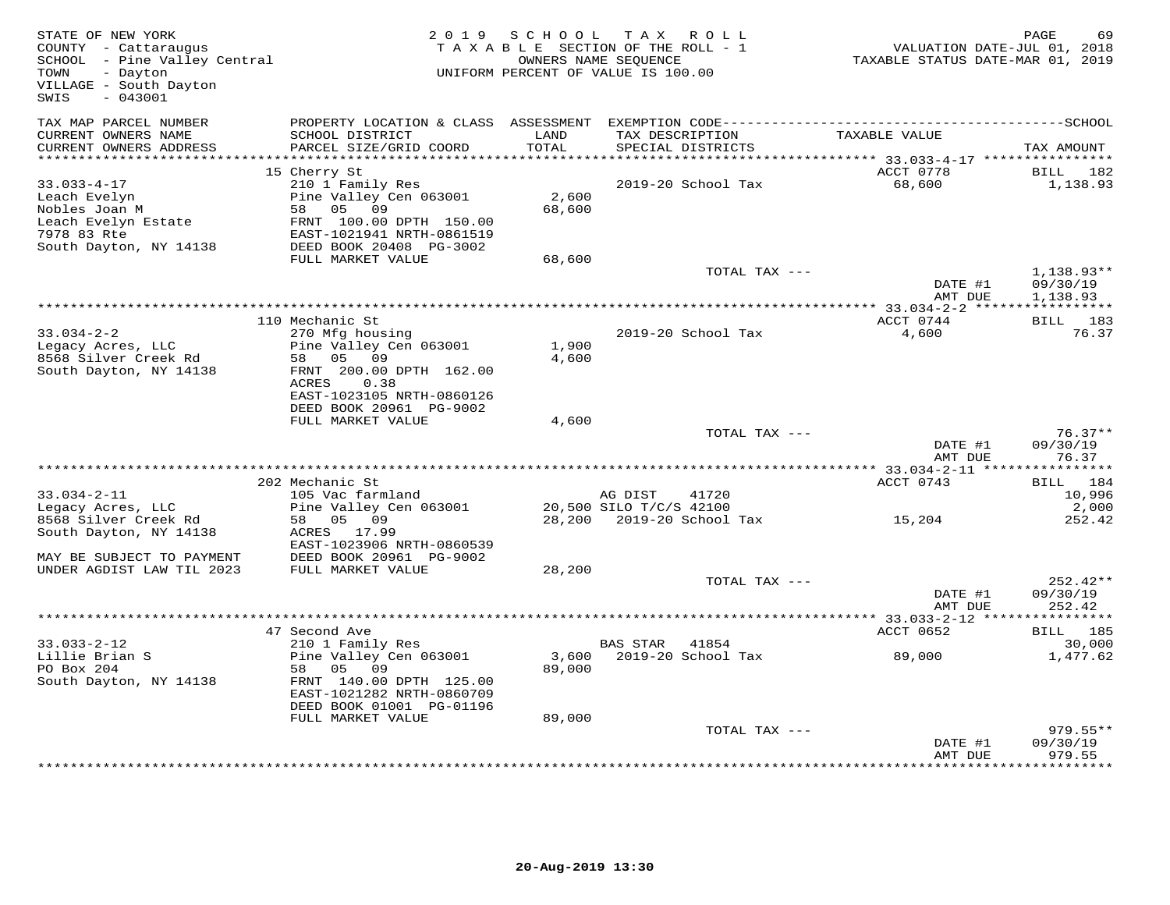| STATE OF NEW YORK<br>COUNTY - Cattaraugus<br>SCHOOL - Pine Valley Central<br>TOWN<br>- Dayton<br>VILLAGE - South Dayton<br>$-043001$<br>SWIS |                                                                                                                   | 2019 SCHOOL     | TAX ROLL<br>TAXABLE SECTION OF THE ROLL - 1<br>OWNERS NAME SEQUENCE<br>UNIFORM PERCENT OF VALUE IS 100.00 | VALUATION DATE-JUL 01, 2018<br>TAXABLE STATUS DATE-MAR 01, 2019 | PAGE<br>69                     |
|----------------------------------------------------------------------------------------------------------------------------------------------|-------------------------------------------------------------------------------------------------------------------|-----------------|-----------------------------------------------------------------------------------------------------------|-----------------------------------------------------------------|--------------------------------|
| TAX MAP PARCEL NUMBER<br>CURRENT OWNERS NAME<br>CURRENT OWNERS ADDRESS                                                                       | SCHOOL DISTRICT<br>PARCEL SIZE/GRID COORD                                                                         | LAND<br>TOTAL   | TAX DESCRIPTION<br>SPECIAL DISTRICTS                                                                      | TAXABLE VALUE                                                   | TAX AMOUNT                     |
| ***********************                                                                                                                      |                                                                                                                   |                 |                                                                                                           |                                                                 |                                |
|                                                                                                                                              | 15 Cherry St                                                                                                      |                 |                                                                                                           | ACCT 0778                                                       | BILL<br>182                    |
| $33.033 - 4 - 17$<br>Leach Evelyn<br>Nobles Joan M<br>Leach Evelyn Estate<br>7978 83 Rte                                                     | 210 1 Family Res<br>Pine Valley Cen 063001<br>58 05<br>09<br>FRNT 100.00 DPTH 150.00<br>EAST-1021941 NRTH-0861519 | 2,600<br>68,600 | 2019-20 School Tax                                                                                        | 68,600                                                          | 1,138.93                       |
| South Dayton, NY 14138                                                                                                                       | DEED BOOK 20408 PG-3002<br>FULL MARKET VALUE                                                                      | 68,600          |                                                                                                           |                                                                 |                                |
|                                                                                                                                              |                                                                                                                   |                 | TOTAL TAX ---                                                                                             | DATE #1                                                         | 1,138.93**<br>09/30/19         |
|                                                                                                                                              |                                                                                                                   |                 |                                                                                                           | AMT DUE                                                         | 1,138.93                       |
|                                                                                                                                              | 110 Mechanic St                                                                                                   |                 |                                                                                                           | ACCT 0744                                                       | BILL 183                       |
| $33.034 - 2 - 2$<br>Legacy Acres, LLC<br>8568 Silver Creek Rd<br>South Dayton, NY 14138                                                      | 270 Mfg housing<br>Pine Valley Cen 063001<br>09<br>58 05<br>FRNT 200.00 DPTH 162.00<br>ACRES<br>0.38              | 1,900<br>4,600  | 2019-20 School Tax                                                                                        | 4,600                                                           | 76.37                          |
|                                                                                                                                              | EAST-1023105 NRTH-0860126<br>DEED BOOK 20961 PG-9002<br>FULL MARKET VALUE                                         | 4,600           |                                                                                                           |                                                                 |                                |
|                                                                                                                                              |                                                                                                                   |                 | TOTAL TAX ---                                                                                             |                                                                 | $76.37**$                      |
|                                                                                                                                              |                                                                                                                   |                 |                                                                                                           | DATE #1<br>AMT DUE                                              | 09/30/19<br>76.37              |
|                                                                                                                                              | 202 Mechanic St                                                                                                   |                 |                                                                                                           | ********* 33.034-2-11 *****                                     | ***********                    |
| $33.034 - 2 - 11$                                                                                                                            | 105 Vac farmland                                                                                                  |                 | AG DIST<br>41720                                                                                          | ACCT 0743                                                       | BILL 184<br>10,996             |
| Legacy Acres, LLC<br>8568 Silver Creek Rd<br>South Dayton, NY 14138                                                                          | Pine Valley Cen 063001<br>58 05 09<br>ACRES 17.99                                                                 |                 | 20,500 SILO T/C/S 42100<br>28,200 2019-20 School Tax                                                      | 15,204                                                          | 2,000<br>252.42                |
| MAY BE SUBJECT TO PAYMENT<br>UNDER AGDIST LAW TIL 2023                                                                                       | EAST-1023906 NRTH-0860539<br>DEED BOOK 20961 PG-9002<br>FULL MARKET VALUE                                         | 28,200          |                                                                                                           |                                                                 |                                |
|                                                                                                                                              |                                                                                                                   |                 | TOTAL TAX ---                                                                                             | DATE #1<br>AMT DUE                                              | 252.42**<br>09/30/19<br>252.42 |
|                                                                                                                                              |                                                                                                                   |                 |                                                                                                           |                                                                 |                                |
|                                                                                                                                              | 47 Second Ave                                                                                                     |                 |                                                                                                           | ACCT 0652                                                       | BILL 185                       |
| $33.033 - 2 - 12$<br>Lillie Brian S<br>PO Box 204                                                                                            | 210 1 Family Res<br>Pine Valley Cen 063001<br>58 05 09                                                            | 3,600<br>89,000 | BAS STAR 41854<br>2019-20 School Tax                                                                      | 89,000                                                          | 30,000<br>1,477.62             |
| South Dayton, NY 14138                                                                                                                       | FRNT 140.00 DPTH 125.00<br>EAST-1021282 NRTH-0860709<br>DEED BOOK 01001 PG-01196                                  |                 |                                                                                                           |                                                                 |                                |
|                                                                                                                                              | FULL MARKET VALUE                                                                                                 | 89,000          | TOTAL TAX ---                                                                                             |                                                                 | $979.55**$                     |
|                                                                                                                                              |                                                                                                                   |                 |                                                                                                           | DATE #1<br>AMT DUE                                              | 09/30/19<br>979.55             |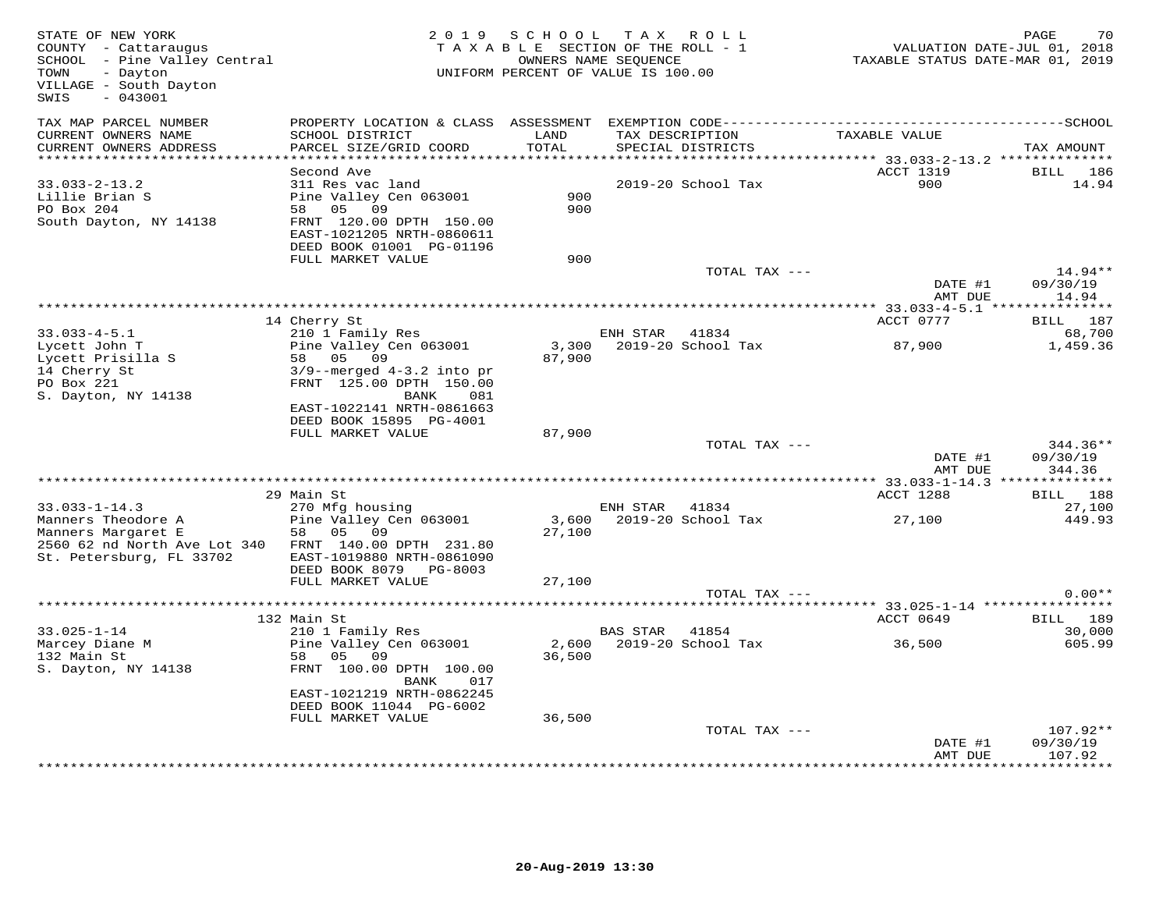| STATE OF NEW YORK<br>COUNTY - Cattaraugus<br>SCHOOL - Pine Valley Central<br>TOWN<br>- Dayton<br>VILLAGE - South Dayton<br>SWIS<br>$-043001$ |                                                                                                                                                                                     | 2019 SCHOOL               | TAX ROLL<br>TAXABLE SECTION OF THE ROLL - 1<br>OWNERS NAME SEQUENCE<br>UNIFORM PERCENT OF VALUE IS 100.00 | VALUATION DATE-JUL 01, 2018<br>TAXABLE STATUS DATE-MAR 01, 2019 | PAGE<br>70                        |
|----------------------------------------------------------------------------------------------------------------------------------------------|-------------------------------------------------------------------------------------------------------------------------------------------------------------------------------------|---------------------------|-----------------------------------------------------------------------------------------------------------|-----------------------------------------------------------------|-----------------------------------|
| TAX MAP PARCEL NUMBER<br>CURRENT OWNERS NAME<br>CURRENT OWNERS ADDRESS                                                                       | SCHOOL DISTRICT<br>PARCEL SIZE/GRID COORD                                                                                                                                           | LAND<br>TOTAL             | TAX DESCRIPTION<br>SPECIAL DISTRICTS                                                                      | TAXABLE VALUE                                                   | TAX AMOUNT                        |
|                                                                                                                                              |                                                                                                                                                                                     |                           |                                                                                                           |                                                                 |                                   |
| $33.033 - 2 - 13.2$<br>Lillie Brian S<br>PO Box 204<br>South Dayton, NY 14138                                                                | Second Ave<br>311 Res vac land<br>Pine Valley Cen 063001<br>58 05 09<br>FRNT 120.00 DPTH 150.00<br>EAST-1021205 NRTH-0860611<br>DEED BOOK 01001 PG-01196                            | 900<br>900                | 2019-20 School Tax                                                                                        | ACCT 1319<br>900                                                | BILL 186<br>14.94                 |
|                                                                                                                                              | FULL MARKET VALUE                                                                                                                                                                   | 900                       | TOTAL TAX ---                                                                                             |                                                                 | 14.94**                           |
|                                                                                                                                              |                                                                                                                                                                                     |                           |                                                                                                           | DATE #1<br>AMT DUE                                              | 09/30/19<br>14.94                 |
|                                                                                                                                              | 14 Cherry St                                                                                                                                                                        |                           |                                                                                                           | ACCT 0777                                                       | BILL 187                          |
| $33.033 - 4 - 5.1$                                                                                                                           | 210 1 Family Res                                                                                                                                                                    |                           | ENH STAR<br>41834                                                                                         |                                                                 | 68,700                            |
| Lycett John T<br>Lycett Prisilla S<br>14 Cherry St<br>PO Box 221<br>S. Dayton, NY 14138                                                      | Pine Valley Cen 063001<br>58<br>05<br>09<br>$3/9$ --merged $4-3.2$ into pr<br>FRNT 125.00 DPTH 150.00<br>BANK<br>081<br>EAST-1022141 NRTH-0861663                                   | 3,300<br>87,900           | 2019-20 School Tax                                                                                        | 87,900                                                          | 1,459.36                          |
|                                                                                                                                              | DEED BOOK 15895 PG-4001                                                                                                                                                             |                           |                                                                                                           |                                                                 |                                   |
|                                                                                                                                              | FULL MARKET VALUE                                                                                                                                                                   | 87,900                    | TOTAL TAX ---                                                                                             | DATE #1<br>AMT DUE                                              | 344.36**<br>09/30/19<br>344.36    |
|                                                                                                                                              |                                                                                                                                                                                     |                           |                                                                                                           |                                                                 |                                   |
|                                                                                                                                              | 29 Main St                                                                                                                                                                          |                           |                                                                                                           | ACCT 1288                                                       | BILL 188                          |
| $33.033 - 1 - 14.3$<br>Manners Theodore A<br>Manners Margaret E<br>2560 62 nd North Ave Lot 340<br>St. Petersburg, FL 33702                  | 270 Mfg housing<br>Pine Valley Cen 063001<br>05<br>09<br>58<br>FRNT 140.00 DPTH 231.80<br>EAST-1019880 NRTH-0861090                                                                 | 27,100                    | ENH STAR<br>41834<br>3,600 2019-20 School Tax                                                             | 27,100                                                          | 27,100<br>449.93                  |
|                                                                                                                                              | DEED BOOK 8079 PG-8003                                                                                                                                                              |                           |                                                                                                           |                                                                 |                                   |
|                                                                                                                                              | FULL MARKET VALUE                                                                                                                                                                   | 27,100                    | TOTAL TAX ---                                                                                             |                                                                 | $0.00**$                          |
|                                                                                                                                              |                                                                                                                                                                                     |                           |                                                                                                           |                                                                 |                                   |
|                                                                                                                                              | 132 Main St                                                                                                                                                                         |                           |                                                                                                           | ACCT 0649                                                       | BILL 189                          |
| $33.025 - 1 - 14$<br>Marcey Diane M<br>132 Main St<br>S. Dayton, NY 14138                                                                    | 210 1 Family Res<br>Pine Valley Cen 063001<br>58<br>05<br>09<br>FRNT 100.00 DPTH 100.00<br>017<br>BANK<br>EAST-1021219 NRTH-0862245<br>DEED BOOK 11044 PG-6002<br>FULL MARKET VALUE | 2,600<br>36,500<br>36,500 | BAS STAR 41854<br>2019-20 School Tax                                                                      | 36,500                                                          | 30,000<br>605.99                  |
|                                                                                                                                              |                                                                                                                                                                                     |                           | TOTAL TAX ---                                                                                             |                                                                 | 107.92**                          |
|                                                                                                                                              |                                                                                                                                                                                     |                           |                                                                                                           | DATE #1<br>AMT DUE                                              | 09/30/19<br>107.92<br>*********** |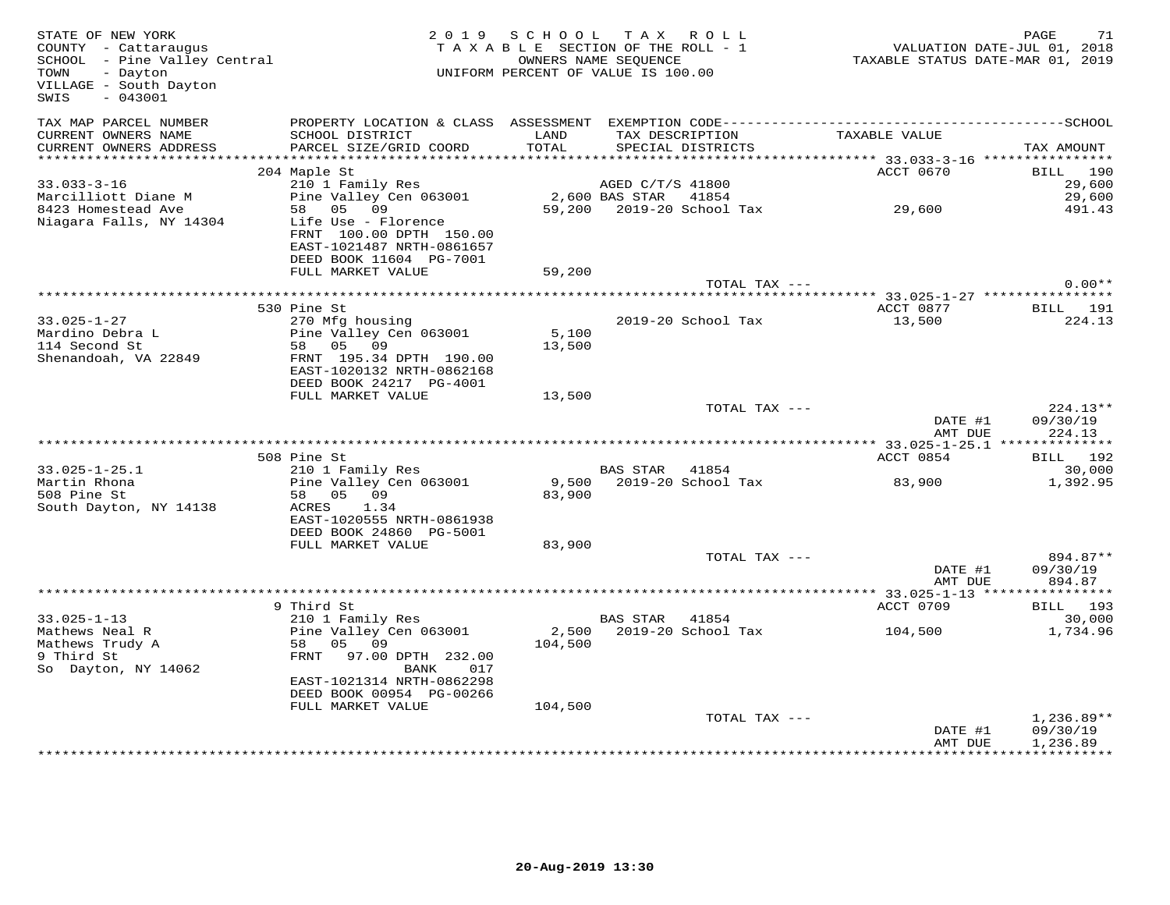| STATE OF NEW YORK<br>COUNTY - Cattaraugus<br>SCHOOL - Pine Valley Central<br>TOWN<br>- Dayton<br>VILLAGE - South Dayton<br>SWIS<br>$-043001$ |                                                                                                        | 2019 SCHOOL TAX ROLL<br>TAXABLE SECTION OF THE ROLL - 1<br>UNIFORM PERCENT OF VALUE IS 100.00 | OWNERS NAME SEQUENCE |                                      | VALUATION DATE-JUL 01, 2018<br>TAXABLE STATUS DATE-MAR 01, 2019 | PAGE<br>71                           |
|----------------------------------------------------------------------------------------------------------------------------------------------|--------------------------------------------------------------------------------------------------------|-----------------------------------------------------------------------------------------------|----------------------|--------------------------------------|-----------------------------------------------------------------|--------------------------------------|
| TAX MAP PARCEL NUMBER<br>CURRENT OWNERS NAME<br>CURRENT OWNERS ADDRESS                                                                       | SCHOOL DISTRICT<br>PARCEL SIZE/GRID COORD                                                              | LAND<br><b>TOTAL</b>                                                                          |                      | TAX DESCRIPTION<br>SPECIAL DISTRICTS | TAXABLE VALUE                                                   | TAX AMOUNT                           |
|                                                                                                                                              |                                                                                                        |                                                                                               |                      |                                      |                                                                 |                                      |
|                                                                                                                                              | 204 Maple St                                                                                           |                                                                                               |                      |                                      | ACCT 0670                                                       | BILL 190                             |
| $33.033 - 3 - 16$                                                                                                                            | 210 1 Family Res                                                                                       |                                                                                               | AGED C/T/S 41800     |                                      |                                                                 | 29,600                               |
| Marcilliott Diane M                                                                                                                          | Pine Valley Cen 063001                                                                                 | 2,600 BAS STAR 41854                                                                          |                      |                                      |                                                                 | 29,600                               |
| 8423 Homestead Ave                                                                                                                           | 58 05 09                                                                                               |                                                                                               |                      |                                      | 59,200 2019-20 School Tax 29,600                                | 491.43                               |
| Niagara Falls, NY 14304                                                                                                                      | Life Use - Florence<br>FRNT 100.00 DPTH 150.00<br>EAST-1021487 NRTH-0861657<br>DEED BOOK 11604 PG-7001 |                                                                                               |                      |                                      |                                                                 |                                      |
|                                                                                                                                              | FULL MARKET VALUE                                                                                      | 59,200                                                                                        |                      |                                      |                                                                 |                                      |
|                                                                                                                                              |                                                                                                        |                                                                                               |                      | TOTAL TAX ---                        |                                                                 | $0.00**$                             |
|                                                                                                                                              |                                                                                                        |                                                                                               |                      |                                      |                                                                 |                                      |
| $33.025 - 1 - 27$                                                                                                                            | 530 Pine St<br>270 Mfg housing                                                                         |                                                                                               |                      | 2019-20 School Tax                   | ACCT 0877<br>13,500                                             | BILL 191<br>224.13                   |
| Mardino Debra L                                                                                                                              | Pine Valley Cen 063001                                                                                 | 5,100                                                                                         |                      |                                      |                                                                 |                                      |
| 114 Second St                                                                                                                                | 58 05 09                                                                                               | 13,500                                                                                        |                      |                                      |                                                                 |                                      |
| Shenandoah, VA 22849                                                                                                                         | FRNT 195.34 DPTH 190.00<br>EAST-1020132 NRTH-0862168                                                   |                                                                                               |                      |                                      |                                                                 |                                      |
|                                                                                                                                              | DEED BOOK 24217 PG-4001<br>FULL MARKET VALUE                                                           | 13,500                                                                                        |                      |                                      |                                                                 |                                      |
|                                                                                                                                              |                                                                                                        |                                                                                               |                      | TOTAL TAX ---                        |                                                                 | $224.13**$                           |
|                                                                                                                                              |                                                                                                        |                                                                                               |                      |                                      | DATE #1<br>AMT DUE                                              | 09/30/19<br>224.13                   |
|                                                                                                                                              |                                                                                                        |                                                                                               |                      |                                      |                                                                 |                                      |
|                                                                                                                                              | 508 Pine St<br>210 1 Family Res                                                                        |                                                                                               |                      |                                      | ACCT 0854                                                       | BILL 192                             |
| $33.025 - 1 - 25.1$<br>Martin Rhona                                                                                                          | zio i ramity kes<br>Pine Valley Cen 063001                                                             |                                                                                               | BAS STAR 41854       | 9,500 2019-20 School Tax             | 83,900                                                          | 30,000<br>1,392.95                   |
| 508 Pine St                                                                                                                                  | 58 05 09                                                                                               | 83,900                                                                                        |                      |                                      |                                                                 |                                      |
| South Dayton, NY 14138                                                                                                                       | 1.34<br>ACRES<br>EAST-1020555 NRTH-0861938                                                             |                                                                                               |                      |                                      |                                                                 |                                      |
|                                                                                                                                              | DEED BOOK 24860 PG-5001                                                                                |                                                                                               |                      |                                      |                                                                 |                                      |
|                                                                                                                                              | FULL MARKET VALUE                                                                                      | 83,900                                                                                        |                      |                                      |                                                                 |                                      |
|                                                                                                                                              |                                                                                                        |                                                                                               |                      | TOTAL TAX ---                        |                                                                 | 894.87**                             |
|                                                                                                                                              |                                                                                                        |                                                                                               |                      |                                      | DATE #1<br>AMT DUE                                              | 09/30/19<br>894.87                   |
|                                                                                                                                              | 9 Third St                                                                                             |                                                                                               |                      |                                      | ACCT 0709                                                       | <b>BILL</b> 193                      |
| $33.025 - 1 - 13$                                                                                                                            | 210 1 Family Res                                                                                       |                                                                                               | BAS STAR 41854       |                                      |                                                                 | 30,000                               |
| Mathews Neal R                                                                                                                               | Pine Valley Cen 063001                                                                                 | 2,500                                                                                         |                      | 2019-20 School Tax                   | 104,500                                                         | 1,734.96                             |
| Mathews Trudy A                                                                                                                              | 58<br>05 09                                                                                            | 104,500                                                                                       |                      |                                      |                                                                 |                                      |
| 9 Third St<br>So Dayton, NY 14062                                                                                                            | FRNT<br>97.00 DPTH 232.00<br>BANK<br>017                                                               |                                                                                               |                      |                                      |                                                                 |                                      |
|                                                                                                                                              | EAST-1021314 NRTH-0862298<br>DEED BOOK 00954 PG-00266                                                  |                                                                                               |                      |                                      |                                                                 |                                      |
|                                                                                                                                              | FULL MARKET VALUE                                                                                      | 104,500                                                                                       |                      |                                      |                                                                 |                                      |
|                                                                                                                                              |                                                                                                        |                                                                                               |                      | TOTAL TAX ---                        | DATE #1<br>AMT DUE                                              | $1,236.89**$<br>09/30/19<br>1,236.89 |
|                                                                                                                                              |                                                                                                        |                                                                                               |                      |                                      |                                                                 | ************                         |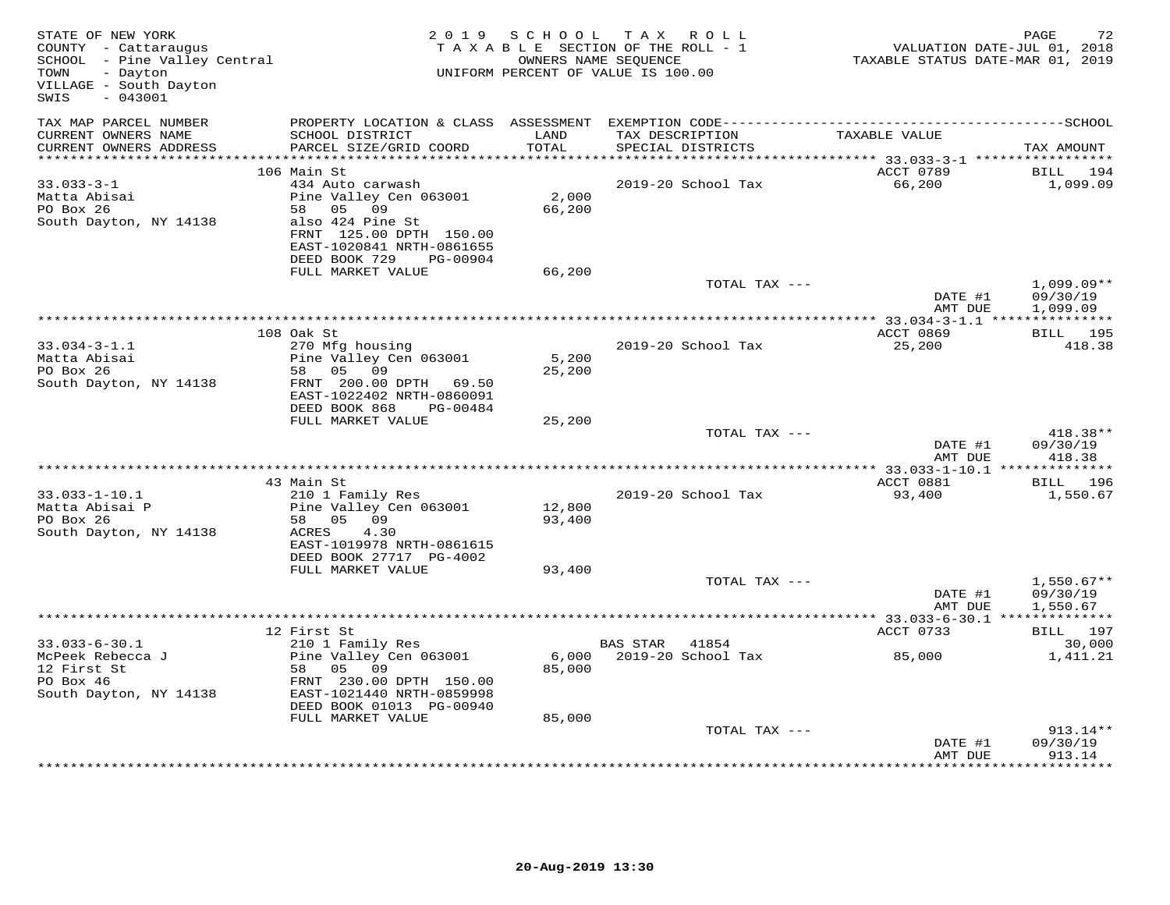| STATE OF NEW YORK<br>COUNTY - Cattaraugus<br>SCHOOL - Pine Valley Central<br>- Dayton<br>TOWN<br>VILLAGE - South Dayton<br>$-043001$<br>SWIS |                                                                                                                                                                                   | 2019 SCHOOL               | TAX ROLL<br>TAXABLE SECTION OF THE ROLL - 1<br>OWNERS NAME SEQUENCE<br>UNIFORM PERCENT OF VALUE IS 100.00 | VALUATION DATE-JUL 01, 2018<br>TAXABLE STATUS DATE-MAR 01, 2019 | PAGE<br>72                           |
|----------------------------------------------------------------------------------------------------------------------------------------------|-----------------------------------------------------------------------------------------------------------------------------------------------------------------------------------|---------------------------|-----------------------------------------------------------------------------------------------------------|-----------------------------------------------------------------|--------------------------------------|
| TAX MAP PARCEL NUMBER                                                                                                                        |                                                                                                                                                                                   |                           |                                                                                                           |                                                                 |                                      |
| CURRENT OWNERS NAME<br>CURRENT OWNERS ADDRESS                                                                                                | SCHOOL DISTRICT<br>PARCEL SIZE/GRID COORD                                                                                                                                         | LAND<br>TOTAL             | TAX DESCRIPTION<br>SPECIAL DISTRICTS                                                                      | TAXABLE VALUE                                                   | TAX AMOUNT                           |
| ************************                                                                                                                     |                                                                                                                                                                                   |                           |                                                                                                           |                                                                 |                                      |
| $33.033 - 3 - 1$<br>Matta Abisai<br>PO Box 26<br>South Dayton, NY 14138                                                                      | 106 Main St<br>434 Auto carwash<br>Pine Valley Cen 063001<br>09<br>58 05<br>also 424 Pine St<br>FRNT 125.00 DPTH 150.00<br>EAST-1020841 NRTH-0861655<br>DEED BOOK 729<br>PG-00904 | 2,000<br>66,200           | 2019-20 School Tax                                                                                        | ACCT 0789<br>66,200                                             | BILL<br>194<br>1,099.09              |
|                                                                                                                                              | FULL MARKET VALUE                                                                                                                                                                 | 66,200                    |                                                                                                           |                                                                 |                                      |
|                                                                                                                                              |                                                                                                                                                                                   |                           | TOTAL TAX ---                                                                                             | DATE #1<br>AMT DUE                                              | $1,099.09**$<br>09/30/19<br>1,099.09 |
|                                                                                                                                              |                                                                                                                                                                                   |                           |                                                                                                           |                                                                 |                                      |
|                                                                                                                                              | 108 Oak St                                                                                                                                                                        |                           |                                                                                                           | ACCT 0869                                                       | BILL 195                             |
| $33.034 - 3 - 1.1$<br>Matta Abisai<br>PO Box 26<br>South Dayton, NY 14138                                                                    | 270 Mfg housing<br>Pine Valley Cen 063001<br>58 05 09<br>FRNT 200.00 DPTH 69.50<br>EAST-1022402 NRTH-0860091                                                                      | 5,200<br>25,200           | 2019-20 School Tax                                                                                        | 25,200                                                          | 418.38                               |
|                                                                                                                                              | DEED BOOK 868<br>PG-00484<br>FULL MARKET VALUE                                                                                                                                    | 25,200                    |                                                                                                           |                                                                 |                                      |
|                                                                                                                                              |                                                                                                                                                                                   |                           | TOTAL TAX ---                                                                                             | DATE #1                                                         | 418.38**<br>09/30/19                 |
|                                                                                                                                              |                                                                                                                                                                                   |                           |                                                                                                           | AMT DUE                                                         | 418.38                               |
|                                                                                                                                              | 43 Main St                                                                                                                                                                        |                           |                                                                                                           | ACCT 0881                                                       | BILL 196                             |
| $33.033 - 1 - 10.1$<br>Matta Abisai P<br>PO Box 26<br>South Dayton, NY 14138                                                                 | 210 1 Family Res<br>Pine Valley Cen 063001<br>58 05 09<br>4.30<br>ACRES<br>EAST-1019978 NRTH-0861615<br>DEED BOOK 27717 PG-4002                                                   | 12,800<br>93,400          | 2019-20 School Tax                                                                                        | 93,400                                                          | 1,550.67                             |
|                                                                                                                                              | FULL MARKET VALUE                                                                                                                                                                 | 93,400                    |                                                                                                           |                                                                 |                                      |
|                                                                                                                                              |                                                                                                                                                                                   |                           | TOTAL TAX ---                                                                                             | DATE #1<br>AMT DUE                                              | $1,550.67**$<br>09/30/19<br>1,550.67 |
|                                                                                                                                              | 12 First St                                                                                                                                                                       |                           |                                                                                                           | ACCT 0733                                                       | BILL 197                             |
| $33.033 - 6 - 30.1$                                                                                                                          | 210 1 Family Res                                                                                                                                                                  |                           | BAS STAR 41854                                                                                            |                                                                 | 30,000                               |
| McPeek Rebecca J<br>12 First St<br>PO Box 46<br>South Dayton, NY 14138                                                                       | Pine Valley Cen 063001<br>58 05 09<br>FRNT 230.00 DPTH 150.00<br>EAST-1021440 NRTH-0859998<br>DEED BOOK 01013 PG-00940<br>FULL MARKET VALUE                                       | 6,000<br>85,000<br>85,000 | 2019-20 School Tax                                                                                        | 85,000                                                          | 1,411.21                             |
|                                                                                                                                              |                                                                                                                                                                                   |                           | TOTAL TAX ---                                                                                             |                                                                 | 913.14**                             |
|                                                                                                                                              |                                                                                                                                                                                   |                           |                                                                                                           | DATE #1<br>AMT DUE                                              | 09/30/19<br>913.14<br>***********    |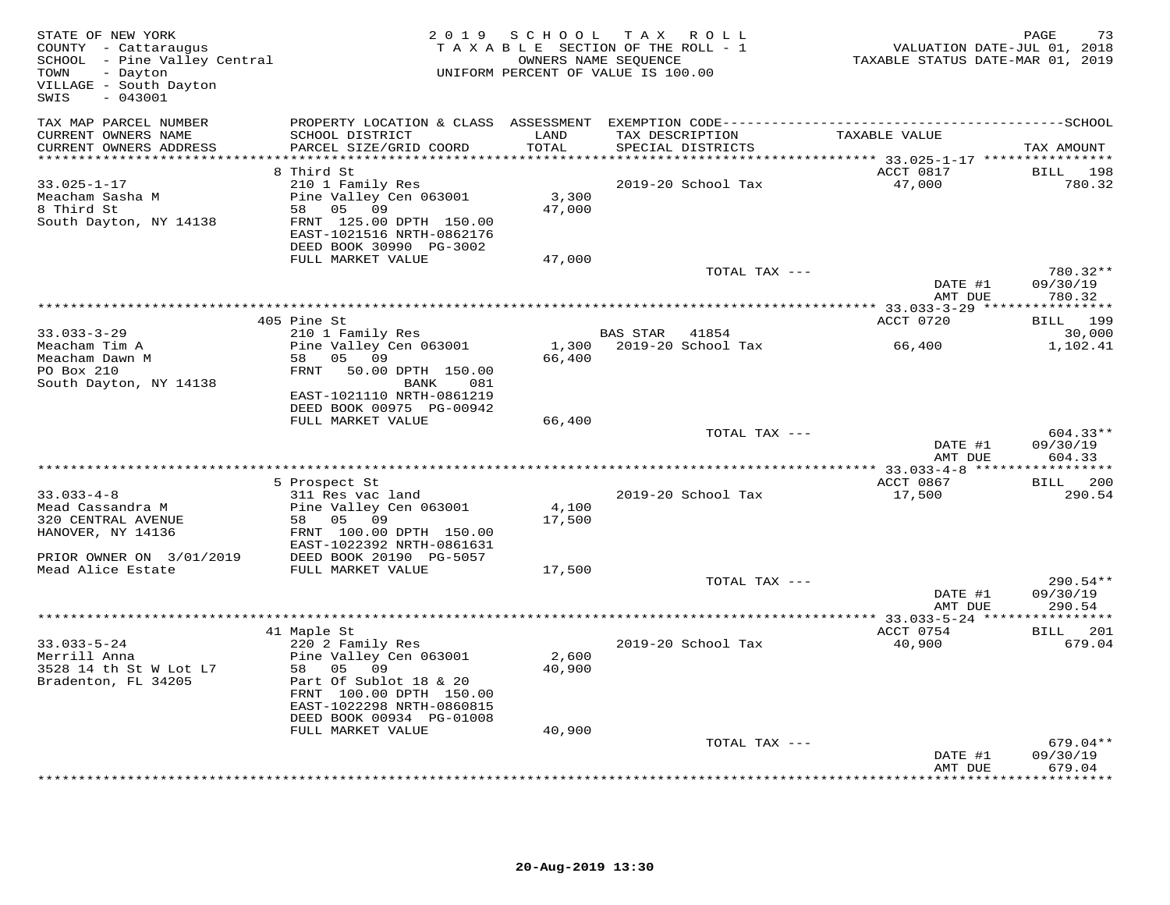| STATE OF NEW YORK<br>COUNTY - Cattaraugus<br>SCHOOL - Pine Valley Central<br>- Dayton<br>TOWN<br>VILLAGE - South Dayton<br>$-043001$<br>SWIS |                                                                                                                                                                                 | 2019 SCHOOL     | TAX ROLL<br>TAXABLE SECTION OF THE ROLL - 1<br>OWNERS NAME SEQUENCE<br>UNIFORM PERCENT OF VALUE IS 100.00 | VALUATION DATE-JUL 01, 2018<br>TAXABLE STATUS DATE-MAR 01, 2019 | PAGE<br>73                       |
|----------------------------------------------------------------------------------------------------------------------------------------------|---------------------------------------------------------------------------------------------------------------------------------------------------------------------------------|-----------------|-----------------------------------------------------------------------------------------------------------|-----------------------------------------------------------------|----------------------------------|
| TAX MAP PARCEL NUMBER<br>CURRENT OWNERS NAME<br>CURRENT OWNERS ADDRESS                                                                       | PROPERTY LOCATION & CLASS ASSESSMENT<br>SCHOOL DISTRICT<br>PARCEL SIZE/GRID COORD                                                                                               | LAND<br>TOTAL   | TAX DESCRIPTION<br>SPECIAL DISTRICTS                                                                      | TAXABLE VALUE                                                   | TAX AMOUNT                       |
| **********************                                                                                                                       |                                                                                                                                                                                 | **********      | ********************************* 33.025-1-17 ****************                                            |                                                                 |                                  |
| $33.025 - 1 - 17$<br>Meacham Sasha M<br>8 Third St<br>South Dayton, NY 14138                                                                 | 8 Third St<br>210 1 Family Res<br>Pine Valley Cen 063001<br>58 05<br>09<br>FRNT 125.00 DPTH 150.00<br>EAST-1021516 NRTH-0862176<br>DEED BOOK 30990 PG-3002<br>FULL MARKET VALUE | 3,300<br>47,000 | 2019-20 School Tax                                                                                        | ACCT 0817<br>47,000                                             | BILL 198<br>780.32               |
|                                                                                                                                              |                                                                                                                                                                                 | 47,000          | TOTAL TAX ---                                                                                             |                                                                 | 780.32**                         |
|                                                                                                                                              |                                                                                                                                                                                 |                 |                                                                                                           | DATE #1<br>AMT DUE                                              | 09/30/19<br>780.32               |
|                                                                                                                                              |                                                                                                                                                                                 |                 |                                                                                                           |                                                                 |                                  |
|                                                                                                                                              | 405 Pine St                                                                                                                                                                     |                 |                                                                                                           | ACCT 0720                                                       | BILL 199                         |
| $33.033 - 3 - 29$                                                                                                                            | 210 1 Family Res                                                                                                                                                                |                 | BAS STAR<br>41854                                                                                         |                                                                 | 30,000                           |
| Meacham Tim A<br>Meacham Dawn M<br>PO Box 210                                                                                                | Pine Valley Cen 063001<br>58 05 09<br>50.00 DPTH 150.00<br>FRNT                                                                                                                 | 66,400          | 1,300 2019-20 School Tax                                                                                  | 66,400                                                          | 1,102.41                         |
| South Dayton, NY 14138                                                                                                                       | BANK<br>081<br>EAST-1021110 NRTH-0861219<br>DEED BOOK 00975 PG-00942                                                                                                            |                 |                                                                                                           |                                                                 |                                  |
|                                                                                                                                              | FULL MARKET VALUE                                                                                                                                                               | 66,400          | TOTAL TAX ---                                                                                             |                                                                 | $604.33**$                       |
|                                                                                                                                              |                                                                                                                                                                                 |                 |                                                                                                           | DATE #1<br>AMT DUE                                              | 09/30/19<br>604.33               |
|                                                                                                                                              |                                                                                                                                                                                 |                 |                                                                                                           | ACCT 0867                                                       | BILL 200                         |
| $33.033 - 4 - 8$<br>Mead Cassandra M<br>320 CENTRAL AVENUE                                                                                   | 5 Prospect St<br>311 Res vac land<br>Pine Valley Cen 063001<br>58 05 09                                                                                                         | 4,100<br>17,500 | 2019-20 School Tax                                                                                        | 17,500                                                          | 290.54                           |
| HANOVER, NY 14136<br>PRIOR OWNER ON 3/01/2019                                                                                                | FRNT 100.00 DPTH 150.00<br>EAST-1022392 NRTH-0861631<br>DEED BOOK 20190 PG-5057                                                                                                 |                 |                                                                                                           |                                                                 |                                  |
| Mead Alice Estate                                                                                                                            | FULL MARKET VALUE                                                                                                                                                               | 17,500          | TOTAL TAX ---                                                                                             |                                                                 | 290.54**                         |
|                                                                                                                                              |                                                                                                                                                                                 |                 |                                                                                                           | DATE #1<br>AMT DUE                                              | 09/30/19<br>290.54               |
|                                                                                                                                              |                                                                                                                                                                                 |                 |                                                                                                           |                                                                 |                                  |
|                                                                                                                                              | 41 Maple St                                                                                                                                                                     |                 |                                                                                                           | ACCT 0754                                                       | BILL 201                         |
| $33.033 - 5 - 24$<br>Merrill Anna<br>3528 14 th St W Lot L7<br>Bradenton, FL 34205                                                           | 220 2 Family Res<br>Pine Valley Cen 063001<br>58 05 09<br>Part Of Sublot 18 & 20<br>FRNT 100.00 DPTH 150.00<br>EAST-1022298 NRTH-0860815<br>DEED BOOK 00934 PG-01008            | 2,600<br>40,900 | 2019-20 School Tax                                                                                        | 40,900                                                          | 679.04                           |
|                                                                                                                                              | FULL MARKET VALUE                                                                                                                                                               | 40,900          |                                                                                                           |                                                                 |                                  |
|                                                                                                                                              |                                                                                                                                                                                 |                 | TOTAL TAX ---                                                                                             | DATE #1<br>AMT DUE                                              | $679.04**$<br>09/30/19<br>679.04 |
|                                                                                                                                              |                                                                                                                                                                                 |                 |                                                                                                           |                                                                 | * * * * * * * *                  |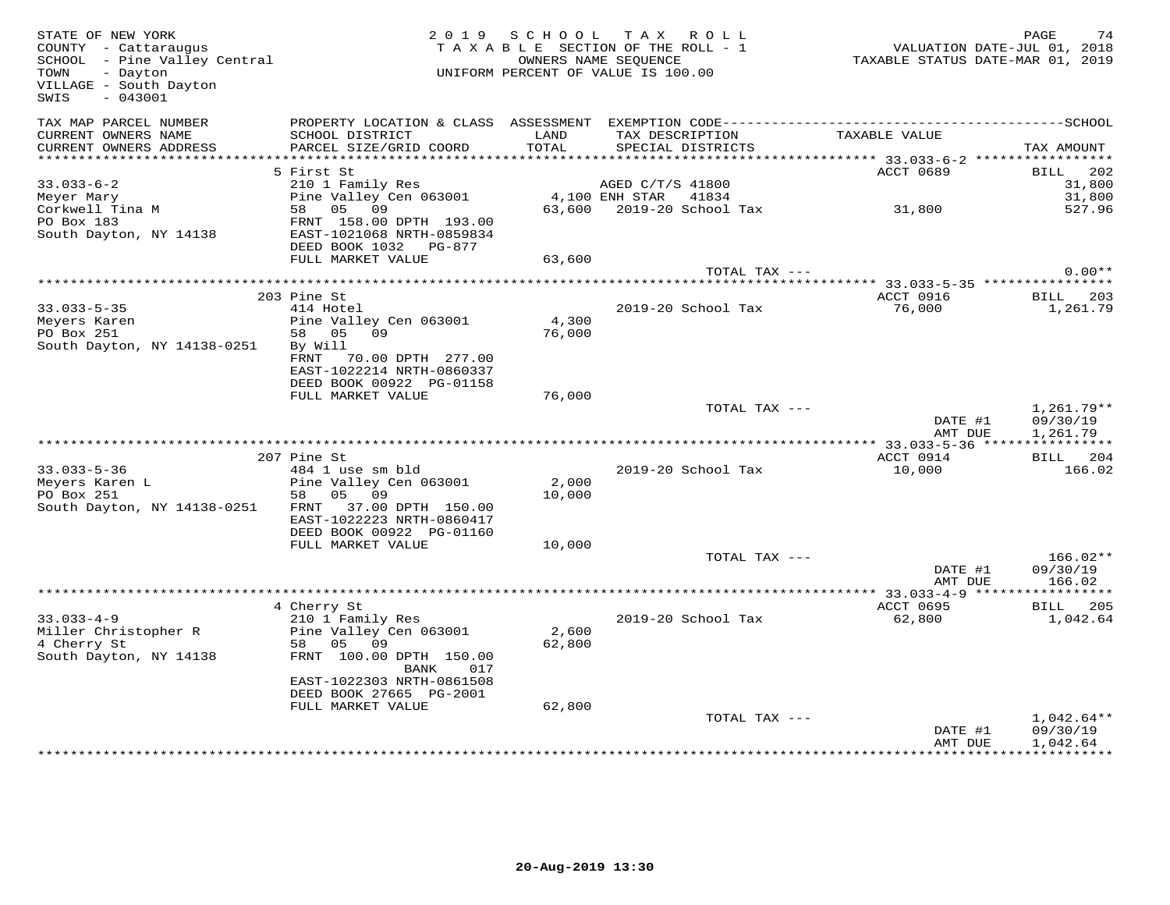| STATE OF NEW YORK<br>COUNTY - Cattaraugus<br>COUNTY - Cattaraugus<br>SCHOOL - Pine Valley Central<br>TOWN<br>- Dayton<br>VILLAGE - South Dayton<br>$-043001$<br>SWIS |                                                                                               | 2019 SCHOOL TAX ROLL<br>TAXABLE SECTION OF THE ROLL - 1<br>UNIFORM PERCENT OF VALUE IS 100.00 | OWNERS NAME SEQUENCE |                                      | VALUATION DATE-JUL 01, 2018<br>TAXABLE STATUS DATE-MAR 01, 2019 | PAGE<br>74                           |
|----------------------------------------------------------------------------------------------------------------------------------------------------------------------|-----------------------------------------------------------------------------------------------|-----------------------------------------------------------------------------------------------|----------------------|--------------------------------------|-----------------------------------------------------------------|--------------------------------------|
| TAX MAP PARCEL NUMBER<br>CURRENT OWNERS NAME<br>CURRENT OWNERS ADDRESS                                                                                               | SCHOOL DISTRICT<br>PARCEL SIZE/GRID COORD                                                     | LAND<br>TOTAL                                                                                 |                      | TAX DESCRIPTION<br>SPECIAL DISTRICTS | TAXABLE VALUE                                                   | TAX AMOUNT                           |
|                                                                                                                                                                      |                                                                                               |                                                                                               |                      |                                      |                                                                 |                                      |
| $33.033 - 6 - 2$                                                                                                                                                     | 5 First St<br>210 1 Family Res                                                                |                                                                                               | AGED C/T/S 41800     |                                      | ACCT 0689                                                       | BILL 202<br>31,800                   |
| Meyer Mary                                                                                                                                                           | Pine Valley Cen 063001 4,100 ENH STAR 41834                                                   |                                                                                               |                      |                                      |                                                                 | 31,800                               |
| Meyer Mair<br>Corkwell Tina M                                                                                                                                        | 58 05 09                                                                                      |                                                                                               |                      |                                      | 63,600 2019-20 School Tax 31,800                                | 527.96                               |
| PO Box 183                                                                                                                                                           | FRNT 158.00 DPTH 193.00                                                                       |                                                                                               |                      |                                      |                                                                 |                                      |
| South Dayton, NY 14138                                                                                                                                               | EAST-1021068 NRTH-0859834                                                                     |                                                                                               |                      |                                      |                                                                 |                                      |
|                                                                                                                                                                      | DEED BOOK 1032 PG-877                                                                         |                                                                                               |                      |                                      |                                                                 |                                      |
|                                                                                                                                                                      | FULL MARKET VALUE                                                                             | 63,600                                                                                        |                      | TOTAL TAX ---                        |                                                                 | $0.00**$                             |
|                                                                                                                                                                      |                                                                                               |                                                                                               |                      |                                      |                                                                 |                                      |
|                                                                                                                                                                      | 203 Pine St                                                                                   |                                                                                               |                      |                                      | ACCT 0916                                                       | <b>BILL</b> 203                      |
| $33.033 - 5 - 35$                                                                                                                                                    | 414 Hotel                                                                                     |                                                                                               |                      | 2019-20 School Tax                   | 76,000                                                          | 1,261.79                             |
| Meyers Karen                                                                                                                                                         | Pine Valley Cen 063001                                                                        | 4,300                                                                                         |                      |                                      |                                                                 |                                      |
| PO Box 251                                                                                                                                                           | 58 05 09                                                                                      | 76,000                                                                                        |                      |                                      |                                                                 |                                      |
| South Dayton, NY 14138-0251                                                                                                                                          | By Will<br>70.00 DPTH 277.00<br>FRNT<br>EAST-1022214 NRTH-0860337<br>DEED BOOK 00922 PG-01158 |                                                                                               |                      |                                      |                                                                 |                                      |
|                                                                                                                                                                      | FULL MARKET VALUE                                                                             | 76,000                                                                                        |                      |                                      |                                                                 |                                      |
|                                                                                                                                                                      |                                                                                               |                                                                                               |                      | TOTAL TAX ---                        | DATE #1<br>AMT DUE                                              | $1,261.79**$<br>09/30/19<br>1,261.79 |
|                                                                                                                                                                      |                                                                                               |                                                                                               |                      |                                      |                                                                 |                                      |
|                                                                                                                                                                      | 207 Pine St                                                                                   |                                                                                               |                      |                                      | ACCT 0914                                                       | <b>BILL</b> 204                      |
| $33.033 - 5 - 36$<br>33.033-3-3.<br>Meyers Karen L                                                                                                                   | 484 1 use sm bld<br>Pine Valley Cen 063001                                                    | 2,000                                                                                         |                      | 2019-20 School Tax                   | 10,000                                                          | 166.02                               |
|                                                                                                                                                                      | 58 05 09                                                                                      | 10,000                                                                                        |                      |                                      |                                                                 |                                      |
| South Dayton, NY 14138-0251                                                                                                                                          | FRNT 37.00 DPTH 150.00<br>EAST-1022223 NRTH-0860417<br>DEED BOOK 00922 PG-01160               |                                                                                               |                      |                                      |                                                                 |                                      |
|                                                                                                                                                                      | FULL MARKET VALUE                                                                             | 10,000                                                                                        |                      |                                      |                                                                 |                                      |
|                                                                                                                                                                      |                                                                                               |                                                                                               |                      | TOTAL TAX ---                        | DATE #1<br>AMT DUE                                              | $166.02**$<br>09/30/19<br>166.02     |
|                                                                                                                                                                      |                                                                                               |                                                                                               |                      |                                      |                                                                 |                                      |
| $33.033 - 4 - 9$                                                                                                                                                     | 4 Cherry St<br>210 1 Family Res                                                               |                                                                                               |                      | 2019-20 School Tax                   | ACCT 0695<br>62,800                                             | BILL 205<br>1,042.64                 |
| Miller Christopher R                                                                                                                                                 | Pine Valley Cen 063001                                                                        | 2,600                                                                                         |                      |                                      |                                                                 |                                      |
| 4 Cherry St                                                                                                                                                          | 58 05 09                                                                                      | 62,800                                                                                        |                      |                                      |                                                                 |                                      |
| South Dayton, NY 14138                                                                                                                                               | FRNT 100.00 DPTH 150.00<br>BANK 017                                                           |                                                                                               |                      |                                      |                                                                 |                                      |
|                                                                                                                                                                      | EAST-1022303 NRTH-0861508                                                                     |                                                                                               |                      |                                      |                                                                 |                                      |
|                                                                                                                                                                      | DEED BOOK 27665 PG-2001<br>FULL MARKET VALUE                                                  | 62,800                                                                                        |                      |                                      |                                                                 |                                      |
|                                                                                                                                                                      |                                                                                               |                                                                                               |                      | TOTAL TAX ---                        | DATE #1                                                         | $1,042.64**$<br>09/30/19             |
|                                                                                                                                                                      |                                                                                               |                                                                                               |                      |                                      | AMT DUE                                                         | 1,042.64                             |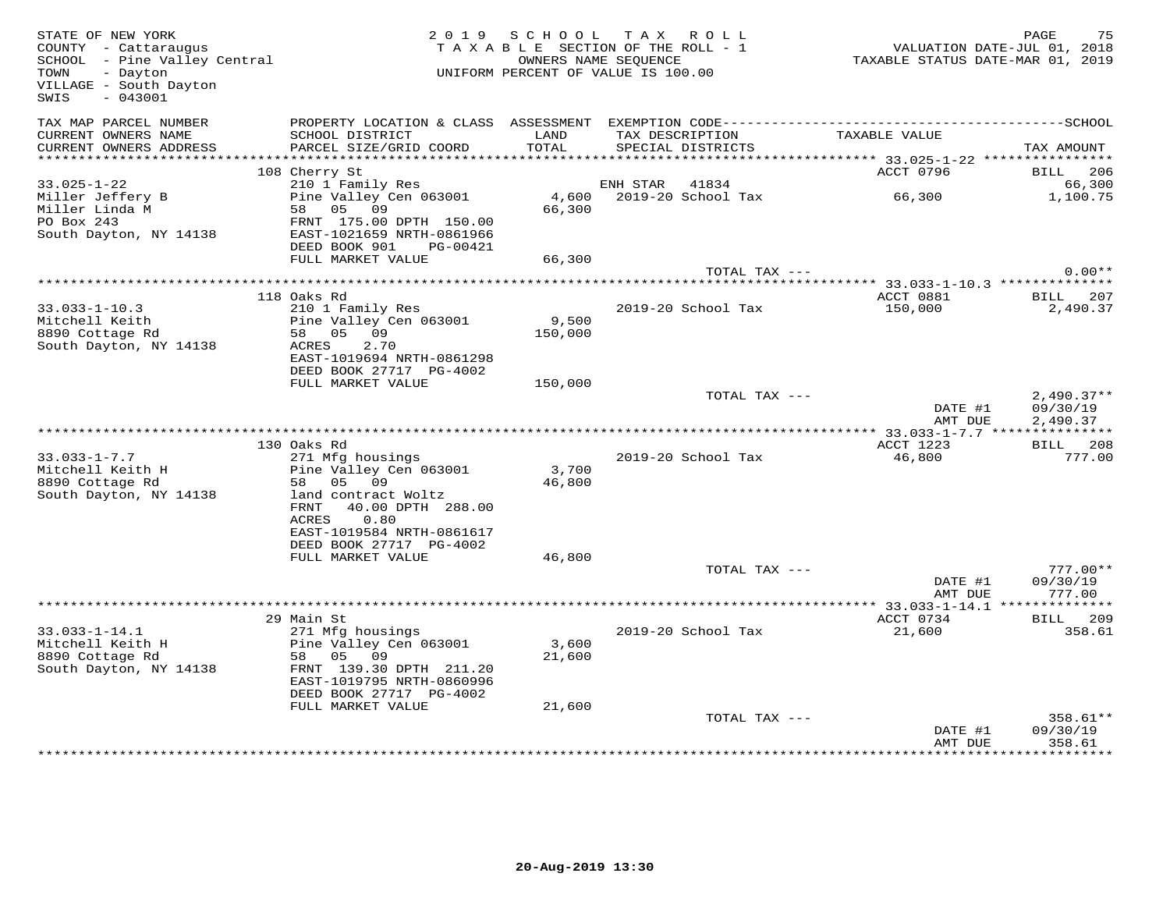| STATE OF NEW YORK<br>COUNTY - Cattaraugus<br>SCHOOL - Pine Valley Central<br>- Dayton<br>TOWN<br>VILLAGE - South Dayton<br>$-043001$<br>SWIS |                                                                                                                                                                                                    | 2019 SCHOOL TAX ROLL<br>TAXABLE SECTION OF THE ROLL - 1<br>OWNERS NAME SEQUENCE<br>UNIFORM PERCENT OF VALUE IS 100.00 |                                            | VALUATION DATE-JUL 01, 2018<br>TAXABLE STATUS DATE-MAR 01, 2019 | PAGE<br>75                           |
|----------------------------------------------------------------------------------------------------------------------------------------------|----------------------------------------------------------------------------------------------------------------------------------------------------------------------------------------------------|-----------------------------------------------------------------------------------------------------------------------|--------------------------------------------|-----------------------------------------------------------------|--------------------------------------|
| TAX MAP PARCEL NUMBER<br>CURRENT OWNERS NAME<br>CURRENT OWNERS ADDRESS                                                                       | PROPERTY LOCATION & CLASS ASSESSMENT<br>SCHOOL DISTRICT<br>PARCEL SIZE/GRID COORD                                                                                                                  | LAND<br>TOTAL                                                                                                         | TAX DESCRIPTION<br>SPECIAL DISTRICTS       | TAXABLE VALUE                                                   | TAX AMOUNT                           |
|                                                                                                                                              |                                                                                                                                                                                                    |                                                                                                                       |                                            |                                                                 |                                      |
|                                                                                                                                              | 108 Cherry St                                                                                                                                                                                      |                                                                                                                       |                                            | ACCT 0796                                                       | <b>BILL</b> 206                      |
| $33.025 - 1 - 22$<br>Miller Jeffery B<br>Miller Linda M<br>PO Box 243<br>South Dayton, NY 14138                                              | 210 1 Family Res<br>210 1 Family Res<br>Pine Valley Cen 063001<br>58 05 09<br>FRNT 175.00 DPTH 150.00<br>EAST-1021659 NRTH-0861966                                                                 | 66,300                                                                                                                | ENH STAR 41834<br>4,600 2019-20 School Tax | 66,300                                                          | 66,300<br>1,100.75                   |
|                                                                                                                                              | DEED BOOK 901 PG-00421                                                                                                                                                                             |                                                                                                                       |                                            |                                                                 |                                      |
|                                                                                                                                              | FULL MARKET VALUE                                                                                                                                                                                  | 66,300                                                                                                                |                                            |                                                                 |                                      |
|                                                                                                                                              |                                                                                                                                                                                                    |                                                                                                                       | TOTAL TAX ---                              |                                                                 | $0.00**$                             |
|                                                                                                                                              | 118 Oaks Rd                                                                                                                                                                                        |                                                                                                                       |                                            | ACCT 0881                                                       | BILL 207                             |
| $33.033 - 1 - 10.3$<br>Mitchell Keith<br>8890 Cottage Rd<br>South Dayton, NY 14138                                                           | 210 1 Family Res<br>Pine Valley Cen 063001<br>58 05 09<br>2.70<br>ACRES                                                                                                                            | 9,500<br>150,000                                                                                                      | 2019-20 School Tax                         | 150,000                                                         | 2,490.37                             |
|                                                                                                                                              | EAST-1019694 NRTH-0861298<br>DEED BOOK 27717 PG-4002<br>FULL MARKET VALUE                                                                                                                          | 150,000                                                                                                               |                                            |                                                                 |                                      |
|                                                                                                                                              |                                                                                                                                                                                                    |                                                                                                                       | TOTAL TAX ---                              | DATE #1<br>AMT DUE                                              | $2,490.37**$<br>09/30/19<br>2,490.37 |
|                                                                                                                                              |                                                                                                                                                                                                    |                                                                                                                       |                                            |                                                                 |                                      |
| $33.033 - 1 - 7.7$<br>Mitchell Keith H<br>8890 Cottage Rd<br>South Dayton, NY 14138                                                          | 130 Oaks Rd<br>271 Mfg housings<br>Pine Valley Cen 063001<br>58 05 09<br>land contract Woltz<br>FRNT<br>40.00 DPTH 288.00<br>ACRES<br>0.80<br>EAST-1019584 NRTH-0861617<br>DEED BOOK 27717 PG-4002 | 3,700<br>46,800                                                                                                       | 2019-20 School Tax                         | ACCT 1223<br>46,800                                             | BILL 208<br>777.00                   |
|                                                                                                                                              | FULL MARKET VALUE                                                                                                                                                                                  | 46,800                                                                                                                |                                            |                                                                 |                                      |
|                                                                                                                                              |                                                                                                                                                                                                    |                                                                                                                       | TOTAL TAX ---                              | DATE #1<br>AMT DUE                                              | $777.00**$<br>09/30/19<br>777.00     |
|                                                                                                                                              |                                                                                                                                                                                                    |                                                                                                                       |                                            | ***************** 33.033-1-14.1 ***************                 |                                      |
| $33.033 - 1 - 14.1$<br>Mitchell Keith H<br>8890 Cottage Rd<br>South Dayton, NY 14138                                                         | 29 Main St<br>271 Mfg housings<br>Pine Valley Cen 063001<br>58 05 09<br>FRNT 139.30 DPTH 211.20<br>EAST-1019795 NRTH-0860996<br>DEED BOOK 27717 PG-4002                                            | 3,600<br>21,600                                                                                                       | 2019-20 School Tax                         | ACCT 0734<br>21,600                                             | BILL 209<br>358.61                   |
|                                                                                                                                              | FULL MARKET VALUE                                                                                                                                                                                  | 21,600                                                                                                                | TOTAL TAX ---                              | DATE #1<br>AMT DUE                                              | 358.61**<br>09/30/19<br>358.61       |
|                                                                                                                                              |                                                                                                                                                                                                    |                                                                                                                       |                                            |                                                                 |                                      |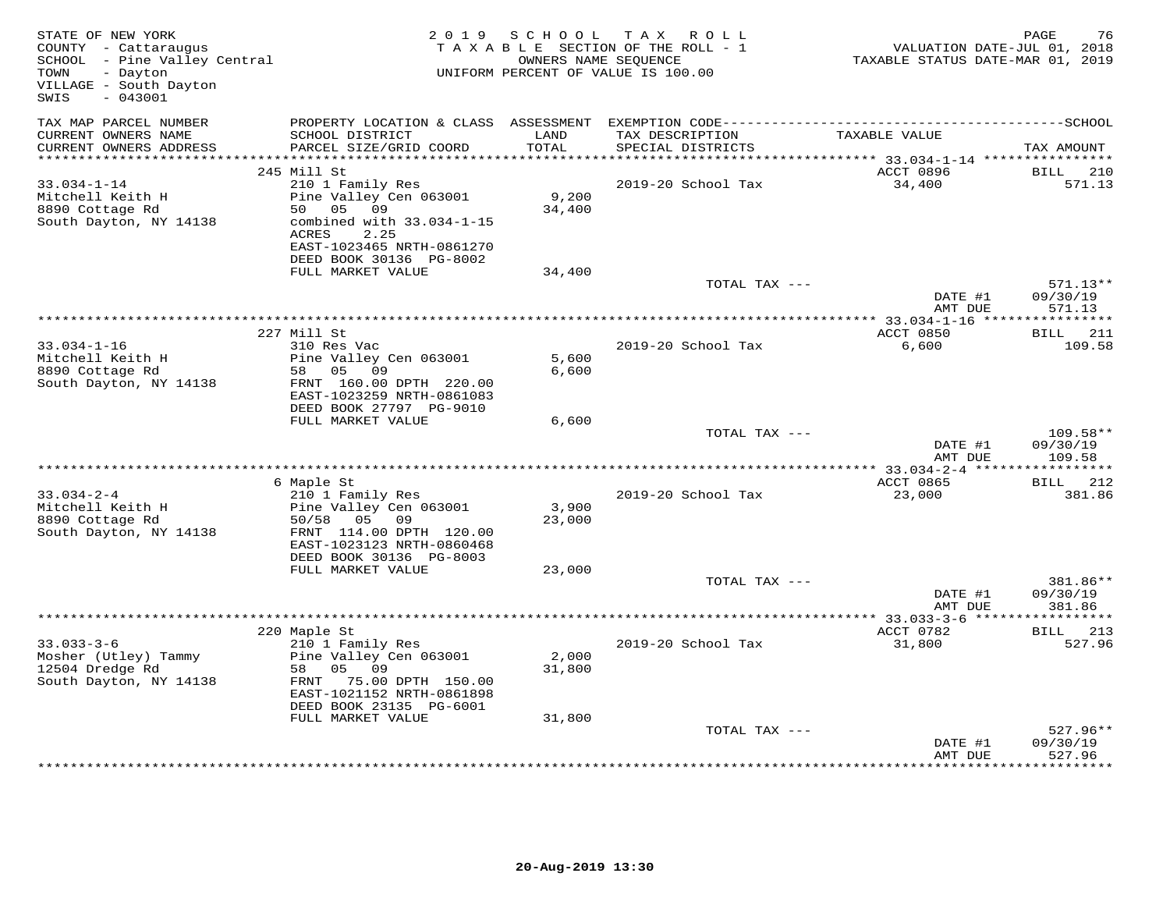| STATE OF NEW YORK<br>COUNTY - Cattaraugus<br>SCHOOL - Pine Valley Central<br>TOWN<br>- Dayton<br>VILLAGE - South Dayton<br>SWIS<br>$-043001$ |                                                                                                                                                                               | OWNERS NAME SEQUENCE      | 2019 SCHOOL TAX ROLL<br>TAXABLE SECTION OF THE ROLL - 1<br>UNIFORM PERCENT OF VALUE IS 100.00 | VALUATION DATE-JUL 01, 2018<br>TAXABLE STATUS DATE-MAR 01, 2019 | 76<br>PAGE                       |
|----------------------------------------------------------------------------------------------------------------------------------------------|-------------------------------------------------------------------------------------------------------------------------------------------------------------------------------|---------------------------|-----------------------------------------------------------------------------------------------|-----------------------------------------------------------------|----------------------------------|
| TAX MAP PARCEL NUMBER<br>CURRENT OWNERS NAME<br>CURRENT OWNERS ADDRESS                                                                       | SCHOOL DISTRICT<br>PARCEL SIZE/GRID COORD                                                                                                                                     | LAND<br>TOTAL             | TAX DESCRIPTION<br>SPECIAL DISTRICTS                                                          | TAXABLE VALUE                                                   | TAX AMOUNT                       |
| ************************                                                                                                                     | 245 Mill St                                                                                                                                                                   |                           |                                                                                               | ACCT 0896                                                       |                                  |
| $33.034 - 1 - 14$<br>Mitchell Keith H<br>8890 Cottage Rd<br>South Dayton, NY 14138                                                           | 210 1 Family Res<br>Pine Valley Cen 063001<br>50 05 09<br>combined with 33.034-1-15<br>ACRES<br>2.25<br>EAST-1023465 NRTH-0861270<br>DEED BOOK 30136 PG-8002                  | 9,200<br>34,400           | 2019-20 School Tax                                                                            | 34,400                                                          | <b>BILL</b><br>210<br>571.13     |
|                                                                                                                                              | FULL MARKET VALUE                                                                                                                                                             | 34,400                    | TOTAL TAX ---                                                                                 | DATE #1                                                         | 571.13**<br>09/30/19             |
|                                                                                                                                              |                                                                                                                                                                               |                           |                                                                                               | AMT DUE                                                         | 571.13                           |
|                                                                                                                                              |                                                                                                                                                                               |                           |                                                                                               |                                                                 |                                  |
| $33.034 - 1 - 16$                                                                                                                            | 227 Mill St<br>310 Res Vac                                                                                                                                                    |                           | 2019-20 School Tax                                                                            | ACCT 0850<br>6,600                                              | BILL 211<br>109.58               |
| Mitchell Keith H<br>8890 Cottage Rd<br>South Dayton, NY 14138                                                                                | Pine Valley Cen 063001<br>58 05 09<br>FRNT 160.00 DPTH 220.00<br>EAST-1023259 NRTH-0861083                                                                                    | 5,600<br>6,600            |                                                                                               |                                                                 |                                  |
|                                                                                                                                              | DEED BOOK 27797 PG-9010<br>FULL MARKET VALUE                                                                                                                                  | 6,600                     |                                                                                               |                                                                 |                                  |
|                                                                                                                                              |                                                                                                                                                                               |                           | TOTAL TAX ---                                                                                 | DATE #1<br>AMT DUE                                              | 109.58**<br>09/30/19<br>109.58   |
|                                                                                                                                              |                                                                                                                                                                               |                           |                                                                                               |                                                                 |                                  |
| $33.034 - 2 - 4$<br>Mitchell Keith H<br>8890 Cottage Rd<br>South Dayton, NY 14138                                                            | 6 Maple St<br>210 1 Family Res<br>Pine Valley Cen 063001<br>50/58 05 09<br>FRNT 114.00 DPTH 120.00<br>EAST-1023123 NRTH-0860468<br>DEED BOOK 30136 PG-8003                    | 3,900<br>23,000           | 2019-20 School Tax                                                                            | ACCT 0865<br>23,000                                             | BILL 212<br>381.86               |
|                                                                                                                                              | FULL MARKET VALUE                                                                                                                                                             | 23,000                    | TOTAL TAX ---                                                                                 |                                                                 | 381.86**                         |
|                                                                                                                                              |                                                                                                                                                                               |                           |                                                                                               | DATE #1<br>AMT DUE                                              | 09/30/19<br>381.86               |
|                                                                                                                                              |                                                                                                                                                                               |                           |                                                                                               | ACCT 0782                                                       |                                  |
| $33.033 - 3 - 6$<br>Mosher (Utley) Tammy<br>12504 Dredge Rd<br>South Dayton, NY 14138                                                        | 220 Maple St<br>210 1 Family Res<br>Pine Valley Cen 063001<br>58 05 09<br>FRNT 75.00 DPTH 150.00<br>EAST-1021152 NRTH-0861898<br>DEED BOOK 23135 PG-6001<br>FULL MARKET VALUE | 2,000<br>31,800<br>31,800 | 2019-20 School Tax                                                                            | 31,800                                                          | BILL 213<br>527.96               |
|                                                                                                                                              |                                                                                                                                                                               |                           | TOTAL TAX ---                                                                                 | DATE #1<br>AMT DUE                                              | $527.96**$<br>09/30/19<br>527.96 |
|                                                                                                                                              |                                                                                                                                                                               |                           |                                                                                               |                                                                 |                                  |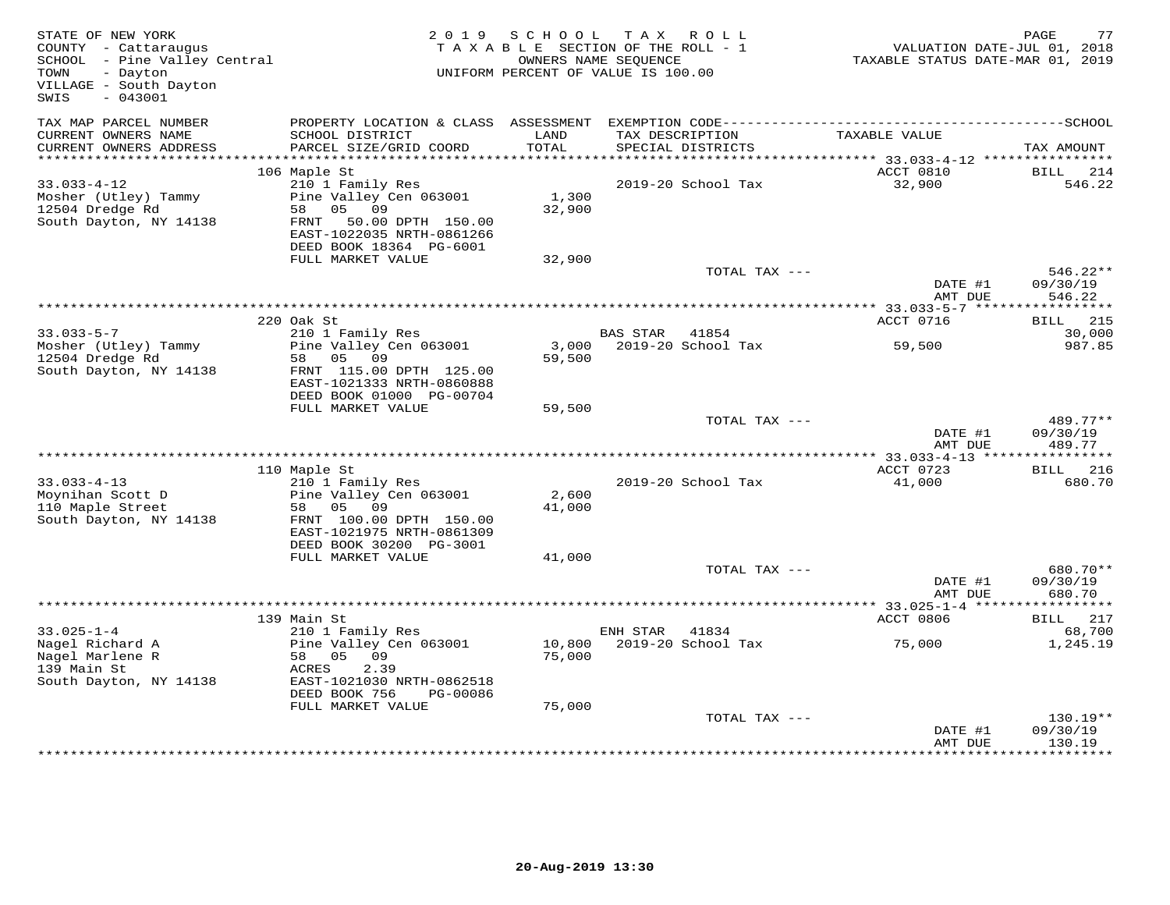| COUNTY - Cattaraugus<br>SCHOOL - Pine Valley Central<br>TOWN<br>- Dayton<br>VILLAGE - South Dayton<br>SWIS<br>$-043001$ |                                                                                                                                                              | 2019 SCHOOL<br>TAXABLE SECTION OF THE ROLL - 1<br>UNIFORM PERCENT OF VALUE IS 100.00 | T A X<br>OWNERS NAME SEQUENCE         | R O L L       | TAXABLE STATUS DATE-MAR 01, 2019  | PAGE<br>77<br>VALUATION DATE-JUL 01, 2018  |
|-------------------------------------------------------------------------------------------------------------------------|--------------------------------------------------------------------------------------------------------------------------------------------------------------|--------------------------------------------------------------------------------------|---------------------------------------|---------------|-----------------------------------|--------------------------------------------|
| TAX MAP PARCEL NUMBER<br>CURRENT OWNERS NAME                                                                            | SCHOOL DISTRICT                                                                                                                                              | LAND                                                                                 | TAX DESCRIPTION                       |               | TAXABLE VALUE                     |                                            |
| CURRENT OWNERS ADDRESS                                                                                                  | PARCEL SIZE/GRID COORD                                                                                                                                       | TOTAL                                                                                | SPECIAL DISTRICTS                     |               |                                   | TAX AMOUNT                                 |
|                                                                                                                         | 106 Maple St                                                                                                                                                 |                                                                                      |                                       |               | ACCT 0810                         | BILL<br>214                                |
| $33.033 - 4 - 12$<br>Mosher (Utley) Tammy<br>12504 Dredge Rd<br>South Dayton, NY 14138                                  | 210 1 Family Res<br>Pine Valley Cen 063001<br>58<br>05 09<br>FRNT 50.00 DPTH 150.00<br>EAST-1022035 NRTH-0861266<br>DEED BOOK 18364 PG-6001                  | 1,300<br>32,900                                                                      | 2019-20 School Tax                    |               | 32,900                            | 546.22                                     |
|                                                                                                                         | FULL MARKET VALUE                                                                                                                                            | 32,900                                                                               |                                       |               |                                   |                                            |
|                                                                                                                         |                                                                                                                                                              |                                                                                      |                                       | TOTAL TAX --- | DATE #1<br>AMT DUE                | $546.22**$<br>09/30/19<br>546.22           |
|                                                                                                                         |                                                                                                                                                              |                                                                                      |                                       |               | *********** 33.033-5-7 *****      | * * * * * * * * * * *                      |
|                                                                                                                         | 220 Oak St                                                                                                                                                   |                                                                                      |                                       |               | ACCT 0716                         | <b>BILL</b> 215                            |
| $33.033 - 5 - 7$<br>Mosher (Utley) Tammy<br>12504 Dredge Rd<br>South Dayton, NY 14138                                   | 210 1 Family Res<br>Pine Valley Cen 063001<br>58 05 09<br>FRNT 115.00 DPTH 125.00                                                                            | 3,000<br>59,500                                                                      | <b>BAS STAR</b><br>2019-20 School Tax | 41854         | 59,500                            | 30,000<br>987.85                           |
|                                                                                                                         | EAST-1021333 NRTH-0860888<br>DEED BOOK 01000 PG-00704                                                                                                        |                                                                                      |                                       |               |                                   |                                            |
|                                                                                                                         | FULL MARKET VALUE                                                                                                                                            | 59,500                                                                               |                                       |               |                                   |                                            |
|                                                                                                                         |                                                                                                                                                              |                                                                                      |                                       | TOTAL TAX --- | DATE #1<br>AMT DUE                | $489.77**$<br>09/30/19<br>489.77           |
|                                                                                                                         |                                                                                                                                                              |                                                                                      |                                       |               | **** 33.033-4-13 **************** |                                            |
| $33.033 - 4 - 13$<br>Moynihan Scott D<br>110 Maple Street<br>South Dayton, NY 14138                                     | 110 Maple St<br>210 1 Family Res<br>Pine Valley Cen 063001<br>58<br>05 09<br>FRNT 100.00 DPTH 150.00<br>EAST-1021975 NRTH-0861309<br>DEED BOOK 30200 PG-3001 | 2,600<br>41,000                                                                      | 2019-20 School Tax                    |               | ACCT 0723<br>41,000               | <b>BILL</b> 216<br>680.70                  |
|                                                                                                                         | FULL MARKET VALUE                                                                                                                                            | 41,000                                                                               |                                       |               |                                   |                                            |
|                                                                                                                         |                                                                                                                                                              |                                                                                      |                                       | TOTAL TAX --- | DATE #1<br>AMT DUE                | 680.70**<br>09/30/19<br>680.70             |
|                                                                                                                         |                                                                                                                                                              |                                                                                      |                                       |               | ********* 33.025-1-4 ****         | * * * * * * * * * * *                      |
|                                                                                                                         | 139 Main St                                                                                                                                                  |                                                                                      |                                       |               | ACCT 0806                         | <b>BILL</b><br>217                         |
| $33.025 - 1 - 4$<br>Nagel Richard A<br>Nagel Marlene R<br>139 Main St<br>South Dayton, NY 14138                         | 210 1 Family Res<br>Pine Valley Cen 063001<br>58 05<br>09<br>2.39<br>ACRES<br>EAST-1021030 NRTH-0862518<br>DEED BOOK 756<br>PG-00086<br>FULL MARKET VALUE    | 10,800<br>75,000<br>75,000                                                           | ENH STAR<br>2019-20 School Tax        | 41834         | 75,000                            | 68,700<br>1,245.19                         |
|                                                                                                                         |                                                                                                                                                              |                                                                                      |                                       | TOTAL TAX --- | DATE #1<br>AMT DUE                | 130.19**<br>09/30/19<br>130.19<br>******** |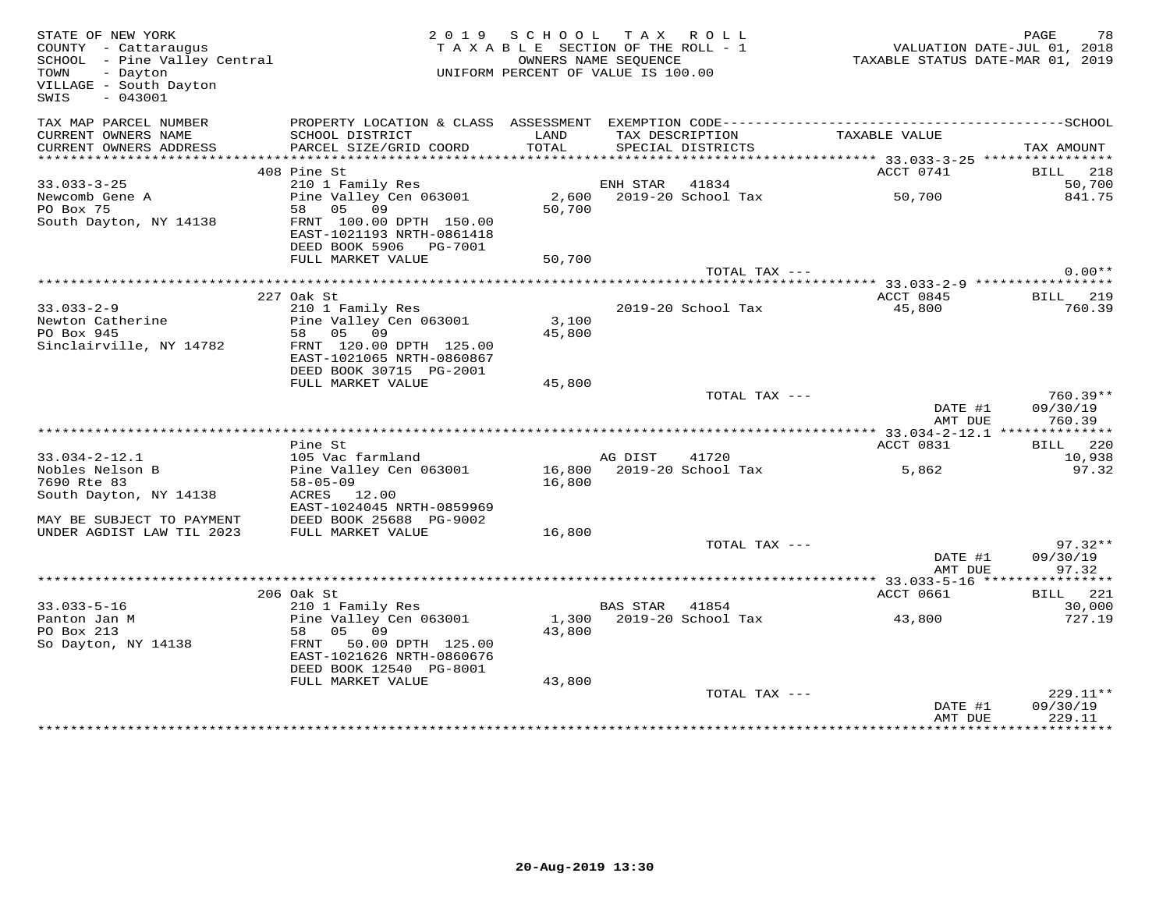| STATE OF NEW YORK<br>COUNTY - Cattaraugus<br>SCHOOL - Pine Valley Central<br>TOUN<br>TOWN<br>- Dayton<br>VILLAGE - South Dayton<br>SWIS<br>$-043001$ |                                                                                   |                 | 2019 SCHOOL TAX ROLL<br>TAXABLE SECTION OF THE ROLL - 1<br>OWNERS NAME SEQUENCE<br>UNIFORM PERCENT OF VALUE IS 100.00 | 01, 2018<br>TAXABLE STATUS DATE-JUL 01, 2018<br>TAXABLE STATUS DATE-MAR 01, 2019 | PAGE<br>78             |
|------------------------------------------------------------------------------------------------------------------------------------------------------|-----------------------------------------------------------------------------------|-----------------|-----------------------------------------------------------------------------------------------------------------------|----------------------------------------------------------------------------------|------------------------|
| TAX MAP PARCEL NUMBER<br>CURRENT OWNERS NAME                                                                                                         | SCHOOL DISTRICT                                                                   | LAND            | TAX DESCRIPTION                                                                                                       | TAXABLE VALUE                                                                    |                        |
| CURRENT OWNERS ADDRESS<br>***********************                                                                                                    | PARCEL SIZE/GRID COORD                                                            | TOTAL           | SPECIAL DISTRICTS                                                                                                     |                                                                                  | TAX AMOUNT             |
|                                                                                                                                                      | 408 Pine St                                                                       |                 |                                                                                                                       | ACCT 0741                                                                        | BILL 218               |
| $33.033 - 3 - 25$                                                                                                                                    | 210 1 Family Res                                                                  |                 | ENH STAR 41834                                                                                                        |                                                                                  | 50,700                 |
| Newcomb Gene A                                                                                                                                       | Pine Valley Cen 063001                                                            |                 | 2,600 2019-20 School Tax                                                                                              | 50,700                                                                           | 841.75                 |
| PO Box 75                                                                                                                                            | 58 05 09                                                                          | 50,700          |                                                                                                                       |                                                                                  |                        |
| South Dayton, NY 14138                                                                                                                               | FRNT 100.00 DPTH 150.00<br>EAST-1021193 NRTH-0861418<br>DEED BOOK 5906    PG-7001 |                 |                                                                                                                       |                                                                                  |                        |
|                                                                                                                                                      | FULL MARKET VALUE                                                                 | 50,700          |                                                                                                                       |                                                                                  |                        |
|                                                                                                                                                      |                                                                                   |                 |                                                                                                                       | TOTAL TAX ---                                                                    | $0.00**$               |
|                                                                                                                                                      |                                                                                   |                 |                                                                                                                       |                                                                                  |                        |
|                                                                                                                                                      | 227 Oak St                                                                        |                 |                                                                                                                       | ACCT 0845                                                                        | BILL 219               |
| $33.033 - 2 - 9$                                                                                                                                     | 210 1 Family Res<br>Pine Valley Cen 063001                                        |                 | 2019-20 School Tax                                                                                                    | 45,800                                                                           | 760.39                 |
| Newton Catherine<br>PO Box 945                                                                                                                       | 58 05 09                                                                          | 3,100<br>45,800 |                                                                                                                       |                                                                                  |                        |
| Sinclairville, NY 14782                                                                                                                              | FRNT 120.00 DPTH 125.00                                                           |                 |                                                                                                                       |                                                                                  |                        |
|                                                                                                                                                      | EAST-1021065 NRTH-0860867                                                         |                 |                                                                                                                       |                                                                                  |                        |
|                                                                                                                                                      | DEED BOOK 30715 PG-2001                                                           |                 |                                                                                                                       |                                                                                  |                        |
|                                                                                                                                                      | FULL MARKET VALUE                                                                 | 45,800          |                                                                                                                       |                                                                                  |                        |
|                                                                                                                                                      |                                                                                   |                 |                                                                                                                       | TOTAL TAX ---<br>DATE #1                                                         | $760.39**$<br>09/30/19 |
|                                                                                                                                                      |                                                                                   |                 |                                                                                                                       | AMT DUE<br>************ 33.034-2-12.1 ***************                            | 760.39                 |
|                                                                                                                                                      | Pine St                                                                           |                 |                                                                                                                       | ACCT 0831                                                                        | BILL 220               |
| $33.034 - 2 - 12.1$                                                                                                                                  | 105 Vac farmland                                                                  |                 | AG DIST<br>41720                                                                                                      |                                                                                  | 10,938                 |
| Nobles Nelson B                                                                                                                                      | Pine Valley Cen 063001                                                            |                 | 16,800 2019-20 School Tax                                                                                             | 5,862                                                                            | 97.32                  |
| 7690 Rte 83<br>South Dayton, NY 14138                                                                                                                | $58 - 05 - 09$<br>ACRES 12.00                                                     | 16,800          |                                                                                                                       |                                                                                  |                        |
|                                                                                                                                                      | EAST-1024045 NRTH-0859969                                                         |                 |                                                                                                                       |                                                                                  |                        |
| MAY BE SUBJECT TO PAYMENT                                                                                                                            | DEED BOOK 25688 PG-9002                                                           |                 |                                                                                                                       |                                                                                  |                        |
| UNDER AGDIST LAW TIL 2023                                                                                                                            | FULL MARKET VALUE                                                                 | 16,800          |                                                                                                                       |                                                                                  |                        |
|                                                                                                                                                      |                                                                                   |                 |                                                                                                                       | TOTAL TAX ---                                                                    | $97.32**$              |
|                                                                                                                                                      |                                                                                   |                 |                                                                                                                       | DATE #1                                                                          | 09/30/19               |
|                                                                                                                                                      |                                                                                   |                 |                                                                                                                       | AMT DUE                                                                          | 97.32                  |
|                                                                                                                                                      | 206 Oak St                                                                        |                 |                                                                                                                       | ACCT 0661                                                                        | BILL 221               |
| $33.033 - 5 - 16$                                                                                                                                    | 210 1 Family Res                                                                  |                 | BAS STAR 41854                                                                                                        |                                                                                  | 30,000                 |
| Panton Jan M                                                                                                                                         | Pine Valley Cen 063001                                                            |                 | 1,300 2019-20 School Tax                                                                                              | 43,800                                                                           | 727.19                 |
| PO Box 213                                                                                                                                           | 58 05 09                                                                          | 43,800          |                                                                                                                       |                                                                                  |                        |
| So Dayton, NY 14138                                                                                                                                  | FRNT 50.00 DPTH 125.00                                                            |                 |                                                                                                                       |                                                                                  |                        |
|                                                                                                                                                      | EAST-1021626 NRTH-0860676<br>DEED BOOK 12540 PG-8001                              |                 |                                                                                                                       |                                                                                  |                        |
|                                                                                                                                                      | FULL MARKET VALUE                                                                 | 43,800          |                                                                                                                       |                                                                                  |                        |
|                                                                                                                                                      |                                                                                   |                 |                                                                                                                       | TOTAL TAX ---                                                                    | $229.11**$             |
|                                                                                                                                                      |                                                                                   |                 |                                                                                                                       | DATE #1                                                                          | 09/30/19               |
|                                                                                                                                                      |                                                                                   |                 |                                                                                                                       | AMT DUE<br>***************                                                       | 229.11<br>**********   |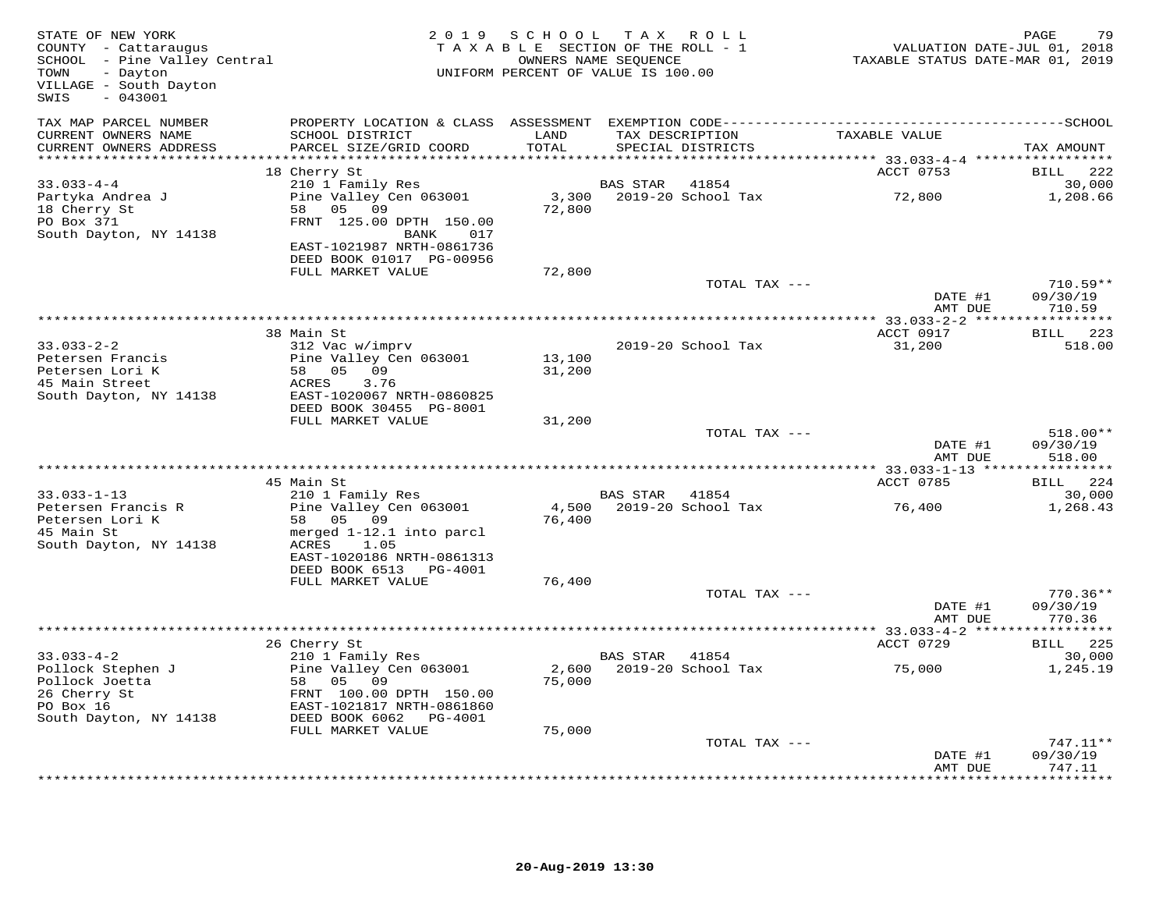| STATE OF NEW YORK<br>COUNTY - Cattaraugus<br>SCHOOL - Pine Valley Central<br>TOWN<br>- Dayton<br>VILLAGE - South Dayton<br>$-043001$<br>SWIS |                                                     | 2019 SCHOOL<br>TAXABLE SECTION OF THE ROLL - 1<br>OWNERS NAME SEQUENCE<br>UNIFORM PERCENT OF VALUE IS 100.00 |                 | TAX ROLL                    | VALUATION DATE-JUL 01, 2018<br>TAXABLE STATUS DATE-MAR 01, 2019 | PAGE<br>79                    |
|----------------------------------------------------------------------------------------------------------------------------------------------|-----------------------------------------------------|--------------------------------------------------------------------------------------------------------------|-----------------|-----------------------------|-----------------------------------------------------------------|-------------------------------|
| TAX MAP PARCEL NUMBER<br>CURRENT OWNERS NAME                                                                                                 | SCHOOL DISTRICT                                     | LAND                                                                                                         |                 | TAX DESCRIPTION             | TAXABLE VALUE                                                   |                               |
| CURRENT OWNERS ADDRESS<br>***********************                                                                                            | PARCEL SIZE/GRID COORD                              | TOTAL                                                                                                        |                 | SPECIAL DISTRICTS           |                                                                 | TAX AMOUNT                    |
|                                                                                                                                              | 18 Cherry St                                        |                                                                                                              |                 |                             | ACCT 0753                                                       | <b>BILL</b><br>222            |
| $33.033 - 4 - 4$                                                                                                                             | 210 1 Family Res                                    |                                                                                                              | <b>BAS STAR</b> | 41854                       |                                                                 | 30,000                        |
| Partyka Andrea J                                                                                                                             | Pine Valley Cen 063001                              |                                                                                                              |                 | 3,300 2019-20 School Tax    | 72,800                                                          | 1,208.66                      |
| 18 Cherry St<br>PO Box 371                                                                                                                   | 58 05 09<br>FRNT 125.00 DPTH 150.00                 | 72,800                                                                                                       |                 |                             |                                                                 |                               |
| South Dayton, NY 14138                                                                                                                       | BANK<br>017                                         |                                                                                                              |                 |                             |                                                                 |                               |
|                                                                                                                                              | EAST-1021987 NRTH-0861736                           |                                                                                                              |                 |                             |                                                                 |                               |
|                                                                                                                                              | DEED BOOK 01017 PG-00956                            |                                                                                                              |                 |                             |                                                                 |                               |
|                                                                                                                                              | FULL MARKET VALUE                                   | 72,800                                                                                                       |                 | TOTAL TAX ---               |                                                                 | $710.59**$                    |
|                                                                                                                                              |                                                     |                                                                                                              |                 |                             | DATE #1<br>AMT DUE                                              | 09/30/19<br>710.59            |
|                                                                                                                                              |                                                     |                                                                                                              |                 |                             |                                                                 |                               |
| $33.033 - 2 - 2$                                                                                                                             | 38 Main St<br>312 Vac w/imprv                       |                                                                                                              |                 | 2019-20 School Tax          | ACCT 0917<br>31,200                                             | BILL 223<br>518.00            |
| Petersen Francis                                                                                                                             | Pine Valley Cen 063001                              | 13,100                                                                                                       |                 |                             |                                                                 |                               |
| Petersen Lori K                                                                                                                              | 58 05 09                                            | 31,200                                                                                                       |                 |                             |                                                                 |                               |
| 45 Main Street                                                                                                                               | ACRES<br>3.76<br>EAST-1020067 NRTH-0860825          |                                                                                                              |                 |                             |                                                                 |                               |
| South Dayton, NY 14138                                                                                                                       | DEED BOOK 30455 PG-8001                             |                                                                                                              |                 |                             |                                                                 |                               |
|                                                                                                                                              | FULL MARKET VALUE                                   | 31,200                                                                                                       |                 |                             |                                                                 |                               |
|                                                                                                                                              |                                                     |                                                                                                              |                 | TOTAL TAX ---               |                                                                 | 518.00**                      |
|                                                                                                                                              |                                                     |                                                                                                              |                 |                             | DATE #1<br>AMT DUE                                              | 09/30/19<br>518.00            |
|                                                                                                                                              |                                                     |                                                                                                              |                 |                             |                                                                 |                               |
|                                                                                                                                              | 45 Main St                                          |                                                                                                              |                 |                             | ACCT 0785                                                       | BILL 224                      |
| $33.033 - 1 - 13$<br>Petersen Francis R                                                                                                      | 210 1 Family Res                                    | 4,500                                                                                                        | BAS STAR        | 41854<br>2019-20 School Tax |                                                                 | 30,000                        |
| Petersen Lori K                                                                                                                              | Pine Valley Cen 063001<br>58 05 09                  | 76,400                                                                                                       |                 |                             | 76,400                                                          | 1,268.43                      |
| 45 Main St                                                                                                                                   | merged 1-12.1 into parcl                            |                                                                                                              |                 |                             |                                                                 |                               |
| South Dayton, NY 14138                                                                                                                       | ACRES<br>1.05                                       |                                                                                                              |                 |                             |                                                                 |                               |
|                                                                                                                                              | EAST-1020186 NRTH-0861313<br>DEED BOOK 6513 PG-4001 |                                                                                                              |                 |                             |                                                                 |                               |
|                                                                                                                                              | FULL MARKET VALUE                                   | 76,400                                                                                                       |                 |                             |                                                                 |                               |
|                                                                                                                                              |                                                     |                                                                                                              |                 | TOTAL TAX ---               |                                                                 | $770.36**$                    |
|                                                                                                                                              |                                                     |                                                                                                              |                 |                             | DATE #1<br>AMT DUE                                              | 09/30/19<br>770.36            |
|                                                                                                                                              |                                                     |                                                                                                              |                 |                             |                                                                 |                               |
|                                                                                                                                              | 26 Cherry St                                        |                                                                                                              |                 |                             | ACCT 0729                                                       | BILL 225                      |
| $33.033 - 4 - 2$                                                                                                                             | 210 1 Family Res                                    |                                                                                                              | BAS STAR        | 41854                       |                                                                 | 30,000                        |
| Pollock Stephen J<br>Pollock Joetta                                                                                                          | Pine Valley Cen 063001<br>58 05 09                  | 2,600<br>75,000                                                                                              |                 | 2019-20 School Tax          | 75,000                                                          | 1,245.19                      |
| 26 Cherry St                                                                                                                                 | FRNT 100.00 DPTH 150.00                             |                                                                                                              |                 |                             |                                                                 |                               |
| PO Box 16                                                                                                                                    | EAST-1021817 NRTH-0861860                           |                                                                                                              |                 |                             |                                                                 |                               |
| South Dayton, NY 14138                                                                                                                       | DEED BOOK 6062 PG-4001<br>FULL MARKET VALUE         | 75,000                                                                                                       |                 |                             |                                                                 |                               |
|                                                                                                                                              |                                                     |                                                                                                              |                 | TOTAL TAX ---               |                                                                 | 747.11**                      |
|                                                                                                                                              |                                                     |                                                                                                              |                 |                             | DATE #1                                                         | 09/30/19                      |
|                                                                                                                                              |                                                     |                                                                                                              |                 |                             | AMT DUE                                                         | 747.11<br>* * * * * * * * * * |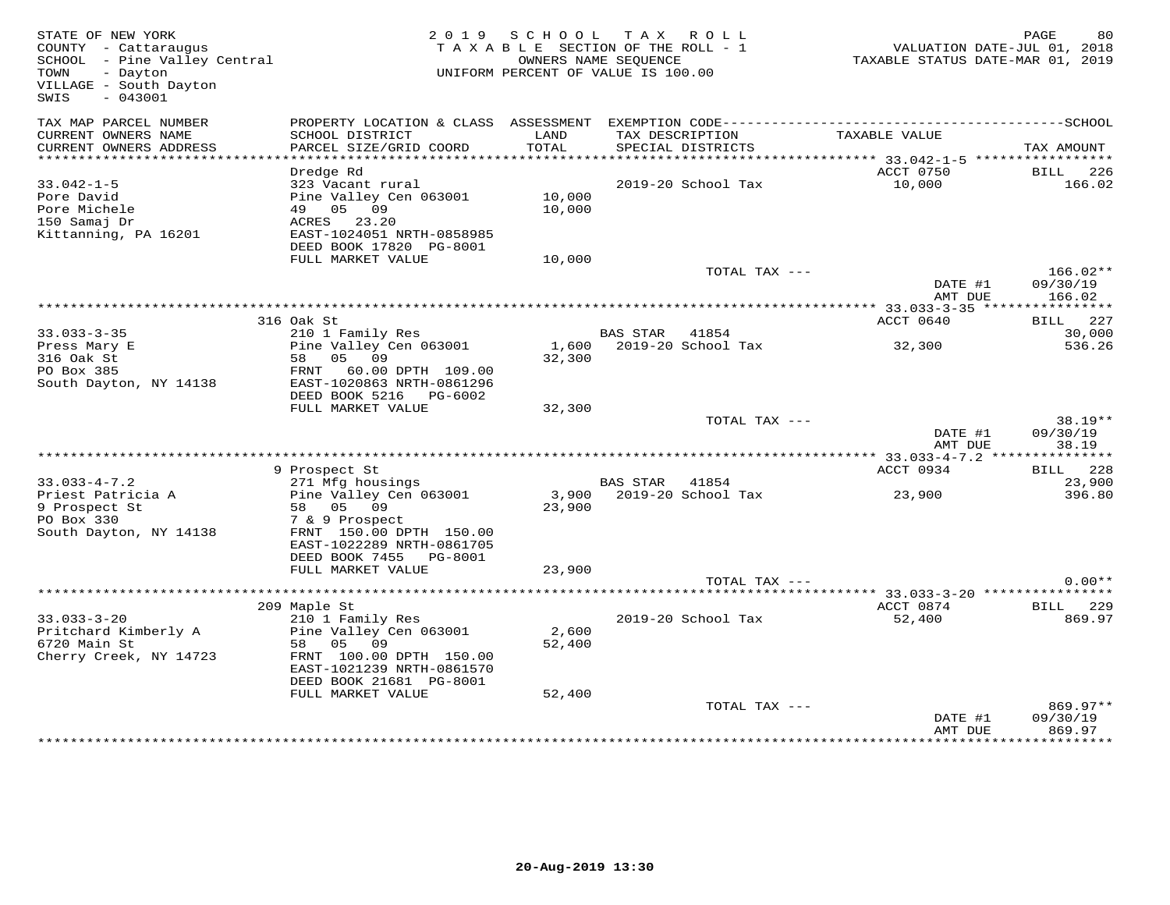| COUNTY - Cattaraugus<br>SCHOOL - Pine Valley Central<br>- Dayton<br>TOWN<br>VILLAGE - South Dayton<br>$-043001$<br>SWIS | 2 0 1 9                                                                                                                                   | S C H O O L<br>TAXABLE SECTION OF THE ROLL - 1<br>UNIFORM PERCENT OF VALUE IS 100.00 | OWNERS NAME SEQUENCE | TAX ROLL                 | VALUATION DATE-JUL 01, 2018<br>TAXABLE STATUS DATE-MAR 01, 2019 | PAGE<br>80                     |
|-------------------------------------------------------------------------------------------------------------------------|-------------------------------------------------------------------------------------------------------------------------------------------|--------------------------------------------------------------------------------------|----------------------|--------------------------|-----------------------------------------------------------------|--------------------------------|
| TAX MAP PARCEL NUMBER<br>CURRENT OWNERS NAME                                                                            | SCHOOL DISTRICT                                                                                                                           | LAND<br><b>TOTAL</b>                                                                 |                      | TAX DESCRIPTION          | TAXABLE VALUE                                                   |                                |
| CURRENT OWNERS ADDRESS<br>************************                                                                      | PARCEL SIZE/GRID COORD                                                                                                                    |                                                                                      |                      | SPECIAL DISTRICTS        |                                                                 | TAX AMOUNT                     |
|                                                                                                                         | Dredge Rd                                                                                                                                 |                                                                                      |                      |                          | ACCT 0750                                                       | BILL 226                       |
| $33.042 - 1 - 5$<br>Pore David<br>Pore Michele<br>150 Samaj Dr<br>Kittanning, PA 16201                                  | 323 Vacant rural<br>Pine Valley Cen 063001<br>49 05 09<br>ACRES 23.20<br>EAST-1024051 NRTH-0858985<br>DEED BOOK 17820 PG-8001             | 10,000<br>10,000                                                                     |                      | 2019-20 School Tax       | 10,000                                                          | 166.02                         |
|                                                                                                                         | FULL MARKET VALUE                                                                                                                         | 10,000                                                                               |                      |                          |                                                                 |                                |
|                                                                                                                         |                                                                                                                                           |                                                                                      |                      | TOTAL TAX ---            | DATE #1                                                         | $166.02**$<br>09/30/19         |
|                                                                                                                         |                                                                                                                                           |                                                                                      |                      |                          | AMT DUE                                                         | 166.02                         |
|                                                                                                                         | 316 Oak St                                                                                                                                |                                                                                      |                      |                          | <b>ACCT 0640</b>                                                | <b>BILL</b> 227                |
| $33.033 - 3 - 35$                                                                                                       | 210 1 Family Res                                                                                                                          |                                                                                      | BAS STAR             | 41854                    |                                                                 | 30,000                         |
| Press Mary E<br>316 Oak St<br>PO Box 385<br>South Dayton, NY 14138                                                      | Pine Valley Cen 063001<br>05 09<br>58<br>FRNT 60.00 DPTH 109.00<br>EAST-1020863 NRTH-0861296<br>DEED BOOK 5216 PG-6002                    | 1,600<br>32,300                                                                      |                      | 2019-20 School Tax       | 32,300                                                          | 536.26                         |
|                                                                                                                         | FULL MARKET VALUE                                                                                                                         | 32,300                                                                               |                      |                          |                                                                 |                                |
|                                                                                                                         |                                                                                                                                           |                                                                                      |                      | TOTAL TAX ---            |                                                                 | $38.19**$                      |
|                                                                                                                         |                                                                                                                                           |                                                                                      |                      |                          | DATE #1<br>AMT DUE                                              | 09/30/19<br>38.19              |
|                                                                                                                         |                                                                                                                                           |                                                                                      |                      |                          |                                                                 |                                |
| $33.033 - 4 - 7.2$                                                                                                      | 9 Prospect St<br>271 Mfg housings                                                                                                         |                                                                                      | BAS STAR             | 41854                    | ACCT 0934                                                       | BILL 228<br>23,900             |
| Priest Patricia A<br>9 Prospect St<br>PO Box 330<br>South Dayton, NY 14138                                              | Pine Valley Cen 063001<br>58 05 09<br>7 & 9 Prospect<br>FRNT 150.00 DPTH 150.00<br>EAST-1022289 NRTH-0861705<br>DEED BOOK 7455 PG-8001    | 23,900                                                                               |                      | 3,900 2019-20 School Tax | 23,900                                                          | 396.80                         |
|                                                                                                                         | FULL MARKET VALUE                                                                                                                         | 23,900                                                                               |                      |                          |                                                                 |                                |
|                                                                                                                         |                                                                                                                                           |                                                                                      |                      | TOTAL TAX ---            |                                                                 | $0.00**$                       |
|                                                                                                                         |                                                                                                                                           |                                                                                      |                      |                          |                                                                 |                                |
|                                                                                                                         | 209 Maple St                                                                                                                              |                                                                                      |                      |                          | ACCT 0874                                                       | BILL 229                       |
| $33.033 - 3 - 20$<br>Pritchard Kimberly A<br>6720 Main St<br>Cherry Creek, NY 14723                                     | 210 1 Family Res<br>Pine Valley Cen 063001<br>58 05 09<br>FRNT 100.00 DPTH 150.00<br>EAST-1021239 NRTH-0861570<br>DEED BOOK 21681 PG-8001 | 2,600<br>52,400                                                                      |                      | 2019-20 School Tax       | 52,400                                                          | 869.97                         |
|                                                                                                                         | FULL MARKET VALUE                                                                                                                         | 52,400                                                                               |                      |                          |                                                                 |                                |
|                                                                                                                         |                                                                                                                                           |                                                                                      |                      | TOTAL TAX ---            | DATE #1<br>AMT DUE                                              | 869.97**<br>09/30/19<br>869.97 |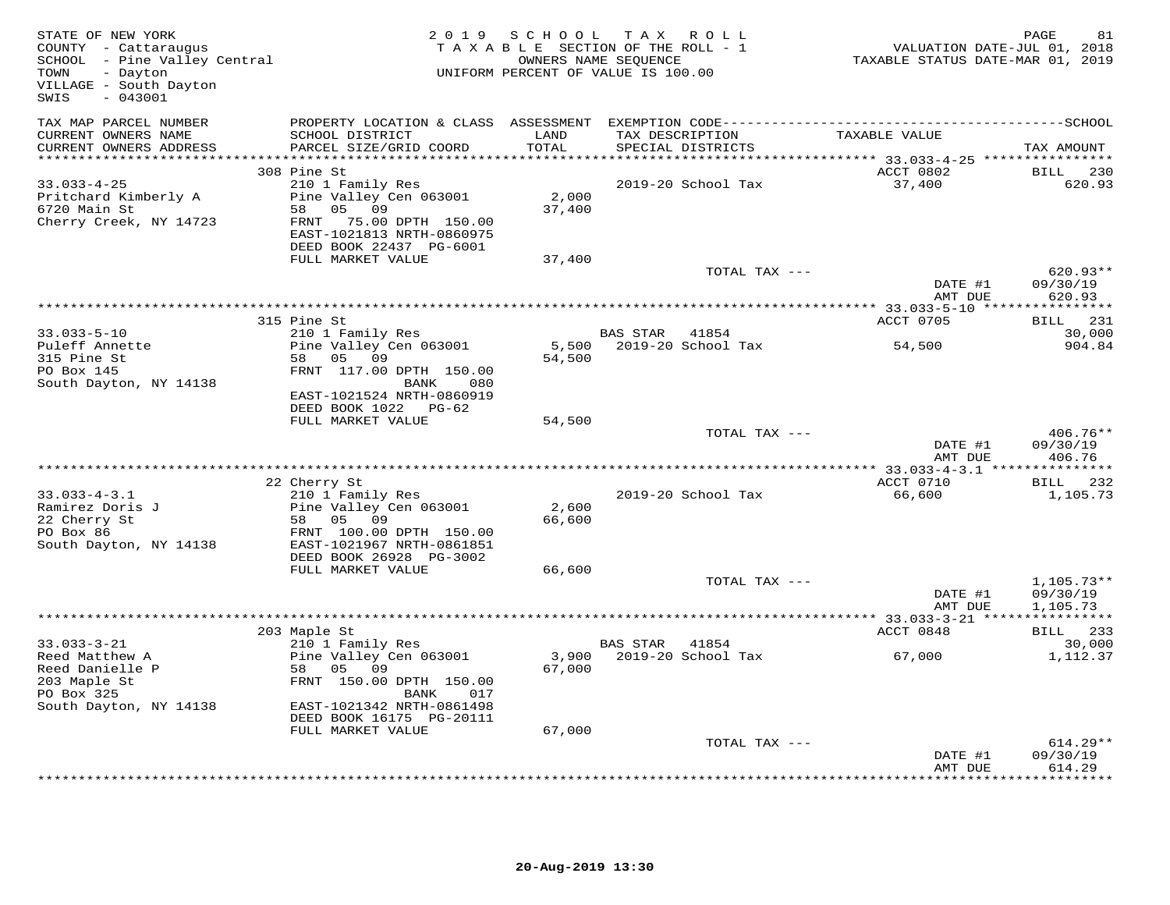| STATE OF NEW YORK<br>COUNTY - Cattaraugus<br>SCHOOL - Pine Valley Central<br>- Dayton<br>TOWN<br>VILLAGE - South Dayton<br>$-043001$<br>SWIS |                                                        | 2019 SCHOOL             | TAX ROLL<br>TAXABLE SECTION OF THE ROLL - 1<br>OWNERS NAME SEQUENCE<br>UNIFORM PERCENT OF VALUE IS 100.00 | VALUATION DATE-JUL 01, 2018<br>TAXABLE STATUS DATE-MAR 01, 2019 | PAGE<br>81                |
|----------------------------------------------------------------------------------------------------------------------------------------------|--------------------------------------------------------|-------------------------|-----------------------------------------------------------------------------------------------------------|-----------------------------------------------------------------|---------------------------|
| TAX MAP PARCEL NUMBER<br>CURRENT OWNERS NAME                                                                                                 | SCHOOL DISTRICT                                        | LAND                    | TAX DESCRIPTION                                                                                           | TAXABLE VALUE                                                   |                           |
| CURRENT OWNERS ADDRESS                                                                                                                       | PARCEL SIZE/GRID COORD                                 | TOTAL                   | SPECIAL DISTRICTS                                                                                         |                                                                 | TAX AMOUNT                |
| **********************                                                                                                                       | 308 Pine St                                            | * * * * * * * * * * * * | ************************************** 33.033-4-25 ****************                                       |                                                                 | BILL                      |
| $33.033 - 4 - 25$                                                                                                                            | 210 1 Family Res                                       |                         | 2019-20 School Tax                                                                                        | ACCT 0802<br>37,400                                             | 230<br>620.93             |
| Pritchard Kimberly A                                                                                                                         | Pine Valley Cen 063001                                 | 2,000                   |                                                                                                           |                                                                 |                           |
| 6720 Main St                                                                                                                                 | 05 09<br>58                                            | 37,400                  |                                                                                                           |                                                                 |                           |
| Cherry Creek, NY 14723                                                                                                                       | 75.00 DPTH 150.00<br>FRNT<br>EAST-1021813 NRTH-0860975 |                         |                                                                                                           |                                                                 |                           |
|                                                                                                                                              | DEED BOOK 22437 PG-6001<br>FULL MARKET VALUE           | 37,400                  |                                                                                                           |                                                                 |                           |
|                                                                                                                                              |                                                        |                         | TOTAL TAX ---                                                                                             |                                                                 | $620.93**$                |
|                                                                                                                                              |                                                        |                         |                                                                                                           | DATE #1<br>AMT DUE                                              | 09/30/19<br>620.93        |
|                                                                                                                                              |                                                        |                         |                                                                                                           |                                                                 |                           |
|                                                                                                                                              | 315 Pine St                                            |                         |                                                                                                           | <b>ACCT 0705</b>                                                | BILL 231                  |
| $33.033 - 5 - 10$                                                                                                                            | 210 1 Family Res                                       |                         | BAS STAR<br>41854                                                                                         |                                                                 | 30,000                    |
| Puleff Annette<br>315 Pine St                                                                                                                | Pine Valley Cen 063001<br>58 05 09                     | 54,500                  | 5,500 2019-20 School Tax                                                                                  | 54,500                                                          | 904.84                    |
| PO Box 145                                                                                                                                   | FRNT 117.00 DPTH 150.00                                |                         |                                                                                                           |                                                                 |                           |
| South Dayton, NY 14138                                                                                                                       | BANK<br>080                                            |                         |                                                                                                           |                                                                 |                           |
|                                                                                                                                              | EAST-1021524 NRTH-0860919                              |                         |                                                                                                           |                                                                 |                           |
|                                                                                                                                              | DEED BOOK 1022 PG-62                                   |                         |                                                                                                           |                                                                 |                           |
|                                                                                                                                              | FULL MARKET VALUE                                      | 54,500                  | TOTAL TAX ---                                                                                             |                                                                 | $406.76**$                |
|                                                                                                                                              |                                                        |                         |                                                                                                           | DATE #1                                                         | 09/30/19                  |
|                                                                                                                                              |                                                        |                         |                                                                                                           | AMT DUE                                                         | 406.76                    |
|                                                                                                                                              |                                                        |                         |                                                                                                           |                                                                 |                           |
|                                                                                                                                              | 22 Cherry St                                           |                         |                                                                                                           | ACCT 0710                                                       | BILL 232                  |
| $33.033 - 4 - 3.1$<br>Ramirez Doris J                                                                                                        | 210 1 Family Res<br>Pine Valley Cen 063001             | 2,600                   | 2019-20 School Tax                                                                                        | 66,600                                                          | 1,105.73                  |
| 22 Cherry St                                                                                                                                 | 58 05 09                                               | 66,600                  |                                                                                                           |                                                                 |                           |
| PO Box 86                                                                                                                                    | FRNT 100.00 DPTH 150.00                                |                         |                                                                                                           |                                                                 |                           |
| South Dayton, NY 14138                                                                                                                       | EAST-1021967 NRTH-0861851                              |                         |                                                                                                           |                                                                 |                           |
|                                                                                                                                              | DEED BOOK 26928 PG-3002<br>FULL MARKET VALUE           | 66,600                  |                                                                                                           |                                                                 |                           |
|                                                                                                                                              |                                                        |                         | TOTAL TAX ---                                                                                             |                                                                 | $1,105.73**$              |
|                                                                                                                                              |                                                        |                         |                                                                                                           | DATE #1                                                         | 09/30/19                  |
|                                                                                                                                              |                                                        |                         |                                                                                                           | AMT DUE                                                         | 1,105.73                  |
|                                                                                                                                              |                                                        |                         |                                                                                                           |                                                                 |                           |
| $33.033 - 3 - 21$                                                                                                                            | 203 Maple St<br>210 1 Family Res                       |                         | BAS STAR<br>41854                                                                                         | ACCT 0848                                                       | BILL 233<br>30,000        |
| Reed Matthew A                                                                                                                               | Pine Valley Cen 063001                                 |                         | 3,900 2019-20 School Tax                                                                                  | 67,000                                                          | 1,112.37                  |
| Reed Danielle P                                                                                                                              | 58 05 09                                               | 67,000                  |                                                                                                           |                                                                 |                           |
| 203 Maple St                                                                                                                                 | FRNT 150.00 DPTH 150.00                                |                         |                                                                                                           |                                                                 |                           |
| PO Box 325<br>South Dayton, NY 14138                                                                                                         | BANK<br>017<br>EAST-1021342 NRTH-0861498               |                         |                                                                                                           |                                                                 |                           |
|                                                                                                                                              | DEED BOOK 16175 PG-20111                               |                         |                                                                                                           |                                                                 |                           |
|                                                                                                                                              | FULL MARKET VALUE                                      | 67,000                  |                                                                                                           |                                                                 |                           |
|                                                                                                                                              |                                                        |                         | TOTAL TAX ---                                                                                             |                                                                 | $614.29**$                |
|                                                                                                                                              |                                                        |                         |                                                                                                           | DATE #1                                                         | 09/30/19                  |
|                                                                                                                                              |                                                        |                         |                                                                                                           | AMT DUE                                                         | 614.29<br>+ + + + + + + + |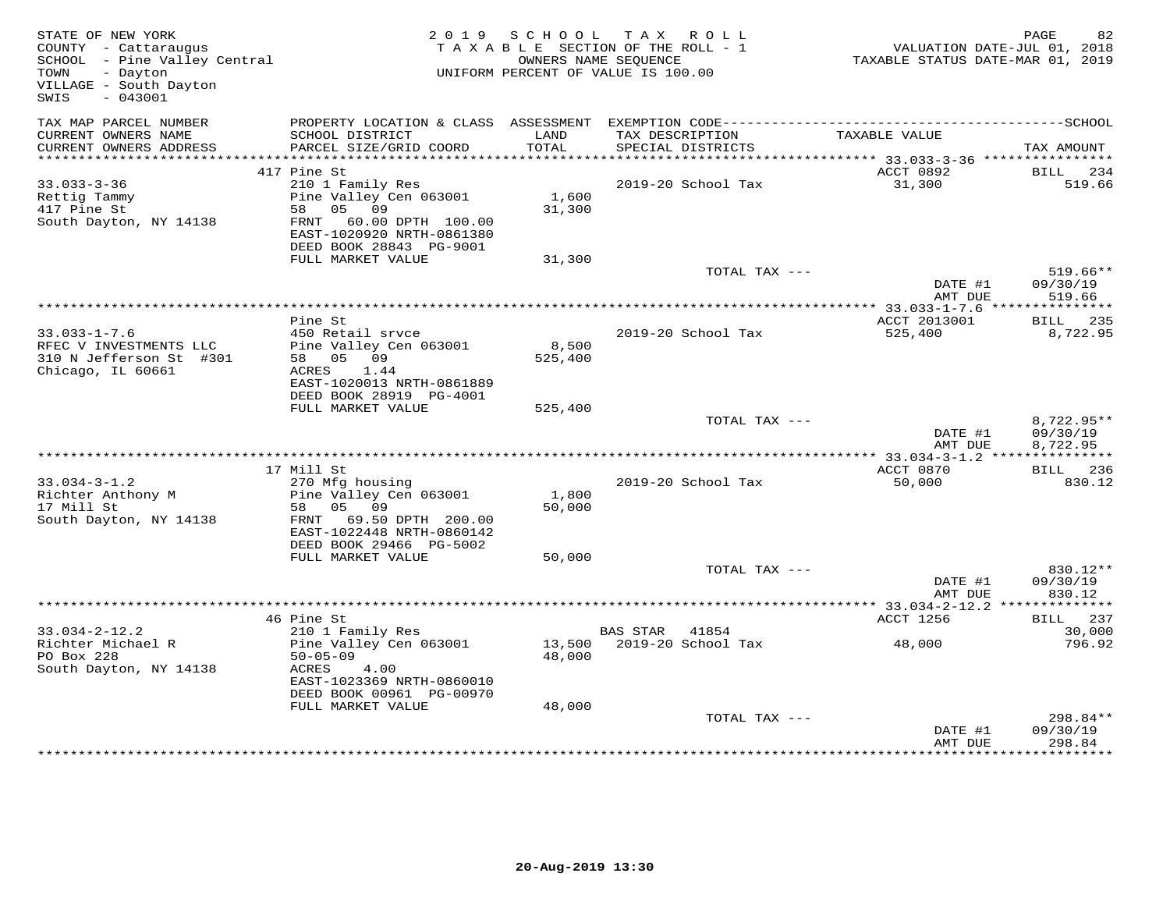| STATE OF NEW YORK<br>COUNTY - Cattaraugus<br>SCHOOL - Pine Valley Central<br>- Dayton<br>TOWN<br>VILLAGE - South Dayton<br>$-043001$<br>SWIS |                                                                                                                                                             |                  | 2019 SCHOOL TAX ROLL<br>TAXABLE SECTION OF THE ROLL - 1<br>OWNERS NAME SEOUENCE<br>UNIFORM PERCENT OF VALUE IS 100.00 | VALUATION DATE-JUL 01, 2018<br>TAXABLE STATUS DATE-MAR 01, 2019 | 82<br>PAGE                         |
|----------------------------------------------------------------------------------------------------------------------------------------------|-------------------------------------------------------------------------------------------------------------------------------------------------------------|------------------|-----------------------------------------------------------------------------------------------------------------------|-----------------------------------------------------------------|------------------------------------|
| TAX MAP PARCEL NUMBER<br>CURRENT OWNERS NAME                                                                                                 | PROPERTY LOCATION & CLASS ASSESSMENT EXEMPTION CODE-----------------------------------SCHOOL<br>SCHOOL DISTRICT                                             | LAND             | TAX DESCRIPTION                                                                                                       | TAXABLE VALUE                                                   |                                    |
| CURRENT OWNERS ADDRESS                                                                                                                       | PARCEL SIZE/GRID COORD                                                                                                                                      | TOTAL            | SPECIAL DISTRICTS                                                                                                     |                                                                 | TAX AMOUNT                         |
|                                                                                                                                              | 417 Pine St                                                                                                                                                 |                  |                                                                                                                       | ACCT 0892                                                       | BILL 234                           |
| $33.033 - 3 - 36$<br>Rettig Tammy<br>417 Pine St<br>South Dayton, NY 14138                                                                   | 210 1 Family Res<br>Pine Valley Cen 063001<br>58 05 09<br>FRNT 60.00 DPTH 100.00<br>EAST-1020920 NRTH-0861380<br>DEED BOOK 28843 PG-9001                    | 1,600<br>31,300  | 2019-20 School Tax                                                                                                    | 31,300                                                          | 519.66                             |
|                                                                                                                                              | FULL MARKET VALUE                                                                                                                                           | 31,300           |                                                                                                                       |                                                                 |                                    |
|                                                                                                                                              |                                                                                                                                                             |                  | TOTAL TAX ---                                                                                                         | DATE #1<br>AMT DUE                                              | $519.66**$<br>09/30/19<br>519.66   |
|                                                                                                                                              |                                                                                                                                                             |                  |                                                                                                                       |                                                                 |                                    |
| $33.033 - 1 - 7.6$<br>RFEC V INVESTMENTS LLC<br>310 N Jefferson St #301<br>Chicago, IL 60661                                                 | Pine St<br>450 Retail srvce<br>Pine Valley Cen 063001<br>58 05 09<br>ACRES 1.44<br>EAST-1020013 NRTH-0861889                                                | 8,500<br>525,400 | 2019-20 School Tax                                                                                                    | ACCT 2013001<br>525,400                                         | BILL 235<br>8,722.95               |
|                                                                                                                                              | DEED BOOK 28919 PG-4001<br>FULL MARKET VALUE                                                                                                                | 525,400          |                                                                                                                       |                                                                 |                                    |
|                                                                                                                                              |                                                                                                                                                             |                  | TOTAL TAX ---                                                                                                         | DATE #1<br>AMT DUE                                              | 8,722.95**<br>09/30/19<br>8,722.95 |
|                                                                                                                                              | 17 Mill St                                                                                                                                                  |                  |                                                                                                                       | ACCT 0870                                                       | BILL 236                           |
| $33.034 - 3 - 1.2$<br>Richter Anthony M<br>17 Mill St<br>South Dayton, NY 14138                                                              | 270 Mfg housing<br>Pine Valley Cen 063001<br>58 05 09<br>FRNT 69.50 DPTH 200.00<br>EAST-1022448 NRTH-0860142<br>DEED BOOK 29466 PG-5002                     | 1,800<br>50,000  | 2019-20 School Tax                                                                                                    | 50,000                                                          | 830.12                             |
|                                                                                                                                              | FULL MARKET VALUE                                                                                                                                           | 50,000           |                                                                                                                       |                                                                 |                                    |
|                                                                                                                                              |                                                                                                                                                             |                  | TOTAL TAX ---                                                                                                         | DATE #1<br>AMT DUE                                              | 830.12**<br>09/30/19<br>830.12     |
|                                                                                                                                              |                                                                                                                                                             |                  |                                                                                                                       | ************ 33.034-2-12.2 **                                   | ************                       |
|                                                                                                                                              | 46 Pine St                                                                                                                                                  |                  |                                                                                                                       | ACCT 1256                                                       | BILL 237                           |
| $33.034 - 2 - 12.2$<br>Richter Michael R<br>PO Box 228<br>South Dayton, NY 14138                                                             | 210 1 Family Res<br>Pine Valley Cen 063001<br>$50 - 05 - 09$<br>4.00<br>ACRES<br>EAST-1023369 NRTH-0860010<br>DEED BOOK 00961 PG-00970<br>FULL MARKET VALUE | 48,000<br>48,000 | BAS STAR 41854<br>13,500 2019-20 School Tax                                                                           | 48,000                                                          | 30,000<br>796.92                   |
|                                                                                                                                              |                                                                                                                                                             |                  | TOTAL TAX ---                                                                                                         | DATE #1<br>AMT DUE                                              | 298.84**<br>09/30/19<br>298.84     |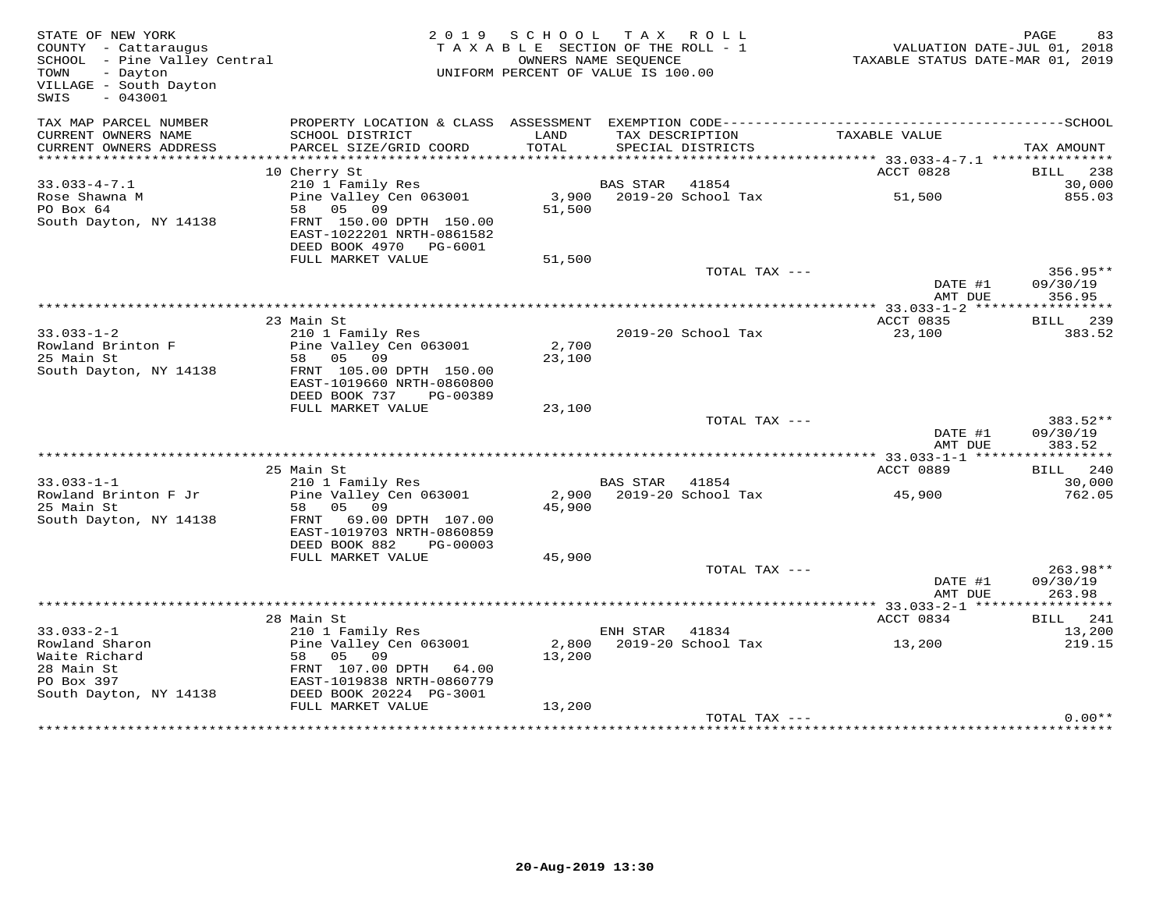| STATE OF NEW YORK<br>COUNTY - Cattaraugus<br>SCHOOL - Pine Valley Central<br>TOWN<br>- Dayton<br>VILLAGE - South Dayton<br>$-043001$<br>SWIS |                                                                                                                                           |                 | 2019 SCHOOL TAX ROLL<br>TAXABLE SECTION OF THE ROLL - 1<br>OWNERS NAME SEQUENCE<br>UNIFORM PERCENT OF VALUE IS 100.00 | TAXABLE STATUS DATE-MAR 01, 2019                 | PAGE<br>83<br>VALUATION DATE-JUL 01, 2018 |
|----------------------------------------------------------------------------------------------------------------------------------------------|-------------------------------------------------------------------------------------------------------------------------------------------|-----------------|-----------------------------------------------------------------------------------------------------------------------|--------------------------------------------------|-------------------------------------------|
| TAX MAP PARCEL NUMBER<br>CURRENT OWNERS NAME<br>CURRENT OWNERS ADDRESS                                                                       | PROPERTY LOCATION & CLASS ASSESSMENT EXEMPTION CODE-----------------------------------SCHOOL<br>SCHOOL DISTRICT<br>PARCEL SIZE/GRID COORD | LAND<br>TOTAL   | TAX DESCRIPTION<br>SPECIAL DISTRICTS                                                                                  | TAXABLE VALUE                                    | TAX AMOUNT                                |
|                                                                                                                                              |                                                                                                                                           |                 |                                                                                                                       | ****************** 33.033-4-7.1 **************** |                                           |
|                                                                                                                                              | 10 Cherry St                                                                                                                              |                 |                                                                                                                       | ACCT 0828                                        | BILL 238                                  |
| $33.033 - 4 - 7.1$<br>Rose Shawna M                                                                                                          | 210 1 Family Res<br>Pine Valley Cen 063001                                                                                                |                 | BAS STAR 41854<br>3,900 2019-20 School Tax                                                                            | 51,500                                           | 30,000<br>855.03                          |
| PO Box 64<br>South Dayton, NY 14138                                                                                                          | 58 05 09<br>FRNT 150.00 DPTH 150.00<br>EAST-1022201 NRTH-0861582<br>DEED BOOK 4970 PG-6001                                                | 51,500          |                                                                                                                       |                                                  |                                           |
|                                                                                                                                              | FULL MARKET VALUE                                                                                                                         | 51,500          |                                                                                                                       |                                                  |                                           |
|                                                                                                                                              |                                                                                                                                           |                 | TOTAL TAX ---                                                                                                         |                                                  | $356.95**$                                |
|                                                                                                                                              |                                                                                                                                           |                 |                                                                                                                       | DATE #1<br>AMT DUE                               | 09/30/19<br>356.95                        |
|                                                                                                                                              |                                                                                                                                           |                 |                                                                                                                       |                                                  |                                           |
| $33.033 - 1 - 2$                                                                                                                             | 23 Main St<br>210 1 Family Res                                                                                                            |                 | 2019-20 School Tax                                                                                                    | ACCT 0835<br>23,100                              | BILL 239<br>383.52                        |
| Rowland Brinton F                                                                                                                            | Pine Valley Cen 063001                                                                                                                    | 2,700           |                                                                                                                       |                                                  |                                           |
| 25 Main St                                                                                                                                   | 58 05 09                                                                                                                                  | 23,100          |                                                                                                                       |                                                  |                                           |
| South Dayton, NY 14138                                                                                                                       | FRNT 105.00 DPTH 150.00<br>EAST-1019660 NRTH-0860800<br>DEED BOOK 737<br>PG-00389                                                         |                 |                                                                                                                       |                                                  |                                           |
|                                                                                                                                              | FULL MARKET VALUE                                                                                                                         | 23,100          |                                                                                                                       |                                                  |                                           |
|                                                                                                                                              |                                                                                                                                           |                 | TOTAL TAX ---                                                                                                         | DATE #1                                          | $383.52**$<br>09/30/19                    |
|                                                                                                                                              |                                                                                                                                           |                 |                                                                                                                       | AMT DUE                                          | 383.52                                    |
|                                                                                                                                              |                                                                                                                                           |                 |                                                                                                                       |                                                  | ***********                               |
|                                                                                                                                              | 25 Main St                                                                                                                                |                 |                                                                                                                       | ACCT 0889                                        | BILL 240                                  |
| $33.033 - 1 - 1$                                                                                                                             | 210 1 Family Res                                                                                                                          |                 | BAS STAR 41854<br>2019-20 School Tax                                                                                  |                                                  | 30,000                                    |
| Rowland Brinton F Jr<br>25 Main St                                                                                                           | Pine Valley Cen 063001<br>58<br>05 09                                                                                                     | 2,900<br>45,900 |                                                                                                                       | 45,900                                           | 762.05                                    |
| South Dayton, NY 14138                                                                                                                       | FRNT<br>69.00 DPTH 107.00<br>EAST-1019703 NRTH-0860859<br>DEED BOOK 882<br>PG-00003                                                       |                 |                                                                                                                       |                                                  |                                           |
|                                                                                                                                              | FULL MARKET VALUE                                                                                                                         | 45,900          |                                                                                                                       |                                                  |                                           |
|                                                                                                                                              |                                                                                                                                           |                 | TOTAL TAX ---                                                                                                         | DATE #1                                          | $263.98**$<br>09/30/19                    |
|                                                                                                                                              |                                                                                                                                           |                 |                                                                                                                       | AMT DUE                                          | 263.98                                    |
|                                                                                                                                              | 28 Main St                                                                                                                                |                 |                                                                                                                       | ACCT 0834                                        | ***********                               |
| $33.033 - 2 - 1$                                                                                                                             | 210 1 Family Res                                                                                                                          |                 | ENH STAR<br>41834                                                                                                     |                                                  | BILL 241<br>13,200                        |
| Rowland Sharon                                                                                                                               | Pine Valley Cen 063001                                                                                                                    | 2,800           | 2019-20 School Tax                                                                                                    | 13,200                                           | 219.15                                    |
| Waite Richard                                                                                                                                | 58 05 09                                                                                                                                  | 13,200          |                                                                                                                       |                                                  |                                           |
| 28 Main St                                                                                                                                   | FRNT 107.00 DPTH 64.00                                                                                                                    |                 |                                                                                                                       |                                                  |                                           |
| PO Box 397                                                                                                                                   | EAST-1019838 NRTH-0860779                                                                                                                 |                 |                                                                                                                       |                                                  |                                           |
| South Dayton, NY 14138                                                                                                                       | DEED BOOK 20224 PG-3001                                                                                                                   |                 |                                                                                                                       |                                                  |                                           |
|                                                                                                                                              | FULL MARKET VALUE                                                                                                                         | 13,200          | TOTAL TAX ---                                                                                                         |                                                  | $0.00**$                                  |
|                                                                                                                                              |                                                                                                                                           |                 |                                                                                                                       |                                                  |                                           |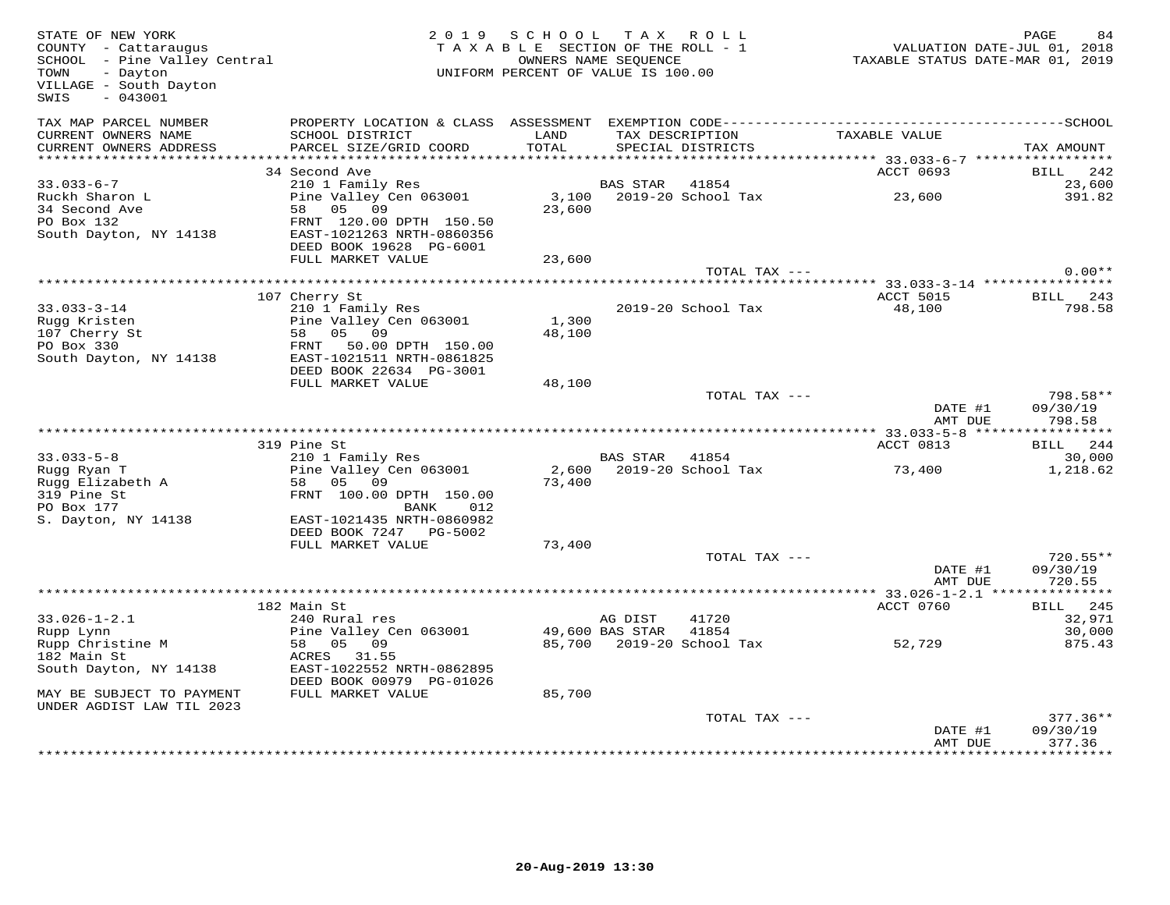| STATE OF NEW YORK<br>COUNTY - Cattaraugus<br>SCHOOL - Pine Valley Central<br>- Dayton<br>TOWN<br>VILLAGE - South Dayton<br>$-043001$<br>SWIS | 2 0 1 9                                                                                                                        | S C H O O L<br>TAXABLE SECTION OF THE ROLL - 1<br>UNIFORM PERCENT OF VALUE IS 100.00 | T A X<br>OWNERS NAME SEQUENCE | R O L L                              | TAXABLE STATUS DATE-MAR 01, 2019 | PAGE<br>84<br>VALUATION DATE-JUL 01, 2018 |
|----------------------------------------------------------------------------------------------------------------------------------------------|--------------------------------------------------------------------------------------------------------------------------------|--------------------------------------------------------------------------------------|-------------------------------|--------------------------------------|----------------------------------|-------------------------------------------|
| TAX MAP PARCEL NUMBER<br>CURRENT OWNERS NAME<br>CURRENT OWNERS ADDRESS                                                                       | PROPERTY LOCATION & CLASS ASSESSMENT<br>SCHOOL DISTRICT<br>PARCEL SIZE/GRID COORD                                              | LAND<br>TOTAL                                                                        |                               | TAX DESCRIPTION<br>SPECIAL DISTRICTS | TAXABLE VALUE                    | TAX AMOUNT                                |
|                                                                                                                                              |                                                                                                                                |                                                                                      |                               |                                      |                                  |                                           |
|                                                                                                                                              | 34 Second Ave                                                                                                                  |                                                                                      |                               |                                      | ACCT 0693                        | BILL<br>242                               |
| $33.033 - 6 - 7$<br>Ruckh Sharon L<br>34 Second Ave<br>PO Box 132<br>South Dayton, NY 14138                                                  | 210 1 Family Res<br>Pine Valley Cen 063001<br>58 05 09<br>FRNT 120.00 DPTH 150.50<br>EAST-1021263 NRTH-0860356                 | 3,100<br>23,600                                                                      | <b>BAS STAR</b>               | 41854<br>2019-20 School Tax          | 23,600                           | 23,600<br>391.82                          |
|                                                                                                                                              | DEED BOOK 19628 PG-6001<br>FULL MARKET VALUE                                                                                   | 23,600                                                                               |                               |                                      |                                  |                                           |
|                                                                                                                                              |                                                                                                                                |                                                                                      |                               | TOTAL TAX ---                        |                                  | $0.00**$                                  |
|                                                                                                                                              |                                                                                                                                |                                                                                      |                               |                                      |                                  |                                           |
| $33.033 - 3 - 14$<br>Rugg Kristen<br>107 Cherry St<br>PO Box 330<br>South Dayton, NY 14138                                                   | 107 Cherry St<br>210 1 Family Res<br>Pine Valley Cen 063001<br>58 05 09<br>FRNT 50.00 DPTH 150.00<br>EAST-1021511 NRTH-0861825 | 1,300<br>48,100                                                                      |                               | 2019-20 School Tax                   | ACCT 5015<br>48,100              | BILL<br>243<br>798.58                     |
|                                                                                                                                              | DEED BOOK 22634 PG-3001                                                                                                        |                                                                                      |                               |                                      |                                  |                                           |
|                                                                                                                                              | FULL MARKET VALUE                                                                                                              | 48,100                                                                               |                               |                                      |                                  |                                           |
|                                                                                                                                              |                                                                                                                                |                                                                                      |                               | TOTAL TAX ---                        | DATE #1<br>AMT DUE               | 798.58**<br>09/30/19<br>798.58            |
|                                                                                                                                              |                                                                                                                                |                                                                                      |                               |                                      |                                  |                                           |
|                                                                                                                                              | 319 Pine St                                                                                                                    |                                                                                      |                               |                                      | ACCT 0813                        | BILL<br>244                               |
| $33.033 - 5 - 8$<br>Rugg Ryan T<br>Rugg Elizabeth A<br>319 Pine St<br>PO Box 177                                                             | 210 1 Family Res<br>Pine Valley Cen 063001<br>58 05 09<br>FRNT 100.00 DPTH 150.00<br>BANK<br>012                               | 2,600<br>73,400                                                                      | <b>BAS STAR</b>               | 41854<br>2019-20 School Tax          | 73,400                           | 30,000<br>1,218.62                        |
| S. Dayton, NY 14138                                                                                                                          | EAST-1021435 NRTH-0860982<br>DEED BOOK 7247 PG-5002<br>FULL MARKET VALUE                                                       |                                                                                      |                               |                                      |                                  |                                           |
|                                                                                                                                              |                                                                                                                                | 73,400                                                                               |                               | TOTAL TAX ---                        |                                  | $720.55**$                                |
|                                                                                                                                              |                                                                                                                                |                                                                                      |                               |                                      | DATE #1<br>AMT DUE               | 09/30/19<br>720.55                        |
|                                                                                                                                              |                                                                                                                                |                                                                                      |                               |                                      |                                  |                                           |
| $33.026 - 1 - 2.1$<br>Rupp Lynn                                                                                                              | 182 Main St<br>240 Rural res<br>Pine Valley Cen 063001                                                                         |                                                                                      | AG DIST<br>49,600 BAS STAR    | 41720<br>41854                       | ACCT 0760                        | BILL 245<br>32,971<br>30,000              |
| Rupp Christine M<br>182 Main St<br>South Dayton, NY 14138                                                                                    | 05<br>09<br>58<br>ACRES 31.55<br>EAST-1022552 NRTH-0862895<br>DEED BOOK 00979 PG-01026                                         | 85,700                                                                               |                               | 2019-20 School Tax                   | 52,729                           | 875.43                                    |
| MAY BE SUBJECT TO PAYMENT<br>UNDER AGDIST LAW TIL 2023                                                                                       | FULL MARKET VALUE                                                                                                              | 85,700                                                                               |                               |                                      |                                  |                                           |
|                                                                                                                                              |                                                                                                                                |                                                                                      |                               | TOTAL TAX ---                        | DATE #1<br>AMT DUE               | $377.36**$<br>09/30/19<br>377.36          |
|                                                                                                                                              |                                                                                                                                |                                                                                      |                               |                                      |                                  |                                           |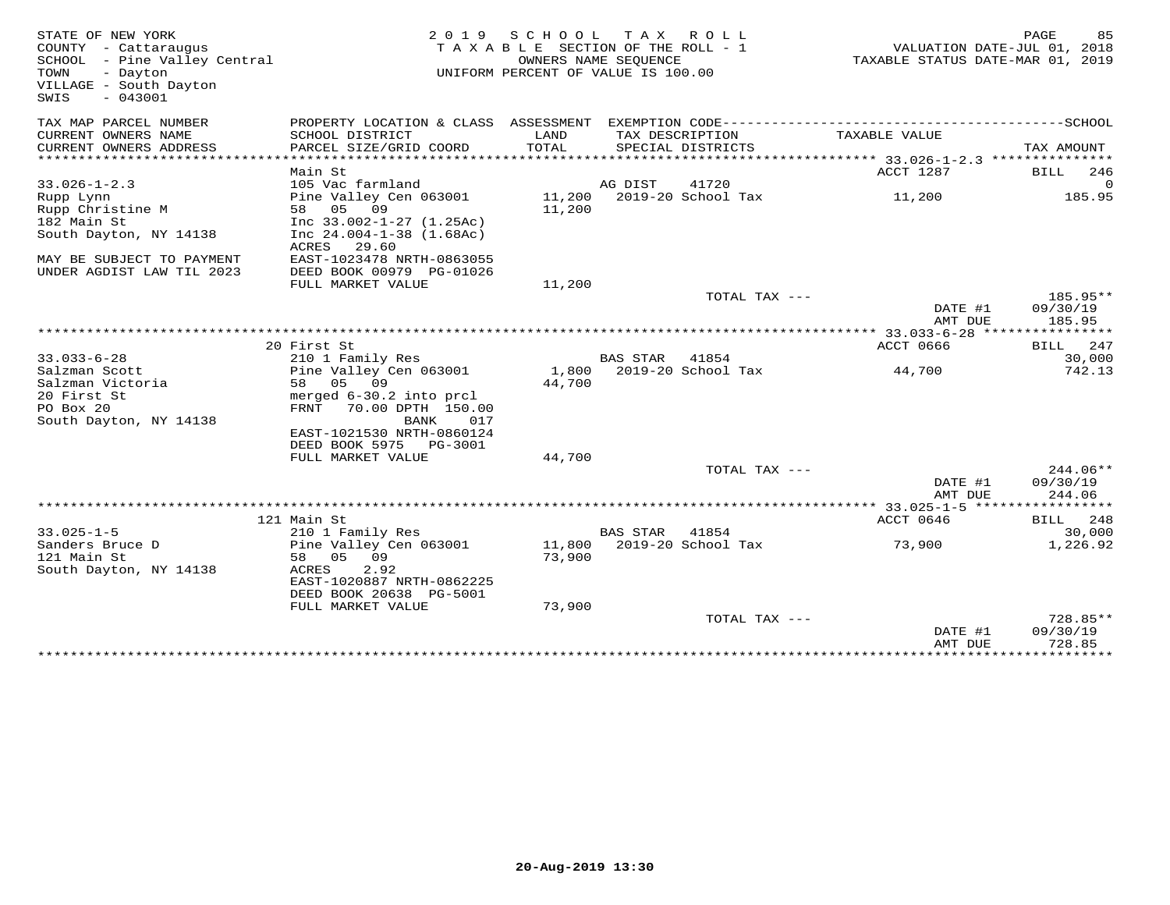| STATE OF NEW YORK<br>COUNTY - Cattaraugus<br>SCHOOL - Pine Valley Central<br>- Dayton<br>TOWN<br>VILLAGE - South Dayton<br>$-043001$<br>SWIS | 2 0 1 9                                    | S C H O O L      | TAX ROLL<br>TAXABLE SECTION OF THE ROLL - 1<br>OWNERS NAME SEQUENCE<br>UNIFORM PERCENT OF VALUE IS 100.00 | VALUATION DATE-JUL 01, 2018<br>TAXABLE STATUS DATE-MAR 01, 2019 | PAGE<br>85           |
|----------------------------------------------------------------------------------------------------------------------------------------------|--------------------------------------------|------------------|-----------------------------------------------------------------------------------------------------------|-----------------------------------------------------------------|----------------------|
| TAX MAP PARCEL NUMBER                                                                                                                        |                                            |                  |                                                                                                           |                                                                 |                      |
| CURRENT OWNERS NAME<br>CURRENT OWNERS ADDRESS                                                                                                | SCHOOL DISTRICT<br>PARCEL SIZE/GRID COORD  | LAND<br>TOTAL    | TAX DESCRIPTION<br>SPECIAL DISTRICTS                                                                      | TAXABLE VALUE                                                   | TAX AMOUNT           |
|                                                                                                                                              |                                            |                  |                                                                                                           |                                                                 |                      |
|                                                                                                                                              | Main St                                    |                  |                                                                                                           | ACCT 1287                                                       | BILL<br>246          |
| $33.026 - 1 - 2.3$                                                                                                                           | 105 Vac farmland                           |                  | AG DIST<br>41720                                                                                          |                                                                 | $\Omega$             |
| Rupp Lynn                                                                                                                                    | Pine Valley Cen 063001<br>58 05 09         | 11,200<br>11,200 | 2019-20 School Tax                                                                                        | 11,200                                                          | 185.95               |
| Rupp Christine M<br>182 Main St                                                                                                              | Inc $33.002 - 1 - 27$ $(1.25Ac)$           |                  |                                                                                                           |                                                                 |                      |
| South Dayton, NY 14138                                                                                                                       | Inc $24.004 - 1 - 38$ $(1.68Ac)$           |                  |                                                                                                           |                                                                 |                      |
| MAY BE SUBJECT TO PAYMENT                                                                                                                    | ACRES 29.60<br>EAST-1023478 NRTH-0863055   |                  |                                                                                                           |                                                                 |                      |
| UNDER AGDIST LAW TIL 2023                                                                                                                    | DEED BOOK 00979 PG-01026                   |                  |                                                                                                           |                                                                 |                      |
|                                                                                                                                              | FULL MARKET VALUE                          | 11,200           |                                                                                                           |                                                                 |                      |
|                                                                                                                                              |                                            |                  | TOTAL TAX ---                                                                                             |                                                                 | $185.95**$           |
|                                                                                                                                              |                                            |                  |                                                                                                           | DATE #1                                                         | 09/30/19             |
|                                                                                                                                              |                                            |                  |                                                                                                           | AMT DUE                                                         | 185.95               |
|                                                                                                                                              |                                            |                  |                                                                                                           |                                                                 |                      |
|                                                                                                                                              | 20 First St                                |                  |                                                                                                           | <b>ACCT 0666</b>                                                | BILL<br>247          |
| $33.033 - 6 - 28$<br>Salzman Scott                                                                                                           | 210 1 Family Res<br>Pine Valley Cen 063001 | 1,800            | <b>BAS STAR</b><br>41854<br>2019-20 School Tax                                                            | 44,700                                                          | 30,000<br>742.13     |
| Salzman Victoria                                                                                                                             | 05 09<br>58                                | 44,700           |                                                                                                           |                                                                 |                      |
| 20 First St                                                                                                                                  | merged 6-30.2 into prcl                    |                  |                                                                                                           |                                                                 |                      |
| PO Box 20                                                                                                                                    | 70.00 DPTH 150.00<br>FRNT                  |                  |                                                                                                           |                                                                 |                      |
| South Dayton, NY 14138                                                                                                                       | BANK<br>017                                |                  |                                                                                                           |                                                                 |                      |
|                                                                                                                                              | EAST-1021530 NRTH-0860124                  |                  |                                                                                                           |                                                                 |                      |
|                                                                                                                                              | DEED BOOK 5975<br>PG-3001                  |                  |                                                                                                           |                                                                 |                      |
|                                                                                                                                              | FULL MARKET VALUE                          | 44,700           |                                                                                                           |                                                                 |                      |
|                                                                                                                                              |                                            |                  | TOTAL TAX ---                                                                                             |                                                                 | $244.06**$           |
|                                                                                                                                              |                                            |                  |                                                                                                           | DATE #1                                                         | 09/30/19             |
|                                                                                                                                              |                                            |                  |                                                                                                           | AMT DUE                                                         | 244.06               |
|                                                                                                                                              | 121 Main St                                |                  |                                                                                                           | ************ 33.025-1-5 ******************<br>ACCT 0646         | BILL<br>248          |
| $33.025 - 1 - 5$                                                                                                                             | 210 1 Family Res                           |                  | <b>BAS STAR</b><br>41854                                                                                  |                                                                 | 30,000               |
| Sanders Bruce D                                                                                                                              | Pine Valley Cen 063001                     | 11,800           | 2019-20 School Tax                                                                                        | 73,900                                                          | 1,226.92             |
| 121 Main St                                                                                                                                  | 05 09<br>58                                | 73,900           |                                                                                                           |                                                                 |                      |
| South Dayton, NY 14138                                                                                                                       | ACRES<br>2.92                              |                  |                                                                                                           |                                                                 |                      |
|                                                                                                                                              | EAST-1020887 NRTH-0862225                  |                  |                                                                                                           |                                                                 |                      |
|                                                                                                                                              | DEED BOOK 20638 PG-5001                    |                  |                                                                                                           |                                                                 |                      |
|                                                                                                                                              | FULL MARKET VALUE                          | 73,900           |                                                                                                           |                                                                 |                      |
|                                                                                                                                              |                                            |                  | TOTAL TAX $---$                                                                                           |                                                                 | 728.85**             |
|                                                                                                                                              |                                            |                  |                                                                                                           | DATE #1                                                         | 09/30/19             |
|                                                                                                                                              |                                            |                  |                                                                                                           | AMT DUE<br>*****************                                    | 728.85<br>********** |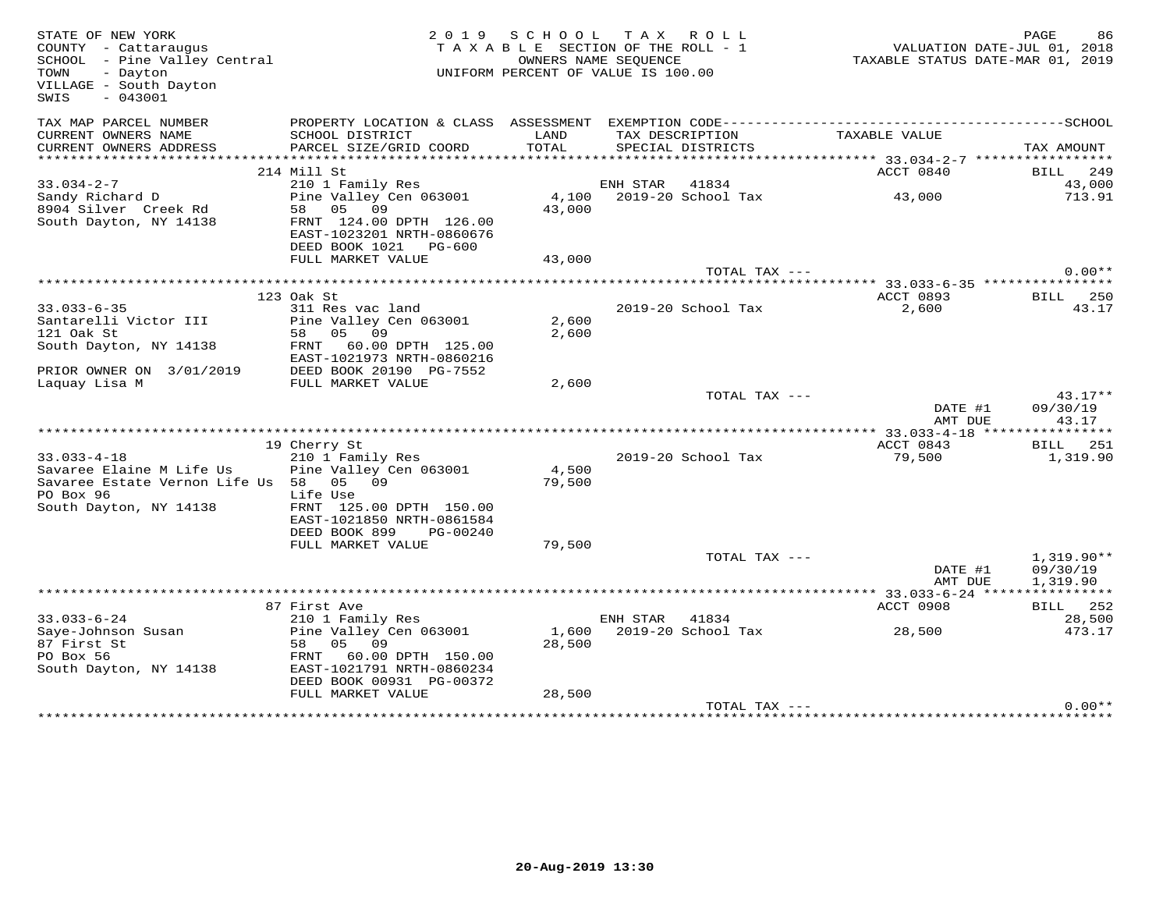| STATE OF NEW YORK<br>COUNTY - Cattaraugus<br>SCHOOL - Pine Valley Central<br>- Dayton<br>TOWN<br>VILLAGE - South Dayton<br>$-043001$<br>SWIS |                                                                                              |               | 2019 SCHOOL TAX ROLL<br>TAXABLE SECTION OF THE ROLL - 1<br>OWNERS NAME SEQUENCE<br>UNIFORM PERCENT OF VALUE IS 100.00 | VALUATION DATE-JUL 01, 2018<br>TAXABLE STATUS DATE-MAR 01, 2019 | PAGE<br>86        |
|----------------------------------------------------------------------------------------------------------------------------------------------|----------------------------------------------------------------------------------------------|---------------|-----------------------------------------------------------------------------------------------------------------------|-----------------------------------------------------------------|-------------------|
| TAX MAP PARCEL NUMBER                                                                                                                        | PROPERTY LOCATION & CLASS ASSESSMENT EXEMPTION CODE-----------------------------------SCHOOL |               |                                                                                                                       |                                                                 |                   |
| CURRENT OWNERS NAME<br>CURRENT OWNERS ADDRESS                                                                                                | SCHOOL DISTRICT<br>PARCEL SIZE/GRID COORD                                                    | LAND<br>TOTAL | TAX DESCRIPTION<br>SPECIAL DISTRICTS                                                                                  | TAXABLE VALUE                                                   | TAX AMOUNT        |
|                                                                                                                                              |                                                                                              |               |                                                                                                                       |                                                                 |                   |
|                                                                                                                                              | 214 Mill St                                                                                  |               |                                                                                                                       | ACCT 0840                                                       | BILL 249          |
| $33.034 - 2 - 7$                                                                                                                             | 210 1 Family Res                                                                             |               | ENH STAR 41834                                                                                                        | 43,000                                                          | 43,000<br>713.91  |
| Sandy Richard D<br>8904 Silver Creek Rd                                                                                                      | Pine Valley Cen 063001<br>58 05 09                                                           | 43,000        |                                                                                                                       |                                                                 |                   |
| South Dayton, NY 14138                                                                                                                       | FRNT 124.00 DPTH 126.00<br>EAST-1023201 NRTH-0860676<br>DEED BOOK 1021 PG-600                |               |                                                                                                                       |                                                                 |                   |
|                                                                                                                                              | FULL MARKET VALUE                                                                            | 43,000        |                                                                                                                       |                                                                 |                   |
|                                                                                                                                              |                                                                                              |               | TOTAL TAX ---                                                                                                         |                                                                 | $0.00**$          |
|                                                                                                                                              |                                                                                              |               |                                                                                                                       |                                                                 |                   |
|                                                                                                                                              | 123 Oak St                                                                                   |               |                                                                                                                       | ACCT 0893                                                       | <b>BILL</b> 250   |
| $33.033 - 6 - 35$                                                                                                                            | 311 Res vac land                                                                             |               | 2019-20 School Tax                                                                                                    | 2,600                                                           | 43.17             |
| Santarelli Victor III                                                                                                                        | Pine Valley Cen 063001                                                                       | 2,600         |                                                                                                                       |                                                                 |                   |
| 121 Oak St                                                                                                                                   | 58 05 09                                                                                     | 2,600         |                                                                                                                       |                                                                 |                   |
| South Dayton, NY 14138                                                                                                                       | FRNT 60.00 DPTH 125.00                                                                       |               |                                                                                                                       |                                                                 |                   |
|                                                                                                                                              | EAST-1021973 NRTH-0860216                                                                    |               |                                                                                                                       |                                                                 |                   |
| PRIOR OWNER ON 3/01/2019                                                                                                                     | DEED BOOK 20190 PG-7552<br>FULL MARKET VALUE                                                 | 2,600         |                                                                                                                       |                                                                 |                   |
| Laquay Lisa M                                                                                                                                |                                                                                              |               | TOTAL TAX ---                                                                                                         |                                                                 | $43.17**$         |
|                                                                                                                                              |                                                                                              |               |                                                                                                                       | DATE #1<br>AMT DUE                                              | 09/30/19<br>43.17 |
|                                                                                                                                              |                                                                                              |               |                                                                                                                       |                                                                 |                   |
|                                                                                                                                              | 19 Cherry St                                                                                 |               |                                                                                                                       | ACCT 0843                                                       | <b>BILL</b> 251   |
| $33.033 - 4 - 18$                                                                                                                            | 210 1 Family Res                                                                             |               | 2019-20 School Tax                                                                                                    | 79,500                                                          | 1,319.90          |
| Savaree Elaine M Life Us                                                                                                                     | Pine Valley Cen 063001                                                                       | 4,500         |                                                                                                                       |                                                                 |                   |
| Savaree Estate Vernon Life Us 58 05 09                                                                                                       |                                                                                              | 79,500        |                                                                                                                       |                                                                 |                   |
| PO Box 96                                                                                                                                    | Life Use                                                                                     |               |                                                                                                                       |                                                                 |                   |
| South Dayton, NY 14138                                                                                                                       | FRNT 125.00 DPTH 150.00                                                                      |               |                                                                                                                       |                                                                 |                   |
|                                                                                                                                              | EAST-1021850 NRTH-0861584                                                                    |               |                                                                                                                       |                                                                 |                   |
|                                                                                                                                              | DEED BOOK 899<br>PG-00240                                                                    |               |                                                                                                                       |                                                                 |                   |
|                                                                                                                                              | FULL MARKET VALUE                                                                            | 79,500        |                                                                                                                       |                                                                 |                   |
|                                                                                                                                              |                                                                                              |               | TOTAL TAX ---                                                                                                         |                                                                 | $1,319.90**$      |
|                                                                                                                                              |                                                                                              |               |                                                                                                                       | DATE #1                                                         | 09/30/19          |
|                                                                                                                                              | **************************************                                                       |               |                                                                                                                       | AMT DUE<br>******** 33.033-6-24 *****************               | 1,319.90          |
|                                                                                                                                              | 87 First Ave                                                                                 |               |                                                                                                                       | ACCT 0908                                                       | <b>BILL</b> 252   |
| $33.033 - 6 - 24$                                                                                                                            | 210 1 Family Res                                                                             |               | ENH STAR<br>41834                                                                                                     |                                                                 | 28,500            |
| Saye-Johnson Susan                                                                                                                           | Pine Valley Cen 063001                                                                       | 1,600         | 2019-20 School Tax                                                                                                    | 28,500                                                          | 473.17            |
| 87 First St                                                                                                                                  | 58 05 09                                                                                     | 28,500        |                                                                                                                       |                                                                 |                   |
| PO Box 56                                                                                                                                    | FRNT 60.00 DPTH 150.00                                                                       |               |                                                                                                                       |                                                                 |                   |
| South Dayton, NY 14138                                                                                                                       | EAST-1021791 NRTH-0860234                                                                    |               |                                                                                                                       |                                                                 |                   |
|                                                                                                                                              | DEED BOOK 00931 PG-00372                                                                     |               |                                                                                                                       |                                                                 |                   |
|                                                                                                                                              | FULL MARKET VALUE                                                                            | 28,500        |                                                                                                                       |                                                                 |                   |
|                                                                                                                                              |                                                                                              |               | TOTAL TAX ---                                                                                                         |                                                                 | $0.00**$          |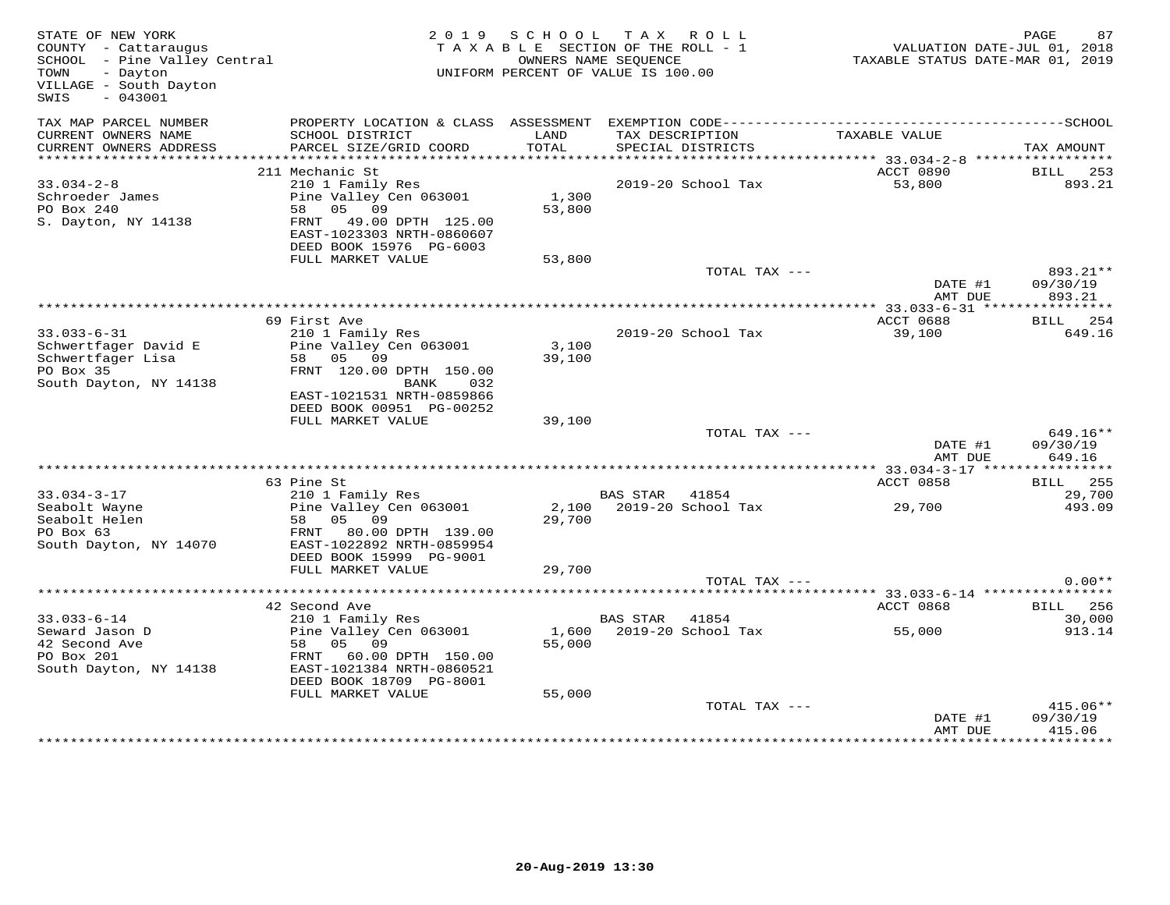| TAX MAP PARCEL NUMBER<br>PROPERTY LOCATION & CLASS ASSESSMENT<br>CURRENT OWNERS NAME<br>SCHOOL DISTRICT<br>LAND<br>TAX DESCRIPTION<br>TAXABLE VALUE<br>TOTAL<br>CURRENT OWNERS ADDRESS<br>PARCEL SIZE/GRID COORD<br>SPECIAL DISTRICTS<br>ACCT 0890<br>211 Mechanic St<br>2019-20 School Tax<br>53,800<br>$33.034 - 2 - 8$<br>210 1 Family Res<br>Pine Valley Cen 063001<br>1,300<br>Schroeder James<br>05<br>PO Box 240<br>58<br>09<br>53,800<br>49.00 DPTH 125.00<br>S. Dayton, NY 14138<br>FRNT | TAX AMOUNT<br>BILL<br>253<br>893.21 |
|---------------------------------------------------------------------------------------------------------------------------------------------------------------------------------------------------------------------------------------------------------------------------------------------------------------------------------------------------------------------------------------------------------------------------------------------------------------------------------------------------|-------------------------------------|
|                                                                                                                                                                                                                                                                                                                                                                                                                                                                                                   |                                     |
|                                                                                                                                                                                                                                                                                                                                                                                                                                                                                                   |                                     |
|                                                                                                                                                                                                                                                                                                                                                                                                                                                                                                   |                                     |
| EAST-1023303 NRTH-0860607                                                                                                                                                                                                                                                                                                                                                                                                                                                                         |                                     |
| DEED BOOK 15976 PG-6003                                                                                                                                                                                                                                                                                                                                                                                                                                                                           |                                     |
| FULL MARKET VALUE<br>53,800<br>TOTAL TAX ---<br>DATE #1                                                                                                                                                                                                                                                                                                                                                                                                                                           | 893.21**<br>09/30/19                |
| AMT DUE                                                                                                                                                                                                                                                                                                                                                                                                                                                                                           | 893.21                              |
| ************* 33.033-6-31 ****                                                                                                                                                                                                                                                                                                                                                                                                                                                                    | * * * * * * * * * * *               |
| 69 First Ave<br>ACCT 0688<br>$33.033 - 6 - 31$<br>2019-20 School Tax<br>39,100<br>210 1 Family Res                                                                                                                                                                                                                                                                                                                                                                                                | 254<br><b>BILL</b><br>649.16        |
| Pine Valley Cen 063001<br>Schwertfager David E<br>3,100<br>Schwertfager Lisa<br>58 05 09<br>39,100<br>PO Box 35<br>FRNT 120.00 DPTH 150.00<br>South Dayton, NY 14138<br>BANK<br>032<br>EAST-1021531 NRTH-0859866                                                                                                                                                                                                                                                                                  |                                     |
| DEED BOOK 00951 PG-00252<br>FULL MARKET VALUE<br>39,100                                                                                                                                                                                                                                                                                                                                                                                                                                           |                                     |
| TOTAL TAX ---<br>DATE #1<br>AMT DUE                                                                                                                                                                                                                                                                                                                                                                                                                                                               | $649.16**$<br>09/30/19<br>649.16    |
|                                                                                                                                                                                                                                                                                                                                                                                                                                                                                                   |                                     |
| 63 Pine St<br>ACCT 0858                                                                                                                                                                                                                                                                                                                                                                                                                                                                           | <b>BILL</b> 255                     |
| 210 1 Family Res<br>$33.034 - 3 - 17$<br>BAS STAR 41854<br>Pine Valley Cen 063001<br>2,100 2019-20 School Tax<br>Seabolt Wayne<br>29,700<br>Seabolt Helen<br>58<br>05<br>09<br>29,700<br>PO Box 63<br>80.00 DPTH 139.00<br>FRNT<br>EAST-1022892 NRTH-0859954<br>South Dayton, NY 14070                                                                                                                                                                                                            | 29,700<br>493.09                    |
| DEED BOOK 15999 PG-9001<br>FULL MARKET VALUE<br>29,700                                                                                                                                                                                                                                                                                                                                                                                                                                            |                                     |
| TOTAL TAX ---                                                                                                                                                                                                                                                                                                                                                                                                                                                                                     | $0.00**$                            |
|                                                                                                                                                                                                                                                                                                                                                                                                                                                                                                   |                                     |
| 42 Second Ave<br>ACCT 0868                                                                                                                                                                                                                                                                                                                                                                                                                                                                        | BILL 256                            |
| $33.033 - 6 - 14$<br>210 1 Family Res<br>BAS STAR<br>41854<br>Seward Jason D<br>Pine Valley Cen 063001<br>1,600<br>2019-20 School Tax<br>55,000<br>55,000<br>42 Second Ave<br>58<br>05<br>09<br>PO Box 201<br>FRNT<br>60.00 DPTH 150.00<br>South Dayton, NY 14138<br>EAST-1021384 NRTH-0860521<br>DEED BOOK 18709 PG-8001                                                                                                                                                                         | 30,000<br>913.14                    |
| FULL MARKET VALUE<br>55,000                                                                                                                                                                                                                                                                                                                                                                                                                                                                       |                                     |
| TOTAL TAX ---<br>DATE #1<br>AMT DUE                                                                                                                                                                                                                                                                                                                                                                                                                                                               | $415.06**$<br>09/30/19<br>415.06    |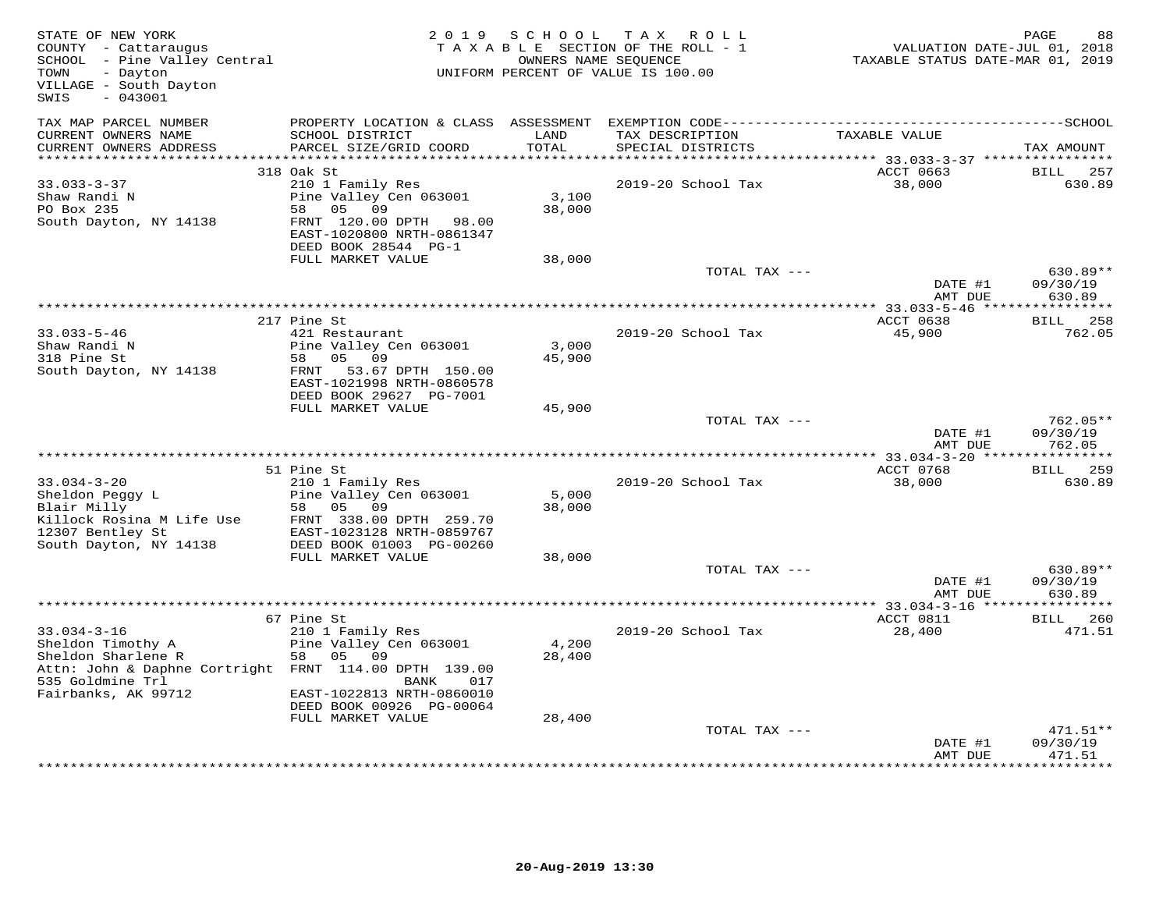| TAX MAP PARCEL NUMBER<br>PROPERTY LOCATION & CLASS ASSESSMENT<br>CURRENT OWNERS NAME<br>SCHOOL DISTRICT<br>LAND<br>TAXABLE VALUE<br>TAX DESCRIPTION<br>TOTAL<br>CURRENT OWNERS ADDRESS<br>PARCEL SIZE/GRID COORD<br>SPECIAL DISTRICTS<br>***********************<br>318 Oak St<br>ACCT 0663<br><b>BILL</b><br>$33.033 - 3 - 37$<br>38,000<br>210 1 Family Res<br>2019-20 School Tax<br>Shaw Randi N<br>Pine Valley Cen 063001<br>3,100<br>PO Box 235<br>09<br>38,000<br>58 05<br>South Dayton, NY 14138<br>FRNT 120.00 DPTH 98.00<br>EAST-1020800 NRTH-0861347<br>DEED BOOK 28544 PG-1<br>FULL MARKET VALUE<br>38,000<br>TOTAL TAX ---<br>630.89**<br>DATE #1<br>AMT DUE<br>ACCT 0638<br>217 Pine St<br>$33.033 - 5 - 46$<br>421 Restaurant<br>2019-20 School Tax<br>45,900<br>Shaw Randi N<br>Pine Valley Cen 063001<br>3,000<br>318 Pine St<br>58 05 09<br>45,900<br>South Dayton, NY 14138<br>FRNT<br>53.67 DPTH 150.00<br>EAST-1021998 NRTH-0860578<br>DEED BOOK 29627 PG-7001<br>FULL MARKET VALUE<br>45,900<br>TOTAL TAX ---<br>DATE #1<br>AMT DUE<br>ACCT 0768<br>51 Pine St<br>BILL<br>$33.034 - 3 - 20$<br>210 1 Family Res<br>2019-20 School Tax<br>38,000<br>630.89<br>Sheldon Peggy L<br>Pine Valley Cen 063001<br>5,000<br>09<br>Blair Milly<br>58 05<br>38,000<br>Killock Rosina M Life Use<br>FRNT 338.00 DPTH 259.70<br>12307 Bentley St<br>EAST-1023128 NRTH-0859767<br>South Dayton, NY 14138<br>DEED BOOK 01003 PG-00260<br>FULL MARKET VALUE<br>38,000<br>TOTAL TAX ---<br>DATE #1<br>AMT DUE<br>ACCT 0811<br>67 Pine St<br>$33.034 - 3 - 16$<br>210 1 Family Res<br>2019-20 School Tax<br>28,400<br>Sheldon Timothy A<br>Pine Valley Cen 063001<br>4,200<br>58 05 09<br>Sheldon Sharlene R<br>28,400<br>Attn: John & Daphne Cortright FRNT 114.00 DPTH 139.00<br>535 Goldmine Trl<br>BANK<br>017<br>Fairbanks, AK 99712<br>EAST-1022813 NRTH-0860010<br>DEED BOOK 00926 PG-00064<br>FULL MARKET VALUE<br>28,400<br>TOTAL TAX ---<br>DATE #1 | STATE OF NEW YORK<br>COUNTY - Cattaraugus<br>SCHOOL - Pine Valley Central<br>- Dayton<br>TOWN<br>VILLAGE - South Dayton<br>$-043001$<br>SWIS | 2019 SCHOOL | TAX ROLL<br>TAXABLE SECTION OF THE ROLL - 1<br>OWNERS NAME SEQUENCE<br>UNIFORM PERCENT OF VALUE IS 100.00 | VALUATION DATE-JUL 01, 2018<br>TAXABLE STATUS DATE-MAR 01, 2019 | PAGE<br>88                       |
|------------------------------------------------------------------------------------------------------------------------------------------------------------------------------------------------------------------------------------------------------------------------------------------------------------------------------------------------------------------------------------------------------------------------------------------------------------------------------------------------------------------------------------------------------------------------------------------------------------------------------------------------------------------------------------------------------------------------------------------------------------------------------------------------------------------------------------------------------------------------------------------------------------------------------------------------------------------------------------------------------------------------------------------------------------------------------------------------------------------------------------------------------------------------------------------------------------------------------------------------------------------------------------------------------------------------------------------------------------------------------------------------------------------------------------------------------------------------------------------------------------------------------------------------------------------------------------------------------------------------------------------------------------------------------------------------------------------------------------------------------------------------------------------------------------------------------------------------------------------------------------------------------------------------------------------------------------------|----------------------------------------------------------------------------------------------------------------------------------------------|-------------|-----------------------------------------------------------------------------------------------------------|-----------------------------------------------------------------|----------------------------------|
|                                                                                                                                                                                                                                                                                                                                                                                                                                                                                                                                                                                                                                                                                                                                                                                                                                                                                                                                                                                                                                                                                                                                                                                                                                                                                                                                                                                                                                                                                                                                                                                                                                                                                                                                                                                                                                                                                                                                                                  |                                                                                                                                              |             |                                                                                                           |                                                                 |                                  |
|                                                                                                                                                                                                                                                                                                                                                                                                                                                                                                                                                                                                                                                                                                                                                                                                                                                                                                                                                                                                                                                                                                                                                                                                                                                                                                                                                                                                                                                                                                                                                                                                                                                                                                                                                                                                                                                                                                                                                                  |                                                                                                                                              |             |                                                                                                           |                                                                 | TAX AMOUNT                       |
|                                                                                                                                                                                                                                                                                                                                                                                                                                                                                                                                                                                                                                                                                                                                                                                                                                                                                                                                                                                                                                                                                                                                                                                                                                                                                                                                                                                                                                                                                                                                                                                                                                                                                                                                                                                                                                                                                                                                                                  |                                                                                                                                              |             |                                                                                                           |                                                                 |                                  |
|                                                                                                                                                                                                                                                                                                                                                                                                                                                                                                                                                                                                                                                                                                                                                                                                                                                                                                                                                                                                                                                                                                                                                                                                                                                                                                                                                                                                                                                                                                                                                                                                                                                                                                                                                                                                                                                                                                                                                                  |                                                                                                                                              |             |                                                                                                           |                                                                 | 257<br>630.89                    |
|                                                                                                                                                                                                                                                                                                                                                                                                                                                                                                                                                                                                                                                                                                                                                                                                                                                                                                                                                                                                                                                                                                                                                                                                                                                                                                                                                                                                                                                                                                                                                                                                                                                                                                                                                                                                                                                                                                                                                                  |                                                                                                                                              |             |                                                                                                           |                                                                 |                                  |
|                                                                                                                                                                                                                                                                                                                                                                                                                                                                                                                                                                                                                                                                                                                                                                                                                                                                                                                                                                                                                                                                                                                                                                                                                                                                                                                                                                                                                                                                                                                                                                                                                                                                                                                                                                                                                                                                                                                                                                  |                                                                                                                                              |             |                                                                                                           |                                                                 | 09/30/19<br>630.89               |
|                                                                                                                                                                                                                                                                                                                                                                                                                                                                                                                                                                                                                                                                                                                                                                                                                                                                                                                                                                                                                                                                                                                                                                                                                                                                                                                                                                                                                                                                                                                                                                                                                                                                                                                                                                                                                                                                                                                                                                  |                                                                                                                                              |             |                                                                                                           |                                                                 |                                  |
|                                                                                                                                                                                                                                                                                                                                                                                                                                                                                                                                                                                                                                                                                                                                                                                                                                                                                                                                                                                                                                                                                                                                                                                                                                                                                                                                                                                                                                                                                                                                                                                                                                                                                                                                                                                                                                                                                                                                                                  |                                                                                                                                              |             |                                                                                                           |                                                                 | BILL 258<br>762.05               |
|                                                                                                                                                                                                                                                                                                                                                                                                                                                                                                                                                                                                                                                                                                                                                                                                                                                                                                                                                                                                                                                                                                                                                                                                                                                                                                                                                                                                                                                                                                                                                                                                                                                                                                                                                                                                                                                                                                                                                                  |                                                                                                                                              |             |                                                                                                           |                                                                 |                                  |
|                                                                                                                                                                                                                                                                                                                                                                                                                                                                                                                                                                                                                                                                                                                                                                                                                                                                                                                                                                                                                                                                                                                                                                                                                                                                                                                                                                                                                                                                                                                                                                                                                                                                                                                                                                                                                                                                                                                                                                  |                                                                                                                                              |             |                                                                                                           |                                                                 |                                  |
|                                                                                                                                                                                                                                                                                                                                                                                                                                                                                                                                                                                                                                                                                                                                                                                                                                                                                                                                                                                                                                                                                                                                                                                                                                                                                                                                                                                                                                                                                                                                                                                                                                                                                                                                                                                                                                                                                                                                                                  |                                                                                                                                              |             |                                                                                                           |                                                                 | $762.05**$                       |
|                                                                                                                                                                                                                                                                                                                                                                                                                                                                                                                                                                                                                                                                                                                                                                                                                                                                                                                                                                                                                                                                                                                                                                                                                                                                                                                                                                                                                                                                                                                                                                                                                                                                                                                                                                                                                                                                                                                                                                  |                                                                                                                                              |             |                                                                                                           |                                                                 | 09/30/19<br>762.05               |
|                                                                                                                                                                                                                                                                                                                                                                                                                                                                                                                                                                                                                                                                                                                                                                                                                                                                                                                                                                                                                                                                                                                                                                                                                                                                                                                                                                                                                                                                                                                                                                                                                                                                                                                                                                                                                                                                                                                                                                  |                                                                                                                                              |             |                                                                                                           |                                                                 |                                  |
|                                                                                                                                                                                                                                                                                                                                                                                                                                                                                                                                                                                                                                                                                                                                                                                                                                                                                                                                                                                                                                                                                                                                                                                                                                                                                                                                                                                                                                                                                                                                                                                                                                                                                                                                                                                                                                                                                                                                                                  |                                                                                                                                              |             |                                                                                                           |                                                                 | 259                              |
|                                                                                                                                                                                                                                                                                                                                                                                                                                                                                                                                                                                                                                                                                                                                                                                                                                                                                                                                                                                                                                                                                                                                                                                                                                                                                                                                                                                                                                                                                                                                                                                                                                                                                                                                                                                                                                                                                                                                                                  |                                                                                                                                              |             |                                                                                                           |                                                                 |                                  |
|                                                                                                                                                                                                                                                                                                                                                                                                                                                                                                                                                                                                                                                                                                                                                                                                                                                                                                                                                                                                                                                                                                                                                                                                                                                                                                                                                                                                                                                                                                                                                                                                                                                                                                                                                                                                                                                                                                                                                                  |                                                                                                                                              |             |                                                                                                           |                                                                 |                                  |
|                                                                                                                                                                                                                                                                                                                                                                                                                                                                                                                                                                                                                                                                                                                                                                                                                                                                                                                                                                                                                                                                                                                                                                                                                                                                                                                                                                                                                                                                                                                                                                                                                                                                                                                                                                                                                                                                                                                                                                  |                                                                                                                                              |             |                                                                                                           |                                                                 | $630.89**$<br>09/30/19<br>630.89 |
|                                                                                                                                                                                                                                                                                                                                                                                                                                                                                                                                                                                                                                                                                                                                                                                                                                                                                                                                                                                                                                                                                                                                                                                                                                                                                                                                                                                                                                                                                                                                                                                                                                                                                                                                                                                                                                                                                                                                                                  |                                                                                                                                              |             |                                                                                                           |                                                                 |                                  |
|                                                                                                                                                                                                                                                                                                                                                                                                                                                                                                                                                                                                                                                                                                                                                                                                                                                                                                                                                                                                                                                                                                                                                                                                                                                                                                                                                                                                                                                                                                                                                                                                                                                                                                                                                                                                                                                                                                                                                                  |                                                                                                                                              |             |                                                                                                           |                                                                 | BILL 260                         |
|                                                                                                                                                                                                                                                                                                                                                                                                                                                                                                                                                                                                                                                                                                                                                                                                                                                                                                                                                                                                                                                                                                                                                                                                                                                                                                                                                                                                                                                                                                                                                                                                                                                                                                                                                                                                                                                                                                                                                                  |                                                                                                                                              |             |                                                                                                           |                                                                 | 471.51                           |
|                                                                                                                                                                                                                                                                                                                                                                                                                                                                                                                                                                                                                                                                                                                                                                                                                                                                                                                                                                                                                                                                                                                                                                                                                                                                                                                                                                                                                                                                                                                                                                                                                                                                                                                                                                                                                                                                                                                                                                  |                                                                                                                                              |             |                                                                                                           |                                                                 | $471.51**$                       |
|                                                                                                                                                                                                                                                                                                                                                                                                                                                                                                                                                                                                                                                                                                                                                                                                                                                                                                                                                                                                                                                                                                                                                                                                                                                                                                                                                                                                                                                                                                                                                                                                                                                                                                                                                                                                                                                                                                                                                                  |                                                                                                                                              |             |                                                                                                           | AMT DUE                                                         | 09/30/19<br>471.51               |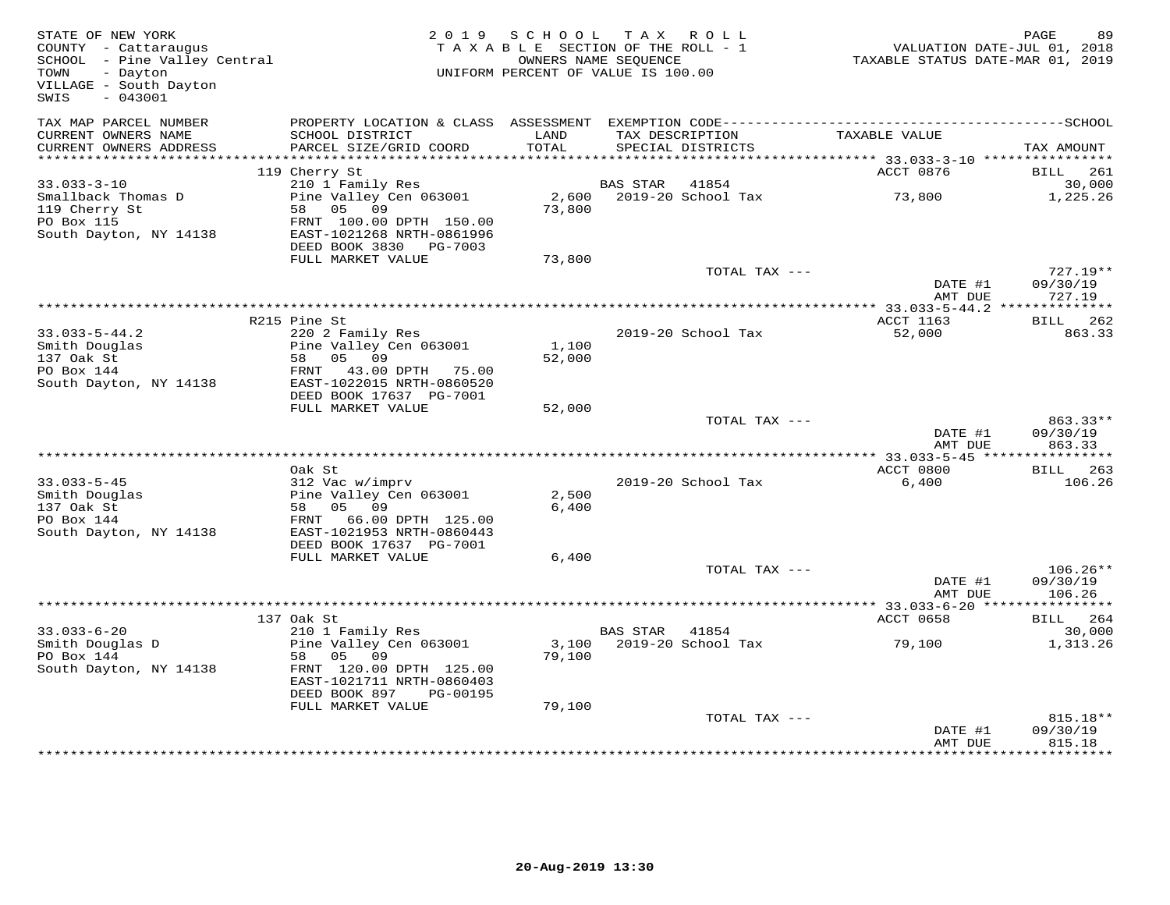| STATE OF NEW YORK<br>COUNTY - Cattaraugus<br>SCHOOL - Pine Valley Central<br>TOWN<br>- Dayton<br>VILLAGE - South Dayton<br>SWIS<br>$-043001$ |                                                                                                                      | 2019 SCHOOL<br>TAXABLE SECTION OF THE ROLL - 1<br>UNIFORM PERCENT OF VALUE IS 100.00 | TAX ROLL<br>OWNERS NAME SEQUENCE |                                      | VALUATION DATE-JUL 01, 2018<br>TAXABLE STATUS DATE-MAR 01, 2019 | PAGE<br>89                     |
|----------------------------------------------------------------------------------------------------------------------------------------------|----------------------------------------------------------------------------------------------------------------------|--------------------------------------------------------------------------------------|----------------------------------|--------------------------------------|-----------------------------------------------------------------|--------------------------------|
| TAX MAP PARCEL NUMBER<br>CURRENT OWNERS NAME<br>CURRENT OWNERS ADDRESS                                                                       | SCHOOL DISTRICT<br>PARCEL SIZE/GRID COORD                                                                            | LAND<br>TOTAL                                                                        |                                  | TAX DESCRIPTION<br>SPECIAL DISTRICTS | TAXABLE VALUE                                                   | TAX AMOUNT                     |
|                                                                                                                                              |                                                                                                                      |                                                                                      |                                  |                                      |                                                                 |                                |
|                                                                                                                                              | 119 Cherry St                                                                                                        |                                                                                      |                                  |                                      | ACCT 0876                                                       | 261<br><b>BILL</b>             |
| $33.033 - 3 - 10$                                                                                                                            | 210 1 Family Res                                                                                                     |                                                                                      | BAS STAR                         | 41854                                |                                                                 | 30,000                         |
| Smallback Thomas D<br>119 Cherry St<br>PO Box 115<br>South Dayton, NY 14138                                                                  | Pine Valley Cen 063001<br>58 05 09<br>FRNT 100.00 DPTH 150.00<br>EAST-1021268 NRTH-0861996<br>DEED BOOK 3830 PG-7003 | 2,600<br>73,800                                                                      |                                  | 2019-20 School Tax                   | 73,800                                                          | 1,225.26                       |
|                                                                                                                                              | FULL MARKET VALUE                                                                                                    | 73,800                                                                               |                                  |                                      |                                                                 |                                |
|                                                                                                                                              |                                                                                                                      |                                                                                      |                                  | TOTAL TAX ---                        | DATE #1                                                         | $727.19**$<br>09/30/19         |
|                                                                                                                                              |                                                                                                                      |                                                                                      |                                  |                                      | AMT DUE                                                         | 727.19                         |
|                                                                                                                                              | R215 Pine St                                                                                                         |                                                                                      |                                  |                                      | ACCT 1163                                                       | BILL 262                       |
| $33.033 - 5 - 44.2$<br>Smith Douglas<br>137 Oak St<br>PO Box 144<br>South Dayton, NY 14138                                                   | 220 2 Family Res<br>Pine Valley Cen 063001<br>58 05 09<br>FRNT 43.00 DPTH 75.00<br>EAST-1022015 NRTH-0860520         | 1,100<br>52,000                                                                      |                                  | 2019-20 School Tax                   | 52,000                                                          | 863.33                         |
|                                                                                                                                              | DEED BOOK 17637 PG-7001<br>FULL MARKET VALUE                                                                         | 52,000                                                                               |                                  |                                      |                                                                 |                                |
|                                                                                                                                              |                                                                                                                      |                                                                                      |                                  | TOTAL TAX ---                        | DATE #1<br>AMT DUE                                              | 863.33**<br>09/30/19<br>863.33 |
|                                                                                                                                              |                                                                                                                      |                                                                                      |                                  |                                      |                                                                 |                                |
|                                                                                                                                              | Oak St                                                                                                               |                                                                                      |                                  |                                      | ACCT 0800                                                       | BILL<br>263                    |
| $33.033 - 5 - 45$<br>Smith Douglas<br>137 Oak St<br>PO Box 144                                                                               | 312 Vac w/imprv<br>Pine Valley Cen 063001<br>58 05 09<br>FRNT 66.00 DPTH 125.00                                      | 2,500<br>6,400                                                                       |                                  | 2019-20 School Tax                   | 6,400                                                           | 106.26                         |
| South Dayton, NY 14138                                                                                                                       | EAST-1021953 NRTH-0860443<br>DEED BOOK 17637 PG-7001<br>FULL MARKET VALUE                                            | 6,400                                                                                |                                  |                                      |                                                                 |                                |
|                                                                                                                                              |                                                                                                                      |                                                                                      |                                  | TOTAL TAX ---                        |                                                                 | $106.26**$                     |
|                                                                                                                                              |                                                                                                                      |                                                                                      |                                  |                                      | DATE #1<br>AMT DUE                                              | 09/30/19<br>106.26             |
|                                                                                                                                              |                                                                                                                      |                                                                                      |                                  |                                      |                                                                 |                                |
| $33.033 - 6 - 20$                                                                                                                            | 137 Oak St<br>210 1 Family Res                                                                                       |                                                                                      | BAS STAR 41854                   |                                      | ACCT 0658                                                       | BILL 264<br>30,000             |
| Smith Douglas D<br>PO Box 144<br>South Dayton, NY 14138                                                                                      | Pine Valley Cen 063001<br>58 05 09<br>FRNT 120.00 DPTH 125.00<br>EAST-1021711 NRTH-0860403                           | 79,100                                                                               |                                  | 3,100 2019-20 School Tax             | 79,100                                                          | 1,313.26                       |
|                                                                                                                                              | DEED BOOK 897<br>PG-00195                                                                                            |                                                                                      |                                  |                                      |                                                                 |                                |
|                                                                                                                                              | FULL MARKET VALUE                                                                                                    | 79,100                                                                               |                                  | TOTAL TAX ---                        | DATE #1<br>AMT DUE                                              | 815.18**<br>09/30/19<br>815.18 |
|                                                                                                                                              |                                                                                                                      |                                                                                      |                                  |                                      |                                                                 |                                |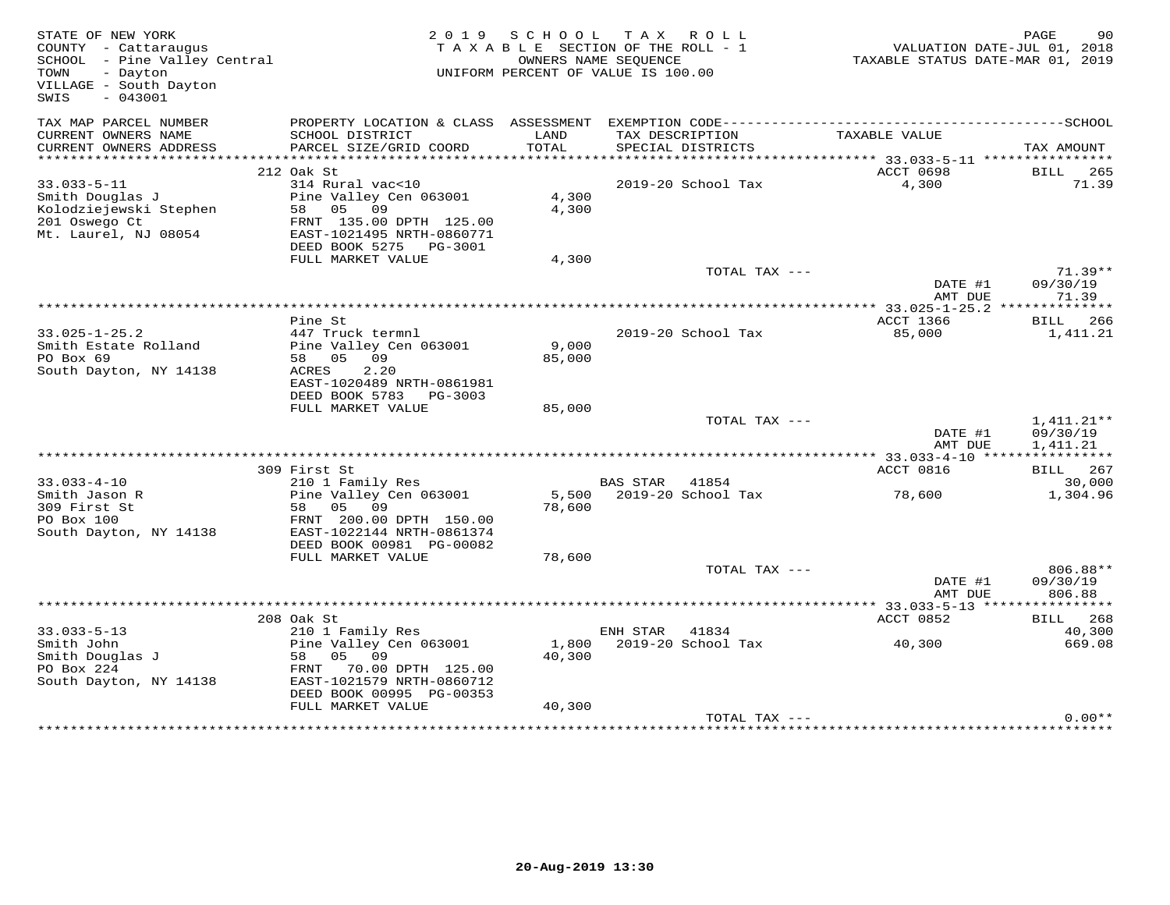| STATE OF NEW YORK<br>COUNTY - Cattaraugus<br>SCHOOL - Pine Valley Central<br>- Dayton<br>TOWN<br>VILLAGE - South Dayton<br>$-043001$<br>SWIS | 2 0 1 9                                                | S C H O O L | T A X<br>R O L L<br>TAXABLE SECTION OF THE ROLL - 1<br>OWNERS NAME SEQUENCE<br>UNIFORM PERCENT OF VALUE IS 100.00 | TAXABLE STATUS DATE-MAR 01, 2019    | PAGE<br>90<br>VALUATION DATE-JUL 01, 2018 |
|----------------------------------------------------------------------------------------------------------------------------------------------|--------------------------------------------------------|-------------|-------------------------------------------------------------------------------------------------------------------|-------------------------------------|-------------------------------------------|
| TAX MAP PARCEL NUMBER                                                                                                                        |                                                        | LAND        |                                                                                                                   |                                     |                                           |
| CURRENT OWNERS NAME<br>CURRENT OWNERS ADDRESS                                                                                                | SCHOOL DISTRICT<br>PARCEL SIZE/GRID COORD              | TOTAL       | TAX DESCRIPTION<br>SPECIAL DISTRICTS                                                                              | TAXABLE VALUE                       | TAX AMOUNT                                |
|                                                                                                                                              |                                                        |             |                                                                                                                   |                                     |                                           |
|                                                                                                                                              | 212 Oak St                                             |             |                                                                                                                   | <b>ACCT 0698</b>                    | BILL 265                                  |
| $33.033 - 5 - 11$                                                                                                                            | 314 Rural vac<10                                       |             | 2019-20 School Tax                                                                                                | 4,300                               | 71.39                                     |
| Smith Douglas J                                                                                                                              | Pine Valley Cen 063001<br>05<br>09<br>58 —             | 4,300       |                                                                                                                   |                                     |                                           |
| Kolodziejewski Stephen<br>201 Oswego Ct                                                                                                      | FRNT 135.00 DPTH 125.00                                | 4,300       |                                                                                                                   |                                     |                                           |
| Mt. Laurel, NJ 08054                                                                                                                         | EAST-1021495 NRTH-0860771                              |             |                                                                                                                   |                                     |                                           |
|                                                                                                                                              | DEED BOOK 5275 PG-3001                                 |             |                                                                                                                   |                                     |                                           |
|                                                                                                                                              | FULL MARKET VALUE                                      | 4,300       |                                                                                                                   |                                     |                                           |
|                                                                                                                                              |                                                        |             | TOTAL TAX ---                                                                                                     |                                     | $71.39**$                                 |
|                                                                                                                                              |                                                        |             |                                                                                                                   | DATE #1                             | 09/30/19<br>71.39                         |
|                                                                                                                                              |                                                        |             |                                                                                                                   | AMT DUE                             | ***********                               |
|                                                                                                                                              | Pine St                                                |             |                                                                                                                   | <b>ACCT 1366</b>                    | BILL 266                                  |
| $33.025 - 1 - 25.2$                                                                                                                          | 447 Truck termnl                                       |             | 2019-20 School Tax                                                                                                | 85,000                              | 1,411.21                                  |
| Smith Estate Rolland                                                                                                                         | Pine Valley Cen 063001                                 | 9,000       |                                                                                                                   |                                     |                                           |
| PO Box 69                                                                                                                                    | 05<br>09<br>58                                         | 85,000      |                                                                                                                   |                                     |                                           |
| South Dayton, NY 14138                                                                                                                       | 2.20<br><b>ACRES</b>                                   |             |                                                                                                                   |                                     |                                           |
|                                                                                                                                              | EAST-1020489 NRTH-0861981<br>DEED BOOK 5783<br>PG-3003 |             |                                                                                                                   |                                     |                                           |
|                                                                                                                                              | FULL MARKET VALUE                                      | 85,000      |                                                                                                                   |                                     |                                           |
|                                                                                                                                              |                                                        |             | TOTAL TAX ---                                                                                                     |                                     | $1,411.21**$                              |
|                                                                                                                                              |                                                        |             |                                                                                                                   | DATE #1                             | 09/30/19                                  |
|                                                                                                                                              |                                                        |             |                                                                                                                   | AMT DUE                             | 1,411.21                                  |
|                                                                                                                                              |                                                        |             |                                                                                                                   |                                     |                                           |
| $33.033 - 4 - 10$                                                                                                                            | 309 First St<br>210 1 Family Res                       |             | BAS STAR<br>41854                                                                                                 | ACCT 0816                           | BILL<br>267<br>30,000                     |
| Smith Jason R                                                                                                                                | Pine Valley Cen 063001                                 | 5,500       | 2019-20 School Tax                                                                                                | 78,600                              | 1,304.96                                  |
| 309 First St                                                                                                                                 | 05 09<br>58                                            | 78,600      |                                                                                                                   |                                     |                                           |
| PO Box 100                                                                                                                                   | FRNT 200.00 DPTH 150.00                                |             |                                                                                                                   |                                     |                                           |
| South Dayton, NY 14138                                                                                                                       | EAST-1022144 NRTH-0861374                              |             |                                                                                                                   |                                     |                                           |
|                                                                                                                                              | DEED BOOK 00981 PG-00082                               |             |                                                                                                                   |                                     |                                           |
|                                                                                                                                              | FULL MARKET VALUE                                      | 78,600      | TOTAL TAX ---                                                                                                     |                                     | 806.88**                                  |
|                                                                                                                                              |                                                        |             |                                                                                                                   | DATE #1                             | 09/30/19                                  |
|                                                                                                                                              |                                                        |             |                                                                                                                   | AMT DUE                             | 806.88                                    |
|                                                                                                                                              |                                                        |             |                                                                                                                   | ***************** 33.033-5-13 ***** | * * * * * * * * * * *                     |
|                                                                                                                                              | 208 Oak St                                             |             |                                                                                                                   | ACCT 0852                           | 268<br>BILL                               |
| $33.033 - 5 - 13$                                                                                                                            | 210 1 Family Res                                       |             | ENH STAR<br>41834                                                                                                 |                                     | 40,300                                    |
| Smith John                                                                                                                                   | Pine Valley Cen 063001                                 | 1,800       | 2019-20 School Tax                                                                                                | 40,300                              | 669.08                                    |
| Smith Douglas J<br>PO Box 224                                                                                                                | 58<br>05 09<br>70.00 DPTH 125.00<br>FRNT               | 40,300      |                                                                                                                   |                                     |                                           |
| South Dayton, NY 14138                                                                                                                       | EAST-1021579 NRTH-0860712                              |             |                                                                                                                   |                                     |                                           |
|                                                                                                                                              | DEED BOOK 00995 PG-00353                               |             |                                                                                                                   |                                     |                                           |
|                                                                                                                                              | FULL MARKET VALUE                                      | 40,300      |                                                                                                                   |                                     |                                           |
|                                                                                                                                              |                                                        |             | TOTAL TAX ---                                                                                                     |                                     | $0.00**$                                  |
|                                                                                                                                              |                                                        |             |                                                                                                                   | ************************            |                                           |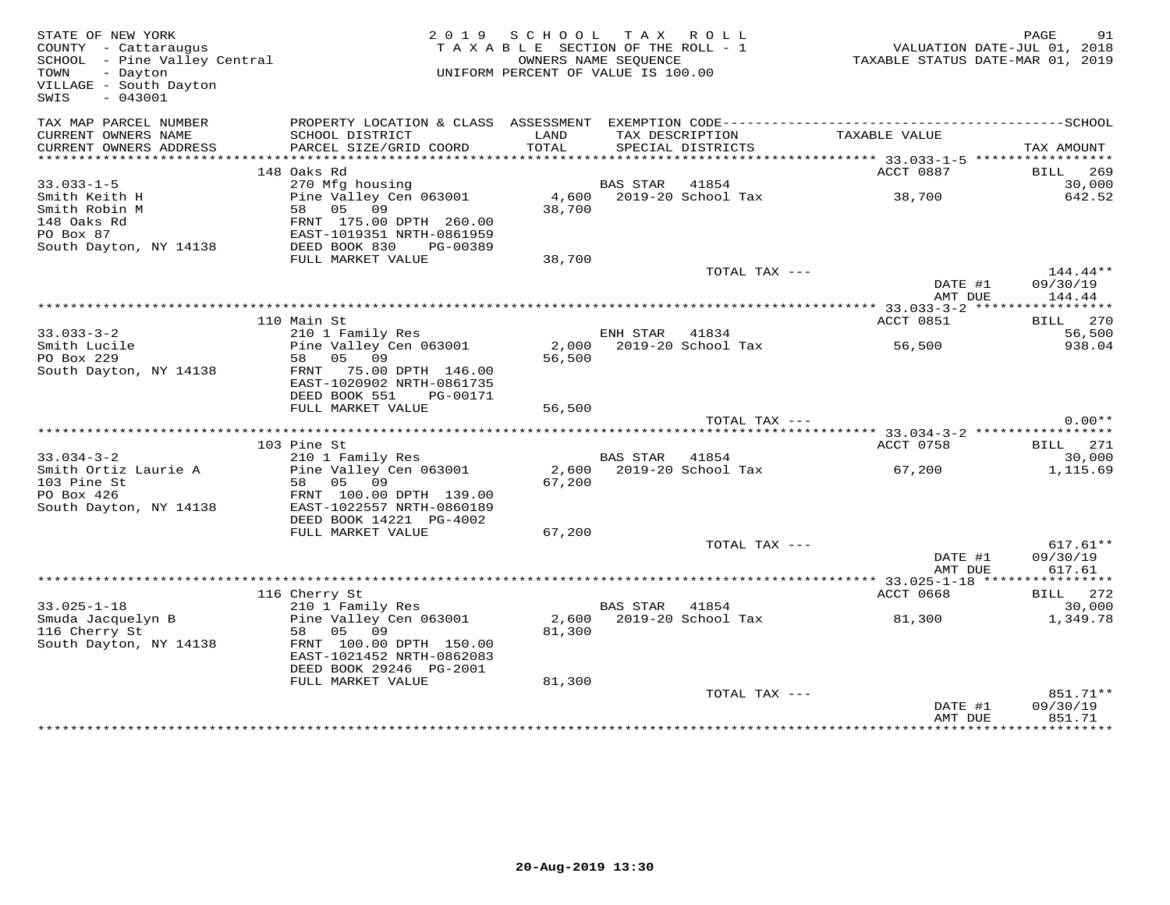| STATE OF NEW YORK<br>COUNTY - Cattaraugus<br>SCHOOL - Pine Valley Central<br>TOWN - Dayton<br>TOWN<br>- Dayton<br>VILLAGE - South Dayton<br>$-043001$<br>SWIS |                                                                                                                                                            | 2019 SCHOOL TAX ROLL<br>TAXABLE SECTION OF THE ROLL - 1<br>UNIFORM PERCENT OF VALUE IS 100.00 | OWNERS NAME SEOUENCE |                                      | TAXABLE STATUS DATE-JUL 01, 2018<br>TAXABLE STATUS DATE-MAR 01, 2019 | PAGE               | 91                   |
|---------------------------------------------------------------------------------------------------------------------------------------------------------------|------------------------------------------------------------------------------------------------------------------------------------------------------------|-----------------------------------------------------------------------------------------------|----------------------|--------------------------------------|----------------------------------------------------------------------|--------------------|----------------------|
| TAX MAP PARCEL NUMBER<br>CURRENT OWNERS NAME<br>CURRENT OWNERS ADDRESS<br>***********************                                                             | SCHOOL DISTRICT<br>PARCEL SIZE/GRID COORD                                                                                                                  | LAND<br>TOTAL                                                                                 |                      | TAX DESCRIPTION<br>SPECIAL DISTRICTS | TAXABLE VALUE                                                        | TAX AMOUNT         |                      |
|                                                                                                                                                               | 148 Oaks Rd                                                                                                                                                |                                                                                               |                      |                                      | ACCT 0887                                                            | BILL 269           |                      |
| $33.033 - 1 - 5$<br>Smith Keith H<br>Smith Robin M<br>148 Oaks Rd<br>PO Box 87<br>South Dayton, NY 14138                                                      | 270 Mfg housing<br>Pine Valley Cen 063001<br>58 05 09<br>FRNT 175.00 DPTH 260.00<br>EAST-1019351 NRTH-0861959<br>DEED BOOK 830 PG-00389                    | 38,700                                                                                        | BAS STAR 41854       |                                      |                                                                      |                    | 30,000<br>642.52     |
|                                                                                                                                                               | FULL MARKET VALUE                                                                                                                                          | 38,700                                                                                        |                      |                                      |                                                                      |                    |                      |
|                                                                                                                                                               |                                                                                                                                                            |                                                                                               |                      | TOTAL TAX ---                        | DATE #1<br>AMT DUE                                                   | 09/30/19           | 144.44**<br>144.44   |
|                                                                                                                                                               | 110 Main St                                                                                                                                                |                                                                                               |                      |                                      | ACCT 0851                                                            | BILL 270           |                      |
| $33.033 - 3 - 2$<br>Smith Lucile<br>PO Box 229<br>South Dayton, NY 14138                                                                                      | 210 1 Family Res<br>Pine Valley Cen 063001<br>58 05 09<br>FRNT 75.00 DPTH 146.00<br>EAST-1020902 NRTH-0861735                                              | 56,500                                                                                        | ENH STAR 41834       | 2,000 2019-20 School Tax             | 56,500                                                               |                    | 56,500<br>938.04     |
|                                                                                                                                                               | DEED BOOK 551<br>PG-00171                                                                                                                                  |                                                                                               |                      |                                      |                                                                      |                    |                      |
|                                                                                                                                                               | FULL MARKET VALUE                                                                                                                                          | 56,500                                                                                        |                      | TOTAL TAX ---                        |                                                                      |                    | $0.00**$             |
|                                                                                                                                                               |                                                                                                                                                            |                                                                                               |                      |                                      |                                                                      |                    |                      |
|                                                                                                                                                               | 103 Pine St                                                                                                                                                |                                                                                               |                      |                                      | ACCT 0758                                                            | BILL 271           |                      |
| $33.034 - 3 - 2$<br>Smith Ortiz Laurie A<br>103 Pine St<br>PO Box 426<br>South Dayton, NY 14138                                                               | 210 1 Family Res<br>Pine Valley Cen 063001<br>58 05 09<br>FRNT 100.00 DPTH 139.00<br>EAST-1022557 NRTH-0860189<br>DEED BOOK 14221 PG-4002                  | 67,200                                                                                        | BAS STAR 41854       | 2,600 2019-20 School Tax             | 67,200                                                               |                    | 30,000<br>1,115.69   |
|                                                                                                                                                               | FULL MARKET VALUE                                                                                                                                          | 67,200                                                                                        |                      |                                      |                                                                      |                    |                      |
|                                                                                                                                                               |                                                                                                                                                            |                                                                                               |                      | TOTAL TAX ---                        | DATE #1<br>AMT DUE                                                   | 09/30/19           | $617.61**$<br>617.61 |
|                                                                                                                                                               |                                                                                                                                                            |                                                                                               |                      |                                      |                                                                      |                    |                      |
| $33.025 - 1 - 18$<br>Smuda Jacquelyn B<br>116 Cherry St<br>South Dayton, NY 14138                                                                             | 116 Cherry St<br>210 1 Family Res<br>Pine Valley Cen 063001<br>58 05 09<br>FRNT 100.00 DPTH 150.00<br>EAST-1021452 NRTH-0862083<br>DEED BOOK 29246 PG-2001 | 81,300                                                                                        | BAS STAR 41854       | 2,600 2019-20 School Tax             | ACCT 0668<br>81,300                                                  | <b>BILL</b> 272    | 30,000<br>1,349.78   |
|                                                                                                                                                               | FULL MARKET VALUE                                                                                                                                          | 81,300                                                                                        |                      | TOTAL TAX ---                        | DATE #1<br>AMT DUE                                                   | 09/30/19<br>851.71 | 851.71**             |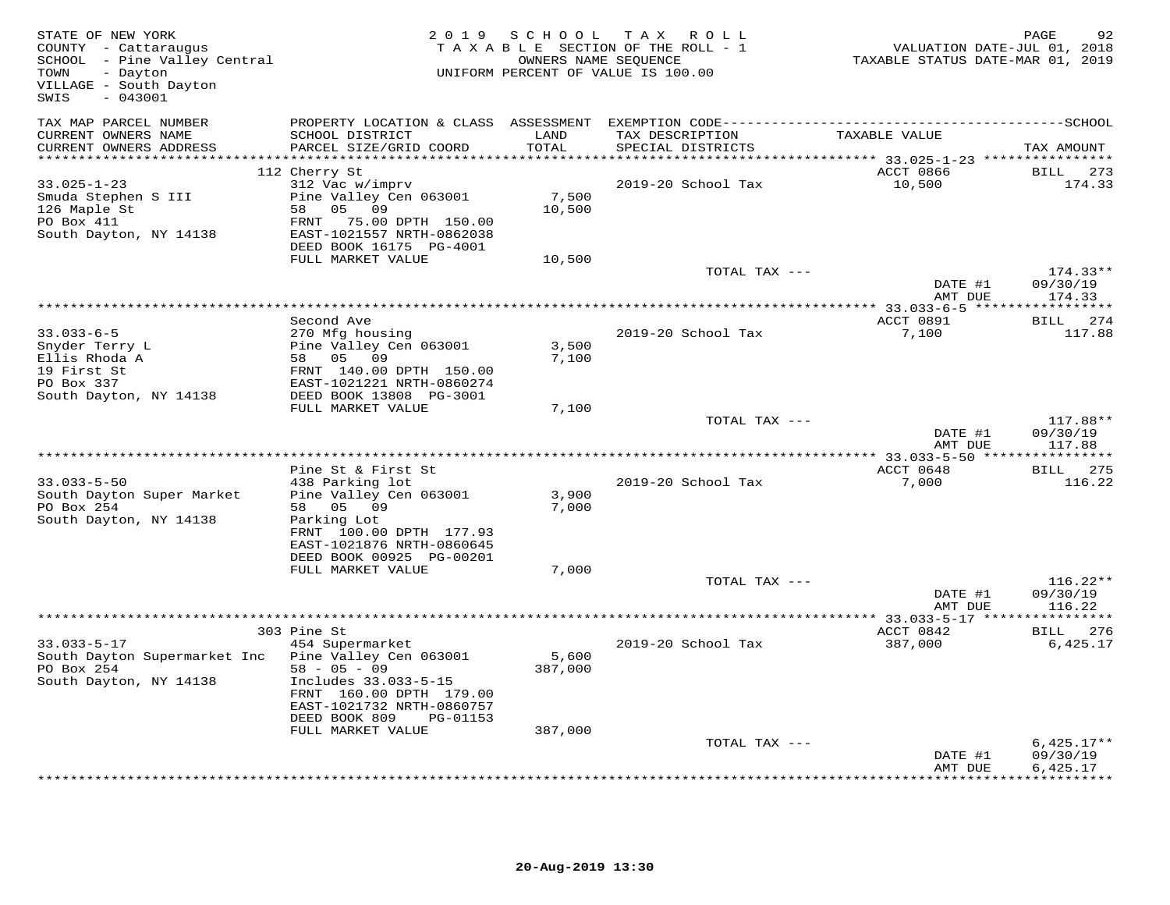| STATE OF NEW YORK<br>COUNTY - Cattaraugus<br>SCHOOL - Pine Valley Central<br>TOWN<br>- Dayton<br>VILLAGE - South Dayton<br>$-043001$<br>SWIS |                                                                                                                                                                          | 2019 SCHOOL      | TAX ROLL<br>TAXABLE SECTION OF THE ROLL - 1<br>OWNERS NAME SEQUENCE<br>UNIFORM PERCENT OF VALUE IS 100.00 | VALUATION DATE-JUL 01, 2018<br>TAXABLE STATUS DATE-MAR 01, 2019 | PAGE<br>92                     |
|----------------------------------------------------------------------------------------------------------------------------------------------|--------------------------------------------------------------------------------------------------------------------------------------------------------------------------|------------------|-----------------------------------------------------------------------------------------------------------|-----------------------------------------------------------------|--------------------------------|
| TAX MAP PARCEL NUMBER<br>CURRENT OWNERS NAME<br>CURRENT OWNERS ADDRESS<br>***********************                                            | SCHOOL DISTRICT<br>PARCEL SIZE/GRID COORD                                                                                                                                | LAND<br>TOTAL    | TAX DESCRIPTION<br>SPECIAL DISTRICTS                                                                      | TAXABLE VALUE                                                   | TAX AMOUNT                     |
|                                                                                                                                              | 112 Cherry St                                                                                                                                                            |                  |                                                                                                           | ACCT 0866                                                       | <b>BILL</b><br>273             |
| $33.025 - 1 - 23$<br>Smuda Stephen S III<br>126 Maple St<br>PO Box 411<br>South Dayton, NY 14138                                             | 312 Vac w/imprv<br>Pine Valley Cen 063001<br>05 09<br>58<br>FRNT 75.00 DPTH 150.00<br>EAST-1021557 NRTH-0862038<br>DEED BOOK 16175 PG-4001                               | 7,500<br>10,500  | 2019-20 School Tax                                                                                        | 10,500                                                          | 174.33                         |
|                                                                                                                                              | FULL MARKET VALUE                                                                                                                                                        | 10,500           |                                                                                                           |                                                                 |                                |
|                                                                                                                                              |                                                                                                                                                                          |                  | TOTAL TAX ---                                                                                             | DATE #1                                                         | $174.33**$<br>09/30/19         |
|                                                                                                                                              |                                                                                                                                                                          |                  |                                                                                                           | AMT DUE                                                         | 174.33                         |
| $33.033 - 6 - 5$                                                                                                                             | Second Ave                                                                                                                                                               |                  | 2019-20 School Tax                                                                                        | ACCT 0891<br>7,100                                              | BILL 274<br>117.88             |
| Snyder Terry L<br>Ellis Rhoda A<br>19 First St<br>PO Box 337                                                                                 | 270 Mfg housing<br>Pine Valley Cen 063001<br>58 05 09<br>FRNT 140.00 DPTH 150.00<br>EAST-1021221 NRTH-0860274                                                            | 3,500<br>7,100   |                                                                                                           |                                                                 |                                |
| South Dayton, NY 14138                                                                                                                       | DEED BOOK 13808 PG-3001<br>FULL MARKET VALUE                                                                                                                             | 7,100            |                                                                                                           |                                                                 |                                |
|                                                                                                                                              |                                                                                                                                                                          |                  | TOTAL TAX ---                                                                                             | DATE #1<br>AMT DUE                                              | 117.88**<br>09/30/19<br>117.88 |
|                                                                                                                                              |                                                                                                                                                                          |                  |                                                                                                           |                                                                 |                                |
| $33.033 - 5 - 50$<br>South Dayton Super Market<br>PO Box 254<br>South Dayton, NY 14138                                                       | Pine St & First St<br>438 Parking lot<br>Pine Valley Cen 063001<br>58 05 09<br>Parking Lot<br>FRNT 100.00 DPTH 177.93                                                    | 3,900<br>7,000   | 2019-20 School Tax                                                                                        | ACCT 0648<br>7,000                                              | BILL 275<br>116.22             |
|                                                                                                                                              | EAST-1021876 NRTH-0860645<br>DEED BOOK 00925 PG-00201                                                                                                                    |                  |                                                                                                           |                                                                 |                                |
|                                                                                                                                              | FULL MARKET VALUE                                                                                                                                                        | 7,000            | TOTAL TAX ---                                                                                             | DATE #1                                                         | $116.22**$<br>09/30/19         |
|                                                                                                                                              |                                                                                                                                                                          |                  |                                                                                                           | AMT DUE                                                         | 116.22                         |
|                                                                                                                                              | 303 Pine St                                                                                                                                                              |                  |                                                                                                           | ACCT 0842                                                       | BILL 276                       |
| $33.033 - 5 - 17$<br>South Dayton Supermarket Inc<br>PO Box 254<br>South Dayton, NY 14138                                                    | 454 Supermarket<br>Pine Valley Cen 063001<br>$58 - 05 - 09$<br>Includes 33.033-5-15<br>FRNT 160.00 DPTH 179.00<br>EAST-1021732 NRTH-0860757<br>DEED BOOK 809<br>PG-01153 | 5,600<br>387,000 | 2019-20 School Tax                                                                                        | 387,000                                                         | 6,425.17                       |
|                                                                                                                                              | FULL MARKET VALUE                                                                                                                                                        | 387,000          | TOTAL TAX ---                                                                                             |                                                                 | $6,425.17**$                   |
|                                                                                                                                              |                                                                                                                                                                          |                  |                                                                                                           | DATE #1<br>AMT DUE                                              | 09/30/19<br>6,425.17           |
|                                                                                                                                              |                                                                                                                                                                          |                  |                                                                                                           |                                                                 |                                |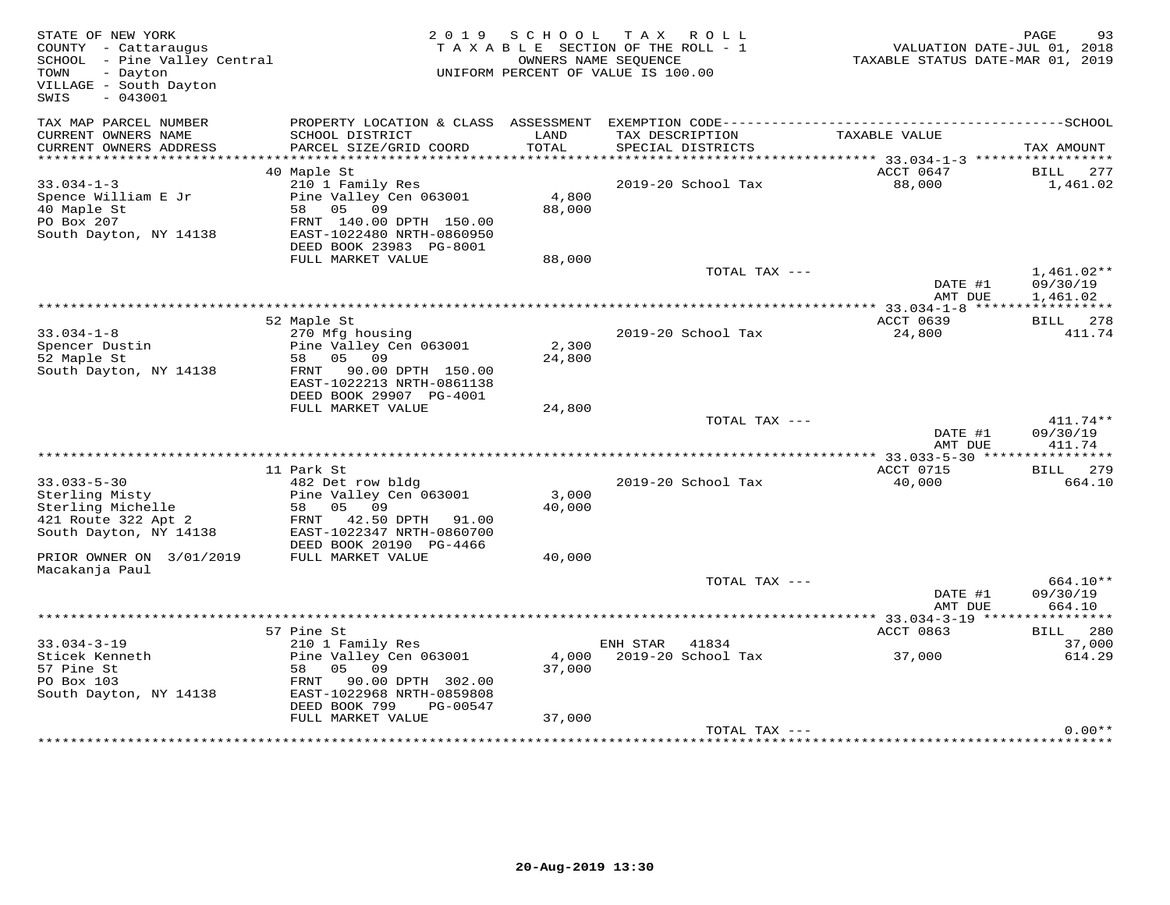| STATE OF NEW YORK<br>COUNTY - Cattaraugus<br>SCHOOL - Pine Valley Central<br>- Dayton<br>TOWN<br>VILLAGE - South Dayton<br>$-043001$<br>SWIS | 2 0 1 9                                    | S C H O O L     | T A X<br>ROLL<br>TAXABLE SECTION OF THE ROLL - 1<br>OWNERS NAME SEQUENCE<br>UNIFORM PERCENT OF VALUE IS 100.00 | VALUATION DATE-JUL 01, 2018<br>TAXABLE STATUS DATE-MAR 01, 2019 | PAGE<br>93           |
|----------------------------------------------------------------------------------------------------------------------------------------------|--------------------------------------------|-----------------|----------------------------------------------------------------------------------------------------------------|-----------------------------------------------------------------|----------------------|
| TAX MAP PARCEL NUMBER                                                                                                                        | PROPERTY LOCATION & CLASS ASSESSMENT       |                 |                                                                                                                |                                                                 |                      |
| CURRENT OWNERS NAME<br>CURRENT OWNERS ADDRESS                                                                                                | SCHOOL DISTRICT<br>PARCEL SIZE/GRID COORD  | LAND<br>TOTAL   | TAX DESCRIPTION<br>SPECIAL DISTRICTS                                                                           | TAXABLE VALUE                                                   | TAX AMOUNT           |
|                                                                                                                                              |                                            |                 |                                                                                                                |                                                                 |                      |
|                                                                                                                                              | 40 Maple St                                |                 |                                                                                                                | ACCT 0647                                                       | BILL 277             |
| $33.034 - 1 - 3$                                                                                                                             | 210 1 Family Res                           |                 | 2019-20 School Tax                                                                                             | 88,000                                                          | 1,461.02             |
| Spence William E Jr<br>40 Maple St                                                                                                           | Pine Valley Cen 063001<br>05<br>58<br>09   | 4,800<br>88,000 |                                                                                                                |                                                                 |                      |
| PO Box 207                                                                                                                                   | FRNT 140.00 DPTH 150.00                    |                 |                                                                                                                |                                                                 |                      |
| South Dayton, NY 14138                                                                                                                       | EAST-1022480 NRTH-0860950                  |                 |                                                                                                                |                                                                 |                      |
|                                                                                                                                              | DEED BOOK 23983 PG-8001                    |                 |                                                                                                                |                                                                 |                      |
|                                                                                                                                              | FULL MARKET VALUE                          | 88,000          |                                                                                                                |                                                                 |                      |
|                                                                                                                                              |                                            |                 | TOTAL TAX ---                                                                                                  |                                                                 | $1,461.02**$         |
|                                                                                                                                              |                                            |                 |                                                                                                                | DATE #1<br>AMT DUE                                              | 09/30/19<br>1,461.02 |
|                                                                                                                                              |                                            |                 |                                                                                                                |                                                                 |                      |
|                                                                                                                                              | 52 Maple St                                |                 |                                                                                                                | ACCT 0639                                                       | 278<br>BILL          |
| $33.034 - 1 - 8$                                                                                                                             | 270 Mfg housing                            |                 | 2019-20 School Tax                                                                                             | 24,800                                                          | 411.74               |
| Spencer Dustin                                                                                                                               | Pine Valley Cen 063001                     | 2,300           |                                                                                                                |                                                                 |                      |
| 52 Maple St<br>South Dayton, NY 14138                                                                                                        | 58 05 09<br>FRNT 90.00 DPTH 150.00         | 24,800          |                                                                                                                |                                                                 |                      |
|                                                                                                                                              | EAST-1022213 NRTH-0861138                  |                 |                                                                                                                |                                                                 |                      |
|                                                                                                                                              | DEED BOOK 29907 PG-4001                    |                 |                                                                                                                |                                                                 |                      |
|                                                                                                                                              | FULL MARKET VALUE                          | 24,800          |                                                                                                                |                                                                 |                      |
|                                                                                                                                              |                                            |                 | TOTAL TAX ---                                                                                                  |                                                                 | 411.74**             |
|                                                                                                                                              |                                            |                 |                                                                                                                | DATE #1<br>AMT DUE                                              | 09/30/19<br>411.74   |
|                                                                                                                                              |                                            |                 |                                                                                                                |                                                                 |                      |
| $33.033 - 5 - 30$                                                                                                                            | 11 Park St<br>482 Det row bldg             |                 | 2019-20 School Tax                                                                                             | ACCT 0715<br>40,000                                             | BILL 279<br>664.10   |
| Sterling Misty                                                                                                                               | Pine Valley Cen 063001                     | 3,000           |                                                                                                                |                                                                 |                      |
| Sterling Michelle                                                                                                                            | 58<br>05 09                                | 40,000          |                                                                                                                |                                                                 |                      |
| 421 Route 322 Apt 2                                                                                                                          | 42.50 DPTH 91.00<br>FRNT                   |                 |                                                                                                                |                                                                 |                      |
| South Dayton, NY 14138                                                                                                                       | EAST-1022347 NRTH-0860700                  |                 |                                                                                                                |                                                                 |                      |
|                                                                                                                                              | DEED BOOK 20190 PG-4466                    |                 |                                                                                                                |                                                                 |                      |
| PRIOR OWNER ON 3/01/2019<br>Macakanja Paul                                                                                                   | FULL MARKET VALUE                          | 40,000          |                                                                                                                |                                                                 |                      |
|                                                                                                                                              |                                            |                 | TOTAL TAX ---                                                                                                  |                                                                 | 664.10**             |
|                                                                                                                                              |                                            |                 |                                                                                                                | DATE #1                                                         | 09/30/19             |
|                                                                                                                                              |                                            |                 |                                                                                                                | AMT DUE                                                         | 664.10               |
|                                                                                                                                              |                                            |                 |                                                                                                                | ********** 33.034-3-19 *****************                        |                      |
| $33.034 - 3 - 19$                                                                                                                            | 57 Pine St                                 |                 | ENH STAR<br>41834                                                                                              | ACCT 0863                                                       | BILL 280<br>37,000   |
| Sticek Kenneth                                                                                                                               | 210 1 Family Res<br>Pine Valley Cen 063001 | 4,000           | 2019-20 School Tax                                                                                             | 37,000                                                          | 614.29               |
| 57 Pine St                                                                                                                                   | 05<br>58<br>09                             | 37,000          |                                                                                                                |                                                                 |                      |
| PO Box 103                                                                                                                                   | 90.00 DPTH 302.00<br>FRNT                  |                 |                                                                                                                |                                                                 |                      |
| South Dayton, NY 14138                                                                                                                       | EAST-1022968 NRTH-0859808                  |                 |                                                                                                                |                                                                 |                      |
|                                                                                                                                              | DEED BOOK 799<br>PG-00547                  |                 |                                                                                                                |                                                                 |                      |
|                                                                                                                                              | FULL MARKET VALUE                          | 37,000          | TOTAL TAX ---                                                                                                  |                                                                 | $0.00**$             |
|                                                                                                                                              |                                            |                 |                                                                                                                |                                                                 |                      |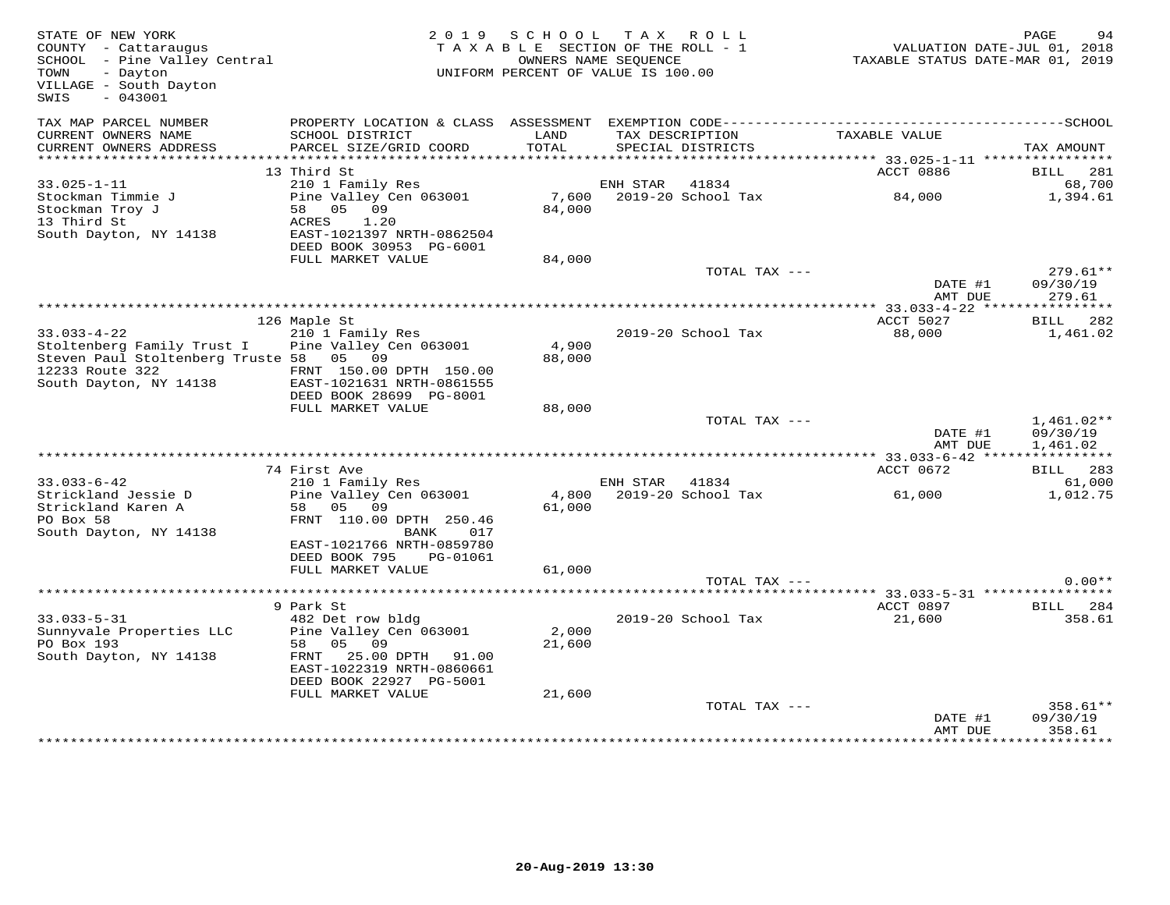| STATE OF NEW YORK<br>COUNTY - Cattaraugus<br>SCHOOL - Pine Valley Central<br>- Dayton<br>TOWN<br>VILLAGE - South Dayton<br>SWIS<br>$-043001$ |                                                                                                                                            | 2019 SCHOOL<br>TAXABLE SECTION OF THE ROLL - 1<br>UNIFORM PERCENT OF VALUE IS 100.00 | TAX ROLL<br>OWNERS NAME SEQUENCE |                                      | VALUATION DATE-JUL 01, 2018<br>TAXABLE STATUS DATE-MAR 01, 2019 | PAGE<br>94                           |
|----------------------------------------------------------------------------------------------------------------------------------------------|--------------------------------------------------------------------------------------------------------------------------------------------|--------------------------------------------------------------------------------------|----------------------------------|--------------------------------------|-----------------------------------------------------------------|--------------------------------------|
| TAX MAP PARCEL NUMBER<br>CURRENT OWNERS NAME<br>CURRENT OWNERS ADDRESS                                                                       | SCHOOL DISTRICT<br>PARCEL SIZE/GRID COORD                                                                                                  | LAND<br>TOTAL                                                                        |                                  | TAX DESCRIPTION<br>SPECIAL DISTRICTS | TAXABLE VALUE                                                   | TAX AMOUNT                           |
|                                                                                                                                              |                                                                                                                                            |                                                                                      |                                  |                                      |                                                                 |                                      |
|                                                                                                                                              | 13 Third St                                                                                                                                |                                                                                      |                                  |                                      | ACCT 0886                                                       | BILL 281                             |
| $33.025 - 1 - 11$<br>Stockman Timmie J<br>Stockman Troy J<br>13 Third St<br>South Dayton, NY 14138                                           | 210 1 Family Res<br>Pine Valley Cen 063001<br>58 05 09<br>1.20<br>ACRES<br>EAST-1021397 NRTH-0862504                                       | 7,600<br>84,000                                                                      | ENH STAR                         | 41834<br>2019-20 School Tax          | 84,000                                                          | 68,700<br>1,394.61                   |
|                                                                                                                                              | DEED BOOK 30953 PG-6001                                                                                                                    |                                                                                      |                                  |                                      |                                                                 |                                      |
|                                                                                                                                              | FULL MARKET VALUE                                                                                                                          | 84,000                                                                               |                                  | TOTAL TAX ---                        | DATE #1                                                         | $279.61**$<br>09/30/19               |
|                                                                                                                                              |                                                                                                                                            |                                                                                      |                                  |                                      | AMT DUE                                                         | 279.61                               |
|                                                                                                                                              |                                                                                                                                            |                                                                                      |                                  |                                      | ************* 33.033-4-22 *****************                     |                                      |
| $33.033 - 4 - 22$                                                                                                                            | 126 Maple St<br>210 1 Family Res                                                                                                           |                                                                                      |                                  | 2019-20 School Tax                   | ACCT 5027<br>88,000                                             | BILL 282<br>1,461.02                 |
| Stoltenberg Family Trust I Pine Valley Cen 063001<br>Steven Paul Stoltenberg Truste 58 05 09<br>12233 Route 322<br>South Dayton, NY 14138    | FRNT 150.00 DPTH 150.00<br>EAST-1021631 NRTH-0861555<br>DEED BOOK 28699 PG-8001                                                            | 4,900<br>88,000                                                                      |                                  |                                      |                                                                 |                                      |
|                                                                                                                                              | FULL MARKET VALUE                                                                                                                          | 88,000                                                                               |                                  |                                      |                                                                 |                                      |
|                                                                                                                                              |                                                                                                                                            |                                                                                      |                                  | TOTAL TAX ---                        | DATE #1<br>AMT DUE                                              | $1,461.02**$<br>09/30/19<br>1,461.02 |
|                                                                                                                                              |                                                                                                                                            |                                                                                      |                                  |                                      |                                                                 |                                      |
|                                                                                                                                              | 74 First Ave                                                                                                                               |                                                                                      |                                  |                                      | ACCT 0672                                                       | BILL 283                             |
| $33.033 - 6 - 42$<br>Strickland Jessie D<br>Strickland Karen A<br>PO Box 58                                                                  | 210 1 Family Res<br>Pine Valley Cen 063001<br>58 05 09<br>FRNT 110.00 DPTH 250.46                                                          | 4,800<br>61,000                                                                      | ENH STAR 41834                   | 2019-20 School Tax                   | 61,000                                                          | 61,000<br>1,012.75                   |
| South Dayton, NY 14138                                                                                                                       | BANK<br>017<br>EAST-1021766 NRTH-0859780<br>DEED BOOK 795<br>PG-01061<br>FULL MARKET VALUE                                                 | 61,000                                                                               |                                  |                                      |                                                                 |                                      |
|                                                                                                                                              |                                                                                                                                            |                                                                                      |                                  | TOTAL TAX ---                        |                                                                 | $0.00**$                             |
|                                                                                                                                              |                                                                                                                                            |                                                                                      |                                  |                                      |                                                                 |                                      |
| $33.033 - 5 - 31$                                                                                                                            | 9 Park St                                                                                                                                  |                                                                                      |                                  | 2019-20 School Tax                   | ACCT 0897                                                       | BILL 284<br>358.61                   |
| Sunnyvale Properties LLC<br>PO Box 193<br>South Dayton, NY 14138                                                                             | 482 Det row bldg<br>Pine Valley Cen 063001<br>58 05 09<br>25.00 DPTH 91.00<br>FRNT<br>EAST-1022319 NRTH-0860661<br>DEED BOOK 22927 PG-5001 | 2,000<br>21,600                                                                      |                                  |                                      | 21,600                                                          |                                      |
|                                                                                                                                              | FULL MARKET VALUE                                                                                                                          | 21,600                                                                               |                                  |                                      |                                                                 |                                      |
|                                                                                                                                              |                                                                                                                                            |                                                                                      |                                  | TOTAL TAX ---                        | DATE #1<br>AMT DUE                                              | 358.61**<br>09/30/19<br>358.61       |
|                                                                                                                                              |                                                                                                                                            |                                                                                      |                                  |                                      |                                                                 | ********                             |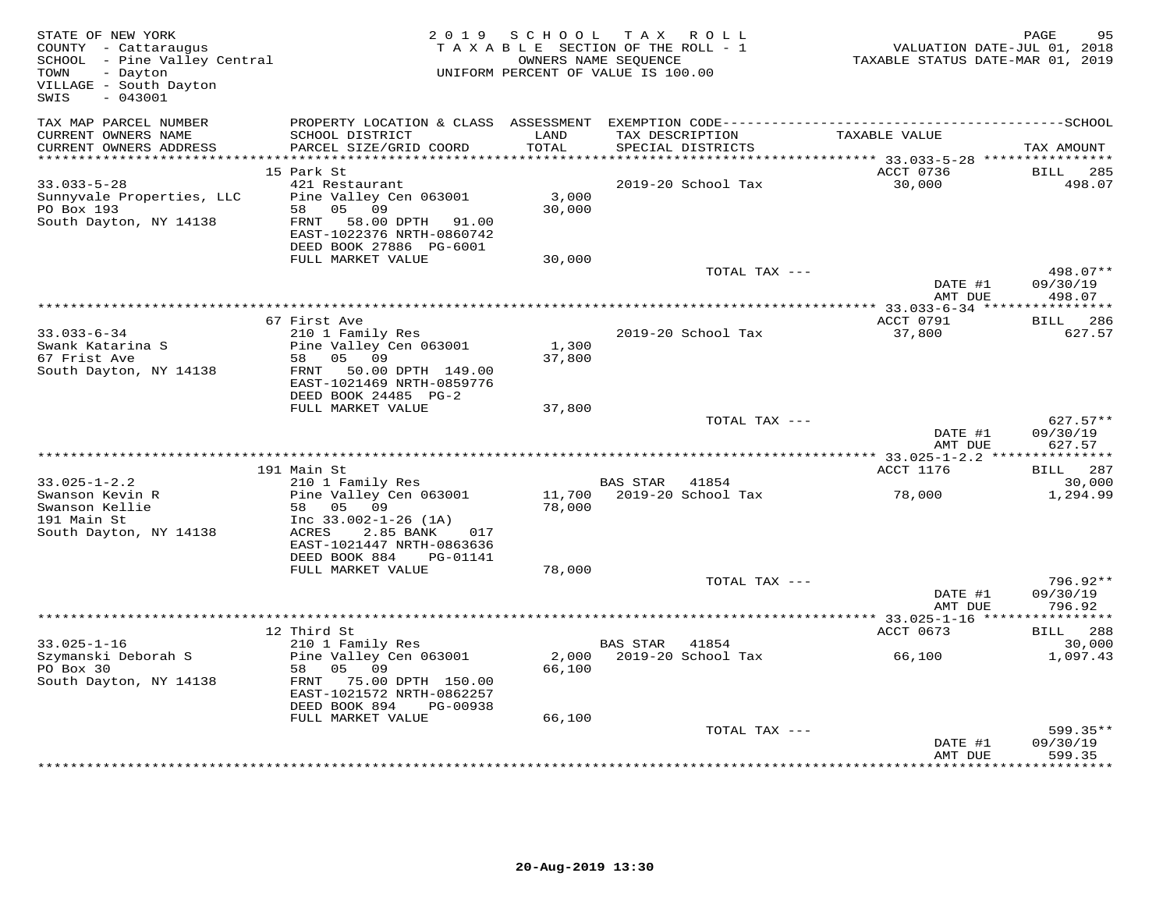| STATE OF NEW YORK<br>COUNTY - Cattaraugus<br>SCHOOL - Pine Valley Central<br>- Dayton<br>TOWN<br>VILLAGE - South Dayton<br>$-043001$<br>SWIS |                                                                                  | 2019 SCHOOL   | TAX ROLL<br>TAXABLE SECTION OF THE ROLL - 1<br>OWNERS NAME SEQUENCE<br>UNIFORM PERCENT OF VALUE IS 100.00 | TAXABLE STATUS DATE-MAR 01, 2019 | PAGE<br>95<br>VALUATION DATE-JUL 01, 2018 |
|----------------------------------------------------------------------------------------------------------------------------------------------|----------------------------------------------------------------------------------|---------------|-----------------------------------------------------------------------------------------------------------|----------------------------------|-------------------------------------------|
| TAX MAP PARCEL NUMBER                                                                                                                        |                                                                                  |               |                                                                                                           |                                  |                                           |
| CURRENT OWNERS NAME<br>CURRENT OWNERS ADDRESS                                                                                                | SCHOOL DISTRICT<br>PARCEL SIZE/GRID COORD                                        | LAND<br>TOTAL | TAX DESCRIPTION<br>SPECIAL DISTRICTS                                                                      | TAXABLE VALUE                    | TAX AMOUNT                                |
|                                                                                                                                              | 15 Park St                                                                       |               |                                                                                                           | ACCT 0736                        | BILL<br>285                               |
| $33.033 - 5 - 28$                                                                                                                            | 421 Restaurant                                                                   |               | 2019-20 School Tax                                                                                        | 30,000                           | 498.07                                    |
| Sunnyvale Properties, LLC                                                                                                                    | Pine Valley Cen 063001                                                           | 3,000         |                                                                                                           |                                  |                                           |
| PO Box 193                                                                                                                                   | 05<br>09<br>58                                                                   | 30,000        |                                                                                                           |                                  |                                           |
| South Dayton, NY 14138                                                                                                                       | FRNT<br>58.00 DPTH 91.00<br>EAST-1022376 NRTH-0860742<br>DEED BOOK 27886 PG-6001 |               |                                                                                                           |                                  |                                           |
|                                                                                                                                              | FULL MARKET VALUE                                                                | 30,000        |                                                                                                           |                                  |                                           |
|                                                                                                                                              |                                                                                  |               | TOTAL TAX ---                                                                                             |                                  | 498.07**                                  |
|                                                                                                                                              |                                                                                  |               |                                                                                                           | DATE #1<br>AMT DUE               | 09/30/19<br>498.07                        |
|                                                                                                                                              |                                                                                  |               |                                                                                                           |                                  |                                           |
|                                                                                                                                              | 67 First Ave                                                                     |               |                                                                                                           | ACCT 0791                        | BILL 286                                  |
| $33.033 - 6 - 34$                                                                                                                            | 210 1 Family Res                                                                 |               | 2019-20 School Tax                                                                                        | 37,800                           | 627.57                                    |
| Swank Katarina S                                                                                                                             | Pine Valley Cen 063001                                                           | 1,300         |                                                                                                           |                                  |                                           |
| 67 Frist Ave<br>South Dayton, NY 14138                                                                                                       | 58 05 09<br>50.00 DPTH 149.00<br>FRNT                                            | 37,800        |                                                                                                           |                                  |                                           |
|                                                                                                                                              | EAST-1021469 NRTH-0859776                                                        |               |                                                                                                           |                                  |                                           |
|                                                                                                                                              | DEED BOOK 24485 PG-2                                                             |               |                                                                                                           |                                  |                                           |
|                                                                                                                                              | FULL MARKET VALUE                                                                | 37,800        |                                                                                                           |                                  |                                           |
|                                                                                                                                              |                                                                                  |               | TOTAL TAX ---                                                                                             | DATE #1                          | $627.57**$<br>09/30/19                    |
|                                                                                                                                              |                                                                                  |               |                                                                                                           | AMT DUE                          | 627.57                                    |
|                                                                                                                                              |                                                                                  |               |                                                                                                           |                                  |                                           |
| $33.025 - 1 - 2.2$                                                                                                                           | 191 Main St<br>210 1 Family Res                                                  |               | BAS STAR<br>41854                                                                                         | ACCT 1176                        | BILL 287<br>30,000                        |
| Swanson Kevin R                                                                                                                              | Pine Valley Cen 063001                                                           | 11,700        | 2019-20 School Tax                                                                                        | 78,000                           | 1,294.99                                  |
| Swanson Kellie                                                                                                                               | 58 05 09                                                                         | 78,000        |                                                                                                           |                                  |                                           |
| 191 Main St                                                                                                                                  | Inc $33.002 - 1 - 26$ (1A)                                                       |               |                                                                                                           |                                  |                                           |
| South Dayton, NY 14138                                                                                                                       | ACRES<br>2.85 BANK<br>017                                                        |               |                                                                                                           |                                  |                                           |
|                                                                                                                                              | EAST-1021447 NRTH-0863636<br>DEED BOOK 884<br>PG-01141                           |               |                                                                                                           |                                  |                                           |
|                                                                                                                                              | FULL MARKET VALUE                                                                | 78,000        |                                                                                                           |                                  |                                           |
|                                                                                                                                              |                                                                                  |               | TOTAL TAX ---                                                                                             |                                  | 796.92**                                  |
|                                                                                                                                              |                                                                                  |               |                                                                                                           | DATE #1                          | 09/30/19                                  |
|                                                                                                                                              |                                                                                  |               |                                                                                                           | AMT DUE                          | 796.92                                    |
|                                                                                                                                              | 12 Third St                                                                      |               |                                                                                                           | ACCT 0673                        | BILL 288                                  |
| $33.025 - 1 - 16$                                                                                                                            | 210 1 Family Res                                                                 |               | BAS STAR<br>41854                                                                                         |                                  | 30,000                                    |
| Szymanski Deborah S                                                                                                                          | Pine Valley Cen 063001                                                           | 2,000         | 2019-20 School Tax                                                                                        | 66,100                           | 1,097.43                                  |
| PO Box 30                                                                                                                                    | 58<br>05 09                                                                      | 66,100        |                                                                                                           |                                  |                                           |
| South Dayton, NY 14138                                                                                                                       | FRNT 75.00 DPTH 150.00<br>EAST-1021572 NRTH-0862257                              |               |                                                                                                           |                                  |                                           |
|                                                                                                                                              | DEED BOOK 894<br>PG-00938                                                        |               |                                                                                                           |                                  |                                           |
|                                                                                                                                              | FULL MARKET VALUE                                                                | 66,100        |                                                                                                           |                                  |                                           |
|                                                                                                                                              |                                                                                  |               | TOTAL TAX ---                                                                                             |                                  | $599.35**$                                |
|                                                                                                                                              |                                                                                  |               |                                                                                                           | DATE #1<br>AMT DUE               | 09/30/19<br>599.35                        |
|                                                                                                                                              |                                                                                  |               |                                                                                                           |                                  |                                           |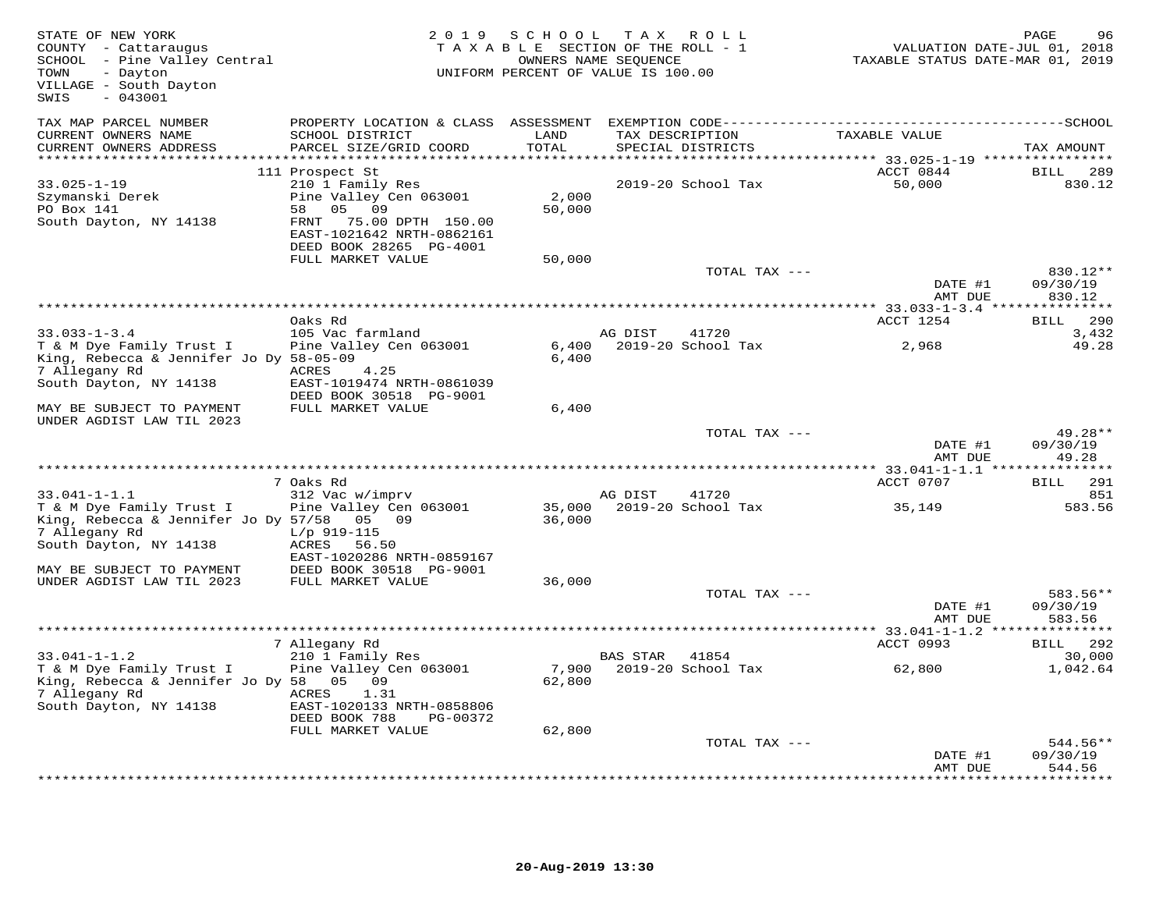| STATE OF NEW YORK<br>COUNTY - Cattaraugus<br>SCHOOL - Pine Valley Central<br>- Dayton<br>TOWN<br>VILLAGE - South Dayton<br>SWIS<br>$-043001$ |                                                                                                        | 2019 SCHOOL      | T A X<br>R O L L<br>TAXABLE SECTION OF THE ROLL - 1<br>OWNERS NAME SEQUENCE<br>UNIFORM PERCENT OF VALUE IS 100.00 | VALUATION DATE-JUL 01, 2018<br>TAXABLE STATUS DATE-MAR 01, 2019 | PAGE<br>96                      |
|----------------------------------------------------------------------------------------------------------------------------------------------|--------------------------------------------------------------------------------------------------------|------------------|-------------------------------------------------------------------------------------------------------------------|-----------------------------------------------------------------|---------------------------------|
| TAX MAP PARCEL NUMBER<br>CURRENT OWNERS NAME                                                                                                 | PROPERTY LOCATION & CLASS ASSESSMENT<br>SCHOOL DISTRICT                                                | LAND             | TAX DESCRIPTION                                                                                                   | TAXABLE VALUE                                                   |                                 |
| CURRENT OWNERS ADDRESS                                                                                                                       | PARCEL SIZE/GRID COORD                                                                                 | TOTAL            | SPECIAL DISTRICTS                                                                                                 | ********** 33.025-1-19 ***********                              | TAX AMOUNT                      |
| $33.025 - 1 - 19$<br>Szymanski Derek<br>PO Box 141                                                                                           | 111 Prospect St<br>210 1 Family Res<br>Pine Valley Cen 063001<br>58<br>05<br>09                        | 2,000<br>50,000  | 2019-20 School Tax                                                                                                | ACCT 0844<br>50,000                                             | 289<br>BILL<br>830.12           |
| South Dayton, NY 14138                                                                                                                       | FRNT<br>75.00 DPTH 150.00<br>EAST-1021642 NRTH-0862161<br>DEED BOOK 28265 PG-4001<br>FULL MARKET VALUE | 50,000           |                                                                                                                   |                                                                 |                                 |
|                                                                                                                                              |                                                                                                        |                  | TOTAL TAX ---                                                                                                     | DATE #1                                                         | 830.12**<br>09/30/19            |
|                                                                                                                                              |                                                                                                        |                  |                                                                                                                   | AMT DUE                                                         | 830.12                          |
|                                                                                                                                              | Oaks Rd                                                                                                |                  |                                                                                                                   | ACCT 1254                                                       | 290<br>BILL                     |
| $33.033 - 1 - 3.4$                                                                                                                           | 105 Vac farmland                                                                                       |                  | AG DIST<br>41720                                                                                                  |                                                                 | 3,432                           |
| T & M Dye Family Trust I<br>King, Rebecca & Jennifer Jo Dy 58-05-09<br>7 Allegany Rd                                                         | Pine Valley Cen 063001<br>ACRES<br>4.25                                                                | 6,400<br>6,400   | 2019-20 School Tax                                                                                                | 2,968                                                           | 49.28                           |
| South Dayton, NY 14138                                                                                                                       | EAST-1019474 NRTH-0861039<br>DEED BOOK 30518 PG-9001                                                   |                  |                                                                                                                   |                                                                 |                                 |
| MAY BE SUBJECT TO PAYMENT<br>UNDER AGDIST LAW TIL 2023                                                                                       | FULL MARKET VALUE                                                                                      | 6,400            |                                                                                                                   |                                                                 |                                 |
|                                                                                                                                              |                                                                                                        |                  | TOTAL TAX ---                                                                                                     | DATE #1<br>AMT DUE                                              | 49.28**<br>09/30/19<br>49.28    |
| ***************************                                                                                                                  | 7 Oaks Rd                                                                                              |                  |                                                                                                                   | *********** 33.041-1-1.1 ****************                       | 291                             |
| $33.041 - 1 - 1.1$                                                                                                                           | 312 Vac w/imprv                                                                                        |                  | AG DIST<br>41720                                                                                                  | ACCT 0707                                                       | BILL<br>851                     |
| T & M Dye Family Trust I<br>King, Rebecca & Jennifer Jo Dy 57/58 05 09<br>7 Allegany Rd                                                      | Pine Valley Cen 063001<br>$L/p$ 919-115                                                                | 35,000<br>36,000 | 2019-20 School Tax                                                                                                | 35,149                                                          | 583.56                          |
| South Dayton, NY 14138<br>MAY BE SUBJECT TO PAYMENT                                                                                          | ACRES<br>56.50<br>EAST-1020286 NRTH-0859167<br>DEED BOOK 30518 PG-9001                                 |                  |                                                                                                                   |                                                                 |                                 |
| UNDER AGDIST LAW TIL 2023                                                                                                                    | FULL MARKET VALUE                                                                                      | 36,000           |                                                                                                                   |                                                                 |                                 |
|                                                                                                                                              |                                                                                                        |                  | TOTAL TAX ---                                                                                                     | DATE #1<br>AMT DUE                                              | 583.56**<br>09/30/19<br>583.56  |
| ***********************                                                                                                                      |                                                                                                        |                  |                                                                                                                   | ** $33.041 - 1 - 1.2$ ***************                           |                                 |
|                                                                                                                                              | 7 Allegany Rd                                                                                          |                  |                                                                                                                   | ACCT 0993                                                       | 292<br><b>BILL</b>              |
| $33.041 - 1 - 1.2$<br>T & M Dye Family Trust I<br>King, Rebecca & Jennifer Jo Dy 58<br>7 Allegany Rd<br>South Dayton, NY 14138               | 210 1 Family Res<br>Pine Valley Cen 063001<br>05 09<br>ACRES<br>1.31<br>EAST-1020133 NRTH-0858806      | 7,900<br>62,800  | <b>BAS STAR</b><br>41854<br>2019-20 School Tax                                                                    | 62,800                                                          | 30,000<br>1,042.64              |
|                                                                                                                                              | DEED BOOK 788<br>PG-00372                                                                              |                  |                                                                                                                   |                                                                 |                                 |
|                                                                                                                                              | FULL MARKET VALUE                                                                                      | 62,800           | TOTAL TAX ---                                                                                                     |                                                                 | 544.56**                        |
|                                                                                                                                              |                                                                                                        |                  |                                                                                                                   | DATE #1<br>AMT DUE                                              | 09/30/19<br>544.56<br>********* |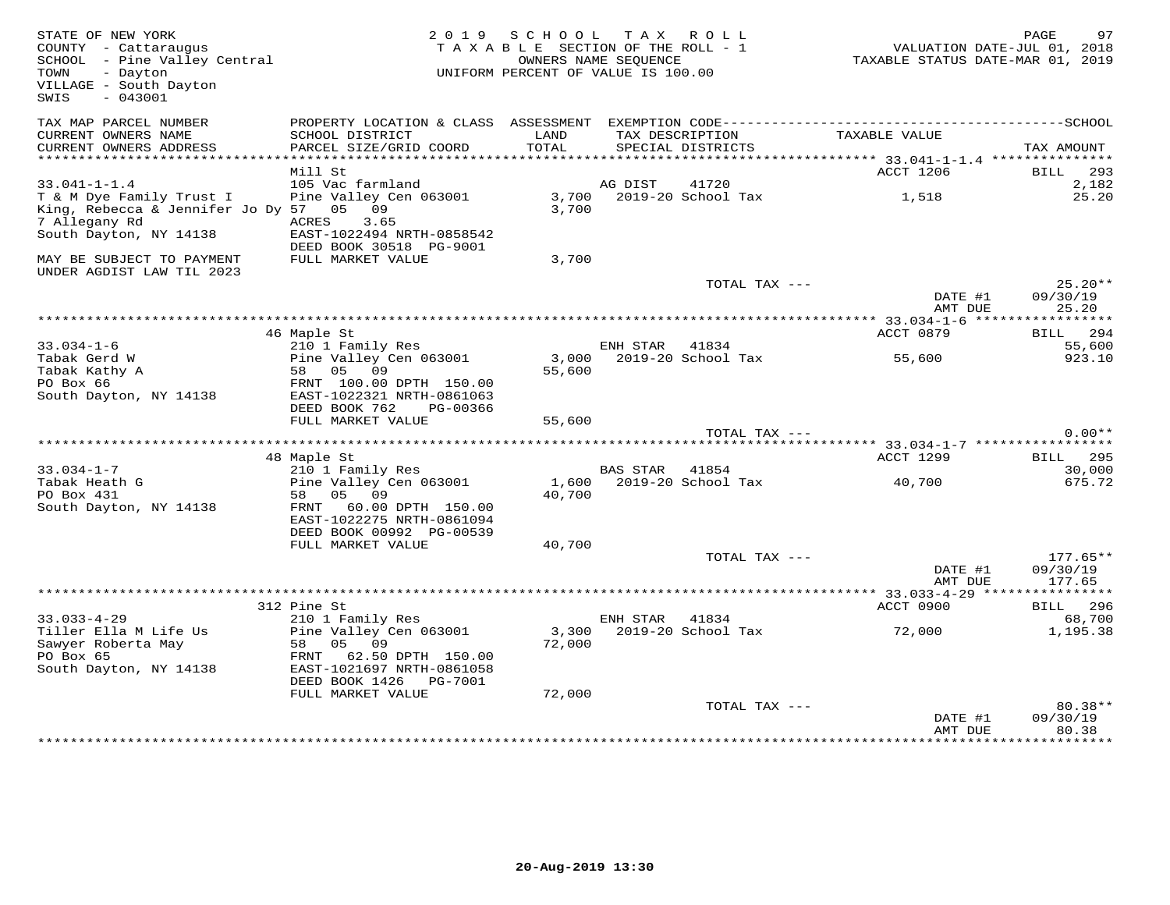| STATE OF NEW YORK<br>COUNTY - Cattaraugus<br>SCHOOL - Pine Valley Central<br>- Dayton<br>TOWN<br>VILLAGE - South Dayton<br>$-043001$<br>SWIS |                                                                                                                                 | 2019 SCHOOL<br>TAXABLE SECTION OF THE ROLL - 1<br>UNIFORM PERCENT OF VALUE IS 100.00 | OWNERS NAME SEOUENCE | TAX ROLL                             | VALUATION DATE-JUL 01, 2018<br>TAXABLE STATUS DATE-MAR 01, 2019 | PAGE<br>97                       |
|----------------------------------------------------------------------------------------------------------------------------------------------|---------------------------------------------------------------------------------------------------------------------------------|--------------------------------------------------------------------------------------|----------------------|--------------------------------------|-----------------------------------------------------------------|----------------------------------|
| TAX MAP PARCEL NUMBER<br>CURRENT OWNERS NAME<br>CURRENT OWNERS ADDRESS                                                                       | SCHOOL DISTRICT<br>PARCEL SIZE/GRID COORD                                                                                       | LAND<br>TOTAL                                                                        |                      | TAX DESCRIPTION<br>SPECIAL DISTRICTS | TAXABLE VALUE                                                   | TAX AMOUNT                       |
| ***********************                                                                                                                      |                                                                                                                                 |                                                                                      |                      |                                      |                                                                 |                                  |
|                                                                                                                                              | Mill St                                                                                                                         |                                                                                      |                      |                                      | ACCT 1206                                                       | BILL 293                         |
| $33.041 - 1 - 1.4$                                                                                                                           | 105 Vac farmland                                                                                                                |                                                                                      | AG DIST              | 41720                                |                                                                 | 2,182                            |
| T & M Dye Family Trust I<br>King, Rebecca & Jennifer Jo Dy 57 05 09<br>7 Allegany Rd<br>South Dayton, NY 14138                               | Pine Valley Cen 063001<br>3.65<br>ACRES<br>EAST-1022494 NRTH-0858542                                                            | 3,700                                                                                |                      | 3,700 2019-20 School Tax             | 1,518                                                           | 25.20                            |
| MAY BE SUBJECT TO PAYMENT<br>UNDER AGDIST LAW TIL 2023                                                                                       | DEED BOOK 30518 PG-9001<br>FULL MARKET VALUE                                                                                    | 3,700                                                                                |                      |                                      |                                                                 |                                  |
|                                                                                                                                              |                                                                                                                                 |                                                                                      |                      | TOTAL TAX ---                        | DATE #1<br>AMT DUE                                              | $25.20**$<br>09/30/19<br>25.20   |
|                                                                                                                                              |                                                                                                                                 |                                                                                      |                      |                                      |                                                                 |                                  |
|                                                                                                                                              | 46 Maple St                                                                                                                     |                                                                                      |                      |                                      | ACCT 0879                                                       | BILL 294                         |
| $33.034 - 1 - 6$                                                                                                                             | 210 1 Family Res                                                                                                                |                                                                                      | ENH STAR             | 41834                                |                                                                 | 55,600                           |
| Tabak Gerd W<br>Tabak Kathy A                                                                                                                | Pine Valley Cen 063001<br>58 05 09                                                                                              | 3,000<br>55,600                                                                      |                      | 2019-20 School Tax                   | 55,600                                                          | 923.10                           |
| PO Box 66<br>South Dayton, NY 14138                                                                                                          | FRNT 100.00 DPTH 150.00<br>EAST-1022321 NRTH-0861063<br>DEED BOOK 762<br>PG-00366<br>FULL MARKET VALUE                          |                                                                                      |                      |                                      |                                                                 |                                  |
|                                                                                                                                              |                                                                                                                                 | 55,600                                                                               |                      | TOTAL TAX ---                        |                                                                 | $0.00**$                         |
|                                                                                                                                              |                                                                                                                                 |                                                                                      |                      |                                      |                                                                 |                                  |
|                                                                                                                                              | 48 Maple St                                                                                                                     |                                                                                      |                      |                                      | ACCT 1299                                                       | 295<br>BILL                      |
| $33.034 - 1 - 7$                                                                                                                             | 210 1 Family Res                                                                                                                |                                                                                      | <b>BAS STAR</b>      | 41854                                |                                                                 | 30,000                           |
| Tabak Heath G                                                                                                                                | Pine Valley Cen 063001                                                                                                          | 1,600                                                                                |                      | 2019-20 School Tax                   | 40,700                                                          | 675.72                           |
| PO Box 431<br>South Dayton, NY 14138                                                                                                         | 58 05 09<br>FRNT 60.00 DPTH 150.00<br>EAST-1022275 NRTH-0861094<br>DEED BOOK 00992 PG-00539                                     | 40,700                                                                               |                      |                                      |                                                                 |                                  |
|                                                                                                                                              | FULL MARKET VALUE                                                                                                               | 40,700                                                                               |                      |                                      |                                                                 |                                  |
|                                                                                                                                              |                                                                                                                                 |                                                                                      |                      | TOTAL TAX ---                        | DATE #1<br>AMT DUE                                              | $177.65**$<br>09/30/19<br>177.65 |
|                                                                                                                                              |                                                                                                                                 |                                                                                      |                      |                                      |                                                                 |                                  |
|                                                                                                                                              | 312 Pine St                                                                                                                     |                                                                                      |                      |                                      | ACCT 0900                                                       | BILL 296                         |
| $33.033 - 4 - 29$                                                                                                                            | 210 1 Family Res                                                                                                                |                                                                                      | ENH STAR             | 41834                                |                                                                 | 68,700                           |
| Tiller Ella M Life Us<br>Sawyer Roberta May<br>PO Box 65<br>South Dayton, NY 14138                                                           | Pine Valley Cen 063001<br>05<br>09<br>58<br>FRNT<br>62.50 DPTH 150.00<br>EAST-1021697 NRTH-0861058<br>DEED BOOK 1426<br>PG-7001 | 3,300<br>72,000                                                                      |                      | 2019-20 School Tax                   | 72,000                                                          | 1,195.38                         |
|                                                                                                                                              | FULL MARKET VALUE                                                                                                               | 72,000                                                                               |                      |                                      |                                                                 |                                  |
|                                                                                                                                              |                                                                                                                                 |                                                                                      |                      | TOTAL TAX ---                        | DATE #1<br>AMT DUE                                              | 80.38**<br>09/30/19<br>80.38     |
|                                                                                                                                              |                                                                                                                                 |                                                                                      |                      |                                      |                                                                 |                                  |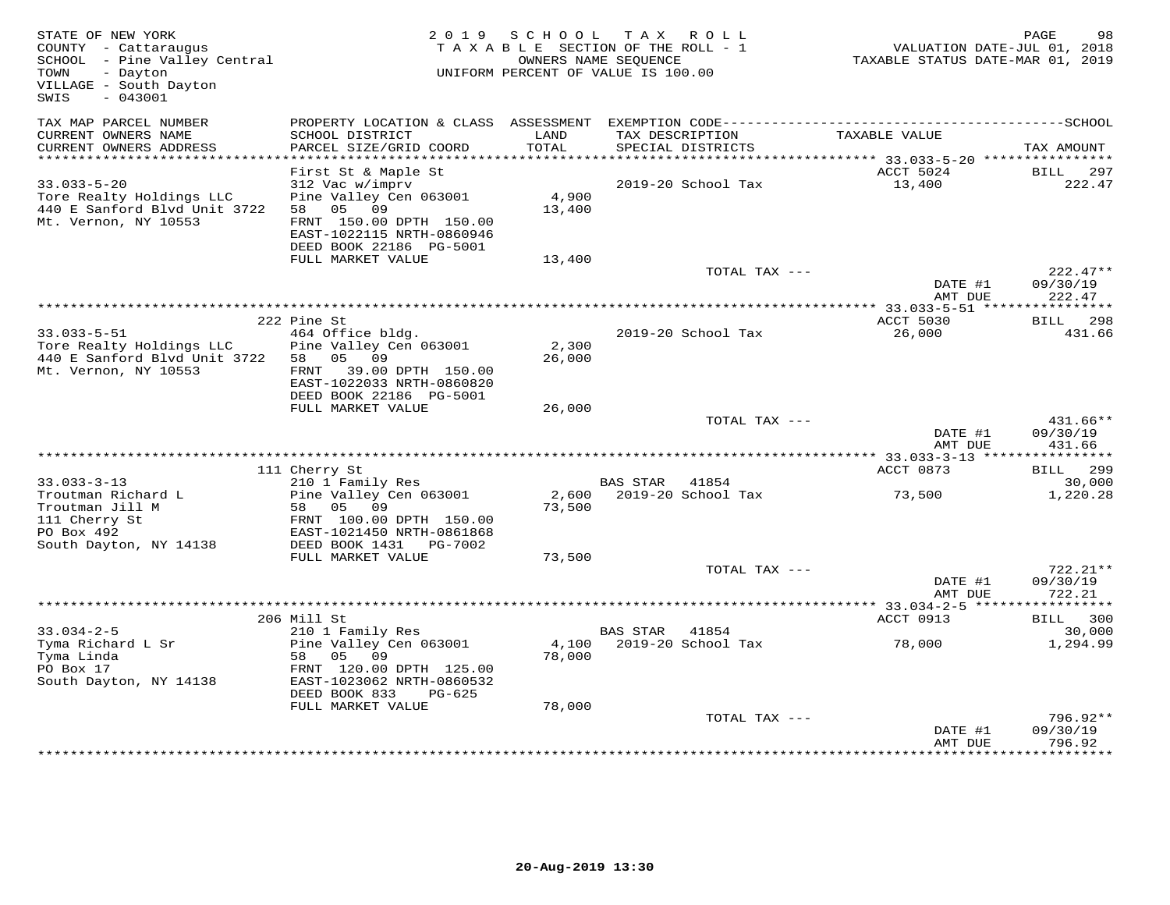| STATE OF NEW YORK<br>COUNTY - Cattaraugus<br>SCHOOL - Pine Valley Central<br>- Dayton<br>TOWN<br>VILLAGE - South Dayton<br>$-043001$<br>SWIS |                                                                                                                                                                 | 2019 SCHOOL     | T A X<br>ROLL ROLL<br>TAXABLE SECTION OF THE ROLL - 1<br>OWNERS NAME SEQUENCE<br>UNIFORM PERCENT OF VALUE IS 100.00 | VALUATION DATE-JUL 01, 2018<br>TAXABLE STATUS DATE-MAR 01, 2019 | PAGE<br>98                       |
|----------------------------------------------------------------------------------------------------------------------------------------------|-----------------------------------------------------------------------------------------------------------------------------------------------------------------|-----------------|---------------------------------------------------------------------------------------------------------------------|-----------------------------------------------------------------|----------------------------------|
| TAX MAP PARCEL NUMBER<br>CURRENT OWNERS NAME<br>CURRENT OWNERS ADDRESS                                                                       | PROPERTY LOCATION & CLASS ASSESSMENT<br>SCHOOL DISTRICT<br>PARCEL SIZE/GRID COORD                                                                               | LAND<br>TOTAL   | TAX DESCRIPTION<br>SPECIAL DISTRICTS                                                                                | TAXABLE VALUE                                                   | TAX AMOUNT                       |
| **********************                                                                                                                       |                                                                                                                                                                 |                 |                                                                                                                     |                                                                 |                                  |
| $33.033 - 5 - 20$<br>Tore Realty Holdings LLC<br>440 E Sanford Blvd Unit 3722<br>Mt. Vernon, NY 10553                                        | First St & Maple St<br>312 Vac w/imprv<br>Pine Valley Cen 063001<br>58 05 09<br>FRNT 150.00 DPTH 150.00<br>EAST-1022115 NRTH-0860946<br>DEED BOOK 22186 PG-5001 | 4,900<br>13,400 | 2019-20 School Tax                                                                                                  | ACCT 5024<br>13,400                                             | BILL<br>297<br>222.47            |
|                                                                                                                                              | FULL MARKET VALUE                                                                                                                                               | 13,400          |                                                                                                                     |                                                                 |                                  |
|                                                                                                                                              |                                                                                                                                                                 |                 | TOTAL TAX ---                                                                                                       | DATE #1<br>AMT DUE                                              | $222.47**$<br>09/30/19<br>222.47 |
|                                                                                                                                              |                                                                                                                                                                 |                 |                                                                                                                     |                                                                 |                                  |
| $33.033 - 5 - 51$<br>Tore Realty Holdings LLC<br>440 E Sanford Blvd Unit 3722                                                                | 222 Pine St<br>464 Office bldg.<br>Pine Valley Cen 063001<br>58 05 09                                                                                           | 2,300<br>26,000 | 2019-20 School Tax                                                                                                  | ACCT 5030<br>26,000                                             | <b>BILL</b> 298<br>431.66        |
| Mt. Vernon, NY 10553                                                                                                                         | FRNT 39.00 DPTH 150.00<br>EAST-1022033 NRTH-0860820<br>DEED BOOK 22186 PG-5001<br>FULL MARKET VALUE                                                             | 26,000          |                                                                                                                     |                                                                 |                                  |
|                                                                                                                                              |                                                                                                                                                                 |                 | TOTAL TAX ---                                                                                                       |                                                                 | $431.66**$                       |
|                                                                                                                                              |                                                                                                                                                                 |                 |                                                                                                                     | DATE #1<br>AMT DUE                                              | 09/30/19<br>431.66               |
|                                                                                                                                              | 111 Cherry St                                                                                                                                                   |                 |                                                                                                                     | ACCT 0873                                                       | BILL 299                         |
| $33.033 - 3 - 13$                                                                                                                            | 210 1 Family Res                                                                                                                                                |                 | BAS STAR 41854                                                                                                      |                                                                 | 30,000                           |
| Troutman Richard L<br>Troutman Jill M<br>111 Cherry St<br>PO Box 492                                                                         | Pine Valley Cen 063001<br>58 05 09<br>FRNT 100.00 DPTH 150.00<br>EAST-1021450 NRTH-0861868                                                                      | 73,500          | 2,600 2019-20 School Tax                                                                                            | 73,500                                                          | 1,220.28                         |
| South Dayton, NY 14138                                                                                                                       | DEED BOOK 1431    PG-7002                                                                                                                                       |                 |                                                                                                                     |                                                                 |                                  |
|                                                                                                                                              | FULL MARKET VALUE                                                                                                                                               | 73,500          |                                                                                                                     |                                                                 |                                  |
|                                                                                                                                              |                                                                                                                                                                 |                 | TOTAL TAX ---                                                                                                       | DATE #1<br>AMT DUE                                              | $722.21**$<br>09/30/19<br>722.21 |
|                                                                                                                                              | *********************************                                                                                                                               |                 |                                                                                                                     | ***** 33.034-2-5 ***                                            | **********                       |
|                                                                                                                                              | 206 Mill St                                                                                                                                                     |                 |                                                                                                                     | ACCT 0913                                                       | BILL 300                         |
| $33.034 - 2 - 5$<br>Tyma Richard L Sr<br>Tyma Linda<br>PO Box 17<br>South Dayton, NY 14138                                                   | 210 1 Family Res<br>Pine Valley Cen 063001<br>09<br>58<br>05<br>FRNT 120.00 DPTH 125.00<br>EAST-1023062 NRTH-0860532<br>DEED BOOK 833<br>$PG-625$               | 4,100<br>78,000 | BAS STAR<br>41854<br>2019-20 School Tax                                                                             | 78,000                                                          | 30,000<br>1,294.99               |
|                                                                                                                                              | FULL MARKET VALUE                                                                                                                                               | 78,000          |                                                                                                                     |                                                                 |                                  |
|                                                                                                                                              |                                                                                                                                                                 |                 | TOTAL TAX ---                                                                                                       | DATE #1<br>AMT DUE                                              | $796.92**$<br>09/30/19<br>796.92 |
|                                                                                                                                              |                                                                                                                                                                 |                 |                                                                                                                     |                                                                 |                                  |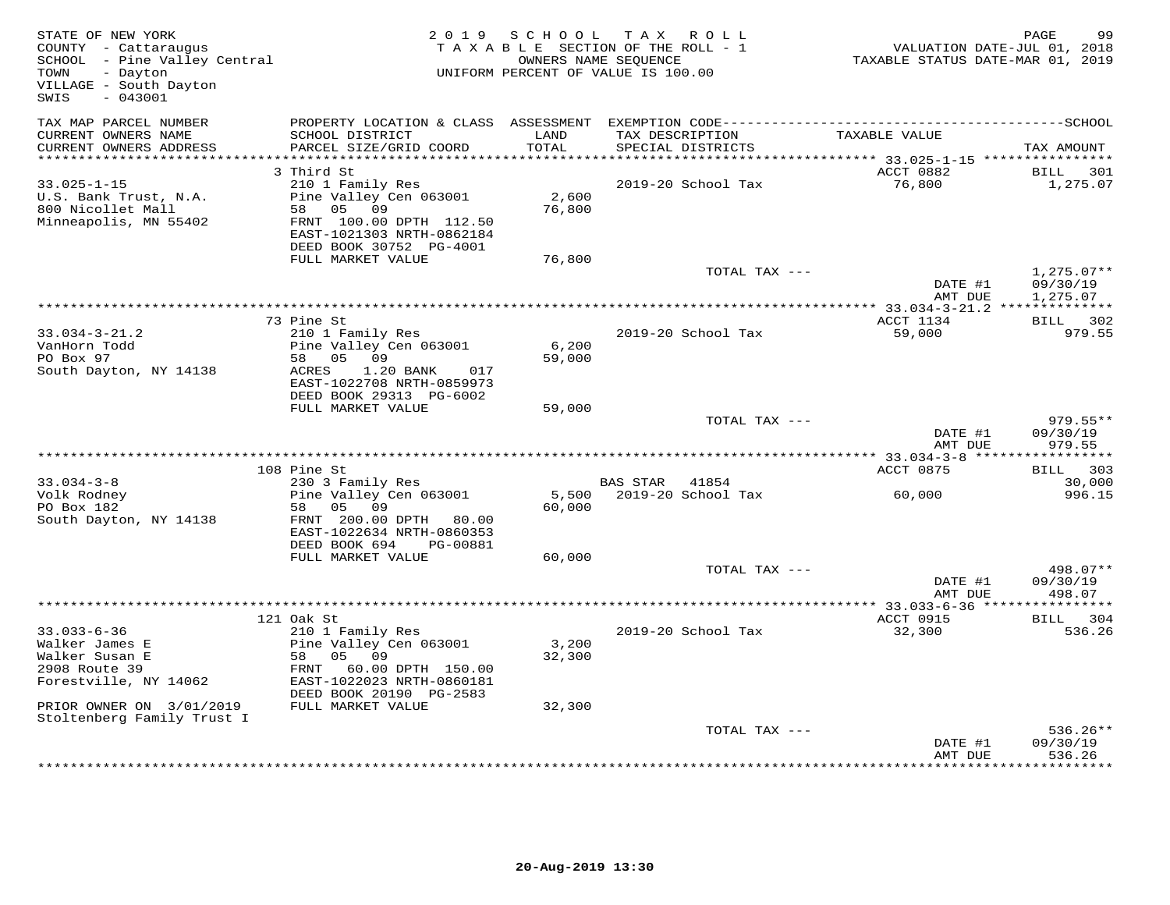| STATE OF NEW YORK<br>COUNTY - Cattaraugus<br>SCHOOL - Pine Valley Central<br>TOWN<br>- Dayton<br>VILLAGE - South Dayton<br>SWIS<br>$-043001$ |                                                                                                                                                                | 2019 SCHOOL               | TAX ROLL<br>TAXABLE SECTION OF THE ROLL - 1<br>OWNERS NAME SEQUENCE<br>UNIFORM PERCENT OF VALUE IS 100.00 | VALUATION DATE-JUL 01, 2018<br>TAXABLE STATUS DATE-MAR 01, 2019 | PAGE<br>99                       |
|----------------------------------------------------------------------------------------------------------------------------------------------|----------------------------------------------------------------------------------------------------------------------------------------------------------------|---------------------------|-----------------------------------------------------------------------------------------------------------|-----------------------------------------------------------------|----------------------------------|
| TAX MAP PARCEL NUMBER<br>CURRENT OWNERS NAME<br>CURRENT OWNERS ADDRESS                                                                       | SCHOOL DISTRICT<br>PARCEL SIZE/GRID COORD                                                                                                                      | LAND<br>TOTAL             | TAX DESCRIPTION<br>SPECIAL DISTRICTS                                                                      | TAXABLE VALUE                                                   | TAX AMOUNT                       |
| ***********************                                                                                                                      | 3 Third St                                                                                                                                                     |                           |                                                                                                           | ACCT 0882                                                       |                                  |
| $33.025 - 1 - 15$<br>U.S. Bank Trust, N.A.<br>800 Nicollet Mall<br>Minneapolis, MN 55402                                                     | 210 1 Family Res<br>Pine Valley Cen 063001<br>58 05 09<br>FRNT 100.00 DPTH 112.50<br>EAST-1021303 NRTH-0862184<br>DEED BOOK 30752 PG-4001<br>FULL MARKET VALUE | 2,600<br>76,800<br>76,800 | 2019-20 School Tax                                                                                        | 76,800                                                          | BILL<br>301<br>1,275.07          |
|                                                                                                                                              |                                                                                                                                                                |                           | TOTAL TAX ---                                                                                             |                                                                 | $1,275.07**$                     |
|                                                                                                                                              |                                                                                                                                                                |                           |                                                                                                           | DATE #1<br>AMT DUE                                              | 09/30/19<br>1,275.07             |
|                                                                                                                                              | 73 Pine St                                                                                                                                                     |                           |                                                                                                           | ACCT 1134                                                       | BILL 302                         |
| $33.034 - 3 - 21.2$<br>VanHorn Todd<br>PO Box 97<br>South Dayton, NY 14138                                                                   | 210 1 Family Res<br>Pine Valley Cen 063001<br>58 05 09<br>ACRES<br>1.20 BANK<br>017<br>EAST-1022708 NRTH-0859973<br>DEED BOOK 29313 PG-6002                    | 6,200<br>59,000           | 2019-20 School Tax                                                                                        | 59,000                                                          | 979.55                           |
|                                                                                                                                              | FULL MARKET VALUE                                                                                                                                              | 59,000                    |                                                                                                           |                                                                 |                                  |
|                                                                                                                                              |                                                                                                                                                                |                           | TOTAL TAX ---                                                                                             | DATE #1<br>AMT DUE                                              | $979.55**$<br>09/30/19<br>979.55 |
|                                                                                                                                              |                                                                                                                                                                |                           |                                                                                                           |                                                                 | ***********                      |
|                                                                                                                                              | 108 Pine St                                                                                                                                                    |                           |                                                                                                           | ACCT 0875                                                       | BILL 303                         |
| $33.034 - 3 - 8$<br>Volk Rodney<br>PO Box 182<br>South Dayton, NY 14138                                                                      | 230 3 Family Res<br>Pine Valley Cen 063001<br>09<br>05<br>58<br>FRNT 200.00 DPTH 80.00<br>EAST-1022634 NRTH-0860353<br>DEED BOOK 694<br>PG-00881               | 5,500<br>60,000           | BAS STAR<br>41854<br>2019-20 School Tax                                                                   | 60,000                                                          | 30,000<br>996.15                 |
|                                                                                                                                              | FULL MARKET VALUE                                                                                                                                              | 60,000                    |                                                                                                           |                                                                 |                                  |
|                                                                                                                                              |                                                                                                                                                                |                           | TOTAL TAX ---                                                                                             | DATE #1<br>AMT DUE                                              | 498.07**<br>09/30/19<br>498.07   |
|                                                                                                                                              |                                                                                                                                                                |                           |                                                                                                           |                                                                 |                                  |
| $33.033 - 6 - 36$                                                                                                                            | 121 Oak St<br>210 1 Family Res                                                                                                                                 |                           | 2019-20 School Tax                                                                                        | ACCT 0915<br>32,300                                             | BILL 304<br>536.26               |
| Walker James E<br>Walker Susan E<br>2908 Route 39<br>Forestville, NY 14062                                                                   | Pine Valley Cen 063001<br>05 09<br>58<br>FRNT<br>60.00 DPTH 150.00<br>EAST-1022023 NRTH-0860181<br>DEED BOOK 20190 PG-2583                                     | 3,200<br>32,300           |                                                                                                           |                                                                 |                                  |
| PRIOR OWNER ON 3/01/2019<br>Stoltenberg Family Trust I                                                                                       | FULL MARKET VALUE                                                                                                                                              | 32,300                    |                                                                                                           |                                                                 |                                  |
|                                                                                                                                              |                                                                                                                                                                |                           | TOTAL TAX ---                                                                                             | DATE #1<br>AMT DUE                                              | $536.26**$<br>09/30/19<br>536.26 |
|                                                                                                                                              |                                                                                                                                                                |                           |                                                                                                           |                                                                 |                                  |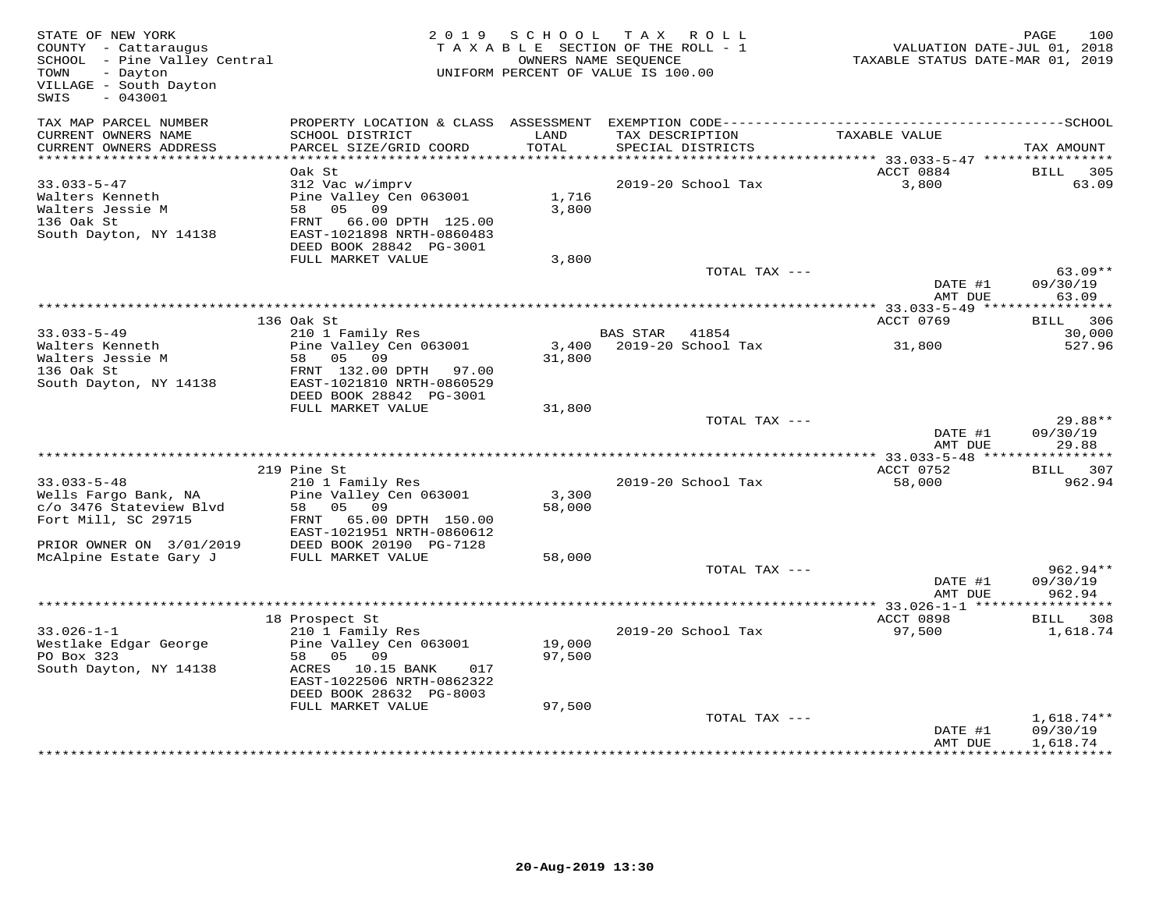| STATE OF NEW YORK<br>STATE OF NEW YORK<br>COUNTY - Cattaraugus<br>SCHOOL - Pine Valley Central<br>TOWN<br>- Dayton<br>VILLAGE - South Dayton<br>$-043001$<br>SWIS |                                                      |        | 2019 SCHOOL TAX ROLL<br>TAXABLE SECTION OF THE ROLL - 1<br>OWNERS NAME SEQUENCE<br>UNIFORM PERCENT OF VALUE IS 100.00 | 100 1,000<br>TAXABLE STATUS DATE-JUL 01, 2018<br>TAXABLE STATUS DATE-MAR 01, 2019 | 100<br>PAGE              |
|-------------------------------------------------------------------------------------------------------------------------------------------------------------------|------------------------------------------------------|--------|-----------------------------------------------------------------------------------------------------------------------|-----------------------------------------------------------------------------------|--------------------------|
| TAX MAP PARCEL NUMBER<br>CURRENT OWNERS NAME                                                                                                                      | SCHOOL DISTRICT                                      | LAND   | TAX DESCRIPTION                                                                                                       | TAXABLE VALUE                                                                     |                          |
| CURRENT OWNERS ADDRESS                                                                                                                                            | PARCEL SIZE/GRID COORD                               | TOTAL  | SPECIAL DISTRICTS                                                                                                     |                                                                                   | TAX AMOUNT               |
|                                                                                                                                                                   |                                                      |        |                                                                                                                       |                                                                                   |                          |
|                                                                                                                                                                   | Oak St<br>312 Vac w/imprv                            |        | 2019-20 School Tax                                                                                                    | ACCT 0884<br>3,800                                                                | BILL 305<br>63.09        |
| $33.033 - 5 - 47$<br>Walters Kenneth                                                                                                                              | Pine Valley Cen 063001                               | 1,716  |                                                                                                                       |                                                                                   |                          |
| Walters Jessie M                                                                                                                                                  | 58 05 09                                             | 3,800  |                                                                                                                       |                                                                                   |                          |
| 136 Oak St                                                                                                                                                        | FRNT 66.00 DPTH 125.00                               |        |                                                                                                                       |                                                                                   |                          |
| South Dayton, NY 14138                                                                                                                                            | EAST-1021898 NRTH-0860483                            |        |                                                                                                                       |                                                                                   |                          |
|                                                                                                                                                                   | DEED BOOK 28842 PG-3001                              |        |                                                                                                                       |                                                                                   |                          |
|                                                                                                                                                                   | FULL MARKET VALUE                                    | 3,800  | TOTAL TAX ---                                                                                                         |                                                                                   | $63.09**$                |
|                                                                                                                                                                   |                                                      |        |                                                                                                                       | DATE #1                                                                           | 09/30/19                 |
|                                                                                                                                                                   |                                                      |        |                                                                                                                       | AMT DUE                                                                           | 63.09                    |
|                                                                                                                                                                   |                                                      |        |                                                                                                                       |                                                                                   |                          |
|                                                                                                                                                                   | 136 Oak St                                           |        |                                                                                                                       | ACCT 0769                                                                         | BILL 306                 |
| $33.033 - 5 - 49$                                                                                                                                                 | 210 1 Family Res<br>Pine Valley Cen 063001           |        | BAS STAR 41854                                                                                                        |                                                                                   | 30,000                   |
| Walters Kenneth                                                                                                                                                   | 58 05 09                                             | 31,800 | 3,400 2019-20 School Tax 31,800                                                                                       |                                                                                   | 527.96                   |
| Walters Jessie M<br>136 Oak St                                                                                                                                    | FRNT 132.00 DPTH 97.00                               |        |                                                                                                                       |                                                                                   |                          |
| South Dayton, NY 14138                                                                                                                                            | EAST-1021810 NRTH-0860529                            |        |                                                                                                                       |                                                                                   |                          |
|                                                                                                                                                                   | DEED BOOK 28842 PG-3001                              |        |                                                                                                                       |                                                                                   |                          |
|                                                                                                                                                                   | FULL MARKET VALUE                                    | 31,800 |                                                                                                                       |                                                                                   |                          |
|                                                                                                                                                                   |                                                      |        | TOTAL TAX ---                                                                                                         |                                                                                   | 29.88**                  |
|                                                                                                                                                                   |                                                      |        |                                                                                                                       | DATE #1                                                                           | 09/30/19                 |
|                                                                                                                                                                   |                                                      |        |                                                                                                                       | AMT DUE                                                                           | 29.88                    |
|                                                                                                                                                                   | 219 Pine St                                          |        |                                                                                                                       | ACCT 0752                                                                         | BILL 307                 |
| $33.033 - 5 - 48$                                                                                                                                                 | 210 1 Family Res                                     |        | 2019-20 School Tax                                                                                                    | 58,000                                                                            | 962.94                   |
| Wells Fargo Bank, NA                                                                                                                                              | Pine Valley Cen 063001                               | 3,300  |                                                                                                                       |                                                                                   |                          |
| c/o 3476 Stateview Blvd                                                                                                                                           | 58 05 09                                             | 58,000 |                                                                                                                       |                                                                                   |                          |
| Fort Mill, SC 29715                                                                                                                                               | FRNT 65.00 DPTH 150.00                               |        |                                                                                                                       |                                                                                   |                          |
|                                                                                                                                                                   | EAST-1021951 NRTH-0860612<br>DEED BOOK 20190 PG-7128 |        |                                                                                                                       |                                                                                   |                          |
| PRIOR OWNER ON 3/01/2019<br>McAlpine Estate Gary J                                                                                                                | FULL MARKET VALUE                                    | 58,000 |                                                                                                                       |                                                                                   |                          |
|                                                                                                                                                                   |                                                      |        | TOTAL TAX ---                                                                                                         |                                                                                   | $962.94**$               |
|                                                                                                                                                                   |                                                      |        |                                                                                                                       | DATE #1                                                                           | 09/30/19                 |
|                                                                                                                                                                   |                                                      |        |                                                                                                                       | AMT DUE                                                                           | 962.94                   |
|                                                                                                                                                                   |                                                      |        |                                                                                                                       | *************** 33.026-1-1 ******                                                 | ***********              |
| $33.026 - 1 - 1$                                                                                                                                                  | 18 Prospect St<br>210 1 Family Res                   |        | 2019-20 School Tax                                                                                                    | ACCT 0898<br>97,500                                                               | BILL 308<br>1,618.74     |
| Westlake Edgar George                                                                                                                                             | Pine Valley Cen 063001                               | 19,000 |                                                                                                                       |                                                                                   |                          |
| PO Box 323                                                                                                                                                        | 58 05 09                                             | 97,500 |                                                                                                                       |                                                                                   |                          |
| South Dayton, NY 14138                                                                                                                                            | ACRES 10.15 BANK<br>017                              |        |                                                                                                                       |                                                                                   |                          |
|                                                                                                                                                                   | EAST-1022506 NRTH-0862322                            |        |                                                                                                                       |                                                                                   |                          |
|                                                                                                                                                                   | DEED BOOK 28632 PG-8003                              |        |                                                                                                                       |                                                                                   |                          |
|                                                                                                                                                                   | FULL MARKET VALUE                                    | 97,500 |                                                                                                                       |                                                                                   |                          |
|                                                                                                                                                                   |                                                      |        | TOTAL TAX ---                                                                                                         | DATE #1                                                                           | $1,618.74**$<br>09/30/19 |
|                                                                                                                                                                   |                                                      |        |                                                                                                                       | AMT DUE                                                                           | 1,618.74                 |
|                                                                                                                                                                   |                                                      |        |                                                                                                                       |                                                                                   | ***********************  |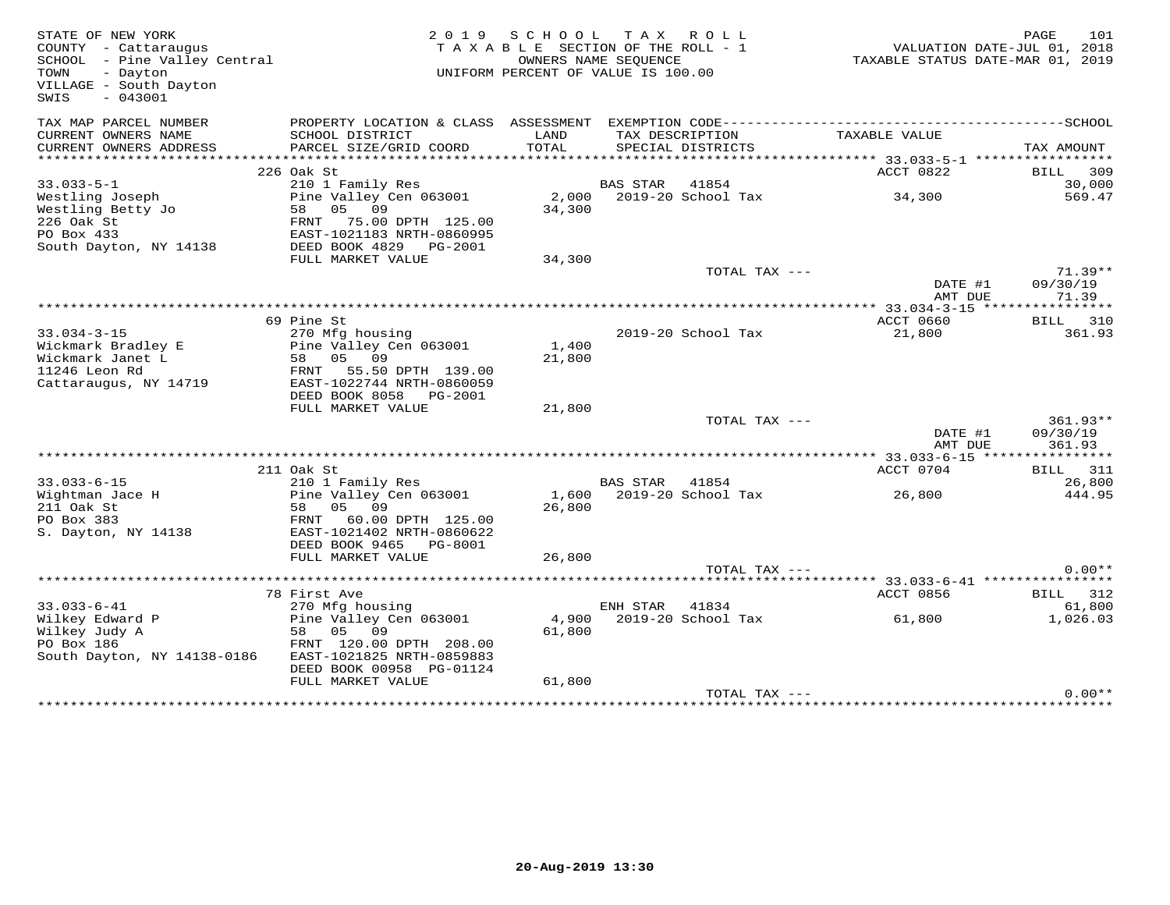| STATE OF NEW YORK<br>COUNTY - Cattaraugus<br>SCHOOL - Pine Valley Central<br>TOWN<br>- Dayton<br>VILLAGE - South Dayton<br>$-043001$<br>SWIS | 2 0 1 9                                                                                                                      | SCHOOL<br>TAXABLE SECTION OF THE ROLL - 1<br>OWNERS NAME SEQUENCE<br>UNIFORM PERCENT OF VALUE IS 100.00 | T A X           | ROLL ROLL                | TAXABLE STATUS DATE-MAR 01, 2019 | PAGE<br>VALUATION DATE-JUL 01, 2018 | 101                   |
|----------------------------------------------------------------------------------------------------------------------------------------------|------------------------------------------------------------------------------------------------------------------------------|---------------------------------------------------------------------------------------------------------|-----------------|--------------------------|----------------------------------|-------------------------------------|-----------------------|
| TAX MAP PARCEL NUMBER                                                                                                                        |                                                                                                                              |                                                                                                         |                 |                          |                                  |                                     |                       |
| CURRENT OWNERS NAME<br>CURRENT OWNERS ADDRESS                                                                                                | SCHOOL DISTRICT<br>PARCEL SIZE/GRID COORD                                                                                    | LAND<br>TOTAL                                                                                           | TAX DESCRIPTION | SPECIAL DISTRICTS        | TAXABLE VALUE                    | TAX AMOUNT                          |                       |
|                                                                                                                                              | 226 Oak St                                                                                                                   |                                                                                                         |                 |                          | ACCT 0822                        | BILL                                | 309                   |
| $33.033 - 5 - 1$                                                                                                                             | 210 1 Family Res                                                                                                             |                                                                                                         | <b>BAS STAR</b> | 41854                    |                                  |                                     | 30,000                |
| Westling Joseph<br>Westling Betty Jo<br>226 Oak St<br>PO Box 433<br>South Dayton, NY 14138                                                   | Pine Valley Cen 063001<br>58<br>05<br>09<br>FRNT<br>75.00 DPTH 125.00<br>EAST-1021183 NRTH-0860995<br>DEED BOOK 4829 PG-2001 | 34,300                                                                                                  |                 | 2,000 2019-20 School Tax | 34,300                           |                                     | 569.47                |
|                                                                                                                                              | FULL MARKET VALUE                                                                                                            | 34,300                                                                                                  |                 |                          |                                  |                                     |                       |
|                                                                                                                                              |                                                                                                                              |                                                                                                         |                 | TOTAL TAX ---            | DATE #1                          |                                     | $71.39**$<br>09/30/19 |
|                                                                                                                                              |                                                                                                                              |                                                                                                         |                 |                          | AMT DUE                          |                                     | 71.39                 |
|                                                                                                                                              | 69 Pine St                                                                                                                   |                                                                                                         |                 |                          | ACCT 0660                        | BILL                                | 310                   |
| $33.034 - 3 - 15$                                                                                                                            | 270 Mfg housing                                                                                                              |                                                                                                         |                 | 2019-20 School Tax       | 21,800                           |                                     | 361.93                |
| Wickmark Bradley E<br>Wickmark Janet L<br>11246 Leon Rd<br>Cattaraugus, NY 14719                                                             | Pine Valley Cen 063001<br>58 05 09<br>FRNT 55.50 DPTH 139.00<br>EAST-1022744 NRTH-0860059<br>DEED BOOK 8058 PG-2001          | 1,400<br>21,800                                                                                         |                 |                          |                                  |                                     |                       |
|                                                                                                                                              | FULL MARKET VALUE                                                                                                            | 21,800                                                                                                  |                 |                          |                                  |                                     |                       |
|                                                                                                                                              |                                                                                                                              |                                                                                                         |                 | TOTAL TAX ---            | DATE #1<br>AMT DUE               | 09/30/19                            | $361.93**$<br>361.93  |
|                                                                                                                                              |                                                                                                                              |                                                                                                         |                 |                          |                                  |                                     |                       |
|                                                                                                                                              | 211 Oak St                                                                                                                   |                                                                                                         |                 |                          | ACCT 0704                        | BILL                                | 311                   |
| $33.033 - 6 - 15$                                                                                                                            | 210 1 Family Res                                                                                                             |                                                                                                         | BAS STAR        | 41854                    |                                  |                                     | 26,800                |
| Wightman Jace H<br>211 Oak St<br>PO Box 383<br>S. Dayton, NY 14138                                                                           | Pine Valley Cen 063001<br>05 09<br>58<br>FRNT<br>60.00 DPTH 125.00<br>EAST-1021402 NRTH-0860622<br>DEED BOOK 9465<br>PG-8001 | 1,600<br>26,800                                                                                         |                 | 2019-20 School Tax       | 26,800                           |                                     | 444.95                |
|                                                                                                                                              | FULL MARKET VALUE                                                                                                            | 26,800                                                                                                  |                 |                          |                                  |                                     |                       |
|                                                                                                                                              |                                                                                                                              |                                                                                                         |                 | TOTAL TAX ---            |                                  |                                     | $0.00**$              |
|                                                                                                                                              |                                                                                                                              |                                                                                                         |                 |                          |                                  |                                     |                       |
|                                                                                                                                              | 78 First Ave                                                                                                                 |                                                                                                         |                 |                          | ACCT 0856                        |                                     | BILL 312              |
| $33.033 - 6 - 41$                                                                                                                            | 270 Mfg housing                                                                                                              |                                                                                                         | ENH STAR        | 41834                    |                                  |                                     | 61,800                |
| Wilkey Edward P<br>Wilkey Judy A<br>PO Box 186<br>South Dayton, NY 14138-0186                                                                | Pine Valley Cen 063001<br>58 05 09<br>FRNT 120.00 DPTH 208.00<br>EAST-1021825 NRTH-0859883<br>DEED BOOK 00958 PG-01124       | 4,900<br>61,800                                                                                         |                 | 2019-20 School Tax       | 61,800                           |                                     | 1,026.03              |
|                                                                                                                                              | FULL MARKET VALUE                                                                                                            | 61,800                                                                                                  |                 |                          |                                  |                                     |                       |
|                                                                                                                                              |                                                                                                                              |                                                                                                         |                 | TOTAL TAX ---            |                                  |                                     | $0.00**$              |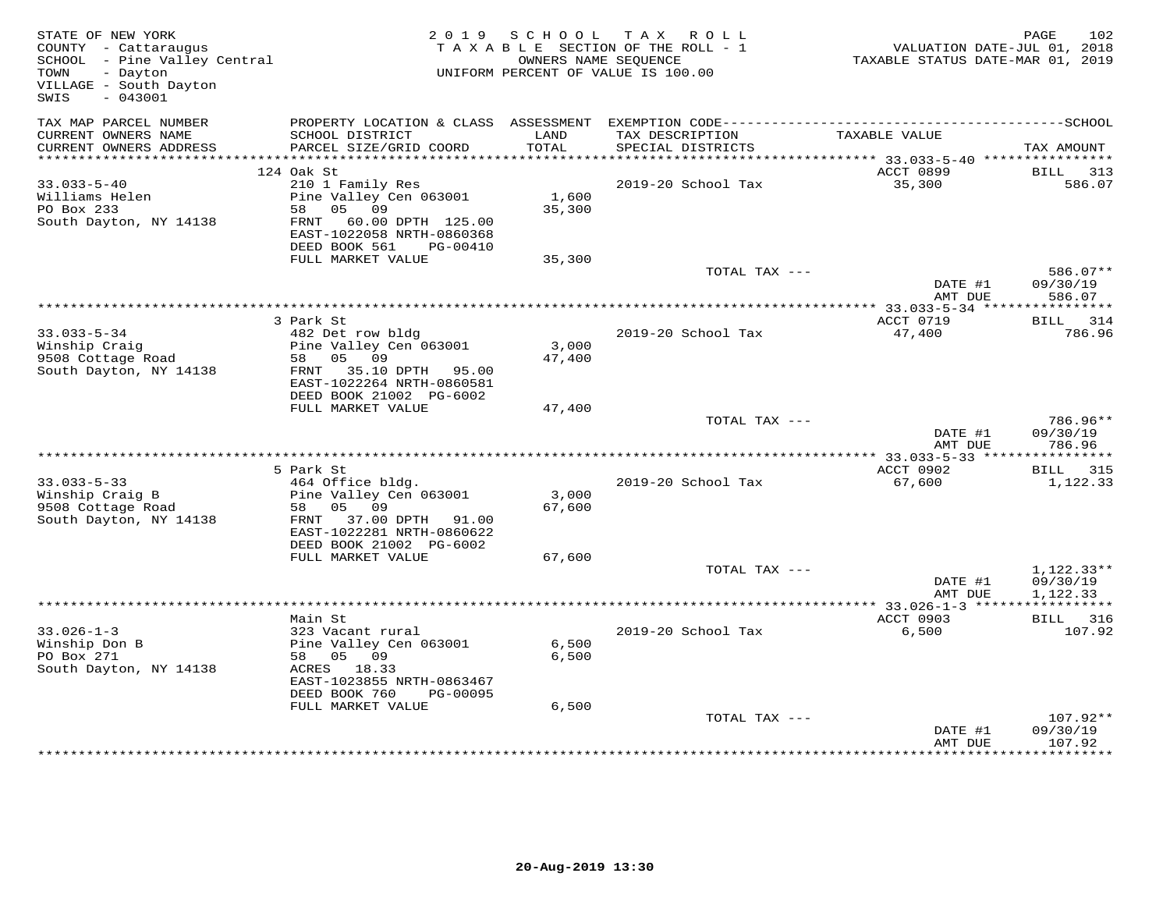| STATE OF NEW YORK<br>COUNTY - Cattaraugus<br>SCHOOL - Pine Valley Central<br>TOWN<br>- Dayton<br>VILLAGE - South Dayton<br>SWIS<br>$-043001$ |                                                                                  |                | 2019 SCHOOL TAX ROLL<br>TAXABLE SECTION OF THE ROLL - 1<br>OWNERS NAME SEQUENCE<br>UNIFORM PERCENT OF VALUE IS 100.00 | VALUATION DATE-JUL 01, 2018<br>TAXABLE STATUS DATE-MAR 01, 2019 | 102<br>PAGE                    |
|----------------------------------------------------------------------------------------------------------------------------------------------|----------------------------------------------------------------------------------|----------------|-----------------------------------------------------------------------------------------------------------------------|-----------------------------------------------------------------|--------------------------------|
| TAX MAP PARCEL NUMBER<br>CURRENT OWNERS NAME                                                                                                 | SCHOOL DISTRICT                                                                  | LAND           | TAX DESCRIPTION                                                                                                       | TAXABLE VALUE                                                   |                                |
| CURRENT OWNERS ADDRESS                                                                                                                       | PARCEL SIZE/GRID COORD                                                           | TOTAL          | SPECIAL DISTRICTS                                                                                                     |                                                                 | TAX AMOUNT                     |
|                                                                                                                                              |                                                                                  |                |                                                                                                                       |                                                                 |                                |
|                                                                                                                                              | 124 Oak St                                                                       |                |                                                                                                                       | ACCT 0899                                                       | BILL<br>313                    |
| $33.033 - 5 - 40$<br>Williams Helen                                                                                                          | 210 1 Family Res<br>Pine Valley Cen 063001                                       | 1,600          | 2019-20 School Tax                                                                                                    | 35,300                                                          | 586.07                         |
| PO Box 233                                                                                                                                   | 58<br>05 09                                                                      | 35,300         |                                                                                                                       |                                                                 |                                |
| South Dayton, NY 14138                                                                                                                       | FRNT 60.00 DPTH 125.00<br>EAST-1022058 NRTH-0860368<br>DEED BOOK 561<br>PG-00410 |                |                                                                                                                       |                                                                 |                                |
|                                                                                                                                              | FULL MARKET VALUE                                                                | 35,300         |                                                                                                                       |                                                                 |                                |
|                                                                                                                                              |                                                                                  |                | TOTAL TAX ---                                                                                                         |                                                                 | 586.07**                       |
|                                                                                                                                              |                                                                                  |                | *************************************                                                                                 | DATE #1<br>AMT DUE                                              | 09/30/19<br>586.07             |
|                                                                                                                                              | 3 Park St                                                                        |                |                                                                                                                       | **************** 33.033-5-34 *****************<br>ACCT 0719     | BILL 314                       |
| $33.033 - 5 - 34$                                                                                                                            | 482 Det row bldg                                                                 |                | 2019-20 School Tax                                                                                                    | 47,400                                                          | 786.96                         |
| Winship Craig                                                                                                                                | Pine Valley Cen 063001                                                           | 3,000          |                                                                                                                       |                                                                 |                                |
| 9508 Cottage Road                                                                                                                            | 58 05 09                                                                         | 47,400         |                                                                                                                       |                                                                 |                                |
| South Dayton, NY 14138                                                                                                                       | FRNT 35.10 DPTH 95.00<br>EAST-1022264 NRTH-0860581                               |                |                                                                                                                       |                                                                 |                                |
|                                                                                                                                              | DEED BOOK 21002 PG-6002<br>FULL MARKET VALUE                                     | 47,400         |                                                                                                                       |                                                                 |                                |
|                                                                                                                                              |                                                                                  |                | TOTAL TAX ---                                                                                                         | DATE #1                                                         | 786.96**<br>09/30/19           |
|                                                                                                                                              |                                                                                  |                |                                                                                                                       | AMT DUE                                                         | 786.96                         |
|                                                                                                                                              |                                                                                  |                |                                                                                                                       |                                                                 |                                |
| $33.033 - 5 - 33$                                                                                                                            | 5 Park St                                                                        |                | 2019-20 School Tax                                                                                                    | ACCT 0902<br>67,600                                             | BILL 315<br>1,122.33           |
| Winship Craig B                                                                                                                              | 464 Office bldg.<br>Pine Valley Cen 063001                                       | 3,000          |                                                                                                                       |                                                                 |                                |
| 9508 Cottage Road                                                                                                                            | 05 09<br>58                                                                      | 67,600         |                                                                                                                       |                                                                 |                                |
| South Dayton, NY 14138                                                                                                                       | FRNT 37.00 DPTH 91.00<br>EAST-1022281 NRTH-0860622                               |                |                                                                                                                       |                                                                 |                                |
|                                                                                                                                              | DEED BOOK 21002 PG-6002                                                          |                |                                                                                                                       |                                                                 |                                |
|                                                                                                                                              | FULL MARKET VALUE                                                                | 67,600         | TOTAL TAX ---                                                                                                         |                                                                 | $1,122.33**$                   |
|                                                                                                                                              |                                                                                  |                |                                                                                                                       | DATE #1<br>AMT DUE                                              | 09/30/19<br>1,122.33           |
|                                                                                                                                              |                                                                                  |                |                                                                                                                       | ********** 33.026-1-3 *****                                     | * * * * * * * * * *            |
|                                                                                                                                              | Main St                                                                          |                |                                                                                                                       | ACCT 0903                                                       | <b>BILL</b> 316                |
| $33.026 - 1 - 3$                                                                                                                             | 323 Vacant rural                                                                 |                | 2019-20 School Tax                                                                                                    | 6,500                                                           | 107.92                         |
| Winship Don B<br>PO Box 271                                                                                                                  | Pine Valley Cen 063001<br>58 05 09                                               | 6,500<br>6,500 |                                                                                                                       |                                                                 |                                |
| South Dayton, NY 14138                                                                                                                       | ACRES 18.33                                                                      |                |                                                                                                                       |                                                                 |                                |
|                                                                                                                                              | EAST-1023855 NRTH-0863467<br>DEED BOOK 760<br>PG-00095                           |                |                                                                                                                       |                                                                 |                                |
|                                                                                                                                              | FULL MARKET VALUE                                                                | 6,500          |                                                                                                                       |                                                                 |                                |
|                                                                                                                                              |                                                                                  |                | TOTAL TAX ---                                                                                                         | DATE #1<br>AMT DUE                                              | 107.92**<br>09/30/19<br>107.92 |
|                                                                                                                                              |                                                                                  |                |                                                                                                                       |                                                                 |                                |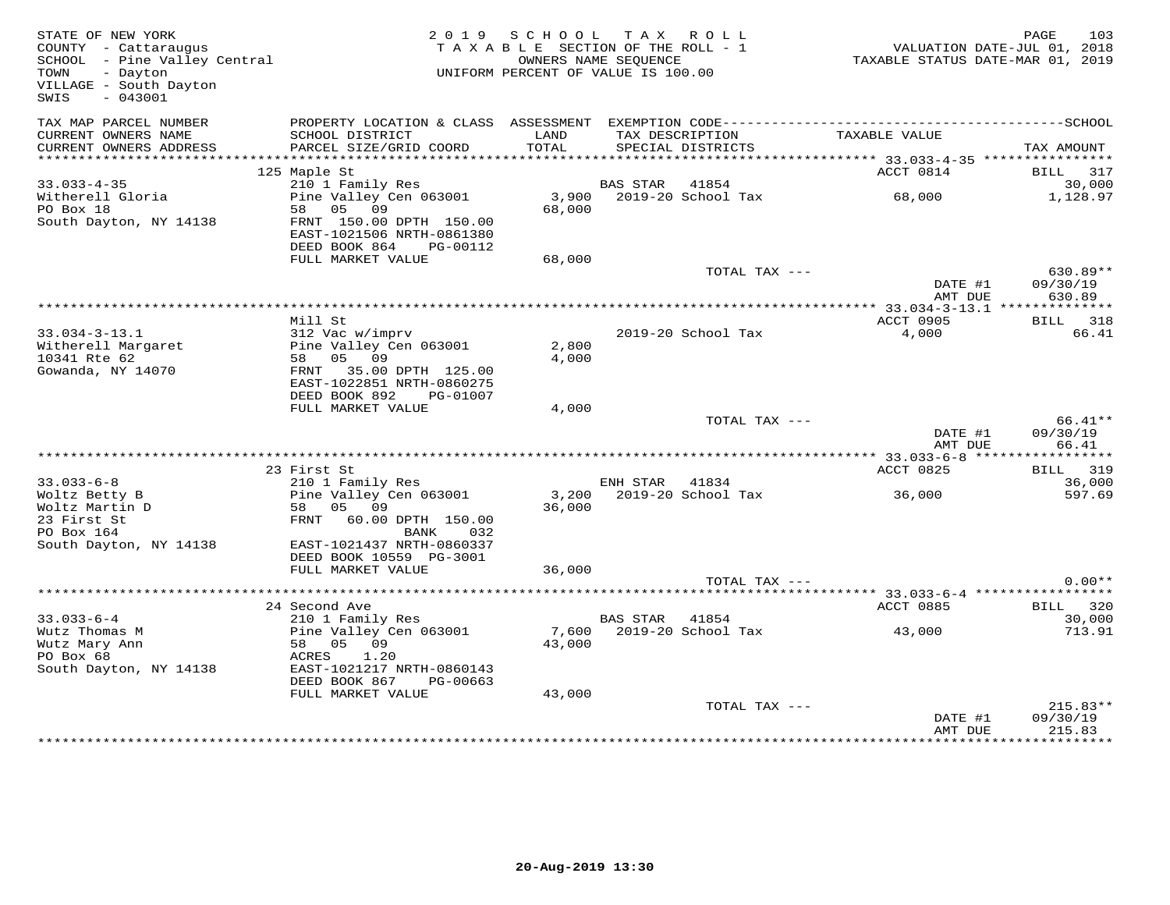| STATE OF NEW YORK<br>COUNTY - Cattaraugus<br>COUNTY - Cattaraugus<br>SCHOOL - Pine Valley Central<br>TOWN - Davton<br>- Dayton<br>TOWN<br>VILLAGE - South Dayton<br>$-043001$<br>SWIS |                                                                                   | 2019 SCHOOL<br>TAXABLE SECTION OF THE ROLL - 1<br>UNIFORM PERCENT OF VALUE IS 100.00 | TAX ROLL<br>OWNERS NAME SEOUENCE |                                      | VALUATION DATE-JUL 01, 2018<br>TAXABLE STATUS DATE-MAR 01, 2019 | 103<br>PAGE               |
|---------------------------------------------------------------------------------------------------------------------------------------------------------------------------------------|-----------------------------------------------------------------------------------|--------------------------------------------------------------------------------------|----------------------------------|--------------------------------------|-----------------------------------------------------------------|---------------------------|
| TAX MAP PARCEL NUMBER<br>CURRENT OWNERS NAME<br>CURRENT OWNERS ADDRESS                                                                                                                | SCHOOL DISTRICT<br>PARCEL SIZE/GRID COORD                                         | LAND<br>TOTAL                                                                        |                                  | TAX DESCRIPTION<br>SPECIAL DISTRICTS | TAXABLE VALUE                                                   | TAX AMOUNT                |
|                                                                                                                                                                                       |                                                                                   |                                                                                      |                                  |                                      |                                                                 |                           |
|                                                                                                                                                                                       | 125 Maple St                                                                      |                                                                                      |                                  |                                      | ACCT 0814                                                       | BILL 317                  |
| $33.033 - 4 - 35$                                                                                                                                                                     | 210 1 Family Res                                                                  |                                                                                      | BAS STAR 41854                   |                                      |                                                                 | 30,000                    |
| Witherell Gloria                                                                                                                                                                      | Pine Valley Cen 063001<br>58 05 09                                                |                                                                                      |                                  | 3,900 2019-20 School Tax             | 68,000                                                          | 1,128.97                  |
| PO Box 18<br>South Dayton, NY 14138                                                                                                                                                   | FRNT 150.00 DPTH 150.00<br>EAST-1021506 NRTH-0861380<br>DEED BOOK 864<br>PG-00112 | 68,000                                                                               |                                  |                                      |                                                                 |                           |
|                                                                                                                                                                                       | FULL MARKET VALUE                                                                 | 68,000                                                                               |                                  |                                      |                                                                 |                           |
|                                                                                                                                                                                       |                                                                                   |                                                                                      |                                  | TOTAL TAX ---                        | DATE #1                                                         | $630.89**$<br>09/30/19    |
|                                                                                                                                                                                       |                                                                                   |                                                                                      |                                  |                                      | AMT DUE                                                         | 630.89                    |
|                                                                                                                                                                                       |                                                                                   |                                                                                      |                                  |                                      | **************** 33.034-3-13.1 ***************                  |                           |
|                                                                                                                                                                                       | Mill St                                                                           |                                                                                      |                                  |                                      | ACCT 0905                                                       | BILL 318                  |
| $33.034 - 3 - 13.1$<br>Witherell Margaret                                                                                                                                             | 312 Vac w/imprv<br>Pine Valley Cen 063001                                         | 2,800                                                                                |                                  | 2019-20 School Tax                   | 4,000                                                           | 66.41                     |
| 10341 Rte 62                                                                                                                                                                          | 58 05 09                                                                          | 4,000                                                                                |                                  |                                      |                                                                 |                           |
| Gowanda, NY 14070                                                                                                                                                                     | FRNT 35.00 DPTH 125.00                                                            |                                                                                      |                                  |                                      |                                                                 |                           |
|                                                                                                                                                                                       | EAST-1022851 NRTH-0860275                                                         |                                                                                      |                                  |                                      |                                                                 |                           |
|                                                                                                                                                                                       | DEED BOOK 892<br>PG-01007                                                         |                                                                                      |                                  |                                      |                                                                 |                           |
|                                                                                                                                                                                       | FULL MARKET VALUE                                                                 | 4,000                                                                                |                                  | TOTAL TAX ---                        |                                                                 | 66.41**                   |
|                                                                                                                                                                                       |                                                                                   |                                                                                      |                                  |                                      | DATE #1                                                         | 09/30/19                  |
|                                                                                                                                                                                       |                                                                                   |                                                                                      |                                  |                                      | AMT DUE                                                         | 66.41                     |
|                                                                                                                                                                                       |                                                                                   |                                                                                      |                                  |                                      |                                                                 |                           |
| $33.033 - 6 - 8$                                                                                                                                                                      | 23 First St<br>210 1 Family Res                                                   |                                                                                      | ENH STAR 41834                   |                                      | ACCT 0825                                                       | <b>BILL</b> 319<br>36,000 |
| Woltz Betty B                                                                                                                                                                         | Pine Valley Cen 063001                                                            |                                                                                      |                                  | 3,200 2019-20 School Tax             | 36,000                                                          | 597.69                    |
| Woltz Martin D                                                                                                                                                                        | 58 05 09                                                                          | 36,000                                                                               |                                  |                                      |                                                                 |                           |
| 23 First St                                                                                                                                                                           | FRNT 60.00 DPTH 150.00                                                            |                                                                                      |                                  |                                      |                                                                 |                           |
| PO Box 164                                                                                                                                                                            | BANK<br>032                                                                       |                                                                                      |                                  |                                      |                                                                 |                           |
| South Dayton, NY 14138                                                                                                                                                                | EAST-1021437 NRTH-0860337                                                         |                                                                                      |                                  |                                      |                                                                 |                           |
|                                                                                                                                                                                       | DEED BOOK 10559 PG-3001<br>FULL MARKET VALUE                                      | 36,000                                                                               |                                  |                                      |                                                                 |                           |
|                                                                                                                                                                                       |                                                                                   |                                                                                      |                                  | TOTAL TAX ---                        |                                                                 | $0.00**$                  |
|                                                                                                                                                                                       |                                                                                   |                                                                                      |                                  |                                      |                                                                 |                           |
|                                                                                                                                                                                       | 24 Second Ave                                                                     |                                                                                      |                                  |                                      | ACCT 0885                                                       | BILL 320                  |
| $33.033 - 6 - 4$                                                                                                                                                                      | 210 1 Family Res<br>Pine Valley Cen 063001                                        |                                                                                      | BAS STAR 41854                   |                                      |                                                                 | 30,000                    |
| Wutz Thomas M<br>Wutz Mary Ann                                                                                                                                                        | 58 05 09                                                                          | 43,000                                                                               |                                  | 7,600 2019-20 School Tax             | 43,000                                                          | 713.91                    |
| PO Box 68                                                                                                                                                                             | ACRES 1.20                                                                        |                                                                                      |                                  |                                      |                                                                 |                           |
| South Dayton, NY 14138                                                                                                                                                                | EAST-1021217 NRTH-0860143                                                         |                                                                                      |                                  |                                      |                                                                 |                           |
|                                                                                                                                                                                       | DEED BOOK 867<br>PG-00663                                                         |                                                                                      |                                  |                                      |                                                                 |                           |
|                                                                                                                                                                                       | FULL MARKET VALUE                                                                 | 43,000                                                                               |                                  |                                      |                                                                 |                           |
|                                                                                                                                                                                       |                                                                                   |                                                                                      |                                  | TOTAL TAX ---                        |                                                                 | $215.83**$                |
|                                                                                                                                                                                       |                                                                                   |                                                                                      |                                  |                                      | DATE #1<br>AMT DUE                                              | 09/30/19<br>215.83        |
|                                                                                                                                                                                       |                                                                                   |                                                                                      |                                  |                                      |                                                                 |                           |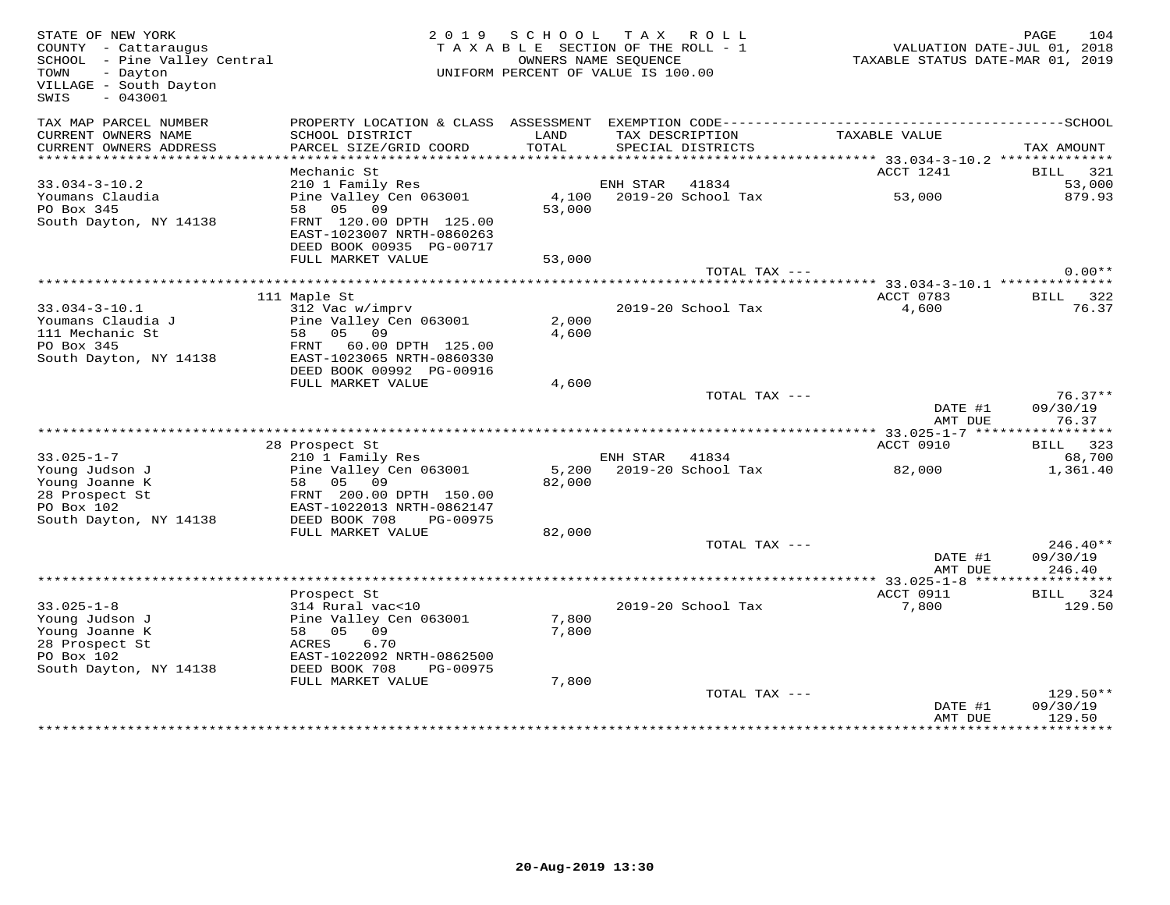| STATE OF NEW YORK<br>COUNTY - Cattaraugus<br>SCHOOL - Pine Valley Central<br>TOWN<br>- Dayton<br>VILLAGE - South Dayton<br>$-043001$<br>SWIS |                                                                                  |               | 2019 SCHOOL TAX ROLL<br>TAXABLE SECTION OF THE ROLL - 1<br>OWNERS NAME SEQUENCE<br>UNIFORM PERCENT OF VALUE IS 100.00 | TAXABLE STATUS DATE-MAR 01, 2019 | 104<br>PAGE<br>VALUATION DATE-JUL 01, 2018 |
|----------------------------------------------------------------------------------------------------------------------------------------------|----------------------------------------------------------------------------------|---------------|-----------------------------------------------------------------------------------------------------------------------|----------------------------------|--------------------------------------------|
| TAX MAP PARCEL NUMBER                                                                                                                        |                                                                                  |               |                                                                                                                       |                                  |                                            |
| CURRENT OWNERS NAME<br>CURRENT OWNERS ADDRESS                                                                                                | SCHOOL DISTRICT<br>PARCEL SIZE/GRID COORD                                        | LAND<br>TOTAL | TAX DESCRIPTION<br>SPECIAL DISTRICTS                                                                                  | TAXABLE VALUE                    | TAX AMOUNT                                 |
| **********************                                                                                                                       |                                                                                  |               |                                                                                                                       |                                  |                                            |
| $33.034 - 3 - 10.2$                                                                                                                          | Mechanic St<br>210 1 Family Res                                                  |               | ENH STAR<br>41834                                                                                                     | ACCT 1241                        | BILL 321<br>53,000                         |
| Youmans Claudia                                                                                                                              | Pine Valley Cen 063001                                                           | 4,100         | 2019-20 School Tax                                                                                                    | 53,000                           | 879.93                                     |
| PO Box 345                                                                                                                                   | 58 05 09                                                                         | 53,000        |                                                                                                                       |                                  |                                            |
| South Dayton, NY 14138                                                                                                                       | FRNT 120.00 DPTH 125.00<br>EAST-1023007 NRTH-0860263<br>DEED BOOK 00935 PG-00717 |               |                                                                                                                       |                                  |                                            |
|                                                                                                                                              | FULL MARKET VALUE                                                                | 53,000        |                                                                                                                       |                                  |                                            |
|                                                                                                                                              |                                                                                  |               | TOTAL TAX ---                                                                                                         |                                  | $0.00**$                                   |
|                                                                                                                                              |                                                                                  |               |                                                                                                                       |                                  |                                            |
|                                                                                                                                              | 111 Maple St                                                                     |               |                                                                                                                       | ACCT 0783                        | BILL 322                                   |
| $33.034 - 3 - 10.1$                                                                                                                          | 312 Vac w/imprv                                                                  |               | 2019-20 School Tax                                                                                                    | 4,600                            | 76.37                                      |
| Youmans Claudia J                                                                                                                            | Pine Valley Cen 063001                                                           | 2,000         |                                                                                                                       |                                  |                                            |
| 111 Mechanic St<br>PO Box 345                                                                                                                | 58 05 09<br>FRNT<br>60.00 DPTH 125.00                                            | 4,600         |                                                                                                                       |                                  |                                            |
| South Dayton, NY 14138                                                                                                                       | EAST-1023065 NRTH-0860330                                                        |               |                                                                                                                       |                                  |                                            |
|                                                                                                                                              | DEED BOOK 00992 PG-00916                                                         |               |                                                                                                                       |                                  |                                            |
|                                                                                                                                              | FULL MARKET VALUE                                                                | 4,600         |                                                                                                                       |                                  |                                            |
|                                                                                                                                              |                                                                                  |               | TOTAL TAX ---                                                                                                         |                                  | $76.37**$                                  |
|                                                                                                                                              |                                                                                  |               |                                                                                                                       | DATE #1<br>AMT DUE               | 09/30/19<br>76.37                          |
|                                                                                                                                              | *****************************                                                    |               |                                                                                                                       | ********* 33.025-1-7 ***         | ********                                   |
|                                                                                                                                              | 28 Prospect St                                                                   |               |                                                                                                                       | ACCT 0910                        | 323<br>BILL                                |
| $33.025 - 1 - 7$<br>Young Judson J                                                                                                           | 210 1 Family Res<br>Pine Valley Cen 063001                                       | 5,200         | ENH STAR<br>41834<br>2019-20 School Tax                                                                               | 82,000                           | 68,700<br>1,361.40                         |
| Young Joanne K                                                                                                                               | 58 05 09                                                                         | 82,000        |                                                                                                                       |                                  |                                            |
| 28 Prospect St                                                                                                                               | FRNT 200.00 DPTH 150.00                                                          |               |                                                                                                                       |                                  |                                            |
| PO Box 102                                                                                                                                   | EAST-1022013 NRTH-0862147                                                        |               |                                                                                                                       |                                  |                                            |
| South Dayton, NY 14138                                                                                                                       | DEED BOOK 708<br>PG-00975                                                        |               |                                                                                                                       |                                  |                                            |
|                                                                                                                                              | FULL MARKET VALUE                                                                | 82,000        |                                                                                                                       |                                  |                                            |
|                                                                                                                                              |                                                                                  |               | TOTAL TAX ---                                                                                                         | DATE #1                          | $246.40**$<br>09/30/19                     |
|                                                                                                                                              |                                                                                  |               |                                                                                                                       | AMT DUE                          | 246.40                                     |
|                                                                                                                                              |                                                                                  |               |                                                                                                                       |                                  |                                            |
|                                                                                                                                              | Prospect St                                                                      |               |                                                                                                                       | ACCT 0911                        | BILL 324                                   |
| $33.025 - 1 - 8$                                                                                                                             | 314 Rural vac<10                                                                 |               | 2019-20 School Tax                                                                                                    | 7,800                            | 129.50                                     |
| Young Judson J                                                                                                                               | Pine Valley Cen 063001                                                           | 7,800         |                                                                                                                       |                                  |                                            |
| Young Joanne K                                                                                                                               | 58 05 09<br>6.70                                                                 | 7,800         |                                                                                                                       |                                  |                                            |
| 28 Prospect St<br>PO Box 102                                                                                                                 | ACRES<br>EAST-1022092 NRTH-0862500                                               |               |                                                                                                                       |                                  |                                            |
| South Dayton, NY 14138                                                                                                                       | DEED BOOK 708<br>PG-00975                                                        |               |                                                                                                                       |                                  |                                            |
|                                                                                                                                              | FULL MARKET VALUE                                                                | 7,800         |                                                                                                                       |                                  |                                            |
|                                                                                                                                              |                                                                                  |               | TOTAL TAX ---                                                                                                         |                                  | $129.50**$                                 |
|                                                                                                                                              |                                                                                  |               |                                                                                                                       | DATE #1                          | 09/30/19                                   |
|                                                                                                                                              |                                                                                  |               |                                                                                                                       | AMT DUE<br>************          | 129.50<br>*********                        |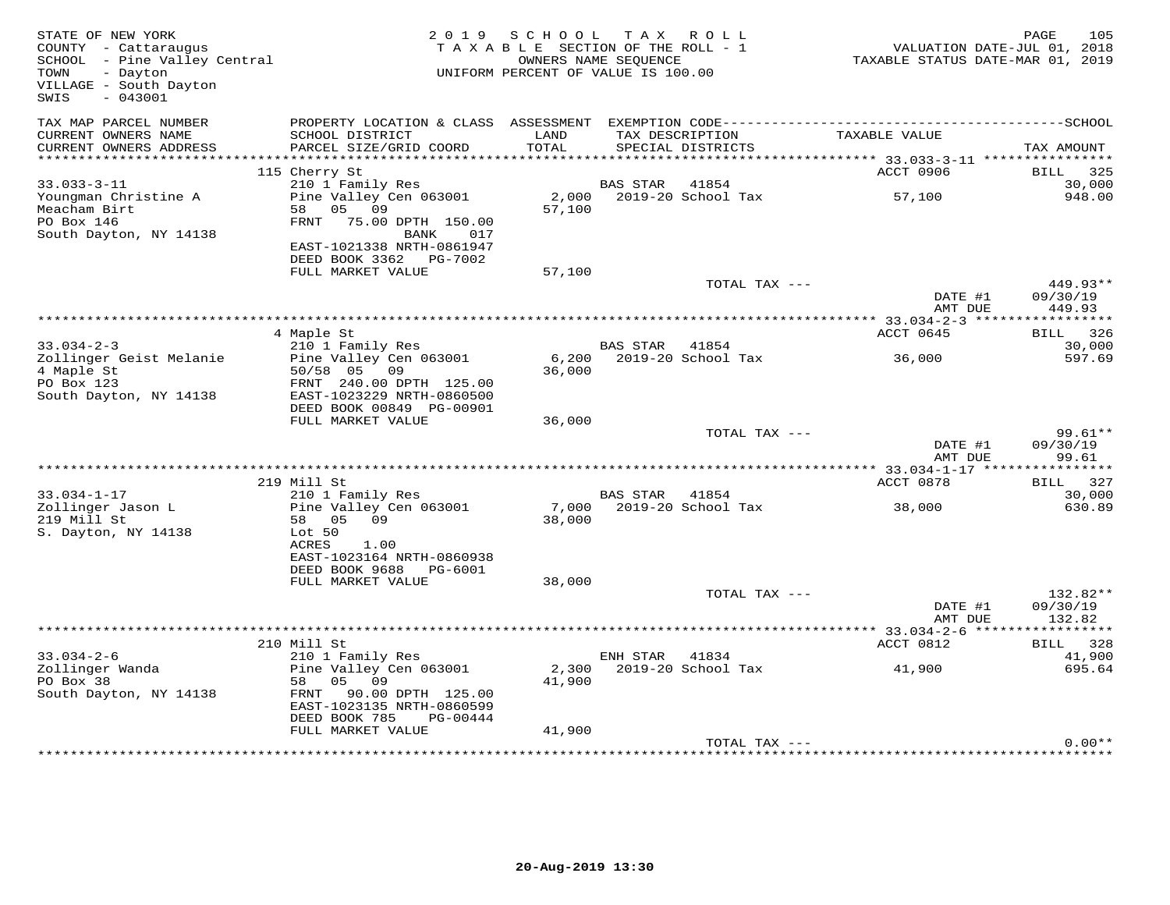| STATE OF NEW YORK<br>COUNTY - Cattaraugus<br>SCHOOL - Pine Valley Central<br>- Dayton<br>TOWN<br>VILLAGE - South Dayton<br>SWIS<br>$-043001$ |                                                                                                                                    | 2019 SCHOOL<br>TAXABLE SECTION OF THE ROLL - 1<br>UNIFORM PERCENT OF VALUE IS 100.00 | OWNERS NAME SEQUENCE | TAX ROLL                             | TAXABLE STATUS DATE-MAR 01, 2019 | PAGE<br>105<br>VALUATION DATE-JUL 01, 2018 |
|----------------------------------------------------------------------------------------------------------------------------------------------|------------------------------------------------------------------------------------------------------------------------------------|--------------------------------------------------------------------------------------|----------------------|--------------------------------------|----------------------------------|--------------------------------------------|
| TAX MAP PARCEL NUMBER<br>CURRENT OWNERS NAME<br>CURRENT OWNERS ADDRESS                                                                       | SCHOOL DISTRICT<br>PARCEL SIZE/GRID COORD                                                                                          | LAND<br>TOTAL                                                                        |                      | TAX DESCRIPTION<br>SPECIAL DISTRICTS | TAXABLE VALUE                    | TAX AMOUNT                                 |
|                                                                                                                                              |                                                                                                                                    |                                                                                      |                      |                                      |                                  |                                            |
| $33.033 - 3 - 11$                                                                                                                            | 115 Cherry St<br>210 1 Family Res                                                                                                  |                                                                                      | BAS STAR             | 41854                                | ACCT 0906                        | BILL 325<br>30,000                         |
| Youngman Christine A<br>Meacham Birt<br>PO Box 146<br>South Dayton, NY 14138                                                                 | Pine Valley Cen 063001<br>58 05 09<br>FRNT 75.00 DPTH 150.00<br>BANK<br>017<br>EAST-1021338 NRTH-0861947<br>DEED BOOK 3362 PG-7002 | 2,000<br>57,100                                                                      |                      | 2019-20 School Tax                   | 57,100                           | 948.00                                     |
|                                                                                                                                              | FULL MARKET VALUE                                                                                                                  | 57,100                                                                               |                      |                                      |                                  |                                            |
|                                                                                                                                              |                                                                                                                                    |                                                                                      |                      | TOTAL TAX ---                        | DATE #1<br>AMT DUE               | 449.93**<br>09/30/19<br>449.93             |
|                                                                                                                                              |                                                                                                                                    |                                                                                      |                      |                                      |                                  |                                            |
| $33.034 - 2 - 3$                                                                                                                             | 4 Maple St<br>210 1 Family Res                                                                                                     |                                                                                      | BAS STAR 41854       |                                      | ACCT 0645                        | BILL 326<br>30,000                         |
| Zollinger Geist Melanie<br>4 Maple St<br>PO Box 123<br>South Dayton, NY 14138                                                                | Pine Valley Cen 063001<br>50/58 05<br>09<br>FRNT 240.00 DPTH 125.00<br>EAST-1023229 NRTH-0860500                                   | 6,200<br>36,000                                                                      |                      | 2019-20 School Tax                   | 36,000                           | 597.69                                     |
|                                                                                                                                              | DEED BOOK 00849 PG-00901                                                                                                           |                                                                                      |                      |                                      |                                  |                                            |
|                                                                                                                                              | FULL MARKET VALUE                                                                                                                  | 36,000                                                                               |                      | TOTAL TAX ---                        |                                  | $99.61**$                                  |
|                                                                                                                                              |                                                                                                                                    |                                                                                      |                      |                                      | DATE #1<br>AMT DUE               | 09/30/19<br>99.61                          |
|                                                                                                                                              |                                                                                                                                    |                                                                                      |                      |                                      |                                  |                                            |
| $33.034 - 1 - 17$                                                                                                                            | 219 Mill St<br>210 1 Family Res                                                                                                    |                                                                                      | <b>BAS STAR</b>      | 41854                                | ACCT 0878                        | BILL 327<br>30,000                         |
| Zollinger Jason L<br>219 Mill St<br>S. Dayton, NY 14138                                                                                      | Pine Valley Cen 063001<br>58 05 09<br>Lot 50<br>ACRES<br>1.00<br>EAST-1023164 NRTH-0860938                                         | 7,000<br>38,000                                                                      |                      | 2019-20 School Tax                   | 38,000                           | 630.89                                     |
|                                                                                                                                              | DEED BOOK 9688<br>PG-6001                                                                                                          |                                                                                      |                      |                                      |                                  |                                            |
|                                                                                                                                              | FULL MARKET VALUE                                                                                                                  | 38,000                                                                               |                      | TOTAL TAX ---                        |                                  | 132.82**                                   |
|                                                                                                                                              |                                                                                                                                    |                                                                                      |                      |                                      | DATE #1<br>AMT DUE               | 09/30/19<br>132.82                         |
|                                                                                                                                              |                                                                                                                                    |                                                                                      |                      |                                      |                                  |                                            |
| $33.034 - 2 - 6$                                                                                                                             | 210 Mill St<br>210 1 Family Res                                                                                                    |                                                                                      |                      |                                      | ACCT 0812                        | BILL 328                                   |
| Zollinger Wanda<br>PO Box 38<br>South Dayton, NY 14138                                                                                       | Pine Valley Cen 063001<br>05<br>58<br>09<br>90.00 DPTH 125.00<br>FRNT<br>EAST-1023135 NRTH-0860599<br>DEED BOOK 785<br>PG-00444    | 2,300<br>41,900                                                                      | ENH STAR             | 41834<br>2019-20 School Tax          | 41,900                           | 41,900<br>695.64                           |
|                                                                                                                                              | FULL MARKET VALUE                                                                                                                  | 41,900                                                                               |                      |                                      |                                  |                                            |
|                                                                                                                                              |                                                                                                                                    |                                                                                      |                      | TOTAL TAX ---                        |                                  | $0.00**$                                   |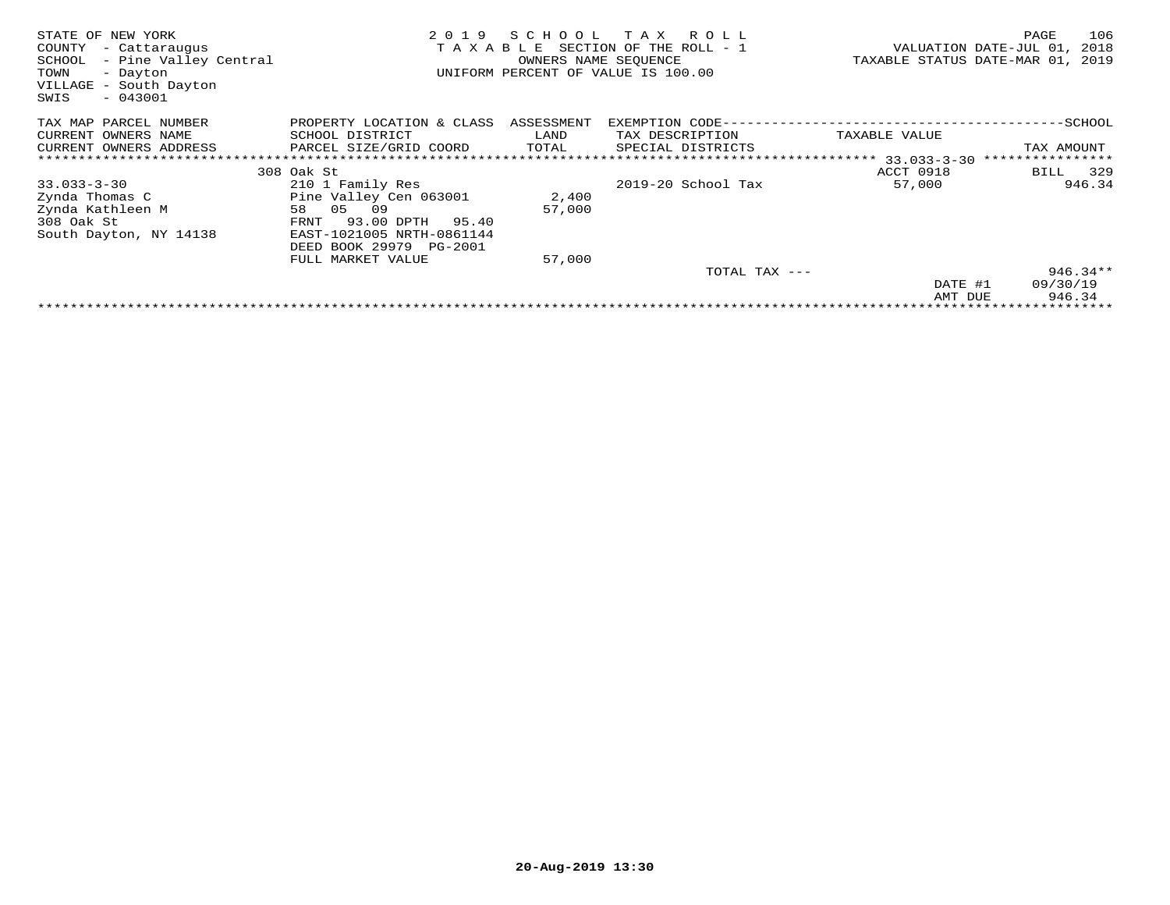| STATE OF NEW YORK<br>COUNTY<br>- Cattaraugus<br>SCHOOL<br>- Pine Valley Central<br>TOWN<br>- Dayton<br>VILLAGE - South Dayton<br>$-043001$<br>SWIS | 2019<br>TAXABLE             | SCHOOL<br>OWNERS NAME SEOUENCE | T A X<br>R O L L<br>SECTION OF THE ROLL - 1<br>UNIFORM PERCENT OF VALUE IS 100.00 | TAXABLE STATUS DATE-MAR 01, | 106<br>PAGE<br>VALUATION DATE-JUL 01,<br>2018<br>2019 |
|----------------------------------------------------------------------------------------------------------------------------------------------------|-----------------------------|--------------------------------|-----------------------------------------------------------------------------------|-----------------------------|-------------------------------------------------------|
| TAX MAP PARCEL NUMBER                                                                                                                              | PROPERTY LOCATION & CLASS   | ASSESSMENT                     | EXEMPTION CODE--                                                                  |                             | --SCHOOL                                              |
| CURRENT OWNERS NAME                                                                                                                                | SCHOOL DISTRICT             | LAND                           | TAX DESCRIPTION                                                                   | TAXABLE VALUE               |                                                       |
| CURRENT OWNERS ADDRESS                                                                                                                             | PARCEL SIZE/GRID COORD      | TOTAL                          | SPECIAL DISTRICTS                                                                 |                             | TAX AMOUNT                                            |
|                                                                                                                                                    |                             |                                |                                                                                   |                             |                                                       |
|                                                                                                                                                    | 308 Oak St                  |                                |                                                                                   | ACCT 0918                   | 329<br>BILL                                           |
| $33.033 - 3 - 30$                                                                                                                                  | 210 1 Family Res            |                                | 2019-20 School Tax                                                                | 57,000                      | 946.34                                                |
| Zynda Thomas C                                                                                                                                     | Pine Valley Cen 063001      | 2,400                          |                                                                                   |                             |                                                       |
| Zynda Kathleen M                                                                                                                                   | 05<br>58<br>09              | 57,000                         |                                                                                   |                             |                                                       |
| 308 Oak St                                                                                                                                         | 93.00 DPTH<br>95.40<br>FRNT |                                |                                                                                   |                             |                                                       |
| South Dayton, NY 14138                                                                                                                             | EAST-1021005 NRTH-0861144   |                                |                                                                                   |                             |                                                       |
|                                                                                                                                                    | DEED BOOK 29979 PG-2001     |                                |                                                                                   |                             |                                                       |
|                                                                                                                                                    | FULL MARKET VALUE           | 57,000                         |                                                                                   |                             |                                                       |
|                                                                                                                                                    |                             |                                | TOTAL TAX ---                                                                     |                             | $946.34**$                                            |
|                                                                                                                                                    |                             |                                |                                                                                   | DATE #1                     | 09/30/19                                              |
|                                                                                                                                                    |                             |                                |                                                                                   | AMT DUE                     | 946.34                                                |
|                                                                                                                                                    |                             |                                |                                                                                   |                             |                                                       |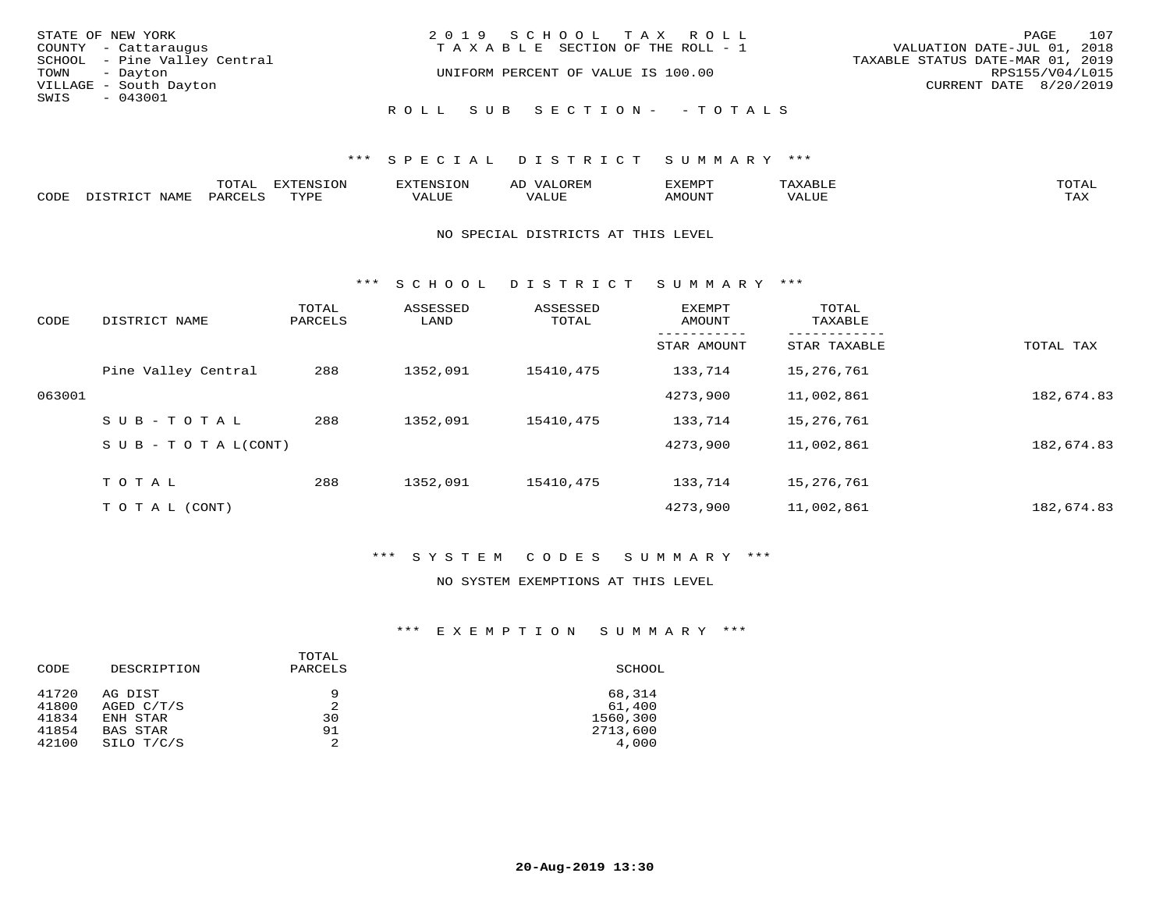| STATE OF NEW YORK            | 2019 SCHOOL TAX ROLL                  | 107<br>PAGE                      |
|------------------------------|---------------------------------------|----------------------------------|
| COUNTY - Cattaraugus         | T A X A B L E SECTION OF THE ROLL - 1 | VALUATION DATE-JUL 01, 2018      |
| SCHOOL - Pine Valley Central |                                       | TAXABLE STATUS DATE-MAR 01, 2019 |
| TOWN - Dayton                | UNIFORM PERCENT OF VALUE IS 100.00    | RPS155/V04/L015                  |
| VILLAGE - South Dayton       |                                       | CURRENT DATE 8/20/2019           |
| SWIS<br>$-043001$            |                                       |                                  |
|                              | ROLL SUB SECTION- - TOTALS            |                                  |

### \*\*\* SPECIAL DISTRICT SUMMARY \*\*\*

|      |                        | ጥ∩ጥአ<br>- UIAL | <b>DIZMONIC</b><br>ION | AD   | . ت س<br>⊐ויושב∠ |                                        |            |
|------|------------------------|----------------|------------------------|------|------------------|----------------------------------------|------------|
| CODE | <b>NTAMT</b><br>77 O L | PARO           | TVDF                   | ALUE | IMOUNT           | * * * * * * * *<br>$'$ ALUN $_{\rm L}$ | may<br>∸∽∸ |

#### NO SPECIAL DISTRICTS AT THIS LEVEL

\*\*\* S C H O O L D I S T R I C T S U M M A R Y \*\*\*

| CODE   | DISTRICT NAME                    | TOTAL<br>PARCELS | ASSESSED<br>LAND | ASSESSED<br>TOTAL | EXEMPT<br>AMOUNT | TOTAL<br>TAXABLE |            |
|--------|----------------------------------|------------------|------------------|-------------------|------------------|------------------|------------|
|        |                                  |                  |                  |                   | STAR AMOUNT      | STAR TAXABLE     | TOTAL TAX  |
|        | Pine Valley Central              | 288              | 1352,091         | 15410,475         | 133,714          | 15,276,761       |            |
| 063001 |                                  |                  |                  |                   | 4273,900         | 11,002,861       | 182,674.83 |
|        | $SUB - TO TAL$                   | 288              | 1352,091         | 15410,475         | 133,714          | 15,276,761       |            |
|        | $S \cup B - T \cup T A L (CONT)$ |                  |                  |                   | 4273,900         | 11,002,861       | 182,674.83 |
|        | TOTAL                            | 288              | 1352,091         | 15410,475         | 133,714          | 15,276,761       |            |
|        | T O T A L (CONT)                 |                  |                  |                   | 4273,900         | 11,002,861       | 182,674.83 |

### \*\*\* S Y S T E M C O D E S S U M M A R Y \*\*\*

### NO SYSTEM EXEMPTIONS AT THIS LEVEL

## \*\*\* E X E M P T I O N S U M M A R Y \*\*\*

| CODE           | DESCRIPTION             | TOTAL<br>PARCELS | SCHOOL           |
|----------------|-------------------------|------------------|------------------|
| 41720<br>41800 | AG DIST<br>AGED $C/T/S$ | 9<br>2           | 68,314<br>61,400 |
| 41834          | ENH STAR                | 30               | 1560,300         |
| 41854          | BAS STAR                | 91               | 2713,600         |
| 42100          | SILO T/C/S              | 2                | 4,000            |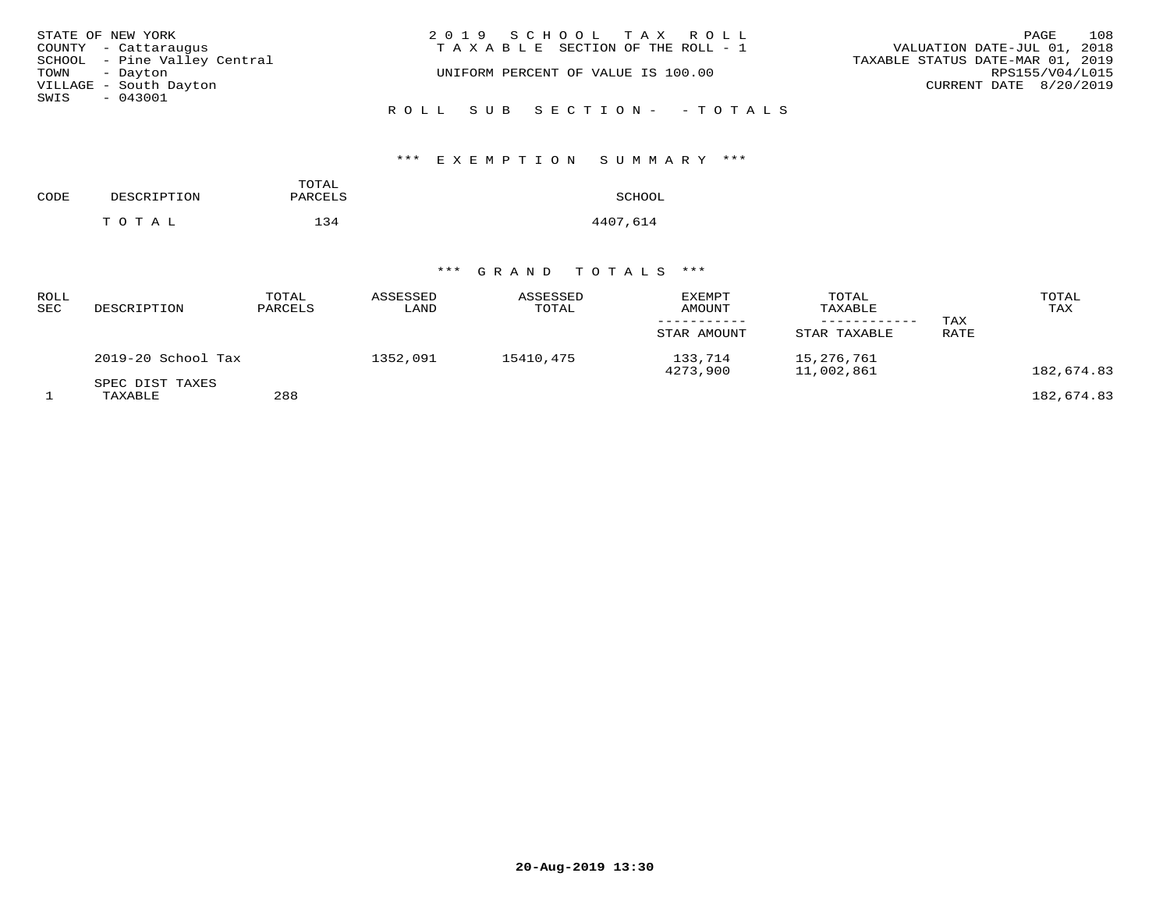| STATE OF NEW YORK            | 2019 SCHOOL TAX ROLL                  | 108<br>PAGE                      |
|------------------------------|---------------------------------------|----------------------------------|
| COUNTY - Cattaraugus         | T A X A B L E SECTION OF THE ROLL - 1 | VALUATION DATE-JUL 01, 2018      |
| SCHOOL - Pine Valley Central |                                       | TAXABLE STATUS DATE-MAR 01, 2019 |
| TOWN - Dayton                | UNIFORM PERCENT OF VALUE IS 100.00    | RPS155/V04/L015                  |
| VILLAGE - South Dayton       |                                       | CURRENT DATE 8/20/2019           |
| SWIS - 043001                |                                       |                                  |
|                              | ROLL SUB SECTION- - TOTALS            |                                  |

# \*\*\* E X E M P T I O N S U M M A R Y \*\*\*

| CODE | DESCRIPTION | TOTAL<br>PARCELS | SCHOOL   |
|------|-------------|------------------|----------|
|      | TOTAL       | 134              | 4407,614 |

# \*\*\* G R A N D T O T A L S \*\*\*

| ROLL<br>SEC | DESCRIPTION                | TOTAL<br>PARCELS | ASSESSED<br>LAND | ASSESSED<br>TOTAL | <b>EXEMPT</b><br>AMOUNT<br>STAR AMOUNT | TOTAL<br>TAXABLE<br>STAR TAXABLE | TAX<br>RATE | TOTAL<br>TAX |
|-------------|----------------------------|------------------|------------------|-------------------|----------------------------------------|----------------------------------|-------------|--------------|
|             | 2019-20 School Tax         |                  | 1352,091         | 15410,475         | 133,714<br>4273,900                    | 15,276,761<br>11,002,861         |             | 182,674.83   |
|             | SPEC DIST TAXES<br>TAXABLE | 288              |                  |                   |                                        |                                  |             | 182,674.83   |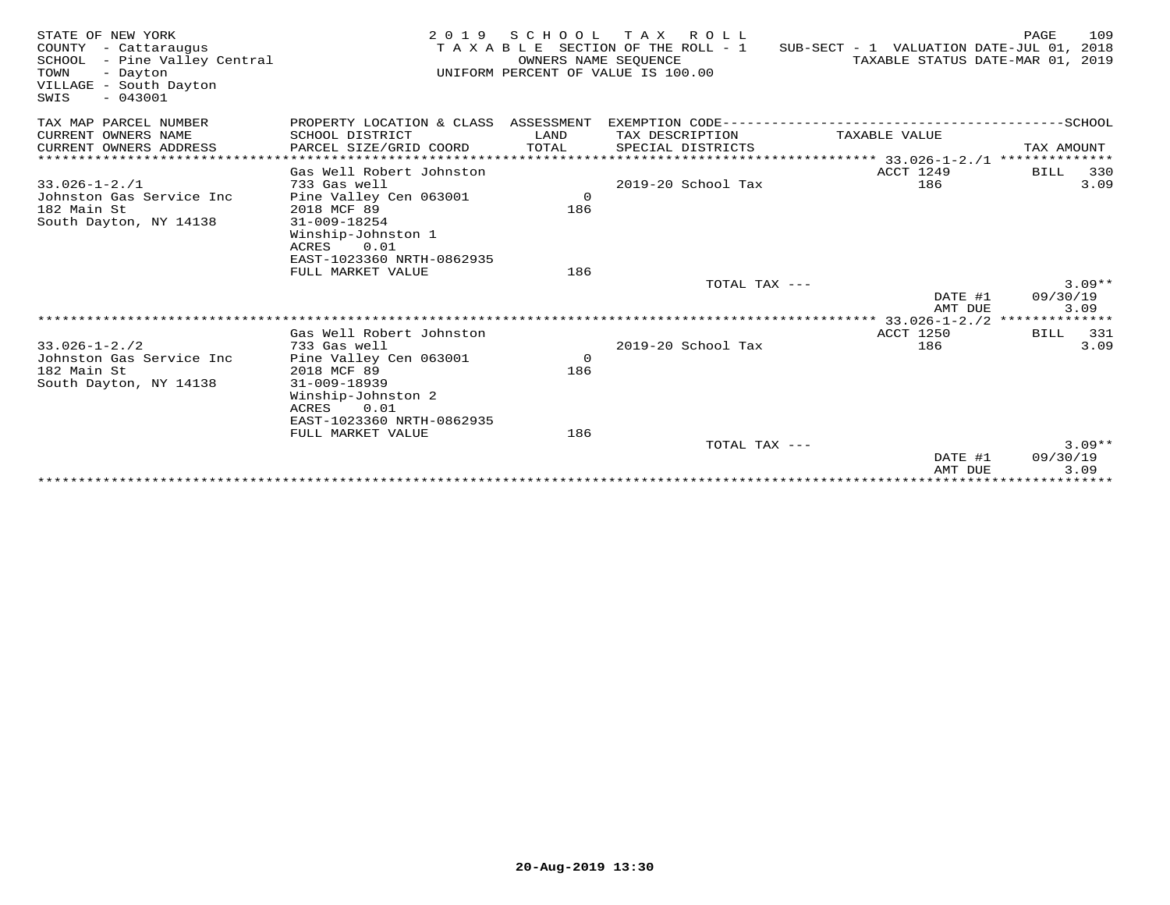| STATE OF NEW YORK<br>COUNTY - Cattaraugus<br>SCHOOL - Pine Valley Central<br>TOWN<br>- Dayton<br>VILLAGE - South Dayton<br>$-043001$<br>SWIS | 2 0 1 9                               | S C H O O L<br>OWNERS NAME SEOUENCE | T A X<br>R O L L<br>T A X A B L E SECTION OF THE ROLL - 1<br>UNIFORM PERCENT OF VALUE IS 100.00 | SUB-SECT - 1 VALUATION DATE-JUL 01,<br>TAXABLE STATUS DATE-MAR 01, | 109<br>PAGE<br>2018<br>2019 |
|----------------------------------------------------------------------------------------------------------------------------------------------|---------------------------------------|-------------------------------------|-------------------------------------------------------------------------------------------------|--------------------------------------------------------------------|-----------------------------|
| TAX MAP PARCEL NUMBER                                                                                                                        | PROPERTY LOCATION & CLASS ASSESSMENT  |                                     | EXEMPTION CODE----------------------                                                            |                                                                    | -------------SCHOOL         |
| CURRENT OWNERS NAME                                                                                                                          | SCHOOL DISTRICT                       | LAND                                | TAX DESCRIPTION                                                                                 | TAXABLE VALUE                                                      |                             |
| CURRENT OWNERS ADDRESS                                                                                                                       | PARCEL SIZE/GRID COORD                | TOTAL                               | SPECIAL DISTRICTS                                                                               |                                                                    | TAX AMOUNT                  |
|                                                                                                                                              |                                       |                                     |                                                                                                 |                                                                    |                             |
|                                                                                                                                              | Gas Well Robert Johnston              |                                     |                                                                                                 | ACCT 1249                                                          | <b>BILL</b><br>330          |
| $33.026 - 1 - 2.71$                                                                                                                          | 733 Gas well                          |                                     | 2019-20 School Tax                                                                              | 186                                                                | 3.09                        |
| Johnston Gas Service Inc<br>182 Main St                                                                                                      | Pine Valley Cen 063001<br>2018 MCF 89 | $\circ$<br>186                      |                                                                                                 |                                                                    |                             |
| South Dayton, NY 14138                                                                                                                       | 31-009-18254                          |                                     |                                                                                                 |                                                                    |                             |
|                                                                                                                                              | Winship-Johnston 1                    |                                     |                                                                                                 |                                                                    |                             |
|                                                                                                                                              | ACRES<br>0.01                         |                                     |                                                                                                 |                                                                    |                             |
|                                                                                                                                              | EAST-1023360 NRTH-0862935             |                                     |                                                                                                 |                                                                    |                             |
|                                                                                                                                              | FULL MARKET VALUE                     | 186                                 |                                                                                                 |                                                                    |                             |
|                                                                                                                                              |                                       |                                     | TOTAL TAX ---                                                                                   |                                                                    | $3.09**$                    |
|                                                                                                                                              |                                       |                                     |                                                                                                 | DATE #1<br>AMT DUE                                                 | 09/30/19<br>3.09            |
|                                                                                                                                              |                                       |                                     |                                                                                                 |                                                                    |                             |
|                                                                                                                                              | Gas Well Robert Johnston              |                                     |                                                                                                 | ACCT 1250                                                          | 331<br>BILL                 |
| $33.026 - 1 - 2.72$                                                                                                                          | 733 Gas well                          |                                     | 2019-20 School Tax                                                                              | 186                                                                | 3.09                        |
| Johnston Gas Service Inc<br>182 Main St                                                                                                      | Pine Valley Cen 063001<br>2018 MCF 89 | $\overline{0}$<br>186               |                                                                                                 |                                                                    |                             |
| South Dayton, NY 14138                                                                                                                       | $31 - 009 - 18939$                    |                                     |                                                                                                 |                                                                    |                             |
|                                                                                                                                              | Winship-Johnston 2                    |                                     |                                                                                                 |                                                                    |                             |
|                                                                                                                                              | ACRES<br>0.01                         |                                     |                                                                                                 |                                                                    |                             |
|                                                                                                                                              | EAST-1023360 NRTH-0862935             |                                     |                                                                                                 |                                                                    |                             |
|                                                                                                                                              | FULL MARKET VALUE                     | 186                                 |                                                                                                 |                                                                    |                             |
|                                                                                                                                              |                                       |                                     | TOTAL TAX ---                                                                                   |                                                                    | $3.09**$                    |
|                                                                                                                                              |                                       |                                     |                                                                                                 | DATE #1<br>AMT DUE                                                 | 09/30/19<br>3.09            |
|                                                                                                                                              |                                       |                                     |                                                                                                 |                                                                    |                             |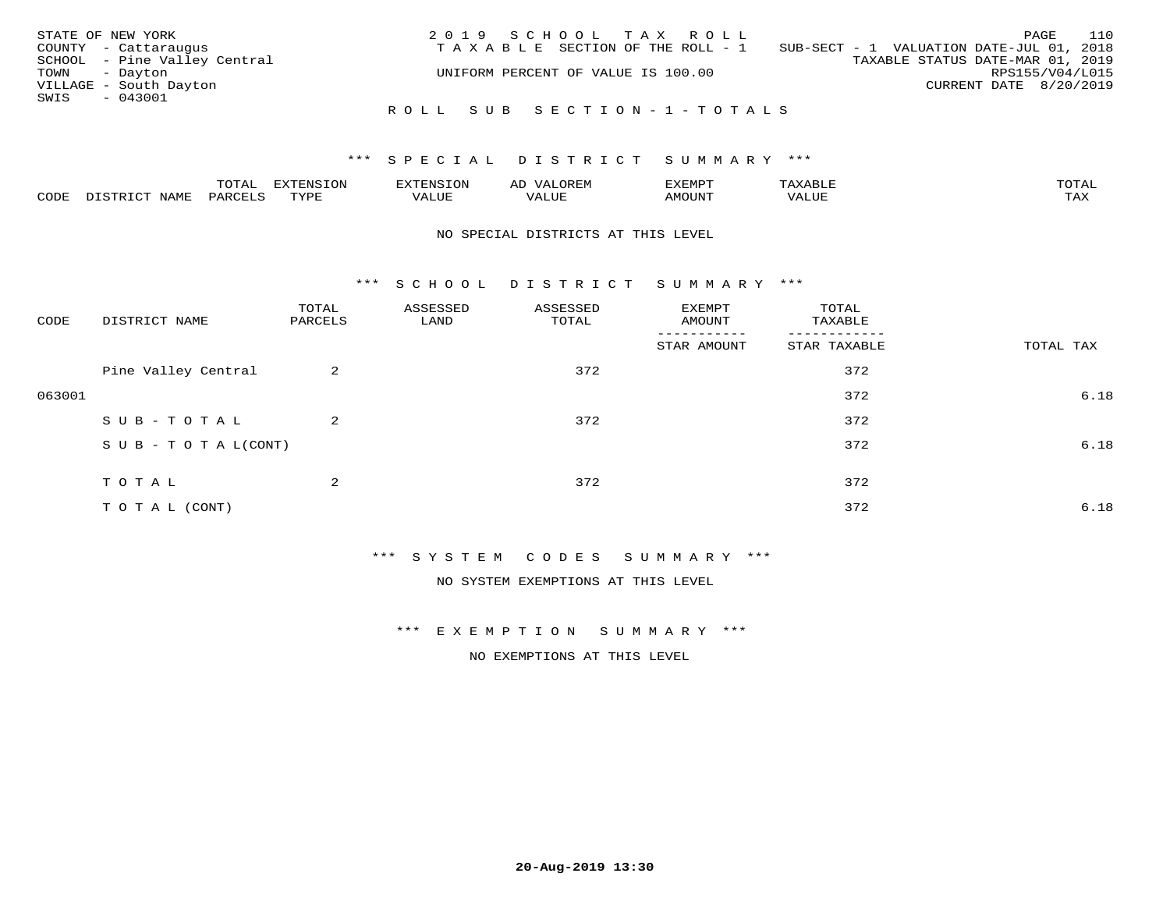| STATE OF NEW YORK      |                              | 2019 SCHOOL TAX ROLL               |  |  |                                          |                        | PAGE | 110 |
|------------------------|------------------------------|------------------------------------|--|--|------------------------------------------|------------------------|------|-----|
| COUNTY - Cattaraugus   |                              | TAXABLE SECTION OF THE ROLL - 1    |  |  | SUB-SECT - 1 VALUATION DATE-JUL 01, 2018 |                        |      |     |
|                        | SCHOOL - Pine Valley Central |                                    |  |  | TAXABLE STATUS DATE-MAR 01, 2019         |                        |      |     |
| TOWN - Dayton          |                              | UNIFORM PERCENT OF VALUE IS 100.00 |  |  |                                          | RPS155/V04/L015        |      |     |
| VILLAGE - South Dayton |                              |                                    |  |  |                                          | CURRENT DATE 8/20/2019 |      |     |
| SWIS<br>- 043001       |                              |                                    |  |  |                                          |                        |      |     |
|                        |                              | ROLL SUB SECTION-1-TOTALS          |  |  |                                          |                        |      |     |

### \*\*\* SPECIAL DISTRICT SUMMARY \*\*\*

|      |                                     | $m \wedge m \wedge n$ |                 | ם דתים       | ΑL       | TIRAD   | $\cdot$ $\Delta$ $\times$ $\Delta$ | $m \wedge m \wedge n$<br>$\overline{\phantom{a}}$ |
|------|-------------------------------------|-----------------------|-----------------|--------------|----------|---------|------------------------------------|---------------------------------------------------|
| CODE | $T \times T$<br>- --<br><b>NAME</b> | . חהר<br>'AKV         | TVDF<br>- - - - | ----<br>Ацог | TA T TTT | MOTIN'I | ALUE                               | $m \times r$<br>∸∽∸∸                              |

#### NO SPECIAL DISTRICTS AT THIS LEVEL

\*\*\* S C H O O L D I S T R I C T S U M M A R Y \*\*\*

| CODE   | DISTRICT NAME                    | TOTAL<br>PARCELS | ASSESSED<br>LAND | ASSESSED<br>TOTAL | EXEMPT<br>AMOUNT | TOTAL<br>TAXABLE |           |
|--------|----------------------------------|------------------|------------------|-------------------|------------------|------------------|-----------|
|        |                                  |                  |                  |                   | STAR AMOUNT      | STAR TAXABLE     | TOTAL TAX |
|        | Pine Valley Central              | 2                |                  | 372               |                  | 372              |           |
| 063001 |                                  |                  |                  |                   |                  | 372              | 6.18      |
|        | SUB-TOTAL                        | 2                |                  | 372               |                  | 372              |           |
|        | $S \cup B - T \cup T A L (CONT)$ |                  |                  |                   |                  | 372              | 6.18      |
|        | TOTAL                            | 2                |                  | 372               |                  | 372              |           |
|        | TO TAL (CONT)                    |                  |                  |                   |                  | 372              | 6.18      |

\*\*\* S Y S T E M C O D E S S U M M A R Y \*\*\*

NO SYSTEM EXEMPTIONS AT THIS LEVEL

\*\*\* E X E M P T I O N S U M M A R Y \*\*\*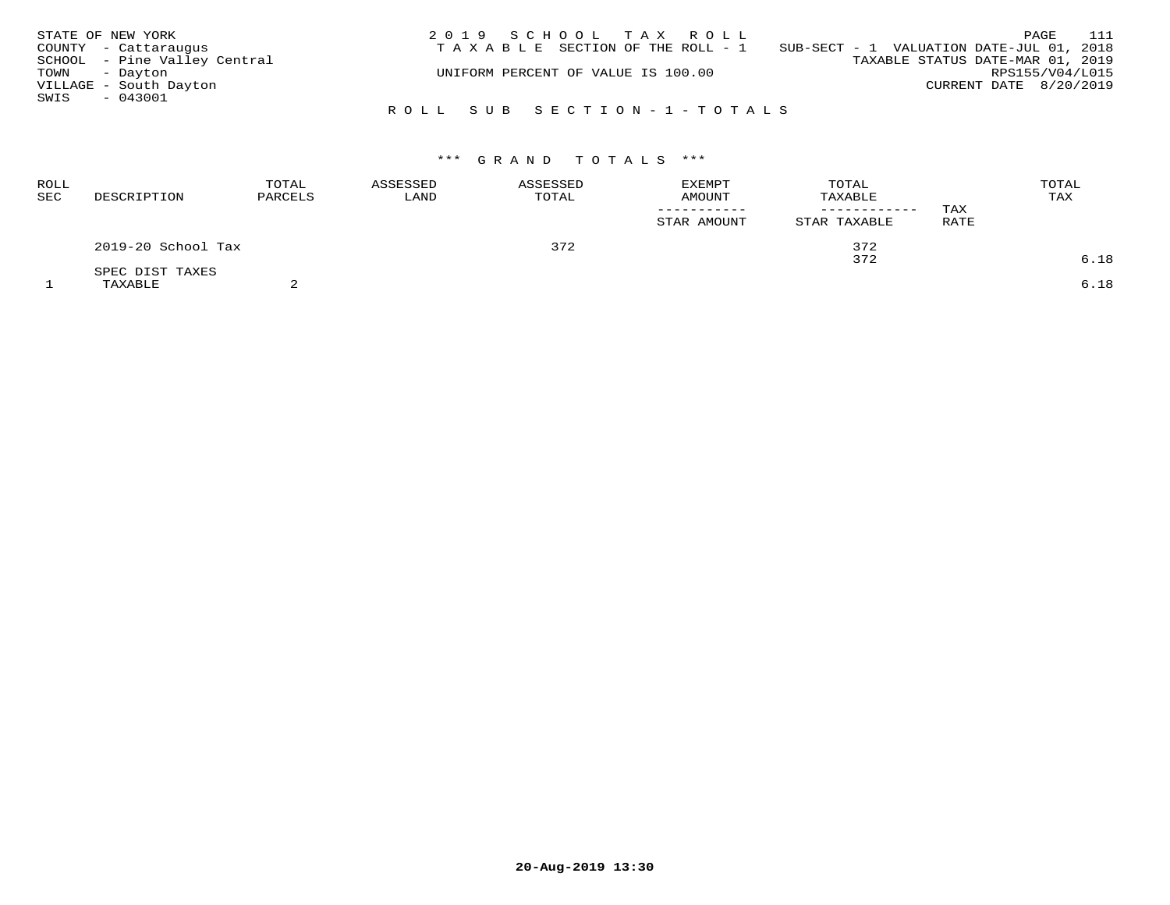| STATE OF NEW YORK |                              | 2019 SCHOOL TAX ROLL                  | 111<br>PAGE                              |
|-------------------|------------------------------|---------------------------------------|------------------------------------------|
|                   | COUNTY - Cattaraugus         | T A X A B L E SECTION OF THE ROLL - 1 | SUB-SECT - 1 VALUATION DATE-JUL 01, 2018 |
|                   | SCHOOL - Pine Valley Central |                                       | TAXABLE STATUS DATE-MAR 01, 2019         |
| TOWN - Dayton     |                              | UNIFORM PERCENT OF VALUE IS 100.00    | RPS155/V04/L015                          |
|                   | VILLAGE - South Dayton       |                                       | CURRENT DATE 8/20/2019                   |
| SWIS - 043001     |                              |                                       |                                          |
|                   |                              | ROLL SUB SECTION-1-TOTALS             |                                          |

| ROLL<br>SEC | DESCRIPTION        | TOTAL<br>PARCELS | ASSESSED<br>LAND | ASSESSED<br>TOTAL | <b>EXEMPT</b><br>AMOUNT<br>STAR AMOUNT | TOTAL<br>TAXABLE<br>------------<br>STAR TAXABLE | TAX<br>RATE | TOTAL<br>TAX |
|-------------|--------------------|------------------|------------------|-------------------|----------------------------------------|--------------------------------------------------|-------------|--------------|
|             | 2019-20 School Tax |                  |                  | 372               |                                        | 372                                              |             |              |
|             | SPEC DIST TAXES    |                  |                  |                   |                                        | 372                                              |             | 6.18         |
|             | TAXABLE            |                  |                  |                   |                                        |                                                  |             | 6.18         |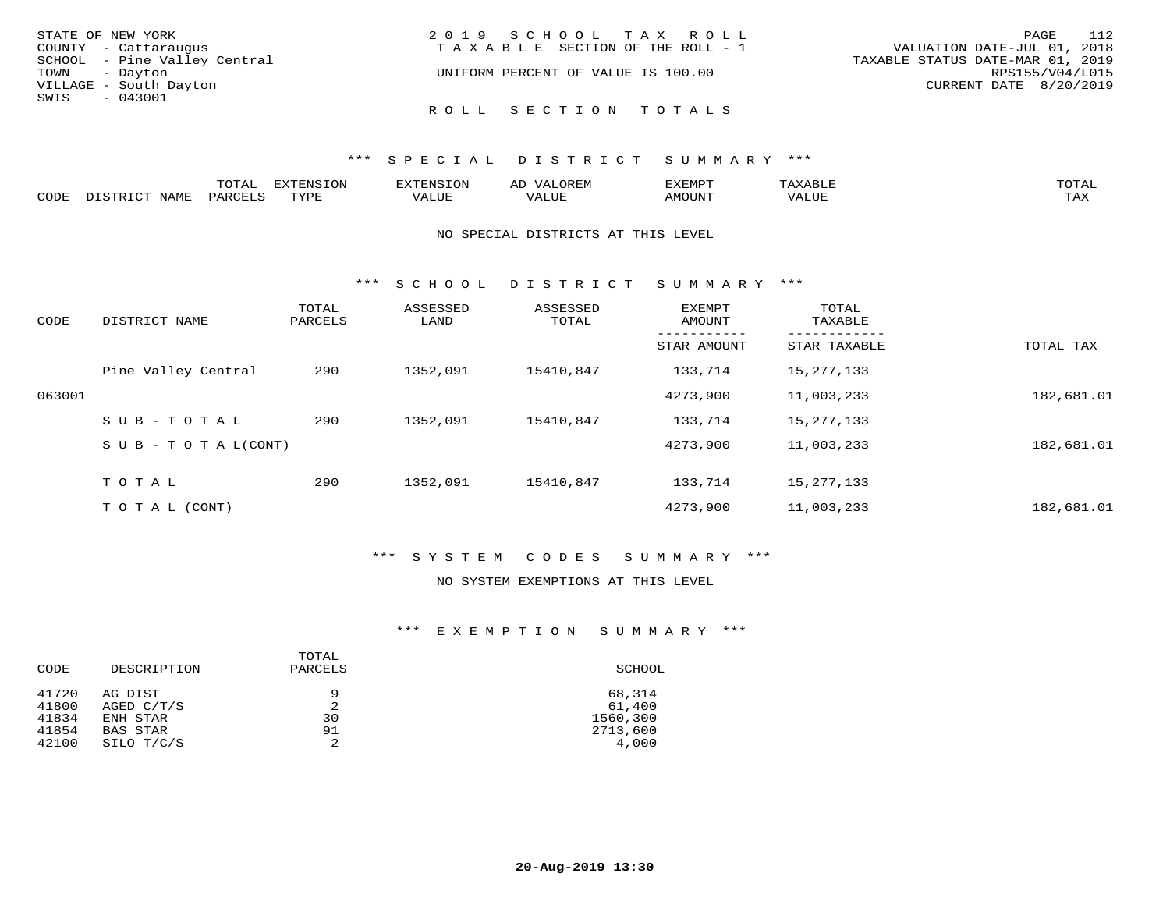| STATE OF NEW YORK            | 2019 SCHOOL TAX ROLL                  | 112<br>PAGE                      |
|------------------------------|---------------------------------------|----------------------------------|
| COUNTY - Cattaraugus         | T A X A B L E SECTION OF THE ROLL - 1 | VALUATION DATE-JUL 01, 2018      |
| SCHOOL - Pine Valley Central |                                       | TAXABLE STATUS DATE-MAR 01, 2019 |
| TOWN - Dayton                | UNIFORM PERCENT OF VALUE IS 100.00    | RPS155/V04/L015                  |
| VILLAGE - South Dayton       |                                       | CURRENT DATE 8/20/2019           |
| SWIS<br>$-043001$            |                                       |                                  |
|                              | ROLL SECTION TOTALS                   |                                  |

|             |      | ----<br>⊥∪⊥ <del>പ</del> | $T^{\sim}$<br>T T T T T |                       | ,,,,,,    | ,,, <del>,</del> ,,, <del>,</del><br>$\overline{\phantom{0}}$ |          | $m \wedge m \wedge n$ |
|-------------|------|--------------------------|-------------------------|-----------------------|-----------|---------------------------------------------------------------|----------|-----------------------|
| <b>PODE</b> | NAME |                          | TVDI<br>.               | 77 T TT <del>T.</del> | $- - - -$ | TUUOM                                                         | $\Delta$ | $m \times r$<br>- −-  |

#### NO SPECIAL DISTRICTS AT THIS LEVEL

\*\*\* S C H O O L D I S T R I C T S U M M A R Y \*\*\*

| CODE   | DISTRICT NAME                    | TOTAL<br>PARCELS | ASSESSED<br>LAND | ASSESSED<br>TOTAL | EXEMPT<br>AMOUNT | TOTAL<br>TAXABLE |            |
|--------|----------------------------------|------------------|------------------|-------------------|------------------|------------------|------------|
|        |                                  |                  |                  |                   | STAR AMOUNT      | STAR TAXABLE     | TOTAL TAX  |
|        | Pine Valley Central              | 290              | 1352,091         | 15410,847         | 133,714          | 15, 277, 133     |            |
| 063001 |                                  |                  |                  |                   | 4273,900         | 11,003,233       | 182,681.01 |
|        | SUB-TOTAL                        | 290              | 1352,091         | 15410,847         | 133,714          | 15,277,133       |            |
|        | $S \cup B - T \cup T A L (CONT)$ |                  |                  |                   | 4273,900         | 11,003,233       | 182,681.01 |
|        | TOTAL                            | 290              | 1352,091         | 15410,847         | 133,714          | 15, 277, 133     |            |
|        | T O T A L (CONT)                 |                  |                  |                   | 4273,900         | 11,003,233       | 182,681.01 |

## \*\*\* S Y S T E M C O D E S S U M M A R Y \*\*\*

### NO SYSTEM EXEMPTIONS AT THIS LEVEL

## \*\*\* E X E M P T I O N S U M M A R Y \*\*\*

| CODE           | DESCRIPTION             | TOTAL<br>PARCELS | SCHOOL           |
|----------------|-------------------------|------------------|------------------|
| 41720<br>41800 | AG DIST<br>AGED $C/T/S$ | 9<br>2           | 68,314<br>61,400 |
| 41834          | ENH STAR                | 30               | 1560,300         |
| 41854          | BAS STAR                | 91               | 2713,600         |
| 42100          | SILO T/C/S              | 2                | 4,000            |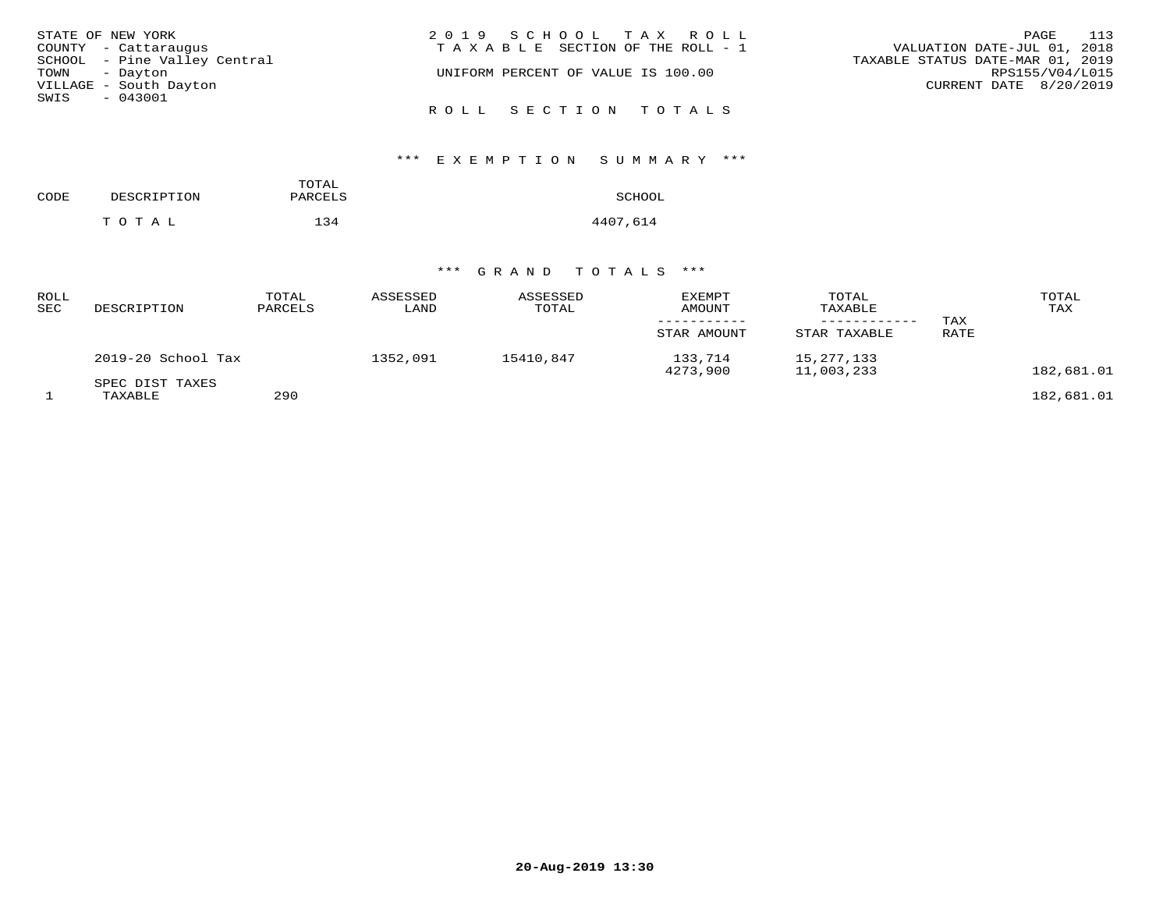|               | STATE OF NEW YORK            | 2019 SCHOOL TAX ROLL                  | 113<br>PAGE                      |
|---------------|------------------------------|---------------------------------------|----------------------------------|
|               | COUNTY - Cattaraugus         | T A X A B L E SECTION OF THE ROLL - 1 | VALUATION DATE-JUL 01, 2018      |
|               | SCHOOL - Pine Valley Central |                                       | TAXABLE STATUS DATE-MAR 01, 2019 |
| TOWN - Dayton |                              | UNIFORM PERCENT OF VALUE IS 100.00    | RPS155/V04/L015                  |
|               | VILLAGE - South Dayton       |                                       | CURRENT DATE 8/20/2019           |
| SWIS - 043001 |                              |                                       |                                  |
|               |                              | ROLL SECTION TOTALS                   |                                  |

# \*\*\* E X E M P T I O N S U M M A R Y \*\*\*

| CODE | DESCRIPTION | TOTAL<br>PARCELS | SCHOOL   |
|------|-------------|------------------|----------|
|      | тотаь       | 134              | 4407,614 |

| ROLL<br>SEC | DESCRIPTION                | TOTAL<br>PARCELS | ASSESSED<br>LAND | ASSESSED<br>TOTAL | <b>EXEMPT</b><br>AMOUNT<br>STAR AMOUNT | TOTAL<br>TAXABLE<br>STAR TAXABLE | TAX<br>RATE | TOTAL<br>TAX |
|-------------|----------------------------|------------------|------------------|-------------------|----------------------------------------|----------------------------------|-------------|--------------|
|             | 2019-20 School Tax         |                  | 1352,091         | 15410,847         | 133,714<br>4273,900                    | 15, 277, 133<br>11,003,233       |             | 182,681.01   |
|             | SPEC DIST TAXES<br>TAXABLE | 290              |                  |                   |                                        |                                  |             | 182,681.01   |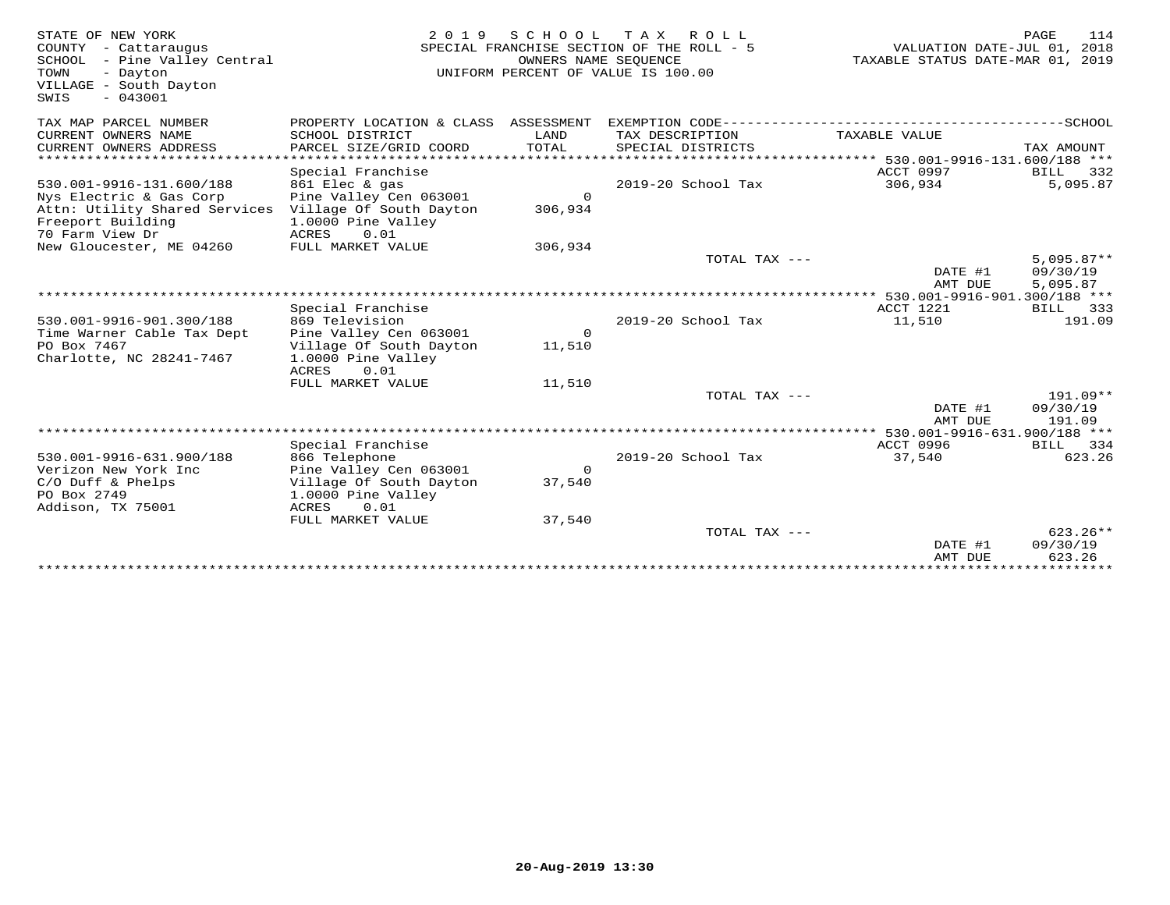| STATE OF NEW YORK<br>COUNTY - Cattaraugus<br>SCHOOL - Pine Valley Central<br>TOWN<br>- Dayton<br>VILLAGE - South Dayton<br>$-043001$<br>SWIS | 2 0 1 9                                                                                                        | SCHOOL<br>OWNERS NAME SEQUENCE | T A X<br>R O L L<br>SPECIAL FRANCHISE SECTION OF THE ROLL - 5<br>UNIFORM PERCENT OF VALUE IS 100.00 | VALUATION DATE-JUL 01, 2018<br>TAXABLE STATUS DATE-MAR 01, 2019 | PAGE<br>114                      |
|----------------------------------------------------------------------------------------------------------------------------------------------|----------------------------------------------------------------------------------------------------------------|--------------------------------|-----------------------------------------------------------------------------------------------------|-----------------------------------------------------------------|----------------------------------|
| TAX MAP PARCEL NUMBER                                                                                                                        | PROPERTY LOCATION & CLASS ASSESSMENT                                                                           |                                |                                                                                                     |                                                                 |                                  |
| CURRENT OWNERS NAME<br>CURRENT OWNERS ADDRESS                                                                                                | SCHOOL DISTRICT<br>PARCEL SIZE/GRID COORD                                                                      | LAND<br>TOTAL                  | TAX DESCRIPTION<br>SPECIAL DISTRICTS                                                                | TAXABLE VALUE                                                   | TAX AMOUNT                       |
| ***********************                                                                                                                      |                                                                                                                |                                |                                                                                                     |                                                                 |                                  |
| 530.001-9916-131.600/188<br>Nys Electric & Gas Corp<br>Attn: Utility Shared Services<br>Freeport Building                                    | Special Franchise<br>861 Elec & gas<br>Pine Valley Cen 063001<br>Village Of South Dayton<br>1.0000 Pine Valley | $\Omega$<br>306,934            | 2019-20 School Tax                                                                                  | ACCT 0997<br>306,934                                            | <b>BILL</b><br>332<br>5,095.87   |
| 70 Farm View Dr<br>New Gloucester, ME 04260                                                                                                  | <b>ACRES</b><br>0.01<br>FULL MARKET VALUE                                                                      | 306,934                        |                                                                                                     |                                                                 |                                  |
|                                                                                                                                              |                                                                                                                |                                | TOTAL TAX $---$                                                                                     | DATE #1                                                         | $5.095.87**$<br>09/30/19         |
|                                                                                                                                              |                                                                                                                |                                |                                                                                                     | AMT DUE<br>***** 530.001-9916-901.300/188 ***                   | 5,095.87                         |
|                                                                                                                                              | Special Franchise                                                                                              |                                |                                                                                                     | ACCT 1221                                                       | <b>BILL</b><br>333               |
| 530.001-9916-901.300/188<br>Time Warner Cable Tax Dept                                                                                       | 869 Television<br>Pine Valley Cen 063001                                                                       | $\circ$                        | 2019-20 School Tax                                                                                  | 11,510                                                          | 191.09                           |
| PO Box 7467<br>Charlotte, NC 28241-7467                                                                                                      | Village Of South Dayton<br>1.0000 Pine Valley<br>0.01<br>ACRES                                                 | 11,510                         |                                                                                                     |                                                                 |                                  |
|                                                                                                                                              | FULL MARKET VALUE                                                                                              | 11,510                         |                                                                                                     |                                                                 |                                  |
|                                                                                                                                              |                                                                                                                |                                | TOTAL TAX ---                                                                                       | DATE #1                                                         | $191.09**$<br>09/30/19           |
|                                                                                                                                              |                                                                                                                |                                |                                                                                                     | AMT DUE<br>** 530.001-9916-631.900/188 ***                      | 191.09                           |
|                                                                                                                                              | Special Franchise                                                                                              |                                |                                                                                                     | <b>ACCT 0996</b>                                                | BILL 334                         |
| 530.001-9916-631.900/188                                                                                                                     | 866 Telephone                                                                                                  |                                | 2019-20 School Tax                                                                                  | 37,540                                                          | 623.26                           |
| Verizon New York Inc<br>$C/O$ Duff & Phelps<br>PO Box 2749                                                                                   | Pine Valley Cen 063001<br>Village Of South Dayton<br>1.0000 Pine Valley                                        | $\mathbf 0$<br>37,540          |                                                                                                     |                                                                 |                                  |
| Addison, TX 75001                                                                                                                            | 0.01<br>ACRES<br>FULL MARKET VALUE                                                                             | 37,540                         |                                                                                                     |                                                                 |                                  |
|                                                                                                                                              |                                                                                                                |                                | TOTAL TAX ---                                                                                       | DATE #1<br>AMT DUE                                              | $623.26**$<br>09/30/19<br>623.26 |
|                                                                                                                                              |                                                                                                                |                                |                                                                                                     |                                                                 |                                  |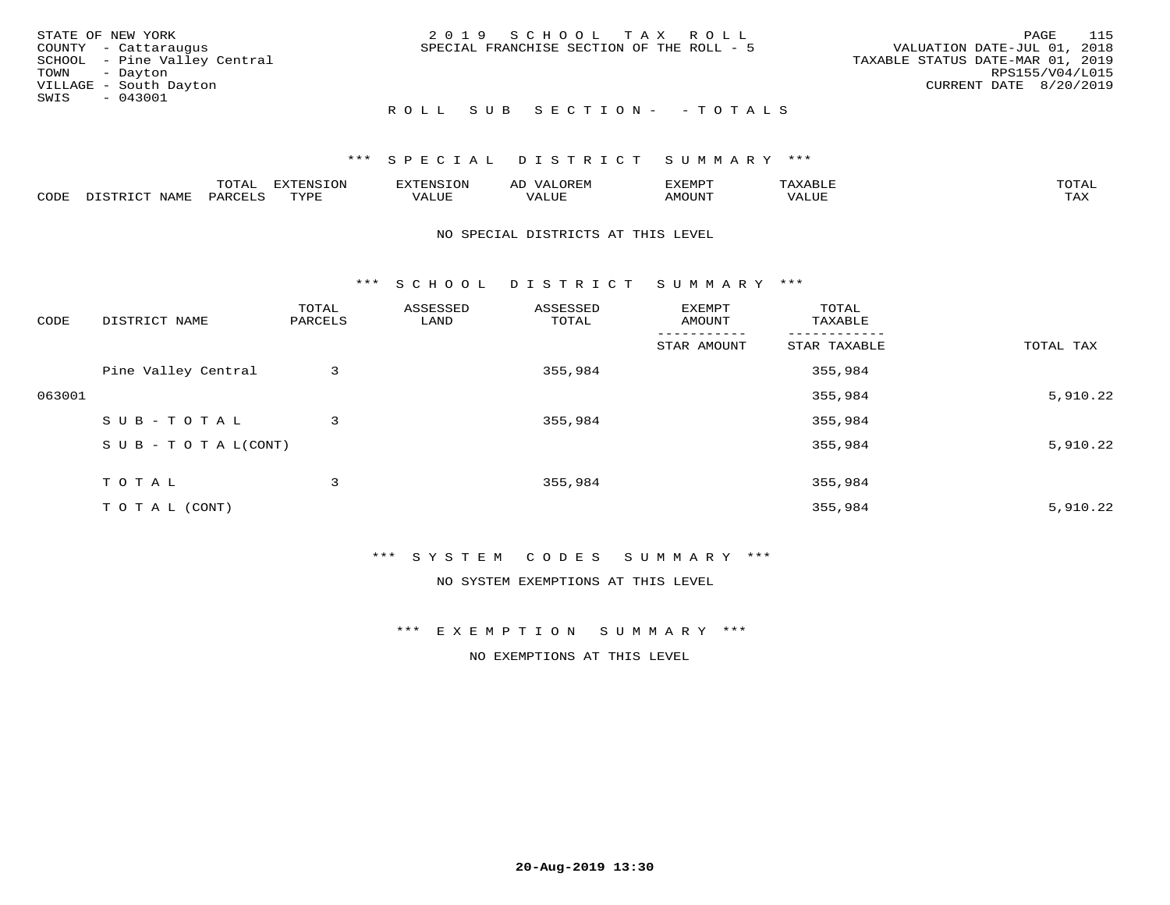|      | STATE OF NEW YORK            | 2019 SCHOOL TAX ROLL                      | PAGE                             | 115 |
|------|------------------------------|-------------------------------------------|----------------------------------|-----|
|      | COUNTY - Cattaraugus         | SPECIAL FRANCHISE SECTION OF THE ROLL - 5 | VALUATION DATE-JUL 01, 2018      |     |
|      | SCHOOL - Pine Valley Central |                                           | TAXABLE STATUS DATE-MAR 01, 2019 |     |
|      | TOWN - Dayton                |                                           | RPS155/V04/L015                  |     |
|      | VILLAGE - South Dayton       |                                           | CURRENT DATE 8/20/2019           |     |
| SWIS | $-043001$                    |                                           |                                  |     |
|      |                              | ROLL SUB SECTION- - TOTALS                |                                  |     |

### \*\*\* SPECIAL DISTRICT SUMMARY \*\*\*

|                         |      | m^m |      | 'NT C     |           | ∟ו∨ו          |              |                             |
|-------------------------|------|-----|------|-----------|-----------|---------------|--------------|-----------------------------|
| $\bigcap_{\Pi}$<br>◡◡◡ュ | мдмь |     | TVDF | ۳۰ تاللاد | $- - - -$ | 550T<br>IUUN. | ALUE<br>77 T | $m \times r$<br>- - - - - - |

#### NO SPECIAL DISTRICTS AT THIS LEVEL

\*\*\* S C H O O L D I S T R I C T S U M M A R Y \*\*\*

| CODE   | DISTRICT NAME                    | TOTAL<br>PARCELS | ASSESSED<br>LAND | ASSESSED<br>TOTAL | EXEMPT<br>AMOUNT | TOTAL<br>TAXABLE |           |
|--------|----------------------------------|------------------|------------------|-------------------|------------------|------------------|-----------|
|        |                                  |                  |                  |                   | STAR AMOUNT      | STAR TAXABLE     | TOTAL TAX |
|        | Pine Valley Central              | 3                |                  | 355,984           |                  | 355,984          |           |
| 063001 |                                  |                  |                  |                   |                  | 355,984          | 5,910.22  |
|        | SUB-TOTAL                        | 3                |                  | 355,984           |                  | 355,984          |           |
|        | $S \cup B - T \cup T A L (CONT)$ |                  |                  |                   |                  | 355,984          | 5,910.22  |
|        | TOTAL                            | 3                |                  | 355,984           |                  | 355,984          |           |
|        | T O T A L (CONT)                 |                  |                  |                   |                  | 355,984          | 5,910.22  |

#### \*\*\* S Y S T E M C O D E S S U M M A R Y \*\*\*

NO SYSTEM EXEMPTIONS AT THIS LEVEL

\*\*\* E X E M P T I O N S U M M A R Y \*\*\*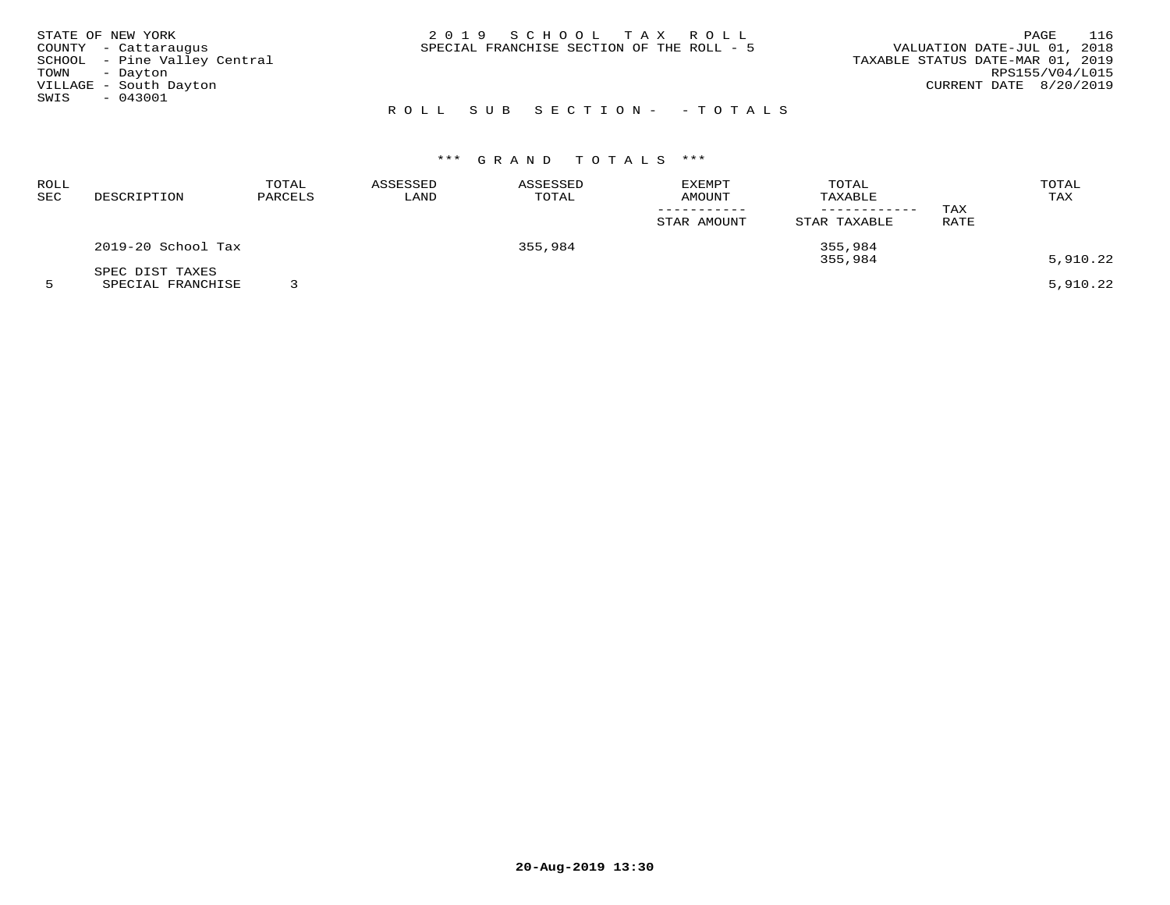| STATE OF NEW YORK            |  | 2019 SCHOOL TAX ROLL                      |                           |                                  | PAGE                   | 116 |
|------------------------------|--|-------------------------------------------|---------------------------|----------------------------------|------------------------|-----|
| COUNTY - Cattaraugus         |  | SPECIAL FRANCHISE SECTION OF THE ROLL - 5 |                           | VALUATION DATE-JUL 01, 2018      |                        |     |
| SCHOOL - Pine Valley Central |  |                                           |                           | TAXABLE STATUS DATE-MAR 01, 2019 |                        |     |
| TOWN - Dayton                |  |                                           |                           |                                  | RPS155/V04/L015        |     |
| VILLAGE - South Dayton       |  |                                           |                           |                                  | CURRENT DATE 8/20/2019 |     |
| SWIS<br>$-043001$            |  |                                           |                           |                                  |                        |     |
|                              |  |                                           | ROLL SUB SECTION- -TOTALS |                                  |                        |     |

| ROLL<br>SEC | DESCRIPTION        | TOTAL<br>PARCELS | ASSESSED<br>LAND | ASSESSED<br>TOTAL | <b>EXEMPT</b><br>AMOUNT | TOTAL<br>TAXABLE<br>------------ | TAX  | TOTAL<br>TAX |
|-------------|--------------------|------------------|------------------|-------------------|-------------------------|----------------------------------|------|--------------|
|             |                    |                  |                  |                   | STAR AMOUNT             | STAR TAXABLE                     | RATE |              |
|             | 2019-20 School Tax |                  |                  | 355,984           |                         | 355,984                          |      |              |
|             | SPEC DIST TAXES    |                  |                  |                   |                         | 355,984                          |      | 5,910.22     |
|             | SPECIAL FRANCHISE  |                  |                  |                   |                         |                                  |      | 5,910.22     |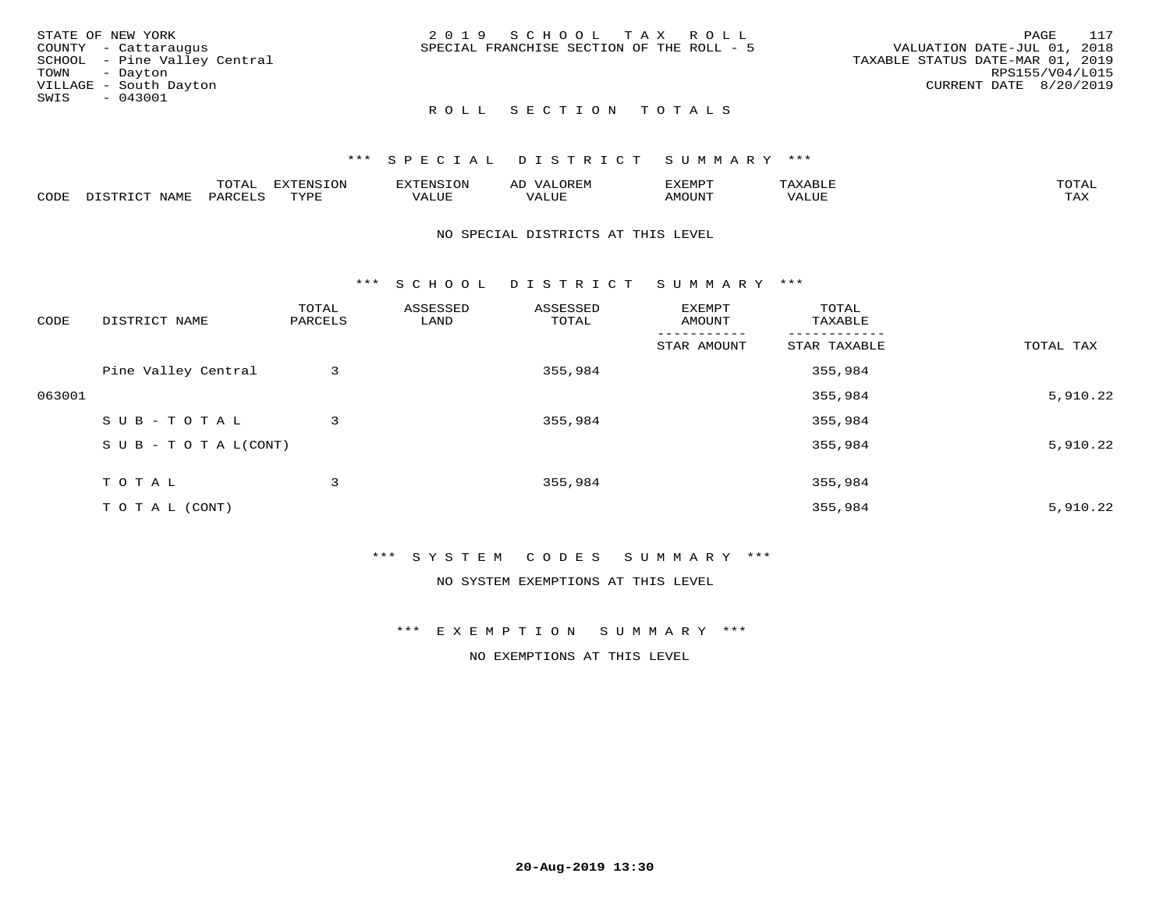| STATE OF NEW YORK            | 2019 SCHOOL TAX ROLL                      |                                  | PAGE            | 117 |
|------------------------------|-------------------------------------------|----------------------------------|-----------------|-----|
| COUNTY - Cattaraugus         | SPECIAL FRANCHISE SECTION OF THE ROLL - 5 | VALUATION DATE-JUL 01, 2018      |                 |     |
| SCHOOL - Pine Valley Central |                                           | TAXABLE STATUS DATE-MAR 01, 2019 |                 |     |
| TOWN - Dayton                |                                           |                                  | RPS155/V04/L015 |     |
| VILLAGE - South Dayton       |                                           | CURRENT DATE 8/20/2019           |                 |     |
| SWIS<br>$-043001$            |                                           |                                  |                 |     |
|                              | ROLL SECTION TOTALS                       |                                  |                 |     |

|      |      | $n \wedge m \wedge n$<br>$\cdots$<br>$\cdots$ | <b>EXTENSION</b> | ־פזחים:       | $\sim$ $\sim$ $\sim$<br>A L | ,,, <del>,</del> ,,,,,<br>″∽ | max   | $m \wedge m \wedge$ |
|------|------|-----------------------------------------------|------------------|---------------|-----------------------------|------------------------------|-------|---------------------|
| CODE | JAMF | PARC                                          | <b>TVDF</b>      | -----<br>ALUF | ALUE                        | <b>AMOUNT</b>                | VALUE | max 37<br>∸∽∽       |

#### NO SPECIAL DISTRICTS AT THIS LEVEL

\*\*\* S C H O O L D I S T R I C T S U M M A R Y \*\*\*

| CODE   | DISTRICT NAME                    | TOTAL<br>PARCELS | ASSESSED<br>LAND | ASSESSED<br>TOTAL | EXEMPT<br>AMOUNT | TOTAL<br>TAXABLE |           |
|--------|----------------------------------|------------------|------------------|-------------------|------------------|------------------|-----------|
|        |                                  |                  |                  |                   | STAR AMOUNT      | STAR TAXABLE     | TOTAL TAX |
|        | Pine Valley Central              | 3                |                  | 355,984           |                  | 355,984          |           |
| 063001 |                                  |                  |                  |                   |                  | 355,984          | 5,910.22  |
|        | SUB-TOTAL                        | 3                |                  | 355,984           |                  | 355,984          |           |
|        | $S \cup B - T \cup T A L (CONT)$ |                  |                  |                   |                  | 355,984          | 5,910.22  |
|        | TOTAL                            | 3                |                  | 355,984           |                  | 355,984          |           |
|        | T O T A L (CONT)                 |                  |                  |                   |                  | 355,984          | 5,910.22  |

### \*\*\* S Y S T E M C O D E S S U M M A R Y \*\*\*

NO SYSTEM EXEMPTIONS AT THIS LEVEL

\*\*\* E X E M P T I O N S U M M A R Y \*\*\*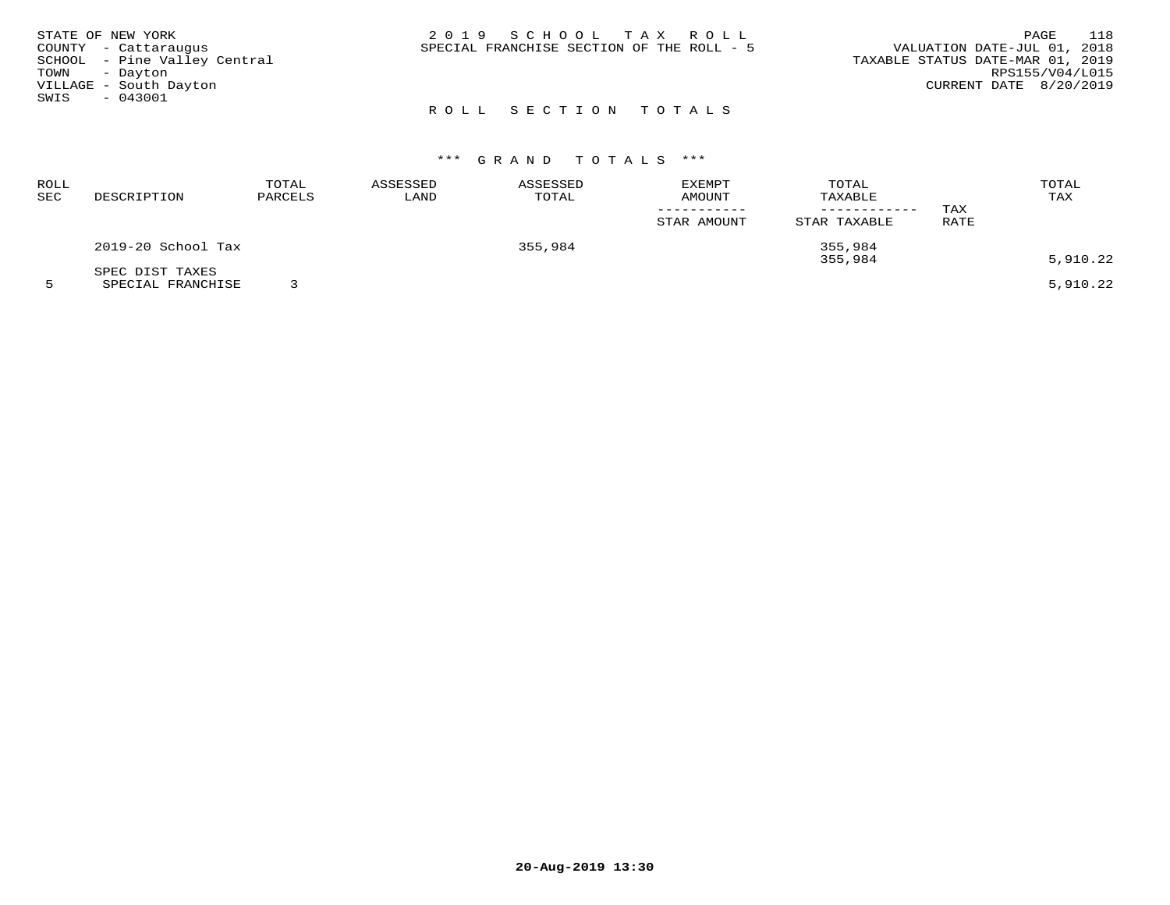|               | STATE OF NEW YORK            | 2019 SCHOOL TAX ROLL                      | 118<br>PAGE                      |
|---------------|------------------------------|-------------------------------------------|----------------------------------|
|               | COUNTY - Cattaraugus         | SPECIAL FRANCHISE SECTION OF THE ROLL - 5 | VALUATION DATE-JUL 01, 2018      |
|               | SCHOOL - Pine Valley Central |                                           | TAXABLE STATUS DATE-MAR 01, 2019 |
| TOWN - Dayton |                              |                                           | RPS155/V04/L015                  |
|               | VILLAGE - South Dayton       |                                           | CURRENT DATE 8/20/2019           |
| SWIS          | $-043001$                    |                                           |                                  |
|               |                              | ROLL SECTION TOTALS                       |                                  |

| ROLL<br>SEC | DESCRIPTION                          | TOTAL<br>PARCELS | ASSESSED<br>LAND | ASSESSED<br>TOTAL | <b>EXEMPT</b><br>AMOUNT | TOTAL<br>TAXABLE   | TAX  | TOTAL<br>TAX |
|-------------|--------------------------------------|------------------|------------------|-------------------|-------------------------|--------------------|------|--------------|
|             |                                      |                  |                  |                   | STAR AMOUNT             | STAR TAXABLE       | RATE |              |
|             | 2019-20 School Tax                   |                  |                  | 355,984           |                         | 355,984<br>355,984 |      | 5,910.22     |
|             | SPEC DIST TAXES<br>SPECIAL FRANCHISE |                  |                  |                   |                         |                    |      | 5,910.22     |

**20-Aug-2019 13:30**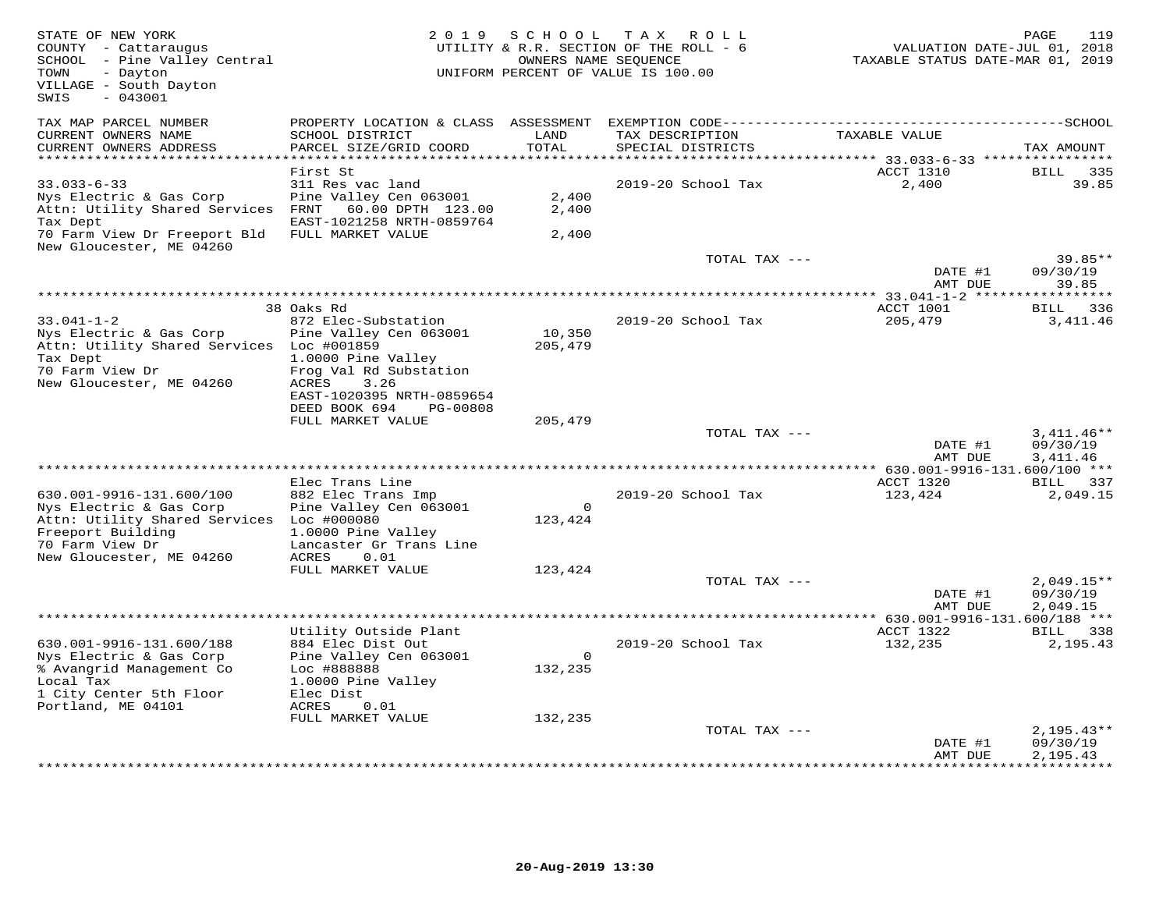| STATE OF NEW YORK<br>COUNTY - Cattaraugus<br>SCHOOL - Pine Valley Central<br>- Dayton<br>TOWN<br>VILLAGE - South Dayton<br>SWIS<br>$-043001$ |                                                        | 2019 SCHOOL<br>OWNERS NAME SEQUENCE | TAX ROLL<br>UTILITY & R.R. SECTION OF THE ROLL - 6<br>UNIFORM PERCENT OF VALUE IS 100.00 | VALUATION DATE-JUL 01, 2018<br>TAXABLE STATUS DATE-MAR 01, 2019 | 119<br>PAGE           |
|----------------------------------------------------------------------------------------------------------------------------------------------|--------------------------------------------------------|-------------------------------------|------------------------------------------------------------------------------------------|-----------------------------------------------------------------|-----------------------|
| TAX MAP PARCEL NUMBER                                                                                                                        | PROPERTY LOCATION & CLASS ASSESSMENT                   |                                     |                                                                                          |                                                                 |                       |
| CURRENT OWNERS NAME<br>CURRENT OWNERS ADDRESS<br>**********************                                                                      | SCHOOL DISTRICT<br>PARCEL SIZE/GRID COORD              | LAND<br>TOTAL                       | TAX DESCRIPTION<br>SPECIAL DISTRICTS                                                     | TAXABLE VALUE                                                   | TAX AMOUNT            |
|                                                                                                                                              | First St                                               |                                     |                                                                                          | ACCT 1310                                                       | BILL<br>335           |
| $33.033 - 6 - 33$                                                                                                                            | 311 Res vac land                                       |                                     | 2019-20 School Tax                                                                       | 2,400                                                           | 39.85                 |
| Nys Electric & Gas Corp<br>Attn: Utility Shared Services FRNT                                                                                | Pine Valley Cen 063001<br>60.00 DPTH 123.00            | 2,400<br>2,400                      |                                                                                          |                                                                 |                       |
| Tax Dept                                                                                                                                     | EAST-1021258 NRTH-0859764                              |                                     |                                                                                          |                                                                 |                       |
| 70 Farm View Dr Freeport Bld<br>New Gloucester, ME 04260                                                                                     | FULL MARKET VALUE                                      | 2,400                               |                                                                                          |                                                                 |                       |
|                                                                                                                                              |                                                        |                                     | TOTAL TAX ---                                                                            | DATE #1                                                         | $39.85**$<br>09/30/19 |
|                                                                                                                                              |                                                        |                                     |                                                                                          | AMT DUE                                                         | 39.85<br>********     |
|                                                                                                                                              | 38 Oaks Rd                                             |                                     |                                                                                          | ACCT 1001                                                       | BILL<br>336           |
| $33.041 - 1 - 2$                                                                                                                             | 872 Elec-Substation                                    |                                     | 2019-20 School Tax                                                                       | 205,479                                                         | 3,411.46              |
| Nys Electric & Gas Corp<br>Attn: Utility Shared Services Loc #001859                                                                         | Pine Valley Cen 063001                                 | 10,350<br>205,479                   |                                                                                          |                                                                 |                       |
| Tax Dept                                                                                                                                     | 1.0000 Pine Valley                                     |                                     |                                                                                          |                                                                 |                       |
| 70 Farm View Dr                                                                                                                              | Frog Val Rd Substation                                 |                                     |                                                                                          |                                                                 |                       |
| New Gloucester, ME 04260                                                                                                                     | ACRES<br>3.26                                          |                                     |                                                                                          |                                                                 |                       |
|                                                                                                                                              | EAST-1020395 NRTH-0859654<br>DEED BOOK 694<br>PG-00808 |                                     |                                                                                          |                                                                 |                       |
|                                                                                                                                              | FULL MARKET VALUE                                      | 205,479                             |                                                                                          |                                                                 |                       |
|                                                                                                                                              |                                                        |                                     | TOTAL TAX ---                                                                            |                                                                 | $3,411.46**$          |
|                                                                                                                                              |                                                        |                                     |                                                                                          | DATE #1<br>AMT DUE                                              | 09/30/19<br>3,411.46  |
|                                                                                                                                              |                                                        |                                     |                                                                                          | ** 630.001-9916-131.600/100 ***                                 |                       |
|                                                                                                                                              | Elec Trans Line                                        |                                     |                                                                                          | ACCT 1320                                                       | BILL 337              |
| 630.001-9916-131.600/100<br>Nys Electric & Gas Corp                                                                                          | 882 Elec Trans Imp<br>Pine Valley Cen 063001           | $\Omega$                            | 2019-20 School Tax                                                                       | 123,424                                                         | 2,049.15              |
| Attn: Utility Shared Services                                                                                                                | Loc #000080                                            | 123,424                             |                                                                                          |                                                                 |                       |
| Freeport Building                                                                                                                            | 1.0000 Pine Valley                                     |                                     |                                                                                          |                                                                 |                       |
| 70 Farm View Dr                                                                                                                              | Lancaster Gr Trans Line<br>0.01                        |                                     |                                                                                          |                                                                 |                       |
| New Gloucester, ME 04260                                                                                                                     | ACRES<br>FULL MARKET VALUE                             | 123,424                             |                                                                                          |                                                                 |                       |
|                                                                                                                                              |                                                        |                                     | TOTAL TAX ---                                                                            |                                                                 | $2,049.15**$          |
|                                                                                                                                              |                                                        |                                     |                                                                                          | DATE #1                                                         | 09/30/19              |
|                                                                                                                                              |                                                        |                                     |                                                                                          | AMT DUE                                                         | 2,049.15              |
|                                                                                                                                              | Utility Outside Plant                                  |                                     |                                                                                          | ACCT 1322                                                       | BILL 338              |
| 630.001-9916-131.600/188                                                                                                                     | 884 Elec Dist Out                                      |                                     | 2019-20 School Tax                                                                       | 132,235                                                         | 2,195.43              |
| Nys Electric & Gas Corp                                                                                                                      | Pine Valley Cen 063001                                 | $\Omega$                            |                                                                                          |                                                                 |                       |
| % Avangrid Management Co                                                                                                                     | Loc #888888                                            | 132,235                             |                                                                                          |                                                                 |                       |
| Local Tax<br>1 City Center 5th Floor                                                                                                         | 1.0000 Pine Valley<br>Elec Dist                        |                                     |                                                                                          |                                                                 |                       |
| Portland, ME 04101                                                                                                                           | ACRES<br>0.01                                          |                                     |                                                                                          |                                                                 |                       |
|                                                                                                                                              | FULL MARKET VALUE                                      | 132,235                             |                                                                                          |                                                                 |                       |
|                                                                                                                                              |                                                        |                                     | TOTAL TAX ---                                                                            |                                                                 | $2,195.43**$          |
|                                                                                                                                              |                                                        |                                     |                                                                                          | DATE #1<br>AMT DUE                                              | 09/30/19<br>2,195.43  |
|                                                                                                                                              |                                                        |                                     |                                                                                          |                                                                 |                       |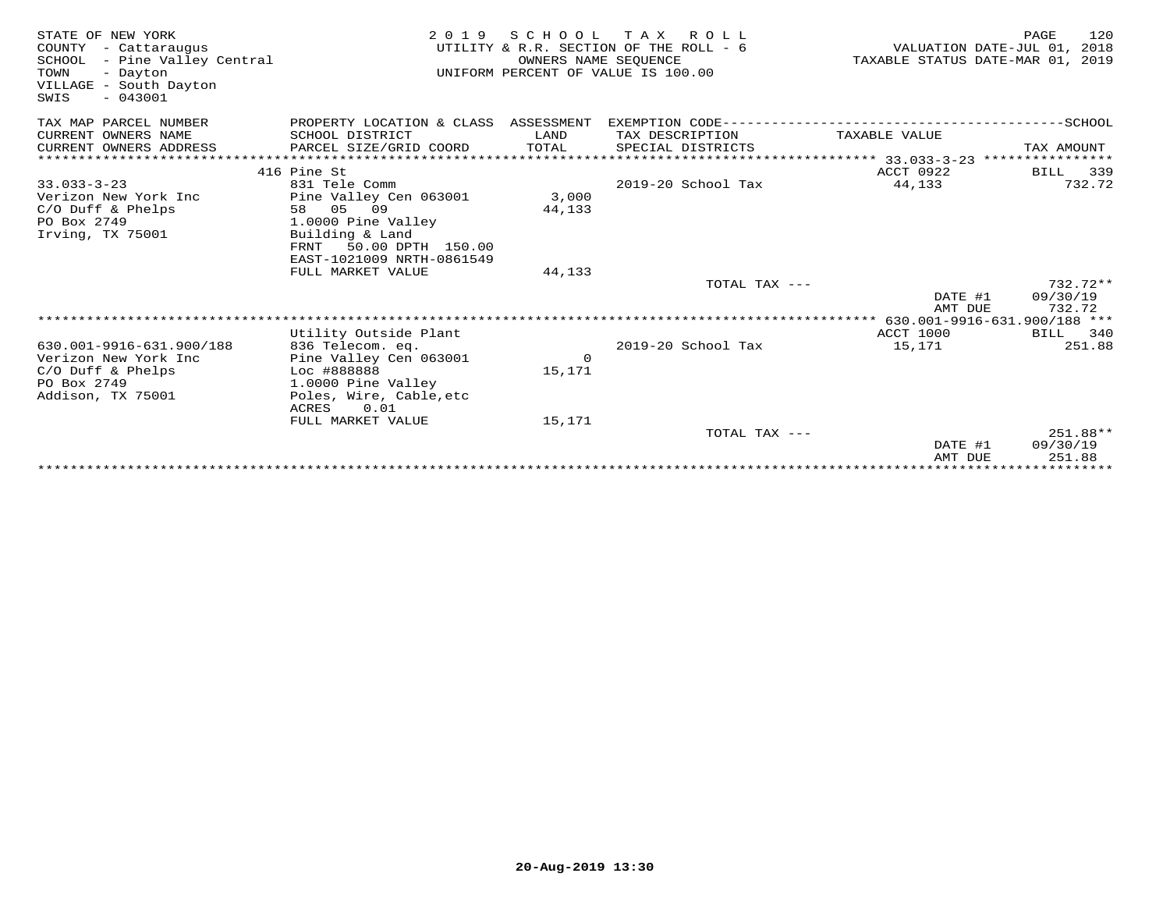| STATE OF NEW YORK<br>COUNTY<br>- Cattaraugus<br>- Pine Valley Central<br>SCHOOL<br>TOWN<br>- Dayton<br>VILLAGE - South Dayton<br>$-043001$<br>SWIS | 2 0 1 9                                                   | SCHOOL<br>OWNERS NAME SEQUENCE | T A X<br>R O L L<br>UTILITY & R.R. SECTION OF THE ROLL - 6<br>UNIFORM PERCENT OF VALUE IS 100.00 | VALUATION DATE-JUL 01, 2018<br>TAXABLE STATUS DATE-MAR 01, 2019        | 120<br>PAGE           |
|----------------------------------------------------------------------------------------------------------------------------------------------------|-----------------------------------------------------------|--------------------------------|--------------------------------------------------------------------------------------------------|------------------------------------------------------------------------|-----------------------|
| TAX MAP PARCEL NUMBER                                                                                                                              | PROPERTY LOCATION & CLASS ASSESSMENT                      |                                | EXEMPTION CODE----------------------                                                             |                                                                        | -------------SCHOOL   |
| CURRENT OWNERS NAME                                                                                                                                | SCHOOL DISTRICT                                           | LAND                           | TAX DESCRIPTION                                                                                  | TAXABLE VALUE                                                          |                       |
| CURRENT OWNERS ADDRESS                                                                                                                             | PARCEL SIZE/GRID COORD                                    | TOTAL                          | SPECIAL DISTRICTS                                                                                |                                                                        | TAX AMOUNT            |
|                                                                                                                                                    |                                                           |                                |                                                                                                  | **************************** 33.033-3-23 ****************<br>ACCT 0922 |                       |
| $33.033 - 3 - 23$                                                                                                                                  | 416 Pine St<br>831 Tele Comm                              |                                | 2019-20 School Tax                                                                               | 44,133                                                                 | 339<br>BILL<br>732.72 |
| Verizon New York Inc                                                                                                                               | Pine Valley Cen 063001                                    | 3,000                          |                                                                                                  |                                                                        |                       |
| C/O Duff & Phelps                                                                                                                                  | 58 05 09                                                  | 44,133                         |                                                                                                  |                                                                        |                       |
| PO Box 2749                                                                                                                                        | 1.0000 Pine Valley                                        |                                |                                                                                                  |                                                                        |                       |
| Irving, TX 75001                                                                                                                                   | Building & Land                                           |                                |                                                                                                  |                                                                        |                       |
|                                                                                                                                                    | 50.00 DPTH 150.00<br>FRNT<br>EAST-1021009 NRTH-0861549    |                                |                                                                                                  |                                                                        |                       |
|                                                                                                                                                    | FULL MARKET VALUE                                         | 44,133                         |                                                                                                  |                                                                        |                       |
|                                                                                                                                                    |                                                           |                                | TOTAL TAX ---                                                                                    |                                                                        | $732.72**$            |
|                                                                                                                                                    |                                                           |                                |                                                                                                  | DATE #1                                                                | 09/30/19              |
|                                                                                                                                                    |                                                           |                                |                                                                                                  | AMT DUE                                                                | 732.72                |
|                                                                                                                                                    | ********************************<br>Utility Outside Plant |                                |                                                                                                  | 630.001-9916-631.900/188 ***<br>ACCT 1000                              | BILL 340              |
| 630.001-9916-631.900/188                                                                                                                           | 836 Telecom. eq.                                          |                                | 2019-20 School Tax                                                                               | 15,171                                                                 | 251.88                |
| Verizon New York Inc                                                                                                                               | Pine Valley Cen 063001                                    | $\circ$                        |                                                                                                  |                                                                        |                       |
| $C/O$ Duff & Phelps                                                                                                                                | Loc #888888                                               | 15,171                         |                                                                                                  |                                                                        |                       |
| PO Box 2749                                                                                                                                        | 1.0000 Pine Valley                                        |                                |                                                                                                  |                                                                        |                       |
| Addison, TX 75001                                                                                                                                  | Poles, Wire, Cable, etc                                   |                                |                                                                                                  |                                                                        |                       |
|                                                                                                                                                    | 0.01<br>ACRES<br>FULL MARKET VALUE                        | 15,171                         |                                                                                                  |                                                                        |                       |
|                                                                                                                                                    |                                                           |                                | TOTAL TAX $---$                                                                                  |                                                                        | 251.88**              |
|                                                                                                                                                    |                                                           |                                |                                                                                                  | DATE #1                                                                | 09/30/19              |
|                                                                                                                                                    |                                                           |                                |                                                                                                  | AMT DUE                                                                | 251.88                |
|                                                                                                                                                    |                                                           |                                |                                                                                                  |                                                                        | **************        |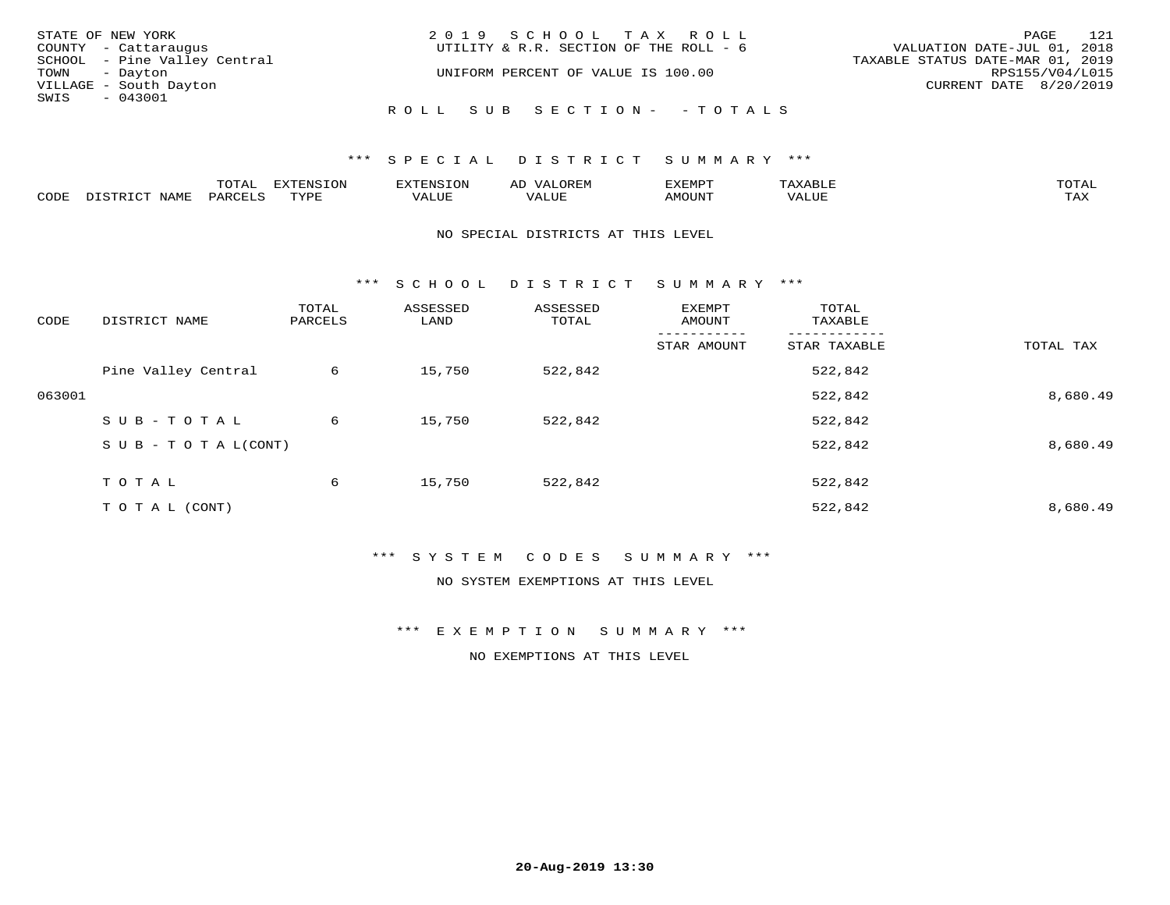| STATE OF NEW YORK            | 2019 SCHOOL TAX ROLL                   | 121<br>PAGE                      |
|------------------------------|----------------------------------------|----------------------------------|
| COUNTY - Cattaraugus         | UTILITY & R.R. SECTION OF THE ROLL - 6 | VALUATION DATE-JUL 01, 2018      |
| SCHOOL - Pine Valley Central |                                        | TAXABLE STATUS DATE-MAR 01, 2019 |
| TOWN - Dayton                | UNIFORM PERCENT OF VALUE IS 100.00     | RPS155/V04/L015                  |
| VILLAGE - South Dayton       |                                        | CURRENT DATE 8/20/2019           |
| SWIS - 043001                |                                        |                                  |
|                              | ROLL SUB SECTION- - TOTALS             |                                  |

|      | $n \wedge m \wedge n$ |                 | <b>MARINE</b> | ΑL                           |                          |                    |                           |
|------|-----------------------|-----------------|---------------|------------------------------|--------------------------|--------------------|---------------------------|
| CODE | ΆR                    | $m \tau \tau n$ | اللالا للديات | $\cdots$<br>اللاقات المتحدين | <b>MOTTNTO</b><br>'UUN'. | <b>- ---</b><br>∕∆ | $m \times r$<br>- - - - - |

#### NO SPECIAL DISTRICTS AT THIS LEVEL

\*\*\* S C H O O L D I S T R I C T S U M M A R Y \*\*\*

| CODE   | DISTRICT NAME                    | TOTAL<br>PARCELS | ASSESSED<br>LAND | ASSESSED<br>TOTAL | EXEMPT<br>AMOUNT | TOTAL<br>TAXABLE |           |
|--------|----------------------------------|------------------|------------------|-------------------|------------------|------------------|-----------|
|        |                                  |                  |                  |                   | STAR AMOUNT      | STAR TAXABLE     | TOTAL TAX |
|        | Pine Valley Central              | 6                | 15,750           | 522,842           |                  | 522,842          |           |
| 063001 |                                  |                  |                  |                   |                  | 522,842          | 8,680.49  |
|        | SUB-TOTAL                        | 6                | 15,750           | 522,842           |                  | 522,842          |           |
|        | $S \cup B - T \cup T A L (CONT)$ |                  |                  |                   |                  | 522,842          | 8,680.49  |
|        | T O T A L                        | 6                | 15,750           | 522,842           |                  | 522,842          |           |
|        | T O T A L (CONT)                 |                  |                  |                   |                  | 522,842          | 8,680.49  |

## \*\*\* S Y S T E M C O D E S S U M M A R Y \*\*\*

NO SYSTEM EXEMPTIONS AT THIS LEVEL

\*\*\* E X E M P T I O N S U M M A R Y \*\*\*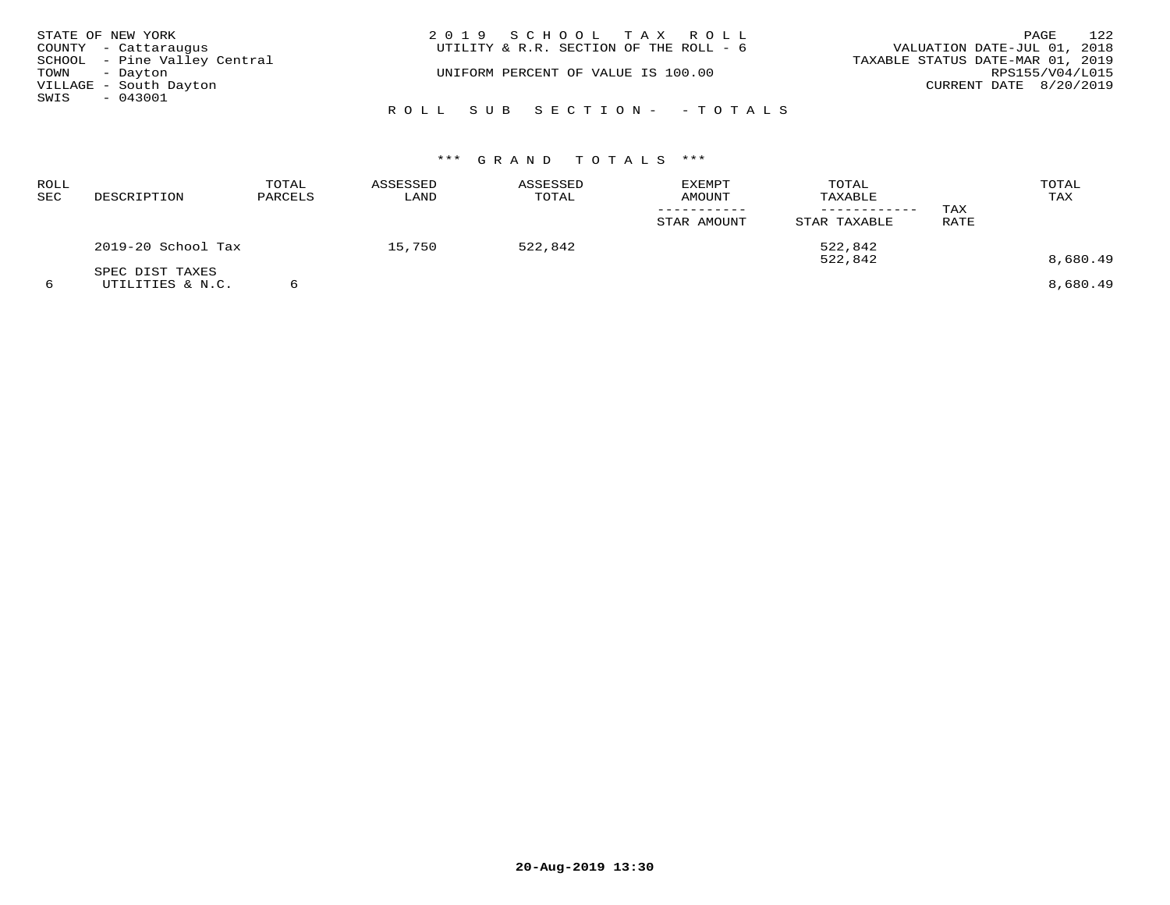|               | STATE OF NEW YORK            | 2019 SCHOOL TAX ROLL                   | 122<br>PAGE                      |
|---------------|------------------------------|----------------------------------------|----------------------------------|
|               | COUNTY - Cattaraugus         | UTILITY & R.R. SECTION OF THE ROLL - 6 | VALUATION DATE-JUL 01, 2018      |
|               | SCHOOL - Pine Valley Central |                                        | TAXABLE STATUS DATE-MAR 01, 2019 |
| TOWN - Dayton |                              | UNIFORM PERCENT OF VALUE IS 100.00     | RPS155/V04/L015                  |
|               | VILLAGE - South Dayton       |                                        | CURRENT DATE 8/20/2019           |
| SWIS          | $-043001$                    |                                        |                                  |
|               |                              | ROLL SUB SECTION- - TOTALS             |                                  |

| ROLL<br>SEC | DESCRIPTION                         | TOTAL<br>PARCELS | ASSESSED<br>LAND | ASSESSED<br>TOTAL | EXEMPT<br><b>AMOUNT</b> | TOTAL<br>TAXABLE<br>--------- | TAX  | TOTAL<br>TAX |
|-------------|-------------------------------------|------------------|------------------|-------------------|-------------------------|-------------------------------|------|--------------|
|             |                                     |                  |                  |                   | STAR AMOUNT             | STAR TAXABLE                  | RATE |              |
|             | 2019-20 School Tax                  |                  | 15,750           | 522,842           |                         | 522,842<br>522,842            |      | 8,680.49     |
| 6           | SPEC DIST TAXES<br>UTILITIES & N.C. |                  |                  |                   |                         |                               |      | 8,680.49     |

**20-Aug-2019 13:30**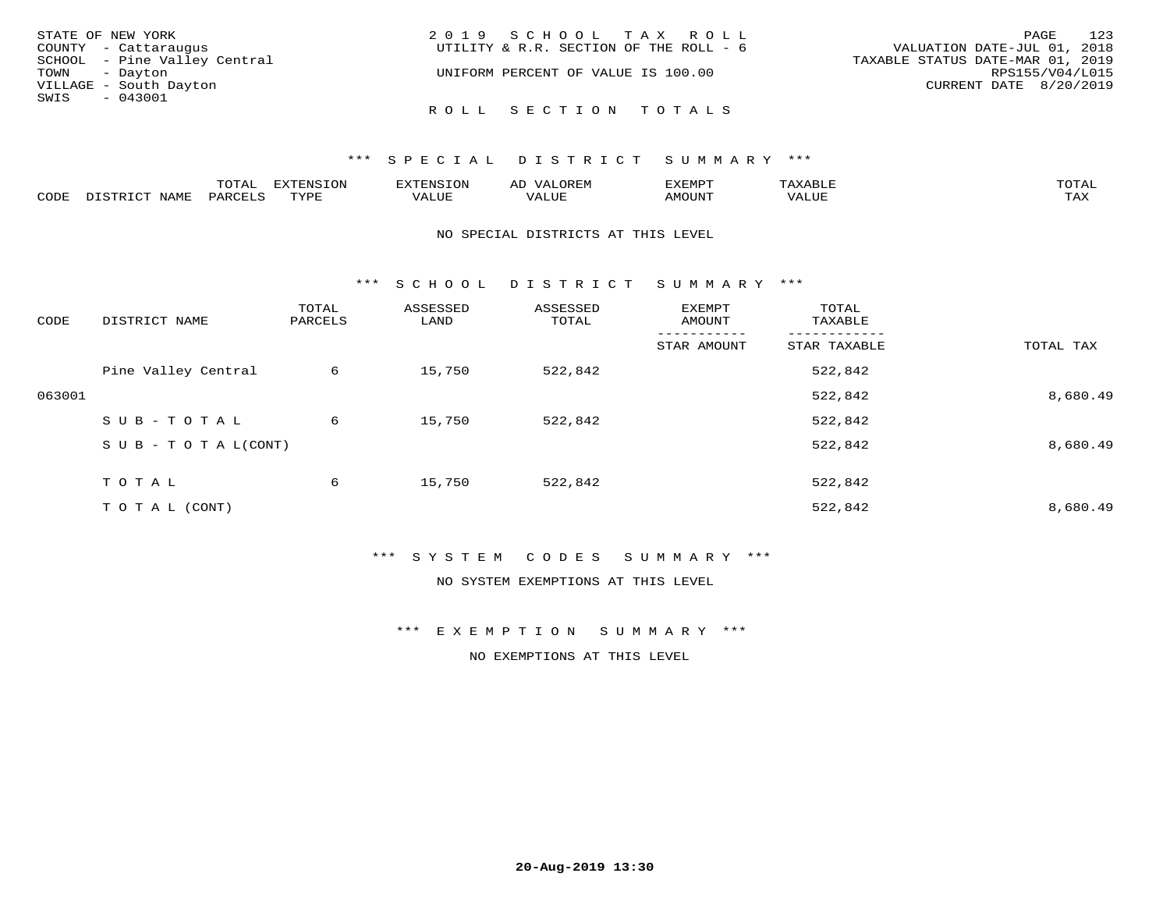| STATE OF NEW YORK            | 2019 SCHOOL TAX ROLL                   | 123<br>PAGE                      |
|------------------------------|----------------------------------------|----------------------------------|
| COUNTY - Cattaraugus         | UTILITY & R.R. SECTION OF THE ROLL - 6 | VALUATION DATE-JUL 01, 2018      |
| SCHOOL - Pine Valley Central |                                        | TAXABLE STATUS DATE-MAR 01, 2019 |
| TOWN - Dayton                | UNIFORM PERCENT OF VALUE IS 100.00     | RPS155/V04/L015                  |
| VILLAGE - South Dayton       |                                        | CURRENT DATE 8/20/2019           |
| SWIS<br>- 043001             |                                        |                                  |
|                              | ROLL SECTION TOTALS                    |                                  |

|               | $m \wedge m$ | --------<br>.UI | $\sim$ | . ب            |              |                        |
|---------------|--------------|-----------------|--------|----------------|--------------|------------------------|
| $\sim$<br>ັບມ |              | TVDL            | Alur   | <b>MOTTNTT</b> | י ב <i>ו</i> | $m \times r$<br>- − 14 |

#### NO SPECIAL DISTRICTS AT THIS LEVEL

\*\*\* S C H O O L D I S T R I C T S U M M A R Y \*\*\*

| CODE   | DISTRICT NAME                    | TOTAL<br>PARCELS | ASSESSED<br>LAND | ASSESSED<br>TOTAL | EXEMPT<br>AMOUNT | TOTAL<br>TAXABLE |           |
|--------|----------------------------------|------------------|------------------|-------------------|------------------|------------------|-----------|
|        |                                  |                  |                  |                   | STAR AMOUNT      | STAR TAXABLE     | TOTAL TAX |
|        | Pine Valley Central              | 6                | 15,750           | 522,842           |                  | 522,842          |           |
| 063001 |                                  |                  |                  |                   |                  | 522,842          | 8,680.49  |
|        | SUB-TOTAL                        | 6                | 15,750           | 522,842           |                  | 522,842          |           |
|        | $S \cup B - T \cup T A L (CONT)$ |                  |                  |                   |                  | 522,842          | 8,680.49  |
|        | T O T A L                        | 6                | 15,750           | 522,842           |                  | 522,842          |           |
|        | T O T A L (CONT)                 |                  |                  |                   |                  | 522,842          | 8,680.49  |

\*\*\* S Y S T E M C O D E S S U M M A R Y \*\*\*

NO SYSTEM EXEMPTIONS AT THIS LEVEL

\*\*\* E X E M P T I O N S U M M A R Y \*\*\*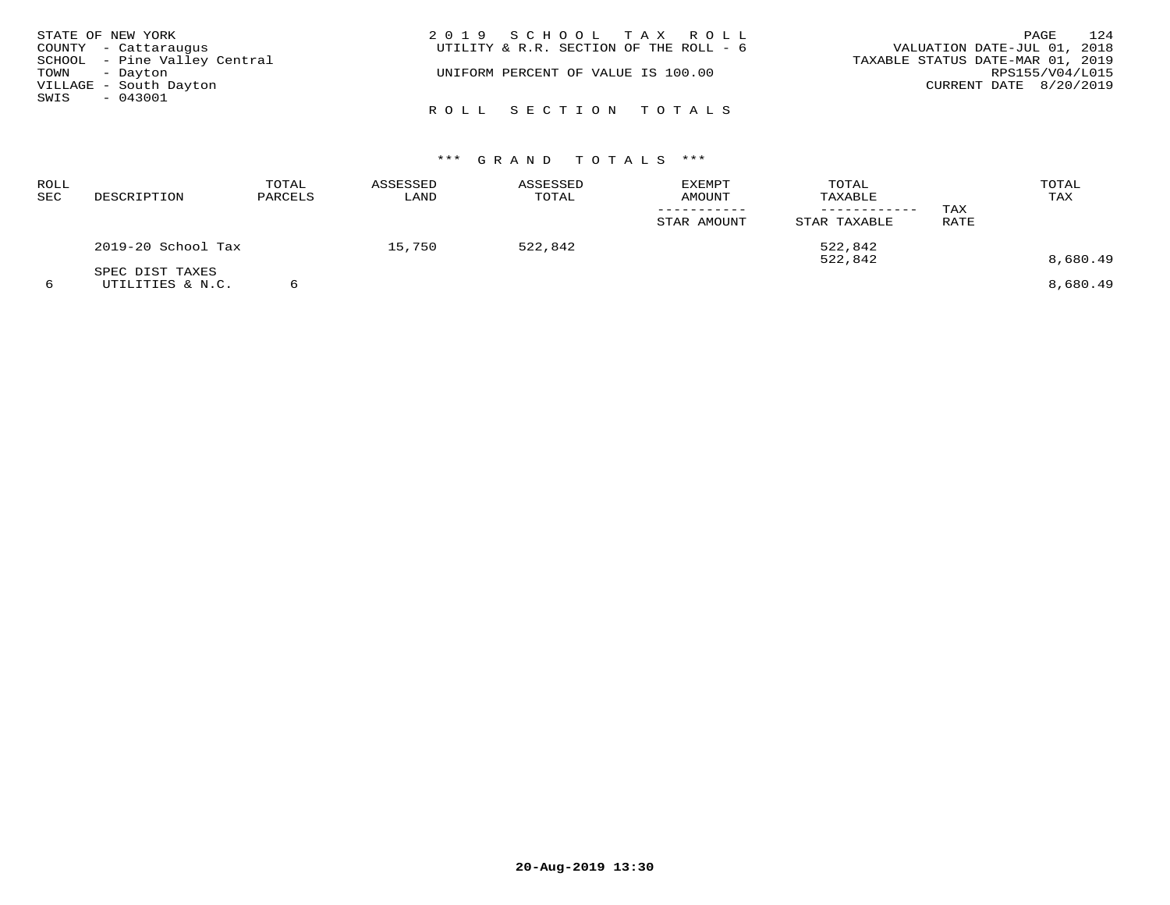| STATE OF NEW YORK            | 2019 SCHOOL TAX ROLL                   | 124<br>PAGE                      |
|------------------------------|----------------------------------------|----------------------------------|
| COUNTY - Cattaraugus         | UTILITY & R.R. SECTION OF THE ROLL - 6 | VALUATION DATE-JUL 01, 2018      |
| SCHOOL - Pine Valley Central |                                        | TAXABLE STATUS DATE-MAR 01, 2019 |
| TOWN - Dayton                | UNIFORM PERCENT OF VALUE IS 100.00     | RPS155/V04/L015                  |
| VILLAGE - South Dayton       |                                        | CURRENT DATE 8/20/2019           |
| SWIS<br>$-043001$            |                                        |                                  |
|                              | ROLL SECTION TOTALS                    |                                  |

| <b>ROLL</b><br>SEC | DESCRIPTION                         | TOTAL<br>PARCELS | ASSESSED<br>LAND | ASSESSED<br>TOTAL | <b>EXEMPT</b><br>AMOUNT<br>STAR AMOUNT | TOTAL<br>TAXABLE<br>STAR TAXABLE | TAX<br>RATE | TOTAL<br>TAX         |
|--------------------|-------------------------------------|------------------|------------------|-------------------|----------------------------------------|----------------------------------|-------------|----------------------|
|                    | 2019-20 School Tax                  |                  | 15,750           | 522,842           |                                        | 522,842                          |             |                      |
| 6                  | SPEC DIST TAXES<br>UTILITIES & N.C. |                  |                  |                   |                                        | 522,842                          |             | 8,680.49<br>8,680.49 |

**20-Aug-2019 13:30**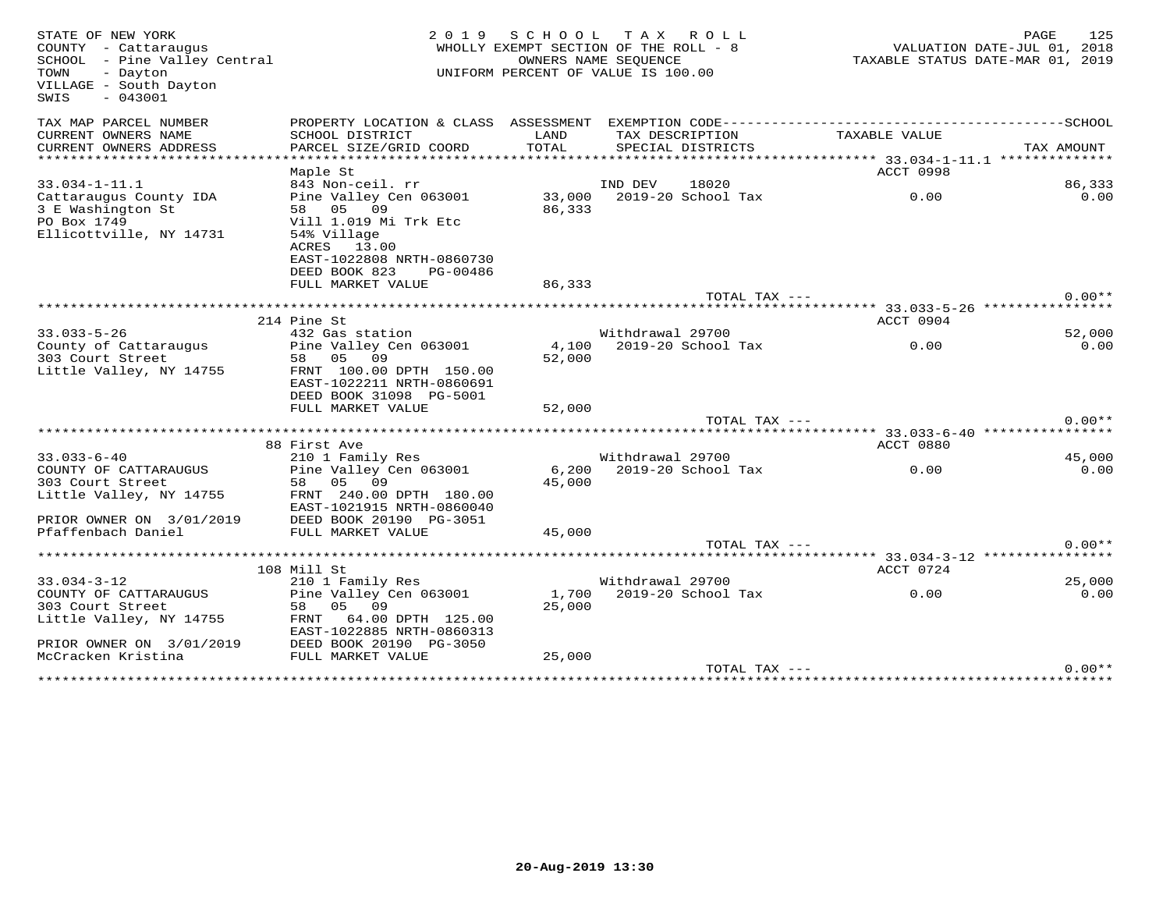| STATE OF NEW YORK<br>COUNTY - Cattaraugus<br>SCHOOL - Pine Valley Central<br>TOWN<br>- Dayton<br>VILLAGE - South Dayton<br>$-043001$<br>SWIS | 2019                                                                                                                                                |                  | SCHOOL TAX ROLL<br>WHOLLY EXEMPT SECTION OF THE ROLL - 8<br>OWNERS NAME SEQUENCE<br>UNIFORM PERCENT OF VALUE IS 100.00 |                                                | PAGE<br>125<br>VALUATION DATE-JUL 01, 2018<br>TAXABLE STATUS DATE-MAR 01, 2019 |
|----------------------------------------------------------------------------------------------------------------------------------------------|-----------------------------------------------------------------------------------------------------------------------------------------------------|------------------|------------------------------------------------------------------------------------------------------------------------|------------------------------------------------|--------------------------------------------------------------------------------|
| TAX MAP PARCEL NUMBER<br>CURRENT OWNERS NAME                                                                                                 | PROPERTY LOCATION & CLASS ASSESSMENT<br>SCHOOL DISTRICT                                                                                             | LAND             | EXEMPTION CODE-------------------------<br>TAX DESCRIPTION                                                             | TAXABLE VALUE                                  | -------------SCHOOL                                                            |
| CURRENT OWNERS ADDRESS                                                                                                                       | PARCEL SIZE/GRID COORD                                                                                                                              | TOTAL            | SPECIAL DISTRICTS                                                                                                      |                                                | TAX AMOUNT                                                                     |
| **********************                                                                                                                       |                                                                                                                                                     |                  |                                                                                                                        |                                                |                                                                                |
|                                                                                                                                              | Maple St                                                                                                                                            |                  |                                                                                                                        | ACCT 0998                                      |                                                                                |
| $33.034 - 1 - 11.1$                                                                                                                          | 843 Non-ceil. rr                                                                                                                                    |                  | IND DEV<br>18020                                                                                                       |                                                | 86,333                                                                         |
| Cattaraugus County IDA<br>3 E Washington St<br>PO Box 1749<br>Ellicottville, NY 14731                                                        | Pine Valley Cen 063001<br>58 05 09<br>Vill 1.019 Mi Trk Etc<br>54% Village<br>ACRES 13.00<br>EAST-1022808 NRTH-0860730<br>DEED BOOK 823<br>PG-00486 | 86,333           | 33,000 2019-20 School Tax                                                                                              | 0.00                                           | 0.00                                                                           |
|                                                                                                                                              | FULL MARKET VALUE                                                                                                                                   | 86,333           |                                                                                                                        |                                                |                                                                                |
|                                                                                                                                              |                                                                                                                                                     |                  | TOTAL TAX ---                                                                                                          |                                                | $0.00**$                                                                       |
|                                                                                                                                              |                                                                                                                                                     |                  |                                                                                                                        |                                                |                                                                                |
| $33.033 - 5 - 26$                                                                                                                            | 214 Pine St                                                                                                                                         |                  | Withdrawal 29700                                                                                                       | ACCT 0904                                      |                                                                                |
| County of Cattaraugus                                                                                                                        | 432 Gas station<br>Pine Valley Cen 063001                                                                                                           | 4,100            | 2019-20 School Tax                                                                                                     | 0.00                                           | 52,000<br>0.00                                                                 |
| 303 Court Street<br>Little Valley, NY 14755                                                                                                  | 58 05 09<br>FRNT 100.00 DPTH 150.00<br>EAST-1022211 NRTH-0860691<br>DEED BOOK 31098 PG-5001<br>FULL MARKET VALUE                                    | 52,000<br>52,000 |                                                                                                                        |                                                |                                                                                |
|                                                                                                                                              |                                                                                                                                                     |                  | TOTAL TAX ---                                                                                                          |                                                | $0.00**$                                                                       |
|                                                                                                                                              |                                                                                                                                                     |                  |                                                                                                                        | ***************** 33.033-6-40 **************** |                                                                                |
| $33.033 - 6 - 40$                                                                                                                            | 88 First Ave<br>210 1 Family Res                                                                                                                    |                  | Withdrawal 29700                                                                                                       | ACCT 0880                                      | 45,000                                                                         |
| COUNTY OF CATTARAUGUS<br>303 Court Street<br>Little Valley, NY 14755<br>PRIOR OWNER ON 3/01/2019                                             | Pine Valley Cen 063001<br>58 05 09<br>FRNT 240.00 DPTH 180.00<br>EAST-1021915 NRTH-0860040<br>DEED BOOK 20190 PG-3051                               | 45,000           | 6,200 2019-20 School Tax                                                                                               | 0.00                                           | 0.00                                                                           |
| Pfaffenbach Daniel                                                                                                                           | FULL MARKET VALUE                                                                                                                                   | 45,000           |                                                                                                                        |                                                |                                                                                |
|                                                                                                                                              |                                                                                                                                                     |                  | TOTAL TAX ---                                                                                                          |                                                | $0.00**$                                                                       |
|                                                                                                                                              | 108 Mill St                                                                                                                                         |                  |                                                                                                                        | ACCT 0724                                      |                                                                                |
| $33.034 - 3 - 12$                                                                                                                            | 210 1 Family Res                                                                                                                                    |                  | Withdrawal 29700                                                                                                       |                                                | 25,000                                                                         |
| COUNTY OF CATTARAUGUS<br>303 Court Street<br>Little Valley, NY 14755<br>PRIOR OWNER ON 3/01/2019                                             | Pine Valley Cen 063001<br>05 09<br>58<br>FRNT 64.00 DPTH 125.00<br>EAST-1022885 NRTH-0860313<br>DEED BOOK 20190 PG-3050                             | 25,000           | 1,700 2019-20 School Tax                                                                                               | 0.00                                           | 0.00                                                                           |
| McCracken Kristina                                                                                                                           | FULL MARKET VALUE                                                                                                                                   | 25,000           |                                                                                                                        |                                                |                                                                                |
|                                                                                                                                              |                                                                                                                                                     |                  | TOTAL TAX ---                                                                                                          |                                                | $0.00**$                                                                       |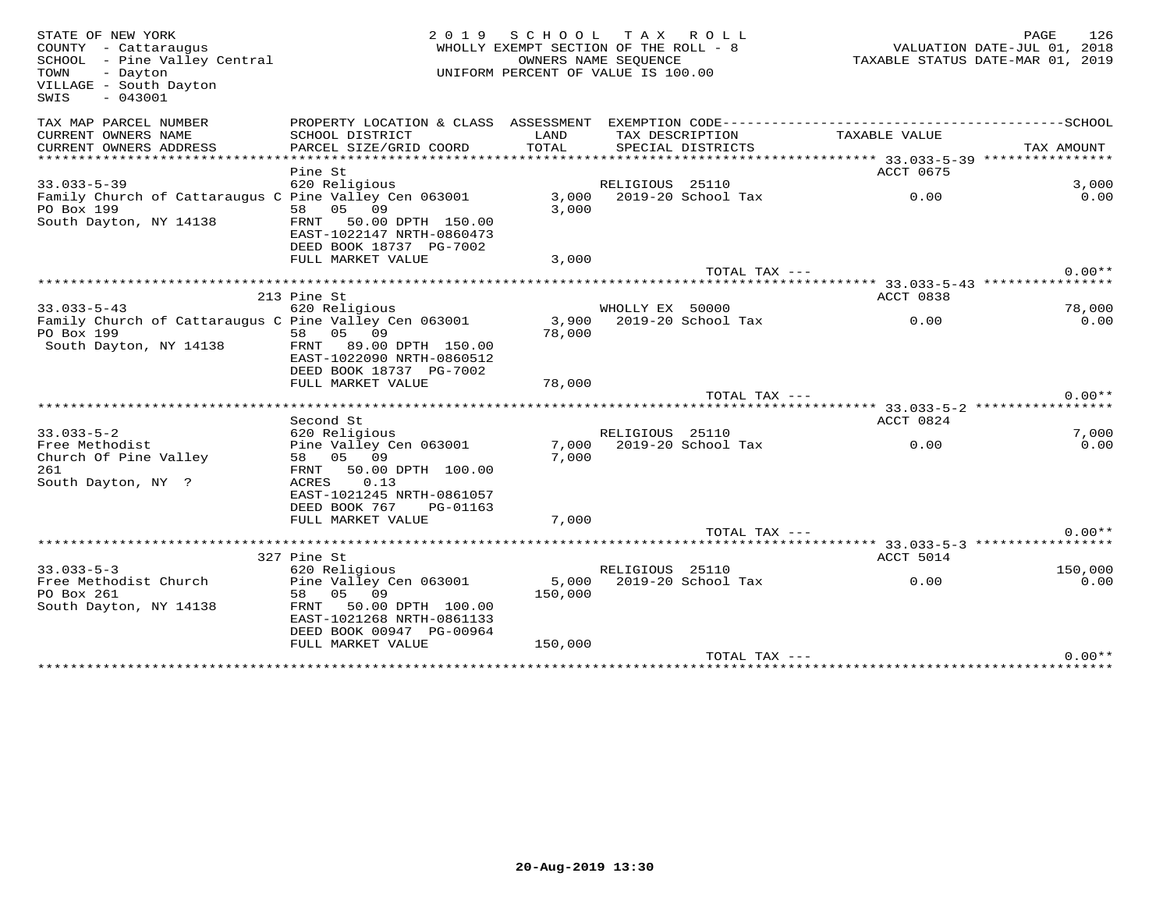| STATE OF NEW YORK<br>COUNTY - Cattaraugus<br>SCHOOL - Pine Valley Central<br>TOWN<br>- Dayton<br>VILLAGE - South Dayton<br>$-043001$<br>SWIS | 2 0 1 9                                                                                             | SCHOOL TAX ROLL<br>WHOLLY EXEMPT SECTION OF THE ROLL - 8<br>UNIFORM PERCENT OF VALUE IS 100.00 | OWNERS NAME SEOUENCE |                          | PAGE 126<br>VALUATION DATE-JUL 01, 2018<br>TAXABLE STATIS DI---<br>TAXABLE STATUS DATE-MAR 01, 2019 |            |                 |
|----------------------------------------------------------------------------------------------------------------------------------------------|-----------------------------------------------------------------------------------------------------|------------------------------------------------------------------------------------------------|----------------------|--------------------------|-----------------------------------------------------------------------------------------------------|------------|-----------------|
| TAX MAP PARCEL NUMBER                                                                                                                        |                                                                                                     |                                                                                                |                      |                          |                                                                                                     |            |                 |
| CURRENT OWNERS NAME                                                                                                                          | SCHOOL DISTRICT                                                                                     | LAND                                                                                           |                      | TAX DESCRIPTION          | TAXABLE VALUE                                                                                       |            |                 |
| CURRENT OWNERS ADDRESS                                                                                                                       | PARCEL SIZE/GRID COORD                                                                              | TOTAL                                                                                          |                      | SPECIAL DISTRICTS        |                                                                                                     | TAX AMOUNT |                 |
|                                                                                                                                              |                                                                                                     |                                                                                                |                      |                          |                                                                                                     |            |                 |
| $33.033 - 5 - 39$                                                                                                                            | Pine St<br>620 Religious                                                                            |                                                                                                |                      |                          | ACCT 0675                                                                                           |            | 3,000           |
|                                                                                                                                              |                                                                                                     |                                                                                                | RELIGIOUS 25110      | 3,000 2019-20 School Tax | 0.00                                                                                                |            | 0.00            |
| Family Church of Cattaraugus C Pine Valley Cen 063001<br>PO Box 199                                                                          | 58 05 09                                                                                            | 3,000                                                                                          |                      |                          |                                                                                                     |            |                 |
| South Dayton, NY 14138                                                                                                                       | FRNT 50.00 DPTH 150.00<br>EAST-1022147 NRTH-0860473<br>DEED BOOK 18737 PG-7002<br>FULL MARKET VALUE | 3,000                                                                                          |                      |                          |                                                                                                     |            |                 |
|                                                                                                                                              |                                                                                                     |                                                                                                |                      | TOTAL TAX ---            |                                                                                                     |            | $0.00**$        |
|                                                                                                                                              |                                                                                                     |                                                                                                |                      |                          |                                                                                                     |            |                 |
|                                                                                                                                              | 213 Pine St                                                                                         |                                                                                                |                      |                          | ACCT 0838                                                                                           |            |                 |
| $33.033 - 5 - 43$                                                                                                                            | 620 Religious                                                                                       |                                                                                                | WHOLLY EX 50000      |                          |                                                                                                     |            | 78,000          |
| Family Church of Cattaraugus C Pine Valley Cen 063001                                                                                        |                                                                                                     |                                                                                                |                      | 3,900 2019-20 School Tax | 0.00                                                                                                |            | 0.00            |
| PO Box 199                                                                                                                                   | 58 05 09                                                                                            | 78,000                                                                                         |                      |                          |                                                                                                     |            |                 |
| South Dayton, NY 14138                                                                                                                       | 89.00 DPTH 150.00<br>FRNT<br>EAST-1022090 NRTH-0860512<br>DEED BOOK 18737 PG-7002                   |                                                                                                |                      |                          |                                                                                                     |            |                 |
|                                                                                                                                              | FULL MARKET VALUE                                                                                   | 78,000                                                                                         |                      |                          |                                                                                                     |            | $0.00**$        |
|                                                                                                                                              |                                                                                                     |                                                                                                |                      | TOTAL TAX ---            |                                                                                                     |            |                 |
|                                                                                                                                              | Second St                                                                                           |                                                                                                |                      |                          | ACCT 0824                                                                                           |            |                 |
| $33.033 - 5 - 2$                                                                                                                             | 620 Religious                                                                                       |                                                                                                | RELIGIOUS 25110      |                          |                                                                                                     |            | 7,000           |
| Free Methodist                                                                                                                               | Pine Valley Cen 063001                                                                              | 7,000                                                                                          |                      | 2019-20 School Tax       | 0.00                                                                                                |            | 0.00            |
| Church Of Pine Valley<br>261                                                                                                                 | 58 05 09<br>50.00 DPTH 100.00<br>FRNT                                                               | 7,000                                                                                          |                      |                          |                                                                                                     |            |                 |
| South Dayton, NY ?                                                                                                                           | 0.13<br>ACRES                                                                                       |                                                                                                |                      |                          |                                                                                                     |            |                 |
|                                                                                                                                              | EAST-1021245 NRTH-0861057                                                                           |                                                                                                |                      |                          |                                                                                                     |            |                 |
|                                                                                                                                              | DEED BOOK 767<br>PG-01163                                                                           |                                                                                                |                      |                          |                                                                                                     |            |                 |
|                                                                                                                                              | FULL MARKET VALUE                                                                                   | 7,000                                                                                          |                      |                          |                                                                                                     |            |                 |
|                                                                                                                                              |                                                                                                     |                                                                                                |                      | TOTAL TAX ---            |                                                                                                     |            | $0.00**$        |
|                                                                                                                                              |                                                                                                     |                                                                                                |                      |                          |                                                                                                     |            |                 |
| $33.033 - 5 - 3$                                                                                                                             | 327 Pine St                                                                                         |                                                                                                |                      |                          | ACCT 5014                                                                                           |            |                 |
| Free Methodist Church                                                                                                                        | 620 Religious<br>Pine Valley Cen 063001                                                             | 5,000                                                                                          | RELIGIOUS 25110      | 2019-20 School Tax       | 0.00                                                                                                |            | 150,000<br>0.00 |
| PO Box 261                                                                                                                                   | 58 05 09                                                                                            | 150,000                                                                                        |                      |                          |                                                                                                     |            |                 |
| South Dayton, NY 14138                                                                                                                       | FRNT 50.00 DPTH 100.00                                                                              |                                                                                                |                      |                          |                                                                                                     |            |                 |
|                                                                                                                                              | EAST-1021268 NRTH-0861133                                                                           |                                                                                                |                      |                          |                                                                                                     |            |                 |
|                                                                                                                                              | DEED BOOK 00947 PG-00964                                                                            |                                                                                                |                      |                          |                                                                                                     |            |                 |
|                                                                                                                                              | FULL MARKET VALUE                                                                                   | 150,000                                                                                        |                      |                          |                                                                                                     |            |                 |
|                                                                                                                                              |                                                                                                     |                                                                                                |                      | TOTAL TAX ---            |                                                                                                     |            | $0.00**$        |
|                                                                                                                                              |                                                                                                     |                                                                                                |                      |                          |                                                                                                     |            |                 |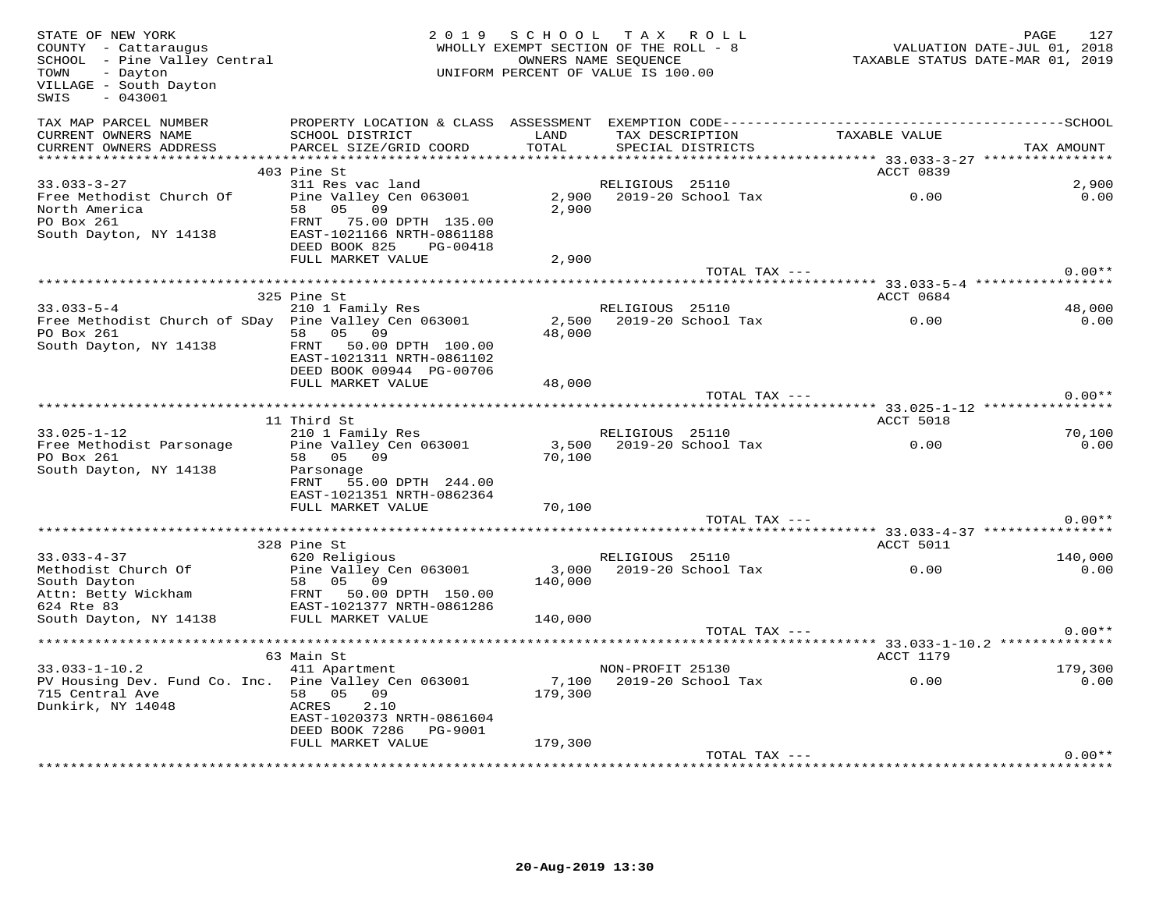| STATE OF NEW YORK<br>COUNTY - Cattaraugus<br>SCHOOL - Pine Valley Central<br>- Dayton<br>TOWN<br>VILLAGE - South Dayton<br>SWIS<br>$-043001$ |                                                                                 | 2019 SCHOOL TAX ROLL<br>WHOLLY EXEMPT SECTION OF THE ROLL - 8<br>UNIFORM PERCENT OF VALUE IS 100.00 | OWNERS NAME SEOUENCE |                                      | -- 1711-2012<br>TAXABLE STATUS DATE-JUL 01, 2018<br>TAXABLE STATUS DATE-MAR 01, 2019 | PAGE       | 127            |
|----------------------------------------------------------------------------------------------------------------------------------------------|---------------------------------------------------------------------------------|-----------------------------------------------------------------------------------------------------|----------------------|--------------------------------------|--------------------------------------------------------------------------------------|------------|----------------|
| TAX MAP PARCEL NUMBER<br>CURRENT OWNERS NAME<br>CURRENT OWNERS ADDRESS                                                                       | SCHOOL DISTRICT<br>PARCEL SIZE/GRID COORD                                       | LAND<br>TOTAL                                                                                       |                      | TAX DESCRIPTION<br>SPECIAL DISTRICTS | TAXABLE VALUE                                                                        | TAX AMOUNT |                |
|                                                                                                                                              |                                                                                 |                                                                                                     |                      |                                      |                                                                                      |            |                |
|                                                                                                                                              | 403 Pine St                                                                     |                                                                                                     |                      |                                      | ACCT 0839                                                                            |            |                |
| $33.033 - 3 - 27$                                                                                                                            | 311 Res vac land                                                                |                                                                                                     | RELIGIOUS 25110      |                                      |                                                                                      |            | 2,900          |
| Free Methodist Church Of<br>North America<br>PO Box 261                                                                                      | Pine Valley Cen 063001<br>58 05 09<br>FRNT 75.00 DPTH 135.00                    | 2,900<br>2,900                                                                                      |                      | 2019-20 School Tax                   | 0.00                                                                                 |            | 0.00           |
| South Dayton, NY 14138                                                                                                                       | EAST-1021166 NRTH-0861188<br>DEED BOOK 825 PG-00418<br>FULL MARKET VALUE        | 2,900                                                                                               |                      |                                      |                                                                                      |            |                |
|                                                                                                                                              |                                                                                 |                                                                                                     |                      | TOTAL TAX ---                        |                                                                                      |            | $0.00**$       |
|                                                                                                                                              |                                                                                 |                                                                                                     |                      |                                      |                                                                                      |            |                |
|                                                                                                                                              | 325 Pine St<br>210 1 Family Res                                                 |                                                                                                     |                      |                                      | ACCT 0684                                                                            |            |                |
| $33.033 - 5 - 4$<br>Free Methodist Church of SDay Pine Valley Cen 063001                                                                     |                                                                                 | 2,500                                                                                               | RELIGIOUS 25110      | 2019-20 School Tax                   | 0.00                                                                                 |            | 48,000<br>0.00 |
| PO Box 261                                                                                                                                   | 58 05 09                                                                        | 48,000                                                                                              |                      |                                      |                                                                                      |            |                |
| South Dayton, NY 14138                                                                                                                       | FRNT 50.00 DPTH 100.00<br>EAST-1021311 NRTH-0861102<br>DEED BOOK 00944 PG-00706 |                                                                                                     |                      |                                      |                                                                                      |            |                |
|                                                                                                                                              | FULL MARKET VALUE                                                               | 48,000                                                                                              |                      |                                      |                                                                                      |            |                |
|                                                                                                                                              |                                                                                 |                                                                                                     |                      | TOTAL TAX ---                        |                                                                                      |            | $0.00**$       |
|                                                                                                                                              |                                                                                 |                                                                                                     |                      |                                      |                                                                                      |            |                |
| $33.025 - 1 - 12$                                                                                                                            | 11 Third St<br>210 1 Family Res                                                 |                                                                                                     | RELIGIOUS 25110      |                                      | <b>ACCT 5018</b>                                                                     |            | 70,100         |
| Free Methodist Parsonage                                                                                                                     | Pine Valley Cen 063001                                                          |                                                                                                     |                      | 3,500 2019-20 School Tax             | $\sim 0.00$                                                                          |            | 0.00           |
| PO Box 261                                                                                                                                   | 58 05 09                                                                        | 70,100                                                                                              |                      |                                      |                                                                                      |            |                |
| South Dayton, NY 14138                                                                                                                       | Parsonage<br>FRNT<br>55.00 DPTH 244.00                                          |                                                                                                     |                      |                                      |                                                                                      |            |                |
|                                                                                                                                              | EAST-1021351 NRTH-0862364<br>FULL MARKET VALUE                                  | 70,100                                                                                              |                      |                                      |                                                                                      |            |                |
|                                                                                                                                              |                                                                                 |                                                                                                     |                      | TOTAL TAX ---                        |                                                                                      |            | $0.00**$       |
|                                                                                                                                              |                                                                                 |                                                                                                     |                      |                                      |                                                                                      |            |                |
|                                                                                                                                              | 328 Pine St                                                                     |                                                                                                     |                      |                                      | ACCT 5011                                                                            |            |                |
| $33.033 - 4 - 37$                                                                                                                            | 620 Religious                                                                   |                                                                                                     | RELIGIOUS 25110      |                                      |                                                                                      |            | 140,000        |
| Methodist Church Of<br>South Dayton                                                                                                          | Pine Valley Cen 063001<br>58 05 09                                              | 140,000                                                                                             |                      | 3,000 2019-20 School Tax             | 0.00                                                                                 |            | 0.00           |
| Attn: Betty Wickham FRANT 50.00 DPTH 150.00                                                                                                  |                                                                                 |                                                                                                     |                      |                                      |                                                                                      |            |                |
| 624 Rte 83                                                                                                                                   | EAST-1021377 NRTH-0861286<br>FULL MARKET VALUE                                  | 140,000                                                                                             |                      |                                      |                                                                                      |            |                |
| South Dayton, NY 14138                                                                                                                       |                                                                                 |                                                                                                     |                      | TOTAL TAX ---                        |                                                                                      |            | $0.00**$       |
|                                                                                                                                              |                                                                                 |                                                                                                     |                      |                                      | ********** 33.033-1-10.2 ************                                                |            |                |
|                                                                                                                                              | 63 Main St                                                                      |                                                                                                     |                      |                                      | ACCT 1179                                                                            |            |                |
| $33.033 - 1 - 10.2$                                                                                                                          | 411 Apartment                                                                   |                                                                                                     | NON-PROFIT 25130     |                                      |                                                                                      |            | 179,300        |
| PV Housing Dev. Fund Co. Inc. Pine Valley Cen 063001<br>715 Central Ave<br>Dunkirk, NY 14048                                                 | 58 05 09<br>2.10<br>ACRES                                                       | 179,300                                                                                             |                      |                                      | 7,100 2019-20 School Tax 0.00                                                        |            | 0.00           |
|                                                                                                                                              | EAST-1020373 NRTH-0861604<br>DEED BOOK 7286    PG-9001                          | 179,300                                                                                             |                      |                                      |                                                                                      |            |                |
|                                                                                                                                              | FULL MARKET VALUE                                                               |                                                                                                     |                      | TOTAL TAX ---                        |                                                                                      |            | $0.00**$       |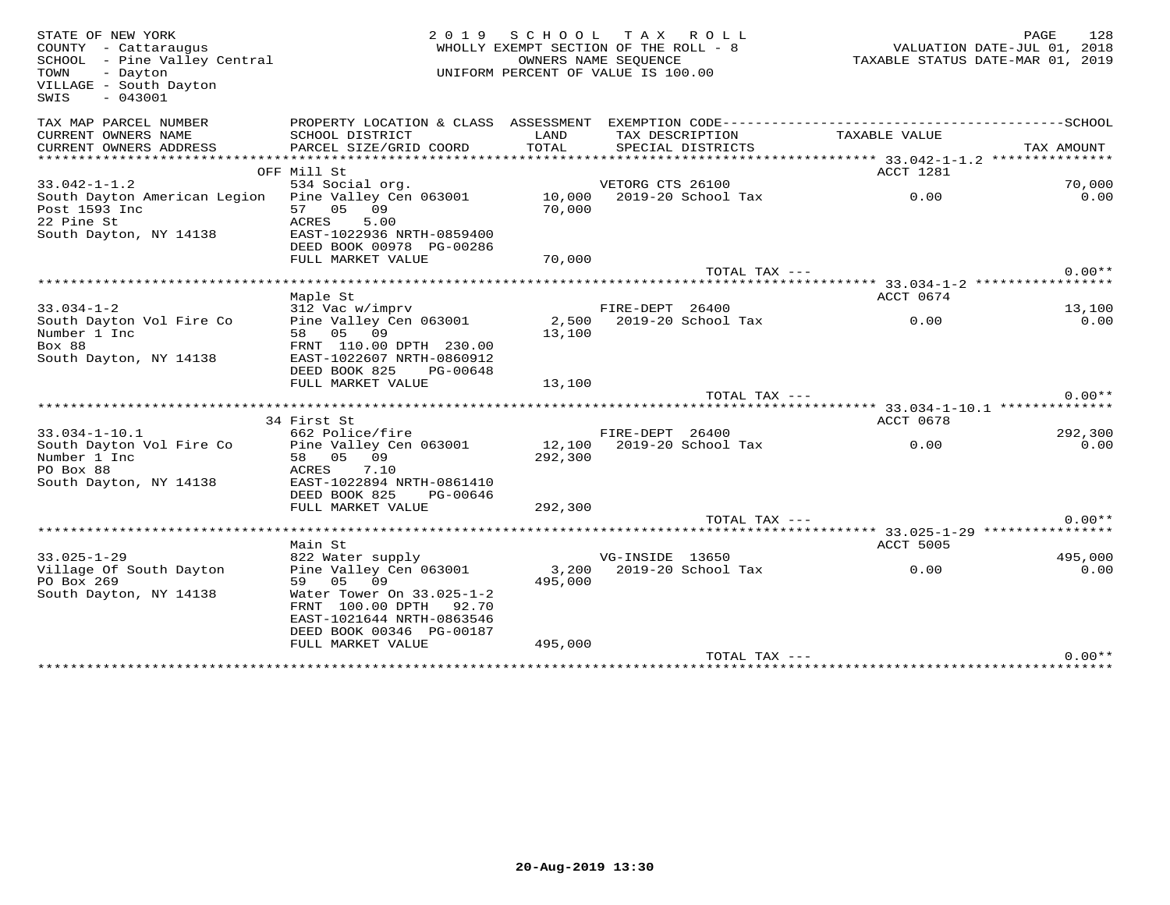| STATE OF NEW YORK<br>COUNTY - Cattaraugus<br>SCHOOL - Pine Valley Central<br>TOWN<br>- Dayton<br>VILLAGE - South Dayton<br>$-043001$<br>SWIS | 2 0 1 9                              |         | SCHOOL TAX ROLL<br>WHOLLY EXEMPT SECTION OF THE ROLL - 8<br>OWNERS NAME SEOUENCE<br>UNIFORM PERCENT OF VALUE IS 100.00 | VALUATION DATE-JUL 01, 2018<br>TAXABLE STATUS DATE-MAR 01, 2019 | PAGE<br>128 |
|----------------------------------------------------------------------------------------------------------------------------------------------|--------------------------------------|---------|------------------------------------------------------------------------------------------------------------------------|-----------------------------------------------------------------|-------------|
| TAX MAP PARCEL NUMBER                                                                                                                        | PROPERTY LOCATION & CLASS ASSESSMENT |         |                                                                                                                        |                                                                 |             |
| CURRENT OWNERS NAME                                                                                                                          | SCHOOL DISTRICT                      | LAND    | TAX DESCRIPTION                                                                                                        | TAXABLE VALUE                                                   |             |
| CURRENT OWNERS ADDRESS<br>**********************                                                                                             | PARCEL SIZE/GRID COORD               | TOTAL   | SPECIAL DISTRICTS                                                                                                      |                                                                 | TAX AMOUNT  |
|                                                                                                                                              | OFF Mill St                          |         |                                                                                                                        | ACCT 1281                                                       |             |
| $33.042 - 1 - 1.2$                                                                                                                           | 534 Social org.                      |         | VETORG CTS 26100                                                                                                       |                                                                 | 70,000      |
| South Dayton American Legion                                                                                                                 | Pine Valley Cen 063001               |         | 10,000 2019-20 School Tax                                                                                              | 0.00                                                            | 0.00        |
| Post 1593 Inc                                                                                                                                | 57 05 09                             | 70,000  |                                                                                                                        |                                                                 |             |
| 22 Pine St                                                                                                                                   | ACRES<br>5.00                        |         |                                                                                                                        |                                                                 |             |
| South Dayton, NY 14138                                                                                                                       | EAST-1022936 NRTH-0859400            |         |                                                                                                                        |                                                                 |             |
|                                                                                                                                              | DEED BOOK 00978 PG-00286             |         |                                                                                                                        |                                                                 |             |
|                                                                                                                                              | FULL MARKET VALUE                    | 70,000  |                                                                                                                        |                                                                 |             |
|                                                                                                                                              |                                      |         | TOTAL TAX ---                                                                                                          |                                                                 | $0.00**$    |
|                                                                                                                                              |                                      |         |                                                                                                                        |                                                                 |             |
|                                                                                                                                              | Maple St                             |         |                                                                                                                        | ACCT 0674                                                       |             |
| $33.034 - 1 - 2$                                                                                                                             | 312 Vac w/imprv                      |         | FIRE-DEPT 26400                                                                                                        |                                                                 | 13,100      |
| South Dayton Vol Fire Co                                                                                                                     | Pine Valley Cen 063001               | 2,500   | 2019-20 School Tax                                                                                                     | 0.00                                                            | 0.00        |
| Number 1 Inc                                                                                                                                 | 58 05 09                             | 13,100  |                                                                                                                        |                                                                 |             |
| Box 88                                                                                                                                       | FRNT 110.00 DPTH 230.00              |         |                                                                                                                        |                                                                 |             |
| South Dayton, NY 14138                                                                                                                       | EAST-1022607 NRTH-0860912            |         |                                                                                                                        |                                                                 |             |
|                                                                                                                                              | DEED BOOK 825<br>PG-00648            |         |                                                                                                                        |                                                                 |             |
|                                                                                                                                              | FULL MARKET VALUE                    | 13,100  |                                                                                                                        |                                                                 |             |
|                                                                                                                                              |                                      |         | TOTAL TAX ---                                                                                                          |                                                                 | $0.00**$    |
|                                                                                                                                              | 34 First St                          |         |                                                                                                                        | ACCT 0678                                                       |             |
| $33.034 - 1 - 10.1$                                                                                                                          | 662 Police/fire                      |         | FIRE-DEPT 26400                                                                                                        |                                                                 | 292,300     |
| South Dayton Vol Fire Co                                                                                                                     | Pine Valley Cen 063001               |         | 12,100 2019-20 School Tax                                                                                              | 0.00                                                            | 0.00        |
| Number 1 Inc                                                                                                                                 | 58 05 09                             | 292,300 |                                                                                                                        |                                                                 |             |
| PO Box 88                                                                                                                                    | 7.10<br>ACRES                        |         |                                                                                                                        |                                                                 |             |
| South Dayton, NY 14138                                                                                                                       | EAST-1022894 NRTH-0861410            |         |                                                                                                                        |                                                                 |             |
|                                                                                                                                              | DEED BOOK 825<br>PG-00646            |         |                                                                                                                        |                                                                 |             |
|                                                                                                                                              | FULL MARKET VALUE                    | 292,300 |                                                                                                                        |                                                                 |             |
|                                                                                                                                              |                                      |         | TOTAL TAX ---                                                                                                          |                                                                 | $0.00**$    |
|                                                                                                                                              |                                      |         |                                                                                                                        |                                                                 |             |
|                                                                                                                                              | Main St                              |         |                                                                                                                        | ACCT 5005                                                       |             |
| $33.025 - 1 - 29$                                                                                                                            | 822 Water supply                     |         | VG-INSIDE 13650                                                                                                        |                                                                 | 495,000     |
| Village Of South Dayton                                                                                                                      | Pine Valley Cen 063001               | 3,200   | 2019-20 School Tax                                                                                                     | 0.00                                                            | 0.00        |
| PO Box 269                                                                                                                                   | 05 09<br>59                          | 495,000 |                                                                                                                        |                                                                 |             |
| South Dayton, NY 14138                                                                                                                       | Water Tower On 33.025-1-2            |         |                                                                                                                        |                                                                 |             |
|                                                                                                                                              | FRNT 100.00 DPTH 92.70               |         |                                                                                                                        |                                                                 |             |
|                                                                                                                                              | EAST-1021644 NRTH-0863546            |         |                                                                                                                        |                                                                 |             |
|                                                                                                                                              | DEED BOOK 00346 PG-00187             | 495,000 |                                                                                                                        |                                                                 |             |
|                                                                                                                                              | FULL MARKET VALUE                    |         | TOTAL TAX ---                                                                                                          |                                                                 | $0.00**$    |
|                                                                                                                                              |                                      |         |                                                                                                                        |                                                                 |             |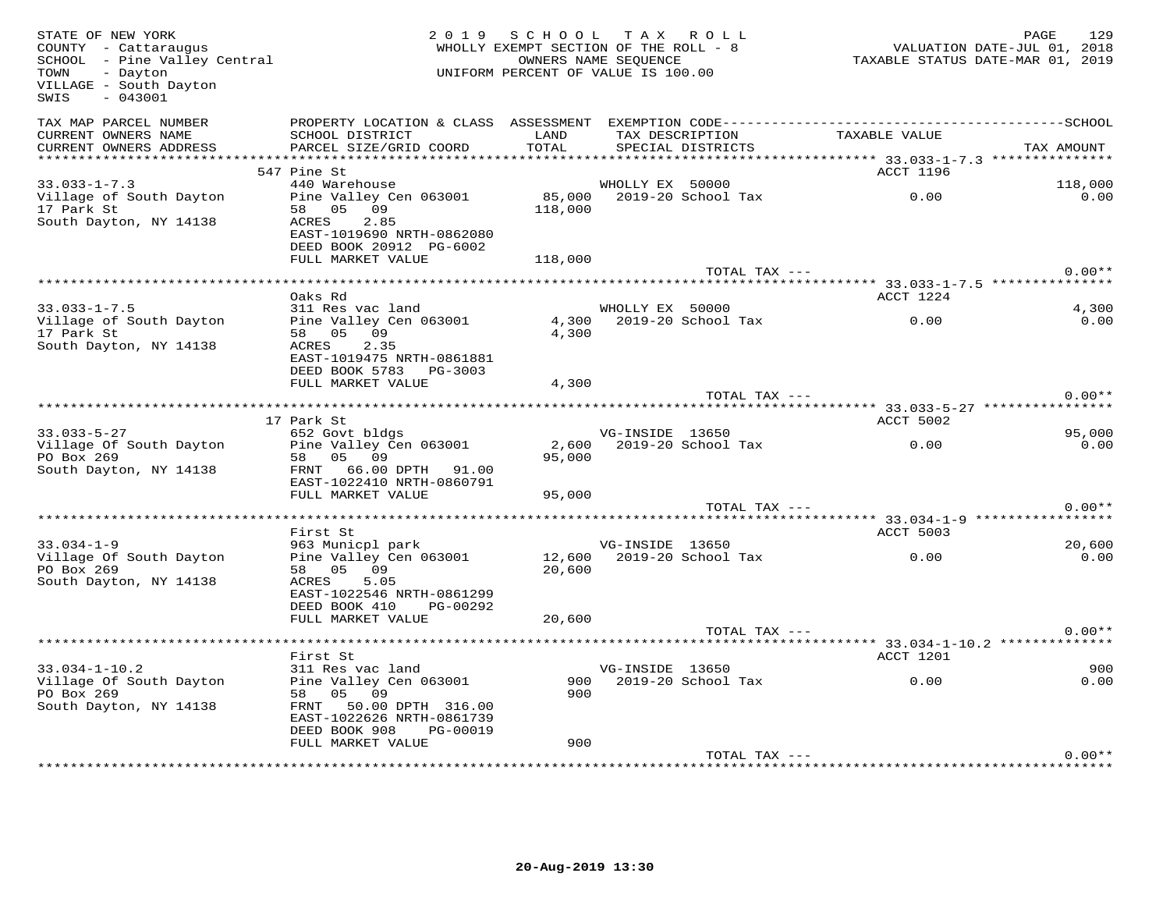| STATE OF NEW YORK<br>COUNTY - Cattaraugus<br>SCHOOL - Pine Valley Central<br>- Dayton<br>TOWN<br>VILLAGE - South Dayton<br>SWIS<br>$-043001$ |                                                                                                                                            | 2019 SCHOOL TAX ROLL<br>WHOLLY EXEMPT SECTION OF THE ROLL - 8<br>UNIFORM PERCENT OF VALUE IS 100.00 | OWNERS NAME SEQUENCE |                           |                                        | PAGE       | 129            |
|----------------------------------------------------------------------------------------------------------------------------------------------|--------------------------------------------------------------------------------------------------------------------------------------------|-----------------------------------------------------------------------------------------------------|----------------------|---------------------------|----------------------------------------|------------|----------------|
| TAX MAP PARCEL NUMBER<br>CURRENT OWNERS NAME<br>CURRENT OWNERS ADDRESS                                                                       | SCHOOL DISTRICT<br>PARCEL SIZE/GRID COORD                                                                                                  | LAND<br>TOTAL                                                                                       |                      | SPECIAL DISTRICTS         | TAX DESCRIPTION TAXABLE VALUE          | TAX AMOUNT |                |
|                                                                                                                                              |                                                                                                                                            |                                                                                                     |                      |                           |                                        |            |                |
| $33.033 - 1 - 7.3$                                                                                                                           | 547 Pine St<br>440 Warehouse                                                                                                               |                                                                                                     | WHOLLY EX 50000      |                           | ACCT 1196                              | 118,000    |                |
| Village of South Dayton<br>17 Park St<br>South Dayton, NY 14138                                                                              | Pine Valley Cen 063001<br>58 05 09<br>ACRES 2.85<br>EAST-1019690 NRTH-0862080<br>DEED BOOK 20912 PG-6002                                   | 118,000                                                                                             |                      | 85,000 2019-20 School Tax | 0.00                                   |            | 0.00           |
|                                                                                                                                              | FULL MARKET VALUE                                                                                                                          | 118,000                                                                                             |                      |                           |                                        |            |                |
|                                                                                                                                              |                                                                                                                                            |                                                                                                     |                      | TOTAL TAX ---             |                                        |            | $0.00**$       |
|                                                                                                                                              |                                                                                                                                            |                                                                                                     |                      |                           |                                        |            |                |
| $33.033 - 1 - 7.5$                                                                                                                           | Oaks Rd<br>311 Res vac land                                                                                                                |                                                                                                     | WHOLLY EX 50000      |                           | ACCT 1224                              |            | 4,300          |
| Village of South Dayton<br>17 Park St<br>South Dayton, NY 14138                                                                              | Pine Valley Cen 063001<br>58 05 09<br>ACRES 2.35<br>EAST-1019475 NRTH-0861881                                                              | 4,300                                                                                               |                      | 4,300 2019-20 School Tax  | 0.00                                   |            | 0.00           |
|                                                                                                                                              | DEED BOOK 5783 PG-3003<br>FULL MARKET VALUE                                                                                                | 4,300                                                                                               |                      |                           |                                        |            |                |
|                                                                                                                                              |                                                                                                                                            |                                                                                                     |                      | TOTAL TAX ---             |                                        |            | $0.00**$       |
|                                                                                                                                              |                                                                                                                                            |                                                                                                     |                      |                           |                                        |            |                |
|                                                                                                                                              | 17 Park St                                                                                                                                 |                                                                                                     |                      |                           | ACCT 5002                              |            |                |
| $33.033 - 5 - 27$<br>Village Of South Dayton<br>PO Box 269<br>South Dayton, NY 14138                                                         | 652 Govt bldgs<br>Pine Valley Cen 063001<br>58 05 09<br>FRNT 66.00 DPTH 91.00<br>EAST-1022410 NRTH-0860791<br>FULL MARKET VALUE            | 95,000<br>95,000                                                                                    | VG-INSIDE 13650      |                           | 2,600 2019-20 School Tax 0.00          |            | 95,000<br>0.00 |
|                                                                                                                                              |                                                                                                                                            |                                                                                                     |                      | TOTAL TAX ---             |                                        |            | $0.00**$       |
|                                                                                                                                              | First St                                                                                                                                   |                                                                                                     |                      |                           | ACCT 5003                              |            |                |
| $33.034 - 1 - 9$                                                                                                                             |                                                                                                                                            |                                                                                                     |                      |                           |                                        |            | 20,600         |
| Village Of South Dayton<br>PO Box 269<br>South Dayton, NY 14138                                                                              | 58 05 09<br>ACRES 5.05<br>EAST-1022546 NRTH-0861299<br>DEED BOOK 410 PG-00292                                                              | 20,600                                                                                              |                      |                           | 0.00                                   |            | 0.00           |
|                                                                                                                                              | FULL MARKET VALUE                                                                                                                          | 20,600                                                                                              |                      |                           |                                        |            |                |
|                                                                                                                                              |                                                                                                                                            |                                                                                                     |                      | TOTAL TAX ---             | *********** 33.034-1-10.2 ************ |            | $0.00**$       |
|                                                                                                                                              | First St                                                                                                                                   |                                                                                                     |                      |                           | ACCT 1201                              |            |                |
| $33.034 - 1 - 10.2$<br>Village Of South Dayton<br>PO Box 269<br>South Dayton, NY 14138                                                       | 311 Res vac land<br>Pine Valley Cen 063001<br>58 05 09<br>FRNT 50.00 DPTH 316.00<br>EAST-1022626 NRTH-0861739<br>DEED BOOK 908<br>PG-00019 | 900                                                                                                 | VG-INSIDE 13650      |                           |                                        |            | 900<br>0.00    |
|                                                                                                                                              | FULL MARKET VALUE                                                                                                                          | 900                                                                                                 |                      | TOTAL TAX ---             |                                        |            | $0.00**$       |
|                                                                                                                                              |                                                                                                                                            |                                                                                                     |                      |                           |                                        |            |                |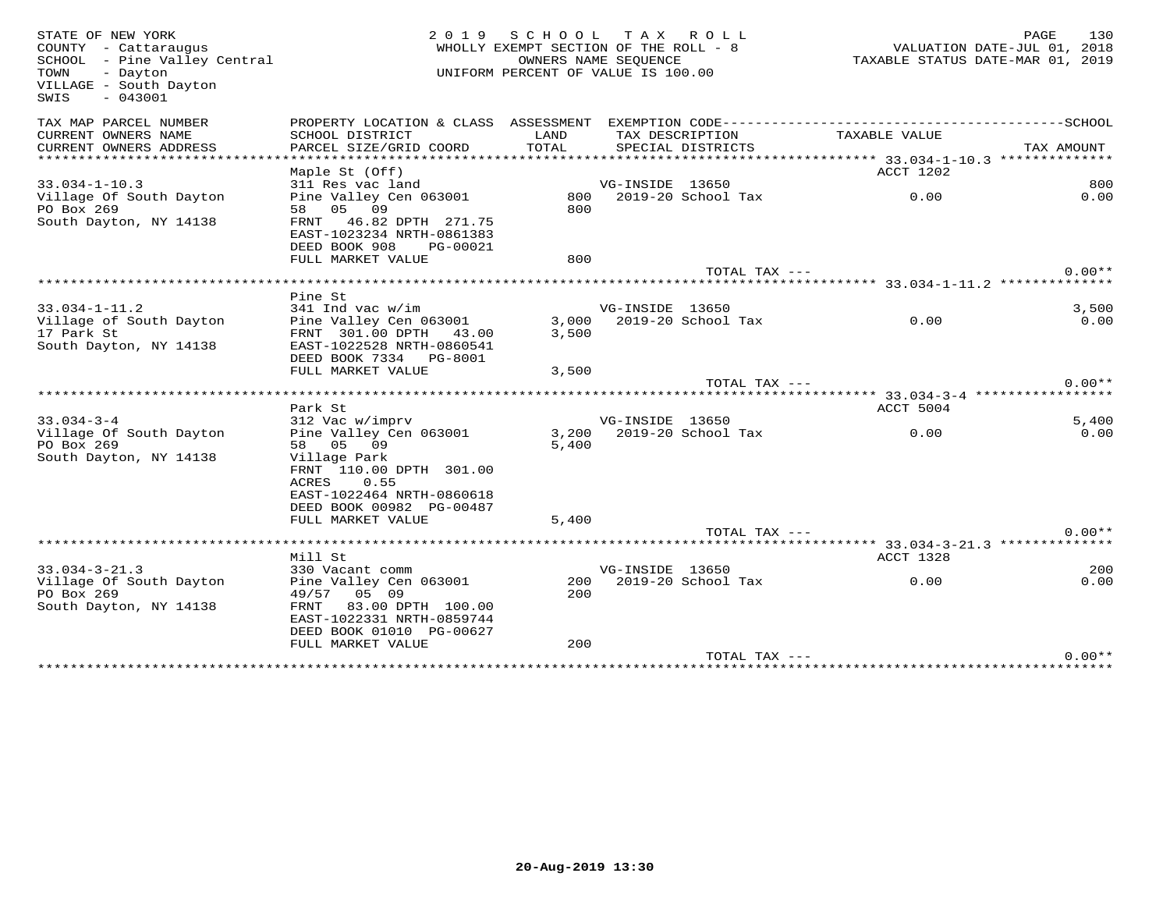| STATE OF NEW YORK<br>COUNTY - Cattaraugus<br>SCHOOL - Pine Valley Central<br>TOWN<br>- Dayton<br>VILLAGE - South Dayton<br>SWIS<br>$-043001$ | 2 0 1 9                                                                          |       | SCHOOL TAX ROLL<br>WHOLLY EXEMPT SECTION OF THE ROLL - 8<br>OWNERS NAME SEOUENCE<br>UNIFORM PERCENT OF VALUE IS 100.00 |               | VALUATION DATE-JUL 01, 2018<br>TAXABLE STATUS DATE-MAR 01, 2019 | PAGE       | 130      |
|----------------------------------------------------------------------------------------------------------------------------------------------|----------------------------------------------------------------------------------|-------|------------------------------------------------------------------------------------------------------------------------|---------------|-----------------------------------------------------------------|------------|----------|
| TAX MAP PARCEL NUMBER                                                                                                                        | PROPERTY LOCATION & CLASS ASSESSMENT                                             |       |                                                                                                                        |               |                                                                 |            |          |
| CURRENT OWNERS NAME                                                                                                                          | SCHOOL DISTRICT                                                                  | LAND  | TAX DESCRIPTION                                                                                                        |               | TAXABLE VALUE                                                   |            |          |
| CURRENT OWNERS ADDRESS                                                                                                                       | PARCEL SIZE/GRID COORD                                                           | TOTAL | SPECIAL DISTRICTS                                                                                                      |               |                                                                 | TAX AMOUNT |          |
|                                                                                                                                              | Maple St (Off)                                                                   |       |                                                                                                                        |               | ACCT 1202                                                       |            |          |
| $33.034 - 1 - 10.3$                                                                                                                          | 311 Res vac land                                                                 |       | VG-INSIDE 13650                                                                                                        |               |                                                                 |            | 800      |
| Village Of South Dayton                                                                                                                      | Pine Valley Cen 063001                                                           |       | 800 2019-20 School Tax                                                                                                 |               | 0.00                                                            |            | 0.00     |
| PO Box 269                                                                                                                                   | 58 05 09                                                                         | 800   |                                                                                                                        |               |                                                                 |            |          |
| South Dayton, NY 14138                                                                                                                       | FRNT 46.82 DPTH 271.75<br>EAST-1023234 NRTH-0861383<br>DEED BOOK 908<br>PG-00021 |       |                                                                                                                        |               |                                                                 |            |          |
|                                                                                                                                              | FULL MARKET VALUE                                                                | 800   |                                                                                                                        |               |                                                                 |            |          |
|                                                                                                                                              |                                                                                  |       |                                                                                                                        | TOTAL TAX --- |                                                                 |            | $0.00**$ |
|                                                                                                                                              | Pine St                                                                          |       |                                                                                                                        |               |                                                                 |            |          |
| $33.034 - 1 - 11.2$                                                                                                                          | $341$ Ind vac w/im                                                               |       | VG-INSIDE 13650                                                                                                        |               |                                                                 |            | 3,500    |
| Village of South Dayton                                                                                                                      | Pine Valley Cen 063001                                                           | 3,000 | 2019-20 School Tax                                                                                                     |               | $\sim$ 0.00                                                     |            | 0.00     |
| 17 Park St                                                                                                                                   | FRNT 301.00 DPTH 43.00                                                           | 3,500 |                                                                                                                        |               |                                                                 |            |          |
| South Dayton, NY 14138                                                                                                                       | EAST-1022528 NRTH-0860541                                                        |       |                                                                                                                        |               |                                                                 |            |          |
|                                                                                                                                              | DEED BOOK 7334 PG-8001                                                           |       |                                                                                                                        |               |                                                                 |            |          |
|                                                                                                                                              | FULL MARKET VALUE                                                                | 3,500 |                                                                                                                        |               |                                                                 |            |          |
|                                                                                                                                              |                                                                                  |       |                                                                                                                        | TOTAL TAX --- |                                                                 |            | $0.00**$ |
|                                                                                                                                              |                                                                                  |       |                                                                                                                        |               |                                                                 |            |          |
|                                                                                                                                              | Park St                                                                          |       |                                                                                                                        |               | ACCT 5004                                                       |            |          |
| $33.034 - 3 - 4$                                                                                                                             | 312 Vac w/imprv                                                                  |       | VG-INSIDE 13650                                                                                                        |               |                                                                 |            | 5,400    |
| Village Of South Dayton                                                                                                                      | Pine Valley Cen 063001                                                           | 3,200 | $2019-20$ School Tax                                                                                                   |               | 0.00                                                            |            | 0.00     |
| PO Box 269                                                                                                                                   | 58 05 09                                                                         | 5,400 |                                                                                                                        |               |                                                                 |            |          |
| South Dayton, NY 14138                                                                                                                       | Village Park<br>FRNT 110.00 DPTH 301.00                                          |       |                                                                                                                        |               |                                                                 |            |          |
|                                                                                                                                              | ACRES<br>0.55                                                                    |       |                                                                                                                        |               |                                                                 |            |          |
|                                                                                                                                              | EAST-1022464 NRTH-0860618                                                        |       |                                                                                                                        |               |                                                                 |            |          |
|                                                                                                                                              | DEED BOOK 00982 PG-00487                                                         |       |                                                                                                                        |               |                                                                 |            |          |
|                                                                                                                                              | FULL MARKET VALUE                                                                | 5,400 |                                                                                                                        |               |                                                                 |            |          |
|                                                                                                                                              |                                                                                  |       |                                                                                                                        | TOTAL TAX --- |                                                                 |            | $0.00**$ |
|                                                                                                                                              |                                                                                  |       |                                                                                                                        |               |                                                                 |            |          |
|                                                                                                                                              | Mill St                                                                          |       |                                                                                                                        |               | ACCT 1328                                                       |            |          |
| $33.034 - 3 - 21.3$                                                                                                                          | 330 Vacant comm                                                                  |       | VG-INSIDE 13650                                                                                                        |               |                                                                 |            | 200      |
| Village Of South Dayton                                                                                                                      | Pine Valley Cen 063001                                                           | 200   | 2019-20 School Tax                                                                                                     |               | 0.00                                                            |            | 0.00     |
| PO Box 269                                                                                                                                   | 49/57 05 09                                                                      | 200   |                                                                                                                        |               |                                                                 |            |          |
| South Dayton, NY 14138                                                                                                                       | 83.00 DPTH 100.00<br>FRNT                                                        |       |                                                                                                                        |               |                                                                 |            |          |
|                                                                                                                                              | EAST-1022331 NRTH-0859744                                                        |       |                                                                                                                        |               |                                                                 |            |          |
|                                                                                                                                              | DEED BOOK 01010 PG-00627<br>FULL MARKET VALUE                                    | 200   |                                                                                                                        |               |                                                                 |            |          |
|                                                                                                                                              |                                                                                  |       |                                                                                                                        | TOTAL TAX --- |                                                                 |            | $0.00**$ |
|                                                                                                                                              |                                                                                  |       |                                                                                                                        |               |                                                                 |            |          |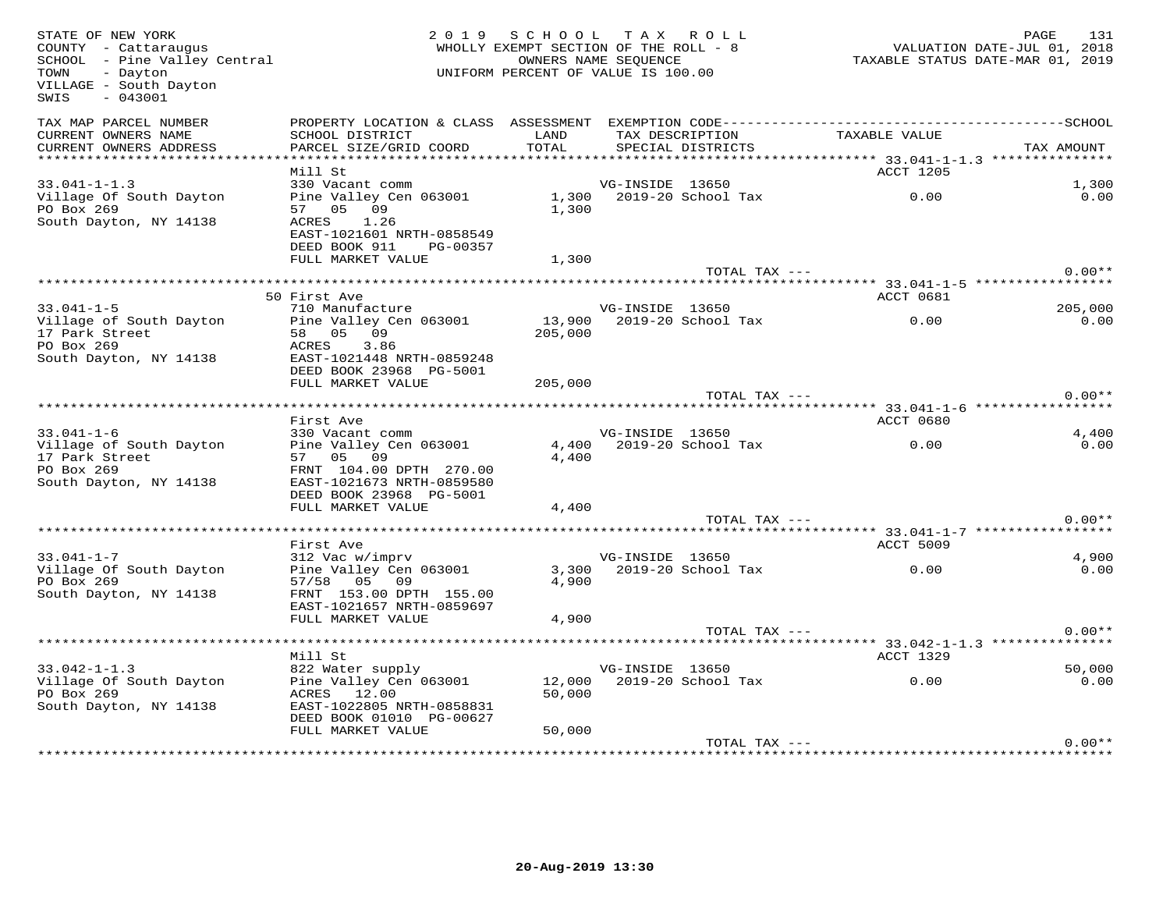| STATE OF NEW YORK<br>COUNTY - Cattaraugus<br>SCHOOL - Pine Valley Central<br>- Dayton<br>TOWN<br>VILLAGE - South Dayton<br>SWIS<br>$-043001$ |                                                                               | 2019 SCHOOL TAX ROLL<br>WHOLLY EXEMPT SECTION OF THE ROLL - 8<br>UNIFORM PERCENT OF VALUE IS 100.00 | OWNERS NAME SEOUENCE |                                      | 1.51<br>2018 , YALUATION DATE-JUL 01<br>2019 TAXABLE STATUS DATE-MAR 01 | PAGE<br>131 |
|----------------------------------------------------------------------------------------------------------------------------------------------|-------------------------------------------------------------------------------|-----------------------------------------------------------------------------------------------------|----------------------|--------------------------------------|-------------------------------------------------------------------------|-------------|
| TAX MAP PARCEL NUMBER<br>CURRENT OWNERS NAME<br>CURRENT OWNERS ADDRESS                                                                       | SCHOOL DISTRICT<br>PARCEL SIZE/GRID COORD                                     | LAND<br>TOTAL                                                                                       |                      | TAX DESCRIPTION<br>SPECIAL DISTRICTS | TAXABLE VALUE                                                           | TAX AMOUNT  |
|                                                                                                                                              |                                                                               |                                                                                                     |                      |                                      |                                                                         |             |
|                                                                                                                                              | Mill St                                                                       |                                                                                                     |                      |                                      | ACCT 1205                                                               |             |
| $33.041 - 1 - 1.3$                                                                                                                           | 330 Vacant comm                                                               |                                                                                                     | VG-INSIDE 13650      |                                      |                                                                         | 1,300       |
| Village Of South Dayton<br>PO Box 269<br>South Dayton, NY 14138                                                                              | Pine Valley Cen 063001<br>57 05 09<br>ACRES 1.26<br>EAST-1021601 NRTH-0858549 | 1,300                                                                                               |                      | 1,300 2019-20 School Tax             | 0.00                                                                    | 0.00        |
|                                                                                                                                              | DEED BOOK 911 PG-00357                                                        |                                                                                                     |                      |                                      |                                                                         |             |
|                                                                                                                                              | FULL MARKET VALUE                                                             | 1,300                                                                                               |                      |                                      |                                                                         |             |
|                                                                                                                                              |                                                                               |                                                                                                     |                      | TOTAL TAX ---                        |                                                                         | $0.00**$    |
|                                                                                                                                              | 50 First Ave                                                                  |                                                                                                     |                      |                                      |                                                                         |             |
| $33.041 - 1 - 5$                                                                                                                             | 710 Manufacture                                                               |                                                                                                     | VG-INSIDE 13650      |                                      | <b>ACCT 0681</b>                                                        | 205,000     |
| Village of South Dayton                                                                                                                      | Pine Valley Cen 063001                                                        |                                                                                                     |                      |                                      |                                                                         | 0.00        |
| 17 Park Street                                                                                                                               | 58 05 09                                                                      | 205,000                                                                                             |                      |                                      |                                                                         |             |
| PO Box 269                                                                                                                                   | ACRES 3.86                                                                    |                                                                                                     |                      |                                      |                                                                         |             |
| South Dayton, NY 14138                                                                                                                       | EAST-1021448 NRTH-0859248                                                     |                                                                                                     |                      |                                      |                                                                         |             |
|                                                                                                                                              | DEED BOOK 23968 PG-5001                                                       |                                                                                                     |                      |                                      |                                                                         |             |
|                                                                                                                                              | FULL MARKET VALUE                                                             | 205,000                                                                                             |                      |                                      |                                                                         |             |
|                                                                                                                                              |                                                                               |                                                                                                     |                      | TOTAL TAX ---                        |                                                                         | $0.00**$    |
|                                                                                                                                              | First Ave                                                                     |                                                                                                     |                      |                                      | ACCT 0680                                                               |             |
| $33.041 - 1 - 6$                                                                                                                             | 330 Vacant comm                                                               |                                                                                                     | VG-INSIDE 13650      |                                      |                                                                         | 4,400       |
| Village of South Dayton                                                                                                                      | Pine Valley Cen 063001                                                        |                                                                                                     |                      | 4,400 2019-20 School Tax             | 0.00                                                                    | 0.00        |
| 17 Park Street                                                                                                                               | 57 05 09                                                                      | 4,400                                                                                               |                      |                                      |                                                                         |             |
| PO Box 269                                                                                                                                   | FRNT 104.00 DPTH 270.00                                                       |                                                                                                     |                      |                                      |                                                                         |             |
| South Dayton, NY 14138                                                                                                                       | EAST-1021673 NRTH-0859580<br>DEED BOOK 23968 PG-5001                          |                                                                                                     |                      |                                      |                                                                         |             |
|                                                                                                                                              | FULL MARKET VALUE                                                             | 4,400                                                                                               |                      |                                      |                                                                         |             |
|                                                                                                                                              |                                                                               |                                                                                                     |                      | TOTAL TAX ---                        |                                                                         | $0.00**$    |
|                                                                                                                                              |                                                                               |                                                                                                     |                      |                                      |                                                                         |             |
|                                                                                                                                              | First Ave                                                                     |                                                                                                     |                      |                                      | <b>ACCT 5009</b>                                                        |             |
| $33.041 - 1 - 7$                                                                                                                             | 312 Vac w/imprv                                                               |                                                                                                     | VG-INSIDE 13650      |                                      |                                                                         | 4,900       |
| Village Of South Dayton                                                                                                                      | Pine Valley Cen 063001                                                        |                                                                                                     |                      | 3,300 2019-20 School Tax             | 0.00                                                                    | 0.00        |
| PO Box 269                                                                                                                                   | 57/58 05 09                                                                   | 4,900                                                                                               |                      |                                      |                                                                         |             |
| South Dayton, NY 14138                                                                                                                       | FRNT 153.00 DPTH 155.00<br>EAST-1021657 NRTH-0859697                          |                                                                                                     |                      |                                      |                                                                         |             |
|                                                                                                                                              | FULL MARKET VALUE                                                             | 4,900                                                                                               |                      |                                      |                                                                         |             |
|                                                                                                                                              |                                                                               |                                                                                                     |                      | TOTAL TAX ---                        |                                                                         | $0.00**$    |
|                                                                                                                                              |                                                                               |                                                                                                     |                      |                                      | ***********************************33.042-1-1.3 ***************         |             |
|                                                                                                                                              | Mill St                                                                       |                                                                                                     |                      |                                      | ACCT 1329                                                               |             |
| $33.042 - 1 - 1.3$                                                                                                                           | 822 Water supply                                                              |                                                                                                     | VG-INSIDE 13650      |                                      |                                                                         | 50,000      |
| Village Of South Dayton                                                                                                                      | Pine Valley Cen 063001                                                        |                                                                                                     |                      | 12,000 2019-20 School Tax            | 0.00                                                                    | 0.00        |
| PO Box 269<br>South Dayton, NY 14138                                                                                                         | ACRES 12.00<br>EAST-1022805 NRTH-0858831                                      | 50,000                                                                                              |                      |                                      |                                                                         |             |
|                                                                                                                                              | DEED BOOK 01010 PG-00627                                                      |                                                                                                     |                      |                                      |                                                                         |             |
|                                                                                                                                              | FULL MARKET VALUE                                                             | 50,000                                                                                              |                      |                                      |                                                                         |             |
|                                                                                                                                              |                                                                               |                                                                                                     |                      | TOTAL TAX ---                        |                                                                         | $0.00**$    |
|                                                                                                                                              |                                                                               |                                                                                                     |                      |                                      |                                                                         |             |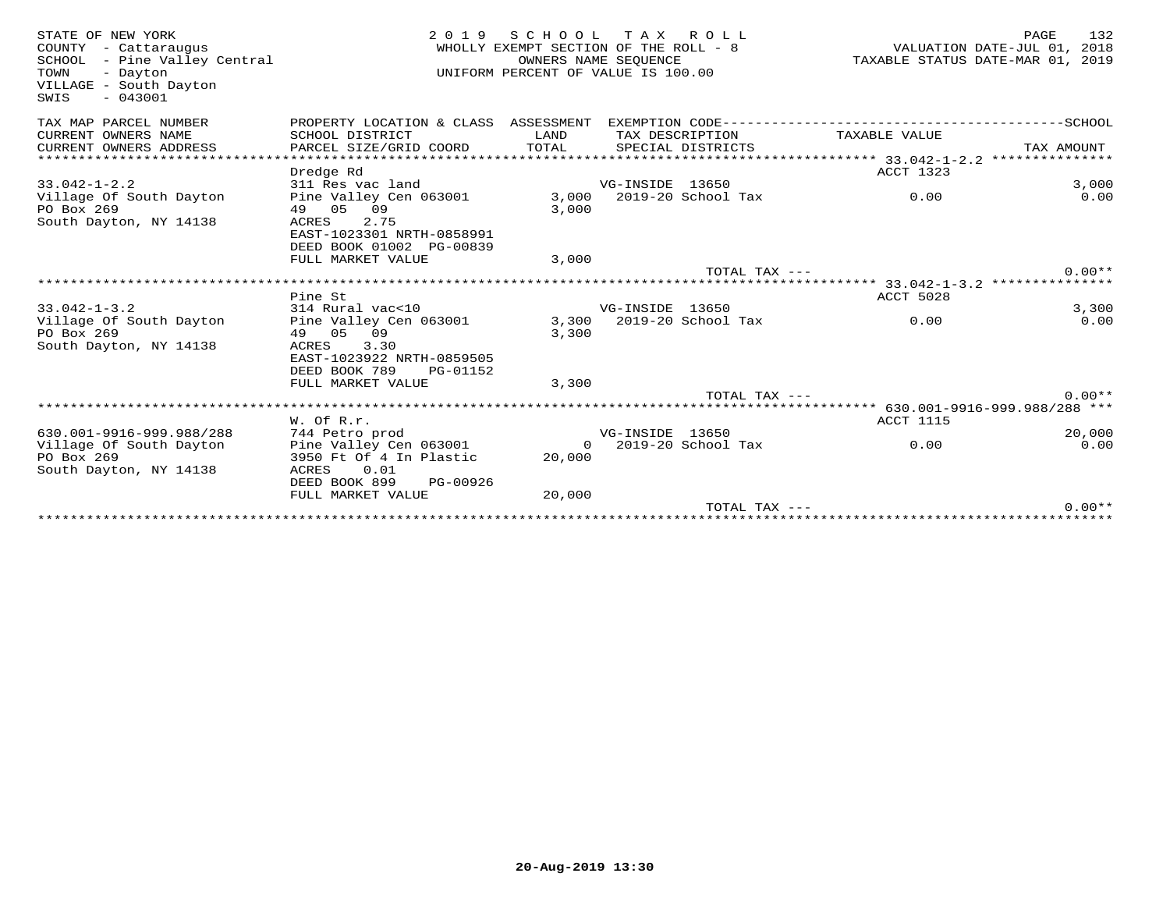| STATE OF NEW YORK<br>COUNTY - Cattaraugus<br>SCHOOL - Pine Valley Central<br>TOWN<br>- Dayton<br>VILLAGE - South Dayton<br>$-043001$<br>SWIS | 2 0 1 9                                           | S C H O O L<br>WHOLLY EXEMPT SECTION OF THE ROLL - 8<br>OWNERS NAME SEQUENCE<br>UNIFORM PERCENT OF VALUE IS 100.00 |                 | TAX ROLL                 |                  | 132<br>PAGE<br>VALUATION DATE-JUL 01, 2018<br>TAXABLE STATUS DATE-MAR 01, 2019 |
|----------------------------------------------------------------------------------------------------------------------------------------------|---------------------------------------------------|--------------------------------------------------------------------------------------------------------------------|-----------------|--------------------------|------------------|--------------------------------------------------------------------------------|
| TAX MAP PARCEL NUMBER                                                                                                                        | PROPERTY LOCATION & CLASS ASSESSMENT              |                                                                                                                    |                 |                          |                  |                                                                                |
| CURRENT OWNERS NAME<br>CURRENT OWNERS ADDRESS                                                                                                | SCHOOL DISTRICT<br>PARCEL SIZE/GRID COORD         | LAND<br>TOTAL                                                                                                      | TAX DESCRIPTION | SPECIAL DISTRICTS        | TAXABLE VALUE    | TAX AMOUNT                                                                     |
| ******************                                                                                                                           |                                                   |                                                                                                                    |                 |                          |                  |                                                                                |
|                                                                                                                                              | Dredge Rd                                         |                                                                                                                    |                 |                          | ACCT 1323        |                                                                                |
| $33.042 - 1 - 2.2$                                                                                                                           | 311 Res vac land                                  |                                                                                                                    | VG-INSIDE 13650 |                          |                  | 3,000                                                                          |
| Village Of South Dayton                                                                                                                      | Pine Valley Cen 063001                            | 3,000                                                                                                              |                 | 2019-20 School Tax       | 0.00             | 0.00                                                                           |
| PO Box 269                                                                                                                                   | 49 05 09                                          | 3,000                                                                                                              |                 |                          |                  |                                                                                |
| South Dayton, NY 14138                                                                                                                       | 2.75<br>ACRES                                     |                                                                                                                    |                 |                          |                  |                                                                                |
|                                                                                                                                              | EAST-1023301 NRTH-0858991                         |                                                                                                                    |                 |                          |                  |                                                                                |
|                                                                                                                                              | DEED BOOK 01002 PG-00839                          |                                                                                                                    |                 |                          |                  |                                                                                |
|                                                                                                                                              | FULL MARKET VALUE                                 | 3,000                                                                                                              |                 |                          |                  |                                                                                |
|                                                                                                                                              |                                                   |                                                                                                                    |                 | TOTAL TAX ---            |                  | $0.00**$                                                                       |
|                                                                                                                                              | Pine St                                           |                                                                                                                    |                 |                          | ACCT 5028        |                                                                                |
| $33.042 - 1 - 3.2$                                                                                                                           | 314 Rural vac<10                                  |                                                                                                                    | VG-INSIDE 13650 |                          |                  | 3,300                                                                          |
| Village Of South Dayton                                                                                                                      | Pine Valley Cen 063001                            |                                                                                                                    |                 | 3,300 2019-20 School Tax | 0.00             | 0.00                                                                           |
| PO Box 269                                                                                                                                   | 49 05 09                                          | 3,300                                                                                                              |                 |                          |                  |                                                                                |
| South Dayton, NY 14138                                                                                                                       | ACRES<br>3.30                                     |                                                                                                                    |                 |                          |                  |                                                                                |
|                                                                                                                                              | EAST-1023922 NRTH-0859505                         |                                                                                                                    |                 |                          |                  |                                                                                |
|                                                                                                                                              | DEED BOOK 789<br>PG-01152                         |                                                                                                                    |                 |                          |                  |                                                                                |
|                                                                                                                                              | FULL MARKET VALUE                                 | 3,300                                                                                                              |                 |                          |                  |                                                                                |
|                                                                                                                                              |                                                   |                                                                                                                    |                 | $TOTAL$ $TAX$ $---$      |                  | $0.00**$                                                                       |
|                                                                                                                                              |                                                   |                                                                                                                    |                 |                          |                  |                                                                                |
|                                                                                                                                              | $W.$ Of $R.r.$                                    |                                                                                                                    |                 |                          | <b>ACCT 1115</b> |                                                                                |
| 630.001-9916-999.988/288                                                                                                                     | 744 Petro prod                                    |                                                                                                                    | VG-INSIDE 13650 |                          |                  | 20,000                                                                         |
| Village Of South Dayton<br>PO Box 269                                                                                                        | Pine Valley Cen 063001<br>3950 Ft Of 4 In Plastic | $\circ$<br>20,000                                                                                                  |                 | 2019-20 School Tax       | 0.00             | 0.00                                                                           |
| South Dayton, NY 14138                                                                                                                       | 0.01<br>ACRES                                     |                                                                                                                    |                 |                          |                  |                                                                                |
|                                                                                                                                              | DEED BOOK 899<br>PG-00926                         |                                                                                                                    |                 |                          |                  |                                                                                |
|                                                                                                                                              | FULL MARKET VALUE                                 | 20,000                                                                                                             |                 |                          |                  |                                                                                |
|                                                                                                                                              |                                                   |                                                                                                                    |                 | TOTAL TAX $---$          |                  | $0.00**$                                                                       |
|                                                                                                                                              |                                                   |                                                                                                                    |                 |                          |                  |                                                                                |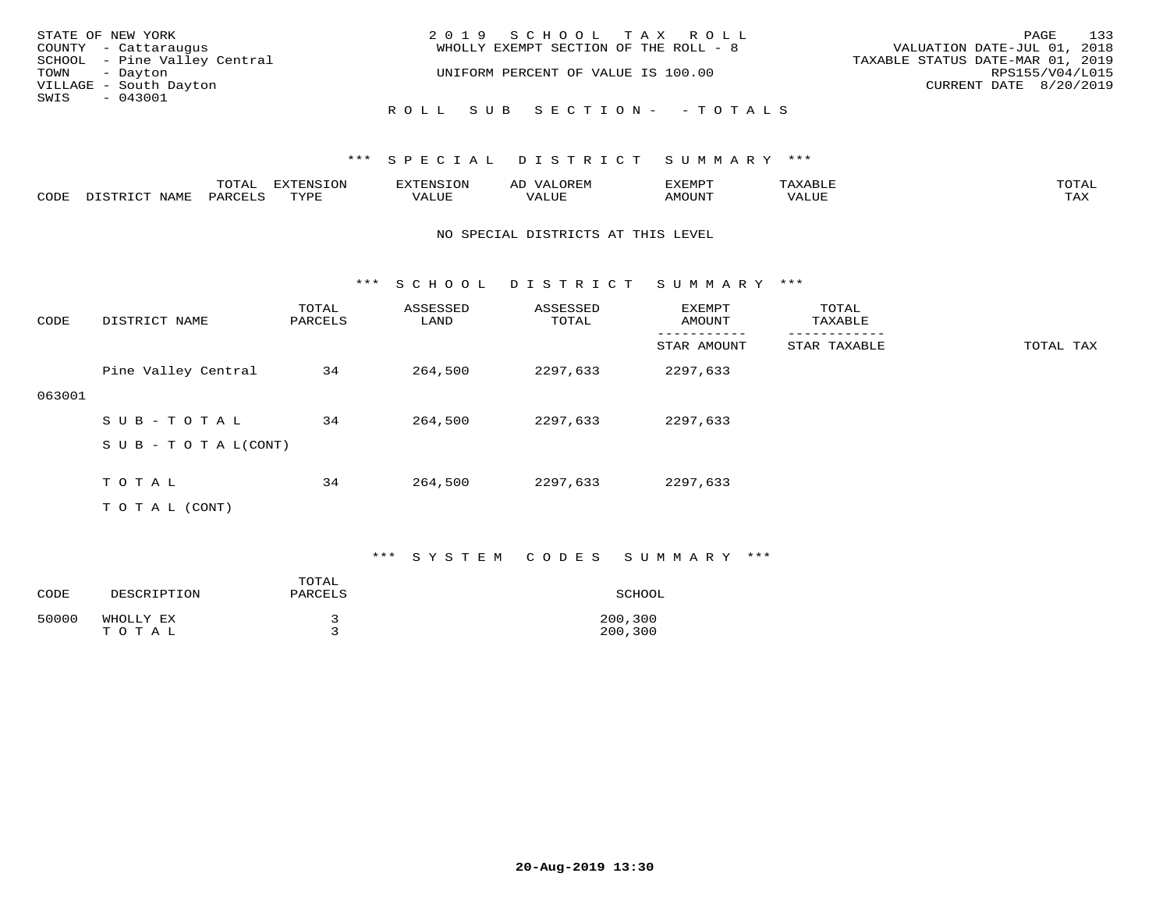| STATE OF NEW YORK            | 2019 SCHOOL TAX ROLL                  | 133<br>PAGE                      |
|------------------------------|---------------------------------------|----------------------------------|
| COUNTY - Cattaraugus         | WHOLLY EXEMPT SECTION OF THE ROLL - 8 | VALUATION DATE-JUL 01, 2018      |
| SCHOOL - Pine Valley Central |                                       | TAXABLE STATUS DATE-MAR 01, 2019 |
| TOWN - Dayton                | UNIFORM PERCENT OF VALUE IS 100.00    | RPS155/V04/L015                  |
| VILLAGE - South Dayton       |                                       | CURRENT DATE 8/20/2019           |
| SWIS<br>$-043001$            |                                       |                                  |
|                              | ROLL SUB SECTION- - TOTALS            |                                  |

|      |      | $m \wedge m \wedge n$<br>⊥∪⊥AL | <b>DIZPOILIC TONT</b><br>⊥ບ⊥ | EN.  | .<br>AL'<br>٠، تن ١٠ | 5773570      |          | $m \wedge m \wedge n$<br>$\mathsf{L}^{\mathsf{L}}$ |
|------|------|--------------------------------|------------------------------|------|----------------------|--------------|----------|----------------------------------------------------|
| CODE | NAMF | PARO                           | TVDF<br><u>ـ د د</u>         | ALUE |                      | <b>MOUNT</b> | 7 A LU B | may<br>- ∠∡∡                                       |

#### NO SPECIAL DISTRICTS AT THIS LEVEL

\*\*\* S C H O O L D I S T R I C T S U M M A R Y \*\*\*

| CODE   | DISTRICT NAME             | TOTAL<br>PARCELS | ASSESSED<br>LAND | ASSESSED<br>TOTAL | EXEMPT<br>AMOUNT | TOTAL<br>TAXABLE |           |
|--------|---------------------------|------------------|------------------|-------------------|------------------|------------------|-----------|
|        |                           |                  |                  |                   | STAR AMOUNT      | STAR TAXABLE     | TOTAL TAX |
|        | Pine Valley Central       | 34               | 264,500          | 2297,633          | 2297,633         |                  |           |
| 063001 |                           |                  |                  |                   |                  |                  |           |
|        | SUB-TOTAL                 | 34               | 264,500          | 2297,633          | 2297,633         |                  |           |
|        | S U B - T O T A $L(CONT)$ |                  |                  |                   |                  |                  |           |
|        |                           |                  |                  |                   |                  |                  |           |
|        | T O T A L                 | 34               | 264,500          | 2297,633          | 2297,633         |                  |           |
|        | T O T A L (CONT)          |                  |                  |                   |                  |                  |           |

### \*\*\* S Y S T E M C O D E S S U M M A R Y \*\*\*

| CODE  | DESCRIPTION        | TOTAL<br>PARCELS | SCHOOL             |
|-------|--------------------|------------------|--------------------|
| 50000 | WHOLLY EX<br>TOTAL |                  | 200,300<br>200,300 |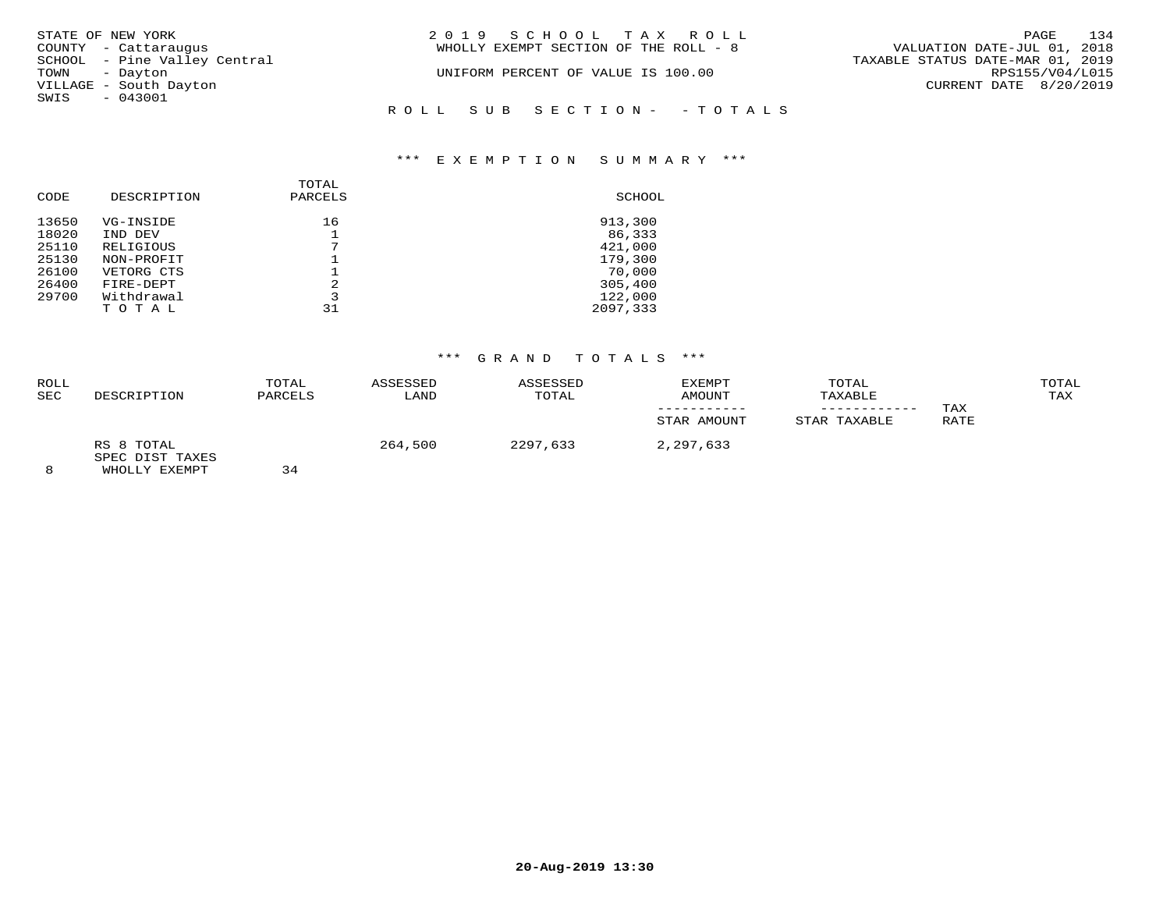| STATE OF NEW YORK            | 2019 SCHOOL TAX ROLL                  | 134<br>PAGE                      |
|------------------------------|---------------------------------------|----------------------------------|
| COUNTY - Cattaraugus         | WHOLLY EXEMPT SECTION OF THE ROLL - 8 | VALUATION DATE-JUL 01, 2018      |
| SCHOOL - Pine Valley Central |                                       | TAXABLE STATUS DATE-MAR 01, 2019 |
| TOWN<br>- Dayton             | UNIFORM PERCENT OF VALUE IS 100.00    | RPS155/V04/L015                  |
| VILLAGE - South Dayton       |                                       | CURRENT DATE 8/20/2019           |
| SWIS<br>$-043001$            |                                       |                                  |
|                              | ROLL SUB SECTION- - TOTALS            |                                  |
|                              |                                       |                                  |

### \*\*\* E X E M P T I O N S U M M A R Y \*\*\*

| CODE  | DESCRIPTION | TOTAL<br>PARCELS | SCHOOL   |
|-------|-------------|------------------|----------|
| 13650 | VG-INSIDE   | 16               | 913,300  |
| 18020 | IND DEV     |                  | 86,333   |
| 25110 | RELIGIOUS   |                  | 421,000  |
| 25130 | NON-PROFIT  |                  | 179,300  |
| 26100 | VETORG CTS  |                  | 70,000   |
| 26400 | FIRE-DEPT   | 2                | 305,400  |
| 29700 | Withdrawal  |                  | 122,000  |
|       | TOTAL       | 31               | 2097,333 |

## \*\*\* G R A N D T O T A L S \*\*\*

| ROLL<br><b>SEC</b> | DESCRIPTION                   | TOTAL<br>PARCELS | ASSESSED<br>LAND | ASSESSED<br>TOTAL | <b>EXEMPT</b><br>AMOUNT | TOTAL<br>TAXABLE<br>---------- | TAX  | TOTAL<br>TAX |
|--------------------|-------------------------------|------------------|------------------|-------------------|-------------------------|--------------------------------|------|--------------|
|                    |                               |                  |                  |                   | STAR AMOUNT             | STAR TAXABLE                   | RATE |              |
|                    | RS 8 TOTAL<br>SPEC DIST TAXES | — —              | 264,500          | 2297,633          | 2,297,633               |                                |      |              |

8 WHOLLY EXEMPT 34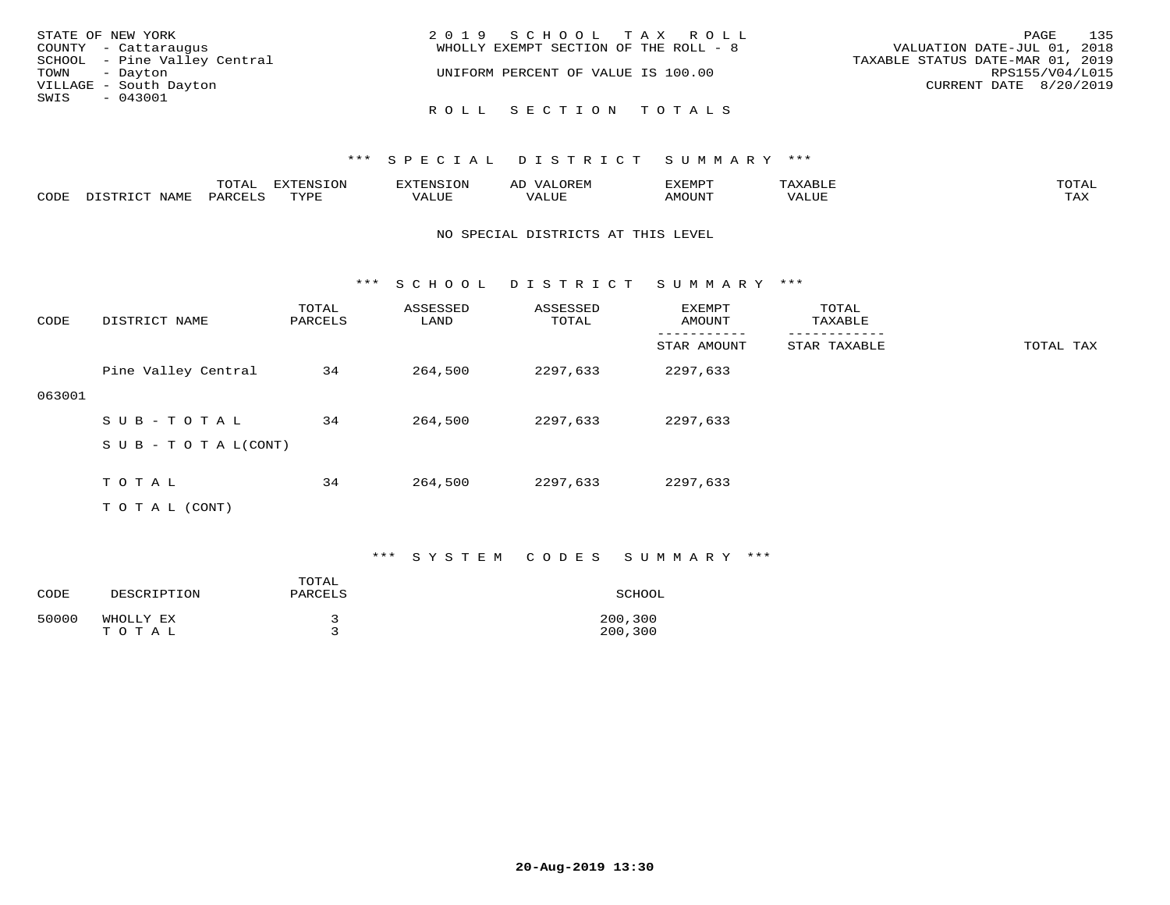| STATE OF NEW YORK            | 2019 SCHOOL TAX ROLL                  | 135<br>PAGE                      |
|------------------------------|---------------------------------------|----------------------------------|
| COUNTY - Cattaraugus         | WHOLLY EXEMPT SECTION OF THE ROLL - 8 | VALUATION DATE-JUL 01, 2018      |
| SCHOOL - Pine Valley Central |                                       | TAXABLE STATUS DATE-MAR 01, 2019 |
| TOWN - Dayton                | UNIFORM PERCENT OF VALUE IS 100.00    | RPS155/V04/L015                  |
| VILLAGE - South Dayton       |                                       | CURRENT DATE 8/20/2019           |
| SWIS<br>- 043001             |                                       |                                  |
|                              | ROLL SECTION TOTALS                   |                                  |

|      |      | $m \wedge m \wedge n$<br>TOTAT | <b>FYTFNCTOM</b><br>TOT | H: N.S                              | ΑD   | דסאיזצי<br>ـالمىتىدە | . .⊥  | $m \wedge m \wedge n$<br>- I ` I ` I → |
|------|------|--------------------------------|-------------------------|-------------------------------------|------|----------------------|-------|----------------------------------------|
| CODE | NAMF | PARCELS                        | $m \tau \tau \tau$      | * * * * * * *<br>$\sqrt{ }$<br>ALUL | ALUP | MOUNT                | VALUE | may<br>- ∠∡∡                           |

#### NO SPECIAL DISTRICTS AT THIS LEVEL

\*\*\* S C H O O L D I S T R I C T S U M M A R Y \*\*\*

| CODE   | DISTRICT NAME             | TOTAL<br>PARCELS | ASSESSED<br>LAND | ASSESSED<br>TOTAL | EXEMPT<br>AMOUNT | TOTAL<br>TAXABLE |           |
|--------|---------------------------|------------------|------------------|-------------------|------------------|------------------|-----------|
|        |                           |                  |                  |                   | STAR AMOUNT      | STAR TAXABLE     | TOTAL TAX |
|        | Pine Valley Central       | 34               | 264,500          | 2297,633          | 2297,633         |                  |           |
| 063001 |                           |                  |                  |                   |                  |                  |           |
|        | SUB-TOTAL                 | 34               | 264,500          | 2297,633          | 2297,633         |                  |           |
|        | S U B - T O T A $L(CONT)$ |                  |                  |                   |                  |                  |           |
|        |                           |                  |                  |                   |                  |                  |           |
|        | TOTAL                     | 34               | 264,500          | 2297,633          | 2297,633         |                  |           |
|        | T O T A L (CONT)          |                  |                  |                   |                  |                  |           |

### \*\*\* S Y S T E M C O D E S S U M M A R Y \*\*\*

| CODE  | DESCRIPTION        | TOTAL<br>PARCELS | SCHOOL             |
|-------|--------------------|------------------|--------------------|
| 50000 | WHOLLY EX<br>TOTAL |                  | 200,300<br>200,300 |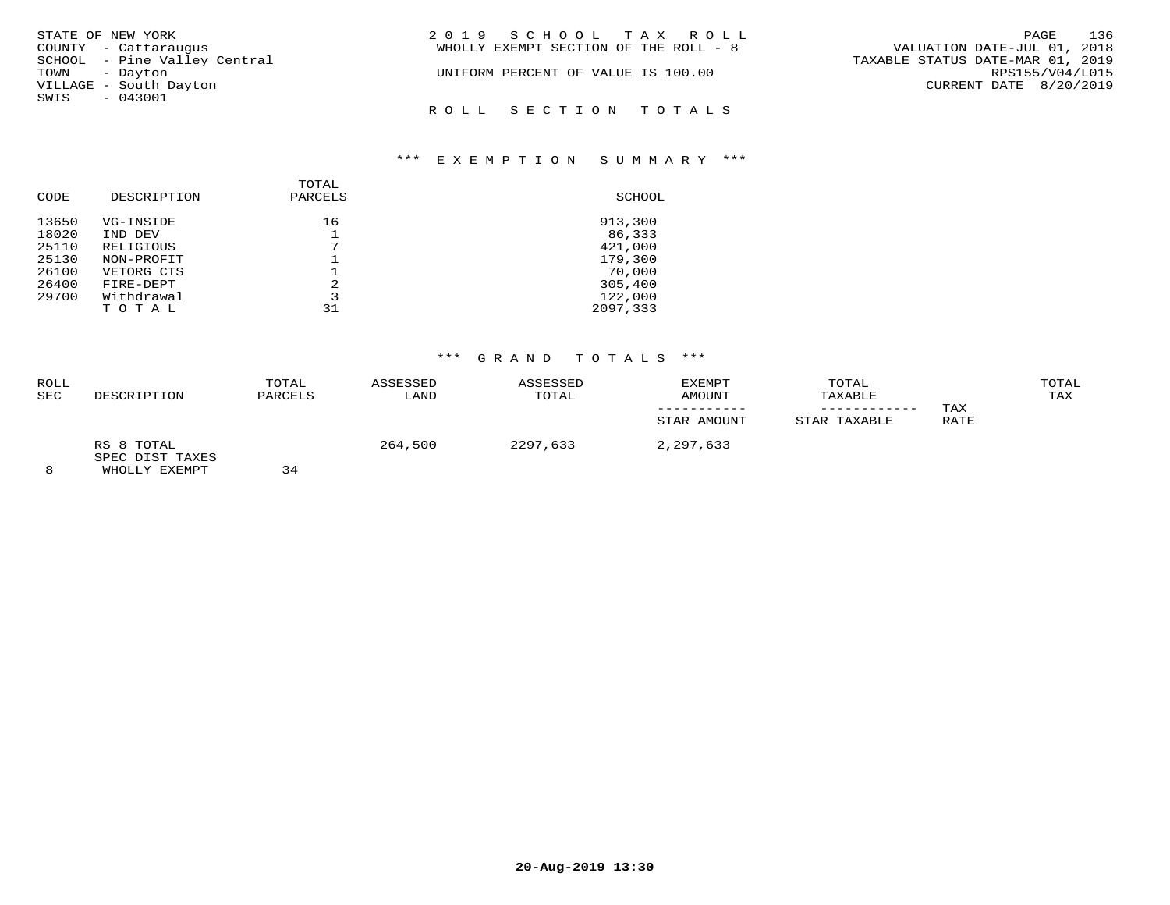| STATE OF NEW YORK            | 2019 SCHOOL TAX ROLL                                                 | PAGE 136        |  |
|------------------------------|----------------------------------------------------------------------|-----------------|--|
| COUNTY - Cattaraugus         | VALUATION DATE-JUL 01, 2018<br>WHOLLY EXEMPT SECTION OF THE ROLL - 8 |                 |  |
| SCHOOL - Pine Valley Central | TAXABLE STATUS DATE-MAR 01, 2019                                     |                 |  |
| TOWN - Dayton                | UNIFORM PERCENT OF VALUE IS 100.00                                   | RPS155/V04/L015 |  |
| VILLAGE - South Dayton       | CURRENT DATE 8/20/2019                                               |                 |  |
| SWIS - 043001                |                                                                      |                 |  |
|                              | ROLL SECTION TOTALS                                                  |                 |  |

### \*\*\* E X E M P T I O N S U M M A R Y \*\*\*

| CODE  | DESCRIPTION | TOTAL<br>PARCELS | SCHOOL   |
|-------|-------------|------------------|----------|
| 13650 | VG-INSIDE   | 16               | 913,300  |
| 18020 | IND DEV     |                  | 86,333   |
| 25110 | RELIGIOUS   | ⇁                | 421,000  |
| 25130 | NON-PROFIT  |                  | 179,300  |
| 26100 | VETORG CTS  |                  | 70,000   |
| 26400 | FIRE-DEPT   | $\mathfrak{D}$   | 305,400  |
| 29700 | Withdrawal  | 3                | 122,000  |
|       | TOTAL       | 31               | 2097,333 |

# \*\*\* G R A N D T O T A L S \*\*\*

| <b>ROLL</b><br><b>SEC</b> | DESCRIPTION                   | TOTAL<br>PARCELS | ASSESSED<br>LAND | ASSESSED<br>TOTAL | EXEMPT<br>AMOUNT | TOTAL<br>TAXABLE<br>---------- | TAX  | TOTAL<br>TAX |
|---------------------------|-------------------------------|------------------|------------------|-------------------|------------------|--------------------------------|------|--------------|
|                           |                               |                  |                  |                   | STAR AMOUNT      | STAR TAXABLE                   | RATE |              |
|                           | RS 8 TOTAL<br>SPEC DIST TAXES | — —              | 264,500          | 2297,633          | 2,297,633        |                                |      |              |

8 WHOLLY EXEMPT 34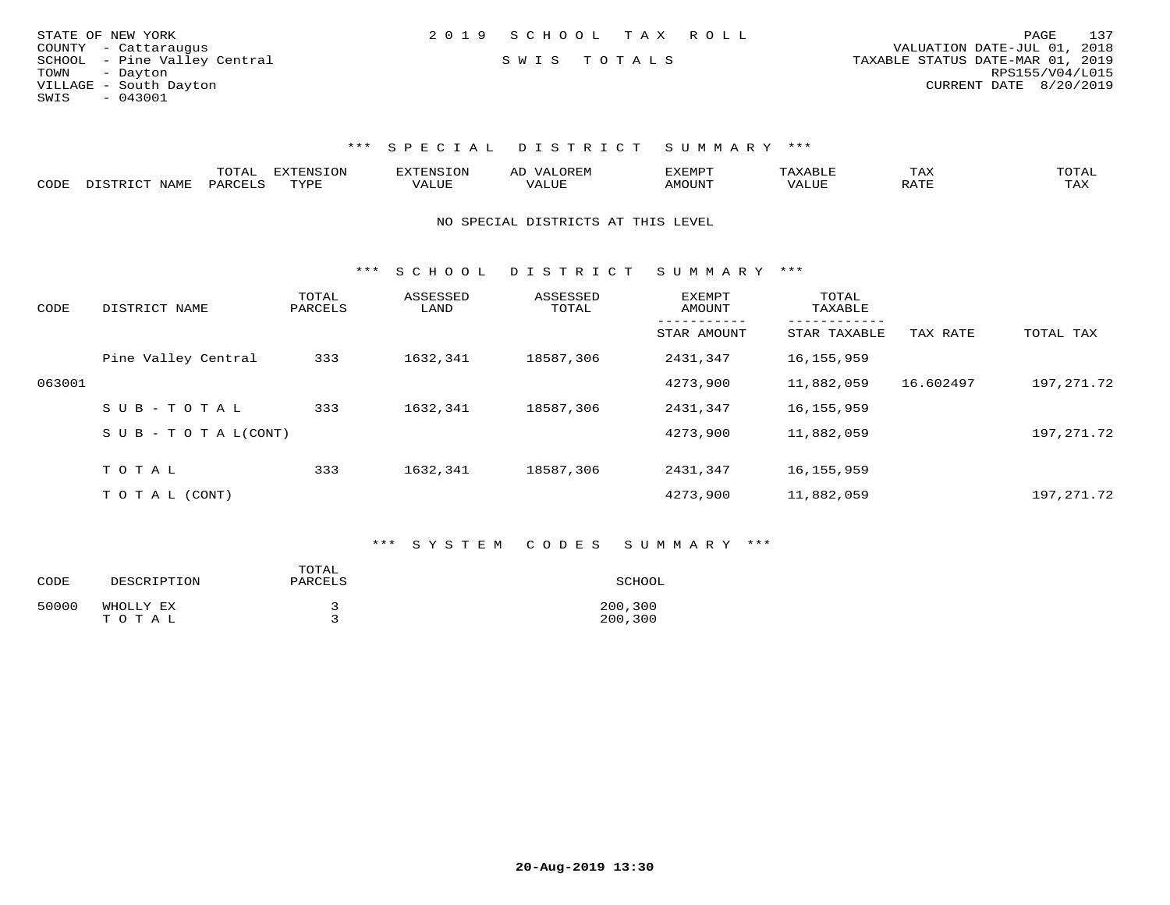| STATE OF NEW YORK            | 2019 SCHOOL TAX ROLL |                                  | PAGE 137               |
|------------------------------|----------------------|----------------------------------|------------------------|
| COUNTY - Cattaraugus         |                      | VALUATION DATE-JUL 01, 2018      |                        |
| SCHOOL - Pine Valley Central | SWIS TOTALS          | TAXABLE STATUS DATE-MAR 01, 2019 |                        |
| TOWN - Dayton                |                      |                                  | RPS155/V04/L015        |
| VILLAGE - South Dayton       |                      |                                  | CURRENT DATE 8/20/2019 |
| SWIS<br>$-043001$            |                      |                                  |                        |

|      |            | ---- |        |   |            |     | ⊥ ∠∡∆ | <b>TOTA</b><br>---- |
|------|------------|------|--------|---|------------|-----|-------|---------------------|
| CODE | <b>BAT</b> |      | 75773. | . | $\sqrt{ }$ | ,,, |       |                     |

### NO SPECIAL DISTRICTS AT THIS LEVEL

\*\*\* S C H O O L D I S T R I C T S U M M A R Y \*\*\*

| CODE   | DISTRICT NAME              | TOTAL<br>PARCELS | ASSESSED<br>LAND | ASSESSED<br>TOTAL | EXEMPT<br>AMOUNT | TOTAL<br>TAXABLE         |           |              |
|--------|----------------------------|------------------|------------------|-------------------|------------------|--------------------------|-----------|--------------|
|        |                            |                  |                  |                   | STAR AMOUNT      | --------<br>STAR TAXABLE | TAX RATE  | TOTAL TAX    |
|        | Pine Valley Central        | 333              | 1632,341         | 18587,306         | 2431,347         | 16,155,959               |           |              |
| 063001 |                            |                  |                  |                   | 4273,900         | 11,882,059               | 16.602497 | 197,271.72   |
|        | $SUB - TO TAL$             | 333              | 1632,341         | 18587,306         | 2431,347         | 16, 155, 959             |           |              |
|        | S U B - T O T A $L$ (CONT) |                  |                  |                   | 4273,900         | 11,882,059               |           | 197,271.72   |
|        | TOTAL                      | 333              | 1632,341         | 18587,306         | 2431,347         | 16, 155, 959             |           |              |
|        |                            |                  |                  |                   |                  |                          |           |              |
|        | T O T A L (CONT)           |                  |                  |                   | 4273,900         | 11,882,059               |           | 197, 271, 72 |

## \*\*\* S Y S T E M C O D E S S U M M A R Y \*\*\*

| CODE  | DESCRIPTION        | TOTAL<br>PARCELS | SCHOOL             |
|-------|--------------------|------------------|--------------------|
| 50000 | WHOLLY EX<br>TOTAL |                  | 200,300<br>200,300 |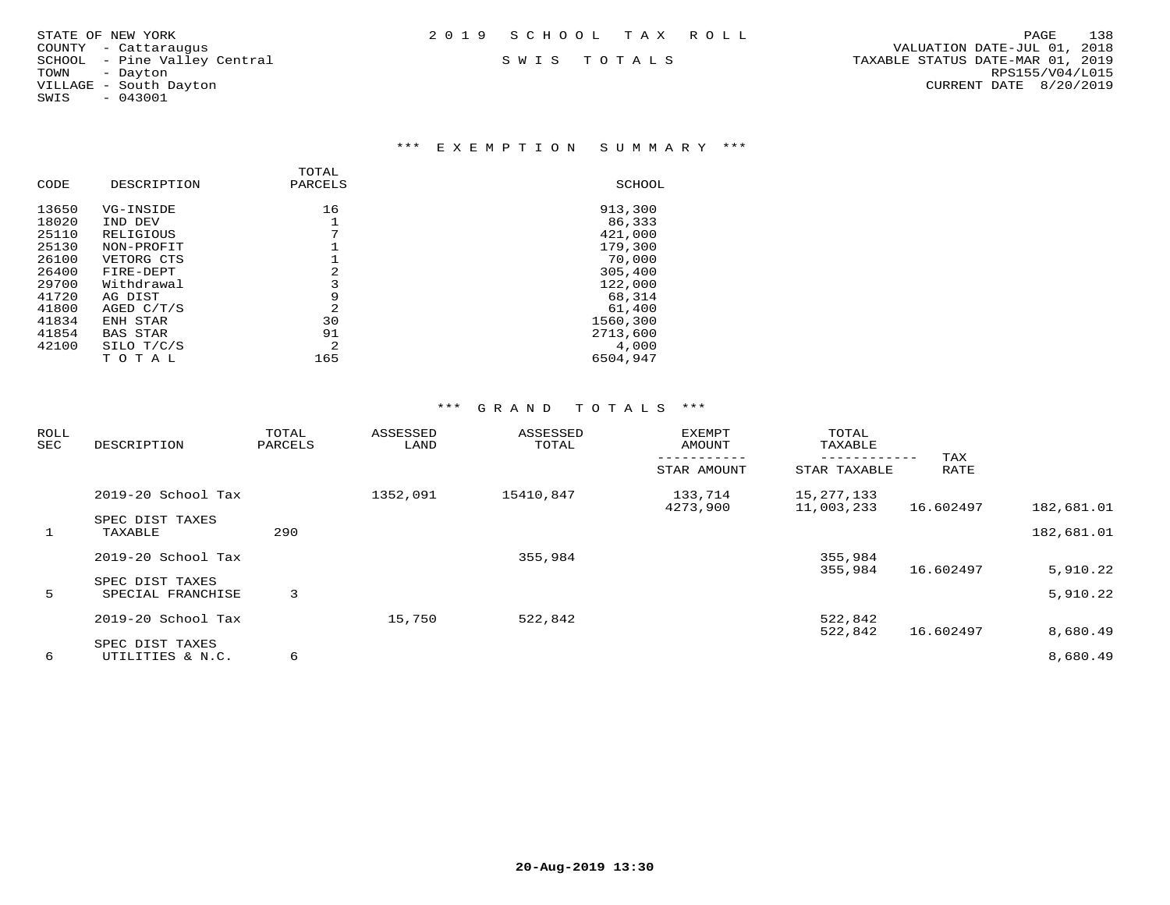| STATE OF NEW YORK | 2019 SCHOOL TAX ROLL |  | PAGE | 138 |
|-------------------|----------------------|--|------|-----|
|                   |                      |  |      |     |

SWIS - 043001

### \*\*\* E X E M P T I O N S U M M A R Y \*\*\*

|       |                 | TOTAL   |          |
|-------|-----------------|---------|----------|
| CODE  | DESCRIPTION     | PARCELS | SCHOOL   |
| 13650 | VG-INSIDE       | 16      | 913,300  |
| 18020 | IND DEV         |         | 86,333   |
| 25110 | RELIGIOUS       | 7       | 421,000  |
| 25130 | NON-PROFIT      |         | 179,300  |
| 26100 | VETORG CTS      |         | 70,000   |
| 26400 | FIRE-DEPT       | 2       | 305,400  |
| 29700 | Withdrawal      | 3       | 122,000  |
| 41720 | AG DIST         | 9       | 68,314   |
| 41800 | AGED C/T/S      | 2       | 61,400   |
| 41834 | ENH STAR        | 30      | 1560,300 |
| 41854 | <b>BAS STAR</b> | 91      | 2713,600 |
| 42100 | SILO T/C/S      | 2       | 4,000    |
|       | TOTAL           | 165     | 6504,947 |

| ROLL<br>SEC | DESCRIPTION                | TOTAL<br>PARCELS | ASSESSED<br>LAND | ASSESSED<br>TOTAL | EXEMPT<br>AMOUNT    | TOTAL<br>TAXABLE<br>---------- | TAX       |            |
|-------------|----------------------------|------------------|------------------|-------------------|---------------------|--------------------------------|-----------|------------|
|             |                            |                  |                  |                   | STAR AMOUNT         | STAR TAXABLE                   | RATE      |            |
|             | 2019-20 School Tax         |                  | 1352,091         | 15410,847         | 133,714<br>4273,900 | 15, 277, 133<br>11,003,233     | 16.602497 | 182,681.01 |
| 1           | SPEC DIST TAXES<br>TAXABLE | 290              |                  |                   |                     |                                |           | 182,681.01 |
|             | 2019-20 School Tax         |                  |                  | 355,984           |                     | 355,984                        |           |            |
|             | SPEC DIST TAXES            |                  |                  |                   |                     | 355,984                        | 16.602497 | 5,910.22   |
| 5           | SPECIAL FRANCHISE          | 3                |                  |                   |                     |                                |           | 5,910.22   |
|             | 2019-20 School Tax         |                  | 15,750           | 522,842           |                     | 522,842                        |           |            |
|             | SPEC DIST TAXES            |                  |                  |                   |                     | 522,842                        | 16.602497 | 8,680.49   |
| 6           | UTILITIES & N.C.           | 6                |                  |                   |                     |                                |           | 8,680.49   |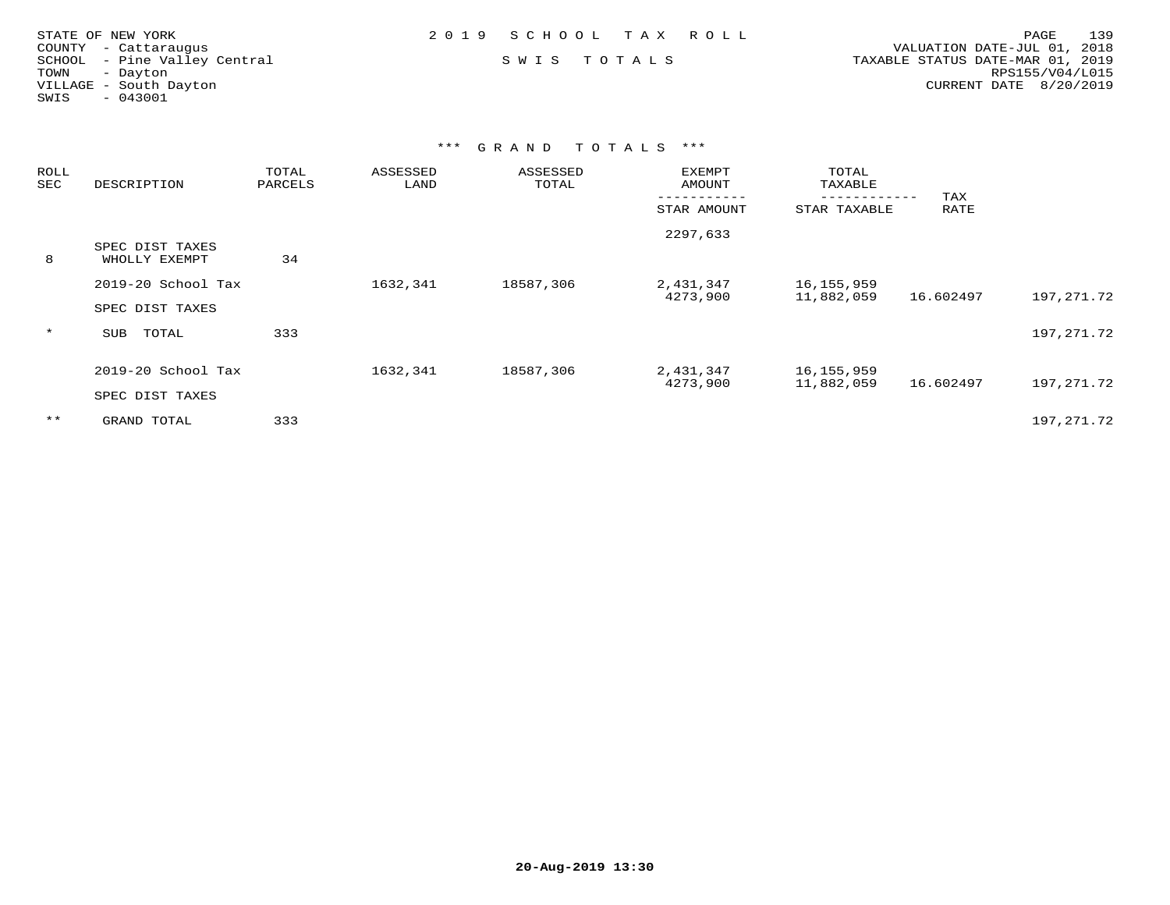| STATE OF NEW YORK            | 2019 SCHOOL TAX ROLL | 139<br>PAGE                      |
|------------------------------|----------------------|----------------------------------|
| COUNTY - Cattaraugus         |                      | VALUATION DATE-JUL 01, 2018      |
| SCHOOL - Pine Valley Central | SWIS TOTALS          | TAXABLE STATUS DATE-MAR 01, 2019 |
| TOWN<br>- Dayton             |                      | RPS155/V04/L015                  |
| VILLAGE - South Dayton       |                      | CURRENT DATE $8/20/2019$         |
| $-043001$<br>SWIS            |                      |                                  |
|                              |                      |                                  |

| <b>ROLL</b><br>SEC | DESCRIPTION                           | TOTAL<br>PARCELS | ASSESSED<br>LAND | ASSESSED<br>TOTAL | EXEMPT<br>AMOUNT      | TOTAL<br>TAXABLE           | TAX       |            |
|--------------------|---------------------------------------|------------------|------------------|-------------------|-----------------------|----------------------------|-----------|------------|
|                    |                                       |                  |                  |                   | STAR AMOUNT           | STAR TAXABLE               | RATE      |            |
| 8                  | SPEC DIST TAXES<br>WHOLLY EXEMPT      | 34               |                  |                   | 2297,633              |                            |           |            |
|                    | 2019-20 School Tax<br>SPEC DIST TAXES |                  | 1632,341         | 18587,306         | 2,431,347<br>4273,900 | 16,155,959<br>11,882,059   | 16.602497 | 197,271.72 |
| $\star$            | TOTAL<br>SUB                          | 333              |                  |                   |                       |                            |           | 197,271.72 |
|                    | 2019-20 School Tax<br>SPEC DIST TAXES |                  | 1632,341         | 18587,306         | 2,431,347<br>4273,900 | 16, 155, 959<br>11,882,059 | 16.602497 | 197,271.72 |
| $***$              | GRAND TOTAL                           | 333              |                  |                   |                       |                            |           | 197,271.72 |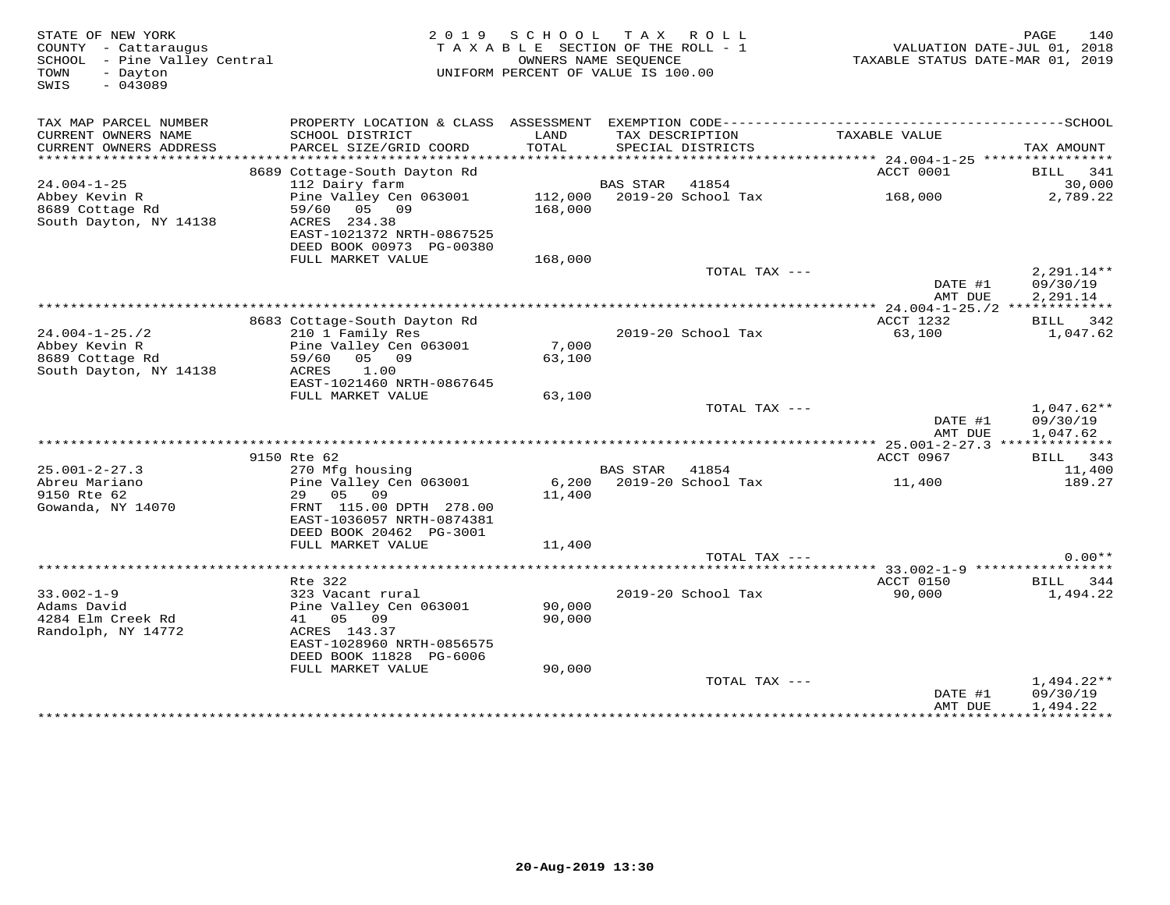| STATE OF NEW YORK<br>COUNTY - Cattaraugus<br>SCHOOL - Pine Valley Central<br>TOWN<br>- Dayton<br>$-043089$<br>SWIS |                                                                             | 2019 SCHOOL     | TAX ROLL<br>TAXABLE SECTION OF THE ROLL - 1<br>OWNERS NAME SEQUENCE<br>UNIFORM PERCENT OF VALUE IS 100.00 | VALUATION DATE-JUL 01, 2018<br>TAXABLE STATUS DATE-MAR 01, 2019 | PAGE<br>140             |
|--------------------------------------------------------------------------------------------------------------------|-----------------------------------------------------------------------------|-----------------|-----------------------------------------------------------------------------------------------------------|-----------------------------------------------------------------|-------------------------|
| TAX MAP PARCEL NUMBER                                                                                              | PROPERTY LOCATION & CLASS ASSESSMENT EXEMPTION CODE------------------------ |                 |                                                                                                           |                                                                 | -----------------SCHOOL |
| CURRENT OWNERS NAME<br>CURRENT OWNERS ADDRESS                                                                      | SCHOOL DISTRICT<br>PARCEL SIZE/GRID COORD                                   | LAND<br>TOTAL   | TAX DESCRIPTION<br>SPECIAL DISTRICTS                                                                      | TAXABLE VALUE                                                   | TAX AMOUNT              |
| ***********************                                                                                            |                                                                             |                 |                                                                                                           |                                                                 |                         |
|                                                                                                                    | 8689 Cottage-South Dayton Rd                                                |                 |                                                                                                           | ACCT 0001                                                       | BILL 341                |
| $24.004 - 1 - 25$<br>Abbey Kevin R                                                                                 | 112 Dairy farm<br>Pine Valley Cen 063001                                    |                 | BAS STAR<br>41854<br>112,000 2019-20 School Tax                                                           | 168,000                                                         | 30,000<br>2,789.22      |
| 8689 Cottage Rd<br>South Dayton, NY 14138                                                                          | 59/60 05 09<br>ACRES 234.38<br>EAST-1021372 NRTH-0867525                    | 168,000         |                                                                                                           |                                                                 |                         |
|                                                                                                                    | DEED BOOK 00973 PG-00380<br>FULL MARKET VALUE                               | 168,000         |                                                                                                           |                                                                 |                         |
|                                                                                                                    |                                                                             |                 | TOTAL TAX ---                                                                                             | DATE #1                                                         | 2,291.14**<br>09/30/19  |
|                                                                                                                    |                                                                             |                 |                                                                                                           | AMT DUE                                                         | 2,291.14                |
|                                                                                                                    |                                                                             |                 |                                                                                                           | ACCT 1232                                                       | BILL 342                |
| $24.004 - 1 - 25.72$                                                                                               | 8683 Cottage-South Dayton Rd<br>210 1 Family Res                            |                 | 2019-20 School Tax                                                                                        | 63,100                                                          | 1,047.62                |
| Abbey Kevin R                                                                                                      | Pine Valley Cen 063001                                                      | 7,000           |                                                                                                           |                                                                 |                         |
| 8689 Cottage Rd<br>South Dayton, NY 14138                                                                          | 59/60 05 09<br>ACRES<br>1.00                                                | 63,100          |                                                                                                           |                                                                 |                         |
|                                                                                                                    | EAST-1021460 NRTH-0867645<br>FULL MARKET VALUE                              | 63,100          |                                                                                                           |                                                                 |                         |
|                                                                                                                    |                                                                             |                 | TOTAL TAX ---                                                                                             |                                                                 | $1,047.62**$            |
|                                                                                                                    |                                                                             |                 |                                                                                                           | DATE #1<br>AMT DUE                                              | 09/30/19<br>1,047.62    |
|                                                                                                                    |                                                                             |                 |                                                                                                           | ***************** 25.001-2-27.3 **************                  |                         |
|                                                                                                                    | 9150 Rte 62                                                                 |                 |                                                                                                           | ACCT 0967                                                       | BILL 343                |
| $25.001 - 2 - 27.3$                                                                                                | 270 Mfg housing                                                             |                 | <b>BAS STAR</b><br>41854                                                                                  |                                                                 | 11,400                  |
| Abreu Mariano<br>9150 Rte 62<br>Gowanda, NY 14070                                                                  | Pine Valley Cen 063001<br>29 05 09<br>FRNT 115.00 DPTH 278.00               | 6,200<br>11,400 | 2019-20 School Tax                                                                                        | 11,400                                                          | 189.27                  |
|                                                                                                                    | EAST-1036057 NRTH-0874381<br>DEED BOOK 20462 PG-3001                        |                 |                                                                                                           |                                                                 |                         |
|                                                                                                                    | FULL MARKET VALUE                                                           | 11,400          |                                                                                                           |                                                                 |                         |
|                                                                                                                    |                                                                             |                 | TOTAL TAX ---                                                                                             |                                                                 | $0.00**$                |
|                                                                                                                    |                                                                             |                 |                                                                                                           | ******* 33.002-1-9 ******************                           |                         |
|                                                                                                                    | Rte 322                                                                     |                 |                                                                                                           | ACCT 0150                                                       | BILL 344                |
| $33.002 - 1 - 9$<br>Adams David                                                                                    | 323 Vacant rural<br>Pine Valley Cen 063001                                  | 90,000          | 2019-20 School Tax                                                                                        | 90,000                                                          | 1,494.22                |
| 4284 Elm Creek Rd                                                                                                  | 41 05 09                                                                    | 90,000          |                                                                                                           |                                                                 |                         |
| Randolph, NY 14772                                                                                                 | ACRES 143.37                                                                |                 |                                                                                                           |                                                                 |                         |
|                                                                                                                    | EAST-1028960 NRTH-0856575                                                   |                 |                                                                                                           |                                                                 |                         |
|                                                                                                                    | DEED BOOK 11828 PG-6006<br>FULL MARKET VALUE                                | 90,000          |                                                                                                           |                                                                 |                         |
|                                                                                                                    |                                                                             |                 | TOTAL TAX ---                                                                                             |                                                                 | $1,494.22**$            |
|                                                                                                                    |                                                                             |                 |                                                                                                           | DATE #1<br>AMT DUE                                              | 09/30/19<br>1,494.22    |
|                                                                                                                    |                                                                             |                 |                                                                                                           | ****************************                                    |                         |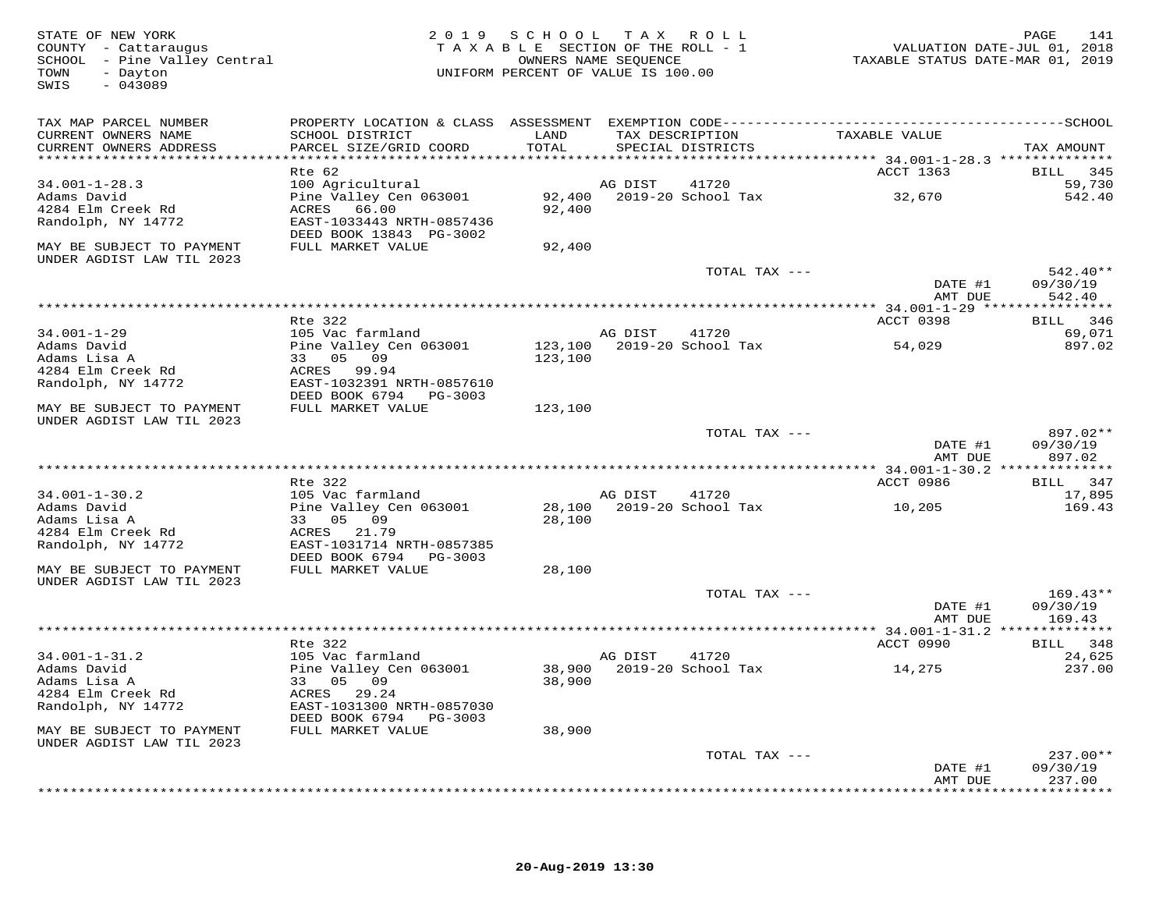| STATE OF NEW YORK<br>COUNTY - Cattaraugus<br>SCHOOL - Pine Valley Central |                                                           | 2019 SCHOOL TAX ROLL<br>TAXABLE SECTION OF THE ROLL - 1 | OWNERS NAME SEQUENCE |                                    | VALUATION DATE-JUL 01, 2018<br>TAXABLE STATUS DATE-MAR 01, 2019 | PAGE<br>141            |
|---------------------------------------------------------------------------|-----------------------------------------------------------|---------------------------------------------------------|----------------------|------------------------------------|-----------------------------------------------------------------|------------------------|
| - Dayton<br>TOWN<br>$-043089$<br>SWIS                                     |                                                           | UNIFORM PERCENT OF VALUE IS 100.00                      |                      |                                    |                                                                 |                        |
| TAX MAP PARCEL NUMBER                                                     |                                                           |                                                         |                      |                                    |                                                                 |                        |
| CURRENT OWNERS NAME                                                       | SCHOOL DISTRICT                                           | LAND                                                    | TAX DESCRIPTION      |                                    | TAXABLE VALUE                                                   |                        |
| CURRENT OWNERS ADDRESS                                                    | PARCEL SIZE/GRID COORD<br>******************************* | TOTAL                                                   |                      | SPECIAL DISTRICTS                  | *********** 34.001-1-28.3 **************                        | TAX AMOUNT             |
|                                                                           | Rte 62                                                    |                                                         |                      |                                    | ACCT 1363                                                       | 345<br>BILL            |
| $34.001 - 1 - 28.3$                                                       | 100 Agricultural                                          |                                                         | AG DIST              | 41720                              |                                                                 | 59,730                 |
| Adams David                                                               | Pine Valley Cen 063001                                    |                                                         |                      | 92,400 2019-20 School Tax          | 32,670                                                          | 542.40                 |
| 4284 Elm Creek Rd                                                         | ACRES 66.00                                               | 92,400                                                  |                      |                                    |                                                                 |                        |
| Randolph, NY 14772                                                        | EAST-1033443 NRTH-0857436<br>DEED BOOK 13843 PG-3002      |                                                         |                      |                                    |                                                                 |                        |
| MAY BE SUBJECT TO PAYMENT<br>UNDER AGDIST LAW TIL 2023                    | FULL MARKET VALUE                                         | 92,400                                                  |                      |                                    |                                                                 |                        |
|                                                                           |                                                           |                                                         |                      | TOTAL TAX ---                      |                                                                 | $542.40**$             |
|                                                                           |                                                           |                                                         |                      |                                    | DATE #1                                                         | 09/30/19               |
|                                                                           | ***********************************                       |                                                         |                      |                                    | AMT DUE<br>***************** 34.001-1-29 ***                    | 542.40<br>***********  |
|                                                                           | Rte 322                                                   |                                                         |                      |                                    | ACCT 0398                                                       | 346<br>BILL            |
| $34.001 - 1 - 29$                                                         | 105 Vac farmland                                          |                                                         | AG DIST              | 41720                              |                                                                 | 69,071                 |
| Adams David                                                               | Pine Valley Cen 063001                                    |                                                         |                      | 123,100 2019-20 School Tax         | 54,029                                                          | 897.02                 |
| Adams Lisa A                                                              | 33 05 09                                                  | 123,100                                                 |                      |                                    |                                                                 |                        |
| 4284 Elm Creek Rd<br>Randolph, NY 14772                                   | ACRES 99.94<br>EAST-1032391 NRTH-0857610                  |                                                         |                      |                                    |                                                                 |                        |
|                                                                           | DEED BOOK 6794 PG-3003                                    |                                                         |                      |                                    |                                                                 |                        |
| MAY BE SUBJECT TO PAYMENT                                                 | FULL MARKET VALUE                                         | 123,100                                                 |                      |                                    |                                                                 |                        |
| UNDER AGDIST LAW TIL 2023                                                 |                                                           |                                                         |                      | TOTAL TAX ---                      |                                                                 | 897.02**               |
|                                                                           |                                                           |                                                         |                      |                                    | DATE #1                                                         | 09/30/19               |
|                                                                           |                                                           |                                                         |                      |                                    | AMT DUE                                                         | 897.02                 |
|                                                                           |                                                           |                                                         |                      |                                    |                                                                 |                        |
|                                                                           | Rte 322                                                   |                                                         |                      |                                    | ACCT 0986                                                       | 347<br>BILL            |
| $34.001 - 1 - 30.2$<br>Adams David                                        | 105 Vac farmland<br>Pine Valley Cen 063001                |                                                         | AG DIST              | 41720<br>28,100 2019-20 School Tax | 10,205                                                          | 17,895<br>169.43       |
| Adams Lisa A                                                              | 33 05 09                                                  | 28,100                                                  |                      |                                    |                                                                 |                        |
| 4284 Elm Creek Rd                                                         | ACRES 21.79                                               |                                                         |                      |                                    |                                                                 |                        |
| Randolph, NY 14772                                                        | EAST-1031714 NRTH-0857385                                 |                                                         |                      |                                    |                                                                 |                        |
| MAY BE SUBJECT TO PAYMENT                                                 | DEED BOOK 6794 PG-3003<br>FULL MARKET VALUE               | 28,100                                                  |                      |                                    |                                                                 |                        |
| UNDER AGDIST LAW TIL 2023                                                 |                                                           |                                                         |                      |                                    |                                                                 |                        |
|                                                                           |                                                           |                                                         |                      | TOTAL TAX ---                      |                                                                 | $169.43**$             |
|                                                                           |                                                           |                                                         |                      |                                    | DATE #1                                                         | 09/30/19               |
|                                                                           |                                                           |                                                         |                      |                                    | AMT DUE                                                         | 169.43                 |
|                                                                           | Rte 322                                                   |                                                         |                      |                                    | ACCT 0990                                                       | BILL 348               |
| $34.001 - 1 - 31.2$                                                       | 105 Vac farmland                                          |                                                         | AG DIST              | 41720                              |                                                                 | 24,625                 |
| Adams David                                                               | Pine Valley Cen 063001                                    | 38,900                                                  |                      | 2019-20 School Tax                 | 14,275                                                          | 237.00                 |
| Adams Lisa A<br>4284 Elm Creek Rd                                         | 33 05<br>09<br>ACRES 29.24                                | 38,900                                                  |                      |                                    |                                                                 |                        |
| Randolph, NY 14772                                                        | EAST-1031300 NRTH-0857030                                 |                                                         |                      |                                    |                                                                 |                        |
|                                                                           | DEED BOOK 6794<br>PG-3003                                 |                                                         |                      |                                    |                                                                 |                        |
| MAY BE SUBJECT TO PAYMENT                                                 | FULL MARKET VALUE                                         | 38,900                                                  |                      |                                    |                                                                 |                        |
| UNDER AGDIST LAW TIL 2023                                                 |                                                           |                                                         |                      |                                    |                                                                 |                        |
|                                                                           |                                                           |                                                         |                      | TOTAL TAX ---                      | DATE #1                                                         | $237.00**$<br>09/30/19 |
|                                                                           |                                                           |                                                         |                      |                                    | AMT DUE                                                         | 237.00                 |
|                                                                           |                                                           |                                                         |                      |                                    |                                                                 |                        |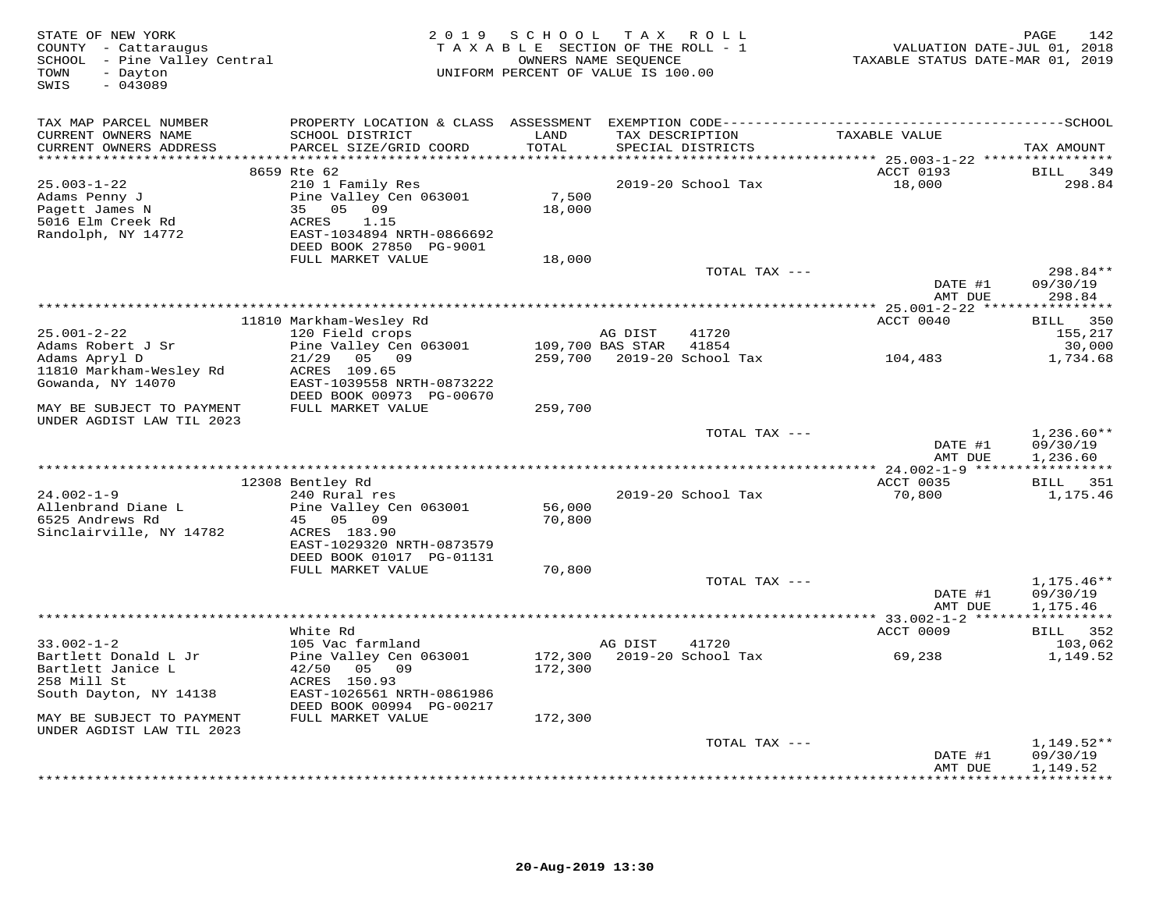| STATE OF NEW YORK<br>COUNTY - Cattaraugus<br>SCHOOL - Pine Valley Central<br>- Dayton<br>TOWN<br>$-043089$<br>SWIS | 2 0 1 9<br>TAXABLE SECTION OF THE ROLL - 1<br>UNIFORM PERCENT OF VALUE IS 100.00                                                   | PAGE<br>142<br>VALUATION DATE-JUL 01, 2018<br>TAXABLE STATUS DATE-MAR 01, 2019 |                  |                                      |                     |                                             |
|--------------------------------------------------------------------------------------------------------------------|------------------------------------------------------------------------------------------------------------------------------------|--------------------------------------------------------------------------------|------------------|--------------------------------------|---------------------|---------------------------------------------|
| TAX MAP PARCEL NUMBER                                                                                              |                                                                                                                                    |                                                                                |                  |                                      |                     |                                             |
| CURRENT OWNERS NAME<br>CURRENT OWNERS ADDRESS                                                                      | SCHOOL DISTRICT<br>PARCEL SIZE/GRID COORD                                                                                          | LAND<br>TOTAL                                                                  |                  | TAX DESCRIPTION<br>SPECIAL DISTRICTS | TAXABLE VALUE       | TAX AMOUNT                                  |
| **********************                                                                                             | 8659 Rte 62                                                                                                                        | **********                                                                     |                  |                                      | ACCT 0193           | BILL<br>349                                 |
| $25.003 - 1 - 22$<br>Adams Penny J<br>Pagett James N<br>5016 Elm Creek Rd<br>Randolph, NY 14772                    | 210 1 Family Res<br>Pine Valley Cen 063001<br>35 05<br>09<br>ACRES<br>1.15<br>EAST-1034894 NRTH-0866692<br>DEED BOOK 27850 PG-9001 | 7,500<br>18,000                                                                |                  | 2019-20 School Tax                   | 18,000              | 298.84                                      |
|                                                                                                                    | FULL MARKET VALUE                                                                                                                  | 18,000                                                                         |                  |                                      |                     |                                             |
|                                                                                                                    |                                                                                                                                    |                                                                                |                  | TOTAL TAX ---                        | DATE #1             | $298.84**$<br>09/30/19                      |
|                                                                                                                    |                                                                                                                                    |                                                                                |                  |                                      | AMT DUE             | 298.84                                      |
|                                                                                                                    | 11810 Markham-Wesley Rd                                                                                                            |                                                                                |                  |                                      | ACCT 0040           | 350<br>BILL                                 |
| $25.001 - 2 - 22$                                                                                                  | 120 Field crops                                                                                                                    |                                                                                | AG DIST          | 41720                                |                     | 155,217                                     |
| Adams Robert J Sr                                                                                                  | Pine Valley Cen 063001                                                                                                             |                                                                                | 109,700 BAS STAR | 41854                                |                     | 30,000                                      |
| Adams Apryl D<br>11810 Markham-Wesley Rd<br>Gowanda, NY 14070                                                      | $21/29$ 05 09<br>ACRES 109.65<br>EAST-1039558 NRTH-0873222                                                                         | 259,700                                                                        |                  | 2019-20 School Tax                   | 104,483             | 1,734.68                                    |
| MAY BE SUBJECT TO PAYMENT                                                                                          | DEED BOOK 00973 PG-00670<br>FULL MARKET VALUE                                                                                      | 259,700                                                                        |                  |                                      |                     |                                             |
| UNDER AGDIST LAW TIL 2023                                                                                          |                                                                                                                                    |                                                                                |                  |                                      |                     |                                             |
|                                                                                                                    |                                                                                                                                    |                                                                                |                  | TOTAL TAX ---                        | DATE #1<br>AMT DUE  | $1,236.60**$<br>09/30/19<br>1,236.60        |
|                                                                                                                    |                                                                                                                                    |                                                                                |                  |                                      |                     |                                             |
| $24.002 - 1 - 9$                                                                                                   | 12308 Bentley Rd<br>240 Rural res                                                                                                  |                                                                                |                  | 2019-20 School Tax                   | ACCT 0035<br>70,800 | BILL 351<br>1,175.46                        |
| Allenbrand Diane L<br>6525 Andrews Rd                                                                              | Pine Valley Cen 063001<br>45 05<br>09                                                                                              | 56,000<br>70,800                                                               |                  |                                      |                     |                                             |
| Sinclairville, NY 14782                                                                                            | ACRES 183.90<br>EAST-1029320 NRTH-0873579<br>DEED BOOK 01017 PG-01131                                                              |                                                                                |                  |                                      |                     |                                             |
|                                                                                                                    | FULL MARKET VALUE                                                                                                                  | 70,800                                                                         |                  |                                      |                     |                                             |
|                                                                                                                    |                                                                                                                                    |                                                                                |                  | TOTAL TAX ---                        |                     | $1,175.46**$                                |
|                                                                                                                    |                                                                                                                                    |                                                                                |                  |                                      | DATE #1<br>AMT DUE  | 09/30/19<br>1,175.46                        |
|                                                                                                                    |                                                                                                                                    |                                                                                |                  |                                      |                     |                                             |
|                                                                                                                    | White Rd                                                                                                                           |                                                                                |                  |                                      | ACCT 0009           | 352<br>BILL                                 |
| $33.002 - 1 - 2$<br>Bartlett Donald L Jr<br>Bartlett Janice L<br>258 Mill St                                       | 105 Vac farmland<br>Pine Valley Cen 063001<br>42/50 05 09<br>ACRES 150.93                                                          | 172,300<br>172,300                                                             | AG DIST          | 41720<br>2019-20 School Tax          | 69,238              | 103,062<br>1,149.52                         |
| South Dayton, NY 14138                                                                                             | EAST-1026561 NRTH-0861986<br>DEED BOOK 00994 PG-00217                                                                              |                                                                                |                  |                                      |                     |                                             |
| MAY BE SUBJECT TO PAYMENT<br>UNDER AGDIST LAW TIL 2023                                                             | FULL MARKET VALUE                                                                                                                  | 172,300                                                                        |                  |                                      |                     |                                             |
|                                                                                                                    |                                                                                                                                    |                                                                                |                  | TOTAL TAX ---                        |                     | $1,149.52**$                                |
|                                                                                                                    |                                                                                                                                    |                                                                                |                  |                                      | DATE #1<br>AMT DUE  | 09/30/19<br>1,149.52<br>* * * * * * * * * * |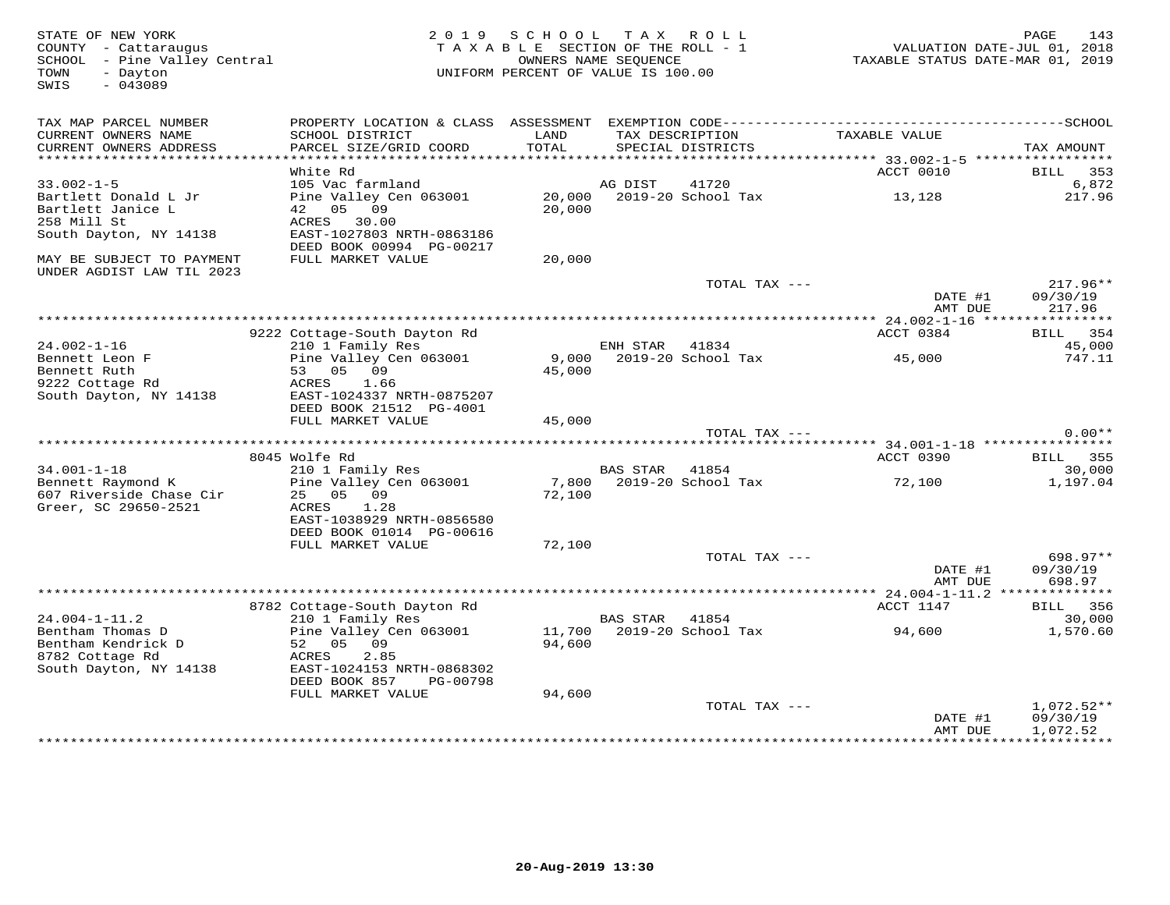| STATE OF NEW YORK<br>COUNTY - Cattaraugus<br>SCHOOL - Pine Valley Central<br>- Dayton<br>TOWN<br>$-043089$<br>SWIS | 2 0 1 9                                                               | SCHOOL<br>TAXABLE SECTION OF THE ROLL - 1<br>OWNERS NAME SEOUENCE<br>UNIFORM PERCENT OF VALUE IS 100.00 | T A X           | R O L L                              | TAXABLE STATUS DATE-MAR 01, 2019          | 143<br>PAGE<br>VALUATION DATE-JUL 01, 2018 |
|--------------------------------------------------------------------------------------------------------------------|-----------------------------------------------------------------------|---------------------------------------------------------------------------------------------------------|-----------------|--------------------------------------|-------------------------------------------|--------------------------------------------|
| TAX MAP PARCEL NUMBER<br>CURRENT OWNERS NAME<br>CURRENT OWNERS ADDRESS                                             | SCHOOL DISTRICT<br>PARCEL SIZE/GRID COORD                             | LAND<br>TOTAL                                                                                           |                 | TAX DESCRIPTION<br>SPECIAL DISTRICTS | TAXABLE VALUE                             | TAX AMOUNT                                 |
| ********************                                                                                               |                                                                       |                                                                                                         |                 |                                      | *********** 33.002-1-5 ****************** |                                            |
| $33.002 - 1 - 5$                                                                                                   | White Rd<br>105 Vac farmland                                          |                                                                                                         | AG DIST         | 41720                                | ACCT 0010                                 | 353<br>BILL<br>6,872                       |
| Bartlett Donald L Jr<br>Bartlett Janice L<br>258 Mill St                                                           | Pine Valley Cen 063001<br>42 05 09<br>ACRES 30.00                     | 20,000<br>20,000                                                                                        |                 | 2019-20 School Tax                   | 13,128                                    | 217.96                                     |
| South Dayton, NY 14138                                                                                             | EAST-1027803 NRTH-0863186<br>DEED BOOK 00994 PG-00217                 |                                                                                                         |                 |                                      |                                           |                                            |
| MAY BE SUBJECT TO PAYMENT<br>UNDER AGDIST LAW TIL 2023                                                             | FULL MARKET VALUE                                                     | 20,000                                                                                                  |                 |                                      |                                           |                                            |
|                                                                                                                    |                                                                       |                                                                                                         |                 | TOTAL TAX ---                        | DATE #1<br>AMT DUE                        | 217.96**<br>09/30/19<br>217.96             |
|                                                                                                                    |                                                                       |                                                                                                         |                 |                                      |                                           |                                            |
|                                                                                                                    | 9222 Cottage-South Dayton Rd                                          |                                                                                                         |                 |                                      | ACCT 0384                                 | BILL 354                                   |
| $24.002 - 1 - 16$<br>Bennett Leon F<br>Bennett Ruth                                                                | 210 1 Family Res<br>Pine Valley Cen 063001<br>53 05 09                | 9,000<br>45,000                                                                                         | ENH STAR        | 41834<br>2019-20 School Tax          | 45,000                                    | 45,000<br>747.11                           |
| 9222 Cottage Rd<br>South Dayton, NY 14138                                                                          | ACRES<br>1.66<br>EAST-1024337 NRTH-0875207<br>DEED BOOK 21512 PG-4001 |                                                                                                         |                 |                                      |                                           |                                            |
|                                                                                                                    | FULL MARKET VALUE                                                     | 45,000                                                                                                  |                 |                                      |                                           |                                            |
|                                                                                                                    |                                                                       |                                                                                                         |                 | TOTAL TAX ---                        |                                           | $0.00**$                                   |
|                                                                                                                    | 8045 Wolfe Rd                                                         |                                                                                                         |                 |                                      | ACCT 0390                                 | 355<br><b>BILL</b>                         |
| $34.001 - 1 - 18$                                                                                                  | 210 1 Family Res                                                      |                                                                                                         | <b>BAS STAR</b> | 41854                                |                                           | 30,000                                     |
| Bennett Raymond K<br>607 Riverside Chase Cir<br>Greer, SC 29650-2521                                               | Pine Valley Cen 063001<br>25 05 09<br>ACRES<br>1.28                   | 7,800<br>72,100                                                                                         |                 | 2019-20 School Tax                   | 72,100                                    | 1,197.04                                   |
|                                                                                                                    | EAST-1038929 NRTH-0856580<br>DEED BOOK 01014 PG-00616                 |                                                                                                         |                 |                                      |                                           |                                            |
|                                                                                                                    | FULL MARKET VALUE                                                     | 72,100                                                                                                  |                 |                                      |                                           |                                            |
|                                                                                                                    |                                                                       |                                                                                                         |                 | TOTAL TAX ---                        | DATE #1<br>AMT DUE                        | 698.97**<br>09/30/19<br>698.97             |
|                                                                                                                    |                                                                       |                                                                                                         |                 |                                      |                                           | *** 24.004-1-11.2 **************           |
|                                                                                                                    | 8782 Cottage-South Dayton Rd                                          |                                                                                                         |                 |                                      | ACCT 1147                                 | <b>BILL</b><br>356                         |
| $24.004 - 1 - 11.2$                                                                                                | 210 1 Family Res                                                      |                                                                                                         | <b>BAS STAR</b> | 41854                                |                                           | 30,000                                     |
| Bentham Thomas D<br>Bentham Kendrick D<br>8782 Cottage Rd                                                          | Pine Valley Cen 063001<br>52 05<br>09<br>2.85<br>ACRES                | 11,700<br>94,600                                                                                        |                 | 2019-20 School Tax                   | 94,600                                    | 1,570.60                                   |
| South Dayton, NY 14138                                                                                             | EAST-1024153 NRTH-0868302<br>DEED BOOK 857<br>PG-00798                |                                                                                                         |                 |                                      |                                           |                                            |
|                                                                                                                    | FULL MARKET VALUE                                                     | 94,600                                                                                                  |                 |                                      |                                           |                                            |
|                                                                                                                    |                                                                       |                                                                                                         |                 | TOTAL TAX ---                        |                                           | $1,072.52**$                               |
|                                                                                                                    |                                                                       |                                                                                                         |                 |                                      | DATE #1<br>AMT DUE                        | 09/30/19<br>1,072.52                       |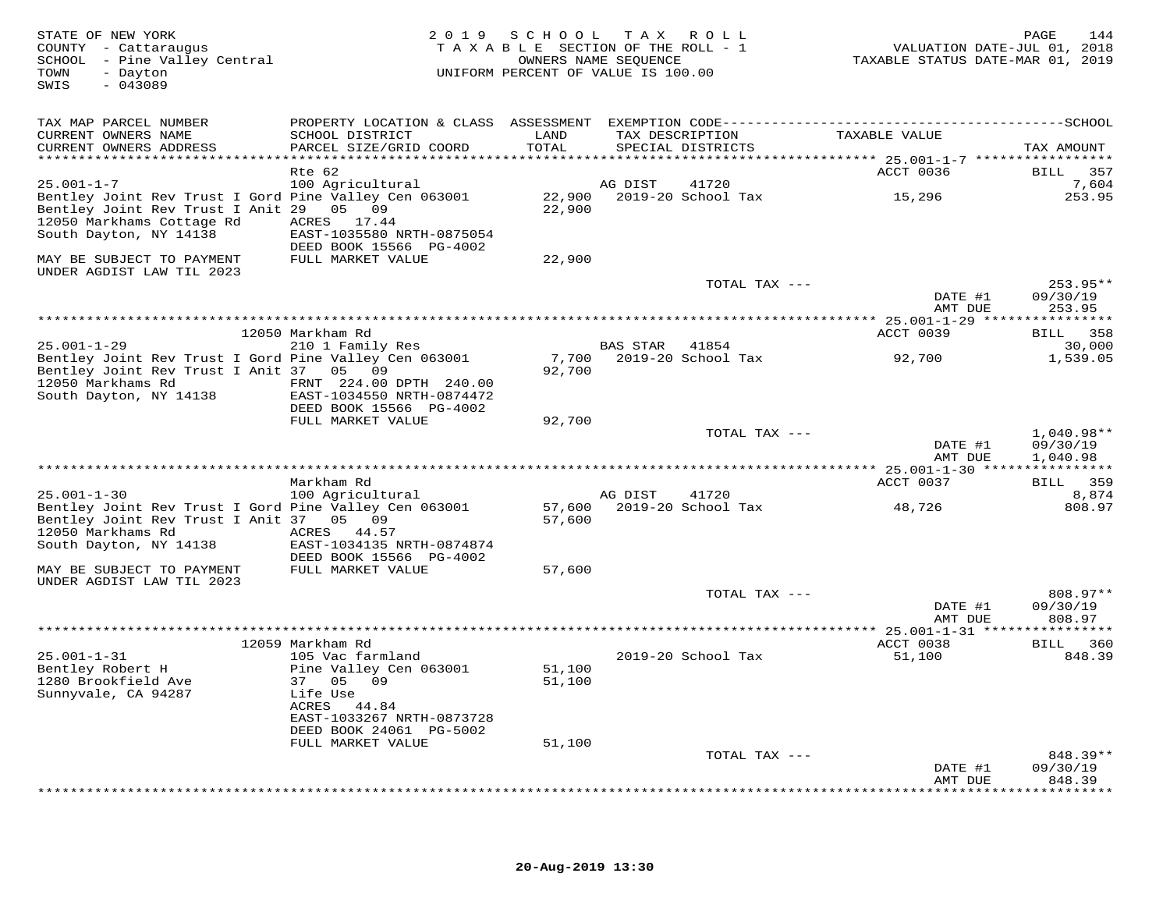| STATE OF NEW YORK<br>COUNTY - Cattaraugus<br>SCHOOL - Pine Valley Central<br>- Dayton<br>TOWN<br>$-043089$<br>SWIS      | 2 0 1 9                                                                         | SCHOOL<br>TAXABLE SECTION OF THE ROLL - 1<br>OWNERS NAME SEQUENCE<br>UNIFORM PERCENT OF VALUE IS 100.00 |                | TAX ROLL                             | VALUATION DATE-JUL 01, 2018<br>TAXABLE STATUS DATE-MAR 01, 2019 | 144<br>PAGE                          |
|-------------------------------------------------------------------------------------------------------------------------|---------------------------------------------------------------------------------|---------------------------------------------------------------------------------------------------------|----------------|--------------------------------------|-----------------------------------------------------------------|--------------------------------------|
| TAX MAP PARCEL NUMBER                                                                                                   |                                                                                 |                                                                                                         |                |                                      |                                                                 |                                      |
| CURRENT OWNERS NAME<br>CURRENT OWNERS ADDRESS                                                                           | SCHOOL DISTRICT<br>PARCEL SIZE/GRID COORD                                       | LAND<br>TOTAL                                                                                           |                | TAX DESCRIPTION<br>SPECIAL DISTRICTS | TAXABLE VALUE                                                   | TAX AMOUNT                           |
|                                                                                                                         |                                                                                 |                                                                                                         |                |                                      | *********** 25.001-1-7 ******************                       |                                      |
| $25.001 - 1 - 7$                                                                                                        | Rte 62<br>100 Agricultural                                                      |                                                                                                         | AG DIST        | 41720                                | ACCT 0036                                                       | 357<br>BILL<br>7,604                 |
| Bentley Joint Rev Trust I Gord Pine Valley Cen 063001<br>Bentley Joint Rev Trust I Anit 29<br>12050 Markhams Cottage Rd | 05 09<br>ACRES 17.44                                                            | 22,900<br>22,900                                                                                        |                | 2019-20 School Tax                   | 15,296                                                          | 253.95                               |
| South Dayton, NY 14138                                                                                                  | EAST-1035580 NRTH-0875054<br>DEED BOOK 15566 PG-4002                            |                                                                                                         |                |                                      |                                                                 |                                      |
| MAY BE SUBJECT TO PAYMENT<br>UNDER AGDIST LAW TIL 2023                                                                  | FULL MARKET VALUE                                                               | 22,900                                                                                                  |                |                                      |                                                                 |                                      |
|                                                                                                                         |                                                                                 |                                                                                                         |                | TOTAL TAX ---                        | DATE #1                                                         | 253.95**<br>09/30/19                 |
|                                                                                                                         |                                                                                 |                                                                                                         |                |                                      | AMT DUE                                                         | 253.95                               |
|                                                                                                                         | 12050 Markham Rd                                                                |                                                                                                         |                |                                      | ACCT 0039                                                       | BILL 358                             |
| $25.001 - 1 - 29$                                                                                                       | 210 1 Family Res                                                                |                                                                                                         | BAS STAR 41854 |                                      |                                                                 | 30,000                               |
| Bentley Joint Rev Trust I Gord Pine Valley Cen 063001<br>Bentley Joint Rev Trust I Anit 37 05 09                        |                                                                                 | 7,700<br>92,700                                                                                         |                | 2019-20 School Tax                   | 92,700                                                          | 1,539.05                             |
| 12050 Markhams Rd<br>South Dayton, NY 14138                                                                             | FRNT 224.00 DPTH 240.00<br>EAST-1034550 NRTH-0874472<br>DEED BOOK 15566 PG-4002 |                                                                                                         |                |                                      |                                                                 |                                      |
|                                                                                                                         | FULL MARKET VALUE                                                               | 92,700                                                                                                  |                |                                      |                                                                 |                                      |
|                                                                                                                         |                                                                                 |                                                                                                         |                | TOTAL TAX ---                        | DATE #1<br>AMT DUE                                              | $1,040.98**$<br>09/30/19<br>1,040.98 |
|                                                                                                                         |                                                                                 |                                                                                                         |                |                                      |                                                                 |                                      |
|                                                                                                                         | Markham Rd                                                                      |                                                                                                         |                |                                      | ACCT 0037                                                       | BILL 359                             |
| $25.001 - 1 - 30$                                                                                                       | 100 Agricultural                                                                |                                                                                                         | AG DIST        | 41720                                |                                                                 | 8,874                                |
| Bentley Joint Rev Trust I Gord Pine Valley Cen 063001<br>Bentley Joint Rev Trust I Anit 37 05 09<br>12050 Markhams Rd   | ACRES 44.57                                                                     | 57,600                                                                                                  |                | 57,600 2019-20 School Tax            | 48,726                                                          | 808.97                               |
| South Dayton, NY 14138                                                                                                  | EAST-1034135 NRTH-0874874<br>DEED BOOK 15566 PG-4002                            |                                                                                                         |                |                                      |                                                                 |                                      |
| MAY BE SUBJECT TO PAYMENT<br>UNDER AGDIST LAW TIL 2023                                                                  | FULL MARKET VALUE                                                               | 57,600                                                                                                  |                |                                      |                                                                 |                                      |
|                                                                                                                         |                                                                                 |                                                                                                         |                | TOTAL TAX ---                        | DATE #1                                                         | 808.97**<br>09/30/19                 |
|                                                                                                                         |                                                                                 |                                                                                                         |                |                                      | AMT DUE                                                         | 808.97                               |
|                                                                                                                         | 12059 Markham Rd                                                                |                                                                                                         |                |                                      | ACCT 0038                                                       | BILL 360                             |
| $25.001 - 1 - 31$                                                                                                       | 105 Vac farmland                                                                |                                                                                                         |                | 2019-20 School Tax                   | 51,100                                                          | 848.39                               |
| Bentley Robert H<br>1280 Brookfield Ave                                                                                 | Pine Valley Cen 063001<br>37 05 09                                              | 51,100<br>51,100                                                                                        |                |                                      |                                                                 |                                      |
| Sunnyvale, CA 94287                                                                                                     | Life Use<br>ACRES<br>44.84<br>EAST-1033267 NRTH-0873728                         |                                                                                                         |                |                                      |                                                                 |                                      |
|                                                                                                                         | DEED BOOK 24061 PG-5002                                                         |                                                                                                         |                |                                      |                                                                 |                                      |
|                                                                                                                         | FULL MARKET VALUE                                                               | 51,100                                                                                                  |                | TOTAL TAX ---                        |                                                                 | 848.39**                             |
|                                                                                                                         |                                                                                 |                                                                                                         |                |                                      | DATE #1<br>AMT DUE                                              | 09/30/19<br>848.39                   |
|                                                                                                                         |                                                                                 |                                                                                                         |                |                                      |                                                                 | *********                            |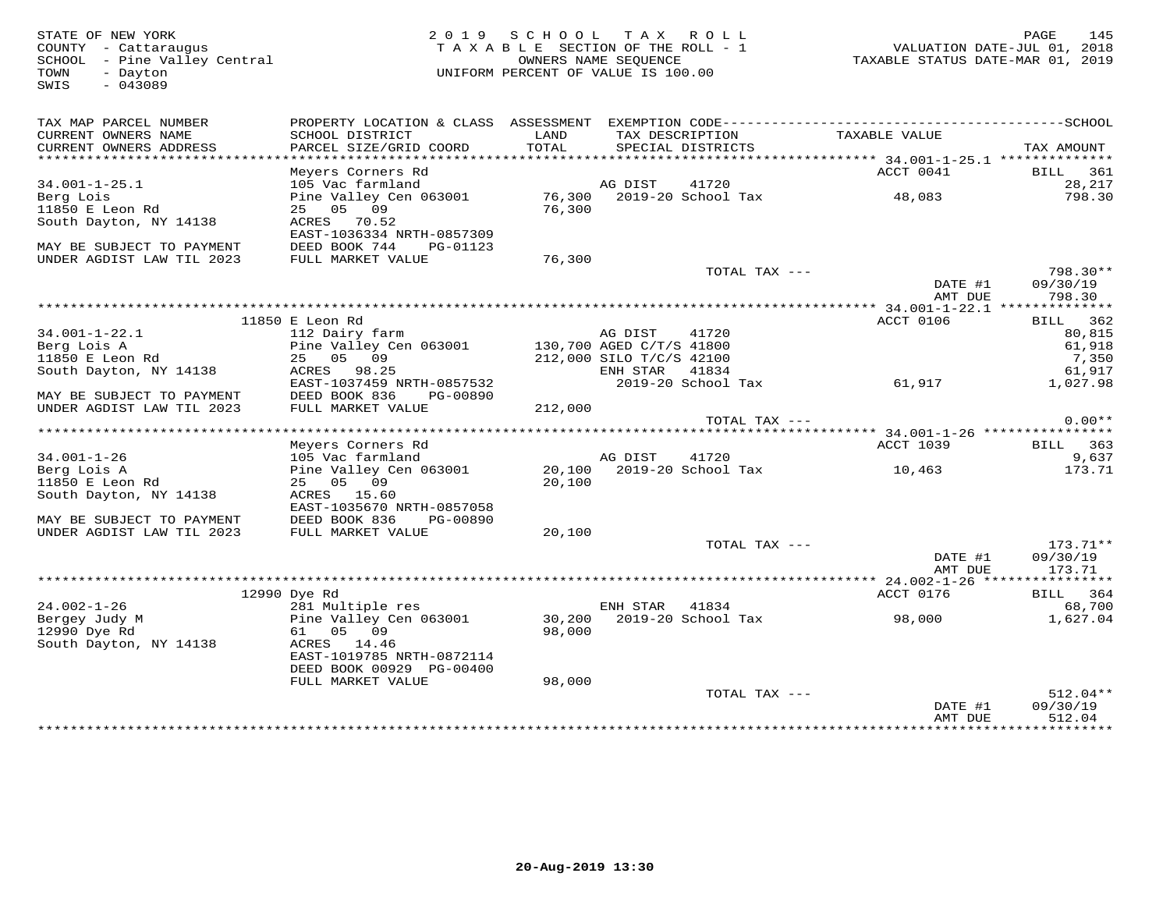FATE OF NEW YORK PAGE 145<br>COUNTY - Cattaraugus (COUNTY - Cattaraugus and the section of the SECTION OF THE ROLL - 1 (COUNTY - Cattaraugu<br>SCHOOL - Pine Valley Central (COUNTRE STATUS DATE-UL OI, 2018)<br>TAXABLE STATUS DATE-MA SWIS - 043089TAX MAP PARCEL NUMBER PROPERTY LOCATION & CLASS ASSESSMENT EXEMPTION CODE------------------------------------------SCHOOL CURRENT OWNERS NAME SCHOOL DISTRICT LAND TAX DESCRIPTION TAXABLE VALUE CURRENT OWNERS ADDRESS PARCEL SIZE/GRID COORD TOTAL SPECIAL DISTRICTS TAX AMOUNT \*\*\*\*\*\*\*\*\*\*\*\*\*\*\*\*\*\*\*\*\*\*\*\*\*\*\*\*\*\*\*\*\*\*\*\*\*\*\*\*\*\*\*\*\*\*\*\*\*\*\*\*\*\*\*\*\*\*\*\*\*\*\*\*\*\*\*\*\*\*\*\*\*\*\*\*\*\*\*\*\*\*\*\*\*\*\*\*\*\*\*\*\*\*\*\*\*\*\*\*\*\*\* 34.001-1-25.1 \*\*\*\*\*\*\*\*\*\*\*\*\*\*Meyers Corners Rd<br>
Meyers Corners Rd<br>
105 Vac farmland<br>
Pine Valley Cen 063001 76,300 2019-20 School Tax 48,083 798.30<br>
25 05 09 76,300<br>
26,300 76,300<br>
29,217<br>
29,217<br>
29,217<br>
29,217<br>
29,217<br>
29,217<br>
29,300<br>
2019-20 School MAY BE SUBJECT TO PAYMENT DEED BOOK 744 PG-01123 UNDER AGDIST LAW TIL 2023 FULL MARKET VALUE 76,300 TOTAL TAX --- 798.30\*\* DATE #1 09/30/19 AMT DUE 798.30 \*\*\*\*\*\*\*\*\*\*\*\*\*\*\*\*\*\*\*\*\*\*\*\*\*\*\*\*\*\*\*\*\*\*\*\*\*\*\*\*\*\*\*\*\*\*\*\*\*\*\*\*\*\*\*\*\*\*\*\*\*\*\*\*\*\*\*\*\*\*\*\*\*\*\*\*\*\*\*\*\*\*\*\*\*\*\*\*\*\*\*\*\*\*\*\*\*\*\*\*\*\*\* 34.001-1-22.1 \*\*\*\*\*\*\*\*\*\*\*\*\*\* $\begin{tabular}{lllllllllllllllll} & & & & & & & 11850\ \text{B}-1-22.1 & & & & 11250\ \text{B}-1-22.1 & & & 11250\ \text{B}-1-22.1 & & & 1250\ \text{B}-1-22.1 & & & 1250\ \text{B}-1-22.1 & & & 1250\ \text{B}-1-22.1 & & & 1250\ \text{B}-1-22.1 & & & 1250\ \text{B}-1-22.1 & & & 1250\ \text{B}-1-22.1 & & & 1250\ \text{B}-1-$ ACCT 1039 BILL 363 Meyers Corners Rd ACCT 1039 BILL 363 9.637 34.001-1-26 105 Vac farmland AG DIST 41720 9,637173.71 Berg Lois A Pine Valley Cen 063001 20,100 2019-20 School Tax 10,463 173.7111850 E Leon Rd 25 05 09 20,100 South Dayton, NY 14138 ACRES 15.60 EAST-1035670 NRTH-0857058 MAY BE SUBJECT TO PAYMENT DEED BOOK 836 PG-00890 UNDER AGDIST LAW TIL 2023 FULL MARKET VALUE 20,100 TOTAL TAX --- 173.71\*\* DATE #1 09/30/19AMT DUE 173.71 AMT DUE 173.71 \*\*\*\*\*\*\*\*\*\*\*\*\*\*\*\*\*\*\*\*\*\*\*\*\*\*\*\*\*\*\*\*\*\*\*\*\*\*\*\*\*\*\*\*\*\*\*\*\*\*\*\*\*\*\*\*\*\*\*\*\*\*\*\*\*\*\*\*\*\*\*\*\*\*\*\*\*\*\*\*\*\*\*\*\*\*\*\*\*\*\*\*\*\*\*\*\*\*\*\*\*\*\* 24.002-1-26 \*\*\*\*\*\*\*\*\*\*\*\*\*\*\*\* 12990 Dye Rd ACCT 0176 BILL 364 24.002-1-26 281 Multiple res ENH STAR 41834 68,700 Bergey Judy M Pine Valley Cen 063001 30,200 2019-20 School Tax 98,000 1,627.04 12990 Dye Rd 61 05 09 98,000 South Dayton, NY 14138 ACRES 14.46 EAST-1019785 NRTH-0872114DEED BOOK 00929 PG-00400 DEED BOOK 00929 PG-00400 FULL MARKET VALUE 98,000 TOTAL TAX --- 512.04\*\*DATE #1 09/30/19 AMT DUE 512.04

\*\*\*\*\*\*\*\*\*\*\*\*\*\*\*\*\*\*\*\*\*\*\*\*\*\*\*\*\*\*\*\*\*\*\*\*\*\*\*\*\*\*\*\*\*\*\*\*\*\*\*\*\*\*\*\*\*\*\*\*\*\*\*\*\*\*\*\*\*\*\*\*\*\*\*\*\*\*\*\*\*\*\*\*\*\*\*\*\*\*\*\*\*\*\*\*\*\*\*\*\*\*\*\*\*\*\*\*\*\*\*\*\*\*\*\*\*\*\*\*\*\*\*\*\*\*\*\*\*\*\*\*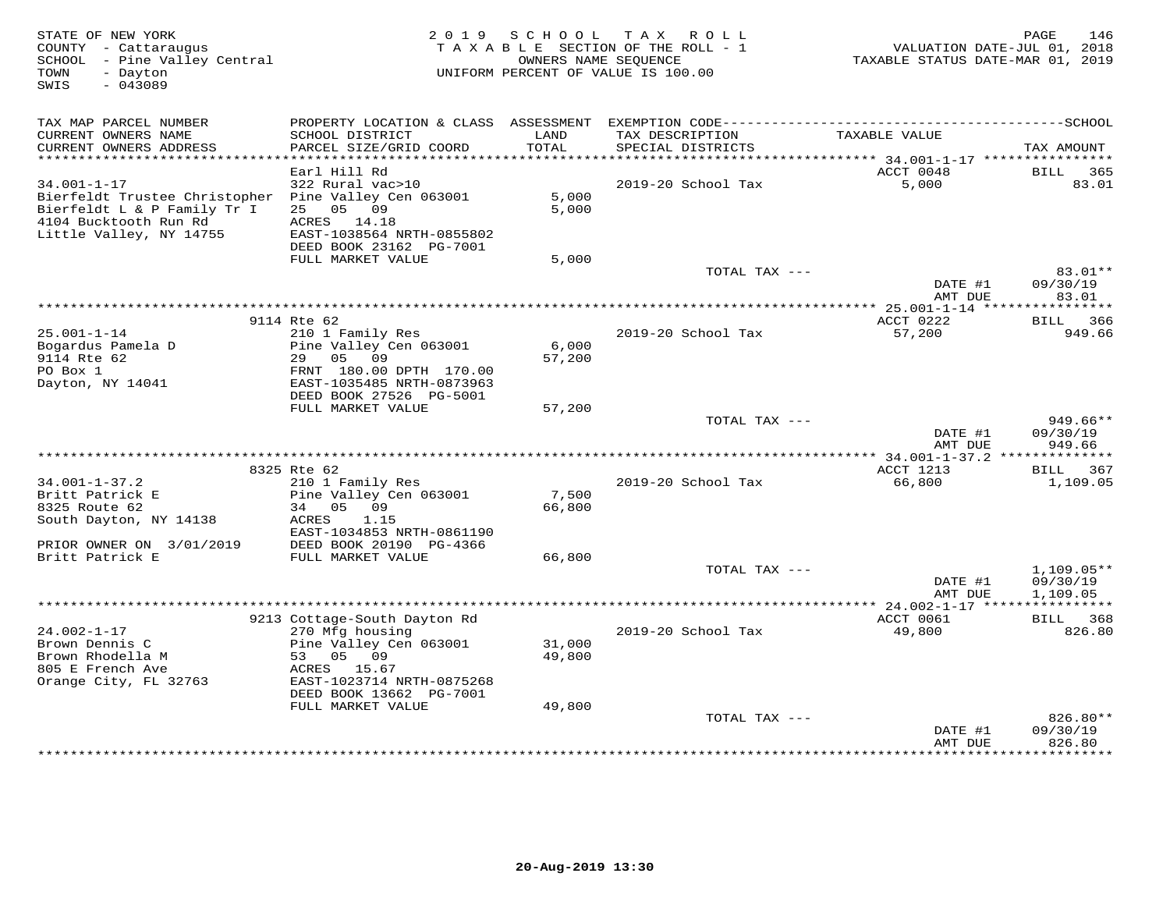| STATE OF NEW YORK<br>COUNTY - Cattaraugus<br>SCHOOL - Pine Valley Central<br>- Dayton<br>TOWN<br>SWIS<br>$-043089$                                           | 2 0 1 9                                                                                                   | SCHOOL           | T A X<br>R O L L<br>T A X A B L E SECTION OF THE ROLL - 1<br>OWNERS NAME SEOUENCE<br>UNIFORM PERCENT OF VALUE IS 100.00 | VALUATION DATE-JUL 01, 2018<br>TAXABLE STATUS DATE-MAR 01, 2019 | 146<br>PAGE                    |
|--------------------------------------------------------------------------------------------------------------------------------------------------------------|-----------------------------------------------------------------------------------------------------------|------------------|-------------------------------------------------------------------------------------------------------------------------|-----------------------------------------------------------------|--------------------------------|
| TAX MAP PARCEL NUMBER                                                                                                                                        |                                                                                                           |                  |                                                                                                                         |                                                                 |                                |
| CURRENT OWNERS NAME<br>CURRENT OWNERS ADDRESS<br>**********************                                                                                      | SCHOOL DISTRICT<br>PARCEL SIZE/GRID COORD<br>************************                                     | LAND<br>TOTAL    | TAX DESCRIPTION<br>SPECIAL DISTRICTS                                                                                    | TAXABLE VALUE                                                   | TAX AMOUNT                     |
|                                                                                                                                                              | Earl Hill Rd                                                                                              |                  |                                                                                                                         | ACCT 0048                                                       | <b>BILL</b><br>365             |
| $34.001 - 1 - 17$<br>Bierfeldt Trustee Christopher Pine Valley Cen 063001<br>Bierfeldt L & P Family Tr I<br>4104 Bucktooth Run Rd<br>Little Valley, NY 14755 | 322 Rural vac>10<br>05 09<br>25<br>ACRES<br>14.18<br>EAST-1038564 NRTH-0855802<br>DEED BOOK 23162 PG-7001 | 5,000<br>5,000   | 2019-20 School Tax                                                                                                      | 5,000                                                           | 83.01                          |
|                                                                                                                                                              | FULL MARKET VALUE                                                                                         | 5,000            |                                                                                                                         |                                                                 |                                |
|                                                                                                                                                              |                                                                                                           |                  | TOTAL TAX ---                                                                                                           | DATE #1<br>AMT DUE                                              | 83.01**<br>09/30/19<br>83.01   |
|                                                                                                                                                              |                                                                                                           |                  | *******************                                                                                                     | * 25.001-1-14 ****                                              | ********                       |
|                                                                                                                                                              | 9114 Rte 62                                                                                               |                  |                                                                                                                         | ACCT 0222                                                       | BILL 366                       |
| $25.001 - 1 - 14$<br>Bogardus Pamela D<br>9114 Rte 62<br>PO Box 1                                                                                            | 210 1 Family Res<br>Pine Valley Cen 063001<br>29 05<br>09<br>FRNT 180.00 DPTH 170.00                      | 6,000<br>57,200  | 2019-20 School Tax                                                                                                      | 57,200                                                          | 949.66                         |
| Dayton, NY 14041                                                                                                                                             | EAST-1035485 NRTH-0873963<br>DEED BOOK 27526 PG-5001                                                      |                  |                                                                                                                         |                                                                 |                                |
|                                                                                                                                                              | FULL MARKET VALUE                                                                                         | 57,200           |                                                                                                                         |                                                                 |                                |
|                                                                                                                                                              |                                                                                                           |                  | TOTAL TAX ---                                                                                                           | DATE #1<br>AMT DUE                                              | 949.66**<br>09/30/19<br>949.66 |
|                                                                                                                                                              |                                                                                                           |                  |                                                                                                                         |                                                                 |                                |
| $34.001 - 1 - 37.2$                                                                                                                                          | 8325 Rte 62<br>210 1 Family Res                                                                           |                  | 2019-20 School Tax                                                                                                      | ACCT 1213<br>66,800                                             | BILL 367<br>1,109.05           |
| Britt Patrick E                                                                                                                                              | Pine Valley Cen 063001                                                                                    | 7,500            |                                                                                                                         |                                                                 |                                |
| 8325 Route 62                                                                                                                                                | 34 05<br>09                                                                                               | 66,800           |                                                                                                                         |                                                                 |                                |
| South Dayton, NY 14138                                                                                                                                       | <b>ACRES</b><br>1.15<br>EAST-1034853 NRTH-0861190                                                         |                  |                                                                                                                         |                                                                 |                                |
| PRIOR OWNER ON 3/01/2019<br>Britt Patrick E                                                                                                                  | DEED BOOK 20190 PG-4366<br>FULL MARKET VALUE                                                              | 66,800           |                                                                                                                         |                                                                 |                                |
|                                                                                                                                                              |                                                                                                           |                  | TOTAL TAX ---                                                                                                           |                                                                 | $1,109.05**$                   |
|                                                                                                                                                              |                                                                                                           |                  |                                                                                                                         | DATE #1<br>AMT DUE                                              | 09/30/19<br>1,109.05           |
|                                                                                                                                                              |                                                                                                           |                  |                                                                                                                         |                                                                 |                                |
|                                                                                                                                                              | 9213 Cottage-South Dayton Rd                                                                              |                  |                                                                                                                         | ACCT 0061                                                       | BILL<br>368                    |
| $24.002 - 1 - 17$                                                                                                                                            | 270 Mfg housing                                                                                           |                  | 2019-20 School Tax                                                                                                      | 49,800                                                          | 826.80                         |
| Brown Dennis C<br>Brown Rhodella M                                                                                                                           | Pine Valley Cen 063001<br>53<br>05 09                                                                     | 31,000<br>49,800 |                                                                                                                         |                                                                 |                                |
| 805 E French Ave<br>Orange City, FL 32763                                                                                                                    | ACRES<br>15.67<br>EAST-1023714 NRTH-0875268                                                               |                  |                                                                                                                         |                                                                 |                                |
|                                                                                                                                                              | DEED BOOK 13662 PG-7001                                                                                   |                  |                                                                                                                         |                                                                 |                                |
|                                                                                                                                                              | FULL MARKET VALUE                                                                                         | 49,800           |                                                                                                                         |                                                                 |                                |
|                                                                                                                                                              |                                                                                                           |                  | TOTAL TAX ---                                                                                                           | DATE #1<br>AMT DUE                                              | 826.80**<br>09/30/19<br>826.80 |
|                                                                                                                                                              |                                                                                                           |                  |                                                                                                                         | **********                                                      | * * * * * * * * * *            |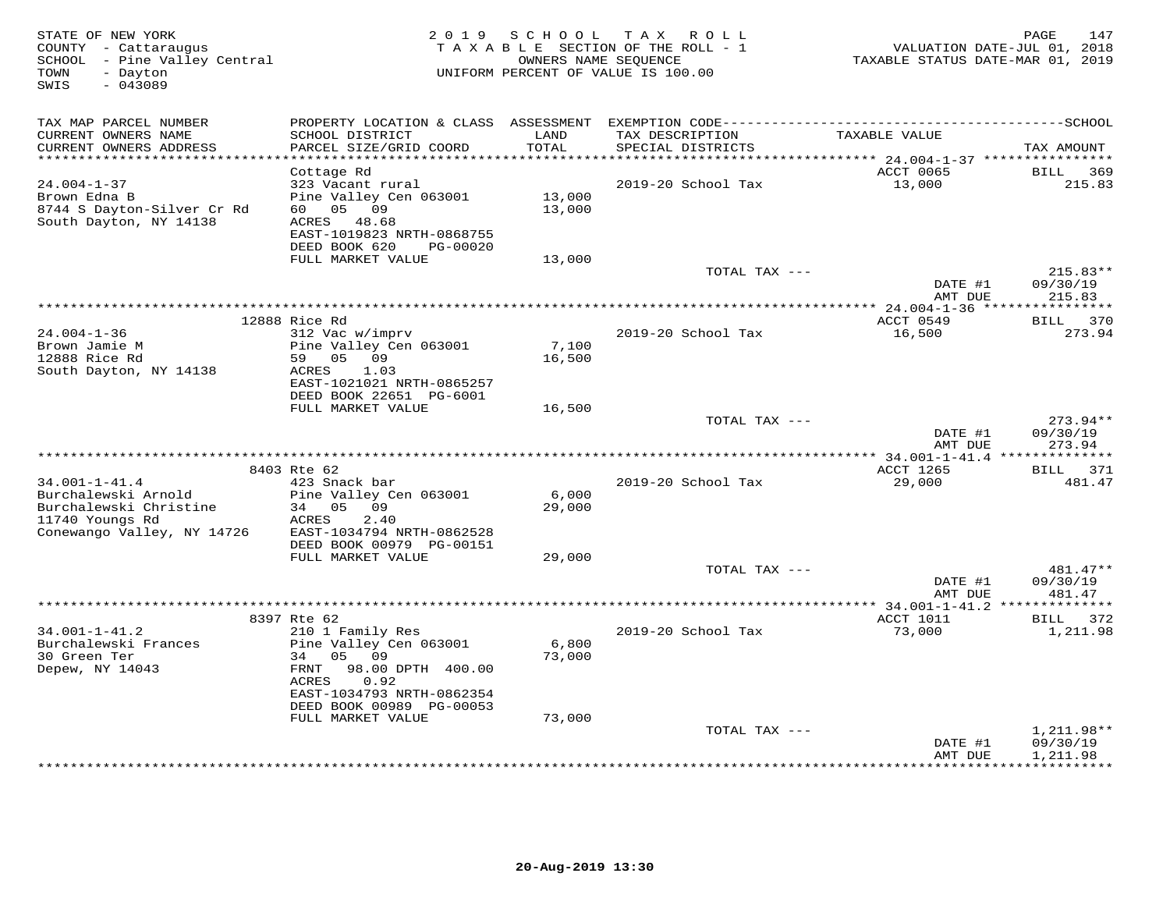| STATE OF NEW YORK<br>COUNTY - Cattaraugus<br>SCHOOL - Pine Valley Central<br>- Dayton<br>TOWN<br>$-043089$<br>SWIS    | 2 0 1 9                                                                                                                                                            |                            | SCHOOL TAX ROLL<br>TAXABLE SECTION OF THE ROLL - 1<br>OWNERS NAME SEQUENCE<br>UNIFORM PERCENT OF VALUE IS 100.00 | VALUATION DATE-JUL 01, 2018<br>TAXABLE STATUS DATE-MAR 01, 2019 | 147<br>PAGE                      |
|-----------------------------------------------------------------------------------------------------------------------|--------------------------------------------------------------------------------------------------------------------------------------------------------------------|----------------------------|------------------------------------------------------------------------------------------------------------------|-----------------------------------------------------------------|----------------------------------|
| TAX MAP PARCEL NUMBER<br>CURRENT OWNERS NAME<br>CURRENT OWNERS ADDRESS                                                | SCHOOL DISTRICT<br>PARCEL SIZE/GRID COORD                                                                                                                          | LAND<br>TOTAL              | TAX DESCRIPTION<br>SPECIAL DISTRICTS                                                                             | TAXABLE VALUE                                                   | TAX AMOUNT                       |
|                                                                                                                       |                                                                                                                                                                    | *************              |                                                                                                                  | ******* 24.004-1-37 *****************                           |                                  |
| $24.004 - 1 - 37$<br>Brown Edna B<br>8744 S Dayton-Silver Cr Rd<br>South Dayton, NY 14138                             | Cottage Rd<br>323 Vacant rural<br>Pine Valley Cen 063001<br>60 05 09<br>ACRES 48.68<br>EAST-1019823 NRTH-0868755<br>DEED BOOK 620<br>PG-00020<br>FULL MARKET VALUE | 13,000<br>13,000<br>13,000 | 2019-20 School Tax                                                                                               | ACCT 0065<br>13,000                                             | <b>BILL</b><br>369<br>215.83     |
|                                                                                                                       |                                                                                                                                                                    |                            | TOTAL TAX ---                                                                                                    |                                                                 | $215.83**$                       |
|                                                                                                                       |                                                                                                                                                                    |                            |                                                                                                                  | DATE #1<br>AMT DUE                                              | 09/30/19<br>215.83               |
|                                                                                                                       |                                                                                                                                                                    |                            |                                                                                                                  | ** 24.004-1-36 *****************                                |                                  |
| $24.004 - 1 - 36$<br>Brown Jamie M                                                                                    | 12888 Rice Rd<br>312 Vac w/imprv<br>Pine Valley Cen 063001                                                                                                         | 7,100                      | 2019-20 School Tax                                                                                               | ACCT 0549<br>16,500                                             | BILL 370<br>273.94               |
| 12888 Rice Rd<br>South Dayton, NY 14138                                                                               | 59 05 09<br>ACRES<br>1.03<br>EAST-1021021 NRTH-0865257<br>DEED BOOK 22651 PG-6001<br>FULL MARKET VALUE                                                             | 16,500<br>16,500           |                                                                                                                  |                                                                 |                                  |
|                                                                                                                       |                                                                                                                                                                    |                            | TOTAL TAX ---                                                                                                    | DATE #1<br>AMT DUE                                              | $273.94**$<br>09/30/19<br>273.94 |
|                                                                                                                       |                                                                                                                                                                    |                            |                                                                                                                  |                                                                 |                                  |
|                                                                                                                       | 8403 Rte 62                                                                                                                                                        |                            |                                                                                                                  | ACCT 1265                                                       | BILL 371                         |
| $34.001 - 1 - 41.4$<br>Burchalewski Arnold<br>Burchalewski Christine<br>11740 Youngs Rd<br>Conewango Valley, NY 14726 | 423 Snack bar<br>Pine Valley Cen 063001<br>34 05 09<br>ACRES<br>2.40<br>EAST-1034794 NRTH-0862528<br>DEED BOOK 00979 PG-00151                                      | 6,000<br>29,000            | 2019-20 School Tax                                                                                               | 29,000                                                          | 481.47                           |
|                                                                                                                       | FULL MARKET VALUE                                                                                                                                                  | 29,000                     |                                                                                                                  |                                                                 |                                  |
|                                                                                                                       |                                                                                                                                                                    |                            | TOTAL TAX ---                                                                                                    | DATE #1<br>AMT DUE                                              | 481.47**<br>09/30/19<br>481.47   |
|                                                                                                                       |                                                                                                                                                                    |                            |                                                                                                                  | *** 34.001-1-41.2 **************                                |                                  |
| $34.001 - 1 - 41.2$<br>Burchalewski Frances<br>30 Green Ter<br>Depew, NY 14043                                        | 8397 Rte 62<br>210 1 Family Res<br>Pine Valley Cen 063001<br>34 05 09<br>FRNT<br>98.00 DPTH 400.00<br>ACRES<br>0.92                                                | 6,800<br>73,000            | 2019-20 School Tax                                                                                               | ACCT 1011<br>73,000                                             | BILL 372<br>1,211.98             |
|                                                                                                                       | EAST-1034793 NRTH-0862354<br>DEED BOOK 00989 PG-00053                                                                                                              |                            |                                                                                                                  |                                                                 |                                  |
|                                                                                                                       | FULL MARKET VALUE                                                                                                                                                  | 73,000                     | TOTAL TAX ---                                                                                                    |                                                                 | $1,211.98**$                     |
|                                                                                                                       |                                                                                                                                                                    |                            |                                                                                                                  | DATE #1<br>AMT DUE                                              | 09/30/19<br>1,211.98             |
|                                                                                                                       |                                                                                                                                                                    |                            |                                                                                                                  |                                                                 | ***********                      |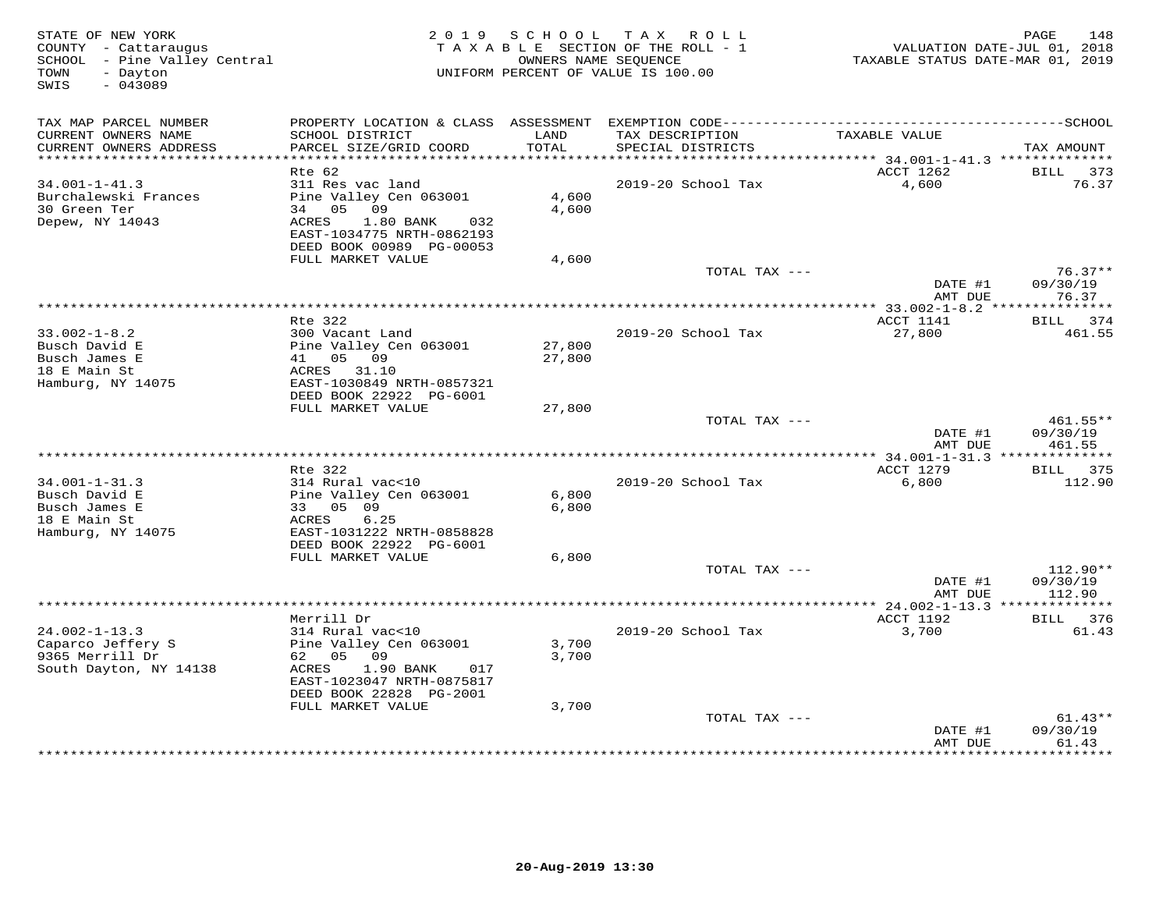| STATE OF NEW YORK<br>COUNTY - Cattaraugus<br>SCHOOL - Pine Valley Central<br>- Dayton<br>TOWN<br>SWIS<br>$-043089$ |                                                       | 2019 SCHOOL   | TAX ROLL<br>TAXABLE SECTION OF THE ROLL - 1<br>OWNERS NAME SEOUENCE<br>UNIFORM PERCENT OF VALUE IS 100.00 | TAXABLE STATUS DATE-MAR 01, 2019               | 148<br>PAGE<br>VALUATION DATE-JUL 01, 2018 |
|--------------------------------------------------------------------------------------------------------------------|-------------------------------------------------------|---------------|-----------------------------------------------------------------------------------------------------------|------------------------------------------------|--------------------------------------------|
| TAX MAP PARCEL NUMBER                                                                                              |                                                       |               |                                                                                                           |                                                |                                            |
| CURRENT OWNERS NAME<br>CURRENT OWNERS ADDRESS<br>************************                                          | SCHOOL DISTRICT<br>PARCEL SIZE/GRID COORD             | LAND<br>TOTAL | TAX DESCRIPTION<br>SPECIAL DISTRICTS                                                                      | TAXABLE VALUE                                  | TAX AMOUNT                                 |
|                                                                                                                    | Rte 62                                                |               |                                                                                                           | ACCT 1262                                      | BILL 373                                   |
| $34.001 - 1 - 41.3$                                                                                                | 311 Res vac land                                      |               | 2019-20 School Tax                                                                                        | 4,600                                          | 76.37                                      |
| Burchalewski Frances                                                                                               | Pine Valley Cen 063001                                | 4,600         |                                                                                                           |                                                |                                            |
| 30 Green Ter                                                                                                       | 34 05 09                                              | 4,600         |                                                                                                           |                                                |                                            |
| Depew, NY 14043                                                                                                    | ACRES<br>$1.80$ BANK<br>032                           |               |                                                                                                           |                                                |                                            |
|                                                                                                                    | EAST-1034775 NRTH-0862193<br>DEED BOOK 00989 PG-00053 |               |                                                                                                           |                                                |                                            |
|                                                                                                                    | FULL MARKET VALUE                                     | 4,600         |                                                                                                           |                                                |                                            |
|                                                                                                                    |                                                       |               | TOTAL TAX ---                                                                                             |                                                | $76.37**$                                  |
|                                                                                                                    |                                                       |               |                                                                                                           | DATE #1<br>AMT DUE                             | 09/30/19<br>76.37                          |
|                                                                                                                    |                                                       |               |                                                                                                           |                                                |                                            |
|                                                                                                                    | Rte 322                                               |               |                                                                                                           | ACCT 1141                                      | BILL 374                                   |
| $33.002 - 1 - 8.2$<br>Busch David E                                                                                | 300 Vacant Land<br>Pine Valley Cen 063001             | 27,800        | 2019-20 School Tax                                                                                        | 27,800                                         | 461.55                                     |
| Busch James E                                                                                                      | 41 05 09                                              | 27,800        |                                                                                                           |                                                |                                            |
| 18 E Main St                                                                                                       | ACRES 31.10                                           |               |                                                                                                           |                                                |                                            |
| Hamburg, NY 14075                                                                                                  | EAST-1030849 NRTH-0857321                             |               |                                                                                                           |                                                |                                            |
|                                                                                                                    | DEED BOOK 22922 PG-6001                               |               |                                                                                                           |                                                |                                            |
|                                                                                                                    | FULL MARKET VALUE                                     | 27,800        | TOTAL TAX ---                                                                                             |                                                | $461.55**$                                 |
|                                                                                                                    |                                                       |               |                                                                                                           | DATE #1                                        | 09/30/19                                   |
|                                                                                                                    |                                                       |               |                                                                                                           | AMT DUE                                        | 461.55                                     |
|                                                                                                                    |                                                       |               |                                                                                                           |                                                |                                            |
|                                                                                                                    | Rte 322                                               |               |                                                                                                           | ACCT 1279                                      | BILL 375                                   |
| $34.001 - 1 - 31.3$<br>Busch David E                                                                               | 314 Rural vac<10<br>Pine Valley Cen 063001            | 6,800         | 2019-20 School Tax                                                                                        | 6,800                                          | 112.90                                     |
| Busch James E                                                                                                      | 33 05 09                                              | 6,800         |                                                                                                           |                                                |                                            |
| 18 E Main St                                                                                                       | 6.25<br>ACRES                                         |               |                                                                                                           |                                                |                                            |
| Hamburg, NY 14075                                                                                                  | EAST-1031222 NRTH-0858828                             |               |                                                                                                           |                                                |                                            |
|                                                                                                                    | DEED BOOK 22922 PG-6001                               |               |                                                                                                           |                                                |                                            |
|                                                                                                                    | FULL MARKET VALUE                                     | 6,800         | TOTAL TAX ---                                                                                             |                                                | $112.90**$                                 |
|                                                                                                                    |                                                       |               |                                                                                                           | DATE #1                                        | 09/30/19                                   |
|                                                                                                                    |                                                       |               |                                                                                                           | AMT DUE                                        | 112.90                                     |
|                                                                                                                    |                                                       |               |                                                                                                           | **************** 24.002-1-13.3 *************** |                                            |
|                                                                                                                    | Merrill Dr                                            |               |                                                                                                           | ACCT 1192                                      | BILL 376                                   |
| $24.002 - 1 - 13.3$<br>Caparco Jeffery S                                                                           | 314 Rural vac<10<br>Pine Valley Cen 063001            | 3,700         | 2019-20 School Tax                                                                                        | 3,700                                          | 61.43                                      |
| 9365 Merrill Dr                                                                                                    | 62 05 09                                              | 3,700         |                                                                                                           |                                                |                                            |
| South Dayton, NY 14138                                                                                             | ACRES<br>1.90 BANK<br>017                             |               |                                                                                                           |                                                |                                            |
|                                                                                                                    | EAST-1023047 NRTH-0875817                             |               |                                                                                                           |                                                |                                            |
|                                                                                                                    | DEED BOOK 22828 PG-2001                               |               |                                                                                                           |                                                |                                            |
|                                                                                                                    | FULL MARKET VALUE                                     | 3,700         |                                                                                                           |                                                |                                            |
|                                                                                                                    |                                                       |               | TOTAL TAX ---                                                                                             | DATE #1                                        | $61.43**$<br>09/30/19                      |
|                                                                                                                    |                                                       |               |                                                                                                           | AMT DUE                                        | 61.43                                      |
|                                                                                                                    |                                                       |               |                                                                                                           |                                                | .                                          |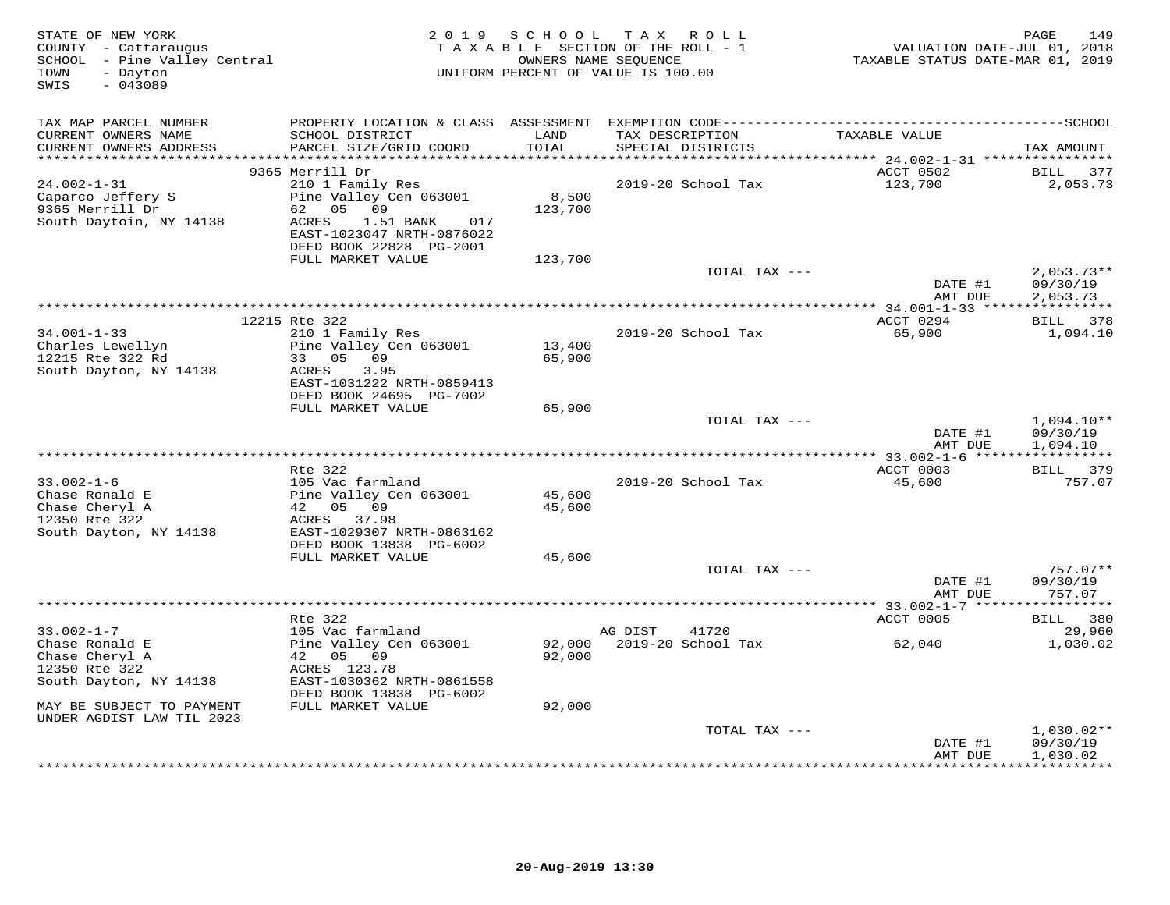| STATE OF NEW YORK<br>COUNTY - Cattaraugus<br>SCHOOL - Pine Valley Central<br>- Dayton<br>TOWN<br>SWIS<br>$-043089$ |                                                                                                                                             | 2019 SCHOOL      | TAX ROLL<br>TAXABLE SECTION OF THE ROLL - 1<br>OWNERS NAME SEQUENCE<br>UNIFORM PERCENT OF VALUE IS 100.00 | VALUATION DATE-JUL 01, 2018<br>TAXABLE STATUS DATE-MAR 01, 2019 | 149<br>PAGE                          |
|--------------------------------------------------------------------------------------------------------------------|---------------------------------------------------------------------------------------------------------------------------------------------|------------------|-----------------------------------------------------------------------------------------------------------|-----------------------------------------------------------------|--------------------------------------|
| TAX MAP PARCEL NUMBER<br>CURRENT OWNERS NAME<br>CURRENT OWNERS ADDRESS                                             | SCHOOL DISTRICT<br>PARCEL SIZE/GRID COORD                                                                                                   | LAND<br>TOTAL    | TAX DESCRIPTION<br>SPECIAL DISTRICTS                                                                      | TAXABLE VALUE                                                   | TAX AMOUNT                           |
| ************************                                                                                           |                                                                                                                                             |                  |                                                                                                           |                                                                 |                                      |
|                                                                                                                    | 9365 Merrill Dr                                                                                                                             |                  |                                                                                                           | ACCT 0502                                                       | 377<br><b>BILL</b>                   |
| $24.002 - 1 - 31$<br>Caparco Jeffery S<br>9365 Merrill Dr<br>South Daytoin, NY 14138                               | 210 1 Family Res<br>Pine Valley Cen 063001<br>62 05 09<br>ACRES<br>1.51 BANK<br>017<br>EAST-1023047 NRTH-0876022<br>DEED BOOK 22828 PG-2001 | 8,500<br>123,700 | 2019-20 School Tax                                                                                        | 123,700                                                         | 2,053.73                             |
|                                                                                                                    | FULL MARKET VALUE                                                                                                                           | 123,700          |                                                                                                           |                                                                 |                                      |
|                                                                                                                    |                                                                                                                                             |                  | TOTAL TAX ---                                                                                             | DATE #1<br>AMT DUE                                              | $2,053.73**$<br>09/30/19<br>2,053.73 |
|                                                                                                                    |                                                                                                                                             |                  |                                                                                                           |                                                                 |                                      |
| $34.001 - 1 - 33$                                                                                                  | 12215 Rte 322<br>210 1 Family Res                                                                                                           |                  | 2019-20 School Tax                                                                                        | ACCT 0294<br>65,900                                             | BILL 378<br>1,094.10                 |
| Charles Lewellyn<br>12215 Rte 322 Rd<br>South Dayton, NY 14138                                                     | Pine Valley Cen 063001<br>33 05 09<br>ACRES<br>3.95<br>EAST-1031222 NRTH-0859413<br>DEED BOOK 24695 PG-7002                                 | 13,400<br>65,900 |                                                                                                           |                                                                 |                                      |
|                                                                                                                    | FULL MARKET VALUE                                                                                                                           | 65,900           |                                                                                                           |                                                                 |                                      |
|                                                                                                                    |                                                                                                                                             |                  | TOTAL TAX ---                                                                                             | DATE #1<br>AMT DUE                                              | $1,094.10**$<br>09/30/19<br>1,094.10 |
|                                                                                                                    |                                                                                                                                             |                  |                                                                                                           |                                                                 |                                      |
|                                                                                                                    | Rte 322                                                                                                                                     |                  |                                                                                                           | ACCT 0003                                                       | BILL 379                             |
| $33.002 - 1 - 6$<br>Chase Ronald E<br>Chase Cheryl A<br>12350 Rte 322<br>South Dayton, NY 14138                    | 105 Vac farmland<br>Pine Valley Cen 063001<br>42 05 09<br>ACRES 37.98<br>EAST-1029307 NRTH-0863162                                          | 45,600<br>45,600 | 2019-20 School Tax                                                                                        | 45,600                                                          | 757.07                               |
|                                                                                                                    | DEED BOOK 13838 PG-6002                                                                                                                     |                  |                                                                                                           |                                                                 |                                      |
|                                                                                                                    | FULL MARKET VALUE                                                                                                                           | 45,600           |                                                                                                           |                                                                 |                                      |
|                                                                                                                    |                                                                                                                                             |                  | TOTAL TAX ---                                                                                             | DATE #1<br>AMT DUE                                              | $757.07**$<br>09/30/19<br>757.07     |
|                                                                                                                    |                                                                                                                                             |                  |                                                                                                           |                                                                 |                                      |
| $33.002 - 1 - 7$                                                                                                   | Rte 322<br>105 Vac farmland                                                                                                                 |                  | 41720<br>AG DIST                                                                                          | ACCT 0005                                                       | BILL 380<br>29,960                   |
| Chase Ronald E<br>Chase Cheryl A<br>12350 Rte 322<br>South Dayton, NY 14138                                        | Pine Valley Cen 063001<br>42 05 09<br>ACRES 123.78<br>EAST-1030362 NRTH-0861558                                                             | 92,000           | 92,000 2019-20 School Tax                                                                                 | 62,040                                                          | 1,030.02                             |
| MAY BE SUBJECT TO PAYMENT<br>UNDER AGDIST LAW TIL 2023                                                             | DEED BOOK 13838 PG-6002<br>FULL MARKET VALUE                                                                                                | 92,000           |                                                                                                           |                                                                 |                                      |
|                                                                                                                    |                                                                                                                                             |                  | TOTAL TAX ---                                                                                             |                                                                 | $1,030.02**$                         |
|                                                                                                                    |                                                                                                                                             |                  |                                                                                                           | DATE #1<br>AMT DUE                                              | 09/30/19<br>1,030.02                 |
|                                                                                                                    |                                                                                                                                             |                  |                                                                                                           |                                                                 | ***********                          |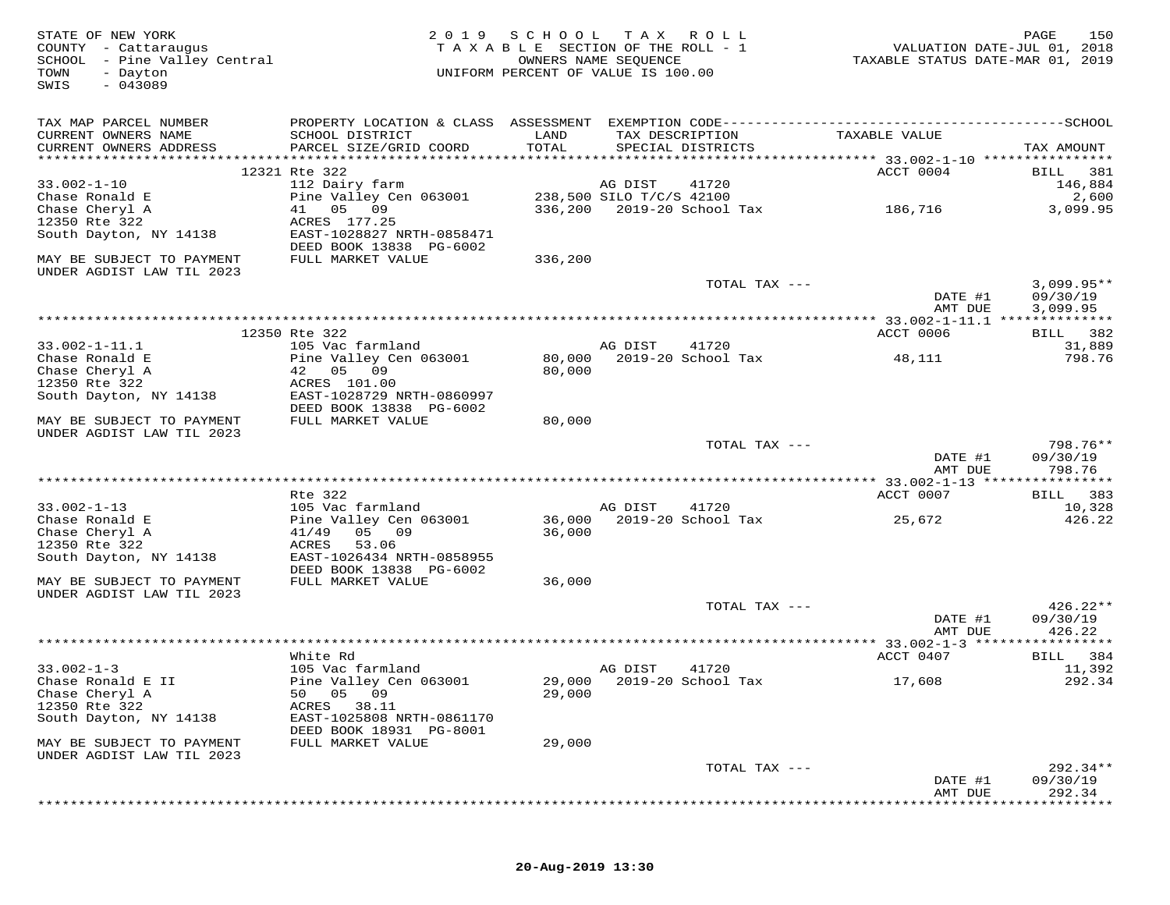| STATE OF NEW YORK<br>COUNTY - Cattaraugus<br>SCHOOL - Pine Valley Central<br>TOWN<br>- Dayton<br>$-043089$<br>SWIS | 2 0 1 9                                                                                      | SCHOOL<br>TAXABLE SECTION OF THE ROLL - 1<br>UNIFORM PERCENT OF VALUE IS 100.00 | T A X<br>OWNERS NAME SEQUENCE | R O L L                              | VALUATION DATE-JUL 01, 2018<br>TAXABLE STATUS DATE-MAR 01, 2019 | 150<br>PAGE                 |
|--------------------------------------------------------------------------------------------------------------------|----------------------------------------------------------------------------------------------|---------------------------------------------------------------------------------|-------------------------------|--------------------------------------|-----------------------------------------------------------------|-----------------------------|
| TAX MAP PARCEL NUMBER                                                                                              | PROPERTY LOCATION & CLASS ASSESSMENT EXEMPTION CODE-----------------------------------SCHOOL |                                                                                 |                               |                                      |                                                                 |                             |
| CURRENT OWNERS NAME<br>CURRENT OWNERS ADDRESS                                                                      | SCHOOL DISTRICT<br>PARCEL SIZE/GRID COORD                                                    | LAND<br>TOTAL                                                                   |                               | TAX DESCRIPTION<br>SPECIAL DISTRICTS | TAXABLE VALUE                                                   | TAX AMOUNT                  |
|                                                                                                                    |                                                                                              |                                                                                 |                               |                                      |                                                                 |                             |
|                                                                                                                    | 12321 Rte 322                                                                                |                                                                                 |                               |                                      | ACCT 0004                                                       | 381<br>BILL                 |
| $33.002 - 1 - 10$                                                                                                  | 112 Dairy farm                                                                               |                                                                                 | AG DIST                       | 41720                                |                                                                 | 146,884                     |
| Chase Ronald E                                                                                                     | Pine Valley Cen 063001                                                                       |                                                                                 | 238,500 SILO T/C/S 42100      |                                      |                                                                 | 2,600                       |
| Chase Cheryl A<br>12350 Rte 322                                                                                    | 05 09<br>41<br>ACRES 177.25                                                                  | 336,200                                                                         |                               | 2019-20 School Tax                   | 186,716                                                         | 3,099.95                    |
| South Dayton, NY 14138                                                                                             | EAST-1028827 NRTH-0858471                                                                    |                                                                                 |                               |                                      |                                                                 |                             |
|                                                                                                                    | DEED BOOK 13838 PG-6002                                                                      |                                                                                 |                               |                                      |                                                                 |                             |
| MAY BE SUBJECT TO PAYMENT<br>UNDER AGDIST LAW TIL 2023                                                             | FULL MARKET VALUE                                                                            | 336,200                                                                         |                               |                                      |                                                                 |                             |
|                                                                                                                    |                                                                                              |                                                                                 |                               | TOTAL TAX ---                        |                                                                 | $3,099.95**$                |
|                                                                                                                    |                                                                                              |                                                                                 |                               |                                      | DATE #1<br>AMT DUE                                              | 09/30/19<br>3,099.95        |
|                                                                                                                    |                                                                                              |                                                                                 |                               |                                      |                                                                 |                             |
|                                                                                                                    | 12350 Rte 322                                                                                |                                                                                 |                               |                                      | ACCT 0006                                                       | BILL 382                    |
| $33.002 - 1 - 11.1$                                                                                                | 105 Vac farmland                                                                             |                                                                                 | AG DIST                       | 41720                                |                                                                 | 31,889                      |
| Chase Ronald E                                                                                                     | Pine Valley Cen 063001                                                                       | 80,000                                                                          |                               | 2019-20 School Tax                   | 48,111                                                          | 798.76                      |
| Chase Cheryl A<br>12350 Rte 322                                                                                    | 42 05 09<br>ACRES 101.00                                                                     | 80,000                                                                          |                               |                                      |                                                                 |                             |
| South Dayton, NY 14138                                                                                             | EAST-1028729 NRTH-0860997                                                                    |                                                                                 |                               |                                      |                                                                 |                             |
|                                                                                                                    | DEED BOOK 13838 PG-6002                                                                      |                                                                                 |                               |                                      |                                                                 |                             |
| MAY BE SUBJECT TO PAYMENT                                                                                          | FULL MARKET VALUE                                                                            | 80,000                                                                          |                               |                                      |                                                                 |                             |
| UNDER AGDIST LAW TIL 2023                                                                                          |                                                                                              |                                                                                 |                               |                                      |                                                                 |                             |
|                                                                                                                    |                                                                                              |                                                                                 |                               | TOTAL TAX ---                        |                                                                 | 798.76**                    |
|                                                                                                                    |                                                                                              |                                                                                 |                               |                                      | DATE #1                                                         | 09/30/19                    |
|                                                                                                                    | ***********************************                                                          |                                                                                 |                               |                                      | AMT DUE<br>********** 33.002-1-13 *****                         | 798.76<br>* * * * * * * * * |
|                                                                                                                    | Rte 322                                                                                      |                                                                                 |                               |                                      | ACCT 0007                                                       | 383<br>BILL                 |
| $33.002 - 1 - 13$                                                                                                  | 105 Vac farmland                                                                             |                                                                                 | AG DIST                       | 41720                                |                                                                 | 10,328                      |
| Chase Ronald E                                                                                                     | Pine Valley Cen 063001                                                                       | 36,000                                                                          |                               | 2019-20 School Tax                   | 25,672                                                          | 426.22                      |
| Chase Cheryl A                                                                                                     | 05 09<br>41/49                                                                               | 36,000                                                                          |                               |                                      |                                                                 |                             |
| 12350 Rte 322                                                                                                      | ACRES<br>53.06                                                                               |                                                                                 |                               |                                      |                                                                 |                             |
| South Dayton, NY 14138                                                                                             | EAST-1026434 NRTH-0858955                                                                    |                                                                                 |                               |                                      |                                                                 |                             |
|                                                                                                                    | DEED BOOK 13838 PG-6002                                                                      |                                                                                 |                               |                                      |                                                                 |                             |
| MAY BE SUBJECT TO PAYMENT<br>UNDER AGDIST LAW TIL 2023                                                             | FULL MARKET VALUE                                                                            | 36,000                                                                          |                               |                                      |                                                                 |                             |
|                                                                                                                    |                                                                                              |                                                                                 |                               | TOTAL TAX ---                        |                                                                 | $426.22**$                  |
|                                                                                                                    |                                                                                              |                                                                                 |                               |                                      | DATE #1                                                         | 09/30/19                    |
|                                                                                                                    |                                                                                              |                                                                                 |                               |                                      | AMT DUE                                                         | 426.22                      |
|                                                                                                                    |                                                                                              |                                                                                 |                               |                                      | *********** 33.002-1-3 ******************                       |                             |
|                                                                                                                    | White Rd                                                                                     |                                                                                 |                               |                                      | ACCT 0407                                                       | 384<br>BILL                 |
| $33.002 - 1 - 3$                                                                                                   | 105 Vac farmland                                                                             |                                                                                 | AG DIST                       | 41720                                |                                                                 | 11,392                      |
| Chase Ronald E II                                                                                                  | Pine Valley Cen 063001                                                                       |                                                                                 |                               | 29,000 2019-20 School Tax            | 17,608                                                          | 292.34                      |
| Chase Cheryl A<br>12350 Rte 322                                                                                    | 50 05 09<br>ACRES 38.11                                                                      | 29,000                                                                          |                               |                                      |                                                                 |                             |
| South Dayton, NY 14138                                                                                             | EAST-1025808 NRTH-0861170                                                                    |                                                                                 |                               |                                      |                                                                 |                             |
|                                                                                                                    | DEED BOOK 18931 PG-8001                                                                      |                                                                                 |                               |                                      |                                                                 |                             |
| MAY BE SUBJECT TO PAYMENT                                                                                          | FULL MARKET VALUE                                                                            | 29,000                                                                          |                               |                                      |                                                                 |                             |
| UNDER AGDIST LAW TIL 2023                                                                                          |                                                                                              |                                                                                 |                               |                                      |                                                                 |                             |
|                                                                                                                    |                                                                                              |                                                                                 |                               | TOTAL TAX ---                        |                                                                 | 292.34**                    |
|                                                                                                                    |                                                                                              |                                                                                 |                               |                                      | DATE #1                                                         | 09/30/19                    |
|                                                                                                                    |                                                                                              |                                                                                 |                               |                                      | AMT DUE                                                         | 292.34                      |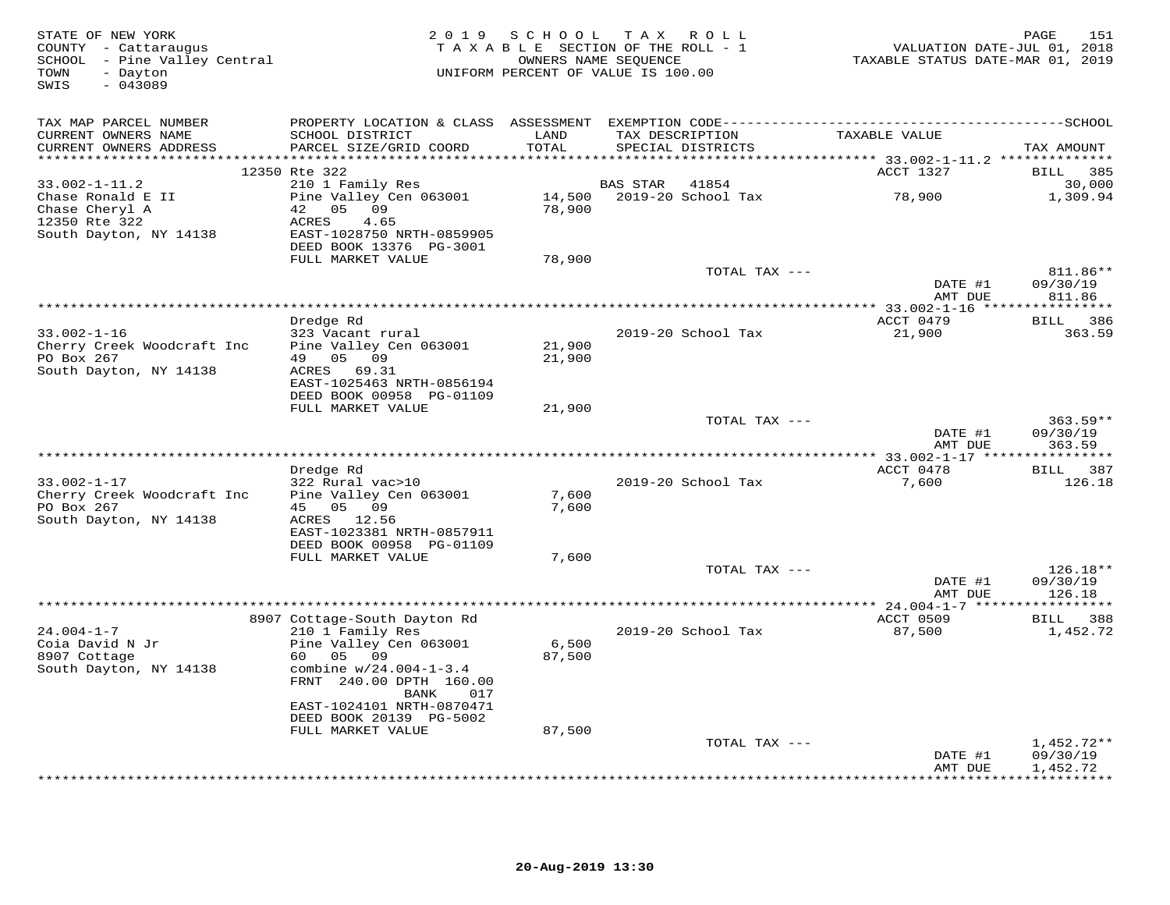| STATE OF NEW YORK<br>COUNTY - Cattaraugus<br>SCHOOL - Pine Valley Central<br>TOWN<br>- Dayton<br>$-043089$<br>SWIS |                                                                                                 |                 | 2019 SCHOOL TAX ROLL<br>TAXABLE SECTION OF THE ROLL - 1<br>OWNERS NAME SEQUENCE<br>UNIFORM PERCENT OF VALUE IS 100.00 | VALUATION DATE-JUL 01, 2018<br>TAXABLE STATUS DATE-MAR 01, 2019 | 151<br>PAGE                  |
|--------------------------------------------------------------------------------------------------------------------|-------------------------------------------------------------------------------------------------|-----------------|-----------------------------------------------------------------------------------------------------------------------|-----------------------------------------------------------------|------------------------------|
| TAX MAP PARCEL NUMBER                                                                                              |                                                                                                 |                 |                                                                                                                       |                                                                 |                              |
| CURRENT OWNERS NAME<br>CURRENT OWNERS ADDRESS                                                                      | SCHOOL DISTRICT<br>PARCEL SIZE/GRID COORD                                                       | LAND<br>TOTAL   | TAX DESCRIPTION<br>SPECIAL DISTRICTS                                                                                  | TAXABLE VALUE                                                   | TAX AMOUNT                   |
|                                                                                                                    | 12350 Rte 322                                                                                   |                 |                                                                                                                       | ACCT 1327                                                       | BILL 385                     |
| $33.002 - 1 - 11.2$                                                                                                | 210 1 Family Res                                                                                |                 | 41854<br>BAS STAR                                                                                                     |                                                                 | 30,000                       |
| Chase Ronald E II<br>Chase Cheryl A<br>12350 Rte 322<br>South Dayton, NY 14138                                     | Pine Valley Cen 063001<br>42 05 09<br>ACRES<br>4.65<br>EAST-1028750 NRTH-0859905                | 78,900          | 14,500 2019-20 School Tax                                                                                             | 78,900                                                          | 1,309.94                     |
|                                                                                                                    | DEED BOOK 13376 PG-3001                                                                         |                 |                                                                                                                       |                                                                 |                              |
|                                                                                                                    | FULL MARKET VALUE                                                                               | 78,900          |                                                                                                                       |                                                                 |                              |
|                                                                                                                    |                                                                                                 |                 | TOTAL TAX ---                                                                                                         | DATE #1                                                         | 811.86**<br>09/30/19         |
|                                                                                                                    |                                                                                                 |                 |                                                                                                                       | AMT DUE                                                         | 811.86                       |
|                                                                                                                    | Dredge Rd                                                                                       |                 |                                                                                                                       | ACCT 0479                                                       | BILL 386                     |
| $33.002 - 1 - 16$<br>Cherry Creek Woodcraft Inc                                                                    | 323 Vacant rural<br>Pine Valley Cen 063001                                                      | 21,900          | 2019-20 School Tax                                                                                                    | 21,900                                                          | 363.59                       |
| PO Box 267<br>South Dayton, NY 14138                                                                               | 49 05 09<br>ACRES 69.31<br>EAST-1025463 NRTH-0856194<br>DEED BOOK 00958 PG-01109                | 21,900          |                                                                                                                       |                                                                 |                              |
|                                                                                                                    | FULL MARKET VALUE                                                                               | 21,900          |                                                                                                                       |                                                                 |                              |
|                                                                                                                    |                                                                                                 |                 | TOTAL TAX ---                                                                                                         | DATE #1                                                         | $363.59**$<br>09/30/19       |
|                                                                                                                    |                                                                                                 |                 |                                                                                                                       | AMT DUE                                                         | 363.59                       |
|                                                                                                                    | Dredge Rd                                                                                       |                 |                                                                                                                       | ** 33.002-1-17 *****<br>ACCT 0478                               | ***********<br>BILL 387      |
| $33.002 - 1 - 17$                                                                                                  | 322 Rural vac>10                                                                                |                 | 2019-20 School Tax                                                                                                    | 7,600                                                           | 126.18                       |
| Cherry Creek Woodcraft Inc                                                                                         | Pine Valley Cen 063001                                                                          | 7,600           |                                                                                                                       |                                                                 |                              |
| PO Box 267<br>South Dayton, NY 14138                                                                               | 45 05 09<br>ACRES 12.56                                                                         | 7,600           |                                                                                                                       |                                                                 |                              |
|                                                                                                                    | EAST-1023381 NRTH-0857911<br>DEED BOOK 00958 PG-01109                                           |                 |                                                                                                                       |                                                                 |                              |
|                                                                                                                    | FULL MARKET VALUE                                                                               | 7,600           |                                                                                                                       |                                                                 |                              |
|                                                                                                                    |                                                                                                 |                 | TOTAL TAX ---                                                                                                         |                                                                 | $126.18**$                   |
|                                                                                                                    |                                                                                                 |                 |                                                                                                                       | DATE #1<br>AMT DUE                                              | 09/30/19<br>126.18           |
|                                                                                                                    | 8907 Cottage-South Dayton Rd                                                                    |                 |                                                                                                                       | ACCT 0509                                                       | BILL 388                     |
| $24.004 - 1 - 7$                                                                                                   | 210 1 Family Res                                                                                |                 | 2019-20 School Tax                                                                                                    | 87,500                                                          | 1,452.72                     |
| Coia David N Jr<br>8907 Cottage<br>South Dayton, NY 14138                                                          | Pine Valley Cen 063001<br>60 —<br>05<br>09<br>combine w/24.004-1-3.4<br>FRNT 240.00 DPTH 160.00 | 6,500<br>87,500 |                                                                                                                       |                                                                 |                              |
|                                                                                                                    | BANK<br>017<br>EAST-1024101 NRTH-0870471<br>DEED BOOK 20139 PG-5002                             |                 |                                                                                                                       |                                                                 |                              |
|                                                                                                                    | FULL MARKET VALUE                                                                               | 87,500          |                                                                                                                       |                                                                 |                              |
|                                                                                                                    |                                                                                                 |                 | TOTAL TAX ---                                                                                                         | DATE #1                                                         | $1,452.72**$<br>09/30/19     |
|                                                                                                                    |                                                                                                 |                 |                                                                                                                       | AMT DUE                                                         | 1,452.72<br><b>+++++++++</b> |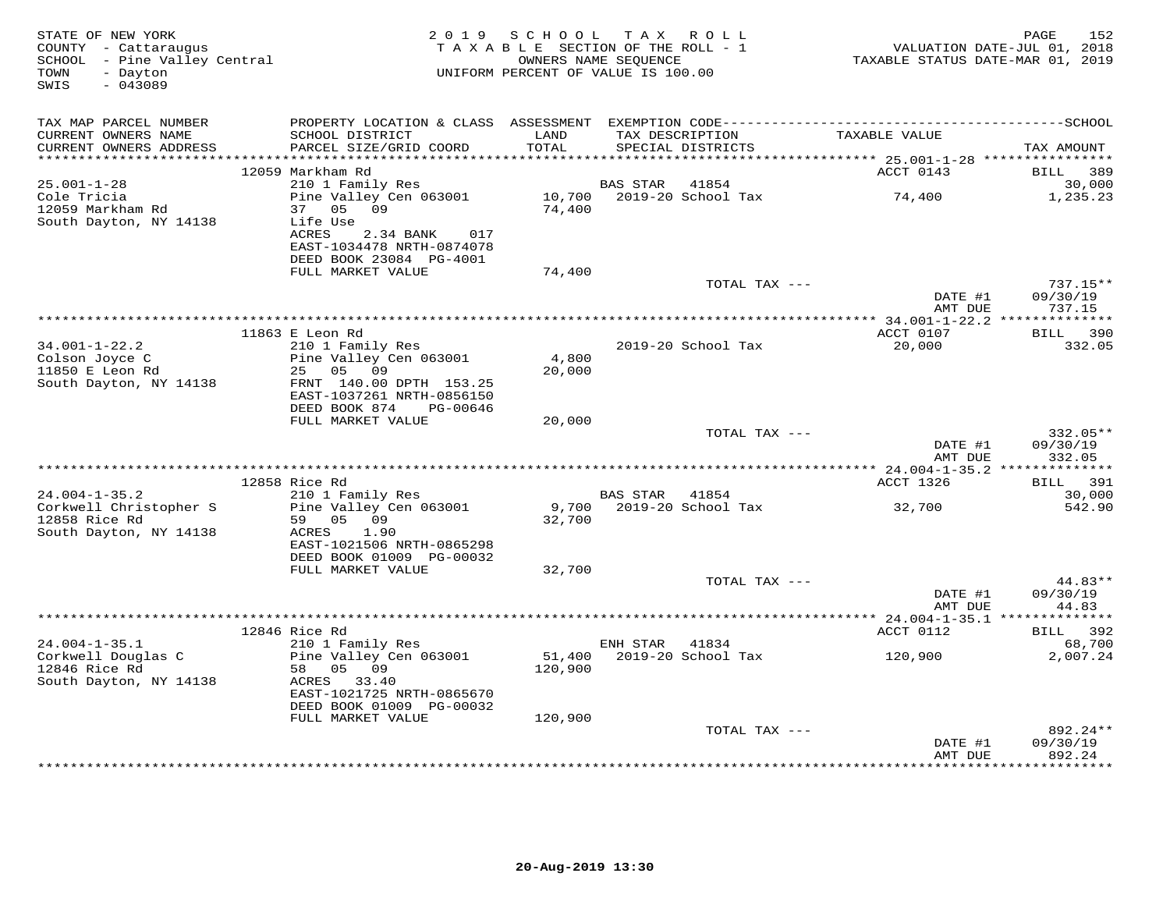| STATE OF NEW YORK<br>COUNTY - Cattaraugus<br>SCHOOL - Pine Valley Central<br>TOWN<br>- Dayton<br>$-043089$<br>SWIS |                                                                    | 2019 SCHOOL TAX ROLL<br>TAXABLE SECTION OF THE ROLL - 1<br>OWNERS NAME SEQUENCE<br>UNIFORM PERCENT OF VALUE IS 100.00 |                 |                                      | TAXABLE STATUS DATE-MAR 01, 2019 | 152<br>PAGE<br>VALUATION DATE-JUL 01, 2018 |
|--------------------------------------------------------------------------------------------------------------------|--------------------------------------------------------------------|-----------------------------------------------------------------------------------------------------------------------|-----------------|--------------------------------------|----------------------------------|--------------------------------------------|
| TAX MAP PARCEL NUMBER                                                                                              |                                                                    |                                                                                                                       |                 |                                      |                                  |                                            |
| CURRENT OWNERS NAME<br>CURRENT OWNERS ADDRESS<br>************************                                          | SCHOOL DISTRICT<br>PARCEL SIZE/GRID COORD                          | LAND<br>TOTAL                                                                                                         |                 | TAX DESCRIPTION<br>SPECIAL DISTRICTS | TAXABLE VALUE                    | TAX AMOUNT                                 |
|                                                                                                                    | 12059 Markham Rd                                                   |                                                                                                                       |                 |                                      | ACCT 0143                        | 389<br>BILL                                |
| $25.001 - 1 - 28$                                                                                                  | 210 1 Family Res                                                   |                                                                                                                       | <b>BAS STAR</b> | 41854                                |                                  | 30,000                                     |
| Cole Tricia<br>12059 Markham Rd                                                                                    | Pine Valley Cen 063001<br>05 09<br>37                              | 10,700<br>74,400                                                                                                      |                 | 2019-20 School Tax                   | 74,400                           | 1,235.23                                   |
| South Dayton, NY 14138                                                                                             | Life Use<br>ACRES<br>2.34 BANK<br>017<br>EAST-1034478 NRTH-0874078 |                                                                                                                       |                 |                                      |                                  |                                            |
|                                                                                                                    | DEED BOOK 23084 PG-4001<br>FULL MARKET VALUE                       | 74,400                                                                                                                |                 |                                      |                                  |                                            |
|                                                                                                                    |                                                                    |                                                                                                                       |                 | TOTAL TAX ---                        | DATE #1                          | 737.15**<br>09/30/19                       |
|                                                                                                                    |                                                                    |                                                                                                                       |                 |                                      | AMT DUE                          | 737.15                                     |
|                                                                                                                    |                                                                    |                                                                                                                       |                 |                                      |                                  |                                            |
|                                                                                                                    | 11863 E Leon Rd                                                    |                                                                                                                       |                 |                                      | ACCT 0107                        | BILL 390                                   |
| $34.001 - 1 - 22.2$<br>Colson Joyce C                                                                              | 210 1 Family Res<br>Pine Valley Cen 063001                         | 4,800                                                                                                                 |                 | 2019-20 School Tax                   | 20,000                           | 332.05                                     |
| 11850 E Leon Rd                                                                                                    | 25 05 09                                                           | 20,000                                                                                                                |                 |                                      |                                  |                                            |
| South Dayton, NY 14138                                                                                             | FRNT 140.00 DPTH 153.25<br>EAST-1037261 NRTH-0856150               |                                                                                                                       |                 |                                      |                                  |                                            |
|                                                                                                                    | DEED BOOK 874<br>PG-00646<br>FULL MARKET VALUE                     | 20,000                                                                                                                |                 |                                      |                                  |                                            |
|                                                                                                                    |                                                                    |                                                                                                                       |                 | TOTAL TAX ---                        |                                  | 332.05**                                   |
|                                                                                                                    |                                                                    |                                                                                                                       |                 |                                      | DATE #1<br>AMT DUE               | 09/30/19<br>332.05                         |
|                                                                                                                    |                                                                    |                                                                                                                       |                 |                                      |                                  |                                            |
|                                                                                                                    | 12858 Rice Rd                                                      |                                                                                                                       |                 |                                      | ACCT 1326                        | BILL 391                                   |
| $24.004 - 1 - 35.2$<br>Corkwell Christopher S                                                                      | 210 1 Family Res<br>Pine Valley Cen 063001                         | 9,700                                                                                                                 | BAS STAR        | 41854<br>2019-20 School Tax          | 32,700                           | 30,000<br>542.90                           |
| 12858 Rice Rd                                                                                                      | 59 05 09<br>1.90                                                   | 32,700                                                                                                                |                 |                                      |                                  |                                            |
| South Dayton, NY 14138                                                                                             | ACRES<br>EAST-1021506 NRTH-0865298                                 |                                                                                                                       |                 |                                      |                                  |                                            |
|                                                                                                                    | DEED BOOK 01009 PG-00032<br>FULL MARKET VALUE                      | 32,700                                                                                                                |                 |                                      |                                  |                                            |
|                                                                                                                    |                                                                    |                                                                                                                       |                 | TOTAL TAX ---                        |                                  | 44.83**                                    |
|                                                                                                                    |                                                                    |                                                                                                                       |                 |                                      | DATE #1<br>AMT DUE               | 09/30/19<br>44.83                          |
|                                                                                                                    |                                                                    |                                                                                                                       |                 |                                      |                                  |                                            |
|                                                                                                                    | 12846 Rice Rd                                                      |                                                                                                                       |                 |                                      | ACCT 0112                        | 392<br>BILL                                |
| $24.004 - 1 - 35.1$                                                                                                | 210 1 Family Res                                                   |                                                                                                                       | ENH STAR        | 41834                                |                                  | 68,700                                     |
| Corkwell Douglas C<br>12846 Rice Rd                                                                                | Pine Valley Cen 063001<br>58 05 09                                 | 51,400<br>120,900                                                                                                     |                 | 2019-20 School Tax                   | 120,900                          | 2,007.24                                   |
| South Dayton, NY 14138                                                                                             | ACRES 33.40<br>EAST-1021725 NRTH-0865670                           |                                                                                                                       |                 |                                      |                                  |                                            |
|                                                                                                                    | DEED BOOK 01009 PG-00032                                           |                                                                                                                       |                 |                                      |                                  |                                            |
|                                                                                                                    | FULL MARKET VALUE                                                  | 120,900                                                                                                               |                 | TOTAL TAX ---                        |                                  | 892.24**                                   |
|                                                                                                                    |                                                                    |                                                                                                                       |                 |                                      | DATE #1                          | 09/30/19                                   |
|                                                                                                                    |                                                                    |                                                                                                                       |                 |                                      | AMT DUE                          | 892.24<br>**********                       |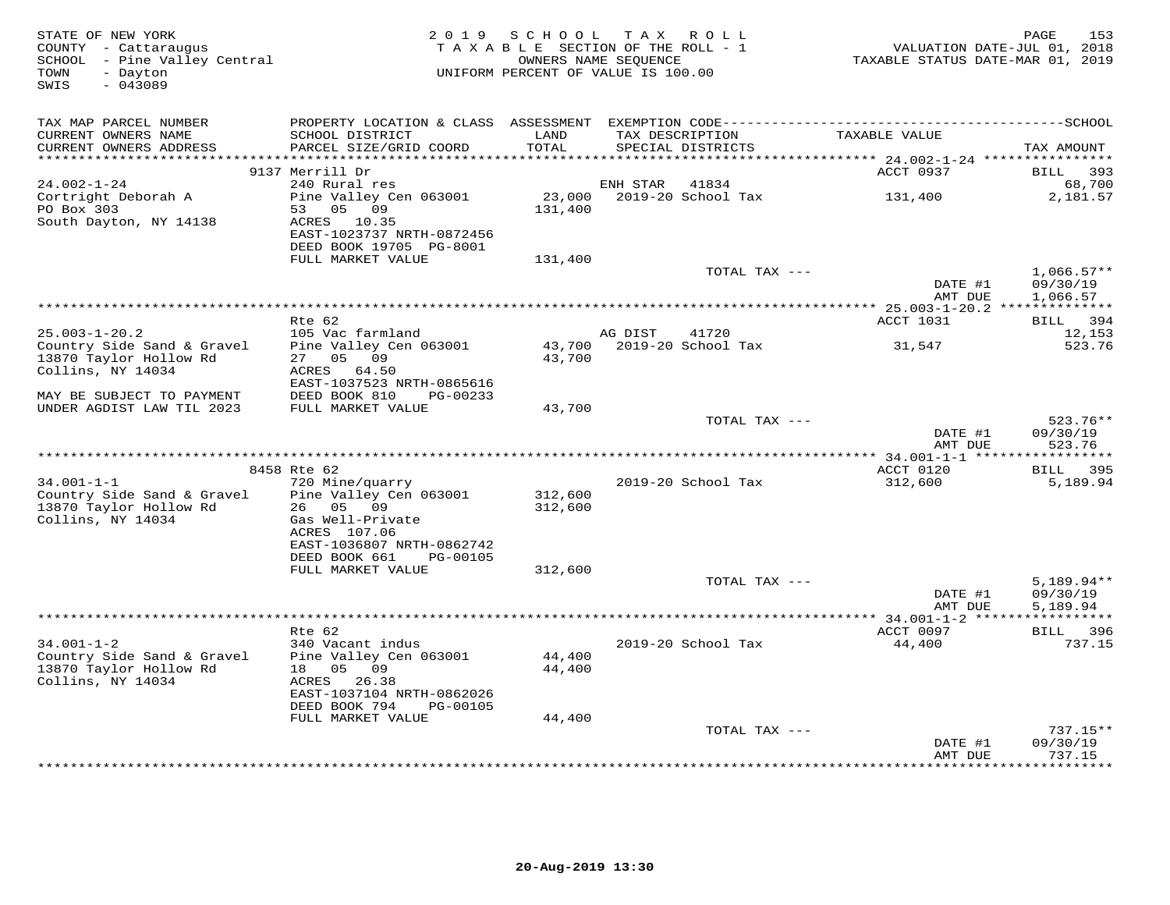| STATE OF NEW YORK<br>COUNTY - Cattaraugus<br>SCHOOL - Pine Valley Central<br>- Dayton<br>TOWN<br>$-043089$<br>SWIS | 2 0 1 9                                   | SCHOOL TAX ROLL<br>TAXABLE SECTION OF THE ROLL - 1<br>OWNERS NAME SEOUENCE<br>UNIFORM PERCENT OF VALUE IS 100.00 |          |                                      | VALUATION DATE-JUL 01, 2018<br>TAXABLE STATUS DATE-MAR 01, 2019 | PAGE<br>153            |
|--------------------------------------------------------------------------------------------------------------------|-------------------------------------------|------------------------------------------------------------------------------------------------------------------|----------|--------------------------------------|-----------------------------------------------------------------|------------------------|
| TAX MAP PARCEL NUMBER                                                                                              |                                           |                                                                                                                  |          |                                      |                                                                 |                        |
| CURRENT OWNERS NAME<br>CURRENT OWNERS ADDRESS                                                                      | SCHOOL DISTRICT<br>PARCEL SIZE/GRID COORD | LAND<br>TOTAL                                                                                                    |          | TAX DESCRIPTION<br>SPECIAL DISTRICTS | TAXABLE VALUE                                                   | TAX AMOUNT             |
| ********************                                                                                               | **************************                | ***********                                                                                                      |          |                                      |                                                                 |                        |
|                                                                                                                    | 9137 Merrill Dr                           |                                                                                                                  |          |                                      | ACCT 0937                                                       | <b>BILL</b><br>393     |
| $24.002 - 1 - 24$                                                                                                  | 240 Rural res                             |                                                                                                                  | ENH STAR | 41834                                |                                                                 | 68,700                 |
| Cortright Deborah A<br>PO Box 303                                                                                  | Pine Valley Cen 063001<br>53 05 09        | 23,000<br>131,400                                                                                                |          | 2019-20 School Tax                   | 131,400                                                         | 2,181.57               |
| South Dayton, NY 14138                                                                                             | ACRES 10.35                               |                                                                                                                  |          |                                      |                                                                 |                        |
|                                                                                                                    | EAST-1023737 NRTH-0872456                 |                                                                                                                  |          |                                      |                                                                 |                        |
|                                                                                                                    | DEED BOOK 19705 PG-8001                   |                                                                                                                  |          |                                      |                                                                 |                        |
|                                                                                                                    | FULL MARKET VALUE                         | 131,400                                                                                                          |          |                                      |                                                                 |                        |
|                                                                                                                    |                                           |                                                                                                                  |          | TOTAL TAX ---                        |                                                                 | $1,066.57**$           |
|                                                                                                                    |                                           |                                                                                                                  |          |                                      | DATE #1                                                         | 09/30/19               |
|                                                                                                                    |                                           |                                                                                                                  |          |                                      | AMT DUE                                                         | 1,066.57               |
|                                                                                                                    | Rte 62                                    |                                                                                                                  |          |                                      | $****25.003-1-20.2*****************$                            | BILL 394               |
| $25.003 - 1 - 20.2$                                                                                                | 105 Vac farmland                          |                                                                                                                  | AG DIST  | 41720                                | ACCT 1031                                                       | 12,153                 |
| Country Side Sand & Gravel                                                                                         | Pine Valley Cen 063001                    | 43,700                                                                                                           |          | 2019-20 School Tax                   | 31,547                                                          | 523.76                 |
| 13870 Taylor Hollow Rd                                                                                             | 27 05 09                                  | 43,700                                                                                                           |          |                                      |                                                                 |                        |
| Collins, NY 14034                                                                                                  | ACRES 64.50                               |                                                                                                                  |          |                                      |                                                                 |                        |
|                                                                                                                    | EAST-1037523 NRTH-0865616                 |                                                                                                                  |          |                                      |                                                                 |                        |
| MAY BE SUBJECT TO PAYMENT                                                                                          | DEED BOOK 810<br>PG-00233                 |                                                                                                                  |          |                                      |                                                                 |                        |
| UNDER AGDIST LAW TIL 2023                                                                                          | FULL MARKET VALUE                         | 43,700                                                                                                           |          |                                      |                                                                 |                        |
|                                                                                                                    |                                           |                                                                                                                  |          | TOTAL TAX ---                        | DATE #1                                                         | $523.76**$<br>09/30/19 |
|                                                                                                                    |                                           |                                                                                                                  |          |                                      | AMT DUE                                                         | 523.76                 |
|                                                                                                                    |                                           |                                                                                                                  |          |                                      |                                                                 |                        |
|                                                                                                                    | 8458 Rte 62                               |                                                                                                                  |          |                                      | ACCT 0120                                                       | 395<br><b>BILL</b>     |
| $34.001 - 1 - 1$                                                                                                   | 720 Mine/quarry                           |                                                                                                                  |          | 2019-20 School Tax                   | 312,600                                                         | 5,189.94               |
| Country Side Sand & Gravel                                                                                         | Pine Valley Cen 063001                    | 312,600                                                                                                          |          |                                      |                                                                 |                        |
| 13870 Taylor Hollow Rd                                                                                             | 26 05 09                                  | 312,600                                                                                                          |          |                                      |                                                                 |                        |
| Collins, NY 14034                                                                                                  | Gas Well-Private                          |                                                                                                                  |          |                                      |                                                                 |                        |
|                                                                                                                    | ACRES 107.06<br>EAST-1036807 NRTH-0862742 |                                                                                                                  |          |                                      |                                                                 |                        |
|                                                                                                                    | DEED BOOK 661<br>PG-00105                 |                                                                                                                  |          |                                      |                                                                 |                        |
|                                                                                                                    | FULL MARKET VALUE                         | 312,600                                                                                                          |          |                                      |                                                                 |                        |
|                                                                                                                    |                                           |                                                                                                                  |          | TOTAL TAX ---                        |                                                                 | $5,189.94**$           |
|                                                                                                                    |                                           |                                                                                                                  |          |                                      | DATE #1                                                         | 09/30/19               |
|                                                                                                                    |                                           |                                                                                                                  |          |                                      | AMT DUE                                                         | 5,189.94               |
|                                                                                                                    |                                           |                                                                                                                  |          |                                      |                                                                 |                        |
| $34.001 - 1 - 2$                                                                                                   | Rte 62<br>340 Vacant indus                |                                                                                                                  |          | 2019-20 School Tax                   | ACCT 0097<br>44,400                                             | BILL 396<br>737.15     |
| Country Side Sand & Gravel                                                                                         | Pine Valley Cen 063001                    | 44,400                                                                                                           |          |                                      |                                                                 |                        |
| 13870 Taylor Hollow Rd                                                                                             | 18  05  09                                | 44,400                                                                                                           |          |                                      |                                                                 |                        |
| Collins, NY 14034                                                                                                  | ACRES 26.38                               |                                                                                                                  |          |                                      |                                                                 |                        |
|                                                                                                                    | EAST-1037104 NRTH-0862026                 |                                                                                                                  |          |                                      |                                                                 |                        |
|                                                                                                                    | DEED BOOK 794<br>PG-00105                 |                                                                                                                  |          |                                      |                                                                 |                        |
|                                                                                                                    | FULL MARKET VALUE                         | 44,400                                                                                                           |          |                                      |                                                                 |                        |
|                                                                                                                    |                                           |                                                                                                                  |          | TOTAL TAX ---                        |                                                                 | $737.15**$             |
|                                                                                                                    |                                           |                                                                                                                  |          |                                      | DATE #1                                                         | 09/30/19               |
|                                                                                                                    |                                           |                                                                                                                  |          |                                      | AMT DUE                                                         | 737.15<br>*********    |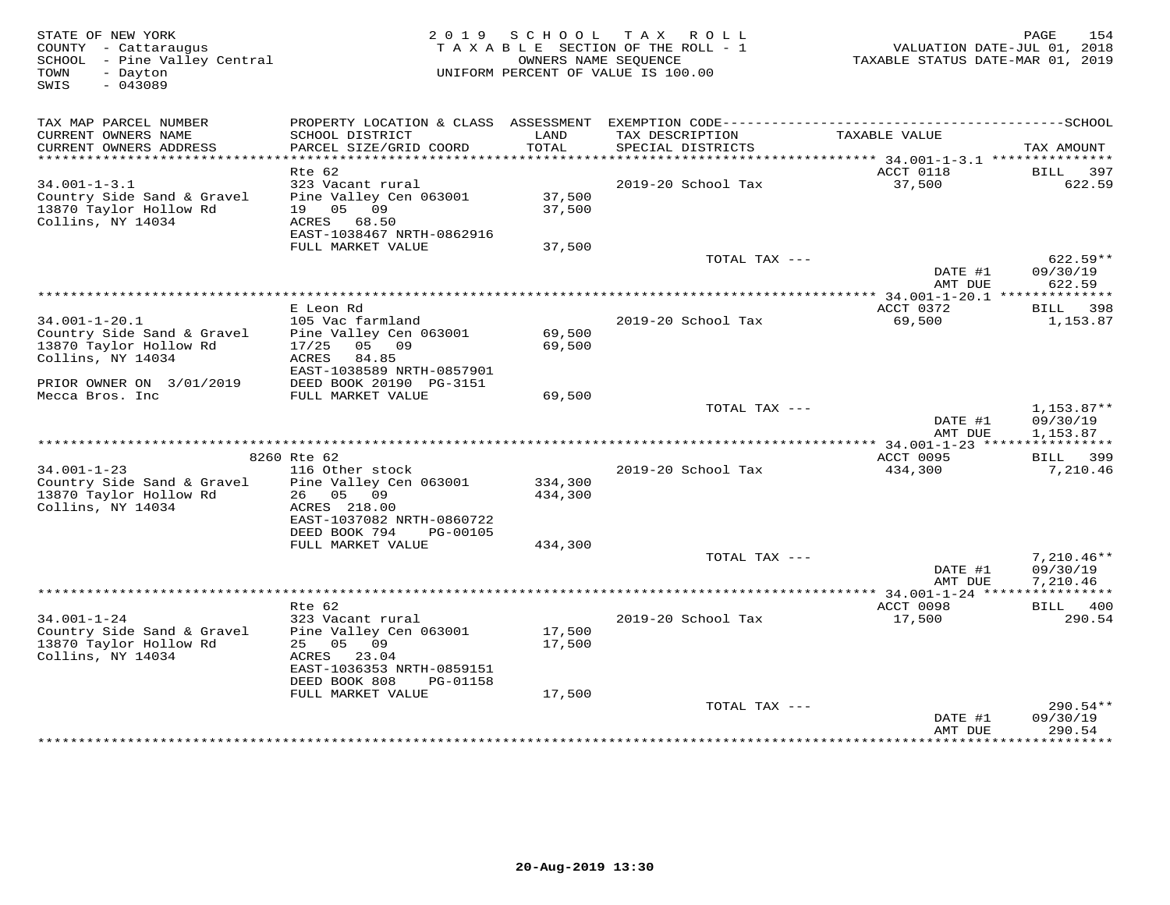| STATE OF NEW YORK<br>COUNTY - Cattaraugus<br>SCHOOL - Pine Valley Central<br>TOWN<br>- Dayton<br>$-043089$<br>SWIS | 2 0 1 9                                                                                 | SCHOOL             | T A X<br>R O L L<br>TAXABLE SECTION OF THE ROLL - 1<br>OWNERS NAME SEOUENCE<br>UNIFORM PERCENT OF VALUE IS 100.00 | VALUATION DATE-JUL 01, 2018<br>TAXABLE STATUS DATE-MAR 01, 2019 | 154<br>PAGE                      |
|--------------------------------------------------------------------------------------------------------------------|-----------------------------------------------------------------------------------------|--------------------|-------------------------------------------------------------------------------------------------------------------|-----------------------------------------------------------------|----------------------------------|
| TAX MAP PARCEL NUMBER                                                                                              |                                                                                         |                    |                                                                                                                   |                                                                 |                                  |
| CURRENT OWNERS NAME<br>CURRENT OWNERS ADDRESS                                                                      | SCHOOL DISTRICT<br>PARCEL SIZE/GRID COORD                                               | LAND<br>TOTAL      | TAX DESCRIPTION<br>SPECIAL DISTRICTS                                                                              | TAXABLE VALUE                                                   | TAX AMOUNT                       |
|                                                                                                                    | $Rte$ 62                                                                                |                    |                                                                                                                   | ACCT 0118                                                       | 397<br><b>BILL</b>               |
| $34.001 - 1 - 3.1$                                                                                                 | 323 Vacant rural                                                                        |                    | 2019-20 School Tax                                                                                                | 37,500                                                          | 622.59                           |
| Country Side Sand & Gravel<br>13870 Taylor Hollow Rd<br>Collins, NY 14034                                          | Pine Valley Cen 063001<br>05<br>09<br>19<br>ACRES<br>68.50<br>EAST-1038467 NRTH-0862916 | 37,500<br>37,500   |                                                                                                                   |                                                                 |                                  |
|                                                                                                                    | FULL MARKET VALUE                                                                       | 37,500             |                                                                                                                   |                                                                 |                                  |
|                                                                                                                    |                                                                                         |                    | TOTAL TAX ---                                                                                                     | DATE #1<br>AMT DUE                                              | $622.59**$<br>09/30/19<br>622.59 |
| ******************************                                                                                     |                                                                                         |                    |                                                                                                                   |                                                                 |                                  |
|                                                                                                                    | E Leon Rd                                                                               |                    |                                                                                                                   | ACCT 0372                                                       | 398<br>BILL                      |
| $34.001 - 1 - 20.1$                                                                                                | 105 Vac farmland                                                                        |                    | 2019-20 School Tax                                                                                                | 69,500                                                          | 1,153.87                         |
| Country Side Sand & Gravel                                                                                         | Pine Valley Cen 063001                                                                  | 69,500             |                                                                                                                   |                                                                 |                                  |
| 13870 Taylor Hollow Rd<br>Collins, NY 14034                                                                        | 05<br>09<br>17/25<br>ACRES<br>84.85<br>EAST-1038589 NRTH-0857901                        | 69,500             |                                                                                                                   |                                                                 |                                  |
| PRIOR OWNER ON 3/01/2019                                                                                           | DEED BOOK 20190 PG-3151                                                                 |                    |                                                                                                                   |                                                                 |                                  |
| Mecca Bros. Inc                                                                                                    | FULL MARKET VALUE                                                                       | 69,500             |                                                                                                                   |                                                                 |                                  |
|                                                                                                                    |                                                                                         |                    | TOTAL TAX ---                                                                                                     |                                                                 | $1,153.87**$                     |
|                                                                                                                    |                                                                                         |                    |                                                                                                                   | DATE #1                                                         | 09/30/19                         |
|                                                                                                                    |                                                                                         |                    |                                                                                                                   | AMT DUE                                                         | 1,153.87<br>* * * * * * * * *    |
|                                                                                                                    | 8260 Rte 62                                                                             |                    |                                                                                                                   | ACCT 0095                                                       | 399<br>BILL                      |
| $34.001 - 1 - 23$                                                                                                  | 116 Other stock                                                                         |                    | 2019-20 School Tax                                                                                                | 434,300                                                         | 7,210.46                         |
| Country Side Sand & Gravel<br>13870 Taylor Hollow Rd<br>Collins, NY 14034                                          | Pine Valley Cen 063001<br>26<br>05<br>09<br>ACRES 218.00<br>EAST-1037082 NRTH-0860722   | 334,300<br>434,300 |                                                                                                                   |                                                                 |                                  |
|                                                                                                                    | DEED BOOK 794<br>PG-00105                                                               |                    |                                                                                                                   |                                                                 |                                  |
|                                                                                                                    | FULL MARKET VALUE                                                                       | 434,300            | TOTAL TAX ---                                                                                                     |                                                                 | $7,210.46**$                     |
|                                                                                                                    |                                                                                         |                    |                                                                                                                   | DATE #1<br>AMT DUE                                              | 09/30/19<br>7,210.46             |
|                                                                                                                    |                                                                                         |                    |                                                                                                                   |                                                                 |                                  |
|                                                                                                                    | Rte 62                                                                                  |                    |                                                                                                                   | ACCT 0098                                                       | BILL 400                         |
| $34.001 - 1 - 24$<br>Country Side Sand & Gravel<br>13870 Taylor Hollow Rd                                          | 323 Vacant rural<br>Pine Valley Cen 063001<br>25 05<br>09                               | 17,500<br>17,500   | 2019-20 School Tax                                                                                                | 17,500                                                          | 290.54                           |
| Collins, NY 14034                                                                                                  | 23.04<br>ACRES<br>EAST-1036353 NRTH-0859151<br>DEED BOOK 808<br>PG-01158                |                    |                                                                                                                   |                                                                 |                                  |
|                                                                                                                    | FULL MARKET VALUE                                                                       | 17,500             |                                                                                                                   |                                                                 |                                  |
|                                                                                                                    |                                                                                         |                    | TOTAL TAX ---                                                                                                     | DATE #1<br>AMT DUE                                              | $290.54**$<br>09/30/19<br>290.54 |
|                                                                                                                    |                                                                                         |                    |                                                                                                                   |                                                                 |                                  |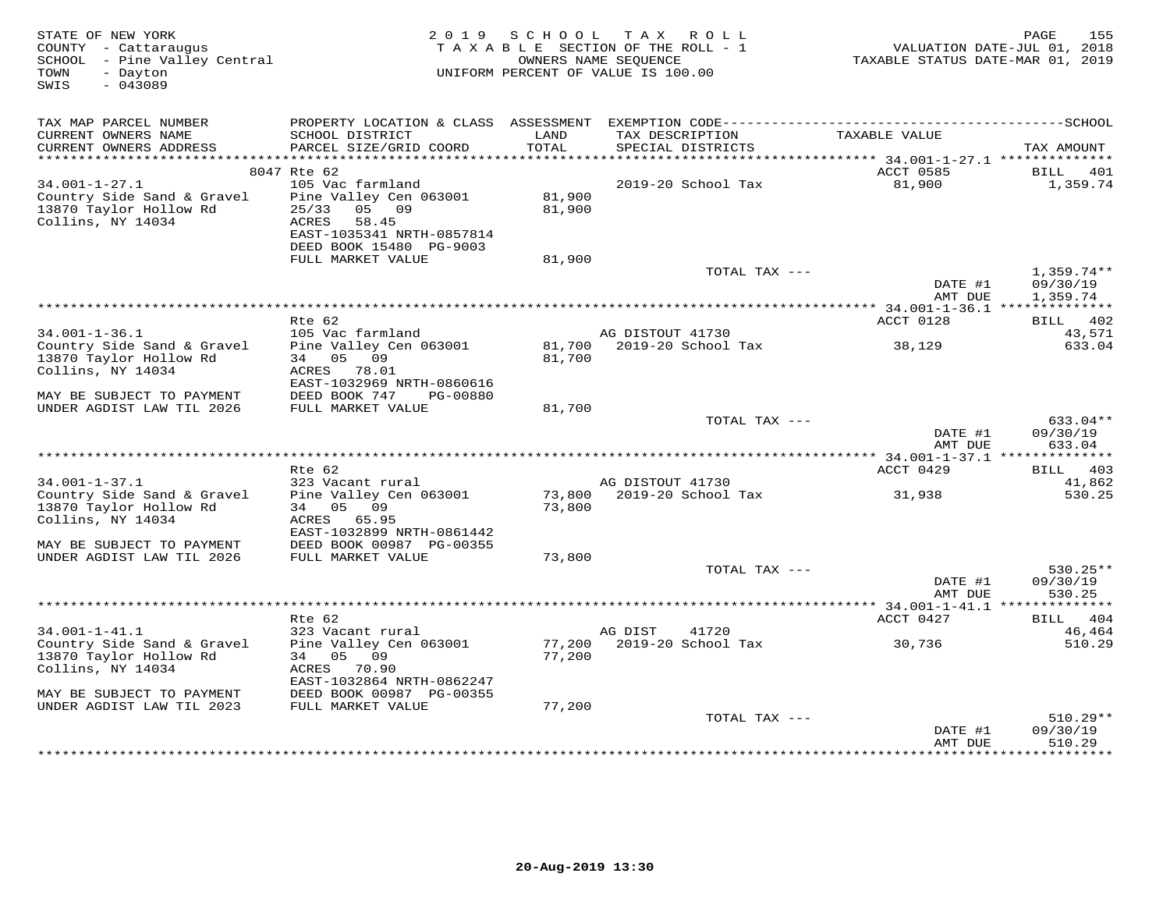| STATE OF NEW YORK<br>COUNTY - Cattaraugus<br>SCHOOL - Pine Valley Central<br>TOWN<br>- Dayton<br>$-043089$<br>SWIS | 2 0 1 9                                        | SCHOOL | TAX ROLL<br>TAXABLE SECTION OF THE ROLL - 1<br>OWNERS NAME SEQUENCE<br>UNIFORM PERCENT OF VALUE IS 100.00 | TAXABLE STATUS DATE-MAR 01, 2019          | 155<br>PAGE<br>VALUATION DATE-JUL 01, 2018 |
|--------------------------------------------------------------------------------------------------------------------|------------------------------------------------|--------|-----------------------------------------------------------------------------------------------------------|-------------------------------------------|--------------------------------------------|
|                                                                                                                    |                                                |        |                                                                                                           |                                           |                                            |
| TAX MAP PARCEL NUMBER                                                                                              |                                                |        |                                                                                                           |                                           |                                            |
| CURRENT OWNERS NAME                                                                                                | SCHOOL DISTRICT                                | LAND   | TAX DESCRIPTION                                                                                           | TAXABLE VALUE                             |                                            |
| CURRENT OWNERS ADDRESS<br>**********************                                                                   | PARCEL SIZE/GRID COORD                         | TOTAL  | SPECIAL DISTRICTS                                                                                         |                                           | TAX AMOUNT                                 |
|                                                                                                                    | 8047 Rte 62                                    |        |                                                                                                           | ACCT 0585                                 | BILL<br>401                                |
| $34.001 - 1 - 27.1$                                                                                                | 105 Vac farmland                               |        | 2019-20 School Tax                                                                                        | 81,900                                    | 1,359.74                                   |
| Country Side Sand & Gravel                                                                                         | Pine Valley Cen 063001                         | 81,900 |                                                                                                           |                                           |                                            |
| 13870 Taylor Hollow Rd                                                                                             | 25/33<br>05 09                                 | 81,900 |                                                                                                           |                                           |                                            |
| Collins, NY 14034                                                                                                  | ACRES<br>58.45                                 |        |                                                                                                           |                                           |                                            |
|                                                                                                                    | EAST-1035341 NRTH-0857814                      |        |                                                                                                           |                                           |                                            |
|                                                                                                                    | DEED BOOK 15480 PG-9003<br>FULL MARKET VALUE   | 81,900 |                                                                                                           |                                           |                                            |
|                                                                                                                    |                                                |        |                                                                                                           | TOTAL TAX ---                             | $1,359.74**$                               |
|                                                                                                                    |                                                |        |                                                                                                           | DATE #1                                   | 09/30/19                                   |
|                                                                                                                    |                                                |        |                                                                                                           | AMT DUE                                   | 1,359.74                                   |
|                                                                                                                    |                                                |        |                                                                                                           | *********** 34.001-1-36.1 *************** |                                            |
| $34.001 - 1 - 36.1$                                                                                                | Rte 62<br>105 Vac farmland                     |        | AG DISTOUT 41730                                                                                          | ACCT 0128                                 | BILL 402<br>43,571                         |
| Country Side Sand & Gravel                                                                                         | Pine Valley Cen 063001                         | 81,700 | 2019-20 School Tax                                                                                        | 38,129                                    | 633.04                                     |
| 13870 Taylor Hollow Rd                                                                                             | 34 05 09                                       | 81,700 |                                                                                                           |                                           |                                            |
| Collins, NY 14034                                                                                                  | ACRES<br>78.01                                 |        |                                                                                                           |                                           |                                            |
|                                                                                                                    | EAST-1032969 NRTH-0860616                      |        |                                                                                                           |                                           |                                            |
| MAY BE SUBJECT TO PAYMENT<br>UNDER AGDIST LAW TIL 2026                                                             | DEED BOOK 747<br>PG-00880<br>FULL MARKET VALUE | 81,700 |                                                                                                           |                                           |                                            |
|                                                                                                                    |                                                |        |                                                                                                           | TOTAL TAX ---                             | 633.04**                                   |
|                                                                                                                    |                                                |        |                                                                                                           | DATE #1                                   | 09/30/19                                   |
|                                                                                                                    |                                                |        |                                                                                                           | AMT DUE                                   | 633.04                                     |
| ******************************                                                                                     |                                                |        |                                                                                                           |                                           |                                            |
| $34.001 - 1 - 37.1$                                                                                                | Rte 62<br>323 Vacant rural                     |        | AG DISTOUT 41730                                                                                          | ACCT 0429                                 | BILL 403<br>41,862                         |
| Country Side Sand & Gravel                                                                                         | Pine Valley Cen 063001                         | 73,800 | 2019-20 School Tax                                                                                        | 31,938                                    | 530.25                                     |
| 13870 Taylor Hollow Rd                                                                                             | 34 05<br>09                                    | 73,800 |                                                                                                           |                                           |                                            |
| Collins, NY 14034                                                                                                  | ACRES 65.95                                    |        |                                                                                                           |                                           |                                            |
|                                                                                                                    | EAST-1032899 NRTH-0861442                      |        |                                                                                                           |                                           |                                            |
| MAY BE SUBJECT TO PAYMENT<br>UNDER AGDIST LAW TIL 2026                                                             | DEED BOOK 00987 PG-00355<br>FULL MARKET VALUE  | 73,800 |                                                                                                           |                                           |                                            |
|                                                                                                                    |                                                |        |                                                                                                           | TOTAL TAX ---                             | 530.25**                                   |
|                                                                                                                    |                                                |        |                                                                                                           | DATE #1                                   | 09/30/19                                   |
|                                                                                                                    |                                                |        |                                                                                                           | AMT DUE                                   | 530.25                                     |
|                                                                                                                    |                                                |        |                                                                                                           | *********** 34.001-1-41.1 *****           | * * * * * * * *                            |
| $34.001 - 1 - 41.1$                                                                                                | Rte 62<br>323 Vacant rural                     |        | AG DIST<br>41720                                                                                          | ACCT 0427                                 | 404<br>BILL<br>46,464                      |
| Country Side Sand & Gravel                                                                                         | Pine Valley Cen 063001                         | 77,200 | 2019-20 School Tax                                                                                        | 30,736                                    | 510.29                                     |
| 13870 Taylor Hollow Rd                                                                                             | 05 09<br>34                                    | 77,200 |                                                                                                           |                                           |                                            |
| Collins, NY 14034                                                                                                  | ACRES<br>70.90                                 |        |                                                                                                           |                                           |                                            |
|                                                                                                                    | EAST-1032864 NRTH-0862247                      |        |                                                                                                           |                                           |                                            |
| MAY BE SUBJECT TO PAYMENT<br>UNDER AGDIST LAW TIL 2023                                                             | DEED BOOK 00987 PG-00355<br>FULL MARKET VALUE  | 77,200 |                                                                                                           |                                           |                                            |
|                                                                                                                    |                                                |        |                                                                                                           | TOTAL TAX ---                             | $510.29**$                                 |
|                                                                                                                    |                                                |        |                                                                                                           | DATE #1                                   | 09/30/19                                   |
|                                                                                                                    |                                                |        |                                                                                                           | AMT DUE                                   | 510.29                                     |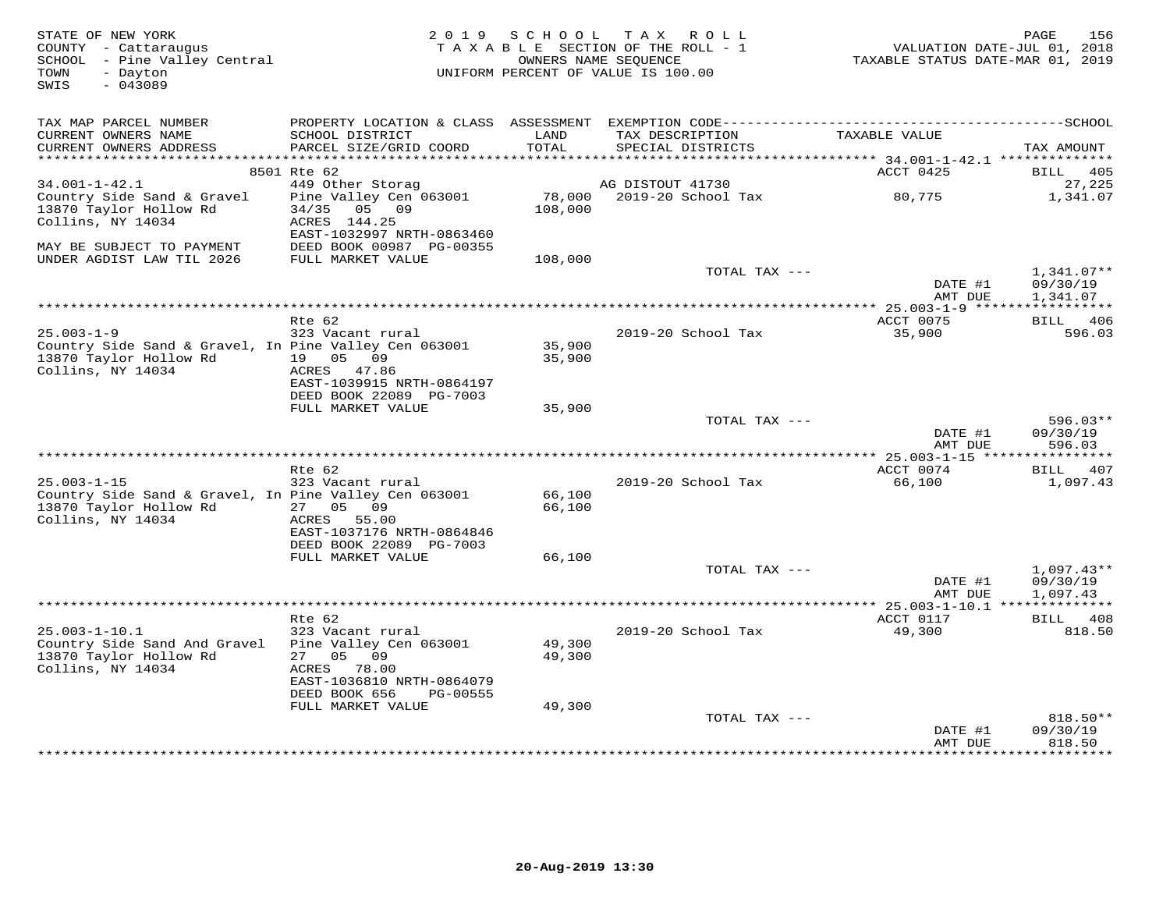| STATE OF NEW YORK<br>COUNTY - Cattaraugus<br>SCHOOL - Pine Valley Central<br>- Dayton<br>TOWN<br>$-043089$<br>SWIS | 2019                                                 | SCHOOL              | TAX ROLL<br>TAXABLE SECTION OF THE ROLL - 1<br>OWNERS NAME SEQUENCE<br>UNIFORM PERCENT OF VALUE IS 100.00 | VALUATION DATE-JUL 01, 2018<br>TAXABLE STATUS DATE-MAR 01, 2019 | 156<br>PAGE                  |
|--------------------------------------------------------------------------------------------------------------------|------------------------------------------------------|---------------------|-----------------------------------------------------------------------------------------------------------|-----------------------------------------------------------------|------------------------------|
| TAX MAP PARCEL NUMBER                                                                                              |                                                      |                     |                                                                                                           |                                                                 |                              |
| CURRENT OWNERS NAME                                                                                                | SCHOOL DISTRICT                                      | LAND                | TAX DESCRIPTION                                                                                           | TAXABLE VALUE                                                   |                              |
| CURRENT OWNERS ADDRESS                                                                                             | PARCEL SIZE/GRID COORD                               | TOTAL               | SPECIAL DISTRICTS                                                                                         |                                                                 | TAX AMOUNT                   |
| ********************                                                                                               | ***************************                          | * * * * * * * * * * |                                                                                                           | ********** 34.001-1-42.1 ***************                        |                              |
| $34.001 - 1 - 42.1$                                                                                                | 8501 Rte 62<br>449 Other Storag                      |                     | AG DISTOUT 41730                                                                                          | ACCT 0425                                                       | <b>BILL</b><br>405<br>27,225 |
| Country Side Sand & Gravel                                                                                         | Pine Valley Cen 063001                               | 78,000              | 2019-20 School Tax                                                                                        | 80,775                                                          | 1,341.07                     |
| 13870 Taylor Hollow Rd                                                                                             | 34/35<br>05 09                                       | 108,000             |                                                                                                           |                                                                 |                              |
| Collins, NY 14034                                                                                                  | ACRES 144.25                                         |                     |                                                                                                           |                                                                 |                              |
|                                                                                                                    | EAST-1032997 NRTH-0863460                            |                     |                                                                                                           |                                                                 |                              |
| MAY BE SUBJECT TO PAYMENT                                                                                          | DEED BOOK 00987 PG-00355                             |                     |                                                                                                           |                                                                 |                              |
| UNDER AGDIST LAW TIL 2026                                                                                          | FULL MARKET VALUE                                    | 108,000             |                                                                                                           |                                                                 |                              |
|                                                                                                                    |                                                      |                     | TOTAL TAX ---                                                                                             |                                                                 | $1,341.07**$                 |
|                                                                                                                    |                                                      |                     |                                                                                                           | DATE #1                                                         | 09/30/19                     |
|                                                                                                                    |                                                      |                     |                                                                                                           | AMT DUE                                                         | 1,341.07                     |
|                                                                                                                    | Rte 62                                               |                     |                                                                                                           | ACCT 0075                                                       | BILL 406                     |
| $25.003 - 1 - 9$                                                                                                   | 323 Vacant rural                                     |                     | 2019-20 School Tax                                                                                        | 35,900                                                          | 596.03                       |
| Country Side Sand & Gravel, In Pine Valley Cen 063001                                                              |                                                      | 35,900              |                                                                                                           |                                                                 |                              |
| 13870 Taylor Hollow Rd                                                                                             | 19 05 09                                             | 35,900              |                                                                                                           |                                                                 |                              |
| Collins, NY 14034                                                                                                  | ACRES 47.86                                          |                     |                                                                                                           |                                                                 |                              |
|                                                                                                                    | EAST-1039915 NRTH-0864197                            |                     |                                                                                                           |                                                                 |                              |
|                                                                                                                    | DEED BOOK 22089 PG-7003                              |                     |                                                                                                           |                                                                 |                              |
|                                                                                                                    | FULL MARKET VALUE                                    | 35,900              | TOTAL TAX ---                                                                                             |                                                                 | $596.03**$                   |
|                                                                                                                    |                                                      |                     |                                                                                                           | DATE #1                                                         | 09/30/19                     |
|                                                                                                                    |                                                      |                     |                                                                                                           | AMT DUE                                                         | 596.03                       |
|                                                                                                                    |                                                      |                     |                                                                                                           |                                                                 |                              |
|                                                                                                                    | Rte 62                                               |                     |                                                                                                           | ACCT 0074                                                       | BILL 407                     |
| $25.003 - 1 - 15$                                                                                                  | 323 Vacant rural                                     |                     | 2019-20 School Tax                                                                                        | 66,100                                                          | 1,097.43                     |
| Country Side Sand & Gravel, In Pine Valley Cen 063001                                                              |                                                      | 66,100              |                                                                                                           |                                                                 |                              |
| 13870 Taylor Hollow Rd                                                                                             | 27 05 09                                             | 66,100              |                                                                                                           |                                                                 |                              |
| Collins, NY 14034                                                                                                  | ACRES 55.00                                          |                     |                                                                                                           |                                                                 |                              |
|                                                                                                                    | EAST-1037176 NRTH-0864846<br>DEED BOOK 22089 PG-7003 |                     |                                                                                                           |                                                                 |                              |
|                                                                                                                    | FULL MARKET VALUE                                    | 66,100              |                                                                                                           |                                                                 |                              |
|                                                                                                                    |                                                      |                     | TOTAL TAX ---                                                                                             |                                                                 | $1,097.43**$                 |
|                                                                                                                    |                                                      |                     |                                                                                                           | DATE #1                                                         | 09/30/19                     |
|                                                                                                                    |                                                      |                     |                                                                                                           | AMT DUE                                                         | 1,097.43                     |
|                                                                                                                    |                                                      |                     |                                                                                                           |                                                                 |                              |
|                                                                                                                    | Rte 62                                               |                     |                                                                                                           | ACCT 0117                                                       | BILL 408                     |
| $25.003 - 1 - 10.1$                                                                                                | 323 Vacant rural                                     |                     | 2019-20 School Tax                                                                                        | 49,300                                                          | 818.50                       |
| Country Side Sand And Gravel<br>13870 Taylor Hollow Rd                                                             | Pine Valley Cen 063001<br>05<br>09<br>27             | 49,300<br>49,300    |                                                                                                           |                                                                 |                              |
| Collins, NY 14034                                                                                                  | ACRES<br>78.00                                       |                     |                                                                                                           |                                                                 |                              |
|                                                                                                                    | EAST-1036810 NRTH-0864079                            |                     |                                                                                                           |                                                                 |                              |
|                                                                                                                    | DEED BOOK 656<br>PG-00555                            |                     |                                                                                                           |                                                                 |                              |
|                                                                                                                    | FULL MARKET VALUE                                    | 49,300              |                                                                                                           |                                                                 |                              |
|                                                                                                                    |                                                      |                     | TOTAL TAX ---                                                                                             |                                                                 | $818.50**$                   |
|                                                                                                                    |                                                      |                     |                                                                                                           | DATE #1                                                         | 09/30/19                     |
|                                                                                                                    |                                                      |                     |                                                                                                           | AMT DUE                                                         | 818.50<br>***********        |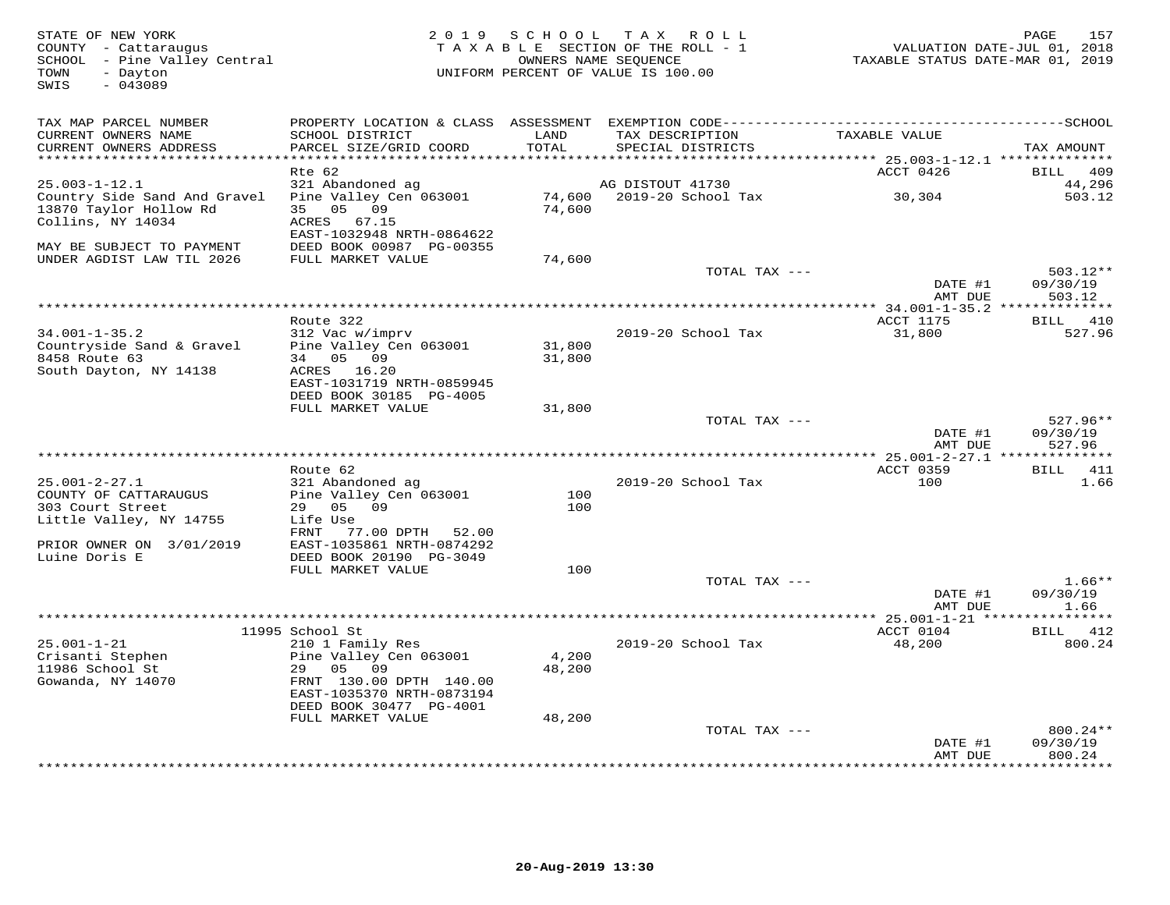| STATE OF NEW YORK<br>COUNTY - Cattaraugus<br>SCHOOL - Pine Valley Central<br>- Dayton<br>TOWN<br>$-043089$<br>SWIS | 2 0 1 9                                      | SCHOOL          | T A X<br>R O L L<br>TAXABLE SECTION OF THE ROLL - 1<br>OWNERS NAME SEQUENCE<br>UNIFORM PERCENT OF VALUE IS 100.00 | TAXABLE STATUS DATE-MAR 01, 2019     | 157<br>PAGE<br>VALUATION DATE-JUL 01, 2018 |
|--------------------------------------------------------------------------------------------------------------------|----------------------------------------------|-----------------|-------------------------------------------------------------------------------------------------------------------|--------------------------------------|--------------------------------------------|
| TAX MAP PARCEL NUMBER                                                                                              |                                              |                 |                                                                                                                   |                                      |                                            |
| CURRENT OWNERS NAME<br>CURRENT OWNERS ADDRESS                                                                      | SCHOOL DISTRICT<br>PARCEL SIZE/GRID COORD    | LAND<br>TOTAL   | TAX DESCRIPTION<br>SPECIAL DISTRICTS                                                                              | TAXABLE VALUE                        | TAX AMOUNT                                 |
| ***********************                                                                                            |                                              |                 |                                                                                                                   |                                      |                                            |
| $25.003 - 1 - 12.1$                                                                                                | Rte 62<br>321 Abandoned ag                   |                 | AG DISTOUT 41730                                                                                                  | ACCT 0426                            | 409<br><b>BILL</b><br>44,296               |
| Country Side Sand And Gravel                                                                                       | Pine Valley Cen 063001                       | 74,600          | 2019-20 School Tax                                                                                                | 30,304                               | 503.12                                     |
| 13870 Taylor Hollow Rd                                                                                             | 35 05 09                                     | 74,600          |                                                                                                                   |                                      |                                            |
| Collins, NY 14034                                                                                                  | ACRES 67.15                                  |                 |                                                                                                                   |                                      |                                            |
|                                                                                                                    | EAST-1032948 NRTH-0864622                    |                 |                                                                                                                   |                                      |                                            |
| MAY BE SUBJECT TO PAYMENT                                                                                          | DEED BOOK 00987 PG-00355                     |                 |                                                                                                                   |                                      |                                            |
| UNDER AGDIST LAW TIL 2026                                                                                          | FULL MARKET VALUE                            | 74,600          |                                                                                                                   |                                      |                                            |
|                                                                                                                    |                                              |                 | TOTAL TAX ---                                                                                                     |                                      | $503.12**$                                 |
|                                                                                                                    |                                              |                 |                                                                                                                   | DATE #1<br>AMT DUE                   | 09/30/19<br>503.12                         |
|                                                                                                                    |                                              |                 |                                                                                                                   | * $34.001 - 1 - 35.2$ ************** |                                            |
|                                                                                                                    | Route 322                                    |                 |                                                                                                                   | ACCT 1175                            | BILL 410                                   |
| $34.001 - 1 - 35.2$                                                                                                | 312 Vac w/imprv                              |                 | 2019-20 School Tax                                                                                                | 31,800                               | 527.96                                     |
| Countryside Sand & Gravel                                                                                          | Pine Valley Cen 063001                       | 31,800          |                                                                                                                   |                                      |                                            |
| 8458 Route 63                                                                                                      | 34 05 09                                     | 31,800          |                                                                                                                   |                                      |                                            |
| South Dayton, NY 14138                                                                                             | ACRES 16.20<br>EAST-1031719 NRTH-0859945     |                 |                                                                                                                   |                                      |                                            |
|                                                                                                                    | DEED BOOK 30185 PG-4005                      |                 |                                                                                                                   |                                      |                                            |
|                                                                                                                    | FULL MARKET VALUE                            | 31,800          |                                                                                                                   |                                      |                                            |
|                                                                                                                    |                                              |                 | TOTAL TAX ---                                                                                                     |                                      | $527.96**$                                 |
|                                                                                                                    |                                              |                 |                                                                                                                   | DATE #1                              | 09/30/19                                   |
|                                                                                                                    |                                              |                 |                                                                                                                   | AMT DUE                              | 527.96                                     |
|                                                                                                                    |                                              |                 |                                                                                                                   |                                      |                                            |
| $25.001 - 2 - 27.1$                                                                                                | Route 62<br>321 Abandoned ag                 |                 | 2019-20 School Tax                                                                                                | ACCT 0359<br>100                     | <b>BILL</b><br>411<br>1.66                 |
| COUNTY OF CATTARAUGUS                                                                                              | Pine Valley Cen 063001                       | 100             |                                                                                                                   |                                      |                                            |
| 303 Court Street                                                                                                   | 0.5<br>09<br>29                              | 100             |                                                                                                                   |                                      |                                            |
| Little Valley, NY 14755                                                                                            | Life Use                                     |                 |                                                                                                                   |                                      |                                            |
|                                                                                                                    | FRNT<br>77.00 DPTH 52.00                     |                 |                                                                                                                   |                                      |                                            |
| PRIOR OWNER ON 3/01/2019                                                                                           | EAST-1035861 NRTH-0874292                    |                 |                                                                                                                   |                                      |                                            |
| Luine Doris E                                                                                                      | DEED BOOK 20190 PG-3049<br>FULL MARKET VALUE | 100             |                                                                                                                   |                                      |                                            |
|                                                                                                                    |                                              |                 | TOTAL TAX ---                                                                                                     |                                      | $1.66**$                                   |
|                                                                                                                    |                                              |                 |                                                                                                                   | DATE #1                              | 09/30/19                                   |
|                                                                                                                    |                                              |                 |                                                                                                                   | AMT DUE                              | 1.66                                       |
|                                                                                                                    |                                              |                 |                                                                                                                   |                                      |                                            |
|                                                                                                                    | 11995 School St                              |                 |                                                                                                                   | ACCT 0104                            | 412<br>BILL                                |
| $25.001 - 1 - 21$                                                                                                  | 210 1 Family Res                             |                 | 2019-20 School Tax                                                                                                | 48,200                               | 800.24                                     |
| Crisanti Stephen<br>11986 School St                                                                                | Pine Valley Cen 063001<br>29 05 09           | 4,200<br>48,200 |                                                                                                                   |                                      |                                            |
| Gowanda, NY 14070                                                                                                  | FRNT 130.00 DPTH 140.00                      |                 |                                                                                                                   |                                      |                                            |
|                                                                                                                    | EAST-1035370 NRTH-0873194                    |                 |                                                                                                                   |                                      |                                            |
|                                                                                                                    | DEED BOOK 30477 PG-4001                      |                 |                                                                                                                   |                                      |                                            |
|                                                                                                                    | FULL MARKET VALUE                            | 48,200          |                                                                                                                   |                                      |                                            |
|                                                                                                                    |                                              |                 | TOTAL TAX ---                                                                                                     |                                      | $800.24**$                                 |
|                                                                                                                    |                                              |                 |                                                                                                                   | DATE #1<br>AMT DUE                   | 09/30/19<br>800.24                         |
|                                                                                                                    |                                              |                 |                                                                                                                   |                                      | *********                                  |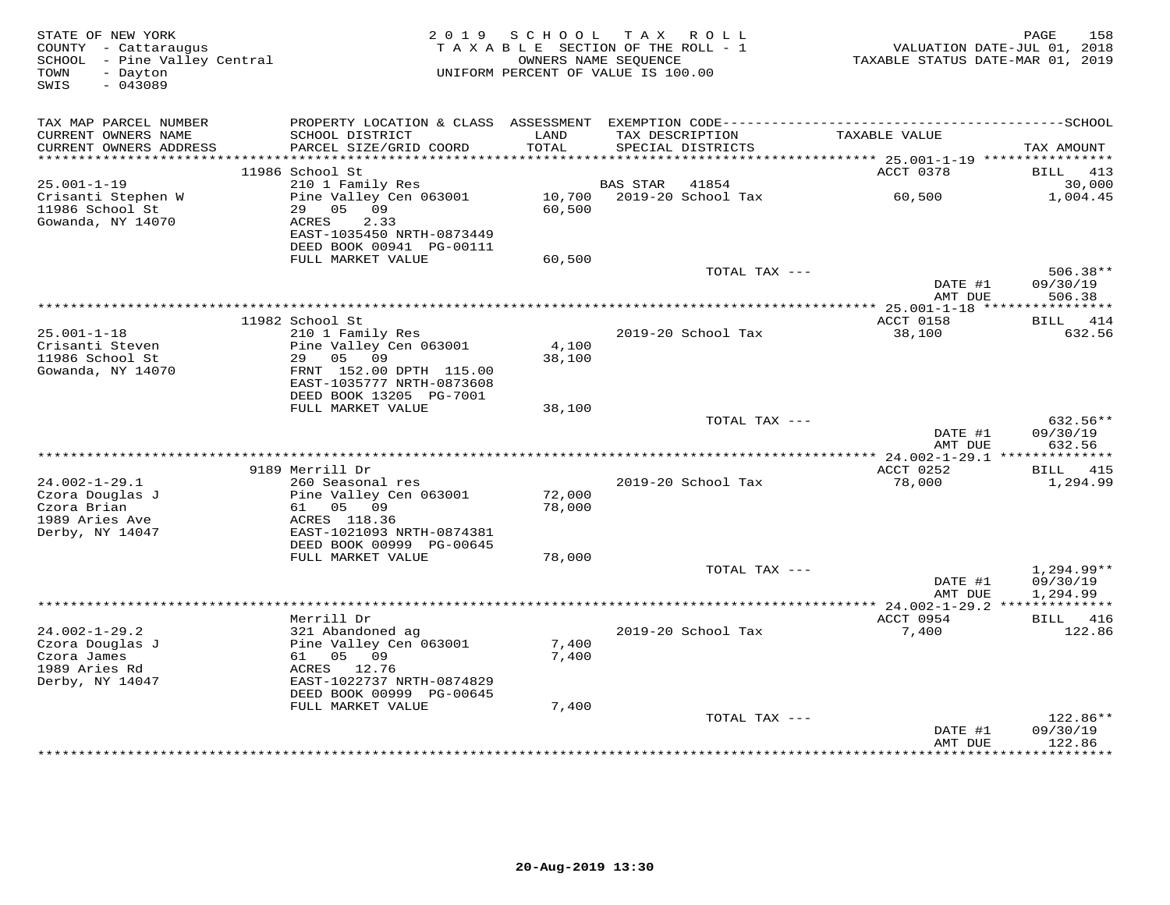| STATE OF NEW YORK<br>COUNTY - Cattaraugus<br>SCHOOL - Pine Valley Central<br>- Dayton<br>TOWN<br>SWIS<br>$-043089$ |                                                                            | 2019 SCHOOL<br>TAXABLE SECTION OF THE ROLL - 1<br>OWNERS NAME SEQUENCE<br>UNIFORM PERCENT OF VALUE IS 100.00 |                 | TAX ROLL                             | TAXABLE STATUS DATE-MAR 01, 2019                       | 158<br>PAGE<br>VALUATION DATE-JUL 01, 2018 |
|--------------------------------------------------------------------------------------------------------------------|----------------------------------------------------------------------------|--------------------------------------------------------------------------------------------------------------|-----------------|--------------------------------------|--------------------------------------------------------|--------------------------------------------|
| TAX MAP PARCEL NUMBER                                                                                              |                                                                            |                                                                                                              |                 |                                      |                                                        |                                            |
| CURRENT OWNERS NAME<br>CURRENT OWNERS ADDRESS<br>***********************                                           | SCHOOL DISTRICT<br>PARCEL SIZE/GRID COORD                                  | LAND<br>TOTAL                                                                                                |                 | TAX DESCRIPTION<br>SPECIAL DISTRICTS | TAXABLE VALUE                                          | TAX AMOUNT                                 |
|                                                                                                                    | 11986 School St                                                            |                                                                                                              |                 |                                      | ACCT 0378                                              | BILL<br>413                                |
| $25.001 - 1 - 19$                                                                                                  | 210 1 Family Res                                                           |                                                                                                              | <b>BAS STAR</b> | 41854                                |                                                        | 30,000                                     |
| Crisanti Stephen W<br>11986 School St<br>Gowanda, NY 14070                                                         | Pine Valley Cen 063001<br>29<br>05 09<br>ACRES<br>2.33                     | 10,700<br>60,500                                                                                             |                 | 2019-20 School Tax                   | 60,500                                                 | 1,004.45                                   |
|                                                                                                                    | EAST-1035450 NRTH-0873449<br>DEED BOOK 00941 PG-00111                      |                                                                                                              |                 |                                      |                                                        |                                            |
|                                                                                                                    | FULL MARKET VALUE                                                          | 60,500                                                                                                       |                 | TOTAL TAX ---                        |                                                        | $506.38**$                                 |
|                                                                                                                    |                                                                            |                                                                                                              |                 |                                      | DATE #1<br>AMT DUE                                     | 09/30/19<br>506.38                         |
|                                                                                                                    |                                                                            | ********************************                                                                             |                 |                                      | ** 25.001-1-18 *****                                   | ***********                                |
| $25.001 - 1 - 18$                                                                                                  | 11982 School St                                                            |                                                                                                              |                 | 2019-20 School Tax                   | ACCT 0158                                              | BILL 414<br>632.56                         |
| Crisanti Steven                                                                                                    | 210 1 Family Res<br>Pine Valley Cen 063001                                 | 4,100                                                                                                        |                 |                                      | 38,100                                                 |                                            |
| 11986 School St                                                                                                    | 29 05 09                                                                   | 38,100                                                                                                       |                 |                                      |                                                        |                                            |
| Gowanda, NY 14070                                                                                                  | FRNT 152.00 DPTH 115.00<br>EAST-1035777 NRTH-0873608                       |                                                                                                              |                 |                                      |                                                        |                                            |
|                                                                                                                    | DEED BOOK 13205 PG-7001<br>FULL MARKET VALUE                               |                                                                                                              |                 |                                      |                                                        |                                            |
|                                                                                                                    |                                                                            | 38,100                                                                                                       |                 | TOTAL TAX ---                        |                                                        | 632.56**                                   |
|                                                                                                                    |                                                                            |                                                                                                              |                 |                                      | DATE #1                                                | 09/30/19                                   |
|                                                                                                                    |                                                                            |                                                                                                              |                 |                                      | AMT DUE                                                | 632.56                                     |
|                                                                                                                    |                                                                            |                                                                                                              |                 |                                      |                                                        |                                            |
| $24.002 - 1 - 29.1$                                                                                                | 9189 Merrill Dr<br>260 Seasonal res                                        |                                                                                                              |                 | 2019-20 School Tax                   | ACCT 0252<br>78,000                                    | <b>BILL</b> 415<br>1,294.99                |
| Czora Douglas J                                                                                                    | Pine Valley Cen 063001                                                     | 72,000                                                                                                       |                 |                                      |                                                        |                                            |
| Czora Brian                                                                                                        | 61 05<br>09                                                                | 78,000                                                                                                       |                 |                                      |                                                        |                                            |
| 1989 Aries Ave                                                                                                     | ACRES 118.36                                                               |                                                                                                              |                 |                                      |                                                        |                                            |
| Derby, NY 14047                                                                                                    | EAST-1021093 NRTH-0874381                                                  |                                                                                                              |                 |                                      |                                                        |                                            |
|                                                                                                                    | DEED BOOK 00999 PG-00645<br>FULL MARKET VALUE                              | 78,000                                                                                                       |                 |                                      |                                                        |                                            |
|                                                                                                                    |                                                                            |                                                                                                              |                 | TOTAL TAX ---                        |                                                        | $1,294.99**$                               |
|                                                                                                                    |                                                                            |                                                                                                              |                 |                                      | DATE #1                                                | 09/30/19                                   |
|                                                                                                                    |                                                                            |                                                                                                              |                 |                                      | AMT DUE<br>************* 24.002-1-29.2 *************** | 1,294.99                                   |
| $24.002 - 1 - 29.2$                                                                                                | Merrill Dr<br>321 Abandoned ag                                             |                                                                                                              |                 | 2019-20 School Tax                   | ACCT 0954<br>7,400                                     | 416<br>BILL<br>122.86                      |
| Czora Douglas J                                                                                                    | Pine Valley Cen 063001                                                     | 7,400                                                                                                        |                 |                                      |                                                        |                                            |
| Czora James                                                                                                        | 61 05 09                                                                   | 7,400                                                                                                        |                 |                                      |                                                        |                                            |
| 1989 Aries Rd                                                                                                      | ACRES 12.76                                                                |                                                                                                              |                 |                                      |                                                        |                                            |
| Derby, NY 14047                                                                                                    | EAST-1022737 NRTH-0874829<br>DEED BOOK 00999 PG-00645<br>FULL MARKET VALUE | 7,400                                                                                                        |                 |                                      |                                                        |                                            |
|                                                                                                                    |                                                                            |                                                                                                              |                 | TOTAL TAX ---                        |                                                        | $122.86**$                                 |
|                                                                                                                    |                                                                            |                                                                                                              |                 |                                      | DATE #1<br>AMT DUE                                     | 09/30/19<br>122.86                         |
|                                                                                                                    |                                                                            |                                                                                                              |                 |                                      |                                                        | <b>++++++++</b>                            |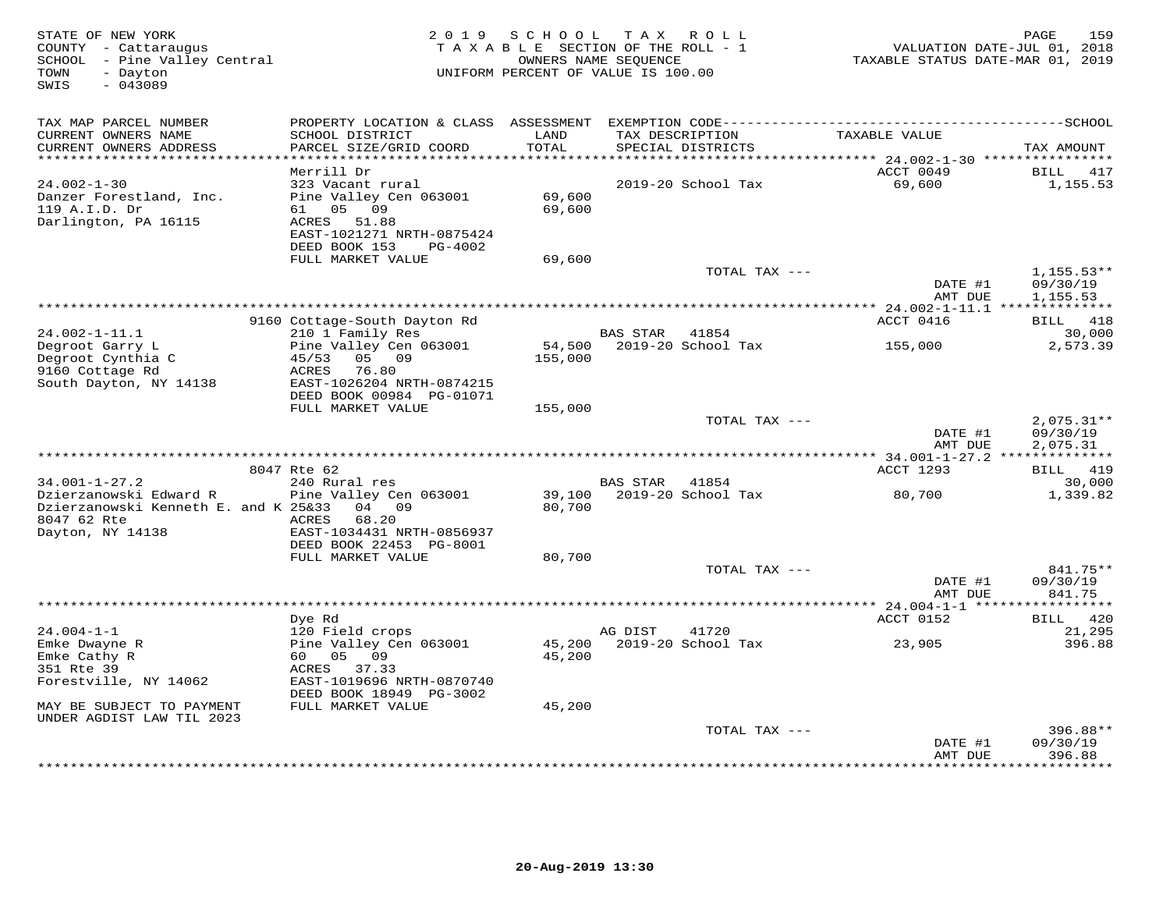| TAX MAP PARCEL NUMBER<br>CURRENT OWNERS NAME<br>SCHOOL DISTRICT<br>LAND<br>TAX DESCRIPTION<br>TAXABLE VALUE<br>TOTAL<br>CURRENT OWNERS ADDRESS<br>PARCEL SIZE/GRID COORD<br>SPECIAL DISTRICTS<br>TAX AMOUNT<br>**********************<br>************************<br>Merrill Dr<br>ACCT 0049<br>BILL<br>417<br>$24.002 - 1 - 30$<br>323 Vacant rural<br>2019-20 School Tax<br>69,600<br>1,155.53<br>Danzer Forestland, Inc.<br>Pine Valley Cen 063001<br>69,600<br>119 A.I.D. Dr<br>61 05 09<br>69,600<br>Darlington, PA 16115<br>ACRES<br>51.88<br>EAST-1021271 NRTH-0875424<br>DEED BOOK 153<br>PG-4002<br>FULL MARKET VALUE<br>69,600<br>TOTAL TAX ---<br>$1,155.53**$<br>DATE #1<br>09/30/19<br>AMT DUE<br>1,155.53<br>ACCT 0416<br>BILL 418<br>9160 Cottage-South Dayton Rd<br>$24.002 - 1 - 11.1$<br>210 1 Family Res<br><b>BAS STAR</b><br>41854<br>30,000<br>Degroot Garry L<br>Pine Valley Cen 063001<br>2019-20 School Tax<br>2,573.39<br>54,500<br>155,000<br>Degroot Cynthia C<br>05 09<br>45/53<br>155,000<br>9160 Cottage Rd<br>ACRES<br>76.80<br>EAST-1026204 NRTH-0874215<br>South Dayton, NY 14138<br>DEED BOOK 00984 PG-01071<br>FULL MARKET VALUE<br>155,000<br>$2,075.31**$<br>TOTAL TAX ---<br>DATE #1<br>09/30/19<br>AMT DUE<br>2,075.31<br>8047 Rte 62<br>ACCT 1293<br>BILL 419<br>$34.001 - 1 - 27.2$<br>240 Rural res<br>30,000<br><b>BAS STAR</b><br>41854<br>Pine Valley Cen 063001<br>39,100<br>2019-20 School Tax<br>80,700<br>1,339.82<br>Dzierzanowski Edward R<br>80,700<br>Dzierzanowski Kenneth E. and K 25&33<br>04 09<br>8047 62 Rte<br>ACRES<br>68.20<br>Dayton, NY 14138<br>EAST-1034431 NRTH-0856937<br>DEED BOOK 22453 PG-8001<br>FULL MARKET VALUE<br>80,700<br>841.75**<br>TOTAL TAX ---<br>DATE #1<br>09/30/19<br>AMT DUE<br>841.75<br>*****************<br>Dye Rd<br>ACCT 0152<br>BILL 420<br>$24.004 - 1 - 1$<br>120 Field crops<br>41720<br>21,295<br>AG DIST<br>2019-20 School Tax<br>Emke Dwayne R<br>Pine Valley Cen 063001<br>45,200<br>396.88<br>23,905 | STATE OF NEW YORK<br>COUNTY - Cattaraugus<br>SCHOOL - Pine Valley Central<br>TOWN<br>- Dayton<br>SWIS<br>$-043089$ | 2 0 1 9    | S C H O O L<br>TAXABLE SECTION OF THE ROLL - 1<br>UNIFORM PERCENT OF VALUE IS 100.00 | T A X<br>OWNERS NAME SEQUENCE | ROLL | VALUATION DATE-JUL 01, 2018<br>TAXABLE STATUS DATE-MAR 01, 2019 | 159<br>PAGE |
|------------------------------------------------------------------------------------------------------------------------------------------------------------------------------------------------------------------------------------------------------------------------------------------------------------------------------------------------------------------------------------------------------------------------------------------------------------------------------------------------------------------------------------------------------------------------------------------------------------------------------------------------------------------------------------------------------------------------------------------------------------------------------------------------------------------------------------------------------------------------------------------------------------------------------------------------------------------------------------------------------------------------------------------------------------------------------------------------------------------------------------------------------------------------------------------------------------------------------------------------------------------------------------------------------------------------------------------------------------------------------------------------------------------------------------------------------------------------------------------------------------------------------------------------------------------------------------------------------------------------------------------------------------------------------------------------------------------------------------------------------------------------------------------------------------------------------------------------------------------------------------------------------------------------------------------------------------------------------------------------------------|--------------------------------------------------------------------------------------------------------------------|------------|--------------------------------------------------------------------------------------|-------------------------------|------|-----------------------------------------------------------------|-------------|
|                                                                                                                                                                                                                                                                                                                                                                                                                                                                                                                                                                                                                                                                                                                                                                                                                                                                                                                                                                                                                                                                                                                                                                                                                                                                                                                                                                                                                                                                                                                                                                                                                                                                                                                                                                                                                                                                                                                                                                                                            |                                                                                                                    |            |                                                                                      |                               |      |                                                                 |             |
|                                                                                                                                                                                                                                                                                                                                                                                                                                                                                                                                                                                                                                                                                                                                                                                                                                                                                                                                                                                                                                                                                                                                                                                                                                                                                                                                                                                                                                                                                                                                                                                                                                                                                                                                                                                                                                                                                                                                                                                                            |                                                                                                                    |            |                                                                                      |                               |      |                                                                 |             |
|                                                                                                                                                                                                                                                                                                                                                                                                                                                                                                                                                                                                                                                                                                                                                                                                                                                                                                                                                                                                                                                                                                                                                                                                                                                                                                                                                                                                                                                                                                                                                                                                                                                                                                                                                                                                                                                                                                                                                                                                            |                                                                                                                    |            |                                                                                      |                               |      |                                                                 |             |
|                                                                                                                                                                                                                                                                                                                                                                                                                                                                                                                                                                                                                                                                                                                                                                                                                                                                                                                                                                                                                                                                                                                                                                                                                                                                                                                                                                                                                                                                                                                                                                                                                                                                                                                                                                                                                                                                                                                                                                                                            |                                                                                                                    |            |                                                                                      |                               |      |                                                                 |             |
|                                                                                                                                                                                                                                                                                                                                                                                                                                                                                                                                                                                                                                                                                                                                                                                                                                                                                                                                                                                                                                                                                                                                                                                                                                                                                                                                                                                                                                                                                                                                                                                                                                                                                                                                                                                                                                                                                                                                                                                                            |                                                                                                                    |            |                                                                                      |                               |      |                                                                 |             |
|                                                                                                                                                                                                                                                                                                                                                                                                                                                                                                                                                                                                                                                                                                                                                                                                                                                                                                                                                                                                                                                                                                                                                                                                                                                                                                                                                                                                                                                                                                                                                                                                                                                                                                                                                                                                                                                                                                                                                                                                            |                                                                                                                    |            |                                                                                      |                               |      |                                                                 |             |
|                                                                                                                                                                                                                                                                                                                                                                                                                                                                                                                                                                                                                                                                                                                                                                                                                                                                                                                                                                                                                                                                                                                                                                                                                                                                                                                                                                                                                                                                                                                                                                                                                                                                                                                                                                                                                                                                                                                                                                                                            |                                                                                                                    |            |                                                                                      |                               |      |                                                                 |             |
|                                                                                                                                                                                                                                                                                                                                                                                                                                                                                                                                                                                                                                                                                                                                                                                                                                                                                                                                                                                                                                                                                                                                                                                                                                                                                                                                                                                                                                                                                                                                                                                                                                                                                                                                                                                                                                                                                                                                                                                                            |                                                                                                                    |            |                                                                                      |                               |      |                                                                 |             |
|                                                                                                                                                                                                                                                                                                                                                                                                                                                                                                                                                                                                                                                                                                                                                                                                                                                                                                                                                                                                                                                                                                                                                                                                                                                                                                                                                                                                                                                                                                                                                                                                                                                                                                                                                                                                                                                                                                                                                                                                            |                                                                                                                    |            |                                                                                      |                               |      |                                                                 |             |
|                                                                                                                                                                                                                                                                                                                                                                                                                                                                                                                                                                                                                                                                                                                                                                                                                                                                                                                                                                                                                                                                                                                                                                                                                                                                                                                                                                                                                                                                                                                                                                                                                                                                                                                                                                                                                                                                                                                                                                                                            |                                                                                                                    |            |                                                                                      |                               |      |                                                                 |             |
|                                                                                                                                                                                                                                                                                                                                                                                                                                                                                                                                                                                                                                                                                                                                                                                                                                                                                                                                                                                                                                                                                                                                                                                                                                                                                                                                                                                                                                                                                                                                                                                                                                                                                                                                                                                                                                                                                                                                                                                                            |                                                                                                                    |            |                                                                                      |                               |      |                                                                 |             |
|                                                                                                                                                                                                                                                                                                                                                                                                                                                                                                                                                                                                                                                                                                                                                                                                                                                                                                                                                                                                                                                                                                                                                                                                                                                                                                                                                                                                                                                                                                                                                                                                                                                                                                                                                                                                                                                                                                                                                                                                            |                                                                                                                    |            |                                                                                      |                               |      |                                                                 |             |
|                                                                                                                                                                                                                                                                                                                                                                                                                                                                                                                                                                                                                                                                                                                                                                                                                                                                                                                                                                                                                                                                                                                                                                                                                                                                                                                                                                                                                                                                                                                                                                                                                                                                                                                                                                                                                                                                                                                                                                                                            |                                                                                                                    |            |                                                                                      |                               |      |                                                                 |             |
|                                                                                                                                                                                                                                                                                                                                                                                                                                                                                                                                                                                                                                                                                                                                                                                                                                                                                                                                                                                                                                                                                                                                                                                                                                                                                                                                                                                                                                                                                                                                                                                                                                                                                                                                                                                                                                                                                                                                                                                                            |                                                                                                                    |            |                                                                                      |                               |      |                                                                 |             |
|                                                                                                                                                                                                                                                                                                                                                                                                                                                                                                                                                                                                                                                                                                                                                                                                                                                                                                                                                                                                                                                                                                                                                                                                                                                                                                                                                                                                                                                                                                                                                                                                                                                                                                                                                                                                                                                                                                                                                                                                            |                                                                                                                    |            |                                                                                      |                               |      |                                                                 |             |
|                                                                                                                                                                                                                                                                                                                                                                                                                                                                                                                                                                                                                                                                                                                                                                                                                                                                                                                                                                                                                                                                                                                                                                                                                                                                                                                                                                                                                                                                                                                                                                                                                                                                                                                                                                                                                                                                                                                                                                                                            |                                                                                                                    |            |                                                                                      |                               |      |                                                                 |             |
|                                                                                                                                                                                                                                                                                                                                                                                                                                                                                                                                                                                                                                                                                                                                                                                                                                                                                                                                                                                                                                                                                                                                                                                                                                                                                                                                                                                                                                                                                                                                                                                                                                                                                                                                                                                                                                                                                                                                                                                                            |                                                                                                                    |            |                                                                                      |                               |      |                                                                 |             |
|                                                                                                                                                                                                                                                                                                                                                                                                                                                                                                                                                                                                                                                                                                                                                                                                                                                                                                                                                                                                                                                                                                                                                                                                                                                                                                                                                                                                                                                                                                                                                                                                                                                                                                                                                                                                                                                                                                                                                                                                            |                                                                                                                    |            |                                                                                      |                               |      |                                                                 |             |
|                                                                                                                                                                                                                                                                                                                                                                                                                                                                                                                                                                                                                                                                                                                                                                                                                                                                                                                                                                                                                                                                                                                                                                                                                                                                                                                                                                                                                                                                                                                                                                                                                                                                                                                                                                                                                                                                                                                                                                                                            |                                                                                                                    |            |                                                                                      |                               |      |                                                                 |             |
|                                                                                                                                                                                                                                                                                                                                                                                                                                                                                                                                                                                                                                                                                                                                                                                                                                                                                                                                                                                                                                                                                                                                                                                                                                                                                                                                                                                                                                                                                                                                                                                                                                                                                                                                                                                                                                                                                                                                                                                                            |                                                                                                                    |            |                                                                                      |                               |      |                                                                 |             |
|                                                                                                                                                                                                                                                                                                                                                                                                                                                                                                                                                                                                                                                                                                                                                                                                                                                                                                                                                                                                                                                                                                                                                                                                                                                                                                                                                                                                                                                                                                                                                                                                                                                                                                                                                                                                                                                                                                                                                                                                            |                                                                                                                    |            |                                                                                      |                               |      |                                                                 |             |
|                                                                                                                                                                                                                                                                                                                                                                                                                                                                                                                                                                                                                                                                                                                                                                                                                                                                                                                                                                                                                                                                                                                                                                                                                                                                                                                                                                                                                                                                                                                                                                                                                                                                                                                                                                                                                                                                                                                                                                                                            |                                                                                                                    |            |                                                                                      |                               |      |                                                                 |             |
|                                                                                                                                                                                                                                                                                                                                                                                                                                                                                                                                                                                                                                                                                                                                                                                                                                                                                                                                                                                                                                                                                                                                                                                                                                                                                                                                                                                                                                                                                                                                                                                                                                                                                                                                                                                                                                                                                                                                                                                                            |                                                                                                                    |            |                                                                                      |                               |      |                                                                 |             |
|                                                                                                                                                                                                                                                                                                                                                                                                                                                                                                                                                                                                                                                                                                                                                                                                                                                                                                                                                                                                                                                                                                                                                                                                                                                                                                                                                                                                                                                                                                                                                                                                                                                                                                                                                                                                                                                                                                                                                                                                            |                                                                                                                    |            |                                                                                      |                               |      |                                                                 |             |
|                                                                                                                                                                                                                                                                                                                                                                                                                                                                                                                                                                                                                                                                                                                                                                                                                                                                                                                                                                                                                                                                                                                                                                                                                                                                                                                                                                                                                                                                                                                                                                                                                                                                                                                                                                                                                                                                                                                                                                                                            |                                                                                                                    |            |                                                                                      |                               |      |                                                                 |             |
|                                                                                                                                                                                                                                                                                                                                                                                                                                                                                                                                                                                                                                                                                                                                                                                                                                                                                                                                                                                                                                                                                                                                                                                                                                                                                                                                                                                                                                                                                                                                                                                                                                                                                                                                                                                                                                                                                                                                                                                                            |                                                                                                                    |            |                                                                                      |                               |      |                                                                 |             |
|                                                                                                                                                                                                                                                                                                                                                                                                                                                                                                                                                                                                                                                                                                                                                                                                                                                                                                                                                                                                                                                                                                                                                                                                                                                                                                                                                                                                                                                                                                                                                                                                                                                                                                                                                                                                                                                                                                                                                                                                            |                                                                                                                    |            |                                                                                      |                               |      |                                                                 |             |
|                                                                                                                                                                                                                                                                                                                                                                                                                                                                                                                                                                                                                                                                                                                                                                                                                                                                                                                                                                                                                                                                                                                                                                                                                                                                                                                                                                                                                                                                                                                                                                                                                                                                                                                                                                                                                                                                                                                                                                                                            |                                                                                                                    |            |                                                                                      |                               |      |                                                                 |             |
|                                                                                                                                                                                                                                                                                                                                                                                                                                                                                                                                                                                                                                                                                                                                                                                                                                                                                                                                                                                                                                                                                                                                                                                                                                                                                                                                                                                                                                                                                                                                                                                                                                                                                                                                                                                                                                                                                                                                                                                                            |                                                                                                                    |            |                                                                                      |                               |      |                                                                 |             |
|                                                                                                                                                                                                                                                                                                                                                                                                                                                                                                                                                                                                                                                                                                                                                                                                                                                                                                                                                                                                                                                                                                                                                                                                                                                                                                                                                                                                                                                                                                                                                                                                                                                                                                                                                                                                                                                                                                                                                                                                            |                                                                                                                    |            |                                                                                      |                               |      |                                                                 |             |
|                                                                                                                                                                                                                                                                                                                                                                                                                                                                                                                                                                                                                                                                                                                                                                                                                                                                                                                                                                                                                                                                                                                                                                                                                                                                                                                                                                                                                                                                                                                                                                                                                                                                                                                                                                                                                                                                                                                                                                                                            |                                                                                                                    |            |                                                                                      |                               |      |                                                                 |             |
|                                                                                                                                                                                                                                                                                                                                                                                                                                                                                                                                                                                                                                                                                                                                                                                                                                                                                                                                                                                                                                                                                                                                                                                                                                                                                                                                                                                                                                                                                                                                                                                                                                                                                                                                                                                                                                                                                                                                                                                                            |                                                                                                                    |            |                                                                                      |                               |      |                                                                 |             |
|                                                                                                                                                                                                                                                                                                                                                                                                                                                                                                                                                                                                                                                                                                                                                                                                                                                                                                                                                                                                                                                                                                                                                                                                                                                                                                                                                                                                                                                                                                                                                                                                                                                                                                                                                                                                                                                                                                                                                                                                            |                                                                                                                    |            |                                                                                      |                               |      |                                                                 |             |
|                                                                                                                                                                                                                                                                                                                                                                                                                                                                                                                                                                                                                                                                                                                                                                                                                                                                                                                                                                                                                                                                                                                                                                                                                                                                                                                                                                                                                                                                                                                                                                                                                                                                                                                                                                                                                                                                                                                                                                                                            |                                                                                                                    |            |                                                                                      |                               |      |                                                                 |             |
|                                                                                                                                                                                                                                                                                                                                                                                                                                                                                                                                                                                                                                                                                                                                                                                                                                                                                                                                                                                                                                                                                                                                                                                                                                                                                                                                                                                                                                                                                                                                                                                                                                                                                                                                                                                                                                                                                                                                                                                                            |                                                                                                                    |            |                                                                                      |                               |      |                                                                 |             |
|                                                                                                                                                                                                                                                                                                                                                                                                                                                                                                                                                                                                                                                                                                                                                                                                                                                                                                                                                                                                                                                                                                                                                                                                                                                                                                                                                                                                                                                                                                                                                                                                                                                                                                                                                                                                                                                                                                                                                                                                            |                                                                                                                    |            |                                                                                      |                               |      |                                                                 |             |
|                                                                                                                                                                                                                                                                                                                                                                                                                                                                                                                                                                                                                                                                                                                                                                                                                                                                                                                                                                                                                                                                                                                                                                                                                                                                                                                                                                                                                                                                                                                                                                                                                                                                                                                                                                                                                                                                                                                                                                                                            |                                                                                                                    |            |                                                                                      |                               |      |                                                                 |             |
|                                                                                                                                                                                                                                                                                                                                                                                                                                                                                                                                                                                                                                                                                                                                                                                                                                                                                                                                                                                                                                                                                                                                                                                                                                                                                                                                                                                                                                                                                                                                                                                                                                                                                                                                                                                                                                                                                                                                                                                                            | Emke Cathy R                                                                                                       | 60  05  09 | 45,200                                                                               |                               |      |                                                                 |             |
| 351 Rte 39<br>37.33<br>ACRES                                                                                                                                                                                                                                                                                                                                                                                                                                                                                                                                                                                                                                                                                                                                                                                                                                                                                                                                                                                                                                                                                                                                                                                                                                                                                                                                                                                                                                                                                                                                                                                                                                                                                                                                                                                                                                                                                                                                                                               |                                                                                                                    |            |                                                                                      |                               |      |                                                                 |             |
| Forestville, NY 14062<br>EAST-1019696 NRTH-0870740<br>DEED BOOK 18949 PG-3002                                                                                                                                                                                                                                                                                                                                                                                                                                                                                                                                                                                                                                                                                                                                                                                                                                                                                                                                                                                                                                                                                                                                                                                                                                                                                                                                                                                                                                                                                                                                                                                                                                                                                                                                                                                                                                                                                                                              |                                                                                                                    |            |                                                                                      |                               |      |                                                                 |             |
| MAY BE SUBJECT TO PAYMENT<br>FULL MARKET VALUE<br>45,200                                                                                                                                                                                                                                                                                                                                                                                                                                                                                                                                                                                                                                                                                                                                                                                                                                                                                                                                                                                                                                                                                                                                                                                                                                                                                                                                                                                                                                                                                                                                                                                                                                                                                                                                                                                                                                                                                                                                                   |                                                                                                                    |            |                                                                                      |                               |      |                                                                 |             |
| UNDER AGDIST LAW TIL 2023                                                                                                                                                                                                                                                                                                                                                                                                                                                                                                                                                                                                                                                                                                                                                                                                                                                                                                                                                                                                                                                                                                                                                                                                                                                                                                                                                                                                                                                                                                                                                                                                                                                                                                                                                                                                                                                                                                                                                                                  |                                                                                                                    |            |                                                                                      |                               |      |                                                                 |             |
| TOTAL TAX ---<br>396.88**                                                                                                                                                                                                                                                                                                                                                                                                                                                                                                                                                                                                                                                                                                                                                                                                                                                                                                                                                                                                                                                                                                                                                                                                                                                                                                                                                                                                                                                                                                                                                                                                                                                                                                                                                                                                                                                                                                                                                                                  |                                                                                                                    |            |                                                                                      |                               |      |                                                                 |             |
| 09/30/19<br>DATE #1                                                                                                                                                                                                                                                                                                                                                                                                                                                                                                                                                                                                                                                                                                                                                                                                                                                                                                                                                                                                                                                                                                                                                                                                                                                                                                                                                                                                                                                                                                                                                                                                                                                                                                                                                                                                                                                                                                                                                                                        |                                                                                                                    |            |                                                                                      |                               |      |                                                                 |             |
| 396.88<br>AMT DUE<br>* * * * * * * *                                                                                                                                                                                                                                                                                                                                                                                                                                                                                                                                                                                                                                                                                                                                                                                                                                                                                                                                                                                                                                                                                                                                                                                                                                                                                                                                                                                                                                                                                                                                                                                                                                                                                                                                                                                                                                                                                                                                                                       |                                                                                                                    |            |                                                                                      |                               |      |                                                                 |             |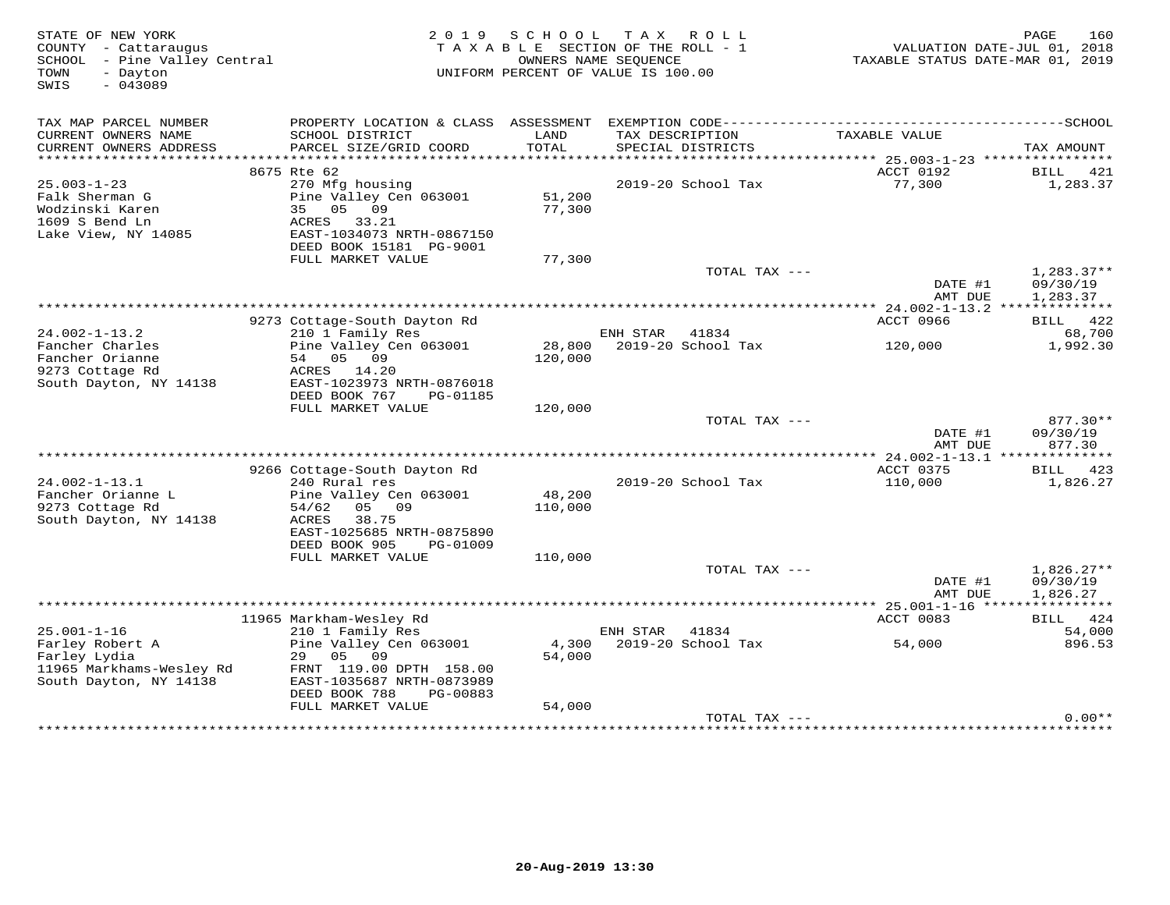| TAX MAP PARCEL NUMBER<br>CURRENT OWNERS NAME<br>SCHOOL DISTRICT<br>LAND<br>TAX DESCRIPTION<br>TAXABLE VALUE<br>CURRENT OWNERS ADDRESS<br>PARCEL SIZE/GRID COORD<br>TOTAL<br>SPECIAL DISTRICTS<br>TAX AMOUNT<br>ACCT 0192<br>8675 Rte 62<br>BILL 421<br>$25.003 - 1 - 23$<br>77,300<br>1,283.37<br>270 Mfg housing<br>2019-20 School Tax<br>Falk Sherman G<br>Pine Valley Cen 063001<br>51,200<br>77,300<br>Wodzinski Karen<br>35<br>05<br>09<br>1609 S Bend Ln<br>ACRES<br>33.21<br>Lake View, NY 14085<br>EAST-1034073 NRTH-0867150<br>DEED BOOK 15181 PG-9001<br>FULL MARKET VALUE<br>77,300<br>TOTAL TAX ---<br>$1,283.37**$<br>DATE #1<br>09/30/19<br>AMT DUE<br>1,283.37<br>ACCT 0966<br>9273 Cottage-South Dayton Rd<br>BILL 422<br>$24.002 - 1 - 13.2$<br>210 1 Family Res<br>ENH STAR<br>41834<br>68,700<br>Fancher Charles<br>Pine Valley Cen 063001<br>28,800<br>2019-20 School Tax<br>1,992.30<br>120,000<br>Fancher Orianne<br>54<br>05<br>09<br>120,000<br>9273 Cottage Rd<br>ACRES<br>14.20<br>South Dayton, NY 14138<br>EAST-1023973 NRTH-0876018<br>DEED BOOK 767<br>PG-01185<br>120,000<br>FULL MARKET VALUE<br>TOTAL TAX ---<br>877.30**<br>DATE #1<br>09/30/19<br>AMT DUE<br>877.30<br>** 24.002-1-13.1 **<br>ACCT 0375<br>9266 Cottage-South Dayton Rd<br>423<br>BILL<br>$24.002 - 1 - 13.1$<br>240 Rural res<br>2019-20 School Tax<br>110,000<br>1,826.27<br>Fancher Orianne L<br>48,200<br>Pine Valley Cen 063001<br>9273 Cottage Rd<br>54/62<br>05<br>09<br>110,000<br>South Dayton, NY 14138<br><b>ACRES</b><br>38.75<br>EAST-1025685 NRTH-0875890<br>DEED BOOK 905<br>PG-01009<br>FULL MARKET VALUE<br>110,000<br>TOTAL TAX ---<br>$1,826.27**$<br>DATE #1<br>09/30/19<br>AMT DUE<br>1,826.27<br>***********<br>11965 Markham-Wesley Rd<br>ACCT 0083<br>BILL 424<br>$25.001 - 1 - 16$<br>54,000<br>210 1 Family Res<br>ENH STAR<br>41834<br>Farley Robert A<br>Pine Valley Cen 063001<br>4,300<br>2019-20 School Tax<br>54,000<br>896.53<br>Farley Lydia<br>29<br>05<br>09<br>54,000<br>11965 Markhams-Wesley Rd<br>FRNT 119.00 DPTH 158.00<br>South Dayton, NY 14138<br>EAST-1035687 NRTH-0873989<br>DEED BOOK 788<br>PG-00883<br>54,000<br>FULL MARKET VALUE<br>$0.00**$<br>TOTAL TAX ---<br>*********************************** | STATE OF NEW YORK<br>COUNTY - Cattaraugus<br>- Pine Valley Central<br>SCHOOL<br>- Dayton<br>TOWN<br>$-043089$<br>SWIS | 2 0 1 9 | S C H O O L | T A X<br>R O L L<br>TAXABLE SECTION OF THE ROLL - 1<br>OWNERS NAME SEOUENCE<br>UNIFORM PERCENT OF VALUE IS 100.00 | TAXABLE STATUS DATE-MAR 01, 2019 | 160<br>PAGE<br>VALUATION DATE-JUL 01, 2018 |
|-------------------------------------------------------------------------------------------------------------------------------------------------------------------------------------------------------------------------------------------------------------------------------------------------------------------------------------------------------------------------------------------------------------------------------------------------------------------------------------------------------------------------------------------------------------------------------------------------------------------------------------------------------------------------------------------------------------------------------------------------------------------------------------------------------------------------------------------------------------------------------------------------------------------------------------------------------------------------------------------------------------------------------------------------------------------------------------------------------------------------------------------------------------------------------------------------------------------------------------------------------------------------------------------------------------------------------------------------------------------------------------------------------------------------------------------------------------------------------------------------------------------------------------------------------------------------------------------------------------------------------------------------------------------------------------------------------------------------------------------------------------------------------------------------------------------------------------------------------------------------------------------------------------------------------------------------------------------------------------------------------------------------------------------------------------------------------------------------------------------------------------------------------------------------------------------------------------------------------------------------------------|-----------------------------------------------------------------------------------------------------------------------|---------|-------------|-------------------------------------------------------------------------------------------------------------------|----------------------------------|--------------------------------------------|
|                                                                                                                                                                                                                                                                                                                                                                                                                                                                                                                                                                                                                                                                                                                                                                                                                                                                                                                                                                                                                                                                                                                                                                                                                                                                                                                                                                                                                                                                                                                                                                                                                                                                                                                                                                                                                                                                                                                                                                                                                                                                                                                                                                                                                                                             |                                                                                                                       |         |             |                                                                                                                   |                                  |                                            |
|                                                                                                                                                                                                                                                                                                                                                                                                                                                                                                                                                                                                                                                                                                                                                                                                                                                                                                                                                                                                                                                                                                                                                                                                                                                                                                                                                                                                                                                                                                                                                                                                                                                                                                                                                                                                                                                                                                                                                                                                                                                                                                                                                                                                                                                             |                                                                                                                       |         |             |                                                                                                                   |                                  |                                            |
|                                                                                                                                                                                                                                                                                                                                                                                                                                                                                                                                                                                                                                                                                                                                                                                                                                                                                                                                                                                                                                                                                                                                                                                                                                                                                                                                                                                                                                                                                                                                                                                                                                                                                                                                                                                                                                                                                                                                                                                                                                                                                                                                                                                                                                                             |                                                                                                                       |         |             |                                                                                                                   |                                  |                                            |
|                                                                                                                                                                                                                                                                                                                                                                                                                                                                                                                                                                                                                                                                                                                                                                                                                                                                                                                                                                                                                                                                                                                                                                                                                                                                                                                                                                                                                                                                                                                                                                                                                                                                                                                                                                                                                                                                                                                                                                                                                                                                                                                                                                                                                                                             |                                                                                                                       |         |             |                                                                                                                   |                                  |                                            |
|                                                                                                                                                                                                                                                                                                                                                                                                                                                                                                                                                                                                                                                                                                                                                                                                                                                                                                                                                                                                                                                                                                                                                                                                                                                                                                                                                                                                                                                                                                                                                                                                                                                                                                                                                                                                                                                                                                                                                                                                                                                                                                                                                                                                                                                             |                                                                                                                       |         |             |                                                                                                                   |                                  |                                            |
|                                                                                                                                                                                                                                                                                                                                                                                                                                                                                                                                                                                                                                                                                                                                                                                                                                                                                                                                                                                                                                                                                                                                                                                                                                                                                                                                                                                                                                                                                                                                                                                                                                                                                                                                                                                                                                                                                                                                                                                                                                                                                                                                                                                                                                                             |                                                                                                                       |         |             |                                                                                                                   |                                  |                                            |
|                                                                                                                                                                                                                                                                                                                                                                                                                                                                                                                                                                                                                                                                                                                                                                                                                                                                                                                                                                                                                                                                                                                                                                                                                                                                                                                                                                                                                                                                                                                                                                                                                                                                                                                                                                                                                                                                                                                                                                                                                                                                                                                                                                                                                                                             |                                                                                                                       |         |             |                                                                                                                   |                                  |                                            |
|                                                                                                                                                                                                                                                                                                                                                                                                                                                                                                                                                                                                                                                                                                                                                                                                                                                                                                                                                                                                                                                                                                                                                                                                                                                                                                                                                                                                                                                                                                                                                                                                                                                                                                                                                                                                                                                                                                                                                                                                                                                                                                                                                                                                                                                             |                                                                                                                       |         |             |                                                                                                                   |                                  |                                            |
|                                                                                                                                                                                                                                                                                                                                                                                                                                                                                                                                                                                                                                                                                                                                                                                                                                                                                                                                                                                                                                                                                                                                                                                                                                                                                                                                                                                                                                                                                                                                                                                                                                                                                                                                                                                                                                                                                                                                                                                                                                                                                                                                                                                                                                                             |                                                                                                                       |         |             |                                                                                                                   |                                  |                                            |
|                                                                                                                                                                                                                                                                                                                                                                                                                                                                                                                                                                                                                                                                                                                                                                                                                                                                                                                                                                                                                                                                                                                                                                                                                                                                                                                                                                                                                                                                                                                                                                                                                                                                                                                                                                                                                                                                                                                                                                                                                                                                                                                                                                                                                                                             |                                                                                                                       |         |             |                                                                                                                   |                                  |                                            |
|                                                                                                                                                                                                                                                                                                                                                                                                                                                                                                                                                                                                                                                                                                                                                                                                                                                                                                                                                                                                                                                                                                                                                                                                                                                                                                                                                                                                                                                                                                                                                                                                                                                                                                                                                                                                                                                                                                                                                                                                                                                                                                                                                                                                                                                             |                                                                                                                       |         |             |                                                                                                                   |                                  |                                            |
|                                                                                                                                                                                                                                                                                                                                                                                                                                                                                                                                                                                                                                                                                                                                                                                                                                                                                                                                                                                                                                                                                                                                                                                                                                                                                                                                                                                                                                                                                                                                                                                                                                                                                                                                                                                                                                                                                                                                                                                                                                                                                                                                                                                                                                                             |                                                                                                                       |         |             |                                                                                                                   |                                  |                                            |
|                                                                                                                                                                                                                                                                                                                                                                                                                                                                                                                                                                                                                                                                                                                                                                                                                                                                                                                                                                                                                                                                                                                                                                                                                                                                                                                                                                                                                                                                                                                                                                                                                                                                                                                                                                                                                                                                                                                                                                                                                                                                                                                                                                                                                                                             |                                                                                                                       |         |             |                                                                                                                   |                                  |                                            |
|                                                                                                                                                                                                                                                                                                                                                                                                                                                                                                                                                                                                                                                                                                                                                                                                                                                                                                                                                                                                                                                                                                                                                                                                                                                                                                                                                                                                                                                                                                                                                                                                                                                                                                                                                                                                                                                                                                                                                                                                                                                                                                                                                                                                                                                             |                                                                                                                       |         |             |                                                                                                                   |                                  |                                            |
|                                                                                                                                                                                                                                                                                                                                                                                                                                                                                                                                                                                                                                                                                                                                                                                                                                                                                                                                                                                                                                                                                                                                                                                                                                                                                                                                                                                                                                                                                                                                                                                                                                                                                                                                                                                                                                                                                                                                                                                                                                                                                                                                                                                                                                                             |                                                                                                                       |         |             |                                                                                                                   |                                  |                                            |
|                                                                                                                                                                                                                                                                                                                                                                                                                                                                                                                                                                                                                                                                                                                                                                                                                                                                                                                                                                                                                                                                                                                                                                                                                                                                                                                                                                                                                                                                                                                                                                                                                                                                                                                                                                                                                                                                                                                                                                                                                                                                                                                                                                                                                                                             |                                                                                                                       |         |             |                                                                                                                   |                                  |                                            |
|                                                                                                                                                                                                                                                                                                                                                                                                                                                                                                                                                                                                                                                                                                                                                                                                                                                                                                                                                                                                                                                                                                                                                                                                                                                                                                                                                                                                                                                                                                                                                                                                                                                                                                                                                                                                                                                                                                                                                                                                                                                                                                                                                                                                                                                             |                                                                                                                       |         |             |                                                                                                                   |                                  |                                            |
|                                                                                                                                                                                                                                                                                                                                                                                                                                                                                                                                                                                                                                                                                                                                                                                                                                                                                                                                                                                                                                                                                                                                                                                                                                                                                                                                                                                                                                                                                                                                                                                                                                                                                                                                                                                                                                                                                                                                                                                                                                                                                                                                                                                                                                                             |                                                                                                                       |         |             |                                                                                                                   |                                  |                                            |
|                                                                                                                                                                                                                                                                                                                                                                                                                                                                                                                                                                                                                                                                                                                                                                                                                                                                                                                                                                                                                                                                                                                                                                                                                                                                                                                                                                                                                                                                                                                                                                                                                                                                                                                                                                                                                                                                                                                                                                                                                                                                                                                                                                                                                                                             |                                                                                                                       |         |             |                                                                                                                   |                                  |                                            |
|                                                                                                                                                                                                                                                                                                                                                                                                                                                                                                                                                                                                                                                                                                                                                                                                                                                                                                                                                                                                                                                                                                                                                                                                                                                                                                                                                                                                                                                                                                                                                                                                                                                                                                                                                                                                                                                                                                                                                                                                                                                                                                                                                                                                                                                             |                                                                                                                       |         |             |                                                                                                                   |                                  |                                            |
|                                                                                                                                                                                                                                                                                                                                                                                                                                                                                                                                                                                                                                                                                                                                                                                                                                                                                                                                                                                                                                                                                                                                                                                                                                                                                                                                                                                                                                                                                                                                                                                                                                                                                                                                                                                                                                                                                                                                                                                                                                                                                                                                                                                                                                                             |                                                                                                                       |         |             |                                                                                                                   |                                  |                                            |
|                                                                                                                                                                                                                                                                                                                                                                                                                                                                                                                                                                                                                                                                                                                                                                                                                                                                                                                                                                                                                                                                                                                                                                                                                                                                                                                                                                                                                                                                                                                                                                                                                                                                                                                                                                                                                                                                                                                                                                                                                                                                                                                                                                                                                                                             |                                                                                                                       |         |             |                                                                                                                   |                                  |                                            |
|                                                                                                                                                                                                                                                                                                                                                                                                                                                                                                                                                                                                                                                                                                                                                                                                                                                                                                                                                                                                                                                                                                                                                                                                                                                                                                                                                                                                                                                                                                                                                                                                                                                                                                                                                                                                                                                                                                                                                                                                                                                                                                                                                                                                                                                             |                                                                                                                       |         |             |                                                                                                                   |                                  |                                            |
|                                                                                                                                                                                                                                                                                                                                                                                                                                                                                                                                                                                                                                                                                                                                                                                                                                                                                                                                                                                                                                                                                                                                                                                                                                                                                                                                                                                                                                                                                                                                                                                                                                                                                                                                                                                                                                                                                                                                                                                                                                                                                                                                                                                                                                                             |                                                                                                                       |         |             |                                                                                                                   |                                  |                                            |
|                                                                                                                                                                                                                                                                                                                                                                                                                                                                                                                                                                                                                                                                                                                                                                                                                                                                                                                                                                                                                                                                                                                                                                                                                                                                                                                                                                                                                                                                                                                                                                                                                                                                                                                                                                                                                                                                                                                                                                                                                                                                                                                                                                                                                                                             |                                                                                                                       |         |             |                                                                                                                   |                                  |                                            |
|                                                                                                                                                                                                                                                                                                                                                                                                                                                                                                                                                                                                                                                                                                                                                                                                                                                                                                                                                                                                                                                                                                                                                                                                                                                                                                                                                                                                                                                                                                                                                                                                                                                                                                                                                                                                                                                                                                                                                                                                                                                                                                                                                                                                                                                             |                                                                                                                       |         |             |                                                                                                                   |                                  |                                            |
|                                                                                                                                                                                                                                                                                                                                                                                                                                                                                                                                                                                                                                                                                                                                                                                                                                                                                                                                                                                                                                                                                                                                                                                                                                                                                                                                                                                                                                                                                                                                                                                                                                                                                                                                                                                                                                                                                                                                                                                                                                                                                                                                                                                                                                                             |                                                                                                                       |         |             |                                                                                                                   |                                  |                                            |
|                                                                                                                                                                                                                                                                                                                                                                                                                                                                                                                                                                                                                                                                                                                                                                                                                                                                                                                                                                                                                                                                                                                                                                                                                                                                                                                                                                                                                                                                                                                                                                                                                                                                                                                                                                                                                                                                                                                                                                                                                                                                                                                                                                                                                                                             |                                                                                                                       |         |             |                                                                                                                   |                                  |                                            |
|                                                                                                                                                                                                                                                                                                                                                                                                                                                                                                                                                                                                                                                                                                                                                                                                                                                                                                                                                                                                                                                                                                                                                                                                                                                                                                                                                                                                                                                                                                                                                                                                                                                                                                                                                                                                                                                                                                                                                                                                                                                                                                                                                                                                                                                             |                                                                                                                       |         |             |                                                                                                                   |                                  |                                            |
|                                                                                                                                                                                                                                                                                                                                                                                                                                                                                                                                                                                                                                                                                                                                                                                                                                                                                                                                                                                                                                                                                                                                                                                                                                                                                                                                                                                                                                                                                                                                                                                                                                                                                                                                                                                                                                                                                                                                                                                                                                                                                                                                                                                                                                                             |                                                                                                                       |         |             |                                                                                                                   |                                  |                                            |
|                                                                                                                                                                                                                                                                                                                                                                                                                                                                                                                                                                                                                                                                                                                                                                                                                                                                                                                                                                                                                                                                                                                                                                                                                                                                                                                                                                                                                                                                                                                                                                                                                                                                                                                                                                                                                                                                                                                                                                                                                                                                                                                                                                                                                                                             |                                                                                                                       |         |             |                                                                                                                   |                                  |                                            |
|                                                                                                                                                                                                                                                                                                                                                                                                                                                                                                                                                                                                                                                                                                                                                                                                                                                                                                                                                                                                                                                                                                                                                                                                                                                                                                                                                                                                                                                                                                                                                                                                                                                                                                                                                                                                                                                                                                                                                                                                                                                                                                                                                                                                                                                             |                                                                                                                       |         |             |                                                                                                                   |                                  |                                            |
|                                                                                                                                                                                                                                                                                                                                                                                                                                                                                                                                                                                                                                                                                                                                                                                                                                                                                                                                                                                                                                                                                                                                                                                                                                                                                                                                                                                                                                                                                                                                                                                                                                                                                                                                                                                                                                                                                                                                                                                                                                                                                                                                                                                                                                                             |                                                                                                                       |         |             |                                                                                                                   |                                  |                                            |
|                                                                                                                                                                                                                                                                                                                                                                                                                                                                                                                                                                                                                                                                                                                                                                                                                                                                                                                                                                                                                                                                                                                                                                                                                                                                                                                                                                                                                                                                                                                                                                                                                                                                                                                                                                                                                                                                                                                                                                                                                                                                                                                                                                                                                                                             |                                                                                                                       |         |             |                                                                                                                   |                                  |                                            |
|                                                                                                                                                                                                                                                                                                                                                                                                                                                                                                                                                                                                                                                                                                                                                                                                                                                                                                                                                                                                                                                                                                                                                                                                                                                                                                                                                                                                                                                                                                                                                                                                                                                                                                                                                                                                                                                                                                                                                                                                                                                                                                                                                                                                                                                             |                                                                                                                       |         |             |                                                                                                                   |                                  |                                            |
|                                                                                                                                                                                                                                                                                                                                                                                                                                                                                                                                                                                                                                                                                                                                                                                                                                                                                                                                                                                                                                                                                                                                                                                                                                                                                                                                                                                                                                                                                                                                                                                                                                                                                                                                                                                                                                                                                                                                                                                                                                                                                                                                                                                                                                                             |                                                                                                                       |         |             |                                                                                                                   |                                  |                                            |
|                                                                                                                                                                                                                                                                                                                                                                                                                                                                                                                                                                                                                                                                                                                                                                                                                                                                                                                                                                                                                                                                                                                                                                                                                                                                                                                                                                                                                                                                                                                                                                                                                                                                                                                                                                                                                                                                                                                                                                                                                                                                                                                                                                                                                                                             |                                                                                                                       |         |             |                                                                                                                   |                                  |                                            |
|                                                                                                                                                                                                                                                                                                                                                                                                                                                                                                                                                                                                                                                                                                                                                                                                                                                                                                                                                                                                                                                                                                                                                                                                                                                                                                                                                                                                                                                                                                                                                                                                                                                                                                                                                                                                                                                                                                                                                                                                                                                                                                                                                                                                                                                             |                                                                                                                       |         |             |                                                                                                                   |                                  |                                            |
|                                                                                                                                                                                                                                                                                                                                                                                                                                                                                                                                                                                                                                                                                                                                                                                                                                                                                                                                                                                                                                                                                                                                                                                                                                                                                                                                                                                                                                                                                                                                                                                                                                                                                                                                                                                                                                                                                                                                                                                                                                                                                                                                                                                                                                                             |                                                                                                                       |         |             |                                                                                                                   |                                  |                                            |
|                                                                                                                                                                                                                                                                                                                                                                                                                                                                                                                                                                                                                                                                                                                                                                                                                                                                                                                                                                                                                                                                                                                                                                                                                                                                                                                                                                                                                                                                                                                                                                                                                                                                                                                                                                                                                                                                                                                                                                                                                                                                                                                                                                                                                                                             |                                                                                                                       |         |             |                                                                                                                   |                                  |                                            |
|                                                                                                                                                                                                                                                                                                                                                                                                                                                                                                                                                                                                                                                                                                                                                                                                                                                                                                                                                                                                                                                                                                                                                                                                                                                                                                                                                                                                                                                                                                                                                                                                                                                                                                                                                                                                                                                                                                                                                                                                                                                                                                                                                                                                                                                             |                                                                                                                       |         |             |                                                                                                                   |                                  |                                            |
|                                                                                                                                                                                                                                                                                                                                                                                                                                                                                                                                                                                                                                                                                                                                                                                                                                                                                                                                                                                                                                                                                                                                                                                                                                                                                                                                                                                                                                                                                                                                                                                                                                                                                                                                                                                                                                                                                                                                                                                                                                                                                                                                                                                                                                                             |                                                                                                                       |         |             |                                                                                                                   |                                  |                                            |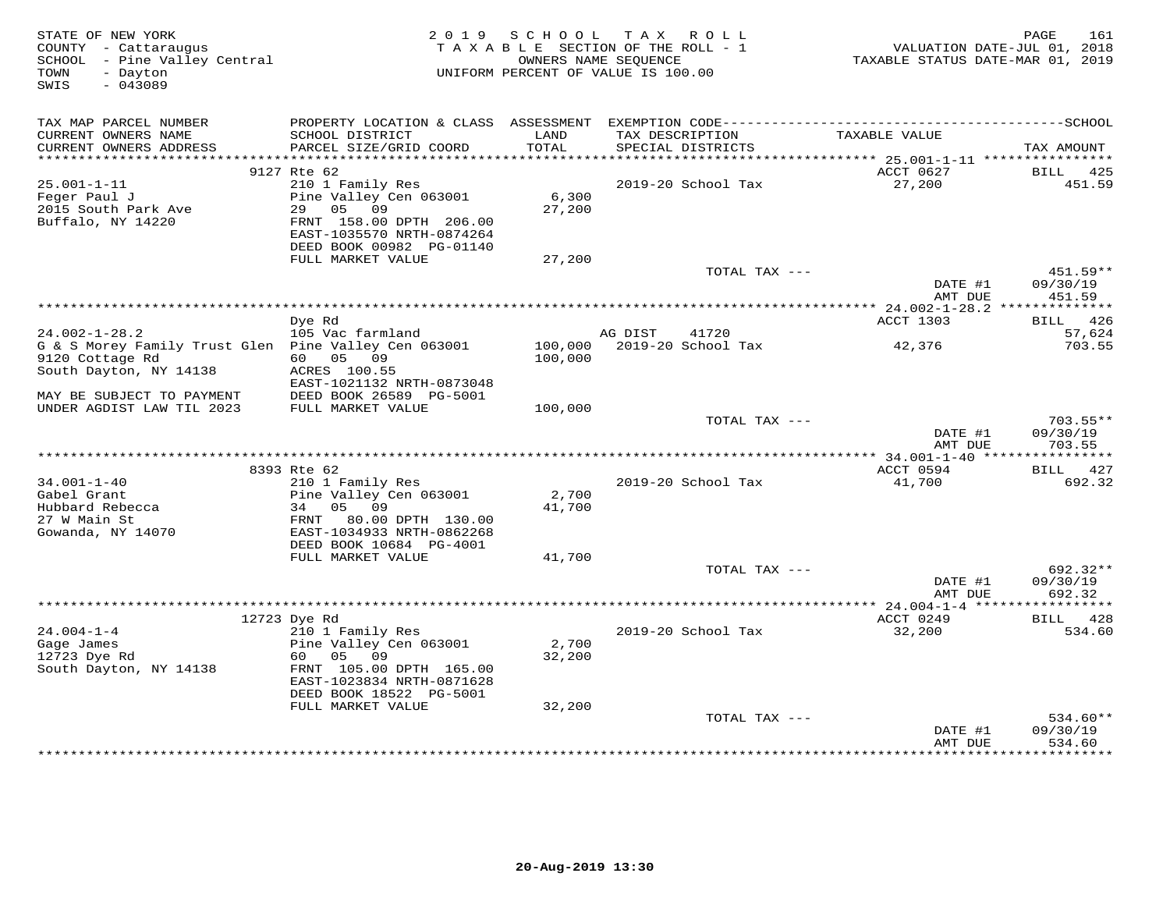| STATE OF NEW YORK<br>COUNTY - Cattaraugus<br>SCHOOL - Pine Valley Central<br>- Dayton<br>TOWN<br>$-043089$<br>SWIS | 2 0 1 9                                                                                                                                    | SCHOOL TAX      | ROLL<br>TAXABLE SECTION OF THE ROLL - 1<br>OWNERS NAME SEQUENCE<br>UNIFORM PERCENT OF VALUE IS 100.00 | VALUATION DATE-JUL 01, 2018<br>TAXABLE STATUS DATE-MAR 01, 2019 | 161<br>PAGE                      |
|--------------------------------------------------------------------------------------------------------------------|--------------------------------------------------------------------------------------------------------------------------------------------|-----------------|-------------------------------------------------------------------------------------------------------|-----------------------------------------------------------------|----------------------------------|
| TAX MAP PARCEL NUMBER<br>CURRENT OWNERS NAME                                                                       |                                                                                                                                            | LAND            |                                                                                                       | TAXABLE VALUE                                                   |                                  |
| CURRENT OWNERS ADDRESS<br>************************                                                                 | SCHOOL DISTRICT<br>PARCEL SIZE/GRID COORD                                                                                                  | TOTAL           | TAX DESCRIPTION<br>SPECIAL DISTRICTS                                                                  |                                                                 | TAX AMOUNT                       |
|                                                                                                                    | 9127 Rte 62                                                                                                                                |                 |                                                                                                       | ACCT 0627                                                       | BILL<br>425                      |
| $25.001 - 1 - 11$<br>Feger Paul J<br>2015 South Park Ave<br>Buffalo, NY 14220                                      | 210 1 Family Res<br>Pine Valley Cen 063001<br>29 05 09<br>FRNT 158.00 DPTH 206.00<br>EAST-1035570 NRTH-0874264<br>DEED BOOK 00982 PG-01140 | 6,300<br>27,200 | 2019-20 School Tax                                                                                    | 27,200                                                          | 451.59                           |
|                                                                                                                    | FULL MARKET VALUE                                                                                                                          | 27,200          |                                                                                                       |                                                                 |                                  |
|                                                                                                                    |                                                                                                                                            |                 | TOTAL TAX ---                                                                                         | DATE #1                                                         | 451.59**<br>09/30/19             |
|                                                                                                                    |                                                                                                                                            |                 |                                                                                                       | AMT DUE<br>************ 24.002-1-28.2 ***************           | 451.59                           |
|                                                                                                                    | Dye Rd                                                                                                                                     |                 |                                                                                                       | ACCT 1303                                                       | BILL 426                         |
| $24.002 - 1 - 28.2$                                                                                                | 105 Vac farmland                                                                                                                           |                 | AG DIST<br>41720                                                                                      |                                                                 | 57,624                           |
| G & S Morey Family Trust Glen Pine Valley Cen 063001<br>9120 Cottage Rd<br>South Dayton, NY 14138                  | 60  05  09<br>ACRES 100.55                                                                                                                 | 100,000         | 100,000 2019-20 School Tax                                                                            | 42,376                                                          | 703.55                           |
| MAY BE SUBJECT TO PAYMENT                                                                                          | EAST-1021132 NRTH-0873048<br>DEED BOOK 26589 PG-5001                                                                                       |                 |                                                                                                       |                                                                 |                                  |
| UNDER AGDIST LAW TIL 2023                                                                                          | FULL MARKET VALUE                                                                                                                          | 100,000         |                                                                                                       |                                                                 |                                  |
|                                                                                                                    |                                                                                                                                            |                 | TOTAL TAX ---                                                                                         | DATE #1<br>AMT DUE                                              | $703.55**$<br>09/30/19<br>703.55 |
|                                                                                                                    |                                                                                                                                            |                 |                                                                                                       |                                                                 |                                  |
| $34.001 - 1 - 40$                                                                                                  | 8393 Rte 62                                                                                                                                |                 |                                                                                                       | ACCT 0594                                                       | BILL 427<br>692.32               |
| Gabel Grant                                                                                                        | 210 1 Family Res<br>Pine Valley Cen 063001                                                                                                 | 2,700           | 2019-20 School Tax                                                                                    | 41,700                                                          |                                  |
| Hubbard Rebecca<br>27 W Main St<br>Gowanda, NY 14070                                                               | 34 05 09<br>80.00 DPTH 130.00<br>FRNT<br>EAST-1034933 NRTH-0862268                                                                         | 41,700          |                                                                                                       |                                                                 |                                  |
|                                                                                                                    | DEED BOOK 10684 PG-4001                                                                                                                    |                 |                                                                                                       |                                                                 |                                  |
|                                                                                                                    | FULL MARKET VALUE                                                                                                                          | 41,700          |                                                                                                       |                                                                 |                                  |
|                                                                                                                    |                                                                                                                                            |                 | TOTAL TAX ---                                                                                         | DATE #1<br>AMT DUE                                              | 692.32**<br>09/30/19<br>692.32   |
|                                                                                                                    |                                                                                                                                            |                 |                                                                                                       |                                                                 |                                  |
|                                                                                                                    | 12723 Dye Rd                                                                                                                               |                 |                                                                                                       | ACCT 0249                                                       | BILL<br>428                      |
| $24.004 - 1 - 4$<br>Gage James<br>12723 Dye Rd                                                                     | 210 1 Family Res<br>Pine Valley Cen 063001<br>60 —<br>05 09                                                                                | 2,700<br>32,200 | 2019-20 School Tax                                                                                    | 32,200                                                          | 534.60                           |
| South Dayton, NY 14138                                                                                             | FRNT 105.00 DPTH 165.00<br>EAST-1023834 NRTH-0871628<br>DEED BOOK 18522 PG-5001                                                            |                 |                                                                                                       |                                                                 |                                  |
|                                                                                                                    | FULL MARKET VALUE                                                                                                                          | 32,200          |                                                                                                       |                                                                 |                                  |
|                                                                                                                    |                                                                                                                                            |                 | TOTAL TAX ---                                                                                         | DATE #1<br>AMT DUE                                              | $534.60**$<br>09/30/19<br>534.60 |
|                                                                                                                    |                                                                                                                                            |                 |                                                                                                       |                                                                 | **********                       |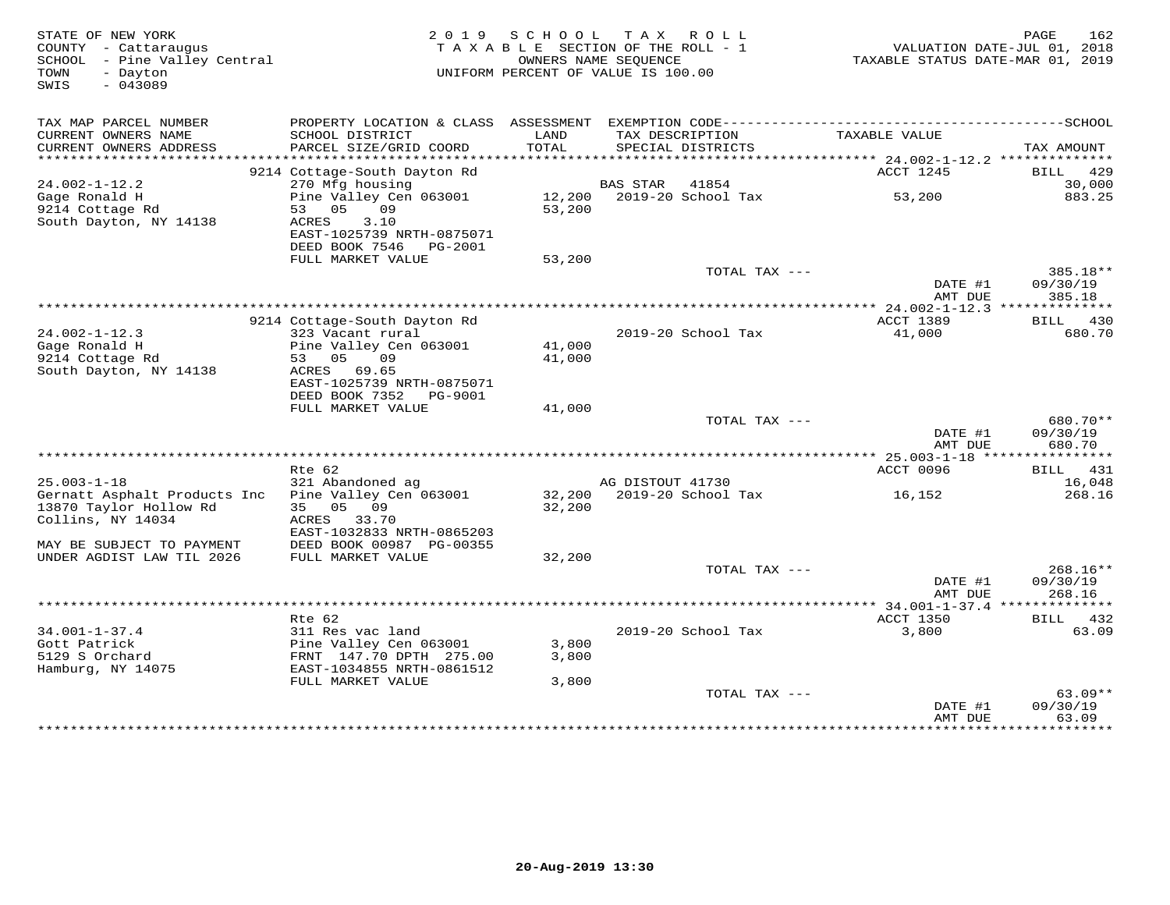| STATE OF NEW YORK<br>COUNTY - Cattaraugus<br>SCHOOL - Pine Valley Central<br>- Dayton<br>TOWN<br>SWIS<br>$-043089$ | 2 0 1 9                                                                                            | S C H O O L      | TAX ROLL<br>TAXABLE SECTION OF THE ROLL - 1<br>OWNERS NAME SEQUENCE<br>UNIFORM PERCENT OF VALUE IS 100.00 | TAXABLE STATUS DATE-MAR 01, 2019 | 162<br>PAGE<br>VALUATION DATE-JUL 01, 2018 |
|--------------------------------------------------------------------------------------------------------------------|----------------------------------------------------------------------------------------------------|------------------|-----------------------------------------------------------------------------------------------------------|----------------------------------|--------------------------------------------|
| TAX MAP PARCEL NUMBER<br>CURRENT OWNERS NAME<br>CURRENT OWNERS ADDRESS                                             | SCHOOL DISTRICT<br>PARCEL SIZE/GRID COORD                                                          | LAND<br>TOTAL    | TAX DESCRIPTION<br>SPECIAL DISTRICTS                                                                      | TAXABLE VALUE                    | TAX AMOUNT                                 |
| **********************                                                                                             |                                                                                                    |                  |                                                                                                           |                                  |                                            |
|                                                                                                                    | 9214 Cottage-South Dayton Rd                                                                       |                  |                                                                                                           | ACCT 1245                        | 429<br>BILL                                |
| $24.002 - 1 - 12.2$<br>Gage Ronald H                                                                               | 270 Mfg housing<br>Pine Valley Cen 063001                                                          |                  | <b>BAS STAR</b><br>41854<br>12,200 2019-20 School Tax                                                     | 53,200                           | 30,000<br>883.25                           |
| 9214 Cottage Rd<br>South Dayton, NY 14138                                                                          | 53 05<br>09<br>3.10<br>ACRES<br>EAST-1025739 NRTH-0875071                                          | 53,200           |                                                                                                           |                                  |                                            |
|                                                                                                                    | DEED BOOK 7546<br>PG-2001<br>FULL MARKET VALUE                                                     | 53,200           |                                                                                                           |                                  |                                            |
|                                                                                                                    |                                                                                                    |                  | TOTAL TAX ---                                                                                             |                                  | 385.18**                                   |
|                                                                                                                    |                                                                                                    |                  |                                                                                                           | DATE #1<br>AMT DUE               | 09/30/19<br>385.18                         |
|                                                                                                                    |                                                                                                    |                  |                                                                                                           | **** 24.002-1-12.3 **            |                                            |
|                                                                                                                    | 9214 Cottage-South Dayton Rd                                                                       |                  |                                                                                                           | <b>ACCT 1389</b>                 | 430<br>BILL                                |
| $24.002 - 1 - 12.3$<br>Gage Ronald H<br>9214 Cottage Rd<br>South Dayton, NY 14138                                  | 323 Vacant rural<br>Pine Valley Cen 063001<br>05<br>09<br>53<br>ACRES 69.65                        | 41,000<br>41,000 | 2019-20 School Tax                                                                                        | 41,000                           | 680.70                                     |
|                                                                                                                    | EAST-1025739 NRTH-0875071<br>DEED BOOK 7352<br>PG-9001<br>FULL MARKET VALUE                        | 41,000           |                                                                                                           |                                  |                                            |
|                                                                                                                    |                                                                                                    |                  | TOTAL TAX ---                                                                                             |                                  | 680.70**                                   |
|                                                                                                                    |                                                                                                    |                  |                                                                                                           | DATE #1<br>AMT DUE               | 09/30/19<br>680.70                         |
|                                                                                                                    |                                                                                                    |                  |                                                                                                           |                                  |                                            |
| $25.003 - 1 - 18$                                                                                                  | Rte 62<br>321 Abandoned ag                                                                         |                  | AG DISTOUT 41730                                                                                          | ACCT 0096                        | BILL 431<br>16,048                         |
| Gernatt Asphalt Products Inc<br>13870 Taylor Hollow Rd<br>Collins, NY 14034                                        | Pine Valley Cen 063001<br>05<br>09<br>35<br>ACRES 33.70<br>EAST-1032833 NRTH-0865203               | 32,200           | 32,200 2019-20 School Tax                                                                                 | 16,152                           | 268.16                                     |
| MAY BE SUBJECT TO PAYMENT                                                                                          | DEED BOOK 00987 PG-00355                                                                           |                  |                                                                                                           |                                  |                                            |
| UNDER AGDIST LAW TIL 2026                                                                                          | FULL MARKET VALUE                                                                                  | 32,200           |                                                                                                           |                                  |                                            |
|                                                                                                                    |                                                                                                    |                  | TOTAL TAX ---                                                                                             | DATE #1<br>AMT DUE               | 268.16**<br>09/30/19<br>268.16             |
|                                                                                                                    |                                                                                                    |                  |                                                                                                           |                                  |                                            |
|                                                                                                                    | Rte 62                                                                                             |                  |                                                                                                           | ACCT 1350                        | BILL 432                                   |
| $34.001 - 1 - 37.4$<br>Gott Patrick<br>5129 S Orchard<br>Hamburg, NY 14075                                         | 311 Res vac land<br>Pine Valley Cen 063001<br>FRNT 147.70 DPTH 275.00<br>EAST-1034855 NRTH-0861512 | 3,800<br>3,800   | 2019-20 School Tax                                                                                        | 3,800                            | 63.09                                      |
|                                                                                                                    | FULL MARKET VALUE                                                                                  | 3,800            |                                                                                                           |                                  |                                            |
|                                                                                                                    |                                                                                                    |                  | TOTAL TAX ---                                                                                             | DATE #1                          | $63.09**$<br>09/30/19                      |
|                                                                                                                    |                                                                                                    |                  |                                                                                                           | AMT DUE<br>**************        | 63.09<br>*********                         |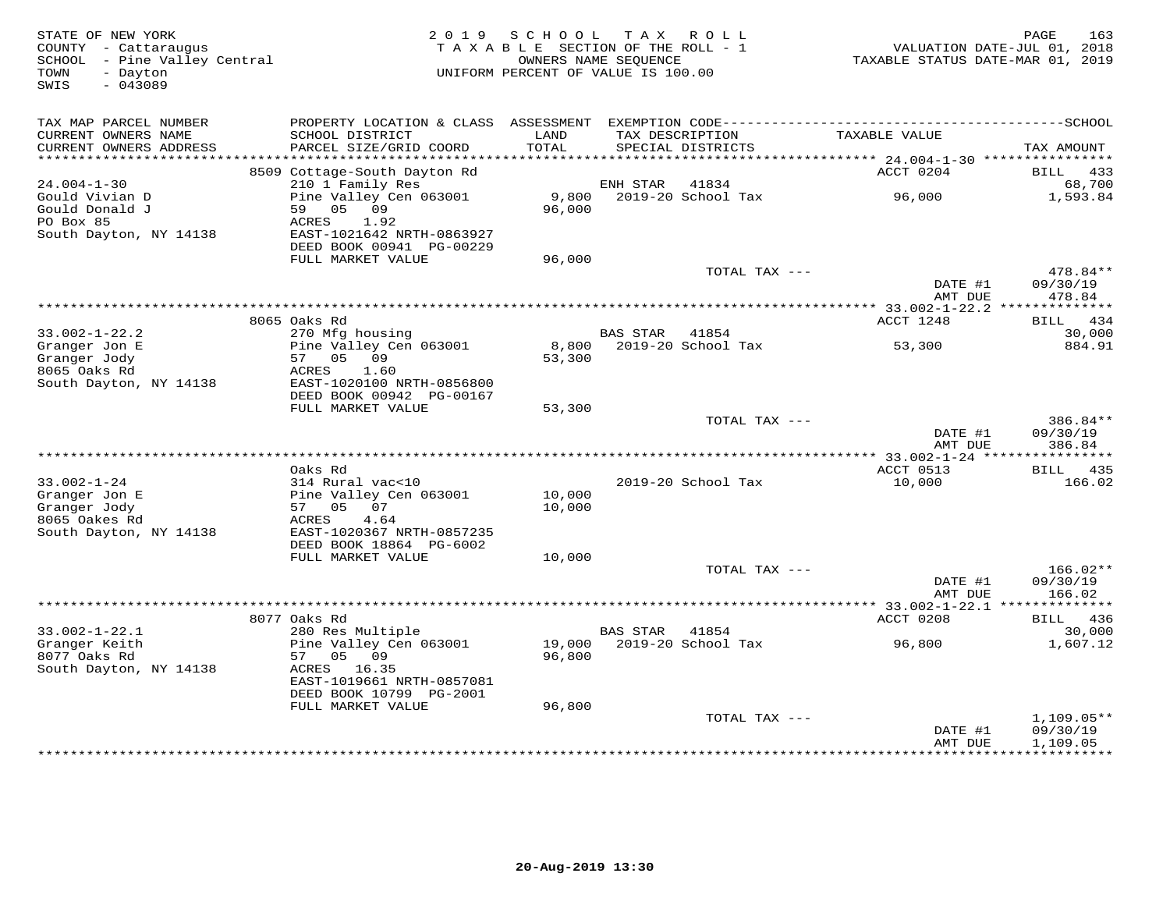| STATE OF NEW YORK<br>COUNTY - Cattaraugus<br>SCHOOL - Pine Valley Central<br>TOWN<br>- Dayton<br>SWIS<br>$-043089$ |                                                                            | 2019 SCHOOL<br>TAXABLE SECTION OF THE ROLL - 1<br>UNIFORM PERCENT OF VALUE IS 100.00 | OWNERS NAME SEOUENCE | TAX ROLL                             | TAXABLE STATUS DATE-MAR 01, 2019                             | 163<br>PAGE<br>VALUATION DATE-JUL 01, 2018 |
|--------------------------------------------------------------------------------------------------------------------|----------------------------------------------------------------------------|--------------------------------------------------------------------------------------|----------------------|--------------------------------------|--------------------------------------------------------------|--------------------------------------------|
| TAX MAP PARCEL NUMBER                                                                                              |                                                                            |                                                                                      |                      |                                      |                                                              |                                            |
| CURRENT OWNERS NAME<br>CURRENT OWNERS ADDRESS<br>************************                                          | SCHOOL DISTRICT<br>PARCEL SIZE/GRID COORD                                  | LAND<br>TOTAL                                                                        |                      | TAX DESCRIPTION<br>SPECIAL DISTRICTS | TAXABLE VALUE                                                | TAX AMOUNT                                 |
|                                                                                                                    | 8509 Cottage-South Dayton Rd                                               |                                                                                      |                      |                                      | ACCT 0204                                                    | BILL 433                                   |
| $24.004 - 1 - 30$                                                                                                  | 210 1 Family Res                                                           |                                                                                      | ENH STAR             | 41834                                |                                                              | 68,700                                     |
| Gould Vivian D<br>Gould Donald J<br>PO Box 85                                                                      | Pine Valley Cen 063001<br>59 05 09<br>ACRES<br>1.92                        | 9,800<br>96,000                                                                      |                      | 2019-20 School Tax                   | 96,000                                                       | 1,593.84                                   |
| South Dayton, NY 14138                                                                                             | EAST-1021642 NRTH-0863927<br>DEED BOOK 00941 PG-00229<br>FULL MARKET VALUE | 96,000                                                                               |                      |                                      |                                                              |                                            |
|                                                                                                                    |                                                                            |                                                                                      |                      | TOTAL TAX ---                        |                                                              | 478.84**                                   |
|                                                                                                                    |                                                                            |                                                                                      |                      |                                      | DATE #1<br>AMT DUE                                           | 09/30/19<br>478.84                         |
|                                                                                                                    |                                                                            |                                                                                      |                      |                                      |                                                              |                                            |
|                                                                                                                    | 8065 Oaks Rd                                                               |                                                                                      |                      |                                      | ACCT 1248                                                    | BILL 434                                   |
| $33.002 - 1 - 22.2$<br>Granger Jon E                                                                               | 270 Mfg housing<br>Pine Valley Cen 063001                                  | 8,800                                                                                | <b>BAS STAR</b>      | 41854<br>2019-20 School Tax          | 53,300                                                       | 30,000<br>884.91                           |
| Granger Jody<br>8065 Oaks Rd<br>South Dayton, NY 14138                                                             | 57 05 09<br>ACRES<br>1.60<br>EAST-1020100 NRTH-0856800                     | 53,300                                                                               |                      |                                      |                                                              |                                            |
|                                                                                                                    | DEED BOOK 00942 PG-00167                                                   |                                                                                      |                      |                                      |                                                              |                                            |
|                                                                                                                    | FULL MARKET VALUE                                                          | 53,300                                                                               |                      | TOTAL TAX ---                        |                                                              | 386.84**                                   |
|                                                                                                                    |                                                                            |                                                                                      |                      |                                      | DATE #1<br>AMT DUE                                           | 09/30/19<br>386.84                         |
|                                                                                                                    |                                                                            |                                                                                      |                      |                                      |                                                              |                                            |
|                                                                                                                    | Oaks Rd                                                                    |                                                                                      |                      |                                      | ACCT 0513                                                    | BILL 435                                   |
| $33.002 - 1 - 24$<br>Granger Jon E<br>Granger Jody                                                                 | 314 Rural vac<10<br>Pine Valley Cen 063001<br>57 05 07                     | 10,000<br>10,000                                                                     |                      | 2019-20 School Tax                   | 10,000                                                       | 166.02                                     |
| 8065 Oakes Rd<br>South Dayton, NY 14138                                                                            | 4.64<br>ACRES<br>EAST-1020367 NRTH-0857235                                 |                                                                                      |                      |                                      |                                                              |                                            |
|                                                                                                                    | DEED BOOK 18864 PG-6002                                                    |                                                                                      |                      |                                      |                                                              |                                            |
|                                                                                                                    | FULL MARKET VALUE                                                          | 10,000                                                                               |                      |                                      |                                                              |                                            |
|                                                                                                                    |                                                                            |                                                                                      |                      | TOTAL TAX ---                        | DATE #1<br>AMT DUE                                           | $166.02**$<br>09/30/19<br>166.02           |
|                                                                                                                    | 8077 Oaks Rd                                                               |                                                                                      |                      |                                      | ****************** 33.002-1-22.1 **************<br>ACCT 0208 | BILL 436                                   |
| $33.002 - 1 - 22.1$                                                                                                | 280 Res Multiple                                                           |                                                                                      | <b>BAS STAR</b>      | 41854                                |                                                              | 30,000                                     |
| Granger Keith<br>8077 Oaks Rd                                                                                      | Pine Valley Cen 063001<br>57<br>05 09                                      | 19,000<br>96,800                                                                     |                      | 2019-20 School Tax                   | 96,800                                                       | 1,607.12                                   |
| South Dayton, NY 14138                                                                                             | ACRES 16.35<br>EAST-1019661 NRTH-0857081<br>DEED BOOK 10799 PG-2001        |                                                                                      |                      |                                      |                                                              |                                            |
|                                                                                                                    | FULL MARKET VALUE                                                          | 96,800                                                                               |                      |                                      |                                                              |                                            |
|                                                                                                                    |                                                                            |                                                                                      |                      | TOTAL TAX ---                        | DATE #1<br>AMT DUE                                           | $1,109.05**$<br>09/30/19<br>1,109.05       |
|                                                                                                                    |                                                                            |                                                                                      |                      |                                      |                                                              | . + + + + + + + + + + .                    |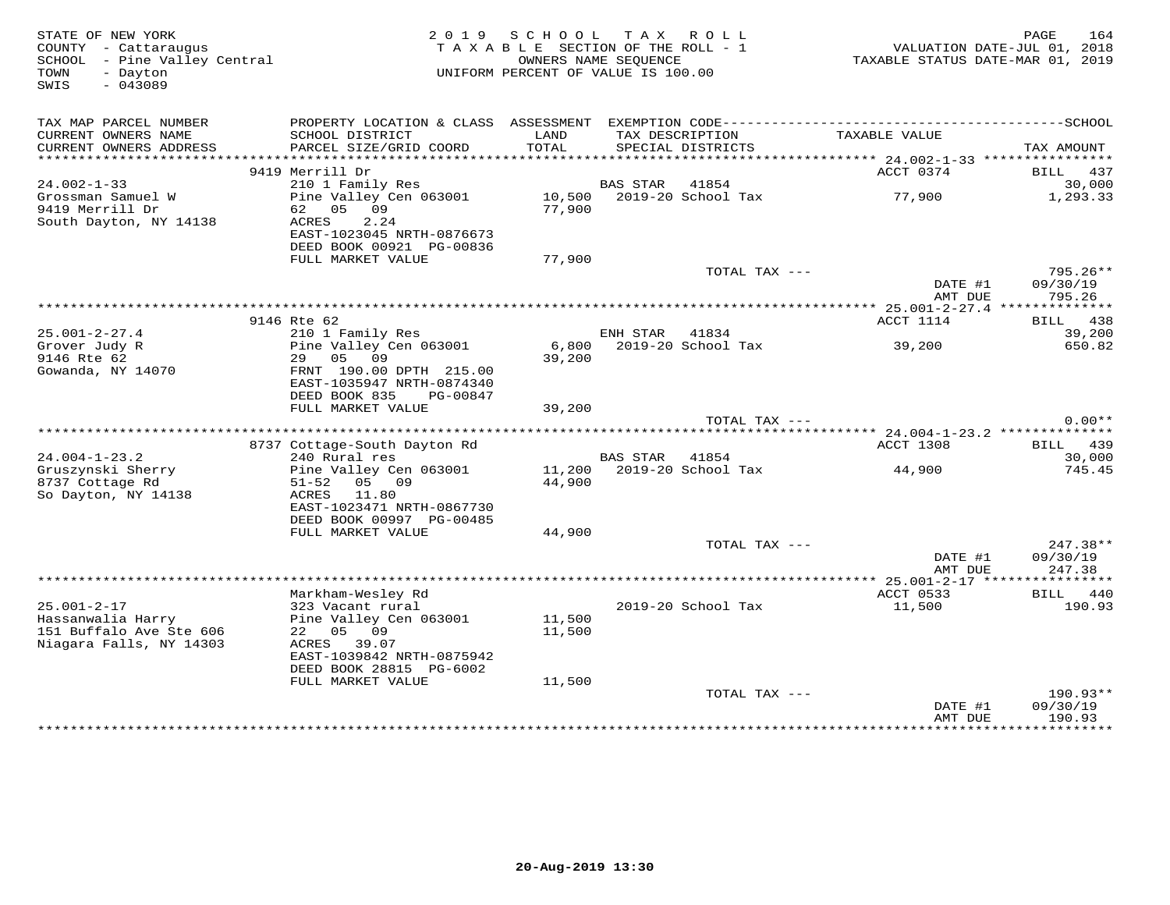| STATE OF NEW YORK<br>COUNTY - Cattaraugus<br>SCHOOL - Pine Valley Central<br>TOWN<br>- Dayton<br>$-043089$<br>SWIS |                                                                                   | 2019 SCHOOL TAX ROLL<br>TAXABLE SECTION OF THE ROLL - 1<br>UNIFORM PERCENT OF VALUE IS 100.00 | OWNERS NAME SEOUENCE |                                      | TAXABLE STATUS DATE-MAR 01, 2019 | 164<br>PAGE<br>VALUATION DATE-JUL 01, 2018 |
|--------------------------------------------------------------------------------------------------------------------|-----------------------------------------------------------------------------------|-----------------------------------------------------------------------------------------------|----------------------|--------------------------------------|----------------------------------|--------------------------------------------|
| TAX MAP PARCEL NUMBER<br>CURRENT OWNERS NAME<br>CURRENT OWNERS ADDRESS                                             | SCHOOL DISTRICT<br>PARCEL SIZE/GRID COORD                                         | LAND<br>TOTAL                                                                                 |                      | TAX DESCRIPTION<br>SPECIAL DISTRICTS | TAXABLE VALUE                    | TAX AMOUNT                                 |
|                                                                                                                    |                                                                                   |                                                                                               |                      |                                      |                                  |                                            |
| $24.002 - 1 - 33$                                                                                                  | 9419 Merrill Dr<br>210 1 Family Res                                               |                                                                                               | <b>BAS STAR</b>      | 41854                                | ACCT 0374                        | BILL 437<br>30,000                         |
| Grossman Samuel W<br>9419 Merrill Dr<br>South Dayton, NY 14138                                                     | Pine Valley Cen 063001<br>62<br>05<br>09<br>ACRES<br>2.24                         | 77,900                                                                                        |                      | 10,500 2019-20 School Tax            | 77,900                           | 1,293.33                                   |
|                                                                                                                    | EAST-1023045 NRTH-0876673<br>DEED BOOK 00921 PG-00836                             |                                                                                               |                      |                                      |                                  |                                            |
|                                                                                                                    | FULL MARKET VALUE                                                                 | 77,900                                                                                        |                      | TOTAL TAX ---                        |                                  | 795.26**                                   |
|                                                                                                                    |                                                                                   |                                                                                               |                      |                                      | DATE #1<br>AMT DUE               | 09/30/19<br>795.26                         |
|                                                                                                                    |                                                                                   |                                                                                               |                      |                                      |                                  |                                            |
| $25.001 - 2 - 27.4$                                                                                                | 9146 Rte 62<br>210 1 Family Res                                                   |                                                                                               | ENH STAR             | 41834                                | ACCT 1114                        | BILL 438<br>39,200                         |
| Grover Judy R<br>9146 Rte 62                                                                                       | Pine Valley Cen 063001<br>29<br>05<br>09                                          | 6,800<br>39,200                                                                               |                      | 2019-20 School Tax                   | 39,200                           | 650.82                                     |
| Gowanda, NY 14070                                                                                                  | FRNT 190.00 DPTH 215.00<br>EAST-1035947 NRTH-0874340<br>DEED BOOK 835<br>PG-00847 |                                                                                               |                      |                                      |                                  |                                            |
|                                                                                                                    | FULL MARKET VALUE                                                                 | 39,200                                                                                        |                      |                                      |                                  |                                            |
|                                                                                                                    |                                                                                   |                                                                                               |                      | TOTAL TAX ---                        |                                  | $0.00**$                                   |
|                                                                                                                    |                                                                                   |                                                                                               |                      |                                      | ACCT 1308                        | BILL 439                                   |
| $24.004 - 1 - 23.2$                                                                                                | 8737 Cottage-South Dayton Rd<br>240 Rural res                                     |                                                                                               | <b>BAS STAR</b>      | 41854                                |                                  | 30,000                                     |
| Gruszynski Sherry<br>8737 Cottage Rd<br>So Dayton, NY 14138                                                        | Pine Valley Cen 063001<br>05 09<br>$51 - 52$<br>ACRES<br>11.80                    | 11,200<br>44,900                                                                              |                      | 2019-20 School Tax                   | 44,900                           | 745.45                                     |
|                                                                                                                    | EAST-1023471 NRTH-0867730<br>DEED BOOK 00997 PG-00485                             |                                                                                               |                      |                                      |                                  |                                            |
|                                                                                                                    | FULL MARKET VALUE                                                                 | 44,900                                                                                        |                      | TOTAL TAX ---                        |                                  | 247.38**                                   |
|                                                                                                                    |                                                                                   |                                                                                               |                      |                                      | DATE #1<br>AMT DUE               | 09/30/19<br>247.38                         |
|                                                                                                                    |                                                                                   |                                                                                               |                      |                                      |                                  |                                            |
| $25.001 - 2 - 17$                                                                                                  | Markham-Wesley Rd<br>323 Vacant rural                                             |                                                                                               |                      | 2019-20 School Tax                   | ACCT 0533<br>11,500              | BILL 440<br>190.93                         |
| Hassanwalia Harry<br>151 Buffalo Ave Ste 606<br>Niagara Falls, NY 14303                                            | Pine Valley Cen 063001<br>22 05 09<br>ACRES 39.07<br>EAST-1039842 NRTH-0875942    | 11,500<br>11,500                                                                              |                      |                                      |                                  |                                            |
|                                                                                                                    | DEED BOOK 28815 PG-6002                                                           |                                                                                               |                      |                                      |                                  |                                            |
|                                                                                                                    | FULL MARKET VALUE                                                                 | 11,500                                                                                        |                      |                                      |                                  |                                            |
|                                                                                                                    |                                                                                   |                                                                                               |                      | TOTAL TAX ---                        | DATE #1<br>AMT DUE               | $190.93**$<br>09/30/19<br>190.93           |
|                                                                                                                    |                                                                                   |                                                                                               |                      | **********************************   | **************                   | · * * * * * * * * * *                      |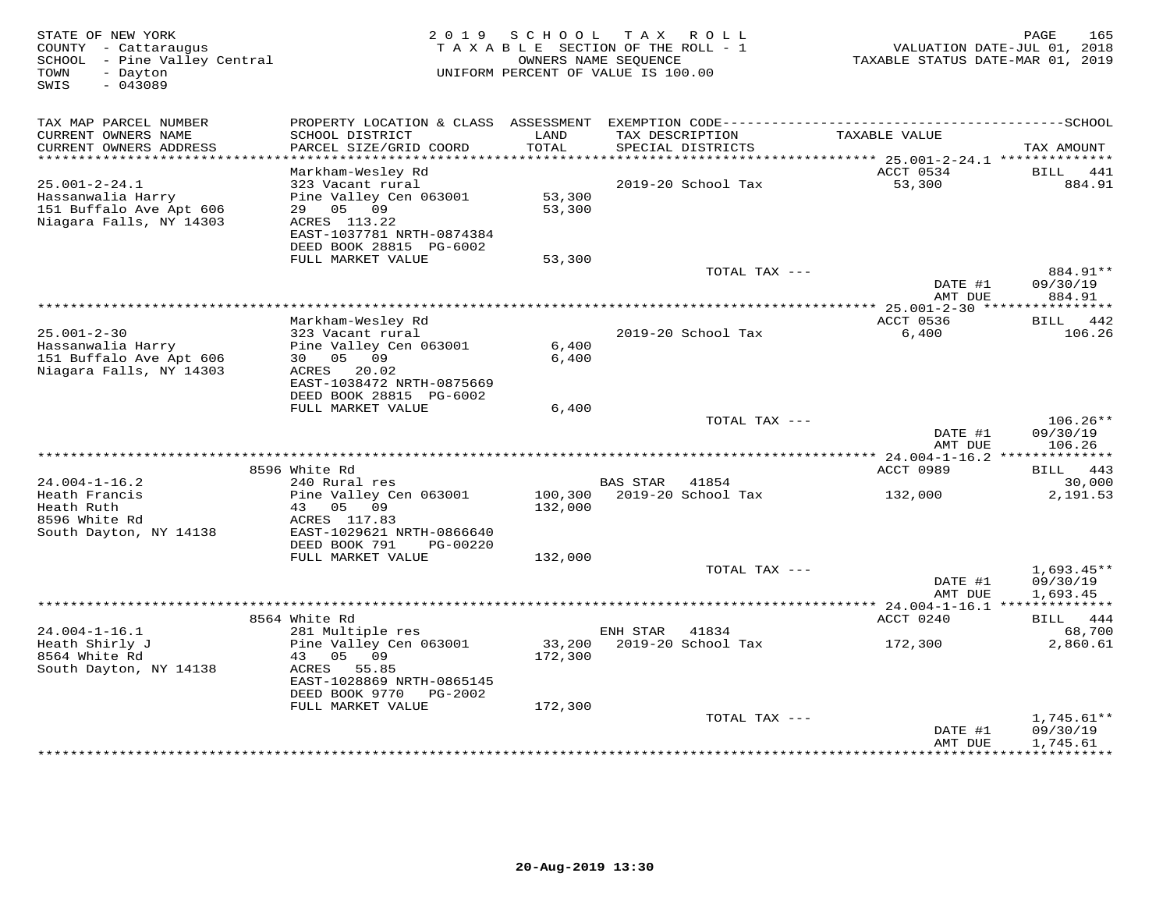| STATE OF NEW YORK<br>COUNTY - Cattaraugus<br>SCHOOL - Pine Valley Central<br>- Dayton<br>TOWN<br>SWIS<br>$-043089$ | 2 0 1 9                                                                                                                                             | SCHOOL             | TAX ROLL<br>TAXABLE SECTION OF THE ROLL - 1<br>OWNERS NAME SEQUENCE<br>UNIFORM PERCENT OF VALUE IS 100.00 | TAXABLE STATUS DATE-MAR 01, 2019                | 165<br>PAGE<br>VALUATION DATE-JUL 01, 2018 |
|--------------------------------------------------------------------------------------------------------------------|-----------------------------------------------------------------------------------------------------------------------------------------------------|--------------------|-----------------------------------------------------------------------------------------------------------|-------------------------------------------------|--------------------------------------------|
| TAX MAP PARCEL NUMBER                                                                                              |                                                                                                                                                     |                    |                                                                                                           |                                                 |                                            |
| CURRENT OWNERS NAME<br>CURRENT OWNERS ADDRESS                                                                      | SCHOOL DISTRICT<br>PARCEL SIZE/GRID COORD                                                                                                           | LAND<br>TOTAL      | TAX DESCRIPTION<br>SPECIAL DISTRICTS                                                                      | TAXABLE VALUE                                   | TAX AMOUNT                                 |
| ***********************                                                                                            |                                                                                                                                                     |                    |                                                                                                           | ACCT 0534                                       | BILL<br>441                                |
| $25.001 - 2 - 24.1$<br>Hassanwalia Harry<br>151 Buffalo Ave Apt 606<br>Niagara Falls, NY 14303                     | Markham-Wesley Rd<br>323 Vacant rural<br>Pine Valley Cen 063001<br>29 05 09<br>ACRES 113.22<br>EAST-1037781 NRTH-0874384<br>DEED BOOK 28815 PG-6002 | 53,300<br>53,300   | 2019-20 School Tax                                                                                        | 53,300                                          | 884.91                                     |
|                                                                                                                    | FULL MARKET VALUE                                                                                                                                   | 53,300             | TOTAL TAX ---                                                                                             |                                                 | 884.91**                                   |
|                                                                                                                    |                                                                                                                                                     |                    |                                                                                                           | DATE #1<br>AMT DUE                              | 09/30/19<br>884.91                         |
|                                                                                                                    |                                                                                                                                                     |                    | ********************                                                                                      | *** 25.001-2-30 ****                            | * * * * * * * * * * *                      |
|                                                                                                                    | Markham-Wesley Rd                                                                                                                                   |                    |                                                                                                           | ACCT 0536                                       | BILL 442                                   |
| $25.001 - 2 - 30$<br>Hassanwalia Harry<br>151 Buffalo Ave Apt 606<br>Niagara Falls, NY 14303                       | 323 Vacant rural<br>Pine Valley Cen 063001<br>30 05 09<br>ACRES 20.02<br>EAST-1038472 NRTH-0875669<br>DEED BOOK 28815 PG-6002                       | 6,400<br>6,400     | 2019-20 School Tax                                                                                        | 6,400                                           | 106.26                                     |
|                                                                                                                    | FULL MARKET VALUE                                                                                                                                   | 6,400              |                                                                                                           |                                                 |                                            |
|                                                                                                                    |                                                                                                                                                     |                    | TOTAL TAX ---                                                                                             | DATE #1<br>AMT DUE                              | $106.26**$<br>09/30/19<br>106.26           |
|                                                                                                                    |                                                                                                                                                     |                    |                                                                                                           |                                                 |                                            |
| $24.004 - 1 - 16.2$                                                                                                | 8596 White Rd<br>240 Rural res                                                                                                                      |                    | BAS STAR 41854                                                                                            | ACCT 0989                                       | BILL 443<br>30,000                         |
| Heath Francis<br>Heath Ruth<br>8596 White Rd                                                                       | Pine Valley Cen 063001<br>43 05<br>09<br>ACRES 117.83                                                                                               | 100,300<br>132,000 | 2019-20 School Tax                                                                                        | 132,000                                         | 2,191.53                                   |
| South Dayton, NY 14138                                                                                             | EAST-1029621 NRTH-0866640<br>DEED BOOK 791<br>PG-00220                                                                                              |                    |                                                                                                           |                                                 |                                            |
|                                                                                                                    | FULL MARKET VALUE                                                                                                                                   | 132,000            |                                                                                                           |                                                 |                                            |
|                                                                                                                    |                                                                                                                                                     |                    | TOTAL TAX ---                                                                                             | DATE #1<br>AMT DUE                              | $1,693.45**$<br>09/30/19<br>1,693.45       |
|                                                                                                                    |                                                                                                                                                     |                    |                                                                                                           | ***************** 24.004-1-16.1 *************** |                                            |
|                                                                                                                    | 8564 White Rd                                                                                                                                       |                    |                                                                                                           | ACCT 0240                                       | 444<br>BILL                                |
| $24.004 - 1 - 16.1$<br>Heath Shirly J<br>8564 White Rd<br>South Dayton, NY 14138                                   | 281 Multiple res<br>Pine Valley Cen 063001<br>09<br>43<br>05<br>ACRES<br>55.85<br>EAST-1028869 NRTH-0865145<br>DEED BOOK 9770<br>PG-2002            | 33,200<br>172,300  | ENH STAR<br>41834<br>2019-20 School Tax                                                                   | 172,300                                         | 68,700<br>2,860.61                         |
|                                                                                                                    | FULL MARKET VALUE                                                                                                                                   | 172,300            | TOTAL TAX ---                                                                                             | DATE #1<br>AMT DUE                              | $1,745.61**$<br>09/30/19<br>1,745.61       |
|                                                                                                                    |                                                                                                                                                     |                    |                                                                                                           | *****************************                   |                                            |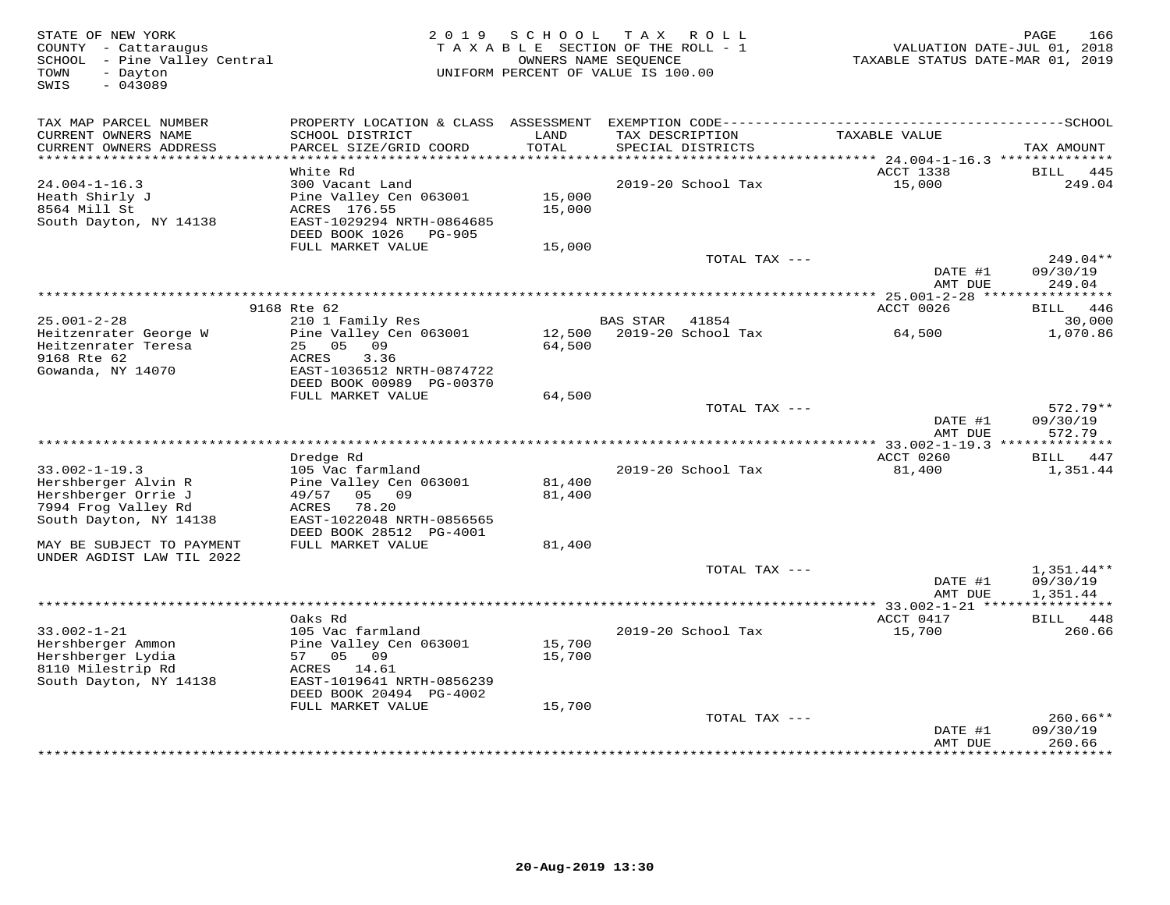STATE OF NEW YORK 166<br>COUNTY - Cattaraugus (COUNTY - Cattaraugus and the SC of the SC of the SCHO OF THE ROLL - 1 (COUNTY - Cattaraugus<br>SCHOOL - Pine Valley Central (2018) (COUNTERS NAME SURNER ON THE POLL - 1 (COUNTY - TA SWIS - 043089TAX MAP PARCEL NUMBER PROPERTY LOCATION & CLASS ASSESSMENT EXEMPTION CODE------------------------------------------SCHOOL CURRENT OWNERS NAME SCHOOL DISTRICT LAND TAX DESCRIPTION TAXABLE VALUE CURRENT OWNERS ADDRESS PARCEL SIZE/GRID COORD TOTAL SPECIAL DISTRICTS TAX AMOUNT \*\*\*\*\*\*\*\*\*\*\*\*\*\*\*\*\*\*\*\*\*\*\*\*\*\*\*\*\*\*\*\*\*\*\*\*\*\*\*\*\*\*\*\*\*\*\*\*\*\*\*\*\*\*\*\*\*\*\*\*\*\*\*\*\*\*\*\*\*\*\*\*\*\*\*\*\*\*\*\*\*\*\*\*\*\*\*\*\*\*\*\*\*\*\*\*\*\*\*\*\*\*\* 24.004-1-16.3 \*\*\*\*\*\*\*\*\*\*\*\*\*\* White Rd ACCT 1338 BILL 44524.004-1-16.3 300 Vacant Land 2019-20 School Tax 15,000 249.04Heath Shirly J Pine Valley Cen 063001 15,000 8564 Mill St ACRES 176.55 15,000 South Dayton, NY 14138 EAST-1029294 NRTH-0864685 DEED BOOK 1026 PG-905 FULL MARKET VALUE 15,000 TOTAL TAX --- 249.04\*\*DATE #1 09/30/19<br>2009 - 2009 1011 1022 AMT DUE 249.04 \*\*\*\*\*\*\*\*\*\*\*\*\*\*\*\*\*\*\*\*\*\*\*\*\*\*\*\*\*\*\*\*\*\*\*\*\*\*\*\*\*\*\*\*\*\*\*\*\*\*\*\*\*\*\*\*\*\*\*\*\*\*\*\*\*\*\*\*\*\*\*\*\*\*\*\*\*\*\*\*\*\*\*\*\*\*\*\*\*\*\*\*\*\*\*\*\*\*\*\*\*\*\* 25.001-2-28 \*\*\*\*\*\*\*\*\*\*\*\*\*\*\*\*ACCT 0026 BILL 446 9168 Rte 62 ACCT 0026 BILL 44630,000 25.001-2-28 210 1 Family Res BAS STAR 41854 30,0001,070.86 Heitzenrater George W Pine Valley Cen 063001 12,500 2019-20 School Tax 64,500 1,070.86Heitzenrater Teresa 25 05 09 64,500 9168 Rte 62 ACRES 3.36 Gowanda, NY 14070 EAST-1036512 NRTH-0874722 DEED BOOK 00989 PG-00370 FULL MARKET VALUE 64,500TOTAL TAX ---<br>DATE #1 09/30/19 DATE #1 09/30/19 AMT DUE 572.79 \*\*\*\*\*\*\*\*\*\*\*\*\*\*\*\*\*\*\*\*\*\*\*\*\*\*\*\*\*\*\*\*\*\*\*\*\*\*\*\*\*\*\*\*\*\*\*\*\*\*\*\*\*\*\*\*\*\*\*\*\*\*\*\*\*\*\*\*\*\*\*\*\*\*\*\*\*\*\*\*\*\*\*\*\*\*\*\*\*\*\*\*\*\*\*\*\*\*\*\*\*\*\* 33.002-1-19.3 \*\*\*\*\*\*\*\*\*\*\*\*\*\*ACCT 0260 BILL 447 Dredge Rd ACCT 0260 BILL 4471,351.44 33.002-1-19.3 105 Vac farmland 2019-20 School Tax 81,400 1,351.44Hershberger Alvin R Pine Valley Cen 063001 81,400 Hershberger Orrie J 49/57 05 09 81,400 7994 Frog Valley Rd ACRES 78.20 South Dayton, NY 14138 EAST-1022048 NRTH-0856565 DEED BOOK 28512 PG-4001 MAY BE SUBJECT TO PAYMENT FULL MARKET VALUE 81,400 UNDER AGDIST LAW TIL 2022TOTAL TAX --- 1,351.44\*\* DATE #1 09/30/19AMT DUE 1,351.44 AMT DUE 1,351.44 \*\*\*\*\*\*\*\*\*\*\*\*\*\*\*\*\*\*\*\*\*\*\*\*\*\*\*\*\*\*\*\*\*\*\*\*\*\*\*\*\*\*\*\*\*\*\*\*\*\*\*\*\*\*\*\*\*\*\*\*\*\*\*\*\*\*\*\*\*\*\*\*\*\*\*\*\*\*\*\*\*\*\*\*\*\*\*\*\*\*\*\*\*\*\*\*\*\*\*\*\*\*\* 33.002-1-21 \*\*\*\*\*\*\*\*\*\*\*\*\*\*\*\* Oaks Rd ACCT 0417 BILL 448 33.002-1-21 105 Vac farmland 2019-20 School Tax 15,700 260.66Hershberger Ammon Pine Valley Cen 063001 15,700 Hershberger Lydia 57 05 09 15,700 8110 Milestrip Rd ACRES 14.61 South Dayton, NY 14138 EAST-1019641 NRTH-0856239 DEED BOOK 20494 PG-4002 FULL MARKET VALUE 15,700 TOTAL TAX --- 260.66\*\* DATE #1 09/30/19AMT DUE 260.66

\*\*\*\*\*\*\*\*\*\*\*\*\*\*\*\*\*\*\*\*\*\*\*\*\*\*\*\*\*\*\*\*\*\*\*\*\*\*\*\*\*\*\*\*\*\*\*\*\*\*\*\*\*\*\*\*\*\*\*\*\*\*\*\*\*\*\*\*\*\*\*\*\*\*\*\*\*\*\*\*\*\*\*\*\*\*\*\*\*\*\*\*\*\*\*\*\*\*\*\*\*\*\*\*\*\*\*\*\*\*\*\*\*\*\*\*\*\*\*\*\*\*\*\*\*\*\*\*\*\*\*\*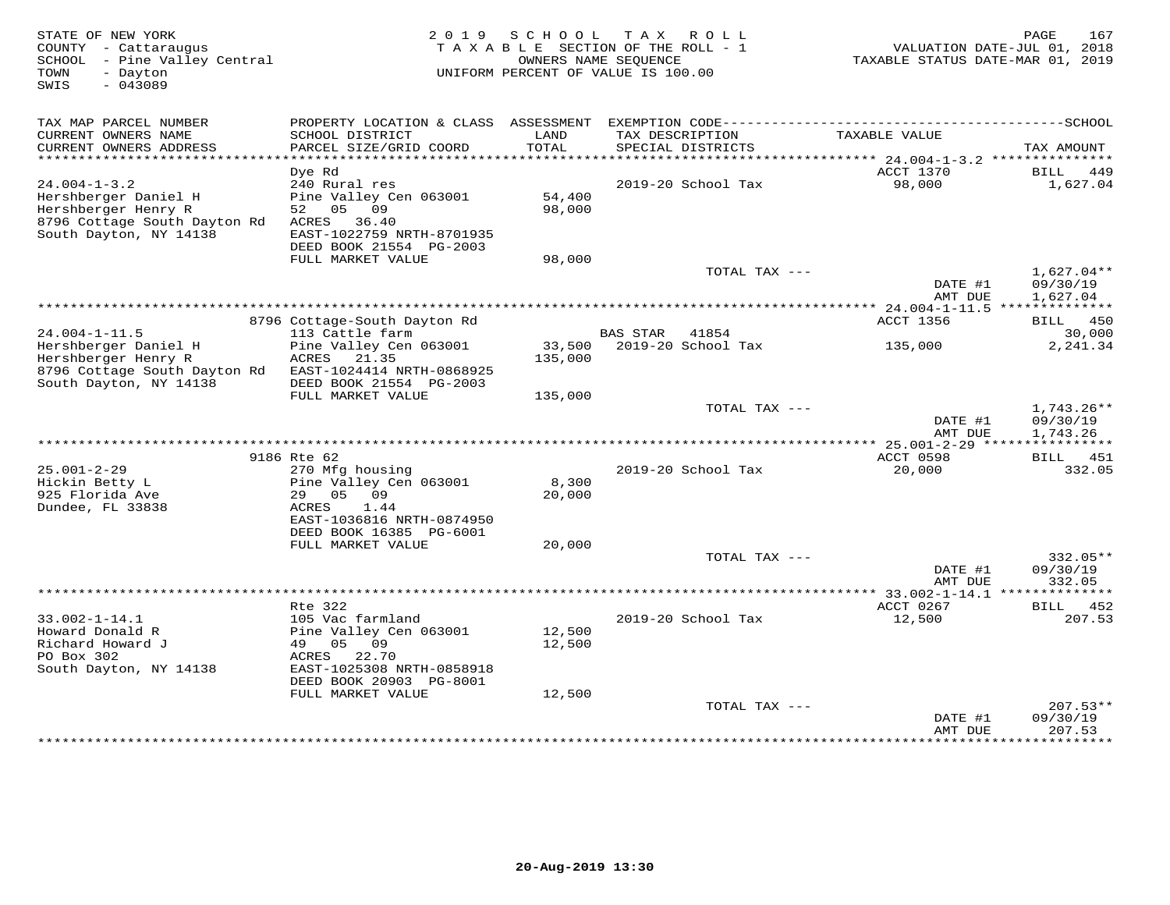| STATE OF NEW YORK<br>COUNTY - Cattaraugus<br>SCHOOL - Pine Valley Central<br>- Dayton<br>TOWN<br>$-043089$<br>SWIS |                                                                                                          | 2019 SCHOOL<br>TAXABLE SECTION OF THE ROLL - 1<br>OWNERS NAME SEQUENCE<br>UNIFORM PERCENT OF VALUE IS 100.00 |          | TAX ROLL                             | TAXABLE STATUS DATE-MAR 01, 2019         | 167<br>PAGE<br>VALUATION DATE-JUL 01, 2018 |
|--------------------------------------------------------------------------------------------------------------------|----------------------------------------------------------------------------------------------------------|--------------------------------------------------------------------------------------------------------------|----------|--------------------------------------|------------------------------------------|--------------------------------------------|
| TAX MAP PARCEL NUMBER<br>CURRENT OWNERS NAME<br>CURRENT OWNERS ADDRESS                                             | SCHOOL DISTRICT<br>PARCEL SIZE/GRID COORD                                                                | LAND<br>TOTAL                                                                                                |          | TAX DESCRIPTION<br>SPECIAL DISTRICTS | TAXABLE VALUE                            | TAX AMOUNT                                 |
| **********************                                                                                             |                                                                                                          |                                                                                                              |          |                                      |                                          |                                            |
|                                                                                                                    | Dye Rd                                                                                                   |                                                                                                              |          |                                      | ACCT 1370                                | BILL<br>449                                |
| $24.004 - 1 - 3.2$<br>Hershberger Daniel H<br>Hershberger Henry R<br>8796 Cottage South Dayton Rd                  | 240 Rural res<br>Pine Valley Cen 063001<br>52 05 09<br>ACRES 36.40                                       | 54,400<br>98,000                                                                                             |          | 2019-20 School Tax                   | 98,000                                   | 1,627.04                                   |
| South Dayton, NY 14138                                                                                             | EAST-1022759 NRTH-8701935<br>DEED BOOK 21554 PG-2003                                                     |                                                                                                              |          |                                      |                                          |                                            |
|                                                                                                                    | FULL MARKET VALUE                                                                                        | 98,000                                                                                                       |          |                                      |                                          |                                            |
|                                                                                                                    |                                                                                                          |                                                                                                              |          | TOTAL TAX ---                        | DATE #1<br>AMT DUE                       | $1,627.04**$<br>09/30/19<br>1,627.04       |
|                                                                                                                    | ************************************                                                                     |                                                                                                              |          |                                      | ********** 24.004-1-11.5 *************** |                                            |
| $24.004 - 1 - 11.5$                                                                                                | 8796 Cottage-South Dayton Rd<br>113 Cattle farm                                                          |                                                                                                              |          | 41854                                | ACCT 1356                                | <b>BILL</b> 450                            |
| Hershberger Daniel H                                                                                               | Pine Valley Cen 063001                                                                                   | 33,500                                                                                                       | BAS STAR | 2019-20 School Tax                   | 135,000                                  | 30,000<br>2,241.34                         |
| Hershberger Henry R<br>8796 Cottage South Dayton Rd<br>South Dayton, NY 14138                                      | ACRES<br>21.35<br>EAST-1024414 NRTH-0868925<br>DEED BOOK 21554 PG-2003                                   | 135,000                                                                                                      |          |                                      |                                          |                                            |
|                                                                                                                    | FULL MARKET VALUE                                                                                        | 135,000                                                                                                      |          |                                      |                                          |                                            |
|                                                                                                                    |                                                                                                          |                                                                                                              |          | TOTAL TAX ---                        | DATE #1<br>AMT DUE                       | 1,743.26**<br>09/30/19<br>1,743.26         |
|                                                                                                                    |                                                                                                          |                                                                                                              |          |                                      |                                          |                                            |
|                                                                                                                    | 9186 Rte 62                                                                                              |                                                                                                              |          |                                      | ACCT 0598                                | BILL<br>451                                |
| $25.001 - 2 - 29$<br>Hickin Betty L<br>925 Florida Ave                                                             | 270 Mfg housing<br>Pine Valley Cen 063001<br>29 05 09                                                    | 8,300<br>20,000                                                                                              |          | 2019-20 School Tax                   | 20,000                                   | 332.05                                     |
| Dundee, FL 33838                                                                                                   | ACRES<br>1.44<br>EAST-1036816 NRTH-0874950<br>DEED BOOK 16385 PG-6001                                    |                                                                                                              |          |                                      |                                          |                                            |
|                                                                                                                    | FULL MARKET VALUE                                                                                        | 20,000                                                                                                       |          | TOTAL TAX ---                        |                                          | 332.05**                                   |
|                                                                                                                    |                                                                                                          |                                                                                                              |          |                                      | DATE #1<br>AMT DUE                       | 09/30/19<br>332.05                         |
|                                                                                                                    |                                                                                                          |                                                                                                              |          |                                      |                                          |                                            |
|                                                                                                                    | Rte 322                                                                                                  |                                                                                                              |          |                                      | ACCT 0267                                | BILL 452                                   |
| $33.002 - 1 - 14.1$<br>Howard Donald R<br>Richard Howard J<br>PO Box 302<br>South Dayton, NY 14138                 | 105 Vac farmland<br>Pine Valley Cen 063001<br>49 05<br>09<br>22.70<br>ACRES<br>EAST-1025308 NRTH-0858918 | 12,500<br>12,500                                                                                             |          | 2019-20 School Tax                   | 12,500                                   | 207.53                                     |
|                                                                                                                    | DEED BOOK 20903 PG-8001                                                                                  |                                                                                                              |          |                                      |                                          |                                            |
|                                                                                                                    | FULL MARKET VALUE                                                                                        | 12,500                                                                                                       |          | TOTAL TAX ---                        | DATE #1<br>AMT DUE                       | $207.53**$<br>09/30/19<br>207.53           |
|                                                                                                                    |                                                                                                          |                                                                                                              |          |                                      |                                          |                                            |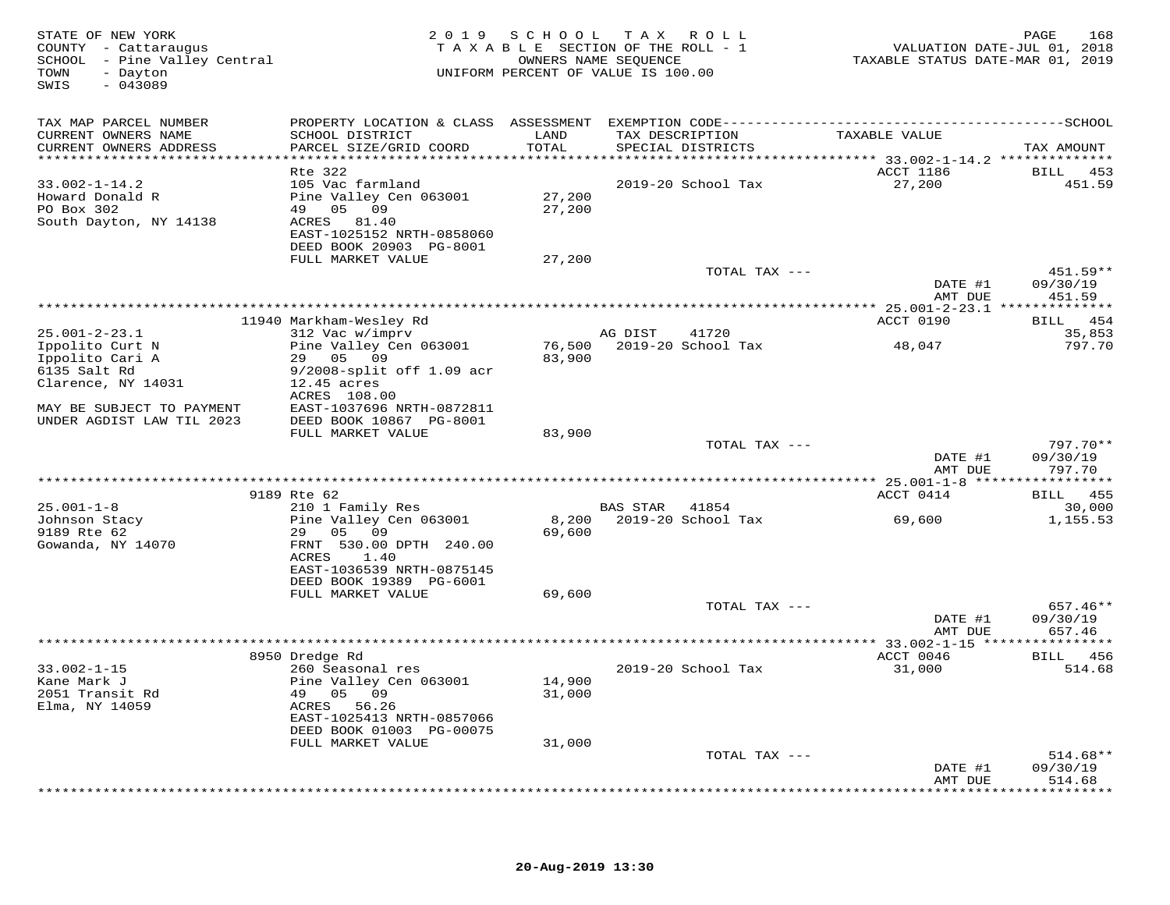| STATE OF NEW YORK<br>COUNTY - Cattaraugus<br>SCHOOL - Pine Valley Central<br>TOWN<br>- Dayton<br>$-043089$<br>SWIS                                        |                                                                                                                                                                                | 2019 SCHOOL                | T A X<br>R O L L<br>TAXABLE SECTION OF THE ROLL - 1<br>OWNERS NAME SEQUENCE<br>UNIFORM PERCENT OF VALUE IS 100.00 | VALUATION DATE-JUL 01, 2018<br>TAXABLE STATUS DATE-MAR 01, 2019 | 168<br>PAGE                                         |
|-----------------------------------------------------------------------------------------------------------------------------------------------------------|--------------------------------------------------------------------------------------------------------------------------------------------------------------------------------|----------------------------|-------------------------------------------------------------------------------------------------------------------|-----------------------------------------------------------------|-----------------------------------------------------|
| TAX MAP PARCEL NUMBER<br>CURRENT OWNERS NAME<br>CURRENT OWNERS ADDRESS<br>************************                                                        | SCHOOL DISTRICT<br>PARCEL SIZE/GRID COORD                                                                                                                                      | LAND<br>TOTAL              | TAX DESCRIPTION<br>SPECIAL DISTRICTS                                                                              | TAXABLE VALUE                                                   | TAX AMOUNT                                          |
| $33.002 - 1 - 14.2$<br>Howard Donald R<br>PO Box 302<br>South Dayton, NY 14138                                                                            | Rte 322<br>105 Vac farmland<br>Pine Valley Cen 063001<br>49 05 09<br>ACRES 81.40<br>EAST-1025152 NRTH-0858060<br>DEED BOOK 20903 PG-8001<br>FULL MARKET VALUE                  | 27,200<br>27,200<br>27,200 | 2019-20 School Tax                                                                                                | ACCT 1186<br>27,200                                             | BILL 453<br>451.59                                  |
|                                                                                                                                                           |                                                                                                                                                                                |                            | TOTAL TAX ---                                                                                                     | DATE #1<br>AMT DUE                                              | 451.59**<br>09/30/19<br>451.59                      |
|                                                                                                                                                           | 11940 Markham-Wesley Rd                                                                                                                                                        |                            |                                                                                                                   | ACCT 0190                                                       | 454<br><b>BILL</b>                                  |
| $25.001 - 2 - 23.1$<br>Ippolito Curt N<br>Ippolito Cari A<br>6135 Salt Rd<br>Clarence, NY 14031<br>MAY BE SUBJECT TO PAYMENT<br>UNDER AGDIST LAW TIL 2023 | 312 Vac w/imprv<br>Pine Valley Cen 063001<br>29 05 09<br>$9/2008$ -split off 1.09 acr<br>$12.45$ acres<br>ACRES 108.00<br>EAST-1037696 NRTH-0872811<br>DEED BOOK 10867 PG-8001 | 76,500<br>83,900           | AG DIST<br>41720<br>2019-20 School Tax                                                                            | 48,047                                                          | 35,853<br>797.70                                    |
|                                                                                                                                                           | FULL MARKET VALUE                                                                                                                                                              | 83,900                     | TOTAL TAX ---                                                                                                     | DATE #1                                                         | $797.70**$<br>09/30/19                              |
|                                                                                                                                                           |                                                                                                                                                                                |                            |                                                                                                                   | AMT DUE                                                         | 797.70                                              |
|                                                                                                                                                           | 9189 Rte 62                                                                                                                                                                    |                            |                                                                                                                   | ACCT 0414                                                       | BILL 455                                            |
| $25.001 - 1 - 8$<br>Johnson Stacy<br>9189 Rte 62<br>Gowanda, NY 14070                                                                                     | 210 1 Family Res<br>Pine Valley Cen 063001<br>29 05 09<br>FRNT 530.00 DPTH 240.00<br>ACRES<br>1.40<br>EAST-1036539 NRTH-0875145                                                | 8,200<br>69,600            | BAS STAR<br>41854<br>2019-20 School Tax                                                                           | 69,600                                                          | 30,000<br>1,155.53                                  |
|                                                                                                                                                           | DEED BOOK 19389 PG-6001<br>FULL MARKET VALUE                                                                                                                                   | 69,600                     | TOTAL TAX ---                                                                                                     | DATE #1                                                         | $657.46**$<br>09/30/19                              |
|                                                                                                                                                           | *************                                                                                                                                                                  |                            | *************************                                                                                         | AMT DUE<br>$* * 33.002 - 1 - 15$ *****                          | 657.46<br>* * * * * * * * * * *                     |
| $33.002 - 1 - 15$<br>Kane Mark J<br>2051 Transit Rd                                                                                                       | 8950 Dredge Rd<br>260 Seasonal res<br>Pine Valley Cen 063001<br>49 05 09                                                                                                       | 14,900<br>31,000           | 2019-20 School Tax                                                                                                | ACCT 0046<br>31,000                                             | BILL 456<br>514.68                                  |
| Elma, NY 14059                                                                                                                                            | ACRES 56.26<br>EAST-1025413 NRTH-0857066<br>DEED BOOK 01003 PG-00075<br>FULL MARKET VALUE                                                                                      | 31,000                     |                                                                                                                   |                                                                 |                                                     |
|                                                                                                                                                           |                                                                                                                                                                                |                            | TOTAL TAX ---                                                                                                     | DATE #1<br>AMT DUE                                              | $514.68**$<br>09/30/19<br>514.68<br>* * * * * * * * |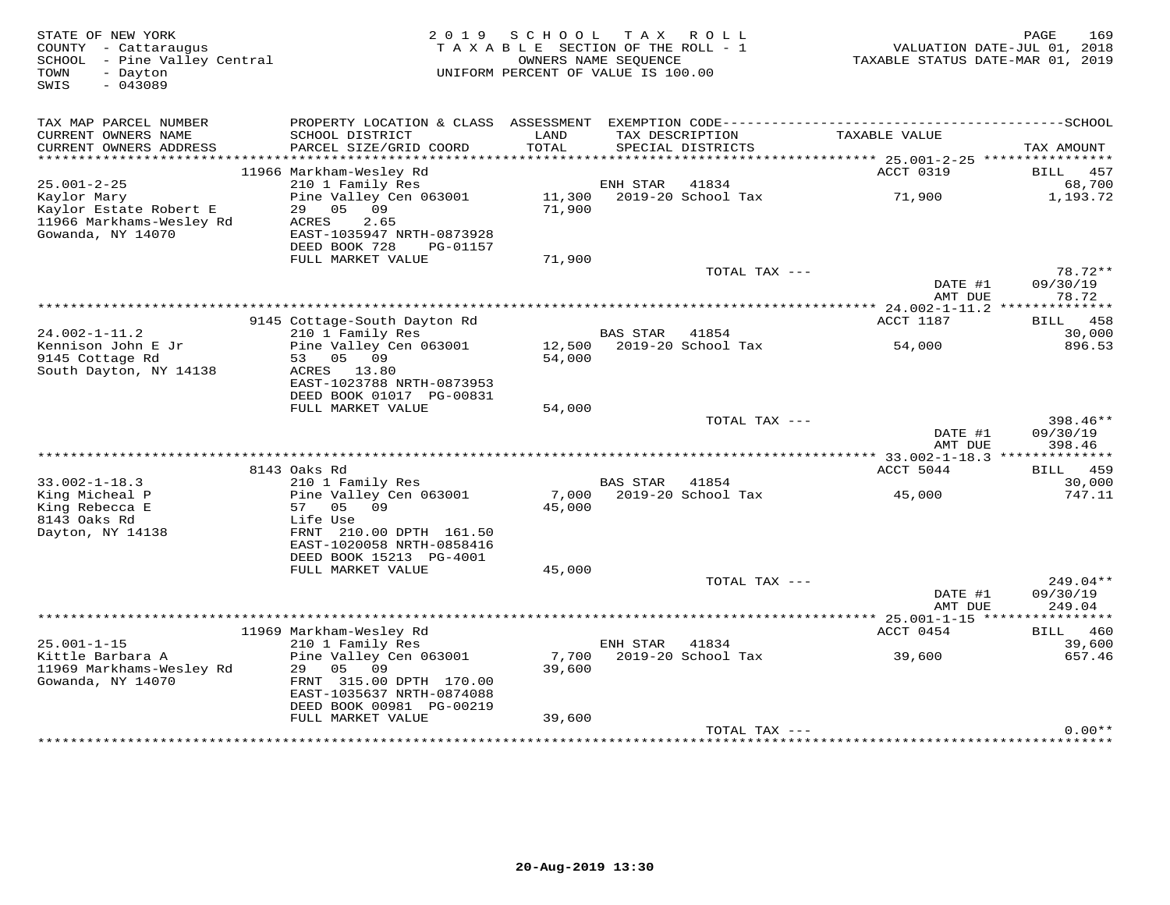| STATE OF NEW YORK<br>COUNTY - Cattaraugus<br>- Pine Valley Central<br>SCHOOL<br>TOWN<br>- Dayton<br>SWIS<br>$-043089$ |                                                                                                                              | 2019 SCHOOL<br>TAXABLE SECTION OF THE ROLL - 1<br>UNIFORM PERCENT OF VALUE IS 100.00 | OWNERS NAME SEOUENCE | TAX ROLL                             | TAXABLE STATUS DATE-MAR 01, 2019 | 169<br>PAGE<br>VALUATION DATE-JUL 01, 2018 |
|-----------------------------------------------------------------------------------------------------------------------|------------------------------------------------------------------------------------------------------------------------------|--------------------------------------------------------------------------------------|----------------------|--------------------------------------|----------------------------------|--------------------------------------------|
| TAX MAP PARCEL NUMBER<br>CURRENT OWNERS NAME<br>CURRENT OWNERS ADDRESS                                                | SCHOOL DISTRICT<br>PARCEL SIZE/GRID COORD                                                                                    | LAND<br>TOTAL                                                                        |                      | TAX DESCRIPTION<br>SPECIAL DISTRICTS | TAXABLE VALUE                    | TAX AMOUNT                                 |
|                                                                                                                       | 11966 Markham-Wesley Rd                                                                                                      |                                                                                      |                      |                                      | ACCT 0319                        | 457<br>BILL                                |
| $25.001 - 2 - 25$                                                                                                     | 210 1 Family Res                                                                                                             |                                                                                      | ENH STAR             | 41834                                |                                  | 68,700                                     |
| Kaylor Mary<br>Kaylor Estate Robert E<br>11966 Markhams-Wesley Rd<br>Gowanda, NY 14070                                | Pine Valley Cen 063001<br>09<br>29<br>05<br>ACRES<br>2.65<br>EAST-1035947 NRTH-0873928                                       | 11,300<br>71,900                                                                     |                      | 2019-20 School Tax                   | 71,900                           | 1,193.72                                   |
|                                                                                                                       | DEED BOOK 728<br>PG-01157                                                                                                    |                                                                                      |                      |                                      |                                  |                                            |
|                                                                                                                       | FULL MARKET VALUE                                                                                                            | 71,900                                                                               |                      | TOTAL TAX ---                        | DATE #1                          | 78.72**<br>09/30/19                        |
|                                                                                                                       |                                                                                                                              |                                                                                      |                      |                                      | AMT DUE                          | 78.72                                      |
|                                                                                                                       |                                                                                                                              |                                                                                      |                      |                                      |                                  |                                            |
| $24.002 - 1 - 11.2$                                                                                                   | 9145 Cottage-South Dayton Rd<br>210 1 Family Res                                                                             |                                                                                      | BAS STAR             | 41854                                | ACCT 1187                        | 458<br>BILL<br>30,000                      |
| Kennison John E Jr                                                                                                    | Pine Valley Cen 063001                                                                                                       | 12,500                                                                               |                      | 2019-20 School Tax                   | 54,000                           | 896.53                                     |
| 9145 Cottage Rd<br>South Dayton, NY 14138                                                                             | 53<br>05 09<br>ACRES 13.80<br>EAST-1023788 NRTH-0873953<br>DEED BOOK 01017 PG-00831                                          | 54,000                                                                               |                      |                                      |                                  |                                            |
|                                                                                                                       | FULL MARKET VALUE                                                                                                            | 54,000                                                                               |                      |                                      |                                  |                                            |
|                                                                                                                       |                                                                                                                              |                                                                                      |                      | TOTAL TAX ---                        | DATE #1<br>AMT DUE               | 398.46**<br>09/30/19<br>398.46             |
|                                                                                                                       |                                                                                                                              |                                                                                      |                      |                                      |                                  |                                            |
|                                                                                                                       | 8143 Oaks Rd                                                                                                                 |                                                                                      |                      |                                      | ACCT 5044                        | BILL 459                                   |
| $33.002 - 1 - 18.3$<br>King Micheal P                                                                                 | 210 1 Family Res<br>Pine Valley Cen 063001                                                                                   |                                                                                      | <b>BAS STAR</b>      | 41854<br>7,000 2019-20 School Tax    | 45,000                           | 30,000<br>747.11                           |
| King Rebecca E<br>8143 Oaks Rd<br>Dayton, NY 14138                                                                    | 57<br>05<br>09<br>Life Use<br>FRNT 210.00 DPTH 161.50<br>EAST-1020058 NRTH-0858416<br>DEED BOOK 15213 PG-4001                | 45,000                                                                               |                      |                                      |                                  |                                            |
|                                                                                                                       | FULL MARKET VALUE                                                                                                            | 45,000                                                                               |                      |                                      |                                  |                                            |
|                                                                                                                       |                                                                                                                              |                                                                                      |                      | TOTAL TAX ---                        | DATE #1                          | 249.04**<br>09/30/19                       |
|                                                                                                                       |                                                                                                                              |                                                                                      |                      |                                      | AMT DUE                          | 249.04                                     |
|                                                                                                                       | 11969 Markham-Wesley Rd                                                                                                      |                                                                                      |                      |                                      | ACCT 0454                        | BILL 460                                   |
| $25.001 - 1 - 15$                                                                                                     | 210 1 Family Res                                                                                                             |                                                                                      | ENH STAR             | 41834                                |                                  | 39,600                                     |
| Kittle Barbara A<br>11969 Markhams-Wesley Rd<br>Gowanda, NY 14070                                                     | Pine Valley Cen 063001<br>29<br>05<br>09<br>FRNT 315.00 DPTH 170.00<br>EAST-1035637 NRTH-0874088<br>DEED BOOK 00981 PG-00219 | 7,700<br>39,600                                                                      |                      | 2019-20 School Tax                   | 39,600                           | 657.46                                     |
|                                                                                                                       | FULL MARKET VALUE                                                                                                            | 39,600                                                                               |                      |                                      |                                  |                                            |
|                                                                                                                       |                                                                                                                              |                                                                                      |                      | TOTAL TAX ---                        |                                  | $0.00**$                                   |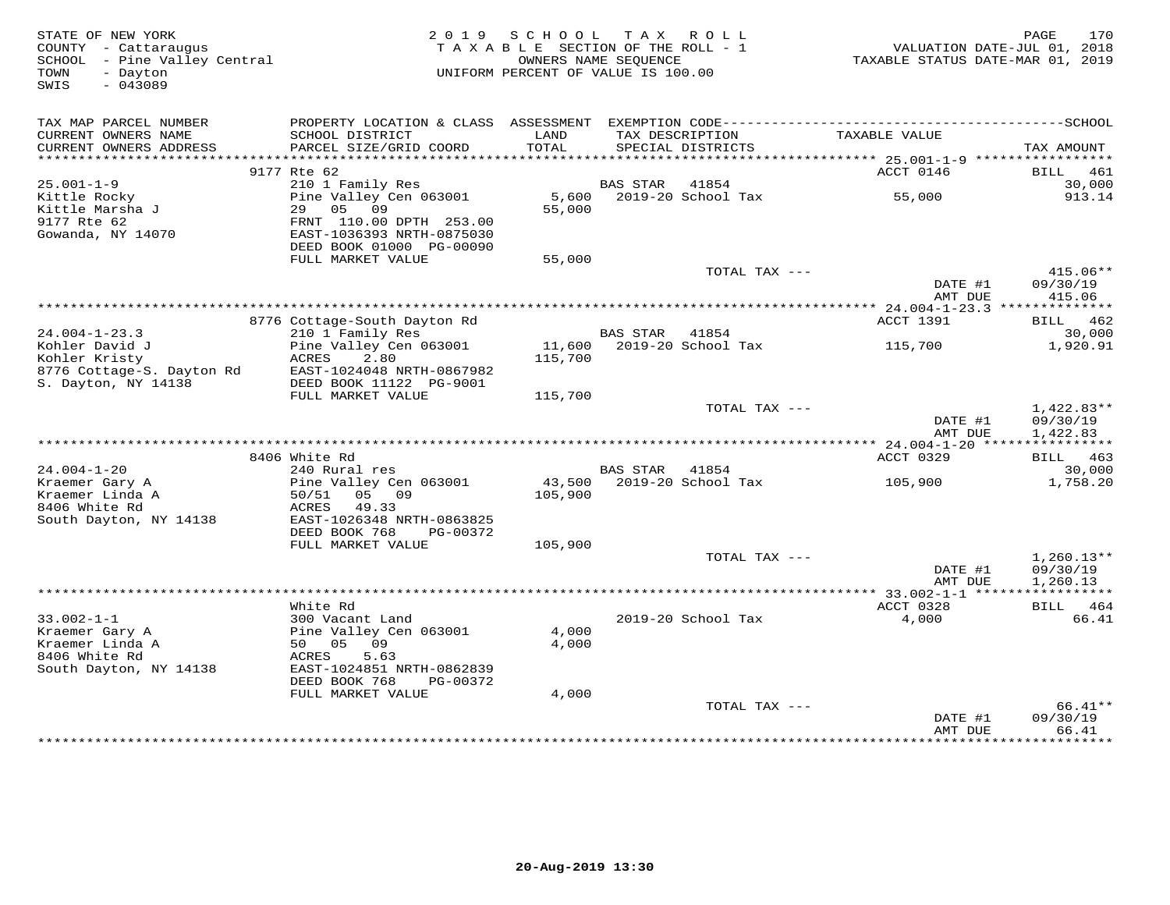| STATE OF NEW YORK<br>COUNTY - Cattaraugus<br>SCHOOL - Pine Valley Central<br>TOWN<br>- Dayton<br>SWIS<br>$-043089$ |                                                                                                                        | 2019 SCHOOL TAX ROLL<br>TAXABLE SECTION OF THE ROLL - 1<br>UNIFORM PERCENT OF VALUE IS 100.00 | OWNERS NAME SEQUENCE |                                      | VALUATION DATE-JUL 01, 2018<br>TAXABLE STATUS DATE-MAR 01, 2019 | 170<br>PAGE                          |
|--------------------------------------------------------------------------------------------------------------------|------------------------------------------------------------------------------------------------------------------------|-----------------------------------------------------------------------------------------------|----------------------|--------------------------------------|-----------------------------------------------------------------|--------------------------------------|
| TAX MAP PARCEL NUMBER<br>CURRENT OWNERS NAME<br>CURRENT OWNERS ADDRESS                                             | SCHOOL DISTRICT<br>PARCEL SIZE/GRID COORD                                                                              | LAND<br>TOTAL                                                                                 |                      | TAX DESCRIPTION<br>SPECIAL DISTRICTS | TAXABLE VALUE                                                   | TAX AMOUNT                           |
| **********************                                                                                             |                                                                                                                        |                                                                                               |                      |                                      |                                                                 |                                      |
| $25.001 - 1 - 9$                                                                                                   | 9177 Rte 62<br>210 1 Family Res                                                                                        |                                                                                               | BAS STAR             | 41854                                | ACCT 0146                                                       | BILL 461<br>30,000                   |
| Kittle Rocky<br>Kittle Marsha J<br>9177 Rte 62<br>Gowanda, NY 14070                                                | Pine Valley Cen 063001<br>29 05 09<br>FRNT 110.00 DPTH 253.00<br>EAST-1036393 NRTH-0875030<br>DEED BOOK 01000 PG-00090 | 5,600<br>55,000                                                                               |                      | 2019-20 School Tax                   | 55,000                                                          | 913.14                               |
|                                                                                                                    | FULL MARKET VALUE                                                                                                      | 55,000                                                                                        |                      |                                      |                                                                 |                                      |
|                                                                                                                    |                                                                                                                        |                                                                                               |                      | TOTAL TAX ---                        | DATE #1<br>AMT DUE                                              | $415.06**$<br>09/30/19<br>415.06     |
|                                                                                                                    |                                                                                                                        |                                                                                               |                      |                                      |                                                                 |                                      |
| $24.004 - 1 - 23.3$                                                                                                | 8776 Cottage-South Dayton Rd<br>210 1 Family Res                                                                       |                                                                                               | BAS STAR             | 41854                                | ACCT 1391                                                       | BILL 462<br>30,000                   |
| Kohler David J<br>Kohler Kristy<br>8776 Cottage-S. Dayton Rd                                                       | Pine Valley Cen 063001<br>ACRES<br>2.80<br>EAST-1024048 NRTH-0867982                                                   | 115,700                                                                                       |                      | 11,600 2019-20 School Tax            | 115,700                                                         | 1,920.91                             |
| S. Dayton, NY 14138                                                                                                | DEED BOOK 11122 PG-9001<br>FULL MARKET VALUE                                                                           | 115,700                                                                                       |                      |                                      |                                                                 |                                      |
|                                                                                                                    |                                                                                                                        |                                                                                               |                      | TOTAL TAX ---                        | DATE #1<br>AMT DUE                                              | 1,422.83**<br>09/30/19<br>1,422.83   |
|                                                                                                                    |                                                                                                                        |                                                                                               |                      |                                      |                                                                 |                                      |
|                                                                                                                    | 8406 White Rd                                                                                                          |                                                                                               |                      |                                      | ACCT 0329                                                       | BILL 463                             |
| $24.004 - 1 - 20$<br>Kraemer Gary A<br>Kraemer Linda A<br>8406 White Rd<br>South Dayton, NY 14138                  | 240 Rural res<br>Pine Valley Cen 063001<br>50/51 05 09<br>ACRES<br>49.33<br>EAST-1026348 NRTH-0863825                  | 43,500<br>105,900                                                                             | <b>BAS STAR</b>      | 41854<br>2019-20 School Tax          | 105,900                                                         | 30,000<br>1,758.20                   |
|                                                                                                                    | DEED BOOK 768<br>PG-00372                                                                                              |                                                                                               |                      |                                      |                                                                 |                                      |
|                                                                                                                    | FULL MARKET VALUE                                                                                                      | 105,900                                                                                       |                      |                                      |                                                                 |                                      |
|                                                                                                                    |                                                                                                                        |                                                                                               |                      | TOTAL TAX ---                        | DATE #1<br>AMT DUE                                              | $1,260.13**$<br>09/30/19<br>1,260.13 |
|                                                                                                                    |                                                                                                                        |                                                                                               |                      |                                      |                                                                 |                                      |
| $33.002 - 1 - 1$                                                                                                   | White Rd<br>300 Vacant Land                                                                                            |                                                                                               |                      | 2019-20 School Tax                   | ACCT 0328<br>4,000                                              | BILL 464<br>66.41                    |
| Kraemer Gary A<br>Kraemer Linda A<br>8406 White Rd<br>South Dayton, NY 14138                                       | Pine Valley Cen 063001<br>50 05 09<br>5.63<br>ACRES<br>EAST-1024851 NRTH-0862839<br>DEED BOOK 768<br>PG-00372          | 4,000<br>4,000                                                                                |                      |                                      |                                                                 |                                      |
|                                                                                                                    | FULL MARKET VALUE                                                                                                      | 4,000                                                                                         |                      |                                      |                                                                 |                                      |
|                                                                                                                    |                                                                                                                        |                                                                                               |                      | TOTAL TAX ---                        | DATE #1<br>AMT DUE                                              | 66.41**<br>09/30/19<br>66.41         |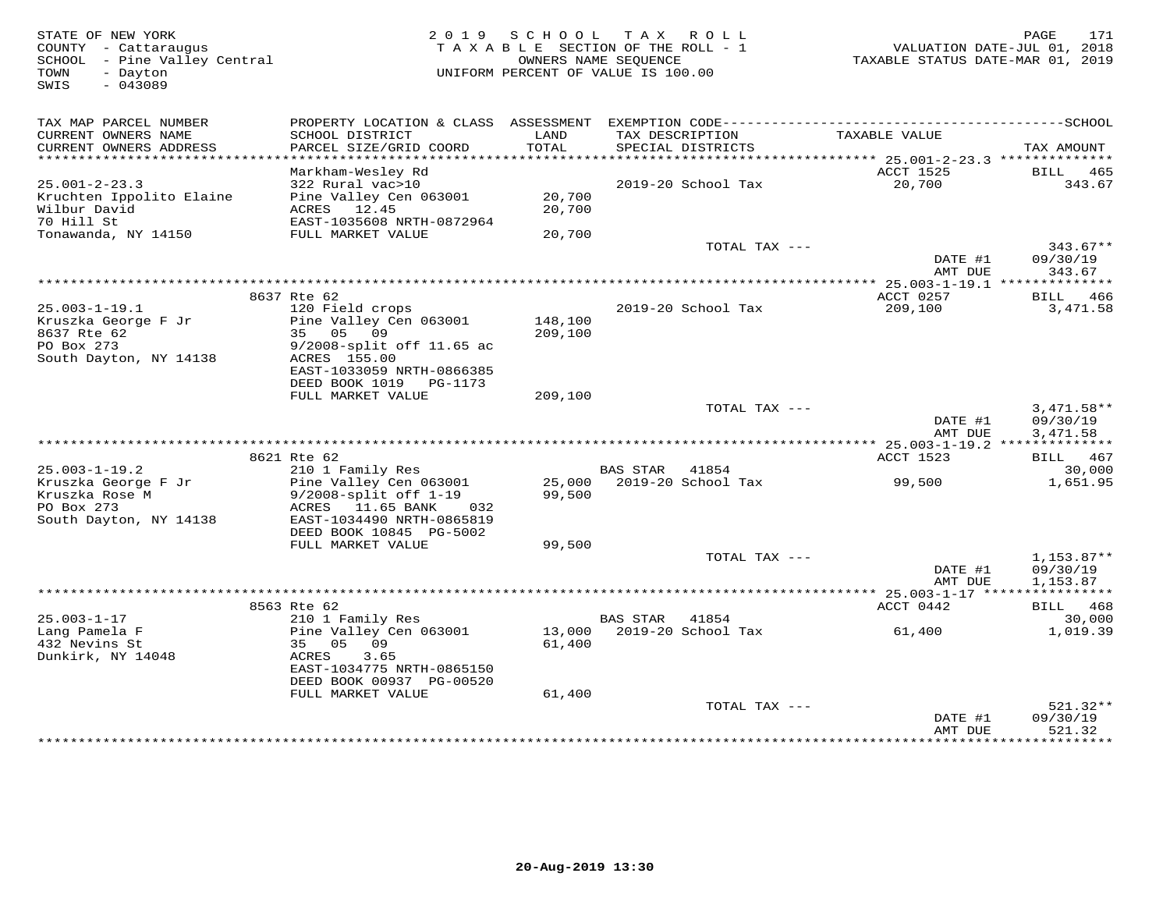| TAX MAP PARCEL NUMBER<br>CURRENT OWNERS NAME<br>SCHOOL DISTRICT<br>LAND<br>TAX DESCRIPTION<br>TAXABLE VALUE<br>PARCEL SIZE/GRID COORD<br>TOTAL<br>CURRENT OWNERS ADDRESS<br>SPECIAL DISTRICTS<br>******************************<br>Markham-Wesley Rd<br>ACCT 1525<br>BILL<br>$25.001 - 2 - 23.3$<br>322 Rural vac>10<br>2019-20 School Tax<br>20,700<br>20,700<br>Kruchten Ippolito Elaine<br>Pine Valley Cen 063001<br>Wilbur David<br>ACRES 12.45<br>20,700<br>70 Hill St<br>EAST-1035608 NRTH-0872964<br>Tonawanda, NY 14150<br>FULL MARKET VALUE<br>20,700<br>TOTAL TAX ---<br>DATE #1<br>AMT DUE<br>8637 Rte 62<br>ACCT 0257<br>BILL 466<br>$25.003 - 1 - 19.1$<br>120 Field crops<br>2019-20 School Tax<br>209,100<br>Pine Valley Cen 063001<br>Kruszka George F Jr<br>148,100<br>8637 Rte 62<br>35 05 09<br>209,100<br>PO Box 273<br>9/2008-split off 11.65 ac<br>South Dayton, NY 14138<br>ACRES 155.00<br>EAST-1033059 NRTH-0866385<br>DEED BOOK 1019 PG-1173<br>FULL MARKET VALUE<br>209,100<br>TOTAL TAX ---<br>DATE #1<br>AMT DUE<br>8621 Rte 62<br>ACCT 1523<br>BILL<br>$25.003 - 1 - 19.2$<br>210 1 Family Res<br><b>BAS STAR</b><br>41854 | TAX AMOUNT<br>465<br>343.67<br>$343.67**$ |
|----------------------------------------------------------------------------------------------------------------------------------------------------------------------------------------------------------------------------------------------------------------------------------------------------------------------------------------------------------------------------------------------------------------------------------------------------------------------------------------------------------------------------------------------------------------------------------------------------------------------------------------------------------------------------------------------------------------------------------------------------------------------------------------------------------------------------------------------------------------------------------------------------------------------------------------------------------------------------------------------------------------------------------------------------------------------------------------------------------------------------------------------------------|-------------------------------------------|
|                                                                                                                                                                                                                                                                                                                                                                                                                                                                                                                                                                                                                                                                                                                                                                                                                                                                                                                                                                                                                                                                                                                                                          |                                           |
|                                                                                                                                                                                                                                                                                                                                                                                                                                                                                                                                                                                                                                                                                                                                                                                                                                                                                                                                                                                                                                                                                                                                                          |                                           |
|                                                                                                                                                                                                                                                                                                                                                                                                                                                                                                                                                                                                                                                                                                                                                                                                                                                                                                                                                                                                                                                                                                                                                          |                                           |
|                                                                                                                                                                                                                                                                                                                                                                                                                                                                                                                                                                                                                                                                                                                                                                                                                                                                                                                                                                                                                                                                                                                                                          |                                           |
|                                                                                                                                                                                                                                                                                                                                                                                                                                                                                                                                                                                                                                                                                                                                                                                                                                                                                                                                                                                                                                                                                                                                                          |                                           |
|                                                                                                                                                                                                                                                                                                                                                                                                                                                                                                                                                                                                                                                                                                                                                                                                                                                                                                                                                                                                                                                                                                                                                          |                                           |
|                                                                                                                                                                                                                                                                                                                                                                                                                                                                                                                                                                                                                                                                                                                                                                                                                                                                                                                                                                                                                                                                                                                                                          | 09/30/19<br>343.67                        |
|                                                                                                                                                                                                                                                                                                                                                                                                                                                                                                                                                                                                                                                                                                                                                                                                                                                                                                                                                                                                                                                                                                                                                          |                                           |
|                                                                                                                                                                                                                                                                                                                                                                                                                                                                                                                                                                                                                                                                                                                                                                                                                                                                                                                                                                                                                                                                                                                                                          | 3,471.58                                  |
|                                                                                                                                                                                                                                                                                                                                                                                                                                                                                                                                                                                                                                                                                                                                                                                                                                                                                                                                                                                                                                                                                                                                                          |                                           |
|                                                                                                                                                                                                                                                                                                                                                                                                                                                                                                                                                                                                                                                                                                                                                                                                                                                                                                                                                                                                                                                                                                                                                          |                                           |
|                                                                                                                                                                                                                                                                                                                                                                                                                                                                                                                                                                                                                                                                                                                                                                                                                                                                                                                                                                                                                                                                                                                                                          |                                           |
|                                                                                                                                                                                                                                                                                                                                                                                                                                                                                                                                                                                                                                                                                                                                                                                                                                                                                                                                                                                                                                                                                                                                                          | $3,471.58**$<br>09/30/19<br>3,471.58      |
|                                                                                                                                                                                                                                                                                                                                                                                                                                                                                                                                                                                                                                                                                                                                                                                                                                                                                                                                                                                                                                                                                                                                                          |                                           |
|                                                                                                                                                                                                                                                                                                                                                                                                                                                                                                                                                                                                                                                                                                                                                                                                                                                                                                                                                                                                                                                                                                                                                          | 467                                       |
|                                                                                                                                                                                                                                                                                                                                                                                                                                                                                                                                                                                                                                                                                                                                                                                                                                                                                                                                                                                                                                                                                                                                                          | 30,000                                    |
| Kruszka George F Jr<br>Pine Valley Cen 063001<br>25,000<br>2019-20 School Tax<br>99,500<br>Kruszka Rose M<br>$9/2008$ -split off $1-19$<br>99,500<br>PO Box 273<br>ACRES 11.65 BANK<br>032<br>South Dayton, NY 14138<br>EAST-1034490 NRTH-0865819                                                                                                                                                                                                                                                                                                                                                                                                                                                                                                                                                                                                                                                                                                                                                                                                                                                                                                        | 1,651.95                                  |
| DEED BOOK 10845 PG-5002<br>FULL MARKET VALUE<br>99,500                                                                                                                                                                                                                                                                                                                                                                                                                                                                                                                                                                                                                                                                                                                                                                                                                                                                                                                                                                                                                                                                                                   |                                           |
| TOTAL TAX ---                                                                                                                                                                                                                                                                                                                                                                                                                                                                                                                                                                                                                                                                                                                                                                                                                                                                                                                                                                                                                                                                                                                                            | $1,153.87**$                              |
| DATE #1<br>AMT DUE                                                                                                                                                                                                                                                                                                                                                                                                                                                                                                                                                                                                                                                                                                                                                                                                                                                                                                                                                                                                                                                                                                                                       | 09/30/19<br>1,153.87                      |
|                                                                                                                                                                                                                                                                                                                                                                                                                                                                                                                                                                                                                                                                                                                                                                                                                                                                                                                                                                                                                                                                                                                                                          |                                           |
| 8563 Rte 62<br>ACCT 0442<br>BILL                                                                                                                                                                                                                                                                                                                                                                                                                                                                                                                                                                                                                                                                                                                                                                                                                                                                                                                                                                                                                                                                                                                         | 468                                       |
| $25.003 - 1 - 17$<br>210 1 Family Res<br><b>BAS STAR</b><br>41854<br>2019-20 School Tax<br>Lang Pamela F<br>Pine Valley Cen 063001<br>13,000<br>61,400<br>432 Nevins St<br>35 05 09<br>61,400<br>Dunkirk, NY 14048<br>ACRES<br>3.65                                                                                                                                                                                                                                                                                                                                                                                                                                                                                                                                                                                                                                                                                                                                                                                                                                                                                                                      | 30,000<br>1,019.39                        |
| EAST-1034775 NRTH-0865150<br>DEED BOOK 00937 PG-00520                                                                                                                                                                                                                                                                                                                                                                                                                                                                                                                                                                                                                                                                                                                                                                                                                                                                                                                                                                                                                                                                                                    |                                           |
| FULL MARKET VALUE<br>61,400                                                                                                                                                                                                                                                                                                                                                                                                                                                                                                                                                                                                                                                                                                                                                                                                                                                                                                                                                                                                                                                                                                                              |                                           |
| TOTAL TAX ---<br>DATE #1<br>AMT DUE<br>521.32<br>*******************<br>*********                                                                                                                                                                                                                                                                                                                                                                                                                                                                                                                                                                                                                                                                                                                                                                                                                                                                                                                                                                                                                                                                        | 521.32**<br>09/30/19                      |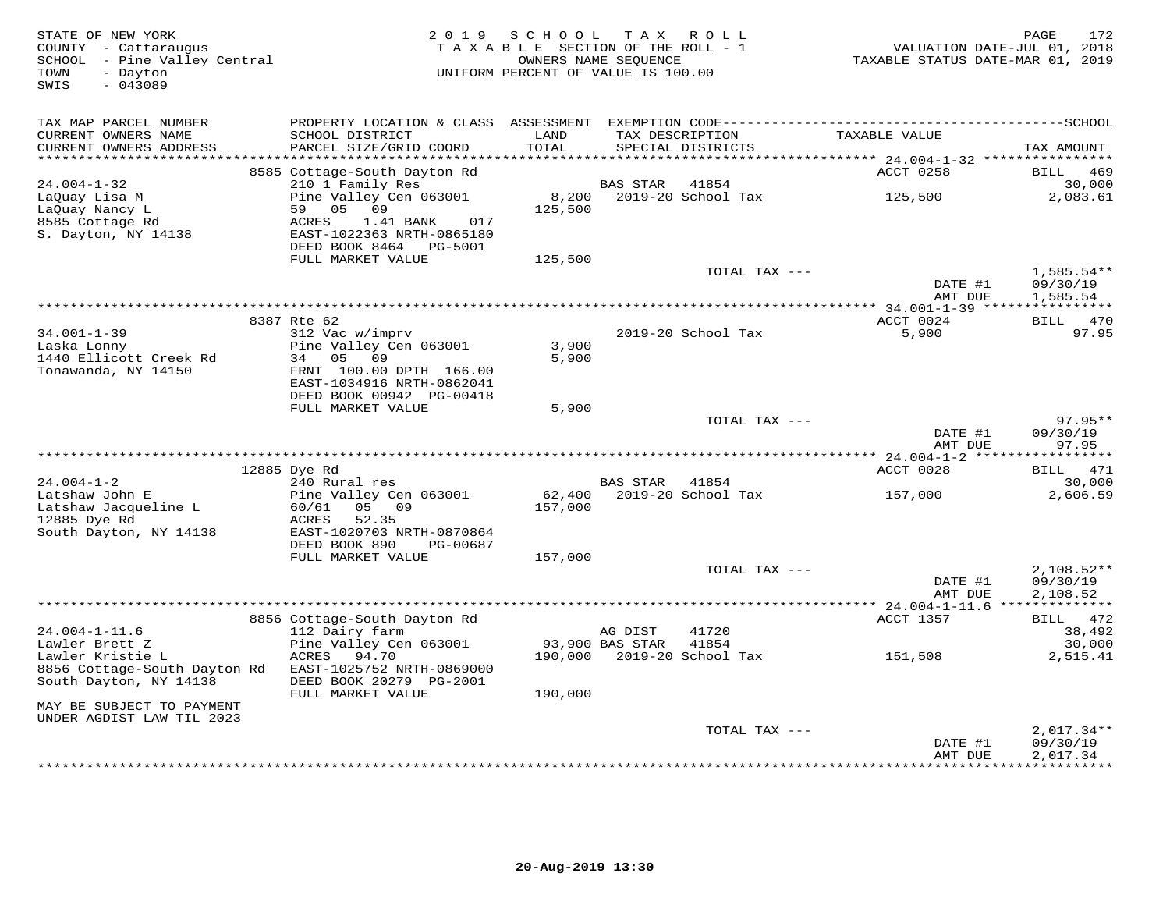| STATE OF NEW YORK<br>COUNTY - Cattaraugus<br>SCHOOL - Pine Valley Central<br>- Dayton<br>TOWN<br>$-043089$<br>SWIS |                                                                                                                        | 2019 SCHOOL<br>TAXABLE SECTION OF THE ROLL - 1<br>UNIFORM PERCENT OF VALUE IS 100.00 | OWNERS NAME SEQUENCE | TAX ROLL                             | VALUATION DATE-JUL 01, 2018<br>TAXABLE STATUS DATE-MAR 01, 2019 | PAGE<br>172              |
|--------------------------------------------------------------------------------------------------------------------|------------------------------------------------------------------------------------------------------------------------|--------------------------------------------------------------------------------------|----------------------|--------------------------------------|-----------------------------------------------------------------|--------------------------|
| TAX MAP PARCEL NUMBER<br>CURRENT OWNERS NAME<br>CURRENT OWNERS ADDRESS                                             | SCHOOL DISTRICT<br>PARCEL SIZE/GRID COORD                                                                              | LAND<br>TOTAL                                                                        |                      | TAX DESCRIPTION<br>SPECIAL DISTRICTS | TAXABLE VALUE                                                   | TAX AMOUNT               |
|                                                                                                                    | 8585 Cottage-South Dayton Rd                                                                                           |                                                                                      |                      |                                      | ACCT 0258                                                       | BILL 469                 |
| $24.004 - 1 - 32$                                                                                                  | 210 1 Family Res                                                                                                       |                                                                                      | BAS STAR             | 41854                                |                                                                 | 30,000                   |
| LaQuay Lisa M<br>LaQuay Nancy L<br>8585 Cottage Rd<br>S. Dayton, NY 14138                                          | Pine Valley Cen 063001<br>59 05 09<br>1.41 BANK<br>017<br>ACRES<br>EAST-1022363 NRTH-0865180<br>DEED BOOK 8464 PG-5001 | 125,500                                                                              |                      | 8,200 2019-20 School Tax             | 125,500                                                         | 2,083.61                 |
|                                                                                                                    | FULL MARKET VALUE                                                                                                      | 125,500                                                                              |                      |                                      |                                                                 |                          |
|                                                                                                                    |                                                                                                                        |                                                                                      |                      | TOTAL TAX ---                        | DATE #1                                                         | $1,585.54**$<br>09/30/19 |
|                                                                                                                    |                                                                                                                        |                                                                                      |                      |                                      | AMT DUE                                                         | 1,585.54                 |
|                                                                                                                    | 8387 Rte 62                                                                                                            |                                                                                      |                      |                                      | ACCT 0024                                                       | BILL 470                 |
| $34.001 - 1 - 39$<br>Laska Lonny<br>1440 Ellicott Creek Rd                                                         | 312 Vac w/imprv<br>Pine Valley Cen 063001<br>09<br>34 05                                                               | 3,900<br>5,900                                                                       |                      | 2019-20 School Tax                   | 5,900                                                           | 97.95                    |
| Tonawanda, NY 14150                                                                                                | FRNT 100.00 DPTH 166.00<br>EAST-1034916 NRTH-0862041<br>DEED BOOK 00942 PG-00418                                       |                                                                                      |                      |                                      |                                                                 |                          |
|                                                                                                                    | FULL MARKET VALUE                                                                                                      | 5,900                                                                                |                      | TOTAL TAX ---                        |                                                                 | $97.95**$                |
|                                                                                                                    |                                                                                                                        |                                                                                      |                      |                                      | DATE #1<br>AMT DUE                                              | 09/30/19<br>97.95        |
|                                                                                                                    |                                                                                                                        |                                                                                      |                      |                                      |                                                                 |                          |
|                                                                                                                    | 12885 Dye Rd                                                                                                           |                                                                                      |                      |                                      | ACCT 0028                                                       | <b>BILL</b> 471          |
| $24.004 - 1 - 2$<br>Latshaw John E                                                                                 | 240 Rural res<br>Pine Valley Cen 063001                                                                                | 62,400                                                                               | <b>BAS STAR</b>      | 41854<br>2019-20 School Tax          | 157,000                                                         | 30,000<br>2,606.59       |
| Latshaw Jacqueline L<br>12885 Dye Rd                                                                               | 60/61<br>05 09<br>ACRES<br>52.35                                                                                       | 157,000                                                                              |                      |                                      |                                                                 |                          |
| South Dayton, NY 14138                                                                                             | EAST-1020703 NRTH-0870864<br>DEED BOOK 890<br>PG-00687<br>FULL MARKET VALUE                                            | 157,000                                                                              |                      |                                      |                                                                 |                          |
|                                                                                                                    |                                                                                                                        |                                                                                      |                      | TOTAL TAX ---                        | DATE #1                                                         | $2,108.52**$<br>09/30/19 |
|                                                                                                                    |                                                                                                                        |                                                                                      |                      |                                      | AMT DUE                                                         | 2,108.52                 |
|                                                                                                                    | 8856 Cottage-South Dayton Rd                                                                                           |                                                                                      |                      |                                      | ACCT 1357                                                       | BILL 472                 |
| $24.004 - 1 - 11.6$                                                                                                | 112 Dairy farm                                                                                                         |                                                                                      | AG DIST              | 41720                                |                                                                 | 38,492                   |
| Lawler Brett Z                                                                                                     | Pine Valley Cen 063001                                                                                                 | 93,900 BAS STAR                                                                      |                      | 41854                                |                                                                 | 30,000                   |
| Lawler Kristie L                                                                                                   | ACRES<br>94.70                                                                                                         |                                                                                      |                      | 190,000 2019-20 School Tax           | 151,508                                                         | 2,515.41                 |
| 8856 Cottage-South Dayton Rd<br>South Dayton, NY 14138                                                             | EAST-1025752 NRTH-0869000<br>DEED BOOK 20279 PG-2001<br>FULL MARKET VALUE                                              | 190,000                                                                              |                      |                                      |                                                                 |                          |
| MAY BE SUBJECT TO PAYMENT<br>UNDER AGDIST LAW TIL 2023                                                             |                                                                                                                        |                                                                                      |                      |                                      |                                                                 |                          |
|                                                                                                                    |                                                                                                                        |                                                                                      |                      | TOTAL TAX ---                        |                                                                 | $2,017.34**$             |
|                                                                                                                    |                                                                                                                        |                                                                                      |                      |                                      | DATE #1<br>AMT DUE                                              | 09/30/19<br>2,017.34     |
|                                                                                                                    |                                                                                                                        |                                                                                      |                      |                                      |                                                                 | * * * * * * * * * * *    |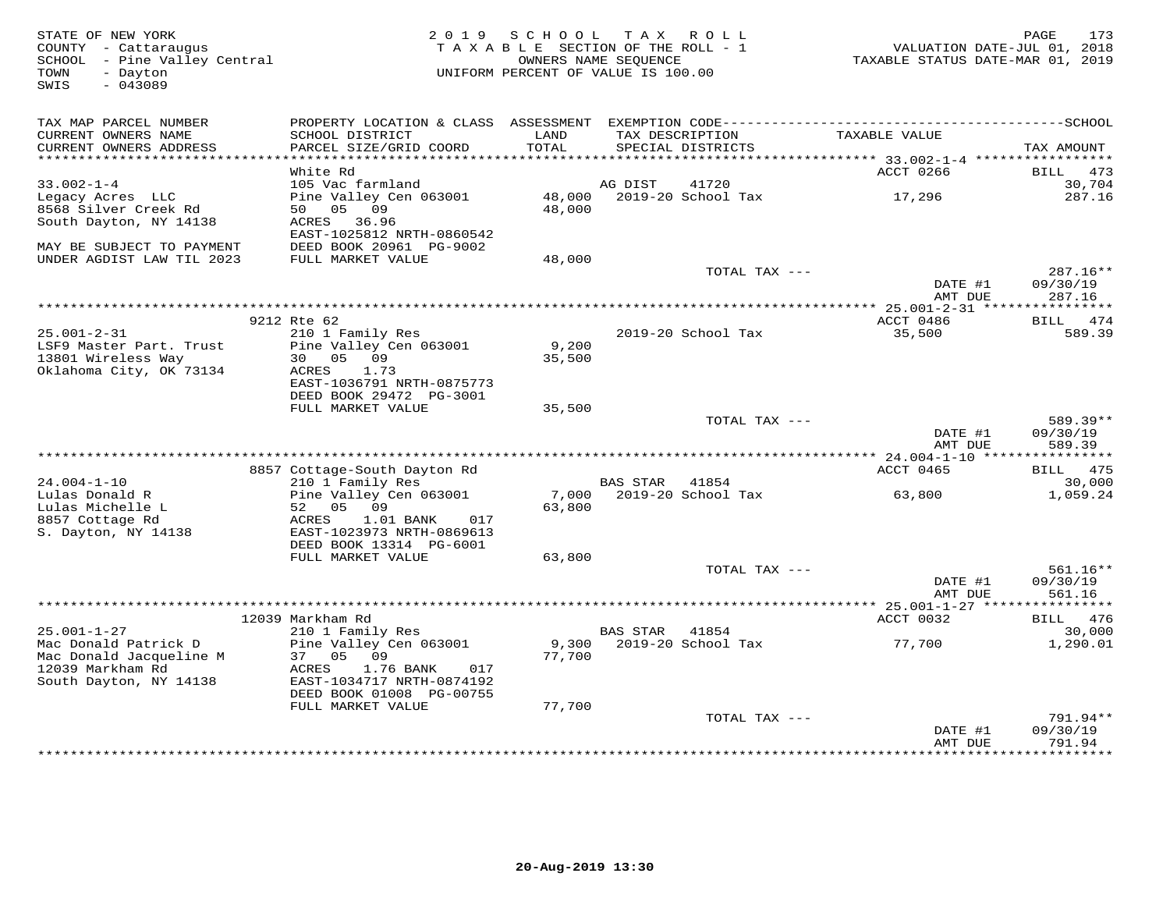| STATE OF NEW YORK<br>COUNTY - Cattaraugus<br>SCHOOL - Pine Valley Central<br>TOWN<br>- Dayton<br>$-043089$<br>SWIS | 2 0 1 9                                                | SCHOOL<br>TAXABLE SECTION OF THE ROLL - 1<br>OWNERS NAME SEQUENCE<br>UNIFORM PERCENT OF VALUE IS 100.00 |                 | TAX ROLL                             | VALUATION DATE-JUL 01, 2018<br>TAXABLE STATUS DATE-MAR 01, 2019 | PAGE<br>173                  |
|--------------------------------------------------------------------------------------------------------------------|--------------------------------------------------------|---------------------------------------------------------------------------------------------------------|-----------------|--------------------------------------|-----------------------------------------------------------------|------------------------------|
| TAX MAP PARCEL NUMBER                                                                                              |                                                        |                                                                                                         |                 |                                      |                                                                 |                              |
| CURRENT OWNERS NAME<br>CURRENT OWNERS ADDRESS                                                                      | SCHOOL DISTRICT<br>PARCEL SIZE/GRID COORD              | LAND<br>TOTAL                                                                                           |                 | TAX DESCRIPTION<br>SPECIAL DISTRICTS | TAXABLE VALUE                                                   | TAX AMOUNT                   |
| **********************                                                                                             | White Rd                                               |                                                                                                         |                 |                                      |                                                                 |                              |
| $33.002 - 1 - 4$                                                                                                   | 105 Vac farmland                                       |                                                                                                         | AG DIST         | 41720                                | ACCT 0266                                                       | <b>BILL</b><br>473<br>30,704 |
| Legacy Acres LLC                                                                                                   | Pine Valley Cen 063001                                 | 48,000                                                                                                  |                 | 2019-20 School Tax                   | 17,296                                                          | 287.16                       |
| 8568 Silver Creek Rd                                                                                               | 05<br>09<br>50                                         | 48,000                                                                                                  |                 |                                      |                                                                 |                              |
| South Dayton, NY 14138                                                                                             | ACRES<br>36.96                                         |                                                                                                         |                 |                                      |                                                                 |                              |
|                                                                                                                    | EAST-1025812 NRTH-0860542                              |                                                                                                         |                 |                                      |                                                                 |                              |
| MAY BE SUBJECT TO PAYMENT                                                                                          | DEED BOOK 20961 PG-9002                                |                                                                                                         |                 |                                      |                                                                 |                              |
| UNDER AGDIST LAW TIL 2023                                                                                          | FULL MARKET VALUE                                      | 48,000                                                                                                  |                 | TOTAL TAX ---                        |                                                                 | 287.16**                     |
|                                                                                                                    |                                                        |                                                                                                         |                 |                                      | DATE #1                                                         | 09/30/19                     |
|                                                                                                                    |                                                        |                                                                                                         |                 |                                      | AMT DUE                                                         | 287.16                       |
|                                                                                                                    |                                                        | **********************************                                                                      |                 |                                      | ** 25.001-2-31 *****                                            | ***********                  |
|                                                                                                                    | 9212 Rte 62                                            |                                                                                                         |                 |                                      | ACCT 0486                                                       | 474<br>BILL                  |
| $25.001 - 2 - 31$                                                                                                  | 210 1 Family Res                                       |                                                                                                         |                 | 2019-20 School Tax                   | 35,500                                                          | 589.39                       |
| LSF9 Master Part. Trust<br>13801 Wireless Way                                                                      | Pine Valley Cen 063001<br>30 05<br>09                  | 9,200<br>35,500                                                                                         |                 |                                      |                                                                 |                              |
| Oklahoma City, OK 73134                                                                                            | ACRES<br>1.73                                          |                                                                                                         |                 |                                      |                                                                 |                              |
|                                                                                                                    | EAST-1036791 NRTH-0875773                              |                                                                                                         |                 |                                      |                                                                 |                              |
|                                                                                                                    | DEED BOOK 29472 PG-3001                                |                                                                                                         |                 |                                      |                                                                 |                              |
|                                                                                                                    | FULL MARKET VALUE                                      | 35,500                                                                                                  |                 |                                      |                                                                 |                              |
|                                                                                                                    |                                                        |                                                                                                         |                 | TOTAL TAX ---                        |                                                                 | 589.39**                     |
|                                                                                                                    |                                                        |                                                                                                         |                 |                                      | DATE #1<br>AMT DUE                                              | 09/30/19<br>589.39           |
|                                                                                                                    |                                                        |                                                                                                         |                 |                                      |                                                                 |                              |
|                                                                                                                    | 8857 Cottage-South Dayton Rd                           |                                                                                                         |                 |                                      | ACCT 0465                                                       | <b>BILL</b> 475              |
| $24.004 - 1 - 10$                                                                                                  | 210 1 Family Res                                       |                                                                                                         | <b>BAS STAR</b> | 41854                                |                                                                 | 30,000                       |
| Lulas Donald R                                                                                                     | Pine Valley Cen 063001                                 | 7,000                                                                                                   |                 | 2019-20 School Tax                   | 63,800                                                          | 1,059.24                     |
| Lulas Michelle L                                                                                                   | 52 05<br>09                                            | 63,800                                                                                                  |                 |                                      |                                                                 |                              |
| 8857 Cottage Rd<br>S. Dayton, NY 14138                                                                             | ACRES<br>1.01 BANK<br>017<br>EAST-1023973 NRTH-0869613 |                                                                                                         |                 |                                      |                                                                 |                              |
|                                                                                                                    | DEED BOOK 13314 PG-6001                                |                                                                                                         |                 |                                      |                                                                 |                              |
|                                                                                                                    | FULL MARKET VALUE                                      | 63,800                                                                                                  |                 |                                      |                                                                 |                              |
|                                                                                                                    |                                                        |                                                                                                         |                 | TOTAL TAX ---                        |                                                                 | $561.16**$                   |
|                                                                                                                    |                                                        |                                                                                                         |                 |                                      | DATE #1                                                         | 09/30/19                     |
|                                                                                                                    |                                                        |                                                                                                         |                 |                                      | AMT DUE<br>*********** 25.001-1-27 ****                         | 561.16                       |
|                                                                                                                    | 12039 Markham Rd                                       |                                                                                                         |                 |                                      | ACCT 0032                                                       | 476<br>BILL                  |
| $25.001 - 1 - 27$                                                                                                  | 210 1 Family Res                                       |                                                                                                         | <b>BAS STAR</b> | 41854                                |                                                                 | 30,000                       |
| Mac Donald Patrick D                                                                                               | Pine Valley Cen 063001                                 | 9,300                                                                                                   |                 | 2019-20 School Tax                   | 77,700                                                          | 1,290.01                     |
| Mac Donald Jacqueline M                                                                                            | 09<br>37<br>05                                         | 77,700                                                                                                  |                 |                                      |                                                                 |                              |
| 12039 Markham Rd                                                                                                   | ACRES<br>1.76 BANK<br>017                              |                                                                                                         |                 |                                      |                                                                 |                              |
| South Dayton, NY 14138                                                                                             | EAST-1034717 NRTH-0874192<br>DEED BOOK 01008 PG-00755  |                                                                                                         |                 |                                      |                                                                 |                              |
|                                                                                                                    | FULL MARKET VALUE                                      | 77,700                                                                                                  |                 |                                      |                                                                 |                              |
|                                                                                                                    |                                                        |                                                                                                         |                 | TOTAL TAX ---                        |                                                                 | 791.94**                     |
|                                                                                                                    |                                                        |                                                                                                         |                 |                                      | DATE #1                                                         | 09/30/19                     |
|                                                                                                                    |                                                        |                                                                                                         |                 |                                      | AMT DUE                                                         | 791.94                       |
|                                                                                                                    |                                                        |                                                                                                         |                 |                                      | **********                                                      | * * * * * * * * *            |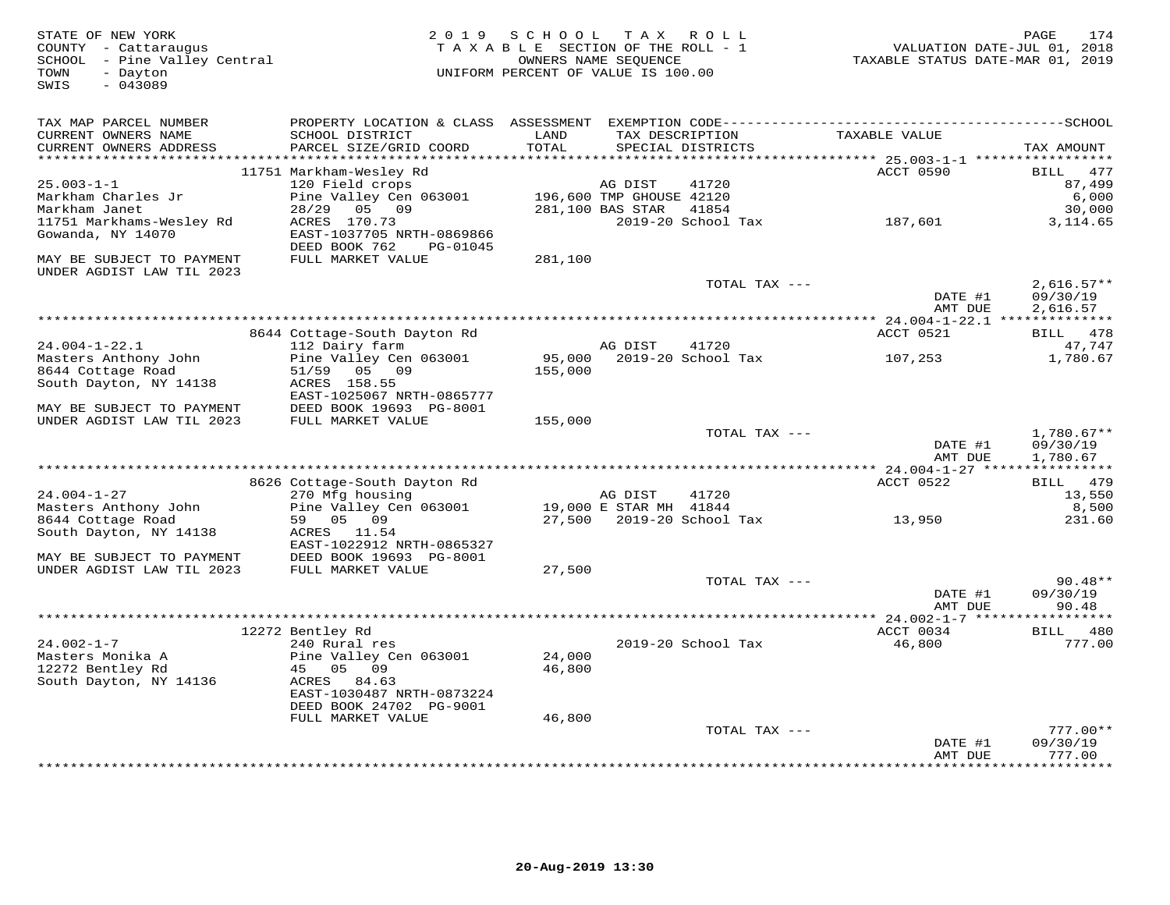| STATE OF NEW YORK<br>COUNTY - Cattaraugus<br>SCHOOL - Pine Valley Central<br>TOWN<br>- Dayton<br>$-043089$<br>SWIS | 2 0 1 9                                        | SCHOOL           | T A X<br>TAXABLE SECTION OF THE ROLL - 1<br>OWNERS NAME SEQUENCE<br>UNIFORM PERCENT OF VALUE IS 100.00 | ROLL                            | TAXABLE STATUS DATE-MAR 01, 2019 | PAGE<br>174<br>VALUATION DATE-JUL 01, 2018 |
|--------------------------------------------------------------------------------------------------------------------|------------------------------------------------|------------------|--------------------------------------------------------------------------------------------------------|---------------------------------|----------------------------------|--------------------------------------------|
| TAX MAP PARCEL NUMBER<br>CURRENT OWNERS NAME<br>CURRENT OWNERS ADDRESS                                             | SCHOOL DISTRICT<br>PARCEL SIZE/GRID COORD      | LAND<br>TOTAL    | TAX DESCRIPTION<br>SPECIAL DISTRICTS                                                                   |                                 | TAXABLE VALUE                    | TAX AMOUNT                                 |
|                                                                                                                    | 11751 Markham-Wesley Rd                        |                  |                                                                                                        |                                 | ACCT 0590                        | 477<br>BILL                                |
| $25.003 - 1 - 1$                                                                                                   | 120 Field crops                                |                  | AG DIST                                                                                                | 41720                           |                                  | 87,499                                     |
| Markham Charles Jr                                                                                                 | Pine Valley Cen 063001                         |                  | 196,600 TMP GHOUSE 42120                                                                               |                                 |                                  | 6,000                                      |
| Markham Janet                                                                                                      | 28/29<br>05 09                                 |                  | 281,100 BAS STAR                                                                                       | 41854                           |                                  | 30,000                                     |
| 11751 Markhams-Wesley Rd                                                                                           | ACRES 170.73                                   |                  |                                                                                                        |                                 | 2019-20 School Tax 187,601       | 3, 114.65                                  |
| Gowanda, NY 14070                                                                                                  | EAST-1037705 NRTH-0869866                      |                  |                                                                                                        |                                 |                                  |                                            |
| MAY BE SUBJECT TO PAYMENT                                                                                          | DEED BOOK 762<br>PG-01045<br>FULL MARKET VALUE | 281,100          |                                                                                                        |                                 |                                  |                                            |
| UNDER AGDIST LAW TIL 2023                                                                                          |                                                |                  |                                                                                                        | TOTAL TAX ---                   |                                  | $2,616.57**$                               |
|                                                                                                                    |                                                |                  |                                                                                                        |                                 | DATE #1<br>AMT DUE               | 09/30/19<br>2,616.57                       |
|                                                                                                                    |                                                |                  |                                                                                                        |                                 |                                  |                                            |
|                                                                                                                    | 8644 Cottage-South Dayton Rd                   |                  |                                                                                                        |                                 | ACCT 0521                        | BILL 478                                   |
| $24.004 - 1 - 22.1$                                                                                                | 112 Dairy farm                                 |                  | AG DIST                                                                                                | 41720                           |                                  | 47,747                                     |
| Masters Anthony John                                                                                               | Pine Valley Cen 063001                         | 95,000           | 2019-20 School Tax                                                                                     |                                 | 107,253                          | 1,780.67                                   |
| 8644 Cottage Road<br>South Dayton, NY 14138                                                                        | 51/59 05 09<br>ACRES 158.55                    | 155,000          |                                                                                                        |                                 |                                  |                                            |
|                                                                                                                    | EAST-1025067 NRTH-0865777                      |                  |                                                                                                        |                                 |                                  |                                            |
| MAY BE SUBJECT TO PAYMENT                                                                                          | DEED BOOK 19693 PG-8001                        |                  |                                                                                                        |                                 |                                  |                                            |
| UNDER AGDIST LAW TIL 2023                                                                                          | FULL MARKET VALUE                              | 155,000          |                                                                                                        |                                 |                                  |                                            |
|                                                                                                                    |                                                |                  |                                                                                                        | TOTAL TAX ---                   |                                  | $1,780.67**$                               |
|                                                                                                                    |                                                |                  |                                                                                                        |                                 | DATE #1<br>AMT DUE               | 09/30/19<br>1,780.67                       |
|                                                                                                                    | 8626 Cottage-South Dayton Rd                   |                  |                                                                                                        |                                 | ACCT 0522                        | BILL 479                                   |
| $24.004 - 1 - 27$                                                                                                  | 270 Mfg housing                                |                  | AG DIST                                                                                                | 41720                           |                                  | 13,550                                     |
| Masters Anthony John                                                                                               | Pine Valley Cen 063001                         |                  | 19,000 E STAR MH 41844                                                                                 |                                 |                                  | 8,500                                      |
| 8644 Cottage Road                                                                                                  | 59 05 09                                       |                  |                                                                                                        | 27,500    2019-20    School Tax | 13,950                           | 231.60                                     |
| South Dayton, NY 14138                                                                                             | ACRES 11.54                                    |                  |                                                                                                        |                                 |                                  |                                            |
|                                                                                                                    | EAST-1022912 NRTH-0865327                      |                  |                                                                                                        |                                 |                                  |                                            |
| MAY BE SUBJECT TO PAYMENT<br>UNDER AGDIST LAW TIL 2023                                                             | DEED BOOK 19693 PG-8001<br>FULL MARKET VALUE   | 27,500           |                                                                                                        |                                 |                                  |                                            |
|                                                                                                                    |                                                |                  |                                                                                                        | TOTAL TAX ---                   |                                  | $90.48**$                                  |
|                                                                                                                    |                                                |                  |                                                                                                        |                                 | DATE #1                          | 09/30/19                                   |
|                                                                                                                    |                                                |                  |                                                                                                        |                                 | AMT DUE                          | 90.48                                      |
|                                                                                                                    |                                                |                  |                                                                                                        |                                 |                                  |                                            |
|                                                                                                                    | 12272 Bentley Rd                               |                  |                                                                                                        |                                 | ACCT 0034                        | BILL 480                                   |
| $24.002 - 1 - 7$                                                                                                   | 240 Rural res                                  |                  | 2019-20 School Tax                                                                                     |                                 | 46,800                           | 777.00                                     |
| Masters Monika A<br>12272 Bentley Rd                                                                               | Pine Valley Cen 063001<br>45 05 09             | 24,000<br>46,800 |                                                                                                        |                                 |                                  |                                            |
| South Dayton, NY 14136                                                                                             | ACRES 84.63                                    |                  |                                                                                                        |                                 |                                  |                                            |
|                                                                                                                    | EAST-1030487 NRTH-0873224                      |                  |                                                                                                        |                                 |                                  |                                            |
|                                                                                                                    | DEED BOOK 24702 PG-9001                        |                  |                                                                                                        |                                 |                                  |                                            |
|                                                                                                                    | FULL MARKET VALUE                              | 46,800           |                                                                                                        |                                 |                                  |                                            |
|                                                                                                                    |                                                |                  |                                                                                                        | TOTAL TAX ---                   |                                  | $777.00**$                                 |
|                                                                                                                    |                                                |                  |                                                                                                        |                                 | DATE #1                          | 09/30/19                                   |
|                                                                                                                    |                                                |                  |                                                                                                        |                                 | AMT DUE                          | 777.00<br>*********                        |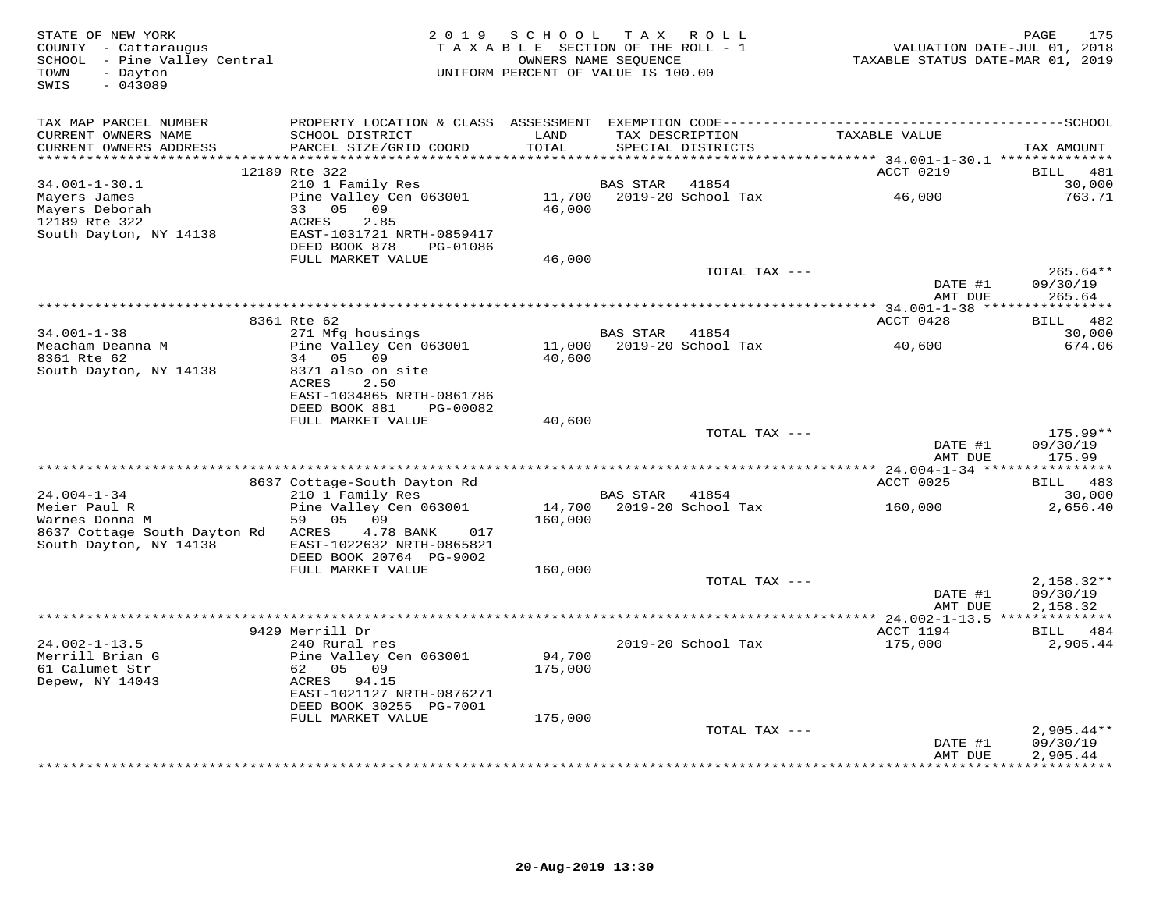| STATE OF NEW YORK<br>COUNTY - Cattaraugus<br>SCHOOL - Pine Valley Central<br>- Dayton<br>TOWN<br>$-043089$<br>SWIS |                                                                                                               | 2019 SCHOOL TAX ROLL<br>T A X A B L E SECTION OF THE ROLL - 1<br>UNIFORM PERCENT OF VALUE IS 100.00 | OWNERS NAME SEQUENCE                 |                    | TAXABLE STATUS DATE-MAR 01, 2019       | 175<br>PAGE<br>VALUATION DATE-JUL 01, 2018 |
|--------------------------------------------------------------------------------------------------------------------|---------------------------------------------------------------------------------------------------------------|-----------------------------------------------------------------------------------------------------|--------------------------------------|--------------------|----------------------------------------|--------------------------------------------|
| TAX MAP PARCEL NUMBER<br>CURRENT OWNERS NAME<br>CURRENT OWNERS ADDRESS                                             | SCHOOL DISTRICT<br>PARCEL SIZE/GRID COORD                                                                     | LAND<br>TOTAL                                                                                       | TAX DESCRIPTION<br>SPECIAL DISTRICTS |                    | TAXABLE VALUE                          | TAX AMOUNT                                 |
| ***********************                                                                                            | 12189 Rte 322                                                                                                 | ******************                                                                                  |                                      |                    | ACCT 0219                              | 481<br><b>BILL</b>                         |
| $34.001 - 1 - 30.1$                                                                                                | 210 1 Family Res                                                                                              |                                                                                                     | BAS STAR                             | 41854              |                                        | 30,000                                     |
| Mayers James<br>Mayers Deborah<br>12189 Rte 322<br>South Dayton, NY 14138                                          | Pine Valley Cen 063001<br>33 05 09<br>ACRES<br>2.85<br>EAST-1031721 NRTH-0859417<br>DEED BOOK 878<br>PG-01086 | 46,000                                                                                              | 11,700 2019-20 School Tax            |                    | 46,000                                 | 763.71                                     |
|                                                                                                                    | FULL MARKET VALUE                                                                                             | 46,000                                                                                              |                                      |                    |                                        |                                            |
|                                                                                                                    |                                                                                                               |                                                                                                     |                                      | TOTAL TAX ---      | DATE #1<br>AMT DUE                     | $265.64**$<br>09/30/19<br>265.64           |
|                                                                                                                    |                                                                                                               |                                                                                                     |                                      |                    |                                        |                                            |
|                                                                                                                    | 8361 Rte 62                                                                                                   |                                                                                                     |                                      |                    | ACCT 0428                              | BILL 482                                   |
| $34.001 - 1 - 38$<br>Meacham Deanna M                                                                              | 271 Mfg housings<br>Pine Valley Cen 063001<br>34 05 09                                                        | 11,000                                                                                              | BAS STAR 41854                       | 2019-20 School Tax | 40,600                                 | 30,000<br>674.06                           |
| 8361 Rte 62<br>South Dayton, NY 14138                                                                              | 8371 also on site<br>2.50<br>ACRES<br>EAST-1034865 NRTH-0861786<br>DEED BOOK 881<br>PG-00082                  | 40,600                                                                                              |                                      |                    |                                        |                                            |
|                                                                                                                    | FULL MARKET VALUE                                                                                             | 40,600                                                                                              |                                      |                    |                                        |                                            |
|                                                                                                                    |                                                                                                               |                                                                                                     |                                      | TOTAL TAX ---      | DATE #1                                | $175.99**$<br>09/30/19                     |
|                                                                                                                    |                                                                                                               |                                                                                                     |                                      |                    | AMT DUE                                | 175.99                                     |
|                                                                                                                    | 8637 Cottage-South Dayton Rd                                                                                  |                                                                                                     |                                      |                    | ACCT 0025                              | BILL 483                                   |
| $24.004 - 1 - 34$                                                                                                  | 210 1 Family Res                                                                                              |                                                                                                     | BAS STAR                             | 41854              |                                        | 30,000                                     |
| Meier Paul R<br>Warnes Donna M                                                                                     | Pine Valley Cen 063001<br>59 05<br>09                                                                         | 14,700<br>160,000                                                                                   |                                      | 2019-20 School Tax | 160,000                                | 2,656.40                                   |
| 8637 Cottage South Dayton Rd<br>South Dayton, NY 14138                                                             | ACRES<br>4.78 BANK<br>017<br>EAST-1022632 NRTH-0865821<br>DEED BOOK 20764 PG-9002                             |                                                                                                     |                                      |                    |                                        |                                            |
|                                                                                                                    | FULL MARKET VALUE                                                                                             | 160,000                                                                                             |                                      |                    |                                        |                                            |
|                                                                                                                    |                                                                                                               |                                                                                                     |                                      | TOTAL TAX ---      | DATE #1<br>AMT DUE                     | $2,158.32**$<br>09/30/19<br>2,158.32       |
|                                                                                                                    |                                                                                                               |                                                                                                     |                                      |                    |                                        |                                            |
| $24.002 - 1 - 13.5$                                                                                                | 9429 Merrill Dr<br>240 Rural res                                                                              |                                                                                                     |                                      | 2019-20 School Tax | ACCT 1194<br>175,000                   | BILL 484<br>2,905.44                       |
| Merrill Brian G<br>61 Calumet Str                                                                                  | Pine Valley Cen 063001<br>62 05 09                                                                            | 94,700<br>175,000                                                                                   |                                      |                    |                                        |                                            |
| Depew, NY 14043                                                                                                    | ACRES 94.15<br>EAST-1021127 NRTH-0876271<br>DEED BOOK 30255 PG-7001                                           |                                                                                                     |                                      |                    |                                        |                                            |
|                                                                                                                    | FULL MARKET VALUE                                                                                             | 175,000                                                                                             |                                      |                    |                                        |                                            |
|                                                                                                                    |                                                                                                               |                                                                                                     |                                      | TOTAL TAX ---      |                                        | $2,905.44**$                               |
|                                                                                                                    |                                                                                                               |                                                                                                     |                                      |                    | DATE #1<br>AMT DUE<br>**************** | 09/30/19<br>2,905.44<br>*************      |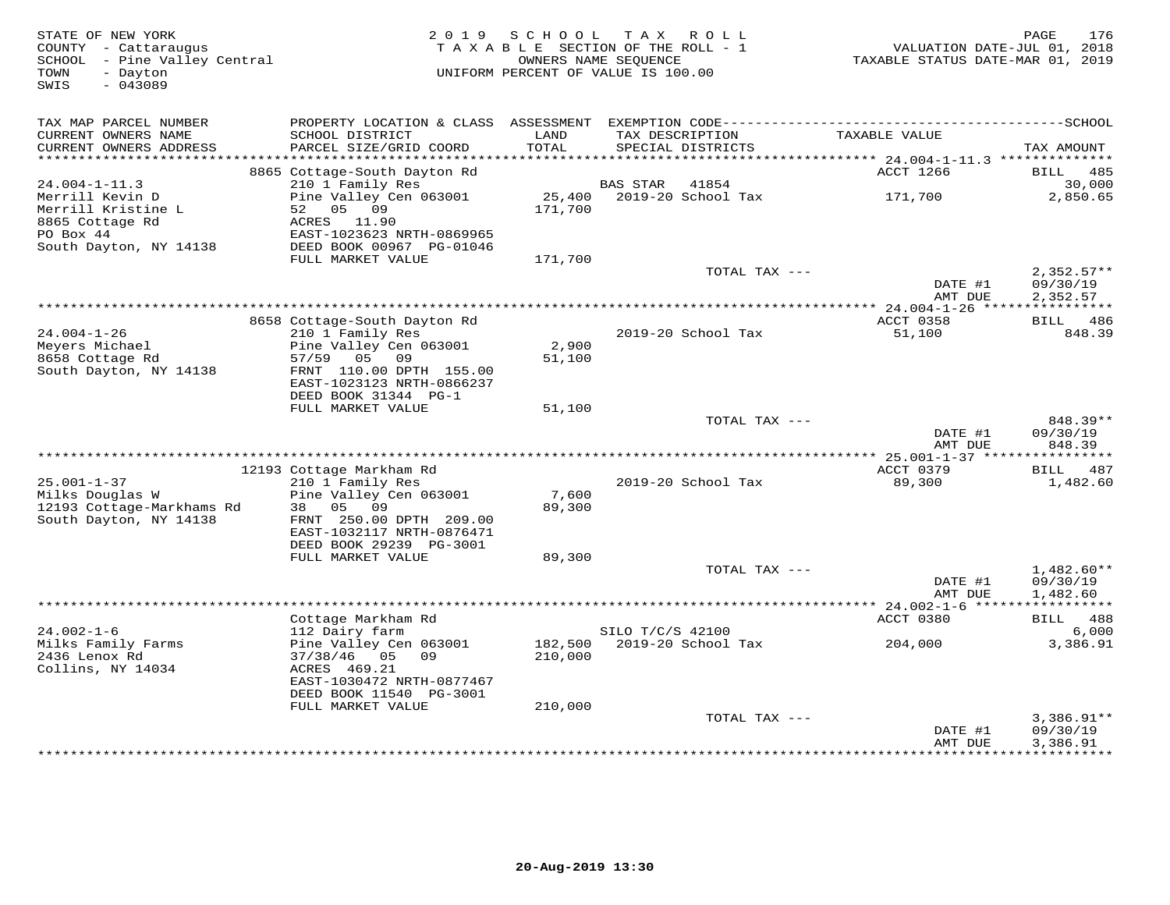| STATE OF NEW YORK<br>COUNTY - Cattaraugus<br>SCHOOL - Pine Valley Central<br>- Dayton<br>TOWN<br>$-043089$<br>SWIS | 2 0 1 9                                               | SCHOOL<br>TAXABLE SECTION OF THE ROLL - 1<br>OWNERS NAME SEQUENCE<br>UNIFORM PERCENT OF VALUE IS 100.00 |                  | TAX ROLL                             | VALUATION DATE-JUL 01, 2018<br>TAXABLE STATUS DATE-MAR 01, 2019 | 176<br>PAGE                          |
|--------------------------------------------------------------------------------------------------------------------|-------------------------------------------------------|---------------------------------------------------------------------------------------------------------|------------------|--------------------------------------|-----------------------------------------------------------------|--------------------------------------|
| TAX MAP PARCEL NUMBER                                                                                              |                                                       |                                                                                                         |                  |                                      |                                                                 |                                      |
| CURRENT OWNERS NAME<br>CURRENT OWNERS ADDRESS<br>***********************                                           | SCHOOL DISTRICT<br>PARCEL SIZE/GRID COORD             | LAND<br>TOTAL                                                                                           |                  | TAX DESCRIPTION<br>SPECIAL DISTRICTS | TAXABLE VALUE                                                   | TAX AMOUNT                           |
|                                                                                                                    | 8865 Cottage-South Dayton Rd                          |                                                                                                         |                  |                                      | ACCT 1266                                                       | BILL<br>485                          |
| $24.004 - 1 - 11.3$                                                                                                | 210 1 Family Res                                      |                                                                                                         | BAS STAR         | 41854                                |                                                                 | 30,000                               |
| Merrill Kevin D<br>Merrill Kristine L<br>8865 Cottage Rd                                                           | Pine Valley Cen 063001<br>05 09<br>52<br>ACRES 11.90  | 25,400<br>171,700                                                                                       |                  | 2019-20 School Tax                   | 171,700                                                         | 2,850.65                             |
| PO Box 44<br>South Dayton, NY 14138                                                                                | EAST-1023623 NRTH-0869965<br>DEED BOOK 00967 PG-01046 |                                                                                                         |                  |                                      |                                                                 |                                      |
|                                                                                                                    | FULL MARKET VALUE                                     | 171,700                                                                                                 |                  | TOTAL TAX ---                        |                                                                 | $2,352.57**$                         |
|                                                                                                                    |                                                       |                                                                                                         |                  |                                      | DATE #1<br>AMT DUE                                              | 09/30/19<br>2,352.57                 |
|                                                                                                                    |                                                       |                                                                                                         |                  |                                      | *********** 24.004-1-26 *****                                   | ***********                          |
|                                                                                                                    | 8658 Cottage-South Dayton Rd                          |                                                                                                         |                  |                                      | ACCT 0358                                                       | BILL 486                             |
| $24.004 - 1 - 26$<br>Meyers Michael                                                                                | 210 1 Family Res<br>Pine Valley Cen 063001            | 2,900                                                                                                   |                  | 2019-20 School Tax                   | 51,100                                                          | 848.39                               |
| 8658 Cottage Rd                                                                                                    | 57/59 05 09                                           | 51,100                                                                                                  |                  |                                      |                                                                 |                                      |
| South Dayton, NY 14138                                                                                             | FRNT 110.00 DPTH 155.00<br>EAST-1023123 NRTH-0866237  |                                                                                                         |                  |                                      |                                                                 |                                      |
|                                                                                                                    | DEED BOOK 31344 PG-1                                  |                                                                                                         |                  |                                      |                                                                 |                                      |
|                                                                                                                    | FULL MARKET VALUE                                     | 51,100                                                                                                  |                  | TOTAL TAX ---                        |                                                                 | 848.39**                             |
|                                                                                                                    |                                                       |                                                                                                         |                  |                                      | DATE #1<br>AMT DUE                                              | 09/30/19<br>848.39                   |
|                                                                                                                    |                                                       |                                                                                                         |                  |                                      |                                                                 |                                      |
| $25.001 - 1 - 37$                                                                                                  | 12193 Cottage Markham Rd<br>210 1 Family Res          |                                                                                                         |                  | 2019-20 School Tax                   | ACCT 0379<br>89,300                                             | BILL 487<br>1,482.60                 |
| Milks Douglas W                                                                                                    | Pine Valley Cen 063001                                | 7,600                                                                                                   |                  |                                      |                                                                 |                                      |
| 12193 Cottage-Markhams Rd                                                                                          | 38<br>05<br>09                                        | 89,300                                                                                                  |                  |                                      |                                                                 |                                      |
| South Dayton, NY 14138                                                                                             | FRNT 250.00 DPTH 209.00<br>EAST-1032117 NRTH-0876471  |                                                                                                         |                  |                                      |                                                                 |                                      |
|                                                                                                                    | DEED BOOK 29239 PG-3001<br>FULL MARKET VALUE          | 89,300                                                                                                  |                  |                                      |                                                                 |                                      |
|                                                                                                                    |                                                       |                                                                                                         |                  | TOTAL TAX $---$                      |                                                                 | $1,482.60**$                         |
|                                                                                                                    |                                                       |                                                                                                         |                  |                                      | DATE #1<br>AMT DUE                                              | 09/30/19<br>1,482.60                 |
|                                                                                                                    |                                                       |                                                                                                         |                  |                                      |                                                                 |                                      |
|                                                                                                                    | Cottage Markham Rd                                    |                                                                                                         |                  |                                      | ACCT 0380                                                       | BILL 488                             |
| $24.002 - 1 - 6$<br>Milks Family Farms                                                                             | 112 Dairy farm<br>Pine Valley Cen 063001              | 182,500                                                                                                 | SILO T/C/S 42100 | 2019-20 School Tax                   | 204,000                                                         | 6,000<br>3,386.91                    |
| 2436 Lenox Rd<br>Collins, NY 14034                                                                                 | $37/38/46$ 05<br>09<br>ACRES 469.21                   | 210,000                                                                                                 |                  |                                      |                                                                 |                                      |
|                                                                                                                    | EAST-1030472 NRTH-0877467<br>DEED BOOK 11540 PG-3001  |                                                                                                         |                  |                                      |                                                                 |                                      |
|                                                                                                                    | FULL MARKET VALUE                                     | 210,000                                                                                                 |                  |                                      |                                                                 |                                      |
|                                                                                                                    |                                                       |                                                                                                         |                  | TOTAL TAX ---                        | DATE #1<br>AMT DUE                                              | $3,386.91**$<br>09/30/19<br>3,386.91 |
|                                                                                                                    |                                                       |                                                                                                         |                  | ************************************ | **************                                                  | ***********                          |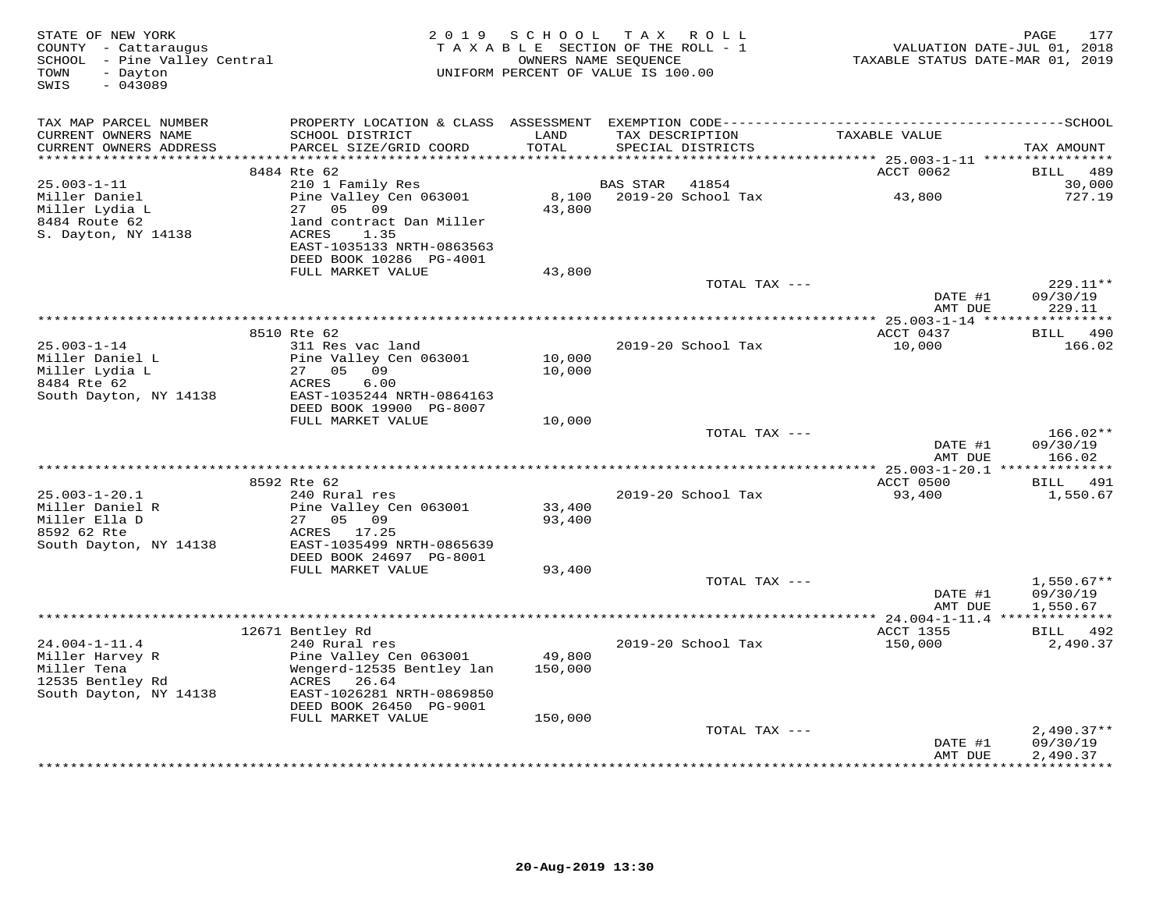| STATE OF NEW YORK<br>COUNTY - Cattaraugus<br>SCHOOL - Pine Valley Central<br>- Dayton<br>TOWN<br>$-043089$<br>SWIS |                                                                                    | 2019 SCHOOL TAX ROLL<br>TAXABLE SECTION OF THE ROLL - 1<br>OWNERS NAME SEQUENCE<br>UNIFORM PERCENT OF VALUE IS 100.00 |                 |                    | VALUATION DATE-JUL 01, 2018<br>TAXABLE STATUS DATE-MAR 01, 2019 | 177<br>PAGE                 |
|--------------------------------------------------------------------------------------------------------------------|------------------------------------------------------------------------------------|-----------------------------------------------------------------------------------------------------------------------|-----------------|--------------------|-----------------------------------------------------------------|-----------------------------|
| TAX MAP PARCEL NUMBER                                                                                              | PROPERTY LOCATION & CLASS ASSESSMENT                                               |                                                                                                                       |                 |                    |                                                                 |                             |
| CURRENT OWNERS NAME<br>CURRENT OWNERS ADDRESS<br>***********************                                           | SCHOOL DISTRICT<br>PARCEL SIZE/GRID COORD                                          | LAND<br>TOTAL                                                                                                         | TAX DESCRIPTION | SPECIAL DISTRICTS  | TAXABLE VALUE                                                   | TAX AMOUNT                  |
|                                                                                                                    | 8484 Rte 62                                                                        |                                                                                                                       |                 |                    | ACCT 0062                                                       | 489<br>BILL                 |
| $25.003 - 1 - 11$                                                                                                  | 210 1 Family Res                                                                   |                                                                                                                       | <b>BAS STAR</b> | 41854              |                                                                 | 30,000                      |
| Miller Daniel<br>Miller Lydia L<br>8484 Route 62<br>S. Dayton, NY 14138                                            | Pine Valley Cen 063001<br>05 09<br>27<br>land contract Dan Miller<br>1.35<br>ACRES | 8,100<br>43,800                                                                                                       |                 | 2019-20 School Tax | 43,800                                                          | 727.19                      |
|                                                                                                                    | EAST-1035133 NRTH-0863563<br>DEED BOOK 10286 PG-4001                               |                                                                                                                       |                 |                    |                                                                 |                             |
|                                                                                                                    | FULL MARKET VALUE                                                                  | 43,800                                                                                                                |                 |                    |                                                                 |                             |
|                                                                                                                    |                                                                                    |                                                                                                                       |                 | TOTAL TAX ---      | DATE #1                                                         | $229.11**$<br>09/30/19      |
|                                                                                                                    |                                                                                    |                                                                                                                       |                 |                    | AMT DUE                                                         | 229.11                      |
|                                                                                                                    | 8510 Rte 62                                                                        |                                                                                                                       |                 |                    | ACCT 0437                                                       | BILL 490                    |
| $25.003 - 1 - 14$                                                                                                  | 311 Res vac land                                                                   |                                                                                                                       |                 | 2019-20 School Tax | 10,000                                                          | 166.02                      |
| Miller Daniel L<br>Miller Lydia L                                                                                  | Pine Valley Cen 063001<br>27 05 09                                                 | 10,000<br>10,000                                                                                                      |                 |                    |                                                                 |                             |
| 8484 Rte 62                                                                                                        | ACRES<br>6.00                                                                      |                                                                                                                       |                 |                    |                                                                 |                             |
| South Dayton, NY 14138                                                                                             | EAST-1035244 NRTH-0864163                                                          |                                                                                                                       |                 |                    |                                                                 |                             |
|                                                                                                                    | DEED BOOK 19900 PG-8007<br>FULL MARKET VALUE                                       | 10,000                                                                                                                |                 |                    |                                                                 |                             |
|                                                                                                                    |                                                                                    |                                                                                                                       |                 | TOTAL TAX ---      |                                                                 | $166.02**$                  |
|                                                                                                                    |                                                                                    |                                                                                                                       |                 |                    | DATE #1<br>AMT DUE                                              | 09/30/19<br>166.02          |
|                                                                                                                    |                                                                                    |                                                                                                                       |                 |                    |                                                                 |                             |
| $25.003 - 1 - 20.1$                                                                                                | 8592 Rte 62<br>240 Rural res                                                       |                                                                                                                       |                 | 2019-20 School Tax | ACCT 0500<br>93,400                                             | <b>BILL</b> 491<br>1,550.67 |
| Miller Daniel R                                                                                                    | Pine Valley Cen 063001                                                             | 33,400                                                                                                                |                 |                    |                                                                 |                             |
| Miller Ella D                                                                                                      | 27 05 09                                                                           | 93,400                                                                                                                |                 |                    |                                                                 |                             |
| 8592 62 Rte                                                                                                        | ACRES 17.25                                                                        |                                                                                                                       |                 |                    |                                                                 |                             |
| South Dayton, NY 14138                                                                                             | EAST-1035499 NRTH-0865639<br>DEED BOOK 24697 PG-8001                               |                                                                                                                       |                 |                    |                                                                 |                             |
|                                                                                                                    | FULL MARKET VALUE                                                                  | 93,400                                                                                                                |                 |                    |                                                                 |                             |
|                                                                                                                    |                                                                                    |                                                                                                                       |                 | TOTAL TAX ---      |                                                                 | $1,550.67**$                |
|                                                                                                                    |                                                                                    |                                                                                                                       |                 |                    | DATE #1                                                         | 09/30/19                    |
|                                                                                                                    |                                                                                    |                                                                                                                       |                 |                    | AMT DUE                                                         | 1,550.67                    |
|                                                                                                                    | 12671 Bentley Rd                                                                   |                                                                                                                       |                 |                    | ACCT 1355                                                       | BILL 492                    |
| $24.004 - 1 - 11.4$                                                                                                | 240 Rural res                                                                      |                                                                                                                       |                 | 2019-20 School Tax | 150,000                                                         | 2,490.37                    |
| Miller Harvey R                                                                                                    | Pine Valley Cen 063001                                                             | 49,800                                                                                                                |                 |                    |                                                                 |                             |
| Miller Tena                                                                                                        | Wengerd-12535 Bentley lan                                                          | 150,000                                                                                                               |                 |                    |                                                                 |                             |
| 12535 Bentley Rd<br>South Dayton, NY 14138                                                                         | ACRES 26.64<br>EAST-1026281 NRTH-0869850                                           |                                                                                                                       |                 |                    |                                                                 |                             |
|                                                                                                                    | DEED BOOK 26450 PG-9001                                                            |                                                                                                                       |                 |                    |                                                                 |                             |
|                                                                                                                    | FULL MARKET VALUE                                                                  | 150,000                                                                                                               |                 | TOTAL TAX ---      |                                                                 | $2,490.37**$                |
|                                                                                                                    |                                                                                    |                                                                                                                       |                 |                    | DATE #1                                                         | 09/30/19                    |
|                                                                                                                    |                                                                                    |                                                                                                                       |                 |                    | AMT DUE                                                         | 2,490.37<br>***********     |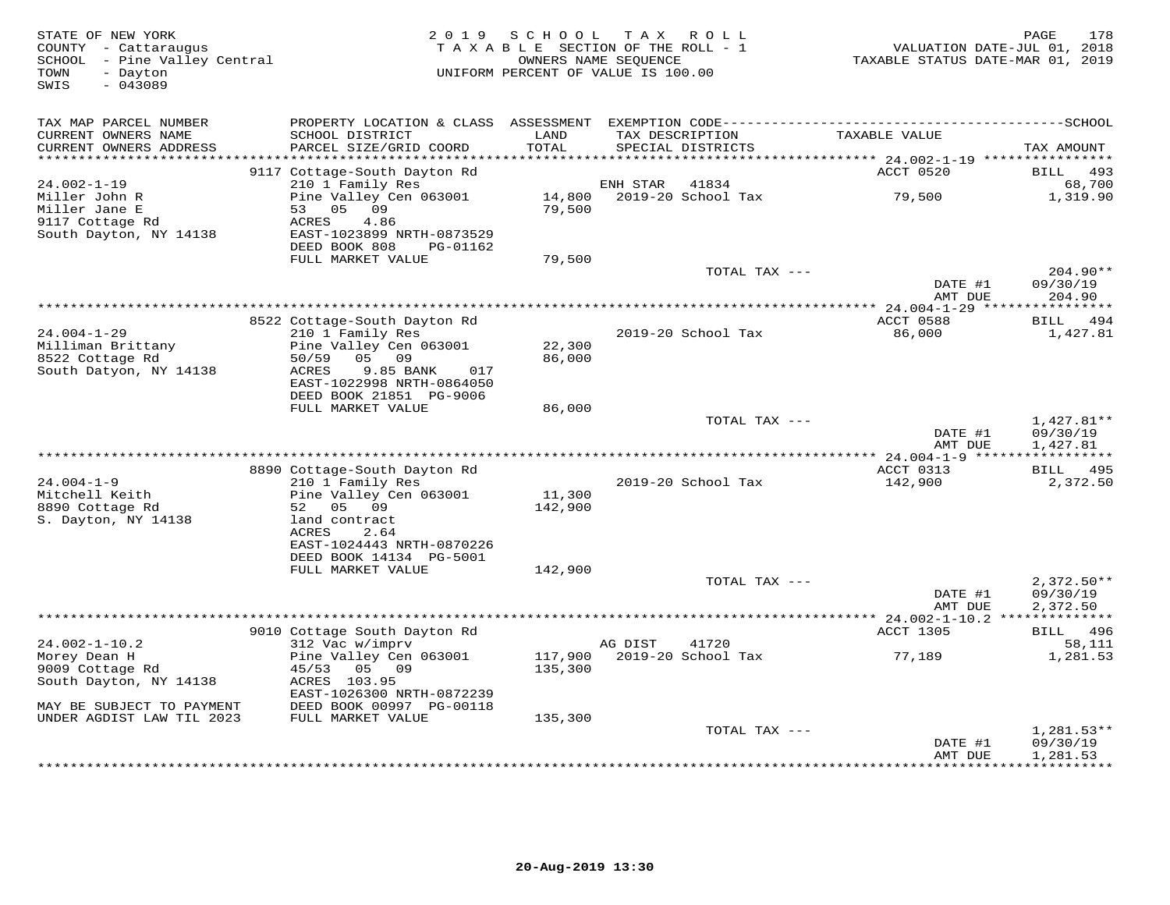| STATE OF NEW YORK<br>COUNTY - Cattaraugus<br>SCHOOL - Pine Valley Central<br>- Dayton<br>TOWN<br>$-043089$<br>SWIS | 2 0 1 9                                        | S C H O O L<br>TAXABLE SECTION OF THE ROLL - 1<br>UNIFORM PERCENT OF VALUE IS 100.00 | T A X<br>OWNERS NAME SEQUENCE | ROLL               | TAXABLE STATUS DATE-MAR 01, 2019       | 178<br>PAGE<br>VALUATION DATE-JUL 01, 2018 |
|--------------------------------------------------------------------------------------------------------------------|------------------------------------------------|--------------------------------------------------------------------------------------|-------------------------------|--------------------|----------------------------------------|--------------------------------------------|
| TAX MAP PARCEL NUMBER                                                                                              | PROPERTY LOCATION & CLASS ASSESSMENT           |                                                                                      |                               |                    |                                        |                                            |
| CURRENT OWNERS NAME<br>CURRENT OWNERS ADDRESS<br>***********************                                           | SCHOOL DISTRICT<br>PARCEL SIZE/GRID COORD      | LAND<br>TOTAL                                                                        | TAX DESCRIPTION               | SPECIAL DISTRICTS  | TAXABLE VALUE                          | TAX AMOUNT                                 |
|                                                                                                                    | 9117 Cottage-South Dayton Rd                   |                                                                                      |                               |                    | ACCT 0520                              | BILL<br>493                                |
| $24.002 - 1 - 19$                                                                                                  | 210 1 Family Res                               |                                                                                      | ENH STAR                      | 41834              |                                        | 68,700                                     |
| Miller John R                                                                                                      | Pine Valley Cen 063001                         | 14,800                                                                               |                               | 2019-20 School Tax | 79,500                                 | 1,319.90                                   |
| Miller Jane E                                                                                                      | 09<br>53 05                                    | 79,500                                                                               |                               |                    |                                        |                                            |
| 9117 Cottage Rd                                                                                                    | ACRES<br>4.86                                  |                                                                                      |                               |                    |                                        |                                            |
| South Dayton, NY 14138                                                                                             | EAST-1023899 NRTH-0873529                      |                                                                                      |                               |                    |                                        |                                            |
|                                                                                                                    | DEED BOOK 808<br>PG-01162<br>FULL MARKET VALUE | 79,500                                                                               |                               |                    |                                        |                                            |
|                                                                                                                    |                                                |                                                                                      |                               | TOTAL TAX ---      |                                        | $204.90**$                                 |
|                                                                                                                    |                                                |                                                                                      |                               |                    | DATE #1                                | 09/30/19                                   |
|                                                                                                                    |                                                |                                                                                      |                               |                    | AMT DUE                                | 204.90                                     |
|                                                                                                                    |                                                |                                                                                      |                               |                    |                                        |                                            |
|                                                                                                                    | 8522 Cottage-South Dayton Rd                   |                                                                                      |                               |                    | ACCT 0588                              | BILL 494                                   |
| $24.004 - 1 - 29$<br>Milliman Brittany                                                                             | 210 1 Family Res<br>Pine Valley Cen 063001     | 22,300                                                                               |                               | 2019-20 School Tax | 86,000                                 | 1,427.81                                   |
| 8522 Cottage Rd                                                                                                    | 05<br>09<br>50/59                              | 86,000                                                                               |                               |                    |                                        |                                            |
| South Datyon, NY 14138                                                                                             | ACRES<br>9.85 BANK<br>017                      |                                                                                      |                               |                    |                                        |                                            |
|                                                                                                                    | EAST-1022998 NRTH-0864050                      |                                                                                      |                               |                    |                                        |                                            |
|                                                                                                                    | DEED BOOK 21851 PG-9006                        |                                                                                      |                               |                    |                                        |                                            |
|                                                                                                                    | FULL MARKET VALUE                              | 86,000                                                                               |                               |                    |                                        |                                            |
|                                                                                                                    |                                                |                                                                                      |                               | TOTAL TAX ---      | DATE #1                                | $1,427.81**$<br>09/30/19                   |
|                                                                                                                    |                                                |                                                                                      |                               |                    | AMT DUE                                | 1,427.81                                   |
|                                                                                                                    |                                                |                                                                                      |                               |                    |                                        |                                            |
|                                                                                                                    | 8890 Cottage-South Dayton Rd                   |                                                                                      |                               |                    | ACCT 0313                              | 495<br>BILL                                |
| $24.004 - 1 - 9$                                                                                                   | 210 1 Family Res                               |                                                                                      |                               | 2019-20 School Tax | 142,900                                | 2,372.50                                   |
| Mitchell Keith                                                                                                     | Pine Valley Cen 063001                         | 11,300                                                                               |                               |                    |                                        |                                            |
| 8890 Cottage Rd                                                                                                    | 52<br>05 09                                    | 142,900                                                                              |                               |                    |                                        |                                            |
| S. Dayton, NY 14138                                                                                                | land contract<br>ACRES<br>2.64                 |                                                                                      |                               |                    |                                        |                                            |
|                                                                                                                    | EAST-1024443 NRTH-0870226                      |                                                                                      |                               |                    |                                        |                                            |
|                                                                                                                    | DEED BOOK 14134 PG-5001                        |                                                                                      |                               |                    |                                        |                                            |
|                                                                                                                    | FULL MARKET VALUE                              | 142,900                                                                              |                               |                    |                                        |                                            |
|                                                                                                                    |                                                |                                                                                      |                               | TOTAL TAX ---      |                                        | $2,372.50**$                               |
|                                                                                                                    |                                                |                                                                                      |                               |                    | DATE #1                                | 09/30/19                                   |
|                                                                                                                    |                                                |                                                                                      |                               |                    | AMT DUE<br>********** 24.002-1-10.2 ** | 2,372.50                                   |
|                                                                                                                    | 9010 Cottage South Dayton Rd                   |                                                                                      |                               |                    | ACCT 1305                              | BILL 496                                   |
| $24.002 - 1 - 10.2$                                                                                                | 312 Vac w/imprv                                |                                                                                      | AG DIST                       | 41720              |                                        | 58,111                                     |
| Morey Dean H                                                                                                       | Pine Valley Cen 063001                         | 117,900                                                                              |                               | 2019-20 School Tax | 77,189                                 | 1,281.53                                   |
| 9009 Cottage Rd                                                                                                    | 45/53<br>05 09                                 | 135,300                                                                              |                               |                    |                                        |                                            |
| South Dayton, NY 14138                                                                                             | ACRES 103.95                                   |                                                                                      |                               |                    |                                        |                                            |
|                                                                                                                    | EAST-1026300 NRTH-0872239                      |                                                                                      |                               |                    |                                        |                                            |
| MAY BE SUBJECT TO PAYMENT<br>UNDER AGDIST LAW TIL 2023                                                             | DEED BOOK 00997 PG-00118<br>FULL MARKET VALUE  | 135,300                                                                              |                               |                    |                                        |                                            |
|                                                                                                                    |                                                |                                                                                      |                               | TOTAL TAX ---      |                                        | $1,281.53**$                               |
|                                                                                                                    |                                                |                                                                                      |                               |                    | DATE #1                                | 09/30/19                                   |
|                                                                                                                    |                                                |                                                                                      |                               |                    | AMT DUE                                | 1,281.53                                   |
|                                                                                                                    |                                                |                                                                                      |                               |                    |                                        | **********                                 |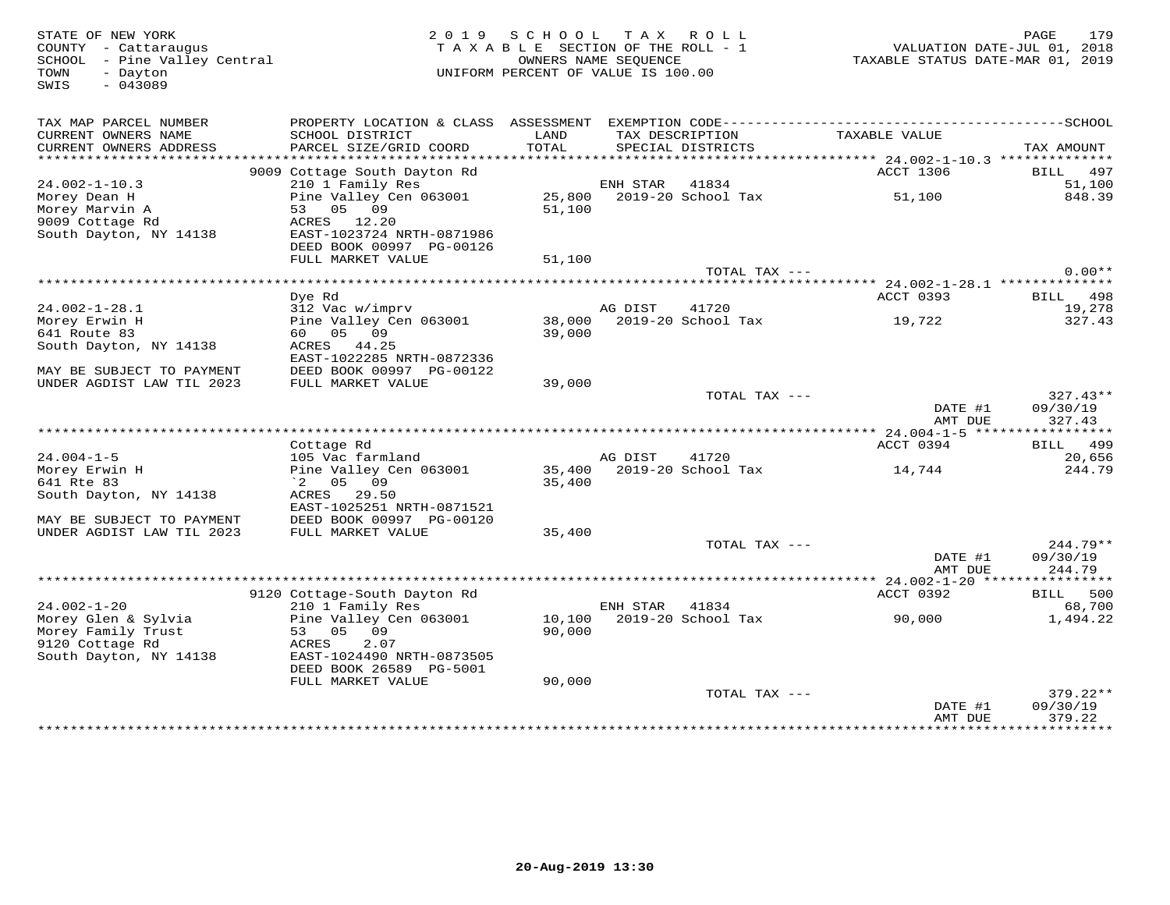SWIS - 043089

## STATE OF NEW YORK 2 0 1 9 S C H O O L T A X R O L L PAGE 179TAXABLE SECTION OF THE ROLL - 1 SCHOOL – Pine Valley Central OWNERS NAME SEQUENCE TAXABLE STATUS DATE-MAR 01, 2019 TOWN - Dayton UNIFORM PERCENT OF VALUE IS 100.00

| TAX MAP PARCEL NUMBER<br>CURRENT OWNERS NAME<br>CURRENT OWNERS ADDRESS | PROPERTY LOCATION & CLASS<br>SCHOOL DISTRICT<br>PARCEL SIZE/GRID COORD | ASSESSMENT<br>LAND<br>TOTAL |          | EXEMPTION CODE----------<br>TAX DESCRIPTION<br>SPECIAL DISTRICTS | TAXABLE VALUE                             | -------------SCHOOL<br>TAX AMOUNT |
|------------------------------------------------------------------------|------------------------------------------------------------------------|-----------------------------|----------|------------------------------------------------------------------|-------------------------------------------|-----------------------------------|
| *******************                                                    |                                                                        |                             |          |                                                                  |                                           |                                   |
|                                                                        | 9009 Cottage South Dayton Rd                                           |                             |          |                                                                  | <b>ACCT 1306</b>                          | 497<br>BILL                       |
| $24.002 - 1 - 10.3$                                                    | 210 1 Family Res                                                       |                             | ENH STAR | 41834                                                            |                                           | 51,100                            |
| Morey Dean H                                                           | Pine Valley Cen 063001                                                 | 25,800                      |          | 2019-20 School Tax                                               | 51,100                                    | 848.39                            |
| Morey Marvin A                                                         | 05 09<br>53                                                            | 51,100                      |          |                                                                  |                                           |                                   |
| 9009 Cottage Rd                                                        | ACRES<br>12.20                                                         |                             |          |                                                                  |                                           |                                   |
| South Dayton, NY 14138                                                 | EAST-1023724 NRTH-0871986                                              |                             |          |                                                                  |                                           |                                   |
|                                                                        | DEED BOOK 00997 PG-00126                                               |                             |          |                                                                  |                                           |                                   |
|                                                                        | FULL MARKET VALUE                                                      | 51,100                      |          |                                                                  |                                           |                                   |
|                                                                        |                                                                        |                             |          | TOTAL TAX ---                                                    |                                           | $0.00**$                          |
|                                                                        |                                                                        |                             |          |                                                                  | ******* 24.002-1-28.1 **************      |                                   |
|                                                                        | Dye Rd                                                                 |                             |          |                                                                  | ACCT 0393                                 | BILL 498                          |
| $24.002 - 1 - 28.1$                                                    | 312 Vac w/imprv                                                        |                             | AG DIST  | 41720                                                            |                                           | 19,278                            |
| Morey Erwin H                                                          | Pine Valley Cen 063001                                                 | 38,000                      |          | 2019-20 School Tax                                               | 19,722                                    | 327.43                            |
| 641 Route 83                                                           | 05<br>09<br>60                                                         | 39,000                      |          |                                                                  |                                           |                                   |
| South Dayton, NY 14138                                                 | ACRES<br>44.25                                                         |                             |          |                                                                  |                                           |                                   |
|                                                                        | EAST-1022285 NRTH-0872336                                              |                             |          |                                                                  |                                           |                                   |
| MAY BE SUBJECT TO PAYMENT                                              | DEED BOOK 00997 PG-00122<br>FULL MARKET VALUE                          | 39,000                      |          |                                                                  |                                           |                                   |
| UNDER AGDIST LAW TIL 2023                                              |                                                                        |                             |          | TOTAL TAX ---                                                    |                                           | $327.43**$                        |
|                                                                        |                                                                        |                             |          |                                                                  | DATE #1                                   | 09/30/19                          |
|                                                                        |                                                                        |                             |          |                                                                  | AMT DUE                                   | 327.43                            |
|                                                                        |                                                                        |                             |          |                                                                  | *********** 24.004-1-5 ****************** |                                   |
|                                                                        | Cottage Rd                                                             |                             |          |                                                                  | ACCT 0394                                 | BILL<br>499                       |
| $24.004 - 1 - 5$                                                       | 105 Vac farmland                                                       |                             | AG DIST  | 41720                                                            |                                           | 20,656                            |
| Morey Erwin H                                                          | Pine Valley Cen 063001                                                 | 35,400                      |          | 2019-20 School Tax                                               | 14,744                                    | 244.79                            |
| 641 Rte 83                                                             | 05<br>09<br>$\degree$ 2                                                | 35,400                      |          |                                                                  |                                           |                                   |
| South Dayton, NY 14138                                                 | ACRES<br>29.50                                                         |                             |          |                                                                  |                                           |                                   |
|                                                                        | EAST-1025251 NRTH-0871521                                              |                             |          |                                                                  |                                           |                                   |
| MAY BE SUBJECT TO PAYMENT                                              | DEED BOOK 00997 PG-00120                                               |                             |          |                                                                  |                                           |                                   |
| UNDER AGDIST LAW TIL 2023                                              | FULL MARKET VALUE                                                      | 35,400                      |          |                                                                  |                                           |                                   |
|                                                                        |                                                                        |                             |          | TOTAL TAX ---                                                    |                                           | $244.79**$                        |
|                                                                        |                                                                        |                             |          |                                                                  | DATE #1                                   | 09/30/19                          |
|                                                                        |                                                                        |                             |          |                                                                  | AMT DUE                                   | 244.79                            |
|                                                                        |                                                                        |                             |          |                                                                  | ********** 24.002-1-20 *****************  |                                   |
|                                                                        | 9120 Cottage-South Dayton Rd                                           |                             |          |                                                                  | ACCT 0392                                 | BILL<br>500                       |
| $24.002 - 1 - 20$                                                      | 210 1 Family Res                                                       |                             | ENH STAR | 41834                                                            |                                           | 68,700                            |
| Morey Glen & Sylvia                                                    | Pine Valley Cen 063001                                                 | 10,100                      |          | 2019-20 School Tax                                               | 90,000                                    | 1,494.22                          |
| Morey Family Trust                                                     | 05<br>09<br>53                                                         | 90,000                      |          |                                                                  |                                           |                                   |
| 9120 Cottage Rd                                                        | 2.07<br>ACRES                                                          |                             |          |                                                                  |                                           |                                   |
| South Dayton, NY 14138                                                 | EAST-1024490 NRTH-0873505                                              |                             |          |                                                                  |                                           |                                   |
|                                                                        | DEED BOOK 26589 PG-5001                                                |                             |          |                                                                  |                                           |                                   |
|                                                                        | FULL MARKET VALUE                                                      | 90,000                      |          |                                                                  |                                           |                                   |
|                                                                        |                                                                        |                             |          | TOTAL TAX ---                                                    |                                           | $379.22**$                        |
|                                                                        |                                                                        |                             |          |                                                                  | DATE #1                                   | 09/30/19                          |
|                                                                        |                                                                        |                             |          |                                                                  | AMT DUE                                   | 379.22                            |
|                                                                        |                                                                        |                             |          |                                                                  | **********************                    | ************                      |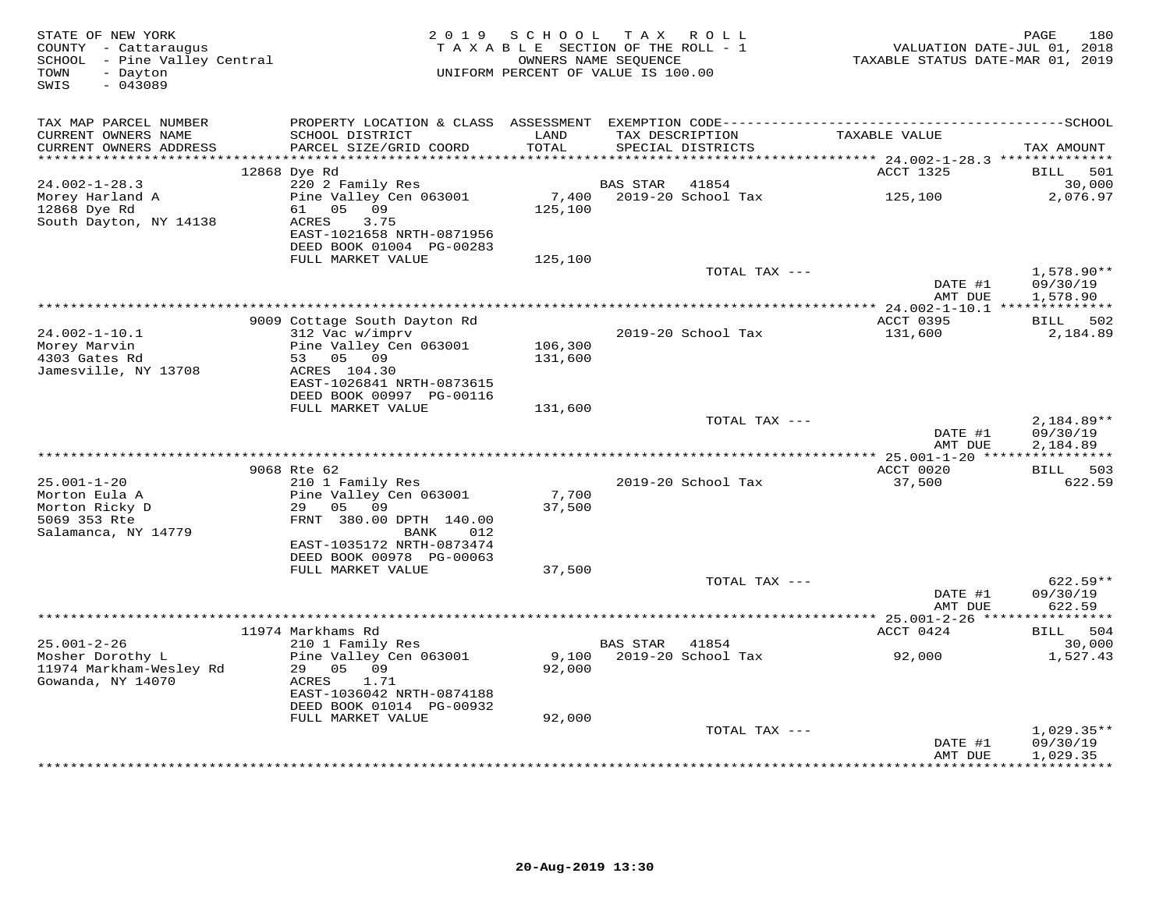| STATE OF NEW YORK<br>COUNTY - Cattaraugus<br>- Pine Valley Central<br>SCHOOL<br>- Dayton<br>TOWN<br>$-043089$<br>SWIS | 2 0 1 9                                                                                                                                    | SCHOOL             | T A X<br>R O L L<br>TAXABLE SECTION OF THE ROLL - 1<br>OWNERS NAME SEQUENCE<br>UNIFORM PERCENT OF VALUE IS 100.00 |                                                  | 180<br>PAGE<br>VALUATION DATE-JUL 01, 2018<br>TAXABLE STATUS DATE-MAR 01, 2019 |
|-----------------------------------------------------------------------------------------------------------------------|--------------------------------------------------------------------------------------------------------------------------------------------|--------------------|-------------------------------------------------------------------------------------------------------------------|--------------------------------------------------|--------------------------------------------------------------------------------|
| TAX MAP PARCEL NUMBER<br>CURRENT OWNERS NAME<br>CURRENT OWNERS ADDRESS                                                | SCHOOL DISTRICT<br>PARCEL SIZE/GRID COORD                                                                                                  | LAND<br>TOTAL      | TAX DESCRIPTION<br>SPECIAL DISTRICTS                                                                              | TAXABLE VALUE                                    | TAX AMOUNT                                                                     |
| ************************                                                                                              |                                                                                                                                            |                    |                                                                                                                   |                                                  |                                                                                |
|                                                                                                                       | 12868 Dye Rd                                                                                                                               |                    |                                                                                                                   | ACCT 1325                                        | <b>BILL</b><br>501                                                             |
| $24.002 - 1 - 28.3$                                                                                                   | 220 2 Family Res                                                                                                                           |                    | 41854<br><b>BAS STAR</b>                                                                                          |                                                  | 30,000                                                                         |
| Morey Harland A<br>12868 Dye Rd<br>South Dayton, NY 14138                                                             | Pine Valley Cen 063001<br>05<br>09<br>61<br>ACRES<br>3.75<br>EAST-1021658 NRTH-0871956<br>DEED BOOK 01004 PG-00283                         | 7,400<br>125,100   | 2019-20 School Tax                                                                                                | 125,100                                          | 2,076.97                                                                       |
|                                                                                                                       | FULL MARKET VALUE                                                                                                                          | 125,100            | TOTAL TAX ---                                                                                                     |                                                  | 1,578.90**                                                                     |
|                                                                                                                       |                                                                                                                                            |                    |                                                                                                                   | DATE #1<br>AMT DUE                               | 09/30/19<br>1,578.90                                                           |
|                                                                                                                       |                                                                                                                                            |                    |                                                                                                                   |                                                  |                                                                                |
| $24.002 - 1 - 10.1$                                                                                                   | 9009 Cottage South Dayton Rd<br>312 Vac w/imprv                                                                                            |                    | 2019-20 School Tax                                                                                                | ACCT 0395<br>131,600                             | BILL 502<br>2,184.89                                                           |
| Morey Marvin<br>4303 Gates Rd<br>Jamesville, NY 13708                                                                 | Pine Valley Cen 063001<br>53<br>05 09<br>ACRES 104.30                                                                                      | 106,300<br>131,600 |                                                                                                                   |                                                  |                                                                                |
|                                                                                                                       | EAST-1026841 NRTH-0873615<br>DEED BOOK 00997 PG-00116                                                                                      |                    |                                                                                                                   |                                                  |                                                                                |
|                                                                                                                       | FULL MARKET VALUE                                                                                                                          | 131,600            |                                                                                                                   |                                                  |                                                                                |
|                                                                                                                       |                                                                                                                                            |                    | TOTAL TAX ---                                                                                                     | DATE #1<br>AMT DUE                               | 2,184.89**<br>09/30/19<br>2,184.89                                             |
|                                                                                                                       |                                                                                                                                            |                    |                                                                                                                   | ****************** 25.001-1-20 ***************** |                                                                                |
|                                                                                                                       | 9068 Rte 62                                                                                                                                |                    |                                                                                                                   | ACCT 0020                                        | 503<br>BILL                                                                    |
| $25.001 - 1 - 20$<br>Morton Eula A<br>Morton Ricky D<br>5069 353 Rte<br>Salamanca, NY 14779                           | 210 1 Family Res<br>Pine Valley Cen 063001<br>05<br>29<br>09<br>FRNT 380.00 DPTH 140.00<br>012<br><b>BANK</b><br>EAST-1035172 NRTH-0873474 | 7,700<br>37,500    | 2019-20 School Tax                                                                                                | 37,500                                           | 622.59                                                                         |
|                                                                                                                       | DEED BOOK 00978 PG-00063                                                                                                                   |                    |                                                                                                                   |                                                  |                                                                                |
|                                                                                                                       | FULL MARKET VALUE                                                                                                                          | 37,500             |                                                                                                                   |                                                  |                                                                                |
|                                                                                                                       |                                                                                                                                            |                    | TOTAL TAX ---                                                                                                     | DATE #1<br>AMT DUE                               | $622.59**$<br>09/30/19<br>622.59                                               |
|                                                                                                                       | * * * * * * * * *                                                                                                                          |                    |                                                                                                                   | $*$ 25.001-2-26 $***$                            |                                                                                |
| $25.001 - 2 - 26$                                                                                                     | 11974 Markhams Rd<br>210 1 Family Res                                                                                                      |                    | <b>BAS STAR</b><br>41854                                                                                          | ACCT 0424                                        | 504<br>BILL<br>30,000                                                          |
| Mosher Dorothy L<br>11974 Markham-Wesley Rd<br>Gowanda, NY 14070                                                      | Pine Valley Cen 063001<br>29<br>05 09<br>1.71<br>ACRES<br>EAST-1036042 NRTH-0874188<br>DEED BOOK 01014 PG-00932                            | 9,100<br>92,000    | 2019-20 School Tax                                                                                                | 92,000                                           | 1,527.43                                                                       |
|                                                                                                                       | FULL MARKET VALUE                                                                                                                          | 92,000             |                                                                                                                   |                                                  |                                                                                |
|                                                                                                                       |                                                                                                                                            |                    | TOTAL TAX ---                                                                                                     | DATE #1<br>AMT DUE                               | $1,029.35**$<br>09/30/19<br>1,029.35                                           |
|                                                                                                                       |                                                                                                                                            |                    |                                                                                                                   |                                                  | **********                                                                     |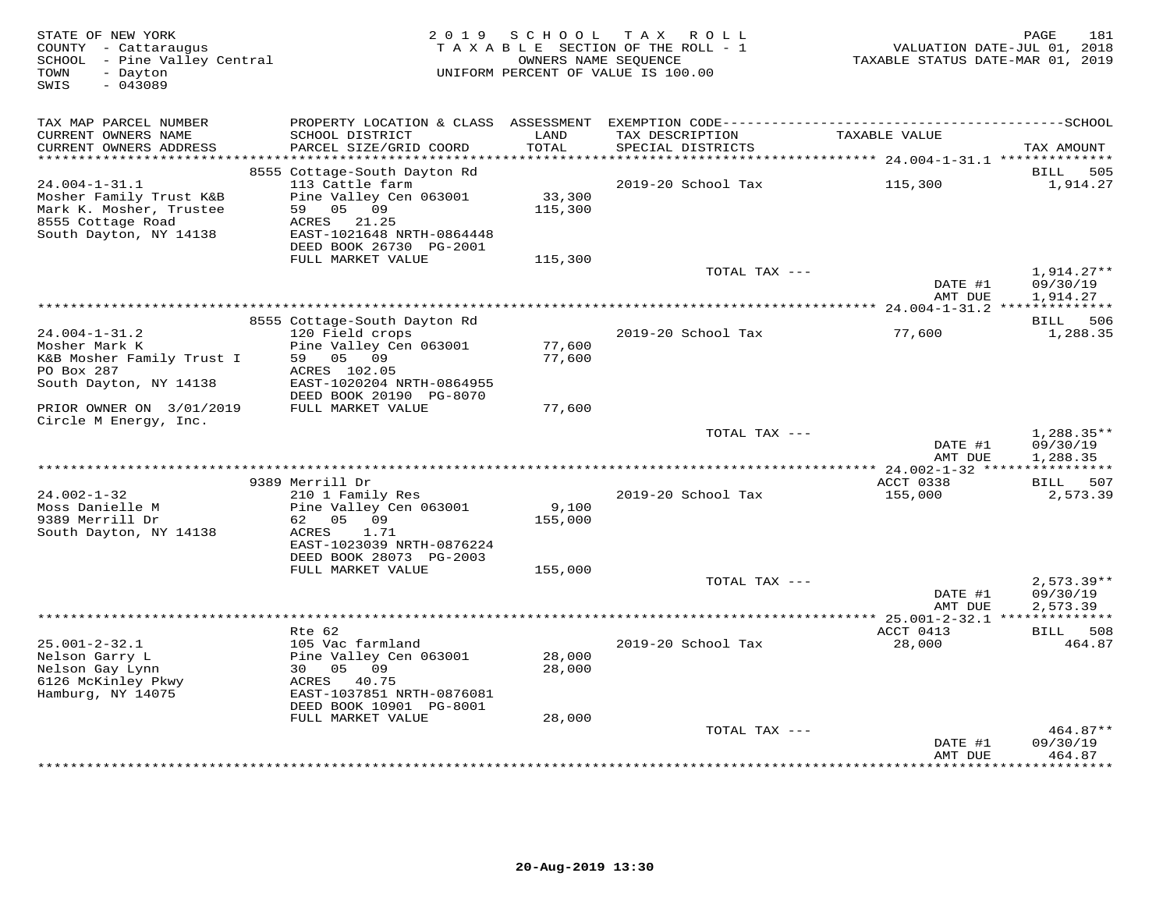| STATE OF NEW YORK<br>COUNTY - Cattaraugus<br>SCHOOL - Pine Valley Central<br>TOWN<br>- Dayton<br>SWIS<br>$-043089$ |                                             | 2019 SCHOOL      | TAX ROLL<br>TAXABLE SECTION OF THE ROLL - 1<br>OWNERS NAME SEQUENCE<br>UNIFORM PERCENT OF VALUE IS 100.00 | VALUATION DATE-JUL 01, 2018<br>TAXABLE STATUS DATE-MAR 01, 2019 | 181<br>PAGE                 |
|--------------------------------------------------------------------------------------------------------------------|---------------------------------------------|------------------|-----------------------------------------------------------------------------------------------------------|-----------------------------------------------------------------|-----------------------------|
| TAX MAP PARCEL NUMBER                                                                                              |                                             |                  |                                                                                                           |                                                                 |                             |
| CURRENT OWNERS NAME<br>CURRENT OWNERS ADDRESS<br>***********************                                           | SCHOOL DISTRICT<br>PARCEL SIZE/GRID COORD   | LAND<br>TOTAL    | TAX DESCRIPTION<br>SPECIAL DISTRICTS                                                                      | TAXABLE VALUE                                                   | TAX AMOUNT                  |
|                                                                                                                    | 8555 Cottage-South Dayton Rd                |                  |                                                                                                           |                                                                 | 505<br>BILL                 |
| $24.004 - 1 - 31.1$                                                                                                | 113 Cattle farm                             |                  | 2019-20 School Tax                                                                                        | 115,300                                                         | 1,914.27                    |
| Mosher Family Trust K&B                                                                                            | Pine Valley Cen 063001                      | 33,300           |                                                                                                           |                                                                 |                             |
| Mark K. Mosher, Trustee                                                                                            | 59 05 09                                    | 115,300          |                                                                                                           |                                                                 |                             |
| 8555 Cottage Road<br>South Dayton, NY 14138                                                                        | ACRES<br>21.25<br>EAST-1021648 NRTH-0864448 |                  |                                                                                                           |                                                                 |                             |
|                                                                                                                    | DEED BOOK 26730 PG-2001                     |                  |                                                                                                           |                                                                 |                             |
|                                                                                                                    | FULL MARKET VALUE                           | 115,300          |                                                                                                           |                                                                 |                             |
|                                                                                                                    |                                             |                  | TOTAL TAX ---                                                                                             |                                                                 | $1,914.27**$                |
|                                                                                                                    |                                             |                  |                                                                                                           | DATE #1                                                         | 09/30/19                    |
|                                                                                                                    |                                             |                  |                                                                                                           | AMT DUE                                                         | 1,914.27                    |
|                                                                                                                    | 8555 Cottage-South Dayton Rd                |                  |                                                                                                           |                                                                 | BILL 506                    |
| $24.004 - 1 - 31.2$                                                                                                | 120 Field crops                             |                  | 2019-20 School Tax                                                                                        | 77,600                                                          | 1,288.35                    |
| Mosher Mark K                                                                                                      | Pine Valley Cen 063001                      | 77,600           |                                                                                                           |                                                                 |                             |
| K&B Mosher Family Trust I<br>PO Box 287                                                                            | 59 05 09<br>ACRES 102.05                    | 77,600           |                                                                                                           |                                                                 |                             |
| South Dayton, NY 14138                                                                                             | EAST-1020204 NRTH-0864955                   |                  |                                                                                                           |                                                                 |                             |
|                                                                                                                    | DEED BOOK 20190 PG-8070                     |                  |                                                                                                           |                                                                 |                             |
| PRIOR OWNER ON 3/01/2019<br>Circle M Energy, Inc.                                                                  | FULL MARKET VALUE                           | 77,600           |                                                                                                           |                                                                 |                             |
|                                                                                                                    |                                             |                  | TOTAL TAX ---                                                                                             |                                                                 | $1,288.35**$                |
|                                                                                                                    |                                             |                  |                                                                                                           | DATE #1<br>AMT DUE                                              | 09/30/19<br>1,288.35        |
|                                                                                                                    |                                             |                  |                                                                                                           | ** 24.002-1-32 ****************                                 |                             |
|                                                                                                                    | 9389 Merrill Dr                             |                  |                                                                                                           | ACCT 0338                                                       | BILL 507                    |
| $24.002 - 1 - 32$                                                                                                  | 210 1 Family Res                            |                  | 2019-20 School Tax                                                                                        | 155,000                                                         | 2,573.39                    |
| Moss Danielle M<br>9389 Merrill Dr                                                                                 | Pine Valley Cen 063001<br>62 05 09          | 9,100<br>155,000 |                                                                                                           |                                                                 |                             |
| South Dayton, NY 14138                                                                                             | ACRES<br>1.71                               |                  |                                                                                                           |                                                                 |                             |
|                                                                                                                    | EAST-1023039 NRTH-0876224                   |                  |                                                                                                           |                                                                 |                             |
|                                                                                                                    | DEED BOOK 28073 PG-2003                     |                  |                                                                                                           |                                                                 |                             |
|                                                                                                                    | FULL MARKET VALUE                           | 155,000          | TOTAL TAX ---                                                                                             |                                                                 |                             |
|                                                                                                                    |                                             |                  |                                                                                                           | DATE #1                                                         | $2,573.39**$<br>09/30/19    |
|                                                                                                                    |                                             |                  |                                                                                                           | AMT DUE                                                         | 2,573.39                    |
|                                                                                                                    |                                             |                  |                                                                                                           | ** $25.001 - 2 - 32.1$ **                                       |                             |
|                                                                                                                    | Rte 62                                      |                  |                                                                                                           | ACCT 0413                                                       | BILL 508                    |
| $25.001 - 2 - 32.1$<br>Nelson Garry L                                                                              | 105 Vac farmland<br>Pine Valley Cen 063001  | 28,000           | 2019-20 School Tax                                                                                        | 28,000                                                          | 464.87                      |
| Nelson Gay Lynn                                                                                                    | 30 05 09                                    | 28,000           |                                                                                                           |                                                                 |                             |
| 6126 McKinley Pkwy                                                                                                 | ACRES 40.75                                 |                  |                                                                                                           |                                                                 |                             |
| Hamburg, NY 14075                                                                                                  | EAST-1037851 NRTH-0876081                   |                  |                                                                                                           |                                                                 |                             |
|                                                                                                                    | DEED BOOK 10901 PG-8001                     |                  |                                                                                                           |                                                                 |                             |
|                                                                                                                    | FULL MARKET VALUE                           | 28,000           | TOTAL TAX ---                                                                                             |                                                                 | $464.87**$                  |
|                                                                                                                    |                                             |                  |                                                                                                           | DATE #1                                                         | 09/30/19                    |
|                                                                                                                    |                                             |                  |                                                                                                           | AMT DUE                                                         | 464.87<br>* * * * * * * * * |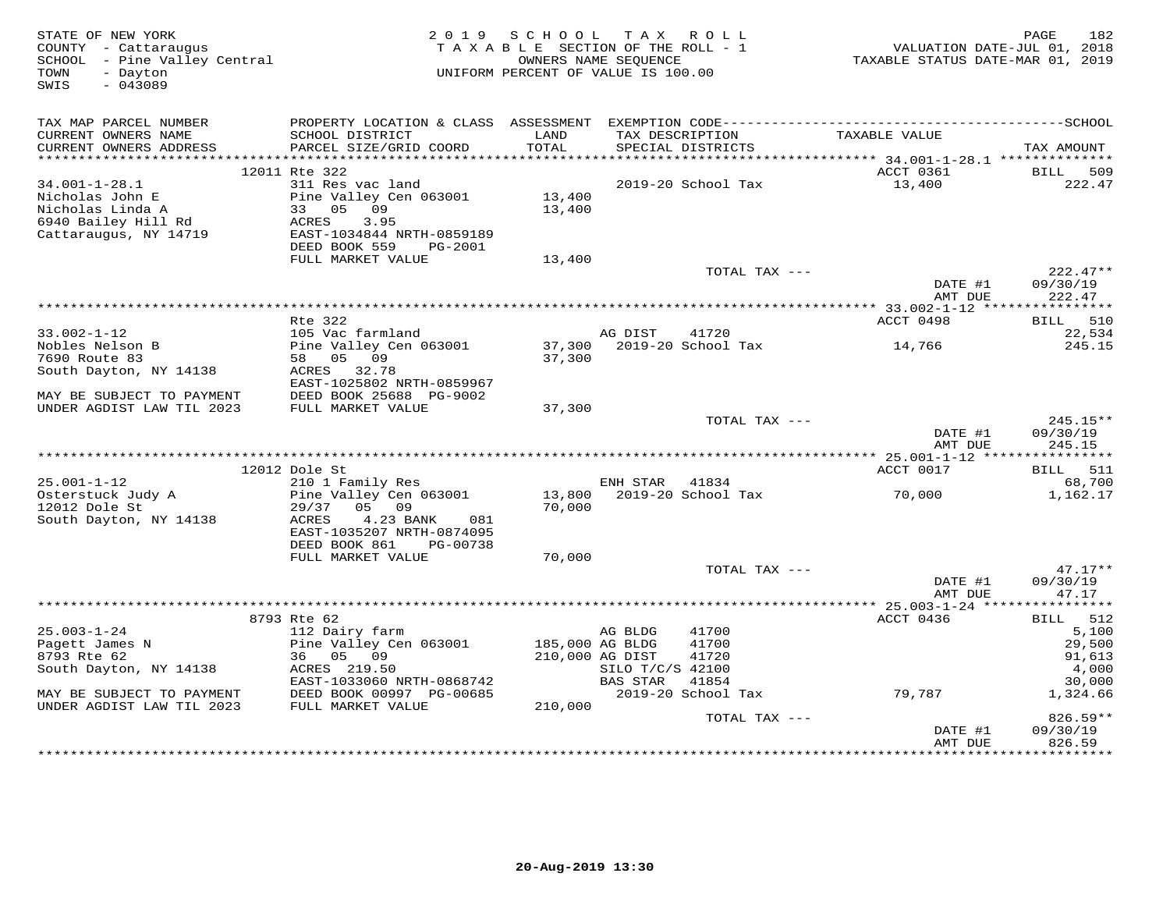| STATE OF NEW YORK<br>COUNTY - Cattaraugus<br>SCHOOL - Pine Valley Central<br>TOWN<br>- Dayton<br>SWIS<br>$-043089$ | 2 0 1 9                                        |                 | SCHOOL TAX ROLL<br>TAXABLE SECTION OF THE ROLL - 1<br>OWNERS NAME SEQUENCE<br>UNIFORM PERCENT OF VALUE IS 100.00 | VALUATION DATE-JUL 01, 2018<br>TAXABLE STATUS DATE-MAR 01, 2019 | 182<br>PAGE        |
|--------------------------------------------------------------------------------------------------------------------|------------------------------------------------|-----------------|------------------------------------------------------------------------------------------------------------------|-----------------------------------------------------------------|--------------------|
| TAX MAP PARCEL NUMBER                                                                                              |                                                |                 |                                                                                                                  |                                                                 |                    |
| CURRENT OWNERS NAME                                                                                                | SCHOOL DISTRICT                                | LAND            | TAX DESCRIPTION                                                                                                  | TAXABLE VALUE                                                   |                    |
| CURRENT OWNERS ADDRESS                                                                                             | PARCEL SIZE/GRID COORD                         | TOTAL           | SPECIAL DISTRICTS                                                                                                |                                                                 | TAX AMOUNT         |
|                                                                                                                    |                                                |                 |                                                                                                                  |                                                                 |                    |
|                                                                                                                    | 12011 Rte 322                                  |                 |                                                                                                                  | ACCT 0361                                                       | 509<br>BILL        |
| $34.001 - 1 - 28.1$                                                                                                | 311 Res vac land                               |                 | 2019-20 School Tax                                                                                               | 13,400                                                          | 222.47             |
| Nicholas John E                                                                                                    | Pine Valley Cen 063001                         | 13,400          |                                                                                                                  |                                                                 |                    |
| Nicholas Linda A                                                                                                   | 33 05<br>09                                    | 13,400          |                                                                                                                  |                                                                 |                    |
| 6940 Bailey Hill Rd<br>Cattaraugus, NY 14719                                                                       | ACRES<br>3.95<br>EAST-1034844 NRTH-0859189     |                 |                                                                                                                  |                                                                 |                    |
|                                                                                                                    | DEED BOOK 559<br>PG-2001                       |                 |                                                                                                                  |                                                                 |                    |
|                                                                                                                    | FULL MARKET VALUE                              | 13,400          |                                                                                                                  |                                                                 |                    |
|                                                                                                                    |                                                |                 | TOTAL TAX ---                                                                                                    |                                                                 | $222.47**$         |
|                                                                                                                    |                                                |                 |                                                                                                                  | DATE #1                                                         | 09/30/19           |
|                                                                                                                    |                                                |                 |                                                                                                                  | AMT DUE                                                         | 222.47             |
|                                                                                                                    |                                                |                 |                                                                                                                  |                                                                 |                    |
|                                                                                                                    | Rte 322                                        |                 | AG DIST<br>41720                                                                                                 | ACCT 0498                                                       | BILL 510           |
| $33.002 - 1 - 12$<br>Nobles Nelson B                                                                               | 105 Vac farmland<br>Pine Valley Cen 063001     | 37,300          | 2019-20 School Tax                                                                                               | 14,766                                                          | 22,534<br>245.15   |
| 7690 Route 83                                                                                                      | 58 05 09                                       | 37,300          |                                                                                                                  |                                                                 |                    |
| South Dayton, NY 14138                                                                                             | ACRES 32.78                                    |                 |                                                                                                                  |                                                                 |                    |
|                                                                                                                    | EAST-1025802 NRTH-0859967                      |                 |                                                                                                                  |                                                                 |                    |
| MAY BE SUBJECT TO PAYMENT                                                                                          | DEED BOOK 25688 PG-9002                        |                 |                                                                                                                  |                                                                 |                    |
| UNDER AGDIST LAW TIL 2023                                                                                          | FULL MARKET VALUE                              | 37,300          |                                                                                                                  |                                                                 |                    |
|                                                                                                                    |                                                |                 | TOTAL TAX ---                                                                                                    |                                                                 | 245.15**           |
|                                                                                                                    |                                                |                 |                                                                                                                  | DATE #1<br>AMT DUE                                              | 09/30/19<br>245.15 |
|                                                                                                                    |                                                |                 |                                                                                                                  |                                                                 |                    |
|                                                                                                                    | 12012 Dole St                                  |                 |                                                                                                                  | ACCT 0017                                                       | BILL 511           |
| $25.001 - 1 - 12$                                                                                                  | 210 1 Family Res                               |                 | ENH STAR<br>41834                                                                                                |                                                                 | 68,700             |
| Osterstuck Judy A                                                                                                  | Pine Valley Cen 063001                         | 13,800          | 2019-20 School Tax                                                                                               | 70,000                                                          | 1,162.17           |
| 12012 Dole St                                                                                                      | 29/37<br>05 09                                 | 70,000          |                                                                                                                  |                                                                 |                    |
| South Dayton, NY 14138                                                                                             | 4.23 BANK<br>ACRES<br>081                      |                 |                                                                                                                  |                                                                 |                    |
|                                                                                                                    | EAST-1035207 NRTH-0874095                      |                 |                                                                                                                  |                                                                 |                    |
|                                                                                                                    | DEED BOOK 861<br>PG-00738<br>FULL MARKET VALUE | 70,000          |                                                                                                                  |                                                                 |                    |
|                                                                                                                    |                                                |                 | TOTAL TAX ---                                                                                                    |                                                                 | $47.17**$          |
|                                                                                                                    |                                                |                 |                                                                                                                  | DATE #1                                                         | 09/30/19           |
|                                                                                                                    |                                                |                 |                                                                                                                  | AMT DUE                                                         | 47.17              |
|                                                                                                                    |                                                |                 |                                                                                                                  | ************ 25.003-1-24 *****************                      |                    |
|                                                                                                                    | 8793 Rte 62                                    |                 |                                                                                                                  | ACCT 0436                                                       | 512<br><b>BILL</b> |
| $25.003 - 1 - 24$                                                                                                  | 112 Dairy farm                                 |                 | 41700<br>AG BLDG                                                                                                 |                                                                 | 5,100              |
| Pagett James N                                                                                                     | Pine Valley Cen 063001                         | 185,000 AG BLDG | 41700                                                                                                            |                                                                 | 29,500             |
| 8793 Rte 62                                                                                                        | 36 05 09                                       | 210,000 AG DIST | 41720                                                                                                            |                                                                 | 91,613             |
| South Dayton, NY 14138                                                                                             | ACRES 219.50<br>EAST-1033060 NRTH-0868742      |                 | SILO T/C/S 42100<br>BAS STAR<br>41854                                                                            |                                                                 | 4,000<br>30,000    |
| MAY BE SUBJECT TO PAYMENT                                                                                          | DEED BOOK 00997 PG-00685                       |                 | 2019-20 School Tax                                                                                               | 79,787                                                          | 1,324.66           |
| UNDER AGDIST LAW TIL 2023                                                                                          | FULL MARKET VALUE                              | 210,000         |                                                                                                                  |                                                                 |                    |
|                                                                                                                    |                                                |                 | TOTAL TAX ---                                                                                                    |                                                                 | 826.59**           |
|                                                                                                                    |                                                |                 |                                                                                                                  | DATE #1                                                         | 09/30/19           |
|                                                                                                                    |                                                |                 |                                                                                                                  | AMT DUE                                                         | 826.59             |
|                                                                                                                    |                                                |                 | ************************************                                                                             |                                                                 |                    |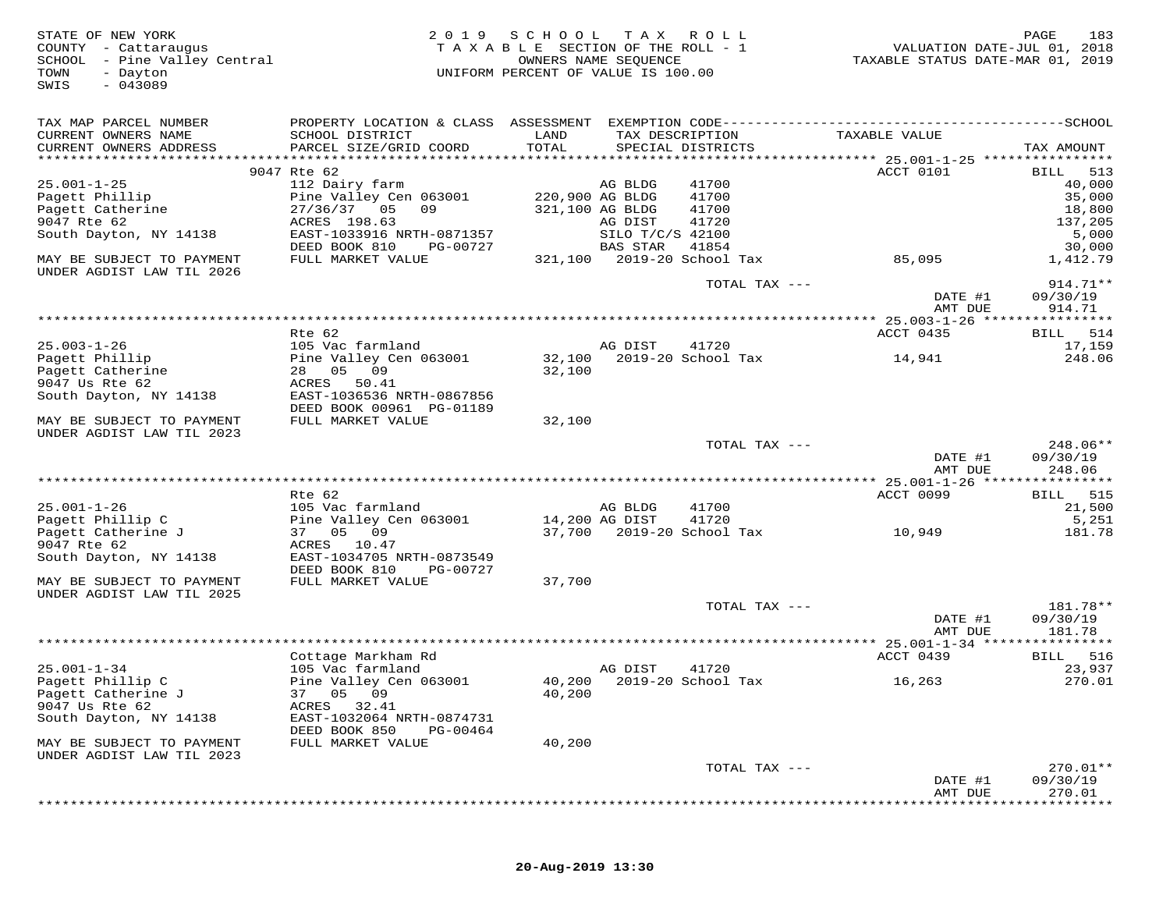| STATE OF NEW YORK<br>COUNTY - Cattaraugus<br>SCHOOL - Pine Valley Central<br>TOWN<br>- Dayton<br>$-043089$<br>SWIS | 2 0 1 9                                                | SCHOOL<br>TAXABLE SECTION OF THE ROLL - 1<br>OWNERS NAME SEQUENCE<br>UNIFORM PERCENT OF VALUE IS 100.00 | T A X            | R O L L                              | VALUATION DATE-JUL 01, 2018<br>TAXABLE STATUS DATE-MAR 01, 2019 | PAGE<br>183                    |
|--------------------------------------------------------------------------------------------------------------------|--------------------------------------------------------|---------------------------------------------------------------------------------------------------------|------------------|--------------------------------------|-----------------------------------------------------------------|--------------------------------|
| TAX MAP PARCEL NUMBER                                                                                              |                                                        |                                                                                                         |                  |                                      |                                                                 |                                |
| CURRENT OWNERS NAME<br>CURRENT OWNERS ADDRESS                                                                      | SCHOOL DISTRICT<br>PARCEL SIZE/GRID COORD              | LAND<br>TOTAL                                                                                           |                  | TAX DESCRIPTION<br>SPECIAL DISTRICTS | TAXABLE VALUE                                                   | TAX AMOUNT                     |
|                                                                                                                    |                                                        |                                                                                                         |                  |                                      |                                                                 |                                |
|                                                                                                                    | 9047 Rte 62                                            |                                                                                                         |                  |                                      | ACCT 0101                                                       | 513<br>BILL                    |
| $25.001 - 1 - 25$                                                                                                  | 112 Dairy farm                                         |                                                                                                         | AG BLDG          | 41700                                |                                                                 | 40,000                         |
| Pagett Phillip<br>Pagett Catherine                                                                                 | Pine Valley Cen 063001<br>27/36/37 05<br>09            | 220,900 AG BLDG                                                                                         | 321,100 AG BLDG  | 41700<br>41700                       |                                                                 | 35,000                         |
| 9047 Rte 62                                                                                                        | ACRES 198.63                                           |                                                                                                         | AG DIST          | 41720                                |                                                                 | 18,800<br>137,205              |
| South Dayton, NY 14138                                                                                             | EAST-1033916 NRTH-0871357                              |                                                                                                         | SILO T/C/S 42100 |                                      |                                                                 | 5,000                          |
|                                                                                                                    | DEED BOOK 810<br>PG-00727                              |                                                                                                         | BAS STAR         | 41854                                |                                                                 | 30,000                         |
| MAY BE SUBJECT TO PAYMENT<br>UNDER AGDIST LAW TIL 2026                                                             | FULL MARKET VALUE                                      |                                                                                                         |                  | 321,100 2019-20 School Tax           | 85,095                                                          | 1,412.79                       |
|                                                                                                                    |                                                        |                                                                                                         |                  | TOTAL TAX ---                        | DATE #1<br>AMT DUE                                              | 914.71**<br>09/30/19<br>914.71 |
|                                                                                                                    |                                                        |                                                                                                         |                  |                                      | *********** 25.003-1-26 ****                                    | * * * * * * * * *              |
|                                                                                                                    | $Rte$ 62                                               |                                                                                                         |                  |                                      | ACCT 0435                                                       | 514<br>BILL                    |
| $25.003 - 1 - 26$                                                                                                  | 105 Vac farmland                                       |                                                                                                         | AG DIST          | 41720                                |                                                                 | 17,159                         |
| Pagett Phillip<br>Pagett Catherine                                                                                 | Pine Valley Cen 063001<br>28  05  09                   | 32,100<br>32,100                                                                                        |                  | 2019-20 School Tax                   | 14,941                                                          | 248.06                         |
| 9047 Us Rte 62                                                                                                     | ACRES<br>50.41                                         |                                                                                                         |                  |                                      |                                                                 |                                |
| South Dayton, NY 14138                                                                                             | EAST-1036536 NRTH-0867856                              |                                                                                                         |                  |                                      |                                                                 |                                |
|                                                                                                                    | DEED BOOK 00961 PG-01189                               |                                                                                                         |                  |                                      |                                                                 |                                |
| MAY BE SUBJECT TO PAYMENT                                                                                          | FULL MARKET VALUE                                      | 32,100                                                                                                  |                  |                                      |                                                                 |                                |
| UNDER AGDIST LAW TIL 2023                                                                                          |                                                        |                                                                                                         |                  | TOTAL TAX ---                        |                                                                 | $248.06**$                     |
|                                                                                                                    |                                                        |                                                                                                         |                  |                                      | DATE #1<br>AMT DUE                                              | 09/30/19<br>248.06             |
|                                                                                                                    |                                                        |                                                                                                         |                  |                                      |                                                                 |                                |
|                                                                                                                    | Rte 62                                                 |                                                                                                         |                  |                                      | ACCT 0099                                                       | 515<br><b>BILL</b>             |
| $25.001 - 1 - 26$                                                                                                  | 105 Vac farmland                                       |                                                                                                         | AG BLDG          | 41700                                |                                                                 | 21,500                         |
| Pagett Phillip C                                                                                                   | Pine Valley Cen 063001<br>37 05 09                     |                                                                                                         | 14,200 AG DIST   | 41720<br>37,700 2019-20 School Tax   |                                                                 | 5,251                          |
| Pagett Catherine J<br>9047 Rte 62                                                                                  | ACRES<br>10.47                                         |                                                                                                         |                  |                                      | 10,949                                                          | 181.78                         |
| South Dayton, NY 14138                                                                                             | EAST-1034705 NRTH-0873549<br>DEED BOOK 810<br>PG-00727 |                                                                                                         |                  |                                      |                                                                 |                                |
| MAY BE SUBJECT TO PAYMENT                                                                                          | FULL MARKET VALUE                                      | 37,700                                                                                                  |                  |                                      |                                                                 |                                |
| UNDER AGDIST LAW TIL 2025                                                                                          |                                                        |                                                                                                         |                  |                                      |                                                                 |                                |
|                                                                                                                    |                                                        |                                                                                                         |                  | TOTAL TAX ---                        |                                                                 | 181.78**                       |
|                                                                                                                    |                                                        |                                                                                                         |                  |                                      | DATE #1<br>AMT DUE                                              | 09/30/19<br>181.78             |
|                                                                                                                    |                                                        |                                                                                                         |                  |                                      |                                                                 |                                |
|                                                                                                                    | Cottage Markham Rd                                     |                                                                                                         |                  |                                      | ACCT 0439                                                       | 516<br><b>BILL</b>             |
| $25.001 - 1 - 34$<br>Pagett Phillip C                                                                              | 105 Vac farmland<br>Pine Valley Cen 063001             |                                                                                                         | AG DIST          | 41720<br>40,200 2019-20 School Tax   | 16,263                                                          | 23,937<br>270.01               |
| Pagett Catherine J                                                                                                 | 37 05<br>09                                            | 40,200                                                                                                  |                  |                                      |                                                                 |                                |
| 9047 Us Rte 62                                                                                                     | ACRES<br>32.41                                         |                                                                                                         |                  |                                      |                                                                 |                                |
| South Dayton, NY 14138                                                                                             | EAST-1032064 NRTH-0874731<br>DEED BOOK 850<br>PG-00464 |                                                                                                         |                  |                                      |                                                                 |                                |
| MAY BE SUBJECT TO PAYMENT<br>UNDER AGDIST LAW TIL 2023                                                             | FULL MARKET VALUE                                      | 40,200                                                                                                  |                  |                                      |                                                                 |                                |
|                                                                                                                    |                                                        |                                                                                                         |                  | TOTAL TAX ---                        |                                                                 | 270.01**                       |
|                                                                                                                    |                                                        |                                                                                                         |                  |                                      | DATE #1                                                         | 09/30/19                       |
|                                                                                                                    |                                                        |                                                                                                         |                  |                                      | AMT DUE                                                         | 270.01                         |
|                                                                                                                    |                                                        |                                                                                                         |                  |                                      |                                                                 |                                |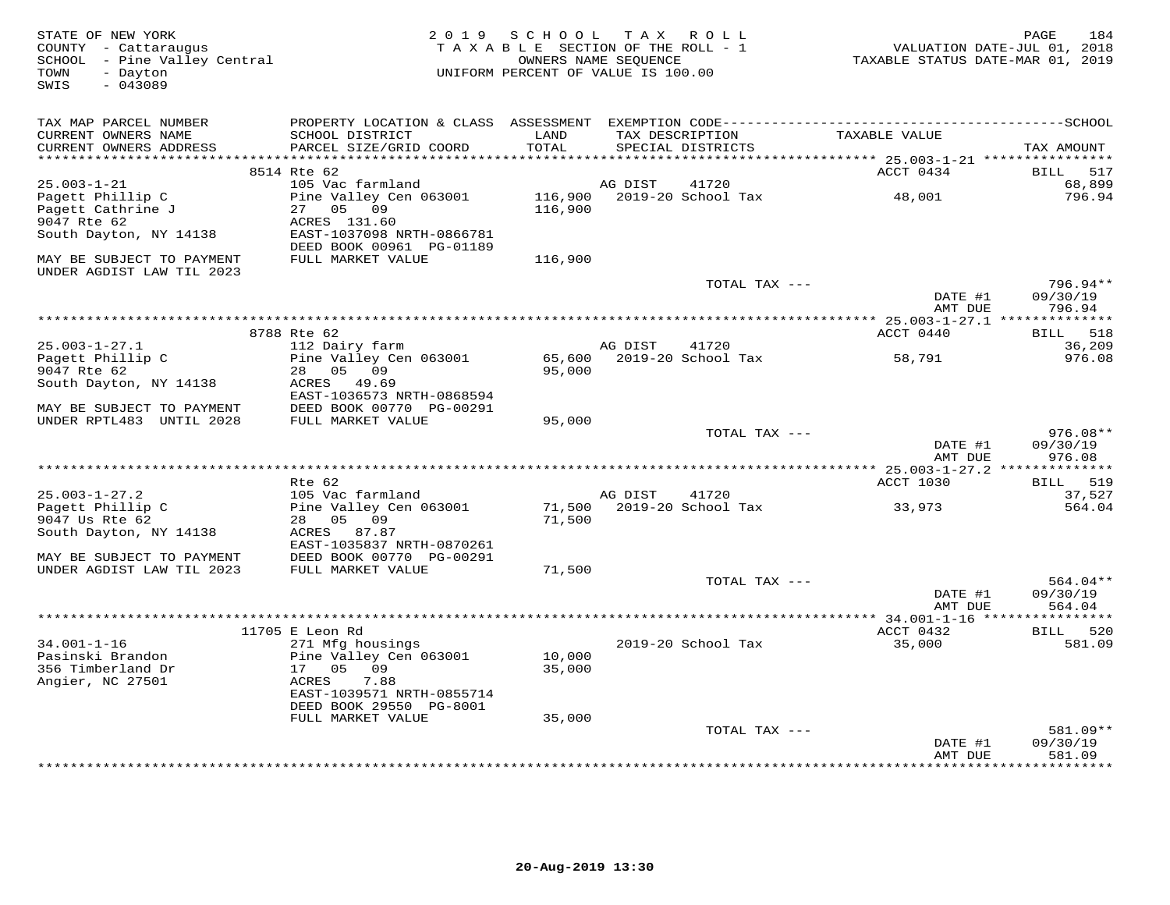| STATE OF NEW YORK<br>COUNTY - Cattaraugus<br>SCHOOL - Pine Valley Central<br>- Dayton<br>TOWN<br>$-043089$<br>SWIS | 2 0 1 9                                                                                                                                   | SCHOOL<br>TAXABLE SECTION OF THE ROLL - 1<br>UNIFORM PERCENT OF VALUE IS 100.00 | OWNERS NAME SEOUENCE | TAX ROLL                             | VALUATION DATE-JUL 01, 2018<br>TAXABLE STATUS DATE-MAR 01, 2019 | 184<br>PAGE                      |
|--------------------------------------------------------------------------------------------------------------------|-------------------------------------------------------------------------------------------------------------------------------------------|---------------------------------------------------------------------------------|----------------------|--------------------------------------|-----------------------------------------------------------------|----------------------------------|
| TAX MAP PARCEL NUMBER<br>CURRENT OWNERS NAME<br>CURRENT OWNERS ADDRESS                                             | PROPERTY LOCATION & CLASS ASSESSMENT EXEMPTION CODE-----------------------------------SCHOOL<br>SCHOOL DISTRICT<br>PARCEL SIZE/GRID COORD | LAND<br>TOTAL                                                                   |                      | TAX DESCRIPTION<br>SPECIAL DISTRICTS | TAXABLE VALUE                                                   | TAX AMOUNT                       |
| * * * * * * * * * * * * * * *                                                                                      |                                                                                                                                           | $******$                                                                        |                      |                                      | ******** 25.003-1-21 ****************                           |                                  |
|                                                                                                                    | 8514 Rte 62                                                                                                                               |                                                                                 |                      |                                      | ACCT 0434                                                       | BILL<br>517                      |
| $25.003 - 1 - 21$<br>Pagett Phillip C<br>Pagett Cathrine J<br>9047 Rte 62<br>South Dayton, NY 14138                | 105 Vac farmland<br>Pine Valley Cen 063001<br>27 05<br>09<br>ACRES 131.60<br>EAST-1037098 NRTH-0866781                                    | 116,900<br>116,900                                                              | AG DIST              | 41720<br>2019-20 School Tax          | 48,001                                                          | 68,899<br>796.94                 |
| MAY BE SUBJECT TO PAYMENT                                                                                          | DEED BOOK 00961 PG-01189<br>FULL MARKET VALUE                                                                                             | 116,900                                                                         |                      |                                      |                                                                 |                                  |
| UNDER AGDIST LAW TIL 2023                                                                                          |                                                                                                                                           |                                                                                 |                      | TOTAL TAX ---                        |                                                                 | 796.94**                         |
|                                                                                                                    |                                                                                                                                           |                                                                                 |                      |                                      | DATE #1<br>AMT DUE                                              | 09/30/19<br>796.94               |
|                                                                                                                    |                                                                                                                                           |                                                                                 |                      |                                      |                                                                 | * * * * * * * * *                |
|                                                                                                                    | 8788 Rte 62                                                                                                                               |                                                                                 |                      |                                      | ACCT 0440                                                       | 518<br>BILL                      |
| $25.003 - 1 - 27.1$<br>Pagett Phillip C<br>9047 Rte 62                                                             | 112 Dairy farm<br>Pine Valley Cen 063001<br>28<br>05<br>09                                                                                | 65,600<br>95,000                                                                | AG DIST              | 41720<br>2019-20 School Tax          | 58,791                                                          | 36,209<br>976.08                 |
| South Dayton, NY 14138                                                                                             | ACRES<br>49.69<br>EAST-1036573 NRTH-0868594                                                                                               |                                                                                 |                      |                                      |                                                                 |                                  |
| MAY BE SUBJECT TO PAYMENT<br>UNDER RPTL483 UNTIL 2028                                                              | DEED BOOK 00770 PG-00291<br>FULL MARKET VALUE                                                                                             | 95,000                                                                          |                      |                                      |                                                                 |                                  |
|                                                                                                                    |                                                                                                                                           |                                                                                 |                      | TOTAL TAX ---                        | DATE #1<br>AMT DUE                                              | $976.08**$<br>09/30/19<br>976.08 |
|                                                                                                                    |                                                                                                                                           |                                                                                 |                      |                                      |                                                                 |                                  |
|                                                                                                                    | Rte 62                                                                                                                                    |                                                                                 |                      |                                      | ACCT 1030                                                       | 519<br><b>BILL</b>               |
| $25.003 - 1 - 27.2$                                                                                                | 105 Vac farmland                                                                                                                          |                                                                                 | AG DIST              | 41720                                |                                                                 | 37,527                           |
| Pagett Phillip C<br>9047 Us Rte 62<br>South Dayton, NY 14138                                                       | Pine Valley Cen 063001<br>28<br>05<br>09<br>ACRES 87.87                                                                                   | 71,500<br>71,500                                                                |                      | 2019-20 School Tax                   | 33,973                                                          | 564.04                           |
| MAY BE SUBJECT TO PAYMENT                                                                                          | EAST-1035837 NRTH-0870261<br>DEED BOOK 00770 PG-00291                                                                                     |                                                                                 |                      |                                      |                                                                 |                                  |
| UNDER AGDIST LAW TIL 2023                                                                                          | FULL MARKET VALUE                                                                                                                         | 71,500                                                                          |                      |                                      |                                                                 |                                  |
|                                                                                                                    |                                                                                                                                           |                                                                                 |                      | TOTAL TAX ---                        | DATE #1<br>AMT DUE                                              | 564.04**<br>09/30/19<br>564.04   |
|                                                                                                                    |                                                                                                                                           |                                                                                 |                      |                                      |                                                                 |                                  |
|                                                                                                                    | 11705 E Leon Rd                                                                                                                           |                                                                                 |                      |                                      | ACCT 0432                                                       | BILL 520                         |
| $34.001 - 1 - 16$                                                                                                  | 271 Mfg housings                                                                                                                          |                                                                                 |                      | 2019-20 School Tax                   | 35,000                                                          | 581.09                           |
| Pasinski Brandon                                                                                                   | Pine Valley Cen 063001                                                                                                                    | 10,000                                                                          |                      |                                      |                                                                 |                                  |
| 356 Timberland Dr<br>Angier, NC 27501                                                                              | 17<br>05<br>09<br>ACRES<br>7.88                                                                                                           | 35,000                                                                          |                      |                                      |                                                                 |                                  |
|                                                                                                                    | EAST-1039571 NRTH-0855714<br>DEED BOOK 29550 PG-8001                                                                                      |                                                                                 |                      |                                      |                                                                 |                                  |
|                                                                                                                    | FULL MARKET VALUE                                                                                                                         | 35,000                                                                          |                      |                                      |                                                                 |                                  |
|                                                                                                                    |                                                                                                                                           |                                                                                 |                      | TOTAL TAX ---                        |                                                                 | 581.09**                         |
|                                                                                                                    |                                                                                                                                           |                                                                                 |                      |                                      | DATE #1<br>AMT DUE                                              | 09/30/19<br>581.09               |
|                                                                                                                    |                                                                                                                                           |                                                                                 |                      |                                      |                                                                 | * * * * * * * *                  |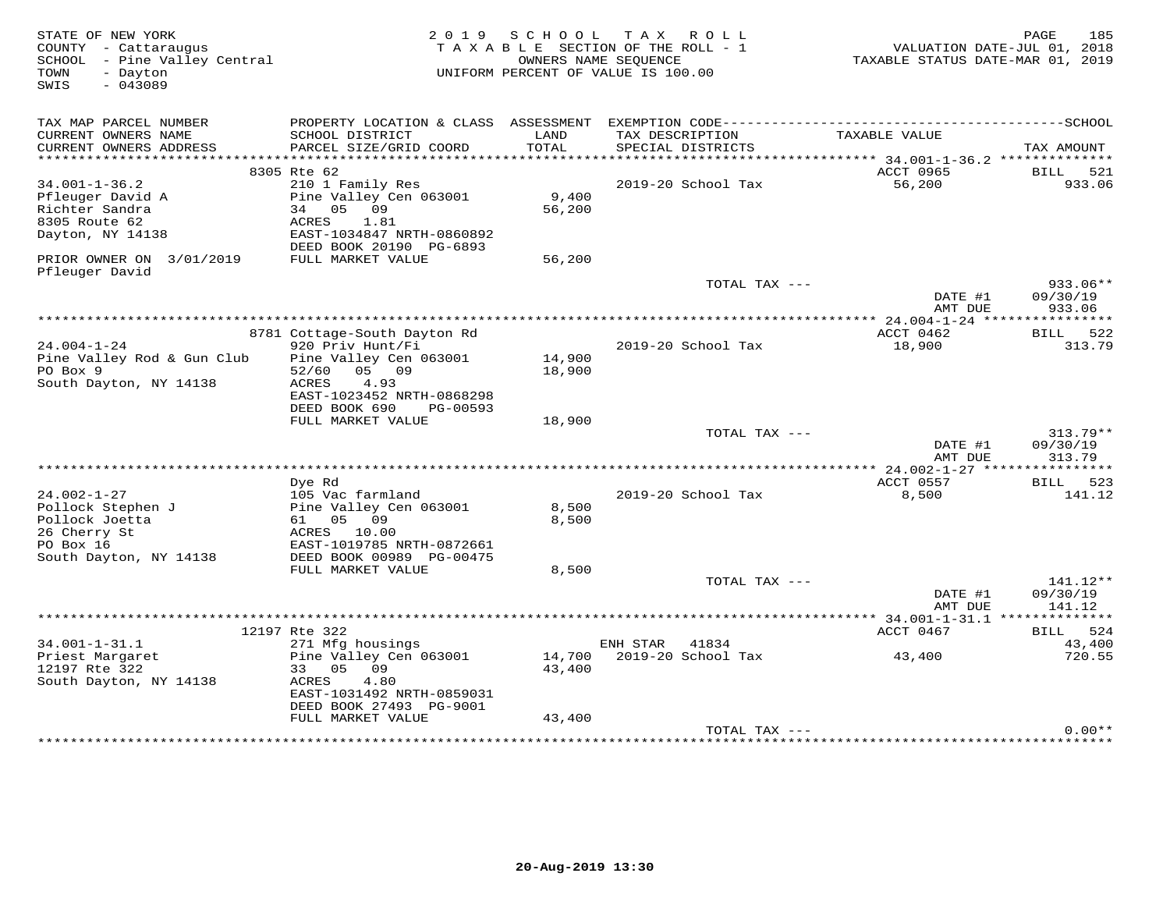| STATE OF NEW YORK<br>COUNTY - Cattaraugus<br>SCHOOL - Pine Valley Central<br>- Dayton<br>TOWN<br>$-043089$<br>SWIS | 2 0 1 9                                          | SCHOOL        | T A X<br>ROLL<br>TAXABLE SECTION OF THE ROLL - 1<br>OWNERS NAME SEQUENCE<br>UNIFORM PERCENT OF VALUE IS 100.00 | VALUATION DATE-JUL 01, 2018<br>TAXABLE STATUS DATE-MAR 01, 2019 | PAGE<br>185            |
|--------------------------------------------------------------------------------------------------------------------|--------------------------------------------------|---------------|----------------------------------------------------------------------------------------------------------------|-----------------------------------------------------------------|------------------------|
| TAX MAP PARCEL NUMBER                                                                                              | PROPERTY LOCATION & CLASS ASSESSMENT             |               |                                                                                                                |                                                                 |                        |
| CURRENT OWNERS NAME<br>CURRENT OWNERS ADDRESS                                                                      | SCHOOL DISTRICT<br>PARCEL SIZE/GRID COORD        | LAND<br>TOTAL | TAX DESCRIPTION<br>SPECIAL DISTRICTS                                                                           | TAXABLE VALUE                                                   | TAX AMOUNT             |
|                                                                                                                    |                                                  |               |                                                                                                                |                                                                 |                        |
|                                                                                                                    | 8305 Rte 62                                      |               |                                                                                                                | ACCT 0965                                                       | BILL 521               |
| $34.001 - 1 - 36.2$                                                                                                | 210 1 Family Res                                 |               | 2019-20 School Tax                                                                                             | 56,200                                                          | 933.06                 |
| Pfleuger David A                                                                                                   | Pine Valley Cen 063001                           | 9,400         |                                                                                                                |                                                                 |                        |
| Richter Sandra                                                                                                     | 34 05<br>09                                      | 56,200        |                                                                                                                |                                                                 |                        |
| 8305 Route 62                                                                                                      | ACRES<br>1.81                                    |               |                                                                                                                |                                                                 |                        |
| Dayton, NY 14138                                                                                                   | EAST-1034847 NRTH-0860892                        |               |                                                                                                                |                                                                 |                        |
|                                                                                                                    | DEED BOOK 20190 PG-6893                          |               |                                                                                                                |                                                                 |                        |
| PRIOR OWNER ON 3/01/2019<br>Pfleuger David                                                                         | FULL MARKET VALUE                                | 56,200        |                                                                                                                |                                                                 |                        |
|                                                                                                                    |                                                  |               | TOTAL TAX ---                                                                                                  | DATE #1                                                         | $933.06**$<br>09/30/19 |
|                                                                                                                    |                                                  |               |                                                                                                                | AMT DUE                                                         | 933.06                 |
|                                                                                                                    |                                                  |               |                                                                                                                | *************** 24.004-1-24 *****************<br>ACCT 0462      | BILL 522               |
| $24.004 - 1 - 24$                                                                                                  | 8781 Cottage-South Dayton Rd<br>920 Priv Hunt/Fi |               | 2019-20 School Tax                                                                                             | 18,900                                                          | 313.79                 |
| Pine Valley Rod & Gun Club                                                                                         | Pine Valley Cen 063001                           | 14,900        |                                                                                                                |                                                                 |                        |
| PO Box 9                                                                                                           | 52/60<br>05 09                                   | 18,900        |                                                                                                                |                                                                 |                        |
| South Dayton, NY 14138                                                                                             | ACRES<br>4.93                                    |               |                                                                                                                |                                                                 |                        |
|                                                                                                                    | EAST-1023452 NRTH-0868298                        |               |                                                                                                                |                                                                 |                        |
|                                                                                                                    | DEED BOOK 690<br>PG-00593                        |               |                                                                                                                |                                                                 |                        |
|                                                                                                                    | FULL MARKET VALUE                                | 18,900        |                                                                                                                |                                                                 |                        |
|                                                                                                                    |                                                  |               | TOTAL TAX ---                                                                                                  |                                                                 | $313.79**$             |
|                                                                                                                    |                                                  |               |                                                                                                                | DATE #1                                                         | 09/30/19               |
|                                                                                                                    |                                                  |               |                                                                                                                | AMT DUE                                                         | 313.79                 |
|                                                                                                                    |                                                  |               | **********************                                                                                         | ******** 24.002-1-27 ****************                           |                        |
|                                                                                                                    | Dye Rd                                           |               |                                                                                                                | <b>ACCT 0557</b>                                                | 523<br><b>BILL</b>     |
| $24.002 - 1 - 27$                                                                                                  | 105 Vac farmland                                 |               | 2019-20 School Tax                                                                                             | 8,500                                                           | 141.12                 |
| Pollock Stephen J                                                                                                  | Pine Valley Cen 063001                           | 8,500         |                                                                                                                |                                                                 |                        |
| Pollock Joetta                                                                                                     | 61 05<br>09                                      | 8,500         |                                                                                                                |                                                                 |                        |
| 26 Cherry St                                                                                                       | ACRES 10.00                                      |               |                                                                                                                |                                                                 |                        |
| PO Box 16                                                                                                          | EAST-1019785 NRTH-0872661                        |               |                                                                                                                |                                                                 |                        |
| South Dayton, NY 14138                                                                                             | DEED BOOK 00989 PG-00475                         |               |                                                                                                                |                                                                 |                        |
|                                                                                                                    | FULL MARKET VALUE                                | 8,500         | TOTAL TAX ---                                                                                                  |                                                                 | 141.12**               |
|                                                                                                                    |                                                  |               |                                                                                                                | DATE #1                                                         | 09/30/19               |
|                                                                                                                    |                                                  |               |                                                                                                                | AMT DUE                                                         | 141.12                 |
|                                                                                                                    |                                                  |               |                                                                                                                |                                                                 |                        |
|                                                                                                                    | 12197 Rte 322                                    |               |                                                                                                                | ACCT 0467                                                       | 524<br>BILL            |
| $34.001 - 1 - 31.1$                                                                                                | 271 Mfg housings                                 |               | ENH STAR<br>41834                                                                                              |                                                                 | 43,400                 |
| Priest Margaret                                                                                                    | Pine Valley Cen 063001                           | 14,700        | 2019-20 School Tax                                                                                             | 43,400                                                          | 720.55                 |
| 12197 Rte 322                                                                                                      | 33 05<br>09                                      | 43,400        |                                                                                                                |                                                                 |                        |
| South Dayton, NY 14138                                                                                             | ACRES<br>4.80                                    |               |                                                                                                                |                                                                 |                        |
|                                                                                                                    | EAST-1031492 NRTH-0859031                        |               |                                                                                                                |                                                                 |                        |
|                                                                                                                    | DEED BOOK 27493 PG-9001                          |               |                                                                                                                |                                                                 |                        |
|                                                                                                                    | FULL MARKET VALUE                                | 43,400        |                                                                                                                |                                                                 |                        |
|                                                                                                                    |                                                  |               | TOTAL TAX ---                                                                                                  |                                                                 | $0.00**$               |
|                                                                                                                    |                                                  |               |                                                                                                                |                                                                 |                        |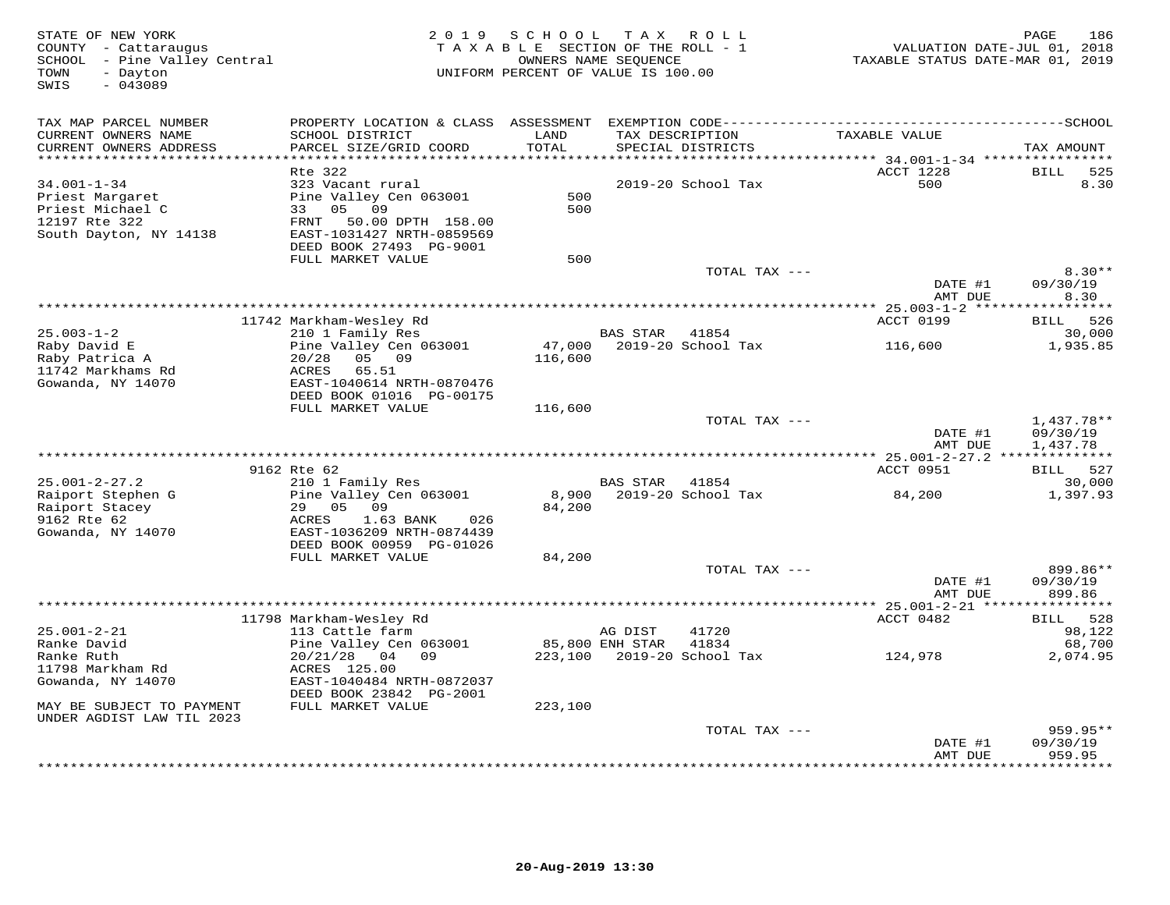| STATE OF NEW YORK<br>COUNTY - Cattaraugus<br>SCHOOL - Pine Valley Central<br>- Dayton<br>TOWN<br>$-043089$<br>SWIS | 2 0 1 9                                                                                                                                                             | SCHOOL<br>TAXABLE SECTION OF THE ROLL - 1<br>OWNERS NAME SEQUENCE<br>UNIFORM PERCENT OF VALUE IS 100.00 | T A X           | R O L L                              | VALUATION DATE-JUL 01, 2018<br>TAXABLE STATUS DATE-MAR 01, 2019 | PAGE<br>186                    |
|--------------------------------------------------------------------------------------------------------------------|---------------------------------------------------------------------------------------------------------------------------------------------------------------------|---------------------------------------------------------------------------------------------------------|-----------------|--------------------------------------|-----------------------------------------------------------------|--------------------------------|
| TAX MAP PARCEL NUMBER<br>CURRENT OWNERS NAME<br>CURRENT OWNERS ADDRESS<br>***********************                  | SCHOOL DISTRICT<br>PARCEL SIZE/GRID COORD                                                                                                                           | LAND<br>TOTAL                                                                                           |                 | TAX DESCRIPTION<br>SPECIAL DISTRICTS | TAXABLE VALUE                                                   | TAX AMOUNT                     |
|                                                                                                                    | Rte 322                                                                                                                                                             |                                                                                                         |                 |                                      | ACCT 1228                                                       | BILL<br>525                    |
| $34.001 - 1 - 34$<br>Priest Margaret<br>Priest Michael C<br>12197 Rte 322<br>South Dayton, NY 14138                | 323 Vacant rural<br>Pine Valley Cen 063001<br>33 05<br>09<br>FRNT<br>50.00 DPTH 158.00<br>EAST-1031427 NRTH-0859569<br>DEED BOOK 27493 PG-9001<br>FULL MARKET VALUE | 500<br>500<br>500                                                                                       |                 | 2019-20 School Tax                   | 500                                                             | 8.30                           |
|                                                                                                                    |                                                                                                                                                                     |                                                                                                         |                 | TOTAL TAX ---                        |                                                                 | $8.30**$                       |
|                                                                                                                    |                                                                                                                                                                     |                                                                                                         |                 |                                      | DATE #1<br>AMT DUE                                              | 09/30/19<br>8.30               |
|                                                                                                                    | 11742 Markham-Wesley Rd                                                                                                                                             |                                                                                                         |                 |                                      | ACCT 0199                                                       | BILL 526                       |
| $25.003 - 1 - 2$                                                                                                   | 210 1 Family Res                                                                                                                                                    |                                                                                                         | BAS STAR 41854  |                                      |                                                                 | 30,000                         |
| Raby David E                                                                                                       | Pine Valley Cen 063001                                                                                                                                              | 47,000                                                                                                  |                 | 2019-20 School Tax                   | 116,600                                                         | 1,935.85                       |
| Raby Patrica A                                                                                                     | 05 09<br>20/28                                                                                                                                                      | 116,600                                                                                                 |                 |                                      |                                                                 |                                |
| 11742 Markhams Rd<br>Gowanda, NY 14070                                                                             | ACRES<br>65.51<br>EAST-1040614 NRTH-0870476<br>DEED BOOK 01016 PG-00175                                                                                             |                                                                                                         |                 |                                      |                                                                 |                                |
|                                                                                                                    | FULL MARKET VALUE                                                                                                                                                   | 116,600                                                                                                 |                 | TOTAL TAX ---                        |                                                                 | 1,437.78**                     |
|                                                                                                                    |                                                                                                                                                                     |                                                                                                         |                 |                                      | DATE #1<br>AMT DUE                                              | 09/30/19<br>1,437.78           |
|                                                                                                                    |                                                                                                                                                                     |                                                                                                         |                 |                                      |                                                                 |                                |
|                                                                                                                    | 9162 Rte 62                                                                                                                                                         |                                                                                                         |                 |                                      | ACCT 0951                                                       | BILL 527                       |
| $25.001 - 2 - 27.2$                                                                                                | 210 1 Family Res                                                                                                                                                    |                                                                                                         | <b>BAS STAR</b> | 41854                                |                                                                 | 30,000                         |
| Raiport Stephen G<br>Raiport Stacey<br>9162 Rte 62<br>Gowanda, NY 14070                                            | Pine Valley Cen 063001<br>29<br>05 09<br>ACRES<br>1.63 BANK<br>026<br>EAST-1036209 NRTH-0874439<br>DEED BOOK 00959 PG-01026                                         | 8,900<br>84,200                                                                                         |                 | 2019-20 School Tax                   | 84,200                                                          | 1,397.93                       |
|                                                                                                                    | FULL MARKET VALUE                                                                                                                                                   | 84,200                                                                                                  |                 |                                      |                                                                 |                                |
|                                                                                                                    |                                                                                                                                                                     |                                                                                                         |                 | TOTAL TAX ---                        | DATE #1<br>AMT DUE                                              | 899.86**<br>09/30/19<br>899.86 |
|                                                                                                                    |                                                                                                                                                                     |                                                                                                         |                 |                                      |                                                                 |                                |
|                                                                                                                    | 11798 Markham-Wesley Rd                                                                                                                                             |                                                                                                         |                 |                                      | ACCT 0482                                                       | BILL 528                       |
| $25.001 - 2 - 21$                                                                                                  | 113 Cattle farm                                                                                                                                                     |                                                                                                         | AG DIST         | 41720                                |                                                                 | 98,122                         |
| Ranke David                                                                                                        | Pine Valley Cen 063001                                                                                                                                              |                                                                                                         | 85,800 ENH STAR | 41834                                |                                                                 | 68,700                         |
| Ranke Ruth                                                                                                         | $20/21/28$ 04 09                                                                                                                                                    |                                                                                                         |                 | 223,100 2019-20 School Tax           | 124,978                                                         | 2,074.95                       |
| 11798 Markham Rd<br>Gowanda, NY 14070                                                                              | ACRES 125.00<br>EAST-1040484 NRTH-0872037                                                                                                                           |                                                                                                         |                 |                                      |                                                                 |                                |
|                                                                                                                    | DEED BOOK 23842 PG-2001                                                                                                                                             |                                                                                                         |                 |                                      |                                                                 |                                |
| MAY BE SUBJECT TO PAYMENT<br>UNDER AGDIST LAW TIL 2023                                                             | FULL MARKET VALUE                                                                                                                                                   | 223,100                                                                                                 |                 |                                      |                                                                 |                                |
|                                                                                                                    |                                                                                                                                                                     |                                                                                                         |                 | TOTAL TAX ---                        |                                                                 | 959.95**                       |
|                                                                                                                    |                                                                                                                                                                     |                                                                                                         |                 |                                      | DATE #1                                                         | 09/30/19                       |
|                                                                                                                    |                                                                                                                                                                     |                                                                                                         |                 |                                      | AMT DUE                                                         | 959.95<br>* * * * * * * *      |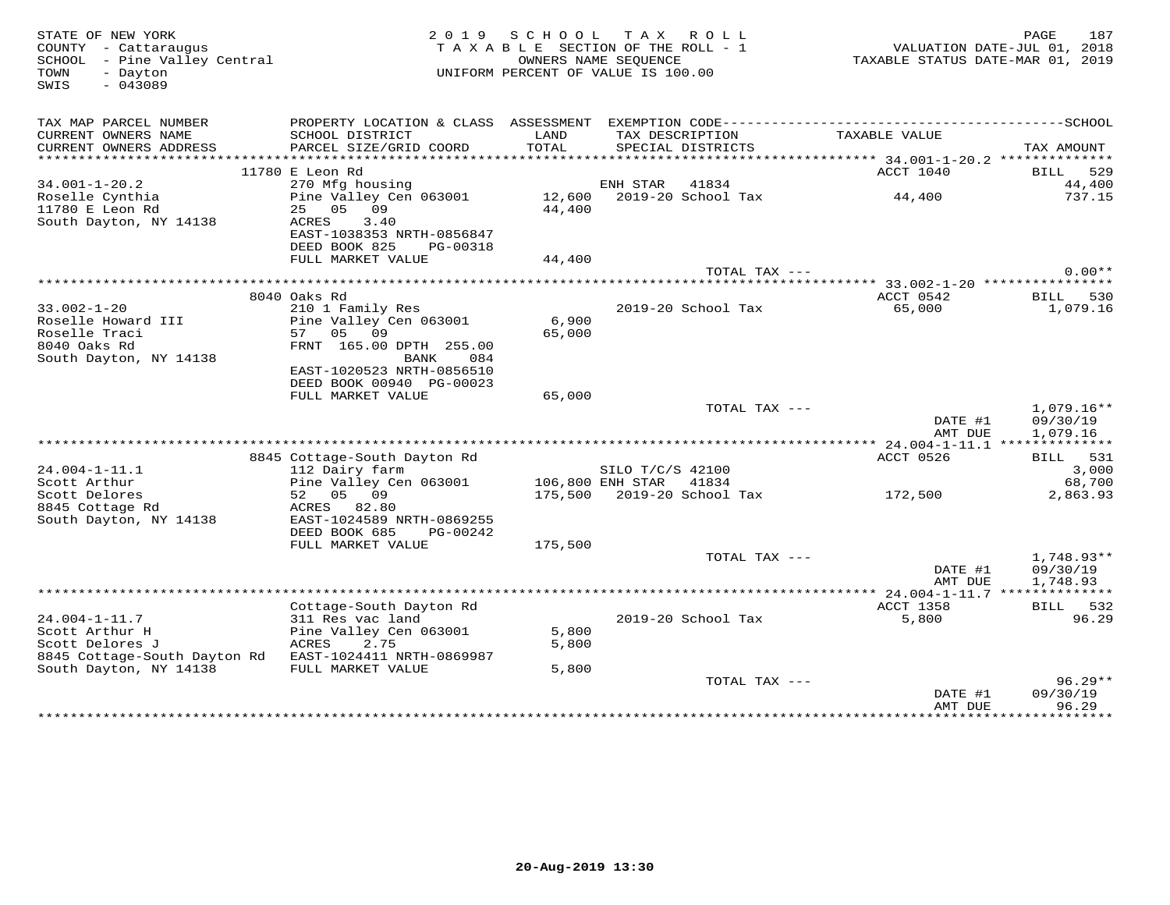| STATE OF NEW YORK<br>COUNTY - Cattaraugus<br>SCHOOL - Pine Valley Central<br>TOWN<br>- Dayton<br>$-043089$<br>SWIS |                                                                                                                                         | 2019 SCHOOL     | TAX ROLL<br>TAXABLE SECTION OF THE ROLL - 1<br>OWNERS NAME SEOUENCE<br>UNIFORM PERCENT OF VALUE IS 100.00 | VALUATION DATE-JUL 01, 2018<br>TAXABLE STATUS DATE-MAR 01, 2019 | PAGE<br>187                          |
|--------------------------------------------------------------------------------------------------------------------|-----------------------------------------------------------------------------------------------------------------------------------------|-----------------|-----------------------------------------------------------------------------------------------------------|-----------------------------------------------------------------|--------------------------------------|
| TAX MAP PARCEL NUMBER<br>CURRENT OWNERS NAME<br>CURRENT OWNERS ADDRESS                                             | SCHOOL DISTRICT<br>PARCEL SIZE/GRID COORD                                                                                               | LAND<br>TOTAL   | TAX DESCRIPTION<br>SPECIAL DISTRICTS                                                                      | TAXABLE VALUE                                                   | TAX AMOUNT                           |
| **********************                                                                                             |                                                                                                                                         |                 |                                                                                                           |                                                                 |                                      |
| $34.001 - 1 - 20.2$                                                                                                | 11780 E Leon Rd<br>270 Mfg housing                                                                                                      |                 | ENH STAR 41834                                                                                            | ACCT 1040                                                       | BILL 529<br>44,400                   |
| Roselle Cynthia<br>11780 E Leon Rd<br>South Dayton, NY 14138                                                       | Pine Valley Cen 063001 12,600 2019-20 School Tax<br>25 05 09<br>ACRES<br>3.40<br>EAST-1038353 NRTH-0856847<br>DEED BOOK 825<br>PG-00318 | 44,400          |                                                                                                           | 44,400                                                          | 737.15                               |
|                                                                                                                    | FULL MARKET VALUE                                                                                                                       | 44,400          |                                                                                                           |                                                                 |                                      |
|                                                                                                                    |                                                                                                                                         |                 | TOTAL TAX ---                                                                                             |                                                                 | $0.00**$                             |
|                                                                                                                    |                                                                                                                                         |                 |                                                                                                           |                                                                 |                                      |
|                                                                                                                    | 8040 Oaks Rd                                                                                                                            |                 |                                                                                                           | ACCT 0542                                                       | BILL 530                             |
| $33.002 - 1 - 20$<br>Roselle Howard III<br>Roselle Traci<br>8040 Oaks Rd<br>South Dayton, NY 14138                 | 210 1 Family Res<br>Pine Valley Cen 063001<br>57 05 09<br>FRNT 165.00 DPTH 255.00<br>BANK<br>084                                        | 6,900<br>65,000 | 2019-20 School Tax                                                                                        | 65,000                                                          | 1,079.16                             |
|                                                                                                                    | EAST-1020523 NRTH-0856510<br>DEED BOOK 00940 PG-00023                                                                                   |                 |                                                                                                           |                                                                 |                                      |
|                                                                                                                    | FULL MARKET VALUE                                                                                                                       | 65,000          |                                                                                                           |                                                                 |                                      |
|                                                                                                                    |                                                                                                                                         |                 | TOTAL TAX ---                                                                                             |                                                                 | $1,079.16**$                         |
|                                                                                                                    |                                                                                                                                         |                 |                                                                                                           | DATE #1<br>AMT DUE                                              | 09/30/19<br>1,079.16                 |
|                                                                                                                    |                                                                                                                                         |                 |                                                                                                           |                                                                 |                                      |
|                                                                                                                    | 8845 Cottage-South Dayton Rd                                                                                                            |                 |                                                                                                           | ACCT 0526                                                       | BILL 531                             |
| 24.004-1-11.1<br>Scott Arthur                                                                                      | 112 Dairy farm<br>Pine Valley Cen 063001                                                                                                |                 | SILO T/C/S 42100<br>106,800 ENH STAR 41834                                                                |                                                                 | 3,000<br>68,700                      |
| Scott Delores<br>8845 Cottage Rd<br>South Dayton, NY 14138                                                         | 52 05 09<br>ACRES 82.80<br>EAST-1024589 NRTH-0869255                                                                                    |                 | 175,500 2019-20 School Tax                                                                                | 172,500                                                         | 2,863.93                             |
|                                                                                                                    | DEED BOOK 685 PG-00242<br>FULL MARKET VALUE                                                                                             | 175,500         |                                                                                                           |                                                                 |                                      |
|                                                                                                                    |                                                                                                                                         |                 | TOTAL TAX ---                                                                                             | DATE #1<br>AMT DUE                                              | $1,748.93**$<br>09/30/19<br>1,748.93 |
|                                                                                                                    |                                                                                                                                         |                 |                                                                                                           |                                                                 |                                      |
| 24.004-1-11.7                                                                                                      | Cottage-South Dayton Rd<br>311 Res vac land                                                                                             |                 | 2019-20 School Tax                                                                                        | ACCT 1358<br>5,800                                              | BILL 532<br>96.29                    |
| Scott Arthur H<br>Scott Delores J<br>8845 Cottage-South Dayton Rd EAST-1024411 NRTH-0869987                        | Pine Valley Cen 063001<br>ACRES<br>2.75                                                                                                 | 5,800<br>5,800  |                                                                                                           |                                                                 |                                      |
| South Dayton, NY 14138                                                                                             | FULL MARKET VALUE                                                                                                                       | 5,800           |                                                                                                           |                                                                 |                                      |
|                                                                                                                    |                                                                                                                                         |                 | TOTAL TAX ---                                                                                             | DATE #1                                                         | $96.29**$<br>09/30/19                |
|                                                                                                                    |                                                                                                                                         |                 |                                                                                                           | AMT DUE<br>. <b>.</b> . <b>.</b> .                              | 96.29<br><b>++++++++++</b>           |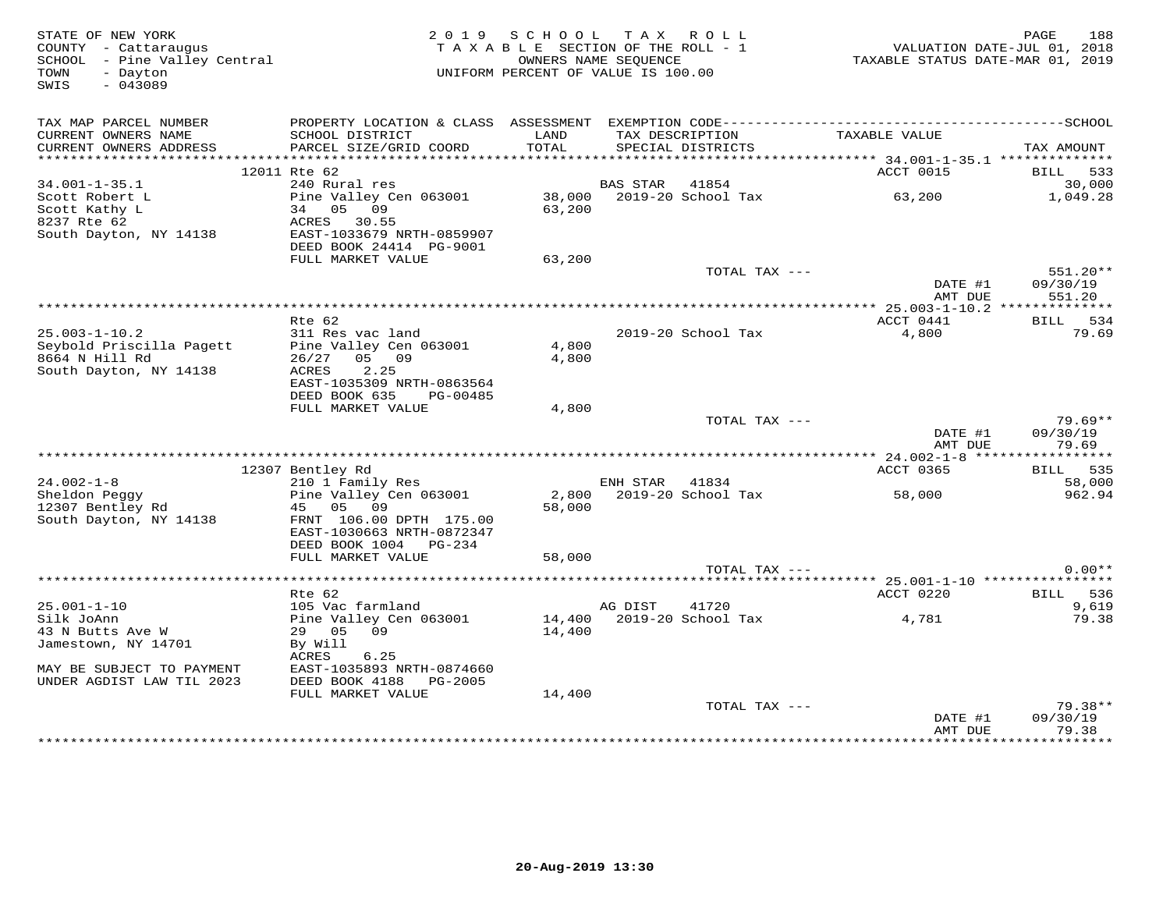| STATE OF NEW YORK<br>COUNTY - Cattaraugus<br>SCHOOL - Pine Valley Central<br>TOWN<br>- Dayton<br>$-043089$<br>SWIS | 2 0 1 9                                                                                      | SCHOOL<br>TAXABLE SECTION OF THE ROLL - 1<br>OWNERS NAME SEQUENCE<br>UNIFORM PERCENT OF VALUE IS 100.00 |                 | TAX ROLL                             | TAXABLE STATUS DATE-MAR 01, 2019                 | 188<br>PAGE<br>VALUATION DATE-JUL 01, 2018 |
|--------------------------------------------------------------------------------------------------------------------|----------------------------------------------------------------------------------------------|---------------------------------------------------------------------------------------------------------|-----------------|--------------------------------------|--------------------------------------------------|--------------------------------------------|
|                                                                                                                    |                                                                                              |                                                                                                         |                 |                                      |                                                  |                                            |
| TAX MAP PARCEL NUMBER                                                                                              | PROPERTY LOCATION & CLASS ASSESSMENT EXEMPTION CODE-----------------------------------SCHOOL |                                                                                                         |                 |                                      |                                                  |                                            |
| CURRENT OWNERS NAME<br>CURRENT OWNERS ADDRESS                                                                      | SCHOOL DISTRICT<br>PARCEL SIZE/GRID COORD                                                    | LAND<br>TOTAL                                                                                           |                 | TAX DESCRIPTION<br>SPECIAL DISTRICTS | TAXABLE VALUE                                    | TAX AMOUNT                                 |
|                                                                                                                    |                                                                                              |                                                                                                         |                 |                                      |                                                  |                                            |
|                                                                                                                    | 12011 Rte 62                                                                                 |                                                                                                         |                 |                                      | ACCT 0015                                        | BILL 533                                   |
| $34.001 - 1 - 35.1$                                                                                                | 240 Rural res                                                                                |                                                                                                         | <b>BAS STAR</b> | 41854                                |                                                  | 30,000                                     |
| Scott Robert L<br>Scott Kathy L                                                                                    | Pine Valley Cen 063001<br>34 05 09                                                           | 38,000<br>63,200                                                                                        |                 | 2019-20 School Tax                   | 63,200                                           | 1,049.28                                   |
| 8237 Rte 62                                                                                                        | ACRES 30.55                                                                                  |                                                                                                         |                 |                                      |                                                  |                                            |
| South Dayton, NY 14138                                                                                             | EAST-1033679 NRTH-0859907                                                                    |                                                                                                         |                 |                                      |                                                  |                                            |
|                                                                                                                    | DEED BOOK 24414 PG-9001                                                                      |                                                                                                         |                 |                                      |                                                  |                                            |
|                                                                                                                    | FULL MARKET VALUE                                                                            | 63,200                                                                                                  |                 |                                      |                                                  |                                            |
|                                                                                                                    |                                                                                              |                                                                                                         |                 | TOTAL TAX ---                        |                                                  | 551.20**                                   |
|                                                                                                                    |                                                                                              |                                                                                                         |                 |                                      | DATE #1<br>AMT DUE                               | 09/30/19                                   |
|                                                                                                                    |                                                                                              |                                                                                                         |                 |                                      | ****************** 25.003-1-10.2 *************** | 551.20                                     |
|                                                                                                                    | Rte 62                                                                                       |                                                                                                         |                 |                                      | ACCT 0441                                        | BILL 534                                   |
| $25.003 - 1 - 10.2$                                                                                                | 311 Res vac land                                                                             |                                                                                                         |                 | 2019-20 School Tax                   | 4,800                                            | 79.69                                      |
| Seybold Priscilla Pagett                                                                                           | Pine Valley Cen 063001                                                                       | 4,800                                                                                                   |                 |                                      |                                                  |                                            |
| 8664 N Hill Rd                                                                                                     | 26/27<br>05 09                                                                               | 4,800                                                                                                   |                 |                                      |                                                  |                                            |
| South Dayton, NY 14138                                                                                             | ACRES<br>2.25<br>EAST-1035309 NRTH-0863564                                                   |                                                                                                         |                 |                                      |                                                  |                                            |
|                                                                                                                    | DEED BOOK 635<br>PG-00485                                                                    |                                                                                                         |                 |                                      |                                                  |                                            |
|                                                                                                                    | FULL MARKET VALUE                                                                            | 4,800                                                                                                   |                 |                                      |                                                  |                                            |
|                                                                                                                    |                                                                                              |                                                                                                         |                 | TOTAL TAX ---                        |                                                  | $79.69**$                                  |
|                                                                                                                    |                                                                                              |                                                                                                         |                 |                                      | DATE #1                                          | 09/30/19                                   |
|                                                                                                                    |                                                                                              |                                                                                                         |                 |                                      | AMT DUE                                          | 79.69                                      |
|                                                                                                                    |                                                                                              |                                                                                                         |                 |                                      |                                                  |                                            |
| $24.002 - 1 - 8$                                                                                                   | 12307 Bentley Rd<br>210 1 Family Res                                                         |                                                                                                         | ENH STAR        | 41834                                | ACCT 0365                                        | BILL 535<br>58,000                         |
| Sheldon Peggy                                                                                                      | Pine Valley Cen 063001                                                                       |                                                                                                         |                 | 2,800 2019-20 School Tax             | 58,000                                           | 962.94                                     |
| 12307 Bentley Rd                                                                                                   | 45<br>05 09                                                                                  | 58,000                                                                                                  |                 |                                      |                                                  |                                            |
| South Dayton, NY 14138                                                                                             | FRNT 106.00 DPTH 175.00                                                                      |                                                                                                         |                 |                                      |                                                  |                                            |
|                                                                                                                    | EAST-1030663 NRTH-0872347                                                                    |                                                                                                         |                 |                                      |                                                  |                                            |
|                                                                                                                    | DEED BOOK 1004<br>PG-234                                                                     |                                                                                                         |                 |                                      |                                                  |                                            |
|                                                                                                                    | FULL MARKET VALUE                                                                            | 58,000                                                                                                  |                 | TOTAL TAX ---                        |                                                  | $0.00**$                                   |
|                                                                                                                    |                                                                                              |                                                                                                         |                 |                                      |                                                  |                                            |
|                                                                                                                    | Rte 62                                                                                       |                                                                                                         |                 |                                      | ACCT 0220                                        | BILL 536                                   |
| $25.001 - 1 - 10$                                                                                                  | 105 Vac farmland                                                                             |                                                                                                         | AG DIST         | 41720                                |                                                  | 9,619                                      |
| Silk JoAnn                                                                                                         | Pine Valley Cen 063001                                                                       |                                                                                                         |                 | 14,400 2019-20 School Tax            | 4,781                                            | 79.38                                      |
| 43 N Butts Ave W                                                                                                   | 29 05<br>09                                                                                  | 14,400                                                                                                  |                 |                                      |                                                  |                                            |
| Jamestown, NY 14701                                                                                                | By Will                                                                                      |                                                                                                         |                 |                                      |                                                  |                                            |
| MAY BE SUBJECT TO PAYMENT                                                                                          | ACRES<br>6.25<br>EAST-1035893 NRTH-0874660                                                   |                                                                                                         |                 |                                      |                                                  |                                            |
| UNDER AGDIST LAW TIL 2023                                                                                          | DEED BOOK 4188<br>PG-2005                                                                    |                                                                                                         |                 |                                      |                                                  |                                            |
|                                                                                                                    | FULL MARKET VALUE                                                                            | 14,400                                                                                                  |                 |                                      |                                                  |                                            |
|                                                                                                                    |                                                                                              |                                                                                                         |                 | TOTAL TAX ---                        |                                                  | $79.38**$                                  |
|                                                                                                                    |                                                                                              |                                                                                                         |                 |                                      | DATE #1                                          | 09/30/19                                   |
|                                                                                                                    |                                                                                              |                                                                                                         |                 |                                      | AMT DUE                                          | 79.38<br>*********                         |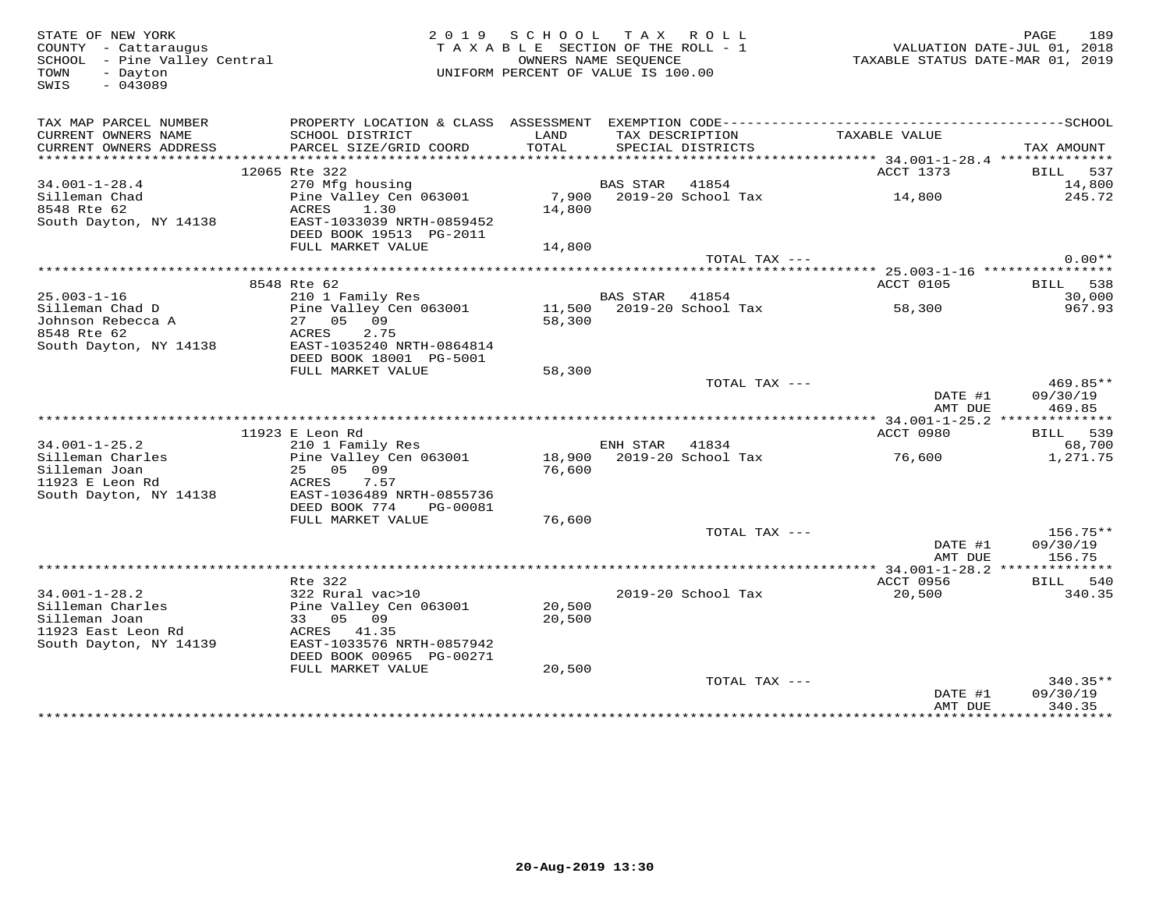SWIS - 043089

#### STATE OF NEW YORK PORT AND ROLL STATE OF NEW YORK 189<br>COUNTY - Cattaraugus and the section of the ROLL - 1 waluation Date-Jul 01, 2018<br>SCHOOL - Pine Valley Central and the Section of The Valley Central and School - Pine Va TAXABLE SECTION OF THE ROLL - 1 SCHOOL – Pine Valley Central OWNERS NAME SEQUENCE TAXABLE STATUS DATE-MAR 01, 2019 TOWN - Dayton UNIFORM PERCENT OF VALUE IS 100.00

| TAX MAP PARCEL NUMBER<br>CURRENT OWNERS NAME<br>CURRENT OWNERS ADDRESS | PROPERTY LOCATION & CLASS ASSESSMENT<br>SCHOOL DISTRICT<br>PARCEL SIZE/GRID COORD | LAND<br>TOTAL |                 | TAX DESCRIPTION<br>SPECIAL DISTRICTS | TAXABLE VALUE                   | TAX AMOUNT         |
|------------------------------------------------------------------------|-----------------------------------------------------------------------------------|---------------|-----------------|--------------------------------------|---------------------------------|--------------------|
| **********************                                                 |                                                                                   |               |                 |                                      |                                 |                    |
|                                                                        | 12065 Rte 322                                                                     |               |                 |                                      | ACCT 1373                       | BILL 537           |
| $34.001 - 1 - 28.4$                                                    | 270 Mfg housing                                                                   |               | <b>BAS STAR</b> | 41854                                |                                 | 14,800             |
|                                                                        |                                                                                   |               |                 |                                      |                                 |                    |
| Silleman Chad                                                          | Pine Valley Cen 063001                                                            | 7,900         |                 | 2019-20 School Tax                   | 14,800                          | 245.72             |
| 8548 Rte 62                                                            | 1.30<br>ACRES                                                                     | 14,800        |                 |                                      |                                 |                    |
| South Dayton, NY 14138                                                 | EAST-1033039 NRTH-0859452                                                         |               |                 |                                      |                                 |                    |
|                                                                        | DEED BOOK 19513 PG-2011                                                           |               |                 |                                      |                                 |                    |
|                                                                        | FULL MARKET VALUE                                                                 | 14,800        |                 |                                      |                                 |                    |
|                                                                        |                                                                                   |               |                 | TOTAL TAX ---                        |                                 | $0.00**$           |
|                                                                        |                                                                                   |               |                 |                                      |                                 |                    |
|                                                                        | 8548 Rte 62                                                                       |               |                 |                                      | ACCT 0105                       | 538<br><b>BILL</b> |
| $25.003 - 1 - 16$                                                      | 210 1 Family Res                                                                  |               | BAS STAR        | 41854                                |                                 | 30,000             |
| Silleman Chad D                                                        | Pine Valley Cen 063001                                                            | 11,500        |                 | 2019-20 School Tax                   | 58,300                          | 967.93             |
| Johnson Rebecca A                                                      | 09<br>27 05                                                                       | 58,300        |                 |                                      |                                 |                    |
| 8548 Rte 62                                                            | 2.75<br>ACRES                                                                     |               |                 |                                      |                                 |                    |
| South Dayton, NY 14138                                                 | EAST-1035240 NRTH-0864814                                                         |               |                 |                                      |                                 |                    |
|                                                                        | DEED BOOK 18001 PG-5001                                                           |               |                 |                                      |                                 |                    |
|                                                                        | FULL MARKET VALUE                                                                 | 58,300        |                 |                                      |                                 |                    |
|                                                                        |                                                                                   |               |                 | TOTAL TAX $---$                      |                                 | 469.85**           |
|                                                                        |                                                                                   |               |                 |                                      | DATE #1                         | 09/30/19           |
|                                                                        |                                                                                   |               |                 |                                      | AMT DUE                         | 469.85             |
|                                                                        |                                                                                   |               |                 |                                      |                                 |                    |
|                                                                        | 11923 E Leon Rd                                                                   |               |                 |                                      | ACCT 0980                       | BILL 539           |
| $34.001 - 1 - 25.2$                                                    | 210 1 Family Res                                                                  |               | ENH STAR        | 41834                                |                                 | 68,700             |
| Silleman Charles                                                       | Pine Valley Cen 063001                                                            | 18,900        |                 | 2019-20 School Tax                   | 76,600                          | 1,271.75           |
| Silleman Joan                                                          | 25 05<br>09                                                                       | 76,600        |                 |                                      |                                 |                    |
| 11923 E Leon Rd                                                        | 7.57<br>ACRES                                                                     |               |                 |                                      |                                 |                    |
| South Dayton, NY 14138                                                 | EAST-1036489 NRTH-0855736                                                         |               |                 |                                      |                                 |                    |
|                                                                        | DEED BOOK 774<br>PG-00081                                                         |               |                 |                                      |                                 |                    |
|                                                                        | FULL MARKET VALUE                                                                 | 76,600        |                 |                                      |                                 |                    |
|                                                                        |                                                                                   |               |                 | TOTAL TAX $---$                      |                                 | $156.75**$         |
|                                                                        |                                                                                   |               |                 |                                      | DATE #1                         | 09/30/19           |
|                                                                        |                                                                                   |               |                 |                                      | AMT DUE                         | 156.75             |
|                                                                        |                                                                                   |               |                 |                                      |                                 |                    |
|                                                                        | Rte 322                                                                           |               |                 |                                      | ACCT 0956                       | BILL 540           |
| $34.001 - 1 - 28.2$                                                    | 322 Rural vac>10                                                                  |               |                 | 2019-20 School Tax                   | 20,500                          | 340.35             |
| Silleman Charles                                                       | Pine Valley Cen 063001                                                            | 20,500        |                 |                                      |                                 |                    |
| Silleman Joan                                                          | 33 05<br>09                                                                       | 20,500        |                 |                                      |                                 |                    |
| 11923 East Leon Rd                                                     | ACRES<br>41.35                                                                    |               |                 |                                      |                                 |                    |
| South Dayton, NY 14139                                                 | EAST-1033576 NRTH-0857942                                                         |               |                 |                                      |                                 |                    |
|                                                                        | DEED BOOK 00965 PG-00271                                                          |               |                 |                                      |                                 |                    |
|                                                                        | FULL MARKET VALUE                                                                 | 20,500        |                 |                                      |                                 |                    |
|                                                                        |                                                                                   |               |                 | TOTAL TAX ---                        |                                 | $340.35**$         |
|                                                                        |                                                                                   |               |                 |                                      | DATE #1                         | 09/30/19           |
|                                                                        |                                                                                   |               |                 |                                      | AMT DUE                         | 340.35             |
|                                                                        |                                                                                   |               |                 |                                      | * * * * * * * * * * * * * * * * | ************       |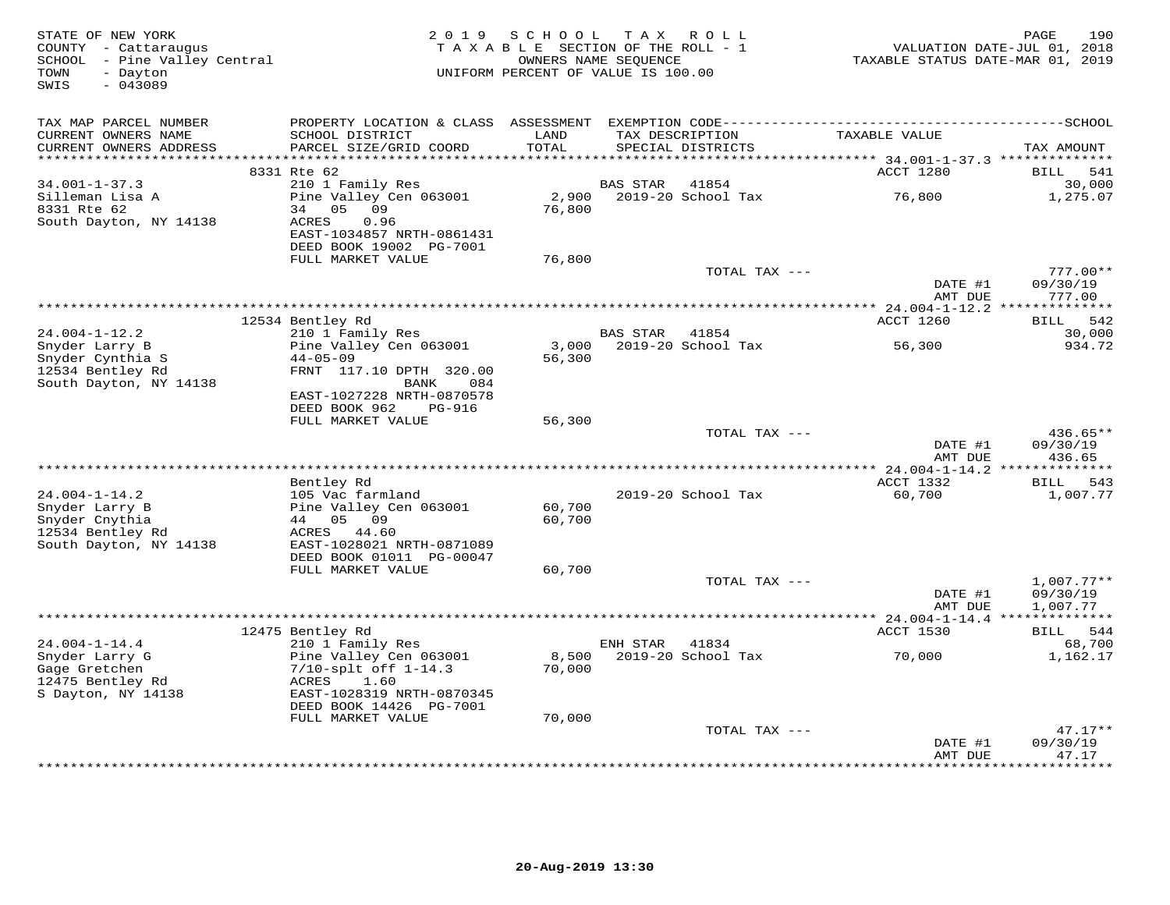| STATE OF NEW YORK<br>COUNTY - Cattaraugus<br>SCHOOL - Pine Valley Central<br>- Dayton<br>TOWN<br>$-043089$<br>SWIS | 2 0 1 9                                                                                           | SCHOOL<br>TAXABLE SECTION OF THE ROLL - 1<br>OWNERS NAME SEQUENCE<br>UNIFORM PERCENT OF VALUE IS 100.00 | T A X                    | R O L L                              | TAXABLE STATUS DATE-MAR 01, 2019                                      | 190<br>PAGE<br>VALUATION DATE-JUL 01, 2018 |
|--------------------------------------------------------------------------------------------------------------------|---------------------------------------------------------------------------------------------------|---------------------------------------------------------------------------------------------------------|--------------------------|--------------------------------------|-----------------------------------------------------------------------|--------------------------------------------|
| TAX MAP PARCEL NUMBER<br>CURRENT OWNERS NAME<br>CURRENT OWNERS ADDRESS<br>*******************                      | PROPERTY LOCATION & CLASS ASSESSMENT<br>SCHOOL DISTRICT<br>PARCEL SIZE/GRID COORD                 | LAND<br>TOTAL<br>*******                                                                                |                          | TAX DESCRIPTION<br>SPECIAL DISTRICTS | TAXABLE VALUE                                                         | TAX AMOUNT                                 |
|                                                                                                                    | 8331 Rte 62                                                                                       |                                                                                                         |                          |                                      | *************************** 34.001-1-37.3 **************<br>ACCT 1280 | BILL<br>541                                |
| $34.001 - 1 - 37.3$<br>Silleman Lisa A<br>8331 Rte 62                                                              | 210 1 Family Res<br>Pine Valley Cen 063001<br>09<br>34<br>05                                      | 2,900<br>76,800                                                                                         | BAS STAR                 | 41854<br>2019-20 School Tax          | 76,800                                                                | 30,000<br>1,275.07                         |
| South Dayton, NY 14138                                                                                             | <b>ACRES</b><br>0.96<br>EAST-1034857 NRTH-0861431<br>DEED BOOK 19002 PG-7001<br>FULL MARKET VALUE | 76,800                                                                                                  |                          |                                      |                                                                       |                                            |
|                                                                                                                    |                                                                                                   |                                                                                                         |                          | TOTAL TAX ---                        | DATE #1                                                               | $777.00**$<br>09/30/19                     |
|                                                                                                                    |                                                                                                   |                                                                                                         |                          | ***************************          | AMT DUE<br>********* 24.004-1-12.2 **************                     | 777.00                                     |
|                                                                                                                    | 12534 Bentley Rd                                                                                  |                                                                                                         |                          |                                      | ACCT 1260                                                             | 542<br>BILL                                |
| $24.004 - 1 - 12.2$                                                                                                | 210 1 Family Res                                                                                  |                                                                                                         | BAS STAR                 | 41854                                |                                                                       | 30,000                                     |
| Snyder Larry B<br>Snyder Cynthia S<br>12534 Bentley Rd<br>South Dayton, NY 14138                                   | Pine Valley Cen 063001<br>$44 - 05 - 09$<br>FRNT 117.10 DPTH 320.00<br>BANK<br>084                | 3,000<br>56,300                                                                                         |                          | 2019-20 School Tax                   | 56,300                                                                | 934.72                                     |
|                                                                                                                    | EAST-1027228 NRTH-0870578<br>DEED BOOK 962<br>PG-916<br>FULL MARKET VALUE                         | 56,300                                                                                                  |                          |                                      |                                                                       |                                            |
|                                                                                                                    |                                                                                                   |                                                                                                         |                          | TOTAL TAX ---                        | DATE #1                                                               | 436.65**<br>09/30/19                       |
|                                                                                                                    | ********                                                                                          |                                                                                                         | **********************   |                                      | AMT DUE<br>* 24.004-1-14.2 ***************                            | 436.65                                     |
|                                                                                                                    | Bentley Rd                                                                                        |                                                                                                         |                          |                                      | ACCT 1332                                                             | 543<br>BILL                                |
| $24.004 - 1 - 14.2$<br>Snyder Larry B<br>Snyder Cnythia<br>12534 Bentley Rd                                        | 105 Vac farmland<br>Pine Valley Cen 063001<br>44 05 09<br>ACRES 44.60                             | 60,700<br>60,700                                                                                        |                          | 2019-20 School Tax                   | 60,700                                                                | 1,007.77                                   |
| South Dayton, NY 14138                                                                                             | EAST-1028021 NRTH-0871089<br>DEED BOOK 01011 PG-00047<br>FULL MARKET VALUE                        | 60,700                                                                                                  |                          |                                      |                                                                       |                                            |
|                                                                                                                    |                                                                                                   |                                                                                                         |                          | TOTAL TAX ---                        |                                                                       | $1,007.77**$                               |
|                                                                                                                    |                                                                                                   |                                                                                                         | ************************ |                                      | DATE #1<br>AMT DUE<br>*** 24.004-1-14.4 **                            | 09/30/19<br>1,007.77                       |
|                                                                                                                    | 12475 Bentley Rd                                                                                  |                                                                                                         |                          |                                      | ACCT 1530                                                             | 544<br>BILL                                |
| $24.004 - 1 - 14.4$<br>Snyder Larry G<br>Gage Gretchen<br>12475 Bentley Rd                                         | 210 1 Family Res<br>Pine Valley Cen 063001<br>$7/10$ -splt off $1-14.3$<br>1.60<br>ACRES          | 8,500<br>70,000                                                                                         | ENH STAR                 | 41834<br>2019-20 School Tax          | 70,000                                                                | 68,700<br>1,162.17                         |
| S Dayton, NY 14138                                                                                                 | EAST-1028319 NRTH-0870345<br>DEED BOOK 14426 PG-7001                                              |                                                                                                         |                          |                                      |                                                                       |                                            |
|                                                                                                                    | FULL MARKET VALUE                                                                                 | 70,000                                                                                                  |                          | TOTAL TAX ---                        |                                                                       | $47.17**$                                  |
|                                                                                                                    |                                                                                                   |                                                                                                         |                          |                                      | DATE #1<br>AMT DUE                                                    | 09/30/19<br>47.17<br>********              |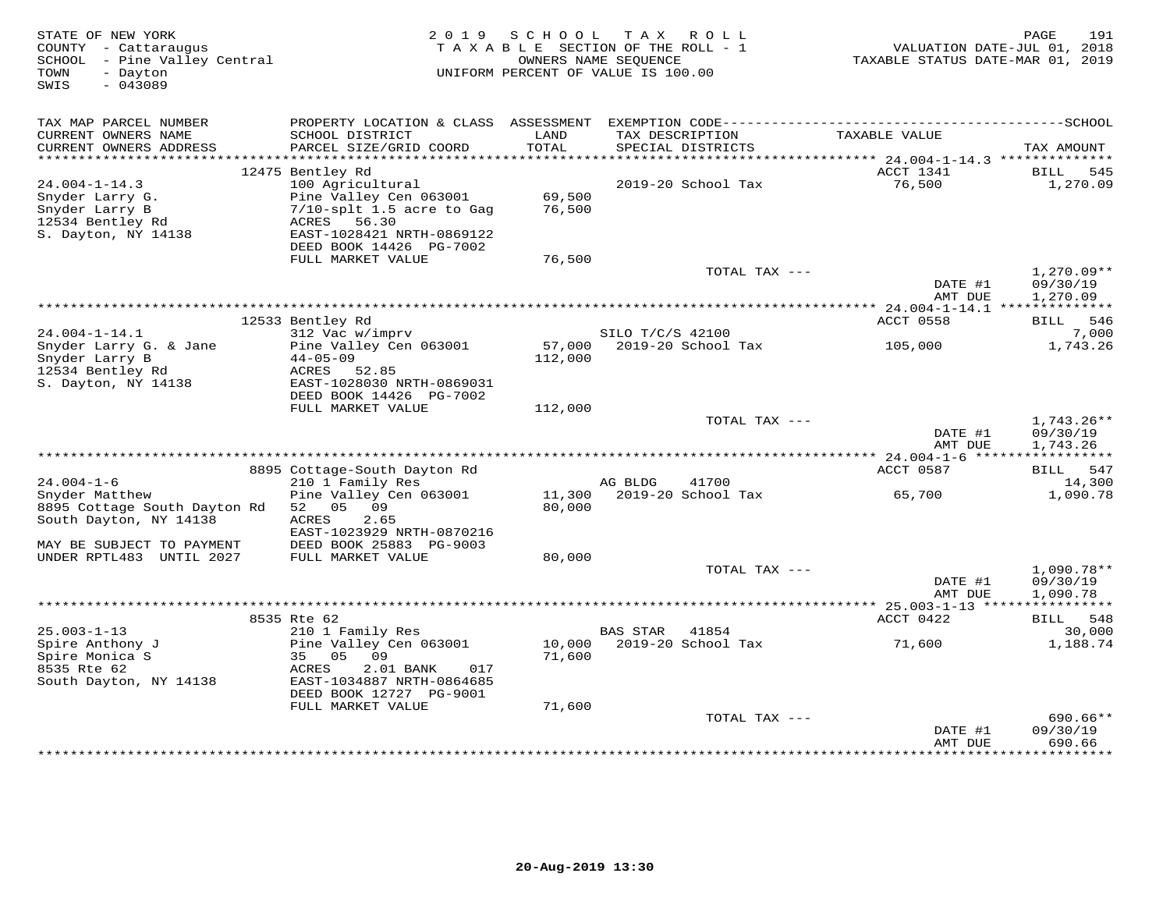| STATE OF NEW YORK<br>COUNTY - Cattaraugus<br>- Pine Valley Central<br>SCHOOL<br>TOWN<br>- Dayton<br>SWIS<br>$-043089$ | 2 0 1 9                                                | S C H O O L   | T A X<br>R O L L<br>TAXABLE SECTION OF THE ROLL - 1<br>OWNERS NAME SEQUENCE<br>UNIFORM PERCENT OF VALUE IS 100.00 | VALUATION DATE-JUL 01, 2018<br>TAXABLE STATUS DATE-MAR 01, 2019 | 191<br>PAGE                   |
|-----------------------------------------------------------------------------------------------------------------------|--------------------------------------------------------|---------------|-------------------------------------------------------------------------------------------------------------------|-----------------------------------------------------------------|-------------------------------|
| TAX MAP PARCEL NUMBER                                                                                                 |                                                        |               |                                                                                                                   |                                                                 |                               |
| CURRENT OWNERS NAME<br>CURRENT OWNERS ADDRESS                                                                         | SCHOOL DISTRICT<br>PARCEL SIZE/GRID COORD              | LAND<br>TOTAL | TAX DESCRIPTION<br>SPECIAL DISTRICTS                                                                              | TAXABLE VALUE                                                   | TAX AMOUNT                    |
|                                                                                                                       |                                                        |               |                                                                                                                   |                                                                 |                               |
|                                                                                                                       | 12475 Bentley Rd                                       |               |                                                                                                                   | ACCT 1341                                                       | BILL<br>545                   |
| $24.004 - 1 - 14.3$                                                                                                   | 100 Agricultural                                       |               | 2019-20 School Tax                                                                                                | 76,500                                                          | 1,270.09                      |
| Snyder Larry G.                                                                                                       | Pine Valley Cen 063001                                 | 69,500        |                                                                                                                   |                                                                 |                               |
| Snyder Larry B<br>12534 Bentley Rd                                                                                    | $7/10$ -splt 1.5 acre to Gag<br>ACRES<br>56.30         | 76,500        |                                                                                                                   |                                                                 |                               |
| S. Dayton, NY 14138                                                                                                   | EAST-1028421 NRTH-0869122                              |               |                                                                                                                   |                                                                 |                               |
|                                                                                                                       | DEED BOOK 14426 PG-7002                                |               |                                                                                                                   |                                                                 |                               |
|                                                                                                                       | FULL MARKET VALUE                                      | 76,500        |                                                                                                                   |                                                                 |                               |
|                                                                                                                       |                                                        |               | TOTAL TAX ---                                                                                                     |                                                                 | $1,270.09**$                  |
|                                                                                                                       |                                                        |               |                                                                                                                   | DATE #1                                                         | 09/30/19                      |
|                                                                                                                       |                                                        |               |                                                                                                                   | AMT DUE                                                         | 1,270.09                      |
|                                                                                                                       | 12533 Bentley Rd                                       |               |                                                                                                                   | <b>ACCT 0558</b>                                                | 546<br>BILL                   |
| $24.004 - 1 - 14.1$                                                                                                   | 312 Vac w/imprv                                        |               | SILO T/C/S 42100                                                                                                  |                                                                 | 7,000                         |
| Snyder Larry G. & Jane                                                                                                | Pine Valley Cen 063001                                 | 57,000        | 2019-20 School Tax                                                                                                | 105,000                                                         | 1,743.26                      |
| Snyder Larry B                                                                                                        | $44 - 05 - 09$                                         | 112,000       |                                                                                                                   |                                                                 |                               |
| 12534 Bentley Rd                                                                                                      | ACRES<br>52.85                                         |               |                                                                                                                   |                                                                 |                               |
| S. Dayton, NY 14138                                                                                                   | EAST-1028030 NRTH-0869031<br>DEED BOOK 14426 PG-7002   |               |                                                                                                                   |                                                                 |                               |
|                                                                                                                       | FULL MARKET VALUE                                      | 112,000       |                                                                                                                   |                                                                 |                               |
|                                                                                                                       |                                                        |               | TOTAL TAX ---                                                                                                     |                                                                 | $1,743.26**$                  |
|                                                                                                                       |                                                        |               |                                                                                                                   | DATE #1                                                         | 09/30/19                      |
|                                                                                                                       |                                                        |               |                                                                                                                   | AMT DUE                                                         | 1,743.26                      |
|                                                                                                                       |                                                        |               |                                                                                                                   | *********** 24.004-1-6 ******                                   | ***********                   |
|                                                                                                                       | 8895 Cottage-South Dayton Rd                           |               |                                                                                                                   | ACCT 0587                                                       | BILL<br>547                   |
| $24.004 - 1 - 6$<br>Snyder Matthew                                                                                    | 210 1 Family Res<br>Pine Valley Cen 063001             | 11,300        | AG BLDG<br>41700<br>2019-20 School Tax                                                                            | 65,700                                                          | 14,300<br>1,090.78            |
| 8895 Cottage South Dayton Rd                                                                                          | 52 05 09                                               | 80,000        |                                                                                                                   |                                                                 |                               |
| South Dayton, NY 14138                                                                                                | <b>ACRES</b><br>2.65                                   |               |                                                                                                                   |                                                                 |                               |
|                                                                                                                       | EAST-1023929 NRTH-0870216                              |               |                                                                                                                   |                                                                 |                               |
| MAY BE SUBJECT TO PAYMENT                                                                                             | DEED BOOK 25883 PG-9003                                |               |                                                                                                                   |                                                                 |                               |
| UNDER RPTL483 UNTIL 2027                                                                                              | FULL MARKET VALUE                                      | 80,000        |                                                                                                                   |                                                                 |                               |
|                                                                                                                       |                                                        |               | TOTAL TAX ---                                                                                                     | DATE #1                                                         | $1,090.78**$<br>09/30/19      |
|                                                                                                                       |                                                        |               |                                                                                                                   | AMT DUE                                                         | 1,090.78                      |
|                                                                                                                       | ***********************************                    |               |                                                                                                                   | ********* 25.003-1-13 *****                                     |                               |
|                                                                                                                       | 8535 Rte 62                                            |               |                                                                                                                   | ACCT 0422                                                       | 548<br>BILL                   |
| $25.003 - 1 - 13$                                                                                                     | 210 1 Family Res                                       |               | <b>BAS STAR</b><br>41854                                                                                          |                                                                 | 30,000                        |
| Spire Anthony J                                                                                                       | Pine Valley Cen 063001                                 | 10,000        | 2019-20 School Tax                                                                                                | 71,600                                                          | 1,188.74                      |
| Spire Monica S                                                                                                        | 35<br>05<br>09                                         | 71,600        |                                                                                                                   |                                                                 |                               |
| 8535 Rte 62<br>South Dayton, NY 14138                                                                                 | ACRES<br>2.01 BANK<br>017<br>EAST-1034887 NRTH-0864685 |               |                                                                                                                   |                                                                 |                               |
|                                                                                                                       | DEED BOOK 12727 PG-9001                                |               |                                                                                                                   |                                                                 |                               |
|                                                                                                                       | FULL MARKET VALUE                                      | 71,600        |                                                                                                                   |                                                                 |                               |
|                                                                                                                       |                                                        |               | TOTAL TAX ---                                                                                                     |                                                                 | $690.66**$                    |
|                                                                                                                       |                                                        |               |                                                                                                                   | DATE #1                                                         | 09/30/19                      |
|                                                                                                                       |                                                        |               |                                                                                                                   | AMT DUE<br>********                                             | 690.66<br>* * * * * * * * * * |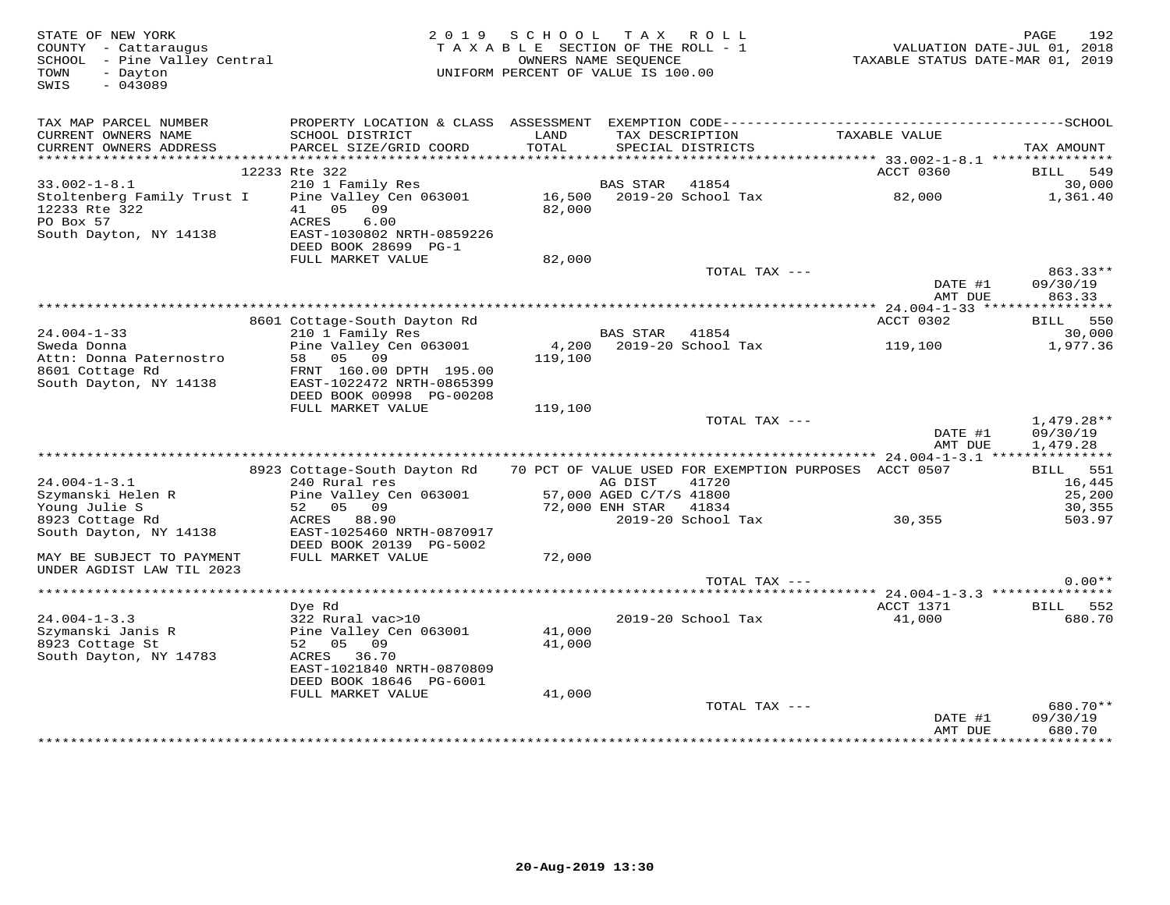| STATE OF NEW YORK<br>COUNTY - Cattaraugus<br>SCHOOL - Pine Valley Central<br>- Dayton<br>TOWN<br>$-043089$<br>SWIS |                                                                                                                                           | 2019 SCHOOL<br>TAXABLE SECTION OF THE ROLL - 1<br>UNIFORM PERCENT OF VALUE IS 100.00 | OWNERS NAME SEQUENCE    | TAX ROLL                             | VALUATION DATE-JUL 01, 2018<br>TAXABLE STATUS DATE-MAR 01, 2019 | 192<br>PAGE          |
|--------------------------------------------------------------------------------------------------------------------|-------------------------------------------------------------------------------------------------------------------------------------------|--------------------------------------------------------------------------------------|-------------------------|--------------------------------------|-----------------------------------------------------------------|----------------------|
| TAX MAP PARCEL NUMBER<br>CURRENT OWNERS NAME<br>CURRENT OWNERS ADDRESS                                             | PROPERTY LOCATION & CLASS ASSESSMENT EXEMPTION CODE-----------------------------------SCHOOL<br>SCHOOL DISTRICT<br>PARCEL SIZE/GRID COORD | LAND<br>TOTAL                                                                        |                         | TAX DESCRIPTION<br>SPECIAL DISTRICTS | TAXABLE VALUE                                                   | TAX AMOUNT           |
|                                                                                                                    |                                                                                                                                           |                                                                                      |                         |                                      |                                                                 |                      |
|                                                                                                                    | 12233 Rte 322                                                                                                                             |                                                                                      |                         |                                      | ACCT 0360                                                       | BILL 549             |
| $33.002 - 1 - 8.1$                                                                                                 | 210 1 Family Res                                                                                                                          |                                                                                      | <b>BAS STAR</b>         | 41854                                |                                                                 | 30,000               |
| Stoltenberg Family Trust I<br>12233 Rte 322<br>PO Box 57                                                           | Pine Valley Cen 063001<br>41 05 09<br>ACRES<br>6.00                                                                                       | 82,000                                                                               |                         | 16,500 2019-20 School Tax            | 82,000                                                          | 1,361.40             |
| South Dayton, NY 14138                                                                                             | EAST-1030802 NRTH-0859226<br>DEED BOOK 28699 PG-1                                                                                         |                                                                                      |                         |                                      |                                                                 |                      |
|                                                                                                                    | FULL MARKET VALUE                                                                                                                         | 82,000                                                                               |                         |                                      |                                                                 |                      |
|                                                                                                                    |                                                                                                                                           |                                                                                      |                         | TOTAL TAX ---                        | DATE #1                                                         | 863.33**<br>09/30/19 |
|                                                                                                                    |                                                                                                                                           |                                                                                      |                         |                                      | AMT DUE                                                         | 863.33               |
|                                                                                                                    | 8601 Cottage-South Dayton Rd                                                                                                              |                                                                                      |                         |                                      | ACCT 0302                                                       | BILL 550             |
| $24.004 - 1 - 33$                                                                                                  | 210 1 Family Res                                                                                                                          |                                                                                      | BAS STAR                | 41854                                |                                                                 | 30,000               |
| Sweda Donna<br>Attn: Donna Paternostro<br>8601 Cottage Rd                                                          | Pine Valley Cen 063001<br>58 05 09<br>FRNT 160.00 DPTH 195.00                                                                             | 4,200<br>119,100                                                                     |                         | 2019-20 School Tax                   | 119,100                                                         | 1,977.36             |
| South Dayton, NY 14138                                                                                             | EAST-1022472 NRTH-0865399<br>DEED BOOK 00998 PG-00208<br>FULL MARKET VALUE                                                                | 119,100                                                                              |                         |                                      |                                                                 |                      |
|                                                                                                                    |                                                                                                                                           |                                                                                      |                         | TOTAL TAX ---                        |                                                                 | 1,479.28**           |
|                                                                                                                    |                                                                                                                                           |                                                                                      |                         |                                      | DATE #1<br>AMT DUE                                              | 09/30/19<br>1,479.28 |
|                                                                                                                    |                                                                                                                                           |                                                                                      |                         |                                      |                                                                 |                      |
| $24.004 - 1 - 3.1$                                                                                                 | 8923 Cottage-South Dayton Rd 70 PCT OF VALUE USED FOR EXEMPTION PURPOSES ACCT 0507<br>240 Rural res                                       |                                                                                      | AG DIST                 | 41720                                |                                                                 | BILL 551<br>16,445   |
| Szymanski Helen R                                                                                                  | Pine Valley Cen 063001                                                                                                                    |                                                                                      | 57,000 AGED C/T/S 41800 |                                      |                                                                 | 25,200               |
| Young Julie S                                                                                                      | 52 05 09                                                                                                                                  |                                                                                      | 72,000 ENH STAR         | 41834                                |                                                                 | 30,355               |
| 8923 Cottage Rd                                                                                                    | ACRES 88.90                                                                                                                               |                                                                                      |                         | 2019-20 School Tax                   | 30, 355                                                         | 503.97               |
| South Dayton, NY 14138                                                                                             | EAST-1025460 NRTH-0870917<br>DEED BOOK 20139 PG-5002                                                                                      |                                                                                      |                         |                                      |                                                                 |                      |
| MAY BE SUBJECT TO PAYMENT                                                                                          | FULL MARKET VALUE                                                                                                                         | 72,000                                                                               |                         |                                      |                                                                 |                      |
| UNDER AGDIST LAW TIL 2023                                                                                          |                                                                                                                                           |                                                                                      |                         | TOTAL TAX ---                        |                                                                 | $0.00**$             |
|                                                                                                                    |                                                                                                                                           |                                                                                      |                         |                                      |                                                                 |                      |
|                                                                                                                    | Dye Rd                                                                                                                                    |                                                                                      |                         |                                      | ACCT 1371                                                       | BILL 552             |
| $24.004 - 1 - 3.3$                                                                                                 | 322 Rural vac>10                                                                                                                          |                                                                                      |                         | 2019-20 School Tax                   | 41,000                                                          | 680.70               |
| Szymanski Janis R<br>8923 Cottage St                                                                               | Pine Valley Cen 063001<br>52 05 09                                                                                                        | 41,000<br>41,000                                                                     |                         |                                      |                                                                 |                      |
| South Dayton, NY 14783                                                                                             | ACRES 36.70<br>EAST-1021840 NRTH-0870809<br>DEED BOOK 18646 PG-6001                                                                       |                                                                                      |                         |                                      |                                                                 |                      |
|                                                                                                                    | FULL MARKET VALUE                                                                                                                         | 41,000                                                                               |                         |                                      |                                                                 |                      |
|                                                                                                                    |                                                                                                                                           |                                                                                      |                         | TOTAL TAX ---                        | DATE #1                                                         | 680.70**<br>09/30/19 |
|                                                                                                                    |                                                                                                                                           |                                                                                      |                         |                                      | AMT DUE                                                         | 680.70               |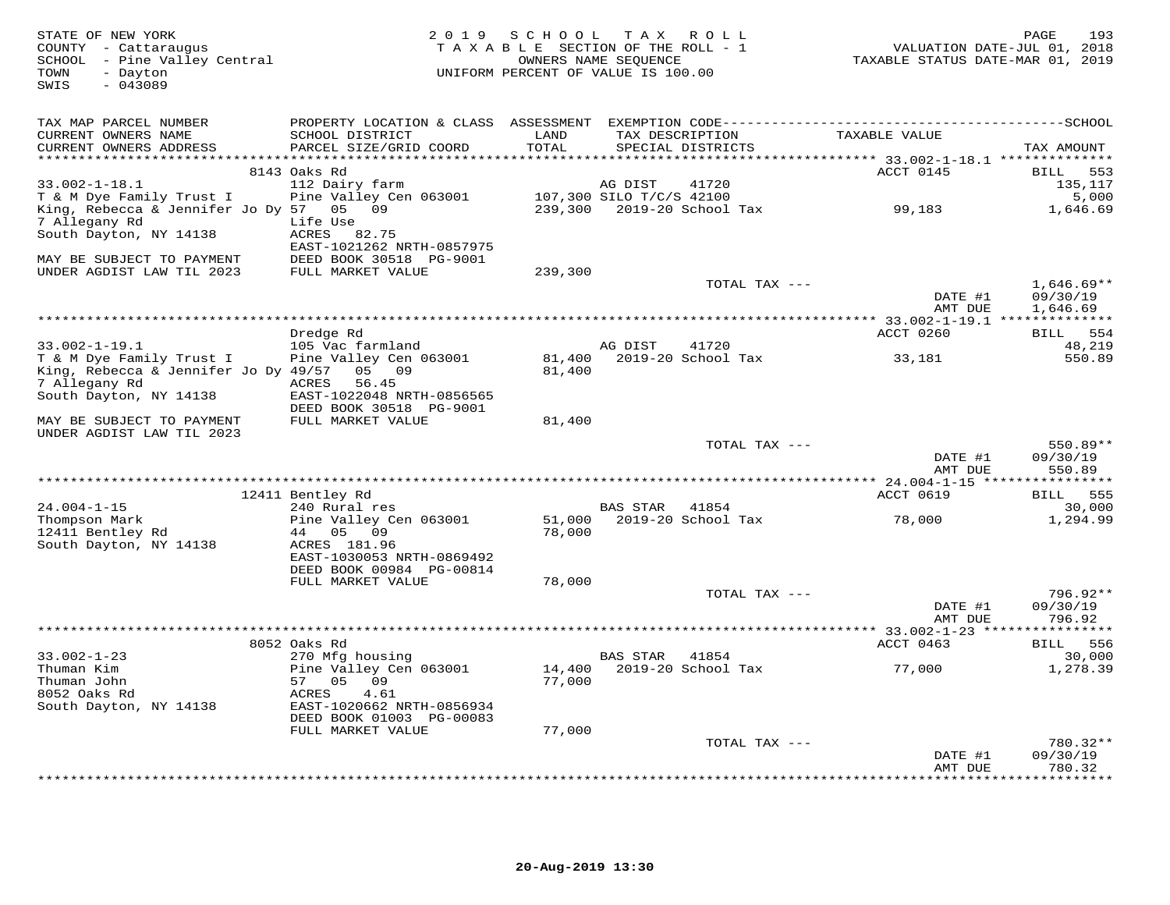| STATE OF NEW YORK<br>COUNTY - Cattaraugus<br>SCHOOL - Pine Valley Central<br>TOWN<br>- Dayton<br>SWIS<br>$-043089$ | 2 0 1 9                                                             | SCHOOL TAX    | R O L L<br>TAXABLE SECTION OF THE ROLL - 1<br>OWNERS NAME SEQUENCE<br>UNIFORM PERCENT OF VALUE IS 100.00 | TAXABLE STATUS DATE-MAR 01, 2019                                 | 193<br>PAGE<br>VALUATION DATE-JUL 01, 2018 |
|--------------------------------------------------------------------------------------------------------------------|---------------------------------------------------------------------|---------------|----------------------------------------------------------------------------------------------------------|------------------------------------------------------------------|--------------------------------------------|
| TAX MAP PARCEL NUMBER                                                                                              |                                                                     |               |                                                                                                          |                                                                  |                                            |
| CURRENT OWNERS NAME<br>CURRENT OWNERS ADDRESS                                                                      | SCHOOL DISTRICT<br>PARCEL SIZE/GRID COORD                           | LAND<br>TOTAL | TAX DESCRIPTION<br>SPECIAL DISTRICTS                                                                     | TAXABLE VALUE                                                    | TAX AMOUNT                                 |
|                                                                                                                    | 8143 Oaks Rd                                                        |               |                                                                                                          | ACCT 0145                                                        | <b>BILL</b><br>553                         |
| $33.002 - 1 - 18.1$                                                                                                | 112 Dairy farm                                                      |               | 41720<br>AG DIST                                                                                         |                                                                  | 135,117                                    |
| T & M Dye Family Trust I                                                                                           | Pine Valley Cen 063001                                              |               | 107,300 SILO T/C/S 42100                                                                                 |                                                                  | 5,000                                      |
| King, Rebecca & Jennifer Jo Dy 57 05 09<br>7 Allegany Rd                                                           | Life Use                                                            |               | 239,300 2019-20 School Tax                                                                               | 99,183                                                           | 1,646.69                                   |
| South Dayton, NY 14138                                                                                             | ACRES 82.75<br>EAST-1021262 NRTH-0857975<br>DEED BOOK 30518 PG-9001 |               |                                                                                                          |                                                                  |                                            |
| MAY BE SUBJECT TO PAYMENT<br>UNDER AGDIST LAW TIL 2023                                                             | FULL MARKET VALUE                                                   | 239,300       |                                                                                                          |                                                                  |                                            |
|                                                                                                                    |                                                                     |               | TOTAL TAX ---                                                                                            | DATE #1                                                          | $1,646.69**$<br>09/30/19                   |
|                                                                                                                    |                                                                     |               |                                                                                                          | AMT DUE                                                          | 1,646.69                                   |
|                                                                                                                    |                                                                     |               |                                                                                                          |                                                                  |                                            |
| $33.002 - 1 - 19.1$                                                                                                | Dredge Rd<br>105 Vac farmland                                       |               | AG DIST<br>41720                                                                                         | ACCT 0260                                                        | <b>BILL</b><br>554<br>48,219               |
| T & M Dye Family Trust I                                                                                           | Pine Valley Cen 063001                                              |               | 81,400 2019-20 School Tax                                                                                | 33,181                                                           | 550.89                                     |
| King, Rebecca & Jennifer Jo Dy 49/57                                                                               | 05 09                                                               | 81,400        |                                                                                                          |                                                                  |                                            |
| 7 Allegany Rd                                                                                                      | ACRES<br>56.45                                                      |               |                                                                                                          |                                                                  |                                            |
| South Dayton, NY 14138                                                                                             | EAST-1022048 NRTH-0856565                                           |               |                                                                                                          |                                                                  |                                            |
| MAY BE SUBJECT TO PAYMENT<br>UNDER AGDIST LAW TIL 2023                                                             | DEED BOOK 30518 PG-9001<br>FULL MARKET VALUE                        | 81,400        |                                                                                                          |                                                                  |                                            |
|                                                                                                                    |                                                                     |               | TOTAL TAX ---                                                                                            |                                                                  | 550.89**                                   |
|                                                                                                                    |                                                                     |               |                                                                                                          | DATE #1<br>AMT DUE                                               | 09/30/19<br>550.89                         |
|                                                                                                                    |                                                                     |               |                                                                                                          | ********************* 24.004-1-15 *****************<br>ACCT 0619 | <b>BILL</b><br>555                         |
| $24.004 - 1 - 15$                                                                                                  | 12411 Bentley Rd<br>240 Rural res                                   |               | <b>BAS STAR</b><br>41854                                                                                 |                                                                  | 30,000                                     |
| Thompson Mark                                                                                                      | Pine Valley Cen 063001                                              | 51,000        | 2019-20 School Tax                                                                                       | 78,000                                                           | 1,294.99                                   |
| 12411 Bentley Rd<br>South Dayton, NY 14138                                                                         | 44 05 09<br>ACRES 181.96<br>EAST-1030053 NRTH-0869492               | 78,000        |                                                                                                          |                                                                  |                                            |
|                                                                                                                    | DEED BOOK 00984 PG-00814                                            |               |                                                                                                          |                                                                  |                                            |
|                                                                                                                    | FULL MARKET VALUE                                                   | 78,000        |                                                                                                          |                                                                  |                                            |
|                                                                                                                    |                                                                     |               | TOTAL TAX ---                                                                                            | DATE #1                                                          | 796.92**<br>09/30/19                       |
|                                                                                                                    |                                                                     |               |                                                                                                          | AMT DUE                                                          | 796.92                                     |
|                                                                                                                    | 8052 Oaks Rd                                                        |               |                                                                                                          | ACCT 0463                                                        | 556<br><b>BILL</b>                         |
| $33.002 - 1 - 23$                                                                                                  | 270 Mfg housing                                                     |               | 41854<br>BAS STAR                                                                                        |                                                                  | 30,000                                     |
| Thuman Kim                                                                                                         | Pine Valley Cen 063001                                              | 14,400        | 2019-20 School Tax                                                                                       | 77,000                                                           | 1,278.39                                   |
| Thuman John<br>8052 Oaks Rd                                                                                        | 57 05<br>09<br>ACRES<br>4.61                                        | 77,000        |                                                                                                          |                                                                  |                                            |
| South Dayton, NY 14138                                                                                             | EAST-1020662 NRTH-0856934                                           |               |                                                                                                          |                                                                  |                                            |
|                                                                                                                    | DEED BOOK 01003 PG-00083                                            |               |                                                                                                          |                                                                  |                                            |
|                                                                                                                    | FULL MARKET VALUE                                                   | 77,000        |                                                                                                          |                                                                  |                                            |
|                                                                                                                    |                                                                     |               | TOTAL TAX ---                                                                                            | DATE #1                                                          | 780.32**<br>09/30/19                       |
|                                                                                                                    |                                                                     |               |                                                                                                          | AMT DUE                                                          | 780.32                                     |
|                                                                                                                    |                                                                     |               |                                                                                                          |                                                                  | ********                                   |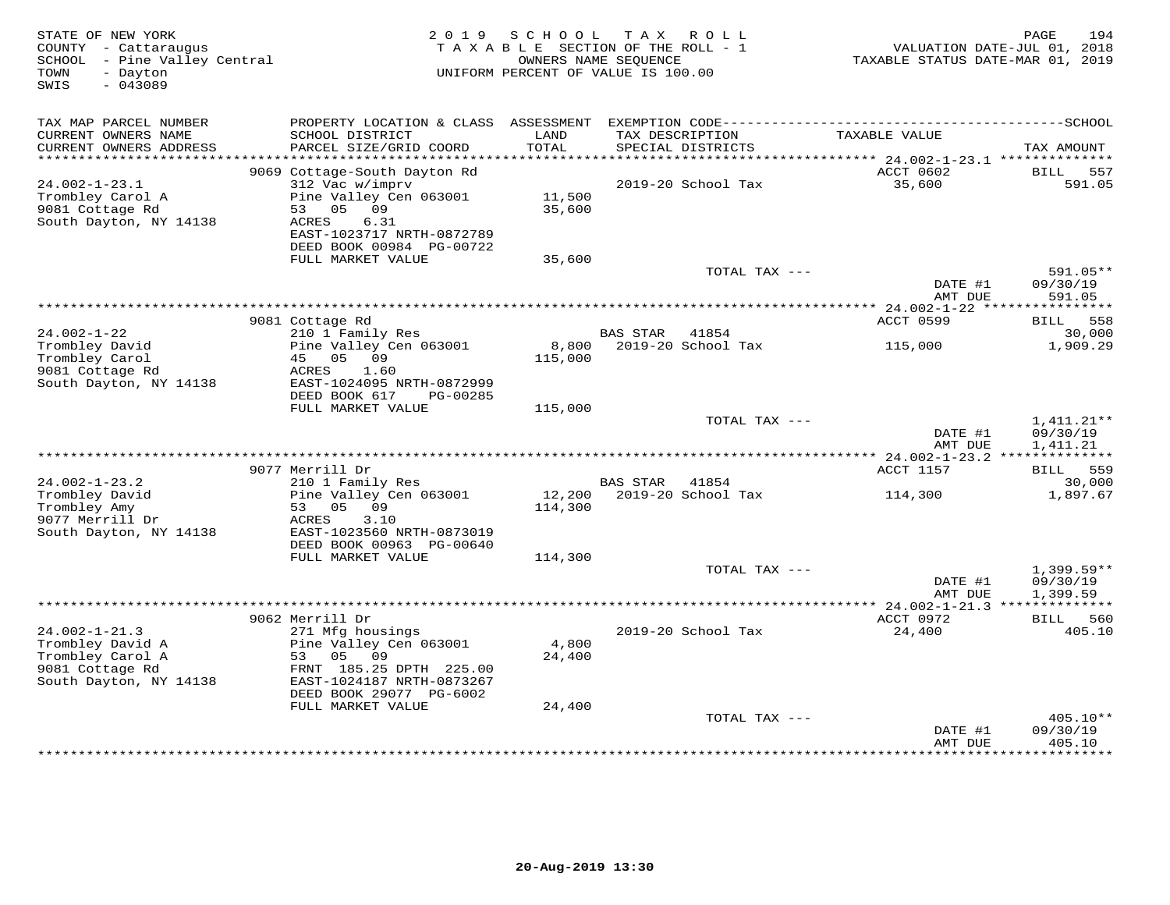| STATE OF NEW YORK<br>COUNTY - Cattaraugus<br>SCHOOL - Pine Valley Central<br>- Dayton<br>TOWN<br>$-043089$<br>SWIS | 2019                                                                                                                                             | SCHOOL                    | T A X<br>R O L L<br>TAXABLE SECTION OF THE ROLL - 1<br>OWNERS NAME SEQUENCE<br>UNIFORM PERCENT OF VALUE IS 100.00 | TAXABLE STATUS DATE-MAR 01, 2019    | 194<br>PAGE<br>VALUATION DATE-JUL 01, 2018 |
|--------------------------------------------------------------------------------------------------------------------|--------------------------------------------------------------------------------------------------------------------------------------------------|---------------------------|-------------------------------------------------------------------------------------------------------------------|-------------------------------------|--------------------------------------------|
| TAX MAP PARCEL NUMBER<br>CURRENT OWNERS NAME                                                                       | SCHOOL DISTRICT                                                                                                                                  | LAND                      | TAX DESCRIPTION                                                                                                   | TAXABLE VALUE                       |                                            |
| CURRENT OWNERS ADDRESS<br>***********************                                                                  | PARCEL SIZE/GRID COORD                                                                                                                           | TOTAL                     | SPECIAL DISTRICTS                                                                                                 |                                     | TAX AMOUNT                                 |
|                                                                                                                    | 9069 Cottage-South Dayton Rd                                                                                                                     |                           |                                                                                                                   | ACCT 0602                           | BILL<br>557                                |
| $24.002 - 1 - 23.1$<br>Trombley Carol A<br>9081 Cottage Rd<br>South Dayton, NY 14138                               | 312 Vac w/imprv<br>Pine Valley Cen 063001<br>53 05<br>09<br>6.31<br>ACRES<br>EAST-1023717 NRTH-0872789<br>DEED BOOK 00984 PG-00722               | 11,500<br>35,600          | 2019-20 School Tax                                                                                                | 35,600                              | 591.05                                     |
|                                                                                                                    | FULL MARKET VALUE                                                                                                                                | 35,600                    |                                                                                                                   |                                     |                                            |
|                                                                                                                    |                                                                                                                                                  |                           | TOTAL TAX ---                                                                                                     | DATE #1<br>AMT DUE                  | 591.05**<br>09/30/19<br>591.05             |
|                                                                                                                    |                                                                                                                                                  |                           |                                                                                                                   | ********** 24.002-1-22 *****        | ***********                                |
|                                                                                                                    | 9081 Cottage Rd                                                                                                                                  |                           |                                                                                                                   | ACCT 0599                           | BILL 558                                   |
| $24.002 - 1 - 22$                                                                                                  | 210 1 Family Res                                                                                                                                 |                           | <b>BAS STAR</b><br>41854                                                                                          |                                     | 30,000                                     |
| Trombley David<br>Trombley Carol<br>9081 Cottage Rd<br>South Dayton, NY 14138                                      | Pine Valley Cen 063001<br>45 05 09<br>ACRES<br>1.60<br>EAST-1024095 NRTH-0872999<br>DEED BOOK 617<br>PG-00285                                    | 8,800<br>115,000          | 2019-20 School Tax                                                                                                | 115,000                             | 1,909.29                                   |
|                                                                                                                    | FULL MARKET VALUE                                                                                                                                | 115,000                   |                                                                                                                   |                                     |                                            |
|                                                                                                                    |                                                                                                                                                  |                           | TOTAL TAX ---                                                                                                     | DATE #1<br>AMT DUE                  | $1,411.21**$<br>09/30/19<br>1,411.21       |
|                                                                                                                    | 9077 Merrill Dr                                                                                                                                  |                           |                                                                                                                   | ACCT 1157                           | <b>BILL</b> 559                            |
| $24.002 - 1 - 23.2$                                                                                                | 210 1 Family Res                                                                                                                                 |                           | BAS STAR<br>41854                                                                                                 |                                     | 30,000                                     |
| Trombley David<br>Trombley Amy<br>9077 Merrill Dr<br>South Dayton, NY 14138                                        | Pine Valley Cen 063001<br>53 05<br>09<br>ACRES<br>3.10<br>EAST-1023560 NRTH-0873019<br>DEED BOOK 00963 PG-00640                                  | 12,200<br>114,300         | 2019-20 School Tax                                                                                                | 114,300                             | 1,897.67                                   |
|                                                                                                                    | FULL MARKET VALUE                                                                                                                                | 114,300                   |                                                                                                                   |                                     |                                            |
|                                                                                                                    |                                                                                                                                                  |                           | TOTAL TAX ---                                                                                                     | DATE #1<br>AMT DUE                  | $1,399.59**$<br>09/30/19<br>1,399.59       |
|                                                                                                                    | 9062 Merrill Dr                                                                                                                                  |                           |                                                                                                                   | ACCT 0972                           | BILL<br>560                                |
| $24.002 - 1 - 21.3$                                                                                                | 271 Mfg housings                                                                                                                                 |                           | 2019-20 School Tax                                                                                                | 24,400                              | 405.10                                     |
| Trombley David A<br>Trombley Carol A<br>9081 Cottage Rd<br>South Dayton, NY 14138                                  | Pine Valley Cen 063001<br>53<br>05<br>09<br>FRNT 185.25 DPTH 225.00<br>EAST-1024187 NRTH-0873267<br>DEED BOOK 29077 PG-6002<br>FULL MARKET VALUE | 4,800<br>24,400<br>24,400 |                                                                                                                   |                                     |                                            |
|                                                                                                                    |                                                                                                                                                  |                           | TOTAL TAX ---                                                                                                     |                                     | 405.10**                                   |
|                                                                                                                    |                                                                                                                                                  |                           | ************************                                                                                          | DATE #1<br>AMT DUE<br>************* | 09/30/19<br>405.10<br>* * * * * * * * * *  |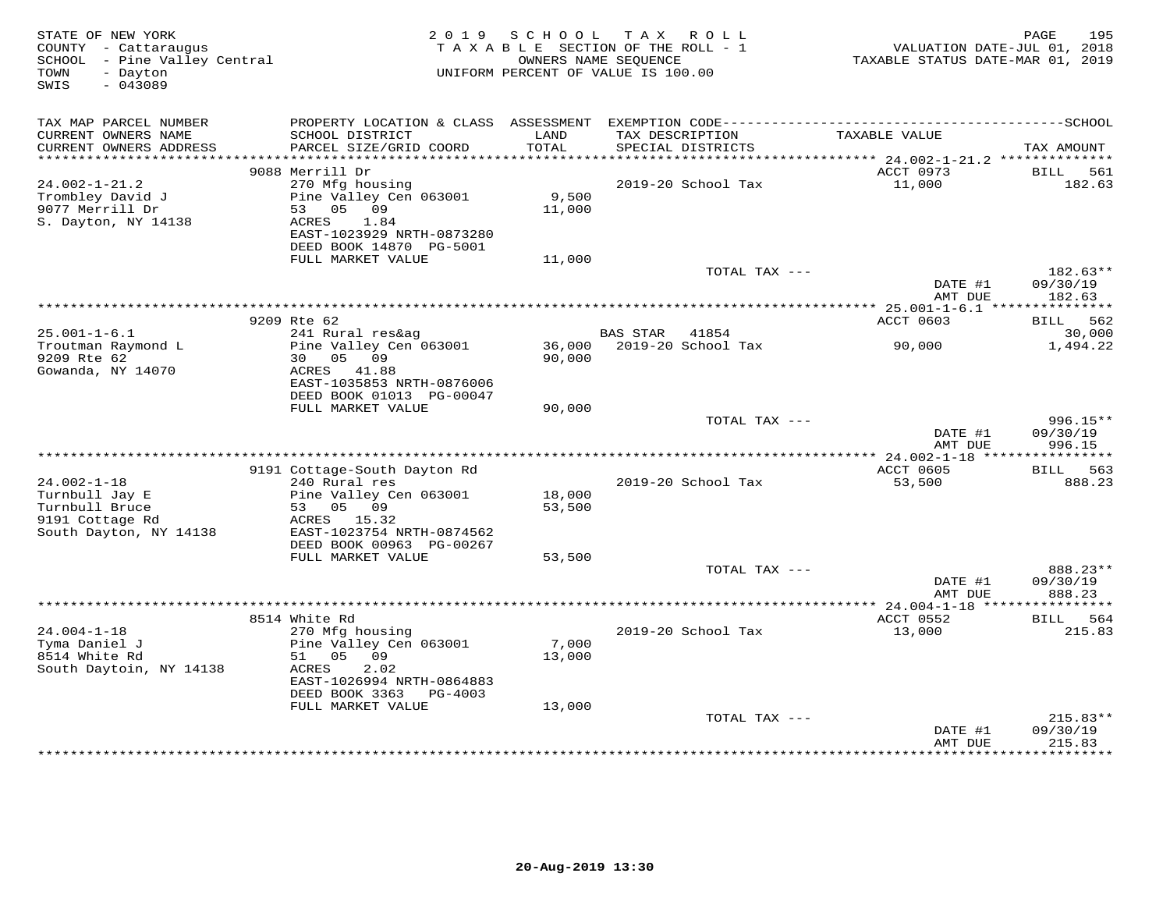| STATE OF NEW YORK<br>COUNTY - Cattaraugus<br>SCHOOL - Pine Valley Central<br>- Dayton<br>TOWN<br>$-043089$<br>SWIS |                                                                                                            | 2019 SCHOOL     | TAX ROLL<br>TAXABLE SECTION OF THE ROLL - 1<br>OWNERS NAME SEQUENCE<br>UNIFORM PERCENT OF VALUE IS 100.00 | VALUATION DATE-JUL 01, 2018<br>TAXABLE STATUS DATE-MAR 01, 2019 | 195<br>PAGE            |
|--------------------------------------------------------------------------------------------------------------------|------------------------------------------------------------------------------------------------------------|-----------------|-----------------------------------------------------------------------------------------------------------|-----------------------------------------------------------------|------------------------|
| TAX MAP PARCEL NUMBER                                                                                              |                                                                                                            |                 |                                                                                                           |                                                                 |                        |
| CURRENT OWNERS NAME<br>CURRENT OWNERS ADDRESS                                                                      | SCHOOL DISTRICT<br>PARCEL SIZE/GRID COORD                                                                  | LAND<br>TOTAL   | TAX DESCRIPTION<br>SPECIAL DISTRICTS                                                                      | TAXABLE VALUE                                                   | TAX AMOUNT             |
|                                                                                                                    | 9088 Merrill Dr                                                                                            |                 |                                                                                                           | ACCT 0973                                                       | 561<br>BILL            |
| $24.002 - 1 - 21.2$                                                                                                | 270 Mfg housing                                                                                            |                 | 2019-20 School Tax                                                                                        | 11,000                                                          | 182.63                 |
| Trombley David J<br>9077 Merrill Dr<br>S. Dayton, NY 14138                                                         | Pine Valley Cen 063001<br>53 05 09<br>ACRES<br>1.84<br>EAST-1023929 NRTH-0873280                           | 9,500<br>11,000 |                                                                                                           |                                                                 |                        |
|                                                                                                                    | DEED BOOK 14870 PG-5001                                                                                    |                 |                                                                                                           |                                                                 |                        |
|                                                                                                                    | FULL MARKET VALUE                                                                                          | 11,000          | TOTAL TAX ---                                                                                             |                                                                 | 182.63**               |
|                                                                                                                    |                                                                                                            |                 |                                                                                                           | DATE #1<br>AMT DUE                                              | 09/30/19<br>182.63     |
|                                                                                                                    |                                                                                                            |                 |                                                                                                           |                                                                 |                        |
|                                                                                                                    | 9209 Rte 62                                                                                                |                 |                                                                                                           | ACCT 0603                                                       | <b>BILL</b> 562        |
| $25.001 - 1 - 6.1$                                                                                                 | 241 Rural res&ag                                                                                           |                 | <b>BAS STAR</b><br>41854                                                                                  |                                                                 | 30,000                 |
| Troutman Raymond L<br>9209 Rte 62<br>Gowanda, NY 14070                                                             | Pine Valley Cen 063001<br>30 05 09<br>ACRES 41.88<br>EAST-1035853 NRTH-0876006<br>DEED BOOK 01013 PG-00047 | 90,000          | 36,000 2019-20 School Tax                                                                                 | 90,000                                                          | 1,494.22               |
|                                                                                                                    | FULL MARKET VALUE                                                                                          | 90,000          |                                                                                                           |                                                                 |                        |
|                                                                                                                    |                                                                                                            |                 | TOTAL TAX ---                                                                                             | DATE #1                                                         | 996.15**<br>09/30/19   |
|                                                                                                                    |                                                                                                            |                 |                                                                                                           | AMT DUE                                                         | 996.15                 |
|                                                                                                                    | 9191 Cottage-South Dayton Rd                                                                               |                 |                                                                                                           | ACCT 0605                                                       | <b>BILL</b> 563        |
| $24.002 - 1 - 18$                                                                                                  | 240 Rural res                                                                                              |                 | 2019-20 School Tax                                                                                        | 53,500                                                          | 888.23                 |
| Turnbull Jay E                                                                                                     | Pine Valley Cen 063001                                                                                     | 18,000          |                                                                                                           |                                                                 |                        |
| Turnbull Bruce<br>9191 Cottage Rd                                                                                  | 53 05 09<br>ACRES 15.32<br>EAST-1023754 NRTH-0874562                                                       | 53,500          |                                                                                                           |                                                                 |                        |
| South Dayton, NY 14138                                                                                             | DEED BOOK 00963 PG-00267                                                                                   |                 |                                                                                                           |                                                                 |                        |
|                                                                                                                    | FULL MARKET VALUE                                                                                          | 53,500          |                                                                                                           |                                                                 |                        |
|                                                                                                                    |                                                                                                            |                 | TOTAL TAX ---                                                                                             |                                                                 | 888.23**               |
|                                                                                                                    |                                                                                                            |                 |                                                                                                           | DATE #1<br>AMT DUE                                              | 09/30/19<br>888.23     |
|                                                                                                                    | 8514 White Rd                                                                                              |                 |                                                                                                           | ACCT 0552                                                       | BILL 564               |
| $24.004 - 1 - 18$                                                                                                  | 270 Mfg housing                                                                                            |                 | 2019-20 School Tax                                                                                        | 13,000                                                          | 215.83                 |
| Tyma Daniel J<br>8514 White Rd                                                                                     | Pine Valley Cen 063001<br>51 05 09                                                                         | 7,000<br>13,000 |                                                                                                           |                                                                 |                        |
| South Daytoin, NY 14138                                                                                            | ACRES<br>2.02<br>EAST-1026994 NRTH-0864883<br>DEED BOOK 3363 PG-4003                                       |                 |                                                                                                           |                                                                 |                        |
|                                                                                                                    | FULL MARKET VALUE                                                                                          | 13,000          |                                                                                                           |                                                                 |                        |
|                                                                                                                    |                                                                                                            |                 | TOTAL TAX ---                                                                                             | DATE #1                                                         | $215.83**$<br>09/30/19 |
|                                                                                                                    |                                                                                                            |                 |                                                                                                           | AMT DUE<br>****************                                     | 215.83<br>**********   |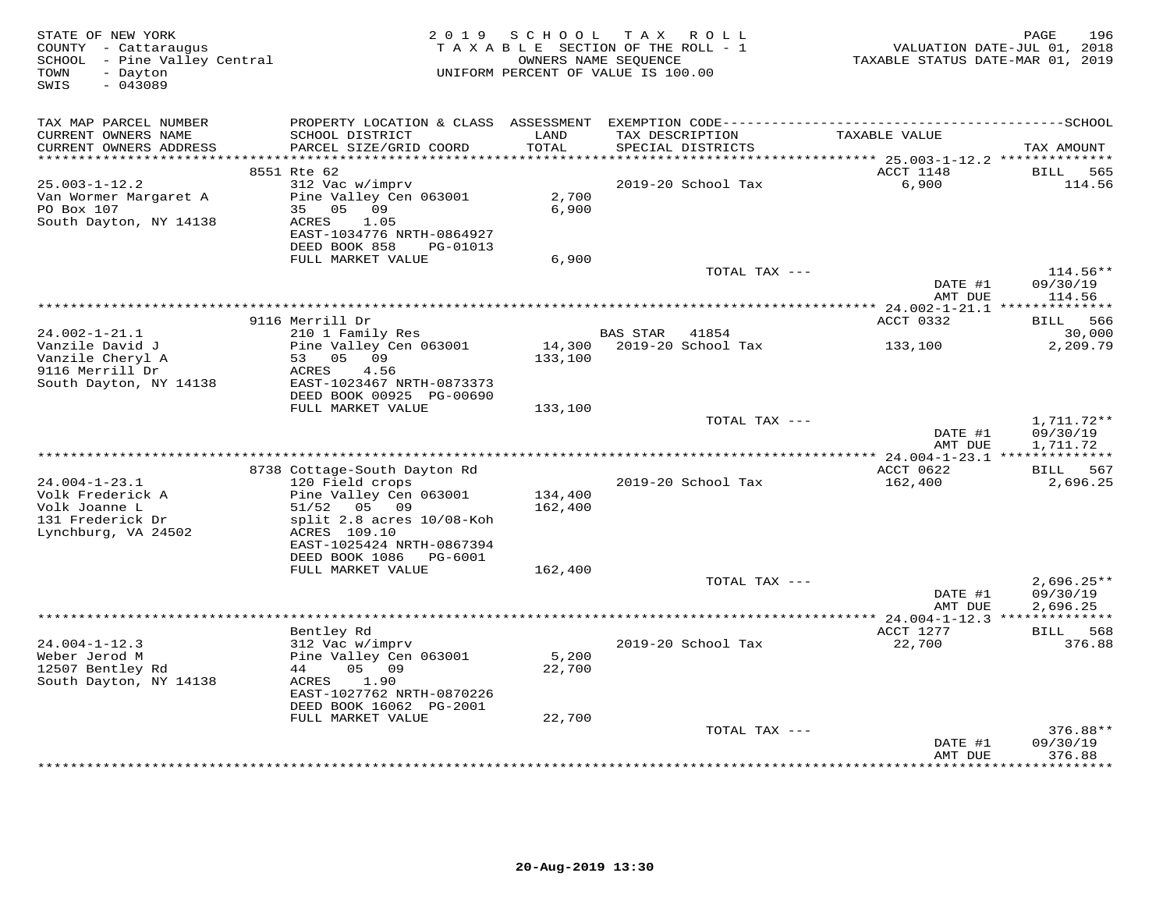| STATE OF NEW YORK<br>COUNTY - Cattaraugus<br>SCHOOL - Pine Valley Central<br>- Dayton<br>TOWN<br>SWIS<br>$-043089$ |                                                                                                                                                       | 2019 SCHOOL             | TAX ROLL<br>TAXABLE SECTION OF THE ROLL - 1<br>OWNERS NAME SEQUENCE<br>UNIFORM PERCENT OF VALUE IS 100.00 | TAXABLE STATUS DATE-MAR 01, 2019 | 196<br>PAGE<br>VALUATION DATE-JUL 01, 2018 |
|--------------------------------------------------------------------------------------------------------------------|-------------------------------------------------------------------------------------------------------------------------------------------------------|-------------------------|-----------------------------------------------------------------------------------------------------------|----------------------------------|--------------------------------------------|
| TAX MAP PARCEL NUMBER<br>CURRENT OWNERS NAME<br>CURRENT OWNERS ADDRESS<br>***********************                  | SCHOOL DISTRICT<br>PARCEL SIZE/GRID COORD                                                                                                             | LAND<br>TOTAL           | TAX DESCRIPTION<br>SPECIAL DISTRICTS                                                                      | TAXABLE VALUE                    | TAX AMOUNT                                 |
|                                                                                                                    | 8551 Rte 62                                                                                                                                           |                         |                                                                                                           | ACCT 1148                        | 565<br>BILL                                |
| $25.003 - 1 - 12.2$<br>Van Wormer Margaret A<br>PO Box 107<br>South Dayton, NY 14138                               | 312 Vac w/imprv<br>Pine Valley Cen 063001<br>35 05 09<br>1.05<br>ACRES<br>EAST-1034776 NRTH-0864927<br>DEED BOOK 858<br>PG-01013<br>FULL MARKET VALUE | 2,700<br>6,900<br>6,900 | 2019-20 School Tax                                                                                        | 6,900                            | 114.56                                     |
|                                                                                                                    |                                                                                                                                                       |                         | TOTAL TAX ---                                                                                             |                                  | $114.56**$                                 |
|                                                                                                                    |                                                                                                                                                       |                         |                                                                                                           | DATE #1<br>AMT DUE               | 09/30/19<br>114.56                         |
|                                                                                                                    | 9116 Merrill Dr                                                                                                                                       |                         |                                                                                                           | ACCT 0332                        | BILL 566                                   |
| $24.002 - 1 - 21.1$                                                                                                | 210 1 Family Res                                                                                                                                      |                         | BAS STAR 41854                                                                                            |                                  | 30,000                                     |
| Vanzile David J<br>Vanzile Cheryl A                                                                                | Pine Valley Cen 063001<br>53 05 09                                                                                                                    | 14,300<br>133,100       | 2019-20 School Tax                                                                                        | 133,100                          | 2,209.79                                   |
| 9116 Merrill Dr<br>South Dayton, NY 14138                                                                          | ACRES<br>4.56<br>EAST-1023467 NRTH-0873373<br>DEED BOOK 00925 PG-00690                                                                                |                         |                                                                                                           |                                  |                                            |
|                                                                                                                    | FULL MARKET VALUE                                                                                                                                     | 133,100                 | TOTAL TAX ---                                                                                             |                                  | $1,711.72**$                               |
|                                                                                                                    |                                                                                                                                                       |                         |                                                                                                           | DATE #1<br>AMT DUE               | 09/30/19<br>1,711.72                       |
|                                                                                                                    |                                                                                                                                                       |                         |                                                                                                           |                                  |                                            |
| $24.004 - 1 - 23.1$                                                                                                | 8738 Cottage-South Dayton Rd<br>120 Field crops                                                                                                       |                         | 2019-20 School Tax                                                                                        | ACCT 0622                        | BILL 567                                   |
| Volk Frederick A<br>Volk Joanne L<br>131 Frederick Dr<br>Lynchburg, VA 24502                                       | Pine Valley Cen 063001<br>51/52 05 09<br>split 2.8 acres 10/08-Koh<br>ACRES 109.10                                                                    | 134,400<br>162,400      |                                                                                                           | 162,400                          | 2,696.25                                   |
|                                                                                                                    | EAST-1025424 NRTH-0867394<br>DEED BOOK 1086    PG-6001                                                                                                |                         |                                                                                                           |                                  |                                            |
|                                                                                                                    | FULL MARKET VALUE                                                                                                                                     | 162,400                 |                                                                                                           |                                  |                                            |
|                                                                                                                    |                                                                                                                                                       |                         | TOTAL TAX ---                                                                                             | DATE #1<br>AMT DUE               | $2,696.25**$<br>09/30/19<br>2,696.25       |
|                                                                                                                    |                                                                                                                                                       |                         |                                                                                                           |                                  |                                            |
|                                                                                                                    | Bentley Rd                                                                                                                                            |                         |                                                                                                           | ACCT 1277                        | BILL 568                                   |
| $24.004 - 1 - 12.3$                                                                                                | 312 Vac w/imprv                                                                                                                                       |                         | 2019-20 School Tax                                                                                        | 22,700                           | 376.88                                     |
| Weber Jerod M<br>12507 Bentley Rd                                                                                  | Pine Valley Cen 063001<br>05 09<br>44                                                                                                                 | 5,200<br>22,700         |                                                                                                           |                                  |                                            |
| South Dayton, NY 14138                                                                                             | 1.90<br>ACRES<br>EAST-1027762 NRTH-0870226                                                                                                            |                         |                                                                                                           |                                  |                                            |
|                                                                                                                    | DEED BOOK 16062 PG-2001                                                                                                                               |                         |                                                                                                           |                                  |                                            |
|                                                                                                                    | FULL MARKET VALUE                                                                                                                                     | 22,700                  | TOTAL TAX ---                                                                                             |                                  | 376.88**                                   |
|                                                                                                                    |                                                                                                                                                       |                         |                                                                                                           | DATE #1                          | 09/30/19                                   |
|                                                                                                                    |                                                                                                                                                       |                         |                                                                                                           | AMT DUE                          | 376.88<br>*********                        |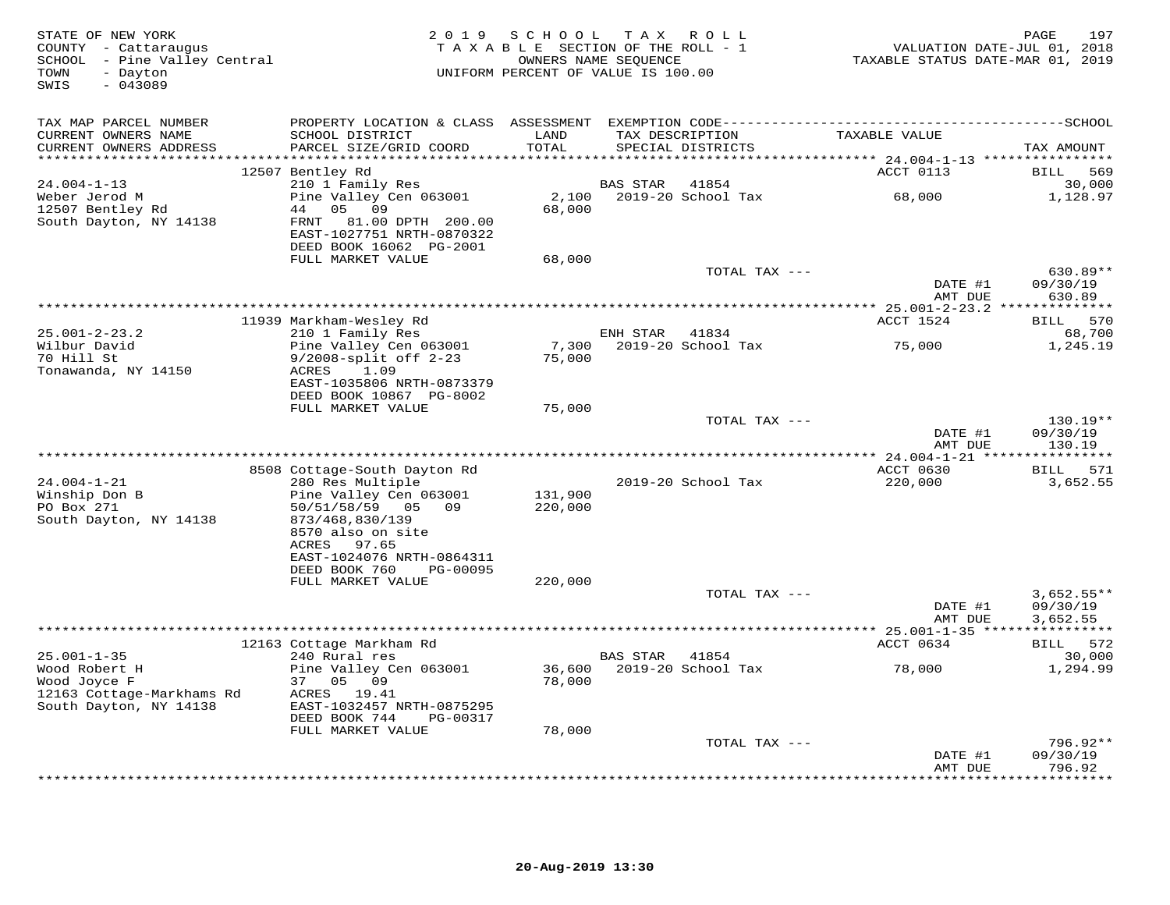| STATE OF NEW YORK<br>COUNTY - Cattaraugus<br>SCHOOL - Pine Valley Central<br>- Dayton<br>TOWN<br>$-043089$<br>SWIS | 2 0 1 9                                                                                                  | S C H O O L<br>TAXABLE SECTION OF THE ROLL - 1<br>UNIFORM PERCENT OF VALUE IS 100.00 | OWNERS NAME SEQUENCE | TAX ROLL                             | VALUATION DATE-JUL 01, 2018<br>TAXABLE STATUS DATE-MAR 01, 2019 | 197<br>PAGE                          |
|--------------------------------------------------------------------------------------------------------------------|----------------------------------------------------------------------------------------------------------|--------------------------------------------------------------------------------------|----------------------|--------------------------------------|-----------------------------------------------------------------|--------------------------------------|
| TAX MAP PARCEL NUMBER                                                                                              |                                                                                                          |                                                                                      |                      |                                      |                                                                 |                                      |
| CURRENT OWNERS NAME<br>CURRENT OWNERS ADDRESS<br>**********************                                            | SCHOOL DISTRICT<br>PARCEL SIZE/GRID COORD                                                                | LAND<br>TOTAL<br>********                                                            |                      | TAX DESCRIPTION<br>SPECIAL DISTRICTS | TAXABLE VALUE                                                   | TAX AMOUNT                           |
|                                                                                                                    | 12507 Bentley Rd                                                                                         |                                                                                      |                      |                                      | ******** 24.004-1-13 *****************<br>ACCT 0113             | <b>BILL</b><br>569                   |
| $24.004 - 1 - 13$<br>Weber Jerod M                                                                                 | 210 1 Family Res<br>Pine Valley Cen 063001                                                               | 2,100                                                                                | <b>BAS STAR</b>      | 41854<br>2019-20 School Tax          | 68,000                                                          | 30,000<br>1,128.97                   |
| 12507 Bentley Rd<br>South Dayton, NY 14138                                                                         | 05<br>44<br>09<br>81.00 DPTH 200.00<br>FRNT<br>EAST-1027751 NRTH-0870322<br>DEED BOOK 16062 PG-2001      | 68,000                                                                               |                      |                                      |                                                                 |                                      |
|                                                                                                                    | FULL MARKET VALUE                                                                                        | 68,000                                                                               |                      |                                      |                                                                 |                                      |
|                                                                                                                    |                                                                                                          |                                                                                      |                      | TOTAL TAX ---                        | DATE #1<br>AMT DUE                                              | $630.89**$<br>09/30/19<br>630.89     |
|                                                                                                                    |                                                                                                          |                                                                                      |                      |                                      |                                                                 |                                      |
|                                                                                                                    | 11939 Markham-Wesley Rd                                                                                  |                                                                                      |                      |                                      | ACCT 1524                                                       | 570<br>BILL                          |
| $25.001 - 2 - 23.2$                                                                                                | 210 1 Family Res                                                                                         |                                                                                      | ENH STAR             | 41834                                |                                                                 | 68,700                               |
| Wilbur David<br>70 Hill St<br>Tonawanda, NY 14150                                                                  | Pine Valley Cen 063001<br>$9/2008$ -split off $2-23$<br>ACRES<br>1.09<br>EAST-1035806 NRTH-0873379       | 7,300<br>75,000                                                                      |                      | 2019-20 School Tax                   | 75,000                                                          | 1,245.19                             |
|                                                                                                                    | DEED BOOK 10867 PG-8002<br>FULL MARKET VALUE                                                             | 75,000                                                                               |                      |                                      |                                                                 |                                      |
|                                                                                                                    |                                                                                                          |                                                                                      |                      | TOTAL TAX ---                        | DATE #1                                                         | $130.19**$<br>09/30/19               |
|                                                                                                                    |                                                                                                          |                                                                                      |                      |                                      | AMT DUE                                                         | 130.19<br>* * * * * * * * *          |
|                                                                                                                    | 8508 Cottage-South Dayton Rd                                                                             |                                                                                      |                      |                                      | $***$ 24.004-1-21 *****<br>ACCT 0630                            | 571<br><b>BILL</b>                   |
| $24.004 - 1 - 21$                                                                                                  | 280 Res Multiple                                                                                         |                                                                                      |                      | 2019-20 School Tax                   | 220,000                                                         | 3,652.55                             |
| Winship Don B<br>PO Box 271<br>South Dayton, NY 14138                                                              | Pine Valley Cen 063001<br>50/51/58/59<br>05 09<br>873/468,830/139<br>8570 also on site<br>ACRES<br>97.65 | 131,900<br>220,000                                                                   |                      |                                      |                                                                 |                                      |
|                                                                                                                    | EAST-1024076 NRTH-0864311<br>DEED BOOK 760<br>PG-00095                                                   |                                                                                      |                      |                                      |                                                                 |                                      |
|                                                                                                                    | FULL MARKET VALUE                                                                                        | 220,000                                                                              |                      |                                      |                                                                 |                                      |
|                                                                                                                    |                                                                                                          |                                                                                      |                      | TOTAL TAX ---                        | DATE #1<br>AMT DUE                                              | $3,652.55**$<br>09/30/19<br>3,652.55 |
|                                                                                                                    |                                                                                                          |                                                                                      |                      |                                      |                                                                 |                                      |
|                                                                                                                    | 12163 Cottage Markham Rd                                                                                 |                                                                                      |                      |                                      | ACCT 0634                                                       | BILL 572                             |
| $25.001 - 1 - 35$<br>Wood Robert H<br>Wood Joyce F                                                                 | 240 Rural res<br>Pine Valley Cen 063001<br>37<br>05<br>09                                                | 36,600<br>78,000                                                                     | BAS STAR             | 41854<br>2019-20 School Tax          | 78,000                                                          | 30,000<br>1,294.99                   |
| 12163 Cottage-Markhams Rd<br>South Dayton, NY 14138                                                                | ACRES 19.41<br>EAST-1032457 NRTH-0875295<br>DEED BOOK 744<br>PG-00317                                    |                                                                                      |                      |                                      |                                                                 |                                      |
|                                                                                                                    | FULL MARKET VALUE                                                                                        | 78,000                                                                               |                      |                                      |                                                                 |                                      |
|                                                                                                                    |                                                                                                          |                                                                                      |                      | TOTAL TAX ---                        | DATE #1                                                         | $796.92**$<br>09/30/19               |
|                                                                                                                    |                                                                                                          |                                                                                      |                      |                                      | AMT DUE                                                         | 796.92<br>* * * * * * * *            |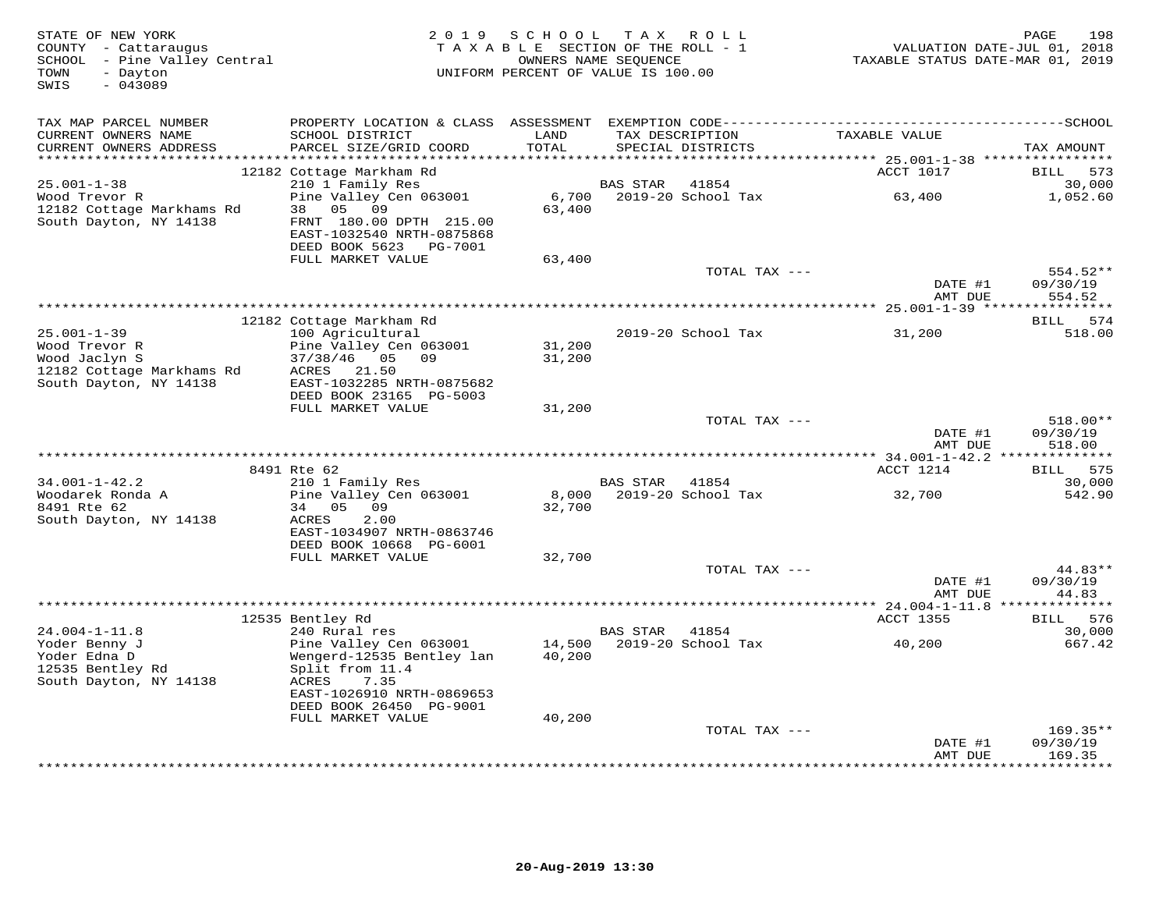| STATE OF NEW YORK<br>COUNTY - Cattaraugus<br>SCHOOL - Pine Valley Central<br>- Dayton<br>TOWN<br>SWIS<br>$-043089$ | 2 0 1 9                                                                        | S C H O O L<br>TAXABLE SECTION OF THE ROLL - 1<br>OWNERS NAME SEQUENCE<br>UNIFORM PERCENT OF VALUE IS 100.00 |                 | TAX ROLL                             | TAXABLE STATUS DATE-MAR 01, 2019 | 198<br>PAGE<br>VALUATION DATE-JUL 01, 2018 |
|--------------------------------------------------------------------------------------------------------------------|--------------------------------------------------------------------------------|--------------------------------------------------------------------------------------------------------------|-----------------|--------------------------------------|----------------------------------|--------------------------------------------|
| TAX MAP PARCEL NUMBER<br>CURRENT OWNERS NAME<br>CURRENT OWNERS ADDRESS                                             | SCHOOL DISTRICT<br>PARCEL SIZE/GRID COORD                                      | LAND<br>TOTAL                                                                                                |                 | TAX DESCRIPTION<br>SPECIAL DISTRICTS | TAXABLE VALUE                    | TAX AMOUNT                                 |
|                                                                                                                    |                                                                                |                                                                                                              |                 |                                      |                                  |                                            |
| $25.001 - 1 - 38$                                                                                                  | 12182 Cottage Markham Rd<br>210 1 Family Res                                   |                                                                                                              | <b>BAS STAR</b> | 41854                                | ACCT 1017                        | BILL<br>573<br>30,000                      |
| Wood Trevor R<br>12182 Cottage Markhams Rd                                                                         | Pine Valley Cen 063001<br>38 05<br>09                                          | 6,700<br>63,400                                                                                              |                 | 2019-20 School Tax                   | 63,400                           | 1,052.60                                   |
| South Dayton, NY 14138                                                                                             | FRNT 180.00 DPTH 215.00<br>EAST-1032540 NRTH-0875868<br>DEED BOOK 5623 PG-7001 |                                                                                                              |                 |                                      |                                  |                                            |
|                                                                                                                    | FULL MARKET VALUE                                                              | 63,400                                                                                                       |                 | TOTAL TAX ---                        |                                  | 554.52**                                   |
|                                                                                                                    |                                                                                |                                                                                                              |                 |                                      | DATE #1<br>AMT DUE               | 09/30/19<br>554.52                         |
|                                                                                                                    |                                                                                |                                                                                                              |                 |                                      |                                  |                                            |
| $25.001 - 1 - 39$<br>Wood Trevor R                                                                                 | 12182 Cottage Markham Rd<br>100 Agricultural<br>Pine Valley Cen 063001         | 31,200                                                                                                       |                 | 2019-20 School Tax                   | 31,200                           | BILL 574<br>518.00                         |
| Wood Jaclyn S                                                                                                      | 37/38/46 05<br>09                                                              | 31,200                                                                                                       |                 |                                      |                                  |                                            |
| 12182 Cottage Markhams Rd<br>South Dayton, NY 14138                                                                | ACRES<br>21.50<br>EAST-1032285 NRTH-0875682                                    |                                                                                                              |                 |                                      |                                  |                                            |
|                                                                                                                    | DEED BOOK 23165 PG-5003                                                        |                                                                                                              |                 |                                      |                                  |                                            |
|                                                                                                                    | FULL MARKET VALUE                                                              | 31,200                                                                                                       |                 | TOTAL TAX ---                        |                                  | 518.00**                                   |
|                                                                                                                    |                                                                                |                                                                                                              |                 |                                      | DATE #1<br>AMT DUE               | 09/30/19<br>518.00                         |
|                                                                                                                    |                                                                                |                                                                                                              |                 |                                      |                                  |                                            |
|                                                                                                                    | 8491 Rte 62                                                                    |                                                                                                              |                 |                                      | ACCT 1214                        | 575<br>BILL                                |
| $34.001 - 1 - 42.2$<br>Woodarek Ronda A                                                                            | 210 1 Family Res<br>Pine Valley Cen 063001                                     | 8,000                                                                                                        | <b>BAS STAR</b> | 41854<br>2019-20 School Tax          | 32,700                           | 30,000<br>542.90                           |
| 8491 Rte 62<br>South Dayton, NY 14138                                                                              | 34<br>05 09<br>ACRES<br>2.00                                                   | 32,700                                                                                                       |                 |                                      |                                  |                                            |
|                                                                                                                    | EAST-1034907 NRTH-0863746<br>DEED BOOK 10668 PG-6001                           |                                                                                                              |                 |                                      |                                  |                                            |
|                                                                                                                    | FULL MARKET VALUE                                                              | 32,700                                                                                                       |                 | TOTAL TAX ---                        |                                  | 44.83**                                    |
|                                                                                                                    |                                                                                |                                                                                                              |                 |                                      | DATE #1<br>AMT DUE               | 09/30/19<br>44.83                          |
|                                                                                                                    |                                                                                |                                                                                                              |                 |                                      |                                  |                                            |
| $24.004 - 1 - 11.8$                                                                                                | 12535 Bentley Rd<br>240 Rural res                                              |                                                                                                              | BAS STAR        | 41854                                | ACCT 1355                        | 576<br><b>BILL</b><br>30,000               |
| Yoder Benny J<br>Yoder Edna D                                                                                      | Pine Valley Cen 063001<br>Wengerd-12535 Bentley lan                            | 14,500<br>40,200                                                                                             |                 | 2019-20 School Tax                   | 40,200                           | 667.42                                     |
| 12535 Bentley Rd<br>South Dayton, NY 14138                                                                         | Split from 11.4<br>7.35<br>ACRES                                               |                                                                                                              |                 |                                      |                                  |                                            |
|                                                                                                                    | EAST-1026910 NRTH-0869653<br>DEED BOOK 26450 PG-9001<br>FULL MARKET VALUE      | 40,200                                                                                                       |                 |                                      |                                  |                                            |
|                                                                                                                    |                                                                                |                                                                                                              |                 | TOTAL TAX ---                        |                                  | $169.35**$                                 |
|                                                                                                                    |                                                                                |                                                                                                              |                 |                                      | DATE #1<br>AMT DUE               | 09/30/19<br>169.35                         |
|                                                                                                                    |                                                                                |                                                                                                              |                 |                                      |                                  | ********                                   |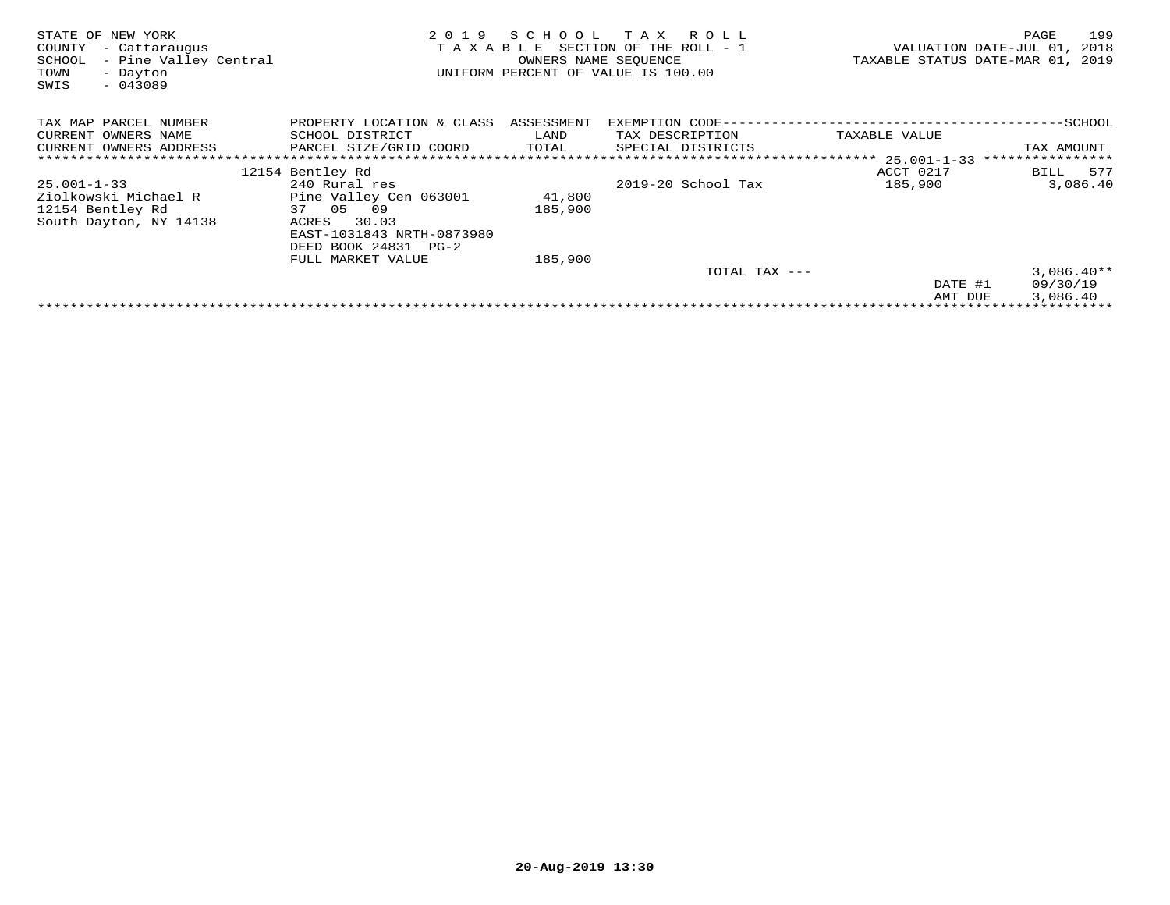| STATE OF NEW YORK<br>COUNTY<br>- Cattaraugus<br>SCHOOL<br>- Pine Valley Central<br>TOWN<br>- Dayton<br>$-043089$<br>SWIS | 2019<br>TAXABLE                      | SCHOOL<br>OWNERS NAME SEQUENCE | T A X<br>R O L L<br>SECTION OF THE ROLL - 1<br>UNIFORM PERCENT OF VALUE IS 100.00 |                           | 199<br>PAGE<br>VALUATION DATE-JUL 01,<br>2018<br>TAXABLE STATUS DATE-MAR 01, 2019 |
|--------------------------------------------------------------------------------------------------------------------------|--------------------------------------|--------------------------------|-----------------------------------------------------------------------------------|---------------------------|-----------------------------------------------------------------------------------|
| TAX MAP PARCEL NUMBER                                                                                                    | PROPERTY LOCATION & CLASS ASSESSMENT |                                | EXEMPTION CODE-                                                                   | -----------------         | ---------SCHOOL                                                                   |
| CURRENT OWNERS NAME                                                                                                      | SCHOOL DISTRICT                      | LAND                           | TAX DESCRIPTION                                                                   | TAXABLE VALUE             |                                                                                   |
| CURRENT OWNERS ADDRESS                                                                                                   | PARCEL SIZE/GRID COORD               | TOTAL                          | SPECIAL DISTRICTS                                                                 |                           | TAX AMOUNT                                                                        |
|                                                                                                                          |                                      |                                |                                                                                   | ************* 25.001-1-33 | * * * * * * * * * * * * * * * *                                                   |
|                                                                                                                          | 12154 Bentley Rd                     |                                |                                                                                   | ACCT 0217                 | 577<br>BILL                                                                       |
| $25.001 - 1 - 33$                                                                                                        | 240 Rural res                        |                                | $2019-20$ School Tax                                                              | 185,900                   | 3,086.40                                                                          |
| Ziolkowski Michael R                                                                                                     | Pine Valley Cen 063001               | 41,800                         |                                                                                   |                           |                                                                                   |
| 12154 Bentley Rd                                                                                                         | 37 05 09                             | 185,900                        |                                                                                   |                           |                                                                                   |
| South Dayton, NY 14138                                                                                                   | 30.03<br>ACRES                       |                                |                                                                                   |                           |                                                                                   |
|                                                                                                                          | EAST-1031843 NRTH-0873980            |                                |                                                                                   |                           |                                                                                   |
|                                                                                                                          | DEED BOOK 24831 PG-2                 |                                |                                                                                   |                           |                                                                                   |
|                                                                                                                          | FULL MARKET VALUE                    | 185,900                        |                                                                                   |                           |                                                                                   |
|                                                                                                                          |                                      |                                | TOTAL TAX ---                                                                     |                           | $3,086.40**$                                                                      |
|                                                                                                                          |                                      |                                |                                                                                   | DATE #1                   | 09/30/19                                                                          |
|                                                                                                                          |                                      |                                |                                                                                   | AMT DUE                   | 3,086.40                                                                          |
|                                                                                                                          |                                      |                                |                                                                                   |                           |                                                                                   |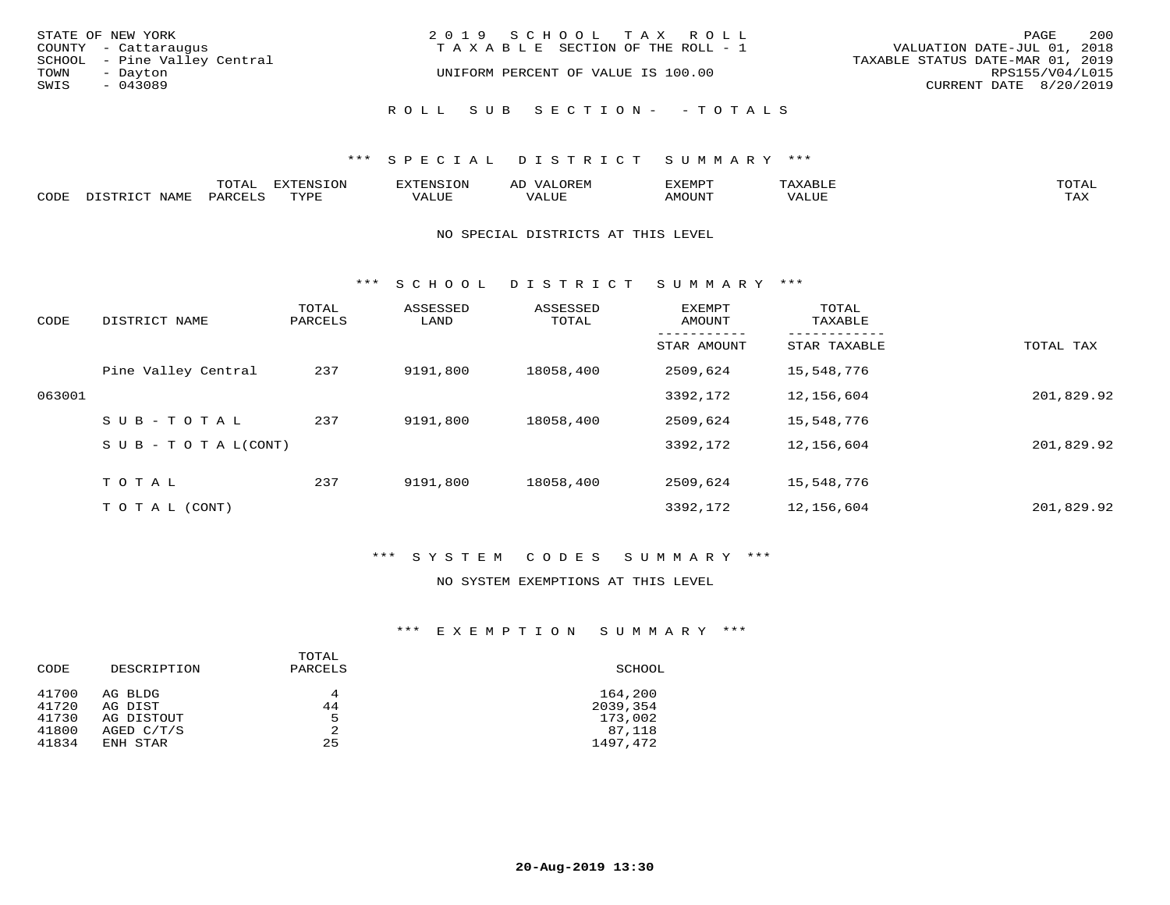| STATE OF NEW YORK<br>COUNTY - Cattaraugus        | 2019 SCHOOL TAX ROLL<br>T A X A B L E SECTION OF THE ROLL - 1 | 200<br>PAGE<br>VALUATION DATE-JUL 01, 2018          |
|--------------------------------------------------|---------------------------------------------------------------|-----------------------------------------------------|
| SCHOOL - Pine Valley Central<br>TOWN<br>- Dayton | UNIFORM PERCENT OF VALUE IS 100.00                            | TAXABLE STATUS DATE-MAR 01, 2019<br>RPS155/V04/L015 |
| SWIS<br>$-043089$                                |                                                               | CURRENT DATE 8/20/2019                              |
|                                                  | ROLL SUB SECTION- - TOTALS                                    |                                                     |

|      |                        | ጥ∩ጥአ<br>- UIAL | <b>DIZMONIC</b><br>ION | AD   | . ت س<br>⊐ויושב∠ |                                        |            |
|------|------------------------|----------------|------------------------|------|------------------|----------------------------------------|------------|
| CODE | <b>NTAMT</b><br>77 O L | PARO           | TVDF                   | ALUE | IMOUNT           | * * * * * * * *<br>$'$ ALUN $_{\rm L}$ | may<br>∸∽∸ |

#### NO SPECIAL DISTRICTS AT THIS LEVEL

\*\*\* S C H O O L D I S T R I C T S U M M A R Y \*\*\*

| DISTRICT NAME       | TOTAL<br>PARCELS          | ASSESSED<br>LAND                        | ASSESSED<br>TOTAL | EXEMPT<br>AMOUNT | TOTAL<br>TAXABLE     |                          |
|---------------------|---------------------------|-----------------------------------------|-------------------|------------------|----------------------|--------------------------|
|                     |                           |                                         |                   | STAR AMOUNT      | STAR TAXABLE         | TOTAL TAX                |
| Pine Valley Central | 237                       | 9191,800                                | 18058,400         | 2509,624         | 15,548,776           |                          |
|                     |                           |                                         |                   | 3392,172         | 12,156,604           | 201,829.92               |
| $SUB - TO TAL$      | 237                       | 9191,800                                | 18058,400         | 2509,624         | 15,548,776           |                          |
|                     |                           |                                         |                   | 3392,172         | 12,156,604           | 201,829.92               |
|                     |                           |                                         |                   |                  |                      |                          |
|                     |                           |                                         |                   |                  |                      | 201,829.92               |
|                     | TOTAL<br>T O T A L (CONT) | $S \cup B - T \cup T A L (CONT)$<br>237 | 9191,800          | 18058,400        | 2509,624<br>3392,172 | 15,548,776<br>12,156,604 |

# \*\*\* S Y S T E M C O D E S S U M M A R Y \*\*\*

#### NO SYSTEM EXEMPTIONS AT THIS LEVEL

#### \*\*\* E X E M P T I O N S U M M A R Y \*\*\*

| CODE  | DESCRIPTION  | TOTAL<br>PARCELS | SCHOOL   |
|-------|--------------|------------------|----------|
| 41700 | AG BLDG      | 4                | 164,200  |
| 41720 | AG DIST      | 44               | 2039,354 |
| 41730 | AG DISTOUT   | 5                | 173,002  |
| 41800 | AGED $C/T/S$ | 2                | 87,118   |
| 41834 | ENH STAR     | 25               | 1497,472 |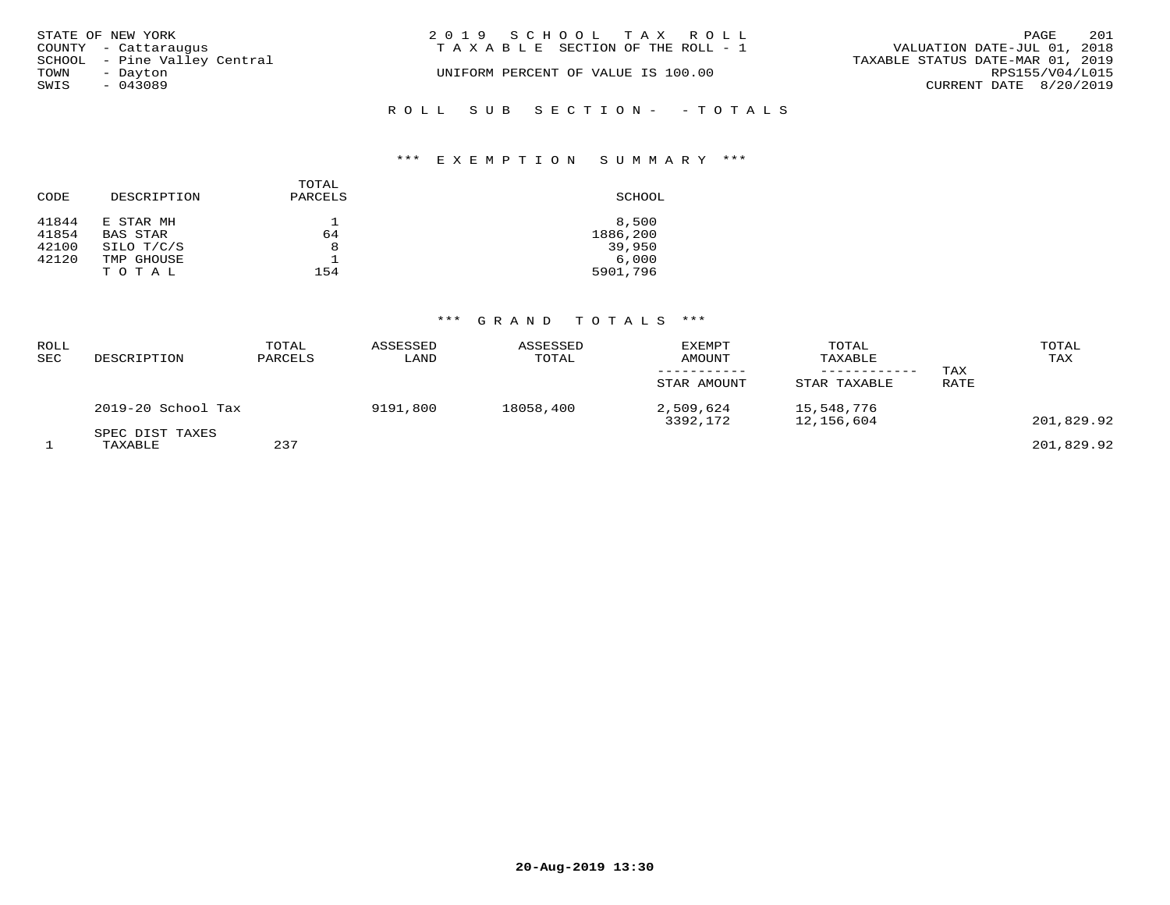| STATE OF NEW YORK            | 2019 SCHOOL TAX ROLL               | 201<br>PAGE                      |
|------------------------------|------------------------------------|----------------------------------|
| COUNTY - Cattaraugus         | TAXABLE SECTION OF THE ROLL - 1    | VALUATION DATE-JUL 01, 2018      |
| SCHOOL - Pine Valley Central |                                    | TAXABLE STATUS DATE-MAR 01, 2019 |
| TOWN<br>- Dayton             | UNIFORM PERCENT OF VALUE IS 100.00 | RPS155/V04/L015                  |
| SWIS<br>$-043089$            |                                    | CURRENT DATE 8/20/2019           |
|                              | ROLL SUB SECTION- - TOTALS         |                                  |

# \*\*\* E X E M P T I O N S U M M A R Y \*\*\*

| CODE                    | DESCRIPTION                         | TOTAL<br>PARCELS | SCHOOL                      |
|-------------------------|-------------------------------------|------------------|-----------------------------|
| 41844<br>41854<br>42100 | E STAR MH<br>BAS STAR<br>SILO T/C/S | 64<br>8          | 8,500<br>1886,200<br>39,950 |
| 42120                   | TMP GHOUSE<br>TOTAL                 | 154              | 6.000<br>5901,796           |

| ROLL<br><b>SEC</b> | DESCRIPTION                | TOTAL<br>PARCELS | ASSESSED<br>LAND | ASSESSED<br>TOTAL | <b>EXEMPT</b><br>AMOUNT<br>STAR AMOUNT | TOTAL<br>TAXABLE<br>------------<br>STAR TAXABLE | TAX<br>RATE | TOTAL<br>TAX |
|--------------------|----------------------------|------------------|------------------|-------------------|----------------------------------------|--------------------------------------------------|-------------|--------------|
|                    | 2019-20 School Tax         |                  | 9191,800         | 18058,400         | 2,509,624<br>3392,172                  | 15,548,776<br>12,156,604                         |             | 201,829.92   |
|                    | SPEC DIST TAXES<br>TAXABLE | 237              |                  |                   |                                        |                                                  |             | 201,829.92   |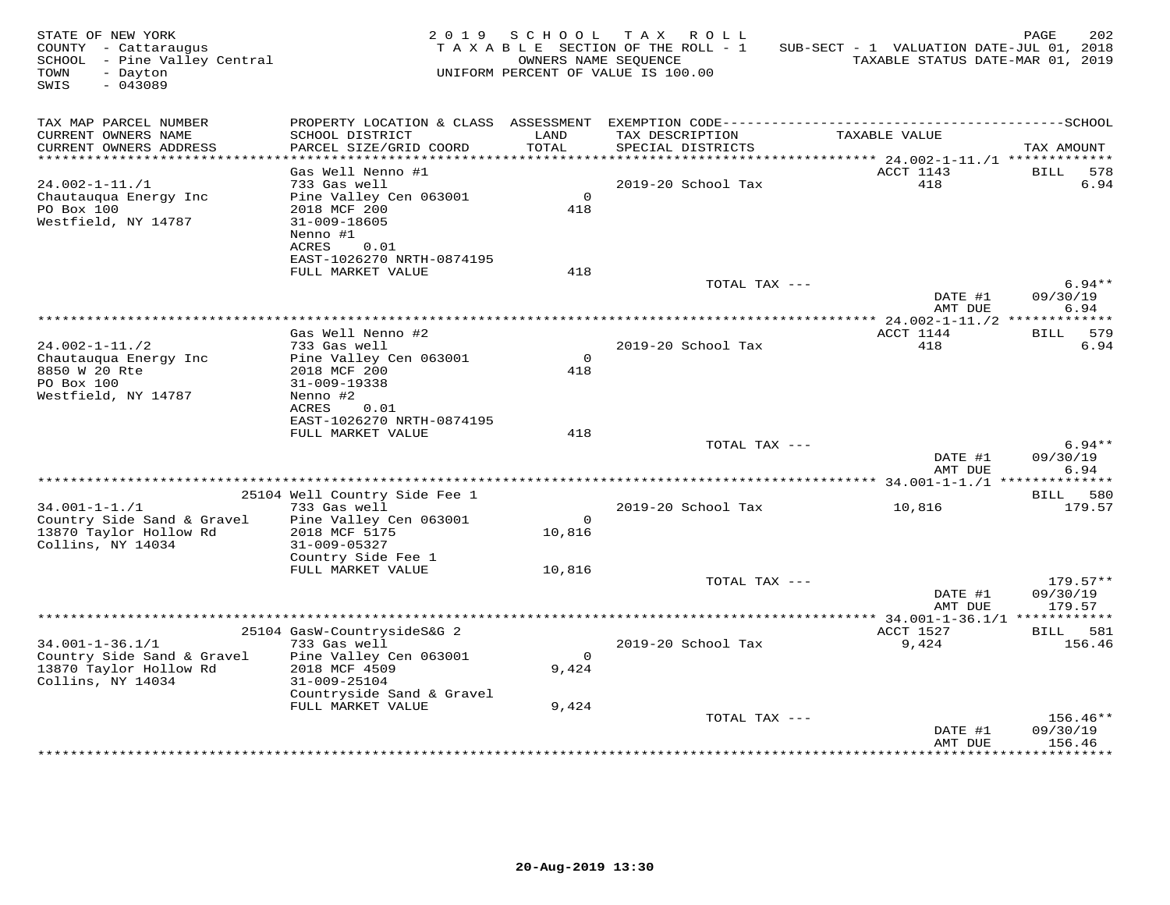| STATE OF NEW YORK<br>COUNTY - Cattaraugus<br>SCHOOL - Pine Valley Central<br>- Dayton<br>TOWN<br>SWIS<br>$-043089$ |                                                |                    | 2019 SCHOOL TAX ROLL<br>TAXABLE SECTION OF THE ROLL - 1<br>OWNERS NAME SEQUENCE<br>UNIFORM PERCENT OF VALUE IS 100.00 | SUB-SECT - 1 VALUATION DATE-JUL 01, 2018<br>TAXABLE STATUS DATE-MAR 01, 2019 | PAGE<br>202                   |
|--------------------------------------------------------------------------------------------------------------------|------------------------------------------------|--------------------|-----------------------------------------------------------------------------------------------------------------------|------------------------------------------------------------------------------|-------------------------------|
| TAX MAP PARCEL NUMBER                                                                                              |                                                |                    |                                                                                                                       |                                                                              |                               |
| CURRENT OWNERS NAME<br>CURRENT OWNERS ADDRESS                                                                      | SCHOOL DISTRICT<br>PARCEL SIZE/GRID COORD      | LAND<br>TOTAL      | TAX DESCRIPTION<br>SPECIAL DISTRICTS                                                                                  | TAXABLE VALUE                                                                | TAX AMOUNT                    |
|                                                                                                                    |                                                |                    |                                                                                                                       |                                                                              |                               |
|                                                                                                                    | Gas Well Nenno #1<br>733 Gas well              |                    | 2019-20 School Tax                                                                                                    | ACCT 1143<br>418                                                             | <b>BILL</b><br>578<br>6.94    |
| $24.002 - 1 - 11. / 1$<br>Chautauqua Energy Inc                                                                    | Pine Valley Cen 063001                         | $\overline{0}$     |                                                                                                                       |                                                                              |                               |
| PO Box 100                                                                                                         | 2018 MCF 200                                   | 418                |                                                                                                                       |                                                                              |                               |
| Westfield, NY 14787                                                                                                | $31 - 009 - 18605$                             |                    |                                                                                                                       |                                                                              |                               |
|                                                                                                                    | Nenno #1<br>ACRES<br>0.01                      |                    |                                                                                                                       |                                                                              |                               |
|                                                                                                                    | EAST-1026270 NRTH-0874195                      |                    |                                                                                                                       |                                                                              |                               |
|                                                                                                                    | FULL MARKET VALUE                              | 418                |                                                                                                                       |                                                                              |                               |
|                                                                                                                    |                                                |                    | TOTAL TAX ---                                                                                                         |                                                                              | $6.94**$                      |
|                                                                                                                    |                                                |                    |                                                                                                                       | DATE #1<br>AMT DUE                                                           | 09/30/19<br>6.94              |
|                                                                                                                    |                                                |                    |                                                                                                                       |                                                                              |                               |
|                                                                                                                    | Gas Well Nenno #2                              |                    |                                                                                                                       | ACCT 1144                                                                    | BILL 579                      |
| $24.002 - 1 - 11.72$                                                                                               | 733 Gas well                                   | $\Omega$           | 2019-20 School Tax                                                                                                    | 418                                                                          | 6.94                          |
| Chautauqua Energy Inc<br>8850 W 20 Rte                                                                             | Pine Valley Cen 063001<br>2018 MCF 200         | 418                |                                                                                                                       |                                                                              |                               |
| PO Box 100                                                                                                         | 31-009-19338                                   |                    |                                                                                                                       |                                                                              |                               |
| Westfield, NY 14787                                                                                                | Nenno #2                                       |                    |                                                                                                                       |                                                                              |                               |
|                                                                                                                    | ACRES<br>0.01<br>EAST-1026270 NRTH-0874195     |                    |                                                                                                                       |                                                                              |                               |
|                                                                                                                    | FULL MARKET VALUE                              | 418                |                                                                                                                       |                                                                              |                               |
|                                                                                                                    |                                                |                    | TOTAL TAX ---                                                                                                         |                                                                              | $6.94**$                      |
|                                                                                                                    |                                                |                    |                                                                                                                       | DATE #1                                                                      | 09/30/19<br>6.94              |
|                                                                                                                    |                                                |                    |                                                                                                                       | AMT DUE                                                                      |                               |
|                                                                                                                    | 25104 Well Country Side Fee 1                  |                    |                                                                                                                       |                                                                              | BILL 580                      |
| $34.001 - 1 - 1.71$                                                                                                | 733 Gas well                                   |                    | 2019-20 School Tax                                                                                                    | 10,816                                                                       | 179.57                        |
| Country Side Sand & Gravel<br>13870 Taylor Hollow Rd                                                               | Pine Valley Cen 063001<br>2018 MCF 5175        | $\Omega$<br>10,816 |                                                                                                                       |                                                                              |                               |
| Collins, NY 14034                                                                                                  | 31-009-05327                                   |                    |                                                                                                                       |                                                                              |                               |
|                                                                                                                    | Country Side Fee 1                             |                    |                                                                                                                       |                                                                              |                               |
|                                                                                                                    | FULL MARKET VALUE                              | 10,816             |                                                                                                                       |                                                                              |                               |
|                                                                                                                    |                                                |                    | TOTAL TAX ---                                                                                                         | DATE #1                                                                      | $179.57**$<br>09/30/19        |
|                                                                                                                    |                                                |                    |                                                                                                                       | AMT DUE                                                                      | 179.57                        |
|                                                                                                                    |                                                |                    |                                                                                                                       |                                                                              |                               |
| $34.001 - 1 - 36.1/1$                                                                                              | 25104 GasW-CountrysideS&G 2<br>733 Gas well    |                    | 2019-20 School Tax                                                                                                    | ACCT 1527<br>9,424                                                           | BILL 581<br>156.46            |
| Country Side Sand & Gravel                                                                                         | Pine Valley Cen 063001                         | $\overline{0}$     |                                                                                                                       |                                                                              |                               |
| 13870 Taylor Hollow Rd                                                                                             | 2018 MCF 4509                                  | 9,424              |                                                                                                                       |                                                                              |                               |
| Collins, NY 14034                                                                                                  | 31-009-25104                                   |                    |                                                                                                                       |                                                                              |                               |
|                                                                                                                    | Countryside Sand & Gravel<br>FULL MARKET VALUE | 9,424              |                                                                                                                       |                                                                              |                               |
|                                                                                                                    |                                                |                    | TOTAL TAX ---                                                                                                         |                                                                              | 156.46**                      |
|                                                                                                                    |                                                |                    |                                                                                                                       | DATE #1                                                                      | 09/30/19                      |
|                                                                                                                    |                                                |                    |                                                                                                                       | AMT DUE<br>***************                                                   | 156.46<br>* * * * * * * * * * |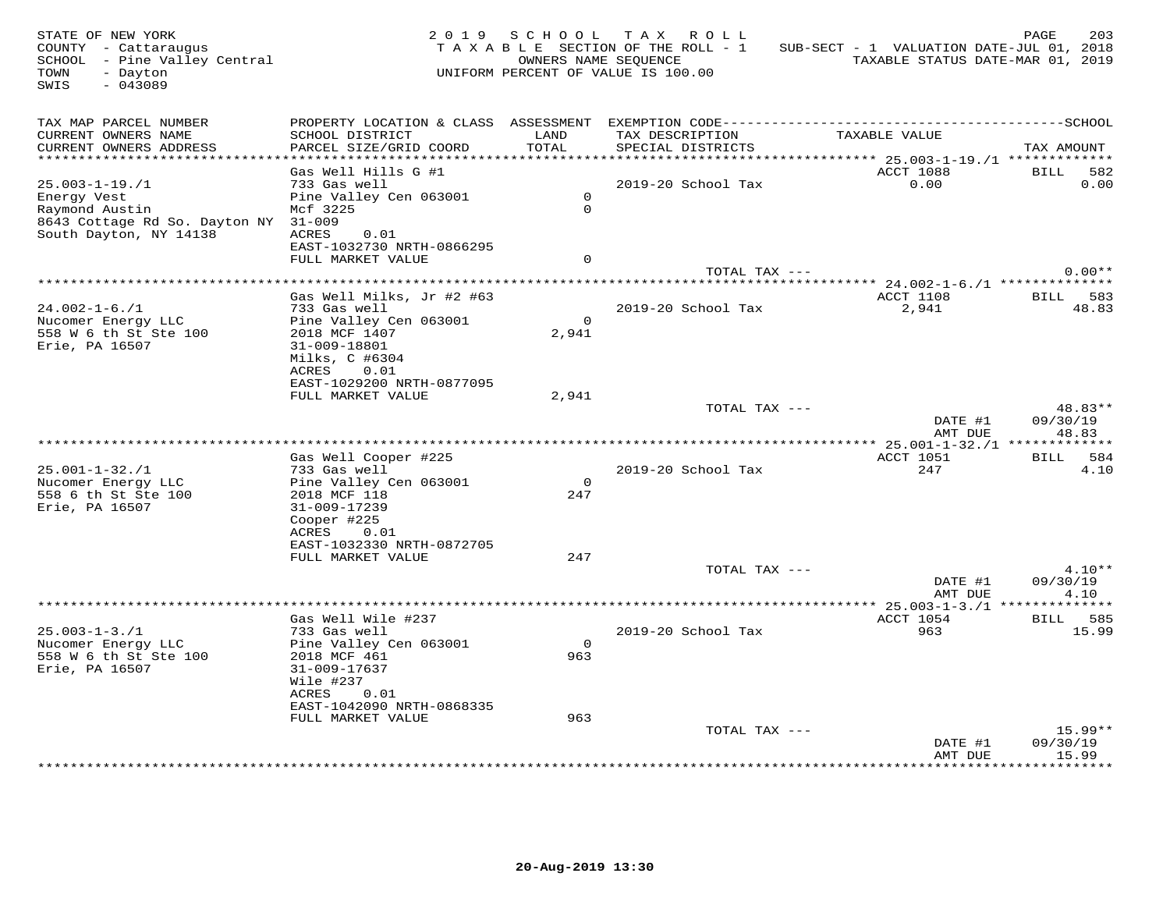| STATE OF NEW YORK<br>COUNTY - Cattaraugus<br>SCHOOL - Pine Valley Central<br>- Dayton<br>TOWN<br>SWIS<br>$-043089$ |                                                |                | 2019 SCHOOL TAX ROLL<br>TAXABLE SECTION OF THE ROLL - 1<br>OWNERS NAME SEQUENCE<br>UNIFORM PERCENT OF VALUE IS 100.00 | SUB-SECT - 1 VALUATION DATE-JUL 01, 2018<br>TAXABLE STATUS DATE-MAR 01, 2019 | 203<br>PAGE                 |
|--------------------------------------------------------------------------------------------------------------------|------------------------------------------------|----------------|-----------------------------------------------------------------------------------------------------------------------|------------------------------------------------------------------------------|-----------------------------|
| TAX MAP PARCEL NUMBER<br>CURRENT OWNERS NAME                                                                       | SCHOOL DISTRICT                                | LAND           | TAX DESCRIPTION                                                                                                       | TAXABLE VALUE                                                                |                             |
| CURRENT OWNERS ADDRESS<br>************************                                                                 | PARCEL SIZE/GRID COORD                         | TOTAL          | SPECIAL DISTRICTS                                                                                                     |                                                                              | TAX AMOUNT                  |
|                                                                                                                    | Gas Well Hills G #1                            |                |                                                                                                                       | ACCT 1088                                                                    | BILL<br>582                 |
| $25.003 - 1 - 19.71$                                                                                               | 733 Gas well                                   |                | 2019-20 School Tax                                                                                                    | 0.00                                                                         | 0.00                        |
| Energy Vest                                                                                                        | Pine Valley Cen 063001                         | $\overline{0}$ |                                                                                                                       |                                                                              |                             |
| Raymond Austin                                                                                                     | Mcf 3225                                       | $\Omega$       |                                                                                                                       |                                                                              |                             |
| 8643 Cottage Rd So. Dayton NY 31-009<br>South Dayton, NY 14138                                                     | ACRES<br>0.01                                  |                |                                                                                                                       |                                                                              |                             |
|                                                                                                                    | EAST-1032730 NRTH-0866295                      |                |                                                                                                                       |                                                                              |                             |
|                                                                                                                    | FULL MARKET VALUE                              | $\Omega$       |                                                                                                                       |                                                                              |                             |
|                                                                                                                    |                                                |                | TOTAL TAX ---                                                                                                         |                                                                              | $0.00**$                    |
|                                                                                                                    |                                                |                |                                                                                                                       |                                                                              |                             |
| $24.002 - 1 - 6.71$                                                                                                | Gas Well Milks, Jr #2 #63<br>733 Gas well      |                | 2019-20 School Tax                                                                                                    | ACCT 1108<br>2,941                                                           | <b>BILL</b><br>583<br>48.83 |
| Nucomer Energy LLC                                                                                                 | Pine Valley Cen 063001                         | $\overline{0}$ |                                                                                                                       |                                                                              |                             |
| 558 W 6 th St Ste 100                                                                                              | 2018 MCF 1407                                  | 2,941          |                                                                                                                       |                                                                              |                             |
| Erie, PA 16507                                                                                                     | 31-009-18801                                   |                |                                                                                                                       |                                                                              |                             |
|                                                                                                                    | Milks, C #6304                                 |                |                                                                                                                       |                                                                              |                             |
|                                                                                                                    | ACRES<br>0.01                                  |                |                                                                                                                       |                                                                              |                             |
|                                                                                                                    | EAST-1029200 NRTH-0877095<br>FULL MARKET VALUE | 2,941          |                                                                                                                       |                                                                              |                             |
|                                                                                                                    |                                                |                | TOTAL TAX ---                                                                                                         |                                                                              | 48.83**                     |
|                                                                                                                    |                                                |                |                                                                                                                       | DATE #1<br>AMT DUE                                                           | 09/30/19<br>48.83           |
|                                                                                                                    |                                                |                | **********************                                                                                                | * 25.001-1-32./1 *************                                               |                             |
|                                                                                                                    | Gas Well Cooper #225                           |                |                                                                                                                       | ACCT 1051                                                                    | BILL 584                    |
| $25.001 - 1 - 32.71$<br>Nucomer Energy LLC                                                                         | 733 Gas well<br>Pine Valley Cen 063001         | $\Omega$       | 2019-20 School Tax                                                                                                    | 247                                                                          | 4.10                        |
| 558 6 th St Ste 100                                                                                                | 2018 MCF 118                                   | 247            |                                                                                                                       |                                                                              |                             |
| Erie, PA 16507                                                                                                     | 31-009-17239                                   |                |                                                                                                                       |                                                                              |                             |
|                                                                                                                    | Cooper #225                                    |                |                                                                                                                       |                                                                              |                             |
|                                                                                                                    | ACRES<br>0.01                                  |                |                                                                                                                       |                                                                              |                             |
|                                                                                                                    | EAST-1032330 NRTH-0872705<br>FULL MARKET VALUE | 247            |                                                                                                                       |                                                                              |                             |
|                                                                                                                    |                                                |                | TOTAL TAX ---                                                                                                         |                                                                              | $4.10**$                    |
|                                                                                                                    |                                                |                |                                                                                                                       | DATE #1                                                                      | 09/30/19                    |
|                                                                                                                    |                                                |                |                                                                                                                       | AMT DUE                                                                      | 4.10                        |
|                                                                                                                    |                                                |                |                                                                                                                       |                                                                              |                             |
|                                                                                                                    | Gas Well Wile #237                             |                |                                                                                                                       | ACCT 1054                                                                    | BILL 585                    |
| $25.003 - 1 - 3.71$<br>Nucomer Energy LLC                                                                          | 733 Gas well<br>Pine Valley Cen 063001         | $\overline{0}$ | 2019-20 School Tax                                                                                                    | 963                                                                          | 15.99                       |
| 558 W 6 th St Ste 100                                                                                              | 2018 MCF 461                                   | 963            |                                                                                                                       |                                                                              |                             |
| Erie, PA 16507                                                                                                     | 31-009-17637                                   |                |                                                                                                                       |                                                                              |                             |
|                                                                                                                    | Wile #237                                      |                |                                                                                                                       |                                                                              |                             |
|                                                                                                                    | ACRES<br>0.01                                  |                |                                                                                                                       |                                                                              |                             |
|                                                                                                                    | EAST-1042090 NRTH-0868335                      |                |                                                                                                                       |                                                                              |                             |
|                                                                                                                    | FULL MARKET VALUE                              | 963            | TOTAL TAX ---                                                                                                         |                                                                              | $15.99**$                   |
|                                                                                                                    |                                                |                |                                                                                                                       | DATE #1                                                                      | 09/30/19                    |
|                                                                                                                    |                                                |                |                                                                                                                       | AMT DUE                                                                      | 15.99<br>*******            |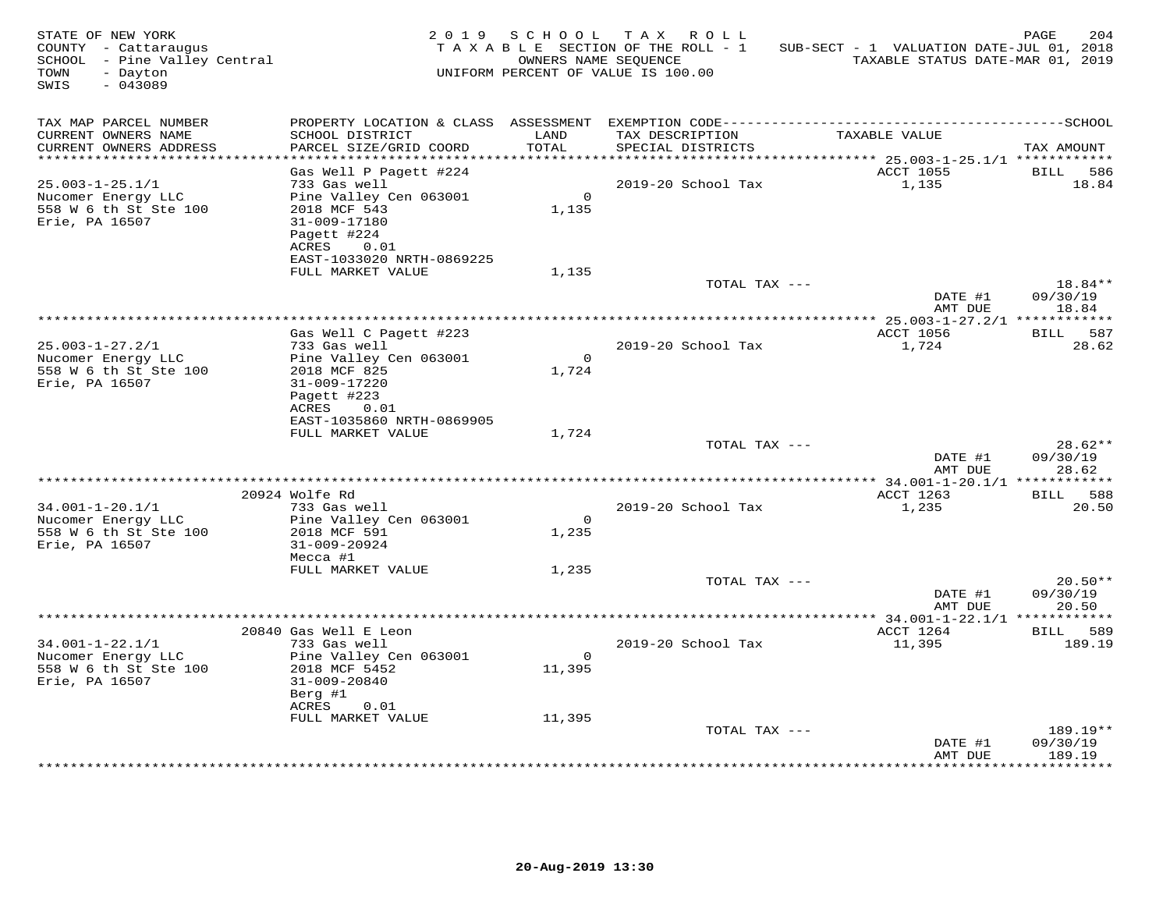| STATE OF NEW YORK<br>COUNTY - Cattaraugus<br>SCHOOL - Pine Valley Central<br>- Dayton<br>TOWN<br>$-043089$<br>SWIS |                                                                                                                                  | OWNERS NAME SEQUENCE    | 2019 SCHOOL TAX ROLL<br>TAXABLE SECTION OF THE ROLL - 1<br>UNIFORM PERCENT OF VALUE IS 100.00 | SUB-SECT - 1 VALUATION DATE-JUL 01, 2018<br>TAXABLE STATUS DATE-MAR 01, 2019 | 204<br>PAGE                    |
|--------------------------------------------------------------------------------------------------------------------|----------------------------------------------------------------------------------------------------------------------------------|-------------------------|-----------------------------------------------------------------------------------------------|------------------------------------------------------------------------------|--------------------------------|
| TAX MAP PARCEL NUMBER<br>CURRENT OWNERS NAME<br>CURRENT OWNERS ADDRESS                                             | SCHOOL DISTRICT<br>PARCEL SIZE/GRID COORD                                                                                        | LAND<br>TOTAL           | TAX DESCRIPTION<br>SPECIAL DISTRICTS                                                          | TAXABLE VALUE                                                                | TAX AMOUNT                     |
| **********************<br>$25.003 - 1 - 25.1/1$<br>Nucomer Energy LLC<br>558 W 6 th St Ste 100<br>Erie, PA 16507   | Gas Well P Pagett #224<br>733 Gas well<br>Pine Valley Cen 063001<br>2018 MCF 543<br>31-009-17180<br>Pagett #224<br>ACRES<br>0.01 | $\Omega$<br>1,135       | 2019-20 School Tax                                                                            | ACCT 1055<br>1,135                                                           | BILL<br>586<br>18.84           |
|                                                                                                                    | EAST-1033020 NRTH-0869225<br>FULL MARKET VALUE                                                                                   | 1,135                   | TOTAL TAX ---                                                                                 | DATE #1                                                                      | 18.84**<br>09/30/19            |
|                                                                                                                    |                                                                                                                                  |                         |                                                                                               | AMT DUE                                                                      | 18.84                          |
| $25.003 - 1 - 27.2/1$<br>Nucomer Energy LLC<br>558 W 6 th St Ste 100<br>Erie, PA 16507                             | Gas Well C Pagett #223<br>733 Gas well<br>Pine Valley Cen 063001<br>2018 MCF 825<br>31-009-17220<br>Pagett #223<br>ACRES<br>0.01 | $\overline{0}$<br>1,724 | 2019-20 School Tax                                                                            | ACCT 1056<br>1,724                                                           | 587<br><b>BILL</b><br>28.62    |
|                                                                                                                    | EAST-1035860 NRTH-0869905<br>FULL MARKET VALUE                                                                                   | 1,724                   | TOTAL TAX ---                                                                                 | DATE #1<br>AMT DUE                                                           | $28.62**$<br>09/30/19<br>28.62 |
|                                                                                                                    |                                                                                                                                  |                         |                                                                                               |                                                                              |                                |
| $34.001 - 1 - 20.1/1$<br>Nucomer Energy LLC<br>558 W 6 th St Ste 100<br>Erie, PA 16507                             | 20924 Wolfe Rd<br>733 Gas well<br>Pine Valley Cen 063001<br>2018 MCF 591<br>31-009-20924<br>Mecca #1                             | $\overline{0}$<br>1,235 | 2019-20 School Tax                                                                            | ACCT 1263<br>1,235                                                           | BILL 588<br>20.50              |
|                                                                                                                    | FULL MARKET VALUE                                                                                                                | 1,235                   | TOTAL TAX ---                                                                                 | DATE #1                                                                      | $20.50**$<br>09/30/19          |
|                                                                                                                    |                                                                                                                                  |                         |                                                                                               | AMT DUE                                                                      | 20.50                          |
| $34.001 - 1 - 22.1/1$<br>Nucomer Energy LLC<br>558 W 6 th St Ste 100                                               | 20840 Gas Well E Leon<br>733 Gas well<br>Pine Valley Cen 063001<br>2018 MCF 5452                                                 | $\circ$<br>11,395       | 2019-20 School Tax                                                                            | ACCT 1264<br>11,395                                                          | BILL 589<br>189.19             |
| Erie, PA 16507                                                                                                     | 31-009-20840<br>Berg #1<br>ACRES<br>0.01                                                                                         |                         |                                                                                               |                                                                              |                                |
|                                                                                                                    | FULL MARKET VALUE                                                                                                                | 11,395                  | TOTAL TAX ---                                                                                 | DATE #1                                                                      | 189.19**<br>09/30/19           |
|                                                                                                                    |                                                                                                                                  |                         |                                                                                               | AMT DUE                                                                      | 189.19<br>* * * * * * * * * *  |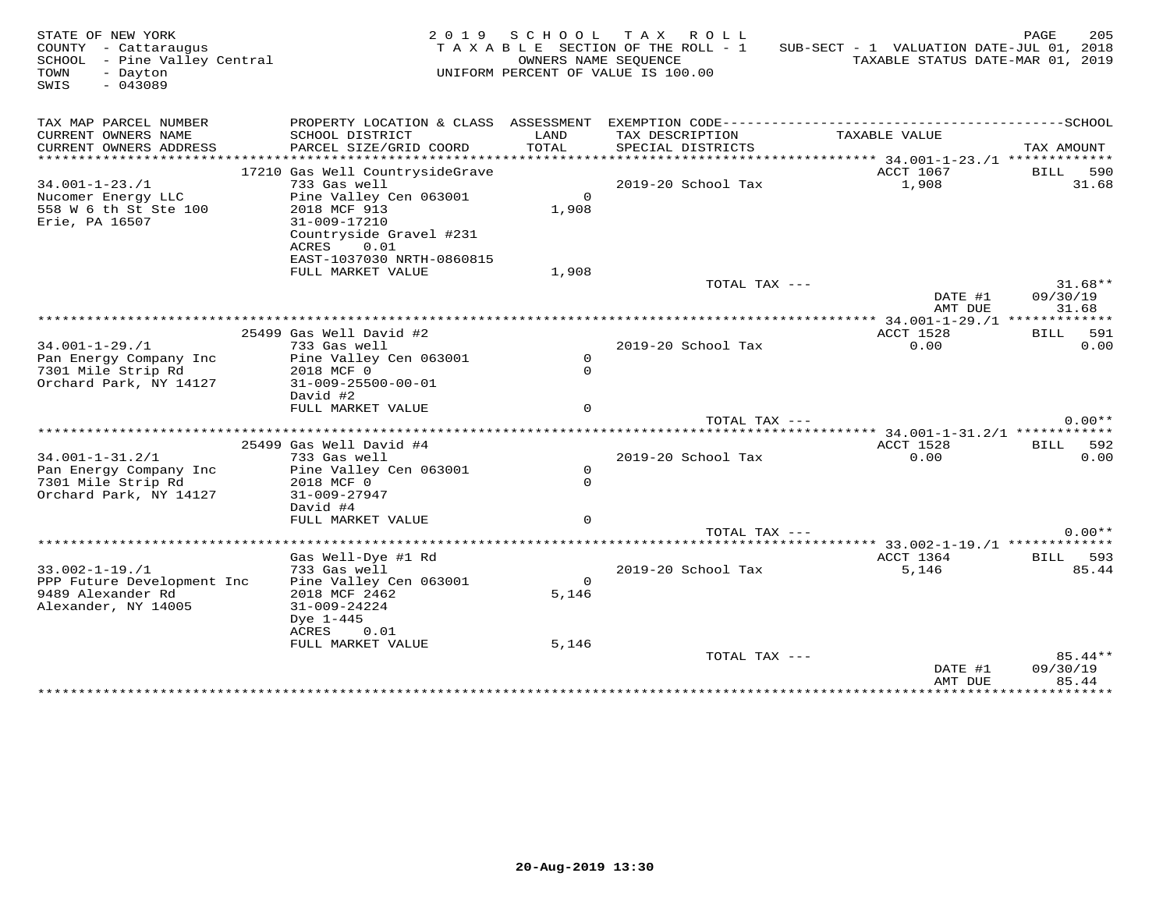| STATE OF NEW YORK<br>COUNTY - Cattaraugus<br>SCHOOL - Pine Valley Central<br>TOWN<br>- Dayton<br>$-043089$<br>SWIS |                                                                                                    |                       | 2019 SCHOOL TAX ROLL<br>TAXABLE SECTION OF THE ROLL - 1<br>OWNERS NAME SEQUENCE<br>UNIFORM PERCENT OF VALUE IS 100.00 | SUB-SECT - 1 VALUATION DATE-JUL 01, 2018<br>TAXABLE STATUS DATE-MAR 01, 2019 | PAGE<br>205                    |
|--------------------------------------------------------------------------------------------------------------------|----------------------------------------------------------------------------------------------------|-----------------------|-----------------------------------------------------------------------------------------------------------------------|------------------------------------------------------------------------------|--------------------------------|
| TAX MAP PARCEL NUMBER                                                                                              |                                                                                                    |                       |                                                                                                                       |                                                                              |                                |
| CURRENT OWNERS NAME<br>CURRENT OWNERS ADDRESS                                                                      | SCHOOL DISTRICT<br>PARCEL SIZE/GRID COORD                                                          | LAND<br>TOTAL         | TAX DESCRIPTION<br>SPECIAL DISTRICTS                                                                                  | TAXABLE VALUE                                                                | TAX AMOUNT                     |
|                                                                                                                    | 17210 Gas Well CountrysideGrave                                                                    |                       |                                                                                                                       | ACCT 1067                                                                    | <b>BILL</b><br>590             |
| $34.001 - 1 - 23.71$                                                                                               | 733 Gas well                                                                                       |                       | 2019-20 School Tax                                                                                                    | 1,908                                                                        | 31.68                          |
| Nucomer Energy LLC<br>558 W 6 th St Ste 100<br>Erie, PA 16507                                                      | Pine Valley Cen 063001<br>2018 MCF 913<br>31-009-17210<br>Countryside Gravel #231<br>ACRES<br>0.01 | $\mathsf{O}$<br>1,908 |                                                                                                                       |                                                                              |                                |
|                                                                                                                    | EAST-1037030 NRTH-0860815                                                                          |                       |                                                                                                                       |                                                                              |                                |
|                                                                                                                    | FULL MARKET VALUE                                                                                  | 1,908                 |                                                                                                                       |                                                                              |                                |
|                                                                                                                    |                                                                                                    |                       | TOTAL TAX ---                                                                                                         | DATE #1<br>AMT DUE                                                           | $31.68**$<br>09/30/19<br>31.68 |
|                                                                                                                    |                                                                                                    |                       |                                                                                                                       |                                                                              |                                |
|                                                                                                                    | 25499 Gas Well David #2                                                                            |                       |                                                                                                                       | ACCT 1528                                                                    | 591<br>BILL                    |
| $34.001 - 1 - 29.71$                                                                                               | 733 Gas well                                                                                       |                       | 2019-20 School Tax                                                                                                    | 0.00                                                                         | 0.00                           |
| Pan Energy Company Inc                                                                                             | Pine Valley Cen 063001                                                                             | $\mathsf{O}$          |                                                                                                                       |                                                                              |                                |
| 7301 Mile Strip Rd                                                                                                 | 2018 MCF 0                                                                                         | $\mathsf{O}$          |                                                                                                                       |                                                                              |                                |
| Orchard Park, NY 14127                                                                                             | $31 - 009 - 25500 - 00 - 01$<br>David #2                                                           |                       |                                                                                                                       |                                                                              |                                |
|                                                                                                                    | FULL MARKET VALUE                                                                                  | $\Omega$              |                                                                                                                       |                                                                              |                                |
|                                                                                                                    |                                                                                                    |                       | TOTAL TAX ---                                                                                                         |                                                                              | $0.00**$                       |
|                                                                                                                    |                                                                                                    |                       |                                                                                                                       | ******************************** 34.001-1-31.2/1 *************               |                                |
|                                                                                                                    | 25499 Gas Well David #4                                                                            |                       |                                                                                                                       | ACCT 1528                                                                    | 592<br>BILL                    |
| $34.001 - 1 - 31.2/1$                                                                                              | 733 Gas well                                                                                       |                       | 2019-20 School Tax                                                                                                    | 0.00                                                                         | 0.00                           |
| Pan Energy Company Inc                                                                                             | Pine Valley Cen 063001                                                                             | $\mathsf{O}$          |                                                                                                                       |                                                                              |                                |
| 7301 Mile Strip Rd                                                                                                 | 2018 MCF 0                                                                                         | $\mathsf{O}$          |                                                                                                                       |                                                                              |                                |
| Orchard Park, NY 14127                                                                                             | $31 - 009 - 27947$                                                                                 |                       |                                                                                                                       |                                                                              |                                |
|                                                                                                                    | David #4<br>FULL MARKET VALUE                                                                      | $\Omega$              |                                                                                                                       |                                                                              |                                |
|                                                                                                                    |                                                                                                    |                       | TOTAL TAX ---                                                                                                         |                                                                              | $0.00**$                       |
|                                                                                                                    | **************                                                                                     |                       |                                                                                                                       |                                                                              |                                |
|                                                                                                                    | Gas Well-Dye #1 Rd                                                                                 |                       |                                                                                                                       | ACCT 1364                                                                    | 593<br><b>BILL</b>             |
| $33.002 - 1 - 19.1$                                                                                                | 733 Gas well                                                                                       |                       | 2019-20 School Tax                                                                                                    | 5,146                                                                        | 85.44                          |
| PPP Future Development Inc                                                                                         | Pine Valley Cen 063001                                                                             | $\Omega$              |                                                                                                                       |                                                                              |                                |
| 9489 Alexander Rd                                                                                                  | 2018 MCF 2462                                                                                      | 5,146                 |                                                                                                                       |                                                                              |                                |
| Alexander, NY 14005                                                                                                | $31 - 009 - 24224$                                                                                 |                       |                                                                                                                       |                                                                              |                                |
|                                                                                                                    | Dye 1-445                                                                                          |                       |                                                                                                                       |                                                                              |                                |
|                                                                                                                    | ACRES<br>0.01<br>FULL MARKET VALUE                                                                 | 5,146                 |                                                                                                                       |                                                                              |                                |
|                                                                                                                    |                                                                                                    |                       | TOTAL TAX ---                                                                                                         |                                                                              | 85.44**                        |
|                                                                                                                    |                                                                                                    |                       |                                                                                                                       | DATE #1<br>AMT DUE                                                           | 09/30/19<br>85.44              |
|                                                                                                                    |                                                                                                    |                       |                                                                                                                       |                                                                              | ***********                    |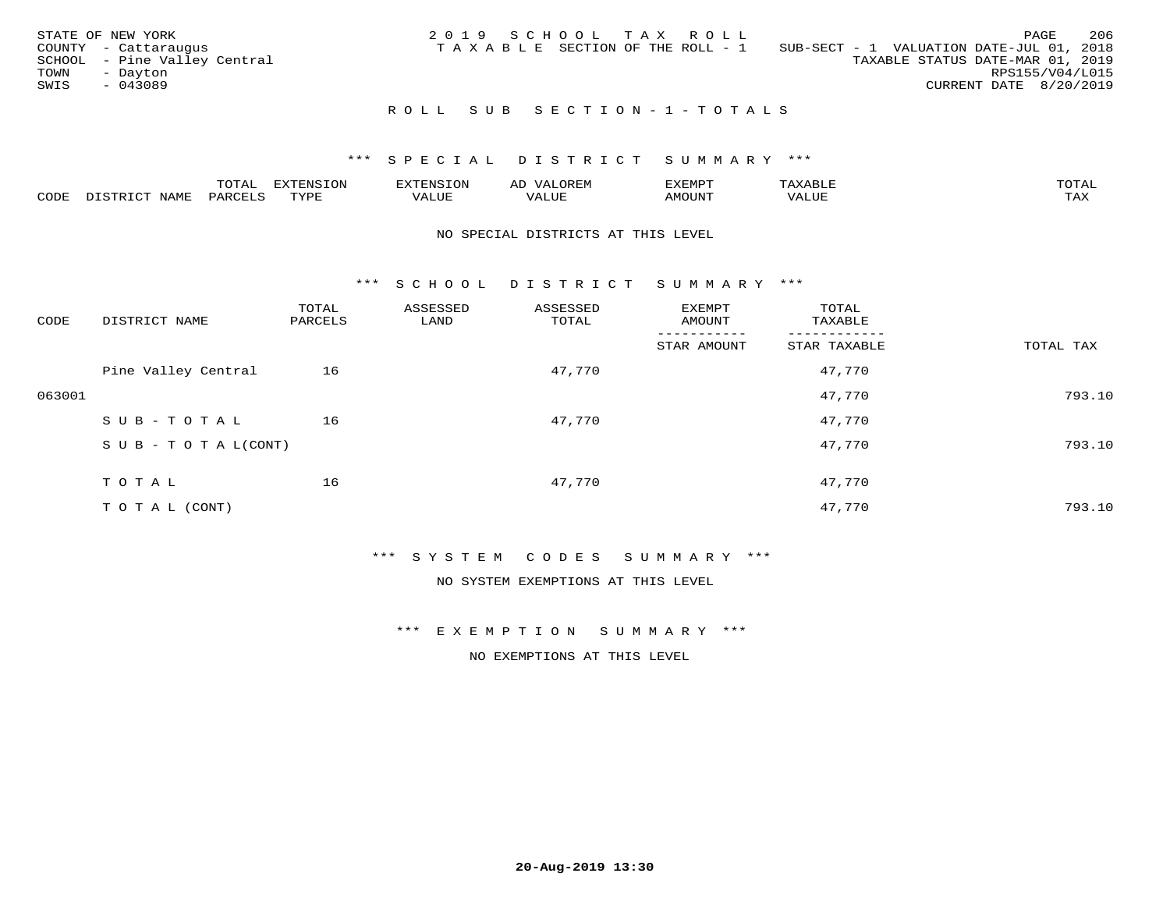| STATE OF NEW YORK<br>TOWN<br>SWIS | COUNTY - Cattaraugus<br>SCHOOL - Pine Valley Central<br>- Dayton<br>$-043089$ |  |  | 2019 SCHOOL TAX ROLL<br>T A X A B L E SECTION OF THE ROLL - 1 | SUB-SECT - 1 VALUATION DATE-JUL 01, 2018<br>TAXABLE STATUS DATE-MAR 01, 2019 | RPS155/V04/L015<br>CURRENT DATE 8/20/2019 | PAGE | 206 |
|-----------------------------------|-------------------------------------------------------------------------------|--|--|---------------------------------------------------------------|------------------------------------------------------------------------------|-------------------------------------------|------|-----|
|                                   |                                                                               |  |  | ROLL SUB SECTION-1-TOTALS                                     |                                                                              |                                           |      |     |

|      |                            | ----<br>$\overline{\phantom{a}}$ | EXTENSION | <b>ENS</b>         | AL<br>$\cdots$ | דסאים אי     |                       | momn. |
|------|----------------------------|----------------------------------|-----------|--------------------|----------------|--------------|-----------------------|-------|
| CODE | $ \sim$ $-$<br><b>NAMP</b> | $\Omega$<br>'ARI                 | TVDF      | <b><i>ALUE</i></b> | 'ALUE          | <b>MOUNT</b> | . <del>.</del><br>JUI | TAX   |

#### NO SPECIAL DISTRICTS AT THIS LEVEL

\*\*\* S C H O O L D I S T R I C T S U M M A R Y \*\*\*

| CODE   | DISTRICT NAME                    | TOTAL<br>PARCELS | ASSESSED<br>LAND | ASSESSED<br>TOTAL | EXEMPT<br>AMOUNT | TOTAL<br>TAXABLE |           |
|--------|----------------------------------|------------------|------------------|-------------------|------------------|------------------|-----------|
|        |                                  |                  |                  |                   | STAR AMOUNT      | STAR TAXABLE     | TOTAL TAX |
|        | Pine Valley Central              | 16               |                  | 47,770            |                  | 47,770           |           |
| 063001 |                                  |                  |                  |                   |                  | 47,770           | 793.10    |
|        | SUB-TOTAL                        | 16               |                  | 47,770            |                  | 47,770           |           |
|        | $S \cup B - T \cup T A L (CONT)$ |                  |                  |                   |                  | 47,770           | 793.10    |
|        | TOTAL                            | 16               |                  | 47,770            |                  | 47,770           |           |
|        | T O T A L (CONT)                 |                  |                  |                   |                  | 47,770           | 793.10    |

#### \*\*\* S Y S T E M C O D E S S U M M A R Y \*\*\*

NO SYSTEM EXEMPTIONS AT THIS LEVEL

\*\*\* E X E M P T I O N S U M M A R Y \*\*\*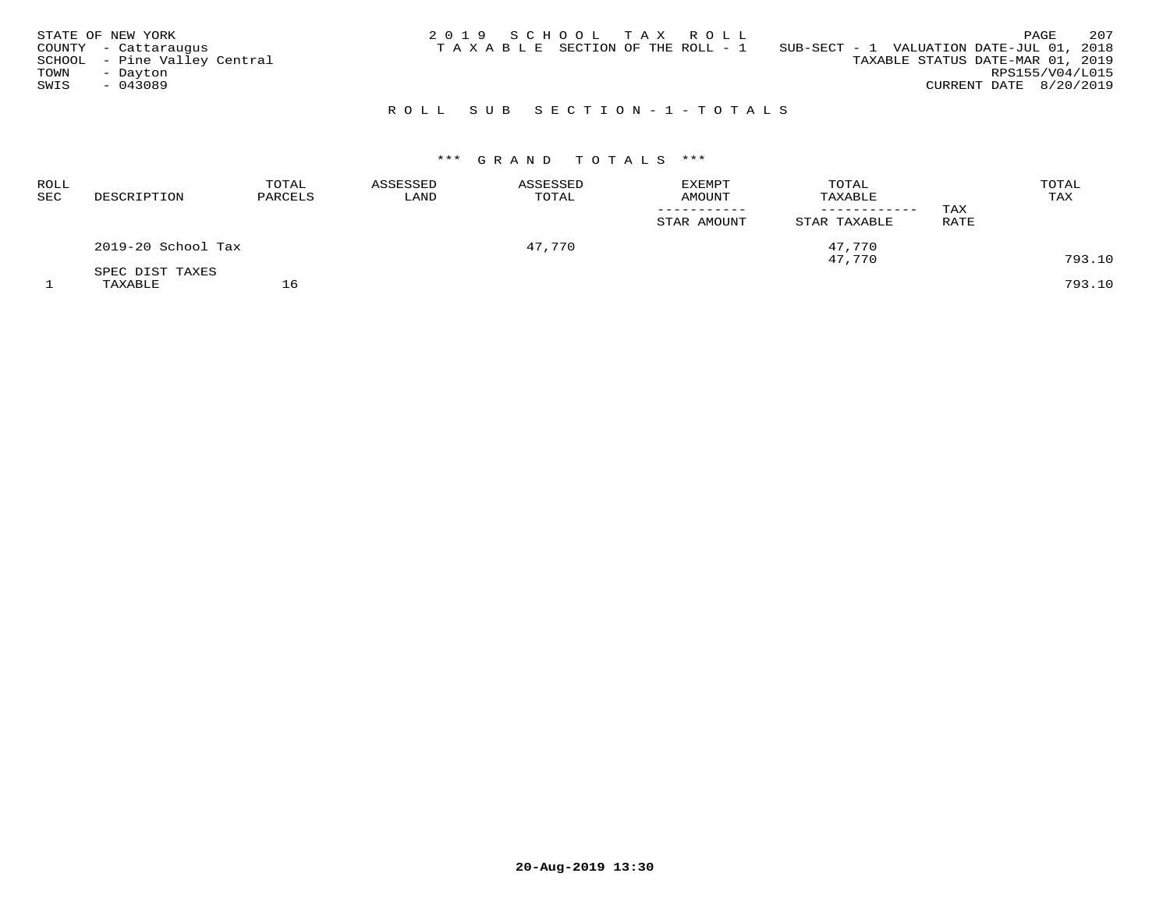|      | STATE OF NEW YORK            | 2019 SCHOOL TAX ROLL |  |                                       |                                          |                        | PAGE | 207 |
|------|------------------------------|----------------------|--|---------------------------------------|------------------------------------------|------------------------|------|-----|
|      | COUNTY - Cattaraugus         |                      |  | T A X A B L E SECTION OF THE ROLL - 1 | SUB-SECT - 1 VALUATION DATE-JUL 01, 2018 |                        |      |     |
|      | SCHOOL - Pine Valley Central |                      |  |                                       | TAXABLE STATUS DATE-MAR 01, 2019         |                        |      |     |
| TOWN | - Dayton                     |                      |  |                                       |                                          | RPS155/V04/L015        |      |     |
| SWIS | $-043089$                    |                      |  |                                       |                                          | CURRENT DATE 8/20/2019 |      |     |
|      |                              |                      |  |                                       |                                          |                        |      |     |

# R O L L S U B S E C T I O N - 1 - T O T A L S

# \*\*\* G R A N D T O T A L S \*\*\*

| ROLL<br>SEC | DESCRIPTION        | TOTAL<br>PARCELS | ASSESSED<br>LAND | ASSESSED<br>TOTAL | <b>EXEMPT</b><br><b>AMOUNT</b> | TOTAL<br>TAXABLE<br>------------ | TAX  | TOTAL<br>TAX |
|-------------|--------------------|------------------|------------------|-------------------|--------------------------------|----------------------------------|------|--------------|
|             |                    |                  |                  |                   | STAR AMOUNT                    | STAR TAXABLE                     | RATE |              |
|             | 2019-20 School Tax |                  |                  | 47,770            |                                | 47,770                           |      |              |
|             | SPEC DIST TAXES    |                  |                  |                   |                                | 47,770                           |      | 793.10       |
|             | TAXABLE            |                  |                  |                   |                                |                                  |      | 793.10       |

**20-Aug-2019 13:30**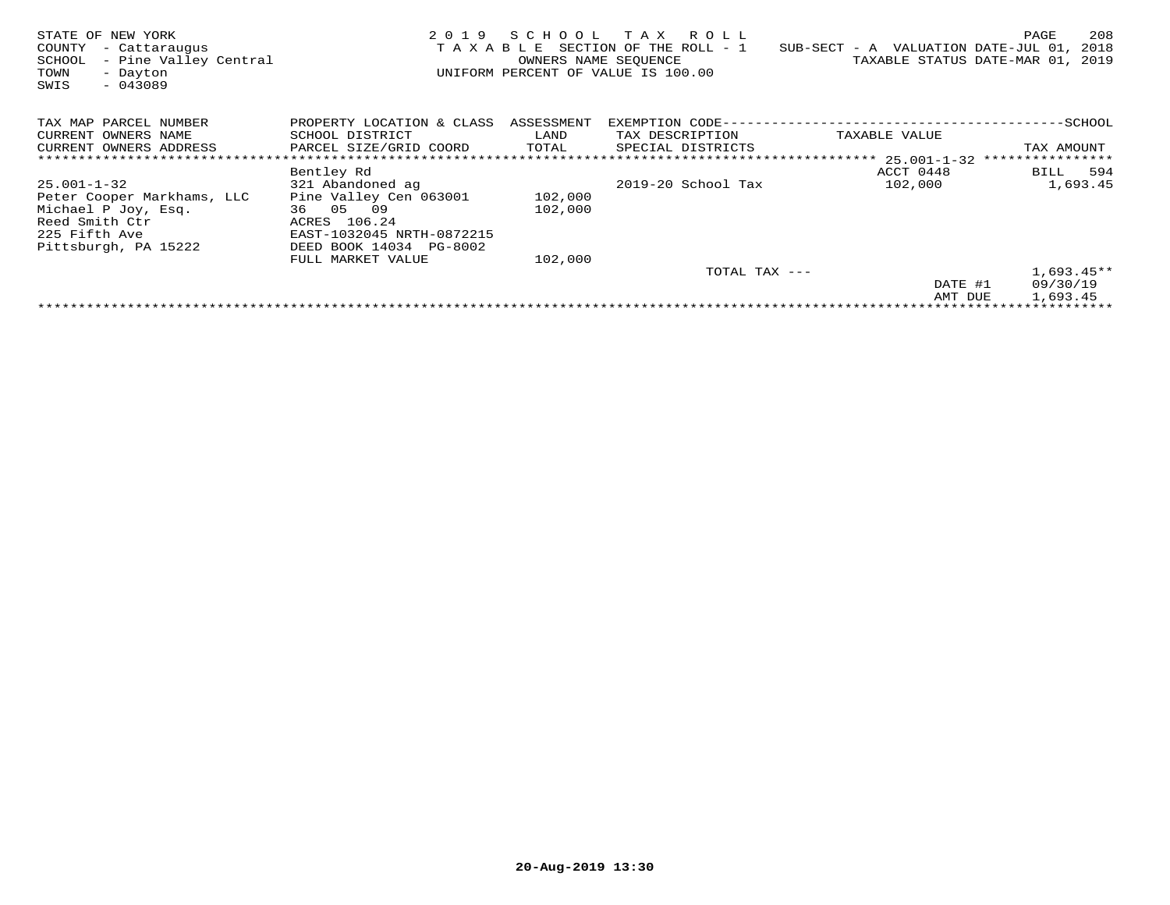| STATE OF NEW YORK<br>COUNTY<br>- Cattaraugus<br>- Pine Valley Central<br>SCHOOL<br>TOWN<br>- Dayton<br>SWIS<br>$-043089$    | TAXABLE                                                                                                                                      | OWNERS NAME SEQUENCE | 2019 SCHOOL TAX ROLL<br>SECTION OF THE ROLL - 1<br>UNIFORM PERCENT OF VALUE IS 100.00 | $SUB-SECTION - A$ VALUATION DATE-JUL 01, | 208<br>PAGE<br>2018<br>TAXABLE STATUS DATE-MAR 01, 2019 |
|-----------------------------------------------------------------------------------------------------------------------------|----------------------------------------------------------------------------------------------------------------------------------------------|----------------------|---------------------------------------------------------------------------------------|------------------------------------------|---------------------------------------------------------|
| TAX MAP PARCEL NUMBER<br>CURRENT OWNERS NAME<br>CURRENT OWNERS ADDRESS                                                      | PROPERTY LOCATION & CLASS ASSESSMENT<br>SCHOOL DISTRICT<br>PARCEL SIZE/GRID COORD                                                            | LAND<br>TOTAL        | TAX DESCRIPTION<br>SPECIAL DISTRICTS                                                  | TAXABLE VALUE                            | TAX AMOUNT                                              |
|                                                                                                                             |                                                                                                                                              |                      |                                                                                       | ACCT 0448                                |                                                         |
| 25.001-1-32<br>Peter Cooper Markhams, LLC<br>Michael P Joy, Esq.<br>Reed Smith Ctr<br>225 Fifth Ave<br>Pittsburgh, PA 15222 | Bentley Rd<br>321 Abandoned ag<br>Pine Valley Cen 063001<br>36 05 09<br>ACRES 106.24<br>EAST-1032045 NRTH-0872215<br>DEED BOOK 14034 PG-8002 | 102,000<br>102,000   | 2019-20 School Tax                                                                    | 102,000                                  | BILL 594<br>1,693.45                                    |
|                                                                                                                             | FULL MARKET VALUE                                                                                                                            | 102,000              |                                                                                       |                                          |                                                         |
|                                                                                                                             |                                                                                                                                              |                      | TOTAL TAX ---                                                                         |                                          | $1,693.45**$                                            |
|                                                                                                                             |                                                                                                                                              |                      |                                                                                       | DATE #1<br>AMT DUE                       | 09/30/19<br>1,693.45                                    |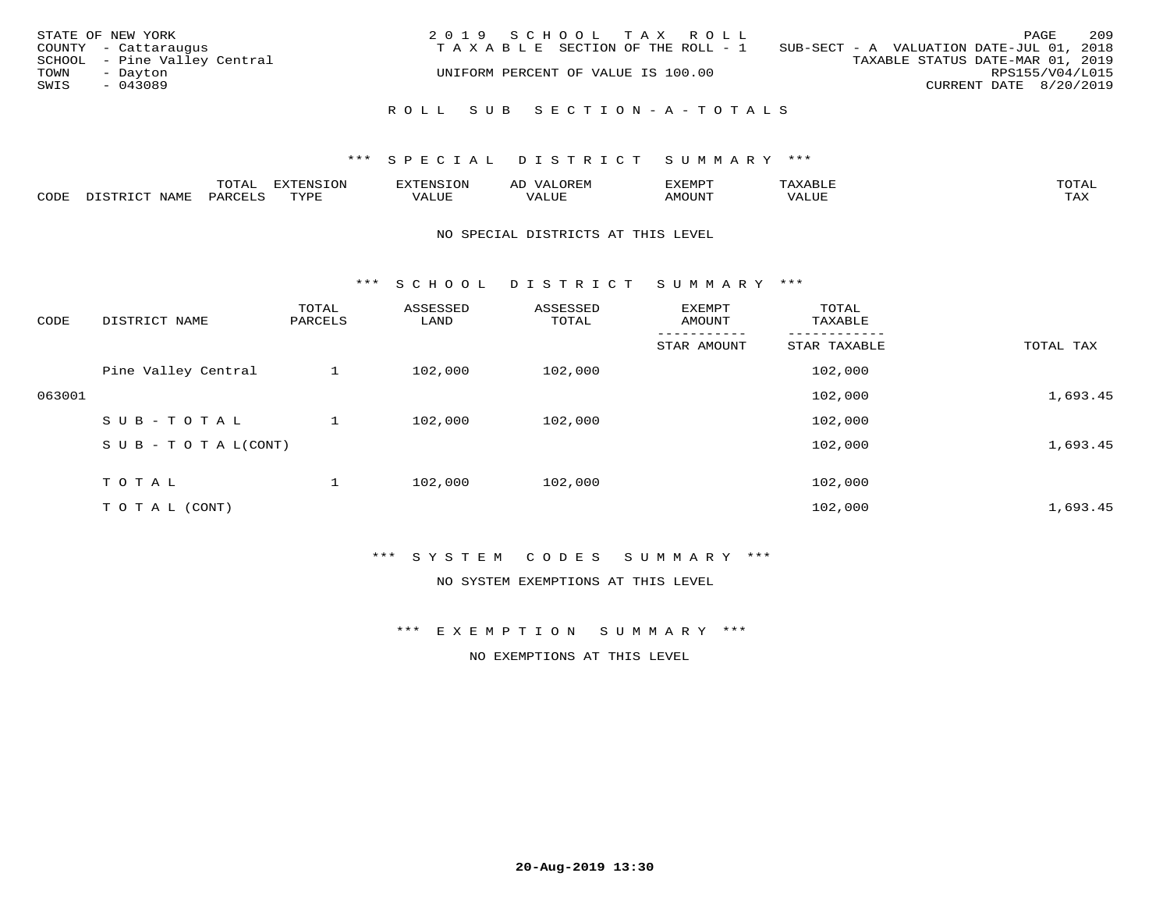| STATE OF NEW YORK<br>TOWN<br>SWIS | COUNTY - Cattaraugus<br>SCHOOL - Pine Valley Central<br>- Dayton<br>$-043089$ | 2019 SCHOOL TAX ROLL<br>TAXABLE SECTION OF THE ROLL - 1<br>UNIFORM PERCENT OF VALUE IS 100.00 | SUB-SECT - A VALUATION DATE-JUL 01, 2018<br>TAXABLE STATUS DATE-MAR 01, 2019 | PAGE<br>RPS155/V04/L015<br>CURRENT DATE 8/20/2019 | 209 |
|-----------------------------------|-------------------------------------------------------------------------------|-----------------------------------------------------------------------------------------------|------------------------------------------------------------------------------|---------------------------------------------------|-----|
|                                   |                                                                               | ROLL SUB SECTION-A-TOTALS                                                                     |                                                                              |                                                   |     |

|      |      | $n \wedge m \wedge n$<br>$\cdots$<br>◡⊥▱ |             | אים " | ΑL   | ے ا          |       |              |
|------|------|------------------------------------------|-------------|-------|------|--------------|-------|--------------|
| CODE | VAMF | <sup>3</sup> AR.                         | <b>TIVE</b> | ALUF  | ALUE | <b>MOUNT</b> | VALUE | max x<br>∸∽∽ |

#### NO SPECIAL DISTRICTS AT THIS LEVEL

\*\*\* S C H O O L D I S T R I C T S U M M A R Y \*\*\*

| CODE   | DISTRICT NAME                    | TOTAL<br>PARCELS | ASSESSED<br>LAND | ASSESSED<br>TOTAL | EXEMPT<br>AMOUNT | TOTAL<br>TAXABLE |           |
|--------|----------------------------------|------------------|------------------|-------------------|------------------|------------------|-----------|
|        |                                  |                  |                  |                   | STAR AMOUNT      | STAR TAXABLE     | TOTAL TAX |
|        | Pine Valley Central              |                  | 102,000          | 102,000           |                  | 102,000          |           |
| 063001 |                                  |                  |                  |                   |                  | 102,000          | 1,693.45  |
|        | SUB-TOTAL                        |                  | 102,000          | 102,000           |                  | 102,000          |           |
|        | $S \cup B - T \cup T A L (CONT)$ |                  |                  |                   |                  | 102,000          | 1,693.45  |
|        | T O T A L                        |                  | 102,000          | 102,000           |                  | 102,000          |           |
|        | T O T A L (CONT)                 |                  |                  |                   |                  | 102,000          | 1,693.45  |

# \*\*\* S Y S T E M C O D E S S U M M A R Y \*\*\*

NO SYSTEM EXEMPTIONS AT THIS LEVEL

\*\*\* E X E M P T I O N S U M M A R Y \*\*\*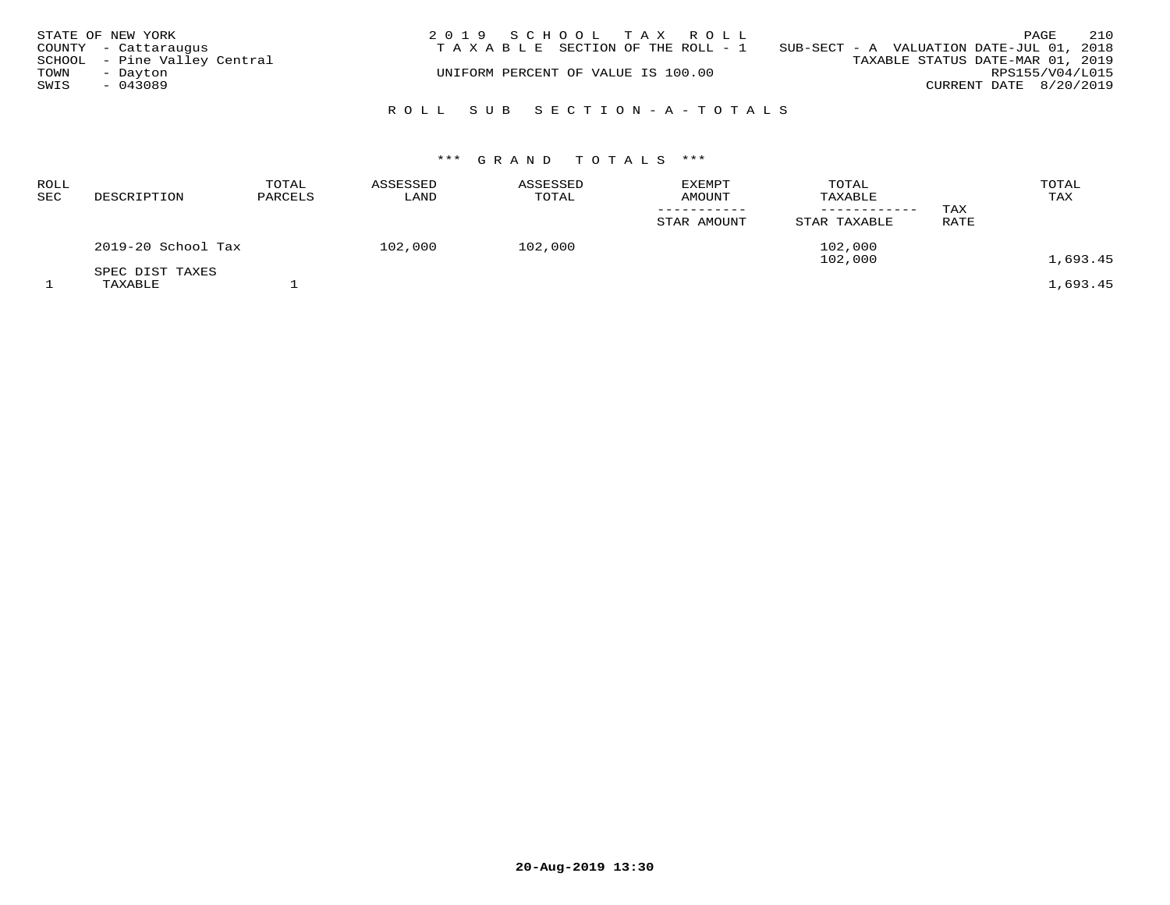|      | STATE OF NEW YORK            | 2019 SCHOOL TAX ROLL                                                           |                                  | PAGE | 210                    |
|------|------------------------------|--------------------------------------------------------------------------------|----------------------------------|------|------------------------|
|      | COUNTY - Cattaraugus         | T A X A B L E SECTION OF THE ROLL - 1 SUB-SECT - A VALUATION DATE-JUL 01, 2018 |                                  |      |                        |
|      | SCHOOL - Pine Valley Central |                                                                                | TAXABLE STATUS DATE-MAR 01, 2019 |      |                        |
| TOWN | - Dayton                     | UNIFORM PERCENT OF VALUE IS 100.00                                             |                                  |      | RPS155/V04/L015        |
| SWIS | $-043089$                    |                                                                                |                                  |      | CURRENT DATE 8/20/2019 |
|      |                              | ROLL SUB SECTION-A-TOTALS                                                      |                                  |      |                        |

| ROLL<br>SEC | DESCRIPTION                | TOTAL<br>PARCELS | ASSESSED<br>LAND | ASSESSED<br>TOTAL | <b>EXEMPT</b><br><b>AMOUNT</b><br>STAR AMOUNT | TOTAL<br>TAXABLE<br>----------<br>STAR TAXABLE | TAX<br>RATE | TOTAL<br>TAX |
|-------------|----------------------------|------------------|------------------|-------------------|-----------------------------------------------|------------------------------------------------|-------------|--------------|
|             | 2019-20 School Tax         |                  | 102,000          | 102,000           |                                               | 102,000<br>102,000                             |             | 1,693.45     |
|             | SPEC DIST TAXES<br>TAXABLE |                  |                  |                   |                                               |                                                |             | 1,693.45     |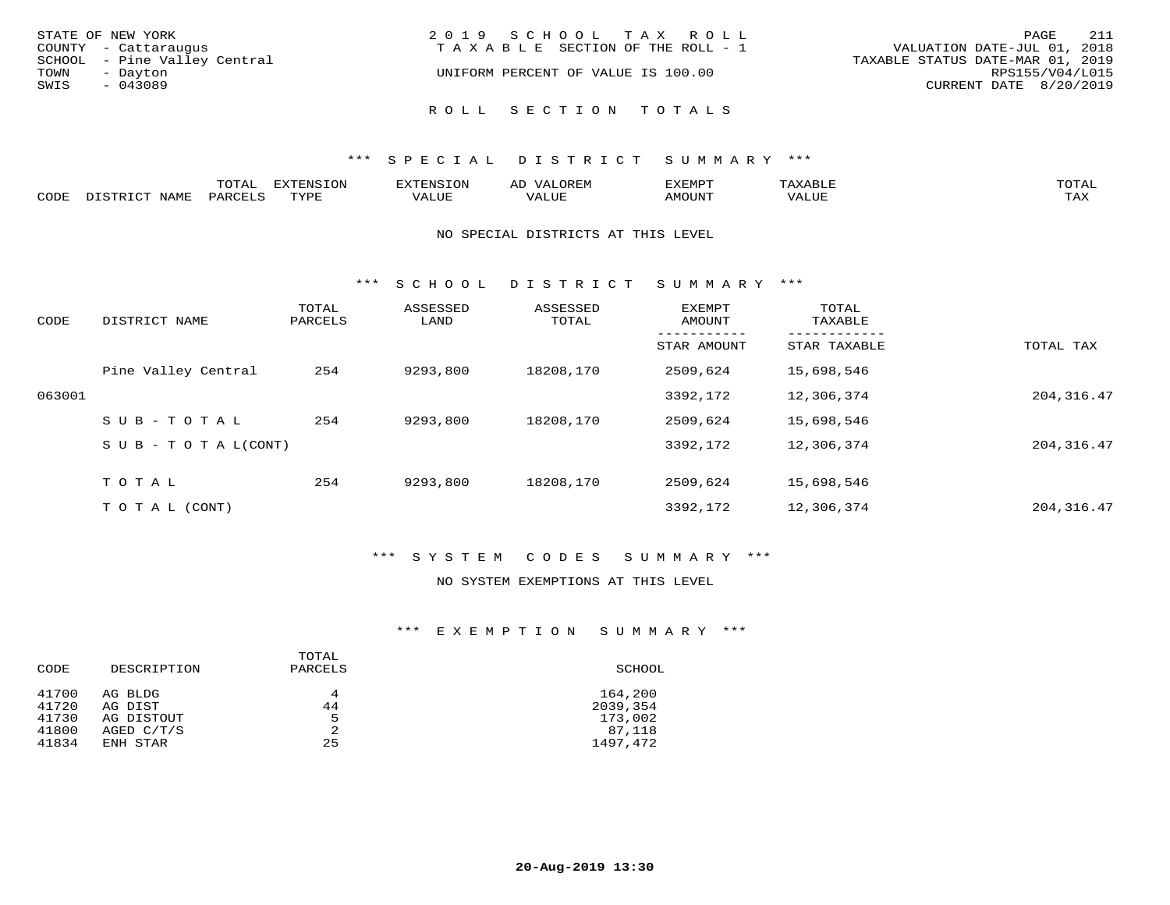| STATE OF NEW YORK            | 2019 SCHOOL TAX ROLL               | 211<br>PAGE                      |
|------------------------------|------------------------------------|----------------------------------|
| COUNTY - Cattaraugus         | TAXABLE SECTION OF THE ROLL - 1    | VALUATION DATE-JUL 01, 2018      |
| SCHOOL - Pine Valley Central |                                    | TAXABLE STATUS DATE-MAR 01, 2019 |
| TOWN<br>- Dayton             | UNIFORM PERCENT OF VALUE IS 100.00 | RPS155/V04/L015                  |
| SWIS<br>$-043089$            |                                    | CURRENT DATE 8/20/2019           |
|                              | ROLL SECTION TOTALS                |                                  |

|      | ◡∸ғ      | ---<br>$\tau$ on<br><b>L'VIC</b> |                           | ∽     |       | <b>TOTA</b>               |
|------|----------|----------------------------------|---------------------------|-------|-------|---------------------------|
| CODE | $\cdots$ | PVDI                             | $777$ $777$<br>$\sqrt{ }$ | T T T | MOUNT | $m \times r$<br>- - - - - |

#### NO SPECIAL DISTRICTS AT THIS LEVEL

\*\*\* S C H O O L D I S T R I C T S U M M A R Y \*\*\*

| CODE   | DISTRICT NAME                    | TOTAL<br>PARCELS | ASSESSED<br>LAND | ASSESSED<br>TOTAL | EXEMPT<br>AMOUNT | TOTAL<br>TAXABLE |             |
|--------|----------------------------------|------------------|------------------|-------------------|------------------|------------------|-------------|
|        |                                  |                  |                  |                   | STAR AMOUNT      | STAR TAXABLE     | TOTAL TAX   |
|        | Pine Valley Central              | 254              | 9293,800         | 18208,170         | 2509,624         | 15,698,546       |             |
| 063001 |                                  |                  |                  |                   | 3392,172         | 12,306,374       | 204, 316.47 |
|        | $SUB - TO TAL$                   | 254              | 9293,800         | 18208,170         | 2509,624         | 15,698,546       |             |
|        | $S \cup B - T \cup T A L (CONT)$ |                  |                  |                   | 3392,172         | 12,306,374       | 204, 316.47 |
|        | TOTAL                            | 254              | 9293,800         | 18208,170         | 2509,624         | 15,698,546       |             |
|        | T O T A L (CONT)                 |                  |                  |                   | 3392,172         | 12,306,374       | 204, 316.47 |

# \*\*\* S Y S T E M C O D E S S U M M A R Y \*\*\*

#### NO SYSTEM EXEMPTIONS AT THIS LEVEL

#### \*\*\* E X E M P T I O N S U M M A R Y \*\*\*

| CODE  | DESCRIPTION  | TOTAL<br>PARCELS | SCHOOL   |
|-------|--------------|------------------|----------|
| 41700 | AG BLDG      | 4                | 164,200  |
| 41720 | AG DIST      | 44               | 2039,354 |
| 41730 | AG DISTOUT   | 5                | 173,002  |
| 41800 | AGED $C/T/S$ | 2                | 87,118   |
| 41834 | ENH STAR     | 25               | 1497,472 |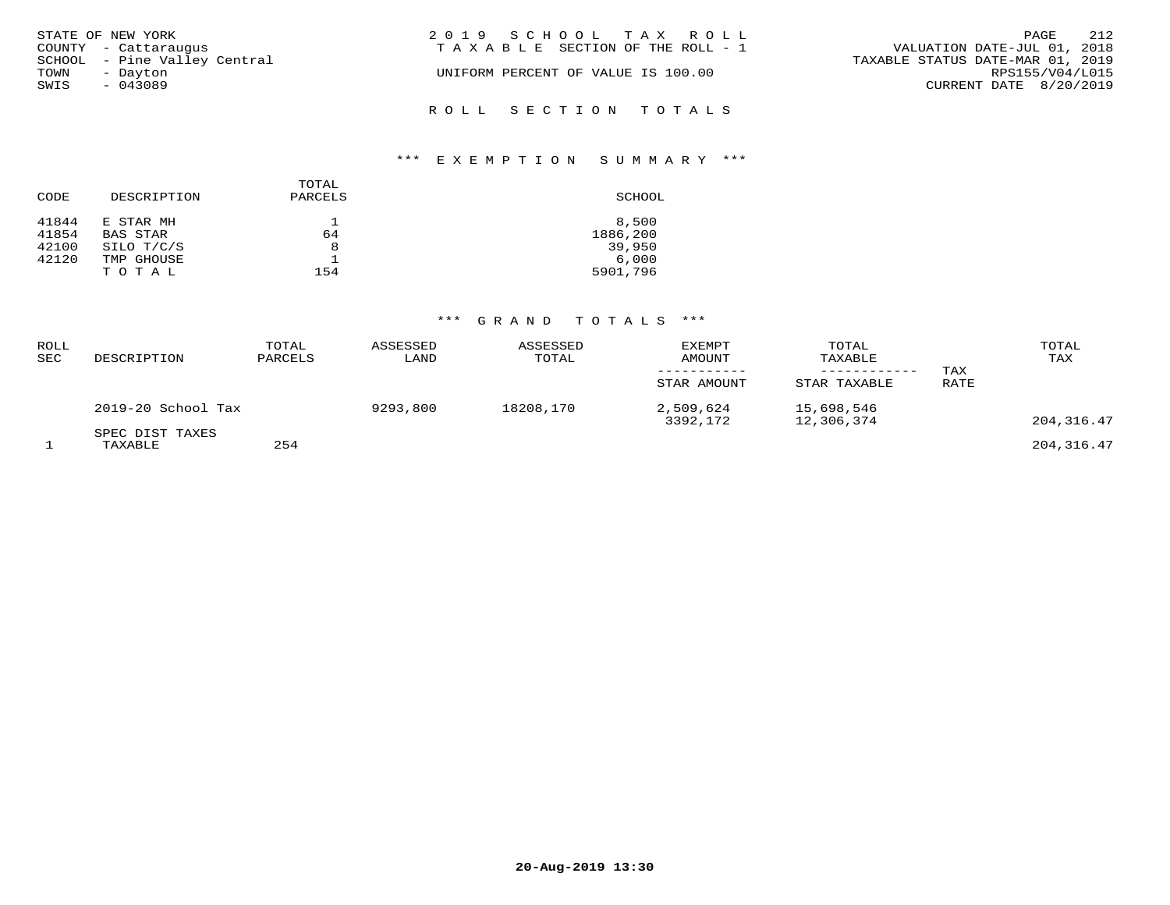| STATE OF NEW YORK            | 2019 SCHOOL TAX ROLL               | 212<br>PAGE                      |
|------------------------------|------------------------------------|----------------------------------|
| COUNTY - Cattaraugus         | TAXABLE SECTION OF THE ROLL - 1    | VALUATION DATE-JUL 01, 2018      |
| SCHOOL - Pine Valley Central |                                    | TAXABLE STATUS DATE-MAR 01, 2019 |
| TOWN<br>- Dayton             | UNIFORM PERCENT OF VALUE IS 100.00 | RPS155/V04/L015                  |
| SWIS<br>$-043089$            |                                    | CURRENT DATE 8/20/2019           |
|                              | ROLL SECTION TOTALS                |                                  |

# \*\*\* E X E M P T I O N S U M M A R Y \*\*\*

| CODE                    | DESCRIPTION                         | TOTAL<br>PARCELS | SCHOOL                      |
|-------------------------|-------------------------------------|------------------|-----------------------------|
| 41844<br>41854<br>42100 | E STAR MH<br>BAS STAR<br>SILO T/C/S | 64<br>8          | 8,500<br>1886,200<br>39,950 |
| 42120                   | TMP GHOUSE<br>TOTAL                 | 154              | 6,000<br>5901,796           |

| ROLL<br><b>SEC</b> | DESCRIPTION                | TOTAL<br>PARCELS | ASSESSED<br>LAND | ASSESSED<br>TOTAL | <b>EXEMPT</b><br>AMOUNT<br>-----------<br>STAR AMOUNT | TOTAL<br>TAXABLE<br>------------<br>STAR TAXABLE | TAX<br>RATE | TOTAL<br>TAX |
|--------------------|----------------------------|------------------|------------------|-------------------|-------------------------------------------------------|--------------------------------------------------|-------------|--------------|
|                    | 2019-20 School Tax         |                  | 9293,800         | 18208,170         | 2,509,624<br>3392,172                                 | 15,698,546<br>12,306,374                         |             | 204,316.47   |
|                    | SPEC DIST TAXES<br>TAXABLE | 254              |                  |                   |                                                       |                                                  |             | 204,316.47   |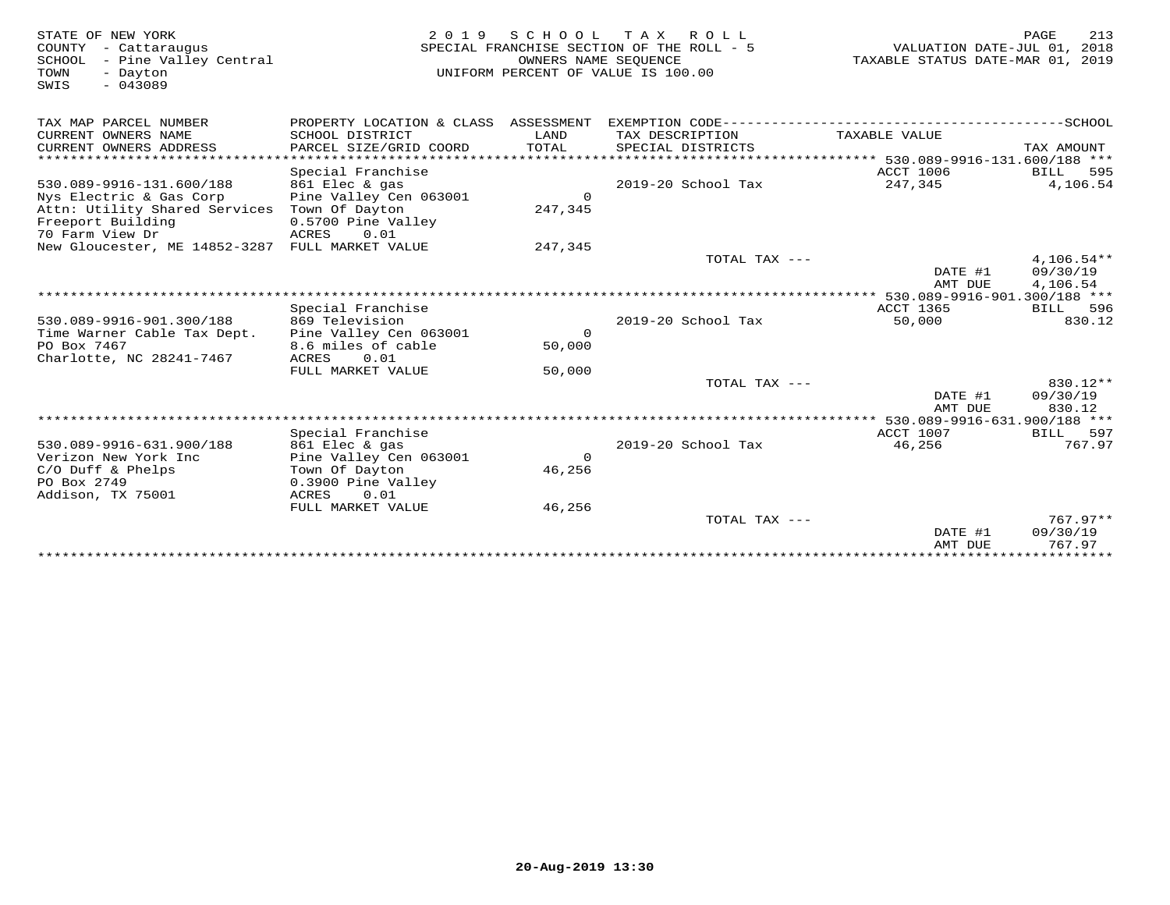| STATE OF NEW YORK<br>COUNTY - Cattaraugus<br>- Pine Valley Central<br>SCHOOL<br>TOWN<br>- Dayton<br>$-043089$<br>SWIS | 2 0 1 9                                   | SCHOOL<br>OWNERS NAME SEQUENCE | TAX ROLL<br>SPECIAL FRANCHISE SECTION OF THE ROLL - 5<br>UNIFORM PERCENT OF VALUE IS 100.00 | VALUATION DATE-JUL 01, 2018<br>TAXABLE STATUS DATE-MAR 01, 2019 | 213<br>PAGE  |
|-----------------------------------------------------------------------------------------------------------------------|-------------------------------------------|--------------------------------|---------------------------------------------------------------------------------------------|-----------------------------------------------------------------|--------------|
| TAX MAP PARCEL NUMBER                                                                                                 | PROPERTY LOCATION & CLASS ASSESSMENT      |                                |                                                                                             |                                                                 |              |
| CURRENT OWNERS NAME<br>CURRENT OWNERS ADDRESS                                                                         | SCHOOL DISTRICT<br>PARCEL SIZE/GRID COORD | LAND<br>TOTAL                  | TAX DESCRIPTION<br>SPECIAL DISTRICTS                                                        | TAXABLE VALUE                                                   | TAX AMOUNT   |
| *****************                                                                                                     |                                           |                                |                                                                                             | ****************** 530.089-9916-131.600/188 ***                 |              |
|                                                                                                                       | Special Franchise                         |                                |                                                                                             | <b>ACCT 1006</b>                                                | 595<br>BILL  |
| 530.089-9916-131.600/188                                                                                              | 861 Elec & gas                            |                                | 2019-20 School Tax                                                                          | 247,345                                                         | 4,106.54     |
| Nys Electric & Gas Corp                                                                                               | Pine Valley Cen 063001                    | $\Omega$                       |                                                                                             |                                                                 |              |
| Attn: Utility Shared Services                                                                                         | Town Of Dayton                            | 247,345                        |                                                                                             |                                                                 |              |
| Freeport Building                                                                                                     | 0.5700 Pine Valley                        |                                |                                                                                             |                                                                 |              |
| 70 Farm View Dr                                                                                                       | ACRES<br>0.01                             |                                |                                                                                             |                                                                 |              |
| New Gloucester, ME 14852-3287                                                                                         | FULL MARKET VALUE                         | 247,345                        |                                                                                             |                                                                 |              |
|                                                                                                                       |                                           |                                | TOTAL TAX ---                                                                               |                                                                 | $4,106.54**$ |
|                                                                                                                       |                                           |                                |                                                                                             | DATE #1                                                         | 09/30/19     |
| ******************************                                                                                        |                                           |                                |                                                                                             | AMT DUE                                                         | 4,106.54     |
|                                                                                                                       | Special Franchise                         |                                |                                                                                             | <b>ACCT 1365</b>                                                | BILL 596     |
| 530.089-9916-901.300/188                                                                                              | 869 Television                            |                                | 2019-20 School Tax                                                                          | 50,000                                                          | 830.12       |
| Time Warner Cable Tax Dept.                                                                                           | Pine Valley Cen 063001                    | $\Omega$                       |                                                                                             |                                                                 |              |
| PO Box 7467                                                                                                           | 8.6 miles of cable                        | 50,000                         |                                                                                             |                                                                 |              |
| Charlotte, NC 28241-7467                                                                                              | 0.01<br>ACRES                             |                                |                                                                                             |                                                                 |              |
|                                                                                                                       | FULL MARKET VALUE                         | 50,000                         |                                                                                             |                                                                 |              |
|                                                                                                                       |                                           |                                | TOTAL TAX ---                                                                               |                                                                 | 830.12**     |
|                                                                                                                       |                                           |                                |                                                                                             | DATE #1                                                         | 09/30/19     |
|                                                                                                                       |                                           |                                |                                                                                             | AMT DUE                                                         | 830.12       |
|                                                                                                                       |                                           |                                |                                                                                             |                                                                 |              |
|                                                                                                                       | Special Franchise                         |                                |                                                                                             | ACCT 1007                                                       | BILL 597     |
| 530.089-9916-631.900/188                                                                                              | 861 Elec & gas                            |                                | 2019-20 School Tax                                                                          | 46,256                                                          | 767.97       |
| Verizon New York Inc                                                                                                  | Pine Valley Cen 063001                    | $\Omega$                       |                                                                                             |                                                                 |              |
| $C/O$ Duff & Phelps                                                                                                   | Town Of Dayton                            | 46,256                         |                                                                                             |                                                                 |              |
| PO Box 2749                                                                                                           | 0.3900 Pine Valley                        |                                |                                                                                             |                                                                 |              |
| Addison, TX 75001                                                                                                     | 0.01<br>ACRES                             |                                |                                                                                             |                                                                 |              |
|                                                                                                                       | FULL MARKET VALUE                         | 46,256                         |                                                                                             |                                                                 |              |
|                                                                                                                       |                                           |                                | TOTAL TAX ---                                                                               |                                                                 | $767.97**$   |
|                                                                                                                       |                                           |                                |                                                                                             | DATE #1                                                         | 09/30/19     |
|                                                                                                                       |                                           |                                |                                                                                             | AMT DUE                                                         | 767.97       |
|                                                                                                                       |                                           |                                |                                                                                             |                                                                 |              |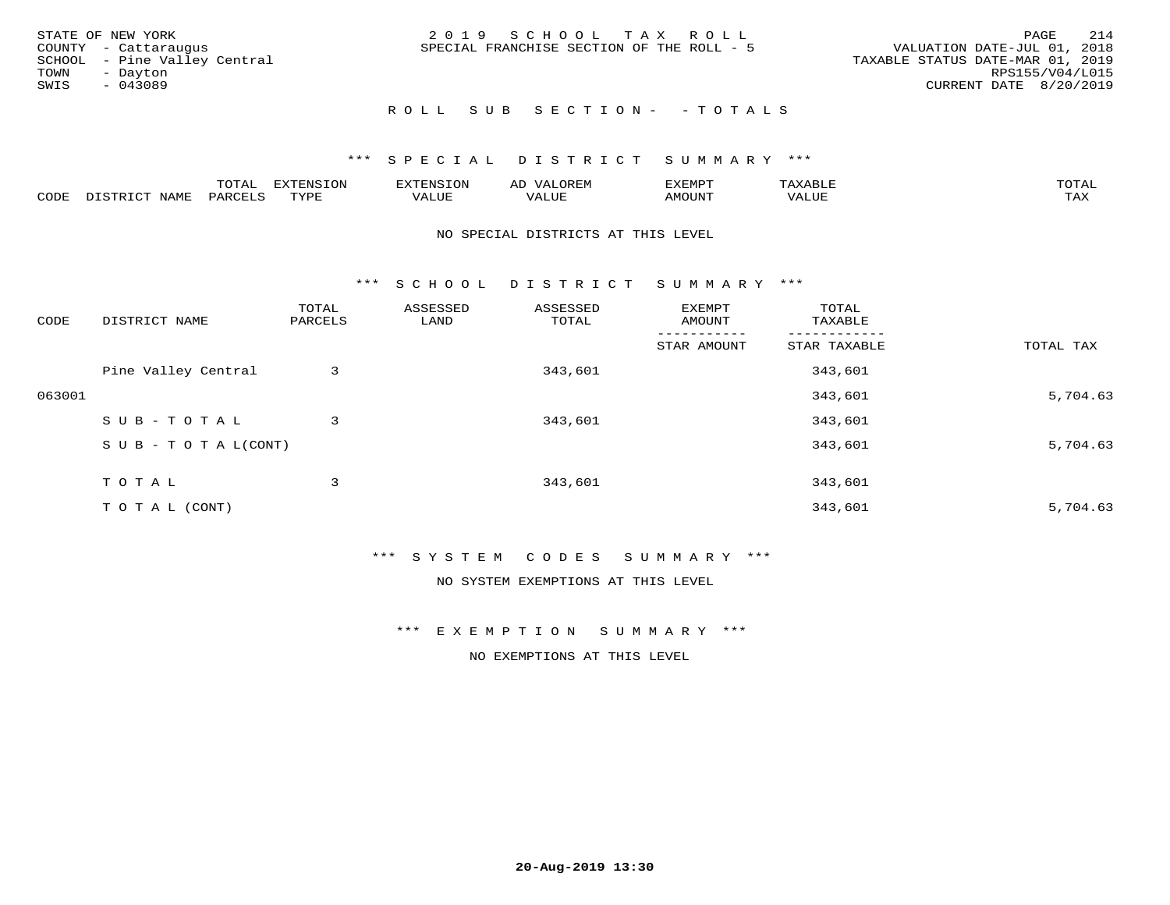|      | STATE OF NEW YORK            | 2019 SCHOOL TAX ROLL                                                     | PAGE            | 214 |
|------|------------------------------|--------------------------------------------------------------------------|-----------------|-----|
|      | COUNTY - Cattaraugus         | VALUATION DATE-JUL 01, 2018<br>SPECIAL FRANCHISE SECTION OF THE ROLL - 5 |                 |     |
|      | SCHOOL - Pine Valley Central | TAXABLE STATUS DATE-MAR 01, 2019                                         |                 |     |
| TOWN | - Davton                     |                                                                          | RPS155/V04/L015 |     |
| SWIS | $-043089$                    | CURRENT DATE 8/20/2019                                                   |                 |     |
|      |                              |                                                                          |                 |     |

# R O L L S U B S E C T I O N - - T O T A L S

### \*\*\* S P E C I A L D I S T R I C T S U M M A R Y \*\*\*

|      |                            | ----<br>$\overline{\phantom{a}}$ | EXTENSION | <b>ENS</b>         | AL<br>$\cdots$ | דסאים אי     |                       | momn. |
|------|----------------------------|----------------------------------|-----------|--------------------|----------------|--------------|-----------------------|-------|
| CODE | $ \sim$ $-$<br><b>NAMP</b> | $\Omega$<br>'ARI                 | TVDF      | <b><i>ALUE</i></b> | 'ALUE          | <b>MOUNT</b> | . <del>.</del><br>JUI | TAX   |

#### NO SPECIAL DISTRICTS AT THIS LEVEL

\*\*\* S C H O O L D I S T R I C T S U M M A R Y \*\*\*

| CODE   | DISTRICT NAME                    | TOTAL<br>PARCELS | ASSESSED<br>LAND | ASSESSED<br>TOTAL | EXEMPT<br>AMOUNT | TOTAL<br>TAXABLE |           |
|--------|----------------------------------|------------------|------------------|-------------------|------------------|------------------|-----------|
|        |                                  |                  |                  |                   | STAR AMOUNT      | STAR TAXABLE     | TOTAL TAX |
|        | Pine Valley Central              | 3                |                  | 343,601           |                  | 343,601          |           |
| 063001 |                                  |                  |                  |                   |                  | 343,601          | 5,704.63  |
|        | SUB-TOTAL                        | 3                |                  | 343,601           |                  | 343,601          |           |
|        | $S \cup B - T \cup T A L (CONT)$ |                  |                  |                   |                  | 343,601          | 5,704.63  |
|        | TOTAL                            | 3                |                  | 343,601           |                  | 343,601          |           |
|        | T O T A L (CONT)                 |                  |                  |                   |                  | 343,601          | 5,704.63  |

#### \*\*\* S Y S T E M C O D E S S U M M A R Y \*\*\*

NO SYSTEM EXEMPTIONS AT THIS LEVEL

\*\*\* E X E M P T I O N S U M M A R Y \*\*\*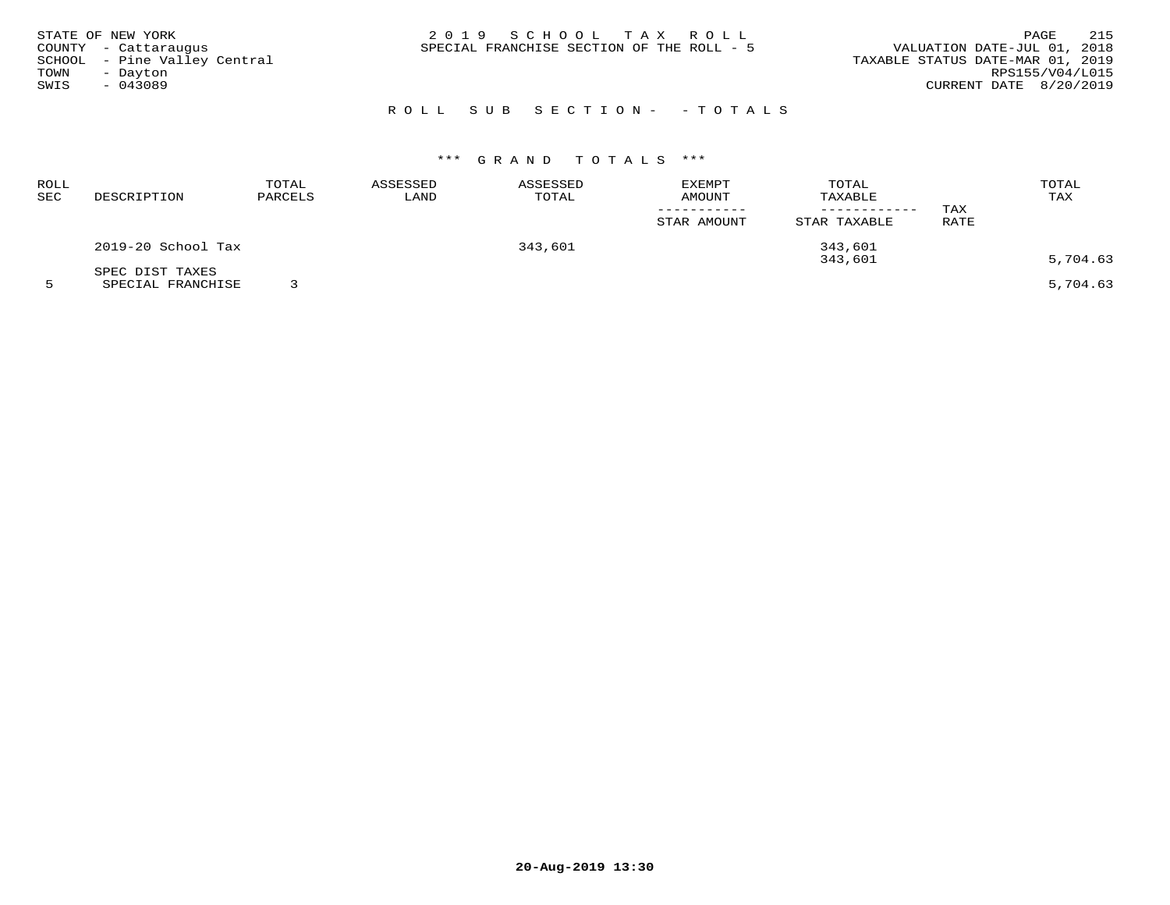| STATE OF NEW YORK<br>COUNTY - Cattaraugus<br>SCHOOL - Pine Valley Central<br>TOWN<br>- Dayton<br>SWIS<br>- 043089 | 2019 SCHOOL TAX ROLL<br>SPECIAL FRANCHISE SECTION OF THE ROLL - 5 | 215<br>PAGE<br>VALUATION DATE-JUL 01, 2018<br>TAXABLE STATUS DATE-MAR 01, 2019<br>RPS155/V04/L015<br>CURRENT DATE 8/20/2019 |
|-------------------------------------------------------------------------------------------------------------------|-------------------------------------------------------------------|-----------------------------------------------------------------------------------------------------------------------------|
|                                                                                                                   | ROLL SUB SECTION- - TOTALS                                        |                                                                                                                             |

| ROLL<br>SEC | DESCRIPTION                          | TOTAL<br>PARCELS | ASSESSED<br>LAND | ASSESSED<br>TOTAL | <b>EXEMPT</b><br>AMOUNT<br>STAR AMOUNT | TOTAL<br>TAXABLE<br>------------<br>STAR TAXABLE | TAX<br>RATE | TOTAL<br>TAX         |
|-------------|--------------------------------------|------------------|------------------|-------------------|----------------------------------------|--------------------------------------------------|-------------|----------------------|
|             | 2019-20 School Tax                   |                  |                  | 343,601           |                                        | 343,601                                          |             |                      |
|             | SPEC DIST TAXES<br>SPECIAL FRANCHISE |                  |                  |                   |                                        | 343,601                                          |             | 5,704.63<br>5,704.63 |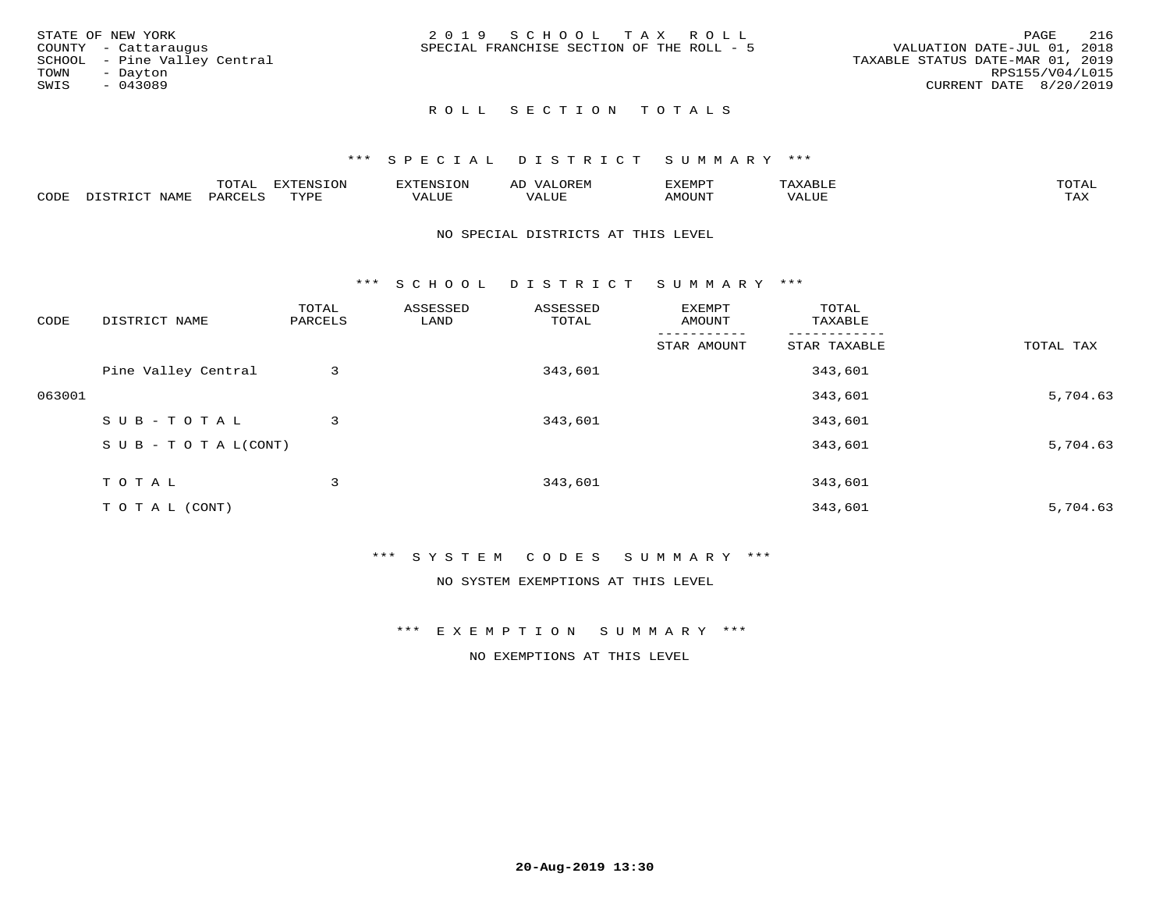| STATE OF NEW YORK            | 2019 SCHOOL TAX ROLL                      | 216<br>PAGE                      |
|------------------------------|-------------------------------------------|----------------------------------|
| COUNTY - Cattaraugus         | SPECIAL FRANCHISE SECTION OF THE ROLL - 5 | VALUATION DATE-JUL 01, 2018      |
| SCHOOL - Pine Valley Central |                                           | TAXABLE STATUS DATE-MAR 01, 2019 |
| TOWN<br>- Davton             |                                           | RPS155/V04/L015                  |
| SWIS<br>- 043089             |                                           | CURRENT DATE 8/20/2019           |
|                              |                                           |                                  |

# ROLL SECTION TOTALS

#### \*\*\* S P E C I A L D I S T R I C T S U M M A R Y \*\*\*

|      |                      | mom n | <b>ELIMENTO TONT</b><br>LUP | ALS.               | ΑL            | ,,, <del>,</del> ,,, <del>,</del><br>، ب<br>- ۱٬۱۳۰ نا ۱٬ |                         |                    |
|------|----------------------|-------|-----------------------------|--------------------|---------------|-----------------------------------------------------------|-------------------------|--------------------|
| CODE | <b>NAMT</b><br>11.17 | PARC  | TVDF                        | <b>TTT</b><br>ALUP | T T T<br>ALUE | TUUOMA                                                    | . <del>.</del><br>'ALUL | $m \times r$<br>∸⊷ |

#### NO SPECIAL DISTRICTS AT THIS LEVEL

\*\*\* S C H O O L D I S T R I C T S U M M A R Y \*\*\*

| CODE   | DISTRICT NAME                    | TOTAL<br>PARCELS | ASSESSED<br>LAND | ASSESSED<br>TOTAL | EXEMPT<br>AMOUNT | TOTAL<br>TAXABLE |           |
|--------|----------------------------------|------------------|------------------|-------------------|------------------|------------------|-----------|
|        |                                  |                  |                  |                   | STAR AMOUNT      | STAR TAXABLE     | TOTAL TAX |
|        | Pine Valley Central              | 3                |                  | 343,601           |                  | 343,601          |           |
| 063001 |                                  |                  |                  |                   |                  | 343,601          | 5,704.63  |
|        | SUB-TOTAL                        | 3                |                  | 343,601           |                  | 343,601          |           |
|        | $S \cup B - T \cup T A L (CONT)$ |                  |                  |                   |                  | 343,601          | 5,704.63  |
|        | TOTAL                            | 3                |                  | 343,601           |                  | 343,601          |           |
|        | T O T A L (CONT)                 |                  |                  |                   |                  | 343,601          | 5,704.63  |

#### \*\*\* S Y S T E M C O D E S S U M M A R Y \*\*\*

NO SYSTEM EXEMPTIONS AT THIS LEVEL

\*\*\* E X E M P T I O N S U M M A R Y \*\*\*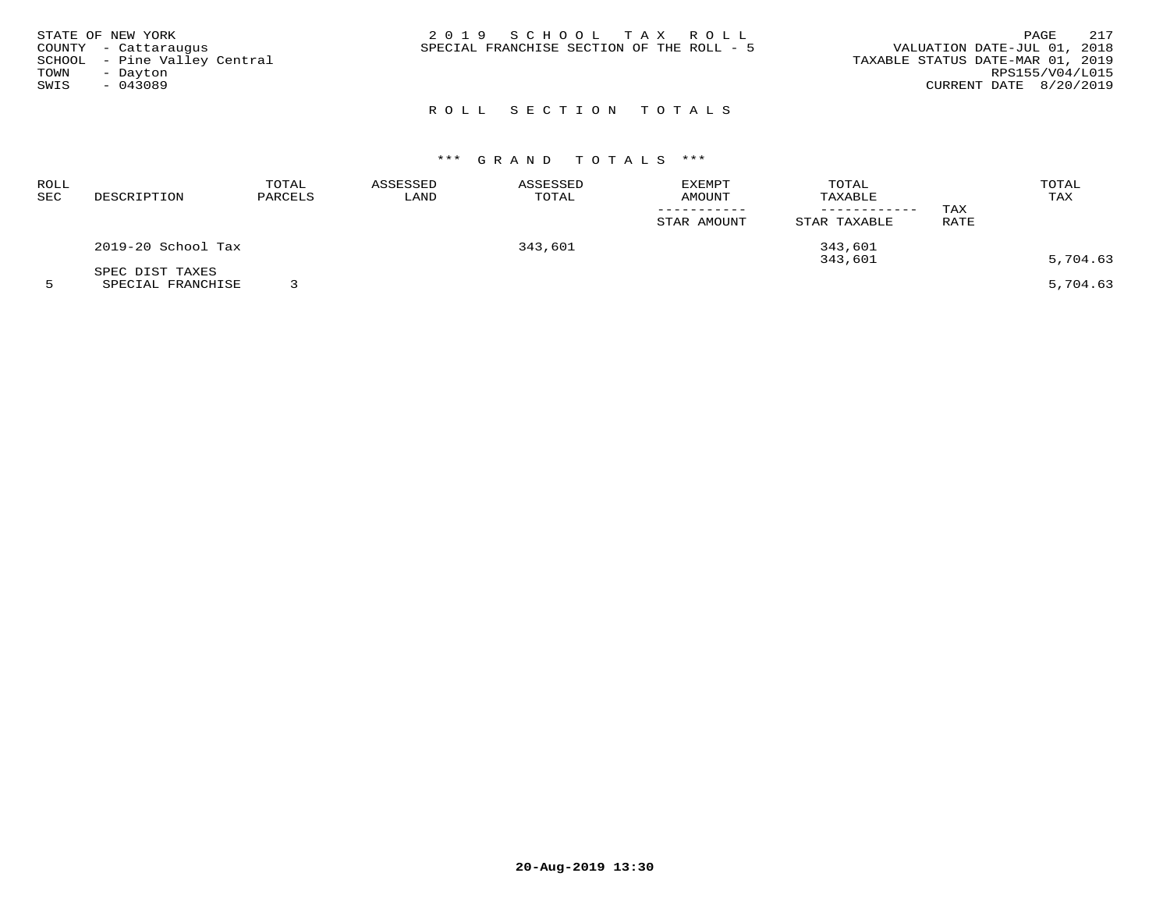|      | STATE OF NEW YORK<br>COUNTY - Cattaraugus | 2019 SCHOOL TAX ROLL<br>VALUATION DATE-JUL 01, 2018<br>SPECIAL FRANCHISE SECTION OF THE ROLL - 5 | PAGE            | 217 |
|------|-------------------------------------------|--------------------------------------------------------------------------------------------------|-----------------|-----|
|      | SCHOOL - Pine Valley Central              | TAXABLE STATUS DATE-MAR 01, 2019                                                                 |                 |     |
| TOWN | - Dayton                                  |                                                                                                  | RPS155/V04/L015 |     |
| SWIS | - 043089                                  | CURRENT DATE 8/20/2019                                                                           |                 |     |
|      |                                           |                                                                                                  |                 |     |

## ROLL SECTION TOTALS

## \*\*\* G R A N D T O T A L S \*\*\*

| ROLL<br>SEC | DESCRIPTION                          | TOTAL<br>PARCELS | ASSESSED<br>LAND | ASSESSED<br>TOTAL | EXEMPT<br><b>AMOUNT</b> | TOTAL<br>TAXABLE<br>--------- | TAX  | TOTAL<br>TAX |
|-------------|--------------------------------------|------------------|------------------|-------------------|-------------------------|-------------------------------|------|--------------|
|             |                                      |                  |                  |                   | STAR AMOUNT             | STAR TAXABLE                  | RATE |              |
|             | 2019-20 School Tax                   |                  |                  | 343,601           |                         | 343,601<br>343,601            |      | 5,704.63     |
|             | SPEC DIST TAXES<br>SPECIAL FRANCHISE |                  |                  |                   |                         |                               |      | 5,704.63     |

**20-Aug-2019 13:30**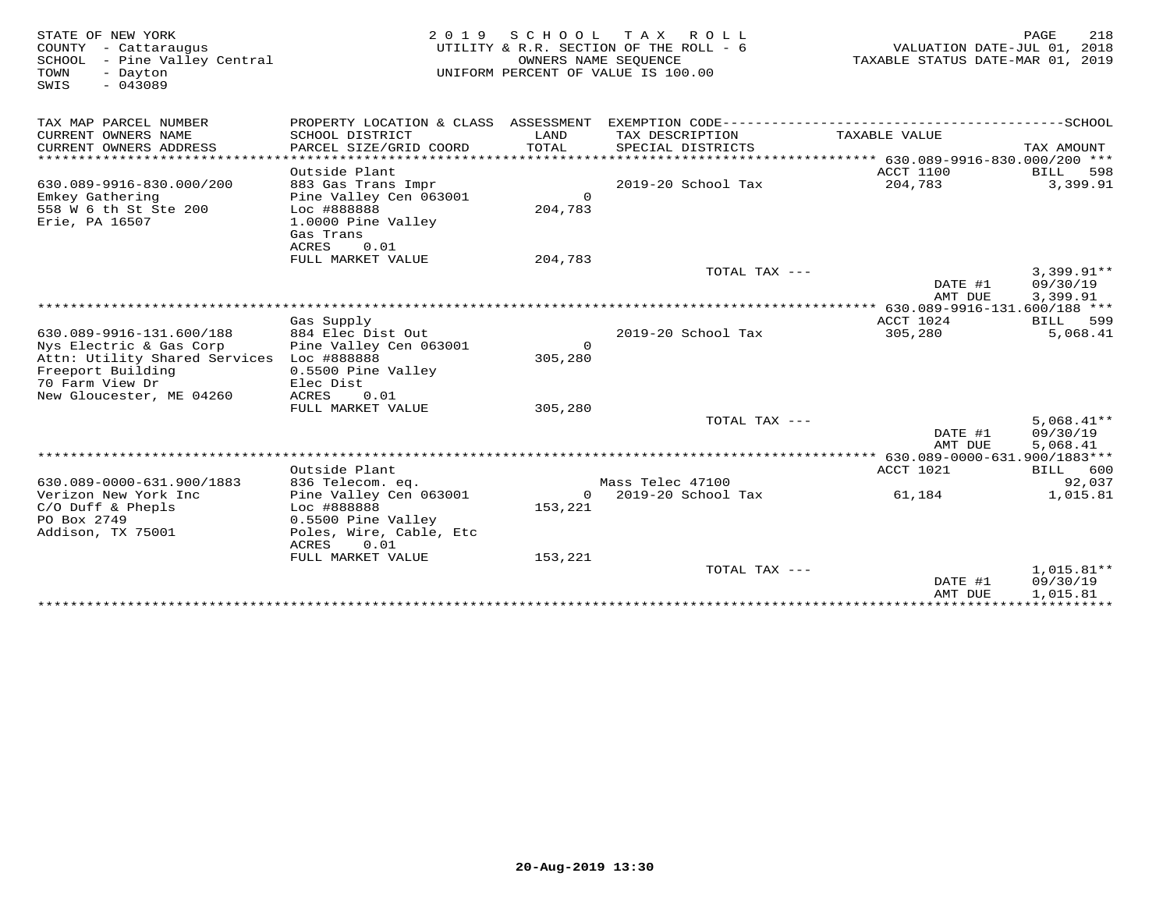| STATE OF NEW YORK<br>COUNTY - Cattaraugus<br>SCHOOL<br>- Pine Valley Central<br>TOWN<br>- Dayton<br>$-043089$<br>SWIS | 2 0 1 9                                                 | OWNERS NAME SEOUENCE | SCHOOL TAX ROLL<br>UTILITY & R.R. SECTION OF THE ROLL - 6<br>UNIFORM PERCENT OF VALUE IS 100.00 | VALUATION DATE-JUL 01, 2018<br>TAXABLE STATUS DATE-MAR 01, 2019 | PAGE<br>218              |
|-----------------------------------------------------------------------------------------------------------------------|---------------------------------------------------------|----------------------|-------------------------------------------------------------------------------------------------|-----------------------------------------------------------------|--------------------------|
| TAX MAP PARCEL NUMBER<br>CURRENT OWNERS NAME                                                                          | PROPERTY LOCATION & CLASS ASSESSMENT<br>SCHOOL DISTRICT | LAND                 | TAX DESCRIPTION                                                                                 | TAXABLE VALUE                                                   |                          |
| CURRENT OWNERS ADDRESS                                                                                                | PARCEL SIZE/GRID COORD                                  | TOTAL                | SPECIAL DISTRICTS                                                                               |                                                                 | TAX AMOUNT               |
| *************************                                                                                             |                                                         |                      |                                                                                                 |                                                                 |                          |
| 630.089-9916-830.000/200                                                                                              | Outside Plant<br>883 Gas Trans Impr                     |                      | 2019-20 School Tax                                                                              | ACCT 1100<br>204,783                                            | 598<br>BILL<br>3,399.91  |
| Emkey Gathering                                                                                                       | Pine Valley Cen 063001                                  | $\Omega$             |                                                                                                 |                                                                 |                          |
| 558 W 6 th St Ste 200                                                                                                 | Loc #888888                                             | 204,783              |                                                                                                 |                                                                 |                          |
| Erie, PA 16507                                                                                                        | 1.0000 Pine Valley                                      |                      |                                                                                                 |                                                                 |                          |
|                                                                                                                       | Gas Trans<br>ACRES<br>0.01                              |                      |                                                                                                 |                                                                 |                          |
|                                                                                                                       | FULL MARKET VALUE                                       | 204,783              |                                                                                                 |                                                                 |                          |
|                                                                                                                       |                                                         |                      | TOTAL TAX ---                                                                                   |                                                                 | $3,399.91**$             |
|                                                                                                                       |                                                         |                      |                                                                                                 | DATE #1                                                         | 09/30/19                 |
|                                                                                                                       |                                                         |                      |                                                                                                 | AMT DUE                                                         | 3,399.91                 |
|                                                                                                                       | Gas Supply                                              |                      |                                                                                                 | ACCT 1024                                                       | BILL<br>599              |
| 630.089-9916-131.600/188                                                                                              | 884 Elec Dist Out                                       |                      | 2019-20 School Tax                                                                              | 305,280                                                         | 5,068.41                 |
| Nys Electric & Gas Corp                                                                                               | Pine Valley Cen 063001                                  | $\Omega$             |                                                                                                 |                                                                 |                          |
| Attn: Utility Shared Services Loc #888888<br>Freeport Building                                                        | 0.5500 Pine Valley                                      | 305,280              |                                                                                                 |                                                                 |                          |
| 70 Farm View Dr                                                                                                       | Elec Dist                                               |                      |                                                                                                 |                                                                 |                          |
| New Gloucester, ME 04260                                                                                              | ACRES<br>0.01                                           |                      |                                                                                                 |                                                                 |                          |
|                                                                                                                       | FULL MARKET VALUE                                       | 305,280              |                                                                                                 |                                                                 |                          |
|                                                                                                                       |                                                         |                      | TOTAL TAX ---                                                                                   | DATE #1                                                         | $5.068.41**$<br>09/30/19 |
|                                                                                                                       |                                                         |                      |                                                                                                 | AMT DUE                                                         | 5,068.41                 |
|                                                                                                                       |                                                         |                      |                                                                                                 |                                                                 |                          |
|                                                                                                                       | Outside Plant                                           |                      |                                                                                                 | <b>ACCT 1021</b>                                                | BILL 600                 |
| 630.089-0000-631.900/1883<br>Verizon New York Inc                                                                     | 836 Telecom. eq.<br>Pine Valley Cen 063001              | $\Omega$             | Mass Telec 47100<br>2019-20 School Tax                                                          | 61,184                                                          | 92,037<br>1,015.81       |
| $C/O$ Duff & Phepls                                                                                                   | Loc #888888                                             | 153,221              |                                                                                                 |                                                                 |                          |
| PO Box 2749                                                                                                           | 0.5500 Pine Valley                                      |                      |                                                                                                 |                                                                 |                          |
| Addison, TX 75001                                                                                                     | Poles, Wire, Cable, Etc                                 |                      |                                                                                                 |                                                                 |                          |
|                                                                                                                       | ACRES<br>0.01<br>FULL MARKET VALUE                      | 153,221              |                                                                                                 |                                                                 |                          |
|                                                                                                                       |                                                         |                      | TOTAL TAX $---$                                                                                 |                                                                 | $1.015.81**$             |
|                                                                                                                       |                                                         |                      |                                                                                                 | DATE #1                                                         | 09/30/19                 |
|                                                                                                                       |                                                         |                      |                                                                                                 | AMT DUE                                                         | 1,015.81                 |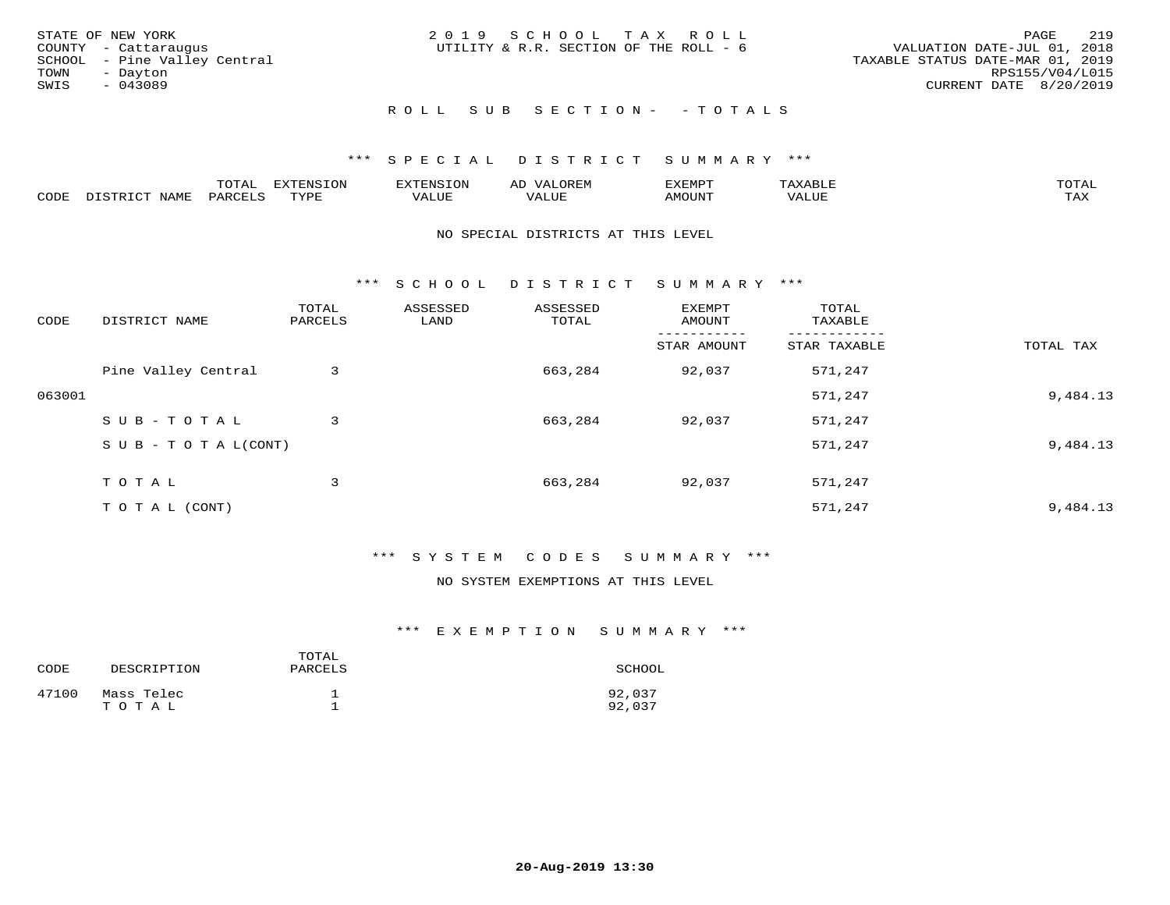| STATE OF NEW YORK<br>COUNTY - Cattaraugus<br>SCHOOL - Pine Valley Central<br>TOWN<br>- Dayton<br>SWIS<br>$-043089$ | 2019 SCHOOL TAX ROLL<br>UTILITY & R.R. SECTION OF THE ROLL - 6 | 219<br>PAGE<br>VALUATION DATE-JUL 01, 2018<br>TAXABLE STATUS DATE-MAR 01, 2019<br>RPS155/V04/L015<br>CURRENT DATE 8/20/2019 |
|--------------------------------------------------------------------------------------------------------------------|----------------------------------------------------------------|-----------------------------------------------------------------------------------------------------------------------------|
|                                                                                                                    | ROLL SUB SECTION- - TOTALS                                     |                                                                                                                             |

#### \*\*\* S P E C I A L D I S T R I C T S U M M A R Y \*\*\*

|      |      | $n \wedge m \wedge n$<br>$\cdots$<br>◡⊥▱ |               | אים " | ΑL   | ے ا          |       |              |
|------|------|------------------------------------------|---------------|-------|------|--------------|-------|--------------|
| CODE | VAMF | <sup>3</sup> AR.                         | <b>TIVATI</b> | ALUF  | ALUE | <b>MOUNT</b> | VALUE | max x<br>∸∽∽ |

#### NO SPECIAL DISTRICTS AT THIS LEVEL

\*\*\* S C H O O L D I S T R I C T S U M M A R Y \*\*\*

| CODE   | DISTRICT NAME                    | TOTAL<br>PARCELS | ASSESSED<br>LAND | ASSESSED<br>TOTAL | EXEMPT<br>AMOUNT | TOTAL<br>TAXABLE |           |
|--------|----------------------------------|------------------|------------------|-------------------|------------------|------------------|-----------|
|        |                                  |                  |                  |                   | STAR AMOUNT      | STAR TAXABLE     | TOTAL TAX |
|        | Pine Valley Central              | 3                |                  | 663,284           | 92,037           | 571,247          |           |
| 063001 |                                  |                  |                  |                   |                  | 571,247          | 9,484.13  |
|        | SUB-TOTAL                        | 3                |                  | 663,284           | 92,037           | 571,247          |           |
|        | $S \cup B - T \cup T A L (CONT)$ |                  |                  |                   |                  | 571,247          | 9,484.13  |
|        | T O T A L                        | 3                |                  | 663,284           | 92,037           | 571,247          |           |
|        | T O T A L (CONT)                 |                  |                  |                   |                  | 571,247          | 9,484.13  |

#### \*\*\* S Y S T E M C O D E S S U M M A R Y \*\*\*

#### NO SYSTEM EXEMPTIONS AT THIS LEVEL

| CODE  | DESCRIPTION         | TOTAL<br>PARCELS | SCHOOL           |
|-------|---------------------|------------------|------------------|
| 47100 | Mass Telec<br>TOTAL |                  | 92,037<br>92,037 |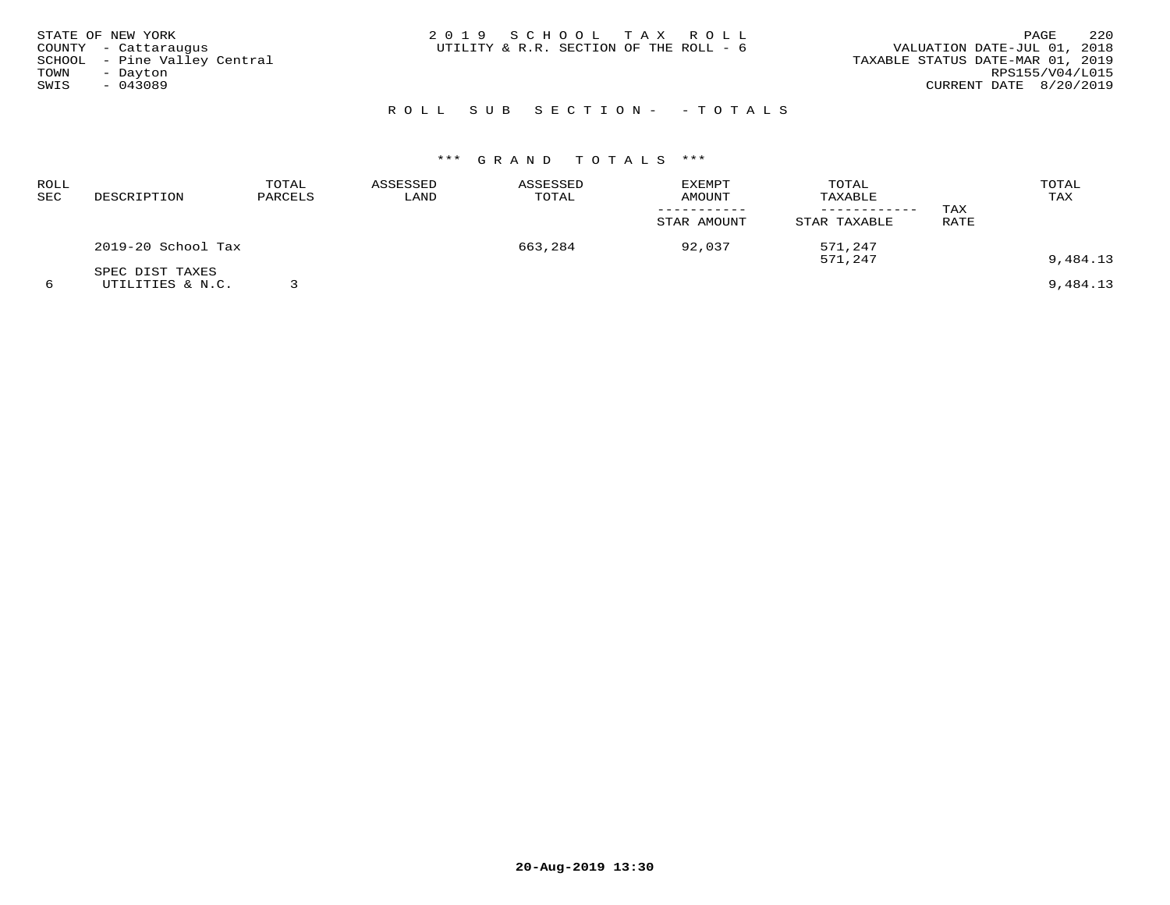| STATE OF NEW YORK<br>COUNTY - Cattaraugus<br>SCHOOL - Pine Valley Central<br>TOWN<br>- Dayton<br>SWIS<br>$-043089$ | 2019 SCHOOL TAX ROLL<br>UTILITY & R.R. SECTION OF THE ROLL - 6 | 2.2.0<br>PAGE<br>VALUATION DATE-JUL 01, 2018<br>TAXABLE STATUS DATE-MAR 01, 2019<br>RPS155/V04/L015<br>CURRENT DATE 8/20/2019 |
|--------------------------------------------------------------------------------------------------------------------|----------------------------------------------------------------|-------------------------------------------------------------------------------------------------------------------------------|
|                                                                                                                    | ROLL SUB SECTION- - TOTALS                                     |                                                                                                                               |

| ROLL<br>SEC | DESCRIPTION                         | TOTAL<br>PARCELS | ASSESSED<br>LAND | ASSESSED<br>TOTAL | <b>EXEMPT</b><br>AMOUNT | TOTAL<br>TAXABLE   | TAX  | TOTAL<br>TAX |
|-------------|-------------------------------------|------------------|------------------|-------------------|-------------------------|--------------------|------|--------------|
|             |                                     |                  |                  |                   | STAR AMOUNT             | STAR TAXABLE       | RATE |              |
|             | 2019-20 School Tax                  |                  |                  | 663,284           | 92,037                  | 571,247<br>571,247 |      | 9,484.13     |
|             | SPEC DIST TAXES<br>UTILITIES & N.C. |                  |                  |                   |                         |                    |      | 9,484.13     |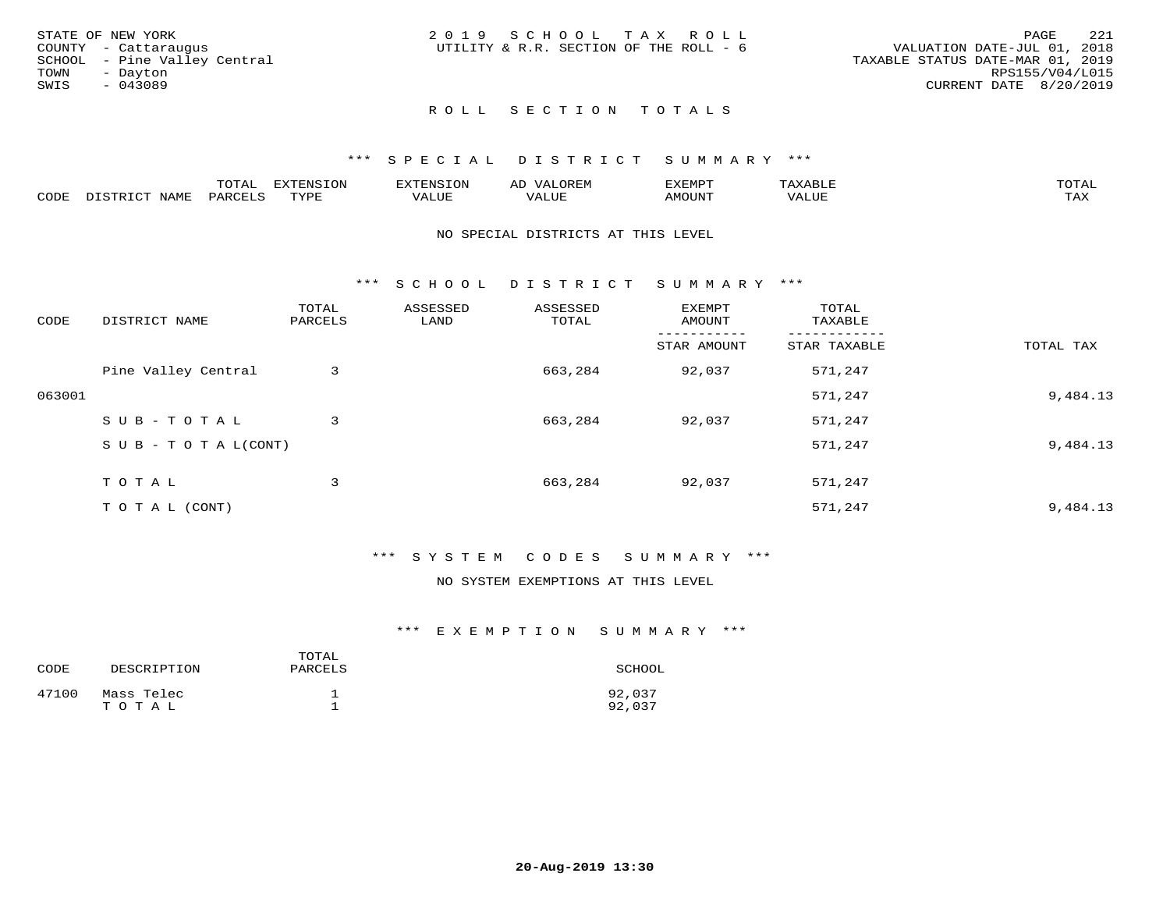|      | STATE OF NEW YORK            | 2019 SCHOOL TAX ROLL                   |  |  |                                  |                        | PAGE | - 221 |
|------|------------------------------|----------------------------------------|--|--|----------------------------------|------------------------|------|-------|
|      | COUNTY - Cattaraugus         | UTILITY & R.R. SECTION OF THE ROLL - 6 |  |  | VALUATION DATE-JUL 01, 2018      |                        |      |       |
|      | SCHOOL - Pine Valley Central |                                        |  |  | TAXABLE STATUS DATE-MAR 01, 2019 |                        |      |       |
| TOWN | - Davton                     |                                        |  |  |                                  | RPS155/V04/L015        |      |       |
| SWIS | - 043089                     |                                        |  |  |                                  | CURRENT DATE 8/20/2019 |      |       |
|      |                              |                                        |  |  |                                  |                        |      |       |

## ROLL SECTION TOTALS

#### \*\*\* S P E C I A L D I S T R I C T S U M M A R Y \*\*\*

|      |      | momn:<br>L∪⊥AL | $\pi$<br><b>1115</b><br>-UP | n.                | AD    | ∟∡EMP™ | ∙дх.  | $T^{\prime}$ |
|------|------|----------------|-----------------------------|-------------------|-------|--------|-------|--------------|
| CODE | NAME | 'ARC           | TVDI                        | $- - - -$<br>ᅩᆚᄓᇅ | VALUE | MOUN'. | VALUE | TAX          |

#### NO SPECIAL DISTRICTS AT THIS LEVEL

\*\*\* S C H O O L D I S T R I C T S U M M A R Y \*\*\*

| CODE   | DISTRICT NAME                    | TOTAL<br>PARCELS | ASSESSED<br>LAND | ASSESSED<br>TOTAL | EXEMPT<br>AMOUNT | TOTAL<br>TAXABLE |           |
|--------|----------------------------------|------------------|------------------|-------------------|------------------|------------------|-----------|
|        |                                  |                  |                  |                   | STAR AMOUNT      | STAR TAXABLE     | TOTAL TAX |
|        | Pine Valley Central              | 3                |                  | 663,284           | 92,037           | 571,247          |           |
| 063001 |                                  |                  |                  |                   |                  | 571,247          | 9,484.13  |
|        | SUB-TOTAL                        | 3                |                  | 663,284           | 92,037           | 571,247          |           |
|        | $S \cup B - T \cup T A L (CONT)$ |                  |                  |                   |                  | 571,247          | 9,484.13  |
|        | TOTAL                            | 3                |                  | 663,284           | 92,037           | 571,247          |           |
|        | T O T A L (CONT)                 |                  |                  |                   |                  | 571,247          | 9,484.13  |

#### \*\*\* S Y S T E M C O D E S S U M M A R Y \*\*\*

### NO SYSTEM EXEMPTIONS AT THIS LEVEL

| CODE  | DESCRIPTION         | TOTAL<br>PARCELS | SCHOOL           |
|-------|---------------------|------------------|------------------|
| 47100 | Mass Telec<br>тотаг |                  | 92,037<br>92,037 |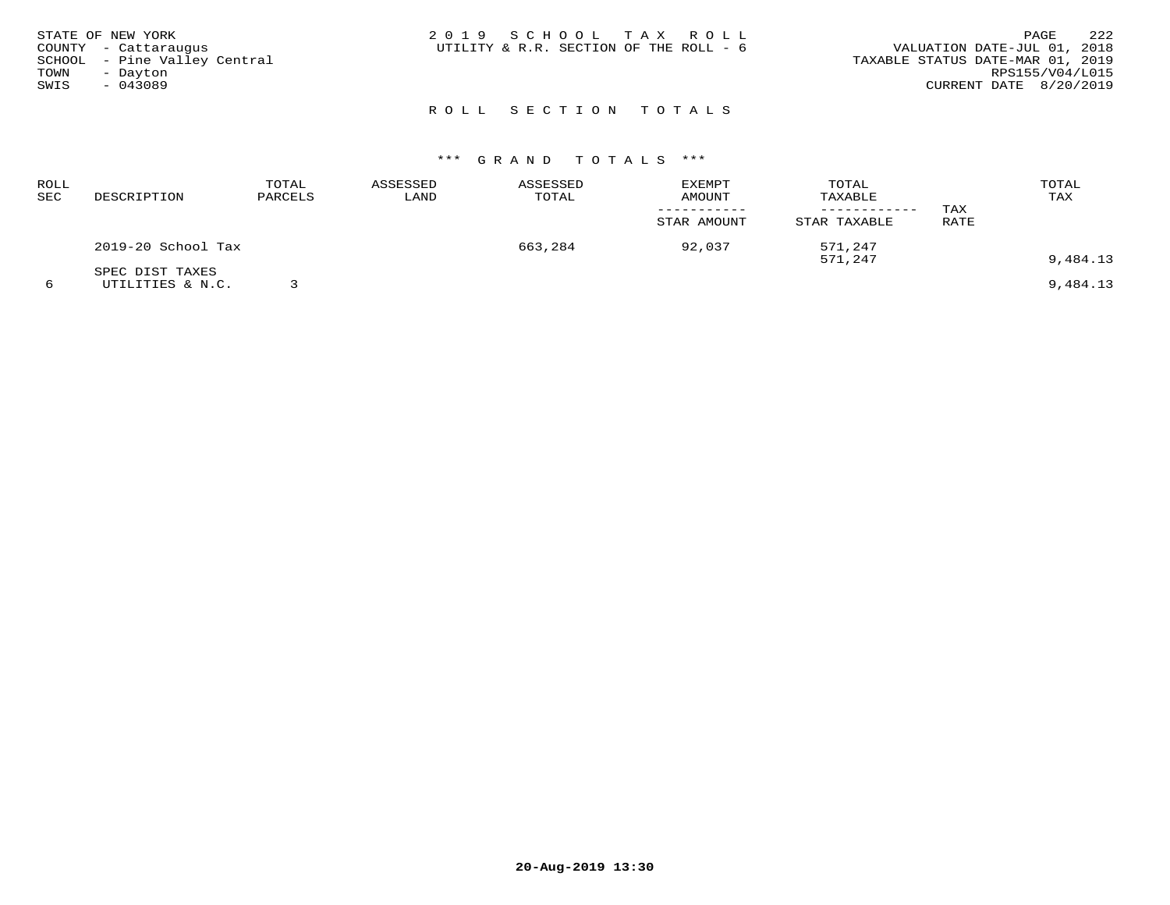| STATE OF NEW YORK<br>COUNTY - Cattaraugus<br>SCHOOL - Pine Valley Central<br>TOWN<br>- Dayton<br>SWIS<br>$-043089$ | 2019 SCHOOL TAX ROLL<br>UTILITY & R.R. SECTION OF THE ROLL - 6 | 2.2.2<br>PAGE<br>VALUATION DATE-JUL 01, 2018<br>TAXABLE STATUS DATE-MAR 01, 2019<br>RPS155/V04/L015<br>CURRENT DATE 8/20/2019 |
|--------------------------------------------------------------------------------------------------------------------|----------------------------------------------------------------|-------------------------------------------------------------------------------------------------------------------------------|
|                                                                                                                    | ROLL SECTION TOTALS                                            |                                                                                                                               |

## \*\*\* G R A N D T O T A L S \*\*\*

| ROLL<br>SEC | DESCRIPTION        | TOTAL<br>PARCELS | ASSESSED<br>LAND | ASSESSED<br>TOTAL | <b>EXEMPT</b><br>AMOUNT | TOTAL<br>TAXABLE<br>STAR TAXABLE | TAX  | TOTAL<br>TAX |
|-------------|--------------------|------------------|------------------|-------------------|-------------------------|----------------------------------|------|--------------|
|             | 2019-20 School Tax |                  |                  | 663,284           | STAR AMOUNT<br>92,037   | 571,247                          | RATE |              |
|             | SPEC DIST TAXES    |                  |                  |                   |                         | 571,247                          |      | 9,484.13     |
|             | UTILITIES & N.C.   |                  |                  |                   |                         |                                  |      | 9,484.13     |

**20-Aug-2019 13:30**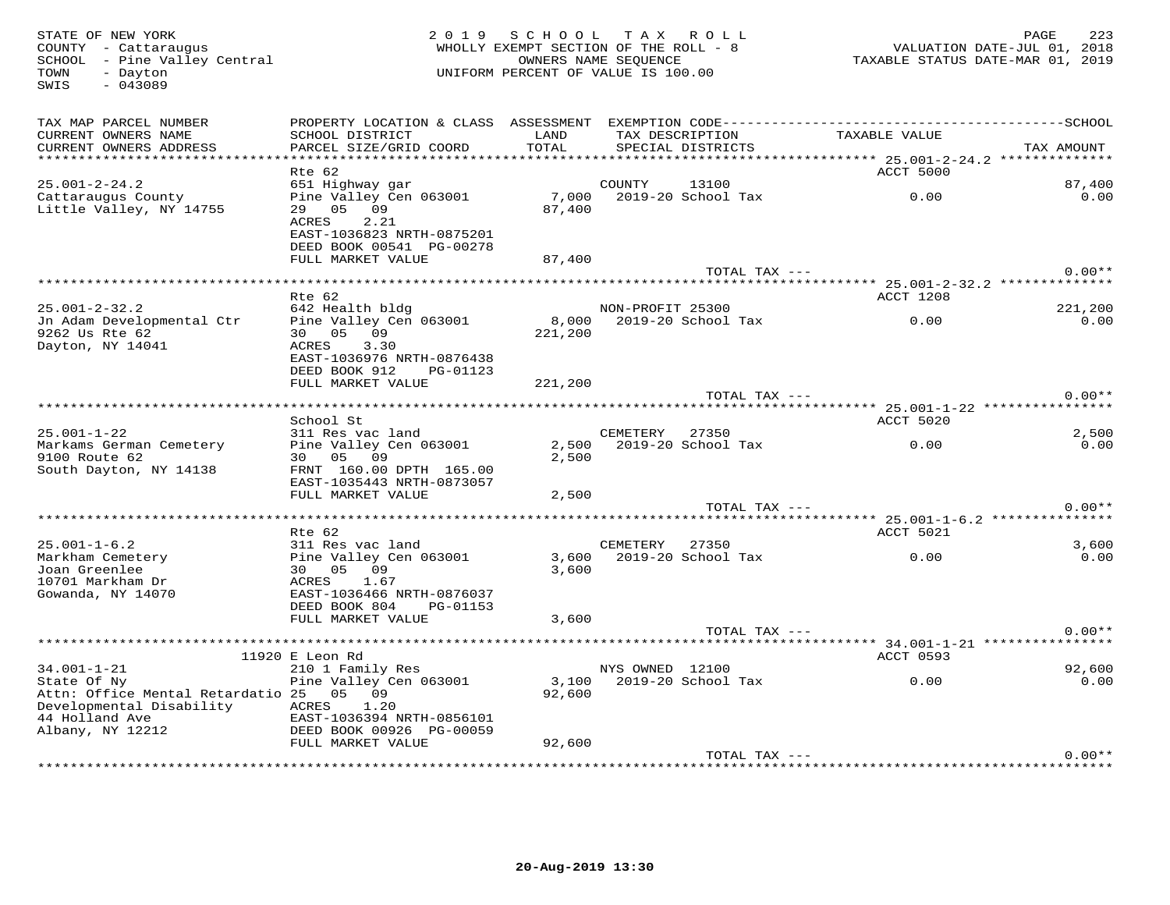STATE OF NEW YORK MORE 223<br>COUNTY - Cattaraugus (Altra County of The ROLL - 8 MACLLY EXEMPT SECTION OF THE ROLL - 8 MACLUATION DATE-JUL 01, 2018<br>SCHOOL - Pine Valley Central (Altra Commence of Mac Section Commence of The R SWIS - 043089TAX MAP PARCEL NUMBER PROPERTY LOCATION & CLASS ASSESSMENT EXEMPTION CODE------------------------------------------SCHOOL CURRENT OWNERS NAME SCHOOL DISTRICT LAND TAX DESCRIPTION TAXABLE VALUE CURRENT OWNERS ADDRESS PARCEL SIZE/GRID COORD TOTAL SPECIAL DISTRICTS TAX AMOUNT \*\*\*\*\*\*\*\*\*\*\*\*\*\*\*\*\*\*\*\*\*\*\*\*\*\*\*\*\*\*\*\*\*\*\*\*\*\*\*\*\*\*\*\*\*\*\*\*\*\*\*\*\*\*\*\*\*\*\*\*\*\*\*\*\*\*\*\*\*\*\*\*\*\*\*\*\*\*\*\*\*\*\*\*\*\*\*\*\*\*\*\*\*\*\*\*\*\*\*\*\*\*\* 25.001-2-24.2 \*\*\*\*\*\*\*\*\*\*\*\*\*\*Rte 62 ACCT 5000 ACCT 5000 ACCT 5000 ACCT 5000 ACCT 5000 ACCT 5000 ACCT 5000 ACCT 5000 ACCT 5000 ACCT 5000 ACCT 25.001-2-24.2 651 Highway gar COUNTY 13100 87,400 $\cap$   $\cap$ Cattaraugus County Pine Valley Cen 063001 7,000 2019-20 School Tax 0.00 0.00Little Valley, NY 14755 29 05 09 87,400 ACRES 2.21 EAST-1036823 NRTH-0875201 DEED BOOK 00541 PG-00278 FULL MARKET VALUE 87,400 TOTAL TAX --- 0.00\*\* \*\*\*\*\*\*\*\*\*\*\*\*\*\*\*\*\*\*\*\*\*\*\*\*\*\*\*\*\*\*\*\*\*\*\*\*\*\*\*\*\*\*\*\*\*\*\*\*\*\*\*\*\*\*\*\*\*\*\*\*\*\*\*\*\*\*\*\*\*\*\*\*\*\*\*\*\*\*\*\*\*\*\*\*\*\*\*\*\*\*\*\*\*\*\*\*\*\*\*\*\*\*\* 25.001-2-32.2 \*\*\*\*\*\*\*\*\*\*\*\*\*\*221,200 Rte 62 ACCT 1208 25.001-2-32.2 642 Health bldg NON-PROFIT 25300 221,200 $0.00$ Jn Adam Developmental Ctr Pine Valley Cen 063001 8,000 2019-20 School Tax 0.00 0.009262 Us Rte 62 30 05 09 221,200 Dayton, NY 14041 ACRES 3.30 EAST-1036976 NRTH-0876438 DEED BOOK 912 PG-01123 FULL MARKET VALUE 221,200TOTAL TAX  $---$  0.00\*\* \*\*\*\*\*\*\*\*\*\*\*\*\*\*\*\*\*\*\*\*\*\*\*\*\*\*\*\*\*\*\*\*\*\*\*\*\*\*\*\*\*\*\*\*\*\*\*\*\*\*\*\*\*\*\*\*\*\*\*\*\*\*\*\*\*\*\*\*\*\*\*\*\*\*\*\*\*\*\*\*\*\*\*\*\*\*\*\*\*\*\*\*\*\*\*\*\*\*\*\*\*\*\* 25.001-1-22 \*\*\*\*\*\*\*\*\*\*\*\*\*\*\*\*School St Accredit Superintensity of the School State Accredit Superintensity of the School State Accredit Superintensity of the Accredit Superintensity of the Accredit Superintensity of the Accredit Superintensity of the  $0.00$ 25.001-1-22 311 Res vac land CEMETERY 27350 2,500 $0.00$ Markams German Cemetery Pine Valley Cen 063001 2,500 2019-20 School Tax 0.00 0.009100 Route 62 30 05 09 2,500 South Dayton, NY 14138 FRNT 160.00 DPTH 165.00 EAST-1035443 NRTH-0873057 FULL MARKET VALUE 2,500 TOTAL TAX --- 0.00\*\* \*\*\*\*\*\*\*\*\*\*\*\*\*\*\*\*\*\*\*\*\*\*\*\*\*\*\*\*\*\*\*\*\*\*\*\*\*\*\*\*\*\*\*\*\*\*\*\*\*\*\*\*\*\*\*\*\*\*\*\*\*\*\*\*\*\*\*\*\*\*\*\*\*\*\*\*\*\*\*\*\*\*\*\*\*\*\*\*\*\*\*\*\*\*\*\*\*\*\*\*\*\*\* 25.001-1-6.2 \*\*\*\*\*\*\*\*\*\*\*\*\*\*\* Rte 62 ACCT 5021 25.001-1-6.2 311 Res vac land CEMETERY 27350 3,600 $0.00$ Markham Cemetery Pine Valley Cen 063001 3,600 2019-20 School Tax 0.00 0.00Joan Greenlee 30 05 09 3,600 10701 Markham Dr ACRES 1.67 Gowanda, NY 14070 EAST-1036466 NRTH-0876037 DEED BOOK 804 PG-01153FULL MARKET VALUE 3,600  $\begin{array}{ccc} {\rm TOTA} & {\rm TAX} & \text{---} & \end{array} \hspace{2cm} 0\ .\ 00***$  \*\*\*\*\*\*\*\*\*\*\*\*\*\*\*\*\*\*\*\*\*\*\*\*\*\*\*\*\*\*\*\*\*\*\*\*\*\*\*\*\*\*\*\*\*\*\*\*\*\*\*\*\*\*\*\*\*\*\*\*\*\*\*\*\*\*\*\*\*\*\*\*\*\*\*\*\*\*\*\*\*\*\*\*\*\*\*\*\*\*\*\*\*\*\*\*\*\*\*\*\*\*\* 34.001-1-21 \*\*\*\*\*\*\*\*\*\*\*\*\*\*\*\* 11920 E Leon Rd ACCT 0593 34.001-1-21 210 1 Family Res NYS OWNED 12100 92,600 $0.00$ State Of Ny Pine Valley Cen 063001 3,100 2019-20 School Tax 0.00 0.00Attn: Office Mental Retardatio 25 05 09 92,600 Developmental Disability ACRES 1.20 44 Holland Ave EAST-1036394 NRTH-0856101 Albany, NY 12212 DEED BOOK 00926 PG-00059 FULL MARKET VALUE 92,600 TOTAL TAX --- 0.00\*\*

\*\*\*\*\*\*\*\*\*\*\*\*\*\*\*\*\*\*\*\*\*\*\*\*\*\*\*\*\*\*\*\*\*\*\*\*\*\*\*\*\*\*\*\*\*\*\*\*\*\*\*\*\*\*\*\*\*\*\*\*\*\*\*\*\*\*\*\*\*\*\*\*\*\*\*\*\*\*\*\*\*\*\*\*\*\*\*\*\*\*\*\*\*\*\*\*\*\*\*\*\*\*\*\*\*\*\*\*\*\*\*\*\*\*\*\*\*\*\*\*\*\*\*\*\*\*\*\*\*\*\*\*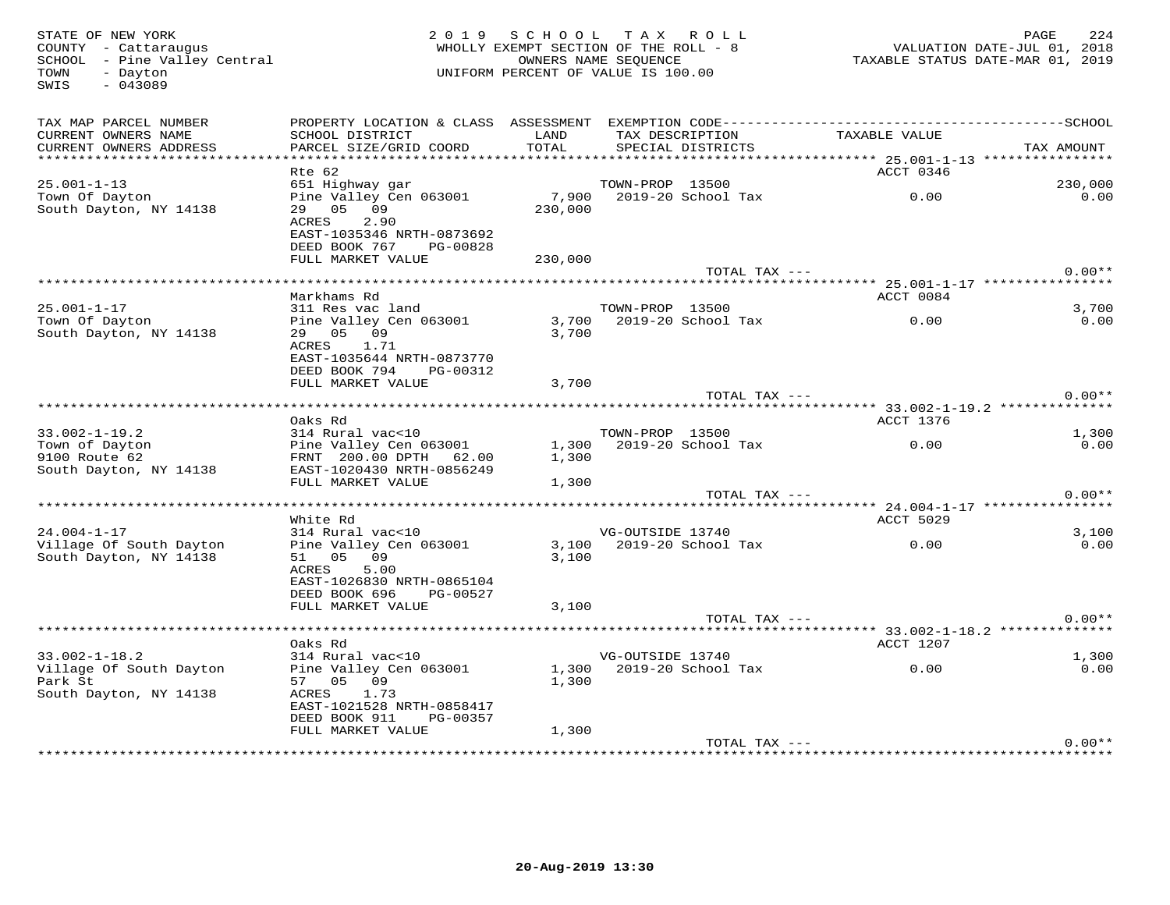SWIS - 043089

#### STATE OF NEW YORK PORT AND ROLL STATE OF NEW YORK 224 (224 ) 2019 SCHOOL TAX ROLL AND MENOLL STATE OF NEW YORK<br>COUNTY - Cattaraugus central WHOLLY EXEMPT SECTION OF THE ROLL - 8 (2010) VALUATION DATE-JUL 01, 2018<br>SCHOOL - WHOLLY EXEMPT SECTION OF THE ROLL - 8 SCHOOL – Pine Valley Central OWNERS NAME SEQUENCE TAXABLE STATUS DATE-MAR 01, 2019 TOWN - Dayton UNIFORM PERCENT OF VALUE IS 100.00

| TAX MAP PARCEL NUMBER<br>CURRENT OWNERS NAME      | PROPERTY LOCATION & CLASS ASSESSMENT<br>SCHOOL DISTRICT                             | LAND             | TAX DESCRIPTION   |                    | EXEMPTION CODE--------------------------<br>TAXABLE VALUE | ---------------SCHOOL |
|---------------------------------------------------|-------------------------------------------------------------------------------------|------------------|-------------------|--------------------|-----------------------------------------------------------|-----------------------|
| CURRENT OWNERS ADDRESS                            | PARCEL SIZE/GRID COORD<br>*************************                                 | TOTAL            | SPECIAL DISTRICTS |                    |                                                           | TAX AMOUNT            |
|                                                   | Rte 62                                                                              |                  |                   |                    | ACCT 0346                                                 |                       |
| $25.001 - 1 - 13$                                 | 651 Highway gar                                                                     |                  | TOWN-PROP 13500   |                    |                                                           | 230,000               |
| Town Of Dayton<br>South Dayton, NY 14138          | Pine Valley Cen 063001<br>09<br>29 05<br>2.90<br>ACRES<br>EAST-1035346 NRTH-0873692 | 7,900<br>230,000 |                   | 2019-20 School Tax | 0.00                                                      | 0.00                  |
|                                                   | DEED BOOK 767<br>PG-00828                                                           |                  |                   |                    |                                                           |                       |
|                                                   | FULL MARKET VALUE                                                                   | 230,000          |                   |                    |                                                           |                       |
|                                                   |                                                                                     |                  |                   | TOTAL TAX ---      |                                                           | $0.00**$              |
|                                                   |                                                                                     |                  |                   |                    |                                                           |                       |
|                                                   | Markhams Rd                                                                         |                  |                   |                    | ACCT 0084                                                 |                       |
| $25.001 - 1 - 17$<br>Town Of Dayton               | 311 Res vac land<br>Pine Valley Cen 063001                                          |                  | TOWN-PROP 13500   | 2019-20 School Tax | 0.00                                                      | 3,700<br>0.00         |
| South Dayton, NY 14138                            | 29 05 09<br>ACRES<br>1.71<br>EAST-1035644 NRTH-0873770<br>DEED BOOK 794<br>PG-00312 | 3,700<br>3,700   |                   |                    |                                                           |                       |
|                                                   | FULL MARKET VALUE                                                                   | 3,700            |                   |                    |                                                           |                       |
|                                                   |                                                                                     |                  |                   | TOTAL TAX ---      |                                                           | $0.00**$              |
|                                                   |                                                                                     |                  |                   |                    |                                                           |                       |
|                                                   | Oaks Rd                                                                             |                  |                   |                    | ACCT 1376                                                 |                       |
| $33.002 - 1 - 19.2$                               | 314 Rural vac<10                                                                    |                  | TOWN-PROP 13500   |                    |                                                           | 1,300                 |
| Town of Dayton                                    | Pine Valley Cen 063001                                                              | 1,300            |                   | 2019-20 School Tax | 0.00                                                      | 0.00                  |
| 9100 Route 62                                     | FRNT 200.00 DPTH 62.00                                                              | 1,300            |                   |                    |                                                           |                       |
| South Dayton, NY 14138                            | EAST-1020430 NRTH-0856249                                                           |                  |                   |                    |                                                           |                       |
|                                                   | FULL MARKET VALUE                                                                   | 1,300            |                   | TOTAL TAX ---      |                                                           | $0.00**$              |
|                                                   |                                                                                     |                  |                   |                    |                                                           |                       |
|                                                   | White Rd                                                                            |                  |                   |                    | ACCT 5029                                                 |                       |
| $24.004 - 1 - 17$                                 | 314 Rural vac<10                                                                    |                  | VG-OUTSIDE 13740  |                    |                                                           | 3,100                 |
| Village Of South Dayton<br>South Dayton, NY 14138 | Pine Valley Cen 063001<br>51 05 09                                                  | 3,100<br>3,100   |                   | 2019-20 School Tax | 0.00                                                      | 0.00                  |
|                                                   | ACRES<br>5.00<br>EAST-1026830 NRTH-0865104<br>DEED BOOK 696<br>PG-00527             |                  |                   |                    |                                                           |                       |
|                                                   | FULL MARKET VALUE                                                                   | 3,100            |                   |                    |                                                           |                       |
|                                                   |                                                                                     |                  |                   | TOTAL TAX ---      |                                                           | $0.00**$              |
|                                                   |                                                                                     |                  |                   |                    |                                                           |                       |
|                                                   | Oaks Rd                                                                             |                  |                   |                    | ACCT 1207                                                 |                       |
| $33.002 - 1 - 18.2$                               | 314 Rural vac<10                                                                    |                  | VG-OUTSIDE 13740  |                    |                                                           | 1,300                 |
| Village Of South Dayton                           | Pine Valley Cen 063001                                                              | 1,300            |                   | 2019-20 School Tax | 0.00                                                      | 0.00                  |
| Park St<br>South Dayton, NY 14138                 | 57 05 09<br>1.73<br>ACRES                                                           | 1,300            |                   |                    |                                                           |                       |
|                                                   | EAST-1021528 NRTH-0858417                                                           |                  |                   |                    |                                                           |                       |
|                                                   | DEED BOOK 911<br>PG-00357                                                           |                  |                   |                    |                                                           |                       |
|                                                   | FULL MARKET VALUE                                                                   | 1,300            |                   |                    |                                                           |                       |
|                                                   |                                                                                     |                  |                   | TOTAL TAX ---      |                                                           | $0.00**$              |
|                                                   |                                                                                     |                  |                   |                    |                                                           |                       |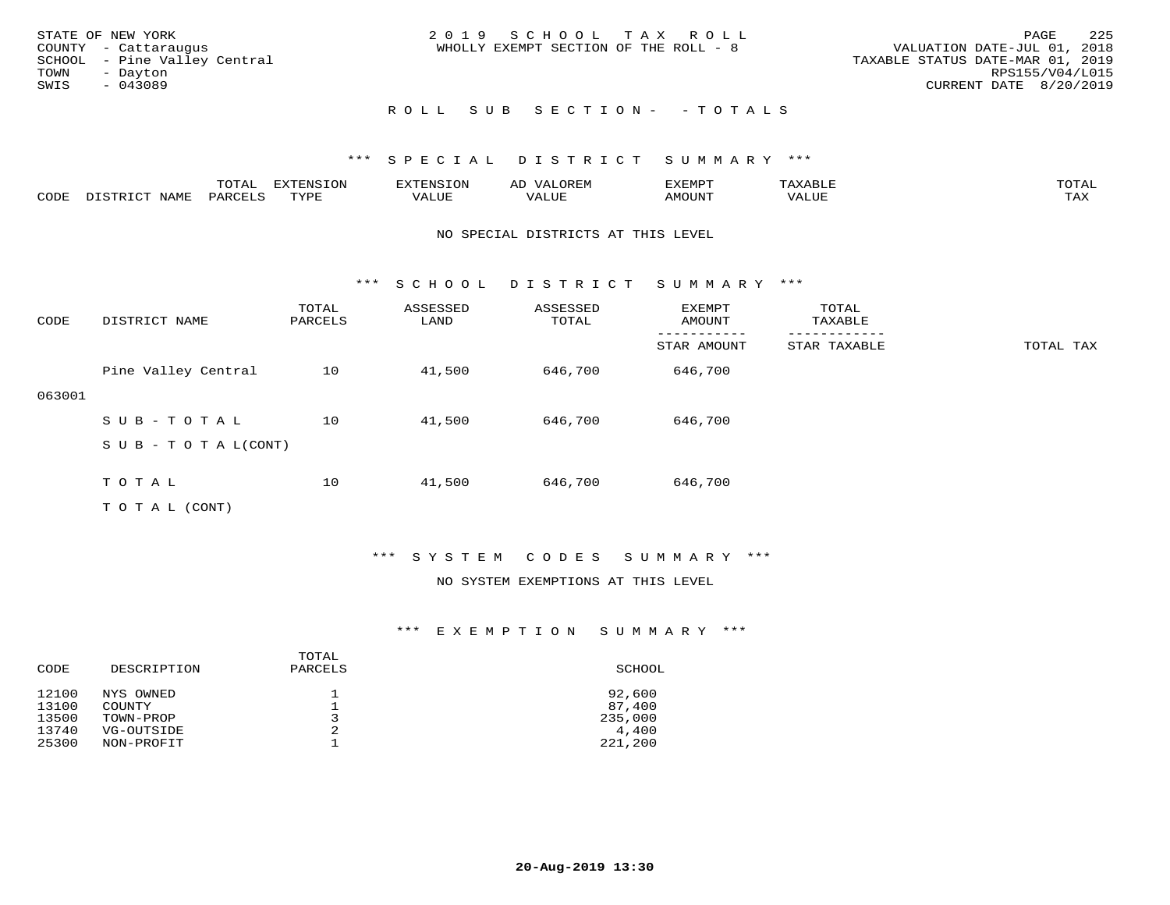| STATE OF NEW YORK<br>COUNTY - Cattaraugus<br>SCHOOL - Pine Valley Central<br>TOWN<br>- Dayton |  | 2019 SCHOOL TAX ROLL<br>WHOLLY EXEMPT SECTION OF THE ROLL - 8 |  | VALUATION DATE-JUL 01, 2018<br>TAXABLE STATUS DATE-MAR 01, 2019 | PAGE<br>RPS155/V04/L015 | 225 |
|-----------------------------------------------------------------------------------------------|--|---------------------------------------------------------------|--|-----------------------------------------------------------------|-------------------------|-----|
| SWIS<br>$-043089$                                                                             |  | ROLL SUB SECTION- - TOTALS                                    |  | CURRENT DATE 8/20/2019                                          |                         |     |

## \*\*\* S P E C I A L D I S T R I C T S U M M A R Y \*\*\*

|      |      | momn.<br>- JIAF | $\pi$<br>$\sim$ |       |       | ידס אידי | .     | momm <sup>.</sup><br>$\sim$ |
|------|------|-----------------|-----------------|-------|-------|----------|-------|-----------------------------|
| CODE | NAMF | PARO            | TVDI<br>.       | 'ALUE | - --- | AMOUNT   | 'ALUE | ma v<br>⊥ ∠∡∡               |

#### NO SPECIAL DISTRICTS AT THIS LEVEL

\*\*\* S C H O O L D I S T R I C T S U M M A R Y \*\*\*

| CODE   | DISTRICT NAME              | TOTAL<br>PARCELS | ASSESSED<br>LAND | ASSESSED<br>TOTAL | EXEMPT<br>AMOUNT | TOTAL<br>TAXABLE |           |
|--------|----------------------------|------------------|------------------|-------------------|------------------|------------------|-----------|
|        |                            |                  |                  |                   | STAR AMOUNT      | STAR TAXABLE     | TOTAL TAX |
|        | Pine Valley Central        | 10               | 41,500           | 646,700           | 646,700          |                  |           |
| 063001 |                            |                  |                  |                   |                  |                  |           |
|        | SUB-TOTAL                  | 10               | 41,500           | 646,700           | 646,700          |                  |           |
|        | S U B - T O T A $L$ (CONT) |                  |                  |                   |                  |                  |           |
|        | TOTAL                      | 10               | 41,500           | 646,700           | 646,700          |                  |           |

T O T A L (CONT)

#### \*\*\* S Y S T E M C O D E S S U M M A R Y \*\*\*

#### NO SYSTEM EXEMPTIONS AT THIS LEVEL

| CODE  | DESCRIPTION | TOTAL<br>PARCELS | SCHOOL  |
|-------|-------------|------------------|---------|
| 12100 | NYS OWNED   | 3                | 92,600  |
| 13100 | COUNTY      |                  | 87,400  |
| 13500 | TOWN-PROP   |                  | 235,000 |
| 13740 | VG-OUTSIDE  | 2                | 4,400   |
| 25300 | NON-PROFIT  |                  | 221,200 |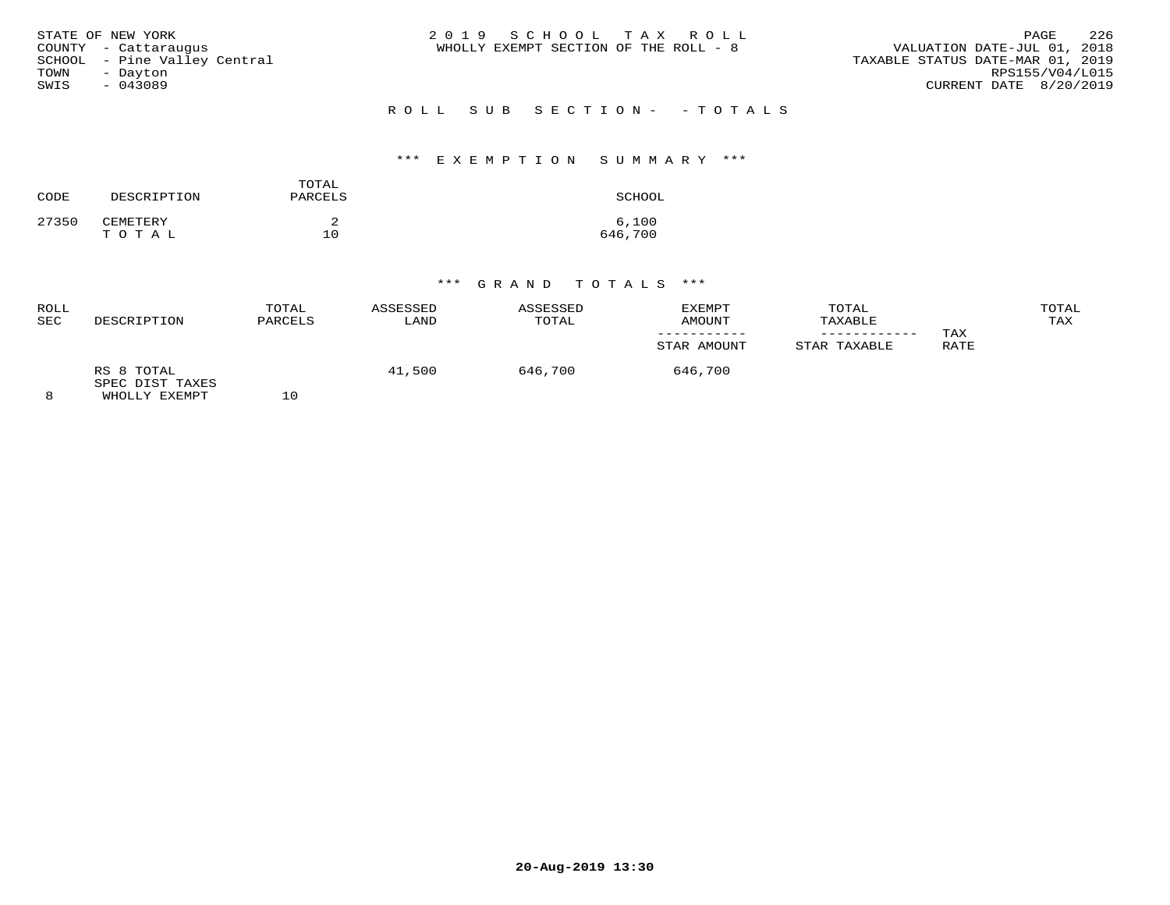| STATE OF NEW YORK<br>COUNTY - Cattaraugus<br>SCHOOL - Pine Valley Central<br>TOWN<br>- Dayton<br>SWIS<br>$-043089$ | 2019 SCHOOL TAX ROLL<br>WHOLLY EXEMPT SECTION OF THE ROLL - 8 | 226<br><b>PAGE</b><br>VALUATION DATE-JUL 01, 2018<br>TAXABLE STATUS DATE-MAR 01, 2019<br>RPS155/V04/L015<br>CURRENT DATE 8/20/2019 |
|--------------------------------------------------------------------------------------------------------------------|---------------------------------------------------------------|------------------------------------------------------------------------------------------------------------------------------------|
|                                                                                                                    | ROLL SUB SECTION- - TOTALS                                    |                                                                                                                                    |

#### \*\*\* E X E M P T I O N S U M M A R Y \*\*\*

| CODE  | DESCRIPTION       | TOTAL<br>PARCELS | SCHOOL           |
|-------|-------------------|------------------|------------------|
| 27350 | CEMETERY<br>TOTAL | 10               | 6,100<br>646,700 |

| ROLL<br>SEC | DESCRIPTION                                    | TOTAL<br>PARCELS | ASSESSED<br>LAND | ASSESSED<br>TOTAL | EXEMPT<br><b>AMOUNT</b> | TOTAL<br>TAXABLE | TAX  | TOTAL<br>TAX |
|-------------|------------------------------------------------|------------------|------------------|-------------------|-------------------------|------------------|------|--------------|
|             |                                                |                  |                  |                   | STAR AMOUNT             | STAR TAXABLE     | RATE |              |
|             | RS 8 TOTAL<br>SPEC DIST TAXES<br>WHOLLY EXEMPT | ΤU               | 41,500           | 646,700           | 646,700                 |                  |      |              |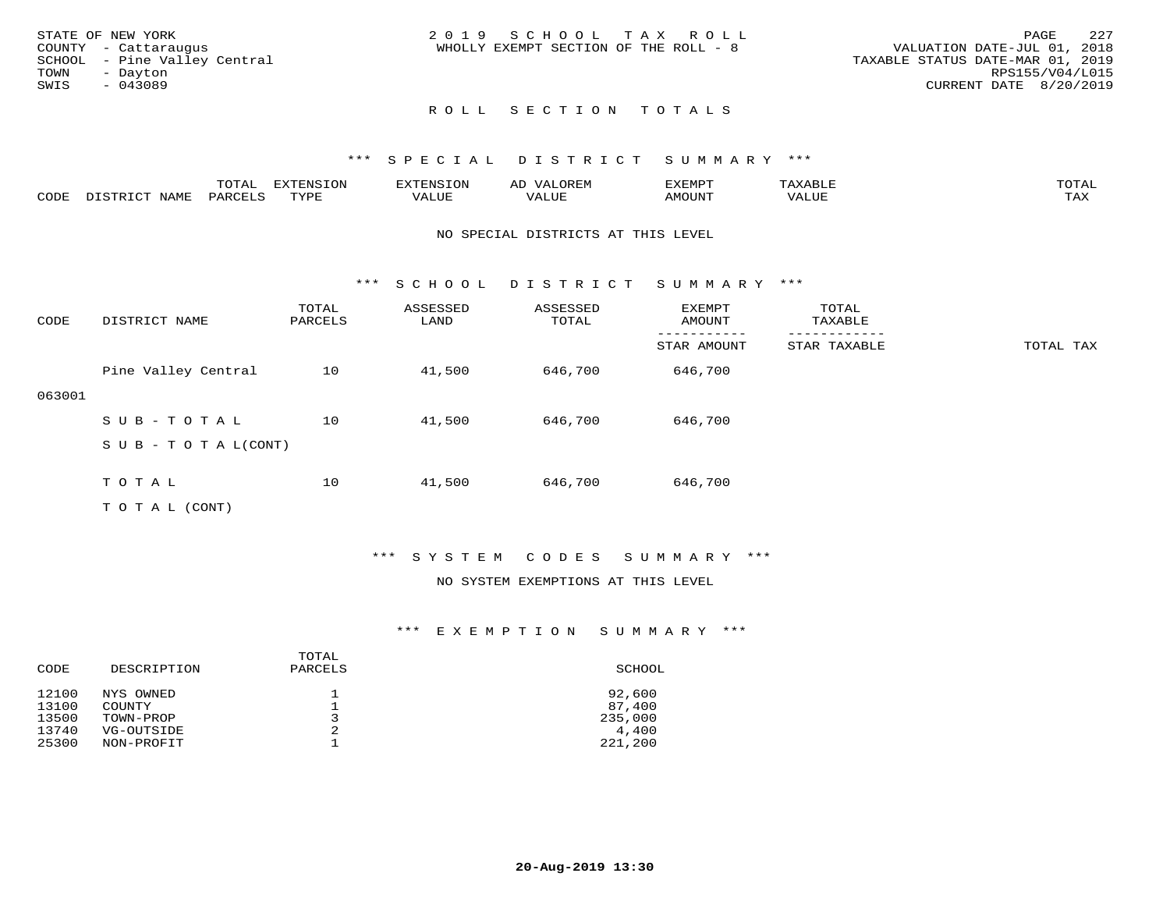|      | STATE OF NEW YORK            | 2019 SCHOOL TAX ROLL                                                 | PAGE                   | 2.27 |
|------|------------------------------|----------------------------------------------------------------------|------------------------|------|
|      | COUNTY - Cattaraugus         | VALUATION DATE-JUL 01, 2018<br>WHOLLY EXEMPT SECTION OF THE ROLL - 8 |                        |      |
|      | SCHOOL - Pine Valley Central | TAXABLE STATUS DATE-MAR 01, 2019                                     |                        |      |
| TOWN | - Davton                     |                                                                      | RPS155/V04/L015        |      |
| SWIS | - 043089                     |                                                                      | CURRENT DATE 8/20/2019 |      |
|      |                              |                                                                      |                        |      |

## ROLL SECTION TOTALS

#### \*\*\* S P E C I A L D I S T R I C T S U M M A R Y \*\*\*

|      | ----<br>◡∸ғ | ---<br>ENSION         |                            | AL'<br>∵⊔ت⊥د⊥ر |       | $m \wedge m$       |
|------|-------------|-----------------------|----------------------------|----------------|-------|--------------------|
| CODE |             | $m \times r \times r$ | , <del>,</del> , , , , , , |                | MOUN. | $- - - -$<br>. ris |

#### NO SPECIAL DISTRICTS AT THIS LEVEL

\*\*\* S C H O O L D I S T R I C T S U M M A R Y \*\*\*

| CODE   | DISTRICT NAME             | TOTAL<br>PARCELS | ASSESSED<br>LAND | ASSESSED<br>TOTAL | EXEMPT<br>AMOUNT | TOTAL<br>TAXABLE |           |
|--------|---------------------------|------------------|------------------|-------------------|------------------|------------------|-----------|
|        |                           |                  |                  |                   | STAR AMOUNT      | STAR TAXABLE     | TOTAL TAX |
|        | Pine Valley Central       | 10               | 41,500           | 646,700           | 646,700          |                  |           |
| 063001 |                           |                  |                  |                   |                  |                  |           |
|        | SUB-TOTAL                 | 10               | 41,500           | 646,700           | 646,700          |                  |           |
|        | S U B - T O T A $L(CONT)$ |                  |                  |                   |                  |                  |           |
|        | TOTAL                     | 10               | 41,500           | 646,700           | 646,700          |                  |           |

T O T A L (CONT)

#### \*\*\* S Y S T E M C O D E S S U M M A R Y \*\*\*

### NO SYSTEM EXEMPTIONS AT THIS LEVEL

| CODE  | DESCRIPTION | TOTAL<br>PARCELS | SCHOOL  |
|-------|-------------|------------------|---------|
| 12100 | NYS OWNED   |                  | 92,600  |
| 13100 | COUNTY      |                  | 87,400  |
| 13500 | TOWN-PROP   |                  | 235,000 |
| 13740 | VG-OUTSIDE  | 2                | 4,400   |
| 25300 | NON-PROFIT  |                  | 221,200 |
|       |             |                  |         |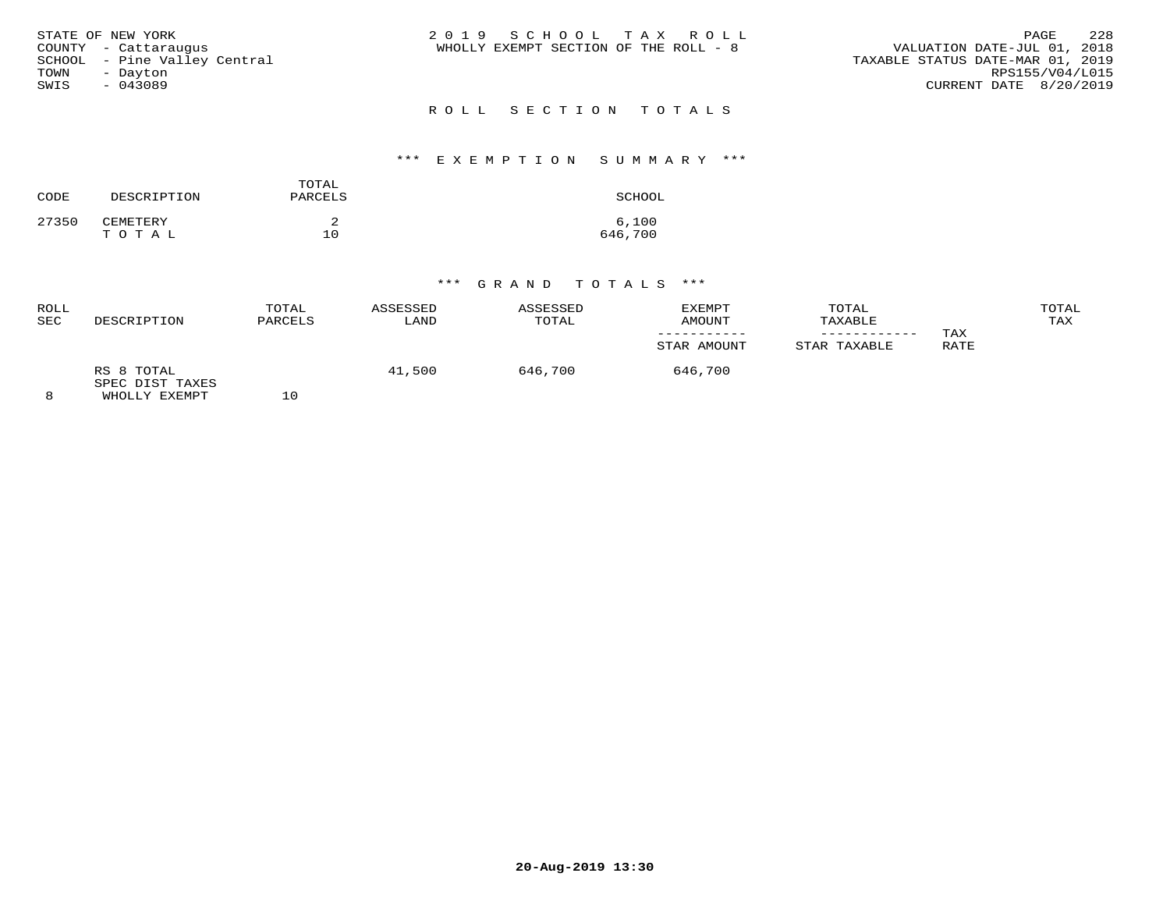|      | STATE OF NEW YORK            | 2019 SCHOOL TAX ROLL                                                 | PAGE                   | 2.2.8 |
|------|------------------------------|----------------------------------------------------------------------|------------------------|-------|
|      | COUNTY - Cattaraugus         | VALUATION DATE-JUL 01, 2018<br>WHOLLY EXEMPT SECTION OF THE ROLL - 8 |                        |       |
|      | SCHOOL - Pine Valley Central | TAXABLE STATUS DATE-MAR 01, 2019                                     |                        |       |
| TOWN | - Davton                     |                                                                      | RPS155/V04/L015        |       |
| SWIS | $-043089$                    |                                                                      | CURRENT DATE 8/20/2019 |       |
|      |                              |                                                                      |                        |       |

# R O L L S E C T I O N T O T A L S

#### \*\*\* E X E M P T I O N S U M M A R Y \*\*\*

| CODE  | DESCRIPTION       | TOTAL<br>PARCELS | SCHOOL           |
|-------|-------------------|------------------|------------------|
| 27350 | CEMETERY<br>TOTAL | 10               | 6,100<br>646,700 |

| ROLL<br>SEC | DESCRIPTION                                    | TOTAL<br>PARCELS | ASSESSED<br>LAND | ASSESSED<br>TOTAL | EXEMPT<br>AMOUNT | TOTAL<br>TAXABLE |             | TOTAL<br>TAX |
|-------------|------------------------------------------------|------------------|------------------|-------------------|------------------|------------------|-------------|--------------|
|             |                                                |                  |                  |                   | STAR AMOUNT      | STAR TAXABLE     | TAX<br>RATE |              |
|             | RS 8 TOTAL<br>SPEC DIST TAXES<br>WHOLLY EXEMPT | 10               | 41,500           | 646,700           | 646,700          |                  |             |              |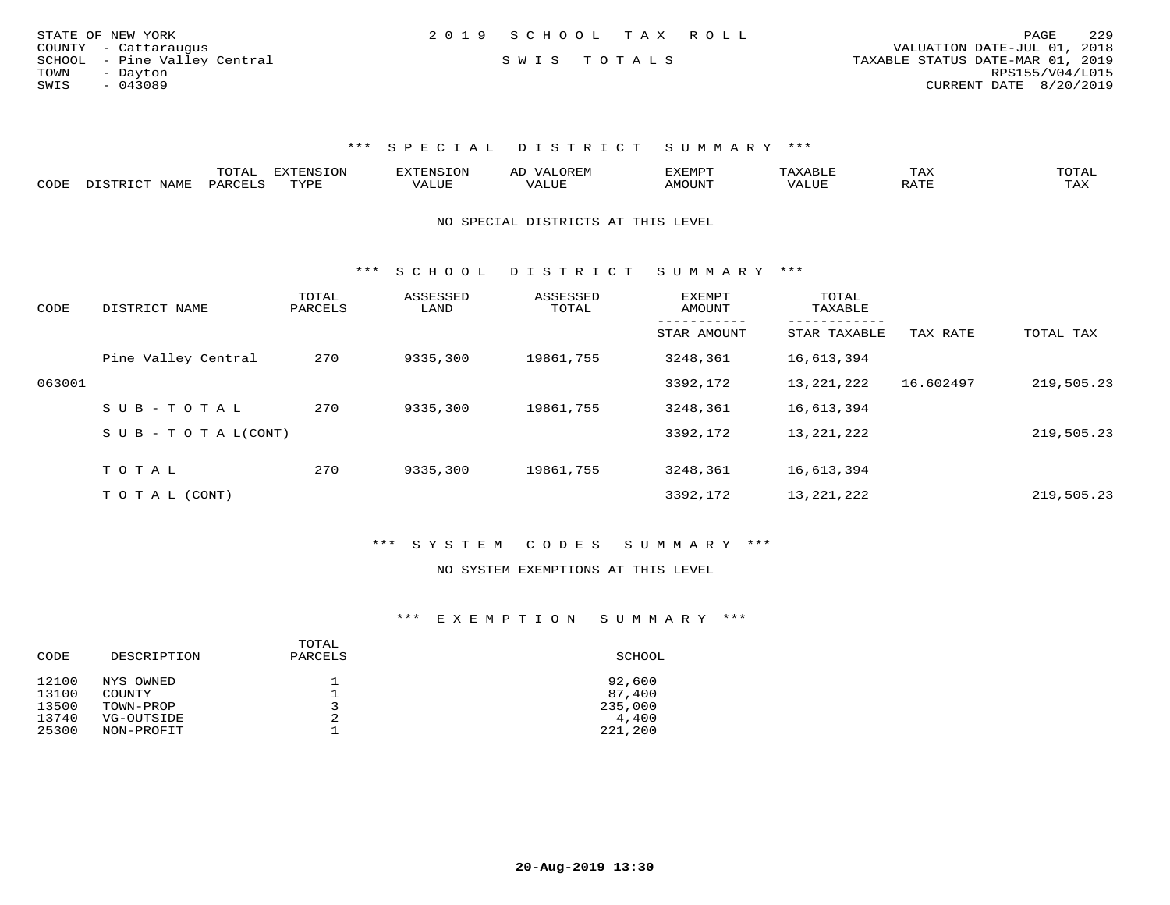| STATE OF NEW YORK            | 2019 SCHOOL TAX ROLL |             |  |                                  | PAGE                   | 229 |
|------------------------------|----------------------|-------------|--|----------------------------------|------------------------|-----|
| COUNTY - Cattaraugus         |                      |             |  | VALUATION DATE-JUL 01, 2018      |                        |     |
| SCHOOL - Pine Valley Central |                      | SWIS TOTALS |  | TAXABLE STATUS DATE-MAR 01, 2019 |                        |     |
| TOWN<br>- Davton             |                      |             |  |                                  | RPS155/V04/L015        |     |
| SWIS<br>- 043089             |                      |             |  |                                  | CURRENT DATE 8/20/2019 |     |
|                              |                      |             |  |                                  |                        |     |

### \*\*\* S P E C I A L D I S T R I C T S U M M A R Y \*\*\*

|      |            | ----- | n s   |  | א ועו | ᆠᅎᄼ                  | $m \wedge m \wedge n$ |
|------|------------|-------|-------|--|-------|----------------------|-----------------------|
| CODE | <b>BAT</b> |       | 757D1 |  |       | $\sim$ $\sim$ $\sim$ | ----<br>- 512         |

#### NO SPECIAL DISTRICTS AT THIS LEVEL

\*\*\* S C H O O L D I S T R I C T S U M M A R Y \*\*\*

| CODE   | DISTRICT NAME                    | TOTAL<br>PARCELS | ASSESSED<br>LAND | ASSESSED<br>TOTAL | <b>EXEMPT</b><br>AMOUNT | TOTAL<br>TAXABLE |           |            |
|--------|----------------------------------|------------------|------------------|-------------------|-------------------------|------------------|-----------|------------|
|        |                                  |                  |                  |                   | STAR AMOUNT             | STAR TAXABLE     | TAX RATE  | TOTAL TAX  |
|        | Pine Valley Central              | 270              | 9335,300         | 19861,755         | 3248,361                | 16,613,394       |           |            |
| 063001 |                                  |                  |                  |                   | 3392,172                | 13, 221, 222     | 16.602497 | 219,505.23 |
|        | SUB-TOTAL                        | 270              | 9335,300         | 19861,755         | 3248,361                | 16,613,394       |           |            |
|        | $S \cup B - T \cup T A L (CONT)$ |                  |                  |                   | 3392,172                | 13, 221, 222     |           | 219,505.23 |
|        |                                  |                  |                  |                   |                         |                  |           |            |
|        | TOTAL                            | 270              | 9335,300         | 19861,755         | 3248,361                | 16,613,394       |           |            |
|        | T O T A L (CONT)                 |                  |                  |                   | 3392,172                | 13, 221, 222     |           | 219,505.23 |

#### \*\*\* S Y S T E M C O D E S S U M M A R Y \*\*\*

#### NO SYSTEM EXEMPTIONS AT THIS LEVEL

| CODE  | DESCRIPTION | TOTAL<br>PARCELS | SCHOOL  |
|-------|-------------|------------------|---------|
| 12100 | NYS OWNED   |                  | 92,600  |
| 13100 | COUNTY      |                  | 87,400  |
| 13500 | TOWN-PROP   | 3                | 235,000 |
| 13740 | VG-OUTSIDE  | 2                | 4,400   |
| 25300 | NON-PROFIT  |                  | 221,200 |
|       |             |                  |         |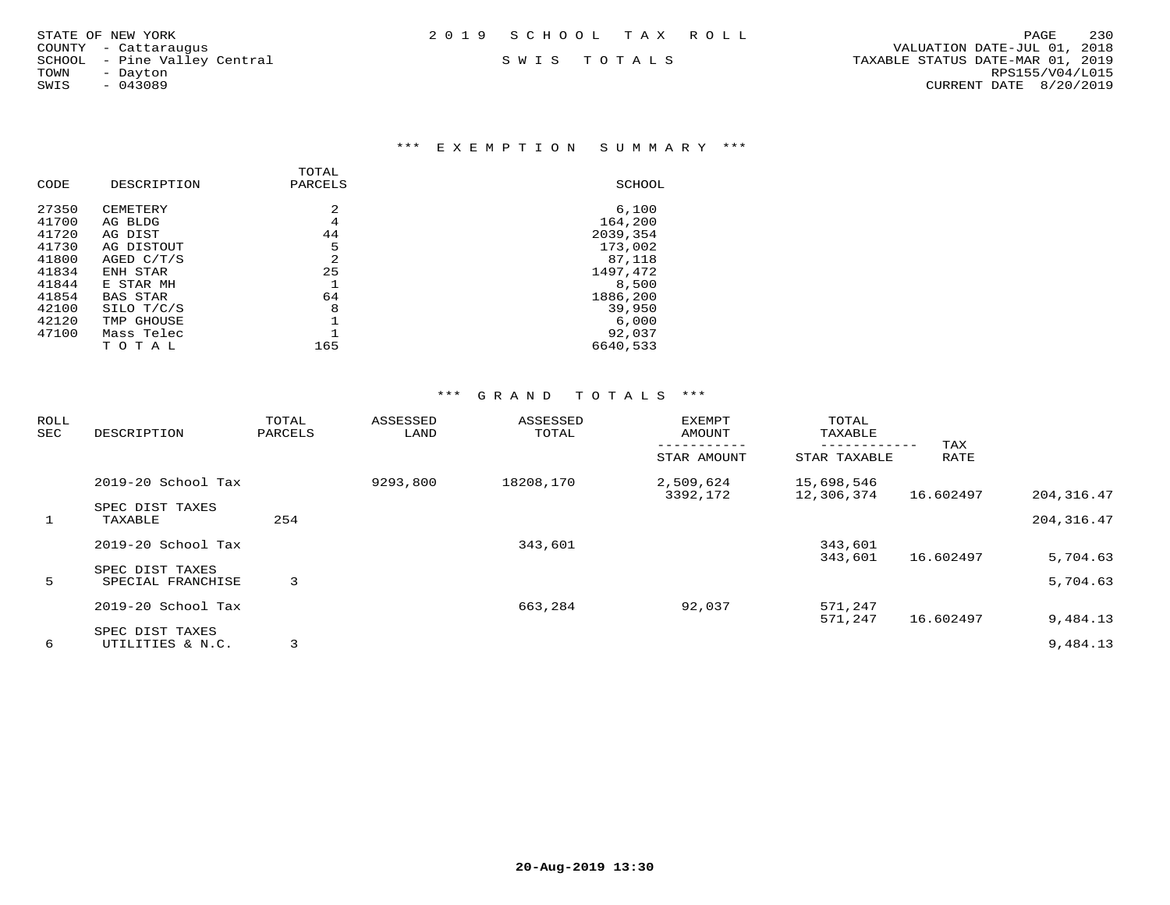#### \*\*\* E X E M P T I O N S U M M A R Y \*\*\*

|       |                 | TOTAL          |          |
|-------|-----------------|----------------|----------|
| CODE  | DESCRIPTION     | PARCELS        | SCHOOL   |
| 27350 | <b>CEMETERY</b> | 2              | 6.100    |
| 41700 | AG BLDG         | 4              | 164,200  |
| 41720 | AG DIST         | 44             | 2039,354 |
| 41730 | AG DISTOUT      | 5              | 173,002  |
| 41800 | AGED C/T/S      | $\mathfrak{D}$ | 87,118   |
| 41834 | ENH STAR        | 25             | 1497,472 |
| 41844 | E STAR MH       |                | 8,500    |
| 41854 | <b>BAS STAR</b> | 64             | 1886,200 |
| 42100 | SILO T/C/S      | 8              | 39,950   |
| 42120 | TMP GHOUSE      |                | 6.000    |
| 47100 | Mass Telec      |                | 92,037   |
|       | TOTAL           | 165            | 6640,533 |
|       |                 |                |          |

| <b>ROLL</b><br>SEC | DESCRIPTION                          | TOTAL<br>PARCELS | ASSESSED<br>LAND | ASSESSED<br>TOTAL | <b>EXEMPT</b><br>AMOUNT | TOTAL<br>TAXABLE<br>. _ _ _ _ _ _ _ _ _ | TAX       |             |
|--------------------|--------------------------------------|------------------|------------------|-------------------|-------------------------|-----------------------------------------|-----------|-------------|
|                    |                                      |                  |                  |                   | STAR AMOUNT             | STAR TAXABLE                            | RATE      |             |
|                    | $2019-20$ School Tax                 |                  | 9293,800         | 18208,170         | 2,509,624<br>3392,172   | 15,698,546<br>12,306,374                | 16.602497 | 204, 316.47 |
| $\mathbf{1}$       | SPEC DIST TAXES<br>TAXABLE           | 254              |                  |                   |                         |                                         |           | 204, 316.47 |
|                    | 2019-20 School Tax                   |                  |                  | 343,601           |                         | 343,601<br>343,601                      | 16.602497 | 5,704.63    |
| 5                  | SPEC DIST TAXES<br>SPECIAL FRANCHISE | 3                |                  |                   |                         |                                         |           | 5,704.63    |
|                    | 2019-20 School Tax                   |                  |                  | 663,284           | 92,037                  | 571,247<br>571,247                      | 16.602497 | 9,484.13    |
| 6                  | SPEC DIST TAXES<br>UTILITIES & N.C.  | 3                |                  |                   |                         |                                         |           | 9,484.13    |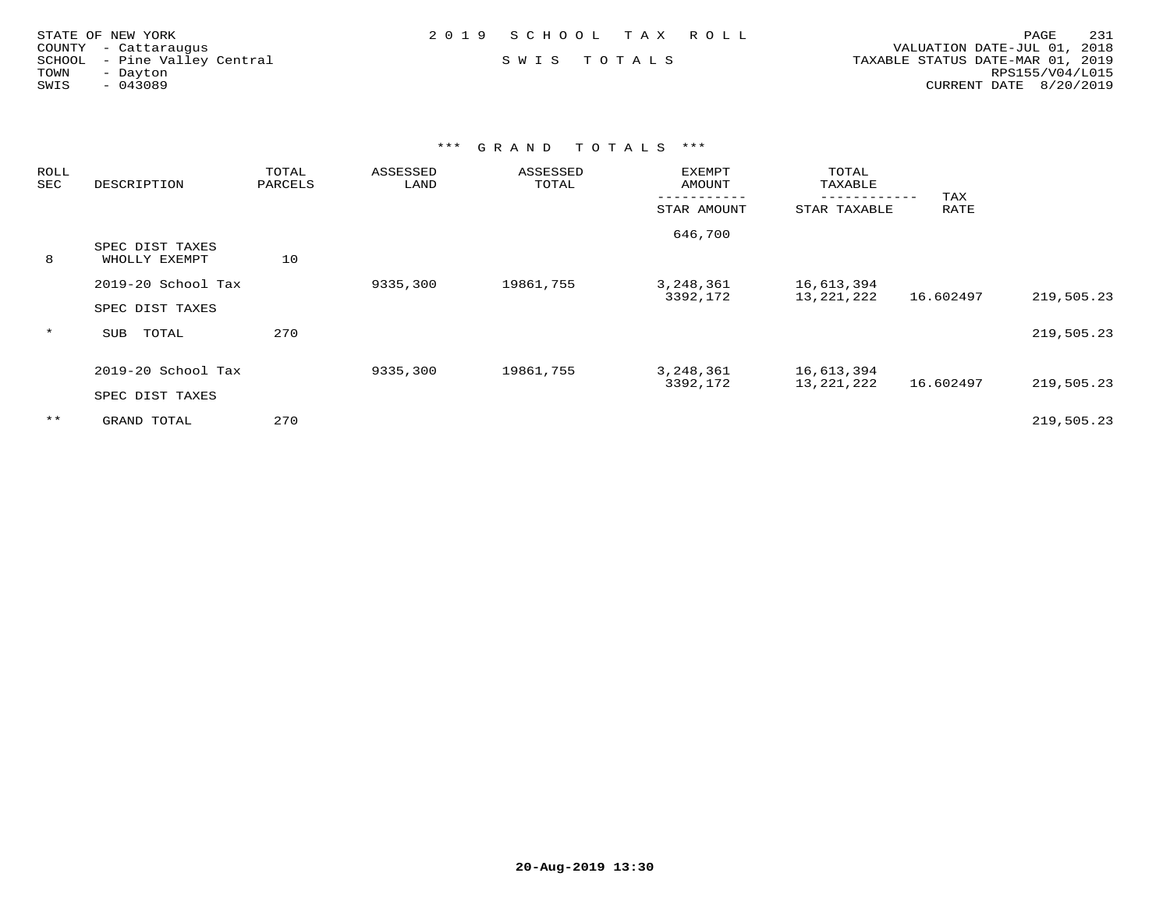| STATE OF NEW YORK            | 2019 SCHOOL TAX ROLL | 231<br>PAGE                      |  |
|------------------------------|----------------------|----------------------------------|--|
| COUNTY - Cattaraugus         |                      | VALUATION DATE-JUL 01, 2018      |  |
| SCHOOL - Pine Valley Central | SWIS TOTALS          | TAXABLE STATUS DATE-MAR 01, 2019 |  |
| TOWN<br>- Dayton             |                      | RPS155/V04/L015                  |  |
| SWIS<br>$-043089$            |                      | CURRENT DATE 8/20/2019           |  |
|                              |                      |                                  |  |

| <b>ROLL</b><br>SEC | DESCRIPTION                           | TOTAL<br>PARCELS | ASSESSED<br>LAND | ASSESSED<br>TOTAL | EXEMPT<br>AMOUNT      | TOTAL<br>TAXABLE           |             |            |
|--------------------|---------------------------------------|------------------|------------------|-------------------|-----------------------|----------------------------|-------------|------------|
|                    |                                       |                  |                  |                   | STAR AMOUNT           | ---------<br>STAR TAXABLE  | TAX<br>RATE |            |
| 8                  | SPEC DIST TAXES<br>WHOLLY EXEMPT      | 10               |                  |                   | 646,700               |                            |             |            |
|                    | 2019-20 School Tax<br>SPEC DIST TAXES |                  | 9335,300         | 19861,755         | 3,248,361<br>3392,172 | 16,613,394<br>13,221,222   | 16.602497   | 219,505.23 |
| $\star$            | TOTAL<br>SUB                          | 270              |                  |                   |                       |                            |             | 219,505.23 |
|                    | 2019-20 School Tax<br>SPEC DIST TAXES |                  | 9335,300         | 19861,755         | 3,248,361<br>3392,172 | 16,613,394<br>13, 221, 222 | 16.602497   | 219,505.23 |
| $* *$              | GRAND TOTAL                           | 270              |                  |                   |                       |                            |             | 219,505.23 |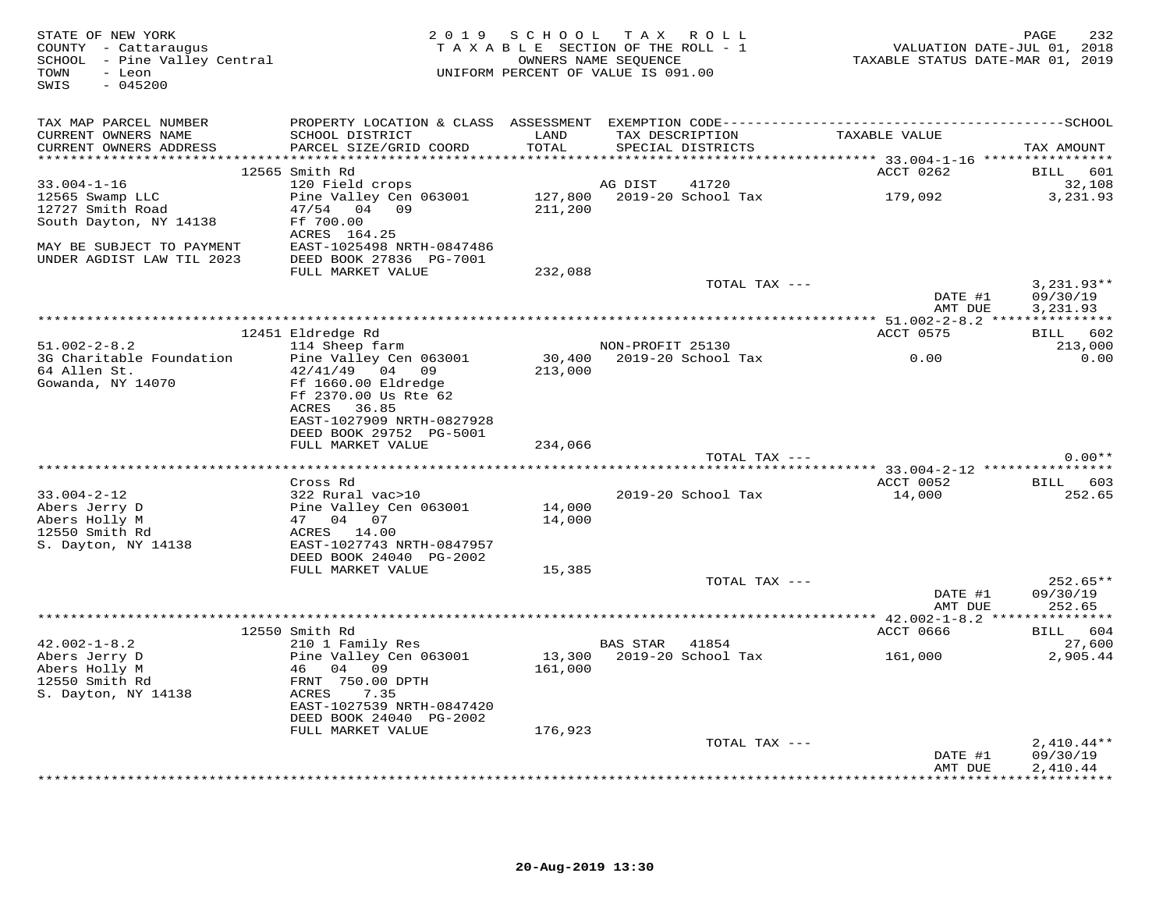| STATE OF NEW YORK<br>COUNTY - Cattaraugus<br>SCHOOL - Pine Valley Central<br>- Leon<br>TOWN<br>$-045200$<br>SWIS |                                             |               | 2019 SCHOOL TAX ROLL<br>TAXABLE SECTION OF THE ROLL - 1<br>OWNERS NAME SEOUENCE<br>UNIFORM PERCENT OF VALUE IS 091.00 | VALUATION DATE-JUL 01, 2018<br>TAXABLE STATUS DATE-MAR 01, 2019 | 232<br>PAGE          |
|------------------------------------------------------------------------------------------------------------------|---------------------------------------------|---------------|-----------------------------------------------------------------------------------------------------------------------|-----------------------------------------------------------------|----------------------|
| TAX MAP PARCEL NUMBER                                                                                            |                                             |               |                                                                                                                       |                                                                 |                      |
| CURRENT OWNERS NAME<br>CURRENT OWNERS ADDRESS                                                                    | SCHOOL DISTRICT<br>PARCEL SIZE/GRID COORD   | LAND<br>TOTAL | TAX DESCRIPTION<br>SPECIAL DISTRICTS                                                                                  | TAXABLE VALUE                                                   | TAX AMOUNT           |
|                                                                                                                  | 12565 Smith Rd                              |               |                                                                                                                       | ACCT 0262                                                       | BILL 601             |
| $33.004 - 1 - 16$                                                                                                | 120 Field crops                             |               | AG DIST<br>41720                                                                                                      |                                                                 | 32,108               |
| 12565 Swamp LLC                                                                                                  | Pine Valley Cen 063001                      |               | 127,800 2019-20 School Tax 179,092                                                                                    |                                                                 | 3,231.93             |
| 12727 Smith Road                                                                                                 | 47/54 04 09                                 | 211,200       |                                                                                                                       |                                                                 |                      |
| South Dayton, NY 14138                                                                                           | Ff 700.00                                   |               |                                                                                                                       |                                                                 |                      |
|                                                                                                                  | ACRES 164.25                                |               |                                                                                                                       |                                                                 |                      |
| MAY BE SUBJECT TO PAYMENT                                                                                        | EAST-1025498 NRTH-0847486                   |               |                                                                                                                       |                                                                 |                      |
| UNDER AGDIST LAW TIL 2023                                                                                        | DEED BOOK 27836 PG-7001                     |               |                                                                                                                       |                                                                 |                      |
|                                                                                                                  | FULL MARKET VALUE                           | 232,088       |                                                                                                                       |                                                                 |                      |
|                                                                                                                  |                                             |               | TOTAL TAX ---                                                                                                         |                                                                 | $3,231.93**$         |
|                                                                                                                  |                                             |               |                                                                                                                       | DATE #1<br>AMT DUE                                              | 09/30/19<br>3,231.93 |
|                                                                                                                  |                                             |               |                                                                                                                       |                                                                 |                      |
|                                                                                                                  | 12451 Eldredge Rd                           |               |                                                                                                                       | ACCT 0575                                                       | BILL 602             |
| $51.002 - 2 - 8.2$                                                                                               | 114 Sheep farm                              |               | NON-PROFIT 25130                                                                                                      | 0.00                                                            | 213,000              |
| 3G Charitable Foundation<br>64 Allen St.                                                                         | Pine Valley Cen 063001<br>$42/41/49$ 04 09  | 213,000       | 30,400 2019-20 School Tax                                                                                             |                                                                 | 0.00                 |
| Gowanda, NY 14070                                                                                                | Ff 1660.00 Eldredge<br>Ff 2370.00 Us Rte 62 |               |                                                                                                                       |                                                                 |                      |
|                                                                                                                  | ACRES 36.85<br>EAST-1027909 NRTH-0827928    |               |                                                                                                                       |                                                                 |                      |
|                                                                                                                  | DEED BOOK 29752 PG-5001                     |               |                                                                                                                       |                                                                 |                      |
|                                                                                                                  | FULL MARKET VALUE                           | 234,066       |                                                                                                                       |                                                                 |                      |
|                                                                                                                  |                                             |               | TOTAL TAX ---                                                                                                         |                                                                 | $0.00**$             |
|                                                                                                                  |                                             |               |                                                                                                                       |                                                                 |                      |
|                                                                                                                  | Cross Rd                                    |               |                                                                                                                       | ACCT 0052                                                       | BILL 603             |
| $33.004 - 2 - 12$                                                                                                | 322 Rural vac>10                            |               | 2019-20 School Tax                                                                                                    | 14,000                                                          | 252.65               |
| Abers Jerry D                                                                                                    | Pine Valley Cen 063001                      | 14,000        |                                                                                                                       |                                                                 |                      |
| Abers Holly M                                                                                                    | 47 04 07                                    | 14,000        |                                                                                                                       |                                                                 |                      |
| 12550 Smith Rd                                                                                                   | ACRES 14.00                                 |               |                                                                                                                       |                                                                 |                      |
| S. Dayton, NY 14138                                                                                              | EAST-1027743 NRTH-0847957                   |               |                                                                                                                       |                                                                 |                      |
|                                                                                                                  | DEED BOOK 24040 PG-2002                     |               |                                                                                                                       |                                                                 |                      |
|                                                                                                                  | FULL MARKET VALUE                           | 15,385        | TOTAL TAX ---                                                                                                         |                                                                 | $252.65**$           |
|                                                                                                                  |                                             |               |                                                                                                                       | DATE #1                                                         | 09/30/19             |
|                                                                                                                  |                                             |               |                                                                                                                       | AMT DUE                                                         | 252.65               |
|                                                                                                                  |                                             |               |                                                                                                                       |                                                                 |                      |
|                                                                                                                  | 12550 Smith Rd                              |               |                                                                                                                       | ACCT 0666                                                       | BILL 604             |
| $42.002 - 1 - 8.2$                                                                                               | 210 1 Family Res                            |               | BAS STAR 41854                                                                                                        |                                                                 | 27,600               |
|                                                                                                                  | Pine Valley Cen 063001                      |               | 13,300 2019-20 School Tax                                                                                             | 161,000                                                         | 2,905.44             |
| 42.002-1-0.2<br>Abers Jerry D<br>Abers Holly M<br>12550 Smith Rd                                                 | 46 04 09                                    | 161,000       |                                                                                                                       |                                                                 |                      |
| 12550 Smith Rd                                                                                                   | FRNT 750.00 DPTH                            |               |                                                                                                                       |                                                                 |                      |
| S. Dayton, NY 14138                                                                                              | ACRES<br>7.35                               |               |                                                                                                                       |                                                                 |                      |
|                                                                                                                  | EAST-1027539 NRTH-0847420                   |               |                                                                                                                       |                                                                 |                      |
|                                                                                                                  | DEED BOOK 24040 PG-2002                     |               |                                                                                                                       |                                                                 |                      |
|                                                                                                                  | FULL MARKET VALUE                           | 176,923       |                                                                                                                       |                                                                 |                      |
|                                                                                                                  |                                             |               | TOTAL TAX ---                                                                                                         |                                                                 | $2,410.44**$         |
|                                                                                                                  |                                             |               |                                                                                                                       | DATE #1                                                         | 09/30/19             |
|                                                                                                                  |                                             |               |                                                                                                                       | AMT DUE                                                         | 2,410.44             |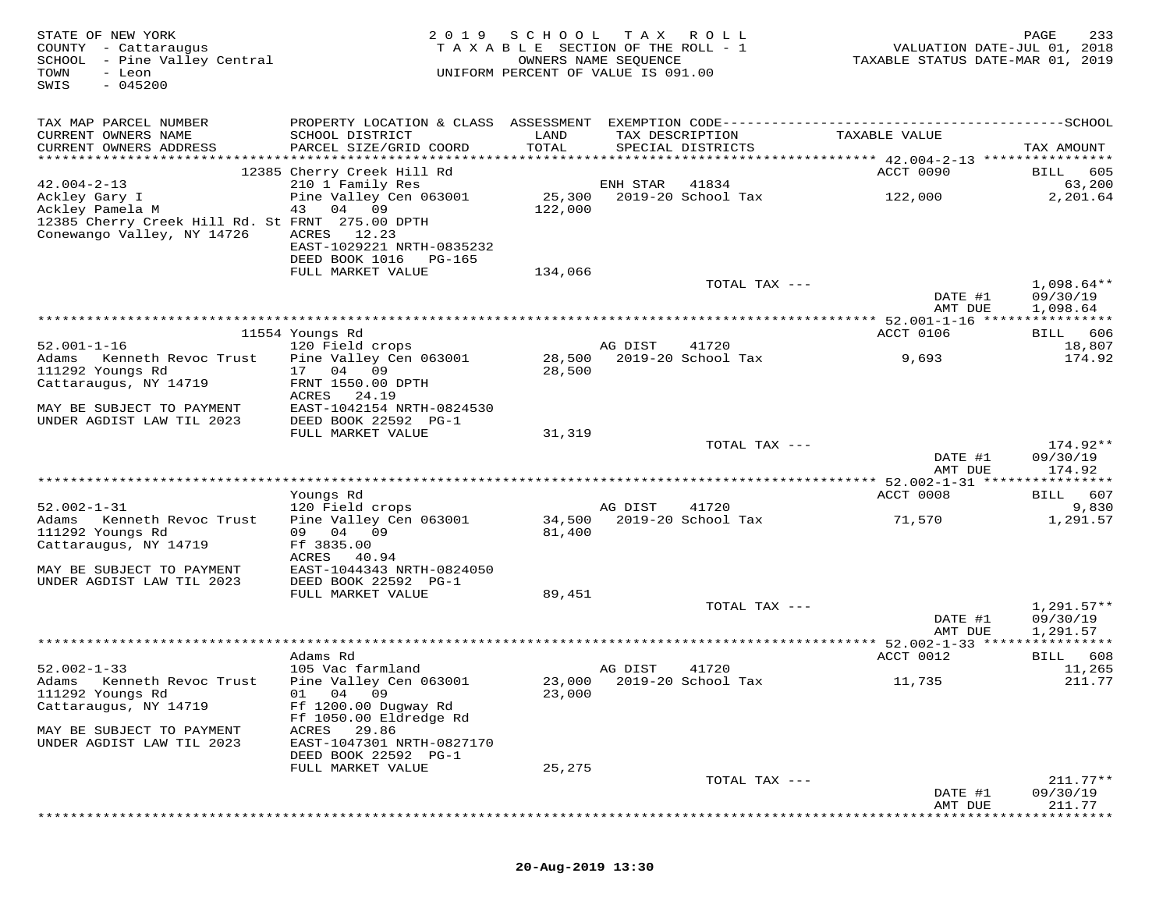| STATE OF NEW YORK<br>COUNTY - Cattaraugus<br>SCHOOL - Pine Valley Central<br>TOWN<br>- Leon<br>$-045200$<br>SWIS | 2 0 1 9                                     | SCHOOL TAX ROLL<br>TAXABLE SECTION OF THE ROLL - 1<br>OWNERS NAME SEQUENCE<br>UNIFORM PERCENT OF VALUE IS 091.00 |          |                                          | VALUATION DATE-JUL 01, 2018<br>TAXABLE STATUS DATE-MAR 01, 2019 | 233<br>PAGE              |
|------------------------------------------------------------------------------------------------------------------|---------------------------------------------|------------------------------------------------------------------------------------------------------------------|----------|------------------------------------------|-----------------------------------------------------------------|--------------------------|
| TAX MAP PARCEL NUMBER                                                                                            |                                             |                                                                                                                  |          |                                          |                                                                 |                          |
| CURRENT OWNERS NAME<br>CURRENT OWNERS ADDRESS                                                                    | SCHOOL DISTRICT<br>PARCEL SIZE/GRID COORD   | LAND<br>TOTAL                                                                                                    |          | TAX DESCRIPTION<br>SPECIAL DISTRICTS     | TAXABLE VALUE                                                   | TAX AMOUNT               |
|                                                                                                                  |                                             |                                                                                                                  |          |                                          |                                                                 |                          |
| $42.004 - 2 - 13$                                                                                                | 12385 Cherry Creek Hill Rd                  |                                                                                                                  |          |                                          | ACCT 0090                                                       | BILL 605                 |
| Ackley Gary I                                                                                                    | 210 1 Family Res<br>Pine Valley Cen 063001  |                                                                                                                  | ENH STAR | 41834<br>25,300    2019-20    School Tax | 122,000                                                         | 63,200<br>2,201.64       |
| Ackley Pamela M                                                                                                  | 43 04 09                                    | 122,000                                                                                                          |          |                                          |                                                                 |                          |
| 12385 Cherry Creek Hill Rd. St FRNT 275.00 DPTH                                                                  |                                             |                                                                                                                  |          |                                          |                                                                 |                          |
| Conewango Valley, NY 14726                                                                                       | ACRES 12.23<br>EAST-1029221 NRTH-0835232    |                                                                                                                  |          |                                          |                                                                 |                          |
|                                                                                                                  | DEED BOOK 1016 PG-165                       |                                                                                                                  |          |                                          |                                                                 |                          |
|                                                                                                                  | FULL MARKET VALUE                           | 134,066                                                                                                          |          |                                          |                                                                 |                          |
|                                                                                                                  |                                             |                                                                                                                  |          | TOTAL TAX ---                            |                                                                 | $1,098.64**$             |
|                                                                                                                  |                                             |                                                                                                                  |          |                                          | DATE #1<br>AMT DUE                                              | 09/30/19<br>1,098.64     |
|                                                                                                                  |                                             |                                                                                                                  |          |                                          |                                                                 |                          |
|                                                                                                                  | 11554 Youngs Rd                             |                                                                                                                  |          |                                          | ACCT 0106                                                       | BILL 606                 |
| $52.001 - 1 - 16$                                                                                                | 120 Field crops                             |                                                                                                                  | AG DIST  | 41720                                    |                                                                 | 18,807                   |
| Adams<br>Kenneth Revoc Trust                                                                                     | Pine Valley Cen 063001<br>17 04 09          | 28,500                                                                                                           |          | 2019-20 School Tax                       | 9,693                                                           | 174.92                   |
| 111292 Youngs Rd<br>Cattaraugus, NY 14719                                                                        | FRNT 1550.00 DPTH                           | 28,500                                                                                                           |          |                                          |                                                                 |                          |
|                                                                                                                  | ACRES<br>24.19                              |                                                                                                                  |          |                                          |                                                                 |                          |
| MAY BE SUBJECT TO PAYMENT                                                                                        | EAST-1042154 NRTH-0824530                   |                                                                                                                  |          |                                          |                                                                 |                          |
| UNDER AGDIST LAW TIL 2023                                                                                        | DEED BOOK 22592 PG-1                        |                                                                                                                  |          |                                          |                                                                 |                          |
|                                                                                                                  | FULL MARKET VALUE                           | 31,319                                                                                                           |          | TOTAL TAX ---                            |                                                                 | 174.92**                 |
|                                                                                                                  |                                             |                                                                                                                  |          |                                          | DATE #1                                                         | 09/30/19                 |
|                                                                                                                  |                                             |                                                                                                                  |          |                                          | AMT DUE                                                         | 174.92                   |
|                                                                                                                  |                                             |                                                                                                                  |          |                                          | ACCT 0008                                                       | BILL 607                 |
| $52.002 - 1 - 31$                                                                                                | Youngs Rd<br>120 Field crops                |                                                                                                                  | AG DIST  | 41720                                    |                                                                 | 9,830                    |
| Adams Kenneth Revoc Trust                                                                                        | Pine Valley Cen 063001                      | 34,500                                                                                                           |          | 2019-20 School Tax                       | 71,570                                                          | 1,291.57                 |
| 111292 Youngs Rd                                                                                                 | 09 04 09                                    | 81,400                                                                                                           |          |                                          |                                                                 |                          |
| Cattaraugus, NY 14719                                                                                            | Ff 3835.00                                  |                                                                                                                  |          |                                          |                                                                 |                          |
| MAY BE SUBJECT TO PAYMENT                                                                                        | ACRES 40.94<br>EAST-1044343 NRTH-0824050    |                                                                                                                  |          |                                          |                                                                 |                          |
| UNDER AGDIST LAW TIL 2023                                                                                        | DEED BOOK 22592 PG-1                        |                                                                                                                  |          |                                          |                                                                 |                          |
|                                                                                                                  | FULL MARKET VALUE                           | 89,451                                                                                                           |          |                                          |                                                                 |                          |
|                                                                                                                  |                                             |                                                                                                                  |          | TOTAL TAX ---                            | DATE #1                                                         | $1,291.57**$<br>09/30/19 |
|                                                                                                                  |                                             |                                                                                                                  |          |                                          | AMT DUE                                                         | 1,291.57                 |
|                                                                                                                  |                                             |                                                                                                                  |          |                                          |                                                                 |                          |
|                                                                                                                  | Adams Rd                                    |                                                                                                                  |          |                                          | ACCT 0012                                                       | BILL 608                 |
| $52.002 - 1 - 33$<br>Adams Kenneth Revoc Trust                                                                   | 105 Vac farmland                            |                                                                                                                  | AG DIST  | 41720<br>23,000 2019-20 School Tax       |                                                                 | 11,265<br>211.77         |
| 111292 Youngs Rd                                                                                                 | Pine Valley Cen 063001<br>01 04 09          | 23,000                                                                                                           |          |                                          | 11,735                                                          |                          |
| Cattaraugus, NY 14719                                                                                            | Ff 1200.00 Dugway Rd                        |                                                                                                                  |          |                                          |                                                                 |                          |
|                                                                                                                  | Ff 1050.00 Eldredge Rd                      |                                                                                                                  |          |                                          |                                                                 |                          |
| MAY BE SUBJECT TO PAYMENT<br>UNDER AGDIST LAW TIL 2023                                                           | ACRES<br>29.86<br>EAST-1047301 NRTH-0827170 |                                                                                                                  |          |                                          |                                                                 |                          |
|                                                                                                                  | DEED BOOK 22592 PG-1                        |                                                                                                                  |          |                                          |                                                                 |                          |
|                                                                                                                  | FULL MARKET VALUE                           | 25,275                                                                                                           |          |                                          |                                                                 |                          |
|                                                                                                                  |                                             |                                                                                                                  |          | TOTAL TAX ---                            |                                                                 | $211.77**$               |
|                                                                                                                  |                                             |                                                                                                                  |          |                                          | DATE #1                                                         | 09/30/19                 |
|                                                                                                                  |                                             |                                                                                                                  |          |                                          | AMT DUE                                                         | 211.77                   |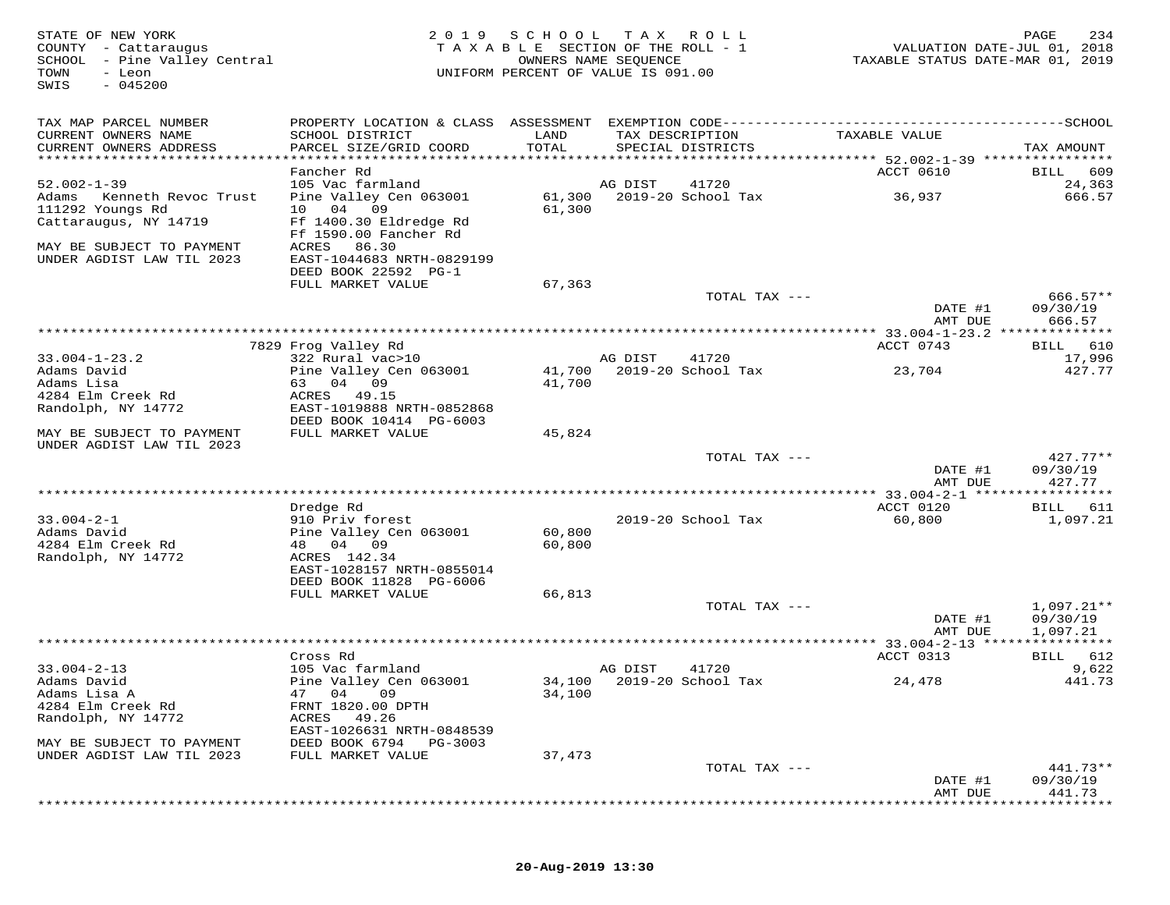| STATE OF NEW YORK<br>COUNTY - Cattaraugus<br>SCHOOL - Pine Valley Central<br>TOWN<br>- Leon<br>$-045200$<br>SWIS | 2 0 1 9                                           | SCHOOL           | T A X<br>R O L L<br>TAXABLE SECTION OF THE ROLL - 1<br>OWNERS NAME SEQUENCE<br>UNIFORM PERCENT OF VALUE IS 091.00 | VALUATION DATE-JUL 01, 2018<br>TAXABLE STATUS DATE-MAR 01, 2019 | 234<br>PAGE            |
|------------------------------------------------------------------------------------------------------------------|---------------------------------------------------|------------------|-------------------------------------------------------------------------------------------------------------------|-----------------------------------------------------------------|------------------------|
| TAX MAP PARCEL NUMBER                                                                                            |                                                   |                  |                                                                                                                   |                                                                 |                        |
| CURRENT OWNERS NAME<br>CURRENT OWNERS ADDRESS                                                                    | SCHOOL DISTRICT<br>PARCEL SIZE/GRID COORD         | LAND<br>TOTAL    | TAX DESCRIPTION<br>SPECIAL DISTRICTS                                                                              | TAXABLE VALUE                                                   | TAX AMOUNT             |
| ******************************                                                                                   |                                                   |                  |                                                                                                                   |                                                                 |                        |
| $52.002 - 1 - 39$                                                                                                | Fancher Rd                                        |                  |                                                                                                                   | ACCT 0610                                                       | BILL<br>609            |
| Adams<br>Kenneth Revoc Trust                                                                                     | 105 Vac farmland<br>Pine Valley Cen 063001        | 61,300           | AG DIST<br>41720<br>2019-20 School Tax                                                                            | 36,937                                                          | 24,363<br>666.57       |
| 111292 Youngs Rd                                                                                                 | 09<br>04<br>10                                    | 61,300           |                                                                                                                   |                                                                 |                        |
| Cattaraugus, NY 14719                                                                                            | Ff 1400.30 Eldredge Rd                            |                  |                                                                                                                   |                                                                 |                        |
|                                                                                                                  | Ff 1590.00 Fancher Rd                             |                  |                                                                                                                   |                                                                 |                        |
| MAY BE SUBJECT TO PAYMENT<br>UNDER AGDIST LAW TIL 2023                                                           | ACRES<br>86.30                                    |                  |                                                                                                                   |                                                                 |                        |
|                                                                                                                  | EAST-1044683 NRTH-0829199<br>DEED BOOK 22592 PG-1 |                  |                                                                                                                   |                                                                 |                        |
|                                                                                                                  | FULL MARKET VALUE                                 | 67,363           |                                                                                                                   |                                                                 |                        |
|                                                                                                                  |                                                   |                  | TOTAL TAX ---                                                                                                     |                                                                 | $666.57**$             |
|                                                                                                                  |                                                   |                  |                                                                                                                   | DATE #1                                                         | 09/30/19               |
|                                                                                                                  |                                                   |                  | ************************                                                                                          | AMT DUE<br>********* 33.004-1-23.2 **************               | 666.57                 |
|                                                                                                                  | 7829 Frog Valley Rd                               |                  |                                                                                                                   | ACCT 0743                                                       | BILL<br>610            |
| $33.004 - 1 - 23.2$                                                                                              | 322 Rural vac>10                                  |                  | AG DIST<br>41720                                                                                                  |                                                                 | 17,996                 |
| Adams David                                                                                                      | Pine Valley Cen 063001                            | 41,700           | 2019-20 School Tax                                                                                                | 23,704                                                          | 427.77                 |
| Adams Lisa<br>4284 Elm Creek Rd                                                                                  | 63<br>04<br>09                                    | 41,700           |                                                                                                                   |                                                                 |                        |
| Randolph, NY 14772                                                                                               | 49.15<br>ACRES<br>EAST-1019888 NRTH-0852868       |                  |                                                                                                                   |                                                                 |                        |
|                                                                                                                  | DEED BOOK 10414 PG-6003                           |                  |                                                                                                                   |                                                                 |                        |
| MAY BE SUBJECT TO PAYMENT                                                                                        | FULL MARKET VALUE                                 | 45,824           |                                                                                                                   |                                                                 |                        |
| UNDER AGDIST LAW TIL 2023                                                                                        |                                                   |                  |                                                                                                                   |                                                                 |                        |
|                                                                                                                  |                                                   |                  | TOTAL TAX ---                                                                                                     | DATE #1                                                         | $427.77**$<br>09/30/19 |
|                                                                                                                  |                                                   |                  |                                                                                                                   | AMT DUE                                                         | 427.77                 |
|                                                                                                                  |                                                   |                  |                                                                                                                   |                                                                 |                        |
|                                                                                                                  | Dredge Rd                                         |                  |                                                                                                                   | ACCT 0120                                                       | 611<br>BILL            |
| $33.004 - 2 - 1$                                                                                                 | 910 Priv forest                                   |                  | 2019-20 School Tax                                                                                                | 60,800                                                          | 1,097.21               |
| Adams David<br>4284 Elm Creek Rd                                                                                 | Pine Valley Cen 063001<br>48 04<br>- 09           | 60,800<br>60,800 |                                                                                                                   |                                                                 |                        |
| Randolph, NY 14772                                                                                               | ACRES 142.34                                      |                  |                                                                                                                   |                                                                 |                        |
|                                                                                                                  | EAST-1028157 NRTH-0855014                         |                  |                                                                                                                   |                                                                 |                        |
|                                                                                                                  | DEED BOOK 11828 PG-6006                           |                  |                                                                                                                   |                                                                 |                        |
|                                                                                                                  | FULL MARKET VALUE                                 | 66,813           | TOTAL TAX ---                                                                                                     |                                                                 | $1,097.21**$           |
|                                                                                                                  |                                                   |                  |                                                                                                                   | DATE #1                                                         | 09/30/19               |
|                                                                                                                  |                                                   |                  |                                                                                                                   | AMT DUE                                                         | 1,097.21               |
|                                                                                                                  |                                                   |                  |                                                                                                                   |                                                                 | * * * * * * * * * * *  |
|                                                                                                                  | Cross Rd                                          |                  |                                                                                                                   | ACCT 0313                                                       | 612<br>BILL            |
| $33.004 - 2 - 13$<br>Adams David                                                                                 | 105 Vac farmland<br>Pine Valley Cen 063001        |                  | AG DIST<br>41720<br>34,100 2019-20 School Tax                                                                     | 24,478                                                          | 9,622<br>441.73        |
| Adams Lisa A                                                                                                     | 47 04 09                                          | 34,100           |                                                                                                                   |                                                                 |                        |
| 4284 Elm Creek Rd                                                                                                | FRNT 1820.00 DPTH                                 |                  |                                                                                                                   |                                                                 |                        |
| Randolph, NY 14772                                                                                               | ACRES<br>49.26                                    |                  |                                                                                                                   |                                                                 |                        |
|                                                                                                                  | EAST-1026631 NRTH-0848539                         |                  |                                                                                                                   |                                                                 |                        |
| MAY BE SUBJECT TO PAYMENT<br>UNDER AGDIST LAW TIL 2023                                                           | DEED BOOK 6794<br>PG-3003<br>FULL MARKET VALUE    | 37,473           |                                                                                                                   |                                                                 |                        |
|                                                                                                                  |                                                   |                  | TOTAL TAX ---                                                                                                     |                                                                 | 441.73**               |
|                                                                                                                  |                                                   |                  |                                                                                                                   | DATE #1                                                         | 09/30/19               |
|                                                                                                                  |                                                   |                  |                                                                                                                   | AMT DUE                                                         | 441.73                 |

\*\*\*\*\*\*\*\*\*\*\*\*\*\*\*\*\*\*\*\*\*\*\*\*\*\*\*\*\*\*\*\*\*\*\*\*\*\*\*\*\*\*\*\*\*\*\*\*\*\*\*\*\*\*\*\*\*\*\*\*\*\*\*\*\*\*\*\*\*\*\*\*\*\*\*\*\*\*\*\*\*\*\*\*\*\*\*\*\*\*\*\*\*\*\*\*\*\*\*\*\*\*\*\*\*\*\*\*\*\*\*\*\*\*\*\*\*\*\*\*\*\*\*\*\*\*\*\*\*\*\*\*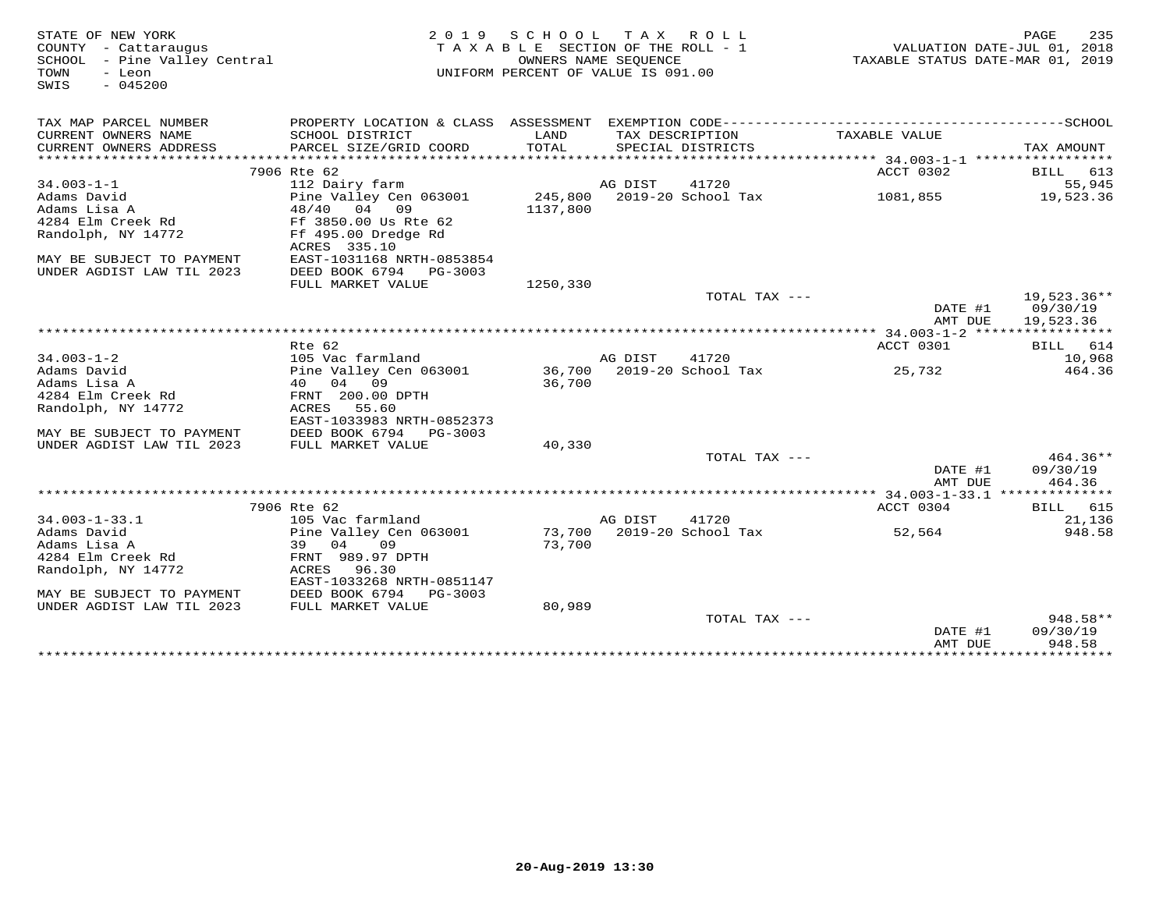| STATE OF NEW YORK<br>COUNTY - Cattaraugus<br>SCHOOL - Pine Valley Central<br>TOWN<br>- Leon<br>$-045200$<br>SWIS | 2 0 1 9                                     | S C H O O L | T A X<br>ROLL ROLL<br>TAXABLE SECTION OF THE ROLL - 1<br>OWNERS NAME SEQUENCE<br>UNIFORM PERCENT OF VALUE IS 091.00 |                                           | 235<br>PAGE<br>VALUATION DATE-JUL 01, 2018<br>TAXABLE STATUS DATE-MAR 01, 2019 |
|------------------------------------------------------------------------------------------------------------------|---------------------------------------------|-------------|---------------------------------------------------------------------------------------------------------------------|-------------------------------------------|--------------------------------------------------------------------------------|
| TAX MAP PARCEL NUMBER                                                                                            |                                             |             |                                                                                                                     |                                           |                                                                                |
| CURRENT OWNERS NAME                                                                                              | SCHOOL DISTRICT                             | LAND        | TAX DESCRIPTION                                                                                                     | TAXABLE VALUE                             |                                                                                |
| CURRENT OWNERS ADDRESS                                                                                           | PARCEL SIZE/GRID COORD                      | TOTAL       | SPECIAL DISTRICTS                                                                                                   |                                           | TAX AMOUNT                                                                     |
|                                                                                                                  | 7906 Rte 62                                 |             |                                                                                                                     | ACCT 0302                                 | BILL 613                                                                       |
| $34.003 - 1 - 1$                                                                                                 | 112 Dairy farm                              |             | AG DIST<br>41720                                                                                                    |                                           | 55,945                                                                         |
| Adams David                                                                                                      | Pine Valley Cen 063001                      |             | 245,800 2019-20 School Tax                                                                                          | 1081,855                                  | 19,523.36                                                                      |
| Adams Lisa A                                                                                                     | 48/40 04 09                                 | 1137,800    |                                                                                                                     |                                           |                                                                                |
| 4284 Elm Creek Rd                                                                                                | Ff 3850.00 Us Rte 62                        |             |                                                                                                                     |                                           |                                                                                |
| Randolph, NY 14772                                                                                               | Ff 495.00 Dredge Rd                         |             |                                                                                                                     |                                           |                                                                                |
|                                                                                                                  | ACRES 335.10                                |             |                                                                                                                     |                                           |                                                                                |
| MAY BE SUBJECT TO PAYMENT                                                                                        | EAST-1031168 NRTH-0853854                   |             |                                                                                                                     |                                           |                                                                                |
| UNDER AGDIST LAW TIL 2023                                                                                        | DEED BOOK 6794 PG-3003<br>FULL MARKET VALUE | 1250,330    |                                                                                                                     |                                           |                                                                                |
|                                                                                                                  |                                             |             |                                                                                                                     | TOTAL TAX ---                             | 19,523.36**                                                                    |
|                                                                                                                  |                                             |             |                                                                                                                     | DATE #1                                   | 09/30/19                                                                       |
|                                                                                                                  |                                             |             |                                                                                                                     | AMT DUE                                   | 19,523.36                                                                      |
|                                                                                                                  |                                             |             |                                                                                                                     | *********** 34.003-1-2 ****************** |                                                                                |
|                                                                                                                  | Rte 62                                      |             |                                                                                                                     | ACCT 0301                                 | BILL 614                                                                       |
| $34.003 - 1 - 2$                                                                                                 | 105 Vac farmland                            |             | AG DIST<br>41720                                                                                                    |                                           | 10,968                                                                         |
| Adams David<br>Adams Lisa A                                                                                      | Pine Valley Cen 063001<br>40 04 09          | 36,700      | 36,700 2019-20 School Tax                                                                                           | 25,732                                    | 464.36                                                                         |
| 4284 Elm Creek Rd                                                                                                | FRNT 200.00 DPTH                            |             |                                                                                                                     |                                           |                                                                                |
| Randolph, NY 14772                                                                                               | ACRES<br>55.60                              |             |                                                                                                                     |                                           |                                                                                |
|                                                                                                                  | EAST-1033983 NRTH-0852373                   |             |                                                                                                                     |                                           |                                                                                |
| MAY BE SUBJECT TO PAYMENT                                                                                        | DEED BOOK 6794 PG-3003                      |             |                                                                                                                     |                                           |                                                                                |
| UNDER AGDIST LAW TIL 2023                                                                                        | FULL MARKET VALUE                           | 40,330      |                                                                                                                     |                                           |                                                                                |
|                                                                                                                  |                                             |             |                                                                                                                     | TOTAL TAX ---                             | 464.36**                                                                       |
|                                                                                                                  |                                             |             |                                                                                                                     | DATE #1                                   | 09/30/19                                                                       |
|                                                                                                                  |                                             |             |                                                                                                                     | AMT DUE                                   | 464.36                                                                         |
|                                                                                                                  | 7906 Rte 62                                 |             |                                                                                                                     | ACCT 0304                                 | BILL 615                                                                       |
| $34.003 - 1 - 33.1$                                                                                              | 105 Vac farmland                            |             | AG DIST<br>41720                                                                                                    |                                           | 21,136                                                                         |
| Adams David                                                                                                      | Pine Valley Cen 063001                      |             | 73,700 2019-20 School Tax                                                                                           | 52,564                                    | 948.58                                                                         |
| Adams Lisa A                                                                                                     | 09<br>39<br>04                              | 73,700      |                                                                                                                     |                                           |                                                                                |
| 4284 Elm Creek Rd                                                                                                | FRNT 989.97 DPTH                            |             |                                                                                                                     |                                           |                                                                                |
| Randolph, NY 14772                                                                                               | ACRES<br>96.30                              |             |                                                                                                                     |                                           |                                                                                |
|                                                                                                                  | EAST-1033268 NRTH-0851147                   |             |                                                                                                                     |                                           |                                                                                |
| MAY BE SUBJECT TO PAYMENT<br>UNDER AGDIST LAW TIL 2023                                                           | DEED BOOK 6794<br>PG-3003                   | 80,989      |                                                                                                                     |                                           |                                                                                |
|                                                                                                                  | FULL MARKET VALUE                           |             |                                                                                                                     | TOTAL TAX $---$                           | 948.58**                                                                       |
|                                                                                                                  |                                             |             |                                                                                                                     | DATE #1                                   | 09/30/19                                                                       |
|                                                                                                                  |                                             |             |                                                                                                                     | AMT DUE                                   | 948.58                                                                         |
|                                                                                                                  |                                             |             | ******************************                                                                                      |                                           | *****************************                                                  |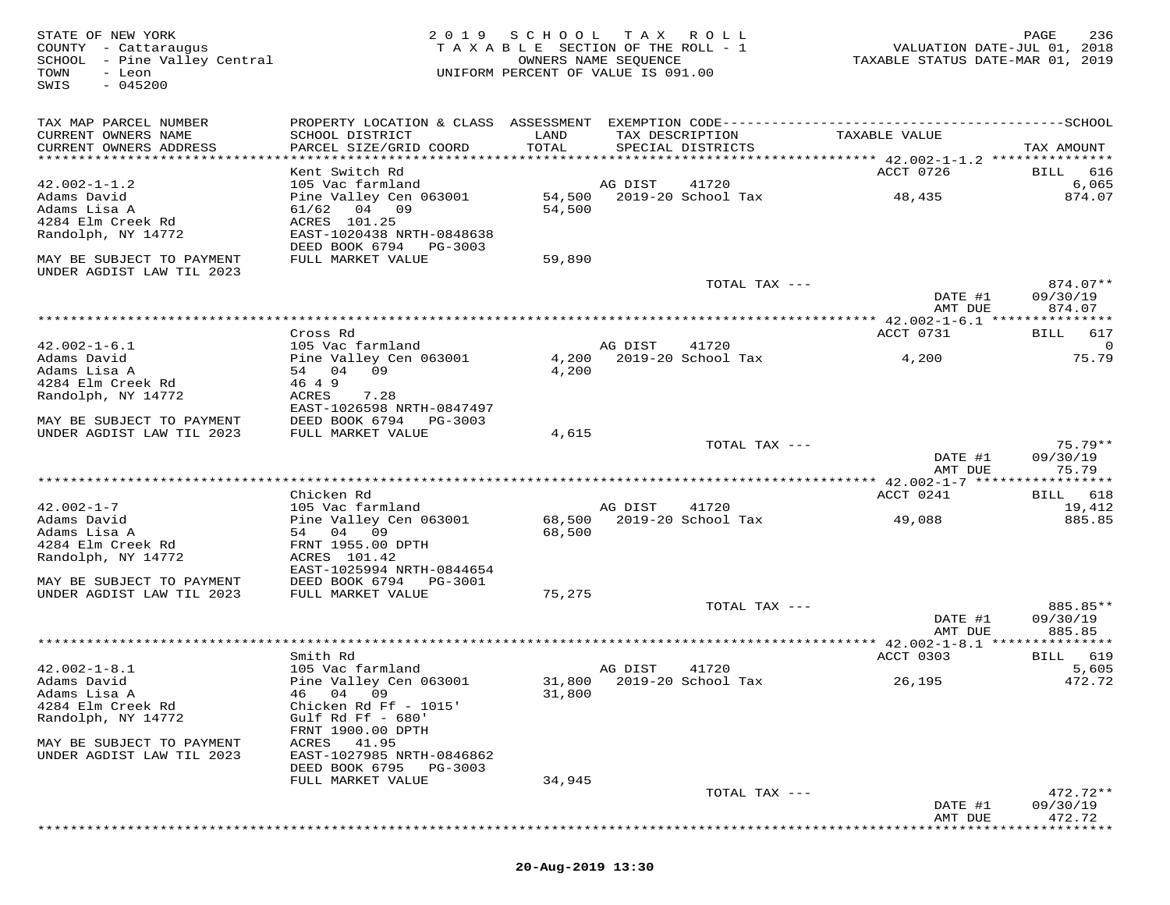STATE OF NEW YORK 2 0 1 9 S C H O O L T A X R O L L PAGE 236 COUNTY - Cattaraugus T A X A B L E SECTION OF THE ROLL - 1 VALUATION DATE-JUL 01, 2018 SCHOOL - Pine Valley Central OWNERS NAME SEQUENCE TAXABLE STATUS DATE-MAR 01, 2019 TOWN - Leon UNIFORM PERCENT OF VALUE IS 091.00 SWIS - 045200TAX MAP PARCEL NUMBER PROPERTY LOCATION & CLASS ASSESSMENT EXEMPTION CODE------------------------------------------SCHOOL CURRENT OWNERS NAME SCHOOL DISTRICT LAND TAX DESCRIPTION TAXABLE VALUE CURRENT OWNERS ADDRESS PARCEL SIZE/GRID COORD TOTAL SPECIAL DISTRICTS TAX AMOUNT \*\*\*\*\*\*\*\*\*\*\*\*\*\*\*\*\*\*\*\*\*\*\*\*\*\*\*\*\*\*\*\*\*\*\*\*\*\*\*\*\*\*\*\*\*\*\*\*\*\*\*\*\*\*\*\*\*\*\*\*\*\*\*\*\*\*\*\*\*\*\*\*\*\*\*\*\*\*\*\*\*\*\*\*\*\*\*\*\*\*\*\*\*\*\*\*\*\*\*\*\*\*\* 42.002-1-1.2 \*\*\*\*\*\*\*\*\*\*\*\*\*\*\* Kent Switch Rd ACCT 0726 BILL 616 42.002-1-1.2 105 Vac farmland AG DIST 41720 6,065 Adams David Pine Valley Cen 063001 54,500 2019-20 School Tax 48,435 874.07 Adams Lisa A 61/62 04 09 54,500 4284 Elm Creek Rd ACRES 101.25 Randolph, NY 14772 EAST-1020438 NRTH-0848638 DEED BOOK 6794 PG-3003 MAY BE SUBJECT TO PAYMENT FULL MARKET VALUE 59,890UNDER AGDIST LAW TIL 2023 TOTAL TAX --- 874.07\*\* DATE #1 09/30/19 AMT DUE 874.07 \*\*\*\*\*\*\*\*\*\*\*\*\*\*\*\*\*\*\*\*\*\*\*\*\*\*\*\*\*\*\*\*\*\*\*\*\*\*\*\*\*\*\*\*\*\*\*\*\*\*\*\*\*\*\*\*\*\*\*\*\*\*\*\*\*\*\*\*\*\*\*\*\*\*\*\*\*\*\*\*\*\*\*\*\*\*\*\*\*\*\*\*\*\*\*\*\*\*\*\*\*\*\* 42.002-1-6.1 \*\*\*\*\*\*\*\*\*\*\*\*\*\*\*42.002-1-6.1 Cross Rd<br>
Adams David DiS Vec farmland AG DIST 41720<br>
Adams Lisa A 54 04 09 4,200 2019-20 School Tax 4,200 75.79<br>
Adams Lisa A 54 04 09 4,200<br>
Randolph, NY 14772 ACRES 7.28<br>
MAY BE SUBJECT TO PAYMENT DEED BOO DATE #1 09/30/19 AMT DUE 75.79 \*\*\*\*\*\*\*\*\*\*\*\*\*\*\*\*\*\*\*\*\*\*\*\*\*\*\*\*\*\*\*\*\*\*\*\*\*\*\*\*\*\*\*\*\*\*\*\*\*\*\*\*\*\*\*\*\*\*\*\*\*\*\*\*\*\*\*\*\*\*\*\*\*\*\*\*\*\*\*\*\*\*\*\*\*\*\*\*\*\*\*\*\*\*\*\*\*\*\*\*\*\*\* 42.002-1-7 \*\*\*\*\*\*\*\*\*\*\*\*\*\*\*\*\*ACCT 0241 BILL 618 Chicken Rd ACCT 0241 BILL 61819,412 42.002-1-7 105 Vac farmland AG DIST 41720 19,412885.85 Adams David Pine Valley Cen 063001 68,500 2019-20 School Tax 49,088 885.85Adams Lisa A 54 04 09 68,500 4284 Elm Creek Rd FRNT 1955.00 DPTH Randolph, NY 14772 ACRES 101.42 EAST-1025994 NRTH-0844654 MAY BE SUBJECT TO PAYMENT DEED BOOK 6794 PG-3001 UNDER AGDIST LAW TIL 2023 FULL MARKET VALUE 75,275 TOTAL TAX --- 885.85\*\* DATE #1 09/30/19 AMT DUE 885.85 \*\*\*\*\*\*\*\*\*\*\*\*\*\*\*\*\*\*\*\*\*\*\*\*\*\*\*\*\*\*\*\*\*\*\*\*\*\*\*\*\*\*\*\*\*\*\*\*\*\*\*\*\*\*\*\*\*\*\*\*\*\*\*\*\*\*\*\*\*\*\*\*\*\*\*\*\*\*\*\*\*\*\*\*\*\*\*\*\*\*\*\*\*\*\*\*\*\*\*\*\*\*\* 42.002-1-8.1 \*\*\*\*\*\*\*\*\*\*\*\*\*\*\*ACCT 0303 BILL 619 Smith Rd ACCT 0303 BILL 619 $5,605$ 42.002-1-8.1 105 Vac farmland AG DIST 41720 5,605 472.72 Adams David Pine Valley Cen 063001 31,800 2019-20 School Tax 26,195 472.72Adams Lisa A 46 04 09 31,800 4284 Elm Creek Rd Chicken Rd Ff - 1015' Randolph, NY 14772 Gulf Rd Ff - 680' FRNT 1900.00 DPTH MAY BE SUBJECT TO PAYMENT ACRES 41.95 UNDER AGDIST LAW TIL 2023 EAST-1027985 NRTH-0846862 DEED BOOK 6795 PG-3003 FULL MARKET VALUE 34,945 TOTAL TAX --- 472.72\*\* DATE #1 09/30/19 AMT DUE 472.72\*\*\*\*\*\*\*\*\*\*\*\*\*\*\*\*\*\*\*\*\*\*\*\*\*\*\*\*\*\*\*\*\*\*\*\*\*\*\*\*\*\*\*\*\*\*\*\*\*\*\*\*\*\*\*\*\*\*\*\*\*\*\*\*\*\*\*\*\*\*\*\*\*\*\*\*\*\*\*\*\*\*\*\*\*\*\*\*\*\*\*\*\*\*\*\*\*\*\*\*\*\*\*\*\*\*\*\*\*\*\*\*\*\*\*\*\*\*\*\*\*\*\*\*\*\*\*\*\*\*\*\*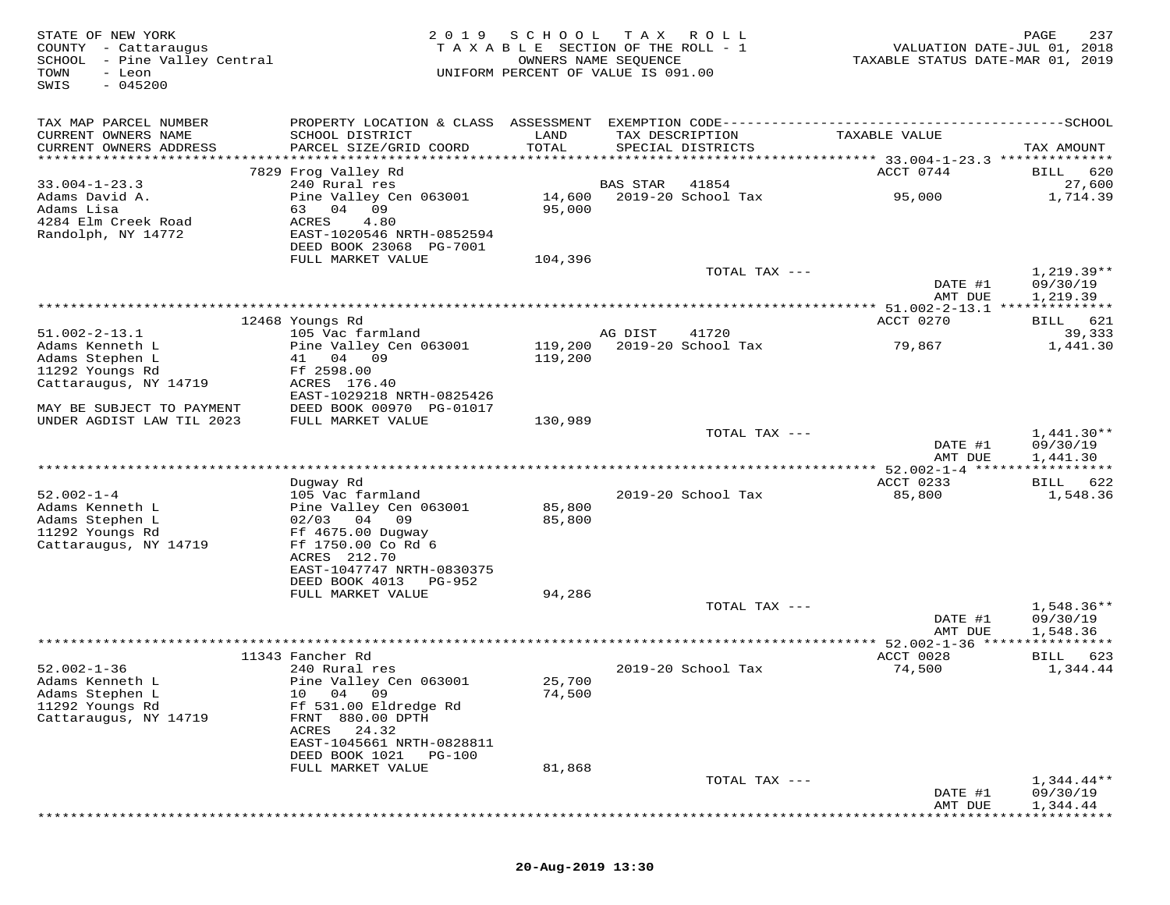| STATE OF NEW YORK<br>COUNTY - Cattaraugus<br>SCHOOL - Pine Valley Central<br>TOWN<br>- Leon<br>$-045200$<br>SWIS | 2 0 1 9                                                                                                                         | SCHOOL<br>TAXABLE SECTION OF THE ROLL - 1<br>OWNERS NAME SEQUENCE<br>UNIFORM PERCENT OF VALUE IS 091.00 | T A X           | R O L L                     | TAXABLE STATUS DATE-MAR 01, 2019          | 237<br>PAGE<br>VALUATION DATE-JUL 01, 2018 |
|------------------------------------------------------------------------------------------------------------------|---------------------------------------------------------------------------------------------------------------------------------|---------------------------------------------------------------------------------------------------------|-----------------|-----------------------------|-------------------------------------------|--------------------------------------------|
| TAX MAP PARCEL NUMBER<br>CURRENT OWNERS NAME<br>CURRENT OWNERS ADDRESS                                           | SCHOOL DISTRICT<br>PARCEL SIZE/GRID COORD                                                                                       | LAND<br>TOTAL                                                                                           | TAX DESCRIPTION | SPECIAL DISTRICTS           | TAXABLE VALUE                             | TAX AMOUNT                                 |
|                                                                                                                  | 7829 Frog Valley Rd                                                                                                             |                                                                                                         |                 |                             | ACCT 0744                                 | BILL<br>620                                |
| $33.004 - 1 - 23.3$<br>Adams David A.<br>Adams Lisa<br>4284 Elm Creek Road<br>Randolph, NY 14772                 | 240 Rural res<br>Pine Valley Cen 063001<br>63 04<br>09<br>ACRES<br>4.80<br>EAST-1020546 NRTH-0852594<br>DEED BOOK 23068 PG-7001 | 14,600<br>95,000                                                                                        | <b>BAS STAR</b> | 41854<br>2019-20 School Tax | 95,000                                    | 27,600<br>1,714.39                         |
|                                                                                                                  | FULL MARKET VALUE                                                                                                               | 104,396                                                                                                 |                 |                             |                                           |                                            |
|                                                                                                                  |                                                                                                                                 |                                                                                                         |                 | TOTAL TAX ---               | DATE #1                                   | $1,219.39**$<br>09/30/19                   |
|                                                                                                                  |                                                                                                                                 |                                                                                                         |                 |                             | AMT DUE                                   | 1,219.39                                   |
|                                                                                                                  | 12468 Youngs Rd                                                                                                                 |                                                                                                         |                 |                             | ACCT 0270                                 | BILL 621                                   |
| $51.002 - 2 - 13.1$                                                                                              | 105 Vac farmland                                                                                                                |                                                                                                         | AG DIST         | 41720                       |                                           | 39,333                                     |
| Adams Kenneth L<br>Adams Stephen L<br>11292 Youngs Rd<br>Cattaraugus, NY 14719                                   | Pine Valley Cen 063001<br>41 04 09<br>Ff 2598.00<br>ACRES 176.40                                                                | 119,200                                                                                                 |                 | 119,200 2019-20 School Tax  | 79,867                                    | 1,441.30                                   |
| MAY BE SUBJECT TO PAYMENT                                                                                        | EAST-1029218 NRTH-0825426<br>DEED BOOK 00970 PG-01017                                                                           |                                                                                                         |                 |                             |                                           |                                            |
| UNDER AGDIST LAW TIL 2023                                                                                        | FULL MARKET VALUE                                                                                                               | 130,989                                                                                                 |                 |                             |                                           |                                            |
|                                                                                                                  |                                                                                                                                 |                                                                                                         |                 | TOTAL TAX ---               | DATE #1<br>AMT DUE                        | $1,441.30**$<br>09/30/19<br>1,441.30       |
|                                                                                                                  |                                                                                                                                 |                                                                                                         |                 |                             | *********** 52.002-1-4 ****************** |                                            |
| $52.002 - 1 - 4$<br>Adams Kenneth L                                                                              | Dugway Rd<br>105 Vac farmland                                                                                                   | 85,800                                                                                                  |                 | 2019-20 School Tax          | ACCT 0233<br>85,800                       | BILL 622<br>1,548.36                       |
| Adams Stephen L<br>11292 Youngs Rd<br>Cattaraugus, NY 14719                                                      | Pine Valley Cen 063001<br>$02/03$ 04 09<br>Ff 4675.00 Dugway<br>Ff 1750.00 Co Rd 6<br>ACRES 212.70                              | 85,800                                                                                                  |                 |                             |                                           |                                            |
|                                                                                                                  | EAST-1047747 NRTH-0830375<br>DEED BOOK 4013<br>PG-952                                                                           |                                                                                                         |                 |                             |                                           |                                            |
|                                                                                                                  | FULL MARKET VALUE                                                                                                               | 94,286                                                                                                  |                 | TOTAL TAX ---               | DATE #1<br>AMT DUE                        | 1,548.36**<br>09/30/19<br>1,548.36         |
|                                                                                                                  |                                                                                                                                 |                                                                                                         |                 |                             |                                           | ********                                   |
| $52.002 - 1 - 36$<br>Adams Kenneth L                                                                             | 11343 Fancher Rd<br>240 Rural res<br>Pine Valley Cen 063001                                                                     | 25,700                                                                                                  |                 | 2019-20 School Tax          | ACCT 0028<br>74,500                       | BILL 623<br>1,344.44                       |
| Adams Stephen L<br>11292 Youngs Rd<br>Cattaraugus, NY 14719                                                      | 10 04 09<br>Ff 531.00 Eldredge Rd<br>FRNT 880.00 DPTH<br>24.32<br>ACRES                                                         | 74,500                                                                                                  |                 |                             |                                           |                                            |
|                                                                                                                  | EAST-1045661 NRTH-0828811<br>DEED BOOK 1021<br><b>PG-100</b>                                                                    |                                                                                                         |                 |                             |                                           |                                            |
|                                                                                                                  | FULL MARKET VALUE                                                                                                               | 81,868                                                                                                  |                 | TOTAL TAX ---               |                                           | $1,344.44**$                               |
|                                                                                                                  |                                                                                                                                 |                                                                                                         |                 |                             | DATE #1<br>AMT DUE                        | 09/30/19<br>1,344.44                       |

\*\*\*\*\*\*\*\*\*\*\*\*\*\*\*\*\*\*\*\*\*\*\*\*\*\*\*\*\*\*\*\*\*\*\*\*\*\*\*\*\*\*\*\*\*\*\*\*\*\*\*\*\*\*\*\*\*\*\*\*\*\*\*\*\*\*\*\*\*\*\*\*\*\*\*\*\*\*\*\*\*\*\*\*\*\*\*\*\*\*\*\*\*\*\*\*\*\*\*\*\*\*\*\*\*\*\*\*\*\*\*\*\*\*\*\*\*\*\*\*\*\*\*\*\*\*\*\*\*\*\*\*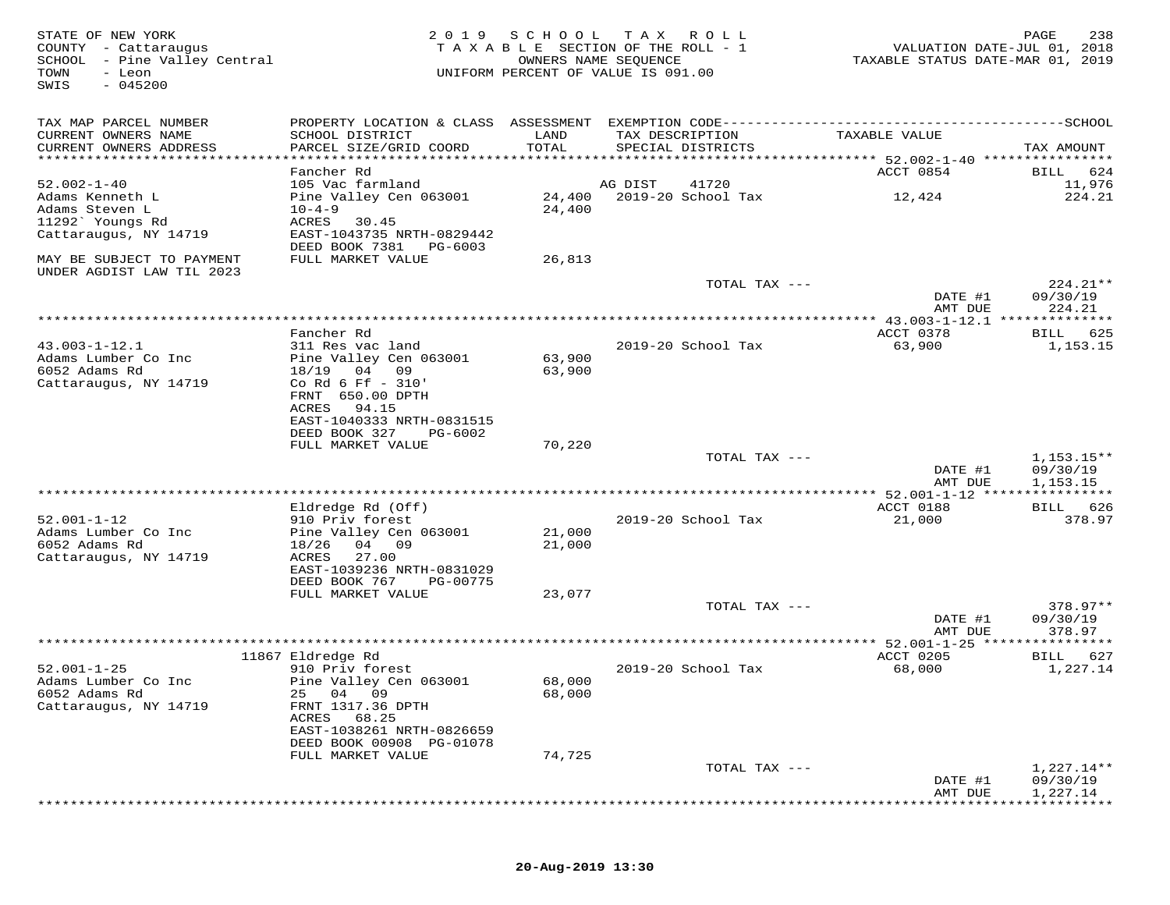| STATE OF NEW YORK<br>COUNTY - Cattaraugus<br>SCHOOL - Pine Valley Central<br>TOWN<br>- Leon<br>SWIS<br>$-045200$ | 2 0 1 9                                                | S C H O O L   | T A X<br>R O L L<br>TAXABLE SECTION OF THE ROLL - 1<br>OWNERS NAME SEQUENCE<br>UNIFORM PERCENT OF VALUE IS 091.00 | VALUATION DATE-JUL 01, 2018<br>TAXABLE STATUS DATE-MAR 01, 2019 | PAGE<br>238              |
|------------------------------------------------------------------------------------------------------------------|--------------------------------------------------------|---------------|-------------------------------------------------------------------------------------------------------------------|-----------------------------------------------------------------|--------------------------|
| TAX MAP PARCEL NUMBER                                                                                            |                                                        |               |                                                                                                                   |                                                                 |                          |
| CURRENT OWNERS NAME<br>CURRENT OWNERS ADDRESS                                                                    | SCHOOL DISTRICT<br>PARCEL SIZE/GRID COORD              | LAND<br>TOTAL | TAX DESCRIPTION<br>SPECIAL DISTRICTS                                                                              | TAXABLE VALUE                                                   | TAX AMOUNT               |
|                                                                                                                  | Fancher Rd                                             |               |                                                                                                                   | ACCT 0854                                                       | BILL<br>624              |
| $52.002 - 1 - 40$                                                                                                | 105 Vac farmland                                       |               | 41720<br>AG DIST                                                                                                  |                                                                 | 11,976                   |
| Adams Kenneth L                                                                                                  | Pine Valley Cen 063001                                 | 24,400        | 2019-20 School Tax                                                                                                | 12,424                                                          | 224.21                   |
| Adams Steven L                                                                                                   | $10 - 4 - 9$                                           | 24,400        |                                                                                                                   |                                                                 |                          |
| 11292` Youngs Rd                                                                                                 | ACRES<br>30.45                                         |               |                                                                                                                   |                                                                 |                          |
| Cattaraugus, NY 14719                                                                                            | EAST-1043735 NRTH-0829442<br>DEED BOOK 7381<br>PG-6003 |               |                                                                                                                   |                                                                 |                          |
| MAY BE SUBJECT TO PAYMENT                                                                                        | FULL MARKET VALUE                                      | 26,813        |                                                                                                                   |                                                                 |                          |
| UNDER AGDIST LAW TIL 2023                                                                                        |                                                        |               |                                                                                                                   |                                                                 |                          |
|                                                                                                                  |                                                        |               | TOTAL TAX ---                                                                                                     | DATE #1                                                         | $224.21**$<br>09/30/19   |
|                                                                                                                  |                                                        |               |                                                                                                                   | AMT DUE<br>**************** 43.003-1-12.1 **************        | 224.21                   |
|                                                                                                                  | Fancher Rd                                             |               |                                                                                                                   | ACCT 0378                                                       | 625<br>BILL              |
| $43.003 - 1 - 12.1$                                                                                              | 311 Res vac land                                       |               | 2019-20 School Tax                                                                                                | 63,900                                                          | 1,153.15                 |
| Adams Lumber Co Inc                                                                                              | Pine Valley Cen 063001                                 | 63,900        |                                                                                                                   |                                                                 |                          |
| 6052 Adams Rd                                                                                                    | 18/19<br>04 09                                         | 63,900        |                                                                                                                   |                                                                 |                          |
| Cattaraugus, NY 14719                                                                                            | Co Rd 6 Ff - 310'<br>FRNT 650.00 DPTH                  |               |                                                                                                                   |                                                                 |                          |
|                                                                                                                  | ACRES<br>94.15                                         |               |                                                                                                                   |                                                                 |                          |
|                                                                                                                  | EAST-1040333 NRTH-0831515                              |               |                                                                                                                   |                                                                 |                          |
|                                                                                                                  | DEED BOOK 327<br>PG-6002                               |               |                                                                                                                   |                                                                 |                          |
|                                                                                                                  | FULL MARKET VALUE                                      | 70,220        |                                                                                                                   |                                                                 |                          |
|                                                                                                                  |                                                        |               | TOTAL TAX ---                                                                                                     | DATE #1                                                         | $1,153.15**$<br>09/30/19 |
|                                                                                                                  |                                                        |               |                                                                                                                   | AMT DUE                                                         | 1,153.15                 |
|                                                                                                                  |                                                        |               |                                                                                                                   |                                                                 |                          |
| $52.001 - 1 - 12$                                                                                                | Eldredge Rd (Off)                                      |               |                                                                                                                   | ACCT 0188                                                       | BILL 626                 |
| Adams Lumber Co Inc                                                                                              | 910 Priv forest<br>Pine Valley Cen 063001              | 21,000        | 2019-20 School Tax                                                                                                | 21,000                                                          | 378.97                   |
| 6052 Adams Rd                                                                                                    | 18/26<br>04 09                                         | 21,000        |                                                                                                                   |                                                                 |                          |
| Cattaraugus, NY 14719                                                                                            | ACRES<br>27.00                                         |               |                                                                                                                   |                                                                 |                          |
|                                                                                                                  | EAST-1039236 NRTH-0831029                              |               |                                                                                                                   |                                                                 |                          |
|                                                                                                                  | DEED BOOK 767<br>PG-00775<br>FULL MARKET VALUE         | 23,077        |                                                                                                                   |                                                                 |                          |
|                                                                                                                  |                                                        |               | TOTAL TAX ---                                                                                                     |                                                                 | $378.97**$               |
|                                                                                                                  |                                                        |               |                                                                                                                   | DATE #1                                                         | 09/30/19                 |
|                                                                                                                  |                                                        |               |                                                                                                                   | AMT DUE                                                         | 378.97                   |
|                                                                                                                  |                                                        |               |                                                                                                                   |                                                                 | ********                 |
| $52.001 - 1 - 25$                                                                                                | 11867 Eldredge Rd<br>910 Priv forest                   |               | 2019-20 School Tax                                                                                                | ACCT 0205<br>68,000                                             | BILL 627<br>1,227.14     |
| Adams Lumber Co Inc                                                                                              | Pine Valley Cen 063001                                 | 68,000        |                                                                                                                   |                                                                 |                          |
| 6052 Adams Rd                                                                                                    | 25 04 09                                               | 68,000        |                                                                                                                   |                                                                 |                          |
| Cattaraugus, NY 14719                                                                                            | FRNT 1317.36 DPTH                                      |               |                                                                                                                   |                                                                 |                          |
|                                                                                                                  | ACRES<br>68.25<br>EAST-1038261 NRTH-0826659            |               |                                                                                                                   |                                                                 |                          |
|                                                                                                                  | DEED BOOK 00908 PG-01078                               |               |                                                                                                                   |                                                                 |                          |
|                                                                                                                  | FULL MARKET VALUE                                      | 74,725        |                                                                                                                   |                                                                 |                          |
|                                                                                                                  |                                                        |               | TOTAL TAX ---                                                                                                     |                                                                 | 1,227.14**               |
|                                                                                                                  |                                                        |               |                                                                                                                   | DATE #1<br>AMT DUE                                              | 09/30/19<br>1,227.14     |
|                                                                                                                  |                                                        |               |                                                                                                                   |                                                                 |                          |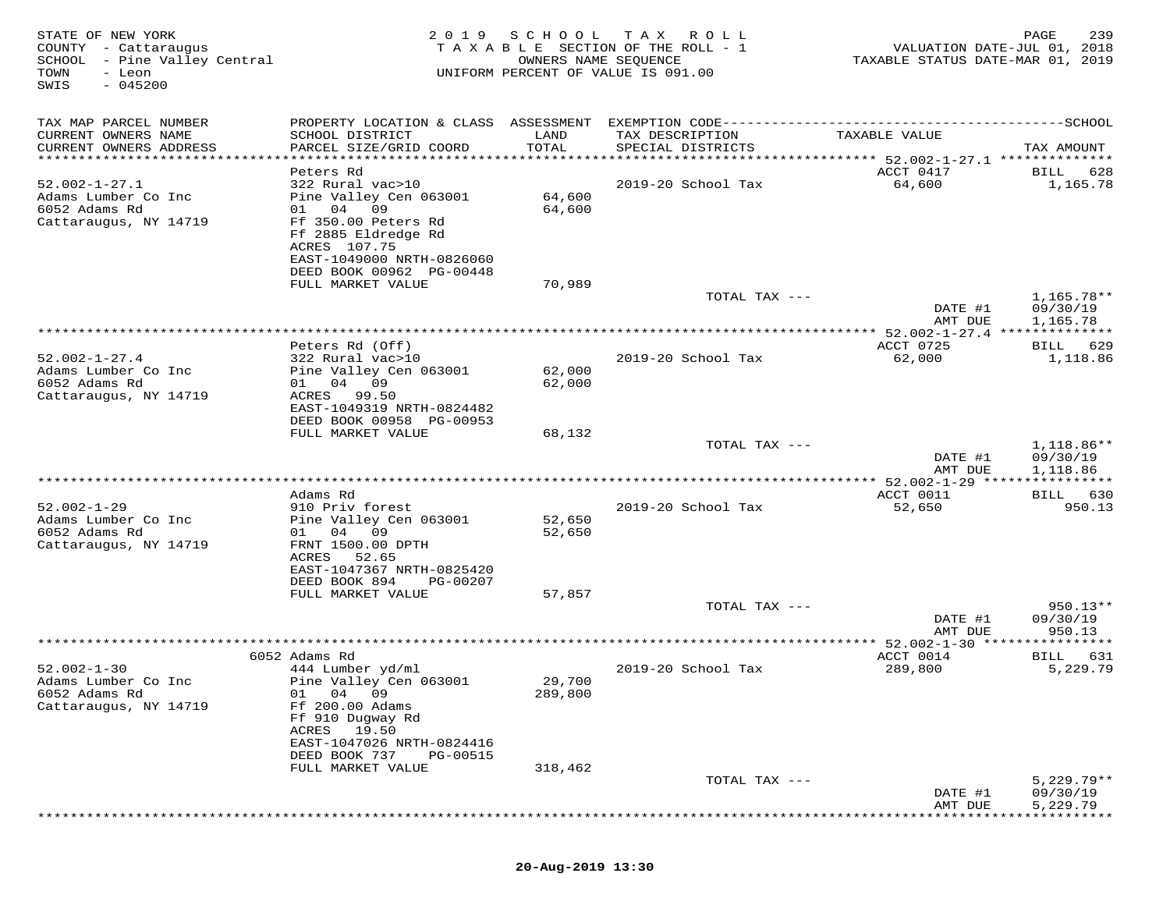| STATE OF NEW YORK<br>COUNTY - Cattaraugus<br>SCHOOL - Pine Valley Central<br>TOWN<br>- Leon<br>$-045200$<br>SWIS | 2 0 1 9                                                                                                                     | SCHOOL<br>OWNERS NAME SEQUENCE | T A X<br>R O L L<br>TAXABLE SECTION OF THE ROLL - 1<br>UNIFORM PERCENT OF VALUE IS 091.00 | VALUATION DATE-JUL 01, 2018<br>TAXABLE STATUS DATE-MAR 01, 2019             | 239<br>PAGE                        |
|------------------------------------------------------------------------------------------------------------------|-----------------------------------------------------------------------------------------------------------------------------|--------------------------------|-------------------------------------------------------------------------------------------|-----------------------------------------------------------------------------|------------------------------------|
| TAX MAP PARCEL NUMBER                                                                                            |                                                                                                                             |                                |                                                                                           |                                                                             |                                    |
| CURRENT OWNERS NAME<br>CURRENT OWNERS ADDRESS<br>**********************                                          | SCHOOL DISTRICT<br>PARCEL SIZE/GRID COORD                                                                                   | LAND<br>TOTAL                  | TAX DESCRIPTION<br>SPECIAL DISTRICTS                                                      | TAXABLE VALUE                                                               | TAX AMOUNT                         |
|                                                                                                                  | Peters Rd                                                                                                                   |                                |                                                                                           | ********************************* 52.002-1-27.1 **************<br>ACCT 0417 | 628<br>BILL                        |
| $52.002 - 1 - 27.1$<br>Adams Lumber Co Inc<br>6052 Adams Rd<br>Cattaraugus, NY 14719                             | 322 Rural vac>10<br>Pine Valley Cen 063001<br>04<br>09<br>01<br>Ff 350.00 Peters Rd<br>Ff 2885 Eldredge Rd<br>ACRES 107.75  | 64,600<br>64,600               | 2019-20 School Tax                                                                        | 64,600                                                                      | 1,165.78                           |
|                                                                                                                  | EAST-1049000 NRTH-0826060                                                                                                   |                                |                                                                                           |                                                                             |                                    |
|                                                                                                                  | DEED BOOK 00962 PG-00448<br>FULL MARKET VALUE                                                                               | 70,989                         |                                                                                           |                                                                             |                                    |
|                                                                                                                  |                                                                                                                             |                                | TOTAL TAX ---                                                                             | DATE #1                                                                     | 1,165.78**<br>09/30/19             |
|                                                                                                                  |                                                                                                                             |                                |                                                                                           | AMT DUE                                                                     | 1,165.78                           |
|                                                                                                                  | Peters Rd (Off)                                                                                                             |                                |                                                                                           |                                                                             |                                    |
| $52.002 - 1 - 27.4$<br>Adams Lumber Co Inc<br>6052 Adams Rd<br>Cattaraugus, NY 14719                             | 322 Rural vac>10<br>Pine Valley Cen 063001<br>04 09<br>01 —<br>ACRES<br>99.50                                               | 62,000<br>62,000               | 2019-20 School Tax                                                                        | ACCT 0725<br>62,000                                                         | 629<br><b>BILL</b><br>1,118.86     |
|                                                                                                                  | EAST-1049319 NRTH-0824482<br>DEED BOOK 00958 PG-00953                                                                       |                                |                                                                                           |                                                                             |                                    |
|                                                                                                                  | FULL MARKET VALUE                                                                                                           | 68,132                         |                                                                                           |                                                                             |                                    |
|                                                                                                                  |                                                                                                                             |                                | TOTAL TAX ---                                                                             | DATE #1<br>AMT DUE                                                          | 1,118.86**<br>09/30/19<br>1,118.86 |
|                                                                                                                  |                                                                                                                             |                                |                                                                                           |                                                                             |                                    |
|                                                                                                                  | Adams Rd                                                                                                                    |                                |                                                                                           | ACCT 0011                                                                   | 630<br>BILL                        |
| $52.002 - 1 - 29$<br>Adams Lumber Co Inc<br>6052 Adams Rd<br>Cattaraugus, NY 14719                               | 910 Priv forest<br>Pine Valley Cen 063001<br>01 04<br>09<br>FRNT 1500.00 DPTH                                               | 52,650<br>52,650               | 2019-20 School Tax                                                                        | 52,650                                                                      | 950.13                             |
|                                                                                                                  | ACRES<br>52.65<br>EAST-1047367 NRTH-0825420<br>DEED BOOK 894<br>PG-00207<br>FULL MARKET VALUE                               | 57,857                         |                                                                                           |                                                                             |                                    |
|                                                                                                                  |                                                                                                                             |                                | TOTAL TAX ---                                                                             |                                                                             | $950.13**$                         |
|                                                                                                                  |                                                                                                                             |                                |                                                                                           | DATE #1<br>AMT DUE                                                          | 09/30/19<br>950.13                 |
|                                                                                                                  |                                                                                                                             |                                |                                                                                           |                                                                             |                                    |
| $52.002 - 1 - 30$                                                                                                | 6052 Adams Rd<br>444 Lumber yd/ml                                                                                           |                                | 2019-20 School Tax                                                                        | ACCT 0014<br>289,800                                                        | 631<br>BILL<br>5,229.79            |
| Adams Lumber Co Inc<br>6052 Adams Rd<br>Cattaraugus, NY 14719                                                    | Pine Valley Cen 063001<br>01<br>04 09<br>Ff 200.00 Adams<br>Ff 910 Dugway Rd<br>19.50<br>ACRES<br>EAST-1047026 NRTH-0824416 | 29,700<br>289,800              |                                                                                           |                                                                             |                                    |
|                                                                                                                  | DEED BOOK 737<br>PG-00515                                                                                                   |                                |                                                                                           |                                                                             |                                    |
|                                                                                                                  | FULL MARKET VALUE                                                                                                           | 318,462                        |                                                                                           |                                                                             | $5,229.79**$                       |
|                                                                                                                  |                                                                                                                             |                                | TOTAL TAX ---                                                                             | DATE #1<br>AMT DUE                                                          | 09/30/19<br>5,229.79               |
|                                                                                                                  |                                                                                                                             |                                |                                                                                           |                                                                             |                                    |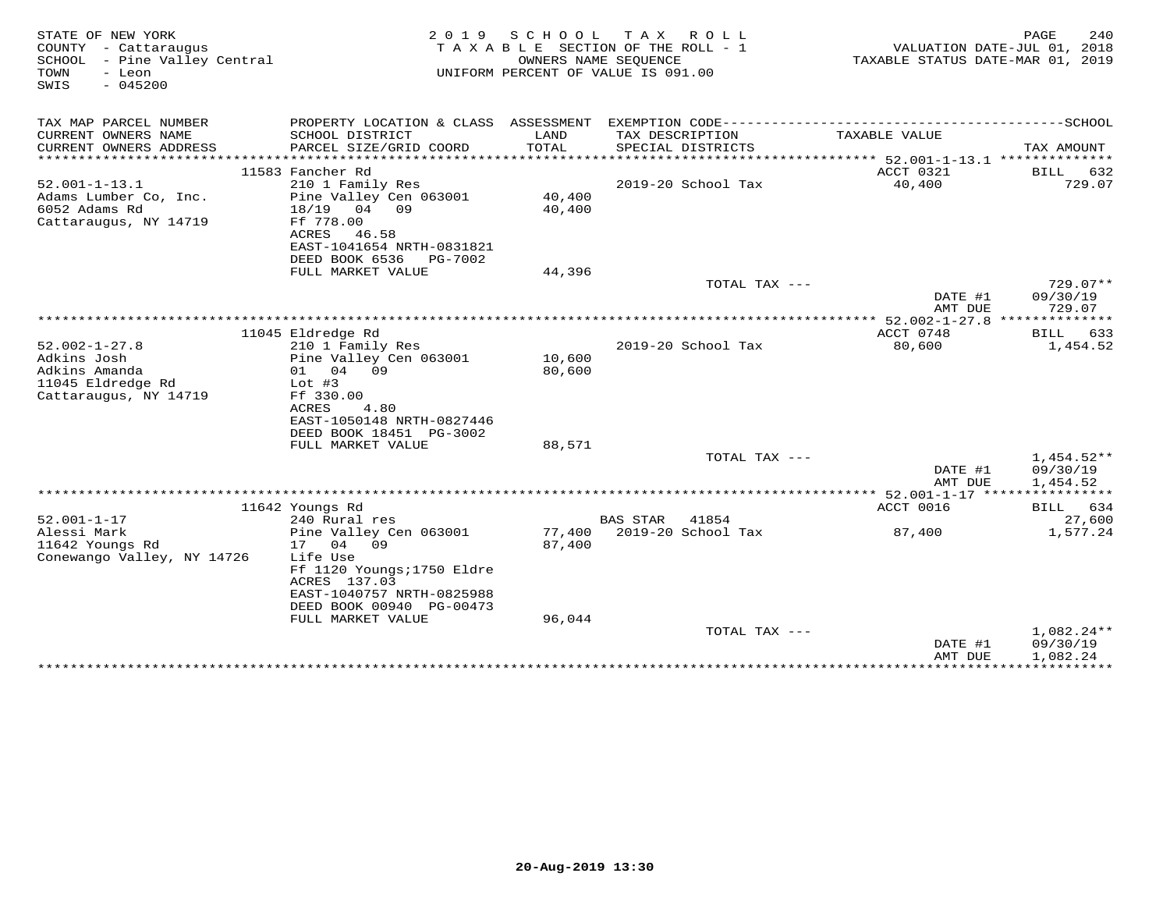| STATE OF NEW YORK<br>COUNTY - Cattaraugus<br>SCHOOL - Pine Valley Central<br>TOWN<br>- Leon<br>SWIS<br>$-045200$ | 2 0 1 9                                     | S C H O O L | TAX ROLL<br>TAXABLE SECTION OF THE ROLL - 1<br>OWNERS NAME SEQUENCE<br>UNIFORM PERCENT OF VALUE IS 091.00 | TAXABLE STATUS DATE-MAR 01, 2019                | 240<br>PAGE<br>VALUATION DATE-JUL 01, 2018 |
|------------------------------------------------------------------------------------------------------------------|---------------------------------------------|-------------|-----------------------------------------------------------------------------------------------------------|-------------------------------------------------|--------------------------------------------|
| TAX MAP PARCEL NUMBER                                                                                            | PROPERTY LOCATION & CLASS ASSESSMENT        |             |                                                                                                           |                                                 |                                            |
| CURRENT OWNERS NAME                                                                                              | SCHOOL DISTRICT                             | LAND        | TAX DESCRIPTION                                                                                           | TAXABLE VALUE                                   |                                            |
| CURRENT OWNERS ADDRESS<br>*************************                                                              | PARCEL SIZE/GRID COORD                      | TOTAL       | SPECIAL DISTRICTS                                                                                         |                                                 | TAX AMOUNT                                 |
|                                                                                                                  | 11583 Fancher Rd                            |             |                                                                                                           | ACCT 0321                                       | BILL<br>632                                |
| $52.001 - 1 - 13.1$                                                                                              | 210 1 Family Res                            |             | 2019-20 School Tax                                                                                        | 40,400                                          | 729.07                                     |
| Adams Lumber Co, Inc.                                                                                            | Pine Valley Cen 063001                      | 40,400      |                                                                                                           |                                                 |                                            |
| 6052 Adams Rd                                                                                                    | 18/19<br>04 09                              | 40,400      |                                                                                                           |                                                 |                                            |
| Cattaraugus, NY 14719                                                                                            | Ff 778.00                                   |             |                                                                                                           |                                                 |                                            |
|                                                                                                                  | ACRES<br>46.58<br>EAST-1041654 NRTH-0831821 |             |                                                                                                           |                                                 |                                            |
|                                                                                                                  | DEED BOOK 6536<br>PG-7002                   |             |                                                                                                           |                                                 |                                            |
|                                                                                                                  | FULL MARKET VALUE                           | 44,396      |                                                                                                           |                                                 |                                            |
|                                                                                                                  |                                             |             | TOTAL TAX ---                                                                                             |                                                 | $729.07**$                                 |
|                                                                                                                  |                                             |             |                                                                                                           | DATE #1                                         | 09/30/19<br>729.07                         |
|                                                                                                                  |                                             |             |                                                                                                           | AMT DUE<br>******* 52.002-1-27.8 ************** |                                            |
|                                                                                                                  | 11045 Eldredge Rd                           |             |                                                                                                           | ACCT 0748                                       | 633<br>BILL                                |
| $52.002 - 1 - 27.8$                                                                                              | 210 1 Family Res                            |             | 2019-20 School Tax                                                                                        | 80,600                                          | 1,454.52                                   |
| Adkins Josh                                                                                                      | Pine Valley Cen 063001                      | 10,600      |                                                                                                           |                                                 |                                            |
| Adkins Amanda<br>11045 Eldredge Rd                                                                               | 01 04 09<br>Lot $#3$                        | 80,600      |                                                                                                           |                                                 |                                            |
| Cattaraugus, NY 14719                                                                                            | Ff 330.00                                   |             |                                                                                                           |                                                 |                                            |
|                                                                                                                  | ACRES<br>4.80                               |             |                                                                                                           |                                                 |                                            |
|                                                                                                                  | EAST-1050148 NRTH-0827446                   |             |                                                                                                           |                                                 |                                            |
|                                                                                                                  | DEED BOOK 18451 PG-3002                     |             |                                                                                                           |                                                 |                                            |
|                                                                                                                  | FULL MARKET VALUE                           | 88,571      | TOTAL TAX ---                                                                                             |                                                 | $1,454.52**$                               |
|                                                                                                                  |                                             |             |                                                                                                           | DATE #1                                         | 09/30/19                                   |
|                                                                                                                  |                                             |             |                                                                                                           | AMT DUE                                         | 1,454.52                                   |
|                                                                                                                  |                                             |             |                                                                                                           | ******* 52.001-1-17 ****************            |                                            |
| $52.001 - 1 - 17$                                                                                                | 11642 Youngs Rd                             |             | <b>BAS STAR</b><br>41854                                                                                  | ACCT 0016                                       | 634<br>BILL                                |
| Alessi Mark                                                                                                      | 240 Rural res<br>Pine Valley Cen 063001     | 77,400      | 2019-20 School Tax                                                                                        | 87,400                                          | 27,600<br>1,577.24                         |
| 11642 Youngs Rd                                                                                                  | 17 04 09                                    | 87,400      |                                                                                                           |                                                 |                                            |
| Conewango Valley, NY 14726                                                                                       | Life Use                                    |             |                                                                                                           |                                                 |                                            |
|                                                                                                                  | Ff 1120 Youngs; 1750 Eldre                  |             |                                                                                                           |                                                 |                                            |
|                                                                                                                  | ACRES 137.03<br>EAST-1040757 NRTH-0825988   |             |                                                                                                           |                                                 |                                            |
|                                                                                                                  | DEED BOOK 00940 PG-00473                    |             |                                                                                                           |                                                 |                                            |
|                                                                                                                  | FULL MARKET VALUE                           | 96,044      |                                                                                                           |                                                 |                                            |
|                                                                                                                  |                                             |             | TOTAL TAX ---                                                                                             |                                                 | $1,082.24**$                               |
|                                                                                                                  |                                             |             |                                                                                                           | DATE #1                                         | 09/30/19                                   |
|                                                                                                                  |                                             |             |                                                                                                           | AMT DUE                                         | 1,082.24<br>***************************    |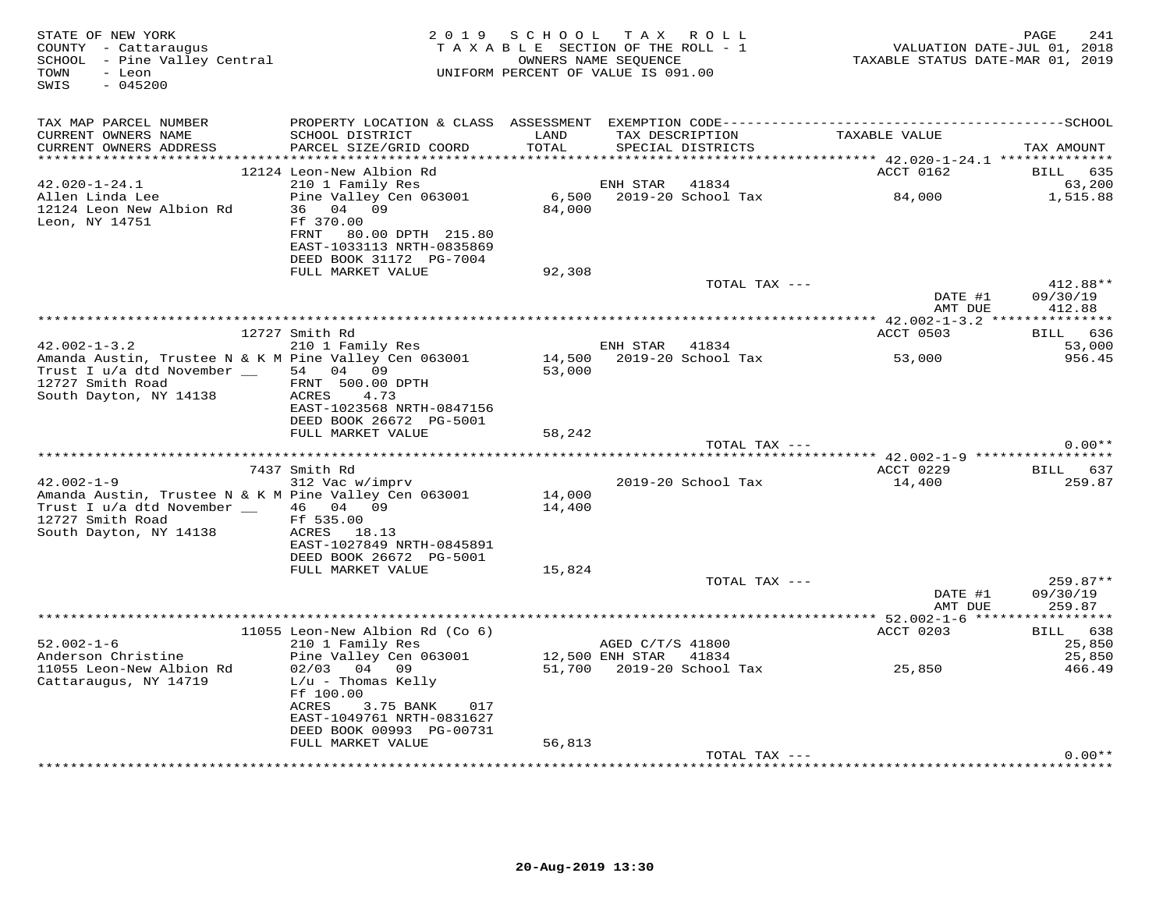| STATE OF NEW YORK<br>COUNTY - Cattaraugus<br>SCHOOL - Pine Valley Central<br>TOWN<br>- Leon<br>$-045200$<br>SWIS                   | 2 0 1 9                                                                                                                                         | SCHOOL<br>TAXABLE SECTION OF THE ROLL - 1<br>OWNERS NAME SEQUENCE<br>UNIFORM PERCENT OF VALUE IS 091.00 |                  | TAX ROLL                  | TAXABLE STATUS DATE-MAR 01, 2019                               | 241<br>PAGE<br>VALUATION DATE-JUL 01, 2018 |
|------------------------------------------------------------------------------------------------------------------------------------|-------------------------------------------------------------------------------------------------------------------------------------------------|---------------------------------------------------------------------------------------------------------|------------------|---------------------------|----------------------------------------------------------------|--------------------------------------------|
| TAX MAP PARCEL NUMBER                                                                                                              |                                                                                                                                                 |                                                                                                         |                  |                           |                                                                |                                            |
| CURRENT OWNERS NAME<br>CURRENT OWNERS ADDRESS                                                                                      | SCHOOL DISTRICT<br>PARCEL SIZE/GRID COORD                                                                                                       | LAND<br>TOTAL                                                                                           | TAX DESCRIPTION  | SPECIAL DISTRICTS         | TAXABLE VALUE                                                  | TAX AMOUNT                                 |
| *********************                                                                                                              |                                                                                                                                                 |                                                                                                         |                  |                           |                                                                |                                            |
| $42.020 - 1 - 24.1$                                                                                                                | 12124 Leon-New Albion Rd                                                                                                                        |                                                                                                         | ENH STAR         | 41834                     | ACCT 0162                                                      | <b>BILL</b><br>635                         |
| Allen Linda Lee<br>12124 Leon New Albion Rd                                                                                        | 210 1 Family Res<br>Pine Valley Cen 063001<br>36 04 09                                                                                          | 6,500<br>84,000                                                                                         |                  | 2019-20 School Tax        | 84,000                                                         | 63,200<br>1,515.88                         |
| Leon, NY 14751                                                                                                                     | Ff 370.00<br>FRNT<br>80.00 DPTH 215.80<br>EAST-1033113 NRTH-0835869<br>DEED BOOK 31172 PG-7004                                                  |                                                                                                         |                  |                           |                                                                |                                            |
|                                                                                                                                    | FULL MARKET VALUE                                                                                                                               | 92,308                                                                                                  |                  |                           |                                                                |                                            |
|                                                                                                                                    |                                                                                                                                                 |                                                                                                         |                  | TOTAL TAX ---             | DATE #1                                                        | 412.88**<br>09/30/19                       |
|                                                                                                                                    |                                                                                                                                                 |                                                                                                         |                  |                           | AMT DUE                                                        | 412.88                                     |
|                                                                                                                                    | 12727 Smith Rd                                                                                                                                  |                                                                                                         |                  |                           | ACCT 0503                                                      | 636<br>BILL                                |
| $42.002 - 1 - 3.2$                                                                                                                 | 210 1 Family Res                                                                                                                                |                                                                                                         | ENH STAR         | 41834                     |                                                                | 53,000                                     |
| Amanda Austin, Trustee N & K M Pine Valley Cen 063001<br>Trust I u/a dtd November __<br>12727 Smith Road<br>South Dayton, NY 14138 | 54 04 09<br>FRNT 500.00 DPTH<br>ACRES<br>4.73<br>EAST-1023568 NRTH-0847156                                                                      | 14,500<br>53,000                                                                                        |                  | 2019-20 School Tax        | 53,000                                                         | 956.45                                     |
|                                                                                                                                    | DEED BOOK 26672 PG-5001                                                                                                                         |                                                                                                         |                  |                           |                                                                |                                            |
|                                                                                                                                    | FULL MARKET VALUE                                                                                                                               | 58,242                                                                                                  |                  | TOTAL TAX ---             |                                                                | $0.00**$                                   |
|                                                                                                                                    |                                                                                                                                                 |                                                                                                         |                  |                           | ******************************** 42.002-1-9 ****************** |                                            |
|                                                                                                                                    | 7437 Smith Rd                                                                                                                                   |                                                                                                         |                  |                           | ACCT 0229                                                      | BILL 637                                   |
| $42.002 - 1 - 9$                                                                                                                   | 312 Vac w/imprv                                                                                                                                 |                                                                                                         |                  | 2019-20 School Tax        | 14,400                                                         | 259.87                                     |
| Amanda Austin, Trustee N & K M Pine Valley Cen 063001<br>Trust I u/a dtd November __<br>12727 Smith Road<br>South Dayton, NY 14138 | 46 04 09<br>Ff 535.00<br>ACRES 18.13<br>EAST-1027849 NRTH-0845891                                                                               | 14,000<br>14,400                                                                                        |                  |                           |                                                                |                                            |
|                                                                                                                                    | DEED BOOK 26672 PG-5001                                                                                                                         |                                                                                                         |                  |                           |                                                                |                                            |
|                                                                                                                                    | FULL MARKET VALUE                                                                                                                               | 15,824                                                                                                  |                  |                           |                                                                |                                            |
|                                                                                                                                    |                                                                                                                                                 |                                                                                                         |                  | TOTAL TAX ---             | DATE #1<br>AMT DUE                                             | 259.87**<br>09/30/19<br>259.87             |
|                                                                                                                                    |                                                                                                                                                 |                                                                                                         |                  |                           |                                                                | ***********                                |
|                                                                                                                                    | 11055 Leon-New Albion Rd (Co 6)                                                                                                                 |                                                                                                         |                  |                           | ACCT 0203                                                      | BILL 638                                   |
| $52.002 - 1 - 6$                                                                                                                   | 210 1 Family Res                                                                                                                                |                                                                                                         | AGED C/T/S 41800 |                           |                                                                | 25,850                                     |
| Anderson Christine                                                                                                                 | Pine Valley Cen 063001                                                                                                                          |                                                                                                         | 12,500 ENH STAR  | 41834                     |                                                                | 25,850                                     |
| 11055 Leon-New Albion Rd<br>Cattaraugus, NY 14719                                                                                  | $02/03$ 04 09<br>$L/u$ - Thomas Kelly<br>Ff 100.00<br><b>ACRES</b><br>3.75 BANK<br>017<br>EAST-1049761 NRTH-0831627<br>DEED BOOK 00993 PG-00731 |                                                                                                         |                  | 51,700 2019-20 School Tax | 25,850                                                         | 466.49                                     |
|                                                                                                                                    | FULL MARKET VALUE                                                                                                                               | 56,813                                                                                                  |                  | TOTAL TAX ---             |                                                                | $0.00**$                                   |
|                                                                                                                                    |                                                                                                                                                 |                                                                                                         |                  |                           |                                                                |                                            |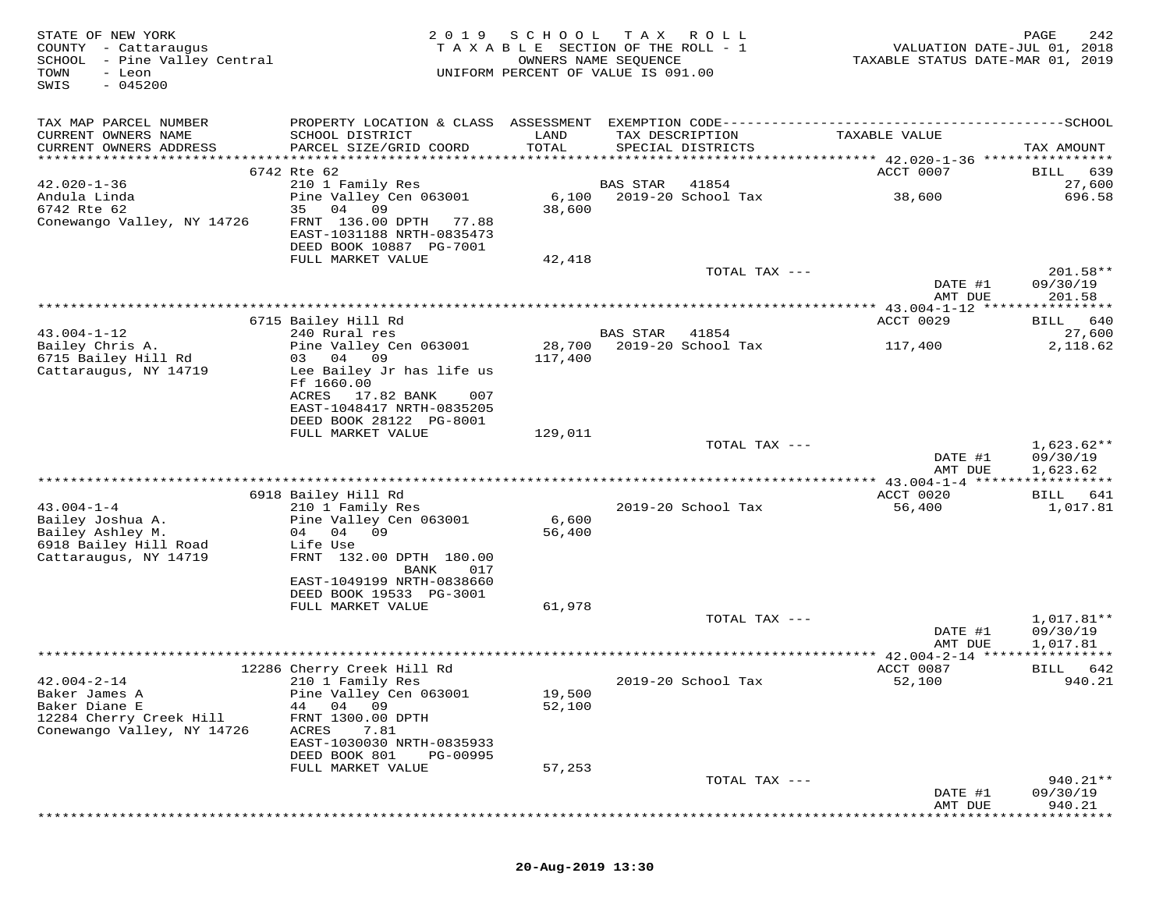| STATE OF NEW YORK<br>COUNTY - Cattaraugus<br>SCHOOL - Pine Valley Central<br>- Leon<br>TOWN<br>$-045200$<br>SWIS | 2 0 1 9                                                                                                                                                   | SCHOOL<br>TAXABLE SECTION OF THE ROLL - 1<br>UNIFORM PERCENT OF VALUE IS 091.00 | T A X<br>OWNERS NAME SEQUENCE | R O L L            | TAXABLE STATUS DATE-MAR 01, 2019                      | PAGE<br>242<br>VALUATION DATE-JUL 01, 2018 |
|------------------------------------------------------------------------------------------------------------------|-----------------------------------------------------------------------------------------------------------------------------------------------------------|---------------------------------------------------------------------------------|-------------------------------|--------------------|-------------------------------------------------------|--------------------------------------------|
| TAX MAP PARCEL NUMBER                                                                                            |                                                                                                                                                           |                                                                                 |                               |                    |                                                       |                                            |
| CURRENT OWNERS NAME<br>CURRENT OWNERS ADDRESS                                                                    | SCHOOL DISTRICT<br>PARCEL SIZE/GRID COORD                                                                                                                 | LAND<br>TOTAL                                                                   | TAX DESCRIPTION               | SPECIAL DISTRICTS  | TAXABLE VALUE                                         | TAX AMOUNT                                 |
|                                                                                                                  | 6742 Rte 62                                                                                                                                               |                                                                                 |                               |                    | ACCT 0007                                             | 639<br>BILL                                |
| $42.020 - 1 - 36$                                                                                                | 210 1 Family Res                                                                                                                                          |                                                                                 | <b>BAS STAR</b>               | 41854              |                                                       | 27,600                                     |
| Andula Linda<br>6742 Rte 62<br>Conewango Valley, NY 14726                                                        | Pine Valley Cen 063001<br>35<br>04<br>09<br>FRNT 136.00 DPTH<br>77.88<br>EAST-1031188 NRTH-0835473<br>DEED BOOK 10887 PG-7001                             | 6,100<br>38,600                                                                 |                               | 2019-20 School Tax | 38,600                                                | 696.58                                     |
|                                                                                                                  | FULL MARKET VALUE                                                                                                                                         | 42,418                                                                          |                               |                    |                                                       |                                            |
|                                                                                                                  |                                                                                                                                                           |                                                                                 |                               | TOTAL TAX ---      | DATE #1                                               | $201.58**$<br>09/30/19                     |
|                                                                                                                  |                                                                                                                                                           |                                                                                 |                               |                    | AMT DUE<br>********** 43.004-1-12 *****************   | 201.58                                     |
|                                                                                                                  | 6715 Bailey Hill Rd                                                                                                                                       |                                                                                 |                               |                    | ACCT 0029                                             | 640<br>BILL                                |
| $43.004 - 1 - 12$                                                                                                | 240 Rural res                                                                                                                                             |                                                                                 | BAS STAR                      | 41854              |                                                       | 27,600                                     |
| Bailey Chris A.<br>6715 Bailey Hill Rd<br>Cattaraugus, NY 14719                                                  | Pine Valley Cen 063001<br>09<br>03 04<br>Lee Bailey Jr has life us<br>Ff 1660.00<br>17.82 BANK<br>ACRES<br>007                                            | 28,700<br>117,400                                                               |                               | 2019-20 School Tax | 117,400                                               | 2,118.62                                   |
|                                                                                                                  | EAST-1048417 NRTH-0835205<br>DEED BOOK 28122 PG-8001                                                                                                      |                                                                                 |                               |                    |                                                       |                                            |
|                                                                                                                  | FULL MARKET VALUE                                                                                                                                         | 129,011                                                                         |                               |                    |                                                       |                                            |
|                                                                                                                  |                                                                                                                                                           |                                                                                 |                               | TOTAL TAX ---      | DATE #1<br>AMT DUE                                    | $1,623.62**$<br>09/30/19<br>1,623.62       |
|                                                                                                                  |                                                                                                                                                           |                                                                                 |                               |                    |                                                       |                                            |
|                                                                                                                  | 6918 Bailey Hill Rd                                                                                                                                       |                                                                                 |                               |                    | ACCT 0020                                             | 641<br>BILL                                |
| $43.004 - 1 - 4$<br>Bailey Joshua A.<br>Bailey Ashley M.<br>6918 Bailey Hill Road<br>Cattaraugus, NY 14719       | 210 1 Family Res<br>Pine Valley Cen 063001<br>04 09<br>04<br>Life Use<br>FRNT 132.00 DPTH 180.00<br>BANK<br>017<br>EAST-1049199 NRTH-0838660              | 6,600<br>56,400                                                                 |                               | 2019-20 School Tax | 56,400                                                | 1,017.81                                   |
|                                                                                                                  | DEED BOOK 19533 PG-3001<br>FULL MARKET VALUE                                                                                                              | 61,978                                                                          |                               |                    |                                                       |                                            |
|                                                                                                                  |                                                                                                                                                           |                                                                                 |                               | TOTAL TAX ---      | DATE #1                                               | 1,017.81**<br>09/30/19                     |
|                                                                                                                  |                                                                                                                                                           |                                                                                 |                               |                    | AMT DUE<br>************ 42.004-2-14 ***************** | 1,017.81                                   |
|                                                                                                                  | 12286 Cherry Creek Hill Rd                                                                                                                                |                                                                                 |                               |                    | ACCT 0087                                             | <b>BILL</b><br>642                         |
| $42.004 - 2 - 14$<br>Baker James A<br>Baker Diane E<br>12284 Cherry Creek Hill<br>Conewango Valley, NY 14726     | 210 1 Family Res<br>Pine Valley Cen 063001<br>04 09<br>44<br>FRNT 1300.00 DPTH<br>7.81<br>ACRES<br>EAST-1030030 NRTH-0835933<br>DEED BOOK 801<br>PG-00995 | 19,500<br>52,100                                                                |                               | 2019-20 School Tax | 52,100                                                | 940.21                                     |
|                                                                                                                  | FULL MARKET VALUE                                                                                                                                         | 57,253                                                                          |                               | TOTAL TAX ---      |                                                       | 940.21**                                   |
|                                                                                                                  |                                                                                                                                                           |                                                                                 |                               |                    | DATE #1<br>AMT DUE                                    | 09/30/19<br>940.21                         |
|                                                                                                                  |                                                                                                                                                           |                                                                                 |                               |                    |                                                       |                                            |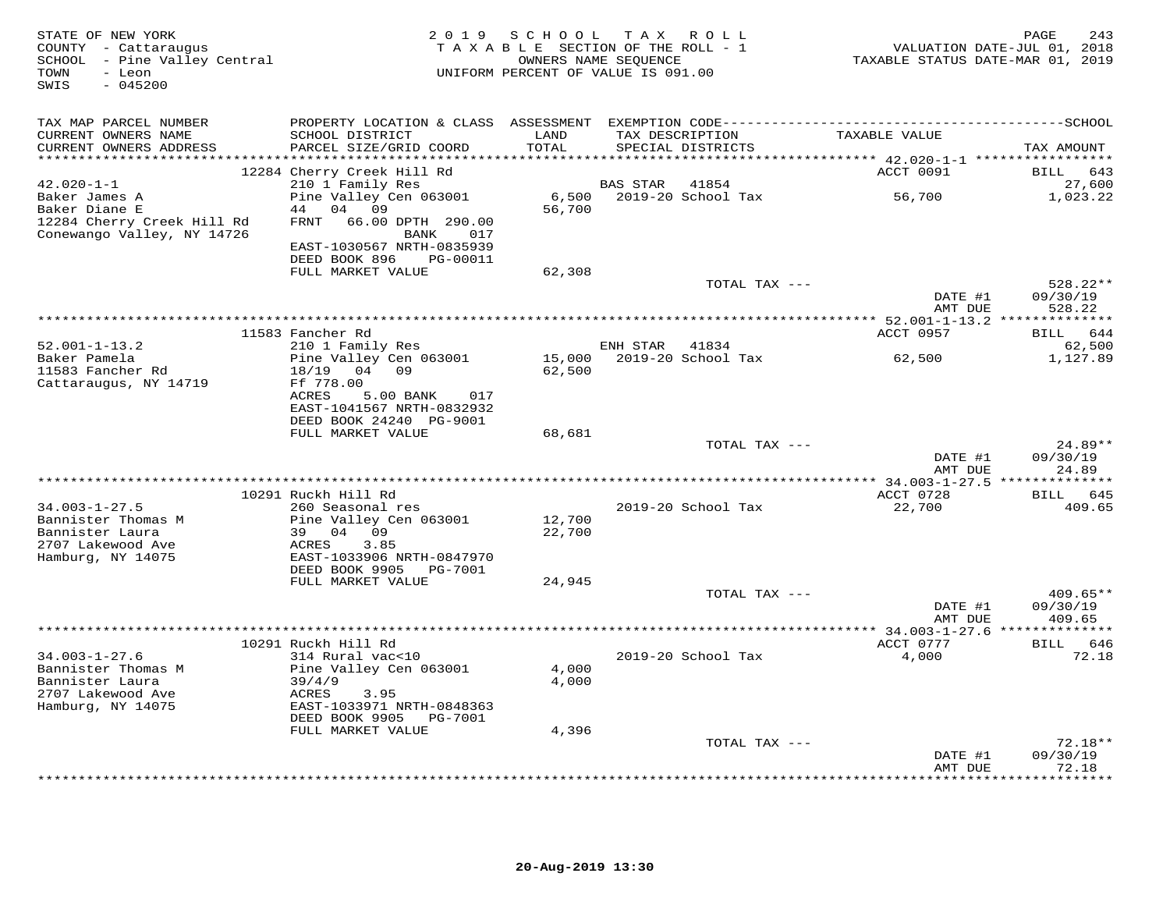| STATE OF NEW YORK<br>COUNTY - Cattaraugus<br>SCHOOL - Pine Valley Central<br>TOWN<br>- Leon<br>$-045200$<br>SWIS |                                                                                                                          | 2019 SCHOOL      | T A X<br>ROLL<br>TAXABLE SECTION OF THE ROLL - 1<br>OWNERS NAME SEQUENCE<br>UNIFORM PERCENT OF VALUE IS 091.00 | TAXABLE STATUS DATE-MAR 01, 2019            | PAGE<br>243<br>VALUATION DATE-JUL 01, 2018 |
|------------------------------------------------------------------------------------------------------------------|--------------------------------------------------------------------------------------------------------------------------|------------------|----------------------------------------------------------------------------------------------------------------|---------------------------------------------|--------------------------------------------|
| TAX MAP PARCEL NUMBER                                                                                            |                                                                                                                          |                  |                                                                                                                |                                             |                                            |
| CURRENT OWNERS NAME<br>CURRENT OWNERS ADDRESS                                                                    | SCHOOL DISTRICT<br>PARCEL SIZE/GRID COORD                                                                                | LAND<br>TOTAL    | TAX DESCRIPTION<br>SPECIAL DISTRICTS                                                                           | TAXABLE VALUE                               | TAX AMOUNT                                 |
| $42.020 - 1 - 1$                                                                                                 | 12284 Cherry Creek Hill Rd<br>210 1 Family Res                                                                           |                  | <b>BAS STAR</b><br>41854                                                                                       | ACCT 0091                                   | 643<br>BILL<br>27,600                      |
| Baker James A<br>Baker Diane E<br>12284 Cherry Creek Hill Rd<br>Conewango Valley, NY 14726                       | Pine Valley Cen 063001<br>04<br>44<br>09<br><b>FRNT</b><br>66.00 DPTH 290.00<br>BANK<br>017<br>EAST-1030567 NRTH-0835939 | 6,500<br>56,700  | 2019-20 School Tax                                                                                             | 56,700                                      | 1,023.22                                   |
|                                                                                                                  | DEED BOOK 896<br>PG-00011<br>FULL MARKET VALUE                                                                           | 62,308           |                                                                                                                |                                             |                                            |
|                                                                                                                  |                                                                                                                          |                  | TOTAL TAX ---                                                                                                  | DATE #1                                     | $528.22**$<br>09/30/19                     |
|                                                                                                                  |                                                                                                                          |                  |                                                                                                                | AMT DUE                                     | 528.22                                     |
|                                                                                                                  | 11583 Fancher Rd                                                                                                         |                  |                                                                                                                | ACCT 0957                                   | <b>BILL</b><br>644                         |
| $52.001 - 1 - 13.2$<br>Baker Pamela<br>11583 Fancher Rd                                                          | 210 1 Family Res<br>Pine Valley Cen 063001<br>04 09<br>18/19                                                             | 62,500           | ENH STAR<br>41834<br>15,000 2019-20 School Tax                                                                 | 62,500                                      | 62,500<br>1,127.89                         |
| Cattaraugus, NY 14719                                                                                            | Ff 778.00<br><b>ACRES</b><br>5.00 BANK<br>017<br>EAST-1041567 NRTH-0832932<br>DEED BOOK 24240 PG-9001                    |                  |                                                                                                                |                                             |                                            |
|                                                                                                                  | FULL MARKET VALUE                                                                                                        | 68,681           | TOTAL TAX ---                                                                                                  |                                             | 24.89**                                    |
|                                                                                                                  |                                                                                                                          |                  |                                                                                                                | DATE #1<br>AMT DUE                          | 09/30/19<br>24.89                          |
|                                                                                                                  |                                                                                                                          |                  |                                                                                                                | ************ 34.003-1-27.5 ***<br>ACCT 0728 | ********<br>BILL<br>645                    |
| $34.003 - 1 - 27.5$                                                                                              | 10291 Ruckh Hill Rd<br>260 Seasonal res                                                                                  |                  | 2019-20 School Tax                                                                                             | 22,700                                      | 409.65                                     |
| Bannister Thomas M<br>Bannister Laura<br>2707 Lakewood Ave<br>Hamburg, NY 14075                                  | Pine Valley Cen 063001<br>04 09<br>39<br>ACRES<br>3.85<br>EAST-1033906 NRTH-0847970<br>DEED BOOK 9905<br>PG-7001         | 12,700<br>22,700 |                                                                                                                |                                             |                                            |
|                                                                                                                  | FULL MARKET VALUE                                                                                                        | 24,945           |                                                                                                                |                                             |                                            |
|                                                                                                                  |                                                                                                                          |                  | TOTAL TAX ---                                                                                                  | DATE #1<br>AMT DUE                          | $409.65**$<br>09/30/19<br>409.65           |
|                                                                                                                  |                                                                                                                          |                  |                                                                                                                |                                             |                                            |
| $34.003 - 1 - 27.6$<br>Bannister Thomas M<br>Bannister Laura<br>2707 Lakewood Ave                                | 10291 Ruckh Hill Rd<br>314 Rural vac<10<br>Pine Valley Cen 063001<br>39/4/9<br>ACRES<br>3.95                             | 4,000<br>4,000   | 2019-20 School Tax                                                                                             | ACCT 0777<br>4,000                          | BILL 646<br>72.18                          |
| Hamburg, NY 14075                                                                                                | EAST-1033971 NRTH-0848363<br>DEED BOOK 9905<br>PG-7001                                                                   |                  |                                                                                                                |                                             |                                            |
|                                                                                                                  | FULL MARKET VALUE                                                                                                        | 4,396            |                                                                                                                |                                             |                                            |
|                                                                                                                  |                                                                                                                          |                  | TOTAL TAX ---                                                                                                  | DATE #1<br>AMT DUE                          | $72.18**$<br>09/30/19<br>72.18             |
|                                                                                                                  |                                                                                                                          |                  |                                                                                                                |                                             | .                                          |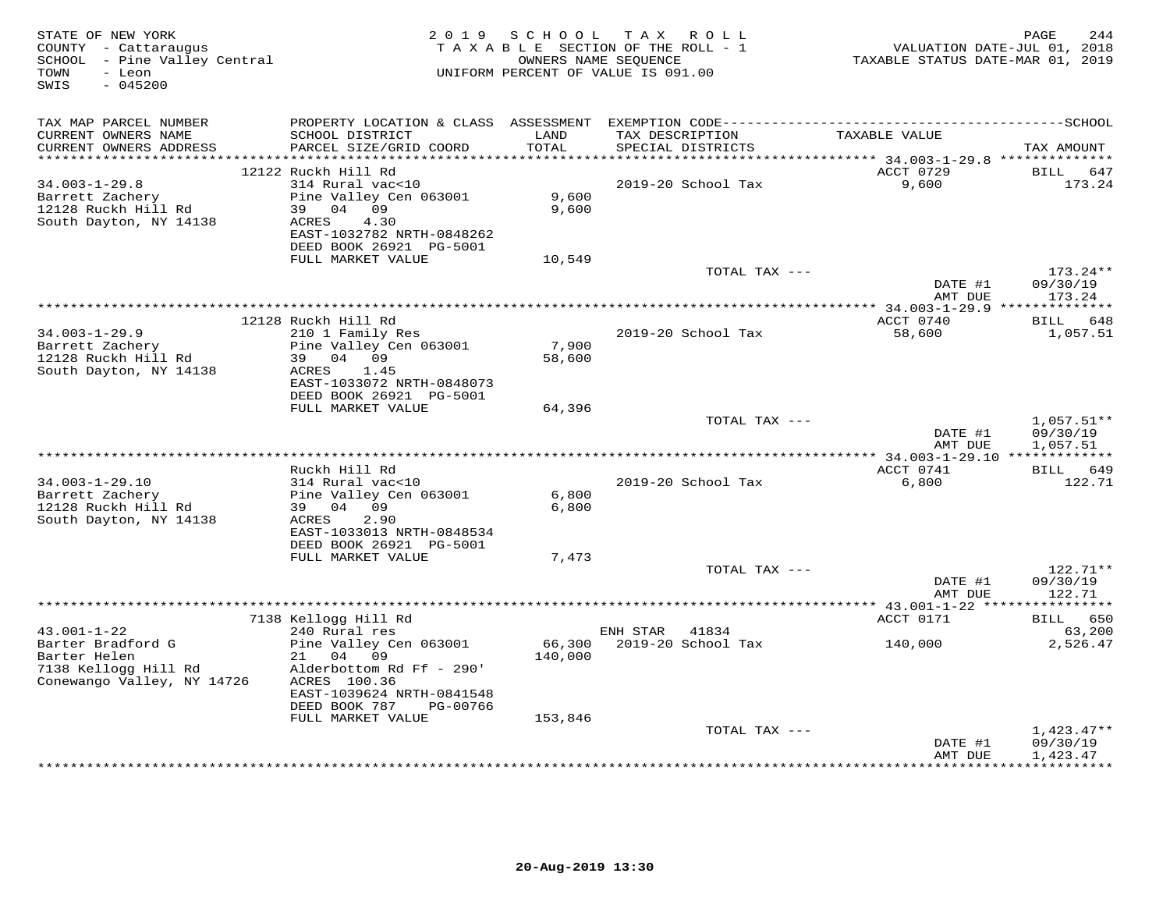| STATE OF NEW YORK<br>COUNTY - Cattaraugus<br>SCHOOL - Pine Valley Central<br>- Leon<br>TOWN<br>$-045200$<br>SWIS |                                              | 2019 SCHOOL       | TAX ROLL<br>TAXABLE SECTION OF THE ROLL - 1<br>OWNERS NAME SEQUENCE<br>UNIFORM PERCENT OF VALUE IS 091.00 | VALUATION DATE-JUL 01, 2018<br>TAXABLE STATUS DATE-MAR 01, 2019 | PAGE<br>244          |
|------------------------------------------------------------------------------------------------------------------|----------------------------------------------|-------------------|-----------------------------------------------------------------------------------------------------------|-----------------------------------------------------------------|----------------------|
| TAX MAP PARCEL NUMBER                                                                                            | PROPERTY LOCATION & CLASS ASSESSMENT         |                   |                                                                                                           |                                                                 |                      |
| CURRENT OWNERS NAME<br>CURRENT OWNERS ADDRESS<br>************************                                        | SCHOOL DISTRICT<br>PARCEL SIZE/GRID COORD    | LAND<br>TOTAL     | TAX DESCRIPTION<br>SPECIAL DISTRICTS                                                                      | TAXABLE VALUE                                                   | TAX AMOUNT           |
|                                                                                                                  | 12122 Ruckh Hill Rd                          |                   |                                                                                                           | ACCT 0729                                                       | BILL<br>647          |
| $34.003 - 1 - 29.8$                                                                                              | 314 Rural vac<10                             |                   | 2019-20 School Tax                                                                                        | 9,600                                                           | 173.24               |
| Barrett Zachery                                                                                                  | Pine Valley Cen 063001                       | 9,600             |                                                                                                           |                                                                 |                      |
| 12128 Ruckh Hill Rd                                                                                              | 39 04 09                                     | 9,600             |                                                                                                           |                                                                 |                      |
| South Dayton, NY 14138                                                                                           | ACRES<br>4.30                                |                   |                                                                                                           |                                                                 |                      |
|                                                                                                                  | EAST-1032782 NRTH-0848262                    |                   |                                                                                                           |                                                                 |                      |
|                                                                                                                  | DEED BOOK 26921 PG-5001<br>FULL MARKET VALUE |                   |                                                                                                           |                                                                 |                      |
|                                                                                                                  |                                              | 10,549            | TOTAL TAX ---                                                                                             |                                                                 | 173.24**             |
|                                                                                                                  |                                              |                   |                                                                                                           | DATE #1                                                         | 09/30/19             |
|                                                                                                                  |                                              |                   |                                                                                                           | AMT DUE                                                         | 173.24               |
|                                                                                                                  |                                              |                   |                                                                                                           |                                                                 |                      |
|                                                                                                                  | 12128 Ruckh Hill Rd                          |                   |                                                                                                           | ACCT 0740                                                       | BILL 648             |
| $34.003 - 1 - 29.9$                                                                                              | 210 1 Family Res                             |                   | 2019-20 School Tax                                                                                        | 58,600                                                          | 1,057.51             |
| Barrett Zachery<br>12128 Ruckh Hill Rd                                                                           | Pine Valley Cen 063001<br>39 04 09           | 7,900<br>58,600   |                                                                                                           |                                                                 |                      |
| South Dayton, NY 14138                                                                                           | 1.45<br>ACRES                                |                   |                                                                                                           |                                                                 |                      |
|                                                                                                                  | EAST-1033072 NRTH-0848073                    |                   |                                                                                                           |                                                                 |                      |
|                                                                                                                  | DEED BOOK 26921 PG-5001                      |                   |                                                                                                           |                                                                 |                      |
|                                                                                                                  | FULL MARKET VALUE                            | 64,396            |                                                                                                           |                                                                 |                      |
|                                                                                                                  |                                              |                   | TOTAL TAX ---                                                                                             |                                                                 | $1,057.51**$         |
|                                                                                                                  |                                              |                   |                                                                                                           | DATE #1                                                         | 09/30/19             |
|                                                                                                                  |                                              |                   |                                                                                                           | AMT DUE                                                         | 1,057.51             |
|                                                                                                                  | Ruckh Hill Rd                                |                   |                                                                                                           | ACCT 0741                                                       | BILL 649             |
| $34.003 - 1 - 29.10$                                                                                             | 314 Rural vac<10                             |                   | 2019-20 School Tax                                                                                        | 6,800                                                           | 122.71               |
| Barrett Zachery                                                                                                  | Pine Valley Cen 063001                       | 6,800             |                                                                                                           |                                                                 |                      |
| 12128 Ruckh Hill Rd                                                                                              | 39 04 09                                     | 6,800             |                                                                                                           |                                                                 |                      |
| South Dayton, NY 14138                                                                                           | ACRES<br>2.90                                |                   |                                                                                                           |                                                                 |                      |
|                                                                                                                  | EAST-1033013 NRTH-0848534                    |                   |                                                                                                           |                                                                 |                      |
|                                                                                                                  | DEED BOOK 26921 PG-5001<br>FULL MARKET VALUE | 7,473             |                                                                                                           |                                                                 |                      |
|                                                                                                                  |                                              |                   | TOTAL TAX ---                                                                                             |                                                                 | 122.71**             |
|                                                                                                                  |                                              |                   |                                                                                                           | DATE #1                                                         | 09/30/19             |
|                                                                                                                  |                                              |                   |                                                                                                           | AMT DUE                                                         | 122.71               |
|                                                                                                                  |                                              |                   |                                                                                                           |                                                                 |                      |
|                                                                                                                  | 7138 Kellogg Hill Rd                         |                   |                                                                                                           | ACCT 0171                                                       | BILL 650             |
| $43.001 - 1 - 22$<br>Barter Bradford G                                                                           | 240 Rural res<br>Pine Valley Cen 063001      |                   | ENH STAR 41834<br>2019-20 School Tax                                                                      |                                                                 | 63,200               |
| Barter Helen                                                                                                     | 21<br>04 09                                  | 66,300<br>140,000 |                                                                                                           | 140,000                                                         | 2,526.47             |
| 7138 Kellogg Hill Rd                                                                                             | Alderbottom Rd Ff - 290'                     |                   |                                                                                                           |                                                                 |                      |
| Conewango Valley, NY 14726                                                                                       | ACRES 100.36                                 |                   |                                                                                                           |                                                                 |                      |
|                                                                                                                  | EAST-1039624 NRTH-0841548                    |                   |                                                                                                           |                                                                 |                      |
|                                                                                                                  | DEED BOOK 787<br>PG-00766                    |                   |                                                                                                           |                                                                 |                      |
|                                                                                                                  | FULL MARKET VALUE                            | 153,846           |                                                                                                           |                                                                 |                      |
|                                                                                                                  |                                              |                   | TOTAL TAX ---                                                                                             |                                                                 | $1,423.47**$         |
|                                                                                                                  |                                              |                   |                                                                                                           | DATE #1<br>AMT DUE                                              | 09/30/19<br>1,423.47 |
|                                                                                                                  |                                              |                   |                                                                                                           |                                                                 | **********           |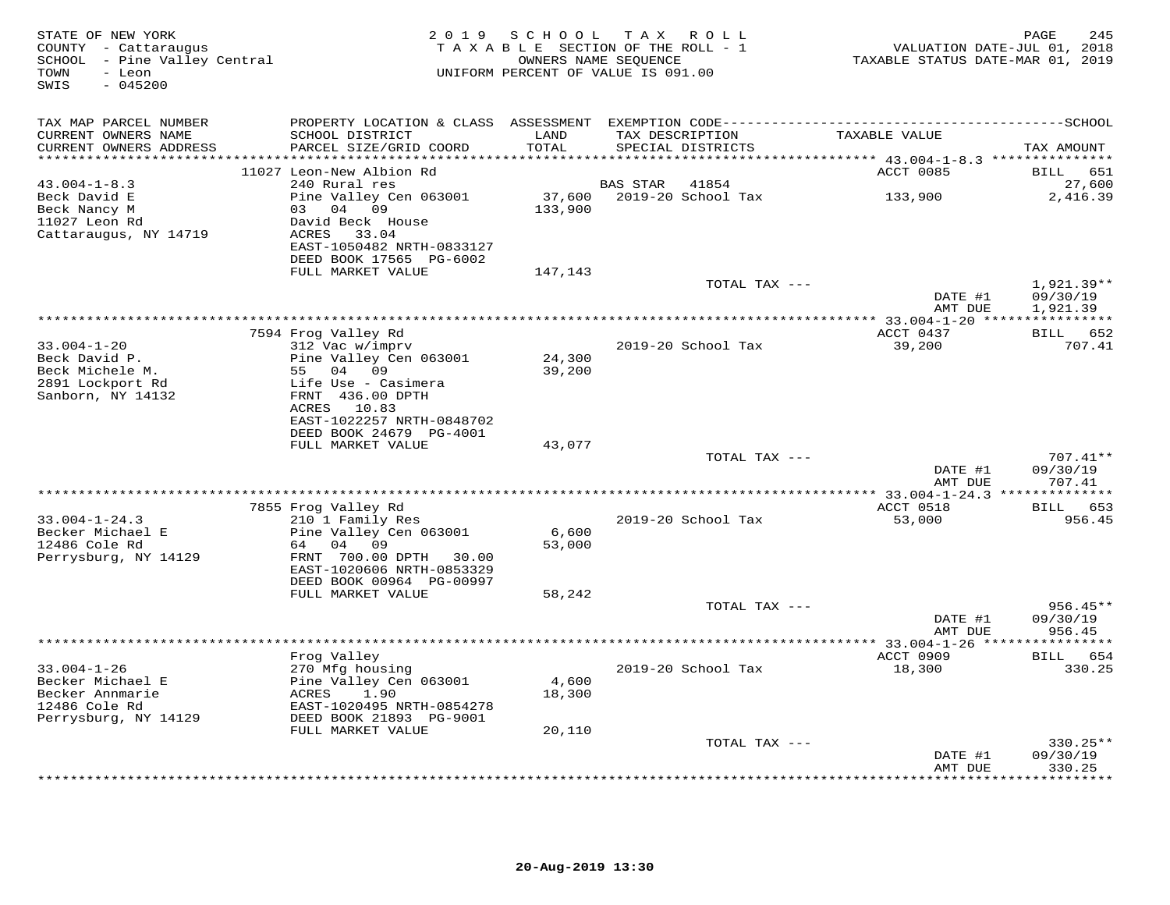| STATE OF NEW YORK<br>COUNTY - Cattaraugus<br>SCHOOL - Pine Valley Central<br>- Leon<br>TOWN<br>$-045200$<br>SWIS |                                                      | 2019 SCHOOL      | TAX ROLL<br>TAXABLE SECTION OF THE ROLL - 1<br>OWNERS NAME SEQUENCE<br>UNIFORM PERCENT OF VALUE IS 091.00 | VALUATION DATE-JUL 01, 2018<br>TAXABLE STATUS DATE-MAR 01, 2019 | PAGE<br>245          |
|------------------------------------------------------------------------------------------------------------------|------------------------------------------------------|------------------|-----------------------------------------------------------------------------------------------------------|-----------------------------------------------------------------|----------------------|
| TAX MAP PARCEL NUMBER                                                                                            |                                                      |                  |                                                                                                           |                                                                 |                      |
| CURRENT OWNERS NAME<br>CURRENT OWNERS ADDRESS                                                                    | SCHOOL DISTRICT<br>PARCEL SIZE/GRID COORD            | LAND<br>TOTAL    | TAX DESCRIPTION<br>SPECIAL DISTRICTS                                                                      | TAXABLE VALUE                                                   | TAX AMOUNT           |
| ***********************                                                                                          |                                                      |                  | *********************************                                                                         | *********** 43.004-1-8.3 ****************                       |                      |
|                                                                                                                  | 11027 Leon-New Albion Rd                             |                  |                                                                                                           | ACCT 0085                                                       | BILL 651             |
| $43.004 - 1 - 8.3$<br>Beck David E                                                                               | 240 Rural res<br>Pine Valley Cen 063001              |                  | BAS STAR<br>41854                                                                                         | 133,900                                                         | 27,600<br>2,416.39   |
| Beck Nancy M                                                                                                     | 03 04 09                                             | 133,900          |                                                                                                           |                                                                 |                      |
| 11027 Leon Rd                                                                                                    | David Beck House                                     |                  |                                                                                                           |                                                                 |                      |
| Cattaraugus, NY 14719                                                                                            | ACRES 33.04<br>EAST-1050482 NRTH-0833127             |                  |                                                                                                           |                                                                 |                      |
|                                                                                                                  | DEED BOOK 17565 PG-6002                              |                  |                                                                                                           |                                                                 |                      |
|                                                                                                                  | FULL MARKET VALUE                                    | 147,143          |                                                                                                           |                                                                 |                      |
|                                                                                                                  |                                                      |                  | TOTAL TAX ---                                                                                             |                                                                 | $1,921.39**$         |
|                                                                                                                  |                                                      |                  |                                                                                                           | DATE #1<br>AMT DUE                                              | 09/30/19<br>1,921.39 |
|                                                                                                                  |                                                      |                  |                                                                                                           | **************** 33.004-1-20 *****************                  |                      |
|                                                                                                                  | 7594 Frog Valley Rd                                  |                  |                                                                                                           | ACCT 0437                                                       | BILL 652             |
| $33.004 - 1 - 20$                                                                                                | 312 Vac w/imprv                                      |                  | 2019-20 School Tax                                                                                        | 39,200                                                          | 707.41               |
| Beck David P.<br>Beck Michele M.                                                                                 | Pine Valley Cen 063001<br>55 04 09                   | 24,300<br>39,200 |                                                                                                           |                                                                 |                      |
| 2891 Lockport Rd                                                                                                 | Life Use - Casimera                                  |                  |                                                                                                           |                                                                 |                      |
| Sanborn, NY 14132                                                                                                | FRNT 436.00 DPTH                                     |                  |                                                                                                           |                                                                 |                      |
|                                                                                                                  | ACRES 10.83<br>EAST-1022257 NRTH-0848702             |                  |                                                                                                           |                                                                 |                      |
|                                                                                                                  | DEED BOOK 24679 PG-4001                              |                  |                                                                                                           |                                                                 |                      |
|                                                                                                                  | FULL MARKET VALUE                                    | 43,077           |                                                                                                           |                                                                 |                      |
|                                                                                                                  |                                                      |                  | TOTAL TAX ---                                                                                             |                                                                 | 707.41**             |
|                                                                                                                  |                                                      |                  |                                                                                                           | DATE #1<br>AMT DUE                                              | 09/30/19<br>707.41   |
|                                                                                                                  |                                                      |                  |                                                                                                           |                                                                 |                      |
|                                                                                                                  | 7855 Frog Valley Rd                                  |                  |                                                                                                           | ACCT 0518                                                       | BILL 653             |
| $33.004 - 1 - 24.3$                                                                                              | 210 1 Family Res                                     |                  | 2019-20 School Tax                                                                                        | 53,000                                                          | 956.45               |
| Becker Michael E<br>12486 Cole Rd                                                                                | Pine Valley Cen 063001<br>64 04 09                   | 6,600<br>53,000  |                                                                                                           |                                                                 |                      |
| Perrysburg, NY 14129                                                                                             | FRNT 700.00 DPTH 30.00                               |                  |                                                                                                           |                                                                 |                      |
|                                                                                                                  | EAST-1020606 NRTH-0853329                            |                  |                                                                                                           |                                                                 |                      |
|                                                                                                                  | DEED BOOK 00964 PG-00997<br>FULL MARKET VALUE        |                  |                                                                                                           |                                                                 |                      |
|                                                                                                                  |                                                      | 58,242           | TOTAL TAX ---                                                                                             |                                                                 | $956.45**$           |
|                                                                                                                  |                                                      |                  |                                                                                                           | DATE #1                                                         | 09/30/19             |
|                                                                                                                  |                                                      |                  |                                                                                                           | AMT DUE                                                         | 956.45               |
|                                                                                                                  | Frog Valley                                          |                  |                                                                                                           | ACCT 0909                                                       | BILL 654             |
| $33.004 - 1 - 26$                                                                                                | 270 Mfg housing                                      |                  | 2019-20 School Tax                                                                                        | 18,300                                                          | 330.25               |
| Becker Michael E                                                                                                 | Pine Valley Cen 063001                               | 4,600            |                                                                                                           |                                                                 |                      |
| Becker Annmarie                                                                                                  | 1.90<br>ACRES                                        | 18,300           |                                                                                                           |                                                                 |                      |
| 12486 Cole Rd<br>Perrysburg, NY 14129                                                                            | EAST-1020495 NRTH-0854278<br>DEED BOOK 21893 PG-9001 |                  |                                                                                                           |                                                                 |                      |
|                                                                                                                  | FULL MARKET VALUE                                    | 20,110           |                                                                                                           |                                                                 |                      |
|                                                                                                                  |                                                      |                  | TOTAL TAX ---                                                                                             |                                                                 | $330.25**$           |
|                                                                                                                  |                                                      |                  |                                                                                                           | DATE #1                                                         | 09/30/19             |
|                                                                                                                  |                                                      |                  |                                                                                                           | AMT DUE                                                         | 330.25<br>********   |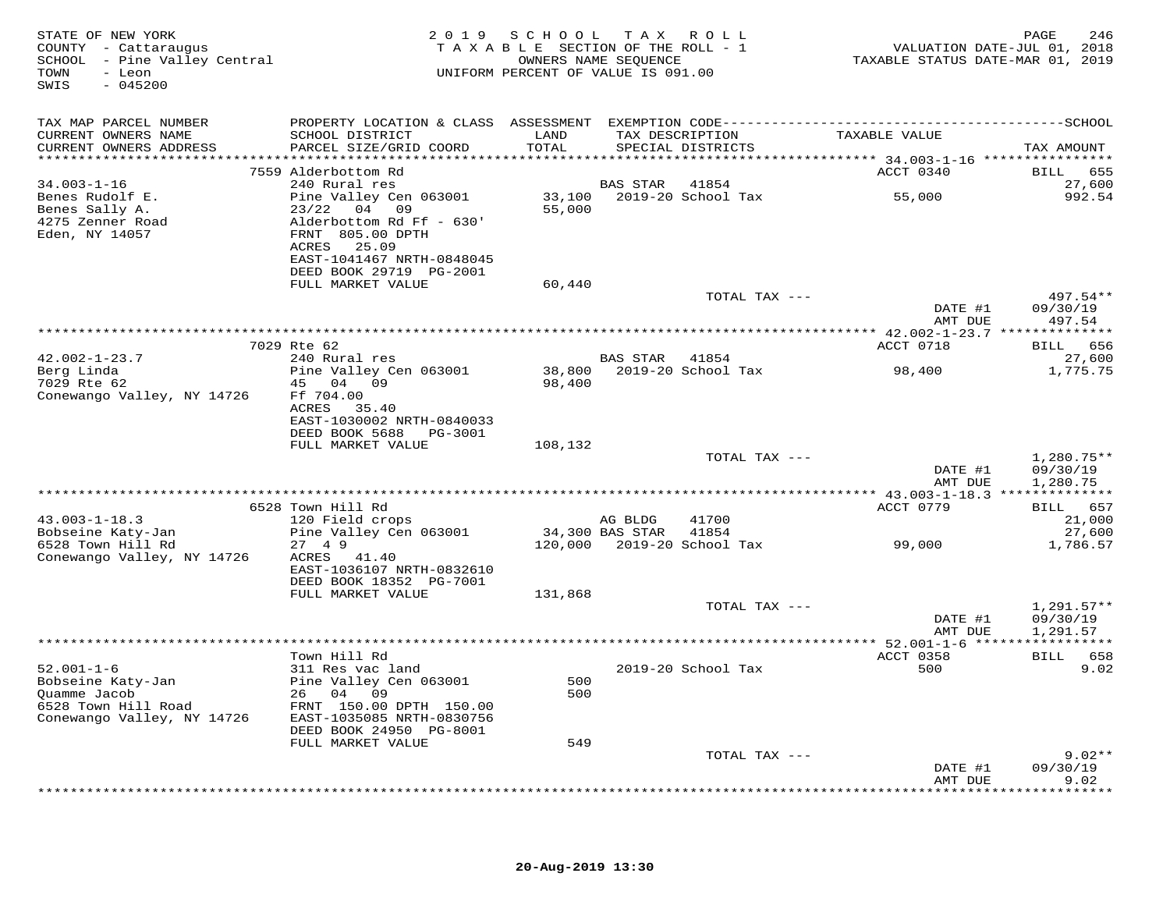| STATE OF NEW YORK<br>COUNTY - Cattaraugus<br>SCHOOL - Pine Valley Central<br>- Leon<br>TOWN<br>$-045200$<br>SWIS |                                                                                 | 2019 SCHOOL TAX ROLL<br>TAXABLE SECTION OF THE ROLL - 1 |                | OWNERS NAME SEQUENCE<br>UNIFORM PERCENT OF VALUE IS 091.00 | VALUATION DATE-JUL 01, 2018<br>TAXABLE STATUS DATE-MAR 01, 2019 | PAGE<br>246                          |
|------------------------------------------------------------------------------------------------------------------|---------------------------------------------------------------------------------|---------------------------------------------------------|----------------|------------------------------------------------------------|-----------------------------------------------------------------|--------------------------------------|
| TAX MAP PARCEL NUMBER                                                                                            |                                                                                 |                                                         |                |                                                            |                                                                 |                                      |
| CURRENT OWNERS NAME<br>CURRENT OWNERS ADDRESS                                                                    | SCHOOL DISTRICT<br>PARCEL SIZE/GRID COORD                                       | LAND<br>TOTAL                                           |                | TAX DESCRIPTION<br>SPECIAL DISTRICTS                       | TAXABLE VALUE                                                   | TAX AMOUNT                           |
|                                                                                                                  |                                                                                 |                                                         |                |                                                            |                                                                 |                                      |
|                                                                                                                  | 7559 Alderbottom Rd                                                             |                                                         |                |                                                            | ACCT 0340                                                       | BILL 655                             |
| $34.003 - 1 - 16$<br>Benes Rudolf E.                                                                             | 240 Rural res<br>Pine Valley Cen 063001                                         |                                                         | BAS STAR       | 41854<br>33,100 2019-20 School Tax                         | 55,000                                                          | 27,600<br>992.54                     |
| Benes Sally A.                                                                                                   | 23/22 04 09                                                                     | 55,000                                                  |                |                                                            |                                                                 |                                      |
| 4275 Zenner Road<br>Eden, NY 14057                                                                               | Alderbottom Rd Ff - 630'<br>FRNT 805.00 DPTH<br>ACRES 25.09                     |                                                         |                |                                                            |                                                                 |                                      |
|                                                                                                                  | EAST-1041467 NRTH-0848045<br>DEED BOOK 29719 PG-2001                            |                                                         |                |                                                            |                                                                 |                                      |
|                                                                                                                  | FULL MARKET VALUE                                                               | 60,440                                                  |                |                                                            |                                                                 |                                      |
|                                                                                                                  |                                                                                 |                                                         |                | TOTAL TAX ---                                              | DATE #1                                                         | 497.54**<br>09/30/19                 |
|                                                                                                                  |                                                                                 |                                                         |                |                                                            | AMT DUE                                                         | 497.54                               |
|                                                                                                                  | 7029 Rte 62                                                                     |                                                         |                |                                                            | ACCT 0718                                                       | BILL 656                             |
| $42.002 - 1 - 23.7$                                                                                              | 240 Rural res                                                                   |                                                         | BAS STAR 41854 |                                                            |                                                                 | 27,600                               |
| Berg Linda<br>7029 Rte 62<br>Conewango Valley, NY 14726                                                          | Pine Valley Cen 063001<br>45 04 09<br>Ff 704.00                                 | 98,400                                                  |                | 38,800 2019-20 School Tax                                  | 98,400                                                          | 1,775.75                             |
|                                                                                                                  | ACRES 35.40<br>EAST-1030002 NRTH-0840033<br>DEED BOOK 5688 PG-3001              |                                                         |                |                                                            |                                                                 |                                      |
|                                                                                                                  | FULL MARKET VALUE                                                               | 108,132                                                 |                |                                                            |                                                                 |                                      |
|                                                                                                                  |                                                                                 |                                                         |                | TOTAL TAX ---                                              | DATE #1<br>AMT DUE                                              | $1,280.75**$<br>09/30/19<br>1,280.75 |
|                                                                                                                  |                                                                                 |                                                         |                |                                                            |                                                                 |                                      |
|                                                                                                                  | 6528 Town Hill Rd                                                               |                                                         |                |                                                            | ACCT 0779                                                       | BILL 657                             |
| $43.003 - 1 - 18.3$                                                                                              | 120 Field crops                                                                 |                                                         | AG BLDG        | 41700                                                      |                                                                 | 21,000                               |
| Bobseine Katy-Jan                                                                                                | Pine Valley Cen 063001                                                          | 34,300 BAS STAR                                         |                | 41854                                                      | 99,000                                                          | 27,600                               |
| 6528 Town Hill Rd<br>Conewango Valley, NY 14726                                                                  | 27 4 9<br>ACRES 41.40                                                           |                                                         |                | 120,000 2019-20 School Tax                                 |                                                                 | 1,786.57                             |
|                                                                                                                  | EAST-1036107 NRTH-0832610<br>DEED BOOK 18352 PG-7001                            |                                                         |                |                                                            |                                                                 |                                      |
|                                                                                                                  | FULL MARKET VALUE                                                               | 131,868                                                 |                |                                                            |                                                                 |                                      |
|                                                                                                                  |                                                                                 |                                                         |                | TOTAL TAX ---                                              | DATE #1                                                         | $1,291.57**$<br>09/30/19             |
|                                                                                                                  |                                                                                 |                                                         |                |                                                            | AMT DUE<br>** 52.001-1-6 *****************                      | 1,291.57                             |
|                                                                                                                  | Town Hill Rd                                                                    |                                                         |                |                                                            | ACCT 0358                                                       | BILL 658                             |
| $52.001 - 1 - 6$                                                                                                 | 311 Res vac land                                                                |                                                         |                | 2019-20 School Tax                                         | 500                                                             | 9.02                                 |
| Bobseine Katy-Jan<br>Ouamme Jacob                                                                                | Pine Valley Cen 063001                                                          | 500                                                     |                |                                                            |                                                                 |                                      |
| guanne bacob<br>6528 Town Hill Road                                                                              | 26 04 09                                                                        | 500                                                     |                |                                                            |                                                                 |                                      |
| Conewango Valley, NY 14726                                                                                       | FRNT 150.00 DPTH 150.00<br>EAST-1035085 NRTH-0830756<br>DEED BOOK 24950 PG-8001 |                                                         |                |                                                            |                                                                 |                                      |
|                                                                                                                  | FULL MARKET VALUE                                                               | 549                                                     |                |                                                            |                                                                 |                                      |
|                                                                                                                  |                                                                                 |                                                         |                | TOTAL TAX ---                                              |                                                                 | $9.02**$                             |
|                                                                                                                  |                                                                                 |                                                         |                |                                                            | DATE #1                                                         | 09/30/19                             |
|                                                                                                                  |                                                                                 |                                                         |                |                                                            | AMT DUE                                                         | 9.02<br>* * * * * * *                |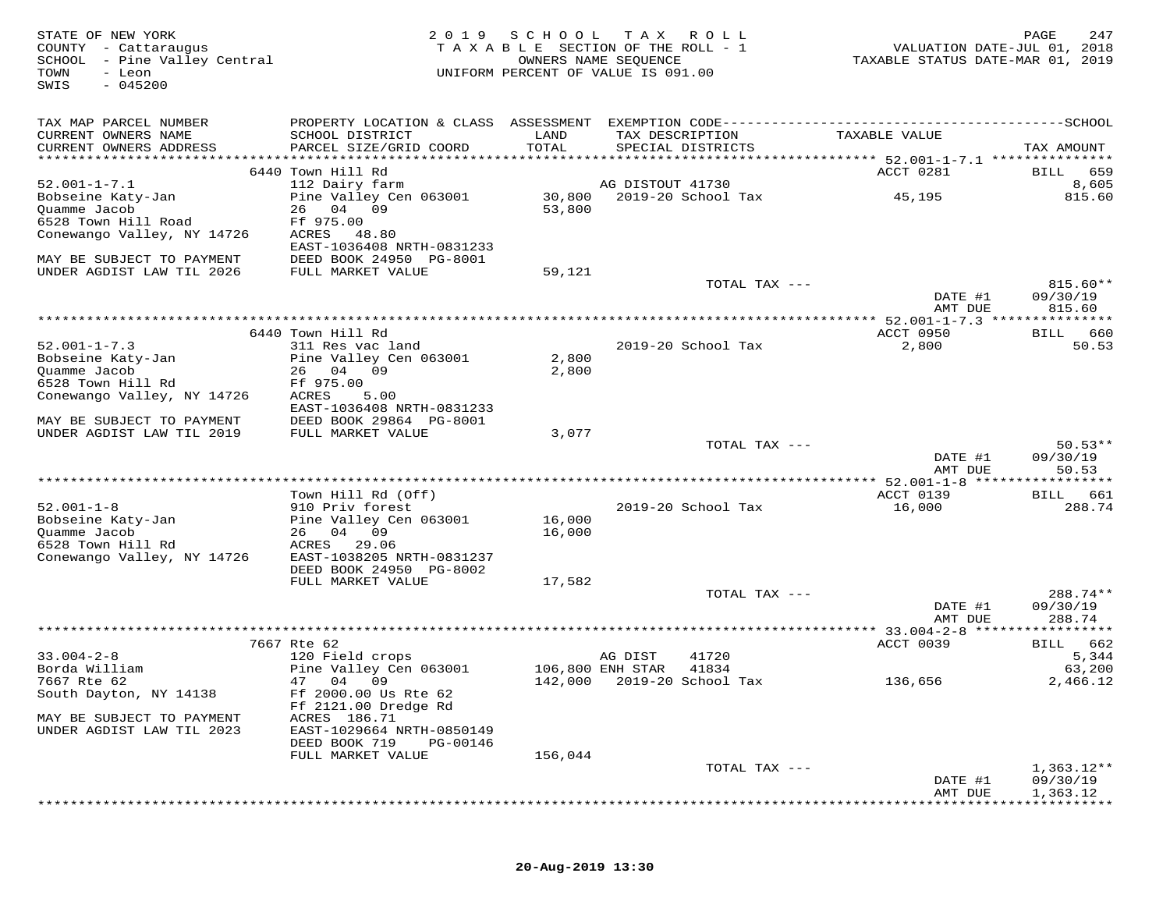| STATE OF NEW YORK<br>COUNTY - Cattaraugus<br>SCHOOL - Pine Valley Central<br>TOWN<br>- Leon<br>$-045200$<br>SWIS | 2 0 1 9                                                    |                | SCHOOL TAX ROLL<br>TAXABLE SECTION OF THE ROLL - 1<br>OWNERS NAME SEQUENCE<br>UNIFORM PERCENT OF VALUE IS 091.00 | VALUATION DATE-JUL 01, 2018<br>TAXABLE STATUS DATE-MAR 01, 2019 | PAGE<br>247              |
|------------------------------------------------------------------------------------------------------------------|------------------------------------------------------------|----------------|------------------------------------------------------------------------------------------------------------------|-----------------------------------------------------------------|--------------------------|
| TAX MAP PARCEL NUMBER<br>CURRENT OWNERS NAME                                                                     | SCHOOL DISTRICT                                            | LAND           | TAX DESCRIPTION                                                                                                  | TAXABLE VALUE                                                   |                          |
| CURRENT OWNERS ADDRESS                                                                                           | PARCEL SIZE/GRID COORD                                     | TOTAL          | SPECIAL DISTRICTS                                                                                                |                                                                 | TAX AMOUNT               |
|                                                                                                                  | 6440 Town Hill Rd                                          |                |                                                                                                                  | ACCT 0281                                                       | BILL 659                 |
| $52.001 - 1 - 7.1$                                                                                               | 112 Dairy farm                                             |                | AG DISTOUT 41730                                                                                                 |                                                                 | 8,605                    |
| Bobseine Katy-Jan                                                                                                | Pine Valley Cen 063001                                     |                | 30,800 2019-20 School Tax                                                                                        | 45,195                                                          | 815.60                   |
| Quamme Jacob                                                                                                     | 26 04 09                                                   | 53,800         |                                                                                                                  |                                                                 |                          |
| 6528 Town Hill Road                                                                                              | Ff 975.00                                                  |                |                                                                                                                  |                                                                 |                          |
| Conewango Valley, NY 14726                                                                                       | ACRES 48.80<br>EAST-1036408 NRTH-0831233                   |                |                                                                                                                  |                                                                 |                          |
| MAY BE SUBJECT TO PAYMENT                                                                                        | DEED BOOK 24950 PG-8001                                    |                |                                                                                                                  |                                                                 |                          |
| UNDER AGDIST LAW TIL 2026                                                                                        | FULL MARKET VALUE                                          | 59,121         |                                                                                                                  |                                                                 |                          |
|                                                                                                                  |                                                            |                | TOTAL TAX ---                                                                                                    |                                                                 | 815.60**                 |
|                                                                                                                  |                                                            |                |                                                                                                                  | DATE #1<br>AMT DUE                                              | 09/30/19<br>815.60       |
|                                                                                                                  |                                                            |                |                                                                                                                  |                                                                 |                          |
|                                                                                                                  | 6440 Town Hill Rd                                          |                |                                                                                                                  | ACCT 0950                                                       | BILL 660                 |
| $52.001 - 1 - 7.3$                                                                                               | 311 Res vac land                                           |                | 2019-20 School Tax                                                                                               | 2,800                                                           | 50.53                    |
| Bobseine Katy-Jan<br>Quamme Jacob                                                                                | Pine Valley Cen 063001<br>26 04 09                         | 2,800<br>2,800 |                                                                                                                  |                                                                 |                          |
| 6528 Town Hill Rd                                                                                                | Ff 975.00                                                  |                |                                                                                                                  |                                                                 |                          |
| Conewango Valley, NY 14726                                                                                       | ACRES<br>5.00                                              |                |                                                                                                                  |                                                                 |                          |
|                                                                                                                  | EAST-1036408 NRTH-0831233                                  |                |                                                                                                                  |                                                                 |                          |
| MAY BE SUBJECT TO PAYMENT<br>UNDER AGDIST LAW TIL 2019                                                           | DEED BOOK 29864 PG-8001<br>FULL MARKET VALUE               | 3,077          |                                                                                                                  |                                                                 |                          |
|                                                                                                                  |                                                            |                | TOTAL TAX ---                                                                                                    |                                                                 | $50.53**$                |
|                                                                                                                  |                                                            |                |                                                                                                                  | DATE #1                                                         | 09/30/19                 |
|                                                                                                                  |                                                            |                |                                                                                                                  | AMT DUE                                                         | 50.53                    |
|                                                                                                                  | Town Hill Rd (Off)                                         |                |                                                                                                                  | ACCT 0139                                                       | BILL 661                 |
| $52.001 - 1 - 8$                                                                                                 | 910 Priv forest                                            |                | 2019–20 School Tax                                                                                               | 16,000                                                          | 288.74                   |
| Bobseine Katy-Jan                                                                                                | Pine Valley Cen 063001                                     | 16,000         |                                                                                                                  |                                                                 |                          |
| Quamme Jacob<br>6528 Town Hill Rd                                                                                | 26 04 09<br>ACRES 29.06                                    | 16,000         |                                                                                                                  |                                                                 |                          |
| Conewango Valley, NY 14726                                                                                       | EAST-1038205 NRTH-0831237                                  |                |                                                                                                                  |                                                                 |                          |
|                                                                                                                  | DEED BOOK 24950 PG-8002                                    |                |                                                                                                                  |                                                                 |                          |
|                                                                                                                  | FULL MARKET VALUE                                          | 17,582         |                                                                                                                  |                                                                 |                          |
|                                                                                                                  |                                                            |                | TOTAL TAX ---                                                                                                    | DATE #1                                                         | 288.74**<br>09/30/19     |
|                                                                                                                  |                                                            |                |                                                                                                                  | AMT DUE                                                         | 288.74                   |
|                                                                                                                  |                                                            |                |                                                                                                                  |                                                                 |                          |
| $33.004 - 2 - 8$                                                                                                 | 7667 Rte 62                                                |                |                                                                                                                  | ACCT 0039                                                       | BILL 662<br>5,344        |
| Borda William                                                                                                    | 120 Field crops<br>Pine Valley Cen 063001 106,800 ENH STAR |                | AG DIST<br>41720<br>41834                                                                                        |                                                                 | 63,200                   |
| 7667 Rte 62                                                                                                      | 47 04 09                                                   |                | 142,000 2019-20 School Tax                                                                                       | 136,656                                                         | 2,466.12                 |
| South Dayton, NY 14138                                                                                           | Ff 2000.00 Us Rte 62                                       |                |                                                                                                                  |                                                                 |                          |
| MAY BE SUBJECT TO PAYMENT                                                                                        | Ff 2121.00 Dredge Rd<br>ACRES 186.71                       |                |                                                                                                                  |                                                                 |                          |
| UNDER AGDIST LAW TIL 2023                                                                                        | EAST-1029664 NRTH-0850149                                  |                |                                                                                                                  |                                                                 |                          |
|                                                                                                                  | DEED BOOK 719<br>PG-00146                                  |                |                                                                                                                  |                                                                 |                          |
|                                                                                                                  | FULL MARKET VALUE                                          | 156,044        |                                                                                                                  |                                                                 |                          |
|                                                                                                                  |                                                            |                | TOTAL TAX ---                                                                                                    | DATE #1                                                         | $1,363.12**$<br>09/30/19 |
|                                                                                                                  |                                                            |                |                                                                                                                  | AMT DUE                                                         | 1,363.12                 |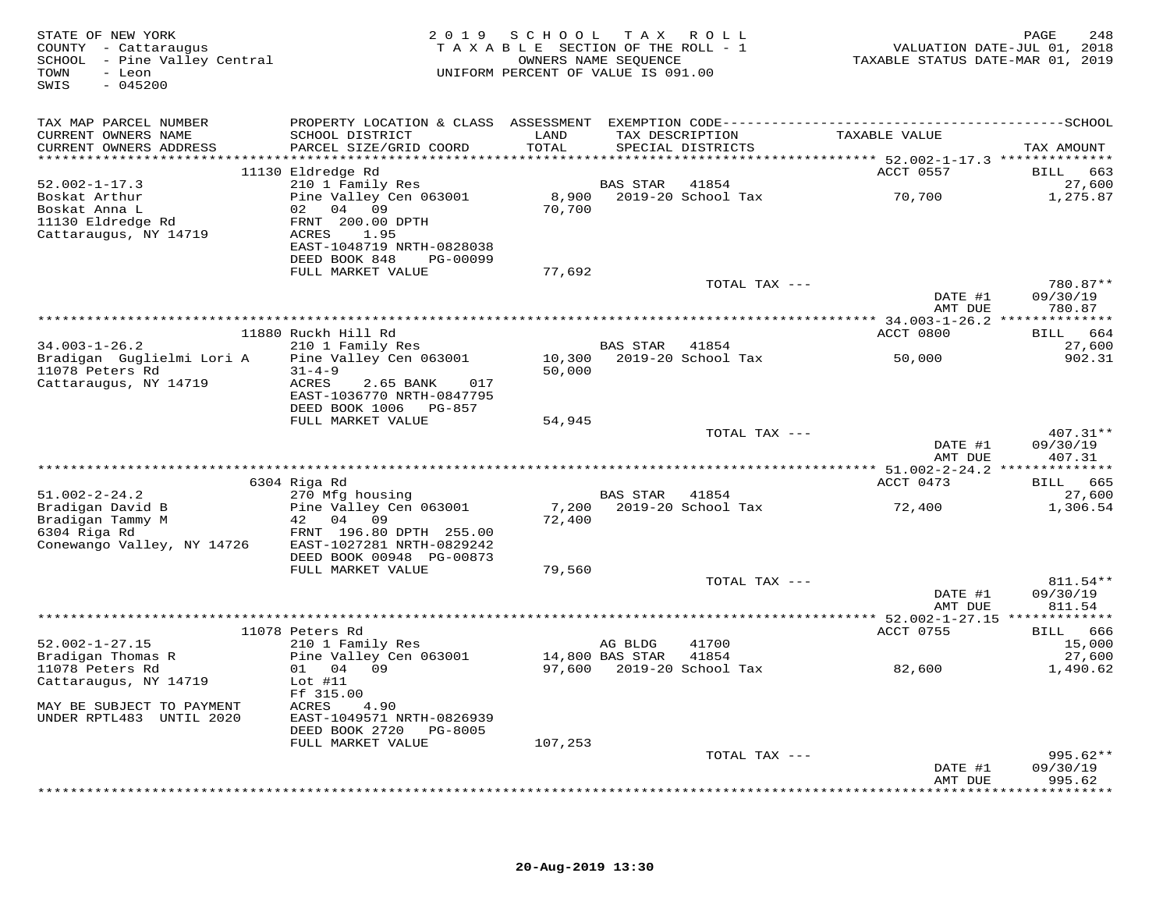| STATE OF NEW YORK<br>COUNTY - Cattaraugus<br>SCHOOL - Pine Valley Central<br>TOWN<br>- Leon<br>SWIS<br>$-045200$ |                                            | 2019 SCHOOL TAX ROLL<br>TAXABLE SECTION OF THE ROLL - 1<br>UNIFORM PERCENT OF VALUE IS 091.00 | OWNERS NAME SEQUENCE |                                      | VALUATION DATE-JUL 01, 2018<br>TAXABLE STATUS DATE-MAR 01, 2019 | 248<br>PAGE             |
|------------------------------------------------------------------------------------------------------------------|--------------------------------------------|-----------------------------------------------------------------------------------------------|----------------------|--------------------------------------|-----------------------------------------------------------------|-------------------------|
| TAX MAP PARCEL NUMBER                                                                                            |                                            |                                                                                               |                      |                                      |                                                                 |                         |
| CURRENT OWNERS NAME<br>CURRENT OWNERS ADDRESS                                                                    | SCHOOL DISTRICT<br>PARCEL SIZE/GRID COORD  | LAND<br>TOTAL                                                                                 |                      | TAX DESCRIPTION<br>SPECIAL DISTRICTS | TAXABLE VALUE                                                   | TAX AMOUNT              |
|                                                                                                                  |                                            |                                                                                               |                      |                                      |                                                                 |                         |
|                                                                                                                  | 11130 Eldredge Rd                          |                                                                                               |                      |                                      | ACCT 0557                                                       | 663<br>BILL             |
| $52.002 - 1 - 17.3$                                                                                              | 210 1 Family Res                           |                                                                                               | BAS STAR             | 41854                                |                                                                 | 27,600                  |
| Boskat Arthur                                                                                                    | Pine Valley Cen 063001                     | 8,900                                                                                         |                      | 2019-20 School Tax                   | 70,700                                                          | 1,275.87                |
| Boskat Anna L                                                                                                    | 02 04 09                                   | 70,700                                                                                        |                      |                                      |                                                                 |                         |
| 11130 Eldredge Rd                                                                                                | FRNT 200.00 DPTH                           |                                                                                               |                      |                                      |                                                                 |                         |
| Cattaraugus, NY 14719                                                                                            | ACRES<br>1.95<br>EAST-1048719 NRTH-0828038 |                                                                                               |                      |                                      |                                                                 |                         |
|                                                                                                                  | DEED BOOK 848<br>PG-00099                  |                                                                                               |                      |                                      |                                                                 |                         |
|                                                                                                                  | FULL MARKET VALUE                          | 77,692                                                                                        |                      |                                      |                                                                 |                         |
|                                                                                                                  |                                            |                                                                                               |                      | TOTAL TAX ---                        |                                                                 | 780.87**                |
|                                                                                                                  |                                            |                                                                                               |                      |                                      | DATE #1                                                         | 09/30/19                |
|                                                                                                                  |                                            |                                                                                               |                      |                                      | AMT DUE                                                         | 780.87                  |
|                                                                                                                  | 11880 Ruckh Hill Rd                        |                                                                                               |                      |                                      | ACCT 0800                                                       | BILL 664                |
| $34.003 - 1 - 26.2$                                                                                              | 210 1 Family Res                           |                                                                                               | BAS STAR             | 41854                                |                                                                 | 27,600                  |
| Bradigan Guglielmi Lori A                                                                                        | Pine Valley Cen 063001                     | 10,300                                                                                        |                      | 2019-20 School Tax                   | 50,000                                                          | 902.31                  |
| 11078 Peters Rd                                                                                                  | $31 - 4 - 9$                               | 50,000                                                                                        |                      |                                      |                                                                 |                         |
| Cattaraugus, NY 14719                                                                                            | ACRES<br>2.65 BANK<br>017                  |                                                                                               |                      |                                      |                                                                 |                         |
|                                                                                                                  | EAST-1036770 NRTH-0847795                  |                                                                                               |                      |                                      |                                                                 |                         |
|                                                                                                                  | DEED BOOK 1006 PG-857<br>FULL MARKET VALUE | 54,945                                                                                        |                      |                                      |                                                                 |                         |
|                                                                                                                  |                                            |                                                                                               |                      | TOTAL TAX ---                        |                                                                 | 407.31**                |
|                                                                                                                  |                                            |                                                                                               |                      |                                      | DATE #1                                                         | 09/30/19                |
|                                                                                                                  |                                            |                                                                                               |                      |                                      | AMT DUE                                                         | 407.31                  |
|                                                                                                                  |                                            |                                                                                               |                      |                                      |                                                                 | * * * * * * * * * * * * |
|                                                                                                                  | 6304 Riga Rd                               |                                                                                               |                      |                                      | ACCT 0473                                                       | BILL 665                |
| $51.002 - 2 - 24.2$<br>Bradigan David B                                                                          | 270 Mfg housing<br>Pine Valley Cen 063001  |                                                                                               | BAS STAR             | 41854<br>7,200 2019-20 School Tax    | 72,400                                                          | 27,600                  |
| Bradigan Tammy M                                                                                                 | 42 04<br>09                                | 72,400                                                                                        |                      |                                      |                                                                 | 1,306.54                |
| 6304 Riga Rd                                                                                                     | FRNT 196.80 DPTH 255.00                    |                                                                                               |                      |                                      |                                                                 |                         |
| Conewango Valley, NY 14726                                                                                       | EAST-1027281 NRTH-0829242                  |                                                                                               |                      |                                      |                                                                 |                         |
|                                                                                                                  | DEED BOOK 00948 PG-00873                   |                                                                                               |                      |                                      |                                                                 |                         |
|                                                                                                                  | FULL MARKET VALUE                          | 79,560                                                                                        |                      |                                      |                                                                 |                         |
|                                                                                                                  |                                            |                                                                                               |                      | TOTAL TAX ---                        |                                                                 | 811.54 **               |
|                                                                                                                  |                                            |                                                                                               |                      |                                      | DATE #1<br>AMT DUE                                              | 09/30/19<br>811.54      |
|                                                                                                                  |                                            |                                                                                               |                      |                                      |                                                                 |                         |
|                                                                                                                  | 11078 Peters Rd                            |                                                                                               |                      |                                      | ACCT 0755                                                       | BILL 666                |
| $52.002 - 1 - 27.15$                                                                                             | 210 1 Family Res                           |                                                                                               | AG BLDG              | 41700                                |                                                                 | 15,000                  |
| Bradigan Thomas R                                                                                                | Pine Valley Cen 063001                     | 14,800 BAS STAR                                                                               |                      | 41854                                |                                                                 | 27,600                  |
| 11078 Peters Rd                                                                                                  | 01 04 09                                   |                                                                                               |                      | 97,600 2019-20 School Tax            | 82,600                                                          | 1,490.62                |
| Cattaraugus, NY 14719                                                                                            | Lot $#11$                                  |                                                                                               |                      |                                      |                                                                 |                         |
| MAY BE SUBJECT TO PAYMENT                                                                                        | Ff 315.00<br>ACRES<br>4.90                 |                                                                                               |                      |                                      |                                                                 |                         |
| UNDER RPTL483 UNTIL 2020                                                                                         | EAST-1049571 NRTH-0826939                  |                                                                                               |                      |                                      |                                                                 |                         |
|                                                                                                                  | DEED BOOK 2720<br>PG-8005                  |                                                                                               |                      |                                      |                                                                 |                         |
|                                                                                                                  | FULL MARKET VALUE                          | 107,253                                                                                       |                      |                                      |                                                                 |                         |
|                                                                                                                  |                                            |                                                                                               |                      | TOTAL TAX ---                        |                                                                 | $995.62**$              |
|                                                                                                                  |                                            |                                                                                               |                      |                                      | DATE #1                                                         | 09/30/19                |
|                                                                                                                  |                                            |                                                                                               |                      |                                      | AMT DUE                                                         | 995.62<br>********      |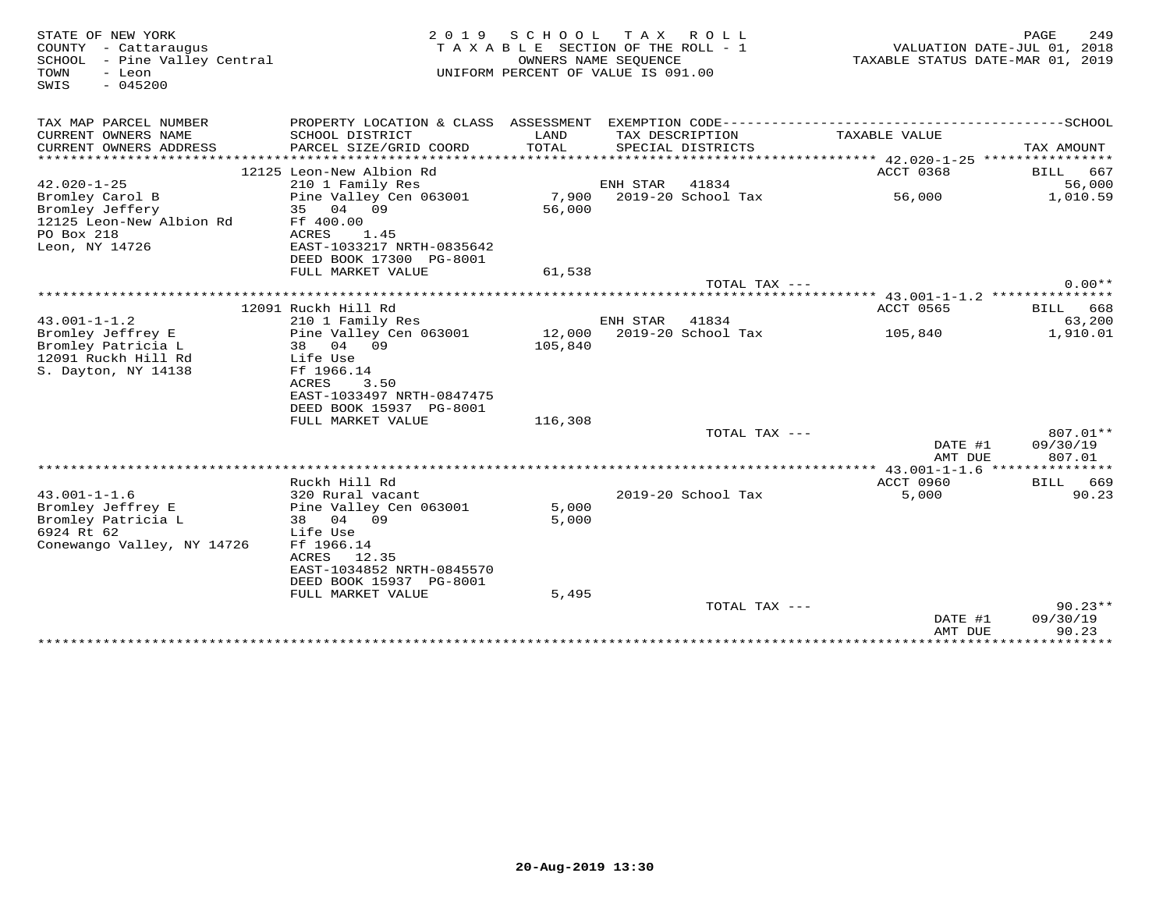| STATE OF NEW YORK                                | 2 0 1 9                              | S C H O O L | T A X<br>R O L L                                           |                                  | PAGE<br>249        |
|--------------------------------------------------|--------------------------------------|-------------|------------------------------------------------------------|----------------------------------|--------------------|
| COUNTY - Cattaraugus                             |                                      |             | T A X A B L E SECTION OF THE ROLL - 1                      | VALUATION DATE-JUL 01, 2018      |                    |
| SCHOOL - Pine Valley Central<br>- Leon<br>TOWN   |                                      |             | OWNERS NAME SEOUENCE<br>UNIFORM PERCENT OF VALUE IS 091.00 | TAXABLE STATUS DATE-MAR 01, 2019 |                    |
| SWIS<br>$-045200$                                |                                      |             |                                                            |                                  |                    |
|                                                  |                                      |             |                                                            |                                  |                    |
|                                                  |                                      |             |                                                            |                                  |                    |
| TAX MAP PARCEL NUMBER                            | PROPERTY LOCATION & CLASS ASSESSMENT |             |                                                            |                                  |                    |
| CURRENT OWNERS NAME                              | SCHOOL DISTRICT                      | LAND        | TAX DESCRIPTION                                            | TAXABLE VALUE                    |                    |
| CURRENT OWNERS ADDRESS<br>********************** | PARCEL SIZE/GRID COORD               | TOTAL       | SPECIAL DISTRICTS                                          |                                  | TAX AMOUNT         |
|                                                  |                                      |             |                                                            |                                  |                    |
| $42.020 - 1 - 25$                                | 12125 Leon-New Albion Rd             |             |                                                            | ACCT 0368                        | 667<br><b>BILL</b> |
|                                                  | 210 1 Family Res                     |             | ENH STAR<br>41834                                          |                                  | 56,000             |
| Bromley Carol B                                  | Pine Valley Cen 063001               | 7,900       | 2019-20 School Tax                                         | 56,000                           | 1,010.59           |
| Bromley Jeffery                                  | 04 09<br>35                          | 56,000      |                                                            |                                  |                    |
| 12125 Leon-New Albion Rd<br>PO Box 218           | Ff 400.00<br>ACRES<br>1.45           |             |                                                            |                                  |                    |
| Leon, NY 14726                                   | EAST-1033217 NRTH-0835642            |             |                                                            |                                  |                    |
|                                                  | DEED BOOK 17300 PG-8001              |             |                                                            |                                  |                    |
|                                                  | FULL MARKET VALUE                    | 61,538      |                                                            |                                  |                    |
|                                                  |                                      |             |                                                            |                                  | $0.00**$           |
|                                                  |                                      |             | TOTAL TAX ---                                              |                                  |                    |
|                                                  | 12091 Ruckh Hill Rd                  |             |                                                            | ACCT 0565                        | BILL<br>668        |
| $43.001 - 1 - 1.2$                               | 210 1 Family Res                     |             | ENH STAR<br>41834                                          |                                  | 63,200             |
| Bromley Jeffrey E                                | Pine Valley Cen 063001               | 12,000      | 2019-20 School Tax                                         | 105,840                          | 1,910.01           |
| Bromley Patricia L                               | 38 04 09                             | 105,840     |                                                            |                                  |                    |
| 12091 Ruckh Hill Rd                              | Life Use                             |             |                                                            |                                  |                    |
| S. Dayton, NY 14138                              | Ff 1966.14                           |             |                                                            |                                  |                    |
|                                                  | ACRES<br>3.50                        |             |                                                            |                                  |                    |
|                                                  | EAST-1033497 NRTH-0847475            |             |                                                            |                                  |                    |
|                                                  | DEED BOOK 15937 PG-8001              |             |                                                            |                                  |                    |
|                                                  | FULL MARKET VALUE                    | 116,308     |                                                            |                                  |                    |
|                                                  |                                      |             | TOTAL TAX ---                                              |                                  | 807.01**           |
|                                                  |                                      |             |                                                            | DATE #1                          | 09/30/19           |
|                                                  |                                      |             |                                                            | AMT DUE                          | 807.01             |
|                                                  |                                      |             |                                                            |                                  |                    |
|                                                  | Ruckh Hill Rd                        |             |                                                            | <b>ACCT 0960</b>                 | BILL 669           |
| $43.001 - 1 - 1.6$                               | 320 Rural vacant                     |             | 2019-20 School Tax                                         | 5,000                            | 90.23              |
| Bromley Jeffrey E                                | Pine Valley Cen 063001               | 5,000       |                                                            |                                  |                    |
| Bromley Patricia L                               | 04 09<br>38                          | 5,000       |                                                            |                                  |                    |
| 6924 Rt 62                                       | Life Use                             |             |                                                            |                                  |                    |
| Conewango Valley, NY 14726                       | Ff 1966.14                           |             |                                                            |                                  |                    |
|                                                  | ACRES 12.35                          |             |                                                            |                                  |                    |
|                                                  | EAST-1034852 NRTH-0845570            |             |                                                            |                                  |                    |
|                                                  | DEED BOOK 15937 PG-8001              |             |                                                            |                                  |                    |
|                                                  | FULL MARKET VALUE                    | 5,495       |                                                            |                                  |                    |
|                                                  |                                      |             | TOTAL TAX ---                                              |                                  | $90.23**$          |
|                                                  |                                      |             |                                                            | DATE #1                          | 09/30/19           |
|                                                  |                                      |             |                                                            | AMT DUE                          | 90.23              |
|                                                  |                                      |             |                                                            | ******************************   |                    |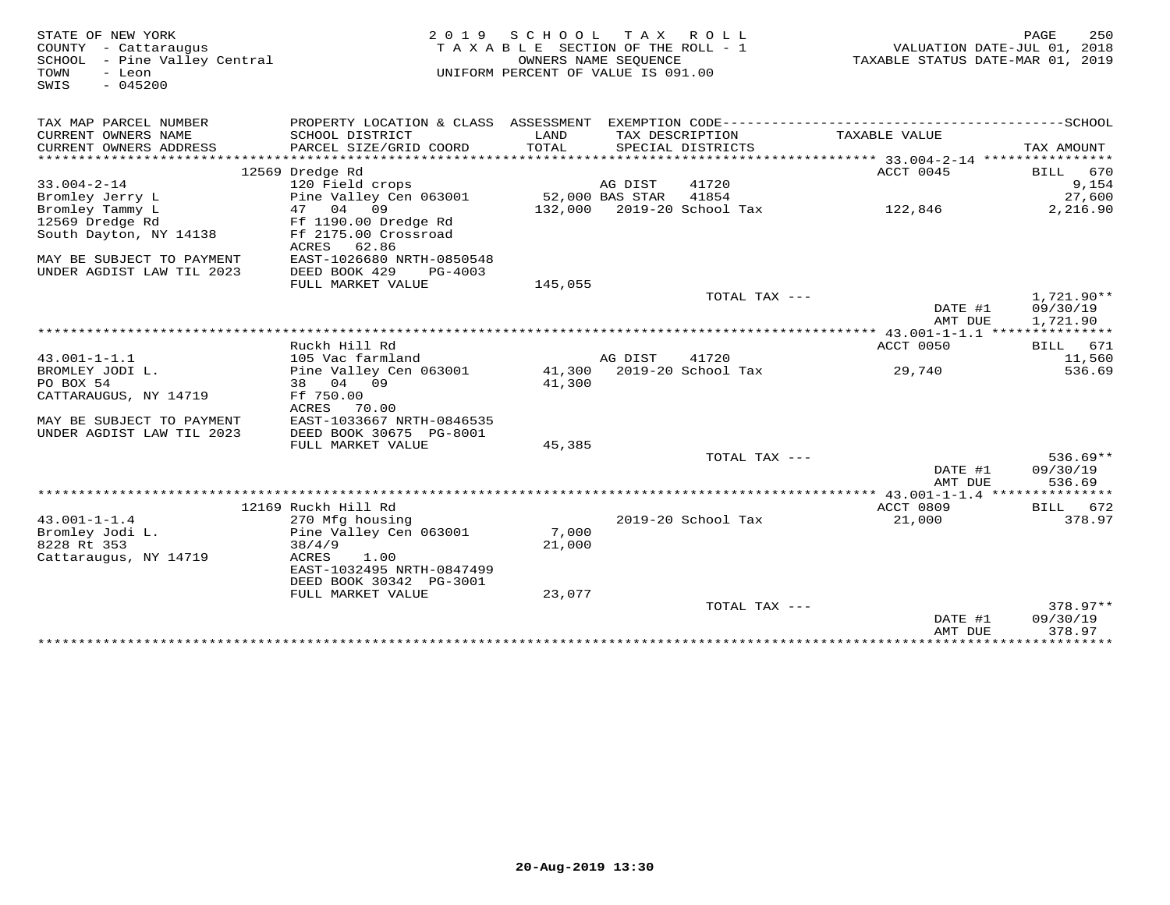| STATE OF NEW YORK<br>COUNTY - Cattaraugus<br>SCHOOL - Pine Valley Central<br>TOWN<br>- Leon | SCHOOL<br>T A X<br>2 0 1 9<br>R O L L<br>TAXABLE SECTION OF THE ROLL - 1<br>OWNERS NAME SEOUENCE<br>UNIFORM PERCENT OF VALUE IS 091.00 |                 |                 |                                      | VALUATION DATE-JUL 01, 2018<br>TAXABLE STATUS DATE-MAR 01, 2019 | PAGE<br>250 |
|---------------------------------------------------------------------------------------------|----------------------------------------------------------------------------------------------------------------------------------------|-----------------|-----------------|--------------------------------------|-----------------------------------------------------------------|-------------|
| $-045200$<br>SWIS                                                                           |                                                                                                                                        |                 |                 |                                      |                                                                 |             |
| TAX MAP PARCEL NUMBER                                                                       |                                                                                                                                        |                 |                 |                                      |                                                                 |             |
| CURRENT OWNERS NAME<br>CURRENT OWNERS ADDRESS                                               | SCHOOL DISTRICT<br>PARCEL SIZE/GRID COORD                                                                                              | LAND<br>TOTAL   |                 | TAX DESCRIPTION<br>SPECIAL DISTRICTS | TAXABLE VALUE                                                   | TAX AMOUNT  |
|                                                                                             |                                                                                                                                        |                 |                 |                                      |                                                                 |             |
|                                                                                             | 12569 Dredge Rd                                                                                                                        |                 |                 |                                      | ACCT 0045                                                       | BILL 670    |
| $33.004 - 2 - 14$                                                                           | 120 Field crops                                                                                                                        |                 | AG DIST         | 41720                                |                                                                 | 9,154       |
| Bromley Jerry L                                                                             | Pine Valley Cen 063001                                                                                                                 |                 | 52,000 BAS STAR | 41854                                |                                                                 | 27,600      |
| Bromley Tammy L                                                                             | 47 04 09                                                                                                                               |                 |                 | 132,000 2019-20 School Tax           | 122,846                                                         | 2,216.90    |
| 12569 Dredge Rd                                                                             | Ff 1190.00 Dredge Rd                                                                                                                   |                 |                 |                                      |                                                                 |             |
| South Dayton, NY 14138                                                                      | Ff 2175.00 Crossroad                                                                                                                   |                 |                 |                                      |                                                                 |             |
|                                                                                             | 62.86<br>ACRES                                                                                                                         |                 |                 |                                      |                                                                 |             |
| MAY BE SUBJECT TO PAYMENT<br>UNDER AGDIST LAW TIL 2023                                      | EAST-1026680 NRTH-0850548<br>DEED BOOK 429<br>PG-4003                                                                                  |                 |                 |                                      |                                                                 |             |
|                                                                                             | FULL MARKET VALUE                                                                                                                      | 145,055         |                 |                                      |                                                                 |             |
|                                                                                             |                                                                                                                                        |                 |                 | TOTAL TAX ---                        |                                                                 | 1,721.90**  |
|                                                                                             |                                                                                                                                        |                 |                 |                                      | DATE #1                                                         | 09/30/19    |
|                                                                                             |                                                                                                                                        |                 |                 |                                      | AMT DUE                                                         | 1,721.90    |
|                                                                                             |                                                                                                                                        |                 |                 |                                      |                                                                 |             |
|                                                                                             | Ruckh Hill Rd                                                                                                                          |                 |                 |                                      | ACCT 0050                                                       | BILL 671    |
| $43.001 - 1 - 1.1$                                                                          | 105 Vac farmland                                                                                                                       |                 | AG DIST         | 41720                                |                                                                 | 11,560      |
| BROMLEY JODI L.                                                                             | Pine Valley Cen 063001                                                                                                                 | 41,300          |                 | 2019-20 School Tax                   | 29,740                                                          | 536.69      |
| PO BOX 54                                                                                   | 38 04 09                                                                                                                               | 41,300          |                 |                                      |                                                                 |             |
| CATTARAUGUS, NY 14719                                                                       | Ff 750.00<br>ACRES<br>70.00                                                                                                            |                 |                 |                                      |                                                                 |             |
| MAY BE SUBJECT TO PAYMENT                                                                   | EAST-1033667 NRTH-0846535                                                                                                              |                 |                 |                                      |                                                                 |             |
| UNDER AGDIST LAW TIL 2023                                                                   | DEED BOOK 30675 PG-8001                                                                                                                |                 |                 |                                      |                                                                 |             |
|                                                                                             | FULL MARKET VALUE                                                                                                                      | 45,385          |                 |                                      |                                                                 |             |
|                                                                                             |                                                                                                                                        |                 |                 | TOTAL TAX ---                        |                                                                 | $536.69**$  |
|                                                                                             |                                                                                                                                        |                 |                 |                                      | DATE #1                                                         | 09/30/19    |
|                                                                                             |                                                                                                                                        |                 |                 |                                      | AMT DUE                                                         | 536.69      |
|                                                                                             |                                                                                                                                        |                 |                 |                                      |                                                                 |             |
|                                                                                             | 12169 Ruckh Hill Rd                                                                                                                    |                 |                 |                                      | ACCT 0809                                                       | BILL 672    |
| $43.001 - 1 - 1.4$                                                                          | 270 Mfg housing                                                                                                                        |                 |                 | 2019-20 School Tax                   | 21,000                                                          | 378.97      |
| Bromley Jodi L.<br>8228 Rt 353                                                              | Pine Valley Cen 063001<br>38/4/9                                                                                                       | 7,000<br>21,000 |                 |                                      |                                                                 |             |
| Cattaraugus, NY 14719                                                                       | ACRES<br>1.00                                                                                                                          |                 |                 |                                      |                                                                 |             |
|                                                                                             | EAST-1032495 NRTH-0847499                                                                                                              |                 |                 |                                      |                                                                 |             |
|                                                                                             | DEED BOOK 30342 PG-3001                                                                                                                |                 |                 |                                      |                                                                 |             |
|                                                                                             | FULL MARKET VALUE                                                                                                                      | 23,077          |                 |                                      |                                                                 |             |
|                                                                                             |                                                                                                                                        |                 |                 | TOTAL TAX ---                        |                                                                 | $378.97**$  |
|                                                                                             |                                                                                                                                        |                 |                 |                                      | DATE #1                                                         | 09/30/19    |
|                                                                                             |                                                                                                                                        |                 |                 |                                      | AMT DUE                                                         | 378.97      |
|                                                                                             |                                                                                                                                        |                 |                 |                                      |                                                                 |             |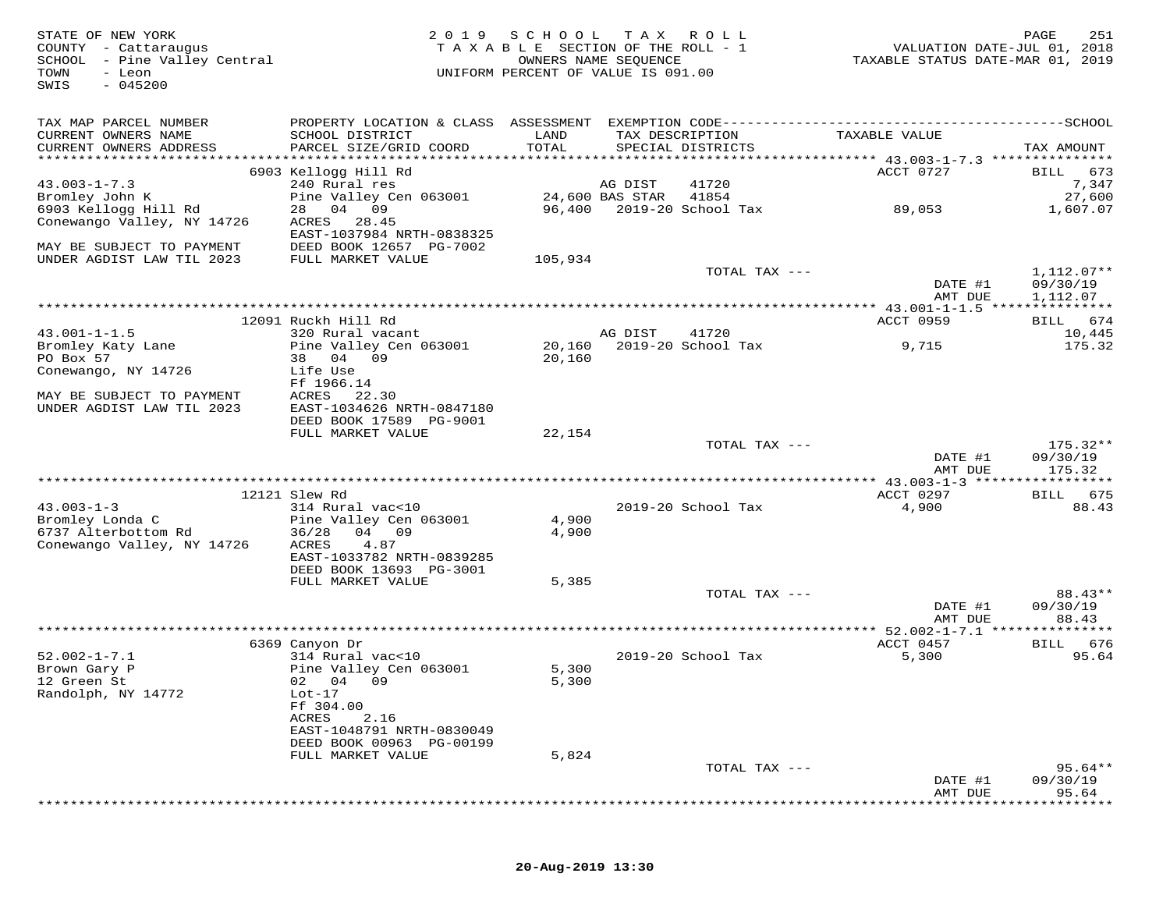| STATE OF NEW YORK<br>COUNTY - Cattaraugus<br>SCHOOL - Pine Valley Central<br>TOWN<br>- Leon<br>$-045200$<br>SWIS | 2 0 1 9                                                                           | SCHOOL TAX<br>TAXABLE SECTION OF THE ROLL - 1<br>UNIFORM PERCENT OF VALUE IS 091.00 | OWNERS NAME SEQUENCE       | R O L L                              | VALUATION DATE-JUL 01, 2018<br>TAXABLE STATUS DATE-MAR 01, 2019 | PAGE<br>251                        |
|------------------------------------------------------------------------------------------------------------------|-----------------------------------------------------------------------------------|-------------------------------------------------------------------------------------|----------------------------|--------------------------------------|-----------------------------------------------------------------|------------------------------------|
| TAX MAP PARCEL NUMBER<br>CURRENT OWNERS NAME<br>CURRENT OWNERS ADDRESS                                           | SCHOOL DISTRICT<br>PARCEL SIZE/GRID COORD                                         | LAND<br>TOTAL                                                                       |                            | TAX DESCRIPTION<br>SPECIAL DISTRICTS | TAXABLE VALUE                                                   | TAX AMOUNT                         |
|                                                                                                                  | 6903 Kellogg Hill Rd                                                              |                                                                                     |                            |                                      | ACCT 0727                                                       | 673<br><b>BILL</b>                 |
| $43.003 - 1 - 7.3$<br>Bromley John K                                                                             | 240 Rural res                                                                     |                                                                                     | AG DIST<br>24,600 BAS STAR | 41720<br>41854                       |                                                                 | 7,347<br>27,600                    |
| 6903 Kellogg Hill Rd<br>Conewango Valley, NY 14726                                                               | Pine Valley Cen 063001<br>28 04 09<br>ACRES<br>28.45<br>EAST-1037984 NRTH-0838325 | 96,400                                                                              |                            | 2019-20 School Tax                   | 89,053                                                          | 1,607.07                           |
| MAY BE SUBJECT TO PAYMENT<br>UNDER AGDIST LAW TIL 2023                                                           | DEED BOOK 12657 PG-7002<br>FULL MARKET VALUE                                      | 105,934                                                                             |                            |                                      |                                                                 |                                    |
|                                                                                                                  |                                                                                   |                                                                                     |                            | TOTAL TAX ---                        | DATE #1<br>AMT DUE                                              | 1,112.07**<br>09/30/19<br>1,112.07 |
|                                                                                                                  |                                                                                   |                                                                                     |                            |                                      | ************ 43.001-1-1.5 ****************                      |                                    |
|                                                                                                                  | 12091 Ruckh Hill Rd                                                               |                                                                                     |                            |                                      | ACCT 0959                                                       | 674<br>BILL                        |
| $43.001 - 1 - 1.5$                                                                                               | 320 Rural vacant                                                                  |                                                                                     | AG DIST                    | 41720<br>2019-20 School Tax          |                                                                 | 10,445                             |
| Bromley Katy Lane<br>PO Box 57<br>Conewango, NY 14726                                                            | Pine Valley Cen 063001<br>38 04 09<br>Life Use                                    | 20,160<br>20,160                                                                    |                            |                                      | 9,715                                                           | 175.32                             |
| MAY BE SUBJECT TO PAYMENT<br>UNDER AGDIST LAW TIL 2023                                                           | Ff 1966.14<br>ACRES<br>22.30<br>EAST-1034626 NRTH-0847180                         |                                                                                     |                            |                                      |                                                                 |                                    |
|                                                                                                                  | DEED BOOK 17589 PG-9001<br>FULL MARKET VALUE                                      | 22,154                                                                              |                            |                                      |                                                                 |                                    |
|                                                                                                                  |                                                                                   |                                                                                     |                            | TOTAL TAX ---                        | DATE #1                                                         | $175.32**$<br>09/30/19             |
|                                                                                                                  |                                                                                   |                                                                                     |                            |                                      | AMT DUE                                                         | 175.32                             |
|                                                                                                                  | 12121 Slew Rd                                                                     |                                                                                     |                            |                                      | ACCT 0297                                                       | 675<br>BILL                        |
| $43.003 - 1 - 3$                                                                                                 | 314 Rural vac<10                                                                  |                                                                                     |                            | 2019-20 School Tax                   | 4,900                                                           | 88.43                              |
| Bromley Londa C<br>6737 Alterbottom Rd<br>Conewango Valley, NY 14726                                             | Pine Valley Cen 063001<br>36/28<br>04 09<br>ACRES<br>4.87                         | 4,900<br>4,900                                                                      |                            |                                      |                                                                 |                                    |
|                                                                                                                  | EAST-1033782 NRTH-0839285<br>DEED BOOK 13693 PG-3001                              |                                                                                     |                            |                                      |                                                                 |                                    |
|                                                                                                                  | FULL MARKET VALUE                                                                 | 5,385                                                                               |                            | TOTAL TAX ---                        |                                                                 | 88.43**                            |
|                                                                                                                  |                                                                                   |                                                                                     |                            |                                      | DATE #1<br>AMT DUE                                              | 09/30/19<br>88.43                  |
|                                                                                                                  | * * * * * * * * * * * * * * * *                                                   |                                                                                     | *********************      |                                      | ** 52.002-1-7.1                                                 | * * * * * * * *                    |
| $52.002 - 1 - 7.1$                                                                                               | 6369 Canyon Dr<br>314 Rural vac<10                                                |                                                                                     |                            | 2019-20 School Tax                   | ACCT 0457<br>5,300                                              | 676<br>BILL<br>95.64               |
| Brown Gary P<br>12 Green St<br>Randolph, NY 14772                                                                | Pine Valley Cen 063001<br>02 04 09<br>$Lot-17$                                    | 5,300<br>5,300                                                                      |                            |                                      |                                                                 |                                    |
|                                                                                                                  | Ff 304.00<br>ACRES<br>2.16<br>EAST-1048791 NRTH-0830049                           |                                                                                     |                            |                                      |                                                                 |                                    |
|                                                                                                                  | DEED BOOK 00963 PG-00199                                                          |                                                                                     |                            |                                      |                                                                 |                                    |
|                                                                                                                  | FULL MARKET VALUE                                                                 | 5,824                                                                               |                            |                                      |                                                                 |                                    |
|                                                                                                                  |                                                                                   |                                                                                     |                            | TOTAL TAX ---                        | DATE #1                                                         | $95.64**$<br>09/30/19              |
|                                                                                                                  |                                                                                   |                                                                                     |                            |                                      | AMT DUE                                                         | 95.64                              |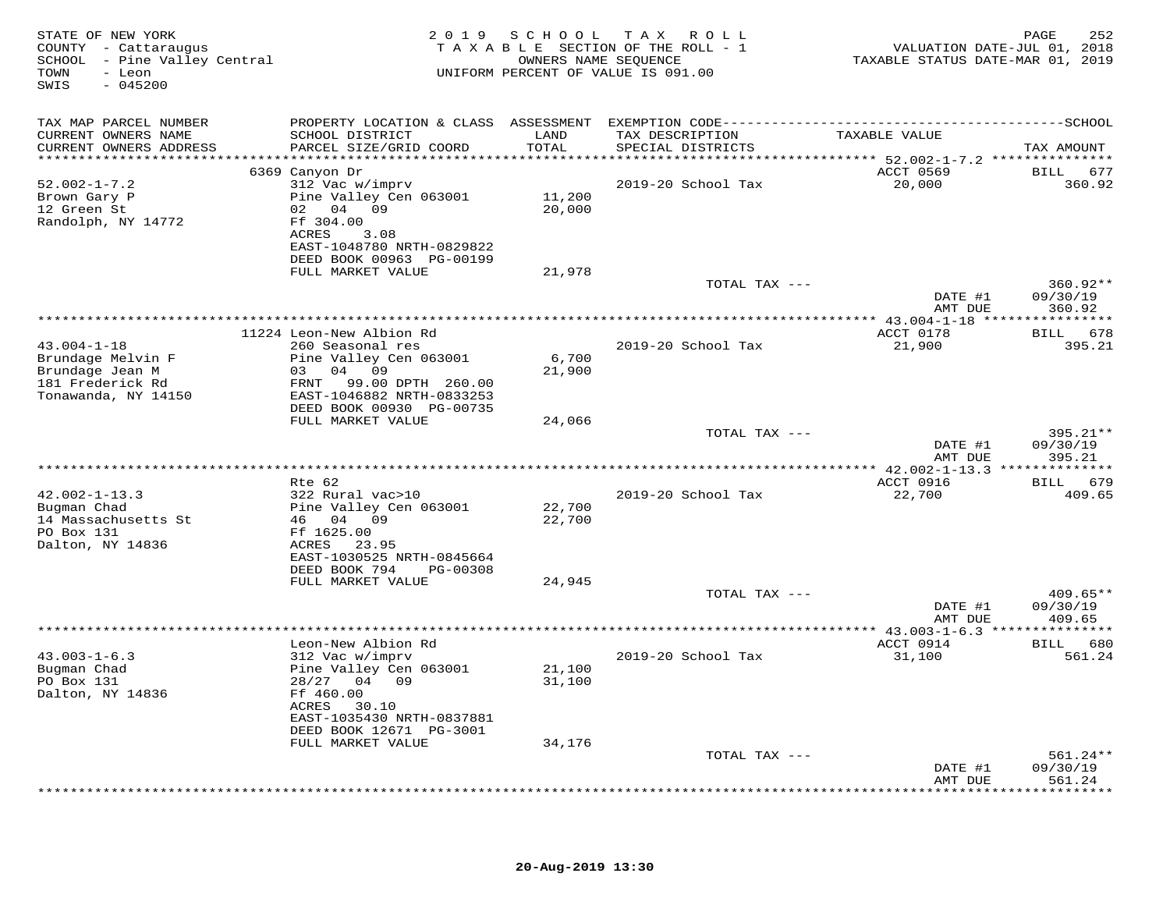| COUNTY - Cattaraugus<br>SCHOOL - Pine Valley Central<br>- Leon<br>TOWN<br>SWIS<br>$-045200$          |                                                                                                                                                                      | 2 0 1 9<br>SCHOOL          | TAX ROLL<br>TAXABLE SECTION OF THE ROLL - 1<br>OWNERS NAME SEQUENCE<br>UNIFORM PERCENT OF VALUE IS 091.00 | TAXABLE STATUS DATE-MAR 01, 2019 | PAGE<br>252<br>VALUATION DATE-JUL 01, 2018 |
|------------------------------------------------------------------------------------------------------|----------------------------------------------------------------------------------------------------------------------------------------------------------------------|----------------------------|-----------------------------------------------------------------------------------------------------------|----------------------------------|--------------------------------------------|
| TAX MAP PARCEL NUMBER                                                                                |                                                                                                                                                                      |                            |                                                                                                           |                                  |                                            |
| CURRENT OWNERS NAME<br>CURRENT OWNERS ADDRESS                                                        | SCHOOL DISTRICT<br>PARCEL SIZE/GRID COORD                                                                                                                            | LAND<br>TOTAL              | TAX DESCRIPTION<br>SPECIAL DISTRICTS                                                                      | TAXABLE VALUE                    | TAX AMOUNT                                 |
| ***********************                                                                              |                                                                                                                                                                      |                            |                                                                                                           |                                  |                                            |
|                                                                                                      | 6369 Canyon Dr                                                                                                                                                       |                            |                                                                                                           | ACCT 0569                        | BILL 677                                   |
| $52.002 - 1 - 7.2$<br>Brown Gary P<br>12 Green St<br>Randolph, NY 14772                              | 312 Vac w/imprv<br>Pine Valley Cen 063001<br>02 04 09<br>Ff 304.00<br>3.08<br>ACRES<br>EAST-1048780 NRTH-0829822                                                     | 11,200<br>20,000           | 2019-20 School Tax                                                                                        | 20,000                           | 360.92                                     |
|                                                                                                      | DEED BOOK 00963 PG-00199                                                                                                                                             |                            |                                                                                                           |                                  |                                            |
|                                                                                                      | FULL MARKET VALUE                                                                                                                                                    | 21,978                     |                                                                                                           |                                  |                                            |
|                                                                                                      |                                                                                                                                                                      |                            | TOTAL TAX ---                                                                                             | DATE #1                          | $360.92**$<br>09/30/19                     |
|                                                                                                      |                                                                                                                                                                      |                            |                                                                                                           | AMT DUE                          | 360.92                                     |
|                                                                                                      | 11224 Leon-New Albion Rd                                                                                                                                             |                            |                                                                                                           | ACCT 0178                        | BILL 678                                   |
| $43.004 - 1 - 18$<br>Brundage Melvin F<br>Brundage Jean M<br>181 Frederick Rd<br>Tonawanda, NY 14150 | 260 Seasonal res<br>Pine Valley Cen 063001<br>03 04 09<br>FRNT 99.00 DPTH 260.00<br>EAST-1046882 NRTH-0833253<br>DEED BOOK 00930 PG-00735                            | 6,700<br>21,900            | 2019-20 School Tax                                                                                        | 21,900                           | 395.21                                     |
|                                                                                                      | FULL MARKET VALUE                                                                                                                                                    | 24,066                     |                                                                                                           |                                  |                                            |
|                                                                                                      |                                                                                                                                                                      |                            | TOTAL TAX ---                                                                                             | DATE #1<br>AMT DUE               | 395.21**<br>09/30/19<br>395.21             |
|                                                                                                      |                                                                                                                                                                      |                            |                                                                                                           |                                  |                                            |
|                                                                                                      | Rte 62                                                                                                                                                               |                            |                                                                                                           | ACCT 0916                        | <b>BILL</b><br>679                         |
| $42.002 - 1 - 13.3$<br>Bugman Chad<br>14 Massachusetts St<br>PO Box 131<br>Dalton, NY 14836          | 322 Rural vac>10<br>Pine Valley Cen 063001<br>46 04 09<br>Ff 1625.00<br>ACRES 23.95<br>EAST-1030525 NRTH-0845664<br>DEED BOOK 794<br>PG-00308                        | 22,700<br>22,700           | 2019-20 School Tax                                                                                        | 22,700                           | 409.65                                     |
|                                                                                                      | FULL MARKET VALUE                                                                                                                                                    | 24,945                     |                                                                                                           |                                  |                                            |
|                                                                                                      |                                                                                                                                                                      |                            | TOTAL TAX ---                                                                                             | DATE #1<br>AMT DUE               | $409.65**$<br>09/30/19<br>409.65           |
|                                                                                                      |                                                                                                                                                                      |                            |                                                                                                           |                                  |                                            |
|                                                                                                      | Leon-New Albion Rd                                                                                                                                                   |                            |                                                                                                           | ACCT 0914                        | BILL 680                                   |
| $43.003 - 1 - 6.3$<br>Bugman Chad<br>PO Box 131<br>Dalton, NY 14836                                  | 312 Vac w/imprv<br>Pine Valley Cen 063001<br>28/27 04 09<br>Ff 460.00<br>ACRES<br>30.10<br>EAST-1035430 NRTH-0837881<br>DEED BOOK 12671 PG-3001<br>FULL MARKET VALUE | 21,100<br>31,100<br>34,176 | 2019-20 School Tax                                                                                        | 31,100                           | 561.24                                     |
|                                                                                                      |                                                                                                                                                                      |                            | TOTAL TAX ---                                                                                             |                                  | $561.24**$                                 |
|                                                                                                      |                                                                                                                                                                      |                            |                                                                                                           | DATE #1<br>AMT DUE               | 09/30/19<br>561.24<br>*******              |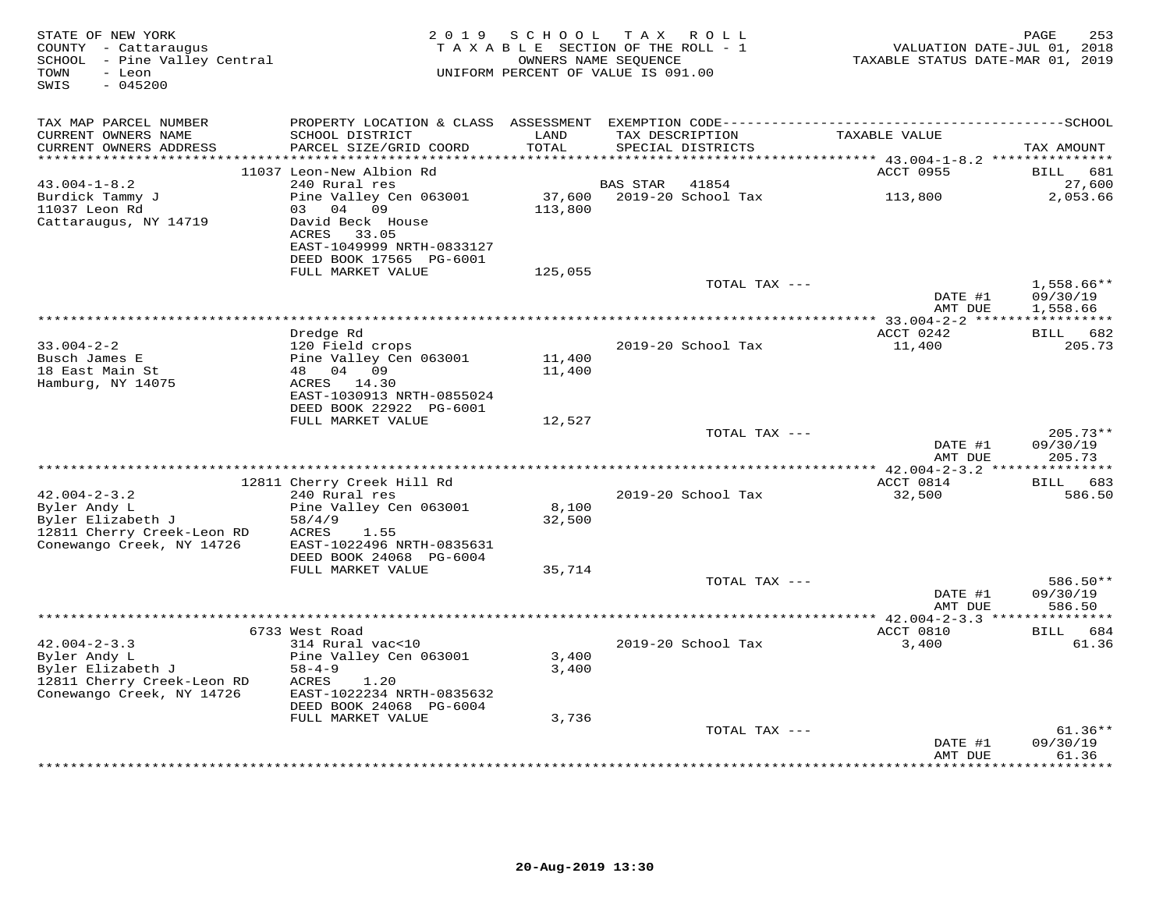| STATE OF NEW YORK<br>COUNTY - Cattaraugus<br>SCHOOL - Pine Valley Central<br>TOWN<br>- Leon<br>$-045200$<br>SWIS |                                                                                              | 2019 SCHOOL<br>TAXABLE SECTION OF THE ROLL - 1<br>UNIFORM PERCENT OF VALUE IS 091.00 | T A X<br>OWNERS NAME SEQUENCE | ROLL               | TAXABLE STATUS DATE-MAR 01, 2019 | 253<br>PAGE<br>VALUATION DATE-JUL 01, 2018 |
|------------------------------------------------------------------------------------------------------------------|----------------------------------------------------------------------------------------------|--------------------------------------------------------------------------------------|-------------------------------|--------------------|----------------------------------|--------------------------------------------|
| TAX MAP PARCEL NUMBER                                                                                            | PROPERTY LOCATION & CLASS ASSESSMENT EXEMPTION CODE-----------------------------------SCHOOL |                                                                                      |                               |                    |                                  |                                            |
| CURRENT OWNERS NAME<br>CURRENT OWNERS ADDRESS                                                                    | SCHOOL DISTRICT<br>PARCEL SIZE/GRID COORD                                                    | LAND<br>TOTAL                                                                        | TAX DESCRIPTION               | SPECIAL DISTRICTS  | TAXABLE VALUE                    | TAX AMOUNT                                 |
| ***********************                                                                                          | 11037 Leon-New Albion Rd                                                                     |                                                                                      |                               |                    | ACCT 0955                        | BILL<br>681                                |
| $43.004 - 1 - 8.2$                                                                                               | 240 Rural res                                                                                |                                                                                      | <b>BAS STAR</b>               | 41854              |                                  | 27,600                                     |
| Burdick Tammy J                                                                                                  | Pine Valley Cen 063001                                                                       | 37,600                                                                               |                               | 2019-20 School Tax | 113,800                          | 2,053.66                                   |
| 11037 Leon Rd                                                                                                    | 03 04 09                                                                                     | 113,800                                                                              |                               |                    |                                  |                                            |
| Cattaraugus, NY 14719                                                                                            | David Beck House<br>ACRES<br>33.05                                                           |                                                                                      |                               |                    |                                  |                                            |
|                                                                                                                  | EAST-1049999 NRTH-0833127                                                                    |                                                                                      |                               |                    |                                  |                                            |
|                                                                                                                  | DEED BOOK 17565 PG-6001<br>FULL MARKET VALUE                                                 |                                                                                      |                               |                    |                                  |                                            |
|                                                                                                                  |                                                                                              | 125,055                                                                              |                               | TOTAL TAX ---      |                                  | $1,558.66**$                               |
|                                                                                                                  |                                                                                              |                                                                                      |                               |                    | DATE #1<br>AMT DUE               | 09/30/19<br>1,558.66                       |
|                                                                                                                  |                                                                                              |                                                                                      |                               |                    |                                  |                                            |
|                                                                                                                  | Dredge Rd                                                                                    |                                                                                      |                               |                    | ACCT 0242                        | 682<br>BILL                                |
| $33.004 - 2 - 2$                                                                                                 | 120 Field crops                                                                              |                                                                                      |                               | 2019-20 School Tax | 11,400                           | 205.73                                     |
| Busch James E                                                                                                    | Pine Valley Cen 063001                                                                       | 11,400                                                                               |                               |                    |                                  |                                            |
| 18 East Main St<br>Hamburg, NY 14075                                                                             | 48 04 09<br>ACRES 14.30                                                                      | 11,400                                                                               |                               |                    |                                  |                                            |
|                                                                                                                  | EAST-1030913 NRTH-0855024                                                                    |                                                                                      |                               |                    |                                  |                                            |
|                                                                                                                  | DEED BOOK 22922 PG-6001                                                                      |                                                                                      |                               |                    |                                  |                                            |
|                                                                                                                  | FULL MARKET VALUE                                                                            | 12,527                                                                               |                               |                    |                                  |                                            |
|                                                                                                                  |                                                                                              |                                                                                      |                               | TOTAL TAX ---      |                                  | $205.73**$                                 |
|                                                                                                                  |                                                                                              |                                                                                      |                               |                    | DATE #1<br>AMT DUE               | 09/30/19<br>205.73                         |
|                                                                                                                  |                                                                                              |                                                                                      |                               |                    |                                  | ************                               |
| $42.004 - 2 - 3.2$                                                                                               | 12811 Cherry Creek Hill Rd                                                                   |                                                                                      |                               |                    | ACCT 0814                        | BILL 683                                   |
| Byler Andy L                                                                                                     | 240 Rural res<br>Pine Valley Cen 063001                                                      | 8,100                                                                                |                               | 2019-20 School Tax | 32,500                           | 586.50                                     |
| Byler Elizabeth J                                                                                                | 58/4/9                                                                                       | 32,500                                                                               |                               |                    |                                  |                                            |
| 12811 Cherry Creek-Leon RD                                                                                       | ACRES<br>1.55                                                                                |                                                                                      |                               |                    |                                  |                                            |
| Conewango Creek, NY 14726                                                                                        | EAST-1022496 NRTH-0835631                                                                    |                                                                                      |                               |                    |                                  |                                            |
|                                                                                                                  | DEED BOOK 24068 PG-6004                                                                      |                                                                                      |                               |                    |                                  |                                            |
|                                                                                                                  | FULL MARKET VALUE                                                                            | 35,714                                                                               |                               |                    |                                  |                                            |
|                                                                                                                  |                                                                                              |                                                                                      |                               | TOTAL TAX ---      |                                  | 586.50**<br>09/30/19                       |
|                                                                                                                  |                                                                                              |                                                                                      |                               |                    | DATE #1<br>AMT DUE               | 586.50                                     |
|                                                                                                                  |                                                                                              |                                                                                      |                               |                    |                                  |                                            |
|                                                                                                                  | 6733 West Road                                                                               |                                                                                      |                               |                    | ACCT 0810                        | BILL 684                                   |
| $42.004 - 2 - 3.3$                                                                                               | 314 Rural vac<10                                                                             |                                                                                      |                               | 2019-20 School Tax | 3,400                            | 61.36                                      |
| Byler Andy L                                                                                                     | Pine Valley Cen 063001                                                                       | 3,400                                                                                |                               |                    |                                  |                                            |
| Byler Elizabeth J                                                                                                | $58 - 4 - 9$                                                                                 | 3,400                                                                                |                               |                    |                                  |                                            |
| 12811 Cherry Creek-Leon RD<br>Conewango Creek, NY 14726                                                          | ACRES<br>1.20<br>EAST-1022234 NRTH-0835632                                                   |                                                                                      |                               |                    |                                  |                                            |
|                                                                                                                  | DEED BOOK 24068 PG-6004                                                                      |                                                                                      |                               |                    |                                  |                                            |
|                                                                                                                  | FULL MARKET VALUE                                                                            | 3,736                                                                                |                               |                    |                                  |                                            |
|                                                                                                                  |                                                                                              |                                                                                      |                               | TOTAL TAX ---      |                                  | $61.36**$                                  |
|                                                                                                                  |                                                                                              |                                                                                      |                               |                    | DATE #1                          | 09/30/19                                   |
|                                                                                                                  |                                                                                              |                                                                                      |                               |                    | AMT DUE<br>************          | 61.36<br>* * * * * * *                     |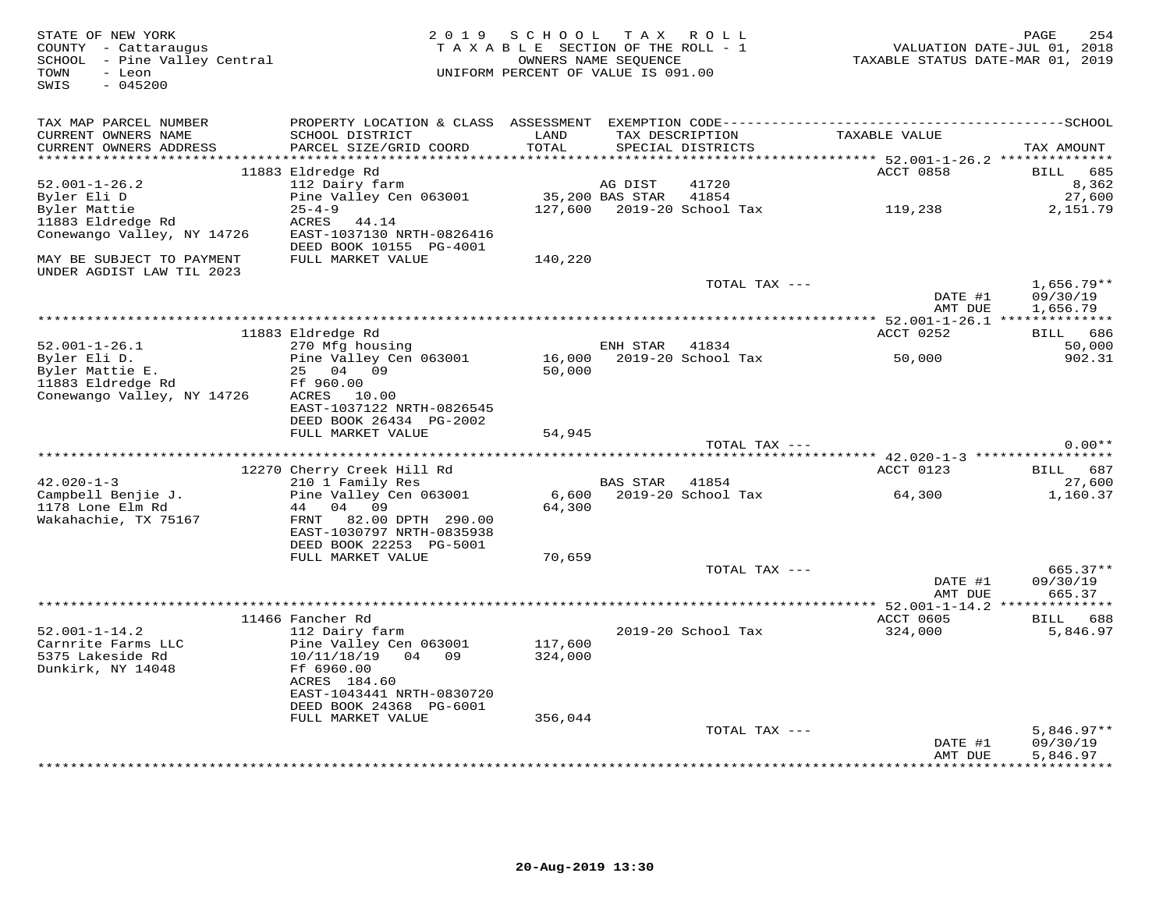| STATE OF NEW YORK<br>COUNTY - Cattaraugus<br>SCHOOL - Pine Valley Central<br>TOWN<br>- Leon<br>SWIS<br>$-045200$ |                                                                        | 2019 SCHOOL TAX ROLL<br>TAXABLE SECTION OF THE ROLL - 1<br>UNIFORM PERCENT OF VALUE IS 091.00 | OWNERS NAME SEQUENCE |                                      | VALUATION DATE-JUL 01, 2018<br>TAXABLE STATUS DATE-MAR 01, 2019 | 254<br>PAGE               |
|------------------------------------------------------------------------------------------------------------------|------------------------------------------------------------------------|-----------------------------------------------------------------------------------------------|----------------------|--------------------------------------|-----------------------------------------------------------------|---------------------------|
| TAX MAP PARCEL NUMBER                                                                                            |                                                                        |                                                                                               |                      |                                      |                                                                 |                           |
| CURRENT OWNERS NAME<br>CURRENT OWNERS ADDRESS                                                                    | SCHOOL DISTRICT<br>PARCEL SIZE/GRID COORD                              | LAND<br>TOTAL                                                                                 |                      | TAX DESCRIPTION<br>SPECIAL DISTRICTS | TAXABLE VALUE                                                   | TAX AMOUNT                |
| ********************                                                                                             |                                                                        | * * * * * * * * * * * *                                                                       |                      |                                      | ******** 52.001-1-26.2 **************                           |                           |
|                                                                                                                  | 11883 Eldredge Rd                                                      |                                                                                               |                      |                                      | ACCT 0858                                                       | BILL 685                  |
| $52.001 - 1 - 26.2$                                                                                              | 112 Dairy farm                                                         |                                                                                               | AG DIST              | 41720                                |                                                                 | 8,362                     |
| Byler Eli D                                                                                                      | Pine Valley Cen 063001                                                 |                                                                                               | 35,200 BAS STAR      | 41854                                |                                                                 | 27,600                    |
| Byler Mattie                                                                                                     | $25 - 4 - 9$                                                           |                                                                                               |                      | 127,600 2019-20 School Tax           | 119,238                                                         | 2,151.79                  |
| 11883 Eldredge Rd<br>Conewango Valley, NY 14726                                                                  | ACRES<br>44.14<br>EAST-1037130 NRTH-0826416<br>DEED BOOK 10155 PG-4001 |                                                                                               |                      |                                      |                                                                 |                           |
| MAY BE SUBJECT TO PAYMENT<br>UNDER AGDIST LAW TIL 2023                                                           | FULL MARKET VALUE                                                      | 140,220                                                                                       |                      |                                      |                                                                 |                           |
|                                                                                                                  |                                                                        |                                                                                               |                      | TOTAL TAX ---                        | DATE #1                                                         | $1,656.79**$<br>09/30/19  |
|                                                                                                                  |                                                                        |                                                                                               |                      |                                      | AMT DUE                                                         | 1,656.79                  |
|                                                                                                                  |                                                                        |                                                                                               |                      |                                      |                                                                 |                           |
|                                                                                                                  | 11883 Eldredge Rd                                                      |                                                                                               |                      |                                      | ACCT 0252                                                       | BILL 686                  |
| $52.001 - 1 - 26.1$                                                                                              | 270 Mfg housing                                                        |                                                                                               | ENH STAR 41834       |                                      |                                                                 | 50,000                    |
| Byler Eli D.                                                                                                     | Pine Valley Cen 063001                                                 | 16,000                                                                                        |                      | 2019-20 School Tax                   | 50,000                                                          | 902.31                    |
| Byler Mattie E.                                                                                                  | 25 04 09                                                               | 50,000                                                                                        |                      |                                      |                                                                 |                           |
| 11883 Eldredge Rd                                                                                                | Ff 960.00                                                              |                                                                                               |                      |                                      |                                                                 |                           |
| Conewango Valley, NY 14726                                                                                       | ACRES 10.00                                                            |                                                                                               |                      |                                      |                                                                 |                           |
|                                                                                                                  | EAST-1037122 NRTH-0826545                                              |                                                                                               |                      |                                      |                                                                 |                           |
|                                                                                                                  | DEED BOOK 26434 PG-2002<br>FULL MARKET VALUE                           | 54,945                                                                                        |                      |                                      |                                                                 |                           |
|                                                                                                                  |                                                                        |                                                                                               |                      | TOTAL TAX ---                        |                                                                 | $0.00**$                  |
|                                                                                                                  |                                                                        |                                                                                               |                      |                                      |                                                                 |                           |
|                                                                                                                  | 12270 Cherry Creek Hill Rd                                             |                                                                                               |                      |                                      | ACCT 0123                                                       | BILL 687                  |
| $42.020 - 1 - 3$                                                                                                 | 210 1 Family Res                                                       |                                                                                               | BAS STAR             | 41854                                |                                                                 | 27,600                    |
| Campbell Benjie J.                                                                                               | Pine Valley Cen 063001                                                 | 6,600                                                                                         |                      | 2019-20 School Tax                   | 64,300                                                          | 1,160.37                  |
| 1178 Lone Elm Rd                                                                                                 | 04 09<br>44                                                            | 64,300                                                                                        |                      |                                      |                                                                 |                           |
| Wakahachie, TX 75167                                                                                             | FRNT<br>82.00 DPTH 290.00                                              |                                                                                               |                      |                                      |                                                                 |                           |
|                                                                                                                  | EAST-1030797 NRTH-0835938                                              |                                                                                               |                      |                                      |                                                                 |                           |
|                                                                                                                  | DEED BOOK 22253 PG-5001                                                |                                                                                               |                      |                                      |                                                                 |                           |
|                                                                                                                  | FULL MARKET VALUE                                                      | 70,659                                                                                        |                      |                                      |                                                                 |                           |
|                                                                                                                  |                                                                        |                                                                                               |                      | TOTAL TAX ---                        | DATE #1                                                         | 665.37**<br>09/30/19      |
|                                                                                                                  |                                                                        |                                                                                               |                      |                                      | AMT DUE                                                         | 665.37                    |
|                                                                                                                  |                                                                        |                                                                                               |                      |                                      |                                                                 |                           |
|                                                                                                                  | 11466 Fancher Rd                                                       |                                                                                               |                      |                                      | ACCT 0605                                                       | BILL 688                  |
| $52.001 - 1 - 14.2$                                                                                              | 112 Dairy farm                                                         |                                                                                               |                      | 2019-20 School Tax                   | 324,000                                                         | 5,846.97                  |
| Carnrite Farms LLC                                                                                               | Pine Valley Cen 063001                                                 | 117,600                                                                                       |                      |                                      |                                                                 |                           |
| 5375 Lakeside Rd                                                                                                 | 10/11/18/19 04 09                                                      | 324,000                                                                                       |                      |                                      |                                                                 |                           |
| Dunkirk, NY 14048                                                                                                | Ff 6960.00                                                             |                                                                                               |                      |                                      |                                                                 |                           |
|                                                                                                                  | ACRES 184.60                                                           |                                                                                               |                      |                                      |                                                                 |                           |
|                                                                                                                  | EAST-1043441 NRTH-0830720                                              |                                                                                               |                      |                                      |                                                                 |                           |
|                                                                                                                  | DEED BOOK 24368 PG-6001                                                |                                                                                               |                      |                                      |                                                                 |                           |
|                                                                                                                  | FULL MARKET VALUE                                                      | 356,044                                                                                       |                      |                                      |                                                                 |                           |
|                                                                                                                  |                                                                        |                                                                                               |                      | TOTAL TAX ---                        |                                                                 | $5,846.97**$              |
|                                                                                                                  |                                                                        |                                                                                               |                      |                                      | DATE #1<br>AMT DUE                                              | 09/30/19<br>5,846.97      |
|                                                                                                                  |                                                                        |                                                                                               |                      |                                      |                                                                 | * * * * * * * * * * * * * |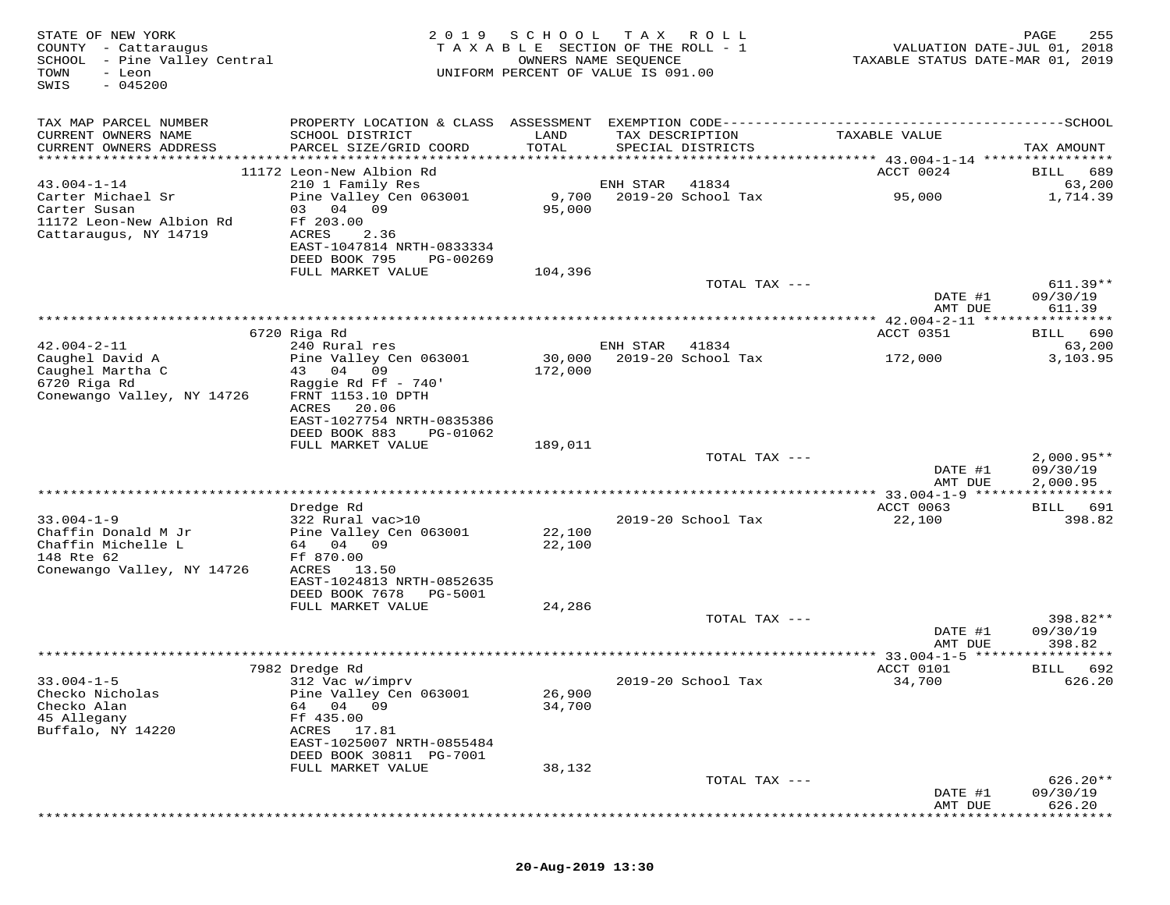| STATE OF NEW YORK<br>COUNTY - Cattaraugus<br>SCHOOL - Pine Valley Central<br>TOWN<br>- Leon<br>$-045200$<br>SWIS | 2 0 1 9                                                                                                                 | SCHOOL<br>TAXABLE SECTION OF THE ROLL - 1<br>UNIFORM PERCENT OF VALUE IS 091.00 | T A X<br>OWNERS NAME SEQUENCE | R O L L                              | VALUATION DATE-JUL 01, 2018<br>TAXABLE STATUS DATE-MAR 01, 2019 | PAGE<br>255            |
|------------------------------------------------------------------------------------------------------------------|-------------------------------------------------------------------------------------------------------------------------|---------------------------------------------------------------------------------|-------------------------------|--------------------------------------|-----------------------------------------------------------------|------------------------|
| TAX MAP PARCEL NUMBER                                                                                            |                                                                                                                         |                                                                                 |                               |                                      |                                                                 |                        |
| CURRENT OWNERS NAME<br>CURRENT OWNERS ADDRESS                                                                    | SCHOOL DISTRICT<br>PARCEL SIZE/GRID COORD                                                                               | LAND<br>TOTAL                                                                   |                               | TAX DESCRIPTION<br>SPECIAL DISTRICTS | TAXABLE VALUE                                                   | TAX AMOUNT             |
| **********************                                                                                           |                                                                                                                         |                                                                                 |                               |                                      |                                                                 |                        |
|                                                                                                                  | 11172 Leon-New Albion Rd                                                                                                |                                                                                 |                               |                                      | ACCT 0024                                                       | BILL<br>689            |
| $43.004 - 1 - 14$<br>Carter Michael Sr<br>Carter Susan<br>11172 Leon-New Albion Rd<br>Cattaraugus, NY 14719      | 210 1 Family Res<br>Pine Valley Cen 063001<br>04<br>09<br>03<br>Ff 203.00<br>ACRES<br>2.36<br>EAST-1047814 NRTH-0833334 | 9,700<br>95,000                                                                 | ENH STAR                      | 41834<br>2019-20 School Tax          | 95,000                                                          | 63,200<br>1,714.39     |
|                                                                                                                  | DEED BOOK 795<br>PG-00269                                                                                               |                                                                                 |                               |                                      |                                                                 |                        |
|                                                                                                                  | FULL MARKET VALUE                                                                                                       | 104,396                                                                         |                               |                                      |                                                                 |                        |
|                                                                                                                  |                                                                                                                         |                                                                                 |                               | TOTAL TAX ---                        | DATE #1                                                         | $611.39**$<br>09/30/19 |
|                                                                                                                  |                                                                                                                         |                                                                                 |                               |                                      | AMT DUE                                                         | 611.39                 |
|                                                                                                                  | 6720 Riga Rd                                                                                                            |                                                                                 |                               |                                      | ACCT 0351                                                       | 690<br>BILL            |
| $42.004 - 2 - 11$                                                                                                | 240 Rural res                                                                                                           |                                                                                 | ENH STAR                      | 41834                                |                                                                 | 63,200                 |
| Caughel David A                                                                                                  | Pine Valley Cen 063001                                                                                                  | 30,000                                                                          |                               | 2019-20 School Tax                   | 172,000                                                         | 3,103.95               |
| Caughel Martha C<br>6720 Riga Rd                                                                                 | 43 04<br>09<br>Raggie Rd Ff - 740'                                                                                      | 172,000                                                                         |                               |                                      |                                                                 |                        |
| Conewango Valley, NY 14726                                                                                       | FRNT 1153.10 DPTH                                                                                                       |                                                                                 |                               |                                      |                                                                 |                        |
|                                                                                                                  | ACRES<br>20.06                                                                                                          |                                                                                 |                               |                                      |                                                                 |                        |
|                                                                                                                  | EAST-1027754 NRTH-0835386                                                                                               |                                                                                 |                               |                                      |                                                                 |                        |
|                                                                                                                  | DEED BOOK 883<br>PG-01062<br>FULL MARKET VALUE                                                                          |                                                                                 |                               |                                      |                                                                 |                        |
|                                                                                                                  |                                                                                                                         | 189,011                                                                         |                               | TOTAL TAX ---                        |                                                                 | $2,000.95**$           |
|                                                                                                                  |                                                                                                                         |                                                                                 |                               |                                      | DATE #1                                                         | 09/30/19               |
|                                                                                                                  |                                                                                                                         |                                                                                 |                               |                                      | AMT DUE                                                         | 2,000.95               |
|                                                                                                                  |                                                                                                                         |                                                                                 |                               |                                      |                                                                 |                        |
| $33.004 - 1 - 9$                                                                                                 | Dredge Rd<br>322 Rural vac>10                                                                                           |                                                                                 |                               | 2019-20 School Tax                   | ACCT 0063<br>22,100                                             | BILL 691<br>398.82     |
| Chaffin Donald M Jr                                                                                              | Pine Valley Cen 063001                                                                                                  | 22,100                                                                          |                               |                                      |                                                                 |                        |
| Chaffin Michelle L                                                                                               | 64 04 09                                                                                                                | 22,100                                                                          |                               |                                      |                                                                 |                        |
| 148 Rte 62                                                                                                       | Ff 870.00<br>ACRES 13.50                                                                                                |                                                                                 |                               |                                      |                                                                 |                        |
| Conewango Valley, NY 14726                                                                                       | EAST-1024813 NRTH-0852635                                                                                               |                                                                                 |                               |                                      |                                                                 |                        |
|                                                                                                                  | DEED BOOK 7678<br>PG-5001                                                                                               |                                                                                 |                               |                                      |                                                                 |                        |
|                                                                                                                  | FULL MARKET VALUE                                                                                                       | 24,286                                                                          |                               |                                      |                                                                 |                        |
|                                                                                                                  |                                                                                                                         |                                                                                 |                               | TOTAL TAX ---                        | DATE #1                                                         | 398.82**<br>09/30/19   |
|                                                                                                                  |                                                                                                                         |                                                                                 |                               |                                      | AMT DUE                                                         | 398.82                 |
|                                                                                                                  |                                                                                                                         |                                                                                 |                               |                                      | ************ 33.004-1-5 ******************                      |                        |
|                                                                                                                  | 7982 Dredge Rd                                                                                                          |                                                                                 |                               |                                      | ACCT 0101                                                       | 692<br>BILL            |
| $33.004 - 1 - 5$<br>Checko Nicholas                                                                              | 312 Vac w/imprv<br>Pine Valley Cen 063001                                                                               | 26,900                                                                          |                               | 2019-20 School Tax                   | 34,700                                                          | 626.20                 |
| Checko Alan                                                                                                      | 04 09<br>64                                                                                                             | 34,700                                                                          |                               |                                      |                                                                 |                        |
| 45 Allegany                                                                                                      | Ff 435.00                                                                                                               |                                                                                 |                               |                                      |                                                                 |                        |
| Buffalo, NY 14220                                                                                                | ACRES<br>17.81<br>EAST-1025007 NRTH-0855484                                                                             |                                                                                 |                               |                                      |                                                                 |                        |
|                                                                                                                  | DEED BOOK 30811 PG-7001                                                                                                 |                                                                                 |                               |                                      |                                                                 |                        |
|                                                                                                                  | FULL MARKET VALUE                                                                                                       | 38,132                                                                          |                               |                                      |                                                                 |                        |
|                                                                                                                  |                                                                                                                         |                                                                                 |                               | TOTAL TAX ---                        | DATE #1                                                         | $626.20**$<br>09/30/19 |
|                                                                                                                  |                                                                                                                         |                                                                                 |                               |                                      | AMT DUE                                                         | 626.20                 |
|                                                                                                                  |                                                                                                                         |                                                                                 |                               |                                      |                                                                 |                        |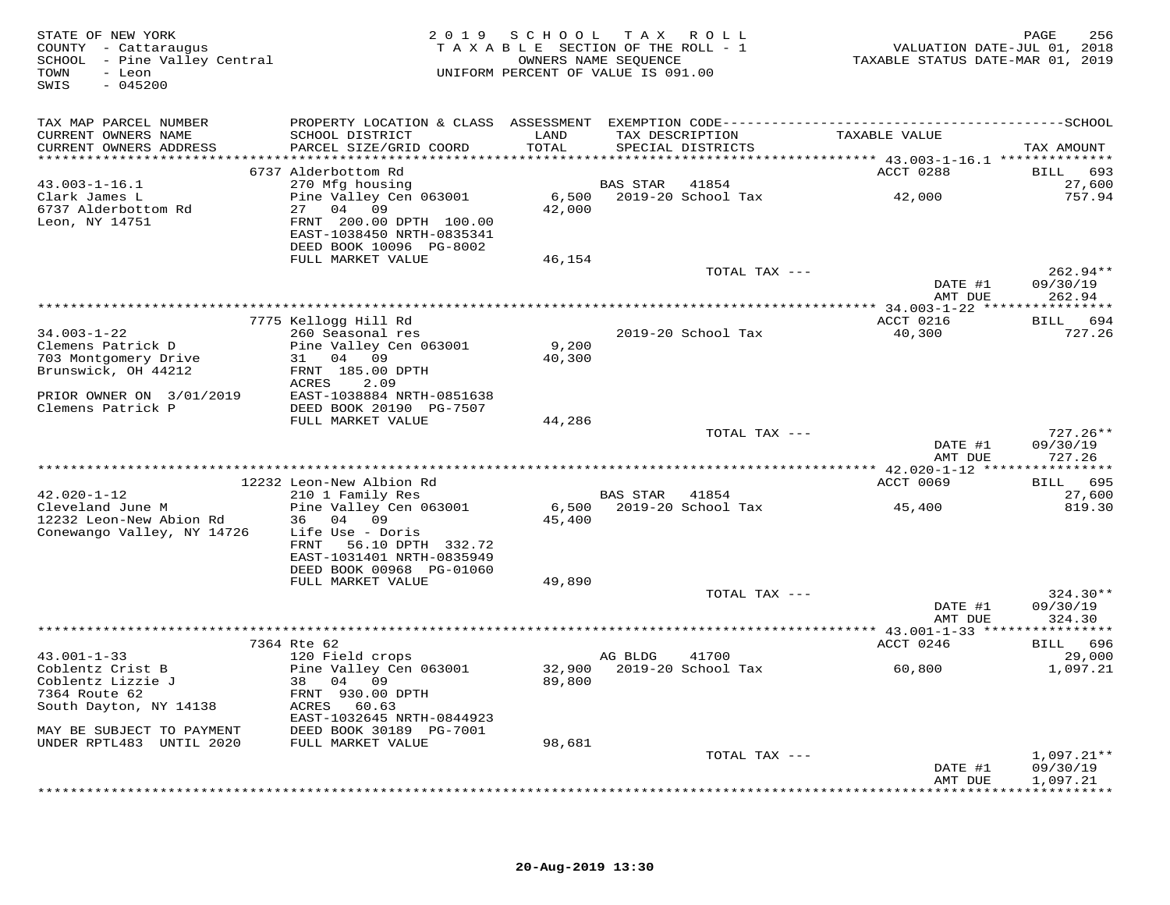| STATE OF NEW YORK<br>COUNTY - Cattaraugus<br>SCHOOL - Pine Valley Central<br>- Leon<br>TOWN<br>SWIS<br>$-045200$ |                                                                                              |               | 2019 SCHOOL TAX ROLL<br>TAXABLE SECTION OF THE ROLL - 1<br>OWNERS NAME SEQUENCE<br>UNIFORM PERCENT OF VALUE IS 091.00 | VALUATION DATE-JUL 01, 2018<br>TAXABLE STATUS DATE-MAR 01, 2019 | 256<br>PAGE          |
|------------------------------------------------------------------------------------------------------------------|----------------------------------------------------------------------------------------------|---------------|-----------------------------------------------------------------------------------------------------------------------|-----------------------------------------------------------------|----------------------|
| TAX MAP PARCEL NUMBER                                                                                            | PROPERTY LOCATION & CLASS ASSESSMENT EXEMPTION CODE-----------------------------------SCHOOL |               |                                                                                                                       |                                                                 |                      |
| CURRENT OWNERS NAME<br>CURRENT OWNERS ADDRESS                                                                    | SCHOOL DISTRICT<br>PARCEL SIZE/GRID COORD                                                    | LAND<br>TOTAL | TAX DESCRIPTION<br>SPECIAL DISTRICTS                                                                                  | TAXABLE VALUE                                                   | TAX AMOUNT           |
|                                                                                                                  |                                                                                              |               |                                                                                                                       |                                                                 |                      |
|                                                                                                                  | 6737 Alderbottom Rd                                                                          |               |                                                                                                                       | ACCT 0288                                                       | 693<br>BILL          |
| $43.003 - 1 - 16.1$                                                                                              | 270 Mfg housing                                                                              |               | BAS STAR<br>41854                                                                                                     |                                                                 | 27,600               |
| Clark James L                                                                                                    | Pine Valley Cen 063001                                                                       |               | 6,500 2019-20 School Tax                                                                                              | 42,000                                                          | 757.94               |
| 6737 Alderbottom Rd                                                                                              | 27 04 09                                                                                     | 42,000        |                                                                                                                       |                                                                 |                      |
| Leon, NY 14751                                                                                                   | FRNT 200.00 DPTH 100.00                                                                      |               |                                                                                                                       |                                                                 |                      |
|                                                                                                                  | EAST-1038450 NRTH-0835341                                                                    |               |                                                                                                                       |                                                                 |                      |
|                                                                                                                  | DEED BOOK 10096 PG-8002<br>FULL MARKET VALUE                                                 | 46,154        |                                                                                                                       |                                                                 |                      |
|                                                                                                                  |                                                                                              |               | TOTAL TAX ---                                                                                                         |                                                                 | 262.94**             |
|                                                                                                                  |                                                                                              |               |                                                                                                                       | DATE #1                                                         | 09/30/19             |
|                                                                                                                  |                                                                                              |               |                                                                                                                       | AMT DUE                                                         | 262.94               |
|                                                                                                                  |                                                                                              |               |                                                                                                                       |                                                                 |                      |
|                                                                                                                  | 7775 Kellogg Hill Rd                                                                         |               |                                                                                                                       | ACCT 0216                                                       | 694<br><b>BILL</b>   |
| $34.003 - 1 - 22$                                                                                                | 260 Seasonal res                                                                             |               | 2019-20 School Tax                                                                                                    | 40,300                                                          | 727.26               |
| Clemens Patrick D                                                                                                | Pine Valley Cen 063001                                                                       | 9,200         |                                                                                                                       |                                                                 |                      |
| 703 Montgomery Drive<br>Brunswick, OH 44212                                                                      | 31 04 09<br>FRNT 185.00 DPTH                                                                 | 40,300        |                                                                                                                       |                                                                 |                      |
|                                                                                                                  | ACRES<br>2.09                                                                                |               |                                                                                                                       |                                                                 |                      |
| PRIOR OWNER ON 3/01/2019                                                                                         | EAST-1038884 NRTH-0851638                                                                    |               |                                                                                                                       |                                                                 |                      |
| Clemens Patrick P                                                                                                | DEED BOOK 20190 PG-7507                                                                      |               |                                                                                                                       |                                                                 |                      |
|                                                                                                                  | FULL MARKET VALUE                                                                            | 44,286        |                                                                                                                       |                                                                 |                      |
|                                                                                                                  |                                                                                              |               | TOTAL TAX ---                                                                                                         |                                                                 | 727.26**             |
|                                                                                                                  |                                                                                              |               |                                                                                                                       | DATE #1                                                         | 09/30/19             |
|                                                                                                                  | ***********************************                                                          |               |                                                                                                                       | AMT DUE                                                         | 727.26               |
|                                                                                                                  |                                                                                              |               |                                                                                                                       | *********** 42.020-1-12 ****************                        |                      |
| $42.020 - 1 - 12$                                                                                                | 12232 Leon-New Albion Rd<br>210 1 Family Res                                                 |               | BAS STAR<br>41854                                                                                                     | ACCT 0069                                                       | BILL 695<br>27,600   |
| Cleveland June M                                                                                                 | Pine Valley Cen 063001                                                                       |               | 6,500 2019-20 School Tax                                                                                              | 45,400                                                          | 819.30               |
| 12232 Leon-New Abion Rd                                                                                          | 36 04 09                                                                                     | 45,400        |                                                                                                                       |                                                                 |                      |
| Conewango Valley, NY 14726                                                                                       | Life Use - Doris                                                                             |               |                                                                                                                       |                                                                 |                      |
|                                                                                                                  | 56.10 DPTH 332.72<br>FRNT                                                                    |               |                                                                                                                       |                                                                 |                      |
|                                                                                                                  | EAST-1031401 NRTH-0835949                                                                    |               |                                                                                                                       |                                                                 |                      |
|                                                                                                                  | DEED BOOK 00968 PG-01060                                                                     |               |                                                                                                                       |                                                                 |                      |
|                                                                                                                  | FULL MARKET VALUE                                                                            | 49,890        |                                                                                                                       |                                                                 |                      |
|                                                                                                                  |                                                                                              |               | TOTAL TAX ---                                                                                                         | DATE #1                                                         | 324.30**<br>09/30/19 |
|                                                                                                                  |                                                                                              |               |                                                                                                                       | AMT DUE                                                         | 324.30               |
|                                                                                                                  |                                                                                              |               |                                                                                                                       |                                                                 |                      |
|                                                                                                                  | 7364 Rte 62                                                                                  |               |                                                                                                                       | ACCT 0246                                                       | BILL 696             |
| $43.001 - 1 - 33$                                                                                                | 120 Field crops                                                                              |               | AG BLDG<br>41700                                                                                                      |                                                                 | 29,000               |
| Coblentz Crist B                                                                                                 | Pine Valley Cen 063001                                                                       |               | 32,900 2019-20 School Tax                                                                                             | 60,800                                                          | 1,097.21             |
| Coblentz Lizzie J                                                                                                | 38 04 09                                                                                     | 89,800        |                                                                                                                       |                                                                 |                      |
| 7364 Route 62                                                                                                    | FRNT 930.00 DPTH                                                                             |               |                                                                                                                       |                                                                 |                      |
| South Dayton, NY 14138                                                                                           | ACRES 60.63                                                                                  |               |                                                                                                                       |                                                                 |                      |
| MAY BE SUBJECT TO PAYMENT                                                                                        | EAST-1032645 NRTH-0844923<br>DEED BOOK 30189 PG-7001                                         |               |                                                                                                                       |                                                                 |                      |
| UNDER RPTL483 UNTIL 2020                                                                                         | FULL MARKET VALUE                                                                            | 98,681        |                                                                                                                       |                                                                 |                      |
|                                                                                                                  |                                                                                              |               | TOTAL TAX ---                                                                                                         |                                                                 | $1,097.21**$         |
|                                                                                                                  |                                                                                              |               |                                                                                                                       | DATE #1                                                         | 09/30/19             |
|                                                                                                                  |                                                                                              |               |                                                                                                                       | AMT DUE                                                         | 1,097.21             |
|                                                                                                                  |                                                                                              |               |                                                                                                                       |                                                                 |                      |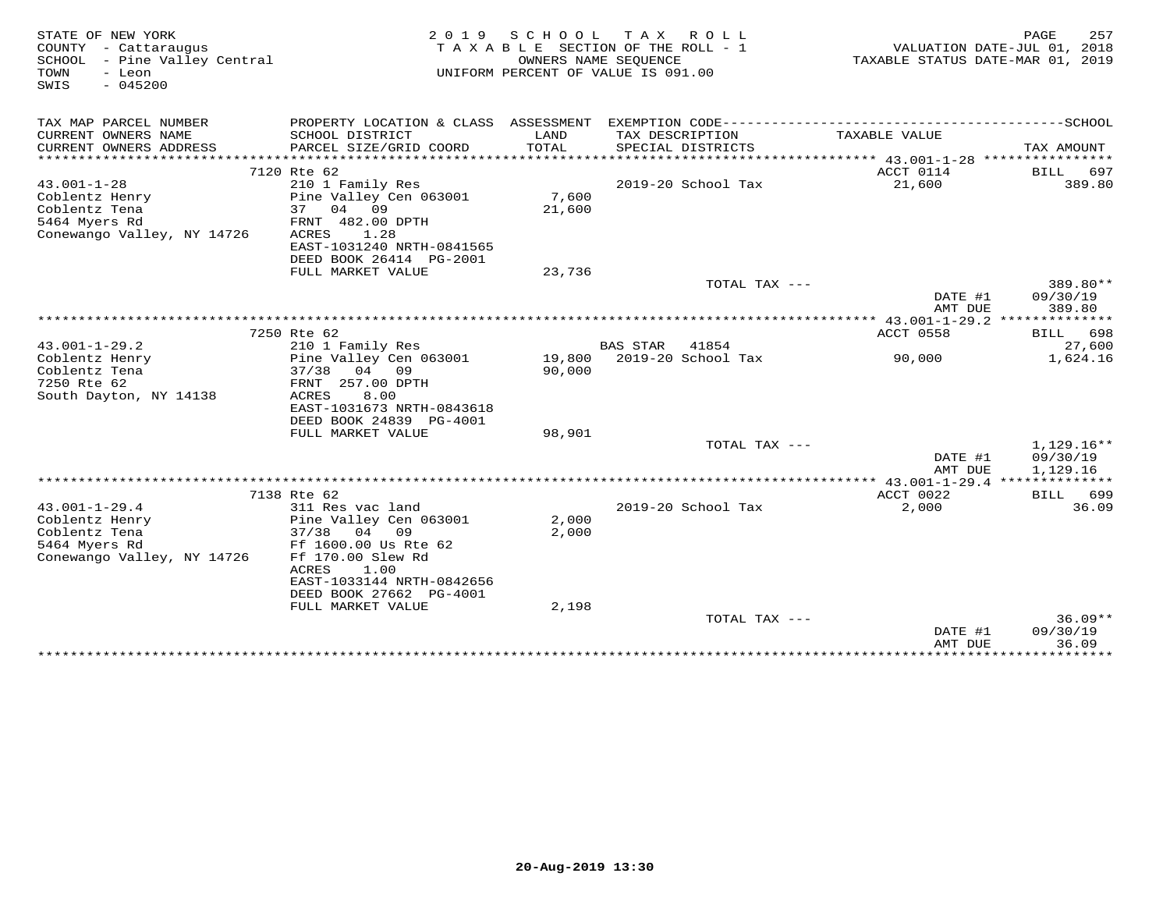| STATE OF NEW YORK<br>COUNTY - Cattaraugus<br>SCHOOL - Pine Valley Central<br>- Leon<br>TOWN<br>$-045200$<br>SWIS | 2 0 1 9                                                                                                                                                                           | SCHOOL<br>OWNERS NAME SEQUENCE | TAX ROLL<br>TAXABLE SECTION OF THE ROLL - 1<br>UNIFORM PERCENT OF VALUE IS 091.00 | TAXABLE STATUS DATE-MAR 01, 2019                          | PAGE<br>257<br>VALUATION DATE-JUL 01, 2018 |
|------------------------------------------------------------------------------------------------------------------|-----------------------------------------------------------------------------------------------------------------------------------------------------------------------------------|--------------------------------|-----------------------------------------------------------------------------------|-----------------------------------------------------------|--------------------------------------------|
| TAX MAP PARCEL NUMBER                                                                                            |                                                                                                                                                                                   |                                |                                                                                   |                                                           |                                            |
| CURRENT OWNERS NAME<br>CURRENT OWNERS ADDRESS                                                                    | SCHOOL DISTRICT<br>PARCEL SIZE/GRID COORD                                                                                                                                         | LAND<br><b>TOTAL</b>           | TAX DESCRIPTION<br>SPECIAL DISTRICTS                                              | TAXABLE VALUE                                             | TAX AMOUNT                                 |
|                                                                                                                  | 7120 Rte 62                                                                                                                                                                       |                                |                                                                                   | ACCT 0114                                                 |                                            |
| $43.001 - 1 - 28$<br>Coblentz Henry<br>Coblentz Tena<br>5464 Myers Rd                                            | 210 1 Family Res<br>Pine Valley Cen 063001<br>37<br>04 09<br>FRNT 482.00 DPTH                                                                                                     | 7,600<br>21,600                | 2019-20 School Tax                                                                | 21,600                                                    | BILL 697<br>389.80                         |
| Conewango Valley, NY 14726                                                                                       | 1.28<br>ACRES<br>EAST-1031240 NRTH-0841565<br>DEED BOOK 26414 PG-2001<br>FULL MARKET VALUE                                                                                        | 23,736                         |                                                                                   |                                                           |                                            |
|                                                                                                                  |                                                                                                                                                                                   |                                | TOTAL TAX ---                                                                     |                                                           | 389.80**                                   |
|                                                                                                                  |                                                                                                                                                                                   |                                |                                                                                   | DATE #1<br>AMT DUE                                        | 09/30/19<br>389.80                         |
|                                                                                                                  | 7250 Rte 62                                                                                                                                                                       |                                |                                                                                   | *************** 43.001-1-29.2 **************<br>ACCT 0558 | BILL 698                                   |
| $43.001 - 1 - 29.2$                                                                                              | 210 1 Family Res                                                                                                                                                                  |                                | <b>BAS STAR</b><br>41854                                                          |                                                           | 27,600                                     |
| Coblentz Henry<br>Coblentz Tena<br>7250 Rte 62<br>South Dayton, NY 14138                                         | Pine Valley Cen 063001<br>$37/38$ 04 09<br>FRNT 257.00 DPTH<br>8.00<br>ACRES<br>EAST-1031673 NRTH-0843618<br>DEED BOOK 24839 PG-4001                                              | 19,800<br>90,000               | 2019-20 School Tax                                                                | 90,000                                                    | 1,624.16                                   |
|                                                                                                                  | FULL MARKET VALUE                                                                                                                                                                 | 98,901                         |                                                                                   |                                                           |                                            |
|                                                                                                                  |                                                                                                                                                                                   |                                | TOTAL TAX ---                                                                     | DATE #1<br>AMT DUE                                        | 1,129.16**<br>09/30/19<br>1,129.16         |
|                                                                                                                  |                                                                                                                                                                                   |                                |                                                                                   |                                                           |                                            |
|                                                                                                                  | 7138 Rte 62                                                                                                                                                                       |                                |                                                                                   | ACCT 0022                                                 | BILL 699                                   |
| $43.001 - 1 - 29.4$<br>Coblentz Henry<br>Coblentz Tena<br>5464 Myers Rd<br>Conewango Valley, NY 14726            | 311 Res vac land<br>Pine Valley Cen 063001<br>$37/38$ 04 09<br>Ff 1600.00 Us Rte 62<br>Ff 170.00 Slew Rd<br>ACRES<br>1.00<br>EAST-1033144 NRTH-0842656<br>DEED BOOK 27662 PG-4001 | 2,000<br>2,000                 | 2019-20 School Tax                                                                | 2,000                                                     | 36.09                                      |
|                                                                                                                  | FULL MARKET VALUE                                                                                                                                                                 | 2,198                          |                                                                                   |                                                           |                                            |
|                                                                                                                  |                                                                                                                                                                                   |                                | TOTAL TAX ---                                                                     | DATE #1<br>AMT DUE                                        | $36.09**$<br>09/30/19<br>36.09             |
|                                                                                                                  | *******************************                                                                                                                                                   |                                |                                                                                   |                                                           | ***************************                |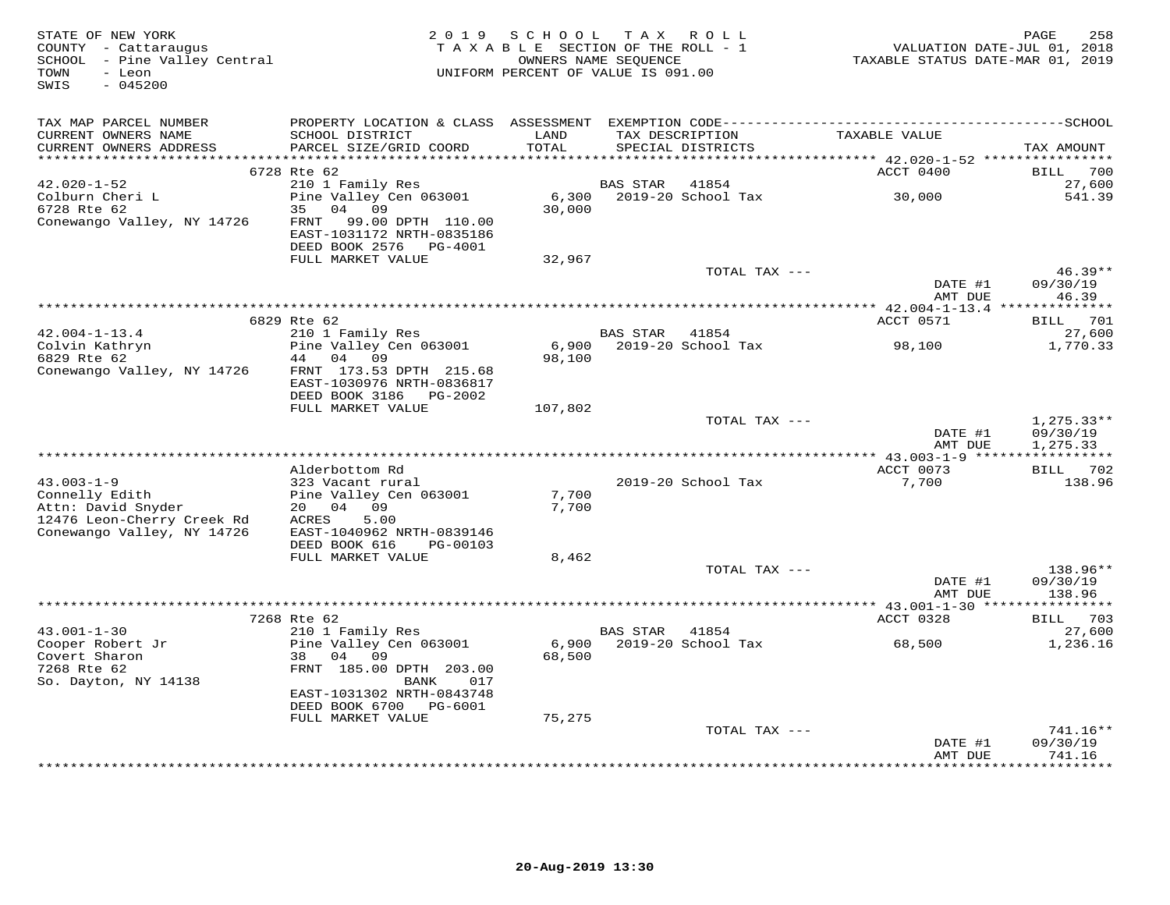| STATE OF NEW YORK<br>COUNTY - Cattaraugus<br>SCHOOL - Pine Valley Central<br>TOWN<br>- Leon<br>$-045200$<br>SWIS | 2 0 1 9                                                                                                                       | SCHOOL TAX ROLL<br>TAXABLE SECTION OF THE ROLL - 1<br>OWNERS NAME SEQUENCE<br>UNIFORM PERCENT OF VALUE IS 091.00 |                 |                                      | VALUATION DATE-JUL 01, 2018<br>TAXABLE STATUS DATE-MAR 01, 2019 | 258<br>PAGE                          |
|------------------------------------------------------------------------------------------------------------------|-------------------------------------------------------------------------------------------------------------------------------|------------------------------------------------------------------------------------------------------------------|-----------------|--------------------------------------|-----------------------------------------------------------------|--------------------------------------|
| TAX MAP PARCEL NUMBER<br>CURRENT OWNERS NAME<br>CURRENT OWNERS ADDRESS<br>***********************                | SCHOOL DISTRICT<br>PARCEL SIZE/GRID COORD                                                                                     | LAND<br>TOTAL                                                                                                    |                 | TAX DESCRIPTION<br>SPECIAL DISTRICTS | TAXABLE VALUE<br>*********** 42.020-1-52 *****************      | TAX AMOUNT                           |
|                                                                                                                  | 6728 Rte 62                                                                                                                   |                                                                                                                  |                 |                                      | ACCT 0400                                                       | BILL 700                             |
| $42.020 - 1 - 52$<br>Colburn Cheri L<br>6728 Rte 62<br>Conewango Valley, NY 14726                                | 210 1 Family Res<br>Pine Valley Cen 063001<br>35<br>04 09<br>99.00 DPTH 110.00<br>FRNT<br>EAST-1031172 NRTH-0835186           | 30,000                                                                                                           | <b>BAS STAR</b> | 41854<br>6,300 2019-20 School Tax    | 30,000                                                          | 27,600<br>541.39                     |
|                                                                                                                  | DEED BOOK 2576 PG-4001<br>FULL MARKET VALUE                                                                                   | 32,967                                                                                                           |                 |                                      |                                                                 |                                      |
|                                                                                                                  |                                                                                                                               |                                                                                                                  |                 | TOTAL TAX ---                        | DATE #1                                                         | $46.39**$<br>09/30/19                |
|                                                                                                                  |                                                                                                                               |                                                                                                                  |                 |                                      | AMT DUE                                                         | 46.39                                |
|                                                                                                                  | 6829 Rte 62                                                                                                                   |                                                                                                                  |                 |                                      | *********** 42.004-1-13.4 ***************<br>ACCT 0571          | BILL 701                             |
| $42.004 - 1 - 13.4$                                                                                              | 210 1 Family Res                                                                                                              |                                                                                                                  | BAS STAR 41854  |                                      |                                                                 | 27,600                               |
| The Colvin Kathryn<br>Conewango Valley, NY 14726                                                                 | Pine Valley Cen 063001<br>44 04 09<br>FRNT 173.53 DPTH 215.68<br>EAST-1030976 NRTH-0836817                                    | 98,100                                                                                                           |                 | 6,900 2019-20 School Tax             | 98,100                                                          | 1,770.33                             |
|                                                                                                                  | DEED BOOK 3186 PG-2002<br>FULL MARKET VALUE                                                                                   | 107,802                                                                                                          |                 |                                      |                                                                 |                                      |
|                                                                                                                  |                                                                                                                               |                                                                                                                  |                 | TOTAL TAX ---                        | DATE #1<br>AMT DUE                                              | $1,275.33**$<br>09/30/19<br>1,275.33 |
|                                                                                                                  |                                                                                                                               |                                                                                                                  |                 |                                      |                                                                 |                                      |
| $43.003 - 1 - 9$<br>Connelly Edith<br>Attn: David Snyder<br>12476 Leon-Cherry Creek Rd                           | Alderbottom Rd<br>323 Vacant rural<br>Pine Valley Cen 063001<br>20 04 09<br>5.00<br>ACRES                                     | 7,700<br>7,700                                                                                                   |                 | 2019-20 School Tax                   | ACCT 0073<br>7,700                                              | BILL 702<br>138.96                   |
| Conewango Valley, NY 14726                                                                                       | EAST-1040962 NRTH-0839146<br>DEED BOOK 616<br>PG-00103                                                                        |                                                                                                                  |                 |                                      |                                                                 |                                      |
|                                                                                                                  | FULL MARKET VALUE                                                                                                             | 8,462                                                                                                            |                 | TOTAL TAX ---                        |                                                                 | 138.96**                             |
|                                                                                                                  |                                                                                                                               |                                                                                                                  |                 |                                      | DATE #1<br>AMT DUE                                              | 09/30/19<br>138.96                   |
|                                                                                                                  | 7268 Rte 62                                                                                                                   |                                                                                                                  |                 |                                      | ACCT 0328                                                       | BILL 703                             |
| $43.001 - 1 - 30$<br>Cooper Robert Jr<br>Covert Sharon<br>7268 Rte 62<br>So. Dayton, NY 14138                    | 210 1 Family Res<br>Pine Valley Cen 063001<br>38 04 09<br>FRNT 185.00 DPTH 203.00<br>BANK<br>017<br>EAST-1031302 NRTH-0843748 | 6,900<br>68,500                                                                                                  | BAS STAR 41854  | 2019-20 School Tax                   | 68,500                                                          | 27,600<br>1,236.16                   |
|                                                                                                                  | DEED BOOK 6700 PG-6001                                                                                                        |                                                                                                                  |                 |                                      |                                                                 |                                      |
|                                                                                                                  | FULL MARKET VALUE                                                                                                             | 75,275                                                                                                           |                 | TOTAL TAX ---                        | DATE #1<br>AMT DUE                                              | $741.16**$<br>09/30/19<br>741.16     |
|                                                                                                                  |                                                                                                                               |                                                                                                                  |                 |                                      |                                                                 | * * * * * * * * * *                  |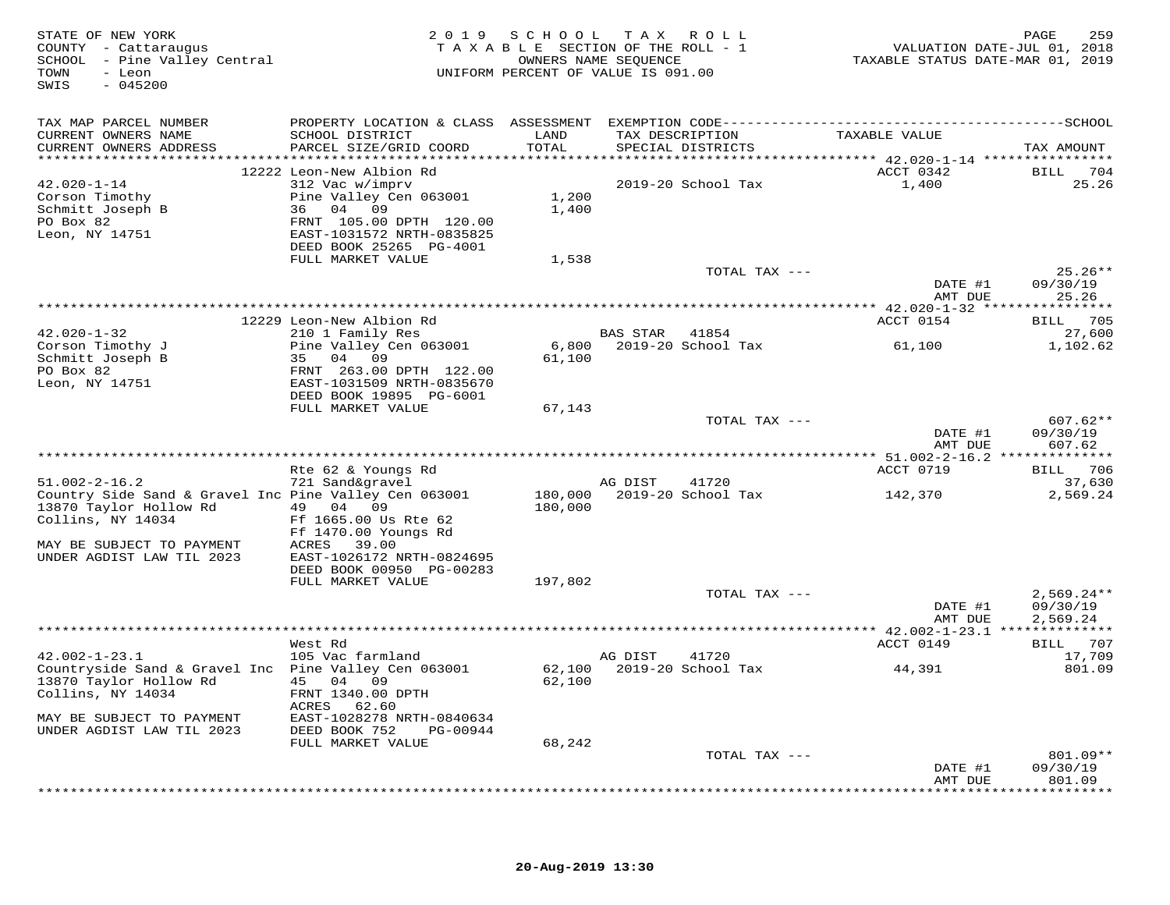| STATE OF NEW YORK<br>COUNTY - Cattaraugus<br>SCHOOL - Pine Valley Central<br>- Leon<br>TOWN<br>$-045200$<br>SWIS |                                                       | 2019 SCHOOL<br>TAXABLE SECTION OF THE ROLL - 1<br>OWNERS NAME SEOUENCE<br>UNIFORM PERCENT OF VALUE IS 091.00 | T A X    | R O L L                              | TAXABLE STATUS DATE-MAR 01, 2019 | 259<br>PAGE<br>VALUATION DATE-JUL 01, 2018 |
|------------------------------------------------------------------------------------------------------------------|-------------------------------------------------------|--------------------------------------------------------------------------------------------------------------|----------|--------------------------------------|----------------------------------|--------------------------------------------|
| TAX MAP PARCEL NUMBER                                                                                            |                                                       |                                                                                                              |          |                                      |                                  |                                            |
| CURRENT OWNERS NAME<br>CURRENT OWNERS ADDRESS                                                                    | SCHOOL DISTRICT<br>PARCEL SIZE/GRID COORD             | LAND<br>TOTAL                                                                                                |          | TAX DESCRIPTION<br>SPECIAL DISTRICTS | TAXABLE VALUE                    | TAX AMOUNT                                 |
|                                                                                                                  | 12222 Leon-New Albion Rd                              |                                                                                                              |          |                                      | ACCT 0342                        | BILL 704                                   |
| $42.020 - 1 - 14$                                                                                                | 312 Vac w/imprv                                       |                                                                                                              |          | 2019-20 School Tax                   | 1,400                            | 25.26                                      |
| Corson Timothy                                                                                                   | Pine Valley Cen 063001                                | 1,200                                                                                                        |          |                                      |                                  |                                            |
| Schmitt Joseph B                                                                                                 | 36 04 09                                              | 1,400                                                                                                        |          |                                      |                                  |                                            |
| PO Box 82                                                                                                        | FRNT 105.00 DPTH 120.00                               |                                                                                                              |          |                                      |                                  |                                            |
| Leon, NY 14751                                                                                                   | EAST-1031572 NRTH-0835825                             |                                                                                                              |          |                                      |                                  |                                            |
|                                                                                                                  | DEED BOOK 25265 PG-4001                               |                                                                                                              |          |                                      |                                  |                                            |
|                                                                                                                  | FULL MARKET VALUE                                     | 1,538                                                                                                        |          |                                      |                                  |                                            |
|                                                                                                                  |                                                       |                                                                                                              |          | TOTAL TAX ---                        |                                  | $25.26**$                                  |
|                                                                                                                  |                                                       |                                                                                                              |          |                                      | DATE #1<br>AMT DUE               | 09/30/19<br>25.26                          |
|                                                                                                                  |                                                       |                                                                                                              |          |                                      |                                  | ********                                   |
|                                                                                                                  | 12229 Leon-New Albion Rd                              |                                                                                                              |          |                                      | ACCT 0154                        | 705<br>BILL                                |
| $42.020 - 1 - 32$                                                                                                | 210 1 Family Res                                      |                                                                                                              | BAS STAR | 41854                                |                                  | 27,600                                     |
| Corson Timothy J                                                                                                 | Pine Valley Cen 063001                                | 6,800                                                                                                        |          | 2019-20 School Tax                   | 61,100                           | 1,102.62                                   |
| Schmitt Joseph B                                                                                                 | 04 09<br>35                                           | 61,100                                                                                                       |          |                                      |                                  |                                            |
| PO Box 82                                                                                                        | FRNT 263.00 DPTH 122.00                               |                                                                                                              |          |                                      |                                  |                                            |
| Leon, NY 14751                                                                                                   | EAST-1031509 NRTH-0835670                             |                                                                                                              |          |                                      |                                  |                                            |
|                                                                                                                  | DEED BOOK 19895 PG-6001                               |                                                                                                              |          |                                      |                                  |                                            |
|                                                                                                                  | FULL MARKET VALUE                                     | 67,143                                                                                                       |          |                                      |                                  |                                            |
|                                                                                                                  |                                                       |                                                                                                              |          | TOTAL TAX ---                        |                                  | $607.62**$                                 |
|                                                                                                                  |                                                       |                                                                                                              |          |                                      | DATE #1<br>AMT DUE               | 09/30/19<br>607.62                         |
|                                                                                                                  |                                                       |                                                                                                              |          |                                      |                                  |                                            |
|                                                                                                                  | Rte 62 & Youngs Rd                                    |                                                                                                              |          |                                      | ACCT 0719                        | BILL 706                                   |
| $51.002 - 2 - 16.2$                                                                                              | 721 Sand&gravel                                       |                                                                                                              | AG DIST  | 41720                                |                                  | 37,630                                     |
| Country Side Sand & Gravel Inc Pine Valley Cen 063001                                                            |                                                       | 180,000                                                                                                      |          | 2019-20 School Tax                   | 142,370                          | 2,569.24                                   |
| 13870 Taylor Hollow Rd                                                                                           | 49 04 09                                              | 180,000                                                                                                      |          |                                      |                                  |                                            |
| Collins, NY 14034                                                                                                | Ff 1665.00 Us Rte 62                                  |                                                                                                              |          |                                      |                                  |                                            |
|                                                                                                                  | Ff 1470.00 Youngs Rd                                  |                                                                                                              |          |                                      |                                  |                                            |
| MAY BE SUBJECT TO PAYMENT                                                                                        | <b>ACRES</b><br>39.00                                 |                                                                                                              |          |                                      |                                  |                                            |
| UNDER AGDIST LAW TIL 2023                                                                                        | EAST-1026172 NRTH-0824695<br>DEED BOOK 00950 PG-00283 |                                                                                                              |          |                                      |                                  |                                            |
|                                                                                                                  | FULL MARKET VALUE                                     | 197,802                                                                                                      |          |                                      |                                  |                                            |
|                                                                                                                  |                                                       |                                                                                                              |          | TOTAL TAX ---                        |                                  | $2,569.24**$                               |
|                                                                                                                  |                                                       |                                                                                                              |          |                                      | DATE #1                          | 09/30/19                                   |
|                                                                                                                  |                                                       |                                                                                                              |          |                                      | AMT DUE                          | 2,569.24                                   |
|                                                                                                                  |                                                       |                                                                                                              |          |                                      |                                  |                                            |
|                                                                                                                  | West Rd                                               |                                                                                                              |          |                                      | ACCT 0149                        | BILL 707                                   |
| $42.002 - 1 - 23.1$                                                                                              | 105 Vac farmland                                      |                                                                                                              | AG DIST  | 41720                                |                                  | 17,709                                     |
| Countryside Sand & Gravel Inc Pine Valley Cen 063001                                                             |                                                       | 62,100                                                                                                       |          | 2019-20 School Tax                   | 44,391                           | 801.09                                     |
| 13870 Taylor Hollow Rd                                                                                           | 45 04 09                                              | 62,100                                                                                                       |          |                                      |                                  |                                            |
| Collins, NY 14034                                                                                                | FRNT 1340.00 DPTH<br>ACRES<br>62.60                   |                                                                                                              |          |                                      |                                  |                                            |
| MAY BE SUBJECT TO PAYMENT                                                                                        | EAST-1028278 NRTH-0840634                             |                                                                                                              |          |                                      |                                  |                                            |
| UNDER AGDIST LAW TIL 2023                                                                                        | DEED BOOK 752<br>PG-00944                             |                                                                                                              |          |                                      |                                  |                                            |
|                                                                                                                  | FULL MARKET VALUE                                     | 68,242                                                                                                       |          |                                      |                                  |                                            |
|                                                                                                                  |                                                       |                                                                                                              |          | TOTAL TAX ---                        |                                  | 801.09**                                   |
|                                                                                                                  |                                                       |                                                                                                              |          |                                      | DATE #1                          | 09/30/19                                   |
|                                                                                                                  |                                                       |                                                                                                              |          |                                      | AMT DUE                          | 801.09                                     |
|                                                                                                                  |                                                       |                                                                                                              |          |                                      |                                  | * * * * * * * * * * *                      |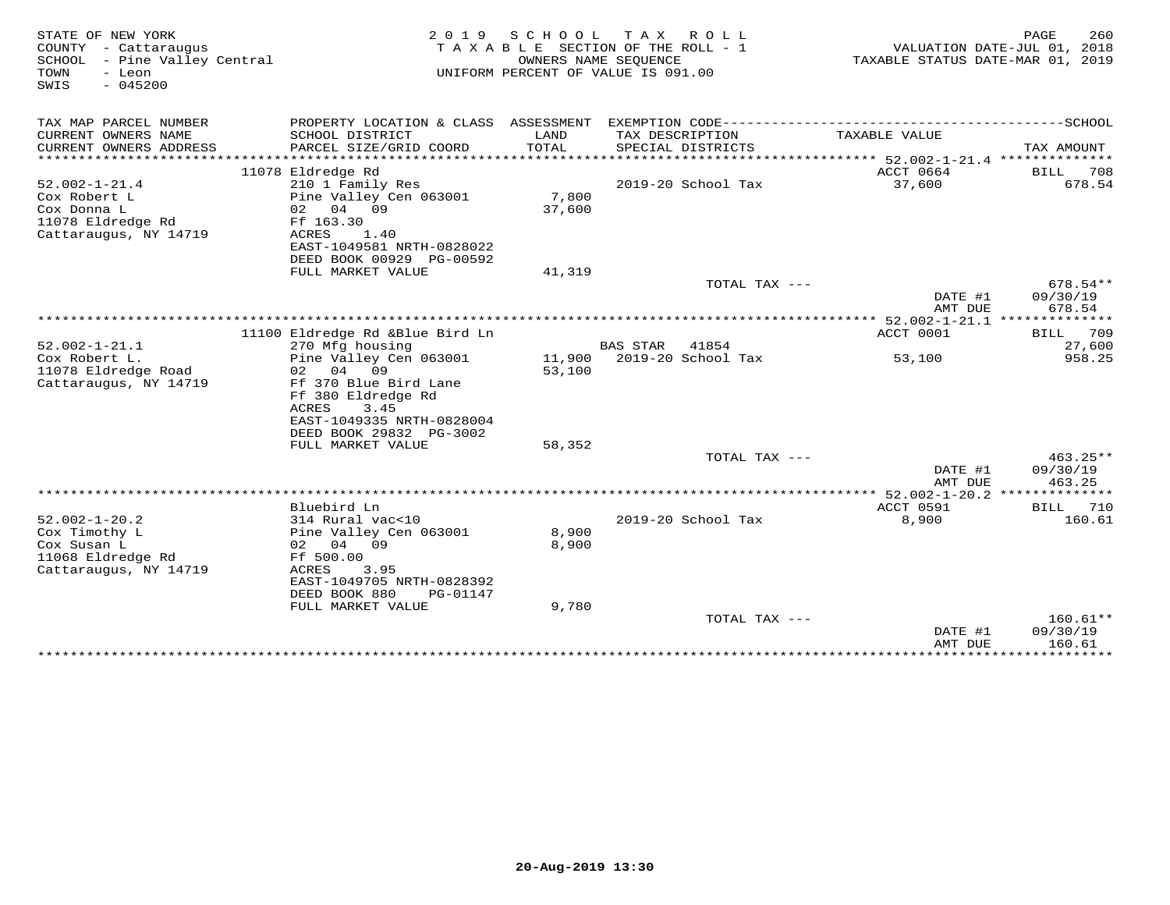| STATE OF NEW YORK<br>COUNTY - Cattaraugus<br>SCHOOL<br>- Pine Valley Central<br>TOWN<br>- Leon<br>SWIS<br>$-045200$ | 2 0 1 9                                                               | S C H O O L    | T A X<br>R O L L<br>TAXABLE SECTION OF THE ROLL - 1<br>OWNERS NAME SEQUENCE<br>UNIFORM PERCENT OF VALUE IS 091.00 | TAXABLE STATUS DATE-MAR 01, 2019           | PAGE<br>260<br>VALUATION DATE-JUL 01, 2018 |
|---------------------------------------------------------------------------------------------------------------------|-----------------------------------------------------------------------|----------------|-------------------------------------------------------------------------------------------------------------------|--------------------------------------------|--------------------------------------------|
| TAX MAP PARCEL NUMBER                                                                                               |                                                                       |                |                                                                                                                   |                                            |                                            |
| CURRENT OWNERS NAME<br>CURRENT OWNERS ADDRESS                                                                       | SCHOOL DISTRICT<br>PARCEL SIZE/GRID COORD                             | LAND<br>TOTAL  | TAX DESCRIPTION<br>SPECIAL DISTRICTS                                                                              | TAXABLE VALUE                              | TAX AMOUNT                                 |
| ***********************                                                                                             |                                                                       |                |                                                                                                                   |                                            |                                            |
| $52.002 - 1 - 21.4$<br>Cox Robert L                                                                                 | 11078 Eldredge Rd<br>210 1 Family Res<br>Pine Valley Cen 063001       | 7,800          | 2019-20 School Tax                                                                                                | ACCT 0664<br>37,600                        | BILL<br>708<br>678.54                      |
| Cox Donna L<br>11078 Eldredge Rd<br>Cattaraugus, NY 14719                                                           | 02 04 09<br>Ff 163.30<br>ACRES<br>1.40                                | 37,600         |                                                                                                                   |                                            |                                            |
|                                                                                                                     | EAST-1049581 NRTH-0828022<br>DEED BOOK 00929 PG-00592                 |                |                                                                                                                   |                                            |                                            |
|                                                                                                                     | FULL MARKET VALUE                                                     | 41,319         | TOTAL TAX ---                                                                                                     |                                            | 678.54**                                   |
|                                                                                                                     |                                                                       |                |                                                                                                                   | DATE #1<br>AMT DUE                         | 09/30/19<br>678.54                         |
|                                                                                                                     |                                                                       |                |                                                                                                                   |                                            |                                            |
|                                                                                                                     | 11100 Eldredge Rd &Blue Bird Ln                                       |                |                                                                                                                   | ACCT 0001                                  | 709<br><b>BILL</b>                         |
| $52.002 - 1 - 21.1$<br>Cox Robert L.                                                                                | 270 Mfg housing<br>Pine Valley Cen 063001                             | 11,900         | <b>BAS STAR</b><br>41854<br>2019-20 School Tax                                                                    | 53,100                                     | 27,600<br>958.25                           |
| 11078 Eldredge Road                                                                                                 | 04 09<br>02                                                           | 53,100         |                                                                                                                   |                                            |                                            |
| Cattaraugus, NY 14719                                                                                               | Ff 370 Blue Bird Lane<br>Ff 380 Eldredge Rd                           |                |                                                                                                                   |                                            |                                            |
|                                                                                                                     | 3.45<br>ACRES<br>EAST-1049335 NRTH-0828004<br>DEED BOOK 29832 PG-3002 |                |                                                                                                                   |                                            |                                            |
|                                                                                                                     | FULL MARKET VALUE                                                     | 58,352         |                                                                                                                   |                                            |                                            |
|                                                                                                                     |                                                                       |                | TOTAL TAX ---                                                                                                     | DATE #1                                    | $463.25**$<br>09/30/19                     |
|                                                                                                                     |                                                                       |                |                                                                                                                   | AMT DUE<br>** 52.002-1-20.2 ************** | 463.25                                     |
|                                                                                                                     | Bluebird Ln                                                           |                |                                                                                                                   | ACCT 0591                                  | BILL 710                                   |
| $52.002 - 1 - 20.2$<br>Cox Timothy L<br>Cox Susan L                                                                 | 314 Rural vac<10<br>Pine Valley Cen 063001<br>02 04 09                | 8,900<br>8,900 | 2019-20 School Tax                                                                                                | 8,900                                      | 160.61                                     |
| 11068 Eldredge Rd<br>Cattaraugus, NY 14719                                                                          | Ff 500.00<br>ACRES<br>3.95<br>EAST-1049705 NRTH-0828392               |                |                                                                                                                   |                                            |                                            |
|                                                                                                                     | DEED BOOK 880<br>PG-01147<br>FULL MARKET VALUE                        | 9,780          |                                                                                                                   |                                            |                                            |
|                                                                                                                     |                                                                       |                | TOTAL TAX ---                                                                                                     |                                            | $160.61**$                                 |
|                                                                                                                     |                                                                       |                |                                                                                                                   | DATE #1<br>AMT DUE                         | 09/30/19<br>160.61                         |
|                                                                                                                     | ******************************                                        |                |                                                                                                                   |                                            |                                            |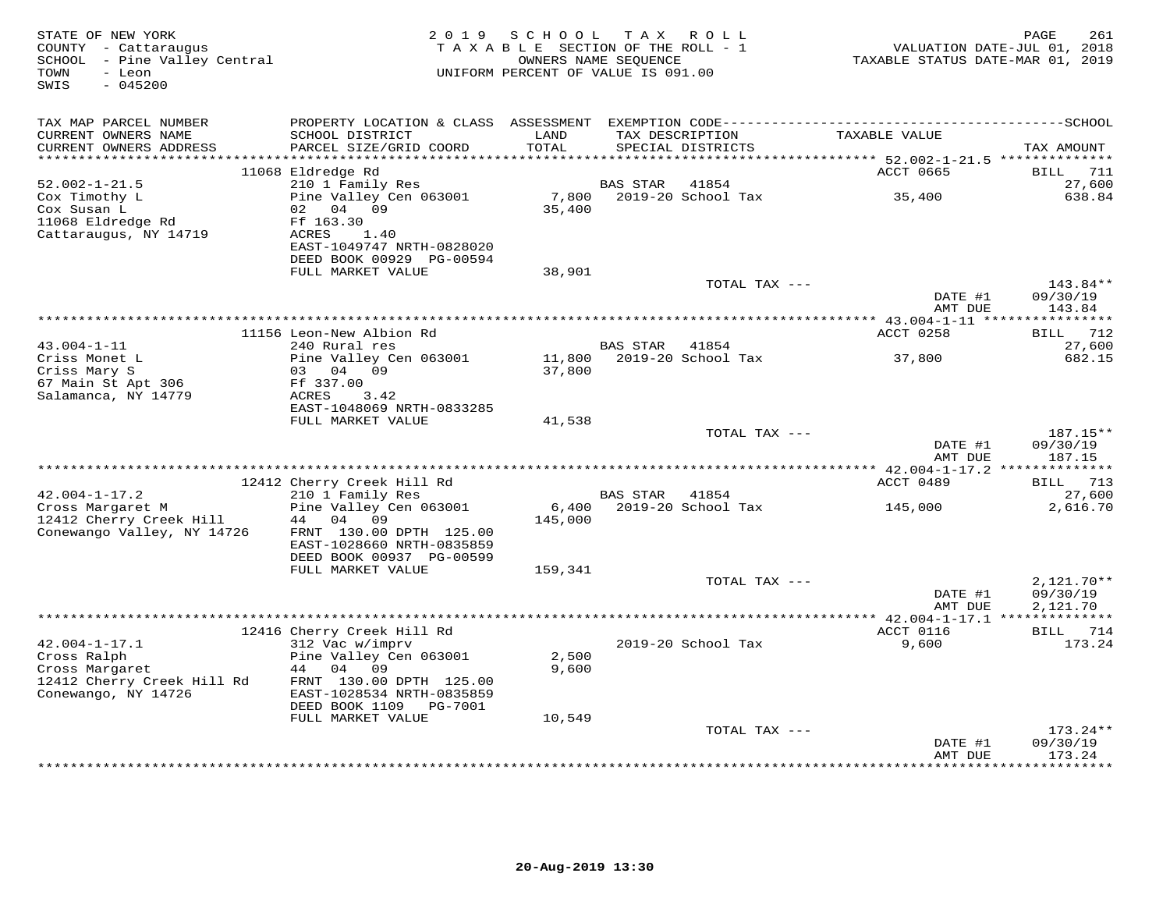| STATE OF NEW YORK<br>COUNTY - Cattaraugus<br>SCHOOL - Pine Valley Central<br>TOWN<br>- Leon<br>SWIS<br>$-045200$ | 2 0 1 9                                                                                            | SCHOOL<br>TAXABLE SECTION OF THE ROLL - 1<br>UNIFORM PERCENT OF VALUE IS 091.00 | T A X<br>OWNERS NAME SEQUENCE | R O L L                              | TAXABLE STATUS DATE-MAR 01, 2019      | PAGE<br>261<br>VALUATION DATE-JUL 01, 2018 |
|------------------------------------------------------------------------------------------------------------------|----------------------------------------------------------------------------------------------------|---------------------------------------------------------------------------------|-------------------------------|--------------------------------------|---------------------------------------|--------------------------------------------|
| TAX MAP PARCEL NUMBER                                                                                            |                                                                                                    |                                                                                 |                               |                                      |                                       |                                            |
| CURRENT OWNERS NAME<br>CURRENT OWNERS ADDRESS                                                                    | SCHOOL DISTRICT<br>PARCEL SIZE/GRID COORD                                                          | LAND<br>TOTAL                                                                   |                               | TAX DESCRIPTION<br>SPECIAL DISTRICTS | TAXABLE VALUE                         | TAX AMOUNT                                 |
| ***********************                                                                                          |                                                                                                    |                                                                                 |                               |                                      |                                       |                                            |
| $52.002 - 1 - 21.5$                                                                                              | 11068 Eldredge Rd<br>210 1 Family Res                                                              |                                                                                 | <b>BAS STAR</b>               | 41854                                | ACCT 0665                             | <b>BILL</b><br>711<br>27,600               |
| Cox Timothy L                                                                                                    | Pine Valley Cen 063001                                                                             | 7,800                                                                           |                               | 2019-20 School Tax                   | 35,400                                | 638.84                                     |
| Cox Susan L<br>11068 Eldredge Rd<br>Cattaraugus, NY 14719                                                        | 04<br>09<br>02<br>Ff 163.30<br>ACRES<br>1.40<br>EAST-1049747 NRTH-0828020                          | 35,400                                                                          |                               |                                      |                                       |                                            |
|                                                                                                                  | DEED BOOK 00929 PG-00594                                                                           | 38,901                                                                          |                               |                                      |                                       |                                            |
|                                                                                                                  | FULL MARKET VALUE                                                                                  |                                                                                 |                               | TOTAL TAX ---                        |                                       | 143.84**                                   |
|                                                                                                                  |                                                                                                    |                                                                                 |                               |                                      | DATE #1<br>AMT DUE                    | 09/30/19<br>143.84                         |
|                                                                                                                  |                                                                                                    |                                                                                 |                               |                                      |                                       |                                            |
|                                                                                                                  | 11156 Leon-New Albion Rd                                                                           |                                                                                 |                               |                                      | ACCT 0258                             | 712<br><b>BILL</b>                         |
| $43.004 - 1 - 11$                                                                                                | 240 Rural res                                                                                      |                                                                                 | <b>BAS STAR</b>               | 41854                                |                                       | 27,600                                     |
| Criss Monet L<br>Criss Mary S                                                                                    | Pine Valley Cen 063001<br>0.3<br>04<br>09                                                          | 11,800<br>37,800                                                                |                               | 2019-20 School Tax                   | 37,800                                | 682.15                                     |
| 67 Main St Apt 306                                                                                               | Ff 337.00                                                                                          |                                                                                 |                               |                                      |                                       |                                            |
| Salamanca, NY 14779                                                                                              | ACRES<br>3.42                                                                                      |                                                                                 |                               |                                      |                                       |                                            |
|                                                                                                                  | EAST-1048069 NRTH-0833285                                                                          |                                                                                 |                               |                                      |                                       |                                            |
|                                                                                                                  | FULL MARKET VALUE                                                                                  | 41,538                                                                          |                               |                                      |                                       |                                            |
|                                                                                                                  |                                                                                                    |                                                                                 |                               | TOTAL TAX ---                        |                                       | 187.15**                                   |
|                                                                                                                  | ********************                                                                               |                                                                                 | **********************        |                                      | DATE #1<br>AMT DUE                    | 09/30/19<br>187.15<br>*********            |
|                                                                                                                  | 12412 Cherry Creek Hill Rd                                                                         |                                                                                 |                               |                                      | * $42.004 - 1 - 17.2$ **<br>ACCT 0489 | 713<br>BILL                                |
| $42.004 - 1 - 17.2$                                                                                              | 210 1 Family Res                                                                                   |                                                                                 | <b>BAS STAR</b>               | 41854                                |                                       | 27,600                                     |
| Cross Margaret M                                                                                                 | Pine Valley Cen 063001                                                                             | 6,400                                                                           |                               | 2019-20 School Tax                   | 145,000                               | 2,616.70                                   |
| 12412 Cherry Creek Hill<br>Conewango Valley, NY 14726                                                            | 44<br>04<br>09<br>FRNT 130.00 DPTH 125.00<br>EAST-1028660 NRTH-0835859<br>DEED BOOK 00937 PG-00599 | 145,000                                                                         |                               |                                      |                                       |                                            |
|                                                                                                                  | FULL MARKET VALUE                                                                                  | 159,341                                                                         |                               |                                      |                                       |                                            |
|                                                                                                                  |                                                                                                    |                                                                                 |                               | TOTAL TAX $---$                      |                                       | $2,121.70**$                               |
|                                                                                                                  |                                                                                                    |                                                                                 |                               |                                      | DATE #1                               | 09/30/19                                   |
|                                                                                                                  |                                                                                                    |                                                                                 |                               |                                      | AMT DUE                               | 2,121.70                                   |
|                                                                                                                  |                                                                                                    |                                                                                 |                               |                                      | ACCT 0116                             | 714                                        |
| $42.004 - 1 - 17.1$                                                                                              | 12416 Cherry Creek Hill Rd<br>312 Vac w/imprv                                                      |                                                                                 |                               | 2019-20 School Tax                   | 9,600                                 | BILL<br>173.24                             |
| Cross Ralph                                                                                                      | Pine Valley Cen 063001                                                                             | 2,500                                                                           |                               |                                      |                                       |                                            |
| Cross Margaret                                                                                                   | 44<br>04<br>09                                                                                     | 9,600                                                                           |                               |                                      |                                       |                                            |
| 12412 Cherry Creek Hill Rd                                                                                       | FRNT 130.00 DPTH 125.00                                                                            |                                                                                 |                               |                                      |                                       |                                            |
| Conewango, NY 14726                                                                                              | EAST-1028534 NRTH-0835859<br>DEED BOOK 1109<br>PG-7001                                             |                                                                                 |                               |                                      |                                       |                                            |
|                                                                                                                  | FULL MARKET VALUE                                                                                  | 10,549                                                                          |                               |                                      |                                       |                                            |
|                                                                                                                  |                                                                                                    |                                                                                 |                               | TOTAL TAX ---                        |                                       | $173.24**$                                 |
|                                                                                                                  |                                                                                                    |                                                                                 |                               |                                      | DATE #1<br>AMT DUE                    | 09/30/19<br>173.24                         |
|                                                                                                                  |                                                                                                    |                                                                                 |                               |                                      |                                       | *********                                  |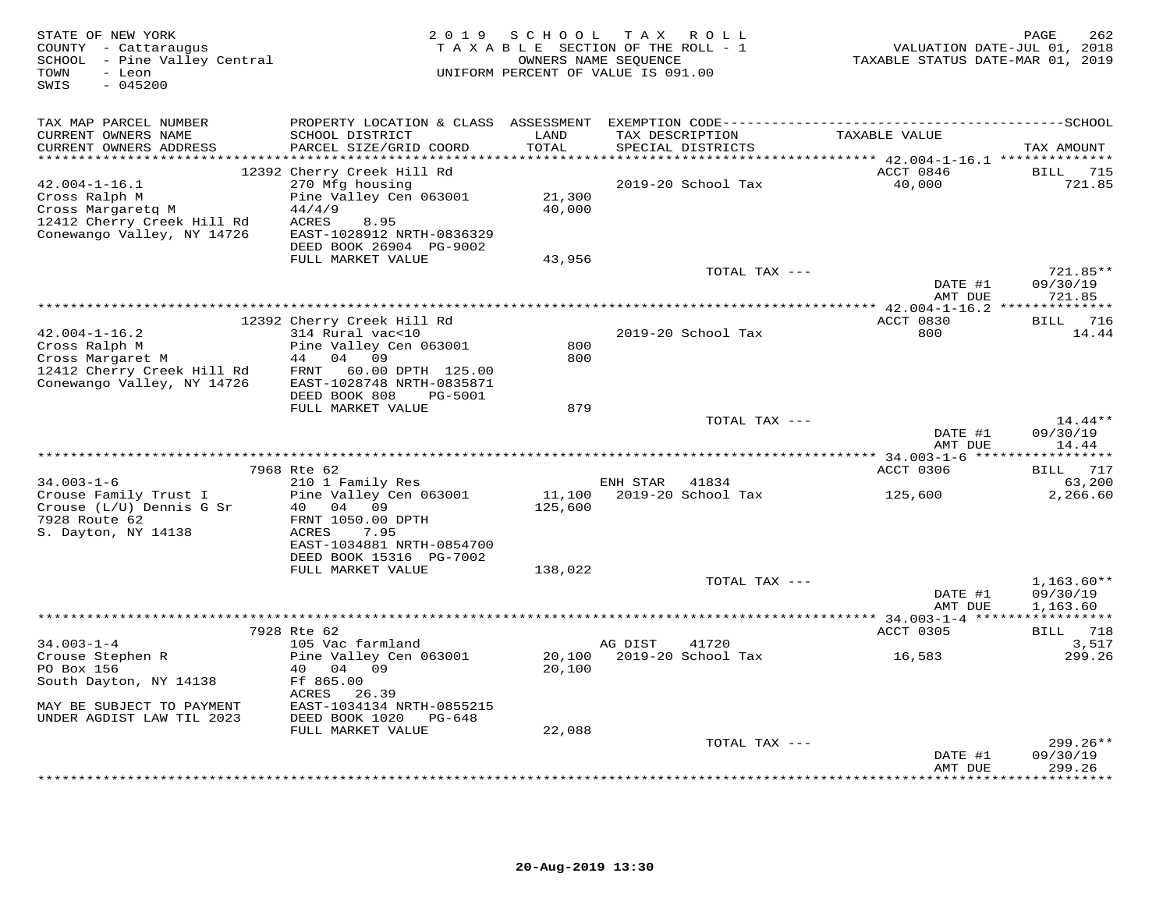| STATE OF NEW YORK<br>COUNTY - Cattaraugus<br>SCHOOL - Pine Valley Central<br>- Leon<br>TOWN<br>SWIS<br>$-045200$      |                                                                                                                                                                                 | 2019 SCHOOL                | TAX ROLL<br>TAXABLE SECTION OF THE ROLL - 1<br>OWNERS NAME SEQUENCE<br>UNIFORM PERCENT OF VALUE IS 091.00 | VALUATION DATE-JUL 01, 2018<br>TAXABLE STATUS DATE-MAR 01, 2019 | PAGE<br>262                      |
|-----------------------------------------------------------------------------------------------------------------------|---------------------------------------------------------------------------------------------------------------------------------------------------------------------------------|----------------------------|-----------------------------------------------------------------------------------------------------------|-----------------------------------------------------------------|----------------------------------|
| TAX MAP PARCEL NUMBER<br>CURRENT OWNERS NAME<br>CURRENT OWNERS ADDRESS                                                | SCHOOL DISTRICT<br>PARCEL SIZE/GRID COORD                                                                                                                                       | LAND<br>TOTAL              | TAX DESCRIPTION<br>SPECIAL DISTRICTS                                                                      | TAXABLE VALUE                                                   | TAX AMOUNT                       |
| $42.004 - 1 - 16.1$<br>Cross Ralph M<br>Cross Margaretq M<br>12412 Cherry Creek Hill Rd<br>Conewango Valley, NY 14726 | 12392 Cherry Creek Hill Rd<br>270 Mfg housing<br>Pine Valley Cen 063001<br>44/4/9<br>ACRES<br>8.95<br>EAST-1028912 NRTH-0836329<br>DEED BOOK 26904 PG-9002<br>FULL MARKET VALUE | 21,300<br>40,000<br>43,956 | 2019-20 School Tax                                                                                        | ACCT 0846<br>40,000                                             | BILL 715<br>721.85               |
|                                                                                                                       |                                                                                                                                                                                 |                            | TOTAL TAX ---                                                                                             | DATE #1                                                         | 721.85**<br>09/30/19             |
|                                                                                                                       |                                                                                                                                                                                 |                            |                                                                                                           | AMT DUE                                                         | 721.85                           |
| $42.004 - 1 - 16.2$<br>Cross Ralph M<br>Cross Margaret M<br>12412 Cherry Creek Hill Rd<br>Conewango Valley, NY 14726  | 12392 Cherry Creek Hill Rd<br>314 Rural vac<10<br>Pine Valley Cen 063001<br>44 04 09<br>FRNT<br>60.00 DPTH 125.00<br>EAST-1028748 NRTH-0835871                                  | 800<br>800                 | 2019-20 School Tax                                                                                        | ACCT 0830<br>800                                                | 716<br>BILL<br>14.44             |
|                                                                                                                       | DEED BOOK 808<br>PG-5001<br>FULL MARKET VALUE                                                                                                                                   | 879                        | TOTAL TAX ---                                                                                             | DATE #1<br>AMT DUE                                              | $14.44**$<br>09/30/19<br>14.44   |
|                                                                                                                       |                                                                                                                                                                                 |                            |                                                                                                           |                                                                 | *********                        |
| $34.003 - 1 - 6$<br>Crouse Family Trust I<br>Crouse (L/U) Dennis G Sr<br>7928 Route 62<br>S. Dayton, NY 14138         | 7968 Rte 62<br>210 1 Family Res<br>Pine Valley Cen 063001<br>40 04 09<br>FRNT 1050.00 DPTH<br>ACRES<br>7.95<br>EAST-1034881 NRTH-0854700                                        | 11,100<br>125,600          | ENH STAR<br>41834<br>2019-20 School Tax                                                                   | ACCT 0306<br>125,600                                            | BILL 717<br>63,200<br>2,266.60   |
|                                                                                                                       | DEED BOOK 15316 PG-7002<br>FULL MARKET VALUE                                                                                                                                    | 138,022                    | TOTAL TAX ---                                                                                             | DATE #1                                                         | $1,163.60**$<br>09/30/19         |
|                                                                                                                       |                                                                                                                                                                                 |                            |                                                                                                           | AMT DUE                                                         | 1,163.60                         |
|                                                                                                                       | 7928 Rte 62                                                                                                                                                                     |                            |                                                                                                           | ACCT 0305                                                       | BILL 718                         |
| $34.003 - 1 - 4$<br>Crouse Stephen R<br>PO Box 156<br>South Dayton, NY 14138                                          | 105 Vac farmland<br>Pine Valley Cen 063001<br>40 04 09<br>Ff 865.00<br>ACRES<br>26.39                                                                                           | 20,100<br>20,100           | AG DIST<br>41720<br>2019-20 School Tax                                                                    | 16,583                                                          | 3,517<br>299.26                  |
| MAY BE SUBJECT TO PAYMENT<br>UNDER AGDIST LAW TIL 2023                                                                | EAST-1034134 NRTH-0855215<br>DEED BOOK 1020 PG-648<br>FULL MARKET VALUE                                                                                                         | 22,088                     |                                                                                                           |                                                                 |                                  |
|                                                                                                                       |                                                                                                                                                                                 |                            | TOTAL TAX ---                                                                                             | DATE #1<br>AMT DUE                                              | $299.26**$<br>09/30/19<br>299.26 |
|                                                                                                                       |                                                                                                                                                                                 |                            |                                                                                                           |                                                                 | ********                         |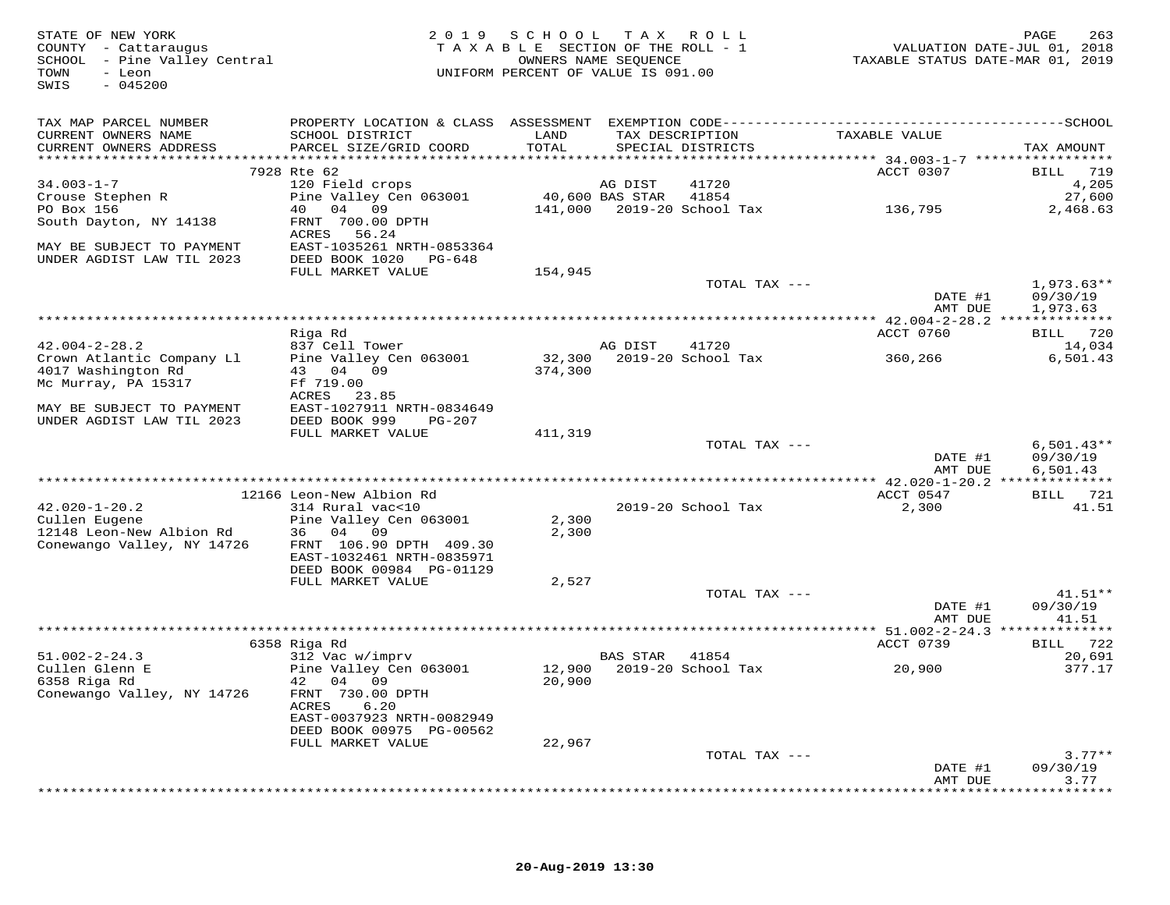| STATE OF NEW YORK<br>COUNTY - Cattaraugus<br>SCHOOL - Pine Valley Central<br>TOWN<br>- Leon<br>$-045200$<br>SWIS |                                              | 2019 SCHOOL TAX ROLL<br>TAXABLE SECTION OF THE ROLL - 1<br>UNIFORM PERCENT OF VALUE IS 091.00 | OWNERS NAME SEQUENCE |                            | TAXABLE STATUS DATE-MAR 01, 2019 | 263<br>PAGE<br>VALUATION DATE-JUL 01, 2018 |
|------------------------------------------------------------------------------------------------------------------|----------------------------------------------|-----------------------------------------------------------------------------------------------|----------------------|----------------------------|----------------------------------|--------------------------------------------|
| TAX MAP PARCEL NUMBER                                                                                            |                                              |                                                                                               |                      |                            |                                  |                                            |
| CURRENT OWNERS NAME<br>CURRENT OWNERS ADDRESS                                                                    | SCHOOL DISTRICT<br>PARCEL SIZE/GRID COORD    | LAND<br>TOTAL                                                                                 | TAX DESCRIPTION      | SPECIAL DISTRICTS          | TAXABLE VALUE                    | TAX AMOUNT                                 |
|                                                                                                                  | 7928 Rte 62                                  |                                                                                               |                      |                            | ACCT 0307                        | BILL 719                                   |
| $34.003 - 1 - 7$                                                                                                 | 120 Field crops                              |                                                                                               | AG DIST              | 41720                      |                                  | 4,205                                      |
| Crouse Stephen R                                                                                                 | Pine Valley Cen 063001 40,600 BAS STAR 41854 |                                                                                               |                      |                            |                                  | 27,600                                     |
| PO Box 156                                                                                                       | 40 04 09                                     |                                                                                               |                      | 141,000 2019-20 School Tax | 136,795                          | 2,468.63                                   |
| South Dayton, NY 14138                                                                                           | FRNT 700.00 DPTH<br>ACRES 56.24              |                                                                                               |                      |                            |                                  |                                            |
| MAY BE SUBJECT TO PAYMENT                                                                                        | EAST-1035261 NRTH-0853364                    |                                                                                               |                      |                            |                                  |                                            |
| UNDER AGDIST LAW TIL 2023                                                                                        | DEED BOOK 1020 PG-648                        |                                                                                               |                      |                            |                                  |                                            |
|                                                                                                                  | FULL MARKET VALUE                            | 154,945                                                                                       |                      |                            |                                  |                                            |
|                                                                                                                  |                                              |                                                                                               |                      | TOTAL TAX ---              |                                  | $1,973.63**$                               |
|                                                                                                                  |                                              |                                                                                               |                      |                            | DATE #1                          | 09/30/19                                   |
|                                                                                                                  |                                              |                                                                                               |                      |                            | AMT DUE                          | 1,973.63                                   |
|                                                                                                                  | Riga Rd                                      |                                                                                               |                      |                            | ACCT 0760                        | BILL 720                                   |
| $42.004 - 2 - 28.2$                                                                                              | 837 Cell Tower                               |                                                                                               | AG DIST              | 41720                      |                                  | 14,034                                     |
| Crown Atlantic Company Ll                                                                                        | Pine Valley Cen 063001                       |                                                                                               |                      | 32,300 2019-20 School Tax  | 360,266                          | 6,501.43                                   |
| 4017 Washington Rd                                                                                               | 43 04 09                                     | 374,300                                                                                       |                      |                            |                                  |                                            |
| Mc Murray, PA 15317                                                                                              | Ff 719.00<br>ACRES 23.85                     |                                                                                               |                      |                            |                                  |                                            |
| MAY BE SUBJECT TO PAYMENT                                                                                        | EAST-1027911 NRTH-0834649                    |                                                                                               |                      |                            |                                  |                                            |
| UNDER AGDIST LAW TIL 2023                                                                                        | DEED BOOK 999<br>PG-207                      |                                                                                               |                      |                            |                                  |                                            |
|                                                                                                                  | FULL MARKET VALUE                            | 411,319                                                                                       |                      |                            |                                  |                                            |
|                                                                                                                  |                                              |                                                                                               |                      | TOTAL TAX ---              |                                  | $6,501.43**$                               |
|                                                                                                                  |                                              |                                                                                               |                      |                            | DATE #1                          | 09/30/19                                   |
|                                                                                                                  |                                              |                                                                                               |                      |                            | AMT DUE                          | 6,501.43                                   |
|                                                                                                                  | 12166 Leon-New Albion Rd                     |                                                                                               |                      |                            | ACCT 0547                        | BILL 721                                   |
| $42.020 - 1 - 20.2$                                                                                              | 314 Rural vac<10                             |                                                                                               |                      | 2019-20 School Tax         | 2,300                            | 41.51                                      |
| Cullen Eugene                                                                                                    | Pine Valley Cen 063001                       | 2,300                                                                                         |                      |                            |                                  |                                            |
| 12148 Leon-New Albion Rd                                                                                         | 36 04 09<br>FRNT 106.90 DPTH 409.30          | 2,300                                                                                         |                      |                            |                                  |                                            |
| Conewango Valley, NY 14726                                                                                       | EAST-1032461 NRTH-0835971                    |                                                                                               |                      |                            |                                  |                                            |
|                                                                                                                  | DEED BOOK 00984 PG-01129                     |                                                                                               |                      |                            |                                  |                                            |
|                                                                                                                  | FULL MARKET VALUE                            | 2,527                                                                                         |                      |                            |                                  |                                            |
|                                                                                                                  |                                              |                                                                                               |                      | TOTAL TAX ---              |                                  | $41.51**$                                  |
|                                                                                                                  |                                              |                                                                                               |                      |                            | DATE #1                          | 09/30/19                                   |
|                                                                                                                  |                                              |                                                                                               |                      |                            | AMT DUE                          | 41.51                                      |
|                                                                                                                  | 6358 Riga Rd                                 |                                                                                               |                      |                            | ACCT 0739                        | BILL 722                                   |
| $51.002 - 2 - 24.3$                                                                                              | 312 Vac w/imprv                              |                                                                                               | BAS STAR             | 41854                      |                                  | 20,691                                     |
| Cullen Glenn E                                                                                                   | Pine Valley Cen 063001                       |                                                                                               |                      | 12,900 2019-20 School Tax  | 20,900                           | 377.17                                     |
| 6358 Riga Rd                                                                                                     | 42 04 09                                     | 20,900                                                                                        |                      |                            |                                  |                                            |
| Conewango Valley, NY 14726                                                                                       | FRNT 730.00 DPTH<br>ACRES<br>6.20            |                                                                                               |                      |                            |                                  |                                            |
|                                                                                                                  | EAST-0037923 NRTH-0082949                    |                                                                                               |                      |                            |                                  |                                            |
|                                                                                                                  | DEED BOOK 00975 PG-00562                     |                                                                                               |                      |                            |                                  |                                            |
|                                                                                                                  | FULL MARKET VALUE                            | 22,967                                                                                        |                      |                            |                                  |                                            |
|                                                                                                                  |                                              |                                                                                               |                      | TOTAL TAX ---              |                                  | $3.77**$                                   |
|                                                                                                                  |                                              |                                                                                               |                      |                            | DATE #1<br>AMT DUE               | 09/30/19<br>3.77                           |
|                                                                                                                  |                                              |                                                                                               |                      |                            |                                  |                                            |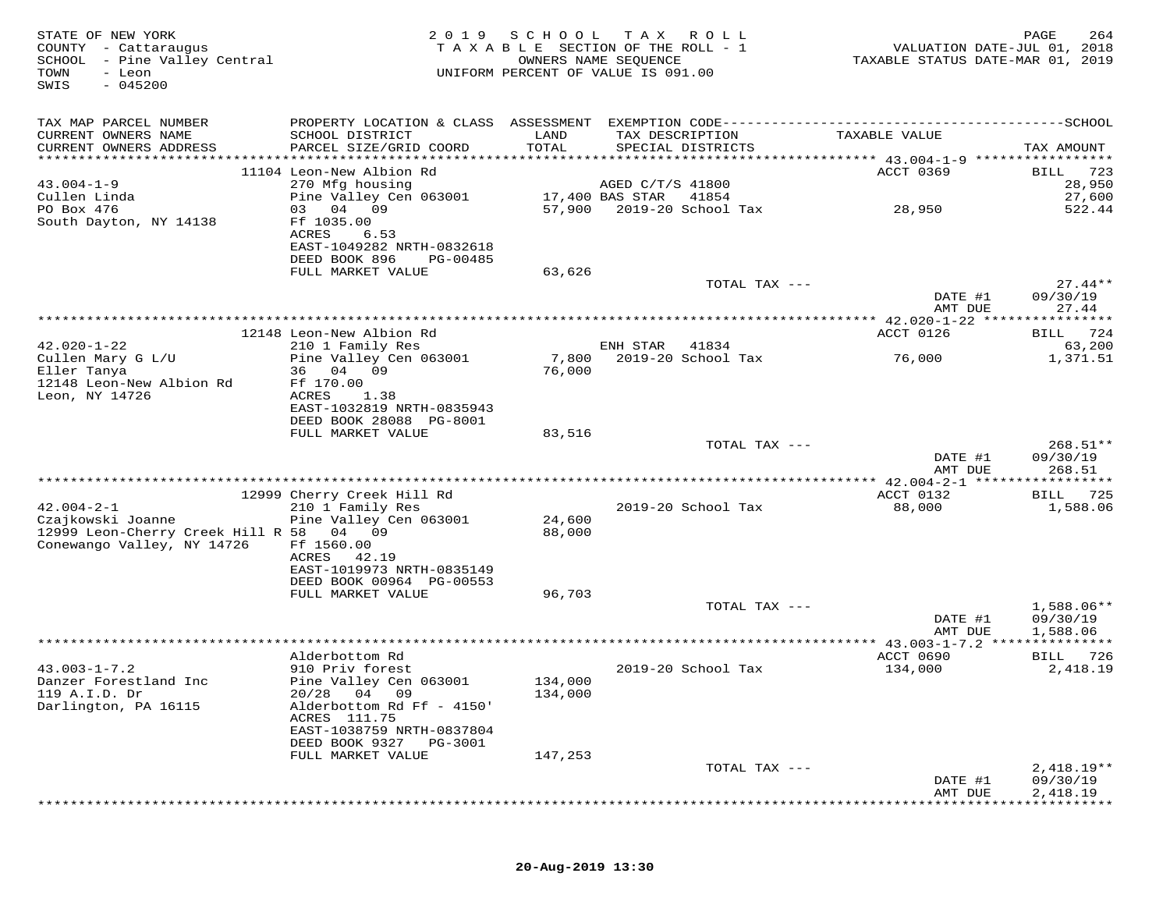| STATE OF NEW YORK<br>COUNTY - Cattaraugus<br>SCHOOL - Pine Valley Central<br>TOWN<br>- Leon<br>SWIS<br>$-045200$ | 2 0 1 9                                                | SCHOOL        | T A X<br>TAXABLE SECTION OF THE ROLL - 1<br>OWNERS NAME SEQUENCE<br>UNIFORM PERCENT OF VALUE IS 091.00 | R O L L       | TAXABLE STATUS DATE-MAR 01, 2019 | PAGE<br>264<br>VALUATION DATE-JUL 01, 2018 |
|------------------------------------------------------------------------------------------------------------------|--------------------------------------------------------|---------------|--------------------------------------------------------------------------------------------------------|---------------|----------------------------------|--------------------------------------------|
| TAX MAP PARCEL NUMBER                                                                                            |                                                        |               |                                                                                                        |               |                                  |                                            |
| CURRENT OWNERS NAME<br>CURRENT OWNERS ADDRESS                                                                    | SCHOOL DISTRICT<br>PARCEL SIZE/GRID COORD              | LAND<br>TOTAL | TAX DESCRIPTION<br>SPECIAL DISTRICTS                                                                   |               | TAXABLE VALUE                    | TAX AMOUNT                                 |
|                                                                                                                  |                                                        |               |                                                                                                        |               |                                  |                                            |
|                                                                                                                  | 11104 Leon-New Albion Rd                               |               |                                                                                                        |               | <b>ACCT 0369</b>                 | 723<br>BILL                                |
| $43.004 - 1 - 9$                                                                                                 | 270 Mfg housing                                        |               | AGED C/T/S 41800                                                                                       |               |                                  | 28,950                                     |
| Cullen Linda                                                                                                     | Pine Valley Cen 063001                                 |               | 17,400 BAS STAR<br>41854                                                                               |               |                                  | 27,600                                     |
| PO Box 476                                                                                                       | 03 04 09                                               | 57,900        | 2019-20 School Tax                                                                                     |               | 28,950                           | 522.44                                     |
| South Dayton, NY 14138                                                                                           | Ff 1035.00<br>ACRES<br>6.53                            |               |                                                                                                        |               |                                  |                                            |
|                                                                                                                  | EAST-1049282 NRTH-0832618                              |               |                                                                                                        |               |                                  |                                            |
|                                                                                                                  | DEED BOOK 896<br>PG-00485                              |               |                                                                                                        |               |                                  |                                            |
|                                                                                                                  | FULL MARKET VALUE                                      | 63,626        |                                                                                                        |               |                                  |                                            |
|                                                                                                                  |                                                        |               |                                                                                                        | TOTAL TAX --- |                                  | $27.44**$                                  |
|                                                                                                                  |                                                        |               |                                                                                                        |               | DATE #1<br>AMT DUE               | 09/30/19<br>27.44                          |
|                                                                                                                  |                                                        |               |                                                                                                        |               |                                  |                                            |
|                                                                                                                  | 12148 Leon-New Albion Rd                               |               |                                                                                                        |               | ACCT 0126                        | 724<br>BILL                                |
| $42.020 - 1 - 22$                                                                                                | 210 1 Family Res                                       |               | ENH STAR<br>41834                                                                                      |               |                                  | 63,200                                     |
| Cullen Mary G L/U                                                                                                | Pine Valley Cen 063001                                 | 7,800         | 2019-20 School Tax                                                                                     |               | 76,000                           | 1,371.51                                   |
| Eller Tanya<br>12148 Leon-New Albion Rd                                                                          | 36 04 09<br>Ff 170.00                                  | 76,000        |                                                                                                        |               |                                  |                                            |
| Leon, NY 14726                                                                                                   | <b>ACRES</b><br>1.38                                   |               |                                                                                                        |               |                                  |                                            |
|                                                                                                                  | EAST-1032819 NRTH-0835943                              |               |                                                                                                        |               |                                  |                                            |
|                                                                                                                  | DEED BOOK 28088 PG-8001                                |               |                                                                                                        |               |                                  |                                            |
|                                                                                                                  | FULL MARKET VALUE                                      | 83,516        |                                                                                                        |               |                                  | 268.51**                                   |
|                                                                                                                  |                                                        |               |                                                                                                        | TOTAL TAX --- | DATE #1                          | 09/30/19                                   |
|                                                                                                                  |                                                        |               |                                                                                                        |               | AMT DUE                          | 268.51                                     |
|                                                                                                                  |                                                        |               |                                                                                                        |               |                                  | * * * * * * * * *                          |
|                                                                                                                  | 12999 Cherry Creek Hill Rd                             |               |                                                                                                        |               | ACCT 0132                        | 725<br>BILL                                |
| $42.004 - 2 - 1$<br>Czajkowski Joanne                                                                            | 210 1 Family Res<br>Pine Valley Cen 063001             | 24,600        | 2019-20 School Tax                                                                                     |               | 88,000                           | 1,588.06                                   |
| 12999 Leon-Cherry Creek Hill R 58 04 09                                                                          |                                                        | 88,000        |                                                                                                        |               |                                  |                                            |
| Conewango Valley, NY 14726                                                                                       | Ff 1560.00                                             |               |                                                                                                        |               |                                  |                                            |
|                                                                                                                  | ACRES<br>42.19                                         |               |                                                                                                        |               |                                  |                                            |
|                                                                                                                  | EAST-1019973 NRTH-0835149                              |               |                                                                                                        |               |                                  |                                            |
|                                                                                                                  | DEED BOOK 00964 PG-00553<br>FULL MARKET VALUE          | 96,703        |                                                                                                        |               |                                  |                                            |
|                                                                                                                  |                                                        |               |                                                                                                        | TOTAL TAX --- |                                  | 1,588.06**                                 |
|                                                                                                                  |                                                        |               |                                                                                                        |               | DATE #1                          | 09/30/19                                   |
|                                                                                                                  |                                                        |               |                                                                                                        |               | AMT DUE                          | 1,588.06                                   |
|                                                                                                                  |                                                        |               |                                                                                                        |               | ********* 43.003-1-7.2 **        | * * * * * * * * * * *                      |
| $43.003 - 1 - 7.2$                                                                                               | Alderbottom Rd<br>910 Priv forest                      |               | 2019-20 School Tax                                                                                     |               | ACCT 0690<br>134,000             | BILL 726<br>2,418.19                       |
| Danzer Forestland Inc                                                                                            | Pine Valley Cen 063001                                 | 134,000       |                                                                                                        |               |                                  |                                            |
| 119 A.I.D. Dr                                                                                                    | 04 09<br>20/28                                         | 134,000       |                                                                                                        |               |                                  |                                            |
| Darlington, PA 16115                                                                                             | Alderbottom Rd Ff - 4150'                              |               |                                                                                                        |               |                                  |                                            |
|                                                                                                                  | ACRES 111.75                                           |               |                                                                                                        |               |                                  |                                            |
|                                                                                                                  | EAST-1038759 NRTH-0837804<br>DEED BOOK 9327<br>PG-3001 |               |                                                                                                        |               |                                  |                                            |
|                                                                                                                  | FULL MARKET VALUE                                      | 147,253       |                                                                                                        |               |                                  |                                            |
|                                                                                                                  |                                                        |               |                                                                                                        | TOTAL TAX --- |                                  | $2,418.19**$                               |
|                                                                                                                  |                                                        |               |                                                                                                        |               | DATE #1                          | 09/30/19                                   |
|                                                                                                                  |                                                        |               |                                                                                                        |               | AMT DUE                          | 2,418.19                                   |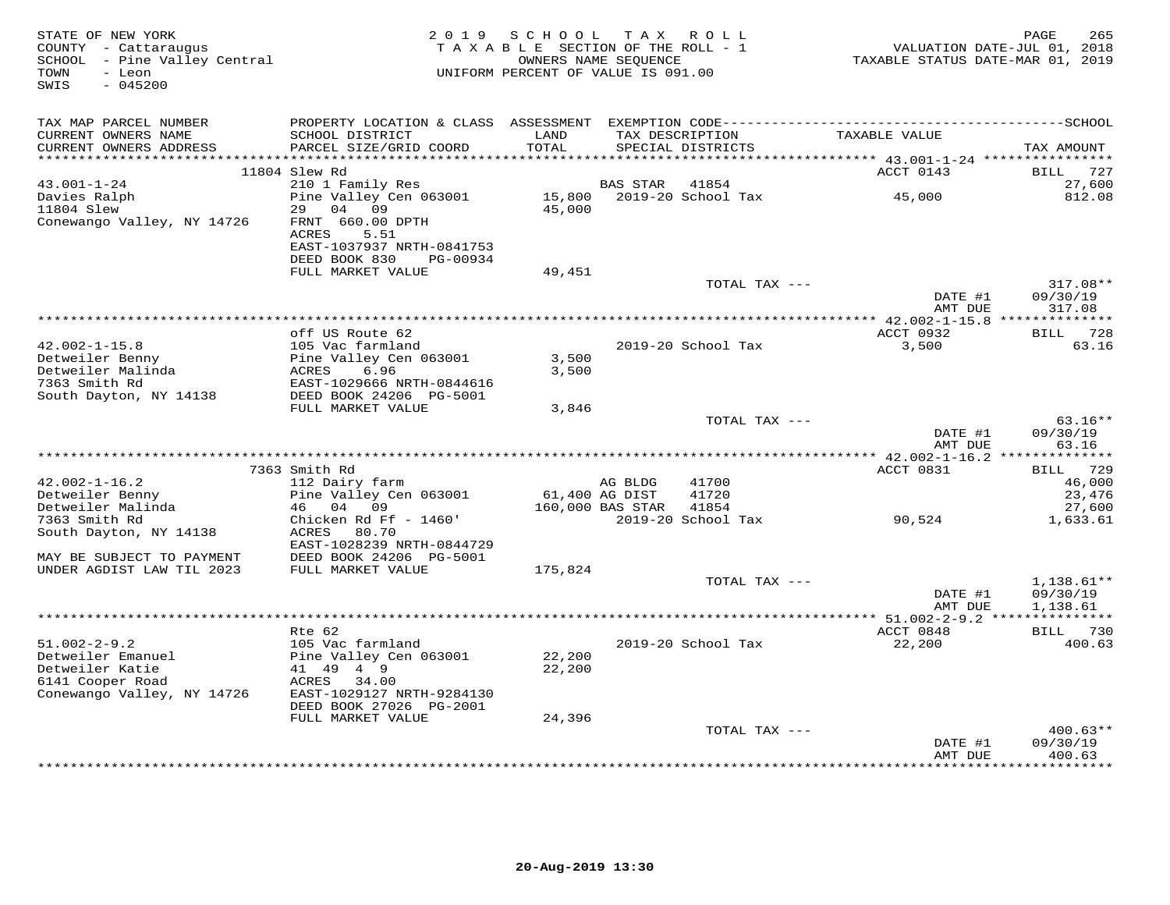| STATE OF NEW YORK<br>COUNTY - Cattaraugus<br>SCHOOL - Pine Valley Central<br>TOWN<br>- Leon<br>$-045200$<br>SWIS | 2 0 1 9                                                        | SCHOOL<br>TAXABLE SECTION OF THE ROLL - 1<br>UNIFORM PERCENT OF VALUE IS 091.00 | OWNERS NAME SEQUENCE      | TAX ROLL                             | VALUATION DATE-JUL 01, 2018<br>TAXABLE STATUS DATE-MAR 01, 2019 | 265<br>PAGE                          |
|------------------------------------------------------------------------------------------------------------------|----------------------------------------------------------------|---------------------------------------------------------------------------------|---------------------------|--------------------------------------|-----------------------------------------------------------------|--------------------------------------|
| TAX MAP PARCEL NUMBER                                                                                            |                                                                |                                                                                 |                           |                                      |                                                                 |                                      |
| CURRENT OWNERS NAME<br>CURRENT OWNERS ADDRESS                                                                    | SCHOOL DISTRICT<br>PARCEL SIZE/GRID COORD                      | LAND<br>TOTAL                                                                   |                           | TAX DESCRIPTION<br>SPECIAL DISTRICTS | TAXABLE VALUE                                                   | TAX AMOUNT                           |
|                                                                                                                  | 11804 Slew Rd                                                  |                                                                                 |                           |                                      | ACCT 0143                                                       | BILL 727                             |
| $43.001 - 1 - 24$                                                                                                | 210 1 Family Res                                               |                                                                                 | BAS STAR                  | 41854                                |                                                                 | 27,600                               |
| Davies Ralph<br>11804 Slew                                                                                       | Pine Valley Cen 063001<br>29<br>04<br>09                       | 15,800<br>45,000                                                                |                           | 2019-20 School Tax                   | 45,000                                                          | 812.08                               |
| Conewango Valley, NY 14726                                                                                       | FRNT 660.00 DPTH<br>ACRES<br>5.51<br>EAST-1037937 NRTH-0841753 |                                                                                 |                           |                                      |                                                                 |                                      |
|                                                                                                                  | DEED BOOK 830<br>PG-00934                                      |                                                                                 |                           |                                      |                                                                 |                                      |
|                                                                                                                  | FULL MARKET VALUE                                              | 49,451                                                                          |                           | TOTAL TAX ---                        |                                                                 | 317.08**                             |
|                                                                                                                  |                                                                |                                                                                 |                           |                                      | DATE #1<br>AMT DUE                                              | 09/30/19<br>317.08                   |
|                                                                                                                  |                                                                |                                                                                 |                           |                                      |                                                                 |                                      |
|                                                                                                                  | off US Route 62                                                |                                                                                 |                           |                                      | ACCT 0932                                                       | 728<br>BILL                          |
| $42.002 - 1 - 15.8$<br>Detweiler Benny<br>Detweiler Malinda                                                      | 105 Vac farmland<br>Pine Valley Cen 063001<br>6.96<br>ACRES    | 3,500<br>3,500                                                                  |                           | 2019-20 School Tax                   | 3,500                                                           | 63.16                                |
| 7363 Smith Rd<br>South Dayton, NY 14138                                                                          | EAST-1029666 NRTH-0844616<br>DEED BOOK 24206 PG-5001           |                                                                                 |                           |                                      |                                                                 |                                      |
|                                                                                                                  | FULL MARKET VALUE                                              | 3,846                                                                           |                           |                                      |                                                                 |                                      |
|                                                                                                                  |                                                                |                                                                                 |                           | TOTAL TAX ---                        |                                                                 | $63.16**$                            |
|                                                                                                                  |                                                                |                                                                                 |                           |                                      | DATE #1<br>AMT DUE                                              | 09/30/19<br>63.16                    |
|                                                                                                                  |                                                                |                                                                                 |                           |                                      | ************ 42.002-1-16.2 ***                                  | * * * * * * * *                      |
|                                                                                                                  | 7363 Smith Rd                                                  |                                                                                 |                           |                                      | ACCT 0831                                                       | 729<br>BILL                          |
| $42.002 - 1 - 16.2$<br>Detweiler Benny                                                                           | 112 Dairy farm<br>Pine Valley Cen 063001                       |                                                                                 | AG BLDG<br>61,400 AG DIST | 41700<br>41720                       |                                                                 | 46,000<br>23,476                     |
| Detweiler Malinda                                                                                                | 04 09<br>46                                                    |                                                                                 | 160,000 BAS STAR          | 41854                                |                                                                 | 27,600                               |
| 7363 Smith Rd                                                                                                    | Chicken Rd Ff - 1460'                                          |                                                                                 |                           | 2019-20 School Tax                   | 90,524                                                          | 1,633.61                             |
| South Dayton, NY 14138                                                                                           | ACRES<br>80.70<br>EAST-1028239 NRTH-0844729                    |                                                                                 |                           |                                      |                                                                 |                                      |
| MAY BE SUBJECT TO PAYMENT                                                                                        | DEED BOOK 24206 PG-5001                                        |                                                                                 |                           |                                      |                                                                 |                                      |
| UNDER AGDIST LAW TIL 2023                                                                                        | FULL MARKET VALUE                                              | 175,824                                                                         |                           |                                      |                                                                 |                                      |
|                                                                                                                  |                                                                |                                                                                 |                           | TOTAL TAX ---                        | DATE #1<br>AMT DUE                                              | $1,138.61**$<br>09/30/19<br>1,138.61 |
|                                                                                                                  |                                                                |                                                                                 |                           |                                      |                                                                 | * * * * * * * * * * * *              |
|                                                                                                                  | $Rte$ 62                                                       |                                                                                 |                           |                                      | ACCT 0848                                                       | BILL 730                             |
| $51.002 - 2 - 9.2$                                                                                               | 105 Vac farmland                                               |                                                                                 |                           | 2019-20 School Tax                   | 22,200                                                          | 400.63                               |
| Detweiler Emanuel<br>Detweiler Katie                                                                             | Pine Valley Cen 063001<br>41 49 4 9                            | 22,200<br>22,200                                                                |                           |                                      |                                                                 |                                      |
| 6141 Cooper Road                                                                                                 | ACRES<br>34.00                                                 |                                                                                 |                           |                                      |                                                                 |                                      |
| Conewango Valley, NY 14726                                                                                       | EAST-1029127 NRTH-9284130<br>DEED BOOK 27026 PG-2001           |                                                                                 |                           |                                      |                                                                 |                                      |
|                                                                                                                  | FULL MARKET VALUE                                              | 24,396                                                                          |                           |                                      |                                                                 |                                      |
|                                                                                                                  |                                                                |                                                                                 |                           | TOTAL TAX ---                        |                                                                 | $400.63**$                           |
|                                                                                                                  |                                                                |                                                                                 |                           |                                      | DATE #1<br>AMT DUE                                              | 09/30/19<br>400.63                   |
|                                                                                                                  |                                                                |                                                                                 |                           |                                      |                                                                 | *********                            |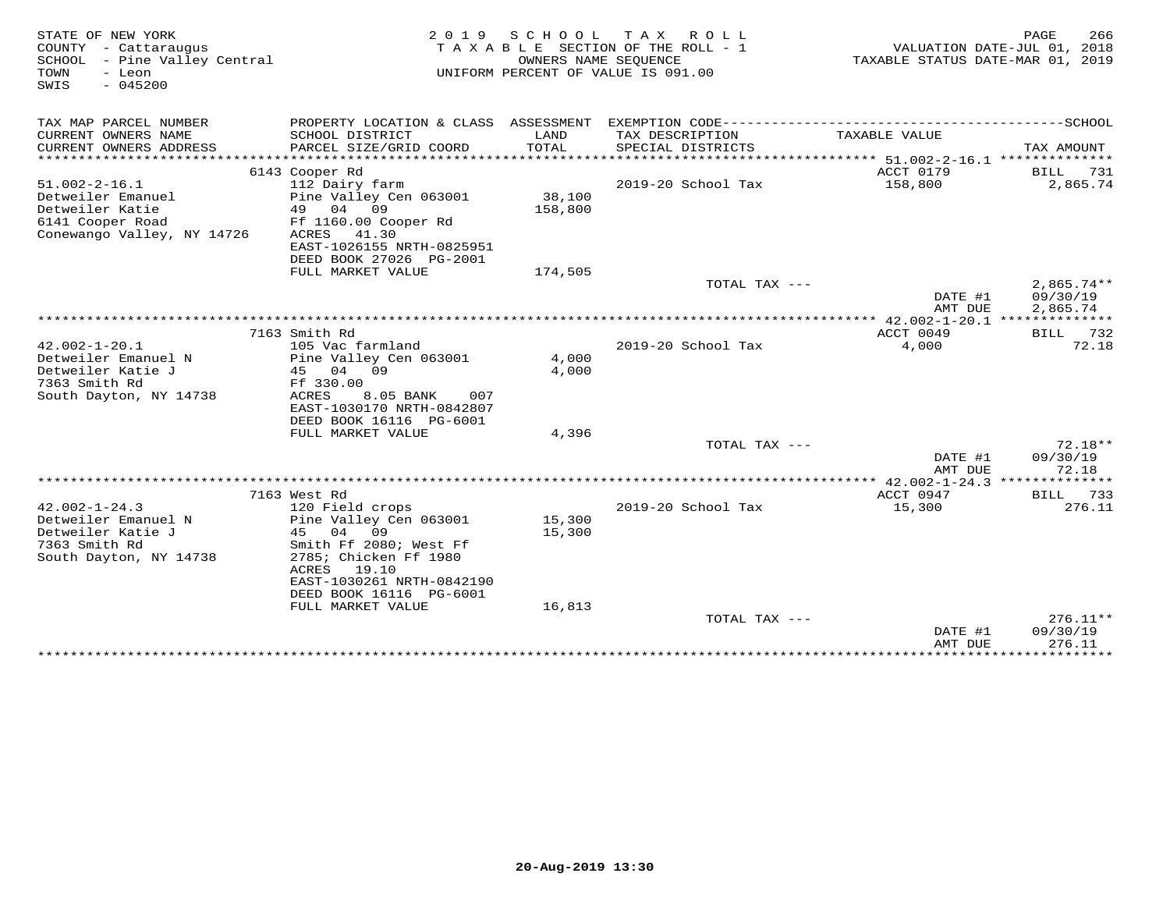| STATE OF NEW YORK<br>COUNTY - Cattaraugus<br>SCHOOL<br>- Pine Valley Central<br>TOWN<br>- Leon<br>$-045200$<br>SWIS | 2 0 1 9                                                                                                                                                                                                       | S C H O O L<br>OWNERS NAME SEQUENCE | T A X<br>R O L L<br>TAXABLE SECTION OF THE ROLL - 1<br>UNIFORM PERCENT OF VALUE IS 091.00 | TAXABLE STATUS DATE-MAR 01, 2019                          | PAGE<br>266<br>VALUATION DATE-JUL 01, 2018 |
|---------------------------------------------------------------------------------------------------------------------|---------------------------------------------------------------------------------------------------------------------------------------------------------------------------------------------------------------|-------------------------------------|-------------------------------------------------------------------------------------------|-----------------------------------------------------------|--------------------------------------------|
| TAX MAP PARCEL NUMBER                                                                                               |                                                                                                                                                                                                               |                                     |                                                                                           |                                                           |                                            |
| CURRENT OWNERS NAME<br>CURRENT OWNERS ADDRESS                                                                       | SCHOOL DISTRICT<br>PARCEL SIZE/GRID COORD                                                                                                                                                                     | LAND<br><b>TOTAL</b>                | TAX DESCRIPTION<br>SPECIAL DISTRICTS                                                      | TAXABLE VALUE                                             | TAX AMOUNT                                 |
|                                                                                                                     | 6143 Cooper Rd                                                                                                                                                                                                |                                     |                                                                                           | ACCT 0179                                                 | BILL                                       |
| $51.002 - 2 - 16.1$<br>Detweiler Emanuel<br>Detweiler Katie<br>6141 Cooper Road<br>Conewango Valley, NY 14726       | 112 Dairy farm<br>Pine Valley Cen 063001<br>49<br>04 09<br>Ff 1160.00 Cooper Rd<br>ACRES<br>41.30                                                                                                             | 38,100<br>158,800                   | 2019-20 School Tax                                                                        | 158,800                                                   | 731<br>2,865.74                            |
|                                                                                                                     | EAST-1026155 NRTH-0825951                                                                                                                                                                                     |                                     |                                                                                           |                                                           |                                            |
|                                                                                                                     | DEED BOOK 27026 PG-2001                                                                                                                                                                                       |                                     |                                                                                           |                                                           |                                            |
|                                                                                                                     | FULL MARKET VALUE                                                                                                                                                                                             | 174,505                             | TOTAL TAX ---                                                                             |                                                           | $2,865.74**$                               |
|                                                                                                                     |                                                                                                                                                                                                               |                                     |                                                                                           | DATE #1<br>AMT DUE                                        | 09/30/19<br>2,865.74                       |
|                                                                                                                     | 7163 Smith Rd                                                                                                                                                                                                 |                                     |                                                                                           | ************** 42.002-1-20.1 ***************<br>ACCT 0049 |                                            |
| $42.002 - 1 - 20.1$                                                                                                 | 105 Vac farmland                                                                                                                                                                                              |                                     | 2019-20 School Tax                                                                        | 4,000                                                     | BILL<br>732<br>72.18                       |
| Detweiler Emanuel N<br>Detweiler Katie J<br>7363 Smith Rd<br>South Dayton, NY 14738                                 | Pine Valley Cen 063001<br>45 04 09<br>Ff 330.00<br>ACRES<br>8.05 BANK<br>007<br>EAST-1030170 NRTH-0842807<br>DEED BOOK 16116 PG-6001                                                                          | 4,000<br>4,000                      |                                                                                           |                                                           |                                            |
|                                                                                                                     | FULL MARKET VALUE                                                                                                                                                                                             | 4,396                               |                                                                                           |                                                           |                                            |
|                                                                                                                     |                                                                                                                                                                                                               |                                     | TOTAL TAX ---                                                                             | DATE #1<br>AMT DUE                                        | $72.18**$<br>09/30/19<br>72.18             |
|                                                                                                                     |                                                                                                                                                                                                               |                                     |                                                                                           |                                                           |                                            |
|                                                                                                                     | 7163 West Rd                                                                                                                                                                                                  |                                     |                                                                                           | ACCT 0947                                                 | 733<br>BILL                                |
| $42.002 - 1 - 24.3$<br>Detweiler Emanuel N<br>Detweiler Katie J<br>7363 Smith Rd<br>South Dayton, NY 14738          | 120 Field crops<br>Pine Valley Cen 063001<br>45<br>04<br>09<br>Smith Ff 2080; West Ff<br>2785; Chicken Ff 1980<br>ACRES<br>19.10<br>EAST-1030261 NRTH-0842190<br>DEED BOOK 16116 PG-6001<br>FULL MARKET VALUE | 15,300<br>15,300<br>16,813          | 2019-20 School Tax                                                                        | 15,300                                                    | 276.11                                     |
|                                                                                                                     |                                                                                                                                                                                                               |                                     | TOTAL TAX ---                                                                             |                                                           | $276.11**$                                 |
|                                                                                                                     |                                                                                                                                                                                                               |                                     |                                                                                           | DATE #1<br>AMT DUE<br>************                        | 09/30/19<br>276.11<br>***********          |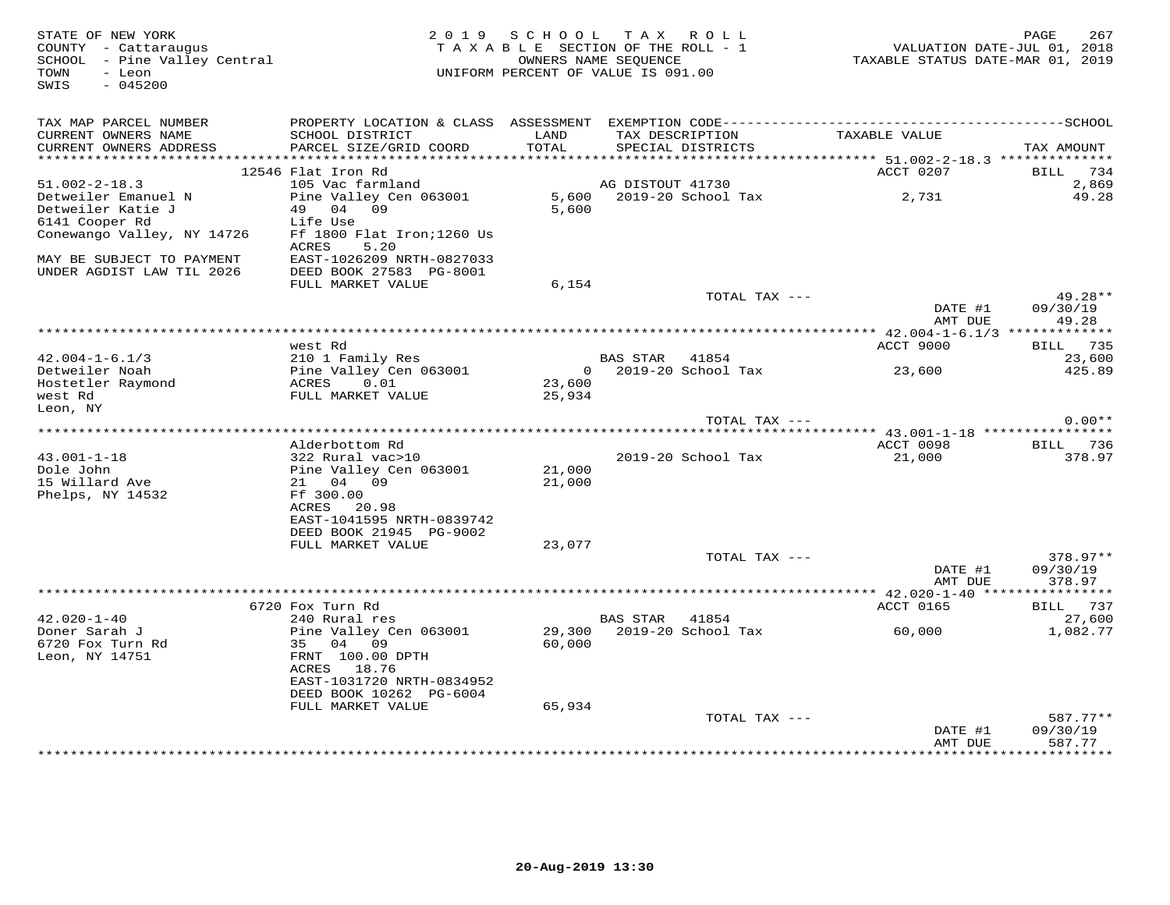| STATE OF NEW YORK<br>COUNTY - Cattaraugus<br>SCHOOL - Pine Valley Central<br>- Leon<br>TOWN<br>SWIS<br>$-045200$ |                                                      | 2019 SCHOOL    | TAX ROLL<br>TAXABLE SECTION OF THE ROLL - 1<br>OWNERS NAME SEOUENCE<br>UNIFORM PERCENT OF VALUE IS 091.00 | VALUATION DATE-JUL 01, 2018<br>TAXABLE STATUS DATE-MAR 01, 2019 | 267<br>PAGE                    |
|------------------------------------------------------------------------------------------------------------------|------------------------------------------------------|----------------|-----------------------------------------------------------------------------------------------------------|-----------------------------------------------------------------|--------------------------------|
| TAX MAP PARCEL NUMBER                                                                                            |                                                      |                |                                                                                                           |                                                                 |                                |
| CURRENT OWNERS NAME<br>CURRENT OWNERS ADDRESS                                                                    | SCHOOL DISTRICT<br>PARCEL SIZE/GRID COORD            | LAND<br>TOTAL  | TAX DESCRIPTION<br>SPECIAL DISTRICTS                                                                      | TAXABLE VALUE                                                   | TAX AMOUNT                     |
|                                                                                                                  | 12546 Flat Iron Rd                                   |                |                                                                                                           | ACCT 0207                                                       | 734<br>BILL                    |
| $51.002 - 2 - 18.3$                                                                                              | 105 Vac farmland                                     |                | AG DISTOUT 41730                                                                                          |                                                                 | 2,869                          |
| Detweiler Emanuel N                                                                                              | Pine Valley Cen 063001                               | 5,600          | 2019-20 School Tax                                                                                        | 2,731                                                           | 49.28                          |
| Detweiler Katie J                                                                                                | 49 04 09                                             | 5,600          |                                                                                                           |                                                                 |                                |
| 6141 Cooper Rd                                                                                                   | Life Use                                             |                |                                                                                                           |                                                                 |                                |
| Conewango Valley, NY 14726                                                                                       | Ff 1800 Flat Iron; 1260 Us<br><b>ACRES</b><br>5.20   |                |                                                                                                           |                                                                 |                                |
| MAY BE SUBJECT TO PAYMENT<br>UNDER AGDIST LAW TIL 2026                                                           | EAST-1026209 NRTH-0827033<br>DEED BOOK 27583 PG-8001 |                |                                                                                                           |                                                                 |                                |
|                                                                                                                  | FULL MARKET VALUE                                    | 6,154          |                                                                                                           |                                                                 |                                |
|                                                                                                                  |                                                      |                | TOTAL TAX ---                                                                                             | DATE #1                                                         | $49.28**$<br>09/30/19          |
|                                                                                                                  |                                                      |                |                                                                                                           | AMT DUE                                                         | 49.28                          |
|                                                                                                                  | west Rd                                              |                |                                                                                                           | ACCT 9000                                                       | 735<br>BILL                    |
| $42.004 - 1 - 6.1/3$                                                                                             | 210 1 Family Res                                     |                | BAS STAR<br>41854                                                                                         |                                                                 | 23,600                         |
| Detweiler Noah                                                                                                   | Pine Valley Cen 063001                               | $\overline{0}$ | 2019-20 School Tax                                                                                        | 23,600                                                          | 425.89                         |
| Hostetler Raymond                                                                                                | ACRES<br>0.01                                        | 23,600         |                                                                                                           |                                                                 |                                |
| west Rd                                                                                                          | FULL MARKET VALUE                                    | 25,934         |                                                                                                           |                                                                 |                                |
| Leon, NY                                                                                                         |                                                      |                | TOTAL TAX ---                                                                                             |                                                                 | $0.00**$                       |
|                                                                                                                  |                                                      |                |                                                                                                           |                                                                 |                                |
|                                                                                                                  | Alderbottom Rd                                       |                |                                                                                                           | ACCT 0098                                                       | BILL 736                       |
| $43.001 - 1 - 18$                                                                                                | 322 Rural vac>10                                     |                | 2019-20 School Tax                                                                                        | 21,000                                                          | 378.97                         |
| Dole John                                                                                                        | Pine Valley Cen 063001                               | 21,000         |                                                                                                           |                                                                 |                                |
| 15 Willard Ave<br>Phelps, NY 14532                                                                               | 21 04 09<br>Ff 300.00                                | 21,000         |                                                                                                           |                                                                 |                                |
|                                                                                                                  | 20.98<br>ACRES                                       |                |                                                                                                           |                                                                 |                                |
|                                                                                                                  | EAST-1041595 NRTH-0839742                            |                |                                                                                                           |                                                                 |                                |
|                                                                                                                  | DEED BOOK 21945 PG-9002                              |                |                                                                                                           |                                                                 |                                |
|                                                                                                                  | FULL MARKET VALUE                                    | 23,077         |                                                                                                           |                                                                 |                                |
|                                                                                                                  |                                                      |                | TOTAL TAX ---                                                                                             |                                                                 | $378.97**$                     |
|                                                                                                                  |                                                      |                |                                                                                                           | DATE #1<br>AMT DUE                                              | 09/30/19<br>378.97             |
|                                                                                                                  |                                                      |                | **********************                                                                                    | ***** 42.020-1-40 *****************                             |                                |
|                                                                                                                  | 6720 Fox Turn Rd                                     |                |                                                                                                           | ACCT 0165                                                       | BILL 737                       |
| $42.020 - 1 - 40$                                                                                                | 240 Rural res                                        |                | BAS STAR 41854                                                                                            |                                                                 | 27,600                         |
| Doner Sarah J                                                                                                    | Pine Valley Cen 063001                               |                | 29,300 2019-20 School Tax                                                                                 | 60,000                                                          | 1,082.77                       |
| 6720 Fox Turn Rd<br>Leon, NY 14751                                                                               | 35 04 09<br>FRNT 100.00 DPTH                         | 60,000         |                                                                                                           |                                                                 |                                |
|                                                                                                                  | ACRES<br>18.76                                       |                |                                                                                                           |                                                                 |                                |
|                                                                                                                  | EAST-1031720 NRTH-0834952                            |                |                                                                                                           |                                                                 |                                |
|                                                                                                                  | DEED BOOK 10262 PG-6004                              |                |                                                                                                           |                                                                 |                                |
|                                                                                                                  | FULL MARKET VALUE                                    | 65,934         |                                                                                                           |                                                                 |                                |
|                                                                                                                  |                                                      |                | TOTAL TAX ---                                                                                             |                                                                 | $587.77**$                     |
|                                                                                                                  |                                                      |                |                                                                                                           | DATE #1<br>AMT DUE                                              | 09/30/19<br>587.77             |
|                                                                                                                  |                                                      |                |                                                                                                           |                                                                 | للہ بلہ بلہ بلہ بلہ بلہ بلہ با |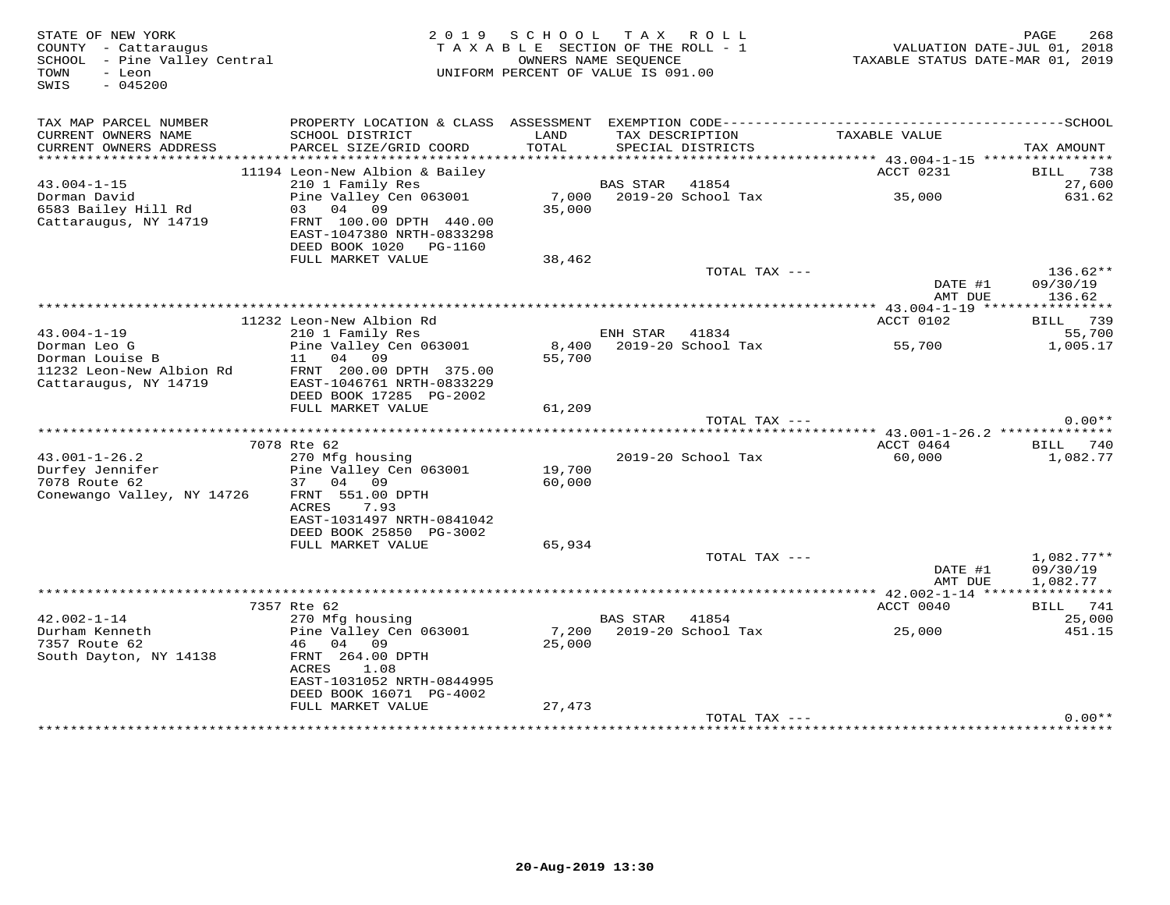| STATE OF NEW YORK<br>COUNTY - Cattaraugus<br>SCHOOL - Pine Valley Central<br>TOWN<br>- Leon<br>SWIS<br>$-045200$ | 2 0 1 9                                                                                                                                            | S C H O O L<br>TAXABLE SECTION OF THE ROLL - 1<br>OWNERS NAME SEQUENCE<br>UNIFORM PERCENT OF VALUE IS 091.00 | T A X                      | ROLL                              | VALUATION DATE-JUL 01, 2018<br>TAXABLE STATUS DATE-MAR 01, 2019 | PAGE<br>268                          |
|------------------------------------------------------------------------------------------------------------------|----------------------------------------------------------------------------------------------------------------------------------------------------|--------------------------------------------------------------------------------------------------------------|----------------------------|-----------------------------------|-----------------------------------------------------------------|--------------------------------------|
| TAX MAP PARCEL NUMBER<br>CURRENT OWNERS NAME                                                                     | SCHOOL DISTRICT                                                                                                                                    | LAND                                                                                                         |                            | TAX DESCRIPTION                   | TAXABLE VALUE                                                   |                                      |
| CURRENT OWNERS ADDRESS                                                                                           | PARCEL SIZE/GRID COORD                                                                                                                             | TOTAL                                                                                                        |                            | SPECIAL DISTRICTS                 |                                                                 | TAX AMOUNT                           |
|                                                                                                                  |                                                                                                                                                    |                                                                                                              |                            |                                   |                                                                 |                                      |
|                                                                                                                  | 11194 Leon-New Albion & Bailey                                                                                                                     |                                                                                                              |                            |                                   | ACCT 0231                                                       | BILL 738                             |
| $43.004 - 1 - 15$<br>Dorman David                                                                                | 210 1 Family Res<br>Pine Valley Cen 063001                                                                                                         |                                                                                                              | BAS STAR                   | 41854<br>7,000 2019-20 School Tax | 35,000                                                          | 27,600<br>631.62                     |
| 6583 Bailey Hill Rd<br>Cattaraugus, NY 14719                                                                     | 03 04 09<br>FRNT 100.00 DPTH 440.00<br>EAST-1047380 NRTH-0833298<br>DEED BOOK 1020 PG-1160                                                         | 35,000                                                                                                       |                            |                                   |                                                                 |                                      |
|                                                                                                                  | FULL MARKET VALUE                                                                                                                                  | 38,462                                                                                                       |                            |                                   |                                                                 |                                      |
|                                                                                                                  |                                                                                                                                                    |                                                                                                              |                            | TOTAL TAX ---                     |                                                                 | $136.62**$                           |
|                                                                                                                  |                                                                                                                                                    |                                                                                                              |                            |                                   | DATE #1<br>AMT DUE                                              | 09/30/19<br>136.62                   |
|                                                                                                                  |                                                                                                                                                    |                                                                                                              |                            |                                   |                                                                 |                                      |
| $43.004 - 1 - 19$                                                                                                | 11232 Leon-New Albion Rd                                                                                                                           |                                                                                                              | ENH STAR                   | 41834                             | ACCT 0102                                                       | BILL 739<br>55,700                   |
| Dorman Leo G                                                                                                     | 210 1 Family Res<br>Pine Valley Cen 063001                                                                                                         |                                                                                                              |                            | 8,400 2019-20 School Tax          | 55,700                                                          | 1,005.17                             |
| Dorman Louise B<br>11232 Leon-New Albion Rd<br>Cattaraugus, NY 14719                                             | 11 04<br>09<br>FRNT 200.00 DPTH 375.00<br>EAST-1046761 NRTH-0833229                                                                                | 55,700                                                                                                       |                            |                                   |                                                                 |                                      |
|                                                                                                                  | DEED BOOK 17285 PG-2002<br>FULL MARKET VALUE                                                                                                       | 61,209                                                                                                       |                            |                                   |                                                                 |                                      |
|                                                                                                                  |                                                                                                                                                    |                                                                                                              |                            | TOTAL TAX ---                     |                                                                 | $0.00**$                             |
|                                                                                                                  |                                                                                                                                                    |                                                                                                              |                            |                                   |                                                                 |                                      |
|                                                                                                                  | 7078 Rte 62                                                                                                                                        |                                                                                                              |                            |                                   | ACCT 0464                                                       | BILL 740                             |
| $43.001 - 1 - 26.2$<br>Durfey Jennifer<br>7078 Route 62<br>Conewango Valley, NY 14726                            | 270 Mfg housing<br>Pine Valley Cen 063001<br>37 04 09<br>FRNT 551.00 DPTH<br>ACRES<br>7.93<br>EAST-1031497 NRTH-0841042<br>DEED BOOK 25850 PG-3002 | 19,700<br>60,000                                                                                             |                            | 2019-20 School Tax                | 60,000                                                          | 1,082.77                             |
|                                                                                                                  | FULL MARKET VALUE                                                                                                                                  | 65,934                                                                                                       |                            |                                   |                                                                 |                                      |
|                                                                                                                  |                                                                                                                                                    |                                                                                                              |                            | TOTAL TAX ---                     | DATE #1<br>AMT DUE                                              | $1,082.77**$<br>09/30/19<br>1,082.77 |
|                                                                                                                  |                                                                                                                                                    |                                                                                                              | ************************** |                                   | ******* 42.002-1-14 *****************                           |                                      |
|                                                                                                                  | 7357 Rte 62                                                                                                                                        |                                                                                                              |                            |                                   | ACCT 0040                                                       | BILL 741                             |
| $42.002 - 1 - 14$<br>Durham Kenneth                                                                              | 270 Mfg housing<br>Pine Valley Cen 063001                                                                                                          | 7,200                                                                                                        | BAS STAR                   | 41854<br>2019-20 School Tax       |                                                                 | 25,000<br>451.15                     |
| 7357 Route 62<br>South Dayton, NY 14138                                                                          | 46 04<br>09<br>FRNT 264.00 DPTH<br>ACRES<br>1.08<br>EAST-1031052 NRTH-0844995<br>DEED BOOK 16071 PG-4002                                           | 25,000                                                                                                       |                            |                                   | 25,000                                                          |                                      |
|                                                                                                                  | FULL MARKET VALUE                                                                                                                                  | 27,473                                                                                                       |                            |                                   |                                                                 |                                      |
|                                                                                                                  |                                                                                                                                                    |                                                                                                              |                            | TOTAL TAX ---                     |                                                                 | $0.00**$                             |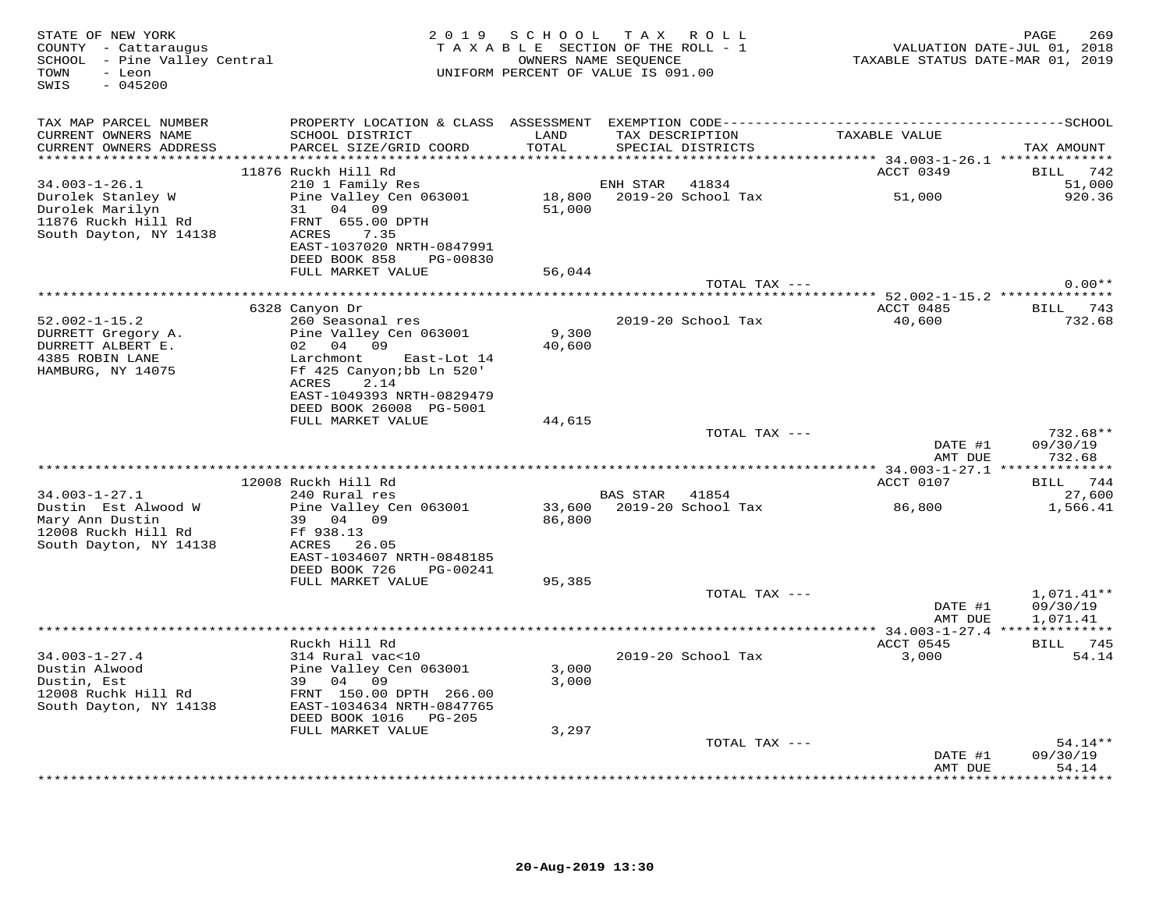| STATE OF NEW YORK<br>COUNTY - Cattaraugus<br>SCHOOL - Pine Valley Central<br>TOWN<br>- Leon<br>$-045200$<br>SWIS |                                                       |               | 2019 SCHOOL TAX ROLL<br>TAXABLE SECTION OF THE ROLL - 1<br>OWNERS NAME SEQUENCE<br>UNIFORM PERCENT OF VALUE IS 091.00 | VALUATION DATE-JUL 01, 2018<br>TAXABLE STATUS DATE-MAR 01, 2019 | 269<br>PAGE              |
|------------------------------------------------------------------------------------------------------------------|-------------------------------------------------------|---------------|-----------------------------------------------------------------------------------------------------------------------|-----------------------------------------------------------------|--------------------------|
| TAX MAP PARCEL NUMBER                                                                                            |                                                       |               |                                                                                                                       |                                                                 |                          |
| CURRENT OWNERS NAME<br>CURRENT OWNERS ADDRESS                                                                    | SCHOOL DISTRICT<br>PARCEL SIZE/GRID COORD             | LAND<br>TOTAL | TAX DESCRIPTION<br>SPECIAL DISTRICTS                                                                                  | TAXABLE VALUE                                                   | TAX AMOUNT               |
|                                                                                                                  |                                                       |               |                                                                                                                       |                                                                 |                          |
| $34.003 - 1 - 26.1$                                                                                              | 11876 Ruckh Hill Rd<br>210 1 Family Res               |               | 41834<br>ENH STAR                                                                                                     | ACCT 0349                                                       | BILL 742<br>51,000       |
| Durolek Stanley W                                                                                                | Pine Valley Cen 063001                                |               | 18,800 2019-20 School Tax                                                                                             | 51,000                                                          | 920.36                   |
| Durolek Marilyn                                                                                                  | 31 04 09                                              | 51,000        |                                                                                                                       |                                                                 |                          |
| 11876 Ruckh Hill Rd                                                                                              | FRNT 655.00 DPTH                                      |               |                                                                                                                       |                                                                 |                          |
| South Dayton, NY 14138                                                                                           | ACRES<br>7.35                                         |               |                                                                                                                       |                                                                 |                          |
|                                                                                                                  | EAST-1037020 NRTH-0847991                             |               |                                                                                                                       |                                                                 |                          |
|                                                                                                                  | DEED BOOK 858<br>PG-00830<br>FULL MARKET VALUE        | 56,044        |                                                                                                                       |                                                                 |                          |
|                                                                                                                  |                                                       |               | TOTAL TAX ---                                                                                                         |                                                                 | $0.00**$                 |
|                                                                                                                  |                                                       |               |                                                                                                                       |                                                                 |                          |
|                                                                                                                  | 6328 Canyon Dr                                        |               |                                                                                                                       | ACCT 0485                                                       | BILL 743                 |
| $52.002 - 1 - 15.2$                                                                                              | 260 Seasonal res                                      |               | 2019-20 School Tax                                                                                                    | 40,600                                                          | 732.68                   |
| DURRETT Gregory A.                                                                                               | Pine Valley Cen 063001                                | 9,300         |                                                                                                                       |                                                                 |                          |
| DURRETT ALBERT E.                                                                                                | 02 04 09                                              | 40,600        |                                                                                                                       |                                                                 |                          |
| 4385 ROBIN LANE<br>HAMBURG, NY 14075                                                                             | Larchmont<br>East-Lot 14<br>Ff 425 Canyon; bb Ln 520' |               |                                                                                                                       |                                                                 |                          |
|                                                                                                                  | 2.14<br>ACRES                                         |               |                                                                                                                       |                                                                 |                          |
|                                                                                                                  | EAST-1049393 NRTH-0829479                             |               |                                                                                                                       |                                                                 |                          |
|                                                                                                                  | DEED BOOK 26008 PG-5001                               |               |                                                                                                                       |                                                                 |                          |
|                                                                                                                  | FULL MARKET VALUE                                     | 44,615        |                                                                                                                       |                                                                 |                          |
|                                                                                                                  |                                                       |               | TOTAL TAX ---                                                                                                         | DATE #1                                                         | 732.68**<br>09/30/19     |
|                                                                                                                  |                                                       |               |                                                                                                                       | AMT DUE                                                         | 732.68                   |
|                                                                                                                  |                                                       |               |                                                                                                                       |                                                                 |                          |
|                                                                                                                  | 12008 Ruckh Hill Rd                                   |               |                                                                                                                       | ACCT 0107                                                       | BILL 744                 |
| 34.003-1-27.1                                                                                                    | 240 Rural res                                         |               | BAS STAR 41854                                                                                                        |                                                                 | 27,600                   |
| Dustin Est Alwood W                                                                                              | Pine Valley Cen 063001                                | 33,600        | 2019-20 School Tax                                                                                                    | 86,800                                                          | 1,566.41                 |
| Mary Ann Dustin<br>12008 Ruckh Hill Rd                                                                           | 39 04 09<br>Ff 938.13                                 | 86,800        |                                                                                                                       |                                                                 |                          |
| South Dayton, NY 14138                                                                                           | ACRES 26.05                                           |               |                                                                                                                       |                                                                 |                          |
|                                                                                                                  | EAST-1034607 NRTH-0848185                             |               |                                                                                                                       |                                                                 |                          |
|                                                                                                                  | DEED BOOK 726<br>PG-00241                             |               |                                                                                                                       |                                                                 |                          |
|                                                                                                                  | FULL MARKET VALUE                                     | 95,385        |                                                                                                                       |                                                                 |                          |
|                                                                                                                  |                                                       |               | TOTAL TAX ---                                                                                                         |                                                                 | $1,071.41**$             |
|                                                                                                                  |                                                       |               |                                                                                                                       | DATE #1<br>AMT DUE                                              | 09/30/19<br>1,071.41     |
|                                                                                                                  |                                                       |               |                                                                                                                       |                                                                 |                          |
|                                                                                                                  | Ruckh Hill Rd                                         |               |                                                                                                                       | ACCT 0545                                                       | BILL 745                 |
| $34.003 - 1 - 27.4$                                                                                              | 314 Rural vac<10                                      |               | 2019-20 School Tax                                                                                                    | 3,000                                                           | 54.14                    |
| Dustin Alwood                                                                                                    | Pine Valley Cen 063001                                | 3,000         |                                                                                                                       |                                                                 |                          |
| Dustin, Est                                                                                                      | 39 04 09                                              | 3,000         |                                                                                                                       |                                                                 |                          |
| 12008 Ruchk Hill Rd                                                                                              | FRNT 150.00 DPTH 266.00                               |               |                                                                                                                       |                                                                 |                          |
| South Dayton, NY 14138                                                                                           | EAST-1034634 NRTH-0847765<br>DEED BOOK 1016    PG-205 |               |                                                                                                                       |                                                                 |                          |
|                                                                                                                  | FULL MARKET VALUE                                     | 3,297         |                                                                                                                       |                                                                 |                          |
|                                                                                                                  |                                                       |               | TOTAL TAX ---                                                                                                         |                                                                 | $54.14**$                |
|                                                                                                                  |                                                       |               |                                                                                                                       | DATE #1                                                         | 09/30/19                 |
|                                                                                                                  |                                                       |               |                                                                                                                       | AMT DUE                                                         | 54.14<br>* * * * * * * * |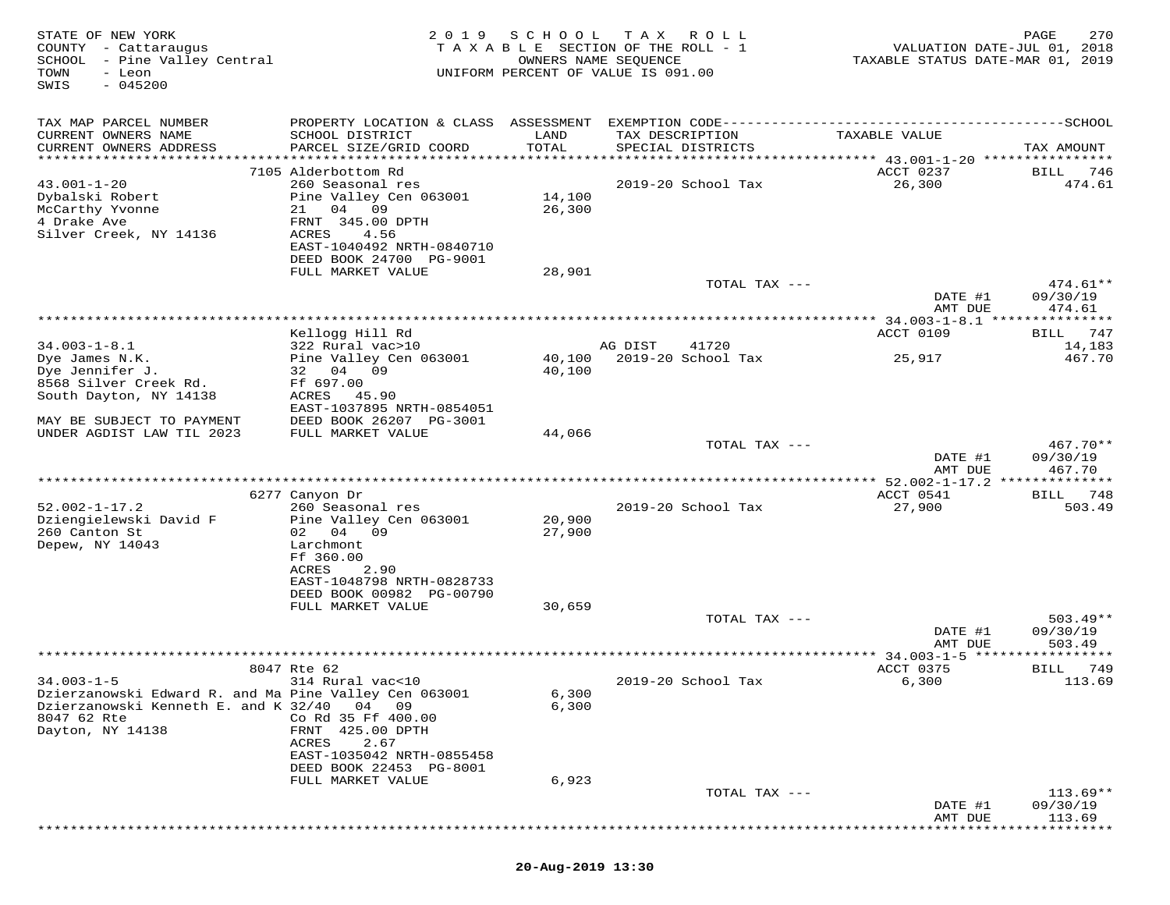| STATE OF NEW YORK<br>COUNTY - Cattaraugus<br>SCHOOL - Pine Valley Central<br>- Leon<br>TOWN<br>$-045200$<br>SWIS | 2019                                                 | SCHOOL           | T A X<br>R O L L<br>TAXABLE SECTION OF THE ROLL - 1<br>OWNERS NAME SEQUENCE<br>UNIFORM PERCENT OF VALUE IS 091.00 | VALUATION DATE-JUL 01, 2018<br>TAXABLE STATUS DATE-MAR 01, 2019 | 270<br>PAGE                 |
|------------------------------------------------------------------------------------------------------------------|------------------------------------------------------|------------------|-------------------------------------------------------------------------------------------------------------------|-----------------------------------------------------------------|-----------------------------|
| TAX MAP PARCEL NUMBER                                                                                            |                                                      |                  |                                                                                                                   |                                                                 |                             |
| CURRENT OWNERS NAME                                                                                              | SCHOOL DISTRICT                                      | LAND             | TAX DESCRIPTION                                                                                                   | TAXABLE VALUE                                                   |                             |
| CURRENT OWNERS ADDRESS<br>***********************                                                                | PARCEL SIZE/GRID COORD                               | TOTAL            | SPECIAL DISTRICTS                                                                                                 |                                                                 | TAX AMOUNT                  |
|                                                                                                                  | 7105 Alderbottom Rd                                  |                  |                                                                                                                   | ACCT 0237                                                       | BILL<br>746                 |
| $43.001 - 1 - 20$                                                                                                | 260 Seasonal res                                     |                  | 2019-20 School Tax                                                                                                | 26,300                                                          | 474.61                      |
| Dybalski Robert<br>McCarthy Yvonne                                                                               | Pine Valley Cen 063001<br>21<br>04 09                | 14,100<br>26,300 |                                                                                                                   |                                                                 |                             |
| 4 Drake Ave                                                                                                      | FRNT 345.00 DPTH                                     |                  |                                                                                                                   |                                                                 |                             |
| Silver Creek, NY 14136                                                                                           | ACRES<br>4.56                                        |                  |                                                                                                                   |                                                                 |                             |
|                                                                                                                  | EAST-1040492 NRTH-0840710                            |                  |                                                                                                                   |                                                                 |                             |
|                                                                                                                  | DEED BOOK 24700 PG-9001<br>FULL MARKET VALUE         | 28,901           |                                                                                                                   |                                                                 |                             |
|                                                                                                                  |                                                      |                  | TOTAL TAX ---                                                                                                     |                                                                 | $474.61**$                  |
|                                                                                                                  |                                                      |                  |                                                                                                                   | DATE #1                                                         | 09/30/19                    |
|                                                                                                                  |                                                      |                  |                                                                                                                   | AMT DUE<br>************ 34.003-1-8.1 *****                      | 474.61<br>* * * * * * * * * |
|                                                                                                                  | Kellogg Hill Rd                                      |                  |                                                                                                                   | ACCT 0109                                                       | 747<br>BILL                 |
| $34.003 - 1 - 8.1$                                                                                               | 322 Rural vac>10                                     |                  | AG DIST<br>41720                                                                                                  |                                                                 | 14,183                      |
| Dye James N.K.<br>Dye Jennifer J.                                                                                | Pine Valley Cen 063001<br>32 04 09                   | 40,100<br>40,100 | 2019-20 School Tax                                                                                                | 25,917                                                          | 467.70                      |
| 8568 Silver Creek Rd.                                                                                            | Ff 697.00                                            |                  |                                                                                                                   |                                                                 |                             |
| South Dayton, NY 14138                                                                                           | 45.90<br>ACRES                                       |                  |                                                                                                                   |                                                                 |                             |
| MAY BE SUBJECT TO PAYMENT                                                                                        | EAST-1037895 NRTH-0854051<br>DEED BOOK 26207 PG-3001 |                  |                                                                                                                   |                                                                 |                             |
| UNDER AGDIST LAW TIL 2023                                                                                        | FULL MARKET VALUE                                    | 44,066           |                                                                                                                   |                                                                 |                             |
|                                                                                                                  |                                                      |                  | TOTAL TAX ---                                                                                                     |                                                                 | $467.70**$                  |
|                                                                                                                  |                                                      |                  |                                                                                                                   | DATE #1                                                         | 09/30/19                    |
|                                                                                                                  |                                                      |                  |                                                                                                                   | AMT DUE<br>************* 52.002-1-17.2 *****                    | 467.70<br>* * * * * * * *   |
|                                                                                                                  | 6277 Canyon Dr                                       |                  |                                                                                                                   | ACCT 0541                                                       | 748<br>BILL                 |
| $52.002 - 1 - 17.2$                                                                                              | 260 Seasonal res                                     |                  | 2019-20 School Tax                                                                                                | 27,900                                                          | 503.49                      |
| Dziengielewski David F<br>260 Canton St                                                                          | Pine Valley Cen 063001<br>02 04 09                   | 20,900<br>27,900 |                                                                                                                   |                                                                 |                             |
| Depew, NY 14043                                                                                                  | Larchmont                                            |                  |                                                                                                                   |                                                                 |                             |
|                                                                                                                  | Ff 360.00                                            |                  |                                                                                                                   |                                                                 |                             |
|                                                                                                                  | ACRES<br>2.90<br>EAST-1048798 NRTH-0828733           |                  |                                                                                                                   |                                                                 |                             |
|                                                                                                                  | DEED BOOK 00982 PG-00790                             |                  |                                                                                                                   |                                                                 |                             |
|                                                                                                                  | FULL MARKET VALUE                                    | 30,659           |                                                                                                                   |                                                                 |                             |
|                                                                                                                  |                                                      |                  | TOTAL TAX ---                                                                                                     |                                                                 | $503.49**$                  |
|                                                                                                                  |                                                      |                  |                                                                                                                   | DATE #1<br>AMT DUE                                              | 09/30/19<br>503.49          |
|                                                                                                                  |                                                      |                  |                                                                                                                   | ************ 34.003-1-5 ******                                  | * * * * * * * * *           |
|                                                                                                                  | 8047 Rte 62                                          |                  |                                                                                                                   | ACCT 0375                                                       | BILL<br>749                 |
| $34.003 - 1 - 5$<br>Dzierzanowski Edward R. and Ma Pine Valley Cen 063001                                        | 314 Rural vac<10                                     | 6,300            | 2019-20 School Tax                                                                                                | 6,300                                                           | 113.69                      |
| Dzierzanowski Kenneth E. and K 32/40                                                                             | 09<br>04                                             | 6,300            |                                                                                                                   |                                                                 |                             |
| 8047 62 Rte                                                                                                      | Co Rd 35 Ff 400.00                                   |                  |                                                                                                                   |                                                                 |                             |
| Dayton, NY 14138                                                                                                 | FRNT 425.00 DPTH                                     |                  |                                                                                                                   |                                                                 |                             |
|                                                                                                                  | 2.67<br>ACRES<br>EAST-1035042 NRTH-0855458           |                  |                                                                                                                   |                                                                 |                             |
|                                                                                                                  | DEED BOOK 22453 PG-8001                              |                  |                                                                                                                   |                                                                 |                             |
|                                                                                                                  | FULL MARKET VALUE                                    | 6,923            |                                                                                                                   |                                                                 |                             |
|                                                                                                                  |                                                      |                  | TOTAL TAX ---                                                                                                     | DATE #1                                                         | $113.69**$<br>09/30/19      |
|                                                                                                                  |                                                      |                  |                                                                                                                   | AMT DUE                                                         | 113.69                      |
|                                                                                                                  |                                                      |                  |                                                                                                                   |                                                                 |                             |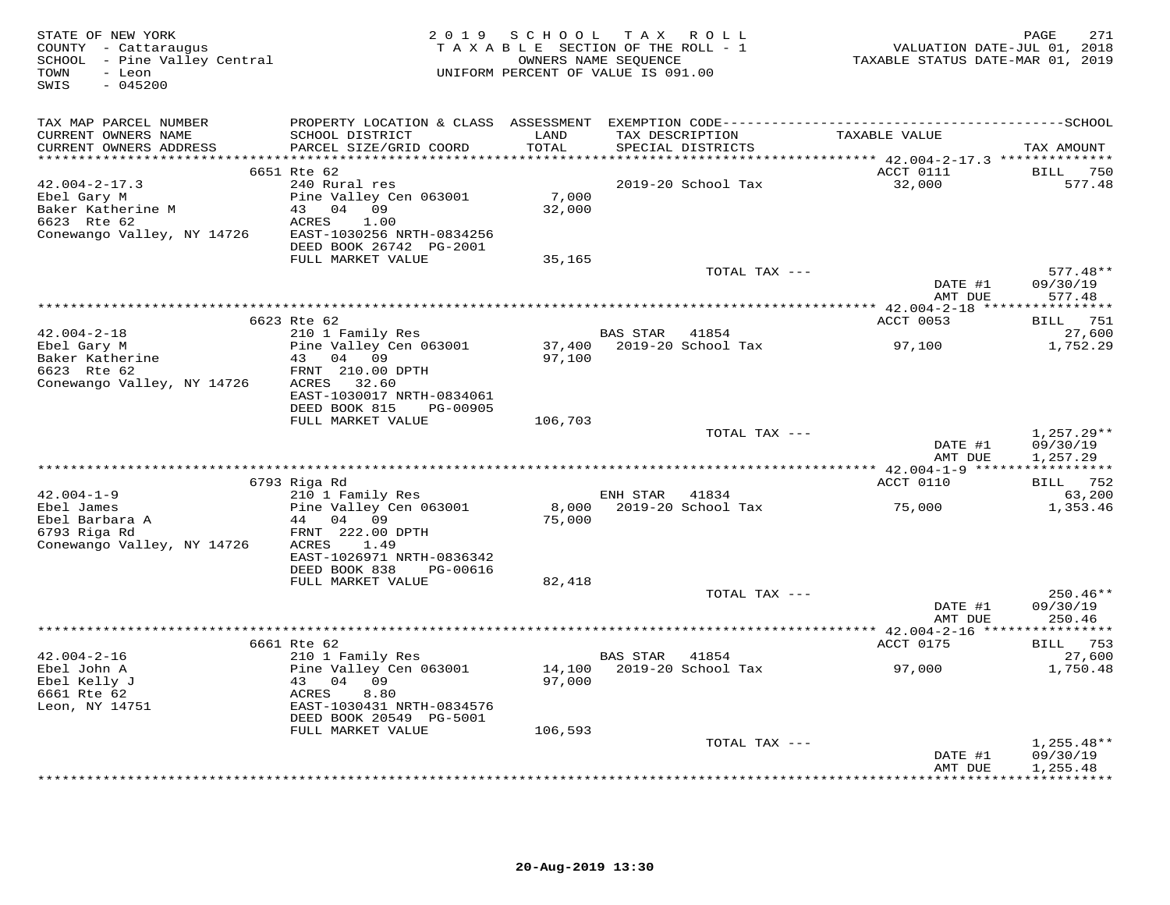| STATE OF NEW YORK<br>COUNTY - Cattaraugus<br>SCHOOL - Pine Valley Central<br>TOWN<br>- Leon<br>$-045200$<br>SWIS |                                                        |         | 2019 SCHOOL TAX ROLL<br>TAXABLE SECTION OF THE ROLL - 1<br>OWNERS NAME SEQUENCE<br>UNIFORM PERCENT OF VALUE IS 091.00 | VALUATION DATE-JUL 01, 2018<br>TAXABLE STATUS DATE-MAR 01, 2019 | PAGE<br>271                           |
|------------------------------------------------------------------------------------------------------------------|--------------------------------------------------------|---------|-----------------------------------------------------------------------------------------------------------------------|-----------------------------------------------------------------|---------------------------------------|
| TAX MAP PARCEL NUMBER                                                                                            |                                                        |         |                                                                                                                       |                                                                 |                                       |
| CURRENT OWNERS NAME                                                                                              | SCHOOL DISTRICT                                        | LAND    | TAX DESCRIPTION                                                                                                       | TAXABLE VALUE                                                   |                                       |
| CURRENT OWNERS ADDRESS                                                                                           | PARCEL SIZE/GRID COORD                                 | TOTAL   | SPECIAL DISTRICTS                                                                                                     |                                                                 | TAX AMOUNT                            |
|                                                                                                                  | 6651 Rte 62                                            |         |                                                                                                                       | ACCT 0111                                                       | <b>BILL</b> 750                       |
| $42.004 - 2 - 17.3$                                                                                              | 240 Rural res                                          |         | 2019-20 School Tax                                                                                                    | 32,000                                                          | 577.48                                |
| Ebel Gary M                                                                                                      | Pine Valley Cen 063001                                 | 7,000   |                                                                                                                       |                                                                 |                                       |
| Baker Katherine M                                                                                                | 43 04 09                                               | 32,000  |                                                                                                                       |                                                                 |                                       |
| 6623 Rte 62<br>Conewango Valley, NY 14726                                                                        | ACRES<br>1.00<br>EAST-1030256 NRTH-0834256             |         |                                                                                                                       |                                                                 |                                       |
|                                                                                                                  | DEED BOOK 26742 PG-2001                                |         |                                                                                                                       |                                                                 |                                       |
|                                                                                                                  | FULL MARKET VALUE                                      | 35,165  |                                                                                                                       |                                                                 |                                       |
|                                                                                                                  |                                                        |         | TOTAL TAX ---                                                                                                         |                                                                 | $577.48**$                            |
|                                                                                                                  |                                                        |         |                                                                                                                       | DATE #1                                                         | 09/30/19                              |
|                                                                                                                  |                                                        |         |                                                                                                                       | AMT DUE                                                         | 577.48                                |
|                                                                                                                  | 6623 Rte 62                                            |         |                                                                                                                       | ACCT 0053                                                       | BILL 751                              |
| $42.004 - 2 - 18$                                                                                                | 210 1 Family Res                                       |         | <b>BAS STAR 41854</b>                                                                                                 |                                                                 | 27,600                                |
| Ebel Gary M                                                                                                      | Pine Valley Cen 063001                                 |         | 37,400 2019-20 School Tax                                                                                             | 97,100                                                          | 1,752.29                              |
| EDEL Gair<br>Baker Katherine                                                                                     | 43 04 09<br>FRNT 210.00 DPTH                           | 97,100  |                                                                                                                       |                                                                 |                                       |
| Conewango Valley, NY 14726                                                                                       | ACRES 32.60                                            |         |                                                                                                                       |                                                                 |                                       |
|                                                                                                                  | EAST-1030017 NRTH-0834061                              |         |                                                                                                                       |                                                                 |                                       |
|                                                                                                                  | DEED BOOK 815<br>PG-00905                              |         |                                                                                                                       |                                                                 |                                       |
|                                                                                                                  | FULL MARKET VALUE                                      | 106,703 | TOTAL TAX ---                                                                                                         |                                                                 | $1,257.29**$                          |
|                                                                                                                  |                                                        |         |                                                                                                                       | DATE #1                                                         | 09/30/19                              |
|                                                                                                                  |                                                        |         |                                                                                                                       | AMT DUE                                                         | 1,257.29                              |
|                                                                                                                  |                                                        |         |                                                                                                                       |                                                                 |                                       |
|                                                                                                                  | 6793 Riga Rd<br>210 1 Family Res                       |         |                                                                                                                       | ACCT 0110                                                       | BILL 752                              |
| $42.004 - 1 - 9$<br>Ebel James                                                                                   | Pine Valley Cen 063001                                 | 8,000   | ENH STAR 41834<br>2019-20 School Tax                                                                                  | 75,000                                                          | 63,200<br>1,353.46                    |
| Ebel Barbara A<br>The Barbara A                                                                                  | 44 04 09                                               | 75,000  |                                                                                                                       |                                                                 |                                       |
| 6793 Riga Rd                                                                                                     | FRNT 222.00 DPTH                                       |         |                                                                                                                       |                                                                 |                                       |
| Conewango Valley, NY 14726                                                                                       | ACRES<br>1.49                                          |         |                                                                                                                       |                                                                 |                                       |
|                                                                                                                  | EAST-1026971 NRTH-0836342<br>DEED BOOK 838<br>PG-00616 |         |                                                                                                                       |                                                                 |                                       |
|                                                                                                                  | FULL MARKET VALUE                                      | 82,418  |                                                                                                                       |                                                                 |                                       |
|                                                                                                                  |                                                        |         | TOTAL TAX ---                                                                                                         |                                                                 | $250.46**$                            |
|                                                                                                                  |                                                        |         |                                                                                                                       | DATE #1                                                         | 09/30/19                              |
|                                                                                                                  |                                                        |         |                                                                                                                       | AMT DUE                                                         | 250.46                                |
|                                                                                                                  | 6661 Rte 62                                            |         |                                                                                                                       | ACCT 0175                                                       | BILL 753                              |
| $42.004 - 2 - 16$                                                                                                | 210 1 Family Res                                       |         | BAS STAR 41854                                                                                                        |                                                                 | 27,600                                |
| Ebel John A                                                                                                      | Pine Valley Cen 063001                                 |         |                                                                                                                       | 97,000                                                          | 1,750.48                              |
| Ebel Kelly J                                                                                                     | 43 04 09                                               | 97,000  |                                                                                                                       |                                                                 |                                       |
| 6661 Rte 62                                                                                                      | 8.80<br>ACRES<br>EAST-1030431 NRTH-0834576             |         |                                                                                                                       |                                                                 |                                       |
| Leon, NY 14751                                                                                                   | DEED BOOK 20549 PG-5001                                |         |                                                                                                                       |                                                                 |                                       |
|                                                                                                                  | FULL MARKET VALUE                                      | 106,593 |                                                                                                                       |                                                                 |                                       |
|                                                                                                                  |                                                        |         | TOTAL TAX ---                                                                                                         |                                                                 | $1,255.48**$                          |
|                                                                                                                  |                                                        |         |                                                                                                                       | DATE #1                                                         | 09/30/19                              |
|                                                                                                                  |                                                        |         |                                                                                                                       | AMT DUE<br>+ + + + + + + + + + + + +                            | 1,255.48<br>+ + + + + + + + + + + + + |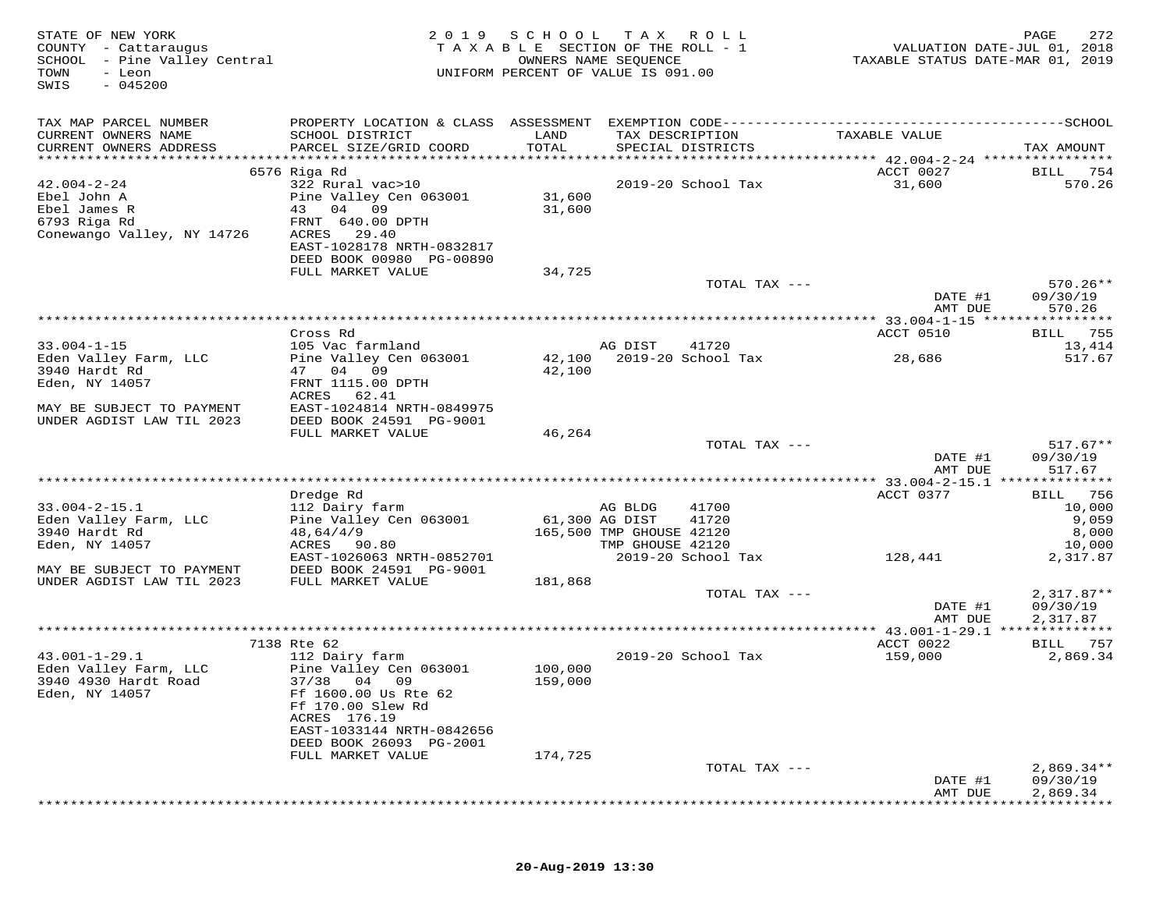| STATE OF NEW YORK<br>COUNTY - Cattaraugus<br>SCHOOL - Pine Valley Central<br>TOWN<br>- Leon<br>$-045200$<br>SWIS | 2 0 1 9                                               | TAXABLE SECTION OF THE ROLL - 1<br>UNIFORM PERCENT OF VALUE IS 091.00 | SCHOOL TAX ROLL<br>OWNERS NAME SEQUENCE |                    | VALUATION DATE-JUL 01, 2018<br>TAXABLE STATUS DATE-MAR 01, 2019 | PAGE<br>272  |
|------------------------------------------------------------------------------------------------------------------|-------------------------------------------------------|-----------------------------------------------------------------------|-----------------------------------------|--------------------|-----------------------------------------------------------------|--------------|
| TAX MAP PARCEL NUMBER                                                                                            |                                                       |                                                                       |                                         |                    |                                                                 |              |
| CURRENT OWNERS NAME                                                                                              | SCHOOL DISTRICT                                       | LAND                                                                  | TAX DESCRIPTION                         |                    | TAXABLE VALUE                                                   |              |
| CURRENT OWNERS ADDRESS                                                                                           | PARCEL SIZE/GRID COORD                                | TOTAL                                                                 |                                         | SPECIAL DISTRICTS  |                                                                 | TAX AMOUNT   |
|                                                                                                                  |                                                       |                                                                       |                                         |                    | ACCT 0027                                                       | 754<br>BILL  |
| $42.004 - 2 - 24$                                                                                                | 6576 Riga Rd<br>322 Rural vac>10                      |                                                                       |                                         | 2019-20 School Tax | 31,600                                                          | 570.26       |
| Ebel John A                                                                                                      | Pine Valley Cen 063001                                | 31,600                                                                |                                         |                    |                                                                 |              |
| Ebel James R                                                                                                     | 43 04 09                                              | 31,600                                                                |                                         |                    |                                                                 |              |
| 6793 Riga Rd                                                                                                     | FRNT 640.00 DPTH                                      |                                                                       |                                         |                    |                                                                 |              |
| Conewango Valley, NY 14726                                                                                       | ACRES<br>29.40                                        |                                                                       |                                         |                    |                                                                 |              |
|                                                                                                                  | EAST-1028178 NRTH-0832817<br>DEED BOOK 00980 PG-00890 |                                                                       |                                         |                    |                                                                 |              |
|                                                                                                                  | FULL MARKET VALUE                                     | 34,725                                                                |                                         |                    |                                                                 |              |
|                                                                                                                  |                                                       |                                                                       |                                         | TOTAL TAX ---      |                                                                 | $570.26**$   |
|                                                                                                                  |                                                       |                                                                       |                                         |                    | DATE #1                                                         | 09/30/19     |
|                                                                                                                  |                                                       |                                                                       |                                         |                    | AMT DUE                                                         | 570.26       |
|                                                                                                                  | Cross Rd                                              |                                                                       |                                         |                    | ACCT 0510                                                       | 755<br>BILL  |
| $33.004 - 1 - 15$                                                                                                | 105 Vac farmland                                      |                                                                       | AG DIST                                 | 41720              |                                                                 | 13,414       |
| Eden Valley Farm, LLC                                                                                            | Pine Valley Cen 063001                                | 42,100                                                                |                                         | 2019-20 School Tax | 28,686                                                          | 517.67       |
| 3940 Hardt Rd                                                                                                    | 47 04 09                                              | 42,100                                                                |                                         |                    |                                                                 |              |
| Eden, NY 14057                                                                                                   | FRNT 1115.00 DPTH                                     |                                                                       |                                         |                    |                                                                 |              |
|                                                                                                                  | ACRES 62.41                                           |                                                                       |                                         |                    |                                                                 |              |
| MAY BE SUBJECT TO PAYMENT<br>UNDER AGDIST LAW TIL 2023                                                           | EAST-1024814 NRTH-0849975<br>DEED BOOK 24591 PG-9001  |                                                                       |                                         |                    |                                                                 |              |
|                                                                                                                  | FULL MARKET VALUE                                     | 46,264                                                                |                                         |                    |                                                                 |              |
|                                                                                                                  |                                                       |                                                                       |                                         | TOTAL TAX ---      |                                                                 | $517.67**$   |
|                                                                                                                  |                                                       |                                                                       |                                         |                    | DATE #1                                                         | 09/30/19     |
|                                                                                                                  |                                                       |                                                                       |                                         |                    | AMT DUE                                                         | 517.67       |
|                                                                                                                  | Dredge Rd                                             |                                                                       |                                         |                    | ACCT 0377                                                       | 756<br>BILL  |
| $33.004 - 2 - 15.1$                                                                                              | 112 Dairy farm                                        |                                                                       | AG BLDG                                 | 41700              |                                                                 | 10,000       |
| Eden Valley Farm, LLC                                                                                            | Pine Valley Cen 063001                                |                                                                       | 61,300 AG DIST                          | 41720              |                                                                 | 9,059        |
| 3940 Hardt Rd                                                                                                    | 48,64/4/9                                             |                                                                       | 165,500 TMP GHOUSE 42120                |                    |                                                                 | 8,000        |
| Eden, NY 14057                                                                                                   | ACRES<br>90.80                                        |                                                                       | TMP GHOUSE 42120                        |                    |                                                                 | 10,000       |
| MAY BE SUBJECT TO PAYMENT                                                                                        | EAST-1026063 NRTH-0852701<br>DEED BOOK 24591 PG-9001  |                                                                       |                                         | 2019-20 School Tax | 128,441                                                         | 2,317.87     |
| UNDER AGDIST LAW TIL 2023                                                                                        | FULL MARKET VALUE                                     | 181,868                                                               |                                         |                    |                                                                 |              |
|                                                                                                                  |                                                       |                                                                       |                                         | TOTAL TAX ---      |                                                                 | $2,317.87**$ |
|                                                                                                                  |                                                       |                                                                       |                                         |                    | DATE #1                                                         | 09/30/19     |
|                                                                                                                  |                                                       |                                                                       |                                         |                    | AMT DUE                                                         | 2,317.87     |
|                                                                                                                  | 7138 Rte 62                                           |                                                                       |                                         |                    | ACCT 0022                                                       | BILL 757     |
| $43.001 - 1 - 29.1$                                                                                              | 112 Dairy farm                                        |                                                                       |                                         | 2019-20 School Tax | 159,000                                                         | 2,869.34     |
| Eden Valley Farm, LLC                                                                                            | Pine Valley Cen 063001                                | 100,000                                                               |                                         |                    |                                                                 |              |
| 3940 4930 Hardt Road                                                                                             | 37/38 04 09                                           | 159,000                                                               |                                         |                    |                                                                 |              |
| Eden, NY 14057                                                                                                   | Ff 1600.00 Us Rte 62                                  |                                                                       |                                         |                    |                                                                 |              |
|                                                                                                                  | Ff 170.00 Slew Rd<br>ACRES 176.19                     |                                                                       |                                         |                    |                                                                 |              |
|                                                                                                                  | EAST-1033144 NRTH-0842656                             |                                                                       |                                         |                    |                                                                 |              |
|                                                                                                                  | DEED BOOK 26093 PG-2001                               |                                                                       |                                         |                    |                                                                 |              |
|                                                                                                                  | FULL MARKET VALUE                                     | 174,725                                                               |                                         |                    |                                                                 |              |
|                                                                                                                  |                                                       |                                                                       |                                         | TOTAL TAX ---      |                                                                 | $2,869.34**$ |
|                                                                                                                  |                                                       |                                                                       |                                         |                    | DATE #1                                                         | 09/30/19     |
|                                                                                                                  |                                                       |                                                                       |                                         |                    | AMT DUE                                                         | 2,869.34     |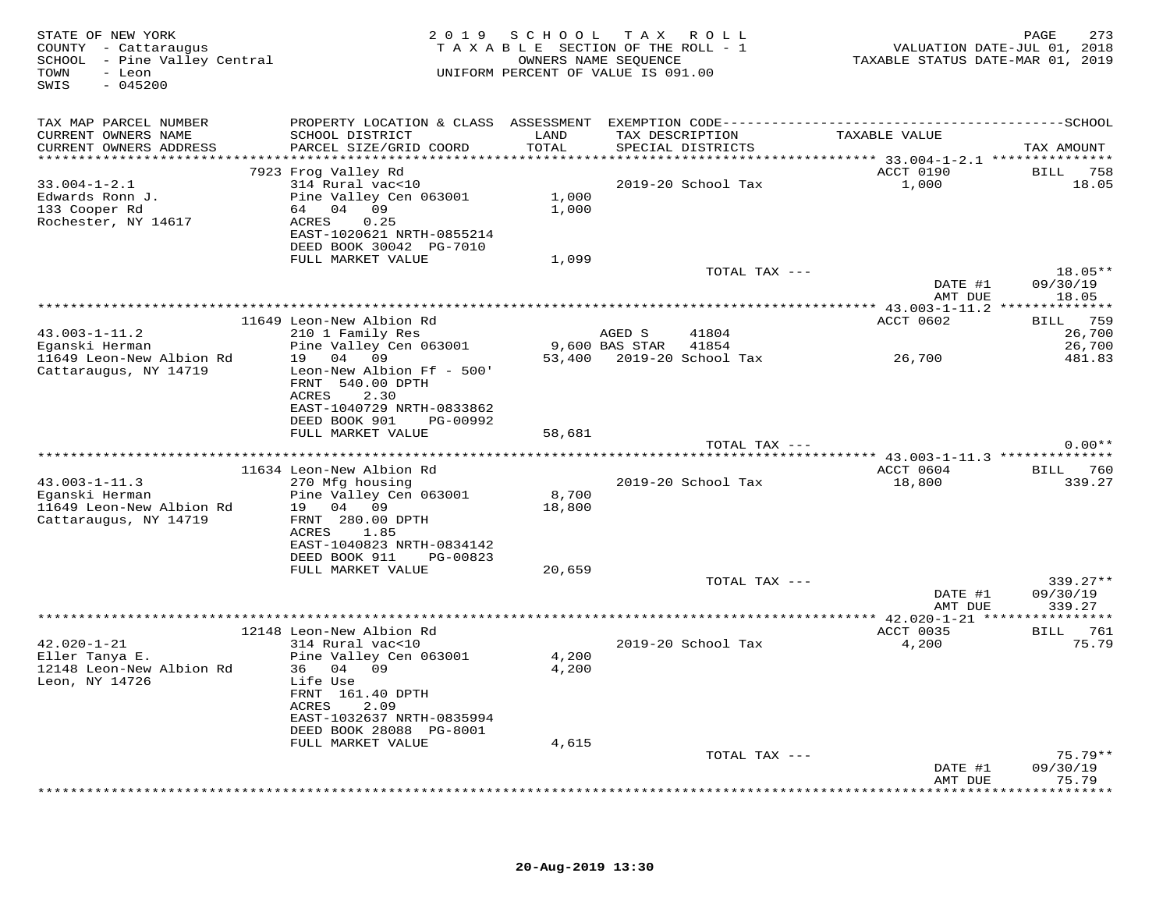| STATE OF NEW YORK<br>COUNTY - Cattaraugus<br>SCHOOL - Pine Valley Central<br>- Leon<br>TOWN<br>$-045200$<br>SWIS |                                                                                 |                                  | 2019 SCHOOL TAX ROLL<br>TAXABLE SECTION OF THE ROLL - 1<br>OWNERS NAME SEQUENCE<br>UNIFORM PERCENT OF VALUE IS 091.00 |                    | TAXABLE STATUS DATE-MAR 01, 2019 | 273<br>PAGE<br>VALUATION DATE-JUL 01, 2018 |
|------------------------------------------------------------------------------------------------------------------|---------------------------------------------------------------------------------|----------------------------------|-----------------------------------------------------------------------------------------------------------------------|--------------------|----------------------------------|--------------------------------------------|
| TAX MAP PARCEL NUMBER                                                                                            | PROPERTY LOCATION & CLASS ASSESSMENT EXEMPTION CODE---------------------------- |                                  |                                                                                                                       |                    |                                  | --------------SCHOOL                       |
| CURRENT OWNERS NAME<br>CURRENT OWNERS ADDRESS<br>***********************                                         | SCHOOL DISTRICT<br>PARCEL SIZE/GRID COORD<br>******************************     | LAND<br>TOTAL<br>*************** | TAX DESCRIPTION<br>SPECIAL DISTRICTS                                                                                  |                    | TAXABLE VALUE                    | TAX AMOUNT                                 |
|                                                                                                                  | 7923 Frog Valley Rd                                                             |                                  |                                                                                                                       |                    | ACCT 0190                        | <b>BILL</b> 758                            |
| $33.004 - 1 - 2.1$                                                                                               | 314 Rural vac<10                                                                |                                  |                                                                                                                       | 2019-20 School Tax | 1,000                            | 18.05                                      |
| Edwards Ronn J.                                                                                                  | Pine Valley Cen 063001                                                          | 1,000                            |                                                                                                                       |                    |                                  |                                            |
| 133 Cooper Rd                                                                                                    | 64 04 09                                                                        | 1,000                            |                                                                                                                       |                    |                                  |                                            |
| Rochester, NY 14617                                                                                              | 0.25<br>ACRES                                                                   |                                  |                                                                                                                       |                    |                                  |                                            |
|                                                                                                                  | EAST-1020621 NRTH-0855214<br>DEED BOOK 30042 PG-7010                            |                                  |                                                                                                                       |                    |                                  |                                            |
|                                                                                                                  | FULL MARKET VALUE                                                               | 1,099                            |                                                                                                                       |                    |                                  |                                            |
|                                                                                                                  |                                                                                 |                                  |                                                                                                                       | TOTAL TAX ---      |                                  | 18.05**                                    |
|                                                                                                                  |                                                                                 |                                  |                                                                                                                       |                    | DATE #1                          | 09/30/19                                   |
|                                                                                                                  |                                                                                 |                                  |                                                                                                                       |                    | AMT DUE                          | 18.05                                      |
|                                                                                                                  |                                                                                 |                                  |                                                                                                                       |                    |                                  |                                            |
| $43.003 - 1 - 11.2$                                                                                              | 11649 Leon-New Albion Rd<br>210 1 Family Res                                    |                                  | AGED S                                                                                                                | 41804              | ACCT 0602                        | 759<br>BILL<br>26,700                      |
| Eganski Herman                                                                                                   | Pine Valley Cen 063001                                                          |                                  | 9,600 BAS STAR                                                                                                        | 41854              |                                  | 26,700                                     |
| 11649 Leon-New Albion Rd                                                                                         | 04 09<br>19                                                                     | 53,400                           | 2019-20 School Tax                                                                                                    |                    | 26,700                           | 481.83                                     |
| Cattaraugus, NY 14719                                                                                            | Leon-New Albion Ff - 500'<br>FRNT 540.00 DPTH                                   |                                  |                                                                                                                       |                    |                                  |                                            |
|                                                                                                                  | ACRES<br>2.30<br>EAST-1040729 NRTH-0833862                                      |                                  |                                                                                                                       |                    |                                  |                                            |
|                                                                                                                  | DEED BOOK 901<br>PG-00992                                                       |                                  |                                                                                                                       |                    |                                  |                                            |
|                                                                                                                  | FULL MARKET VALUE                                                               | 58,681                           |                                                                                                                       |                    |                                  |                                            |
|                                                                                                                  |                                                                                 |                                  |                                                                                                                       | TOTAL TAX ---      |                                  | $0.00**$                                   |
|                                                                                                                  |                                                                                 |                                  |                                                                                                                       |                    |                                  |                                            |
|                                                                                                                  | 11634 Leon-New Albion Rd                                                        |                                  |                                                                                                                       |                    | ACCT 0604                        | BILL 760                                   |
| $43.003 - 1 - 11.3$<br>Eganski Herman                                                                            | 270 Mfg housing<br>Pine Valley Cen 063001                                       | 8,700                            |                                                                                                                       | 2019-20 School Tax | 18,800                           | 339.27                                     |
| 11649 Leon-New Albion Rd                                                                                         | 19 04 09                                                                        | 18,800                           |                                                                                                                       |                    |                                  |                                            |
| Cattaraugus, NY 14719                                                                                            | FRNT 280.00 DPTH                                                                |                                  |                                                                                                                       |                    |                                  |                                            |
|                                                                                                                  | ACRES<br>1.85                                                                   |                                  |                                                                                                                       |                    |                                  |                                            |
|                                                                                                                  | EAST-1040823 NRTH-0834142                                                       |                                  |                                                                                                                       |                    |                                  |                                            |
|                                                                                                                  | DEED BOOK 911<br>PG-00823                                                       |                                  |                                                                                                                       |                    |                                  |                                            |
|                                                                                                                  | FULL MARKET VALUE                                                               | 20,659                           |                                                                                                                       | TOTAL TAX ---      |                                  | 339.27**                                   |
|                                                                                                                  |                                                                                 |                                  |                                                                                                                       |                    | DATE #1                          | 09/30/19                                   |
|                                                                                                                  |                                                                                 |                                  |                                                                                                                       |                    | AMT DUE                          | 339.27                                     |
|                                                                                                                  |                                                                                 |                                  |                                                                                                                       |                    |                                  |                                            |
|                                                                                                                  | 12148 Leon-New Albion Rd                                                        |                                  |                                                                                                                       |                    | ACCT 0035                        | <b>BILL</b> 761                            |
| $42.020 - 1 - 21$<br>Eller Tanya E.                                                                              | 314 Rural vac<10                                                                |                                  |                                                                                                                       | 2019-20 School Tax | 4,200                            | 75.79                                      |
| 12148 Leon-New Albion Rd                                                                                         | Pine Valley Cen 063001<br>36 04 09                                              | 4,200<br>4,200                   |                                                                                                                       |                    |                                  |                                            |
| Leon, NY 14726                                                                                                   | Life Use                                                                        |                                  |                                                                                                                       |                    |                                  |                                            |
|                                                                                                                  | FRNT 161.40 DPTH                                                                |                                  |                                                                                                                       |                    |                                  |                                            |
|                                                                                                                  | 2.09<br>ACRES                                                                   |                                  |                                                                                                                       |                    |                                  |                                            |
|                                                                                                                  | EAST-1032637 NRTH-0835994                                                       |                                  |                                                                                                                       |                    |                                  |                                            |
|                                                                                                                  | DEED BOOK 28088 PG-8001<br>FULL MARKET VALUE                                    | 4,615                            |                                                                                                                       |                    |                                  |                                            |
|                                                                                                                  |                                                                                 |                                  |                                                                                                                       | TOTAL TAX ---      |                                  | $75.79**$                                  |
|                                                                                                                  |                                                                                 |                                  |                                                                                                                       |                    | DATE #1                          | 09/30/19                                   |
|                                                                                                                  |                                                                                 |                                  |                                                                                                                       |                    | AMT DUE                          | 75.79                                      |
|                                                                                                                  |                                                                                 |                                  |                                                                                                                       |                    |                                  | * * * * * *                                |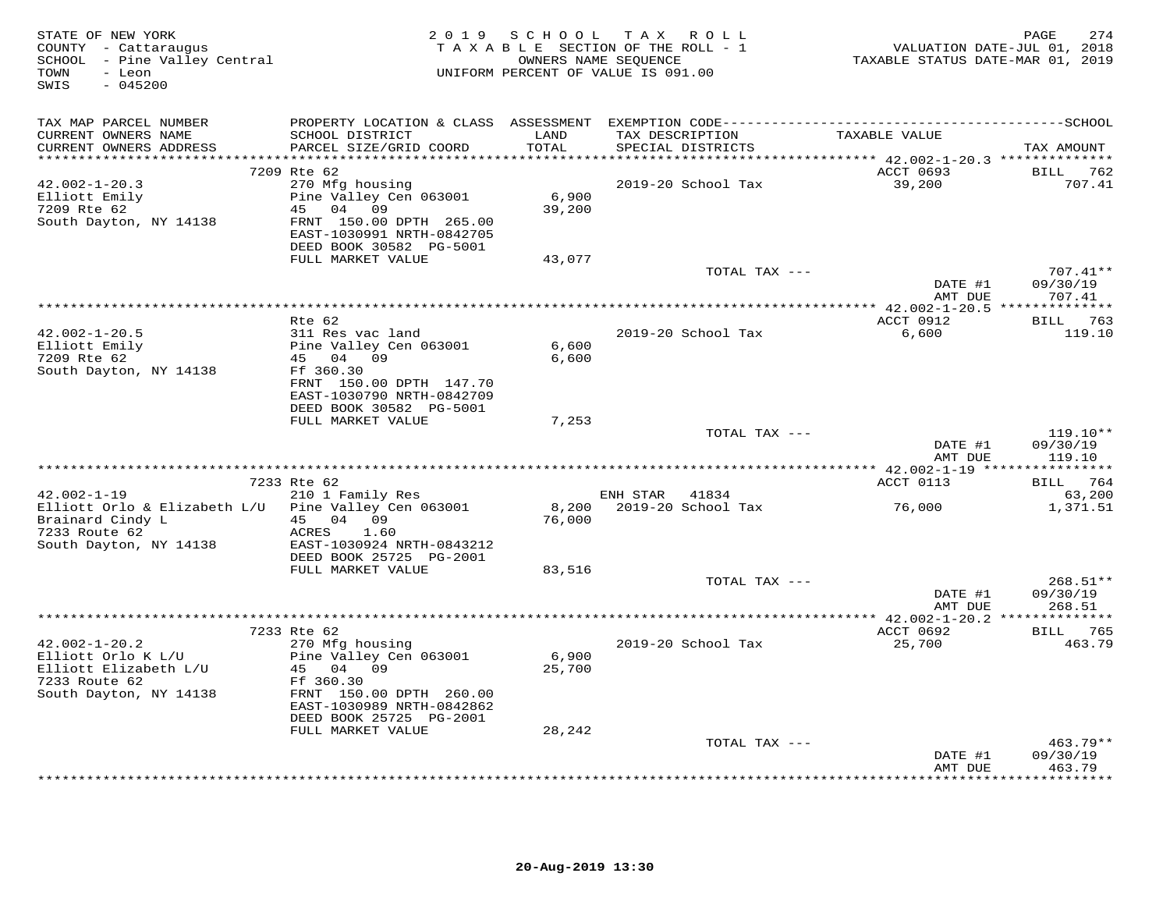| STATE OF NEW YORK<br>COUNTY - Cattaraugus<br>SCHOOL - Pine Valley Central<br>- Leon<br>TOWN<br>$-045200$<br>SWIS |                                                                                                                                                |                            | 2019 SCHOOL TAX ROLL<br>TAXABLE SECTION OF THE ROLL - 1<br>OWNERS NAME SEQUENCE<br>UNIFORM PERCENT OF VALUE IS 091.00 | VALUATION DATE-JUL 01, 2018<br>TAXABLE STATUS DATE-MAR 01, 2019 | 274<br>PAGE                      |
|------------------------------------------------------------------------------------------------------------------|------------------------------------------------------------------------------------------------------------------------------------------------|----------------------------|-----------------------------------------------------------------------------------------------------------------------|-----------------------------------------------------------------|----------------------------------|
| TAX MAP PARCEL NUMBER                                                                                            |                                                                                                                                                |                            |                                                                                                                       |                                                                 |                                  |
| CURRENT OWNERS NAME<br>CURRENT OWNERS ADDRESS<br>**********************                                          | SCHOOL DISTRICT<br>PARCEL SIZE/GRID COORD                                                                                                      | LAND<br>TOTAL<br>********* | TAX DESCRIPTION<br>SPECIAL DISTRICTS                                                                                  | TAXABLE VALUE                                                   | TAX AMOUNT                       |
|                                                                                                                  | 7209 Rte 62                                                                                                                                    |                            |                                                                                                                       | ******* 42.002-1-20.3 ***************<br>ACCT 0693              | BILL 762                         |
| $42.002 - 1 - 20.3$<br>Elliott Emily<br>7209 Rte 62<br>South Dayton, NY 14138                                    | 270 Mfg housing<br>Pine Valley Cen 063001<br>45<br>04<br>09<br>FRNT 150.00 DPTH 265.00<br>EAST-1030991 NRTH-0842705<br>DEED BOOK 30582 PG-5001 | 6,900<br>39,200            | 2019-20 School Tax                                                                                                    | 39,200                                                          | 707.41                           |
|                                                                                                                  | FULL MARKET VALUE                                                                                                                              | 43,077                     |                                                                                                                       |                                                                 |                                  |
|                                                                                                                  |                                                                                                                                                |                            | TOTAL TAX ---                                                                                                         | DATE #1<br>AMT DUE                                              | $707.41**$<br>09/30/19<br>707.41 |
|                                                                                                                  |                                                                                                                                                |                            |                                                                                                                       |                                                                 |                                  |
|                                                                                                                  | Rte 62                                                                                                                                         |                            |                                                                                                                       | ACCT 0912                                                       | BILL 763                         |
| $42.002 - 1 - 20.5$<br>Elliott Emily<br>7209 Rte 62<br>South Dayton, NY 14138                                    | 311 Res vac land<br>Pine Valley Cen 063001<br>45 04 09<br>Ff 360.30<br>FRNT 150.00 DPTH 147.70                                                 | 6,600<br>6,600             | 2019-20 School Tax                                                                                                    | 6,600                                                           | 119.10                           |
|                                                                                                                  | EAST-1030790 NRTH-0842709<br>DEED BOOK 30582 PG-5001                                                                                           |                            |                                                                                                                       |                                                                 |                                  |
|                                                                                                                  | FULL MARKET VALUE                                                                                                                              | 7,253                      |                                                                                                                       |                                                                 |                                  |
|                                                                                                                  |                                                                                                                                                |                            | TOTAL TAX ---                                                                                                         | DATE #1<br>AMT DUE                                              | $119.10**$<br>09/30/19<br>119.10 |
|                                                                                                                  |                                                                                                                                                |                            |                                                                                                                       |                                                                 |                                  |
| $42.002 - 1 - 19$                                                                                                | 7233 Rte 62<br>210 1 Family Res                                                                                                                |                            | ENH STAR 41834                                                                                                        | ACCT 0113                                                       | BILL 764<br>63,200               |
| Elliott Orlo & Elizabeth L/U<br>Brainard Cindy L                                                                 | Pine Valley Cen 063001<br>45 04 09                                                                                                             | 8,200<br>76,000            | 2019-20 School Tax                                                                                                    | 76,000                                                          | 1,371.51                         |
| 7233 Route 62<br>South Dayton, NY 14138                                                                          | 1.60<br>ACRES<br>EAST-1030924 NRTH-0843212<br>DEED BOOK 25725 PG-2001                                                                          |                            |                                                                                                                       |                                                                 |                                  |
|                                                                                                                  | FULL MARKET VALUE                                                                                                                              | 83,516                     |                                                                                                                       |                                                                 |                                  |
|                                                                                                                  |                                                                                                                                                |                            | TOTAL TAX ---                                                                                                         | DATE #1<br>AMT DUE                                              | $268.51**$<br>09/30/19<br>268.51 |
|                                                                                                                  | **************                                                                                                                                 |                            |                                                                                                                       |                                                                 |                                  |
| $42.002 - 1 - 20.2$<br>Elliott Orlo K L/U                                                                        | 7233 Rte 62<br>270 Mfg housing<br>Pine Valley Cen 063001                                                                                       | 6,900                      | 2019-20 School Tax                                                                                                    | ACCT 0692<br>25,700                                             | BILL 765<br>463.79               |
| Elliott Elizabeth L/U<br>7233 Route 62<br>South Dayton, NY 14138                                                 | 45 04 09<br>Ff 360.30<br>FRNT 150.00 DPTH 260.00<br>EAST-1030989 NRTH-0842862                                                                  | 25,700                     |                                                                                                                       |                                                                 |                                  |
|                                                                                                                  | DEED BOOK 25725 PG-2001                                                                                                                        |                            |                                                                                                                       |                                                                 |                                  |
|                                                                                                                  | FULL MARKET VALUE                                                                                                                              | 28,242                     | TOTAL TAX ---                                                                                                         |                                                                 | $463.79**$                       |
|                                                                                                                  |                                                                                                                                                |                            |                                                                                                                       | DATE #1<br>AMT DUE                                              | 09/30/19<br>463.79               |
|                                                                                                                  |                                                                                                                                                |                            |                                                                                                                       |                                                                 | + + + + + + + +                  |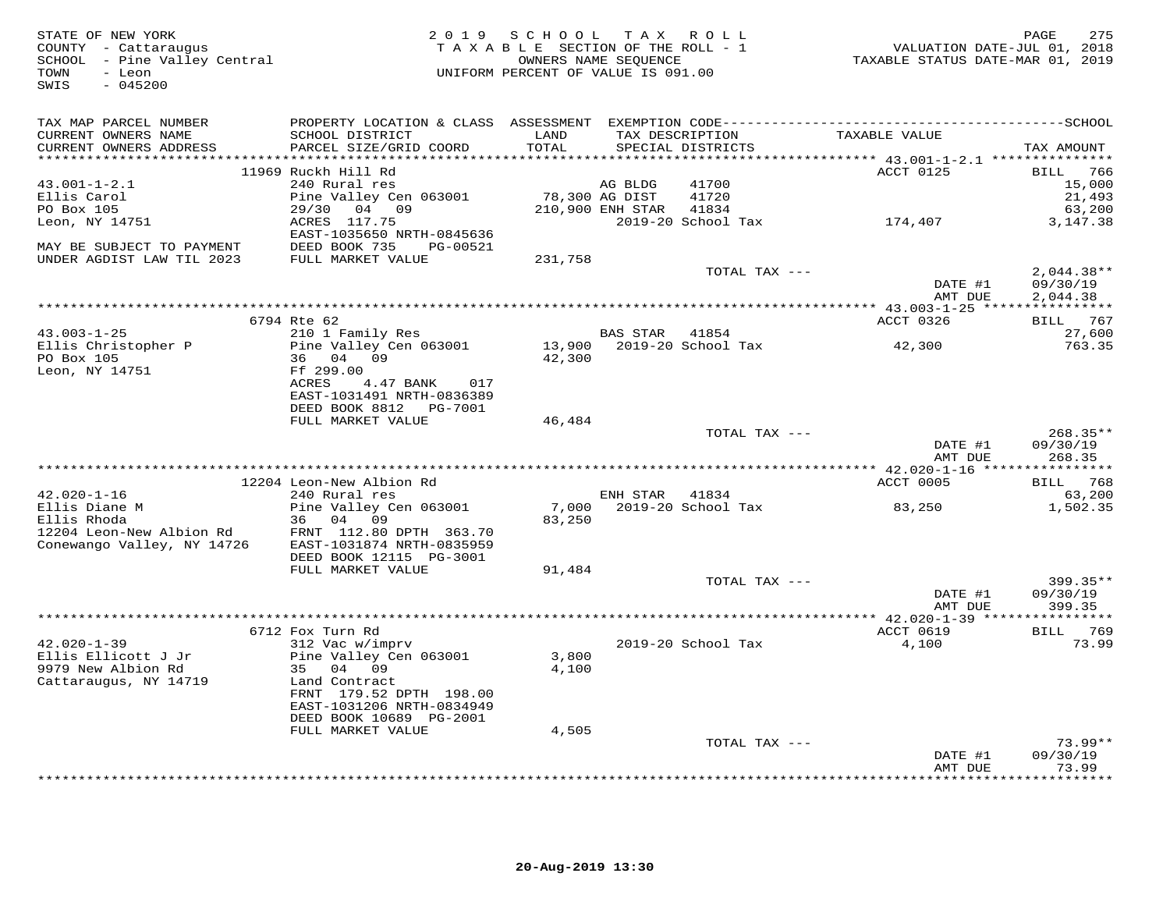| STATE OF NEW YORK<br>PAGE 275<br>COUNTY - Cattaraugus<br>SCHOOL - Pine Valley Central TAXABLE SECTION OF THE ROLL - 1<br>SCHOOL - Pine Valley Central MIFORM PERCENT OF VALUE IS 091.00<br>TOWN - Leon UNIFORM PERCENT OF VALUE IS 091.00<br>TOWN - Leon UNIF<br>$-045200$<br>SWIS |                                                                           | 2019 SCHOOL TAX ROLL |         |                                            |                            | PAGE<br>275                      |
|------------------------------------------------------------------------------------------------------------------------------------------------------------------------------------------------------------------------------------------------------------------------------------|---------------------------------------------------------------------------|----------------------|---------|--------------------------------------------|----------------------------|----------------------------------|
| TAX MAP PARCEL NUMBER<br>CURRENT OWNERS NAME                                                                                                                                                                                                                                       | SCHOOL DISTRICT                                                           | LAND                 |         | TAX DESCRIPTION                            | TAXABLE VALUE              |                                  |
| CURRENT OWNERS ADDRESS                                                                                                                                                                                                                                                             | PARCEL SIZE/GRID COORD                                                    | TOTAL                |         | SPECIAL DISTRICTS                          |                            | TAX AMOUNT                       |
|                                                                                                                                                                                                                                                                                    | 11969 Ruckh Hill Rd                                                       |                      |         |                                            |                            |                                  |
| $43.001 - 1 - 2.1$                                                                                                                                                                                                                                                                 | 240 Rural res                                                             |                      | AG BLDG | 41700                                      | ACCT 0125                  | BILL 766<br>15,000               |
| Ellis Carol                                                                                                                                                                                                                                                                        | Pine Valley Cen 063001                                                    | 78,300 AG DIST       |         | 41720                                      |                            | 21,493                           |
| PO Box 105                                                                                                                                                                                                                                                                         | 29/30 04 09 210,900 ENH STAR 41834                                        |                      |         |                                            |                            | 63,200                           |
| Leon, NY 14751                                                                                                                                                                                                                                                                     | ACRES 117.75<br>EAST-1035650 NRTH-0845636                                 |                      |         |                                            | 2019-20 School Tax 174,407 | 3,147.38                         |
| MAY BE SUBJECT TO PAYMENT DEED BOOK 735 PG-00521<br>UNDER AGDIST LAW TIL 2023 FULL MARKET VALUE 231,758                                                                                                                                                                            |                                                                           |                      |         |                                            |                            |                                  |
|                                                                                                                                                                                                                                                                                    |                                                                           |                      |         | TOTAL TAX ---                              | DATE #1                    | $2,044.38**$<br>09/30/19         |
|                                                                                                                                                                                                                                                                                    |                                                                           |                      |         |                                            | AMT DUE                    | 2,044.38                         |
|                                                                                                                                                                                                                                                                                    |                                                                           |                      |         |                                            |                            |                                  |
|                                                                                                                                                                                                                                                                                    | 6794 Rte 62                                                               |                      |         |                                            | ACCT 0326                  | BILL 767                         |
| $43.003 - 1 - 25$                                                                                                                                                                                                                                                                  | 210 1 Family Res                                                          |                      |         | BAS STAR 41854                             |                            | 27,600                           |
| Ellis Christopher P<br>PO Box 105<br>Leon, NY 14751                                                                                                                                                                                                                                | Pine Valley Cen 063001<br>36 04 09<br>Ff 299.00                           | 42,300               |         |                                            | 42,300                     | 763.35                           |
|                                                                                                                                                                                                                                                                                    | ACRES<br>4.47 BANK 017<br>EAST-1031491 NRTH-0836389                       |                      |         |                                            |                            |                                  |
|                                                                                                                                                                                                                                                                                    | DEED BOOK 8812    PG-7001                                                 |                      |         |                                            |                            |                                  |
|                                                                                                                                                                                                                                                                                    | FULL MARKET VALUE                                                         | 46,484               |         |                                            |                            |                                  |
|                                                                                                                                                                                                                                                                                    |                                                                           |                      |         | TOTAL TAX ---                              | DATE #1<br>AMT DUE         | $268.35**$<br>09/30/19<br>268.35 |
|                                                                                                                                                                                                                                                                                    |                                                                           |                      |         |                                            |                            |                                  |
|                                                                                                                                                                                                                                                                                    | 12204 Leon-New Albion Rd                                                  |                      |         |                                            | ACCT 0005                  | BILL 768                         |
| $42.020 - 1 - 16$                                                                                                                                                                                                                                                                  | 240 Rural res<br>Pine Valley Cen 063001                                   |                      |         | ENH STAR 41834<br>7,000 2019-20 School Tax | 83,250                     | 63,200<br>1,502.35               |
| $42.020 + -$<br>Ellis Diane M<br>$-1.42$                                                                                                                                                                                                                                           | 36 04 09                                                                  | 83,250               |         |                                            |                            |                                  |
| 12204 Leon-New Albion Rd<br>Conewango Valley, NY 14726 EAST-1031874 NRTH-0835959                                                                                                                                                                                                   | DEED BOOK 12115 PG-3001                                                   |                      |         |                                            |                            |                                  |
|                                                                                                                                                                                                                                                                                    | FULL MARKET VALUE                                                         | 91,484               |         |                                            |                            |                                  |
|                                                                                                                                                                                                                                                                                    |                                                                           |                      |         | TOTAL TAX ---                              |                            | $399.35**$                       |
|                                                                                                                                                                                                                                                                                    |                                                                           |                      |         |                                            | DATE #1                    | 09/30/19                         |
|                                                                                                                                                                                                                                                                                    |                                                                           |                      |         |                                            | AMT DUE                    | 399.35                           |
|                                                                                                                                                                                                                                                                                    | 6712 Fox Turn Rd                                                          |                      |         |                                            | ACCT 0619                  | BILL 769                         |
| $42.020 - 1 - 39$                                                                                                                                                                                                                                                                  | 312 Vac w/imprv                                                           |                      |         | 2019-20 School Tax                         | 4,100                      | 73.99                            |
| Ellis Ellicott J Jr<br>9979 New Albion Rd                                                                                                                                                                                                                                          | Pine Valley Cen 063001<br>35 04 09                                        | 3,800<br>4,100       |         |                                            |                            |                                  |
| Cattaraugus, NY 14719                                                                                                                                                                                                                                                              | Land Contract<br>FRNT 179.52 DPTH 198.00                                  |                      |         |                                            |                            |                                  |
|                                                                                                                                                                                                                                                                                    | EAST-1031206 NRTH-0834949<br>DEED BOOK 10689 PG-2001<br>FULL MARKET VALUE | 4,505                |         |                                            |                            |                                  |
|                                                                                                                                                                                                                                                                                    |                                                                           |                      |         | TOTAL TAX ---                              |                            | $73.99**$                        |
|                                                                                                                                                                                                                                                                                    |                                                                           |                      |         |                                            | DATE #1<br>AMT DUE         | 09/30/19<br>73.99                |
|                                                                                                                                                                                                                                                                                    |                                                                           |                      |         |                                            |                            | ********                         |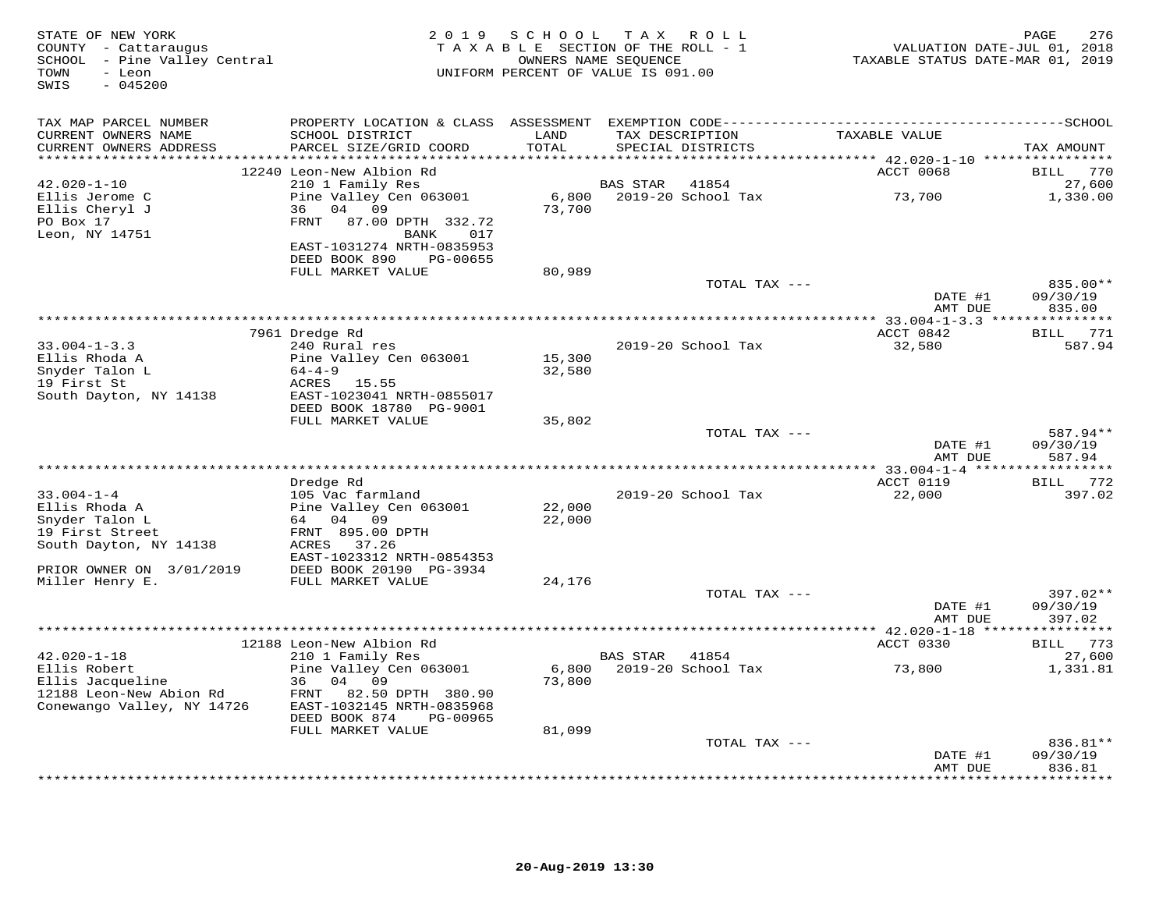| STATE OF NEW YORK<br>COUNTY - Cattaraugus<br>SCHOOL - Pine Valley Central<br>TOWN<br>- Leon<br>SWIS<br>$-045200$ |                                                                       |                 | 2019 SCHOOL TAX ROLL<br>TAXABLE SECTION OF THE ROLL - 1<br>OWNERS NAME SEQUENCE<br>UNIFORM PERCENT OF VALUE IS 091.00 | VALUATION DATE-JUL 01, 2018<br>TAXABLE STATUS DATE-MAR 01, 2019 | 276<br>PAGE        |
|------------------------------------------------------------------------------------------------------------------|-----------------------------------------------------------------------|-----------------|-----------------------------------------------------------------------------------------------------------------------|-----------------------------------------------------------------|--------------------|
| TAX MAP PARCEL NUMBER                                                                                            |                                                                       |                 |                                                                                                                       |                                                                 |                    |
| CURRENT OWNERS NAME<br>CURRENT OWNERS ADDRESS                                                                    | SCHOOL DISTRICT<br>PARCEL SIZE/GRID COORD                             | LAND<br>TOTAL   | TAX DESCRIPTION<br>SPECIAL DISTRICTS                                                                                  | TAXABLE VALUE                                                   | TAX AMOUNT         |
|                                                                                                                  | 12240 Leon-New Albion Rd                                              |                 |                                                                                                                       | ACCT 0068                                                       | BILL 770           |
| $42.020 - 1 - 10$                                                                                                | 210 1 Family Res                                                      |                 | 41854<br>BAS STAR                                                                                                     |                                                                 | 27,600             |
| Ellis Jerome C<br>Ellis Cheryl J                                                                                 | Pine Valley Cen 063001<br>36<br>04<br>09                              | 73,700          | 6,800 2019-20 School Tax                                                                                              | 73,700                                                          | 1,330.00           |
| PO Box 17<br>Leon, NY 14751                                                                                      | 87.00 DPTH 332.72<br>FRNT<br>BANK<br>017<br>EAST-1031274 NRTH-0835953 |                 |                                                                                                                       |                                                                 |                    |
|                                                                                                                  | DEED BOOK 890<br>PG-00655                                             |                 |                                                                                                                       |                                                                 |                    |
|                                                                                                                  | FULL MARKET VALUE                                                     | 80,989          | TOTAL TAX ---                                                                                                         |                                                                 | 835.00**           |
|                                                                                                                  |                                                                       |                 |                                                                                                                       | DATE #1<br>AMT DUE                                              | 09/30/19<br>835.00 |
|                                                                                                                  |                                                                       |                 |                                                                                                                       |                                                                 |                    |
|                                                                                                                  | 7961 Dredge Rd                                                        |                 |                                                                                                                       | ACCT 0842                                                       | BILL 771           |
| $33.004 - 1 - 3.3$<br>Ellis Rhoda A                                                                              | 240 Rural res<br>Pine Valley Cen 063001                               | 15,300          | 2019-20 School Tax                                                                                                    | 32,580                                                          | 587.94             |
| Snyder Talon L                                                                                                   | $64 - 4 - 9$                                                          | 32,580          |                                                                                                                       |                                                                 |                    |
| 19 First St                                                                                                      | ACRES 15.55                                                           |                 |                                                                                                                       |                                                                 |                    |
| South Dayton, NY 14138                                                                                           | EAST-1023041 NRTH-0855017                                             |                 |                                                                                                                       |                                                                 |                    |
|                                                                                                                  | DEED BOOK 18780 PG-9001<br>FULL MARKET VALUE                          | 35,802          |                                                                                                                       |                                                                 |                    |
|                                                                                                                  |                                                                       |                 | TOTAL TAX ---                                                                                                         |                                                                 | 587.94**           |
|                                                                                                                  |                                                                       |                 |                                                                                                                       | DATE #1<br>AMT DUE                                              | 09/30/19<br>587.94 |
|                                                                                                                  |                                                                       |                 |                                                                                                                       |                                                                 |                    |
| $33.004 - 1 - 4$                                                                                                 | Dredge Rd<br>105 Vac farmland                                         |                 | 2019-20 School Tax                                                                                                    | ACCT 0119<br>22,000                                             | BILL 772<br>397.02 |
| Ellis Rhoda A                                                                                                    | Pine Valley Cen 063001                                                | 22,000          |                                                                                                                       |                                                                 |                    |
| Snyder Talon L                                                                                                   | 64 04 09                                                              | 22,000          |                                                                                                                       |                                                                 |                    |
| 19 First Street                                                                                                  | FRNT 895.00 DPTH                                                      |                 |                                                                                                                       |                                                                 |                    |
| South Dayton, NY 14138                                                                                           | ACRES<br>37.26<br>EAST-1023312 NRTH-0854353                           |                 |                                                                                                                       |                                                                 |                    |
| PRIOR OWNER ON 3/01/2019                                                                                         | DEED BOOK 20190 PG-3934                                               |                 |                                                                                                                       |                                                                 |                    |
| Miller Henry E.                                                                                                  | FULL MARKET VALUE                                                     | 24,176          |                                                                                                                       |                                                                 |                    |
|                                                                                                                  |                                                                       |                 | TOTAL TAX ---                                                                                                         |                                                                 | 397.02**           |
|                                                                                                                  |                                                                       |                 |                                                                                                                       | DATE #1<br>AMT DUE                                              | 09/30/19<br>397.02 |
|                                                                                                                  |                                                                       |                 |                                                                                                                       |                                                                 |                    |
|                                                                                                                  | 12188 Leon-New Albion Rd                                              |                 |                                                                                                                       | ACCT 0330                                                       | BILL 773           |
| $42.020 - 1 - 18$                                                                                                | 210 1 Family Res                                                      |                 | BAS STAR<br>41854                                                                                                     |                                                                 | 27,600             |
| Ellis Robert<br>Ellis Jacqueline                                                                                 | Pine Valley Cen 063001<br>36 04<br>09                                 | 6,800<br>73,800 | 2019-20 School Tax                                                                                                    | 73,800                                                          | 1,331.81           |
| 12188 Leon-New Abion Rd                                                                                          | 82.50 DPTH 380.90<br>FRNT                                             |                 |                                                                                                                       |                                                                 |                    |
| Conewango Valley, NY 14726                                                                                       | EAST-1032145 NRTH-0835968                                             |                 |                                                                                                                       |                                                                 |                    |
|                                                                                                                  | DEED BOOK 874<br>PG-00965                                             |                 |                                                                                                                       |                                                                 |                    |
|                                                                                                                  | FULL MARKET VALUE                                                     | 81,099          | TOTAL TAX ---                                                                                                         |                                                                 | 836.81**           |
|                                                                                                                  |                                                                       |                 |                                                                                                                       | DATE #1                                                         | 09/30/19           |
|                                                                                                                  |                                                                       |                 |                                                                                                                       | AMT DUE                                                         | 836.81<br>******** |
|                                                                                                                  |                                                                       |                 |                                                                                                                       |                                                                 |                    |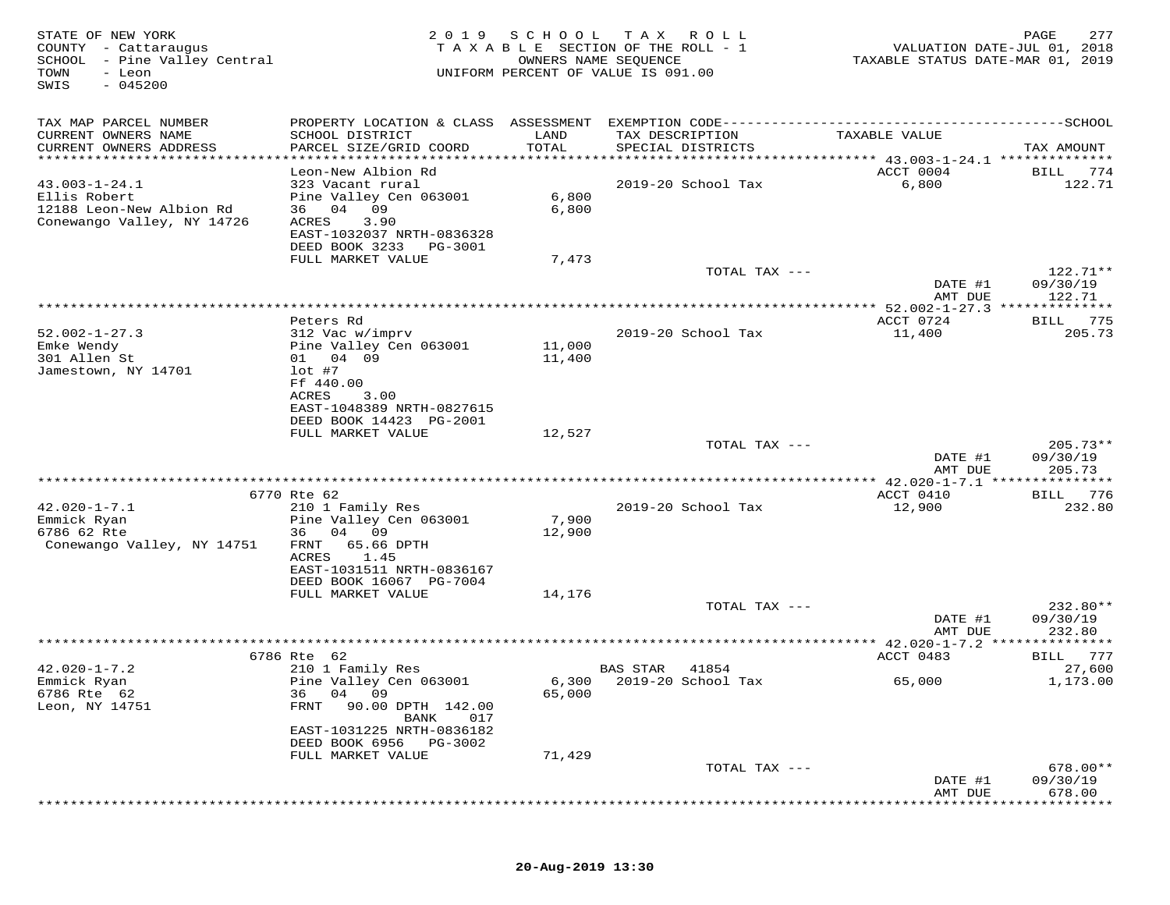| STATE OF NEW YORK<br>COUNTY - Cattaraugus<br>SCHOOL<br>- Pine Valley Central<br>TOWN<br>- Leon<br>$-045200$<br>SWIS | 2 0 1 9                                                                                             | SCHOOL<br>OWNERS NAME SEQUENCE | T A X<br>R O L L<br>TAXABLE SECTION OF THE ROLL - 1<br>UNIFORM PERCENT OF VALUE IS 091.00 | VALUATION DATE-JUL 01, 2018<br>TAXABLE STATUS DATE-MAR 01, 2019 | PAGE<br>277                      |
|---------------------------------------------------------------------------------------------------------------------|-----------------------------------------------------------------------------------------------------|--------------------------------|-------------------------------------------------------------------------------------------|-----------------------------------------------------------------|----------------------------------|
| TAX MAP PARCEL NUMBER                                                                                               |                                                                                                     |                                |                                                                                           |                                                                 |                                  |
| CURRENT OWNERS NAME<br>CURRENT OWNERS ADDRESS                                                                       | SCHOOL DISTRICT<br>PARCEL SIZE/GRID COORD                                                           | LAND<br>TOTAL                  | TAX DESCRIPTION<br>SPECIAL DISTRICTS                                                      | TAXABLE VALUE                                                   | TAX AMOUNT                       |
| ************************                                                                                            |                                                                                                     |                                |                                                                                           |                                                                 |                                  |
| $43.003 - 1 - 24.1$<br>Ellis Robert<br>12188 Leon-New Albion Rd<br>Conewango Valley, NY 14726                       | Leon-New Albion Rd<br>323 Vacant rural<br>Pine Valley Cen 063001<br>36 04<br>09<br>3.90<br>ACRES    | 6,800<br>6,800                 | 2019-20 School Tax                                                                        | ACCT 0004<br>6,800                                              | 774<br>BILL<br>122.71            |
|                                                                                                                     | EAST-1032037 NRTH-0836328<br>DEED BOOK 3233<br>PG-3001<br>FULL MARKET VALUE                         | 7,473                          |                                                                                           |                                                                 |                                  |
|                                                                                                                     |                                                                                                     |                                | TOTAL TAX ---                                                                             | DATE #1                                                         | 122.71**<br>09/30/19             |
|                                                                                                                     |                                                                                                     |                                | *********************************                                                         | AMT DUE<br>********** 52.002-1-27.3 **************              | 122.71                           |
| $52.002 - 1 - 27.3$                                                                                                 | Peters Rd<br>312 Vac w/imprv                                                                        |                                | 2019-20 School Tax                                                                        | ACCT 0724<br>11,400                                             | 775<br>BILL<br>205.73            |
| Emke Wendy<br>301 Allen St<br>Jamestown, NY 14701                                                                   | Pine Valley Cen 063001<br>01 04 09<br>$lot$ #7<br>Ff 440.00                                         | 11,000<br>11,400               |                                                                                           |                                                                 |                                  |
|                                                                                                                     | ACRES<br>3.00<br>EAST-1048389 NRTH-0827615<br>DEED BOOK 14423 PG-2001                               |                                |                                                                                           |                                                                 |                                  |
|                                                                                                                     | FULL MARKET VALUE                                                                                   | 12,527                         |                                                                                           |                                                                 |                                  |
|                                                                                                                     |                                                                                                     |                                | TOTAL TAX ---                                                                             | DATE #1<br>AMT DUE                                              | $205.73**$<br>09/30/19<br>205.73 |
|                                                                                                                     |                                                                                                     |                                |                                                                                           | ** 42.020-1-7.1 ***                                             | * * * * * * * *                  |
|                                                                                                                     | 6770 Rte 62                                                                                         |                                |                                                                                           | ACCT 0410                                                       | 776<br>BILL                      |
| $42.020 - 1 - 7.1$<br>Emmick Ryan<br>6786 62 Rte<br>Conewango Valley, NY 14751                                      | 210 1 Family Res<br>Pine Valley Cen 063001<br>36<br>04<br>09<br>65.66 DPTH<br>FRNT<br>ACRES<br>1.45 | 7,900<br>12,900                | 2019-20 School Tax                                                                        | 12,900                                                          | 232.80                           |
|                                                                                                                     | EAST-1031511 NRTH-0836167<br>DEED BOOK 16067 PG-7004                                                |                                |                                                                                           |                                                                 |                                  |
|                                                                                                                     | FULL MARKET VALUE                                                                                   | 14,176                         | TOTAL TAX ---                                                                             |                                                                 | 232.80**                         |
|                                                                                                                     |                                                                                                     |                                |                                                                                           | DATE #1<br>AMT DUE                                              | 09/30/19<br>232.80               |
|                                                                                                                     |                                                                                                     |                                |                                                                                           | *** $42.020 - 1 - 7.2$                                          |                                  |
| $42.020 - 1 - 7.2$                                                                                                  | 6786 Rte 62<br>210 1 Family Res                                                                     |                                | BAS STAR<br>41854                                                                         | ACCT 0483                                                       | 777<br>BILL<br>27,600            |
| Emmick Ryan<br>6786 Rte 62<br>Leon, NY 14751                                                                        | Pine Valley Cen 063001<br>36 04 09<br>FRNT<br>90.00 DPTH 142.00<br>BANK<br>017                      | 6,300<br>65,000                | 2019-20 School Tax                                                                        | 65,000                                                          | 1,173.00                         |
|                                                                                                                     | EAST-1031225 NRTH-0836182<br>DEED BOOK 6956<br>PG-3002                                              |                                |                                                                                           |                                                                 |                                  |
|                                                                                                                     | FULL MARKET VALUE                                                                                   | 71,429                         | TOTAL TAX ---                                                                             |                                                                 | 678.00**                         |
|                                                                                                                     |                                                                                                     |                                |                                                                                           | DATE #1<br>AMT DUE                                              | 09/30/19<br>678.00               |
|                                                                                                                     |                                                                                                     |                                |                                                                                           |                                                                 |                                  |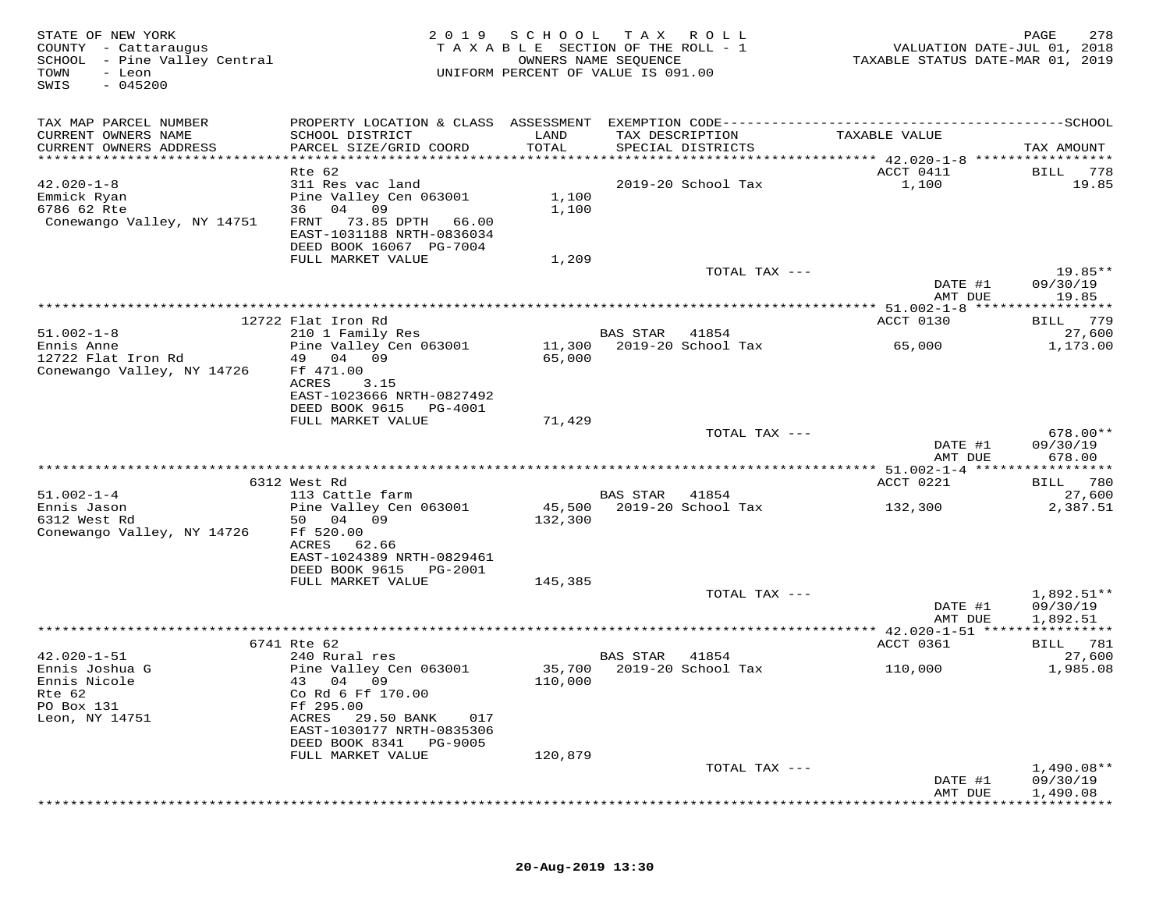| STATE OF NEW YORK<br>COUNTY - Cattaraugus<br>SCHOOL - Pine Valley Central<br>TOWN<br>- Leon<br>$-045200$<br>SWIS | 2 0 1 9                                                                                      | SCHOOL        | T A X<br>ROLL ROLL<br>TAXABLE SECTION OF THE ROLL - 1<br>OWNERS NAME SEQUENCE<br>UNIFORM PERCENT OF VALUE IS 091.00 | VALUATION DATE-JUL 01, 2018<br>TAXABLE STATUS DATE-MAR 01, 2019 | PAGE<br>278                      |
|------------------------------------------------------------------------------------------------------------------|----------------------------------------------------------------------------------------------|---------------|---------------------------------------------------------------------------------------------------------------------|-----------------------------------------------------------------|----------------------------------|
| TAX MAP PARCEL NUMBER                                                                                            |                                                                                              |               |                                                                                                                     |                                                                 |                                  |
| CURRENT OWNERS NAME<br>CURRENT OWNERS ADDRESS                                                                    | SCHOOL DISTRICT<br>PARCEL SIZE/GRID COORD                                                    | LAND<br>TOTAL | TAX DESCRIPTION<br>SPECIAL DISTRICTS                                                                                | TAXABLE VALUE                                                   | TAX AMOUNT                       |
|                                                                                                                  |                                                                                              |               |                                                                                                                     |                                                                 |                                  |
| $42.020 - 1 - 8$<br>Emmick Ryan                                                                                  | Rte 62<br>311 Res vac land<br>Pine Valley Cen 063001                                         | 1,100         | 2019-20 School Tax                                                                                                  | ACCT 0411<br>1,100                                              | 778<br>BILL<br>19.85             |
| 6786 62 Rte<br>Conewango Valley, NY 14751                                                                        | 36 04 09<br>73.85 DPTH 66.00<br>FRNT<br>EAST-1031188 NRTH-0836034<br>DEED BOOK 16067 PG-7004 | 1,100         |                                                                                                                     |                                                                 |                                  |
|                                                                                                                  | FULL MARKET VALUE                                                                            | 1,209         |                                                                                                                     |                                                                 |                                  |
|                                                                                                                  |                                                                                              |               | TOTAL TAX ---                                                                                                       | DATE #1                                                         | 19.85**<br>09/30/19              |
|                                                                                                                  |                                                                                              |               |                                                                                                                     | AMT DUE                                                         | 19.85                            |
|                                                                                                                  | 12722 Flat Iron Rd                                                                           |               |                                                                                                                     | ACCT 0130                                                       | BILL 779                         |
| $51.002 - 1 - 8$                                                                                                 | 210 1 Family Res                                                                             |               | BAS STAR<br>41854                                                                                                   |                                                                 | 27,600                           |
| Ennis Anne<br>12722 Flat Iron Rd<br>Conewango Valley, NY 14726                                                   | Pine Valley Cen 063001<br>49 04 09<br>Ff 471.00                                              | 65,000        | 11,300 2019-20 School Tax                                                                                           | 65,000                                                          | 1,173.00                         |
|                                                                                                                  | ACRES<br>3.15<br>EAST-1023666 NRTH-0827492<br>DEED BOOK 9615<br>PG-4001                      |               |                                                                                                                     |                                                                 |                                  |
|                                                                                                                  | FULL MARKET VALUE                                                                            | 71,429        |                                                                                                                     |                                                                 |                                  |
|                                                                                                                  |                                                                                              |               | TOTAL TAX ---                                                                                                       | DATE #1<br>AMT DUE                                              | $678.00**$<br>09/30/19<br>678.00 |
|                                                                                                                  |                                                                                              |               |                                                                                                                     |                                                                 |                                  |
| $51.002 - 1 - 4$                                                                                                 | 6312 West Rd<br>113 Cattle farm                                                              |               | BAS STAR<br>41854                                                                                                   | ACCT 0221                                                       | BILL 780<br>27,600               |
| Ennis Jason                                                                                                      | Pine Valley Cen 063001                                                                       | 45,500        | 2019-20 School Tax                                                                                                  | 132,300                                                         | 2,387.51                         |
| 6312 West Rd<br>Conewango Valley, NY 14726                                                                       | 50 04 09<br>Ff 520.00<br>ACRES<br>62.66                                                      | 132,300       |                                                                                                                     |                                                                 |                                  |
|                                                                                                                  | EAST-1024389 NRTH-0829461<br>DEED BOOK 9615<br>PG-2001                                       |               |                                                                                                                     |                                                                 |                                  |
|                                                                                                                  | FULL MARKET VALUE                                                                            | 145,385       | TOTAL TAX ---                                                                                                       |                                                                 | $1,892.51**$                     |
|                                                                                                                  |                                                                                              |               |                                                                                                                     | DATE #1<br>AMT DUE                                              | 09/30/19<br>1,892.51             |
|                                                                                                                  |                                                                                              |               | **********************************                                                                                  | ******** 42.020-1-51 ****                                       | * * * * * * * * * * *            |
| $42.020 - 1 - 51$                                                                                                | 6741 Rte 62<br>240 Rural res                                                                 |               | 41854                                                                                                               | ACCT 0361                                                       | BILL 781                         |
| Ennis Joshua G                                                                                                   | Pine Valley Cen 063001                                                                       | 35,700        | BAS STAR<br>2019-20 School Tax                                                                                      | 110,000                                                         | 27,600<br>1,985.08               |
| Ennis Nicole<br>Rte 62<br>PO Box 131                                                                             | 43 04 09<br>Co Rd 6 Ff 170.00<br>Ff 295.00                                                   | 110,000       |                                                                                                                     |                                                                 |                                  |
| Leon, NY 14751                                                                                                   | ACRES<br>29.50 BANK<br>017<br>EAST-1030177 NRTH-0835306<br>DEED BOOK 8341<br>PG-9005         |               |                                                                                                                     |                                                                 |                                  |
|                                                                                                                  | FULL MARKET VALUE                                                                            | 120,879       |                                                                                                                     |                                                                 |                                  |
|                                                                                                                  |                                                                                              |               | TOTAL TAX ---                                                                                                       | DATE #1                                                         | $1,490.08**$<br>09/30/19         |
|                                                                                                                  |                                                                                              |               |                                                                                                                     | AMT DUE                                                         | 1,490.08                         |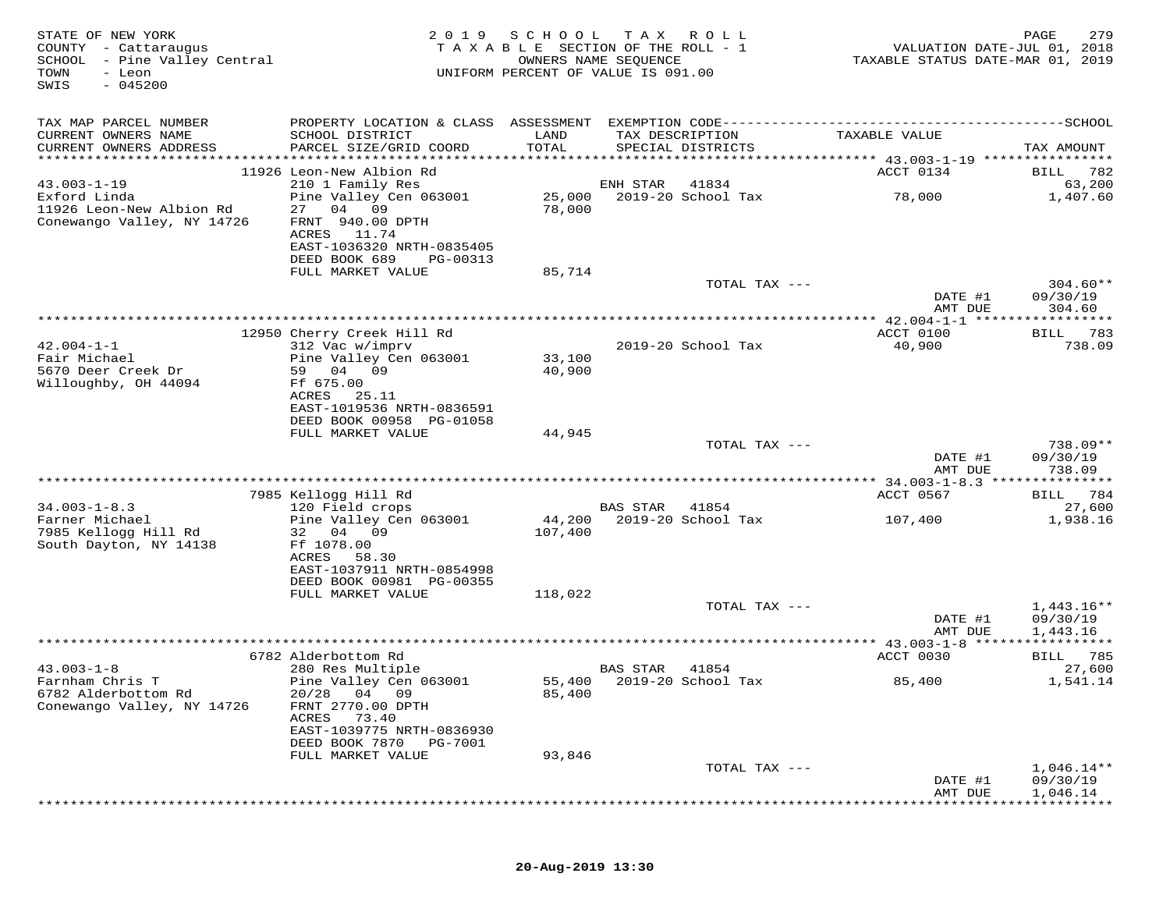| STATE OF NEW YORK<br>COUNTY - Cattaraugus<br>SCHOOL - Pine Valley Central<br>TOWN<br>- Leon<br>$-045200$<br>SWIS | 2 0 1 9                                                                                                     | SCHOOL        | T A X<br>R O L L<br>TAXABLE SECTION OF THE ROLL - 1<br>OWNERS NAME SEQUENCE<br>UNIFORM PERCENT OF VALUE IS 091.00 | VALUATION DATE-JUL 01, 2018<br>TAXABLE STATUS DATE-MAR 01, 2019 | 279<br>PAGE                  |
|------------------------------------------------------------------------------------------------------------------|-------------------------------------------------------------------------------------------------------------|---------------|-------------------------------------------------------------------------------------------------------------------|-----------------------------------------------------------------|------------------------------|
| TAX MAP PARCEL NUMBER                                                                                            |                                                                                                             |               |                                                                                                                   |                                                                 |                              |
| CURRENT OWNERS NAME<br>CURRENT OWNERS ADDRESS                                                                    | SCHOOL DISTRICT<br>PARCEL SIZE/GRID COORD                                                                   | LAND<br>TOTAL | TAX DESCRIPTION<br>SPECIAL DISTRICTS                                                                              | TAXABLE VALUE                                                   | TAX AMOUNT                   |
| ***********************                                                                                          |                                                                                                             |               |                                                                                                                   |                                                                 |                              |
| $43.003 - 1 - 19$                                                                                                | 11926 Leon-New Albion Rd                                                                                    |               | 41834                                                                                                             | ACCT 0134                                                       | BILL<br>782                  |
| Exford Linda                                                                                                     | 210 1 Family Res<br>Pine Valley Cen 063001                                                                  | 25,000        | ENH STAR<br>2019-20 School Tax                                                                                    | 78,000                                                          | 63,200<br>1,407.60           |
| 11926 Leon-New Albion Rd<br>Conewango Valley, NY 14726                                                           | 27<br>04 09<br>FRNT 940.00 DPTH<br>11.74<br>ACRES<br>EAST-1036320 NRTH-0835405<br>DEED BOOK 689<br>PG-00313 | 78,000        |                                                                                                                   |                                                                 |                              |
|                                                                                                                  | FULL MARKET VALUE                                                                                           | 85,714        |                                                                                                                   |                                                                 |                              |
|                                                                                                                  |                                                                                                             |               | TOTAL TAX ---                                                                                                     | DATE #1                                                         | $304.60**$<br>09/30/19       |
|                                                                                                                  |                                                                                                             |               |                                                                                                                   | AMT DUE                                                         | 304.60                       |
|                                                                                                                  |                                                                                                             |               |                                                                                                                   | ************ 42.004-1-1 ******************                      |                              |
| $42.004 - 1 - 1$                                                                                                 | 12950 Cherry Creek Hill Rd                                                                                  |               | 2019-20 School Tax                                                                                                | ACCT 0100<br>40,900                                             | 783<br><b>BILL</b><br>738.09 |
| Fair Michael                                                                                                     | 312 Vac w/imprv<br>Pine Valley Cen 063001                                                                   | 33,100        |                                                                                                                   |                                                                 |                              |
| 5670 Deer Creek Dr                                                                                               | 59<br>04<br>09                                                                                              | 40,900        |                                                                                                                   |                                                                 |                              |
| Willoughby, OH 44094                                                                                             | Ff 675.00                                                                                                   |               |                                                                                                                   |                                                                 |                              |
|                                                                                                                  | 25.11<br>ACRES                                                                                              |               |                                                                                                                   |                                                                 |                              |
|                                                                                                                  | EAST-1019536 NRTH-0836591                                                                                   |               |                                                                                                                   |                                                                 |                              |
|                                                                                                                  | DEED BOOK 00958 PG-01058                                                                                    |               |                                                                                                                   |                                                                 |                              |
|                                                                                                                  | FULL MARKET VALUE                                                                                           | 44,945        |                                                                                                                   |                                                                 | $738.09**$                   |
|                                                                                                                  |                                                                                                             |               | TOTAL TAX ---                                                                                                     | DATE #1                                                         | 09/30/19                     |
|                                                                                                                  |                                                                                                             |               |                                                                                                                   | AMT DUE                                                         | 738.09                       |
|                                                                                                                  | 7985 Kellogg Hill Rd                                                                                        |               |                                                                                                                   | ACCT 0567                                                       | 784<br>BILL                  |
| $34.003 - 1 - 8.3$                                                                                               | 120 Field crops                                                                                             |               | <b>BAS STAR</b><br>41854                                                                                          |                                                                 | 27,600                       |
| Farner Michael                                                                                                   | Pine Valley Cen 063001                                                                                      | 44,200        | 2019-20 School Tax                                                                                                | 107,400                                                         | 1,938.16                     |
| 7985 Kellogg Hill Rd                                                                                             | 32 04 09                                                                                                    | 107,400       |                                                                                                                   |                                                                 |                              |
| South Dayton, NY 14138                                                                                           | Ff 1078.00                                                                                                  |               |                                                                                                                   |                                                                 |                              |
|                                                                                                                  | ACRES<br>58.30                                                                                              |               |                                                                                                                   |                                                                 |                              |
|                                                                                                                  | EAST-1037911 NRTH-0854998<br>DEED BOOK 00981 PG-00355                                                       |               |                                                                                                                   |                                                                 |                              |
|                                                                                                                  | FULL MARKET VALUE                                                                                           | 118,022       |                                                                                                                   |                                                                 |                              |
|                                                                                                                  |                                                                                                             |               | TOTAL TAX ---                                                                                                     |                                                                 | $1,443.16**$                 |
|                                                                                                                  |                                                                                                             |               |                                                                                                                   | DATE #1                                                         | 09/30/19                     |
|                                                                                                                  |                                                                                                             |               |                                                                                                                   | AMT DUE                                                         | 1,443.16                     |
|                                                                                                                  |                                                                                                             |               |                                                                                                                   |                                                                 | ***********                  |
|                                                                                                                  | 6782 Alderbottom Rd                                                                                         |               | <b>BAS STAR</b>                                                                                                   | ACCT 0030                                                       | <b>BILL</b> 785              |
| $43.003 - 1 - 8$<br>Farnham Chris T                                                                              | 280 Res Multiple<br>Pine Valley Cen 063001                                                                  |               | 41854<br>55,400 2019-20 School Tax                                                                                | 85,400                                                          | 27,600<br>1,541.14           |
| 6782 Alderbottom Rd                                                                                              | 20/28<br>04 09                                                                                              | 85,400        |                                                                                                                   |                                                                 |                              |
| Conewango Valley, NY 14726                                                                                       | FRNT 2770.00 DPTH                                                                                           |               |                                                                                                                   |                                                                 |                              |
|                                                                                                                  | 73.40<br>ACRES                                                                                              |               |                                                                                                                   |                                                                 |                              |
|                                                                                                                  | EAST-1039775 NRTH-0836930                                                                                   |               |                                                                                                                   |                                                                 |                              |
|                                                                                                                  | DEED BOOK 7870<br><b>PG-7001</b>                                                                            |               |                                                                                                                   |                                                                 |                              |
|                                                                                                                  | FULL MARKET VALUE                                                                                           | 93,846        | TOTAL TAX ---                                                                                                     |                                                                 | $1,046.14**$                 |
|                                                                                                                  |                                                                                                             |               |                                                                                                                   | DATE #1                                                         | 09/30/19                     |
|                                                                                                                  |                                                                                                             |               |                                                                                                                   | AMT DUE                                                         | 1,046.14                     |
|                                                                                                                  |                                                                                                             |               |                                                                                                                   |                                                                 |                              |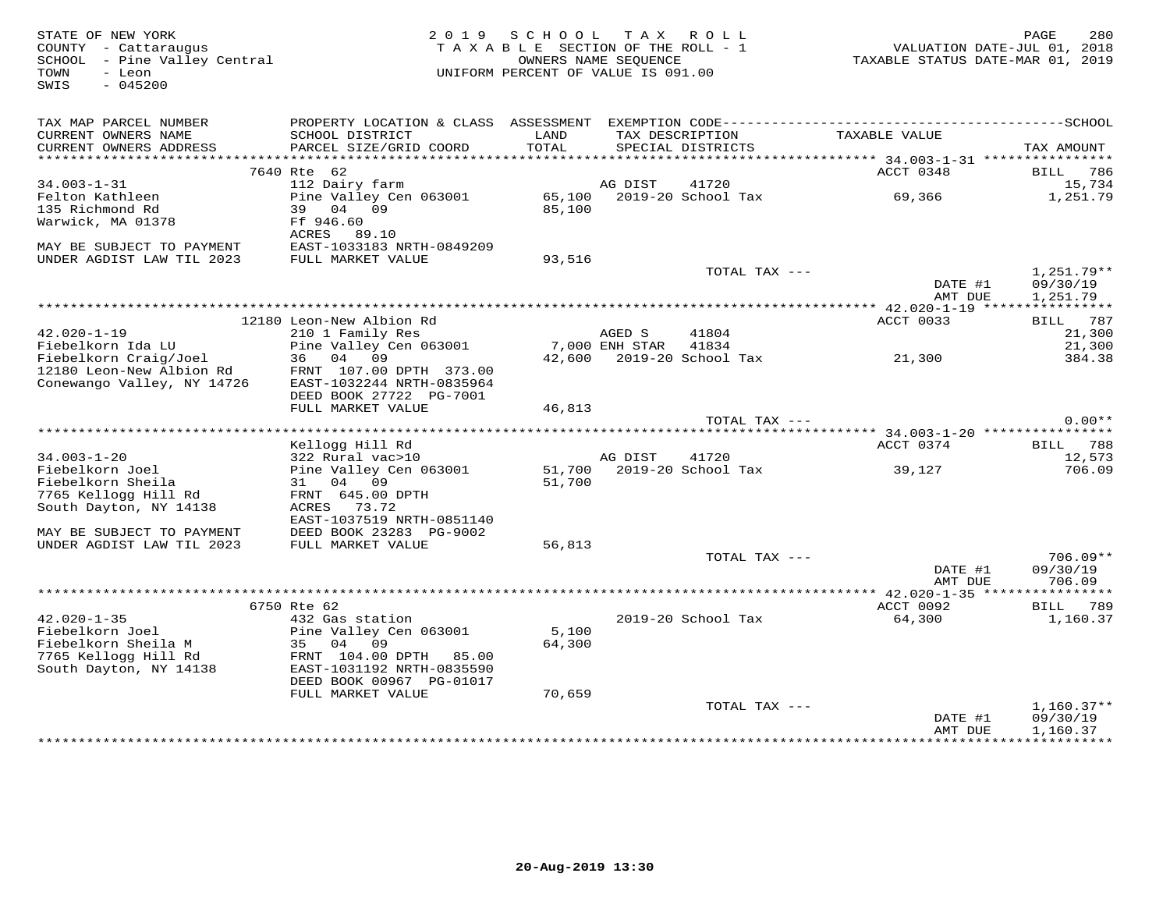| STATE OF NEW YORK<br>COUNTY - Cattaraugus<br>SCHOOL - Pine Valley Central<br>TOWN<br>- Leon<br>SWIS<br>$-045200$ | 2 0 1 9                                   | SCHOOL<br>TAXABLE SECTION OF THE ROLL - 1<br>UNIFORM PERCENT OF VALUE IS 091.00 | OWNERS NAME SEQUENCE | TAX ROLL                             | TAXABLE STATUS DATE-MAR 01, 2019    | 280<br>PAGE<br>VALUATION DATE-JUL 01, 2018 |
|------------------------------------------------------------------------------------------------------------------|-------------------------------------------|---------------------------------------------------------------------------------|----------------------|--------------------------------------|-------------------------------------|--------------------------------------------|
| TAX MAP PARCEL NUMBER                                                                                            |                                           |                                                                                 |                      |                                      |                                     |                                            |
| CURRENT OWNERS NAME<br>CURRENT OWNERS ADDRESS                                                                    | SCHOOL DISTRICT<br>PARCEL SIZE/GRID COORD | LAND<br>TOTAL                                                                   |                      | TAX DESCRIPTION<br>SPECIAL DISTRICTS | TAXABLE VALUE                       | TAX AMOUNT                                 |
|                                                                                                                  |                                           |                                                                                 |                      |                                      |                                     |                                            |
| $34.003 - 1 - 31$                                                                                                | 7640 Rte 62<br>112 Dairy farm             |                                                                                 | AG DIST              | 41720                                | ACCT 0348                           | BILL 786<br>15,734                         |
| Felton Kathleen                                                                                                  | Pine Valley Cen 063001                    |                                                                                 |                      | 65,100 2019-20 School Tax            | 69,366                              | 1,251.79                                   |
| 135 Richmond Rd                                                                                                  | 39 04 09                                  | 85,100                                                                          |                      |                                      |                                     |                                            |
| Warwick, MA 01378                                                                                                | Ff 946.60<br>ACRES 89.10                  |                                                                                 |                      |                                      |                                     |                                            |
| MAY BE SUBJECT TO PAYMENT                                                                                        | EAST-1033183 NRTH-0849209                 |                                                                                 |                      |                                      |                                     |                                            |
| UNDER AGDIST LAW TIL 2023                                                                                        | FULL MARKET VALUE                         | 93,516                                                                          |                      |                                      |                                     |                                            |
|                                                                                                                  |                                           |                                                                                 |                      | TOTAL TAX ---                        |                                     | 1,251.79**                                 |
|                                                                                                                  |                                           |                                                                                 |                      |                                      | DATE #1<br>AMT DUE                  | 09/30/19<br>1,251.79                       |
|                                                                                                                  |                                           |                                                                                 |                      |                                      |                                     |                                            |
|                                                                                                                  | 12180 Leon-New Albion Rd                  |                                                                                 |                      |                                      | ACCT 0033                           | BILL 787                                   |
| $42.020 - 1 - 19$                                                                                                | 210 1 Family Res                          |                                                                                 | AGED S               | 41804                                |                                     | 21,300                                     |
| Fiebelkorn Ida LU<br>Fiebelkorn Craig/Joel                                                                       | Pine Valley Cen 063001<br>36 04 09        |                                                                                 | 7,000 ENH STAR       | 41834<br>42,600 2019-20 School Tax   | 21,300                              | 21,300                                     |
| 12180 Leon-New Albion Rd                                                                                         | FRNT 107.00 DPTH 373.00                   |                                                                                 |                      |                                      |                                     | 384.38                                     |
| Conewango Valley, NY 14726                                                                                       | EAST-1032244 NRTH-0835964                 |                                                                                 |                      |                                      |                                     |                                            |
|                                                                                                                  | DEED BOOK 27722 PG-7001                   |                                                                                 |                      |                                      |                                     |                                            |
|                                                                                                                  | FULL MARKET VALUE                         | 46,813                                                                          |                      |                                      |                                     |                                            |
|                                                                                                                  |                                           |                                                                                 |                      | TOTAL TAX ---                        |                                     | $0.00**$                                   |
|                                                                                                                  |                                           |                                                                                 |                      |                                      | ****** 34.003-1-20 **************** |                                            |
|                                                                                                                  | Kellogg Hill Rd                           |                                                                                 |                      |                                      | ACCT 0374                           | BILL 788                                   |
| $34.003 - 1 - 20$                                                                                                | 322 Rural vac>10                          |                                                                                 | AG DIST              | 41720<br>51,700 2019-20 School Tax   |                                     | 12,573                                     |
| Fiebelkorn Joel<br>Fiebelkorn Sheila                                                                             | Pine Valley Cen 063001<br>31 04 09        | 51,700                                                                          |                      |                                      | 39,127                              | 706.09                                     |
| 7765 Kellogg Hill Rd                                                                                             | FRNT 645.00 DPTH                          |                                                                                 |                      |                                      |                                     |                                            |
| South Dayton, NY 14138                                                                                           | ACRES 73.72                               |                                                                                 |                      |                                      |                                     |                                            |
|                                                                                                                  | EAST-1037519 NRTH-0851140                 |                                                                                 |                      |                                      |                                     |                                            |
| MAY BE SUBJECT TO PAYMENT                                                                                        | DEED BOOK 23283 PG-9002                   |                                                                                 |                      |                                      |                                     |                                            |
| UNDER AGDIST LAW TIL 2023                                                                                        | FULL MARKET VALUE                         | 56,813                                                                          |                      |                                      |                                     |                                            |
|                                                                                                                  |                                           |                                                                                 |                      | TOTAL TAX ---                        |                                     | $706.09**$                                 |
|                                                                                                                  |                                           |                                                                                 |                      |                                      | DATE #1<br>AMT DUE                  | 09/30/19<br>706.09                         |
|                                                                                                                  |                                           |                                                                                 |                      |                                      |                                     |                                            |
| $42.020 - 1 - 35$                                                                                                | 6750 Rte 62<br>432 Gas station            |                                                                                 |                      | 2019-20 School Tax                   | ACCT 0092<br>64,300                 | BILL 789<br>1,160.37                       |
| Fiebelkorn Joel                                                                                                  | Pine Valley Cen 063001                    | 5,100                                                                           |                      |                                      |                                     |                                            |
| Fiebelkorn Sheila M                                                                                              | 35 04<br>09                               | 64,300                                                                          |                      |                                      |                                     |                                            |
| 7765 Kellogg Hill Rd                                                                                             | FRNT 104.00 DPTH 85.00                    |                                                                                 |                      |                                      |                                     |                                            |
| South Dayton, NY 14138                                                                                           | EAST-1031192 NRTH-0835590                 |                                                                                 |                      |                                      |                                     |                                            |
|                                                                                                                  | DEED BOOK 00967 PG-01017                  |                                                                                 |                      |                                      |                                     |                                            |
|                                                                                                                  | FULL MARKET VALUE                         | 70,659                                                                          |                      |                                      |                                     |                                            |
|                                                                                                                  |                                           |                                                                                 |                      | TOTAL TAX ---                        |                                     | $1,160.37**$                               |
|                                                                                                                  |                                           |                                                                                 |                      |                                      | DATE #1<br>AMT DUE                  | 09/30/19<br>1,160.37                       |
|                                                                                                                  |                                           |                                                                                 |                      |                                      |                                     |                                            |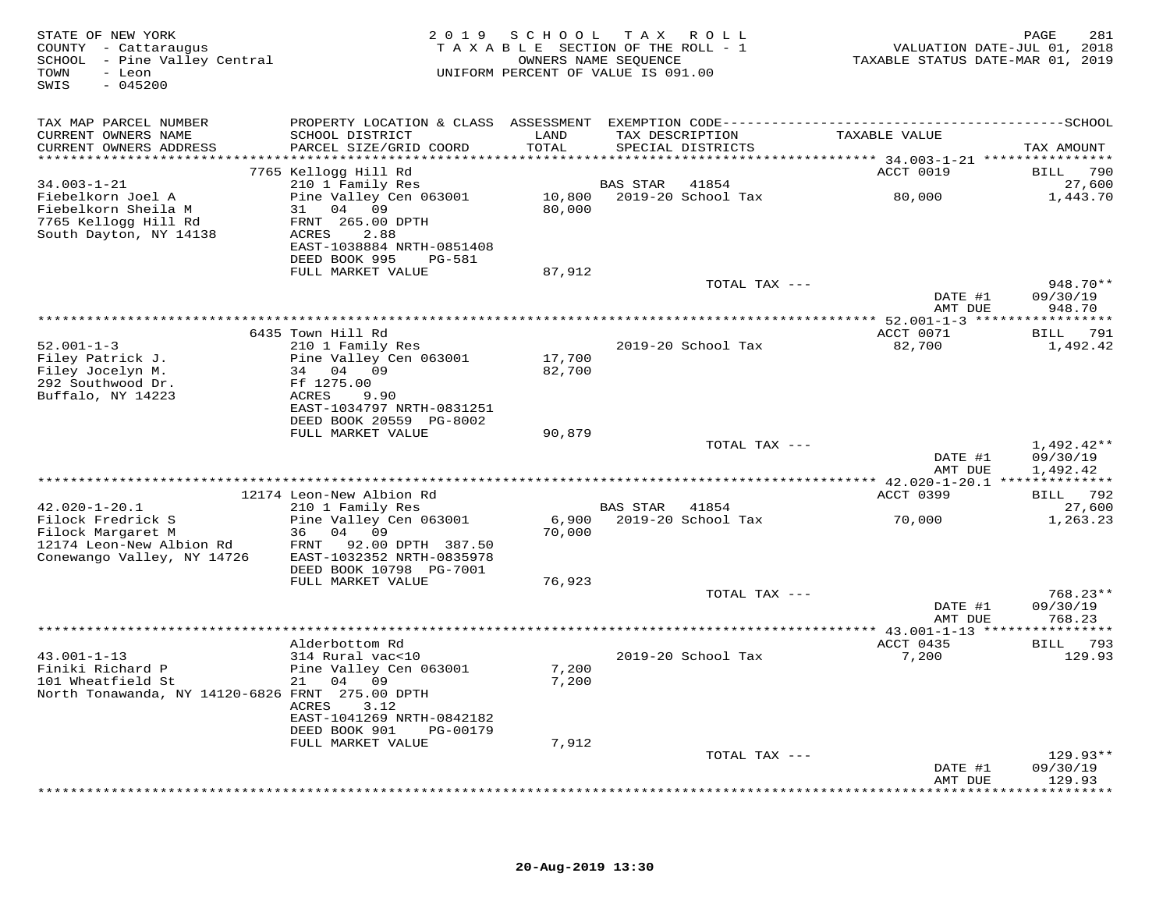| STATE OF NEW YORK<br>COUNTY - Cattaraugus<br>SCHOOL - Pine Valley Central<br>TOWN<br>- Leon<br>$-045200$<br>SWIS |                                                                        | 2019 SCHOOL      | T A X<br>ROLL<br>TAXABLE SECTION OF THE ROLL - 1<br>OWNERS NAME SEQUENCE<br>UNIFORM PERCENT OF VALUE IS 091.00 | VALUATION DATE-JUL 01, 2018<br>TAXABLE STATUS DATE-MAR 01, 2019 | 281<br>PAGE          |
|------------------------------------------------------------------------------------------------------------------|------------------------------------------------------------------------|------------------|----------------------------------------------------------------------------------------------------------------|-----------------------------------------------------------------|----------------------|
| TAX MAP PARCEL NUMBER                                                                                            |                                                                        |                  |                                                                                                                |                                                                 |                      |
| CURRENT OWNERS NAME<br>CURRENT OWNERS ADDRESS<br>***********************                                         | SCHOOL DISTRICT<br>PARCEL SIZE/GRID COORD<br>************************* | LAND<br>TOTAL    | TAX DESCRIPTION<br>SPECIAL DISTRICTS                                                                           | TAXABLE VALUE                                                   | TAX AMOUNT           |
|                                                                                                                  | 7765 Kellogg Hill Rd                                                   |                  |                                                                                                                | ACCT 0019                                                       | BILL<br>790          |
| $34.003 - 1 - 21$                                                                                                | 210 1 Family Res                                                       |                  | BAS STAR<br>41854                                                                                              |                                                                 | 27,600               |
| Fiebelkorn Joel A<br>Fiebelkorn Sheila M<br>7765 Kellogg Hill Rd                                                 | Pine Valley Cen 063001<br>31 04 09<br>FRNT 265.00 DPTH                 | 10,800<br>80,000 | 2019-20 School Tax                                                                                             | 80,000                                                          | 1,443.70             |
| South Dayton, NY 14138                                                                                           | ACRES<br>2.88<br>EAST-1038884 NRTH-0851408<br>PG-581                   |                  |                                                                                                                |                                                                 |                      |
|                                                                                                                  | DEED BOOK 995<br>FULL MARKET VALUE                                     | 87,912           |                                                                                                                |                                                                 |                      |
|                                                                                                                  |                                                                        |                  | TOTAL TAX ---                                                                                                  |                                                                 | 948.70**             |
|                                                                                                                  |                                                                        |                  |                                                                                                                | DATE #1<br>AMT DUE                                              | 09/30/19<br>948.70   |
|                                                                                                                  | 6435 Town Hill Rd                                                      |                  |                                                                                                                | ACCT 0071                                                       | BILL 791             |
| $52.001 - 1 - 3$                                                                                                 | 210 1 Family Res                                                       |                  | 2019-20 School Tax                                                                                             | 82,700                                                          | 1,492.42             |
| Filey Patrick J.                                                                                                 | Pine Valley Cen 063001                                                 | 17,700           |                                                                                                                |                                                                 |                      |
| Filey Jocelyn M.<br>292 Southwood Dr.                                                                            | 34 04 09<br>Ff 1275.00                                                 | 82,700           |                                                                                                                |                                                                 |                      |
| Buffalo, NY 14223                                                                                                | ACRES<br>9.90                                                          |                  |                                                                                                                |                                                                 |                      |
|                                                                                                                  | EAST-1034797 NRTH-0831251                                              |                  |                                                                                                                |                                                                 |                      |
|                                                                                                                  | DEED BOOK 20559 PG-8002<br>FULL MARKET VALUE                           | 90,879           |                                                                                                                |                                                                 |                      |
|                                                                                                                  |                                                                        |                  | TOTAL TAX ---                                                                                                  |                                                                 | $1,492.42**$         |
|                                                                                                                  |                                                                        |                  |                                                                                                                | DATE #1<br>AMT DUE                                              | 09/30/19<br>1,492.42 |
|                                                                                                                  |                                                                        |                  |                                                                                                                |                                                                 |                      |
| $42.020 - 1 - 20.1$                                                                                              | 12174 Leon-New Albion Rd<br>210 1 Family Res                           |                  | BAS STAR 41854                                                                                                 | ACCT 0399                                                       | BILL 792<br>27,600   |
| Filock Fredrick S                                                                                                | Pine Valley Cen 063001                                                 | 6,900            | 2019-20 School Tax                                                                                             | 70,000                                                          | 1,263.23             |
| Filock Margaret M                                                                                                | 36<br>04 09                                                            | 70,000           |                                                                                                                |                                                                 |                      |
| 12174 Leon-New Albion Rd<br>Conewango Valley, NY 14726                                                           | 92.00 DPTH 387.50<br>FRNT<br>EAST-1032352 NRTH-0835978                 |                  |                                                                                                                |                                                                 |                      |
|                                                                                                                  | DEED BOOK 10798 PG-7001                                                |                  |                                                                                                                |                                                                 |                      |
|                                                                                                                  | FULL MARKET VALUE                                                      | 76,923           |                                                                                                                |                                                                 |                      |
|                                                                                                                  |                                                                        |                  | TOTAL TAX ---                                                                                                  | DATE #1                                                         | 768.23**<br>09/30/19 |
|                                                                                                                  |                                                                        |                  |                                                                                                                | AMT DUE                                                         | 768.23               |
|                                                                                                                  |                                                                        |                  |                                                                                                                |                                                                 |                      |
| $43.001 - 1 - 13$                                                                                                | Alderbottom Rd<br>314 Rural vac<10                                     |                  | 2019-20 School Tax                                                                                             | ACCT 0435<br>7,200                                              | BILL 793<br>129.93   |
| Finiki Richard P                                                                                                 | Pine Valley Cen 063001                                                 | 7,200            |                                                                                                                |                                                                 |                      |
| 101 Wheatfield St                                                                                                | 21<br>04 09                                                            | 7,200            |                                                                                                                |                                                                 |                      |
| North Tonawanda, NY 14120-6826 FRNT 275.00 DPTH                                                                  | ACRES<br>3.12                                                          |                  |                                                                                                                |                                                                 |                      |
|                                                                                                                  | EAST-1041269 NRTH-0842182                                              |                  |                                                                                                                |                                                                 |                      |
|                                                                                                                  | DEED BOOK 901<br>PG-00179<br>FULL MARKET VALUE                         | 7,912            |                                                                                                                |                                                                 |                      |
|                                                                                                                  |                                                                        |                  | TOTAL TAX ---                                                                                                  |                                                                 | $129.93**$           |
|                                                                                                                  |                                                                        |                  |                                                                                                                | DATE #1                                                         | 09/30/19             |
|                                                                                                                  |                                                                        |                  |                                                                                                                | AMT DUE                                                         | 129.93               |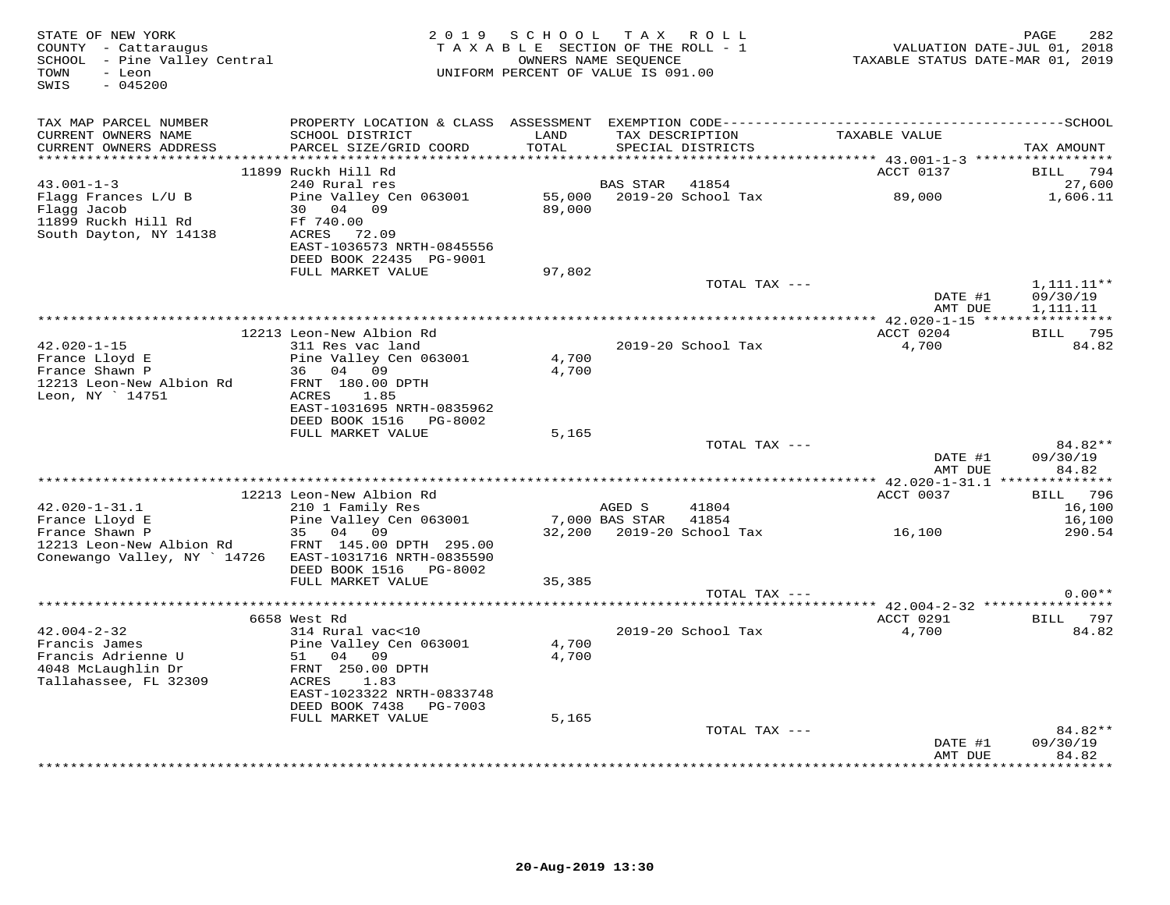| STATE OF NEW YORK<br>COUNTY - Cattaraugus<br>SCHOOL - Pine Valley Central<br>- Leon<br>TOWN<br>SWIS<br>$-045200$ |                                                                             | 2019 SCHOOL TAX ROLL<br>TAXABLE SECTION OF THE ROLL - 1<br>OWNERS NAME SEQUENCE<br>UNIFORM PERCENT OF VALUE IS 091.00 |                          |                                      | TAXABLE STATUS DATE-MAR 01, 2019 | 282<br>PAGE<br>VALUATION DATE-JUL 01, 2018 |
|------------------------------------------------------------------------------------------------------------------|-----------------------------------------------------------------------------|-----------------------------------------------------------------------------------------------------------------------|--------------------------|--------------------------------------|----------------------------------|--------------------------------------------|
| TAX MAP PARCEL NUMBER                                                                                            |                                                                             |                                                                                                                       |                          |                                      |                                  |                                            |
| CURRENT OWNERS NAME<br>CURRENT OWNERS ADDRESS                                                                    | SCHOOL DISTRICT<br>PARCEL SIZE/GRID COORD                                   | LAND<br>TOTAL                                                                                                         |                          | TAX DESCRIPTION<br>SPECIAL DISTRICTS | TAXABLE VALUE                    | TAX AMOUNT                                 |
|                                                                                                                  | 11899 Ruckh Hill Rd                                                         |                                                                                                                       |                          |                                      | ACCT 0137                        | BILL 794                                   |
| $43.001 - 1 - 3$                                                                                                 | 240 Rural res                                                               |                                                                                                                       | BAS STAR                 | 41854                                |                                  | 27,600                                     |
| Flagg Frances L/U B<br>Flagg Jacob<br>11899 Ruckh Hill Rd<br>South Dayton, NY 14138                              | Pine Valley Cen 063001<br>30 04 09<br>Ff 740.00<br>ACRES 72.09              | 55,000<br>89,000                                                                                                      |                          | 2019-20 School Tax                   | 89,000                           | 1,606.11                                   |
|                                                                                                                  | EAST-1036573 NRTH-0845556<br>DEED BOOK 22435 PG-9001                        |                                                                                                                       |                          |                                      |                                  |                                            |
|                                                                                                                  | FULL MARKET VALUE                                                           | 97,802                                                                                                                |                          |                                      |                                  |                                            |
|                                                                                                                  |                                                                             |                                                                                                                       |                          | TOTAL TAX ---                        | DATE #1<br>AMT DUE               | $1,111.11**$<br>09/30/19<br>1,111.11       |
|                                                                                                                  |                                                                             |                                                                                                                       |                          |                                      |                                  |                                            |
|                                                                                                                  | 12213 Leon-New Albion Rd                                                    |                                                                                                                       |                          |                                      | ACCT 0204                        | <b>BILL</b> 795                            |
| $42.020 - 1 - 15$<br>France Lloyd E<br>France Shawn P                                                            | 311 Res vac land<br>Pine Valley Cen 063001<br>36 04 09                      | 4,700<br>4,700                                                                                                        |                          | 2019-20 School Tax                   | 4,700                            | 84.82                                      |
| 12213 Leon-New Albion Rd<br>Leon, NY 14751                                                                       | FRNT 180.00 DPTH<br>ACRES<br>1.85<br>EAST-1031695 NRTH-0835962              |                                                                                                                       |                          |                                      |                                  |                                            |
|                                                                                                                  | DEED BOOK 1516 PG-8002                                                      |                                                                                                                       |                          |                                      |                                  |                                            |
|                                                                                                                  | FULL MARKET VALUE                                                           | 5,165                                                                                                                 |                          | TOTAL TAX ---                        |                                  | 84.82**                                    |
|                                                                                                                  |                                                                             |                                                                                                                       |                          |                                      | DATE #1<br>AMT DUE               | 09/30/19<br>84.82                          |
|                                                                                                                  |                                                                             |                                                                                                                       |                          |                                      |                                  |                                            |
|                                                                                                                  | 12213 Leon-New Albion Rd                                                    |                                                                                                                       |                          |                                      | ACCT 0037                        | BILL 796                                   |
| $42.020 - 1 - 31.1$<br>France Lloyd E                                                                            | 210 1 Family Res<br>Pine Valley Cen 063001                                  |                                                                                                                       | AGED S<br>7,000 BAS STAR | 41804<br>41854                       |                                  | 16,100<br>16,100                           |
| France Shawn P<br>12213 Leon-New Albion Rd                                                                       | 35 04 09<br>FRNT 145.00 DPTH 295.00                                         |                                                                                                                       |                          | 32,200 2019-20 School Tax            | 16,100                           | 290.54                                     |
| Conewango Valley, NY ` 14726                                                                                     | EAST-1031716 NRTH-0835590<br>DEED BOOK 1516    PG-8002<br>FULL MARKET VALUE | 35,385                                                                                                                |                          |                                      |                                  |                                            |
|                                                                                                                  |                                                                             |                                                                                                                       |                          | TOTAL TAX ---                        |                                  | $0.00**$                                   |
|                                                                                                                  |                                                                             |                                                                                                                       |                          |                                      |                                  |                                            |
|                                                                                                                  | 6658 West Rd                                                                |                                                                                                                       |                          |                                      | ACCT 0291                        | BILL 797                                   |
| $42.004 - 2 - 32$<br>Francis James                                                                               | 314 Rural vac<10<br>Pine Valley Cen 063001                                  | 4,700                                                                                                                 |                          | 2019-20 School Tax                   | 4,700                            | 84.82                                      |
| Francis Adrienne U                                                                                               | 51 04 09                                                                    | 4,700                                                                                                                 |                          |                                      |                                  |                                            |
| 4048 McLaughlin Dr                                                                                               | FRNT 250.00 DPTH                                                            |                                                                                                                       |                          |                                      |                                  |                                            |
| Tallahassee, FL 32309                                                                                            | ACRES<br>1.83<br>EAST-1023322 NRTH-0833748                                  |                                                                                                                       |                          |                                      |                                  |                                            |
|                                                                                                                  | DEED BOOK 7438 PG-7003                                                      |                                                                                                                       |                          |                                      |                                  |                                            |
|                                                                                                                  | FULL MARKET VALUE                                                           | 5,165                                                                                                                 |                          |                                      |                                  |                                            |
|                                                                                                                  |                                                                             |                                                                                                                       |                          | TOTAL TAX ---                        | DATE #1<br>AMT DUE               | 84.82**<br>09/30/19<br>84.82               |
|                                                                                                                  |                                                                             |                                                                                                                       |                          |                                      |                                  |                                            |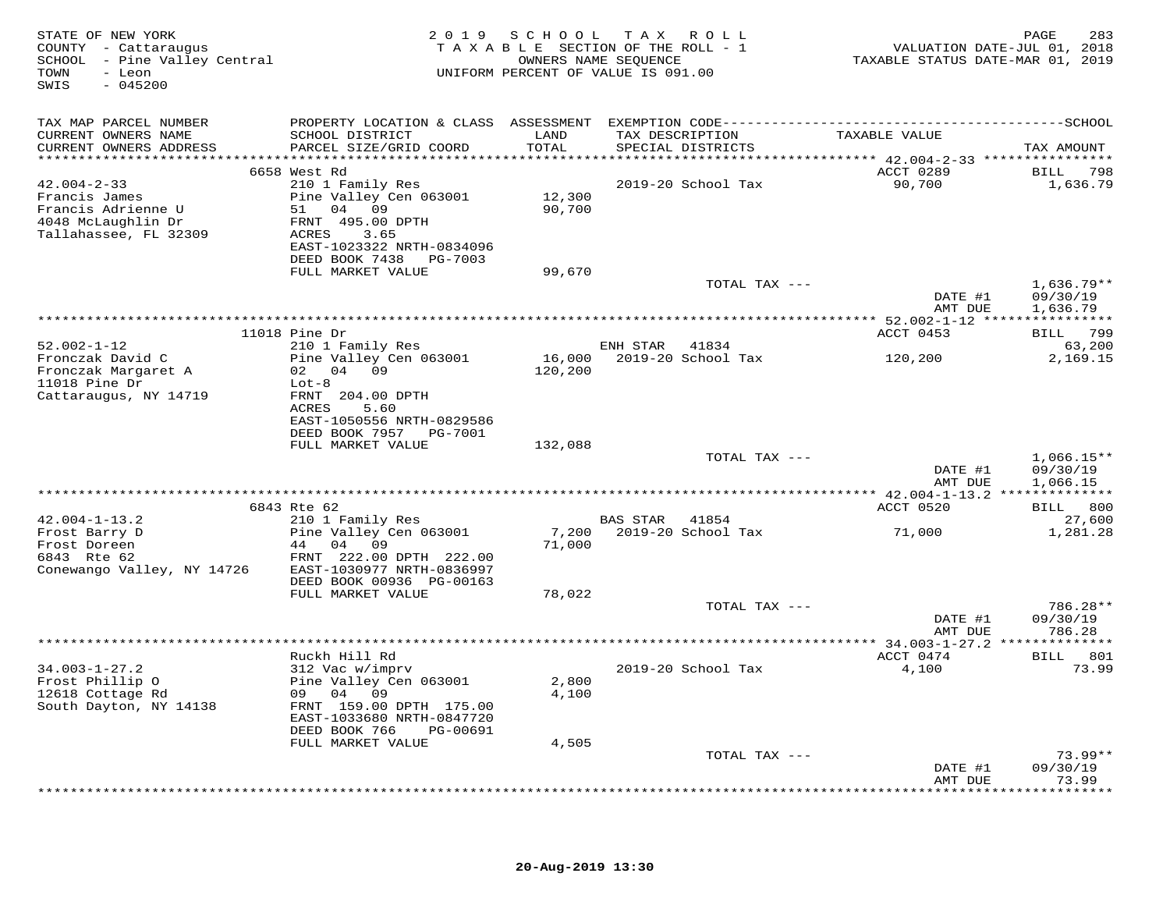| STATE OF NEW YORK<br>COUNTY - Cattaraugus<br>SCHOOL - Pine Valley Central<br>- Leon<br>TOWN<br>SWIS<br>$-045200$ |                                                                                                                                                                    |                  | 2019 SCHOOL TAX ROLL<br>TAXABLE SECTION OF THE ROLL - 1<br>OWNERS NAME SEQUENCE<br>UNIFORM PERCENT OF VALUE IS 091.00 | VALUATION DATE-JUL 01, 2018<br>TAXABLE STATUS DATE-MAR 01, 2019 | PAGE<br>283                                |
|------------------------------------------------------------------------------------------------------------------|--------------------------------------------------------------------------------------------------------------------------------------------------------------------|------------------|-----------------------------------------------------------------------------------------------------------------------|-----------------------------------------------------------------|--------------------------------------------|
| TAX MAP PARCEL NUMBER<br>CURRENT OWNERS NAME<br>CURRENT OWNERS ADDRESS                                           | SCHOOL DISTRICT<br>PARCEL SIZE/GRID COORD                                                                                                                          | LAND<br>TOTAL    | TAX DESCRIPTION<br>SPECIAL DISTRICTS                                                                                  | TAXABLE VALUE                                                   | TAX AMOUNT                                 |
| $42.004 - 2 - 33$<br>Francis James<br>Francis Adrienne U<br>4048 McLaughlin Dr<br>Tallahassee, FL 32309          | 6658 West Rd<br>210 1 Family Res<br>Pine Valley Cen 063001<br>51 04 09<br>FRNT 495.00 DPTH<br>ACRES<br>3.65<br>EAST-1023322 NRTH-0834096<br>DEED BOOK 7438 PG-7003 | 12,300<br>90,700 | 2019-20 School Tax                                                                                                    | ACCT 0289<br>90,700                                             | BILL 798<br>1,636.79                       |
|                                                                                                                  | FULL MARKET VALUE                                                                                                                                                  | 99,670           | TOTAL TAX ---                                                                                                         | DATE #1<br>AMT DUE                                              | $1,636.79**$<br>09/30/19<br>1,636.79       |
| $52.002 - 1 - 12$<br>Fronczak David C<br>Fronczak Margaret A<br>$11018$ Pine Dr<br>Cattaraugus, NY 14719         | $11018$ Pine Dr<br>210 1 Family Res<br>Pine Valley Cen 063001<br>02 04 09<br>$Lot-8$<br>FRNT 204.00 DPTH<br><b>ACRES</b><br>5.60<br>EAST-1050556 NRTH-0829586      | 120,200          | ENH STAR<br>41834<br>16,000 2019-20 School Tax                                                                        | ACCT 0453<br>120,200                                            | BILL 799<br>63,200<br>2,169.15             |
|                                                                                                                  | DEED BOOK 7957 PG-7001<br>FULL MARKET VALUE                                                                                                                        | 132,088          | TOTAL TAX ---                                                                                                         | DATE #1                                                         | $1,066.15**$<br>09/30/19                   |
|                                                                                                                  | 6843 Rte 62                                                                                                                                                        |                  |                                                                                                                       | AMT DUE<br>ACCT 0520                                            | 1,066.15<br>BILL 800                       |
| $42.004 - 1 - 13.2$<br>Frost Barry D<br>Frost Doreen<br>6843 Rte 62<br>Conewango Valley, NY 14726                | 210 1 Family Res<br>Pine Valley Cen 063001<br>44 04 09<br>FRNT 222.00 DPTH 222.00<br>EAST-1030977 NRTH-0836997<br>DEED BOOK 00936 PG-00163                         | 7,200<br>71,000  | BAS STAR 41854<br>2019-20 School Tax                                                                                  | 71,000                                                          | 27,600<br>1,281.28                         |
|                                                                                                                  | FULL MARKET VALUE                                                                                                                                                  | 78,022           | TOTAL TAX ---                                                                                                         | DATE #1<br>AMT DUE                                              | 786.28**<br>09/30/19<br>786.28             |
| $34.003 - 1 - 27.2$<br>Frost Phillip O<br>12618 Cottage Rd                                                       | Ruckh Hill Rd<br>312 Vac w/imprv<br>Pine Valley Cen 063001<br>09 04 09                                                                                             | 2,800<br>4,100   | ************************************<br>2019-20 School Tax                                                            | *** 34.003-1-27.2 **************<br>ACCT 0474<br>4,100          | BILL 801<br>73.99                          |
| South Dayton, NY 14138                                                                                           | FRNT 159.00 DPTH 175.00<br>EAST-1033680 NRTH-0847720<br>DEED BOOK 766<br>PG-00691<br>FULL MARKET VALUE                                                             | 4,505            |                                                                                                                       |                                                                 |                                            |
|                                                                                                                  |                                                                                                                                                                    |                  | TOTAL TAX ---                                                                                                         | DATE #1<br>AMT DUE<br>*************                             | $73.99**$<br>09/30/19<br>73.99<br>******** |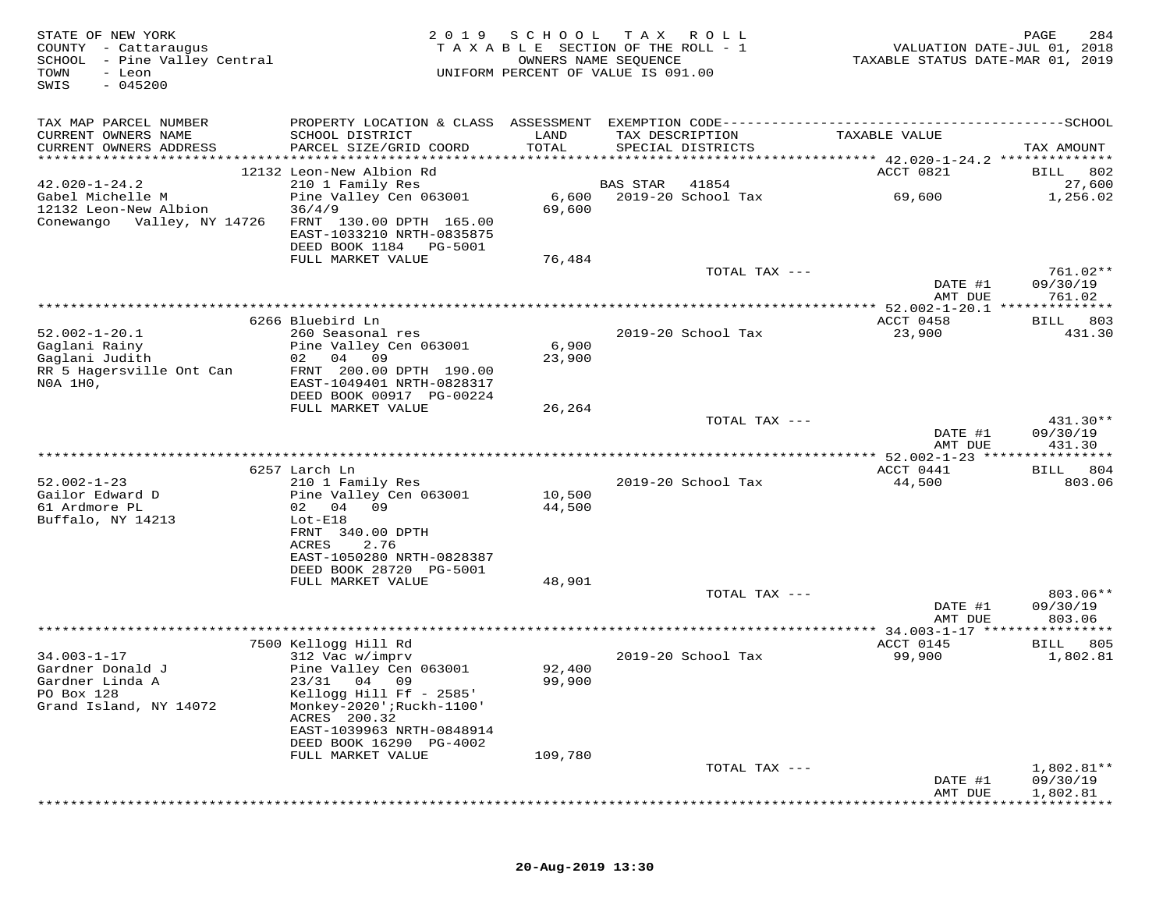| STATE OF NEW YORK<br>COUNTY - Cattaraugus<br>SCHOOL - Pine Valley Central<br>TOWN<br>- Leon<br>$-045200$<br>SWIS | 2 0 1 9                                                                                  | SCHOOL<br>OWNERS NAME SEQUENCE | T A X<br>ROLL<br>TAXABLE SECTION OF THE ROLL - 1<br>UNIFORM PERCENT OF VALUE IS 091.00 | VALUATION DATE-JUL 01, 2018<br>TAXABLE STATUS DATE-MAR 01, 2019 | PAGE<br>284          |
|------------------------------------------------------------------------------------------------------------------|------------------------------------------------------------------------------------------|--------------------------------|----------------------------------------------------------------------------------------|-----------------------------------------------------------------|----------------------|
| TAX MAP PARCEL NUMBER                                                                                            |                                                                                          |                                |                                                                                        |                                                                 |                      |
| CURRENT OWNERS NAME<br>CURRENT OWNERS ADDRESS                                                                    | SCHOOL DISTRICT<br>PARCEL SIZE/GRID COORD                                                | LAND<br>TOTAL                  | TAX DESCRIPTION<br>SPECIAL DISTRICTS                                                   | TAXABLE VALUE                                                   | TAX AMOUNT           |
|                                                                                                                  |                                                                                          |                                |                                                                                        |                                                                 |                      |
| $42.020 - 1 - 24.2$                                                                                              | 12132 Leon-New Albion Rd<br>210 1 Family Res                                             |                                | <b>BAS STAR</b><br>41854                                                               | ACCT 0821                                                       | BILL 802<br>27,600   |
| Gabel Michelle M                                                                                                 | Pine Valley Cen 063001                                                                   | 6,600                          | 2019-20 School Tax                                                                     | 69,600                                                          | 1,256.02             |
| 12132 Leon-New Albion<br>Conewango Valley, NY 14726                                                              | 36/4/9<br>FRNT 130.00 DPTH 165.00<br>EAST-1033210 NRTH-0835875<br>DEED BOOK 1184 PG-5001 | 69,600                         |                                                                                        |                                                                 |                      |
|                                                                                                                  | FULL MARKET VALUE                                                                        | 76,484                         |                                                                                        |                                                                 |                      |
|                                                                                                                  |                                                                                          |                                | TOTAL TAX ---                                                                          | DATE #1                                                         | 761.02**<br>09/30/19 |
|                                                                                                                  |                                                                                          |                                |                                                                                        | AMT DUE                                                         | 761.02               |
|                                                                                                                  |                                                                                          |                                |                                                                                        | ************* 52.002-1-20.1 ***************                     |                      |
|                                                                                                                  | 6266 Bluebird Ln                                                                         |                                |                                                                                        | ACCT 0458                                                       | BILL 803             |
| $52.002 - 1 - 20.1$                                                                                              | 260 Seasonal res                                                                         |                                | 2019-20 School Tax                                                                     | 23,900                                                          | 431.30               |
| Gaglani Rainy<br>Gaglani Judith                                                                                  | Pine Valley Cen 063001<br>02 04 09                                                       | 6,900<br>23,900                |                                                                                        |                                                                 |                      |
| RR 5 Hagersville Ont Can                                                                                         | FRNT 200.00 DPTH 190.00                                                                  |                                |                                                                                        |                                                                 |                      |
| NOA 1HO,                                                                                                         | EAST-1049401 NRTH-0828317                                                                |                                |                                                                                        |                                                                 |                      |
|                                                                                                                  | DEED BOOK 00917 PG-00224                                                                 |                                |                                                                                        |                                                                 |                      |
|                                                                                                                  | FULL MARKET VALUE                                                                        | 26,264                         |                                                                                        |                                                                 |                      |
|                                                                                                                  |                                                                                          |                                | TOTAL TAX ---                                                                          |                                                                 | $431.30**$           |
|                                                                                                                  |                                                                                          |                                |                                                                                        | DATE #1<br>AMT DUE                                              | 09/30/19<br>431.30   |
|                                                                                                                  |                                                                                          |                                |                                                                                        | ************ 52.002-1-23 *****************                      |                      |
|                                                                                                                  | 6257 Larch Ln                                                                            |                                |                                                                                        | ACCT 0441                                                       | BILL 804             |
| $52.002 - 1 - 23$                                                                                                | 210 1 Family Res                                                                         |                                | 2019-20 School Tax                                                                     | 44,500                                                          | 803.06               |
| Gailor Edward D                                                                                                  | Pine Valley Cen 063001                                                                   | 10,500                         |                                                                                        |                                                                 |                      |
| 61 Ardmore PL                                                                                                    | 04<br>02<br>09                                                                           | 44,500                         |                                                                                        |                                                                 |                      |
| Buffalo, NY 14213                                                                                                | $Lot-E18$                                                                                |                                |                                                                                        |                                                                 |                      |
|                                                                                                                  | FRNT 340.00 DPTH<br>ACRES<br>2.76                                                        |                                |                                                                                        |                                                                 |                      |
|                                                                                                                  | EAST-1050280 NRTH-0828387                                                                |                                |                                                                                        |                                                                 |                      |
|                                                                                                                  | DEED BOOK 28720 PG-5001                                                                  |                                |                                                                                        |                                                                 |                      |
|                                                                                                                  | FULL MARKET VALUE                                                                        | 48,901                         |                                                                                        |                                                                 |                      |
|                                                                                                                  |                                                                                          |                                | TOTAL TAX ---                                                                          |                                                                 | $803.06**$           |
|                                                                                                                  |                                                                                          |                                |                                                                                        | DATE #1                                                         | 09/30/19             |
|                                                                                                                  |                                                                                          |                                |                                                                                        | AMT DUE                                                         | 803.06               |
|                                                                                                                  |                                                                                          |                                |                                                                                        | ACCT 0145                                                       | 805                  |
| $34.003 - 1 - 17$                                                                                                | 7500 Kellogg Hill Rd<br>312 Vac w/imprv                                                  |                                | 2019-20 School Tax                                                                     | 99,900                                                          | BILL<br>1,802.81     |
| Gardner Donald J                                                                                                 | Pine Valley Cen 063001                                                                   | 92,400                         |                                                                                        |                                                                 |                      |
| Gardner Linda A                                                                                                  | 23/31 04 09                                                                              | 99,900                         |                                                                                        |                                                                 |                      |
| PO Box 128                                                                                                       | Kellogg Hill Ff - 2585'                                                                  |                                |                                                                                        |                                                                 |                      |
| Grand Island, NY 14072                                                                                           | Monkey-2020'; Ruckh-1100'                                                                |                                |                                                                                        |                                                                 |                      |
|                                                                                                                  | ACRES 200.32                                                                             |                                |                                                                                        |                                                                 |                      |
|                                                                                                                  | EAST-1039963 NRTH-0848914<br>DEED BOOK 16290 PG-4002                                     |                                |                                                                                        |                                                                 |                      |
|                                                                                                                  | FULL MARKET VALUE                                                                        | 109,780                        |                                                                                        |                                                                 |                      |
|                                                                                                                  |                                                                                          |                                | TOTAL TAX ---                                                                          |                                                                 | 1,802.81**           |
|                                                                                                                  |                                                                                          |                                |                                                                                        | DATE #1                                                         | 09/30/19             |
|                                                                                                                  |                                                                                          |                                |                                                                                        | AMT DUE                                                         | 1,802.81             |
|                                                                                                                  |                                                                                          |                                |                                                                                        |                                                                 |                      |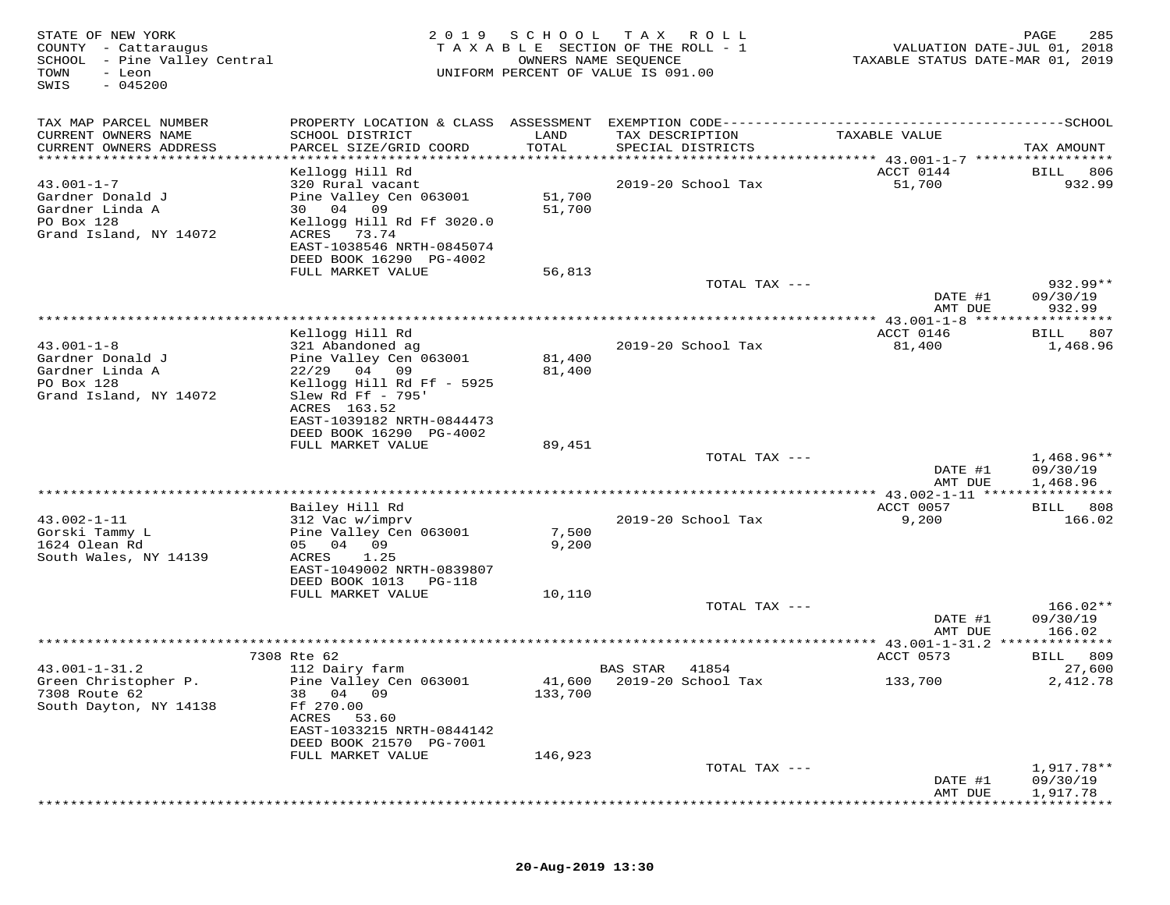| STATE OF NEW YORK<br>COUNTY - Cattaraugus<br>SCHOOL<br>- Pine Valley Central<br>TOWN<br>- Leon<br>$-045200$<br>SWIS | 2 0 1 9                                         | SCHOOL         | T A X<br>R O L L<br>TAXABLE SECTION OF THE ROLL - 1<br>OWNERS NAME SEQUENCE<br>UNIFORM PERCENT OF VALUE IS 091.00 | VALUATION DATE-JUL 01, 2018<br>TAXABLE STATUS DATE-MAR 01, 2019 | 285<br>PAGE            |
|---------------------------------------------------------------------------------------------------------------------|-------------------------------------------------|----------------|-------------------------------------------------------------------------------------------------------------------|-----------------------------------------------------------------|------------------------|
| TAX MAP PARCEL NUMBER                                                                                               | PROPERTY LOCATION & CLASS ASSESSMENT            |                |                                                                                                                   |                                                                 |                        |
| CURRENT OWNERS NAME<br>CURRENT OWNERS ADDRESS<br>**********************                                             | SCHOOL DISTRICT<br>PARCEL SIZE/GRID COORD       | LAND<br>TOTAL  | TAX DESCRIPTION<br>SPECIAL DISTRICTS                                                                              | TAXABLE VALUE                                                   | TAX AMOUNT             |
|                                                                                                                     | Kellogg Hill Rd                                 |                |                                                                                                                   | ACCT 0144                                                       | 806<br>BILL            |
| $43.001 - 1 - 7$                                                                                                    | 320 Rural vacant                                |                | 2019-20 School Tax                                                                                                | 51,700                                                          | 932.99                 |
| Gardner Donald J                                                                                                    | Pine Valley Cen 063001                          | 51,700         |                                                                                                                   |                                                                 |                        |
| Gardner Linda A                                                                                                     | 04 09<br>30                                     | 51,700         |                                                                                                                   |                                                                 |                        |
| PO Box 128                                                                                                          | Kellogg Hill Rd Ff 3020.0                       |                |                                                                                                                   |                                                                 |                        |
| Grand Island, NY 14072                                                                                              | 73.74<br>ACRES<br>EAST-1038546 NRTH-0845074     |                |                                                                                                                   |                                                                 |                        |
|                                                                                                                     | DEED BOOK 16290 PG-4002                         |                |                                                                                                                   |                                                                 |                        |
|                                                                                                                     | FULL MARKET VALUE                               | 56,813         |                                                                                                                   |                                                                 |                        |
|                                                                                                                     |                                                 |                | TOTAL TAX ---                                                                                                     |                                                                 | 932.99**               |
|                                                                                                                     |                                                 |                |                                                                                                                   | DATE #1                                                         | 09/30/19               |
|                                                                                                                     |                                                 |                |                                                                                                                   | AMT DUE<br>************ 43.001-1-8 *****                        | 932.99<br>********     |
|                                                                                                                     | Kellogg Hill Rd                                 |                |                                                                                                                   | ACCT 0146                                                       | 807<br>BILL            |
| $43.001 - 1 - 8$                                                                                                    | 321 Abandoned ag                                |                | 2019-20 School Tax                                                                                                | 81,400                                                          | 1,468.96               |
| Gardner Donald J                                                                                                    | Pine Valley Cen 063001                          | 81,400         |                                                                                                                   |                                                                 |                        |
| Gardner Linda A                                                                                                     | $22/29$ 04 09                                   | 81,400         |                                                                                                                   |                                                                 |                        |
| PO Box 128<br>Grand Island, NY 14072                                                                                | Kellogg Hill Rd Ff - 5925<br>Slew Rd Ff $-795'$ |                |                                                                                                                   |                                                                 |                        |
|                                                                                                                     | ACRES 163.52                                    |                |                                                                                                                   |                                                                 |                        |
|                                                                                                                     | EAST-1039182 NRTH-0844473                       |                |                                                                                                                   |                                                                 |                        |
|                                                                                                                     | DEED BOOK 16290 PG-4002                         |                |                                                                                                                   |                                                                 |                        |
|                                                                                                                     | FULL MARKET VALUE                               | 89,451         |                                                                                                                   |                                                                 |                        |
|                                                                                                                     |                                                 |                | TOTAL TAX ---                                                                                                     | DATE #1                                                         | 1,468.96**<br>09/30/19 |
|                                                                                                                     |                                                 |                |                                                                                                                   | AMT DUE                                                         | 1,468.96               |
|                                                                                                                     | · * * * * * * * * * * * * * * * * * *           |                |                                                                                                                   | ***** 43.002-1-11 *****************                             |                        |
|                                                                                                                     | Bailey Hill Rd                                  |                |                                                                                                                   | ACCT 0057                                                       | 808<br>BILL            |
| $43.002 - 1 - 11$                                                                                                   | 312 Vac w/imprv                                 |                | 2019-20 School Tax                                                                                                | 9,200                                                           | 166.02                 |
| Gorski Tammy L<br>1624 Olean Rd                                                                                     | Pine Valley Cen 063001<br>04 09<br>05           | 7,500<br>9,200 |                                                                                                                   |                                                                 |                        |
| South Wales, NY 14139                                                                                               | ACRES<br>1.25                                   |                |                                                                                                                   |                                                                 |                        |
|                                                                                                                     | EAST-1049002 NRTH-0839807                       |                |                                                                                                                   |                                                                 |                        |
|                                                                                                                     | DEED BOOK 1013<br>PG-118                        |                |                                                                                                                   |                                                                 |                        |
|                                                                                                                     | FULL MARKET VALUE                               | 10,110         |                                                                                                                   |                                                                 |                        |
|                                                                                                                     |                                                 |                | TOTAL TAX ---                                                                                                     | DATE #1                                                         | $166.02**$<br>09/30/19 |
|                                                                                                                     |                                                 |                |                                                                                                                   | AMT DUE                                                         | 166.02                 |
|                                                                                                                     |                                                 |                |                                                                                                                   |                                                                 |                        |
|                                                                                                                     | 7308 Rte 62                                     |                |                                                                                                                   | ACCT 0573                                                       | 809<br>BILL            |
| $43.001 - 1 - 31.2$                                                                                                 | 112 Dairy farm                                  |                | <b>BAS STAR</b><br>41854                                                                                          |                                                                 | 27,600                 |
| Green Christopher P.                                                                                                | Pine Valley Cen 063001<br>38 04 09              |                | 41,600 2019-20 School Tax                                                                                         | 133,700                                                         | 2,412.78               |
| 7308 Route 62<br>South Dayton, NY 14138                                                                             | Ff 270.00                                       | 133,700        |                                                                                                                   |                                                                 |                        |
|                                                                                                                     | ACRES<br>53.60                                  |                |                                                                                                                   |                                                                 |                        |
|                                                                                                                     | EAST-1033215 NRTH-0844142                       |                |                                                                                                                   |                                                                 |                        |
|                                                                                                                     | DEED BOOK 21570 PG-7001                         |                |                                                                                                                   |                                                                 |                        |
|                                                                                                                     | FULL MARKET VALUE                               | 146,923        |                                                                                                                   |                                                                 |                        |
|                                                                                                                     |                                                 |                | TOTAL TAX ---                                                                                                     | DATE #1                                                         | 1,917.78**<br>09/30/19 |
|                                                                                                                     |                                                 |                |                                                                                                                   | AMT DUE                                                         | 1,917.78               |
|                                                                                                                     |                                                 |                |                                                                                                                   |                                                                 |                        |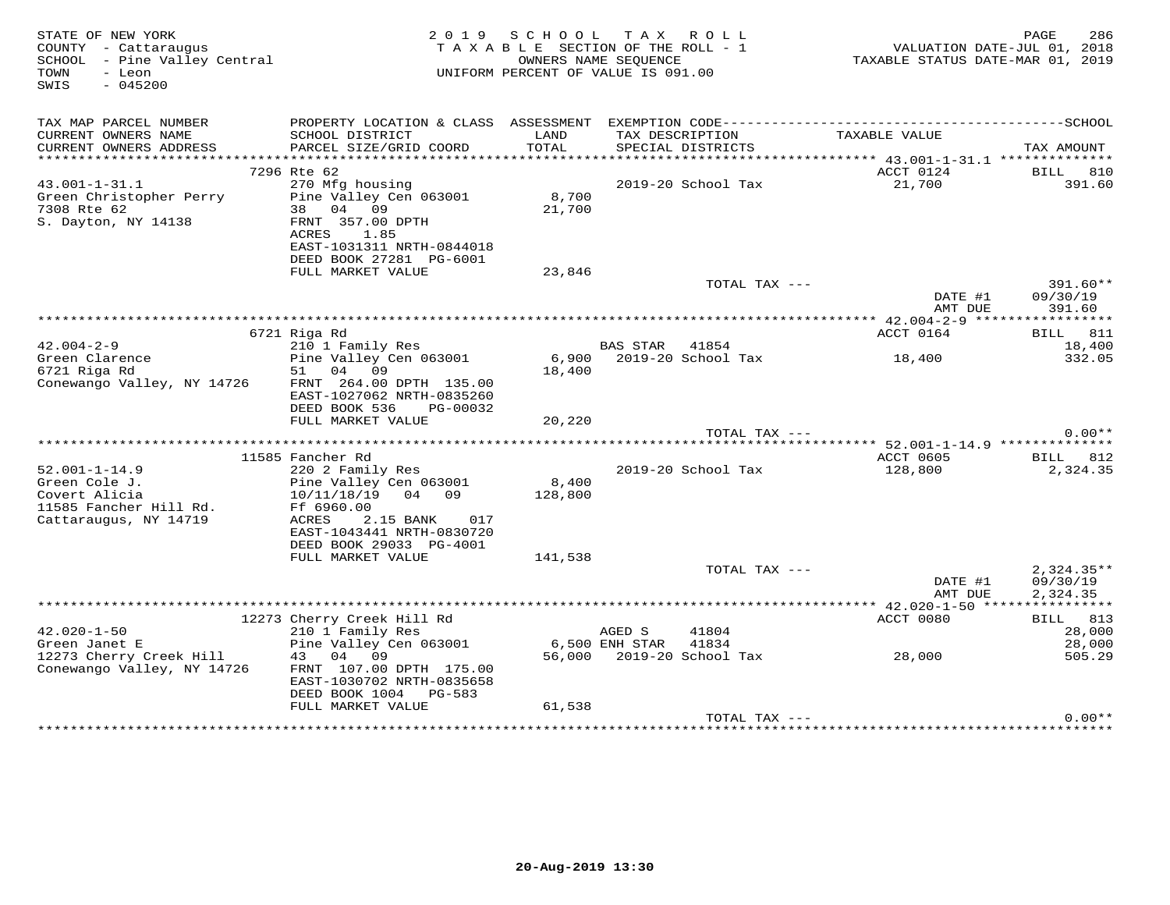| STATE OF NEW YORK<br>COUNTY - Cattaraugus<br>SCHOOL - Pine Valley Central<br>TOWN<br>- Leon<br>SWIS<br>$-045200$ |                                                                                                                                   | 2019 SCHOOL      | TAX ROLL<br>TAXABLE SECTION OF THE ROLL - 1<br>OWNERS NAME SEQUENCE<br>UNIFORM PERCENT OF VALUE IS 091.00 | VALUATION DATE-JUL 01, 2018<br>TAXABLE STATUS DATE-MAR 01, 2019 | PAGE<br>286                          |
|------------------------------------------------------------------------------------------------------------------|-----------------------------------------------------------------------------------------------------------------------------------|------------------|-----------------------------------------------------------------------------------------------------------|-----------------------------------------------------------------|--------------------------------------|
| TAX MAP PARCEL NUMBER<br>CURRENT OWNERS NAME                                                                     | SCHOOL DISTRICT                                                                                                                   | LAND             | TAX DESCRIPTION                                                                                           | TAXABLE VALUE                                                   |                                      |
| CURRENT OWNERS ADDRESS                                                                                           | PARCEL SIZE/GRID COORD                                                                                                            | TOTAL            | SPECIAL DISTRICTS                                                                                         |                                                                 | TAX AMOUNT                           |
|                                                                                                                  |                                                                                                                                   |                  |                                                                                                           |                                                                 |                                      |
| $43.001 - 1 - 31.1$                                                                                              | 7296 Rte 62<br>270 Mfg housing                                                                                                    |                  | 2019-20 School Tax                                                                                        | ACCT 0124<br>21,700                                             | <b>BILL 810</b><br>391.60            |
| Green Christopher Perry<br>7308 Rte 62<br>S. Dayton, NY 14138                                                    | Pine Valley Cen 063001<br>38 04 09<br>FRNT 357.00 DPTH<br>ACRES<br>1.85<br>EAST-1031311 NRTH-0844018<br>DEED BOOK 27281 PG-6001   | 8,700<br>21,700  |                                                                                                           |                                                                 |                                      |
|                                                                                                                  | FULL MARKET VALUE                                                                                                                 | 23,846           |                                                                                                           |                                                                 |                                      |
|                                                                                                                  |                                                                                                                                   |                  | TOTAL TAX ---                                                                                             | DATE #1<br>AMT DUE                                              | 391.60**<br>09/30/19<br>391.60       |
|                                                                                                                  |                                                                                                                                   |                  |                                                                                                           |                                                                 |                                      |
|                                                                                                                  | 6721 Riga Rd                                                                                                                      |                  |                                                                                                           | ACCT 0164                                                       | BILL 811                             |
| $42.004 - 2 - 9$                                                                                                 | 210 1 Family Res                                                                                                                  |                  | BAS STAR<br>41854                                                                                         |                                                                 | 18,400                               |
| Green Clarence<br>6721 Riga Rd<br>Conewango Valley, NY 14726                                                     | Pine Valley Cen 063001<br>51 04 09<br>FRNT 264.00 DPTH 135.00                                                                     | 18,400           | 6,900 2019-20 School Tax                                                                                  | 18,400                                                          | 332.05                               |
|                                                                                                                  | EAST-1027062 NRTH-0835260<br>DEED BOOK 536<br>PG-00032<br>FULL MARKET VALUE                                                       | 20,220           |                                                                                                           |                                                                 |                                      |
|                                                                                                                  |                                                                                                                                   |                  | TOTAL TAX ---                                                                                             |                                                                 | $0.00**$                             |
|                                                                                                                  |                                                                                                                                   |                  |                                                                                                           |                                                                 |                                      |
| $52.001 - 1 - 14.9$<br>Green Cole J.<br>Covert Alicia<br>11585 Fancher Hill Rd.<br>Cattaraugus, NY 14719         | 11585 Fancher Rd<br>220 2 Family Res<br>Pine Valley Cen 063001<br>10/11/18/19<br>04 09<br>Ff 6960.00<br>ACRES<br>017<br>2.15 BANK | 8,400<br>128,800 | 2019-20 School Tax                                                                                        | ACCT 0605 BILL 812<br>128,800                                   | 2,324.35                             |
|                                                                                                                  | EAST-1043441 NRTH-0830720<br>DEED BOOK 29033 PG-4001<br>FULL MARKET VALUE                                                         | 141,538          |                                                                                                           |                                                                 |                                      |
|                                                                                                                  |                                                                                                                                   |                  | TOTAL TAX ---                                                                                             | DATE #1<br>AMT DUE                                              | $2,324.35**$<br>09/30/19<br>2,324.35 |
|                                                                                                                  |                                                                                                                                   |                  |                                                                                                           |                                                                 |                                      |
| $42.020 - 1 - 50$<br>Green Janet E                                                                               | 12273 Cherry Creek Hill Rd<br>210 1 Family Res<br>Pine Valley Cen 063001                                                          |                  | 41804<br>AGED S<br>6,500 ENH STAR<br>41834                                                                | ACCT 0080                                                       | BILL 813<br>28,000<br>28,000         |
| 12273 Cherry Creek Hill<br>Conewango Valley, NY 14726                                                            | 43 04 09<br>FRNT 107.00 DPTH 175.00<br>EAST-1030702 NRTH-0835658<br>DEED BOOK 1004 PG-583                                         |                  | 56,000 2019-20 School Tax                                                                                 | 28,000                                                          | 505.29                               |
|                                                                                                                  | FULL MARKET VALUE                                                                                                                 | 61,538           |                                                                                                           |                                                                 |                                      |
|                                                                                                                  |                                                                                                                                   |                  | TOTAL TAX ---                                                                                             |                                                                 | $0.00**$                             |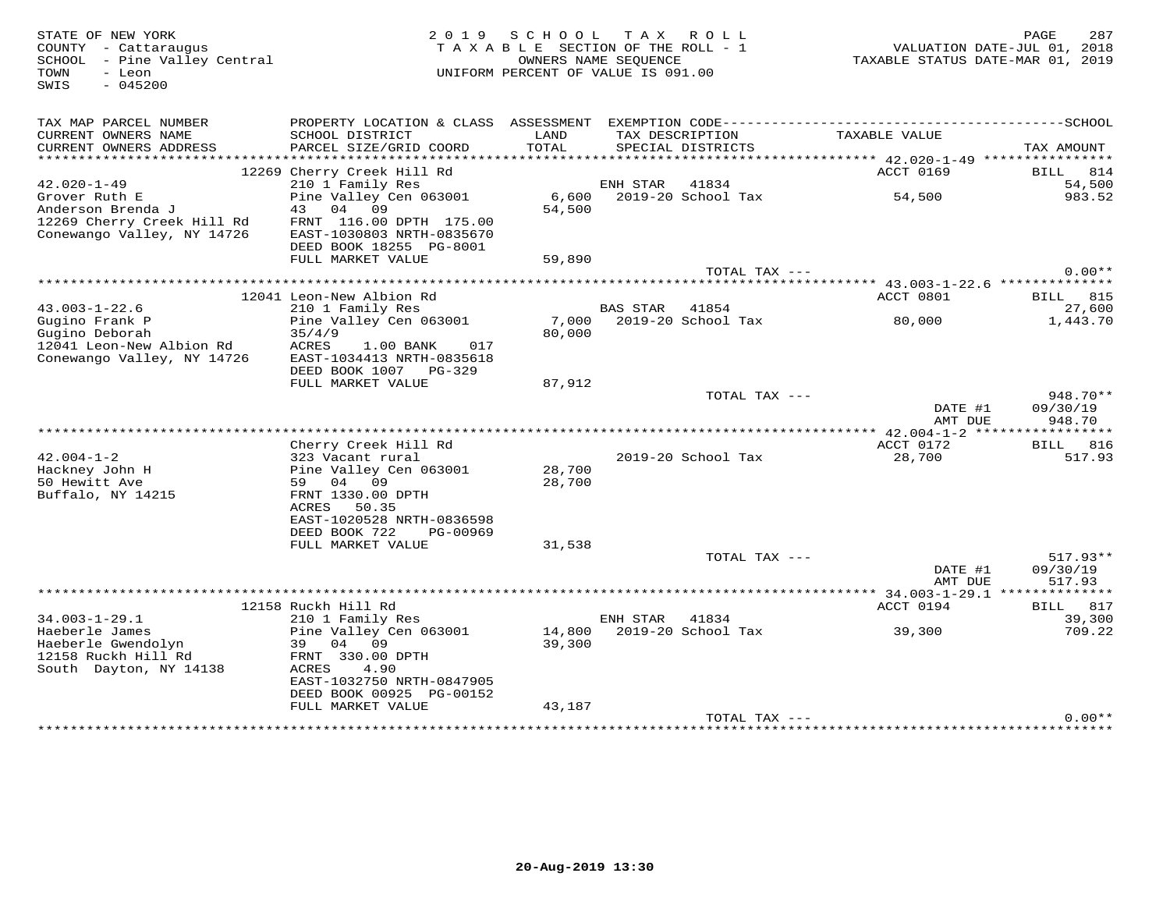| STATE OF NEW YORK<br>COUNTY - Cattaraugus<br>SCHOOL - Pine Valley Central<br>- Leon<br>TOWN<br>SWIS<br>$-045200$ |                                                                                                                                                      | 2019 SCHOOL<br>TAXABLE SECTION OF THE ROLL - 1<br>OWNERS NAME SEQUENCE<br>UNIFORM PERCENT OF VALUE IS 091.00 |                | TAX ROLL                             | TAXABLE STATUS DATE-MAR 01, 2019 | 287<br>PAGE<br>VALUATION DATE-JUL 01, 2018 |
|------------------------------------------------------------------------------------------------------------------|------------------------------------------------------------------------------------------------------------------------------------------------------|--------------------------------------------------------------------------------------------------------------|----------------|--------------------------------------|----------------------------------|--------------------------------------------|
| TAX MAP PARCEL NUMBER<br>CURRENT OWNERS NAME<br>CURRENT OWNERS ADDRESS                                           | SCHOOL DISTRICT<br>PARCEL SIZE/GRID COORD                                                                                                            | LAND<br>TOTAL                                                                                                |                | TAX DESCRIPTION<br>SPECIAL DISTRICTS | TAXABLE VALUE                    | TAX AMOUNT                                 |
|                                                                                                                  |                                                                                                                                                      |                                                                                                              |                |                                      |                                  |                                            |
|                                                                                                                  | 12269 Cherry Creek Hill Rd                                                                                                                           |                                                                                                              |                |                                      | ACCT 0169                        | BILL 814                                   |
| $42.020 - 1 - 49$<br>Grover Ruth E                                                                               | 210 1 Family Res<br>Pine Valley Cen 063001                                                                                                           |                                                                                                              | ENH STAR       | 41834<br>6,600 2019-20 School Tax    | 54,500                           | 54,500<br>983.52                           |
| Anderson Brenda J<br>12269 Cherry Creek Hill Rd<br>Conewango Valley, NY 14726                                    | 43 04 09<br>FRNT 116.00 DPTH 175.00<br>EAST-1030803 NRTH-0835670<br>DEED BOOK 18255 PG-8001                                                          | 54,500                                                                                                       |                |                                      |                                  |                                            |
|                                                                                                                  | FULL MARKET VALUE                                                                                                                                    | 59,890                                                                                                       |                |                                      |                                  |                                            |
|                                                                                                                  |                                                                                                                                                      |                                                                                                              |                | TOTAL TAX ---                        |                                  | $0.00**$                                   |
|                                                                                                                  |                                                                                                                                                      | ************************                                                                                     |                |                                      |                                  |                                            |
| $43.003 - 1 - 22.6$                                                                                              | 12041 Leon-New Albion Rd<br>210 1 Family Res                                                                                                         |                                                                                                              | BAS STAR       | 41854                                | ACCT 0801                        | BILL 815<br>27,600                         |
| Gugino Frank P<br>Gugino Deborah                                                                                 | Pine Valley Cen 063001<br>35/4/9                                                                                                                     | 7,000<br>80,000                                                                                              |                | 2019-20 School Tax                   | 80,000                           | 1,443.70                                   |
| 12041 Leon-New Albion Rd<br>Conewango Valley, NY 14726                                                           | ACRES<br>1.00 BANK<br>017<br>EAST-1034413 NRTH-0835618<br>DEED BOOK 1007 PG-329<br>FULL MARKET VALUE                                                 | 87,912                                                                                                       |                |                                      |                                  |                                            |
|                                                                                                                  |                                                                                                                                                      |                                                                                                              |                | TOTAL TAX ---                        |                                  | 948.70**                                   |
|                                                                                                                  |                                                                                                                                                      |                                                                                                              |                |                                      | DATE #1<br>AMT DUE               | 09/30/19<br>948.70                         |
|                                                                                                                  |                                                                                                                                                      |                                                                                                              |                |                                      |                                  |                                            |
|                                                                                                                  | Cherry Creek Hill Rd                                                                                                                                 |                                                                                                              |                |                                      | ACCT 0172                        | BILL 816                                   |
| $42.004 - 1 - 2$<br>Hackney John H<br>50 Hewitt Ave<br>Buffalo, NY 14215                                         | 323 Vacant rural<br>Pine Valley Cen 063001<br>59 04 09<br>FRNT 1330.00 DPTH<br>ACRES 50.35<br>EAST-1020528 NRTH-0836598<br>DEED BOOK 722<br>PG-00969 | 28,700<br>28,700                                                                                             |                | 2019-20 School Tax                   | 28,700                           | 517.93                                     |
|                                                                                                                  | FULL MARKET VALUE                                                                                                                                    | 31,538                                                                                                       |                |                                      |                                  |                                            |
|                                                                                                                  |                                                                                                                                                      |                                                                                                              |                | TOTAL TAX ---                        | DATE #1<br>AMT DUE               | $517.93**$<br>09/30/19<br>517.93           |
|                                                                                                                  |                                                                                                                                                      |                                                                                                              |                |                                      |                                  |                                            |
|                                                                                                                  | 12158 Ruckh Hill Rd                                                                                                                                  |                                                                                                              |                |                                      | ACCT 0194                        | BILL 817                                   |
| $34.003 - 1 - 29.1$                                                                                              | 210 1 Family Res                                                                                                                                     |                                                                                                              | ENH STAR 41834 |                                      |                                  | 39,300                                     |
| Haeberle James<br>Haeberle Gwendolyn<br>12158 Ruckh Hill Rd<br>South Dayton, NY 14138                            | Pine Valley Cen 063001<br>39<br>04 09<br>FRNT 330.00 DPTH<br>ACRES<br>4.90<br>EAST-1032750 NRTH-0847905<br>DEED BOOK 00925 PG-00152                  | 39,300                                                                                                       |                | 14,800 2019-20 School Tax            | 39,300                           | 709.22                                     |
|                                                                                                                  | FULL MARKET VALUE                                                                                                                                    | 43,187                                                                                                       |                |                                      |                                  |                                            |
|                                                                                                                  |                                                                                                                                                      |                                                                                                              |                | TOTAL TAX ---                        |                                  | $0.00**$                                   |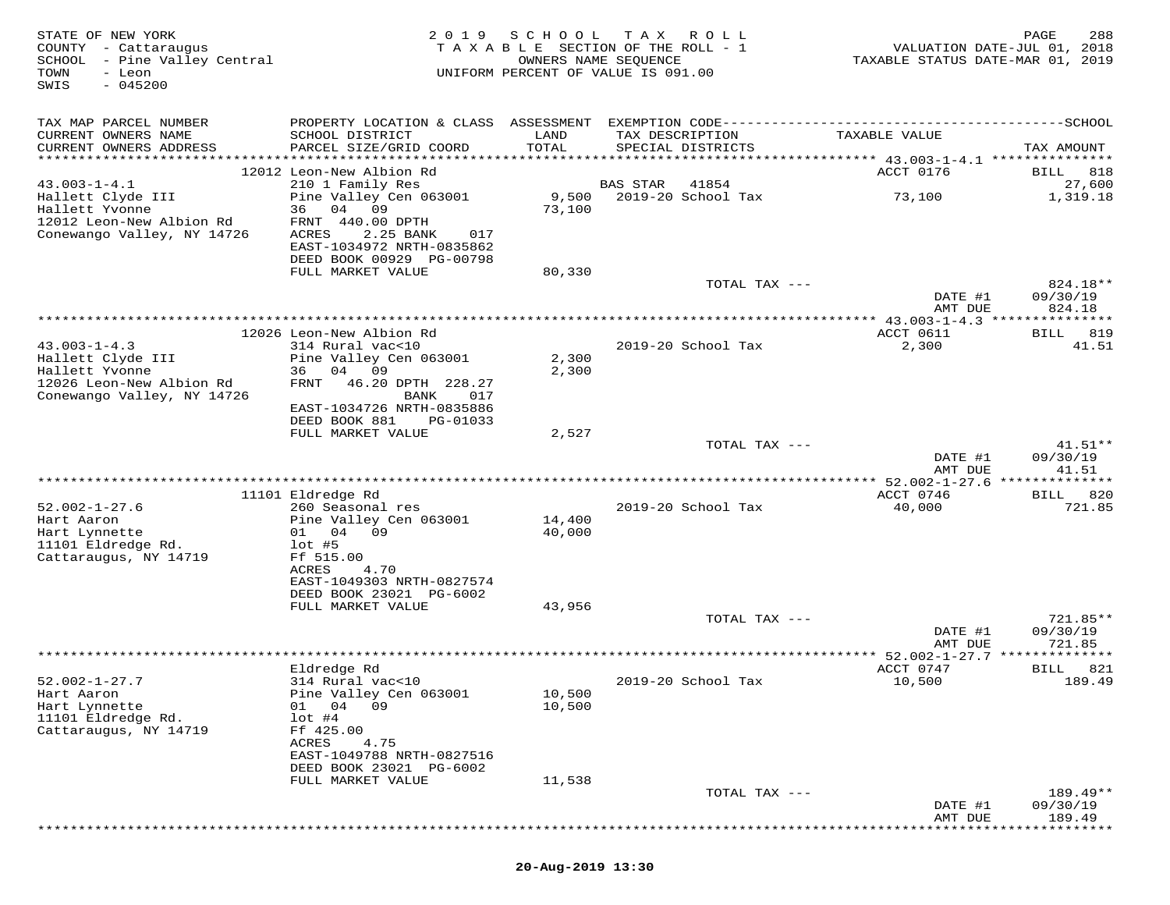| STATE OF NEW YORK<br>COUNTY - Cattaraugus<br>SCHOOL<br>- Pine Valley Central<br>TOWN<br>- Leon<br>$-045200$<br>SWIS | 2019                                                                                                                                      | SCHOOL<br>TAXABLE SECTION OF THE ROLL - 1<br>UNIFORM PERCENT OF VALUE IS 091.00 | T A X<br>OWNERS NAME SEQUENCE | R O L L            | VALUATION DATE-JUL 01, 2018<br>TAXABLE STATUS DATE-MAR 01, 2019 | PAGE<br>288           |
|---------------------------------------------------------------------------------------------------------------------|-------------------------------------------------------------------------------------------------------------------------------------------|---------------------------------------------------------------------------------|-------------------------------|--------------------|-----------------------------------------------------------------|-----------------------|
| TAX MAP PARCEL NUMBER<br>CURRENT OWNERS NAME<br>CURRENT OWNERS ADDRESS                                              | PROPERTY LOCATION & CLASS ASSESSMENT EXEMPTION CODE-----------------------------------SCHOOL<br>SCHOOL DISTRICT<br>PARCEL SIZE/GRID COORD | LAND<br>TOTAL                                                                   | TAX DESCRIPTION               | SPECIAL DISTRICTS  | TAXABLE VALUE                                                   | TAX AMOUNT            |
|                                                                                                                     |                                                                                                                                           |                                                                                 |                               |                    |                                                                 |                       |
|                                                                                                                     | 12012 Leon-New Albion Rd                                                                                                                  |                                                                                 |                               |                    | ACCT 0176                                                       | 818<br>BILL           |
| $43.003 - 1 - 4.1$                                                                                                  | 210 1 Family Res                                                                                                                          |                                                                                 | <b>BAS STAR</b>               | 41854              |                                                                 | 27,600                |
| Hallett Clyde III<br>Hallett Yvonne                                                                                 | Pine Valley Cen 063001<br>36<br>04 09                                                                                                     | 9,500<br>73,100                                                                 |                               | 2019-20 School Tax | 73,100                                                          | 1,319.18              |
| 12012 Leon-New Albion Rd                                                                                            | FRNT 440.00 DPTH                                                                                                                          |                                                                                 |                               |                    |                                                                 |                       |
| Conewango Valley, NY 14726                                                                                          | ACRES<br>2.25 BANK<br>017                                                                                                                 |                                                                                 |                               |                    |                                                                 |                       |
|                                                                                                                     | EAST-1034972 NRTH-0835862                                                                                                                 |                                                                                 |                               |                    |                                                                 |                       |
|                                                                                                                     | DEED BOOK 00929 PG-00798                                                                                                                  |                                                                                 |                               |                    |                                                                 |                       |
|                                                                                                                     | FULL MARKET VALUE                                                                                                                         | 80,330                                                                          |                               |                    |                                                                 | 824.18**              |
|                                                                                                                     |                                                                                                                                           |                                                                                 |                               | TOTAL TAX ---      | DATE #1                                                         | 09/30/19              |
|                                                                                                                     |                                                                                                                                           |                                                                                 |                               |                    | AMT DUE                                                         | 824.18                |
|                                                                                                                     |                                                                                                                                           | *************************************                                           |                               |                    | ********* 43.003-1-4.3 *****                                    | * * * * * * * * *     |
|                                                                                                                     | 12026 Leon-New Albion Rd                                                                                                                  |                                                                                 |                               |                    | ACCT 0611                                                       | 819<br>BILL           |
| $43.003 - 1 - 4.3$<br>Hallett Clyde III                                                                             | 314 Rural vac<10                                                                                                                          |                                                                                 |                               | 2019-20 School Tax | 2,300                                                           | 41.51                 |
| Hallett Yvonne                                                                                                      | Pine Valley Cen 063001<br>04 09<br>36                                                                                                     | 2,300<br>2,300                                                                  |                               |                    |                                                                 |                       |
| 12026 Leon-New Albion Rd                                                                                            | 46.20 DPTH 228.27<br>FRNT                                                                                                                 |                                                                                 |                               |                    |                                                                 |                       |
| Conewango Valley, NY 14726                                                                                          | BANK<br>017                                                                                                                               |                                                                                 |                               |                    |                                                                 |                       |
|                                                                                                                     | EAST-1034726 NRTH-0835886                                                                                                                 |                                                                                 |                               |                    |                                                                 |                       |
|                                                                                                                     | DEED BOOK 881<br>PG-01033                                                                                                                 |                                                                                 |                               |                    |                                                                 |                       |
|                                                                                                                     | FULL MARKET VALUE                                                                                                                         | 2,527                                                                           |                               | TOTAL TAX ---      |                                                                 | $41.51**$             |
|                                                                                                                     |                                                                                                                                           |                                                                                 |                               |                    | DATE #1                                                         | 09/30/19              |
|                                                                                                                     |                                                                                                                                           |                                                                                 |                               |                    | AMT DUE                                                         | 41.51                 |
|                                                                                                                     |                                                                                                                                           |                                                                                 |                               |                    |                                                                 | *******               |
| $52.002 - 1 - 27.6$                                                                                                 | 11101 Eldredge Rd<br>260 Seasonal res                                                                                                     |                                                                                 |                               | 2019-20 School Tax | ACCT 0746                                                       | 820<br>BILL<br>721.85 |
| Hart Aaron                                                                                                          | Pine Valley Cen 063001                                                                                                                    | 14,400                                                                          |                               |                    | 40,000                                                          |                       |
| Hart Lynnette                                                                                                       | 01 04 09                                                                                                                                  | 40,000                                                                          |                               |                    |                                                                 |                       |
| 11101 Eldredge Rd.                                                                                                  | $1$ ot #5                                                                                                                                 |                                                                                 |                               |                    |                                                                 |                       |
| Cattaraugus, NY 14719                                                                                               | Ff 515.00                                                                                                                                 |                                                                                 |                               |                    |                                                                 |                       |
|                                                                                                                     | ACRES<br>4.70<br>EAST-1049303 NRTH-0827574                                                                                                |                                                                                 |                               |                    |                                                                 |                       |
|                                                                                                                     | DEED BOOK 23021 PG-6002                                                                                                                   |                                                                                 |                               |                    |                                                                 |                       |
|                                                                                                                     | FULL MARKET VALUE                                                                                                                         | 43,956                                                                          |                               |                    |                                                                 |                       |
|                                                                                                                     |                                                                                                                                           |                                                                                 |                               | TOTAL TAX ---      |                                                                 | 721.85**              |
|                                                                                                                     |                                                                                                                                           |                                                                                 |                               |                    | DATE #1                                                         | 09/30/19              |
|                                                                                                                     |                                                                                                                                           |                                                                                 |                               |                    | AMT DUE                                                         | 721.85                |
|                                                                                                                     | Eldredge Rd                                                                                                                               |                                                                                 |                               |                    | ACCT 0747                                                       | 821<br>BILL           |
| $52.002 - 1 - 27.7$                                                                                                 | 314 Rural vac<10                                                                                                                          |                                                                                 |                               | 2019-20 School Tax | 10,500                                                          | 189.49                |
| Hart Aaron                                                                                                          | Pine Valley Cen 063001                                                                                                                    | 10,500                                                                          |                               |                    |                                                                 |                       |
| Hart Lynnette                                                                                                       | 04<br>- 09<br>01                                                                                                                          | 10,500                                                                          |                               |                    |                                                                 |                       |
| 11101 Eldredge Rd.                                                                                                  | $1$ ot #4                                                                                                                                 |                                                                                 |                               |                    |                                                                 |                       |
| Cattaraugus, NY 14719                                                                                               | Ff 425.00<br>4.75                                                                                                                         |                                                                                 |                               |                    |                                                                 |                       |
|                                                                                                                     | ACRES<br>EAST-1049788 NRTH-0827516                                                                                                        |                                                                                 |                               |                    |                                                                 |                       |
|                                                                                                                     | DEED BOOK 23021 PG-6002                                                                                                                   |                                                                                 |                               |                    |                                                                 |                       |
|                                                                                                                     | FULL MARKET VALUE                                                                                                                         | 11,538                                                                          |                               |                    |                                                                 |                       |
|                                                                                                                     |                                                                                                                                           |                                                                                 |                               | TOTAL TAX ---      |                                                                 | 189.49**              |
|                                                                                                                     |                                                                                                                                           |                                                                                 |                               |                    | DATE #1                                                         | 09/30/19              |
|                                                                                                                     |                                                                                                                                           |                                                                                 |                               |                    | AMT DUE                                                         | 189.49                |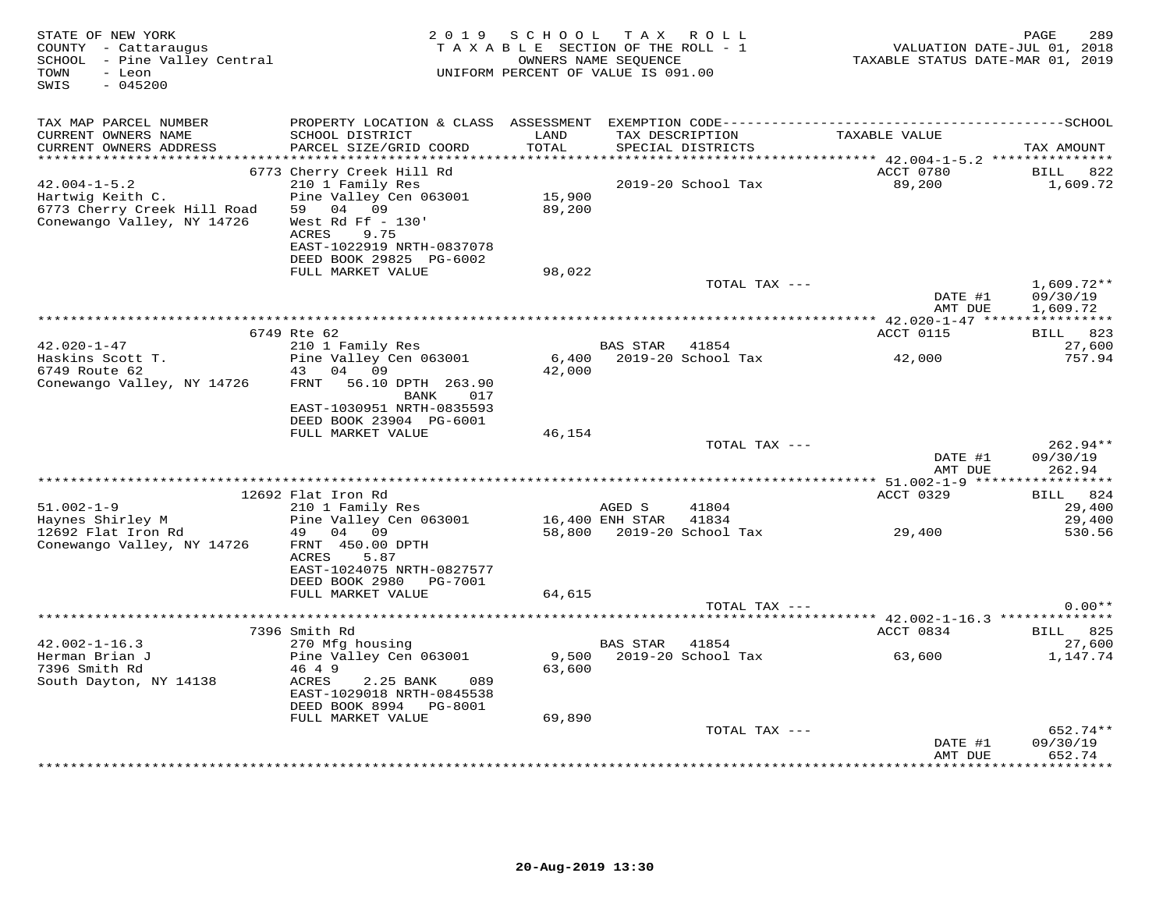| STATE OF NEW YORK<br>COUNTY - Cattaraugus<br>SCHOOL - Pine Valley Central<br>- Leon<br>TOWN<br>$-045200$<br>SWIS | 2 0 1 9                                                                                                                       | SCHOOL<br>TAXABLE SECTION OF THE ROLL - 1<br>OWNERS NAME SEQUENCE<br>UNIFORM PERCENT OF VALUE IS 091.00 |                 | TAX ROLL                             | VALUATION DATE-JUL 01, 2018<br>TAXABLE STATUS DATE-MAR 01, 2019 | 289<br>PAGE              |
|------------------------------------------------------------------------------------------------------------------|-------------------------------------------------------------------------------------------------------------------------------|---------------------------------------------------------------------------------------------------------|-----------------|--------------------------------------|-----------------------------------------------------------------|--------------------------|
| TAX MAP PARCEL NUMBER<br>CURRENT OWNERS NAME<br>CURRENT OWNERS ADDRESS                                           | SCHOOL DISTRICT<br>PARCEL SIZE/GRID COORD                                                                                     | LAND<br>TOTAL                                                                                           |                 | TAX DESCRIPTION<br>SPECIAL DISTRICTS | TAXABLE VALUE                                                   | TAX AMOUNT               |
|                                                                                                                  | 6773 Cherry Creek Hill Rd                                                                                                     |                                                                                                         |                 |                                      | ACCT 0780                                                       | BILL<br>822              |
| $42.004 - 1 - 5.2$<br>Hartwig Keith C.<br>6773 Cherry Creek Hill Road<br>Conewango Valley, NY 14726              | 210 1 Family Res<br>Pine Valley Cen 063001<br>04 09<br>59<br>West Rd Ff $-130'$<br>ACRES<br>9.75<br>EAST-1022919 NRTH-0837078 | 15,900<br>89,200                                                                                        |                 | 2019-20 School Tax                   | 89,200                                                          | 1,609.72                 |
|                                                                                                                  | DEED BOOK 29825 PG-6002                                                                                                       |                                                                                                         |                 |                                      |                                                                 |                          |
|                                                                                                                  | FULL MARKET VALUE                                                                                                             | 98,022                                                                                                  |                 | TOTAL TAX ---                        | DATE #1                                                         | $1,609.72**$<br>09/30/19 |
|                                                                                                                  |                                                                                                                               |                                                                                                         |                 |                                      | AMT DUE                                                         | 1,609.72                 |
|                                                                                                                  |                                                                                                                               |                                                                                                         |                 |                                      |                                                                 |                          |
|                                                                                                                  | 6749 Rte 62                                                                                                                   |                                                                                                         |                 |                                      | ACCT 0115                                                       | BILL 823                 |
| $42.020 - 1 - 47$                                                                                                | 210 1 Family Res                                                                                                              |                                                                                                         | BAS STAR        | 41854                                |                                                                 | 27,600                   |
| Haskins Scott T.<br>6749 Route 62                                                                                | Pine Valley Cen 063001<br>43 04 09                                                                                            | 6,400<br>42,000                                                                                         |                 | 2019-20 School Tax                   | 42,000                                                          | 757.94                   |
| Conewango Valley, NY 14726                                                                                       | 56.10 DPTH 263.90<br>FRNT<br>BANK<br>017                                                                                      |                                                                                                         |                 |                                      |                                                                 |                          |
|                                                                                                                  | EAST-1030951 NRTH-0835593<br>DEED BOOK 23904 PG-6001                                                                          |                                                                                                         |                 |                                      |                                                                 |                          |
|                                                                                                                  | FULL MARKET VALUE                                                                                                             | 46,154                                                                                                  |                 | TOTAL TAX ---                        |                                                                 | 262.94**                 |
|                                                                                                                  |                                                                                                                               |                                                                                                         |                 |                                      | DATE #1<br>AMT DUE                                              | 09/30/19<br>262.94       |
|                                                                                                                  |                                                                                                                               |                                                                                                         |                 |                                      |                                                                 |                          |
|                                                                                                                  | 12692 Flat Iron Rd                                                                                                            |                                                                                                         |                 |                                      | ACCT 0329                                                       | BILL 824                 |
| $51.002 - 1 - 9$                                                                                                 | 210 1 Family Res                                                                                                              |                                                                                                         | AGED S          | 41804                                |                                                                 | 29,400                   |
| Haynes Shirley M                                                                                                 | Pine Valley Cen 063001                                                                                                        |                                                                                                         | 16,400 ENH STAR | 41834                                |                                                                 | 29,400                   |
| 12692 Flat Iron Rd<br>Conewango Valley, NY 14726                                                                 | 49 04 09<br>FRNT 450.00 DPTH<br>ACRES<br>5.87<br>EAST-1024075 NRTH-0827577                                                    |                                                                                                         |                 | 58,800 2019-20 School Tax            | 29,400                                                          | 530.56                   |
|                                                                                                                  | DEED BOOK 2980 PG-7001                                                                                                        |                                                                                                         |                 |                                      |                                                                 |                          |
|                                                                                                                  | FULL MARKET VALUE                                                                                                             | 64,615                                                                                                  |                 |                                      |                                                                 |                          |
|                                                                                                                  |                                                                                                                               |                                                                                                         |                 | TOTAL TAX ---                        |                                                                 | $0.00**$                 |
|                                                                                                                  |                                                                                                                               |                                                                                                         |                 |                                      | *********** 42.002-1-16.3 ***************                       |                          |
|                                                                                                                  | 7396 Smith Rd                                                                                                                 |                                                                                                         |                 |                                      | ACCT 0834                                                       | BILL 825                 |
| $42.002 - 1 - 16.3$                                                                                              | 270 Mfg housing                                                                                                               |                                                                                                         | <b>BAS STAR</b> | 41854                                |                                                                 | 27,600                   |
| Herman Brian J                                                                                                   | Pine Valley Cen 063001                                                                                                        | 9,500                                                                                                   |                 | 2019-20 School Tax                   | 63,600                                                          | 1,147.74                 |
| 7396 Smith Rd<br>South Dayton, NY 14138                                                                          | 46 4 9<br>ACRES<br>2.25 BANK<br>089<br>EAST-1029018 NRTH-0845538<br>DEED BOOK 8994 PG-8001                                    | 63,600                                                                                                  |                 |                                      |                                                                 |                          |
|                                                                                                                  | FULL MARKET VALUE                                                                                                             | 69,890                                                                                                  |                 |                                      |                                                                 |                          |
|                                                                                                                  |                                                                                                                               |                                                                                                         |                 | TOTAL TAX ---                        |                                                                 | 652.74**                 |
|                                                                                                                  |                                                                                                                               |                                                                                                         |                 |                                      | DATE #1                                                         | 09/30/19                 |
|                                                                                                                  |                                                                                                                               |                                                                                                         |                 |                                      | AMT DUE<br>*************                                        | 652.74<br>*********      |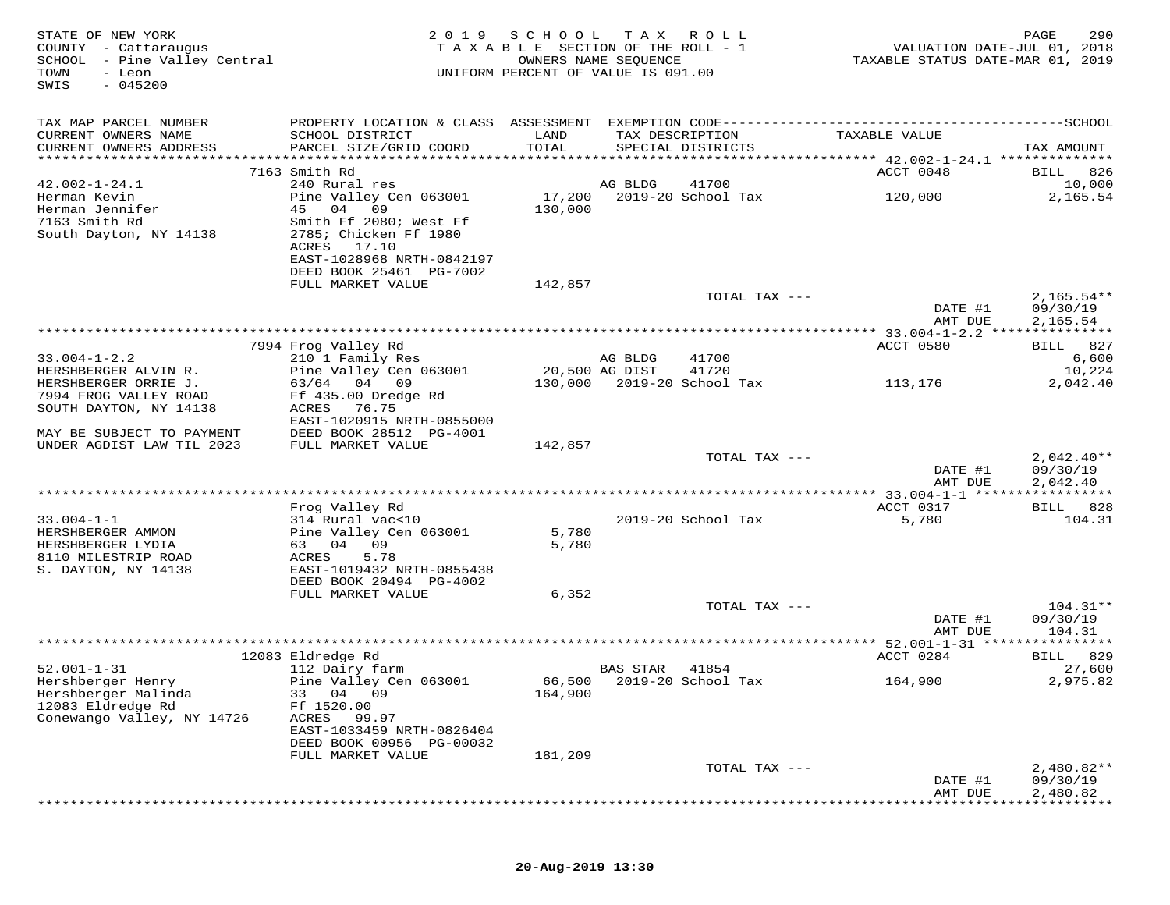| STATE OF NEW YORK<br>COUNTY - Cattaraugus<br>SCHOOL - Pine Valley Central<br>TOWN<br>- Leon<br>$-045200$<br>SWIS | 2 0 1 9                                    | SCHOOL<br>TAXABLE SECTION OF THE ROLL - 1<br>UNIFORM PERCENT OF VALUE IS 091.00 | T A X<br>OWNERS NAME SEQUENCE | ROLL                                 | VALUATION DATE-JUL 01, 2018<br>TAXABLE STATUS DATE-MAR 01, 2019 | PAGE<br>290        |
|------------------------------------------------------------------------------------------------------------------|--------------------------------------------|---------------------------------------------------------------------------------|-------------------------------|--------------------------------------|-----------------------------------------------------------------|--------------------|
| TAX MAP PARCEL NUMBER                                                                                            |                                            |                                                                                 |                               |                                      |                                                                 |                    |
| CURRENT OWNERS NAME<br>CURRENT OWNERS ADDRESS                                                                    | SCHOOL DISTRICT<br>PARCEL SIZE/GRID COORD  | LAND<br>TOTAL                                                                   |                               | TAX DESCRIPTION<br>SPECIAL DISTRICTS | TAXABLE VALUE                                                   | TAX AMOUNT         |
|                                                                                                                  |                                            |                                                                                 |                               |                                      |                                                                 |                    |
|                                                                                                                  | 7163 Smith Rd                              |                                                                                 |                               |                                      | ACCT 0048                                                       | 826<br>BILL        |
| $42.002 - 1 - 24.1$                                                                                              | 240 Rural res                              |                                                                                 | AG BLDG                       | 41700                                |                                                                 | 10,000             |
| Herman Kevin<br>Herman Jennifer                                                                                  | Pine Valley Cen 063001<br>09               | 17,200                                                                          |                               | 2019-20 School Tax                   | 120,000                                                         | 2,165.54           |
| 7163 Smith Rd                                                                                                    | 45<br>04<br>Smith Ff 2080; West Ff         | 130,000                                                                         |                               |                                      |                                                                 |                    |
| South Dayton, NY 14138                                                                                           | 2785; Chicken Ff 1980                      |                                                                                 |                               |                                      |                                                                 |                    |
|                                                                                                                  | ACRES<br>17.10                             |                                                                                 |                               |                                      |                                                                 |                    |
|                                                                                                                  | EAST-1028968 NRTH-0842197                  |                                                                                 |                               |                                      |                                                                 |                    |
|                                                                                                                  | DEED BOOK 25461 PG-7002                    |                                                                                 |                               |                                      |                                                                 |                    |
|                                                                                                                  | FULL MARKET VALUE                          | 142,857                                                                         |                               | TOTAL TAX ---                        |                                                                 | $2,165.54**$       |
|                                                                                                                  |                                            |                                                                                 |                               |                                      | DATE #1                                                         | 09/30/19           |
|                                                                                                                  |                                            |                                                                                 |                               |                                      | AMT DUE                                                         | 2,165.54           |
|                                                                                                                  |                                            |                                                                                 |                               |                                      | ************** 33.004-1-2.2 ***************                     |                    |
|                                                                                                                  | 7994 Frog Valley Rd                        |                                                                                 |                               |                                      | ACCT 0580                                                       | BILL 827           |
| $33.004 - 1 - 2.2$                                                                                               | 210 1 Family Res                           |                                                                                 | AG BLDG                       | 41700                                |                                                                 | 6,600              |
| HERSHBERGER ALVIN R.<br>HERSHBERGER ORRIE J.                                                                     | Pine Valley Cen 063001<br>04 09<br>63/64   | 130,000                                                                         | 20,500 AG DIST                | 41720<br>2019-20 School Tax          | 113,176                                                         | 10,224<br>2,042.40 |
| 7994 FROG VALLEY ROAD                                                                                            | Ff 435.00 Dredge Rd                        |                                                                                 |                               |                                      |                                                                 |                    |
| SOUTH DAYTON, NY 14138                                                                                           | ACRES<br>76.75                             |                                                                                 |                               |                                      |                                                                 |                    |
|                                                                                                                  | EAST-1020915 NRTH-0855000                  |                                                                                 |                               |                                      |                                                                 |                    |
| MAY BE SUBJECT TO PAYMENT                                                                                        | DEED BOOK 28512 PG-4001                    |                                                                                 |                               |                                      |                                                                 |                    |
| UNDER AGDIST LAW TIL 2023                                                                                        | FULL MARKET VALUE                          | 142,857                                                                         |                               | TOTAL TAX ---                        |                                                                 | $2,042.40**$       |
|                                                                                                                  |                                            |                                                                                 |                               |                                      | DATE #1                                                         | 09/30/19           |
|                                                                                                                  |                                            |                                                                                 |                               |                                      | AMT DUE                                                         | 2,042.40           |
|                                                                                                                  |                                            |                                                                                 |                               |                                      |                                                                 |                    |
|                                                                                                                  | Frog Valley Rd                             |                                                                                 |                               |                                      | ACCT 0317                                                       | BILL 828           |
| $33.004 - 1 - 1$<br>HERSHBERGER AMMON                                                                            | 314 Rural vac<10<br>Pine Valley Cen 063001 | 5,780                                                                           |                               | 2019-20 School Tax                   | 5,780                                                           | 104.31             |
| HERSHBERGER LYDIA                                                                                                | 63<br>04<br>09                             | 5,780                                                                           |                               |                                      |                                                                 |                    |
| 8110 MILESTRIP ROAD                                                                                              | ACRES<br>5.78                              |                                                                                 |                               |                                      |                                                                 |                    |
| S. DAYTON, NY 14138                                                                                              | EAST-1019432 NRTH-0855438                  |                                                                                 |                               |                                      |                                                                 |                    |
|                                                                                                                  | DEED BOOK 20494 PG-4002                    |                                                                                 |                               |                                      |                                                                 |                    |
|                                                                                                                  | FULL MARKET VALUE                          | 6,352                                                                           |                               | TOTAL TAX ---                        |                                                                 | $104.31**$         |
|                                                                                                                  |                                            |                                                                                 |                               |                                      | DATE #1                                                         | 09/30/19           |
|                                                                                                                  |                                            |                                                                                 |                               |                                      | AMT DUE                                                         | 104.31             |
|                                                                                                                  |                                            |                                                                                 |                               |                                      | ******** 52.001-1-31 *****                                      | * * * * * * * * *  |
|                                                                                                                  | 12083 Eldredge Rd                          |                                                                                 |                               |                                      | ACCT 0284                                                       | 829<br>BILL        |
| $52.001 - 1 - 31$<br>Hershberger Henry                                                                           | 112 Dairy farm<br>Pine Valley Cen 063001   |                                                                                 | <b>BAS STAR</b>               | 41854<br>66,500 2019-20 School Tax   | 164,900                                                         | 27,600             |
| Hershberger Malinda                                                                                              | 33 04 09                                   | 164,900                                                                         |                               |                                      |                                                                 | 2,975.82           |
| 12083 Eldredge Rd                                                                                                | Ff 1520.00                                 |                                                                                 |                               |                                      |                                                                 |                    |
| Conewango Valley, NY 14726                                                                                       | ACRES<br>99.97                             |                                                                                 |                               |                                      |                                                                 |                    |
|                                                                                                                  | EAST-1033459 NRTH-0826404                  |                                                                                 |                               |                                      |                                                                 |                    |
|                                                                                                                  | DEED BOOK 00956 PG-00032                   |                                                                                 |                               |                                      |                                                                 |                    |
|                                                                                                                  | FULL MARKET VALUE                          | 181,209                                                                         |                               | TOTAL TAX ---                        |                                                                 | $2,480.82**$       |
|                                                                                                                  |                                            |                                                                                 |                               |                                      | DATE #1                                                         | 09/30/19           |
|                                                                                                                  |                                            |                                                                                 |                               |                                      | AMT DUE                                                         | 2,480.82           |
|                                                                                                                  |                                            |                                                                                 |                               |                                      |                                                                 |                    |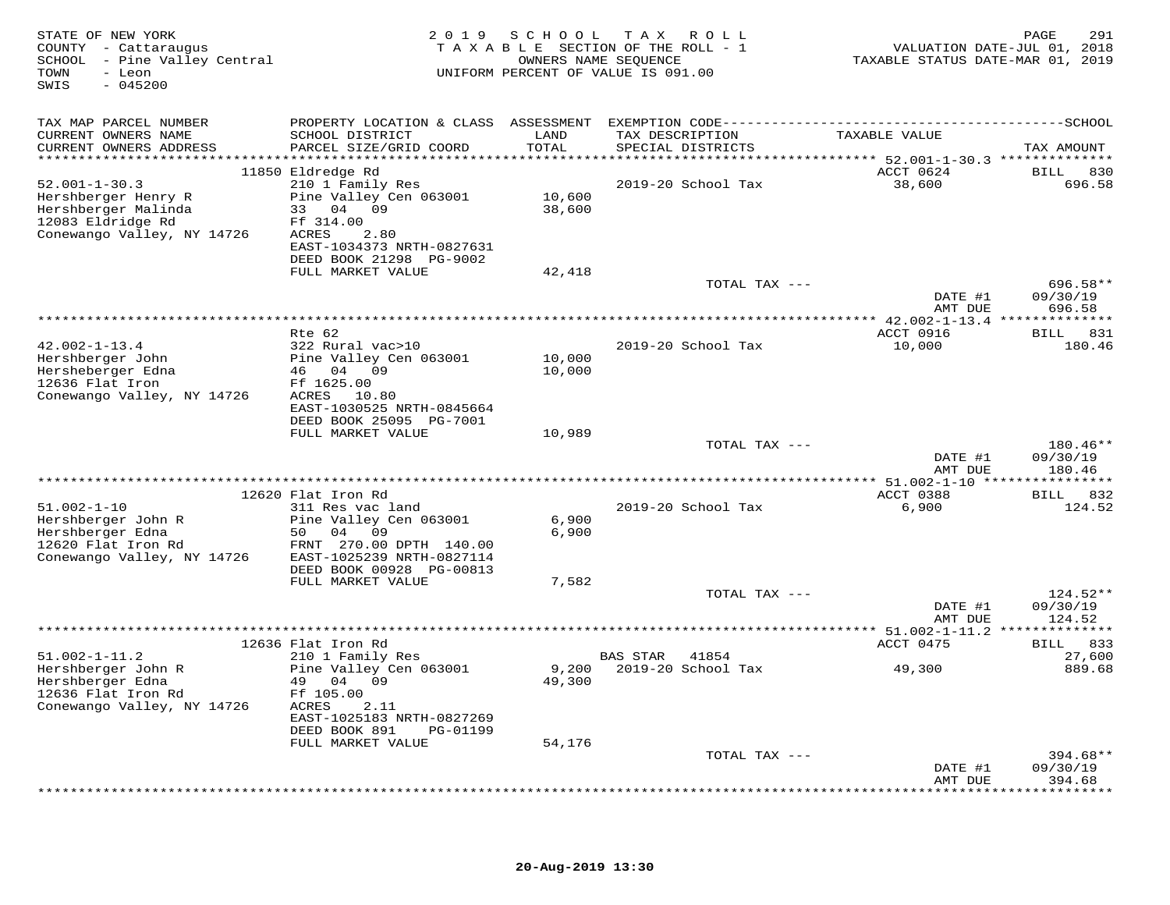| STATE OF NEW YORK<br>COUNTY - Cattaraugus<br>SCHOOL - Pine Valley Central<br>- Leon<br>TOWN<br>$-045200$<br>SWIS     |                                                                                                                                                                      |                  | 2019 SCHOOL TAX ROLL<br>TAXABLE SECTION OF THE ROLL - 1<br>OWNERS NAME SEQUENCE<br>UNIFORM PERCENT OF VALUE IS 091.00 | VALUATION DATE-JUL 01, 2018<br>TAXABLE STATUS DATE-MAR 01, 2019 | 291<br>PAGE                     |
|----------------------------------------------------------------------------------------------------------------------|----------------------------------------------------------------------------------------------------------------------------------------------------------------------|------------------|-----------------------------------------------------------------------------------------------------------------------|-----------------------------------------------------------------|---------------------------------|
| TAX MAP PARCEL NUMBER                                                                                                |                                                                                                                                                                      |                  |                                                                                                                       |                                                                 |                                 |
| CURRENT OWNERS NAME<br>CURRENT OWNERS ADDRESS                                                                        | SCHOOL DISTRICT<br>PARCEL SIZE/GRID COORD                                                                                                                            | LAND<br>TOTAL    | TAX DESCRIPTION<br>SPECIAL DISTRICTS                                                                                  | TAXABLE VALUE                                                   | TAX AMOUNT                      |
| $52.001 - 1 - 30.3$<br>Hershberger Henry R<br>Hershberger Malinda<br>12083 Eldridge Rd<br>Conewango Valley, NY 14726 | 11850 Eldredge Rd<br>210 1 Family Res<br>Pine Valley Cen 063001<br>33 04 09<br>Ff 314.00<br>ACRES<br>2.80                                                            | 10,600<br>38,600 | 2019-20 School Tax                                                                                                    | ACCT 0624<br>38,600                                             | BILL 830<br>696.58              |
|                                                                                                                      | EAST-1034373 NRTH-0827631<br>DEED BOOK 21298 PG-9002<br>FULL MARKET VALUE                                                                                            | 42,418           | TOTAL TAX ---                                                                                                         |                                                                 | 696.58**                        |
|                                                                                                                      |                                                                                                                                                                      |                  |                                                                                                                       | DATE #1<br>AMT DUE                                              | 09/30/19<br>696.58              |
|                                                                                                                      |                                                                                                                                                                      |                  |                                                                                                                       |                                                                 |                                 |
| $42.002 - 1 - 13.4$<br>Hershberger John<br>Hersheberger Edna<br>12636 Flat Iron<br>Conewango Valley, NY 14726        | Rte 62<br>322 Rural vac>10<br>Pine Valley Cen 063001<br>46 04 09<br>Ff 1625.00<br>ACRES 10.80<br>EAST-1030525 NRTH-0845664                                           | 10,000<br>10,000 | 2019-20 School Tax                                                                                                    | ACCT 0916<br>10,000                                             | BILL 831<br>180.46              |
|                                                                                                                      | DEED BOOK 25095 PG-7001<br>FULL MARKET VALUE                                                                                                                         | 10,989           | TOTAL TAX ---                                                                                                         | DATE #1                                                         | 180.46**<br>09/30/19            |
|                                                                                                                      |                                                                                                                                                                      |                  |                                                                                                                       | AMT DUE                                                         | 180.46                          |
|                                                                                                                      | 12620 Flat Iron Rd                                                                                                                                                   |                  |                                                                                                                       | ACCT 0388                                                       | BILL 832                        |
| $51.002 - 1 - 10$<br>Hershberger John R<br>Hershberger Edna<br>12620 Flat Iron Rd<br>Conewango Valley, NY 14726      | 311 Res vac land<br>Pine Valley Cen 063001<br>50 04 09<br>FRNT 270.00 DPTH 140.00<br>EAST-1025239 NRTH-0827114<br>DEED BOOK 00928 PG-00813                           | 6,900<br>6,900   | 2019-20 School Tax                                                                                                    | 6,900                                                           | 124.52                          |
|                                                                                                                      | FULL MARKET VALUE                                                                                                                                                    | 7,582            | TOTAL TAX ---                                                                                                         |                                                                 | $124.52**$                      |
|                                                                                                                      |                                                                                                                                                                      |                  |                                                                                                                       | DATE #1<br>AMT DUE                                              | 09/30/19<br>124.52              |
|                                                                                                                      |                                                                                                                                                                      |                  |                                                                                                                       |                                                                 |                                 |
| $51.002 - 1 - 11.2$<br>Hershberger John R<br>Hershberger Edna<br>12636 Flat Iron Rd<br>Conewango Valley, NY 14726    | 12636 Flat Iron Rd<br>210 1 Family Res<br>Pine Valley Cen 063001<br>49 04 09<br>Ff 105.00<br>2.11<br>ACRES<br>EAST-1025183 NRTH-0827269<br>DEED BOOK 891<br>PG-01199 | 9,200<br>49,300  | <b>BAS STAR</b><br>41854<br>2019-20 School Tax                                                                        | ACCT 0475<br>49,300                                             | BILL 833<br>27,600<br>889.68    |
|                                                                                                                      | FULL MARKET VALUE                                                                                                                                                    | 54,176           | TOTAL TAX ---                                                                                                         |                                                                 | $394.68**$                      |
|                                                                                                                      |                                                                                                                                                                      |                  |                                                                                                                       | DATE #1<br>AMT DUE                                              | 09/30/19<br>394.68<br>********* |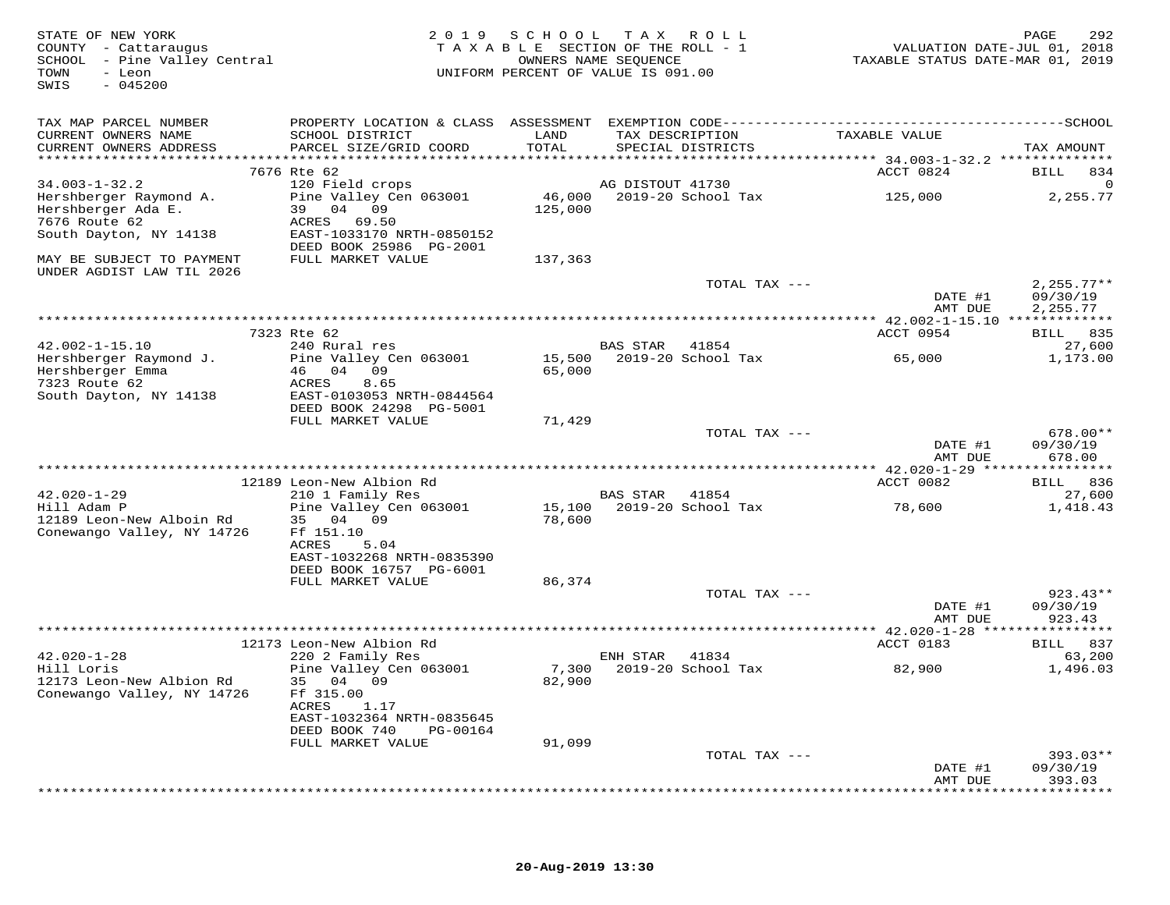| STATE OF NEW YORK<br>COUNTY - Cattaraugus<br>SCHOOL - Pine Valley Central<br>TOWN<br>- Leon<br>$-045200$<br>SWIS | 2 0 1 9<br>TAXABLE SECTION OF THE ROLL - 1<br>UNIFORM PERCENT OF VALUE IS 091.00 | 292<br>PAGE<br>VALUATION DATE-JUL 01, 2018<br>TAXABLE STATUS DATE-MAR 01, 2019 |                                         |               |                                                     |                       |
|------------------------------------------------------------------------------------------------------------------|----------------------------------------------------------------------------------|--------------------------------------------------------------------------------|-----------------------------------------|---------------|-----------------------------------------------------|-----------------------|
| TAX MAP PARCEL NUMBER                                                                                            |                                                                                  |                                                                                |                                         |               |                                                     |                       |
| CURRENT OWNERS NAME<br>CURRENT OWNERS ADDRESS                                                                    | SCHOOL DISTRICT<br>PARCEL SIZE/GRID COORD                                        | LAND<br>TOTAL                                                                  | TAX DESCRIPTION<br>SPECIAL DISTRICTS    |               | TAXABLE VALUE                                       | TAX AMOUNT            |
|                                                                                                                  |                                                                                  |                                                                                |                                         |               | ********************** 34.003-1-32.2 ************** |                       |
|                                                                                                                  | 7676 Rte 62                                                                      |                                                                                |                                         |               | ACCT 0824                                           | BILL<br>834           |
| $34.003 - 1 - 32.2$                                                                                              | 120 Field crops                                                                  | 46,000                                                                         | AG DISTOUT 41730<br>2019-20 School Tax  |               |                                                     | ∩<br>2,255.77         |
| Hershberger Raymond A.<br>Hershberger Ada E.                                                                     | Pine Valley Cen 063001<br>39 04 09                                               | 125,000                                                                        |                                         |               | 125,000                                             |                       |
| 7676 Route 62                                                                                                    | ACRES 69.50                                                                      |                                                                                |                                         |               |                                                     |                       |
| South Dayton, NY 14138                                                                                           | EAST-1033170 NRTH-0850152                                                        |                                                                                |                                         |               |                                                     |                       |
|                                                                                                                  | DEED BOOK 25986 PG-2001                                                          |                                                                                |                                         |               |                                                     |                       |
| MAY BE SUBJECT TO PAYMENT                                                                                        | FULL MARKET VALUE                                                                | 137,363                                                                        |                                         |               |                                                     |                       |
| UNDER AGDIST LAW TIL 2026                                                                                        |                                                                                  |                                                                                |                                         | TOTAL TAX --- |                                                     | $2.255.77**$          |
|                                                                                                                  |                                                                                  |                                                                                |                                         |               | DATE #1                                             | 09/30/19              |
|                                                                                                                  |                                                                                  |                                                                                |                                         |               | AMT DUE                                             | 2,255.77              |
|                                                                                                                  |                                                                                  |                                                                                |                                         |               |                                                     |                       |
|                                                                                                                  | 7323 Rte 62                                                                      |                                                                                |                                         |               | ACCT 0954                                           | BILL 835              |
| $42.002 - 1 - 15.10$<br>Hershberger Raymond J.                                                                   | 240 Rural res<br>Pine Valley Cen 063001                                          | 15,500                                                                         | BAS STAR 41854<br>2019-20 School Tax    |               | 65,000                                              | 27,600<br>1,173.00    |
| Hershberger Emma                                                                                                 | 46 04 09                                                                         | 65,000                                                                         |                                         |               |                                                     |                       |
| 7323 Route 62                                                                                                    | ACRES<br>8.65                                                                    |                                                                                |                                         |               |                                                     |                       |
| South Dayton, NY 14138                                                                                           | EAST-0103053 NRTH-0844564                                                        |                                                                                |                                         |               |                                                     |                       |
|                                                                                                                  | DEED BOOK 24298 PG-5001                                                          |                                                                                |                                         |               |                                                     |                       |
|                                                                                                                  | FULL MARKET VALUE                                                                | 71,429                                                                         |                                         | TOTAL TAX --- |                                                     | 678.00**              |
|                                                                                                                  |                                                                                  |                                                                                |                                         |               | DATE #1                                             | 09/30/19              |
|                                                                                                                  |                                                                                  |                                                                                |                                         |               | AMT DUE                                             | 678.00                |
|                                                                                                                  |                                                                                  |                                                                                |                                         |               |                                                     |                       |
|                                                                                                                  | 12189 Leon-New Albion Rd                                                         |                                                                                |                                         |               | ACCT 0082                                           | BILL 836              |
| $42.020 - 1 - 29$<br>Hill Adam P                                                                                 | 210 1 Family Res<br>Pine Valley Cen 063001                                       | 15,100                                                                         | 41854<br>BAS STAR<br>2019-20 School Tax |               | 78,600                                              | 27,600<br>1,418.43    |
| 12189 Leon-New Alboin Rd                                                                                         | 35 04 09                                                                         | 78,600                                                                         |                                         |               |                                                     |                       |
| Conewango Valley, NY 14726                                                                                       | Ff 151.10                                                                        |                                                                                |                                         |               |                                                     |                       |
|                                                                                                                  | ACRES<br>5.04                                                                    |                                                                                |                                         |               |                                                     |                       |
|                                                                                                                  | EAST-1032268 NRTH-0835390                                                        |                                                                                |                                         |               |                                                     |                       |
|                                                                                                                  | DEED BOOK 16757 PG-6001<br>FULL MARKET VALUE                                     | 86,374                                                                         |                                         |               |                                                     |                       |
|                                                                                                                  |                                                                                  |                                                                                |                                         | TOTAL TAX --- |                                                     | 923.43**              |
|                                                                                                                  |                                                                                  |                                                                                |                                         |               | DATE #1                                             | 09/30/19              |
|                                                                                                                  |                                                                                  |                                                                                |                                         |               | AMT DUE                                             | 923.43                |
|                                                                                                                  |                                                                                  |                                                                                |                                         |               |                                                     |                       |
| $42.020 - 1 - 28$                                                                                                | 12173 Leon-New Albion Rd<br>220 2 Family Res                                     |                                                                                | ENH STAR<br>41834                       |               | ACCT 0183                                           | BILL 837<br>63,200    |
| Hill Loris                                                                                                       | Pine Valley Cen 063001                                                           | 7,300                                                                          | 2019-20 School Tax                      |               | 82,900                                              | 1,496.03              |
| 12173 Leon-New Albion Rd                                                                                         | 35 04<br>09                                                                      | 82,900                                                                         |                                         |               |                                                     |                       |
| Conewango Valley, NY 14726                                                                                       | Ff 315.00                                                                        |                                                                                |                                         |               |                                                     |                       |
|                                                                                                                  | ACRES<br>1.17                                                                    |                                                                                |                                         |               |                                                     |                       |
|                                                                                                                  | EAST-1032364 NRTH-0835645<br>DEED BOOK 740<br>PG-00164                           |                                                                                |                                         |               |                                                     |                       |
|                                                                                                                  | FULL MARKET VALUE                                                                | 91,099                                                                         |                                         |               |                                                     |                       |
|                                                                                                                  |                                                                                  |                                                                                |                                         | TOTAL TAX --- |                                                     | $393.03**$            |
|                                                                                                                  |                                                                                  |                                                                                |                                         |               | DATE #1                                             | 09/30/19              |
|                                                                                                                  |                                                                                  |                                                                                |                                         |               | AMT DUE                                             | 393.03<br>*********** |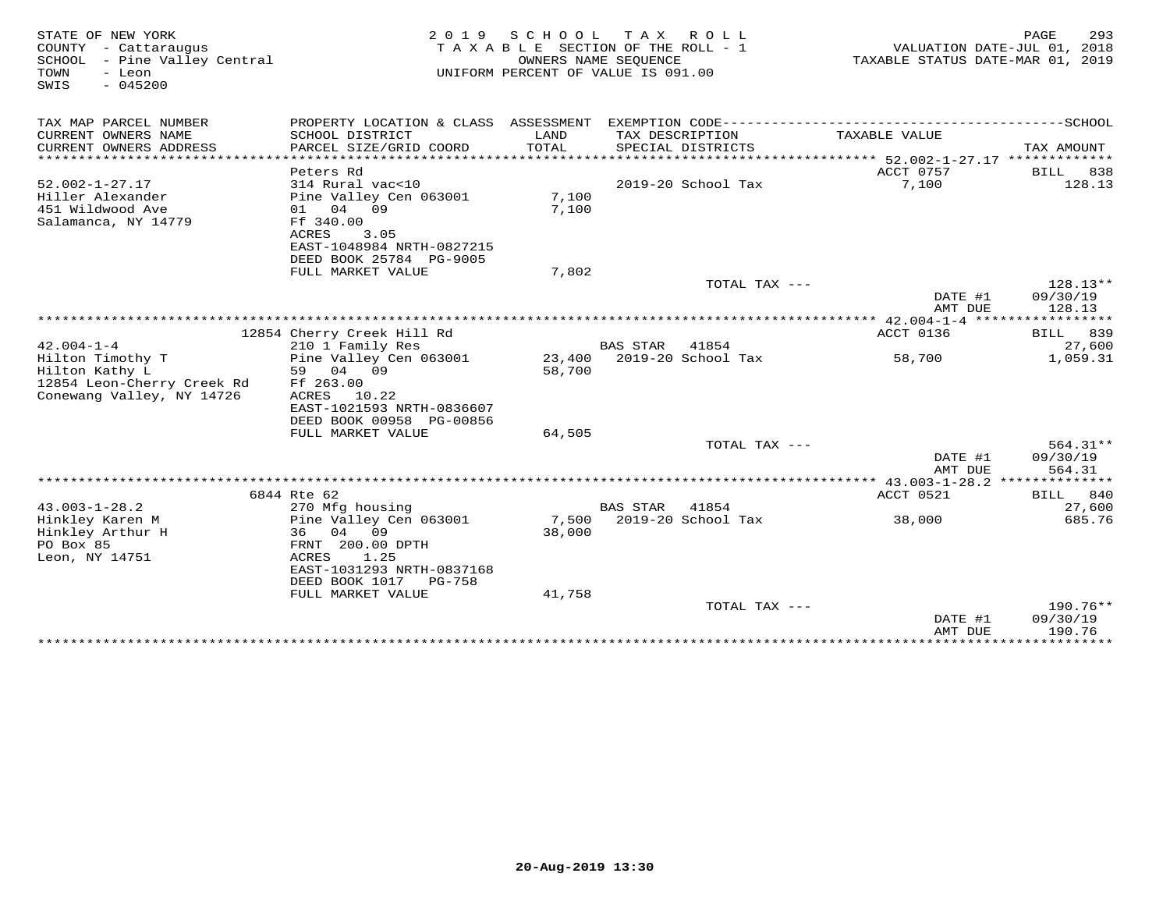| TAX MAP PARCEL NUMBER<br>PROPERTY LOCATION & CLASS ASSESSMENT<br>CURRENT OWNERS NAME<br>SCHOOL DISTRICT<br>LAND<br>TAX DESCRIPTION<br>TAXABLE VALUE<br>PARCEL SIZE/GRID COORD<br>TOTAL<br>CURRENT OWNERS ADDRESS<br>SPECIAL DISTRICTS<br>TAX AMOUNT<br>*************************<br>ACCT 0757<br>Peters Rd<br>BILL<br>838<br>$52.002 - 1 - 27.17$<br>7,100<br>128.13<br>314 Rural vac<10<br>2019-20 School Tax<br>Hiller Alexander<br>Pine Valley Cen 063001<br>7,100<br>451 Wildwood Ave<br>01 04 09<br>7,100<br>Salamanca, NY 14779<br>Ff 340.00<br>ACRES<br>3.05<br>EAST-1048984 NRTH-0827215<br>DEED BOOK 25784 PG-9005<br>FULL MARKET VALUE<br>7,802<br>$128.13**$<br>TOTAL TAX ---<br>DATE #1<br>09/30/19<br>AMT DUE<br>128.13<br>ACCT 0136<br>12854 Cherry Creek Hill Rd<br>839<br>BILL<br>$42.004 - 1 - 4$<br>210 1 Family Res<br><b>BAS STAR</b><br>41854<br>27,600<br>Hilton Timothy T<br>Pine Valley Cen 063001<br>23,400 2019-20 School Tax<br>1,059.31<br>58,700<br>Hilton Kathy L<br>59 04 09<br>58,700<br>12854 Leon-Cherry Creek Rd<br>Ff 263.00<br>Conewang Valley, NY 14726<br>10.22<br>ACRES<br>EAST-1021593 NRTH-0836607<br>DEED BOOK 00958 PG-00856<br>FULL MARKET VALUE<br>64,505<br>TOTAL TAX ---<br>$564.31**$<br>DATE #1<br>09/30/19<br>AMT DUE<br>564.31<br>ACCT 0521<br>6844 Rte 62<br>BILL<br>840<br>$43.003 - 1 - 28.2$<br>27,600<br>270 Mfg housing<br><b>BAS STAR</b><br>41854<br>7,500<br>2019-20 School Tax<br>Hinkley Karen M<br>Pine Valley Cen 063001<br>38,000<br>685.76<br>Hinkley Arthur H<br>04 09<br>38,000<br>36<br>PO Box 85<br>FRNT 200.00 DPTH<br>1.25<br>Leon, NY 14751<br>ACRES<br>EAST-1031293 NRTH-0837168<br>DEED BOOK 1017<br>PG-758<br>FULL MARKET VALUE<br>41,758<br>$190.76**$<br>TOTAL TAX $---$<br>09/30/19<br>DATE #1<br>AMT DUE<br>190.76 | STATE OF NEW YORK<br>COUNTY - Cattaraugus<br>SCHOOL - Pine Valley Central<br>- Leon<br>TOWN<br>$-045200$<br>SWIS | 2 0 1 9 | S C H O O L | TAX ROLL<br>TAXABLE SECTION OF THE ROLL - 1<br>OWNERS NAME SEQUENCE<br>UNIFORM PERCENT OF VALUE IS 091.00 | TAXABLE STATUS DATE-MAR 01, 2019 | PAGE<br>293<br>VALUATION DATE-JUL 01, 2018 |
|-----------------------------------------------------------------------------------------------------------------------------------------------------------------------------------------------------------------------------------------------------------------------------------------------------------------------------------------------------------------------------------------------------------------------------------------------------------------------------------------------------------------------------------------------------------------------------------------------------------------------------------------------------------------------------------------------------------------------------------------------------------------------------------------------------------------------------------------------------------------------------------------------------------------------------------------------------------------------------------------------------------------------------------------------------------------------------------------------------------------------------------------------------------------------------------------------------------------------------------------------------------------------------------------------------------------------------------------------------------------------------------------------------------------------------------------------------------------------------------------------------------------------------------------------------------------------------------------------------------------------------------------------------------------------------------------------------------------------------------------------------------------------------------------------------|------------------------------------------------------------------------------------------------------------------|---------|-------------|-----------------------------------------------------------------------------------------------------------|----------------------------------|--------------------------------------------|
|                                                                                                                                                                                                                                                                                                                                                                                                                                                                                                                                                                                                                                                                                                                                                                                                                                                                                                                                                                                                                                                                                                                                                                                                                                                                                                                                                                                                                                                                                                                                                                                                                                                                                                                                                                                                     |                                                                                                                  |         |             |                                                                                                           |                                  |                                            |
|                                                                                                                                                                                                                                                                                                                                                                                                                                                                                                                                                                                                                                                                                                                                                                                                                                                                                                                                                                                                                                                                                                                                                                                                                                                                                                                                                                                                                                                                                                                                                                                                                                                                                                                                                                                                     |                                                                                                                  |         |             |                                                                                                           |                                  |                                            |
|                                                                                                                                                                                                                                                                                                                                                                                                                                                                                                                                                                                                                                                                                                                                                                                                                                                                                                                                                                                                                                                                                                                                                                                                                                                                                                                                                                                                                                                                                                                                                                                                                                                                                                                                                                                                     |                                                                                                                  |         |             |                                                                                                           |                                  |                                            |
|                                                                                                                                                                                                                                                                                                                                                                                                                                                                                                                                                                                                                                                                                                                                                                                                                                                                                                                                                                                                                                                                                                                                                                                                                                                                                                                                                                                                                                                                                                                                                                                                                                                                                                                                                                                                     |                                                                                                                  |         |             |                                                                                                           |                                  |                                            |
|                                                                                                                                                                                                                                                                                                                                                                                                                                                                                                                                                                                                                                                                                                                                                                                                                                                                                                                                                                                                                                                                                                                                                                                                                                                                                                                                                                                                                                                                                                                                                                                                                                                                                                                                                                                                     |                                                                                                                  |         |             |                                                                                                           |                                  |                                            |
|                                                                                                                                                                                                                                                                                                                                                                                                                                                                                                                                                                                                                                                                                                                                                                                                                                                                                                                                                                                                                                                                                                                                                                                                                                                                                                                                                                                                                                                                                                                                                                                                                                                                                                                                                                                                     |                                                                                                                  |         |             |                                                                                                           |                                  |                                            |
|                                                                                                                                                                                                                                                                                                                                                                                                                                                                                                                                                                                                                                                                                                                                                                                                                                                                                                                                                                                                                                                                                                                                                                                                                                                                                                                                                                                                                                                                                                                                                                                                                                                                                                                                                                                                     |                                                                                                                  |         |             |                                                                                                           |                                  |                                            |
|                                                                                                                                                                                                                                                                                                                                                                                                                                                                                                                                                                                                                                                                                                                                                                                                                                                                                                                                                                                                                                                                                                                                                                                                                                                                                                                                                                                                                                                                                                                                                                                                                                                                                                                                                                                                     |                                                                                                                  |         |             |                                                                                                           |                                  |                                            |
|                                                                                                                                                                                                                                                                                                                                                                                                                                                                                                                                                                                                                                                                                                                                                                                                                                                                                                                                                                                                                                                                                                                                                                                                                                                                                                                                                                                                                                                                                                                                                                                                                                                                                                                                                                                                     |                                                                                                                  |         |             |                                                                                                           |                                  |                                            |
|                                                                                                                                                                                                                                                                                                                                                                                                                                                                                                                                                                                                                                                                                                                                                                                                                                                                                                                                                                                                                                                                                                                                                                                                                                                                                                                                                                                                                                                                                                                                                                                                                                                                                                                                                                                                     |                                                                                                                  |         |             |                                                                                                           |                                  |                                            |
|                                                                                                                                                                                                                                                                                                                                                                                                                                                                                                                                                                                                                                                                                                                                                                                                                                                                                                                                                                                                                                                                                                                                                                                                                                                                                                                                                                                                                                                                                                                                                                                                                                                                                                                                                                                                     |                                                                                                                  |         |             |                                                                                                           |                                  |                                            |
|                                                                                                                                                                                                                                                                                                                                                                                                                                                                                                                                                                                                                                                                                                                                                                                                                                                                                                                                                                                                                                                                                                                                                                                                                                                                                                                                                                                                                                                                                                                                                                                                                                                                                                                                                                                                     |                                                                                                                  |         |             |                                                                                                           |                                  |                                            |
|                                                                                                                                                                                                                                                                                                                                                                                                                                                                                                                                                                                                                                                                                                                                                                                                                                                                                                                                                                                                                                                                                                                                                                                                                                                                                                                                                                                                                                                                                                                                                                                                                                                                                                                                                                                                     |                                                                                                                  |         |             |                                                                                                           |                                  |                                            |
|                                                                                                                                                                                                                                                                                                                                                                                                                                                                                                                                                                                                                                                                                                                                                                                                                                                                                                                                                                                                                                                                                                                                                                                                                                                                                                                                                                                                                                                                                                                                                                                                                                                                                                                                                                                                     |                                                                                                                  |         |             |                                                                                                           |                                  |                                            |
|                                                                                                                                                                                                                                                                                                                                                                                                                                                                                                                                                                                                                                                                                                                                                                                                                                                                                                                                                                                                                                                                                                                                                                                                                                                                                                                                                                                                                                                                                                                                                                                                                                                                                                                                                                                                     |                                                                                                                  |         |             |                                                                                                           |                                  |                                            |
|                                                                                                                                                                                                                                                                                                                                                                                                                                                                                                                                                                                                                                                                                                                                                                                                                                                                                                                                                                                                                                                                                                                                                                                                                                                                                                                                                                                                                                                                                                                                                                                                                                                                                                                                                                                                     |                                                                                                                  |         |             |                                                                                                           |                                  |                                            |
|                                                                                                                                                                                                                                                                                                                                                                                                                                                                                                                                                                                                                                                                                                                                                                                                                                                                                                                                                                                                                                                                                                                                                                                                                                                                                                                                                                                                                                                                                                                                                                                                                                                                                                                                                                                                     |                                                                                                                  |         |             |                                                                                                           |                                  |                                            |
|                                                                                                                                                                                                                                                                                                                                                                                                                                                                                                                                                                                                                                                                                                                                                                                                                                                                                                                                                                                                                                                                                                                                                                                                                                                                                                                                                                                                                                                                                                                                                                                                                                                                                                                                                                                                     |                                                                                                                  |         |             |                                                                                                           |                                  |                                            |
|                                                                                                                                                                                                                                                                                                                                                                                                                                                                                                                                                                                                                                                                                                                                                                                                                                                                                                                                                                                                                                                                                                                                                                                                                                                                                                                                                                                                                                                                                                                                                                                                                                                                                                                                                                                                     |                                                                                                                  |         |             |                                                                                                           |                                  |                                            |
|                                                                                                                                                                                                                                                                                                                                                                                                                                                                                                                                                                                                                                                                                                                                                                                                                                                                                                                                                                                                                                                                                                                                                                                                                                                                                                                                                                                                                                                                                                                                                                                                                                                                                                                                                                                                     |                                                                                                                  |         |             |                                                                                                           |                                  |                                            |
|                                                                                                                                                                                                                                                                                                                                                                                                                                                                                                                                                                                                                                                                                                                                                                                                                                                                                                                                                                                                                                                                                                                                                                                                                                                                                                                                                                                                                                                                                                                                                                                                                                                                                                                                                                                                     |                                                                                                                  |         |             |                                                                                                           |                                  |                                            |
|                                                                                                                                                                                                                                                                                                                                                                                                                                                                                                                                                                                                                                                                                                                                                                                                                                                                                                                                                                                                                                                                                                                                                                                                                                                                                                                                                                                                                                                                                                                                                                                                                                                                                                                                                                                                     |                                                                                                                  |         |             |                                                                                                           |                                  |                                            |
|                                                                                                                                                                                                                                                                                                                                                                                                                                                                                                                                                                                                                                                                                                                                                                                                                                                                                                                                                                                                                                                                                                                                                                                                                                                                                                                                                                                                                                                                                                                                                                                                                                                                                                                                                                                                     |                                                                                                                  |         |             |                                                                                                           |                                  |                                            |
|                                                                                                                                                                                                                                                                                                                                                                                                                                                                                                                                                                                                                                                                                                                                                                                                                                                                                                                                                                                                                                                                                                                                                                                                                                                                                                                                                                                                                                                                                                                                                                                                                                                                                                                                                                                                     |                                                                                                                  |         |             |                                                                                                           |                                  |                                            |
|                                                                                                                                                                                                                                                                                                                                                                                                                                                                                                                                                                                                                                                                                                                                                                                                                                                                                                                                                                                                                                                                                                                                                                                                                                                                                                                                                                                                                                                                                                                                                                                                                                                                                                                                                                                                     |                                                                                                                  |         |             |                                                                                                           |                                  |                                            |
|                                                                                                                                                                                                                                                                                                                                                                                                                                                                                                                                                                                                                                                                                                                                                                                                                                                                                                                                                                                                                                                                                                                                                                                                                                                                                                                                                                                                                                                                                                                                                                                                                                                                                                                                                                                                     |                                                                                                                  |         |             |                                                                                                           |                                  |                                            |
|                                                                                                                                                                                                                                                                                                                                                                                                                                                                                                                                                                                                                                                                                                                                                                                                                                                                                                                                                                                                                                                                                                                                                                                                                                                                                                                                                                                                                                                                                                                                                                                                                                                                                                                                                                                                     |                                                                                                                  |         |             |                                                                                                           |                                  |                                            |
|                                                                                                                                                                                                                                                                                                                                                                                                                                                                                                                                                                                                                                                                                                                                                                                                                                                                                                                                                                                                                                                                                                                                                                                                                                                                                                                                                                                                                                                                                                                                                                                                                                                                                                                                                                                                     |                                                                                                                  |         |             |                                                                                                           |                                  |                                            |
|                                                                                                                                                                                                                                                                                                                                                                                                                                                                                                                                                                                                                                                                                                                                                                                                                                                                                                                                                                                                                                                                                                                                                                                                                                                                                                                                                                                                                                                                                                                                                                                                                                                                                                                                                                                                     |                                                                                                                  |         |             |                                                                                                           |                                  |                                            |
|                                                                                                                                                                                                                                                                                                                                                                                                                                                                                                                                                                                                                                                                                                                                                                                                                                                                                                                                                                                                                                                                                                                                                                                                                                                                                                                                                                                                                                                                                                                                                                                                                                                                                                                                                                                                     |                                                                                                                  |         |             |                                                                                                           |                                  |                                            |
|                                                                                                                                                                                                                                                                                                                                                                                                                                                                                                                                                                                                                                                                                                                                                                                                                                                                                                                                                                                                                                                                                                                                                                                                                                                                                                                                                                                                                                                                                                                                                                                                                                                                                                                                                                                                     |                                                                                                                  |         |             |                                                                                                           |                                  |                                            |
|                                                                                                                                                                                                                                                                                                                                                                                                                                                                                                                                                                                                                                                                                                                                                                                                                                                                                                                                                                                                                                                                                                                                                                                                                                                                                                                                                                                                                                                                                                                                                                                                                                                                                                                                                                                                     |                                                                                                                  |         |             |                                                                                                           |                                  |                                            |
|                                                                                                                                                                                                                                                                                                                                                                                                                                                                                                                                                                                                                                                                                                                                                                                                                                                                                                                                                                                                                                                                                                                                                                                                                                                                                                                                                                                                                                                                                                                                                                                                                                                                                                                                                                                                     |                                                                                                                  |         |             |                                                                                                           |                                  |                                            |
|                                                                                                                                                                                                                                                                                                                                                                                                                                                                                                                                                                                                                                                                                                                                                                                                                                                                                                                                                                                                                                                                                                                                                                                                                                                                                                                                                                                                                                                                                                                                                                                                                                                                                                                                                                                                     |                                                                                                                  |         |             |                                                                                                           |                                  |                                            |
|                                                                                                                                                                                                                                                                                                                                                                                                                                                                                                                                                                                                                                                                                                                                                                                                                                                                                                                                                                                                                                                                                                                                                                                                                                                                                                                                                                                                                                                                                                                                                                                                                                                                                                                                                                                                     |                                                                                                                  |         |             |                                                                                                           |                                  |                                            |
|                                                                                                                                                                                                                                                                                                                                                                                                                                                                                                                                                                                                                                                                                                                                                                                                                                                                                                                                                                                                                                                                                                                                                                                                                                                                                                                                                                                                                                                                                                                                                                                                                                                                                                                                                                                                     |                                                                                                                  |         |             |                                                                                                           |                                  |                                            |
|                                                                                                                                                                                                                                                                                                                                                                                                                                                                                                                                                                                                                                                                                                                                                                                                                                                                                                                                                                                                                                                                                                                                                                                                                                                                                                                                                                                                                                                                                                                                                                                                                                                                                                                                                                                                     |                                                                                                                  |         |             |                                                                                                           |                                  |                                            |
|                                                                                                                                                                                                                                                                                                                                                                                                                                                                                                                                                                                                                                                                                                                                                                                                                                                                                                                                                                                                                                                                                                                                                                                                                                                                                                                                                                                                                                                                                                                                                                                                                                                                                                                                                                                                     |                                                                                                                  |         |             |                                                                                                           |                                  |                                            |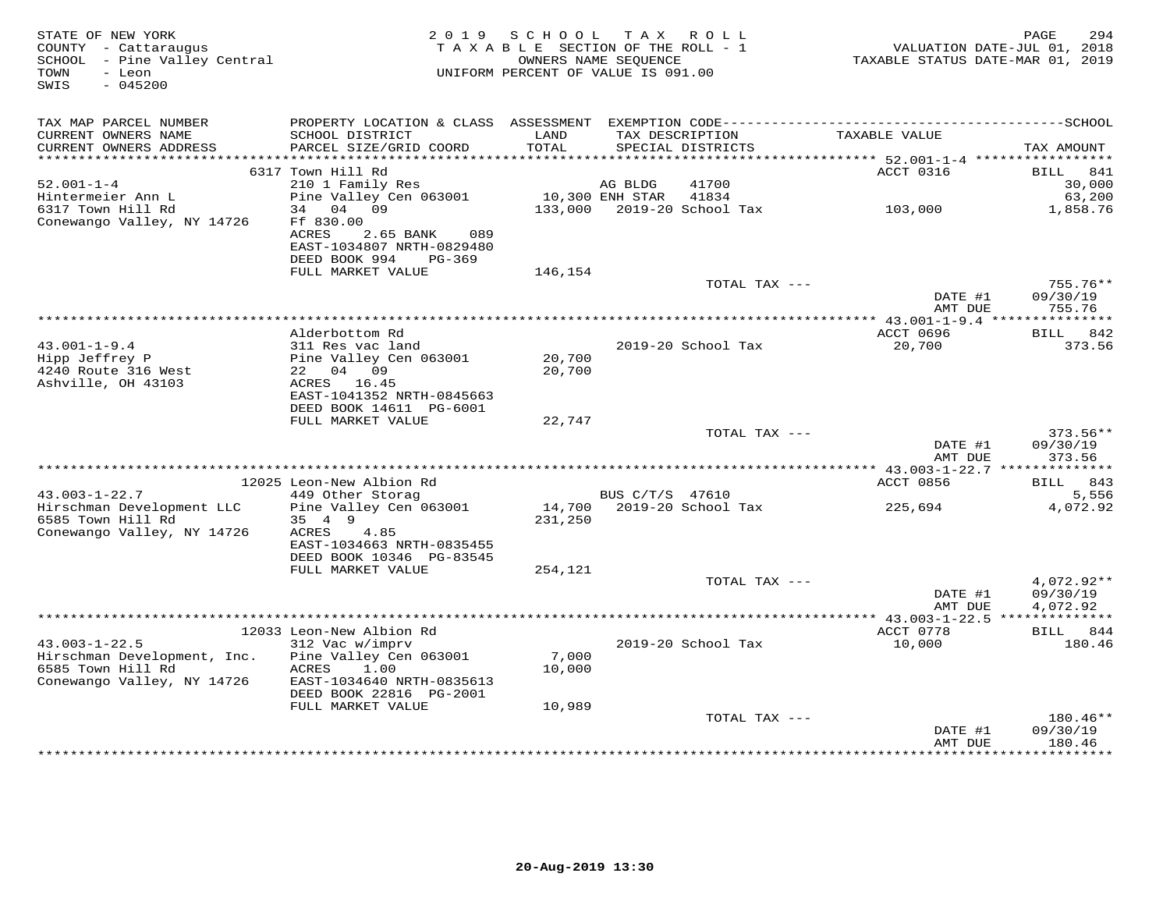| STATE OF NEW YORK<br>COUNTY - Cattaraugus<br>SCHOOL - Pine Valley Central<br>- Leon<br>TOWN<br>$-045200$<br>SWIS |                                                        | 2019 SCHOOL TAX ROLL<br>TAXABLE SECTION OF THE ROLL - 1<br>UNIFORM PERCENT OF VALUE IS 091.00 | OWNERS NAME SEQUENCE |                                      | TAXABLE STATUS DATE-MAR 01, 2019        | 294<br>PAGE<br>VALUATION DATE-JUL 01, 2018 |
|------------------------------------------------------------------------------------------------------------------|--------------------------------------------------------|-----------------------------------------------------------------------------------------------|----------------------|--------------------------------------|-----------------------------------------|--------------------------------------------|
| TAX MAP PARCEL NUMBER                                                                                            |                                                        |                                                                                               |                      |                                      |                                         |                                            |
| CURRENT OWNERS NAME<br>CURRENT OWNERS ADDRESS                                                                    | SCHOOL DISTRICT<br>PARCEL SIZE/GRID COORD              | LAND<br>TOTAL                                                                                 |                      | TAX DESCRIPTION<br>SPECIAL DISTRICTS | TAXABLE VALUE                           | TAX AMOUNT                                 |
|                                                                                                                  |                                                        |                                                                                               |                      |                                      |                                         |                                            |
| $52.001 - 1 - 4$                                                                                                 | 6317 Town Hill Rd<br>210 1 Family Res                  |                                                                                               | AG BLDG              | 41700                                | ACCT 0316                               | BILL<br>841<br>30,000                      |
| Hintermeier Ann L                                                                                                | Pine Valley Cen 063001                                 |                                                                                               | 10,300 ENH STAR      | 41834                                |                                         | 63,200                                     |
| 6317 Town Hill Rd                                                                                                | 34 04 09                                               |                                                                                               |                      | 133,000 2019-20 School Tax           | 103,000                                 | 1,858.76                                   |
| Conewango Valley, NY 14726                                                                                       | Ff 830.00                                              |                                                                                               |                      |                                      |                                         |                                            |
|                                                                                                                  | ACRES<br>089<br>2.65 BANK<br>EAST-1034807 NRTH-0829480 |                                                                                               |                      |                                      |                                         |                                            |
|                                                                                                                  | DEED BOOK 994<br>PG-369<br>FULL MARKET VALUE           | 146,154                                                                                       |                      |                                      |                                         |                                            |
|                                                                                                                  |                                                        |                                                                                               |                      | TOTAL TAX ---                        |                                         | 755.76**                                   |
|                                                                                                                  |                                                        |                                                                                               |                      |                                      | DATE #1<br>AMT DUE                      | 09/30/19<br>755.76                         |
|                                                                                                                  |                                                        |                                                                                               |                      |                                      |                                         |                                            |
|                                                                                                                  | Alderbottom Rd                                         |                                                                                               |                      |                                      | ACCT 0696                               | BILL 842                                   |
| $43.001 - 1 - 9.4$                                                                                               | 311 Res vac land                                       |                                                                                               |                      | 2019-20 School Tax                   | 20,700                                  | 373.56                                     |
| Hipp Jeffrey P                                                                                                   | Pine Valley Cen 063001                                 | 20,700                                                                                        |                      |                                      |                                         |                                            |
| 4240 Route 316 West<br>Ashville, OH 43103                                                                        | 22 04 09<br>ACRES 16.45                                | 20,700                                                                                        |                      |                                      |                                         |                                            |
|                                                                                                                  | EAST-1041352 NRTH-0845663                              |                                                                                               |                      |                                      |                                         |                                            |
|                                                                                                                  | DEED BOOK 14611 PG-6001                                |                                                                                               |                      |                                      |                                         |                                            |
|                                                                                                                  | FULL MARKET VALUE                                      | 22,747                                                                                        |                      |                                      |                                         |                                            |
|                                                                                                                  |                                                        |                                                                                               |                      | TOTAL TAX ---                        |                                         | 373.56**                                   |
|                                                                                                                  |                                                        |                                                                                               |                      |                                      | DATE #1<br>AMT DUE                      | 09/30/19<br>373.56                         |
|                                                                                                                  |                                                        | **************************************                                                        |                      |                                      | ********** 43.003-1-22.7 ************** |                                            |
|                                                                                                                  | 12025 Leon-New Albion Rd                               |                                                                                               |                      |                                      | ACCT 0856                               | BILL 843                                   |
| $43.003 - 1 - 22.7$                                                                                              | 449 Other Storag                                       |                                                                                               | BUS C/T/S 47610      |                                      |                                         | 5,556                                      |
| Hirschman Development LLC                                                                                        | Pine Valley Cen 063001                                 |                                                                                               |                      | 14,700 2019-20 School Tax            | 225,694                                 | 4,072.92                                   |
| 6585 Town Hill Rd<br>Conewango Valley, NY 14726                                                                  | 35 4 9<br>ACRES<br>4.85                                | 231,250                                                                                       |                      |                                      |                                         |                                            |
|                                                                                                                  | EAST-1034663 NRTH-0835455                              |                                                                                               |                      |                                      |                                         |                                            |
|                                                                                                                  | DEED BOOK 10346 PG-83545                               |                                                                                               |                      |                                      |                                         |                                            |
|                                                                                                                  | FULL MARKET VALUE                                      | 254,121                                                                                       |                      |                                      |                                         |                                            |
|                                                                                                                  |                                                        |                                                                                               |                      | TOTAL TAX ---                        |                                         | 4,072.92**                                 |
|                                                                                                                  |                                                        |                                                                                               |                      |                                      | DATE #1<br>AMT DUE                      | 09/30/19<br>4,072.92                       |
|                                                                                                                  |                                                        |                                                                                               |                      |                                      |                                         |                                            |
|                                                                                                                  | 12033 Leon-New Albion Rd                               |                                                                                               |                      |                                      | ACCT 0778                               | BILL 844                                   |
| $43.003 - 1 - 22.5$                                                                                              | 312 Vac w/imprv                                        |                                                                                               |                      | 2019-20 School Tax                   | 10,000                                  | 180.46                                     |
| Hirschman Development, Inc.                                                                                      | Pine Valley Cen 063001                                 | 7,000                                                                                         |                      |                                      |                                         |                                            |
| 6585 Town Hill Rd                                                                                                | 1.00<br>ACRES                                          | 10,000                                                                                        |                      |                                      |                                         |                                            |
| Conewango Valley, NY 14726                                                                                       | EAST-1034640 NRTH-0835613                              |                                                                                               |                      |                                      |                                         |                                            |
|                                                                                                                  | DEED BOOK 22816 PG-2001                                |                                                                                               |                      |                                      |                                         |                                            |
|                                                                                                                  | FULL MARKET VALUE                                      | 10,989                                                                                        |                      | TOTAL TAX ---                        |                                         | 180.46**                                   |
|                                                                                                                  |                                                        |                                                                                               |                      |                                      | DATE #1                                 | 09/30/19                                   |
|                                                                                                                  |                                                        |                                                                                               |                      |                                      | AMT DUE                                 | 180.46                                     |
|                                                                                                                  |                                                        |                                                                                               |                      |                                      |                                         |                                            |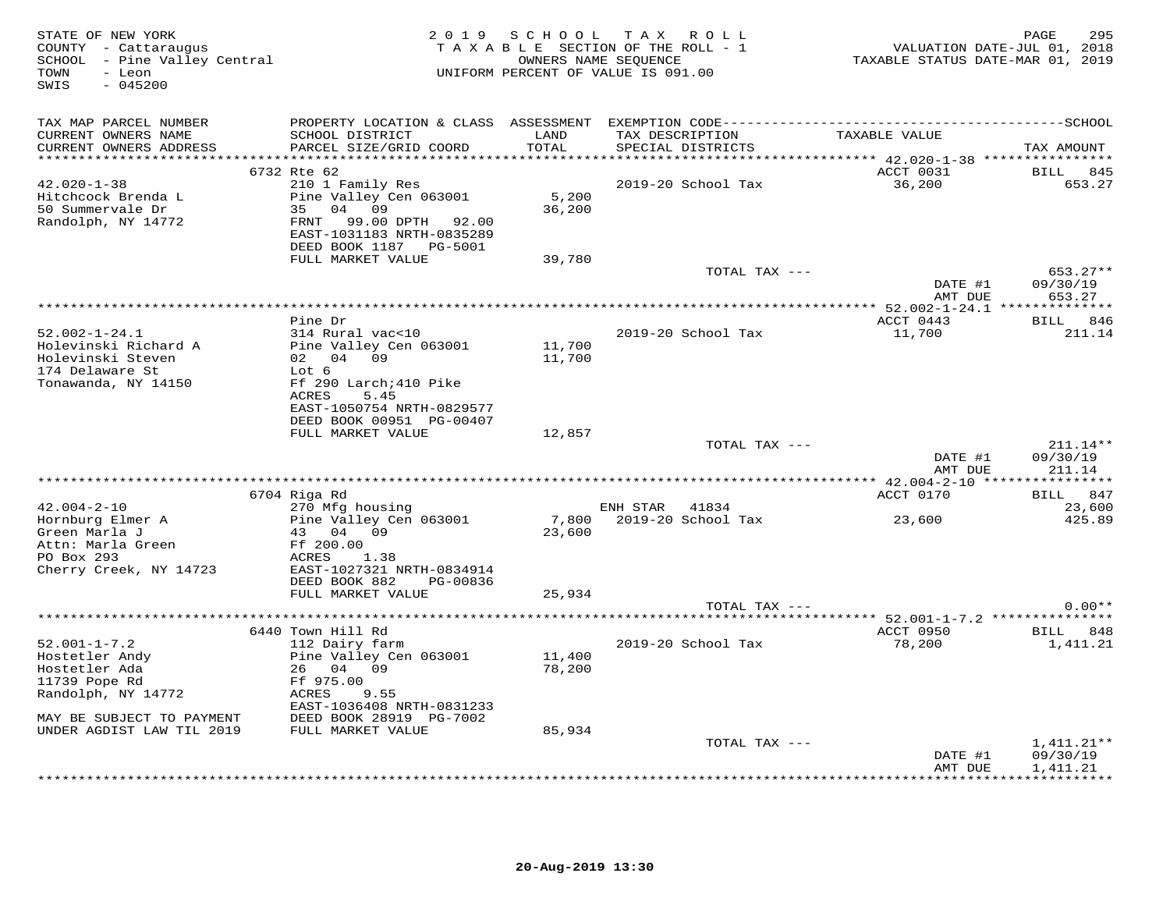| STATE OF NEW YORK<br>COUNTY - Cattaraugus<br>SCHOOL - Pine Valley Central<br>TOWN<br>- Leon<br>SWIS<br>$-045200$ | 2019 SCHOOL TAX ROLL<br>TAXABLE SECTION OF THE ROLL - 1<br>UNIFORM PERCENT OF VALUE IS 091.00                                                | PAGE<br>295<br>VALUATION DATE-JUL 01, 2018<br>TAXABLE STATUS DATE-MAR 01, 2019 |                |                                      |                    |                        |
|------------------------------------------------------------------------------------------------------------------|----------------------------------------------------------------------------------------------------------------------------------------------|--------------------------------------------------------------------------------|----------------|--------------------------------------|--------------------|------------------------|
| TAX MAP PARCEL NUMBER<br>CURRENT OWNERS NAME<br>CURRENT OWNERS ADDRESS                                           | SCHOOL DISTRICT<br>PARCEL SIZE/GRID COORD                                                                                                    | LAND<br>TOTAL                                                                  |                | TAX DESCRIPTION<br>SPECIAL DISTRICTS | TAXABLE VALUE      | TAX AMOUNT             |
|                                                                                                                  | 6732 Rte 62                                                                                                                                  |                                                                                |                |                                      | ACCT 0031          | <b>BILL</b><br>845     |
| $42.020 - 1 - 38$<br>Hitchcock Brenda L<br>50 Summervale Dr<br>Randolph, NY 14772                                | 210 1 Family Res<br>Pine Valley Cen 063001<br>35 04 09<br>FRNT<br>99.00 DPTH 92.00<br>EAST-1031183 NRTH-0835289<br>DEED BOOK 1187    PG-5001 | 5,200<br>36,200                                                                |                | 2019-20 School Tax                   | 36,200             | 653.27                 |
|                                                                                                                  | FULL MARKET VALUE                                                                                                                            | 39,780                                                                         |                |                                      |                    |                        |
|                                                                                                                  |                                                                                                                                              |                                                                                |                | TOTAL TAX ---                        | DATE #1            | $653.27**$<br>09/30/19 |
|                                                                                                                  |                                                                                                                                              |                                                                                |                |                                      | AMT DUE            | 653.27                 |
|                                                                                                                  | Pine Dr                                                                                                                                      |                                                                                |                |                                      | ACCT 0443          | BILL 846               |
| $52.002 - 1 - 24.1$                                                                                              | 314 Rural vac<10                                                                                                                             |                                                                                |                | 2019-20 School Tax                   | 11,700             | 211.14                 |
| Holevinski Richard A                                                                                             | Pine Valley Cen 063001                                                                                                                       | 11,700                                                                         |                |                                      |                    |                        |
| Holevinski Steven<br>174 Delaware St                                                                             | 02 04 09<br>Lot 6                                                                                                                            | 11,700                                                                         |                |                                      |                    |                        |
| Tonawanda, NY 14150                                                                                              | Ff 290 Larch; 410 Pike<br>ACRES<br>5.45<br>EAST-1050754 NRTH-0829577                                                                         |                                                                                |                |                                      |                    |                        |
|                                                                                                                  | DEED BOOK 00951 PG-00407<br>FULL MARKET VALUE                                                                                                | 12,857                                                                         |                |                                      |                    |                        |
|                                                                                                                  |                                                                                                                                              |                                                                                |                | TOTAL TAX ---                        |                    | $211.14**$             |
|                                                                                                                  |                                                                                                                                              |                                                                                |                |                                      | DATE #1<br>AMT DUE | 09/30/19<br>211.14     |
|                                                                                                                  |                                                                                                                                              |                                                                                |                |                                      |                    |                        |
|                                                                                                                  | 6704 Riga Rd                                                                                                                                 |                                                                                |                |                                      | ACCT 0170          | BILL 847               |
| $42.004 - 2 - 10$<br>Hornburg Elmer A                                                                            | 270 Mfg housing<br>Pine Valley Cen 063001                                                                                                    |                                                                                | ENH STAR 41834 | 7,800 2019-20 School Tax             | 23,600             | 23,600<br>425.89       |
| Green Marla J<br>Attn: Marla Green<br>PO Box 293                                                                 | 43 04 09<br>Ff 200.00<br>ACRES<br>1.38                                                                                                       | 23,600                                                                         |                |                                      |                    |                        |
| Cherry Creek, NY 14723                                                                                           | EAST-1027321 NRTH-0834914<br>DEED BOOK 882<br>PG-00836<br>FULL MARKET VALUE                                                                  | 25,934                                                                         |                |                                      |                    |                        |
|                                                                                                                  |                                                                                                                                              |                                                                                |                | TOTAL TAX ---                        |                    | $0.00**$               |
|                                                                                                                  |                                                                                                                                              |                                                                                |                |                                      |                    |                        |
|                                                                                                                  | 6440 Town Hill Rd                                                                                                                            |                                                                                |                |                                      | ACCT 0950          | BILL 848               |
| $52.001 - 1 - 7.2$<br>Hostetler Andy<br>Hostetler Ada<br>11739 Pope Rd<br>Randolph, NY 14772                     | 112 Dairy farm<br>Pine Valley Cen 063001<br>26 04 09<br>Ff 975.00<br>ACRES<br>9.55<br>EAST-1036408 NRTH-0831233                              | 11,400<br>78,200                                                               |                | 2019-20 School Tax                   | 78,200             | 1,411.21               |
| MAY BE SUBJECT TO PAYMENT                                                                                        | DEED BOOK 28919 PG-7002                                                                                                                      |                                                                                |                |                                      |                    |                        |
| UNDER AGDIST LAW TIL 2019                                                                                        | FULL MARKET VALUE                                                                                                                            | 85,934                                                                         |                | TOTAL TAX ---                        |                    | $1,411.21**$           |
|                                                                                                                  |                                                                                                                                              |                                                                                |                |                                      | DATE #1<br>AMT DUE | 09/30/19<br>1,411.21   |
|                                                                                                                  |                                                                                                                                              |                                                                                |                |                                      |                    | <b>++++++++++</b>      |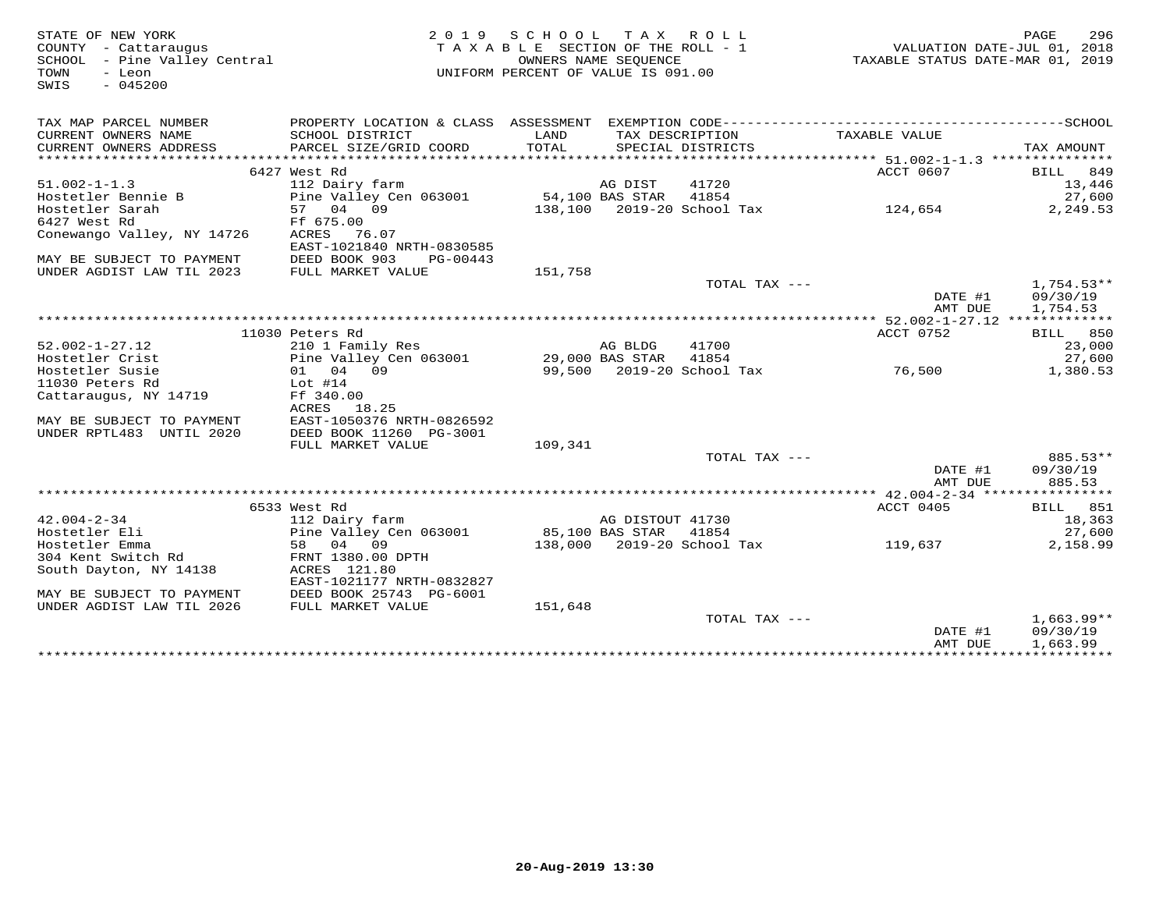| STATE OF NEW YORK<br>COUNTY - Cattaraugus<br>SCHOOL - Pine Valley Central<br>TOWN<br>- Leon<br>$-045200$<br>SWIS |                                                      | 2019 SCHOOL TAX ROLL<br>TAXABLE SECTION OF THE ROLL - 1<br>OWNERS NAME SEQUENCE<br>UNIFORM PERCENT OF VALUE IS 091.00 |                  |                                      | VALUATION DATE-JUL 01, 2018<br>TAXABLE STATUS DATE-MAR 01, 2019                              | PAGE<br>296     |
|------------------------------------------------------------------------------------------------------------------|------------------------------------------------------|-----------------------------------------------------------------------------------------------------------------------|------------------|--------------------------------------|----------------------------------------------------------------------------------------------|-----------------|
| TAX MAP PARCEL NUMBER                                                                                            |                                                      |                                                                                                                       |                  |                                      | PROPERTY LOCATION & CLASS ASSESSMENT EXEMPTION CODE-----------------------------------SCHOOL |                 |
| CURRENT OWNERS NAME<br>CURRENT OWNERS ADDRESS                                                                    | SCHOOL DISTRICT<br>PARCEL SIZE/GRID COORD            | LAND<br>TOTAL                                                                                                         |                  | TAX DESCRIPTION<br>SPECIAL DISTRICTS | TAXABLE VALUE                                                                                | TAX AMOUNT      |
|                                                                                                                  | 6427 West Rd                                         |                                                                                                                       |                  |                                      | ACCT 0607                                                                                    | BILL 849        |
| $51.002 - 1 - 1.3$                                                                                               | 112 Dairy farm                                       |                                                                                                                       | AG DIST          | 41720                                |                                                                                              | 13,446          |
| Hostetler Bennie B                                                                                               | Pine Valley Cen 063001                               | 54,100 BAS STAR                                                                                                       |                  | 41854                                |                                                                                              | 27,600          |
| Hostetler Sarah                                                                                                  | 57 04 09                                             |                                                                                                                       |                  | 138,100 2019-20 School Tax           | 124,654                                                                                      | 2,249.53        |
| 6427 West Rd                                                                                                     | Ff 675.00                                            |                                                                                                                       |                  |                                      |                                                                                              |                 |
| Conewango Valley, NY 14726                                                                                       | ACRES 76.07                                          |                                                                                                                       |                  |                                      |                                                                                              |                 |
|                                                                                                                  | EAST-1021840 NRTH-0830585                            |                                                                                                                       |                  |                                      |                                                                                              |                 |
| MAY BE SUBJECT TO PAYMENT                                                                                        | DEED BOOK 903<br>PG-00443                            |                                                                                                                       |                  |                                      |                                                                                              |                 |
| UNDER AGDIST LAW TIL 2023                                                                                        | FULL MARKET VALUE                                    | 151,758                                                                                                               |                  |                                      |                                                                                              |                 |
|                                                                                                                  |                                                      |                                                                                                                       |                  | TOTAL TAX ---                        |                                                                                              | $1.754.53**$    |
|                                                                                                                  |                                                      |                                                                                                                       |                  |                                      | DATE #1                                                                                      | 09/30/19        |
|                                                                                                                  |                                                      |                                                                                                                       |                  |                                      | AMT DUE                                                                                      | 1,754.53        |
|                                                                                                                  |                                                      |                                                                                                                       |                  |                                      |                                                                                              |                 |
|                                                                                                                  | 11030 Peters Rd                                      |                                                                                                                       |                  |                                      | ACCT 0752                                                                                    | BILL 850        |
| $52.002 - 1 - 27.12$                                                                                             | 210 1 Family Res                                     |                                                                                                                       | AG BLDG          | 41700                                |                                                                                              | 23,000          |
| Hostetler Crist                                                                                                  | Pine Valley Cen 063001                               | 29,000 BAS STAR                                                                                                       |                  | 41854                                |                                                                                              | 27,600          |
| Hostetler Susie                                                                                                  | 01 04 09                                             |                                                                                                                       |                  | 99,500 2019-20 School Tax            | 76,500                                                                                       | 1,380.53        |
| 11030 Peters Rd                                                                                                  | Lot #14                                              |                                                                                                                       |                  |                                      |                                                                                              |                 |
| Cattaraugus, NY 14719                                                                                            | Ff 340.00                                            |                                                                                                                       |                  |                                      |                                                                                              |                 |
|                                                                                                                  | ACRES 18.25                                          |                                                                                                                       |                  |                                      |                                                                                              |                 |
| MAY BE SUBJECT TO PAYMENT<br>UNDER RPTL483 UNTIL 2020                                                            | EAST-1050376 NRTH-0826592<br>DEED BOOK 11260 PG-3001 |                                                                                                                       |                  |                                      |                                                                                              |                 |
|                                                                                                                  | FULL MARKET VALUE                                    | 109,341                                                                                                               |                  |                                      |                                                                                              |                 |
|                                                                                                                  |                                                      |                                                                                                                       |                  | TOTAL TAX ---                        |                                                                                              | 885.53**        |
|                                                                                                                  |                                                      |                                                                                                                       |                  |                                      | DATE #1                                                                                      | 09/30/19        |
|                                                                                                                  |                                                      |                                                                                                                       |                  |                                      | AMT DUE                                                                                      | 885.53          |
|                                                                                                                  |                                                      |                                                                                                                       |                  |                                      |                                                                                              |                 |
|                                                                                                                  | 6533 West Rd                                         |                                                                                                                       |                  |                                      | ACCT 0405                                                                                    | <b>BILL</b> 851 |
| 42.004-2-34                                                                                                      | 112 Dairy farm                                       |                                                                                                                       | AG DISTOUT 41730 |                                      |                                                                                              | 18,363          |
| Hostetler Eli                                                                                                    | Pine Valley Cen 063001                               |                                                                                                                       | 85,100 BAS STAR  | 41854                                |                                                                                              | 27,600          |
| Hostetler Emma                                                                                                   | 58 04 09                                             |                                                                                                                       |                  | 138,000 2019-20 School Tax           | 119,637                                                                                      | 2,158.99        |
| 304 Kent Switch Rd                                                                                               | FRNT 1380.00 DPTH                                    |                                                                                                                       |                  |                                      |                                                                                              |                 |
| South Dayton, NY 14138                                                                                           | ACRES 121.80                                         |                                                                                                                       |                  |                                      |                                                                                              |                 |
|                                                                                                                  | EAST-1021177 NRTH-0832827                            |                                                                                                                       |                  |                                      |                                                                                              |                 |
| MAY BE SUBJECT TO PAYMENT                                                                                        | DEED BOOK 25743 PG-6001                              |                                                                                                                       |                  |                                      |                                                                                              |                 |
| UNDER AGDIST LAW TIL 2026                                                                                        | FULL MARKET VALUE                                    | 151,648                                                                                                               |                  |                                      |                                                                                              |                 |
|                                                                                                                  |                                                      |                                                                                                                       |                  | TOTAL TAX $---$                      |                                                                                              | $1,663.99**$    |
|                                                                                                                  |                                                      |                                                                                                                       |                  |                                      | DATE #1                                                                                      | 09/30/19        |
|                                                                                                                  |                                                      |                                                                                                                       |                  |                                      | AMT DUE                                                                                      | 1,663.99        |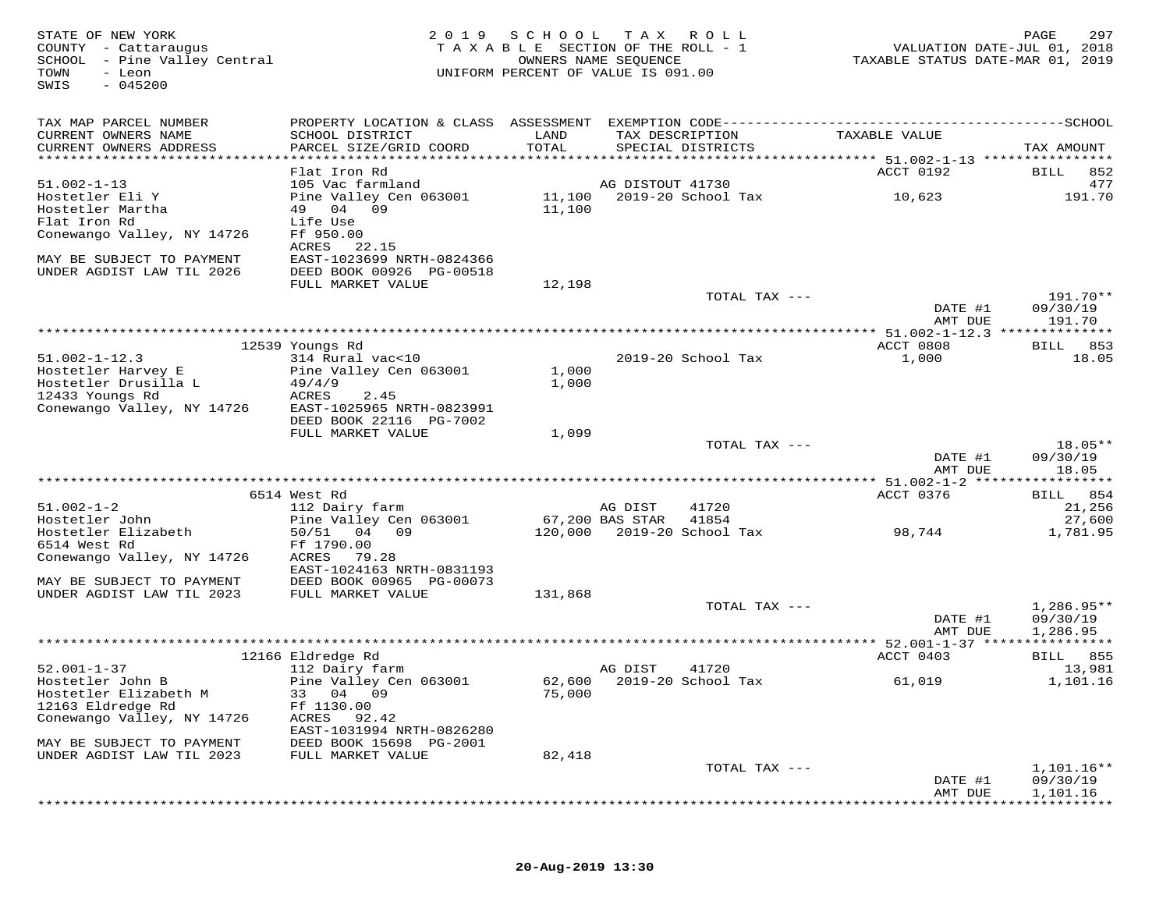FATE OF NEW YORK PAGE 297<br>COUNTY - Cattaraugus (2019) SCHOOL TAX ROLL - 1 (NALUATION DATE-JUL 01, 2018<br>SCHOOL - Pine Valley Central (2019) TAXABLE SECTION OF THE ROLL - 1<br>COWNERS NAME SEQUENCE (NAVABLE STATUS DATE-MAR 01, SWIS - 045200TAX MAP PARCEL NUMBER PROPERTY LOCATION & CLASS ASSESSMENT EXEMPTION CODE------------------------------------------SCHOOL CURRENT OWNERS NAME SCHOOL DISTRICT LAND TAX DESCRIPTION TAXABLE VALUE CURRENT OWNERS ADDRESS PARCEL SIZE/GRID COORD TOTAL SPECIAL DISTRICTS TAX AMOUNT \*\*\*\*\*\*\*\*\*\*\*\*\*\*\*\*\*\*\*\*\*\*\*\*\*\*\*\*\*\*\*\*\*\*\*\*\*\*\*\*\*\*\*\*\*\*\*\*\*\*\*\*\*\*\*\*\*\*\*\*\*\*\*\*\*\*\*\*\*\*\*\*\*\*\*\*\*\*\*\*\*\*\*\*\*\*\*\*\*\*\*\*\*\*\*\*\*\*\*\*\*\*\* 51.002-1-13 \*\*\*\*\*\*\*\*\*\*\*\*\*\*\*\* Flat Iron Rd ACCT 0192 BILL 852 51.002-1-13 105 Vac farmland AG DISTOUT 41730 477 Hostetler Eli Y Pine Valley Cen 063001 11,100 2019-20 School Tax 10,623 191.70 Hostetler Martha 49 04 09 11,100 Flat Iron Rd Life Use Conewango Valley, NY 14726 Ff 950.00 ACRES 22.15 MAY BE SUBJECT TO PAYMENT EAST-1023699 NRTH-0824366 UNDER AGDIST LAW TIL 2026 DEED BOOK 00926 PG-00518FULL MARKET VALUE 12,198 TOTAL TAX --- 191.70\*\*  $\frac{1}{2}$  DATE  $\frac{1}{2}$  09/30/19 amt due totale and the same of the same of the same of the same of  $191.70$  \*\*\*\*\*\*\*\*\*\*\*\*\*\*\*\*\*\*\*\*\*\*\*\*\*\*\*\*\*\*\*\*\*\*\*\*\*\*\*\*\*\*\*\*\*\*\*\*\*\*\*\*\*\*\*\*\*\*\*\*\*\*\*\*\*\*\*\*\*\*\*\*\*\*\*\*\*\*\*\*\*\*\*\*\*\*\*\*\*\*\*\*\*\*\*\*\*\*\*\*\*\*\* 51.002-1-12.3 \*\*\*\*\*\*\*\*\*\*\*\*\*\*ACCT 0808 BILL 853 12539 Youngs Rd ACCT 0808 BILL 85318.05 51.002-1-12.3 314 Rural vac<10 2019-20 School Tax 1,000 18.05Hostetler Harvey E Pine Valley Cen 063001 1,000<br>Hostetler Drusilla L 49/4/9 1,000<br>1,000 ACRES 2.45<br>Conewango Valley, NY 14726 EAST-1025965 NRTH-0823991<br>DEED BOOK 22116 PG-7002<br>FULL MARKET VALUE 1,099  $\begin{array}{ccc}\n\text{PEEL} & \text{LOOL} \\
\text{L0OL} & \text{L1.099}\n\end{array}$   $\begin{array}{ccc}\n1,099 \\
\text{TCTAL} & \text{T0TAL} & \text{TAX} & -- \\
\end{array}$  DATE #1 09/30/19 AMT DUE 18.05 \*\*\*\*\*\*\*\*\*\*\*\*\*\*\*\*\*\*\*\*\*\*\*\*\*\*\*\*\*\*\*\*\*\*\*\*\*\*\*\*\*\*\*\*\*\*\*\*\*\*\*\*\*\*\*\*\*\*\*\*\*\*\*\*\*\*\*\*\*\*\*\*\*\*\*\*\*\*\*\*\*\*\*\*\*\*\*\*\*\*\*\*\*\*\*\*\*\*\*\*\*\*\* 51.002-1-2 \*\*\*\*\*\*\*\*\*\*\*\*\*\*\*\*\*51.002-1-2 6514 West Rd<br>
Hostetler John Pine Valley Cen 063001 67,200 BAS STAR 41720 ACCT 0376 BILL 21,256<br>
Hostetler Elizabeth 50/51 04 09 120,000 2019-20 School Tax 27,600<br>
6514 West Rd<br>
CONEWARY BE SUBJECT TO PAYMENT BA AMT DUE 1.286.95 AMT DUE 1,286.95 \*\*\*\*\*\*\*\*\*\*\*\*\*\*\*\*\*\*\*\*\*\*\*\*\*\*\*\*\*\*\*\*\*\*\*\*\*\*\*\*\*\*\*\*\*\*\*\*\*\*\*\*\*\*\*\*\*\*\*\*\*\*\*\*\*\*\*\*\*\*\*\*\*\*\*\*\*\*\*\*\*\*\*\*\*\*\*\*\*\*\*\*\*\*\*\*\*\*\*\*\*\*\* 52.001-1-37 \*\*\*\*\*\*\*\*\*\*\*\*\*\*\*\*12166 Eldredge Rd<br>
12166 Eldredge Rd<br>
112 Dairy farm and the Valley Cen 063001 (1720 MG DIST 41720 (1793 MG DIST 41720 (1793 13,981<br>
Hostetler Elizabeth M 33 04 09 75,000 75,000 (19-20 School Tax 61,019 1,101.16<br>
12163 Eld EAST-1031994 NRTH-0826280<br>MAY BE SUBJECT TO PAYMENT DEED BOOK 15698 PG-2001<br>UNDER AGDIST LAW TIL 2023 FULL MARKET VALUE 82,418  ${\tt TOTAL\,\, TAX\,\,---}\qquad \qquad 1\, , 101\, .16***$  DATE #1 09/30/19AMT DUE 1,101.16 AMT DUE 1,101.16 \*\*\*\*\*\*\*\*\*\*\*\*\*\*\*\*\*\*\*\*\*\*\*\*\*\*\*\*\*\*\*\*\*\*\*\*\*\*\*\*\*\*\*\*\*\*\*\*\*\*\*\*\*\*\*\*\*\*\*\*\*\*\*\*\*\*\*\*\*\*\*\*\*\*\*\*\*\*\*\*\*\*\*\*\*\*\*\*\*\*\*\*\*\*\*\*\*\*\*\*\*\*\*\*\*\*\*\*\*\*\*\*\*\*\*\*\*\*\*\*\*\*\*\*\*\*\*\*\*\*\*\*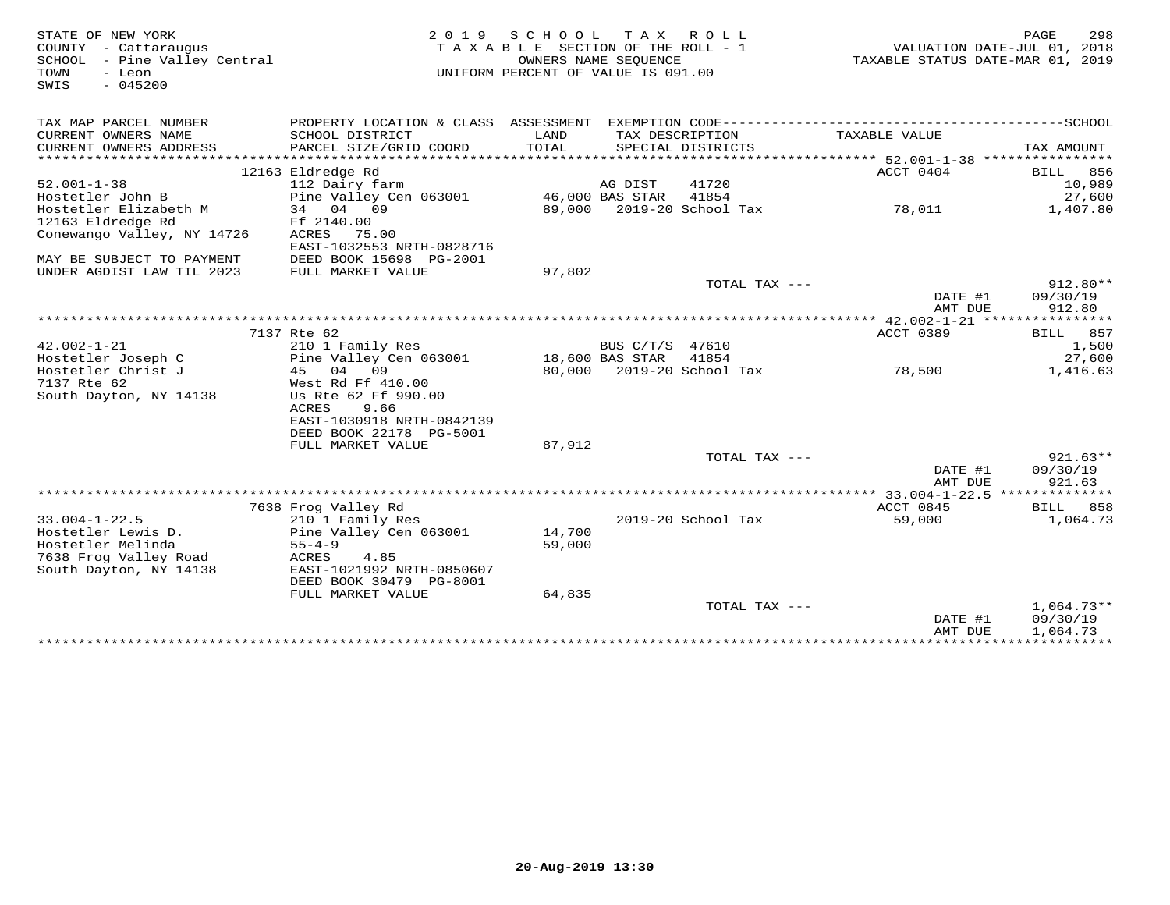| STATE OF NEW YORK            | 2 0 1 9                              | SCHOOL                             | T A X                            | R O L L                   |               | PAGE<br>298                                 |
|------------------------------|--------------------------------------|------------------------------------|----------------------------------|---------------------------|---------------|---------------------------------------------|
| COUNTY - Cattaraugus         | TAXABLE SECTION OF THE ROLL - 1      |                                    | VALUATION DATE-JUL 01, 2018      |                           |               |                                             |
| SCHOOL - Pine Valley Central |                                      |                                    | TAXABLE STATUS DATE-MAR 01, 2019 |                           |               |                                             |
| TOWN<br>- Leon<br>$-045200$  |                                      | UNIFORM PERCENT OF VALUE IS 091.00 |                                  |                           |               |                                             |
| SWIS                         |                                      |                                    |                                  |                           |               |                                             |
|                              |                                      |                                    |                                  |                           |               |                                             |
| TAX MAP PARCEL NUMBER        | PROPERTY LOCATION & CLASS ASSESSMENT |                                    |                                  |                           |               |                                             |
| CURRENT OWNERS NAME          | SCHOOL DISTRICT                      | LAND                               |                                  | TAX DESCRIPTION           | TAXABLE VALUE |                                             |
| CURRENT OWNERS ADDRESS       | PARCEL SIZE/GRID COORD               | TOTAL                              |                                  | SPECIAL DISTRICTS         |               | TAX AMOUNT                                  |
| **********************       |                                      |                                    |                                  |                           |               |                                             |
|                              | 12163 Eldredge Rd                    |                                    |                                  |                           | ACCT 0404     | BILL<br>856                                 |
| $52.001 - 1 - 38$            | 112 Dairy farm                       |                                    | AG DIST                          | 41720                     |               | 10,989                                      |
| Hostetler John B             | Pine Valley Cen 063001               |                                    | 46,000 BAS STAR                  | 41854                     |               | 27,600                                      |
| Hostetler Elizabeth M        | 34 04 09                             |                                    |                                  | 89,000 2019-20 School Tax | 78,011        | 1,407.80                                    |
| 12163 Eldredge Rd            | Ff 2140.00                           |                                    |                                  |                           |               |                                             |
| Conewango Valley, NY 14726   | ACRES<br>75.00                       |                                    |                                  |                           |               |                                             |
|                              | EAST-1032553 NRTH-0828716            |                                    |                                  |                           |               |                                             |
| MAY BE SUBJECT TO PAYMENT    | DEED BOOK 15698 PG-2001              |                                    |                                  |                           |               |                                             |
| UNDER AGDIST LAW TIL 2023    | FULL MARKET VALUE                    | 97,802                             |                                  |                           |               |                                             |
|                              |                                      |                                    |                                  | TOTAL TAX ---             |               | $912.80**$                                  |
|                              |                                      |                                    |                                  |                           | DATE #1       | 09/30/19                                    |
|                              |                                      |                                    |                                  |                           | AMT DUE       | 912.80                                      |
|                              |                                      |                                    |                                  |                           |               |                                             |
|                              | 7137 Rte 62                          |                                    |                                  |                           | ACCT 0389     | 857<br>BILL                                 |
| $42.002 - 1 - 21$            | 210 1 Family Res                     |                                    | BUS C/T/S 47610                  |                           |               | 1,500                                       |
| Hostetler Joseph C           | Pine Valley Cen 063001               |                                    | 18,600 BAS STAR                  | 41854                     |               | 27,600                                      |
| Hostetler Christ J           | 04<br>09<br>45                       |                                    |                                  | 80,000 2019-20 School Tax | 78,500        | 1,416.63                                    |
| 7137 Rte 62                  | West Rd Ff 410.00                    |                                    |                                  |                           |               |                                             |
| South Dayton, NY 14138       | Us Rte 62 Ff 990.00                  |                                    |                                  |                           |               |                                             |
|                              | ACRES<br>9.66                        |                                    |                                  |                           |               |                                             |
|                              | EAST-1030918 NRTH-0842139            |                                    |                                  |                           |               |                                             |
|                              | DEED BOOK 22178 PG-5001              |                                    |                                  |                           |               |                                             |
|                              | FULL MARKET VALUE                    | 87,912                             |                                  |                           |               |                                             |
|                              |                                      |                                    |                                  | TOTAL TAX ---             |               | $921.63**$                                  |
|                              |                                      |                                    |                                  |                           | DATE #1       | 09/30/19                                    |
|                              |                                      |                                    |                                  |                           | AMT DUE       | 921.63                                      |
|                              |                                      |                                    |                                  |                           |               |                                             |
|                              | 7638 Frog Valley Rd                  |                                    |                                  |                           | ACCT 0845     | BILL<br>858                                 |
| $33.004 - 1 - 22.5$          | 210 1 Family Res                     |                                    |                                  | 2019-20 School Tax        | 59,000        | 1,064.73                                    |
| Hostetler Lewis D.           | Pine Valley Cen 063001               | 14,700                             |                                  |                           |               |                                             |
| Hostetler Melinda            | $55 - 4 - 9$                         | 59,000                             |                                  |                           |               |                                             |
| 7638 Frog Valley Road        | 4.85<br>ACRES                        |                                    |                                  |                           |               |                                             |
| South Dayton, NY 14138       | EAST-1021992 NRTH-0850607            |                                    |                                  |                           |               |                                             |
|                              | DEED BOOK 30479 PG-8001              |                                    |                                  |                           |               |                                             |
|                              | FULL MARKET VALUE                    | 64,835                             |                                  |                           |               |                                             |
|                              |                                      |                                    |                                  | TOTAL TAX ---             |               | $1,064.73**$                                |
|                              |                                      |                                    |                                  |                           | DATE #1       | 09/30/19                                    |
|                              |                                      |                                    |                                  |                           | AMT DUE       | 1,064.73<br>******************************* |
|                              |                                      |                                    |                                  |                           |               |                                             |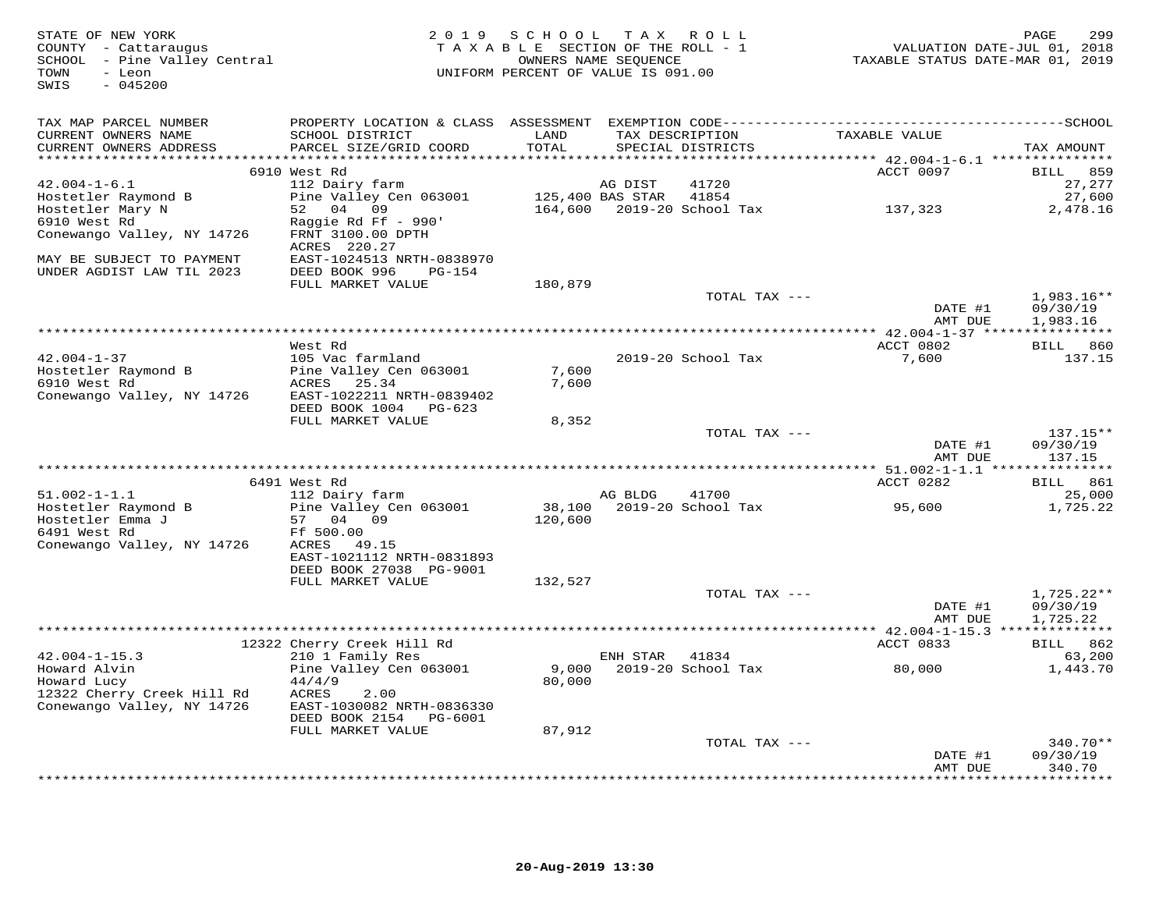| STATE OF NEW YORK<br>COUNTY - Cattaraugus<br>SCHOOL - Pine Valley Central<br>- Leon<br>TOWN<br>$-045200$<br>SWIS | 2 0 1 9                                      | SCHOOL<br>TAXABLE SECTION OF THE ROLL - 1<br>UNIFORM PERCENT OF VALUE IS 091.00 | T A X<br>OWNERS NAME SEQUENCE | ROLL               | VALUATION DATE-JUL 01, 2018<br>TAXABLE STATUS DATE-MAR 01, 2019 | PAGE<br>299              |
|------------------------------------------------------------------------------------------------------------------|----------------------------------------------|---------------------------------------------------------------------------------|-------------------------------|--------------------|-----------------------------------------------------------------|--------------------------|
| TAX MAP PARCEL NUMBER                                                                                            |                                              |                                                                                 |                               |                    |                                                                 |                          |
| CURRENT OWNERS NAME<br>CURRENT OWNERS ADDRESS<br>**********************                                          | SCHOOL DISTRICT<br>PARCEL SIZE/GRID COORD    | LAND<br>TOTAL<br>*******                                                        | TAX DESCRIPTION               | SPECIAL DISTRICTS  | TAXABLE VALUE                                                   | TAX AMOUNT               |
|                                                                                                                  | 6910 West Rd                                 |                                                                                 |                               |                    | ********* 42.004-1-6.1 ****************<br>ACCT 0097            | <b>BILL</b><br>859       |
| $42.004 - 1 - 6.1$                                                                                               | 112 Dairy farm                               |                                                                                 | AG DIST                       | 41720              |                                                                 | 27,277                   |
| Hostetler Raymond B                                                                                              | Pine Valley Cen 063001                       |                                                                                 | 125,400 BAS STAR              | 41854              |                                                                 | 27,600                   |
| Hostetler Mary N                                                                                                 | 52 04<br>09                                  | 164,600                                                                         |                               | 2019-20 School Tax | 137,323                                                         | 2,478.16                 |
| 6910 West Rd<br>Conewango Valley, NY 14726                                                                       | Raggie Rd Ff - 990'<br>FRNT 3100.00 DPTH     |                                                                                 |                               |                    |                                                                 |                          |
| MAY BE SUBJECT TO PAYMENT                                                                                        | ACRES 220.27<br>EAST-1024513 NRTH-0838970    |                                                                                 |                               |                    |                                                                 |                          |
| UNDER AGDIST LAW TIL 2023                                                                                        | DEED BOOK 996<br>PG-154<br>FULL MARKET VALUE | 180,879                                                                         |                               |                    |                                                                 |                          |
|                                                                                                                  |                                              |                                                                                 |                               | TOTAL TAX ---      |                                                                 | 1,983.16**               |
|                                                                                                                  |                                              |                                                                                 |                               |                    | DATE #1<br>AMT DUE                                              | 09/30/19<br>1,983.16     |
|                                                                                                                  |                                              |                                                                                 |                               |                    |                                                                 |                          |
|                                                                                                                  | West Rd                                      |                                                                                 |                               |                    | ACCT 0802                                                       | BILL 860                 |
| $42.004 - 1 - 37$                                                                                                | 105 Vac farmland                             | 7,600                                                                           |                               | 2019-20 School Tax | 7,600                                                           | 137.15                   |
| Hostetler Raymond B<br>6910 West Rd                                                                              | Pine Valley Cen 063001<br>ACRES<br>25.34     | 7,600                                                                           |                               |                    |                                                                 |                          |
| Conewango Valley, NY 14726                                                                                       | EAST-1022211 NRTH-0839402                    |                                                                                 |                               |                    |                                                                 |                          |
|                                                                                                                  | DEED BOOK 1004<br>PG-623                     |                                                                                 |                               |                    |                                                                 |                          |
|                                                                                                                  | FULL MARKET VALUE                            | 8,352                                                                           |                               |                    |                                                                 |                          |
|                                                                                                                  |                                              |                                                                                 |                               | TOTAL TAX ---      |                                                                 | $137.15**$               |
|                                                                                                                  |                                              |                                                                                 |                               |                    | DATE #1<br>AMT DUE                                              | 09/30/19<br>137.15       |
|                                                                                                                  |                                              |                                                                                 |                               |                    |                                                                 |                          |
|                                                                                                                  | 6491 West Rd                                 |                                                                                 |                               |                    | ACCT 0282                                                       | BILL 861                 |
| $51.002 - 1 - 1.1$                                                                                               | 112 Dairy farm                               |                                                                                 | AG BLDG                       | 41700              |                                                                 | 25,000                   |
| Hostetler Raymond B                                                                                              | Pine Valley Cen 063001                       | 38,100                                                                          |                               | 2019-20 School Tax | 95,600                                                          | 1,725.22                 |
| Hostetler Emma J<br>6491 West Rd                                                                                 | 57 04 09<br>Ff 500.00                        | 120,600                                                                         |                               |                    |                                                                 |                          |
| Conewango Valley, NY 14726                                                                                       | ACRES<br>49.15                               |                                                                                 |                               |                    |                                                                 |                          |
|                                                                                                                  | EAST-1021112 NRTH-0831893                    |                                                                                 |                               |                    |                                                                 |                          |
|                                                                                                                  | DEED BOOK 27038 PG-9001                      |                                                                                 |                               |                    |                                                                 |                          |
|                                                                                                                  | FULL MARKET VALUE                            | 132,527                                                                         |                               |                    |                                                                 |                          |
|                                                                                                                  |                                              |                                                                                 |                               | TOTAL TAX ---      | DATE #1                                                         | $1,725.22**$<br>09/30/19 |
|                                                                                                                  |                                              |                                                                                 |                               |                    | AMT DUE                                                         | 1,725.22                 |
|                                                                                                                  |                                              |                                                                                 |                               |                    |                                                                 |                          |
|                                                                                                                  | 12322 Cherry Creek Hill Rd                   |                                                                                 |                               |                    | ACCT 0833                                                       | BILL 862                 |
| $42.004 - 1 - 15.3$                                                                                              | 210 1 Family Res                             |                                                                                 | ENH STAR                      | 41834              |                                                                 | 63,200                   |
| Howard Alvin<br>Howard Lucy                                                                                      | Pine Valley Cen 063001<br>44/4/9             | 9,000<br>80,000                                                                 |                               | 2019-20 School Tax | 80,000                                                          | 1,443.70                 |
| 12322 Cherry Creek Hill Rd                                                                                       | ACRES<br>2.00                                |                                                                                 |                               |                    |                                                                 |                          |
| Conewango Valley, NY 14726                                                                                       | EAST-1030082 NRTH-0836330                    |                                                                                 |                               |                    |                                                                 |                          |
|                                                                                                                  | DEED BOOK 2154 PG-6001                       |                                                                                 |                               |                    |                                                                 |                          |
|                                                                                                                  | FULL MARKET VALUE                            | 87,912                                                                          |                               |                    |                                                                 |                          |
|                                                                                                                  |                                              |                                                                                 |                               | TOTAL TAX ---      |                                                                 | $340.70**$<br>09/30/19   |
|                                                                                                                  |                                              |                                                                                 |                               |                    | DATE #1<br>AMT DUE                                              | 340.70                   |
|                                                                                                                  |                                              |                                                                                 |                               |                    |                                                                 | ********                 |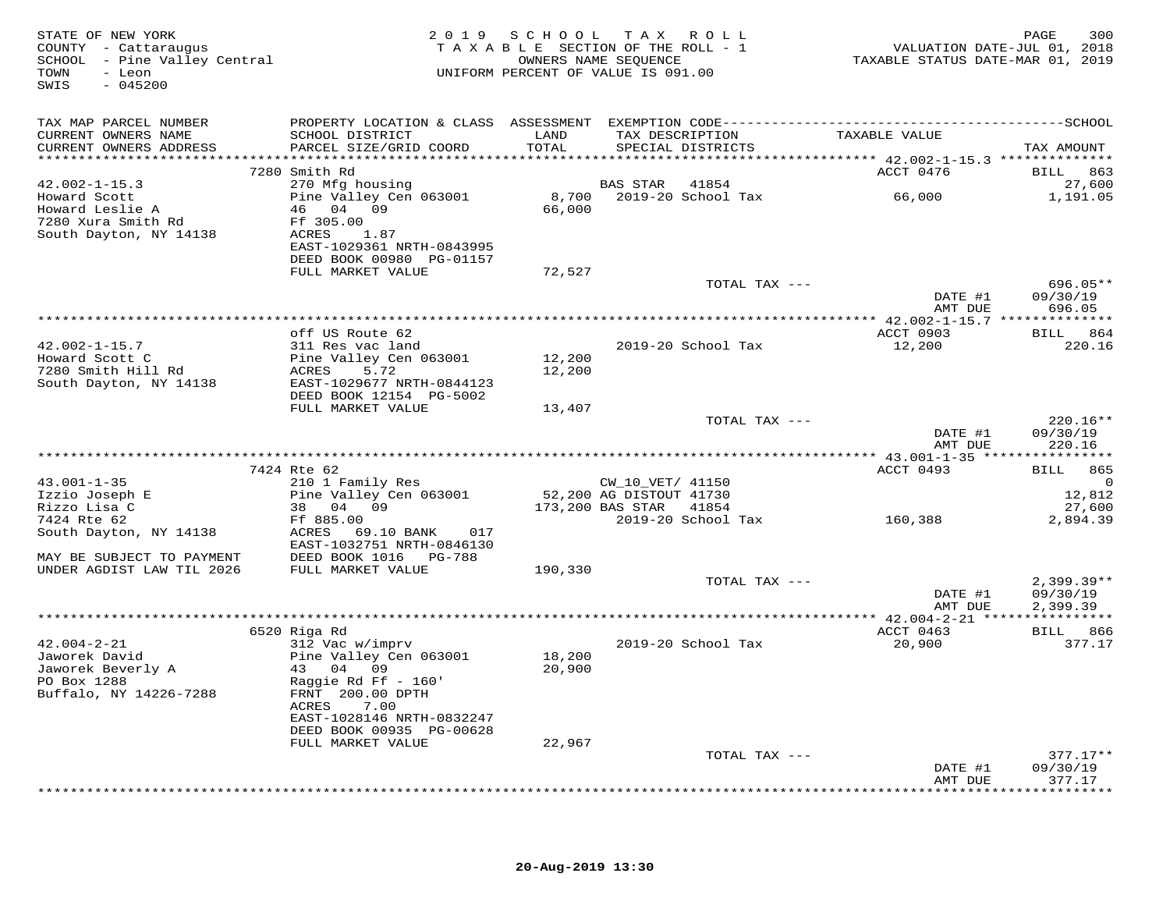| STATE OF NEW YORK<br>COUNTY - Cattaraugus<br>SCHOOL - Pine Valley Central<br>TOWN<br>- Leon<br>$-045200$<br>SWIS |                                                         |         | 2019 SCHOOL TAX ROLL<br>TAXABLE SECTION OF THE ROLL - 1<br>OWNERS NAME SEOUENCE<br>UNIFORM PERCENT OF VALUE IS 091.00 | VALUATION DATE-JUL 01, 2018<br>TAXABLE STATUS DATE-MAR 01, 2019 | 300<br>PAGE            |
|------------------------------------------------------------------------------------------------------------------|---------------------------------------------------------|---------|-----------------------------------------------------------------------------------------------------------------------|-----------------------------------------------------------------|------------------------|
| TAX MAP PARCEL NUMBER                                                                                            |                                                         |         |                                                                                                                       |                                                                 |                        |
| CURRENT OWNERS NAME                                                                                              | SCHOOL DISTRICT                                         | LAND    | TAX DESCRIPTION                                                                                                       | TAXABLE VALUE                                                   |                        |
| CURRENT OWNERS ADDRESS                                                                                           | PARCEL SIZE/GRID COORD                                  | TOTAL   | SPECIAL DISTRICTS                                                                                                     |                                                                 | TAX AMOUNT             |
|                                                                                                                  | 7280 Smith Rd                                           |         |                                                                                                                       | ACCT 0476                                                       | BILL 863               |
| $42.002 - 1 - 15.3$                                                                                              | 270 Mfg housing                                         |         | <b>BAS STAR</b><br>41854                                                                                              |                                                                 | 27,600                 |
| Howard Scott                                                                                                     | Pine Valley Cen 063001                                  | 8,700   | 2019-20 School Tax                                                                                                    | 66,000                                                          | 1,191.05               |
| Howard Leslie A                                                                                                  | 46 04 09                                                | 66,000  |                                                                                                                       |                                                                 |                        |
| 7280 Xura Smith Rd                                                                                               | Ff 305.00                                               |         |                                                                                                                       |                                                                 |                        |
| South Dayton, NY 14138                                                                                           | ACRES<br>1.87<br>EAST-1029361 NRTH-0843995              |         |                                                                                                                       |                                                                 |                        |
|                                                                                                                  | DEED BOOK 00980 PG-01157                                |         |                                                                                                                       |                                                                 |                        |
|                                                                                                                  | FULL MARKET VALUE                                       | 72,527  |                                                                                                                       |                                                                 |                        |
|                                                                                                                  |                                                         |         | TOTAL TAX ---                                                                                                         |                                                                 | 696.05**               |
|                                                                                                                  |                                                         |         |                                                                                                                       | DATE #1                                                         | 09/30/19               |
|                                                                                                                  |                                                         |         |                                                                                                                       | AMT DUE                                                         | 696.05                 |
|                                                                                                                  | off US Route 62                                         |         |                                                                                                                       | ACCT 0903                                                       | BILL 864               |
| $42.002 - 1 - 15.7$                                                                                              | 311 Res vac land                                        |         | 2019-20 School Tax                                                                                                    | 12,200                                                          | 220.16                 |
| Howard Scott C                                                                                                   | Pine Valley Cen 063001                                  | 12,200  |                                                                                                                       |                                                                 |                        |
| 7280 Smith Hill Rd                                                                                               | ACRES<br>5.72                                           | 12,200  |                                                                                                                       |                                                                 |                        |
| South Dayton, NY 14138                                                                                           | EAST-1029677 NRTH-0844123<br>DEED BOOK 12154 PG-5002    |         |                                                                                                                       |                                                                 |                        |
|                                                                                                                  | FULL MARKET VALUE                                       | 13,407  |                                                                                                                       |                                                                 |                        |
|                                                                                                                  |                                                         |         | TOTAL TAX ---                                                                                                         |                                                                 | $220.16**$             |
|                                                                                                                  |                                                         |         |                                                                                                                       | DATE #1                                                         | 09/30/19               |
|                                                                                                                  |                                                         |         |                                                                                                                       | AMT DUE                                                         | 220.16                 |
|                                                                                                                  | 7424 Rte 62                                             |         |                                                                                                                       | ACCT 0493                                                       | <b>BILL</b><br>865     |
| $43.001 - 1 - 35$                                                                                                | 210 1 Family Res                                        |         | CW_10_VET/ 41150                                                                                                      |                                                                 | $\Omega$               |
| Izzio Joseph E                                                                                                   | Pine Valley Cen 063001                                  |         | 52,200 AG DISTOUT 41730                                                                                               |                                                                 | 12,812                 |
| Rizzo Lisa C                                                                                                     | 38 04 09                                                |         | 173,200 BAS STAR<br>41854                                                                                             |                                                                 | 27,600                 |
| 7424 Rte 62                                                                                                      | Ff 885.00                                               |         | 2019-20 School Tax                                                                                                    | 160,388                                                         | 2,894.39               |
| South Dayton, NY 14138                                                                                           | ACRES<br>69.10 BANK<br>017<br>EAST-1032751 NRTH-0846130 |         |                                                                                                                       |                                                                 |                        |
| MAY BE SUBJECT TO PAYMENT                                                                                        | DEED BOOK 1016 PG-788                                   |         |                                                                                                                       |                                                                 |                        |
| UNDER AGDIST LAW TIL 2026                                                                                        | FULL MARKET VALUE                                       | 190,330 |                                                                                                                       |                                                                 |                        |
|                                                                                                                  |                                                         |         | TOTAL TAX ---                                                                                                         |                                                                 | $2,399.39**$           |
|                                                                                                                  |                                                         |         |                                                                                                                       | DATE #1                                                         | 09/30/19               |
|                                                                                                                  |                                                         |         |                                                                                                                       | AMT DUE                                                         | 2,399.39               |
|                                                                                                                  | 6520 Riga Rd                                            |         |                                                                                                                       | ACCT 0463                                                       | <b>BILL</b> 866        |
| $42.004 - 2 - 21$                                                                                                | 312 Vac w/imprv                                         |         | 2019-20 School Tax                                                                                                    | 20,900                                                          | 377.17                 |
| Jaworek David                                                                                                    | Pine Valley Cen 063001                                  | 18,200  |                                                                                                                       |                                                                 |                        |
| Jaworek Beverly A                                                                                                | 43 04 09                                                | 20,900  |                                                                                                                       |                                                                 |                        |
| PO Box 1288<br>Buffalo, NY 14226-7288                                                                            | Raggie Rd Ff $-160'$<br>FRNT 200.00 DPTH                |         |                                                                                                                       |                                                                 |                        |
|                                                                                                                  | ACRES<br>7.00                                           |         |                                                                                                                       |                                                                 |                        |
|                                                                                                                  | EAST-1028146 NRTH-0832247                               |         |                                                                                                                       |                                                                 |                        |
|                                                                                                                  | DEED BOOK 00935 PG-00628                                |         |                                                                                                                       |                                                                 |                        |
|                                                                                                                  | FULL MARKET VALUE                                       | 22,967  |                                                                                                                       |                                                                 |                        |
|                                                                                                                  |                                                         |         | TOTAL TAX ---                                                                                                         | DATE #1                                                         | $377.17**$<br>09/30/19 |
|                                                                                                                  |                                                         |         |                                                                                                                       | AMT DUE                                                         | 377.17                 |
|                                                                                                                  |                                                         |         |                                                                                                                       |                                                                 | * * * * * * * *        |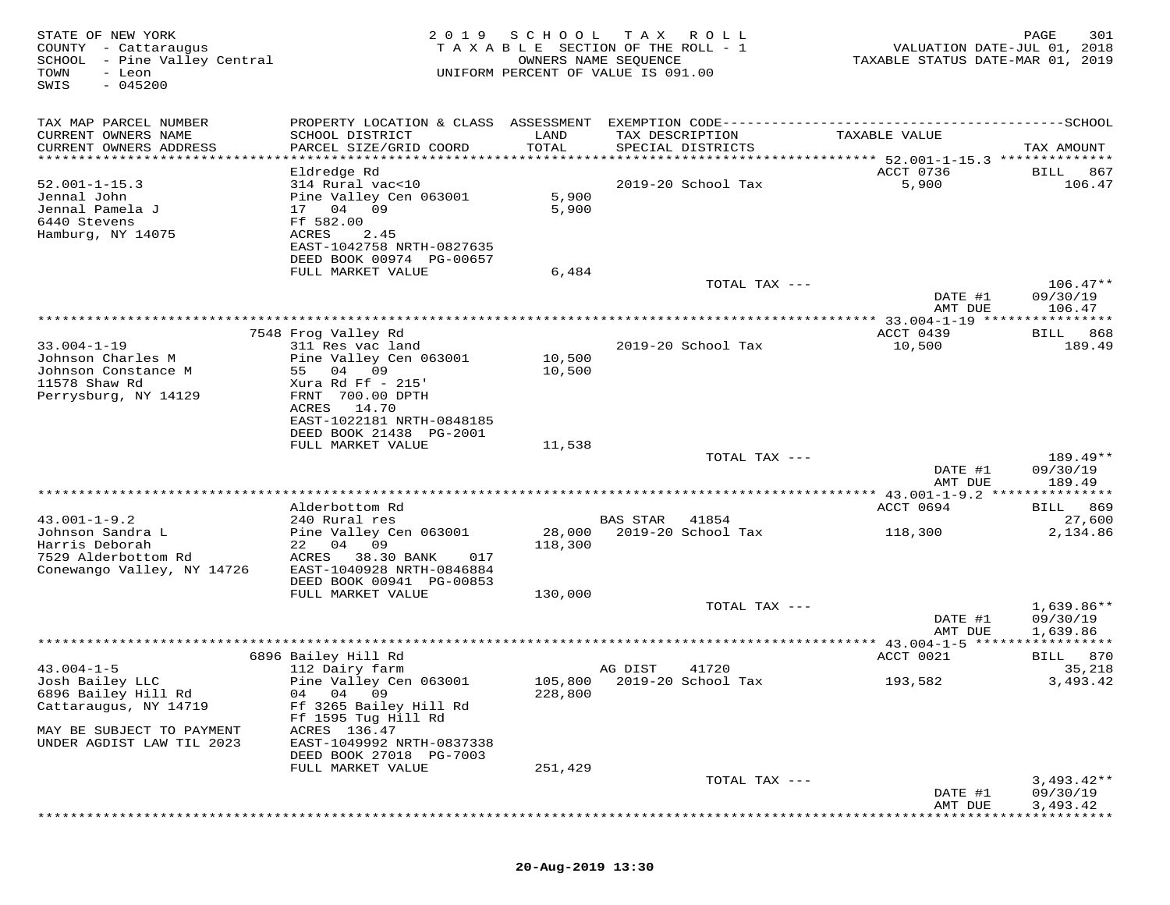| STATE OF NEW YORK<br>COUNTY - Cattaraugus<br>- Pine Valley Central<br>SCHOOL<br>TOWN<br>- Leon<br>$-045200$<br>SWIS | 2 0 1 9                                                                                                                                                                                          | SCHOOL                  | T A X<br>TAXABLE SECTION OF THE ROLL - 1<br>OWNERS NAME SEQUENCE<br>UNIFORM PERCENT OF VALUE IS 091.00 | R O L L       | VALUATION DATE-JUL 01, 2018<br>TAXABLE STATUS DATE-MAR 01, 2019 | 301<br>PAGE                          |
|---------------------------------------------------------------------------------------------------------------------|--------------------------------------------------------------------------------------------------------------------------------------------------------------------------------------------------|-------------------------|--------------------------------------------------------------------------------------------------------|---------------|-----------------------------------------------------------------|--------------------------------------|
| TAX MAP PARCEL NUMBER<br>CURRENT OWNERS NAME<br>CURRENT OWNERS ADDRESS<br>*****************************             | PROPERTY LOCATION & CLASS ASSESSMENT EXEMPTION CODE-----------------------------------SCHOOL<br>SCHOOL DISTRICT<br>PARCEL SIZE/GRID COORD                                                        | LAND<br>TOTAL           | TAX DESCRIPTION<br>SPECIAL DISTRICTS                                                                   |               | TAXABLE VALUE                                                   | TAX AMOUNT                           |
| $52.001 - 1 - 15.3$<br>Jennal John<br>Jennal Pamela J<br>6440 Stevens<br>Hamburg, NY 14075                          | Eldredge Rd<br>314 Rural vac<10<br>Pine Valley Cen 063001<br>17 04<br>09<br>Ff 582.00<br>ACRES<br>2.45<br>EAST-1042758 NRTH-0827635<br>DEED BOOK 00974 PG-00657<br>FULL MARKET VALUE             | 5,900<br>5,900<br>6,484 | 2019-20 School Tax                                                                                     |               | ACCT 0736<br>5,900                                              | <b>BILL</b><br>867<br>106.47         |
|                                                                                                                     |                                                                                                                                                                                                  |                         |                                                                                                        | TOTAL TAX --- | DATE #1<br>AMT DUE                                              | $106.47**$<br>09/30/19<br>106.47     |
|                                                                                                                     |                                                                                                                                                                                                  |                         |                                                                                                        |               |                                                                 |                                      |
| $33.004 - 1 - 19$<br>Johnson Charles M<br>Johnson Constance M<br>11578 Shaw Rd<br>Perrysburg, NY 14129              | 7548 Frog Valley Rd<br>311 Res vac land<br>Pine Valley Cen 063001<br>55 04 09<br>Xura Rd Ff - 215'<br>FRNT 700.00 DPTH<br>14.70<br>ACRES<br>EAST-1022181 NRTH-0848185<br>DEED BOOK 21438 PG-2001 | 10,500<br>10,500        | 2019-20 School Tax                                                                                     |               | ACCT 0439<br>10,500                                             | 868<br>BILL<br>189.49                |
|                                                                                                                     | FULL MARKET VALUE                                                                                                                                                                                | 11,538                  |                                                                                                        | TOTAL TAX --- |                                                                 | 189.49**                             |
|                                                                                                                     |                                                                                                                                                                                                  |                         |                                                                                                        |               | DATE #1<br>AMT DUE                                              | 09/30/19<br>189.49                   |
|                                                                                                                     | Alderbottom Rd                                                                                                                                                                                   |                         |                                                                                                        |               | ************* 43.001-1-9.2 ***************<br>ACCT 0694         | BILL 869                             |
| $43.001 - 1 - 9.2$<br>Johnson Sandra L<br>Harris Deborah<br>7529 Alderbottom Rd<br>Conewango Valley, NY 14726       | 240 Rural res<br>Pine Valley Cen 063001<br>22 04<br>09<br>ACRES<br>38.30 BANK<br>017<br>EAST-1040928 NRTH-0846884<br>DEED BOOK 00941 PG-00853                                                    | 28,000<br>118,300       | BAS STAR<br>2019-20 School Tax                                                                         | 41854         | 118,300                                                         | 27,600<br>2,134.86                   |
|                                                                                                                     | FULL MARKET VALUE                                                                                                                                                                                | 130,000                 |                                                                                                        | TOTAL TAX --- | DATE #1                                                         | 1,639.86**<br>09/30/19               |
|                                                                                                                     |                                                                                                                                                                                                  |                         |                                                                                                        |               | AMT DUE<br>******** 43.004-1-5 *****                            | 1,639.86                             |
| $43.004 - 1 - 5$                                                                                                    | 6896 Bailey Hill Rd<br>112 Dairy farm                                                                                                                                                            |                         | AG DIST                                                                                                | 41720         | ACCT 0021                                                       | 870<br>BILL<br>35,218                |
| Josh Bailey LLC<br>6896 Bailey Hill Rd<br>Cattaraugus, NY 14719                                                     | Pine Valley Cen 063001<br>04<br>09<br>04<br>Ff 3265 Bailey Hill Rd<br>Ff 1595 Tug Hill Rd                                                                                                        | 105,800<br>228,800      | 2019-20 School Tax                                                                                     |               | 193,582                                                         | 3,493.42                             |
| MAY BE SUBJECT TO PAYMENT<br>UNDER AGDIST LAW TIL 2023                                                              | ACRES 136.47<br>EAST-1049992 NRTH-0837338<br>DEED BOOK 27018 PG-7003<br>FULL MARKET VALUE                                                                                                        | 251,429                 |                                                                                                        |               |                                                                 |                                      |
|                                                                                                                     |                                                                                                                                                                                                  |                         |                                                                                                        | TOTAL TAX --- | DATE #1<br>AMT DUE                                              | $3,493.42**$<br>09/30/19<br>3,493.42 |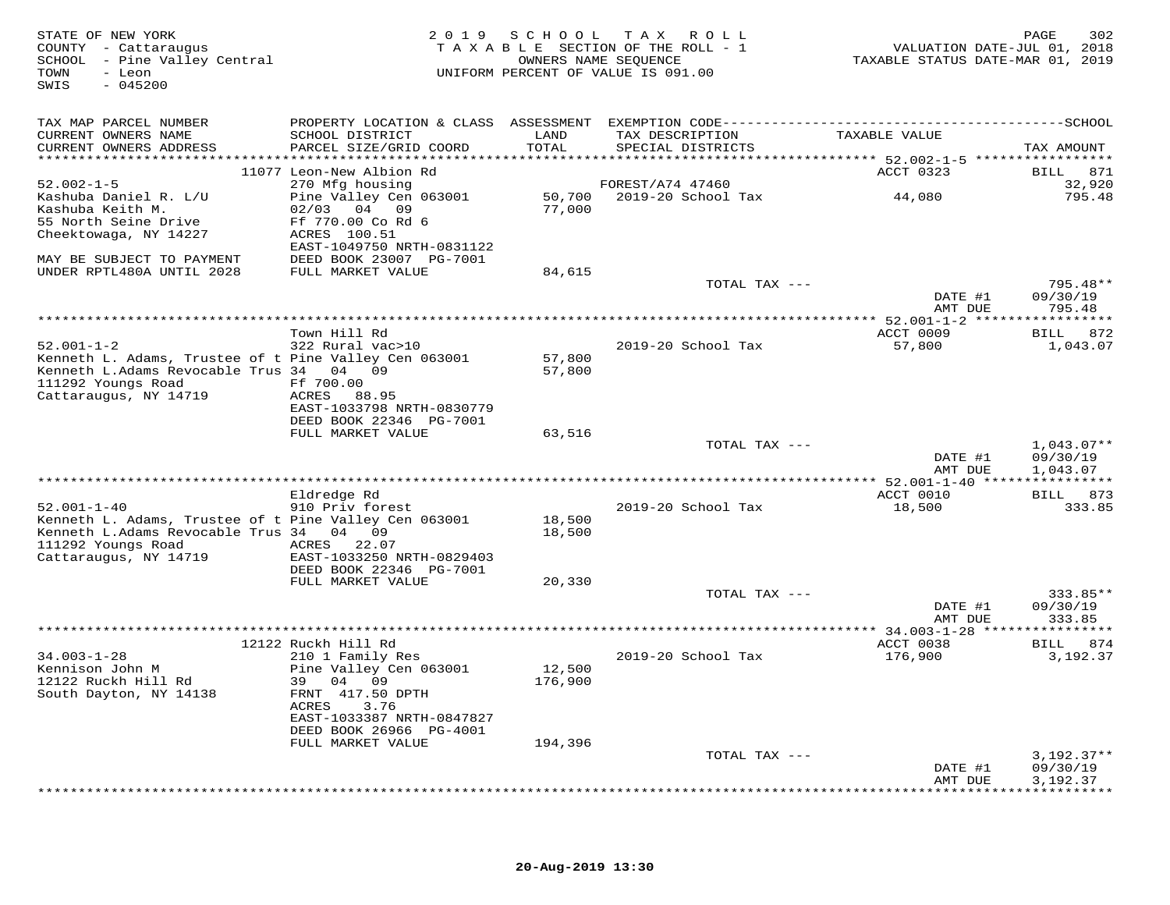| STATE OF NEW YORK<br>COUNTY - Cattaraugus<br>SCHOOL - Pine Valley Central<br>- Leon<br>TOWN<br>$-045200$<br>SWIS |                                              | OWNERS NAME SEQUENCE | 2019 SCHOOL TAX ROLL<br>TAXABLE SECTION OF THE ROLL - 1<br>UNIFORM PERCENT OF VALUE IS 091.00 | VALUATION DATE-JUL 01, 2018<br>TAXABLE STATUS DATE-MAR 01, 2019 | 302<br>PAGE        |
|------------------------------------------------------------------------------------------------------------------|----------------------------------------------|----------------------|-----------------------------------------------------------------------------------------------|-----------------------------------------------------------------|--------------------|
| TAX MAP PARCEL NUMBER                                                                                            |                                              |                      |                                                                                               |                                                                 |                    |
| CURRENT OWNERS NAME<br>CURRENT OWNERS ADDRESS                                                                    | SCHOOL DISTRICT<br>PARCEL SIZE/GRID COORD    | LAND<br>TOTAL        | TAX DESCRIPTION<br>SPECIAL DISTRICTS                                                          | TAXABLE VALUE                                                   | TAX AMOUNT         |
|                                                                                                                  | 11077 Leon-New Albion Rd                     |                      |                                                                                               | ACCT 0323                                                       | BILL 871           |
| $52.002 - 1 - 5$                                                                                                 | 270 Mfg housing                              |                      | FOREST/A74 47460                                                                              |                                                                 | 32,920             |
| Kashuba Daniel R. L/U                                                                                            | Pine Valley Cen 063001                       |                      | 50,700 2019-20 School Tax                                                                     | 44,080                                                          | 795.48             |
| Kashuba Keith M.                                                                                                 | 02/03 04 09                                  | 77,000               |                                                                                               |                                                                 |                    |
| 55 North Seine Drive                                                                                             | Ff 770.00 Co Rd 6<br>ACRES 100.51            |                      |                                                                                               |                                                                 |                    |
| Cheektowaga, NY 14227                                                                                            | EAST-1049750 NRTH-0831122                    |                      |                                                                                               |                                                                 |                    |
| MAY BE SUBJECT TO PAYMENT                                                                                        | DEED BOOK 23007 PG-7001                      |                      |                                                                                               |                                                                 |                    |
| UNDER RPTL480A UNTIL 2028                                                                                        | FULL MARKET VALUE                            | 84,615               |                                                                                               |                                                                 |                    |
|                                                                                                                  |                                              |                      | TOTAL TAX ---                                                                                 |                                                                 | 795.48**           |
|                                                                                                                  |                                              |                      |                                                                                               | DATE #1<br>AMT DUE                                              | 09/30/19<br>795.48 |
|                                                                                                                  |                                              |                      |                                                                                               |                                                                 |                    |
|                                                                                                                  | Town Hill Rd                                 |                      |                                                                                               | ACCT 0009                                                       | BILL 872           |
| $52.001 - 1 - 2$                                                                                                 | 322 Rural vac>10                             |                      | 2019-20 School Tax                                                                            | 57,800                                                          | 1,043.07           |
| Kenneth L. Adams, Trustee of t Pine Valley Cen 063001<br>Kenneth L.Adams Revocable Trus 34 04 09                 |                                              | 57,800<br>57,800     |                                                                                               |                                                                 |                    |
| 111292 Youngs Road                                                                                               | Ff 700.00                                    |                      |                                                                                               |                                                                 |                    |
| Cattaraugus, NY 14719                                                                                            | ACRES 88.95                                  |                      |                                                                                               |                                                                 |                    |
|                                                                                                                  | EAST-1033798 NRTH-0830779                    |                      |                                                                                               |                                                                 |                    |
|                                                                                                                  | DEED BOOK 22346 PG-7001<br>FULL MARKET VALUE | 63,516               |                                                                                               |                                                                 |                    |
|                                                                                                                  |                                              |                      | TOTAL TAX ---                                                                                 |                                                                 | $1,043.07**$       |
|                                                                                                                  |                                              |                      |                                                                                               | DATE #1                                                         | 09/30/19           |
|                                                                                                                  |                                              |                      |                                                                                               | AMT DUE                                                         | 1,043.07           |
|                                                                                                                  | Eldredge Rd                                  |                      |                                                                                               | ACCT 0010                                                       | BILL 873           |
| $52.001 - 1 - 40$                                                                                                | 910 Priv forest                              |                      | 2019-20 School Tax                                                                            | 18,500                                                          | 333.85             |
| Kenneth L. Adams, Trustee of t Pine Valley Cen 063001                                                            |                                              | 18,500               |                                                                                               |                                                                 |                    |
| Kenneth L.Adams Revocable Trus 34 04 09                                                                          |                                              | 18,500               |                                                                                               |                                                                 |                    |
| 111292 Youngs Road<br>Cattaraugus, NY 14719                                                                      | ACRES 22.07<br>EAST-1033250 NRTH-0829403     |                      |                                                                                               |                                                                 |                    |
|                                                                                                                  | DEED BOOK 22346 PG-7001                      |                      |                                                                                               |                                                                 |                    |
|                                                                                                                  | FULL MARKET VALUE                            | 20,330               |                                                                                               |                                                                 |                    |
|                                                                                                                  |                                              |                      | TOTAL TAX ---                                                                                 |                                                                 | 333.85**           |
|                                                                                                                  |                                              |                      |                                                                                               | DATE #1<br>AMT DUE                                              | 09/30/19<br>333.85 |
|                                                                                                                  |                                              |                      |                                                                                               |                                                                 |                    |
|                                                                                                                  | 12122 Ruckh Hill Rd                          |                      |                                                                                               | ACCT 0038                                                       | BILL 874           |
| $34.003 - 1 - 28$                                                                                                | 210 1 Family Res                             |                      | 2019-20 School Tax                                                                            | 176,900                                                         | 3,192.37           |
| Kennison John M<br>12122 Ruckh Hill Rd                                                                           | Pine Valley Cen 063001<br>39 04 09           | 12,500<br>176,900    |                                                                                               |                                                                 |                    |
| South Dayton, NY 14138                                                                                           | FRNT 417.50 DPTH                             |                      |                                                                                               |                                                                 |                    |
|                                                                                                                  | ACRES<br>3.76                                |                      |                                                                                               |                                                                 |                    |
|                                                                                                                  | EAST-1033387 NRTH-0847827                    |                      |                                                                                               |                                                                 |                    |
|                                                                                                                  | DEED BOOK 26966 PG-4001                      |                      |                                                                                               |                                                                 |                    |
|                                                                                                                  | FULL MARKET VALUE                            | 194,396              | TOTAL TAX ---                                                                                 |                                                                 | $3,192.37**$       |
|                                                                                                                  |                                              |                      |                                                                                               | DATE #1                                                         | 09/30/19           |
|                                                                                                                  |                                              |                      |                                                                                               | AMT DUE                                                         | 3,192.37           |
|                                                                                                                  |                                              |                      |                                                                                               |                                                                 |                    |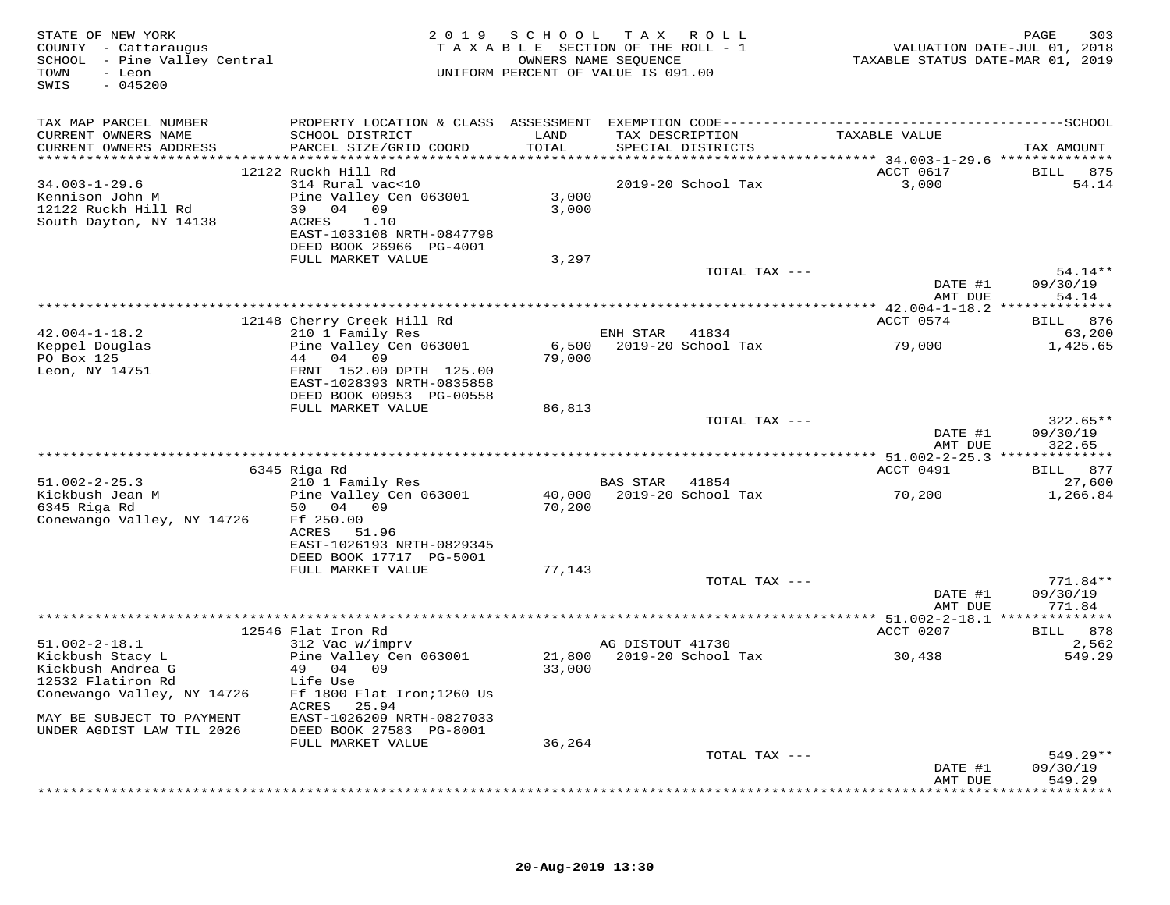| STATE OF NEW YORK<br>COUNTY - Cattaraugus<br>SCHOOL - Pine Valley Central<br>- Leon<br>TOWN<br>SWIS<br>$-045200$ |                                                      | 2019 SCHOOL TAX ROLL<br>TAXABLE SECTION OF THE ROLL - 1<br>UNIFORM PERCENT OF VALUE IS 091.00 | OWNERS NAME SEQUENCE |                                      | TAXABLE STATUS DATE-MAR 01, 2019 | PAGE<br>303<br>VALUATION DATE-JUL 01, 2018 |
|------------------------------------------------------------------------------------------------------------------|------------------------------------------------------|-----------------------------------------------------------------------------------------------|----------------------|--------------------------------------|----------------------------------|--------------------------------------------|
| TAX MAP PARCEL NUMBER                                                                                            |                                                      |                                                                                               |                      |                                      |                                  |                                            |
| CURRENT OWNERS NAME<br>CURRENT OWNERS ADDRESS                                                                    | SCHOOL DISTRICT<br>PARCEL SIZE/GRID COORD            | LAND<br>TOTAL                                                                                 |                      | TAX DESCRIPTION<br>SPECIAL DISTRICTS | TAXABLE VALUE                    | TAX AMOUNT                                 |
|                                                                                                                  | 12122 Ruckh Hill Rd                                  |                                                                                               |                      |                                      | ACCT 0617                        | BILL 875                                   |
| $34.003 - 1 - 29.6$                                                                                              | 314 Rural vac<10                                     |                                                                                               |                      | 2019-20 School Tax                   | 3,000                            | 54.14                                      |
| Kennison John M                                                                                                  | Pine Valley Cen 063001                               | 3,000                                                                                         |                      |                                      |                                  |                                            |
| 12122 Ruckh Hill Rd<br>South Dayton, NY 14138                                                                    | 39 04 09<br>1.10<br>ACRES                            | 3,000                                                                                         |                      |                                      |                                  |                                            |
|                                                                                                                  | EAST-1033108 NRTH-0847798                            |                                                                                               |                      |                                      |                                  |                                            |
|                                                                                                                  | DEED BOOK 26966 PG-4001                              |                                                                                               |                      |                                      |                                  |                                            |
|                                                                                                                  | FULL MARKET VALUE                                    | 3,297                                                                                         |                      |                                      |                                  |                                            |
|                                                                                                                  |                                                      |                                                                                               |                      | TOTAL TAX ---                        | DATE #1<br>AMT DUE               | 54.14**<br>09/30/19<br>54.14               |
|                                                                                                                  |                                                      |                                                                                               |                      |                                      |                                  | ********                                   |
|                                                                                                                  | 12148 Cherry Creek Hill Rd                           |                                                                                               |                      |                                      | ACCT 0574                        | 876<br>BILL                                |
| $42.004 - 1 - 18.2$                                                                                              | 210 1 Family Res                                     |                                                                                               | ENH STAR             | 41834                                |                                  | 63,200                                     |
| Keppel Douglas<br>PO Box 125                                                                                     | Pine Valley Cen 063001<br>04 09<br>44                | 6,500<br>79,000                                                                               |                      | 2019-20 School Tax                   | 79,000                           | 1,425.65                                   |
| Leon, NY 14751                                                                                                   | FRNT 152.00 DPTH 125.00                              |                                                                                               |                      |                                      |                                  |                                            |
|                                                                                                                  | EAST-1028393 NRTH-0835858                            |                                                                                               |                      |                                      |                                  |                                            |
|                                                                                                                  | DEED BOOK 00953 PG-00558                             |                                                                                               |                      |                                      |                                  |                                            |
|                                                                                                                  | FULL MARKET VALUE                                    | 86,813                                                                                        |                      | TOTAL TAX ---                        |                                  | $322.65**$                                 |
|                                                                                                                  |                                                      |                                                                                               |                      |                                      | DATE #1<br>AMT DUE               | 09/30/19<br>322.65                         |
|                                                                                                                  |                                                      |                                                                                               |                      |                                      |                                  |                                            |
|                                                                                                                  | 6345 Riga Rd                                         |                                                                                               |                      |                                      | ACCT 0491                        | BILL 877                                   |
| $51.002 - 2 - 25.3$<br>Kickbush Jean M                                                                           | 210 1 Family Res<br>Pine Valley Cen 063001           |                                                                                               | BAS STAR 41854       | 40,000 2019-20 School Tax            | 70,200                           | 27,600<br>1,266.84                         |
| 6345 Riga Rd<br>Conewango Valley, NY 14726                                                                       | 50 04 09<br>Ff 250.00<br>ACRES<br>51.96              | 70,200                                                                                        |                      |                                      |                                  |                                            |
|                                                                                                                  | EAST-1026193 NRTH-0829345                            |                                                                                               |                      |                                      |                                  |                                            |
|                                                                                                                  | DEED BOOK 17717 PG-5001                              |                                                                                               |                      |                                      |                                  |                                            |
|                                                                                                                  | FULL MARKET VALUE                                    | 77,143                                                                                        |                      |                                      |                                  |                                            |
|                                                                                                                  |                                                      |                                                                                               |                      | TOTAL TAX ---                        | DATE #1                          | $771.84**$<br>09/30/19                     |
|                                                                                                                  |                                                      |                                                                                               |                      |                                      | AMT DUE                          | 771.84                                     |
|                                                                                                                  |                                                      |                                                                                               |                      |                                      |                                  |                                            |
|                                                                                                                  | 12546 Flat Iron Rd                                   |                                                                                               |                      |                                      | ACCT 0207                        | BILL 878                                   |
| $51.002 - 2 - 18.1$                                                                                              | 312 Vac w/imprv                                      |                                                                                               | AG DISTOUT 41730     |                                      |                                  | 2,562                                      |
| Kickbush Stacy L<br>Kickbush Andrea G                                                                            | Pine Valley Cen 063001<br>49 04 09                   | 21,800<br>33,000                                                                              |                      | 2019-20 School Tax                   | 30,438                           | 549.29                                     |
| 12532 Flatiron Rd                                                                                                | Life Use                                             |                                                                                               |                      |                                      |                                  |                                            |
| Conewango Valley, NY 14726                                                                                       | Ff 1800 Flat Iron; 1260 Us<br>ACRES<br>25.94         |                                                                                               |                      |                                      |                                  |                                            |
| MAY BE SUBJECT TO PAYMENT<br>UNDER AGDIST LAW TIL 2026                                                           | EAST-1026209 NRTH-0827033<br>DEED BOOK 27583 PG-8001 |                                                                                               |                      |                                      |                                  |                                            |
|                                                                                                                  | FULL MARKET VALUE                                    | 36,264                                                                                        |                      |                                      |                                  |                                            |
|                                                                                                                  |                                                      |                                                                                               |                      | TOTAL TAX ---                        | DATE #1                          | 549.29**<br>09/30/19                       |
|                                                                                                                  |                                                      |                                                                                               |                      |                                      | AMT DUE                          | 549.29<br>* * * * * * * *                  |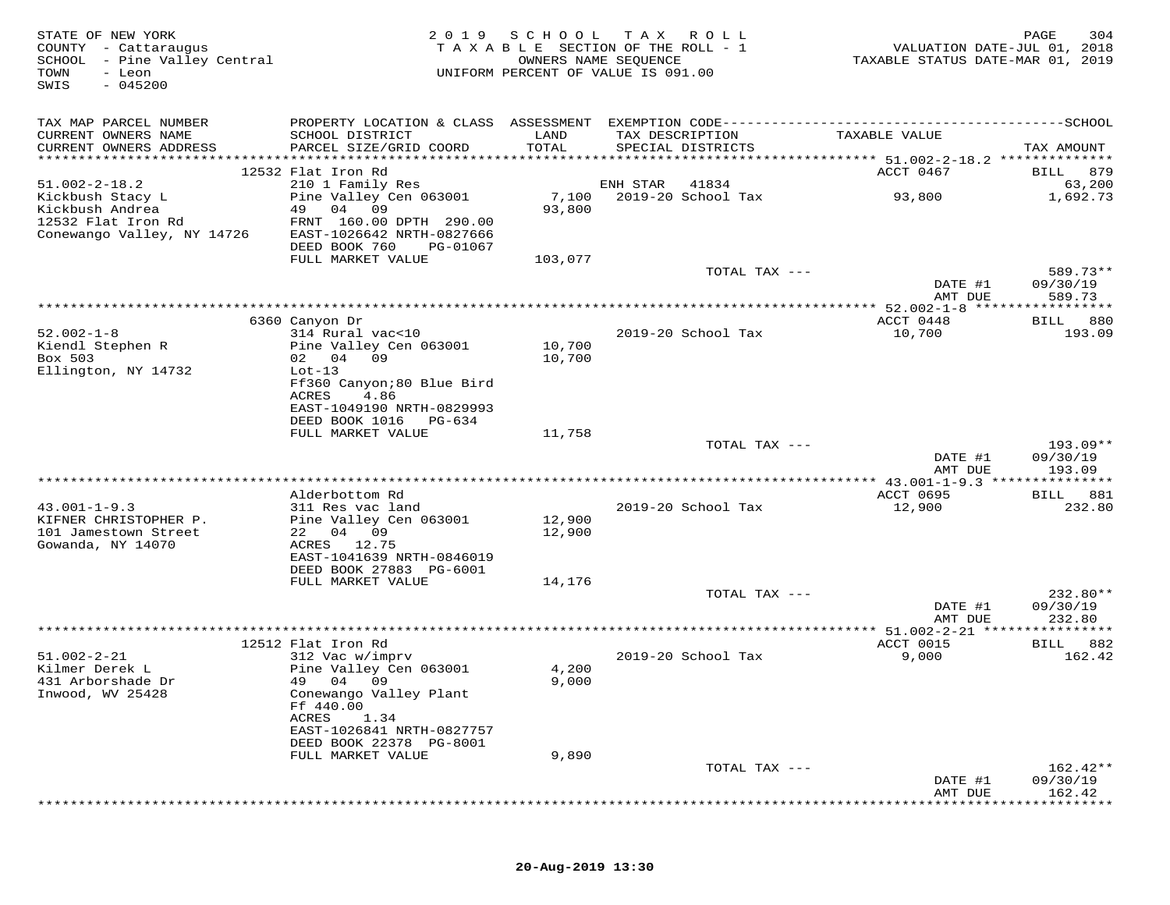| STATE OF NEW YORK<br>COUNTY - Cattaraugus<br>SCHOOL - Pine Valley Central<br>TOWN<br>- Leon<br>$-045200$<br>SWIS | 2 0 1 9                                                                                    | SCHOOL<br>OWNERS NAME SEQUENCE | TAX ROLL<br>TAXABLE SECTION OF THE ROLL - 1<br>UNIFORM PERCENT OF VALUE IS 091.00 | VALUATION DATE-JUL 01, 2018<br>TAXABLE STATUS DATE-MAR 01, 2019 | 304<br>PAGE        |
|------------------------------------------------------------------------------------------------------------------|--------------------------------------------------------------------------------------------|--------------------------------|-----------------------------------------------------------------------------------|-----------------------------------------------------------------|--------------------|
| TAX MAP PARCEL NUMBER<br>CURRENT OWNERS NAME                                                                     | SCHOOL DISTRICT                                                                            | LAND                           | TAX DESCRIPTION                                                                   | TAXABLE VALUE                                                   |                    |
| CURRENT OWNERS ADDRESS                                                                                           | PARCEL SIZE/GRID COORD                                                                     | TOTAL                          | SPECIAL DISTRICTS                                                                 |                                                                 | TAX AMOUNT         |
|                                                                                                                  | 12532 Flat Iron Rd                                                                         |                                |                                                                                   | ACCT 0467                                                       | BILL 879           |
| $51.002 - 2 - 18.2$                                                                                              | 210 1 Family Res                                                                           |                                | ENH STAR<br>41834                                                                 |                                                                 | 63,200             |
| Kickbush Stacy L<br>Kickbush Andrea<br>12532 Flat Iron Rd<br>Conewango Valley, NY 14726                          | Pine Valley Cen 063001<br>49 04 09<br>FRNT 160.00 DPTH 290.00<br>EAST-1026642 NRTH-0827666 | 7,100<br>93,800                | 2019-20 School Tax                                                                | 93,800                                                          | 1,692.73           |
|                                                                                                                  | DEED BOOK 760<br>PG-01067                                                                  |                                |                                                                                   |                                                                 |                    |
|                                                                                                                  | FULL MARKET VALUE                                                                          | 103,077                        | TOTAL TAX ---                                                                     |                                                                 | 589.73**           |
|                                                                                                                  |                                                                                            |                                |                                                                                   | DATE #1<br>AMT DUE                                              | 09/30/19<br>589.73 |
|                                                                                                                  |                                                                                            |                                |                                                                                   | *********** 52.002-1-8 ******                                   |                    |
|                                                                                                                  | 6360 Canyon Dr                                                                             |                                |                                                                                   | ACCT 0448                                                       | 880<br>BILL        |
| $52.002 - 1 - 8$                                                                                                 | 314 Rural vac<10                                                                           |                                | 2019-20 School Tax                                                                | 10,700                                                          | 193.09             |
| Kiendl Stephen R                                                                                                 | Pine Valley Cen 063001                                                                     | 10,700                         |                                                                                   |                                                                 |                    |
| Box 503<br>Ellington, NY 14732                                                                                   | 02 04 09<br>$Lot-13$                                                                       | 10,700                         |                                                                                   |                                                                 |                    |
|                                                                                                                  | Ff360 Canyon;80 Blue Bird                                                                  |                                |                                                                                   |                                                                 |                    |
|                                                                                                                  | 4.86<br>ACRES                                                                              |                                |                                                                                   |                                                                 |                    |
|                                                                                                                  | EAST-1049190 NRTH-0829993                                                                  |                                |                                                                                   |                                                                 |                    |
|                                                                                                                  | DEED BOOK 1016<br>PG-634                                                                   |                                |                                                                                   |                                                                 |                    |
|                                                                                                                  | FULL MARKET VALUE                                                                          | 11,758                         | TOTAL TAX ---                                                                     |                                                                 | $193.09**$         |
|                                                                                                                  |                                                                                            |                                |                                                                                   | DATE #1                                                         | 09/30/19           |
|                                                                                                                  |                                                                                            |                                |                                                                                   | AMT DUE                                                         | 193.09             |
|                                                                                                                  |                                                                                            |                                |                                                                                   |                                                                 |                    |
|                                                                                                                  | Alderbottom Rd                                                                             |                                |                                                                                   | ACCT 0695                                                       | 881<br>BILL        |
| $43.001 - 1 - 9.3$<br>KIFNER CHRISTOPHER P.                                                                      | 311 Res vac land<br>Pine Valley Cen 063001                                                 | 12,900                         | 2019-20 School Tax                                                                | 12,900                                                          | 232.80             |
| 101 Jamestown Street                                                                                             | 22 04 09                                                                                   | 12,900                         |                                                                                   |                                                                 |                    |
| Gowanda, NY 14070                                                                                                | ACRES 12.75                                                                                |                                |                                                                                   |                                                                 |                    |
|                                                                                                                  | EAST-1041639 NRTH-0846019                                                                  |                                |                                                                                   |                                                                 |                    |
|                                                                                                                  | DEED BOOK 27883 PG-6001<br>FULL MARKET VALUE                                               |                                |                                                                                   |                                                                 |                    |
|                                                                                                                  |                                                                                            | 14,176                         | TOTAL TAX ---                                                                     |                                                                 | 232.80**           |
|                                                                                                                  |                                                                                            |                                |                                                                                   | DATE #1                                                         | 09/30/19           |
|                                                                                                                  |                                                                                            |                                |                                                                                   | AMT DUE                                                         | 232.80             |
|                                                                                                                  |                                                                                            |                                | ********************                                                              | $** 51.002 - 2 - 21 *$                                          | * * * * * * * * *  |
|                                                                                                                  | 12512 Flat Iron Rd                                                                         |                                |                                                                                   | ACCT 0015                                                       | 882<br>BILL        |
| $51.002 - 2 - 21$<br>Kilmer Derek L                                                                              | 312 Vac w/imprv<br>Pine Valley Cen 063001                                                  | 4,200                          | 2019-20 School Tax                                                                | 9,000                                                           | 162.42             |
| 431 Arborshade Dr                                                                                                | 49 04 09                                                                                   | 9,000                          |                                                                                   |                                                                 |                    |
| Inwood, WV 25428                                                                                                 | Conewango Valley Plant                                                                     |                                |                                                                                   |                                                                 |                    |
|                                                                                                                  | Ff 440.00                                                                                  |                                |                                                                                   |                                                                 |                    |
|                                                                                                                  | ACRES<br>1.34<br>EAST-1026841 NRTH-0827757                                                 |                                |                                                                                   |                                                                 |                    |
|                                                                                                                  | DEED BOOK 22378 PG-8001                                                                    |                                |                                                                                   |                                                                 |                    |
|                                                                                                                  | FULL MARKET VALUE                                                                          | 9,890                          |                                                                                   |                                                                 |                    |
|                                                                                                                  |                                                                                            |                                | TOTAL TAX ---                                                                     |                                                                 | $162.42**$         |
|                                                                                                                  |                                                                                            |                                |                                                                                   | DATE #1                                                         | 09/30/19           |
|                                                                                                                  |                                                                                            |                                |                                                                                   | AMT DUE                                                         | 162.42             |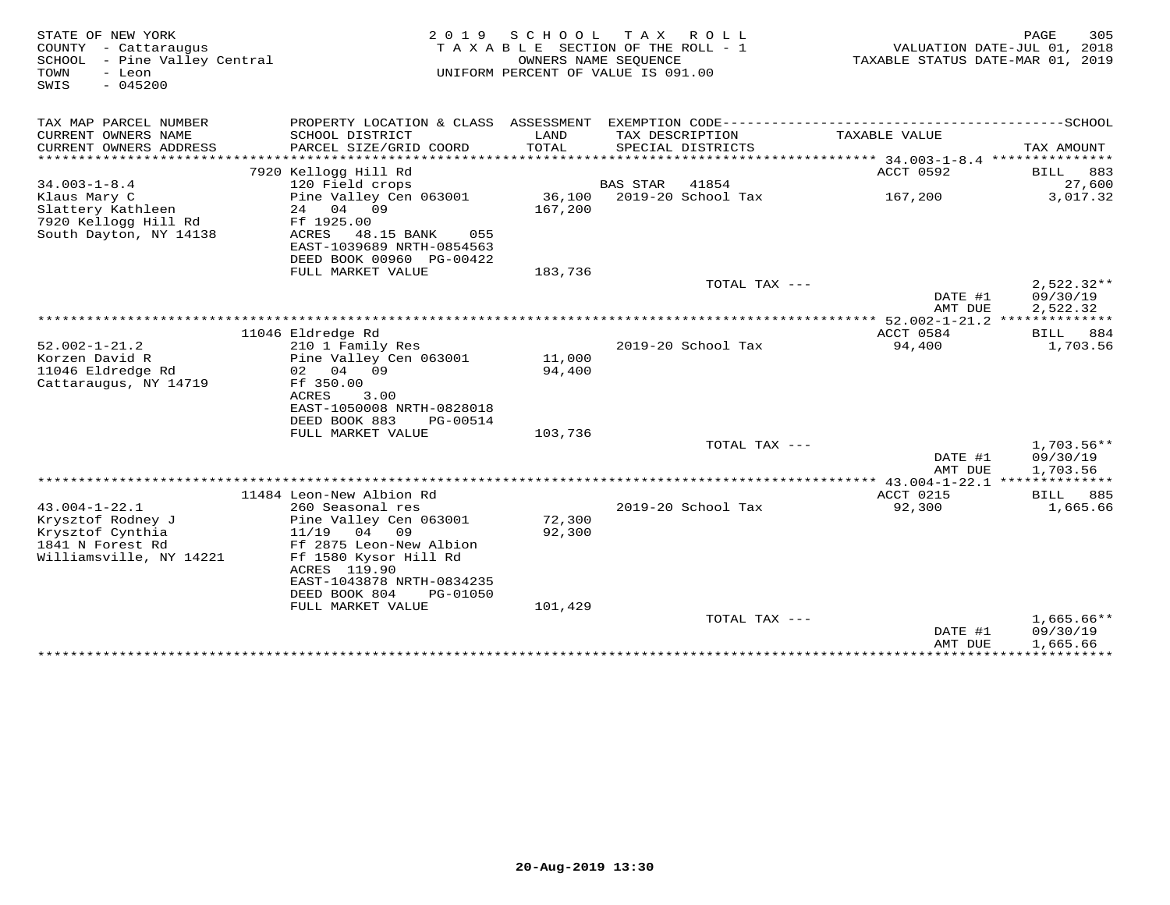| STATE OF NEW YORK<br>COUNTY - Cattaraugus<br>SCHOOL - Pine Valley Central<br>TOWN<br>- Leon<br>$-045200$<br>SWIS | 2 0 1 9                                              | SCHOOL        | TAX ROLL<br>TAXABLE SECTION OF THE ROLL - 1<br>OWNERS NAME SEQUENCE<br>UNIFORM PERCENT OF VALUE IS 091.00 | TAXABLE STATUS DATE-MAR 01, 2019 | PAGE<br>305<br>VALUATION DATE-JUL 01, 2018 |
|------------------------------------------------------------------------------------------------------------------|------------------------------------------------------|---------------|-----------------------------------------------------------------------------------------------------------|----------------------------------|--------------------------------------------|
| TAX MAP PARCEL NUMBER                                                                                            |                                                      |               |                                                                                                           |                                  |                                            |
| CURRENT OWNERS NAME<br>CURRENT OWNERS ADDRESS                                                                    | SCHOOL DISTRICT<br>PARCEL SIZE/GRID COORD            | LAND<br>TOTAL | TAX DESCRIPTION<br>SPECIAL DISTRICTS                                                                      | TAXABLE VALUE                    | TAX AMOUNT                                 |
|                                                                                                                  | 7920 Kellogg Hill Rd                                 |               |                                                                                                           | ACCT 0592                        | 883<br>BILL                                |
| $34.003 - 1 - 8.4$                                                                                               | 120 Field crops                                      |               | 41854<br>BAS STAR                                                                                         |                                  | 27,600                                     |
| Klaus Mary C                                                                                                     | Pine Valley Cen 063001                               | 36,100        | 2019-20 School Tax                                                                                        | 167,200                          | 3,017.32                                   |
| Slattery Kathleen<br>7920 Kellogg Hill Rd<br>South Dayton, NY 14138                                              | 24 04 09<br>Ff 1925.00<br>ACRES<br>48.15 BANK<br>055 | 167,200       |                                                                                                           |                                  |                                            |
|                                                                                                                  | EAST-1039689 NRTH-0854563                            |               |                                                                                                           |                                  |                                            |
|                                                                                                                  | DEED BOOK 00960 PG-00422                             |               |                                                                                                           |                                  |                                            |
|                                                                                                                  | FULL MARKET VALUE                                    | 183,736       |                                                                                                           |                                  |                                            |
|                                                                                                                  |                                                      |               | TOTAL TAX ---                                                                                             |                                  | $2,522.32**$                               |
|                                                                                                                  |                                                      |               |                                                                                                           | DATE #1                          | 09/30/19                                   |
|                                                                                                                  |                                                      |               |                                                                                                           | AMT DUE                          | 2,522.32                                   |
|                                                                                                                  |                                                      |               |                                                                                                           |                                  |                                            |
|                                                                                                                  | 11046 Eldredge Rd                                    |               |                                                                                                           | ACCT 0584                        | BILL<br>884                                |
| $52.002 - 1 - 21.2$                                                                                              | 210 1 Family Res                                     |               | 2019-20 School Tax                                                                                        | 94,400                           | 1,703.56                                   |
| Korzen David R                                                                                                   | Pine Valley Cen 063001                               | 11,000        |                                                                                                           |                                  |                                            |
| 11046 Eldredge Rd                                                                                                | 02 04 09                                             | 94,400        |                                                                                                           |                                  |                                            |
| Cattaraugus, NY 14719                                                                                            | Ff 350.00                                            |               |                                                                                                           |                                  |                                            |
|                                                                                                                  | ACRES<br>3.00<br>EAST-1050008 NRTH-0828018           |               |                                                                                                           |                                  |                                            |
|                                                                                                                  | DEED BOOK 883<br>PG-00514                            |               |                                                                                                           |                                  |                                            |
|                                                                                                                  | FULL MARKET VALUE                                    | 103,736       |                                                                                                           |                                  |                                            |
|                                                                                                                  |                                                      |               | TOTAL TAX ---                                                                                             |                                  | $1,703.56**$                               |
|                                                                                                                  |                                                      |               |                                                                                                           | DATE #1                          | 09/30/19                                   |
|                                                                                                                  |                                                      |               |                                                                                                           | AMT DUE                          | 1,703.56                                   |
|                                                                                                                  |                                                      |               |                                                                                                           |                                  |                                            |
|                                                                                                                  | 11484 Leon-New Albion Rd                             |               |                                                                                                           | ACCT 0215                        | 885<br>BILL                                |
| $43.004 - 1 - 22.1$                                                                                              | 260 Seasonal res                                     |               | 2019-20 School Tax                                                                                        | 92,300                           | 1,665.66                                   |
| Krysztof Rodney J                                                                                                | Pine Valley Cen 063001                               | 72,300        |                                                                                                           |                                  |                                            |
| Krysztof Cynthia                                                                                                 | 11/19 04 09                                          | 92,300        |                                                                                                           |                                  |                                            |
| 1841 N Forest Rd                                                                                                 | Ff 2875 Leon-New Albion                              |               |                                                                                                           |                                  |                                            |
| Williamsville, NY 14221                                                                                          | Ff 1580 Kysor Hill Rd                                |               |                                                                                                           |                                  |                                            |
|                                                                                                                  | ACRES 119.90                                         |               |                                                                                                           |                                  |                                            |
|                                                                                                                  | EAST-1043878 NRTH-0834235                            |               |                                                                                                           |                                  |                                            |
|                                                                                                                  | DEED BOOK 804<br>PG-01050                            |               |                                                                                                           |                                  |                                            |
|                                                                                                                  | FULL MARKET VALUE                                    | 101,429       |                                                                                                           |                                  |                                            |
|                                                                                                                  |                                                      |               | TOTAL TAX ---                                                                                             |                                  | $1,665.66**$                               |
|                                                                                                                  |                                                      |               |                                                                                                           | DATE #1                          | 09/30/19                                   |
|                                                                                                                  |                                                      |               |                                                                                                           | AMT DUE                          | 1,665.66<br>***************************    |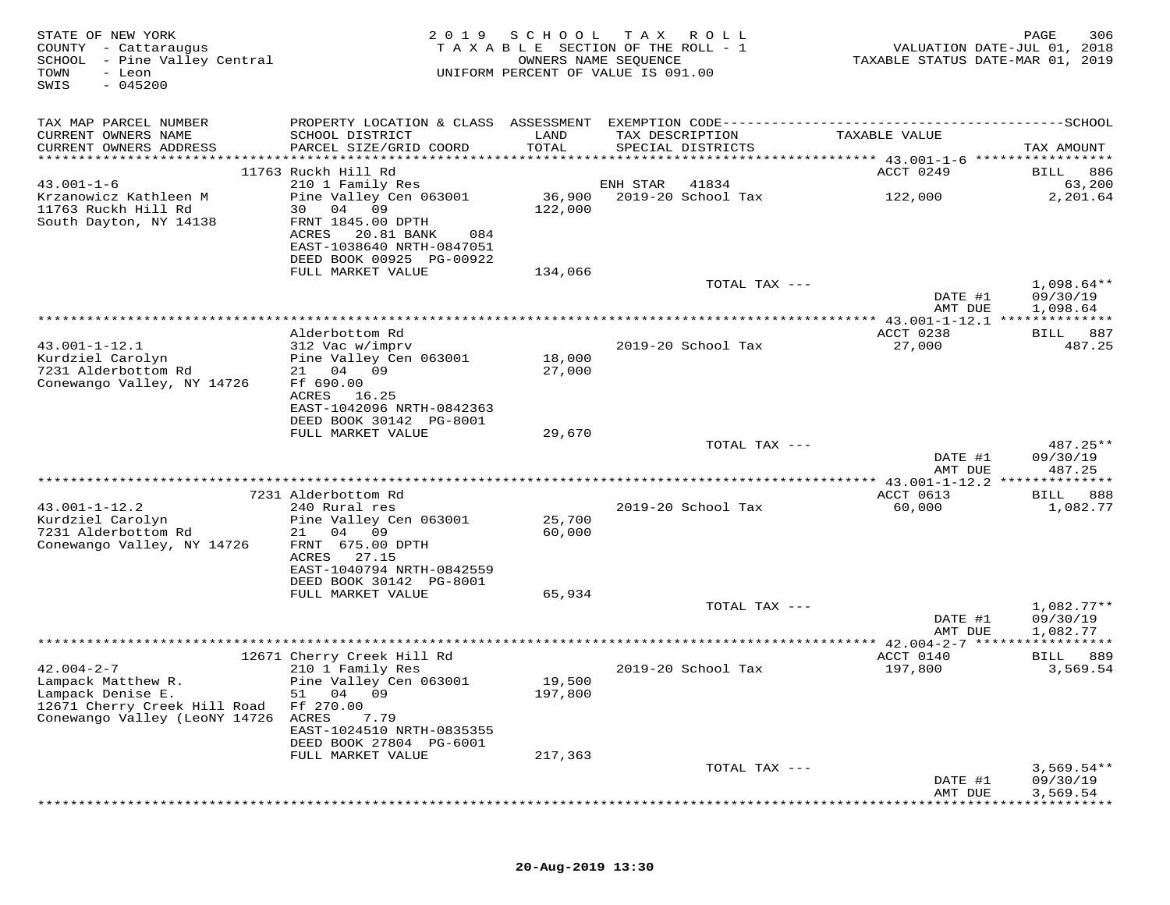| STATE OF NEW YORK<br>COUNTY - Cattaraugus<br>SCHOOL - Pine Valley Central<br>TOWN<br>- Leon<br>$-045200$<br>SWIS | 2 0 1 9                                                                                                            | S C H O O L<br>OWNERS NAME SEQUENCE | T A X<br>ROLL<br>TAXABLE SECTION OF THE ROLL - 1<br>UNIFORM PERCENT OF VALUE IS 091.00 | VALUATION DATE-JUL 01, 2018<br>TAXABLE STATUS DATE-MAR 01, 2019 | 306<br>PAGE                          |
|------------------------------------------------------------------------------------------------------------------|--------------------------------------------------------------------------------------------------------------------|-------------------------------------|----------------------------------------------------------------------------------------|-----------------------------------------------------------------|--------------------------------------|
| TAX MAP PARCEL NUMBER                                                                                            |                                                                                                                    |                                     |                                                                                        |                                                                 |                                      |
| CURRENT OWNERS NAME<br>CURRENT OWNERS ADDRESS                                                                    | SCHOOL DISTRICT<br>PARCEL SIZE/GRID COORD                                                                          | LAND<br>TOTAL                       | TAX DESCRIPTION<br>SPECIAL DISTRICTS                                                   | TAXABLE VALUE                                                   | TAX AMOUNT                           |
|                                                                                                                  |                                                                                                                    |                                     |                                                                                        |                                                                 |                                      |
| $43.001 - 1 - 6$                                                                                                 | 11763 Ruckh Hill Rd<br>210 1 Family Res                                                                            |                                     | ENH STAR<br>41834                                                                      | ACCT 0249                                                       | 886<br>BILL<br>63,200                |
| Krzanowicz Kathleen M<br>11763 Ruckh Hill Rd<br>South Dayton, NY 14138                                           | Pine Valley Cen 063001<br>30 04 09<br>FRNT 1845.00 DPTH<br>ACRES<br>20.81 BANK<br>084<br>EAST-1038640 NRTH-0847051 | 36,900<br>122,000                   | 2019-20 School Tax                                                                     | 122,000                                                         | 2,201.64                             |
|                                                                                                                  | DEED BOOK 00925 PG-00922                                                                                           |                                     |                                                                                        |                                                                 |                                      |
|                                                                                                                  | FULL MARKET VALUE                                                                                                  | 134,066                             |                                                                                        |                                                                 |                                      |
|                                                                                                                  |                                                                                                                    |                                     | TOTAL TAX ---                                                                          | DATE #1                                                         | $1,098.64**$<br>09/30/19             |
|                                                                                                                  |                                                                                                                    |                                     |                                                                                        | AMT DUE                                                         | 1,098.64                             |
|                                                                                                                  | Alderbottom Rd                                                                                                     |                                     |                                                                                        | ACCT 0238                                                       | 887<br>BILL                          |
| $43.001 - 1 - 12.1$<br>Kurdziel Carolyn                                                                          | 312 Vac w/imprv<br>Pine Valley Cen 063001                                                                          | 18,000                              | 2019-20 School Tax                                                                     | 27,000                                                          | 487.25                               |
| 7231 Alderbottom Rd<br>Conewango Valley, NY 14726                                                                | 21 04 09<br>Ff 690.00<br>ACRES 16.25<br>EAST-1042096 NRTH-0842363                                                  | 27,000                              |                                                                                        |                                                                 |                                      |
|                                                                                                                  | DEED BOOK 30142 PG-8001                                                                                            |                                     |                                                                                        |                                                                 |                                      |
|                                                                                                                  | FULL MARKET VALUE                                                                                                  | 29,670                              |                                                                                        |                                                                 |                                      |
|                                                                                                                  |                                                                                                                    |                                     | TOTAL TAX ---                                                                          | DATE #1<br>AMT DUE                                              | 487.25**<br>09/30/19<br>487.25       |
|                                                                                                                  |                                                                                                                    |                                     |                                                                                        | ********* 43.001-1-12.2 ***                                     | * * * * * * * * *                    |
|                                                                                                                  | 7231 Alderbottom Rd                                                                                                |                                     |                                                                                        | ACCT 0613                                                       | 888<br>BILL                          |
| $43.001 - 1 - 12.2$<br>Kurdziel Carolyn                                                                          | 240 Rural res<br>Pine Valley Cen 063001                                                                            | 25,700                              | 2019-20 School Tax                                                                     | 60,000                                                          | 1,082.77                             |
| 7231 Alderbottom Rd<br>Conewango Valley, NY 14726                                                                | 21 04 09<br>FRNT 675.00 DPTH<br>27.15<br>ACRES                                                                     | 60,000                              |                                                                                        |                                                                 |                                      |
|                                                                                                                  | EAST-1040794 NRTH-0842559<br>DEED BOOK 30142 PG-8001<br>FULL MARKET VALUE                                          | 65,934                              |                                                                                        |                                                                 |                                      |
|                                                                                                                  |                                                                                                                    |                                     | TOTAL TAX ---                                                                          |                                                                 | $1,082.77**$                         |
|                                                                                                                  |                                                                                                                    |                                     |                                                                                        | DATE #1<br>AMT DUE                                              | 09/30/19<br>1,082.77                 |
|                                                                                                                  |                                                                                                                    |                                     |                                                                                        | **** 42.004-2-7 ******************                              |                                      |
| $42.004 - 2 - 7$                                                                                                 | 12671 Cherry Creek Hill Rd<br>210 1 Family Res                                                                     |                                     | 2019-20 School Tax                                                                     | ACCT 0140                                                       | BILL 889                             |
| Lampack Matthew R.<br>Lampack Denise E.<br>12671 Cherry Creek Hill Road                                          | Pine Valley Cen 063001<br>51 04 09<br>Ff 270.00                                                                    | 19,500<br>197,800                   |                                                                                        | 197,800                                                         | 3,569.54                             |
| Conewango Valley (LeoNY 14726                                                                                    | ACRES<br>7.79<br>EAST-1024510 NRTH-0835355<br>DEED BOOK 27804 PG-6001                                              |                                     |                                                                                        |                                                                 |                                      |
|                                                                                                                  | FULL MARKET VALUE                                                                                                  | 217,363                             |                                                                                        |                                                                 |                                      |
|                                                                                                                  |                                                                                                                    |                                     | TOTAL TAX ---                                                                          | DATE #1<br>AMT DUE                                              | $3,569.54**$<br>09/30/19<br>3,569.54 |
|                                                                                                                  |                                                                                                                    |                                     |                                                                                        |                                                                 |                                      |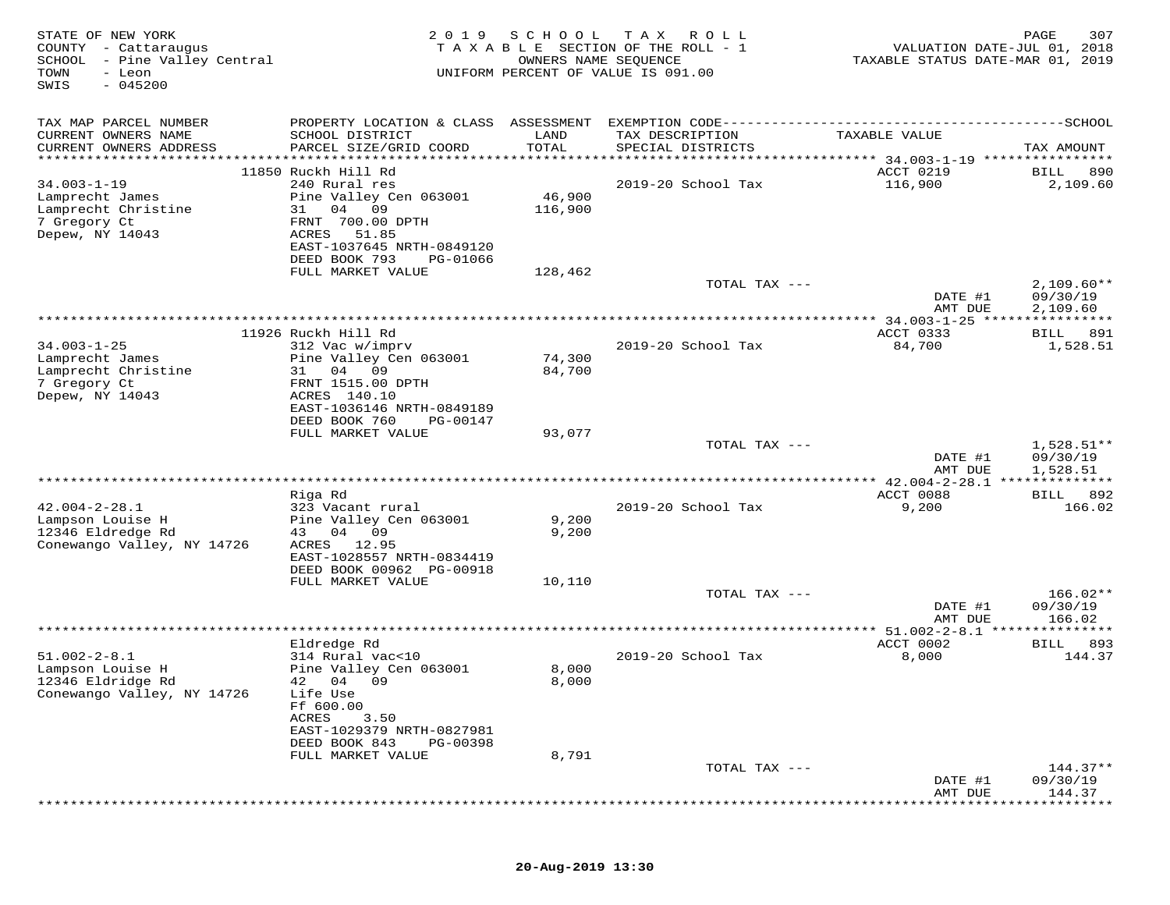| STATE OF NEW YORK<br>COUNTY - Cattaraugus<br>SCHOOL - Pine Valley Central<br>TOWN<br>- Leon<br>$-045200$<br>SWIS | 2 0 1 9                                                                                                                                                                       | SCHOOL                  | T A X<br>ROLL<br>T A X A B L E SECTION OF THE ROLL - 1<br>OWNERS NAME SEQUENCE<br>UNIFORM PERCENT OF VALUE IS 091.00 | VALUATION DATE-JUL 01, 2018<br>TAXABLE STATUS DATE-MAR 01, 2019 | 307<br>PAGE                          |
|------------------------------------------------------------------------------------------------------------------|-------------------------------------------------------------------------------------------------------------------------------------------------------------------------------|-------------------------|----------------------------------------------------------------------------------------------------------------------|-----------------------------------------------------------------|--------------------------------------|
| TAX MAP PARCEL NUMBER<br>CURRENT OWNERS NAME<br>CURRENT OWNERS ADDRESS<br>******************                     | PROPERTY LOCATION & CLASS ASSESSMENT<br>SCHOOL DISTRICT<br>PARCEL SIZE/GRID COORD                                                                                             | LAND<br>TOTAL<br>****** | TAX DESCRIPTION<br>SPECIAL DISTRICTS<br>***************                                                              | TAXABLE VALUE<br>******* 34.003-1-19 ****************           | TAX AMOUNT                           |
| $34.003 - 1 - 19$<br>Lamprecht James<br>Lamprecht Christine<br>7 Gregory Ct<br>Depew, NY 14043                   | 11850 Ruckh Hill Rd<br>240 Rural res<br>Pine Valley Cen 063001<br>04 09<br>31<br>FRNT 700.00 DPTH<br>ACRES<br>51.85<br>EAST-1037645 NRTH-0849120<br>DEED BOOK 793<br>PG-01066 | 46,900<br>116,900       | 2019-20 School Tax                                                                                                   | ACCT 0219<br>116,900                                            | BILL<br>890<br>2,109.60              |
|                                                                                                                  | FULL MARKET VALUE                                                                                                                                                             | 128,462                 | TOTAL TAX ---                                                                                                        | DATE #1<br>AMT DUE                                              | $2,109.60**$<br>09/30/19<br>2,109.60 |
|                                                                                                                  |                                                                                                                                                                               |                         |                                                                                                                      | *************** 34.003-1-25 *****************                   |                                      |
| $34.003 - 1 - 25$<br>Lamprecht James<br>Lamprecht Christine<br>7 Gregory Ct<br>Depew, NY 14043                   | 11926 Ruckh Hill Rd<br>312 Vac w/imprv<br>Pine Valley Cen 063001<br>31 04<br>09<br>FRNT 1515.00 DPTH<br>ACRES 140.10                                                          | 74,300<br>84,700        | 2019-20 School Tax                                                                                                   | ACCT 0333<br>84,700                                             | 891<br><b>BILL</b><br>1,528.51       |
|                                                                                                                  | EAST-1036146 NRTH-0849189<br>DEED BOOK 760<br>PG-00147<br>FULL MARKET VALUE                                                                                                   | 93,077                  |                                                                                                                      |                                                                 |                                      |
|                                                                                                                  |                                                                                                                                                                               |                         | TOTAL TAX ---                                                                                                        | DATE #1<br>AMT DUE                                              | $1,528.51**$<br>09/30/19<br>1,528.51 |
|                                                                                                                  |                                                                                                                                                                               |                         |                                                                                                                      |                                                                 |                                      |
| $42.004 - 2 - 28.1$<br>Lampson Louise H<br>12346 Eldredge Rd<br>Conewango Valley, NY 14726                       | Riga Rd<br>323 Vacant rural<br>Pine Valley Cen 063001<br>04 09<br>43<br>12.95<br>ACRES<br>EAST-1028557 NRTH-0834419                                                           | 9,200<br>9,200          | 2019-20 School Tax                                                                                                   | ACCT 0088<br>9,200                                              | 892<br><b>BILL</b><br>166.02         |
|                                                                                                                  | DEED BOOK 00962 PG-00918<br>FULL MARKET VALUE                                                                                                                                 | 10,110                  | TOTAL TAX ---                                                                                                        |                                                                 | 166.02**                             |
|                                                                                                                  |                                                                                                                                                                               |                         |                                                                                                                      | DATE #1<br>AMT DUE                                              | 09/30/19<br>166.02                   |
|                                                                                                                  | Eldredge Rd                                                                                                                                                                   |                         |                                                                                                                      | ******* 51.002-2-8.1 ***************<br>ACCT 0002               | 893<br>BILL                          |
| $51.002 - 2 - 8.1$<br>Lampson Louise H<br>12346 Eldridge Rd<br>Conewango Valley, NY 14726                        | 314 Rural vac<10<br>Pine Valley Cen 063001<br>42 04 09<br>Life Use<br>Ff 600.00                                                                                               | 8,000<br>8,000          | 2019-20 School Tax                                                                                                   | 8,000                                                           | 144.37                               |
|                                                                                                                  | ACRES<br>3.50<br>EAST-1029379 NRTH-0827981<br>DEED BOOK 843<br>PG-00398<br>FULL MARKET VALUE                                                                                  |                         |                                                                                                                      |                                                                 |                                      |
|                                                                                                                  |                                                                                                                                                                               | 8,791                   | TOTAL TAX ---                                                                                                        |                                                                 | $144.37**$                           |
|                                                                                                                  |                                                                                                                                                                               |                         |                                                                                                                      | DATE #1<br>AMT DUE                                              | 09/30/19<br>144.37                   |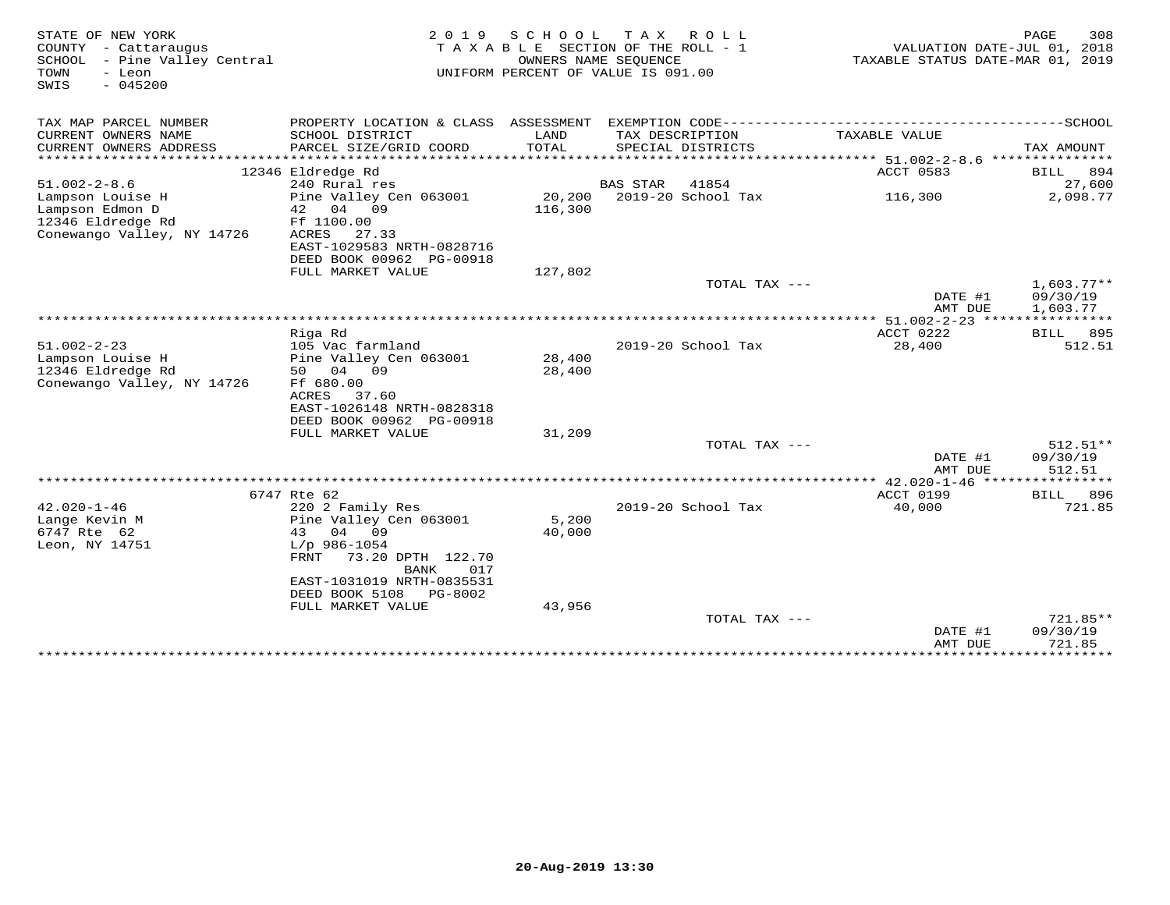| STATE OF NEW YORK<br>COUNTY - Cattaraugus<br>SCHOOL - Pine Valley Central<br>- Leon<br>TOWN<br>$-045200$<br>SWIS | 2 0 1 9                                       | S C H O O L      | TAX ROLL<br>TAXABLE SECTION OF THE ROLL - 1<br>OWNERS NAME SEQUENCE<br>UNIFORM PERCENT OF VALUE IS 091.00 | VALUATION DATE-JUL 01, 2018<br>TAXABLE STATUS DATE-MAR 01, 2019 | PAGE<br>308           |
|------------------------------------------------------------------------------------------------------------------|-----------------------------------------------|------------------|-----------------------------------------------------------------------------------------------------------|-----------------------------------------------------------------|-----------------------|
| TAX MAP PARCEL NUMBER                                                                                            | PROPERTY LOCATION & CLASS ASSESSMENT          |                  | EXEMPTION CODE----------------------------                                                                |                                                                 | -------------SCHOOL   |
| CURRENT OWNERS NAME                                                                                              | SCHOOL DISTRICT                               | LAND             | TAX DESCRIPTION                                                                                           | TAXABLE VALUE                                                   |                       |
| CURRENT OWNERS ADDRESS                                                                                           | PARCEL SIZE/GRID COORD                        | TOTAL            | SPECIAL DISTRICTS                                                                                         |                                                                 | TAX AMOUNT            |
| ***********************                                                                                          | 12346 Eldredge Rd                             |                  |                                                                                                           | ACCT 0583                                                       |                       |
| $51.002 - 2 - 8.6$                                                                                               | 240 Rural res                                 |                  | <b>BAS STAR</b><br>41854                                                                                  |                                                                 | 894<br>BILL<br>27,600 |
| Lampson Louise H                                                                                                 | Pine Valley Cen 063001                        |                  | 20,200 2019-20 School Tax                                                                                 | 116,300                                                         | 2,098.77              |
| Lampson Edmon D                                                                                                  | 42 04 09                                      | 116,300          |                                                                                                           |                                                                 |                       |
| 12346 Eldredge Rd                                                                                                | Ff 1100.00                                    |                  |                                                                                                           |                                                                 |                       |
| Conewango Valley, NY 14726                                                                                       | ACRES<br>27.33                                |                  |                                                                                                           |                                                                 |                       |
|                                                                                                                  | EAST-1029583 NRTH-0828716                     |                  |                                                                                                           |                                                                 |                       |
|                                                                                                                  | DEED BOOK 00962 PG-00918<br>FULL MARKET VALUE | 127,802          |                                                                                                           |                                                                 |                       |
|                                                                                                                  |                                               |                  | TOTAL TAX ---                                                                                             |                                                                 | $1,603.77**$          |
|                                                                                                                  |                                               |                  |                                                                                                           | DATE #1                                                         | 09/30/19              |
|                                                                                                                  |                                               |                  |                                                                                                           | AMT DUE                                                         | 1,603.77              |
|                                                                                                                  | ***************                               |                  |                                                                                                           | ******* 51.002-2-23 ****************                            |                       |
|                                                                                                                  | Riga Rd                                       |                  |                                                                                                           | ACCT 0222                                                       | 895<br>BILL           |
| $51.002 - 2 - 23$                                                                                                | 105 Vac farmland                              |                  | 2019-20 School Tax                                                                                        | 28,400                                                          | 512.51                |
| Lampson Louise H<br>12346 Eldredge Rd                                                                            | Pine Valley Cen 063001<br>50 04 09            | 28,400<br>28,400 |                                                                                                           |                                                                 |                       |
| Conewango Valley, NY 14726                                                                                       | Ff 680.00                                     |                  |                                                                                                           |                                                                 |                       |
|                                                                                                                  | ACRES<br>37.60                                |                  |                                                                                                           |                                                                 |                       |
|                                                                                                                  | EAST-1026148 NRTH-0828318                     |                  |                                                                                                           |                                                                 |                       |
|                                                                                                                  | DEED BOOK 00962 PG-00918                      |                  |                                                                                                           |                                                                 |                       |
|                                                                                                                  | FULL MARKET VALUE                             | 31,209           |                                                                                                           |                                                                 |                       |
|                                                                                                                  |                                               |                  | TOTAL TAX ---                                                                                             |                                                                 | $512.51**$            |
|                                                                                                                  |                                               |                  |                                                                                                           | DATE #1<br>AMT DUE                                              | 09/30/19<br>512.51    |
|                                                                                                                  |                                               |                  |                                                                                                           | *********** 42.020-1-46 *****************                       |                       |
|                                                                                                                  | 6747 Rte 62                                   |                  |                                                                                                           | <b>ACCT 0199</b>                                                | 896<br>BILL           |
| $42.020 - 1 - 46$                                                                                                | 220 2 Family Res                              |                  | 2019-20 School Tax                                                                                        | 40,000                                                          | 721.85                |
| Lange Kevin M                                                                                                    | Pine Valley Cen 063001                        | 5,200            |                                                                                                           |                                                                 |                       |
| 6747 Rte 62                                                                                                      | 43 04 09                                      | 40,000           |                                                                                                           |                                                                 |                       |
| Leon, NY 14751                                                                                                   | $L/p$ 986-1054                                |                  |                                                                                                           |                                                                 |                       |
|                                                                                                                  | 73.20 DPTH 122.70<br>FRNT<br>017<br>BANK      |                  |                                                                                                           |                                                                 |                       |
|                                                                                                                  | EAST-1031019 NRTH-0835531                     |                  |                                                                                                           |                                                                 |                       |
|                                                                                                                  | DEED BOOK 5108<br>PG-8002                     |                  |                                                                                                           |                                                                 |                       |
|                                                                                                                  | FULL MARKET VALUE                             | 43,956           |                                                                                                           |                                                                 |                       |
|                                                                                                                  |                                               |                  | TOTAL TAX ---                                                                                             |                                                                 | $721.85**$            |
|                                                                                                                  |                                               |                  |                                                                                                           | DATE #1                                                         | 09/30/19              |
|                                                                                                                  | ******************************                |                  |                                                                                                           | AMT DUE<br>*************                                        | 721.85<br>*********** |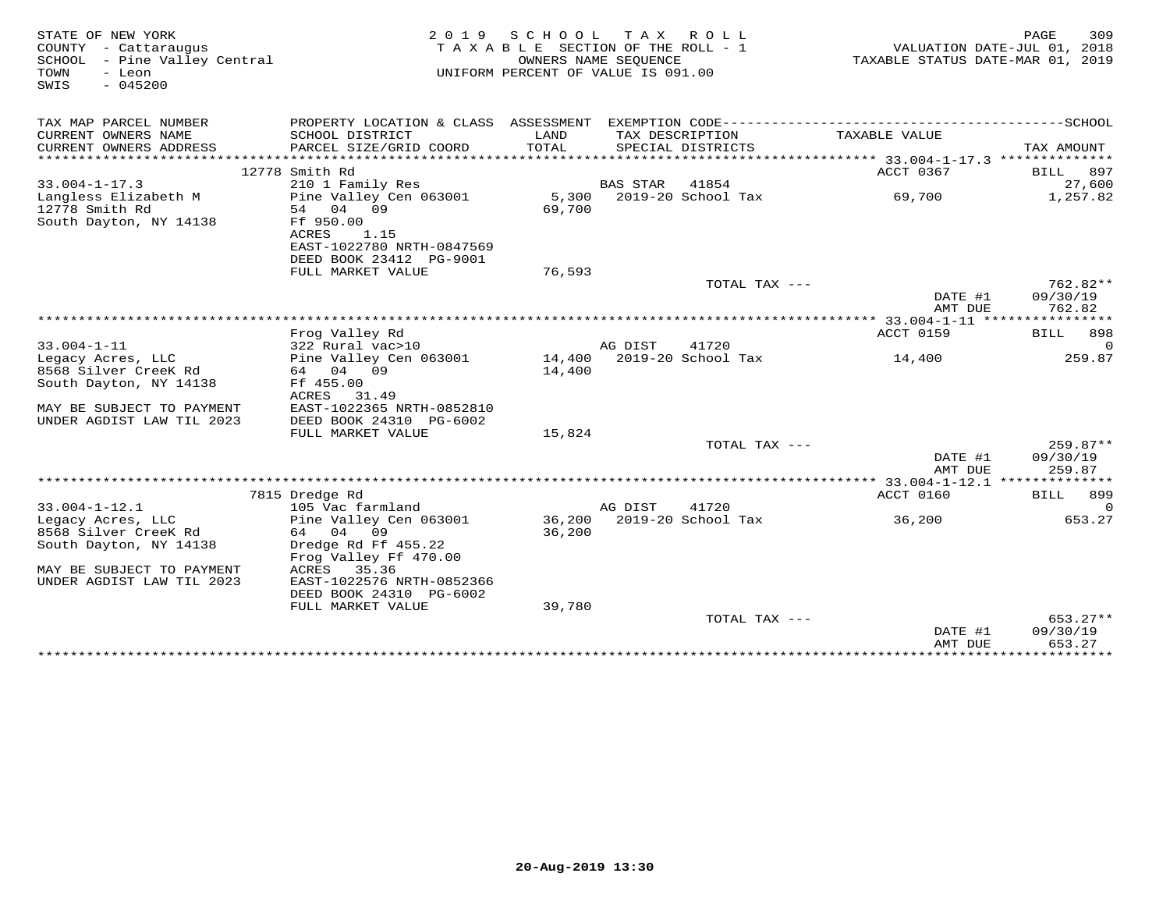| STATE OF NEW YORK<br>COUNTY - Cattaraugus<br>SCHOOL - Pine Valley Central<br>TOWN<br>- Leon<br>$-045200$<br>SWIS | 2 0 1 9                                      | S C H O O L<br>TAXABLE SECTION OF THE ROLL - 1<br>UNIFORM PERCENT OF VALUE IS 091.00 | T A X<br>OWNERS NAME SEQUENCE | R O L L              |                                                            | 309<br>PAGE<br>VALUATION DATE-JUL 01, 2018<br>TAXABLE STATUS DATE-MAR 01, 2019 |
|------------------------------------------------------------------------------------------------------------------|----------------------------------------------|--------------------------------------------------------------------------------------|-------------------------------|----------------------|------------------------------------------------------------|--------------------------------------------------------------------------------|
| TAX MAP PARCEL NUMBER                                                                                            | PROPERTY LOCATION & CLASS ASSESSMENT         |                                                                                      |                               |                      |                                                            |                                                                                |
| CURRENT OWNERS NAME<br>CURRENT OWNERS ADDRESS                                                                    | SCHOOL DISTRICT<br>PARCEL SIZE/GRID COORD    | LAND<br>TOTAL                                                                        | TAX DESCRIPTION               | SPECIAL DISTRICTS    | TAXABLE VALUE                                              | TAX AMOUNT                                                                     |
|                                                                                                                  |                                              |                                                                                      |                               |                      |                                                            |                                                                                |
|                                                                                                                  | 12778 Smith Rd                               |                                                                                      |                               |                      | ACCT 0367                                                  | 897<br>BILL                                                                    |
| $33.004 - 1 - 17.3$                                                                                              | 210 1 Family Res                             |                                                                                      | <b>BAS STAR</b>               | 41854                |                                                            | 27,600                                                                         |
| Langless Elizabeth M<br>12778 Smith Rd                                                                           | Pine Valley Cen 063001<br>54 04 09           | 5.300<br>69,700                                                                      |                               | $2019-20$ School Tax | 69,700                                                     | 1,257.82                                                                       |
| South Dayton, NY 14138                                                                                           | Ff 950.00<br>ACRES<br>1.15                   |                                                                                      |                               |                      |                                                            |                                                                                |
|                                                                                                                  | EAST-1022780 NRTH-0847569                    |                                                                                      |                               |                      |                                                            |                                                                                |
|                                                                                                                  | DEED BOOK 23412 PG-9001                      |                                                                                      |                               |                      |                                                            |                                                                                |
|                                                                                                                  | FULL MARKET VALUE                            | 76,593                                                                               |                               |                      |                                                            |                                                                                |
|                                                                                                                  |                                              |                                                                                      |                               | TOTAL TAX ---        |                                                            | $762.82**$                                                                     |
|                                                                                                                  |                                              |                                                                                      |                               |                      | DATE #1                                                    | 09/30/19                                                                       |
|                                                                                                                  |                                              |                                                                                      |                               |                      | AMT DUE                                                    | 762.82                                                                         |
|                                                                                                                  | Frog Valley Rd                               |                                                                                      |                               |                      | *************** 33.004-1-11 *****************<br>ACCT 0159 | BILL<br>898                                                                    |
| $33.004 - 1 - 11$                                                                                                | 322 Rural vac>10                             |                                                                                      | AG DIST                       | 41720                |                                                            | $\Omega$                                                                       |
| Legacy Acres, LLC                                                                                                | Pine Valley Cen 063001                       | 14,400                                                                               |                               | 2019-20 School Tax   | 14,400                                                     | 259.87                                                                         |
| 8568 Silver CreeK Rd                                                                                             | 64 04 09                                     | 14,400                                                                               |                               |                      |                                                            |                                                                                |
| South Dayton, NY 14138                                                                                           | Ff 455.00                                    |                                                                                      |                               |                      |                                                            |                                                                                |
|                                                                                                                  | ACRES<br>31.49                               |                                                                                      |                               |                      |                                                            |                                                                                |
| MAY BE SUBJECT TO PAYMENT                                                                                        | EAST-1022365 NRTH-0852810                    |                                                                                      |                               |                      |                                                            |                                                                                |
| UNDER AGDIST LAW TIL 2023                                                                                        | DEED BOOK 24310 PG-6002<br>FULL MARKET VALUE | 15,824                                                                               |                               |                      |                                                            |                                                                                |
|                                                                                                                  |                                              |                                                                                      |                               | TOTAL TAX ---        |                                                            | 259.87**                                                                       |
|                                                                                                                  |                                              |                                                                                      |                               |                      | DATE #1<br>AMT DUE                                         | 09/30/19<br>259.87                                                             |
|                                                                                                                  |                                              |                                                                                      |                               |                      |                                                            |                                                                                |
|                                                                                                                  | 7815 Dredge Rd                               |                                                                                      |                               |                      | ACCT 0160                                                  | BILL<br>899                                                                    |
| $33.004 - 1 - 12.1$                                                                                              | 105 Vac farmland                             |                                                                                      | AG DIST                       | 41720                |                                                            | $\Omega$                                                                       |
| Legacy Acres, LLC                                                                                                | Pine Valley Cen 063001                       | 36,200                                                                               |                               | 2019-20 School Tax   | 36,200                                                     | 653.27                                                                         |
| 8568 Silver CreeK Rd<br>South Dayton, NY 14138                                                                   | 64 04 09<br>Dredge Rd Ff 455.22              | 36,200                                                                               |                               |                      |                                                            |                                                                                |
|                                                                                                                  | Frog Valley Ff 470.00                        |                                                                                      |                               |                      |                                                            |                                                                                |
| MAY BE SUBJECT TO PAYMENT                                                                                        | ACRES<br>35.36                               |                                                                                      |                               |                      |                                                            |                                                                                |
| UNDER AGDIST LAW TIL 2023                                                                                        | EAST-1022576 NRTH-0852366                    |                                                                                      |                               |                      |                                                            |                                                                                |
|                                                                                                                  | DEED BOOK 24310 PG-6002                      |                                                                                      |                               |                      |                                                            |                                                                                |
|                                                                                                                  | FULL MARKET VALUE                            | 39,780                                                                               |                               |                      |                                                            |                                                                                |
|                                                                                                                  |                                              |                                                                                      |                               | TOTAL TAX ---        |                                                            | $653.27**$                                                                     |
|                                                                                                                  |                                              |                                                                                      |                               |                      | DATE #1<br>AMT DUE                                         | 09/30/19<br>653.27                                                             |
|                                                                                                                  | *******************************              |                                                                                      |                               |                      | ***************                                            | ************                                                                   |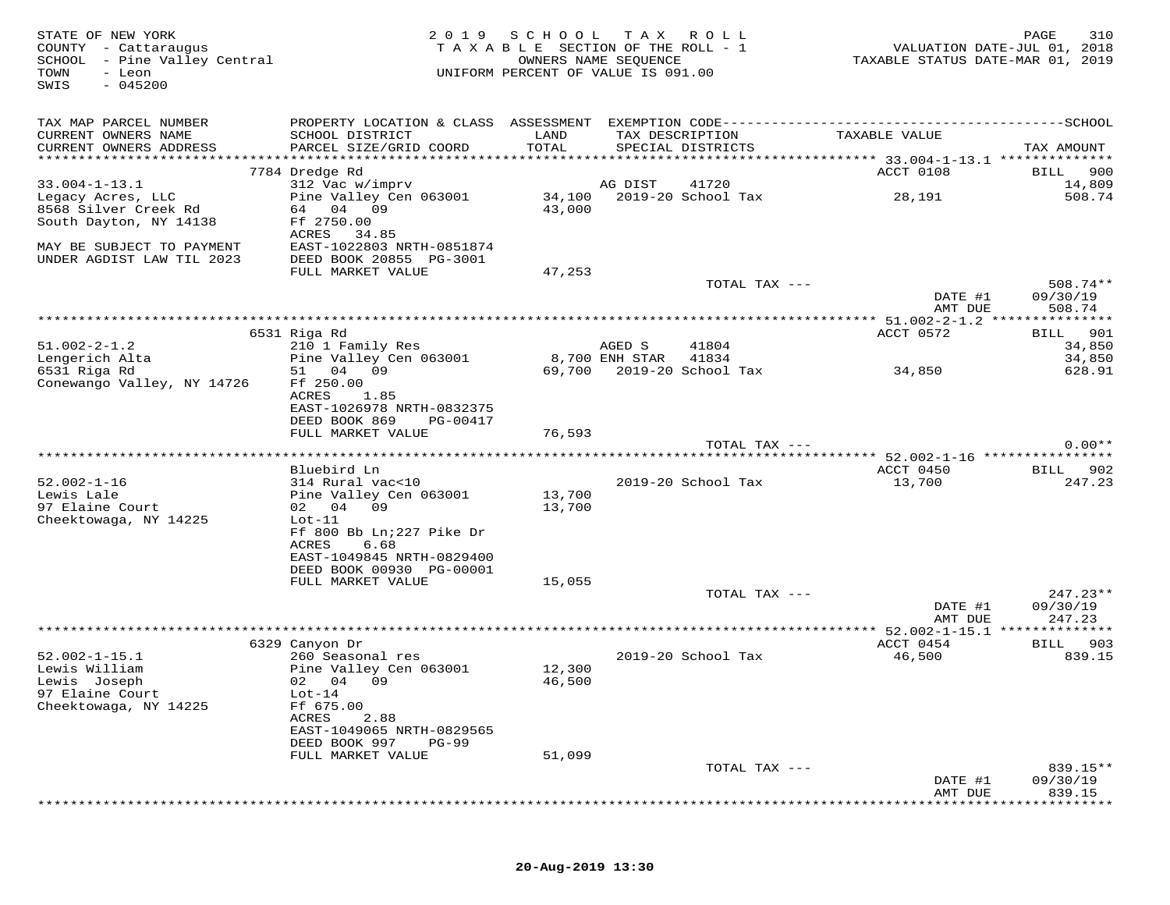| STATE OF NEW YORK<br>COUNTY - Cattaraugus<br>SCHOOL - Pine Valley Central<br>TOWN<br>- Leon<br>$-045200$<br>SWIS | 2 0 1 9                                                             | SCHOOL TAX ROLL<br>TAXABLE SECTION OF THE ROLL - 1<br>UNIFORM PERCENT OF VALUE IS 091.00 | OWNERS NAME SEQUENCE |                                      | VALUATION DATE-JUL 01, 2018<br>TAXABLE STATUS DATE-MAR 01, 2019 | 310<br>PAGE        |
|------------------------------------------------------------------------------------------------------------------|---------------------------------------------------------------------|------------------------------------------------------------------------------------------|----------------------|--------------------------------------|-----------------------------------------------------------------|--------------------|
| TAX MAP PARCEL NUMBER                                                                                            |                                                                     |                                                                                          |                      |                                      |                                                                 |                    |
| CURRENT OWNERS NAME<br>CURRENT OWNERS ADDRESS                                                                    | SCHOOL DISTRICT<br>PARCEL SIZE/GRID COORD                           | LAND<br>TOTAL                                                                            |                      | TAX DESCRIPTION<br>SPECIAL DISTRICTS | TAXABLE VALUE                                                   | TAX AMOUNT         |
|                                                                                                                  | 7784 Dredge Rd                                                      |                                                                                          |                      |                                      | ACCT 0108                                                       | 900<br>BILL        |
| $33.004 - 1 - 13.1$                                                                                              | 312 Vac w/imprv                                                     |                                                                                          | AG DIST              | 41720                                |                                                                 | 14,809             |
| Legacy Acres, LLC<br>8568 Silver Creek Rd<br>South Dayton, NY 14138                                              | Pine Valley Cen 063001<br>64 04 09<br>Ff 2750.00                    | 43,000                                                                                   |                      |                                      | 28,191                                                          | 508.74             |
| MAY BE SUBJECT TO PAYMENT<br>UNDER AGDIST LAW TIL 2023                                                           | ACRES 34.85<br>EAST-1022803 NRTH-0851874<br>DEED BOOK 20855 PG-3001 |                                                                                          |                      |                                      |                                                                 |                    |
|                                                                                                                  | FULL MARKET VALUE                                                   | 47,253                                                                                   |                      |                                      |                                                                 |                    |
|                                                                                                                  |                                                                     |                                                                                          |                      | TOTAL TAX ---                        |                                                                 | $508.74**$         |
|                                                                                                                  |                                                                     |                                                                                          |                      |                                      | DATE #1<br>AMT DUE                                              | 09/30/19<br>508.74 |
|                                                                                                                  |                                                                     |                                                                                          |                      |                                      |                                                                 |                    |
| $51.002 - 2 - 1.2$                                                                                               | 6531 Riga Rd<br>210 1 Family Res                                    |                                                                                          | AGED S               | 41804                                | ACCT 0572                                                       | BILL 901<br>34,850 |
| Lengerich Alta                                                                                                   | Pine Valley Cen 063001                                              |                                                                                          | 8,700 ENH STAR       | 41834                                |                                                                 | 34,850             |
| 6531 Riga Rd                                                                                                     | 51 04 09                                                            |                                                                                          |                      | 69,700 2019-20 School Tax            | 34,850                                                          | 628.91             |
| Conewango Valley, NY 14726                                                                                       | Ff 250.00                                                           |                                                                                          |                      |                                      |                                                                 |                    |
|                                                                                                                  | ACRES<br>1.85                                                       |                                                                                          |                      |                                      |                                                                 |                    |
|                                                                                                                  | EAST-1026978 NRTH-0832375<br>DEED BOOK 869<br>PG-00417              |                                                                                          |                      |                                      |                                                                 |                    |
|                                                                                                                  | FULL MARKET VALUE                                                   | 76,593                                                                                   |                      |                                      |                                                                 |                    |
|                                                                                                                  |                                                                     |                                                                                          |                      | TOTAL TAX ---                        |                                                                 | $0.00**$           |
|                                                                                                                  |                                                                     |                                                                                          |                      |                                      |                                                                 |                    |
| $52.002 - 1 - 16$                                                                                                | Bluebird Ln<br>314 Rural vac<10                                     |                                                                                          |                      | 2019-20 School Tax                   | ACCT 0450<br>13,700                                             | BILL 902<br>247.23 |
| Lewis Lale                                                                                                       | Pine Valley Cen 063001                                              | 13,700                                                                                   |                      |                                      |                                                                 |                    |
| 97 Elaine Court                                                                                                  | 02 04 09                                                            | 13,700                                                                                   |                      |                                      |                                                                 |                    |
| Cheektowaga, NY 14225                                                                                            | $Lot-11$                                                            |                                                                                          |                      |                                      |                                                                 |                    |
|                                                                                                                  | Ff 800 Bb Ln; 227 Pike Dr                                           |                                                                                          |                      |                                      |                                                                 |                    |
|                                                                                                                  | ACRES<br>6.68                                                       |                                                                                          |                      |                                      |                                                                 |                    |
|                                                                                                                  | EAST-1049845 NRTH-0829400<br>DEED BOOK 00930 PG-00001               |                                                                                          |                      |                                      |                                                                 |                    |
|                                                                                                                  | FULL MARKET VALUE                                                   | 15,055                                                                                   |                      |                                      |                                                                 |                    |
|                                                                                                                  |                                                                     |                                                                                          |                      | TOTAL TAX ---                        |                                                                 | $247.23**$         |
|                                                                                                                  |                                                                     |                                                                                          |                      |                                      | DATE #1                                                         | 09/30/19           |
|                                                                                                                  |                                                                     |                                                                                          |                      |                                      | AMT DUE                                                         | 247.23             |
|                                                                                                                  | 6329 Canyon Dr                                                      |                                                                                          |                      |                                      | ACCT 0454                                                       | BILL 903           |
| $52.002 - 1 - 15.1$                                                                                              | 260 Seasonal res                                                    |                                                                                          |                      | 2019-20 School Tax                   | 46,500                                                          | 839.15             |
| Lewis William                                                                                                    | Pine Valley Cen 063001                                              | 12,300                                                                                   |                      |                                      |                                                                 |                    |
| Lewis Joseph                                                                                                     | 02 04 09                                                            | 46,500                                                                                   |                      |                                      |                                                                 |                    |
| 97 Elaine Court<br>Cheektowaga, NY 14225                                                                         | $Lot-14$<br>Ff 675.00                                               |                                                                                          |                      |                                      |                                                                 |                    |
|                                                                                                                  | ACRES<br>2.88                                                       |                                                                                          |                      |                                      |                                                                 |                    |
|                                                                                                                  | EAST-1049065 NRTH-0829565                                           |                                                                                          |                      |                                      |                                                                 |                    |
|                                                                                                                  | DEED BOOK 997<br><b>PG-99</b>                                       |                                                                                          |                      |                                      |                                                                 |                    |
|                                                                                                                  | FULL MARKET VALUE                                                   | 51,099                                                                                   |                      |                                      |                                                                 |                    |
|                                                                                                                  |                                                                     |                                                                                          |                      | TOTAL TAX ---                        |                                                                 | 839.15**           |
|                                                                                                                  |                                                                     |                                                                                          |                      |                                      | DATE #1<br>AMT DUE                                              | 09/30/19<br>839.15 |
|                                                                                                                  |                                                                     |                                                                                          |                      |                                      |                                                                 |                    |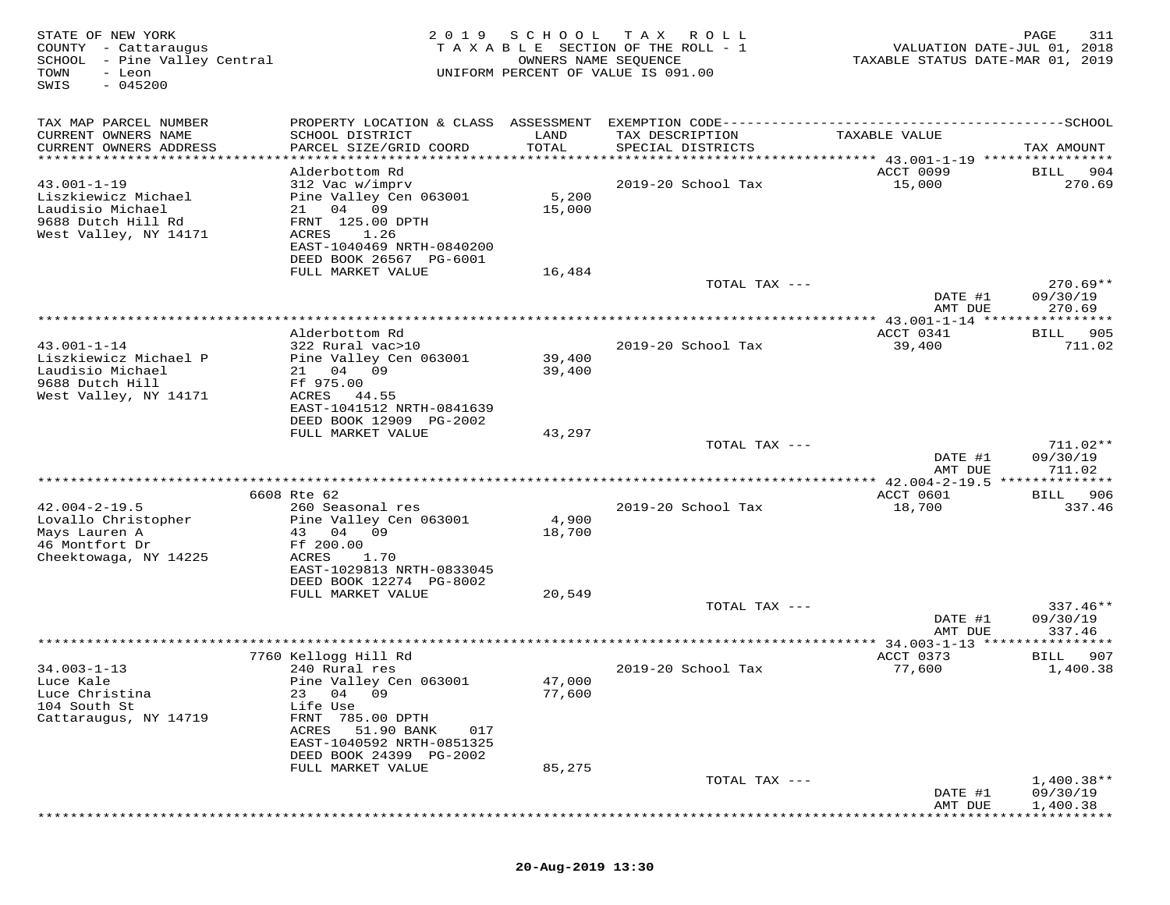| STATE OF NEW YORK<br>COUNTY - Cattaraugus<br>SCHOOL - Pine Valley Central<br>TOWN<br>- Leon<br>$-045200$<br>SWIS | 2 0 1 9                                                                                                                                                                                                                      | SCHOOL<br>OWNERS NAME SEQUENCE | T A X<br>R O L L<br>TAXABLE SECTION OF THE ROLL - 1<br>UNIFORM PERCENT OF VALUE IS 091.00 | VALUATION DATE-JUL 01, 2018<br>TAXABLE STATUS DATE-MAR 01, 2019 | 311<br>PAGE                      |
|------------------------------------------------------------------------------------------------------------------|------------------------------------------------------------------------------------------------------------------------------------------------------------------------------------------------------------------------------|--------------------------------|-------------------------------------------------------------------------------------------|-----------------------------------------------------------------|----------------------------------|
| TAX MAP PARCEL NUMBER<br>CURRENT OWNERS NAME<br>CURRENT OWNERS ADDRESS                                           | PROPERTY LOCATION & CLASS ASSESSMENT<br>SCHOOL DISTRICT<br>PARCEL SIZE/GRID COORD                                                                                                                                            | LAND<br>TOTAL                  | TAX DESCRIPTION<br>SPECIAL DISTRICTS                                                      | TAXABLE VALUE                                                   | TAX AMOUNT                       |
| **********************                                                                                           |                                                                                                                                                                                                                              |                                |                                                                                           |                                                                 |                                  |
| $43.001 - 1 - 19$<br>Liszkiewicz Michael<br>Laudisio Michael<br>9688 Dutch Hill Rd<br>West Valley, NY 14171      | Alderbottom Rd<br>312 Vac w/imprv<br>Pine Valley Cen 063001<br>21 04<br>09<br>FRNT 125.00 DPTH<br>ACRES<br>1.26<br>EAST-1040469 NRTH-0840200<br>DEED BOOK 26567 PG-6001                                                      | 5,200<br>15,000                | 2019-20 School Tax                                                                        | ACCT 0099<br>15,000                                             | <b>BILL</b><br>904<br>270.69     |
|                                                                                                                  | FULL MARKET VALUE                                                                                                                                                                                                            | 16,484                         |                                                                                           |                                                                 |                                  |
|                                                                                                                  |                                                                                                                                                                                                                              |                                | TOTAL TAX ---                                                                             | DATE #1                                                         | $270.69**$<br>09/30/19           |
|                                                                                                                  |                                                                                                                                                                                                                              |                                |                                                                                           | AMT DUE                                                         | 270.69<br>* * * * * * * * *      |
|                                                                                                                  | Alderbottom Rd                                                                                                                                                                                                               |                                |                                                                                           | ACCT 0341                                                       | 905<br>BILL                      |
| $43.001 - 1 - 14$<br>Liszkiewicz Michael P<br>Laudisio Michael<br>9688 Dutch Hill<br>West Valley, NY 14171       | 322 Rural vac>10<br>Pine Valley Cen 063001<br>21 04 09<br>Ff 975.00<br>ACRES<br>44.55<br>EAST-1041512 NRTH-0841639                                                                                                           | 39,400<br>39,400               | 2019-20 School Tax                                                                        | 39,400                                                          | 711.02                           |
|                                                                                                                  | DEED BOOK 12909 PG-2002<br>FULL MARKET VALUE                                                                                                                                                                                 | 43,297                         |                                                                                           |                                                                 |                                  |
|                                                                                                                  |                                                                                                                                                                                                                              |                                | TOTAL TAX ---                                                                             | DATE #1<br>AMT DUE                                              | $711.02**$<br>09/30/19<br>711.02 |
|                                                                                                                  |                                                                                                                                                                                                                              |                                |                                                                                           | *********** 42.004-2-19.5 ***                                   | *******                          |
|                                                                                                                  | 6608 Rte 62                                                                                                                                                                                                                  |                                |                                                                                           | ACCT 0601                                                       | 906<br>BILL                      |
| $42.004 - 2 - 19.5$<br>Lovallo Christopher<br>Mays Lauren A<br>46 Montfort Dr<br>Cheektowaga, NY 14225           | 260 Seasonal res<br>Pine Valley Cen 063001<br>43<br>04 09<br>Ff 200.00<br>ACRES<br>1.70<br>EAST-1029813 NRTH-0833045<br>DEED BOOK 12274 PG-8002<br>FULL MARKET VALUE                                                         | 4,900<br>18,700<br>20,549      | 2019-20 School Tax                                                                        | 18,700                                                          | 337.46                           |
|                                                                                                                  |                                                                                                                                                                                                                              |                                | TOTAL TAX ---                                                                             | DATE #1                                                         | $337.46**$<br>09/30/19           |
|                                                                                                                  |                                                                                                                                                                                                                              |                                |                                                                                           | AMT DUE                                                         | 337.46                           |
|                                                                                                                  |                                                                                                                                                                                                                              |                                | *************************************                                                     | ** 34.003-1-13                                                  |                                  |
| $34.003 - 1 - 13$<br>Luce Kale<br>Luce Christina<br>104 South St<br>Cattaraugus, NY 14719                        | 7760 Kellogg Hill Rd<br>240 Rural res<br>Pine Valley Cen 063001<br>23<br>04<br>09<br>Life Use<br>FRNT 785.00 DPTH<br>51.90 BANK<br>ACRES<br>017<br>EAST-1040592 NRTH-0851325<br>DEED BOOK 24399 PG-2002<br>FULL MARKET VALUE | 47,000<br>77,600<br>85,275     | 2019-20 School Tax                                                                        | ACCT 0373<br>77,600                                             | 907<br>BILL<br>1,400.38          |
|                                                                                                                  |                                                                                                                                                                                                                              |                                | TOTAL TAX ---                                                                             |                                                                 | $1,400.38**$                     |
|                                                                                                                  |                                                                                                                                                                                                                              |                                |                                                                                           | DATE #1<br>AMT DUE                                              | 09/30/19<br>1,400.38             |
|                                                                                                                  |                                                                                                                                                                                                                              |                                |                                                                                           |                                                                 |                                  |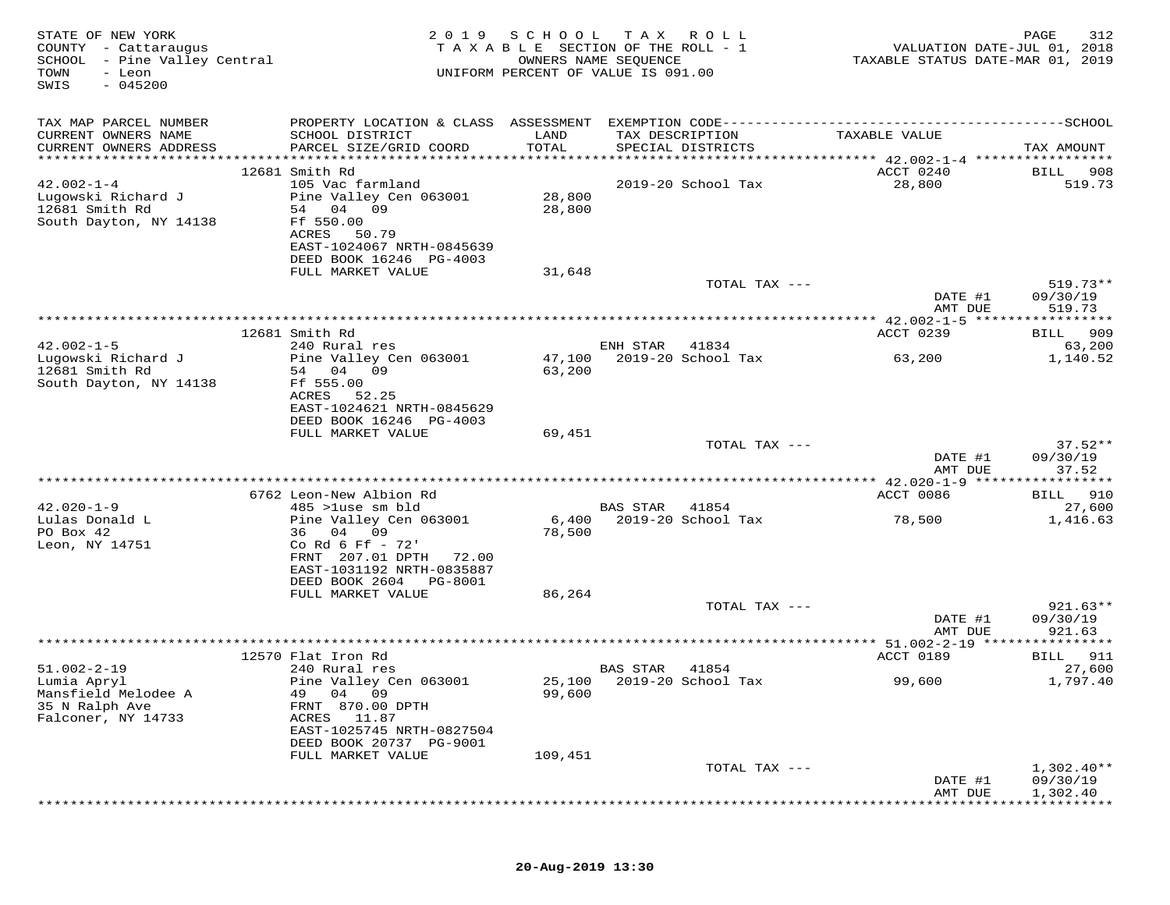| STATE OF NEW YORK<br>COUNTY - Cattaraugus<br>SCHOOL - Pine Valley Central<br>TOWN<br>- Leon<br>$-045200$<br>SWIS | 2 0 1 9                                                                        | SCHOOL TAX       | R O L L<br>TAXABLE SECTION OF THE ROLL - 1<br>OWNERS NAME SEQUENCE<br>UNIFORM PERCENT OF VALUE IS 091.00 |               | VALUATION DATE-JUL 01, 2018<br>TAXABLE STATUS DATE-MAR 01, 2019 | 312<br>PAGE                          |
|------------------------------------------------------------------------------------------------------------------|--------------------------------------------------------------------------------|------------------|----------------------------------------------------------------------------------------------------------|---------------|-----------------------------------------------------------------|--------------------------------------|
| TAX MAP PARCEL NUMBER                                                                                            |                                                                                |                  |                                                                                                          |               |                                                                 |                                      |
| CURRENT OWNERS NAME<br>CURRENT OWNERS ADDRESS                                                                    | SCHOOL DISTRICT<br>PARCEL SIZE/GRID COORD                                      | LAND<br>TOTAL    | TAX DESCRIPTION<br>SPECIAL DISTRICTS                                                                     |               | TAXABLE VALUE                                                   | TAX AMOUNT                           |
| ***********************                                                                                          | *******************************                                                |                  |                                                                                                          |               |                                                                 |                                      |
| $42.002 - 1 - 4$                                                                                                 | 12681 Smith Rd<br>105 Vac farmland                                             |                  | 2019-20 School Tax                                                                                       |               | ACCT 0240<br>28,800                                             | 908<br>BILL<br>519.73                |
| Lugowski Richard J<br>12681 Smith Rd                                                                             | Pine Valley Cen 063001<br>54 04 09                                             | 28,800<br>28,800 |                                                                                                          |               |                                                                 |                                      |
| South Dayton, NY 14138                                                                                           | Ff 550.00<br>ACRES<br>50.79<br>EAST-1024067 NRTH-0845639                       |                  |                                                                                                          |               |                                                                 |                                      |
|                                                                                                                  | DEED BOOK 16246 PG-4003<br>FULL MARKET VALUE                                   | 31,648           |                                                                                                          |               |                                                                 |                                      |
|                                                                                                                  |                                                                                |                  |                                                                                                          | TOTAL TAX --- |                                                                 | $519.73**$                           |
|                                                                                                                  |                                                                                |                  |                                                                                                          |               | DATE #1<br>AMT DUE                                              | 09/30/19<br>519.73                   |
|                                                                                                                  |                                                                                |                  |                                                                                                          |               |                                                                 |                                      |
| $42.002 - 1 - 5$                                                                                                 | 12681 Smith Rd<br>240 Rural res                                                |                  | ENH STAR<br>41834                                                                                        |               | ACCT 0239                                                       | 909<br>BILL<br>63,200                |
| Lugowski Richard J<br>12681 Smith Rd                                                                             | Pine Valley Cen 063001<br>54 04 09                                             | 47,100<br>63,200 | 2019-20 School Tax                                                                                       |               | 63,200                                                          | 1,140.52                             |
| South Dayton, NY 14138                                                                                           | Ff 555.00<br>ACRES<br>52.25                                                    |                  |                                                                                                          |               |                                                                 |                                      |
|                                                                                                                  | EAST-1024621 NRTH-0845629<br>DEED BOOK 16246 PG-4003<br>FULL MARKET VALUE      | 69,451           |                                                                                                          |               |                                                                 |                                      |
|                                                                                                                  |                                                                                |                  |                                                                                                          | TOTAL TAX --- |                                                                 | $37.52**$                            |
|                                                                                                                  |                                                                                |                  |                                                                                                          |               | DATE #1<br>AMT DUE                                              | 09/30/19<br>37.52                    |
|                                                                                                                  |                                                                                |                  |                                                                                                          |               |                                                                 |                                      |
| $42.020 - 1 - 9$                                                                                                 | 6762 Leon-New Albion Rd<br>485 >luse sm bld                                    |                  | BAS STAR<br>41854                                                                                        |               | ACCT 0086                                                       | BILL 910<br>27,600                   |
| Lulas Donald L                                                                                                   | Pine Valley Cen 063001                                                         |                  | 6,400 2019-20 School Tax                                                                                 |               | 78,500                                                          | 1,416.63                             |
| PO Box 42<br>Leon, NY 14751                                                                                      | 36 04 09<br>Co Rd 6 Ff $-72'$                                                  | 78,500           |                                                                                                          |               |                                                                 |                                      |
|                                                                                                                  | FRNT 207.01 DPTH 72.00<br>EAST-1031192 NRTH-0835887                            |                  |                                                                                                          |               |                                                                 |                                      |
|                                                                                                                  | DEED BOOK 2604<br>PG-8001                                                      |                  |                                                                                                          |               |                                                                 |                                      |
|                                                                                                                  | FULL MARKET VALUE                                                              | 86,264           |                                                                                                          |               |                                                                 |                                      |
|                                                                                                                  |                                                                                |                  |                                                                                                          | TOTAL TAX --- | DATE #1<br>AMT DUE                                              | $921.63**$<br>09/30/19<br>921.63     |
|                                                                                                                  |                                                                                |                  | **********************************                                                                       |               | **** 51.002-2-19 *****************                              |                                      |
| $51.002 - 2 - 19$                                                                                                | 12570 Flat Iron Rd<br>240 Rural res                                            |                  | 41854<br>BAS STAR                                                                                        |               | ACCT 0189                                                       | BILL 911<br>27,600                   |
| Lumia Apryl<br>Mansfield Melodee A<br>35 N Ralph Ave<br>Falconer, NY 14733                                       | Pine Valley Cen 063001<br>09<br>49<br>04<br>FRNT 870.00 DPTH<br>ACRES<br>11.87 | 99,600           | 25,100 2019-20 School Tax                                                                                |               | 99,600                                                          | 1,797.40                             |
|                                                                                                                  | EAST-1025745 NRTH-0827504<br>DEED BOOK 20737 PG-9001                           |                  |                                                                                                          |               |                                                                 |                                      |
|                                                                                                                  | FULL MARKET VALUE                                                              | 109,451          |                                                                                                          |               |                                                                 |                                      |
|                                                                                                                  |                                                                                |                  |                                                                                                          | TOTAL TAX --- | DATE #1<br>AMT DUE                                              | $1,302.40**$<br>09/30/19<br>1,302.40 |
|                                                                                                                  |                                                                                |                  |                                                                                                          |               |                                                                 |                                      |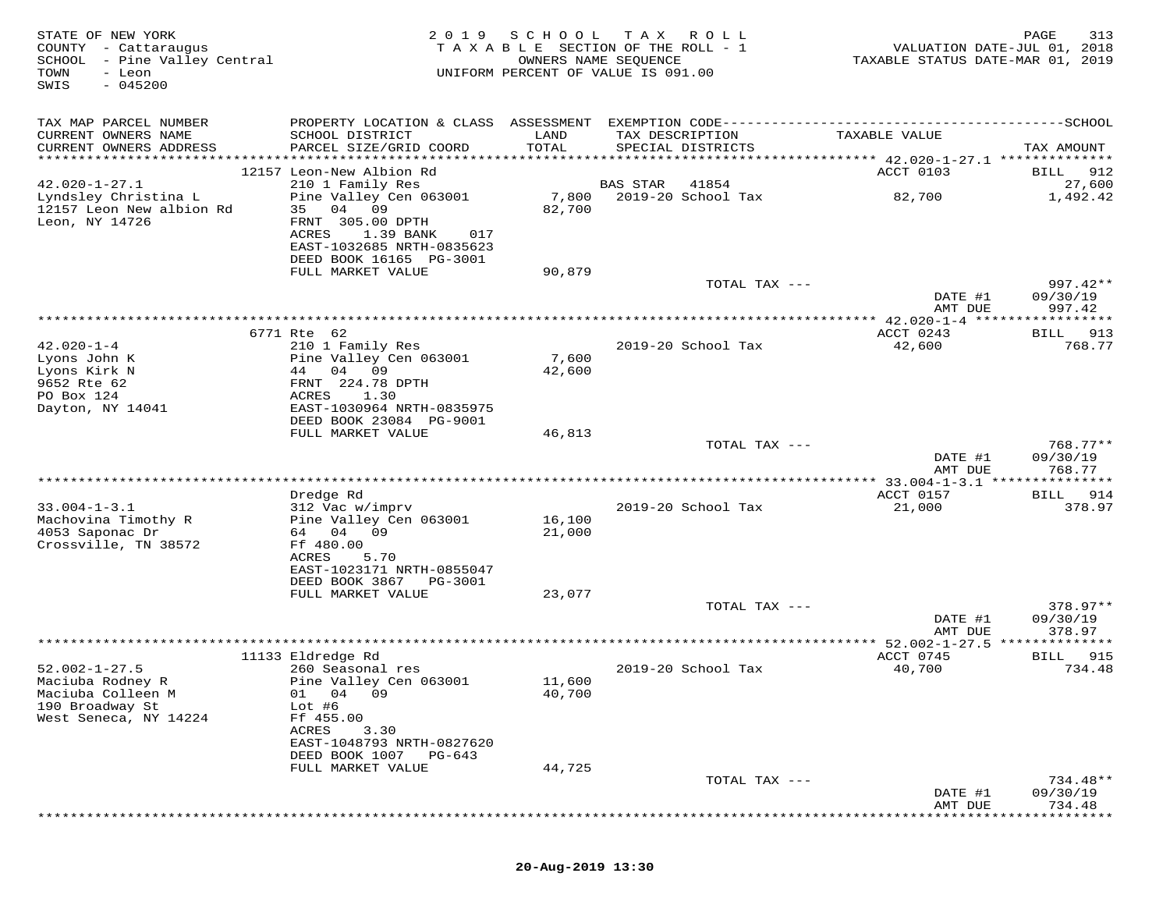| STATE OF NEW YORK<br>COUNTY - Cattaraugus<br>SCHOOL - Pine Valley Central<br>TOWN<br>- Leon<br>$-045200$<br>SWIS | 2 0 1 9                                                                                                                                                             | S C H O O L               | T A X<br>ROLL<br>TAXABLE SECTION OF THE ROLL - 1<br>OWNERS NAME SEQUENCE<br>UNIFORM PERCENT OF VALUE IS 091.00 | VALUATION DATE-JUL 01, 2018<br>TAXABLE STATUS DATE-MAR 01, 2019 | PAGE<br>313           |
|------------------------------------------------------------------------------------------------------------------|---------------------------------------------------------------------------------------------------------------------------------------------------------------------|---------------------------|----------------------------------------------------------------------------------------------------------------|-----------------------------------------------------------------|-----------------------|
| TAX MAP PARCEL NUMBER<br>CURRENT OWNERS NAME                                                                     | SCHOOL DISTRICT                                                                                                                                                     | LAND                      | TAX DESCRIPTION                                                                                                | TAXABLE VALUE                                                   |                       |
| CURRENT OWNERS ADDRESS                                                                                           | PARCEL SIZE/GRID COORD                                                                                                                                              | TOTAL                     | SPECIAL DISTRICTS                                                                                              |                                                                 | TAX AMOUNT            |
|                                                                                                                  | 12157 Leon-New Albion Rd                                                                                                                                            |                           |                                                                                                                | ACCT 0103                                                       | 912<br>BILL           |
| $42.020 - 1 - 27.1$                                                                                              | 210 1 Family Res                                                                                                                                                    |                           | <b>BAS STAR</b><br>41854                                                                                       |                                                                 | 27,600                |
| Lyndsley Christina L<br>12157 Leon New albion Rd<br>Leon, NY 14726                                               | Pine Valley Cen 063001<br>04 09<br>35<br>FRNT 305.00 DPTH<br>ACRES<br>1.39 BANK<br>017<br>EAST-1032685 NRTH-0835623<br>DEED BOOK 16165 PG-3001<br>FULL MARKET VALUE | 7,800<br>82,700<br>90,879 | 2019-20 School Tax                                                                                             | 82,700                                                          | 1,492.42              |
|                                                                                                                  |                                                                                                                                                                     |                           | TOTAL TAX ---                                                                                                  |                                                                 | $997.42**$            |
|                                                                                                                  |                                                                                                                                                                     |                           |                                                                                                                | DATE #1<br>AMT DUE                                              | 09/30/19<br>997.42    |
|                                                                                                                  |                                                                                                                                                                     |                           |                                                                                                                |                                                                 |                       |
| $42.020 - 1 - 4$                                                                                                 | 6771 Rte 62<br>210 1 Family Res                                                                                                                                     |                           | 2019-20 School Tax                                                                                             | ACCT 0243<br>42,600                                             | 913<br>BILL<br>768.77 |
| Lyons John K                                                                                                     | Pine Valley Cen 063001                                                                                                                                              | 7,600                     |                                                                                                                |                                                                 |                       |
| Lyons Kirk N                                                                                                     | 44 04 09                                                                                                                                                            | 42,600                    |                                                                                                                |                                                                 |                       |
| 9652 Rte 62<br>PO Box 124                                                                                        | FRNT 224.78 DPTH<br>ACRES<br>1.30                                                                                                                                   |                           |                                                                                                                |                                                                 |                       |
| Dayton, NY 14041                                                                                                 | EAST-1030964 NRTH-0835975                                                                                                                                           |                           |                                                                                                                |                                                                 |                       |
|                                                                                                                  | DEED BOOK 23084 PG-9001                                                                                                                                             |                           |                                                                                                                |                                                                 |                       |
|                                                                                                                  | FULL MARKET VALUE                                                                                                                                                   | 46,813                    | TOTAL TAX ---                                                                                                  |                                                                 | $768.77**$            |
|                                                                                                                  |                                                                                                                                                                     |                           |                                                                                                                | DATE #1<br>AMT DUE                                              | 09/30/19<br>768.77    |
|                                                                                                                  |                                                                                                                                                                     |                           |                                                                                                                | **** 33.004-1-3.1 ****                                          | * * * * * * * * *     |
| $33.004 - 1 - 3.1$                                                                                               | Dredge Rd<br>312 Vac w/imprv                                                                                                                                        |                           | 2019-20 School Tax                                                                                             | ACCT 0157<br>21,000                                             | BILL<br>914<br>378.97 |
| Machovina Timothy R                                                                                              | Pine Valley Cen 063001                                                                                                                                              | 16,100                    |                                                                                                                |                                                                 |                       |
| 4053 Saponac Dr                                                                                                  | 64 04 09                                                                                                                                                            | 21,000                    |                                                                                                                |                                                                 |                       |
| Crossville, TN 38572                                                                                             | Ff 480.00<br>ACRES<br>5.70                                                                                                                                          |                           |                                                                                                                |                                                                 |                       |
|                                                                                                                  | EAST-1023171 NRTH-0855047                                                                                                                                           |                           |                                                                                                                |                                                                 |                       |
|                                                                                                                  | DEED BOOK 3867<br>PG-3001                                                                                                                                           |                           |                                                                                                                |                                                                 |                       |
|                                                                                                                  | FULL MARKET VALUE                                                                                                                                                   | 23,077                    | TOTAL TAX ---                                                                                                  |                                                                 | $378.97**$            |
|                                                                                                                  |                                                                                                                                                                     |                           |                                                                                                                | DATE #1                                                         | 09/30/19              |
|                                                                                                                  |                                                                                                                                                                     |                           |                                                                                                                | AMT DUE                                                         | 378.97                |
|                                                                                                                  |                                                                                                                                                                     |                           |                                                                                                                | ** $52.002 - 1 - 27.5$ **                                       | * * * * * * * *       |
| $52.002 - 1 - 27.5$                                                                                              | 11133 Eldredge Rd<br>260 Seasonal res                                                                                                                               |                           | 2019-20 School Tax                                                                                             | ACCT 0745<br>40,700                                             | 915<br>BILL<br>734.48 |
| Maciuba Rodney R                                                                                                 | Pine Valley Cen 063001                                                                                                                                              | 11,600                    |                                                                                                                |                                                                 |                       |
| Maciuba Colleen M                                                                                                | 01 04 09                                                                                                                                                            | 40,700                    |                                                                                                                |                                                                 |                       |
| 190 Broadway St<br>West Seneca, NY 14224                                                                         | Lot #6<br>Ff 455.00                                                                                                                                                 |                           |                                                                                                                |                                                                 |                       |
|                                                                                                                  | 3.30<br>ACRES                                                                                                                                                       |                           |                                                                                                                |                                                                 |                       |
|                                                                                                                  | EAST-1048793 NRTH-0827620                                                                                                                                           |                           |                                                                                                                |                                                                 |                       |
|                                                                                                                  | DEED BOOK 1007<br>$PG-643$<br>FULL MARKET VALUE                                                                                                                     | 44,725                    |                                                                                                                |                                                                 |                       |
|                                                                                                                  |                                                                                                                                                                     |                           | TOTAL TAX ---                                                                                                  |                                                                 | $734.48**$            |
|                                                                                                                  |                                                                                                                                                                     |                           |                                                                                                                | DATE #1                                                         | 09/30/19              |
|                                                                                                                  |                                                                                                                                                                     |                           |                                                                                                                | AMT DUE                                                         | 734.48                |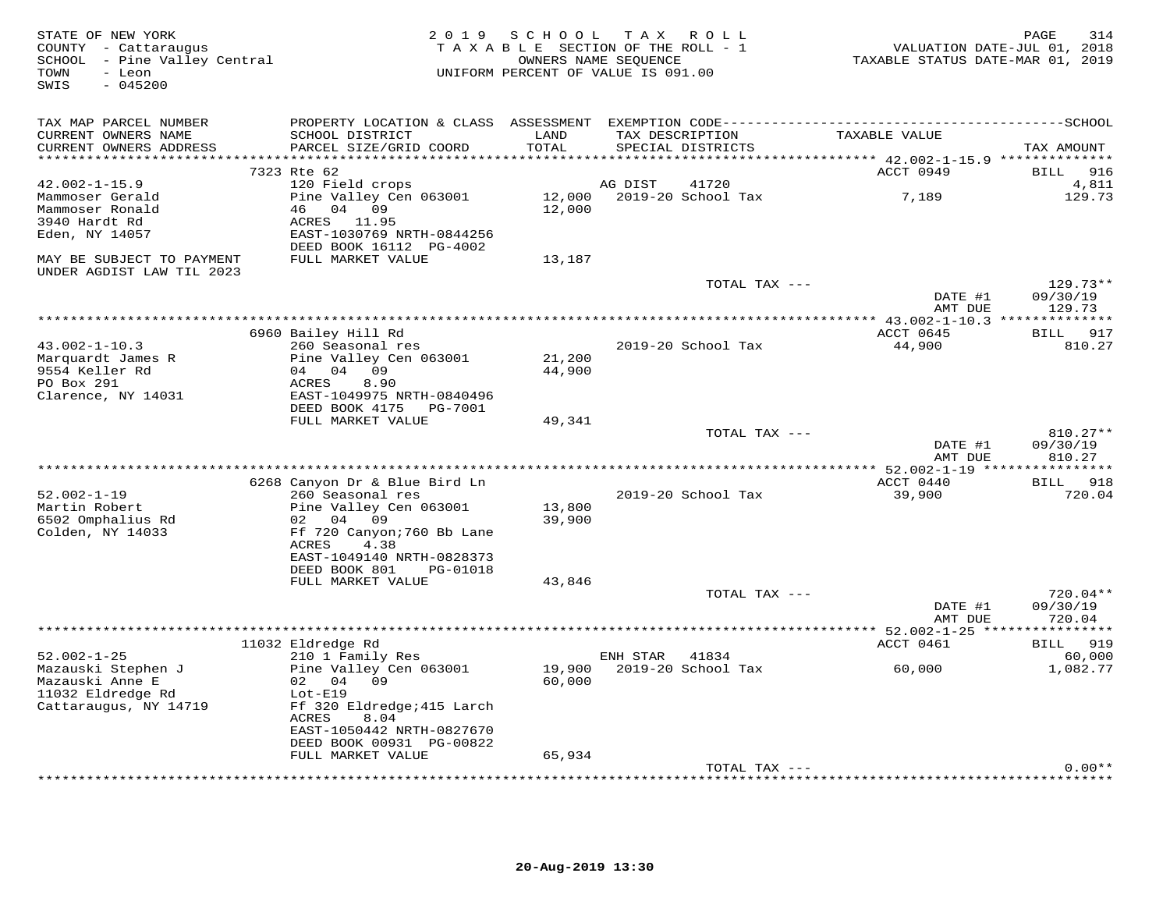| STATE OF NEW YORK<br>COUNTY - Cattaraugus<br>SCHOOL - Pine Valley Central<br>- Leon<br>TOWN<br>$-045200$<br>SWIS | 2 0 1 9                                                                                                                                                         | SCHOOL<br>TAXABLE SECTION OF THE ROLL - 1<br>UNIFORM PERCENT OF VALUE IS 091.00 | TAX ROLL<br>OWNERS NAME SEOUENCE     |                    | TAXABLE STATUS DATE-MAR 01, 2019 | PAGE<br>314<br>VALUATION DATE-JUL 01, 2018 |
|------------------------------------------------------------------------------------------------------------------|-----------------------------------------------------------------------------------------------------------------------------------------------------------------|---------------------------------------------------------------------------------|--------------------------------------|--------------------|----------------------------------|--------------------------------------------|
| TAX MAP PARCEL NUMBER<br>CURRENT OWNERS NAME<br>CURRENT OWNERS ADDRESS<br>***********************                | SCHOOL DISTRICT<br>PARCEL SIZE/GRID COORD                                                                                                                       | LAND<br>TOTAL                                                                   | TAX DESCRIPTION<br>SPECIAL DISTRICTS |                    | TAXABLE VALUE                    | TAX AMOUNT                                 |
|                                                                                                                  | 7323 Rte 62                                                                                                                                                     |                                                                                 |                                      |                    | ACCT 0949                        | 916<br>BILL                                |
| $42.002 - 1 - 15.9$                                                                                              | 120 Field crops                                                                                                                                                 |                                                                                 | AG DIST                              | 41720              |                                  | 4,811                                      |
| Mammoser Gerald<br>Mammoser Ronald<br>3940 Hardt Rd<br>Eden, NY 14057                                            | Pine Valley Cen 063001<br>46 04 09<br>ACRES 11.95<br>EAST-1030769 NRTH-0844256<br>DEED BOOK 16112 PG-4002                                                       | 12,000<br>12,000                                                                |                                      | 2019-20 School Tax | 7,189                            | 129.73                                     |
| MAY BE SUBJECT TO PAYMENT<br>UNDER AGDIST LAW TIL 2023                                                           | FULL MARKET VALUE                                                                                                                                               | 13,187                                                                          |                                      |                    |                                  |                                            |
|                                                                                                                  |                                                                                                                                                                 |                                                                                 |                                      | TOTAL TAX ---      | DATE #1<br>AMT DUE               | $129.73**$<br>09/30/19<br>129.73           |
|                                                                                                                  |                                                                                                                                                                 |                                                                                 |                                      |                    |                                  |                                            |
| $43.002 - 1 - 10.3$<br>Marquardt James R<br>9554 Keller Rd<br>PO Box 291                                         | 6960 Bailey Hill Rd<br>260 Seasonal res<br>Pine Valley Cen 063001<br>04 04<br>09<br>ACRES<br>8.90                                                               | 21,200<br>44,900                                                                | 2019-20 School Tax                   |                    | ACCT 0645<br>44,900              | BILL<br>917<br>810.27                      |
| Clarence, NY 14031                                                                                               | EAST-1049975 NRTH-0840496<br>DEED BOOK 4175<br>PG-7001<br>FULL MARKET VALUE                                                                                     | 49,341                                                                          |                                      |                    |                                  |                                            |
|                                                                                                                  |                                                                                                                                                                 |                                                                                 |                                      | TOTAL TAX ---      |                                  | $810.27**$                                 |
|                                                                                                                  |                                                                                                                                                                 |                                                                                 |                                      |                    | DATE #1<br>AMT DUE               | 09/30/19<br>810.27                         |
|                                                                                                                  | 6268 Canyon Dr & Blue Bird Ln                                                                                                                                   |                                                                                 |                                      |                    | ACCT 0440                        | *********<br>918<br>BILL                   |
| $52.002 - 1 - 19$<br>Martin Robert<br>6502 Omphalius Rd<br>Colden, NY 14033                                      | 260 Seasonal res<br>Pine Valley Cen 063001<br>02 04 09<br>Ff 720 Canyon; 760 Bb Lane<br>ACRES<br>4.38<br>EAST-1049140 NRTH-0828373<br>DEED BOOK 801<br>PG-01018 | 13,800<br>39,900                                                                | 2019-20 School Tax                   |                    | 39,900                           | 720.04                                     |
|                                                                                                                  | FULL MARKET VALUE                                                                                                                                               | 43,846                                                                          |                                      |                    |                                  |                                            |
|                                                                                                                  |                                                                                                                                                                 |                                                                                 |                                      | TOTAL TAX ---      | DATE #1<br>AMT DUE               | $720.04**$<br>09/30/19<br>720.04           |
|                                                                                                                  |                                                                                                                                                                 |                                                                                 |                                      |                    | ********** 52.002-1-25 ******    | **********                                 |
| $52.002 - 1 - 25$                                                                                                | 11032 Eldredge Rd<br>210 1 Family Res                                                                                                                           |                                                                                 | ENH STAR                             | 41834              | ACCT 0461                        | 919<br>BILL<br>60,000                      |
| Mazauski Stephen J<br>Mazauski Anne E<br>11032 Eldredge Rd<br>Cattaraugus, NY 14719                              | Pine Valley Cen 063001<br>02 04<br>09<br>$Lot-E19$<br>Ff 320 Eldredge; 415 Larch<br>8.04<br>ACRES<br>EAST-1050442 NRTH-0827670<br>DEED BOOK 00931 PG-00822      | 19,900<br>60,000                                                                | 2019-20 School Tax                   |                    | 60,000                           | 1,082.77                                   |
|                                                                                                                  | FULL MARKET VALUE                                                                                                                                               | 65,934                                                                          |                                      | TOTAL TAX ---      |                                  | $0.00**$                                   |
|                                                                                                                  |                                                                                                                                                                 |                                                                                 |                                      |                    |                                  |                                            |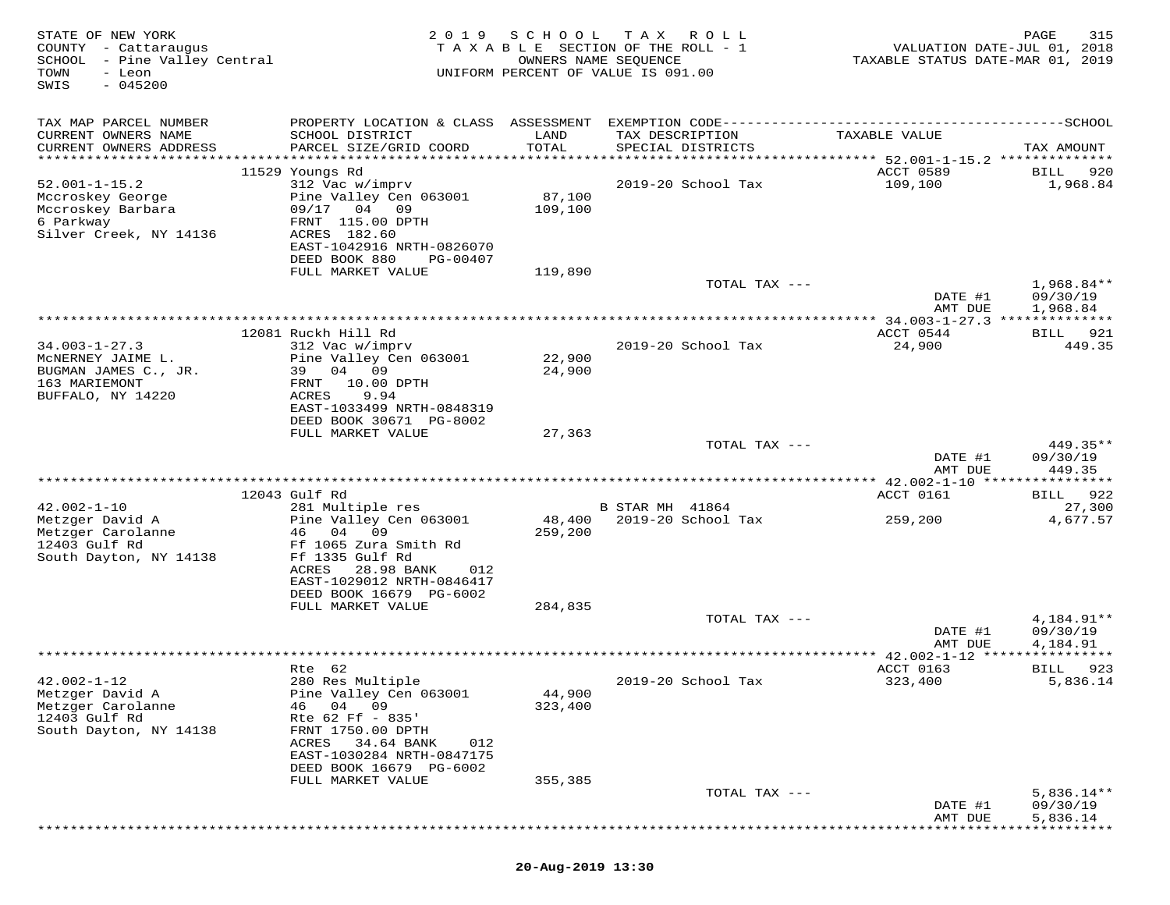| STATE OF NEW YORK<br>COUNTY - Cattaraugus<br>SCHOOL - Pine Valley Central<br>TOWN<br>- Leon<br>$-045200$<br>SWIS | 2 0 1 9                                                                                                                                                                 | SCHOOL            | T A X<br>R O L L<br>TAXABLE SECTION OF THE ROLL - 1<br>OWNERS NAME SEQUENCE<br>UNIFORM PERCENT OF VALUE IS 091.00 | VALUATION DATE-JUL 01, 2018<br>TAXABLE STATUS DATE-MAR 01, 2019 | 315<br>PAGE                          |
|------------------------------------------------------------------------------------------------------------------|-------------------------------------------------------------------------------------------------------------------------------------------------------------------------|-------------------|-------------------------------------------------------------------------------------------------------------------|-----------------------------------------------------------------|--------------------------------------|
| TAX MAP PARCEL NUMBER<br>CURRENT OWNERS NAME<br>CURRENT OWNERS ADDRESS                                           | SCHOOL DISTRICT<br>PARCEL SIZE/GRID COORD                                                                                                                               | LAND<br>TOTAL     | TAX DESCRIPTION<br>SPECIAL DISTRICTS                                                                              | TAXABLE VALUE                                                   | TAX AMOUNT                           |
|                                                                                                                  | 11529 Youngs Rd                                                                                                                                                         |                   |                                                                                                                   | ACCT 0589                                                       | 920<br>BILL                          |
| $52.001 - 1 - 15.2$<br>Mccroskey George<br>Mccroskey Barbara<br>6 Parkway<br>Silver Creek, NY 14136              | 312 Vac w/imprv<br>Pine Valley Cen 063001<br>09/17 04 09<br>FRNT 115.00 DPTH<br>ACRES 182.60<br>EAST-1042916 NRTH-0826070                                               | 87,100<br>109,100 | 2019-20 School Tax                                                                                                | 109,100                                                         | 1,968.84                             |
|                                                                                                                  | DEED BOOK 880<br>PG-00407<br>FULL MARKET VALUE                                                                                                                          | 119,890           |                                                                                                                   |                                                                 |                                      |
|                                                                                                                  |                                                                                                                                                                         |                   | TOTAL TAX ---                                                                                                     | DATE #1                                                         | $1,968.84**$<br>09/30/19             |
|                                                                                                                  |                                                                                                                                                                         |                   |                                                                                                                   | AMT DUE                                                         | 1,968.84                             |
| $34.003 - 1 - 27.3$<br>MCNERNEY JAIME L.<br>BUGMAN JAMES C., JR.                                                 | 12081 Ruckh Hill Rd<br>312 Vac w/imprv<br>Pine Valley Cen 063001<br>39 04 09                                                                                            | 22,900<br>24,900  | 2019-20 School Tax                                                                                                | ACCT 0544<br>24,900                                             | BILL 921<br>449.35                   |
| 163 MARIEMONT<br>BUFFALO, NY 14220                                                                               | FRNT<br>10.00 DPTH<br>ACRES<br>9.94<br>EAST-1033499 NRTH-0848319<br>DEED BOOK 30671 PG-8002<br>FULL MARKET VALUE                                                        | 27,363            |                                                                                                                   |                                                                 |                                      |
|                                                                                                                  |                                                                                                                                                                         |                   | TOTAL TAX ---                                                                                                     | DATE #1<br>AMT DUE                                              | 449.35**<br>09/30/19<br>449.35       |
|                                                                                                                  |                                                                                                                                                                         |                   |                                                                                                                   |                                                                 |                                      |
| $42.002 - 1 - 10$                                                                                                | 12043 Gulf Rd<br>281 Multiple res                                                                                                                                       |                   | <b>B STAR MH 41864</b>                                                                                            | ACCT 0161                                                       | BILL 922<br>27,300                   |
| Metzger David A<br>Metzger Carolanne<br>12403 Gulf Rd<br>South Dayton, NY 14138                                  | Pine Valley Cen 063001<br>46<br>04<br>09<br>Ff 1065 Zura Smith Rd<br>Ff 1335 Gulf Rd<br>ACRES<br>28.98 BANK<br>012<br>EAST-1029012 NRTH-0846417                         | 48,400<br>259,200 | 2019-20 School Tax                                                                                                | 259,200                                                         | 4,677.57                             |
|                                                                                                                  | DEED BOOK 16679 PG-6002<br>FULL MARKET VALUE                                                                                                                            | 284,835           | TOTAL TAX ---                                                                                                     | DATE #1                                                         | 4,184.91**<br>09/30/19               |
|                                                                                                                  |                                                                                                                                                                         |                   |                                                                                                                   | AMT DUE                                                         | 4,184.91                             |
| $42.002 - 1 - 12$                                                                                                | Rte 62<br>280 Res Multiple                                                                                                                                              |                   | 2019-20 School Tax                                                                                                | ACCT 0163<br>323,400                                            | 923<br>BILL<br>5,836.14              |
| Metzger David A<br>Metzger Carolanne<br>12403 Gulf Rd<br>South Dayton, NY 14138                                  | Pine Valley Cen 063001<br>04<br>46<br>09<br>Rte 62 Ff - 835'<br>FRNT 1750.00 DPTH<br>ACRES<br>34.64 BANK<br>012<br>EAST-1030284 NRTH-0847175<br>DEED BOOK 16679 PG-6002 | 44,900<br>323,400 |                                                                                                                   |                                                                 |                                      |
|                                                                                                                  | FULL MARKET VALUE                                                                                                                                                       | 355,385           |                                                                                                                   |                                                                 |                                      |
|                                                                                                                  |                                                                                                                                                                         |                   | TOTAL TAX ---                                                                                                     | DATE #1<br>AMT DUE                                              | $5,836.14**$<br>09/30/19<br>5,836.14 |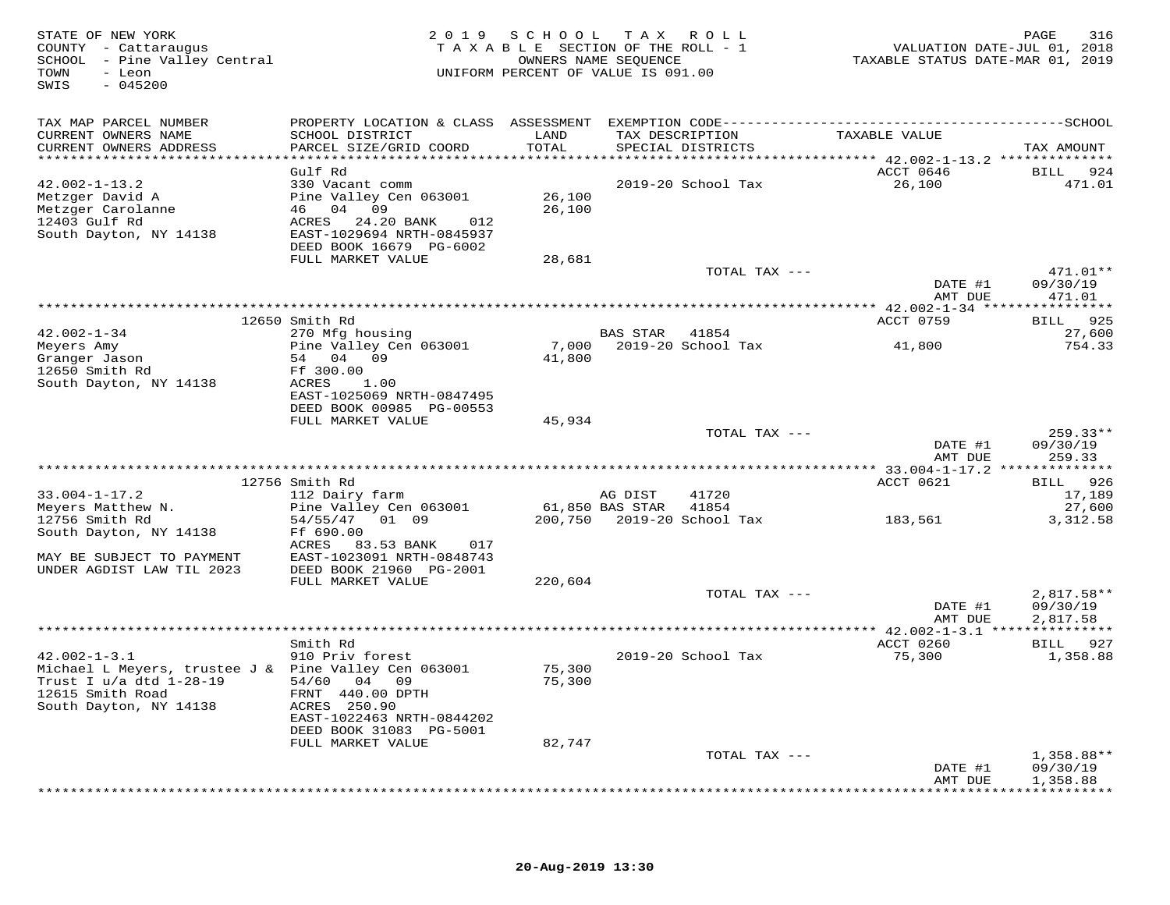| STATE OF NEW YORK<br>COUNTY - Cattaraugus<br>SCHOOL - Pine Valley Central<br>- Leon<br>TOWN<br>SWIS<br>$-045200$ |                                              |               | 2019 SCHOOL TAX ROLL<br>TAXABLE SECTION OF THE ROLL - 1<br>OWNERS NAME SEQUENCE<br>UNIFORM PERCENT OF VALUE IS 091.00 | TAXABLE STATUS DATE-MAR 01, 2019 | PAGE<br>316<br>VALUATION DATE-JUL 01, 2018 |
|------------------------------------------------------------------------------------------------------------------|----------------------------------------------|---------------|-----------------------------------------------------------------------------------------------------------------------|----------------------------------|--------------------------------------------|
| TAX MAP PARCEL NUMBER                                                                                            |                                              |               |                                                                                                                       |                                  |                                            |
| CURRENT OWNERS NAME<br>CURRENT OWNERS ADDRESS                                                                    | SCHOOL DISTRICT<br>PARCEL SIZE/GRID COORD    | LAND<br>TOTAL | TAX DESCRIPTION<br>SPECIAL DISTRICTS                                                                                  | TAXABLE VALUE                    | TAX AMOUNT                                 |
| ************************                                                                                         |                                              |               |                                                                                                                       |                                  |                                            |
|                                                                                                                  | Gulf Rd                                      |               |                                                                                                                       | ACCT 0646                        | 924<br>BILL                                |
| $42.002 - 1 - 13.2$                                                                                              | 330 Vacant comm                              |               | 2019-20 School Tax                                                                                                    | 26,100                           | 471.01                                     |
| Metzger David A                                                                                                  | Pine Valley Cen 063001                       | 26,100        |                                                                                                                       |                                  |                                            |
| Metzger Carolanne                                                                                                | 46 04 09                                     | 26,100        |                                                                                                                       |                                  |                                            |
| 12403 Gulf Rd                                                                                                    | ACRES 24.20 BANK<br>012                      |               |                                                                                                                       |                                  |                                            |
| South Dayton, NY 14138                                                                                           | EAST-1029694 NRTH-0845937                    |               |                                                                                                                       |                                  |                                            |
|                                                                                                                  | DEED BOOK 16679 PG-6002<br>FULL MARKET VALUE |               |                                                                                                                       |                                  |                                            |
|                                                                                                                  |                                              | 28,681        |                                                                                                                       | TOTAL TAX ---                    | 471.01**                                   |
|                                                                                                                  |                                              |               |                                                                                                                       | DATE #1                          | 09/30/19                                   |
|                                                                                                                  |                                              |               |                                                                                                                       | AMT DUE                          | 471.01                                     |
|                                                                                                                  |                                              |               |                                                                                                                       |                                  | ***********                                |
|                                                                                                                  | 12650 Smith Rd                               |               |                                                                                                                       | ACCT 0759                        | 925<br><b>BILL</b>                         |
| $42.002 - 1 - 34$                                                                                                | 270 Mfg housing                              |               | BAS STAR<br>41854                                                                                                     |                                  | 27,600                                     |
| Meyers Amy                                                                                                       | Pine Valley Cen 063001                       | 7,000         | 2019-20 School Tax                                                                                                    | 41,800                           | 754.33                                     |
| Granger Jason                                                                                                    | 54 04 09                                     | 41,800        |                                                                                                                       |                                  |                                            |
| 12650 Smith Rd                                                                                                   | Ff 300.00                                    |               |                                                                                                                       |                                  |                                            |
| South Dayton, NY 14138                                                                                           | ACRES<br>1.00                                |               |                                                                                                                       |                                  |                                            |
|                                                                                                                  | EAST-1025069 NRTH-0847495                    |               |                                                                                                                       |                                  |                                            |
|                                                                                                                  | DEED BOOK 00985 PG-00553                     |               |                                                                                                                       |                                  |                                            |
|                                                                                                                  | FULL MARKET VALUE                            | 45,934        |                                                                                                                       |                                  |                                            |
|                                                                                                                  |                                              |               |                                                                                                                       | TOTAL TAX ---                    | $259.33**$                                 |
|                                                                                                                  |                                              |               |                                                                                                                       | DATE #1                          | 09/30/19                                   |
|                                                                                                                  |                                              |               |                                                                                                                       | AMT DUE                          | 259.33<br>***********                      |
|                                                                                                                  | 12756 Smith Rd                               |               |                                                                                                                       | ACCT 0621                        | <b>BILL</b><br>926                         |
| $33.004 - 1 - 17.2$                                                                                              | 112 Dairy farm                               |               | 41720<br>AG DIST                                                                                                      |                                  | 17,189                                     |
| Meyers Matthew N.                                                                                                | Pine Valley Cen 063001                       |               | 61,850 BAS STAR<br>41854                                                                                              |                                  | 27,600                                     |
| 12756 Smith Rd                                                                                                   | 54/55/47<br>01 09                            | 200,750       | 2019-20 School Tax                                                                                                    | 183,561                          | 3,312.58                                   |
| South Dayton, NY 14138                                                                                           | Ff 690.00                                    |               |                                                                                                                       |                                  |                                            |
|                                                                                                                  | ACRES 83.53 BANK<br>017                      |               |                                                                                                                       |                                  |                                            |
| MAY BE SUBJECT TO PAYMENT                                                                                        | EAST-1023091 NRTH-0848743                    |               |                                                                                                                       |                                  |                                            |
| UNDER AGDIST LAW TIL 2023                                                                                        | DEED BOOK 21960 PG-2001                      |               |                                                                                                                       |                                  |                                            |
|                                                                                                                  | FULL MARKET VALUE                            | 220,604       |                                                                                                                       |                                  |                                            |
|                                                                                                                  |                                              |               |                                                                                                                       | TOTAL TAX ---                    | 2,817.58**                                 |
|                                                                                                                  |                                              |               |                                                                                                                       | DATE #1                          | 09/30/19                                   |
|                                                                                                                  |                                              |               |                                                                                                                       | AMT DUE                          | 2,817.58                                   |
|                                                                                                                  |                                              |               |                                                                                                                       |                                  |                                            |
|                                                                                                                  | Smith Rd                                     |               |                                                                                                                       | ACCT 0260                        | BILL 927                                   |
| $42.002 - 1 - 3.1$                                                                                               | 910 Priv forest                              |               | 2019-20 School Tax                                                                                                    | 75,300                           | 1,358.88                                   |
| Michael L Meyers, trustee J & Pine Valley Cen 063001                                                             |                                              | 75,300        |                                                                                                                       |                                  |                                            |
| Trust I u/a dtd 1-28-19                                                                                          | 54/60 04 09                                  | 75,300        |                                                                                                                       |                                  |                                            |
| 12615 Smith Road                                                                                                 | FRNT 440.00 DPTH                             |               |                                                                                                                       |                                  |                                            |
| South Dayton, NY 14138                                                                                           | ACRES 250.90<br>EAST-1022463 NRTH-0844202    |               |                                                                                                                       |                                  |                                            |
|                                                                                                                  | DEED BOOK 31083 PG-5001                      |               |                                                                                                                       |                                  |                                            |
|                                                                                                                  | FULL MARKET VALUE                            | 82,747        |                                                                                                                       |                                  |                                            |
|                                                                                                                  |                                              |               |                                                                                                                       | TOTAL TAX ---                    | 1,358.88**                                 |
|                                                                                                                  |                                              |               |                                                                                                                       | DATE #1                          | 09/30/19                                   |
|                                                                                                                  |                                              |               |                                                                                                                       | AMT DUE                          | 1,358.88                                   |
|                                                                                                                  |                                              |               |                                                                                                                       |                                  | * * * * * * * * * ·                        |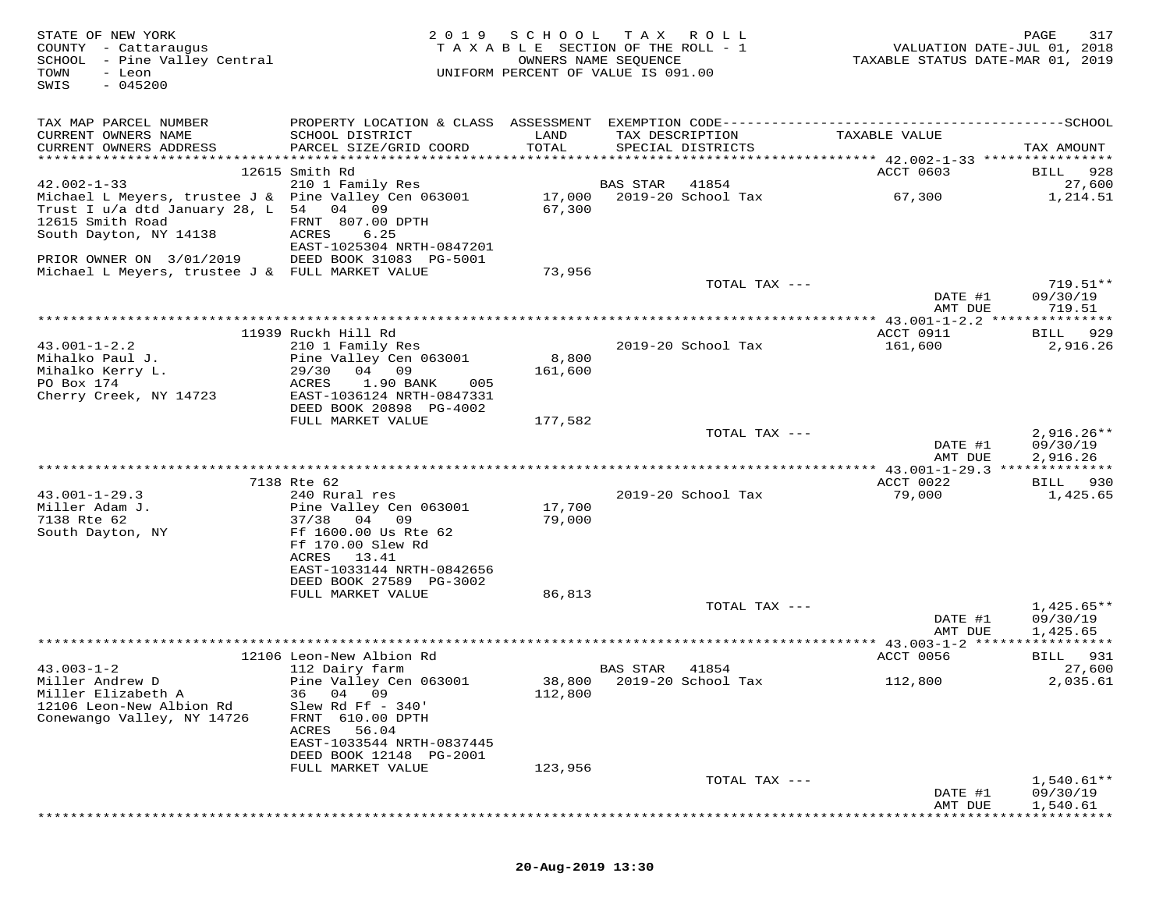| STATE OF NEW YORK<br>COUNTY - Cattaraugus<br>SCHOOL - Pine Valley Central<br>TOWN<br>- Leon<br>$-045200$<br>SWIS                             |                                                                                   |                  | 2019 SCHOOL TAX ROLL<br>TAXABLE SECTION OF THE ROLL - 1<br>OWNERS NAME SEQUENCE<br>UNIFORM PERCENT OF VALUE IS 091.00 | VALUATION DATE-JUL 01, 2018<br>TAXABLE STATUS DATE-MAR 01, 2019 | 317<br>PAGE                          |
|----------------------------------------------------------------------------------------------------------------------------------------------|-----------------------------------------------------------------------------------|------------------|-----------------------------------------------------------------------------------------------------------------------|-----------------------------------------------------------------|--------------------------------------|
| TAX MAP PARCEL NUMBER<br>CURRENT OWNERS NAME                                                                                                 | SCHOOL DISTRICT                                                                   | LAND             | TAX DESCRIPTION                                                                                                       | TAXABLE VALUE                                                   |                                      |
| CURRENT OWNERS ADDRESS                                                                                                                       | PARCEL SIZE/GRID COORD                                                            | TOTAL            | SPECIAL DISTRICTS                                                                                                     |                                                                 | TAX AMOUNT                           |
|                                                                                                                                              | 12615 Smith Rd                                                                    |                  |                                                                                                                       | ACCT 0603                                                       | 928<br>BILL                          |
| $42.002 - 1 - 33$                                                                                                                            | 210 1 Family Res                                                                  |                  | BAS STAR<br>41854                                                                                                     |                                                                 | 27,600                               |
| Michael L Meyers, trustee J & Pine Valley Cen 063001<br>Trust I u/a dtd January 28, L 54 04 09<br>12615 Smith Road<br>South Dayton, NY 14138 | FRNT 807.00 DPTH<br>ACRES<br>6.25<br>EAST-1025304 NRTH-0847201                    | 67,300           |                                                                                                                       |                                                                 | 1,214.51                             |
| PRIOR OWNER ON 3/01/2019 DEED BOOK 31083 PG-5001                                                                                             |                                                                                   |                  |                                                                                                                       |                                                                 |                                      |
| Michael L Meyers, trustee J & FULL MARKET VALUE                                                                                              |                                                                                   | 73,956           |                                                                                                                       |                                                                 |                                      |
|                                                                                                                                              |                                                                                   |                  | TOTAL TAX ---                                                                                                         | DATE #1<br>AMT DUE                                              | 719.51**<br>09/30/19<br>719.51       |
|                                                                                                                                              |                                                                                   |                  |                                                                                                                       |                                                                 |                                      |
|                                                                                                                                              | 11939 Ruckh Hill Rd                                                               |                  |                                                                                                                       | ACCT 0911                                                       | BILL 929                             |
| $43.001 - 1 - 2.2$<br>Mihalko Paul J.<br>Mihalko Kerry L.                                                                                    | 210 1 Family Res<br>Pine Valley Cen 063001<br>29/30 04 09                         | 8,800<br>161,600 | 2019-20 School Tax                                                                                                    | 161,600                                                         | 2,916.26                             |
| PO Box 174<br>Cherry Creek, NY 14723                                                                                                         | 1.90 BANK<br>ACRES<br>005<br>EAST-1036124 NRTH-0847331<br>DEED BOOK 20898 PG-4002 |                  |                                                                                                                       |                                                                 |                                      |
|                                                                                                                                              | FULL MARKET VALUE                                                                 | 177,582          |                                                                                                                       |                                                                 |                                      |
|                                                                                                                                              |                                                                                   |                  | TOTAL TAX ---                                                                                                         | DATE #1<br>AMT DUE                                              | $2,916.26**$<br>09/30/19<br>2,916.26 |
|                                                                                                                                              |                                                                                   |                  |                                                                                                                       |                                                                 |                                      |
| $43.001 - 1 - 29.3$                                                                                                                          | 7138 Rte 62<br>240 Rural res                                                      |                  | 2019-20 School Tax                                                                                                    | ACCT 0022<br>79,000                                             | BILL 930<br>1,425.65                 |
| Miller Adam J.<br>7138 Rte 62                                                                                                                | Pine Valley Cen 063001<br>37/38 04 09                                             | 17,700<br>79,000 |                                                                                                                       |                                                                 |                                      |
| South Dayton, NY                                                                                                                             | Ff 1600.00 Us Rte 62<br>Ff 170.00 Slew Rd<br>13.41<br>ACRES                       |                  |                                                                                                                       |                                                                 |                                      |
|                                                                                                                                              | EAST-1033144 NRTH-0842656<br>DEED BOOK 27589 PG-3002<br>FULL MARKET VALUE         | 86,813           |                                                                                                                       |                                                                 |                                      |
|                                                                                                                                              |                                                                                   |                  | TOTAL TAX ---                                                                                                         | DATE #1                                                         | $1,425.65**$<br>09/30/19             |
|                                                                                                                                              |                                                                                   |                  |                                                                                                                       | AMT DUE                                                         | 1,425.65                             |
|                                                                                                                                              | 12106 Leon-New Albion Rd                                                          |                  |                                                                                                                       | ACCT 0056                                                       | BILL 931                             |
| $43.003 - 1 - 2$                                                                                                                             | 112 Dairy farm                                                                    |                  | BAS STAR<br>41854                                                                                                     |                                                                 | 27,600                               |
| Miller Andrew D<br>Miller Elizabeth A<br>12106 Leon-New Albion Rd<br>Conewango Valley, NY 14726                                              | Pine Valley Cen 063001<br>36 04 09<br>Slew Rd Ff $-340'$<br>FRNT 610.00 DPTH      | 112,800          | 38,800 2019-20 School Tax                                                                                             | 112,800                                                         | 2,035.61                             |
|                                                                                                                                              | ACRES<br>56.04<br>EAST-1033544 NRTH-0837445<br>DEED BOOK 12148 PG-2001            |                  |                                                                                                                       |                                                                 |                                      |
|                                                                                                                                              | FULL MARKET VALUE                                                                 | 123,956          |                                                                                                                       |                                                                 |                                      |
|                                                                                                                                              |                                                                                   |                  | TOTAL TAX ---                                                                                                         | DATE #1<br>AMT DUE                                              | $1,540.61**$<br>09/30/19<br>1,540.61 |
|                                                                                                                                              |                                                                                   |                  |                                                                                                                       |                                                                 |                                      |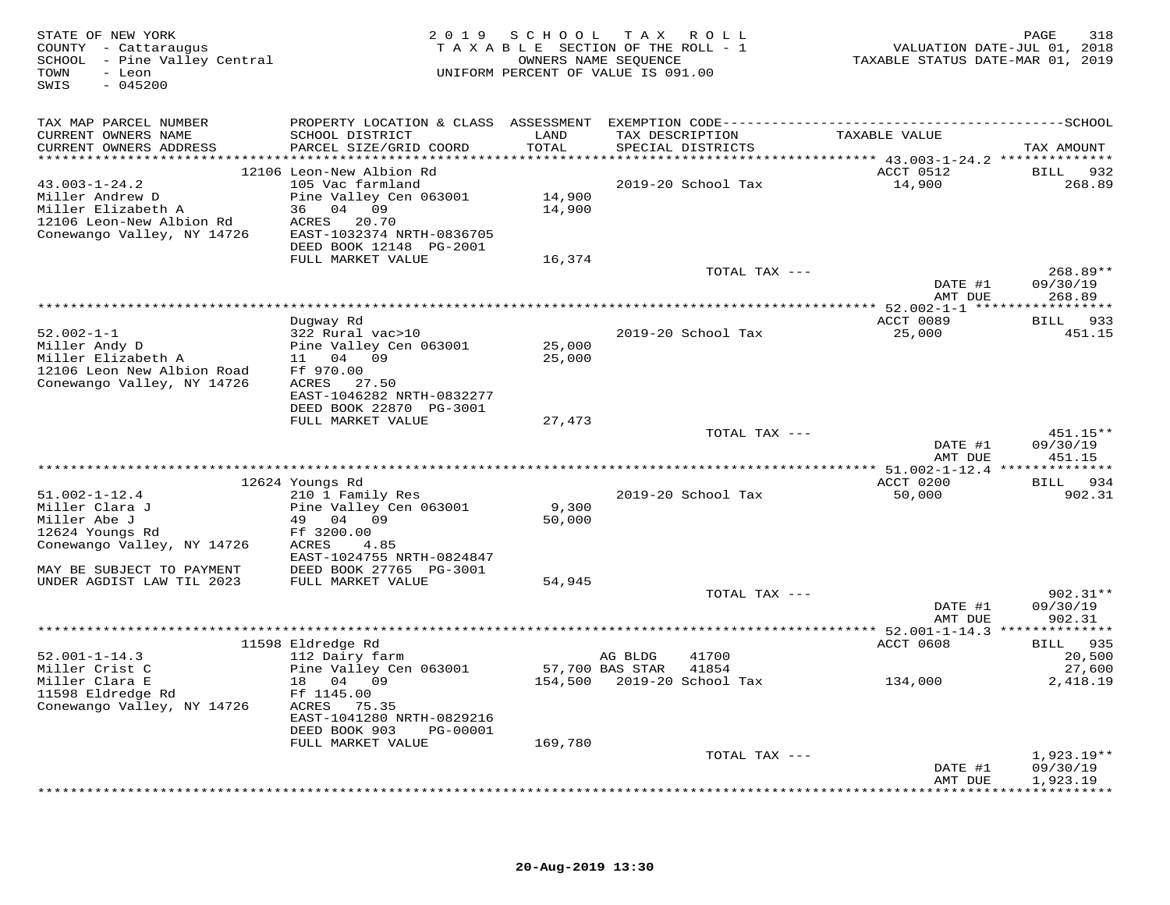| STATE OF NEW YORK<br>COUNTY - Cattaraugus<br>SCHOOL - Pine Valley Central<br>- Leon<br>TOWN<br>$-045200$<br>SWIS |                                           |                 | 2019 SCHOOL TAX ROLL<br>TAXABLE SECTION OF THE ROLL - 1<br>OWNERS NAME SEQUENCE<br>UNIFORM PERCENT OF VALUE IS 091.00 | VALUATION DATE-JUL 01, 2018<br>TAXABLE STATUS DATE-MAR 01, 2019 | 318<br>PAGE              |
|------------------------------------------------------------------------------------------------------------------|-------------------------------------------|-----------------|-----------------------------------------------------------------------------------------------------------------------|-----------------------------------------------------------------|--------------------------|
| TAX MAP PARCEL NUMBER                                                                                            |                                           |                 |                                                                                                                       |                                                                 |                          |
| CURRENT OWNERS NAME<br>CURRENT OWNERS ADDRESS                                                                    | SCHOOL DISTRICT<br>PARCEL SIZE/GRID COORD | LAND<br>TOTAL   | TAX DESCRIPTION<br>SPECIAL DISTRICTS                                                                                  | TAXABLE VALUE                                                   | TAX AMOUNT               |
|                                                                                                                  | 12106 Leon-New Albion Rd                  |                 |                                                                                                                       | ACCT 0512                                                       | BILL 932                 |
| $43.003 - 1 - 24.2$                                                                                              | 105 Vac farmland                          |                 | 2019-20 School Tax                                                                                                    | 14,900                                                          | 268.89                   |
| Miller Andrew D                                                                                                  | Pine Valley Cen 063001                    | 14,900          |                                                                                                                       |                                                                 |                          |
| Miller Elizabeth A<br>12106 Leon-New Albion Rd                                                                   | 36 04 09<br>ACRES 20.70                   | 14,900          |                                                                                                                       |                                                                 |                          |
| Conewango Valley, NY 14726                                                                                       | EAST-1032374 NRTH-0836705                 |                 |                                                                                                                       |                                                                 |                          |
|                                                                                                                  | DEED BOOK 12148 PG-2001                   |                 |                                                                                                                       |                                                                 |                          |
|                                                                                                                  | FULL MARKET VALUE                         | 16,374          |                                                                                                                       |                                                                 |                          |
|                                                                                                                  |                                           |                 | TOTAL TAX ---                                                                                                         |                                                                 | 268.89**                 |
|                                                                                                                  |                                           |                 |                                                                                                                       | DATE #1                                                         | 09/30/19                 |
|                                                                                                                  |                                           |                 |                                                                                                                       | AMT DUE                                                         | 268.89                   |
|                                                                                                                  | Dugway Rd                                 |                 |                                                                                                                       | ACCT 0089                                                       | <b>BILL</b><br>933       |
| $52.002 - 1 - 1$                                                                                                 | 322 Rural vac>10                          |                 | 2019-20 School Tax                                                                                                    | 25,000                                                          | 451.15                   |
| Miller Andy D                                                                                                    | Pine Valley Cen 063001                    | 25,000          |                                                                                                                       |                                                                 |                          |
| Miller Elizabeth A                                                                                               | 11 04 09                                  | 25,000          |                                                                                                                       |                                                                 |                          |
| 12106 Leon New Albion Road<br>Conewango Valley, NY 14726                                                         | Ff 970.00<br>ACRES 27.50                  |                 |                                                                                                                       |                                                                 |                          |
|                                                                                                                  | EAST-1046282 NRTH-0832277                 |                 |                                                                                                                       |                                                                 |                          |
|                                                                                                                  | DEED BOOK 22870 PG-3001                   |                 |                                                                                                                       |                                                                 |                          |
|                                                                                                                  | FULL MARKET VALUE                         | 27,473          |                                                                                                                       |                                                                 |                          |
|                                                                                                                  |                                           |                 | TOTAL TAX ---                                                                                                         |                                                                 | 451.15**                 |
|                                                                                                                  |                                           |                 |                                                                                                                       | DATE #1<br>AMT DUE                                              | 09/30/19<br>451.15       |
|                                                                                                                  |                                           |                 |                                                                                                                       |                                                                 |                          |
|                                                                                                                  | 12624 Youngs Rd                           |                 |                                                                                                                       | ACCT 0200                                                       | BILL 934                 |
| $51.002 - 1 - 12.4$                                                                                              | 210 1 Family Res                          |                 | 2019-20 School Tax                                                                                                    | 50,000                                                          | 902.31                   |
| Miller Clara J                                                                                                   | Pine Valley Cen 063001                    | 9,300           |                                                                                                                       |                                                                 |                          |
| Miller Abe J<br>12624 Youngs Rd                                                                                  | 49 04 09<br>Ff 3200.00                    | 50,000          |                                                                                                                       |                                                                 |                          |
| Conewango Valley, NY 14726                                                                                       | ACRES<br>4.85                             |                 |                                                                                                                       |                                                                 |                          |
|                                                                                                                  | EAST-1024755 NRTH-0824847                 |                 |                                                                                                                       |                                                                 |                          |
| MAY BE SUBJECT TO PAYMENT                                                                                        | DEED BOOK 27765 PG-3001                   |                 |                                                                                                                       |                                                                 |                          |
| UNDER AGDIST LAW TIL 2023                                                                                        | FULL MARKET VALUE                         | 54,945          |                                                                                                                       |                                                                 |                          |
|                                                                                                                  |                                           |                 | TOTAL TAX ---                                                                                                         |                                                                 | $902.31**$               |
|                                                                                                                  |                                           |                 |                                                                                                                       | DATE #1<br>AMT DUE                                              | 09/30/19<br>902.31       |
|                                                                                                                  |                                           |                 |                                                                                                                       |                                                                 |                          |
|                                                                                                                  | 11598 Eldredge Rd                         |                 |                                                                                                                       | ACCT 0608                                                       | BILL 935                 |
| $52.001 - 1 - 14.3$                                                                                              | 112 Dairy farm                            |                 | AG BLDG<br>41700                                                                                                      |                                                                 | 20,500                   |
| Miller Crist C<br>Miller Clara E                                                                                 | Pine Valley Cen 063001                    | 57,700 BAS STAR | 41854<br>154,500 2019-20 School Tax                                                                                   |                                                                 | 27,600                   |
| 11598 Eldredge Rd                                                                                                | 18 04 09<br>Ff 1145.00                    |                 |                                                                                                                       | 134,000                                                         | 2,418.19                 |
| Conewango Valley, NY 14726                                                                                       | ACRES 75.35                               |                 |                                                                                                                       |                                                                 |                          |
|                                                                                                                  | EAST-1041280 NRTH-0829216                 |                 |                                                                                                                       |                                                                 |                          |
|                                                                                                                  | DEED BOOK 903<br>PG-00001                 |                 |                                                                                                                       |                                                                 |                          |
|                                                                                                                  | FULL MARKET VALUE                         | 169,780         |                                                                                                                       |                                                                 |                          |
|                                                                                                                  |                                           |                 | TOTAL TAX ---                                                                                                         | DATE #1                                                         | $1,923.19**$<br>09/30/19 |
|                                                                                                                  |                                           |                 |                                                                                                                       | AMT DUE                                                         | 1,923.19                 |
|                                                                                                                  |                                           |                 |                                                                                                                       |                                                                 |                          |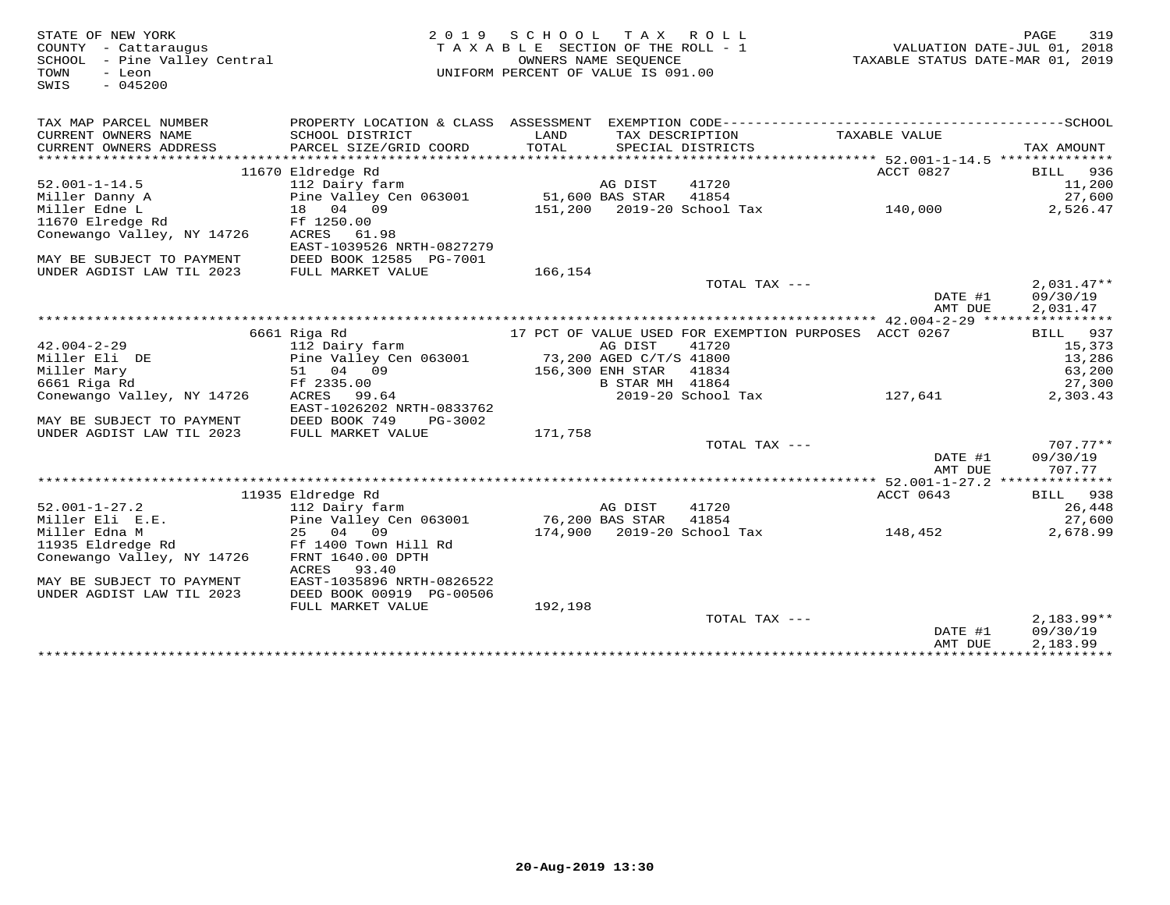| STATE OF NEW YORK<br>COUNTY - Cattaraugus | 2 0 1 9                             | SCHOOL TAX ROLL<br>TAXABLE SECTION OF THE ROLL - 1 |                         |                            |                                                       | VALUATION DATE-JUL 01, 2018 | PAGE         | 319        |
|-------------------------------------------|-------------------------------------|----------------------------------------------------|-------------------------|----------------------------|-------------------------------------------------------|-----------------------------|--------------|------------|
| SCHOOL - Pine Valley Central              |                                     |                                                    | OWNERS NAME SEQUENCE    |                            | TAXABLE STATUS DATE-MAR 01, 2019                      |                             |              |            |
| TOWN<br>- Leon                            |                                     | UNIFORM PERCENT OF VALUE IS 091.00                 |                         |                            |                                                       |                             |              |            |
| $-045200$<br>SWIS                         |                                     |                                                    |                         |                            |                                                       |                             |              |            |
|                                           |                                     |                                                    |                         |                            |                                                       |                             |              |            |
| TAX MAP PARCEL NUMBER                     |                                     |                                                    |                         |                            |                                                       |                             |              |            |
| CURRENT OWNERS NAME                       | SCHOOL DISTRICT                     | LAND                                               |                         | TAX DESCRIPTION            | TAXABLE VALUE                                         |                             |              |            |
| CURRENT OWNERS ADDRESS                    | PARCEL SIZE/GRID COORD              | TOTAL                                              |                         | SPECIAL DISTRICTS          |                                                       |                             | TAX AMOUNT   |            |
|                                           |                                     |                                                    |                         |                            |                                                       |                             |              |            |
|                                           | 11670 Eldredge Rd                   |                                                    |                         |                            | ACCT 0827                                             |                             | BILL 936     |            |
| $52.001 - 1 - 14.5$                       | 112 Dairy farm                      |                                                    | AG DIST                 | 41720                      |                                                       |                             |              | 11,200     |
| Miller Danny A                            | Pine Valley Cen 063001              | 51,600 BAS STAR                                    |                         | 41854                      |                                                       |                             |              | 27,600     |
| Miller Edne L                             | 18 04 09                            |                                                    |                         | 151,200 2019-20 School Tax | 140,000                                               |                             |              | 2,526.47   |
| 11670 Elredge Rd                          | Ff 1250.00                          |                                                    |                         |                            |                                                       |                             |              |            |
| Conewango Valley, NY 14726                | ACRES 61.98                         |                                                    |                         |                            |                                                       |                             |              |            |
|                                           | EAST-1039526 NRTH-0827279           |                                                    |                         |                            |                                                       |                             |              |            |
| MAY BE SUBJECT TO PAYMENT                 | DEED BOOK 12585 PG-7001             |                                                    |                         |                            |                                                       |                             |              |            |
| UNDER AGDIST LAW TIL 2023                 | FULL MARKET VALUE                   | 166,154                                            |                         |                            |                                                       |                             |              |            |
|                                           |                                     |                                                    |                         | TOTAL TAX ---              |                                                       |                             | $2.031.47**$ |            |
|                                           |                                     |                                                    |                         |                            |                                                       | DATE #1                     | 09/30/19     |            |
|                                           |                                     |                                                    |                         |                            |                                                       | AMT DUE                     | 2,031.47     |            |
|                                           | 6661 Riga Rd                        |                                                    |                         |                            | 17 PCT OF VALUE USED FOR EXEMPTION PURPOSES ACCT 0267 |                             | BILL         | 937        |
| $42.004 - 2 - 29$                         | 112 Dairy farm                      |                                                    | AG DIST                 | 41720                      |                                                       |                             |              | 15,373     |
| Miller Eli DE                             | Pine Valley Cen 063001              |                                                    | 73,200 AGED C/T/S 41800 |                            |                                                       |                             |              | 13,286     |
| Miller Mary                               | 51 04 09                            |                                                    | 156,300 ENH STAR        | 41834                      |                                                       |                             |              | 63,200     |
| 6661 Riga Rd                              | Ff 2335.00                          |                                                    | B STAR MH 41864         |                            |                                                       |                             |              | 27,300     |
| Conewango Valley, NY 14726                | ACRES 99.64                         |                                                    |                         | 2019-20 School Tax         | 127,641                                               |                             |              | 2,303.43   |
|                                           | EAST-1026202 NRTH-0833762           |                                                    |                         |                            |                                                       |                             |              |            |
| MAY BE SUBJECT TO PAYMENT                 | DEED BOOK 749<br>PG-3002            |                                                    |                         |                            |                                                       |                             |              |            |
| UNDER AGDIST LAW TIL 2023                 | FULL MARKET VALUE                   | 171,758                                            |                         |                            |                                                       |                             |              |            |
|                                           |                                     |                                                    |                         | TOTAL TAX ---              |                                                       |                             |              | $707.77**$ |
|                                           |                                     |                                                    |                         |                            |                                                       | DATE #1                     | 09/30/19     |            |
|                                           |                                     |                                                    |                         |                            |                                                       | AMT DUE                     |              | 707.77     |
|                                           |                                     |                                                    |                         |                            |                                                       |                             |              |            |
|                                           | 11935 Eldredge Rd                   |                                                    |                         |                            | ACCT 0643                                             |                             | BILL 938     |            |
| $52.001 - 1 - 27.2$                       | 112 Dairy farm                      |                                                    | AG DIST                 | 41720                      |                                                       |                             |              | 26,448     |
| Miller Eli E.E.                           | Pine Valley Cen 063001              | 76,200 BAS STAR                                    |                         | 41854                      |                                                       |                             |              | 27,600     |
| Miller Edna M                             | 25 04 09                            |                                                    |                         | 174,900 2019-20 School Tax | 148,452                                               |                             |              | 2,678.99   |
| 11935 Eldredge Rd                         | Ff 1400 Town Hill Rd                |                                                    |                         |                            |                                                       |                             |              |            |
| Conewango Valley, NY 14726                | FRNT 1640.00 DPTH<br>ACRES<br>93.40 |                                                    |                         |                            |                                                       |                             |              |            |
| MAY BE SUBJECT TO PAYMENT                 | EAST-1035896 NRTH-0826522           |                                                    |                         |                            |                                                       |                             |              |            |
| UNDER AGDIST LAW TIL 2023                 | DEED BOOK 00919 PG-00506            |                                                    |                         |                            |                                                       |                             |              |            |
|                                           | FULL MARKET VALUE                   | 192,198                                            |                         |                            |                                                       |                             |              |            |
|                                           |                                     |                                                    |                         | TOTAL TAX ---              |                                                       |                             | $2,183.99**$ |            |
|                                           |                                     |                                                    |                         |                            |                                                       | DATE #1                     | 09/30/19     |            |
|                                           |                                     |                                                    |                         |                            |                                                       | AMT DUE                     | 2,183.99     |            |
|                                           |                                     |                                                    |                         |                            |                                                       |                             |              |            |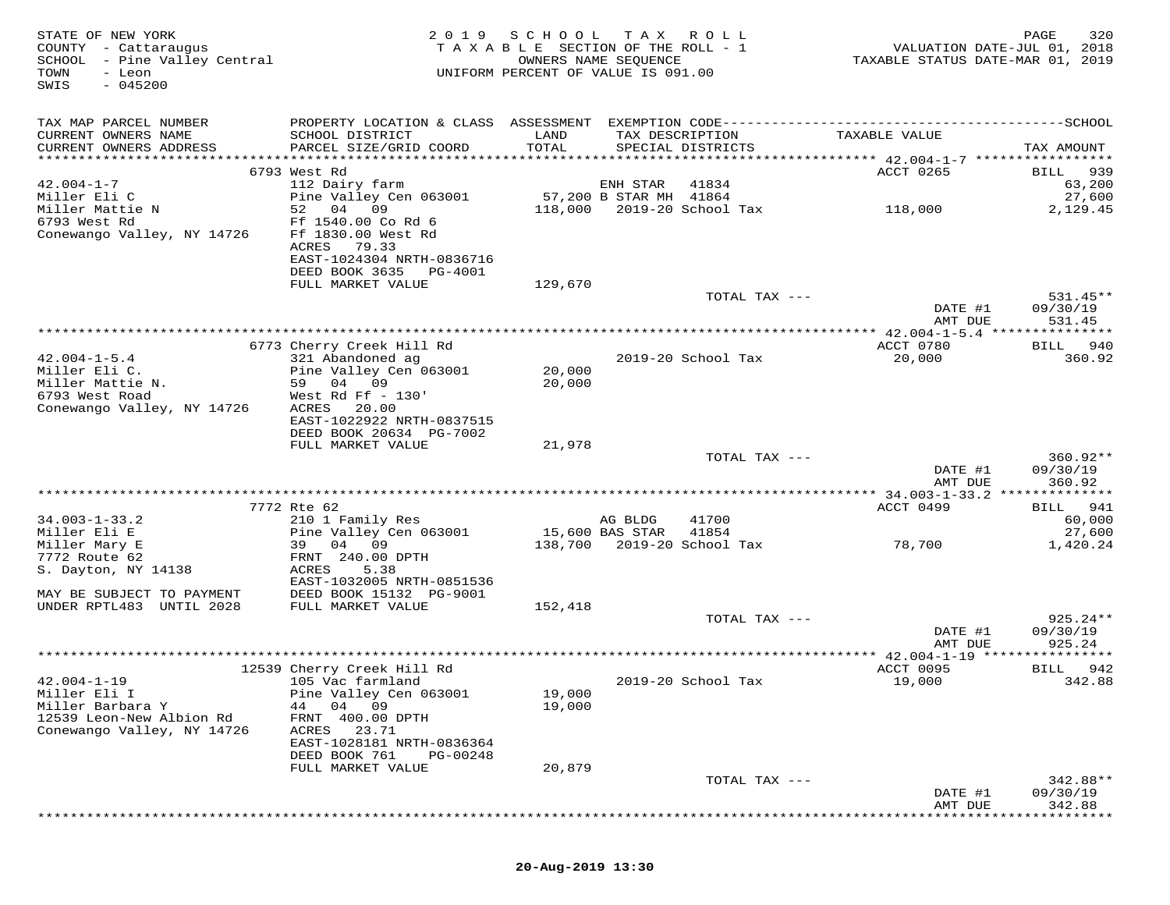| STATE OF NEW YORK<br>COUNTY - Cattaraugus<br>SCHOOL - Pine Valley Central<br>TOWN<br>- Leon<br>$-045200$<br>SWIS | 2 0 1 9                                                                                 | SCHOOL<br>T A X A B L E SECTION OF THE ROLL - 1<br>OWNERS NAME SEQUENCE<br>UNIFORM PERCENT OF VALUE IS 091.00 | T A X                  | R O L L                              |                                            | 320<br>PAGE<br>VALUATION DATE-JUL 01, 2018<br>TAXABLE STATUS DATE-MAR 01, 2019 |
|------------------------------------------------------------------------------------------------------------------|-----------------------------------------------------------------------------------------|---------------------------------------------------------------------------------------------------------------|------------------------|--------------------------------------|--------------------------------------------|--------------------------------------------------------------------------------|
| TAX MAP PARCEL NUMBER                                                                                            |                                                                                         |                                                                                                               |                        |                                      |                                            |                                                                                |
| CURRENT OWNERS NAME<br>CURRENT OWNERS ADDRESS                                                                    | SCHOOL DISTRICT<br>PARCEL SIZE/GRID COORD                                               | LAND<br>TOTAL                                                                                                 |                        | TAX DESCRIPTION<br>SPECIAL DISTRICTS | TAXABLE VALUE                              | TAX AMOUNT                                                                     |
|                                                                                                                  |                                                                                         |                                                                                                               |                        |                                      |                                            |                                                                                |
| $42.004 - 1 - 7$                                                                                                 | 6793 West Rd<br>112 Dairy farm                                                          |                                                                                                               | ENH STAR               | 41834                                | ACCT 0265                                  | 939<br>BILL<br>63,200                                                          |
| Miller Eli C                                                                                                     | Pine Valley Cen 063001                                                                  |                                                                                                               | 57,200 B STAR MH 41864 |                                      |                                            | 27,600                                                                         |
| Miller Mattie N                                                                                                  | 52<br>04<br>09                                                                          | 118,000                                                                                                       |                        | 2019-20 School Tax                   | 118,000                                    | 2,129.45                                                                       |
| 6793 West Rd<br>Conewango Valley, NY 14726                                                                       | Ff 1540.00 Co Rd 6<br>Ff 1830.00 West Rd<br>ACRES<br>79.33<br>EAST-1024304 NRTH-0836716 |                                                                                                               |                        |                                      |                                            |                                                                                |
|                                                                                                                  | DEED BOOK 3635<br>PG-4001                                                               |                                                                                                               |                        |                                      |                                            |                                                                                |
|                                                                                                                  | FULL MARKET VALUE                                                                       | 129,670                                                                                                       |                        |                                      |                                            |                                                                                |
|                                                                                                                  |                                                                                         |                                                                                                               |                        | TOTAL TAX ---                        |                                            | $531.45**$                                                                     |
|                                                                                                                  |                                                                                         |                                                                                                               |                        |                                      | DATE #1<br>AMT DUE                         | 09/30/19<br>531.45                                                             |
|                                                                                                                  |                                                                                         |                                                                                                               |                        |                                      |                                            |                                                                                |
|                                                                                                                  | 6773 Cherry Creek Hill Rd<br>321 Abandoned ag                                           |                                                                                                               |                        |                                      | ACCT 0780                                  | 940<br>BILL                                                                    |
| $42.004 - 1 - 5.4$<br>Miller Eli C.                                                                              | Pine Valley Cen 063001                                                                  | 20,000                                                                                                        |                        | 2019-20 School Tax                   | 20,000                                     | 360.92                                                                         |
| Miller Mattie N.                                                                                                 | 59 04 09                                                                                | 20,000                                                                                                        |                        |                                      |                                            |                                                                                |
| 6793 West Road                                                                                                   | West Rd Ff $-130'$                                                                      |                                                                                                               |                        |                                      |                                            |                                                                                |
| Conewango Valley, NY 14726                                                                                       | ACRES<br>20.00                                                                          |                                                                                                               |                        |                                      |                                            |                                                                                |
|                                                                                                                  | EAST-1022922 NRTH-0837515                                                               |                                                                                                               |                        |                                      |                                            |                                                                                |
|                                                                                                                  | DEED BOOK 20634 PG-7002                                                                 |                                                                                                               |                        |                                      |                                            |                                                                                |
|                                                                                                                  | FULL MARKET VALUE                                                                       | 21,978                                                                                                        |                        |                                      |                                            |                                                                                |
|                                                                                                                  |                                                                                         |                                                                                                               |                        | TOTAL TAX ---                        |                                            | $360.92**$                                                                     |
|                                                                                                                  |                                                                                         |                                                                                                               |                        |                                      | DATE #1<br>AMT DUE                         | 09/30/19<br>360.92                                                             |
|                                                                                                                  | **********************                                                                  | **********************************                                                                            |                        |                                      | ********** 34.003-1-33.2 **************    |                                                                                |
|                                                                                                                  | 7772 Rte 62                                                                             |                                                                                                               |                        |                                      | ACCT 0499                                  | 941<br>BILL                                                                    |
| $34.003 - 1 - 33.2$                                                                                              | 210 1 Family Res                                                                        |                                                                                                               | AG BLDG                | 41700                                |                                            | 60,000                                                                         |
| Miller Eli E                                                                                                     | Pine Valley Cen 063001                                                                  |                                                                                                               | 15,600 BAS STAR        | 41854                                |                                            | 27,600                                                                         |
| Miller Mary E                                                                                                    | 04<br>09<br>39                                                                          | 138,700                                                                                                       |                        | 2019-20 School Tax                   | 78,700                                     | 1,420.24                                                                       |
| 7772 Route 62                                                                                                    | FRNT 240.00 DPTH                                                                        |                                                                                                               |                        |                                      |                                            |                                                                                |
| S. Dayton, NY 14138                                                                                              | ACRES<br>5.38                                                                           |                                                                                                               |                        |                                      |                                            |                                                                                |
|                                                                                                                  | EAST-1032005 NRTH-0851536                                                               |                                                                                                               |                        |                                      |                                            |                                                                                |
| MAY BE SUBJECT TO PAYMENT<br>UNDER RPTL483 UNTIL 2028                                                            | DEED BOOK 15132 PG-9001<br>FULL MARKET VALUE                                            | 152,418                                                                                                       |                        |                                      |                                            |                                                                                |
|                                                                                                                  |                                                                                         |                                                                                                               |                        | TOTAL TAX ---                        |                                            | $925.24**$                                                                     |
|                                                                                                                  |                                                                                         |                                                                                                               |                        |                                      | DATE #1                                    | 09/30/19                                                                       |
|                                                                                                                  |                                                                                         |                                                                                                               |                        |                                      | AMT DUE                                    | 925.24                                                                         |
|                                                                                                                  |                                                                                         |                                                                                                               |                        |                                      | ************ 42.004-1-19 ***************** |                                                                                |
|                                                                                                                  | 12539 Cherry Creek Hill Rd                                                              |                                                                                                               |                        |                                      | ACCT 0095                                  | BILL<br>942                                                                    |
| $42.004 - 1 - 19$                                                                                                | 105 Vac farmland                                                                        |                                                                                                               |                        | 2019-20 School Tax                   | 19,000                                     | 342.88                                                                         |
| Miller Eli I<br>Miller Barbara Y                                                                                 | Pine Valley Cen 063001<br>04 09                                                         | 19,000                                                                                                        |                        |                                      |                                            |                                                                                |
| 12539 Leon-New Albion Rd                                                                                         | 44<br>400.00 DPTH<br>FRNT                                                               | 19,000                                                                                                        |                        |                                      |                                            |                                                                                |
| Conewango Valley, NY 14726                                                                                       | ACRES<br>23.71                                                                          |                                                                                                               |                        |                                      |                                            |                                                                                |
|                                                                                                                  | EAST-1028181 NRTH-0836364                                                               |                                                                                                               |                        |                                      |                                            |                                                                                |
|                                                                                                                  | DEED BOOK 761<br>PG-00248                                                               |                                                                                                               |                        |                                      |                                            |                                                                                |
|                                                                                                                  | FULL MARKET VALUE                                                                       | 20,879                                                                                                        |                        |                                      |                                            |                                                                                |
|                                                                                                                  |                                                                                         |                                                                                                               |                        | TOTAL TAX ---                        |                                            | 342.88**                                                                       |
|                                                                                                                  |                                                                                         |                                                                                                               |                        |                                      | DATE #1                                    | 09/30/19                                                                       |
|                                                                                                                  |                                                                                         |                                                                                                               |                        |                                      | AMT DUE                                    | 342.88                                                                         |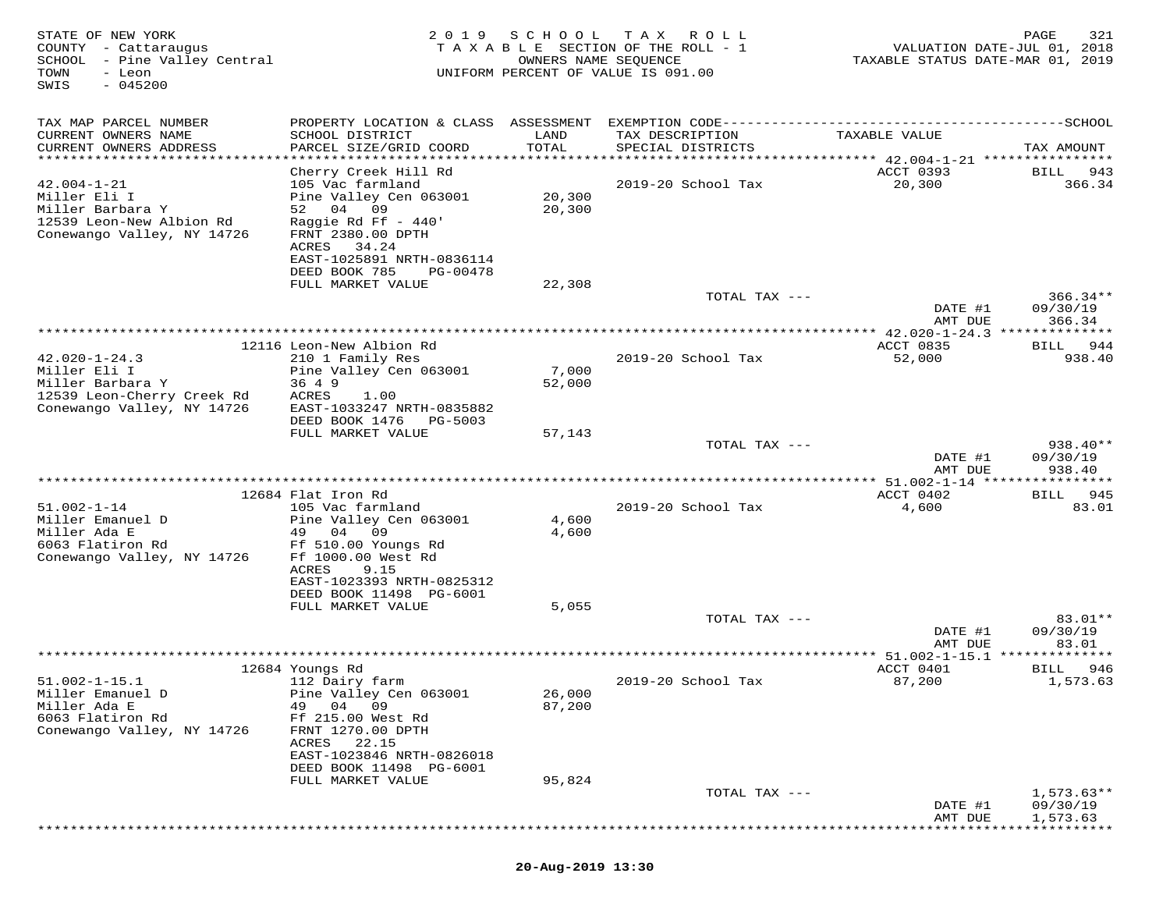| STATE OF NEW YORK<br>COUNTY - Cattaraugus<br>SCHOOL - Pine Valley Central<br>TOWN<br>- Leon<br>$-045200$<br>SWIS    |                                                                                                                                                                                                               | 2019 SCHOOL      | T A X<br>R O L L<br>TAXABLE SECTION OF THE ROLL - 1<br>OWNERS NAME SEQUENCE<br>UNIFORM PERCENT OF VALUE IS 091.00 | VALUATION DATE-JUL 01, 2018<br>TAXABLE STATUS DATE-MAR 01, 2019 | PAGE<br>321                       |
|---------------------------------------------------------------------------------------------------------------------|---------------------------------------------------------------------------------------------------------------------------------------------------------------------------------------------------------------|------------------|-------------------------------------------------------------------------------------------------------------------|-----------------------------------------------------------------|-----------------------------------|
| TAX MAP PARCEL NUMBER<br>CURRENT OWNERS NAME<br>CURRENT OWNERS ADDRESS<br>**********************                    | SCHOOL DISTRICT<br>PARCEL SIZE/GRID COORD                                                                                                                                                                     | LAND<br>TOTAL    | TAX DESCRIPTION<br>SPECIAL DISTRICTS                                                                              | TAXABLE VALUE                                                   | TAX AMOUNT                        |
| $42.004 - 1 - 21$<br>Miller Eli I<br>Miller Barbara Y<br>12539 Leon-New Albion Rd<br>Conewango Valley, NY 14726     | Cherry Creek Hill Rd<br>105 Vac farmland<br>Pine Valley Cen 063001<br>52<br>04<br>09<br>Raggie Rd Ff $-440'$<br>FRNT 2380.00 DPTH<br>ACRES<br>34.24<br>EAST-1025891 NRTH-0836114<br>DEED BOOK 785<br>PG-00478 | 20,300<br>20,300 | 2019-20 School Tax                                                                                                | ACCT 0393<br>20,300                                             | 943<br>BILL<br>366.34             |
|                                                                                                                     | FULL MARKET VALUE                                                                                                                                                                                             | 22,308           |                                                                                                                   |                                                                 | $366.34**$                        |
|                                                                                                                     |                                                                                                                                                                                                               |                  | TOTAL TAX ---                                                                                                     | DATE #1<br>AMT DUE                                              | 09/30/19<br>366.34                |
|                                                                                                                     | 12116 Leon-New Albion Rd                                                                                                                                                                                      |                  |                                                                                                                   | ********** 42.020-1-24.3 **************<br>ACCT 0835            | BILL<br>944                       |
| $42.020 - 1 - 24.3$<br>Miller Eli I<br>Miller Barbara Y<br>12539 Leon-Cherry Creek Rd<br>Conewango Valley, NY 14726 | 210 1 Family Res<br>Pine Valley Cen 063001<br>36 4 9<br>ACRES<br>1.00<br>EAST-1033247 NRTH-0835882<br>DEED BOOK 1476<br>PG-5003                                                                               | 7,000<br>52,000  | 2019-20 School Tax                                                                                                | 52,000                                                          | 938.40                            |
|                                                                                                                     | FULL MARKET VALUE                                                                                                                                                                                             | 57,143           |                                                                                                                   |                                                                 |                                   |
|                                                                                                                     |                                                                                                                                                                                                               |                  | TOTAL TAX ---                                                                                                     | DATE #1<br>AMT DUE                                              | $938.40**$<br>09/30/19<br>938.40  |
|                                                                                                                     |                                                                                                                                                                                                               |                  |                                                                                                                   |                                                                 |                                   |
| $51.002 - 1 - 14$                                                                                                   | 12684 Flat Iron Rd<br>105 Vac farmland                                                                                                                                                                        |                  | 2019-20 School Tax                                                                                                | ACCT 0402<br>4,600                                              | 945<br>BILL<br>83.01              |
| Miller Emanuel D<br>Miller Ada E<br>6063 Flatiron Rd<br>Conewango Valley, NY 14726                                  | Pine Valley Cen 063001<br>49 04<br>09<br>Ff 510.00 Youngs Rd<br>Ff 1000.00 West Rd<br>ACRES<br>9.15<br>EAST-1023393 NRTH-0825312<br>DEED BOOK 11498 PG-6001                                                   | 4,600<br>4,600   |                                                                                                                   |                                                                 |                                   |
|                                                                                                                     | FULL MARKET VALUE                                                                                                                                                                                             | 5,055            |                                                                                                                   |                                                                 |                                   |
|                                                                                                                     |                                                                                                                                                                                                               |                  | TOTAL TAX ---                                                                                                     | DATE #1<br>AMT DUE                                              | 83.01**<br>09/30/19<br>83.01      |
|                                                                                                                     |                                                                                                                                                                                                               |                  |                                                                                                                   | $***$ 51.002-1-15.1                                             | **************                    |
| $51.002 - 1 - 15.1$                                                                                                 | 12684 Youngs Rd<br>112 Dairy farm                                                                                                                                                                             |                  | 2019-20 School Tax                                                                                                | ACCT 0401<br>87,200                                             | 946<br>BILL<br>1,573.63           |
| Miller Emanuel D                                                                                                    | Pine Valley Cen 063001                                                                                                                                                                                        | 26,000           |                                                                                                                   |                                                                 |                                   |
| Miller Ada E<br>6063 Flatiron Rd<br>Conewango Valley, NY 14726                                                      | 04<br>09<br>49<br>Ff 215.00 West Rd<br>FRNT 1270.00 DPTH<br>ACRES<br>22.15<br>EAST-1023846 NRTH-0826018<br>DEED BOOK 11498 PG-6001<br>FULL MARKET VALUE                                                       | 87,200<br>95,824 |                                                                                                                   |                                                                 |                                   |
|                                                                                                                     |                                                                                                                                                                                                               |                  | TOTAL TAX ---                                                                                                     |                                                                 | $1,573.63**$<br>09/30/19          |
|                                                                                                                     |                                                                                                                                                                                                               |                  |                                                                                                                   | DATE #1<br>AMT DUE                                              | 1,573.63<br>* * * * * * * * * * * |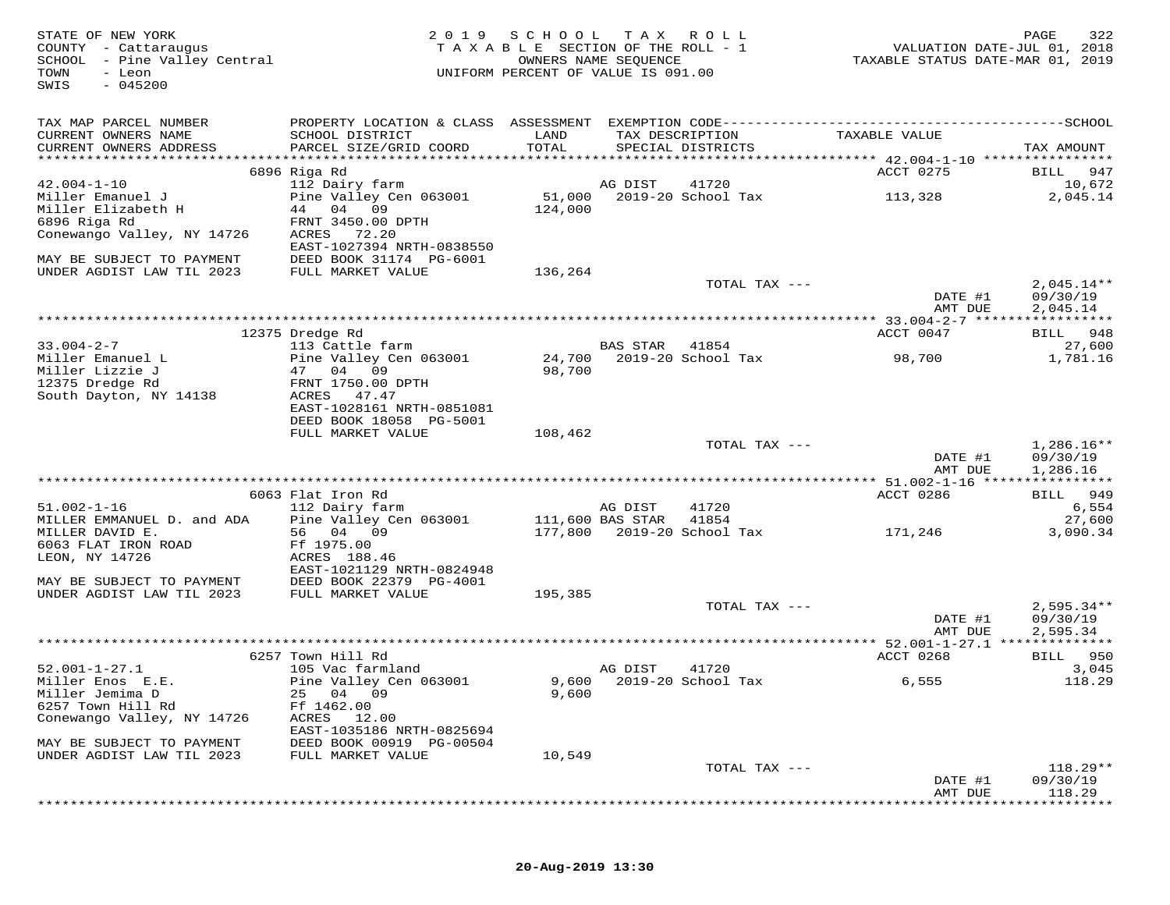| STATE OF NEW YORK<br>COUNTY - Cattaraugus<br>SCHOOL - Pine Valley Central<br>TOWN<br>- Leon<br>$-045200$<br>SWIS | 2019                                                 | SCHOOL TAX ROLL<br>TAXABLE SECTION OF THE ROLL - 1<br>UNIFORM PERCENT OF VALUE IS 091.00 | OWNERS NAME SEQUENCE |                                      | VALUATION DATE-JUL 01, 2018<br>TAXABLE STATUS DATE-MAR 01, 2019 | PAGE<br>322              |
|------------------------------------------------------------------------------------------------------------------|------------------------------------------------------|------------------------------------------------------------------------------------------|----------------------|--------------------------------------|-----------------------------------------------------------------|--------------------------|
| TAX MAP PARCEL NUMBER                                                                                            |                                                      |                                                                                          |                      |                                      |                                                                 |                          |
| CURRENT OWNERS NAME<br>CURRENT OWNERS ADDRESS                                                                    | SCHOOL DISTRICT<br>PARCEL SIZE/GRID COORD            | LAND<br>TOTAL                                                                            |                      | TAX DESCRIPTION<br>SPECIAL DISTRICTS | TAXABLE VALUE                                                   | TAX AMOUNT               |
|                                                                                                                  |                                                      |                                                                                          |                      |                                      |                                                                 |                          |
|                                                                                                                  | 6896 Riga Rd                                         |                                                                                          |                      |                                      | ACCT 0275                                                       | 947<br>BILL              |
| $42.004 - 1 - 10$<br>Miller Emanuel J                                                                            | 112 Dairy farm<br>Pine Valley Cen 063001             | 51,000                                                                                   | AG DIST              | 41720<br>2019-20 School Tax          | 113,328                                                         | 10,672<br>2,045.14       |
| Miller Elizabeth H                                                                                               | 44 04 09                                             | 124,000                                                                                  |                      |                                      |                                                                 |                          |
| 6896 Riga Rd                                                                                                     | FRNT 3450.00 DPTH                                    |                                                                                          |                      |                                      |                                                                 |                          |
| Conewango Valley, NY 14726                                                                                       | ACRES<br>72.20<br>EAST-1027394 NRTH-0838550          |                                                                                          |                      |                                      |                                                                 |                          |
| MAY BE SUBJECT TO PAYMENT<br>UNDER AGDIST LAW TIL 2023                                                           | DEED BOOK 31174 PG-6001<br>FULL MARKET VALUE         | 136,264                                                                                  |                      |                                      |                                                                 |                          |
|                                                                                                                  |                                                      |                                                                                          |                      | TOTAL TAX ---                        | DATE #1                                                         | $2,045.14**$<br>09/30/19 |
|                                                                                                                  |                                                      |                                                                                          |                      |                                      | AMT DUE                                                         | 2,045.14                 |
|                                                                                                                  | 12375 Dredge Rd                                      |                                                                                          |                      |                                      | ACCT 0047                                                       | BILL 948                 |
| $33.004 - 2 - 7$                                                                                                 | 113 Cattle farm                                      |                                                                                          | BAS STAR             | 41854                                |                                                                 | 27,600                   |
| Miller Emanuel L                                                                                                 | Pine Valley Cen 063001                               | 24,700                                                                                   |                      | 2019-20 School Tax                   | 98,700                                                          | 1,781.16                 |
| Miller Lizzie J                                                                                                  | 47 04 09                                             | 98,700                                                                                   |                      |                                      |                                                                 |                          |
| 12375 Dredge Rd                                                                                                  | FRNT 1750.00 DPTH                                    |                                                                                          |                      |                                      |                                                                 |                          |
| South Dayton, NY 14138                                                                                           | ACRES 47.47                                          |                                                                                          |                      |                                      |                                                                 |                          |
|                                                                                                                  | EAST-1028161 NRTH-0851081<br>DEED BOOK 18058 PG-5001 |                                                                                          |                      |                                      |                                                                 |                          |
|                                                                                                                  | FULL MARKET VALUE                                    | 108,462                                                                                  |                      |                                      |                                                                 |                          |
|                                                                                                                  |                                                      |                                                                                          |                      | TOTAL TAX ---                        |                                                                 | $1,286.16**$             |
|                                                                                                                  |                                                      |                                                                                          |                      |                                      | DATE #1                                                         | 09/30/19                 |
|                                                                                                                  |                                                      |                                                                                          |                      |                                      | AMT DUE                                                         | 1,286.16                 |
|                                                                                                                  | 6063 Flat Iron Rd                                    |                                                                                          |                      |                                      | ACCT 0286                                                       | 949<br>BILL              |
| $51.002 - 1 - 16$                                                                                                | 112 Dairy farm                                       |                                                                                          | AG DIST              | 41720                                |                                                                 | 6,554                    |
| MILLER EMMANUEL D. and ADA                                                                                       | Pine Valley Cen 063001                               | 111,600 BAS STAR                                                                         |                      | 41854                                |                                                                 | 27,600                   |
| MILLER DAVID E.                                                                                                  | 56 04 09                                             |                                                                                          |                      | 177,800 2019-20 School Tax           | 171,246                                                         | 3,090.34                 |
| 6063 FLAT IRON ROAD                                                                                              | Ff 1975.00                                           |                                                                                          |                      |                                      |                                                                 |                          |
| LEON, NY 14726                                                                                                   | ACRES 188.46                                         |                                                                                          |                      |                                      |                                                                 |                          |
|                                                                                                                  | EAST-1021129 NRTH-0824948<br>DEED BOOK 22379 PG-4001 |                                                                                          |                      |                                      |                                                                 |                          |
| MAY BE SUBJECT TO PAYMENT<br>UNDER AGDIST LAW TIL 2023                                                           | FULL MARKET VALUE                                    | 195,385                                                                                  |                      |                                      |                                                                 |                          |
|                                                                                                                  |                                                      |                                                                                          |                      | TOTAL TAX ---                        |                                                                 | $2,595.34**$             |
|                                                                                                                  |                                                      |                                                                                          |                      |                                      | DATE #1                                                         | 09/30/19                 |
|                                                                                                                  |                                                      |                                                                                          |                      |                                      | AMT DUE                                                         | 2,595.34                 |
|                                                                                                                  |                                                      |                                                                                          |                      |                                      |                                                                 |                          |
| $52.001 - 1 - 27.1$                                                                                              | 6257 Town Hill Rd<br>105 Vac farmland                |                                                                                          | AG DIST              | 41720                                | ACCT 0268                                                       | BILL 950<br>3,045        |
| Miller Enos E.E.                                                                                                 | Pine Valley Cen 063001                               |                                                                                          |                      | 9,600 2019-20 School Tax             | 6,555                                                           | 118.29                   |
| Miller Jemima D                                                                                                  | 25 04 09                                             | 9,600                                                                                    |                      |                                      |                                                                 |                          |
| 6257 Town Hill Rd                                                                                                | Ff 1462.00                                           |                                                                                          |                      |                                      |                                                                 |                          |
| Conewango Valley, NY 14726                                                                                       | ACRES<br>12.00                                       |                                                                                          |                      |                                      |                                                                 |                          |
|                                                                                                                  | EAST-1035186 NRTH-0825694                            |                                                                                          |                      |                                      |                                                                 |                          |
| MAY BE SUBJECT TO PAYMENT<br>UNDER AGDIST LAW TIL 2023                                                           | DEED BOOK 00919 PG-00504<br>FULL MARKET VALUE        |                                                                                          |                      |                                      |                                                                 |                          |
|                                                                                                                  |                                                      | 10,549                                                                                   |                      | TOTAL TAX ---                        |                                                                 | $118.29**$               |
|                                                                                                                  |                                                      |                                                                                          |                      |                                      | DATE #1                                                         | 09/30/19                 |
|                                                                                                                  |                                                      |                                                                                          |                      |                                      | AMT DUE                                                         | 118.29                   |
|                                                                                                                  |                                                      |                                                                                          |                      |                                      |                                                                 |                          |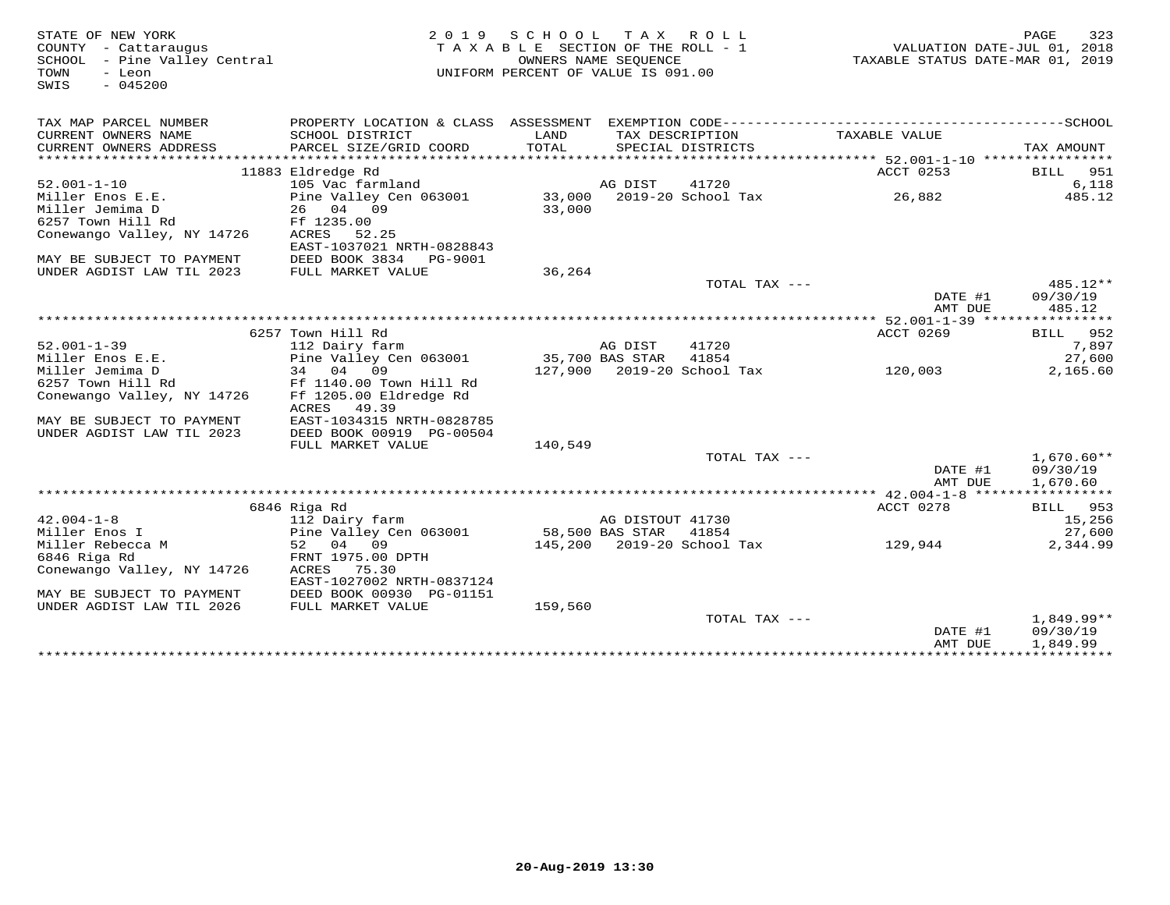| STATE OF NEW YORK<br>COUNTY - Cattaraugus<br>SCHOOL - Pine Valley Central<br>$-$ Leon<br>TOWN<br>$-045200$<br>SWIS |                                               | 2019 SCHOOL TAX ROLL<br>TAXABLE SECTION OF THE ROLL - 1<br>OWNERS NAME SEQUENCE<br>UNIFORM PERCENT OF VALUE IS 091.00 |                  |                            | VALUATION DATE-JUL 01, 2018<br>TAXABLE STATUS DATE-MAR 01, 2019 | 323<br>PAGE                 |
|--------------------------------------------------------------------------------------------------------------------|-----------------------------------------------|-----------------------------------------------------------------------------------------------------------------------|------------------|----------------------------|-----------------------------------------------------------------|-----------------------------|
| TAX MAP PARCEL NUMBER                                                                                              |                                               |                                                                                                                       |                  |                            |                                                                 |                             |
| CURRENT OWNERS NAME                                                                                                | SCHOOL DISTRICT                               | LAND                                                                                                                  |                  | TAX DESCRIPTION            | TAXABLE VALUE                                                   |                             |
| CURRENT OWNERS ADDRESS                                                                                             | PARCEL SIZE/GRID COORD                        | TOTAL                                                                                                                 |                  | SPECIAL DISTRICTS          |                                                                 | TAX AMOUNT                  |
| ***********************                                                                                            |                                               |                                                                                                                       |                  |                            |                                                                 | *****                       |
| $52.001 - 1 - 10$                                                                                                  | 11883 Eldredge Rd<br>105 Vac farmland         |                                                                                                                       | AG DIST          | 41720                      | ACCT 0253                                                       | 951<br><b>BILL</b><br>6,118 |
| Miller Enos E.E.                                                                                                   | Pine Valley Cen 063001                        |                                                                                                                       |                  | 33,000 2019-20 School Tax  | 26,882                                                          | 485.12                      |
| Miller Jemima D                                                                                                    | 26 04 09                                      | 33,000                                                                                                                |                  |                            |                                                                 |                             |
| 6257 Town Hill Rd                                                                                                  | Ff 1235.00                                    |                                                                                                                       |                  |                            |                                                                 |                             |
| Conewango Valley, NY 14726                                                                                         | 52.25<br>ACRES                                |                                                                                                                       |                  |                            |                                                                 |                             |
|                                                                                                                    | EAST-1037021 NRTH-0828843                     |                                                                                                                       |                  |                            |                                                                 |                             |
| MAY BE SUBJECT TO PAYMENT                                                                                          | DEED BOOK 3834<br>PG-9001                     |                                                                                                                       |                  |                            |                                                                 |                             |
| UNDER AGDIST LAW TIL 2023                                                                                          | FULL MARKET VALUE                             | 36,264                                                                                                                |                  |                            |                                                                 |                             |
|                                                                                                                    |                                               |                                                                                                                       |                  | TOTAL TAX ---              |                                                                 | 485.12**                    |
|                                                                                                                    |                                               |                                                                                                                       |                  |                            | DATE #1                                                         | 09/30/19                    |
|                                                                                                                    |                                               |                                                                                                                       |                  |                            | AMT DUE<br>************* 52.001-1-39 *****************          | 485.12                      |
|                                                                                                                    | 6257 Town Hill Rd                             |                                                                                                                       |                  |                            | ACCT 0269                                                       | BILL 952                    |
| $52.001 - 1 - 39$                                                                                                  | 112 Dairy farm                                |                                                                                                                       | AG DIST          | 41720                      |                                                                 | 7,897                       |
| Miller Enos E.E.                                                                                                   | Pine Valley Cen 063001                        | 35,700 BAS STAR                                                                                                       |                  | 41854                      |                                                                 | 27,600                      |
| Miller Jemima D                                                                                                    | 34 04 09                                      |                                                                                                                       |                  | 127,900 2019-20 School Tax | 120,003                                                         | 2,165.60                    |
| 6257 Town Hill Rd                                                                                                  | Ff 1140.00 Town Hill Rd                       |                                                                                                                       |                  |                            |                                                                 |                             |
| Conewango Valley, NY 14726                                                                                         | Ff 1205.00 Eldredge Rd                        |                                                                                                                       |                  |                            |                                                                 |                             |
|                                                                                                                    | ACRES<br>49.39                                |                                                                                                                       |                  |                            |                                                                 |                             |
| MAY BE SUBJECT TO PAYMENT                                                                                          | EAST-1034315 NRTH-0828785                     |                                                                                                                       |                  |                            |                                                                 |                             |
| UNDER AGDIST LAW TIL 2023                                                                                          | DEED BOOK 00919 PG-00504                      |                                                                                                                       |                  |                            |                                                                 |                             |
|                                                                                                                    | FULL MARKET VALUE                             | 140,549                                                                                                               |                  |                            |                                                                 |                             |
|                                                                                                                    |                                               |                                                                                                                       |                  | TOTAL TAX ---              | DATE #1                                                         | $1,670.60**$<br>09/30/19    |
|                                                                                                                    |                                               |                                                                                                                       |                  |                            | AMT DUE                                                         | 1,670.60                    |
|                                                                                                                    |                                               |                                                                                                                       |                  |                            |                                                                 |                             |
|                                                                                                                    | 6846 Riga Rd                                  |                                                                                                                       |                  |                            | ACCT 0278                                                       | BILL 953                    |
| $42.004 - 1 - 8$                                                                                                   | 112 Dairy farm                                |                                                                                                                       | AG DISTOUT 41730 |                            |                                                                 | 15,256                      |
| Miller Enos I                                                                                                      | Pine Valley Cen 063001                        |                                                                                                                       | 58,500 BAS STAR  | 41854                      |                                                                 | 27,600                      |
| Miller Rebecca M                                                                                                   | 52 04 09                                      |                                                                                                                       |                  | 145,200 2019-20 School Tax | 129,944                                                         | 2,344.99                    |
| 6846 Riga Rd                                                                                                       | FRNT 1975.00 DPTH                             |                                                                                                                       |                  |                            |                                                                 |                             |
| Conewango Valley, NY 14726                                                                                         | ACRES<br>75.30                                |                                                                                                                       |                  |                            |                                                                 |                             |
|                                                                                                                    | EAST-1027002 NRTH-0837124                     |                                                                                                                       |                  |                            |                                                                 |                             |
| MAY BE SUBJECT TO PAYMENT<br>UNDER AGDIST LAW TIL 2026                                                             | DEED BOOK 00930 PG-01151<br>FULL MARKET VALUE | 159,560                                                                                                               |                  |                            |                                                                 |                             |
|                                                                                                                    |                                               |                                                                                                                       |                  | TOTAL TAX ---              |                                                                 | 1,849.99**                  |
|                                                                                                                    |                                               |                                                                                                                       |                  |                            | DATE #1                                                         | 09/30/19                    |
|                                                                                                                    |                                               |                                                                                                                       |                  |                            | AMT DUE                                                         | 1,849.99                    |
|                                                                                                                    |                                               |                                                                                                                       |                  |                            |                                                                 |                             |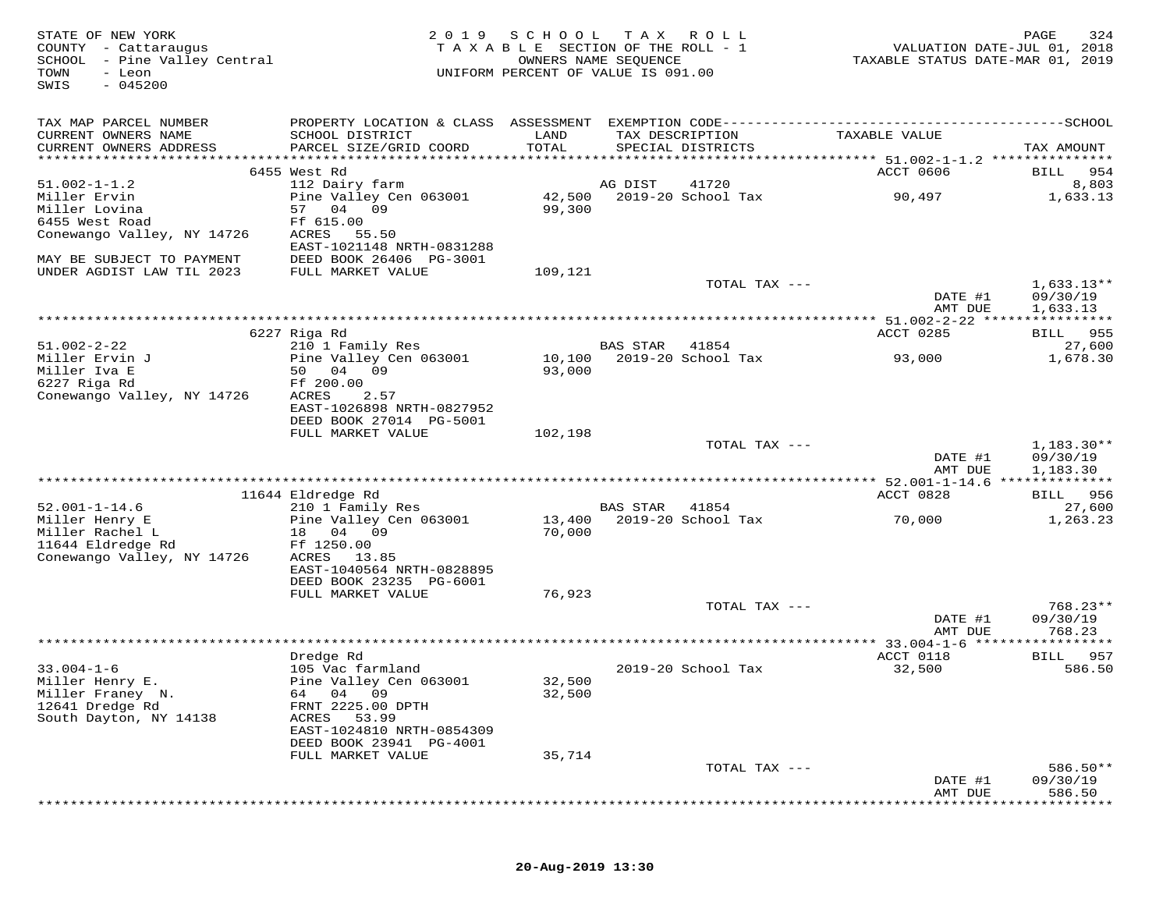| STATE OF NEW YORK<br>COUNTY - Cattaraugus<br>SCHOOL - Pine Valley Central<br>- Leon<br>TOWN<br>$-045200$<br>SWIS | 2 0 1 9                                      | S C H O O L<br>TAXABLE SECTION OF THE ROLL - 1<br>UNIFORM PERCENT OF VALUE IS 091.00 | T A X<br>OWNERS NAME SEQUENCE | R O L L                            | VALUATION DATE-JUL 01, 2018<br>TAXABLE STATUS DATE-MAR 01, 2019 | PAGE<br>324              |
|------------------------------------------------------------------------------------------------------------------|----------------------------------------------|--------------------------------------------------------------------------------------|-------------------------------|------------------------------------|-----------------------------------------------------------------|--------------------------|
| TAX MAP PARCEL NUMBER                                                                                            |                                              |                                                                                      |                               |                                    |                                                                 |                          |
| CURRENT OWNERS NAME<br>CURRENT OWNERS ADDRESS                                                                    | SCHOOL DISTRICT<br>PARCEL SIZE/GRID COORD    | LAND<br>TOTAL                                                                        | TAX DESCRIPTION               | SPECIAL DISTRICTS                  | TAXABLE VALUE                                                   | TAX AMOUNT               |
|                                                                                                                  |                                              |                                                                                      |                               |                                    |                                                                 |                          |
| $51.002 - 1 - 1.2$                                                                                               | 6455 West Rd                                 |                                                                                      |                               |                                    | ACCT 0606                                                       | BILL 954                 |
| Miller Ervin                                                                                                     | 112 Dairy farm<br>Pine Valley Cen 063001     |                                                                                      | AG DIST                       | 41720<br>42,500 2019-20 School Tax | 90,497                                                          | 8,803<br>1,633.13        |
| Miller Lovina                                                                                                    | 57 04 09                                     | 99,300                                                                               |                               |                                    |                                                                 |                          |
| 6455 West Road                                                                                                   | Ff 615.00                                    |                                                                                      |                               |                                    |                                                                 |                          |
| Conewango Valley, NY 14726                                                                                       | ACRES<br>55.50<br>EAST-1021148 NRTH-0831288  |                                                                                      |                               |                                    |                                                                 |                          |
| MAY BE SUBJECT TO PAYMENT<br>UNDER AGDIST LAW TIL 2023                                                           | DEED BOOK 26406 PG-3001<br>FULL MARKET VALUE | 109,121                                                                              |                               |                                    |                                                                 |                          |
|                                                                                                                  |                                              |                                                                                      |                               | TOTAL TAX ---                      |                                                                 | $1,633.13**$             |
|                                                                                                                  |                                              |                                                                                      |                               |                                    | DATE #1<br>AMT DUE                                              | 09/30/19<br>1,633.13     |
|                                                                                                                  |                                              |                                                                                      |                               |                                    |                                                                 |                          |
|                                                                                                                  | 6227 Riga Rd                                 |                                                                                      |                               |                                    | ACCT 0285                                                       | BILL 955                 |
| $51.002 - 2 - 22$                                                                                                | 210 1 Family Res                             |                                                                                      | BAS STAR                      | 41854                              | 93,000                                                          | 27,600                   |
| Miller Ervin J<br>Miller Iva E                                                                                   | Pine Valley Cen 063001<br>50 04 09           | 10,100<br>93,000                                                                     |                               | 2019-20 School Tax                 |                                                                 | 1,678.30                 |
| 6227 Riga Rd                                                                                                     | Ff 200.00                                    |                                                                                      |                               |                                    |                                                                 |                          |
| Conewango Valley, NY 14726                                                                                       | ACRES<br>2.57                                |                                                                                      |                               |                                    |                                                                 |                          |
|                                                                                                                  | EAST-1026898 NRTH-0827952                    |                                                                                      |                               |                                    |                                                                 |                          |
|                                                                                                                  | DEED BOOK 27014 PG-5001                      |                                                                                      |                               |                                    |                                                                 |                          |
|                                                                                                                  | FULL MARKET VALUE                            | 102,198                                                                              |                               |                                    |                                                                 |                          |
|                                                                                                                  |                                              |                                                                                      |                               | TOTAL TAX ---                      | DATE #1                                                         | $1.183.30**$<br>09/30/19 |
|                                                                                                                  |                                              |                                                                                      |                               |                                    | AMT DUE                                                         | 1,183.30                 |
|                                                                                                                  |                                              |                                                                                      |                               |                                    | *********** 52.001-1-14.6 **************                        |                          |
|                                                                                                                  | 11644 Eldredge Rd                            |                                                                                      |                               |                                    | ACCT 0828                                                       | BILL 956                 |
| $52.001 - 1 - 14.6$                                                                                              | 210 1 Family Res                             |                                                                                      | <b>BAS STAR</b>               | 41854                              |                                                                 | 27,600                   |
| Miller Henry E<br>Miller Rachel L                                                                                | Pine Valley Cen 063001<br>18 04 09           | 70,000                                                                               |                               | 13,400 2019-20 School Tax          | 70,000                                                          | 1,263.23                 |
| 11644 Eldredge Rd                                                                                                | Ff 1250.00                                   |                                                                                      |                               |                                    |                                                                 |                          |
| Conewango Valley, NY 14726                                                                                       | ACRES 13.85                                  |                                                                                      |                               |                                    |                                                                 |                          |
|                                                                                                                  | EAST-1040564 NRTH-0828895                    |                                                                                      |                               |                                    |                                                                 |                          |
|                                                                                                                  | DEED BOOK 23235 PG-6001                      |                                                                                      |                               |                                    |                                                                 |                          |
|                                                                                                                  | FULL MARKET VALUE                            | 76,923                                                                               |                               |                                    |                                                                 |                          |
|                                                                                                                  |                                              |                                                                                      |                               | TOTAL TAX ---                      | DATE #1                                                         | $768.23**$<br>09/30/19   |
|                                                                                                                  |                                              |                                                                                      |                               |                                    | AMT DUE                                                         | 768.23                   |
|                                                                                                                  |                                              |                                                                                      |                               |                                    | ********* 33.004-1-6 ******************                         |                          |
|                                                                                                                  | Dredge Rd                                    |                                                                                      |                               |                                    | ACCT 0118                                                       | BILL 957                 |
| $33.004 - 1 - 6$                                                                                                 | 105 Vac farmland                             |                                                                                      |                               | 2019-20 School Tax                 | 32,500                                                          | 586.50                   |
| Miller Henry E.                                                                                                  | Pine Valley Cen 063001                       | 32,500                                                                               |                               |                                    |                                                                 |                          |
| Miller Franey N.                                                                                                 | 64 04 09                                     | 32,500                                                                               |                               |                                    |                                                                 |                          |
| 12641 Dredge Rd                                                                                                  | FRNT 2225.00 DPTH                            |                                                                                      |                               |                                    |                                                                 |                          |
| South Dayton, NY 14138                                                                                           | 53.99<br>ACRES<br>EAST-1024810 NRTH-0854309  |                                                                                      |                               |                                    |                                                                 |                          |
|                                                                                                                  | DEED BOOK 23941 PG-4001                      |                                                                                      |                               |                                    |                                                                 |                          |
|                                                                                                                  | FULL MARKET VALUE                            | 35,714                                                                               |                               |                                    |                                                                 |                          |
|                                                                                                                  |                                              |                                                                                      |                               | TOTAL TAX ---                      |                                                                 | 586.50**                 |
|                                                                                                                  |                                              |                                                                                      |                               |                                    | DATE #1                                                         | 09/30/19                 |
|                                                                                                                  |                                              |                                                                                      |                               |                                    | AMT DUE                                                         | 586.50                   |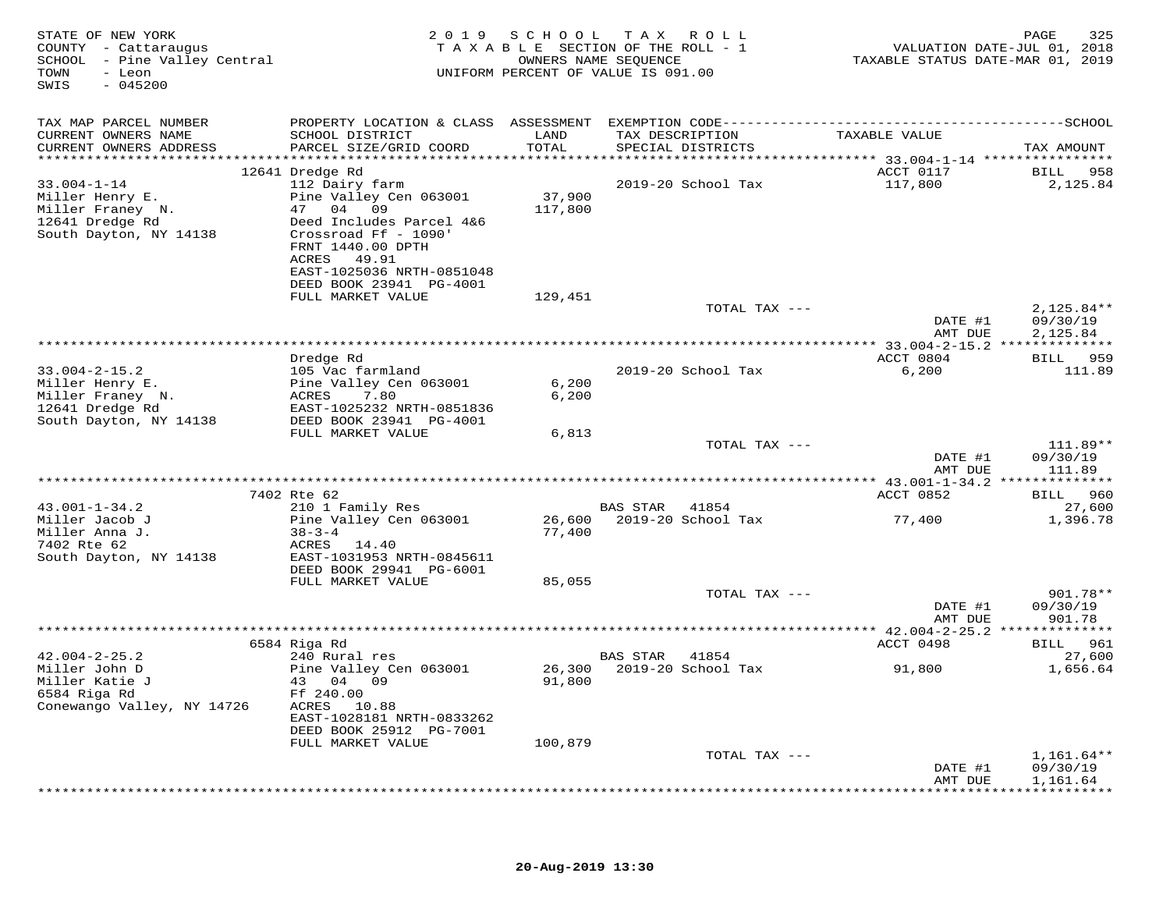| STATE OF NEW YORK<br>COUNTY - Cattaraugus<br>SCHOOL - Pine Valley Central<br>- Leon<br>TOWN<br>$-045200$<br>SWIS |                                                                                                                   |         | 2019 SCHOOL TAX ROLL<br>TAXABLE SECTION OF THE ROLL - 1<br>OWNERS NAME SEQUENCE<br>UNIFORM PERCENT OF VALUE IS 091.00 | TAXABLE STATUS DATE-MAR 01, 2019 | PAGE<br>325<br>VALUATION DATE-JUL 01, 2018 |
|------------------------------------------------------------------------------------------------------------------|-------------------------------------------------------------------------------------------------------------------|---------|-----------------------------------------------------------------------------------------------------------------------|----------------------------------|--------------------------------------------|
| TAX MAP PARCEL NUMBER                                                                                            |                                                                                                                   |         |                                                                                                                       |                                  |                                            |
| CURRENT OWNERS NAME                                                                                              | SCHOOL DISTRICT                                                                                                   | LAND    | TAX DESCRIPTION                                                                                                       | TAXABLE VALUE                    |                                            |
| CURRENT OWNERS ADDRESS                                                                                           | PARCEL SIZE/GRID COORD                                                                                            | TOTAL   | SPECIAL DISTRICTS                                                                                                     |                                  | TAX AMOUNT                                 |
|                                                                                                                  | 12641 Dredge Rd                                                                                                   |         |                                                                                                                       | ACCT 0117                        | 958<br>BILL                                |
| $33.004 - 1 - 14$                                                                                                | 112 Dairy farm                                                                                                    |         | 2019-20 School Tax                                                                                                    | 117,800                          | 2,125.84                                   |
| Miller Henry E.                                                                                                  | Pine Valley Cen 063001                                                                                            | 37,900  |                                                                                                                       |                                  |                                            |
| Miller Franey N.                                                                                                 | 47 04 09                                                                                                          | 117,800 |                                                                                                                       |                                  |                                            |
| 12641 Dredge Rd<br>South Dayton, NY 14138                                                                        | Deed Includes Parcel 4&6<br>Crossroad Ff - 1090'<br>FRNT 1440.00 DPTH<br>ACRES 49.91<br>EAST-1025036 NRTH-0851048 |         |                                                                                                                       |                                  |                                            |
|                                                                                                                  | DEED BOOK 23941 PG-4001                                                                                           |         |                                                                                                                       |                                  |                                            |
|                                                                                                                  | FULL MARKET VALUE                                                                                                 | 129,451 | TOTAL TAX ---                                                                                                         |                                  | $2,125.84**$                               |
|                                                                                                                  |                                                                                                                   |         |                                                                                                                       | DATE #1                          | 09/30/19                                   |
|                                                                                                                  |                                                                                                                   |         |                                                                                                                       | AMT DUE                          | 2,125.84                                   |
|                                                                                                                  |                                                                                                                   |         |                                                                                                                       |                                  |                                            |
| $33.004 - 2 - 15.2$                                                                                              | Dredge Rd<br>105 Vac farmland                                                                                     |         | 2019-20 School Tax                                                                                                    | ACCT 0804<br>6,200               | BILL 959<br>111.89                         |
| Miller Henry E.                                                                                                  | Pine Valley Cen 063001                                                                                            | 6,200   |                                                                                                                       |                                  |                                            |
| Miller Franey N.                                                                                                 | ACRES 7.80                                                                                                        | 6,200   |                                                                                                                       |                                  |                                            |
| 12641 Dredge Rd                                                                                                  | EAST-1025232 NRTH-0851836                                                                                         |         |                                                                                                                       |                                  |                                            |
| South Dayton, NY 14138                                                                                           | DEED BOOK 23941 PG-4001<br>FULL MARKET VALUE                                                                      | 6,813   |                                                                                                                       |                                  |                                            |
|                                                                                                                  |                                                                                                                   |         | TOTAL TAX ---                                                                                                         |                                  | 111.89**                                   |
|                                                                                                                  |                                                                                                                   |         |                                                                                                                       | DATE #1                          | 09/30/19                                   |
|                                                                                                                  |                                                                                                                   |         |                                                                                                                       | AMT DUE                          | 111.89                                     |
|                                                                                                                  | 7402 Rte 62                                                                                                       |         |                                                                                                                       | ACCT 0852                        | BILL 960                                   |
| $43.001 - 1 - 34.2$                                                                                              | 210 1 Family Res                                                                                                  |         | BAS STAR 41854                                                                                                        |                                  | 27,600                                     |
| Miller Jacob J                                                                                                   | Pine Valley Cen 063001                                                                                            | 26,600  | 2019-20 School Tax                                                                                                    | 77,400                           | 1,396.78                                   |
| Miller Anna J.                                                                                                   | $38 - 3 - 4$                                                                                                      | 77,400  |                                                                                                                       |                                  |                                            |
| 7402 Rte 62                                                                                                      | ACRES 14.40                                                                                                       |         |                                                                                                                       |                                  |                                            |
| South Dayton, NY 14138                                                                                           | EAST-1031953 NRTH-0845611<br>DEED BOOK 29941 PG-6001                                                              |         |                                                                                                                       |                                  |                                            |
|                                                                                                                  | FULL MARKET VALUE                                                                                                 | 85,055  |                                                                                                                       |                                  |                                            |
|                                                                                                                  |                                                                                                                   |         | TOTAL TAX ---                                                                                                         |                                  | 901.78**                                   |
|                                                                                                                  |                                                                                                                   |         |                                                                                                                       | DATE #1                          | 09/30/19                                   |
|                                                                                                                  |                                                                                                                   |         |                                                                                                                       | AMT DUE                          | 901.78                                     |
|                                                                                                                  | 6584 Riga Rd                                                                                                      |         |                                                                                                                       | ACCT 0498                        | BILL 961                                   |
| $42.004 - 2 - 25.2$                                                                                              | 240 Rural res                                                                                                     |         | BAS STAR<br>41854                                                                                                     |                                  | 27,600                                     |
| Miller John D<br>Miller Katie J                                                                                  | Pine Valley Cen 063001<br>43 04 09                                                                                | 91,800  | 26,300 2019-20 School Tax                                                                                             | 91,800                           | 1,656.64                                   |
| 6584 Riga Rd                                                                                                     | Ff 240.00                                                                                                         |         |                                                                                                                       |                                  |                                            |
| Conewango Valley, NY 14726                                                                                       | ACRES 10.88                                                                                                       |         |                                                                                                                       |                                  |                                            |
|                                                                                                                  | EAST-1028181 NRTH-0833262                                                                                         |         |                                                                                                                       |                                  |                                            |
|                                                                                                                  | DEED BOOK 25912 PG-7001                                                                                           |         |                                                                                                                       |                                  |                                            |
|                                                                                                                  | FULL MARKET VALUE                                                                                                 | 100,879 | TOTAL TAX ---                                                                                                         |                                  | 1,161.64**                                 |
|                                                                                                                  |                                                                                                                   |         |                                                                                                                       | DATE #1                          | 09/30/19                                   |
|                                                                                                                  |                                                                                                                   |         |                                                                                                                       | AMT DUE                          | 1,161.64                                   |
|                                                                                                                  |                                                                                                                   |         |                                                                                                                       | *****************************    |                                            |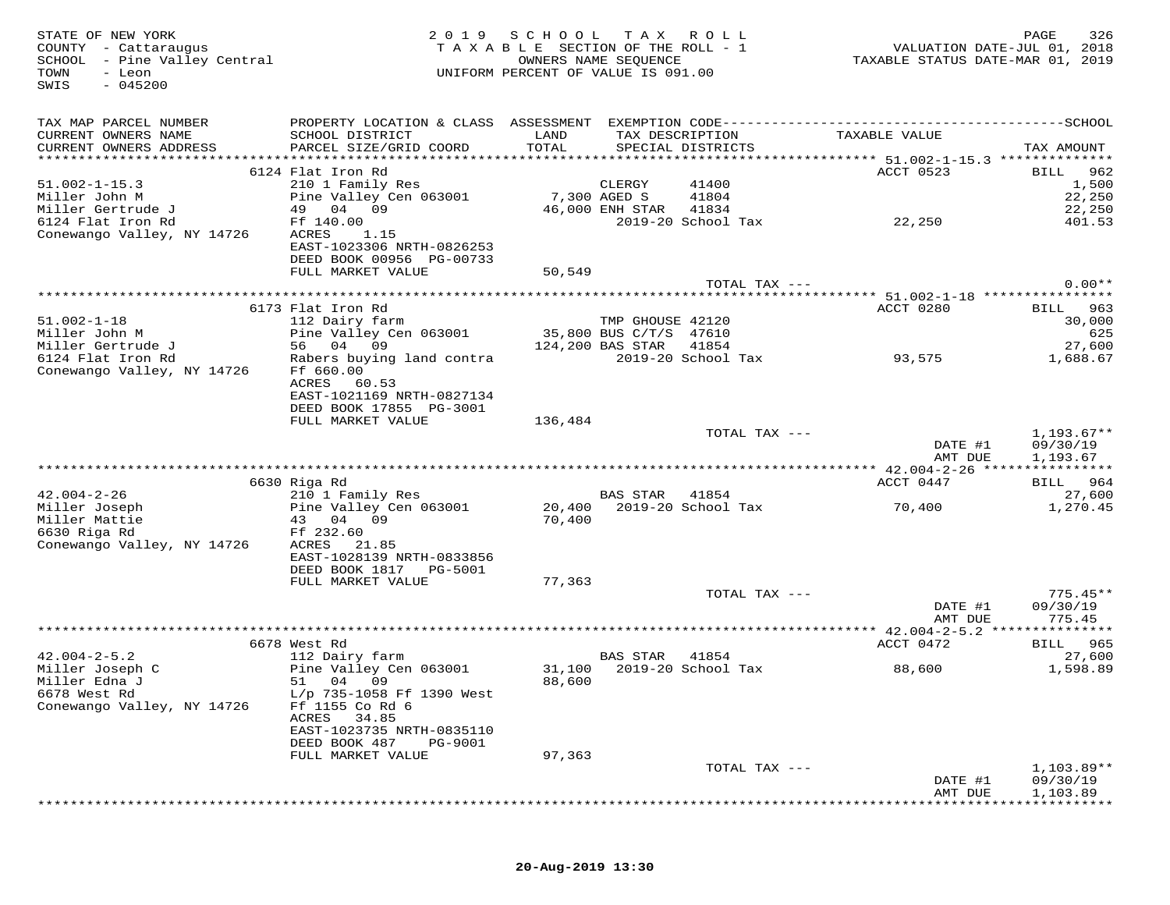| STATE OF NEW YORK<br>COUNTY - Cattaraugus<br>SCHOOL - Pine Valley Central<br>TOWN<br>- Leon<br>$-045200$<br>SWIS | 2 0 1 9                                                                | SCHOOL TAX<br>TAXABLE SECTION OF THE ROLL - 1<br>UNIFORM PERCENT OF VALUE IS 091.00 | OWNERS NAME SEQUENCE   | R O L L                     | TAXABLE STATUS DATE-MAR 01, 2019 | 326<br>PAGE<br>VALUATION DATE-JUL 01, 2018 |
|------------------------------------------------------------------------------------------------------------------|------------------------------------------------------------------------|-------------------------------------------------------------------------------------|------------------------|-----------------------------|----------------------------------|--------------------------------------------|
| TAX MAP PARCEL NUMBER<br>CURRENT OWNERS NAME<br>CURRENT OWNERS ADDRESS                                           | SCHOOL DISTRICT<br>PARCEL SIZE/GRID COORD                              | LAND<br>TOTAL                                                                       | TAX DESCRIPTION        | SPECIAL DISTRICTS           | TAXABLE VALUE                    | TAX AMOUNT                                 |
|                                                                                                                  |                                                                        |                                                                                     |                        |                             |                                  |                                            |
|                                                                                                                  | 6124 Flat Iron Rd                                                      |                                                                                     |                        |                             | ACCT 0523                        | 962<br>BILL                                |
| $51.002 - 1 - 15.3$                                                                                              | 210 1 Family Res                                                       |                                                                                     | CLERGY                 | 41400                       |                                  | 1,500                                      |
| Miller John M                                                                                                    | Pine Valley Cen 063001<br>49 04 09                                     | 7,300 AGED S                                                                        |                        | 41804                       |                                  | 22,250                                     |
| Miller Gertrude J<br>6124 Flat Iron Rd                                                                           | Ff 140.00                                                              |                                                                                     | 46,000 ENH STAR 41834  | 2019-20 School Tax          | 22,250                           | 22,250<br>401.53                           |
| Conewango Valley, NY 14726                                                                                       | 1.15<br>ACRES                                                          |                                                                                     |                        |                             |                                  |                                            |
|                                                                                                                  | EAST-1023306 NRTH-0826253<br>DEED BOOK 00956 PG-00733                  |                                                                                     |                        |                             |                                  |                                            |
|                                                                                                                  | FULL MARKET VALUE                                                      | 50,549                                                                              |                        |                             |                                  |                                            |
|                                                                                                                  |                                                                        |                                                                                     |                        | TOTAL TAX ---               |                                  | $0.00**$                                   |
|                                                                                                                  | 6173 Flat Iron Rd                                                      |                                                                                     |                        |                             | ACCT 0280                        | 963<br>BILL                                |
| $51.002 - 1 - 18$                                                                                                | 112 Dairy farm                                                         |                                                                                     | TMP GHOUSE 42120       |                             |                                  | 30,000                                     |
| Miller John M                                                                                                    | Pine Valley Cen 063001                                                 |                                                                                     | 35,800 BUS C/T/S 47610 |                             |                                  | 625                                        |
| Miller Gertrude J                                                                                                | 56 04 09                                                               |                                                                                     | 124,200 BAS STAR       | 41854                       |                                  | 27,600                                     |
| 6124 Flat Iron Rd<br>Conewango Valley, NY 14726                                                                  | Rabers buying land contra<br>Ff 660.00                                 |                                                                                     |                        | 2019-20 School Tax          | 93,575                           | 1,688.67                                   |
|                                                                                                                  | ACRES<br>60.53<br>EAST-1021169 NRTH-0827134<br>DEED BOOK 17855 PG-3001 |                                                                                     |                        |                             |                                  |                                            |
|                                                                                                                  | FULL MARKET VALUE                                                      | 136,484                                                                             |                        |                             |                                  |                                            |
|                                                                                                                  |                                                                        |                                                                                     |                        | TOTAL TAX ---               | DATE #1                          | $1,193.67**$<br>09/30/19                   |
|                                                                                                                  |                                                                        |                                                                                     |                        |                             | AMT DUE                          | 1,193.67                                   |
|                                                                                                                  | 6630 Riga Rd                                                           |                                                                                     |                        |                             | ACCT 0447                        | BILL 964                                   |
| $42.004 - 2 - 26$                                                                                                | 210 1 Family Res                                                       |                                                                                     | BAS STAR 41854         |                             |                                  | 27,600                                     |
| Miller Joseph                                                                                                    | Pine Valley Cen 063001                                                 |                                                                                     |                        | 20,400 2019-20 School Tax   | 70,400                           | 1,270.45                                   |
| Miller Mattie                                                                                                    | 43 04 09                                                               | 70,400                                                                              |                        |                             |                                  |                                            |
| 6630 Riga Rd<br>Conewango Valley, NY 14726                                                                       | Ff 232.60<br>ACRES<br>21.85                                            |                                                                                     |                        |                             |                                  |                                            |
|                                                                                                                  | EAST-1028139 NRTH-0833856                                              |                                                                                     |                        |                             |                                  |                                            |
|                                                                                                                  | DEED BOOK 1817 PG-5001                                                 |                                                                                     |                        |                             |                                  |                                            |
|                                                                                                                  | FULL MARKET VALUE                                                      | 77,363                                                                              |                        |                             |                                  |                                            |
|                                                                                                                  |                                                                        |                                                                                     |                        | TOTAL TAX ---               |                                  | $775.45**$                                 |
|                                                                                                                  |                                                                        |                                                                                     |                        |                             | DATE #1<br>AMT DUE               | 09/30/19<br>775.45                         |
|                                                                                                                  |                                                                        |                                                                                     |                        |                             | *********** $42.004-2-5.2$       | *********                                  |
|                                                                                                                  | 6678 West Rd                                                           |                                                                                     |                        |                             | ACCT 0472                        | <b>BILL</b> 965                            |
| $42.004 - 2 - 5.2$                                                                                               | 112 Dairy farm<br>Pine Valley Cen 063001                               |                                                                                     | BAS STAR               | 41854<br>2019-20 School Tax |                                  | 27,600                                     |
| Miller Joseph C<br>Miller Edna J                                                                                 | 51 04 09                                                               | 31,100<br>88,600                                                                    |                        |                             | 88,600                           | 1,598.89                                   |
| 6678 West Rd                                                                                                     | L/p 735-1058 Ff 1390 West                                              |                                                                                     |                        |                             |                                  |                                            |
| Conewango Valley, NY 14726                                                                                       | Ff 1155 Co Rd 6                                                        |                                                                                     |                        |                             |                                  |                                            |
|                                                                                                                  | ACRES<br>34.85                                                         |                                                                                     |                        |                             |                                  |                                            |
|                                                                                                                  | EAST-1023735 NRTH-0835110<br>DEED BOOK 487<br>PG-9001                  |                                                                                     |                        |                             |                                  |                                            |
|                                                                                                                  | FULL MARKET VALUE                                                      | 97,363                                                                              |                        |                             |                                  |                                            |
|                                                                                                                  |                                                                        |                                                                                     |                        | TOTAL TAX ---               |                                  | $1,103.89**$                               |
|                                                                                                                  |                                                                        |                                                                                     |                        |                             | DATE #1                          | 09/30/19                                   |
|                                                                                                                  |                                                                        |                                                                                     |                        |                             | AMT DUE                          | 1,103.89                                   |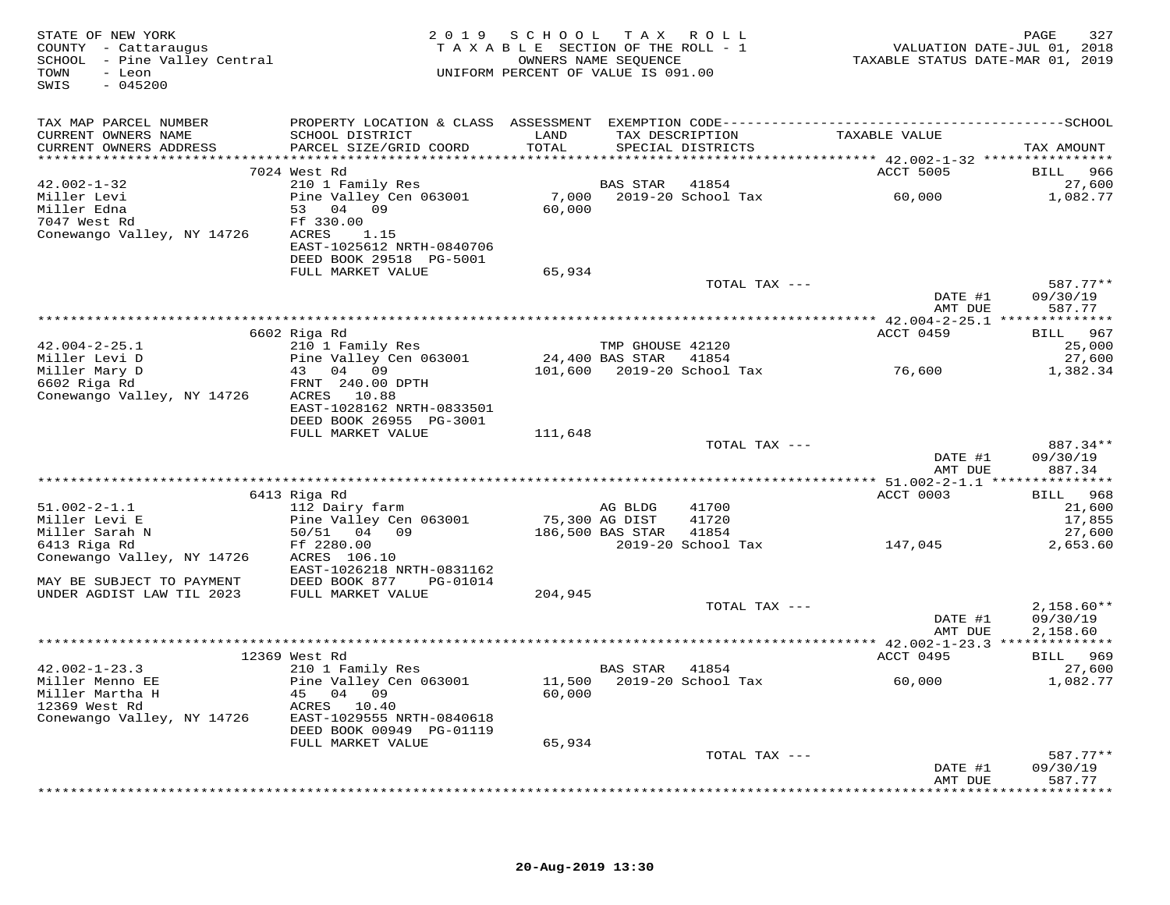| STATE OF NEW YORK<br>COUNTY - Cattaraugus<br>SCHOOL - Pine Valley Central<br>TOWN<br>- Leon<br>$-045200$<br>SWIS |                                               | 2019 SCHOOL TAX ROLL<br>TAXABLE SECTION OF THE ROLL - 1<br>UNIFORM PERCENT OF VALUE IS 091.00 | OWNERS NAME SEQUENCE |                                      | VALUATION DATE-JUL 01, 2018<br>TAXABLE STATUS DATE-MAR 01, 2019 | 327<br>PAGE          |
|------------------------------------------------------------------------------------------------------------------|-----------------------------------------------|-----------------------------------------------------------------------------------------------|----------------------|--------------------------------------|-----------------------------------------------------------------|----------------------|
| TAX MAP PARCEL NUMBER                                                                                            |                                               |                                                                                               |                      |                                      |                                                                 |                      |
| CURRENT OWNERS NAME<br>CURRENT OWNERS ADDRESS                                                                    | SCHOOL DISTRICT<br>PARCEL SIZE/GRID COORD     | LAND<br>TOTAL                                                                                 |                      | TAX DESCRIPTION<br>SPECIAL DISTRICTS | TAXABLE VALUE                                                   | TAX AMOUNT           |
|                                                                                                                  |                                               |                                                                                               |                      |                                      |                                                                 |                      |
|                                                                                                                  | 7024 West Rd                                  |                                                                                               |                      |                                      | ACCT 5005                                                       | BILL 966             |
| $42.002 - 1 - 32$                                                                                                | 210 1 Family Res                              |                                                                                               | BAS STAR             | 41854                                |                                                                 | 27,600               |
| Miller Levi                                                                                                      | Pine Valley Cen 063001                        | 7,000                                                                                         |                      |                                      | 2019-20 School Tax 60,000                                       | 1,082.77             |
| Miller Edna<br>7047 West Rd                                                                                      | 53 04 09<br>Ff 330.00                         | 60,000                                                                                        |                      |                                      |                                                                 |                      |
| Conewango Valley, NY 14726                                                                                       | ACRES<br>1.15                                 |                                                                                               |                      |                                      |                                                                 |                      |
|                                                                                                                  | EAST-1025612 NRTH-0840706                     |                                                                                               |                      |                                      |                                                                 |                      |
|                                                                                                                  | DEED BOOK 29518 PG-5001                       |                                                                                               |                      |                                      |                                                                 |                      |
|                                                                                                                  | FULL MARKET VALUE                             | 65,934                                                                                        |                      |                                      |                                                                 |                      |
|                                                                                                                  |                                               |                                                                                               |                      | TOTAL TAX ---                        | DATE #1                                                         | 587.77**<br>09/30/19 |
|                                                                                                                  |                                               |                                                                                               |                      |                                      | AMT DUE                                                         | 587.77               |
|                                                                                                                  |                                               |                                                                                               |                      |                                      |                                                                 |                      |
|                                                                                                                  | 6602 Riga Rd                                  |                                                                                               |                      |                                      | ACCT 0459                                                       | BILL 967             |
| $42.004 - 2 - 25.1$                                                                                              | 210 1 Family Res                              |                                                                                               | TMP GHOUSE 42120     |                                      |                                                                 | 25,000               |
| Miller Levi D<br>Miller Mary D                                                                                   | Pine Valley Cen 063001<br>43 04 09            | 24,400 BAS STAR 41854                                                                         |                      | 101,600 2019-20 School Tax 76,600    |                                                                 | 27,600               |
| 6602 Riga Rd                                                                                                     | FRNT 240.00 DPTH                              |                                                                                               |                      |                                      |                                                                 | 1,382.34             |
| Conewango Valley, NY 14726                                                                                       | ACRES 10.88                                   |                                                                                               |                      |                                      |                                                                 |                      |
|                                                                                                                  | EAST-1028162 NRTH-0833501                     |                                                                                               |                      |                                      |                                                                 |                      |
|                                                                                                                  | DEED BOOK 26955 PG-3001                       |                                                                                               |                      |                                      |                                                                 |                      |
|                                                                                                                  | FULL MARKET VALUE                             | 111,648                                                                                       |                      | TOTAL TAX ---                        |                                                                 | 887.34**             |
|                                                                                                                  |                                               |                                                                                               |                      |                                      | DATE #1                                                         | 09/30/19             |
|                                                                                                                  |                                               |                                                                                               |                      |                                      | AMT DUE                                                         | 887.34               |
|                                                                                                                  |                                               |                                                                                               |                      |                                      |                                                                 |                      |
|                                                                                                                  | 6413 Riga Rd                                  |                                                                                               |                      |                                      | ACCT 0003                                                       | BILL 968             |
| $51.002 - 2 - 1.1$<br>Miller Levi E                                                                              | 112 Dairy farm<br>Pine Valley Cen 063001      | 75,300 AG DIST                                                                                | AG BLDG              | 41700<br>41720                       |                                                                 | 21,600<br>17,855     |
| Miller Sarah N                                                                                                   | $186,500$ BAS STAR                            |                                                                                               |                      | 41854                                |                                                                 | 27,600               |
| 6413 Riga Rd                                                                                                     | Ff 2280.00                                    |                                                                                               |                      | 2019-20 School Tax                   | 147,045                                                         | 2,653.60             |
| Conewango Valley, NY 14726                                                                                       | ACRES 106.10                                  |                                                                                               |                      |                                      |                                                                 |                      |
|                                                                                                                  | EAST-1026218 NRTH-0831162                     |                                                                                               |                      |                                      |                                                                 |                      |
| MAY BE SUBJECT TO PAYMENT<br>UNDER AGDIST LAW TIL 2023                                                           | DEED BOOK 877 PG-01014<br>FULL MARKET VALUE   | 204,945                                                                                       |                      |                                      |                                                                 |                      |
|                                                                                                                  |                                               |                                                                                               |                      | TOTAL TAX ---                        |                                                                 | $2,158.60**$         |
|                                                                                                                  |                                               |                                                                                               |                      |                                      | DATE #1                                                         | 09/30/19             |
|                                                                                                                  |                                               |                                                                                               |                      |                                      | AMT DUE                                                         | 2,158.60             |
|                                                                                                                  |                                               |                                                                                               |                      |                                      |                                                                 |                      |
| $42.002 - 1 - 23.3$                                                                                              | 12369 West Rd<br>210 1 Family Res             |                                                                                               | BAS STAR 41854       |                                      | ACCT 0495                                                       | BILL 969<br>27,600   |
| Miller Menno EE                                                                                                  | Pine Valley Cen 063001                        |                                                                                               |                      | 11,500 2019-20 School Tax            | 60,000                                                          | 1,082.77             |
| Miller Martha H                                                                                                  | 45 04 09                                      | 60,000                                                                                        |                      |                                      |                                                                 |                      |
| 12369 West Rd                                                                                                    | ACRES 10.40                                   |                                                                                               |                      |                                      |                                                                 |                      |
| Conewango Valley, NY 14726                                                                                       | EAST-1029555 NRTH-0840618                     |                                                                                               |                      |                                      |                                                                 |                      |
|                                                                                                                  | DEED BOOK 00949 PG-01119<br>FULL MARKET VALUE | 65,934                                                                                        |                      |                                      |                                                                 |                      |
|                                                                                                                  |                                               |                                                                                               |                      | TOTAL TAX ---                        |                                                                 | $587.77**$           |
|                                                                                                                  |                                               |                                                                                               |                      |                                      | DATE #1                                                         | 09/30/19             |
|                                                                                                                  |                                               |                                                                                               |                      |                                      | AMT DUE                                                         | 587.77               |
|                                                                                                                  |                                               |                                                                                               |                      |                                      |                                                                 | ***********          |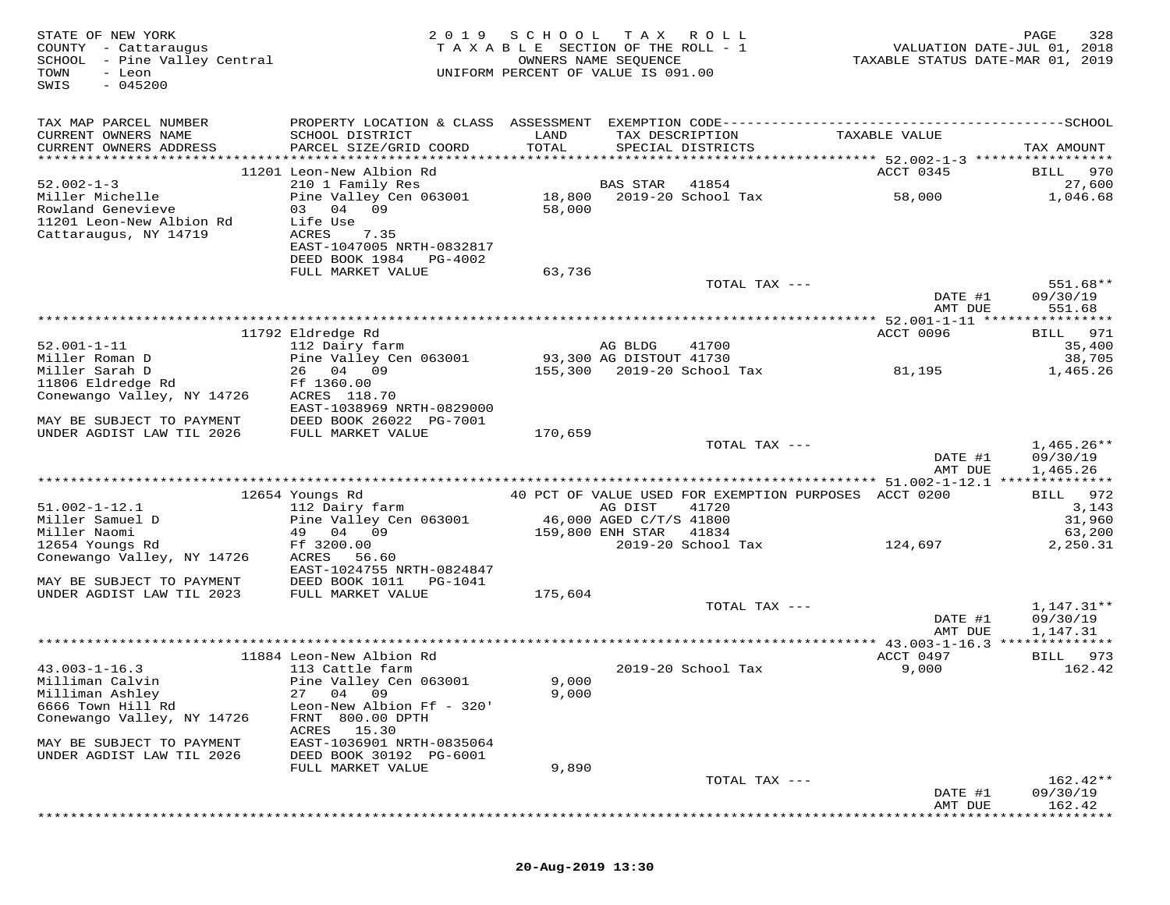| STATE OF NEW YORK<br>COUNTY - Cattaraugus<br>SCHOOL - Pine Valley Central<br>- Leon<br>TOWN<br>$-045200$<br>SWIS |                                                                    | 2019 SCHOOL TAX ROLL<br>TAXABLE SECTION OF THE ROLL - 1<br>UNIFORM PERCENT OF VALUE IS 091.00 | OWNERS NAME SEQUENCE |                                                       | VALUATION DATE-JUL 01, 2018<br>TAXABLE STATUS DATE-MAR 01, 2019 | 328<br>PAGE        |
|------------------------------------------------------------------------------------------------------------------|--------------------------------------------------------------------|-----------------------------------------------------------------------------------------------|----------------------|-------------------------------------------------------|-----------------------------------------------------------------|--------------------|
| TAX MAP PARCEL NUMBER                                                                                            |                                                                    |                                                                                               |                      |                                                       |                                                                 |                    |
| CURRENT OWNERS NAME<br>CURRENT OWNERS ADDRESS                                                                    | SCHOOL DISTRICT<br>PARCEL SIZE/GRID COORD                          | LAND<br>TOTAL                                                                                 |                      | TAX DESCRIPTION<br>SPECIAL DISTRICTS                  | TAXABLE VALUE                                                   | TAX AMOUNT         |
|                                                                                                                  |                                                                    |                                                                                               |                      |                                                       |                                                                 |                    |
| $52.002 - 1 - 3$                                                                                                 | 11201 Leon-New Albion Rd<br>210 1 Family Res                       |                                                                                               | BAS STAR             | 41854                                                 | ACCT 0345                                                       | BILL 970<br>27,600 |
| Miller Michelle                                                                                                  | Pine Valley Cen 063001 18,800 2019-20 School Tax                   |                                                                                               |                      |                                                       | 58,000                                                          | 1,046.68           |
| Rowland Genevieve<br>11201 Leon-New Albion Rd<br>Cattaraugus, NY 14719                                           | 03 04 09<br>Life Use<br>ACRES<br>7.35<br>EAST-1047005 NRTH-0832817 | 58,000                                                                                        |                      |                                                       |                                                                 |                    |
|                                                                                                                  | DEED BOOK 1984 PG-4002<br>FULL MARKET VALUE                        | 63,736                                                                                        |                      |                                                       |                                                                 |                    |
|                                                                                                                  |                                                                    |                                                                                               |                      | TOTAL TAX ---                                         |                                                                 | 551.68**           |
|                                                                                                                  |                                                                    |                                                                                               |                      |                                                       | DATE #1                                                         | 09/30/19           |
|                                                                                                                  |                                                                    |                                                                                               |                      |                                                       | AMT DUE                                                         | 551.68             |
|                                                                                                                  | 11792 Eldredge Rd                                                  |                                                                                               |                      |                                                       | ACCT 0096                                                       | BILL 971           |
| $52.001 - 1 - 11$                                                                                                | 112 Dairy farm                                                     |                                                                                               | AG BLDG              | 41700                                                 |                                                                 | 35,400             |
| Miller Roman D                                                                                                   | Pine Valley Cen 063001                                             | 93,300 AG DISTOUT 41730                                                                       |                      |                                                       |                                                                 | 38,705             |
| Miller Sarah D<br>11806 Eldredge Rd                                                                              | 26 04 09<br>Ff 1360.00                                             |                                                                                               |                      | 155,300 2019-20 School Tax                            | 81,195                                                          | 1,465.26           |
| Conewango Valley, NY 14726                                                                                       | ACRES 118.70                                                       |                                                                                               |                      |                                                       |                                                                 |                    |
|                                                                                                                  | EAST-1038969 NRTH-0829000                                          |                                                                                               |                      |                                                       |                                                                 |                    |
| MAY BE SUBJECT TO PAYMENT<br>UNDER AGDIST LAW TIL 2026                                                           | DEED BOOK 26022 PG-7001<br>FULL MARKET VALUE                       | 170,659                                                                                       |                      |                                                       |                                                                 |                    |
|                                                                                                                  |                                                                    |                                                                                               |                      | TOTAL TAX ---                                         |                                                                 | $1,465.26**$       |
|                                                                                                                  |                                                                    |                                                                                               |                      |                                                       | DATE #1                                                         | 09/30/19           |
|                                                                                                                  |                                                                    |                                                                                               |                      |                                                       | AMT DUE                                                         | 1,465.26           |
|                                                                                                                  | 12654 Youngs Rd                                                    |                                                                                               |                      | 40 PCT OF VALUE USED FOR EXEMPTION PURPOSES ACCT 0200 |                                                                 | BILL 972           |
| $51.002 - 1 - 12.1$                                                                                              | 112 Dairy farm                                                     |                                                                                               | AG DIST              | 41720                                                 |                                                                 | 3,143              |
| Miller Samuel D                                                                                                  | Pine Valley Cen 063001 46,000 AGED C/T/S 41800                     |                                                                                               |                      |                                                       |                                                                 | 31,960             |
| Miller Naomi                                                                                                     | 49 04 09                                                           |                                                                                               | 159,800 ENH STAR     | 41834<br>2019-20 School Tax                           |                                                                 | 63,200             |
| 12654 Youngs Rd<br>Conewango Valley, NY 14726                                                                    | Ff 3200.00<br>ACRES 56.60                                          |                                                                                               |                      |                                                       | 124,697                                                         | 2,250.31           |
|                                                                                                                  | EAST-1024755 NRTH-0824847                                          |                                                                                               |                      |                                                       |                                                                 |                    |
| MAY BE SUBJECT TO PAYMENT                                                                                        | DEED BOOK 1011    PG-1041                                          |                                                                                               |                      |                                                       |                                                                 |                    |
| UNDER AGDIST LAW TIL 2023                                                                                        | FULL MARKET VALUE                                                  | 175,604                                                                                       |                      | TOTAL TAX ---                                         |                                                                 | 1,147.31**         |
|                                                                                                                  |                                                                    |                                                                                               |                      |                                                       | DATE #1                                                         | 09/30/19           |
|                                                                                                                  |                                                                    |                                                                                               |                      |                                                       | AMT DUE                                                         | 1,147.31           |
|                                                                                                                  |                                                                    |                                                                                               |                      |                                                       |                                                                 |                    |
| $43.003 - 1 - 16.3$                                                                                              | 11884 Leon-New Albion Rd<br>113 Cattle farm                        |                                                                                               |                      | 2019-20 School Tax                                    | ACCT 0497<br>9,000                                              | BILL 973<br>162.42 |
| Milliman Calvin                                                                                                  | Pine Valley Cen 063001                                             | 9,000                                                                                         |                      |                                                       |                                                                 |                    |
| Milliman Ashley                                                                                                  | 27 04 09                                                           | 9,000                                                                                         |                      |                                                       |                                                                 |                    |
| 6666 Town Hill Rd<br>Conewango Valley, NY 14726                                                                  | Leon-New Albion Ff - 320'<br>FRNT 800.00 DPTH                      |                                                                                               |                      |                                                       |                                                                 |                    |
|                                                                                                                  | ACRES 15.30                                                        |                                                                                               |                      |                                                       |                                                                 |                    |
| MAY BE SUBJECT TO PAYMENT                                                                                        | EAST-1036901 NRTH-0835064                                          |                                                                                               |                      |                                                       |                                                                 |                    |
| UNDER AGDIST LAW TIL 2026                                                                                        | DEED BOOK 30192 PG-6001                                            |                                                                                               |                      |                                                       |                                                                 |                    |
|                                                                                                                  | FULL MARKET VALUE                                                  | 9,890                                                                                         |                      | TOTAL TAX ---                                         |                                                                 | $162.42**$         |
|                                                                                                                  |                                                                    |                                                                                               |                      |                                                       | DATE #1                                                         | 09/30/19           |
|                                                                                                                  |                                                                    |                                                                                               |                      |                                                       | AMT DUE                                                         | 162.42             |
|                                                                                                                  |                                                                    |                                                                                               |                      |                                                       |                                                                 |                    |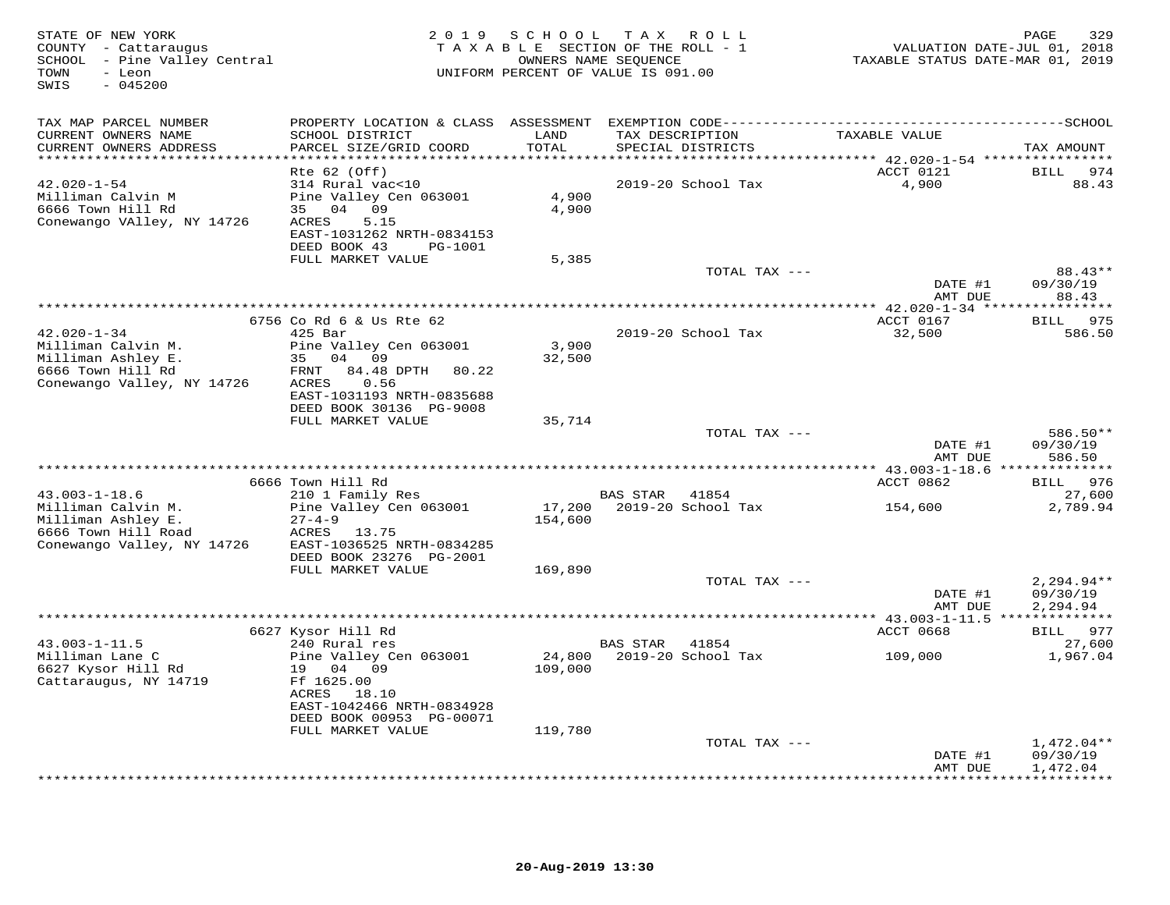| STATE OF NEW YORK<br>COUNTY - Cattaraugus<br>SCHOOL - Pine Valley Central<br>TOWN<br>- Leon<br>SWIS<br>$-045200$ | 2 0 1 9<br>TAXABLE SECTION OF THE ROLL - 1<br>UNIFORM PERCENT OF VALUE IS 091.00 | 329<br>PAGE<br>VALUATION DATE-JUL 01, 2018<br>TAXABLE STATUS DATE-MAR 01, 2019 |                                      |                                           |                     |
|------------------------------------------------------------------------------------------------------------------|----------------------------------------------------------------------------------|--------------------------------------------------------------------------------|--------------------------------------|-------------------------------------------|---------------------|
| TAX MAP PARCEL NUMBER                                                                                            |                                                                                  |                                                                                |                                      |                                           |                     |
| CURRENT OWNERS NAME<br>CURRENT OWNERS ADDRESS                                                                    | SCHOOL DISTRICT<br>PARCEL SIZE/GRID COORD                                        | LAND<br>TOTAL                                                                  | TAX DESCRIPTION<br>SPECIAL DISTRICTS | TAXABLE VALUE                             | TAX AMOUNT          |
| ******************                                                                                               |                                                                                  | ***********                                                                    |                                      | *********** 42.020-1-54 ***************** |                     |
|                                                                                                                  | $Rte$ 62 (Off)                                                                   |                                                                                |                                      | ACCT 0121                                 | <b>BILL</b><br>974  |
| $42.020 - 1 - 54$                                                                                                | 314 Rural vac<10                                                                 |                                                                                | 2019-20 School Tax                   | 4,900                                     | 88.43               |
| Milliman Calvin M                                                                                                | Pine Valley Cen 063001                                                           | 4,900                                                                          |                                      |                                           |                     |
| 6666 Town Hill Rd                                                                                                | 35 04 09                                                                         | 4,900                                                                          |                                      |                                           |                     |
| Conewango VAlley, NY 14726                                                                                       | 5.15<br>ACRES<br>EAST-1031262 NRTH-0834153                                       |                                                                                |                                      |                                           |                     |
|                                                                                                                  | DEED BOOK 43<br>PG-1001                                                          |                                                                                |                                      |                                           |                     |
|                                                                                                                  | FULL MARKET VALUE                                                                | 5,385                                                                          |                                      |                                           |                     |
|                                                                                                                  |                                                                                  |                                                                                | TOTAL TAX ---                        |                                           | 88.43**             |
|                                                                                                                  |                                                                                  |                                                                                |                                      | DATE #1                                   | 09/30/19            |
|                                                                                                                  |                                                                                  |                                                                                |                                      | AMT DUE                                   | 88.43               |
|                                                                                                                  |                                                                                  |                                                                                |                                      |                                           |                     |
|                                                                                                                  | 6756 Co Rd 6 & Us Rte 62<br>425 Bar                                              |                                                                                |                                      | ACCT 0167                                 | 975<br>BILL         |
| $42.020 - 1 - 34$<br>Milliman Calvin M.                                                                          | Pine Valley Cen 063001                                                           | 3,900                                                                          | 2019-20 School Tax                   | 32,500                                    | 586.50              |
| Milliman Ashley E.                                                                                               | 35 04 09                                                                         | 32,500                                                                         |                                      |                                           |                     |
| 6666 Town Hill Rd                                                                                                | FRNT<br>84.48 DPTH<br>80.22                                                      |                                                                                |                                      |                                           |                     |
| Conewango Valley, NY 14726                                                                                       | 0.56<br>ACRES                                                                    |                                                                                |                                      |                                           |                     |
|                                                                                                                  | EAST-1031193 NRTH-0835688                                                        |                                                                                |                                      |                                           |                     |
|                                                                                                                  | DEED BOOK 30136 PG-9008                                                          |                                                                                |                                      |                                           |                     |
|                                                                                                                  | FULL MARKET VALUE                                                                | 35,714                                                                         | TOTAL TAX ---                        |                                           | $586.50**$          |
|                                                                                                                  |                                                                                  |                                                                                |                                      | DATE #1                                   | 09/30/19            |
|                                                                                                                  |                                                                                  |                                                                                |                                      | AMT DUE                                   | 586.50              |
|                                                                                                                  |                                                                                  |                                                                                |                                      |                                           |                     |
|                                                                                                                  | 6666 Town Hill Rd                                                                |                                                                                |                                      | ACCT 0862                                 | BILL 976            |
| $43.003 - 1 - 18.6$                                                                                              | 210 1 Family Res                                                                 |                                                                                | 41854<br>BAS STAR                    |                                           | 27,600              |
| Milliman Calvin M.<br>Milliman Ashley E.                                                                         | Pine Valley Cen 063001<br>$27 - 4 - 9$                                           | 17,200<br>154,600                                                              | 2019-20 School Tax                   | 154,600                                   | 2,789.94            |
| 6666 Town Hill Road                                                                                              | ACRES 13.75                                                                      |                                                                                |                                      |                                           |                     |
| Conewango Valley, NY 14726                                                                                       | EAST-1036525 NRTH-0834285                                                        |                                                                                |                                      |                                           |                     |
|                                                                                                                  | DEED BOOK 23276 PG-2001                                                          |                                                                                |                                      |                                           |                     |
|                                                                                                                  | FULL MARKET VALUE                                                                | 169,890                                                                        |                                      |                                           |                     |
|                                                                                                                  |                                                                                  |                                                                                | TOTAL TAX ---                        |                                           | $2.294.94**$        |
|                                                                                                                  |                                                                                  |                                                                                |                                      | DATE #1                                   | 09/30/19            |
|                                                                                                                  |                                                                                  |                                                                                |                                      | AMT DUE                                   | 2,294.94            |
|                                                                                                                  | 6627 Kysor Hill Rd                                                               |                                                                                |                                      | ACCT 0668                                 | BILL 977            |
| $43.003 - 1 - 11.5$                                                                                              | 240 Rural res                                                                    |                                                                                | BAS STAR<br>41854                    |                                           | 27,600              |
| Milliman Lane C                                                                                                  | Pine Valley Cen 063001                                                           | 24,800                                                                         | 2019-20 School Tax                   | 109,000                                   | 1,967.04            |
| 6627 Kysor Hill Rd                                                                                               | 19 04 09                                                                         | 109,000                                                                        |                                      |                                           |                     |
| Cattaraugus, NY 14719                                                                                            | Ff 1625.00                                                                       |                                                                                |                                      |                                           |                     |
|                                                                                                                  | ACRES 18.10                                                                      |                                                                                |                                      |                                           |                     |
|                                                                                                                  | EAST-1042466 NRTH-0834928<br>DEED BOOK 00953 PG-00071                            |                                                                                |                                      |                                           |                     |
|                                                                                                                  | FULL MARKET VALUE                                                                | 119,780                                                                        |                                      |                                           |                     |
|                                                                                                                  |                                                                                  |                                                                                | TOTAL TAX ---                        |                                           | $1,472.04**$        |
|                                                                                                                  |                                                                                  |                                                                                |                                      | DATE #1                                   | 09/30/19            |
|                                                                                                                  |                                                                                  |                                                                                |                                      | AMT DUE                                   | 1,472.04            |
|                                                                                                                  |                                                                                  |                                                                                |                                      |                                           | + + + + + + + + + + |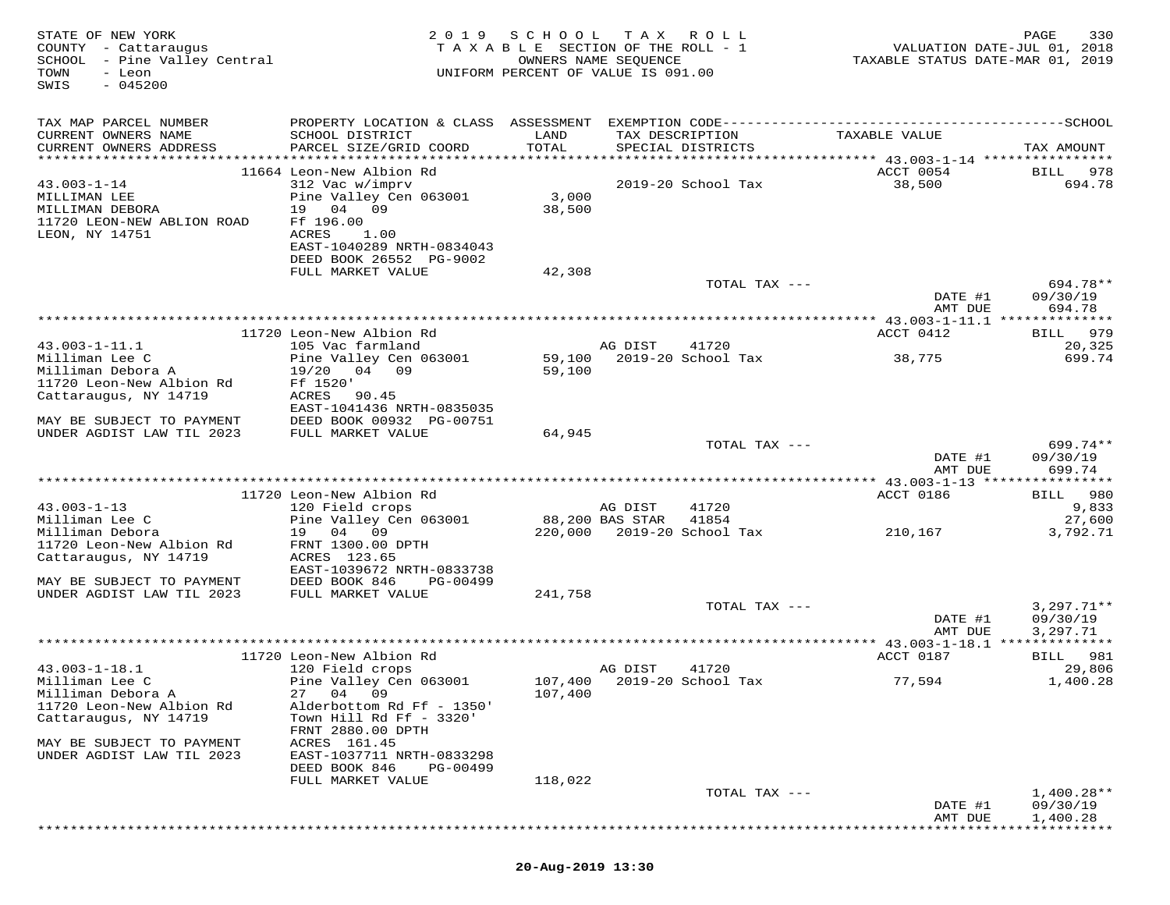| STATE OF NEW YORK<br>COUNTY - Cattaraugus<br>SCHOOL - Pine Valley Central<br>TOWN<br>- Leon<br>$-045200$<br>SWIS | 2 0 1 9                                                                                                          | SCHOOL<br>TAXABLE SECTION OF THE ROLL - 1<br>UNIFORM PERCENT OF VALUE IS 091.00 | T A X<br>OWNERS NAME SEQUENCE | ROLL                        | VALUATION DATE-JUL 01, 2018<br>TAXABLE STATUS DATE-MAR 01, 2019 | PAGE<br>330                      |
|------------------------------------------------------------------------------------------------------------------|------------------------------------------------------------------------------------------------------------------|---------------------------------------------------------------------------------|-------------------------------|-----------------------------|-----------------------------------------------------------------|----------------------------------|
| TAX MAP PARCEL NUMBER<br>CURRENT OWNERS NAME                                                                     | SCHOOL DISTRICT                                                                                                  | LAND                                                                            | TAX DESCRIPTION               |                             | TAXABLE VALUE                                                   |                                  |
| CURRENT OWNERS ADDRESS                                                                                           | PARCEL SIZE/GRID COORD                                                                                           | TOTAL                                                                           |                               | SPECIAL DISTRICTS           |                                                                 | TAX AMOUNT                       |
|                                                                                                                  | 11664 Leon-New Albion Rd                                                                                         |                                                                                 |                               |                             | ACCT 0054                                                       | BILL<br>978                      |
| $43.003 - 1 - 14$<br>MILLIMAN LEE<br>MILLIMAN DEBORA<br>11720 LEON-NEW ABLION ROAD<br>LEON, NY 14751             | 312 Vac w/imprv<br>Pine Valley Cen 063001<br>19 04 09<br>Ff 196.00<br>ACRES<br>1.00<br>EAST-1040289 NRTH-0834043 | 3,000<br>38,500                                                                 |                               | 2019-20 School Tax          | 38,500                                                          | 694.78                           |
|                                                                                                                  | DEED BOOK 26552 PG-9002<br>FULL MARKET VALUE                                                                     | 42,308                                                                          |                               |                             |                                                                 |                                  |
|                                                                                                                  |                                                                                                                  |                                                                                 |                               | TOTAL TAX ---               | DATE #1<br>AMT DUE                                              | 694.78**<br>09/30/19<br>694.78   |
|                                                                                                                  |                                                                                                                  |                                                                                 |                               |                             |                                                                 |                                  |
|                                                                                                                  | 11720 Leon-New Albion Rd                                                                                         |                                                                                 |                               |                             | ACCT 0412                                                       | 979<br>BILL                      |
| $43.003 - 1 - 11.1$<br>Milliman Lee C<br>Milliman Debora A                                                       | 105 Vac farmland<br>Pine Valley Cen 063001                                                                       | 59,100                                                                          | AG DIST                       | 41720<br>2019-20 School Tax | 38,775                                                          | 20,325<br>699.74                 |
| 11720 Leon-New Albion Rd<br>Cattaraugus, NY 14719                                                                | 04 09<br>19/20<br>Ff 1520'<br>ACRES<br>90.45<br>EAST-1041436 NRTH-0835035                                        | 59,100                                                                          |                               |                             |                                                                 |                                  |
| MAY BE SUBJECT TO PAYMENT                                                                                        | DEED BOOK 00932 PG-00751                                                                                         |                                                                                 |                               |                             |                                                                 |                                  |
| UNDER AGDIST LAW TIL 2023                                                                                        | FULL MARKET VALUE                                                                                                | 64,945                                                                          |                               |                             |                                                                 |                                  |
|                                                                                                                  |                                                                                                                  |                                                                                 |                               | TOTAL TAX ---               | DATE #1<br>AMT DUE                                              | $699.74**$<br>09/30/19<br>699.74 |
|                                                                                                                  |                                                                                                                  |                                                                                 |                               |                             | *********** 43.003-1-13 ****                                    | * * * * * * * * * *              |
|                                                                                                                  | 11720 Leon-New Albion Rd                                                                                         |                                                                                 |                               |                             | ACCT 0186                                                       | 980<br><b>BILL</b>               |
| $43.003 - 1 - 13$<br>Milliman Lee C                                                                              | 120 Field crops<br>Pine Valley Cen 063001                                                                        |                                                                                 | AG DIST<br>88,200 BAS STAR    | 41720<br>41854              |                                                                 | 9,833<br>27,600                  |
| Milliman Debora<br>11720 Leon-New Albion Rd<br>Cattaraugus, NY 14719                                             | 19 04 09<br>FRNT 1300.00 DPTH<br>ACRES 123.65                                                                    |                                                                                 |                               | 220,000 2019-20 School Tax  | 210,167                                                         | 3,792.71                         |
| MAY BE SUBJECT TO PAYMENT                                                                                        | EAST-1039672 NRTH-0833738<br>DEED BOOK 846<br>PG-00499                                                           |                                                                                 |                               |                             |                                                                 |                                  |
| UNDER AGDIST LAW TIL 2023                                                                                        | FULL MARKET VALUE                                                                                                | 241,758                                                                         |                               |                             |                                                                 |                                  |
|                                                                                                                  |                                                                                                                  |                                                                                 |                               | TOTAL TAX ---               |                                                                 | $3,297.71**$                     |
|                                                                                                                  |                                                                                                                  |                                                                                 |                               |                             | DATE #1<br>AMT DUE                                              | 09/30/19<br>3,297.71             |
|                                                                                                                  | 11720 Leon-New Albion Rd                                                                                         |                                                                                 |                               |                             | ACCT 0187                                                       | 981<br><b>BILL</b>               |
| $43.003 - 1 - 18.1$                                                                                              | 120 Field crops                                                                                                  |                                                                                 | AG DIST                       | 41720                       |                                                                 | 29,806                           |
| Milliman Lee C                                                                                                   | Pine Valley Cen 063001                                                                                           |                                                                                 | 107,400 2019-20 School Tax    |                             | 77,594                                                          | 1,400.28                         |
| Milliman Debora A<br>11720 Leon-New Albion Rd                                                                    | 27 04 09<br>Alderbottom Rd Ff - 1350'                                                                            | 107,400                                                                         |                               |                             |                                                                 |                                  |
| Cattaraugus, NY 14719                                                                                            | Town Hill Rd Ff - 3320'<br>FRNT 2880.00 DPTH                                                                     |                                                                                 |                               |                             |                                                                 |                                  |
| MAY BE SUBJECT TO PAYMENT<br>UNDER AGDIST LAW TIL 2023                                                           | ACRES 161.45<br>EAST-1037711 NRTH-0833298<br>DEED BOOK 846<br>PG-00499                                           |                                                                                 |                               |                             |                                                                 |                                  |
|                                                                                                                  | FULL MARKET VALUE                                                                                                | 118,022                                                                         |                               |                             |                                                                 |                                  |
|                                                                                                                  |                                                                                                                  |                                                                                 |                               | TOTAL TAX ---               | DATE #1                                                         | $1,400.28**$<br>09/30/19         |
|                                                                                                                  |                                                                                                                  |                                                                                 |                               |                             | AMT DUE                                                         | 1,400.28                         |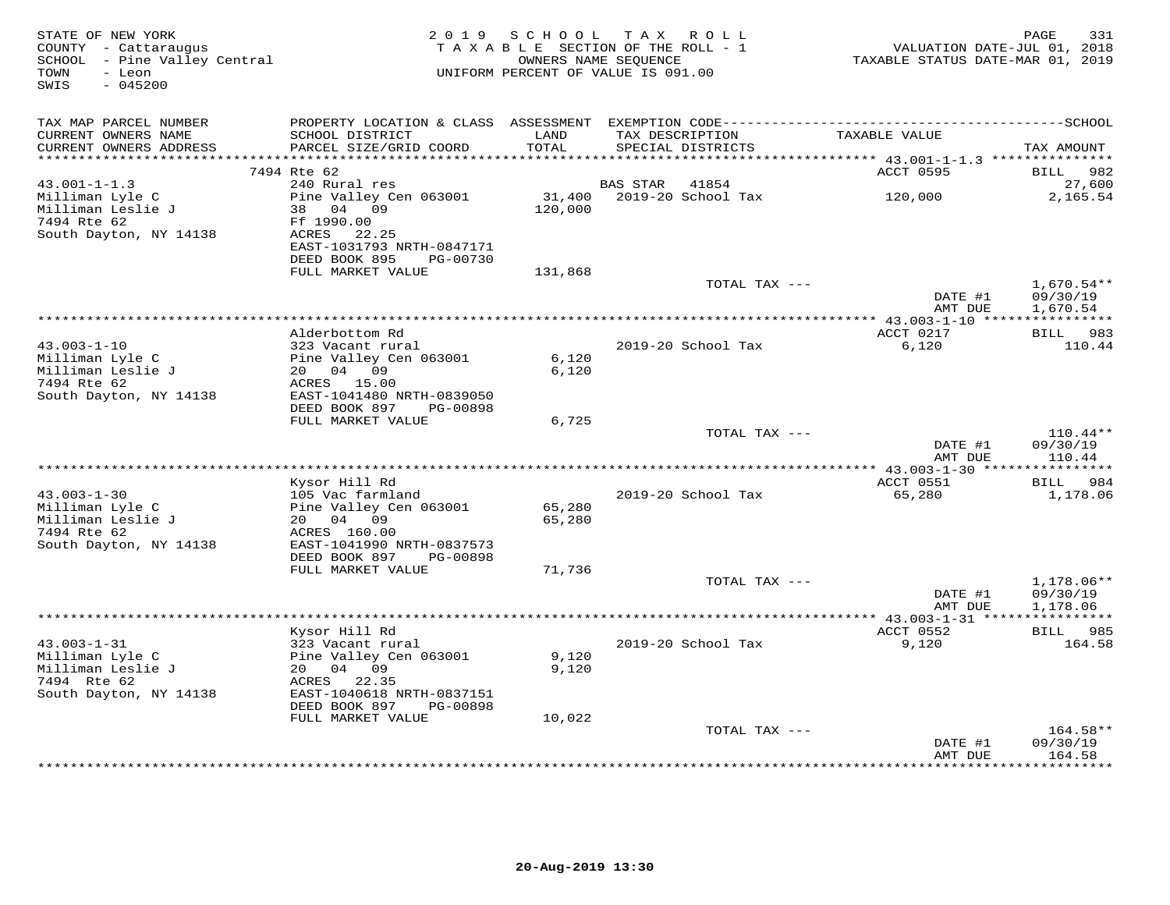| STATE OF NEW YORK<br>2019 SCHOOL TAX ROLL<br>COUNTY - Cattaraugus<br>TAXABLE SECTION OF THE ROLL - 1<br>SCHOOL - Pine Valley Central<br>OWNERS NAME SEQUENCE<br>- Leon<br>UNIFORM PERCENT OF VALUE IS 091.00<br>TOWN<br>$-045200$<br>SWIS |                                                                                                                           |                   |          |                                      | PAGE<br>VALUATION DATE-JUL 01, 2018<br>TAXABLE STATUS DATE-MAR 01, 2019 |                                    |  |
|-------------------------------------------------------------------------------------------------------------------------------------------------------------------------------------------------------------------------------------------|---------------------------------------------------------------------------------------------------------------------------|-------------------|----------|--------------------------------------|-------------------------------------------------------------------------|------------------------------------|--|
| TAX MAP PARCEL NUMBER<br>CURRENT OWNERS NAME<br>CURRENT OWNERS ADDRESS                                                                                                                                                                    | SCHOOL DISTRICT<br>PARCEL SIZE/GRID COORD                                                                                 | LAND<br>TOTAL     |          | TAX DESCRIPTION<br>SPECIAL DISTRICTS | TAXABLE VALUE                                                           | TAX AMOUNT                         |  |
| ******************                                                                                                                                                                                                                        |                                                                                                                           | *********         |          |                                      | ******************************** 43.001-1-1.3 *************             |                                    |  |
|                                                                                                                                                                                                                                           | 7494 Rte 62                                                                                                               |                   |          |                                      | ACCT 0595                                                               | BILL<br>982                        |  |
| $43.001 - 1 - 1.3$                                                                                                                                                                                                                        | 240 Rural res                                                                                                             |                   | BAS STAR | 41854                                |                                                                         | 27,600                             |  |
| Milliman Lyle C<br>Milliman Leslie J<br>7494 Rte 62<br>South Dayton, NY 14138                                                                                                                                                             | Pine Valley Cen 063001<br>38 04 09<br>Ff 1990.00<br>ACRES 22.25<br>EAST-1031793 NRTH-0847171<br>DEED BOOK 895<br>PG-00730 | 31,400<br>120,000 |          | 2019-20 School Tax                   | 120,000                                                                 | 2,165.54                           |  |
|                                                                                                                                                                                                                                           | FULL MARKET VALUE                                                                                                         | 131,868           |          |                                      |                                                                         |                                    |  |
|                                                                                                                                                                                                                                           |                                                                                                                           |                   |          | TOTAL TAX ---                        | DATE #1                                                                 | $1,670.54**$<br>09/30/19           |  |
|                                                                                                                                                                                                                                           |                                                                                                                           |                   |          |                                      | AMT DUE                                                                 | 1,670.54                           |  |
|                                                                                                                                                                                                                                           | Alderbottom Rd                                                                                                            |                   |          |                                      | ACCT 0217                                                               | BILL 983                           |  |
| $43.003 - 1 - 10$                                                                                                                                                                                                                         | 323 Vacant rural                                                                                                          |                   |          | 2019-20 School Tax                   | 6,120                                                                   | 110.44                             |  |
| Milliman Lyle C<br>Milliman Leslie J                                                                                                                                                                                                      | Pine Valley Cen 063001<br>20 04 09                                                                                        | 6,120<br>6,120    |          |                                      |                                                                         |                                    |  |
| 7494 Rte 62<br>South Dayton, NY 14138                                                                                                                                                                                                     | ACRES 15.00<br>EAST-1041480 NRTH-0839050<br>DEED BOOK 897<br>PG-00898                                                     |                   |          |                                      |                                                                         |                                    |  |
|                                                                                                                                                                                                                                           | FULL MARKET VALUE                                                                                                         | 6,725             |          |                                      |                                                                         |                                    |  |
|                                                                                                                                                                                                                                           |                                                                                                                           |                   |          | TOTAL TAX ---                        | DATE #1                                                                 | $110.44**$<br>09/30/19             |  |
|                                                                                                                                                                                                                                           |                                                                                                                           |                   |          |                                      | AMT DUE                                                                 | 110.44<br>***********              |  |
|                                                                                                                                                                                                                                           | Kysor Hill Rd                                                                                                             |                   |          |                                      | ACCT 0551                                                               | BILL 984                           |  |
| $43.003 - 1 - 30$                                                                                                                                                                                                                         | 105 Vac farmland                                                                                                          |                   |          | 2019-20 School Tax                   | 65,280                                                                  | 1,178.06                           |  |
| Milliman Lyle C<br>Milliman Leslie J<br>7494 Rte 62                                                                                                                                                                                       | Pine Valley Cen 063001<br>20  04  09<br>ACRES 160.00                                                                      | 65,280<br>65,280  |          |                                      |                                                                         |                                    |  |
| South Dayton, NY 14138                                                                                                                                                                                                                    | EAST-1041990 NRTH-0837573<br>DEED BOOK 897<br>PG-00898                                                                    |                   |          |                                      |                                                                         |                                    |  |
|                                                                                                                                                                                                                                           | FULL MARKET VALUE                                                                                                         | 71,736            |          |                                      |                                                                         |                                    |  |
|                                                                                                                                                                                                                                           |                                                                                                                           |                   |          | TOTAL TAX ---                        | DATE #1<br>AMT DUE                                                      | 1,178.06**<br>09/30/19<br>1,178.06 |  |
|                                                                                                                                                                                                                                           |                                                                                                                           |                   |          |                                      | ******** 43.003-1-31 ****                                               |                                    |  |
|                                                                                                                                                                                                                                           | Kysor Hill Rd                                                                                                             |                   |          |                                      | ACCT 0552                                                               | BILL 985                           |  |
| $43.003 - 1 - 31$                                                                                                                                                                                                                         | 323 Vacant rural                                                                                                          |                   |          | 2019-20 School Tax                   | 9,120                                                                   | 164.58                             |  |
| Milliman Lyle C                                                                                                                                                                                                                           | Pine Valley Cen 063001                                                                                                    | 9,120             |          |                                      |                                                                         |                                    |  |
| Milliman Leslie J<br>7494 Rte 62                                                                                                                                                                                                          | 20  04  09<br>ACRES 22.35                                                                                                 | 9,120             |          |                                      |                                                                         |                                    |  |
| South Dayton, NY 14138                                                                                                                                                                                                                    | EAST-1040618 NRTH-0837151<br>DEED BOOK 897<br>PG-00898                                                                    |                   |          |                                      |                                                                         |                                    |  |
|                                                                                                                                                                                                                                           | FULL MARKET VALUE                                                                                                         | 10,022            |          |                                      |                                                                         |                                    |  |
|                                                                                                                                                                                                                                           |                                                                                                                           |                   |          | TOTAL TAX ---                        |                                                                         | $164.58**$                         |  |
|                                                                                                                                                                                                                                           |                                                                                                                           |                   |          |                                      | DATE #1<br>AMT DUE                                                      | 09/30/19<br>164.58<br>*********    |  |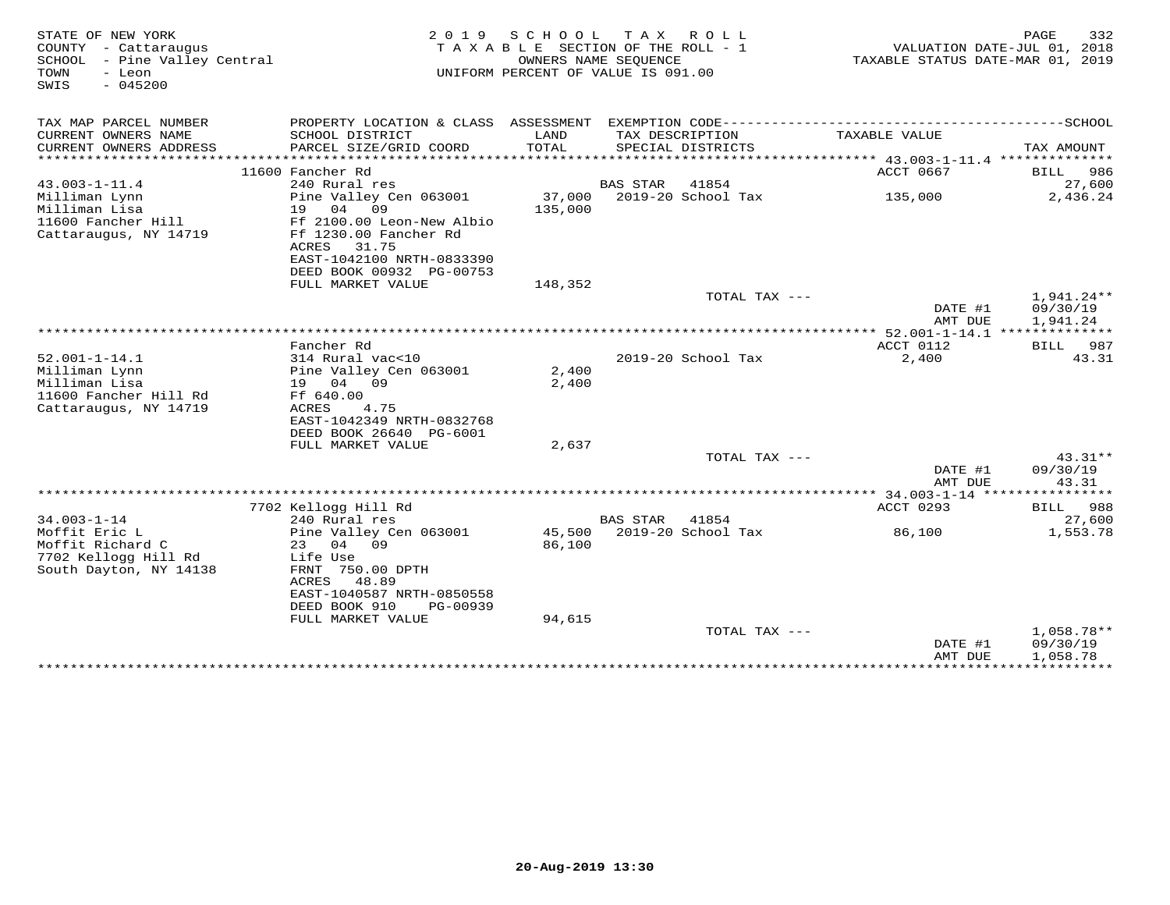| STATE OF NEW YORK<br>COUNTY - Cattaraugus<br>SCHOOL - Pine Valley Central<br>TOWN<br>- Leon<br>$-045200$<br>SWIS | 2 0 1 9                                                                                          | SCHOOL<br>T A X<br>R O L L<br>TAXABLE SECTION OF THE ROLL - 1<br>OWNERS NAME SEOUENCE<br>UNIFORM PERCENT OF VALUE IS 091.00 |                 |                                      |                                               | 332<br>PAGE<br>VALUATION DATE-JUL 01, 2018<br>TAXABLE STATUS DATE-MAR 01, 2019 |  |
|------------------------------------------------------------------------------------------------------------------|--------------------------------------------------------------------------------------------------|-----------------------------------------------------------------------------------------------------------------------------|-----------------|--------------------------------------|-----------------------------------------------|--------------------------------------------------------------------------------|--|
| TAX MAP PARCEL NUMBER                                                                                            | PROPERTY LOCATION & CLASS ASSESSMENT EXEMPTION CODE-----------------------------------SCHOOL     |                                                                                                                             |                 |                                      |                                               |                                                                                |  |
| CURRENT OWNERS NAME<br>CURRENT OWNERS ADDRESS<br>************************                                        | SCHOOL DISTRICT<br>PARCEL SIZE/GRID COORD                                                        | LAND<br>TOTAL                                                                                                               |                 | TAX DESCRIPTION<br>SPECIAL DISTRICTS | TAXABLE VALUE                                 | TAX AMOUNT                                                                     |  |
|                                                                                                                  | 11600 Fancher Rd                                                                                 |                                                                                                                             |                 |                                      | ACCT 0667                                     | 986<br><b>BILL</b>                                                             |  |
| $43.003 - 1 - 11.4$                                                                                              | 240 Rural res                                                                                    |                                                                                                                             | <b>BAS STAR</b> | 41854                                |                                               | 27,600                                                                         |  |
| Milliman Lynn<br>Milliman Lisa<br>11600 Fancher Hill                                                             | Pine Valley Cen 063001<br>04<br>09<br>19<br>Ff 2100.00 Leon-New Albio                            | 37,000<br>135,000                                                                                                           |                 | 2019-20 School Tax                   | 135,000                                       | 2,436.24                                                                       |  |
| Cattaraugus, NY 14719                                                                                            | Ff 1230.00 Fancher Rd<br>ACRES<br>31.75<br>EAST-1042100 NRTH-0833390<br>DEED BOOK 00932 PG-00753 |                                                                                                                             |                 |                                      |                                               |                                                                                |  |
|                                                                                                                  | FULL MARKET VALUE                                                                                | 148,352                                                                                                                     |                 |                                      |                                               |                                                                                |  |
|                                                                                                                  |                                                                                                  |                                                                                                                             |                 | TOTAL TAX ---                        | DATE #1<br>AMT DUE                            | $1,941.24**$<br>09/30/19<br>1,941.24                                           |  |
|                                                                                                                  |                                                                                                  |                                                                                                                             |                 |                                      |                                               |                                                                                |  |
|                                                                                                                  | Fancher Rd                                                                                       |                                                                                                                             |                 |                                      | ACCT 0112                                     | 987<br>BILL                                                                    |  |
| $52.001 - 1 - 14.1$                                                                                              | 314 Rural vac<10                                                                                 |                                                                                                                             |                 | 2019-20 School Tax                   | 2,400                                         | 43.31                                                                          |  |
| Milliman Lynn                                                                                                    | Pine Valley Cen 063001                                                                           | 2,400                                                                                                                       |                 |                                      |                                               |                                                                                |  |
| Milliman Lisa                                                                                                    | 19 04<br>09                                                                                      | 2,400                                                                                                                       |                 |                                      |                                               |                                                                                |  |
| 11600 Fancher Hill Rd                                                                                            | Ff 640.00<br>4.75                                                                                |                                                                                                                             |                 |                                      |                                               |                                                                                |  |
| Cattaraugus, NY 14719                                                                                            | <b>ACRES</b><br>EAST-1042349 NRTH-0832768                                                        |                                                                                                                             |                 |                                      |                                               |                                                                                |  |
|                                                                                                                  | DEED BOOK 26640 PG-6001                                                                          |                                                                                                                             |                 |                                      |                                               |                                                                                |  |
|                                                                                                                  | FULL MARKET VALUE                                                                                | 2,637                                                                                                                       |                 |                                      |                                               |                                                                                |  |
|                                                                                                                  |                                                                                                  |                                                                                                                             |                 | TOTAL TAX ---                        |                                               | $43.31**$                                                                      |  |
|                                                                                                                  |                                                                                                  |                                                                                                                             |                 |                                      | DATE #1<br>AMT DUE                            | 09/30/19<br>43.31                                                              |  |
|                                                                                                                  |                                                                                                  |                                                                                                                             |                 |                                      | *************** 34.003-1-14 ***************** |                                                                                |  |
| $34.003 - 1 - 14$                                                                                                | 7702 Kellogg Hill Rd<br>240 Rural res                                                            |                                                                                                                             | <b>BAS STAR</b> | 41854                                | ACCT 0293                                     | BILL 988<br>27,600                                                             |  |
| Moffit Eric L                                                                                                    | Pine Valley Cen 063001                                                                           | 45,500                                                                                                                      |                 | 2019-20 School Tax                   | 86,100                                        | 1,553.78                                                                       |  |
| Moffit Richard C                                                                                                 | 23<br>04<br>09                                                                                   | 86,100                                                                                                                      |                 |                                      |                                               |                                                                                |  |
| 7702 Kellogg Hill Rd                                                                                             | Life Use                                                                                         |                                                                                                                             |                 |                                      |                                               |                                                                                |  |
| South Dayton, NY 14138                                                                                           | FRNT 750.00 DPTH<br>48.89<br>ACRES                                                               |                                                                                                                             |                 |                                      |                                               |                                                                                |  |
|                                                                                                                  | EAST-1040587 NRTH-0850558<br>DEED BOOK 910<br>PG-00939                                           |                                                                                                                             |                 |                                      |                                               |                                                                                |  |
|                                                                                                                  | FULL MARKET VALUE                                                                                | 94,615                                                                                                                      |                 |                                      |                                               |                                                                                |  |
|                                                                                                                  |                                                                                                  |                                                                                                                             |                 | TOTAL TAX ---                        | DATE #1                                       | 1,058.78**<br>09/30/19                                                         |  |
|                                                                                                                  |                                                                                                  |                                                                                                                             |                 |                                      | AMT DUE<br>****************************       | 1,058.78                                                                       |  |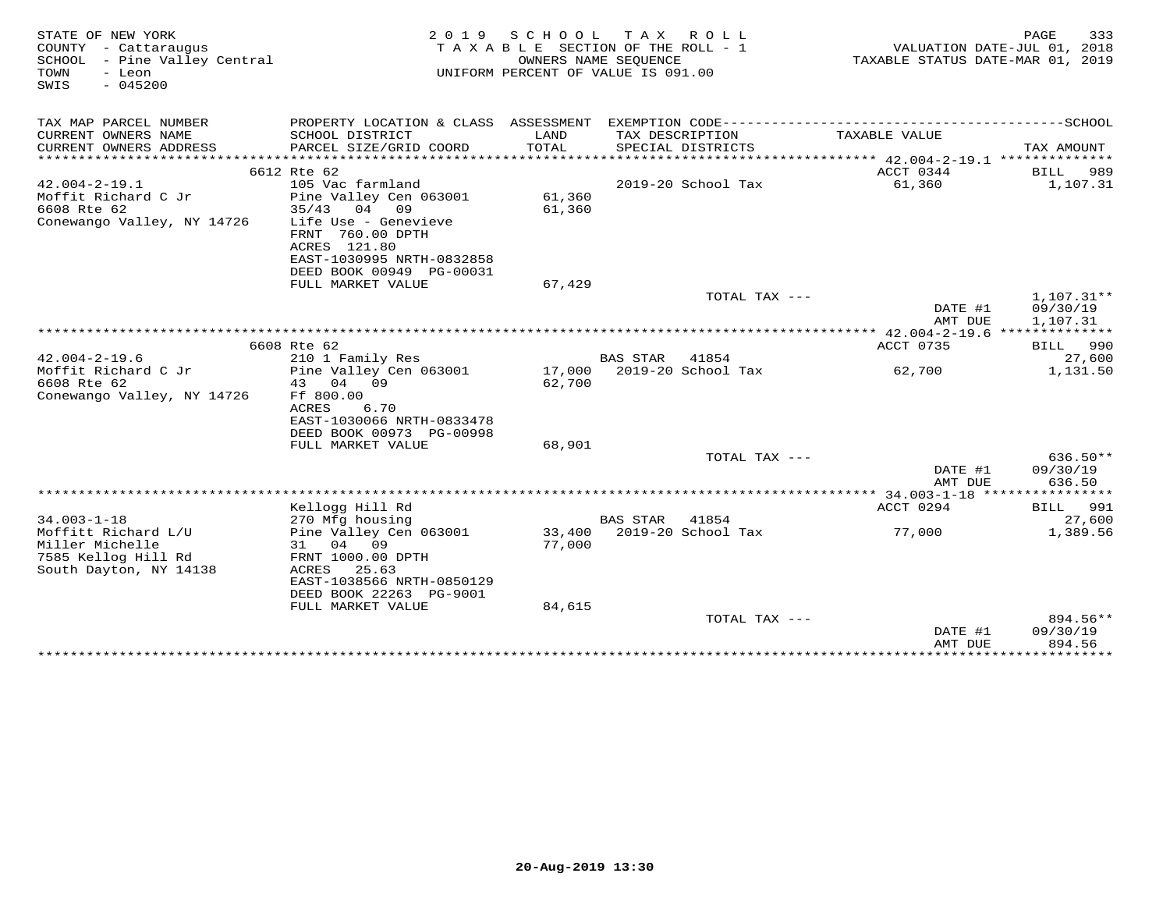| STATE OF NEW YORK<br>COUNTY - Cattaraugus<br>SCHOOL - Pine Valley Central<br>TOWN<br>- Leon<br>$-045200$<br>SWIS | 2019 SCHOOL<br>TAXABLE SECTION OF THE ROLL - 1<br>UNIFORM PERCENT OF VALUE IS 091.00 | TAXABLE STATUS DATE-MAR 01, 2019 | 333<br>PAGE<br>VALUATION DATE-JUL 01, 2018 |               |               |                      |
|------------------------------------------------------------------------------------------------------------------|--------------------------------------------------------------------------------------|----------------------------------|--------------------------------------------|---------------|---------------|----------------------|
| TAX MAP PARCEL NUMBER                                                                                            |                                                                                      |                                  |                                            |               |               |                      |
| CURRENT OWNERS NAME                                                                                              | SCHOOL DISTRICT                                                                      | LAND                             | TAX DESCRIPTION                            |               | TAXABLE VALUE |                      |
| CURRENT OWNERS ADDRESS                                                                                           | PARCEL SIZE/GRID COORD                                                               | TOTAL                            | SPECIAL DISTRICTS                          |               |               | TAX AMOUNT           |
|                                                                                                                  | 6612 Rte 62                                                                          |                                  |                                            |               | ACCT 0344     |                      |
| $42.004 - 2 - 19.1$                                                                                              | 105 Vac farmland                                                                     |                                  | 2019-20 School Tax                         |               | 61,360        | BILL 989<br>1,107.31 |
| Moffit Richard C Jr                                                                                              | Pine Valley Cen 063001                                                               | 61,360                           |                                            |               |               |                      |
| 6608 Rte 62                                                                                                      | $35/43$ 04 09                                                                        | 61,360                           |                                            |               |               |                      |
| Conewango Valley, NY 14726                                                                                       | Life Use - Genevieve                                                                 |                                  |                                            |               |               |                      |
|                                                                                                                  | FRNT 760.00 DPTH                                                                     |                                  |                                            |               |               |                      |
|                                                                                                                  | ACRES 121.80                                                                         |                                  |                                            |               |               |                      |
|                                                                                                                  | EAST-1030995 NRTH-0832858                                                            |                                  |                                            |               |               |                      |
|                                                                                                                  | DEED BOOK 00949 PG-00031<br>FULL MARKET VALUE                                        | 67,429                           |                                            |               |               |                      |
|                                                                                                                  |                                                                                      |                                  |                                            | TOTAL TAX --- |               | $1,107.31**$         |
|                                                                                                                  |                                                                                      |                                  |                                            |               | DATE #1       | 09/30/19             |
|                                                                                                                  |                                                                                      |                                  |                                            |               | AMT DUE       | 1,107.31             |
|                                                                                                                  |                                                                                      |                                  |                                            |               |               |                      |
|                                                                                                                  | 6608 Rte 62                                                                          |                                  |                                            |               | ACCT 0735     | BILL 990             |
| $42.004 - 2 - 19.6$                                                                                              | 210 1 Family Res                                                                     |                                  | <b>BAS STAR</b><br>41854                   |               |               | 27,600               |
| Moffit Richard C Jr<br>6608 Rte 62                                                                               | Pine Valley Cen 063001<br>04<br>43<br>09                                             | 62,700                           | 17,000 2019-20 School Tax                  |               | 62,700        | 1,131.50             |
| Conewango Valley, NY 14726                                                                                       | Ff 800.00                                                                            |                                  |                                            |               |               |                      |
|                                                                                                                  | <b>ACRES</b><br>6.70                                                                 |                                  |                                            |               |               |                      |
|                                                                                                                  | EAST-1030066 NRTH-0833478                                                            |                                  |                                            |               |               |                      |
|                                                                                                                  | DEED BOOK 00973 PG-00998                                                             |                                  |                                            |               |               |                      |
|                                                                                                                  | FULL MARKET VALUE                                                                    | 68,901                           |                                            |               |               |                      |
|                                                                                                                  |                                                                                      |                                  |                                            | TOTAL TAX --- |               | $636.50**$           |
|                                                                                                                  |                                                                                      |                                  |                                            |               | DATE #1       | 09/30/19             |
|                                                                                                                  |                                                                                      |                                  |                                            |               | AMT DUE       | 636.50               |
|                                                                                                                  | Kellogg Hill Rd                                                                      |                                  |                                            |               | ACCT 0294     | BILL 991             |
| $34.003 - 1 - 18$                                                                                                | 270 Mfg housing                                                                      |                                  | BAS STAR<br>41854                          |               |               | 27,600               |
| Moffitt Richard L/U                                                                                              | Pine Valley Cen 063001                                                               |                                  | 33,400 2019-20 School Tax                  |               | 77,000        | 1,389.56             |
| Miller Michelle                                                                                                  | 04 09<br>31                                                                          | 77,000                           |                                            |               |               |                      |
| 7585 Kellog Hill Rd                                                                                              | FRNT 1000.00 DPTH                                                                    |                                  |                                            |               |               |                      |
| South Dayton, NY 14138                                                                                           | ACRES<br>25.63                                                                       |                                  |                                            |               |               |                      |
|                                                                                                                  | EAST-1038566 NRTH-0850129<br>DEED BOOK 22263 PG-9001                                 |                                  |                                            |               |               |                      |
|                                                                                                                  | FULL MARKET VALUE                                                                    | 84,615                           |                                            |               |               |                      |
|                                                                                                                  |                                                                                      |                                  |                                            | TOTAL TAX --- |               | 894.56**             |
|                                                                                                                  |                                                                                      |                                  |                                            |               | DATE #1       | 09/30/19             |
|                                                                                                                  |                                                                                      |                                  |                                            |               | AMT DUE       | 894.56               |
|                                                                                                                  |                                                                                      |                                  |                                            |               |               |                      |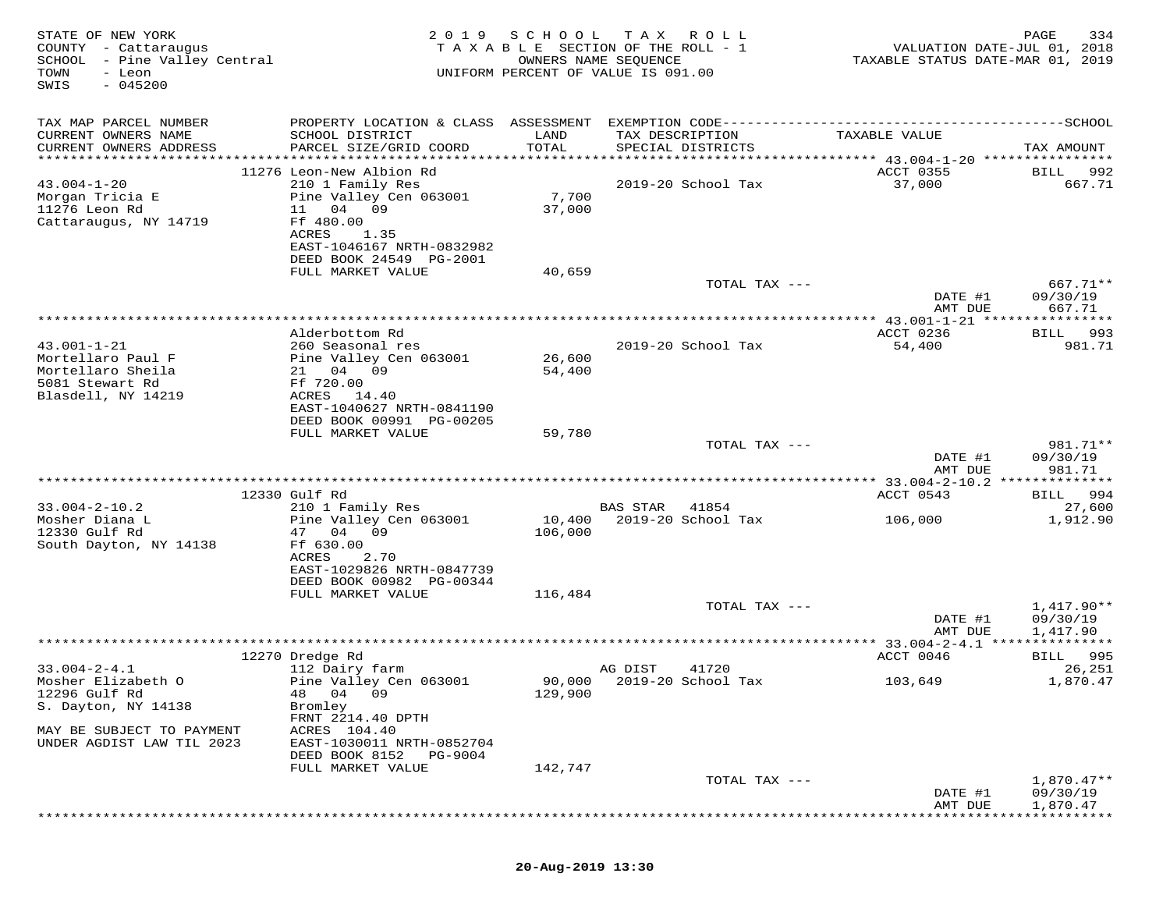| COUNTY - Cattaraugus<br>SCHOOL - Pine Valley Central<br>TOWN<br>- Leon<br>$-045200$<br>SWIS          | 2 0 1 9                                                                                                                                                                                          | SCHOOL                    | T A X<br>R O L L<br>T A X A B L E SECTION OF THE ROLL - 1<br>OWNERS NAME SEQUENCE<br>UNIFORM PERCENT OF VALUE IS 091.00 | VALUATION DATE-JUL 01, 2018<br>TAXABLE STATUS DATE-MAR 01, 2019 | 334<br>PAGE                                       |
|------------------------------------------------------------------------------------------------------|--------------------------------------------------------------------------------------------------------------------------------------------------------------------------------------------------|---------------------------|-------------------------------------------------------------------------------------------------------------------------|-----------------------------------------------------------------|---------------------------------------------------|
| TAX MAP PARCEL NUMBER<br>CURRENT OWNERS NAME<br>CURRENT OWNERS ADDRESS<br>***********************    | PROPERTY LOCATION & CLASS ASSESSMENT<br>SCHOOL DISTRICT<br>PARCEL SIZE/GRID COORD                                                                                                                | LAND<br>TOTAL             | TAX DESCRIPTION<br>SPECIAL DISTRICTS                                                                                    | TAXABLE VALUE                                                   | TAX AMOUNT                                        |
| $43.004 - 1 - 20$<br>Morgan Tricia E<br>11276 Leon Rd<br>Cattaraugus, NY 14719                       | 11276 Leon-New Albion Rd<br>210 1 Family Res<br>Pine Valley Cen 063001<br>11<br>04 09<br>Ff 480.00<br>ACRES<br>1.35<br>EAST-1046167 NRTH-0832982<br>DEED BOOK 24549 PG-2001<br>FULL MARKET VALUE | 7,700<br>37,000<br>40,659 | 2019-20 School Tax                                                                                                      | ACCT 0355<br>37,000                                             | BILL<br>992<br>667.71                             |
|                                                                                                      |                                                                                                                                                                                                  |                           | TOTAL TAX ---                                                                                                           | DATE #1<br>AMT DUE                                              | 667.71**<br>09/30/19<br>667.71                    |
| $43.001 - 1 - 21$<br>Mortellaro Paul F<br>Mortellaro Sheila<br>5081 Stewart Rd<br>Blasdell, NY 14219 | Alderbottom Rd<br>260 Seasonal res<br>Pine Valley Cen 063001<br>21 04 09<br>Ff 720.00<br>ACRES<br>14.40                                                                                          | 26,600<br>54,400          | 2019-20 School Tax                                                                                                      | ************* 43.001-1-21 ******<br>ACCT 0236<br>54,400         | * * * * * * * * *<br>993<br><b>BILL</b><br>981.71 |
|                                                                                                      | EAST-1040627 NRTH-0841190<br>DEED BOOK 00991 PG-00205<br>FULL MARKET VALUE                                                                                                                       | 59,780                    | TOTAL TAX ---                                                                                                           | DATE #1<br>AMT DUE                                              | 981.71**<br>09/30/19<br>981.71                    |
|                                                                                                      |                                                                                                                                                                                                  |                           |                                                                                                                         |                                                                 |                                                   |
| $33.004 - 2 - 10.2$<br>Mosher Diana L<br>12330 Gulf Rd<br>South Dayton, NY 14138                     | 12330 Gulf Rd<br>210 1 Family Res<br>Pine Valley Cen 063001<br>47 04 09<br>Ff 630.00<br>ACRES<br>2.70<br>EAST-1029826 NRTH-0847739                                                               | 10,400<br>106,000         | <b>BAS STAR</b><br>41854<br>2019-20 School Tax                                                                          | ACCT 0543<br>106,000                                            | 994<br>BILL<br>27,600<br>1,912.90                 |
|                                                                                                      | DEED BOOK 00982 PG-00344<br>FULL MARKET VALUE                                                                                                                                                    | 116,484                   | TOTAL TAX ---                                                                                                           | DATE #1                                                         | $1,417.90**$<br>09/30/19                          |
|                                                                                                      |                                                                                                                                                                                                  |                           |                                                                                                                         | AMT DUE                                                         | 1,417.90                                          |
|                                                                                                      | 12270 Dredge Rd                                                                                                                                                                                  |                           |                                                                                                                         | ACCT 0046                                                       | BILL 995                                          |
| $33.004 - 2 - 4.1$<br>Mosher Elizabeth O<br>12296 Gulf Rd<br>S. Dayton, NY 14138                     | 112 Dairy farm<br>Pine Valley Cen 063001<br>48 04<br>09<br>Bromley<br>FRNT 2214.40 DPTH                                                                                                          | 129,900                   | AG DIST<br>41720<br>90,000 2019-20 School Tax                                                                           | 103,649                                                         | 26,251<br>1,870.47                                |
| MAY BE SUBJECT TO PAYMENT<br>UNDER AGDIST LAW TIL 2023                                               | ACRES 104.40<br>EAST-1030011 NRTH-0852704<br>DEED BOOK 8152<br>PG-9004<br>FULL MARKET VALUE                                                                                                      | 142,747                   |                                                                                                                         |                                                                 |                                                   |
|                                                                                                      |                                                                                                                                                                                                  |                           | TOTAL TAX ---                                                                                                           | DATE #1<br>AMT DUE                                              | $1,870.47**$<br>09/30/19<br>1,870.47              |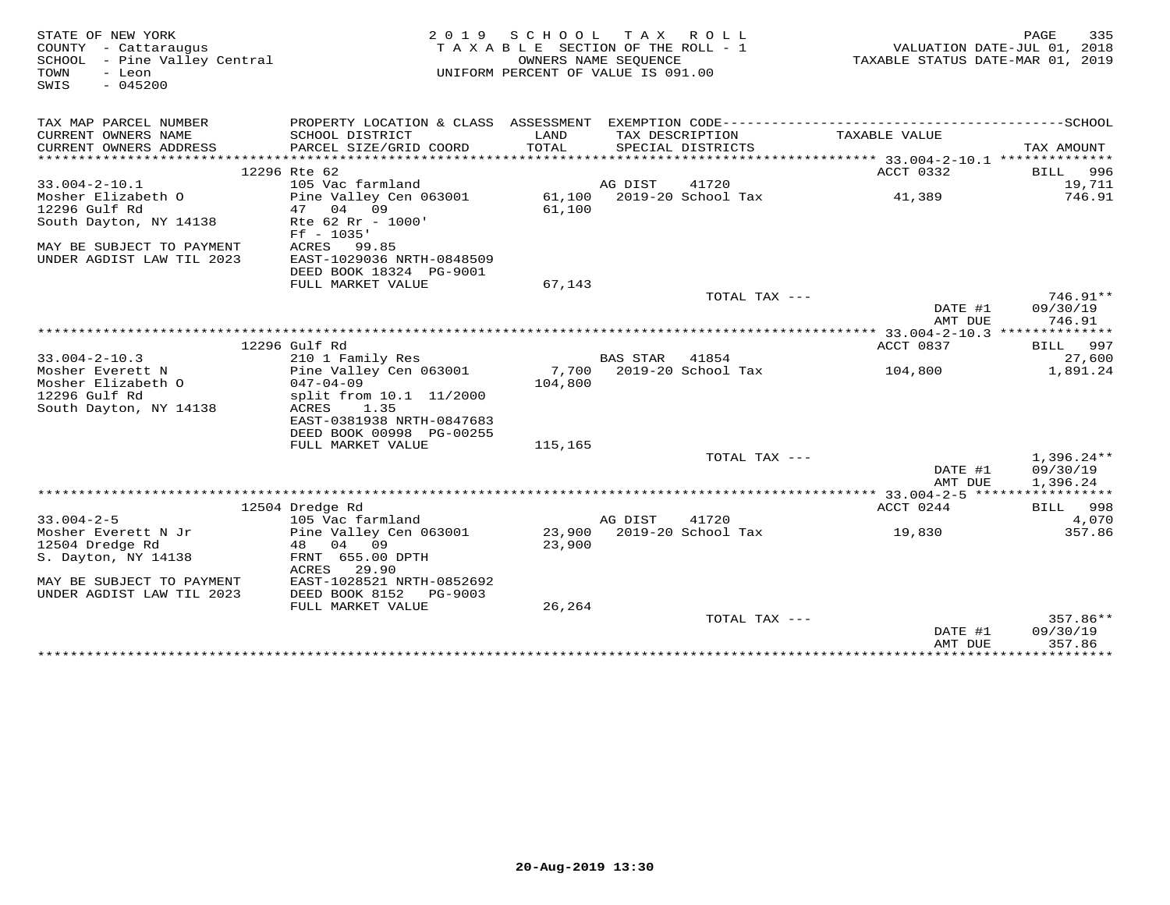| STATE OF NEW YORK<br>COUNTY - Cattaraugus<br>SCHOOL - Pine Valley Central<br>TOWN<br>- Leon<br>$-045200$<br>SWIS |                                                                                              | 2019 SCHOOL TAX ROLL<br>TAXABLE SECTION OF THE ROLL - 1<br>OWNERS NAME SEQUENCE<br>UNIFORM PERCENT OF VALUE IS 091.00 |          |                                      | TAXABLE STATUS DATE-MAR 01, 2019 | 335<br>PAGE<br>VALUATION DATE-JUL 01, 2018 |
|------------------------------------------------------------------------------------------------------------------|----------------------------------------------------------------------------------------------|-----------------------------------------------------------------------------------------------------------------------|----------|--------------------------------------|----------------------------------|--------------------------------------------|
| TAX MAP PARCEL NUMBER                                                                                            | PROPERTY LOCATION & CLASS ASSESSMENT EXEMPTION CODE-----------------------------------SCHOOL |                                                                                                                       |          |                                      |                                  |                                            |
| CURRENT OWNERS NAME<br>CURRENT OWNERS ADDRESS                                                                    | SCHOOL DISTRICT<br>PARCEL SIZE/GRID COORD                                                    | LAND<br>TOTAL                                                                                                         |          | TAX DESCRIPTION<br>SPECIAL DISTRICTS | TAXABLE VALUE                    | TAX AMOUNT                                 |
|                                                                                                                  |                                                                                              |                                                                                                                       |          |                                      |                                  |                                            |
|                                                                                                                  | 12296 Rte 62                                                                                 |                                                                                                                       |          |                                      | ACCT 0332                        | 996<br>BILL                                |
| $33.004 - 2 - 10.1$                                                                                              | 105 Vac farmland                                                                             |                                                                                                                       | AG DIST  | 41720                                |                                  | 19,711                                     |
| Mosher Elizabeth O                                                                                               | Pine Valley Cen 063001                                                                       |                                                                                                                       |          | 61,100 2019-20 School Tax            | 41,389                           | 746.91                                     |
| 12296 Gulf Rd                                                                                                    | 04 09<br>47                                                                                  | 61,100                                                                                                                |          |                                      |                                  |                                            |
| South Dayton, NY 14138                                                                                           | Rte 62 Rr - 1000'<br>$Ff - 1035'$                                                            |                                                                                                                       |          |                                      |                                  |                                            |
| MAY BE SUBJECT TO PAYMENT<br>UNDER AGDIST LAW TIL 2023                                                           | ACRES 99.85<br>EAST-1029036 NRTH-0848509                                                     |                                                                                                                       |          |                                      |                                  |                                            |
|                                                                                                                  | DEED BOOK 18324 PG-9001                                                                      |                                                                                                                       |          |                                      |                                  |                                            |
|                                                                                                                  | FULL MARKET VALUE                                                                            | 67,143                                                                                                                |          |                                      |                                  |                                            |
|                                                                                                                  |                                                                                              |                                                                                                                       |          | TOTAL TAX ---                        |                                  | 746.91**                                   |
|                                                                                                                  |                                                                                              |                                                                                                                       |          |                                      | DATE #1                          | 09/30/19                                   |
|                                                                                                                  |                                                                                              |                                                                                                                       |          |                                      | AMT DUE                          | 746.91                                     |
|                                                                                                                  | 12296 Gulf Rd                                                                                |                                                                                                                       |          |                                      | ACCT 0837                        | BILL 997                                   |
| $33.004 - 2 - 10.3$                                                                                              | 210 1 Family Res                                                                             |                                                                                                                       | BAS STAR | 41854                                |                                  | 27,600                                     |
| Mosher Everett N                                                                                                 | Pine Valley Cen 063001                                                                       |                                                                                                                       |          | 7,700 2019-20 School Tax             | 104,800                          | 1,891.24                                   |
| Mosher Elizabeth O                                                                                               | $047 - 04 - 09$                                                                              | 104,800                                                                                                               |          |                                      |                                  |                                            |
| 12296 Gulf Rd                                                                                                    | split from 10.1 11/2000                                                                      |                                                                                                                       |          |                                      |                                  |                                            |
| South Dayton, NY 14138                                                                                           | ACRES<br>1.35                                                                                |                                                                                                                       |          |                                      |                                  |                                            |
|                                                                                                                  | EAST-0381938 NRTH-0847683                                                                    |                                                                                                                       |          |                                      |                                  |                                            |
|                                                                                                                  | DEED BOOK 00998 PG-00255                                                                     |                                                                                                                       |          |                                      |                                  |                                            |
|                                                                                                                  | FULL MARKET VALUE                                                                            | 115,165                                                                                                               |          |                                      |                                  |                                            |
|                                                                                                                  |                                                                                              |                                                                                                                       |          | TOTAL TAX ---                        |                                  | $1,396.24**$                               |
|                                                                                                                  |                                                                                              |                                                                                                                       |          |                                      | DATE #1                          | 09/30/19                                   |
|                                                                                                                  |                                                                                              |                                                                                                                       |          |                                      | AMT DUE                          | 1,396.24                                   |
|                                                                                                                  | 12504 Dredge Rd                                                                              |                                                                                                                       |          |                                      | ACCT 0244                        | BILL 998                                   |
| $33.004 - 2 - 5$                                                                                                 | 105 Vac farmland                                                                             |                                                                                                                       | AG DIST  | 41720                                |                                  | 4,070                                      |
| Mosher Everett N Jr                                                                                              | Pine Valley Cen 063001                                                                       |                                                                                                                       |          | 23,900 2019-20 School Tax            | 19,830                           | 357.86                                     |
| 12504 Dredge Rd                                                                                                  | 48 04 09                                                                                     | 23,900                                                                                                                |          |                                      |                                  |                                            |
| S. Dayton, NY 14138                                                                                              | FRNT 655.00 DPTH                                                                             |                                                                                                                       |          |                                      |                                  |                                            |
|                                                                                                                  | 29.90<br>ACRES                                                                               |                                                                                                                       |          |                                      |                                  |                                            |
| MAY BE SUBJECT TO PAYMENT                                                                                        | EAST-1028521 NRTH-0852692                                                                    |                                                                                                                       |          |                                      |                                  |                                            |
| UNDER AGDIST LAW TIL 2023                                                                                        | DEED BOOK 8152<br>PG-9003                                                                    |                                                                                                                       |          |                                      |                                  |                                            |
|                                                                                                                  | FULL MARKET VALUE                                                                            | 26,264                                                                                                                |          |                                      |                                  |                                            |
|                                                                                                                  |                                                                                              |                                                                                                                       |          | TOTAL TAX $---$                      |                                  | 357.86**                                   |
|                                                                                                                  |                                                                                              |                                                                                                                       |          |                                      | DATE #1                          | 09/30/19                                   |
|                                                                                                                  |                                                                                              |                                                                                                                       |          |                                      | AMT DUE                          | 357.86                                     |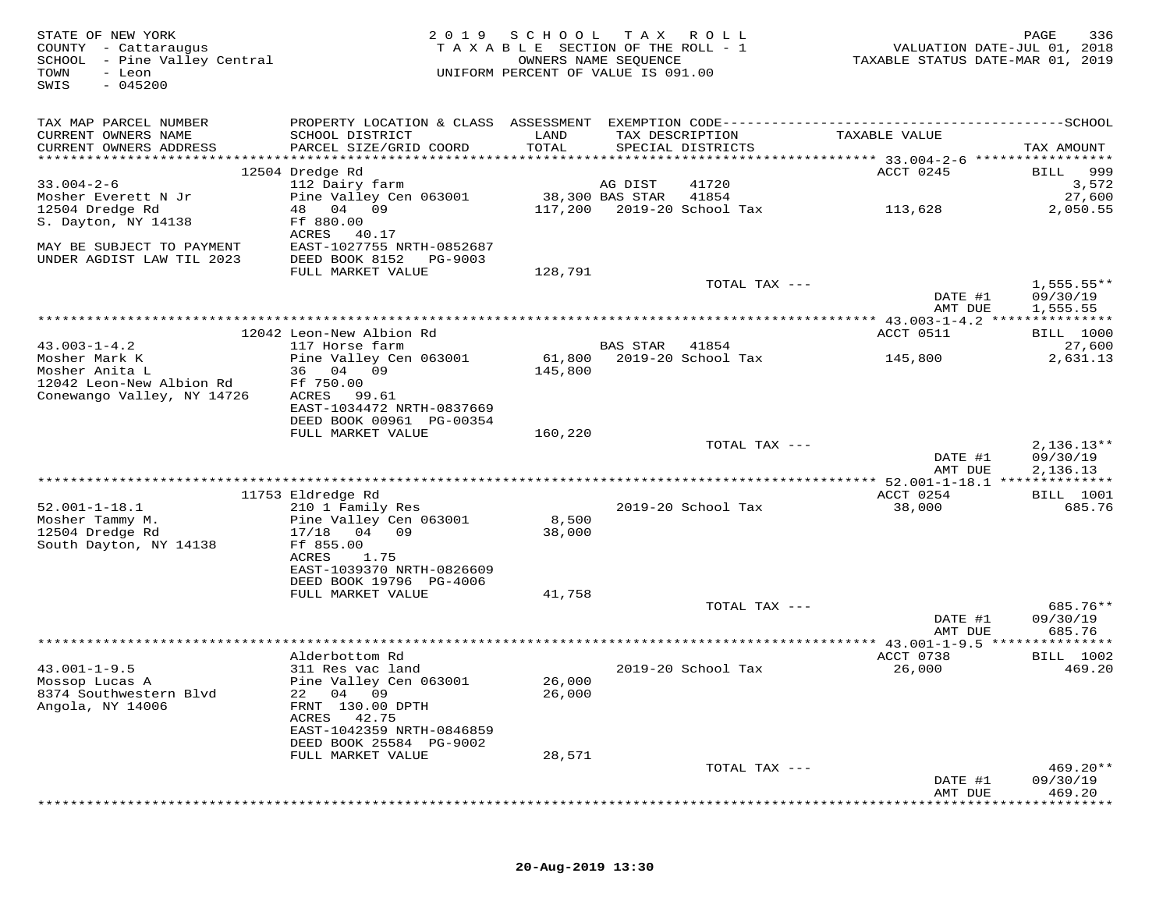| STATE OF NEW YORK<br>COUNTY - Cattaraugus<br>SCHOOL - Pine Valley Central<br>TOWN<br>- Leon<br>$-045200$<br>SWIS | 2 0 1 9                                                | SCHOOL TAX<br>TAXABLE SECTION OF THE ROLL - 1<br>OWNERS NAME SEQUENCE<br>UNIFORM PERCENT OF VALUE IS 091.00 |                 | R O L L                              | TAXABLE STATUS DATE-MAR 01, 2019 | PAGE<br>336<br>VALUATION DATE-JUL 01, 2018 |
|------------------------------------------------------------------------------------------------------------------|--------------------------------------------------------|-------------------------------------------------------------------------------------------------------------|-----------------|--------------------------------------|----------------------------------|--------------------------------------------|
| TAX MAP PARCEL NUMBER                                                                                            |                                                        |                                                                                                             |                 |                                      |                                  |                                            |
| CURRENT OWNERS NAME<br>CURRENT OWNERS ADDRESS                                                                    | SCHOOL DISTRICT<br>PARCEL SIZE/GRID COORD              | LAND<br>TOTAL                                                                                               |                 | TAX DESCRIPTION<br>SPECIAL DISTRICTS | TAXABLE VALUE                    | TAX AMOUNT                                 |
|                                                                                                                  | 12504 Dredge Rd                                        |                                                                                                             |                 |                                      | ACCT 0245                        | 999<br><b>BILL</b>                         |
| $33.004 - 2 - 6$                                                                                                 | 112 Dairy farm                                         |                                                                                                             | AG DIST         | 41720                                |                                  | 3,572                                      |
| Mosher Everett N Jr                                                                                              | Pine Valley Cen 063001                                 |                                                                                                             | 38,300 BAS STAR | 41854                                |                                  | 27,600                                     |
| 12504 Dredge Rd<br>S. Dayton, NY 14138                                                                           | 48 04 09<br>Ff 880.00                                  | 117,200                                                                                                     |                 | 2019-20 School Tax                   | 113,628                          | 2,050.55                                   |
|                                                                                                                  | ACRES<br>40.17                                         |                                                                                                             |                 |                                      |                                  |                                            |
| MAY BE SUBJECT TO PAYMENT<br>UNDER AGDIST LAW TIL 2023                                                           | EAST-1027755 NRTH-0852687<br>DEED BOOK 8152<br>PG-9003 |                                                                                                             |                 |                                      |                                  |                                            |
|                                                                                                                  | FULL MARKET VALUE                                      | 128,791                                                                                                     |                 |                                      |                                  |                                            |
|                                                                                                                  |                                                        |                                                                                                             |                 | TOTAL TAX ---                        | DATE #1                          | $1,555.55**$<br>09/30/19                   |
|                                                                                                                  |                                                        |                                                                                                             |                 |                                      | AMT DUE                          | 1,555.55                                   |
|                                                                                                                  | 12042 Leon-New Albion Rd                               |                                                                                                             |                 |                                      | ACCT 0511                        | <b>BILL</b> 1000                           |
| $43.003 - 1 - 4.2$                                                                                               | 117 Horse farm                                         |                                                                                                             | BAS STAR        | 41854                                |                                  | 27,600                                     |
| Mosher Mark K                                                                                                    | Pine Valley Cen 063001                                 | 61,800                                                                                                      |                 | 2019-20 School Tax                   | 145,800                          | 2,631.13                                   |
| Mosher Anita L<br>12042 Leon-New Albion Rd                                                                       | 36 04 09<br>Ff 750.00                                  | 145,800                                                                                                     |                 |                                      |                                  |                                            |
| Conewango Valley, NY 14726                                                                                       | ACRES<br>99.61                                         |                                                                                                             |                 |                                      |                                  |                                            |
|                                                                                                                  | EAST-1034472 NRTH-0837669                              |                                                                                                             |                 |                                      |                                  |                                            |
|                                                                                                                  | DEED BOOK 00961 PG-00354<br>FULL MARKET VALUE          | 160,220                                                                                                     |                 |                                      |                                  |                                            |
|                                                                                                                  |                                                        |                                                                                                             |                 | TOTAL TAX ---                        |                                  | $2,136.13**$                               |
|                                                                                                                  |                                                        |                                                                                                             |                 |                                      | DATE #1                          | 09/30/19                                   |
|                                                                                                                  |                                                        |                                                                                                             |                 |                                      | AMT DUE                          | 2,136.13                                   |
|                                                                                                                  | 11753 Eldredge Rd                                      |                                                                                                             |                 |                                      | ACCT 0254                        | <b>BILL</b> 1001                           |
| $52.001 - 1 - 18.1$                                                                                              | 210 1 Family Res                                       |                                                                                                             |                 | 2019-20 School Tax                   | 38,000                           | 685.76                                     |
| Mosher Tammy M.                                                                                                  | Pine Valley Cen 063001                                 | 8,500                                                                                                       |                 |                                      |                                  |                                            |
| 12504 Dredge Rd                                                                                                  | 17/18 04 09                                            | 38,000                                                                                                      |                 |                                      |                                  |                                            |
| South Dayton, NY 14138                                                                                           | Ff 855.00<br>ACRES<br>1.75                             |                                                                                                             |                 |                                      |                                  |                                            |
|                                                                                                                  | EAST-1039370 NRTH-0826609                              |                                                                                                             |                 |                                      |                                  |                                            |
|                                                                                                                  | DEED BOOK 19796 PG-4006                                |                                                                                                             |                 |                                      |                                  |                                            |
|                                                                                                                  | FULL MARKET VALUE                                      | 41,758                                                                                                      |                 |                                      |                                  | 685.76**                                   |
|                                                                                                                  |                                                        |                                                                                                             |                 | TOTAL TAX ---                        | DATE #1                          | 09/30/19                                   |
|                                                                                                                  |                                                        |                                                                                                             |                 |                                      | AMT DUE                          | 685.76                                     |
|                                                                                                                  |                                                        |                                                                                                             |                 |                                      |                                  |                                            |
| $43.001 - 1 - 9.5$                                                                                               | Alderbottom Rd<br>311 Res vac land                     |                                                                                                             |                 | 2019-20 School Tax                   | ACCT 0738<br>26,000              | BILL 1002<br>469.20                        |
| Mossop Lucas A                                                                                                   | Pine Valley Cen 063001                                 | 26,000                                                                                                      |                 |                                      |                                  |                                            |
| 8374 Southwestern Blvd                                                                                           | 22 04 09                                               | 26,000                                                                                                      |                 |                                      |                                  |                                            |
| Angola, NY 14006                                                                                                 | FRNT 130.00 DPTH                                       |                                                                                                             |                 |                                      |                                  |                                            |
|                                                                                                                  | ACRES<br>42.75<br>EAST-1042359 NRTH-0846859            |                                                                                                             |                 |                                      |                                  |                                            |
|                                                                                                                  | DEED BOOK 25584 PG-9002                                |                                                                                                             |                 |                                      |                                  |                                            |
|                                                                                                                  | FULL MARKET VALUE                                      | 28,571                                                                                                      |                 |                                      |                                  |                                            |
|                                                                                                                  |                                                        |                                                                                                             |                 | TOTAL TAX ---                        |                                  | $469.20**$                                 |
|                                                                                                                  |                                                        |                                                                                                             |                 |                                      | DATE #1<br>AMT DUE               | 09/30/19<br>469.20                         |
|                                                                                                                  |                                                        |                                                                                                             |                 |                                      |                                  |                                            |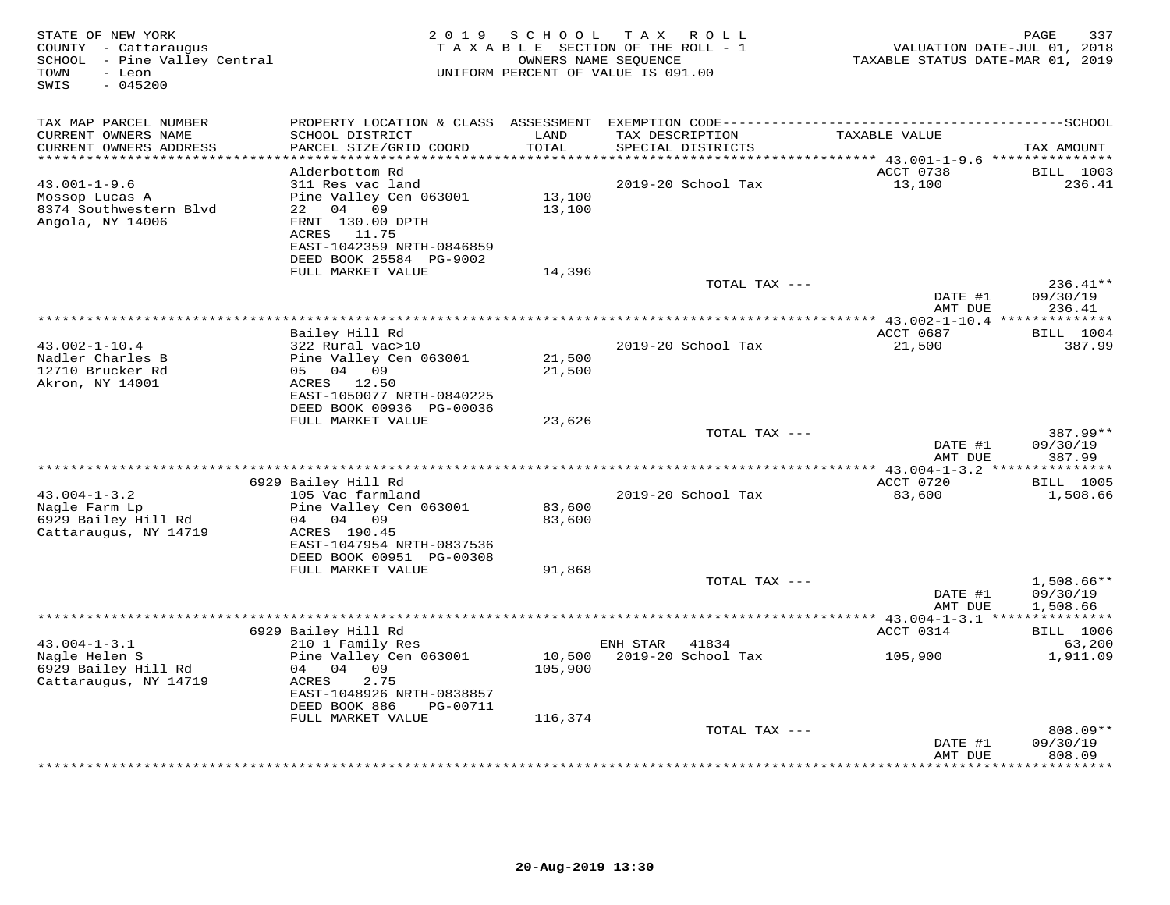| STATE OF NEW YORK<br>COUNTY - Cattaraugus<br>SCHOOL - Pine Valley Central<br>TOWN<br>- Leon<br>$-045200$<br>SWIS | 2 0 1 9                                                                                                                                                             | S C H O O L<br>TAXABLE SECTION OF THE ROLL - 1<br>UNIFORM PERCENT OF VALUE IS 091.00 | T A X<br>OWNERS NAME SEQUENCE | ROLL                    | TAXABLE STATUS DATE-MAR 01, 2019         | 337<br>PAGE<br>VALUATION DATE-JUL 01, 2018  |
|------------------------------------------------------------------------------------------------------------------|---------------------------------------------------------------------------------------------------------------------------------------------------------------------|--------------------------------------------------------------------------------------|-------------------------------|-------------------------|------------------------------------------|---------------------------------------------|
| TAX MAP PARCEL NUMBER<br>CURRENT OWNERS NAME<br>CURRENT OWNERS ADDRESS                                           | SCHOOL DISTRICT<br>PARCEL SIZE/GRID COORD                                                                                                                           | LAND<br>TOTAL                                                                        | TAX DESCRIPTION               | SPECIAL DISTRICTS       | TAXABLE VALUE                            | TAX AMOUNT                                  |
| ***********************                                                                                          |                                                                                                                                                                     |                                                                                      |                               |                         |                                          |                                             |
| $43.001 - 1 - 9.6$<br>Mossop Lucas A<br>8374 Southwestern Blvd<br>Angola, NY 14006                               | Alderbottom Rd<br>311 Res vac land<br>Pine Valley Cen 063001<br>22 04 09<br>FRNT 130.00 DPTH<br>ACRES 11.75<br>EAST-1042359 NRTH-0846859<br>DEED BOOK 25584 PG-9002 | 13,100<br>13,100                                                                     |                               | 2019-20 School Tax      | ACCT 0738<br>13,100                      | <b>BILL</b> 1003<br>236.41                  |
|                                                                                                                  | FULL MARKET VALUE                                                                                                                                                   | 14,396                                                                               |                               |                         |                                          |                                             |
|                                                                                                                  |                                                                                                                                                                     |                                                                                      |                               | TOTAL TAX ---           | DATE #1<br>AMT DUE                       | 236.41**<br>09/30/19<br>236.41              |
|                                                                                                                  |                                                                                                                                                                     |                                                                                      |                               |                         |                                          | * * * * * * * * * * * *                     |
| $43.002 - 1 - 10.4$<br>Nadler Charles B<br>12710 Brucker Rd                                                      | Bailey Hill Rd<br>322 Rural vac>10<br>Pine Valley Cen 063001<br>05 04 09                                                                                            | 21,500<br>21,500                                                                     |                               | 2019-20 School Tax      | ACCT 0687<br>21,500                      | <b>BILL</b> 1004<br>387.99                  |
| Akron, NY 14001                                                                                                  | ACRES 12.50<br>EAST-1050077 NRTH-0840225<br>DEED BOOK 00936 PG-00036<br>FULL MARKET VALUE                                                                           | 23,626                                                                               |                               |                         |                                          |                                             |
|                                                                                                                  |                                                                                                                                                                     |                                                                                      |                               | TOTAL TAX ---           | DATE #1<br>AMT DUE                       | 387.99**<br>09/30/19<br>387.99              |
|                                                                                                                  |                                                                                                                                                                     |                                                                                      |                               |                         | *** 43.004-1-3.2 ***************         |                                             |
|                                                                                                                  | 6929 Bailey Hill Rd                                                                                                                                                 |                                                                                      |                               |                         | ACCT 0720                                | <b>BILL</b> 1005                            |
| $43.004 - 1 - 3.2$<br>Nagle Farm Lp<br>6929 Bailey Hill Rd<br>Cattaraugus, NY 14719                              | 105 Vac farmland<br>Pine Valley Cen 063001<br>04 04 09<br>ACRES 190.45<br>EAST-1047954 NRTH-0837536<br>DEED BOOK 00951 PG-00308                                     | 83,600<br>83,600                                                                     |                               | 2019-20 School Tax      | 83,600                                   | 1,508.66                                    |
|                                                                                                                  | FULL MARKET VALUE                                                                                                                                                   | 91,868                                                                               |                               |                         |                                          |                                             |
|                                                                                                                  |                                                                                                                                                                     |                                                                                      |                               | TOTAL TAX ---           | DATE #1<br>AMT DUE                       | $1,508.66**$<br>09/30/19<br>1,508.66        |
|                                                                                                                  | 6929 Bailey Hill Rd                                                                                                                                                 |                                                                                      |                               |                         | **** $43.004 - 1 - 3.1$ ***<br>ACCT 0314 | * * * * * * * * * * * *<br><b>BILL</b> 1006 |
| $43.004 - 1 - 3.1$                                                                                               | 210 1 Family Res                                                                                                                                                    |                                                                                      | ENH STAR                      | 41834                   |                                          | 63,200                                      |
| Nagle Helen S<br>6929 Bailey Hill Rd<br>Cattaraugus, NY 14719                                                    | Pine Valley Cen 063001<br>04 04 09<br>2.75<br>ACRES<br>EAST-1048926 NRTH-0838857<br>DEED BOOK 886<br>PG-00711<br>FULL MARKET VALUE                                  | 10,500<br>105,900                                                                    |                               | 2019-20 School Tax      | 105,900                                  | 1,911.09                                    |
|                                                                                                                  |                                                                                                                                                                     | 116,374                                                                              |                               | TOTAL TAX ---           |                                          | 808.09**                                    |
|                                                                                                                  |                                                                                                                                                                     |                                                                                      |                               | *********************** | DATE #1<br>AMT DUE<br>*********          | 09/30/19<br>808.09<br>*********             |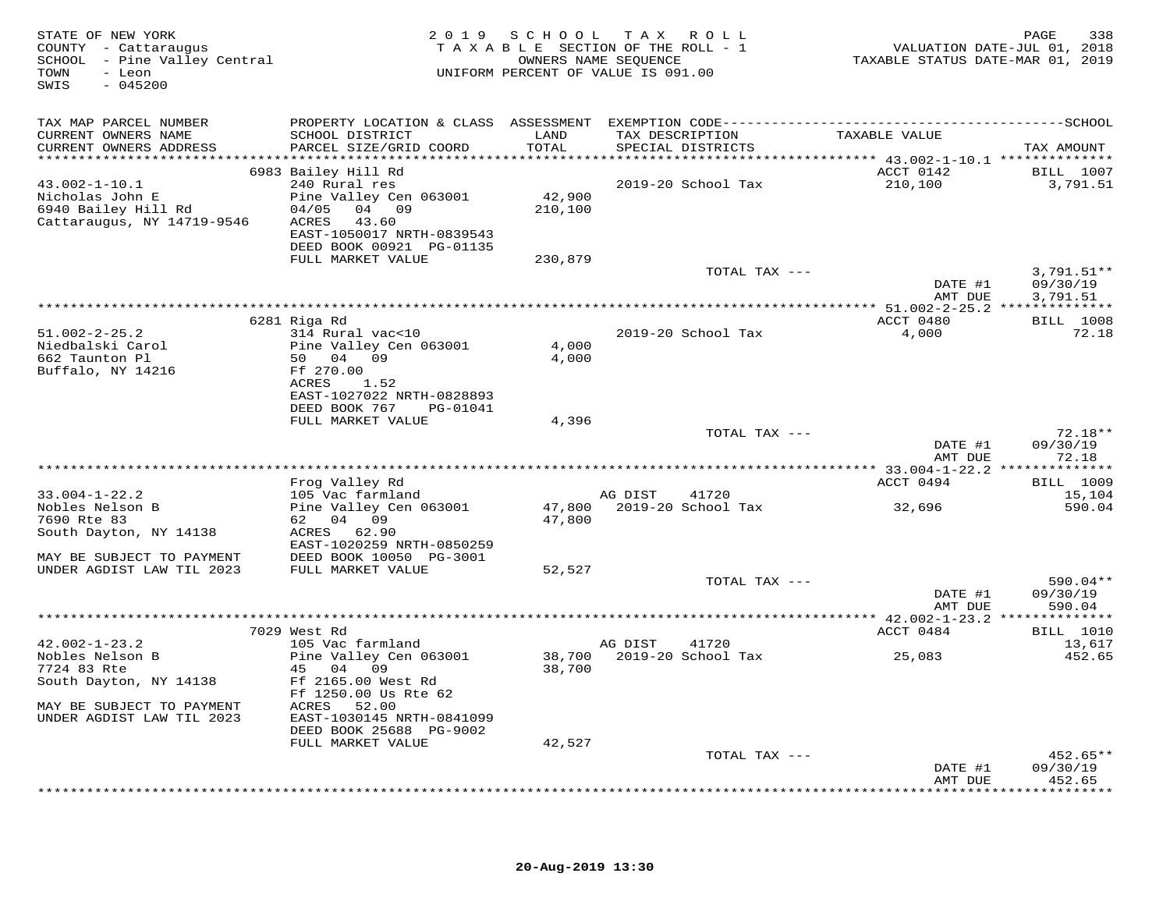| STATE OF NEW YORK<br>COUNTY - Cattaraugus<br>SCHOOL - Pine Valley Central<br>TOWN<br>- Leon<br>$-045200$<br>SWIS |                                                                                              | 2019 SCHOOL TAX ROLL<br>TAXABLE SECTION OF THE ROLL - 1<br>UNIFORM PERCENT OF VALUE IS 091.00 | OWNERS NAME SEQUENCE |                           | TAXABLE STATUS DATE-MAR 01, 2019         | 338<br>PAGE<br>VALUATION DATE-JUL 01, 2018 |
|------------------------------------------------------------------------------------------------------------------|----------------------------------------------------------------------------------------------|-----------------------------------------------------------------------------------------------|----------------------|---------------------------|------------------------------------------|--------------------------------------------|
| TAX MAP PARCEL NUMBER                                                                                            | PROPERTY LOCATION & CLASS ASSESSMENT EXEMPTION CODE-----------------------------------SCHOOL |                                                                                               |                      |                           |                                          |                                            |
| CURRENT OWNERS NAME                                                                                              | SCHOOL DISTRICT                                                                              | LAND                                                                                          |                      | TAX DESCRIPTION           | TAXABLE VALUE                            |                                            |
| CURRENT OWNERS ADDRESS                                                                                           | PARCEL SIZE/GRID COORD                                                                       | TOTAL                                                                                         |                      | SPECIAL DISTRICTS         |                                          | TAX AMOUNT                                 |
|                                                                                                                  | 6983 Bailey Hill Rd                                                                          |                                                                                               |                      |                           | ACCT 0142                                | BILL 1007                                  |
| $43.002 - 1 - 10.1$                                                                                              | 240 Rural res                                                                                |                                                                                               |                      | 2019-20 School Tax        | 210,100                                  | 3,791.51                                   |
| Nicholas John E<br>6940 Bailey Hill Rd                                                                           | Pine Valley Cen 063001<br>04/05<br>04 09                                                     | 42,900<br>210,100                                                                             |                      |                           |                                          |                                            |
| Cattaraugus, NY 14719-9546                                                                                       | ACRES<br>43.60                                                                               |                                                                                               |                      |                           |                                          |                                            |
|                                                                                                                  | EAST-1050017 NRTH-0839543                                                                    |                                                                                               |                      |                           |                                          |                                            |
|                                                                                                                  | DEED BOOK 00921 PG-01135<br>FULL MARKET VALUE                                                | 230,879                                                                                       |                      |                           |                                          |                                            |
|                                                                                                                  |                                                                                              |                                                                                               |                      | TOTAL TAX ---             |                                          | $3,791.51**$                               |
|                                                                                                                  |                                                                                              |                                                                                               |                      |                           | DATE #1                                  | 09/30/19                                   |
|                                                                                                                  |                                                                                              |                                                                                               |                      |                           | AMT DUE                                  | 3,791.51                                   |
|                                                                                                                  | 6281 Riga Rd                                                                                 |                                                                                               |                      |                           | ACCT 0480                                | <b>BILL</b> 1008                           |
| $51.002 - 2 - 25.2$                                                                                              | 314 Rural vac<10                                                                             |                                                                                               |                      | 2019-20 School Tax        | 4,000                                    | 72.18                                      |
| Niedbalski Carol                                                                                                 | Pine Valley Cen 063001                                                                       | 4,000                                                                                         |                      |                           |                                          |                                            |
| 662 Taunton Pl<br>Buffalo, NY 14216                                                                              | 50 04 09<br>Ff 270.00                                                                        | 4,000                                                                                         |                      |                           |                                          |                                            |
|                                                                                                                  | ACRES<br>1.52                                                                                |                                                                                               |                      |                           |                                          |                                            |
|                                                                                                                  | EAST-1027022 NRTH-0828893                                                                    |                                                                                               |                      |                           |                                          |                                            |
|                                                                                                                  | DEED BOOK 767<br>PG-01041<br>FULL MARKET VALUE                                               | 4,396                                                                                         |                      |                           |                                          |                                            |
|                                                                                                                  |                                                                                              |                                                                                               |                      | TOTAL TAX ---             |                                          | $72.18**$                                  |
|                                                                                                                  |                                                                                              |                                                                                               |                      |                           | DATE #1                                  | 09/30/19                                   |
|                                                                                                                  |                                                                                              | ********************************                                                              |                      |                           | AMT DUE                                  | 72.18<br>********                          |
|                                                                                                                  | Frog Valley Rd                                                                               |                                                                                               |                      |                           | ********** 33.004-1-22.2 **<br>ACCT 0494 | <b>BILL</b> 1009                           |
| $33.004 - 1 - 22.2$                                                                                              | 105 Vac farmland                                                                             |                                                                                               | AG DIST              | 41720                     |                                          | 15,104                                     |
| Nobles Nelson B                                                                                                  | Pine Valley Cen 063001                                                                       |                                                                                               |                      | 47,800 2019-20 School Tax | 32,696                                   | 590.04                                     |
| 7690 Rte 83<br>South Dayton, NY 14138                                                                            | 62 04 09<br>ACRES 62.90                                                                      | 47,800                                                                                        |                      |                           |                                          |                                            |
|                                                                                                                  | EAST-1020259 NRTH-0850259                                                                    |                                                                                               |                      |                           |                                          |                                            |
| MAY BE SUBJECT TO PAYMENT                                                                                        | DEED BOOK 10050 PG-3001                                                                      |                                                                                               |                      |                           |                                          |                                            |
| UNDER AGDIST LAW TIL 2023                                                                                        | FULL MARKET VALUE                                                                            | 52,527                                                                                        |                      | TOTAL TAX ---             |                                          | 590.04**                                   |
|                                                                                                                  |                                                                                              |                                                                                               |                      |                           | DATE #1                                  | 09/30/19                                   |
|                                                                                                                  |                                                                                              |                                                                                               |                      |                           | AMT DUE                                  | 590.04                                     |
|                                                                                                                  |                                                                                              |                                                                                               |                      |                           |                                          |                                            |
| $42.002 - 1 - 23.2$                                                                                              | 7029 West Rd<br>105 Vac farmland                                                             |                                                                                               | AG DIST              | 41720                     | ACCT 0484                                | <b>BILL</b> 1010<br>13,617                 |
| Nobles Nelson B                                                                                                  | Pine Valley Cen 063001                                                                       | 38,700                                                                                        |                      | 2019-20 School Tax        | 25,083                                   | 452.65                                     |
| 7724 83 Rte                                                                                                      | 45 04 09                                                                                     | 38,700                                                                                        |                      |                           |                                          |                                            |
| South Dayton, NY 14138                                                                                           | Ff 2165.00 West Rd<br>Ff 1250.00 Us Rte 62                                                   |                                                                                               |                      |                           |                                          |                                            |
| MAY BE SUBJECT TO PAYMENT                                                                                        | ACRES<br>52.00                                                                               |                                                                                               |                      |                           |                                          |                                            |
| UNDER AGDIST LAW TIL 2023                                                                                        | EAST-1030145 NRTH-0841099                                                                    |                                                                                               |                      |                           |                                          |                                            |
|                                                                                                                  | DEED BOOK 25688 PG-9002<br>FULL MARKET VALUE                                                 | 42,527                                                                                        |                      |                           |                                          |                                            |
|                                                                                                                  |                                                                                              |                                                                                               |                      | TOTAL TAX ---             |                                          | 452.65**                                   |
|                                                                                                                  |                                                                                              |                                                                                               |                      |                           | DATE #1                                  | 09/30/19                                   |
|                                                                                                                  |                                                                                              |                                                                                               |                      |                           | AMT DUE                                  | 452.65<br>* * * * * * * *                  |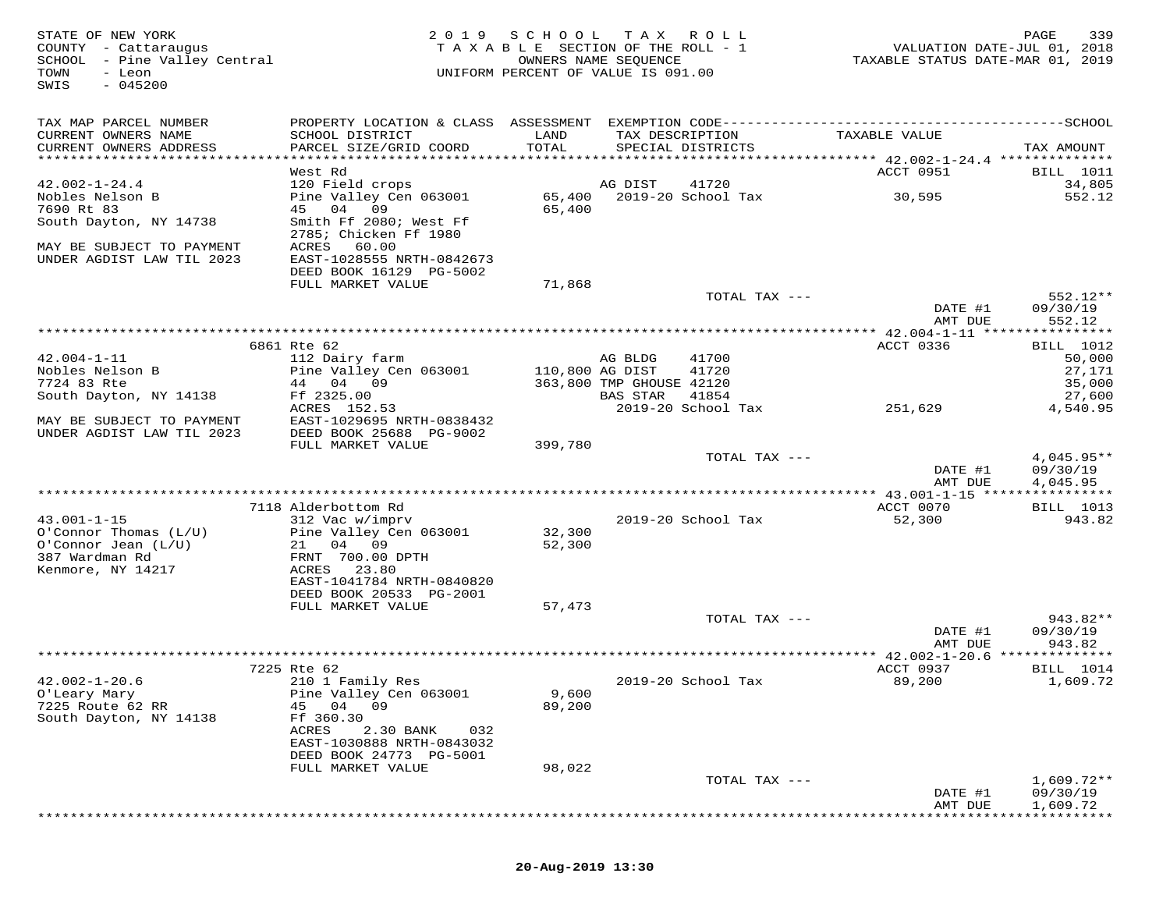| STATE OF NEW YORK<br>COUNTY - Cattaraugus<br>SCHOOL - Pine Valley Central<br>- Leon<br>TOWN<br>SWIS<br>$-045200$ |                                                      |                  | 2019 SCHOOL TAX ROLL<br>TAXABLE SECTION OF THE ROLL - 1<br>OWNERS NAME SEQUENCE<br>UNIFORM PERCENT OF VALUE IS 091.00 | VALUATION DATE-JUL 01, 2018<br>TAXABLE STATUS DATE-MAR 01, 2019                              | PAGE<br>339              |
|------------------------------------------------------------------------------------------------------------------|------------------------------------------------------|------------------|-----------------------------------------------------------------------------------------------------------------------|----------------------------------------------------------------------------------------------|--------------------------|
| TAX MAP PARCEL NUMBER                                                                                            |                                                      |                  |                                                                                                                       | PROPERTY LOCATION & CLASS ASSESSMENT EXEMPTION CODE-----------------------------------SCHOOL |                          |
| CURRENT OWNERS NAME<br>CURRENT OWNERS ADDRESS                                                                    | SCHOOL DISTRICT<br>PARCEL SIZE/GRID COORD            | LAND<br>TOTAL    | TAX DESCRIPTION<br>SPECIAL DISTRICTS                                                                                  | TAXABLE VALUE                                                                                | TAX AMOUNT               |
| ************************                                                                                         | West Rd                                              |                  |                                                                                                                       | ACCT 0951                                                                                    | BILL 1011                |
| $42.002 - 1 - 24.4$                                                                                              | 120 Field crops                                      |                  | AG DIST<br>41720                                                                                                      |                                                                                              | 34,805                   |
| Nobles Nelson B                                                                                                  | Pine Valley Cen 063001                               |                  | 65,400 2019-20 School Tax                                                                                             | 30,595                                                                                       | 552.12                   |
| 7690 Rt 83                                                                                                       | 45 04 09                                             | 65,400           |                                                                                                                       |                                                                                              |                          |
| South Dayton, NY 14738                                                                                           | Smith Ff 2080; West Ff                               |                  |                                                                                                                       |                                                                                              |                          |
| MAY BE SUBJECT TO PAYMENT                                                                                        | 2785; Chicken Ff 1980<br>ACRES<br>60.00              |                  |                                                                                                                       |                                                                                              |                          |
| UNDER AGDIST LAW TIL 2023                                                                                        | EAST-1028555 NRTH-0842673                            |                  |                                                                                                                       |                                                                                              |                          |
|                                                                                                                  | DEED BOOK 16129 PG-5002                              |                  |                                                                                                                       |                                                                                              |                          |
|                                                                                                                  | FULL MARKET VALUE                                    | 71,868           |                                                                                                                       |                                                                                              |                          |
|                                                                                                                  |                                                      |                  | TOTAL TAX ---                                                                                                         | DATE #1                                                                                      | 552.12**<br>09/30/19     |
|                                                                                                                  |                                                      |                  |                                                                                                                       | AMT DUE                                                                                      | 552.12                   |
|                                                                                                                  |                                                      |                  |                                                                                                                       |                                                                                              |                          |
| $42.004 - 1 - 11$                                                                                                | 6861 Rte 62<br>112 Dairy farm                        |                  | AG BLDG<br>41700                                                                                                      | ACCT 0336                                                                                    | BILL 1012                |
| Nobles Nelson B                                                                                                  | Pine Valley Cen 063001                               | 110,800 AG DIST  | 41720                                                                                                                 |                                                                                              | 50,000<br>27,171         |
| 7724 83 Rte                                                                                                      | 44 04 09                                             |                  | 363,800 TMP GHOUSE 42120                                                                                              |                                                                                              | 35,000                   |
| South Dayton, NY 14138                                                                                           | Ff 2325.00                                           |                  | BAS STAR<br>41854                                                                                                     |                                                                                              | 27,600                   |
|                                                                                                                  | ACRES 152.53                                         |                  | 2019-20 School Tax                                                                                                    | 251,629                                                                                      | 4,540.95                 |
| MAY BE SUBJECT TO PAYMENT<br>UNDER AGDIST LAW TIL 2023                                                           | EAST-1029695 NRTH-0838432<br>DEED BOOK 25688 PG-9002 |                  |                                                                                                                       |                                                                                              |                          |
|                                                                                                                  | FULL MARKET VALUE                                    | 399,780          |                                                                                                                       |                                                                                              |                          |
|                                                                                                                  |                                                      |                  | TOTAL TAX ---                                                                                                         |                                                                                              | $4,045.95**$             |
|                                                                                                                  |                                                      |                  |                                                                                                                       | DATE #1                                                                                      | 09/30/19                 |
|                                                                                                                  |                                                      |                  |                                                                                                                       | AMT DUE                                                                                      | 4,045.95                 |
|                                                                                                                  | 7118 Alderbottom Rd                                  |                  |                                                                                                                       | ACCT 0070                                                                                    | BILL 1013                |
| $43.001 - 1 - 15$                                                                                                | 312 Vac w/imprv                                      |                  | 2019-20 School Tax                                                                                                    | 52,300                                                                                       | 943.82                   |
| O'Connor Thomas (L/U)<br>$O'Connor$ Jean $(L/U)$                                                                 | Pine Valley Cen 063001<br>21 04 09                   | 32,300<br>52,300 |                                                                                                                       |                                                                                              |                          |
| 387 Wardman Rd                                                                                                   | FRNT 700.00 DPTH                                     |                  |                                                                                                                       |                                                                                              |                          |
| Kenmore, NY 14217                                                                                                | ACRES 23.80                                          |                  |                                                                                                                       |                                                                                              |                          |
|                                                                                                                  | EAST-1041784 NRTH-0840820                            |                  |                                                                                                                       |                                                                                              |                          |
|                                                                                                                  | DEED BOOK 20533 PG-2001<br>FULL MARKET VALUE         | 57,473           |                                                                                                                       |                                                                                              |                          |
|                                                                                                                  |                                                      |                  | TOTAL TAX ---                                                                                                         |                                                                                              | 943.82**                 |
|                                                                                                                  |                                                      |                  |                                                                                                                       | DATE #1                                                                                      | 09/30/19                 |
|                                                                                                                  | ***********************                              |                  |                                                                                                                       | AMT DUE                                                                                      | 943.82                   |
|                                                                                                                  | 7225 Rte 62                                          |                  |                                                                                                                       | ***************** 42.002-1-20.6 **************<br>ACCT 0937                                  | BILL 1014                |
| $42.002 - 1 - 20.6$                                                                                              | 210 1 Family Res                                     |                  | 2019-20 School Tax                                                                                                    | 89,200                                                                                       | 1,609.72                 |
| O'Leary Mary                                                                                                     | Pine Valley Cen 063001                               | 9,600            |                                                                                                                       |                                                                                              |                          |
| 7225 Route 62 RR                                                                                                 | 45 04 09                                             | 89,200           |                                                                                                                       |                                                                                              |                          |
| South Dayton, NY 14138                                                                                           | Ff 360.30<br>ACRES<br>2.30 BANK<br>032               |                  |                                                                                                                       |                                                                                              |                          |
|                                                                                                                  | EAST-1030888 NRTH-0843032                            |                  |                                                                                                                       |                                                                                              |                          |
|                                                                                                                  | DEED BOOK 24773 PG-5001                              |                  |                                                                                                                       |                                                                                              |                          |
|                                                                                                                  | FULL MARKET VALUE                                    | 98,022           |                                                                                                                       |                                                                                              |                          |
|                                                                                                                  |                                                      |                  | TOTAL TAX ---                                                                                                         | DATE #1                                                                                      | $1,609.72**$<br>09/30/19 |
|                                                                                                                  |                                                      |                  |                                                                                                                       | AMT DUE                                                                                      | 1,609.72                 |

\*\*\*\*\*\*\*\*\*\*\*\*\*\*\*\*\*\*\*\*\*\*\*\*\*\*\*\*\*\*\*\*\*\*\*\*\*\*\*\*\*\*\*\*\*\*\*\*\*\*\*\*\*\*\*\*\*\*\*\*\*\*\*\*\*\*\*\*\*\*\*\*\*\*\*\*\*\*\*\*\*\*\*\*\*\*\*\*\*\*\*\*\*\*\*\*\*\*\*\*\*\*\*\*\*\*\*\*\*\*\*\*\*\*\*\*\*\*\*\*\*\*\*\*\*\*\*\*\*\*\*\*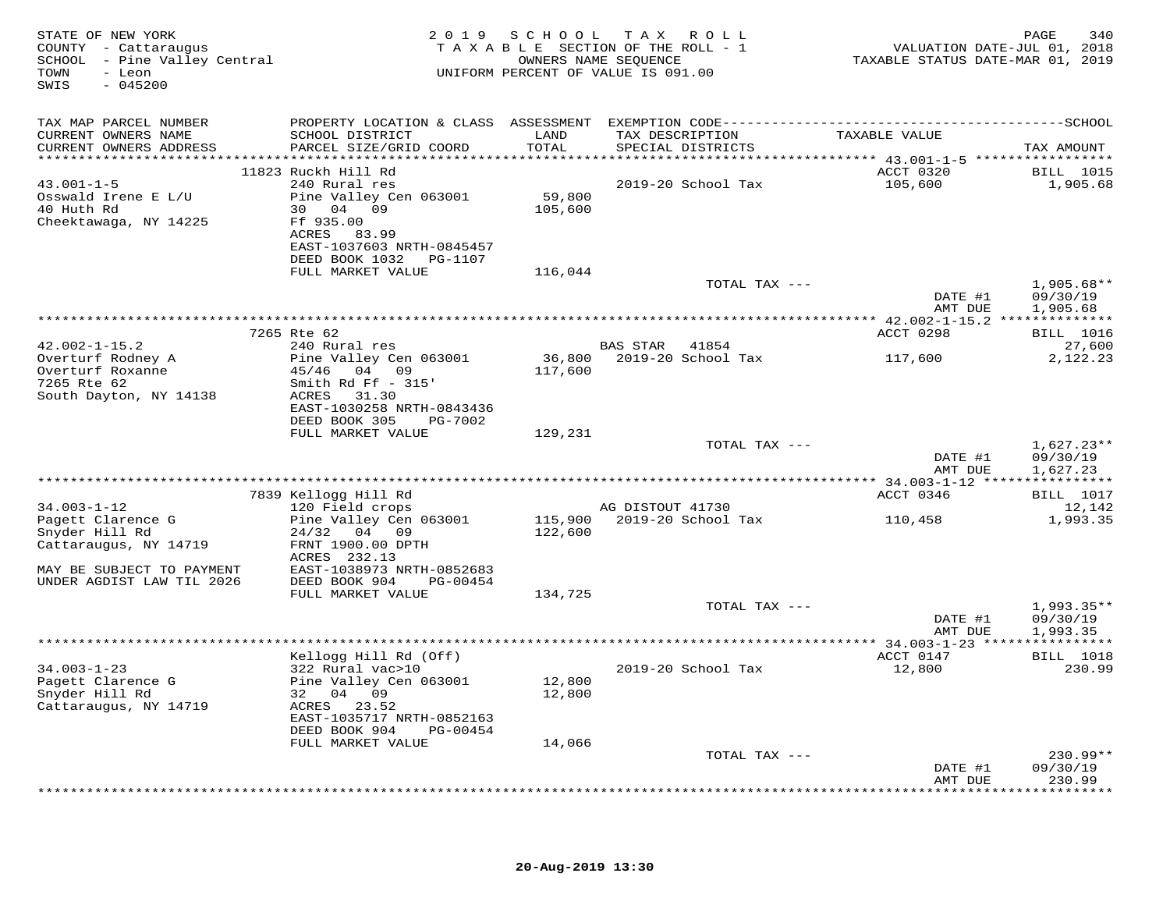| STATE OF NEW YORK<br>COUNTY - Cattaraugus<br>SCHOOL - Pine Valley Central<br>TOWN<br>- Leon<br>SWIS<br>$-045200$ |                                                                                                                                                                  |                   | 2019 SCHOOL TAX ROLL<br>TAXABLE SECTION OF THE ROLL - 1<br>OWNERS NAME SEQUENCE<br>UNIFORM PERCENT OF VALUE IS 091.00 | VALUATION DATE-JUL 01, 2018<br>TAXABLE STATUS DATE-MAR 01, 2019 | PAGE<br>340                            |
|------------------------------------------------------------------------------------------------------------------|------------------------------------------------------------------------------------------------------------------------------------------------------------------|-------------------|-----------------------------------------------------------------------------------------------------------------------|-----------------------------------------------------------------|----------------------------------------|
| TAX MAP PARCEL NUMBER                                                                                            |                                                                                                                                                                  |                   |                                                                                                                       |                                                                 |                                        |
| CURRENT OWNERS NAME<br>CURRENT OWNERS ADDRESS                                                                    | SCHOOL DISTRICT<br>PARCEL SIZE/GRID COORD                                                                                                                        | LAND<br>TOTAL     | TAX DESCRIPTION<br>SPECIAL DISTRICTS                                                                                  | TAXABLE VALUE                                                   | TAX AMOUNT                             |
|                                                                                                                  |                                                                                                                                                                  |                   |                                                                                                                       |                                                                 |                                        |
| $43.001 - 1 - 5$<br>Osswald Irene E L/U<br>40 Huth Rd<br>Cheektawaga, NY 14225                                   | 11823 Ruckh Hill Rd<br>240 Rural res<br>Pine Valley Cen 063001<br>30 04 09<br>Ff 935.00<br>ACRES 83.99<br>EAST-1037603 NRTH-0845457<br>DEED BOOK 1032    PG-1107 | 59,800<br>105,600 | 2019-20 School Tax                                                                                                    | <b>ACCT 0320</b><br>105,600                                     | <b>BILL</b> 1015<br>1,905.68           |
|                                                                                                                  | FULL MARKET VALUE                                                                                                                                                | 116,044           |                                                                                                                       |                                                                 |                                        |
|                                                                                                                  |                                                                                                                                                                  |                   | TOTAL TAX ---                                                                                                         | DATE #1<br>AMT DUE                                              | $1,905.68**$<br>09/30/19<br>1,905.68   |
|                                                                                                                  |                                                                                                                                                                  |                   |                                                                                                                       |                                                                 |                                        |
|                                                                                                                  | 7265 Rte 62                                                                                                                                                      |                   |                                                                                                                       | ACCT 0298                                                       | BILL 1016                              |
| $42.002 - 1 - 15.2$<br>Overturf Rodney A<br>Overturf Roxanne<br>7265 Rte 62<br>South Dayton, NY 14138            | 240 Rural res<br>Pine Valley Cen 063001<br>45/46 04 09<br>Smith Rd Ff $-$ 315'<br>ACRES<br>31.30                                                                 | 117,600           | BAS STAR 41854                                                                                                        |                                                                 | 27,600<br>2,122.23                     |
|                                                                                                                  | EAST-1030258 NRTH-0843436<br>DEED BOOK 305 PG-7002<br>FULL MARKET VALUE                                                                                          | 129,231           |                                                                                                                       |                                                                 |                                        |
|                                                                                                                  |                                                                                                                                                                  |                   | TOTAL TAX ---                                                                                                         | DATE #1<br>AMT DUE                                              | $1,627.23**$<br>09/30/19<br>1,627.23   |
|                                                                                                                  |                                                                                                                                                                  |                   |                                                                                                                       |                                                                 |                                        |
| $34.003 - 1 - 12$<br>Pagett Clarence G                                                                           | 7839 Kellogg Hill Rd<br>120 Field crops<br>Pine Valley Cen 063001                                                                                                |                   | AG DISTOUT 41730<br>115,900 2019-20 School Tax                                                                        | ACCT 0346<br>110,458                                            | <b>BILL</b> 1017<br>12,142<br>1,993.35 |
| Snyder Hill Rd<br>Cattaraugus, NY 14719<br>MAY BE SUBJECT TO PAYMENT                                             | $24/32$ 04 09<br>FRNT 1900.00 DPTH<br>ACRES 232.13<br>EAST-1038973 NRTH-0852683                                                                                  | 122,600           |                                                                                                                       |                                                                 |                                        |
| UNDER AGDIST LAW TIL 2026                                                                                        | DEED BOOK 904<br>PG-00454<br>FULL MARKET VALUE                                                                                                                   | 134,725           |                                                                                                                       |                                                                 |                                        |
|                                                                                                                  |                                                                                                                                                                  |                   | TOTAL TAX ---                                                                                                         | DATE #1<br>AMT DUE                                              | $1,993.35**$<br>09/30/19<br>1,993.35   |
|                                                                                                                  |                                                                                                                                                                  |                   |                                                                                                                       |                                                                 |                                        |
| $34.003 - 1 - 23$<br>Pagett Clarence G<br>Snyder Hill Rd<br>Cattaraugus, NY 14719                                | Kellogg Hill Rd (Off)<br>322 Rural vac>10<br>Pine Valley Cen 063001<br>32 04 09<br>ACRES 23.52                                                                   | 12,800<br>12,800  | 2019-20 School Tax                                                                                                    | ACCT 0147<br>12,800                                             | <b>BILL</b> 1018<br>230.99             |
|                                                                                                                  | EAST-1035717 NRTH-0852163<br>DEED BOOK 904 PG-00454<br>FULL MARKET VALUE                                                                                         | 14,066            |                                                                                                                       |                                                                 |                                        |
|                                                                                                                  |                                                                                                                                                                  |                   | TOTAL TAX ---                                                                                                         | DATE #1                                                         | $230.99**$<br>09/30/19                 |
|                                                                                                                  |                                                                                                                                                                  |                   |                                                                                                                       | AMT DUE                                                         | 230.99<br>* * * * * * * * *            |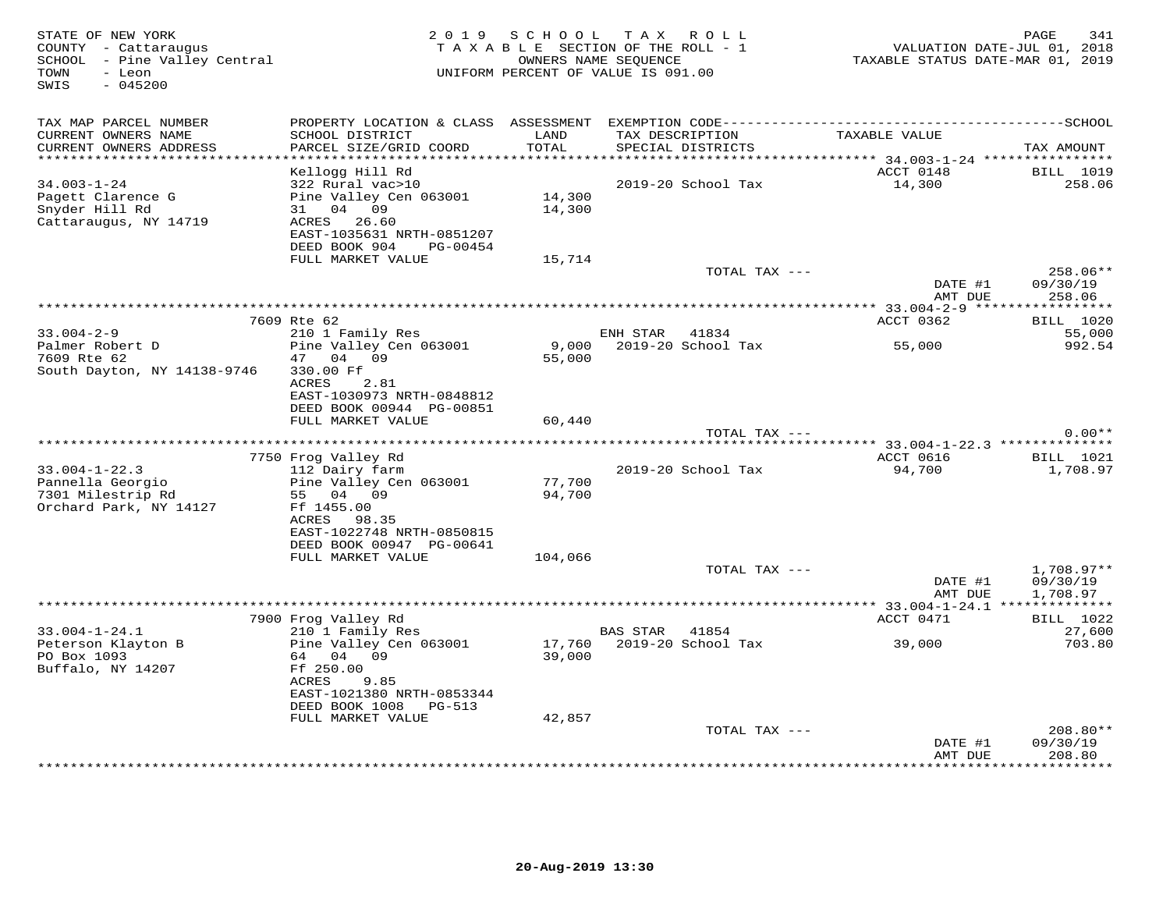| STATE OF NEW YORK<br>COUNTY - Cattaraugus<br>SCHOOL - Pine Valley Central<br>TOWN<br>- Leon<br>$-045200$<br>SWIS |                                                                                                                                                      |                  | 2019 SCHOOL TAX ROLL<br>TAXABLE SECTION OF THE ROLL - 1<br>OWNERS NAME SEQUENCE<br>UNIFORM PERCENT OF VALUE IS 091.00 |               | TAXABLE STATUS DATE-MAR 01, 2019 | 341<br>PAGE<br>VALUATION DATE-JUL 01, 2018 |
|------------------------------------------------------------------------------------------------------------------|------------------------------------------------------------------------------------------------------------------------------------------------------|------------------|-----------------------------------------------------------------------------------------------------------------------|---------------|----------------------------------|--------------------------------------------|
| TAX MAP PARCEL NUMBER<br>CURRENT OWNERS NAME<br>CURRENT OWNERS ADDRESS<br>**********************                 | PROPERTY LOCATION & CLASS ASSESSMENT EXEMPTION CODE-----------------------------------SCHOOL<br>SCHOOL DISTRICT<br>PARCEL SIZE/GRID COORD            | LAND<br>TOTAL    | TAX DESCRIPTION<br>SPECIAL DISTRICTS                                                                                  |               | TAXABLE VALUE                    | TAX AMOUNT                                 |
|                                                                                                                  | Kellogg Hill Rd                                                                                                                                      |                  |                                                                                                                       |               | ACCT 0148                        | <b>BILL</b> 1019                           |
| $34.003 - 1 - 24$<br>Pagett Clarence G<br>Snyder Hill Rd<br>Cattaraugus, NY 14719                                | 322 Rural vac>10<br>Pine Valley Cen 063001<br>31 04 09<br>ACRES 26.60<br>EAST-1035631 NRTH-0851207<br>DEED BOOK 904<br>PG-00454<br>FULL MARKET VALUE | 14,300<br>14,300 | 2019-20 School Tax                                                                                                    |               | 14,300                           | 258.06                                     |
|                                                                                                                  |                                                                                                                                                      | 15,714           |                                                                                                                       | TOTAL TAX --- |                                  | 258.06**                                   |
|                                                                                                                  |                                                                                                                                                      |                  |                                                                                                                       |               | DATE #1<br>AMT DUE               | 09/30/19<br>258.06                         |
|                                                                                                                  | 7609 Rte 62                                                                                                                                          |                  |                                                                                                                       |               | ACCT 0362                        | <b>BILL</b> 1020                           |
| $33.004 - 2 - 9$                                                                                                 | 210 1 Family Res                                                                                                                                     |                  | ENH STAR 41834                                                                                                        |               |                                  | 55,000                                     |
| Palmer Robert D<br>7609 Rte 62<br>South Dayton, NY 14138-9746                                                    | Pine Valley Cen 063001<br>47 04 09<br>330.00 Ff                                                                                                      | 55,000           |                                                                                                                       |               | 55,000                           | 992.54                                     |
|                                                                                                                  | 2.81<br>ACRES<br>EAST-1030973 NRTH-0848812<br>DEED BOOK 00944 PG-00851                                                                               |                  |                                                                                                                       |               |                                  |                                            |
|                                                                                                                  | FULL MARKET VALUE                                                                                                                                    | 60,440           |                                                                                                                       | TOTAL TAX --- |                                  | $0.00**$                                   |
|                                                                                                                  |                                                                                                                                                      |                  |                                                                                                                       |               |                                  |                                            |
|                                                                                                                  | 7750 Frog Valley Rd                                                                                                                                  |                  |                                                                                                                       |               | ACCT 0616                        | BILL 1021                                  |
| $33.004 - 1 - 22.3$<br>Pannella Georgio<br>7301 Milestrip Rd                                                     | 112 Dairy farm<br>Pine Valley Cen 063001<br>55 04 09                                                                                                 | 77,700           | 2019-20 School Tax                                                                                                    |               | 94,700                           | 1,708.97                                   |
| Orchard Park, NY 14127                                                                                           | Ff 1455.00<br>ACRES 98.35                                                                                                                            | 94,700           |                                                                                                                       |               |                                  |                                            |
|                                                                                                                  | EAST-1022748 NRTH-0850815<br>DEED BOOK 00947 PG-00641<br>FULL MARKET VALUE                                                                           | 104,066          |                                                                                                                       |               |                                  |                                            |
|                                                                                                                  |                                                                                                                                                      |                  |                                                                                                                       | TOTAL TAX --- | DATE #1                          | $1,708.97**$<br>09/30/19                   |
|                                                                                                                  |                                                                                                                                                      |                  |                                                                                                                       |               | AMT DUE                          | 1,708.97                                   |
|                                                                                                                  | 7900 Frog Valley Rd                                                                                                                                  |                  |                                                                                                                       |               | ACCT 0471                        | <b>BILL</b> 1022                           |
| $33.004 - 1 - 24.1$<br>Peterson Klayton B<br>PO Box 1093<br>Buffalo, NY 14207                                    | 210 1 Family Res<br>Pine Valley Cen 063001<br>64 04 09<br>Ff 250.00<br>ACRES<br>9.85                                                                 | 39,000           | BAS STAR 41854<br>17,760    2019-20    School Tax                                                                     |               | 39,000                           | 27,600<br>703.80                           |
|                                                                                                                  | EAST-1021380 NRTH-0853344<br>DEED BOOK 1008 PG-513                                                                                                   |                  |                                                                                                                       |               |                                  |                                            |
|                                                                                                                  | FULL MARKET VALUE                                                                                                                                    | 42,857           |                                                                                                                       |               |                                  |                                            |
|                                                                                                                  |                                                                                                                                                      |                  |                                                                                                                       | TOTAL TAX --- | DATE #1<br>AMT DUE               | 208.80**<br>09/30/19<br>208.80             |
|                                                                                                                  |                                                                                                                                                      |                  |                                                                                                                       |               |                                  | ********                                   |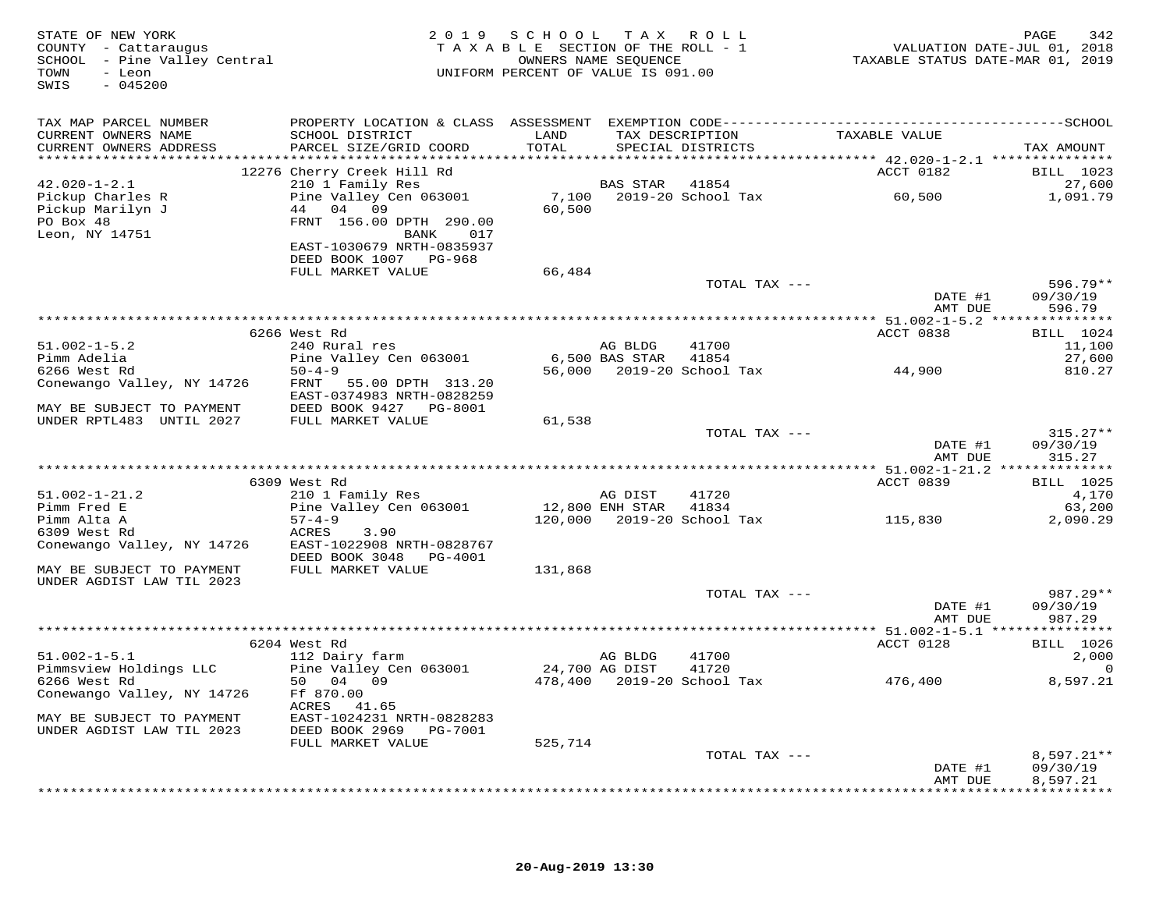| TAX MAP PARCEL NUMBER<br>TAXABLE VALUE<br>CURRENT OWNERS NAME<br>SCHOOL DISTRICT<br>LAND<br>TAX DESCRIPTION<br>PARCEL SIZE/GRID COORD<br>TOTAL<br>CURRENT OWNERS ADDRESS<br>SPECIAL DISTRICTS<br>TAX AMOUNT<br>ACCT 0182<br>12276 Cherry Creek Hill Rd<br>BILL 1023<br>$42.020 - 1 - 2.1$<br>210 1 Family Res<br>BAS STAR 41854<br>27,600<br>7,100<br>2019-20 School Tax 60,500<br>Pickup Charles R<br>Pine Valley Cen 063001<br>1,091.79<br>Pickup Marilyn J<br>44 04 09<br>60,500<br>PO Box 48<br>FRNT 156.00 DPTH 290.00<br>Leon, NY 14751<br>BANK 017<br>EAST-1030679 NRTH-0835937<br>DEED BOOK 1007 PG-968<br>66,484<br>FULL MARKET VALUE<br>TOTAL TAX ---<br>$596.79**$<br>DATE #1<br>09/30/19<br>AMT DUE<br>596.79<br>ACCT 0838<br><b>BILL</b> 1024<br>6266 West Rd<br>$51.002 - 1 - 5.2$<br>41700<br>240 Rural res<br>11,100<br>AG BLDG<br>Pine Valley Cen 063001<br>Pimm Adelia<br>6,500 BAS STAR<br>41854<br>27,600<br>56,000 2019-20 School Tax 44,900<br>6266 West Rd<br>$50 - 4 - 9$<br>810.27<br>Conewango Valley, NY 14726<br>FRNT 55.00 DPTH 313.20<br>EAST-0374983 NRTH-0828259<br>DEED BOOK 9427 PG-8001<br>MAY BE SUBJECT TO PAYMENT<br>UNDER RPTL483 UNTIL 2027<br>FULL MARKET VALUE<br>61,538<br>TOTAL TAX ---<br>$315.27**$<br>DATE #1<br>09/30/19<br>AMT DUE<br>315.27<br>ACCT 0839<br><b>BILL</b> 1025<br>6309 West Rd<br>210 1 Family Res<br>$51.002 - 1 - 21.2$<br>41720<br>AG DIST<br>4,170<br>12,800 ENH STAR<br>Pimm Fred E<br>Pine Valley Cen 063001<br>41834<br>63,200<br>115,830<br>$57 - 4 - 9$<br>120,000 2019-20 School Tax<br>Pimm Alta A<br>2,090.29<br>6309 West Rd<br>ACRES<br>3.90<br>Conewango Valley, NY 14726<br>EAST-1022908 NRTH-0828767<br>DEED BOOK 3048 PG-4001<br>FULL MARKET VALUE<br>131,868<br>MAY BE SUBJECT TO PAYMENT<br>UNDER AGDIST LAW TIL 2023<br>987.29**<br>TOTAL TAX ---<br>DATE #1<br>09/30/19<br>AMT DUE<br>987.29<br>ACCT 0128<br><b>BILL</b> 1026<br>6204 West Rd<br>$51.002 - 1 - 5.1$<br>112 Dairy farm<br>2,000<br>AG BLDG<br>41700<br>24,700 AG DIST<br>Pimmsview Holdings LLC<br>Pine Valley Cen 063001<br>41720<br>0<br>476,400<br>478,400    2019-20    School Tax<br>8,597.21<br>6266 West Rd<br>50 04 09<br>Ff 870.00<br>Conewango Valley, NY 14726<br>ACRES 41.65<br>EAST-1024231 NRTH-0828283<br>MAY BE SUBJECT TO PAYMENT<br>DEED BOOK 2969    PG-7001<br>UNDER AGDIST LAW TIL 2023<br>FULL MARKET VALUE<br>525,714<br>TOTAL TAX ---<br>$8,597.21**$<br>DATE #1<br>09/30/19<br>8,597.21<br>AMT DUE | STATE OF NEW YORK<br>COUNTY - Cattaraugus<br>SCHOOL - Pine Valley Central<br>TOWN - Leon<br>TOWN<br>- Leon<br>$-045200$<br>SWIS | 2019 SCHOOL TAX ROLL<br>TAXABLE SECTION OF THE ROLL - 1<br>OWNERS NAME SEQUENCE<br>UNIFORM PERCENT OF VALUE IS 091.00 |  | VALUATION DATE-JUL 01, 2018<br>TAXABLE STATUS DATE-MAR 01, 2019 | PAGE<br>342 |
|----------------------------------------------------------------------------------------------------------------------------------------------------------------------------------------------------------------------------------------------------------------------------------------------------------------------------------------------------------------------------------------------------------------------------------------------------------------------------------------------------------------------------------------------------------------------------------------------------------------------------------------------------------------------------------------------------------------------------------------------------------------------------------------------------------------------------------------------------------------------------------------------------------------------------------------------------------------------------------------------------------------------------------------------------------------------------------------------------------------------------------------------------------------------------------------------------------------------------------------------------------------------------------------------------------------------------------------------------------------------------------------------------------------------------------------------------------------------------------------------------------------------------------------------------------------------------------------------------------------------------------------------------------------------------------------------------------------------------------------------------------------------------------------------------------------------------------------------------------------------------------------------------------------------------------------------------------------------------------------------------------------------------------------------------------------------------------------------------------------------------------------------------------------------------------------------------------------------------------------------------------------------------------------------------------------------------------------------------------------------------------------------------------------------------------------------------------------------------------|---------------------------------------------------------------------------------------------------------------------------------|-----------------------------------------------------------------------------------------------------------------------|--|-----------------------------------------------------------------|-------------|
|                                                                                                                                                                                                                                                                                                                                                                                                                                                                                                                                                                                                                                                                                                                                                                                                                                                                                                                                                                                                                                                                                                                                                                                                                                                                                                                                                                                                                                                                                                                                                                                                                                                                                                                                                                                                                                                                                                                                                                                                                                                                                                                                                                                                                                                                                                                                                                                                                                                                                  |                                                                                                                                 |                                                                                                                       |  |                                                                 |             |
|                                                                                                                                                                                                                                                                                                                                                                                                                                                                                                                                                                                                                                                                                                                                                                                                                                                                                                                                                                                                                                                                                                                                                                                                                                                                                                                                                                                                                                                                                                                                                                                                                                                                                                                                                                                                                                                                                                                                                                                                                                                                                                                                                                                                                                                                                                                                                                                                                                                                                  |                                                                                                                                 |                                                                                                                       |  |                                                                 |             |
|                                                                                                                                                                                                                                                                                                                                                                                                                                                                                                                                                                                                                                                                                                                                                                                                                                                                                                                                                                                                                                                                                                                                                                                                                                                                                                                                                                                                                                                                                                                                                                                                                                                                                                                                                                                                                                                                                                                                                                                                                                                                                                                                                                                                                                                                                                                                                                                                                                                                                  |                                                                                                                                 |                                                                                                                       |  |                                                                 |             |
|                                                                                                                                                                                                                                                                                                                                                                                                                                                                                                                                                                                                                                                                                                                                                                                                                                                                                                                                                                                                                                                                                                                                                                                                                                                                                                                                                                                                                                                                                                                                                                                                                                                                                                                                                                                                                                                                                                                                                                                                                                                                                                                                                                                                                                                                                                                                                                                                                                                                                  |                                                                                                                                 |                                                                                                                       |  |                                                                 |             |
|                                                                                                                                                                                                                                                                                                                                                                                                                                                                                                                                                                                                                                                                                                                                                                                                                                                                                                                                                                                                                                                                                                                                                                                                                                                                                                                                                                                                                                                                                                                                                                                                                                                                                                                                                                                                                                                                                                                                                                                                                                                                                                                                                                                                                                                                                                                                                                                                                                                                                  |                                                                                                                                 |                                                                                                                       |  |                                                                 |             |
|                                                                                                                                                                                                                                                                                                                                                                                                                                                                                                                                                                                                                                                                                                                                                                                                                                                                                                                                                                                                                                                                                                                                                                                                                                                                                                                                                                                                                                                                                                                                                                                                                                                                                                                                                                                                                                                                                                                                                                                                                                                                                                                                                                                                                                                                                                                                                                                                                                                                                  |                                                                                                                                 |                                                                                                                       |  |                                                                 |             |
|                                                                                                                                                                                                                                                                                                                                                                                                                                                                                                                                                                                                                                                                                                                                                                                                                                                                                                                                                                                                                                                                                                                                                                                                                                                                                                                                                                                                                                                                                                                                                                                                                                                                                                                                                                                                                                                                                                                                                                                                                                                                                                                                                                                                                                                                                                                                                                                                                                                                                  |                                                                                                                                 |                                                                                                                       |  |                                                                 |             |
|                                                                                                                                                                                                                                                                                                                                                                                                                                                                                                                                                                                                                                                                                                                                                                                                                                                                                                                                                                                                                                                                                                                                                                                                                                                                                                                                                                                                                                                                                                                                                                                                                                                                                                                                                                                                                                                                                                                                                                                                                                                                                                                                                                                                                                                                                                                                                                                                                                                                                  |                                                                                                                                 |                                                                                                                       |  |                                                                 |             |
|                                                                                                                                                                                                                                                                                                                                                                                                                                                                                                                                                                                                                                                                                                                                                                                                                                                                                                                                                                                                                                                                                                                                                                                                                                                                                                                                                                                                                                                                                                                                                                                                                                                                                                                                                                                                                                                                                                                                                                                                                                                                                                                                                                                                                                                                                                                                                                                                                                                                                  |                                                                                                                                 |                                                                                                                       |  |                                                                 |             |
|                                                                                                                                                                                                                                                                                                                                                                                                                                                                                                                                                                                                                                                                                                                                                                                                                                                                                                                                                                                                                                                                                                                                                                                                                                                                                                                                                                                                                                                                                                                                                                                                                                                                                                                                                                                                                                                                                                                                                                                                                                                                                                                                                                                                                                                                                                                                                                                                                                                                                  |                                                                                                                                 |                                                                                                                       |  |                                                                 |             |
|                                                                                                                                                                                                                                                                                                                                                                                                                                                                                                                                                                                                                                                                                                                                                                                                                                                                                                                                                                                                                                                                                                                                                                                                                                                                                                                                                                                                                                                                                                                                                                                                                                                                                                                                                                                                                                                                                                                                                                                                                                                                                                                                                                                                                                                                                                                                                                                                                                                                                  |                                                                                                                                 |                                                                                                                       |  |                                                                 |             |
|                                                                                                                                                                                                                                                                                                                                                                                                                                                                                                                                                                                                                                                                                                                                                                                                                                                                                                                                                                                                                                                                                                                                                                                                                                                                                                                                                                                                                                                                                                                                                                                                                                                                                                                                                                                                                                                                                                                                                                                                                                                                                                                                                                                                                                                                                                                                                                                                                                                                                  |                                                                                                                                 |                                                                                                                       |  |                                                                 |             |
|                                                                                                                                                                                                                                                                                                                                                                                                                                                                                                                                                                                                                                                                                                                                                                                                                                                                                                                                                                                                                                                                                                                                                                                                                                                                                                                                                                                                                                                                                                                                                                                                                                                                                                                                                                                                                                                                                                                                                                                                                                                                                                                                                                                                                                                                                                                                                                                                                                                                                  |                                                                                                                                 |                                                                                                                       |  |                                                                 |             |
|                                                                                                                                                                                                                                                                                                                                                                                                                                                                                                                                                                                                                                                                                                                                                                                                                                                                                                                                                                                                                                                                                                                                                                                                                                                                                                                                                                                                                                                                                                                                                                                                                                                                                                                                                                                                                                                                                                                                                                                                                                                                                                                                                                                                                                                                                                                                                                                                                                                                                  |                                                                                                                                 |                                                                                                                       |  |                                                                 |             |
|                                                                                                                                                                                                                                                                                                                                                                                                                                                                                                                                                                                                                                                                                                                                                                                                                                                                                                                                                                                                                                                                                                                                                                                                                                                                                                                                                                                                                                                                                                                                                                                                                                                                                                                                                                                                                                                                                                                                                                                                                                                                                                                                                                                                                                                                                                                                                                                                                                                                                  |                                                                                                                                 |                                                                                                                       |  |                                                                 |             |
|                                                                                                                                                                                                                                                                                                                                                                                                                                                                                                                                                                                                                                                                                                                                                                                                                                                                                                                                                                                                                                                                                                                                                                                                                                                                                                                                                                                                                                                                                                                                                                                                                                                                                                                                                                                                                                                                                                                                                                                                                                                                                                                                                                                                                                                                                                                                                                                                                                                                                  |                                                                                                                                 |                                                                                                                       |  |                                                                 |             |
|                                                                                                                                                                                                                                                                                                                                                                                                                                                                                                                                                                                                                                                                                                                                                                                                                                                                                                                                                                                                                                                                                                                                                                                                                                                                                                                                                                                                                                                                                                                                                                                                                                                                                                                                                                                                                                                                                                                                                                                                                                                                                                                                                                                                                                                                                                                                                                                                                                                                                  |                                                                                                                                 |                                                                                                                       |  |                                                                 |             |
|                                                                                                                                                                                                                                                                                                                                                                                                                                                                                                                                                                                                                                                                                                                                                                                                                                                                                                                                                                                                                                                                                                                                                                                                                                                                                                                                                                                                                                                                                                                                                                                                                                                                                                                                                                                                                                                                                                                                                                                                                                                                                                                                                                                                                                                                                                                                                                                                                                                                                  |                                                                                                                                 |                                                                                                                       |  |                                                                 |             |
|                                                                                                                                                                                                                                                                                                                                                                                                                                                                                                                                                                                                                                                                                                                                                                                                                                                                                                                                                                                                                                                                                                                                                                                                                                                                                                                                                                                                                                                                                                                                                                                                                                                                                                                                                                                                                                                                                                                                                                                                                                                                                                                                                                                                                                                                                                                                                                                                                                                                                  |                                                                                                                                 |                                                                                                                       |  |                                                                 |             |
|                                                                                                                                                                                                                                                                                                                                                                                                                                                                                                                                                                                                                                                                                                                                                                                                                                                                                                                                                                                                                                                                                                                                                                                                                                                                                                                                                                                                                                                                                                                                                                                                                                                                                                                                                                                                                                                                                                                                                                                                                                                                                                                                                                                                                                                                                                                                                                                                                                                                                  |                                                                                                                                 |                                                                                                                       |  |                                                                 |             |
|                                                                                                                                                                                                                                                                                                                                                                                                                                                                                                                                                                                                                                                                                                                                                                                                                                                                                                                                                                                                                                                                                                                                                                                                                                                                                                                                                                                                                                                                                                                                                                                                                                                                                                                                                                                                                                                                                                                                                                                                                                                                                                                                                                                                                                                                                                                                                                                                                                                                                  |                                                                                                                                 |                                                                                                                       |  |                                                                 |             |
|                                                                                                                                                                                                                                                                                                                                                                                                                                                                                                                                                                                                                                                                                                                                                                                                                                                                                                                                                                                                                                                                                                                                                                                                                                                                                                                                                                                                                                                                                                                                                                                                                                                                                                                                                                                                                                                                                                                                                                                                                                                                                                                                                                                                                                                                                                                                                                                                                                                                                  |                                                                                                                                 |                                                                                                                       |  |                                                                 |             |
|                                                                                                                                                                                                                                                                                                                                                                                                                                                                                                                                                                                                                                                                                                                                                                                                                                                                                                                                                                                                                                                                                                                                                                                                                                                                                                                                                                                                                                                                                                                                                                                                                                                                                                                                                                                                                                                                                                                                                                                                                                                                                                                                                                                                                                                                                                                                                                                                                                                                                  |                                                                                                                                 |                                                                                                                       |  |                                                                 |             |
|                                                                                                                                                                                                                                                                                                                                                                                                                                                                                                                                                                                                                                                                                                                                                                                                                                                                                                                                                                                                                                                                                                                                                                                                                                                                                                                                                                                                                                                                                                                                                                                                                                                                                                                                                                                                                                                                                                                                                                                                                                                                                                                                                                                                                                                                                                                                                                                                                                                                                  |                                                                                                                                 |                                                                                                                       |  |                                                                 |             |
|                                                                                                                                                                                                                                                                                                                                                                                                                                                                                                                                                                                                                                                                                                                                                                                                                                                                                                                                                                                                                                                                                                                                                                                                                                                                                                                                                                                                                                                                                                                                                                                                                                                                                                                                                                                                                                                                                                                                                                                                                                                                                                                                                                                                                                                                                                                                                                                                                                                                                  |                                                                                                                                 |                                                                                                                       |  |                                                                 |             |
|                                                                                                                                                                                                                                                                                                                                                                                                                                                                                                                                                                                                                                                                                                                                                                                                                                                                                                                                                                                                                                                                                                                                                                                                                                                                                                                                                                                                                                                                                                                                                                                                                                                                                                                                                                                                                                                                                                                                                                                                                                                                                                                                                                                                                                                                                                                                                                                                                                                                                  |                                                                                                                                 |                                                                                                                       |  |                                                                 |             |
|                                                                                                                                                                                                                                                                                                                                                                                                                                                                                                                                                                                                                                                                                                                                                                                                                                                                                                                                                                                                                                                                                                                                                                                                                                                                                                                                                                                                                                                                                                                                                                                                                                                                                                                                                                                                                                                                                                                                                                                                                                                                                                                                                                                                                                                                                                                                                                                                                                                                                  |                                                                                                                                 |                                                                                                                       |  |                                                                 |             |
|                                                                                                                                                                                                                                                                                                                                                                                                                                                                                                                                                                                                                                                                                                                                                                                                                                                                                                                                                                                                                                                                                                                                                                                                                                                                                                                                                                                                                                                                                                                                                                                                                                                                                                                                                                                                                                                                                                                                                                                                                                                                                                                                                                                                                                                                                                                                                                                                                                                                                  |                                                                                                                                 |                                                                                                                       |  |                                                                 |             |
|                                                                                                                                                                                                                                                                                                                                                                                                                                                                                                                                                                                                                                                                                                                                                                                                                                                                                                                                                                                                                                                                                                                                                                                                                                                                                                                                                                                                                                                                                                                                                                                                                                                                                                                                                                                                                                                                                                                                                                                                                                                                                                                                                                                                                                                                                                                                                                                                                                                                                  |                                                                                                                                 |                                                                                                                       |  |                                                                 |             |
|                                                                                                                                                                                                                                                                                                                                                                                                                                                                                                                                                                                                                                                                                                                                                                                                                                                                                                                                                                                                                                                                                                                                                                                                                                                                                                                                                                                                                                                                                                                                                                                                                                                                                                                                                                                                                                                                                                                                                                                                                                                                                                                                                                                                                                                                                                                                                                                                                                                                                  |                                                                                                                                 |                                                                                                                       |  |                                                                 |             |
|                                                                                                                                                                                                                                                                                                                                                                                                                                                                                                                                                                                                                                                                                                                                                                                                                                                                                                                                                                                                                                                                                                                                                                                                                                                                                                                                                                                                                                                                                                                                                                                                                                                                                                                                                                                                                                                                                                                                                                                                                                                                                                                                                                                                                                                                                                                                                                                                                                                                                  |                                                                                                                                 |                                                                                                                       |  |                                                                 |             |
|                                                                                                                                                                                                                                                                                                                                                                                                                                                                                                                                                                                                                                                                                                                                                                                                                                                                                                                                                                                                                                                                                                                                                                                                                                                                                                                                                                                                                                                                                                                                                                                                                                                                                                                                                                                                                                                                                                                                                                                                                                                                                                                                                                                                                                                                                                                                                                                                                                                                                  |                                                                                                                                 |                                                                                                                       |  |                                                                 |             |
|                                                                                                                                                                                                                                                                                                                                                                                                                                                                                                                                                                                                                                                                                                                                                                                                                                                                                                                                                                                                                                                                                                                                                                                                                                                                                                                                                                                                                                                                                                                                                                                                                                                                                                                                                                                                                                                                                                                                                                                                                                                                                                                                                                                                                                                                                                                                                                                                                                                                                  |                                                                                                                                 |                                                                                                                       |  |                                                                 |             |
|                                                                                                                                                                                                                                                                                                                                                                                                                                                                                                                                                                                                                                                                                                                                                                                                                                                                                                                                                                                                                                                                                                                                                                                                                                                                                                                                                                                                                                                                                                                                                                                                                                                                                                                                                                                                                                                                                                                                                                                                                                                                                                                                                                                                                                                                                                                                                                                                                                                                                  |                                                                                                                                 |                                                                                                                       |  |                                                                 |             |
|                                                                                                                                                                                                                                                                                                                                                                                                                                                                                                                                                                                                                                                                                                                                                                                                                                                                                                                                                                                                                                                                                                                                                                                                                                                                                                                                                                                                                                                                                                                                                                                                                                                                                                                                                                                                                                                                                                                                                                                                                                                                                                                                                                                                                                                                                                                                                                                                                                                                                  |                                                                                                                                 |                                                                                                                       |  |                                                                 |             |
|                                                                                                                                                                                                                                                                                                                                                                                                                                                                                                                                                                                                                                                                                                                                                                                                                                                                                                                                                                                                                                                                                                                                                                                                                                                                                                                                                                                                                                                                                                                                                                                                                                                                                                                                                                                                                                                                                                                                                                                                                                                                                                                                                                                                                                                                                                                                                                                                                                                                                  |                                                                                                                                 |                                                                                                                       |  |                                                                 |             |
|                                                                                                                                                                                                                                                                                                                                                                                                                                                                                                                                                                                                                                                                                                                                                                                                                                                                                                                                                                                                                                                                                                                                                                                                                                                                                                                                                                                                                                                                                                                                                                                                                                                                                                                                                                                                                                                                                                                                                                                                                                                                                                                                                                                                                                                                                                                                                                                                                                                                                  |                                                                                                                                 |                                                                                                                       |  |                                                                 |             |
|                                                                                                                                                                                                                                                                                                                                                                                                                                                                                                                                                                                                                                                                                                                                                                                                                                                                                                                                                                                                                                                                                                                                                                                                                                                                                                                                                                                                                                                                                                                                                                                                                                                                                                                                                                                                                                                                                                                                                                                                                                                                                                                                                                                                                                                                                                                                                                                                                                                                                  |                                                                                                                                 |                                                                                                                       |  |                                                                 |             |
|                                                                                                                                                                                                                                                                                                                                                                                                                                                                                                                                                                                                                                                                                                                                                                                                                                                                                                                                                                                                                                                                                                                                                                                                                                                                                                                                                                                                                                                                                                                                                                                                                                                                                                                                                                                                                                                                                                                                                                                                                                                                                                                                                                                                                                                                                                                                                                                                                                                                                  |                                                                                                                                 |                                                                                                                       |  |                                                                 |             |
|                                                                                                                                                                                                                                                                                                                                                                                                                                                                                                                                                                                                                                                                                                                                                                                                                                                                                                                                                                                                                                                                                                                                                                                                                                                                                                                                                                                                                                                                                                                                                                                                                                                                                                                                                                                                                                                                                                                                                                                                                                                                                                                                                                                                                                                                                                                                                                                                                                                                                  |                                                                                                                                 |                                                                                                                       |  |                                                                 |             |
|                                                                                                                                                                                                                                                                                                                                                                                                                                                                                                                                                                                                                                                                                                                                                                                                                                                                                                                                                                                                                                                                                                                                                                                                                                                                                                                                                                                                                                                                                                                                                                                                                                                                                                                                                                                                                                                                                                                                                                                                                                                                                                                                                                                                                                                                                                                                                                                                                                                                                  |                                                                                                                                 |                                                                                                                       |  |                                                                 |             |
|                                                                                                                                                                                                                                                                                                                                                                                                                                                                                                                                                                                                                                                                                                                                                                                                                                                                                                                                                                                                                                                                                                                                                                                                                                                                                                                                                                                                                                                                                                                                                                                                                                                                                                                                                                                                                                                                                                                                                                                                                                                                                                                                                                                                                                                                                                                                                                                                                                                                                  |                                                                                                                                 |                                                                                                                       |  |                                                                 |             |
|                                                                                                                                                                                                                                                                                                                                                                                                                                                                                                                                                                                                                                                                                                                                                                                                                                                                                                                                                                                                                                                                                                                                                                                                                                                                                                                                                                                                                                                                                                                                                                                                                                                                                                                                                                                                                                                                                                                                                                                                                                                                                                                                                                                                                                                                                                                                                                                                                                                                                  |                                                                                                                                 |                                                                                                                       |  |                                                                 |             |
|                                                                                                                                                                                                                                                                                                                                                                                                                                                                                                                                                                                                                                                                                                                                                                                                                                                                                                                                                                                                                                                                                                                                                                                                                                                                                                                                                                                                                                                                                                                                                                                                                                                                                                                                                                                                                                                                                                                                                                                                                                                                                                                                                                                                                                                                                                                                                                                                                                                                                  |                                                                                                                                 |                                                                                                                       |  |                                                                 |             |
|                                                                                                                                                                                                                                                                                                                                                                                                                                                                                                                                                                                                                                                                                                                                                                                                                                                                                                                                                                                                                                                                                                                                                                                                                                                                                                                                                                                                                                                                                                                                                                                                                                                                                                                                                                                                                                                                                                                                                                                                                                                                                                                                                                                                                                                                                                                                                                                                                                                                                  |                                                                                                                                 |                                                                                                                       |  |                                                                 |             |
|                                                                                                                                                                                                                                                                                                                                                                                                                                                                                                                                                                                                                                                                                                                                                                                                                                                                                                                                                                                                                                                                                                                                                                                                                                                                                                                                                                                                                                                                                                                                                                                                                                                                                                                                                                                                                                                                                                                                                                                                                                                                                                                                                                                                                                                                                                                                                                                                                                                                                  |                                                                                                                                 |                                                                                                                       |  |                                                                 |             |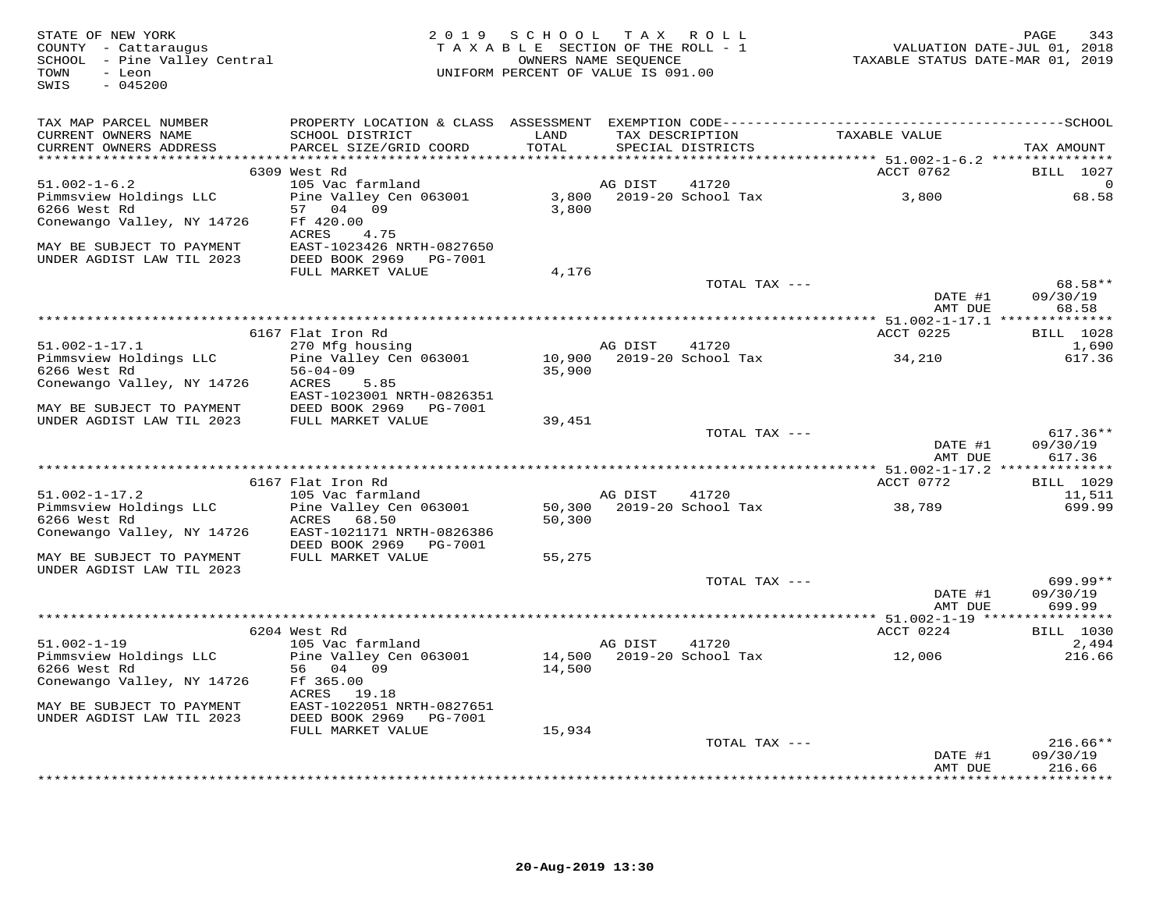| STATE OF NEW YORK<br>COUNTY - Cattaraugus<br>SCHOOL - Pine Valley Central<br>- Leon<br>TOWN<br>$-045200$<br>SWIS |                                           | 2019 SCHOOL<br>TAXABLE SECTION OF THE ROLL - 1<br>UNIFORM PERCENT OF VALUE IS 091.00 | OWNERS NAME SEQUENCE | TAX ROLL                           | TAXABLE STATUS DATE-MAR 01, 2019 | 343<br>PAGE<br>VALUATION DATE-JUL 01, 2018 |
|------------------------------------------------------------------------------------------------------------------|-------------------------------------------|--------------------------------------------------------------------------------------|----------------------|------------------------------------|----------------------------------|--------------------------------------------|
| TAX MAP PARCEL NUMBER                                                                                            |                                           |                                                                                      |                      |                                    |                                  |                                            |
| CURRENT OWNERS NAME                                                                                              | SCHOOL DISTRICT                           | LAND                                                                                 | TAX DESCRIPTION      |                                    | TAXABLE VALUE                    |                                            |
| CURRENT OWNERS ADDRESS                                                                                           | PARCEL SIZE/GRID COORD                    | TOTAL                                                                                |                      | SPECIAL DISTRICTS                  |                                  | TAX AMOUNT                                 |
|                                                                                                                  | 6309 West Rd                              |                                                                                      |                      |                                    | ACCT 0762                        | BILL 1027                                  |
| $51.002 - 1 - 6.2$                                                                                               | 105 Vac farmland                          |                                                                                      | AG DIST              | 41720                              |                                  |                                            |
| Pimmsview Holdings LLC                                                                                           | Pine Valley Cen 063001                    |                                                                                      |                      | 3,800 2019-20 School Tax           | 3,800                            | 68.58                                      |
| 6266 West Rd                                                                                                     | 57 04 09                                  | 3,800                                                                                |                      |                                    |                                  |                                            |
| Conewango Valley, NY 14726                                                                                       | Ff 420.00<br>4.75                         |                                                                                      |                      |                                    |                                  |                                            |
| MAY BE SUBJECT TO PAYMENT                                                                                        | ACRES<br>EAST-1023426 NRTH-0827650        |                                                                                      |                      |                                    |                                  |                                            |
| UNDER AGDIST LAW TIL 2023                                                                                        | DEED BOOK 2969 PG-7001                    |                                                                                      |                      |                                    |                                  |                                            |
|                                                                                                                  | FULL MARKET VALUE                         | 4,176                                                                                |                      |                                    |                                  |                                            |
|                                                                                                                  |                                           |                                                                                      |                      | TOTAL TAX ---                      |                                  | 68.58**                                    |
|                                                                                                                  |                                           |                                                                                      |                      |                                    | DATE #1<br>AMT DUE               | 09/30/19<br>68.58                          |
|                                                                                                                  |                                           |                                                                                      |                      |                                    |                                  |                                            |
|                                                                                                                  | 6167 Flat Iron Rd                         |                                                                                      |                      |                                    | ACCT 0225                        | <b>BILL</b> 1028                           |
| $51.002 - 1 - 17.1$                                                                                              | 270 Mfg housing<br>Pine Valley Cen 063001 |                                                                                      | AG DIST              | 41720<br>10,900 2019-20 School Tax | 34,210                           | 1,690<br>617.36                            |
| Pimmsview Holdings LLC<br>6266 West Rd                                                                           | $56 - 04 - 09$                            | 35,900                                                                               |                      |                                    |                                  |                                            |
| Conewango Valley, NY 14726                                                                                       | ACRES<br>5.85                             |                                                                                      |                      |                                    |                                  |                                            |
|                                                                                                                  | EAST-1023001 NRTH-0826351                 |                                                                                      |                      |                                    |                                  |                                            |
| MAY BE SUBJECT TO PAYMENT                                                                                        | DEED BOOK 2969 PG-7001                    |                                                                                      |                      |                                    |                                  |                                            |
| UNDER AGDIST LAW TIL 2023                                                                                        | FULL MARKET VALUE                         | 39,451                                                                               |                      |                                    |                                  |                                            |
|                                                                                                                  |                                           |                                                                                      |                      | TOTAL TAX ---                      | DATE #1                          | $617.36**$<br>09/30/19                     |
|                                                                                                                  |                                           |                                                                                      |                      |                                    | AMT DUE                          | 617.36                                     |
|                                                                                                                  |                                           |                                                                                      |                      |                                    |                                  |                                            |
|                                                                                                                  | 6167 Flat Iron Rd                         |                                                                                      |                      |                                    | ACCT 0772                        | <b>BILL</b> 1029                           |
| $51.002 - 1 - 17.2$                                                                                              | 105 Vac farmland                          |                                                                                      | AG DIST              | 41720                              |                                  | 11,511                                     |
| Pimmsview Holdings LLC                                                                                           | Pine Valley Cen 063001                    |                                                                                      |                      | 50,300 2019-20 School Tax          | 38,789                           | 699.99                                     |
| 6266 West Rd<br>Conewango Valley, NY 14726                                                                       | ACRES 68.50<br>EAST-1021171 NRTH-0826386  | 50,300                                                                               |                      |                                    |                                  |                                            |
|                                                                                                                  | DEED BOOK 2969<br>PG-7001                 |                                                                                      |                      |                                    |                                  |                                            |
| MAY BE SUBJECT TO PAYMENT                                                                                        | FULL MARKET VALUE                         | 55,275                                                                               |                      |                                    |                                  |                                            |
| UNDER AGDIST LAW TIL 2023                                                                                        |                                           |                                                                                      |                      |                                    |                                  |                                            |
|                                                                                                                  |                                           |                                                                                      |                      | TOTAL TAX ---                      |                                  | 699.99**                                   |
|                                                                                                                  |                                           |                                                                                      |                      |                                    | DATE #1                          | 09/30/19<br>699.99                         |
|                                                                                                                  |                                           |                                                                                      |                      |                                    | AMT DUE                          |                                            |
|                                                                                                                  | 6204 West Rd                              |                                                                                      |                      |                                    | ACCT 0224                        | <b>BILL</b> 1030                           |
| $51.002 - 1 - 19$                                                                                                | 105 Vac farmland                          |                                                                                      | AG DIST              | 41720                              |                                  | 2,494                                      |
| Pimmsview Holdings LLC                                                                                           | Pine Valley Cen 063001                    |                                                                                      |                      | 14,500    2019-20    School Tax    | 12,006                           | 216.66                                     |
| 6266 West Rd                                                                                                     | 56 04 09                                  | 14,500                                                                               |                      |                                    |                                  |                                            |
| Conewango Valley, NY 14726                                                                                       | Ff 365.00<br>ACRES 19.18                  |                                                                                      |                      |                                    |                                  |                                            |
| MAY BE SUBJECT TO PAYMENT                                                                                        | EAST-1022051 NRTH-0827651                 |                                                                                      |                      |                                    |                                  |                                            |
| UNDER AGDIST LAW TIL 2023                                                                                        | DEED BOOK 2969 PG-7001                    |                                                                                      |                      |                                    |                                  |                                            |
|                                                                                                                  | FULL MARKET VALUE                         | 15,934                                                                               |                      |                                    |                                  |                                            |
|                                                                                                                  |                                           |                                                                                      |                      | TOTAL TAX ---                      |                                  | $216.66**$                                 |
|                                                                                                                  |                                           |                                                                                      |                      |                                    | DATE #1                          | 09/30/19                                   |
|                                                                                                                  |                                           |                                                                                      |                      |                                    | AMT DUE                          | 216.66<br>.                                |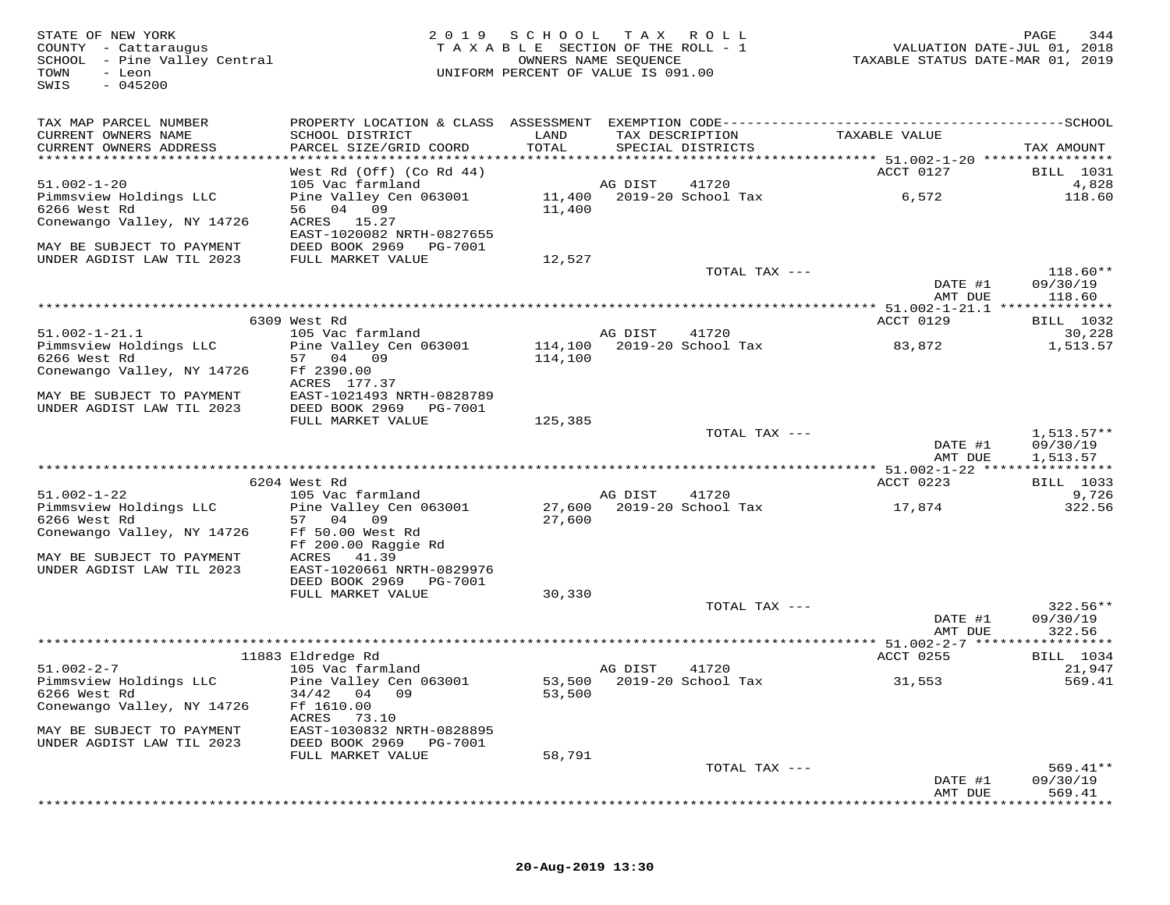FATE OF NEW YORK AND RAGE 344 A SOLUTE OF NEW YORK AND RAGE 344<br>COUNTY - Cattaraugus and the section of the section of the ROLL - 1 when the VALUATION DATE-JUL 01, 2018<br>SCHOOL - Pine Valley Central and the section of VALUE SWIS - 045200TAX MAP PARCEL NUMBER PROPERTY LOCATION & CLASS ASSESSMENT EXEMPTION CODE------------------------------------------SCHOOL CURRENT OWNERS NAME SCHOOL DISTRICT LAND TAX DESCRIPTION TAXABLE VALUE CURRENT OWNERS ADDRESS PARCEL SIZE/GRID COORD TOTAL SPECIAL DISTRICTS TAX AMOUNT \*\*\*\*\*\*\*\*\*\*\*\*\*\*\*\*\*\*\*\*\*\*\*\*\*\*\*\*\*\*\*\*\*\*\*\*\*\*\*\*\*\*\*\*\*\*\*\*\*\*\*\*\*\*\*\*\*\*\*\*\*\*\*\*\*\*\*\*\*\*\*\*\*\*\*\*\*\*\*\*\*\*\*\*\*\*\*\*\*\*\*\*\*\*\*\*\*\*\*\*\*\*\* 51.002-1-20 \*\*\*\*\*\*\*\*\*\*\*\*\*\*\*\*West Rd (Off) (Co Rd 44)<br>105 Vac farmland and Months and DIST 41720<br>105 Vac farmland and Mongo and Hand and AG DIST 41720<br>6,572 118.60<br>11,400 11,400 11,400 11,400 11,400 11,400 11,400 11,400<br>Conewango Valley, NY 14726 ACRE EAST-1020082 NRTH-0827655<br>MAY BE SUBJECT TO PAYMENT DEED BOOK 2969 PG-7001<br>UNDER AGDIST LAW TIL 2023 FULL MARKET VALUE 12,527 TOTAL TAX --- 118.60\*\* DATE #1 09/30/19<br>3 MT DIE 11960 AMT DUE 118.60 \*\*\*\*\*\*\*\*\*\*\*\*\*\*\*\*\*\*\*\*\*\*\*\*\*\*\*\*\*\*\*\*\*\*\*\*\*\*\*\*\*\*\*\*\*\*\*\*\*\*\*\*\*\*\*\*\*\*\*\*\*\*\*\*\*\*\*\*\*\*\*\*\*\*\*\*\*\*\*\*\*\*\*\*\*\*\*\*\*\*\*\*\*\*\*\*\*\*\*\*\*\*\* 51.002-1-21.1 \*\*\*\*\*\*\*\*\*\*\*\*\*\*ACCT 0129 BILL 1032 6309 West Rd ACCT 0129 BILL 103230,228 51.002-1-21.1 105 Vac farmland AG DIST 41720 30,228 1,513.57 Pimmsview Holdings LLC Pine Valley Cen 063001 114,100 2019-20 School Tax 83,872 1,513.576266 West Rd 57 04 09 114,100 Conewango Valley, NY 14726 Ff 2390.00<br>
ACRES 177.37<br>
MAY BE SUBJECT TO PAYMENT EAST-1021493 NRTH-0828789<br>
DINDER AGDIST LAW TIL 2023 DEED BOOK 2969 PG-7001 125,385<br>
FULL MARKET VALUE 125,385 TOTAL TAX --- 1,513.57\*\* DATE #1 09/30/19AMT DUE 1,513.57 AMT DUE 1,513.57 \*\*\*\*\*\*\*\*\*\*\*\*\*\*\*\*\*\*\*\*\*\*\*\*\*\*\*\*\*\*\*\*\*\*\*\*\*\*\*\*\*\*\*\*\*\*\*\*\*\*\*\*\*\*\*\*\*\*\*\*\*\*\*\*\*\*\*\*\*\*\*\*\*\*\*\*\*\*\*\*\*\*\*\*\*\*\*\*\*\*\*\*\*\*\*\*\*\*\*\*\*\*\* 51.002-1-22 \*\*\*\*\*\*\*\*\*\*\*\*\*\*\*\*ACCT 0223 BILL 1033 6204 West Rd ACCT 0223 BILL 10339,726 51.002-1-22 105 Vac farmland AG DIST 41720 9,726322.56 Pimmsview Holdings LLC Pine Valley Cen 063001 27,600 2019-20 School Tax 17,874 322.566266 West Rd 57 04 09 27,600 Conewango Valley, NY 14726 Ff 50.00 West Rd Ff 200.00 Raggie Rd<br>MAY BE SUBJECT TO PAYMENT ACRES 41.39<br>UNDER AGDIST LAW TIL 2023 EAST-1020661 NRTH-0829976 DEED BOOK 2969 PG-7001 FULL MARKET VALUE 30,330TOTAL TAX  $---$  322.56\*\* DATE #1 09/30/19 AMT DUE 322.56 \*\*\*\*\*\*\*\*\*\*\*\*\*\*\*\*\*\*\*\*\*\*\*\*\*\*\*\*\*\*\*\*\*\*\*\*\*\*\*\*\*\*\*\*\*\*\*\*\*\*\*\*\*\*\*\*\*\*\*\*\*\*\*\*\*\*\*\*\*\*\*\*\*\*\*\*\*\*\*\*\*\*\*\*\*\*\*\*\*\*\*\*\*\*\*\*\*\*\*\*\*\*\* 51.002-2-7 \*\*\*\*\*\*\*\*\*\*\*\*\*\*\*\*\*ACCT 0255 BILL 1034 11883 Eldredge Rd ACCT 0255 BILL 103421,947 51.002-2-7 105 Vac farmland AG DIST 41720 21,947569.41 Pimmsview Holdings LLC Pine Valley Cen 063001 53,500 2019-20 School Tax 31,553 569.416266 West Rd 34/42 04 09 53,500 Conewango Valley, NY 14726 Ff 1610.00 ACRES 73.10 MAY BE SUBJECT TO PAYMENT EAST-1030832 NRTH-0828895 UNDER AGDIST LAW TIL 2023 DEED BOOK 2969 PG-7001 FULL MARKET VALUE 58,791 TOTAL TAX --- 569.41\*\* DATE #1 09/30/19AMT DUE 569.41 AMT DUE 569.41 \*\*\*\*\*\*\*\*\*\*\*\*\*\*\*\*\*\*\*\*\*\*\*\*\*\*\*\*\*\*\*\*\*\*\*\*\*\*\*\*\*\*\*\*\*\*\*\*\*\*\*\*\*\*\*\*\*\*\*\*\*\*\*\*\*\*\*\*\*\*\*\*\*\*\*\*\*\*\*\*\*\*\*\*\*\*\*\*\*\*\*\*\*\*\*\*\*\*\*\*\*\*\*\*\*\*\*\*\*\*\*\*\*\*\*\*\*\*\*\*\*\*\*\*\*\*\*\*\*\*\*\*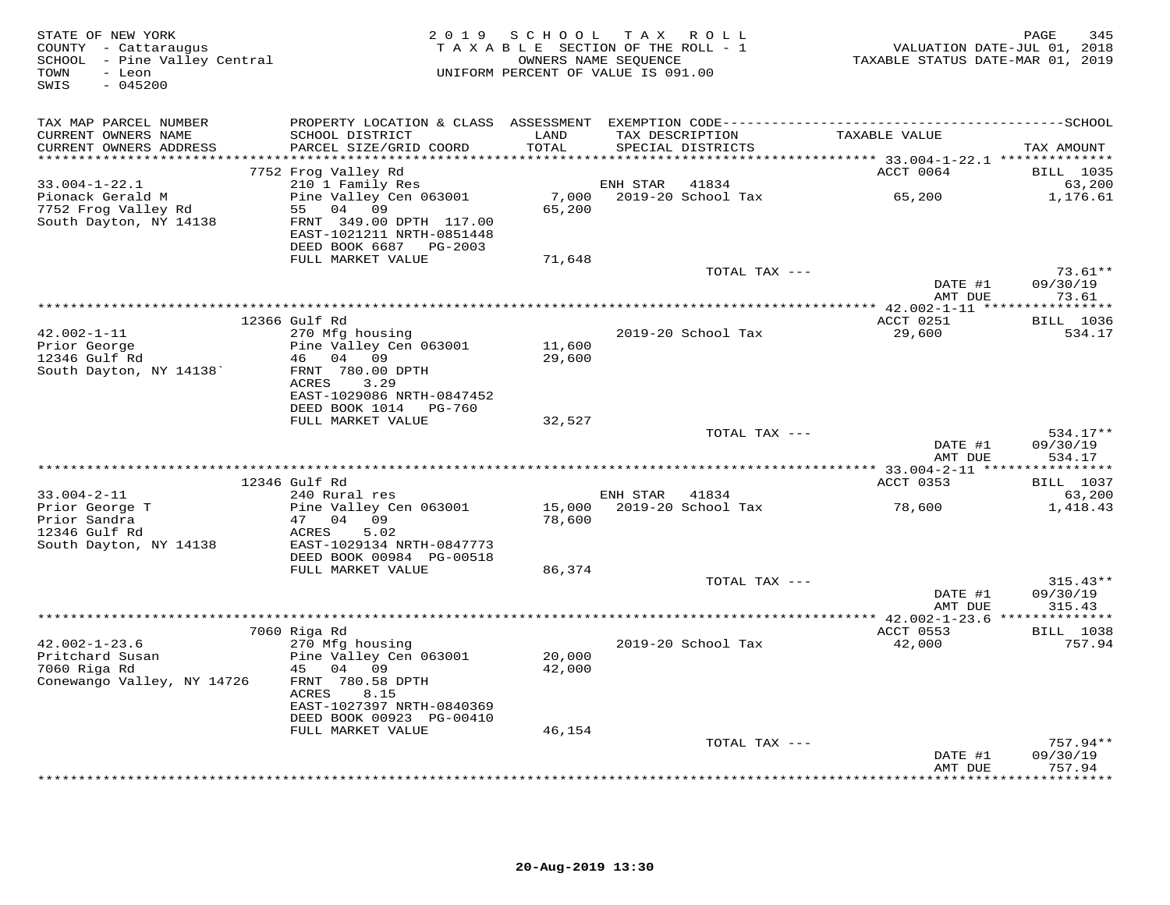| STATE OF NEW YORK<br>COUNTY - Cattaraugus<br>SCHOOL - Pine Valley Central<br>- Leon<br>TOWN<br>$-045200$<br>SWIS | 2 0 1 9                                                       |                  | SCHOOL TAX ROLL<br>TAXABLE SECTION OF THE ROLL - 1<br>OWNERS NAME SEQUENCE<br>UNIFORM PERCENT OF VALUE IS 091.00 | VALUATION DATE-JUL 01, 2018<br>TAXABLE STATUS DATE-MAR 01, 2019 | PAGE<br>345        |
|------------------------------------------------------------------------------------------------------------------|---------------------------------------------------------------|------------------|------------------------------------------------------------------------------------------------------------------|-----------------------------------------------------------------|--------------------|
| TAX MAP PARCEL NUMBER<br>CURRENT OWNERS NAME                                                                     | SCHOOL DISTRICT                                               | LAND             | TAX DESCRIPTION                                                                                                  | TAXABLE VALUE                                                   |                    |
| CURRENT OWNERS ADDRESS<br>***********************                                                                | PARCEL SIZE/GRID COORD                                        | TOTAL            | SPECIAL DISTRICTS                                                                                                |                                                                 | TAX AMOUNT         |
|                                                                                                                  | 7752 Frog Valley Rd                                           |                  |                                                                                                                  | ACCT 0064                                                       | <b>BILL</b> 1035   |
| $33.004 - 1 - 22.1$                                                                                              | 210 1 Family Res                                              |                  | ENH STAR<br>41834                                                                                                |                                                                 | 63,200             |
| Pionack Gerald M<br>7752 Frog Valley Rd<br>South Dayton, NY 14138                                                | Pine Valley Cen 063001<br>55 04 09<br>FRNT 349.00 DPTH 117.00 | 65,200           |                                                                                                                  |                                                                 | 1,176.61           |
|                                                                                                                  | EAST-1021211 NRTH-0851448<br>DEED BOOK 6687 PG-2003           |                  |                                                                                                                  |                                                                 |                    |
|                                                                                                                  | FULL MARKET VALUE                                             | 71,648           |                                                                                                                  |                                                                 |                    |
|                                                                                                                  |                                                               |                  | TOTAL TAX ---                                                                                                    |                                                                 | $73.61**$          |
|                                                                                                                  |                                                               |                  |                                                                                                                  | DATE #1                                                         | 09/30/19           |
|                                                                                                                  |                                                               |                  |                                                                                                                  | AMT DUE                                                         | 73.61              |
|                                                                                                                  | 12366 Gulf Rd                                                 |                  |                                                                                                                  | ACCT 0251                                                       | <b>BILL</b> 1036   |
| 42.002-1-11                                                                                                      | 270 Mfg housing                                               |                  | 2019-20 School Tax                                                                                               | 29,600                                                          | 534.17             |
| Prior George<br>12346 Gulf Rd                                                                                    | Pine Valley Cen 063001<br>46 04 09                            | 11,600           |                                                                                                                  |                                                                 |                    |
| South Dayton, NY 14138                                                                                           | FRNT 780.00 DPTH                                              | 29,600           |                                                                                                                  |                                                                 |                    |
|                                                                                                                  | <b>ACRES</b><br>3.29                                          |                  |                                                                                                                  |                                                                 |                    |
|                                                                                                                  | EAST-1029086 NRTH-0847452                                     |                  |                                                                                                                  |                                                                 |                    |
|                                                                                                                  | DEED BOOK 1014 PG-760<br>FULL MARKET VALUE                    | 32,527           |                                                                                                                  |                                                                 |                    |
|                                                                                                                  |                                                               |                  | TOTAL TAX ---                                                                                                    |                                                                 | $534.17**$         |
|                                                                                                                  |                                                               |                  |                                                                                                                  | DATE #1<br>AMT DUE                                              | 09/30/19<br>534.17 |
|                                                                                                                  | 12346 Gulf Rd                                                 |                  |                                                                                                                  | ACCT 0353                                                       | <b>BILL</b> 1037   |
| $33.004 - 2 - 11$                                                                                                | 240 Rural res                                                 |                  | ENH STAR 41834                                                                                                   |                                                                 | 63,200             |
| Prior George T                                                                                                   | Pine Valley Cen 063001                                        | 15,000           | 2019-20 School Tax                                                                                               | 78,600                                                          | 1,418.43           |
| Prior Sandra                                                                                                     | 47 04 09                                                      | 78,600           |                                                                                                                  |                                                                 |                    |
| 12346 Gulf Rd<br>South Dayton, NY 14138                                                                          | ACRES<br>5.02<br>EAST-1029134 NRTH-0847773                    |                  |                                                                                                                  |                                                                 |                    |
|                                                                                                                  | DEED BOOK 00984 PG-00518                                      |                  |                                                                                                                  |                                                                 |                    |
|                                                                                                                  | FULL MARKET VALUE                                             | 86,374           |                                                                                                                  |                                                                 |                    |
|                                                                                                                  |                                                               |                  | TOTAL TAX ---                                                                                                    |                                                                 | $315.43**$         |
|                                                                                                                  |                                                               |                  |                                                                                                                  | DATE #1<br>AMT DUE                                              | 09/30/19<br>315.43 |
|                                                                                                                  |                                                               |                  |                                                                                                                  |                                                                 |                    |
|                                                                                                                  | 7060 Riga Rd                                                  |                  |                                                                                                                  | ACCT 0553                                                       | <b>BILL</b> 1038   |
| $42.002 - 1 - 23.6$                                                                                              | 270 Mfg housing                                               |                  | 2019-20 School Tax                                                                                               | 42,000                                                          | 757.94             |
| Pritchard Susan<br>7060 Riga Rd                                                                                  | Pine Valley Cen 063001<br>45 04 09                            | 20,000<br>42,000 |                                                                                                                  |                                                                 |                    |
| Conewango Valley, NY 14726                                                                                       | FRNT 780.58 DPTH<br>ACRES<br>8.15                             |                  |                                                                                                                  |                                                                 |                    |
|                                                                                                                  | EAST-1027397 NRTH-0840369                                     |                  |                                                                                                                  |                                                                 |                    |
|                                                                                                                  | DEED BOOK 00923 PG-00410<br>FULL MARKET VALUE                 | 46,154           |                                                                                                                  |                                                                 |                    |
|                                                                                                                  |                                                               |                  | TOTAL TAX ---                                                                                                    |                                                                 | $757.94**$         |
|                                                                                                                  |                                                               |                  |                                                                                                                  | DATE #1                                                         | 09/30/19           |
|                                                                                                                  |                                                               |                  |                                                                                                                  | AMT DUE                                                         | 757.94<br>.        |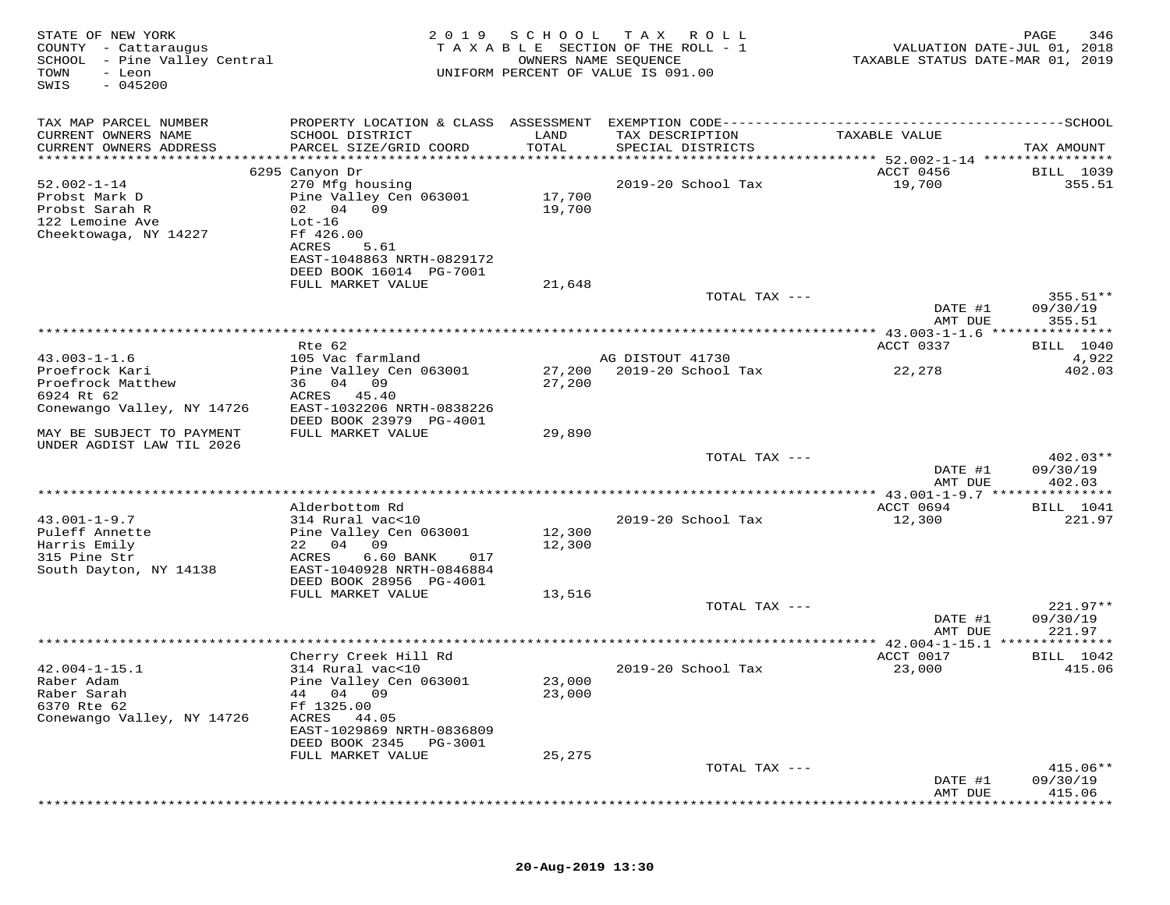| STATE OF NEW YORK<br>COUNTY - Cattaraugus<br>SCHOOL - Pine Valley Central<br>TOWN<br>- Leon<br>$-045200$<br>SWIS | 2 0 1 9                                                                            | SCHOOL           | T A X<br>R O L L<br>TAXABLE SECTION OF THE ROLL - 1<br>OWNERS NAME SEQUENCE<br>UNIFORM PERCENT OF VALUE IS 091.00 | VALUATION DATE-JUL 01, 2018<br>TAXABLE STATUS DATE-MAR 01, 2019 | PAGE<br>346                |
|------------------------------------------------------------------------------------------------------------------|------------------------------------------------------------------------------------|------------------|-------------------------------------------------------------------------------------------------------------------|-----------------------------------------------------------------|----------------------------|
| TAX MAP PARCEL NUMBER                                                                                            | PROPERTY LOCATION & CLASS ASSESSMENT                                               |                  |                                                                                                                   |                                                                 |                            |
| CURRENT OWNERS NAME<br>CURRENT OWNERS ADDRESS                                                                    | SCHOOL DISTRICT<br>PARCEL SIZE/GRID COORD                                          | LAND<br>TOTAL    | TAX DESCRIPTION<br>SPECIAL DISTRICTS                                                                              | TAXABLE VALUE                                                   | TAX AMOUNT                 |
| ***********************                                                                                          |                                                                                    |                  |                                                                                                                   |                                                                 |                            |
| $52.002 - 1 - 14$                                                                                                | 6295 Canyon Dr<br>270 Mfg housing                                                  |                  | 2019-20 School Tax                                                                                                | ACCT 0456<br>19,700                                             | <b>BILL</b> 1039<br>355.51 |
| Probst Mark D<br>Probst Sarah R<br>122 Lemoine Ave                                                               | Pine Valley Cen 063001<br>02 04 09<br>$Lot-16$                                     | 17,700<br>19,700 |                                                                                                                   |                                                                 |                            |
| Cheektowaga, NY 14227                                                                                            | Ff 426.00<br>ACRES<br>5.61<br>EAST-1048863 NRTH-0829172<br>DEED BOOK 16014 PG-7001 |                  |                                                                                                                   |                                                                 |                            |
|                                                                                                                  | FULL MARKET VALUE                                                                  | 21,648           |                                                                                                                   |                                                                 |                            |
|                                                                                                                  |                                                                                    |                  | TOTAL TAX ---                                                                                                     | DATE #1                                                         | $355.51**$<br>09/30/19     |
|                                                                                                                  |                                                                                    |                  |                                                                                                                   | AMT DUE                                                         | 355.51                     |
|                                                                                                                  |                                                                                    |                  |                                                                                                                   |                                                                 |                            |
| $43.003 - 1 - 1.6$                                                                                               | Rte 62                                                                             |                  | AG DISTOUT 41730                                                                                                  | ACCT 0337                                                       | <b>BILL</b> 1040<br>4,922  |
| Proefrock Kari                                                                                                   | 105 Vac farmland<br>Pine Valley Cen 063001                                         | 27,200           | 2019-20 School Tax                                                                                                | 22,278                                                          | 402.03                     |
| Proefrock Matthew                                                                                                | 36 04 09                                                                           | 27,200           |                                                                                                                   |                                                                 |                            |
| 6924 Rt 62                                                                                                       | ACRES<br>45.40                                                                     |                  |                                                                                                                   |                                                                 |                            |
| Conewango Valley, NY 14726                                                                                       | EAST-1032206 NRTH-0838226                                                          |                  |                                                                                                                   |                                                                 |                            |
| MAY BE SUBJECT TO PAYMENT                                                                                        | DEED BOOK 23979 PG-4001<br>FULL MARKET VALUE                                       | 29,890           |                                                                                                                   |                                                                 |                            |
| UNDER AGDIST LAW TIL 2026                                                                                        |                                                                                    |                  | TOTAL TAX ---                                                                                                     |                                                                 | $402.03**$                 |
|                                                                                                                  |                                                                                    |                  |                                                                                                                   | DATE #1                                                         | 09/30/19                   |
|                                                                                                                  |                                                                                    |                  | ****************************                                                                                      | AMT DUE<br>********* 43.001-1-9.7 ***************               | 402.03                     |
|                                                                                                                  | Alderbottom Rd                                                                     |                  |                                                                                                                   | ACCT 0694                                                       | <b>BILL</b> 1041           |
| $43.001 - 1 - 9.7$                                                                                               | 314 Rural vac<10                                                                   |                  | 2019-20 School Tax                                                                                                | 12,300                                                          | 221.97                     |
| Puleff Annette                                                                                                   | Pine Valley Cen 063001                                                             | 12,300           |                                                                                                                   |                                                                 |                            |
| Harris Emily<br>315 Pine Str                                                                                     | 09<br>22 04<br>ACRES<br>6.60 BANK<br>017                                           | 12,300           |                                                                                                                   |                                                                 |                            |
| South Dayton, NY 14138                                                                                           | EAST-1040928 NRTH-0846884                                                          |                  |                                                                                                                   |                                                                 |                            |
|                                                                                                                  | DEED BOOK 28956 PG-4001                                                            |                  |                                                                                                                   |                                                                 |                            |
|                                                                                                                  | FULL MARKET VALUE                                                                  | 13,516           |                                                                                                                   |                                                                 |                            |
|                                                                                                                  |                                                                                    |                  | TOTAL TAX ---                                                                                                     |                                                                 | $221.97**$                 |
|                                                                                                                  |                                                                                    |                  |                                                                                                                   | DATE #1                                                         | 09/30/19<br>221.97         |
|                                                                                                                  |                                                                                    |                  |                                                                                                                   | AMT DUE                                                         |                            |
|                                                                                                                  | Cherry Creek Hill Rd                                                               |                  |                                                                                                                   | ACCT 0017                                                       | <b>BILL</b> 1042           |
| $42.004 - 1 - 15.1$                                                                                              | 314 Rural vac<10                                                                   |                  | 2019-20 School Tax                                                                                                | 23,000                                                          | 415.06                     |
| Raber Adam                                                                                                       | Pine Valley Cen 063001                                                             | 23,000           |                                                                                                                   |                                                                 |                            |
| Raber Sarah                                                                                                      | 04 09<br>44<br>Ff 1325.00                                                          | 23,000           |                                                                                                                   |                                                                 |                            |
| 6370 Rte 62<br>Conewango Valley, NY 14726                                                                        | ACRES<br>44.05                                                                     |                  |                                                                                                                   |                                                                 |                            |
|                                                                                                                  | EAST-1029869 NRTH-0836809                                                          |                  |                                                                                                                   |                                                                 |                            |
|                                                                                                                  | DEED BOOK 2345<br>PG-3001                                                          |                  |                                                                                                                   |                                                                 |                            |
|                                                                                                                  | FULL MARKET VALUE                                                                  | 25,275           |                                                                                                                   |                                                                 |                            |
|                                                                                                                  |                                                                                    |                  | TOTAL TAX ---                                                                                                     |                                                                 | 415.06**                   |
|                                                                                                                  |                                                                                    |                  |                                                                                                                   | DATE #1<br>AMT DUE                                              | 09/30/19<br>415.06         |
|                                                                                                                  |                                                                                    |                  |                                                                                                                   |                                                                 |                            |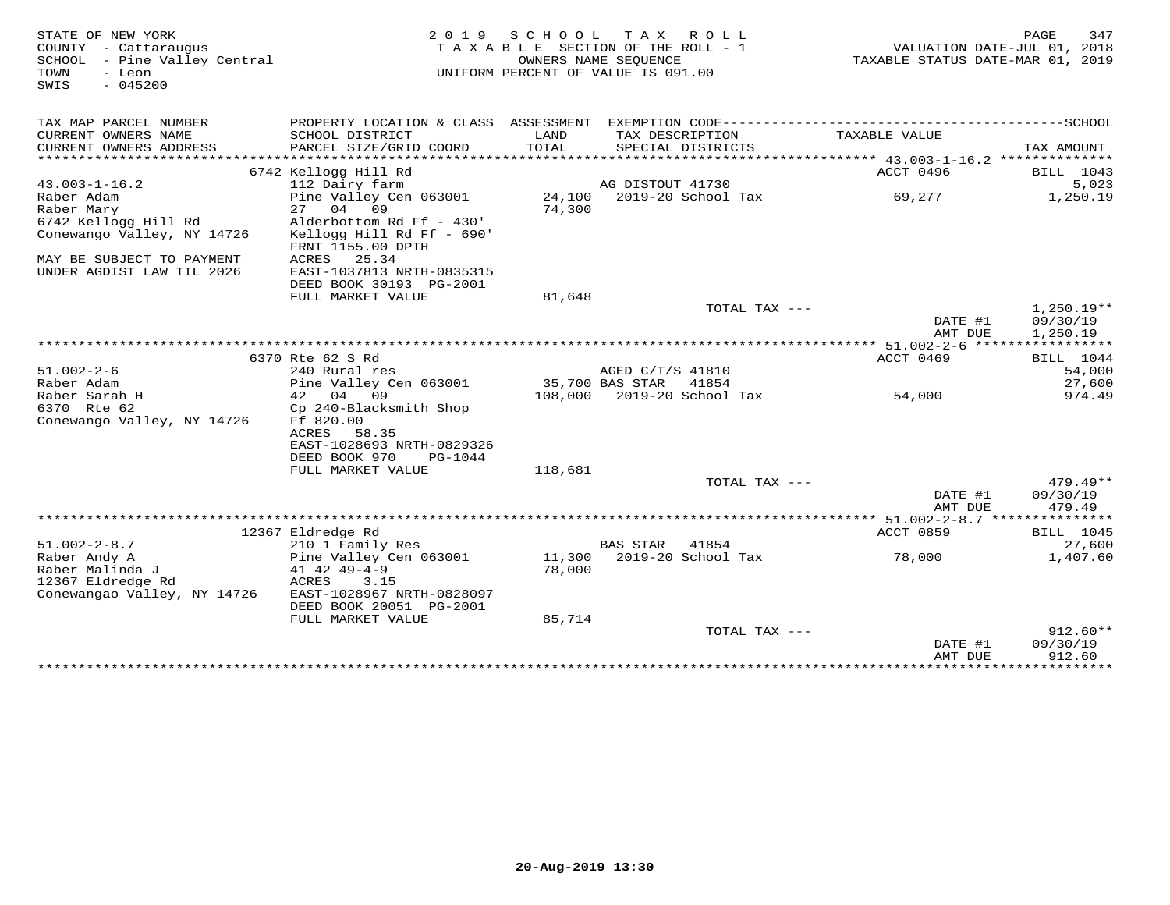| STATE OF NEW YORK<br>COUNTY - Cattaraugus<br>SCHOOL - Pine Valley Central<br>TOWN<br>- Leon<br>$-045200$<br>SWIS |                                                                                                |                 | 2019 SCHOOL TAX ROLL<br>TAXABLE SECTION OF THE ROLL - 1<br>OWNERS NAME SEQUENCE<br>UNIFORM PERCENT OF VALUE IS 091.00 | VALUATION DATE-JUL 01, 2018<br>TAXABLE STATUS DATE-MAR 01, 2019 | PAGE<br>347                          |
|------------------------------------------------------------------------------------------------------------------|------------------------------------------------------------------------------------------------|-----------------|-----------------------------------------------------------------------------------------------------------------------|-----------------------------------------------------------------|--------------------------------------|
| TAX MAP PARCEL NUMBER                                                                                            |                                                                                                |                 |                                                                                                                       |                                                                 |                                      |
| CURRENT OWNERS NAME<br>CURRENT OWNERS ADDRESS                                                                    | SCHOOL DISTRICT<br>PARCEL SIZE/GRID COORD                                                      | LAND<br>TOTAL   | TAX DESCRIPTION<br>SPECIAL DISTRICTS                                                                                  | TAXABLE VALUE                                                   | TAX AMOUNT                           |
|                                                                                                                  |                                                                                                |                 |                                                                                                                       |                                                                 |                                      |
|                                                                                                                  | 6742 Kellogg Hill Rd                                                                           |                 |                                                                                                                       | ACCT 0496                                                       | BILL 1043                            |
| $43.003 - 1 - 16.2$                                                                                              | 112 Dairy farm                                                                                 |                 | AG DISTOUT 41730                                                                                                      |                                                                 | 5,023                                |
| Raber Adam                                                                                                       | Pine Valley Cen 063001                                                                         |                 | 24,100 2019-20 School Tax                                                                                             | 69,277                                                          | 1,250.19                             |
| Raber Mary                                                                                                       | 27 04 09                                                                                       | 74,300          |                                                                                                                       |                                                                 |                                      |
| 6742 Kellogg Hill Rd<br>Conewango Valley, NY 14726                                                               | Alderbottom Rd Ff - 430'<br>Kellogg Hill Rd Ff - 690'<br>FRNT 1155.00 DPTH                     |                 |                                                                                                                       |                                                                 |                                      |
| MAY BE SUBJECT TO PAYMENT<br>UNDER AGDIST LAW TIL 2026                                                           | ACRES<br>25.34<br>EAST-1037813 NRTH-0835315<br>DEED BOOK 30193 PG-2001                         |                 |                                                                                                                       |                                                                 |                                      |
|                                                                                                                  | FULL MARKET VALUE                                                                              | 81,648          |                                                                                                                       |                                                                 |                                      |
|                                                                                                                  |                                                                                                |                 | TOTAL TAX ---                                                                                                         | DATE #1<br>AMT DUE                                              | $1,250.19**$<br>09/30/19<br>1,250.19 |
|                                                                                                                  |                                                                                                |                 |                                                                                                                       |                                                                 |                                      |
|                                                                                                                  | 6370 Rte 62 S Rd                                                                               |                 |                                                                                                                       | ACCT 0469                                                       | BILL 1044                            |
| $51.002 - 2 - 6$                                                                                                 | 240 Rural res                                                                                  |                 | AGED C/T/S 41810                                                                                                      |                                                                 | 54,000                               |
| Raber Adam                                                                                                       | Pine Valley Cen 063001                                                                         | 35,700 BAS STAR | 41854                                                                                                                 |                                                                 | 27,600                               |
| Raber Sarah H                                                                                                    | 42 04 09                                                                                       |                 | 108,000 2019-20 School Tax                                                                                            | 54,000                                                          | 974.49                               |
| 6370 Rte 62<br>Conewango Valley, NY 14726                                                                        | Cp 240-Blacksmith Shop<br>Ff 820.00<br>ACRES<br>58.35<br>EAST-1028693 NRTH-0829326             |                 |                                                                                                                       |                                                                 |                                      |
|                                                                                                                  |                                                                                                |                 |                                                                                                                       |                                                                 |                                      |
|                                                                                                                  | DEED BOOK 970<br>PG-1044                                                                       |                 |                                                                                                                       |                                                                 |                                      |
|                                                                                                                  | FULL MARKET VALUE                                                                              | 118,681         | TOTAL TAX ---                                                                                                         | DATE #1                                                         | $479.49**$<br>09/30/19               |
|                                                                                                                  |                                                                                                |                 |                                                                                                                       | AMT DUE                                                         | 479.49                               |
|                                                                                                                  |                                                                                                |                 |                                                                                                                       |                                                                 |                                      |
|                                                                                                                  | 12367 Eldredge Rd                                                                              |                 |                                                                                                                       | ACCT 0859                                                       | BILL 1045                            |
| $51.002 - 2 - 8.7$                                                                                               | 210 1 Family Res                                                                               |                 | <b>BAS STAR</b><br>41854                                                                                              |                                                                 | 27,600                               |
| Raber Andy A<br>Raber Malinda J<br>12367 Eldredge Rd<br>Conewangao Valley, NY 14726                              | Pine Valley Cen 063001<br>$41$ $42$ $49 - 4 - 9$<br>ACRES<br>3.15<br>EAST-1028967 NRTH-0828097 | 78,000          | 11,300 2019-20 School Tax                                                                                             | 78,000                                                          | 1,407.60                             |
|                                                                                                                  | DEED BOOK 20051 PG-2001                                                                        |                 |                                                                                                                       |                                                                 |                                      |
|                                                                                                                  | FULL MARKET VALUE                                                                              | 85,714          |                                                                                                                       |                                                                 |                                      |
|                                                                                                                  |                                                                                                |                 | TOTAL TAX ---                                                                                                         | DATE #1<br>AMT DUE                                              | $912.60**$<br>09/30/19<br>912.60     |
|                                                                                                                  |                                                                                                |                 |                                                                                                                       | ******************************                                  |                                      |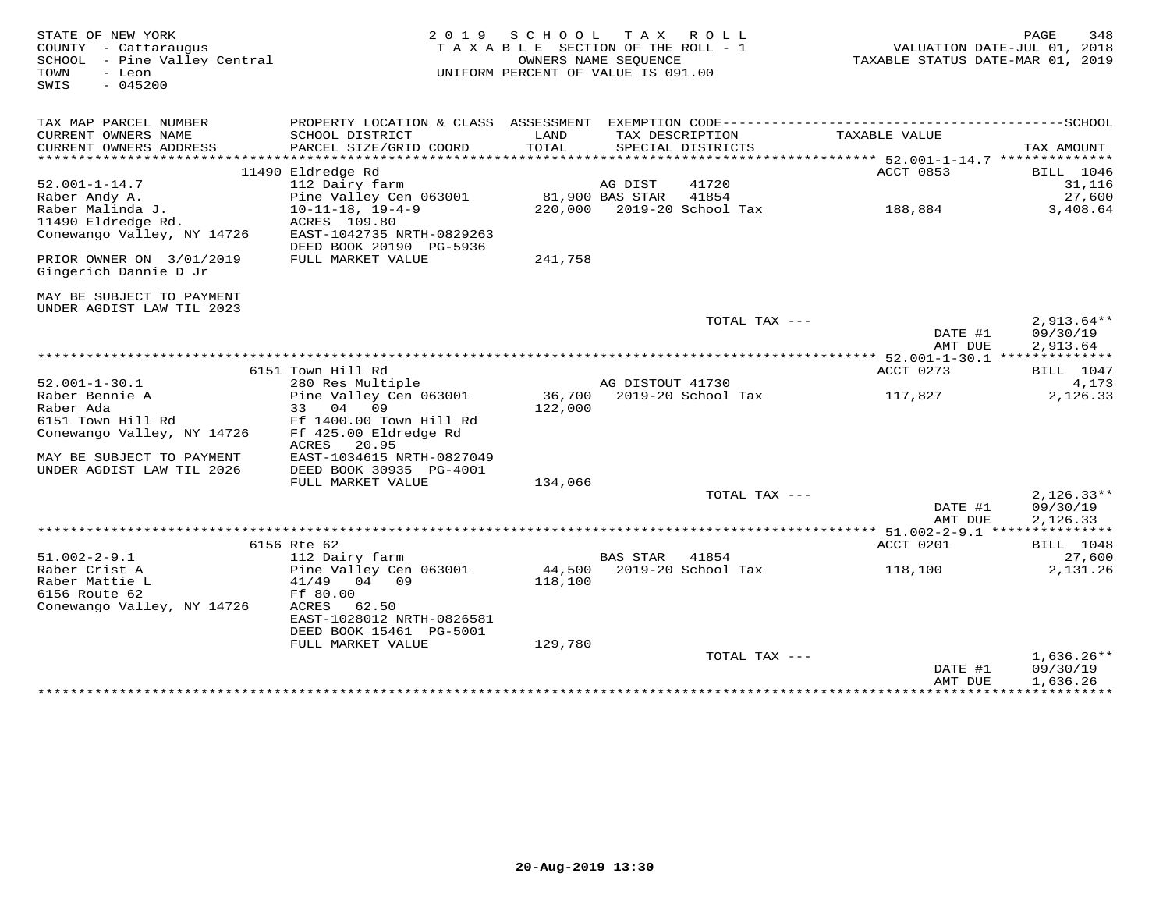| STATE OF NEW YORK<br>COUNTY - Cattaraugus<br>SCHOOL - Pine Valley Central<br>- Leon<br>TOWN<br>$-045200$<br>SWIS |                                              | 2019 SCHOOL<br>TAXABLE SECTION OF THE ROLL - 1<br>OWNERS NAME SEQUENCE<br>UNIFORM PERCENT OF VALUE IS 091.00 |                  | TAX ROLL                   | VALUATION DATE-JUL 01, 2018<br>TAXABLE STATUS DATE-MAR 01, 2019 | PAGE<br>348              |
|------------------------------------------------------------------------------------------------------------------|----------------------------------------------|--------------------------------------------------------------------------------------------------------------|------------------|----------------------------|-----------------------------------------------------------------|--------------------------|
| TAX MAP PARCEL NUMBER<br>CURRENT OWNERS NAME                                                                     | SCHOOL DISTRICT                              | LAND                                                                                                         |                  | TAX DESCRIPTION            | TAXABLE VALUE                                                   |                          |
| CURRENT OWNERS ADDRESS                                                                                           | PARCEL SIZE/GRID COORD                       | TOTAL                                                                                                        |                  | SPECIAL DISTRICTS          |                                                                 | TAX AMOUNT               |
|                                                                                                                  | 11490 Eldredge Rd                            |                                                                                                              |                  |                            | ACCT 0853                                                       | <b>BILL</b> 1046         |
| $52.001 - 1 - 14.7$                                                                                              | 112 Dairy farm                               |                                                                                                              | AG DIST          | 41720                      |                                                                 | 31,116                   |
| Raber Andy A.                                                                                                    | Pine Valley Cen 063001                       | 81,900 BAS STAR                                                                                              |                  | 41854                      |                                                                 | 27,600                   |
| Raber Malinda J.                                                                                                 | $10 - 11 - 18$ , $19 - 4 - 9$                |                                                                                                              |                  | 220,000 2019-20 School Tax | 188,884                                                         | 3,408.64                 |
| 11490 Eldredge Rd.                                                                                               | ACRES 109.80                                 |                                                                                                              |                  |                            |                                                                 |                          |
| Conewango Valley, NY 14726                                                                                       | EAST-1042735 NRTH-0829263                    |                                                                                                              |                  |                            |                                                                 |                          |
| PRIOR OWNER ON 3/01/2019<br>Gingerich Dannie D Jr                                                                | DEED BOOK 20190 PG-5936<br>FULL MARKET VALUE | 241,758                                                                                                      |                  |                            |                                                                 |                          |
| MAY BE SUBJECT TO PAYMENT<br>UNDER AGDIST LAW TIL 2023                                                           |                                              |                                                                                                              |                  |                            |                                                                 |                          |
|                                                                                                                  |                                              |                                                                                                              |                  | TOTAL TAX ---              | DATE #1                                                         | $2,913.64**$<br>09/30/19 |
|                                                                                                                  |                                              |                                                                                                              |                  |                            | AMT DUE                                                         | 2,913.64                 |
|                                                                                                                  |                                              |                                                                                                              |                  |                            |                                                                 |                          |
|                                                                                                                  | 6151 Town Hill Rd                            |                                                                                                              |                  |                            | ACCT 0273                                                       | <b>BILL</b> 1047         |
| $52.001 - 1 - 30.1$                                                                                              | 280 Res Multiple                             |                                                                                                              | AG DISTOUT 41730 |                            |                                                                 | 4,173                    |
| Raber Bennie A                                                                                                   | Pine Valley Cen 063001                       | 36,700 2019-20 School Tax                                                                                    |                  |                            | 117,827                                                         | 2,126.33                 |
| Raber Ada                                                                                                        | 33 04 09                                     | 122,000                                                                                                      |                  |                            |                                                                 |                          |
| 6151 Town Hill Rd<br>Conewango Valley, NY 14726                                                                  | Ff 1400.00 Town Hill Rd                      |                                                                                                              |                  |                            |                                                                 |                          |
| Conewango Valley, NY 14726                                                                                       | Ff 425.00 Eldredge Rd                        |                                                                                                              |                  |                            |                                                                 |                          |
|                                                                                                                  | ACRES 20.95                                  |                                                                                                              |                  |                            |                                                                 |                          |
| MAY BE SUBJECT TO PAYMENT                                                                                        | EAST-1034615 NRTH-0827049                    |                                                                                                              |                  |                            |                                                                 |                          |
| UNDER AGDIST LAW TIL 2026                                                                                        | DEED BOOK 30935 PG-4001<br>FULL MARKET VALUE | 134,066                                                                                                      |                  |                            |                                                                 |                          |
|                                                                                                                  |                                              |                                                                                                              |                  | TOTAL TAX ---              |                                                                 | $2,126.33**$             |
|                                                                                                                  |                                              |                                                                                                              |                  |                            | DATE #1                                                         | 09/30/19                 |
|                                                                                                                  |                                              |                                                                                                              |                  |                            | AMT DUE                                                         | 2,126.33                 |
|                                                                                                                  |                                              |                                                                                                              |                  |                            |                                                                 |                          |
|                                                                                                                  | 6156 Rte 62                                  |                                                                                                              |                  |                            | ACCT 0201                                                       | <b>BILL</b> 1048         |
| $51.002 - 2 - 9.1$                                                                                               | 112 Dairy farm                               |                                                                                                              | BAS STAR         | 41854                      |                                                                 | 27,600                   |
| Raber Crist A                                                                                                    | Pine Valley Cen 063001                       |                                                                                                              |                  | 44,500 2019-20 School Tax  | 118,100                                                         | 2,131.26                 |
| Raber Mattie L                                                                                                   | 41/49<br>04 09                               | 118,100                                                                                                      |                  |                            |                                                                 |                          |
| 6156 Route 62                                                                                                    | Ff 80.00                                     |                                                                                                              |                  |                            |                                                                 |                          |
| Conewango Valley, NY 14726                                                                                       | ACRES<br>62.50<br>EAST-1028012 NRTH-0826581  |                                                                                                              |                  |                            |                                                                 |                          |
|                                                                                                                  | DEED BOOK 15461 PG-5001                      |                                                                                                              |                  |                            |                                                                 |                          |
|                                                                                                                  | FULL MARKET VALUE                            | 129,780                                                                                                      |                  |                            |                                                                 |                          |
|                                                                                                                  |                                              |                                                                                                              |                  | TOTAL TAX ---              |                                                                 | $1,636.26**$             |
|                                                                                                                  |                                              |                                                                                                              |                  |                            | DATE #1                                                         | 09/30/19                 |
|                                                                                                                  |                                              |                                                                                                              |                  |                            | AMT DUE                                                         | 1,636.26                 |
|                                                                                                                  |                                              |                                                                                                              |                  |                            |                                                                 |                          |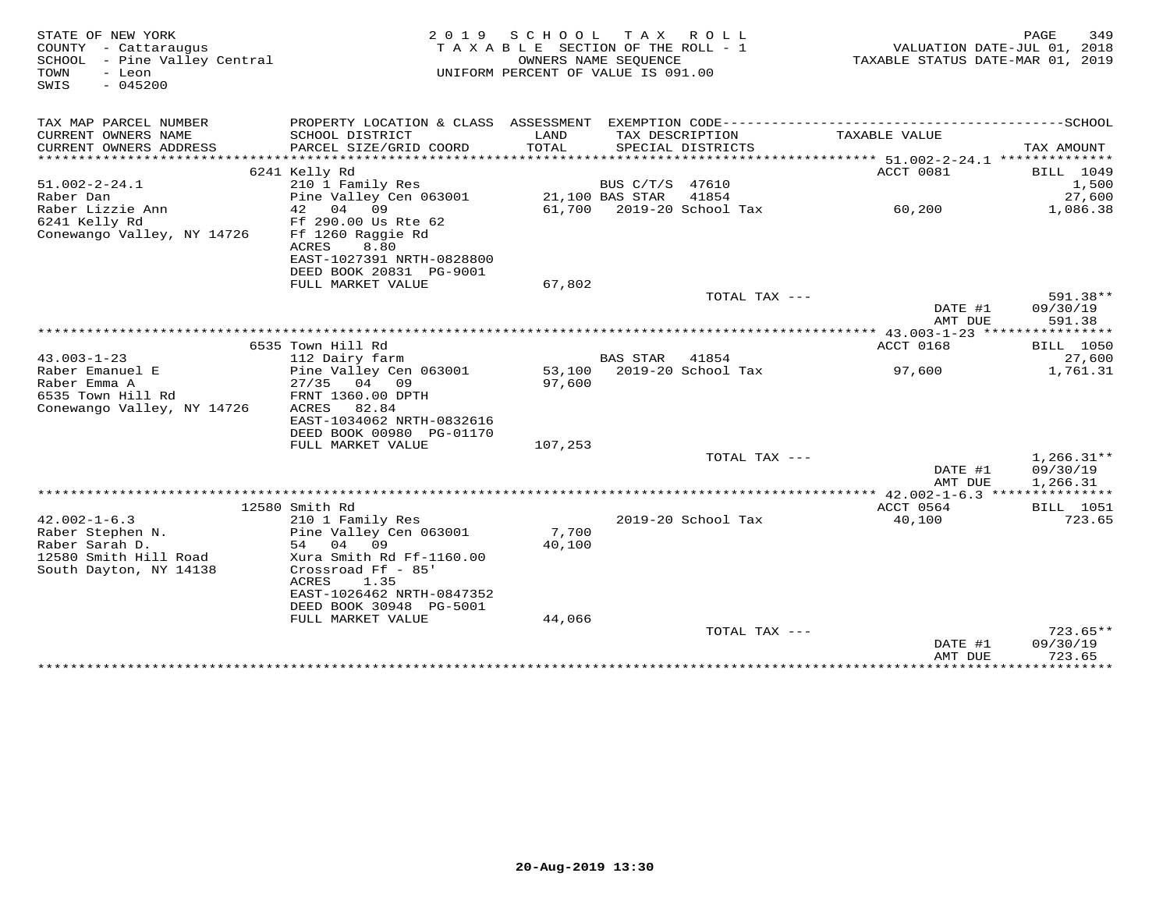| STATE OF NEW YORK<br>COUNTY - Cattaraugus<br>SCHOOL - Pine Valley Central<br>- Leon<br>TOWN<br>$-045200$<br>SWIS | 2 0 1 9                                                                                                                               | SCHOOL<br>TAXABLE SECTION OF THE ROLL - 1<br>OWNERS NAME SEQUENCE<br>UNIFORM PERCENT OF VALUE IS 091.00 |                 | TAX ROLL                             | VALUATION DATE-JUL 01, 2018<br>TAXABLE STATUS DATE-MAR 01, 2019 | 349<br>PAGE                      |
|------------------------------------------------------------------------------------------------------------------|---------------------------------------------------------------------------------------------------------------------------------------|---------------------------------------------------------------------------------------------------------|-----------------|--------------------------------------|-----------------------------------------------------------------|----------------------------------|
| TAX MAP PARCEL NUMBER                                                                                            |                                                                                                                                       |                                                                                                         |                 |                                      |                                                                 |                                  |
| CURRENT OWNERS NAME<br>CURRENT OWNERS ADDRESS                                                                    | SCHOOL DISTRICT<br>PARCEL SIZE/GRID COORD                                                                                             | LAND<br>TOTAL                                                                                           |                 | TAX DESCRIPTION<br>SPECIAL DISTRICTS | TAXABLE VALUE                                                   | TAX AMOUNT                       |
|                                                                                                                  | 6241 Kelly Rd                                                                                                                         |                                                                                                         |                 |                                      | ACCT 0081                                                       | <b>BILL</b> 1049                 |
| $51.002 - 2 - 24.1$                                                                                              | 210 1 Family Res                                                                                                                      |                                                                                                         | BUS C/T/S 47610 |                                      |                                                                 | 1,500                            |
| Raber Dan                                                                                                        | Pine Valley Cen 063001                                                                                                                |                                                                                                         | 21,100 BAS STAR | 41854                                |                                                                 | 27,600                           |
| Raber Lizzie Ann                                                                                                 | 42 04 09                                                                                                                              | 61,700                                                                                                  |                 | 2019-20 School Tax                   | 60,200                                                          | 1,086.38                         |
| 6241 Kelly Rd<br>Conewango Valley, NY 14726                                                                      | Ff 290.00 Us Rte 62<br>Ff 1260 Raggie Rd<br>8.80<br>ACRES<br>EAST-1027391 NRTH-0828800<br>DEED BOOK 20831 PG-9001                     |                                                                                                         |                 |                                      |                                                                 |                                  |
|                                                                                                                  | FULL MARKET VALUE                                                                                                                     | 67,802                                                                                                  |                 |                                      |                                                                 |                                  |
|                                                                                                                  |                                                                                                                                       |                                                                                                         |                 | TOTAL TAX ---                        | DATE #1<br>AMT DUE                                              | 591.38**<br>09/30/19<br>591.38   |
|                                                                                                                  |                                                                                                                                       |                                                                                                         |                 |                                      |                                                                 |                                  |
|                                                                                                                  | 6535 Town Hill Rd                                                                                                                     |                                                                                                         |                 |                                      | ACCT 0168                                                       | <b>BILL</b> 1050                 |
| $43.003 - 1 - 23$                                                                                                | 112 Dairy farm                                                                                                                        |                                                                                                         | <b>BAS STAR</b> | 41854                                |                                                                 | 27,600                           |
| Raber Emanuel E                                                                                                  | Pine Valley Cen 063001                                                                                                                |                                                                                                         |                 | 53,100 2019-20 School Tax            | 97,600                                                          | 1,761.31                         |
| Raber Emma A<br>6535 Town Hill Rd<br>Conewango Valley, NY 14726                                                  | 27/35<br>04 09<br>FRNT 1360.00 DPTH<br>ACRES<br>82.84<br>EAST-1034062 NRTH-0832616<br>DEED BOOK 00980 PG-01170                        | 97,600                                                                                                  |                 |                                      |                                                                 |                                  |
|                                                                                                                  | FULL MARKET VALUE                                                                                                                     | 107,253                                                                                                 |                 |                                      |                                                                 |                                  |
|                                                                                                                  |                                                                                                                                       |                                                                                                         |                 | TOTAL TAX ---                        |                                                                 | $1,266.31**$                     |
|                                                                                                                  |                                                                                                                                       |                                                                                                         |                 |                                      | DATE #1<br>AMT DUE                                              | 09/30/19<br>1,266.31             |
|                                                                                                                  |                                                                                                                                       |                                                                                                         |                 |                                      | ACCT 0564                                                       |                                  |
| $42.002 - 1 - 6.3$                                                                                               | 12580 Smith Rd<br>210 1 Family Res                                                                                                    |                                                                                                         |                 | 2019-20 School Tax                   | 40,100                                                          | <b>BILL</b> 1051<br>723.65       |
| Raber Stephen N.<br>Raber Sarah D.<br>12580 Smith Hill Road<br>South Dayton, NY 14138                            | Pine Valley Cen 063001<br>54 04<br>09<br>Xura Smith Rd Ff-1160.00<br>Crossroad Ff - 85'<br>ACRES<br>1.35<br>EAST-1026462 NRTH-0847352 | 7,700<br>40,100                                                                                         |                 |                                      |                                                                 |                                  |
|                                                                                                                  | DEED BOOK 30948 PG-5001                                                                                                               |                                                                                                         |                 |                                      |                                                                 |                                  |
|                                                                                                                  | FULL MARKET VALUE                                                                                                                     | 44,066                                                                                                  |                 |                                      |                                                                 |                                  |
|                                                                                                                  |                                                                                                                                       |                                                                                                         |                 | TOTAL TAX ---                        | DATE #1                                                         | $723.65**$<br>09/30/19<br>723.65 |
|                                                                                                                  |                                                                                                                                       |                                                                                                         |                 |                                      | AMT DUE                                                         |                                  |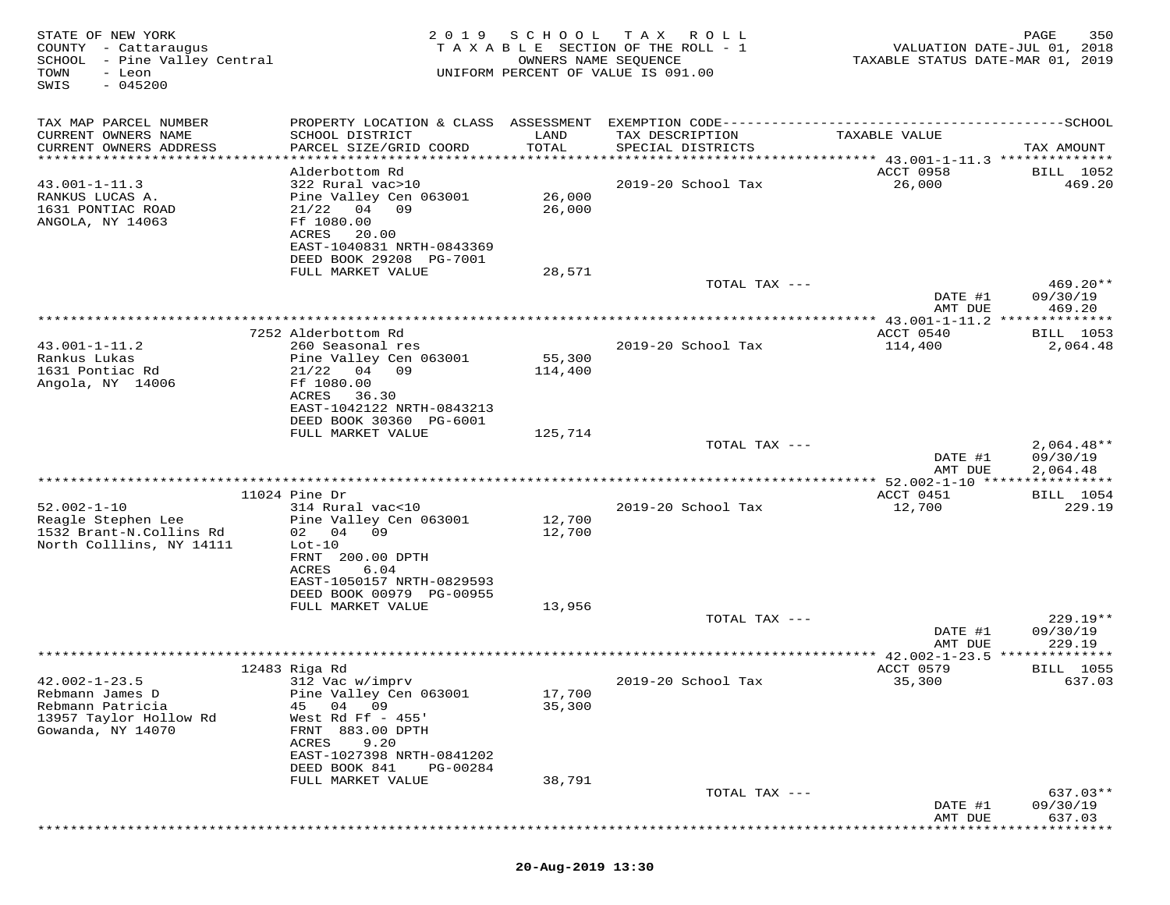| STATE OF NEW YORK<br>COUNTY - Cattaraugus<br>SCHOOL - Pine Valley Central<br>TOWN<br>- Leon<br>SWIS<br>$-045200$ | 2 0 1 9                                                                                                                                                                                    | SCHOOL<br>OWNERS NAME SEQUENCE | TAX ROLL<br>TAXABLE SECTION OF THE ROLL - 1<br>UNIFORM PERCENT OF VALUE IS 091.00 | VALUATION DATE-JUL 01, 2018<br>TAXABLE STATUS DATE-MAR 01, 2019 | 350<br>PAGE                          |
|------------------------------------------------------------------------------------------------------------------|--------------------------------------------------------------------------------------------------------------------------------------------------------------------------------------------|--------------------------------|-----------------------------------------------------------------------------------|-----------------------------------------------------------------|--------------------------------------|
| TAX MAP PARCEL NUMBER<br>CURRENT OWNERS NAME<br>CURRENT OWNERS ADDRESS<br>************************               | SCHOOL DISTRICT<br>PARCEL SIZE/GRID COORD                                                                                                                                                  | LAND<br>TOTAL                  | TAX DESCRIPTION<br>SPECIAL DISTRICTS                                              | TAXABLE VALUE                                                   | TAX AMOUNT                           |
| $43.001 - 1 - 11.3$<br>RANKUS LUCAS A.<br>1631 PONTIAC ROAD<br>ANGOLA, NY 14063                                  | Alderbottom Rd<br>322 Rural vac>10<br>Pine Valley Cen 063001<br>$21/22$ 04 09<br>Ff 1080.00<br>ACRES<br>20.00<br>EAST-1040831 NRTH-0843369<br>DEED BOOK 29208 PG-7001<br>FULL MARKET VALUE | 26,000<br>26,000<br>28,571     | 2019-20 School Tax                                                                | <b>ACCT 0958</b><br>26,000                                      | BILL 1052<br>469.20                  |
|                                                                                                                  |                                                                                                                                                                                            |                                | TOTAL TAX ---                                                                     | DATE #1<br>AMT DUE                                              | $469.20**$<br>09/30/19<br>469.20     |
|                                                                                                                  |                                                                                                                                                                                            |                                |                                                                                   |                                                                 |                                      |
| $43.001 - 1 - 11.2$<br>Rankus Lukas<br>1631 Pontiac Rd                                                           | 7252 Alderbottom Rd<br>260 Seasonal res<br>Pine Valley Cen 063001<br>21/22<br>04 09                                                                                                        | 55,300<br>114,400              | 2019-20 School Tax                                                                | ACCT 0540<br>114,400                                            | <b>BILL</b> 1053<br>2,064.48         |
| Angola, NY 14006                                                                                                 | Ff 1080.00<br>ACRES<br>36.30<br>EAST-1042122 NRTH-0843213<br>DEED BOOK 30360 PG-6001                                                                                                       |                                |                                                                                   |                                                                 |                                      |
|                                                                                                                  | FULL MARKET VALUE                                                                                                                                                                          | 125,714                        | TOTAL TAX ---                                                                     | DATE #1<br>AMT DUE                                              | $2,064.48**$<br>09/30/19<br>2,064.48 |
|                                                                                                                  |                                                                                                                                                                                            |                                |                                                                                   | **** 52.002-1-10 *****************                              |                                      |
|                                                                                                                  | $11024$ Pine Dr                                                                                                                                                                            |                                |                                                                                   | ACCT 0451                                                       | <b>BILL</b> 1054                     |
| $52.002 - 1 - 10$<br>Reagle Stephen Lee<br>1532 Brant-N.Collins Rd<br>North Colllins, NY 14111                   | 314 Rural vac<10<br>Pine Valley Cen 063001<br>02 04 09<br>$Lot-10$<br>FRNT 200.00 DPTH<br>ACRES<br>6.04                                                                                    | 12,700<br>12,700               | 2019-20 School Tax                                                                | 12,700                                                          | 229.19                               |
|                                                                                                                  | EAST-1050157 NRTH-0829593<br>DEED BOOK 00979 PG-00955<br>FULL MARKET VALUE                                                                                                                 | 13,956                         | TOTAL TAX ---                                                                     |                                                                 | $229.19**$                           |
|                                                                                                                  |                                                                                                                                                                                            |                                |                                                                                   | DATE #1                                                         | 09/30/19                             |
|                                                                                                                  |                                                                                                                                                                                            |                                |                                                                                   | AMT DUE                                                         | 229.19<br>*********                  |
|                                                                                                                  | 12483 Riga Rd                                                                                                                                                                              |                                |                                                                                   | ACCT 0579                                                       | BILL 1055                            |
| $42.002 - 1 - 23.5$<br>Rebmann James D<br>Rebmann Patricia<br>13957 Taylor Hollow Rd<br>Gowanda, NY 14070        | 312 Vac w/imprv<br>Pine Valley Cen 063001<br>09<br>45<br>04<br>West Rd Ff $-455$ '<br>FRNT 883.00 DPTH<br>ACRES<br>9.20                                                                    | 17,700<br>35,300               | 2019-20 School Tax                                                                | 35,300                                                          | 637.03                               |
|                                                                                                                  | EAST-1027398 NRTH-0841202<br>DEED BOOK 841<br>PG-00284                                                                                                                                     |                                |                                                                                   |                                                                 |                                      |
|                                                                                                                  | FULL MARKET VALUE                                                                                                                                                                          | 38,791                         |                                                                                   |                                                                 |                                      |
|                                                                                                                  |                                                                                                                                                                                            |                                | TOTAL TAX ---                                                                     | DATE #1<br>AMT DUE                                              | 637.03**<br>09/30/19<br>637.03       |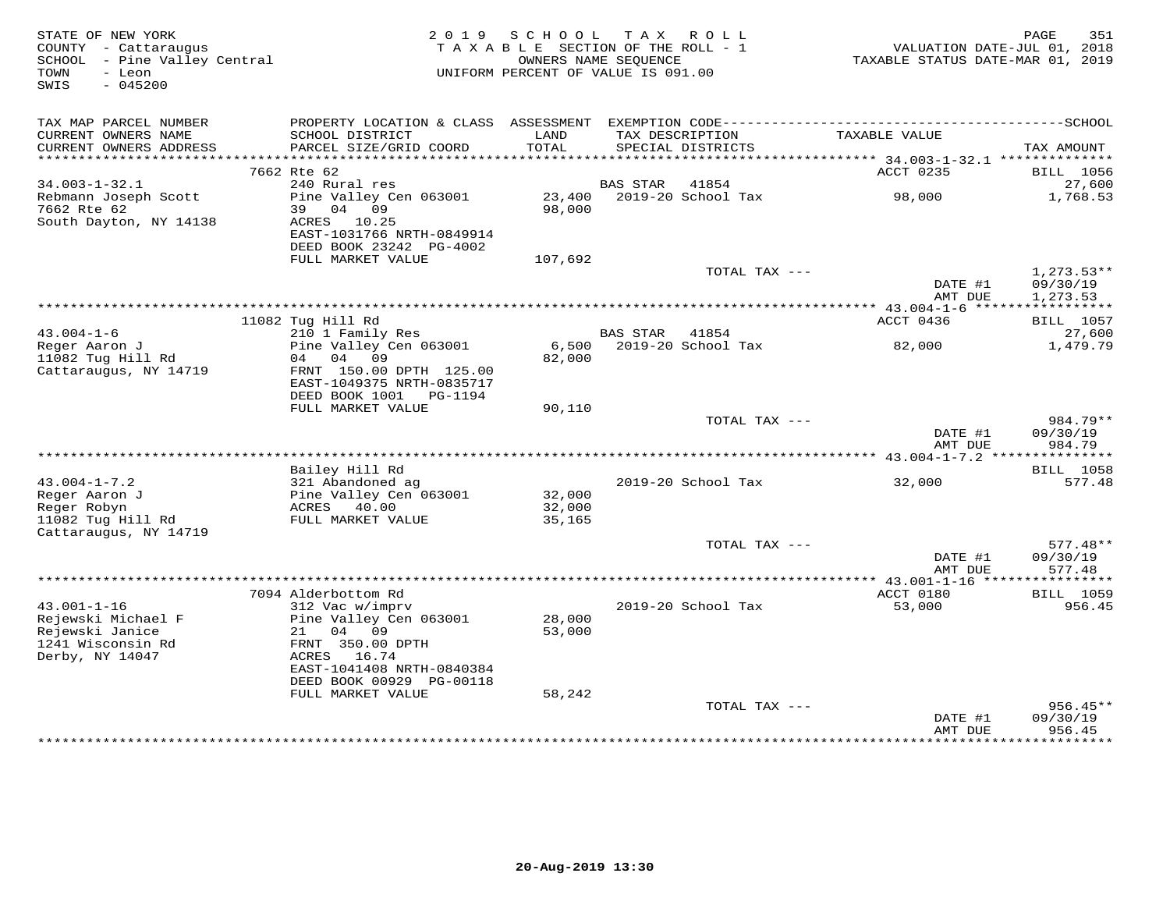| STATE OF NEW YORK<br>COUNTY - Cattaraugus<br>SCHOOL - Pine Valley Central<br>- Leon<br>TOWN<br>$-045200$<br>SWIS | 2 0 1 9                                                                                             | S C H O O L<br>TAXABLE SECTION OF THE ROLL - 1<br>UNIFORM PERCENT OF VALUE IS 091.00 | OWNERS NAME SEQUENCE | TAX ROLL                              | TAXABLE STATUS DATE-MAR 01, 2019         | 351<br>PAGE<br>VALUATION DATE-JUL 01, 2018 |
|------------------------------------------------------------------------------------------------------------------|-----------------------------------------------------------------------------------------------------|--------------------------------------------------------------------------------------|----------------------|---------------------------------------|------------------------------------------|--------------------------------------------|
| TAX MAP PARCEL NUMBER<br>CURRENT OWNERS NAME<br>CURRENT OWNERS ADDRESS                                           | SCHOOL DISTRICT<br>PARCEL SIZE/GRID COORD                                                           | LAND<br>TOTAL                                                                        |                      | TAX DESCRIPTION<br>SPECIAL DISTRICTS  | TAXABLE VALUE                            | TAX AMOUNT                                 |
| *******************                                                                                              |                                                                                                     |                                                                                      |                      | ************************************* | *********** 34.003-1-32.1 ************** |                                            |
|                                                                                                                  | 7662 Rte 62                                                                                         |                                                                                      |                      |                                       | ACCT 0235                                | BILL 1056                                  |
| $34.003 - 1 - 32.1$                                                                                              | 240 Rural res                                                                                       |                                                                                      | <b>BAS STAR</b>      | 41854                                 |                                          | 27,600                                     |
| Rebmann Joseph Scott<br>7662 Rte 62                                                                              | Pine Valley Cen 063001<br>39 04 09                                                                  | 23,400<br>98,000                                                                     |                      | 2019-20 School Tax                    | 98,000                                   | 1,768.53                                   |
| South Dayton, NY 14138                                                                                           | ACRES 10.25<br>EAST-1031766 NRTH-0849914<br>DEED BOOK 23242 PG-4002                                 |                                                                                      |                      |                                       |                                          |                                            |
|                                                                                                                  | FULL MARKET VALUE                                                                                   | 107,692                                                                              |                      |                                       |                                          |                                            |
|                                                                                                                  |                                                                                                     |                                                                                      |                      | TOTAL TAX ---                         | DATE #1                                  | $1,273.53**$<br>09/30/19                   |
|                                                                                                                  |                                                                                                     | ****************************                                                         |                      |                                       | AMT DUE                                  | 1,273.53<br>***********                    |
|                                                                                                                  | 11082 Tug Hill Rd                                                                                   |                                                                                      |                      |                                       | ********* 43.004-1-6 ******<br>ACCT 0436 | <b>BILL</b> 1057                           |
| $43.004 - 1 - 6$                                                                                                 | 210 1 Family Res                                                                                    |                                                                                      | <b>BAS STAR</b>      | 41854                                 |                                          | 27,600                                     |
| Reger Aaron J                                                                                                    | Pine Valley Cen 063001                                                                              | 6,500                                                                                |                      | 2019-20 School Tax                    | 82,000                                   | 1,479.79                                   |
| 11082 Tug Hill Rd<br>Cattaraugus, NY 14719                                                                       | 04<br>04<br>09<br>FRNT 150.00 DPTH 125.00<br>EAST-1049375 NRTH-0835717<br>DEED BOOK 1001    PG-1194 | 82,000                                                                               |                      |                                       |                                          |                                            |
|                                                                                                                  | FULL MARKET VALUE                                                                                   | 90,110                                                                               |                      |                                       |                                          |                                            |
|                                                                                                                  |                                                                                                     |                                                                                      |                      | TOTAL TAX ---                         | DATE #1                                  | 984.79**<br>09/30/19                       |
|                                                                                                                  |                                                                                                     |                                                                                      |                      |                                       | AMT DUE                                  | 984.79                                     |
|                                                                                                                  |                                                                                                     |                                                                                      |                      |                                       |                                          |                                            |
| $43.004 - 1 - 7.2$                                                                                               | Bailey Hill Rd<br>321 Abandoned ag                                                                  |                                                                                      |                      | 2019-20 School Tax                    | 32,000                                   | BILL 1058<br>577.48                        |
| Reger Aaron J                                                                                                    | Pine Valley Cen 063001                                                                              | 32,000                                                                               |                      |                                       |                                          |                                            |
| Reger Robyn                                                                                                      | ACRES 40.00                                                                                         | 32,000                                                                               |                      |                                       |                                          |                                            |
| 11082 Tug Hill Rd<br>Cattaraugus, NY 14719                                                                       | FULL MARKET VALUE                                                                                   | 35,165                                                                               |                      |                                       |                                          |                                            |
|                                                                                                                  |                                                                                                     |                                                                                      |                      | TOTAL TAX ---                         |                                          | $577.48**$                                 |
|                                                                                                                  |                                                                                                     |                                                                                      |                      |                                       | DATE #1<br>AMT DUE                       | 09/30/19<br>577.48                         |
|                                                                                                                  |                                                                                                     |                                                                                      |                      |                                       | ** $43.001 - 1 - 16$ ****                | * * * * * * * * * * *                      |
| $43.001 - 1 - 16$                                                                                                | 7094 Alderbottom Rd                                                                                 |                                                                                      |                      |                                       | ACCT 0180                                | <b>BILL</b> 1059                           |
| Rejewski Michael F<br>Rejewski Janice                                                                            | 312 Vac w/imprv<br>Pine Valley Cen 063001<br>04<br>09<br>21                                         | 28,000<br>53,000                                                                     |                      | 2019-20 School Tax                    | 53,000                                   | 956.45                                     |
| 1241 Wisconsin Rd<br>Derby, NY 14047                                                                             | FRNT 350.00 DPTH<br>16.74<br>ACRES<br>EAST-1041408 NRTH-0840384<br>DEED BOOK 00929 PG-00118         |                                                                                      |                      |                                       |                                          |                                            |
|                                                                                                                  | FULL MARKET VALUE                                                                                   | 58,242                                                                               |                      |                                       |                                          |                                            |
|                                                                                                                  |                                                                                                     |                                                                                      |                      | TOTAL TAX ---                         | DATE #1                                  | $956.45**$<br>09/30/19                     |
|                                                                                                                  |                                                                                                     |                                                                                      |                      |                                       | AMT DUE                                  | 956.45                                     |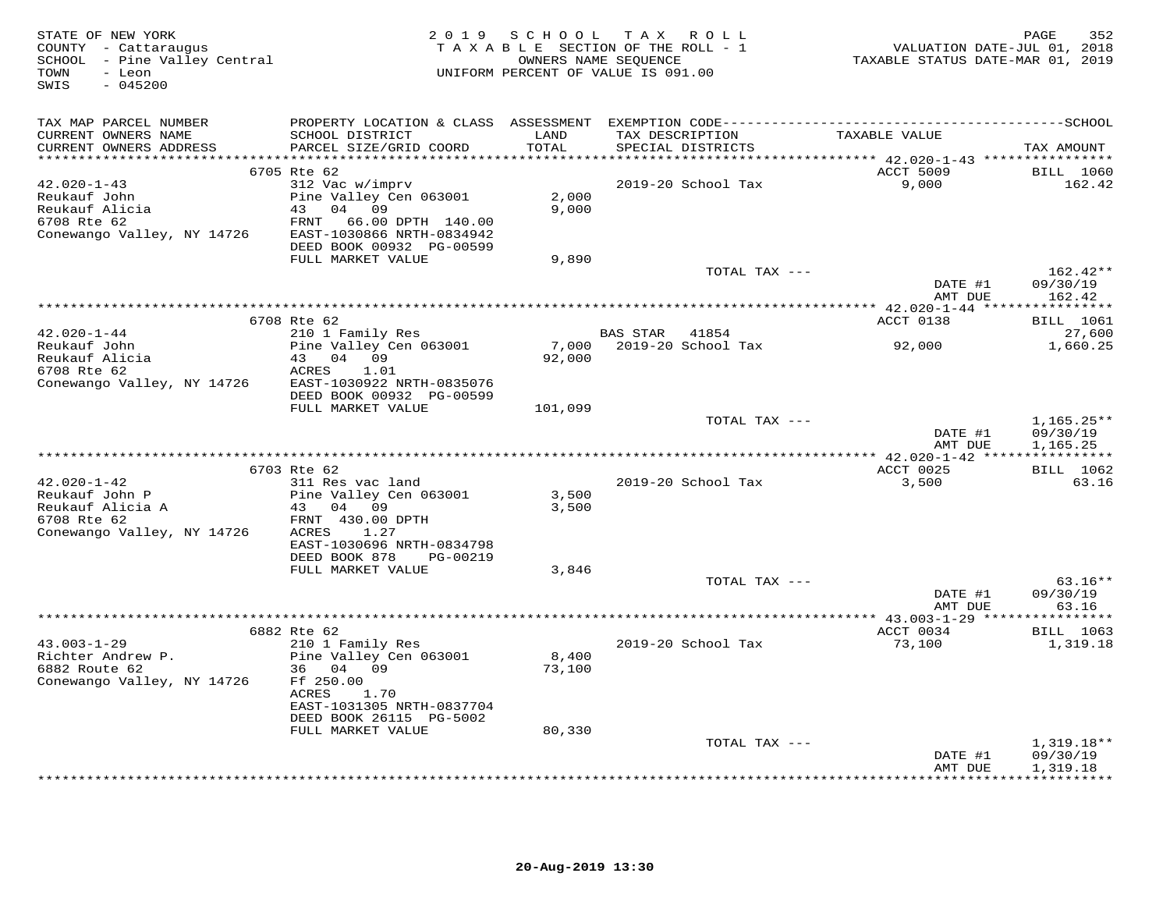| STATE OF NEW YORK<br>COUNTY - Cattaraugus<br>SCHOOL - Pine Valley Central<br>TOWN<br>- Leon<br>SWIS<br>$-045200$         |                                                                                                                                             | 2019 SCHOOL TAX ROLL<br>TAXABLE SECTION OF THE ROLL - 1<br>OWNERS NAME SEQUENCE<br>UNIFORM PERCENT OF VALUE IS 091.00 |                 |                          | VALUATION DATE-JUL 01, 2018<br>TAXABLE STATUS DATE-MAR 01, 2019 | 352<br>PAGE                          |
|--------------------------------------------------------------------------------------------------------------------------|---------------------------------------------------------------------------------------------------------------------------------------------|-----------------------------------------------------------------------------------------------------------------------|-----------------|--------------------------|-----------------------------------------------------------------|--------------------------------------|
| TAX MAP PARCEL NUMBER<br>CURRENT OWNERS NAME<br>CURRENT OWNERS ADDRESS                                                   | SCHOOL DISTRICT<br>PARCEL SIZE/GRID COORD                                                                                                   | LAND<br>TOTAL                                                                                                         | TAX DESCRIPTION | SPECIAL DISTRICTS        | TAXABLE VALUE                                                   | TAX AMOUNT                           |
|                                                                                                                          | 6705 Rte 62                                                                                                                                 |                                                                                                                       |                 |                          | ACCT 5009                                                       | <b>BILL</b> 1060                     |
| 42.020-1-43<br>Reukauf John<br>Reukauf Alicia<br>6708 Rte 62<br>Conewango Valley, NY 14726                               | 312 Vac w/imprv<br>Pine Valley Cen 063001<br>43 04 09<br>FRNT<br>66.00 DPTH 140.00<br>EAST-1030866 NRTH-0834942<br>DEED BOOK 00932 PG-00599 | 2,000<br>9,000                                                                                                        |                 | 2019-20 School Tax       | 9,000                                                           | 162.42                               |
|                                                                                                                          | FULL MARKET VALUE                                                                                                                           | 9,890                                                                                                                 |                 |                          |                                                                 |                                      |
|                                                                                                                          |                                                                                                                                             |                                                                                                                       |                 | TOTAL TAX ---            | DATE #1<br>AMT DUE                                              | $162.42**$<br>09/30/19<br>162.42     |
|                                                                                                                          |                                                                                                                                             |                                                                                                                       |                 |                          |                                                                 |                                      |
|                                                                                                                          | 6708 Rte 62                                                                                                                                 |                                                                                                                       |                 |                          | ACCT 0138                                                       | <b>BILL</b> 1061                     |
| $42.020 - 1 - 44$<br>Reukauf John<br>Reukauf Alicia<br>Reukauf Alicia                                                    | 210 1 Family Res<br>Pine Valley Cen 063001<br>43 04 09<br>ACRES<br>1.01                                                                     | 92,000                                                                                                                | BAS STAR 41854  | 7,000 2019-20 School Tax | 92,000                                                          | 27,600<br>1,660.25                   |
| Conewango Valley, NY 14726                                                                                               | EAST-1030922 NRTH-0835076<br>DEED BOOK 00932 PG-00599<br>FULL MARKET VALUE                                                                  | 101,099                                                                                                               |                 |                          |                                                                 |                                      |
|                                                                                                                          |                                                                                                                                             |                                                                                                                       |                 | TOTAL TAX ---            | DATE #1<br>AMT DUE                                              | $1,165.25**$<br>09/30/19<br>1,165.25 |
|                                                                                                                          |                                                                                                                                             |                                                                                                                       |                 |                          |                                                                 |                                      |
| $42.020 - 1 - 42$<br>Reukauf John P<br>Reukauf Alicia A<br>Reukauf Alicia A<br>6708 Rte 62<br>Conewango Valley, NY 14726 | 6703 Rte 62<br>311 Res vac land<br>Pine Valley Cen 063001<br>43 04 09<br>FRNT 430.00 DPTH<br>ACRES<br>1.27<br>EAST-1030696 NRTH-0834798     | 3,500<br>3,500                                                                                                        |                 | 2019-20 School Tax       | ACCT 0025<br>3,500                                              | BILL 1062<br>63.16                   |
|                                                                                                                          | DEED BOOK 878<br>PG-00219                                                                                                                   |                                                                                                                       |                 |                          |                                                                 |                                      |
|                                                                                                                          | FULL MARKET VALUE                                                                                                                           | 3,846                                                                                                                 |                 | TOTAL TAX ---            |                                                                 | $63.16**$                            |
|                                                                                                                          |                                                                                                                                             |                                                                                                                       |                 |                          | DATE #1<br>AMT DUE                                              | 09/30/19<br>63.16                    |
|                                                                                                                          | 6882 Rte 62                                                                                                                                 |                                                                                                                       |                 |                          | ACCT 0034                                                       | BILL 1063                            |
| $43.003 - 1 - 29$<br>AS. $003 + 1$<br>Richter Andrew P.<br>Conewango Valley, NY 14726                                    | 210 1 Family Res<br>Pine Valley Cen 063001<br>36 04 09<br>Ff 250.00<br>ACRES<br>1.70<br>EAST-1031305 NRTH-0837704                           | 8,400<br>73,100                                                                                                       |                 | 2019-20 School Tax       | 73,100                                                          | 1,319.18                             |
|                                                                                                                          | DEED BOOK 26115 PG-5002<br>FULL MARKET VALUE                                                                                                | 80,330                                                                                                                |                 |                          |                                                                 |                                      |
|                                                                                                                          |                                                                                                                                             |                                                                                                                       |                 | TOTAL TAX ---            | DATE #1<br>AMT DUE                                              | $1,319.18**$<br>09/30/19<br>1,319.18 |
|                                                                                                                          |                                                                                                                                             |                                                                                                                       |                 |                          |                                                                 | + + + + + + + + + + + +              |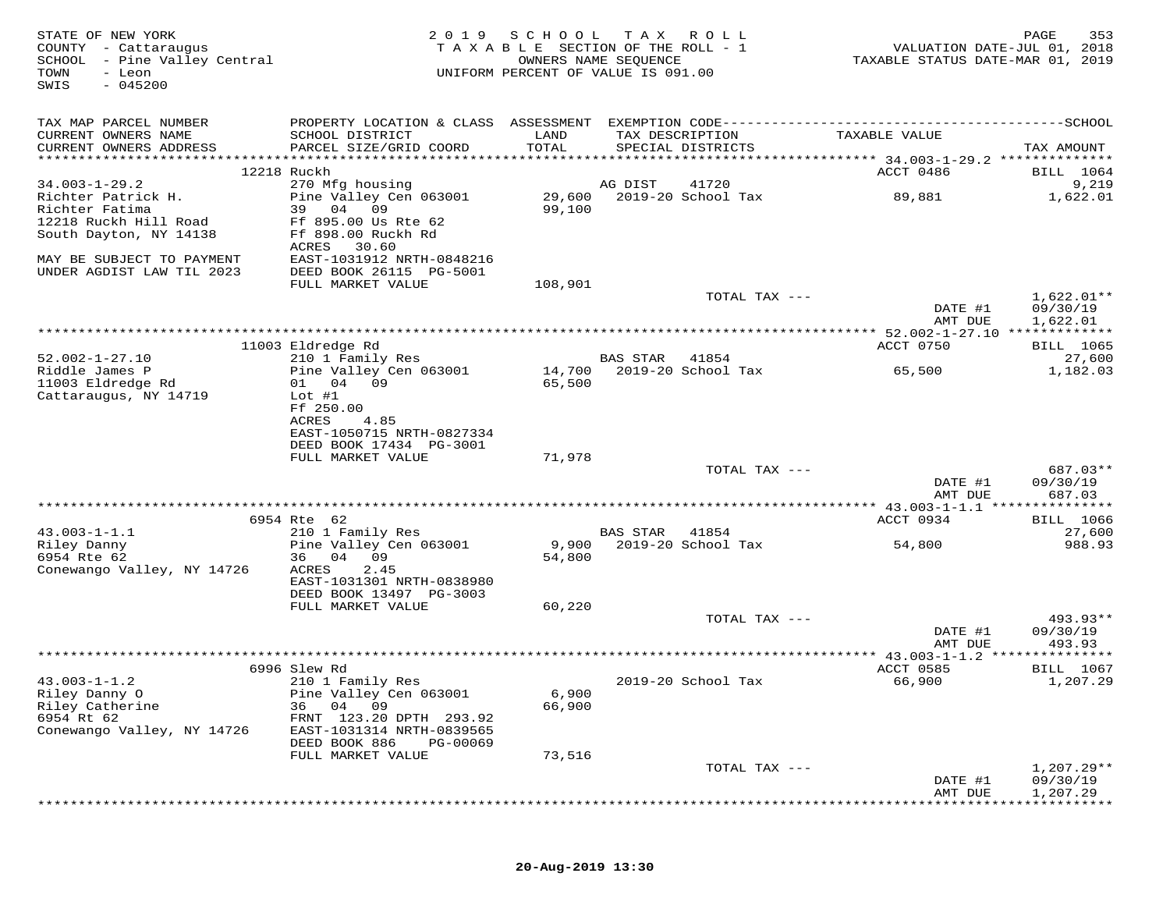| STATE OF NEW YORK<br>COUNTY - Cattaraugus<br>SCHOOL - Pine Valley Central<br>TOWN<br>- Leon<br>$-045200$<br>SWIS | 2 0 1 9                                                                                      | SCHOOL<br>TAXABLE SECTION OF THE ROLL - 1<br>UNIFORM PERCENT OF VALUE IS 091.00 | T A X<br>OWNERS NAME SEQUENCE | R O L L                              | VALUATION DATE-JUL 01, 2018<br>TAXABLE STATUS DATE-MAR 01, 2019 | 353<br>PAGE      |
|------------------------------------------------------------------------------------------------------------------|----------------------------------------------------------------------------------------------|---------------------------------------------------------------------------------|-------------------------------|--------------------------------------|-----------------------------------------------------------------|------------------|
| TAX MAP PARCEL NUMBER                                                                                            | PROPERTY LOCATION & CLASS ASSESSMENT EXEMPTION CODE-----------------------------------SCHOOL |                                                                                 |                               |                                      |                                                                 |                  |
| CURRENT OWNERS NAME<br>CURRENT OWNERS ADDRESS                                                                    | SCHOOL DISTRICT<br>PARCEL SIZE/GRID COORD                                                    | LAND<br>TOTAL                                                                   |                               | TAX DESCRIPTION<br>SPECIAL DISTRICTS | TAXABLE VALUE                                                   | TAX AMOUNT       |
|                                                                                                                  | 12218 Ruckh                                                                                  |                                                                                 |                               |                                      | ACCT 0486                                                       | BILL 1064        |
| $34.003 - 1 - 29.2$                                                                                              | 270 Mfg housing                                                                              |                                                                                 | AG DIST                       | 41720                                |                                                                 | 9,219            |
| Richter Patrick H.                                                                                               | Pine Valley Cen 063001                                                                       | 29,600                                                                          |                               | 2019-20 School Tax                   | 89,881                                                          | 1,622.01         |
| Richter Fatima                                                                                                   | 39<br>04<br>09                                                                               | 99,100                                                                          |                               |                                      |                                                                 |                  |
| 12218 Ruckh Hill Road                                                                                            | Ff 895.00 Us Rte 62                                                                          |                                                                                 |                               |                                      |                                                                 |                  |
| South Dayton, NY 14138                                                                                           | Ff 898.00 Ruckh Rd                                                                           |                                                                                 |                               |                                      |                                                                 |                  |
|                                                                                                                  | ACRES<br>30.60                                                                               |                                                                                 |                               |                                      |                                                                 |                  |
| MAY BE SUBJECT TO PAYMENT                                                                                        | EAST-1031912 NRTH-0848216                                                                    |                                                                                 |                               |                                      |                                                                 |                  |
| UNDER AGDIST LAW TIL 2023                                                                                        | DEED BOOK 26115 PG-5001                                                                      |                                                                                 |                               |                                      |                                                                 |                  |
|                                                                                                                  | FULL MARKET VALUE                                                                            | 108,901                                                                         |                               | TOTAL TAX ---                        |                                                                 | $1,622.01**$     |
|                                                                                                                  |                                                                                              |                                                                                 |                               |                                      | DATE #1                                                         | 09/30/19         |
|                                                                                                                  |                                                                                              |                                                                                 |                               |                                      | AMT DUE                                                         | 1,622.01         |
|                                                                                                                  |                                                                                              |                                                                                 |                               |                                      |                                                                 |                  |
|                                                                                                                  | 11003 Eldredge Rd                                                                            |                                                                                 |                               |                                      | ACCT 0750                                                       | BILL 1065        |
| $52.002 - 1 - 27.10$                                                                                             | 210 1 Family Res                                                                             |                                                                                 | <b>BAS STAR</b>               | 41854                                |                                                                 | 27,600           |
| Riddle James P                                                                                                   | Pine Valley Cen 063001                                                                       |                                                                                 |                               | 14,700 2019-20 School Tax            | 65,500                                                          | 1,182.03         |
| 11003 Eldredge Rd                                                                                                | 04 09<br>01                                                                                  | 65,500                                                                          |                               |                                      |                                                                 |                  |
| Cattaraugus, NY 14719                                                                                            | $Lot$ #1<br>Ff 250.00                                                                        |                                                                                 |                               |                                      |                                                                 |                  |
|                                                                                                                  | ACRES<br>4.85                                                                                |                                                                                 |                               |                                      |                                                                 |                  |
|                                                                                                                  | EAST-1050715 NRTH-0827334                                                                    |                                                                                 |                               |                                      |                                                                 |                  |
|                                                                                                                  | DEED BOOK 17434 PG-3001                                                                      |                                                                                 |                               |                                      |                                                                 |                  |
|                                                                                                                  | FULL MARKET VALUE                                                                            | 71,978                                                                          |                               |                                      |                                                                 |                  |
|                                                                                                                  |                                                                                              |                                                                                 |                               | TOTAL TAX ---                        |                                                                 | 687.03**         |
|                                                                                                                  |                                                                                              |                                                                                 |                               |                                      | DATE #1                                                         | 09/30/19         |
|                                                                                                                  |                                                                                              |                                                                                 |                               |                                      | AMT DUE                                                         | 687.03           |
|                                                                                                                  |                                                                                              |                                                                                 |                               |                                      | ************ 43.003-1-1.1 ****************                      |                  |
|                                                                                                                  | 6954 Rte 62                                                                                  |                                                                                 |                               |                                      | ACCT 0934                                                       | <b>BILL</b> 1066 |
| $43.003 - 1 - 1.1$<br>Riley Danny                                                                                | 210 1 Family Res<br>Pine Valley Cen 063001                                                   | 9,900                                                                           | BAS STAR                      | 41854<br>2019-20 School Tax          | 54,800                                                          | 27,600<br>988.93 |
| 6954 Rte 62                                                                                                      | 36 04<br>09                                                                                  | 54,800                                                                          |                               |                                      |                                                                 |                  |
| Conewango Valley, NY 14726                                                                                       | 2.45<br>ACRES                                                                                |                                                                                 |                               |                                      |                                                                 |                  |
|                                                                                                                  | EAST-1031301 NRTH-0838980                                                                    |                                                                                 |                               |                                      |                                                                 |                  |
|                                                                                                                  | DEED BOOK 13497 PG-3003                                                                      |                                                                                 |                               |                                      |                                                                 |                  |
|                                                                                                                  | FULL MARKET VALUE                                                                            | 60,220                                                                          |                               |                                      |                                                                 |                  |
|                                                                                                                  |                                                                                              |                                                                                 |                               | TOTAL TAX ---                        |                                                                 | 493.93**         |
|                                                                                                                  |                                                                                              |                                                                                 |                               |                                      | DATE #1                                                         | 09/30/19         |
|                                                                                                                  |                                                                                              |                                                                                 |                               |                                      | AMT DUE                                                         | 493.93           |
|                                                                                                                  | 6996 Slew Rd                                                                                 |                                                                                 |                               |                                      | ACCT 0585                                                       | <b>BILL</b> 1067 |
| $43.003 - 1 - 1.2$                                                                                               | 210 1 Family Res                                                                             |                                                                                 |                               | 2019-20 School Tax                   | 66,900                                                          | 1,207.29         |
| Riley Danny O                                                                                                    | Pine Valley Cen 063001                                                                       | 6,900                                                                           |                               |                                      |                                                                 |                  |
| Riley Catherine                                                                                                  | 04 09<br>36                                                                                  | 66,900                                                                          |                               |                                      |                                                                 |                  |
| 6954 Rt 62                                                                                                       | FRNT 123.20 DPTH 293.92                                                                      |                                                                                 |                               |                                      |                                                                 |                  |
| Conewango Valley, NY 14726                                                                                       | EAST-1031314 NRTH-0839565                                                                    |                                                                                 |                               |                                      |                                                                 |                  |
|                                                                                                                  | DEED BOOK 886<br>PG-00069                                                                    |                                                                                 |                               |                                      |                                                                 |                  |
|                                                                                                                  | FULL MARKET VALUE                                                                            | 73,516                                                                          |                               |                                      |                                                                 |                  |
|                                                                                                                  |                                                                                              |                                                                                 |                               | TOTAL TAX ---                        |                                                                 | $1,207.29**$     |
|                                                                                                                  |                                                                                              |                                                                                 |                               |                                      | DATE #1                                                         | 09/30/19         |
|                                                                                                                  |                                                                                              |                                                                                 |                               |                                      | AMT DUE                                                         | 1,207.29         |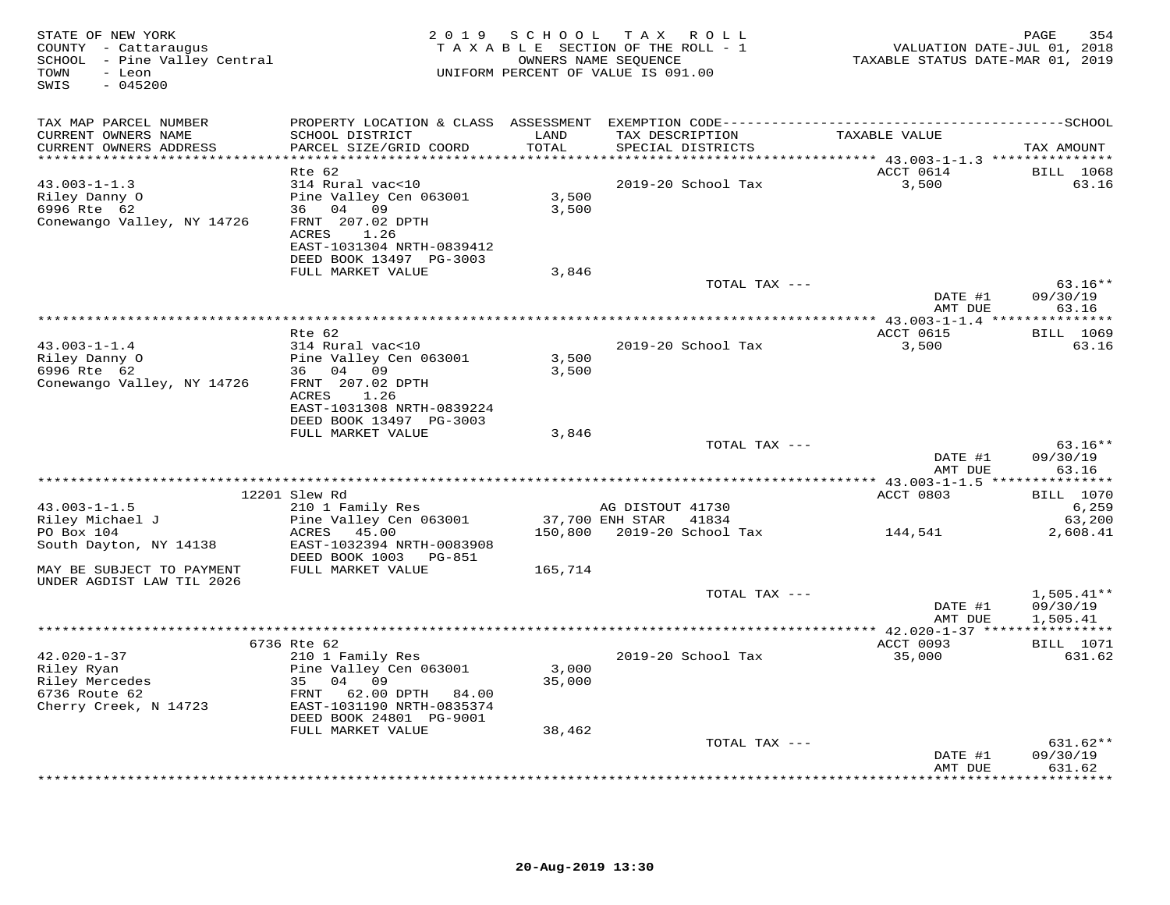| STATE OF NEW YORK<br>COUNTY - Cattaraugus<br>SCHOOL - Pine Valley Central<br>TOWN<br>- Leon<br>$-045200$<br>SWIS |                                                                                                                                 | 2019 SCHOOL     | TAX ROLL<br>TAXABLE SECTION OF THE ROLL - 1<br>OWNERS NAME SEQUENCE<br>UNIFORM PERCENT OF VALUE IS 091.00 | VALUATION DATE-JUL 01, 2018<br>TAXABLE STATUS DATE-MAR 01, 2019 | PAGE<br>354                          |
|------------------------------------------------------------------------------------------------------------------|---------------------------------------------------------------------------------------------------------------------------------|-----------------|-----------------------------------------------------------------------------------------------------------|-----------------------------------------------------------------|--------------------------------------|
| TAX MAP PARCEL NUMBER                                                                                            |                                                                                                                                 |                 |                                                                                                           |                                                                 |                                      |
| CURRENT OWNERS NAME<br>CURRENT OWNERS ADDRESS                                                                    | SCHOOL DISTRICT<br>PARCEL SIZE/GRID COORD                                                                                       | LAND<br>TOTAL   | TAX DESCRIPTION<br>SPECIAL DISTRICTS                                                                      | TAXABLE VALUE                                                   | TAX AMOUNT                           |
| ***********************                                                                                          |                                                                                                                                 | ***********     |                                                                                                           | ********** 43.003-1-1.3 ****************                        |                                      |
| $43.003 - 1 - 1.3$<br>Riley Danny O<br>6996 Rte 62<br>Conewango Valley, NY 14726                                 | Rte 62<br>314 Rural vac<10<br>Pine Valley Cen 063001<br>36 04 09<br>FRNT 207.02 DPTH<br>ACRES 1.26<br>EAST-1031304 NRTH-0839412 | 3,500<br>3,500  | 2019-20 School Tax                                                                                        | ACCT 0614<br>3,500                                              | <b>BILL</b> 1068<br>63.16            |
|                                                                                                                  | DEED BOOK 13497 PG-3003<br>FULL MARKET VALUE                                                                                    | 3,846           |                                                                                                           |                                                                 |                                      |
|                                                                                                                  |                                                                                                                                 |                 | TOTAL TAX ---                                                                                             |                                                                 | $63.16**$                            |
|                                                                                                                  |                                                                                                                                 |                 |                                                                                                           | DATE #1<br>AMT DUE                                              | 09/30/19<br>63.16                    |
|                                                                                                                  |                                                                                                                                 |                 |                                                                                                           | *********** 43.003-1-1.4 ****                                   | ***********                          |
| $43.003 - 1 - 1.4$                                                                                               | Rte 62<br>314 Rural vac<10                                                                                                      |                 | 2019-20 School Tax                                                                                        | ACCT 0615<br>3,500                                              | <b>BILL</b> 1069<br>63.16            |
| Riley Danny O<br>6996 Rte 62                                                                                     | Pine Valley Cen 063001<br>36 04 09                                                                                              | 3,500<br>3,500  |                                                                                                           |                                                                 |                                      |
| Conewango Valley, NY 14726                                                                                       | FRNT 207.02 DPTH<br>ACRES 1.26<br>EAST-1031308 NRTH-0839224<br>DEED BOOK 13497 PG-3003                                          |                 |                                                                                                           |                                                                 |                                      |
|                                                                                                                  | FULL MARKET VALUE                                                                                                               | 3,846           |                                                                                                           |                                                                 |                                      |
|                                                                                                                  |                                                                                                                                 |                 | TOTAL TAX ---                                                                                             | DATE #1                                                         | $63.16**$<br>09/30/19                |
|                                                                                                                  |                                                                                                                                 |                 |                                                                                                           | AMT DUE                                                         | 63.16                                |
|                                                                                                                  | 12201 Slew Rd                                                                                                                   |                 |                                                                                                           | *********** 43.003-1-1.5 ****<br>ACCT 0803                      | ***********<br><b>BILL</b> 1070      |
| $43.003 - 1 - 1.5$                                                                                               | 210 1 Family Res                                                                                                                |                 | AG DISTOUT 41730                                                                                          |                                                                 | 6,259                                |
| Riley Michael J                                                                                                  | Pine Valley Cen 063001                                                                                                          |                 | 37,700 ENH STAR 41834                                                                                     |                                                                 | 63,200                               |
| PO Box 104<br>South Dayton, NY 14138                                                                             | ACRES 45.00<br>EAST-1032394 NRTH-0083908<br>DEED BOOK 1003    PG-851                                                            |                 | 150,800 2019-20 School Tax 144,541                                                                        |                                                                 | 2,608.41                             |
| MAY BE SUBJECT TO PAYMENT<br>UNDER AGDIST LAW TIL 2026                                                           | FULL MARKET VALUE                                                                                                               | 165,714         |                                                                                                           |                                                                 |                                      |
|                                                                                                                  |                                                                                                                                 |                 | TOTAL TAX ---                                                                                             | DATE #1<br>AMT DUE                                              | $1,505.41**$<br>09/30/19<br>1,505.41 |
|                                                                                                                  |                                                                                                                                 |                 |                                                                                                           |                                                                 |                                      |
|                                                                                                                  | 6736 Rte 62                                                                                                                     |                 |                                                                                                           | ACCT 0093                                                       | <b>BILL</b> 1071                     |
| $42.020 - 1 - 37$                                                                                                | 210 1 Family Res<br>Pine Valley Cen 063001<br>35 04 09                                                                          | 3,000<br>35,000 | 2019-20 School Tax                                                                                        | 35,000                                                          | 631.62                               |
| Cherry Creek, N 14723                                                                                            | 62.00 DPTH 84.00<br>FRNT<br>EAST-1031190 NRTH-0835374<br>DEED BOOK 24801 PG-9001                                                |                 |                                                                                                           |                                                                 |                                      |
|                                                                                                                  | FULL MARKET VALUE                                                                                                               | 38,462          | TOTAL TAX ---                                                                                             |                                                                 | $631.62**$                           |
|                                                                                                                  |                                                                                                                                 |                 |                                                                                                           | DATE #1<br>AMT DUE                                              | 09/30/19<br>631.62                   |
|                                                                                                                  |                                                                                                                                 |                 |                                                                                                           |                                                                 | <b>+++++++++</b>                     |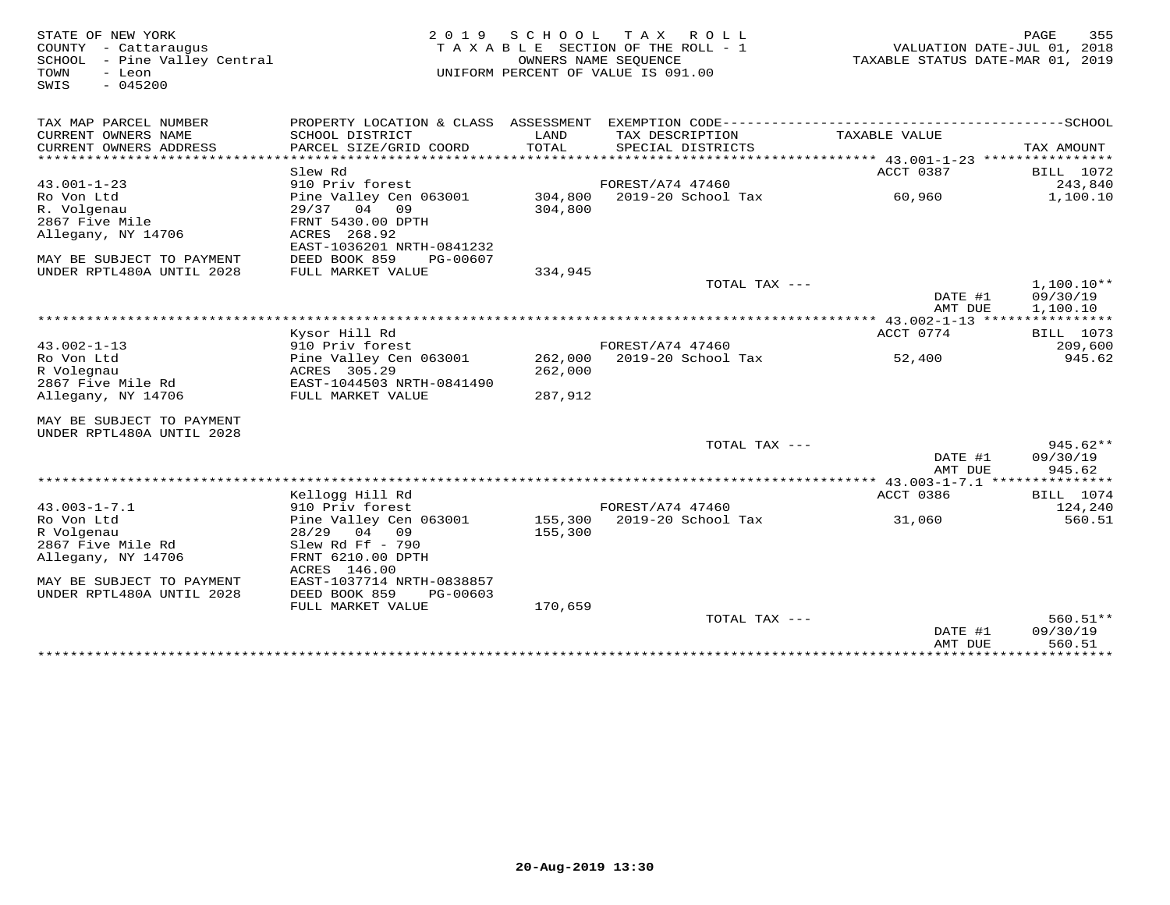| STATE OF NEW YORK<br>COUNTY - Cattaraugus<br>SCHOOL - Pine Valley Central<br>- Leon<br>TOWN<br>$-045200$<br>SWIS | 2 0 1 9<br>TAXABLE SECTION OF THE ROLL - 1<br>UNIFORM PERCENT OF VALUE IS 091.00 | PAGE<br>355<br>VALUATION DATE-JUL 01, 2018<br>TAXABLE STATUS DATE-MAR 01, 2019 |                    |                    |                    |
|------------------------------------------------------------------------------------------------------------------|----------------------------------------------------------------------------------|--------------------------------------------------------------------------------|--------------------|--------------------|--------------------|
| TAX MAP PARCEL NUMBER                                                                                            | PROPERTY LOCATION & CLASS ASSESSMENT                                             |                                                                                |                    |                    |                    |
| CURRENT OWNERS NAME                                                                                              | SCHOOL DISTRICT                                                                  | LAND                                                                           | TAX DESCRIPTION    | TAXABLE VALUE      |                    |
| CURRENT OWNERS ADDRESS<br>********************                                                                   | PARCEL SIZE/GRID COORD                                                           | TOTAL                                                                          | SPECIAL DISTRICTS  |                    | TAX AMOUNT         |
|                                                                                                                  | Slew Rd                                                                          |                                                                                |                    | ACCT 0387          | BILL 1072          |
| $43.001 - 1 - 23$                                                                                                | 910 Priv forest                                                                  |                                                                                | FOREST/A74 47460   |                    | 243,840            |
| Ro Von Ltd                                                                                                       | Pine Valley Cen 063001                                                           | 304,800                                                                        | 2019-20 School Tax | 60,960             | 1,100.10           |
| R. Volgenau                                                                                                      | 29/37 04<br>09                                                                   | 304,800                                                                        |                    |                    |                    |
| 2867 Five Mile                                                                                                   | FRNT 5430.00 DPTH                                                                |                                                                                |                    |                    |                    |
| Allegany, NY 14706                                                                                               | ACRES 268.92                                                                     |                                                                                |                    |                    |                    |
|                                                                                                                  | EAST-1036201 NRTH-0841232                                                        |                                                                                |                    |                    |                    |
| MAY BE SUBJECT TO PAYMENT                                                                                        | DEED BOOK 859<br>PG-00607                                                        |                                                                                |                    |                    |                    |
| UNDER RPTL480A UNTIL 2028                                                                                        | FULL MARKET VALUE                                                                | 334,945                                                                        | TOTAL TAX ---      |                    | $1.100.10**$       |
|                                                                                                                  |                                                                                  |                                                                                |                    | DATE #1            | 09/30/19           |
|                                                                                                                  |                                                                                  |                                                                                |                    | AMT DUE            | 1,100.10           |
|                                                                                                                  |                                                                                  |                                                                                |                    |                    |                    |
|                                                                                                                  | Kysor Hill Rd                                                                    |                                                                                |                    | ACCT 0774          | <b>BILL</b> 1073   |
| $43.002 - 1 - 13$                                                                                                | 910 Priv forest                                                                  |                                                                                | FOREST/A74 47460   |                    | 209,600            |
| Ro Von Ltd                                                                                                       | Pine Valley Cen 063001                                                           | 262,000                                                                        | 2019-20 School Tax | 52,400             | 945.62             |
| R Volegnau<br>2867 Five Mile Rd                                                                                  | ACRES 305.29<br>EAST-1044503 NRTH-0841490                                        | 262,000                                                                        |                    |                    |                    |
| Allegany, NY 14706                                                                                               | FULL MARKET VALUE                                                                | 287,912                                                                        |                    |                    |                    |
|                                                                                                                  |                                                                                  |                                                                                |                    |                    |                    |
| MAY BE SUBJECT TO PAYMENT                                                                                        |                                                                                  |                                                                                |                    |                    |                    |
| UNDER RPTL480A UNTIL 2028                                                                                        |                                                                                  |                                                                                |                    |                    |                    |
|                                                                                                                  |                                                                                  |                                                                                | TOTAL TAX ---      |                    | $945.62**$         |
|                                                                                                                  |                                                                                  |                                                                                |                    | DATE #1<br>AMT DUE | 09/30/19<br>945.62 |
| ******************************                                                                                   |                                                                                  |                                                                                |                    |                    |                    |
|                                                                                                                  | Kellogg Hill Rd                                                                  |                                                                                |                    | ACCT 0386          | BILL 1074          |
| $43.003 - 1 - 7.1$                                                                                               | 910 Priv forest                                                                  |                                                                                | FOREST/A74 47460   |                    | 124,240            |
| Ro Von Ltd                                                                                                       | Pine Valley Cen 063001                                                           | 155,300                                                                        | 2019-20 School Tax | 31,060             | 560.51             |
| R Volgenau                                                                                                       | 28/29 04 09                                                                      | 155,300                                                                        |                    |                    |                    |
| 2867 Five Mile Rd                                                                                                | Slew Rd Ff $-790$                                                                |                                                                                |                    |                    |                    |
| Allegany, NY 14706                                                                                               | FRNT 6210.00 DPTH<br>ACRES 146.00                                                |                                                                                |                    |                    |                    |
| MAY BE SUBJECT TO PAYMENT                                                                                        | EAST-1037714 NRTH-0838857                                                        |                                                                                |                    |                    |                    |
| UNDER RPTL480A UNTIL 2028                                                                                        | DEED BOOK 859<br>PG-00603                                                        |                                                                                |                    |                    |                    |
|                                                                                                                  | FULL MARKET VALUE                                                                | 170,659                                                                        |                    |                    |                    |
|                                                                                                                  |                                                                                  |                                                                                | TOTAL TAX $---$    |                    | 560.51**           |
|                                                                                                                  |                                                                                  |                                                                                |                    | DATE #1            | 09/30/19           |
|                                                                                                                  |                                                                                  |                                                                                |                    | AMT DUE            | 560.51             |
|                                                                                                                  |                                                                                  |                                                                                |                    |                    |                    |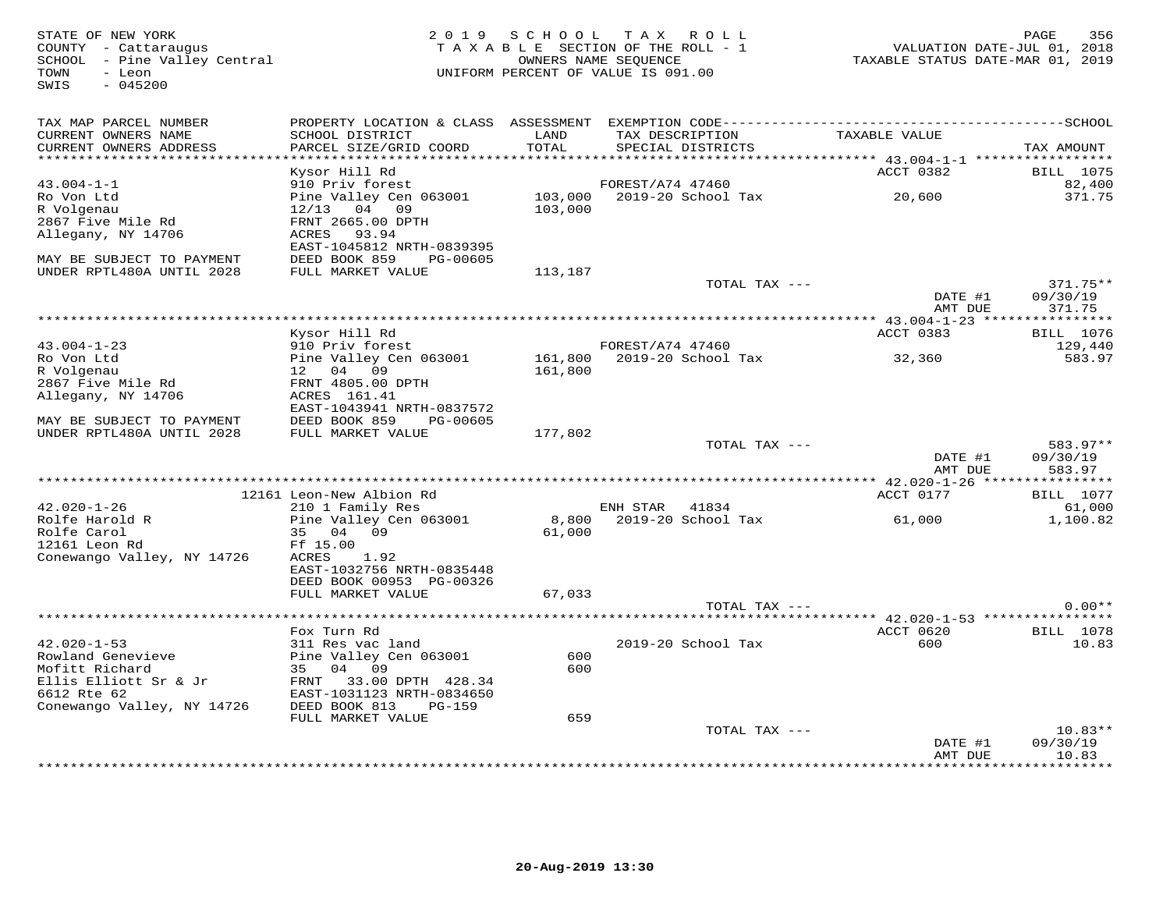| STATE OF NEW YORK<br>COUNTY - Cattaraugus<br>SCHOOL - Pine Valley Central<br>TOWN<br>- Leon<br>SWIS<br>$-045200$ | 2 0 1 9                                     | SCHOOL  | TAX ROLL<br>TAXABLE SECTION OF THE ROLL - 1<br>OWNERS NAME SEQUENCE<br>UNIFORM PERCENT OF VALUE IS 091.00 | VALUATION DATE-JUL 01, 2018<br>TAXABLE STATUS DATE-MAR 01, 2019 | PAGE<br>356               |
|------------------------------------------------------------------------------------------------------------------|---------------------------------------------|---------|-----------------------------------------------------------------------------------------------------------|-----------------------------------------------------------------|---------------------------|
| TAX MAP PARCEL NUMBER<br>CURRENT OWNERS NAME                                                                     | SCHOOL DISTRICT                             | LAND    | TAX DESCRIPTION                                                                                           | TAXABLE VALUE                                                   |                           |
| CURRENT OWNERS ADDRESS<br>************************                                                               | PARCEL SIZE/GRID COORD                      | TOTAL   | SPECIAL DISTRICTS                                                                                         |                                                                 | TAX AMOUNT                |
|                                                                                                                  | Kysor Hill Rd                               |         |                                                                                                           | ACCT 0382                                                       | <b>BILL</b> 1075          |
| $43.004 - 1 - 1$                                                                                                 | 910 Priv forest                             |         | FOREST/A74 47460                                                                                          |                                                                 | 82,400                    |
| Ro Von Ltd                                                                                                       | Pine Valley Cen 063001                      | 103,000 | 2019-20 School Tax                                                                                        | 20,600                                                          | 371.75                    |
| R Volgenau                                                                                                       | 12/13<br>04 09                              | 103,000 |                                                                                                           |                                                                 |                           |
| 2867 Five Mile Rd                                                                                                | FRNT 2665.00 DPTH                           |         |                                                                                                           |                                                                 |                           |
| Allegany, NY 14706                                                                                               | ACRES<br>93.94<br>EAST-1045812 NRTH-0839395 |         |                                                                                                           |                                                                 |                           |
| MAY BE SUBJECT TO PAYMENT                                                                                        | DEED BOOK 859<br>PG-00605                   |         |                                                                                                           |                                                                 |                           |
| UNDER RPTL480A UNTIL 2028                                                                                        | FULL MARKET VALUE                           | 113,187 |                                                                                                           |                                                                 |                           |
|                                                                                                                  |                                             |         | TOTAL TAX ---                                                                                             |                                                                 | $371.75**$                |
|                                                                                                                  |                                             |         |                                                                                                           | DATE #1                                                         | 09/30/19                  |
|                                                                                                                  |                                             |         |                                                                                                           | AMT DUE                                                         | 371.75                    |
|                                                                                                                  | Kysor Hill Rd                               |         |                                                                                                           | ACCT 0383                                                       | <b>BILL</b> 1076          |
| $43.004 - 1 - 23$                                                                                                | 910 Priv forest                             |         | FOREST/A74 47460                                                                                          |                                                                 | 129,440                   |
| Ro Von Ltd                                                                                                       | Pine Valley Cen 063001                      | 161,800 | 2019-20 School Tax                                                                                        | 32,360                                                          | 583.97                    |
| R Volgenau                                                                                                       | 12 04 09                                    | 161,800 |                                                                                                           |                                                                 |                           |
| 2867 Five Mile Rd                                                                                                | FRNT 4805.00 DPTH                           |         |                                                                                                           |                                                                 |                           |
| Allegany, NY 14706                                                                                               | ACRES 161.41<br>EAST-1043941 NRTH-0837572   |         |                                                                                                           |                                                                 |                           |
| MAY BE SUBJECT TO PAYMENT                                                                                        | DEED BOOK 859<br>PG-00605                   |         |                                                                                                           |                                                                 |                           |
| UNDER RPTL480A UNTIL 2028                                                                                        | FULL MARKET VALUE                           | 177,802 |                                                                                                           |                                                                 |                           |
|                                                                                                                  |                                             |         | TOTAL TAX ---                                                                                             |                                                                 | 583.97**                  |
|                                                                                                                  |                                             |         |                                                                                                           | DATE #1                                                         | 09/30/19                  |
|                                                                                                                  |                                             |         |                                                                                                           | AMT DUE                                                         | 583.97                    |
|                                                                                                                  | 12161 Leon-New Albion Rd                    |         |                                                                                                           | ACCT 0177                                                       | <b>BILL</b> 1077          |
| $42.020 - 1 - 26$                                                                                                | 210 1 Family Res                            |         | ENH STAR 41834                                                                                            |                                                                 | 61,000                    |
| Rolfe Harold R                                                                                                   | Pine Valley Cen 063001                      | 8,800   | 2019-20 School Tax                                                                                        | 61,000                                                          | 1,100.82                  |
| Rolfe Carol                                                                                                      | 35 04 09                                    | 61,000  |                                                                                                           |                                                                 |                           |
| 12161 Leon Rd                                                                                                    | Ff 15.00                                    |         |                                                                                                           |                                                                 |                           |
| Conewango Valley, NY 14726                                                                                       | 1.92<br>ACRES<br>EAST-1032756 NRTH-0835448  |         |                                                                                                           |                                                                 |                           |
|                                                                                                                  | DEED BOOK 00953 PG-00326                    |         |                                                                                                           |                                                                 |                           |
|                                                                                                                  | FULL MARKET VALUE                           | 67,033  |                                                                                                           |                                                                 |                           |
|                                                                                                                  |                                             |         | TOTAL TAX ---                                                                                             |                                                                 | $0.00**$                  |
|                                                                                                                  | *******************                         |         |                                                                                                           | **** 42.020-1-53 *****************                              |                           |
| $42.020 - 1 - 53$                                                                                                | Fox Turn Rd<br>311 Res vac land             |         | 2019-20 School Tax                                                                                        | ACCT 0620<br>600                                                | <b>BILL</b> 1078<br>10.83 |
| Rowland Genevieve                                                                                                | Pine Valley Cen 063001                      | 600     |                                                                                                           |                                                                 |                           |
| Mofitt Richard                                                                                                   | 35 04 09                                    | 600     |                                                                                                           |                                                                 |                           |
| Ellis Elliott Sr & Jr                                                                                            | FRNT 33.00 DPTH 428.34                      |         |                                                                                                           |                                                                 |                           |
| 6612 Rte 62                                                                                                      | EAST-1031123 NRTH-0834650                   |         |                                                                                                           |                                                                 |                           |
| Conewango Valley, NY 14726                                                                                       | DEED BOOK 813<br><b>PG-159</b>              |         |                                                                                                           |                                                                 |                           |
|                                                                                                                  | FULL MARKET VALUE                           | 659     | TOTAL TAX ---                                                                                             |                                                                 | $10.83**$                 |
|                                                                                                                  |                                             |         |                                                                                                           | DATE #1                                                         | 09/30/19                  |
|                                                                                                                  |                                             |         |                                                                                                           | AMT DUE                                                         | 10.83                     |
|                                                                                                                  |                                             |         |                                                                                                           | *************                                                   | * * * * * * * *           |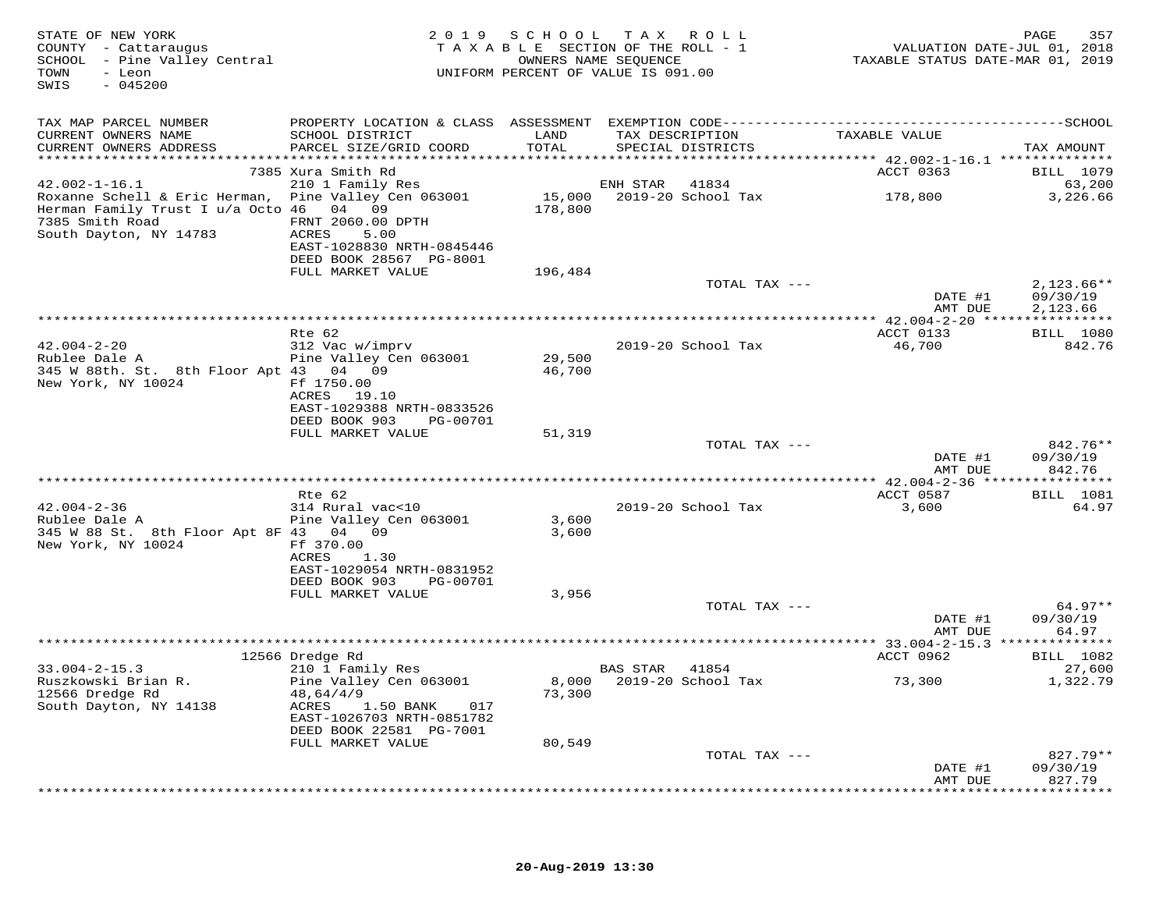| STATE OF NEW YORK<br>COUNTY - Cattaraugus<br>SCHOOL - Pine Valley Central<br>TOWN<br>- Leon<br>SWIS<br>$-045200$                             |                                                                                            |                  | 2019 SCHOOL TAX ROLL<br>TAXABLE SECTION OF THE ROLL - 1<br>OWNERS NAME SEQUENCE<br>UNIFORM PERCENT OF VALUE IS 091.00 | VALUATION DATE-JUL 01, 2018<br>TAXABLE STATUS DATE-MAR 01, 2019 | 357<br>PAGE                      |
|----------------------------------------------------------------------------------------------------------------------------------------------|--------------------------------------------------------------------------------------------|------------------|-----------------------------------------------------------------------------------------------------------------------|-----------------------------------------------------------------|----------------------------------|
| TAX MAP PARCEL NUMBER                                                                                                                        |                                                                                            |                  |                                                                                                                       |                                                                 |                                  |
| CURRENT OWNERS NAME<br>CURRENT OWNERS ADDRESS                                                                                                | SCHOOL DISTRICT<br>PARCEL SIZE/GRID COORD                                                  | LAND<br>TOTAL    | TAX DESCRIPTION<br>SPECIAL DISTRICTS                                                                                  | TAXABLE VALUE                                                   | TAX AMOUNT                       |
|                                                                                                                                              | 7385 Xura Smith Rd                                                                         |                  |                                                                                                                       | ******************** 42.002-1-16.1 ***************<br>ACCT 0363 | BILL 1079                        |
| $42.002 - 1 - 16.1$                                                                                                                          | 210 1 Family Res                                                                           |                  | ENH STAR 41834                                                                                                        |                                                                 | 63,200                           |
| Roxanne Schell & Eric Herman, Pine Valley Cen 063001<br>Herman Family Trust I u/a Octo 46 04 09<br>7385 Smith Road<br>South Dayton, NY 14783 | FRNT 2060.00 DPTH<br>ACRES<br>5.00<br>EAST-1028830 NRTH-0845446<br>DEED BOOK 28567 PG-8001 | 178,800          | 15,000 2019-20 School Tax                                                                                             | 178,800                                                         | 3,226.66                         |
|                                                                                                                                              | FULL MARKET VALUE                                                                          | 196,484          |                                                                                                                       |                                                                 |                                  |
|                                                                                                                                              |                                                                                            |                  | TOTAL TAX ---                                                                                                         | DATE #1                                                         | $2,123.66**$<br>09/30/19         |
|                                                                                                                                              |                                                                                            |                  |                                                                                                                       | AMT DUE                                                         | 2,123.66                         |
|                                                                                                                                              | Rte 62                                                                                     |                  |                                                                                                                       | ACCT 0133                                                       | <b>BILL</b> 1080                 |
| $42.004 - 2 - 20$<br>Rublee Dale A<br>345 W 88th. St. 8th Floor Apt 43 04 09                                                                 | 312 Vac w/imprv<br>Pine Valley Cen 063001                                                  | 29,500<br>46,700 | 2019-20 School Tax                                                                                                    | 46,700                                                          | 842.76                           |
| New York, NY 10024                                                                                                                           | Ff 1750.00<br>ACRES 19.10<br>EAST-1029388 NRTH-0833526                                     |                  |                                                                                                                       |                                                                 |                                  |
|                                                                                                                                              | DEED BOOK 903<br>PG-00701<br>FULL MARKET VALUE                                             | 51,319           |                                                                                                                       |                                                                 |                                  |
|                                                                                                                                              |                                                                                            |                  | TOTAL TAX ---                                                                                                         | DATE #1                                                         | 842.76**<br>09/30/19             |
|                                                                                                                                              |                                                                                            |                  |                                                                                                                       | AMT DUE                                                         | 842.76                           |
|                                                                                                                                              | Rte 62                                                                                     |                  |                                                                                                                       | ACCT 0587                                                       | <b>BILL</b> 1081                 |
| $42.004 - 2 - 36$                                                                                                                            | 314 Rural vac<10                                                                           |                  | 2019-20 School Tax                                                                                                    | 3,600                                                           | 64.97                            |
| Rublee Dale A<br>345 W 88 St. 8th Floor Apt 8F 43 04 09<br>New York, NY 10024                                                                | Pine Valley Cen 063001<br>Ff 370.00                                                        | 3,600<br>3,600   |                                                                                                                       |                                                                 |                                  |
|                                                                                                                                              | ACRES<br>1.30<br>EAST-1029054 NRTH-0831952<br>DEED BOOK 903<br>PG-00701                    |                  |                                                                                                                       |                                                                 |                                  |
|                                                                                                                                              | FULL MARKET VALUE                                                                          | 3,956            |                                                                                                                       |                                                                 |                                  |
|                                                                                                                                              |                                                                                            |                  | TOTAL TAX ---                                                                                                         | DATE #1<br>AMT DUE                                              | 64.97**<br>09/30/19<br>64.97     |
|                                                                                                                                              |                                                                                            |                  |                                                                                                                       |                                                                 |                                  |
|                                                                                                                                              | 12566 Dredge Rd                                                                            |                  |                                                                                                                       | ACCT 0962                                                       | <b>BILL</b> 1082                 |
| $33.004 - 2 - 15.3$<br>Ruszkowski Brian R.<br>12566 Dredge Rd                                                                                | 210 1 Family Res<br>Pine Valley Cen 063001<br>48,64/4/9                                    | 73,300           | BAS STAR 41854<br>8,000 2019-20 School Tax                                                                            | 73,300                                                          | 27,600<br>1,322.79               |
| South Dayton, NY 14138                                                                                                                       | ACRES<br>1.50 BANK<br>017<br>EAST-1026703 NRTH-0851782<br>DEED BOOK 22581 PG-7001          |                  |                                                                                                                       |                                                                 |                                  |
|                                                                                                                                              | FULL MARKET VALUE                                                                          | 80,549           |                                                                                                                       |                                                                 |                                  |
|                                                                                                                                              |                                                                                            |                  | TOTAL TAX ---                                                                                                         | DATE #1<br>AMT DUE                                              | $827.79**$<br>09/30/19<br>827.79 |
|                                                                                                                                              |                                                                                            |                  |                                                                                                                       |                                                                 | **********                       |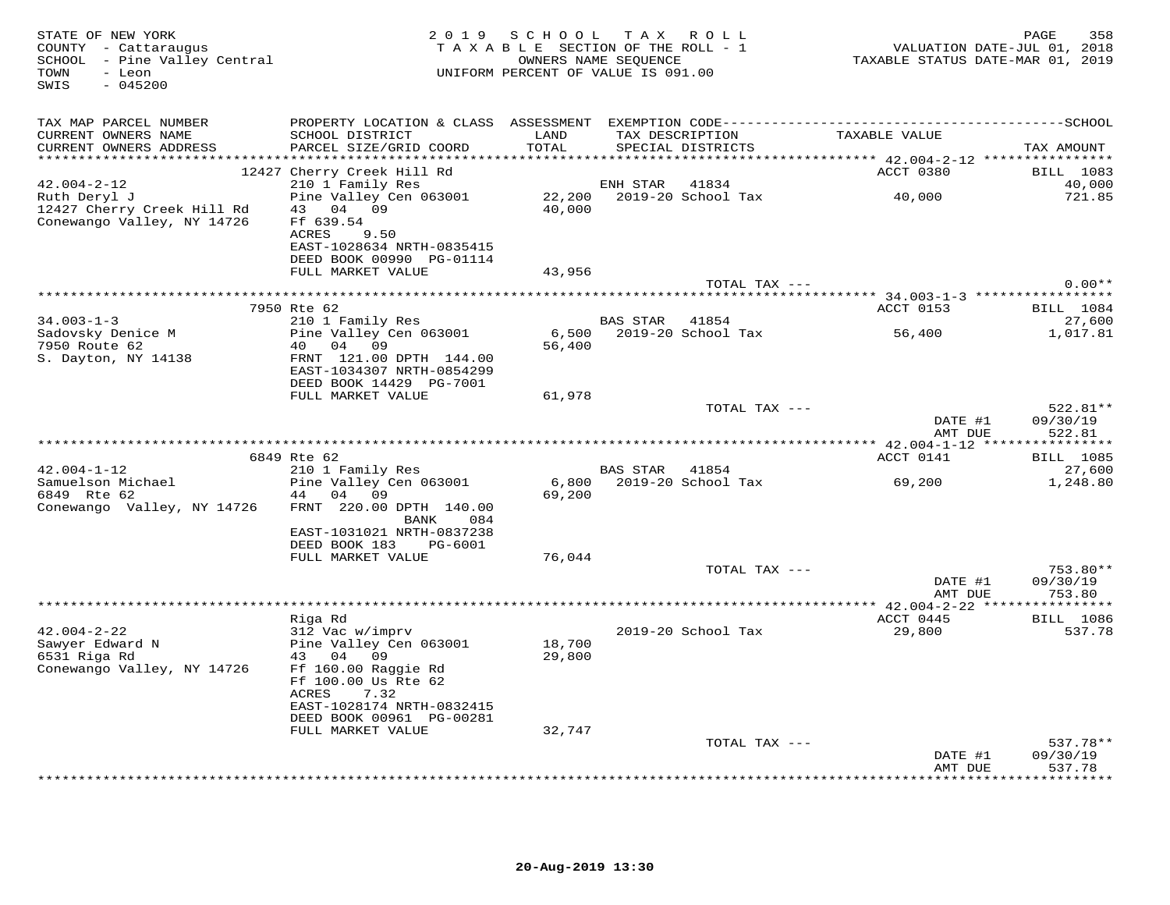| STATE OF NEW YORK<br>COUNTY - Cattaraugus<br>SCHOOL - Pine Valley Central<br>TOWN<br>- Leon<br>$-045200$<br>SWIS |                                                                                                                                   | 2019 SCHOOL TAX ROLL<br>TAXABLE SECTION OF THE ROLL - 1<br>UNIFORM PERCENT OF VALUE IS 091.00 | OWNERS NAME SEQUENCE |                           | TAXABLE STATUS DATE-MAR 01, 2019 | 358<br>PAGE<br>VALUATION DATE-JUL 01, 2018 |
|------------------------------------------------------------------------------------------------------------------|-----------------------------------------------------------------------------------------------------------------------------------|-----------------------------------------------------------------------------------------------|----------------------|---------------------------|----------------------------------|--------------------------------------------|
| TAX MAP PARCEL NUMBER                                                                                            |                                                                                                                                   |                                                                                               |                      |                           |                                  |                                            |
| CURRENT OWNERS NAME                                                                                              | SCHOOL DISTRICT                                                                                                                   | LAND                                                                                          |                      | TAX DESCRIPTION           | TAXABLE VALUE                    |                                            |
| CURRENT OWNERS ADDRESS                                                                                           | PARCEL SIZE/GRID COORD                                                                                                            | TOTAL                                                                                         |                      | SPECIAL DISTRICTS         |                                  | TAX AMOUNT                                 |
|                                                                                                                  | 12427 Cherry Creek Hill Rd                                                                                                        |                                                                                               |                      |                           | <b>ACCT 0380</b>                 | BILL 1083                                  |
| $42.004 - 2 - 12$                                                                                                | 210 1 Family Res                                                                                                                  |                                                                                               | ENH STAR             | 41834                     |                                  | 40,000                                     |
| Ruth Deryl J                                                                                                     | Pine Valley Cen 063001                                                                                                            |                                                                                               |                      | 22,200 2019-20 School Tax | 40,000                           | 721.85                                     |
| 12427 Cherry Creek Hill Rd<br>Conewango Valley, NY 14726                                                         | 43 04 09<br>Ff 639.54<br>ACRES<br>9.50<br>EAST-1028634 NRTH-0835415<br>DEED BOOK 00990 PG-01114                                   | 40,000                                                                                        |                      |                           |                                  |                                            |
|                                                                                                                  | FULL MARKET VALUE                                                                                                                 | 43,956                                                                                        |                      |                           |                                  |                                            |
|                                                                                                                  |                                                                                                                                   |                                                                                               |                      | TOTAL TAX ---             |                                  | $0.00**$                                   |
|                                                                                                                  |                                                                                                                                   |                                                                                               |                      |                           |                                  |                                            |
|                                                                                                                  | 7950 Rte 62                                                                                                                       |                                                                                               |                      |                           | ACCT 0153                        | <b>BILL</b> 1084                           |
| $34.003 - 1 - 3$<br>Sadovsky Denice M                                                                            | 210 1 Family Res<br>Pine Valley Cen 063001                                                                                        |                                                                                               | BAS STAR 41854       |                           |                                  | 27,600<br>1,017.81                         |
| 7950 Route 62                                                                                                    | 40 04 09                                                                                                                          | 56,400                                                                                        |                      |                           |                                  |                                            |
| S. Dayton, NY 14138                                                                                              | FRNT 121.00 DPTH 144.00<br>EAST-1034307 NRTH-0854299<br>DEED BOOK 14429 PG-7001                                                   |                                                                                               |                      |                           |                                  |                                            |
|                                                                                                                  | FULL MARKET VALUE                                                                                                                 | 61,978                                                                                        |                      |                           |                                  |                                            |
|                                                                                                                  |                                                                                                                                   |                                                                                               |                      | TOTAL TAX ---             | DATE #1<br>AMT DUE               | 522.81**<br>09/30/19<br>522.81             |
|                                                                                                                  |                                                                                                                                   |                                                                                               |                      |                           |                                  |                                            |
|                                                                                                                  | 6849 Rte 62                                                                                                                       |                                                                                               |                      |                           | ACCT 0141                        | <b>BILL</b> 1085                           |
| $42.004 - 1 - 12$                                                                                                | 210 1 Family Res                                                                                                                  |                                                                                               | BAS STAR             | 41854                     |                                  | 27,600                                     |
| Samuelson Michael<br>6849 Rte 62                                                                                 | Pine Valley Cen 063001<br>44 04 09                                                                                                | 69,200                                                                                        |                      | 6,800 2019-20 School Tax  | 69,200                           | 1,248.80                                   |
| Conewango Valley, NY 14726                                                                                       | FRNT 220.00 DPTH 140.00<br>BANK<br>084                                                                                            |                                                                                               |                      |                           |                                  |                                            |
|                                                                                                                  | EAST-1031021 NRTH-0837238<br>DEED BOOK 183<br>PG-6001                                                                             |                                                                                               |                      |                           |                                  |                                            |
|                                                                                                                  | FULL MARKET VALUE                                                                                                                 | 76,044                                                                                        |                      |                           |                                  |                                            |
|                                                                                                                  |                                                                                                                                   |                                                                                               |                      | TOTAL TAX ---             |                                  | 753.80**                                   |
|                                                                                                                  |                                                                                                                                   |                                                                                               |                      |                           | DATE #1                          | 09/30/19                                   |
|                                                                                                                  |                                                                                                                                   |                                                                                               |                      |                           | AMT DUE                          | 753.80                                     |
|                                                                                                                  | Riga Rd                                                                                                                           |                                                                                               |                      |                           | ACCT 0445                        | <b>BILL</b> 1086                           |
| $42.004 - 2 - 22$                                                                                                | 312 Vac w/imprv                                                                                                                   |                                                                                               |                      | 2019-20 School Tax        | 29,800                           | 537.78                                     |
| Sawyer Edward N<br>6531 Riga Rd<br>Conewango Valley, NY 14726                                                    | Pine Valley Cen 063001<br>43 04<br>09<br>Ff 160.00 Raggie Rd<br>Ff 100.00 Us Rte 62<br>ACRES<br>7.32<br>EAST-1028174 NRTH-0832415 | 18,700<br>29,800                                                                              |                      |                           |                                  |                                            |
|                                                                                                                  | DEED BOOK 00961 PG-00281                                                                                                          |                                                                                               |                      |                           |                                  |                                            |
|                                                                                                                  | FULL MARKET VALUE                                                                                                                 | 32,747                                                                                        |                      |                           |                                  |                                            |
|                                                                                                                  |                                                                                                                                   |                                                                                               |                      | TOTAL TAX ---             |                                  | 537.78**                                   |
|                                                                                                                  |                                                                                                                                   |                                                                                               |                      |                           | DATE #1<br>AMT DUE               | 09/30/19<br>537.78                         |
|                                                                                                                  |                                                                                                                                   |                                                                                               |                      |                           |                                  | * * * * * * * *                            |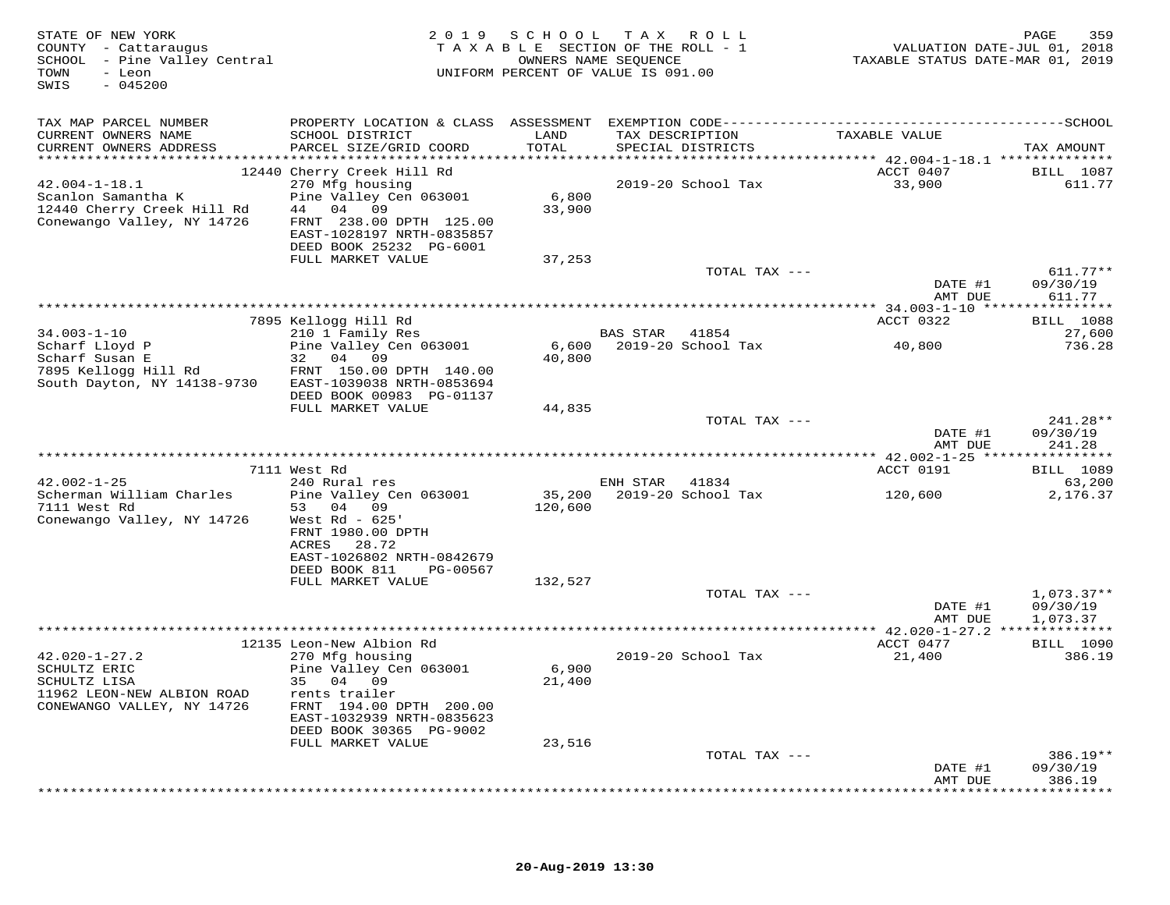| STATE OF NEW YORK<br>COUNTY - Cattaraugus<br>SCHOOL - Pine Valley Central<br>TOWN<br>- Leon<br>$-045200$<br>SWIS |                                                                                                  | 2019 SCHOOL TAX ROLL<br>TAXABLE SECTION OF THE ROLL - 1<br>OWNERS NAME SEQUENCE<br>UNIFORM PERCENT OF VALUE IS 091.00 |                |                                      | VALUATION DATE-JUL 01, 2018<br>TAXABLE STATUS DATE-MAR 01, 2019 | 359<br>PAGE                      |
|------------------------------------------------------------------------------------------------------------------|--------------------------------------------------------------------------------------------------|-----------------------------------------------------------------------------------------------------------------------|----------------|--------------------------------------|-----------------------------------------------------------------|----------------------------------|
| TAX MAP PARCEL NUMBER                                                                                            |                                                                                                  |                                                                                                                       |                |                                      |                                                                 |                                  |
| CURRENT OWNERS NAME<br>CURRENT OWNERS ADDRESS                                                                    | SCHOOL DISTRICT<br>PARCEL SIZE/GRID COORD                                                        | LAND<br>TOTAL                                                                                                         |                | TAX DESCRIPTION<br>SPECIAL DISTRICTS | TAXABLE VALUE                                                   | TAX AMOUNT                       |
| $42.004 - 1 - 18.1$<br>Scanlon Samantha K<br>12440 Cherry Creek Hill Rd                                          | 12440 Cherry Creek Hill Rd<br>270 Mfg housing<br>Pine Valley Cen 063001<br>44 04 09              | 6,800<br>33,900                                                                                                       |                | 2019-20 School Tax                   | ACCT 0407<br>33,900                                             | <b>BILL</b> 1087<br>611.77       |
| Conewango Valley, NY 14726                                                                                       | FRNT 238.00 DPTH 125.00<br>EAST-1028197 NRTH-0835857<br>DEED BOOK 25232 PG-6001                  |                                                                                                                       |                |                                      |                                                                 |                                  |
|                                                                                                                  | FULL MARKET VALUE                                                                                | 37,253                                                                                                                |                | TOTAL TAX ---                        | DATE #1<br>AMT DUE                                              | $611.77**$<br>09/30/19<br>611.77 |
|                                                                                                                  |                                                                                                  |                                                                                                                       |                |                                      |                                                                 |                                  |
|                                                                                                                  | 7895 Kellogg Hill Rd                                                                             |                                                                                                                       |                |                                      | ACCT 0322                                                       | <b>BILL</b> 1088                 |
| $34.003 - 1 - 10$<br>Scharf Lloyd P                                                                              | 210 1 Family Res<br>Pine Valley Cen 063001                                                       |                                                                                                                       | BAS STAR       | 41854<br>6,600 2019-20 School Tax    | 40,800                                                          | 27,600<br>736.28                 |
| Scharf Susan E<br>7895 Kellogg Hill Rd<br>South Dayton, NY 14138-9730                                            | 32 04 09<br>FRNT 150.00 DPTH 140.00<br>EAST-1039038 NRTH-0853694<br>DEED BOOK 00983 PG-01137     | 40,800                                                                                                                |                |                                      |                                                                 |                                  |
|                                                                                                                  | FULL MARKET VALUE                                                                                | 44,835                                                                                                                |                |                                      |                                                                 |                                  |
|                                                                                                                  |                                                                                                  |                                                                                                                       |                | TOTAL TAX ---                        | DATE #1<br>AMT DUE                                              | 241.28**<br>09/30/19<br>241.28   |
|                                                                                                                  |                                                                                                  |                                                                                                                       |                |                                      |                                                                 |                                  |
|                                                                                                                  | 7111 West Rd                                                                                     |                                                                                                                       |                |                                      | ACCT 0191                                                       | <b>BILL</b> 1089                 |
| $42.002 - 1 - 25$<br>Scherman William Charles                                                                    | 240 Rural res<br>Pine Valley Cen 063001                                                          | 35,200                                                                                                                | ENH STAR 41834 | 2019-20 School Tax                   | 120,600                                                         | 63,200<br>2,176.37               |
| 7111 West Rd<br>Conewango Valley, NY 14726                                                                       | 53 04 09<br>West $Rd - 625'$<br>FRNT 1980.00 DPTH<br>ACRES<br>28.72                              | 120,600                                                                                                               |                |                                      |                                                                 |                                  |
|                                                                                                                  | EAST-1026802 NRTH-0842679<br>DEED BOOK 811<br>PG-00567                                           |                                                                                                                       |                |                                      |                                                                 |                                  |
|                                                                                                                  | FULL MARKET VALUE                                                                                | 132,527                                                                                                               |                |                                      |                                                                 |                                  |
|                                                                                                                  |                                                                                                  |                                                                                                                       |                | TOTAL TAX ---                        |                                                                 | $1,073.37**$                     |
|                                                                                                                  |                                                                                                  |                                                                                                                       |                |                                      | DATE #1<br>AMT DUE                                              | 09/30/19<br>1,073.37             |
|                                                                                                                  | 12135 Leon-New Albion Rd                                                                         |                                                                                                                       |                |                                      | ACCT 0477                                                       | <b>BILL</b> 1090                 |
| $42.020 - 1 - 27.2$                                                                                              | 270 Mfg housing                                                                                  |                                                                                                                       |                | 2019-20 School Tax                   | 21,400                                                          | 386.19                           |
| SCHULTZ ERIC<br>SCHULTZ LISA                                                                                     | Pine Valley Cen 063001<br>35 04 09                                                               | 6,900<br>21,400                                                                                                       |                |                                      |                                                                 |                                  |
| 11962 LEON-NEW ALBION ROAD<br>CONEWANGO VALLEY, NY 14726                                                         | rents trailer<br>FRNT 194.00 DPTH 200.00<br>EAST-1032939 NRTH-0835623<br>DEED BOOK 30365 PG-9002 |                                                                                                                       |                |                                      |                                                                 |                                  |
|                                                                                                                  | FULL MARKET VALUE                                                                                | 23,516                                                                                                                |                |                                      |                                                                 |                                  |
|                                                                                                                  |                                                                                                  |                                                                                                                       |                | TOTAL TAX ---                        | DATE #1<br>AMT DUE                                              | $386.19**$<br>09/30/19<br>386.19 |
|                                                                                                                  |                                                                                                  |                                                                                                                       |                |                                      |                                                                 | *********                        |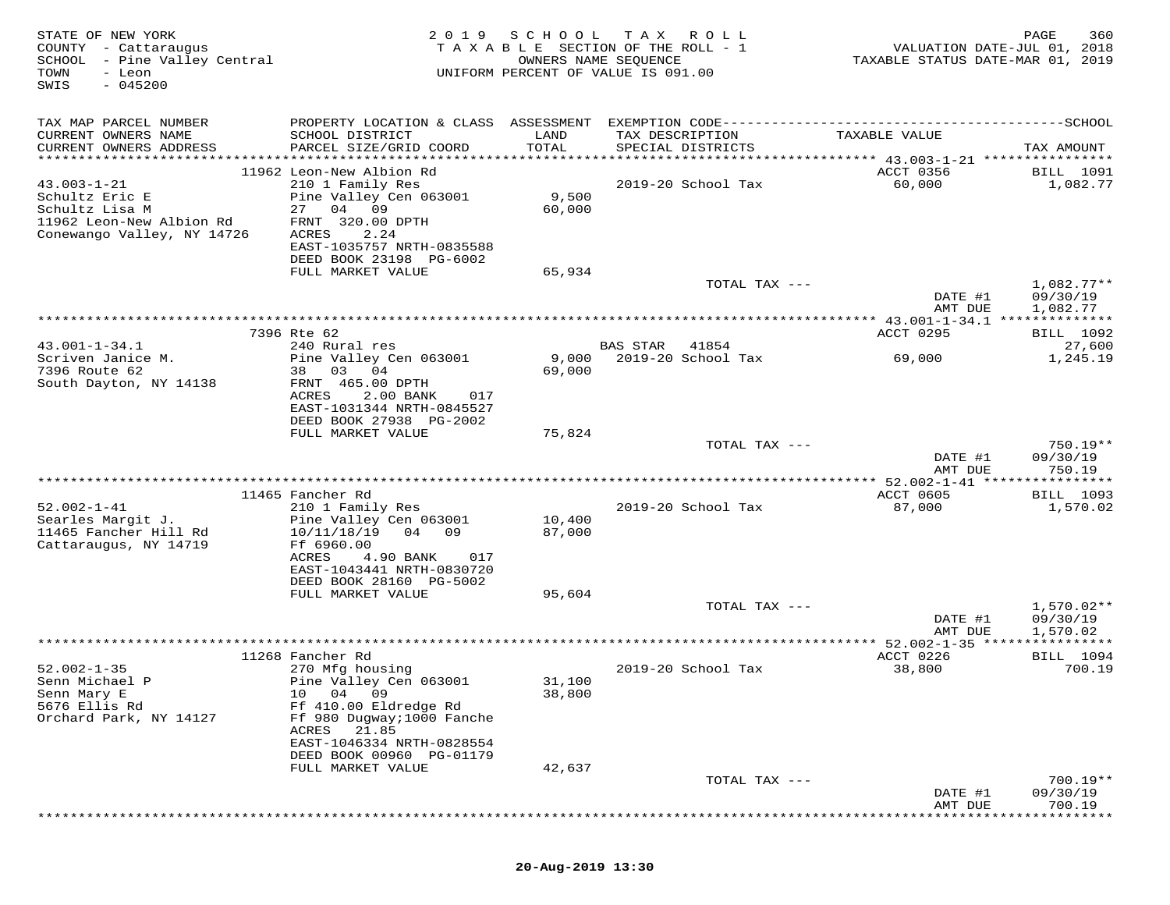| STATE OF NEW YORK<br>COUNTY - Cattaraugus<br>- Pine Valley Central<br>SCHOOL<br>TOWN<br>- Leon<br>$-045200$<br>SWIS | 2 0 1 9                                                                                                                                                                            | SCHOOL<br>TAXABLE SECTION OF THE ROLL - 1<br>OWNERS NAME SEQUENCE<br>UNIFORM PERCENT OF VALUE IS 091.00 | T A X           | R O L L            | VALUATION DATE-JUL 01, 2018<br>TAXABLE STATUS DATE-MAR 01, 2019 | PAGE<br>360                  |
|---------------------------------------------------------------------------------------------------------------------|------------------------------------------------------------------------------------------------------------------------------------------------------------------------------------|---------------------------------------------------------------------------------------------------------|-----------------|--------------------|-----------------------------------------------------------------|------------------------------|
| TAX MAP PARCEL NUMBER<br>CURRENT OWNERS NAME<br>CURRENT OWNERS ADDRESS                                              | PROPERTY LOCATION & CLASS ASSESSMENT EXEMPTION CODE-----------------------------------SCHOOL<br>SCHOOL DISTRICT<br>PARCEL SIZE/GRID COORD                                          | LAND<br>TOTAL                                                                                           | TAX DESCRIPTION | SPECIAL DISTRICTS  | TAXABLE VALUE                                                   | TAX AMOUNT                   |
|                                                                                                                     |                                                                                                                                                                                    |                                                                                                         |                 |                    |                                                                 |                              |
| $43.003 - 1 - 21$<br>Schultz Eric E<br>Schultz Lisa M<br>11962 Leon-New Albion Rd<br>Conewango Valley, NY 14726     | 11962 Leon-New Albion Rd<br>210 1 Family Res<br>Pine Valley Cen 063001<br>27 04<br>09<br>FRNT 320.00 DPTH<br>ACRES<br>2.24<br>EAST-1035757 NRTH-0835588<br>DEED BOOK 23198 PG-6002 | 9,500<br>60,000                                                                                         |                 | 2019-20 School Tax | ACCT 0356<br>60,000                                             | <b>BILL</b> 1091<br>1,082.77 |
|                                                                                                                     | FULL MARKET VALUE                                                                                                                                                                  | 65,934                                                                                                  |                 |                    |                                                                 |                              |
|                                                                                                                     |                                                                                                                                                                                    |                                                                                                         |                 | TOTAL TAX ---      | DATE #1                                                         | $1,082.77**$<br>09/30/19     |
|                                                                                                                     |                                                                                                                                                                                    |                                                                                                         |                 |                    | AMT DUE                                                         | 1,082.77                     |
|                                                                                                                     | 7396 Rte 62                                                                                                                                                                        |                                                                                                         |                 |                    | ACCT 0295                                                       | <b>BILL</b> 1092             |
| $43.001 - 1 - 34.1$                                                                                                 | 240 Rural res                                                                                                                                                                      |                                                                                                         | <b>BAS STAR</b> | 41854              |                                                                 | 27,600                       |
| Scriven Janice M.                                                                                                   | Pine Valley Cen 063001                                                                                                                                                             | 9,000                                                                                                   |                 | 2019-20 School Tax | 69,000                                                          | 1,245.19                     |
| 7396 Route 62<br>South Dayton, NY 14138                                                                             | 03<br>04<br>38<br>FRNT 465.00 DPTH<br>ACRES<br>2.00 BANK<br>017<br>EAST-1031344 NRTH-0845527<br>DEED BOOK 27938 PG-2002                                                            | 69,000                                                                                                  |                 |                    |                                                                 |                              |
|                                                                                                                     | FULL MARKET VALUE                                                                                                                                                                  | 75,824                                                                                                  |                 |                    |                                                                 |                              |
|                                                                                                                     |                                                                                                                                                                                    |                                                                                                         |                 | TOTAL TAX ---      | DATE #1                                                         | $750.19**$<br>09/30/19       |
|                                                                                                                     |                                                                                                                                                                                    |                                                                                                         |                 |                    | AMT DUE                                                         | 750.19<br>* * * * * * * * *  |
|                                                                                                                     | 11465 Fancher Rd                                                                                                                                                                   |                                                                                                         |                 |                    | ACCT 0605                                                       | <b>BILL</b> 1093             |
| $52.002 - 1 - 41$                                                                                                   | 210 1 Family Res                                                                                                                                                                   |                                                                                                         |                 | 2019-20 School Tax | 87,000                                                          | 1,570.02                     |
| Searles Margit J.<br>11465 Fancher Hill Rd                                                                          | Pine Valley Cen 063001<br>04<br>10/11/18/19<br>09                                                                                                                                  | 10,400<br>87,000                                                                                        |                 |                    |                                                                 |                              |
| Cattaraugus, NY 14719                                                                                               | Ff 6960.00<br>ACRES<br>4.90 BANK<br>017<br>EAST-1043441 NRTH-0830720<br>DEED BOOK 28160 PG-5002                                                                                    |                                                                                                         |                 |                    |                                                                 |                              |
|                                                                                                                     | FULL MARKET VALUE                                                                                                                                                                  | 95,604                                                                                                  |                 |                    |                                                                 |                              |
|                                                                                                                     |                                                                                                                                                                                    |                                                                                                         |                 | TOTAL TAX ---      | DATE #1                                                         | $1,570.02**$<br>09/30/19     |
|                                                                                                                     |                                                                                                                                                                                    |                                                                                                         |                 |                    | AMT DUE<br>** 52.002-1-35                                       | 1,570.02                     |
|                                                                                                                     | 11268 Fancher Rd                                                                                                                                                                   |                                                                                                         |                 |                    | ACCT 0226                                                       | BILL 1094                    |
| $52.002 - 1 - 35$                                                                                                   | 270 Mfg housing                                                                                                                                                                    |                                                                                                         |                 | 2019-20 School Tax | 38,800                                                          | 700.19                       |
| Senn Michael P                                                                                                      | Pine Valley Cen 063001                                                                                                                                                             | 31,100                                                                                                  |                 |                    |                                                                 |                              |
| Senn Mary E                                                                                                         | 04<br>09<br>10                                                                                                                                                                     | 38,800                                                                                                  |                 |                    |                                                                 |                              |
| 5676 Ellis Rd<br>Orchard Park, NY 14127                                                                             | Ff 410.00 Eldredge Rd<br>Ff 980 Dugway; 1000 Fanche<br>21.85<br>ACRES                                                                                                              |                                                                                                         |                 |                    |                                                                 |                              |
|                                                                                                                     | EAST-1046334 NRTH-0828554<br>DEED BOOK 00960 PG-01179                                                                                                                              |                                                                                                         |                 |                    |                                                                 |                              |
|                                                                                                                     | FULL MARKET VALUE                                                                                                                                                                  | 42,637                                                                                                  |                 |                    |                                                                 |                              |
|                                                                                                                     |                                                                                                                                                                                    |                                                                                                         |                 | TOTAL TAX ---      | DATE #1                                                         | $700.19**$<br>09/30/19       |
|                                                                                                                     |                                                                                                                                                                                    |                                                                                                         |                 |                    | AMT DUE                                                         | 700.19                       |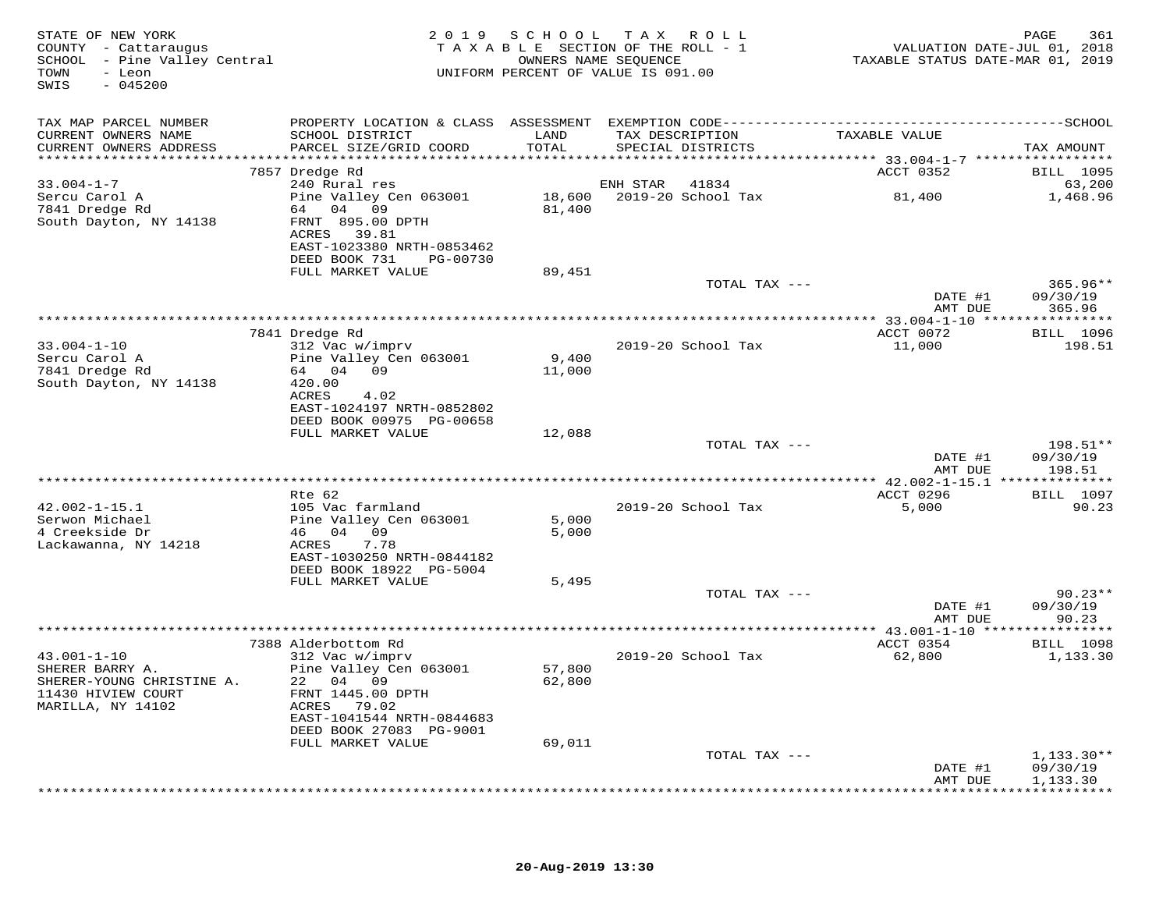| STATE OF NEW YORK<br>COUNTY - Cattaraugus<br>SCHOOL - Pine Valley Central<br>- Leon<br>TOWN<br>$-045200$<br>SWIS |                                              | 2019 SCHOOL TAX ROLL<br>TAXABLE SECTION OF THE ROLL - 1<br>OWNERS NAME SEQUENCE<br>UNIFORM PERCENT OF VALUE IS 091.00 |                 |                    | VALUATION DATE-JUL 01, 2018<br>TAXABLE STATUS DATE-MAR 01, 2019 | 361<br>PAGE                |
|------------------------------------------------------------------------------------------------------------------|----------------------------------------------|-----------------------------------------------------------------------------------------------------------------------|-----------------|--------------------|-----------------------------------------------------------------|----------------------------|
| TAX MAP PARCEL NUMBER                                                                                            |                                              |                                                                                                                       |                 |                    |                                                                 |                            |
| CURRENT OWNERS NAME                                                                                              | SCHOOL DISTRICT                              | LAND                                                                                                                  | TAX DESCRIPTION |                    | TAXABLE VALUE                                                   |                            |
| CURRENT OWNERS ADDRESS                                                                                           | PARCEL SIZE/GRID COORD                       | TOTAL                                                                                                                 |                 | SPECIAL DISTRICTS  |                                                                 | TAX AMOUNT                 |
|                                                                                                                  | 7857 Dredge Rd                               |                                                                                                                       |                 |                    | ACCT 0352                                                       | <b>BILL</b> 1095           |
| $33.004 - 1 - 7$                                                                                                 | 240 Rural res                                |                                                                                                                       | ENH STAR 41834  |                    |                                                                 | 63,200                     |
| Sercu Carol A                                                                                                    | Pine Valley Cen 063001                       |                                                                                                                       |                 |                    |                                                                 | 1,468.96                   |
| 7841 Dredge Rd<br>South Dayton, NY 14138                                                                         | 64 04 09<br>FRNT 895.00 DPTH                 | 81,400                                                                                                                |                 |                    |                                                                 |                            |
|                                                                                                                  | ACRES 39.81                                  |                                                                                                                       |                 |                    |                                                                 |                            |
|                                                                                                                  | EAST-1023380 NRTH-0853462                    |                                                                                                                       |                 |                    |                                                                 |                            |
|                                                                                                                  | DEED BOOK 731 PG-00730                       |                                                                                                                       |                 |                    |                                                                 |                            |
|                                                                                                                  | FULL MARKET VALUE                            | 89,451                                                                                                                |                 | TOTAL TAX ---      |                                                                 | $365.96**$                 |
|                                                                                                                  |                                              |                                                                                                                       |                 |                    | DATE #1                                                         | 09/30/19                   |
|                                                                                                                  |                                              |                                                                                                                       |                 |                    | AMT DUE                                                         | 365.96                     |
|                                                                                                                  |                                              |                                                                                                                       |                 |                    |                                                                 |                            |
| $33.004 - 1 - 10$                                                                                                | 7841 Dredge Rd<br>312 Vac w/imprv            |                                                                                                                       |                 | 2019-20 School Tax | ACCT 0072<br>11,000                                             | <b>BILL</b> 1096<br>198.51 |
| Sercu Carol A                                                                                                    | Pine Valley Cen 063001                       | 9,400                                                                                                                 |                 |                    |                                                                 |                            |
| 7841 Dredge Rd                                                                                                   | 64 04 09                                     | 11,000                                                                                                                |                 |                    |                                                                 |                            |
| South Dayton, NY 14138                                                                                           | 420.00                                       |                                                                                                                       |                 |                    |                                                                 |                            |
|                                                                                                                  | ACRES<br>4.02<br>EAST-1024197 NRTH-0852802   |                                                                                                                       |                 |                    |                                                                 |                            |
|                                                                                                                  | DEED BOOK 00975 PG-00658                     |                                                                                                                       |                 |                    |                                                                 |                            |
|                                                                                                                  | FULL MARKET VALUE                            | 12,088                                                                                                                |                 |                    |                                                                 |                            |
|                                                                                                                  |                                              |                                                                                                                       |                 | TOTAL TAX ---      | DATE #1                                                         | 198.51**<br>09/30/19       |
|                                                                                                                  |                                              |                                                                                                                       |                 |                    | AMT DUE                                                         | 198.51                     |
|                                                                                                                  |                                              |                                                                                                                       |                 |                    |                                                                 |                            |
|                                                                                                                  | Rte 62                                       |                                                                                                                       |                 |                    | ACCT 0296                                                       | <b>BILL</b> 1097           |
| $42.002 - 1 - 15.1$<br>Serwon Michael                                                                            | 105 Vac farmland<br>Pine Valley Cen 063001   | 5,000                                                                                                                 |                 | 2019-20 School Tax | 5,000                                                           | 90.23                      |
| 4 Creekside Dr                                                                                                   | 46 04 09                                     | 5,000                                                                                                                 |                 |                    |                                                                 |                            |
| Lackawanna, NY 14218                                                                                             | 7.78<br>ACRES                                |                                                                                                                       |                 |                    |                                                                 |                            |
|                                                                                                                  | EAST-1030250 NRTH-0844182                    |                                                                                                                       |                 |                    |                                                                 |                            |
|                                                                                                                  | DEED BOOK 18922 PG-5004<br>FULL MARKET VALUE | 5,495                                                                                                                 |                 |                    |                                                                 |                            |
|                                                                                                                  |                                              |                                                                                                                       |                 | TOTAL TAX ---      |                                                                 | $90.23**$                  |
|                                                                                                                  |                                              |                                                                                                                       |                 |                    | DATE #1                                                         | 09/30/19                   |
|                                                                                                                  |                                              |                                                                                                                       |                 |                    | AMT DUE                                                         | 90.23                      |
|                                                                                                                  | 7388 Alderbottom Rd                          |                                                                                                                       |                 |                    | ACCT 0354                                                       | <b>BILL</b> 1098           |
| $43.001 - 1 - 10$                                                                                                | 312 Vac w/imprv                              |                                                                                                                       |                 | 2019-20 School Tax | 62,800                                                          | 1,133.30                   |
| SHERER BARRY A.                                                                                                  | Pine Valley Cen 063001                       | 57,800                                                                                                                |                 |                    |                                                                 |                            |
| SHERER-YOUNG CHRISTINE A.                                                                                        | 22 04 09                                     | 62,800                                                                                                                |                 |                    |                                                                 |                            |
| 11430 HIVIEW COURT<br>MARILLA, NY 14102                                                                          | FRNT 1445.00 DPTH<br>ACRES 79.02             |                                                                                                                       |                 |                    |                                                                 |                            |
|                                                                                                                  | EAST-1041544 NRTH-0844683                    |                                                                                                                       |                 |                    |                                                                 |                            |
|                                                                                                                  | DEED BOOK 27083 PG-9001                      |                                                                                                                       |                 |                    |                                                                 |                            |
|                                                                                                                  | FULL MARKET VALUE                            | 69,011                                                                                                                |                 |                    |                                                                 |                            |
|                                                                                                                  |                                              |                                                                                                                       |                 | TOTAL TAX ---      | DATE #1                                                         | $1,133.30**$<br>09/30/19   |
|                                                                                                                  |                                              |                                                                                                                       |                 |                    | AMT DUE                                                         | 1,133.30                   |
|                                                                                                                  |                                              |                                                                                                                       |                 |                    |                                                                 |                            |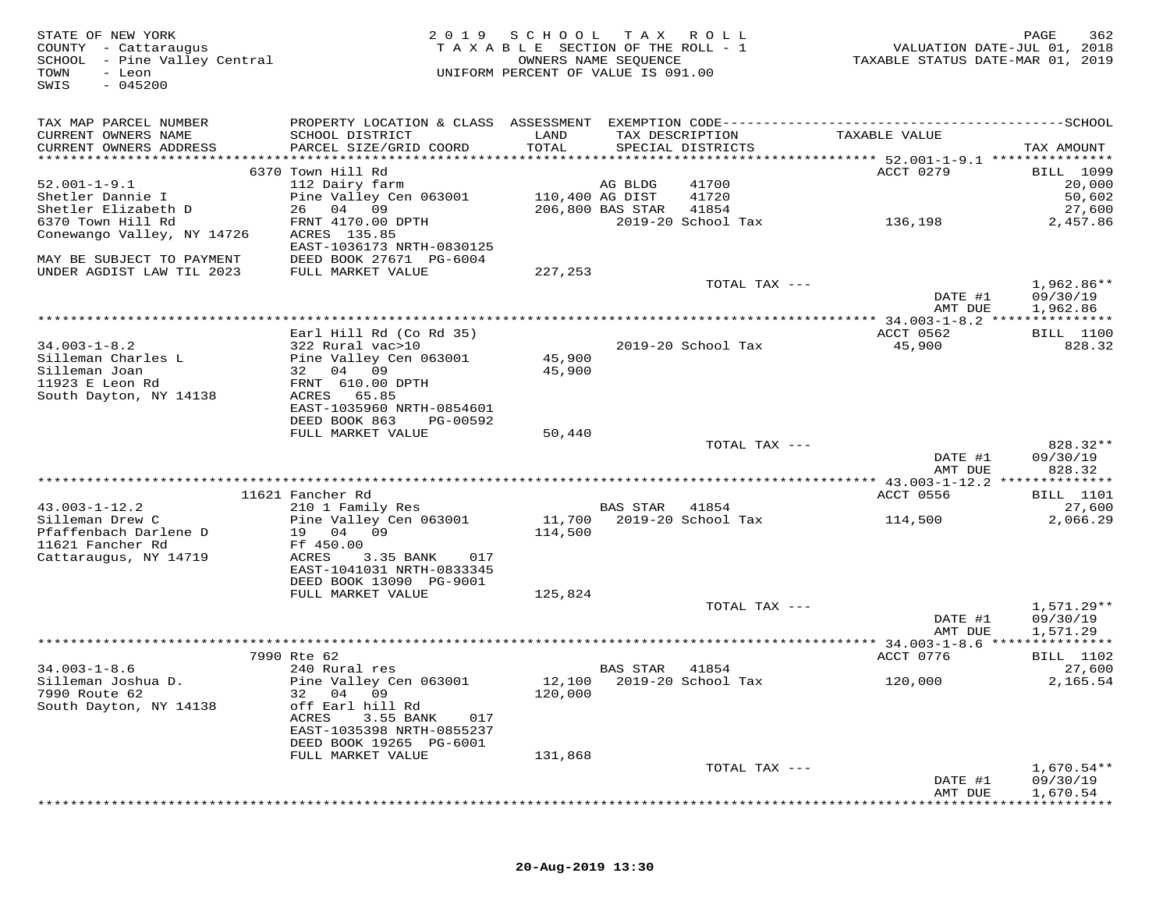| STATE OF NEW YORK<br>COUNTY - Cattaraugus<br>SCHOOL - Pine Valley Central<br>TOWN<br>- Leon<br>$-045200$<br>SWIS |                                                      | 2019 SCHOOL | T A X<br>TAXABLE SECTION OF THE ROLL - 1<br>OWNERS NAME SEQUENCE<br>UNIFORM PERCENT OF VALUE IS 091.00 | R O L L       | VALUATION DATE-JUL 01, 2018<br>TAXABLE STATUS DATE-MAR 01, 2019 | PAGE<br>362          |
|------------------------------------------------------------------------------------------------------------------|------------------------------------------------------|-------------|--------------------------------------------------------------------------------------------------------|---------------|-----------------------------------------------------------------|----------------------|
| TAX MAP PARCEL NUMBER                                                                                            |                                                      |             |                                                                                                        |               |                                                                 |                      |
| CURRENT OWNERS NAME                                                                                              | SCHOOL DISTRICT                                      | LAND        | TAX DESCRIPTION                                                                                        |               | TAXABLE VALUE                                                   |                      |
| CURRENT OWNERS ADDRESS                                                                                           | PARCEL SIZE/GRID COORD                               | TOTAL       | SPECIAL DISTRICTS                                                                                      |               |                                                                 | TAX AMOUNT           |
|                                                                                                                  | 6370 Town Hill Rd                                    |             |                                                                                                        |               | ACCT 0279                                                       | <b>BILL</b> 1099     |
| $52.001 - 1 - 9.1$                                                                                               | 112 Dairy farm                                       |             | AG BLDG                                                                                                | 41700         |                                                                 | 20,000               |
| Shetler Dannie I                                                                                                 | Pine Valley Cen 063001                               |             | 110,400 AG DIST                                                                                        | 41720         |                                                                 | 50,602               |
| Shetler Elizabeth D                                                                                              | 26 04 09                                             |             | 206,800 BAS STAR                                                                                       | 41854         |                                                                 | 27,600               |
| 6370 Town Hill Rd                                                                                                | FRNT 4170.00 DPTH                                    |             | 2019-20 School Tax                                                                                     |               | 136,198                                                         | 2,457.86             |
| Conewango Valley, NY 14726                                                                                       | ACRES 135.85                                         |             |                                                                                                        |               |                                                                 |                      |
| MAY BE SUBJECT TO PAYMENT                                                                                        | EAST-1036173 NRTH-0830125<br>DEED BOOK 27671 PG-6004 |             |                                                                                                        |               |                                                                 |                      |
| UNDER AGDIST LAW TIL 2023                                                                                        | FULL MARKET VALUE                                    | 227,253     |                                                                                                        |               |                                                                 |                      |
|                                                                                                                  |                                                      |             |                                                                                                        | TOTAL TAX --- |                                                                 | 1,962.86**           |
|                                                                                                                  |                                                      |             |                                                                                                        |               | DATE #1                                                         | 09/30/19             |
|                                                                                                                  |                                                      |             |                                                                                                        |               | AMT DUE                                                         | 1,962.86             |
|                                                                                                                  | Earl Hill Rd (Co Rd 35)                              |             |                                                                                                        |               | ACCT 0562                                                       | <b>BILL</b> 1100     |
| $34.003 - 1 - 8.2$                                                                                               | 322 Rural vac>10                                     |             | 2019-20 School Tax                                                                                     |               | 45,900                                                          | 828.32               |
| Silleman Charles L                                                                                               | Pine Valley Cen 063001                               | 45,900      |                                                                                                        |               |                                                                 |                      |
| Silleman Joan                                                                                                    | 32 04 09                                             | 45,900      |                                                                                                        |               |                                                                 |                      |
| 11923 E Leon Rd                                                                                                  | FRNT 610.00 DPTH                                     |             |                                                                                                        |               |                                                                 |                      |
| South Dayton, NY 14138                                                                                           | 65.85<br>ACRES<br>EAST-1035960 NRTH-0854601          |             |                                                                                                        |               |                                                                 |                      |
|                                                                                                                  | DEED BOOK 863<br>PG-00592                            |             |                                                                                                        |               |                                                                 |                      |
|                                                                                                                  | FULL MARKET VALUE                                    | 50,440      |                                                                                                        |               |                                                                 |                      |
|                                                                                                                  |                                                      |             |                                                                                                        | TOTAL TAX --- |                                                                 | 828.32**             |
|                                                                                                                  |                                                      |             |                                                                                                        |               | DATE #1                                                         | 09/30/19             |
|                                                                                                                  |                                                      |             |                                                                                                        |               | AMT DUE                                                         | 828.32               |
|                                                                                                                  | 11621 Fancher Rd                                     |             |                                                                                                        |               | ACCT 0556                                                       | BILL 1101            |
| $43.003 - 1 - 12.2$                                                                                              | 210 1 Family Res                                     |             | <b>BAS STAR</b>                                                                                        | 41854         |                                                                 | 27,600               |
| Silleman Drew C                                                                                                  | Pine Valley Cen 063001                               | 11,700      | 2019-20 School Tax                                                                                     |               | 114,500                                                         | 2,066.29             |
| Pfaffenbach Darlene D                                                                                            | 19 04 09                                             | 114,500     |                                                                                                        |               |                                                                 |                      |
| 11621 Fancher Rd<br>Cattaraugus, NY 14719                                                                        | Ff 450.00<br>ACRES<br>3.35 BANK<br>017               |             |                                                                                                        |               |                                                                 |                      |
|                                                                                                                  | EAST-1041031 NRTH-0833345                            |             |                                                                                                        |               |                                                                 |                      |
|                                                                                                                  | DEED BOOK 13090 PG-9001                              |             |                                                                                                        |               |                                                                 |                      |
|                                                                                                                  | FULL MARKET VALUE                                    | 125,824     |                                                                                                        |               |                                                                 |                      |
|                                                                                                                  |                                                      |             |                                                                                                        | TOTAL TAX --- |                                                                 | 1,571.29**           |
|                                                                                                                  |                                                      |             |                                                                                                        |               | DATE #1<br>AMT DUE                                              | 09/30/19<br>1,571.29 |
|                                                                                                                  |                                                      |             |                                                                                                        |               |                                                                 |                      |
|                                                                                                                  | 7990 Rte 62                                          |             |                                                                                                        |               | ACCT 0776                                                       | <b>BILL</b> 1102     |
| $34.003 - 1 - 8.6$                                                                                               | 240 Rural res                                        |             | BAS STAR                                                                                               | 41854         |                                                                 | 27,600               |
| Silleman Joshua D.                                                                                               | Pine Valley Cen 063001                               |             | 12,100 2019-20 School Tax                                                                              |               | 120,000                                                         | 2,165.54             |
| 7990 Route 62                                                                                                    | 04 09<br>32                                          | 120,000     |                                                                                                        |               |                                                                 |                      |
| South Dayton, NY 14138                                                                                           | off Earl hill Rd<br>3.55 BANK<br>ACRES<br>017        |             |                                                                                                        |               |                                                                 |                      |
|                                                                                                                  | EAST-1035398 NRTH-0855237                            |             |                                                                                                        |               |                                                                 |                      |
|                                                                                                                  | DEED BOOK 19265 PG-6001                              |             |                                                                                                        |               |                                                                 |                      |
|                                                                                                                  | FULL MARKET VALUE                                    | 131,868     |                                                                                                        |               |                                                                 |                      |
|                                                                                                                  |                                                      |             |                                                                                                        | TOTAL TAX --- |                                                                 | $1,670.54**$         |
|                                                                                                                  |                                                      |             |                                                                                                        |               | DATE #1<br>AMT DUE                                              | 09/30/19<br>1,670.54 |
|                                                                                                                  |                                                      |             |                                                                                                        |               |                                                                 |                      |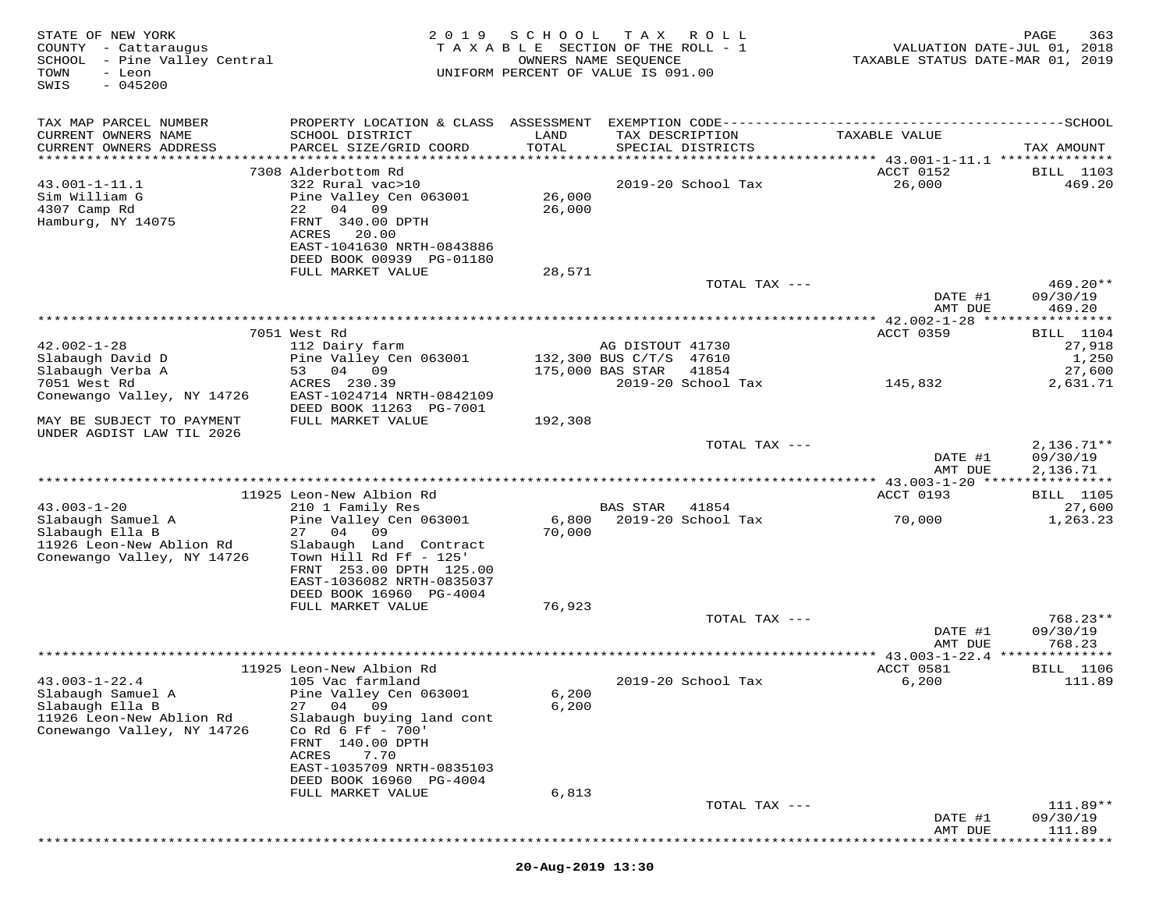| STATE OF NEW YORK<br>COUNTY - Cattaraugus<br>SCHOOL - Pine Valley Central<br>- Leon<br>TOWN<br>$-045200$<br>SWIS | 2019                                                 | SCHOOL        | T A X<br>TAXABLE SECTION OF THE ROLL - 1<br>OWNERS NAME SEQUENCE<br>UNIFORM PERCENT OF VALUE IS 091.00 | R O L L       | TAXABLE STATUS DATE-MAR 01, 2019               | PAGE<br>363<br>VALUATION DATE-JUL 01, 2018 |
|------------------------------------------------------------------------------------------------------------------|------------------------------------------------------|---------------|--------------------------------------------------------------------------------------------------------|---------------|------------------------------------------------|--------------------------------------------|
| TAX MAP PARCEL NUMBER                                                                                            |                                                      |               |                                                                                                        |               |                                                |                                            |
| CURRENT OWNERS NAME                                                                                              | SCHOOL DISTRICT<br>PARCEL SIZE/GRID COORD            | LAND<br>TOTAL | TAX DESCRIPTION                                                                                        |               | TAXABLE VALUE                                  |                                            |
| CURRENT OWNERS ADDRESS<br>***********************                                                                |                                                      |               | SPECIAL DISTRICTS                                                                                      |               |                                                | TAX AMOUNT                                 |
|                                                                                                                  | 7308 Alderbottom Rd                                  |               |                                                                                                        |               | ACCT 0152                                      | BILL 1103                                  |
| $43.001 - 1 - 11.1$<br>Sim William G                                                                             | 322 Rural vac>10<br>Pine Valley Cen 063001           | 26,000        | 2019-20 School Tax                                                                                     |               | 26,000                                         | 469.20                                     |
| 4307 Camp Rd                                                                                                     | 22<br>04 09                                          | 26,000        |                                                                                                        |               |                                                |                                            |
| Hamburg, NY 14075                                                                                                | FRNT 340.00 DPTH                                     |               |                                                                                                        |               |                                                |                                            |
|                                                                                                                  | ACRES<br>20.00<br>EAST-1041630 NRTH-0843886          |               |                                                                                                        |               |                                                |                                            |
|                                                                                                                  | DEED BOOK 00939 PG-01180                             |               |                                                                                                        |               |                                                |                                            |
|                                                                                                                  | FULL MARKET VALUE                                    | 28,571        |                                                                                                        |               |                                                |                                            |
|                                                                                                                  |                                                      |               |                                                                                                        | TOTAL TAX --- | DATE #1                                        | $469.20**$<br>09/30/19                     |
|                                                                                                                  |                                                      |               |                                                                                                        |               | AMT DUE                                        | 469.20                                     |
|                                                                                                                  | ************************************                 |               |                                                                                                        |               | ************* 42.002-1-28 *****                | * * * * * * * * *                          |
| $42.002 - 1 - 28$                                                                                                | 7051 West Rd<br>112 Dairy farm                       |               | AG DISTOUT 41730                                                                                       |               | ACCT 0359                                      | BILL 1104<br>27,918                        |
| Slabaugh David D                                                                                                 | Pine Valley Cen 063001                               |               | 132,300 BUS C/T/S 47610                                                                                |               |                                                | 1,250                                      |
| Slabaugh Verba A                                                                                                 | 53 04 09                                             |               | 175,000 BAS STAR<br>41854                                                                              |               |                                                | 27,600                                     |
| 7051 West Rd<br>Conewango Valley, NY 14726                                                                       | ACRES 230.39<br>EAST-1024714 NRTH-0842109            |               | 2019-20 School Tax                                                                                     |               | 145,832                                        | 2,631.71                                   |
|                                                                                                                  | DEED BOOK 11263 PG-7001                              |               |                                                                                                        |               |                                                |                                            |
| MAY BE SUBJECT TO PAYMENT                                                                                        | FULL MARKET VALUE                                    | 192,308       |                                                                                                        |               |                                                |                                            |
| UNDER AGDIST LAW TIL 2026                                                                                        |                                                      |               |                                                                                                        | TOTAL TAX --- |                                                | $2,136.71**$                               |
|                                                                                                                  |                                                      |               |                                                                                                        |               | DATE #1                                        | 09/30/19                                   |
|                                                                                                                  |                                                      |               |                                                                                                        |               |                                                |                                            |
|                                                                                                                  |                                                      |               |                                                                                                        |               | AMT DUE                                        | 2,136.71                                   |
|                                                                                                                  |                                                      |               |                                                                                                        |               |                                                |                                            |
| $43.003 - 1 - 20$                                                                                                | 11925 Leon-New Albion Rd<br>210 1 Family Res         |               | <b>BAS STAR</b><br>41854                                                                               |               | ACCT 0193                                      | <b>BILL</b> 1105<br>27,600                 |
| Slabaugh Samuel A                                                                                                | Pine Valley Cen 063001                               | 6,800         | 2019-20 School Tax                                                                                     |               | 70,000                                         | 1,263.23                                   |
| Slabaugh Ella B                                                                                                  | 04<br>09<br>27                                       | 70,000        |                                                                                                        |               |                                                |                                            |
| 11926 Leon-New Ablion Rd<br>Conewango Valley, NY 14726                                                           | Slabaugh Land Contract<br>Town Hill Rd Ff - 125'     |               |                                                                                                        |               |                                                |                                            |
|                                                                                                                  | FRNT 253.00 DPTH 125.00                              |               |                                                                                                        |               |                                                |                                            |
|                                                                                                                  | EAST-1036082 NRTH-0835037<br>DEED BOOK 16960 PG-4004 |               |                                                                                                        |               |                                                |                                            |
|                                                                                                                  | FULL MARKET VALUE                                    | 76,923        |                                                                                                        |               |                                                |                                            |
|                                                                                                                  |                                                      |               |                                                                                                        | TOTAL TAX --- |                                                | $768.23**$                                 |
|                                                                                                                  |                                                      |               |                                                                                                        |               | DATE #1<br>AMT DUE                             | 09/30/19<br>768.23                         |
|                                                                                                                  |                                                      |               |                                                                                                        |               | **************** 43.003-1-22.4 *************** |                                            |
|                                                                                                                  | 11925 Leon-New Albion Rd                             |               |                                                                                                        |               | ACCT 0581                                      | <b>BILL</b> 1106                           |
| $43.003 - 1 - 22.4$<br>Slabaugh Samuel A                                                                         | 105 Vac farmland<br>Pine Valley Cen 063001           | 6,200         | 2019-20 School Tax                                                                                     |               | 6,200                                          | 111.89                                     |
| Slabaugh Ella B                                                                                                  | 27<br>04<br>- 09                                     | 6,200         |                                                                                                        |               |                                                |                                            |
| 11926 Leon-New Ablion Rd                                                                                         | Slabaugh buying land cont                            |               |                                                                                                        |               |                                                |                                            |
| Conewango Valley, NY 14726                                                                                       | Co Rd 6 Ff - 700'<br>FRNT 140.00 DPTH                |               |                                                                                                        |               |                                                |                                            |
|                                                                                                                  | ACRES<br>7.70                                        |               |                                                                                                        |               |                                                |                                            |
|                                                                                                                  | EAST-1035709 NRTH-0835103                            |               |                                                                                                        |               |                                                |                                            |
|                                                                                                                  | DEED BOOK 16960 PG-4004<br>FULL MARKET VALUE         | 6,813         |                                                                                                        |               |                                                |                                            |
|                                                                                                                  |                                                      |               |                                                                                                        | TOTAL TAX --- |                                                | 111.89**                                   |
|                                                                                                                  |                                                      |               |                                                                                                        |               | DATE #1<br>AMT DUE                             | 09/30/19<br>111.89                         |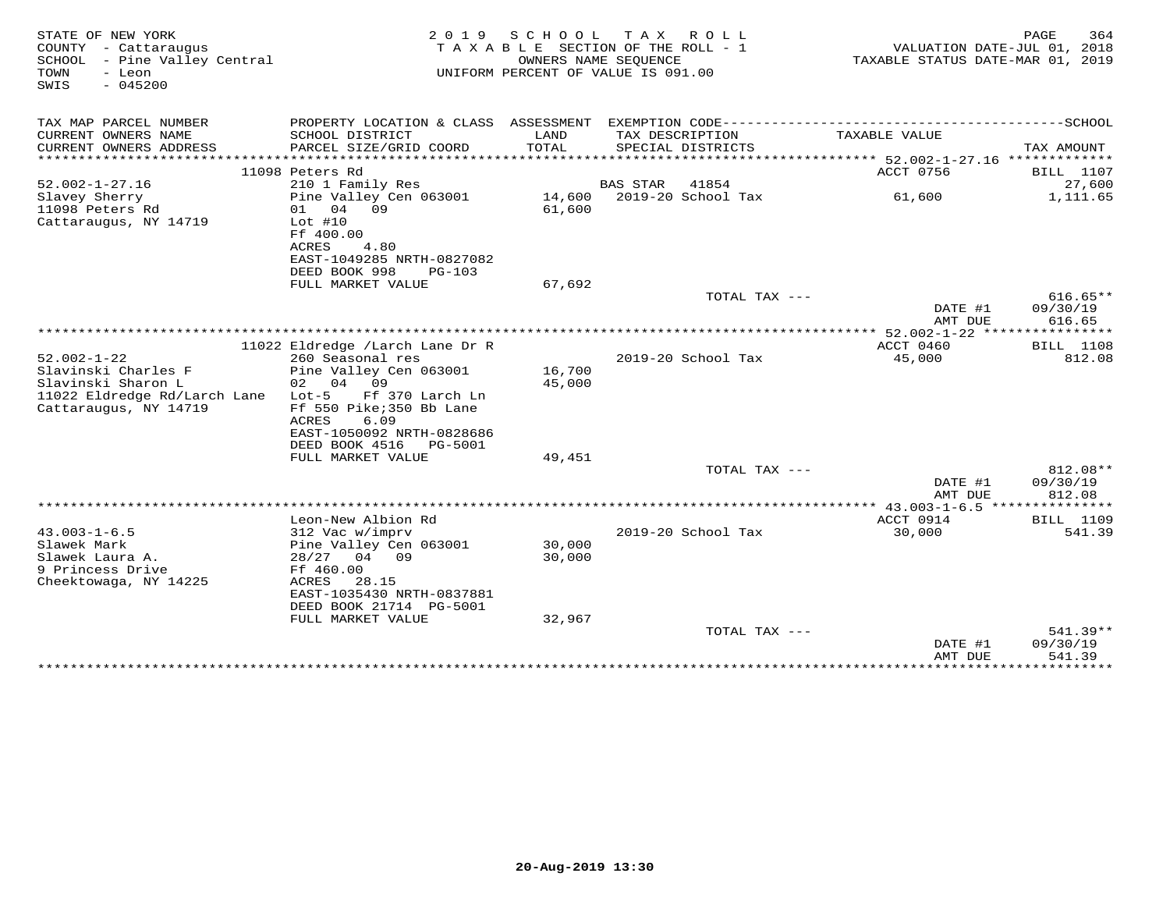| STATE OF NEW YORK<br>COUNTY - Cattaraugus<br>SCHOOL - Pine Valley Central<br>TOWN<br>- Leon<br>$-045200$<br>SWIS        | 2 0 1 9<br>TAXABLE                                                                                                                                                                                   | S C H O O L      | T A X<br>R O L L<br>SECTION OF THE ROLL - 1<br>OWNERS NAME SEOUENCE<br>UNIFORM PERCENT OF VALUE IS 091.00 | VALUATION DATE-JUL 01, 2018<br>TAXABLE STATUS DATE-MAR 01, 2019 | 364<br>PAGE                    |
|-------------------------------------------------------------------------------------------------------------------------|------------------------------------------------------------------------------------------------------------------------------------------------------------------------------------------------------|------------------|-----------------------------------------------------------------------------------------------------------|-----------------------------------------------------------------|--------------------------------|
| TAX MAP PARCEL NUMBER                                                                                                   | PROPERTY LOCATION & CLASS ASSESSMENT EXEMPTION CODE-----------------------------------SCHOOL                                                                                                         |                  |                                                                                                           |                                                                 |                                |
| CURRENT OWNERS NAME<br>CURRENT OWNERS ADDRESS<br>***********************                                                | SCHOOL DISTRICT<br>PARCEL SIZE/GRID COORD                                                                                                                                                            | LAND<br>TOTAL    | TAX DESCRIPTION<br>SPECIAL DISTRICTS                                                                      | TAXABLE VALUE                                                   | TAX AMOUNT                     |
|                                                                                                                         | 11098 Peters Rd                                                                                                                                                                                      |                  |                                                                                                           | ACCT 0756                                                       | <b>BILL</b> 1107               |
| $52.002 - 1 - 27.16$                                                                                                    | 210 1 Family Res                                                                                                                                                                                     |                  | <b>BAS STAR</b><br>41854                                                                                  |                                                                 | 27,600                         |
| Slavey Sherry<br>11098 Peters Rd<br>Cattaraugus, NY 14719                                                               | Pine Valley Cen 063001<br>04<br>09<br>01<br>$Lot$ #10<br>Ff 400.00<br>ACRES<br>4.80<br>EAST-1049285 NRTH-0827082<br>DEED BOOK 998<br>$PG-103$                                                        | 14,600<br>61,600 | 2019-20 School Tax                                                                                        | 61,600                                                          | 1,111.65                       |
|                                                                                                                         | FULL MARKET VALUE                                                                                                                                                                                    | 67,692           | TOTAL TAX ---                                                                                             |                                                                 | $616.65**$                     |
|                                                                                                                         |                                                                                                                                                                                                      |                  |                                                                                                           | DATE #1<br>AMT DUE                                              | 09/30/19<br>616.65             |
|                                                                                                                         |                                                                                                                                                                                                      |                  |                                                                                                           | ACCT 0460                                                       | <b>BILL</b> 1108               |
| $52.002 - 1 - 22$<br>Slavinski Charles F<br>Slavinski Sharon L<br>11022 Eldredge Rd/Larch Lane<br>Cattaraugus, NY 14719 | 11022 Eldredge /Larch Lane Dr R<br>260 Seasonal res<br>Pine Valley Cen 063001<br>02 04<br>09<br>$Lot-5$<br>Ff 370 Larch Ln<br>Ff 550 Pike; 350 Bb Lane<br>ACRES<br>6.09<br>EAST-1050092 NRTH-0828686 | 16,700<br>45,000 | 2019-20 School Tax                                                                                        | 45,000                                                          | 812.08                         |
|                                                                                                                         | DEED BOOK 4516<br>PG-5001<br>FULL MARKET VALUE                                                                                                                                                       | 49,451           |                                                                                                           |                                                                 |                                |
|                                                                                                                         |                                                                                                                                                                                                      |                  | TOTAL TAX ---                                                                                             | DATE #1<br>AMT DUE                                              | 812.08**<br>09/30/19<br>812.08 |
|                                                                                                                         |                                                                                                                                                                                                      |                  |                                                                                                           | **** 43.003-1-6.5 ****************                              |                                |
| $43.003 - 1 - 6.5$<br>Slawek Mark<br>Slawek Laura A.<br>9 Princess Drive<br>Cheektowaga, NY 14225                       | Leon-New Albion Rd<br>312 Vac w/imprv<br>Pine Valley Cen 063001<br>$28/27$ 04 09<br>Ff 460.00<br>ACRES<br>28.15<br>EAST-1035430 NRTH-0837881                                                         | 30,000<br>30,000 | 2019-20 School Tax                                                                                        | ACCT 0914<br>30,000                                             | <b>BILL</b> 1109<br>541.39     |
|                                                                                                                         | DEED BOOK 21714 PG-5001<br>FULL MARKET VALUE                                                                                                                                                         | 32,967           |                                                                                                           |                                                                 |                                |
|                                                                                                                         |                                                                                                                                                                                                      |                  | TOTAL TAX ---                                                                                             | DATE #1<br>AMT DUE                                              | 541.39**<br>09/30/19<br>541.39 |
|                                                                                                                         |                                                                                                                                                                                                      |                  |                                                                                                           | ***************                                                 | *********                      |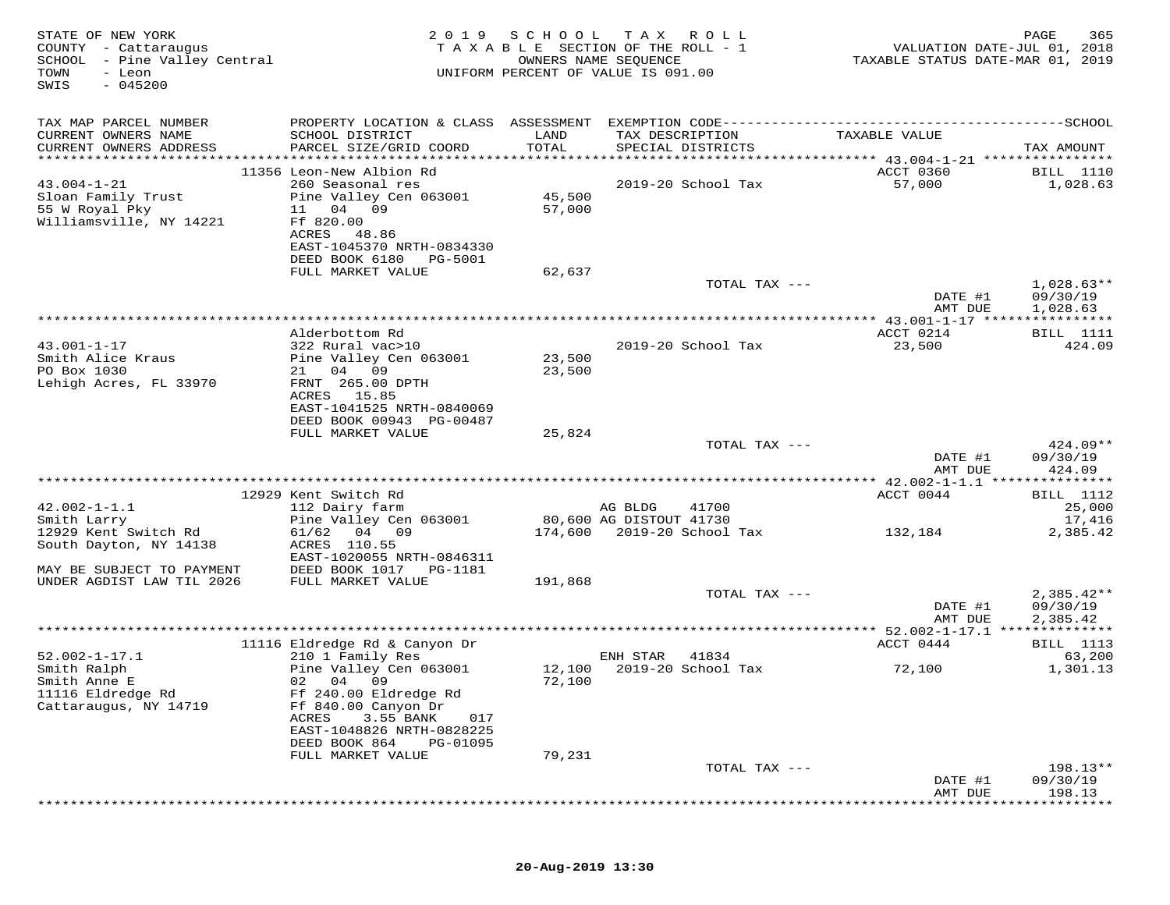| STATE OF NEW YORK<br>COUNTY - Cattaraugus<br>SCHOOL - Pine Valley Central<br>TOWN<br>- Leon<br>$-045200$<br>SWIS | 2 0 1 9                                                                            | SCHOOL<br>TAXABLE SECTION OF THE ROLL - 1<br>UNIFORM PERCENT OF VALUE IS 091.00 | T A X<br>OWNERS NAME SEQUENCE | ROLL ROLL                        | VALUATION DATE-JUL 01, 2018<br>TAXABLE STATUS DATE-MAR 01, 2019 | PAGE<br>365                          |
|------------------------------------------------------------------------------------------------------------------|------------------------------------------------------------------------------------|---------------------------------------------------------------------------------|-------------------------------|----------------------------------|-----------------------------------------------------------------|--------------------------------------|
| TAX MAP PARCEL NUMBER                                                                                            |                                                                                    |                                                                                 |                               |                                  |                                                                 |                                      |
| CURRENT OWNERS NAME<br>CURRENT OWNERS ADDRESS                                                                    | SCHOOL DISTRICT<br>PARCEL SIZE/GRID COORD                                          | LAND<br>TOTAL                                                                   | TAX DESCRIPTION               | SPECIAL DISTRICTS                | TAXABLE VALUE                                                   | TAX AMOUNT                           |
|                                                                                                                  | 11356 Leon-New Albion Rd                                                           |                                                                                 |                               |                                  | ACCT 0360                                                       | <b>BILL</b> 1110                     |
| $43.004 - 1 - 21$<br>Sloan Family Trust<br>55 W Royal Pky<br>Williamsville, NY 14221                             | 260 Seasonal res<br>Pine Valley Cen 063001<br>11 04 09<br>Ff 820.00<br>ACRES 48.86 | 45,500<br>57,000                                                                |                               | 2019-20 School Tax               | 57,000                                                          | 1,028.63                             |
|                                                                                                                  | EAST-1045370 NRTH-0834330<br>DEED BOOK 6180 PG-5001                                |                                                                                 |                               |                                  |                                                                 |                                      |
|                                                                                                                  | FULL MARKET VALUE                                                                  | 62,637                                                                          |                               |                                  |                                                                 |                                      |
|                                                                                                                  |                                                                                    |                                                                                 |                               | TOTAL TAX ---                    | DATE #1<br>AMT DUE                                              | $1,028.63**$<br>09/30/19<br>1,028.63 |
|                                                                                                                  |                                                                                    |                                                                                 |                               |                                  | *************** 43.001-1-17 *****************                   |                                      |
| $43.001 - 1 - 17$                                                                                                | Alderbottom Rd<br>322 Rural vac>10                                                 |                                                                                 |                               | 2019-20 School Tax               | ACCT 0214<br>23,500                                             | BILL 1111<br>424.09                  |
| Smith Alice Kraus                                                                                                | Pine Valley Cen 063001                                                             | 23,500                                                                          |                               |                                  |                                                                 |                                      |
| PO Box 1030                                                                                                      | 21 04 09                                                                           | 23,500                                                                          |                               |                                  |                                                                 |                                      |
| Lehigh Acres, FL 33970                                                                                           | FRNT 265.00 DPTH<br>ACRES 15.85                                                    |                                                                                 |                               |                                  |                                                                 |                                      |
|                                                                                                                  | EAST-1041525 NRTH-0840069                                                          |                                                                                 |                               |                                  |                                                                 |                                      |
|                                                                                                                  | DEED BOOK 00943 PG-00487                                                           |                                                                                 |                               |                                  |                                                                 |                                      |
|                                                                                                                  | FULL MARKET VALUE                                                                  | 25,824                                                                          |                               | TOTAL TAX ---                    |                                                                 | 424.09**                             |
|                                                                                                                  |                                                                                    |                                                                                 |                               |                                  | DATE #1<br>AMT DUE                                              | 09/30/19<br>424.09                   |
|                                                                                                                  |                                                                                    |                                                                                 |                               |                                  |                                                                 |                                      |
| $42.002 - 1 - 1.1$                                                                                               | 12929 Kent Switch Rd<br>112 Dairy farm                                             |                                                                                 | AG BLDG                       | 41700                            | ACCT 0044                                                       | BILL 1112<br>25,000                  |
| Smith Larry                                                                                                      | Pine Valley Cen 063001                                                             |                                                                                 | 80,600 AG DISTOUT 41730       |                                  |                                                                 | 17,416                               |
| 12929 Kent Switch Rd<br>South Dayton, NY 14138                                                                   | 61/62<br>04 09<br>ACRES 110.55<br>EAST-1020055 NRTH-0846311                        |                                                                                 |                               | 174,600    2019-20    School Tax | 132,184                                                         | 2,385.42                             |
| MAY BE SUBJECT TO PAYMENT                                                                                        | DEED BOOK 1017    PG-1181                                                          |                                                                                 |                               |                                  |                                                                 |                                      |
| UNDER AGDIST LAW TIL 2026                                                                                        | FULL MARKET VALUE                                                                  | 191,868                                                                         |                               | TOTAL TAX ---                    |                                                                 | $2,385.42**$                         |
|                                                                                                                  |                                                                                    |                                                                                 |                               |                                  | DATE #1                                                         | 09/30/19                             |
|                                                                                                                  |                                                                                    |                                                                                 |                               |                                  | AMT DUE                                                         | 2,385.42                             |
|                                                                                                                  | 11116 Eldredge Rd & Canyon Dr                                                      |                                                                                 |                               |                                  | ACCT 0444                                                       | BILL 1113                            |
| $52.002 - 1 - 17.1$<br>Smith Ralph                                                                               | 210 1 Family Res<br>Pine Valley Cen 063001                                         | 12,100                                                                          | ENH STAR                      | 41834<br>2019-20 School Tax      | 72,100                                                          | 63,200<br>1,301.13                   |
| Smith Anne E<br>11116 Eldredge Rd                                                                                | 02 04 09<br>Ff 240.00 Eldredge Rd                                                  | 72,100                                                                          |                               |                                  |                                                                 |                                      |
| Cattaraugus, NY 14719                                                                                            | Ff 840.00 Canyon Dr<br>3.55 BANK<br>ACRES<br>017<br>EAST-1048826 NRTH-0828225      |                                                                                 |                               |                                  |                                                                 |                                      |
|                                                                                                                  | DEED BOOK 864<br>PG-01095<br>FULL MARKET VALUE                                     | 79,231                                                                          |                               |                                  |                                                                 |                                      |
|                                                                                                                  |                                                                                    |                                                                                 |                               | TOTAL TAX ---                    |                                                                 | 198.13**                             |
|                                                                                                                  |                                                                                    |                                                                                 |                               |                                  | DATE #1<br>AMT DUE                                              | 09/30/19<br>198.13                   |
|                                                                                                                  |                                                                                    |                                                                                 |                               |                                  |                                                                 |                                      |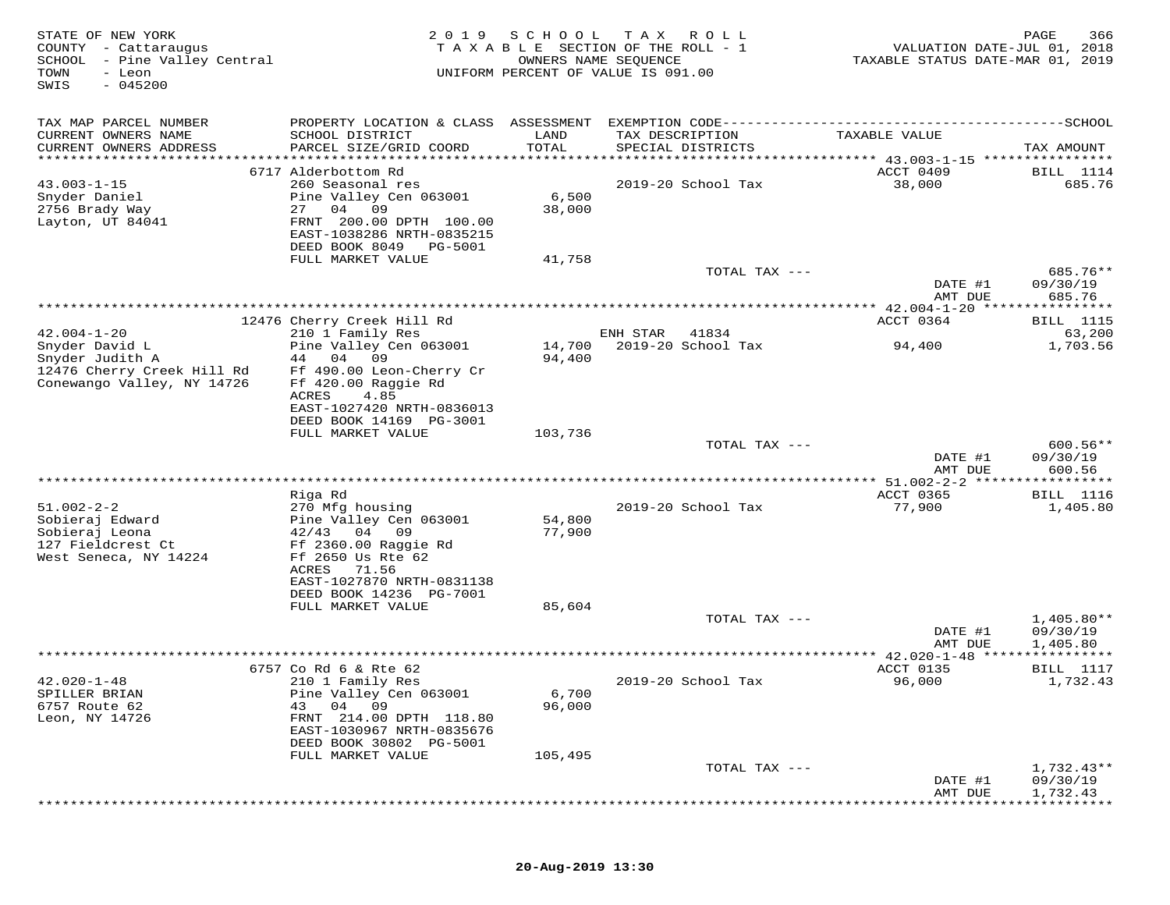| STATE OF NEW YORK<br>COUNTY - Cattaraugus<br>SCHOOL - Pine Valley Central<br>TOWN<br>- Leon<br>$-045200$<br>SWIS | 2 0 1 9                                                                                                                                                                  | SCHOOL           | T A X<br>ROLL<br>TAXABLE SECTION OF THE ROLL - 1<br>OWNERS NAME SEQUENCE<br>UNIFORM PERCENT OF VALUE IS 091.00 | VALUATION DATE-JUL 01, 2018<br>TAXABLE STATUS DATE-MAR 01, 2019 | PAGE<br>366                          |
|------------------------------------------------------------------------------------------------------------------|--------------------------------------------------------------------------------------------------------------------------------------------------------------------------|------------------|----------------------------------------------------------------------------------------------------------------|-----------------------------------------------------------------|--------------------------------------|
| TAX MAP PARCEL NUMBER                                                                                            |                                                                                                                                                                          |                  |                                                                                                                |                                                                 |                                      |
| CURRENT OWNERS NAME<br>CURRENT OWNERS ADDRESS                                                                    | SCHOOL DISTRICT<br>PARCEL SIZE/GRID COORD                                                                                                                                | LAND<br>TOTAL    | TAX DESCRIPTION<br>SPECIAL DISTRICTS                                                                           | TAXABLE VALUE                                                   | TAX AMOUNT                           |
| ************************                                                                                         |                                                                                                                                                                          |                  |                                                                                                                |                                                                 |                                      |
| $43.003 - 1 - 15$<br>Snyder Daniel<br>2756 Brady Way<br>Layton, UT 84041                                         | 6717 Alderbottom Rd<br>260 Seasonal res<br>Pine Valley Cen 063001<br>27 04<br>09<br>FRNT 200.00 DPTH 100.00<br>EAST-1038286 NRTH-0835215<br>DEED BOOK 8049<br>PG-5001    | 6,500<br>38,000  | 2019-20 School Tax                                                                                             | ACCT 0409<br>38,000                                             | BILL 1114<br>685.76                  |
|                                                                                                                  | FULL MARKET VALUE                                                                                                                                                        | 41,758           |                                                                                                                |                                                                 |                                      |
|                                                                                                                  |                                                                                                                                                                          |                  | TOTAL TAX ---                                                                                                  | DATE #1                                                         | 685.76**<br>09/30/19                 |
|                                                                                                                  |                                                                                                                                                                          |                  |                                                                                                                | AMT DUE                                                         | 685.76                               |
|                                                                                                                  |                                                                                                                                                                          |                  |                                                                                                                |                                                                 |                                      |
|                                                                                                                  | 12476 Cherry Creek Hill Rd                                                                                                                                               |                  |                                                                                                                | ACCT 0364                                                       | <b>BILL</b> 1115                     |
| $42.004 - 1 - 20$<br>Snyder David L                                                                              | 210 1 Family Res<br>Pine Valley Cen 063001                                                                                                                               | 14,700           | ENH STAR<br>41834<br>2019-20 School Tax                                                                        |                                                                 | 63,200<br>1,703.56                   |
| Snyder Judith A                                                                                                  | 44 04<br>09                                                                                                                                                              | 94,400           |                                                                                                                | 94,400                                                          |                                      |
| 12476 Cherry Creek Hill Rd<br>Conewango Valley, NY 14726                                                         | Ff 490.00 Leon-Cherry Cr<br>Ff 420.00 Raggie Rd<br>ACRES<br>4.85<br>EAST-1027420 NRTH-0836013<br>DEED BOOK 14169 PG-3001<br>FULL MARKET VALUE                            | 103,736          |                                                                                                                |                                                                 |                                      |
|                                                                                                                  |                                                                                                                                                                          |                  | TOTAL TAX ---                                                                                                  |                                                                 | $600.56**$                           |
|                                                                                                                  |                                                                                                                                                                          |                  |                                                                                                                | DATE #1<br>AMT DUE                                              | 09/30/19<br>600.56                   |
|                                                                                                                  |                                                                                                                                                                          |                  |                                                                                                                |                                                                 |                                      |
|                                                                                                                  | Riga Rd                                                                                                                                                                  |                  |                                                                                                                | ACCT 0365                                                       | <b>BILL</b> 1116                     |
| $51.002 - 2 - 2$<br>Sobieraj Edward<br>Sobieraj Leona<br>127 Fieldcrest Ct<br>West Seneca, NY 14224              | 270 Mfg housing<br>Pine Valley Cen 063001<br>$42/43$ 04 09<br>Ff 2360.00 Raggie Rd<br>Ff 2650 Us Rte 62<br>ACRES<br>71.56<br>EAST-1027870 NRTH-0831138                   | 54,800<br>77,900 | 2019-20 School Tax                                                                                             | 77,900                                                          | 1,405.80                             |
|                                                                                                                  | DEED BOOK 14236 PG-7001<br>FULL MARKET VALUE                                                                                                                             | 85,604           |                                                                                                                |                                                                 |                                      |
|                                                                                                                  |                                                                                                                                                                          |                  | TOTAL TAX $---$                                                                                                |                                                                 | $1,405.80**$                         |
|                                                                                                                  |                                                                                                                                                                          |                  |                                                                                                                | DATE #1<br>AMT DUE                                              | 09/30/19<br>1,405.80                 |
|                                                                                                                  |                                                                                                                                                                          |                  |                                                                                                                |                                                                 |                                      |
| $42.020 - 1 - 48$<br>SPILLER BRIAN<br>6757 Route 62<br>Leon, NY 14726                                            | 6757 Co Rd 6 & Rte 62<br>210 1 Family Res<br>Pine Valley Cen 063001<br>04<br>09<br>43<br>FRNT 214.00 DPTH 118.80<br>EAST-1030967 NRTH-0835676<br>DEED BOOK 30802 PG-5001 | 6,700<br>96,000  | 2019-20 School Tax                                                                                             | ACCT 0135<br>96,000                                             | BILL 1117<br>1,732.43                |
|                                                                                                                  | FULL MARKET VALUE                                                                                                                                                        | 105,495          |                                                                                                                |                                                                 |                                      |
|                                                                                                                  |                                                                                                                                                                          |                  | TOTAL TAX ---                                                                                                  | DATE #1<br>AMT DUE                                              | $1,732.43**$<br>09/30/19<br>1,732.43 |
|                                                                                                                  |                                                                                                                                                                          |                  |                                                                                                                |                                                                 |                                      |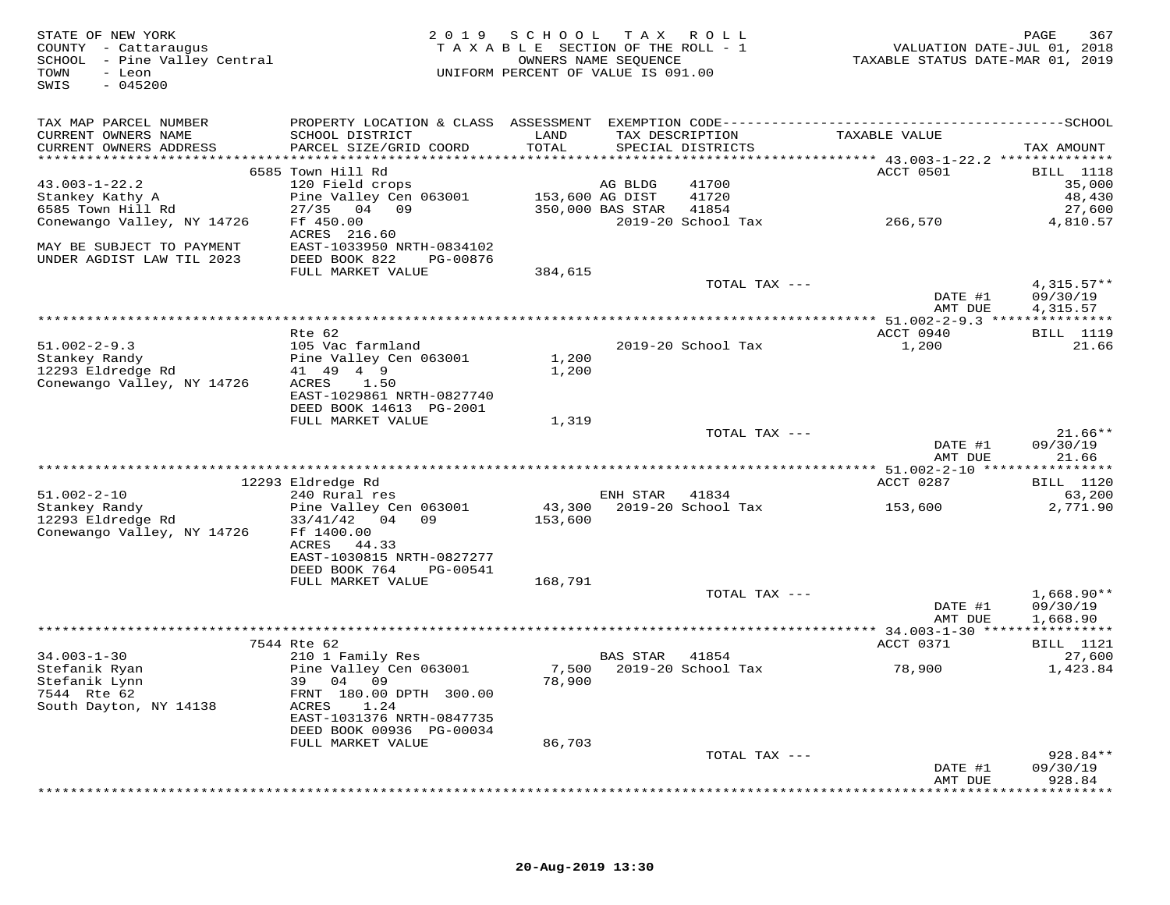| STATE OF NEW YORK<br>COUNTY - Cattaraugus<br>SCHOOL - Pine Valley Central<br>TOWN<br>- Leon<br>$-045200$<br>SWIS |                                                | 2019 SCHOOL TAX ROLL<br>TAXABLE SECTION OF THE ROLL - 1<br>UNIFORM PERCENT OF VALUE IS 091.00 | OWNERS NAME SEQUENCE |                                      | VALUATION DATE-JUL 01, 2018<br>TAXABLE STATUS DATE-MAR 01, 2019 | PAGE<br>367        |
|------------------------------------------------------------------------------------------------------------------|------------------------------------------------|-----------------------------------------------------------------------------------------------|----------------------|--------------------------------------|-----------------------------------------------------------------|--------------------|
| TAX MAP PARCEL NUMBER                                                                                            |                                                |                                                                                               |                      |                                      |                                                                 |                    |
| CURRENT OWNERS NAME<br>CURRENT OWNERS ADDRESS                                                                    | SCHOOL DISTRICT<br>PARCEL SIZE/GRID COORD      | LAND<br>TOTAL                                                                                 |                      | TAX DESCRIPTION<br>SPECIAL DISTRICTS | TAXABLE VALUE                                                   |                    |
|                                                                                                                  |                                                |                                                                                               |                      |                                      |                                                                 | TAX AMOUNT         |
|                                                                                                                  | 6585 Town Hill Rd                              |                                                                                               |                      |                                      | ACCT 0501                                                       | <b>BILL</b> 1118   |
| $43.003 - 1 - 22.2$                                                                                              | 120 Field crops                                |                                                                                               | AG BLDG              | 41700                                |                                                                 | 35,000             |
| Stankey Kathy A                                                                                                  | Pine Valley Cen 063001 153,600 AG DIST         |                                                                                               |                      | 41720                                |                                                                 | 48,430             |
| 6585 Town Hill Rd                                                                                                | 27/35 04 09                                    |                                                                                               | 350,000 BAS STAR     | 41854                                |                                                                 | 27,600             |
| Conewango Valley, NY 14726                                                                                       | Ff 450.00                                      |                                                                                               |                      | 2019-20 School Tax                   | 266,570                                                         | 4,810.57           |
|                                                                                                                  | ACRES 216.60                                   |                                                                                               |                      |                                      |                                                                 |                    |
| MAY BE SUBJECT TO PAYMENT                                                                                        | EAST-1033950 NRTH-0834102                      |                                                                                               |                      |                                      |                                                                 |                    |
| UNDER AGDIST LAW TIL 2023                                                                                        | DEED BOOK 822<br>PG-00876<br>FULL MARKET VALUE | 384,615                                                                                       |                      |                                      |                                                                 |                    |
|                                                                                                                  |                                                |                                                                                               |                      | TOTAL TAX ---                        |                                                                 | $4,315.57**$       |
|                                                                                                                  |                                                |                                                                                               |                      |                                      | DATE #1                                                         | 09/30/19           |
|                                                                                                                  |                                                |                                                                                               |                      |                                      | AMT DUE                                                         | 4,315.57           |
|                                                                                                                  |                                                |                                                                                               |                      |                                      |                                                                 |                    |
|                                                                                                                  | Rte 62                                         |                                                                                               |                      |                                      | ACCT 0940                                                       | <b>BILL</b> 1119   |
| $51.002 - 2 - 9.3$                                                                                               | 105 Vac farmland                               |                                                                                               |                      | 2019-20 School Tax                   | 1,200                                                           | 21.66              |
| Stankey Randy<br>12293 Eldredge Rd                                                                               | Pine Valley Cen 063001<br>41 49 4 9            | 1,200<br>1,200                                                                                |                      |                                      |                                                                 |                    |
| Conewango Valley, NY 14726                                                                                       | ACRES<br>1.50                                  |                                                                                               |                      |                                      |                                                                 |                    |
|                                                                                                                  | EAST-1029861 NRTH-0827740                      |                                                                                               |                      |                                      |                                                                 |                    |
|                                                                                                                  | DEED BOOK 14613 PG-2001                        |                                                                                               |                      |                                      |                                                                 |                    |
|                                                                                                                  | FULL MARKET VALUE                              | 1,319                                                                                         |                      |                                      |                                                                 |                    |
|                                                                                                                  |                                                |                                                                                               |                      | TOTAL TAX ---                        |                                                                 | $21.66**$          |
|                                                                                                                  |                                                |                                                                                               |                      |                                      | DATE #1                                                         | 09/30/19           |
|                                                                                                                  |                                                |                                                                                               |                      |                                      | AMT DUE                                                         | 21.66              |
|                                                                                                                  | 12293 Eldredge Rd                              |                                                                                               |                      |                                      | ACCT 0287                                                       | <b>BILL</b> 1120   |
| $51.002 - 2 - 10$                                                                                                | 240 Rural res                                  |                                                                                               | ENH STAR             | 41834                                |                                                                 | 63,200             |
| Stankey Randy                                                                                                    | Pine Valley Cen 063001                         |                                                                                               |                      | 43,300 2019-20 School Tax            | 153,600                                                         | 2,771.90           |
| 12293 Eldredge Rd                                                                                                | 33/41/42 04 09                                 | 153,600                                                                                       |                      |                                      |                                                                 |                    |
| Conewango Valley, NY 14726                                                                                       | Ff 1400.00                                     |                                                                                               |                      |                                      |                                                                 |                    |
|                                                                                                                  | ACRES 44.33                                    |                                                                                               |                      |                                      |                                                                 |                    |
|                                                                                                                  | EAST-1030815 NRTH-0827277                      |                                                                                               |                      |                                      |                                                                 |                    |
|                                                                                                                  | DEED BOOK 764<br>PG-00541<br>FULL MARKET VALUE | 168,791                                                                                       |                      |                                      |                                                                 |                    |
|                                                                                                                  |                                                |                                                                                               |                      | TOTAL TAX ---                        |                                                                 | $1,668.90**$       |
|                                                                                                                  |                                                |                                                                                               |                      |                                      | DATE #1                                                         | 09/30/19           |
|                                                                                                                  |                                                |                                                                                               |                      |                                      | AMT DUE                                                         | 1,668.90           |
|                                                                                                                  |                                                |                                                                                               |                      |                                      |                                                                 |                    |
|                                                                                                                  | 7544 Rte 62                                    |                                                                                               |                      |                                      | ACCT 0371                                                       | <b>BILL</b> 1121   |
| $34.003 - 1 - 30$                                                                                                | 210 1 Family Res                               |                                                                                               | BAS STAR 41854       |                                      |                                                                 | 27,600             |
| Stefanik Ryan<br>Stefanik Lynn                                                                                   | Pine Valley Cen 063001<br>39 04 09             | 7,500<br>78,900                                                                               |                      | 2019-20 School Tax                   | 78,900                                                          | 1,423.84           |
| 7544 Rte 62                                                                                                      | FRNT 180.00 DPTH 300.00                        |                                                                                               |                      |                                      |                                                                 |                    |
| South Dayton, NY 14138                                                                                           | ACRES<br>1.24                                  |                                                                                               |                      |                                      |                                                                 |                    |
|                                                                                                                  | EAST-1031376 NRTH-0847735                      |                                                                                               |                      |                                      |                                                                 |                    |
|                                                                                                                  | DEED BOOK 00936 PG-00034                       |                                                                                               |                      |                                      |                                                                 |                    |
|                                                                                                                  | FULL MARKET VALUE                              | 86,703                                                                                        |                      |                                      |                                                                 |                    |
|                                                                                                                  |                                                |                                                                                               |                      | TOTAL TAX ---                        |                                                                 | 928.84**           |
|                                                                                                                  |                                                |                                                                                               |                      |                                      | DATE #1                                                         | 09/30/19<br>928.84 |
|                                                                                                                  |                                                |                                                                                               |                      |                                      | AMT DUE                                                         | ***********        |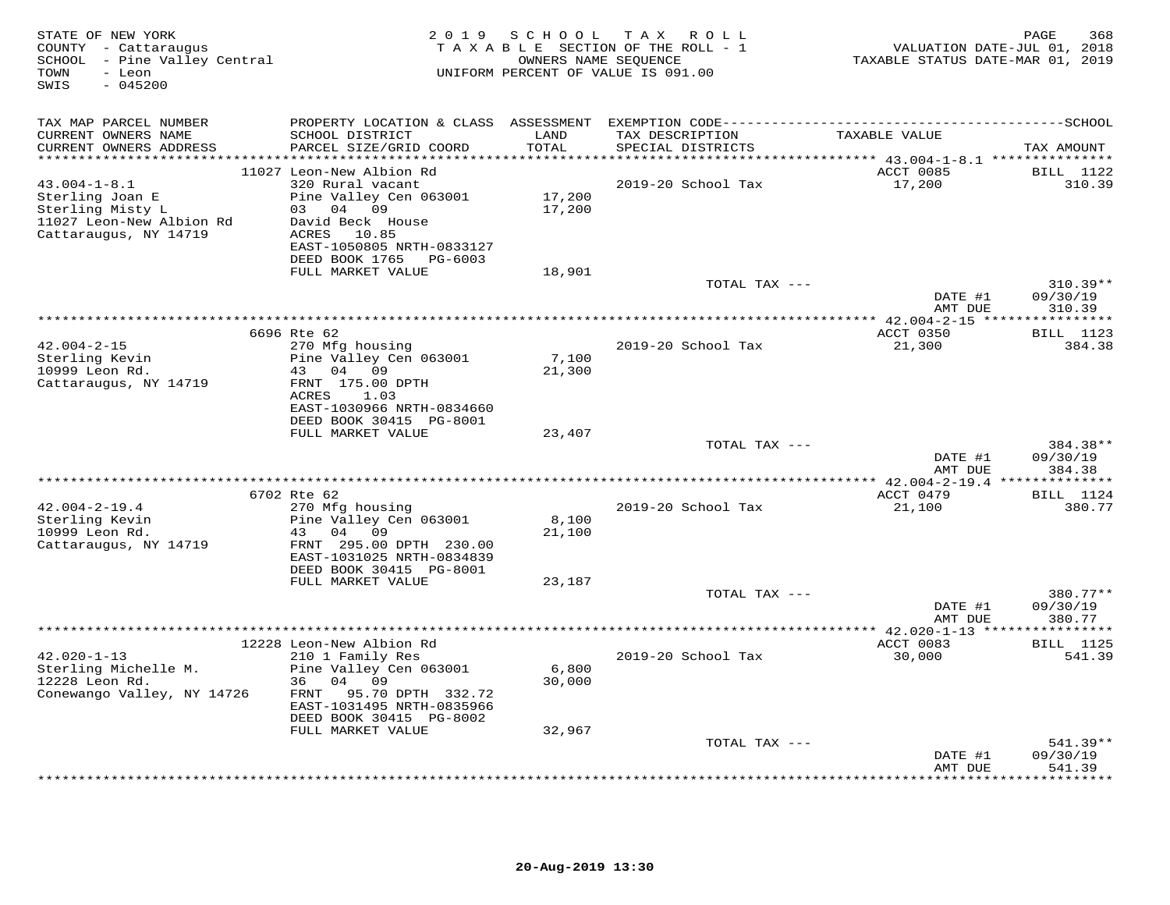| STATE OF NEW YORK<br>COUNTY - Cattaraugus<br>SCHOOL - Pine Valley Central<br>- Leon<br>TOWN<br>$-045200$<br>SWIS | 2 0 1 9                                                                | SCHOOL                       | TAX ROLL<br>TAXABLE SECTION OF THE ROLL - 1<br>OWNERS NAME SEQUENCE<br>UNIFORM PERCENT OF VALUE IS 091.00 | VALUATION DATE-JUL 01, 2018<br>TAXABLE STATUS DATE-MAR 01, 2019 | PAGE<br>368                |
|------------------------------------------------------------------------------------------------------------------|------------------------------------------------------------------------|------------------------------|-----------------------------------------------------------------------------------------------------------|-----------------------------------------------------------------|----------------------------|
| TAX MAP PARCEL NUMBER                                                                                            |                                                                        |                              |                                                                                                           |                                                                 |                            |
| CURRENT OWNERS NAME<br>CURRENT OWNERS ADDRESS<br>**********************                                          | SCHOOL DISTRICT<br>PARCEL SIZE/GRID COORD                              | LAND<br>TOTAL<br>*********** | TAX DESCRIPTION<br>SPECIAL DISTRICTS                                                                      | TAXABLE VALUE                                                   | TAX AMOUNT                 |
|                                                                                                                  | 11027 Leon-New Albion Rd                                               |                              |                                                                                                           | ACCT 0085                                                       | <b>BILL</b> 1122           |
| $43.004 - 1 - 8.1$<br>Sterling Joan E<br>Sterling Misty L                                                        | 320 Rural vacant<br>Pine Valley Cen 063001<br>03 04 09                 | 17,200<br>17,200             | 2019-20 School Tax                                                                                        | 17,200                                                          | 310.39                     |
| 11027 Leon-New Albion Rd<br>Cattaraugus, NY 14719                                                                | David Beck House<br>ACRES 10.85<br>EAST-1050805 NRTH-0833127           |                              |                                                                                                           |                                                                 |                            |
|                                                                                                                  | DEED BOOK 1765 PG-6003<br>FULL MARKET VALUE                            | 18,901                       |                                                                                                           |                                                                 |                            |
|                                                                                                                  |                                                                        |                              | TOTAL TAX ---                                                                                             |                                                                 | $310.39**$                 |
|                                                                                                                  |                                                                        |                              |                                                                                                           | DATE #1<br>AMT DUE                                              | 09/30/19<br>310.39         |
|                                                                                                                  | 6696 Rte 62                                                            |                              |                                                                                                           | **************** 42.004-2-15 *****************                  | <b>BILL</b> 1123           |
| $42.004 - 2 - 15$                                                                                                | 270 Mfg housing                                                        |                              | 2019-20 School Tax                                                                                        | ACCT 0350<br>21,300                                             | 384.38                     |
| Sterling Kevin<br>10999 Leon Rd.                                                                                 | Pine Valley Cen 063001<br>43<br>04 09                                  | 7,100<br>21,300              |                                                                                                           |                                                                 |                            |
| Cattaraugus, NY 14719                                                                                            | FRNT 175.00 DPTH<br>ACRES<br>1.03<br>EAST-1030966 NRTH-0834660         |                              |                                                                                                           |                                                                 |                            |
|                                                                                                                  | DEED BOOK 30415 PG-8001                                                |                              |                                                                                                           |                                                                 |                            |
|                                                                                                                  | FULL MARKET VALUE                                                      | 23,407                       | TOTAL TAX ---                                                                                             |                                                                 | 384.38**                   |
|                                                                                                                  |                                                                        |                              |                                                                                                           | DATE #1<br>AMT DUE                                              | 09/30/19<br>384.38         |
|                                                                                                                  |                                                                        |                              |                                                                                                           | ************ 42.004-2-19.4 ***************                      |                            |
| $42.004 - 2 - 19.4$                                                                                              | 6702 Rte 62<br>270 Mfg housing                                         |                              | 2019-20 School Tax                                                                                        | ACCT 0479<br>21,100                                             | <b>BILL</b> 1124<br>380.77 |
| Sterling Kevin                                                                                                   | Pine Valley Cen 063001                                                 | 8,100                        |                                                                                                           |                                                                 |                            |
| 10999 Leon Rd.<br>Cattaraugus, NY 14719                                                                          | 43<br>04 09<br>FRNT 295.00 DPTH 230.00<br>EAST-1031025 NRTH-0834839    | 21,100                       |                                                                                                           |                                                                 |                            |
|                                                                                                                  | DEED BOOK 30415 PG-8001                                                |                              |                                                                                                           |                                                                 |                            |
|                                                                                                                  | FULL MARKET VALUE                                                      | 23,187                       | TOTAL TAX ---                                                                                             |                                                                 | 380.77**                   |
|                                                                                                                  |                                                                        |                              |                                                                                                           | DATE #1<br>AMT DUE                                              | 09/30/19<br>380.77         |
|                                                                                                                  |                                                                        |                              |                                                                                                           |                                                                 |                            |
| $42.020 - 1 - 13$<br>Sterling Michelle M.                                                                        | 12228 Leon-New Albion Rd<br>210 1 Family Res<br>Pine Valley Cen 063001 | 6,800                        | 2019-20 School Tax                                                                                        | ACCT 0083<br>30,000                                             | <b>BILL</b> 1125<br>541.39 |
| 12228 Leon Rd.<br>Conewango Valley, NY 14726                                                                     | 04<br>09<br>36<br>95.70 DPTH 332.72<br>FRNT                            | 30,000                       |                                                                                                           |                                                                 |                            |
|                                                                                                                  | EAST-1031495 NRTH-0835966<br>DEED BOOK 30415 PG-8002                   |                              |                                                                                                           |                                                                 |                            |
|                                                                                                                  | FULL MARKET VALUE                                                      | 32,967                       | TOTAL TAX ---                                                                                             |                                                                 | $541.39**$                 |
|                                                                                                                  |                                                                        |                              |                                                                                                           | DATE #1<br>AMT DUE                                              | 09/30/19<br>541.39         |
|                                                                                                                  |                                                                        |                              |                                                                                                           |                                                                 | * * * * * * * *            |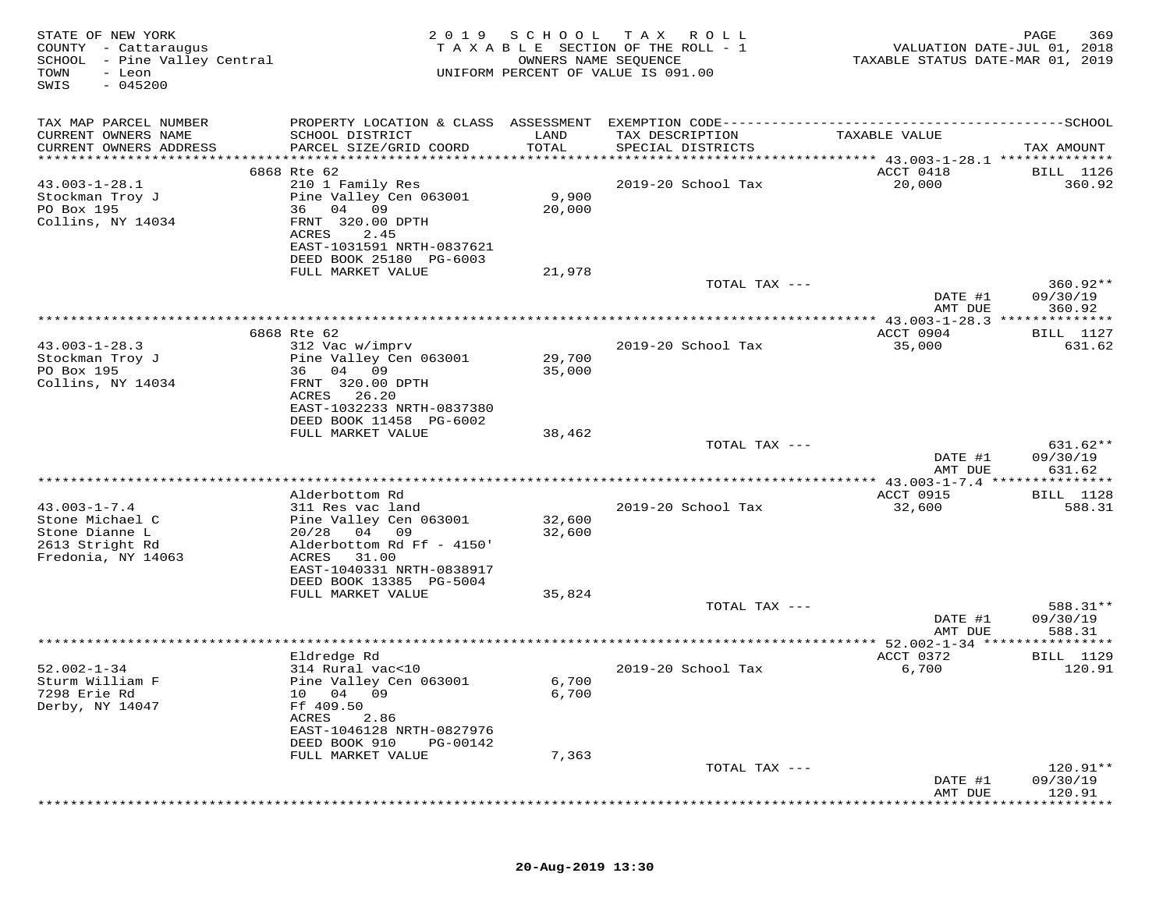| STATE OF NEW YORK<br>COUNTY - Cattaraugus<br>SCHOOL - Pine Valley Central<br>TOWN<br>- Leon<br>$-045200$<br>SWIS | 2 0 1 9                                                              | SCHOOL<br>OWNERS NAME SEQUENCE | T A X<br>R O L L<br>TAXABLE SECTION OF THE ROLL - 1<br>UNIFORM PERCENT OF VALUE IS 091.00 | VALUATION DATE-JUL 01, 2018<br>TAXABLE STATUS DATE-MAR 01, 2019 | PAGE<br>369            |
|------------------------------------------------------------------------------------------------------------------|----------------------------------------------------------------------|--------------------------------|-------------------------------------------------------------------------------------------|-----------------------------------------------------------------|------------------------|
| TAX MAP PARCEL NUMBER                                                                                            | PROPERTY LOCATION & CLASS ASSESSMENT                                 |                                | EXEMPTION CODE----------------------------                                                |                                                                 | ------------SCHOOL     |
| CURRENT OWNERS NAME<br>CURRENT OWNERS ADDRESS<br>*********************                                           | SCHOOL DISTRICT<br>PARCEL SIZE/GRID COORD<br>*********************** | LAND<br>TOTAL                  | TAX DESCRIPTION<br>SPECIAL DISTRICTS<br>********************************                  | TAXABLE VALUE                                                   | TAX AMOUNT             |
|                                                                                                                  | 6868 Rte 62                                                          |                                |                                                                                           | ******** 43.003-1-28.1 **************<br>ACCT 0418              | BILL 1126              |
| $43.003 - 1 - 28.1$                                                                                              | 210 1 Family Res                                                     |                                | 2019-20 School Tax                                                                        | 20,000                                                          | 360.92                 |
| Stockman Troy J                                                                                                  | Pine Valley Cen 063001                                               | 9,900                          |                                                                                           |                                                                 |                        |
| PO Box 195                                                                                                       | 36 04 09                                                             | 20,000                         |                                                                                           |                                                                 |                        |
| Collins, NY 14034                                                                                                | FRNT 320.00 DPTH<br>ACRES<br>2.45                                    |                                |                                                                                           |                                                                 |                        |
|                                                                                                                  | EAST-1031591 NRTH-0837621                                            |                                |                                                                                           |                                                                 |                        |
|                                                                                                                  | DEED BOOK 25180 PG-6003                                              |                                |                                                                                           |                                                                 |                        |
|                                                                                                                  | FULL MARKET VALUE                                                    | 21,978                         |                                                                                           |                                                                 |                        |
|                                                                                                                  |                                                                      |                                | TOTAL TAX ---                                                                             | DATE #1                                                         | $360.92**$<br>09/30/19 |
|                                                                                                                  |                                                                      |                                |                                                                                           | AMT DUE                                                         | 360.92                 |
|                                                                                                                  |                                                                      |                                |                                                                                           |                                                                 |                        |
|                                                                                                                  | 6868 Rte 62                                                          |                                |                                                                                           | ACCT 0904                                                       | <b>BILL</b> 1127       |
| $43.003 - 1 - 28.3$<br>Stockman Troy J                                                                           | 312 Vac w/imprv<br>Pine Valley Cen 063001                            | 29,700                         | 2019-20 School Tax                                                                        | 35,000                                                          | 631.62                 |
| PO Box 195                                                                                                       | 04 09<br>36                                                          | 35,000                         |                                                                                           |                                                                 |                        |
| Collins, NY 14034                                                                                                | FRNT 320.00 DPTH                                                     |                                |                                                                                           |                                                                 |                        |
|                                                                                                                  | ACRES<br>26.20                                                       |                                |                                                                                           |                                                                 |                        |
|                                                                                                                  | EAST-1032233 NRTH-0837380<br>DEED BOOK 11458 PG-6002                 |                                |                                                                                           |                                                                 |                        |
|                                                                                                                  | FULL MARKET VALUE                                                    | 38,462                         |                                                                                           |                                                                 |                        |
|                                                                                                                  |                                                                      |                                | TOTAL TAX ---                                                                             |                                                                 | $631.62**$             |
|                                                                                                                  |                                                                      |                                |                                                                                           | DATE #1                                                         | 09/30/19               |
|                                                                                                                  |                                                                      |                                |                                                                                           | AMT DUE                                                         | 631.62                 |
|                                                                                                                  | Alderbottom Rd                                                       |                                |                                                                                           | ACCT 0915                                                       | <b>BILL</b> 1128       |
| $43.003 - 1 - 7.4$                                                                                               | 311 Res vac land                                                     |                                | 2019-20 School Tax                                                                        | 32,600                                                          | 588.31                 |
| Stone Michael C                                                                                                  | Pine Valley Cen 063001                                               | 32,600                         |                                                                                           |                                                                 |                        |
| Stone Dianne L<br>2613 Stright Rd                                                                                | 20/28<br>04<br>09<br>Alderbottom Rd Ff - 4150'                       | 32,600                         |                                                                                           |                                                                 |                        |
| Fredonia, NY 14063                                                                                               | ACRES<br>31.00                                                       |                                |                                                                                           |                                                                 |                        |
|                                                                                                                  | EAST-1040331 NRTH-0838917                                            |                                |                                                                                           |                                                                 |                        |
|                                                                                                                  | DEED BOOK 13385 PG-5004                                              |                                |                                                                                           |                                                                 |                        |
|                                                                                                                  | FULL MARKET VALUE                                                    | 35,824                         | TOTAL TAX ---                                                                             |                                                                 | 588.31**               |
|                                                                                                                  |                                                                      |                                |                                                                                           | DATE #1                                                         | 09/30/19               |
|                                                                                                                  |                                                                      |                                |                                                                                           | AMT DUE                                                         | 588.31                 |
|                                                                                                                  |                                                                      |                                |                                                                                           | $* 52.002 - 1 - 34$ ***<br>ACCT 0372                            | * * * * * * * * *      |
| $52.002 - 1 - 34$                                                                                                | Eldredge Rd<br>314 Rural vac<10                                      |                                | 2019-20 School Tax                                                                        | 6,700                                                           | BILL 1129<br>120.91    |
| Sturm William F                                                                                                  | Pine Valley Cen 063001                                               | 6,700                          |                                                                                           |                                                                 |                        |
| 7298 Erie Rd                                                                                                     | 10 04<br>09                                                          | 6,700                          |                                                                                           |                                                                 |                        |
| Derby, NY 14047                                                                                                  | Ff 409.50<br>ACRES                                                   |                                |                                                                                           |                                                                 |                        |
|                                                                                                                  | 2.86<br>EAST-1046128 NRTH-0827976                                    |                                |                                                                                           |                                                                 |                        |
|                                                                                                                  | DEED BOOK 910<br>PG-00142                                            |                                |                                                                                           |                                                                 |                        |
|                                                                                                                  | FULL MARKET VALUE                                                    | 7,363                          |                                                                                           |                                                                 |                        |
|                                                                                                                  |                                                                      |                                | TOTAL TAX ---                                                                             | DATE #1                                                         | 120.91**<br>09/30/19   |
|                                                                                                                  |                                                                      |                                |                                                                                           | AMT DUE                                                         | 120.91                 |
|                                                                                                                  |                                                                      |                                |                                                                                           |                                                                 |                        |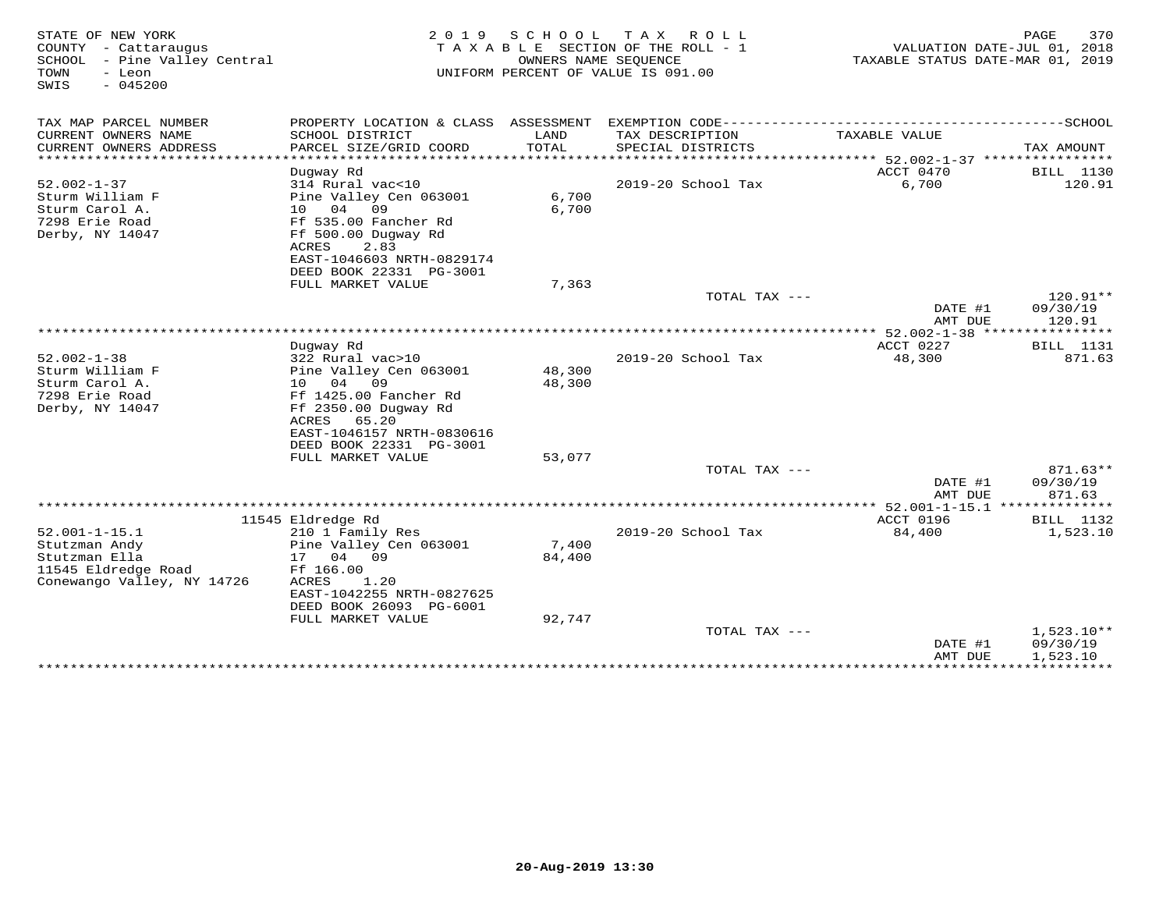| STATE OF NEW YORK<br>COUNTY - Cattaraugus<br>SCHOOL<br>- Pine Valley Central<br>TOWN<br>- Leon<br>$-045200$<br>SWIS | 2 0 1 9                                                                                                                                                                   | SCHOOL                            | T A X<br>ROLL<br>T A X A B L E SECTION OF THE ROLL - 1<br>OWNERS NAME SEOUENCE<br>UNIFORM PERCENT OF VALUE IS 091.00 | TAXABLE STATUS DATE-MAR 01, 2019                                                | 370<br>PAGE<br>VALUATION DATE-JUL 01, 2018 |
|---------------------------------------------------------------------------------------------------------------------|---------------------------------------------------------------------------------------------------------------------------------------------------------------------------|-----------------------------------|----------------------------------------------------------------------------------------------------------------------|---------------------------------------------------------------------------------|--------------------------------------------|
| TAX MAP PARCEL NUMBER                                                                                               | PROPERTY LOCATION & CLASS ASSESSMENT                                                                                                                                      |                                   | EXEMPTION CODE----------                                                                                             |                                                                                 | -----------SCHOOL                          |
| CURRENT OWNERS NAME<br>CURRENT OWNERS ADDRESS<br>*******************                                                | SCHOOL DISTRICT<br>PARCEL SIZE/GRID COORD<br>***********************                                                                                                      | LAND<br>TOTAL<br>**************** | TAX DESCRIPTION<br>SPECIAL DISTRICTS                                                                                 | TAXABLE VALUE                                                                   | TAX AMOUNT                                 |
| $52.002 - 1 - 37$<br>Sturm William F<br>Sturm Carol A.<br>7298 Erie Road<br>Derby, NY 14047                         | Dugway Rd<br>314 Rural vac<10<br>Pine Valley Cen 063001<br>04<br>10<br>09<br>Ff 535.00 Fancher Rd<br>Ff 500.00 Dugway Rd<br>2.83<br>ACRES<br>EAST-1046603 NRTH-0829174    | 6,700<br>6,700                    | 2019-20 School Tax                                                                                                   | **************************** 52.002-1-37 ****************<br>ACCT 0470<br>6,700 | BILL 1130<br>120.91                        |
|                                                                                                                     | DEED BOOK 22331 PG-3001<br>FULL MARKET VALUE                                                                                                                              | 7,363                             |                                                                                                                      |                                                                                 |                                            |
|                                                                                                                     |                                                                                                                                                                           |                                   | TOTAL TAX ---                                                                                                        | DATE #1<br>AMT DUE                                                              | $120.91**$<br>09/30/19<br>120.91           |
|                                                                                                                     |                                                                                                                                                                           |                                   |                                                                                                                      | $52.002 - 1 - 38$ ***                                                           | ********                                   |
| $52.002 - 1 - 38$<br>Sturm William F<br>Sturm Carol A.<br>7298 Erie Road<br>Derby, NY 14047                         | Duqway Rd<br>322 Rural vac>10<br>Pine Valley Cen 063001<br>04<br>09<br>10<br>Ff 1425.00 Fancher Rd<br>Ff 2350.00 Dugway Rd<br>ACRES<br>65.20<br>EAST-1046157 NRTH-0830616 | 48,300<br>48,300                  | 2019-20 School Tax                                                                                                   | ACCT 0227<br>48,300                                                             | <b>BILL</b> 1131<br>871.63                 |
|                                                                                                                     | DEED BOOK 22331 PG-3001<br>FULL MARKET VALUE                                                                                                                              | 53,077                            |                                                                                                                      |                                                                                 |                                            |
|                                                                                                                     |                                                                                                                                                                           |                                   | TOTAL TAX $---$                                                                                                      | DATE #1                                                                         | 871.63**<br>09/30/19                       |
|                                                                                                                     |                                                                                                                                                                           |                                   | **********************                                                                                               | AMT DUE<br>* 52.001-1-15.1                                                      | 871.63<br>*********                        |
|                                                                                                                     | 11545 Eldredge Rd                                                                                                                                                         |                                   |                                                                                                                      | ACCT 0196                                                                       | <b>BILL</b> 1132                           |
| $52.001 - 1 - 15.1$<br>Stutzman Andy<br>Stutzman Ella<br>11545 Eldredge Road<br>Conewango Valley, NY 14726          | 210 1 Family Res<br>Pine Valley Cen 063001<br>04<br>17<br>09<br>Ff 166.00<br>ACRES<br>1.20<br>EAST-1042255 NRTH-0827625<br>DEED BOOK 26093 PG-6001                        | 7,400<br>84,400                   | 2019-20 School Tax                                                                                                   | 84,400                                                                          | 1,523.10                                   |
|                                                                                                                     | FULL MARKET VALUE                                                                                                                                                         | 92,747                            | TOTAL TAX ---                                                                                                        | DATE #1                                                                         | $1,523.10**$<br>09/30/19                   |
|                                                                                                                     |                                                                                                                                                                           |                                   |                                                                                                                      | AMT DUE<br>*************                                                        | 1,523.10<br>* * * * * * * * * * * *        |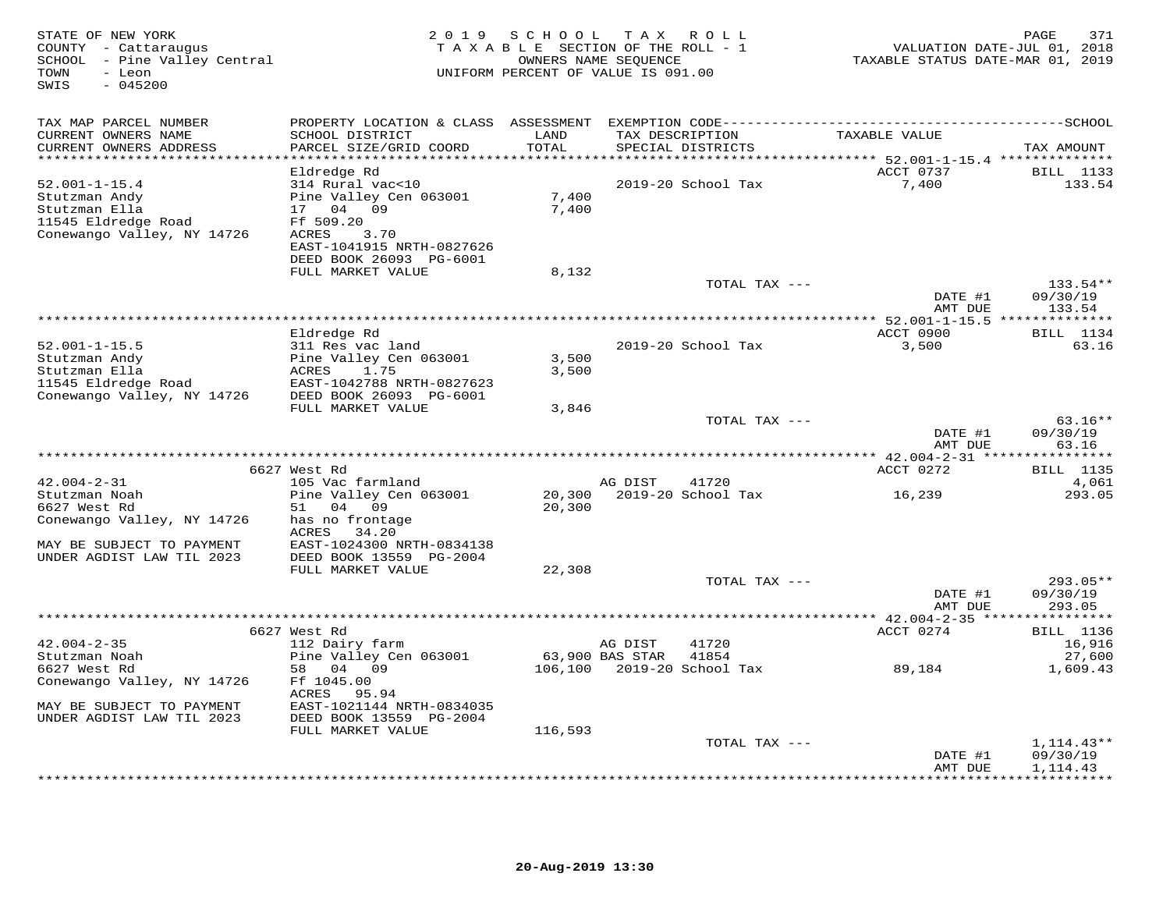| STATE OF NEW YORK<br>COUNTY - Cattaraugus<br>SCHOOL - Pine Valley Central<br>TOWN<br>- Leon<br>$-045200$<br>SWIS | 2 0 1 9                                              | SCHOOL TAX ROLL<br>TAXABLE SECTION OF THE ROLL - 1<br>OWNERS NAME SEQUENCE<br>UNIFORM PERCENT OF VALUE IS 091.00 |                 |                                    | VALUATION DATE-JUL 01, 2018<br>TAXABLE STATUS DATE-MAR 01, 2019 | 371<br>PAGE       |
|------------------------------------------------------------------------------------------------------------------|------------------------------------------------------|------------------------------------------------------------------------------------------------------------------|-----------------|------------------------------------|-----------------------------------------------------------------|-------------------|
| TAX MAP PARCEL NUMBER                                                                                            |                                                      |                                                                                                                  |                 |                                    |                                                                 |                   |
| CURRENT OWNERS NAME                                                                                              | SCHOOL DISTRICT                                      | LAND                                                                                                             | TAX DESCRIPTION |                                    | TAXABLE VALUE                                                   |                   |
| CURRENT OWNERS ADDRESS<br>*****************************                                                          | PARCEL SIZE/GRID COORD                               | TOTAL                                                                                                            |                 | SPECIAL DISTRICTS                  |                                                                 | TAX AMOUNT        |
|                                                                                                                  | Eldredge Rd                                          |                                                                                                                  |                 |                                    | ACCT 0737                                                       | <b>BILL</b> 1133  |
| $52.001 - 1 - 15.4$                                                                                              | 314 Rural vac<10                                     |                                                                                                                  |                 | 2019-20 School Tax                 | 7,400                                                           | 133.54            |
| Stutzman Andy                                                                                                    | Pine Valley Cen 063001                               | 7,400                                                                                                            |                 |                                    |                                                                 |                   |
| Stutzman Ella                                                                                                    | 17 04 09                                             | 7,400                                                                                                            |                 |                                    |                                                                 |                   |
| 11545 Eldredge Road                                                                                              | Ff 509.20                                            |                                                                                                                  |                 |                                    |                                                                 |                   |
| Conewango Valley, NY 14726                                                                                       | ACRES<br>3.70                                        |                                                                                                                  |                 |                                    |                                                                 |                   |
|                                                                                                                  | EAST-1041915 NRTH-0827626<br>DEED BOOK 26093 PG-6001 |                                                                                                                  |                 |                                    |                                                                 |                   |
|                                                                                                                  | FULL MARKET VALUE                                    | 8,132                                                                                                            |                 |                                    |                                                                 |                   |
|                                                                                                                  |                                                      |                                                                                                                  |                 | TOTAL TAX ---                      |                                                                 | $133.54**$        |
|                                                                                                                  |                                                      |                                                                                                                  |                 |                                    | DATE #1                                                         | 09/30/19          |
|                                                                                                                  |                                                      |                                                                                                                  |                 |                                    | AMT DUE                                                         | 133.54            |
|                                                                                                                  |                                                      |                                                                                                                  |                 |                                    | ACCT 0900                                                       | <b>BILL</b> 1134  |
| $52.001 - 1 - 15.5$                                                                                              | Eldredge Rd<br>311 Res vac land                      |                                                                                                                  |                 | 2019-20 School Tax                 | 3,500                                                           | 63.16             |
| Stutzman Andy                                                                                                    | Pine Valley Cen 063001                               | 3,500                                                                                                            |                 |                                    |                                                                 |                   |
| Stutzman Ella                                                                                                    | ACRES<br>1.75                                        | 3,500                                                                                                            |                 |                                    |                                                                 |                   |
| 11545 Eldredge Road<br>Conewango Valley, NY 14726                                                                | EAST-1042788 NRTH-0827623                            |                                                                                                                  |                 |                                    |                                                                 |                   |
|                                                                                                                  | DEED BOOK 26093 PG-6001                              |                                                                                                                  |                 |                                    |                                                                 |                   |
|                                                                                                                  | FULL MARKET VALUE                                    | 3,846                                                                                                            |                 | TOTAL TAX ---                      |                                                                 | $63.16**$         |
|                                                                                                                  |                                                      |                                                                                                                  |                 |                                    | DATE #1                                                         | 09/30/19          |
|                                                                                                                  |                                                      |                                                                                                                  |                 |                                    | AMT DUE                                                         | 63.16             |
|                                                                                                                  |                                                      |                                                                                                                  |                 |                                    |                                                                 |                   |
|                                                                                                                  | 6627 West Rd                                         |                                                                                                                  |                 |                                    | ACCT 0272                                                       | <b>BILL</b> 1135  |
| $42.004 - 2 - 31$<br>Stutzman Noah                                                                               | 105 Vac farmland<br>Pine Valley Cen 063001           |                                                                                                                  | AG DIST         | 41720<br>20,300 2019-20 School Tax | 16,239                                                          | 4,061<br>293.05   |
| 6627 West Rd                                                                                                     | 51 04 09                                             | 20,300                                                                                                           |                 |                                    |                                                                 |                   |
| Conewango Valley, NY 14726                                                                                       | has no frontage                                      |                                                                                                                  |                 |                                    |                                                                 |                   |
|                                                                                                                  | ACRES<br>34.20                                       |                                                                                                                  |                 |                                    |                                                                 |                   |
| MAY BE SUBJECT TO PAYMENT                                                                                        | EAST-1024300 NRTH-0834138                            |                                                                                                                  |                 |                                    |                                                                 |                   |
| UNDER AGDIST LAW TIL 2023                                                                                        | DEED BOOK 13559 PG-2004                              |                                                                                                                  |                 |                                    |                                                                 |                   |
|                                                                                                                  | FULL MARKET VALUE                                    | 22,308                                                                                                           |                 | TOTAL TAX ---                      |                                                                 | $293.05**$        |
|                                                                                                                  |                                                      |                                                                                                                  |                 |                                    | DATE #1                                                         | 09/30/19          |
|                                                                                                                  |                                                      |                                                                                                                  |                 |                                    | AMT DUE                                                         | 293.05            |
|                                                                                                                  |                                                      |                                                                                                                  |                 |                                    |                                                                 |                   |
|                                                                                                                  | 6627 West Rd                                         |                                                                                                                  |                 |                                    | ACCT 0274                                                       | <b>BILL</b> 1136  |
| $42.004 - 2 - 35$<br>Stutzman Noah                                                                               | 112 Dairy farm<br>Pine Valley Cen 063001             | 63,900 BAS STAR                                                                                                  | AG DIST         | 41720<br>41854                     |                                                                 | 16,916<br>27,600  |
| 6627 West Rd                                                                                                     | 58 04 09                                             |                                                                                                                  |                 |                                    | 89,184                                                          | 1,609.43          |
| Conewango Valley, NY 14726                                                                                       | Ff 1045.00                                           |                                                                                                                  |                 |                                    |                                                                 |                   |
|                                                                                                                  | ACRES 95.94                                          |                                                                                                                  |                 |                                    |                                                                 |                   |
| MAY BE SUBJECT TO PAYMENT                                                                                        | EAST-1021144 NRTH-0834035                            |                                                                                                                  |                 |                                    |                                                                 |                   |
| UNDER AGDIST LAW TIL 2023                                                                                        | DEED BOOK 13559 PG-2004                              |                                                                                                                  |                 |                                    |                                                                 |                   |
|                                                                                                                  | FULL MARKET VALUE                                    | 116,593                                                                                                          |                 | TOTAL TAX ---                      |                                                                 | $1,114.43**$      |
|                                                                                                                  |                                                      |                                                                                                                  |                 |                                    | DATE #1                                                         | 09/30/19          |
|                                                                                                                  |                                                      |                                                                                                                  |                 |                                    | AMT DUE                                                         | 1,114.43          |
|                                                                                                                  |                                                      |                                                                                                                  |                 |                                    |                                                                 | <b>++++++++++</b> |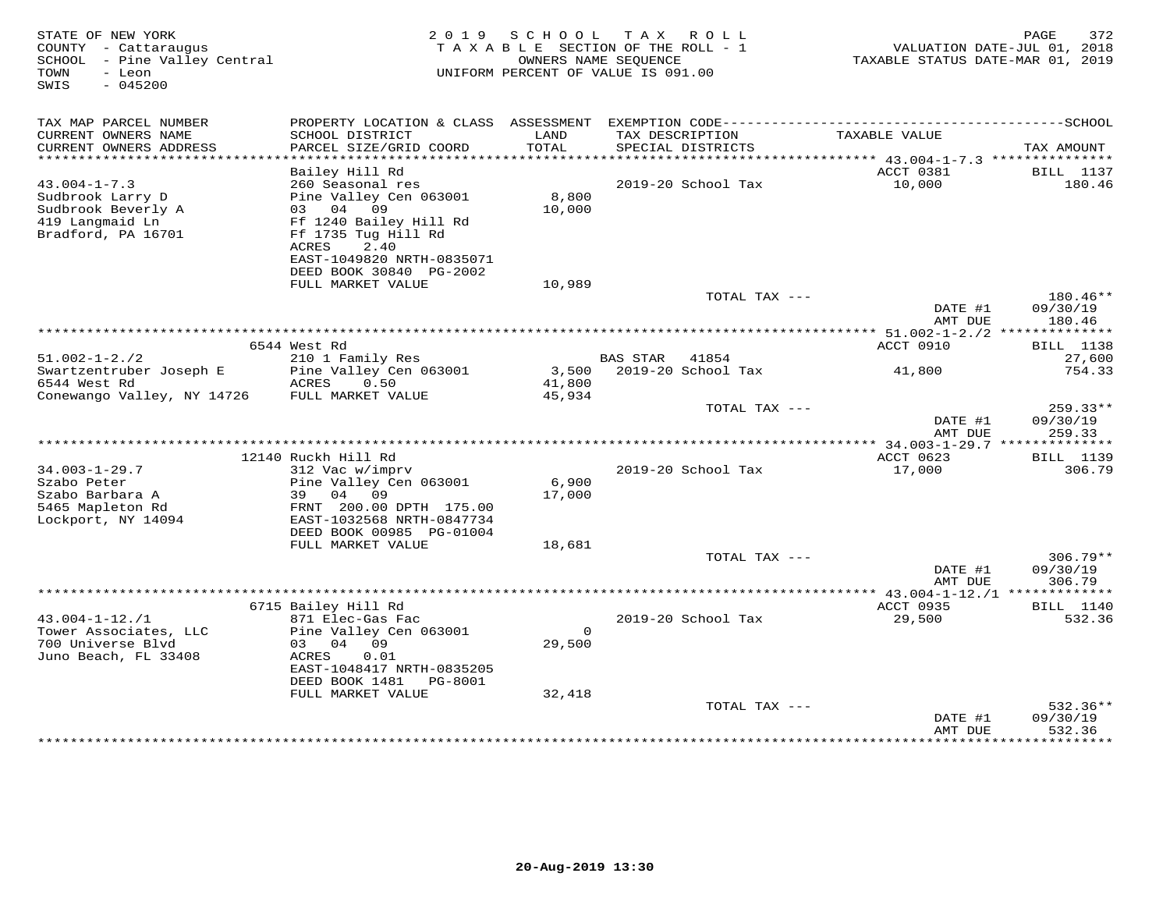| STATE OF NEW YORK<br>COUNTY - Cattaraugus<br>SCHOOL - Pine Valley Central<br>TOWN<br>- Leon<br>$-045200$<br>SWIS | 2 0 1 9                                                                                                                                                        | SCHOOL TAX                   | ROLL<br>T A X A B L E SECTION OF THE ROLL - 1<br>OWNERS NAME SEQUENCE<br>UNIFORM PERCENT OF VALUE IS 091.00 | VALUATION DATE-JUL 01, 2018<br>TAXABLE STATUS DATE-MAR 01, 2019 | PAGE<br>372                    |
|------------------------------------------------------------------------------------------------------------------|----------------------------------------------------------------------------------------------------------------------------------------------------------------|------------------------------|-------------------------------------------------------------------------------------------------------------|-----------------------------------------------------------------|--------------------------------|
| TAX MAP PARCEL NUMBER<br>CURRENT OWNERS NAME<br>CURRENT OWNERS ADDRESS                                           | SCHOOL DISTRICT<br>PARCEL SIZE/GRID COORD                                                                                                                      | LAND<br>TOTAL                | TAX DESCRIPTION<br>SPECIAL DISTRICTS                                                                        | TAXABLE VALUE                                                   | TAX AMOUNT                     |
| *************************                                                                                        |                                                                                                                                                                |                              |                                                                                                             |                                                                 |                                |
| $43.004 - 1 - 7.3$<br>Sudbrook Larry D<br>Sudbrook Beverly A<br>419 Langmaid Ln<br>Bradford, PA 16701            | Bailey Hill Rd<br>260 Seasonal res<br>Pine Valley Cen 063001<br>03 04 09<br>Ff 1240 Bailey Hill Rd<br>Ff 1735 Tug Hill Rd<br>ACRES<br>2.40                     | 8,800<br>10,000              | 2019-20 School Tax                                                                                          | ACCT 0381<br>10,000                                             | <b>BILL</b> 1137<br>180.46     |
|                                                                                                                  | EAST-1049820 NRTH-0835071<br>DEED BOOK 30840 PG-2002                                                                                                           |                              |                                                                                                             |                                                                 |                                |
|                                                                                                                  | FULL MARKET VALUE                                                                                                                                              | 10,989                       |                                                                                                             |                                                                 |                                |
|                                                                                                                  |                                                                                                                                                                |                              | TOTAL TAX ---                                                                                               | DATE #1<br>AMT DUE                                              | 180.46**<br>09/30/19<br>180.46 |
|                                                                                                                  | 6544 West Rd                                                                                                                                                   |                              |                                                                                                             | ACCT 0910                                                       |                                |
| $51.002 - 1 - 2.72$                                                                                              | 210 1 Family Res                                                                                                                                               |                              | BAS STAR 41854                                                                                              |                                                                 | <b>BILL</b> 1138<br>27,600     |
| Swartzentruber Joseph E<br>6544 West Rd<br>Conewango Valley, NY 14726                                            | Pine Valley Cen 063001<br>ACRES<br>0.50<br>FULL MARKET VALUE                                                                                                   | 41,800<br>45,934             | 3,500 2019-20 School Tax                                                                                    | 41,800                                                          | 754.33                         |
|                                                                                                                  |                                                                                                                                                                |                              | TOTAL TAX ---                                                                                               |                                                                 | $259.33**$                     |
|                                                                                                                  |                                                                                                                                                                |                              |                                                                                                             | DATE #1<br>AMT DUE                                              | 09/30/19<br>259.33             |
|                                                                                                                  | 12140 Ruckh Hill Rd                                                                                                                                            |                              |                                                                                                             | ACCT 0623                                                       | <b>BILL</b> 1139               |
| $34.003 - 1 - 29.7$<br>Szabo Peter<br>Szabo Barbara A<br>5465 Mapleton Rd<br>Lockport, NY 14094                  | 312 Vac w/imprv<br>Pine Valley Cen 063001<br>39 04 09<br>FRNT 200.00 DPTH 175.00<br>EAST-1032568 NRTH-0847734<br>DEED BOOK 00985 PG-01004<br>FULL MARKET VALUE | 6,900<br>17,000<br>18,681    | 2019-20 School Tax                                                                                          | 17,000                                                          | 306.79                         |
|                                                                                                                  |                                                                                                                                                                |                              | TOTAL TAX ---                                                                                               |                                                                 | $306.79**$                     |
|                                                                                                                  |                                                                                                                                                                |                              |                                                                                                             | DATE #1<br>AMT DUE                                              | 09/30/19<br>306.79             |
|                                                                                                                  | 6715 Bailey Hill Rd                                                                                                                                            |                              |                                                                                                             | ACCT 0935                                                       | <b>BILL</b> 1140               |
| $43.004 - 1 - 12.71$<br>Tower Associates, LLC<br>700 Universe Blvd<br>Juno Beach, FL 33408                       | 871 Elec-Gas Fac<br>Pine Valley Cen 063001<br>03 04 09<br>ACRES<br>0.01<br>EAST-1048417 NRTH-0835205<br>DEED BOOK 1481 PG-8001<br>FULL MARKET VALUE            | $\Omega$<br>29,500<br>32,418 | 2019-20 School Tax                                                                                          | 29,500                                                          | 532.36                         |
|                                                                                                                  |                                                                                                                                                                |                              | TOTAL TAX ---                                                                                               |                                                                 | $532.36**$                     |
|                                                                                                                  |                                                                                                                                                                |                              |                                                                                                             | DATE #1<br>AMT DUE                                              | 09/30/19<br>532.36             |
|                                                                                                                  |                                                                                                                                                                |                              |                                                                                                             | ***************                                                 | *********                      |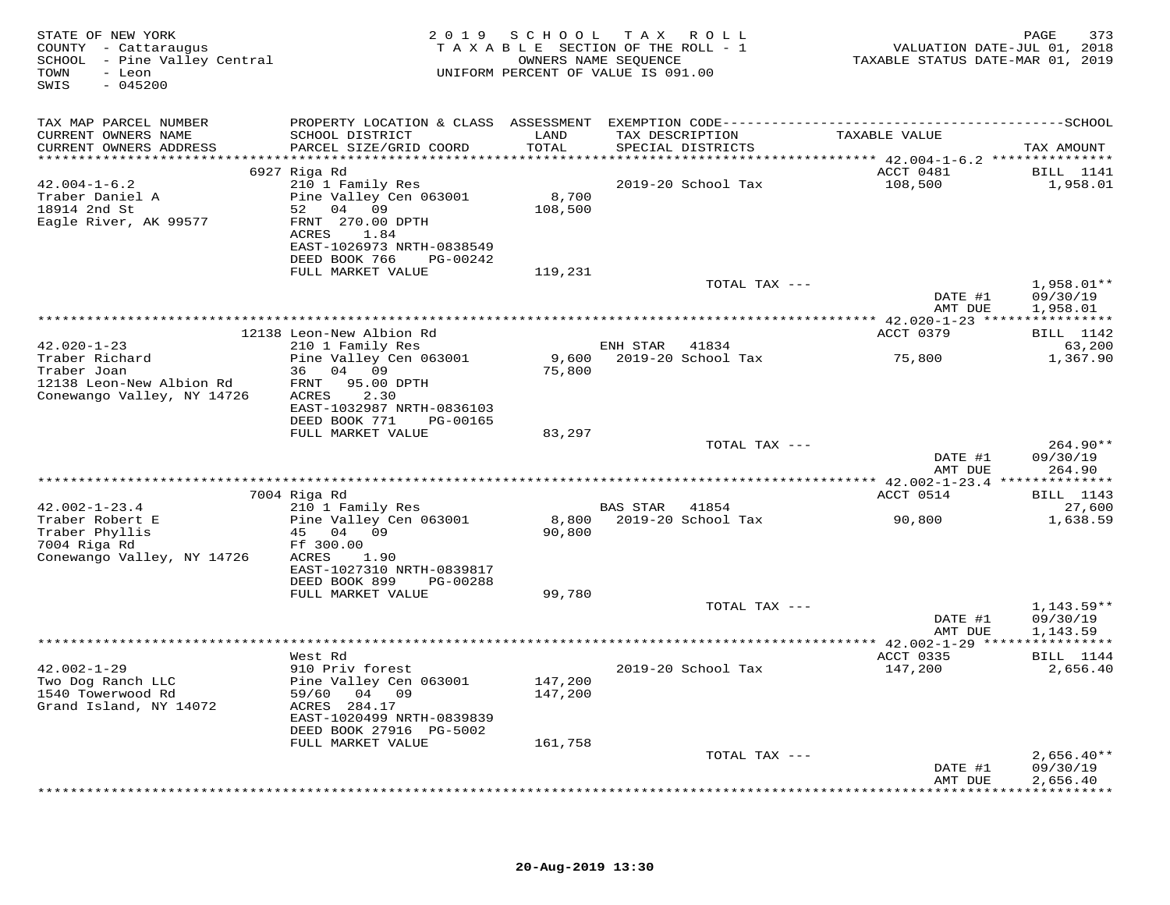| PROPERTY LOCATION & CLASS ASSESSMENT EXEMPTION CODE-----------------------------------SCHOOL<br>TAX MAP PARCEL NUMBER<br>TAXABLE VALUE<br>CURRENT OWNERS NAME<br>SCHOOL DISTRICT<br>LAND<br>TAX DESCRIPTION<br>CURRENT OWNERS ADDRESS<br>PARCEL SIZE/GRID COORD<br>TOTAL<br>SPECIAL DISTRICTS<br>ACCT 0481<br>6927 Riga Rd<br>$42.004 - 1 - 6.2$<br>210 1 Family Res<br>2019-20 School Tax<br>108,500<br>8,700<br>Traber Daniel A<br>Pine Valley Cen 063001<br>18914 2nd St<br>52 04 09<br>108,500<br>Eagle River, AK 99577<br>FRNT 270.00 DPTH<br>ACRES<br>1.84<br>EAST-1026973 NRTH-0838549<br>DEED BOOK 766 PG-00242<br>FULL MARKET VALUE<br>119,231<br>TOTAL TAX ---<br>DATE #1<br>AMT DUE<br>ACCT 0379<br><b>BILL</b> 1142<br>12138 Leon-New Albion Rd<br>$42.020 - 1 - 23$<br>210 1 Family Res<br>ENH STAR<br>41834<br>9,600<br>Traber Richard<br>2019-20 School Tax<br>Pine Valley Cen 063001<br>75,800<br>1,367.90<br>Traber Joan<br>36 04 09<br>75,800<br>12138 Leon-New Albion Rd<br>FRNT 95.00 DPTH<br>Conewango Valley, NY 14726<br>2.30<br>ACRES<br>EAST-1032987 NRTH-0836103<br>DEED BOOK 771 PG-00165<br>FULL MARKET VALUE<br>83,297<br>TOTAL TAX ---<br>DATE #1<br>264.90<br>AMT DUE<br>7004 Riga Rd<br>ACCT 0514<br>$42.002 - 1 - 23.4$<br>210 1 Family Res<br>BAS STAR 41854<br>8,800 2019-20 School Tax<br>Pine Valley Cen 063001<br>Traber Robert E<br>90,800<br>Traber Phyllis<br>45 04 09<br>90,800<br>7004 Riga Rd<br>Ff 300.00<br>Conewango Valley, NY 14726<br>ACRES<br>1.90<br>EAST-1027310 NRTH-0839817<br>DEED BOOK 899<br>PG-00288<br>FULL MARKET VALUE<br>99,780<br>TOTAL TAX ---<br>DATE #1<br>AMT DUE<br>1,143.59<br>ACCT 0335<br>West Rd<br>$42.002 - 1 - 29$<br>2019-20 School Tax<br>147,200<br>910 Priv forest<br>Two Dog Ranch LLC<br>Pine Valley Cen 063001<br>147,200<br>1540 Towerwood Rd<br>59/60<br>04 09<br>147,200<br>Grand Island, NY 14072<br>ACRES 284.17<br>EAST-1020499 NRTH-0839839<br>DEED BOOK 27916 PG-5002<br>FULL MARKET VALUE<br>161,758 | STATE OF NEW YORK<br>COUNTY - Cattaraugus<br>SCHOOL - Pine Valley Central<br>- Leon<br>TOWN<br>$-045200$<br>SWIS | 2019 SCHOOL | TAX ROLL<br>TAXABLE SECTION OF THE ROLL - 1<br>OWNERS NAME SEQUENCE<br>UNIFORM PERCENT OF VALUE IS 091.00 | VALUATION DATE-JUL 01, 2018<br>TAXABLE STATUS DATE-MAR 01, 2019 | PAGE<br>373                          |
|--------------------------------------------------------------------------------------------------------------------------------------------------------------------------------------------------------------------------------------------------------------------------------------------------------------------------------------------------------------------------------------------------------------------------------------------------------------------------------------------------------------------------------------------------------------------------------------------------------------------------------------------------------------------------------------------------------------------------------------------------------------------------------------------------------------------------------------------------------------------------------------------------------------------------------------------------------------------------------------------------------------------------------------------------------------------------------------------------------------------------------------------------------------------------------------------------------------------------------------------------------------------------------------------------------------------------------------------------------------------------------------------------------------------------------------------------------------------------------------------------------------------------------------------------------------------------------------------------------------------------------------------------------------------------------------------------------------------------------------------------------------------------------------------------------------------------------------------------------------------------------------------------------------------------------------------------------------------------------------------------|------------------------------------------------------------------------------------------------------------------|-------------|-----------------------------------------------------------------------------------------------------------|-----------------------------------------------------------------|--------------------------------------|
|                                                                                                                                                                                                                                                                                                                                                                                                                                                                                                                                                                                                                                                                                                                                                                                                                                                                                                                                                                                                                                                                                                                                                                                                                                                                                                                                                                                                                                                                                                                                                                                                                                                                                                                                                                                                                                                                                                                                                                                                  |                                                                                                                  |             |                                                                                                           |                                                                 | TAX AMOUNT                           |
|                                                                                                                                                                                                                                                                                                                                                                                                                                                                                                                                                                                                                                                                                                                                                                                                                                                                                                                                                                                                                                                                                                                                                                                                                                                                                                                                                                                                                                                                                                                                                                                                                                                                                                                                                                                                                                                                                                                                                                                                  |                                                                                                                  |             |                                                                                                           |                                                                 |                                      |
|                                                                                                                                                                                                                                                                                                                                                                                                                                                                                                                                                                                                                                                                                                                                                                                                                                                                                                                                                                                                                                                                                                                                                                                                                                                                                                                                                                                                                                                                                                                                                                                                                                                                                                                                                                                                                                                                                                                                                                                                  |                                                                                                                  |             |                                                                                                           |                                                                 | <b>BILL</b> 1141<br>1,958.01         |
|                                                                                                                                                                                                                                                                                                                                                                                                                                                                                                                                                                                                                                                                                                                                                                                                                                                                                                                                                                                                                                                                                                                                                                                                                                                                                                                                                                                                                                                                                                                                                                                                                                                                                                                                                                                                                                                                                                                                                                                                  |                                                                                                                  |             |                                                                                                           |                                                                 |                                      |
|                                                                                                                                                                                                                                                                                                                                                                                                                                                                                                                                                                                                                                                                                                                                                                                                                                                                                                                                                                                                                                                                                                                                                                                                                                                                                                                                                                                                                                                                                                                                                                                                                                                                                                                                                                                                                                                                                                                                                                                                  |                                                                                                                  |             |                                                                                                           |                                                                 | 1,958.01**<br>09/30/19<br>1,958.01   |
|                                                                                                                                                                                                                                                                                                                                                                                                                                                                                                                                                                                                                                                                                                                                                                                                                                                                                                                                                                                                                                                                                                                                                                                                                                                                                                                                                                                                                                                                                                                                                                                                                                                                                                                                                                                                                                                                                                                                                                                                  |                                                                                                                  |             |                                                                                                           |                                                                 |                                      |
|                                                                                                                                                                                                                                                                                                                                                                                                                                                                                                                                                                                                                                                                                                                                                                                                                                                                                                                                                                                                                                                                                                                                                                                                                                                                                                                                                                                                                                                                                                                                                                                                                                                                                                                                                                                                                                                                                                                                                                                                  |                                                                                                                  |             |                                                                                                           |                                                                 | 63,200                               |
|                                                                                                                                                                                                                                                                                                                                                                                                                                                                                                                                                                                                                                                                                                                                                                                                                                                                                                                                                                                                                                                                                                                                                                                                                                                                                                                                                                                                                                                                                                                                                                                                                                                                                                                                                                                                                                                                                                                                                                                                  |                                                                                                                  |             |                                                                                                           |                                                                 |                                      |
|                                                                                                                                                                                                                                                                                                                                                                                                                                                                                                                                                                                                                                                                                                                                                                                                                                                                                                                                                                                                                                                                                                                                                                                                                                                                                                                                                                                                                                                                                                                                                                                                                                                                                                                                                                                                                                                                                                                                                                                                  |                                                                                                                  |             |                                                                                                           |                                                                 |                                      |
|                                                                                                                                                                                                                                                                                                                                                                                                                                                                                                                                                                                                                                                                                                                                                                                                                                                                                                                                                                                                                                                                                                                                                                                                                                                                                                                                                                                                                                                                                                                                                                                                                                                                                                                                                                                                                                                                                                                                                                                                  |                                                                                                                  |             |                                                                                                           |                                                                 | $264.90**$<br>09/30/19               |
|                                                                                                                                                                                                                                                                                                                                                                                                                                                                                                                                                                                                                                                                                                                                                                                                                                                                                                                                                                                                                                                                                                                                                                                                                                                                                                                                                                                                                                                                                                                                                                                                                                                                                                                                                                                                                                                                                                                                                                                                  |                                                                                                                  |             |                                                                                                           |                                                                 |                                      |
|                                                                                                                                                                                                                                                                                                                                                                                                                                                                                                                                                                                                                                                                                                                                                                                                                                                                                                                                                                                                                                                                                                                                                                                                                                                                                                                                                                                                                                                                                                                                                                                                                                                                                                                                                                                                                                                                                                                                                                                                  |                                                                                                                  |             |                                                                                                           |                                                                 | <b>BILL</b> 1143                     |
|                                                                                                                                                                                                                                                                                                                                                                                                                                                                                                                                                                                                                                                                                                                                                                                                                                                                                                                                                                                                                                                                                                                                                                                                                                                                                                                                                                                                                                                                                                                                                                                                                                                                                                                                                                                                                                                                                                                                                                                                  |                                                                                                                  |             |                                                                                                           |                                                                 | 27,600<br>1,638.59                   |
|                                                                                                                                                                                                                                                                                                                                                                                                                                                                                                                                                                                                                                                                                                                                                                                                                                                                                                                                                                                                                                                                                                                                                                                                                                                                                                                                                                                                                                                                                                                                                                                                                                                                                                                                                                                                                                                                                                                                                                                                  |                                                                                                                  |             |                                                                                                           |                                                                 |                                      |
|                                                                                                                                                                                                                                                                                                                                                                                                                                                                                                                                                                                                                                                                                                                                                                                                                                                                                                                                                                                                                                                                                                                                                                                                                                                                                                                                                                                                                                                                                                                                                                                                                                                                                                                                                                                                                                                                                                                                                                                                  |                                                                                                                  |             |                                                                                                           |                                                                 | $1,143.59**$<br>09/30/19             |
|                                                                                                                                                                                                                                                                                                                                                                                                                                                                                                                                                                                                                                                                                                                                                                                                                                                                                                                                                                                                                                                                                                                                                                                                                                                                                                                                                                                                                                                                                                                                                                                                                                                                                                                                                                                                                                                                                                                                                                                                  |                                                                                                                  |             |                                                                                                           |                                                                 |                                      |
|                                                                                                                                                                                                                                                                                                                                                                                                                                                                                                                                                                                                                                                                                                                                                                                                                                                                                                                                                                                                                                                                                                                                                                                                                                                                                                                                                                                                                                                                                                                                                                                                                                                                                                                                                                                                                                                                                                                                                                                                  |                                                                                                                  |             |                                                                                                           |                                                                 | <b>BILL</b> 1144<br>2,656.40         |
|                                                                                                                                                                                                                                                                                                                                                                                                                                                                                                                                                                                                                                                                                                                                                                                                                                                                                                                                                                                                                                                                                                                                                                                                                                                                                                                                                                                                                                                                                                                                                                                                                                                                                                                                                                                                                                                                                                                                                                                                  |                                                                                                                  |             |                                                                                                           |                                                                 |                                      |
|                                                                                                                                                                                                                                                                                                                                                                                                                                                                                                                                                                                                                                                                                                                                                                                                                                                                                                                                                                                                                                                                                                                                                                                                                                                                                                                                                                                                                                                                                                                                                                                                                                                                                                                                                                                                                                                                                                                                                                                                  |                                                                                                                  |             |                                                                                                           |                                                                 |                                      |
| DATE #1<br>AMT DUE                                                                                                                                                                                                                                                                                                                                                                                                                                                                                                                                                                                                                                                                                                                                                                                                                                                                                                                                                                                                                                                                                                                                                                                                                                                                                                                                                                                                                                                                                                                                                                                                                                                                                                                                                                                                                                                                                                                                                                               |                                                                                                                  |             | TOTAL TAX ---                                                                                             |                                                                 | $2,656.40**$<br>09/30/19<br>2,656.40 |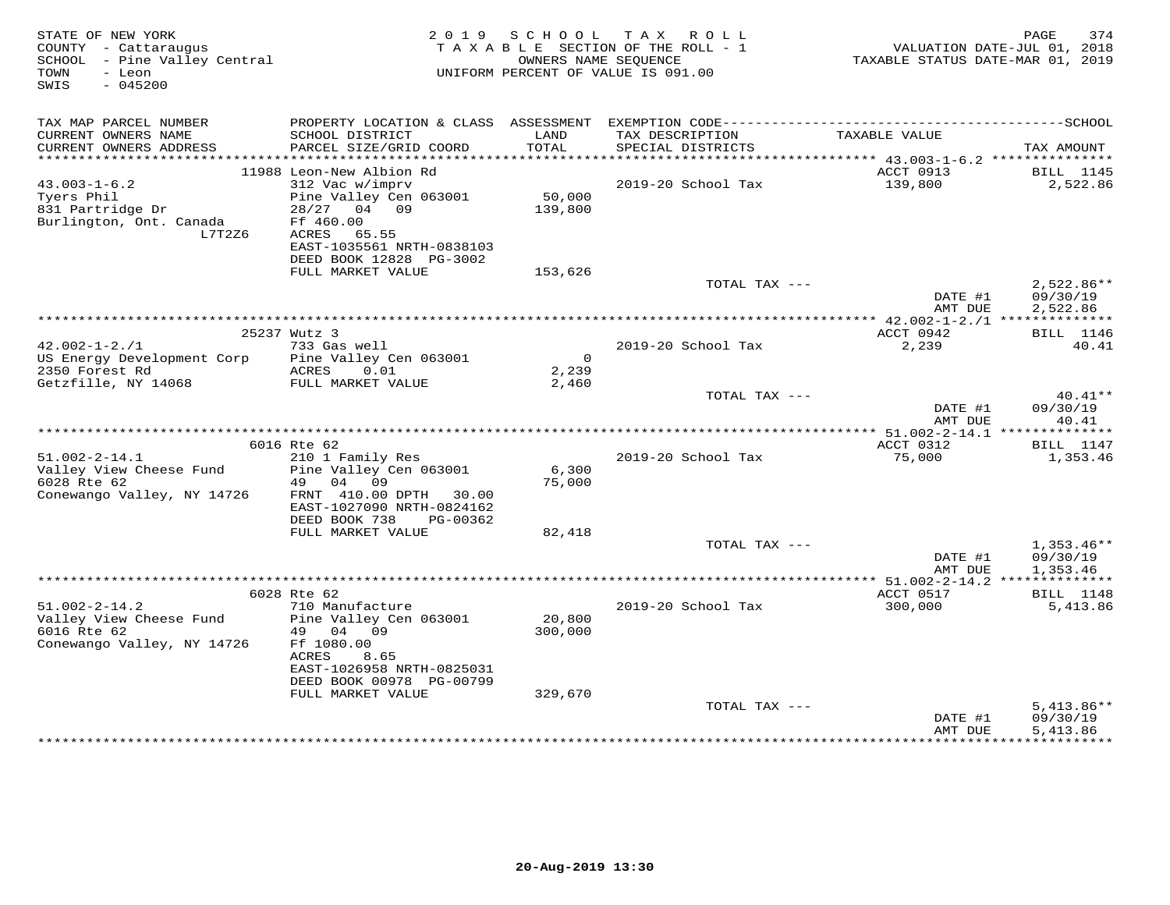| STATE OF NEW YORK<br>COUNTY - Cattaraugus<br>SCHOOL - Pine Valley Central<br>- Leon<br>TOWN<br>$-045200$<br>SWIS |                                                                                                                              | 2019 SCHOOL           | TAX ROLL<br>TAXABLE SECTION OF THE ROLL - 1<br>OWNERS NAME SEOUENCE<br>UNIFORM PERCENT OF VALUE IS 091.00 | TAXABLE STATUS DATE-MAR 01, 2019             | 374<br>PAGE<br>VALUATION DATE-JUL 01, 2018 |
|------------------------------------------------------------------------------------------------------------------|------------------------------------------------------------------------------------------------------------------------------|-----------------------|-----------------------------------------------------------------------------------------------------------|----------------------------------------------|--------------------------------------------|
| TAX MAP PARCEL NUMBER<br>CURRENT OWNERS NAME                                                                     | SCHOOL DISTRICT                                                                                                              | LAND                  | TAX DESCRIPTION                                                                                           | TAXABLE VALUE                                |                                            |
| CURRENT OWNERS ADDRESS                                                                                           | PARCEL SIZE/GRID COORD                                                                                                       | TOTAL                 | SPECIAL DISTRICTS                                                                                         |                                              | TAX AMOUNT                                 |
|                                                                                                                  | 11988 Leon-New Albion Rd                                                                                                     |                       |                                                                                                           | ACCT 0913                                    | BILL 1145                                  |
| $43.003 - 1 - 6.2$                                                                                               | 312 Vac w/imprv                                                                                                              |                       | 2019-20 School Tax                                                                                        | 139,800                                      | 2,522.86                                   |
| Tyers Phil<br>831 Partridge Dr<br>Burlington, Ont. Canada<br>L7T2Z6                                              | Pine Valley Cen 063001<br>28/27 04 09<br>Ff 460.00<br>65.55<br>ACRES<br>EAST-1035561 NRTH-0838103<br>DEED BOOK 12828 PG-3002 | 50,000<br>139,800     |                                                                                                           |                                              |                                            |
|                                                                                                                  | FULL MARKET VALUE                                                                                                            | 153,626               |                                                                                                           |                                              |                                            |
|                                                                                                                  |                                                                                                                              |                       | TOTAL TAX ---                                                                                             | DATE #1<br>AMT DUE                           | 2,522.86**<br>09/30/19<br>2,522.86         |
|                                                                                                                  |                                                                                                                              |                       |                                                                                                           | ******* $42.002 - 1 - 2$ . /1 ************** |                                            |
| $42.002 - 1 - 2.71$                                                                                              | 25237 Wutz 3<br>733 Gas well                                                                                                 |                       | 2019-20 School Tax                                                                                        | ACCT 0942<br>2,239                           | <b>BILL</b> 1146<br>40.41                  |
| US Energy Development Corp<br>2350 Forest Rd                                                                     | Pine Valley Cen 063001<br>ACRES<br>0.01                                                                                      | $\mathsf{O}$<br>2,239 |                                                                                                           |                                              |                                            |
| Getzfille, NY 14068                                                                                              | FULL MARKET VALUE                                                                                                            | 2,460                 |                                                                                                           |                                              |                                            |
|                                                                                                                  |                                                                                                                              |                       | TOTAL TAX ---                                                                                             | DATE #1<br>AMT DUE                           | 40.41**<br>09/30/19<br>40.41               |
|                                                                                                                  |                                                                                                                              |                       |                                                                                                           |                                              |                                            |
| $51.002 - 2 - 14.1$                                                                                              | 6016 Rte 62<br>210 1 Family Res                                                                                              |                       | 2019-20 School Tax                                                                                        | ACCT 0312<br>75,000                          | <b>BILL</b> 1147<br>1,353.46               |
| Valley View Cheese Fund<br>6028 Rte 62                                                                           | Pine Valley Cen 063001<br>49<br>04<br>09                                                                                     | 6,300<br>75,000       |                                                                                                           |                                              |                                            |
| Conewango Valley, NY 14726                                                                                       | FRNT 410.00 DPTH<br>30.00<br>EAST-1027090 NRTH-0824162<br>DEED BOOK 738<br>PG-00362                                          |                       |                                                                                                           |                                              |                                            |
|                                                                                                                  | FULL MARKET VALUE                                                                                                            | 82,418                |                                                                                                           |                                              |                                            |
|                                                                                                                  |                                                                                                                              |                       | TOTAL TAX ---                                                                                             | DATE #1                                      | $1,353.46**$<br>09/30/19                   |
|                                                                                                                  |                                                                                                                              |                       |                                                                                                           | AMT DUE<br>*************** 51.002-2-14.2     | 1,353.46<br>***********                    |
|                                                                                                                  | 6028 Rte 62                                                                                                                  |                       |                                                                                                           | ACCT 0517                                    | <b>BILL</b> 1148                           |
| $51.002 - 2 - 14.2$<br>Valley View Cheese Fund<br>6016 Rte 62                                                    | 710 Manufacture<br>Pine Valley Cen 063001<br>49<br>04<br>09                                                                  | 20,800<br>300,000     | 2019-20 School Tax                                                                                        | 300,000                                      | 5,413.86                                   |
| Conewango Valley, NY 14726                                                                                       | Ff 1080.00<br>ACRES<br>8.65<br>EAST-1026958 NRTH-0825031<br>DEED BOOK 00978 PG-00799                                         |                       |                                                                                                           |                                              |                                            |
|                                                                                                                  | FULL MARKET VALUE                                                                                                            | 329,670               |                                                                                                           |                                              |                                            |
|                                                                                                                  |                                                                                                                              |                       | TOTAL TAX ---                                                                                             | DATE #1<br>AMT DUE                           | $5,413.86**$<br>09/30/19<br>5,413.86       |
|                                                                                                                  |                                                                                                                              |                       |                                                                                                           |                                              |                                            |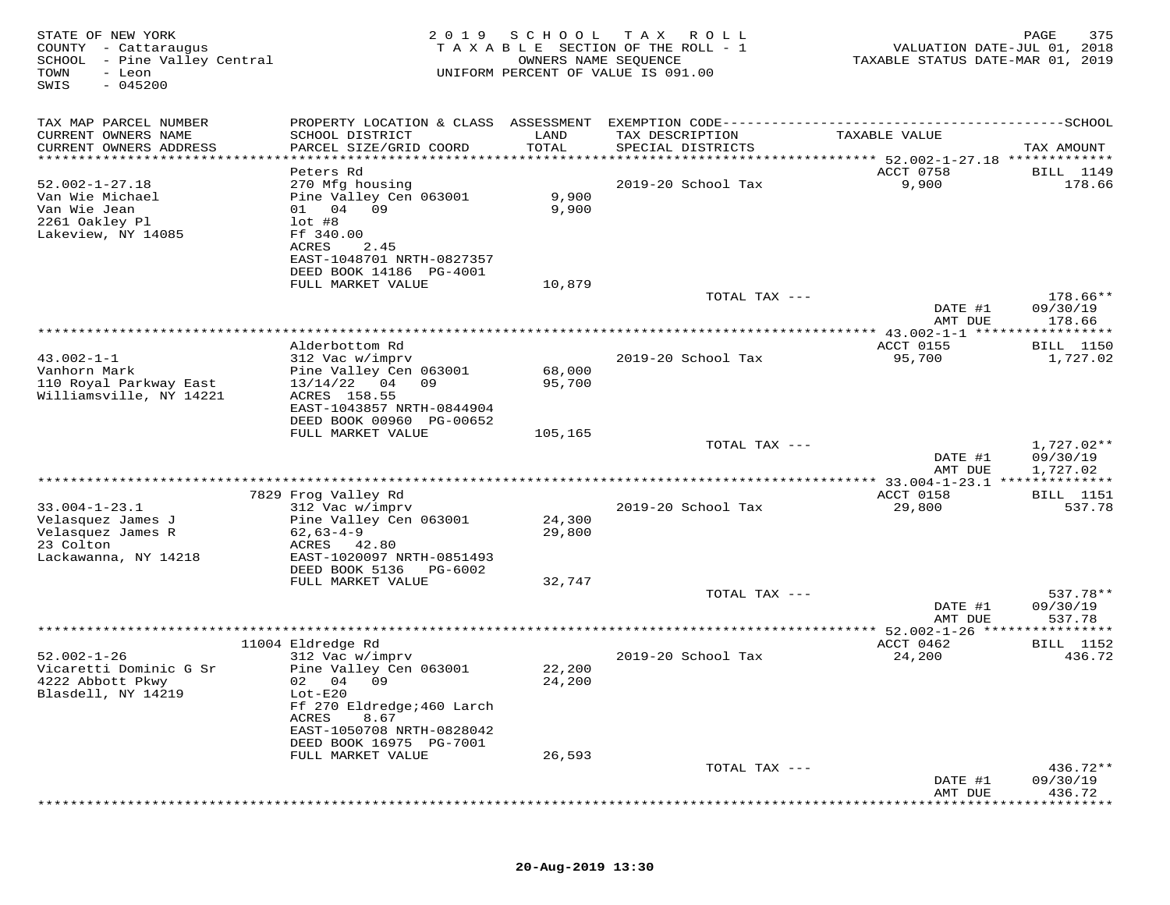| STATE OF NEW YORK<br>COUNTY - Cattaraugus<br>SCHOOL - Pine Valley Central<br>TOWN<br>- Leon<br>$-045200$<br>SWIS | 2 0 1 9                                                                                                     | SCHOOL           | T A X<br>R O L L<br>TAXABLE SECTION OF THE ROLL - 1<br>OWNERS NAME SEQUENCE<br>UNIFORM PERCENT OF VALUE IS 091.00 | VALUATION DATE-JUL 01, 2018<br>TAXABLE STATUS DATE-MAR 01, 2019 | 375<br>PAGE                          |
|------------------------------------------------------------------------------------------------------------------|-------------------------------------------------------------------------------------------------------------|------------------|-------------------------------------------------------------------------------------------------------------------|-----------------------------------------------------------------|--------------------------------------|
| TAX MAP PARCEL NUMBER                                                                                            |                                                                                                             |                  |                                                                                                                   |                                                                 |                                      |
| CURRENT OWNERS NAME<br>CURRENT OWNERS ADDRESS                                                                    | SCHOOL DISTRICT<br>PARCEL SIZE/GRID COORD                                                                   | LAND<br>TOTAL    | TAX DESCRIPTION<br>SPECIAL DISTRICTS                                                                              | TAXABLE VALUE                                                   | TAX AMOUNT                           |
| ***********************                                                                                          |                                                                                                             |                  |                                                                                                                   |                                                                 |                                      |
| $52.002 - 1 - 27.18$<br>Van Wie Michael                                                                          | Peters Rd<br>270 Mfg housing<br>Pine Valley Cen 063001                                                      | 9,900            | 2019-20 School Tax                                                                                                | ACCT 0758<br>9,900                                              | <b>BILL</b> 1149<br>178.66           |
| Van Wie Jean<br>2261 Oakley Pl<br>Lakeview, NY 14085                                                             | 01 04 09<br>$1$ ot #8<br>Ff 340.00<br>ACRES<br>2.45<br>EAST-1048701 NRTH-0827357<br>DEED BOOK 14186 PG-4001 | 9,900            |                                                                                                                   |                                                                 |                                      |
|                                                                                                                  | FULL MARKET VALUE                                                                                           | 10,879           |                                                                                                                   |                                                                 |                                      |
|                                                                                                                  |                                                                                                             |                  | TOTAL TAX ---                                                                                                     | DATE #1                                                         | $178.66**$<br>09/30/19               |
|                                                                                                                  |                                                                                                             |                  |                                                                                                                   | AMT DUE                                                         | 178.66                               |
|                                                                                                                  |                                                                                                             |                  |                                                                                                                   | ** 43.002-1-1 *****                                             | * * * * * * * * *                    |
| $43.002 - 1 - 1$                                                                                                 | Alderbottom Rd<br>312 Vac w/imprv                                                                           |                  | 2019-20 School Tax                                                                                                | ACCT 0155<br>95,700                                             | <b>BILL</b> 1150<br>1,727.02         |
| Vanhorn Mark<br>110 Royal Parkway East                                                                           | Pine Valley Cen 063001<br>13/14/22<br>04<br>09                                                              | 68,000<br>95,700 |                                                                                                                   |                                                                 |                                      |
| Williamsville, NY 14221                                                                                          | ACRES 158.55<br>EAST-1043857 NRTH-0844904<br>DEED BOOK 00960 PG-00652                                       |                  |                                                                                                                   |                                                                 |                                      |
|                                                                                                                  | FULL MARKET VALUE                                                                                           | 105,165          |                                                                                                                   |                                                                 |                                      |
|                                                                                                                  |                                                                                                             |                  | TOTAL TAX ---                                                                                                     | DATE #1<br>AMT DUE                                              | $1,727.02**$<br>09/30/19<br>1,727.02 |
|                                                                                                                  |                                                                                                             |                  |                                                                                                                   |                                                                 | *******                              |
| $33.004 - 1 - 23.1$                                                                                              | 7829 Frog Valley Rd<br>312 Vac w/imprv                                                                      |                  | 2019-20 School Tax                                                                                                | ACCT 0158<br>29,800                                             | <b>BILL</b> 1151<br>537.78           |
| Velasquez James J                                                                                                | Pine Valley Cen 063001                                                                                      | 24,300           |                                                                                                                   |                                                                 |                                      |
| Velasquez James R<br>23 Colton<br>Lackawanna, NY 14218                                                           | $62,63-4-9$<br>ACRES<br>42.80<br>EAST-1020097 NRTH-0851493                                                  | 29,800           |                                                                                                                   |                                                                 |                                      |
|                                                                                                                  | DEED BOOK 5136<br>PG-6002<br>FULL MARKET VALUE                                                              | 32,747           |                                                                                                                   |                                                                 |                                      |
|                                                                                                                  |                                                                                                             |                  | TOTAL TAX ---                                                                                                     |                                                                 | 537.78**                             |
|                                                                                                                  |                                                                                                             |                  |                                                                                                                   | DATE #1<br>AMT DUE                                              | 09/30/19<br>537.78                   |
|                                                                                                                  |                                                                                                             |                  | **********************                                                                                            | ***** 52.002-1-26 ****                                          | * * * * * * * * * * *                |
|                                                                                                                  | 11004 Eldredge Rd                                                                                           |                  |                                                                                                                   | ACCT 0462                                                       | BILL 1152                            |
| $52.002 - 1 - 26$<br>Vicaretti Dominic G Sr                                                                      | 312 Vac w/imprv<br>Pine Valley Cen 063001                                                                   | 22,200           | 2019-20 School Tax                                                                                                | 24,200                                                          | 436.72                               |
| 4222 Abbott Pkwy<br>Blasdell, NY 14219                                                                           | 02 04 09<br>$Lot-E20$<br>Ff 270 Eldredge; 460 Larch<br>ACRES<br>8.67                                        | 24,200           |                                                                                                                   |                                                                 |                                      |
|                                                                                                                  | EAST-1050708 NRTH-0828042<br>DEED BOOK 16975 PG-7001                                                        |                  |                                                                                                                   |                                                                 |                                      |
|                                                                                                                  | FULL MARKET VALUE                                                                                           | 26,593           |                                                                                                                   |                                                                 |                                      |
|                                                                                                                  |                                                                                                             |                  | TOTAL TAX ---                                                                                                     |                                                                 | 436.72**                             |
|                                                                                                                  |                                                                                                             |                  |                                                                                                                   | DATE #1<br>AMT DUE                                              | 09/30/19<br>436.72                   |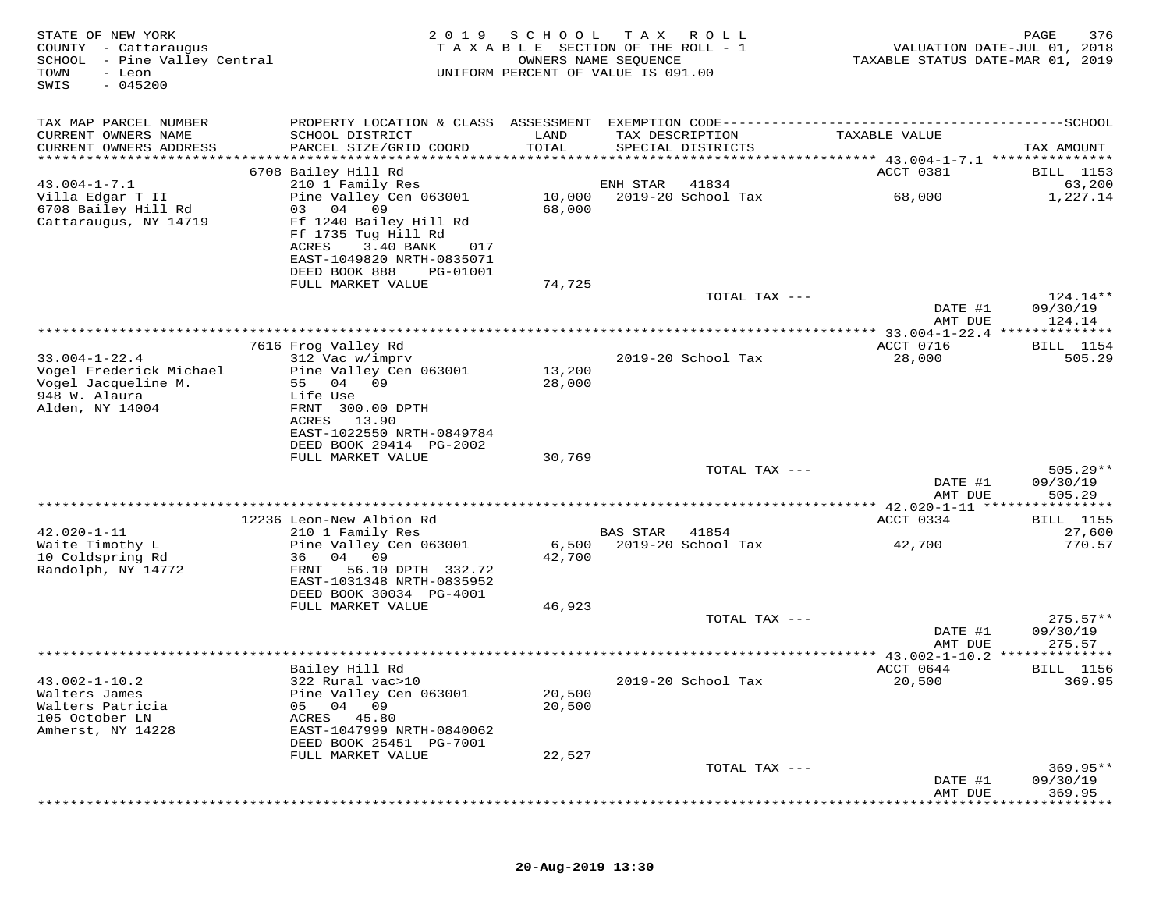| STATE OF NEW YORK<br>COUNTY - Cattaraugus<br>SCHOOL<br>- Pine Valley Central<br>- Leon<br>TOWN<br>$-045200$<br>SWIS | 2 0 1 9                                                                                                                                                                          | SCHOOL           | T A X<br>R O L L<br>TAXABLE SECTION OF THE ROLL - 1<br>OWNERS NAME SEQUENCE<br>UNIFORM PERCENT OF VALUE IS 091.00 | TAXABLE STATUS DATE-MAR 01, 2019           | 376<br>PAGE<br>VALUATION DATE-JUL 01, 2018 |
|---------------------------------------------------------------------------------------------------------------------|----------------------------------------------------------------------------------------------------------------------------------------------------------------------------------|------------------|-------------------------------------------------------------------------------------------------------------------|--------------------------------------------|--------------------------------------------|
| TAX MAP PARCEL NUMBER<br>CURRENT OWNERS NAME<br>CURRENT OWNERS ADDRESS                                              | SCHOOL DISTRICT<br>PARCEL SIZE/GRID COORD                                                                                                                                        | LAND<br>TOTAL    | TAX DESCRIPTION<br>SPECIAL DISTRICTS                                                                              | TAXABLE VALUE                              | TAX AMOUNT                                 |
| ***********************                                                                                             | 6708 Bailey Hill Rd                                                                                                                                                              |                  |                                                                                                                   |                                            |                                            |
| $43.004 - 1 - 7.1$                                                                                                  | 210 1 Family Res                                                                                                                                                                 |                  | 41834<br>ENH STAR                                                                                                 | ACCT 0381                                  | BILL 1153<br>63,200                        |
| Villa Edgar T II<br>6708 Bailey Hill Rd<br>Cattaraugus, NY 14719                                                    | Pine Valley Cen 063001<br>04<br>09<br>03<br>Ff 1240 Bailey Hill Rd<br>Ff 1735 Tug Hill Rd<br>ACRES<br>3.40 BANK<br>017<br>EAST-1049820 NRTH-0835071<br>DEED BOOK 888<br>PG-01001 | 10,000<br>68,000 | 2019-20 School Tax                                                                                                | 68,000                                     | 1,227.14                                   |
|                                                                                                                     | FULL MARKET VALUE                                                                                                                                                                | 74,725           |                                                                                                                   |                                            |                                            |
|                                                                                                                     |                                                                                                                                                                                  |                  | TOTAL TAX ---                                                                                                     | DATE #1<br>AMT DUE                         | 124.14**<br>09/30/19<br>124.14             |
|                                                                                                                     |                                                                                                                                                                                  |                  |                                                                                                                   |                                            |                                            |
| $33.004 - 1 - 22.4$<br>Vogel Frederick Michael                                                                      | 7616 Frog Valley Rd<br>312 Vac w/imprv<br>Pine Valley Cen 063001                                                                                                                 | 13,200           | 2019-20 School Tax                                                                                                | ACCT 0716<br>28,000                        | <b>BILL</b> 1154<br>505.29                 |
| Vogel Jacqueline M.<br>948 W. Alaura<br>Alden, NY 14004                                                             | 55<br>04<br>09<br>Life Use<br>FRNT 300.00 DPTH<br>ACRES<br>13.90<br>EAST-1022550 NRTH-0849784<br>DEED BOOK 29414 PG-2002                                                         | 28,000           |                                                                                                                   |                                            |                                            |
|                                                                                                                     | FULL MARKET VALUE                                                                                                                                                                | 30,769           | TOTAL TAX ---                                                                                                     |                                            | $505.29**$                                 |
|                                                                                                                     |                                                                                                                                                                                  |                  |                                                                                                                   | DATE #1<br>AMT DUE                         | 09/30/19<br>505.29                         |
|                                                                                                                     | ********************************<br>12236 Leon-New Albion Rd                                                                                                                     |                  | ************************                                                                                          | ********* 42.020-1-11 *******<br>ACCT 0334 | *********<br>BILL 1155                     |
| $42.020 - 1 - 11$                                                                                                   | 210 1 Family Res                                                                                                                                                                 |                  | <b>BAS STAR</b><br>41854                                                                                          |                                            | 27,600                                     |
| Waite Timothy L<br>10 Coldspring Rd<br>Randolph, NY 14772                                                           | Pine Valley Cen 063001<br>04 09<br>36<br>56.10 DPTH 332.72<br>FRNT                                                                                                               | 6,500<br>42,700  | 2019-20 School Tax                                                                                                | 42,700                                     | 770.57                                     |
|                                                                                                                     | EAST-1031348 NRTH-0835952<br>DEED BOOK 30034 PG-4001<br>FULL MARKET VALUE                                                                                                        | 46,923           |                                                                                                                   |                                            |                                            |
|                                                                                                                     |                                                                                                                                                                                  |                  | TOTAL TAX ---                                                                                                     | DATE #1<br>AMT DUE                         | $275.57**$<br>09/30/19<br>275.57           |
|                                                                                                                     |                                                                                                                                                                                  |                  |                                                                                                                   | ************ 43.002-1-10.2 **************  |                                            |
|                                                                                                                     | Bailey Hill Rd                                                                                                                                                                   |                  |                                                                                                                   | ACCT 0644                                  | BILL 1156                                  |
| $43.002 - 1 - 10.2$<br>Walters James<br>Walters Patricia<br>105 October LN<br>Amherst, NY 14228                     | 322 Rural vac>10<br>Pine Valley Cen 063001<br>04 09<br>05<br>ACRES<br>45.80<br>EAST-1047999 NRTH-0840062<br>DEED BOOK 25451 PG-7001                                              | 20,500<br>20,500 | 2019-20 School Tax                                                                                                | 20,500                                     | 369.95                                     |
|                                                                                                                     | FULL MARKET VALUE                                                                                                                                                                | 22,527           | TOTAL TAX ---                                                                                                     |                                            | $369.95**$                                 |
|                                                                                                                     |                                                                                                                                                                                  |                  |                                                                                                                   | DATE #1<br>AMT DUE                         | 09/30/19<br>369.95                         |
|                                                                                                                     |                                                                                                                                                                                  |                  |                                                                                                                   |                                            |                                            |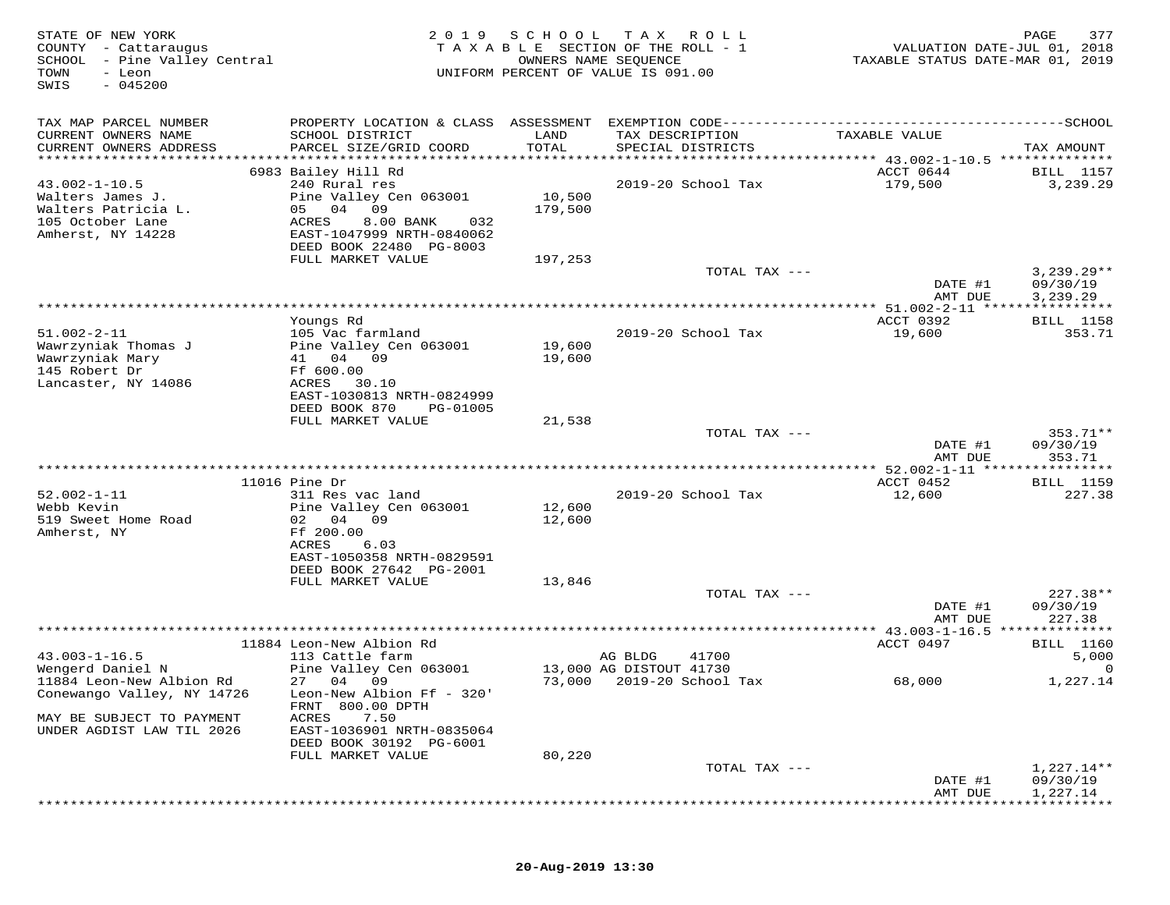| STATE OF NEW YORK<br>COUNTY - Cattaraugus<br>SCHOOL - Pine Valley Central<br>TOWN<br>- Leon<br>$-045200$<br>SWIS | 2 0 1 9                                      | SCHOOL<br>OWNERS NAME SEQUENCE | T A X<br>R O L L<br>TAXABLE SECTION OF THE ROLL - 1<br>UNIFORM PERCENT OF VALUE IS 091.00 | VALUATION DATE-JUL 01, 2018<br>TAXABLE STATUS DATE-MAR 01, 2019 | 377<br>PAGE          |
|------------------------------------------------------------------------------------------------------------------|----------------------------------------------|--------------------------------|-------------------------------------------------------------------------------------------|-----------------------------------------------------------------|----------------------|
| TAX MAP PARCEL NUMBER<br>CURRENT OWNERS NAME                                                                     | SCHOOL DISTRICT                              | LAND                           | TAX DESCRIPTION                                                                           | TAXABLE VALUE                                                   |                      |
| CURRENT OWNERS ADDRESS                                                                                           | PARCEL SIZE/GRID COORD                       | TOTAL                          | SPECIAL DISTRICTS                                                                         |                                                                 | TAX AMOUNT           |
|                                                                                                                  | 6983 Bailey Hill Rd                          |                                |                                                                                           | ACCT 0644                                                       | <b>BILL</b> 1157     |
| $43.002 - 1 - 10.5$                                                                                              | 240 Rural res                                |                                | 2019-20 School Tax                                                                        | 179,500                                                         | 3,239.29             |
| Walters James J.                                                                                                 | Pine Valley Cen 063001                       | 10,500                         |                                                                                           |                                                                 |                      |
| Walters Patricia L.                                                                                              | 05 04<br>09                                  | 179,500                        |                                                                                           |                                                                 |                      |
| 105 October Lane                                                                                                 | ACRES<br>8.00 BANK<br>032                    |                                |                                                                                           |                                                                 |                      |
| Amherst, NY 14228                                                                                                | EAST-1047999 NRTH-0840062                    |                                |                                                                                           |                                                                 |                      |
|                                                                                                                  | DEED BOOK 22480 PG-8003                      |                                |                                                                                           |                                                                 |                      |
|                                                                                                                  | FULL MARKET VALUE                            | 197,253                        | TOTAL TAX ---                                                                             |                                                                 | $3,239.29**$         |
|                                                                                                                  |                                              |                                |                                                                                           | DATE #1                                                         | 09/30/19             |
|                                                                                                                  |                                              |                                |                                                                                           | AMT DUE                                                         | 3,239.29             |
|                                                                                                                  |                                              |                                |                                                                                           | ************ 51.002-2-11 *****************                      |                      |
|                                                                                                                  | Youngs Rd                                    |                                |                                                                                           | ACCT 0392                                                       | BILL 1158            |
| $51.002 - 2 - 11$                                                                                                | 105 Vac farmland                             |                                | 2019-20 School Tax                                                                        | 19,600                                                          | 353.71               |
| Wawrzyniak Thomas J                                                                                              | Pine Valley Cen 063001                       | 19,600                         |                                                                                           |                                                                 |                      |
| Wawrzyniak Mary                                                                                                  | 41 04 09                                     | 19,600                         |                                                                                           |                                                                 |                      |
| 145 Robert Dr<br>Lancaster, NY 14086                                                                             | Ff 600.00<br>ACRES<br>30.10                  |                                |                                                                                           |                                                                 |                      |
|                                                                                                                  | EAST-1030813 NRTH-0824999                    |                                |                                                                                           |                                                                 |                      |
|                                                                                                                  | DEED BOOK 870<br>PG-01005                    |                                |                                                                                           |                                                                 |                      |
|                                                                                                                  | FULL MARKET VALUE                            | 21,538                         |                                                                                           |                                                                 |                      |
|                                                                                                                  |                                              |                                | TOTAL TAX ---                                                                             |                                                                 | 353.71**             |
|                                                                                                                  |                                              |                                |                                                                                           | DATE #1                                                         | 09/30/19             |
|                                                                                                                  |                                              |                                |                                                                                           | AMT DUE                                                         | 353.71               |
|                                                                                                                  | $11016$ Pine Dr                              |                                |                                                                                           | ACCT 0452                                                       | <b>BILL</b> 1159     |
| $52.002 - 1 - 11$                                                                                                | 311 Res vac land                             |                                | 2019-20 School Tax                                                                        | 12,600                                                          | 227.38               |
| Webb Kevin                                                                                                       | Pine Valley Cen 063001                       | 12,600                         |                                                                                           |                                                                 |                      |
| 519 Sweet Home Road                                                                                              | 02<br>04<br>09                               | 12,600                         |                                                                                           |                                                                 |                      |
| Amherst, NY                                                                                                      | Ff 200.00                                    |                                |                                                                                           |                                                                 |                      |
|                                                                                                                  | 6.03<br>ACRES                                |                                |                                                                                           |                                                                 |                      |
|                                                                                                                  | EAST-1050358 NRTH-0829591                    |                                |                                                                                           |                                                                 |                      |
|                                                                                                                  | DEED BOOK 27642 PG-2001<br>FULL MARKET VALUE |                                |                                                                                           |                                                                 |                      |
|                                                                                                                  |                                              | 13,846                         | TOTAL TAX ---                                                                             |                                                                 | $227.38**$           |
|                                                                                                                  |                                              |                                |                                                                                           | DATE #1                                                         | 09/30/19             |
|                                                                                                                  |                                              |                                |                                                                                           | AMT DUE                                                         | 227.38               |
|                                                                                                                  |                                              |                                | ***********************                                                                   | ********* 43.003-1-16.5 ***                                     | *********            |
|                                                                                                                  | 11884 Leon-New Albion Rd                     |                                |                                                                                           | ACCT 0497                                                       | <b>BILL</b> 1160     |
| $43.003 - 1 - 16.5$                                                                                              | 113 Cattle farm                              |                                | 41700<br>AG BLDG                                                                          |                                                                 | 5,000                |
| Wengerd Daniel N                                                                                                 | Pine Valley Cen 063001<br>27 04 09           |                                | 13,000 AG DISTOUT 41730                                                                   |                                                                 |                      |
| 11884 Leon-New Albion Rd<br>Conewango Valley, NY 14726                                                           | Leon-New Albion Ff - 320'                    | 73,000                         | 2019-20 School Tax                                                                        | 68,000                                                          | 1,227.14             |
|                                                                                                                  | FRNT 800.00 DPTH                             |                                |                                                                                           |                                                                 |                      |
| MAY BE SUBJECT TO PAYMENT                                                                                        | ACRES<br>7.50                                |                                |                                                                                           |                                                                 |                      |
| UNDER AGDIST LAW TIL 2026                                                                                        | EAST-1036901 NRTH-0835064                    |                                |                                                                                           |                                                                 |                      |
|                                                                                                                  | DEED BOOK 30192 PG-6001                      |                                |                                                                                           |                                                                 |                      |
|                                                                                                                  | FULL MARKET VALUE                            | 80,220                         |                                                                                           |                                                                 |                      |
|                                                                                                                  |                                              |                                | TOTAL TAX ---                                                                             |                                                                 | 1,227.14**           |
|                                                                                                                  |                                              |                                |                                                                                           | DATE #1                                                         | 09/30/19<br>1,227.14 |
|                                                                                                                  |                                              |                                |                                                                                           | AMT DUE                                                         |                      |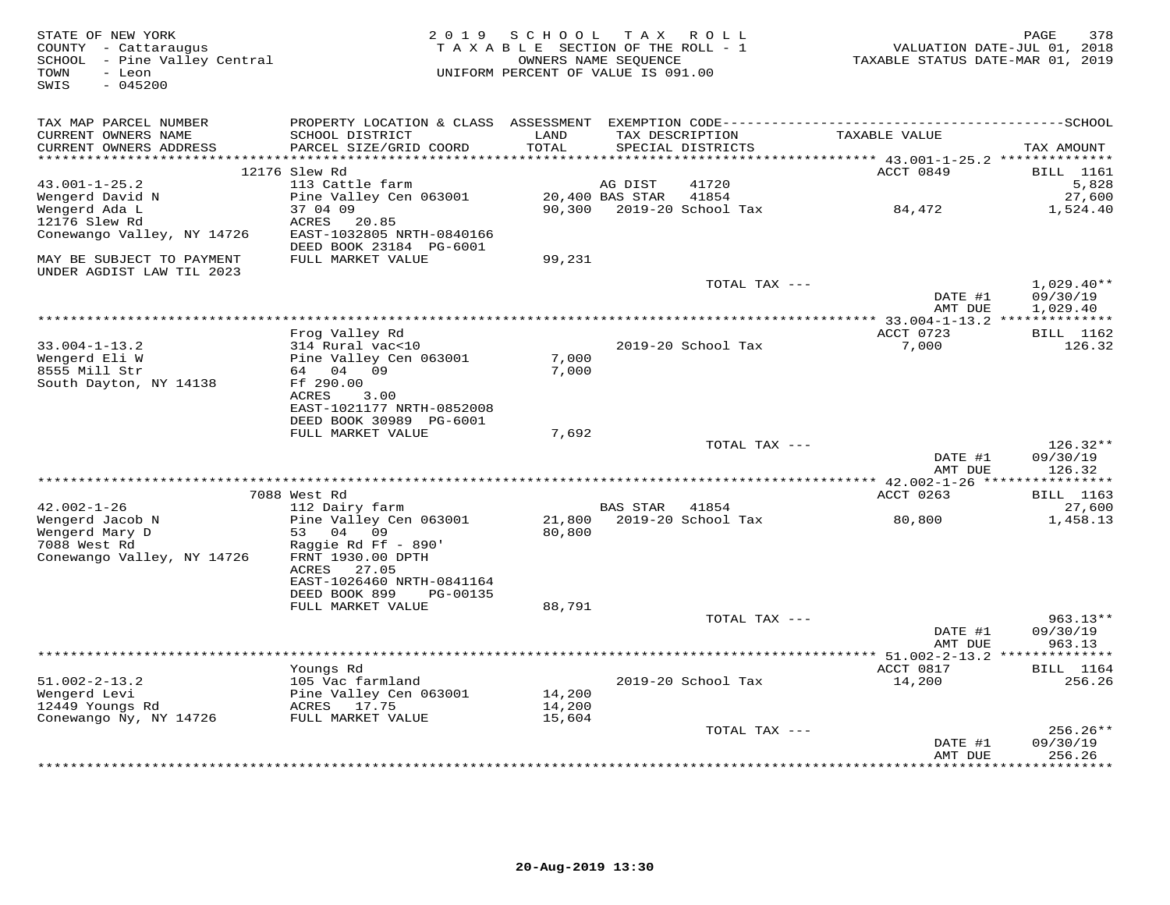| STATE OF NEW YORK<br>COUNTY - Cattaraugus<br>SCHOOL - Pine Valley Central<br>TOWN<br>- Leon<br>SWIS<br>$-045200$ |                                                                                                                   | 2019 SCHOOL TAX ROLL<br>TAXABLE SECTION OF THE ROLL - 1<br>UNIFORM PERCENT OF VALUE IS 091.00 | OWNERS NAME SEQUENCE       |                                      | VALUATION DATE-JUL 01, 2018<br>TAXABLE STATUS DATE-MAR 01, 2019             | PAGE<br>378                          |
|------------------------------------------------------------------------------------------------------------------|-------------------------------------------------------------------------------------------------------------------|-----------------------------------------------------------------------------------------------|----------------------------|--------------------------------------|-----------------------------------------------------------------------------|--------------------------------------|
| TAX MAP PARCEL NUMBER<br>CURRENT OWNERS NAME<br>CURRENT OWNERS ADDRESS                                           | SCHOOL DISTRICT<br>PARCEL SIZE/GRID COORD                                                                         | LAND<br>TOTAL                                                                                 |                            | TAX DESCRIPTION<br>SPECIAL DISTRICTS | TAXABLE VALUE                                                               | TAX AMOUNT                           |
| **********************                                                                                           | 12176 Slew Rd                                                                                                     | **********                                                                                    |                            |                                      | ******************************** 43.001-1-25.2 ***************<br>ACCT 0849 | BILL 1161                            |
| $43.001 - 1 - 25.2$<br>Wengerd David N<br>Wengerd Ada L<br>12176 Slew Rd<br>Conewango Valley, NY 14726           | 113 Cattle farm<br>Pine Valley Cen 063001<br>37 04 09<br>ACRES<br>20.85<br>EAST-1032805 NRTH-0840166              | 90,300                                                                                        | AG DIST<br>20,400 BAS STAR | 41720<br>41854<br>2019-20 School Tax | 84,472                                                                      | 5,828<br>27,600<br>1,524.40          |
| MAY BE SUBJECT TO PAYMENT<br>UNDER AGDIST LAW TIL 2023                                                           | DEED BOOK 23184 PG-6001<br>FULL MARKET VALUE                                                                      | 99,231                                                                                        |                            |                                      |                                                                             |                                      |
|                                                                                                                  |                                                                                                                   |                                                                                               |                            | TOTAL TAX ---                        | DATE #1<br>AMT DUE                                                          | $1,029.40**$<br>09/30/19<br>1,029.40 |
|                                                                                                                  |                                                                                                                   |                                                                                               |                            |                                      |                                                                             |                                      |
|                                                                                                                  | Frog Valley Rd                                                                                                    |                                                                                               |                            |                                      | ACCT 0723                                                                   | <b>BILL</b> 1162                     |
| $33.004 - 1 - 13.2$<br>Wengerd Eli W<br>8555 Mill Str<br>South Dayton, NY 14138                                  | 314 Rural vac<10<br>Pine Valley Cen 063001<br>64 04 09<br>Ff 290.00<br>3.00<br>ACRES<br>EAST-1021177 NRTH-0852008 | 7,000<br>7,000                                                                                |                            | 2019-20 School Tax                   | 7,000                                                                       | 126.32                               |
|                                                                                                                  | DEED BOOK 30989 PG-6001                                                                                           |                                                                                               |                            |                                      |                                                                             |                                      |
|                                                                                                                  | FULL MARKET VALUE                                                                                                 | 7,692                                                                                         |                            | TOTAL TAX ---                        | DATE #1                                                                     | $126.32**$<br>09/30/19               |
|                                                                                                                  |                                                                                                                   |                                                                                               |                            |                                      | AMT DUE                                                                     | 126.32                               |
|                                                                                                                  | 7088 West Rd                                                                                                      |                                                                                               |                            |                                      | ACCT 0263                                                                   | <b>BILL</b> 1163                     |
| $42.002 - 1 - 26$<br>Wengerd Jacob N<br>Wengerd Mary D<br>7088 West Rd<br>Conewango Valley, NY 14726             | 112 Dairy farm<br>Pine Valley Cen 063001<br>53 04 09<br>Raggie Rd Ff - 890'<br>FRNT 1930.00 DPTH                  | 21,800<br>80,800                                                                              | BAS STAR                   | 41854<br>2019-20 School Tax          | 80,800                                                                      | 27,600<br>1,458.13                   |
|                                                                                                                  | 27.05<br>ACRES<br>EAST-1026460 NRTH-0841164<br>DEED BOOK 899<br>PG-00135<br>FULL MARKET VALUE                     | 88,791                                                                                        |                            | TOTAL TAX ---                        |                                                                             | $963.13**$                           |
|                                                                                                                  |                                                                                                                   |                                                                                               |                            |                                      | DATE #1<br>AMT DUE                                                          | 09/30/19<br>963.13                   |
|                                                                                                                  |                                                                                                                   |                                                                                               |                            |                                      |                                                                             |                                      |
| $51.002 - 2 - 13.2$<br>Wengerd Levi<br>12449 Youngs Rd<br>Conewango Ny, NY 14726                                 | Youngs Rd<br>105 Vac farmland<br>Pine Valley Cen 063001<br>ACRES 17.75<br>FULL MARKET VALUE                       | 14,200<br>14,200<br>15,604                                                                    |                            | 2019-20 School Tax                   | ACCT 0817<br>14,200                                                         | BILL 1164<br>256.26                  |
|                                                                                                                  |                                                                                                                   |                                                                                               |                            | TOTAL TAX ---                        | DATE #1<br>AMT DUE                                                          | 256.26**<br>09/30/19<br>256.26       |
|                                                                                                                  |                                                                                                                   |                                                                                               |                            |                                      |                                                                             |                                      |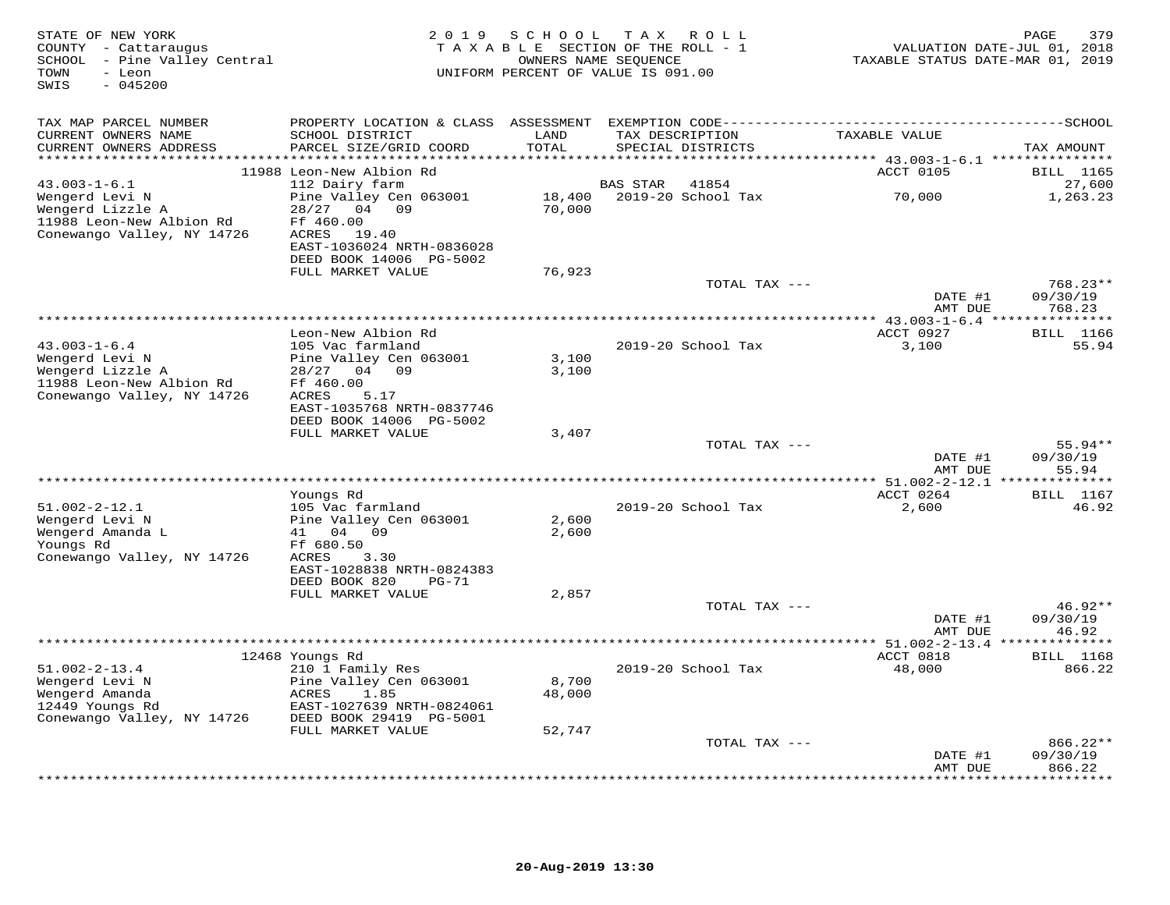| STATE OF NEW YORK<br>COUNTY - Cattaraugus<br>SCHOOL - Pine Valley Central<br>- Leon<br>TOWN<br>SWIS<br>$-045200$   | 2 0 1 9                                                                                    | SCHOOL           | T A X<br>R O L L<br>TAXABLE SECTION OF THE ROLL - 1<br>OWNERS NAME SEQUENCE<br>UNIFORM PERCENT OF VALUE IS 091.00 | TAXABLE STATUS DATE-MAR 01, 2019                           | 379<br>PAGE<br>VALUATION DATE-JUL 01, 2018 |
|--------------------------------------------------------------------------------------------------------------------|--------------------------------------------------------------------------------------------|------------------|-------------------------------------------------------------------------------------------------------------------|------------------------------------------------------------|--------------------------------------------|
| TAX MAP PARCEL NUMBER                                                                                              |                                                                                            |                  |                                                                                                                   |                                                            |                                            |
| CURRENT OWNERS NAME<br>CURRENT OWNERS ADDRESS                                                                      | SCHOOL DISTRICT<br>PARCEL SIZE/GRID COORD                                                  | LAND<br>TOTAL    | TAX DESCRIPTION<br>SPECIAL DISTRICTS                                                                              | TAXABLE VALUE                                              | TAX AMOUNT                                 |
|                                                                                                                    | 11988 Leon-New Albion Rd                                                                   |                  |                                                                                                                   | ACCT 0105                                                  | <b>BILL</b> 1165                           |
| $43.003 - 1 - 6.1$<br>Wengerd Levi N<br>Wengerd Lizzle A                                                           | 112 Dairy farm<br>Pine Valley Cen 063001<br>04 09<br>28/27                                 | 18,400<br>70,000 | 41854<br><b>BAS STAR</b><br>2019-20 School Tax                                                                    | 70,000                                                     | 27,600<br>1,263.23                         |
| 11988 Leon-New Albion Rd<br>Conewango Valley, NY 14726                                                             | Ff 460.00<br>ACRES<br>19.40<br>EAST-1036024 NRTH-0836028                                   |                  |                                                                                                                   |                                                            |                                            |
|                                                                                                                    | DEED BOOK 14006 PG-5002<br>FULL MARKET VALUE                                               | 76,923           |                                                                                                                   |                                                            |                                            |
|                                                                                                                    |                                                                                            |                  | TOTAL TAX ---                                                                                                     | DATE #1                                                    | $768.23**$<br>09/30/19                     |
|                                                                                                                    |                                                                                            |                  |                                                                                                                   | AMT DUE<br>***************** 43.003-1-6.4 **************** | 768.23                                     |
|                                                                                                                    | Leon-New Albion Rd                                                                         |                  |                                                                                                                   | ACCT 0927                                                  | <b>BILL</b> 1166                           |
| $43.003 - 1 - 6.4$<br>Wengerd Levi N<br>Wengerd Lizzle A<br>11988 Leon-New Albion Rd<br>Conewango Valley, NY 14726 | 105 Vac farmland<br>Pine Valley Cen 063001<br>04 09<br>28/27<br>Ff 460.00<br>5.17<br>ACRES | 3,100<br>3,100   | 2019-20 School Tax                                                                                                | 3,100                                                      | 55.94                                      |
|                                                                                                                    | EAST-1035768 NRTH-0837746<br>DEED BOOK 14006 PG-5002                                       |                  |                                                                                                                   |                                                            |                                            |
|                                                                                                                    | FULL MARKET VALUE                                                                          | 3,407            | TOTAL TAX ---                                                                                                     |                                                            | $55.94**$                                  |
|                                                                                                                    |                                                                                            |                  |                                                                                                                   | DATE #1<br>AMT DUE                                         | 09/30/19<br>55.94                          |
|                                                                                                                    | Youngs Rd                                                                                  |                  |                                                                                                                   | ************* 51.002-2-12.1 ****<br>ACCT 0264              | * * * * * * * *<br><b>BILL</b> 1167        |
| $51.002 - 2 - 12.1$<br>Wengerd Levi N                                                                              | 105 Vac farmland<br>Pine Valley Cen 063001                                                 | 2,600            | 2019-20 School Tax                                                                                                | 2,600                                                      | 46.92                                      |
| Wengerd Amanda L<br>Youngs Rd<br>Conewango Valley, NY 14726                                                        | 41 04<br>09<br>Ff 680.50<br>ACRES<br>3.30                                                  | 2,600            |                                                                                                                   |                                                            |                                            |
|                                                                                                                    | EAST-1028838 NRTH-0824383<br>DEED BOOK 820<br>$PG-71$<br>FULL MARKET VALUE                 | 2,857            |                                                                                                                   |                                                            |                                            |
|                                                                                                                    |                                                                                            |                  | TOTAL TAX ---                                                                                                     | DATE #1                                                    | $46.92**$<br>09/30/19                      |
|                                                                                                                    |                                                                                            |                  |                                                                                                                   | AMT DUE<br>**** $51.002 - 2 - 13.4$                        | 46.92<br>* * * * * * * *                   |
|                                                                                                                    | 12468 Youngs Rd                                                                            |                  |                                                                                                                   | ACCT 0818                                                  | <b>BILL</b> 1168                           |
| $51.002 - 2 - 13.4$<br>Wengerd Levi N<br>Wengerd Amanda<br>12449 Youngs Rd                                         | 210 1 Family Res<br>Pine Valley Cen 063001<br>1.85<br>ACRES<br>EAST-1027639 NRTH-0824061   | 8,700<br>48,000  | 2019-20 School Tax                                                                                                | 48,000                                                     | 866.22                                     |
| Conewango Valley, NY 14726                                                                                         | DEED BOOK 29419 PG-5001<br>FULL MARKET VALUE                                               | 52,747           |                                                                                                                   |                                                            |                                            |
|                                                                                                                    |                                                                                            |                  | TOTAL TAX ---                                                                                                     | DATE #1                                                    | $866.22**$<br>09/30/19                     |
|                                                                                                                    |                                                                                            |                  |                                                                                                                   | AMT DUE                                                    | 866.22<br>.                                |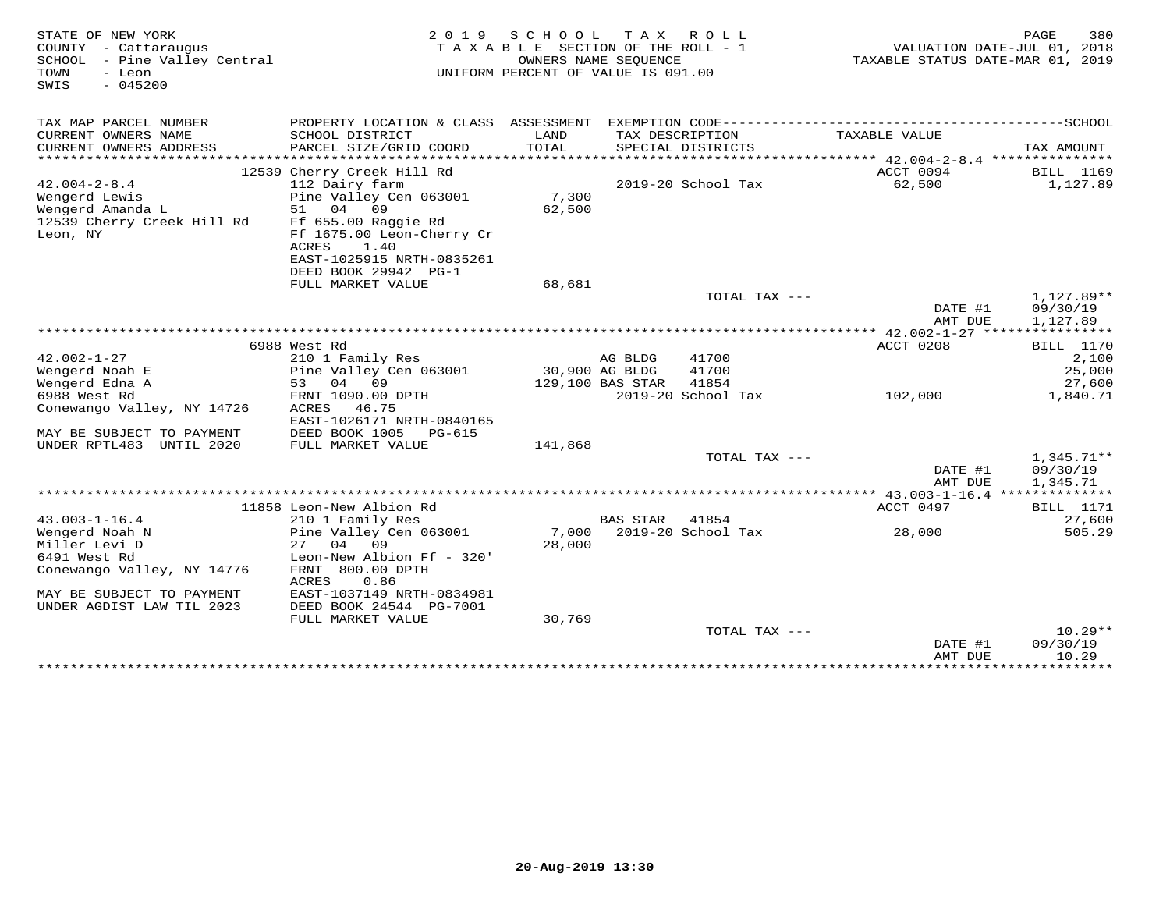| STATE OF NEW YORK<br>COUNTY - Cattaraugus<br>SCHOOL - Pine Valley Central<br>TOWN<br>- Leon<br>$-045200$<br>SWIS | 2 0 1 9                                                 | SCHOOL<br>TAXABLE SECTION OF THE ROLL - 1<br>OWNERS NAME SEOUENCE<br>UNIFORM PERCENT OF VALUE IS 091.00 | T A X            | ROLL               | VALUATION DATE-JUL 01, 2018<br>TAXABLE STATUS DATE-MAR 01, 2019 | 380<br>PAGE           |
|------------------------------------------------------------------------------------------------------------------|---------------------------------------------------------|---------------------------------------------------------------------------------------------------------|------------------|--------------------|-----------------------------------------------------------------|-----------------------|
| TAX MAP PARCEL NUMBER<br>CURRENT OWNERS NAME                                                                     | PROPERTY LOCATION & CLASS ASSESSMENT<br>SCHOOL DISTRICT | LAND                                                                                                    |                  | TAX DESCRIPTION    | TAXABLE VALUE                                                   |                       |
| CURRENT OWNERS ADDRESS                                                                                           | PARCEL SIZE/GRID COORD                                  | TOTAL                                                                                                   |                  | SPECIAL DISTRICTS  |                                                                 | TAX AMOUNT            |
| ************************                                                                                         |                                                         |                                                                                                         |                  |                    |                                                                 |                       |
| $42.004 - 2 - 8.4$                                                                                               | 12539 Cherry Creek Hill Rd<br>112 Dairy farm            |                                                                                                         |                  | 2019-20 School Tax | ACCT 0094<br>62,500                                             | BILL 1169<br>1,127.89 |
| Wengerd Lewis                                                                                                    | Pine Valley Cen 063001                                  | 7,300                                                                                                   |                  |                    |                                                                 |                       |
| Wengerd Amanda L                                                                                                 | 51<br>04<br>09                                          | 62,500                                                                                                  |                  |                    |                                                                 |                       |
| 12539 Cherry Creek Hill Rd                                                                                       | Ff 655.00 Raggie Rd                                     |                                                                                                         |                  |                    |                                                                 |                       |
| Leon, NY                                                                                                         | Ff 1675.00 Leon-Cherry Cr                               |                                                                                                         |                  |                    |                                                                 |                       |
|                                                                                                                  | 1.40<br>ACRES                                           |                                                                                                         |                  |                    |                                                                 |                       |
|                                                                                                                  | EAST-1025915 NRTH-0835261                               |                                                                                                         |                  |                    |                                                                 |                       |
|                                                                                                                  | DEED BOOK 29942 PG-1                                    |                                                                                                         |                  |                    |                                                                 |                       |
|                                                                                                                  | FULL MARKET VALUE                                       | 68,681                                                                                                  |                  |                    |                                                                 |                       |
|                                                                                                                  |                                                         |                                                                                                         |                  | TOTAL TAX ---      |                                                                 | $1.127.89**$          |
|                                                                                                                  |                                                         |                                                                                                         |                  |                    | DATE #1                                                         | 09/30/19              |
|                                                                                                                  |                                                         |                                                                                                         |                  |                    | AMT DUE                                                         | 1,127.89              |
|                                                                                                                  |                                                         |                                                                                                         |                  |                    |                                                                 |                       |
|                                                                                                                  | 6988 West Rd                                            |                                                                                                         |                  |                    | ACCT 0208                                                       | <b>BILL</b> 1170      |
| $42.002 - 1 - 27$                                                                                                | 210 1 Family Res                                        |                                                                                                         | AG BLDG          | 41700              |                                                                 | 2,100                 |
| Wengerd Noah E                                                                                                   | Pine Valley Cen 063001                                  |                                                                                                         | 30,900 AG BLDG   | 41700              |                                                                 | 25,000                |
| Wengerd Edna A                                                                                                   | 04<br>09<br>53                                          |                                                                                                         | 129,100 BAS STAR | 41854              |                                                                 | 27,600                |
| 6988 West Rd                                                                                                     | FRNT 1090.00 DPTH                                       |                                                                                                         |                  | 2019-20 School Tax | 102,000                                                         | 1,840.71              |
| Conewango Valley, NY 14726                                                                                       | 46.75<br>ACRES                                          |                                                                                                         |                  |                    |                                                                 |                       |
|                                                                                                                  | EAST-1026171 NRTH-0840165                               |                                                                                                         |                  |                    |                                                                 |                       |
| MAY BE SUBJECT TO PAYMENT                                                                                        | DEED BOOK 1005<br>PG-615                                |                                                                                                         |                  |                    |                                                                 |                       |
| UNDER RPTL483 UNTIL 2020                                                                                         | FULL MARKET VALUE                                       | 141,868                                                                                                 |                  |                    |                                                                 |                       |
|                                                                                                                  |                                                         |                                                                                                         |                  | TOTAL TAX ---      |                                                                 | $1,345.71**$          |
|                                                                                                                  |                                                         |                                                                                                         |                  |                    | DATE #1<br>AMT DUE                                              | 09/30/19<br>1,345.71  |
|                                                                                                                  |                                                         |                                                                                                         |                  |                    |                                                                 |                       |
|                                                                                                                  | 11858 Leon-New Albion Rd                                |                                                                                                         |                  |                    | ACCT 0497                                                       | <b>BILL</b> 1171      |
| $43.003 - 1 - 16.4$                                                                                              | 210 1 Family Res                                        |                                                                                                         | <b>BAS STAR</b>  | 41854              |                                                                 | 27,600                |
| Wengerd Noah N                                                                                                   | Pine Valley Cen 063001                                  | 7,000                                                                                                   |                  | 2019-20 School Tax | 28,000                                                          | 505.29                |
| Miller Levi D                                                                                                    | 27<br>04<br>09                                          | 28,000                                                                                                  |                  |                    |                                                                 |                       |
| 6491 West Rd                                                                                                     | Leon-New Albion Ff - 320'                               |                                                                                                         |                  |                    |                                                                 |                       |
| Conewango Valley, NY 14776                                                                                       | FRNT 800.00 DPTH                                        |                                                                                                         |                  |                    |                                                                 |                       |
|                                                                                                                  | ACRES<br>0.86                                           |                                                                                                         |                  |                    |                                                                 |                       |
| MAY BE SUBJECT TO PAYMENT                                                                                        | EAST-1037149 NRTH-0834981                               |                                                                                                         |                  |                    |                                                                 |                       |
| UNDER AGDIST LAW TIL 2023                                                                                        | DEED BOOK 24544 PG-7001                                 |                                                                                                         |                  |                    |                                                                 |                       |
|                                                                                                                  | FULL MARKET VALUE                                       | 30,769                                                                                                  |                  |                    |                                                                 |                       |
|                                                                                                                  |                                                         |                                                                                                         |                  | TOTAL TAX ---      |                                                                 | $10.29**$             |
|                                                                                                                  |                                                         |                                                                                                         |                  |                    | DATE #1                                                         | 09/30/19              |
|                                                                                                                  |                                                         |                                                                                                         |                  |                    | AMT DUE                                                         | 10.29                 |
|                                                                                                                  |                                                         |                                                                                                         |                  |                    | ****************                                                | **********            |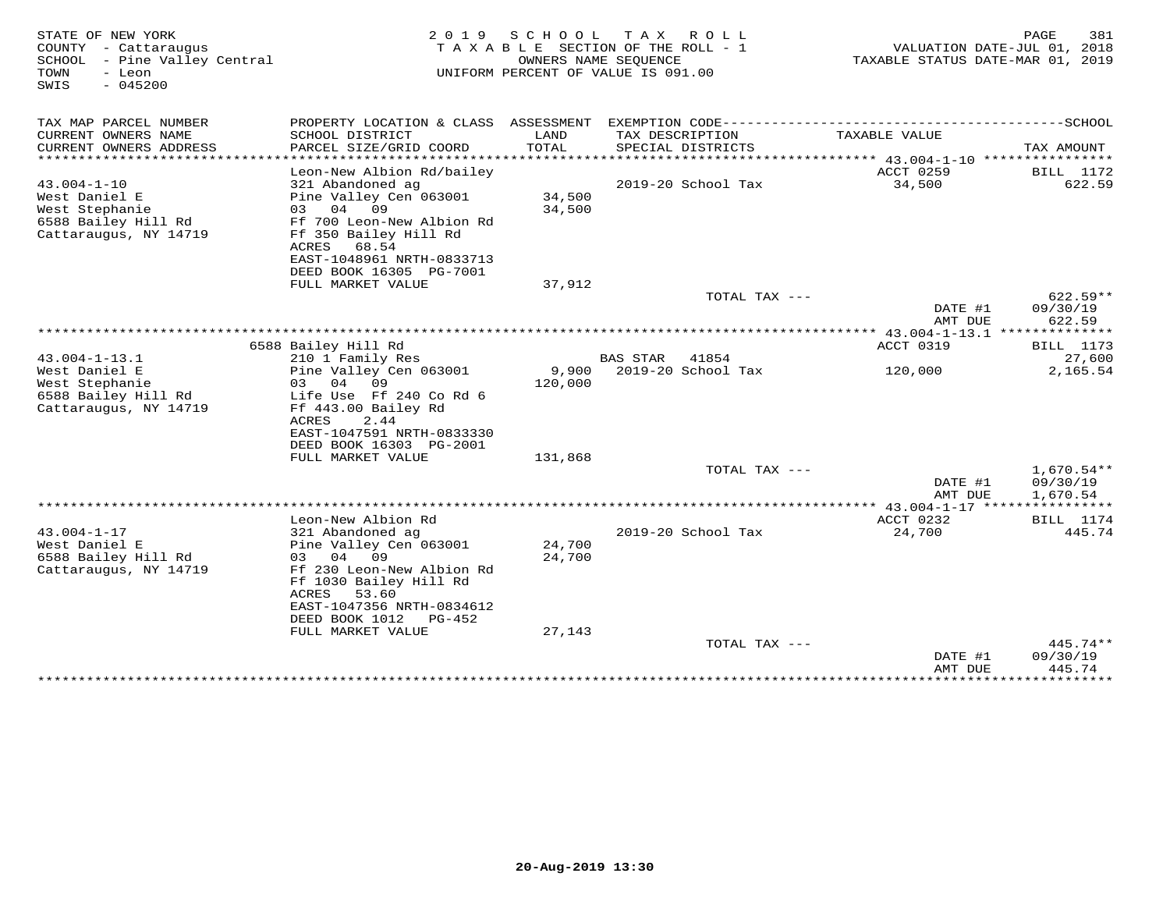| STATE OF NEW YORK<br>COUNTY - Cattaraugus<br>SCHOOL - Pine Valley Central<br>- Leon<br>TOWN<br>$-045200$<br>SWIS | 2 0 1 9                                                                                            | SCHOOL           | T A X<br>R O L L<br>TAXABLE SECTION OF THE ROLL - 1<br>OWNERS NAME SEOUENCE<br>UNIFORM PERCENT OF VALUE IS 091.00 | VALUATION DATE-JUL 01, 2018<br>TAXABLE STATUS DATE-MAR 01, 2019     | 381<br>PAGE          |
|------------------------------------------------------------------------------------------------------------------|----------------------------------------------------------------------------------------------------|------------------|-------------------------------------------------------------------------------------------------------------------|---------------------------------------------------------------------|----------------------|
| TAX MAP PARCEL NUMBER                                                                                            |                                                                                                    |                  |                                                                                                                   |                                                                     |                      |
| CURRENT OWNERS NAME<br>CURRENT OWNERS ADDRESS<br>**********************                                          | SCHOOL DISTRICT<br>PARCEL SIZE/GRID COORD                                                          | LAND<br>TOTAL    | TAX DESCRIPTION<br>SPECIAL DISTRICTS                                                                              | TAXABLE VALUE                                                       | TAX AMOUNT           |
|                                                                                                                  | Leon-New Albion Rd/bailey                                                                          |                  |                                                                                                                   | ACCT 0259                                                           | <b>BILL</b> 1172     |
| $43.004 - 1 - 10$                                                                                                | 321 Abandoned ag                                                                                   |                  | 2019-20 School Tax                                                                                                | 34,500                                                              | 622.59               |
| West Daniel E<br>West Stephanie                                                                                  | Pine Valley Cen 063001<br>03 04 09                                                                 | 34,500<br>34,500 |                                                                                                                   |                                                                     |                      |
| 6588 Bailey Hill Rd<br>Cattaraugus, NY 14719                                                                     | Ff 700 Leon-New Albion Rd<br>Ff 350 Bailey Hill Rd<br>68.54<br>ACRES                               |                  |                                                                                                                   |                                                                     |                      |
|                                                                                                                  | EAST-1048961 NRTH-0833713<br>DEED BOOK 16305 PG-7001                                               |                  |                                                                                                                   |                                                                     |                      |
|                                                                                                                  | FULL MARKET VALUE                                                                                  | 37,912           |                                                                                                                   |                                                                     |                      |
|                                                                                                                  |                                                                                                    |                  | TOTAL TAX ---                                                                                                     |                                                                     | $622.59**$           |
|                                                                                                                  |                                                                                                    |                  |                                                                                                                   | DATE #1<br>AMT DUE<br>*************** 43.004-1-13.1 *************** | 09/30/19<br>622.59   |
|                                                                                                                  | 6588 Bailey Hill Rd                                                                                |                  |                                                                                                                   | ACCT 0319                                                           | <b>BILL</b> 1173     |
| $43.004 - 1 - 13.1$                                                                                              | 210 1 Family Res                                                                                   |                  | <b>BAS STAR</b><br>41854                                                                                          |                                                                     | 27,600               |
| West Daniel E                                                                                                    | Pine Valley Cen 063001<br>03 04<br>09                                                              | 9,900            | 2019-20 School Tax                                                                                                | 120,000                                                             | 2,165.54             |
| West Stephanie<br>6588 Bailey Hill Rd                                                                            | Life Use Ff 240 Co Rd 6                                                                            | 120,000          |                                                                                                                   |                                                                     |                      |
| Cattaraugus, NY 14719                                                                                            | Ff 443.00 Bailey Rd                                                                                |                  |                                                                                                                   |                                                                     |                      |
|                                                                                                                  | ACRES<br>2.44                                                                                      |                  |                                                                                                                   |                                                                     |                      |
|                                                                                                                  | EAST-1047591 NRTH-0833330<br>DEED BOOK 16303 PG-2001                                               |                  |                                                                                                                   |                                                                     |                      |
|                                                                                                                  | FULL MARKET VALUE                                                                                  | 131,868          |                                                                                                                   |                                                                     |                      |
|                                                                                                                  |                                                                                                    |                  | TOTAL TAX ---                                                                                                     |                                                                     | $1,670.54**$         |
|                                                                                                                  |                                                                                                    |                  |                                                                                                                   | DATE #1<br>AMT DUE                                                  | 09/30/19<br>1,670.54 |
|                                                                                                                  |                                                                                                    |                  |                                                                                                                   |                                                                     |                      |
|                                                                                                                  | Leon-New Albion Rd                                                                                 |                  |                                                                                                                   | ACCT 0232                                                           | <b>BILL</b> 1174     |
| $43.004 - 1 - 17$                                                                                                | 321 Abandoned ag                                                                                   |                  | 2019-20 School Tax                                                                                                | 24,700                                                              | 445.74               |
| West Daniel E<br>6588 Bailey Hill Rd                                                                             | Pine Valley Cen 063001<br>03<br>04 09                                                              | 24,700<br>24,700 |                                                                                                                   |                                                                     |                      |
| Cattaraugus, NY 14719                                                                                            | Ff 230 Leon-New Albion Rd<br>Ff 1030 Bailey Hill Rd<br>ACRES<br>53.60<br>EAST-1047356 NRTH-0834612 |                  |                                                                                                                   |                                                                     |                      |
|                                                                                                                  | DEED BOOK 1012<br>PG-452                                                                           |                  |                                                                                                                   |                                                                     |                      |
|                                                                                                                  | FULL MARKET VALUE                                                                                  | 27,143           |                                                                                                                   |                                                                     |                      |
|                                                                                                                  |                                                                                                    |                  | TOTAL TAX ---                                                                                                     | DATE #1                                                             | 445.74**<br>09/30/19 |
|                                                                                                                  |                                                                                                    |                  |                                                                                                                   | AMT DUE                                                             | 445.74               |
|                                                                                                                  |                                                                                                    |                  |                                                                                                                   | ***************                                                     | *********            |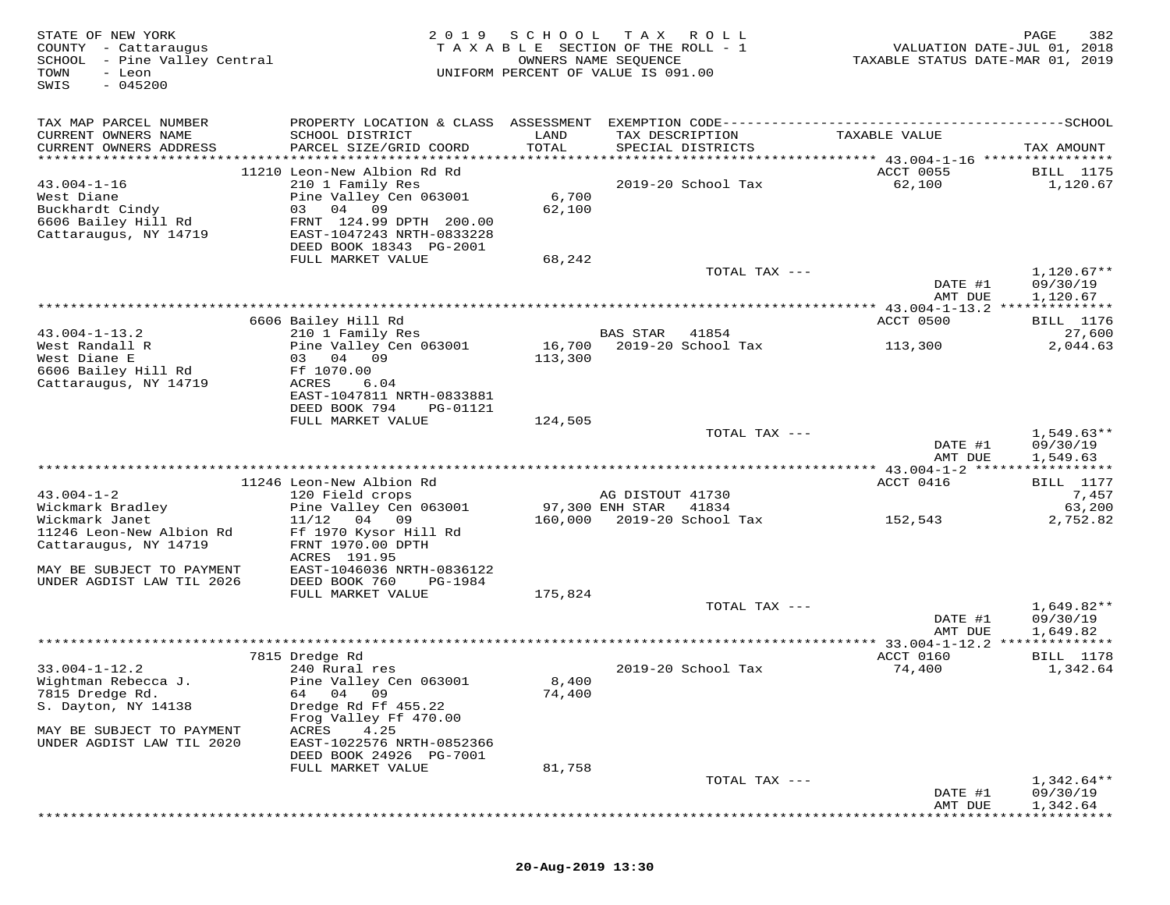| STATE OF NEW YORK<br>COUNTY - Cattaraugus<br>SCHOOL - Pine Valley Central<br>TOWN<br>- Leon<br>$-045200$<br>SWIS | 2 0 1 9                                                                                                                                                                     | SCHOOL            | T A X<br>ROLL<br>TAXABLE SECTION OF THE ROLL - 1<br>OWNERS NAME SEQUENCE<br>UNIFORM PERCENT OF VALUE IS 091.00 | VALUATION DATE-JUL 01, 2018<br>TAXABLE STATUS DATE-MAR 01, 2019 | PAGE<br>382                          |
|------------------------------------------------------------------------------------------------------------------|-----------------------------------------------------------------------------------------------------------------------------------------------------------------------------|-------------------|----------------------------------------------------------------------------------------------------------------|-----------------------------------------------------------------|--------------------------------------|
| TAX MAP PARCEL NUMBER<br>CURRENT OWNERS NAME<br>CURRENT OWNERS ADDRESS<br>***********************                | PROPERTY LOCATION & CLASS ASSESSMENT EXEMPTION CODE-----------------------------------SCHOOL<br>SCHOOL DISTRICT<br>PARCEL SIZE/GRID COORD                                   | LAND<br>TOTAL     | TAX DESCRIPTION<br>SPECIAL DISTRICTS                                                                           | TAXABLE VALUE                                                   | TAX AMOUNT                           |
| $43.004 - 1 - 16$<br>West Diane<br>Buckhardt Cindy<br>6606 Bailey Hill Rd<br>Cattaraugus, NY 14719               | 11210 Leon-New Albion Rd Rd<br>210 1 Family Res<br>Pine Valley Cen 063001<br>04 09<br>03<br>FRNT 124.99 DPTH 200.00<br>EAST-1047243 NRTH-0833228<br>DEED BOOK 18343 PG-2001 | 6,700<br>62,100   | 2019-20 School Tax                                                                                             | ACCT 0055<br>62,100                                             | BILL 1175<br>1,120.67                |
|                                                                                                                  | FULL MARKET VALUE                                                                                                                                                           | 68,242            | TOTAL TAX ---                                                                                                  | DATE #1<br>AMT DUE                                              | $1,120.67**$<br>09/30/19<br>1,120.67 |
|                                                                                                                  |                                                                                                                                                                             |                   |                                                                                                                | ************ 43.004-1-13.2 ***************                      |                                      |
|                                                                                                                  | 6606 Bailey Hill Rd                                                                                                                                                         |                   |                                                                                                                | ACCT 0500                                                       | BILL 1176                            |
| $43.004 - 1 - 13.2$<br>West Randall R<br>West Diane E<br>6606 Bailey Hill Rd                                     | 210 1 Family Res<br>Pine Valley Cen 063001<br>03 04 09<br>Ff 1070.00                                                                                                        | 16,700<br>113,300 | <b>BAS STAR</b><br>41854<br>2019-20 School Tax                                                                 | 113,300                                                         | 27,600<br>2,044.63                   |
| Cattaraugus, NY 14719                                                                                            | ACRES<br>6.04<br>EAST-1047811 NRTH-0833881<br>DEED BOOK 794<br>PG-01121                                                                                                     |                   |                                                                                                                |                                                                 |                                      |
|                                                                                                                  | FULL MARKET VALUE                                                                                                                                                           | 124,505           | TOTAL TAX ---                                                                                                  |                                                                 | $1,549.63**$                         |
|                                                                                                                  |                                                                                                                                                                             |                   |                                                                                                                | DATE #1<br>AMT DUE                                              | 09/30/19<br>1,549.63                 |
|                                                                                                                  |                                                                                                                                                                             |                   |                                                                                                                |                                                                 |                                      |
| $43.004 - 1 - 2$                                                                                                 | 11246 Leon-New Albion Rd<br>120 Field crops                                                                                                                                 |                   | AG DISTOUT 41730                                                                                               | ACCT 0416                                                       | <b>BILL</b> 1177<br>7,457            |
| Wickmark Bradley                                                                                                 | Pine Valley Cen 063001                                                                                                                                                      |                   | 97,300 ENH STAR<br>41834                                                                                       |                                                                 | 63,200                               |
| Wickmark Janet<br>11246 Leon-New Albion Rd<br>Cattaraugus, NY 14719                                              | 11/12<br>04 09<br>Ff 1970 Kysor Hill Rd<br>FRNT 1970.00 DPTH                                                                                                                | 160,000           | 2019-20 School Tax                                                                                             | 152,543                                                         | 2,752.82                             |
| MAY BE SUBJECT TO PAYMENT<br>UNDER AGDIST LAW TIL 2026                                                           | ACRES 191.95<br>EAST-1046036 NRTH-0836122<br>DEED BOOK 760<br>PG-1984<br>FULL MARKET VALUE                                                                                  | 175,824           |                                                                                                                |                                                                 |                                      |
|                                                                                                                  |                                                                                                                                                                             |                   | TOTAL TAX ---                                                                                                  | DATE #1<br>AMT DUE                                              | 1,649.82**<br>09/30/19<br>1,649.82   |
|                                                                                                                  |                                                                                                                                                                             |                   |                                                                                                                |                                                                 | * * * * * * * * * * *                |
|                                                                                                                  | 7815 Dredge Rd                                                                                                                                                              |                   |                                                                                                                | ACCT 0160                                                       | <b>BILL</b> 1178                     |
| $33.004 - 1 - 12.2$<br>Wightman Rebecca J.<br>7815 Dredge Rd.<br>S. Dayton, NY 14138                             | 240 Rural res<br>Pine Valley Cen 063001<br>64 04 09<br>Dredge Rd Ff 455.22<br>Frog Valley Ff 470.00                                                                         | 8,400<br>74,400   | 2019-20 School Tax                                                                                             | 74,400                                                          | 1,342.64                             |
| MAY BE SUBJECT TO PAYMENT<br>UNDER AGDIST LAW TIL 2020                                                           | 4.25<br>ACRES<br>EAST-1022576 NRTH-0852366<br>DEED BOOK 24926 PG-7001<br>FULL MARKET VALUE                                                                                  | 81,758            |                                                                                                                |                                                                 |                                      |
|                                                                                                                  |                                                                                                                                                                             |                   | TOTAL TAX ---                                                                                                  |                                                                 | 1,342.64**                           |
|                                                                                                                  |                                                                                                                                                                             |                   |                                                                                                                | DATE #1<br>AMT DUE                                              | 09/30/19<br>1,342.64                 |

\*\*\*\*\*\*\*\*\*\*\*\*\*\*\*\*\*\*\*\*\*\*\*\*\*\*\*\*\*\*\*\*\*\*\*\*\*\*\*\*\*\*\*\*\*\*\*\*\*\*\*\*\*\*\*\*\*\*\*\*\*\*\*\*\*\*\*\*\*\*\*\*\*\*\*\*\*\*\*\*\*\*\*\*\*\*\*\*\*\*\*\*\*\*\*\*\*\*\*\*\*\*\*\*\*\*\*\*\*\*\*\*\*\*\*\*\*\*\*\*\*\*\*\*\*\*\*\*\*\*\*\*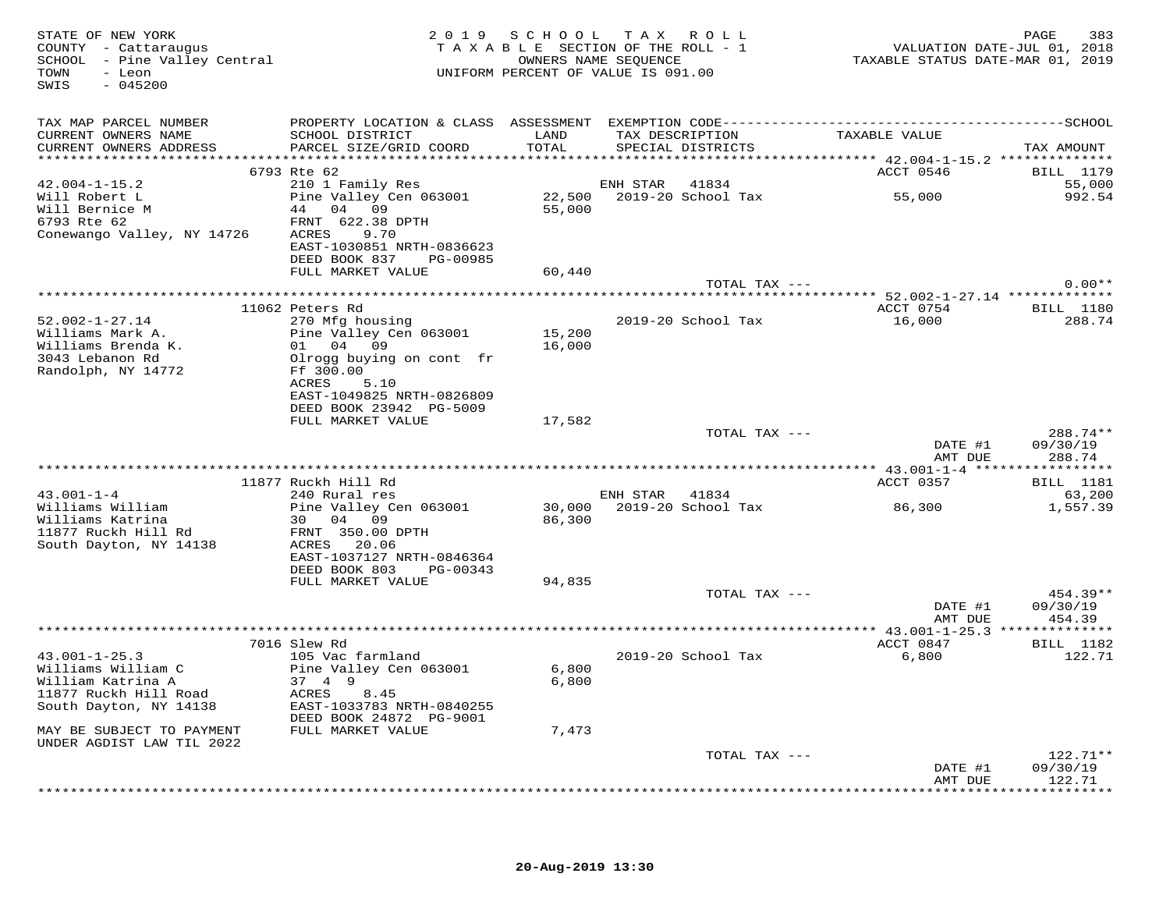| STATE OF NEW YORK<br>COUNTY - Cattaraugus<br>SCHOOL - Pine Valley Central<br>TOWN<br>- Leon<br>$-045200$<br>SWIS |                                                                                                     |        | 2019 SCHOOL TAX ROLL<br>TAXABLE SECTION OF THE ROLL - 1<br>OWNERS NAME SEQUENCE<br>UNIFORM PERCENT OF VALUE IS 091.00 |               | 283 PAGE<br>2018 VALUATION DATE-JUL<br>2019 TAXABLE STATUS DATE-MAR |                                 |
|------------------------------------------------------------------------------------------------------------------|-----------------------------------------------------------------------------------------------------|--------|-----------------------------------------------------------------------------------------------------------------------|---------------|---------------------------------------------------------------------|---------------------------------|
| TAX MAP PARCEL NUMBER                                                                                            |                                                                                                     |        |                                                                                                                       |               |                                                                     |                                 |
| CURRENT OWNERS NAME                                                                                              | SCHOOL DISTRICT                                                                                     | LAND   | TAX DESCRIPTION                                                                                                       |               | TAXABLE VALUE                                                       |                                 |
| CURRENT OWNERS ADDRESS                                                                                           | PARCEL SIZE/GRID COORD                                                                              | TOTAL  | SPECIAL DISTRICTS                                                                                                     |               |                                                                     | TAX AMOUNT                      |
|                                                                                                                  | 6793 Rte 62                                                                                         |        |                                                                                                                       |               | ACCT 0546                                                           | BILL 1179                       |
| $42.004 - 1 - 15.2$                                                                                              | 210 1 Family Res                                                                                    |        | ENH STAR 41834                                                                                                        |               |                                                                     | 55,000                          |
| Will Robert L                                                                                                    | Pine Valley Cen 063001                                                                              |        |                                                                                                                       |               | 22,500 2019-20 School Tax 55,000                                    | 992.54                          |
| Will Bernice M<br>6793 Rte 62                                                                                    | 44 04 09                                                                                            | 55,000 |                                                                                                                       |               |                                                                     |                                 |
| 6793 Rte 62<br>Conewango Valley, NY 14726 ACRES 9.70                                                             | FRNT 622.38 DPTH                                                                                    |        |                                                                                                                       |               |                                                                     |                                 |
|                                                                                                                  | EAST-1030851 NRTH-0836623                                                                           |        |                                                                                                                       |               |                                                                     |                                 |
|                                                                                                                  | DEED BOOK 837 PG-00985                                                                              |        |                                                                                                                       |               |                                                                     |                                 |
|                                                                                                                  | FULL MARKET VALUE                                                                                   | 60,440 |                                                                                                                       |               |                                                                     |                                 |
|                                                                                                                  |                                                                                                     |        |                                                                                                                       | TOTAL TAX --- |                                                                     | $0.00**$                        |
|                                                                                                                  | 11062 Peters Rd                                                                                     |        |                                                                                                                       |               | *********** 52.002-1-27.14 **************<br>ACCT 0754 BILL 1180    |                                 |
| $52.002 - 1 - 27.14$                                                                                             | 270 Mfg housing                                                                                     |        | 2019-20 School Tax                                                                                                    |               | 16,000                                                              | 288.74                          |
| Williams Mark A.                                                                                                 | Pine Valley Cen 063001                                                                              | 15,200 |                                                                                                                       |               |                                                                     |                                 |
| Williams Brenda K.                                                                                               | 01 04 09                                                                                            | 16,000 |                                                                                                                       |               |                                                                     |                                 |
| 3043 Lebanon Rd                                                                                                  | Olrogg buying on cont fr                                                                            |        |                                                                                                                       |               |                                                                     |                                 |
| Randolph, NY 14772                                                                                               | Ff 300.00<br>ACRES<br>5.10                                                                          |        |                                                                                                                       |               |                                                                     |                                 |
|                                                                                                                  | EAST-1049825 NRTH-0826809                                                                           |        |                                                                                                                       |               |                                                                     |                                 |
|                                                                                                                  | DEED BOOK 23942 PG-5009                                                                             |        |                                                                                                                       |               |                                                                     |                                 |
|                                                                                                                  | FULL MARKET VALUE                                                                                   | 17,582 |                                                                                                                       |               |                                                                     |                                 |
|                                                                                                                  |                                                                                                     |        |                                                                                                                       | TOTAL TAX --- | DATE #1                                                             | 288.74**<br>09/30/19            |
|                                                                                                                  |                                                                                                     |        |                                                                                                                       |               | AMT DUE                                                             | 288.74                          |
|                                                                                                                  |                                                                                                     |        |                                                                                                                       |               |                                                                     |                                 |
|                                                                                                                  | 11877 Ruckh Hill Rd                                                                                 |        |                                                                                                                       |               | ACCT 0357                                                           | <b>BILL</b> 1181                |
| $43.001 - 1 - 4$                                                                                                 | 240 Rural res                                                                                       |        | ENH STAR 41834                                                                                                        |               |                                                                     | 63,200                          |
| Williams William<br>Williams Katrina                                                                             | Pine Valley Cen 063001<br>Pine $\begin{array}{ccc} 0 & 0 & 0 \\ 0 & 0 & 0 \\ 0 & 0 & 0 \end{array}$ | 86,300 | 30,000 2019-20 School Tax                                                                                             |               | 86,300                                                              | 1,557.39                        |
| 11877 Ruckh Hill Rd                                                                                              |                                                                                                     |        |                                                                                                                       |               |                                                                     |                                 |
| South Dayton, NY 14138                                                                                           | FRNT 350.00 DPTH<br>ACRES 20.06                                                                     |        |                                                                                                                       |               |                                                                     |                                 |
|                                                                                                                  | EAST-1037127 NRTH-0846364                                                                           |        |                                                                                                                       |               |                                                                     |                                 |
|                                                                                                                  | DEED BOOK 803 PG-00343                                                                              |        |                                                                                                                       |               |                                                                     |                                 |
|                                                                                                                  | FULL MARKET VALUE                                                                                   | 94,835 |                                                                                                                       | TOTAL TAX --- |                                                                     | 454.39**                        |
|                                                                                                                  |                                                                                                     |        |                                                                                                                       |               | DATE #1                                                             | 09/30/19                        |
|                                                                                                                  |                                                                                                     |        |                                                                                                                       |               | AMT DUE                                                             | 454.39                          |
|                                                                                                                  |                                                                                                     |        |                                                                                                                       |               |                                                                     |                                 |
|                                                                                                                  | 7016 Slew Rd                                                                                        |        |                                                                                                                       |               | ACCT 0847                                                           | BILL 1182                       |
| $43.001 - 1 - 25.3$<br>Williams William C                                                                        | 105 Vac farmland<br>Pine Valley Cen 063001                                                          | 6,800  | 2019-20 School Tax                                                                                                    |               | 6,800                                                               | 122.71                          |
| William Katrina A                                                                                                | 37 4 9                                                                                              | 6,800  |                                                                                                                       |               |                                                                     |                                 |
| 11877 Ruckh Hill Road                                                                                            | ACRES 8.45                                                                                          |        |                                                                                                                       |               |                                                                     |                                 |
| South Dayton, NY 14138                                                                                           | EAST-1033783 NRTH-0840255                                                                           |        |                                                                                                                       |               |                                                                     |                                 |
|                                                                                                                  | DEED BOOK 24872 PG-9001                                                                             |        |                                                                                                                       |               |                                                                     |                                 |
| MAY BE SUBJECT TO PAYMENT<br>UNDER AGDIST LAW TIL 2022                                                           | FULL MARKET VALUE                                                                                   | 7,473  |                                                                                                                       |               |                                                                     |                                 |
|                                                                                                                  |                                                                                                     |        |                                                                                                                       | TOTAL TAX --- |                                                                     | $122.71**$                      |
|                                                                                                                  |                                                                                                     |        |                                                                                                                       |               | DATE #1                                                             | 09/30/19                        |
|                                                                                                                  |                                                                                                     |        |                                                                                                                       |               | AMT DUE                                                             | 122.71<br>* * * * * * * * * * * |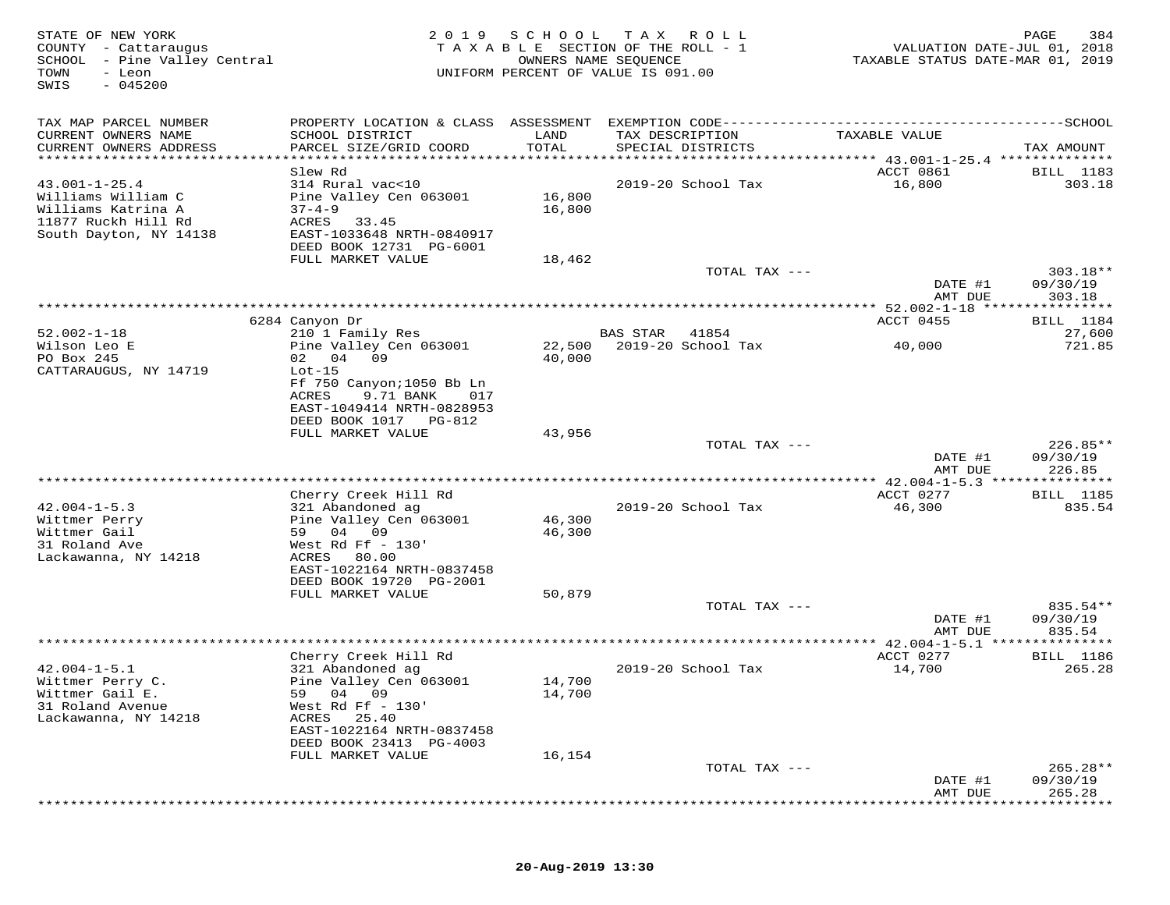| STATE OF NEW YORK<br>COUNTY - Cattaraugus<br>SCHOOL - Pine Valley Central<br>TOWN<br>- Leon<br>$-045200$<br>SWIS |                                                             | 2019 SCHOOL   | T A X<br>R O L L<br>TAXABLE SECTION OF THE ROLL - 1<br>OWNERS NAME SEQUENCE<br>UNIFORM PERCENT OF VALUE IS 091.00 | VALUATION DATE-JUL 01, 2018<br>TAXABLE STATUS DATE-MAR 01, 2019 | PAGE<br>384                  |
|------------------------------------------------------------------------------------------------------------------|-------------------------------------------------------------|---------------|-------------------------------------------------------------------------------------------------------------------|-----------------------------------------------------------------|------------------------------|
| TAX MAP PARCEL NUMBER                                                                                            |                                                             |               | PROPERTY LOCATION & CLASS ASSESSMENT EXEMPTION CODE-----------------------------------SCHOOL                      |                                                                 |                              |
| CURRENT OWNERS NAME<br>CURRENT OWNERS ADDRESS                                                                    | SCHOOL DISTRICT<br>PARCEL SIZE/GRID COORD                   | LAND<br>TOTAL | TAX DESCRIPTION<br>SPECIAL DISTRICTS                                                                              | TAXABLE VALUE                                                   | TAX AMOUNT                   |
| *****************************                                                                                    |                                                             |               |                                                                                                                   |                                                                 |                              |
|                                                                                                                  | Slew Rd                                                     |               |                                                                                                                   | ACCT 0861                                                       | <b>BILL</b> 1183             |
| $43.001 - 1 - 25.4$<br>Williams William C                                                                        | 314 Rural vac<10<br>Pine Valley Cen 063001                  | 16,800        | 2019-20 School Tax                                                                                                | 16,800                                                          | 303.18                       |
| Williams Katrina A<br>11877 Ruckh Hill Rd<br>South Dayton, NY 14138                                              | $37 - 4 - 9$<br>ACRES<br>33.45<br>EAST-1033648 NRTH-0840917 | 16,800        |                                                                                                                   |                                                                 |                              |
|                                                                                                                  | DEED BOOK 12731 PG-6001                                     |               |                                                                                                                   |                                                                 |                              |
|                                                                                                                  | FULL MARKET VALUE                                           | 18,462        |                                                                                                                   |                                                                 |                              |
|                                                                                                                  |                                                             |               | TOTAL TAX ---                                                                                                     | DATE #1                                                         | $303.18**$<br>09/30/19       |
|                                                                                                                  |                                                             |               |                                                                                                                   | AMT DUE                                                         | 303.18                       |
|                                                                                                                  |                                                             |               |                                                                                                                   |                                                                 |                              |
| $52.002 - 1 - 18$                                                                                                | 6284 Canyon Dr<br>210 1 Family Res                          |               | BAS STAR<br>41854                                                                                                 | ACCT 0455                                                       | BILL 1184<br>27,600          |
| Wilson Leo E                                                                                                     | Pine Valley Cen 063001                                      | 22,500        | 2019-20 School Tax                                                                                                | 40,000                                                          | 721.85                       |
| PO Box 245                                                                                                       | 02 04 09                                                    | 40,000        |                                                                                                                   |                                                                 |                              |
| CATTARAUGUS, NY 14719                                                                                            | $Lot-15$                                                    |               |                                                                                                                   |                                                                 |                              |
|                                                                                                                  | Ff 750 Canyon; 1050 Bb Ln                                   |               |                                                                                                                   |                                                                 |                              |
|                                                                                                                  | ACRES<br>9.71 BANK<br>017                                   |               |                                                                                                                   |                                                                 |                              |
|                                                                                                                  | EAST-1049414 NRTH-0828953                                   |               |                                                                                                                   |                                                                 |                              |
|                                                                                                                  | DEED BOOK 1017 PG-812<br>FULL MARKET VALUE                  | 43,956        |                                                                                                                   |                                                                 |                              |
|                                                                                                                  |                                                             |               | TOTAL TAX ---                                                                                                     |                                                                 | 226.85**                     |
|                                                                                                                  |                                                             |               |                                                                                                                   | DATE #1                                                         | 09/30/19                     |
|                                                                                                                  |                                                             |               |                                                                                                                   | AMT DUE                                                         | 226.85                       |
|                                                                                                                  | Cherry Creek Hill Rd                                        |               |                                                                                                                   | ACCT 0277                                                       | * * * * * * * *<br>BILL 1185 |
| $42.004 - 1 - 5.3$                                                                                               | 321 Abandoned ag                                            |               | 2019-20 School Tax                                                                                                | 46,300                                                          | 835.54                       |
| Wittmer Perry                                                                                                    | Pine Valley Cen 063001                                      | 46,300        |                                                                                                                   |                                                                 |                              |
| Wittmer Gail                                                                                                     | 59<br>04 09                                                 | 46,300        |                                                                                                                   |                                                                 |                              |
| 31 Roland Ave                                                                                                    | West Rd Ff $-130'$                                          |               |                                                                                                                   |                                                                 |                              |
| Lackawanna, NY 14218                                                                                             | 80.00<br>ACRES                                              |               |                                                                                                                   |                                                                 |                              |
|                                                                                                                  | EAST-1022164 NRTH-0837458<br>DEED BOOK 19720 PG-2001        |               |                                                                                                                   |                                                                 |                              |
|                                                                                                                  | FULL MARKET VALUE                                           | 50,879        |                                                                                                                   |                                                                 |                              |
|                                                                                                                  |                                                             |               | TOTAL TAX ---                                                                                                     |                                                                 | 835.54**                     |
|                                                                                                                  |                                                             |               |                                                                                                                   | DATE #1                                                         | 09/30/19                     |
|                                                                                                                  |                                                             |               | **********************************                                                                                | AMT DUE<br>** 42.004-1-5.1                                      | 835.54                       |
|                                                                                                                  | Cherry Creek Hill Rd                                        |               |                                                                                                                   | ACCT 0277                                                       | <b>BILL</b> 1186             |
| $42.004 - 1 - 5.1$                                                                                               | 321 Abandoned ag                                            |               | 2019-20 School Tax                                                                                                | 14,700                                                          | 265.28                       |
| Wittmer Perry C.                                                                                                 | Pine Valley Cen 063001                                      | 14,700        |                                                                                                                   |                                                                 |                              |
| Wittmer Gail E.                                                                                                  | 04 09<br>59                                                 | 14,700        |                                                                                                                   |                                                                 |                              |
| 31 Roland Avenue<br>Lackawanna, NY 14218                                                                         | West Rd Ff - 130'<br>ACRES<br>25.40                         |               |                                                                                                                   |                                                                 |                              |
|                                                                                                                  | EAST-1022164 NRTH-0837458                                   |               |                                                                                                                   |                                                                 |                              |
|                                                                                                                  | DEED BOOK 23413 PG-4003                                     |               |                                                                                                                   |                                                                 |                              |
|                                                                                                                  | FULL MARKET VALUE                                           | 16,154        |                                                                                                                   |                                                                 |                              |
|                                                                                                                  |                                                             |               | TOTAL TAX ---                                                                                                     |                                                                 | $265.28**$                   |
|                                                                                                                  |                                                             |               |                                                                                                                   | DATE #1                                                         | 09/30/19                     |
|                                                                                                                  |                                                             |               |                                                                                                                   | AMT DUE                                                         | 265.28                       |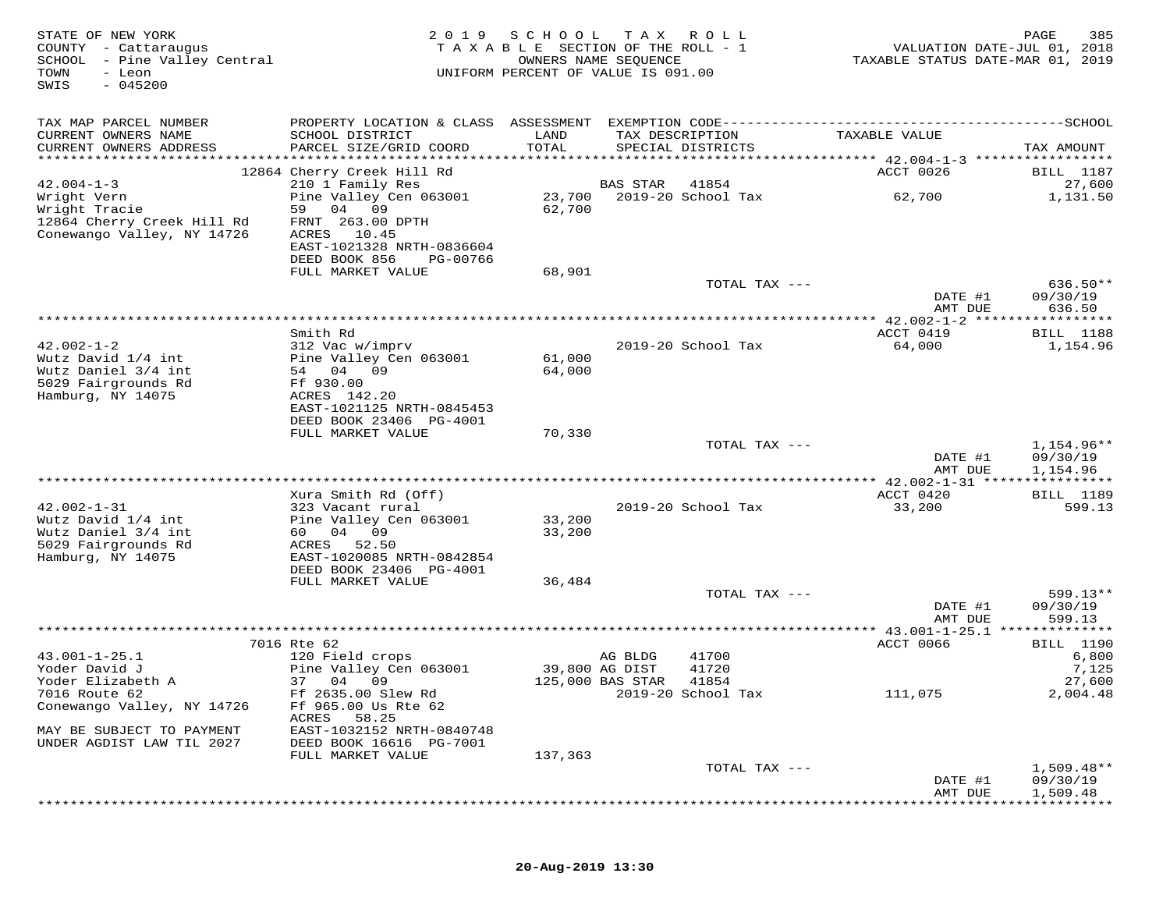| STATE OF NEW YORK<br>COUNTY - Cattaraugus<br>SCHOOL - Pine Valley Central<br>TOWN<br>- Leon<br>$-045200$<br>SWIS |                                                      | 2019 SCHOOL TAX ROLL<br>TAXABLE SECTION OF THE ROLL - 1<br>OWNERS NAME SEQUENCE<br>UNIFORM PERCENT OF VALUE IS 091.00 |          |                                      | VALUATION DATE-JUL 01, 2018<br>TAXABLE STATUS DATE-MAR 01, 2019 | PAGE<br>385                |
|------------------------------------------------------------------------------------------------------------------|------------------------------------------------------|-----------------------------------------------------------------------------------------------------------------------|----------|--------------------------------------|-----------------------------------------------------------------|----------------------------|
| TAX MAP PARCEL NUMBER                                                                                            |                                                      |                                                                                                                       |          |                                      |                                                                 |                            |
| CURRENT OWNERS NAME<br>CURRENT OWNERS ADDRESS                                                                    | SCHOOL DISTRICT<br>PARCEL SIZE/GRID COORD            | LAND<br>TOTAL                                                                                                         |          | TAX DESCRIPTION<br>SPECIAL DISTRICTS | TAXABLE VALUE                                                   | TAX AMOUNT                 |
|                                                                                                                  |                                                      |                                                                                                                       |          |                                      |                                                                 |                            |
|                                                                                                                  | 12864 Cherry Creek Hill Rd                           |                                                                                                                       |          |                                      | ACCT 0026                                                       | BILL 1187                  |
| $42.004 - 1 - 3$                                                                                                 | 210 1 Family Res                                     |                                                                                                                       | BAS STAR | 41854                                |                                                                 | 27,600                     |
| Wright Vern                                                                                                      | Pine Valley Cen 063001                               |                                                                                                                       |          |                                      | 62,700                                                          | 1,131.50                   |
| Wright Tracie<br>12864 Cherry Creek Hill Rd                                                                      | 59 04 09<br>FRNT 263.00 DPTH                         | 62,700                                                                                                                |          |                                      |                                                                 |                            |
| Conewango Valley, NY 14726                                                                                       | ACRES 10.45                                          |                                                                                                                       |          |                                      |                                                                 |                            |
|                                                                                                                  | EAST-1021328 NRTH-0836604                            |                                                                                                                       |          |                                      |                                                                 |                            |
|                                                                                                                  | DEED BOOK 856<br>PG-00766                            |                                                                                                                       |          |                                      |                                                                 |                            |
|                                                                                                                  | FULL MARKET VALUE                                    | 68,901                                                                                                                |          |                                      |                                                                 |                            |
|                                                                                                                  |                                                      |                                                                                                                       |          | TOTAL TAX ---                        | DATE #1                                                         | $636.50**$<br>09/30/19     |
|                                                                                                                  |                                                      |                                                                                                                       |          |                                      | AMT DUE                                                         | 636.50                     |
|                                                                                                                  |                                                      |                                                                                                                       |          |                                      |                                                                 |                            |
|                                                                                                                  | Smith Rd                                             |                                                                                                                       |          |                                      | ACCT 0419                                                       | BILL 1188                  |
| $42.002 - 1 - 2$                                                                                                 | 312 Vac w/imprv                                      |                                                                                                                       |          | 2019-20 School Tax                   | 64,000                                                          | 1,154.96                   |
| Wutz David 1/4 int<br>Wutz Daniel 3/4 int                                                                        | Pine Valley Cen 063001<br>54 04 09                   | 61,000<br>64,000                                                                                                      |          |                                      |                                                                 |                            |
| 5029 Fairgrounds Rd                                                                                              | Ff 930.00                                            |                                                                                                                       |          |                                      |                                                                 |                            |
| Hamburg, NY 14075                                                                                                | ACRES 142.20                                         |                                                                                                                       |          |                                      |                                                                 |                            |
|                                                                                                                  | EAST-1021125 NRTH-0845453                            |                                                                                                                       |          |                                      |                                                                 |                            |
|                                                                                                                  | DEED BOOK 23406 PG-4001<br>FULL MARKET VALUE         | 70,330                                                                                                                |          |                                      |                                                                 |                            |
|                                                                                                                  |                                                      |                                                                                                                       |          | TOTAL TAX ---                        |                                                                 | 1,154.96**                 |
|                                                                                                                  |                                                      |                                                                                                                       |          |                                      | DATE #1                                                         | 09/30/19                   |
|                                                                                                                  |                                                      |                                                                                                                       |          |                                      | AMT DUE                                                         | 1,154.96                   |
|                                                                                                                  |                                                      |                                                                                                                       |          |                                      |                                                                 |                            |
| $42.002 - 1 - 31$                                                                                                | Xura Smith Rd (Off)<br>323 Vacant rural              |                                                                                                                       |          | 2019-20 School Tax                   | ACCT 0420<br>33,200                                             | <b>BILL</b> 1189<br>599.13 |
| Wutz David 1/4 int                                                                                               | Pine Valley Cen 063001                               | 33,200                                                                                                                |          |                                      |                                                                 |                            |
| Wutz Daniel 3/4 int                                                                                              | 60 04 09                                             | 33,200                                                                                                                |          |                                      |                                                                 |                            |
| 5029 Fairgrounds Rd                                                                                              | ACRES 52.50                                          |                                                                                                                       |          |                                      |                                                                 |                            |
| Hamburg, NY 14075                                                                                                | EAST-1020085 NRTH-0842854<br>DEED BOOK 23406 PG-4001 |                                                                                                                       |          |                                      |                                                                 |                            |
|                                                                                                                  | FULL MARKET VALUE                                    | 36,484                                                                                                                |          |                                      |                                                                 |                            |
|                                                                                                                  |                                                      |                                                                                                                       |          | TOTAL TAX ---                        |                                                                 | 599.13**                   |
|                                                                                                                  |                                                      |                                                                                                                       |          |                                      | DATE #1                                                         | 09/30/19                   |
|                                                                                                                  |                                                      |                                                                                                                       |          |                                      | AMT DUE                                                         | 599.13                     |
|                                                                                                                  | 7016 Rte 62                                          |                                                                                                                       |          |                                      | ACCT 0066                                                       | BILL 1190                  |
| $43.001 - 1 - 25.1$                                                                                              | 120 Field crops                                      |                                                                                                                       | AG BLDG  | 41700                                |                                                                 | 6,800                      |
| Yoder David J                                                                                                    | Pine Valley Cen 063001                               | 39,800 AG DIST                                                                                                        |          | 41720                                |                                                                 | 7,125                      |
| Yoder Elizabeth A                                                                                                | 37 04 09                                             | 125,000 BAS STAR                                                                                                      |          | 41854                                |                                                                 | 27,600                     |
| 7016 Route 62                                                                                                    | Ff 2635.00 Slew Rd                                   |                                                                                                                       |          | 2019-20 School Tax                   | 111,075                                                         | 2,004.48                   |
| Conewango Valley, NY 14726                                                                                       | Ff 965.00 Us Rte 62<br>ACRES 58.25                   |                                                                                                                       |          |                                      |                                                                 |                            |
| MAY BE SUBJECT TO PAYMENT                                                                                        | EAST-1032152 NRTH-0840748                            |                                                                                                                       |          |                                      |                                                                 |                            |
| UNDER AGDIST LAW TIL 2027                                                                                        | DEED BOOK 16616 PG-7001                              |                                                                                                                       |          |                                      |                                                                 |                            |
|                                                                                                                  | FULL MARKET VALUE                                    | 137,363                                                                                                               |          |                                      |                                                                 |                            |
|                                                                                                                  |                                                      |                                                                                                                       |          | TOTAL TAX ---                        | DATE #1                                                         | $1,509.48**$<br>09/30/19   |
|                                                                                                                  |                                                      |                                                                                                                       |          |                                      | AMT DUE                                                         | 1,509.48                   |
|                                                                                                                  |                                                      |                                                                                                                       |          |                                      |                                                                 |                            |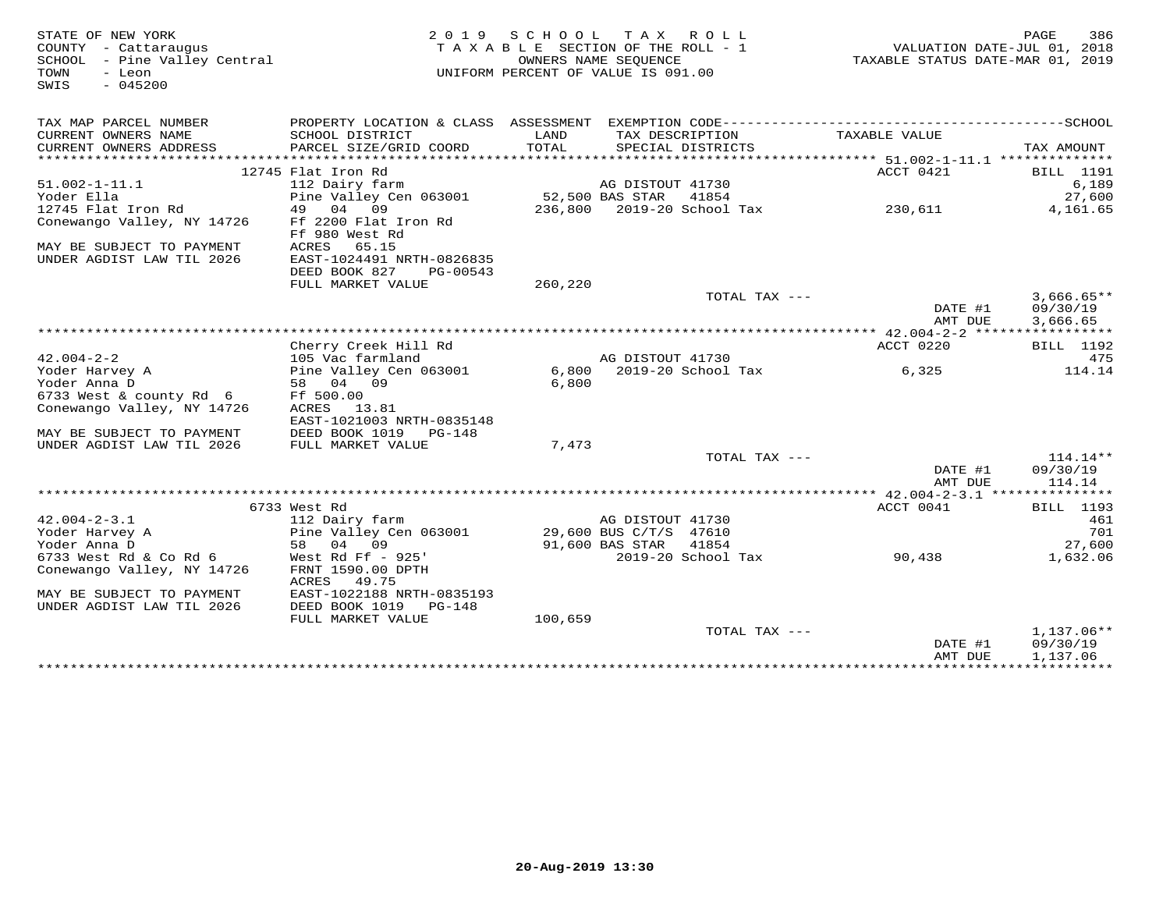| STATE OF NEW YORK<br>COUNTY - Cattaraugus<br>SCHOOL - Pine Valley Central<br>- Leon<br>TOWN<br>$-045200$<br>SWIS |                                                                             |                 | 2019 SCHOOL TAX ROLL<br>TAXABLE SECTION OF THE ROLL - 1<br>OWNERS NAME SEOUENCE<br>UNIFORM PERCENT OF VALUE IS 091.00 |               | VALUATION DATE-JUL 01, 2018<br>TAXABLE STATUS DATE-MAR 01, 2019 | PAGE<br>386                          |
|------------------------------------------------------------------------------------------------------------------|-----------------------------------------------------------------------------|-----------------|-----------------------------------------------------------------------------------------------------------------------|---------------|-----------------------------------------------------------------|--------------------------------------|
| TAX MAP PARCEL NUMBER                                                                                            |                                                                             |                 |                                                                                                                       |               |                                                                 |                                      |
| CURRENT OWNERS NAME<br>CURRENT OWNERS ADDRESS                                                                    | SCHOOL DISTRICT<br>PARCEL SIZE/GRID COORD                                   | LAND<br>TOTAL   | TAX DESCRIPTION<br>SPECIAL DISTRICTS                                                                                  |               | TAXABLE VALUE                                                   | TAX AMOUNT                           |
| **********************                                                                                           |                                                                             |                 |                                                                                                                       |               |                                                                 |                                      |
|                                                                                                                  | 12745 Flat Iron Rd                                                          |                 |                                                                                                                       |               | ACCT 0421                                                       | <b>BILL</b> 1191                     |
| $51.002 - 1 - 11.1$                                                                                              | 112 Dairy farm                                                              |                 | AG DISTOUT 41730                                                                                                      |               |                                                                 | 6,189                                |
| Yoder Ella                                                                                                       | Pine Valley Cen 063001                                                      | 52,500 BAS STAR |                                                                                                                       | 41854         |                                                                 | 27,600                               |
| 12745 Flat Iron Rd<br>Conewango Valley, NY 14726<br>MAY BE SUBJECT TO PAYMENT                                    | 49 04 09<br>Ff 2200 Flat Iron Rd<br>Ff 980 West Rd<br>65.15<br>ACRES        |                 |                                                                                                                       |               | 230,611                                                         | 4,161.65                             |
| UNDER AGDIST LAW TIL 2026                                                                                        | EAST-1024491 NRTH-0826835<br>DEED BOOK 827<br>PG-00543<br>FULL MARKET VALUE | 260,220         |                                                                                                                       |               |                                                                 |                                      |
|                                                                                                                  |                                                                             |                 |                                                                                                                       | TOTAL TAX --- |                                                                 | $3,666.65**$                         |
|                                                                                                                  |                                                                             |                 |                                                                                                                       |               | DATE #1<br>AMT DUE                                              | 09/30/19<br>3,666.65                 |
|                                                                                                                  |                                                                             |                 |                                                                                                                       |               |                                                                 |                                      |
|                                                                                                                  | Cherry Creek Hill Rd                                                        |                 |                                                                                                                       |               | ACCT 0220                                                       | <b>BILL</b> 1192                     |
| $42.004 - 2 - 2$                                                                                                 | 105 Vac farmland                                                            |                 | AG DISTOUT 41730                                                                                                      |               |                                                                 | 475                                  |
| Yoder Harvey A                                                                                                   | Pine Valley Cen 063001                                                      |                 | 6,800 2019-20 School Tax                                                                                              |               | 6,325                                                           | 114.14                               |
| Yoder Anna D                                                                                                     | 58 04 09<br>Ff 500.00                                                       | 6,800           |                                                                                                                       |               |                                                                 |                                      |
| 6733 West & county Rd 6<br>Conewango Valley, NY 14726                                                            | ACRES 13.81<br>EAST-1021003 NRTH-0835148                                    |                 |                                                                                                                       |               |                                                                 |                                      |
| MAY BE SUBJECT TO PAYMENT                                                                                        | DEED BOOK 1019 PG-148                                                       |                 |                                                                                                                       |               |                                                                 |                                      |
| UNDER AGDIST LAW TIL 2026                                                                                        | FULL MARKET VALUE                                                           | 7,473           |                                                                                                                       |               |                                                                 |                                      |
|                                                                                                                  |                                                                             |                 |                                                                                                                       | TOTAL TAX --- |                                                                 | $114.14**$                           |
|                                                                                                                  |                                                                             |                 |                                                                                                                       |               | DATE #1<br>AMT DUE                                              | 09/30/19<br>114.14                   |
|                                                                                                                  |                                                                             |                 |                                                                                                                       |               |                                                                 |                                      |
|                                                                                                                  | 6733 West Rd                                                                |                 |                                                                                                                       |               | ACCT 0041                                                       | <b>BILL</b> 1193                     |
| $42.004 - 2 - 3.1$                                                                                               | 112 Dairy farm                                                              |                 | AG DISTOUT 41730                                                                                                      |               |                                                                 | 461                                  |
| Yoder Harvey A<br>Yoder Anna D                                                                                   | Pine Valley Cen 063001<br>58 04 09                                          |                 | 29,600 BUS C/T/S 47610<br>91,600 BAS STAR                                                                             | 41854         |                                                                 | 701<br>27,600                        |
| 6733 West Rd & Co Rd 6                                                                                           | West Rd Ff $-$ 925'                                                         |                 | 2019–20 School Tax                                                                                                    |               | 90,438                                                          | 1,632.06                             |
| Conewango Valley, NY 14726                                                                                       | FRNT 1590.00 DPTH<br>49.75<br>ACRES                                         |                 |                                                                                                                       |               |                                                                 |                                      |
| MAY BE SUBJECT TO PAYMENT<br>UNDER AGDIST LAW TIL 2026                                                           | EAST-1022188 NRTH-0835193<br>DEED BOOK 1019<br>PG-148                       |                 |                                                                                                                       |               |                                                                 |                                      |
|                                                                                                                  | FULL MARKET VALUE                                                           | 100,659         |                                                                                                                       |               |                                                                 |                                      |
|                                                                                                                  |                                                                             |                 |                                                                                                                       | TOTAL TAX --- | DATE #1<br>AMT DUE                                              | $1,137.06**$<br>09/30/19<br>1,137.06 |
|                                                                                                                  |                                                                             |                 |                                                                                                                       |               |                                                                 |                                      |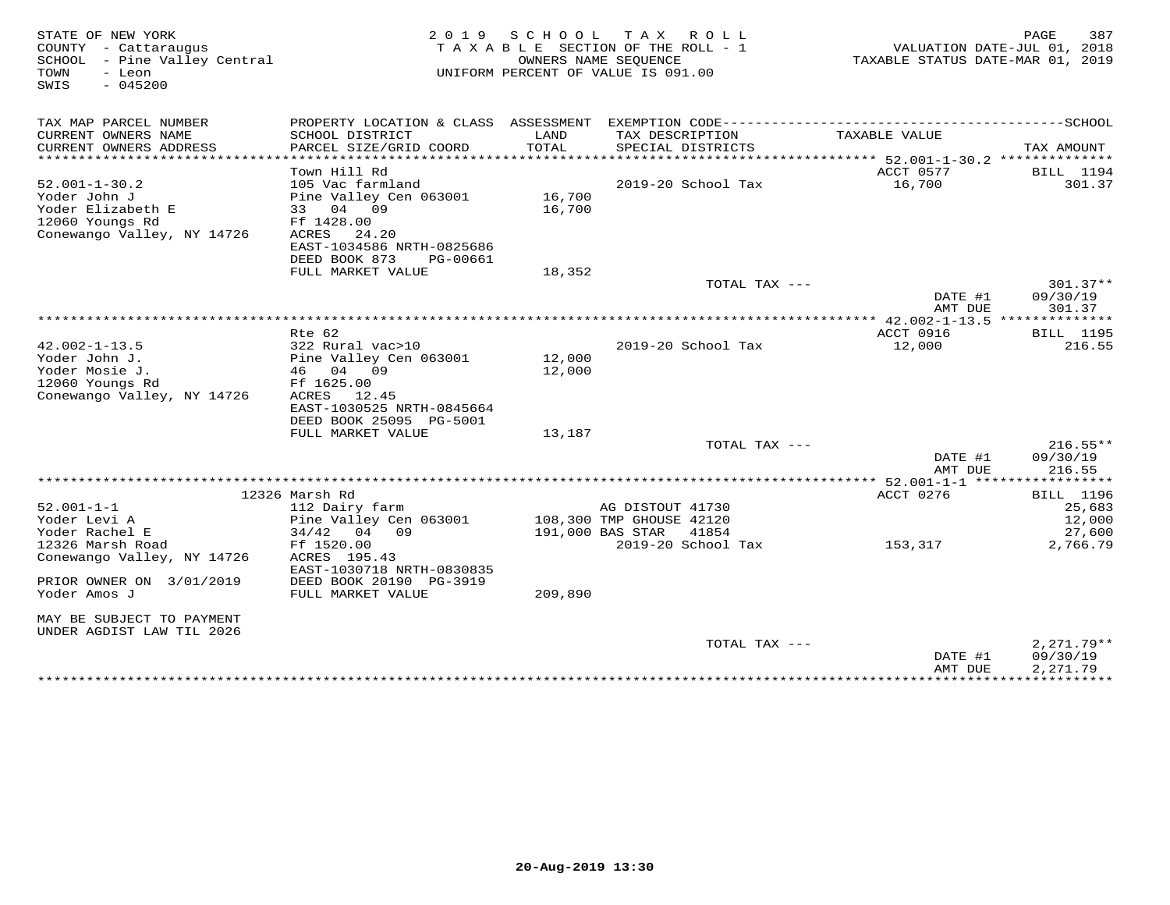| STATE OF NEW YORK<br>COUNTY - Cattaraugus<br>SCHOOL - Pine Valley Central<br>- Leon<br>TOWN<br>$-045200$<br>SWIS |                                           | 2019 SCHOOL      | TAX ROLL<br>TAXABLE SECTION OF THE ROLL - 1<br>OWNERS NAME SEOUENCE<br>UNIFORM PERCENT OF VALUE IS 091.00 | VALUATION DATE-JUL 01, 2018<br>TAXABLE STATUS DATE-MAR 01, 2019 | 387<br>PAGE              |
|------------------------------------------------------------------------------------------------------------------|-------------------------------------------|------------------|-----------------------------------------------------------------------------------------------------------|-----------------------------------------------------------------|--------------------------|
| TAX MAP PARCEL NUMBER                                                                                            |                                           |                  |                                                                                                           |                                                                 |                          |
| CURRENT OWNERS NAME<br>CURRENT OWNERS ADDRESS                                                                    | SCHOOL DISTRICT<br>PARCEL SIZE/GRID COORD | LAND<br>TOTAL    | TAX DESCRIPTION<br>SPECIAL DISTRICTS                                                                      | TAXABLE VALUE                                                   | TAX AMOUNT               |
| ***********************                                                                                          |                                           |                  |                                                                                                           |                                                                 |                          |
|                                                                                                                  | Town Hill Rd                              |                  |                                                                                                           | ACCT 0577                                                       | BILL 1194                |
| $52.001 - 1 - 30.2$                                                                                              | 105 Vac farmland                          |                  | $2019-20$ School Tax                                                                                      | 16,700                                                          | 301.37                   |
| Yoder John J<br>Yoder Elizabeth E                                                                                | Pine Valley Cen 063001<br>33 04 09        | 16,700<br>16,700 |                                                                                                           |                                                                 |                          |
| 12060 Youngs Rd                                                                                                  | Ff 1428.00                                |                  |                                                                                                           |                                                                 |                          |
| Conewango Valley, NY 14726                                                                                       | ACRES<br>24.20                            |                  |                                                                                                           |                                                                 |                          |
|                                                                                                                  | EAST-1034586 NRTH-0825686                 |                  |                                                                                                           |                                                                 |                          |
|                                                                                                                  | DEED BOOK 873<br>PG-00661                 |                  |                                                                                                           |                                                                 |                          |
|                                                                                                                  | FULL MARKET VALUE                         | 18,352           |                                                                                                           |                                                                 |                          |
|                                                                                                                  |                                           |                  | TOTAL TAX ---                                                                                             |                                                                 | $301.37**$               |
|                                                                                                                  |                                           |                  |                                                                                                           | DATE #1                                                         | 09/30/19                 |
|                                                                                                                  |                                           |                  |                                                                                                           | AMT DUE                                                         | 301.37                   |
|                                                                                                                  |                                           |                  |                                                                                                           | ************* 42.002-1-13.5 **************                      |                          |
|                                                                                                                  | Rte 62                                    |                  |                                                                                                           | ACCT 0916                                                       | BILL 1195                |
| $42.002 - 1 - 13.5$                                                                                              | 322 Rural vac>10                          |                  | 2019-20 School Tax                                                                                        | 12,000                                                          | 216.55                   |
| Yoder John J.<br>Yoder Mosie J.                                                                                  | Pine Valley Cen 063001<br>46 04 09        | 12,000<br>12,000 |                                                                                                           |                                                                 |                          |
| 12060 Youngs Rd                                                                                                  | Ff 1625.00                                |                  |                                                                                                           |                                                                 |                          |
| Conewango Valley, NY 14726                                                                                       | ACRES 12.45                               |                  |                                                                                                           |                                                                 |                          |
|                                                                                                                  | EAST-1030525 NRTH-0845664                 |                  |                                                                                                           |                                                                 |                          |
|                                                                                                                  | DEED BOOK 25095 PG-5001                   |                  |                                                                                                           |                                                                 |                          |
|                                                                                                                  | FULL MARKET VALUE                         | 13,187           |                                                                                                           |                                                                 |                          |
|                                                                                                                  |                                           |                  | TOTAL TAX ---                                                                                             |                                                                 | $216.55**$               |
|                                                                                                                  |                                           |                  |                                                                                                           | DATE #1                                                         | 09/30/19                 |
|                                                                                                                  |                                           |                  |                                                                                                           | AMT DUE                                                         | 216.55                   |
|                                                                                                                  |                                           |                  |                                                                                                           | ** $52.001 - 1 - 1$ ******************                          |                          |
|                                                                                                                  | 12326 Marsh Rd                            |                  |                                                                                                           | ACCT 0276                                                       | BILL 1196                |
| $52.001 - 1 - 1$                                                                                                 | 112 Dairy farm                            |                  | AG DISTOUT 41730                                                                                          |                                                                 | 25,683                   |
| Yoder Levi A                                                                                                     | Pine Valley Cen 063001                    |                  | 108,300 TMP GHOUSE 42120                                                                                  |                                                                 | 12,000                   |
| Yoder Rachel E<br>12326 Marsh Road                                                                               | 34/42<br>04 09<br>Ff 1520.00              |                  | 191,000 BAS STAR<br>41854<br>2019-20 School Tax                                                           | 153,317                                                         | 27,600<br>2,766.79       |
| Conewango Valley, NY 14726                                                                                       | ACRES 195.43                              |                  |                                                                                                           |                                                                 |                          |
|                                                                                                                  | EAST-1030718 NRTH-0830835                 |                  |                                                                                                           |                                                                 |                          |
| PRIOR OWNER ON 3/01/2019                                                                                         | DEED BOOK 20190 PG-3919                   |                  |                                                                                                           |                                                                 |                          |
| Yoder Amos J                                                                                                     | FULL MARKET VALUE                         | 209,890          |                                                                                                           |                                                                 |                          |
|                                                                                                                  |                                           |                  |                                                                                                           |                                                                 |                          |
| MAY BE SUBJECT TO PAYMENT                                                                                        |                                           |                  |                                                                                                           |                                                                 |                          |
| UNDER AGDIST LAW TIL 2026                                                                                        |                                           |                  |                                                                                                           |                                                                 |                          |
|                                                                                                                  |                                           |                  | TOTAL TAX ---                                                                                             |                                                                 | $2,271.79**$             |
|                                                                                                                  |                                           |                  |                                                                                                           | DATE #1                                                         | 09/30/19                 |
|                                                                                                                  |                                           |                  |                                                                                                           | AMT DUE<br>***************                                      | 2,271.79<br>************ |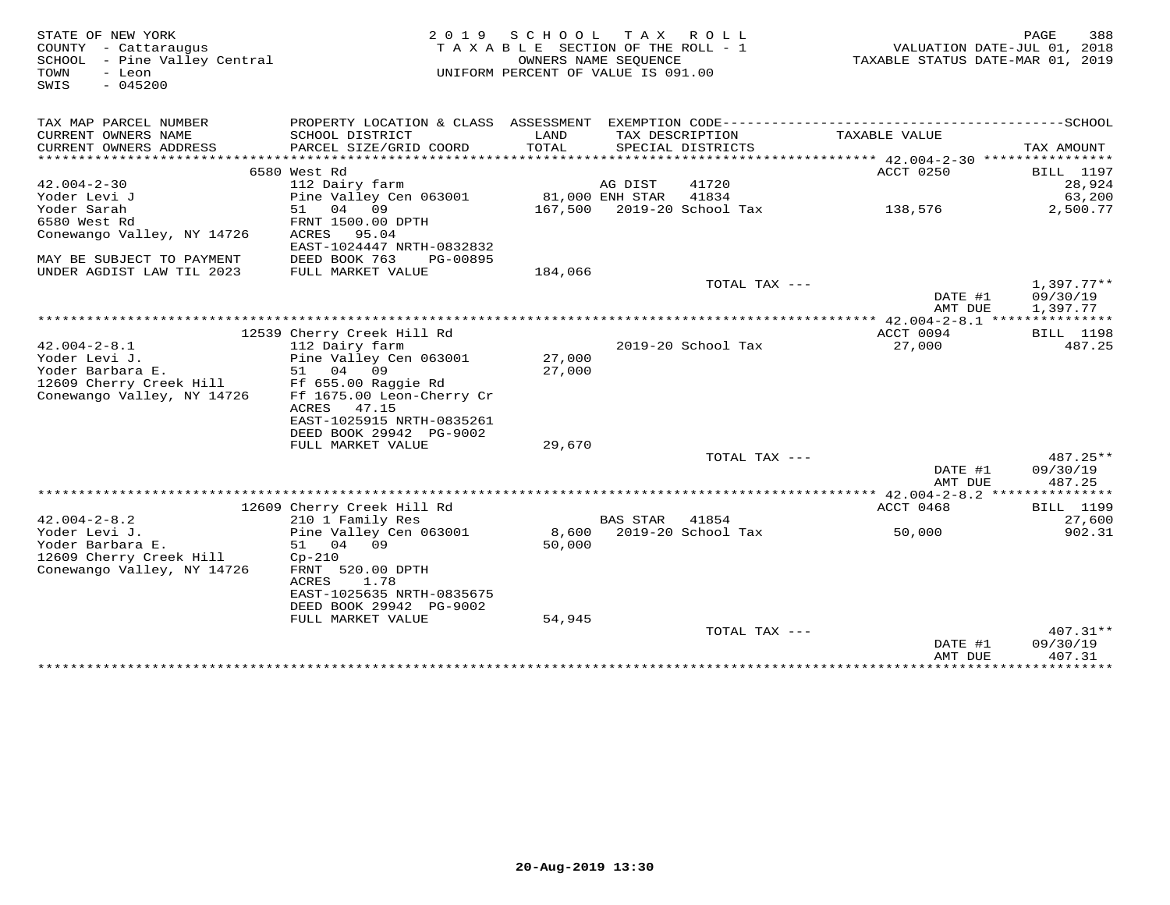| STATE OF NEW YORK<br>COUNTY - Cattaraugus<br>SCHOOL - Pine Valley Central<br>TOWN<br>- Leon<br>$-045200$<br>SWIS |                                                                  | 2019 SCHOOL<br>TAXABLE SECTION OF THE ROLL - 1<br>OWNERS NAME SEQUENCE<br>UNIFORM PERCENT OF VALUE IS 091.00 | T A X           | R O L L            | VALUATION DATE-JUL 01, 2018<br>TAXABLE STATUS DATE-MAR 01, 2019 | PAGE<br>388          |
|------------------------------------------------------------------------------------------------------------------|------------------------------------------------------------------|--------------------------------------------------------------------------------------------------------------|-----------------|--------------------|-----------------------------------------------------------------|----------------------|
| TAX MAP PARCEL NUMBER<br>CURRENT OWNERS NAME                                                                     | SCHOOL DISTRICT                                                  | LAND                                                                                                         |                 | TAX DESCRIPTION    | TAXABLE VALUE                                                   |                      |
| CURRENT OWNERS ADDRESS<br>*********************                                                                  | PARCEL SIZE/GRID COORD<br>***************************            | TOTAL                                                                                                        |                 | SPECIAL DISTRICTS  |                                                                 | TAX AMOUNT           |
|                                                                                                                  | 6580 West Rd                                                     |                                                                                                              |                 |                    | ACCT 0250                                                       | <b>BILL</b> 1197     |
| $42.004 - 2 - 30$                                                                                                | 112 Dairy farm                                                   |                                                                                                              | AG DIST         | 41720              |                                                                 | 28,924               |
| Yoder Levi J                                                                                                     | Pine Valley Cen 063001                                           |                                                                                                              | 81,000 ENH STAR | 41834              |                                                                 | 63,200               |
| Yoder Sarah                                                                                                      | 51<br>04<br>09                                                   | 167,500                                                                                                      |                 | 2019-20 School Tax | 138,576                                                         | 2,500.77             |
| 6580 West Rd<br>Conewango Valley, NY 14726                                                                       | FRNT 1500.00 DPTH<br>ACRES<br>95.04<br>EAST-1024447 NRTH-0832832 |                                                                                                              |                 |                    |                                                                 |                      |
| MAY BE SUBJECT TO PAYMENT                                                                                        | DEED BOOK 763<br>PG-00895                                        |                                                                                                              |                 |                    |                                                                 |                      |
| UNDER AGDIST LAW TIL 2023                                                                                        | FULL MARKET VALUE                                                | 184,066                                                                                                      |                 |                    |                                                                 |                      |
|                                                                                                                  |                                                                  |                                                                                                              |                 | TOTAL TAX ---      |                                                                 | $1,397.77**$         |
|                                                                                                                  |                                                                  |                                                                                                              |                 |                    | DATE #1<br>AMT DUE                                              | 09/30/19<br>1,397.77 |
|                                                                                                                  |                                                                  |                                                                                                              |                 |                    |                                                                 |                      |
|                                                                                                                  | 12539 Cherry Creek Hill Rd                                       |                                                                                                              |                 |                    | ACCT 0094                                                       | <b>BILL</b> 1198     |
| $42.004 - 2 - 8.1$                                                                                               | 112 Dairy farm                                                   |                                                                                                              |                 | 2019-20 School Tax | 27,000                                                          | 487.25               |
| Yoder Levi J.                                                                                                    | Pine Valley Cen 063001                                           | 27,000                                                                                                       |                 |                    |                                                                 |                      |
| Yoder Barbara E.                                                                                                 | 51 04<br>09                                                      | 27,000                                                                                                       |                 |                    |                                                                 |                      |
| 12609 Cherry Creek Hill                                                                                          | Ff 655.00 Raggie Rd                                              |                                                                                                              |                 |                    |                                                                 |                      |
| Conewango Valley, NY 14726                                                                                       | Ff 1675.00 Leon-Cherry Cr<br>ACRES<br>47.15                      |                                                                                                              |                 |                    |                                                                 |                      |
|                                                                                                                  | EAST-1025915 NRTH-0835261                                        |                                                                                                              |                 |                    |                                                                 |                      |
|                                                                                                                  | DEED BOOK 29942 PG-9002                                          |                                                                                                              |                 |                    |                                                                 |                      |
|                                                                                                                  | FULL MARKET VALUE                                                | 29,670                                                                                                       |                 |                    |                                                                 |                      |
|                                                                                                                  |                                                                  |                                                                                                              |                 | TOTAL TAX ---      |                                                                 | 487.25**             |
|                                                                                                                  |                                                                  |                                                                                                              |                 |                    | DATE #1                                                         | 09/30/19             |
|                                                                                                                  |                                                                  |                                                                                                              |                 |                    | AMT DUE                                                         | 487.25               |
|                                                                                                                  |                                                                  |                                                                                                              |                 |                    |                                                                 |                      |
|                                                                                                                  | 12609 Cherry Creek Hill Rd                                       |                                                                                                              |                 |                    | ACCT 0468                                                       | BILL 1199            |
| $42.004 - 2 - 8.2$                                                                                               | 210 1 Family Res                                                 |                                                                                                              | <b>BAS STAR</b> | 41854              |                                                                 | 27,600               |
| Yoder Levi J.                                                                                                    | Pine Valley Cen 063001                                           | 8,600                                                                                                        |                 | 2019-20 School Tax | 50,000                                                          | 902.31               |
| Yoder Barbara E.<br>12609 Cherry Creek Hill                                                                      | 51<br>04 09<br>$Cp-210$                                          | 50,000                                                                                                       |                 |                    |                                                                 |                      |
| Conewango Valley, NY 14726                                                                                       | FRNT 520.00 DPTH                                                 |                                                                                                              |                 |                    |                                                                 |                      |
|                                                                                                                  | ACRES<br>1.78                                                    |                                                                                                              |                 |                    |                                                                 |                      |
|                                                                                                                  | EAST-1025635 NRTH-0835675                                        |                                                                                                              |                 |                    |                                                                 |                      |
|                                                                                                                  | DEED BOOK 29942 PG-9002                                          |                                                                                                              |                 |                    |                                                                 |                      |
|                                                                                                                  | FULL MARKET VALUE                                                | 54,945                                                                                                       |                 |                    |                                                                 |                      |
|                                                                                                                  |                                                                  |                                                                                                              |                 | TOTAL TAX ---      |                                                                 | $407.31**$           |
|                                                                                                                  |                                                                  |                                                                                                              |                 |                    | DATE #1                                                         | 09/30/19             |
|                                                                                                                  |                                                                  |                                                                                                              |                 |                    | AMT DUE                                                         | 407.31               |
|                                                                                                                  |                                                                  |                                                                                                              |                 |                    | ****************************                                    |                      |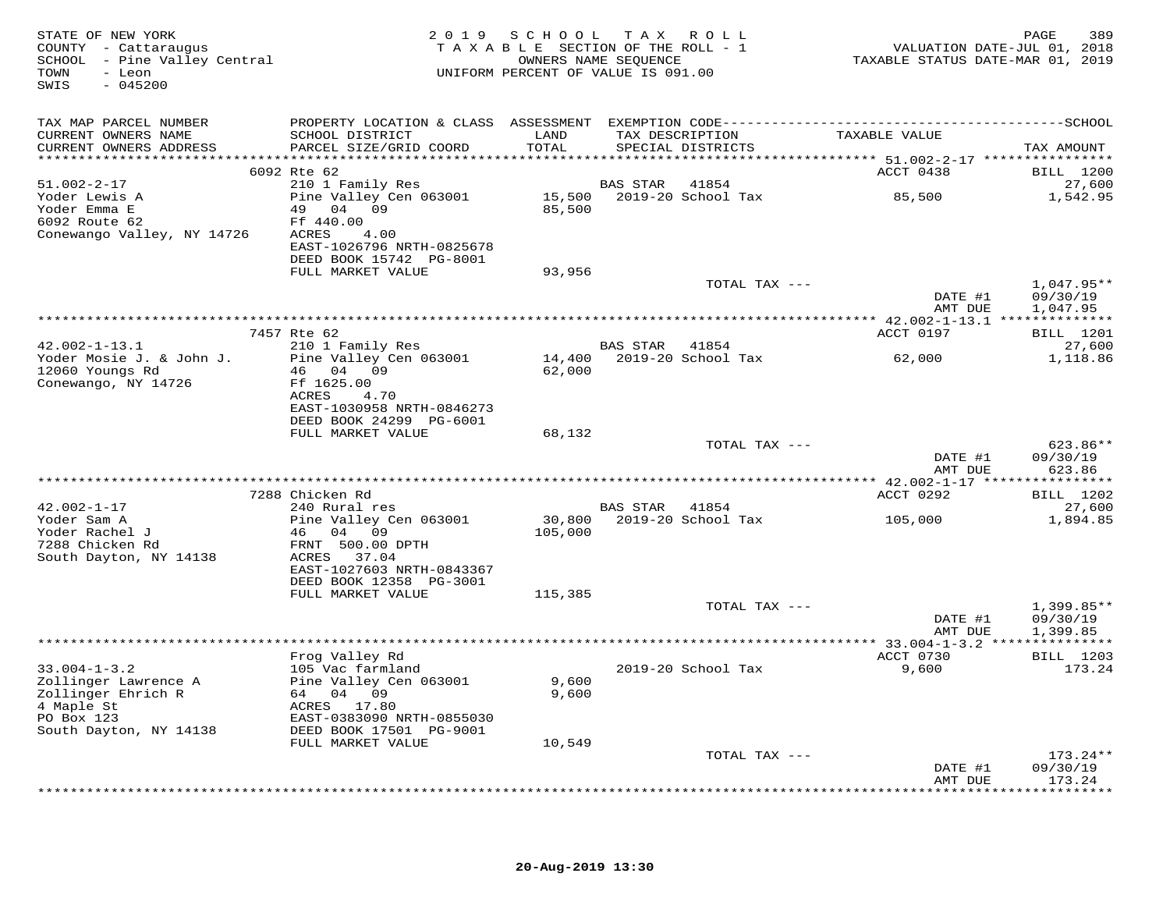| STATE OF NEW YORK<br>COUNTY - Cattaraugus<br>SCHOOL - Pine Valley Central<br>- Leon<br>TOWN<br>$-045200$<br>SWIS       |                                                                                                                                                    |                          | 2019 SCHOOL TAX ROLL<br>TAXABLE SECTION OF THE ROLL - 1<br>OWNERS NAME SEOUENCE<br>UNIFORM PERCENT OF VALUE IS 091.00 | VALUATION DATE-JUL 01, 2018<br>TAXABLE STATUS DATE-MAR 01, 2019 | 389<br>PAGE                          |
|------------------------------------------------------------------------------------------------------------------------|----------------------------------------------------------------------------------------------------------------------------------------------------|--------------------------|-----------------------------------------------------------------------------------------------------------------------|-----------------------------------------------------------------|--------------------------------------|
| TAX MAP PARCEL NUMBER                                                                                                  |                                                                                                                                                    |                          |                                                                                                                       |                                                                 |                                      |
| CURRENT OWNERS NAME<br>CURRENT OWNERS ADDRESS                                                                          | SCHOOL DISTRICT<br>PARCEL SIZE/GRID COORD                                                                                                          | LAND<br>TOTAL            | TAX DESCRIPTION<br>SPECIAL DISTRICTS                                                                                  | TAXABLE VALUE                                                   | TAX AMOUNT                           |
|                                                                                                                        | 6092 Rte 62                                                                                                                                        |                          |                                                                                                                       | ACCT 0438                                                       | <b>BILL</b> 1200                     |
| $51.002 - 2 - 17$                                                                                                      | 210 1 Family Res                                                                                                                                   |                          | <b>BAS STAR</b><br>41854                                                                                              |                                                                 | 27,600                               |
| Yoder Lewis A<br>Yoder Emma E<br>6092 Route 62<br>Conewango Valley, NY 14726                                           | Pine Valley Cen 063001<br>49 04 09<br>Ff 440.00<br>ACRES<br>4.00                                                                                   | 85,500                   | 15,500 2019-20 School Tax                                                                                             | 85,500                                                          | 1,542.95                             |
|                                                                                                                        | EAST-1026796 NRTH-0825678<br>DEED BOOK 15742 PG-8001                                                                                               |                          |                                                                                                                       |                                                                 |                                      |
|                                                                                                                        | FULL MARKET VALUE                                                                                                                                  | 93,956                   |                                                                                                                       |                                                                 |                                      |
|                                                                                                                        |                                                                                                                                                    |                          | TOTAL TAX ---                                                                                                         | DATE #1<br>AMT DUE                                              | $1,047.95**$<br>09/30/19<br>1,047.95 |
|                                                                                                                        |                                                                                                                                                    |                          |                                                                                                                       |                                                                 |                                      |
|                                                                                                                        | 7457 Rte 62                                                                                                                                        |                          |                                                                                                                       | ACCT 0197                                                       | <b>BILL</b> 1201                     |
| $42.002 - 1 - 13.1$                                                                                                    | 210 1 Family Res                                                                                                                                   |                          | BAS STAR<br>41854                                                                                                     |                                                                 | 27,600                               |
| Yoder Mosie J. & John J.<br>12060 Youngs Rd<br>Conewango, NY 14726                                                     | Pine Valley Cen 063001<br>46 04 09<br>Ff 1625.00<br>ACRES<br>4.70<br>EAST-1030958 NRTH-0846273<br>DEED BOOK 24299 PG-6001                          | 14,400<br>62,000         | 2019-20 School Tax                                                                                                    | 62,000                                                          | 1,118.86                             |
|                                                                                                                        | FULL MARKET VALUE                                                                                                                                  | 68,132                   |                                                                                                                       |                                                                 |                                      |
|                                                                                                                        |                                                                                                                                                    |                          | TOTAL TAX ---                                                                                                         | DATE #1                                                         | $623.86**$<br>09/30/19               |
|                                                                                                                        |                                                                                                                                                    |                          |                                                                                                                       | AMT DUE                                                         | 623.86                               |
|                                                                                                                        | 7288 Chicken Rd                                                                                                                                    |                          |                                                                                                                       | ACCT 0292                                                       | <b>BILL</b> 1202                     |
| $42.002 - 1 - 17$                                                                                                      | 240 Rural res                                                                                                                                      |                          | BAS STAR 41854                                                                                                        |                                                                 | 27,600                               |
| Yoder Sam A<br>Yoder Rachel J<br>7288 Chicken Rd<br>South Dayton, NY 14138                                             | Pine Valley Cen 063001<br>46 04 09<br>FRNT 500.00 DPTH<br>ACRES 37.04<br>EAST-1027603 NRTH-0843367                                                 | 30,800<br>105,000        | 2019-20 School Tax                                                                                                    | 105,000                                                         | 1,894.85                             |
|                                                                                                                        | DEED BOOK 12358 PG-3001<br>FULL MARKET VALUE                                                                                                       | 115,385                  |                                                                                                                       |                                                                 |                                      |
|                                                                                                                        |                                                                                                                                                    |                          | TOTAL TAX ---                                                                                                         | DATE #1<br>AMT DUE                                              | $1,399.85**$<br>09/30/19<br>1,399.85 |
|                                                                                                                        | ***********                                                                                                                                        |                          |                                                                                                                       | ** $33.004 - 1 - 3.2$ ***************                           |                                      |
|                                                                                                                        | Frog Valley Rd                                                                                                                                     |                          |                                                                                                                       | ACCT 0730                                                       | <b>BILL</b> 1203                     |
| $33.004 - 1 - 3.2$<br>Zollinger Lawrence A<br>Zollinger Ehrich R<br>4 Maple St<br>PO Box 123<br>South Dayton, NY 14138 | 105 Vac farmland<br>Pine Valley Cen 063001<br>64 04 09<br>ACRES 17.80<br>EAST-0383090 NRTH-0855030<br>DEED BOOK 17501 PG-9001<br>FULL MARKET VALUE | 9,600<br>9,600<br>10,549 | 2019-20 School Tax                                                                                                    | 9,600                                                           | 173.24                               |
|                                                                                                                        |                                                                                                                                                    |                          | TOTAL TAX ---                                                                                                         |                                                                 | $173.24**$                           |
|                                                                                                                        |                                                                                                                                                    |                          |                                                                                                                       | DATE #1<br>AMT DUE                                              | 09/30/19<br>173.24                   |
|                                                                                                                        |                                                                                                                                                    |                          |                                                                                                                       |                                                                 | * * * * * * * * * *                  |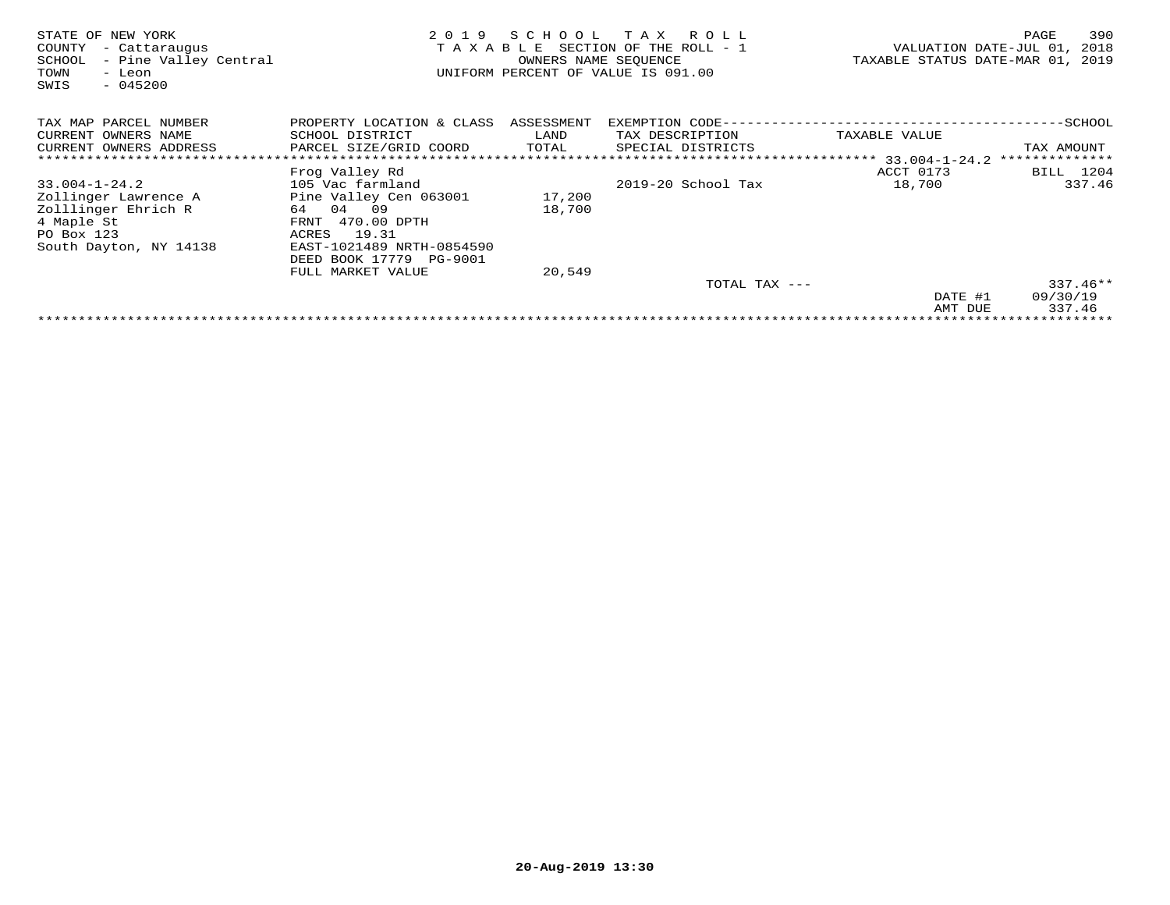| NEW YORK<br>STATE OF<br>COUNTY<br>- Cattaraugus<br>- Pine Valley Central<br>SCHOOL<br>TOWN<br>- Leon<br>SWIS<br>$-045200$ | 2 0 1 9<br>TAXABLE        | SCHOOL<br>OWNERS NAME SEQUENCE | T A X<br>R O L L<br>SECTION OF THE ROLL - 1<br>UNIFORM PERCENT OF VALUE IS 091.00 | TAXABLE STATUS DATE-MAR 01, | 390<br>PAGE<br>VALUATION DATE-JUL 01,<br>2018<br>2019 |
|---------------------------------------------------------------------------------------------------------------------------|---------------------------|--------------------------------|-----------------------------------------------------------------------------------|-----------------------------|-------------------------------------------------------|
| TAX MAP PARCEL NUMBER                                                                                                     | PROPERTY LOCATION & CLASS | ASSESSMENT                     | EXEMPTION CODE--                                                                  |                             | --SCHOOL                                              |
| CURRENT OWNERS NAME                                                                                                       | SCHOOL DISTRICT           | LAND                           | TAX DESCRIPTION                                                                   | TAXABLE VALUE               |                                                       |
| CURRENT OWNERS ADDRESS                                                                                                    | PARCEL SIZE/GRID COORD    | TOTAL                          | SPECIAL DISTRICTS                                                                 |                             | TAX AMOUNT                                            |
|                                                                                                                           |                           |                                |                                                                                   |                             | **************                                        |
|                                                                                                                           | Frog Valley Rd            |                                |                                                                                   | ACCT 0173                   | BILL 1204                                             |
| $33.004 - 1 - 24.2$                                                                                                       | 105 Vac farmland          |                                | 2019-20 School Tax                                                                | 18,700                      | 337.46                                                |
| Zollinger Lawrence A                                                                                                      | Pine Valley Cen 063001    | 17,200                         |                                                                                   |                             |                                                       |
| Zolllinger Ehrich R                                                                                                       | 04 09<br>64               | 18,700                         |                                                                                   |                             |                                                       |
| 4 Maple St                                                                                                                | 470.00 DPTH<br>FRNT       |                                |                                                                                   |                             |                                                       |
| PO Box 123                                                                                                                | 19.31<br>ACRES            |                                |                                                                                   |                             |                                                       |
| South Dayton, NY 14138                                                                                                    | EAST-1021489 NRTH-0854590 |                                |                                                                                   |                             |                                                       |
|                                                                                                                           | DEED BOOK 17779 PG-9001   |                                |                                                                                   |                             |                                                       |
|                                                                                                                           | FULL MARKET VALUE         | 20,549                         |                                                                                   |                             |                                                       |
|                                                                                                                           |                           |                                | TOTAL TAX ---                                                                     |                             | $337.46**$                                            |
|                                                                                                                           |                           |                                |                                                                                   | DATE #1                     | 09/30/19                                              |
|                                                                                                                           |                           |                                |                                                                                   | AMT DUE                     | 337.46                                                |
|                                                                                                                           |                           |                                |                                                                                   |                             |                                                       |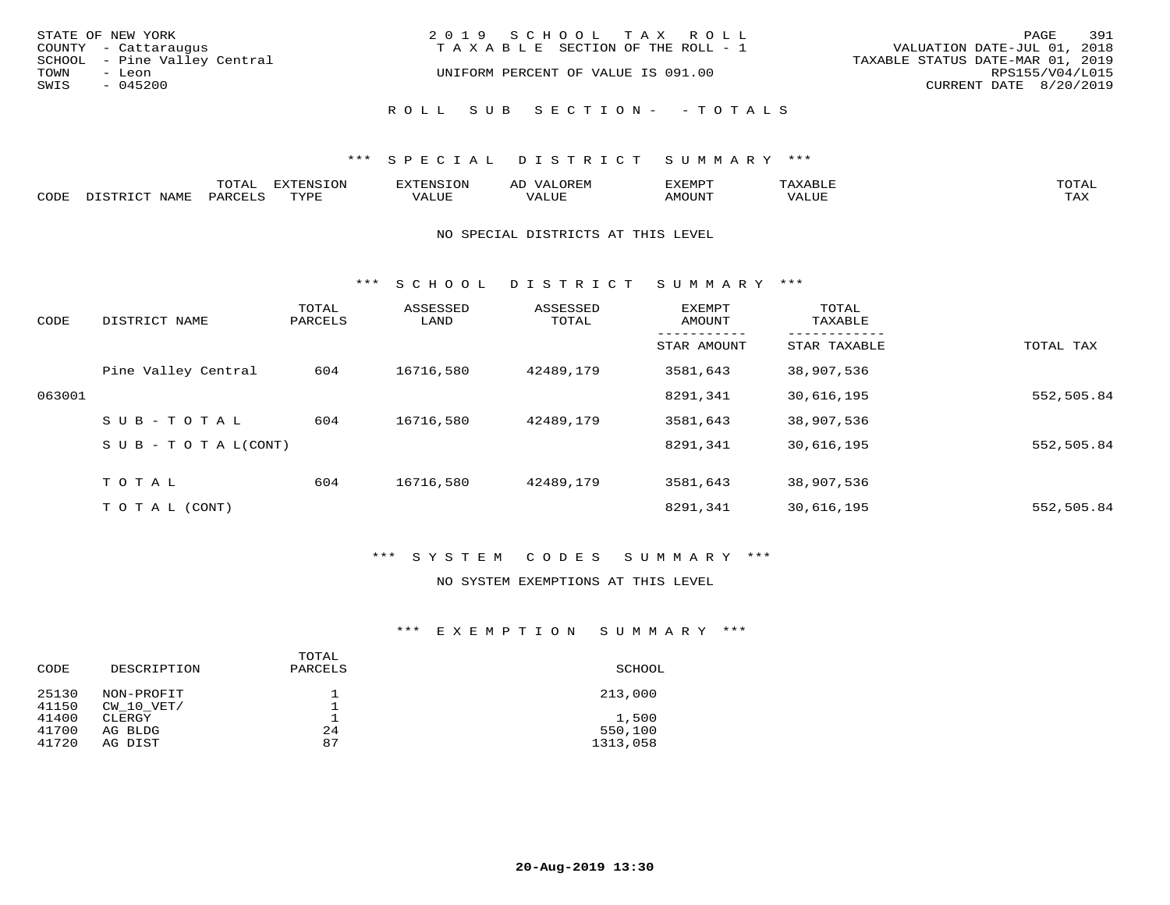| STATE OF NEW YORK<br>COUNTY - Cattaraugus      | 2019 SCHOOL TAX ROLL<br>T A X A B L E SECTION OF THE ROLL - 1 | 391<br>PAGE<br>VALUATION DATE-JUL 01, 2018          |
|------------------------------------------------|---------------------------------------------------------------|-----------------------------------------------------|
| SCHOOL - Pine Valley Central<br>TOWN<br>- Leon | UNIFORM PERCENT OF VALUE IS 091.00                            | TAXABLE STATUS DATE-MAR 01, 2019<br>RPS155/V04/L015 |
| SWIS<br>$-045200$                              |                                                               | CURRENT DATE 8/20/2019                              |
|                                                | ROLL SUB SECTION- - TOTALS                                    |                                                     |

#### \*\*\* S P E C I A L D I S T R I C T S U M M A R Y \*\*\*

|      |                        | ͲႶͲϪ<br>LUIAL | EXTENSION | $\sim$ | AD   | ,,, <del>,</del> ,,,,,<br>ivi D'<br>יום ∆נ | $m \times r \times r$ | momn "      |
|------|------------------------|---------------|-----------|--------|------|--------------------------------------------|-----------------------|-------------|
| CODE | NAMT<br>ּ זה קידי אדרי | PARCFT        | TVDF      | VALUL  | ALUE | <b>IMOUNT</b>                              | VALUE                 | TA Y<br>⊥⇔∆ |

#### NO SPECIAL DISTRICTS AT THIS LEVEL

\*\*\* S C H O O L D I S T R I C T S U M M A R Y \*\*\*

| CODE   | DISTRICT NAME                    | TOTAL<br>PARCELS | ASSESSED<br>LAND | ASSESSED<br>TOTAL | EXEMPT<br>AMOUNT | TOTAL<br>TAXABLE |            |
|--------|----------------------------------|------------------|------------------|-------------------|------------------|------------------|------------|
|        |                                  |                  |                  |                   | STAR AMOUNT      | STAR TAXABLE     | TOTAL TAX  |
|        | Pine Valley Central              | 604              | 16716,580        | 42489,179         | 3581,643         | 38,907,536       |            |
| 063001 |                                  |                  |                  |                   | 8291,341         | 30,616,195       | 552,505.84 |
|        | SUB-TOTAL                        | 604              | 16716,580        | 42489,179         | 3581,643         | 38,907,536       |            |
|        | $S \cup B - T \cup T A L (CONT)$ |                  |                  |                   | 8291,341         | 30,616,195       | 552,505.84 |
|        | TOTAL                            | 604              | 16716,580        | 42489,179         | 3581,643         | 38,907,536       |            |
|        | T O T A L (CONT)                 |                  |                  |                   | 8291,341         | 30,616,195       | 552,505.84 |

## \*\*\* S Y S T E M C O D E S S U M M A R Y \*\*\*

#### NO SYSTEM EXEMPTIONS AT THIS LEVEL

### \*\*\* E X E M P T I O N S U M M A R Y \*\*\*

| CODE                    | DESCRIPTION                  | TOTAL<br>PARCELS | SCHOOL                       |
|-------------------------|------------------------------|------------------|------------------------------|
| 25130<br>41150          | NON-PROFIT<br>CW 10 VET/     |                  | 213,000                      |
| 41400<br>41700<br>41720 | CLERGY<br>AG BLDG<br>AG DIST | 24<br>87         | 1,500<br>550,100<br>1313,058 |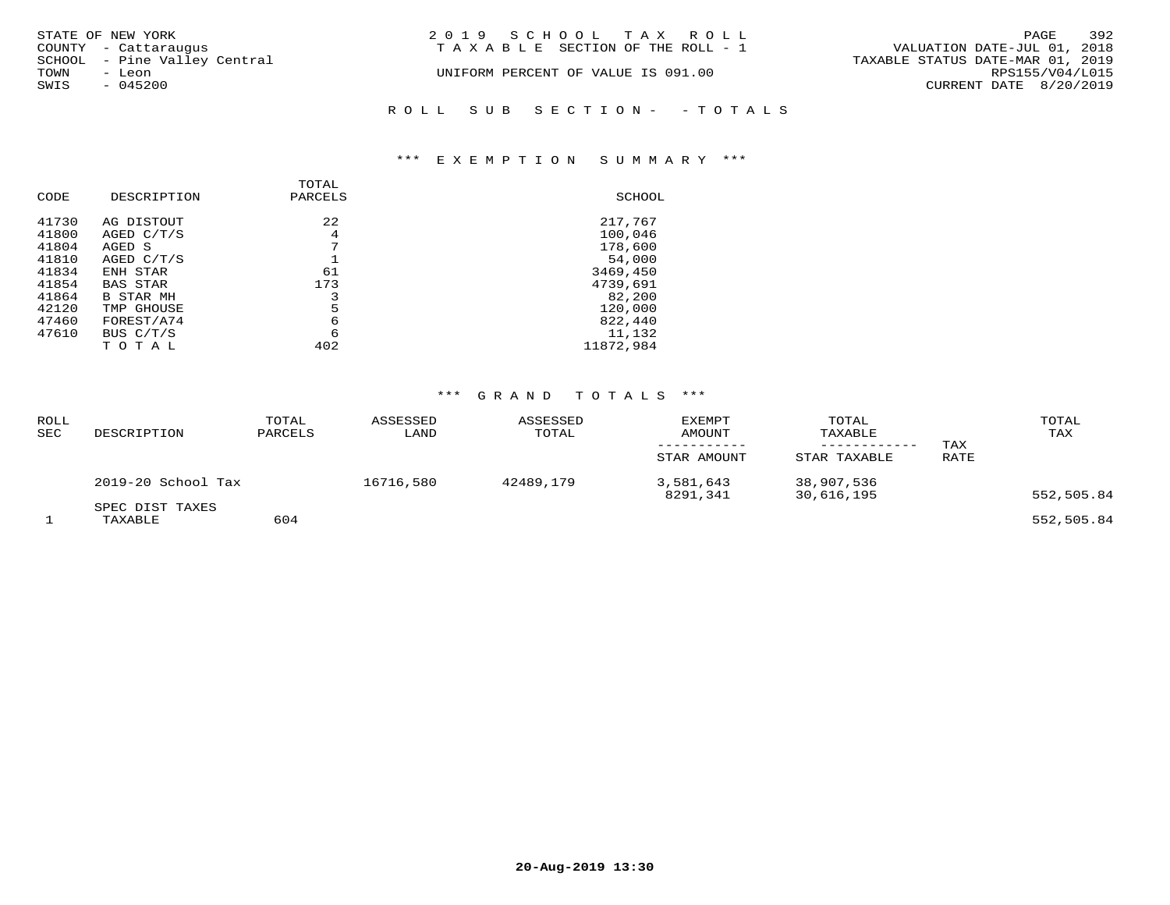| STATE OF NEW YORK<br>COUNTY - Cattaraugus      | 2019 SCHOOL TAX ROLL<br>TAXABLE SECTION OF THE ROLL - 1 | 392<br>PAGE<br>VALUATION DATE-JUL 01, 2018          |
|------------------------------------------------|---------------------------------------------------------|-----------------------------------------------------|
| SCHOOL - Pine Valley Central<br>TOWN<br>- Leon | UNIFORM PERCENT OF VALUE IS 091.00                      | TAXABLE STATUS DATE-MAR 01, 2019<br>RPS155/V04/L015 |
| SWIS<br>$-045200$                              |                                                         | CURRENT DATE 8/20/2019                              |
|                                                | ROLL SUB SECTION- - TOTALS                              |                                                     |

## \*\*\* E X E M P T I O N S U M M A R Y \*\*\*

| CODE  | DESCRIPTION      | TOTAL<br>PARCELS | SCHOOL    |
|-------|------------------|------------------|-----------|
| 41730 | AG DISTOUT       | 22               | 217,767   |
| 41800 | AGED C/T/S       | 4                | 100,046   |
| 41804 | AGED S           | 7                | 178,600   |
| 41810 | AGED C/T/S       |                  | 54,000    |
| 41834 | ENH STAR         | 61               | 3469,450  |
| 41854 | BAS STAR         | 173              | 4739,691  |
| 41864 | <b>B STAR MH</b> | 3                | 82,200    |
| 42120 | TMP GHOUSE       | 5                | 120,000   |
| 47460 | FOREST/A74       | 6                | 822,440   |
| 47610 | BUS C/T/S        | 6                | 11,132    |
|       | T O T A L        | 402              | 11872,984 |

# \*\*\* G R A N D T O T A L S \*\*\*

| <b>ROLL</b><br>SEC | DESCRIPTION                | TOTAL<br>PARCELS | ASSESSED<br>LAND | ASSESSED<br>TOTAL | <b>EXEMPT</b><br>AMOUNT<br>STAR AMOUNT | TOTAL<br>TAXABLE<br>STAR TAXABLE | TAX<br>RATE | TOTAL<br>TAX |
|--------------------|----------------------------|------------------|------------------|-------------------|----------------------------------------|----------------------------------|-------------|--------------|
|                    | 2019-20 School Tax         |                  | 16716,580        | 42489,179         | 3,581,643<br>8291,341                  | 38,907,536<br>30,616,195         |             | 552,505.84   |
|                    | SPEC DIST TAXES<br>TAXABLE | 604              |                  |                   |                                        |                                  |             | 552,505.84   |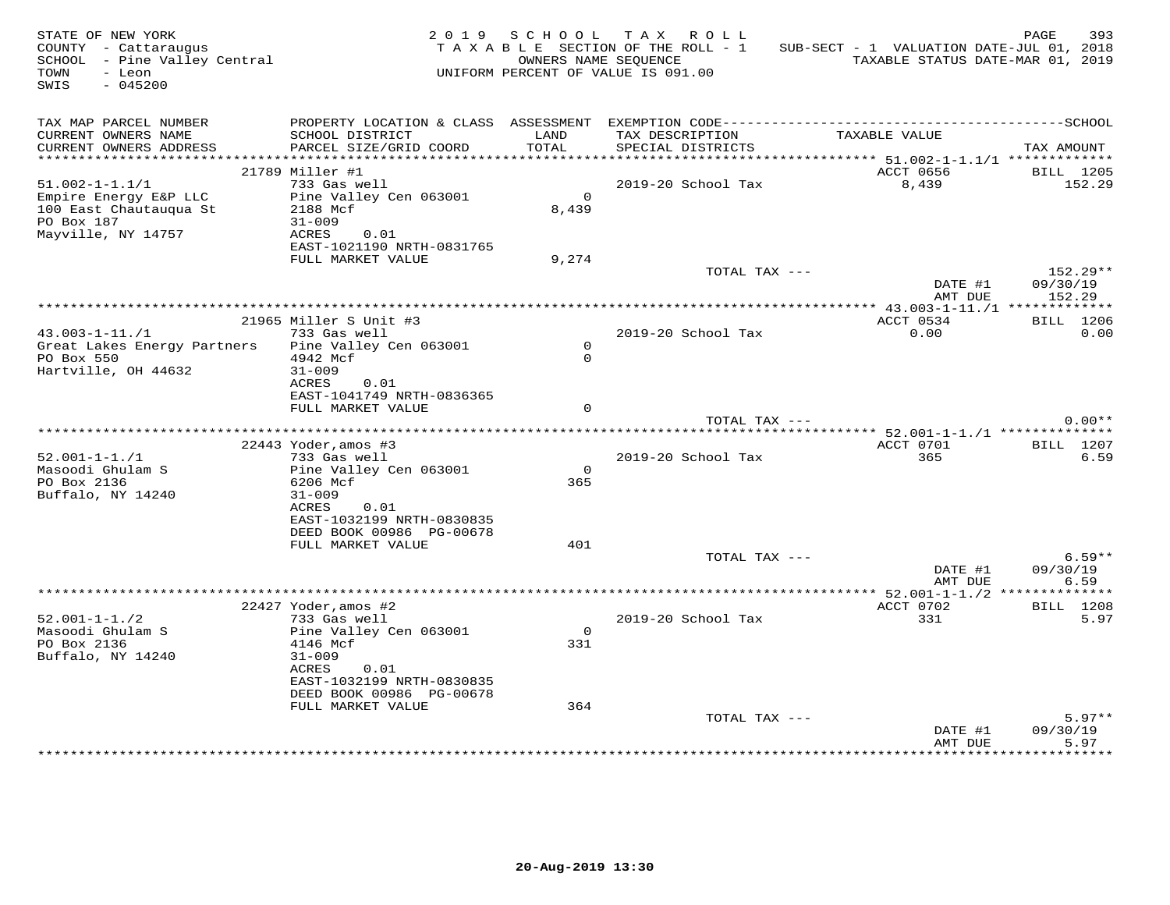| STATE OF NEW YORK<br>COUNTY - Cattaraugus<br>SCHOOL - Pine Valley Central<br>TOWN<br>- Leon<br>SWIS<br>$-045200$ |                                                       |                     | 2019 SCHOOL TAX ROLL<br>TAXABLE SECTION OF THE ROLL - 1<br>OWNERS NAME SEQUENCE<br>UNIFORM PERCENT OF VALUE IS 091.00 | SUB-SECT - 1 VALUATION DATE-JUL 01, 2018<br>TAXABLE STATUS DATE-MAR 01, 2019 | 393<br>PAGE            |
|------------------------------------------------------------------------------------------------------------------|-------------------------------------------------------|---------------------|-----------------------------------------------------------------------------------------------------------------------|------------------------------------------------------------------------------|------------------------|
| TAX MAP PARCEL NUMBER<br>CURRENT OWNERS NAME<br>CURRENT OWNERS ADDRESS                                           | SCHOOL DISTRICT<br>PARCEL SIZE/GRID COORD             | LAND<br>TOTAL       | TAX DESCRIPTION<br>SPECIAL DISTRICTS                                                                                  | TAXABLE VALUE                                                                | TAX AMOUNT             |
|                                                                                                                  |                                                       |                     |                                                                                                                       |                                                                              |                        |
|                                                                                                                  | 21789 Miller #1                                       |                     |                                                                                                                       | ACCT 0656                                                                    | BILL 1205              |
| $51.002 - 1 - 1.1/1$<br>Empire Energy E&P LLC                                                                    | 733 Gas well<br>Pine Valley Cen 063001                | $\overline{0}$      | 2019-20 School Tax                                                                                                    | 8,439                                                                        | 152.29                 |
| 100 East Chautauqua St                                                                                           | 2188 Mcf                                              | 8,439               |                                                                                                                       |                                                                              |                        |
| PO Box 187                                                                                                       | $31 - 009$                                            |                     |                                                                                                                       |                                                                              |                        |
| Mayville, NY 14757                                                                                               | ACRES<br>0.01                                         |                     |                                                                                                                       |                                                                              |                        |
|                                                                                                                  | EAST-1021190 NRTH-0831765                             |                     |                                                                                                                       |                                                                              |                        |
|                                                                                                                  | FULL MARKET VALUE                                     | 9,274               |                                                                                                                       |                                                                              |                        |
|                                                                                                                  |                                                       |                     | TOTAL TAX ---                                                                                                         | DATE #1                                                                      | $152.29**$<br>09/30/19 |
|                                                                                                                  |                                                       |                     |                                                                                                                       | AMT DUE                                                                      | 152.29                 |
|                                                                                                                  |                                                       |                     |                                                                                                                       |                                                                              |                        |
|                                                                                                                  | 21965 Miller S Unit #3                                |                     |                                                                                                                       | ACCT 0534                                                                    | <b>BILL</b> 1206       |
| $43.003 - 1 - 11. / 1$                                                                                           | 733 Gas well                                          |                     | 2019-20 School Tax                                                                                                    | 0.00                                                                         | 0.00                   |
| Great Lakes Energy Partners<br>PO Box 550                                                                        | Pine Valley Cen 063001<br>4942 Mcf                    | $\circ$<br>$\Omega$ |                                                                                                                       |                                                                              |                        |
| Hartville, OH 44632                                                                                              | $31 - 009$                                            |                     |                                                                                                                       |                                                                              |                        |
|                                                                                                                  | 0.01<br>ACRES                                         |                     |                                                                                                                       |                                                                              |                        |
|                                                                                                                  | EAST-1041749 NRTH-0836365                             |                     |                                                                                                                       |                                                                              |                        |
|                                                                                                                  | FULL MARKET VALUE                                     | $\Omega$            |                                                                                                                       |                                                                              |                        |
|                                                                                                                  |                                                       |                     | TOTAL TAX ---                                                                                                         |                                                                              | $0.00**$               |
|                                                                                                                  | 22443 Yoder, amos #3                                  |                     |                                                                                                                       | ACCT 0701                                                                    | <b>BILL</b> 1207       |
| $52.001 - 1 - 1.71$                                                                                              | 733 Gas well                                          |                     | 2019-20 School Tax                                                                                                    | 365                                                                          | 6.59                   |
| Masoodi Ghulam S                                                                                                 | Pine Valley Cen 063001                                | $\Omega$            |                                                                                                                       |                                                                              |                        |
| PO Box 2136                                                                                                      | 6206 Mcf                                              | 365                 |                                                                                                                       |                                                                              |                        |
| Buffalo, NY 14240                                                                                                | $31 - 009$                                            |                     |                                                                                                                       |                                                                              |                        |
|                                                                                                                  | ACRES<br>0.01<br>EAST-1032199 NRTH-0830835            |                     |                                                                                                                       |                                                                              |                        |
|                                                                                                                  | DEED BOOK 00986 PG-00678                              |                     |                                                                                                                       |                                                                              |                        |
|                                                                                                                  | FULL MARKET VALUE                                     | 401                 |                                                                                                                       |                                                                              |                        |
|                                                                                                                  |                                                       |                     | TOTAL TAX ---                                                                                                         |                                                                              | $6.59**$               |
|                                                                                                                  |                                                       |                     |                                                                                                                       | DATE #1                                                                      | 09/30/19               |
|                                                                                                                  |                                                       |                     |                                                                                                                       | AMT DUE                                                                      | 6.59                   |
|                                                                                                                  | $22427$ Yoder, amos #2                                |                     |                                                                                                                       | ACCT 0702                                                                    | BILL 1208              |
| $52.001 - 1 - 1.72$                                                                                              | 733 Gas well                                          |                     | 2019-20 School Tax                                                                                                    | 331                                                                          | 5.97                   |
| Masoodi Ghulam S                                                                                                 | Pine Valley Cen 063001                                | $\Omega$            |                                                                                                                       |                                                                              |                        |
| PO Box 2136                                                                                                      | 4146 Mcf                                              | 331                 |                                                                                                                       |                                                                              |                        |
| Buffalo, NY 14240                                                                                                | $31 - 009$                                            |                     |                                                                                                                       |                                                                              |                        |
|                                                                                                                  | ACRES<br>0.01                                         |                     |                                                                                                                       |                                                                              |                        |
|                                                                                                                  | EAST-1032199 NRTH-0830835<br>DEED BOOK 00986 PG-00678 |                     |                                                                                                                       |                                                                              |                        |
|                                                                                                                  | FULL MARKET VALUE                                     | 364                 |                                                                                                                       |                                                                              |                        |
|                                                                                                                  |                                                       |                     | TOTAL TAX ---                                                                                                         |                                                                              | $5.97**$               |
|                                                                                                                  |                                                       |                     |                                                                                                                       | DATE #1                                                                      | 09/30/19               |
|                                                                                                                  |                                                       |                     |                                                                                                                       | AMT DUE                                                                      | 5.97                   |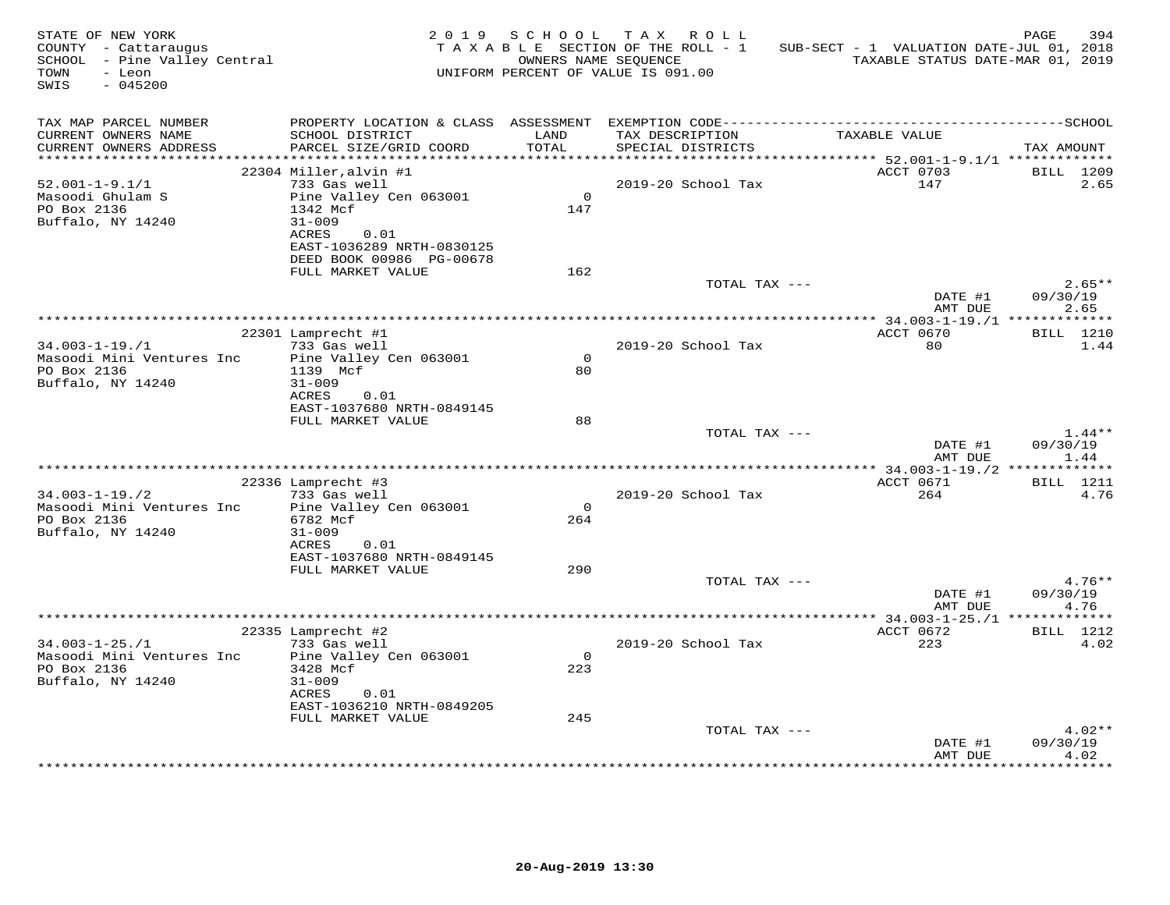| STATE OF NEW YORK<br>COUNTY - Cattaraugus<br>SCHOOL - Pine Valley Central<br>TOWN<br>- Leon<br>$-045200$<br>SWIS |                                               | 2019 SCHOOL     | TAX ROLL<br>TAXABLE SECTION OF THE ROLL - 1<br>OWNERS NAME SEQUENCE<br>UNIFORM PERCENT OF VALUE IS 091.00 | SUB-SECT - 1 VALUATION DATE-JUL 01, 2018<br>TAXABLE STATUS DATE-MAR 01, 2019 | PAGE<br>394          |
|------------------------------------------------------------------------------------------------------------------|-----------------------------------------------|-----------------|-----------------------------------------------------------------------------------------------------------|------------------------------------------------------------------------------|----------------------|
| TAX MAP PARCEL NUMBER<br>CURRENT OWNERS NAME<br>CURRENT OWNERS ADDRESS                                           | SCHOOL DISTRICT<br>PARCEL SIZE/GRID COORD     | LAND<br>TOTAL   | TAX DESCRIPTION<br>SPECIAL DISTRICTS                                                                      | TAXABLE VALUE                                                                | TAX AMOUNT           |
|                                                                                                                  |                                               |                 |                                                                                                           |                                                                              |                      |
|                                                                                                                  | 22304 Miller, alvin #1                        |                 |                                                                                                           | ACCT 0703                                                                    | <b>BILL</b> 1209     |
| $52.001 - 1 - 9.1/1$                                                                                             | 733 Gas well                                  | $\Omega$        | 2019-20 School Tax                                                                                        | 147                                                                          | 2.65                 |
| Masoodi Ghulam S<br>PO Box 2136                                                                                  | Pine Valley Cen 063001<br>1342 Mcf            | 147             |                                                                                                           |                                                                              |                      |
| Buffalo, NY 14240                                                                                                | $31 - 009$                                    |                 |                                                                                                           |                                                                              |                      |
|                                                                                                                  | ACRES<br>0.01                                 |                 |                                                                                                           |                                                                              |                      |
|                                                                                                                  | EAST-1036289 NRTH-0830125                     |                 |                                                                                                           |                                                                              |                      |
|                                                                                                                  | DEED BOOK 00986 PG-00678<br>FULL MARKET VALUE | 162             |                                                                                                           |                                                                              |                      |
|                                                                                                                  |                                               |                 | TOTAL TAX ---                                                                                             |                                                                              | $2.65**$             |
|                                                                                                                  |                                               |                 |                                                                                                           | DATE #1                                                                      | 09/30/19             |
|                                                                                                                  |                                               |                 |                                                                                                           | AMT DUE                                                                      | 2.65                 |
|                                                                                                                  | 22301 Lamprecht #1                            |                 |                                                                                                           | ACCT 0670                                                                    | <b>BILL</b> 1210     |
| $34.003 - 1 - 19. / 1$                                                                                           | 733 Gas well                                  |                 | 2019-20 School Tax                                                                                        | 80                                                                           | 1.44                 |
| Masoodi Mini Ventures Inc                                                                                        | Pine Valley Cen 063001                        | $\Omega$        |                                                                                                           |                                                                              |                      |
| PO Box 2136                                                                                                      | 1139 Mcf                                      | 80              |                                                                                                           |                                                                              |                      |
| Buffalo, NY 14240                                                                                                | $31 - 009$<br>ACRES<br>0.01                   |                 |                                                                                                           |                                                                              |                      |
|                                                                                                                  | EAST-1037680 NRTH-0849145                     |                 |                                                                                                           |                                                                              |                      |
|                                                                                                                  | FULL MARKET VALUE                             | 88              |                                                                                                           |                                                                              |                      |
|                                                                                                                  |                                               |                 | TOTAL TAX ---                                                                                             |                                                                              | $1.44**$             |
|                                                                                                                  |                                               |                 |                                                                                                           | DATE #1                                                                      | 09/30/19             |
|                                                                                                                  |                                               |                 |                                                                                                           | AMT DUE                                                                      | 1.44                 |
|                                                                                                                  | 22336 Lamprecht #3                            |                 |                                                                                                           | ACCT 0671                                                                    | <b>BILL</b> 1211     |
| $34.003 - 1 - 19.72$                                                                                             | 733 Gas well                                  |                 | 2019-20 School Tax                                                                                        | 264                                                                          | 4.76                 |
| Masoodi Mini Ventures Inc                                                                                        | Pine Valley Cen 063001                        | $\Omega$        |                                                                                                           |                                                                              |                      |
| PO Box 2136<br>Buffalo, NY 14240                                                                                 | 6782 Mcf<br>$31 - 009$                        | 264             |                                                                                                           |                                                                              |                      |
|                                                                                                                  | ACRES<br>0.01                                 |                 |                                                                                                           |                                                                              |                      |
|                                                                                                                  | EAST-1037680 NRTH-0849145                     |                 |                                                                                                           |                                                                              |                      |
|                                                                                                                  | FULL MARKET VALUE                             | 290             |                                                                                                           |                                                                              |                      |
|                                                                                                                  |                                               |                 | TOTAL TAX ---                                                                                             |                                                                              | $4.76**$<br>09/30/19 |
|                                                                                                                  |                                               |                 |                                                                                                           | DATE #1<br>AMT DUE                                                           | 4.76                 |
|                                                                                                                  |                                               |                 |                                                                                                           |                                                                              |                      |
|                                                                                                                  | 22335 Lamprecht #2                            |                 |                                                                                                           | ACCT 0672                                                                    | <b>BILL</b> 1212     |
| $34.003 - 1 - 25. / 1$                                                                                           | 733 Gas well                                  |                 | 2019-20 School Tax                                                                                        | 223                                                                          | 4.02                 |
| Masoodi Mini Ventures Inc<br>PO Box 2136                                                                         | Pine Valley Cen 063001<br>3428 Mcf            | $\Omega$<br>223 |                                                                                                           |                                                                              |                      |
| Buffalo, NY 14240                                                                                                | $31 - 009$                                    |                 |                                                                                                           |                                                                              |                      |
|                                                                                                                  | ACRES<br>0.01                                 |                 |                                                                                                           |                                                                              |                      |
|                                                                                                                  | EAST-1036210 NRTH-0849205                     |                 |                                                                                                           |                                                                              |                      |
|                                                                                                                  | FULL MARKET VALUE                             | 245             | TOTAL TAX ---                                                                                             |                                                                              | $4.02**$             |
|                                                                                                                  |                                               |                 |                                                                                                           | DATE #1                                                                      | 09/30/19             |
|                                                                                                                  |                                               |                 |                                                                                                           | AMT DUE                                                                      | 4.02                 |
|                                                                                                                  |                                               |                 |                                                                                                           |                                                                              | *******              |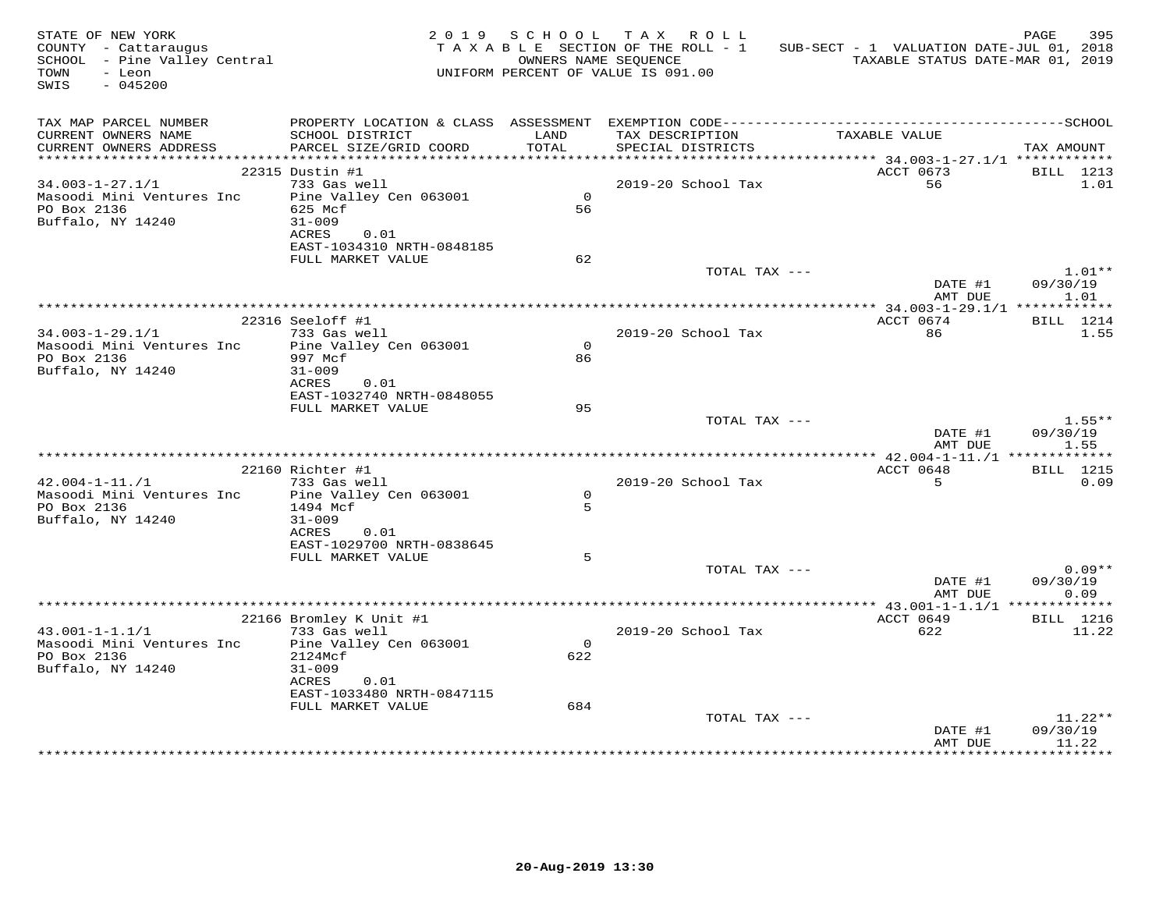| TAX MAP PARCEL NUMBER<br>TAX DESCRIPTION<br>SCHOOL DISTRICT<br>TAXABLE VALUE<br>CURRENT OWNERS NAME<br>LAND<br>PARCEL SIZE/GRID COORD<br>TOTAL<br>CURRENT OWNERS ADDRESS<br>SPECIAL DISTRICTS<br>TAX AMOUNT<br>22315 Dustin #1<br>ACCT 0673<br>BILL 1213<br>$34.003 - 1 - 27.1/1$<br>733 Gas well<br>2019-20 School Tax<br>56<br>1.01<br>Masoodi Mini Ventures Inc<br>Pine Valley Cen 063001<br>$\Omega$<br>PO Box 2136<br>625 Mcf<br>56<br>Buffalo, NY 14240<br>$31 - 009$<br>ACRES<br>0.01<br>EAST-1034310 NRTH-0848185<br>62<br>FULL MARKET VALUE<br>TOTAL TAX ---<br>$1.01**$<br>DATE #1<br>09/30/19<br>AMT DUE<br>1.01<br>ACCT 0674<br>22316 Seeloff #1<br><b>BILL</b> 1214<br>2019-20 School Tax<br>$34.003 - 1 - 29.1/1$<br>733 Gas well<br>86<br>1.55<br>Pine Valley Cen 063001<br>$\Omega$<br>Masoodi Mini Ventures Inc<br>PO Box 2136<br>997 Mcf<br>86<br>Buffalo, NY 14240<br>31-009<br>ACRES<br>0.01<br>EAST-1032740 NRTH-0848055<br>FULL MARKET VALUE<br>95<br>TOTAL TAX ---<br>$1.55***$<br>DATE #1<br>09/30/19<br>1.55<br>AMT DUE<br><b>BILL</b> 1215<br>22160 Richter #1<br>ACCT 0648<br>5<br>$42.004 - 1 - 11./1$<br>733 Gas well<br>2019-20 School Tax<br>0.09<br>$\Omega$<br>Masoodi Mini Ventures Inc Pine Valley Cen 063001<br>$5^{\circ}$<br>PO Box 2136<br>1494 Mcf<br>Buffalo, NY 14240<br>$31 - 009$<br>ACRES<br>0.01<br>EAST-1029700 NRTH-0838645<br>FULL MARKET VALUE<br>5<br>$0.09**$<br>TOTAL TAX ---<br>DATE #1<br>09/30/19<br>0.09<br>AMT DUE<br>ACCT 0649<br>BILL 1216<br>22166 Bromley K Unit #1<br>43.001-1-1.1/1 733 Gas well<br>2019-20 School Tax<br>622<br>11.22<br>$\Omega$<br>Masoodi Mini Ventures Inc Pine Valley Cen 063001<br>PO Box 2136<br>2124Mcf<br>622<br>Buffalo, NY 14240<br>$31 - 009$<br>ACRES 0.01<br>EAST-1033480 NRTH-0847115<br>FULL MARKET VALUE<br>684<br>$11.22**$<br>TOTAL TAX ---<br>09/30/19<br>DATE #1<br>11.22<br>AMT DUE<br>******** | STATE OF NEW YORK<br>STATE OF NEW YORK<br>COUNTY  – Cattaraugus<br>SCHOOL  – Pine Valley Central<br>TOWN<br>- Leon<br>SWIS<br>$-045200$ |  | 2019 SCHOOL TAX ROLL<br>TAXABLE SECTION OF THE ROLL - 1<br>UNIFORM PERCENT OF VALUE IS 091.00 | SUB-SECT - 1 VALUATION DATE-JUL 01, 2018<br>OWNERS NAME SEQUENCE TAXABLE STATUS DATE-MAR 01, 2019 | 395<br>PAGE |
|--------------------------------------------------------------------------------------------------------------------------------------------------------------------------------------------------------------------------------------------------------------------------------------------------------------------------------------------------------------------------------------------------------------------------------------------------------------------------------------------------------------------------------------------------------------------------------------------------------------------------------------------------------------------------------------------------------------------------------------------------------------------------------------------------------------------------------------------------------------------------------------------------------------------------------------------------------------------------------------------------------------------------------------------------------------------------------------------------------------------------------------------------------------------------------------------------------------------------------------------------------------------------------------------------------------------------------------------------------------------------------------------------------------------------------------------------------------------------------------------------------------------------------------------------------------------------------------------------------------------------------------------------------------------------------------------------------------------------------------------------------------------------------------------------------------------------------------------------------------------------------------------------------|-----------------------------------------------------------------------------------------------------------------------------------------|--|-----------------------------------------------------------------------------------------------|---------------------------------------------------------------------------------------------------|-------------|
|                                                                                                                                                                                                                                                                                                                                                                                                                                                                                                                                                                                                                                                                                                                                                                                                                                                                                                                                                                                                                                                                                                                                                                                                                                                                                                                                                                                                                                                                                                                                                                                                                                                                                                                                                                                                                                                                                                        |                                                                                                                                         |  |                                                                                               |                                                                                                   |             |
|                                                                                                                                                                                                                                                                                                                                                                                                                                                                                                                                                                                                                                                                                                                                                                                                                                                                                                                                                                                                                                                                                                                                                                                                                                                                                                                                                                                                                                                                                                                                                                                                                                                                                                                                                                                                                                                                                                        |                                                                                                                                         |  |                                                                                               |                                                                                                   |             |
|                                                                                                                                                                                                                                                                                                                                                                                                                                                                                                                                                                                                                                                                                                                                                                                                                                                                                                                                                                                                                                                                                                                                                                                                                                                                                                                                                                                                                                                                                                                                                                                                                                                                                                                                                                                                                                                                                                        |                                                                                                                                         |  |                                                                                               |                                                                                                   |             |
|                                                                                                                                                                                                                                                                                                                                                                                                                                                                                                                                                                                                                                                                                                                                                                                                                                                                                                                                                                                                                                                                                                                                                                                                                                                                                                                                                                                                                                                                                                                                                                                                                                                                                                                                                                                                                                                                                                        |                                                                                                                                         |  |                                                                                               |                                                                                                   |             |
|                                                                                                                                                                                                                                                                                                                                                                                                                                                                                                                                                                                                                                                                                                                                                                                                                                                                                                                                                                                                                                                                                                                                                                                                                                                                                                                                                                                                                                                                                                                                                                                                                                                                                                                                                                                                                                                                                                        |                                                                                                                                         |  |                                                                                               |                                                                                                   |             |
|                                                                                                                                                                                                                                                                                                                                                                                                                                                                                                                                                                                                                                                                                                                                                                                                                                                                                                                                                                                                                                                                                                                                                                                                                                                                                                                                                                                                                                                                                                                                                                                                                                                                                                                                                                                                                                                                                                        |                                                                                                                                         |  |                                                                                               |                                                                                                   |             |
|                                                                                                                                                                                                                                                                                                                                                                                                                                                                                                                                                                                                                                                                                                                                                                                                                                                                                                                                                                                                                                                                                                                                                                                                                                                                                                                                                                                                                                                                                                                                                                                                                                                                                                                                                                                                                                                                                                        |                                                                                                                                         |  |                                                                                               |                                                                                                   |             |
|                                                                                                                                                                                                                                                                                                                                                                                                                                                                                                                                                                                                                                                                                                                                                                                                                                                                                                                                                                                                                                                                                                                                                                                                                                                                                                                                                                                                                                                                                                                                                                                                                                                                                                                                                                                                                                                                                                        |                                                                                                                                         |  |                                                                                               |                                                                                                   |             |
|                                                                                                                                                                                                                                                                                                                                                                                                                                                                                                                                                                                                                                                                                                                                                                                                                                                                                                                                                                                                                                                                                                                                                                                                                                                                                                                                                                                                                                                                                                                                                                                                                                                                                                                                                                                                                                                                                                        |                                                                                                                                         |  |                                                                                               |                                                                                                   |             |
|                                                                                                                                                                                                                                                                                                                                                                                                                                                                                                                                                                                                                                                                                                                                                                                                                                                                                                                                                                                                                                                                                                                                                                                                                                                                                                                                                                                                                                                                                                                                                                                                                                                                                                                                                                                                                                                                                                        |                                                                                                                                         |  |                                                                                               |                                                                                                   |             |
|                                                                                                                                                                                                                                                                                                                                                                                                                                                                                                                                                                                                                                                                                                                                                                                                                                                                                                                                                                                                                                                                                                                                                                                                                                                                                                                                                                                                                                                                                                                                                                                                                                                                                                                                                                                                                                                                                                        |                                                                                                                                         |  |                                                                                               |                                                                                                   |             |
|                                                                                                                                                                                                                                                                                                                                                                                                                                                                                                                                                                                                                                                                                                                                                                                                                                                                                                                                                                                                                                                                                                                                                                                                                                                                                                                                                                                                                                                                                                                                                                                                                                                                                                                                                                                                                                                                                                        |                                                                                                                                         |  |                                                                                               |                                                                                                   |             |
|                                                                                                                                                                                                                                                                                                                                                                                                                                                                                                                                                                                                                                                                                                                                                                                                                                                                                                                                                                                                                                                                                                                                                                                                                                                                                                                                                                                                                                                                                                                                                                                                                                                                                                                                                                                                                                                                                                        |                                                                                                                                         |  |                                                                                               |                                                                                                   |             |
|                                                                                                                                                                                                                                                                                                                                                                                                                                                                                                                                                                                                                                                                                                                                                                                                                                                                                                                                                                                                                                                                                                                                                                                                                                                                                                                                                                                                                                                                                                                                                                                                                                                                                                                                                                                                                                                                                                        |                                                                                                                                         |  |                                                                                               |                                                                                                   |             |
|                                                                                                                                                                                                                                                                                                                                                                                                                                                                                                                                                                                                                                                                                                                                                                                                                                                                                                                                                                                                                                                                                                                                                                                                                                                                                                                                                                                                                                                                                                                                                                                                                                                                                                                                                                                                                                                                                                        |                                                                                                                                         |  |                                                                                               |                                                                                                   |             |
|                                                                                                                                                                                                                                                                                                                                                                                                                                                                                                                                                                                                                                                                                                                                                                                                                                                                                                                                                                                                                                                                                                                                                                                                                                                                                                                                                                                                                                                                                                                                                                                                                                                                                                                                                                                                                                                                                                        |                                                                                                                                         |  |                                                                                               |                                                                                                   |             |
|                                                                                                                                                                                                                                                                                                                                                                                                                                                                                                                                                                                                                                                                                                                                                                                                                                                                                                                                                                                                                                                                                                                                                                                                                                                                                                                                                                                                                                                                                                                                                                                                                                                                                                                                                                                                                                                                                                        |                                                                                                                                         |  |                                                                                               |                                                                                                   |             |
|                                                                                                                                                                                                                                                                                                                                                                                                                                                                                                                                                                                                                                                                                                                                                                                                                                                                                                                                                                                                                                                                                                                                                                                                                                                                                                                                                                                                                                                                                                                                                                                                                                                                                                                                                                                                                                                                                                        |                                                                                                                                         |  |                                                                                               |                                                                                                   |             |
|                                                                                                                                                                                                                                                                                                                                                                                                                                                                                                                                                                                                                                                                                                                                                                                                                                                                                                                                                                                                                                                                                                                                                                                                                                                                                                                                                                                                                                                                                                                                                                                                                                                                                                                                                                                                                                                                                                        |                                                                                                                                         |  |                                                                                               |                                                                                                   |             |
|                                                                                                                                                                                                                                                                                                                                                                                                                                                                                                                                                                                                                                                                                                                                                                                                                                                                                                                                                                                                                                                                                                                                                                                                                                                                                                                                                                                                                                                                                                                                                                                                                                                                                                                                                                                                                                                                                                        |                                                                                                                                         |  |                                                                                               |                                                                                                   |             |
|                                                                                                                                                                                                                                                                                                                                                                                                                                                                                                                                                                                                                                                                                                                                                                                                                                                                                                                                                                                                                                                                                                                                                                                                                                                                                                                                                                                                                                                                                                                                                                                                                                                                                                                                                                                                                                                                                                        |                                                                                                                                         |  |                                                                                               |                                                                                                   |             |
|                                                                                                                                                                                                                                                                                                                                                                                                                                                                                                                                                                                                                                                                                                                                                                                                                                                                                                                                                                                                                                                                                                                                                                                                                                                                                                                                                                                                                                                                                                                                                                                                                                                                                                                                                                                                                                                                                                        |                                                                                                                                         |  |                                                                                               |                                                                                                   |             |
|                                                                                                                                                                                                                                                                                                                                                                                                                                                                                                                                                                                                                                                                                                                                                                                                                                                                                                                                                                                                                                                                                                                                                                                                                                                                                                                                                                                                                                                                                                                                                                                                                                                                                                                                                                                                                                                                                                        |                                                                                                                                         |  |                                                                                               |                                                                                                   |             |
|                                                                                                                                                                                                                                                                                                                                                                                                                                                                                                                                                                                                                                                                                                                                                                                                                                                                                                                                                                                                                                                                                                                                                                                                                                                                                                                                                                                                                                                                                                                                                                                                                                                                                                                                                                                                                                                                                                        |                                                                                                                                         |  |                                                                                               |                                                                                                   |             |
|                                                                                                                                                                                                                                                                                                                                                                                                                                                                                                                                                                                                                                                                                                                                                                                                                                                                                                                                                                                                                                                                                                                                                                                                                                                                                                                                                                                                                                                                                                                                                                                                                                                                                                                                                                                                                                                                                                        |                                                                                                                                         |  |                                                                                               |                                                                                                   |             |
|                                                                                                                                                                                                                                                                                                                                                                                                                                                                                                                                                                                                                                                                                                                                                                                                                                                                                                                                                                                                                                                                                                                                                                                                                                                                                                                                                                                                                                                                                                                                                                                                                                                                                                                                                                                                                                                                                                        |                                                                                                                                         |  |                                                                                               |                                                                                                   |             |
|                                                                                                                                                                                                                                                                                                                                                                                                                                                                                                                                                                                                                                                                                                                                                                                                                                                                                                                                                                                                                                                                                                                                                                                                                                                                                                                                                                                                                                                                                                                                                                                                                                                                                                                                                                                                                                                                                                        |                                                                                                                                         |  |                                                                                               |                                                                                                   |             |
|                                                                                                                                                                                                                                                                                                                                                                                                                                                                                                                                                                                                                                                                                                                                                                                                                                                                                                                                                                                                                                                                                                                                                                                                                                                                                                                                                                                                                                                                                                                                                                                                                                                                                                                                                                                                                                                                                                        |                                                                                                                                         |  |                                                                                               |                                                                                                   |             |
|                                                                                                                                                                                                                                                                                                                                                                                                                                                                                                                                                                                                                                                                                                                                                                                                                                                                                                                                                                                                                                                                                                                                                                                                                                                                                                                                                                                                                                                                                                                                                                                                                                                                                                                                                                                                                                                                                                        |                                                                                                                                         |  |                                                                                               |                                                                                                   |             |
|                                                                                                                                                                                                                                                                                                                                                                                                                                                                                                                                                                                                                                                                                                                                                                                                                                                                                                                                                                                                                                                                                                                                                                                                                                                                                                                                                                                                                                                                                                                                                                                                                                                                                                                                                                                                                                                                                                        |                                                                                                                                         |  |                                                                                               |                                                                                                   |             |
|                                                                                                                                                                                                                                                                                                                                                                                                                                                                                                                                                                                                                                                                                                                                                                                                                                                                                                                                                                                                                                                                                                                                                                                                                                                                                                                                                                                                                                                                                                                                                                                                                                                                                                                                                                                                                                                                                                        |                                                                                                                                         |  |                                                                                               |                                                                                                   |             |
|                                                                                                                                                                                                                                                                                                                                                                                                                                                                                                                                                                                                                                                                                                                                                                                                                                                                                                                                                                                                                                                                                                                                                                                                                                                                                                                                                                                                                                                                                                                                                                                                                                                                                                                                                                                                                                                                                                        |                                                                                                                                         |  |                                                                                               |                                                                                                   |             |
|                                                                                                                                                                                                                                                                                                                                                                                                                                                                                                                                                                                                                                                                                                                                                                                                                                                                                                                                                                                                                                                                                                                                                                                                                                                                                                                                                                                                                                                                                                                                                                                                                                                                                                                                                                                                                                                                                                        |                                                                                                                                         |  |                                                                                               |                                                                                                   |             |
|                                                                                                                                                                                                                                                                                                                                                                                                                                                                                                                                                                                                                                                                                                                                                                                                                                                                                                                                                                                                                                                                                                                                                                                                                                                                                                                                                                                                                                                                                                                                                                                                                                                                                                                                                                                                                                                                                                        |                                                                                                                                         |  |                                                                                               |                                                                                                   |             |
|                                                                                                                                                                                                                                                                                                                                                                                                                                                                                                                                                                                                                                                                                                                                                                                                                                                                                                                                                                                                                                                                                                                                                                                                                                                                                                                                                                                                                                                                                                                                                                                                                                                                                                                                                                                                                                                                                                        |                                                                                                                                         |  |                                                                                               |                                                                                                   |             |
|                                                                                                                                                                                                                                                                                                                                                                                                                                                                                                                                                                                                                                                                                                                                                                                                                                                                                                                                                                                                                                                                                                                                                                                                                                                                                                                                                                                                                                                                                                                                                                                                                                                                                                                                                                                                                                                                                                        |                                                                                                                                         |  |                                                                                               |                                                                                                   |             |
|                                                                                                                                                                                                                                                                                                                                                                                                                                                                                                                                                                                                                                                                                                                                                                                                                                                                                                                                                                                                                                                                                                                                                                                                                                                                                                                                                                                                                                                                                                                                                                                                                                                                                                                                                                                                                                                                                                        |                                                                                                                                         |  |                                                                                               |                                                                                                   |             |
|                                                                                                                                                                                                                                                                                                                                                                                                                                                                                                                                                                                                                                                                                                                                                                                                                                                                                                                                                                                                                                                                                                                                                                                                                                                                                                                                                                                                                                                                                                                                                                                                                                                                                                                                                                                                                                                                                                        |                                                                                                                                         |  |                                                                                               |                                                                                                   |             |
|                                                                                                                                                                                                                                                                                                                                                                                                                                                                                                                                                                                                                                                                                                                                                                                                                                                                                                                                                                                                                                                                                                                                                                                                                                                                                                                                                                                                                                                                                                                                                                                                                                                                                                                                                                                                                                                                                                        |                                                                                                                                         |  |                                                                                               |                                                                                                   |             |
|                                                                                                                                                                                                                                                                                                                                                                                                                                                                                                                                                                                                                                                                                                                                                                                                                                                                                                                                                                                                                                                                                                                                                                                                                                                                                                                                                                                                                                                                                                                                                                                                                                                                                                                                                                                                                                                                                                        |                                                                                                                                         |  |                                                                                               |                                                                                                   |             |
|                                                                                                                                                                                                                                                                                                                                                                                                                                                                                                                                                                                                                                                                                                                                                                                                                                                                                                                                                                                                                                                                                                                                                                                                                                                                                                                                                                                                                                                                                                                                                                                                                                                                                                                                                                                                                                                                                                        |                                                                                                                                         |  |                                                                                               |                                                                                                   |             |
|                                                                                                                                                                                                                                                                                                                                                                                                                                                                                                                                                                                                                                                                                                                                                                                                                                                                                                                                                                                                                                                                                                                                                                                                                                                                                                                                                                                                                                                                                                                                                                                                                                                                                                                                                                                                                                                                                                        |                                                                                                                                         |  |                                                                                               |                                                                                                   |             |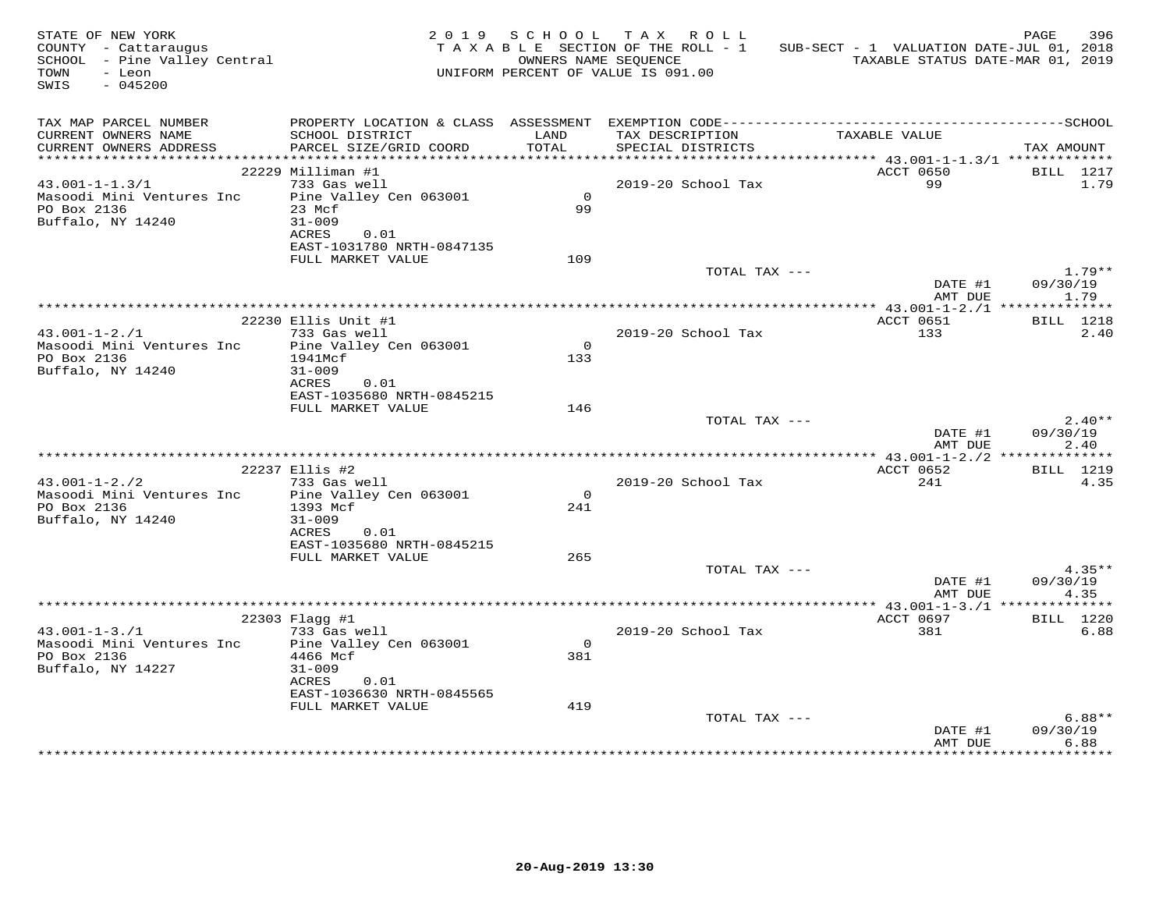| STATE OF NEW YORK<br>COUNTY - Cattaraugus<br>SCHOOL - Pine Valley Central<br>TOWN<br>- Leon<br>SWIS<br>$-045200$ |                                                |                      | 2019 SCHOOL TAX ROLL<br>TAXABLE SECTION OF THE ROLL - 1<br>OWNERS NAME SEOUENCE<br>UNIFORM PERCENT OF VALUE IS 091.00 | SUB-SECT - 1 VALUATION DATE-JUL 01, 2018<br>TAXABLE STATUS DATE-MAR 01, 2019 | 396<br>PAGE              |
|------------------------------------------------------------------------------------------------------------------|------------------------------------------------|----------------------|-----------------------------------------------------------------------------------------------------------------------|------------------------------------------------------------------------------|--------------------------|
| TAX MAP PARCEL NUMBER<br>CURRENT OWNERS NAME<br>CURRENT OWNERS ADDRESS                                           | SCHOOL DISTRICT<br>PARCEL SIZE/GRID COORD      | LAND<br><b>TOTAL</b> | TAX DESCRIPTION<br>SPECIAL DISTRICTS                                                                                  | TAXABLE VALUE                                                                | TAX AMOUNT               |
|                                                                                                                  |                                                |                      |                                                                                                                       |                                                                              |                          |
|                                                                                                                  | 22229 Milliman #1                              |                      |                                                                                                                       | ACCT 0650                                                                    | BILL 1217                |
| $43.001 - 1 - 1.3/1$                                                                                             | 733 Gas well                                   |                      | 2019-20 School Tax                                                                                                    | 99                                                                           | 1.79                     |
| Masoodi Mini Ventures Inc                                                                                        | Pine Valley Cen 063001                         | $\overline{0}$       |                                                                                                                       |                                                                              |                          |
| PO Box 2136                                                                                                      | 23 Mcf                                         | 99                   |                                                                                                                       |                                                                              |                          |
| Buffalo, NY 14240                                                                                                | $31 - 009$<br>ACRES<br>0.01                    |                      |                                                                                                                       |                                                                              |                          |
|                                                                                                                  | EAST-1031780 NRTH-0847135                      |                      |                                                                                                                       |                                                                              |                          |
|                                                                                                                  | FULL MARKET VALUE                              | 109                  |                                                                                                                       |                                                                              |                          |
|                                                                                                                  |                                                |                      | TOTAL TAX ---                                                                                                         |                                                                              | $1.79**$                 |
|                                                                                                                  |                                                |                      |                                                                                                                       | DATE #1                                                                      | 09/30/19                 |
|                                                                                                                  |                                                |                      |                                                                                                                       | AMT DUE                                                                      | 1.79                     |
|                                                                                                                  | 22230 Ellis Unit #1                            |                      |                                                                                                                       | ACCT 0651                                                                    | BILL 1218                |
| $43.001 - 1 - 2.71$                                                                                              | 733 Gas well                                   |                      | 2019-20 School Tax                                                                                                    | 133                                                                          | 2.40                     |
| Masoodi Mini Ventures Inc                                                                                        | Pine Valley Cen 063001                         | $\Omega$             |                                                                                                                       |                                                                              |                          |
| PO Box 2136                                                                                                      | 1941Mcf                                        | 133                  |                                                                                                                       |                                                                              |                          |
| Buffalo, NY 14240                                                                                                | $31 - 009$                                     |                      |                                                                                                                       |                                                                              |                          |
|                                                                                                                  | ACRES<br>0.01                                  |                      |                                                                                                                       |                                                                              |                          |
|                                                                                                                  | EAST-1035680 NRTH-0845215<br>FULL MARKET VALUE | 146                  |                                                                                                                       |                                                                              |                          |
|                                                                                                                  |                                                |                      | TOTAL TAX ---                                                                                                         |                                                                              | $2.40**$                 |
|                                                                                                                  |                                                |                      |                                                                                                                       | DATE #1                                                                      | 09/30/19                 |
|                                                                                                                  |                                                |                      |                                                                                                                       | AMT DUE                                                                      | 2.40                     |
|                                                                                                                  |                                                |                      |                                                                                                                       |                                                                              |                          |
| $43.001 - 1 - 2.72$                                                                                              | 22237 Ellis #2<br>733 Gas well                 |                      | 2019-20 School Tax                                                                                                    | ACCT 0652<br>241                                                             | <b>BILL</b> 1219<br>4.35 |
| Masoodi Mini Ventures Inc                                                                                        | Pine Valley Cen 063001                         | $\circ$              |                                                                                                                       |                                                                              |                          |
| PO Box 2136                                                                                                      | 1393 Mcf                                       | 241                  |                                                                                                                       |                                                                              |                          |
| Buffalo, NY 14240                                                                                                | $31 - 009$                                     |                      |                                                                                                                       |                                                                              |                          |
|                                                                                                                  | ACRES<br>0.01                                  |                      |                                                                                                                       |                                                                              |                          |
|                                                                                                                  | EAST-1035680 NRTH-0845215                      |                      |                                                                                                                       |                                                                              |                          |
|                                                                                                                  | FULL MARKET VALUE                              | 265                  | TOTAL TAX ---                                                                                                         |                                                                              | $4.35**$                 |
|                                                                                                                  |                                                |                      |                                                                                                                       | DATE #1                                                                      | 09/30/19                 |
|                                                                                                                  |                                                |                      |                                                                                                                       | AMT DUE                                                                      | 4.35                     |
|                                                                                                                  |                                                |                      |                                                                                                                       |                                                                              |                          |
|                                                                                                                  | 22303 Flagg #1                                 |                      |                                                                                                                       | ACCT 0697                                                                    | BILL 1220                |
| $43.001 - 1 - 3.71$                                                                                              | 733 Gas well                                   |                      | 2019-20 School Tax                                                                                                    | 381                                                                          | 6.88                     |
| Masoodi Mini Ventures Inc<br>PO Box 2136                                                                         | Pine Valley Cen 063001<br>4466 Mcf             | $\Omega$<br>381      |                                                                                                                       |                                                                              |                          |
| Buffalo, NY 14227                                                                                                | $31 - 009$                                     |                      |                                                                                                                       |                                                                              |                          |
|                                                                                                                  | ACRES<br>0.01                                  |                      |                                                                                                                       |                                                                              |                          |
|                                                                                                                  | EAST-1036630 NRTH-0845565                      |                      |                                                                                                                       |                                                                              |                          |
|                                                                                                                  | FULL MARKET VALUE                              | 419                  |                                                                                                                       |                                                                              |                          |
|                                                                                                                  |                                                |                      | TOTAL TAX ---                                                                                                         |                                                                              | $6.88**$                 |
|                                                                                                                  |                                                |                      |                                                                                                                       | DATE #1<br>AMT DUE                                                           | 09/30/19<br>6.88         |
|                                                                                                                  |                                                |                      |                                                                                                                       |                                                                              |                          |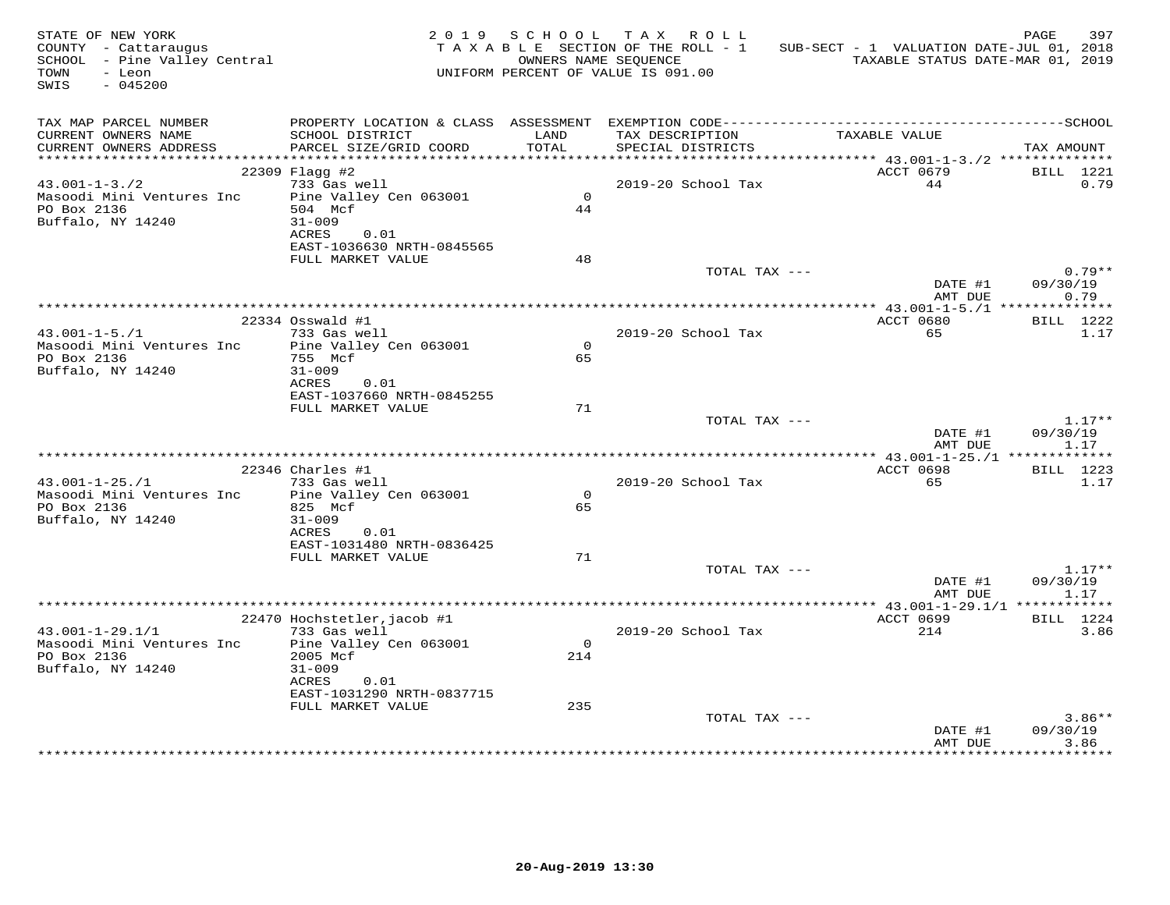| STATE OF NEW YORK<br>COUNTY - Cattaraugus<br>SCHOOL - Pine Valley Central<br>TOWN<br>- Leon<br>$-045200$<br>SWIS |                                           |                | 2019 SCHOOL TAX ROLL<br>TAXABLE SECTION OF THE ROLL - 1<br>OWNERS NAME SEQUENCE<br>UNIFORM PERCENT OF VALUE IS 091.00 | SUB-SECT - 1 VALUATION DATE-JUL 01, 2018<br>TAXABLE STATUS DATE-MAR 01, 2019 | 397<br>PAGE          |
|------------------------------------------------------------------------------------------------------------------|-------------------------------------------|----------------|-----------------------------------------------------------------------------------------------------------------------|------------------------------------------------------------------------------|----------------------|
| TAX MAP PARCEL NUMBER<br>CURRENT OWNERS NAME<br>CURRENT OWNERS ADDRESS                                           | SCHOOL DISTRICT<br>PARCEL SIZE/GRID COORD | LAND<br>TOTAL  | TAX DESCRIPTION<br>SPECIAL DISTRICTS                                                                                  | TAXABLE VALUE                                                                | TAX AMOUNT           |
|                                                                                                                  |                                           |                |                                                                                                                       |                                                                              |                      |
| $43.001 - 1 - 3.72$                                                                                              | 22309 Flagg #2<br>733 Gas well            |                | 2019-20 School Tax                                                                                                    | ACCT 0679<br>44                                                              | BILL 1221<br>0.79    |
| Masoodi Mini Ventures Inc                                                                                        | Pine Valley Cen 063001                    | $\Omega$       |                                                                                                                       |                                                                              |                      |
| PO Box 2136                                                                                                      | 504 Mcf                                   | 44             |                                                                                                                       |                                                                              |                      |
| Buffalo, NY 14240                                                                                                | $31 - 009$                                |                |                                                                                                                       |                                                                              |                      |
|                                                                                                                  | ACRES<br>0.01                             |                |                                                                                                                       |                                                                              |                      |
|                                                                                                                  | EAST-1036630 NRTH-0845565                 |                |                                                                                                                       |                                                                              |                      |
|                                                                                                                  | FULL MARKET VALUE                         | 48             | TOTAL TAX ---                                                                                                         |                                                                              | $0.79**$             |
|                                                                                                                  |                                           |                |                                                                                                                       | DATE #1                                                                      | 09/30/19             |
|                                                                                                                  |                                           |                |                                                                                                                       | AMT DUE                                                                      | 0.79                 |
|                                                                                                                  |                                           |                |                                                                                                                       |                                                                              |                      |
|                                                                                                                  | 22334 Osswald #1                          |                |                                                                                                                       | ACCT 0680                                                                    | BILL 1222            |
| $43.001 - 1 - 5.71$<br>Masoodi Mini Ventures Inc                                                                 | 733 Gas well<br>Pine Valley Cen 063001    | $\Omega$       | 2019-20 School Tax                                                                                                    | 65                                                                           | 1.17                 |
| PO Box 2136                                                                                                      | 755 Mcf                                   | 65             |                                                                                                                       |                                                                              |                      |
| Buffalo, NY 14240                                                                                                | $31 - 009$                                |                |                                                                                                                       |                                                                              |                      |
|                                                                                                                  | ACRES<br>0.01                             |                |                                                                                                                       |                                                                              |                      |
|                                                                                                                  | EAST-1037660 NRTH-0845255                 |                |                                                                                                                       |                                                                              |                      |
|                                                                                                                  | FULL MARKET VALUE                         | 71             | TOTAL TAX ---                                                                                                         |                                                                              | $1.17**$             |
|                                                                                                                  |                                           |                |                                                                                                                       | DATE #1                                                                      | 09/30/19             |
|                                                                                                                  |                                           |                |                                                                                                                       | AMT DUE                                                                      | 1.17                 |
|                                                                                                                  |                                           |                |                                                                                                                       |                                                                              |                      |
|                                                                                                                  | 22346 Charles #1                          |                |                                                                                                                       | ACCT 0698                                                                    | BILL 1223            |
| $43.001 - 1 - 25.71$                                                                                             | 733 Gas well                              | $\circ$        | 2019-20 School Tax                                                                                                    | 65                                                                           | 1.17                 |
| Masoodi Mini Ventures Inc<br>PO Box 2136                                                                         | Pine Valley Cen 063001<br>825 Mcf         | 65             |                                                                                                                       |                                                                              |                      |
| Buffalo, NY 14240                                                                                                | $31 - 009$                                |                |                                                                                                                       |                                                                              |                      |
|                                                                                                                  | ACRES<br>0.01                             |                |                                                                                                                       |                                                                              |                      |
|                                                                                                                  | EAST-1031480 NRTH-0836425                 |                |                                                                                                                       |                                                                              |                      |
|                                                                                                                  | FULL MARKET VALUE                         | 71             |                                                                                                                       |                                                                              |                      |
|                                                                                                                  |                                           |                | TOTAL TAX ---                                                                                                         | DATE #1                                                                      | $1.17**$<br>09/30/19 |
|                                                                                                                  |                                           |                |                                                                                                                       | AMT DUE                                                                      | 1.17                 |
|                                                                                                                  |                                           |                |                                                                                                                       |                                                                              |                      |
|                                                                                                                  | 22470 Hochstetler, jacob #1               |                |                                                                                                                       | ACCT 0699                                                                    | <b>BILL</b> 1224     |
| $43.001 - 1 - 29.1/1$                                                                                            | 733 Gas well                              |                | 2019-20 School Tax                                                                                                    | 214                                                                          | 3.86                 |
| Masoodi Mini Ventures Inc<br>PO Box 2136                                                                         | Pine Valley Cen 063001<br>2005 Mcf        | $\circ$<br>214 |                                                                                                                       |                                                                              |                      |
| Buffalo, NY 14240                                                                                                | $31 - 009$                                |                |                                                                                                                       |                                                                              |                      |
|                                                                                                                  | ACRES<br>0.01                             |                |                                                                                                                       |                                                                              |                      |
|                                                                                                                  | EAST-1031290 NRTH-0837715                 |                |                                                                                                                       |                                                                              |                      |
|                                                                                                                  | FULL MARKET VALUE                         | 235            |                                                                                                                       |                                                                              |                      |
|                                                                                                                  |                                           |                | TOTAL TAX ---                                                                                                         | DATE #1                                                                      | $3.86**$<br>09/30/19 |
|                                                                                                                  |                                           |                |                                                                                                                       | AMT DUE                                                                      | 3.86                 |
|                                                                                                                  |                                           |                |                                                                                                                       |                                                                              |                      |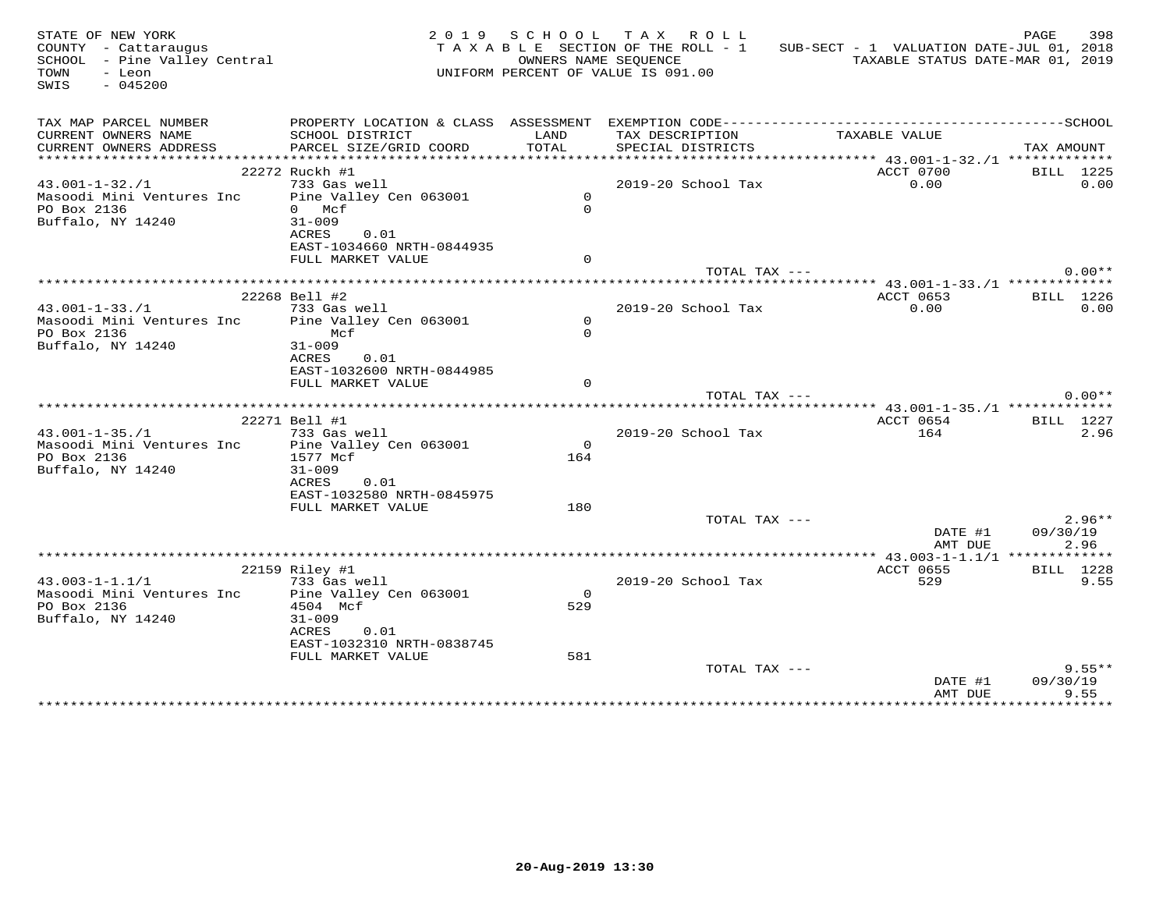| STATE OF NEW YORK<br>COUNTY - Cattaraugus<br>SCHOOL - Pine Valley Central |                                   |                     | 2019 SCHOOL TAX ROLL<br>TAXABLE SECTION OF THE ROLL - 1<br>OWNERS NAME SEOUENCE | SUB-SECT - 1 VALUATION DATE-JUL 01, 2018         | PAGE<br>398<br>TAXABLE STATUS DATE-MAR 01, 2019 |
|---------------------------------------------------------------------------|-----------------------------------|---------------------|---------------------------------------------------------------------------------|--------------------------------------------------|-------------------------------------------------|
| - Leon<br>TOWN<br>SWIS<br>$-045200$                                       |                                   |                     | UNIFORM PERCENT OF VALUE IS 091.00                                              |                                                  |                                                 |
| TAX MAP PARCEL NUMBER                                                     |                                   |                     |                                                                                 |                                                  |                                                 |
| CURRENT OWNERS NAME                                                       | SCHOOL DISTRICT                   | LAND                | TAX DESCRIPTION                                                                 | TAXABLE VALUE                                    |                                                 |
| CURRENT OWNERS ADDRESS                                                    | PARCEL SIZE/GRID COORD            | TOTAL               | SPECIAL DISTRICTS                                                               | ****************** 43.001-1-32./1 ************** | TAX AMOUNT                                      |
| 22272 Ruckh #1                                                            |                                   |                     |                                                                                 | ACCT 0700                                        | BILL 1225                                       |
| $43.001 - 1 - 32.71$                                                      | 733 Gas well                      |                     | 2019-20 School Tax                                                              | 0.00                                             | 0.00                                            |
| Masoodi Mini Ventures Inc Pine Valley Cen 063001                          |                                   | $\overline{0}$      |                                                                                 |                                                  |                                                 |
| PO Box 2136<br>$0$ Mcf                                                    |                                   | $\Omega$            |                                                                                 |                                                  |                                                 |
| Buffalo, NY 14240<br>$31 - 009$                                           |                                   |                     |                                                                                 |                                                  |                                                 |
| ACRES                                                                     | 0.01<br>EAST-1034660 NRTH-0844935 |                     |                                                                                 |                                                  |                                                 |
|                                                                           | FULL MARKET VALUE                 | $\Omega$            |                                                                                 |                                                  |                                                 |
|                                                                           |                                   |                     | TOTAL TAX ---                                                                   |                                                  | $0.00**$                                        |
|                                                                           |                                   |                     |                                                                                 |                                                  |                                                 |
| 22268 Bell #2                                                             |                                   |                     |                                                                                 | ACCT 0653                                        | BILL 1226                                       |
| $43.001 - 1 - 33. / 1$                                                    | 733 Gas well                      |                     | 2019-20 School Tax                                                              | 0.00                                             | 0.00                                            |
| Masoodi Mini Ventures Inc<br>PO Box 2136                                  | Pine Valley Cen 063001<br>Mcf     | $\circ$<br>$\Omega$ |                                                                                 |                                                  |                                                 |
| Buffalo, NY 14240<br>$31 - 009$                                           |                                   |                     |                                                                                 |                                                  |                                                 |
| ACRES                                                                     | 0.01                              |                     |                                                                                 |                                                  |                                                 |
|                                                                           | EAST-1032600 NRTH-0844985         |                     |                                                                                 |                                                  |                                                 |
|                                                                           | FULL MARKET VALUE                 | $\Omega$            |                                                                                 |                                                  |                                                 |
|                                                                           |                                   |                     | TOTAL TAX ---                                                                   |                                                  | $0.00**$                                        |
|                                                                           |                                   |                     |                                                                                 |                                                  |                                                 |
| 22271 Bell #1<br>$43.001 - 1 - 35.71$                                     | 733 Gas well                      |                     | 2019-20 School Tax                                                              | ACCT 0654<br>164                                 | BILL 1227<br>2.96                               |
| Masoodi Mini Ventures Inc                                                 | Pine Valley Cen 063001            | $\Omega$            |                                                                                 |                                                  |                                                 |
| PO Box 2136<br>1577 Mcf                                                   |                                   | 164                 |                                                                                 |                                                  |                                                 |
| Buffalo, NY 14240<br>$31 - 009$                                           |                                   |                     |                                                                                 |                                                  |                                                 |
| ACRES                                                                     | 0.01                              |                     |                                                                                 |                                                  |                                                 |
|                                                                           | EAST-1032580 NRTH-0845975         |                     |                                                                                 |                                                  |                                                 |
|                                                                           | FULL MARKET VALUE                 | 180                 |                                                                                 |                                                  | $2.96**$                                        |
|                                                                           |                                   |                     | TOTAL TAX ---                                                                   | DATE #1                                          | 09/30/19                                        |
|                                                                           |                                   |                     |                                                                                 | AMT DUE                                          | 2.96                                            |
|                                                                           |                                   |                     |                                                                                 |                                                  | ***** $43.003 - 1 - 1.1/1$ *************        |
| 22159 Riley #1                                                            |                                   |                     |                                                                                 | ACCT 0655                                        | BILL 1228                                       |
| $43.003 - 1 - 1.1/1$                                                      | 733 Gas well                      |                     | 2019-20 School Tax                                                              | 529                                              | 9.55                                            |
| Masoodi Mini Ventures Inc                                                 | Pine Valley Cen 063001            | $\overline{0}$      |                                                                                 |                                                  |                                                 |
| PO Box 2136<br>Buffalo, NY 14240<br>$31 - 009$                            | 4504 Mcf                          | 529                 |                                                                                 |                                                  |                                                 |
| ACRES                                                                     | 0.01                              |                     |                                                                                 |                                                  |                                                 |
|                                                                           | EAST-1032310 NRTH-0838745         |                     |                                                                                 |                                                  |                                                 |
|                                                                           | FULL MARKET VALUE                 | 581                 |                                                                                 |                                                  |                                                 |
|                                                                           |                                   |                     | TOTAL TAX ---                                                                   |                                                  | $9.55**$                                        |
|                                                                           |                                   |                     |                                                                                 | DATE #1                                          | 09/30/19                                        |
|                                                                           |                                   |                     |                                                                                 | AMT DUE                                          | 9.55<br>**********                              |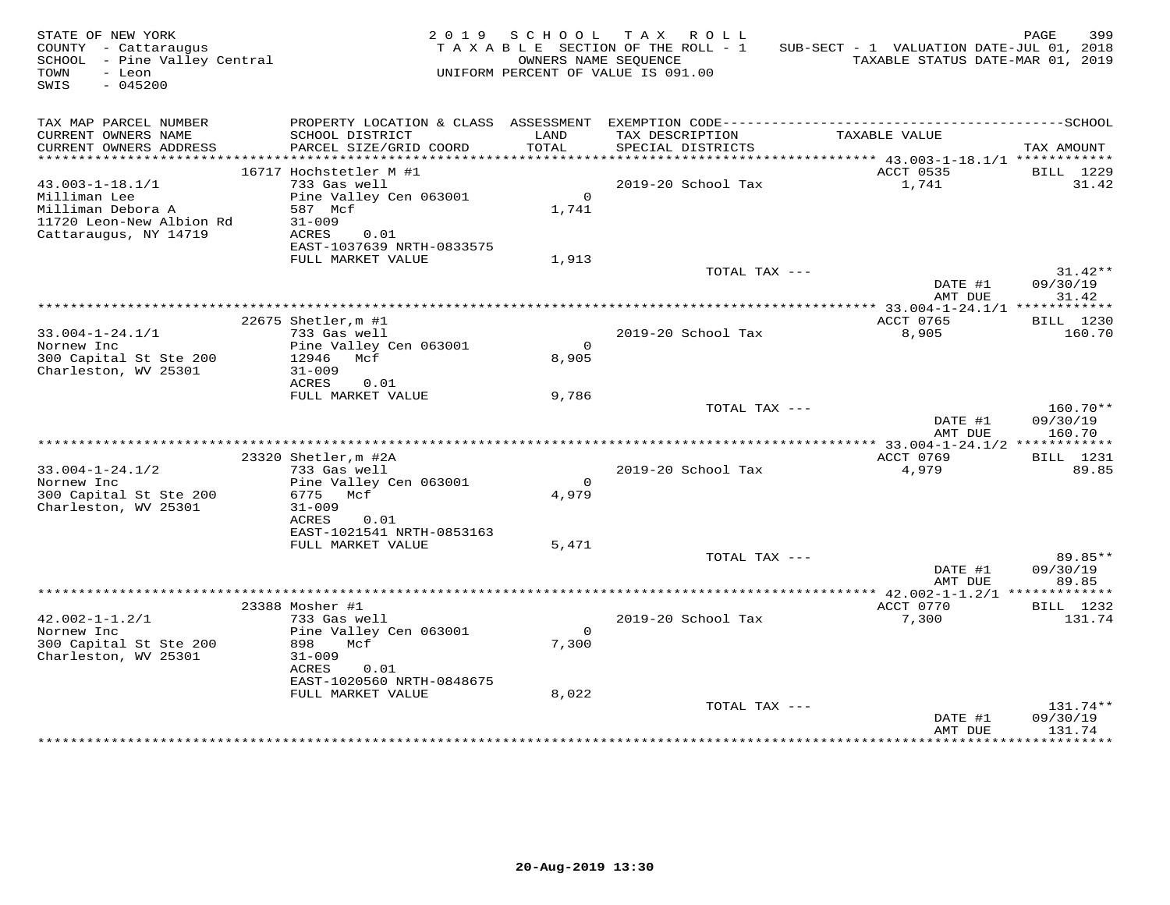| STATE OF NEW YORK<br>COUNTY - Cattaraugus<br>SCHOOL - Pine Valley Central<br>- Leon<br>TOWN<br>$-045200$<br>SWIS |                                                                                                            |                         | 2019 SCHOOL TAX ROLL<br>TAXABLE SECTION OF THE ROLL - 1<br>OWNERS NAME SEQUENCE<br>UNIFORM PERCENT OF VALUE IS 091.00 | SUB-SECT - 1 VALUATION DATE-JUL 01, 2018<br>TAXABLE STATUS DATE-MAR 01, 2019 | PAGE<br>399                    |
|------------------------------------------------------------------------------------------------------------------|------------------------------------------------------------------------------------------------------------|-------------------------|-----------------------------------------------------------------------------------------------------------------------|------------------------------------------------------------------------------|--------------------------------|
| TAX MAP PARCEL NUMBER<br>CURRENT OWNERS NAME<br>CURRENT OWNERS ADDRESS                                           | SCHOOL DISTRICT<br>PARCEL SIZE/GRID COORD                                                                  | LAND<br>TOTAL           | TAX DESCRIPTION<br>SPECIAL DISTRICTS                                                                                  | TAXABLE VALUE                                                                | TAX AMOUNT                     |
|                                                                                                                  |                                                                                                            |                         |                                                                                                                       |                                                                              |                                |
| $43.003 - 1 - 18.1/1$<br>Milliman Lee<br>Milliman Debora A<br>11720 Leon-New Albion Rd<br>Cattaraugus, NY 14719  | 16717 Hochstetler M #1<br>733 Gas well<br>Pine Valley Cen 063001<br>587 Mcf<br>$31 - 009$<br>ACRES<br>0.01 | $\overline{0}$<br>1,741 | 2019-20 School Tax                                                                                                    | ACCT 0535<br>1,741                                                           | BILL 1229<br>31.42             |
|                                                                                                                  | EAST-1037639 NRTH-0833575<br>FULL MARKET VALUE                                                             | 1,913                   | TOTAL TAX ---                                                                                                         | DATE #1                                                                      | $31.42**$<br>09/30/19          |
|                                                                                                                  |                                                                                                            |                         |                                                                                                                       | AMT DUE                                                                      | 31.42                          |
|                                                                                                                  |                                                                                                            |                         |                                                                                                                       |                                                                              |                                |
| $33.004 - 1 - 24.1/1$                                                                                            | 22675 Shetler, m #1<br>733 Gas well                                                                        |                         | 2019-20 School Tax                                                                                                    | ACCT 0765<br>8,905                                                           | BILL 1230<br>160.70            |
| Nornew Inc<br>300 Capital St Ste 200<br>Charleston, WV 25301                                                     | Pine Valley Cen 063001<br>12946 Mcf<br>$31 - 009$                                                          | $\Omega$<br>8,905       |                                                                                                                       |                                                                              |                                |
|                                                                                                                  | ACRES<br>0.01<br>FULL MARKET VALUE                                                                         | 9,786                   |                                                                                                                       |                                                                              |                                |
|                                                                                                                  |                                                                                                            |                         | TOTAL TAX ---                                                                                                         | DATE #1<br>AMT DUE                                                           | 160.70**<br>09/30/19<br>160.70 |
|                                                                                                                  |                                                                                                            |                         |                                                                                                                       |                                                                              |                                |
|                                                                                                                  | 23320 Shetler, m #2A                                                                                       |                         |                                                                                                                       | ACCT 0769                                                                    | <b>BILL</b> 1231               |
| $33.004 - 1 - 24.1/2$<br>Nornew Inc<br>300 Capital St Ste 200<br>Charleston, WV 25301                            | 733 Gas well<br>Pine Valley Cen 063001<br>6775 Mcf<br>$31 - 009$<br>ACRES<br>0.01                          | $\Omega$<br>4,979       | 2019-20 School Tax                                                                                                    | 4,979                                                                        | 89.85                          |
|                                                                                                                  | EAST-1021541 NRTH-0853163<br>FULL MARKET VALUE                                                             | 5,471                   |                                                                                                                       |                                                                              |                                |
|                                                                                                                  |                                                                                                            |                         | TOTAL TAX ---                                                                                                         | DATE #1<br>AMT DUE                                                           | 89.85**<br>09/30/19<br>89.85   |
|                                                                                                                  |                                                                                                            |                         |                                                                                                                       |                                                                              |                                |
| $42.002 - 1 - 1.2/1$<br>Nornew Inc<br>300 Capital St Ste 200<br>Charleston, WV 25301                             | 23388 Mosher #1<br>733 Gas well<br>Pine Valley Cen 063001<br>898 —<br>Mcf<br>$31 - 009$                    | $\overline{0}$<br>7,300 | 2019-20 School Tax                                                                                                    | ACCT 0770<br>7,300                                                           | BILL 1232<br>131.74            |
|                                                                                                                  | ACRES<br>0.01<br>EAST-1020560 NRTH-0848675<br>FULL MARKET VALUE                                            | 8,022                   | TOTAL TAX ---                                                                                                         |                                                                              | 131.74**                       |
|                                                                                                                  |                                                                                                            |                         |                                                                                                                       | DATE #1<br>AMT DUE                                                           | 09/30/19<br>131.74             |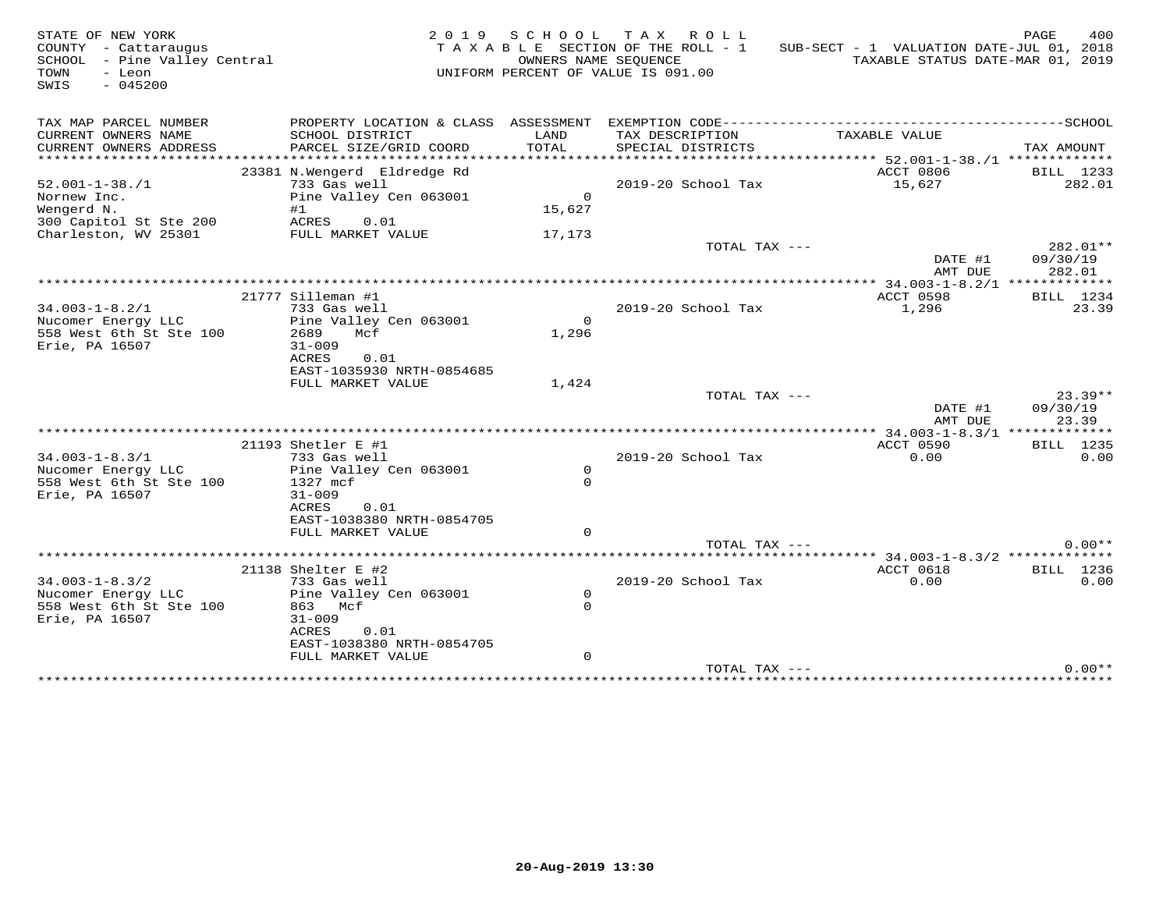| STATE OF NEW YORK<br>COUNTY - Cattaraugus<br>SCHOOL - Pine Valley Central<br>TOWN<br>- Leon<br>SWIS<br>$-045200$ |                                                                                                                                                           | OWNERS NAME SEQUENCE                 | 2019 SCHOOL TAX ROLL<br>TAXABLE SECTION OF THE ROLL - 1<br>UNIFORM PERCENT OF VALUE IS 091.00 | SUB-SECT - 1 VALUATION DATE-JUL 01, 2018<br>TAXABLE STATUS DATE-MAR 01, 2019 | PAGE<br>400                    |
|------------------------------------------------------------------------------------------------------------------|-----------------------------------------------------------------------------------------------------------------------------------------------------------|--------------------------------------|-----------------------------------------------------------------------------------------------|------------------------------------------------------------------------------|--------------------------------|
| TAX MAP PARCEL NUMBER<br>CURRENT OWNERS NAME<br>CURRENT OWNERS ADDRESS                                           | PROPERTY LOCATION & CLASS ASSESSMENT<br>SCHOOL DISTRICT<br>PARCEL SIZE/GRID COORD                                                                         | LAND<br>TOTAL                        | TAX DESCRIPTION<br>SPECIAL DISTRICTS                                                          | TAXABLE VALUE                                                                | TAX AMOUNT                     |
| ***********************<br>$52.001 - 1 - 38. / 1$<br>Nornew Inc.<br>Wengerd N.<br>300 Capitol St Ste 200         | *****************************<br>23381 N.Wengerd Eldredge Rd<br>733 Gas well<br>Pine Valley Cen 063001<br>#1<br>ACRES<br>0.01                             | $\Omega$<br>15,627                   | 2019-20 School Tax                                                                            | ACCT 0806<br>15,627                                                          | BILL 1233<br>282.01            |
| Charleston, WV 25301                                                                                             | FULL MARKET VALUE                                                                                                                                         | 17,173                               | TOTAL TAX ---                                                                                 | DATE #1<br>AMT DUE                                                           | 282.01**<br>09/30/19<br>282.01 |
| $34.003 - 1 - 8.2/1$<br>Nucomer Energy LLC<br>558 West 6th St Ste 100<br>Erie, PA 16507                          | 21777 Silleman #1<br>733 Gas well<br>Pine Valley Cen 063001<br>2689<br>Mcf<br>$31 - 009$<br>ACRES<br>0.01                                                 | $\Omega$<br>1,296                    | 2019-20 School Tax                                                                            | ACCT 0598<br>1,296                                                           | BILL 1234<br>23.39             |
|                                                                                                                  | EAST-1035930 NRTH-0854685<br>FULL MARKET VALUE                                                                                                            | 1,424                                | TOTAL TAX ---                                                                                 | DATE #1<br>AMT DUE                                                           | $23.39**$<br>09/30/19<br>23.39 |
|                                                                                                                  |                                                                                                                                                           |                                      |                                                                                               |                                                                              |                                |
| $34.003 - 1 - 8.3/1$<br>Nucomer Energy LLC<br>558 West 6th St Ste 100<br>Erie, PA 16507                          | 21193 Shetler E #1<br>733 Gas well<br>Pine Valley Cen 063001<br>1327 mcf<br>$31 - 009$<br>ACRES<br>0.01<br>EAST-1038380 NRTH-0854705<br>FULL MARKET VALUE | $\mathsf{O}$<br>$\Omega$<br>$\Omega$ | 2019-20 School Tax                                                                            | ACCT 0590<br>0.00                                                            | <b>BILL</b> 1235<br>0.00       |
|                                                                                                                  |                                                                                                                                                           |                                      | TOTAL TAX ---                                                                                 |                                                                              | $0.00**$                       |
| $34.003 - 1 - 8.3/2$<br>Nucomer Energy LLC<br>558 West 6th St Ste 100<br>Erie, PA 16507                          | 21138 Shelter E #2<br>733 Gas well<br>Pine Valley Cen 063001<br>863 Mcf<br>$31 - 009$<br>ACRES<br>0.01<br>EAST-1038380 NRTH-0854705<br>FULL MARKET VALUE  | $\circ$<br>$\Omega$<br>$\mathbf{0}$  | 2019-20 School Tax                                                                            | ACCT 0618<br>0.00                                                            | BILL 1236<br>0.00              |
|                                                                                                                  |                                                                                                                                                           |                                      | TOTAL TAX ---                                                                                 |                                                                              | $0.00**$                       |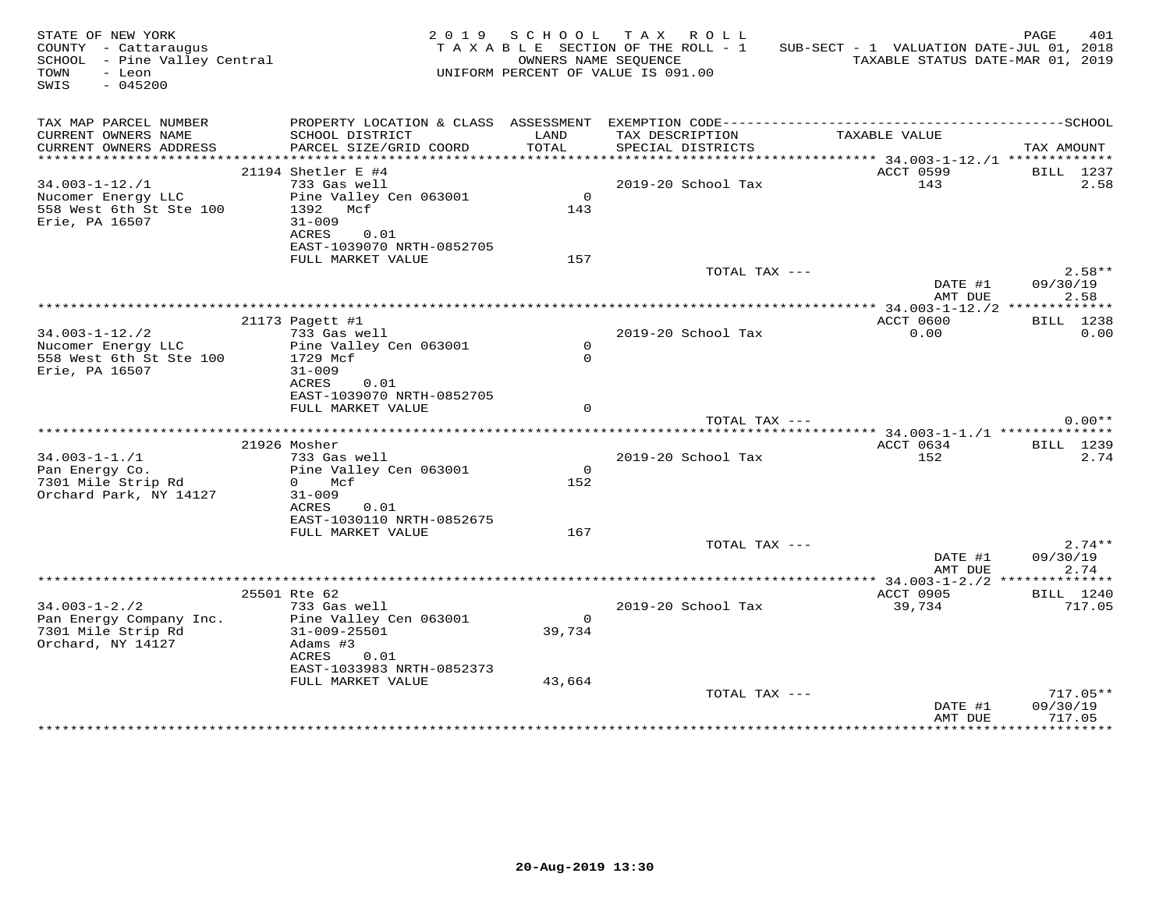| STATE OF NEW YORK<br>COUNTY - Cattaraugus<br>COUNIY - Cattaraugus<br>SCHOOL - Pine Valley Central<br>TOWN<br>- Leon<br>$-045200$<br>SWIS |                                                                                                                                                    |                                    | 2019 SCHOOL TAX ROLL<br>TAXABLE SECTION OF THE ROLL - 1<br>OWNERS NAME SEQUENCE<br>UNIFORM PERCENT OF VALUE IS 091.00 | SUB-SECT - 1 VALUATION DATE-JUL 01, 2018<br>TAXABLE STATUS DATE-MAR 01, 2019 | PAGE<br>401                      |
|------------------------------------------------------------------------------------------------------------------------------------------|----------------------------------------------------------------------------------------------------------------------------------------------------|------------------------------------|-----------------------------------------------------------------------------------------------------------------------|------------------------------------------------------------------------------|----------------------------------|
| TAX MAP PARCEL NUMBER<br>CURRENT OWNERS NAME<br>CURRENT OWNERS ADDRESS                                                                   | SCHOOL DISTRICT<br>PARCEL SIZE/GRID COORD                                                                                                          | LAND<br>TOTAL                      | TAX DESCRIPTION<br>SPECIAL DISTRICTS                                                                                  | TAXABLE VALUE                                                                | TAX AMOUNT                       |
|                                                                                                                                          | 21194 Shetler E #4                                                                                                                                 |                                    |                                                                                                                       | ACCT 0599                                                                    | BILL 1237                        |
| $34.003 - 1 - 12$ ./1<br>Nucomer Energy LLC<br>558 West 6th St Ste 100<br>Erie, PA 16507                                                 | 733 Gas well<br>Pine Valley Cen 063001<br>1392 Mcf<br>$31 - 009$<br>ACRES<br>0.01<br>EAST-1039070 NRTH-0852705                                     | $\overline{0}$<br>143              | 2019-20 School Tax                                                                                                    | 143                                                                          | 2.58                             |
|                                                                                                                                          | FULL MARKET VALUE                                                                                                                                  | 157                                |                                                                                                                       |                                                                              |                                  |
|                                                                                                                                          |                                                                                                                                                    |                                    | TOTAL TAX ---                                                                                                         | DATE #1<br>AMT DUE                                                           | $2.58**$<br>09/30/19<br>2.58     |
|                                                                                                                                          |                                                                                                                                                    |                                    |                                                                                                                       |                                                                              |                                  |
| $34.003 - 1 - 12./2$<br>Nucomer Energy LLC<br>558 West 6th St Ste 100<br>Erie, PA 16507                                                  | 21173 Pagett #1<br>733 Gas well<br>Pine Valley Cen 063001<br>1729 Mcf<br>$31 - 009$                                                                | $\overline{0}$<br>$\Omega$         | 2019-20 School Tax                                                                                                    | ACCT 0600<br>0.00                                                            | BILL 1238<br>0.00                |
|                                                                                                                                          | ACRES<br>0.01<br>EAST-1039070 NRTH-0852705<br>FULL MARKET VALUE                                                                                    | $\Omega$                           |                                                                                                                       |                                                                              |                                  |
|                                                                                                                                          |                                                                                                                                                    |                                    |                                                                                                                       | TOTAL TAX ---                                                                | $0.00**$                         |
|                                                                                                                                          | 21926 Mosher                                                                                                                                       |                                    |                                                                                                                       | ACCT 0634                                                                    | BILL 1239                        |
| $34.003 - 1 - 1.71$<br>Pan Energy Co.<br>7301 Mile Strip Rd<br>Orchard Park, NY 14127                                                    | 733 Gas well<br>Pine Valley Cen 063001<br>0 Mcf<br>$31 - 009$<br>ACRES<br>0.01<br>EAST-1030110 NRTH-0852675                                        | $\overline{0}$<br>152              | 2019-20 School Tax                                                                                                    | 152                                                                          | 2.74                             |
|                                                                                                                                          | FULL MARKET VALUE                                                                                                                                  | 167                                |                                                                                                                       |                                                                              |                                  |
|                                                                                                                                          |                                                                                                                                                    |                                    | TOTAL TAX ---                                                                                                         | DATE #1<br>AMT DUE                                                           | $2.74**$<br>09/30/19<br>2.74     |
|                                                                                                                                          |                                                                                                                                                    |                                    |                                                                                                                       |                                                                              |                                  |
| $34.003 - 1 - 2.72$<br>Pan Energy Company Inc.<br>7301 Mile Strip Rd<br>Orchard, NY 14127                                                | 25501 Rte 62<br>733 Gas well<br>Pine Valley Cen 063001<br>31-009-25501<br>Adams #3<br>ACRES 0.01<br>EAST-1033983 NRTH-0852373<br>FULL MARKET VALUE | $\overline{0}$<br>39,734<br>43,664 | 2019-20 School Tax                                                                                                    | ACCT 0905<br>39,734                                                          | BILL 1240<br>717.05              |
|                                                                                                                                          |                                                                                                                                                    |                                    | TOTAL TAX ---                                                                                                         | DATE #1<br>AMT DUE                                                           | $717.05**$<br>09/30/19<br>717.05 |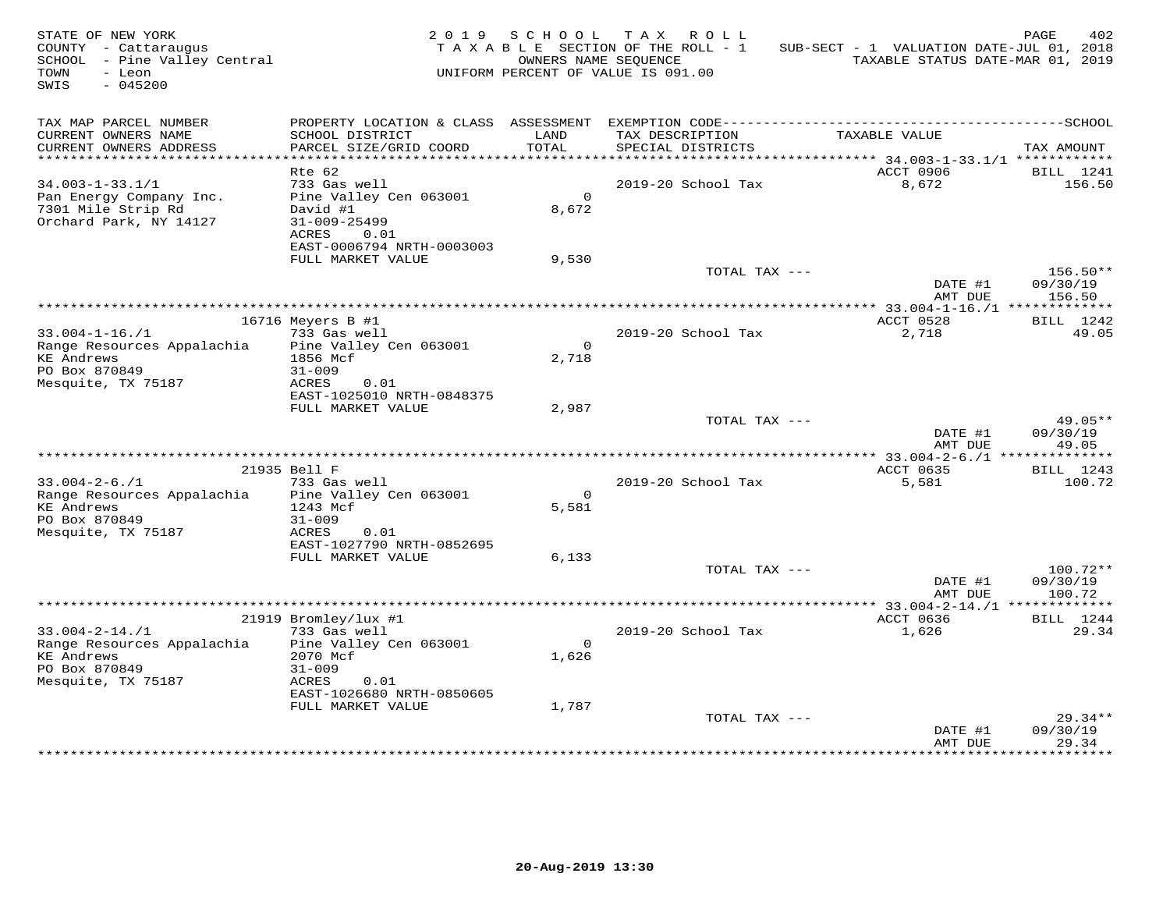| STATE OF NEW YORK<br>COUNTY - Cattaraugus<br>SCHOOL - Pine Valley Central<br>TOWN<br>- Leon<br>SWIS<br>$-045200$ |                                                | 2019 SCHOOL    | TAX ROLL<br>TAXABLE SECTION OF THE ROLL - 1<br>OWNERS NAME SEQUENCE<br>UNIFORM PERCENT OF VALUE IS 091.00 | SUB-SECT - 1 VALUATION DATE-JUL 01, 2018<br>TAXABLE STATUS DATE-MAR 01, 2019 | PAGE<br>402         |
|------------------------------------------------------------------------------------------------------------------|------------------------------------------------|----------------|-----------------------------------------------------------------------------------------------------------|------------------------------------------------------------------------------|---------------------|
| TAX MAP PARCEL NUMBER<br>CURRENT OWNERS NAME                                                                     | SCHOOL DISTRICT                                | LAND           | TAX DESCRIPTION                                                                                           | TAXABLE VALUE                                                                |                     |
| CURRENT OWNERS ADDRESS                                                                                           | PARCEL SIZE/GRID COORD                         | TOTAL          | SPECIAL DISTRICTS                                                                                         |                                                                              | TAX AMOUNT          |
| ************************                                                                                         |                                                |                |                                                                                                           |                                                                              |                     |
| $34.003 - 1 - 33.1/1$                                                                                            | Rte 62<br>733 Gas well                         |                | 2019-20 School Tax                                                                                        | ACCT 0906<br>8,672                                                           | BILL 1241<br>156.50 |
| Pan Energy Company Inc.                                                                                          | Pine Valley Cen 063001                         | $\Omega$       |                                                                                                           |                                                                              |                     |
| 7301 Mile Strip Rd                                                                                               | David #1                                       | 8,672          |                                                                                                           |                                                                              |                     |
| Orchard Park, NY 14127                                                                                           | $31 - 009 - 25499$                             |                |                                                                                                           |                                                                              |                     |
|                                                                                                                  | ACRES<br>0.01                                  |                |                                                                                                           |                                                                              |                     |
|                                                                                                                  | EAST-0006794 NRTH-0003003<br>FULL MARKET VALUE | 9.530          |                                                                                                           |                                                                              |                     |
|                                                                                                                  |                                                |                | TOTAL TAX ---                                                                                             |                                                                              | $156.50**$          |
|                                                                                                                  |                                                |                |                                                                                                           | DATE #1                                                                      | 09/30/19            |
|                                                                                                                  |                                                |                |                                                                                                           | AMT DUE                                                                      | 156.50              |
|                                                                                                                  | 16716 Meyers B #1                              |                |                                                                                                           | ACCT 0528                                                                    | BILL 1242           |
| $33.004 - 1 - 16. / 1$                                                                                           | 733 Gas well                                   |                | 2019-20 School Tax                                                                                        | 2,718                                                                        | 49.05               |
| Range Resources Appalachia                                                                                       | Pine Valley Cen 063001                         | $\overline{0}$ |                                                                                                           |                                                                              |                     |
| <b>KE</b> Andrews                                                                                                | 1856 Mcf                                       | 2,718          |                                                                                                           |                                                                              |                     |
| PO Box 870849                                                                                                    | $31 - 009$                                     |                |                                                                                                           |                                                                              |                     |
| Mesquite, TX 75187                                                                                               | ACRES<br>0.01<br>EAST-1025010 NRTH-0848375     |                |                                                                                                           |                                                                              |                     |
|                                                                                                                  | FULL MARKET VALUE                              | 2,987          |                                                                                                           |                                                                              |                     |
|                                                                                                                  |                                                |                | TOTAL TAX ---                                                                                             |                                                                              | 49.05**             |
|                                                                                                                  |                                                |                |                                                                                                           | DATE #1                                                                      | 09/30/19            |
|                                                                                                                  |                                                |                |                                                                                                           | AMT DUE                                                                      | 49.05               |
|                                                                                                                  | 21935 Bell F                                   |                |                                                                                                           | ACCT 0635                                                                    | BILL 1243           |
| $33.004 - 2 - 6.71$                                                                                              | 733 Gas well                                   |                | 2019-20 School Tax                                                                                        | 5,581                                                                        | 100.72              |
| Range Resources Appalachia bine Valley Cen 063001                                                                |                                                | $\Omega$       |                                                                                                           |                                                                              |                     |
| <b>KE Andrews</b>                                                                                                | 1243 Mcf                                       | 5,581          |                                                                                                           |                                                                              |                     |
| PO Box 870849<br>Mesquite, TX 75187                                                                              | $31 - 009$<br>ACRES<br>0.01                    |                |                                                                                                           |                                                                              |                     |
|                                                                                                                  | EAST-1027790 NRTH-0852695                      |                |                                                                                                           |                                                                              |                     |
|                                                                                                                  | FULL MARKET VALUE                              | 6,133          |                                                                                                           |                                                                              |                     |
|                                                                                                                  |                                                |                | TOTAL TAX ---                                                                                             |                                                                              | 100.72**            |
|                                                                                                                  |                                                |                |                                                                                                           | DATE #1                                                                      | 09/30/19            |
|                                                                                                                  |                                                |                |                                                                                                           | AMT DUE                                                                      | 100.72              |
|                                                                                                                  | 21919 Bromley/lux #1                           |                |                                                                                                           | ACCT 0636                                                                    | BILL 1244           |
| $33.004 - 2 - 14.71$                                                                                             | 733 Gas well                                   |                | 2019-20 School Tax                                                                                        | 1,626                                                                        | 29.34               |
| Range Resources Appalachia                                                                                       | Pine Valley Cen 063001                         | $\Omega$       |                                                                                                           |                                                                              |                     |
| <b>KE Andrews</b>                                                                                                | 2070 Mcf                                       | 1,626          |                                                                                                           |                                                                              |                     |
| PO Box 870849<br>Mesquite, TX 75187                                                                              | $31 - 009$<br>0.01<br>ACRES                    |                |                                                                                                           |                                                                              |                     |
|                                                                                                                  | EAST-1026680 NRTH-0850605                      |                |                                                                                                           |                                                                              |                     |
|                                                                                                                  | FULL MARKET VALUE                              | 1,787          |                                                                                                           |                                                                              |                     |
|                                                                                                                  |                                                |                | TOTAL TAX ---                                                                                             |                                                                              | $29.34**$           |
|                                                                                                                  |                                                |                |                                                                                                           | DATE #1<br>AMT DUE                                                           | 09/30/19<br>29.34   |
|                                                                                                                  |                                                |                |                                                                                                           |                                                                              |                     |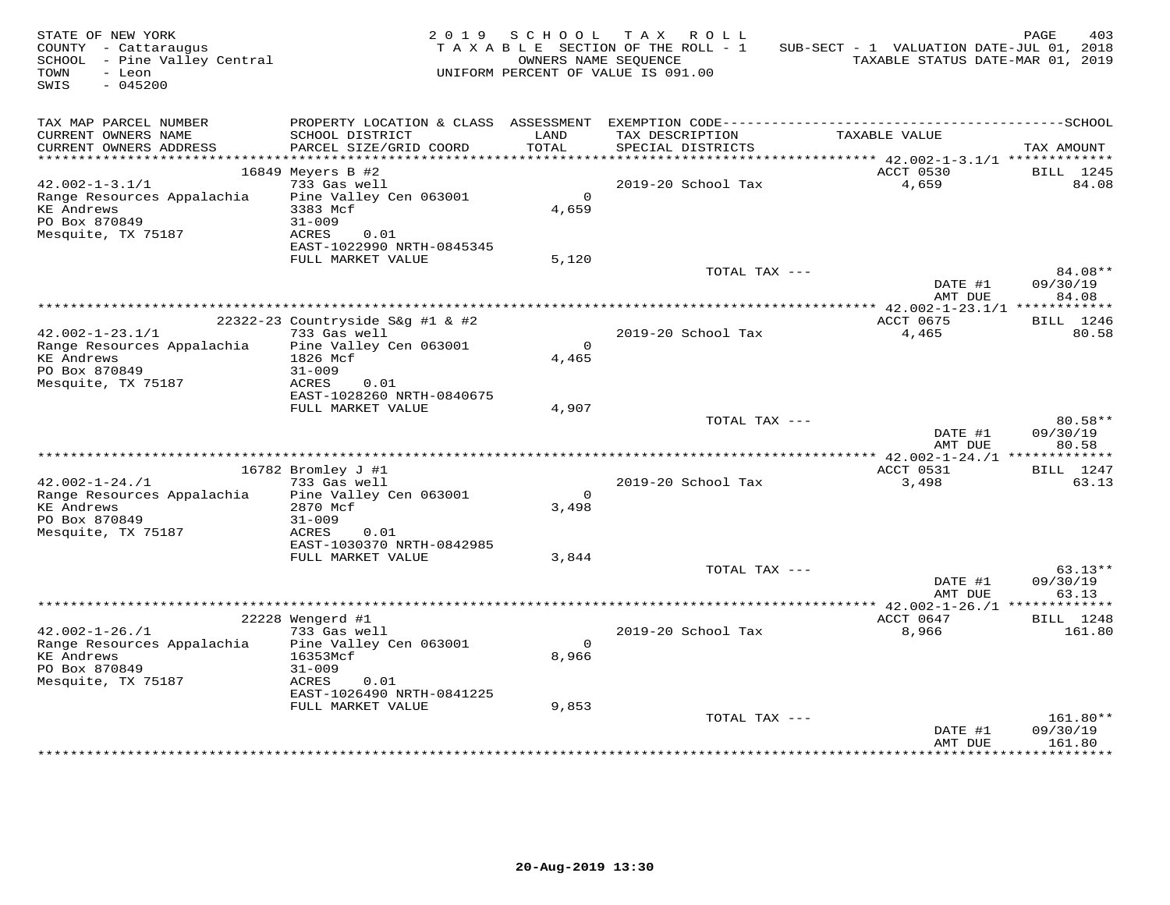| STATE OF NEW YORK<br>COUNTY - Cattaraugus<br>SCHOOL - Pine Valley Central<br>TOWN<br>- Leon<br>$-045200$<br>SWIS |                                                  | 2019 SCHOOL      | TAX ROLL<br>TAXABLE SECTION OF THE ROLL - 1<br>OWNERS NAME SEOUENCE<br>UNIFORM PERCENT OF VALUE IS 091.00 | SUB-SECT - 1 VALUATION DATE-JUL 01, 2018<br>TAXABLE STATUS DATE-MAR 01, 2019 | 403<br>PAGE                    |
|------------------------------------------------------------------------------------------------------------------|--------------------------------------------------|------------------|-----------------------------------------------------------------------------------------------------------|------------------------------------------------------------------------------|--------------------------------|
| TAX MAP PARCEL NUMBER<br>CURRENT OWNERS NAME<br>CURRENT OWNERS ADDRESS                                           | SCHOOL DISTRICT<br>PARCEL SIZE/GRID COORD        | LAND<br>TOTAL    | TAX DESCRIPTION<br>SPECIAL DISTRICTS                                                                      | TAXABLE VALUE                                                                | TAX AMOUNT                     |
| **********************                                                                                           |                                                  |                  |                                                                                                           |                                                                              |                                |
|                                                                                                                  | 16849 Meyers B #2                                |                  |                                                                                                           | ACCT 0530                                                                    | BILL 1245                      |
| $42.002 - 1 - 3.1/1$                                                                                             | 733 Gas well                                     |                  | 2019-20 School Tax                                                                                        | 4,659                                                                        | 84.08                          |
| Range Resources Appalachia<br><b>KE</b> Andrews<br>PO Box 870849                                                 | Pine Valley Cen 063001<br>3383 Mcf<br>$31 - 009$ | $\circ$<br>4,659 |                                                                                                           |                                                                              |                                |
| Mesquite, TX 75187                                                                                               | ACRES<br>0.01<br>EAST-1022990 NRTH-0845345       |                  |                                                                                                           |                                                                              |                                |
|                                                                                                                  | FULL MARKET VALUE                                | 5,120            | TOTAL TAX ---                                                                                             |                                                                              | 84.08**                        |
|                                                                                                                  |                                                  |                  |                                                                                                           | DATE #1<br>AMT DUE                                                           | 09/30/19<br>84.08              |
|                                                                                                                  |                                                  |                  |                                                                                                           |                                                                              |                                |
|                                                                                                                  | 22322-23 Countryside S&q #1 & #2                 |                  |                                                                                                           | ACCT 0675                                                                    | BILL 1246                      |
| $42.002 - 1 - 23.1/1$                                                                                            | 733 Gas well<br>Pine Valley Cen 063001           | $\Omega$         | 2019-20 School Tax                                                                                        | 4,465                                                                        | 80.58                          |
| Range Resources Appalachia<br><b>KE Andrews</b><br>PO Box 870849                                                 | 1826 Mcf<br>$31 - 009$                           | 4,465            |                                                                                                           |                                                                              |                                |
| Mesquite, TX 75187                                                                                               | ACRES<br>0.01<br>EAST-1028260 NRTH-0840675       |                  |                                                                                                           |                                                                              |                                |
|                                                                                                                  | FULL MARKET VALUE                                | 4,907            |                                                                                                           |                                                                              |                                |
|                                                                                                                  |                                                  |                  | TOTAL TAX ---                                                                                             | DATE #1<br>AMT DUE                                                           | 80.58**<br>09/30/19<br>80.58   |
|                                                                                                                  |                                                  |                  |                                                                                                           |                                                                              |                                |
|                                                                                                                  | 16782 Bromley J #1                               |                  |                                                                                                           | ACCT 0531                                                                    | BILL 1247                      |
| $42.002 - 1 - 24.71$                                                                                             | 733 Gas well                                     |                  | 2019-20 School Tax                                                                                        | 3,498                                                                        | 63.13                          |
| Range Resources Appalachia                                                                                       | Pine Valley Cen 063001                           | $\circ$          |                                                                                                           |                                                                              |                                |
| <b>KE Andrews</b><br>PO Box 870849                                                                               | 2870 Mcf<br>$31 - 009$                           | 3,498            |                                                                                                           |                                                                              |                                |
| Mesquite, TX 75187                                                                                               | ACRES<br>0.01                                    |                  |                                                                                                           |                                                                              |                                |
|                                                                                                                  | EAST-1030370 NRTH-0842985                        |                  |                                                                                                           |                                                                              |                                |
|                                                                                                                  | FULL MARKET VALUE                                | 3,844            |                                                                                                           |                                                                              |                                |
|                                                                                                                  |                                                  |                  | TOTAL TAX ---                                                                                             | DATE #1<br>AMT DUE                                                           | $63.13**$<br>09/30/19<br>63.13 |
|                                                                                                                  |                                                  |                  |                                                                                                           | ************** 42.002-1-26./1 **************                                 |                                |
|                                                                                                                  | 22228 Wengerd #1                                 |                  |                                                                                                           | ACCT 0647                                                                    | BILL 1248                      |
| $42.002 - 1 - 26. / 1$<br>Range Resources Appalachia                                                             | 733 Gas well<br>Pine Valley Cen 063001           | $\Omega$         | 2019-20 School Tax                                                                                        | 8,966                                                                        | 161.80                         |
| <b>KE Andrews</b>                                                                                                | 16353Mcf                                         | 8,966            |                                                                                                           |                                                                              |                                |
| PO Box 870849                                                                                                    | $31 - 009$                                       |                  |                                                                                                           |                                                                              |                                |
| Mesquite, TX 75187                                                                                               | 0.01<br>ACRES<br>EAST-1026490 NRTH-0841225       |                  |                                                                                                           |                                                                              |                                |
|                                                                                                                  | FULL MARKET VALUE                                | 9,853            |                                                                                                           |                                                                              |                                |
|                                                                                                                  |                                                  |                  | TOTAL TAX ---                                                                                             | DATE #1<br>AMT DUE                                                           | 161.80**<br>09/30/19<br>161.80 |
|                                                                                                                  |                                                  |                  |                                                                                                           |                                                                              |                                |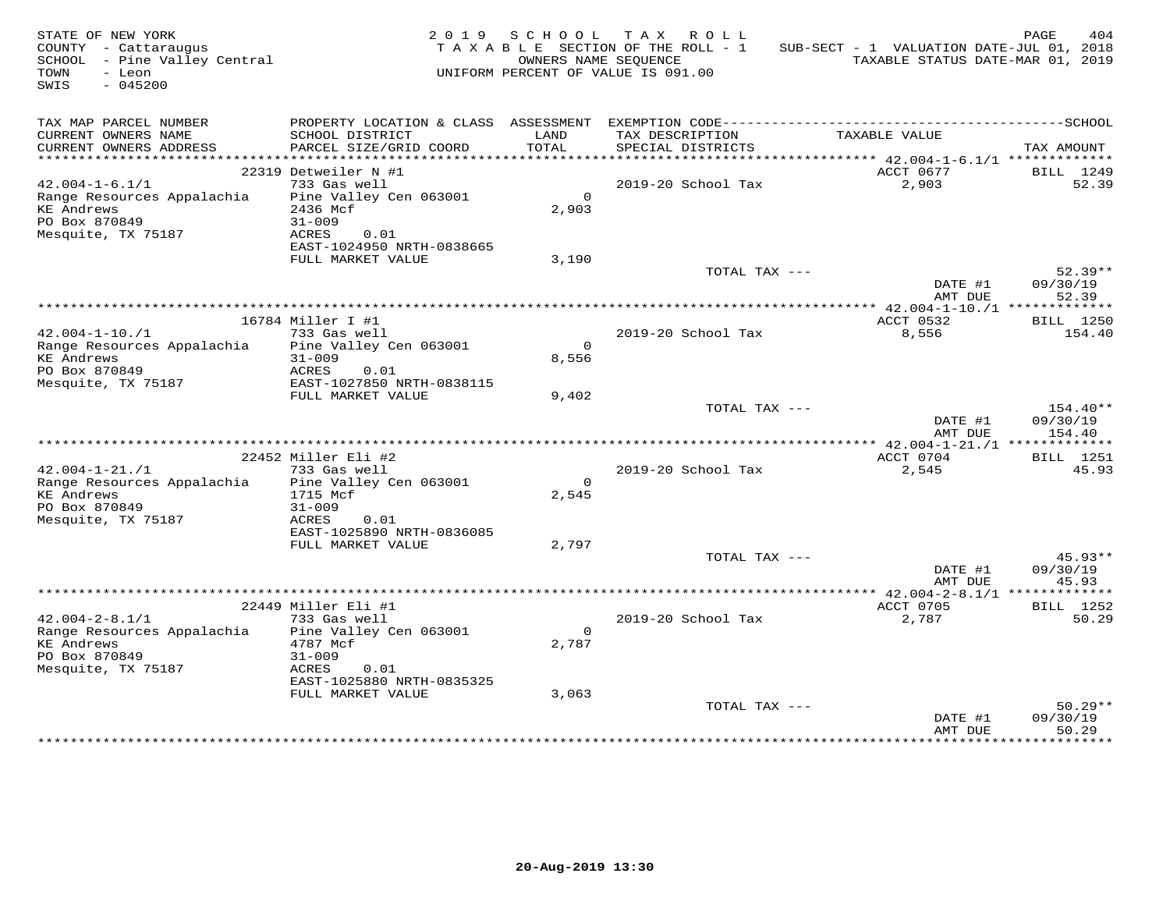| STATE OF NEW YORK<br>COUNTY - Cattaraugus<br>SCHOOL - Pine Valley Central<br>- Leon<br>TOWN<br>$-045200$<br>SWIS |                                                                                                           |                         | 2019 SCHOOL TAX ROLL<br>TAXABLE SECTION OF THE ROLL - 1<br>OWNERS NAME SEQUENCE<br>UNIFORM PERCENT OF VALUE IS 091.00 | SUB-SECT - 1 VALUATION DATE-JUL 01, 2018<br>TAXABLE STATUS DATE-MAR 01, 2019 | PAGE<br>404                    |
|------------------------------------------------------------------------------------------------------------------|-----------------------------------------------------------------------------------------------------------|-------------------------|-----------------------------------------------------------------------------------------------------------------------|------------------------------------------------------------------------------|--------------------------------|
| TAX MAP PARCEL NUMBER<br>CURRENT OWNERS NAME<br>CURRENT OWNERS ADDRESS                                           | SCHOOL DISTRICT<br>PARCEL SIZE/GRID COORD                                                                 | LAND<br>TOTAL           | TAX DESCRIPTION<br>SPECIAL DISTRICTS                                                                                  | TAXABLE VALUE                                                                | TAX AMOUNT                     |
|                                                                                                                  |                                                                                                           |                         |                                                                                                                       |                                                                              |                                |
| $42.004 - 1 - 6.1/1$<br>Range Resources Appalachia<br>KE Andrews<br>PO Box 870849<br>Mesquite, TX 75187          | 22319 Detweiler N #1<br>733 Gas well<br>Pine Valley Cen 063001<br>2436 Mcf<br>$31 - 009$<br>ACRES<br>0.01 | $\overline{0}$<br>2,903 | 2019-20 School Tax                                                                                                    | ACCT 0677<br>2,903                                                           | BILL 1249<br>52.39             |
|                                                                                                                  | EAST-1024950 NRTH-0838665<br>FULL MARKET VALUE                                                            | 3,190                   |                                                                                                                       |                                                                              |                                |
|                                                                                                                  |                                                                                                           |                         | TOTAL TAX ---                                                                                                         | DATE #1<br>AMT DUE                                                           | $52.39**$<br>09/30/19<br>52.39 |
|                                                                                                                  |                                                                                                           |                         |                                                                                                                       | ********** $42.004 - 1 - 10$ . $/1$ *************                            |                                |
| $42.004 - 1 - 10.71$                                                                                             | 16784 Miller I #1<br>733 Gas well                                                                         |                         | 2019-20 School Tax                                                                                                    | ACCT 0532<br>8,556                                                           | BILL 1250<br>154.40            |
| Range Resources Appalachia Pine Valley Cen 063001<br><b>KE</b> Andrews<br>PO Box 870849                          | $31 - 009$<br>ACRES<br>0.01                                                                               | $\Omega$<br>8,556       |                                                                                                                       |                                                                              |                                |
| Mesquite, TX 75187                                                                                               | EAST-1027850 NRTH-0838115<br>FULL MARKET VALUE                                                            | 9,402                   |                                                                                                                       |                                                                              |                                |
|                                                                                                                  |                                                                                                           |                         | TOTAL TAX ---                                                                                                         | DATE #1<br>AMT DUE                                                           | 154.40**<br>09/30/19<br>154.40 |
|                                                                                                                  |                                                                                                           |                         |                                                                                                                       |                                                                              |                                |
| $42.004 - 1 - 21. / 1$                                                                                           | 22452 Miller Eli #2<br>733 Gas well                                                                       |                         | 2019-20 School Tax                                                                                                    | ACCT 0704<br>2,545                                                           | BILL 1251<br>45.93             |
| Range Resources Appalachia<br><b>KE Andrews</b><br>PO Box 870849<br>Mesquite, TX 75187                           | Pine Valley Cen 063001<br>1715 Mcf<br>$31 - 009$<br>ACRES<br>0.01                                         | $\Omega$<br>2,545       |                                                                                                                       |                                                                              |                                |
|                                                                                                                  | EAST-1025890 NRTH-0836085                                                                                 |                         |                                                                                                                       |                                                                              |                                |
|                                                                                                                  | FULL MARKET VALUE                                                                                         | 2,797                   | TOTAL TAX ---                                                                                                         | DATE #1<br>AMT DUE                                                           | $45.93**$<br>09/30/19<br>45.93 |
|                                                                                                                  |                                                                                                           |                         |                                                                                                                       |                                                                              |                                |
|                                                                                                                  | 22449 Miller Eli #1                                                                                       |                         |                                                                                                                       | ACCT 0705                                                                    | BILL 1252                      |
| $42.004 - 2 - 8.1/1$<br>Range Resources Appalachia<br><b>KE Andrews</b><br>PO Box 870849<br>Mesquite, TX 75187   | 733 Gas well<br>Pine Valley Cen 063001<br>4787 Mcf<br>$31 - 009$<br>ACRES<br>0.01                         | $\overline{0}$<br>2,787 | 2019-20 School Tax                                                                                                    | 2,787                                                                        | 50.29                          |
|                                                                                                                  | EAST-1025880 NRTH-0835325<br>FULL MARKET VALUE                                                            | 3,063                   |                                                                                                                       |                                                                              |                                |
|                                                                                                                  |                                                                                                           |                         | TOTAL TAX ---                                                                                                         | DATE #1<br>AMT DUE                                                           | $50.29**$<br>09/30/19<br>50.29 |
|                                                                                                                  |                                                                                                           |                         |                                                                                                                       |                                                                              |                                |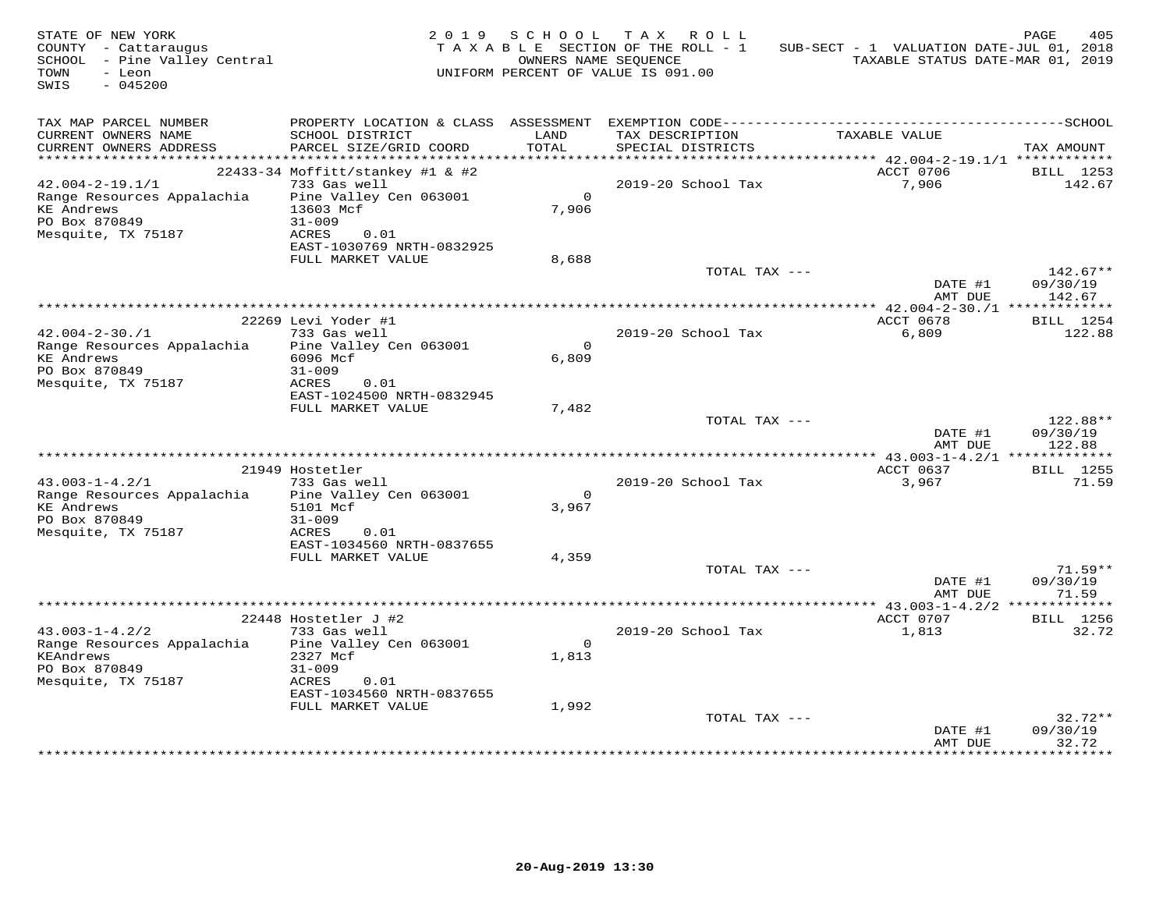| STATE OF NEW YORK<br>COUNTY - Cattaraugus<br>SCHOOL - Pine Valley Central<br>- Leon<br>TOWN<br>SWIS<br>$-045200$ |                                                                                                 | 2019 SCHOOL             | TAX ROLL<br>TAXABLE SECTION OF THE ROLL - 1<br>OWNERS NAME SEQUENCE<br>UNIFORM PERCENT OF VALUE IS 091.00 | SUB-SECT - 1 VALUATION DATE-JUL 01, 2018<br>TAXABLE STATUS DATE-MAR 01, 2019                                  | PAGE<br>405                      |
|------------------------------------------------------------------------------------------------------------------|-------------------------------------------------------------------------------------------------|-------------------------|-----------------------------------------------------------------------------------------------------------|---------------------------------------------------------------------------------------------------------------|----------------------------------|
| TAX MAP PARCEL NUMBER<br>CURRENT OWNERS NAME<br>CURRENT OWNERS ADDRESS                                           | SCHOOL DISTRICT<br>PARCEL SIZE/GRID COORD                                                       | LAND<br>TOTAL           | TAX DESCRIPTION<br>SPECIAL DISTRICTS                                                                      | PROPERTY LOCATION & CLASS ASSESSMENT EXEMPTION CODE-----------------------------------SCHOOL<br>TAXABLE VALUE | TAX AMOUNT                       |
|                                                                                                                  | 22433-34 Moffitt/stankey #1 & #2                                                                |                         |                                                                                                           | ACCT 0706                                                                                                     | BILL 1253                        |
| $42.004 - 2 - 19.1/1$                                                                                            | 733 Gas well                                                                                    |                         | 2019-20 School Tax                                                                                        | 7,906                                                                                                         | 142.67                           |
| Range Resources Appalachia<br><b>KE Andrews</b><br>PO Box 870849<br>Mesquite, TX 75187                           | Pine Valley Cen 063001<br>13603 Mcf<br>$31 - 009$<br>ACRES<br>0.01<br>EAST-1030769 NRTH-0832925 | $\Omega$<br>7,906       |                                                                                                           |                                                                                                               |                                  |
|                                                                                                                  | FULL MARKET VALUE                                                                               | 8,688                   |                                                                                                           |                                                                                                               |                                  |
|                                                                                                                  |                                                                                                 |                         | TOTAL TAX ---                                                                                             | DATE #1<br>AMT DUE                                                                                            | $142.67**$<br>09/30/19<br>142.67 |
|                                                                                                                  | * * * * * * * * * * * * * * * * *                                                               |                         | **************************************                                                                    | *********** 42.004-2-30./1 **************                                                                     |                                  |
| $42.004 - 2 - 30.71$                                                                                             | 22269 Levi Yoder #1<br>733 Gas well                                                             |                         |                                                                                                           | ACCT 0678                                                                                                     | BILL 1254                        |
| Range Resources Appalachia<br><b>KE</b> Andrews<br>PO Box 870849<br>Mesquite, TX 75187                           | Pine Valley Cen 063001<br>6096 Mcf<br>$31 - 009$<br>ACRES<br>0.01                               | $\overline{0}$<br>6,809 | 2019-20 School Tax                                                                                        | 6,809                                                                                                         | 122.88                           |
|                                                                                                                  | EAST-1024500 NRTH-0832945<br>FULL MARKET VALUE                                                  | 7,482                   |                                                                                                           |                                                                                                               |                                  |
|                                                                                                                  |                                                                                                 |                         | TOTAL TAX ---                                                                                             | DATE #1<br>AMT DUE                                                                                            | 122.88**<br>09/30/19<br>122.88   |
|                                                                                                                  |                                                                                                 |                         |                                                                                                           |                                                                                                               |                                  |
| $43.003 - 1 - 4.2/1$                                                                                             | 21949 Hostetler                                                                                 |                         |                                                                                                           | ACCT 0637                                                                                                     | BILL 1255<br>71.59               |
| Range Resources Appalachia                                                                                       | 733 Gas well<br>Pine Valley Cen 063001                                                          | $\Omega$                | 2019-20 School Tax                                                                                        | 3,967                                                                                                         |                                  |
| <b>KE Andrews</b><br>PO Box 870849                                                                               | 5101 Mcf<br>$31 - 009$                                                                          | 3,967                   |                                                                                                           |                                                                                                               |                                  |
| Mesquite, TX 75187                                                                                               | ACRES<br>0.01<br>EAST-1034560 NRTH-0837655                                                      |                         |                                                                                                           |                                                                                                               |                                  |
|                                                                                                                  | FULL MARKET VALUE                                                                               | 4,359                   |                                                                                                           |                                                                                                               |                                  |
|                                                                                                                  |                                                                                                 |                         | TOTAL TAX ---                                                                                             | DATE #1<br>AMT DUE                                                                                            | $71.59**$<br>09/30/19<br>71.59   |
|                                                                                                                  |                                                                                                 |                         |                                                                                                           |                                                                                                               |                                  |
|                                                                                                                  | $22448$ Hostetler J #2                                                                          |                         |                                                                                                           | ACCT 0707                                                                                                     | BILL 1256                        |
| $43.003 - 1 - 4.2/2$<br>Range Resources Appalachia                                                               | 733 Gas well<br>Pine Valley Cen 063001                                                          | $\Omega$                | 2019-20 School Tax                                                                                        | 1,813                                                                                                         | 32.72                            |
| KEAndrews<br>PO Box 870849<br>Mesquite, TX 75187                                                                 | 2327 Mcf<br>$31 - 009$<br>0.01<br>ACRES<br>EAST-1034560 NRTH-0837655                            | 1,813                   |                                                                                                           |                                                                                                               |                                  |
|                                                                                                                  | FULL MARKET VALUE                                                                               | 1,992                   |                                                                                                           |                                                                                                               |                                  |
|                                                                                                                  |                                                                                                 |                         | TOTAL TAX ---                                                                                             | DATE #1<br>AMT DUE                                                                                            | $32.72**$<br>09/30/19<br>32.72   |
|                                                                                                                  |                                                                                                 |                         |                                                                                                           |                                                                                                               | ************                     |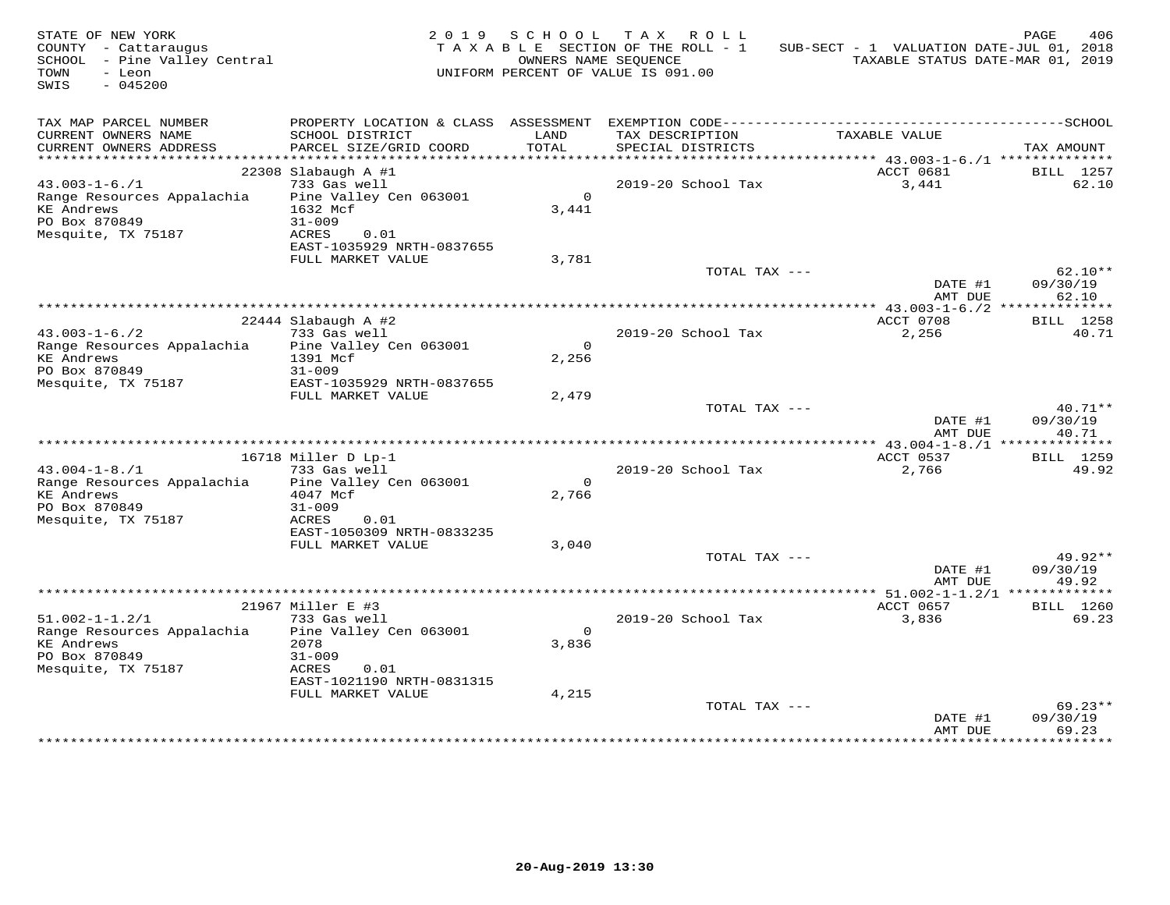| STATE OF NEW YORK<br>COUNTY - Cattaraugus<br>SCHOOL - Pine Valley Central<br>- Leon<br>TOWN<br>$-045200$<br>SWIS |                                                                                                            | OWNERS NAME SEOUENCE    | 2019 SCHOOL TAX ROLL<br>TAXABLE SECTION OF THE ROLL - 1<br>UNIFORM PERCENT OF VALUE IS 091.00 | SUB-SECT - 1 VALUATION DATE-JUL 01, 2018                | PAGE<br>406<br>TAXABLE STATUS DATE-MAR 01, 2019 |
|------------------------------------------------------------------------------------------------------------------|------------------------------------------------------------------------------------------------------------|-------------------------|-----------------------------------------------------------------------------------------------|---------------------------------------------------------|-------------------------------------------------|
| TAX MAP PARCEL NUMBER<br>CURRENT OWNERS NAME<br>CURRENT OWNERS ADDRESS                                           | SCHOOL DISTRICT<br>PARCEL SIZE/GRID COORD                                                                  | LAND<br>TOTAL           | TAX DESCRIPTION<br>SPECIAL DISTRICTS                                                          | TAXABLE VALUE                                           | TAX AMOUNT                                      |
|                                                                                                                  |                                                                                                            |                         |                                                                                               |                                                         |                                                 |
| $43.003 - 1 - 6.71$<br>Range Resources Appalachia<br><b>KE</b> Andrews<br>PO Box 870849<br>Mesquite, TX 75187    | $22308$ Slabaugh A #1<br>733 Gas well<br>Pine Valley Cen 063001<br>1632 Mcf<br>$31 - 009$<br>ACRES<br>0.01 | $\overline{0}$<br>3,441 | 2019-20 School Tax                                                                            | ACCT 0681<br>3,441                                      | BILL 1257<br>62.10                              |
|                                                                                                                  | EAST-1035929 NRTH-0837655<br>FULL MARKET VALUE                                                             | 3,781                   |                                                                                               |                                                         |                                                 |
|                                                                                                                  |                                                                                                            |                         | TOTAL TAX ---                                                                                 | DATE #1<br>AMT DUE                                      | $62.10**$<br>09/30/19<br>62.10                  |
|                                                                                                                  |                                                                                                            |                         |                                                                                               | ************** 43.003-1-6./2 ***************            |                                                 |
| $43.003 - 1 - 6.72$                                                                                              | 22444 Slabaugh A #2<br>733 Gas well                                                                        |                         | 2019-20 School Tax                                                                            | ACCT 0708<br>2,256                                      | <b>BILL</b> 1258<br>40.71                       |
| Range Resources Appalachia<br><b>KE</b> Andrews<br>PO Box 870849                                                 | Pine Valley Cen 063001<br>1391 Mcf<br>$31 - 009$                                                           | $\Omega$<br>2,256       |                                                                                               |                                                         |                                                 |
| Mesquite, TX 75187                                                                                               | EAST-1035929 NRTH-0837655                                                                                  |                         |                                                                                               |                                                         |                                                 |
|                                                                                                                  | FULL MARKET VALUE                                                                                          | 2,479                   | TOTAL TAX ---                                                                                 | DATE #1<br>AMT DUE                                      | $40.71**$<br>09/30/19<br>40.71                  |
|                                                                                                                  |                                                                                                            |                         |                                                                                               |                                                         |                                                 |
|                                                                                                                  | 16718 Miller D Lp-1                                                                                        |                         | 2019-20 School Tax                                                                            | ACCT 0537                                               | <b>BILL</b> 1259                                |
| $43.004 - 1 - 8.71$<br>Range Resources Appalachia<br><b>KE</b> Andrews<br>PO Box 870849<br>Mesquite, TX 75187    | 733 Gas well<br>Pine Valley Cen 063001<br>4047 Mcf<br>$31 - 009$<br>ACRES<br>0.01                          | $\Omega$<br>2,766       |                                                                                               | 2,766                                                   | 49.92                                           |
|                                                                                                                  | EAST-1050309 NRTH-0833235                                                                                  |                         |                                                                                               |                                                         |                                                 |
|                                                                                                                  | FULL MARKET VALUE                                                                                          | 3,040                   | TOTAL TAX ---                                                                                 | DATE #1                                                 | $49.92**$<br>09/30/19                           |
|                                                                                                                  |                                                                                                            |                         |                                                                                               | AMT DUE<br>************** 51.002-1-1.2/1 ************** | 49.92                                           |
|                                                                                                                  | 21967 Miller E #3                                                                                          |                         |                                                                                               | ACCT 0657                                               | BILL 1260                                       |
| $51.002 - 1 - 1.2/1$<br>Range Resources Appalachia<br><b>KE</b> Andrews<br>PO Box 870849<br>Mesquite, TX 75187   | 733 Gas well<br>Pine Valley Cen 063001<br>2078<br>$31 - 009$<br>ACRES<br>0.01                              | $\overline{0}$<br>3,836 | 2019-20 School Tax                                                                            | 3,836                                                   | 69.23                                           |
|                                                                                                                  | EAST-1021190 NRTH-0831315<br>FULL MARKET VALUE                                                             | 4,215                   |                                                                                               |                                                         |                                                 |
|                                                                                                                  |                                                                                                            |                         | TOTAL TAX ---                                                                                 | DATE #1<br>AMT DUE                                      | $69.23**$<br>09/30/19<br>69.23                  |
|                                                                                                                  |                                                                                                            |                         |                                                                                               |                                                         |                                                 |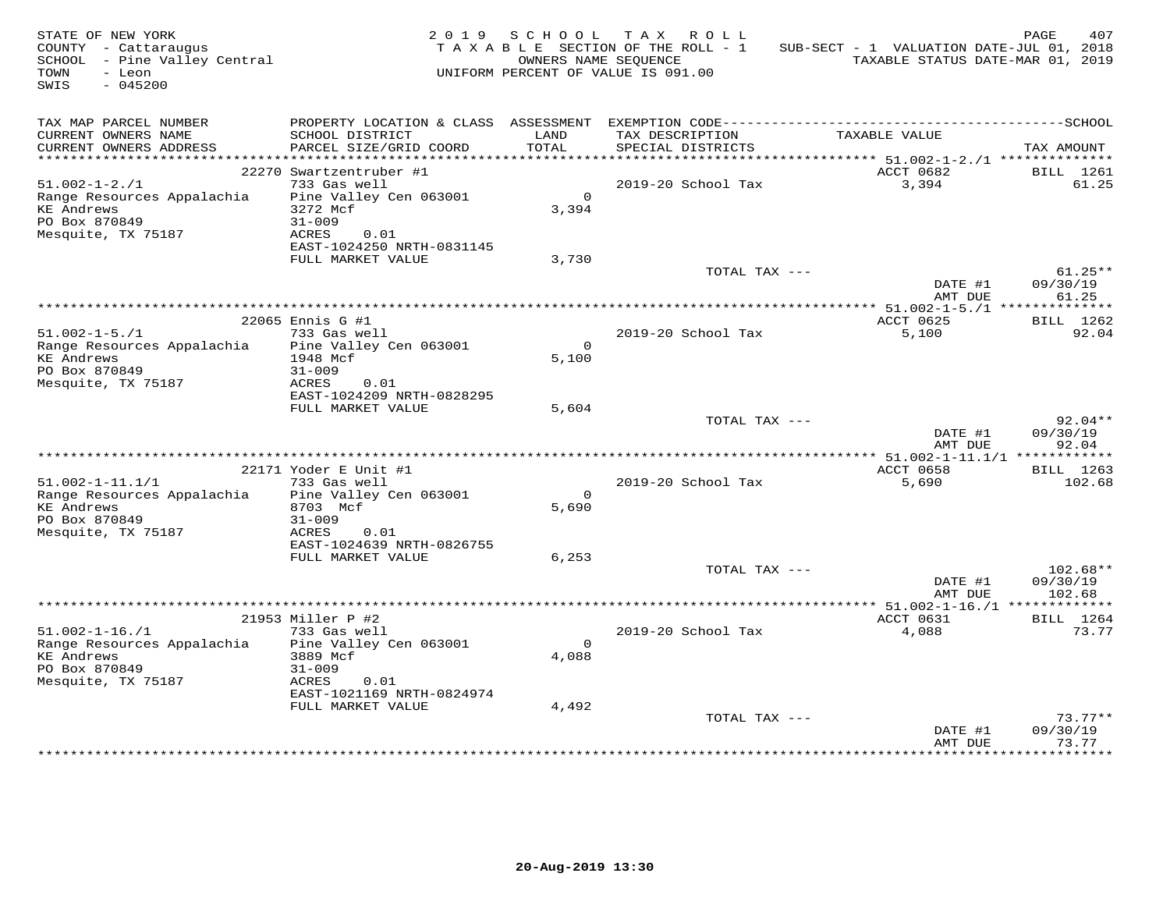| STATE OF NEW YORK<br>COUNTY - Cattaraugus<br>SCHOOL - Pine Valley Central<br>TOWN<br>- Leon<br>$-045200$<br>SWIS |                                                  | 2019 SCHOOL       | TAX ROLL<br>T A X A B L E SECTION OF THE ROLL - 1<br>OWNERS NAME SEQUENCE<br>UNIFORM PERCENT OF VALUE IS 091.00 | SUB-SECT - 1 VALUATION DATE-JUL 01, 2018<br>TAXABLE STATUS DATE-MAR 01, 2019 | PAGE<br>407           |
|------------------------------------------------------------------------------------------------------------------|--------------------------------------------------|-------------------|-----------------------------------------------------------------------------------------------------------------|------------------------------------------------------------------------------|-----------------------|
| TAX MAP PARCEL NUMBER<br>CURRENT OWNERS NAME                                                                     | SCHOOL DISTRICT                                  | LAND              | TAX DESCRIPTION                                                                                                 | TAXABLE VALUE                                                                |                       |
| CURRENT OWNERS ADDRESS                                                                                           | PARCEL SIZE/GRID COORD                           | TOTAL             | SPECIAL DISTRICTS                                                                                               |                                                                              | TAX AMOUNT            |
|                                                                                                                  | 22270 Swartzentruber #1                          |                   |                                                                                                                 | ACCT 0682                                                                    | BILL 1261             |
| $51.002 - 1 - 2.71$                                                                                              | 733 Gas well                                     |                   | 2019-20 School Tax                                                                                              | 3,394                                                                        | 61.25                 |
| Range Resources Appalachia<br><b>KE</b> Andrews<br>PO Box 870849                                                 | Pine Valley Cen 063001<br>3272 Mcf<br>$31 - 009$ | $\Omega$<br>3,394 |                                                                                                                 |                                                                              |                       |
| Mesquite, TX 75187                                                                                               | ACRES<br>0.01<br>EAST-1024250 NRTH-0831145       |                   |                                                                                                                 |                                                                              |                       |
|                                                                                                                  | FULL MARKET VALUE                                | 3,730             | TOTAL TAX ---                                                                                                   |                                                                              | $61.25**$             |
|                                                                                                                  |                                                  |                   |                                                                                                                 | DATE #1<br>AMT DUE                                                           | 09/30/19<br>61.25     |
|                                                                                                                  | ***************                                  |                   | **********************************                                                                              | ************* 51.002-1-5./1 ***************                                  |                       |
| $51.002 - 1 - 5.71$                                                                                              | 22065 Ennis G #1<br>733 Gas well                 |                   | 2019-20 School Tax                                                                                              | ACCT 0625<br>5,100                                                           | BILL 1262<br>92.04    |
| Range Resources Appalachia                                                                                       | Pine Valley Cen 063001                           | $\Omega$          |                                                                                                                 |                                                                              |                       |
| <b>KE Andrews</b>                                                                                                | 1948 Mcf                                         | 5,100             |                                                                                                                 |                                                                              |                       |
| PO Box 870849                                                                                                    | $31 - 009$                                       |                   |                                                                                                                 |                                                                              |                       |
| Mesquite, TX 75187                                                                                               | ACRES<br>0.01                                    |                   |                                                                                                                 |                                                                              |                       |
|                                                                                                                  | EAST-1024209 NRTH-0828295<br>FULL MARKET VALUE   | 5,604             |                                                                                                                 |                                                                              |                       |
|                                                                                                                  |                                                  |                   | TOTAL TAX ---                                                                                                   |                                                                              | $92.04**$             |
|                                                                                                                  |                                                  |                   |                                                                                                                 | DATE #1<br>AMT DUE                                                           | 09/30/19<br>92.04     |
|                                                                                                                  | 22171 Yoder E Unit #1                            |                   |                                                                                                                 | ACCT 0658                                                                    | BILL 1263             |
| $51.002 - 1 - 11.1/1$                                                                                            | 733 Gas well                                     |                   | 2019-20 School Tax                                                                                              | 5,690                                                                        | 102.68                |
| Range Resources Appalachia                                                                                       | Pine Valley Cen 063001                           | $\Omega$          |                                                                                                                 |                                                                              |                       |
| <b>KE</b> Andrews                                                                                                | 8703 Mcf                                         | 5,690             |                                                                                                                 |                                                                              |                       |
| PO Box 870849                                                                                                    | $31 - 009$                                       |                   |                                                                                                                 |                                                                              |                       |
| Mesquite, TX 75187                                                                                               | ACRES<br>0.01<br>EAST-1024639 NRTH-0826755       |                   |                                                                                                                 |                                                                              |                       |
|                                                                                                                  | FULL MARKET VALUE                                | 6,253             |                                                                                                                 |                                                                              |                       |
|                                                                                                                  |                                                  |                   | TOTAL TAX ---                                                                                                   |                                                                              | $102.68**$            |
|                                                                                                                  |                                                  |                   |                                                                                                                 | DATE #1                                                                      | 09/30/19              |
|                                                                                                                  |                                                  |                   |                                                                                                                 | AMT DUE<br>********* 51.002-1-16./1 **                                       | 102.68<br>*********** |
|                                                                                                                  | 21953 Miller P #2                                |                   |                                                                                                                 | ACCT 0631                                                                    | BILL 1264             |
| $51.002 - 1 - 16. / 1$                                                                                           | 733 Gas well                                     |                   | 2019-20 School Tax                                                                                              | 4,088                                                                        | 73.77                 |
| Range Resources Appalachia                                                                                       | Pine Valley Cen 063001                           | $\circ$           |                                                                                                                 |                                                                              |                       |
| <b>KE Andrews</b>                                                                                                | 3889 Mcf                                         | 4,088             |                                                                                                                 |                                                                              |                       |
| PO Box 870849<br>Mesquite, TX 75187                                                                              | $31 - 009$<br>ACRES<br>0.01                      |                   |                                                                                                                 |                                                                              |                       |
|                                                                                                                  | EAST-1021169 NRTH-0824974                        |                   |                                                                                                                 |                                                                              |                       |
|                                                                                                                  | FULL MARKET VALUE                                | 4,492             |                                                                                                                 |                                                                              |                       |
|                                                                                                                  |                                                  |                   | TOTAL TAX ---                                                                                                   |                                                                              | $73.77**$             |
|                                                                                                                  |                                                  |                   |                                                                                                                 | DATE #1                                                                      | 09/30/19              |
|                                                                                                                  |                                                  |                   |                                                                                                                 | AMT DUE                                                                      | 73.77                 |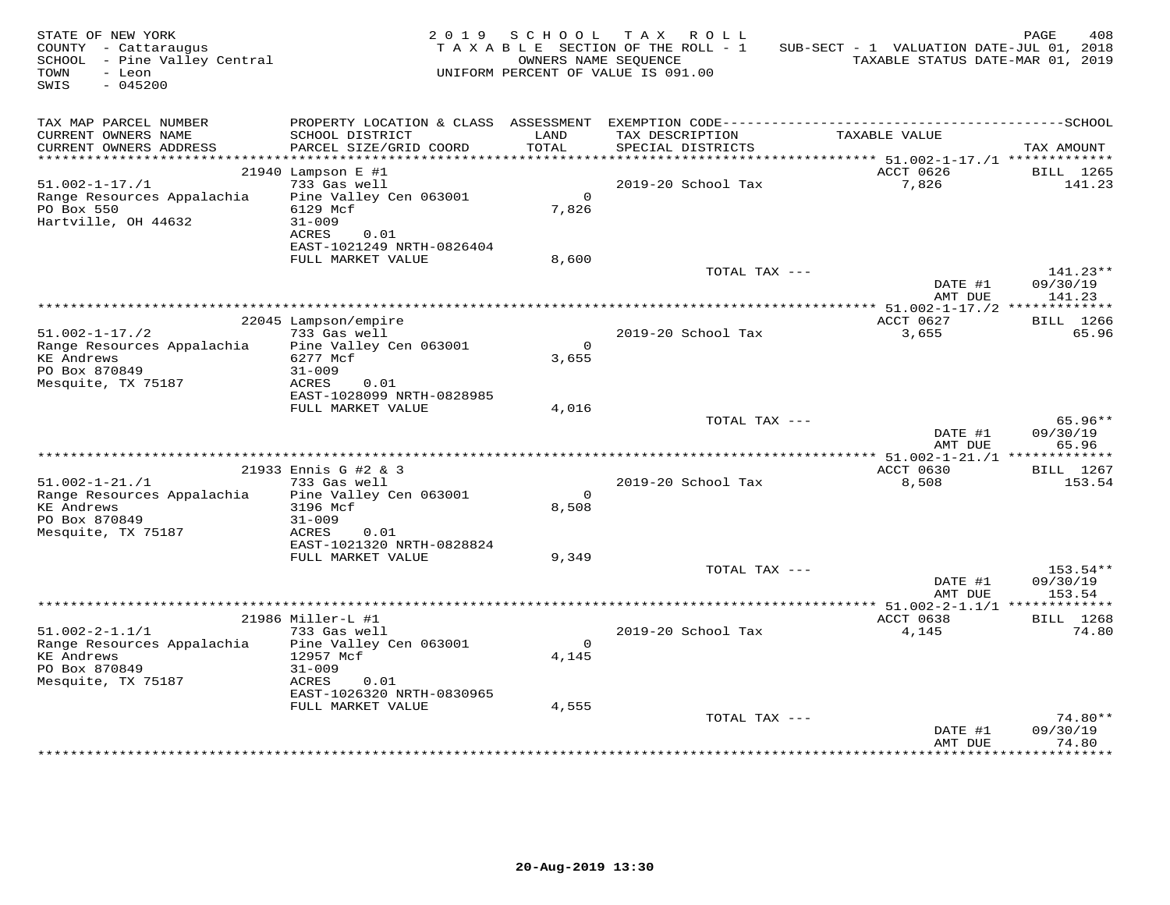| STATE OF NEW YORK<br>COUNTY - Cattaraugus<br>SCHOOL - Pine Valley Central<br>TOWN<br>- Leon<br>SWIS<br>$-045200$ |                                                                               | 2019 SCHOOL       | TAX ROLL<br>TAXABLE SECTION OF THE ROLL - 1<br>OWNERS NAME SEQUENCE<br>UNIFORM PERCENT OF VALUE IS 091.00 | SUB-SECT - 1 VALUATION DATE-JUL 01, 2018<br>TAXABLE STATUS DATE-MAR 01, 2019 | PAGE<br>408                      |
|------------------------------------------------------------------------------------------------------------------|-------------------------------------------------------------------------------|-------------------|-----------------------------------------------------------------------------------------------------------|------------------------------------------------------------------------------|----------------------------------|
| TAX MAP PARCEL NUMBER<br>CURRENT OWNERS NAME<br>CURRENT OWNERS ADDRESS                                           | SCHOOL DISTRICT<br>PARCEL SIZE/GRID COORD                                     | LAND<br>TOTAL     | TAX DESCRIPTION<br>SPECIAL DISTRICTS                                                                      | TAXABLE VALUE                                                                | TAX AMOUNT                       |
| *************************                                                                                        |                                                                               |                   |                                                                                                           |                                                                              |                                  |
| $51.002 - 1 - 17.71$<br>Range Resources Appalachia<br>PO Box 550                                                 | $21940$ Lampson E #1<br>733 Gas well<br>Pine Valley Cen 063001<br>6129 Mcf    | $\Omega$<br>7,826 | 2019-20 School Tax                                                                                        | ACCT 0626<br>7,826                                                           | BILL 1265<br>141.23              |
| Hartville, OH 44632                                                                                              | $31 - 009$<br>ACRES<br>0.01<br>EAST-1021249 NRTH-0826404<br>FULL MARKET VALUE | 8,600             |                                                                                                           |                                                                              |                                  |
|                                                                                                                  |                                                                               |                   | TOTAL TAX ---                                                                                             | DATE #1<br>AMT DUE                                                           | $141.23**$<br>09/30/19<br>141.23 |
|                                                                                                                  |                                                                               |                   |                                                                                                           |                                                                              |                                  |
| $51.002 - 1 - 17.72$                                                                                             | 22045 Lampson/empire<br>733 Gas well                                          | $\overline{0}$    | 2019-20 School Tax                                                                                        | ACCT 0627<br>3,655                                                           | BILL 1266<br>65.96               |
| Range Resources Appalachia<br>KE Andrews<br>PO Box 870849<br>Mesquite, TX 75187                                  | Pine Valley Cen 063001<br>6277 Mcf<br>$31 - 009$<br>0.01<br>ACRES             | 3,655             |                                                                                                           |                                                                              |                                  |
|                                                                                                                  | EAST-1028099 NRTH-0828985<br>FULL MARKET VALUE                                | 4,016             |                                                                                                           |                                                                              |                                  |
|                                                                                                                  |                                                                               |                   | TOTAL TAX ---                                                                                             | DATE #1<br>AMT DUE                                                           | 65.96**<br>09/30/19<br>65.96     |
|                                                                                                                  |                                                                               |                   |                                                                                                           |                                                                              |                                  |
| $51.002 - 1 - 21. / 1$<br>Range Resources Appalachia                                                             | 21933 Ennis G #2 & 3<br>733 Gas well<br>Pine Valley Cen 063001                | $\overline{0}$    | 2019-20 School Tax                                                                                        | ACCT 0630<br>8,508                                                           | BILL 1267<br>153.54              |
| KE Andrews<br>PO Box 870849<br>Mesquite, TX 75187                                                                | 3196 Mcf<br>$31 - 009$<br>ACRES<br>0.01                                       | 8,508             |                                                                                                           |                                                                              |                                  |
|                                                                                                                  | EAST-1021320 NRTH-0828824<br>FULL MARKET VALUE                                | 9,349             |                                                                                                           |                                                                              |                                  |
|                                                                                                                  |                                                                               |                   | TOTAL TAX ---                                                                                             | DATE #1<br>AMT DUE                                                           | 153.54**<br>09/30/19<br>153.54   |
|                                                                                                                  |                                                                               |                   |                                                                                                           | *************** 51.002-2-1.1/1 **************                                |                                  |
| $51.002 - 2 - 1.1/1$<br>Range Resources Appalachia                                                               | 21986 Miller-L #1<br>733 Gas well<br>Pine Valley Cen 063001                   | $\Omega$          | 2019-20 School Tax                                                                                        | ACCT 0638<br>4,145                                                           | BILL 1268<br>74.80               |
| <b>KE Andrews</b><br>PO Box 870849<br>Mesquite, TX 75187                                                         | 12957 Mcf<br>$31 - 009$<br>ACRES<br>0.01<br>EAST-1026320 NRTH-0830965         | 4,145             |                                                                                                           |                                                                              |                                  |
|                                                                                                                  | FULL MARKET VALUE                                                             | 4,555             |                                                                                                           |                                                                              |                                  |
|                                                                                                                  |                                                                               |                   | TOTAL TAX ---                                                                                             | DATE #1<br>AMT DUE                                                           | 74.80**<br>09/30/19<br>74.80     |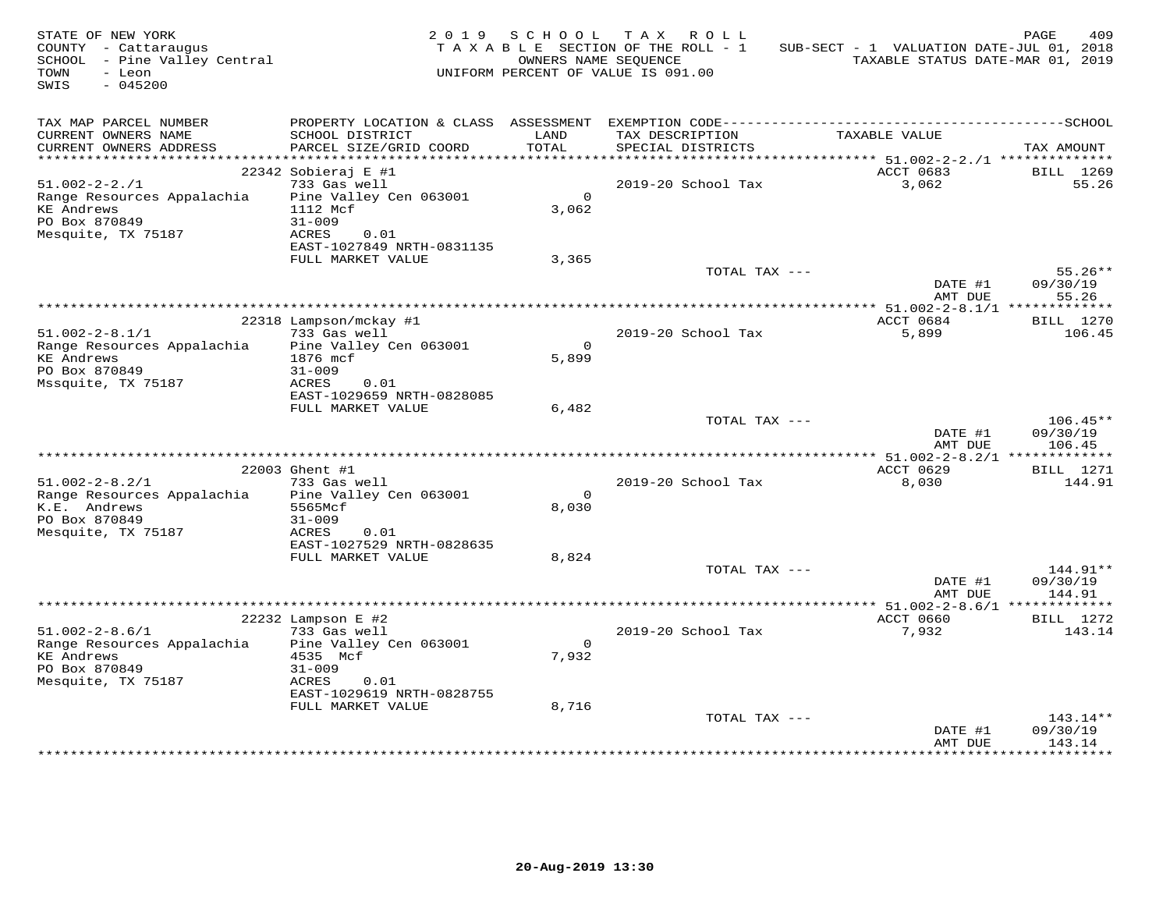| STATE OF NEW YORK<br>COUNTY - Cattaraugus<br>SCHOOL - Pine Valley Central<br>TOWN<br>- Leon<br>SWIS<br>$-045200$ |                                                                                                                                                             | 2019 SCHOOL                | TAX ROLL<br>TAXABLE SECTION OF THE ROLL - 1<br>OWNERS NAME SEQUENCE<br>UNIFORM PERCENT OF VALUE IS 091.00 | SUB-SECT - 1 VALUATION DATE-JUL 01, 2018<br>TAXABLE STATUS DATE-MAR 01, 2019 | PAGE<br>409                      |
|------------------------------------------------------------------------------------------------------------------|-------------------------------------------------------------------------------------------------------------------------------------------------------------|----------------------------|-----------------------------------------------------------------------------------------------------------|------------------------------------------------------------------------------|----------------------------------|
| TAX MAP PARCEL NUMBER<br>CURRENT OWNERS NAME<br>CURRENT OWNERS ADDRESS                                           | SCHOOL DISTRICT<br>PARCEL SIZE/GRID COORD                                                                                                                   | LAND<br>TOTAL              | TAX DESCRIPTION<br>SPECIAL DISTRICTS                                                                      | TAXABLE VALUE                                                                | TAX AMOUNT                       |
|                                                                                                                  |                                                                                                                                                             |                            |                                                                                                           |                                                                              |                                  |
| $51.002 - 2 - 2.71$<br>Range Resources Appalachia<br><b>KE Andrews</b><br>PO Box 870849<br>Mesquite, TX 75187    | 22342 Sobieraj E #1<br>733 Gas well<br>Pine Valley Cen 063001<br>1112 Mcf<br>$31 - 009$<br>ACRES<br>0.01<br>EAST-1027849 NRTH-0831135                       | $\Omega$<br>3,062          | 2019-20 School Tax                                                                                        | ACCT 0683<br>3,062                                                           | BILL 1269<br>55.26               |
|                                                                                                                  | FULL MARKET VALUE                                                                                                                                           | 3,365                      |                                                                                                           |                                                                              |                                  |
|                                                                                                                  |                                                                                                                                                             |                            | TOTAL TAX ---                                                                                             | DATE #1<br>AMT DUE                                                           | $55.26**$<br>09/30/19<br>55.26   |
|                                                                                                                  |                                                                                                                                                             |                            |                                                                                                           |                                                                              |                                  |
| $51.002 - 2 - 8.1/1$<br>Range Resources Appalachia<br><b>KE Andrews</b><br>PO Box 870849<br>Mssquite, TX 75187   | 22318 Lampson/mckay #1<br>733 Gas well<br>Pine Valley Cen 063001<br>1876 mcf<br>$31 - 009$<br>ACRES<br>0.01                                                 | $\overline{0}$<br>5,899    | 2019-20 School Tax                                                                                        | ACCT 0684<br>5,899                                                           | BILL 1270<br>106.45              |
|                                                                                                                  | EAST-1029659 NRTH-0828085                                                                                                                                   |                            |                                                                                                           |                                                                              |                                  |
|                                                                                                                  | FULL MARKET VALUE                                                                                                                                           | 6,482                      | TOTAL TAX ---                                                                                             | DATE #1<br>AMT DUE                                                           | $106.45**$<br>09/30/19<br>106.45 |
|                                                                                                                  |                                                                                                                                                             |                            |                                                                                                           |                                                                              |                                  |
| $51.002 - 2 - 8.2/1$<br>Range Resources Appalachia<br>K.E. Andrews<br>PO Box 870849<br>Mesquite, TX 75187        | 22003 Ghent #1<br>733 Gas well<br>Pine Valley Cen 063001<br>5565Mcf<br>$31 - 009$<br>ACRES<br>0.01                                                          | $\Omega$<br>8,030          | 2019-20 School Tax                                                                                        | ACCT 0629<br>8,030                                                           | BILL 1271<br>144.91              |
|                                                                                                                  | EAST-1027529 NRTH-0828635<br>FULL MARKET VALUE                                                                                                              | 8,824                      |                                                                                                           |                                                                              |                                  |
|                                                                                                                  |                                                                                                                                                             |                            | TOTAL TAX ---                                                                                             | DATE #1<br>AMT DUE                                                           | 144.91**<br>09/30/19<br>144.91   |
|                                                                                                                  |                                                                                                                                                             |                            |                                                                                                           |                                                                              |                                  |
| $51.002 - 2 - 8.6/1$<br>Range Resources Appalachia<br><b>KE Andrews</b><br>PO Box 870849<br>Mesquite, TX 75187   | $22232$ Lampson E #2<br>733 Gas well<br>Pine Valley Cen 063001<br>4535 Mcf<br>$31 - 009$<br>ACRES<br>0.01<br>EAST-1029619 NRTH-0828755<br>FULL MARKET VALUE | $\Omega$<br>7,932<br>8,716 | 2019-20 School Tax                                                                                        | ACCT 0660<br>7,932                                                           | <b>BILL</b> 1272<br>143.14       |
|                                                                                                                  |                                                                                                                                                             |                            | TOTAL TAX ---                                                                                             | DATE #1<br>AMT DUE                                                           | $143.14**$<br>09/30/19<br>143.14 |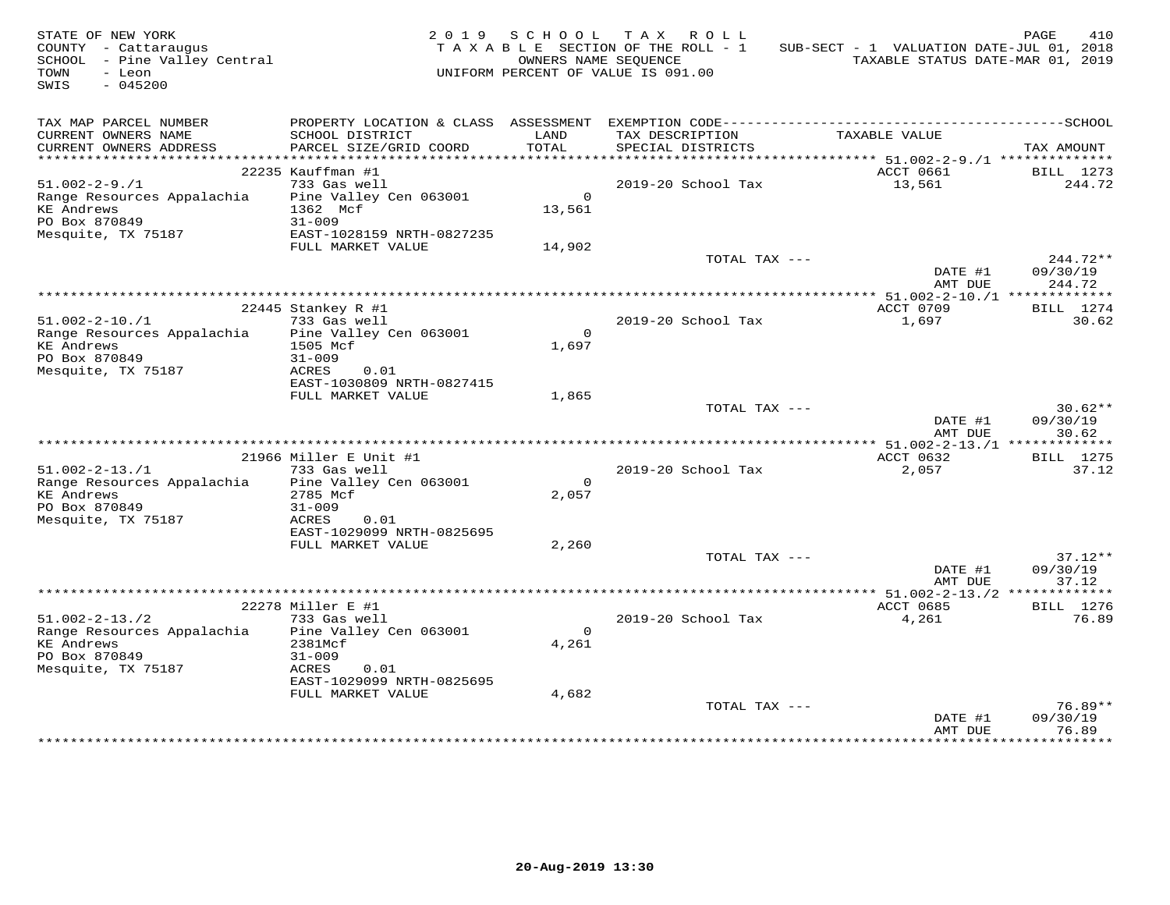| STATE OF NEW YORK<br>COUNTY - Cattaraugus<br>SCHOOL - Pine Valley Central<br>TOWN<br>- Leon<br>$-045200$<br>SWIS |                                                                                                |                    | 2019 SCHOOL TAX ROLL<br>TAXABLE SECTION OF THE ROLL - 1<br>OWNERS NAME SEQUENCE<br>UNIFORM PERCENT OF VALUE IS 091.00 | SUB-SECT - 1 VALUATION DATE-JUL 01, 2018<br>TAXABLE STATUS DATE-MAR 01, 2019 | PAGE<br>410                    |
|------------------------------------------------------------------------------------------------------------------|------------------------------------------------------------------------------------------------|--------------------|-----------------------------------------------------------------------------------------------------------------------|------------------------------------------------------------------------------|--------------------------------|
| TAX MAP PARCEL NUMBER<br>CURRENT OWNERS NAME<br>CURRENT OWNERS ADDRESS                                           | SCHOOL DISTRICT<br>PARCEL SIZE/GRID COORD                                                      | LAND<br>TOTAL      | TAX DESCRIPTION<br>SPECIAL DISTRICTS                                                                                  | TAXABLE VALUE                                                                | TAX AMOUNT                     |
|                                                                                                                  |                                                                                                |                    |                                                                                                                       |                                                                              |                                |
| $51.002 - 2 - 9.1$<br>Range Resources Appalachia<br><b>KE Andrews</b><br>PO Box 870849                           | 22235 Kauffman #1<br>733 Gas well<br>Pine Valley Cen 063001<br>1362 Mcf<br>$31 - 009$          | $\Omega$<br>13,561 | 2019-20 School Tax                                                                                                    | ACCT 0661<br>13,561                                                          | BILL 1273<br>244.72            |
| Mesquite, TX 75187                                                                                               | EAST-1028159 NRTH-0827235                                                                      |                    |                                                                                                                       |                                                                              |                                |
|                                                                                                                  | FULL MARKET VALUE                                                                              | 14,902             | TOTAL TAX ---                                                                                                         | DATE #1<br>AMT DUE                                                           | 244.72**<br>09/30/19<br>244.72 |
|                                                                                                                  |                                                                                                |                    |                                                                                                                       |                                                                              |                                |
| $51.002 - 2 - 10.71$                                                                                             | 22445 Stankey R #1<br>733 Gas well                                                             |                    | 2019-20 School Tax                                                                                                    | ACCT 0709<br>1,697                                                           | BILL 1274<br>30.62             |
| Range Resources Appalachia<br><b>KE Andrews</b><br>PO Box 870849<br>Mesquite, TX 75187                           | Pine Valley Cen 063001<br>1505 Mcf<br>$31 - 009$<br>ACRES<br>0.01<br>EAST-1030809 NRTH-0827415 | $\Omega$<br>1,697  |                                                                                                                       |                                                                              |                                |
|                                                                                                                  | FULL MARKET VALUE                                                                              | 1,865              | TOTAL TAX ---                                                                                                         |                                                                              | $30.62**$                      |
|                                                                                                                  |                                                                                                |                    |                                                                                                                       | DATE #1<br>AMT DUE                                                           | 09/30/19<br>30.62              |
|                                                                                                                  |                                                                                                |                    |                                                                                                                       |                                                                              |                                |
|                                                                                                                  | 21966 Miller E Unit #1                                                                         |                    |                                                                                                                       | ACCT 0632                                                                    | <b>BILL</b> 1275               |
| $51.002 - 2 - 13.71$<br>Range Resources Appalachia<br><b>KE</b> Andrews<br>PO Box 870849<br>Mesquite, TX 75187   | 733 Gas well<br>Pine Valley Cen 063001<br>2785 Mcf<br>$31 - 009$<br>ACRES<br>0.01              | $\Omega$<br>2,057  | 2019-20 School Tax                                                                                                    | 2,057                                                                        | 37.12                          |
|                                                                                                                  | EAST-1029099 NRTH-0825695<br>FULL MARKET VALUE                                                 | 2,260              |                                                                                                                       |                                                                              |                                |
|                                                                                                                  |                                                                                                |                    | TOTAL TAX ---                                                                                                         | DATE #1<br>AMT DUE                                                           | $37.12**$<br>09/30/19<br>37.12 |
|                                                                                                                  |                                                                                                |                    |                                                                                                                       |                                                                              |                                |
|                                                                                                                  | 22278 Miller E #1                                                                              |                    |                                                                                                                       | ACCT 0685                                                                    | BILL 1276                      |
| $51.002 - 2 - 13.72$<br>Range Resources Appalachia<br><b>KE</b> Andrews<br>PO Box 870849<br>Mesquite, TX 75187   | 733 Gas well<br>Pine Valley Cen 063001<br>2381Mcf<br>$31 - 009$<br>ACRES<br>0.01               | $\Omega$<br>4,261  | 2019-20 School Tax                                                                                                    | 4,261                                                                        | 76.89                          |
|                                                                                                                  | EAST-1029099 NRTH-0825695                                                                      |                    |                                                                                                                       |                                                                              |                                |
|                                                                                                                  | FULL MARKET VALUE                                                                              | 4,682              | TOTAL TAX ---                                                                                                         | DATE #1                                                                      | 76.89**<br>09/30/19            |
|                                                                                                                  |                                                                                                |                    |                                                                                                                       | AMT DUE                                                                      | 76.89                          |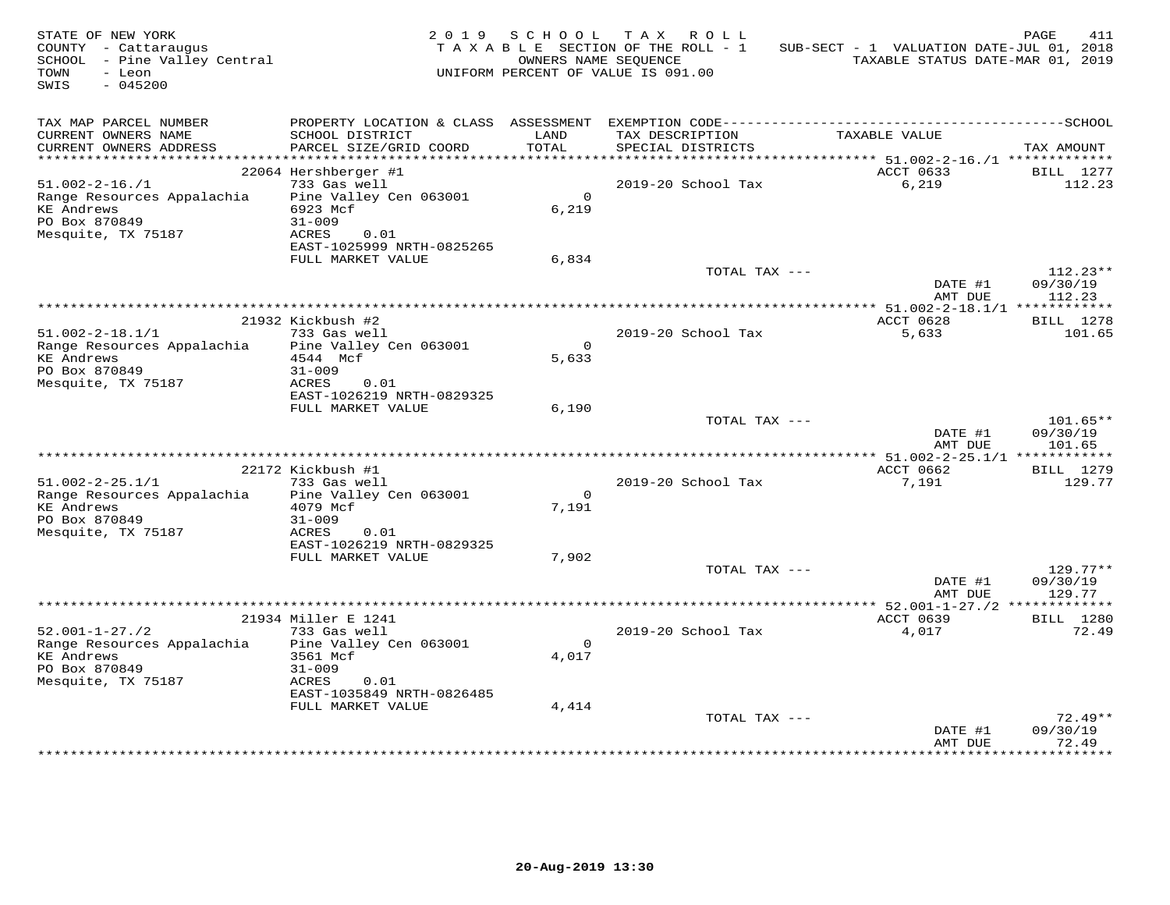| STATE OF NEW YORK<br>COUNTY - Cattaraugus<br>SCHOOL - Pine Valley Central<br>TOWN<br>- Leon<br>SWIS<br>$-045200$ |                                                | 2019 SCHOOL      | TAX ROLL<br>TAXABLE SECTION OF THE ROLL - 1<br>OWNERS NAME SEQUENCE<br>UNIFORM PERCENT OF VALUE IS 091.00 | SUB-SECT - 1 VALUATION DATE-JUL 01, 2018<br>TAXABLE STATUS DATE-MAR 01, 2019 | PAGE<br>411          |
|------------------------------------------------------------------------------------------------------------------|------------------------------------------------|------------------|-----------------------------------------------------------------------------------------------------------|------------------------------------------------------------------------------|----------------------|
| TAX MAP PARCEL NUMBER<br>CURRENT OWNERS NAME                                                                     | SCHOOL DISTRICT                                | LAND             | TAX DESCRIPTION                                                                                           | TAXABLE VALUE                                                                |                      |
| CURRENT OWNERS ADDRESS                                                                                           | PARCEL SIZE/GRID COORD                         | TOTAL            | SPECIAL DISTRICTS                                                                                         |                                                                              | TAX AMOUNT           |
|                                                                                                                  |                                                |                  |                                                                                                           |                                                                              |                      |
| $51.002 - 2 - 16. / 1$                                                                                           | 22064 Hershberger #1<br>733 Gas well           |                  | 2019-20 School Tax                                                                                        | ACCT 0633<br>6,219                                                           | BILL 1277<br>112.23  |
| Range Resources Appalachia                                                                                       | Pine Valley Cen 063001                         | $\Omega$         |                                                                                                           |                                                                              |                      |
| KE Andrews                                                                                                       | 6923 Mcf                                       | 6,219            |                                                                                                           |                                                                              |                      |
| PO Box 870849                                                                                                    | $31 - 009$                                     |                  |                                                                                                           |                                                                              |                      |
| Mesquite, TX 75187                                                                                               | ACRES<br>0.01<br>EAST-1025999 NRTH-0825265     |                  |                                                                                                           |                                                                              |                      |
|                                                                                                                  | FULL MARKET VALUE                              | 6,834            |                                                                                                           |                                                                              |                      |
|                                                                                                                  |                                                |                  | TOTAL TAX ---                                                                                             |                                                                              | $112.23**$           |
|                                                                                                                  |                                                |                  |                                                                                                           | DATE #1<br>AMT DUE                                                           | 09/30/19<br>112.23   |
|                                                                                                                  | 21932 Kickbush #2                              |                  |                                                                                                           | ACCT 0628                                                                    | BILL 1278            |
| $51.002 - 2 - 18.1/1$                                                                                            | 733 Gas well                                   |                  | 2019-20 School Tax                                                                                        | 5,633                                                                        | 101.65               |
| Range Resources Appalachia                                                                                       | Pine Valley Cen 063001                         | $\overline{0}$   |                                                                                                           |                                                                              |                      |
| KE Andrews                                                                                                       | 4544 Mcf                                       | 5,633            |                                                                                                           |                                                                              |                      |
| PO Box 870849<br>Mesquite, TX 75187                                                                              | $31 - 009$<br>0.01<br>ACRES                    |                  |                                                                                                           |                                                                              |                      |
|                                                                                                                  | EAST-1026219 NRTH-0829325                      |                  |                                                                                                           |                                                                              |                      |
|                                                                                                                  | FULL MARKET VALUE                              | 6,190            |                                                                                                           |                                                                              |                      |
|                                                                                                                  |                                                |                  | TOTAL TAX ---                                                                                             |                                                                              | 101.65**             |
|                                                                                                                  |                                                |                  |                                                                                                           | DATE #1<br>AMT DUE                                                           | 09/30/19<br>101.65   |
|                                                                                                                  |                                                |                  |                                                                                                           |                                                                              |                      |
|                                                                                                                  | 22172 Kickbush #1                              |                  |                                                                                                           | ACCT 0662                                                                    | <b>BILL</b> 1279     |
| $51.002 - 2 - 25.1/1$                                                                                            | 733 Gas well                                   |                  | 2019-20 School Tax                                                                                        | 7,191                                                                        | 129.77               |
| Range Resources Appalachia Pine Valley Cen 063001<br><b>KE Andrews</b>                                           | 4079 Mcf                                       | $\circ$<br>7.191 |                                                                                                           |                                                                              |                      |
| PO Box 870849                                                                                                    | $31 - 009$                                     |                  |                                                                                                           |                                                                              |                      |
| Mesquite, TX 75187                                                                                               | ACRES<br>0.01                                  |                  |                                                                                                           |                                                                              |                      |
|                                                                                                                  | EAST-1026219 NRTH-0829325                      |                  |                                                                                                           |                                                                              |                      |
|                                                                                                                  | FULL MARKET VALUE                              | 7,902            |                                                                                                           |                                                                              |                      |
|                                                                                                                  |                                                |                  | TOTAL TAX ---                                                                                             | DATE #1                                                                      | 129.77**<br>09/30/19 |
|                                                                                                                  |                                                |                  |                                                                                                           | AMT DUE                                                                      | 129.77               |
|                                                                                                                  |                                                |                  |                                                                                                           |                                                                              |                      |
|                                                                                                                  | 21934 Miller E 1241                            |                  |                                                                                                           | ACCT 0639                                                                    | BILL 1280            |
| $52.001 - 1 - 27.72$<br>Range Resources Appalachia Pine Valley Cen 063001                                        | 733 Gas well                                   | $\Omega$         | 2019-20 School Tax                                                                                        | 4,017                                                                        | 72.49                |
| <b>KE Andrews</b>                                                                                                | 3561 Mcf                                       | 4,017            |                                                                                                           |                                                                              |                      |
| PO Box 870849                                                                                                    | $31 - 009$                                     |                  |                                                                                                           |                                                                              |                      |
| Mesquite, TX 75187                                                                                               | ACRES<br>0.01                                  |                  |                                                                                                           |                                                                              |                      |
|                                                                                                                  | EAST-1035849 NRTH-0826485<br>FULL MARKET VALUE | 4,414            |                                                                                                           |                                                                              |                      |
|                                                                                                                  |                                                |                  | TOTAL TAX ---                                                                                             |                                                                              | $72.49**$            |
|                                                                                                                  |                                                |                  |                                                                                                           | DATE #1                                                                      | 09/30/19             |
|                                                                                                                  |                                                |                  |                                                                                                           | AMT DUE                                                                      | 72.49                |
|                                                                                                                  |                                                |                  |                                                                                                           |                                                                              |                      |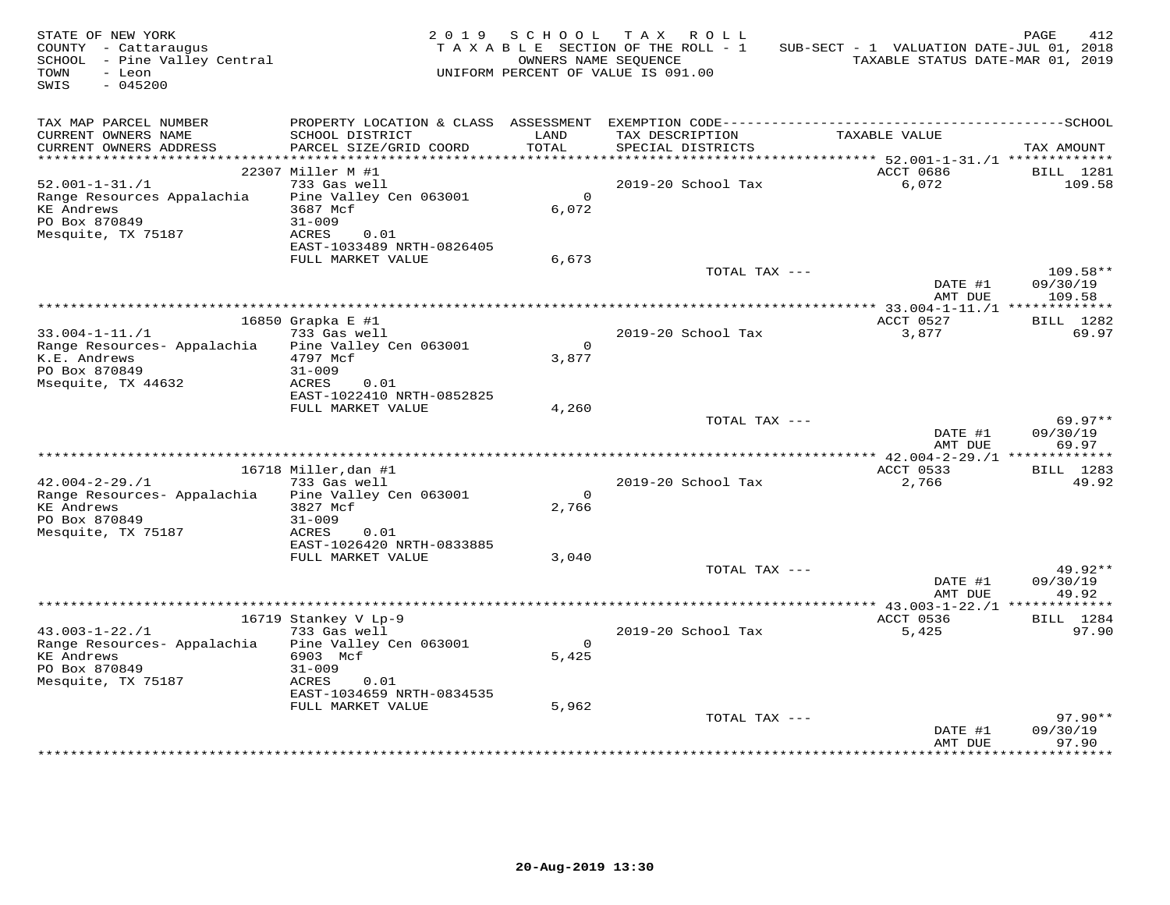| STATE OF NEW YORK<br>COUNTY - Cattaraugus<br>SCHOOL - Pine Valley Central<br>TOWN<br>- Leon<br>SWIS<br>$-045200$ |                                                          | 2019 SCHOOL             | TAX ROLL<br>TAXABLE SECTION OF THE ROLL - 1<br>OWNERS NAME SEOUENCE<br>UNIFORM PERCENT OF VALUE IS 091.00 | SUB-SECT - 1 VALUATION DATE-JUL 01, 2018<br>TAXABLE STATUS DATE-MAR 01, 2019 | PAGE<br>412                    |
|------------------------------------------------------------------------------------------------------------------|----------------------------------------------------------|-------------------------|-----------------------------------------------------------------------------------------------------------|------------------------------------------------------------------------------|--------------------------------|
| TAX MAP PARCEL NUMBER<br>CURRENT OWNERS NAME                                                                     | SCHOOL DISTRICT                                          | LAND                    | TAX DESCRIPTION                                                                                           | TAXABLE VALUE                                                                |                                |
| CURRENT OWNERS ADDRESS<br>***********************                                                                | PARCEL SIZE/GRID COORD                                   | TOTAL                   | SPECIAL DISTRICTS                                                                                         |                                                                              | TAX AMOUNT                     |
|                                                                                                                  | 22307 Miller M #1                                        |                         |                                                                                                           | ACCT 0686                                                                    | BILL 1281                      |
| $52.001 - 1 - 31. / 1$                                                                                           | 733 Gas well                                             |                         | 2019-20 School Tax                                                                                        | 6,072                                                                        | 109.58                         |
| Range Resources Appalachia<br><b>KE</b> Andrews                                                                  | Pine Valley Cen 063001<br>3687 Mcf                       | $\circ$<br>6,072        |                                                                                                           |                                                                              |                                |
| PO Box 870849<br>Mesquite, TX 75187                                                                              | $31 - 009$<br>ACRES<br>0.01<br>EAST-1033489 NRTH-0826405 |                         |                                                                                                           |                                                                              |                                |
|                                                                                                                  | FULL MARKET VALUE                                        | 6,673                   |                                                                                                           |                                                                              |                                |
|                                                                                                                  |                                                          |                         | TOTAL TAX ---                                                                                             | DATE #1<br>AMT DUE                                                           | 109.58**<br>09/30/19<br>109.58 |
|                                                                                                                  |                                                          |                         |                                                                                                           |                                                                              |                                |
|                                                                                                                  | 16850 Grapka E #1                                        |                         |                                                                                                           | ACCT 0527                                                                    | BILL 1282                      |
| $33.004 - 1 - 11.71$                                                                                             | 733 Gas well                                             |                         | 2019-20 School Tax                                                                                        | 3,877                                                                        | 69.97                          |
| Range Resources- Appalachia<br>K.E. Andrews<br>PO Box 870849                                                     | Pine Valley Cen 063001<br>4797 Mcf<br>$31 - 009$         | $\overline{0}$<br>3,877 |                                                                                                           |                                                                              |                                |
| Msequite, TX 44632                                                                                               | ACRES<br>0.01<br>EAST-1022410 NRTH-0852825               |                         |                                                                                                           |                                                                              |                                |
|                                                                                                                  | FULL MARKET VALUE                                        | 4,260                   |                                                                                                           |                                                                              |                                |
|                                                                                                                  |                                                          |                         | TOTAL TAX ---                                                                                             | DATE #1<br>AMT DUE                                                           | $69.97**$<br>09/30/19<br>69.97 |
|                                                                                                                  |                                                          |                         |                                                                                                           |                                                                              |                                |
|                                                                                                                  | 16718 Miller, dan #1                                     |                         |                                                                                                           | ACCT 0533                                                                    | BILL 1283                      |
| $42.004 - 2 - 29.71$                                                                                             | 733 Gas well                                             |                         | 2019-20 School Tax                                                                                        | 2,766                                                                        | 49.92                          |
| Range Resources- Appalachia                                                                                      | Pine Valley Cen 063001                                   | $\circ$                 |                                                                                                           |                                                                              |                                |
| <b>KE Andrews</b><br>PO Box 870849                                                                               | 3827 Mcf<br>$31 - 009$                                   | 2,766                   |                                                                                                           |                                                                              |                                |
| Mesquite, TX 75187                                                                                               | ACRES<br>0.01                                            |                         |                                                                                                           |                                                                              |                                |
|                                                                                                                  | EAST-1026420 NRTH-0833885<br>FULL MARKET VALUE           | 3,040                   |                                                                                                           |                                                                              |                                |
|                                                                                                                  |                                                          |                         | TOTAL TAX ---                                                                                             |                                                                              | 49.92**                        |
|                                                                                                                  |                                                          |                         |                                                                                                           | DATE #1<br>AMT DUE                                                           | 09/30/19<br>49.92              |
|                                                                                                                  |                                                          |                         |                                                                                                           | *************** 43.003-1-22./1 **************                                |                                |
|                                                                                                                  | 16719 Stankey V Lp-9                                     |                         |                                                                                                           | ACCT 0536                                                                    | BILL 1284                      |
| $43.003 - 1 - 22.71$<br>Range Resources- Appalachia                                                              | 733 Gas well<br>Pine Valley Cen 063001                   | $\Omega$                | 2019-20 School Tax                                                                                        | 5,425                                                                        | 97.90                          |
| <b>KE Andrews</b><br>PO Box 870849<br>Mesquite, TX 75187                                                         | 6903 Mcf<br>$31 - 009$<br>ACRES<br>0.01                  | 5,425                   |                                                                                                           |                                                                              |                                |
|                                                                                                                  | EAST-1034659 NRTH-0834535<br>FULL MARKET VALUE           | 5,962                   |                                                                                                           |                                                                              |                                |
|                                                                                                                  |                                                          |                         | TOTAL TAX ---                                                                                             |                                                                              | $97.90**$                      |
|                                                                                                                  |                                                          |                         |                                                                                                           | DATE #1<br>AMT DUE                                                           | 09/30/19<br>97.90              |
|                                                                                                                  |                                                          |                         |                                                                                                           |                                                                              |                                |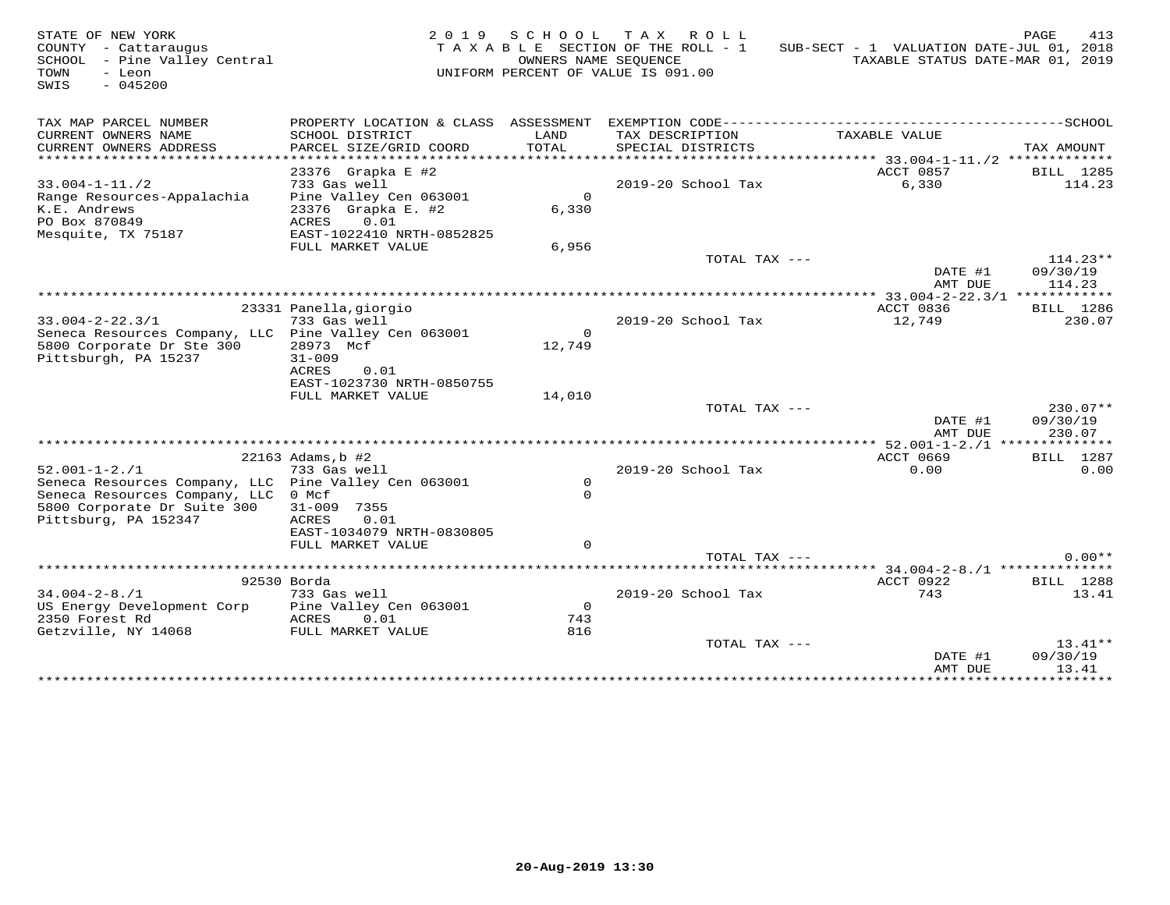| STATE OF NEW YORK<br>COUNTY - Cattaraugus<br>SCHOOL - Pine Valley Central<br>TOWN<br>- Leon<br>SWIS<br>$-045200$                                                    |                                                                                                                                     | OWNERS NAME SEQUENCE            | 2019 SCHOOL TAX ROLL<br>TAXABLE SECTION OF THE ROLL - 1<br>UNIFORM PERCENT OF VALUE IS 091.00 | SUB-SECT - 1 VALUATION DATE-JUL 01, 2018<br>TAXABLE STATUS DATE-MAR 01, 2019 | PAGE<br>413                      |
|---------------------------------------------------------------------------------------------------------------------------------------------------------------------|-------------------------------------------------------------------------------------------------------------------------------------|---------------------------------|-----------------------------------------------------------------------------------------------|------------------------------------------------------------------------------|----------------------------------|
| TAX MAP PARCEL NUMBER<br>CURRENT OWNERS NAME<br>CURRENT OWNERS ADDRESS<br>**********************                                                                    | PROPERTY LOCATION & CLASS ASSESSMENT<br>SCHOOL DISTRICT<br>PARCEL SIZE/GRID COORD                                                   | LAND<br>TOTAL                   | TAX DESCRIPTION<br>SPECIAL DISTRICTS                                                          | TAXABLE VALUE                                                                | TAX AMOUNT                       |
| $33.004 - 1 - 11.72$<br>Range Resources-Appalachia<br>K.E. Andrews<br>PO Box 870849<br>Mesquite, TX 75187                                                           | 23376 Grapka E #2<br>733 Gas well<br>Pine Valley Cen 063001<br>23376 Grapka E. #2<br>0.01<br>ACRES<br>EAST-1022410 NRTH-0852825     | $\mathsf{O}$<br>6,330           | 2019-20 School Tax                                                                            | ACCT 0857<br>6,330                                                           | BILL 1285<br>114.23              |
|                                                                                                                                                                     | FULL MARKET VALUE                                                                                                                   | 6,956                           | TOTAL TAX ---                                                                                 | DATE #1<br>AMT DUE                                                           | $114.23**$<br>09/30/19<br>114.23 |
|                                                                                                                                                                     |                                                                                                                                     |                                 |                                                                                               |                                                                              |                                  |
| $33.004 - 2 - 22.3/1$<br>Seneca Resources Company, LLC Pine Valley Cen 063001<br>5800 Corporate Dr Ste 300<br>Pittsburgh, PA 15237                                  | 23331 Panella, giorgio<br>733 Gas well<br>28973 Mcf<br>$31 - 009$<br><b>ACRES</b><br>0.01                                           | $\Omega$<br>12,749              | 2019-20 School Tax                                                                            | ACCT 0836<br>12,749                                                          | BILL 1286<br>230.07              |
|                                                                                                                                                                     | EAST-1023730 NRTH-0850755<br>FULL MARKET VALUE                                                                                      | 14,010                          |                                                                                               |                                                                              |                                  |
|                                                                                                                                                                     |                                                                                                                                     |                                 | TOTAL TAX ---                                                                                 | DATE #1<br>AMT DUE                                                           | $230.07**$<br>09/30/19<br>230.07 |
|                                                                                                                                                                     |                                                                                                                                     |                                 |                                                                                               | ***** 52.001-1-2./1 **************                                           |                                  |
| $52.001 - 1 - 2.71$<br>Seneca Resources Company, LLC Pine Valley Cen 063001<br>Seneca Resources Company, LLC<br>5800 Corporate Dr Suite 300<br>Pittsburg, PA 152347 | 22163 Adams, b #2<br>733 Gas well<br>0 Mcf<br>$31 - 009$<br>7355<br>ACRES<br>0.01<br>EAST-1034079 NRTH-0830805<br>FULL MARKET VALUE | $\circ$<br>$\Omega$<br>$\Omega$ | 2019-20 School Tax                                                                            | ACCT 0669<br>0.00                                                            | BILL 1287<br>0.00                |
|                                                                                                                                                                     |                                                                                                                                     |                                 | TOTAL TAX $---$                                                                               |                                                                              | $0.00**$                         |
|                                                                                                                                                                     |                                                                                                                                     |                                 |                                                                                               |                                                                              |                                  |
|                                                                                                                                                                     | 92530 Borda                                                                                                                         |                                 |                                                                                               | ACCT 0922<br>743                                                             | BILL 1288                        |
| $34.004 - 2 - 8.71$<br>US Energy Development Corp<br>2350 Forest Rd<br>Getzville, NY 14068                                                                          | 733 Gas well<br>Pine Valley Cen 063001<br>ACRES<br>0.01<br>FULL MARKET VALUE                                                        | $\Omega$<br>743<br>816          | 2019-20 School Tax                                                                            |                                                                              | 13.41                            |
|                                                                                                                                                                     |                                                                                                                                     |                                 | TOTAL TAX ---                                                                                 | DATE #1                                                                      | $13.41**$<br>09/30/19            |
|                                                                                                                                                                     |                                                                                                                                     |                                 |                                                                                               | AMT DUE<br>*****************                                                 | 13.41<br>***********             |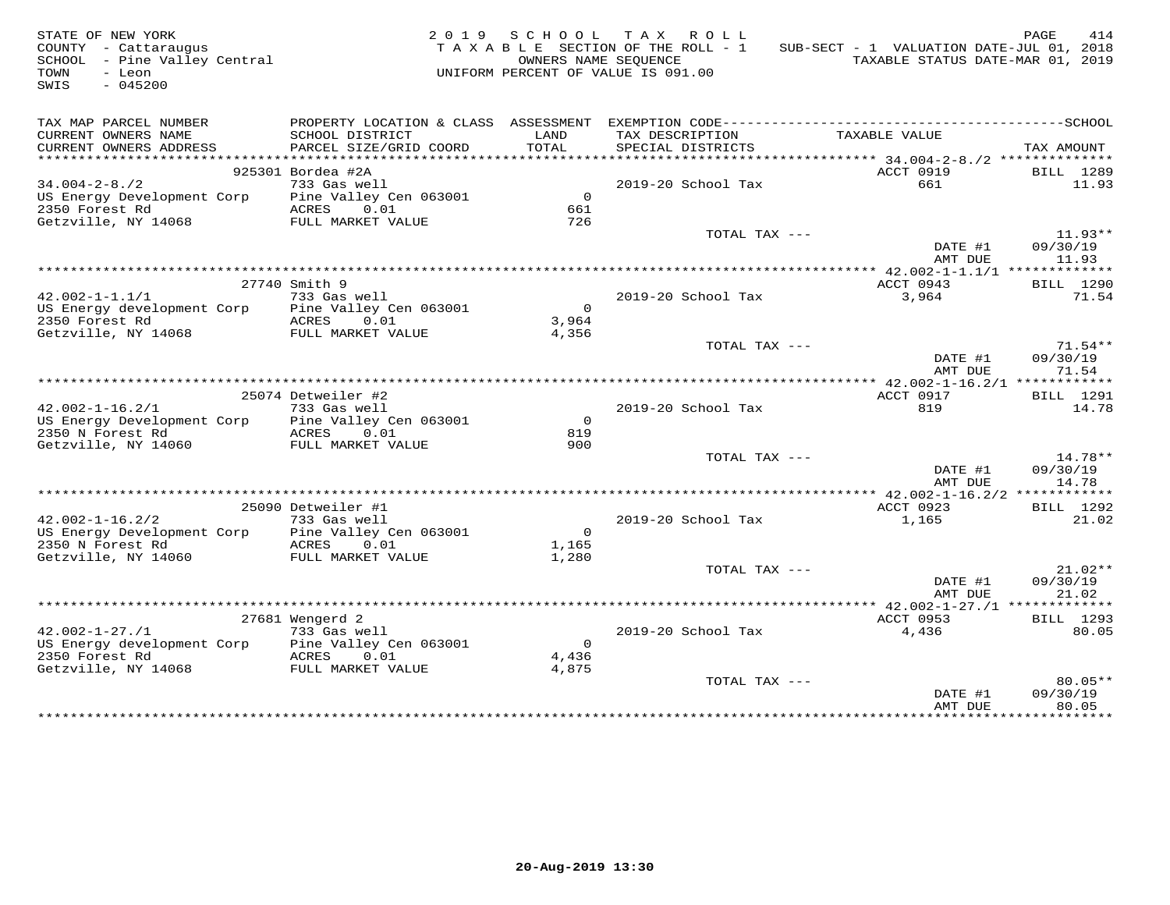| STATE OF NEW YORK<br>COUNTY - Cattaraugus<br>SCHOOL - Pine Valley Central<br>TOWN<br>- Leon<br>$-045200$<br>SWIS |                        |                | 2019 SCHOOL TAX ROLL<br>TAXABLE SECTION OF THE ROLL - 1<br>OWNERS NAME SEOUENCE<br>UNIFORM PERCENT OF VALUE IS 091.00 | SUB-SECT - 1 VALUATION DATE-JUL 01, 2018<br>TAXABLE STATUS DATE-MAR 01, 2019 | PAGE<br>414           |
|------------------------------------------------------------------------------------------------------------------|------------------------|----------------|-----------------------------------------------------------------------------------------------------------------------|------------------------------------------------------------------------------|-----------------------|
| TAX MAP PARCEL NUMBER                                                                                            |                        |                |                                                                                                                       |                                                                              |                       |
| CURRENT OWNERS NAME                                                                                              | SCHOOL DISTRICT        | LAND           | TAX DESCRIPTION                                                                                                       | TAXABLE VALUE                                                                |                       |
| CURRENT OWNERS ADDRESS<br>***********************                                                                | PARCEL SIZE/GRID COORD | TOTAL          | SPECIAL DISTRICTS                                                                                                     |                                                                              | TAX AMOUNT            |
|                                                                                                                  | 925301 Bordea #2A      |                |                                                                                                                       | ACCT 0919                                                                    | BILL 1289             |
| $34.004 - 2 - 8.72$                                                                                              | 733 Gas well           |                | 2019-20 School Tax                                                                                                    | 661                                                                          | 11.93                 |
| US Energy Development Corp Pine Valley Cen 063001                                                                |                        | $\overline{0}$ |                                                                                                                       |                                                                              |                       |
| 2350 Forest Rd                                                                                                   | ACRES 0.01             | 661            |                                                                                                                       |                                                                              |                       |
| Getzville, NY 14068                                                                                              | FULL MARKET VALUE      | 726            |                                                                                                                       |                                                                              |                       |
|                                                                                                                  |                        |                | TOTAL TAX ---                                                                                                         |                                                                              | $11.93**$             |
|                                                                                                                  |                        |                |                                                                                                                       | DATE #1                                                                      | 09/30/19              |
|                                                                                                                  |                        |                |                                                                                                                       | AMT DUE                                                                      | 11.93                 |
|                                                                                                                  |                        |                |                                                                                                                       |                                                                              |                       |
| $42.002 - 1 - 1.1/1$                                                                                             | 27740 Smith 9          |                |                                                                                                                       | ACCT 0943                                                                    | BILL 1290             |
| US Energy development Corp Pine Valley Cen 063001                                                                | 733 Gas well           | $\overline{0}$ | 2019-20 School Tax                                                                                                    | 3,964                                                                        | 71.54                 |
| 2350 Forest Rd                                                                                                   | ACRES 0.01             | 3,964          |                                                                                                                       |                                                                              |                       |
| Getzville, NY 14068 FULL MARKET VALUE                                                                            |                        | 4,356          |                                                                                                                       |                                                                              |                       |
|                                                                                                                  |                        |                | TOTAL TAX ---                                                                                                         |                                                                              | $71.54**$             |
|                                                                                                                  |                        |                |                                                                                                                       | DATE #1<br>AMT DUE                                                           | 09/30/19<br>71.54     |
|                                                                                                                  |                        |                |                                                                                                                       |                                                                              |                       |
|                                                                                                                  | 25074 Detweiler #2     |                |                                                                                                                       | ACCT 0917                                                                    | BILL 1291             |
| $42.002 - 1 - 16.2/1$                                                                                            | 733 Gas well           |                | 2019-20 School Tax                                                                                                    | 819                                                                          | 14.78                 |
| US Energy Development Corp Pine Valley Cen 063001                                                                |                        | $\overline{0}$ |                                                                                                                       |                                                                              |                       |
| 2350 N Forest Rd                                                                                                 | ACRES 0.01             | 819            |                                                                                                                       |                                                                              |                       |
| Getzville, NY 14060                                                                                              | FULL MARKET VALUE      | 900            | TOTAL TAX ---                                                                                                         |                                                                              | $14.78**$             |
|                                                                                                                  |                        |                |                                                                                                                       | DATE #1                                                                      | 09/30/19              |
|                                                                                                                  |                        |                |                                                                                                                       | AMT DUE                                                                      | 14.78                 |
|                                                                                                                  |                        |                |                                                                                                                       |                                                                              |                       |
|                                                                                                                  | 25090 Detweiler #1     |                |                                                                                                                       | ACCT 0923                                                                    | BILL 1292             |
| $42.002 - 1 - 16.2/2$                                                                                            | 733 Gas well           |                | $2019-20$ School Tax                                                                                                  | 1,165                                                                        | 21.02                 |
| US Energy Development Corp                                                                                       | Pine Valley Cen 063001 | $\overline{0}$ |                                                                                                                       |                                                                              |                       |
| 2350 N Forest Rd                                                                                                 | ACRES 0.01             | 1,165          |                                                                                                                       |                                                                              |                       |
| Getzville, NY 14060                                                                                              | FULL MARKET VALUE      | 1,280          |                                                                                                                       |                                                                              |                       |
|                                                                                                                  |                        |                | TOTAL TAX ---                                                                                                         | DATE #1                                                                      | $21.02**$<br>09/30/19 |
|                                                                                                                  |                        |                |                                                                                                                       | AMT DUE                                                                      | 21.02                 |
|                                                                                                                  |                        |                |                                                                                                                       |                                                                              |                       |
|                                                                                                                  | 27681 Wengerd 2        |                |                                                                                                                       | ACCT 0953                                                                    | BILL 1293             |
| $42.002 - 1 - 27.71$                                                                                             | 733 Gas well           |                | 2019-20 School Tax                                                                                                    | 4,436                                                                        | 80.05                 |
| US Energy development Corp Pine Valley Cen 063001                                                                |                        | $\overline{0}$ |                                                                                                                       |                                                                              |                       |
| 2350 Forest Rd                                                                                                   | ACRES 0.01             | 4,436          |                                                                                                                       |                                                                              |                       |
| Getzville, NY 14068                                                                                              | FULL MARKET VALUE      | 4,875          |                                                                                                                       |                                                                              |                       |
|                                                                                                                  |                        |                | TOTAL TAX ---                                                                                                         |                                                                              | $80.05**$             |
|                                                                                                                  |                        |                |                                                                                                                       | DATE #1                                                                      | 09/30/19              |
|                                                                                                                  |                        |                |                                                                                                                       | AMT DUE<br>* * * * * * * * * * * * * * *                                     | 80.05<br>.            |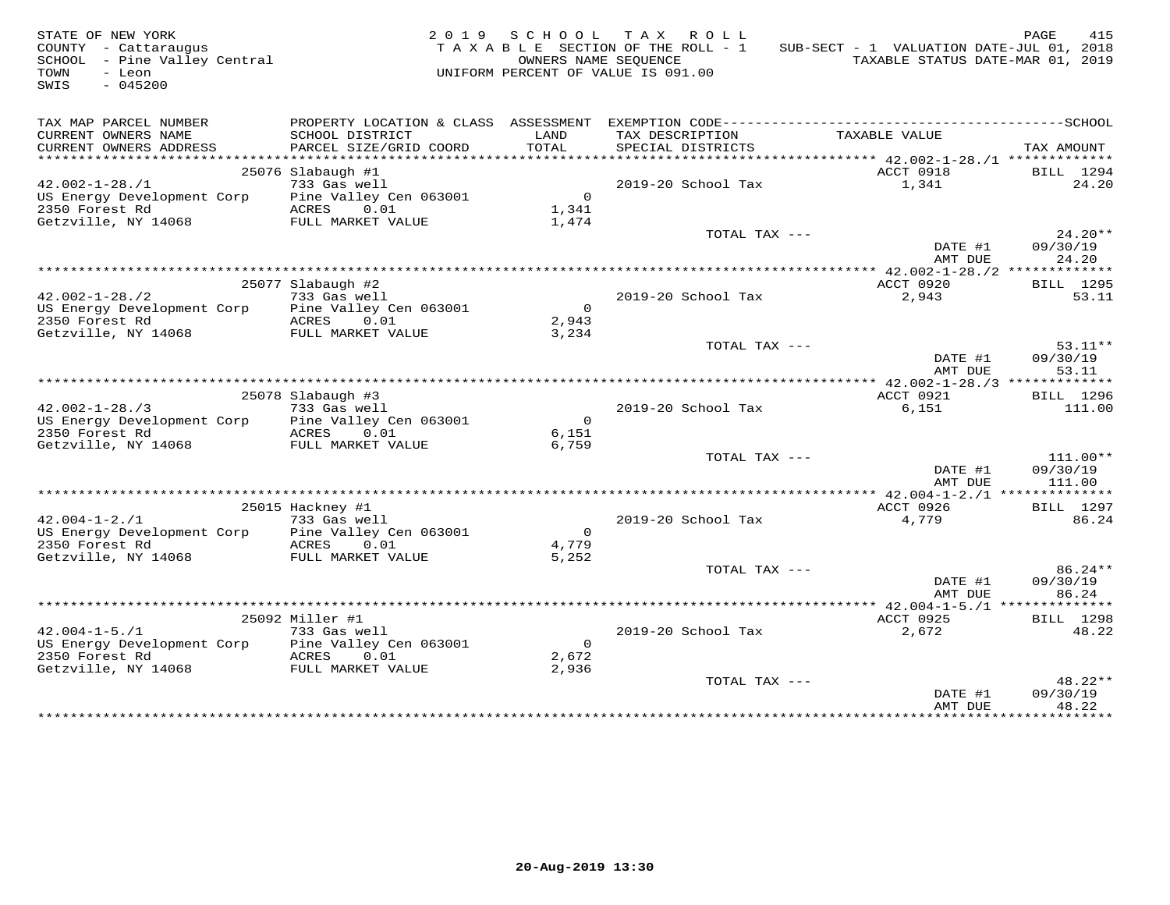| STATE OF NEW YORK<br>COUNTY - Cattaraugus<br>SCHOOL - Pine Valley Central<br>TOWN<br>- Leon<br>$-045200$<br>SWIS |                                      |                         | 2019 SCHOOL TAX ROLL<br>TAXABLE SECTION OF THE ROLL - 1<br>OWNERS NAME SEQUENCE<br>UNIFORM PERCENT OF VALUE IS 091.00 | SUB-SECT - 1 VALUATION DATE-JUL 01, 2018<br>TAXABLE STATUS DATE-MAR 01, 2019 | PAGE<br>415           |
|------------------------------------------------------------------------------------------------------------------|--------------------------------------|-------------------------|-----------------------------------------------------------------------------------------------------------------------|------------------------------------------------------------------------------|-----------------------|
| TAX MAP PARCEL NUMBER                                                                                            | PROPERTY LOCATION & CLASS ASSESSMENT |                         |                                                                                                                       |                                                                              |                       |
| CURRENT OWNERS NAME                                                                                              | SCHOOL DISTRICT                      | LAND                    | TAX DESCRIPTION                                                                                                       | TAXABLE VALUE                                                                |                       |
| CURRENT OWNERS ADDRESS                                                                                           | PARCEL SIZE/GRID COORD               | TOTAL                   | SPECIAL DISTRICTS                                                                                                     |                                                                              | TAX AMOUNT            |
| ***********************                                                                                          |                                      |                         |                                                                                                                       | ACCT 0918                                                                    |                       |
| $42.002 - 1 - 28.71$                                                                                             | 25076 Slabaugh #1<br>733 Gas well    |                         | 2019-20 School Tax                                                                                                    | 1,341                                                                        | BILL 1294<br>24.20    |
| US Energy Development Corp Pine Valley Cen 063001                                                                |                                      | $\overline{0}$          |                                                                                                                       |                                                                              |                       |
| 2350 Forest Rd                                                                                                   | ACRES 0.01                           | 1,341                   |                                                                                                                       |                                                                              |                       |
| Getzville, NY 14068                                                                                              | FULL MARKET VALUE                    | 1,474                   |                                                                                                                       |                                                                              |                       |
|                                                                                                                  |                                      |                         | TOTAL TAX ---                                                                                                         |                                                                              | $24.20**$             |
|                                                                                                                  |                                      |                         |                                                                                                                       | DATE #1                                                                      | 09/30/19              |
|                                                                                                                  |                                      |                         |                                                                                                                       | AMT DUE                                                                      | 24.20                 |
|                                                                                                                  |                                      |                         |                                                                                                                       | ACCT 0920                                                                    |                       |
| $42.002 - 1 - 28.72$                                                                                             | 25077 Slabaugh #2<br>733 Gas well    |                         | 2019-20 School Tax                                                                                                    | 2,943                                                                        | BILL 1295<br>53.11    |
| US Energy Development Corp                                                                                       | Pine Valley Cen 063001               | $\overline{0}$          |                                                                                                                       |                                                                              |                       |
| 2350 Forest Rd                                                                                                   | ACRES 0.01                           | 2,943                   |                                                                                                                       |                                                                              |                       |
| Getzville, NY 14068                                                                                              | FULL MARKET VALUE                    | 3,234                   |                                                                                                                       |                                                                              |                       |
|                                                                                                                  |                                      |                         | TOTAL TAX ---                                                                                                         |                                                                              | $53.11**$             |
|                                                                                                                  |                                      |                         |                                                                                                                       | DATE #1<br>AMT DUE                                                           | 09/30/19<br>53.11     |
|                                                                                                                  |                                      |                         |                                                                                                                       |                                                                              |                       |
|                                                                                                                  | 25078 Slabaugh #3                    |                         |                                                                                                                       | ACCT 0921                                                                    | BILL 1296             |
| $42.002 - 1 - 28.73$                                                                                             | 733 Gas well                         |                         | 2019-20 School Tax                                                                                                    | 6,151                                                                        | 111.00                |
| US Energy Development Corp<br>2350 Forest Rd                                                                     | Pine Valley Cen 063001<br>ACRES 0.01 | $\overline{0}$<br>6,151 |                                                                                                                       |                                                                              |                       |
| Getzville, NY 14068                                                                                              | FULL MARKET VALUE                    | 6,759                   |                                                                                                                       |                                                                              |                       |
|                                                                                                                  |                                      |                         | TOTAL TAX ---                                                                                                         |                                                                              | $111.00**$            |
|                                                                                                                  |                                      |                         |                                                                                                                       | DATE #1                                                                      | 09/30/19              |
|                                                                                                                  |                                      |                         |                                                                                                                       | AMT DUE                                                                      | 111.00                |
|                                                                                                                  |                                      |                         |                                                                                                                       |                                                                              |                       |
|                                                                                                                  | 25015 Hackney #1                     |                         |                                                                                                                       | ACCT 0926                                                                    | <b>BILL</b> 1297      |
| $42.004 - 1 - 2.71$                                                                                              | 733 Gas well                         |                         | $2019-20$ School Tax                                                                                                  | 4,779                                                                        | 86.24                 |
| US Energy Development Corp                                                                                       | Pine Valley Cen 063001               | $\overline{0}$          |                                                                                                                       |                                                                              |                       |
| 2350 Forest Rd<br>Getzville, NY 14068                                                                            | ACRES 0.01<br>FULL MARKET VALUE      | 4,779<br>5,252          |                                                                                                                       |                                                                              |                       |
|                                                                                                                  |                                      |                         | TOTAL TAX ---                                                                                                         |                                                                              | 86.24**               |
|                                                                                                                  |                                      |                         |                                                                                                                       | DATE #1                                                                      | 09/30/19              |
|                                                                                                                  |                                      |                         |                                                                                                                       | AMT DUE                                                                      | 86.24                 |
|                                                                                                                  |                                      |                         |                                                                                                                       |                                                                              |                       |
|                                                                                                                  | 25092 Miller #1                      |                         |                                                                                                                       | ACCT 0925                                                                    | <b>BILL</b> 1298      |
| $42.004 - 1 - 5.71$                                                                                              | 733 Gas well                         |                         | 2019-20 School Tax                                                                                                    | 2,672                                                                        | 48.22                 |
| US Energy Development Corp                                                                                       | Pine Valley Cen 063001               | $\overline{0}$          |                                                                                                                       |                                                                              |                       |
| 2350 Forest Rd<br>Getzville, NY 14068                                                                            | ACRES 0.01<br>FULL MARKET VALUE      | 2,672                   |                                                                                                                       |                                                                              |                       |
|                                                                                                                  |                                      | 2,936                   | TOTAL TAX ---                                                                                                         |                                                                              | $48.22**$             |
|                                                                                                                  |                                      |                         |                                                                                                                       | DATE #1                                                                      | 09/30/19              |
|                                                                                                                  |                                      |                         |                                                                                                                       | AMT DUE                                                                      | 48.22                 |
|                                                                                                                  |                                      |                         |                                                                                                                       | + + + + + + + + + + + + + + +                                                | * * * * * * * * * * * |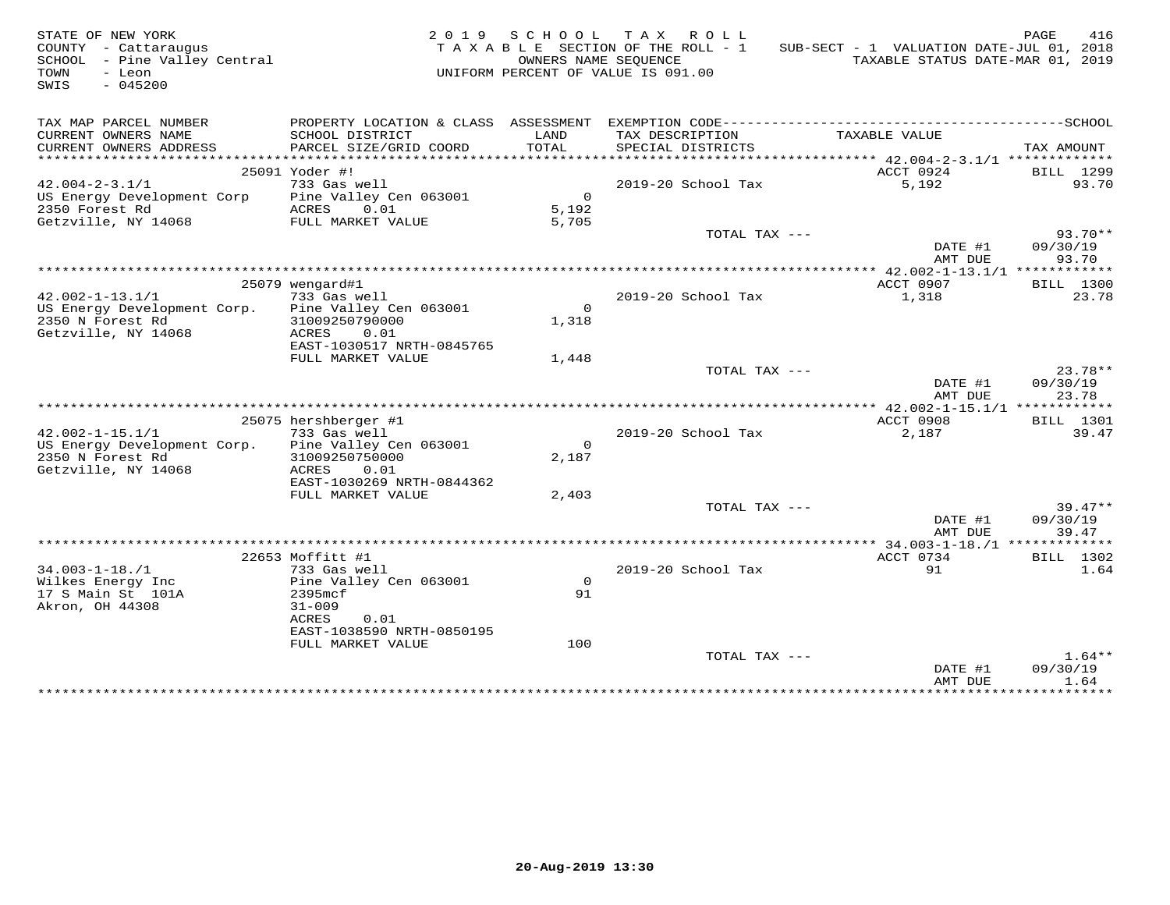| STATE OF NEW YORK<br>COUNTY - Cattaraugus<br>SCHOOL - Pine Valley Central<br>- Leon<br>TOWN<br>$-045200$<br>SWIS |                                                |                      | 2019 SCHOOL TAX ROLL<br>TAXABLE SECTION OF THE ROLL - 1<br>OWNERS NAME SEQUENCE<br>UNIFORM PERCENT OF VALUE IS 091.00 | SUB-SECT - 1 VALUATION DATE-JUL 01, 2018<br>TAXABLE STATUS DATE-MAR 01, 2019 | PAGE<br>416           |
|------------------------------------------------------------------------------------------------------------------|------------------------------------------------|----------------------|-----------------------------------------------------------------------------------------------------------------------|------------------------------------------------------------------------------|-----------------------|
| TAX MAP PARCEL NUMBER                                                                                            |                                                |                      |                                                                                                                       |                                                                              |                       |
| CURRENT OWNERS NAME<br>CURRENT OWNERS ADDRESS                                                                    | SCHOOL DISTRICT<br>PARCEL SIZE/GRID COORD      | LAND<br><b>TOTAL</b> | TAX DESCRIPTION<br>SPECIAL DISTRICTS                                                                                  | TAXABLE VALUE                                                                | TAX AMOUNT            |
|                                                                                                                  | 25091 Yoder #!                                 |                      |                                                                                                                       | ACCT 0924                                                                    | <b>BILL</b> 1299      |
| $42.004 - 2 - 3.1/1$                                                                                             | 733 Gas well                                   |                      | 2019-20 School Tax                                                                                                    | 5.192                                                                        | 93.70                 |
| US Energy Development Corp                                                                                       | Pine Valley Cen 063001                         | $\overline{0}$       |                                                                                                                       |                                                                              |                       |
| 2350 Forest Rd                                                                                                   | ACRES<br>0.01                                  | 5,192                |                                                                                                                       |                                                                              |                       |
| Getzville, NY 14068                                                                                              | FULL MARKET VALUE                              | 5,705                |                                                                                                                       |                                                                              |                       |
|                                                                                                                  |                                                |                      | TOTAL TAX ---                                                                                                         | DATE #1                                                                      | $93.70**$<br>09/30/19 |
|                                                                                                                  |                                                |                      |                                                                                                                       | AMT DUE                                                                      | 93.70                 |
|                                                                                                                  | 25079 wengard#1                                |                      |                                                                                                                       | ACCT 0907                                                                    | BILL 1300             |
| $42.002 - 1 - 13.1/1$                                                                                            | 733 Gas well                                   |                      | 2019-20 School Tax                                                                                                    | 1,318                                                                        | 23.78                 |
| US Energy Development Corp.                                                                                      | Pine Valley Cen 063001                         | $\overline{0}$       |                                                                                                                       |                                                                              |                       |
| 2350 N Forest Rd                                                                                                 | 31009250790000                                 | 1,318                |                                                                                                                       |                                                                              |                       |
| Getzville, NY 14068                                                                                              | ACRES<br>0.01                                  |                      |                                                                                                                       |                                                                              |                       |
|                                                                                                                  | EAST-1030517 NRTH-0845765                      |                      |                                                                                                                       |                                                                              |                       |
|                                                                                                                  | FULL MARKET VALUE                              | 1,448                |                                                                                                                       |                                                                              |                       |
|                                                                                                                  |                                                |                      | TOTAL TAX ---                                                                                                         |                                                                              | $23.78**$             |
|                                                                                                                  |                                                |                      |                                                                                                                       | DATE #1                                                                      | 09/30/19              |
|                                                                                                                  |                                                |                      |                                                                                                                       | AMT DUE                                                                      | 23.78                 |
|                                                                                                                  |                                                |                      |                                                                                                                       |                                                                              |                       |
| $42.002 - 1 - 15.1/1$                                                                                            | 25075 hershberger #1<br>733 Gas well           |                      | 2019-20 School Tax                                                                                                    | ACCT 0908<br>2,187                                                           | BILL 1301<br>39.47    |
| US Energy Development Corp.                                                                                      | Pine Valley Cen 063001                         | $\mathsf{O}$         |                                                                                                                       |                                                                              |                       |
| 2350 N Forest Rd                                                                                                 | 31009250750000                                 | 2,187                |                                                                                                                       |                                                                              |                       |
| Getzville, NY 14068                                                                                              | ACRES<br>0.01                                  |                      |                                                                                                                       |                                                                              |                       |
|                                                                                                                  | EAST-1030269 NRTH-0844362                      |                      |                                                                                                                       |                                                                              |                       |
|                                                                                                                  | FULL MARKET VALUE                              | 2,403                |                                                                                                                       |                                                                              |                       |
|                                                                                                                  |                                                |                      | TOTAL TAX ---                                                                                                         |                                                                              | $39.47**$             |
|                                                                                                                  |                                                |                      |                                                                                                                       | DATE #1                                                                      | 09/30/19              |
|                                                                                                                  |                                                |                      |                                                                                                                       | AMT DUE                                                                      | 39.47                 |
|                                                                                                                  |                                                |                      |                                                                                                                       |                                                                              |                       |
|                                                                                                                  | 22653 Moffitt #1                               |                      |                                                                                                                       | ACCT 0734                                                                    | BILL 1302             |
| $34.003 - 1 - 18. / 1$                                                                                           | 733 Gas well                                   |                      | 2019-20 School Tax                                                                                                    | 91                                                                           | 1.64                  |
| Wilkes Energy Inc                                                                                                | Pine Valley Cen 063001                         | $\circ$              |                                                                                                                       |                                                                              |                       |
| 17 S Main St 101A                                                                                                | 2395mcf                                        | 91                   |                                                                                                                       |                                                                              |                       |
| Akron, OH 44308                                                                                                  | $31 - 009$                                     |                      |                                                                                                                       |                                                                              |                       |
|                                                                                                                  | ACRES<br>0.01                                  |                      |                                                                                                                       |                                                                              |                       |
|                                                                                                                  | EAST-1038590 NRTH-0850195<br>FULL MARKET VALUE | 100                  |                                                                                                                       |                                                                              |                       |
|                                                                                                                  |                                                |                      | TOTAL TAX ---                                                                                                         |                                                                              | $1.64**$              |
|                                                                                                                  |                                                |                      |                                                                                                                       | DATE #1<br>AMT DUE                                                           | 09/30/19<br>1.64      |
|                                                                                                                  |                                                |                      |                                                                                                                       | + + + + + + + + + + + + + + +                                                | .                     |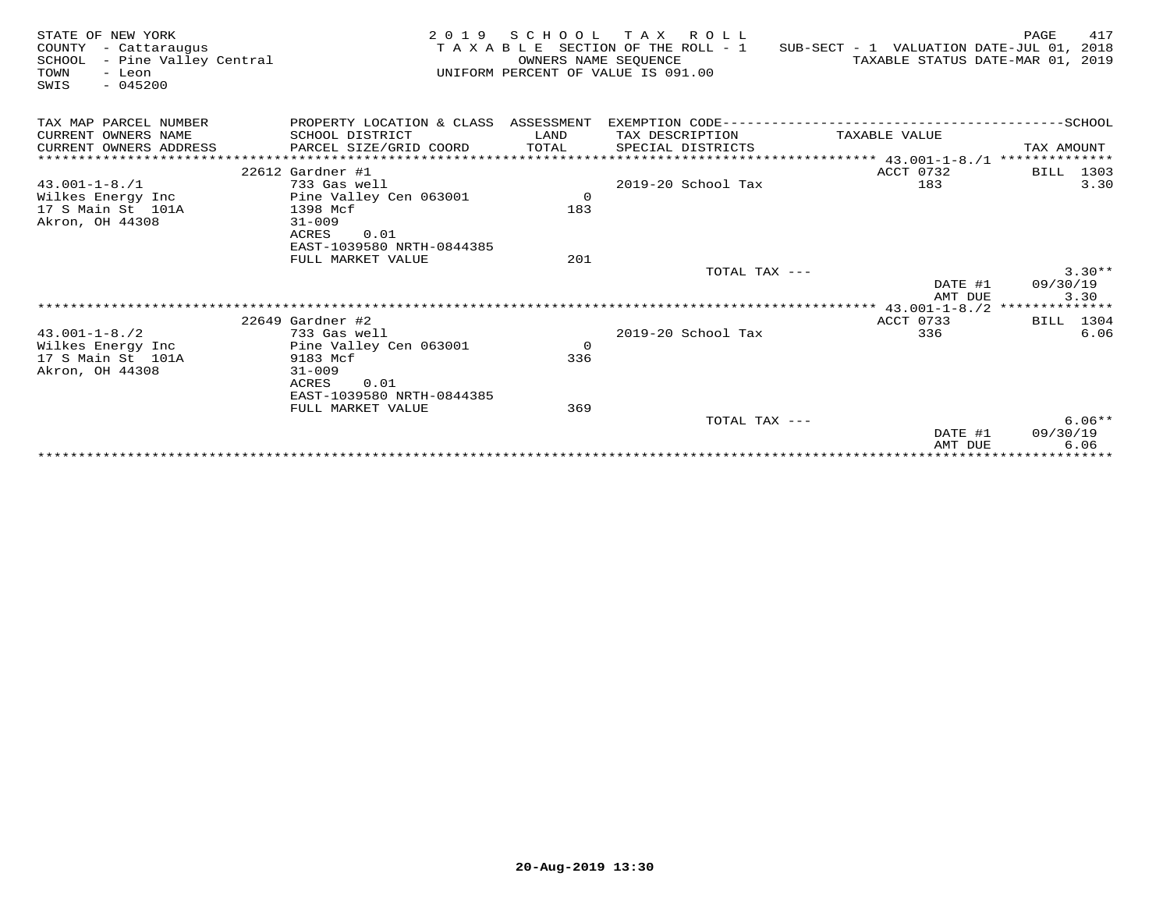| STATE OF NEW YORK<br>COUNTY<br>- Cattaraugus<br>- Pine Valley Central<br>SCHOOL<br>TOWN<br>- Leon<br>$-045200$<br>SWIS |                                                | 2019 SCHOOL<br>OWNERS NAME SEQUENCE | TAX ROLL<br>TAXABLE SECTION OF THE ROLL - 1<br>UNIFORM PERCENT OF VALUE IS 091.00 | SUB-SECT - 1 VALUATION DATE-JUL 01, 2018<br>TAXABLE STATUS DATE-MAR 01, 2019 | 417<br>PAGE          |
|------------------------------------------------------------------------------------------------------------------------|------------------------------------------------|-------------------------------------|-----------------------------------------------------------------------------------|------------------------------------------------------------------------------|----------------------|
| TAX MAP PARCEL NUMBER                                                                                                  | PROPERTY LOCATION & CLASS ASSESSMENT           |                                     |                                                                                   |                                                                              |                      |
| CURRENT OWNERS NAME                                                                                                    | SCHOOL DISTRICT                                | LAND                                | TAX DESCRIPTION                                                                   | TAXABLE VALUE                                                                |                      |
| CURRENT OWNERS ADDRESS                                                                                                 | PARCEL SIZE/GRID COORD                         | TOTAL                               | SPECIAL DISTRICTS                                                                 |                                                                              | TAX AMOUNT           |
|                                                                                                                        |                                                |                                     |                                                                                   |                                                                              |                      |
|                                                                                                                        | $22612$ Gardner #1                             |                                     |                                                                                   | ACCT 0732                                                                    | BILL 1303            |
| $43.001 - 1 - 8.71$                                                                                                    | 733 Gas well                                   |                                     | $2019-20$ School Tax                                                              | 183                                                                          | 3.30                 |
| Wilkes Energy Inc                                                                                                      | Pine Valley Cen 063001                         | $\mathbf 0$                         |                                                                                   |                                                                              |                      |
| 17 S Main St 101A                                                                                                      | 1398 Mcf                                       | 183                                 |                                                                                   |                                                                              |                      |
| Akron, OH 44308                                                                                                        | $31 - 009$                                     |                                     |                                                                                   |                                                                              |                      |
|                                                                                                                        | ACRES<br>0.01                                  |                                     |                                                                                   |                                                                              |                      |
|                                                                                                                        | EAST-1039580 NRTH-0844385<br>FULL MARKET VALUE | 201                                 |                                                                                   |                                                                              |                      |
|                                                                                                                        |                                                |                                     | TOTAL TAX ---                                                                     |                                                                              | $3.30**$             |
|                                                                                                                        |                                                |                                     |                                                                                   | DATE #1                                                                      | 09/30/19             |
|                                                                                                                        |                                                |                                     |                                                                                   | AMT DUE                                                                      | 3.30                 |
|                                                                                                                        |                                                |                                     |                                                                                   |                                                                              |                      |
|                                                                                                                        | $22649$ Gardner #2                             |                                     |                                                                                   | ACCT 0733                                                                    | BILL 1304            |
| $43.001 - 1 - 8.72$                                                                                                    | 733 Gas well                                   |                                     | 2019-20 School Tax                                                                | 336                                                                          | 6.06                 |
| Wilkes Energy Inc                                                                                                      | Pine Valley Cen 063001                         | $\mathbf 0$                         |                                                                                   |                                                                              |                      |
| 17 S Main St 101A                                                                                                      | 9183 Mcf                                       | 336                                 |                                                                                   |                                                                              |                      |
| Akron, OH 44308                                                                                                        | $31 - 009$                                     |                                     |                                                                                   |                                                                              |                      |
|                                                                                                                        | ACRES<br>0.01                                  |                                     |                                                                                   |                                                                              |                      |
|                                                                                                                        | EAST-1039580 NRTH-0844385                      |                                     |                                                                                   |                                                                              |                      |
|                                                                                                                        | FULL MARKET VALUE                              | 369                                 |                                                                                   |                                                                              |                      |
|                                                                                                                        |                                                |                                     | TOTAL TAX ---                                                                     | DATE #1                                                                      | $6.06**$<br>09/30/19 |
|                                                                                                                        |                                                |                                     |                                                                                   | AMT DUE                                                                      | 6.06                 |
|                                                                                                                        |                                                |                                     |                                                                                   |                                                                              | **********           |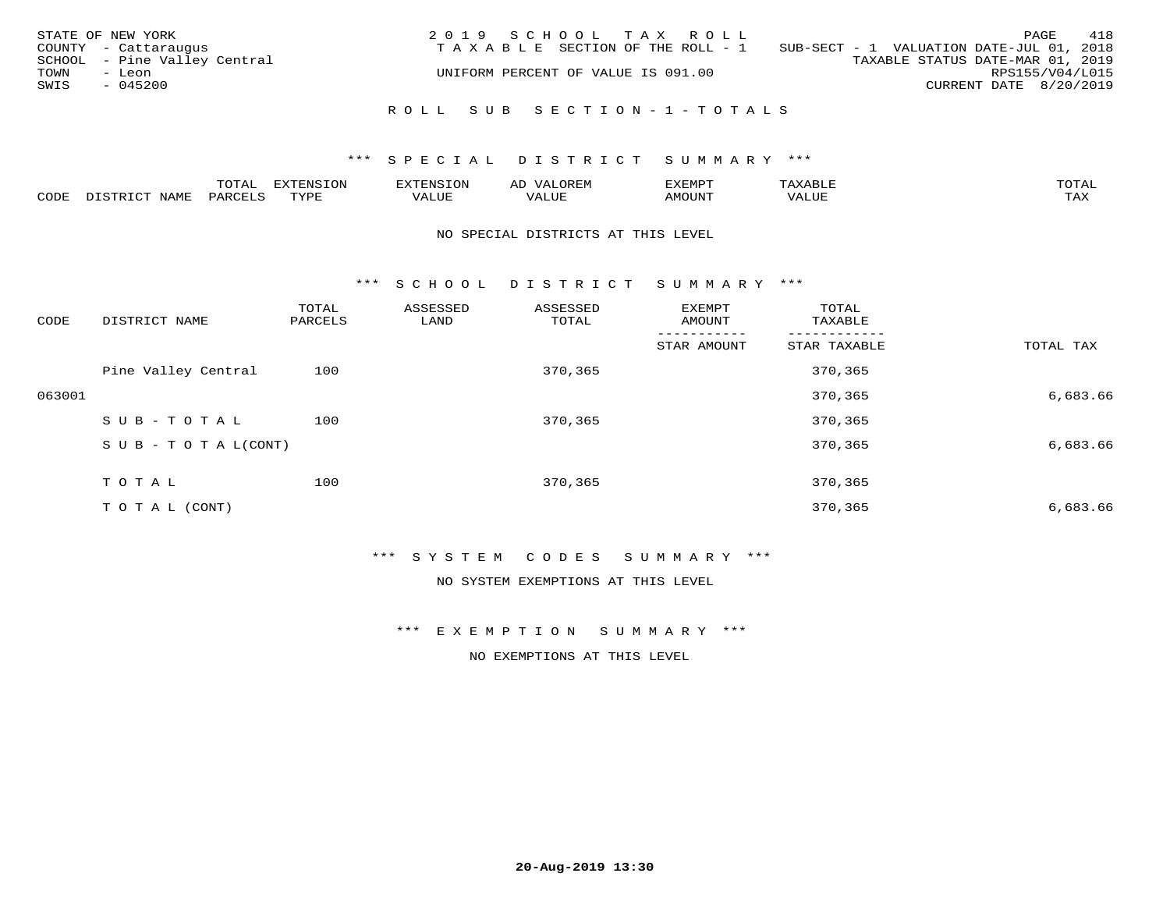| STATE OF NEW YORK<br>COUNTY - Cattaraugus<br>SCHOOL - Pine Valley Central<br>TOWN<br>- Leon<br>SWIS<br>$-045200$ | 2019 SCHOOL TAX ROLL<br>TAXABLE SECTION OF THE ROLL - 1<br>UNIFORM PERCENT OF VALUE IS 091.00 | PAGE<br>SUB-SECT - 1 VALUATION DATE-JUL 01, 2018<br>TAXABLE STATUS DATE-MAR 01, 2019<br>RPS155/V04/L015<br>CURRENT DATE 8/20/2019 | 418 |
|------------------------------------------------------------------------------------------------------------------|-----------------------------------------------------------------------------------------------|-----------------------------------------------------------------------------------------------------------------------------------|-----|
|                                                                                                                  | ROLL SUB SECTION-1-TOTALS                                                                     |                                                                                                                                   |     |

|      |      | $m \wedge m \wedge n$<br>◡∸ғ | TON                              | . HUNY              | AĽ                  | ے ا      |       | $m \wedge m \wedge n$ |
|------|------|------------------------------|----------------------------------|---------------------|---------------------|----------|-------|-----------------------|
| CODE | NAMF | 'AK                          | $m \times r \times r$<br>- - - - | T T T<br>اللالمستحم | - ---<br>اللالمستعم | 57077375 | VALUF | $m \times r$<br>- −-  |

#### NO SPECIAL DISTRICTS AT THIS LEVEL

\*\*\* S C H O O L D I S T R I C T S U M M A R Y \*\*\*

| CODE   | DISTRICT NAME                    | TOTAL<br>PARCELS | ASSESSED<br>LAND | ASSESSED<br>TOTAL | EXEMPT<br>AMOUNT | TOTAL<br>TAXABLE |           |
|--------|----------------------------------|------------------|------------------|-------------------|------------------|------------------|-----------|
|        |                                  |                  |                  |                   | STAR AMOUNT      | STAR TAXABLE     | TOTAL TAX |
|        | Pine Valley Central              | 100              |                  | 370,365           |                  | 370,365          |           |
| 063001 |                                  |                  |                  |                   |                  | 370,365          | 6,683.66  |
|        | SUB-TOTAL                        | 100              |                  | 370,365           |                  | 370,365          |           |
|        | $S \cup B - T \cup T A L (CONT)$ |                  |                  |                   |                  | 370,365          | 6,683.66  |
|        | TOTAL                            | 100              |                  | 370,365           |                  | 370,365          |           |
|        |                                  |                  |                  |                   |                  |                  |           |
|        | T O T A L (CONT)                 |                  |                  |                   |                  | 370,365          | 6,683.66  |

\*\*\* S Y S T E M C O D E S S U M M A R Y \*\*\*

NO SYSTEM EXEMPTIONS AT THIS LEVEL

\*\*\* E X E M P T I O N S U M M A R Y \*\*\*

NO EXEMPTIONS AT THIS LEVEL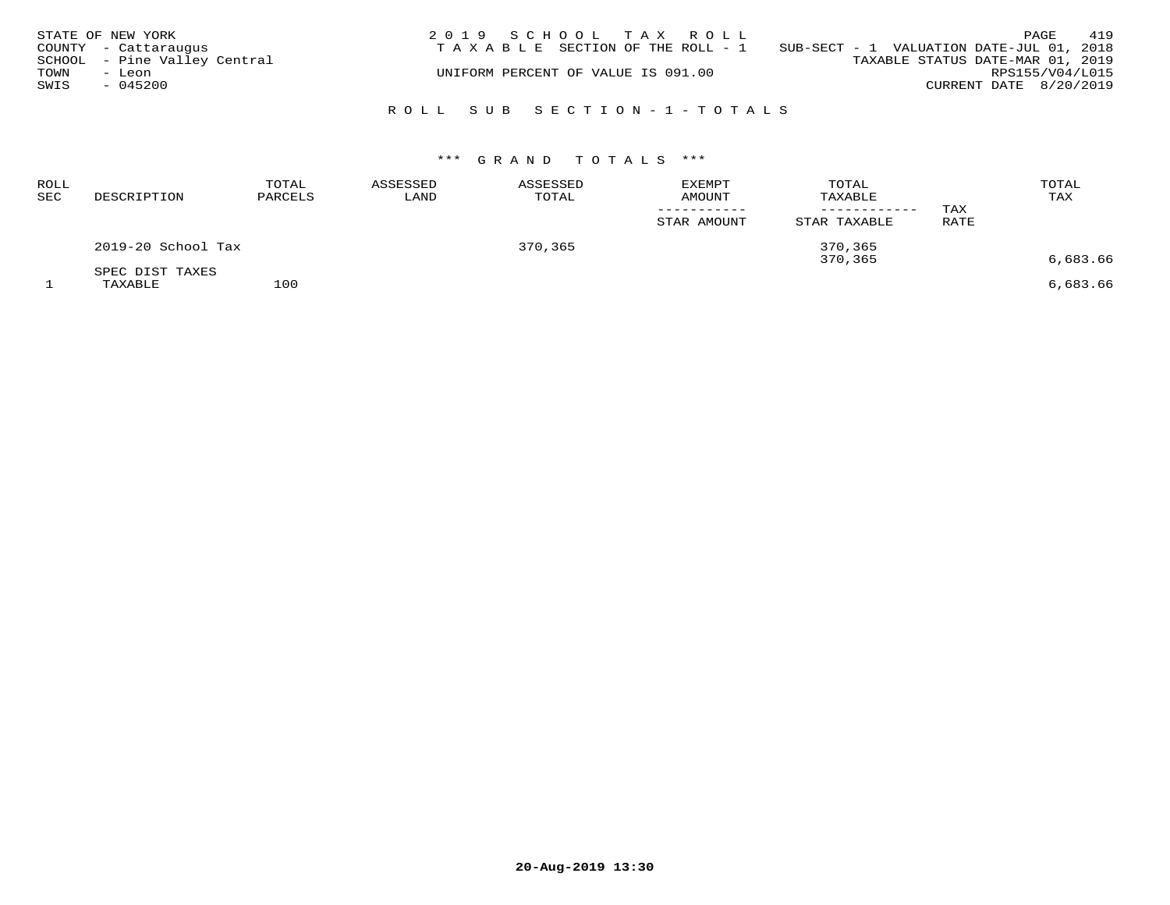|      | STATE OF NEW YORK            | 2019 SCHOOL TAX ROLL                                                           |                        | PAGE            | 419 |
|------|------------------------------|--------------------------------------------------------------------------------|------------------------|-----------------|-----|
|      | COUNTY - Cattaraugus         | T A X A B L E SECTION OF THE ROLL - 1 SUB-SECT - 1 VALUATION DATE-JUL 01, 2018 |                        |                 |     |
|      | SCHOOL - Pine Valley Central | TAXABLE STATUS DATE-MAR 01, 2019                                               |                        |                 |     |
| TOWN | - Leon                       | UNIFORM PERCENT OF VALUE IS 091.00                                             |                        | RPS155/V04/L015 |     |
| SWIS | $-045200$                    |                                                                                | CURRENT DATE 8/20/2019 |                 |     |
|      |                              |                                                                                |                        |                 |     |
|      |                              | ROLL SUB SECTION-1-TOTALS                                                      |                        |                 |     |

# \*\*\* G R A N D T O T A L S \*\*\*

| <b>ROLL</b><br>SEC | DESCRIPTION                | TOTAL<br>PARCELS | ASSESSED<br>LAND | ASSESSED<br>TOTAL | <b>EXEMPT</b><br><b>AMOUNT</b><br>STAR AMOUNT | TOTAL<br>TAXABLE<br>----------<br>STAR TAXABLE | TAX<br>RATE | TOTAL<br>TAX |
|--------------------|----------------------------|------------------|------------------|-------------------|-----------------------------------------------|------------------------------------------------|-------------|--------------|
|                    | 2019-20 School Tax         |                  |                  | 370,365           |                                               | 370,365<br>370,365                             |             | 6,683.66     |
|                    | SPEC DIST TAXES<br>TAXABLE | 100              |                  |                   |                                               |                                                |             | 6,683.66     |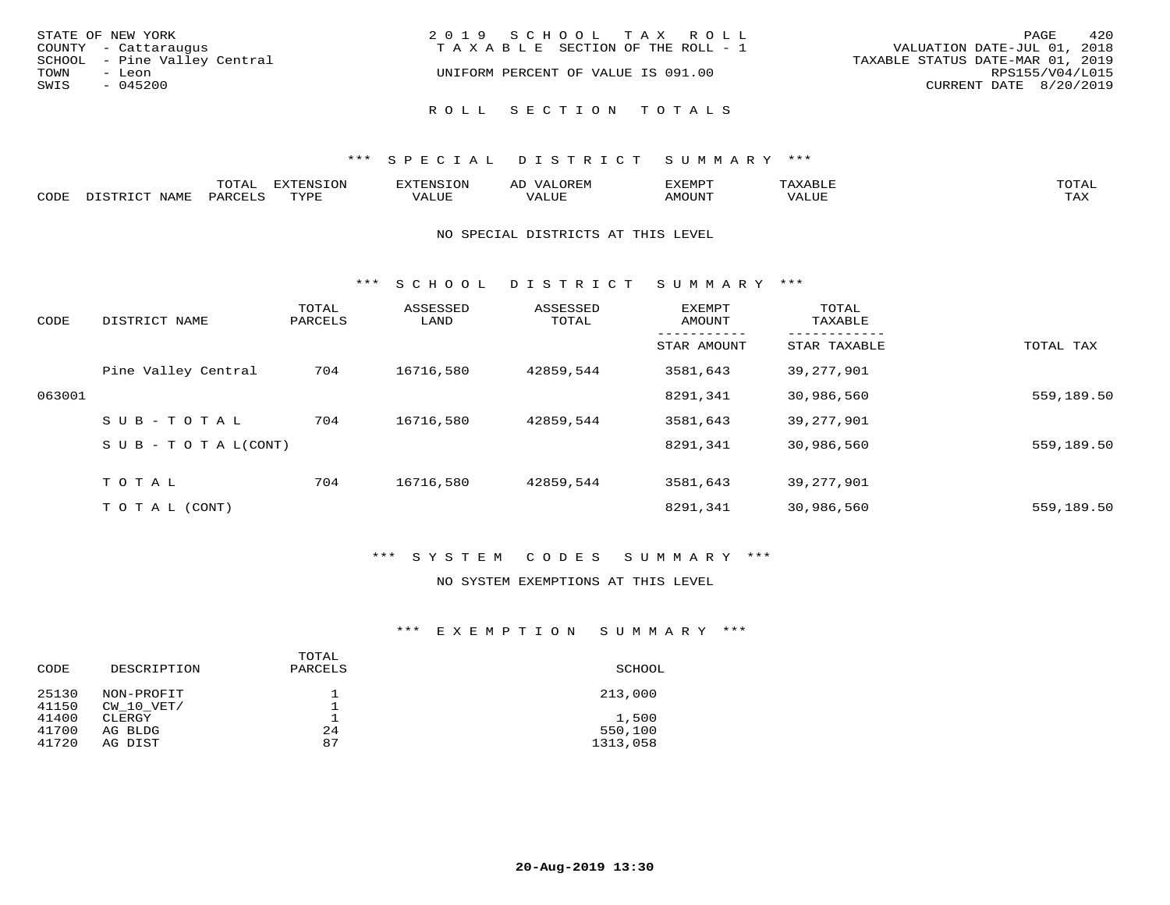| STATE OF NEW YORK            | 2019 SCHOOL TAX ROLL                  | 420<br>PAGE                      |
|------------------------------|---------------------------------------|----------------------------------|
| COUNTY - Cattaraugus         | T A X A B L E SECTION OF THE ROLL - 1 | VALUATION DATE-JUL 01, 2018      |
| SCHOOL - Pine Valley Central |                                       | TAXABLE STATUS DATE-MAR 01, 2019 |
| TOWN<br>- Leon               | UNIFORM PERCENT OF VALUE IS 091.00    | RPS155/V04/L015                  |
| SWIS<br>$-045200$            |                                       | CURRENT DATE 8/20/2019           |
|                              | ROLL SECTION TOTALS                   |                                  |

|      |              | UIAI          | ਸ∨ਰਸਾਮ⊂ T∩N    |        | ╌     | 'XEMP' | $\mathbf{x}$ . | TOTAL |
|------|--------------|---------------|----------------|--------|-------|--------|----------------|-------|
| CODE |              |               |                |        |       |        |                |       |
|      | <b>NTAME</b> | <b>DARCET</b> | <b>EXZIDIT</b> | '/ALUL | VALUF | AMOUNT | <b>7ALUE</b>   | TAX   |
|      |              |               |                |        |       |        |                |       |

### NO SPECIAL DISTRICTS AT THIS LEVEL

\*\*\* S C H O O L D I S T R I C T S U M M A R Y \*\*\*

| CODE   | DISTRICT NAME                    | TOTAL<br>PARCELS | ASSESSED<br>LAND | ASSESSED<br>TOTAL | EXEMPT<br>AMOUNT | TOTAL<br>TAXABLE |            |
|--------|----------------------------------|------------------|------------------|-------------------|------------------|------------------|------------|
|        |                                  |                  |                  |                   | STAR AMOUNT      | STAR TAXABLE     | TOTAL TAX  |
|        | Pine Valley Central              | 704              | 16716,580        | 42859,544         | 3581,643         | 39,277,901       |            |
| 063001 |                                  |                  |                  |                   | 8291,341         | 30,986,560       | 559,189.50 |
|        | SUB-TOTAL                        | 704              | 16716,580        | 42859,544         | 3581,643         | 39, 277, 901     |            |
|        | $S \cup B - T \cup T A L (CONT)$ |                  |                  |                   | 8291,341         | 30,986,560       | 559,189.50 |
|        | T O T A L                        | 704              | 16716,580        | 42859,544         | 3581,643         | 39,277,901       |            |
|        | T O T A L (CONT)                 |                  |                  |                   | 8291,341         | 30,986,560       | 559,189.50 |

# \*\*\* S Y S T E M C O D E S S U M M A R Y \*\*\*

#### NO SYSTEM EXEMPTIONS AT THIS LEVEL

## \*\*\* E X E M P T I O N S U M M A R Y \*\*\*

| CODE                    | DESCRIPTION                  | TOTAL<br>PARCELS | SCHOOL                       |
|-------------------------|------------------------------|------------------|------------------------------|
| 25130<br>41150          | NON-PROFIT<br>CW 10 VET/     |                  | 213,000                      |
| 41400<br>41700<br>41720 | CLERGY<br>AG BLDG<br>AG DIST | 24<br>87         | 1,500<br>550,100<br>1313,058 |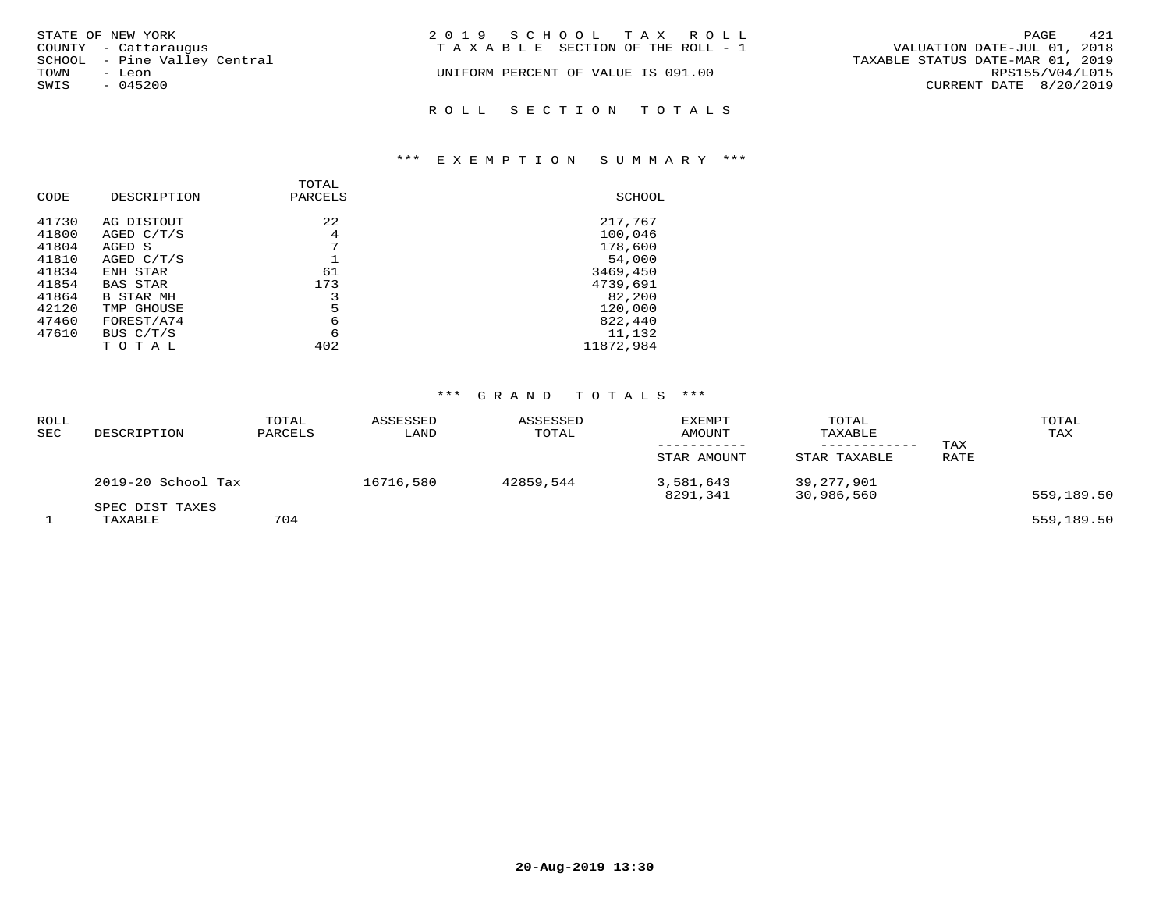| STATE OF NEW YORK            | 2019 SCHOOL TAX ROLL               | 421<br>PAGE                      |
|------------------------------|------------------------------------|----------------------------------|
| COUNTY - Cattaraugus         | TAXABLE SECTION OF THE ROLL - 1    | VALUATION DATE-JUL 01, 2018      |
| SCHOOL - Pine Valley Central |                                    | TAXABLE STATUS DATE-MAR 01, 2019 |
| TOWN<br>- Leon               | UNIFORM PERCENT OF VALUE IS 091.00 | RPS155/V04/L015                  |
| SWIS<br>$-045200$            |                                    | CURRENT DATE 8/20/2019           |
|                              | ROLL SECTION TOTALS                |                                  |

# \*\*\* E X E M P T I O N S U M M A R Y \*\*\*

| CODE  | DESCRIPTION      | <b>TOTAL</b><br>PARCELS | SCHOOL    |
|-------|------------------|-------------------------|-----------|
| 41730 | AG DISTOUT       | 2.2.                    | 217,767   |
| 41800 | AGED C/T/S       | 4                       | 100,046   |
| 41804 | AGED S           | 7                       | 178,600   |
| 41810 | AGED $C/T/S$     |                         | 54,000    |
| 41834 | ENH STAR         | 61                      | 3469,450  |
| 41854 | <b>BAS STAR</b>  | 173                     | 4739,691  |
| 41864 | <b>B STAR MH</b> |                         | 82,200    |
| 42120 | TMP GHOUSE       | 5                       | 120,000   |
| 47460 | FOREST/A74       | 6                       | 822,440   |
| 47610 | BUS C/T/S        | 6                       | 11,132    |
|       | тотаг            | 402                     | 11872,984 |

# \*\*\* G R A N D T O T A L S \*\*\*

| <b>ROLL</b><br>SEC | DESCRIPTION                | TOTAL<br>PARCELS | ASSESSED<br>LAND | ASSESSED<br>TOTAL | <b>EXEMPT</b><br><b>AMOUNT</b><br>STAR AMOUNT | TOTAL<br>TAXABLE<br>STAR TAXABLE | TAX<br>RATE | TOTAL<br>TAX |
|--------------------|----------------------------|------------------|------------------|-------------------|-----------------------------------------------|----------------------------------|-------------|--------------|
|                    | 2019-20 School Tax         |                  | 16716,580        | 42859,544         | 3,581,643<br>8291,341                         | 39,277,901<br>30,986,560         |             | 559,189.50   |
|                    | SPEC DIST TAXES<br>TAXABLE | 704              |                  |                   |                                               |                                  |             | 559,189.50   |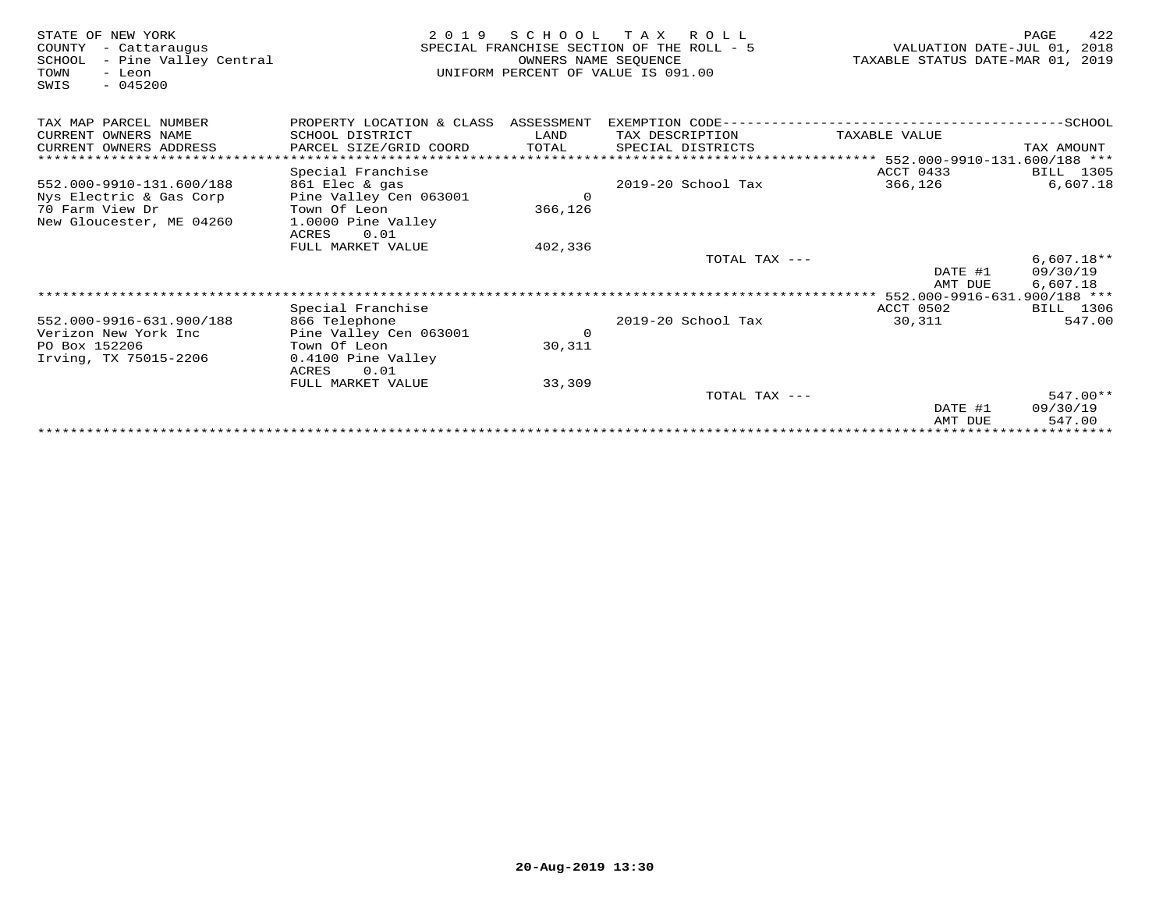| STATE OF NEW YORK<br>COUNTY<br>- Cattaraugus<br>- Pine Valley Central<br>SCHOOL<br>TOWN<br>- Leon<br>$-045200$<br>SWIS | 2 0 1 9                              | SCHOOL<br>OWNERS NAME SEQUENCE | T A X<br>R O L L<br>SPECIAL FRANCHISE SECTION OF THE ROLL - 5<br>UNIFORM PERCENT OF VALUE IS 091.00 | VALUATION DATE-JUL 01,<br>TAXABLE STATUS DATE-MAR 01, | 422<br>PAGE<br>2018<br>2019 |
|------------------------------------------------------------------------------------------------------------------------|--------------------------------------|--------------------------------|-----------------------------------------------------------------------------------------------------|-------------------------------------------------------|-----------------------------|
| TAX MAP PARCEL NUMBER                                                                                                  | PROPERTY LOCATION & CLASS ASSESSMENT |                                | EXEMPTION CODE------------------------                                                              |                                                       | ------SCHOOL                |
| CURRENT OWNERS NAME                                                                                                    | SCHOOL DISTRICT                      | LAND                           | TAX DESCRIPTION                                                                                     | TAXABLE VALUE                                         |                             |
| CURRENT OWNERS ADDRESS                                                                                                 | PARCEL SIZE/GRID COORD               | TOTAL                          | SPECIAL DISTRICTS                                                                                   |                                                       | TAX AMOUNT                  |
|                                                                                                                        |                                      |                                |                                                                                                     | **************** 552.000-9910-131.600/188 ***         |                             |
|                                                                                                                        | Special Franchise                    |                                |                                                                                                     | ACCT 0433                                             | BILL 1305                   |
| 552.000-9910-131.600/188                                                                                               | 861 Elec & gas                       |                                | 2019-20 School Tax                                                                                  | 366,126                                               | 6,607.18                    |
| Nys Electric & Gas Corp                                                                                                | Pine Valley Cen 063001               | $\Omega$                       |                                                                                                     |                                                       |                             |
| 70 Farm View Dr                                                                                                        | Town Of Leon                         | 366,126                        |                                                                                                     |                                                       |                             |
| New Gloucester, ME 04260                                                                                               | 1.0000 Pine Valley                   |                                |                                                                                                     |                                                       |                             |
|                                                                                                                        | 0.01<br>ACRES                        |                                |                                                                                                     |                                                       |                             |
|                                                                                                                        | FULL MARKET VALUE                    | 402,336                        | TOTAL TAX ---                                                                                       |                                                       | $6,607.18**$                |
|                                                                                                                        |                                      |                                |                                                                                                     | DATE #1                                               | 09/30/19                    |
|                                                                                                                        |                                      |                                |                                                                                                     | AMT DUE                                               | 6.607.18                    |
|                                                                                                                        |                                      |                                |                                                                                                     |                                                       |                             |
|                                                                                                                        | Special Franchise                    |                                |                                                                                                     | ACCT 0502                                             | BILL 1306                   |
| 552.000-9916-631.900/188                                                                                               | 866 Telephone                        |                                | 2019-20 School Tax                                                                                  | 30,311                                                | 547.00                      |
| Verizon New York Inc                                                                                                   | Pine Valley Cen 063001               | $\mathbf 0$                    |                                                                                                     |                                                       |                             |
| PO Box 152206                                                                                                          | Town Of Leon                         | 30,311                         |                                                                                                     |                                                       |                             |
| Irving, TX 75015-2206                                                                                                  | 0.4100 Pine Valley                   |                                |                                                                                                     |                                                       |                             |
|                                                                                                                        | ACRES<br>0.01                        |                                |                                                                                                     |                                                       |                             |
|                                                                                                                        | FULL MARKET VALUE                    | 33,309                         |                                                                                                     |                                                       |                             |
|                                                                                                                        |                                      |                                | TOTAL TAX ---                                                                                       |                                                       | $547.00**$                  |
|                                                                                                                        |                                      |                                |                                                                                                     | DATE #1                                               | 09/30/19                    |
|                                                                                                                        |                                      |                                |                                                                                                     | AMT DUE                                               | 547.00                      |
|                                                                                                                        |                                      |                                |                                                                                                     |                                                       |                             |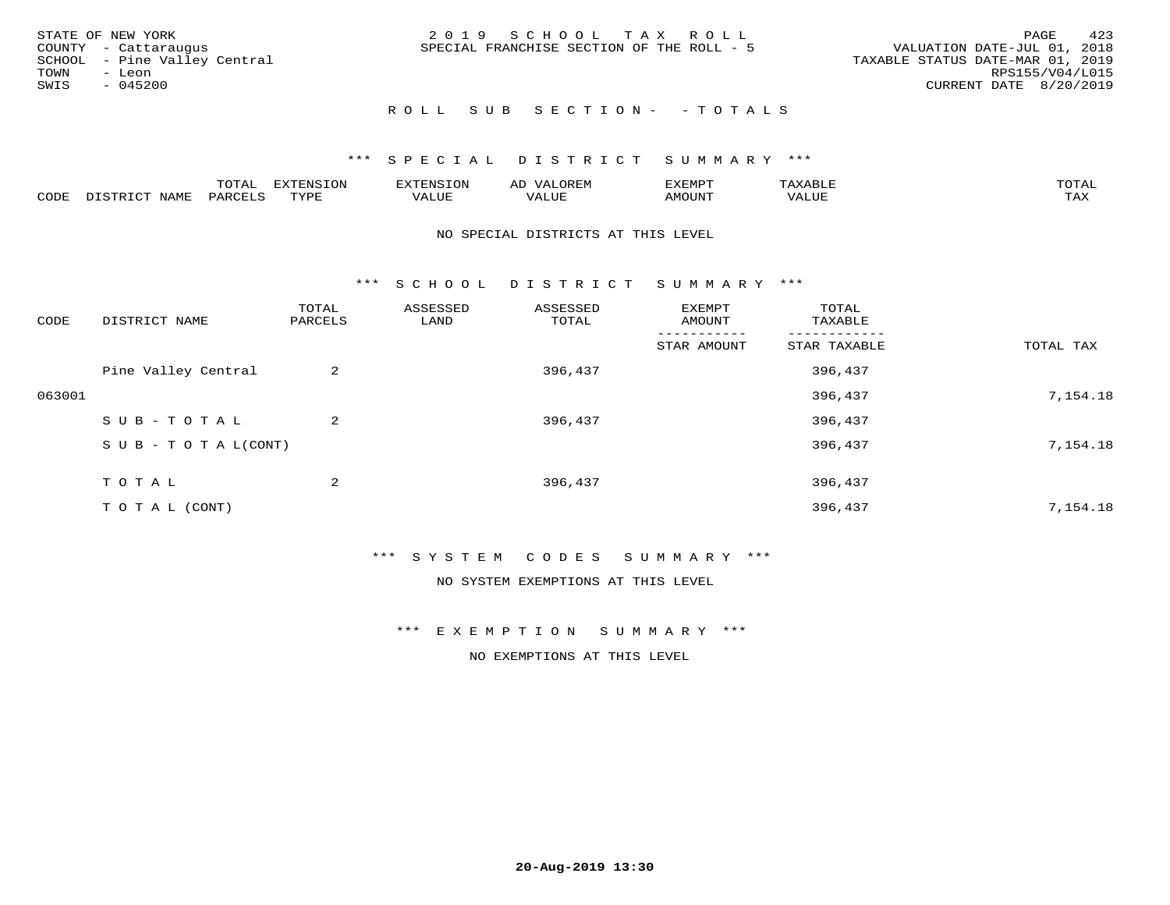| STATE OF NEW YORK                                    | 2019 SCHOOL TAX ROLL                      | 423<br>PAGE                                                     |
|------------------------------------------------------|-------------------------------------------|-----------------------------------------------------------------|
| COUNTY - Cattaraugus<br>SCHOOL - Pine Valley Central | SPECIAL FRANCHISE SECTION OF THE ROLL - 5 | VALUATION DATE-JUL 01, 2018<br>TAXABLE STATUS DATE-MAR 01, 2019 |
| TOWN<br>- Leon                                       |                                           | RPS155/V04/L015                                                 |
| SWIS<br>$-045200$                                    |                                           | CURRENT DATE 8/20/2019                                          |
|                                                      | ROLL SUB SECTION- - TOTALS                |                                                                 |

|      |                      | ----<br><u>UIAI</u> | <b>FYTFNSION</b><br>- 75 | <b>FNC</b>     | ᅺᅜᄓ                      | SXEMPT | $\Delta$<br>.                  | $m \wedge m \wedge n$ |
|------|----------------------|---------------------|--------------------------|----------------|--------------------------|--------|--------------------------------|-----------------------|
| CODE | <b>NTAMT</b><br>⊥∙⊥⊥ | D.ODT.<br>PARL      | $m \tau \tau m$<br>.     | T T T<br>ALUF: | , <del>,</del> , , , , , | MOUN.  | , 77 T TT <del>D</del><br>ALUE | TAX                   |

#### NO SPECIAL DISTRICTS AT THIS LEVEL

\*\*\* S C H O O L D I S T R I C T S U M M A R Y \*\*\*

| CODE   | DISTRICT NAME                    | TOTAL<br>PARCELS | ASSESSED<br>LAND | ASSESSED<br>TOTAL | EXEMPT<br>AMOUNT | TOTAL<br>TAXABLE |           |
|--------|----------------------------------|------------------|------------------|-------------------|------------------|------------------|-----------|
|        |                                  |                  |                  |                   | STAR AMOUNT      | STAR TAXABLE     | TOTAL TAX |
|        | Pine Valley Central              | 2                |                  | 396,437           |                  | 396,437          |           |
| 063001 |                                  |                  |                  |                   |                  | 396,437          | 7,154.18  |
|        | SUB-TOTAL                        | 2                |                  | 396,437           |                  | 396,437          |           |
|        | $S \cup B - T \cup T A L (CONT)$ |                  |                  |                   |                  | 396,437          | 7,154.18  |
|        | T O T A L                        | 2                |                  | 396,437           |                  | 396,437          |           |
|        | TO TAL (CONT)                    |                  |                  |                   |                  | 396,437          | 7,154.18  |

### \*\*\* S Y S T E M C O D E S S U M M A R Y \*\*\*

NO SYSTEM EXEMPTIONS AT THIS LEVEL

\*\*\* E X E M P T I O N S U M M A R Y \*\*\*

NO EXEMPTIONS AT THIS LEVEL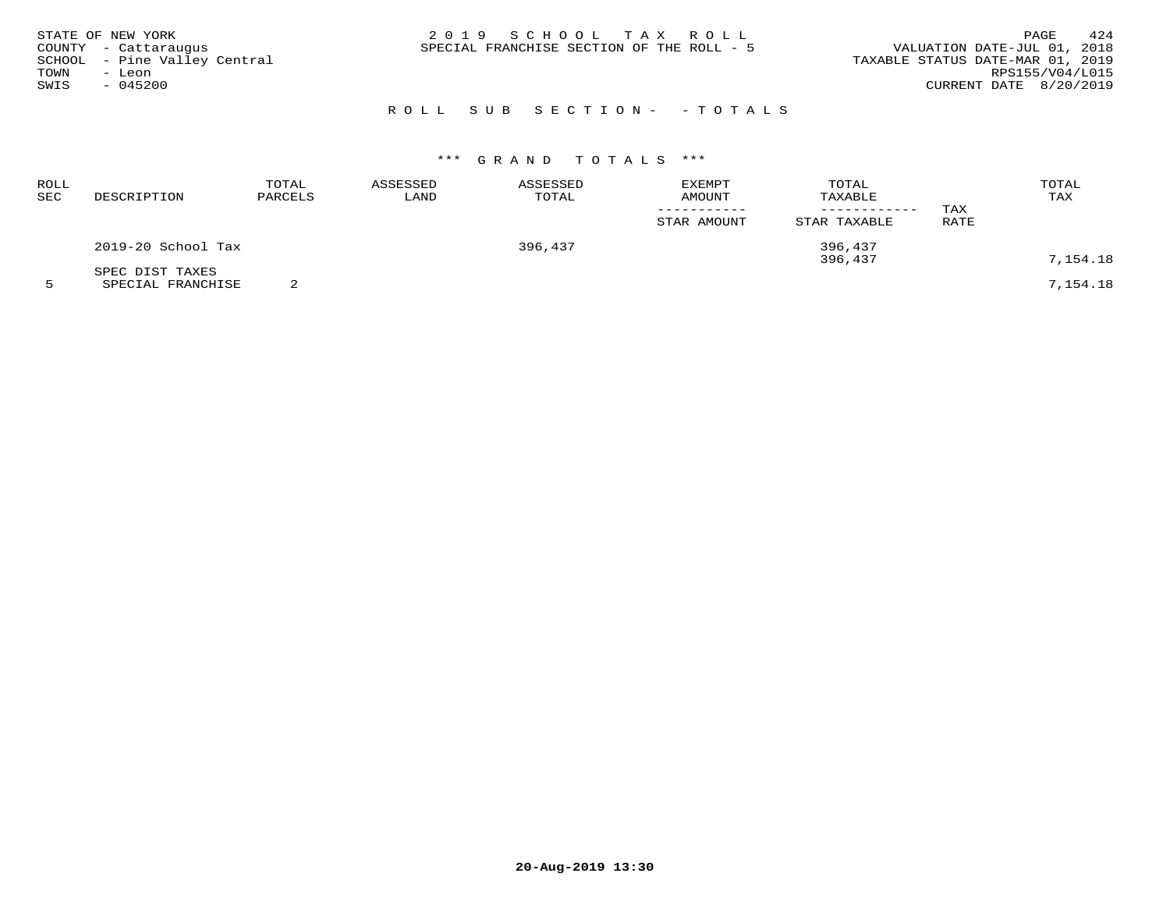| STATE OF NEW YORK<br>COUNTY - Cattaraugus<br>SCHOOL - Pine Valley Central<br>TOWN<br>– Leon<br>SWIS<br>$-045200$ | 2019 SCHOOL TAX ROLL<br>SPECIAL FRANCHISE SECTION OF THE ROLL - 5 | 424<br>PAGE<br>VALUATION DATE-JUL 01, 2018<br>TAXABLE STATUS DATE-MAR 01, 2019<br>RPS155/V04/L015<br>CURRENT DATE 8/20/2019 |
|------------------------------------------------------------------------------------------------------------------|-------------------------------------------------------------------|-----------------------------------------------------------------------------------------------------------------------------|
|                                                                                                                  | ROLL SUB SECTION- - TOTALS                                        |                                                                                                                             |

# \*\*\* G R A N D T O T A L S \*\*\*

| ROLL<br>SEC | DESCRIPTION        | TOTAL<br>PARCELS | ASSESSED<br>LAND | ASSESSED<br>TOTAL | <b>EXEMPT</b><br>AMOUNT | TOTAL<br>TAXABLE | TAX  | TOTAL<br>TAX |
|-------------|--------------------|------------------|------------------|-------------------|-------------------------|------------------|------|--------------|
|             |                    |                  |                  |                   | STAR AMOUNT             | STAR TAXABLE     | RATE |              |
|             | 2019-20 School Tax |                  |                  | 396,437           |                         | 396,437          |      |              |
|             | SPEC DIST TAXES    |                  |                  |                   |                         | 396,437          |      | 7,154.18     |
|             | SPECIAL FRANCHISE  |                  |                  |                   |                         |                  |      | 7,154.18     |

**20-Aug-2019 13:30**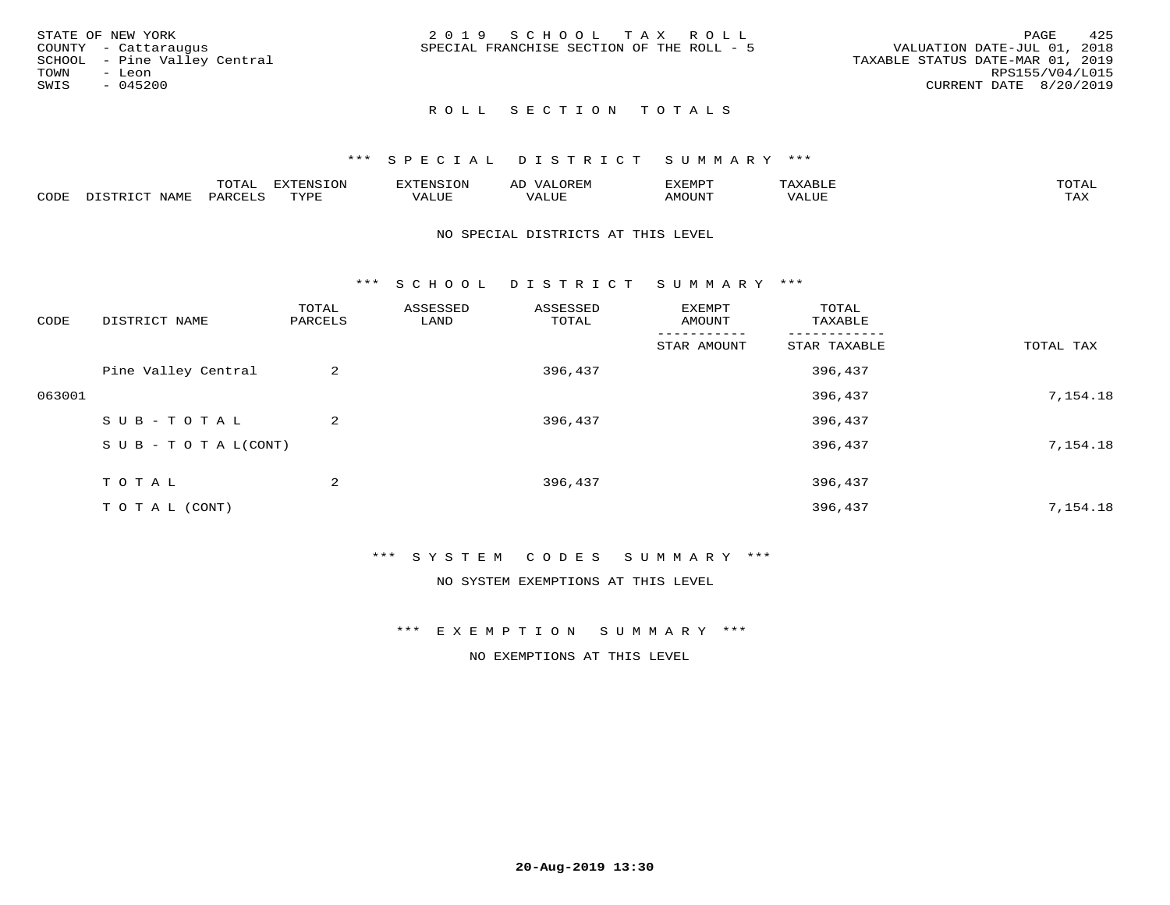| STATE OF NEW YORK            | 2019 SCHOOL TAX ROLL                      | 425<br>PAGE                      |
|------------------------------|-------------------------------------------|----------------------------------|
| COUNTY - Cattaraugus         | SPECIAL FRANCHISE SECTION OF THE ROLL - 5 | VALUATION DATE-JUL 01, 2018      |
| SCHOOL - Pine Valley Central |                                           | TAXABLE STATUS DATE-MAR 01, 2019 |
| TOWN<br>- Leon               |                                           | RPS155/V04/L015                  |
| SWIS<br>$-045200$            |                                           | CURRENT DATE 8/20/2019           |
|                              |                                           |                                  |

# ROLL SECTION TOTALS

#### \*\*\* S P E C I A L D I S T R I C T S U M M A R Y \*\*\*

|      |      | m^m*<br>- ∪ + <del>∩ +</del> | -------<br><del>.</del> |                      |            | 37778577<br>. ب<br>חויום בגי |       |                 |
|------|------|------------------------------|-------------------------|----------------------|------------|------------------------------|-------|-----------------|
| CODE | NAMF |                              | <b>TVDL</b><br>.        | <b>TITT</b><br>'ALUE | .<br>'Alui | TUUONA                       | 'ALUL | max x<br>- ⊥777 |

#### NO SPECIAL DISTRICTS AT THIS LEVEL

\*\*\* S C H O O L D I S T R I C T S U M M A R Y \*\*\*

| CODE   | DISTRICT NAME                    | TOTAL<br>PARCELS | ASSESSED<br>LAND | ASSESSED<br>TOTAL | EXEMPT<br>AMOUNT | TOTAL<br>TAXABLE |           |
|--------|----------------------------------|------------------|------------------|-------------------|------------------|------------------|-----------|
|        |                                  |                  |                  |                   | STAR AMOUNT      | STAR TAXABLE     | TOTAL TAX |
|        | Pine Valley Central              | 2                |                  | 396,437           |                  | 396,437          |           |
| 063001 |                                  |                  |                  |                   |                  | 396,437          | 7,154.18  |
|        | SUB-TOTAL                        | $\overline{a}$   |                  | 396,437           |                  | 396,437          |           |
|        | $S \cup B - T \cup T A L (CONT)$ |                  |                  |                   |                  | 396,437          | 7,154.18  |
|        | T O T A L                        | 2                |                  | 396,437           |                  | 396,437          |           |
|        | T O T A L (CONT)                 |                  |                  |                   |                  | 396,437          | 7,154.18  |

### \*\*\* S Y S T E M C O D E S S U M M A R Y \*\*\*

NO SYSTEM EXEMPTIONS AT THIS LEVEL

\*\*\* E X E M P T I O N S U M M A R Y \*\*\*

NO EXEMPTIONS AT THIS LEVEL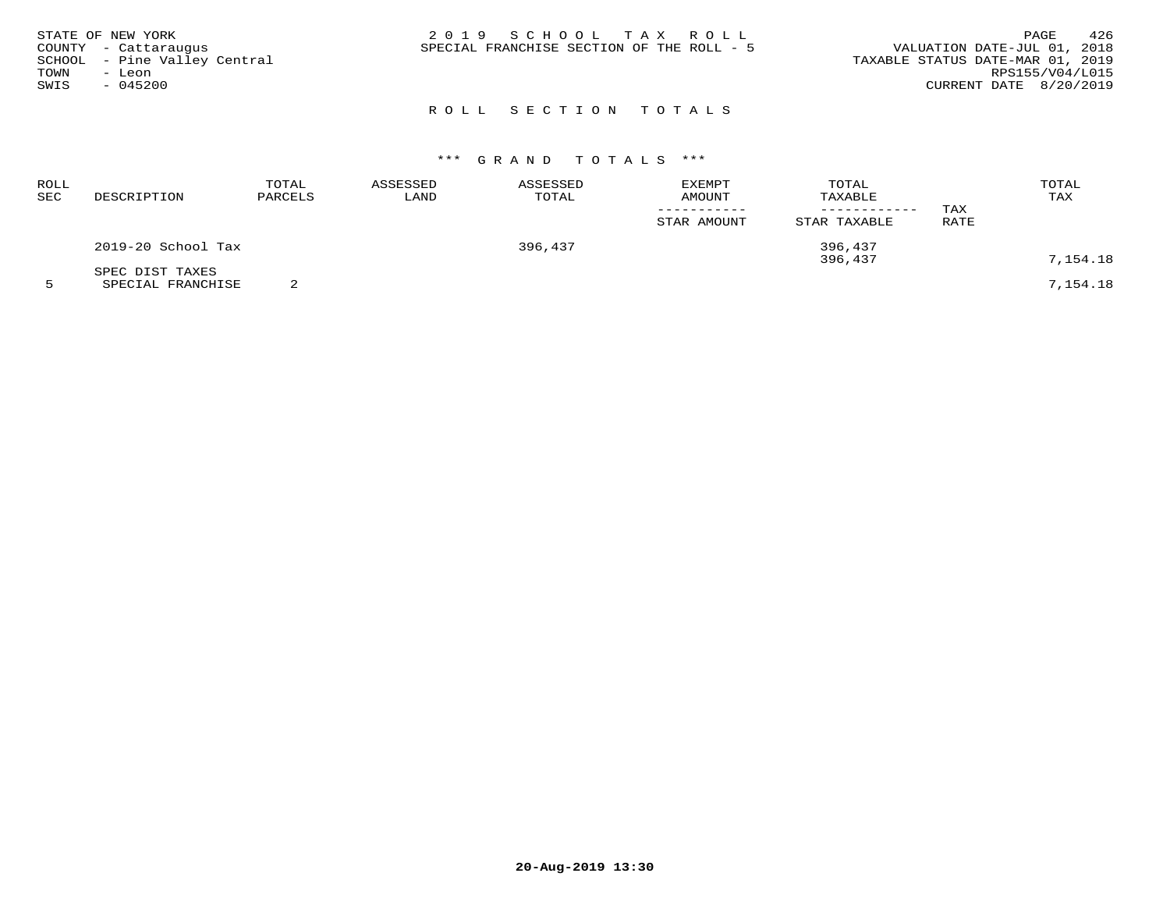|      | STATE OF NEW YORK            | 2019 SCHOOL TAX ROLL                      | 426<br>PAGE                      |
|------|------------------------------|-------------------------------------------|----------------------------------|
|      | COUNTY - Cattaraugus         | SPECIAL FRANCHISE SECTION OF THE ROLL - 5 | VALUATION DATE-JUL 01, 2018      |
|      | SCHOOL - Pine Valley Central |                                           | TAXABLE STATUS DATE-MAR 01, 2019 |
| TOWN | - Leon                       |                                           | RPS155/V04/L015                  |
| SWIS | $-045200$                    |                                           | CURRENT DATE 8/20/2019           |
|      |                              |                                           |                                  |

# ROLL SECTION TOTALS

# \*\*\* G R A N D T O T A L S \*\*\*

| ROLL<br>SEC | DESCRIPTION                          | TOTAL<br>PARCELS | ASSESSED<br>LAND | ASSESSED<br>TOTAL | EXEMPT<br><b>AMOUNT</b> | TOTAL<br>TAXABLE<br>--------- | TAX  | TOTAL<br>TAX |
|-------------|--------------------------------------|------------------|------------------|-------------------|-------------------------|-------------------------------|------|--------------|
|             |                                      |                  |                  |                   | STAR AMOUNT             | STAR TAXABLE                  | RATE |              |
|             | 2019-20 School Tax                   |                  |                  | 396,437           |                         | 396,437<br>396,437            |      | 7,154.18     |
|             | SPEC DIST TAXES<br>SPECIAL FRANCHISE |                  |                  |                   |                         |                               |      | 7,154.18     |

**20-Aug-2019 13:30**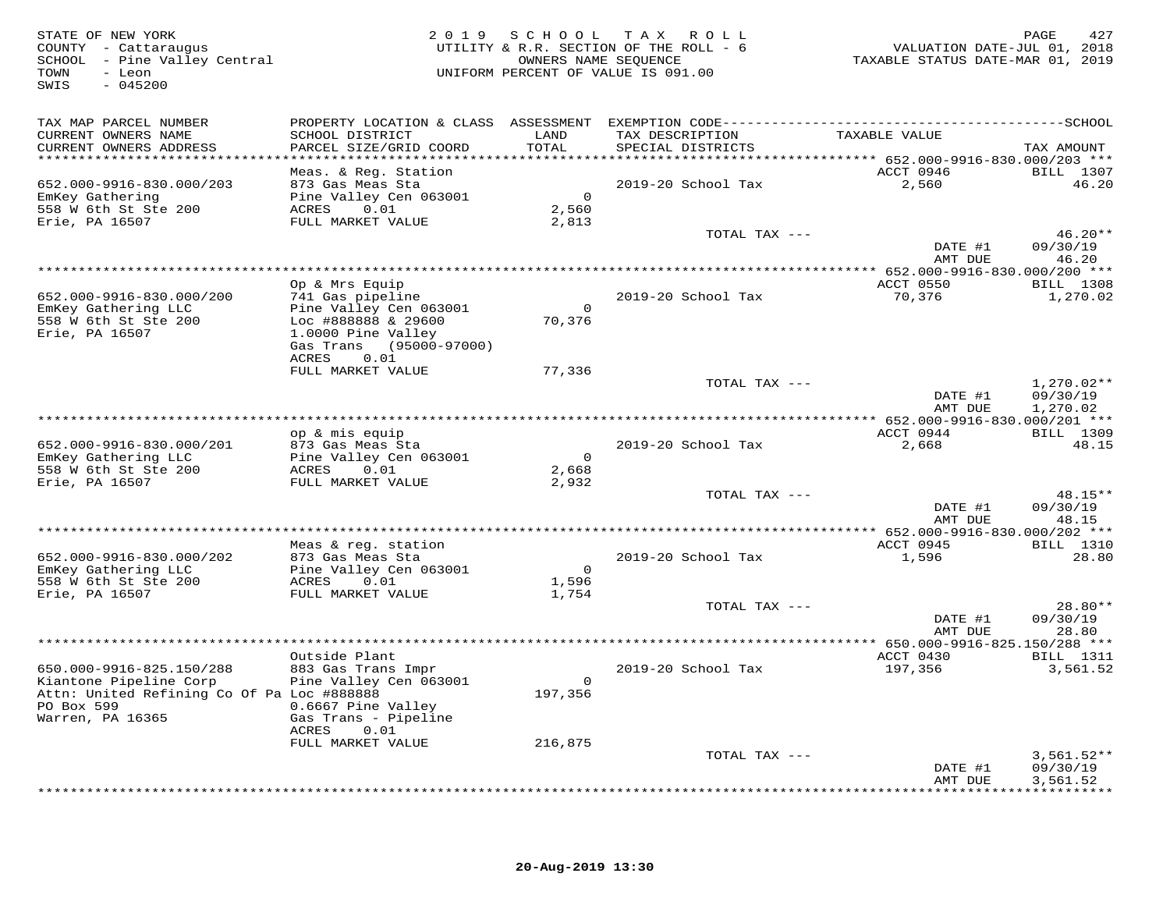| STATE OF NEW YORK<br>COUNTY - Cattaraugus<br>SCHOOL - Pine Valley Central<br>TOWN<br>- Leon<br>$-045200$<br>SWIS | 2 0 1 9                                      | OWNERS NAME SEQUENCE    | SCHOOL TAX ROLL<br>UTILITY & R.R. SECTION OF THE ROLL - 6<br>UNIFORM PERCENT OF VALUE IS 091.00 | VALUATION DATE-JUL 01, 2018<br>TAXABLE STATUS DATE-MAR 01, 2019 | PAGE<br>427              |
|------------------------------------------------------------------------------------------------------------------|----------------------------------------------|-------------------------|-------------------------------------------------------------------------------------------------|-----------------------------------------------------------------|--------------------------|
| TAX MAP PARCEL NUMBER<br>CURRENT OWNERS NAME                                                                     | SCHOOL DISTRICT                              | LAND                    | TAX DESCRIPTION                                                                                 | TAXABLE VALUE                                                   |                          |
| CURRENT OWNERS ADDRESS<br>*************************                                                              | PARCEL SIZE/GRID COORD                       | TOTAL                   | SPECIAL DISTRICTS                                                                               |                                                                 | TAX AMOUNT               |
|                                                                                                                  | Meas. & Reg. Station                         |                         |                                                                                                 | ACCT 0946                                                       | BILL 1307                |
| 652.000-9916-830.000/203                                                                                         | 873 Gas Meas Sta                             |                         | 2019-20 School Tax                                                                              | 2,560                                                           | 46.20                    |
| EmKey Gathering<br>558 W 6th St Ste 200                                                                          | Pine Valley Cen 063001<br>ACRES<br>0.01      | $\overline{0}$<br>2,560 |                                                                                                 |                                                                 |                          |
| Erie, PA 16507                                                                                                   | FULL MARKET VALUE                            | 2,813                   |                                                                                                 |                                                                 |                          |
|                                                                                                                  |                                              |                         | TOTAL TAX ---                                                                                   |                                                                 | $46.20**$                |
|                                                                                                                  |                                              |                         |                                                                                                 | DATE #1                                                         | 09/30/19                 |
|                                                                                                                  |                                              |                         |                                                                                                 | AMT DUE                                                         | 46.20                    |
|                                                                                                                  | Op & Mrs Equip                               |                         |                                                                                                 | ACCT 0550                                                       | BILL 1308                |
| 652.000-9916-830.000/200                                                                                         | 741 Gas pipeline                             |                         | 2019-20 School Tax                                                                              | 70,376                                                          | 1,270.02                 |
| EmKey Gathering LLC                                                                                              | Pine Valley Cen 063001                       | $\overline{0}$          |                                                                                                 |                                                                 |                          |
| 558 W 6th St Ste 200<br>Erie, PA 16507                                                                           | Loc #888888 & 29600<br>1.0000 Pine Valley    | 70,376                  |                                                                                                 |                                                                 |                          |
|                                                                                                                  | Gas Trans (95000-97000)                      |                         |                                                                                                 |                                                                 |                          |
|                                                                                                                  | 0.01<br>ACRES                                |                         |                                                                                                 |                                                                 |                          |
|                                                                                                                  | FULL MARKET VALUE                            | 77,336                  |                                                                                                 |                                                                 |                          |
|                                                                                                                  |                                              |                         | TOTAL TAX ---                                                                                   | DATE #1                                                         | $1,270.02**$<br>09/30/19 |
|                                                                                                                  |                                              |                         |                                                                                                 | AMT DUE                                                         | 1,270.02                 |
|                                                                                                                  |                                              |                         |                                                                                                 |                                                                 |                          |
|                                                                                                                  | op & mis equip                               |                         |                                                                                                 | ACCT 0944                                                       | BILL 1309                |
| 652.000-9916-830.000/201<br>EmKey Gathering LLC                                                                  | 873 Gas Meas Sta<br>Pine Valley Cen 063001   | $\overline{0}$          | 2019-20 School Tax                                                                              | 2,668                                                           | 48.15                    |
| 558 W 6th St Ste 200                                                                                             | ACRES<br>0.01                                | 2,668                   |                                                                                                 |                                                                 |                          |
| Erie, PA 16507                                                                                                   | FULL MARKET VALUE                            | 2,932                   |                                                                                                 |                                                                 |                          |
|                                                                                                                  |                                              |                         | TOTAL TAX ---                                                                                   | DATE #1                                                         | $48.15**$<br>09/30/19    |
|                                                                                                                  |                                              |                         |                                                                                                 | AMT DUE                                                         | 48.15                    |
|                                                                                                                  |                                              |                         |                                                                                                 |                                                                 |                          |
|                                                                                                                  | Meas & req. station                          |                         |                                                                                                 | ACCT 0945                                                       | <b>BILL</b> 1310         |
| 652.000-9916-830.000/202<br>EmKey Gathering LLC                                                                  | 873 Gas Meas Sta<br>Pine Valley Cen 063001   | $\overline{0}$          | 2019-20 School Tax                                                                              | 1,596                                                           | 28.80                    |
| 558 W 6th St Ste 200                                                                                             | ACRES<br>0.01                                | 1,596                   |                                                                                                 |                                                                 |                          |
| Erie, PA 16507                                                                                                   | FULL MARKET VALUE                            | 1,754                   |                                                                                                 |                                                                 |                          |
|                                                                                                                  |                                              |                         | TOTAL TAX ---                                                                                   | DATE #1                                                         | $28.80**$<br>09/30/19    |
|                                                                                                                  |                                              |                         |                                                                                                 | AMT DUE                                                         | 28.80                    |
|                                                                                                                  |                                              |                         |                                                                                                 | *** 650.000-9916-825.150/288 ***                                |                          |
|                                                                                                                  | Outside Plant                                |                         |                                                                                                 | ACCT 0430                                                       | <b>BILL</b> 1311         |
| 650.000-9916-825.150/288<br>Kiantone Pipeline Corp                                                               | 883 Gas Trans Impr<br>Pine Valley Cen 063001 | $\overline{0}$          | 2019-20 School Tax                                                                              | 197,356                                                         | 3,561.52                 |
| Attn: United Refining Co Of Pa Loc #888888                                                                       |                                              | 197,356                 |                                                                                                 |                                                                 |                          |
| PO Box 599                                                                                                       | 0.6667 Pine Valley                           |                         |                                                                                                 |                                                                 |                          |
| Warren, PA 16365                                                                                                 | Gas Trans - Pipeline                         |                         |                                                                                                 |                                                                 |                          |
|                                                                                                                  | ACRES<br>0.01<br>FULL MARKET VALUE           | 216,875                 |                                                                                                 |                                                                 |                          |
|                                                                                                                  |                                              |                         | TOTAL TAX ---                                                                                   |                                                                 | $3,561.52**$             |
|                                                                                                                  |                                              |                         |                                                                                                 | DATE #1                                                         | 09/30/19                 |
|                                                                                                                  |                                              |                         |                                                                                                 | AMT DUE                                                         | 3,561.52                 |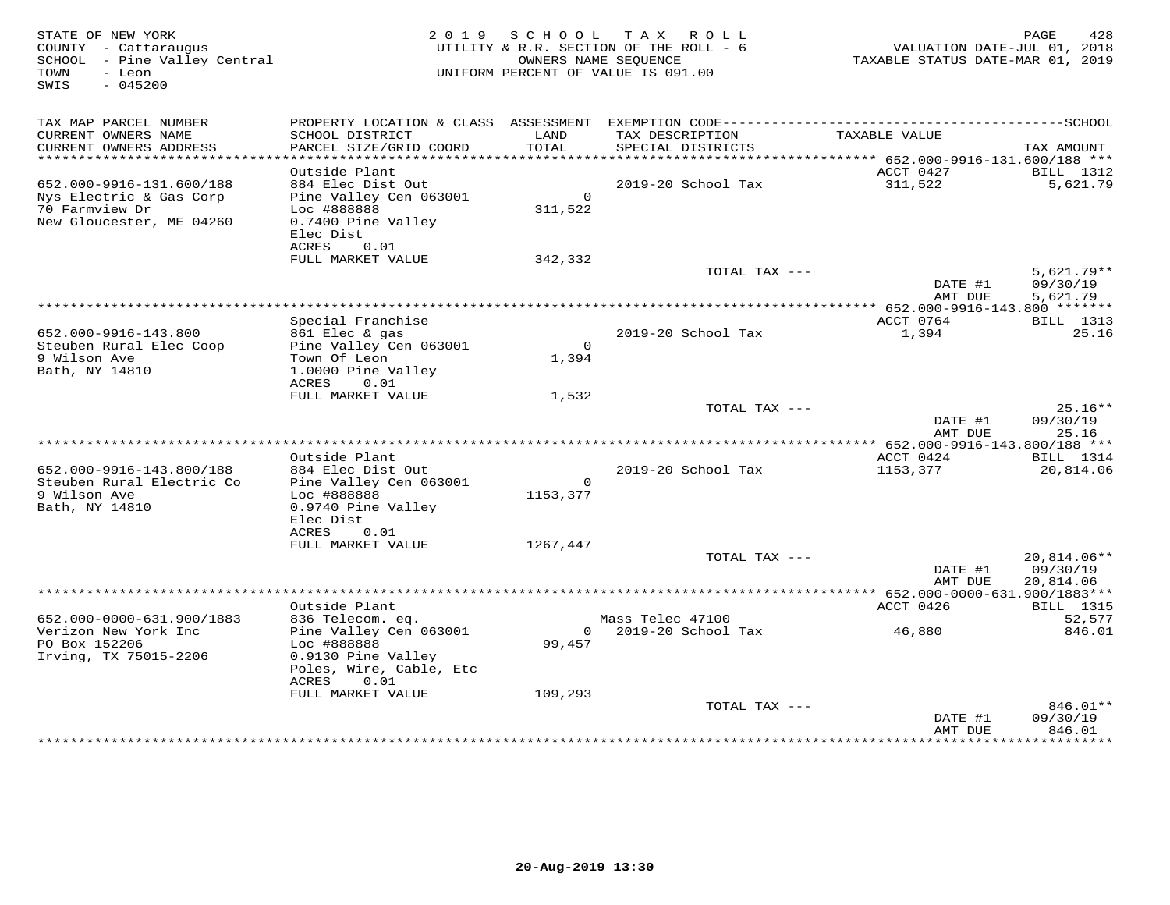| STATE OF NEW YORK<br>COUNTY - Cattaraugus<br>SCHOOL - Pine Valley Central<br>TOWN<br>- Leon<br>$-045200$<br>SWIS |                                                                                                         | 2019 SCHOOL               | TAX ROLL<br>UTILITY & R.R. SECTION OF THE ROLL - 6<br>OWNERS NAME SEQUENCE<br>UNIFORM PERCENT OF VALUE IS 091.00 | VALUATION DATE-JUL 01, 2018<br>TAXABLE STATUS DATE-MAR 01, 2019 | PAGE<br>428                                   |
|------------------------------------------------------------------------------------------------------------------|---------------------------------------------------------------------------------------------------------|---------------------------|------------------------------------------------------------------------------------------------------------------|-----------------------------------------------------------------|-----------------------------------------------|
| TAX MAP PARCEL NUMBER<br>CURRENT OWNERS NAME                                                                     | SCHOOL DISTRICT                                                                                         | LAND                      | TAX DESCRIPTION                                                                                                  | TAXABLE VALUE                                                   |                                               |
| CURRENT OWNERS ADDRESS                                                                                           | PARCEL SIZE/GRID COORD                                                                                  | TOTAL                     | SPECIAL DISTRICTS                                                                                                |                                                                 | TAX AMOUNT                                    |
| ******************************                                                                                   |                                                                                                         |                           |                                                                                                                  |                                                                 |                                               |
| 652.000-9916-131.600/188                                                                                         | Outside Plant<br>884 Elec Dist Out                                                                      |                           | 2019-20 School Tax                                                                                               | ACCT 0427<br>311,522                                            | BILL 1312<br>5,621.79                         |
| Nys Electric & Gas Corp<br>70 Farmview Dr<br>New Gloucester, ME 04260                                            | Pine Valley Cen 063001<br>Loc #888888<br>0.7400 Pine Valley<br>Elec Dist<br>ACRES<br>0.01               | $\overline{0}$<br>311,522 |                                                                                                                  |                                                                 |                                               |
|                                                                                                                  | FULL MARKET VALUE                                                                                       | 342,332                   |                                                                                                                  |                                                                 |                                               |
|                                                                                                                  |                                                                                                         |                           | TOTAL TAX ---                                                                                                    |                                                                 | $5,621.79**$                                  |
|                                                                                                                  |                                                                                                         |                           |                                                                                                                  | DATE #1<br>AMT DUE                                              | 09/30/19<br>5,621.79                          |
|                                                                                                                  |                                                                                                         |                           |                                                                                                                  |                                                                 |                                               |
| 652.000-9916-143.800                                                                                             | Special Franchise<br>861 Elec & gas                                                                     |                           | 2019-20 School Tax                                                                                               | ACCT 0764<br>1,394                                              | BILL 1313<br>25.16                            |
| Steuben Rural Elec Coop<br>9 Wilson Ave<br>Bath, NY 14810                                                        | Pine Valley Cen 063001<br>Town Of Leon<br>1.0000 Pine Valley<br>ACRES<br>0.01                           | $\circ$<br>1,394          |                                                                                                                  |                                                                 |                                               |
|                                                                                                                  | FULL MARKET VALUE                                                                                       | 1,532                     |                                                                                                                  |                                                                 |                                               |
|                                                                                                                  |                                                                                                         |                           | TOTAL TAX ---                                                                                                    | DATE #1<br>AMT DUE                                              | $25.16**$<br>09/30/19<br>25.16                |
|                                                                                                                  |                                                                                                         |                           |                                                                                                                  |                                                                 |                                               |
|                                                                                                                  | Outside Plant                                                                                           |                           |                                                                                                                  | ACCT 0424                                                       | BILL 1314                                     |
| 652.000-9916-143.800/188<br>Steuben Rural Electric Co<br>9 Wilson Ave<br>Bath, NY 14810                          | 884 Elec Dist Out<br>Pine Valley Cen 063001<br>Loc #888888<br>0.9740 Pine Valley                        | $\circ$<br>1153,377       | 2019-20 School Tax                                                                                               | 1153,377                                                        | 20,814.06                                     |
|                                                                                                                  | Elec Dist<br>ACRES<br>0.01                                                                              |                           |                                                                                                                  |                                                                 |                                               |
|                                                                                                                  | FULL MARKET VALUE                                                                                       | 1267,447                  |                                                                                                                  |                                                                 |                                               |
|                                                                                                                  |                                                                                                         |                           | TOTAL TAX ---                                                                                                    |                                                                 | 20,814.06**                                   |
|                                                                                                                  |                                                                                                         |                           |                                                                                                                  | DATE #1<br>AMT DUE                                              | 09/30/19<br>20,814.06                         |
|                                                                                                                  |                                                                                                         |                           |                                                                                                                  |                                                                 |                                               |
| 652.000-0000-631.900/1883                                                                                        | Outside Plant<br>836 Telecom. eq.                                                                       |                           | Mass Telec 47100                                                                                                 | ACCT 0426                                                       | <b>BILL</b> 1315<br>52,577                    |
| Verizon New York Inc<br>PO Box 152206<br>Irving, TX 75015-2206                                                   | Pine Valley Cen 063001<br>Loc #888888<br>0.9130 Pine Valley<br>Poles, Wire, Cable, Etc<br>0.01<br>ACRES | 99,457                    | 0 2019-20 School Tax                                                                                             | 46,880                                                          | 846.01                                        |
|                                                                                                                  | FULL MARKET VALUE                                                                                       | 109,293                   |                                                                                                                  |                                                                 |                                               |
|                                                                                                                  |                                                                                                         |                           | TOTAL TAX ---                                                                                                    | DATE #1<br>AMT DUE                                              | 846.01**<br>09/30/19<br>846.01<br>*********** |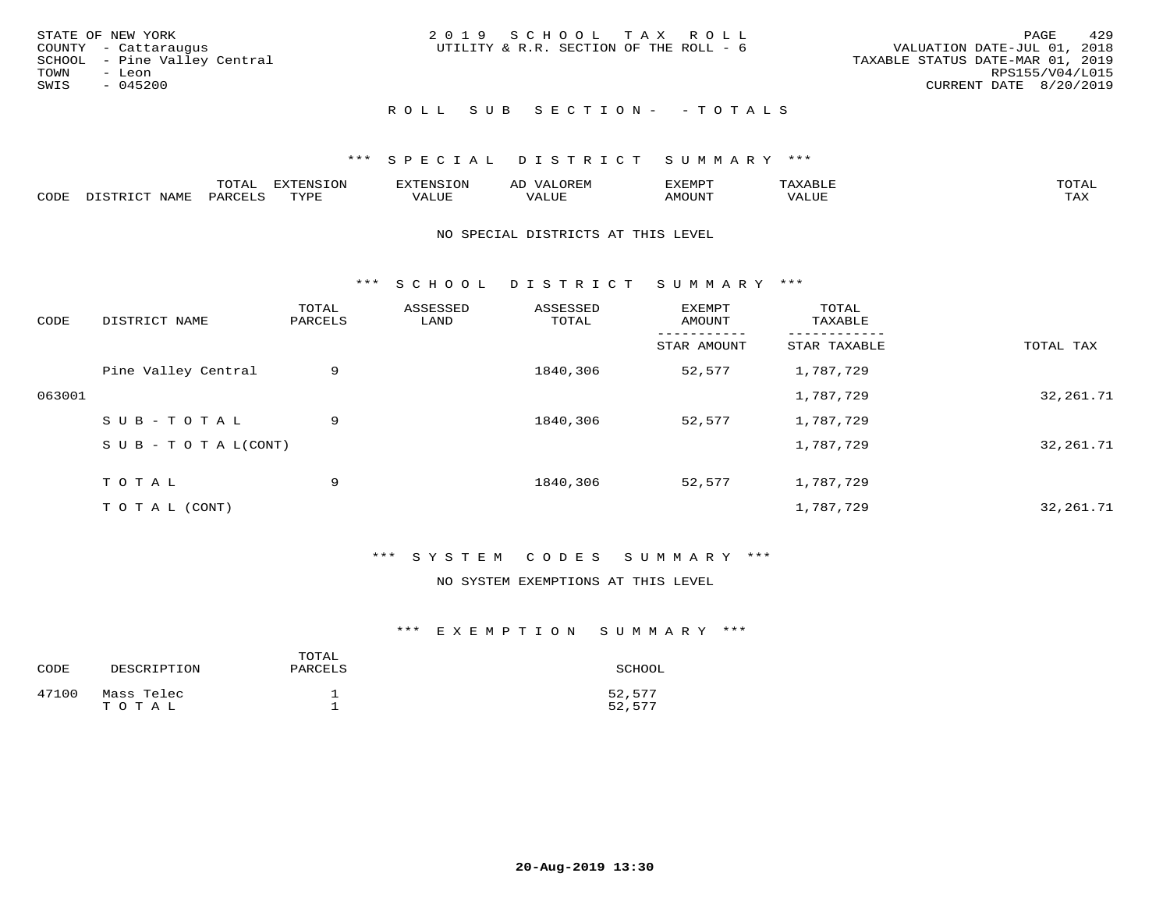| STATE OF NEW YORK            | 2019 SCHOOL TAX ROLL                   | 429<br>PAGE                      |
|------------------------------|----------------------------------------|----------------------------------|
| COUNTY - Cattaraugus         | UTILITY & R.R. SECTION OF THE ROLL - 6 | VALUATION DATE-JUL 01, 2018      |
| SCHOOL - Pine Valley Central |                                        | TAXABLE STATUS DATE-MAR 01, 2019 |
| TOWN<br>- Leon               |                                        | RPS155/V04/L015                  |
| SWIS<br>$-045200$            |                                        | CURRENT DATE 8/20/2019           |
|                              | ROLL SUB SECTION- - TOTALS             |                                  |

|      |      | momn.<br>.UIAL | <b>DIZODALO TOM</b><br><b>1115</b><br>LUP | ר את דר            | ΑL<br>$\cdots$      | EXEMPT        | 'ΔΧΔ<br>AAABLE | momn. |
|------|------|----------------|-------------------------------------------|--------------------|---------------------|---------------|----------------|-------|
| CODE | NAME | 'ARC           | TVDF<br>د د د                             | <b>TTT</b><br>ALUM | <b>TTT</b><br>7ALUE | <b>TNUOMA</b> | . ALUE         | TAX   |

#### NO SPECIAL DISTRICTS AT THIS LEVEL

\*\*\* S C H O O L D I S T R I C T S U M M A R Y \*\*\*

| CODE   | DISTRICT NAME                    | TOTAL<br>PARCELS | ASSESSED<br>LAND | ASSESSED<br>TOTAL | EXEMPT<br>AMOUNT | TOTAL<br>TAXABLE |             |
|--------|----------------------------------|------------------|------------------|-------------------|------------------|------------------|-------------|
|        |                                  |                  |                  |                   | STAR AMOUNT      | STAR TAXABLE     | TOTAL TAX   |
|        | Pine Valley Central              | 9                |                  | 1840,306          | 52,577           | 1,787,729        |             |
| 063001 |                                  |                  |                  |                   |                  | 1,787,729        | 32, 261. 71 |
|        | SUB-TOTAL                        | 9                |                  | 1840,306          | 52,577           | 1,787,729        |             |
|        | $S \cup B - T \cup T A L (CONT)$ |                  |                  |                   |                  | 1,787,729        | 32, 261. 71 |
|        | TOTAL                            | 9                |                  | 1840,306          | 52,577           | 1,787,729        |             |
|        | T O T A L (CONT)                 |                  |                  |                   |                  | 1,787,729        | 32, 261. 71 |

# \*\*\* S Y S T E M C O D E S S U M M A R Y \*\*\*

#### NO SYSTEM EXEMPTIONS AT THIS LEVEL

## \*\*\* E X E M P T I O N S U M M A R Y \*\*\*

| CODE  | DESCRIPTION         | TOTAL<br>PARCELS | SCHOOL           |
|-------|---------------------|------------------|------------------|
| 47100 | Mass Telec<br>тотаь |                  | 52,577<br>52,577 |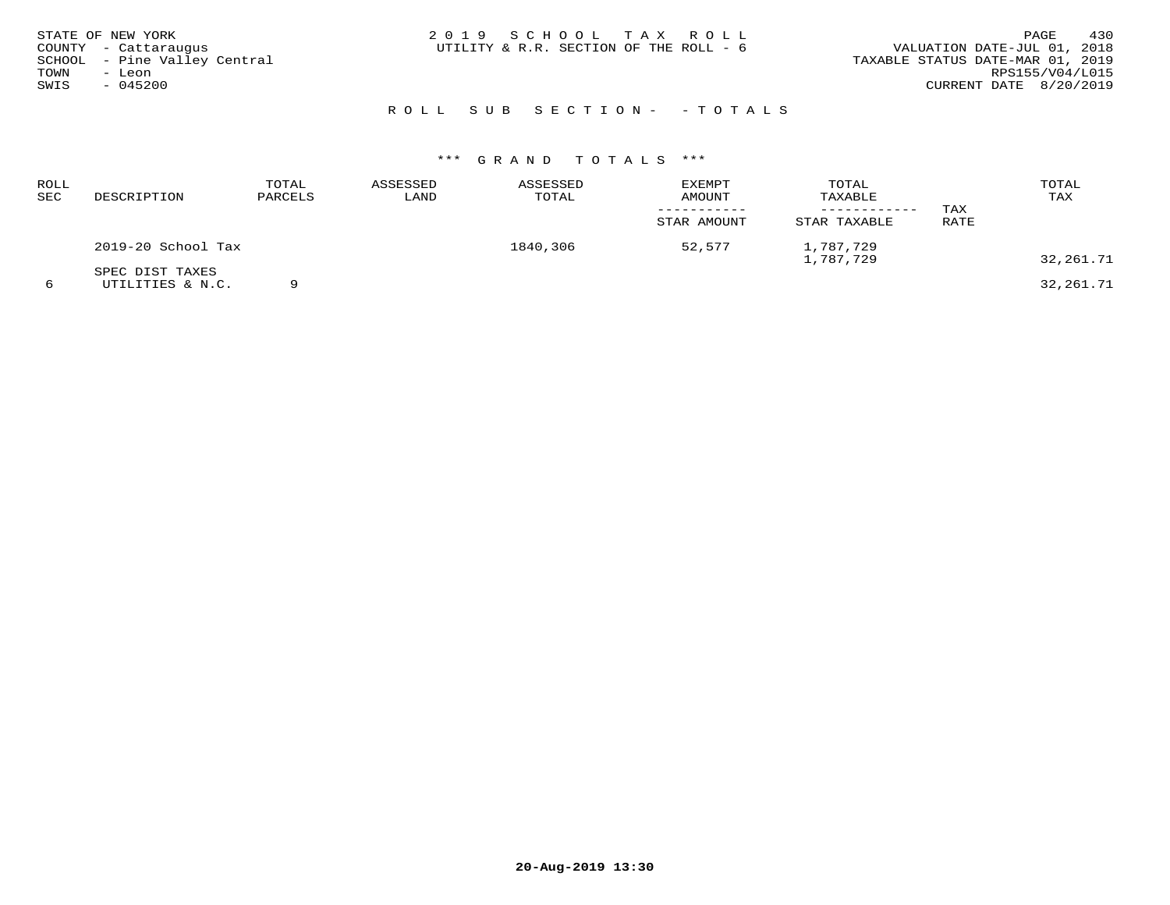| STATE OF NEW YORK<br>COUNTY - Cattaraugus<br>SCHOOL - Pine Valley Central<br>TOWN<br>- Leon<br>SWIS<br>$-045200$ | 2019 SCHOOL TAX ROLL<br>UTILITY & R.R. SECTION OF THE ROLL - 6 | 430<br>PAGE<br>VALUATION DATE-JUL 01, 2018<br>TAXABLE STATUS DATE-MAR 01, 2019<br>RPS155/V04/L015<br>CURRENT DATE 8/20/2019 |
|------------------------------------------------------------------------------------------------------------------|----------------------------------------------------------------|-----------------------------------------------------------------------------------------------------------------------------|
|                                                                                                                  | ROLL SUB SECTION- - TOTALS                                     |                                                                                                                             |

# \*\*\* G R A N D T O T A L S \*\*\*

| ROLL<br>SEC | DESCRIPTION                         | TOTAL<br>PARCELS | ASSESSED<br>LAND | ASSESSED<br>TOTAL | <b>EXEMPT</b><br>AMOUNT<br>STAR AMOUNT | TOTAL<br>TAXABLE<br>STAR TAXABLE | TAX<br>RATE | TOTAL<br>TAX |
|-------------|-------------------------------------|------------------|------------------|-------------------|----------------------------------------|----------------------------------|-------------|--------------|
|             | 2019-20 School Tax                  |                  |                  | 1840,306          | 52,577                                 | 1,787,729<br>1,787,729           |             | 32,261.71    |
|             | SPEC DIST TAXES<br>UTILITIES & N.C. |                  |                  |                   |                                        |                                  |             | 32,261.71    |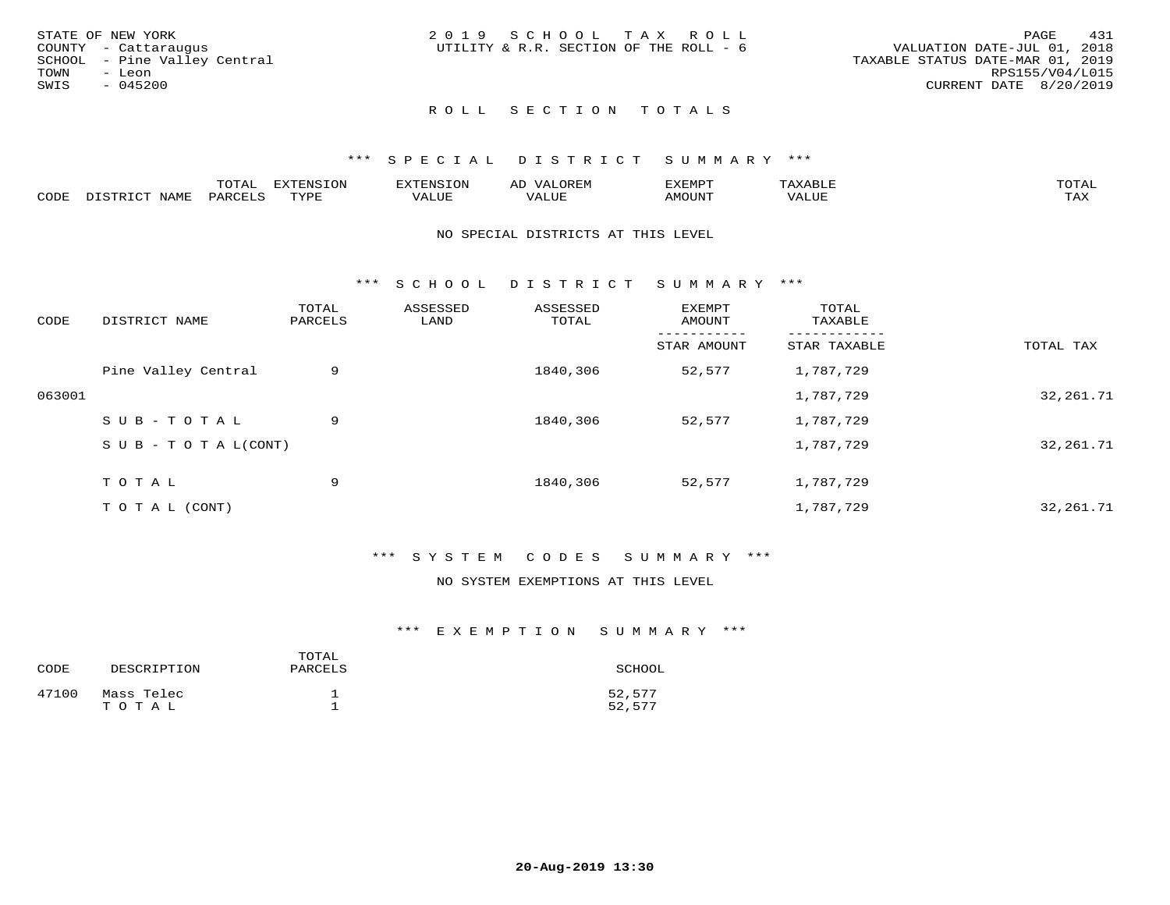| STATE OF NEW YORK            | 2019 SCHOOL TAX ROLL                   |                                  | 431<br>PAGE     |
|------------------------------|----------------------------------------|----------------------------------|-----------------|
| COUNTY - Cattaraugus         | UTILITY & R.R. SECTION OF THE ROLL - 6 | VALUATION DATE-JUL 01, 2018      |                 |
| SCHOOL - Pine Valley Central |                                        | TAXABLE STATUS DATE-MAR 01, 2019 |                 |
| TOWN<br>- Leon               |                                        |                                  | RPS155/V04/L015 |
| SWIS<br>- 045200             |                                        | CURRENT DATE 8/20/2019           |                 |
|                              |                                        |                                  |                 |

# ROLL SECTION TOTALS

#### \*\*\* S P E C I A L D I S T R I C T S U M M A R Y \*\*\*

|       |                  | m^m*<br>∸ ∪ ⊥ <del>⊓</del> | $T \cap N$<br>--- |                 | ىت | YFMDT   |        | $m \wedge m \wedge n$ |
|-------|------------------|----------------------------|-------------------|-----------------|----|---------|--------|-----------------------|
| JODE: | $M^{\mathsf{A}}$ |                            | $m \tau \tau n$   | $-$ - $-$ - $-$ |    | 1077777 | 1 U P. | $m \times r$<br>- ⊷∡  |

#### NO SPECIAL DISTRICTS AT THIS LEVEL

\*\*\* S C H O O L D I S T R I C T S U M M A R Y \*\*\*

| CODE   | DISTRICT NAME                    | TOTAL<br>PARCELS | ASSESSED<br>LAND | ASSESSED<br>TOTAL | EXEMPT<br>AMOUNT | TOTAL<br>TAXABLE |             |
|--------|----------------------------------|------------------|------------------|-------------------|------------------|------------------|-------------|
|        |                                  |                  |                  |                   | STAR AMOUNT      | STAR TAXABLE     | TOTAL TAX   |
|        | Pine Valley Central              | 9                |                  | 1840,306          | 52,577           | 1,787,729        |             |
| 063001 |                                  |                  |                  |                   |                  | 1,787,729        | 32, 261. 71 |
|        | SUB-TOTAL                        | 9                |                  | 1840,306          | 52,577           | 1,787,729        |             |
|        | $S \cup B - T \cup T A L (CONT)$ |                  |                  |                   |                  | 1,787,729        | 32, 261.71  |
|        | TOTAL                            | 9                |                  | 1840,306          | 52,577           | 1,787,729        |             |
|        |                                  |                  |                  |                   |                  |                  |             |
|        | T O T A L (CONT)                 |                  |                  |                   |                  | 1,787,729        | 32, 261. 71 |

### \*\*\* S Y S T E M C O D E S S U M M A R Y \*\*\*

## NO SYSTEM EXEMPTIONS AT THIS LEVEL

#### \*\*\* E X E M P T I O N S U M M A R Y \*\*\*

| CODE  | DESCRIPTION         | TOTAL<br>PARCELS | SCHOOL           |
|-------|---------------------|------------------|------------------|
| 47100 | Mass Telec<br>TOTAL |                  | 52,577<br>52,577 |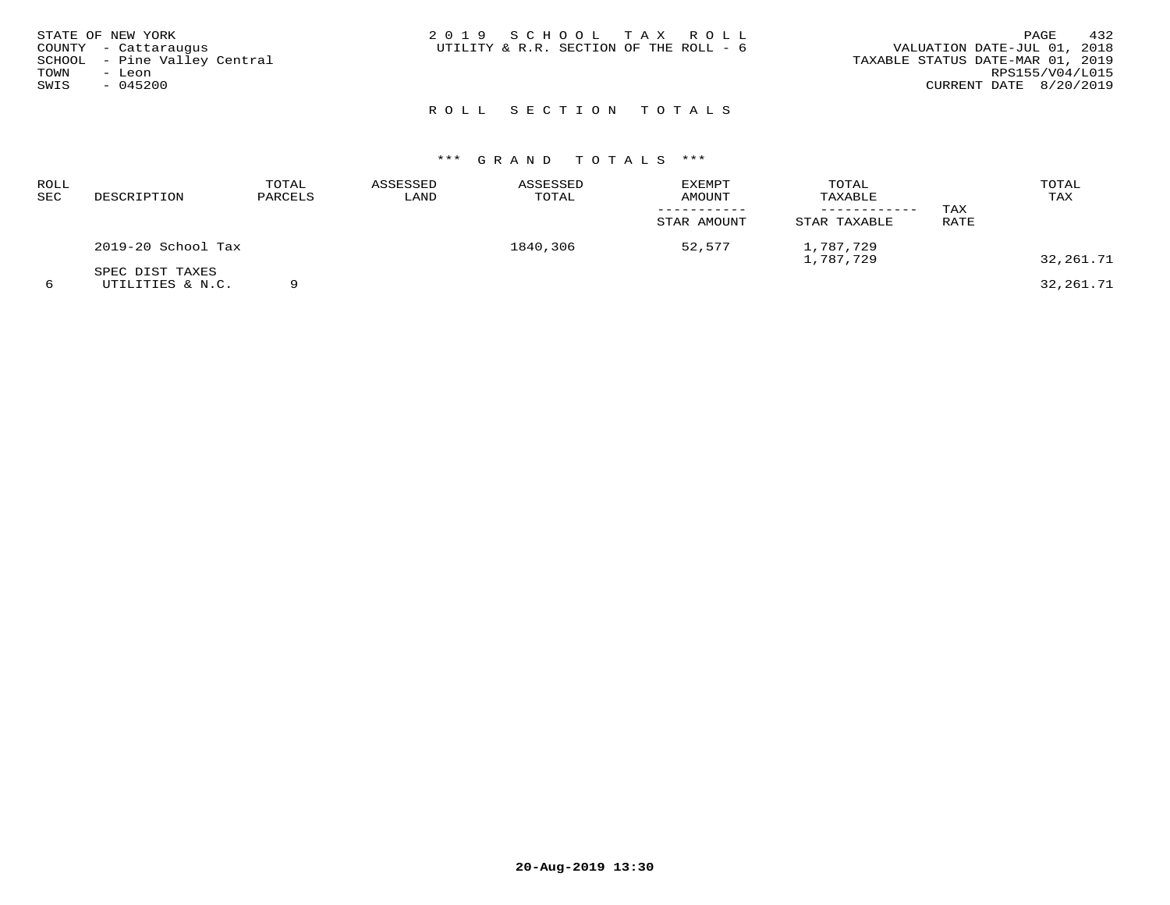| STATE OF NEW YORK<br>COUNTY - Cattaraugus<br>SCHOOL - Pine Valley Central<br>TOWN<br>- Leon<br>SWIS<br>$-045200$ | 2019 SCHOOL TAX ROLL<br>UTILITY & R.R. SECTION OF THE ROLL - 6 | 432<br>PAGE<br>VALUATION DATE-JUL 01, 2018<br>TAXABLE STATUS DATE-MAR 01, 2019<br>RPS155/V04/L015<br>CURRENT DATE 8/20/2019 |
|------------------------------------------------------------------------------------------------------------------|----------------------------------------------------------------|-----------------------------------------------------------------------------------------------------------------------------|
|                                                                                                                  | ROLL SECTION TOTALS                                            |                                                                                                                             |

| ROLL<br>SEC | DESCRIPTION                         | TOTAL<br>PARCELS | ASSESSED<br>LAND | ASSESSED<br>TOTAL | EXEMPT<br>AMOUNT<br>STAR AMOUNT | TOTAL<br>TAXABLE<br>STAR TAXABLE | TAX<br>RATE | TOTAL<br>TAX |
|-------------|-------------------------------------|------------------|------------------|-------------------|---------------------------------|----------------------------------|-------------|--------------|
|             | 2019-20 School Tax                  |                  |                  | 1840,306          | 52,577                          | 1,787,729<br>1,787,729           |             | 32,261.71    |
|             | SPEC DIST TAXES<br>UTILITIES & N.C. |                  |                  |                   |                                 |                                  |             | 32,261.71    |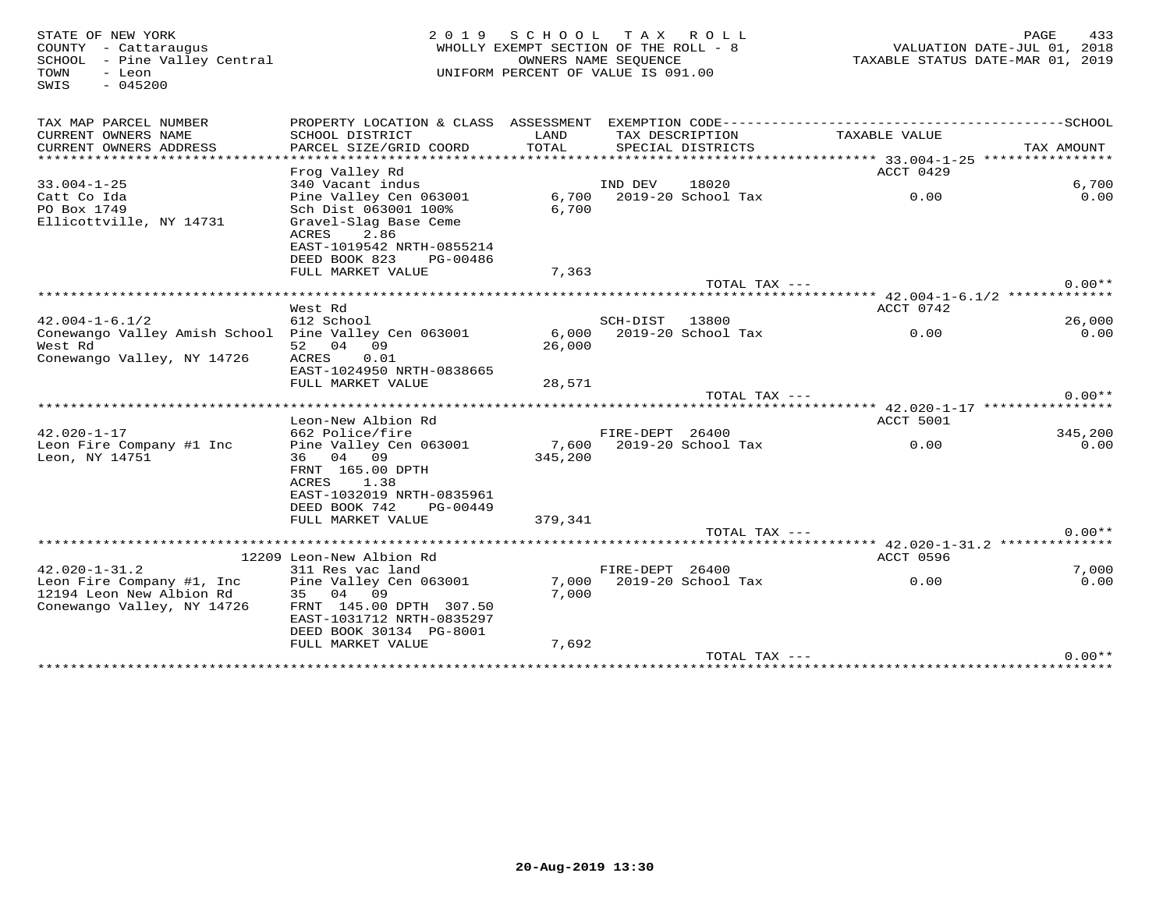SWIS - 045200

# PAGE 433 STATE OF NEW YORK PAGE 433 (2019 SCHOOL TAX ROLL) PAGE 433 (2008)<br>2008 WHOLLY EXEMPT SECTION OF THE ROLL - 8 [2018 VALUATION DATE-JUL 01, 2018<br>2019 SCHOOL - Pine Valley Central TOWN - Leon UNIFORM PERCENT OF VALUE IS 091.00

| TAX MAP PARCEL NUMBER<br>CURRENT OWNERS NAME         | PROPERTY LOCATION & CLASS ASSESSMENT<br>SCHOOL DISTRICT | LAND    |                 | TAX DESCRIPTION    | TAXABLE VALUE                                         |            |
|------------------------------------------------------|---------------------------------------------------------|---------|-----------------|--------------------|-------------------------------------------------------|------------|
| CURRENT OWNERS ADDRESS                               | PARCEL SIZE/GRID COORD                                  | TOTAL   |                 | SPECIAL DISTRICTS  |                                                       | TAX AMOUNT |
| ****************                                     |                                                         |         |                 |                    |                                                       |            |
|                                                      | Frog Valley Rd                                          |         |                 |                    | ACCT 0429                                             |            |
| $33.004 - 1 - 25$                                    | 340 Vacant indus                                        |         | IND DEV         | 18020              |                                                       | 6,700      |
| Catt Co Ida                                          | Pine Valley Cen 063001                                  | 6,700   |                 | 2019-20 School Tax | 0.00                                                  | 0.00       |
| PO Box 1749                                          | Sch Dist 063001 100%                                    | 6,700   |                 |                    |                                                       |            |
| Ellicottville, NY 14731                              | Gravel-Slag Base Ceme                                   |         |                 |                    |                                                       |            |
|                                                      | ACRES<br>2.86                                           |         |                 |                    |                                                       |            |
|                                                      | EAST-1019542 NRTH-0855214                               |         |                 |                    |                                                       |            |
|                                                      | DEED BOOK 823<br>PG-00486                               |         |                 |                    |                                                       |            |
|                                                      | FULL MARKET VALUE                                       | 7,363   |                 |                    |                                                       |            |
|                                                      |                                                         |         |                 | TOTAL TAX ---      |                                                       | $0.00**$   |
|                                                      |                                                         |         |                 |                    | ****** 42.004-1-6.1/2 *************                   |            |
|                                                      | West Rd                                                 |         |                 |                    | ACCT 0742                                             |            |
| $42.004 - 1 - 6.1/2$                                 | 612 School                                              |         | SCH-DIST        | 13800              |                                                       | 26,000     |
| Conewango Valley Amish School Pine Valley Cen 063001 |                                                         | 6,000   |                 | 2019-20 School Tax | 0.00                                                  | 0.00       |
| West Rd                                              | 09<br>52 04                                             | 26,000  |                 |                    |                                                       |            |
| Conewango Valley, NY 14726                           | 0.01<br>ACRES<br>EAST-1024950 NRTH-0838665              |         |                 |                    |                                                       |            |
|                                                      | FULL MARKET VALUE                                       | 28,571  |                 |                    |                                                       |            |
|                                                      |                                                         |         |                 | TOTAL TAX ---      |                                                       | $0.00**$   |
|                                                      |                                                         |         |                 |                    | ************************ 42.020-1-17 **************** |            |
|                                                      | Leon-New Albion Rd                                      |         |                 |                    | ACCT 5001                                             |            |
| $42.020 - 1 - 17$                                    | 662 Police/fire                                         |         | FIRE-DEPT 26400 |                    |                                                       | 345,200    |
| Leon Fire Company #1 Inc                             | Pine Valley Cen 063001                                  | 7,600   |                 | 2019-20 School Tax | 0.00                                                  | 0.00       |
| Leon, NY 14751                                       | 36 04 09                                                | 345,200 |                 |                    |                                                       |            |
|                                                      | FRNT 165.00 DPTH                                        |         |                 |                    |                                                       |            |
|                                                      | 1.38<br>ACRES                                           |         |                 |                    |                                                       |            |
|                                                      | EAST-1032019 NRTH-0835961                               |         |                 |                    |                                                       |            |
|                                                      | DEED BOOK 742<br>PG-00449                               |         |                 |                    |                                                       |            |
|                                                      | FULL MARKET VALUE                                       | 379,341 |                 |                    |                                                       |            |
|                                                      |                                                         |         |                 | TOTAL TAX ---      |                                                       | $0.00**$   |
|                                                      |                                                         |         |                 |                    | **** 42.020-1-31.2 **************                     |            |
|                                                      | 12209 Leon-New Albion Rd                                |         |                 |                    | <b>ACCT 0596</b>                                      |            |
| $42.020 - 1 - 31.2$                                  | 311 Res vac land                                        |         | FIRE-DEPT 26400 |                    |                                                       | 7,000      |
| Leon Fire Company #1, Inc                            | Pine Valley Cen 063001                                  | 7,000   |                 | 2019-20 School Tax | 0.00                                                  | 0.00       |
| 12194 Leon New Albion Rd                             | 35 04 09                                                | 7,000   |                 |                    |                                                       |            |
|                                                      |                                                         |         |                 |                    |                                                       |            |
| Conewango Valley, NY 14726                           | FRNT 145.00 DPTH 307.50                                 |         |                 |                    |                                                       |            |
|                                                      | EAST-1031712 NRTH-0835297                               |         |                 |                    |                                                       |            |
|                                                      | DEED BOOK 30134 PG-8001                                 |         |                 |                    |                                                       |            |
|                                                      | FULL MARKET VALUE                                       | 7,692   |                 | TOTAL TAX ---      |                                                       | $0.00**$   |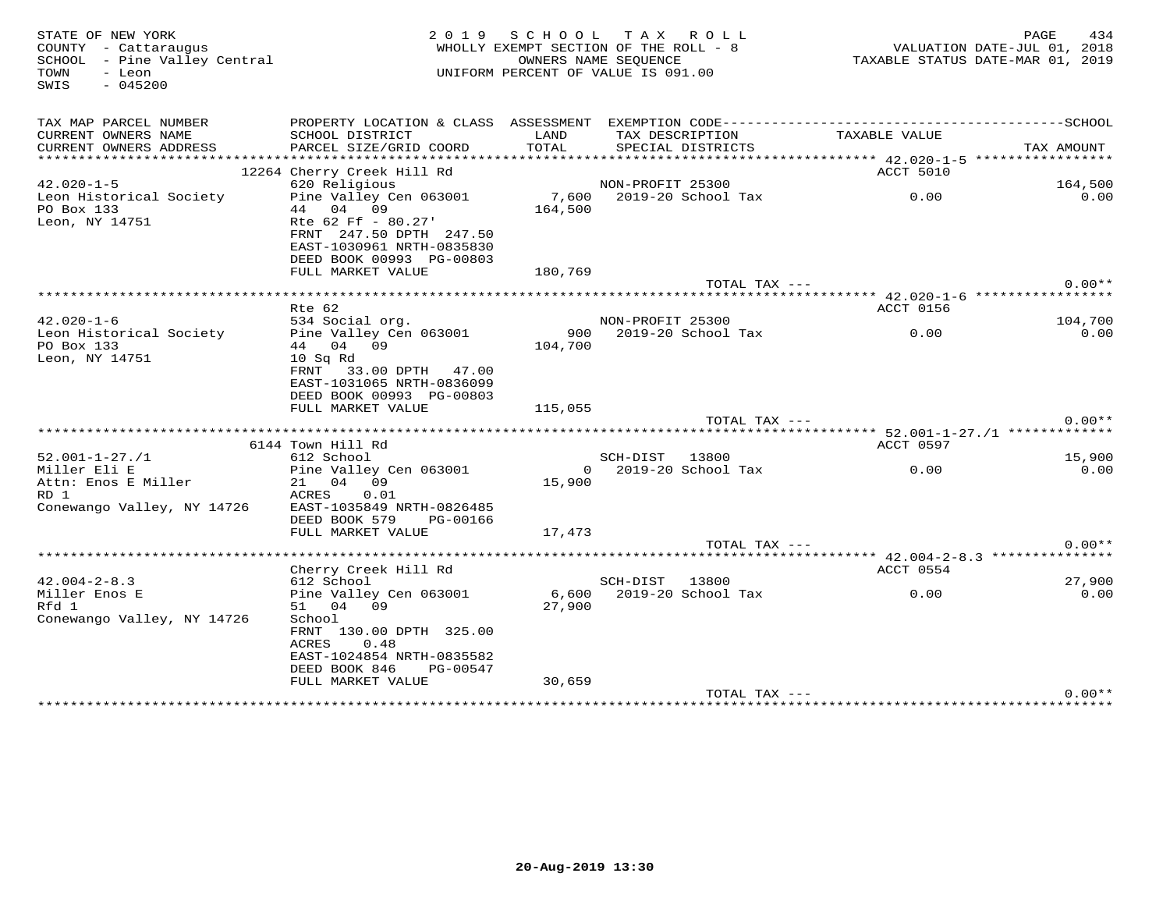| STATE OF NEW YORK<br>COUNTY - Cattaraugus<br>SCHOOL - Pine Valley Central<br>- Leon<br>TOWN<br>$-045200$<br>SWIS |                                               | 2019 SCHOOL   | TAX ROLL<br>WHOLLY EXEMPT SECTION OF THE ROLL - 8<br>OWNERS NAME SEQUENCE<br>UNIFORM PERCENT OF VALUE IS 091.00 | VALUATION DATE-JUL 01, 2018<br>TAXABLE STATUS DATE-MAR 01, 2019 | PAGE<br>434 |
|------------------------------------------------------------------------------------------------------------------|-----------------------------------------------|---------------|-----------------------------------------------------------------------------------------------------------------|-----------------------------------------------------------------|-------------|
| TAX MAP PARCEL NUMBER                                                                                            |                                               |               |                                                                                                                 |                                                                 |             |
| CURRENT OWNERS NAME<br>CURRENT OWNERS ADDRESS                                                                    | SCHOOL DISTRICT<br>PARCEL SIZE/GRID COORD     | LAND<br>TOTAL | TAX DESCRIPTION<br>SPECIAL DISTRICTS                                                                            | TAXABLE VALUE                                                   | TAX AMOUNT  |
|                                                                                                                  |                                               |               |                                                                                                                 |                                                                 |             |
|                                                                                                                  | 12264 Cherry Creek Hill Rd                    |               |                                                                                                                 | ACCT 5010                                                       |             |
| $42.020 - 1 - 5$                                                                                                 | 620 Religious                                 |               | NON-PROFIT 25300                                                                                                |                                                                 | 164,500     |
| Leon Historical Society                                                                                          | Pine Valley Cen 063001                        |               | 7,600 2019-20 School Tax                                                                                        | 0.00                                                            | 0.00        |
| PO Box 133                                                                                                       | 44 04 09                                      | 164,500       |                                                                                                                 |                                                                 |             |
| Leon, NY 14751                                                                                                   | Rte 62 Ff - 80.27'<br>FRNT 247.50 DPTH 247.50 |               |                                                                                                                 |                                                                 |             |
|                                                                                                                  | EAST-1030961 NRTH-0835830                     |               |                                                                                                                 |                                                                 |             |
|                                                                                                                  | DEED BOOK 00993 PG-00803                      |               |                                                                                                                 |                                                                 |             |
|                                                                                                                  | FULL MARKET VALUE                             | 180,769       |                                                                                                                 |                                                                 |             |
|                                                                                                                  |                                               |               | TOTAL TAX ---                                                                                                   |                                                                 | $0.00**$    |
|                                                                                                                  |                                               |               |                                                                                                                 |                                                                 |             |
| $42.020 - 1 - 6$                                                                                                 | Rte 62<br>534 Social org.                     |               |                                                                                                                 | ACCT 0156                                                       | 104,700     |
| Leon Historical Society                                                                                          | Pine Valley Cen 063001                        |               | NON-PROFIT 25300<br>900    2019-20 School Tax                                                                   | 0.00                                                            | 0.00        |
| PO Box 133                                                                                                       | 44 04 09                                      | 104,700       |                                                                                                                 |                                                                 |             |
| Leon, NY 14751                                                                                                   | 10 Sq Rd                                      |               |                                                                                                                 |                                                                 |             |
|                                                                                                                  | FRNT 33.00 DPTH 47.00                         |               |                                                                                                                 |                                                                 |             |
|                                                                                                                  | EAST-1031065 NRTH-0836099                     |               |                                                                                                                 |                                                                 |             |
|                                                                                                                  | DEED BOOK 00993 PG-00803                      |               |                                                                                                                 |                                                                 |             |
|                                                                                                                  | FULL MARKET VALUE                             | 115,055       |                                                                                                                 |                                                                 |             |
|                                                                                                                  |                                               |               | TOTAL TAX ---                                                                                                   |                                                                 | $0.00**$    |
|                                                                                                                  | 6144 Town Hill Rd                             |               |                                                                                                                 | ACCT 0597                                                       |             |
| $52.001 - 1 - 27. / 1$                                                                                           | 612 School                                    |               | SCH-DIST 13800                                                                                                  |                                                                 | 15,900      |
| Miller Eli E                                                                                                     | Pine Valley Cen 063001                        |               | 0 2019-20 School Tax                                                                                            | 0.00                                                            | 0.00        |
| Attn: Enos E Miller                                                                                              | 21 04 09                                      | 15,900        |                                                                                                                 |                                                                 |             |
| RD 1                                                                                                             | ACRES<br>0.01                                 |               |                                                                                                                 |                                                                 |             |
| Conewango Valley, NY 14726                                                                                       | EAST-1035849 NRTH-0826485                     |               |                                                                                                                 |                                                                 |             |
|                                                                                                                  | DEED BOOK 579<br>PG-00166                     |               |                                                                                                                 |                                                                 |             |
|                                                                                                                  | FULL MARKET VALUE                             | 17,473        |                                                                                                                 |                                                                 | $0.00**$    |
|                                                                                                                  |                                               |               | TOTAL TAX ---                                                                                                   |                                                                 |             |
|                                                                                                                  | Cherry Creek Hill Rd                          |               |                                                                                                                 | ACCT 0554                                                       |             |
| $42.004 - 2 - 8.3$                                                                                               | 612 School                                    |               | SCH-DIST 13800                                                                                                  |                                                                 | 27,900      |
| Miller Enos E                                                                                                    | Pine Valley Cen 063001                        |               | 6,600 2019-20 School Tax                                                                                        | 0.00                                                            | 0.00        |
| Rfd 1                                                                                                            | 51 04 09                                      | 27,900        |                                                                                                                 |                                                                 |             |
| Conewango Valley, NY 14726                                                                                       | School                                        |               |                                                                                                                 |                                                                 |             |
|                                                                                                                  | FRNT 130.00 DPTH 325.00                       |               |                                                                                                                 |                                                                 |             |
|                                                                                                                  | ACRES<br>0.48                                 |               |                                                                                                                 |                                                                 |             |
|                                                                                                                  | EAST-1024854 NRTH-0835582<br>DEED BOOK 846    |               |                                                                                                                 |                                                                 |             |
|                                                                                                                  | PG-00547<br>FULL MARKET VALUE                 | 30,659        |                                                                                                                 |                                                                 |             |
|                                                                                                                  |                                               |               | TOTAL TAX ---                                                                                                   |                                                                 | $0.00**$    |
|                                                                                                                  |                                               |               |                                                                                                                 |                                                                 |             |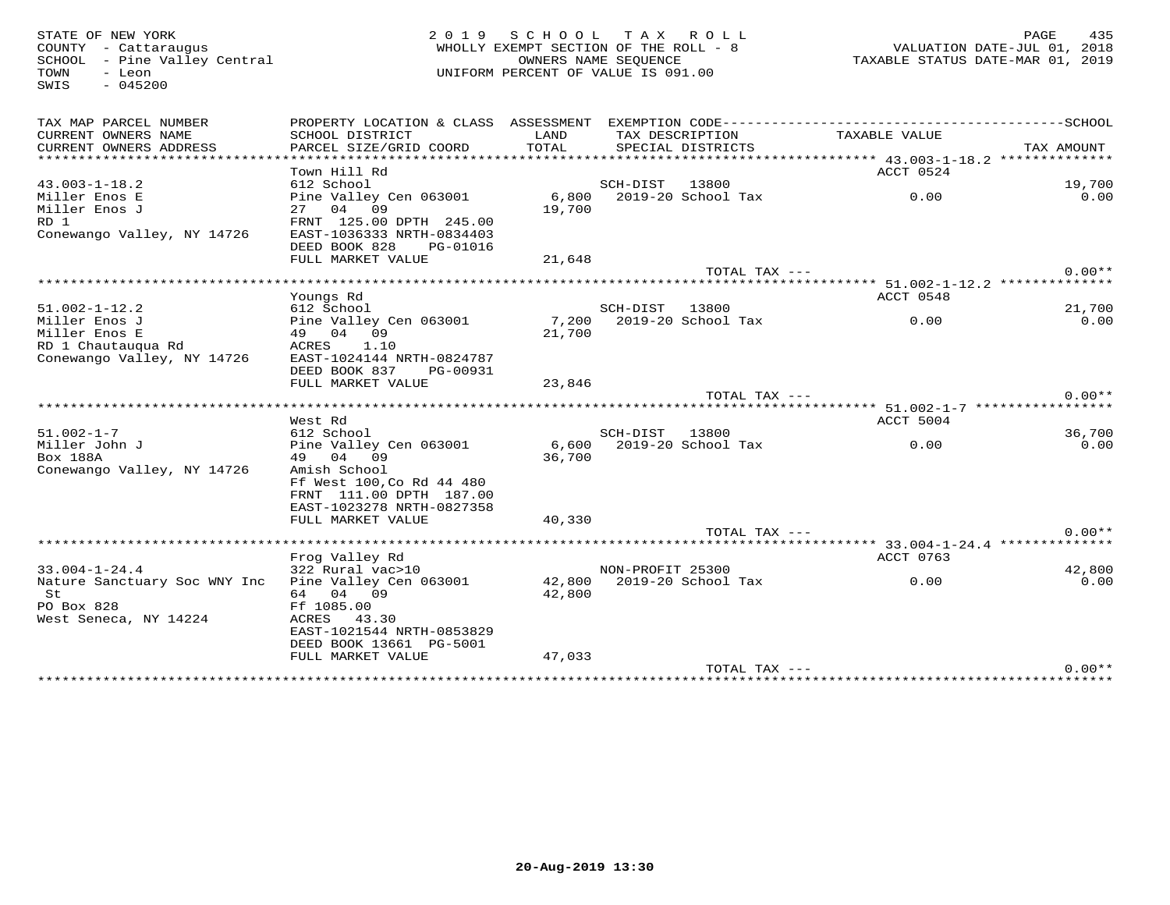SWIS - 045200

# 935 PAGE لـ PAGE 135<br>2018 COUNTY - Cattaraugus<br>2018 SCHOOL - Pine Valley Central (Patral MHOLLY EXEMPT SECTION OF THE ROLL - 8<br>2019 SCHOOL - Pine Valley Central (Patral MHOLLY EXEMPT SECTION OF THE ROLL - 8 TOWN - Leon UNIFORM PERCENT OF VALUE IS 091.00

| TAX MAP PARCEL NUMBER<br>CURRENT OWNERS NAME | PROPERTY LOCATION & CLASS ASSESSMENT EXEMPTION CODE-----------------------------------SCHOOL | LAND   |                  |                    |                                           |            |
|----------------------------------------------|----------------------------------------------------------------------------------------------|--------|------------------|--------------------|-------------------------------------------|------------|
| CURRENT OWNERS ADDRESS                       | SCHOOL DISTRICT<br>PARCEL SIZE/GRID COORD                                                    | TOTAL  | TAX DESCRIPTION  | SPECIAL DISTRICTS  | TAXABLE VALUE                             | TAX AMOUNT |
|                                              |                                                                                              |        |                  |                    |                                           |            |
|                                              | Town Hill Rd                                                                                 |        |                  |                    | ACCT 0524                                 |            |
| $43.003 - 1 - 18.2$                          | 612 School                                                                                   |        | SCH-DIST         | 13800              |                                           | 19,700     |
| Miller Enos E                                | Pine Valley Cen 063001                                                                       | 6,800  |                  | 2019-20 School Tax | 0.00                                      | 0.00       |
| Miller Enos J                                | 27 04 09                                                                                     | 19,700 |                  |                    |                                           |            |
| RD 1                                         | FRNT 125.00 DPTH 245.00                                                                      |        |                  |                    |                                           |            |
| Conewango Valley, NY 14726                   | EAST-1036333 NRTH-0834403                                                                    |        |                  |                    |                                           |            |
|                                              | DEED BOOK 828<br>PG-01016                                                                    |        |                  |                    |                                           |            |
|                                              | FULL MARKET VALUE                                                                            | 21,648 |                  |                    |                                           |            |
|                                              |                                                                                              |        |                  | TOTAL TAX ---      |                                           | $0.00**$   |
|                                              |                                                                                              |        |                  |                    |                                           |            |
|                                              | Youngs Rd                                                                                    |        |                  |                    | ACCT 0548                                 |            |
| $51.002 - 1 - 12.2$                          | 612 School                                                                                   |        | SCH-DIST 13800   |                    |                                           | 21,700     |
| Miller Enos J                                | Pine Valley Cen 063001                                                                       | 7,200  |                  | 2019-20 School Tax | 0.00                                      | 0.00       |
| Miller Enos E                                | 49 04 09                                                                                     | 21,700 |                  |                    |                                           |            |
| RD 1 Chautauqua Rd                           | ACRES<br>1.10                                                                                |        |                  |                    |                                           |            |
| Conewango Valley, NY 14726                   | EAST-1024144 NRTH-0824787                                                                    |        |                  |                    |                                           |            |
|                                              | DEED BOOK 837<br>PG-00931                                                                    |        |                  |                    |                                           |            |
|                                              | FULL MARKET VALUE                                                                            | 23,846 |                  | TOTAL TAX ---      |                                           | $0.00**$   |
|                                              |                                                                                              |        |                  |                    |                                           |            |
|                                              | West Rd                                                                                      |        |                  |                    | ACCT 5004                                 |            |
| $51.002 - 1 - 7$                             | 612 School                                                                                   |        | SCH-DIST 13800   |                    |                                           | 36,700     |
| Miller John J                                | Pine Valley Cen 063001                                                                       | 6,600  |                  | 2019-20 School Tax | 0.00                                      | 0.00       |
| Box 188A                                     | 49 04 09                                                                                     | 36,700 |                  |                    |                                           |            |
| Conewango Valley, NY 14726                   | Amish School                                                                                 |        |                  |                    |                                           |            |
|                                              | Ff West 100, Co Rd 44 480                                                                    |        |                  |                    |                                           |            |
|                                              | FRNT 111.00 DPTH 187.00                                                                      |        |                  |                    |                                           |            |
|                                              | EAST-1023278 NRTH-0827358                                                                    |        |                  |                    |                                           |            |
|                                              | FULL MARKET VALUE                                                                            | 40,330 |                  |                    |                                           |            |
|                                              |                                                                                              |        |                  | TOTAL TAX ---      |                                           | $0.00**$   |
|                                              |                                                                                              |        |                  |                    | *********** 33.004-1-24.4 *************** |            |
|                                              | Frog Valley Rd                                                                               |        |                  |                    | ACCT 0763                                 |            |
| $33.004 - 1 - 24.4$                          | 322 Rural vac>10                                                                             |        | NON-PROFIT 25300 |                    |                                           | 42,800     |
| Nature Sanctuary Soc WNY Inc                 | Pine Valley Cen 063001                                                                       | 42,800 |                  | 2019-20 School Tax | 0.00                                      | 0.00       |
| St                                           | 64 04 09                                                                                     | 42,800 |                  |                    |                                           |            |
| PO Box 828<br>West Seneca, NY 14224          | Ff 1085.00<br>43.30<br>ACRES                                                                 |        |                  |                    |                                           |            |
|                                              | EAST-1021544 NRTH-0853829                                                                    |        |                  |                    |                                           |            |
|                                              | DEED BOOK 13661 PG-5001                                                                      |        |                  |                    |                                           |            |
|                                              | FULL MARKET VALUE                                                                            | 47,033 |                  |                    |                                           |            |
|                                              |                                                                                              |        |                  | TOTAL TAX ---      |                                           | $0.00**$   |
|                                              |                                                                                              |        |                  |                    | ******************************            |            |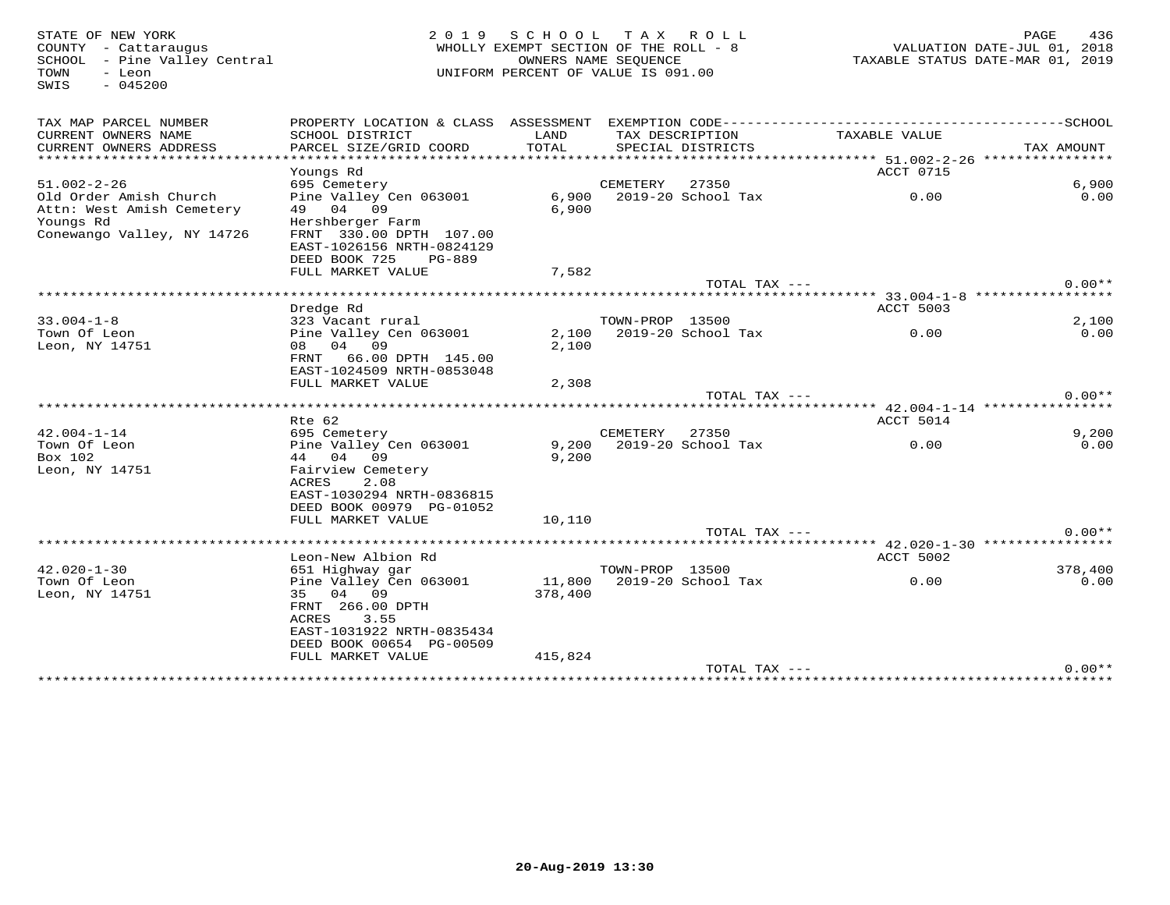| STATE OF NEW YORK<br>COUNTY - Cattaraugus<br>SCHOOL - Pine Valley Central<br>- Leon<br>TOWN<br>$-045200$<br>SWIS | 2 0 1 9<br>WHOLLY EXEMPT SECTION OF THE ROLL - 8<br>UNIFORM PERCENT OF VALUE IS 091.00                                                           |                   | 436<br>PAGE<br>VALUATION DATE-JUL 01, 2018<br>TAXABLE STATUS DATE-MAR 01, 2019 |                          |                                        |               |
|------------------------------------------------------------------------------------------------------------------|--------------------------------------------------------------------------------------------------------------------------------------------------|-------------------|--------------------------------------------------------------------------------|--------------------------|----------------------------------------|---------------|
| TAX MAP PARCEL NUMBER                                                                                            | PROPERTY LOCATION & CLASS ASSESSMENT                                                                                                             |                   |                                                                                |                          |                                        |               |
| CURRENT OWNERS NAME<br>CURRENT OWNERS ADDRESS                                                                    | SCHOOL DISTRICT<br>PARCEL SIZE/GRID COORD                                                                                                        | LAND<br>TOTAL     | TAX DESCRIPTION                                                                | SPECIAL DISTRICTS        | TAXABLE VALUE                          | TAX AMOUNT    |
|                                                                                                                  | Youngs Rd                                                                                                                                        |                   |                                                                                |                          | ACCT 0715                              |               |
| $51.002 - 2 - 26$                                                                                                | 695 Cemetery                                                                                                                                     |                   | CEMETERY                                                                       | 27350                    |                                        | 6,900         |
| Old Order Amish Church<br>Attn: West Amish Cemetery<br>Youngs Rd<br>Conewango Valley, NY 14726                   | Pine Valley Cen 063001<br>49 04 09<br>Hershberger Farm<br>FRNT 330.00 DPTH 107.00<br>EAST-1026156 NRTH-0824129<br>DEED BOOK 725<br><b>PG-889</b> | 6,900<br>6,900    |                                                                                | $2019-20$ School Tax     | 0.00                                   | 0.00          |
|                                                                                                                  | FULL MARKET VALUE                                                                                                                                | 7,582             |                                                                                |                          |                                        |               |
|                                                                                                                  |                                                                                                                                                  |                   |                                                                                | TOTAL TAX ---            |                                        | $0.00**$      |
|                                                                                                                  |                                                                                                                                                  |                   |                                                                                |                          | ********* 33.004-1-8 ***************** |               |
|                                                                                                                  | Dredge Rd                                                                                                                                        |                   |                                                                                |                          | ACCT 5003                              |               |
| $33.004 - 1 - 8$<br>Town Of Leon<br>Leon, NY 14751                                                               | 323 Vacant rural<br>Pine Valley Cen 063001<br>08 04 09                                                                                           | 2,100             | TOWN-PROP 13500                                                                | 2,100 2019-20 School Tax | 0.00                                   | 2,100<br>0.00 |
|                                                                                                                  | FRNT 66.00 DPTH 145.00<br>EAST-1024509 NRTH-0853048<br>FULL MARKET VALUE                                                                         | 2,308             |                                                                                |                          |                                        |               |
|                                                                                                                  |                                                                                                                                                  |                   |                                                                                | TOTAL TAX ---            |                                        | $0.00**$      |
|                                                                                                                  | Rte 62                                                                                                                                           |                   |                                                                                |                          | ACCT 5014                              |               |
| $42.004 - 1 - 14$                                                                                                | 695 Cemetery                                                                                                                                     |                   | CEMETERY                                                                       | 27350                    |                                        | 9,200         |
| Town Of Leon<br>Box 102<br>Leon, NY 14751                                                                        | Pine Valley Cen 063001<br>44 04 09<br>Fairview Cemetery                                                                                          | 9,200<br>9,200    |                                                                                | 2019-20 School Tax       | 0.00                                   | 0.00          |
|                                                                                                                  | <b>ACRES</b><br>2.08<br>EAST-1030294 NRTH-0836815<br>DEED BOOK 00979 PG-01052<br>FULL MARKET VALUE                                               | 10,110            |                                                                                |                          |                                        |               |
|                                                                                                                  |                                                                                                                                                  |                   |                                                                                | TOTAL TAX ---            |                                        | $0.00**$      |
|                                                                                                                  |                                                                                                                                                  |                   |                                                                                |                          |                                        |               |
|                                                                                                                  | Leon-New Albion Rd                                                                                                                               |                   |                                                                                |                          | ACCT 5002                              |               |
| $42.020 - 1 - 30$                                                                                                | 651 Highway gar                                                                                                                                  |                   | TOWN-PROP 13500                                                                |                          |                                        | 378,400       |
| Town Of Leon<br>Leon, NY 14751                                                                                   | Pine Valley Cen 063001<br>35<br>04 09<br>FRNT 266.00 DPTH<br>ACRES<br>3.55<br>EAST-1031922 NRTH-0835434<br>DEED BOOK 00654 PG-00509              | 11,800<br>378,400 |                                                                                | 2019-20 School Tax       | 0.00                                   | 0.00          |
|                                                                                                                  | FULL MARKET VALUE                                                                                                                                | 415,824           |                                                                                |                          |                                        |               |
|                                                                                                                  |                                                                                                                                                  |                   |                                                                                | TOTAL TAX ---            |                                        | $0.00**$      |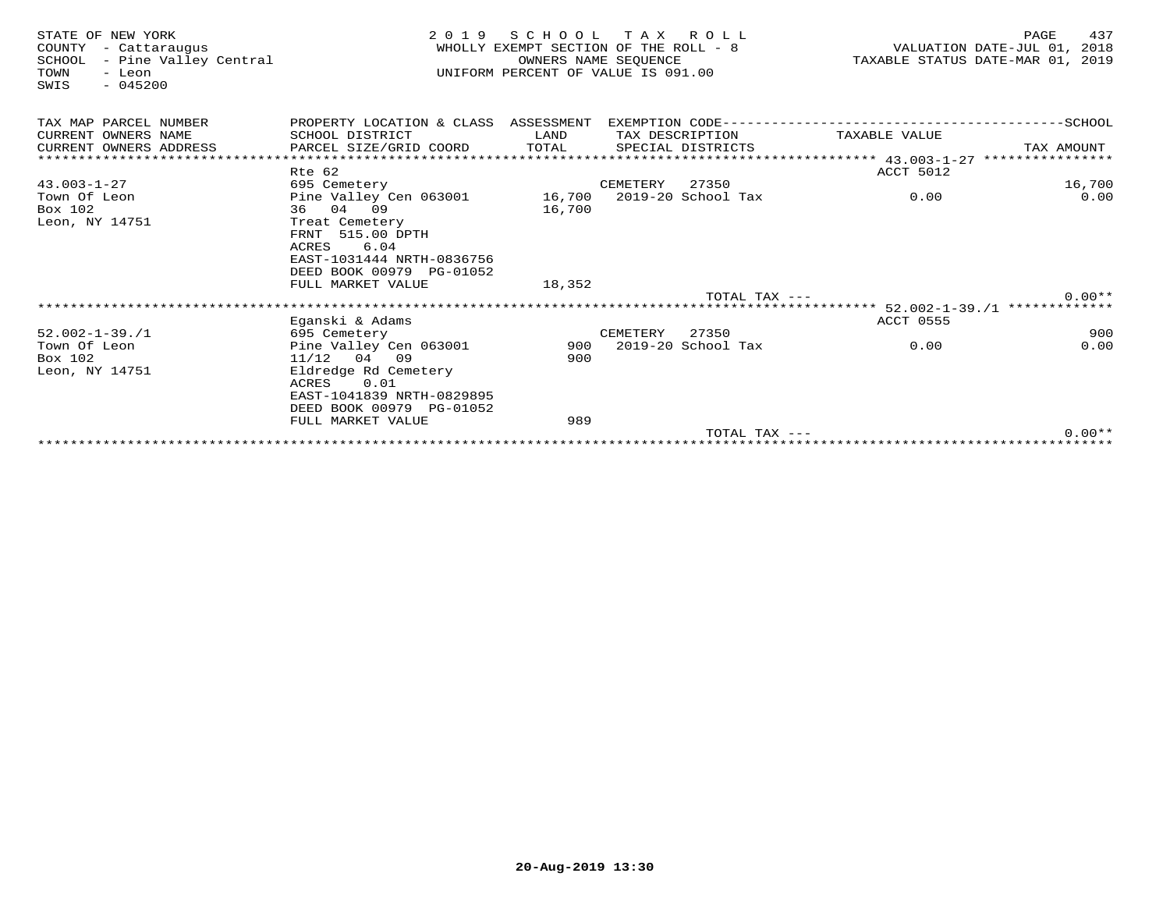| STATE OF NEW YORK<br>COUNTY<br>- Cattarauqus<br>- Pine Valley Central<br>SCHOOL<br>TOWN<br>- Leon<br>$-045200$<br>SWIS | 2 0 1 9                                                                                                             | SCHOOL<br>WHOLLY EXEMPT SECTION OF THE ROLL - 8<br>UNIFORM PERCENT OF VALUE IS 091.00 | TAX ROLL<br>OWNERS NAME SEOUENCE |                    |                 | TAXABLE STATUS DATE-MAR 01, 2019 | PAGE<br>VALUATION DATE-JUL 01, | 437<br>2018 |
|------------------------------------------------------------------------------------------------------------------------|---------------------------------------------------------------------------------------------------------------------|---------------------------------------------------------------------------------------|----------------------------------|--------------------|-----------------|----------------------------------|--------------------------------|-------------|
| TAX MAP PARCEL NUMBER                                                                                                  | PROPERTY LOCATION & CLASS ASSESSMENT                                                                                |                                                                                       |                                  |                    |                 |                                  |                                |             |
| CURRENT OWNERS NAME                                                                                                    | SCHOOL DISTRICT                                                                                                     | LAND                                                                                  |                                  | TAX DESCRIPTION    |                 | TAXABLE VALUE                    |                                |             |
| CURRENT OWNERS ADDRESS                                                                                                 | PARCEL SIZE/GRID COORD                                                                                              | TOTAL                                                                                 |                                  | SPECIAL DISTRICTS  |                 |                                  | TAX AMOUNT                     |             |
|                                                                                                                        |                                                                                                                     |                                                                                       |                                  |                    |                 |                                  |                                |             |
|                                                                                                                        | Rte 62                                                                                                              |                                                                                       |                                  |                    |                 | ACCT 5012                        |                                |             |
| $43.003 - 1 - 27$                                                                                                      | 695 Cemetery                                                                                                        |                                                                                       | CEMETERY                         | 27350              |                 |                                  |                                | 16,700      |
| Town Of Leon                                                                                                           | Pine Valley Cen 063001                                                                                              |                                                                                       | 16,700 2019-20 School Tax        |                    |                 | 0.00                             |                                | 0.00        |
| Box 102                                                                                                                | 36 04 09                                                                                                            | 16,700                                                                                |                                  |                    |                 |                                  |                                |             |
| Leon, NY 14751                                                                                                         | Treat Cemetery<br>FRNT 515.00 DPTH<br>6.04<br>ACRES<br>EAST-1031444 NRTH-0836756<br>DEED BOOK 00979 PG-01052        |                                                                                       |                                  |                    |                 |                                  |                                |             |
|                                                                                                                        | FULL MARKET VALUE                                                                                                   | 18,352                                                                                |                                  |                    |                 |                                  |                                |             |
|                                                                                                                        |                                                                                                                     |                                                                                       |                                  |                    | TOTAL TAX $---$ |                                  |                                | $0.00**$    |
|                                                                                                                        |                                                                                                                     |                                                                                       |                                  |                    |                 |                                  |                                |             |
|                                                                                                                        | Eganski & Adams                                                                                                     |                                                                                       |                                  |                    |                 | <b>ACCT 0555</b>                 |                                |             |
| $52.002 - 1 - 39.71$                                                                                                   | 695 Cemetery                                                                                                        |                                                                                       | CEMETERY                         | 27350              |                 |                                  |                                | 900         |
| Town Of Leon                                                                                                           | Pine Valley Cen 063001                                                                                              | 900                                                                                   |                                  | 2019-20 School Tax |                 | 0.00                             |                                | 0.00        |
| Box 102                                                                                                                | $11/12$ 04 09                                                                                                       | 900                                                                                   |                                  |                    |                 |                                  |                                |             |
| Leon, NY 14751                                                                                                         | Eldredge Rd Cemetery<br>0.01<br>ACRES<br>EAST-1041839 NRTH-0829895<br>DEED BOOK 00979 PG-01052<br>FULL MARKET VALUE | 989                                                                                   |                                  |                    |                 |                                  |                                |             |
|                                                                                                                        |                                                                                                                     |                                                                                       |                                  |                    | TOTAL TAX ---   |                                  |                                | $0.00**$    |
|                                                                                                                        |                                                                                                                     |                                                                                       |                                  |                    |                 |                                  |                                |             |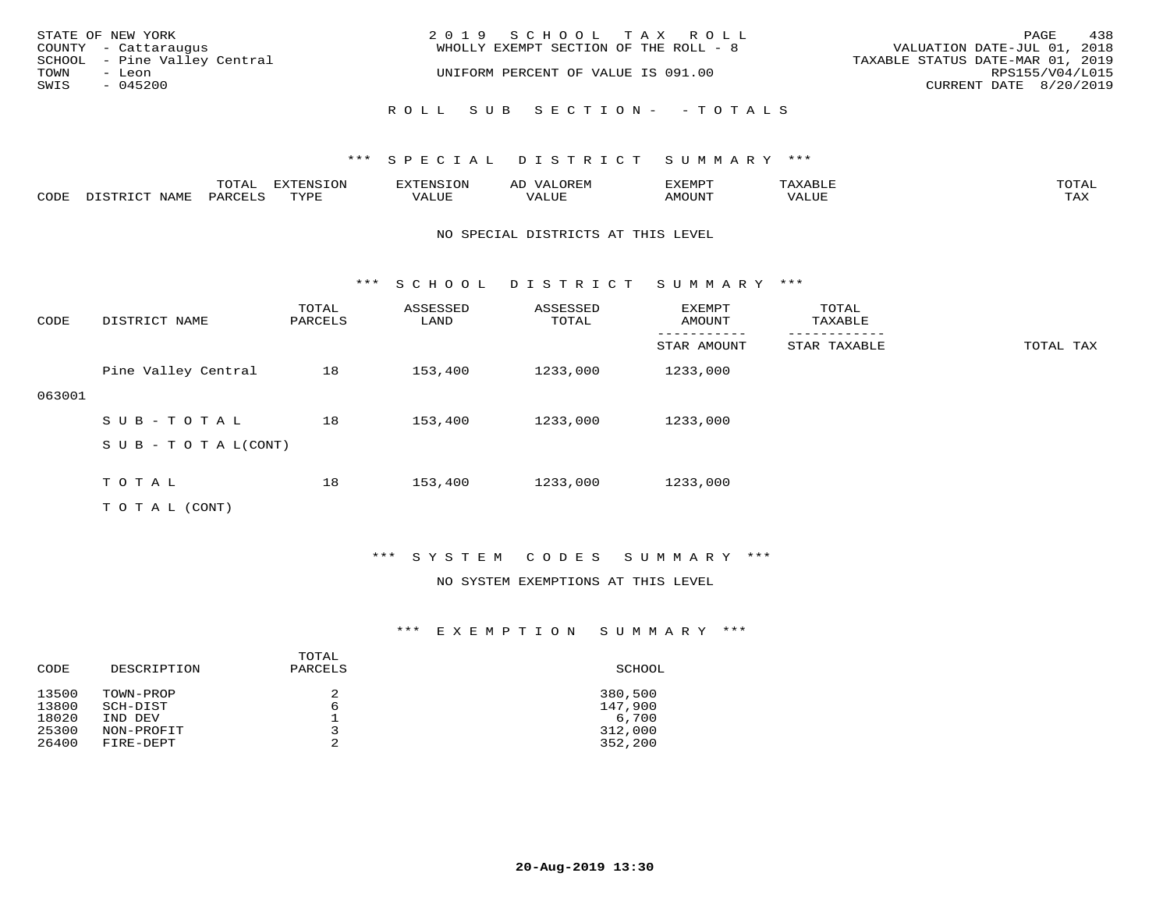| STATE OF NEW YORK<br>COUNTY - Cattaraugus      | 2019 SCHOOL TAX ROLL<br>WHOLLY EXEMPT SECTION OF THE ROLL - 8 | VALUATION DATE-JUL 01, 2018      | PAGE            | 438 |
|------------------------------------------------|---------------------------------------------------------------|----------------------------------|-----------------|-----|
| SCHOOL - Pine Valley Central<br>TOWN<br>- Leon | UNIFORM PERCENT OF VALUE IS 091.00                            | TAXABLE STATUS DATE-MAR 01, 2019 | RPS155/V04/L015 |     |
| SWIS<br>$-045200$                              |                                                               | CURRENT DATE 8/20/2019           |                 |     |
|                                                | ROLL SUB SECTION- - TOTALS                                    |                                  |                 |     |

|      |      | $m \wedge m \wedge n$<br>$\sim$ 1<br>∸ ∪ ⊥ <del>⊓</del> ⊥⊥ | $T \cap N$<br>----<br>ᄗᄭ | . | ∼ | YFMDT<br>⊐∡⊾⊥⊥∙ı⊥ |       | $m \wedge m \wedge$<br>$\cdot$ $\Delta$ |
|------|------|------------------------------------------------------------|--------------------------|---|---|-------------------|-------|-----------------------------------------|
| CODE | NAME | $PARTF^T$                                                  | $m \tau \tau n$          |   |   | <b>MOTTNTO</b>    | VALUE | ma v<br>⊥ ∠~∡∡                          |

#### NO SPECIAL DISTRICTS AT THIS LEVEL

\*\*\* S C H O O L D I S T R I C T S U M M A R Y \*\*\*

| CODE   | DISTRICT NAME              | TOTAL<br>PARCELS | ASSESSED<br>LAND | ASSESSED<br>TOTAL | EXEMPT<br>AMOUNT | TOTAL<br>TAXABLE |           |
|--------|----------------------------|------------------|------------------|-------------------|------------------|------------------|-----------|
|        |                            |                  |                  |                   | STAR AMOUNT      | STAR TAXABLE     | TOTAL TAX |
|        | Pine Valley Central        | 18               | 153,400          | 1233,000          | 1233,000         |                  |           |
| 063001 |                            |                  |                  |                   |                  |                  |           |
|        | SUB-TOTAL                  | 18               | 153,400          | 1233,000          | 1233,000         |                  |           |
|        | S U B - T O T A $L$ (CONT) |                  |                  |                   |                  |                  |           |
|        |                            |                  |                  |                   |                  |                  |           |
|        | TOTAL                      | 18               | 153,400          | 1233,000          | 1233,000         |                  |           |
|        | T O T A L (CONT)           |                  |                  |                   |                  |                  |           |

## \*\*\* S Y S T E M C O D E S S U M M A R Y \*\*\*

#### NO SYSTEM EXEMPTIONS AT THIS LEVEL

| CODE                             | DESCRIPTION                                    | TOTAL<br>PARCELS | SCHOOL                                 |
|----------------------------------|------------------------------------------------|------------------|----------------------------------------|
| 13500<br>13800<br>18020<br>25300 | TOWN-PROP<br>SCH-DIST<br>IND DEV<br>NON-PROFIT | 2<br>6<br>っ      | 380,500<br>147,900<br>6,700<br>312,000 |
| 26400                            | FIRE-DEPT                                      | 2                | 352,200                                |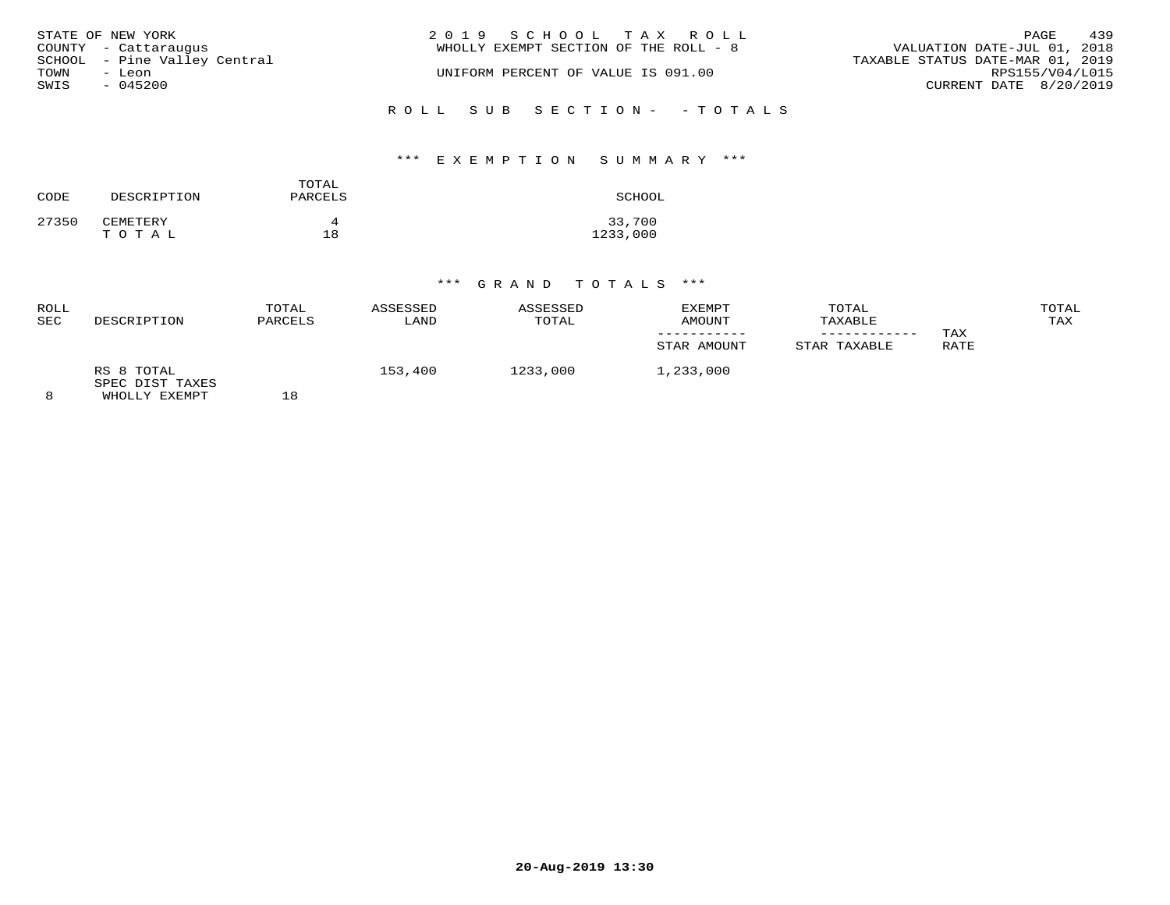|      | STATE OF NEW YORK<br>COUNTY - Cattaraugus | 2019 SCHOOL TAX ROLL<br>WHOLLY EXEMPT SECTION OF THE ROLL - 8 | PAGE<br>VALUATION DATE-JUL 01, 2018                 | 439 |
|------|-------------------------------------------|---------------------------------------------------------------|-----------------------------------------------------|-----|
| TOWN | SCHOOL - Pine Valley Central<br>- Leon    | UNIFORM PERCENT OF VALUE IS 091.00                            | TAXABLE STATUS DATE-MAR 01, 2019<br>RPS155/V04/L015 |     |
| SWIS | $-045200$                                 |                                                               | CURRENT DATE 8/20/2019                              |     |
|      |                                           | ROLL SUB SECTION- - TOTALS                                    |                                                     |     |

#### \*\*\* E X E M P T I O N S U M M A R Y \*\*\*

| CODE  | DESCRIPTION | TOTAL<br>PARCELS | SCHOOL   |
|-------|-------------|------------------|----------|
| 27350 | CEMETERY    | Δ                | 33,700   |
|       | TOTAL       | 18               | 1233,000 |

| ROLL<br><b>SEC</b> | DESCRIPTION                                    | TOTAL<br>PARCELS | ASSESSED<br>LAND | ASSESSED<br>TOTAL | EXEMPT<br>AMOUNT<br>STAR AMOUNT | TOTAL<br>TAXABLE<br>STAR TAXABLE | TAX<br>RATE | TOTAL<br>TAX |
|--------------------|------------------------------------------------|------------------|------------------|-------------------|---------------------------------|----------------------------------|-------------|--------------|
| 8                  | RS 8 TOTAL<br>SPEC DIST TAXES<br>WHOLLY EXEMPT | 18               | 153,400          | 1233,000          | 1,233,000                       |                                  |             |              |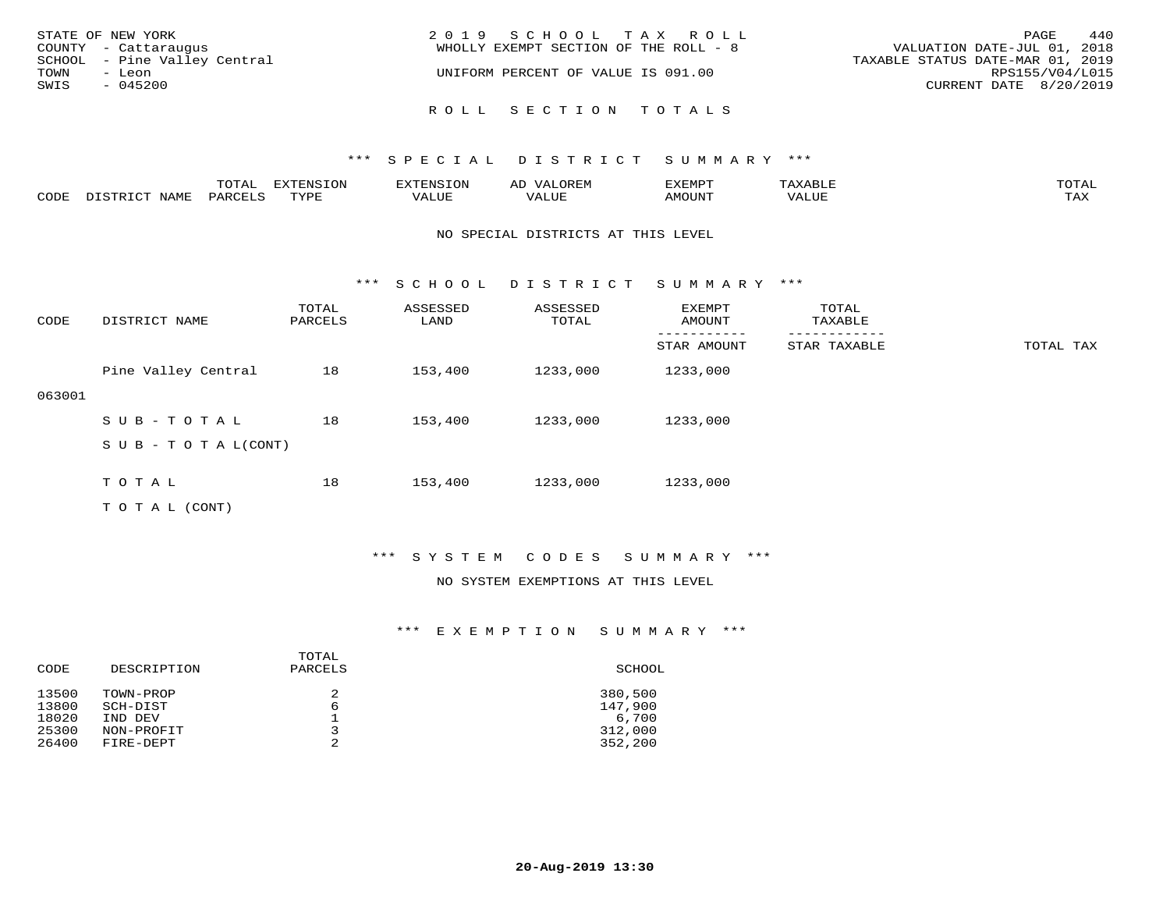| STATE OF NEW YORK<br>COUNTY - Cattaraugus<br>SCHOOL - Pine Valley Central<br>TOWN<br>- Leon<br>SWIS<br>$-045200$ | 2019 SCHOOL TAX ROLL<br>WHOLLY EXEMPT SECTION OF THE ROLL - 8<br>UNIFORM PERCENT OF VALUE IS 091.00 | 440<br>PAGE<br>VALUATION DATE-JUL 01, 2018<br>TAXABLE STATUS DATE-MAR 01, 2019<br>RPS155/V04/L015<br>CURRENT DATE 8/20/2019 |
|------------------------------------------------------------------------------------------------------------------|-----------------------------------------------------------------------------------------------------|-----------------------------------------------------------------------------------------------------------------------------|
|                                                                                                                  | ROLL SECTION TOTALS                                                                                 |                                                                                                                             |

|      |             | ----<br>TOTAT      | $TNTC TON^*$<br>-----<br>- UIV - | 8. IN 2                  | ∼     | דסאתי          |      | $m \wedge m \wedge$<br>$\overline{a}$ |
|------|-------------|--------------------|----------------------------------|--------------------------|-------|----------------|------|---------------------------------------|
| 70DE | <b>NAME</b> | PARCE <sup>-</sup> | $m \tau \tau n \tau$             | , <del>,</del> , , , , , | T T T | <b>MOTTNTH</b> | JJE. | $m \times r$<br>- ∠∡∡                 |

#### NO SPECIAL DISTRICTS AT THIS LEVEL

\*\*\* S C H O O L D I S T R I C T S U M M A R Y \*\*\*

| CODE   | DISTRICT NAME                    | TOTAL<br>PARCELS | ASSESSED<br>LAND | ASSESSED<br>TOTAL | EXEMPT<br>AMOUNT | TOTAL<br>TAXABLE |           |
|--------|----------------------------------|------------------|------------------|-------------------|------------------|------------------|-----------|
|        |                                  |                  |                  |                   | STAR AMOUNT      | STAR TAXABLE     | TOTAL TAX |
|        | Pine Valley Central              | 18               | 153,400          | 1233,000          | 1233,000         |                  |           |
| 063001 |                                  |                  |                  |                   |                  |                  |           |
|        | SUB-TOTAL                        | 18               | 153,400          | 1233,000          | 1233,000         |                  |           |
|        | $S \cup B - T \cup T A L (CONT)$ |                  |                  |                   |                  |                  |           |
|        |                                  |                  |                  |                   |                  |                  |           |
|        | TOTAL                            | 18               | 153,400          | 1233,000          | 1233,000         |                  |           |
|        | T O T A L (CONT)                 |                  |                  |                   |                  |                  |           |

## \*\*\* S Y S T E M C O D E S S U M M A R Y \*\*\*

#### NO SYSTEM EXEMPTIONS AT THIS LEVEL

| CODE                             | DESCRIPTION                                    | TOTAL<br>PARCELS | SCHOOL                                 |
|----------------------------------|------------------------------------------------|------------------|----------------------------------------|
| 13500<br>13800<br>18020<br>25300 | TOWN-PROP<br>SCH-DIST<br>IND DEV<br>NON-PROFIT | 2<br>6<br>っ      | 380,500<br>147,900<br>6,700<br>312,000 |
| 26400                            | FIRE-DEPT                                      | 2                | 352,200                                |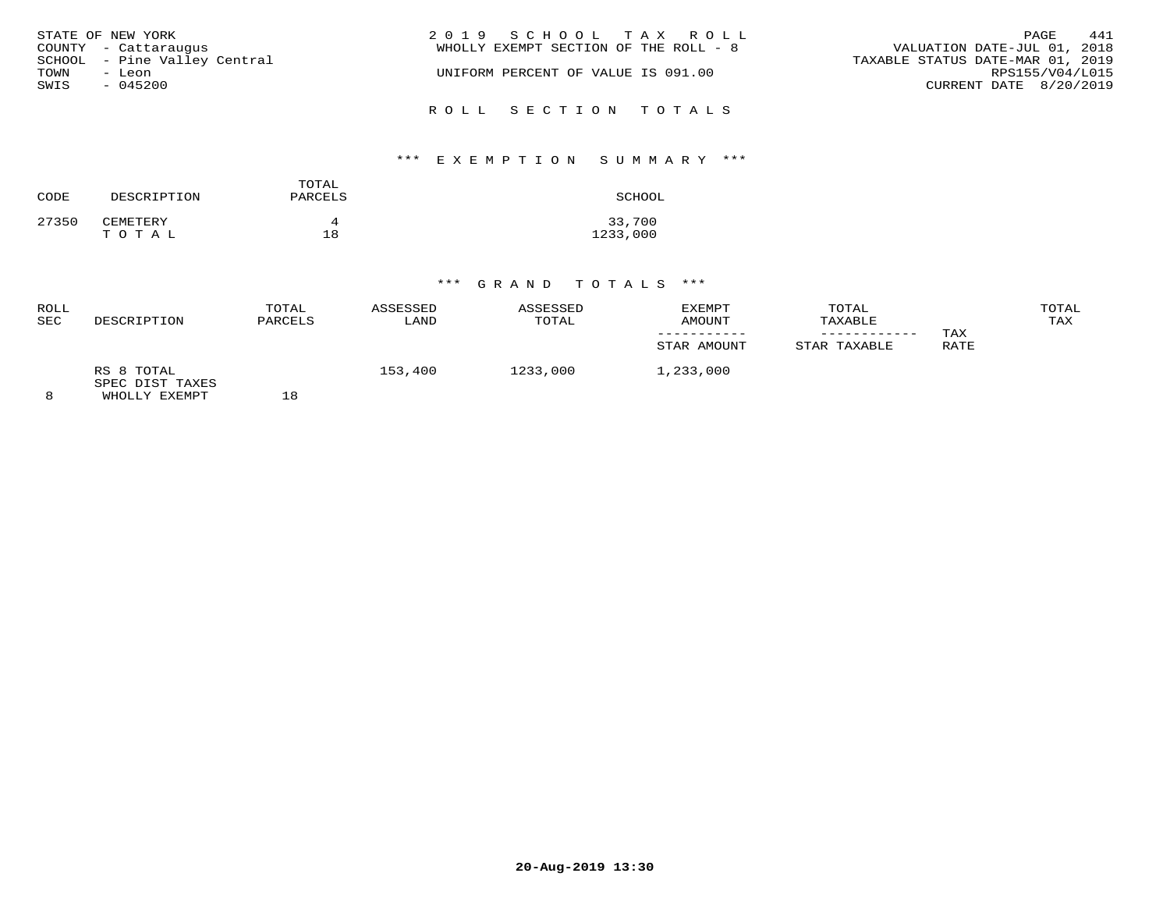| STATE OF NEW YORK            | 2019 SCHOOL TAX ROLL                  | 441<br>PAGE                      |
|------------------------------|---------------------------------------|----------------------------------|
| COUNTY - Cattaraugus         | WHOLLY EXEMPT SECTION OF THE ROLL - 8 | VALUATION DATE-JUL 01, 2018      |
| SCHOOL - Pine Valley Central |                                       | TAXABLE STATUS DATE-MAR 01, 2019 |
| TOWN<br>- Leon               | UNIFORM PERCENT OF VALUE IS 091.00    | RPS155/V04/L015                  |
| SWIS<br>$-045200$            |                                       | CURRENT DATE 8/20/2019           |
|                              |                                       |                                  |
|                              | ROLL SECTION TOTALS                   |                                  |

### \*\*\* E X E M P T I O N S U M M A R Y \*\*\*

| CODE  | DESCRIPTION       | TOTAL<br>PARCELS | SCHOOL             |
|-------|-------------------|------------------|--------------------|
| 27350 | CEMETERY<br>TOTAL | 18               | 33,700<br>1233,000 |

| ROLL<br><b>SEC</b> | DESCRIPTION                                    | TOTAL<br>PARCELS | ASSESSED<br>LAND | ASSESSED<br>TOTAL | EXEMPT<br>AMOUNT<br>STAR AMOUNT | TOTAL<br>TAXABLE<br>STAR TAXABLE | TAX<br>RATE | TOTAL<br>TAX |
|--------------------|------------------------------------------------|------------------|------------------|-------------------|---------------------------------|----------------------------------|-------------|--------------|
| 8                  | RS 8 TOTAL<br>SPEC DIST TAXES<br>WHOLLY EXEMPT | 18               | 153,400          | 1233,000          | 1,233,000                       |                                  |             |              |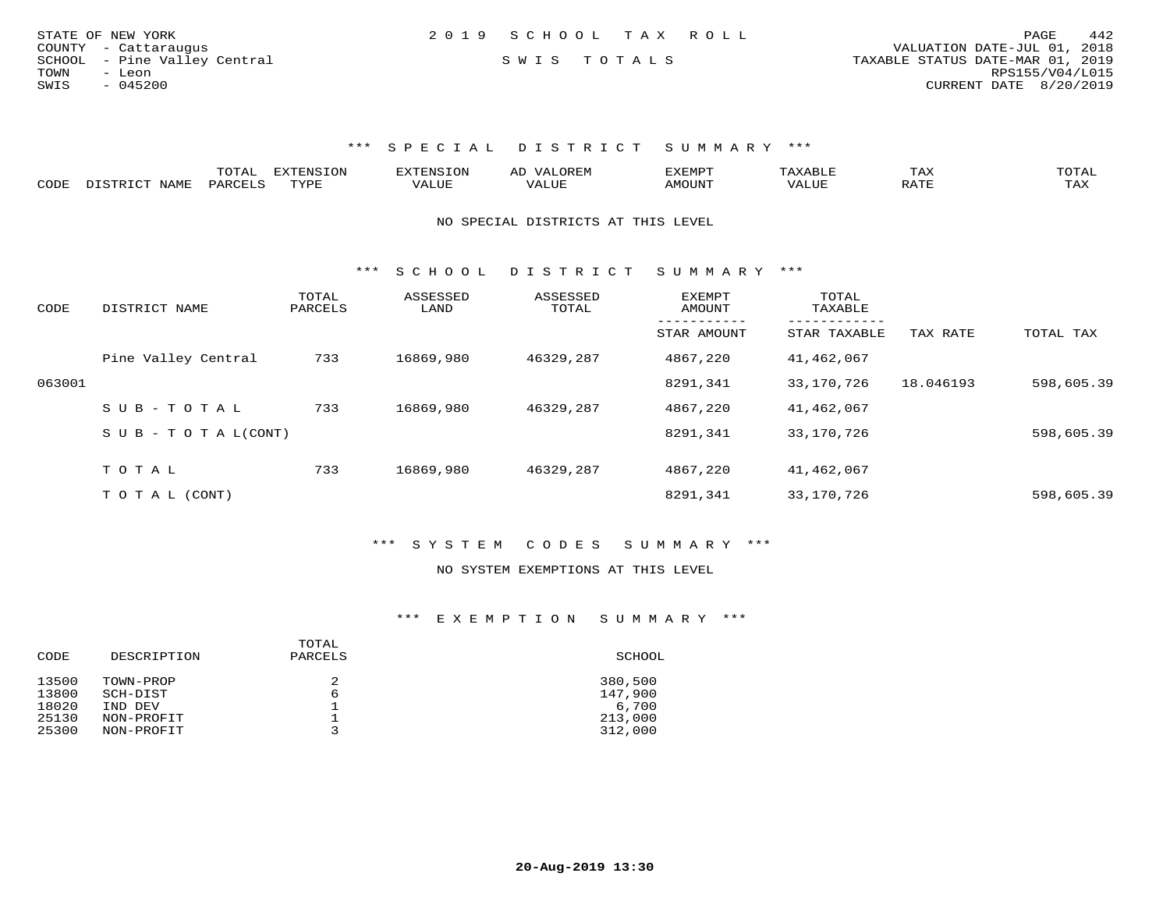| STATE OF NEW YORK            | 2019 SCHOOL TAX ROLL | PAGE                             | 442 |
|------------------------------|----------------------|----------------------------------|-----|
| COUNTY - Cattaraugus         |                      | VALUATION DATE-JUL 01, 2018      |     |
| SCHOOL - Pine Valley Central | SWIS TOTALS          | TAXABLE STATUS DATE-MAR 01, 2019 |     |
| TOWN<br>- Leon               |                      | RPS155/V04/L015                  |     |
| $-045200$<br>SWIS            |                      | CURRENT DATE 8/20/2019           |     |
|                              |                      |                                  |     |

|      |                                                 |         | <b>EXTENSION</b> |        | A <sub>1</sub> | EXEMP.          |       | 1 A A                              |                     |
|------|-------------------------------------------------|---------|------------------|--------|----------------|-----------------|-------|------------------------------------|---------------------|
| CODE | NAME.<br>$T$ $\cap$ $\cap$ $\cap$ $\cap$ $\cap$ | DARCTIC | rvdf             | 1.111P | ALUI           | MOUN.<br>ו טו ב | VALUL | סידי ג<br>$\overline{\phantom{a}}$ | $m \times r$<br>TAX |

#### NO SPECIAL DISTRICTS AT THIS LEVEL

\*\*\* S C H O O L D I S T R I C T S U M M A R Y \*\*\*

| CODE   | DISTRICT NAME                    | TOTAL<br>PARCELS | ASSESSED<br>LAND | ASSESSED<br>TOTAL | <b>EXEMPT</b><br>AMOUNT | TOTAL<br>TAXABLE |           |            |
|--------|----------------------------------|------------------|------------------|-------------------|-------------------------|------------------|-----------|------------|
|        |                                  |                  |                  |                   | STAR AMOUNT             | STAR TAXABLE     | TAX RATE  | TOTAL TAX  |
|        | Pine Valley Central              | 733              | 16869,980        | 46329,287         | 4867,220                | 41,462,067       |           |            |
| 063001 |                                  |                  |                  |                   | 8291,341                | 33,170,726       | 18.046193 | 598,605.39 |
|        | SUB-TOTAL                        | 733              | 16869,980        | 46329,287         | 4867,220                | 41,462,067       |           |            |
|        | $S \cup B - T \cup T A L (CONT)$ |                  |                  |                   | 8291,341                | 33,170,726       |           | 598,605.39 |
|        | TOTAL                            | 733              | 16869,980        | 46329,287         | 4867,220                | 41,462,067       |           |            |
|        |                                  |                  |                  |                   |                         |                  |           |            |
|        | T O T A L (CONT)                 |                  |                  |                   | 8291,341                | 33,170,726       |           | 598,605.39 |

## \*\*\* S Y S T E M C O D E S S U M M A R Y \*\*\*

#### NO SYSTEM EXEMPTIONS AT THIS LEVEL

| CODE  | DESCRIPTION | TOTAL<br>PARCELS | SCHOOL  |
|-------|-------------|------------------|---------|
| 13500 | TOWN-PROP   | 2                | 380,500 |
| 13800 | SCH-DIST    | 6                | 147,900 |
| 18020 | IND DEV     | ᅩ                | 6,700   |
| 25130 | NON-PROFIT  | ᅩ                | 213,000 |
| 25300 | NON-PROFIT  | 3                | 312,000 |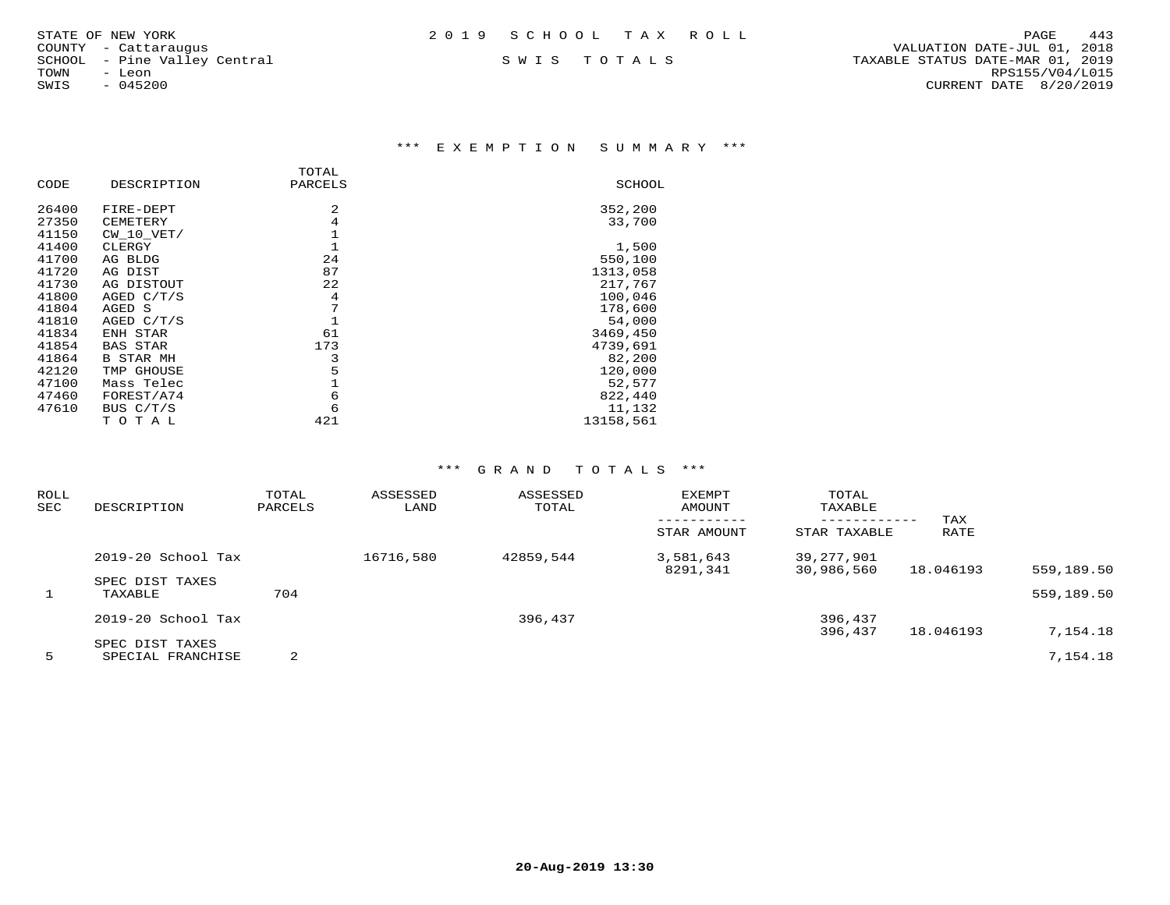\*\*\* E X E M P T I O N S U M M A R Y \*\*\*

|       |                  | TOTAL   |               |
|-------|------------------|---------|---------------|
| CODE  | DESCRIPTION      | PARCELS | <b>SCHOOL</b> |
| 26400 | FIRE-DEPT        | 2       | 352,200       |
| 27350 | CEMETERY         | 4       | 33,700        |
| 41150 | $CW$ 10 $VET/$   |         |               |
| 41400 | CLERGY           |         | 1,500         |
| 41700 | AG BLDG          | 24      | 550,100       |
| 41720 | AG DIST          | 87      | 1313,058      |
| 41730 | AG DISTOUT       | 22      | 217,767       |
| 41800 | AGED $C/T/S$     | 4       | 100,046       |
| 41804 | AGED S           | 7       | 178,600       |
| 41810 | AGED C/T/S       |         | 54,000        |
| 41834 | ENH STAR         | 61      | 3469,450      |
| 41854 | <b>BAS STAR</b>  | 173     | 4739,691      |
| 41864 | <b>B STAR MH</b> | 3       | 82,200        |
| 42120 | TMP GHOUSE       | 5       | 120,000       |
| 47100 | Mass Telec       |         | 52,577        |
| 47460 | FOREST/A74       | 6       | 822,440       |
| 47610 | BUS C/T/S        | 6       | 11,132        |
|       | тотаь            | 421     | 13158,561     |

| ROLL<br><b>SEC</b> | DESCRIPTION                | TOTAL<br>PARCELS | ASSESSED<br>LAND | ASSESSED<br>TOTAL | EXEMPT<br>AMOUNT<br>STAR AMOUNT | TOTAL<br>TAXABLE<br>------------<br>STAR TAXABLE | TAX<br>RATE |            |
|--------------------|----------------------------|------------------|------------------|-------------------|---------------------------------|--------------------------------------------------|-------------|------------|
|                    | 2019-20 School Tax         |                  | 16716,580        | 42859,544         | 3,581,643                       | 39,277,901                                       |             | 559,189.50 |
| 1                  | SPEC DIST TAXES<br>TAXABLE | 704              |                  |                   | 8291,341                        | 30,986,560                                       | 18.046193   | 559,189.50 |
|                    | 2019-20 School Tax         |                  |                  | 396,437           |                                 | 396,437<br>396,437                               | 18.046193   | 7,154.18   |
|                    | SPEC DIST TAXES            | 2                |                  |                   |                                 |                                                  |             | 7,154.18   |
| 5                  | SPECIAL FRANCHISE          |                  |                  |                   |                                 |                                                  |             |            |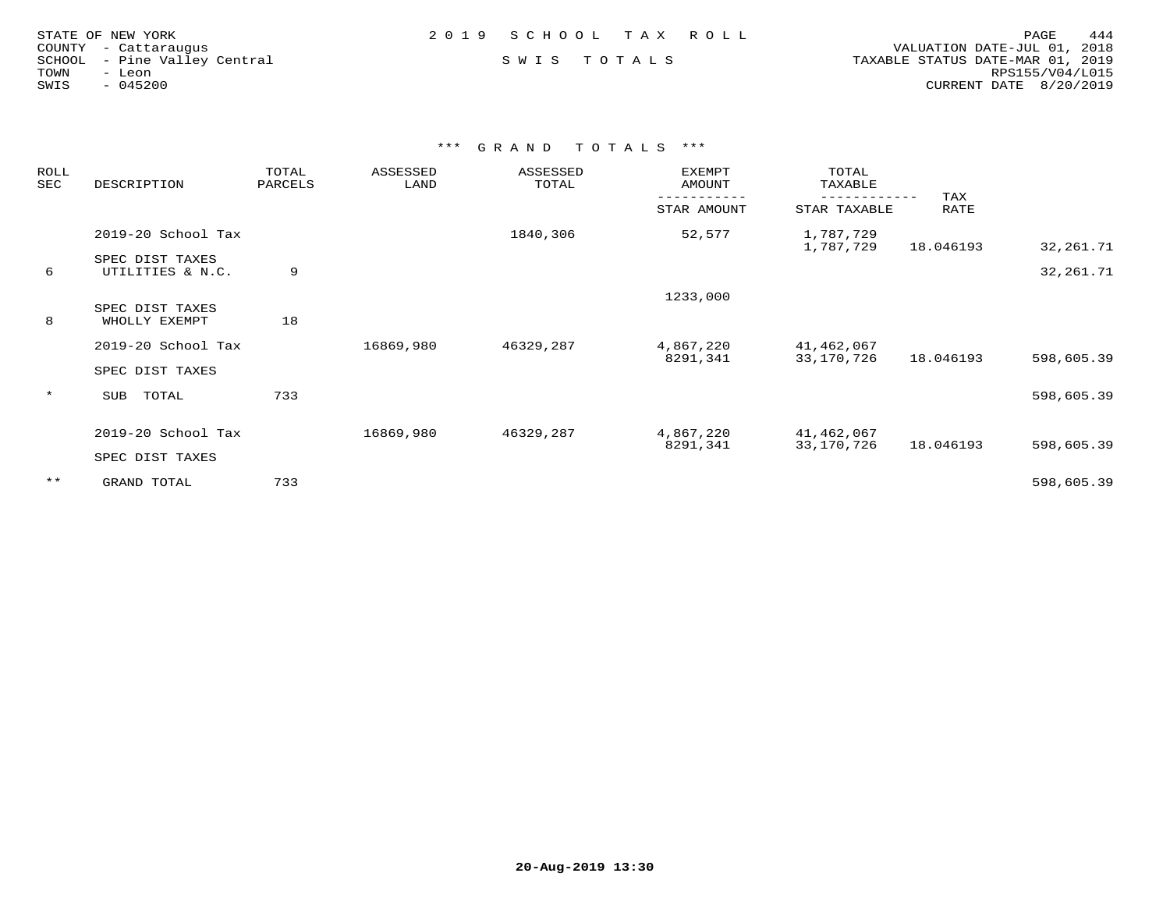| STATE OF NEW YORK            | 2019 SCHOOL TAX ROLL | 444<br>PAGE                      |
|------------------------------|----------------------|----------------------------------|
| COUNTY - Cattaraugus         |                      | VALUATION DATE-JUL 01, 2018      |
| SCHOOL - Pine Valley Central | SWIS TOTALS          | TAXABLE STATUS DATE-MAR 01, 2019 |
| TOWN<br>- Leon               |                      | RPS155/V04/L015                  |
| $-045200$<br>SWIS            |                      | CURRENT DATE $8/20/2019$         |
|                              |                      |                                  |

| ROLL<br>SEC | DESCRIPTION                         | TOTAL<br>PARCELS | ASSESSED<br>LAND | ASSESSED<br>TOTAL | EXEMPT<br>AMOUNT | TOTAL<br>TAXABLE       |             |            |
|-------------|-------------------------------------|------------------|------------------|-------------------|------------------|------------------------|-------------|------------|
|             |                                     |                  |                  |                   | STAR AMOUNT      | STAR TAXABLE           | TAX<br>RATE |            |
|             | 2019-20 School Tax                  |                  |                  | 1840,306          | 52,577           | 1,787,729<br>1,787,729 | 18.046193   | 32,261.71  |
| 6           | SPEC DIST TAXES<br>UTILITIES & N.C. | 9                |                  |                   |                  |                        |             | 32,261.71  |
|             |                                     |                  |                  |                   | 1233,000         |                        |             |            |
| 8           | SPEC DIST TAXES<br>WHOLLY EXEMPT    | 18               |                  |                   |                  |                        |             |            |
|             | 2019-20 School Tax                  |                  | 16869,980        | 46329,287         | 4,867,220        | 41,462,067             |             |            |
|             | SPEC DIST TAXES                     |                  |                  |                   | 8291,341         | 33,170,726             | 18.046193   | 598,605.39 |
| $\star$     | TOTAL<br>SUB                        | 733              |                  |                   |                  |                        |             | 598,605.39 |
|             | 2019-20 School Tax                  |                  | 16869,980        | 46329,287         | 4,867,220        | 41,462,067             |             |            |
|             | SPEC DIST TAXES                     |                  |                  |                   | 8291,341         | 33,170,726             | 18.046193   | 598,605.39 |
| $***$       | GRAND TOTAL                         | 733              |                  |                   |                  |                        |             | 598,605.39 |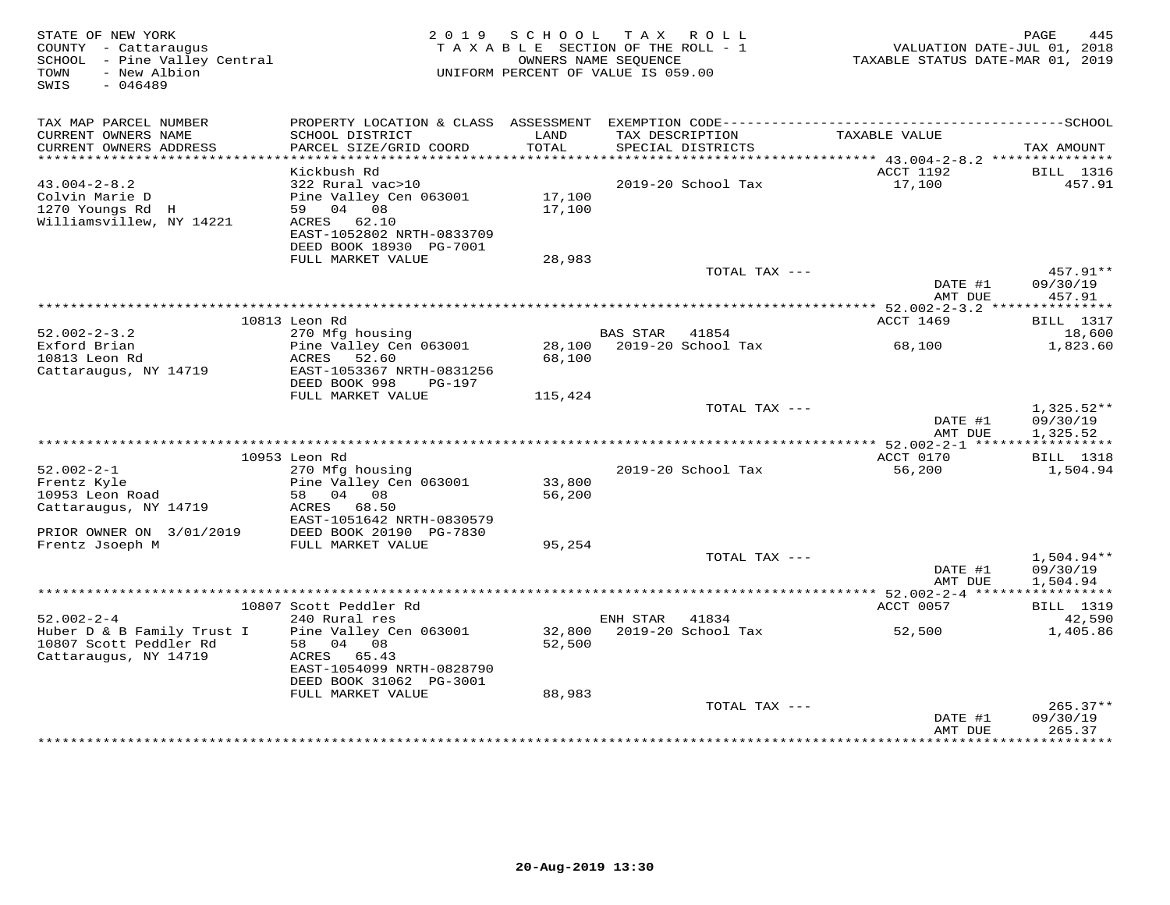| TAX MAP PARCEL NUMBER<br>CURRENT OWNERS NAME<br>TAX DESCRIPTION<br>TAXABLE VALUE<br>SCHOOL DISTRICT<br>LAND<br>CURRENT OWNERS ADDRESS<br>PARCEL SIZE/GRID COORD<br>TOTAL<br>SPECIAL DISTRICTS<br>TAX AMOUNT<br>ACCT 1192<br>Kickbush Rd<br>BILL 1316<br>$43.004 - 2 - 8.2$<br>322 Rural vac>10<br>2019-20 School Tax<br>17,100<br>457.91<br>Colvin Marie D<br>Pine Valley Cen 063001<br>17,100<br>1270 Youngs Rd H<br>59 04 08<br>17,100<br>Williamsvillew, NY 14221<br>ACRES 62.10<br>EAST-1052802 NRTH-0833709<br>DEED BOOK 18930 PG-7001<br>FULL MARKET VALUE<br>28,983<br>457.91**<br>TOTAL TAX ---<br>09/30/19<br>DATE #1<br>AMT DUE<br>457.91<br>10813 Leon Rd<br>ACCT 1469<br><b>BILL</b> 1317<br>$52.002 - 2 - 3.2$<br>270 Mfg housing<br>BAS STAR<br>41854<br>18,600<br>Exford Brian<br>Pine Valley Cen 063001<br>2019-20 School Tax<br>28,100<br>68,100<br>1,823.60<br>10813 Leon Rd<br>ACRES<br>52.60<br>68,100<br>Cattaraugus, NY 14719<br>EAST-1053367 NRTH-0831256<br>DEED BOOK 998<br>PG-197<br>FULL MARKET VALUE<br>115,424<br>$1,325.52**$<br>TOTAL TAX ---<br>DATE #1<br>09/30/19<br>AMT DUE<br>1,325.52<br>10953 Leon Rd<br>ACCT 0170<br><b>BILL</b> 1318<br>$52.002 - 2 - 1$<br>270 Mfg housing<br>2019-20 School Tax<br>56,200<br>1,504.94<br>Pine Valley Cen 063001<br>33,800<br>Frentz Kyle<br>10953 Leon Road<br>58 04 08<br>56,200<br>Cattaraugus, NY 14719<br>ACRES 68.50<br>EAST-1051642 NRTH-0830579<br>PRIOR OWNER ON 3/01/2019<br>DEED BOOK 20190 PG-7830<br>Frentz Jsoeph M<br>FULL MARKET VALUE<br>95,254<br>1,504.94**<br>TOTAL TAX ---<br>09/30/19<br>DATE #1<br>AMT DUE<br>1,504.94<br>10807 Scott Peddler Rd<br>ACCT 0057<br><b>BILL</b> 1319<br>$52.002 - 2 - 4$<br>240 Rural res<br>ENH STAR<br>41834<br>42,590<br>Huber D & B Family Trust I<br>Pine Valley Cen 063001<br>32,800 2019-20 School Tax<br>52,500<br>1,405.86<br>10807 Scott Peddler Rd<br>58 04 08<br>52,500<br>Cattaraugus, NY 14719<br>ACRES 65.43<br>EAST-1054099 NRTH-0828790<br>DEED BOOK 31062 PG-3001<br>FULL MARKET VALUE<br>88,983<br>TOTAL TAX ---<br>$265.37**$<br>DATE #1<br>09/30/19<br>AMT DUE<br>265.37 | STATE OF NEW YORK<br>COUNTY - Cattaraugus<br>SCHOOL - Pine Valley Central<br>- New Albion<br>TOWN<br>SWIS<br>$-046489$ | 2019 SCHOOL<br>TAXABLE SECTION OF THE ROLL - 1<br>OWNERS NAME SEOUENCE<br>UNIFORM PERCENT OF VALUE IS 059.00 | TAX ROLL | VALUATION DATE-JUL 01, 2018<br>TAXABLE STATUS DATE-MAR 01, 2019 | 445<br>PAGE |
|----------------------------------------------------------------------------------------------------------------------------------------------------------------------------------------------------------------------------------------------------------------------------------------------------------------------------------------------------------------------------------------------------------------------------------------------------------------------------------------------------------------------------------------------------------------------------------------------------------------------------------------------------------------------------------------------------------------------------------------------------------------------------------------------------------------------------------------------------------------------------------------------------------------------------------------------------------------------------------------------------------------------------------------------------------------------------------------------------------------------------------------------------------------------------------------------------------------------------------------------------------------------------------------------------------------------------------------------------------------------------------------------------------------------------------------------------------------------------------------------------------------------------------------------------------------------------------------------------------------------------------------------------------------------------------------------------------------------------------------------------------------------------------------------------------------------------------------------------------------------------------------------------------------------------------------------------------------------------------------------------------------------------------------------------------------------------------------------------------------------------|------------------------------------------------------------------------------------------------------------------------|--------------------------------------------------------------------------------------------------------------|----------|-----------------------------------------------------------------|-------------|
|                                                                                                                                                                                                                                                                                                                                                                                                                                                                                                                                                                                                                                                                                                                                                                                                                                                                                                                                                                                                                                                                                                                                                                                                                                                                                                                                                                                                                                                                                                                                                                                                                                                                                                                                                                                                                                                                                                                                                                                                                                                                                                                            |                                                                                                                        |                                                                                                              |          |                                                                 |             |
|                                                                                                                                                                                                                                                                                                                                                                                                                                                                                                                                                                                                                                                                                                                                                                                                                                                                                                                                                                                                                                                                                                                                                                                                                                                                                                                                                                                                                                                                                                                                                                                                                                                                                                                                                                                                                                                                                                                                                                                                                                                                                                                            |                                                                                                                        |                                                                                                              |          |                                                                 |             |
|                                                                                                                                                                                                                                                                                                                                                                                                                                                                                                                                                                                                                                                                                                                                                                                                                                                                                                                                                                                                                                                                                                                                                                                                                                                                                                                                                                                                                                                                                                                                                                                                                                                                                                                                                                                                                                                                                                                                                                                                                                                                                                                            |                                                                                                                        |                                                                                                              |          |                                                                 |             |
|                                                                                                                                                                                                                                                                                                                                                                                                                                                                                                                                                                                                                                                                                                                                                                                                                                                                                                                                                                                                                                                                                                                                                                                                                                                                                                                                                                                                                                                                                                                                                                                                                                                                                                                                                                                                                                                                                                                                                                                                                                                                                                                            |                                                                                                                        |                                                                                                              |          |                                                                 |             |
|                                                                                                                                                                                                                                                                                                                                                                                                                                                                                                                                                                                                                                                                                                                                                                                                                                                                                                                                                                                                                                                                                                                                                                                                                                                                                                                                                                                                                                                                                                                                                                                                                                                                                                                                                                                                                                                                                                                                                                                                                                                                                                                            |                                                                                                                        |                                                                                                              |          |                                                                 |             |
|                                                                                                                                                                                                                                                                                                                                                                                                                                                                                                                                                                                                                                                                                                                                                                                                                                                                                                                                                                                                                                                                                                                                                                                                                                                                                                                                                                                                                                                                                                                                                                                                                                                                                                                                                                                                                                                                                                                                                                                                                                                                                                                            |                                                                                                                        |                                                                                                              |          |                                                                 |             |
|                                                                                                                                                                                                                                                                                                                                                                                                                                                                                                                                                                                                                                                                                                                                                                                                                                                                                                                                                                                                                                                                                                                                                                                                                                                                                                                                                                                                                                                                                                                                                                                                                                                                                                                                                                                                                                                                                                                                                                                                                                                                                                                            |                                                                                                                        |                                                                                                              |          |                                                                 |             |
|                                                                                                                                                                                                                                                                                                                                                                                                                                                                                                                                                                                                                                                                                                                                                                                                                                                                                                                                                                                                                                                                                                                                                                                                                                                                                                                                                                                                                                                                                                                                                                                                                                                                                                                                                                                                                                                                                                                                                                                                                                                                                                                            |                                                                                                                        |                                                                                                              |          |                                                                 |             |
|                                                                                                                                                                                                                                                                                                                                                                                                                                                                                                                                                                                                                                                                                                                                                                                                                                                                                                                                                                                                                                                                                                                                                                                                                                                                                                                                                                                                                                                                                                                                                                                                                                                                                                                                                                                                                                                                                                                                                                                                                                                                                                                            |                                                                                                                        |                                                                                                              |          |                                                                 |             |
|                                                                                                                                                                                                                                                                                                                                                                                                                                                                                                                                                                                                                                                                                                                                                                                                                                                                                                                                                                                                                                                                                                                                                                                                                                                                                                                                                                                                                                                                                                                                                                                                                                                                                                                                                                                                                                                                                                                                                                                                                                                                                                                            |                                                                                                                        |                                                                                                              |          |                                                                 |             |
|                                                                                                                                                                                                                                                                                                                                                                                                                                                                                                                                                                                                                                                                                                                                                                                                                                                                                                                                                                                                                                                                                                                                                                                                                                                                                                                                                                                                                                                                                                                                                                                                                                                                                                                                                                                                                                                                                                                                                                                                                                                                                                                            |                                                                                                                        |                                                                                                              |          |                                                                 |             |
|                                                                                                                                                                                                                                                                                                                                                                                                                                                                                                                                                                                                                                                                                                                                                                                                                                                                                                                                                                                                                                                                                                                                                                                                                                                                                                                                                                                                                                                                                                                                                                                                                                                                                                                                                                                                                                                                                                                                                                                                                                                                                                                            |                                                                                                                        |                                                                                                              |          |                                                                 |             |
|                                                                                                                                                                                                                                                                                                                                                                                                                                                                                                                                                                                                                                                                                                                                                                                                                                                                                                                                                                                                                                                                                                                                                                                                                                                                                                                                                                                                                                                                                                                                                                                                                                                                                                                                                                                                                                                                                                                                                                                                                                                                                                                            |                                                                                                                        |                                                                                                              |          |                                                                 |             |
|                                                                                                                                                                                                                                                                                                                                                                                                                                                                                                                                                                                                                                                                                                                                                                                                                                                                                                                                                                                                                                                                                                                                                                                                                                                                                                                                                                                                                                                                                                                                                                                                                                                                                                                                                                                                                                                                                                                                                                                                                                                                                                                            |                                                                                                                        |                                                                                                              |          |                                                                 |             |
|                                                                                                                                                                                                                                                                                                                                                                                                                                                                                                                                                                                                                                                                                                                                                                                                                                                                                                                                                                                                                                                                                                                                                                                                                                                                                                                                                                                                                                                                                                                                                                                                                                                                                                                                                                                                                                                                                                                                                                                                                                                                                                                            |                                                                                                                        |                                                                                                              |          |                                                                 |             |
|                                                                                                                                                                                                                                                                                                                                                                                                                                                                                                                                                                                                                                                                                                                                                                                                                                                                                                                                                                                                                                                                                                                                                                                                                                                                                                                                                                                                                                                                                                                                                                                                                                                                                                                                                                                                                                                                                                                                                                                                                                                                                                                            |                                                                                                                        |                                                                                                              |          |                                                                 |             |
|                                                                                                                                                                                                                                                                                                                                                                                                                                                                                                                                                                                                                                                                                                                                                                                                                                                                                                                                                                                                                                                                                                                                                                                                                                                                                                                                                                                                                                                                                                                                                                                                                                                                                                                                                                                                                                                                                                                                                                                                                                                                                                                            |                                                                                                                        |                                                                                                              |          |                                                                 |             |
|                                                                                                                                                                                                                                                                                                                                                                                                                                                                                                                                                                                                                                                                                                                                                                                                                                                                                                                                                                                                                                                                                                                                                                                                                                                                                                                                                                                                                                                                                                                                                                                                                                                                                                                                                                                                                                                                                                                                                                                                                                                                                                                            |                                                                                                                        |                                                                                                              |          |                                                                 |             |
|                                                                                                                                                                                                                                                                                                                                                                                                                                                                                                                                                                                                                                                                                                                                                                                                                                                                                                                                                                                                                                                                                                                                                                                                                                                                                                                                                                                                                                                                                                                                                                                                                                                                                                                                                                                                                                                                                                                                                                                                                                                                                                                            |                                                                                                                        |                                                                                                              |          |                                                                 |             |
|                                                                                                                                                                                                                                                                                                                                                                                                                                                                                                                                                                                                                                                                                                                                                                                                                                                                                                                                                                                                                                                                                                                                                                                                                                                                                                                                                                                                                                                                                                                                                                                                                                                                                                                                                                                                                                                                                                                                                                                                                                                                                                                            |                                                                                                                        |                                                                                                              |          |                                                                 |             |
|                                                                                                                                                                                                                                                                                                                                                                                                                                                                                                                                                                                                                                                                                                                                                                                                                                                                                                                                                                                                                                                                                                                                                                                                                                                                                                                                                                                                                                                                                                                                                                                                                                                                                                                                                                                                                                                                                                                                                                                                                                                                                                                            |                                                                                                                        |                                                                                                              |          |                                                                 |             |
|                                                                                                                                                                                                                                                                                                                                                                                                                                                                                                                                                                                                                                                                                                                                                                                                                                                                                                                                                                                                                                                                                                                                                                                                                                                                                                                                                                                                                                                                                                                                                                                                                                                                                                                                                                                                                                                                                                                                                                                                                                                                                                                            |                                                                                                                        |                                                                                                              |          |                                                                 |             |
|                                                                                                                                                                                                                                                                                                                                                                                                                                                                                                                                                                                                                                                                                                                                                                                                                                                                                                                                                                                                                                                                                                                                                                                                                                                                                                                                                                                                                                                                                                                                                                                                                                                                                                                                                                                                                                                                                                                                                                                                                                                                                                                            |                                                                                                                        |                                                                                                              |          |                                                                 |             |
|                                                                                                                                                                                                                                                                                                                                                                                                                                                                                                                                                                                                                                                                                                                                                                                                                                                                                                                                                                                                                                                                                                                                                                                                                                                                                                                                                                                                                                                                                                                                                                                                                                                                                                                                                                                                                                                                                                                                                                                                                                                                                                                            |                                                                                                                        |                                                                                                              |          |                                                                 |             |
|                                                                                                                                                                                                                                                                                                                                                                                                                                                                                                                                                                                                                                                                                                                                                                                                                                                                                                                                                                                                                                                                                                                                                                                                                                                                                                                                                                                                                                                                                                                                                                                                                                                                                                                                                                                                                                                                                                                                                                                                                                                                                                                            |                                                                                                                        |                                                                                                              |          |                                                                 |             |
|                                                                                                                                                                                                                                                                                                                                                                                                                                                                                                                                                                                                                                                                                                                                                                                                                                                                                                                                                                                                                                                                                                                                                                                                                                                                                                                                                                                                                                                                                                                                                                                                                                                                                                                                                                                                                                                                                                                                                                                                                                                                                                                            |                                                                                                                        |                                                                                                              |          |                                                                 |             |
|                                                                                                                                                                                                                                                                                                                                                                                                                                                                                                                                                                                                                                                                                                                                                                                                                                                                                                                                                                                                                                                                                                                                                                                                                                                                                                                                                                                                                                                                                                                                                                                                                                                                                                                                                                                                                                                                                                                                                                                                                                                                                                                            |                                                                                                                        |                                                                                                              |          |                                                                 |             |
|                                                                                                                                                                                                                                                                                                                                                                                                                                                                                                                                                                                                                                                                                                                                                                                                                                                                                                                                                                                                                                                                                                                                                                                                                                                                                                                                                                                                                                                                                                                                                                                                                                                                                                                                                                                                                                                                                                                                                                                                                                                                                                                            |                                                                                                                        |                                                                                                              |          |                                                                 |             |
|                                                                                                                                                                                                                                                                                                                                                                                                                                                                                                                                                                                                                                                                                                                                                                                                                                                                                                                                                                                                                                                                                                                                                                                                                                                                                                                                                                                                                                                                                                                                                                                                                                                                                                                                                                                                                                                                                                                                                                                                                                                                                                                            |                                                                                                                        |                                                                                                              |          |                                                                 |             |
|                                                                                                                                                                                                                                                                                                                                                                                                                                                                                                                                                                                                                                                                                                                                                                                                                                                                                                                                                                                                                                                                                                                                                                                                                                                                                                                                                                                                                                                                                                                                                                                                                                                                                                                                                                                                                                                                                                                                                                                                                                                                                                                            |                                                                                                                        |                                                                                                              |          |                                                                 |             |
|                                                                                                                                                                                                                                                                                                                                                                                                                                                                                                                                                                                                                                                                                                                                                                                                                                                                                                                                                                                                                                                                                                                                                                                                                                                                                                                                                                                                                                                                                                                                                                                                                                                                                                                                                                                                                                                                                                                                                                                                                                                                                                                            |                                                                                                                        |                                                                                                              |          |                                                                 |             |
|                                                                                                                                                                                                                                                                                                                                                                                                                                                                                                                                                                                                                                                                                                                                                                                                                                                                                                                                                                                                                                                                                                                                                                                                                                                                                                                                                                                                                                                                                                                                                                                                                                                                                                                                                                                                                                                                                                                                                                                                                                                                                                                            |                                                                                                                        |                                                                                                              |          |                                                                 |             |
|                                                                                                                                                                                                                                                                                                                                                                                                                                                                                                                                                                                                                                                                                                                                                                                                                                                                                                                                                                                                                                                                                                                                                                                                                                                                                                                                                                                                                                                                                                                                                                                                                                                                                                                                                                                                                                                                                                                                                                                                                                                                                                                            |                                                                                                                        |                                                                                                              |          |                                                                 |             |
|                                                                                                                                                                                                                                                                                                                                                                                                                                                                                                                                                                                                                                                                                                                                                                                                                                                                                                                                                                                                                                                                                                                                                                                                                                                                                                                                                                                                                                                                                                                                                                                                                                                                                                                                                                                                                                                                                                                                                                                                                                                                                                                            |                                                                                                                        |                                                                                                              |          |                                                                 |             |
|                                                                                                                                                                                                                                                                                                                                                                                                                                                                                                                                                                                                                                                                                                                                                                                                                                                                                                                                                                                                                                                                                                                                                                                                                                                                                                                                                                                                                                                                                                                                                                                                                                                                                                                                                                                                                                                                                                                                                                                                                                                                                                                            |                                                                                                                        |                                                                                                              |          |                                                                 |             |
|                                                                                                                                                                                                                                                                                                                                                                                                                                                                                                                                                                                                                                                                                                                                                                                                                                                                                                                                                                                                                                                                                                                                                                                                                                                                                                                                                                                                                                                                                                                                                                                                                                                                                                                                                                                                                                                                                                                                                                                                                                                                                                                            |                                                                                                                        |                                                                                                              |          |                                                                 |             |
|                                                                                                                                                                                                                                                                                                                                                                                                                                                                                                                                                                                                                                                                                                                                                                                                                                                                                                                                                                                                                                                                                                                                                                                                                                                                                                                                                                                                                                                                                                                                                                                                                                                                                                                                                                                                                                                                                                                                                                                                                                                                                                                            |                                                                                                                        |                                                                                                              |          |                                                                 |             |
|                                                                                                                                                                                                                                                                                                                                                                                                                                                                                                                                                                                                                                                                                                                                                                                                                                                                                                                                                                                                                                                                                                                                                                                                                                                                                                                                                                                                                                                                                                                                                                                                                                                                                                                                                                                                                                                                                                                                                                                                                                                                                                                            |                                                                                                                        |                                                                                                              |          |                                                                 |             |
|                                                                                                                                                                                                                                                                                                                                                                                                                                                                                                                                                                                                                                                                                                                                                                                                                                                                                                                                                                                                                                                                                                                                                                                                                                                                                                                                                                                                                                                                                                                                                                                                                                                                                                                                                                                                                                                                                                                                                                                                                                                                                                                            |                                                                                                                        |                                                                                                              |          |                                                                 |             |
|                                                                                                                                                                                                                                                                                                                                                                                                                                                                                                                                                                                                                                                                                                                                                                                                                                                                                                                                                                                                                                                                                                                                                                                                                                                                                                                                                                                                                                                                                                                                                                                                                                                                                                                                                                                                                                                                                                                                                                                                                                                                                                                            |                                                                                                                        |                                                                                                              |          |                                                                 |             |
|                                                                                                                                                                                                                                                                                                                                                                                                                                                                                                                                                                                                                                                                                                                                                                                                                                                                                                                                                                                                                                                                                                                                                                                                                                                                                                                                                                                                                                                                                                                                                                                                                                                                                                                                                                                                                                                                                                                                                                                                                                                                                                                            |                                                                                                                        |                                                                                                              |          |                                                                 |             |
|                                                                                                                                                                                                                                                                                                                                                                                                                                                                                                                                                                                                                                                                                                                                                                                                                                                                                                                                                                                                                                                                                                                                                                                                                                                                                                                                                                                                                                                                                                                                                                                                                                                                                                                                                                                                                                                                                                                                                                                                                                                                                                                            |                                                                                                                        |                                                                                                              |          |                                                                 |             |
|                                                                                                                                                                                                                                                                                                                                                                                                                                                                                                                                                                                                                                                                                                                                                                                                                                                                                                                                                                                                                                                                                                                                                                                                                                                                                                                                                                                                                                                                                                                                                                                                                                                                                                                                                                                                                                                                                                                                                                                                                                                                                                                            |                                                                                                                        |                                                                                                              |          |                                                                 |             |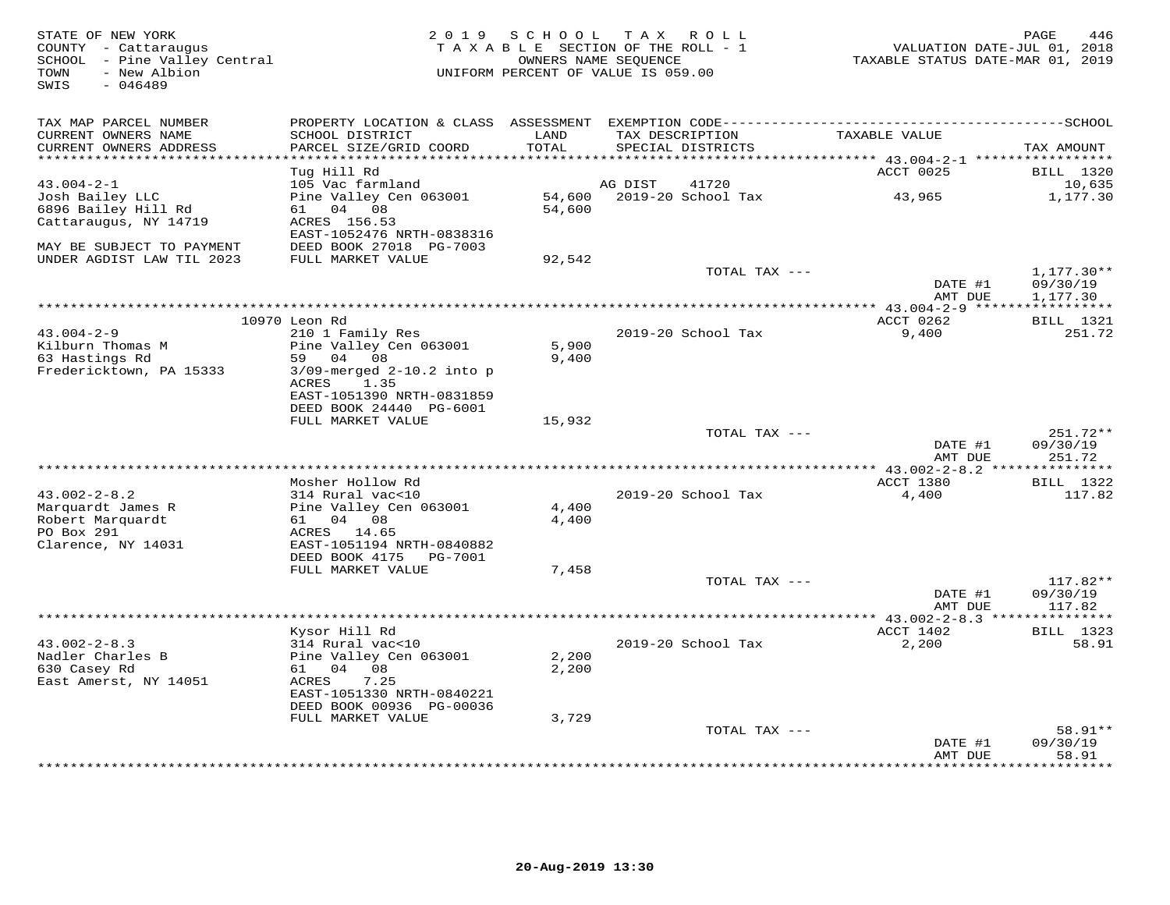| STATE OF NEW YORK<br>COUNTY - Cattaraugus<br>SCHOOL - Pine Valley Central<br>TOWN<br>- New Albion<br>SWIS<br>$-046489$ | 2 0 1 9                                              | SCHOOL TAX ROLL<br>TAXABLE SECTION OF THE ROLL - 1<br>OWNERS NAME SEQUENCE<br>UNIFORM PERCENT OF VALUE IS 059.00 |                 |                           | TAXABLE STATUS DATE-MAR 01, 2019      | PAGE<br>446<br>VALUATION DATE-JUL 01, 2018 |
|------------------------------------------------------------------------------------------------------------------------|------------------------------------------------------|------------------------------------------------------------------------------------------------------------------|-----------------|---------------------------|---------------------------------------|--------------------------------------------|
|                                                                                                                        |                                                      |                                                                                                                  |                 |                           |                                       |                                            |
| TAX MAP PARCEL NUMBER                                                                                                  |                                                      |                                                                                                                  |                 |                           |                                       |                                            |
| CURRENT OWNERS NAME<br>CURRENT OWNERS ADDRESS                                                                          | SCHOOL DISTRICT<br>PARCEL SIZE/GRID COORD            | LAND<br>TOTAL                                                                                                    | TAX DESCRIPTION | SPECIAL DISTRICTS         | TAXABLE VALUE                         | TAX AMOUNT                                 |
| ********************                                                                                                   |                                                      | *******                                                                                                          |                 |                           | ******** 43.004-2-1 ***************** |                                            |
|                                                                                                                        | Tug Hill Rd                                          |                                                                                                                  |                 |                           | ACCT 0025                             | <b>BILL</b> 1320                           |
| $43.004 - 2 - 1$                                                                                                       | 105 Vac farmland                                     |                                                                                                                  | AG DIST         | 41720                     |                                       | 10,635                                     |
| Josh Bailey LLC                                                                                                        | Pine Valley Cen 063001                               |                                                                                                                  |                 | 54,600 2019-20 School Tax | 43,965                                | 1,177.30                                   |
| 6896 Bailey Hill Rd                                                                                                    | 61 04 08                                             | 54,600                                                                                                           |                 |                           |                                       |                                            |
| Cattaraugus, NY 14719                                                                                                  | ACRES 156.53                                         |                                                                                                                  |                 |                           |                                       |                                            |
| MAY BE SUBJECT TO PAYMENT                                                                                              | EAST-1052476 NRTH-0838316<br>DEED BOOK 27018 PG-7003 |                                                                                                                  |                 |                           |                                       |                                            |
| UNDER AGDIST LAW TIL 2023                                                                                              | FULL MARKET VALUE                                    | 92,542                                                                                                           |                 |                           |                                       |                                            |
|                                                                                                                        |                                                      |                                                                                                                  |                 | TOTAL TAX ---             |                                       | $1,177.30**$                               |
|                                                                                                                        |                                                      |                                                                                                                  |                 |                           | DATE #1                               | 09/30/19                                   |
|                                                                                                                        |                                                      |                                                                                                                  |                 |                           | AMT DUE                               | 1,177.30                                   |
|                                                                                                                        |                                                      |                                                                                                                  |                 |                           | *** 43.004-2-9 ******************     |                                            |
|                                                                                                                        | 10970 Leon Rd                                        |                                                                                                                  |                 |                           | ACCT 0262                             | <b>BILL</b> 1321                           |
| $43.004 - 2 - 9$<br>Kilburn Thomas M                                                                                   | 210 1 Family Res                                     |                                                                                                                  |                 | 2019-20 School Tax        | 9,400                                 | 251.72                                     |
| 63 Hastings Rd                                                                                                         | Pine Valley Cen 063001<br>59 04 08                   | 5,900<br>9,400                                                                                                   |                 |                           |                                       |                                            |
| Fredericktown, PA 15333                                                                                                | $3/09$ -merged $2-10.2$ into p                       |                                                                                                                  |                 |                           |                                       |                                            |
|                                                                                                                        | 1.35<br>ACRES                                        |                                                                                                                  |                 |                           |                                       |                                            |
|                                                                                                                        | EAST-1051390 NRTH-0831859                            |                                                                                                                  |                 |                           |                                       |                                            |
|                                                                                                                        | DEED BOOK 24440 PG-6001                              |                                                                                                                  |                 |                           |                                       |                                            |
|                                                                                                                        | FULL MARKET VALUE                                    | 15,932                                                                                                           |                 |                           |                                       |                                            |
|                                                                                                                        |                                                      |                                                                                                                  |                 | TOTAL TAX ---             |                                       | $251.72**$                                 |
|                                                                                                                        |                                                      |                                                                                                                  |                 |                           | DATE #1<br>AMT DUE                    | 09/30/19<br>251.72                         |
|                                                                                                                        |                                                      |                                                                                                                  |                 |                           |                                       |                                            |
|                                                                                                                        | Mosher Hollow Rd                                     |                                                                                                                  |                 |                           | ACCT 1380                             | <b>BILL</b> 1322                           |
| $43.002 - 2 - 8.2$                                                                                                     | 314 Rural vac<10                                     |                                                                                                                  |                 | 2019-20 School Tax        | 4,400                                 | 117.82                                     |
| Marquardt James R                                                                                                      | Pine Valley Cen 063001                               | 4,400                                                                                                            |                 |                           |                                       |                                            |
| Robert Marquardt                                                                                                       | 61 04 08                                             | 4,400                                                                                                            |                 |                           |                                       |                                            |
| PO Box 291                                                                                                             | ACRES 14.65                                          |                                                                                                                  |                 |                           |                                       |                                            |
| Clarence, NY 14031                                                                                                     | EAST-1051194 NRTH-0840882<br>DEED BOOK 4175 PG-7001  |                                                                                                                  |                 |                           |                                       |                                            |
|                                                                                                                        | FULL MARKET VALUE                                    | 7,458                                                                                                            |                 |                           |                                       |                                            |
|                                                                                                                        |                                                      |                                                                                                                  |                 | TOTAL TAX ---             |                                       | $117.82**$                                 |
|                                                                                                                        |                                                      |                                                                                                                  |                 |                           | DATE #1                               | 09/30/19                                   |
|                                                                                                                        |                                                      |                                                                                                                  |                 |                           | AMT DUE                               | 117.82                                     |
|                                                                                                                        |                                                      |                                                                                                                  |                 |                           |                                       | * * * * * * * * * * *                      |
|                                                                                                                        | Kysor Hill Rd                                        |                                                                                                                  |                 |                           | ACCT 1402                             | <b>BILL</b> 1323                           |
| $43.002 - 2 - 8.3$                                                                                                     | 314 Rural vac<10                                     |                                                                                                                  |                 | 2019-20 School Tax        | 2,200                                 | 58.91                                      |
| Nadler Charles B<br>630 Casey Rd                                                                                       | Pine Valley Cen 063001<br>61 04 08                   | 2,200<br>2,200                                                                                                   |                 |                           |                                       |                                            |
| East Amerst, NY 14051                                                                                                  | 7.25<br>ACRES                                        |                                                                                                                  |                 |                           |                                       |                                            |
|                                                                                                                        | EAST-1051330 NRTH-0840221                            |                                                                                                                  |                 |                           |                                       |                                            |
|                                                                                                                        | DEED BOOK 00936 PG-00036                             |                                                                                                                  |                 |                           |                                       |                                            |
|                                                                                                                        | FULL MARKET VALUE                                    | 3,729                                                                                                            |                 |                           |                                       |                                            |
|                                                                                                                        |                                                      |                                                                                                                  |                 | TOTAL TAX ---             |                                       | 58.91**                                    |
|                                                                                                                        |                                                      |                                                                                                                  |                 |                           | DATE #1                               | 09/30/19                                   |
|                                                                                                                        |                                                      |                                                                                                                  |                 |                           | AMT DUE<br>*************              | 58.91<br>* * * * * * * *                   |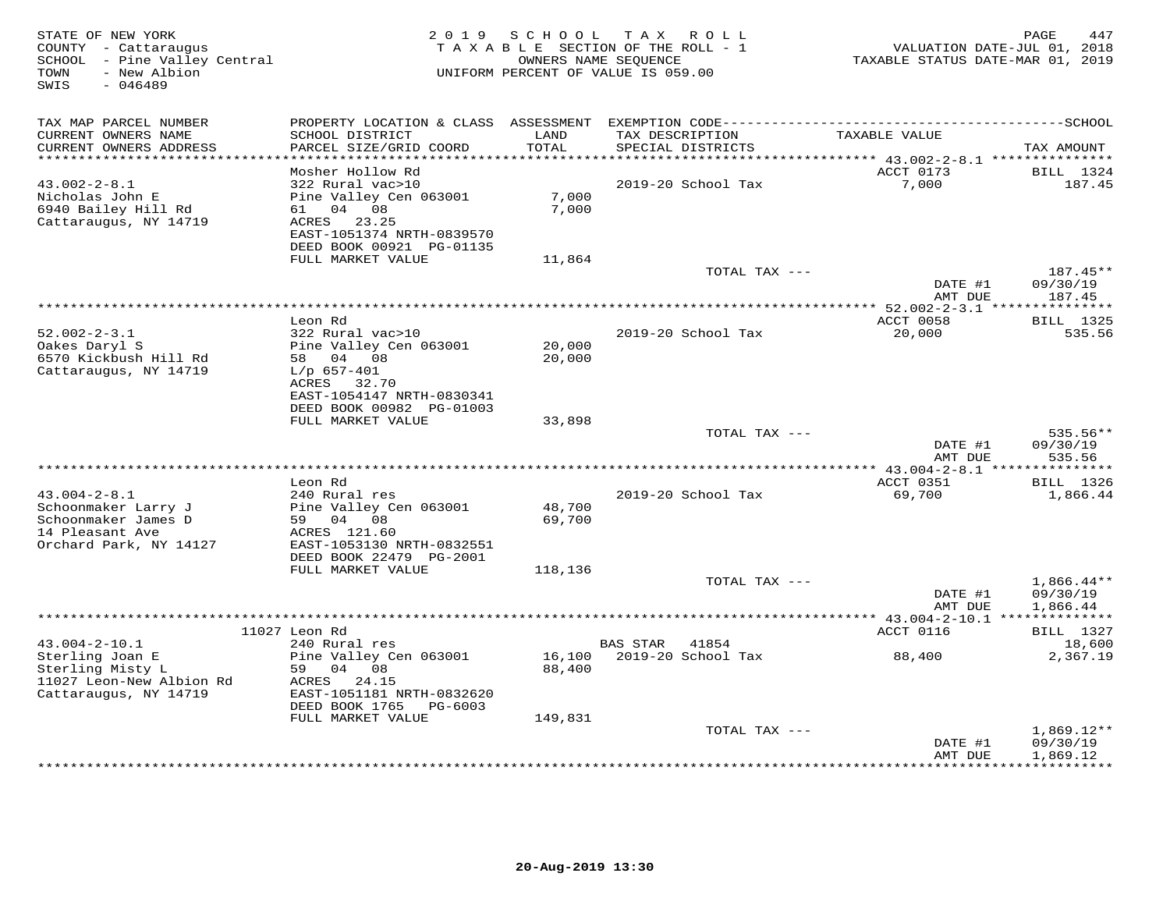| COUNTY - Cattaraugus<br>SCHOOL - Pine Valley Central<br>- New Albion<br>TOWN<br>$-046489$<br>SWIS             |                                                                                                                                                                                 | 2 0 1 9<br>SCHOOL<br>OWNERS NAME SEQUENCE | TAX ROLL<br>TAXABLE SECTION OF THE ROLL - 1<br>UNIFORM PERCENT OF VALUE IS 059.00 |               | TAXABLE STATUS DATE-MAR 01, 2019          | 447<br>PAGE<br>VALUATION DATE-JUL 01, 2018  |
|---------------------------------------------------------------------------------------------------------------|---------------------------------------------------------------------------------------------------------------------------------------------------------------------------------|-------------------------------------------|-----------------------------------------------------------------------------------|---------------|-------------------------------------------|---------------------------------------------|
| TAX MAP PARCEL NUMBER<br>CURRENT OWNERS NAME<br>CURRENT OWNERS ADDRESS                                        | SCHOOL DISTRICT<br>PARCEL SIZE/GRID COORD                                                                                                                                       | LAND<br>TOTAL                             | TAX DESCRIPTION<br>SPECIAL DISTRICTS                                              |               | TAXABLE VALUE                             | TAX AMOUNT                                  |
|                                                                                                               |                                                                                                                                                                                 | ******                                    |                                                                                   |               | *********** 43.002-2-8.1 **************** |                                             |
| $43.002 - 2 - 8.1$<br>Nicholas John E<br>6940 Bailey Hill Rd<br>Cattaraugus, NY 14719                         | Mosher Hollow Rd<br>322 Rural vac>10<br>Pine Valley Cen 063001<br>04 08<br>61 —<br>ACRES<br>23.25<br>EAST-1051374 NRTH-0839570<br>DEED BOOK 00921 PG-01135<br>FULL MARKET VALUE | 7,000<br>7,000                            | 2019-20 School Tax                                                                |               | ACCT 0173<br>7,000                        | BILL 1324<br>187.45                         |
|                                                                                                               |                                                                                                                                                                                 | 11,864                                    |                                                                                   | TOTAL TAX --- |                                           | 187.45**                                    |
|                                                                                                               |                                                                                                                                                                                 |                                           |                                                                                   |               | DATE #1<br>AMT DUE                        | 09/30/19<br>187.45                          |
|                                                                                                               |                                                                                                                                                                                 |                                           | ******************************                                                    |               | **** 52.002-2-3.1 ****************        |                                             |
| $52.002 - 2 - 3.1$<br>Oakes Daryl S<br>6570 Kickbush Hill Rd<br>Cattaraugus, NY 14719                         | Leon Rd<br>322 Rural vac>10<br>Pine Valley Cen 063001<br>58 04 08<br>$L/p$ 657-401<br>ACRES<br>32.70<br>EAST-1054147 NRTH-0830341                                               | 20,000<br>20,000                          | 2019-20 School Tax                                                                |               | ACCT 0058<br>20,000                       | <b>BILL</b> 1325<br>535.56                  |
|                                                                                                               | DEED BOOK 00982 PG-01003                                                                                                                                                        |                                           |                                                                                   |               |                                           |                                             |
|                                                                                                               | FULL MARKET VALUE                                                                                                                                                               | 33,898                                    |                                                                                   | TOTAL TAX --- | DATE #1                                   | $535.56**$<br>09/30/19                      |
|                                                                                                               |                                                                                                                                                                                 |                                           |                                                                                   |               | AMT DUE                                   | 535.56                                      |
|                                                                                                               | ********                                                                                                                                                                        |                                           | **********************                                                            |               | ** $43.004 - 2 - 8.1$ ***                 | * * * * * * * * * * * *                     |
| $43.004 - 2 - 8.1$<br>Schoonmaker Larry J<br>Schoonmaker James D<br>14 Pleasant Ave<br>Orchard Park, NY 14127 | Leon Rd<br>240 Rural res<br>Pine Valley Cen 063001<br>59 04 08<br>ACRES 121.60<br>EAST-1053130 NRTH-0832551                                                                     | 48,700<br>69,700                          | 2019-20 School Tax                                                                |               | ACCT 0351<br>69,700                       | <b>BILL</b> 1326<br>1,866.44                |
|                                                                                                               | DEED BOOK 22479 PG-2001                                                                                                                                                         |                                           |                                                                                   |               |                                           |                                             |
|                                                                                                               | FULL MARKET VALUE                                                                                                                                                               | 118,136                                   |                                                                                   | TOTAL TAX --- | DATE #1<br>AMT DUE                        | $1,866.44**$<br>09/30/19<br>1,866.44        |
|                                                                                                               | ********************                                                                                                                                                            |                                           | *************************                                                         |               | ********* 43.004-2-10.1 **                |                                             |
| $43.004 - 2 - 10.1$                                                                                           | 11027 Leon Rd<br>240 Rural res                                                                                                                                                  |                                           | <b>BAS STAR</b><br>41854                                                          |               | ACCT 0116                                 | <b>BILL</b> 1327<br>18,600                  |
| Sterling Joan E<br>Sterling Misty L<br>11027 Leon-New Albion Rd<br>Cattaraugus, NY 14719                      | Pine Valley Cen 063001<br>59 04 08<br>ACRES 24.15<br>EAST-1051181 NRTH-0832620<br>DEED BOOK 1765<br>PG-6003                                                                     | 16,100<br>88,400                          | 2019-20 School Tax                                                                |               | 88,400                                    | 2,367.19                                    |
|                                                                                                               | FULL MARKET VALUE                                                                                                                                                               | 149,831                                   |                                                                                   | TOTAL TAX --- |                                           | $1,869.12**$                                |
|                                                                                                               |                                                                                                                                                                                 |                                           |                                                                                   |               | DATE #1<br>AMT DUE                        | 09/30/19<br>1,869.12<br>* * * * * * * * * * |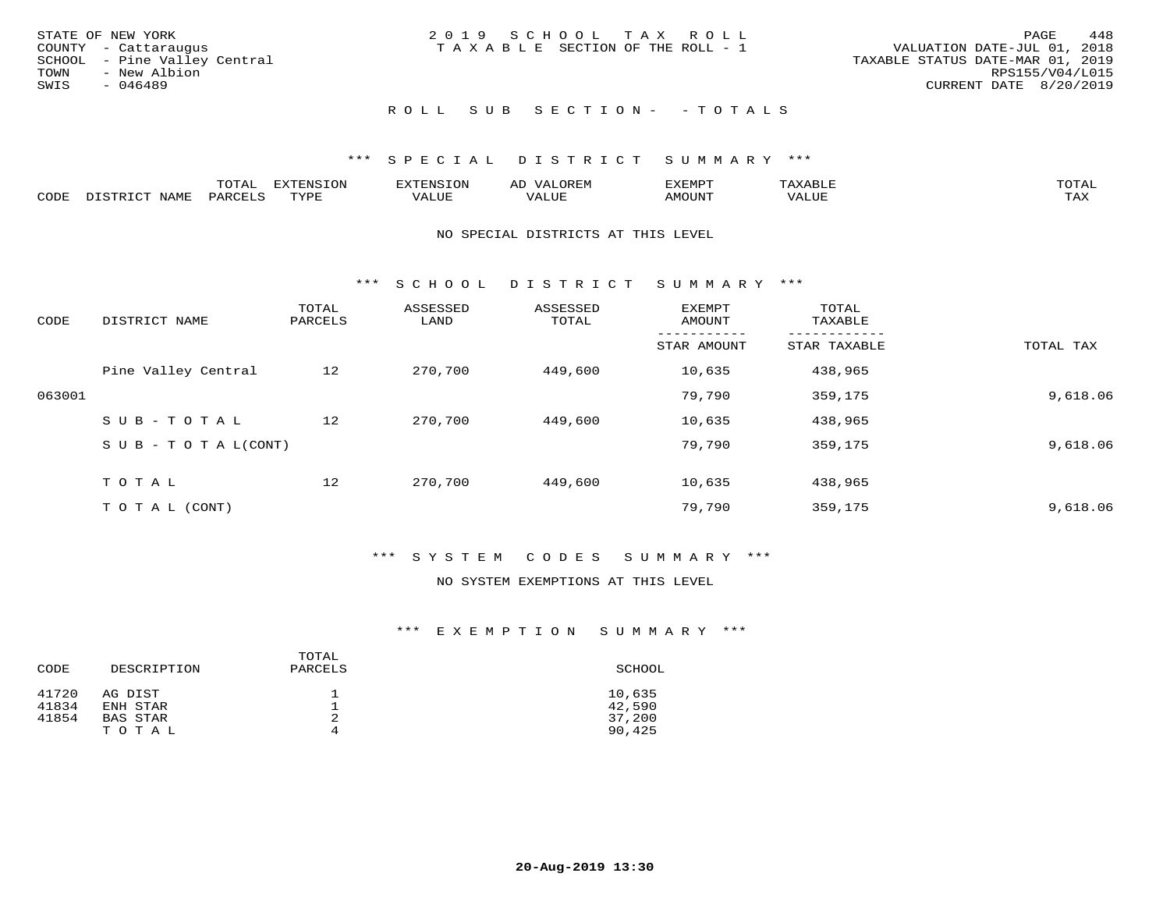| STATE OF NEW YORK<br>COUNTY - Cattaraugus<br>SCHOOL - Pine Valley Central<br>TOWN<br>- New Albion<br>SWIS<br>- 046489 | 2019 SCHOOL TAX ROLL<br>T A X A B L E SECTION OF THE ROLL - 1 | 448<br>PAGE<br>VALUATION DATE-JUL 01, 2018<br>TAXABLE STATUS DATE-MAR 01, 2019<br>RPS155/V04/L015<br>CURRENT DATE 8/20/2019 |
|-----------------------------------------------------------------------------------------------------------------------|---------------------------------------------------------------|-----------------------------------------------------------------------------------------------------------------------------|
|                                                                                                                       | ROLL SUB SECTION- - TOTALS                                    |                                                                                                                             |

|      |                      | ----           | <b>FYTFNSION</b><br>- 75 | <b>FNC</b>     | ᅺᅜᄓ                      | SXEMPT | $\Delta$<br>.                  | $m \wedge m \wedge n$ |
|------|----------------------|----------------|--------------------------|----------------|--------------------------|--------|--------------------------------|-----------------------|
| CODE | <b>NTAMT</b><br>⊥∙⊥⊥ | D.ODT.<br>PARL | $m \tau \tau m$<br>.     | T T T<br>ALUF: | , <del>,</del> , , , , , | MOUN.  | , 77 T TT <del>D</del><br>ALUE | TAX                   |

#### NO SPECIAL DISTRICTS AT THIS LEVEL

\*\*\* S C H O O L D I S T R I C T S U M M A R Y \*\*\*

| CODE   | DISTRICT NAME                    | TOTAL<br>PARCELS | ASSESSED<br>LAND | ASSESSED<br>TOTAL | EXEMPT<br>AMOUNT | TOTAL<br>TAXABLE |           |
|--------|----------------------------------|------------------|------------------|-------------------|------------------|------------------|-----------|
|        |                                  |                  |                  |                   | STAR AMOUNT      | STAR TAXABLE     | TOTAL TAX |
|        | Pine Valley Central              | 12               | 270,700          | 449,600           | 10,635           | 438,965          |           |
| 063001 |                                  |                  |                  |                   | 79,790           | 359,175          | 9,618.06  |
|        | SUB-TOTAL                        | 12               | 270,700          | 449,600           | 10,635           | 438,965          |           |
|        | $S \cup B - T \cup T A L (CONT)$ |                  |                  |                   | 79,790           | 359,175          | 9,618.06  |
|        | TOTAL                            | 12               | 270,700          | 449,600           | 10,635           | 438,965          |           |
|        | T O T A L (CONT)                 |                  |                  |                   | 79,790           | 359,175          | 9,618.06  |

## \*\*\* S Y S T E M C O D E S S U M M A R Y \*\*\*

#### NO SYSTEM EXEMPTIONS AT THIS LEVEL

| CODE  | DESCRIPTION | TOTAL<br>PARCELS | SCHOOL |
|-------|-------------|------------------|--------|
| 41720 | AG DIST     |                  | 10,635 |
| 41834 | ENH STAR    |                  | 42,590 |
| 41854 | BAS STAR    | 2                | 37,200 |
|       | TOTAL       | 4                | 90,425 |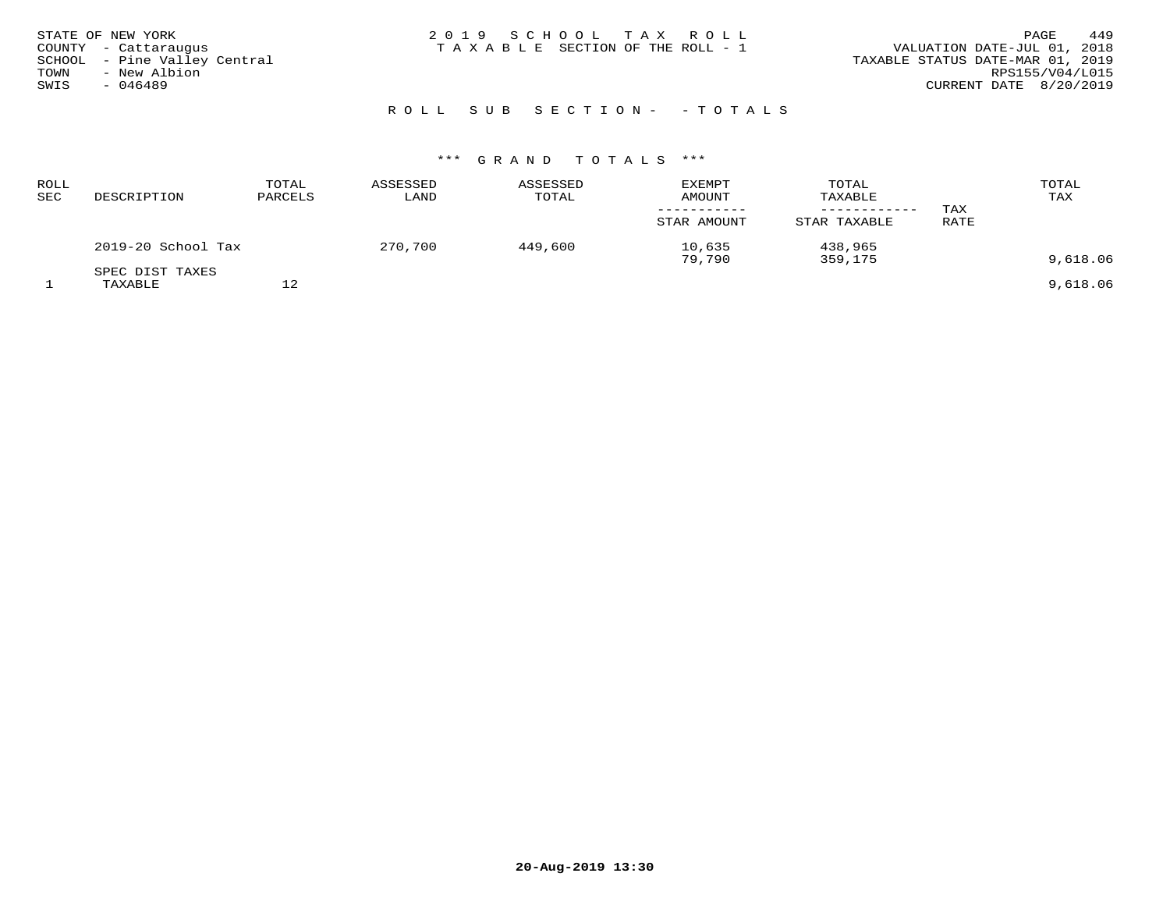## ROLL SUB SECTION - - TOTALS

| <b>ROLL</b><br>SEC | DESCRIPTION                | TOTAL<br>PARCELS | ASSESSED<br>LAND | ASSESSED<br>TOTAL | <b>EXEMPT</b><br><b>AMOUNT</b><br>STAR AMOUNT | TOTAL<br>TAXABLE<br>STAR TAXABLE | TAX<br>RATE | TOTAL<br>TAX |
|--------------------|----------------------------|------------------|------------------|-------------------|-----------------------------------------------|----------------------------------|-------------|--------------|
|                    | 2019-20 School Tax         |                  | 270,700          | 449,600           | 10,635<br>79,790                              | 438,965<br>359,175               |             | 9,618.06     |
|                    | SPEC DIST TAXES<br>TAXABLE | 12               |                  |                   |                                               |                                  |             | 9,618.06     |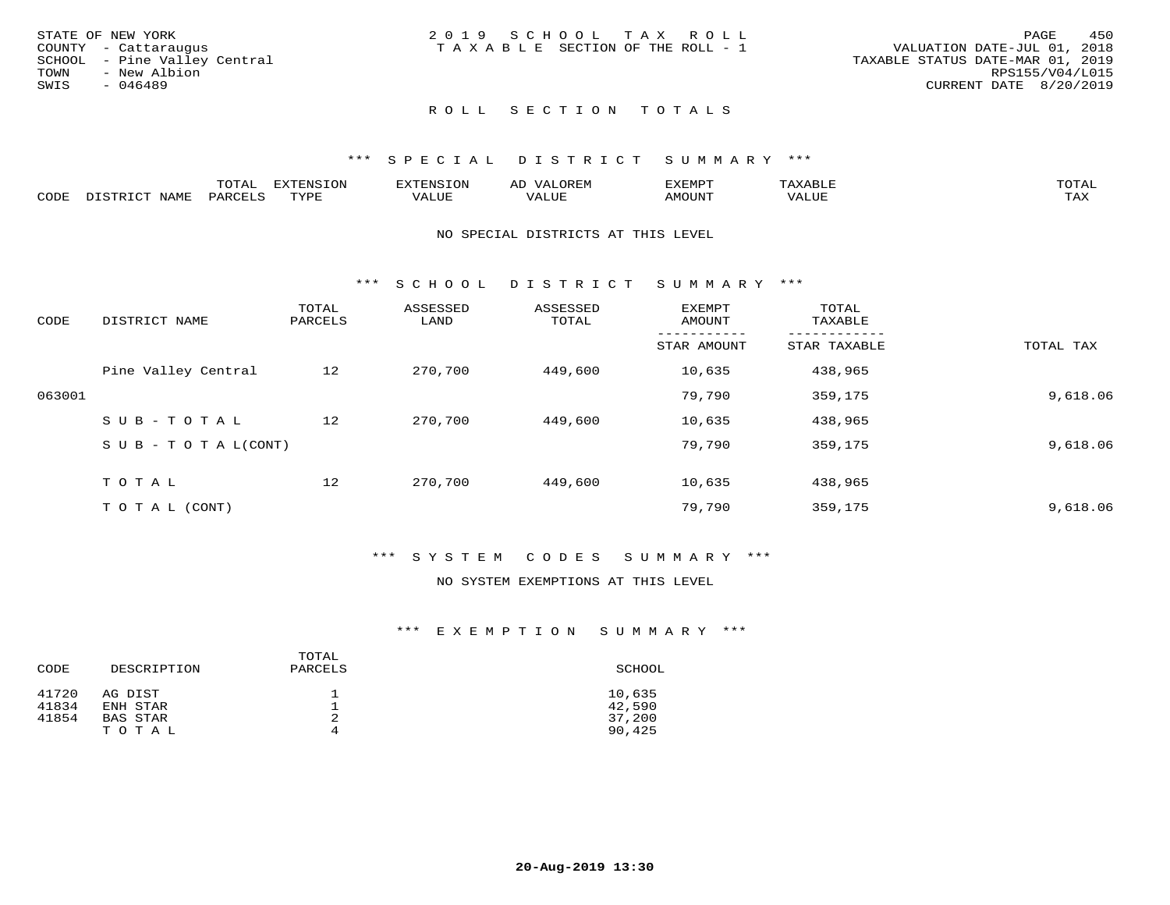|      | STATE OF NEW YORK            | 2019 SCHOOL TAX ROLL                  | 450<br>PAGE                      |
|------|------------------------------|---------------------------------------|----------------------------------|
|      | COUNTY - Cattaraugus         | T A X A B L E SECTION OF THE ROLL - 1 | VALUATION DATE-JUL 01, 2018      |
|      | SCHOOL - Pine Valley Central |                                       | TAXABLE STATUS DATE-MAR 01, 2019 |
| TOWN | - New Albion                 |                                       | RPS155/V04/L015                  |
| SWIS | - 046489                     |                                       | CURRENT DATE 8/20/2019           |
|      |                              |                                       |                                  |

## ROLL SECTION TOTALS

### \*\*\* S P E C I A L D I S T R I C T S U M M A R Y \*\*\*

|      |                      | mom n | <b>ELIMENT CLOSE</b><br>LUP | ALS.               | ΑL            | ,,, <del>,</del> ,,, <del>,</del><br>، ب<br>- ۱٬۱۳۰ نالاند |                         |                    |
|------|----------------------|-------|-----------------------------|--------------------|---------------|------------------------------------------------------------|-------------------------|--------------------|
| CODE | <b>NAMT</b><br>11.17 | PARC  | TVDF                        | <b>TTT</b><br>ALUR | T T T<br>ALUE | TUUOMA                                                     | . <del>.</del><br>'ALUL | $m \times r$<br>∸⊷ |

#### NO SPECIAL DISTRICTS AT THIS LEVEL

\*\*\* S C H O O L D I S T R I C T S U M M A R Y \*\*\*

| CODE   | DISTRICT NAME                    | TOTAL<br>PARCELS | ASSESSED<br>LAND | ASSESSED<br>TOTAL | EXEMPT<br>AMOUNT | TOTAL<br>TAXABLE |           |
|--------|----------------------------------|------------------|------------------|-------------------|------------------|------------------|-----------|
|        |                                  |                  |                  |                   | STAR AMOUNT      | STAR TAXABLE     | TOTAL TAX |
|        | Pine Valley Central              | 12               | 270,700          | 449,600           | 10,635           | 438,965          |           |
| 063001 |                                  |                  |                  |                   | 79,790           | 359,175          | 9,618.06  |
|        | SUB-TOTAL                        | 12               | 270,700          | 449,600           | 10,635           | 438,965          |           |
|        | $S \cup B - T \cup T A L (CONT)$ |                  |                  |                   | 79,790           | 359,175          | 9,618.06  |
|        | TOTAL                            | 12               | 270,700          | 449,600           | 10,635           | 438,965          |           |
|        | T O T A L (CONT)                 |                  |                  |                   | 79,790           | 359,175          | 9,618.06  |

## \*\*\* S Y S T E M C O D E S S U M M A R Y \*\*\*

## NO SYSTEM EXEMPTIONS AT THIS LEVEL

| CODE  | DESCRIPTION | TOTAL<br>PARCELS | SCHOOL |
|-------|-------------|------------------|--------|
| 41720 | AG DIST     |                  | 10,635 |
| 41834 | ENH STAR    |                  | 42,590 |
| 41854 | BAS STAR    | 2                | 37,200 |
|       | TOTAL       | 4                | 90,425 |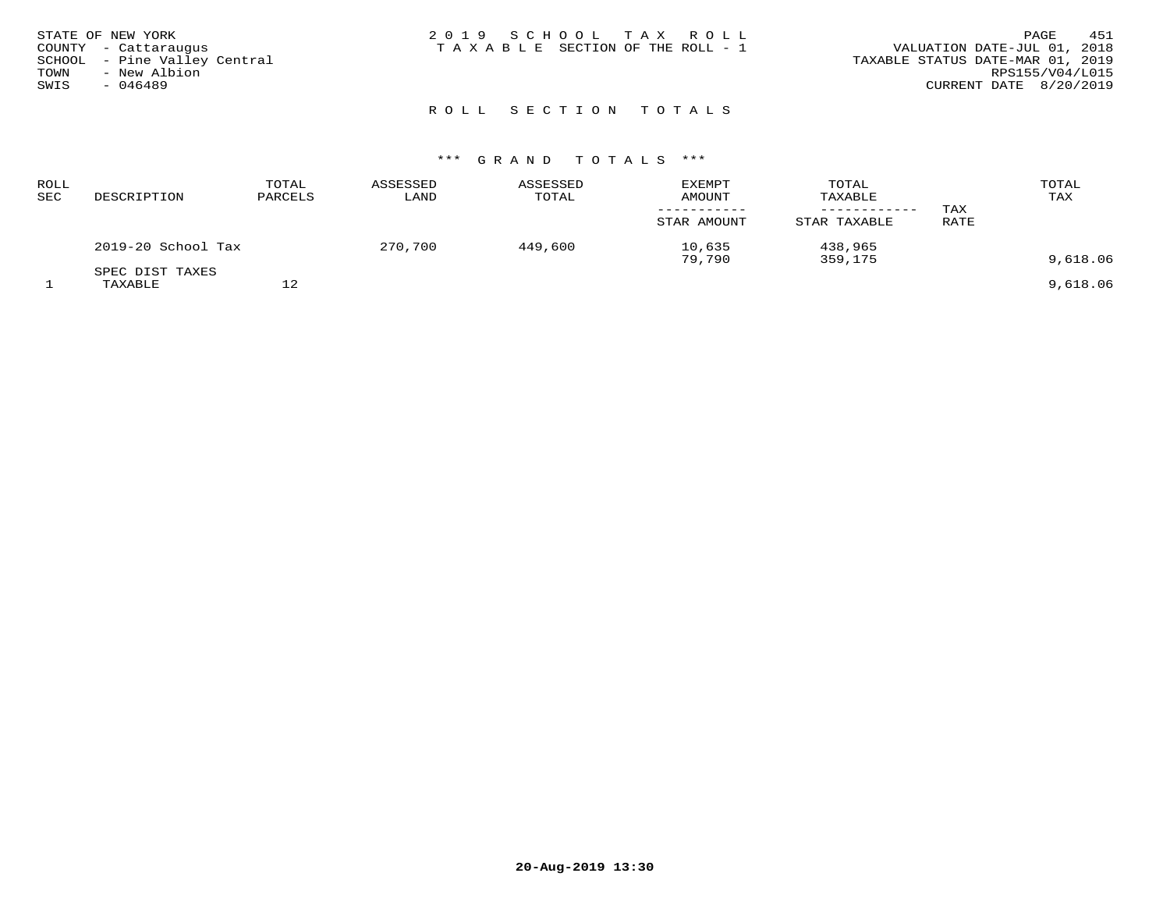| STATE OF NEW YORK<br>COUNTY - Cattaraugus<br>SCHOOL - Pine Valley Central | 2019 SCHOOL TAX ROLL<br>TAXABLE SECTION OF THE ROLL - 1 | 451<br>PAGE<br>VALUATION DATE-JUL 01, 2018<br>TAXABLE STATUS DATE-MAR 01, 2019 |
|---------------------------------------------------------------------------|---------------------------------------------------------|--------------------------------------------------------------------------------|
| TOWN<br>- New Albion<br>SWIS<br>$-046489$                                 |                                                         | RPS155/V04/L015<br>CURRENT DATE 8/20/2019                                      |
|                                                                           |                                                         |                                                                                |

## ROLL SECTION TOTALS

| <b>ROLL</b><br>SEC | DESCRIPTION                | TOTAL<br>PARCELS | ASSESSED<br>LAND | ASSESSED<br>TOTAL | <b>EXEMPT</b><br><b>AMOUNT</b><br>STAR AMOUNT | TOTAL<br>TAXABLE<br>STAR TAXABLE | TAX<br>RATE | TOTAL<br>TAX |
|--------------------|----------------------------|------------------|------------------|-------------------|-----------------------------------------------|----------------------------------|-------------|--------------|
|                    | 2019-20 School Tax         |                  | 270,700          | 449,600           | 10,635<br>79,790                              | 438,965<br>359,175               |             | 9,618.06     |
|                    | SPEC DIST TAXES<br>TAXABLE | 12               |                  |                   |                                               |                                  |             | 9,618.06     |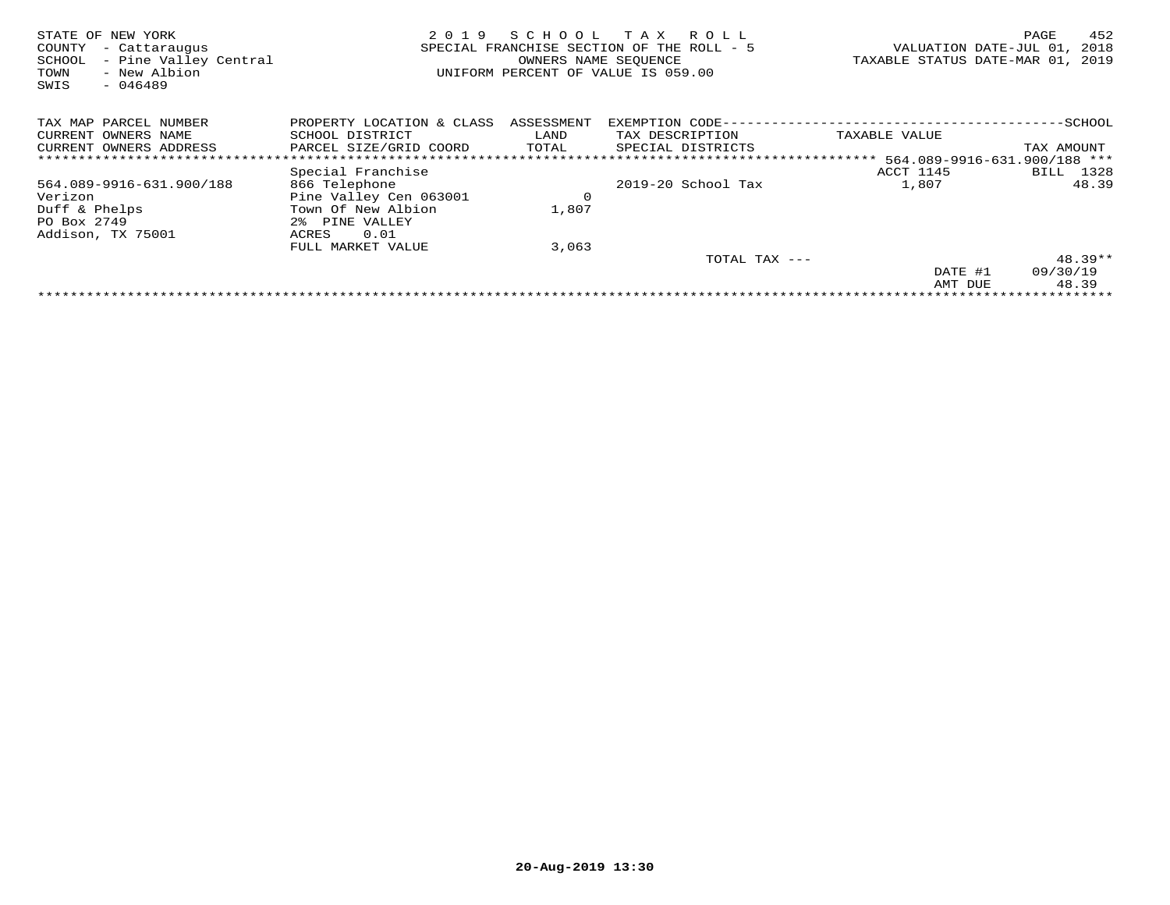| STATE OF NEW YORK<br>COUNTY<br>- Cattaraugus<br>- Pine Valley Central<br>SCHOOL<br>- New Albion<br>TOWN<br>SWIS<br>$-046489$ | 2019                      | SCHOOL TAX | R O L L<br>SPECIAL FRANCHISE SECTION OF THE ROLL - 5<br>OWNERS NAME SEOUENCE<br>UNIFORM PERCENT OF VALUE IS 059.00 | VALUATION DATE-JUL 01,<br>TAXABLE STATUS DATE-MAR 01,  | 452<br>PAGE<br>2018<br>2019 |
|------------------------------------------------------------------------------------------------------------------------------|---------------------------|------------|--------------------------------------------------------------------------------------------------------------------|--------------------------------------------------------|-----------------------------|
| TAX MAP PARCEL NUMBER                                                                                                        | PROPERTY LOCATION & CLASS | ASSESSMENT | EXEMPTION CODE-                                                                                                    |                                                        | -SCHOOL                     |
| OWNERS NAME<br>CURRENT                                                                                                       | SCHOOL DISTRICT           | LAND       | TAX DESCRIPTION                                                                                                    | TAXABLE VALUE                                          |                             |
| CURRENT OWNERS ADDRESS                                                                                                       | PARCEL SIZE/GRID COORD    | TOTAL      | SPECIAL DISTRICTS                                                                                                  |                                                        | TAX AMOUNT                  |
|                                                                                                                              |                           |            |                                                                                                                    | ************************* 564.089-9916-631.900/188 *** |                             |
|                                                                                                                              | Special Franchise         |            |                                                                                                                    | ACCT 1145                                              | 1328<br>BILL                |
| 564.089-9916-631.900/188                                                                                                     | 866 Telephone             |            | $2019-20$ School Tax                                                                                               | 1,807                                                  | 48.39                       |
| Verizon                                                                                                                      | Pine Valley Cen 063001    | $\circ$    |                                                                                                                    |                                                        |                             |
| Duff & Phelps                                                                                                                | Town Of New Albion        | 1,807      |                                                                                                                    |                                                        |                             |
| PO Box 2749                                                                                                                  | 2% PINE VALLEY            |            |                                                                                                                    |                                                        |                             |
| Addison, TX 75001                                                                                                            | 0.01<br>ACRES             |            |                                                                                                                    |                                                        |                             |
|                                                                                                                              | FULL MARKET VALUE         | 3,063      |                                                                                                                    |                                                        |                             |
|                                                                                                                              |                           |            | TOTAL TAX ---                                                                                                      |                                                        | $48.39**$                   |
|                                                                                                                              |                           |            |                                                                                                                    | DATE #1                                                | 09/30/19                    |
|                                                                                                                              |                           |            |                                                                                                                    | AMT DUE                                                | 48.39                       |
|                                                                                                                              |                           |            |                                                                                                                    |                                                        |                             |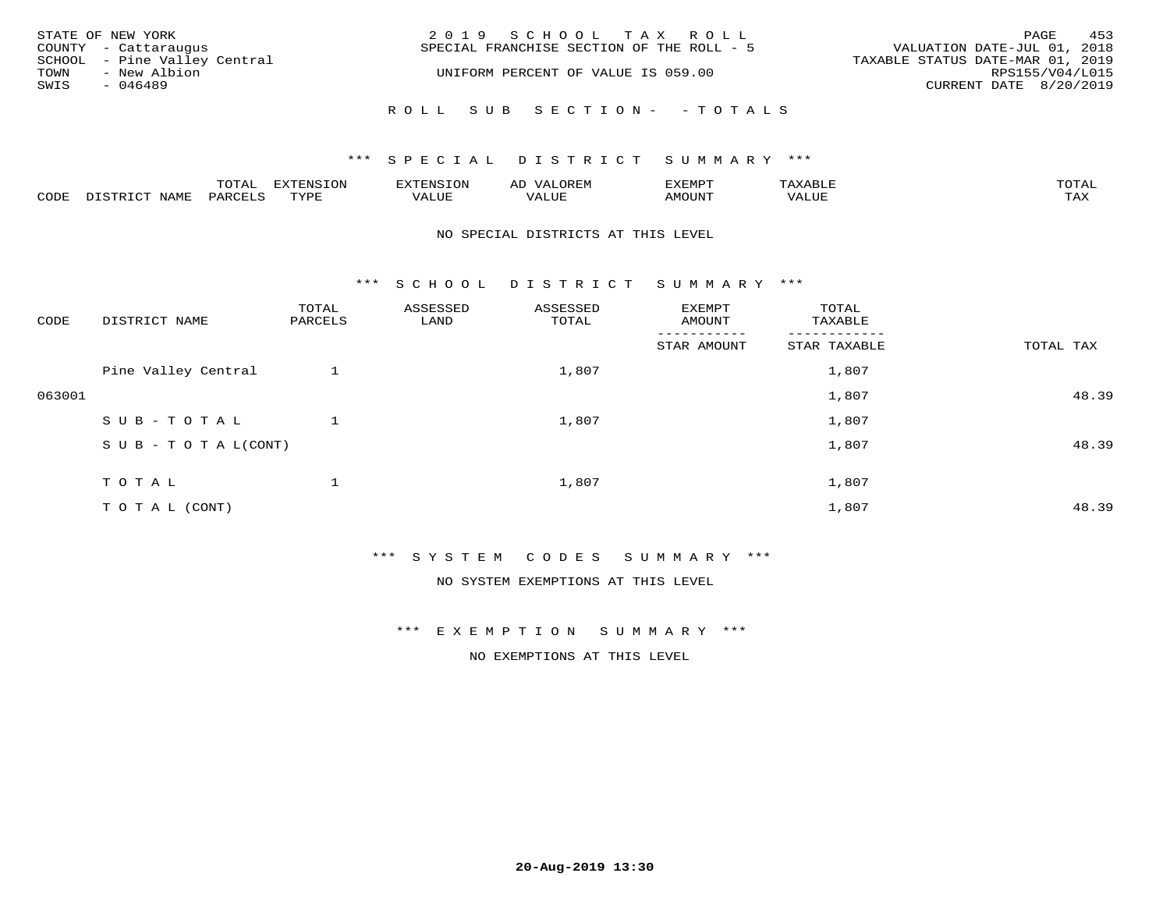|      | STATE OF NEW YORK<br>COUNTY - Cattaraugus    | 2019 SCHOOL TAX ROLL<br>SPECIAL FRANCHISE SECTION OF THE ROLL - 5      | VALUATION DATE-JUL 01, 2018 | PAGE | 453 |
|------|----------------------------------------------|------------------------------------------------------------------------|-----------------------------|------|-----|
| TOWN | SCHOOL - Pine Valley Central<br>- New Albion | TAXABLE STATUS DATE-MAR 01, 2019<br>UNIFORM PERCENT OF VALUE IS 059.00 | RPS155/V04/L015             |      |     |
| SWIS | - 046489                                     |                                                                        | CURRENT DATE 8/20/2019      |      |     |
|      |                                              | ROLL SUB SECTION- -TOTALS                                              |                             |      |     |

### \*\*\* SPECIAL DISTRICT SUMMARY \*\*\*

|                  |      | ----          |                 | <b>MARINE</b> | AL          | ם כדי ארד לצו |           | $m \wedge m \wedge n$<br>$\cdots$ |
|------------------|------|---------------|-----------------|---------------|-------------|---------------|-----------|-----------------------------------|
| C <sub>CDI</sub> | NAME | דיהר מ<br>'AK | TVDF<br>- - - - | $- - - -$     | ۳۰ تا سلامہ | LUIIONA       | $- - - -$ | $m \times r$<br>- ∠∡∡             |

#### NO SPECIAL DISTRICTS AT THIS LEVEL

\*\*\* S C H O O L D I S T R I C T S U M M A R Y \*\*\*

| CODE   | DISTRICT NAME                    | TOTAL<br>PARCELS | ASSESSED<br>LAND | ASSESSED<br>TOTAL | EXEMPT<br>AMOUNT      | TOTAL<br>TAXABLE         |           |
|--------|----------------------------------|------------------|------------------|-------------------|-----------------------|--------------------------|-----------|
|        |                                  |                  |                  |                   | ------<br>STAR AMOUNT | --------<br>STAR TAXABLE | TOTAL TAX |
|        | Pine Valley Central              |                  |                  | 1,807             |                       | 1,807                    |           |
| 063001 |                                  |                  |                  |                   |                       | 1,807                    | 48.39     |
|        | SUB-TOTAL                        |                  |                  | 1,807             |                       | 1,807                    |           |
|        | $S \cup B - T \cup T A L (CONT)$ |                  |                  |                   |                       | 1,807                    | 48.39     |
|        | TOTAL                            |                  |                  | 1,807             |                       | 1,807                    |           |
|        |                                  |                  |                  |                   |                       |                          |           |
|        | T O T A L (CONT)                 |                  |                  |                   |                       | 1,807                    | 48.39     |

\*\*\* S Y S T E M C O D E S S U M M A R Y \*\*\*

NO SYSTEM EXEMPTIONS AT THIS LEVEL

\*\*\* E X E M P T I O N S U M M A R Y \*\*\*

NO EXEMPTIONS AT THIS LEVEL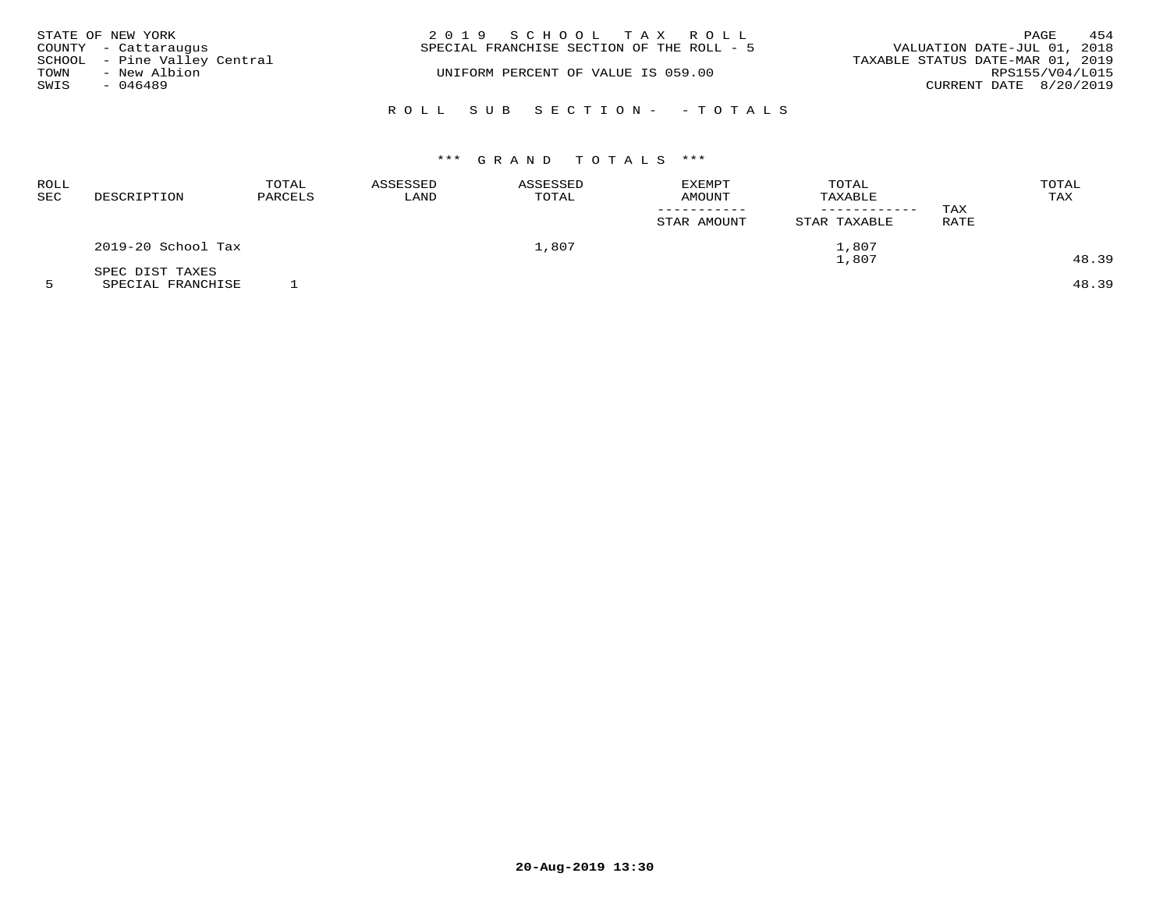| STATE OF NEW YORK            | 2019 SCHOOL TAX ROLL                      | 454<br>PAGE                      |
|------------------------------|-------------------------------------------|----------------------------------|
| COUNTY - Cattaraugus         | SPECIAL FRANCHISE SECTION OF THE ROLL - 5 | VALUATION DATE-JUL 01, 2018      |
| SCHOOL - Pine Valley Central |                                           | TAXABLE STATUS DATE-MAR 01, 2019 |
| - New Albion<br>TOWN         | UNIFORM PERCENT OF VALUE IS 059.00        | RPS155/V04/L015                  |
| SWIS<br>- 046489             |                                           | CURRENT DATE 8/20/2019           |
|                              | ROLL SUB SECTION- - TOTALS                |                                  |

| ROLL<br>SEC | DESCRIPTION        | TOTAL<br>PARCELS | ASSESSED<br>LAND | ASSESSED<br>TOTAL | <b>EXEMPT</b><br>AMOUNT<br>STAR AMOUNT | TOTAL<br>TAXABLE<br>STAR TAXABLE | TAX<br><b>RATE</b> | TOTAL<br>TAX |
|-------------|--------------------|------------------|------------------|-------------------|----------------------------------------|----------------------------------|--------------------|--------------|
|             | 2019-20 School Tax |                  |                  | 1,807             |                                        | 1,807                            |                    |              |
|             | SPEC DIST TAXES    |                  |                  |                   |                                        | 1,807                            |                    | 48.39        |

5 SPECIAL FRANCHISE 1 48.39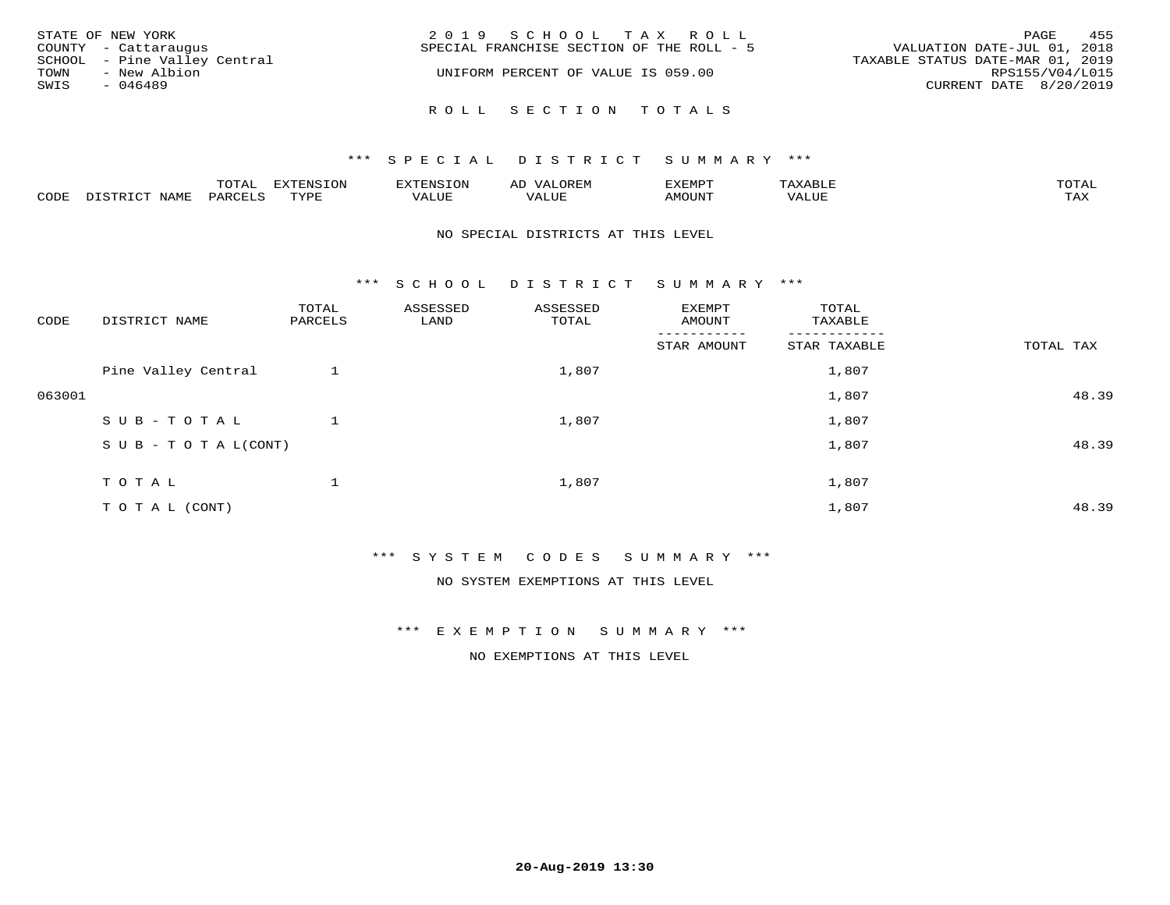| STATE OF NEW YORK<br>COUNTY - Cattaraugus                                 | 2019 SCHOOL TAX ROLL<br>SPECIAL FRANCHISE SECTION OF THE ROLL - 5 | 455<br>PAGE<br>VALUATION DATE-JUL 01, 2018                                    |
|---------------------------------------------------------------------------|-------------------------------------------------------------------|-------------------------------------------------------------------------------|
| SCHOOL - Pine Valley Central<br>- New Albion<br>TOWN<br>SWIS<br>$-046489$ | UNIFORM PERCENT OF VALUE IS 059.00                                | TAXABLE STATUS DATE-MAR 01, 2019<br>RPS155/V04/L015<br>CURRENT DATE 8/20/2019 |
|                                                                           | ROLL SECTION TOTALS                                               |                                                                               |

|      |      | $m \wedge m \wedge n$<br>◡∸ғ | TON                              | . HUNY              | AĽ                  | ے ا      |       | $m \wedge m \wedge n$ |
|------|------|------------------------------|----------------------------------|---------------------|---------------------|----------|-------|-----------------------|
| CODE | NAMF | 'AK                          | $m \times r \times r$<br>- - - - | T T T<br>اللالمستحم | - ---<br>اللالمستعم | 57077375 | VALUF | $m \times r$<br>- −-  |

#### NO SPECIAL DISTRICTS AT THIS LEVEL

\*\*\* S C H O O L D I S T R I C T S U M M A R Y \*\*\*

| CODE   | DISTRICT NAME                    | TOTAL<br>PARCELS | ASSESSED<br>LAND | ASSESSED<br>TOTAL | EXEMPT<br>AMOUNT | TOTAL<br>TAXABLE |           |
|--------|----------------------------------|------------------|------------------|-------------------|------------------|------------------|-----------|
|        |                                  |                  |                  |                   | STAR AMOUNT      | STAR TAXABLE     | TOTAL TAX |
|        | Pine Valley Central              |                  |                  | 1,807             |                  | 1,807            |           |
| 063001 |                                  |                  |                  |                   |                  | 1,807            | 48.39     |
|        | SUB-TOTAL                        |                  |                  | 1,807             |                  | 1,807            |           |
|        | $S \cup B - T \cup T A L (CONT)$ |                  |                  |                   |                  | 1,807            | 48.39     |
|        | TOTAL                            |                  |                  | 1,807             |                  | 1,807            |           |
|        |                                  |                  |                  |                   |                  |                  |           |
|        | T O T A L (CONT)                 |                  |                  |                   |                  | 1,807            | 48.39     |

\*\*\* S Y S T E M C O D E S S U M M A R Y \*\*\*

NO SYSTEM EXEMPTIONS AT THIS LEVEL

\*\*\* E X E M P T I O N S U M M A R Y \*\*\*

NO EXEMPTIONS AT THIS LEVEL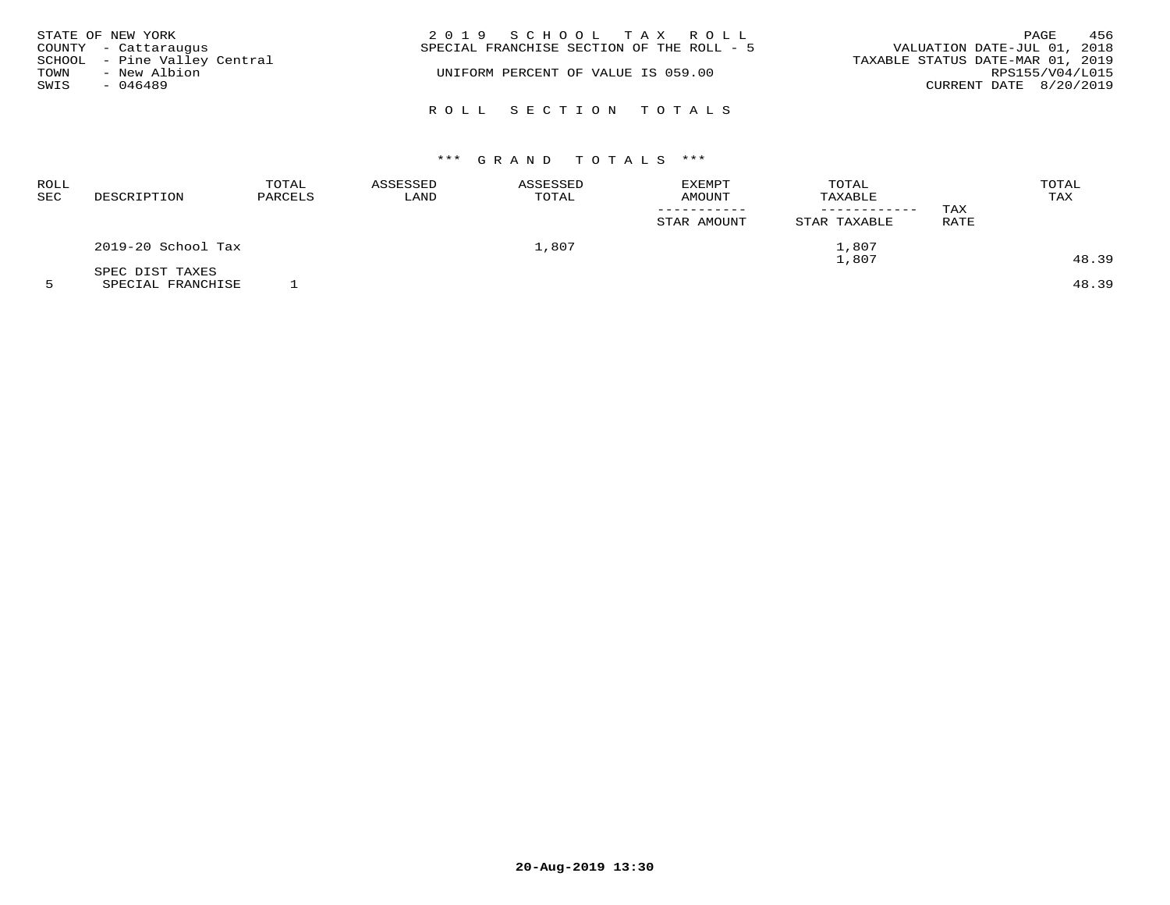| TOWN<br>SWIS | STATE OF NEW YORK<br>COUNTY - Cattaraugus<br>SCHOOL - Pine Valley Central<br>- New Albion<br>$-046489$ | 2019 SCHOOL TAX ROLL<br>SPECIAL FRANCHISE SECTION OF THE ROLL - 5<br>UNIFORM PERCENT OF VALUE IS 059.00 | 456<br>PAGE<br>VALUATION DATE-JUL 01, 2018<br>TAXABLE STATUS DATE-MAR 01, 2019<br>RPS155/V04/L015<br>CURRENT DATE 8/20/2019 |
|--------------|--------------------------------------------------------------------------------------------------------|---------------------------------------------------------------------------------------------------------|-----------------------------------------------------------------------------------------------------------------------------|
|              |                                                                                                        | ROLL SECTION TOTALS                                                                                     |                                                                                                                             |

| ROLL<br><b>SEC</b> | DESCRIPTION        | TOTAL<br>PARCELS | ASSESSED<br>LAND | ASSESSED<br>TOTAL | <b>EXEMPT</b><br><b>AMOUNT</b><br>STAR AMOUNT | TOTAL<br>TAXABLE<br>STAR TAXABLE | TAX<br>RATE | TOTAL<br>TAX |
|--------------------|--------------------|------------------|------------------|-------------------|-----------------------------------------------|----------------------------------|-------------|--------------|
|                    | 2019-20 School Tax |                  |                  | 1,807             |                                               | 1,807                            |             |              |
|                    | SPEC DIST TAXES    |                  |                  |                   |                                               | 1,807                            |             | 48.39        |

5 SPECIAL FRANCHISE 1 48.39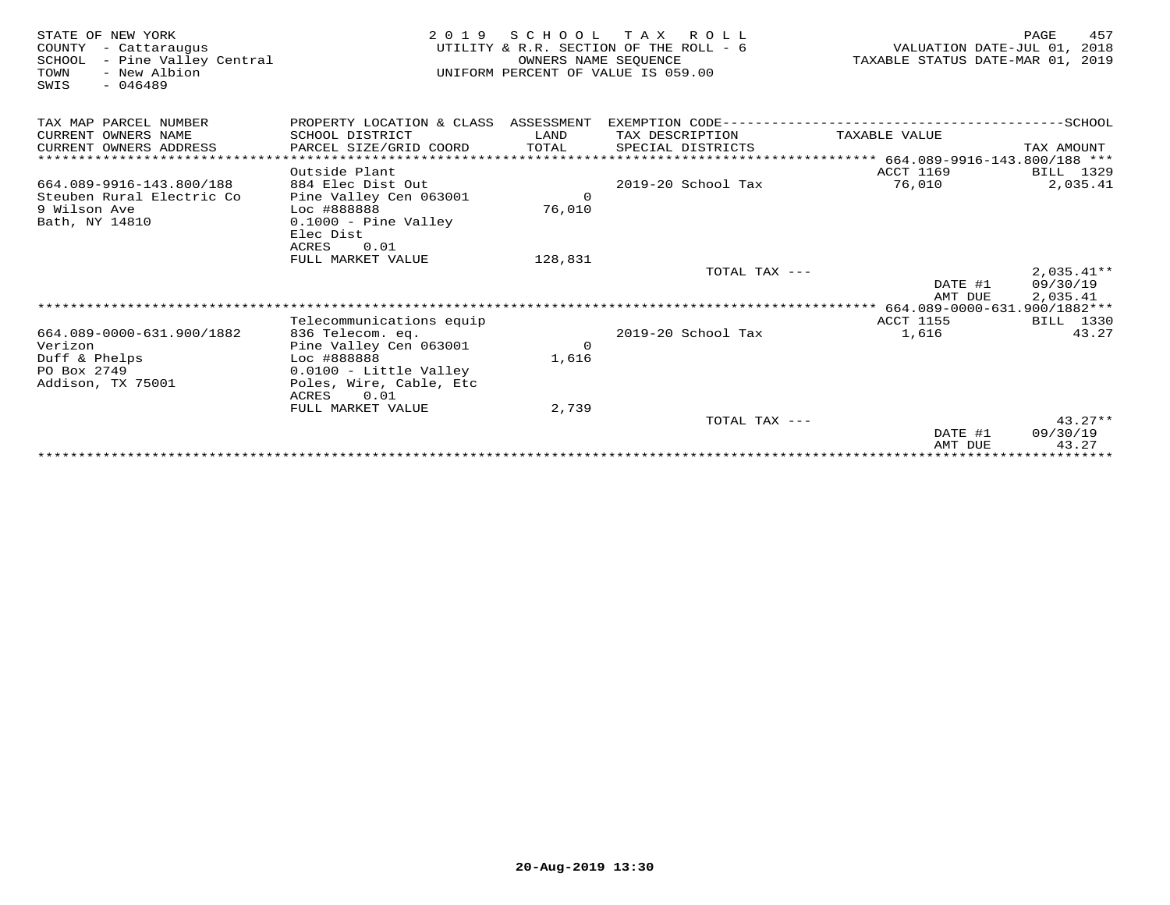| STATE OF NEW YORK<br>COUNTY<br>- Cattaraugus<br>SCHOOL<br>- Pine Valley Central<br>TOWN<br>- New Albion<br>$-046489$<br>SWIS | 2 0 1 9                                  | SCHOOL<br>OWNERS NAME SEOUENCE | TAX ROLL<br>UTILITY & R.R. SECTION OF THE ROLL - 6<br>UNIFORM PERCENT OF VALUE IS 059.00 | VALUATION DATE-JUL 01, 2018<br>TAXABLE STATUS DATE-MAR 01, 2019 | 457<br>PAGE   |
|------------------------------------------------------------------------------------------------------------------------------|------------------------------------------|--------------------------------|------------------------------------------------------------------------------------------|-----------------------------------------------------------------|---------------|
| TAX MAP PARCEL NUMBER                                                                                                        | PROPERTY LOCATION & CLASS ASSESSMENT     |                                | EXEMPTION CODE-----------                                                                |                                                                 | -------SCHOOL |
| CURRENT OWNERS NAME                                                                                                          | SCHOOL DISTRICT                          | LAND                           | TAX DESCRIPTION                                                                          | TAXABLE VALUE                                                   |               |
| CURRENT OWNERS ADDRESS                                                                                                       | PARCEL SIZE/GRID COORD                   | TOTAL                          | SPECIAL DISTRICTS                                                                        |                                                                 | TAX AMOUNT    |
| ***********************                                                                                                      |                                          |                                |                                                                                          |                                                                 |               |
|                                                                                                                              | Outside Plant                            |                                |                                                                                          | <b>ACCT 1169</b>                                                | BILL 1329     |
| 664.089-9916-143.800/188                                                                                                     | 884 Elec Dist Out                        |                                | 2019-20 School Tax                                                                       | 76,010                                                          | 2,035.41      |
| Steuben Rural Electric Co                                                                                                    | Pine Valley Cen 063001                   | $\Omega$                       |                                                                                          |                                                                 |               |
| 9 Wilson Ave                                                                                                                 | Loc #888888                              | 76,010                         |                                                                                          |                                                                 |               |
| Bath, NY 14810                                                                                                               | $0.1000 -$ Pine Valley                   |                                |                                                                                          |                                                                 |               |
|                                                                                                                              | Elec Dist<br>0.01<br>ACRES               |                                |                                                                                          |                                                                 |               |
|                                                                                                                              | FULL MARKET VALUE                        | 128,831                        |                                                                                          |                                                                 |               |
|                                                                                                                              |                                          |                                | TOTAL TAX ---                                                                            |                                                                 | $2,035.41**$  |
|                                                                                                                              |                                          |                                |                                                                                          | DATE #1                                                         | 09/30/19      |
|                                                                                                                              |                                          |                                |                                                                                          | AMT DUE                                                         | 2,035.41      |
|                                                                                                                              | **********************************       |                                |                                                                                          | ********************* 664.089-0000-631.900/1882***              |               |
|                                                                                                                              | Telecommunications equip                 |                                |                                                                                          | ACCT 1155                                                       | BILL 1330     |
| 664.089-0000-631.900/1882                                                                                                    | 836 Telecom. eq.                         |                                | 2019-20 School Tax                                                                       | 1,616                                                           | 43.27         |
| Verizon                                                                                                                      | Pine Valley Cen 063001                   | $\overline{0}$                 |                                                                                          |                                                                 |               |
| Duff & Phelps                                                                                                                | Loc #888888                              | 1,616                          |                                                                                          |                                                                 |               |
| PO Box 2749                                                                                                                  | 0.0100 - Little Valley                   |                                |                                                                                          |                                                                 |               |
| Addison, TX 75001                                                                                                            | Poles, Wire, Cable, Etc<br>ACRES<br>0.01 |                                |                                                                                          |                                                                 |               |
|                                                                                                                              | FULL MARKET VALUE                        | 2,739                          |                                                                                          |                                                                 |               |
|                                                                                                                              |                                          |                                | TOTAL TAX ---                                                                            |                                                                 | $43.27**$     |
|                                                                                                                              |                                          |                                |                                                                                          | DATE #1                                                         | 09/30/19      |
|                                                                                                                              |                                          |                                |                                                                                          | AMT DUE                                                         | 43.27         |
|                                                                                                                              |                                          |                                |                                                                                          |                                                                 |               |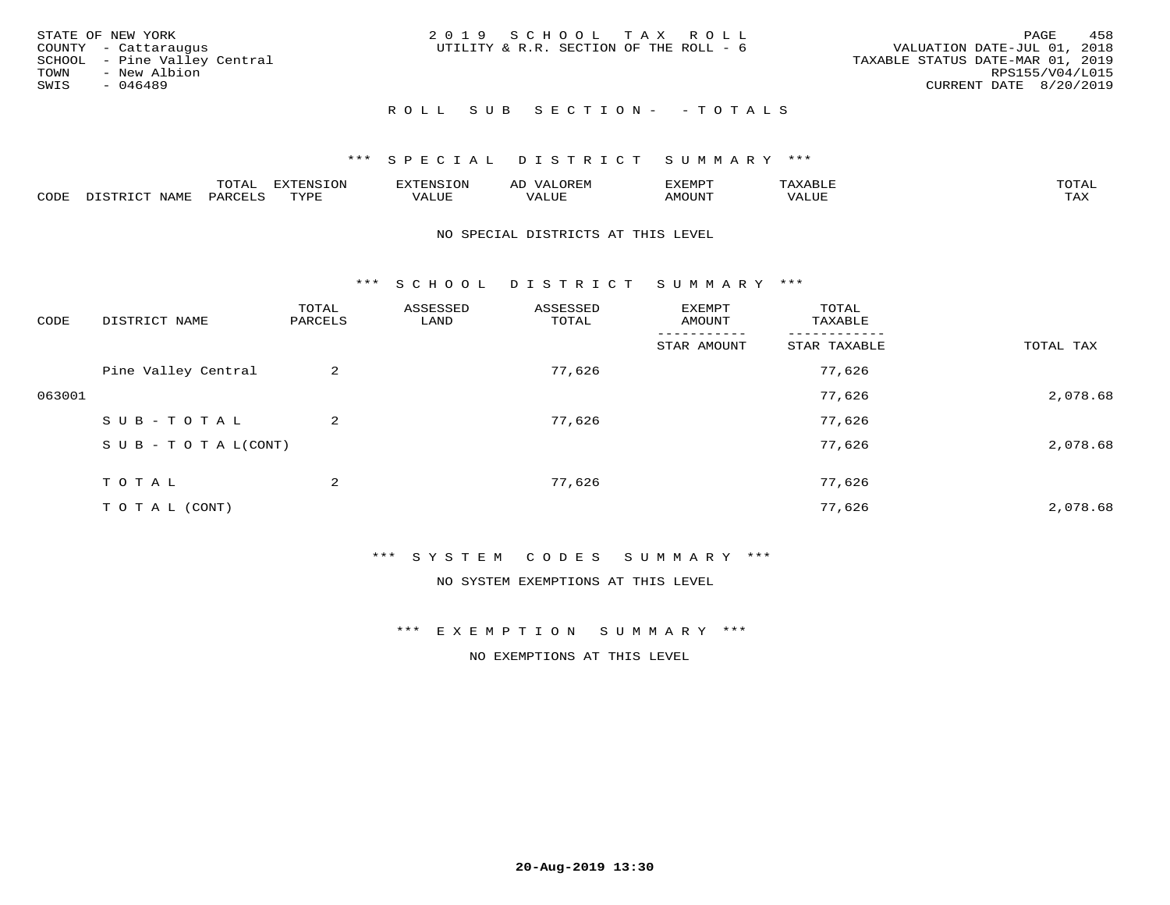| STATE OF NEW YORK<br>COUNTY - Cattaraugus<br>SCHOOL - Pine Valley Central<br>TOWN<br>- New Albion<br>SWIS<br>- 046489 | 2019 SCHOOL TAX ROLL<br>UTILITY & R.R. SECTION OF THE ROLL - 6 | 458<br>PAGE<br>VALUATION DATE-JUL 01, 2018<br>TAXABLE STATUS DATE-MAR 01, 2019<br>RPS155/V04/L015<br>CURRENT DATE 8/20/2019 |
|-----------------------------------------------------------------------------------------------------------------------|----------------------------------------------------------------|-----------------------------------------------------------------------------------------------------------------------------|
|                                                                                                                       | ROLL SUB SECTION- - TOTALS                                     |                                                                                                                             |

|                         |      | m^m |      | 'NT C     |           | ∟ו∨ו          |              |                             |
|-------------------------|------|-----|------|-----------|-----------|---------------|--------------|-----------------------------|
| $\bigcap_{\Pi}$<br>◡◡◡ュ | мдмь |     | TVDF | ۳۰ تاللاد | $- - - -$ | 550T<br>IUUN. | ALUE<br>77 T | $m \times r$<br>- - - - - - |

#### NO SPECIAL DISTRICTS AT THIS LEVEL

\*\*\* S C H O O L D I S T R I C T S U M M A R Y \*\*\*

| CODE   | DISTRICT NAME                    | TOTAL<br>PARCELS | ASSESSED<br>LAND | ASSESSED<br>TOTAL | EXEMPT<br>AMOUNT | TOTAL<br>TAXABLE |           |
|--------|----------------------------------|------------------|------------------|-------------------|------------------|------------------|-----------|
|        |                                  |                  |                  |                   | STAR AMOUNT      | STAR TAXABLE     | TOTAL TAX |
|        | Pine Valley Central              | 2                |                  | 77,626            |                  | 77,626           |           |
| 063001 |                                  |                  |                  |                   |                  | 77,626           | 2,078.68  |
|        | SUB-TOTAL                        | 2                |                  | 77,626            |                  | 77,626           |           |
|        | $S \cup B - T \cup T A L (CONT)$ |                  |                  |                   |                  | 77,626           | 2,078.68  |
|        | T O T A L                        | 2                |                  | 77,626            |                  | 77,626           |           |
|        | T O T A L (CONT)                 |                  |                  |                   |                  | 77,626           | 2,078.68  |

## \*\*\* S Y S T E M C O D E S S U M M A R Y \*\*\*

NO SYSTEM EXEMPTIONS AT THIS LEVEL

\*\*\* E X E M P T I O N S U M M A R Y \*\*\*

NO EXEMPTIONS AT THIS LEVEL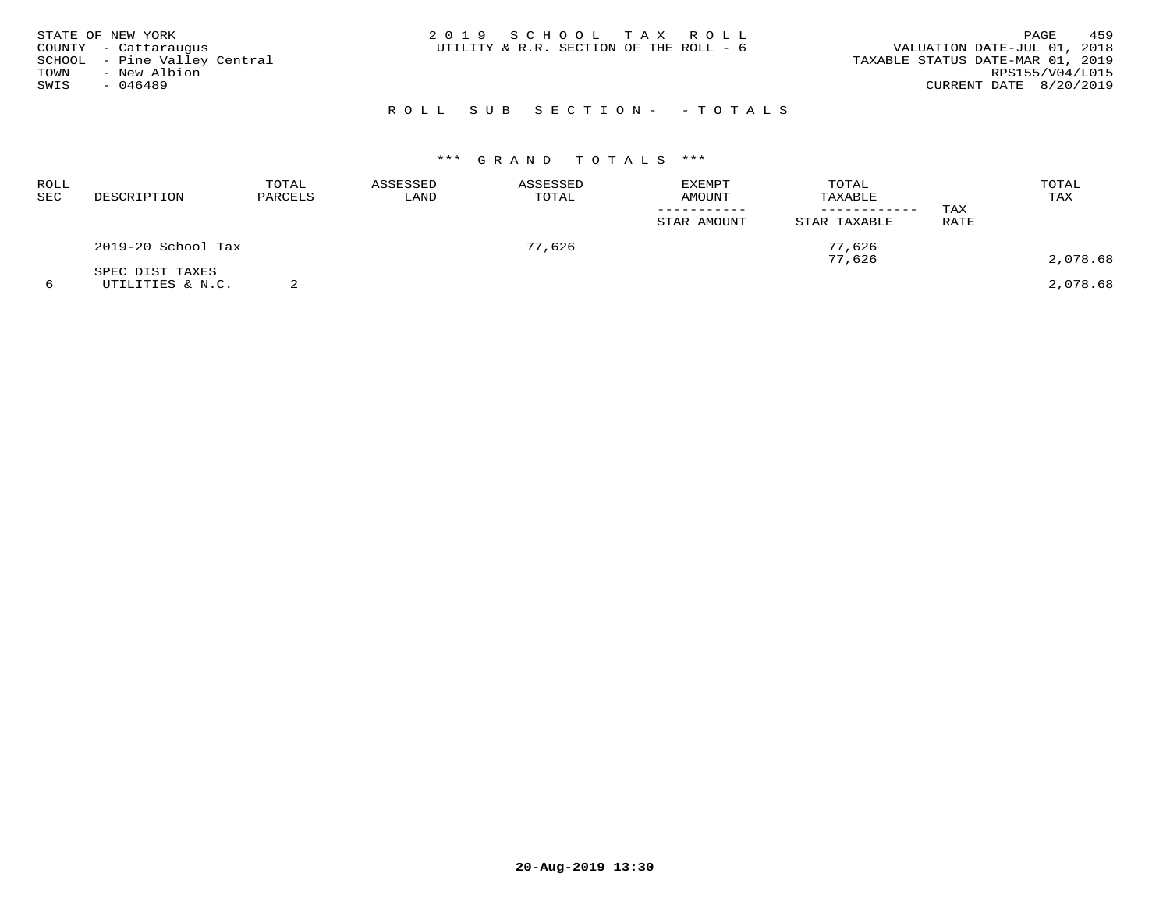| STATE OF NEW YORK<br>COUNTY - Cattaraugus<br>SCHOOL - Pine Valley Central<br>TOWN<br>- New Albion<br>SWIS<br>- 046489 | 2019 SCHOOL TAX ROLL<br>UTILITY & R.R. SECTION OF THE ROLL - 6 | 459<br>PAGE<br>VALUATION DATE-JUL 01, 2018<br>TAXABLE STATUS DATE-MAR 01, 2019<br>RPS155/V04/L015<br>CURRENT DATE 8/20/2019 |
|-----------------------------------------------------------------------------------------------------------------------|----------------------------------------------------------------|-----------------------------------------------------------------------------------------------------------------------------|
|                                                                                                                       | ROLL SUB SECTION- - TOTALS                                     |                                                                                                                             |

| ROLL<br><b>SEC</b> | DESCRIPTION                         | TOTAL<br>PARCELS | ASSESSED<br>LAND | ASSESSED<br>TOTAL | <b>EXEMPT</b><br>AMOUNT<br>STAR AMOUNT | TOTAL<br>TAXABLE<br>STAR TAXABLE | TAX<br>RATE | TOTAL<br>TAX |
|--------------------|-------------------------------------|------------------|------------------|-------------------|----------------------------------------|----------------------------------|-------------|--------------|
|                    | 2019-20 School Tax                  |                  |                  | 77,626            |                                        | 77,626<br>77,626                 |             | 2,078.68     |
|                    | SPEC DIST TAXES<br>UTILITIES & N.C. |                  |                  |                   |                                        |                                  |             | 2,078.68     |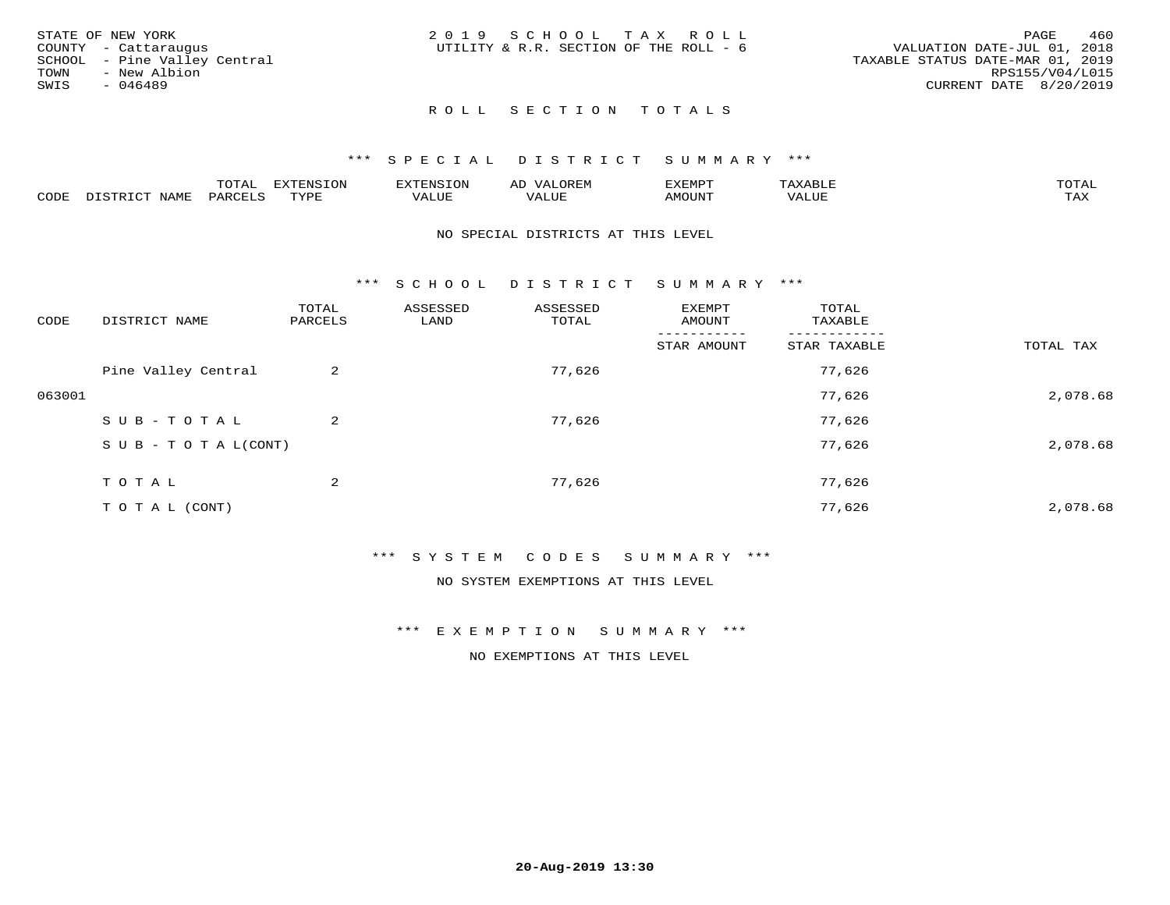|      | STATE OF NEW YORK            | 2019 SCHOOL TAX ROLL                   |  |                                  |                        | PAGE | 460 |
|------|------------------------------|----------------------------------------|--|----------------------------------|------------------------|------|-----|
|      | COUNTY - Cattaraugus         | UTILITY & R.R. SECTION OF THE ROLL - 6 |  | VALUATION DATE-JUL 01, 2018      |                        |      |     |
|      | SCHOOL - Pine Valley Central |                                        |  | TAXABLE STATUS DATE-MAR 01, 2019 |                        |      |     |
| TOWN | - New Albion                 |                                        |  |                                  | RPS155/V04/L015        |      |     |
| SWIS | - 046489                     |                                        |  |                                  | CURRENT DATE 8/20/2019 |      |     |
|      |                              |                                        |  |                                  |                        |      |     |

## ROLL SECTION TOTALS

#### \*\*\* S P E C I A L D I S T R I C T S U M M A R Y \*\*\*

|      |                          | momz.<br>.UIAL               | <b>EXTENSION</b> | 'XTENSION      | $T$ $\cap$ $\cap$ $\cap$ $\wedge$ $\wedge$<br>ΑIJ<br>OR EI <sup>w</sup> | EXEMPT        | $\pi$ $\pi$ $\pi$ $\pi$ $\pi$<br>ΆXΔ<br>$A\Lambda A B \cup B$ | $m \wedge m \wedge n$<br>1 A L |
|------|--------------------------|------------------------------|------------------|----------------|-------------------------------------------------------------------------|---------------|---------------------------------------------------------------|--------------------------------|
| CODE | DISTO TOT<br><b>NAME</b> | PARCELS<br>$\cdot$ . $\cdot$ | TVDF<br>.        | 77777<br>VALUE | VALUE                                                                   | <b>TNUOMA</b> | VALUE                                                         | $m \times r$<br>⊥⇔∆            |

#### NO SPECIAL DISTRICTS AT THIS LEVEL

\*\*\* S C H O O L D I S T R I C T S U M M A R Y \*\*\*

| CODE   | DISTRICT NAME                    | TOTAL<br>PARCELS | ASSESSED<br>LAND | ASSESSED<br>TOTAL | EXEMPT<br>AMOUNT | TOTAL<br>TAXABLE |           |
|--------|----------------------------------|------------------|------------------|-------------------|------------------|------------------|-----------|
|        |                                  |                  |                  |                   | STAR AMOUNT      | STAR TAXABLE     | TOTAL TAX |
|        | Pine Valley Central              | 2                |                  | 77,626            |                  | 77,626           |           |
| 063001 |                                  |                  |                  |                   |                  | 77,626           | 2,078.68  |
|        | SUB-TOTAL                        | $\overline{a}$   |                  | 77,626            |                  | 77,626           |           |
|        | $S \cup B - T \cup T A L (CONT)$ |                  |                  |                   |                  | 77,626           | 2,078.68  |
|        | TOTAL                            | 2                |                  | 77,626            |                  | 77,626           |           |
|        | T O T A L (CONT)                 |                  |                  |                   |                  | 77,626           | 2,078.68  |

#### \*\*\* S Y S T E M C O D E S S U M M A R Y \*\*\*

NO SYSTEM EXEMPTIONS AT THIS LEVEL

\*\*\* E X E M P T I O N S U M M A R Y \*\*\*

NO EXEMPTIONS AT THIS LEVEL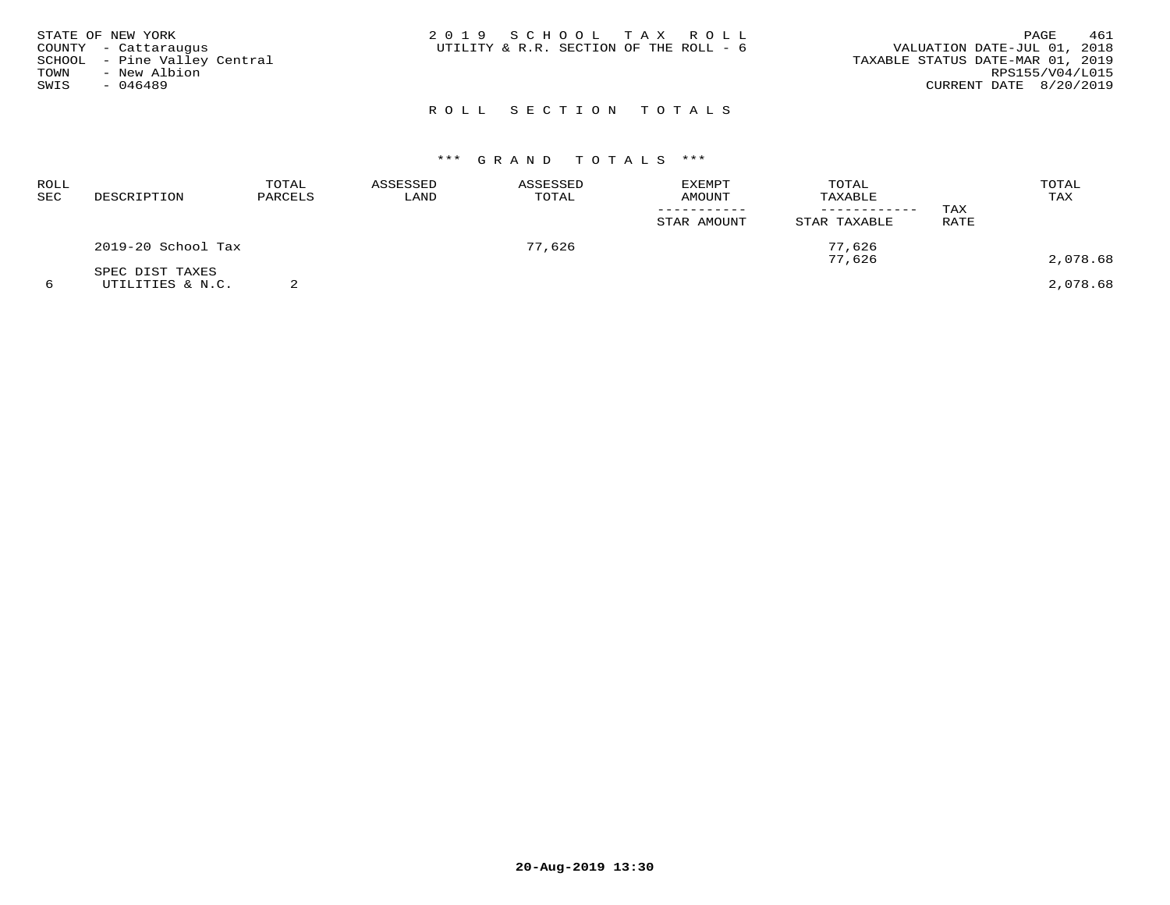| STATE OF NEW YORK<br>COUNTY - Cattaraugus<br>SCHOOL - Pine Valley Central<br>TOWN<br>- New Albion<br>SWIS<br>$-046489$ | 2019 SCHOOL TAX ROLL<br>UTILITY & R.R. SECTION OF THE ROLL - 6 | 461<br>PAGE<br>VALUATION DATE-JUL 01, 2018<br>TAXABLE STATUS DATE-MAR 01, 2019<br>RPS155/V04/L015<br>CURRENT DATE 8/20/2019 |
|------------------------------------------------------------------------------------------------------------------------|----------------------------------------------------------------|-----------------------------------------------------------------------------------------------------------------------------|
|                                                                                                                        | ROLL SECTION TOTALS                                            |                                                                                                                             |

| <b>ROLL</b><br>SEC | DESCRIPTION                         | TOTAL<br>PARCELS | ASSESSED<br>LAND | ASSESSED<br>TOTAL | <b>EXEMPT</b><br>AMOUNT<br>STAR AMOUNT | TOTAL<br>TAXABLE<br>STAR TAXABLE | TAX<br>RATE | TOTAL<br>TAX |
|--------------------|-------------------------------------|------------------|------------------|-------------------|----------------------------------------|----------------------------------|-------------|--------------|
|                    | 2019-20 School Tax                  |                  |                  | 77,626            |                                        | 77.626<br>77,626                 |             | 2,078.68     |
| 6                  | SPEC DIST TAXES<br>UTILITIES & N.C. |                  |                  |                   |                                        |                                  |             | 2,078.68     |

**20-Aug-2019 13:30**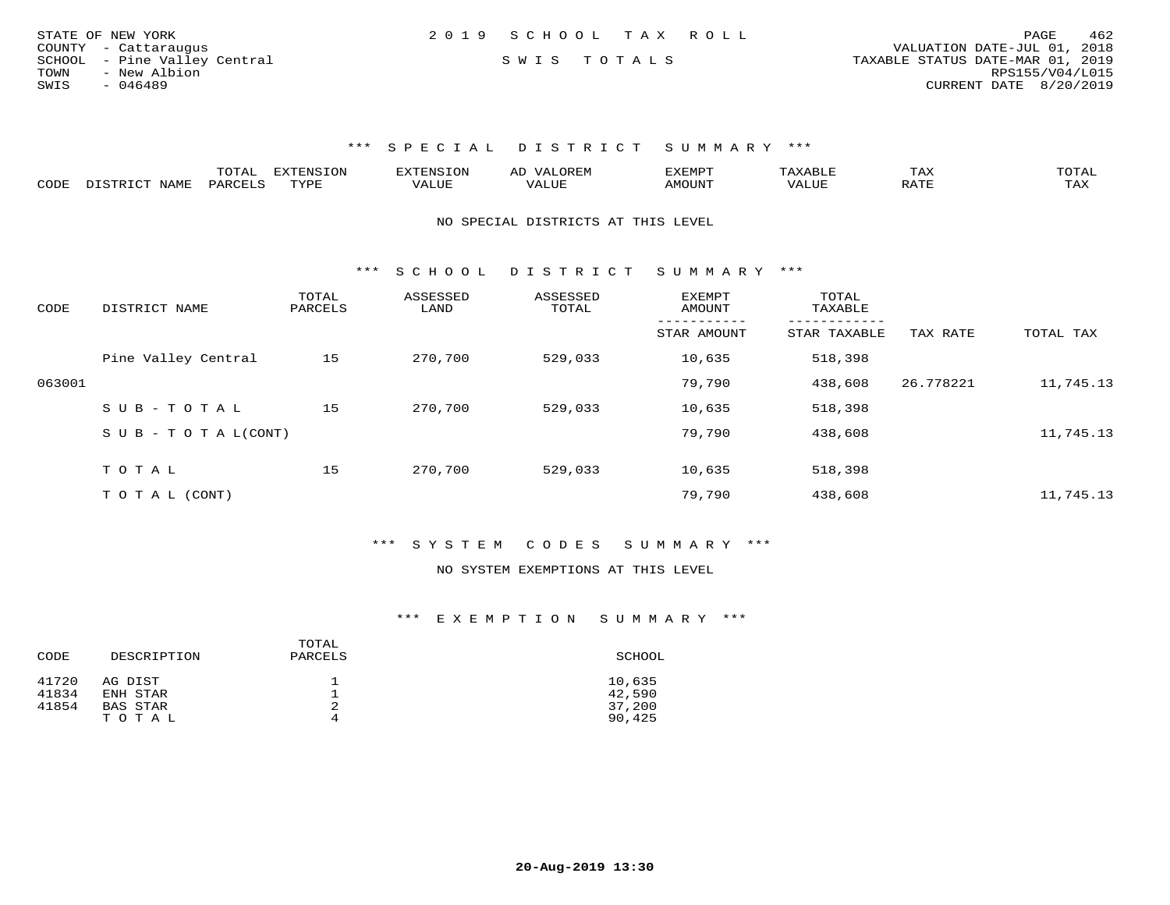| STATE OF NEW YORK            | 2019 SCHOOL TAX ROLL | 462<br>PAGE                      |
|------------------------------|----------------------|----------------------------------|
| COUNTY - Cattaraugus         |                      | VALUATION DATE-JUL 01, 2018      |
| SCHOOL - Pine Valley Central | SWIS TOTALS          | TAXABLE STATUS DATE-MAR 01, 2019 |
| - New Albion<br>TOWN         |                      | RPS155/V04/L015                  |
| SWIS<br>- 046489             |                      | CURRENT DATE 8/20/2019           |

|      |                       | UIAL     | <b>EXTENSION</b> |               | A <sub>1</sub> | 'XEMP'        |                          | ⊥AA   | TOTAL |
|------|-----------------------|----------|------------------|---------------|----------------|---------------|--------------------------|-------|-------|
| CODE | <b>NLAME</b><br>comp: | DAPCFT.C | TVDF             | <i>J</i> ALUE |                | <b>AMOUNT</b> | , 7 7 T T T T T<br>VALUE | יחת ה | TAX   |

NO SPECIAL DISTRICTS AT THIS LEVEL

\*\*\* S C H O O L D I S T R I C T S U M M A R Y \*\*\*

| CODE   | DISTRICT NAME                    | TOTAL<br>PARCELS | ASSESSED<br>LAND | ASSESSED<br>TOTAL | <b>EXEMPT</b><br>AMOUNT | TOTAL<br>TAXABLE |           |           |
|--------|----------------------------------|------------------|------------------|-------------------|-------------------------|------------------|-----------|-----------|
|        |                                  |                  |                  |                   | STAR AMOUNT             | STAR TAXABLE     | TAX RATE  | TOTAL TAX |
|        | Pine Valley Central              | 15               | 270,700          | 529,033           | 10,635                  | 518,398          |           |           |
| 063001 |                                  |                  |                  |                   | 79,790                  | 438,608          | 26.778221 | 11,745.13 |
|        | SUB-TOTAL                        | 15               | 270,700          | 529,033           | 10,635                  | 518,398          |           |           |
|        | $S \cup B - T \cup T A L (CONT)$ |                  |                  |                   | 79,790                  | 438,608          |           | 11,745.13 |
|        | TOTAL                            | 15               | 270,700          | 529,033           | 10,635                  | 518,398          |           |           |
|        |                                  |                  |                  |                   |                         |                  |           |           |
|        | T O T A L (CONT)                 |                  |                  |                   | 79,790                  | 438,608          |           | 11,745.13 |

\*\*\* S Y S T E M C O D E S S U M M A R Y \*\*\*

#### NO SYSTEM EXEMPTIONS AT THIS LEVEL

| CODE           | DESCRIPTION         | TOTAL<br>PARCELS | SCHOOL           |
|----------------|---------------------|------------------|------------------|
| 41720<br>41834 | AG DIST<br>ENH STAR |                  | 10,635<br>42,590 |
| 41854          | BAS STAR<br>TOTAL   | 2                | 37,200<br>90,425 |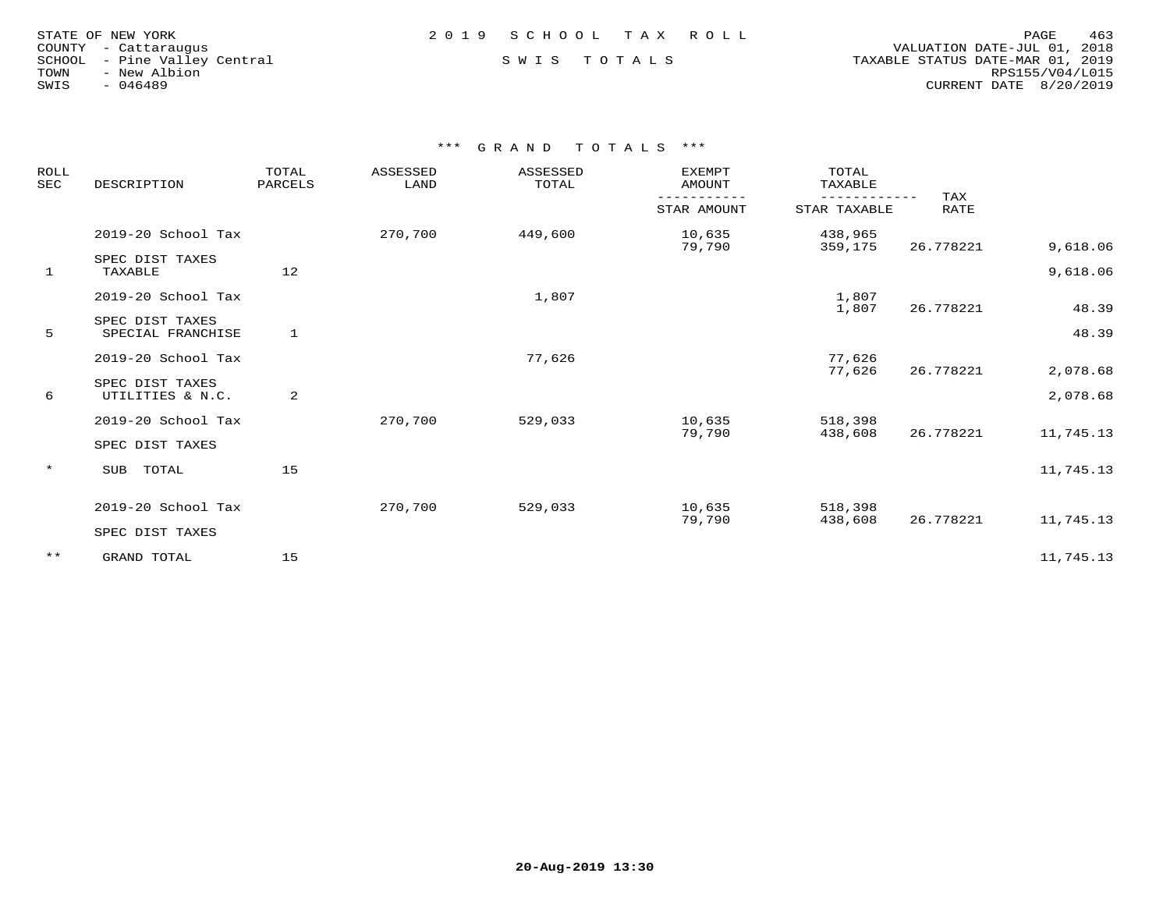| STATE OF NEW YORK    |           |                       |  |
|----------------------|-----------|-----------------------|--|
| COUNTY - Cattaraugus |           |                       |  |
| SCHOOL               |           | - Pine Valley Central |  |
| TOWN                 |           | - New Albion          |  |
| SWIS                 | $-046489$ |                       |  |

 COUNTY - Cattaraugus VALUATION DATE-JUL 01, 2018 SCHOOL - Pine Valley Central S W I S T O T A L S TAXABLE STATUS DATE-MAR 01, 2019 TOWN - New Albion RPS155/V04/L015SWIS - 046489 CURRENT DATE 8/20/2019

| ROLL<br><b>SEC</b> | DESCRIPTION                          | TOTAL<br>PARCELS | ASSESSED<br>LAND | ASSESSED<br>TOTAL | EXEMPT<br><b>AMOUNT</b> | TOTAL<br>TAXABLE   |                    |           |
|--------------------|--------------------------------------|------------------|------------------|-------------------|-------------------------|--------------------|--------------------|-----------|
|                    |                                      |                  |                  |                   | STAR AMOUNT             | STAR TAXABLE       | TAX<br><b>RATE</b> |           |
|                    | 2019-20 School Tax                   |                  | 270,700          | 449,600           | 10,635<br>79,790        | 438,965<br>359,175 | 26.778221          | 9,618.06  |
| 1                  | SPEC DIST TAXES<br>TAXABLE           | 12               |                  |                   |                         |                    |                    | 9,618.06  |
|                    | 2019-20 School Tax                   |                  |                  | 1,807             |                         | 1,807<br>1,807     | 26.778221          | 48.39     |
| 5                  | SPEC DIST TAXES<br>SPECIAL FRANCHISE | 1                |                  |                   |                         |                    |                    | 48.39     |
|                    | 2019-20 School Tax                   |                  |                  | 77,626            |                         | 77,626<br>77,626   | 26.778221          | 2,078.68  |
| 6                  | SPEC DIST TAXES<br>UTILITIES & N.C.  | 2                |                  |                   |                         |                    |                    | 2,078.68  |
|                    | 2019-20 School Tax                   |                  | 270,700          | 529,033           | 10,635<br>79,790        | 518,398<br>438,608 | 26.778221          | 11,745.13 |
|                    | SPEC DIST TAXES                      |                  |                  |                   |                         |                    |                    |           |
| $\star$            | TOTAL<br>SUB                         | 15               |                  |                   |                         |                    |                    | 11,745.13 |
|                    | 2019-20 School Tax                   |                  | 270,700          | 529,033           | 10,635                  | 518,398            |                    |           |
|                    | SPEC DIST TAXES                      |                  |                  |                   | 79,790                  | 438,608            | 26.778221          | 11,745.13 |
| $***$              | GRAND TOTAL                          | 15               |                  |                   |                         |                    |                    | 11,745.13 |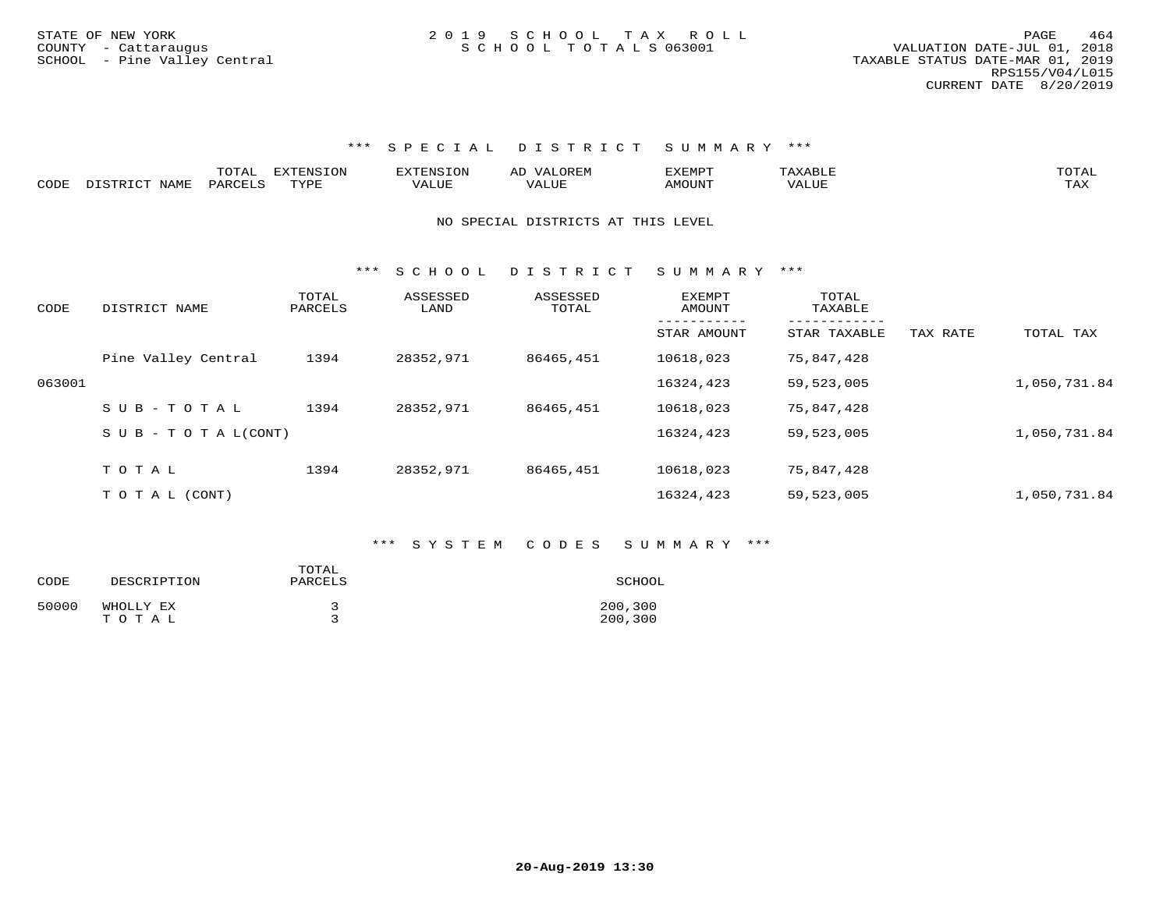|      |                  | TOTAL   | <b>EXTENSION</b> | <b>EXTENSION</b> | <b>OREM</b><br>AL    | <b>תרואה לי</b><br>שש∆באב |        | TOTAL |
|------|------------------|---------|------------------|------------------|----------------------|---------------------------|--------|-------|
| CODE | DISTRICT<br>NAME | PARCELS | TVDF             |                  | $\Delta$<br>ن ۱ سالۍ | <b>MOTINT</b><br>UUN      | VALUE. | -∽∡   |

#### NO SPECIAL DISTRICTS AT THIS LEVEL

\*\*\* S C H O O L D I S T R I C T S U M M A R Y \*\*\*

| CODE   | DISTRICT NAME                    | TOTAL<br>PARCELS | ASSESSED<br>LAND | ASSESSED<br>TOTAL | <b>EXEMPT</b><br>AMOUNT | TOTAL<br>TAXABLE |          |              |
|--------|----------------------------------|------------------|------------------|-------------------|-------------------------|------------------|----------|--------------|
|        |                                  |                  |                  |                   | STAR AMOUNT             | STAR TAXABLE     | TAX RATE | TOTAL TAX    |
|        | Pine Valley Central              | 1394             | 28352,971        | 86465,451         | 10618,023               | 75,847,428       |          |              |
| 063001 |                                  |                  |                  |                   | 16324,423               | 59,523,005       |          | 1,050,731.84 |
|        | SUB-TOTAL                        | 1394             | 28352,971        | 86465,451         | 10618,023               | 75,847,428       |          |              |
|        | $S \cup B - T \cup T A L (CONT)$ |                  |                  |                   | 16324,423               | 59,523,005       |          | 1,050,731.84 |
|        | TOTAL                            | 1394             | 28352,971        | 86465,451         | 10618,023               | 75,847,428       |          |              |
|        |                                  |                  |                  |                   |                         |                  |          |              |
|        | T O T A L (CONT)                 |                  |                  |                   | 16324,423               | 59,523,005       |          | 1,050,731.84 |

#### \*\*\* S Y S T E M C O D E S S U M M A R Y \*\*\*

| CODE  | DESCRIPTION        | TOTAL<br>PARCELS | SCHOOL             |
|-------|--------------------|------------------|--------------------|
| 50000 | WHOLLY EX<br>тотаь |                  | 200,300<br>200,300 |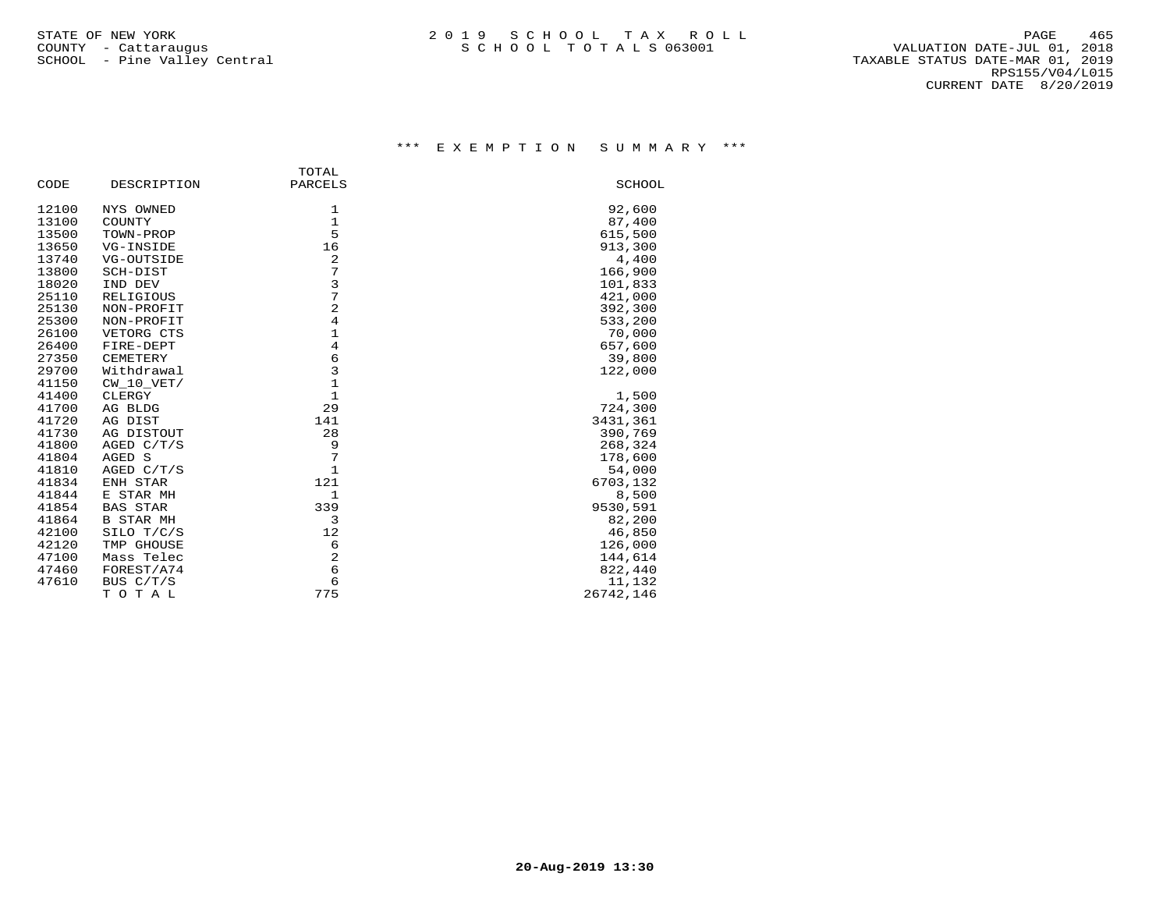|       |                  | TOTAL                                 |           |
|-------|------------------|---------------------------------------|-----------|
| CODE  | DESCRIPTION      | PARCELS                               | SCHOOL    |
| 12100 | NYS OWNED        | 1                                     | 92,600    |
| 13100 | COUNTY           | $\mathbf{1}$                          | 87,400    |
| 13500 | TOWN-PROP        | 5                                     | 615,500   |
| 13650 | VG-INSIDE        | 16                                    | 913,300   |
| 13740 | VG-OUTSIDE       | 2                                     | 4,400     |
| 13800 | SCH-DIST         | 7                                     | 166,900   |
| 18020 | IND DEV          | 3                                     | 101,833   |
| 25110 | RELIGIOUS        | 7                                     | 421,000   |
| 25130 | NON-PROFIT       | $\overline{2}$                        | 392,300   |
| 25300 | NON-PROFIT       | $\sqrt{4}$                            | 533,200   |
| 26100 | VETORG CTS       | $\mathbf{1}$                          | 70,000    |
| 26400 | FIRE-DEPT        | $\overline{4}$                        | 657,600   |
| 27350 | CEMETERY         | $\begin{array}{c} 6 \\ 3 \end{array}$ | 39,800    |
| 29700 | Withdrawal       |                                       | 122,000   |
| 41150 | $CW_10_VET/$     | $\mathbf 1$                           |           |
| 41400 | CLERGY           | $\mathbf{1}$                          | 1,500     |
| 41700 | AG BLDG          | 29                                    | 724,300   |
| 41720 | AG DIST          | 141                                   | 3431,361  |
| 41730 | AG DISTOUT       | 28                                    | 390,769   |
| 41800 | AGED C/T/S       | 9                                     | 268,324   |
| 41804 | AGED S           | 7                                     | 178,600   |
| 41810 | AGED C/T/S       | $\mathbf{1}$                          | 54,000    |
| 41834 | ENH STAR         | 121                                   | 6703,132  |
| 41844 | E STAR MH        | $\mathbf{1}$                          | 8,500     |
| 41854 | <b>BAS STAR</b>  | 339                                   | 9530,591  |
| 41864 | <b>B STAR MH</b> | 3                                     | 82,200    |
| 42100 | SILO T/C/S       | 12                                    | 46,850    |
| 42120 | TMP GHOUSE       | 6                                     | 126,000   |
| 47100 | Mass Telec       | $\overline{2}$                        | 144,614   |
| 47460 | FOREST/A74       | 6                                     | 822,440   |
| 47610 | BUS C/T/S        | 6                                     | 11,132    |
|       | TOTAL            | 775                                   | 26742,146 |